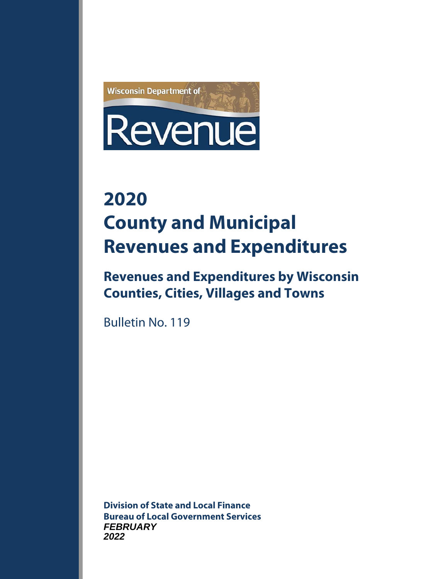

# **2020 County and Municipal Revenues and Expenditures**

**Revenues and Expenditures by Wisconsin Counties, Cities, Villages and Towns**

Bulletin No. 119

**Division of State and Local Finance Bureau of Local Government Services FEBRUARY 2022**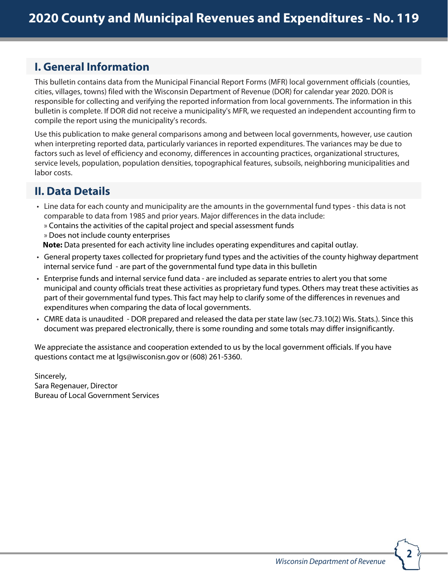# **I. General Information**

This bulletin contains data from the Municipal Financial Report Forms (MFR) local government officials (counties, cities, villages, towns) filed with the Wisconsin Department of Revenue (DOR) for calendar year 2020. DOR is 2020responsible for collecting and verifying the reported information from local governments. The information in this bulletin is complete. If DOR did not receive a municipality's MFR, we requested an independent accounting firm to compile the report using the municipality's records.

Use this publication to make general comparisons among and between local governments, however, use caution when interpreting reported data, particularly variances in reported expenditures. The variances may be due to factors such as level of efficiency and economy, differences in accounting practices, organizational structures, service levels, population, population densities, topographical features, subsoils, neighboring municipalities and labor costs.

# **II. Data Details**

- Line data for each county and municipality are the amounts in the governmental fund types this data is not comparable to data from 1985 and prior years. Major differences in the data include: » Contains the activities of the capital project and special assessment funds
	- » Does not include county enterprises

**Note:** Data presented for each activity line includes operating expenditures and capital outlay.

- General property taxes collected for proprietary fund types and the activities of the county highway department internal service fund - are part of the governmental fund type data in this bulletin
- Enterprise funds and internal service fund data are included as separate entries to alert you that some municipal and county officials treat these activities as proprietary fund types. Others may treat these activities as part of their governmental fund types. This fact may help to clarify some of the differences in revenues and expenditures when comparing the data of local governments.
- CMRE data is unaudited DOR prepared and released the data per state law (sec.73.10(2) Wis. Stats.). Since this document was prepared electronically, there is some rounding and some totals may differ insignificantly.

We appreciate the assistance and cooperation extended to us by the local government officials. If you have questions contact me at lgs@wisconisn.gov or (608) 261-5360.

Sincerely, Sara Regenauer, Director Bureau of Local Government Services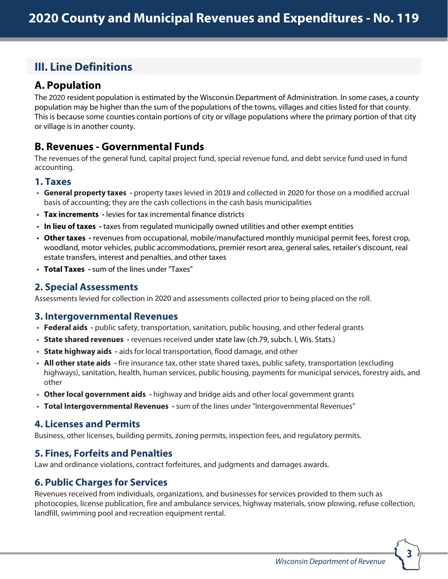# **III. Line Definitions**

# **A. Population**

The 2020 resident population is estimated by the Wisconsin Department of Administration. In some cases, a county 2020 population may be higher than the sum of the populations of the towns, villages and cities listed for that county. This is because some counties contain portions of city or village populations where the primary portion of that city or village is in another county.

# **B. Revenues - Governmental Funds**

The revenues of the general fund, capital project fund, special revenue fund, and debt service fund used in fund accounting.

#### **1. Taxes**

- General property taxes property taxes levied in 2019 and collected in 2020 for those on a modified accrual basis of accounting; they are the cash collections in the cash basis municipalities
- **Tax increments** levies for tax incremental finance districts
- **In lieu of taxes** taxes from regulated municipally owned utilities and other exempt entities
- **Other taxes** revenues from occupational, mobile/manufactured monthly municipal permit fees, forest crop, woodland, motor vehicles, public accommodations, premier resort area, general sales, retailer's discount, real estate transfers, interest and penalties, and other taxes
- **Total Taxes** sum of the lines under "Taxes"

#### **2. Special Assessments**

Assessments levied for collection in 2020 and assessments collected prior to being placed on the roll. 2020

#### **3. Intergovernmental Revenues**

- **Federal aids** public safety, transportation, sanitation, public housing, and other federal grants
- **State shared revenues** revenues received under state law (ch.79, subch. I, Wis. Stats.)
- **State highway aids** aids for local transportation, flood damage, and other
- **All other state aids** fire insurance tax, other state shared taxes, public safety, transportation (excluding highways), sanitation, health, human services, public housing, payments for municipal services, forestry aids, and other
- **Other local government aids** highway and bridge aids and other local government grants
- **Total Intergovernmental Revenues** sum of the lines under "Intergovernmental Revenues"

#### **4. Licenses and Permits**

Business, other licenses, building permits, zoning permits, inspection fees, and regulatory permits.

# **5. Fines, Forfeits and Penalties**

Law and ordinance violations, contract forfeitures, and judgments and damages awards.

# **6. Public Charges for Services**

Revenues received from individuals, organizations, and businesses for services provided to them such as photocopies, license publication, fire and ambulance services, highway materials, snow plowing, refuse collection, landfill, swimming pool and recreation equipment rental.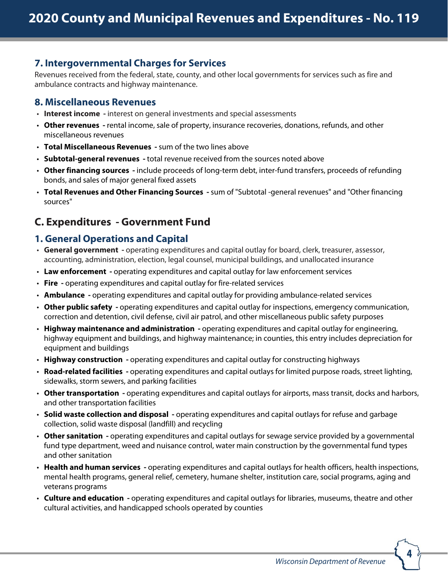#### **7. Intergovernmental Charges for Services**

Revenues received from the federal, state, county, and other local governments for services such as fire and ambulance contracts and highway maintenance.

#### **8. Miscellaneous Revenues**

- **Interest income** interest on general investments and special assessments
- **Other revenues** rental income, sale of property, insurance recoveries, donations, refunds, and other miscellaneous revenues
- **Total Miscellaneous Revenues** sum of the two lines above
- **Subtotal-general revenues** total revenue received from the sources noted above
- **Other financing sources** include proceeds of long-term debt, inter-fund transfers, proceeds of refunding bonds, and sales of major general fixed assets
- **Total Revenues and Other Financing Sources** sum of "Subtotal -general revenues" and "Other financing sources"

# **C. Expenditures - Government Fund**

#### **1. General Operations and Capital**

- **General government** operating expenditures and capital outlay for board, clerk, treasurer, assessor, accounting, administration, election, legal counsel, municipal buildings, and unallocated insurance
- **Law enforcement** operating expenditures and capital outlay for law enforcement services
- **Fire** operating expenditures and capital outlay for fire-related services
- **Ambulance** operating expenditures and capital outlay for providing ambulance-related services
- **Other public safety** operating expenditures and capital outlay for inspections, emergency communication, correction and detention, civil defense, civil air patrol, and other miscellaneous public safety purposes
- **Highway maintenance and administration** operating expenditures and capital outlay for engineering, highway equipment and buildings, and highway maintenance; in counties, this entry includes depreciation for equipment and buildings
- **Highway construction** operating expenditures and capital outlay for constructing highways
- **Road-related facilities** operating expenditures and capital outlays for limited purpose roads, street lighting, sidewalks, storm sewers, and parking facilities
- **Other transportation** operating expenditures and capital outlays for airports, mass transit, docks and harbors, and other transportation facilities
- **Solid waste collection and disposal** operating expenditures and capital outlays for refuse and garbage collection, solid waste disposal (landfill) and recycling
- **Other sanitation** operating expenditures and capital outlays for sewage service provided by a governmental fund type department, weed and nuisance control, water main construction by the governmental fund types and other sanitation
- **Health and human services** operating expenditures and capital outlays for health officers, health inspections, mental health programs, general relief, cemetery, humane shelter, institution care, social programs, aging and veterans programs
- **Culture and education** operating expenditures and capital outlays for libraries, museums, theatre and other cultural activities, and handicapped schools operated by counties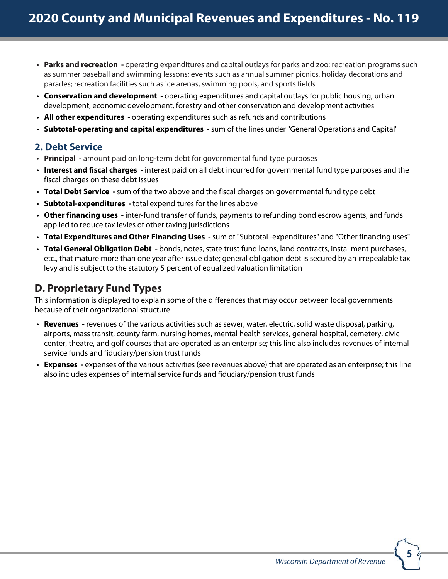- **Parks and recreation** operating expenditures and capital outlays for parks and zoo; recreation programs such as summer baseball and swimming lessons; events such as annual summer picnics, holiday decorations and parades; recreation facilities such as ice arenas, swimming pools, and sports fields
- **Conservation and development** operating expenditures and capital outlays for public housing, urban development, economic development, forestry and other conservation and development activities
- **All other expenditures** operating expenditures such as refunds and contributions
- **Subtotal-operating and capital expenditures** sum of the lines under "General Operations and Capital"

#### **2. Debt Service**

- **Principal** amount paid on long-term debt for governmental fund type purposes
- **Interest and fiscal charges** interest paid on all debt incurred for governmental fund type purposes and the fiscal charges on these debt issues
- **Total Debt Service** sum of the two above and the fiscal charges on governmental fund type debt
- **Subtotal-expenditures** total expenditures for the lines above
- **Other financing uses** inter-fund transfer of funds, payments to refunding bond escrow agents, and funds applied to reduce tax levies of other taxing jurisdictions
- **Total Expenditures and Other Financing Uses** sum of "Subtotal -expenditures" and "Other financing uses"
- **Total General Obligation Debt** bonds, notes, state trust fund loans, land contracts, installment purchases, etc., that mature more than one year after issue date; general obligation debt is secured by an irrepealable tax levy and is subject to the statutory 5 percent of equalized valuation limitation

# **D. Proprietary Fund Types**

This information is displayed to explain some of the differences that may occur between local governments because of their organizational structure.

- **Revenues** revenues of the various activities such as sewer, water, electric, solid waste disposal, parking, airports, mass transit, county farm, nursing homes, mental health services, general hospital, cemetery, civic center, theatre, and golf courses that are operated as an enterprise; this line also includes revenues of internal service funds and fiduciary/pension trust funds
- **Expenses** expenses of the various activities (see revenues above) that are operated as an enterprise; this line also includes expenses of internal service funds and fiduciary/pension trust funds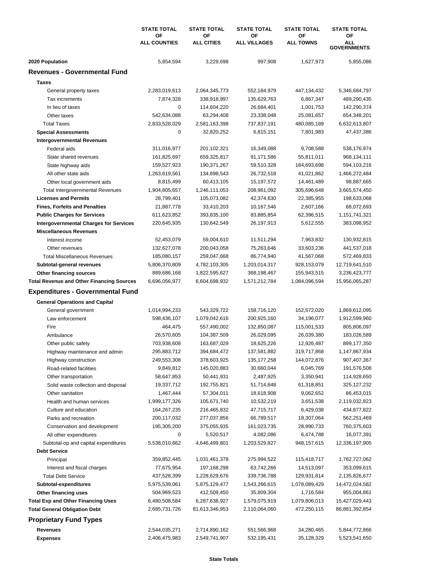|                                                             | <b>STATE TOTAL</b><br>ΟF | <b>STATE TOTAL</b><br>ΟF | <b>STATE TOTAL</b><br>ΟF | <b>STATE TOTAL</b><br>ΟF | <b>STATE TOTAL</b><br>ΟF         |  |
|-------------------------------------------------------------|--------------------------|--------------------------|--------------------------|--------------------------|----------------------------------|--|
|                                                             | <b>ALL COUNTIES</b>      | <b>ALL CITIES</b>        | <b>ALL VILLAGES</b>      | <b>ALL TOWNS</b>         | <b>ALL</b><br><b>GOVERNMENTS</b> |  |
| 2020 Population                                             | 5,854,594                | 3,229,698                | 997,908                  | 1,627,973                | 5,855,086                        |  |
| <b>Revenues - Governmental Fund</b>                         |                          |                          |                          |                          |                                  |  |
| <b>Taxes</b>                                                |                          |                          |                          |                          |                                  |  |
| General property taxes                                      | 2,283,019,613            | 2,064,345,773            | 552,184,979              | 447,134,432              | 5,346,684,797                    |  |
| Tax increments                                              | 7,874,328                | 338,918,997              | 135,629,763              | 6,867,347                | 489,290,435                      |  |
| In lieu of taxes                                            | 0                        | 114,604,220              | 26,684,401               | 1,001,753                | 142,290,374                      |  |
| Other taxes                                                 | 542,634,088              | 63,294,408               | 23,338,048               | 25,081,657               | 654,348,201                      |  |
| <b>Total Taxes</b>                                          | 2,833,528,029            | 2,581,163,398            | 737,837,191              | 480,085,189              | 6,632,613,807                    |  |
| <b>Special Assessments</b>                                  | 0                        | 32,820,252               | 6,815,151                | 7,801,983                | 47,437,386                       |  |
| <b>Intergovernmental Revenues</b>                           |                          |                          |                          |                          |                                  |  |
| Federal aids                                                | 311,016,977              | 201,102,321              | 16,349,088               | 9,708,588                | 538,176,974                      |  |
| State shared revenues                                       | 161,825,697              | 659,325,817              | 91,171,586               | 55,811,011               | 968,134,111                      |  |
| State highway aids                                          | 159,527,923              | 190,371,267              | 59,510,328               | 184,693,698              | 594,103,216                      |  |
| All other state aids                                        | 1,263,619,561            | 134,898,543              | 26,732,518               | 41,021,862               | 1,466,272,484                    |  |
| Other local government aids                                 | 8,815,499                | 60,413,105               | 15, 197, 572             | 14,461,489               | 98,887,665                       |  |
| <b>Total Intergovernmental Revenues</b>                     | 1,904,805,657            | 1,246,111,053            | 208,961,092              | 305,696,648              | 3,665,574,450                    |  |
| <b>Licenses and Permits</b>                                 | 28,799,401               | 105,073,082              | 42,374,630               | 22,385,955               | 198,633,068                      |  |
| <b>Fines, Forfeits and Penalties</b>                        | 21,887,778               | 33,410,203               | 10,167,546               | 2,607,166                | 68,072,693                       |  |
| <b>Public Charges for Services</b>                          | 611,623,852              | 393,835,100              | 83,885,854               | 62,396,515               | 1,151,741,321                    |  |
| <b>Intergovernmental Charges for Services</b>               | 220,645,935              | 130,642,549              | 26,197,913               | 5,612,555                | 383,098,952                      |  |
| <b>Miscellaneous Revenues</b>                               |                          |                          |                          |                          |                                  |  |
| Interest income                                             | 52,453,079               | 59,004,610               | 11,511,294               | 7,963,832                | 130,932,815                      |  |
| Other revenues                                              | 132,627,078              | 200,043,058              | 75,263,646               | 33,603,236               | 441,537,018                      |  |
| <b>Total Miscellaneous Revenues</b>                         | 185,080,157              | 259,047,668              | 86,774,940               | 41,567,068               | 572,469,833                      |  |
| Subtotal-general revenues                                   | 5,806,370,809            | 4,782,103,305            | 1,203,014,317            | 928,153,079              | 12,719,641,510                   |  |
| Other financing sources                                     | 889,686,168              | 1,822,595,627            | 368,198,467              | 155,943,515              | 3,236,423,777                    |  |
| <b>Total Revenue and Other Financing Sources</b>            | 6,696,056,977            | 6,604,698,932            | 1,571,212,784            | 1,084,096,594            | 15,956,065,287                   |  |
| <b>Expenditures - Governmental Fund</b>                     |                          |                          |                          |                          |                                  |  |
| <b>General Operations and Capital</b>                       |                          |                          |                          |                          |                                  |  |
| General government                                          | 1,014,994,233            | 543,329,722              | 158,716,120              | 152,572,020              | 1,869,612,095                    |  |
| Law enforcement                                             | 598,436,107              | 1,079,042,616            | 200,925,160              | 34,196,077               | 1,912,599,960                    |  |
| Fire                                                        | 464,475                  | 557,490,002              | 132,850,087              | 115,001,533              | 805,806,097                      |  |
| Ambulance                                                   | 26,570,605               | 104,387,509              | 26,029,095               | 26,039,380               | 183,026,589                      |  |
| Other public safety                                         | 703,938,608              | 163,687,029              | 18,625,226               | 12,926,487               | 899,177,350                      |  |
| Highway maintenance and admin                               | 295,883,712              | 394,684,472              | 137,581,882              | 319,717,868              | 1,147,867,934                    |  |
| Highway construction                                        | 249,553,308              | 378,603,925              | 135, 177, 258            | 144,072,876              | 907,407,367                      |  |
| Road-related facilities                                     | 9,849,812                | 145,020,883              | 30,660,044               | 6,045,769                | 191,576,508                      |  |
| Other transportation                                        | 58,647,853               | 50,441,931               | 2,487,925                | 3,350,941                | 114,928,650                      |  |
| Solid waste collection and disposal                         | 19,337,712               | 192,755,821              | 51,714,848               | 61,318,851               | 325, 127, 232                    |  |
| Other sanitation                                            | 1,467,444                | 57,304,011               | 18,618,908               | 9,062,652                | 86,453,015                       |  |
| Health and human services                                   | 1,999,177,326            | 105,671,740              | 10,532,219               | 3,651,538                | 2,119,032,823                    |  |
| Culture and education                                       | 164,267,235              | 216,465,832              | 47,715,717               | 6,429,038                | 434,877,822                      |  |
| Parks and recreation                                        | 200,117,032              | 277,037,856              | 66,789,517               | 18,307,064               | 562,251,469                      |  |
| Conservation and development                                | 195,305,200              | 375,055,935              | 161,023,735              | 28,990,733               | 760,375,603                      |  |
| All other expenditures                                      | 0                        | 5,520,517                | 4,082,086                | 6,474,788                | 16,077,391                       |  |
| Subtotal-op and capital expenditures<br><b>Debt Service</b> | 5,538,010,662            | 4,646,499,801            | 1,203,529,827            | 948, 157, 615            | 12,336,197,905                   |  |
| Principal                                                   | 359,852,445              | 1,031,461,378            | 275,994,522              | 115,418,717              | 1,782,727,062                    |  |
| Interest and fiscal charges                                 | 77,675,954               | 197,168,298              | 63,742,266               | 14,513,097               | 353,099,615                      |  |
| <b>Total Debt Service</b>                                   | 437,528,399              | 1,228,629,676            | 339,736,788              | 129,931,814              | 2,135,826,677                    |  |
| Subtotal-expenditures                                       | 5,975,539,061            | 5,875,129,477            | 1,543,266,615            | 1,078,089,429            | 14,472,024,582                   |  |
| Other financing uses                                        | 504,969,523              | 412,509,450              | 35,809,304               | 1,716,584                | 955,004,861                      |  |
| <b>Total Exp and Other Financing Uses</b>                   | 6,480,508,584            | 6,287,638,927            | 1,579,075,919            | 1,079,806,013            | 15,427,029,443                   |  |
| <b>Total General Obligation Debt</b>                        | 2,685,731,726            | 81,613,346,953           | 2,110,064,060            | 472,250,115              | 86,881,392,854                   |  |
| <b>Proprietary Fund Types</b>                               |                          |                          |                          |                          |                                  |  |
| <b>Revenues</b>                                             | 2,544,035,271            | 2,714,890,162            | 551,566,968              | 34,280,465               | 5,844,772,866                    |  |
| <b>Expenses</b>                                             | 2,406,475,983            | 2,549,741,907            | 532,195,431              | 35,128,329               | 5,523,541,650                    |  |
|                                                             |                          |                          |                          |                          |                                  |  |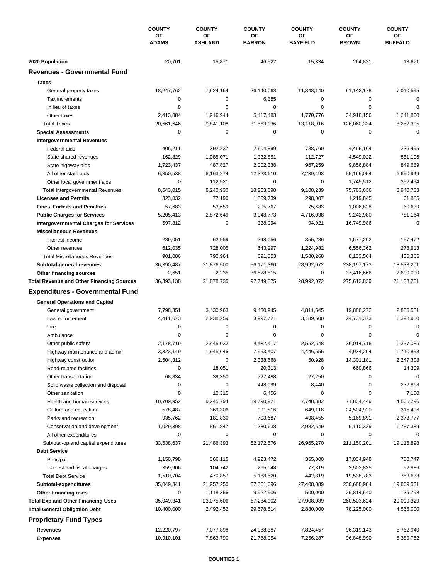|                                                  | <b>COUNTY</b><br>ΟF<br><b>ADAMS</b> | <b>COUNTY</b>        | <b>COUNTY</b>       | <b>COUNTY</b>         | <b>COUNTY</b>      | <b>COUNTY</b>        |
|--------------------------------------------------|-------------------------------------|----------------------|---------------------|-----------------------|--------------------|----------------------|
|                                                  |                                     | OF<br><b>ASHLAND</b> | ΟF<br><b>BARRON</b> | ОF<br><b>BAYFIELD</b> | OF<br><b>BROWN</b> | ОF<br><b>BUFFALO</b> |
| 2020 Population                                  | 20,701                              | 15,871               | 46,522              | 15,334                | 264,821            | 13,671               |
| <b>Revenues - Governmental Fund</b>              |                                     |                      |                     |                       |                    |                      |
| <b>Taxes</b>                                     |                                     |                      |                     |                       |                    |                      |
| General property taxes                           | 18,247,762                          | 7,924,164            | 26,140,068          | 11,348,140            | 91,142,178         | 7,010,595            |
| Tax increments                                   | 0                                   | 0                    | 6,385               | 0                     | 0                  | $\mathbf 0$          |
| In lieu of taxes                                 | 0                                   | 0                    | 0                   | 0                     | $\mathbf 0$        | 0                    |
| Other taxes                                      | 2,413,884                           | 1,916,944            | 5,417,483           | 1,770,776             | 34,918,156         | 1,241,800            |
| <b>Total Taxes</b>                               | 20,661,646                          | 9,841,108            | 31,563,936          | 13,118,916            | 126,060,334        | 8,252,395            |
| <b>Special Assessments</b>                       | 0                                   | 0                    | 0                   | 0                     | 0                  | $\mathbf 0$          |
| <b>Intergovernmental Revenues</b>                |                                     |                      |                     |                       |                    |                      |
| Federal aids                                     | 406,211                             | 392,237              | 2,604,899           | 788,760               | 4,466,164          | 236,495              |
| State shared revenues                            | 162,829                             | 1,085,071            | 1,332,851           | 112,727               | 4,549,022          | 851,106              |
| State highway aids                               | 1,723,437                           | 487,827              | 2,002,338           | 967,259               | 9,856,884          | 849,689              |
| All other state aids                             | 6,350,538                           | 6,163,274            | 12,323,610          | 7,239,493             | 55,166,054         | 6,650,949            |
| Other local government aids                      | 0                                   | 112,521              | 0                   | 0                     | 1,745,512          | 352,494              |
| Total Intergovernmental Revenues                 | 8,643,015                           | 8,240,930            | 18,263,698          | 9,108,239             | 75,783,636         | 8,940,733            |
| <b>Licenses and Permits</b>                      | 323,832                             | 77,190               | 1,859,739           | 298,007               | 1,219,845          | 61,885               |
| <b>Fines, Forfeits and Penalties</b>             | 57,683                              | 53,659               | 205,767             | 75,683                | 1,006,828          | 60,639               |
| <b>Public Charges for Services</b>               | 5,205,413                           | 2,872,649            | 3,048,773           | 4,716,038             | 9,242,980          | 781,164              |
| <b>Intergovernmental Charges for Services</b>    | 597,812                             | 0                    | 338,094             | 94,921                | 16,749,986         | 0                    |
| <b>Miscellaneous Revenues</b>                    |                                     |                      |                     |                       |                    |                      |
| Interest income                                  | 289,051                             | 62,959               | 248,056             | 355,286               | 1,577,202          | 157,472              |
| Other revenues                                   | 612,035                             | 728,005              | 643,297             | 1,224,982             | 6,556,362          | 278,913              |
| <b>Total Miscellaneous Revenues</b>              | 901,086                             | 790,964              | 891,353             | 1,580,268             | 8,133,564          | 436,385              |
| Subtotal-general revenues                        | 36,390,487                          | 21,876,500           | 56,171,360          | 28,992,072            | 238, 197, 173      | 18,533,201           |
| Other financing sources                          | 2,651                               | 2,235                | 36,578,515          | 0                     | 37,416,666         | 2,600,000            |
| <b>Total Revenue and Other Financing Sources</b> | 36,393,138                          | 21,878,735           | 92,749,875          | 28,992,072            | 275,613,839        | 21,133,201           |
| <b>Expenditures - Governmental Fund</b>          |                                     |                      |                     |                       |                    |                      |
| <b>General Operations and Capital</b>            |                                     |                      |                     |                       |                    |                      |
| General government                               | 7,798,351                           | 3,430,963            | 9,430,945           | 4,811,545             | 19,888,272         | 2,885,551            |
| Law enforcement                                  | 4,411,673                           | 2,938,259            | 3,997,721           | 3,189,500             | 24,731,373         | 1,398,950            |
| Fire                                             | 0                                   | $\pmb{0}$            | 0                   | 0                     | $\mathbf 0$        | $\mathbf 0$          |
| Ambulance                                        | 0                                   | 0                    | 0                   | 0                     | $\mathbf 0$        | 0                    |
| Other public safety                              | 2,178,719                           | 2,445,032            | 4,482,417           | 2,552,548             | 36,014,716         | 1,337,086            |
| Highway maintenance and admin                    | 3,323,149                           | 1,945,646            | 7,953,407           | 4,446,555             | 4,934,204          | 1,710,858            |
| Highway construction                             | 2,504,312                           | 0                    | 2,338,668           | 50,928                | 14,301,181         | 2,247,308            |
| Road-related facilities                          | 0                                   | 18,051               | 20,313              | 0                     | 660,866            | 14,309               |
| Other transportation                             | 68,834                              | 39,350               | 727,488             | 27,250                | 0                  | 0                    |
| Solid waste collection and disposal              | 0                                   | 0                    | 448,099             | 8,440                 | 0                  | 232,868              |
| Other sanitation                                 | 0                                   | 10,315               | 6,456               | 0                     | 0                  | 7,100                |
| Health and human services                        | 10,709,952                          | 9,245,794            | 19,790,921          | 7,748,382             | 71,834,449         | 4,805,296            |
| Culture and education                            | 578,487                             | 369,306              | 991,816             | 649,118               | 24,504,920         | 315,406              |
| Parks and recreation                             | 935,762                             | 181,830              | 703,687             | 498,455               | 5,169,891          | 2,373,777            |
| Conservation and development                     | 1,029,398                           | 861,847              | 1,280,638           | 2,982,549             | 9,110,329          | 1,787,389            |
| All other expenditures                           | 0                                   | 0                    | 0                   | 0                     | 0                  | 0                    |
| Subtotal-op and capital expenditures             | 33,538,637                          | 21,486,393           | 52,172,576          | 26,965,270            | 211,150,201        | 19,115,898           |
| <b>Debt Service</b>                              |                                     |                      |                     |                       |                    |                      |
| Principal                                        | 1,150,798                           | 366,115              | 4,923,472           | 365,000               | 17,034,948         | 700,747              |
| Interest and fiscal charges                      | 359,906                             | 104,742              | 265,048             | 77,819                | 2,503,835          | 52,886               |
| <b>Total Debt Service</b>                        | 1,510,704                           | 470,857              | 5,188,520           | 442,819               | 19,538,783         | 753,633              |
| Subtotal-expenditures                            | 35,049,341                          | 21,957,250           | 57,361,096          | 27,408,089            | 230,688,984        | 19,869,531           |
| Other financing uses                             | 0                                   | 1,118,356            | 9,922,906           | 500,000               | 29,814,640         | 139,798              |
| <b>Total Exp and Other Financing Uses</b>        | 35,049,341                          | 23,075,606           | 67,284,002          | 27,908,089            | 260,503,624        | 20,009,329           |
| <b>Total General Obligation Debt</b>             | 10,400,000                          | 2,492,452            | 29,678,514          | 2,880,000             | 78,225,000         | 4,565,000            |
| <b>Proprietary Fund Types</b>                    |                                     |                      |                     |                       |                    |                      |
| <b>Revenues</b>                                  | 12,220,797                          | 7,077,898            | 24,088,387          | 7,824,457             | 96,319,143         | 5,762,940            |
| <b>Expenses</b>                                  | 10,910,101                          | 7,863,790            | 21,788,054          | 7,256,287             | 96,848,990         | 5,389,762            |
|                                                  |                                     |                      |                     |                       |                    |                      |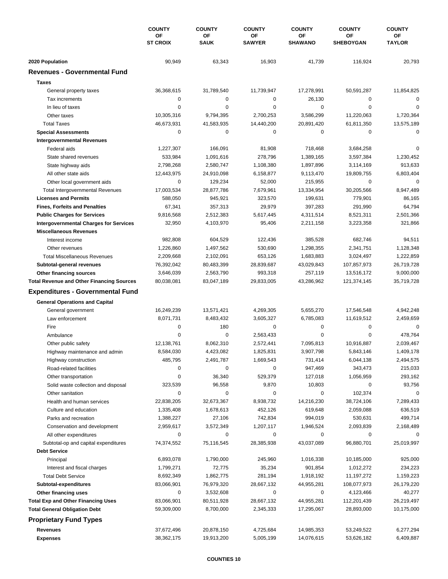|                                                      | <b>COUNTY</b><br>ΟF<br><b>ST CROIX</b> | <b>COUNTY</b><br>OF<br><b>SAUK</b> | <b>COUNTY</b><br>OF<br><b>SAWYER</b> | <b>COUNTY</b><br>ΟF<br><b>SHAWANO</b> | <b>COUNTY</b><br>OF<br><b>SHEBOYGAN</b> | <b>COUNTY</b><br>ОF<br><b>TAYLOR</b> |
|------------------------------------------------------|----------------------------------------|------------------------------------|--------------------------------------|---------------------------------------|-----------------------------------------|--------------------------------------|
|                                                      |                                        |                                    |                                      |                                       |                                         |                                      |
| 2020 Population                                      | 90,949                                 | 63,343                             | 16,903                               | 41,739                                | 116,924                                 | 20,793                               |
| <b>Revenues - Governmental Fund</b>                  |                                        |                                    |                                      |                                       |                                         |                                      |
| <b>Taxes</b>                                         |                                        |                                    |                                      |                                       |                                         |                                      |
| General property taxes                               | 36,368,615                             | 31,789,540                         | 11,739,947                           | 17,278,991                            | 50,591,287                              | 11,854,825                           |
| Tax increments                                       | $\mathbf 0$                            | 0                                  | 0                                    | 26,130                                | 0                                       | $\mathbf 0$                          |
| In lieu of taxes                                     | $\mathbf 0$                            | 0                                  | 0                                    | 0                                     | $\mathbf 0$                             | 0                                    |
| Other taxes                                          | 10,305,316                             | 9,794,395                          | 2,700,253                            | 3,586,299                             | 11,220,063                              | 1,720,364                            |
| <b>Total Taxes</b>                                   | 46,673,931                             | 41,583,935                         | 14,440,200                           | 20,891,420                            | 61,811,350                              | 13,575,189                           |
| <b>Special Assessments</b>                           | $\mathbf 0$                            | 0                                  | 0                                    | 0                                     | $\mathbf 0$                             | 0                                    |
| <b>Intergovernmental Revenues</b>                    |                                        |                                    |                                      |                                       |                                         |                                      |
| Federal aids                                         | 1,227,307                              | 166,091                            | 81,908                               | 718,468                               | 3,684,258                               | $\Omega$                             |
| State shared revenues                                | 533,984                                | 1,091,616                          | 278,796                              | 1,389,165                             | 3,597,384                               | 1,230,452                            |
| State highway aids                                   | 2,798,268                              | 2,580,747                          | 1,108,380                            | 1,897,896                             | 3,114,169                               | 913,633                              |
| All other state aids                                 | 12,443,975                             | 24,910,098                         | 6,158,877                            | 9,113,470                             | 19,809,755                              | 6,803,404                            |
| Other local government aids                          | $\mathbf 0$                            | 129,234                            | 52,000                               | 215,955                               | $\mathbf 0$                             | 0                                    |
| <b>Total Intergovernmental Revenues</b>              | 17,003,534                             | 28,877,786                         | 7,679,961                            | 13,334,954                            | 30,205,566                              | 8,947,489                            |
| <b>Licenses and Permits</b>                          | 588,050                                | 945,921                            | 323,570                              | 199,631                               | 779,901                                 | 86,165                               |
| <b>Fines, Forfeits and Penalties</b>                 | 67,341                                 | 357,313                            | 29,979                               | 397,283                               | 291,990                                 | 64,794                               |
| <b>Public Charges for Services</b>                   | 9,816,568                              | 2,512,383                          | 5,617,445                            | 4,311,514                             | 8,521,311                               | 2,501,366                            |
| <b>Intergovernmental Charges for Services</b>        | 32,950                                 | 4,103,970                          | 95,406                               | 2,211,158                             | 3,223,358                               | 321,866                              |
| <b>Miscellaneous Revenues</b>                        |                                        |                                    |                                      |                                       |                                         |                                      |
| Interest income                                      | 982,808                                | 604,529                            | 122,436                              | 385,528                               | 682,746                                 | 94,511                               |
| Other revenues                                       | 1,226,860                              | 1,497,562                          | 530,690                              | 1,298,355                             | 2,341,751                               | 1,128,348                            |
| <b>Total Miscellaneous Revenues</b>                  | 2,209,668                              | 2,102,091                          | 653,126                              | 1,683,883                             | 3,024,497                               | 1,222,859                            |
|                                                      | 76,392,042                             | 80,483,399                         | 28,839,687                           | 43,029,843                            | 107,857,973                             | 26,719,728                           |
| Subtotal-general revenues<br>Other financing sources | 3,646,039                              | 2,563,790                          | 993,318                              | 257,119                               | 13,516,172                              | 9,000,000                            |
| <b>Total Revenue and Other Financing Sources</b>     | 80,038,081                             | 83,047,189                         | 29,833,005                           | 43,286,962                            | 121,374,145                             | 35,719,728                           |
|                                                      |                                        |                                    |                                      |                                       |                                         |                                      |
| <b>Expenditures - Governmental Fund</b>              |                                        |                                    |                                      |                                       |                                         |                                      |
| <b>General Operations and Capital</b>                |                                        |                                    |                                      |                                       |                                         |                                      |
| General government                                   | 16,249,239                             | 13,571,421                         | 4,269,305                            | 5,655,270                             | 17,546,548                              | 4,942,248                            |
| Law enforcement                                      | 8,071,731                              | 8,483,432                          | 3,605,327                            | 6,785,083                             | 11,619,512                              | 2,459,659                            |
| Fire                                                 | $\mathbf 0$                            | 180                                | 0                                    | 0                                     | $\mathbf 0$                             | $\mathbf 0$                          |
| Ambulance                                            | 0                                      | 0                                  | 2,563,433                            | $\pmb{0}$                             | $\mathbf 0$                             | 478,764                              |
| Other public safety                                  | 12,138,761                             | 8,062,310                          | 2,572,441                            | 7,095,813                             | 10,916,887                              | 2,039,467                            |
| Highway maintenance and admin                        | 8,584,030                              | 4,423,082                          | 1,825,831                            | 3,907,798                             | 5,843,146                               | 1,409,178                            |
| Highway construction                                 | 485,795                                | 2,491,787                          | 1,669,543                            | 731,414                               | 6,044,138                               | 2,494,575                            |
| Road-related facilities                              | 0                                      | 0                                  | 0                                    | 947,469                               | 343,473                                 | 215,033                              |
| Other transportation                                 | 0                                      | 36,340                             | 529,379                              | 127,018                               | 1,056,959                               | 293,162                              |
| Solid waste collection and disposal                  | 323,539                                | 96,558                             | 9,870                                | 10,803                                | 0                                       | 93,756                               |
| Other sanitation                                     | 0                                      | 0                                  | 0                                    | 0                                     | 102,374                                 | 0                                    |
| Health and human services                            | 22,838,205                             | 32,673,367                         | 8,938,732                            | 14,216,230                            | 38,724,106                              | 7,289,433                            |
| Culture and education                                | 1,335,408                              | 1,678,613                          | 452,126                              | 619,648                               | 2,059,088                               | 636,519                              |
| Parks and recreation                                 | 1,388,227                              | 27,106                             | 742,834                              | 994,019                               | 530,631                                 | 499,714                              |
| Conservation and development                         | 2,959,617                              | 3,572,349                          | 1,207,117                            | 1,946,524                             | 2,093,839                               | 2,168,489                            |
| All other expenditures                               | 0                                      | 0                                  | 0                                    | 0                                     | 0                                       | 0                                    |
| Subtotal-op and capital expenditures                 | 74,374,552                             | 75,116,545                         | 28,385,938                           | 43,037,089                            | 96,880,701                              | 25,019,997                           |
| <b>Debt Service</b>                                  |                                        |                                    |                                      |                                       |                                         |                                      |
| Principal                                            | 6,893,078                              | 1,790,000                          | 245,960                              | 1,016,338                             | 10,185,000                              | 925,000                              |
| Interest and fiscal charges                          | 1,799,271                              | 72,775                             | 35,234                               | 901,854                               | 1,012,272                               | 234,223                              |
| <b>Total Debt Service</b>                            | 8,692,349                              | 1,862,775                          | 281,194                              | 1,918,192                             | 11,197,272                              | 1,159,223                            |
| Subtotal-expenditures                                | 83,066,901                             | 76,979,320                         | 28,667,132                           | 44,955,281                            | 108,077,973                             | 26,179,220                           |
| Other financing uses                                 | 0                                      | 3,532,608                          | 0                                    | 0                                     | 4,123,466                               | 40,277                               |
| <b>Total Exp and Other Financing Uses</b>            | 83,066,901                             | 80,511,928                         | 28,667,132                           | 44,955,281                            | 112,201,439                             | 26,219,497                           |
| <b>Total General Obligation Debt</b>                 | 59,309,000                             | 8,700,000                          | 2,345,333                            | 17,295,067                            | 28,893,000                              | 10,175,000                           |
| <b>Proprietary Fund Types</b>                        |                                        |                                    |                                      |                                       |                                         |                                      |
| Revenues                                             | 37,672,496                             | 20,878,150                         | 4,725,684                            | 14,985,353                            | 53,249,522                              | 6,277,294                            |
| <b>Expenses</b>                                      | 38,362,175                             | 19,913,200                         | 5,005,199                            | 14,076,615                            | 53,626,182                              | 6,409,887                            |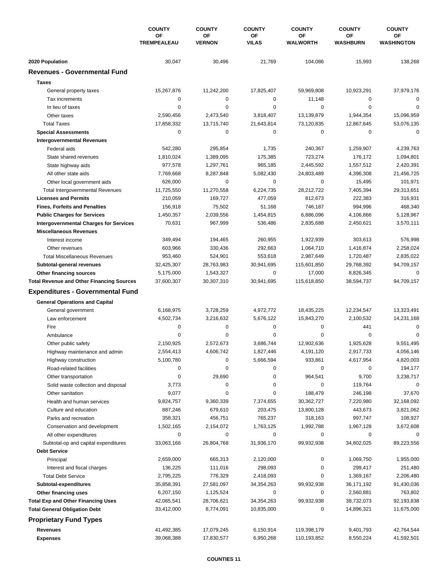|                                                        | <b>COUNTY</b><br>ΟF<br><b>TREMPEALEAU</b> | <b>COUNTY</b>       | <b>COUNTY</b>      | <b>COUNTY</b>         | <b>COUNTY</b>             | <b>COUNTY</b>           |
|--------------------------------------------------------|-------------------------------------------|---------------------|--------------------|-----------------------|---------------------------|-------------------------|
|                                                        |                                           | ΟF<br><b>VERNON</b> | ΟF<br><b>VILAS</b> | ΟF<br>WALWORTH        | OF<br>WASHBURN            | OF<br><b>WASHINGTON</b> |
|                                                        |                                           |                     |                    |                       |                           |                         |
| 2020 Population<br><b>Revenues - Governmental Fund</b> | 30,047                                    | 30,496              | 21,769             | 104,086               | 15,993                    | 138,268                 |
| <b>Taxes</b>                                           |                                           |                     |                    |                       |                           |                         |
|                                                        |                                           |                     |                    |                       |                           |                         |
| General property taxes                                 | 15,267,876                                | 11,242,200          | 17,825,407         | 59,969,808            | 10,923,291                | 37,979,176              |
| Tax increments                                         | $\mathbf 0$<br>$\mathbf 0$                | 0<br>0              | 0<br>0             | 11,148<br>$\mathbf 0$ | 0<br>$\mathbf 0$          | $\mathbf 0$             |
| In lieu of taxes                                       |                                           |                     |                    |                       |                           | 0                       |
| Other taxes                                            | 2,590,456                                 | 2,473,540           | 3,818,407          | 13,139,879            | 1,944,354                 | 15,096,959              |
| <b>Total Taxes</b>                                     | 17,858,332                                | 13,715,740          | 21,643,814<br>0    | 73,120,835            | 12,867,645<br>$\mathbf 0$ | 53,076,135              |
| <b>Special Assessments</b>                             | $\mathbf 0$                               | 0                   |                    | 0                     |                           | $\mathbf 0$             |
| <b>Intergovernmental Revenues</b>                      |                                           |                     |                    |                       |                           |                         |
| Federal aids                                           | 542,280                                   | 295,854             | 1,735              | 240,367               | 1,259,907                 | 4,239,763               |
| State shared revenues                                  | 1,810,024                                 | 1,389,095           | 175,385            | 723,274               | 176,172                   | 1,094,801               |
| State highway aids                                     | 977,578                                   | 1,297,761           | 965,185            | 2,445,592             | 1,557,512                 | 2,420,391               |
| All other state aids                                   | 7,769,668                                 | 8,287,848           | 5,082,430          | 24,803,489            | 4,396,308                 | 21,456,725              |
| Other local government aids                            | 626,000                                   | 0                   | 0                  | $\mathbf 0$           | 15,495                    | 101,971                 |
| <b>Total Intergovernmental Revenues</b>                | 11,725,550                                | 11,270,558          | 6,224,735          | 28,212,722            | 7,405,394                 | 29,313,651              |
| <b>Licenses and Permits</b>                            | 210,059                                   | 169,727             | 477,059            | 812,673               | 222,383                   | 316,931                 |
| <b>Fines, Forfeits and Penalties</b>                   | 156,918                                   | 75,502              | 51,168             | 746,187               | 994,996                   | 468,340                 |
| <b>Public Charges for Services</b>                     | 1,450,357                                 | 2,039,556           | 1,454,815          | 6,886,096             | 4,106,866                 | 5,128,967               |
| <b>Intergovernmental Charges for Services</b>          | 70,631                                    | 967,999             | 536,486            | 2,835,688             | 2,450,621                 | 3,570,111               |
| <b>Miscellaneous Revenues</b>                          |                                           |                     |                    |                       |                           |                         |
| Interest income                                        | 349,494                                   | 194,465             | 260,955            | 1,922,939             | 303,613                   | 576,998                 |
| Other revenues                                         | 603,966                                   | 330,436             | 292,663            | 1,064,710             | 1,416,874                 | 2,258,024               |
| <b>Total Miscellaneous Revenues</b>                    | 953,460                                   | 524,901             | 553,618            | 2,987,649             | 1,720,487                 | 2,835,022               |
| Subtotal-general revenues                              | 32,425,307                                | 28,763,983          | 30,941,695         | 115,601,850           | 29,768,392                | 94,709,157              |
| Other financing sources                                | 5,175,000                                 | 1,543,327           | 0                  | 17,000                | 8,826,345                 | 0                       |
| <b>Total Revenue and Other Financing Sources</b>       | 37,600,307                                | 30,307,310          | 30,941,695         | 115,618,850           | 38,594,737                | 94,709,157              |
| <b>Expenditures - Governmental Fund</b>                |                                           |                     |                    |                       |                           |                         |
| <b>General Operations and Capital</b>                  |                                           |                     |                    |                       |                           |                         |
| General government                                     | 6,168,975                                 | 3,728,259           | 4,972,772          | 18,435,225            | 12,234,547                | 13,323,491              |
| Law enforcement                                        | 4,502,734                                 | 3,216,632           | 5,676,122          | 15,843,270            | 2,100,532                 | 14,231,168              |
| Fire                                                   | $\mathbf 0$                               | 0                   | 0                  | 0                     | 441                       | $\mathbf 0$             |
| Ambulance                                              | 0                                         | 0                   | 0                  | 0                     | $\mathbf 0$               | 0                       |
| Other public safety                                    | 2,150,925                                 | 2,572,673           | 3,686,744          | 12,902,636            | 1,925,628                 | 9,551,495               |
|                                                        | 2,554,413                                 | 4,606,742           | 1,827,446          | 4,191,120             | 2,917,733                 | 4,056,146               |
| Highway maintenance and admin<br>Highway construction  | 5,100,780                                 | 0                   | 5,666,594          | 933,861               | 4,617,954                 | 4,820,003               |
| Road-related facilities                                | 0                                         | 0                   | 0                  | 0                     | 0                         | 194,177                 |
|                                                        | 0                                         |                     | 0                  |                       | 9,700                     | 3,238,717               |
| Other transportation                                   |                                           | 29,690<br>0         |                    | 964,541               |                           | 0                       |
| Solid waste collection and disposal                    | 3,773                                     |                     | 0                  | 0                     | 119,764                   |                         |
| Other sanitation                                       | 9,077                                     | 0                   | 0                  | 188,479               | 246,198                   | 37,670                  |
| Health and human services                              | 9,824,757                                 | 9,360,339           | 7,374,655          | 30,362,727            | 7,220,980                 | 32,168,092              |
| Culture and education                                  | 887,246                                   | 679,610             | 203,475            | 13,800,128            | 443,673                   | 3,821,062               |
| Parks and recreation                                   | 358,321                                   | 456,751             | 765,237            | 318,163               | 997,747                   | 108,927                 |
| Conservation and development                           | 1,502,165                                 | 2,154,072           | 1,763,125          | 1,992,788             | 1,967,128                 | 3,672,608               |
| All other expenditures                                 | 0                                         | 0                   | 0                  | 0                     | 0                         | 0                       |
| Subtotal-op and capital expenditures                   | 33,063,166                                | 26,804,768          | 31,936,170         | 99,932,938            | 34,802,025                | 89,223,556              |
| <b>Debt Service</b>                                    |                                           |                     |                    |                       |                           |                         |
| Principal                                              | 2,659,000                                 | 665,313             | 2,120,000          | 0                     | 1,069,750                 | 1,955,000               |
| Interest and fiscal charges                            | 136,225                                   | 111,016             | 298,093            | 0                     | 299,417                   | 251,480                 |
| <b>Total Debt Service</b>                              | 2,795,225                                 | 776,329             | 2,418,093          | 0                     | 1,369,167                 | 2,206,480               |
| Subtotal-expenditures                                  | 35,858,391                                | 27,581,097          | 34,354,263         | 99,932,938            | 36,171,192                | 91,430,036              |
| Other financing uses                                   | 6,207,150                                 | 1,125,524           | 0                  | 0                     | 2,560,881                 | 763,802                 |
| <b>Total Exp and Other Financing Uses</b>              | 42,065,541                                | 28,706,621          | 34,354,263         | 99,932,938            | 38,732,073                | 92,193,838              |
| <b>Total General Obligation Debt</b>                   | 33,412,000                                | 8,774,091           | 10,835,000         | 0                     | 14,896,321                | 11,675,000              |
| <b>Proprietary Fund Types</b>                          |                                           |                     |                    |                       |                           |                         |
| Revenues                                               | 41,492,385                                | 17,079,245          | 6,150,914          | 119,398,179           | 9,401,793                 | 42,764,544              |
| <b>Expenses</b>                                        | 39,068,388                                | 17,830,577          | 6,950,268          | 110,193,852           | 8,550,224                 | 41,592,501              |
|                                                        |                                           |                     |                    |                       |                           |                         |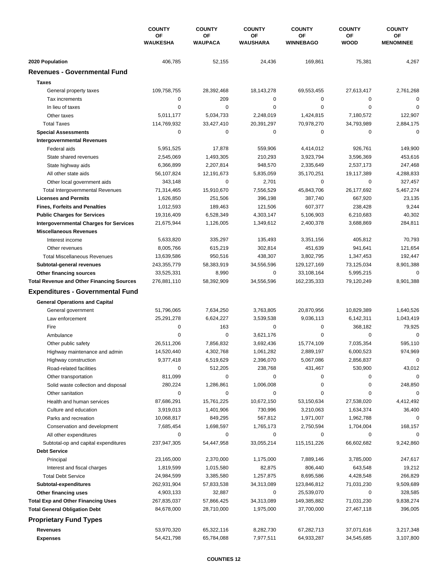|                                                  | <b>COUNTY</b><br>ΟF<br><b>WAUKESHA</b> | <b>COUNTY</b>        | <b>COUNTY</b>  | <b>COUNTY</b>          | <b>COUNTY</b>     | <b>COUNTY</b>          |
|--------------------------------------------------|----------------------------------------|----------------------|----------------|------------------------|-------------------|------------------------|
|                                                  |                                        | ΟF<br><b>WAUPACA</b> | OF<br>WAUSHARA | ΟF<br><b>WINNEBAGO</b> | OF<br><b>WOOD</b> | ОF<br><b>MENOMINEE</b> |
| 2020 Population                                  | 406,785                                | 52,155               | 24,436         | 169,861                | 75,381            | 4,267                  |
| <b>Revenues - Governmental Fund</b>              |                                        |                      |                |                        |                   |                        |
| <b>Taxes</b>                                     |                                        |                      |                |                        |                   |                        |
| General property taxes                           | 109,758,755                            | 28,392,468           | 18,143,278     | 69,553,455             | 27,613,417        | 2,761,268              |
| Tax increments                                   | $\mathbf 0$                            | 209                  | 0              | 0                      | 0                 | $\mathbf 0$            |
| In lieu of taxes                                 | $\mathbf 0$                            | 0                    | 0              | $\mathbf 0$            | $\mathbf 0$       | 0                      |
| Other taxes                                      | 5,011,177                              | 5,034,733            | 2,248,019      | 1,424,815              | 7,180,572         | 122,907                |
| <b>Total Taxes</b>                               | 114,769,932                            | 33,427,410           | 20,391,297     | 70,978,270             | 34,793,989        | 2,884,175              |
| <b>Special Assessments</b>                       | $\mathbf 0$                            | 0                    | 0              | 0                      | $\mathbf 0$       | $\mathbf 0$            |
| <b>Intergovernmental Revenues</b>                |                                        |                      |                |                        |                   |                        |
| Federal aids                                     | 5,951,525                              | 17,878               | 559,906        | 4,414,012              | 926,761           | 149,900                |
| State shared revenues                            | 2,545,069                              | 1,493,305            | 210,293        | 3,923,794              | 3,596,369         | 453,616                |
| State highway aids                               | 6,366,899                              | 2,207,814            | 948,570        | 2,335,649              | 2,537,173         | 247,468                |
| All other state aids                             | 56,107,824                             | 12,191,673           | 5,835,059      | 35,170,251             | 19,117,389        | 4,288,833              |
| Other local government aids                      | 343,148                                | 0                    | 2,701          | $\mathbf 0$            | 0                 | 327,457                |
| <b>Total Intergovernmental Revenues</b>          | 71,314,465                             | 15,910,670           | 7,556,529      | 45,843,706             | 26,177,692        | 5,467,274              |
| <b>Licenses and Permits</b>                      | 1,626,850                              | 251,506              | 396,198        | 387,740                | 667,920           | 23,135                 |
| <b>Fines, Forfeits and Penalties</b>             | 1,012,593                              | 189,463              | 121,506        | 607,377                | 238,428           | 9,244                  |
| <b>Public Charges for Services</b>               | 19,316,409                             | 6,528,349            | 4,303,147      | 5,106,903              | 6,210,683         | 40,302                 |
| <b>Intergovernmental Charges for Services</b>    | 21,675,944                             | 1,126,005            | 1,349,612      | 2,400,378              | 3,688,869         | 284,811                |
| <b>Miscellaneous Revenues</b>                    |                                        |                      |                |                        |                   |                        |
| Interest income                                  | 5,633,820                              | 335,297              | 135,493        | 3,351,156              | 405,812           | 70,793                 |
| Other revenues                                   | 8,005,766                              | 615,219              | 302,814        | 451,639                | 941,641           | 121,654                |
| <b>Total Miscellaneous Revenues</b>              | 13,639,586                             | 950,516              | 438,307        | 3,802,795              | 1,347,453         | 192,447                |
| Subtotal-general revenues                        | 243,355,779                            | 58,383,919           | 34,556,596     | 129,127,169            | 73,125,034        | 8,901,388              |
| Other financing sources                          | 33,525,331                             | 8,990                | 0              | 33,108,164             | 5,995,215         | 0                      |
| <b>Total Revenue and Other Financing Sources</b> | 276,881,110                            | 58,392,909           | 34,556,596     | 162,235,333            | 79,120,249        | 8,901,388              |
| <b>Expenditures - Governmental Fund</b>          |                                        |                      |                |                        |                   |                        |
| <b>General Operations and Capital</b>            |                                        |                      |                |                        |                   |                        |
| General government                               | 51,796,065                             | 7,634,250            | 3,763,805      | 20,870,956             | 10,829,389        | 1,640,526              |
| Law enforcement                                  | 25,291,278                             | 6,624,227            | 3,539,538      | 9,036,113              | 6,142,311         | 1,043,419              |
| Fire                                             | $\mathbf 0$                            | 163                  | 0              | 0                      | 368,182           | 79,925                 |
| Ambulance                                        | 0                                      | 0                    | 3,621,176      | $\mathbf 0$            | $\mathbf 0$       | 0                      |
| Other public safety                              | 26,511,206                             | 7,856,832            | 3,692,436      | 15,774,109             | 7,035,354         | 595,110                |
| Highway maintenance and admin                    | 14,520,440                             | 4,302,768            | 1,061,282      | 2,889,197              | 6,000,523         | 974,969                |
| Highway construction                             | 9,377,418                              | 6,519,629            | 2,396,070      | 5,067,086              | 2,856,837         | 0                      |
| Road-related facilities                          | 0                                      | 512,205              | 238,768        | 431,467                | 530,900           | 43,012                 |
| Other transportation                             | 811,099                                | 0                    | 0              | 0                      | 0                 | $\mathbf 0$            |
| Solid waste collection and disposal              | 280,224                                | 1,286,861            | 1,006,008      | 0                      | 0                 | 248,850                |
| Other sanitation                                 | 0                                      | 0                    | 0              | 0                      | 0                 | $\mathbf 0$            |
| Health and human services                        | 87,686,291                             | 15,761,225           | 10,672,150     | 53,150,634             | 27,538,020        | 4,412,492              |
| Culture and education                            | 3,919,013                              | 1,401,906            | 730,996        | 3,210,063              | 1,634,374         | 36,400                 |
| Parks and recreation                             | 10,068,817                             | 849,295              | 567,812        | 1,971,007              | 1,962,788         | 0                      |
| Conservation and development                     | 7,685,454                              | 1,698,597            | 1,765,173      | 2,750,594              | 1,704,004         | 168,157                |
| All other expenditures                           | 0                                      | 0                    | 0              | 0                      | 0                 | 0                      |
| Subtotal-op and capital expenditures             | 237,947,305                            | 54,447,958           | 33,055,214     | 115, 151, 226          | 66,602,682        | 9,242,860              |
| <b>Debt Service</b>                              |                                        |                      |                |                        |                   |                        |
| Principal                                        | 23,165,000                             | 2,370,000            | 1,175,000      | 7,889,146              | 3,785,000         | 247,617                |
| Interest and fiscal charges                      | 1,819,599                              | 1,015,580            | 82,875         | 806,440                | 643,548           | 19,212                 |
| <b>Total Debt Service</b>                        | 24,984,599                             | 3,385,580            | 1,257,875      | 8,695,586              | 4,428,548         | 266,829                |
| Subtotal-expenditures                            | 262,931,904                            | 57,833,538           | 34,313,089     | 123,846,812            | 71,031,230        | 9,509,689              |
| Other financing uses                             | 4,903,133                              | 32,887               | 0              | 25,539,070             | 0                 | 328,585                |
| <b>Total Exp and Other Financing Uses</b>        | 267,835,037                            | 57,866,425           | 34,313,089     | 149,385,882            | 71,031,230        | 9,838,274              |
| <b>Total General Obligation Debt</b>             | 84,678,000                             | 28,710,000           | 1,975,000      | 37,700,000             | 27,467,118        | 396,005                |
| <b>Proprietary Fund Types</b>                    |                                        |                      |                |                        |                   |                        |
| Revenues                                         | 53,970,320                             | 65,322,116           | 8,282,730      | 67,282,713             | 37,071,616        | 3,217,348              |
| <b>Expenses</b>                                  | 54,421,798                             | 65,784,088           | 7,977,511      | 64,933,287             | 34,545,685        | 3,107,800              |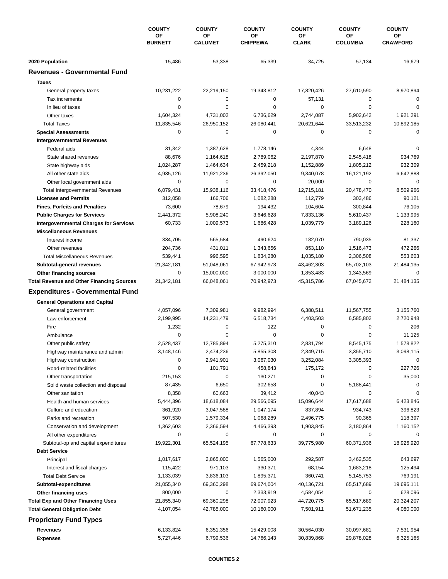|                                                        | <b>COUNTY</b><br>ΟF<br><b>BURNETT</b> | <b>COUNTY</b>        | <b>COUNTY</b>         | <b>COUNTY</b>      | <b>COUNTY</b>         | <b>COUNTY</b>         |
|--------------------------------------------------------|---------------------------------------|----------------------|-----------------------|--------------------|-----------------------|-----------------------|
|                                                        |                                       | OF<br><b>CALUMET</b> | OF<br><b>CHIPPEWA</b> | ΟF<br><b>CLARK</b> | OF<br><b>COLUMBIA</b> | ОF<br><b>CRAWFORD</b> |
|                                                        |                                       |                      |                       |                    |                       |                       |
| 2020 Population<br><b>Revenues - Governmental Fund</b> | 15,486                                | 53,338               | 65,339                | 34,725             | 57,134                | 16,679                |
|                                                        |                                       |                      |                       |                    |                       |                       |
| <b>Taxes</b>                                           |                                       |                      |                       |                    |                       |                       |
| General property taxes                                 | 10,231,222                            | 22,219,150           | 19,343,812            | 17,820,426         | 27,610,590            | 8,970,894             |
| Tax increments                                         | $\mathbf 0$                           | 0                    | 0                     | 57,131             | 0                     | $\mathbf 0$           |
| In lieu of taxes                                       | $\mathbf 0$                           | 0                    | 0                     | 0                  | $\mathbf 0$           | 0                     |
| Other taxes                                            | 1,604,324                             | 4,731,002            | 6,736,629             | 2,744,087          | 5,902,642             | 1,921,291             |
| <b>Total Taxes</b>                                     | 11,835,546                            | 26,950,152           | 26,080,441            | 20,621,644         | 33,513,232            | 10,892,185            |
| <b>Special Assessments</b>                             | $\mathbf 0$                           | 0                    | 0                     | 0                  | $\mathbf 0$           | 0                     |
| <b>Intergovernmental Revenues</b>                      |                                       |                      |                       |                    |                       |                       |
| Federal aids                                           | 31,342                                | 1,387,628            | 1,778,146             | 4,344              | 6,648                 | $\Omega$              |
| State shared revenues                                  | 88,676                                | 1,164,618            | 2,789,062             | 2,197,870          | 2,545,418             | 934,769               |
| State highway aids                                     | 1,024,287                             | 1,464,634            | 2,459,218             | 1,152,889          | 1,805,212             | 932,309               |
| All other state aids                                   | 4,935,126                             | 11,921,236           | 26,392,050            | 9,340,078          | 16,121,192            | 6,642,888             |
| Other local government aids                            | $\mathbf 0$                           | 0                    | 0                     | 20,000             | $\mathbf 0$           | 0                     |
| <b>Total Intergovernmental Revenues</b>                | 6,079,431                             | 15,938,116           | 33,418,476            | 12,715,181         | 20,478,470            | 8,509,966             |
| <b>Licenses and Permits</b>                            | 312,058                               | 166,706              | 1,082,288             | 112,779            | 303,486               | 90,121                |
| <b>Fines, Forfeits and Penalties</b>                   | 73,600                                | 78,679               | 194,432               | 104,604            | 300,844               | 76,105                |
| <b>Public Charges for Services</b>                     | 2,441,372                             | 5,908,240            | 3,646,628             | 7,833,136          | 5,610,437             | 1,133,995             |
| <b>Intergovernmental Charges for Services</b>          | 60,733                                | 1,009,573            | 1,686,428             | 1,039,779          | 3,189,126             | 228,160               |
| <b>Miscellaneous Revenues</b>                          |                                       |                      |                       |                    |                       |                       |
| Interest income                                        | 334,705                               | 565,584              | 490,624               | 182,070            | 790,035               | 81,337                |
| Other revenues                                         | 204,736                               | 431,011              | 1,343,656             | 853,110            | 1,516,473             | 472,266               |
| <b>Total Miscellaneous Revenues</b>                    | 539,441                               | 996,595              | 1,834,280             | 1,035,180          | 2,306,508             | 553,603               |
| Subtotal-general revenues                              | 21,342,181                            | 51,048,061           | 67,942,973            | 43,462,303         | 65,702,103            | 21,484,135            |
| Other financing sources                                | $\mathbf 0$                           | 15,000,000           | 3,000,000             | 1,853,483          | 1,343,569             | 0                     |
| <b>Total Revenue and Other Financing Sources</b>       | 21,342,181                            | 66,048,061           | 70,942,973            | 45,315,786         | 67,045,672            | 21,484,135            |
| <b>Expenditures - Governmental Fund</b>                |                                       |                      |                       |                    |                       |                       |
|                                                        |                                       |                      |                       |                    |                       |                       |
| <b>General Operations and Capital</b>                  |                                       |                      |                       |                    |                       |                       |
| General government                                     | 4,057,096                             | 7,309,981            | 9,982,994             | 6,388,511          | 11,567,755            | 3,155,760             |
| Law enforcement                                        | 2,199,995                             | 14,231,479           | 6,518,734             | 4,403,503          | 6,585,802             | 2,720,948             |
| Fire                                                   | 1,232                                 | 0                    | 122                   | 0                  | $\mathbf 0$           | 206                   |
| Ambulance                                              | 0                                     | 0                    | 0                     | $\mathbf 0$        | $\mathbf 0$           | 11,125                |
| Other public safety                                    | 2,528,437                             | 12,785,894           | 5,275,310             | 2,831,794          | 8,545,175             | 1,578,822             |
| Highway maintenance and admin                          | 3,148,146                             | 2,474,236            | 5,855,308             | 2,349,715          | 3,355,710             | 3,098,115             |
| Highway construction                                   | 0                                     | 2,941,901            | 3,067,030             | 3,252,084          | 3,305,393             | 0                     |
| Road-related facilities                                | 0                                     | 101,791              | 458,843               | 175,172            | 0                     | 227,726               |
| Other transportation                                   | 215,153                               | 0                    | 130,271               | 0                  | 0                     | 35,000                |
| Solid waste collection and disposal                    | 87,435                                | 6,650                | 302,658               | 0                  | 5,188,441             | 0                     |
| Other sanitation                                       | 8,358                                 | 60,663               | 39,412                | 40,043             | 0                     | 0                     |
| Health and human services                              | 5,444,396                             | 18,618,084           | 29,566,095            | 15,096,644         | 17,617,688            | 6,423,846             |
| Culture and education                                  | 361,920                               | 3,047,588            | 1,047,174             | 837,894            | 934,743               | 396,823               |
| Parks and recreation                                   | 507,530                               | 1,579,334            | 1,068,289             | 2,496,775          | 90,365                | 118,397               |
| Conservation and development                           | 1,362,603                             | 2,366,594            | 4,466,393             | 1,903,845          | 3,180,864             | 1,160,152             |
| All other expenditures                                 | 0                                     | 0                    | 0                     | 0                  | 0                     | 0                     |
| Subtotal-op and capital expenditures                   | 19,922,301                            | 65,524,195           | 67,778,633            | 39,775,980         | 60,371,936            | 18,926,920            |
| <b>Debt Service</b>                                    |                                       |                      |                       |                    |                       |                       |
| Principal                                              | 1,017,617                             | 2,865,000            | 1,565,000             | 292,587            | 3,462,535             | 643,697               |
| Interest and fiscal charges                            | 115,422                               | 971,103              | 330,371               | 68,154             | 1,683,218             | 125,494               |
| <b>Total Debt Service</b>                              | 1,133,039                             | 3,836,103            | 1,895,371             | 360,741            | 5,145,753             | 769,191               |
| Subtotal-expenditures                                  | 21,055,340                            | 69,360,298           | 69,674,004            | 40,136,721         | 65,517,689            | 19,696,111            |
| Other financing uses                                   | 800,000                               | 0                    | 2,333,919             | 4,584,054          | 0                     | 628,096               |
| <b>Total Exp and Other Financing Uses</b>              | 21,855,340                            | 69,360,298           | 72,007,923            | 44,720,775         | 65,517,689            | 20,324,207            |
| <b>Total General Obligation Debt</b>                   | 4,107,054                             | 42,785,000           | 10,160,000            | 7,501,911          | 51,671,235            | 4,080,000             |
| <b>Proprietary Fund Types</b>                          |                                       |                      |                       |                    |                       |                       |
| Revenues                                               | 6,133,824                             | 6,351,356            | 15,429,008            | 30,564,030         | 30,097,681            | 7,531,954             |
| <b>Expenses</b>                                        | 5,727,446                             | 6,799,536            | 14,766,143            | 30,839,868         | 29,878,028            | 6,325,165             |
|                                                        |                                       |                      |                       |                    |                       |                       |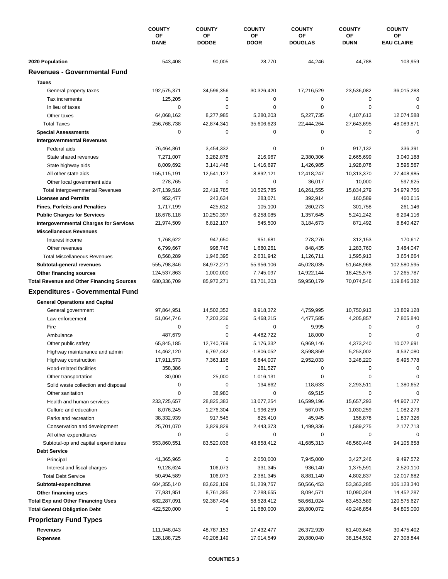|                                                        | <b>COUNTY</b><br>ΟF<br><b>DANE</b> | <b>COUNTY</b><br>ΟF<br><b>DODGE</b> | <b>COUNTY</b><br>OF<br><b>DOOR</b> | <b>COUNTY</b>        | <b>COUNTY</b><br>OF<br><b>DUNN</b> | <b>COUNTY</b><br>ОF<br><b>EAU CLAIRE</b> |
|--------------------------------------------------------|------------------------------------|-------------------------------------|------------------------------------|----------------------|------------------------------------|------------------------------------------|
|                                                        |                                    |                                     |                                    | ΟF<br><b>DOUGLAS</b> |                                    |                                          |
|                                                        | 543,408                            | 90,005                              | 28,770                             | 44,246               | 44,788                             | 103,959                                  |
| 2020 Population<br><b>Revenues - Governmental Fund</b> |                                    |                                     |                                    |                      |                                    |                                          |
| <b>Taxes</b>                                           |                                    |                                     |                                    |                      |                                    |                                          |
|                                                        | 192,575,371                        | 34,596,356                          | 30,326,420                         | 17,216,529           | 23,536,082                         | 36,015,283                               |
| General property taxes<br>Tax increments               | 125,205                            | 0                                   | 0                                  | 0                    | $\mathbf 0$                        | $\mathbf 0$                              |
| In lieu of taxes                                       | $\mathbf 0$                        | 0                                   | 0                                  | $\mathbf 0$          | $\mathbf 0$                        | 0                                        |
| Other taxes                                            | 64,068,162                         | 8,277,985                           | 5,280,203                          | 5,227,735            | 4,107,613                          | 12,074,588                               |
| <b>Total Taxes</b>                                     | 256,768,738                        | 42,874,341                          | 35,606,623                         | 22,444,264           | 27,643,695                         | 48,089,871                               |
| <b>Special Assessments</b>                             | $\mathbf 0$                        | 0                                   | 0                                  | 0                    | $\mathbf 0$                        | $\mathbf 0$                              |
| <b>Intergovernmental Revenues</b>                      |                                    |                                     |                                    |                      |                                    |                                          |
| Federal aids                                           | 76,464,861                         | 3,454,332                           | 0                                  | 0                    | 917,132                            | 336,391                                  |
| State shared revenues                                  | 7,271,007                          | 3,282,878                           | 216,967                            | 2,380,306            | 2,665,699                          | 3,040,188                                |
| State highway aids                                     | 8,009,692                          | 3,141,448                           | 1,416,697                          | 1,426,985            | 1,928,078                          | 3,596,567                                |
| All other state aids                                   | 155,115,191                        | 12,541,127                          | 8,892,121                          | 12,418,247           | 10,313,370                         | 27,408,985                               |
| Other local government aids                            | 278,765                            | 0                                   | 0                                  | 36,017               | 10,000                             | 597,625                                  |
| <b>Total Intergovernmental Revenues</b>                | 247,139,516                        | 22,419,785                          | 10,525,785                         | 16,261,555           | 15,834,279                         | 34,979,756                               |
| <b>Licenses and Permits</b>                            | 952,477                            | 243,634                             | 283,071                            | 392,914              | 160,589                            | 460,615                                  |
| <b>Fines, Forfeits and Penalties</b>                   | 1,717,199                          | 425,612                             | 105,100                            | 260,273              | 301,758                            | 261,146                                  |
| <b>Public Charges for Services</b>                     | 18,678,118                         | 10,250,397                          | 6,258,085                          | 1,357,645            | 5,241,242                          | 6,294,116                                |
| <b>Intergovernmental Charges for Services</b>          | 21,974,509                         | 6,812,107                           | 545,500                            | 3,184,673            | 871,492                            | 8,840,427                                |
| <b>Miscellaneous Revenues</b>                          |                                    |                                     |                                    |                      |                                    |                                          |
| Interest income                                        | 1,768,622                          | 947,650                             | 951,681                            | 278,276              | 312,153                            | 170,617                                  |
| Other revenues                                         | 6,799,667                          | 998,745                             | 1,680,261                          | 848,435              | 1,283,760                          | 3,484,047                                |
| <b>Total Miscellaneous Revenues</b>                    | 8,568,289                          | 1,946,395                           | 2,631,942                          | 1,126,711            | 1,595,913                          | 3,654,664                                |
| Subtotal-general revenues                              | 555,798,846                        | 84,972,271                          | 55,956,106                         | 45,028,035           | 51,648,968                         | 102,580,595                              |
| Other financing sources                                | 124,537,863                        | 1,000,000                           | 7,745,097                          | 14,922,144           | 18,425,578                         | 17,265,787                               |
| <b>Total Revenue and Other Financing Sources</b>       | 680,336,709                        | 85,972,271                          | 63,701,203                         | 59,950,179           | 70,074,546                         | 119,846,382                              |
| <b>Expenditures - Governmental Fund</b>                |                                    |                                     |                                    |                      |                                    |                                          |
| <b>General Operations and Capital</b>                  |                                    |                                     |                                    |                      |                                    |                                          |
| General government                                     | 97,864,951                         | 14,502,352                          | 8,918,372                          | 4,759,995            | 10,750,913                         | 13,809,128                               |
| Law enforcement                                        | 51,064,746                         | 7,203,236                           | 5,468,215                          | 4,477,585            | 4,205,857                          | 7,805,840                                |
| Fire                                                   | $\mathbf 0$                        | 0                                   | 0                                  | 9,995                | $\mathbf 0$                        | $\mathbf 0$                              |
| Ambulance                                              | 487,679                            | 0                                   | 4,482,722                          | 18,000               | $\mathbf 0$                        | 0                                        |
| Other public safety                                    | 65,845,185                         | 12,740,769                          | 5,176,332                          | 6,969,146            | 4,373,240                          | 10,072,691                               |
| Highway maintenance and admin                          | 14,462,120                         | 6,797,442                           | $-1,806,052$                       | 3,598,859            | 5,253,002                          | 4,537,080                                |
| Highway construction                                   | 17,911,573                         | 7,363,196                           | 6,844,007                          | 2,952,033            | 3,248,220                          | 6,495,778                                |
| Road-related facilities                                | 358,386                            | 0                                   | 281,527                            | 0                    | 0                                  | 0                                        |
| Other transportation                                   | 30,000                             | 25,000                              | 1,016,131                          | 0                    | 0                                  | 0                                        |
| Solid waste collection and disposal                    | 0                                  | 0                                   | 134,862                            | 118,633              | 2,293,511                          | 1,380,652                                |
| Other sanitation                                       | 0                                  | 38,980                              | 0                                  | 69,515               | 0                                  | $\mathbf 0$                              |
| Health and human services                              | 233,725,657                        | 28,825,383                          | 13,077,254                         | 16,599,196           | 15,657,293                         | 44,907,177                               |
| Culture and education                                  | 8,076,245                          | 1,276,304                           | 1,996,259                          | 567,075              | 1,030,259                          | 1,082,273                                |
| Parks and recreation                                   | 38,332,939                         | 917,545                             | 825,410                            | 45,945               | 158,878                            | 1,837,326                                |
| Conservation and development                           | 25,701,070                         | 3,829,829                           | 2,443,373                          | 1,499,336            | 1,589,275                          | 2,177,713                                |
| All other expenditures                                 | 0                                  | 0                                   | 0                                  | 0                    | 0                                  |                                          |
| Subtotal-op and capital expenditures                   | 553,860,551                        | 83,520,036                          | 48,858,412                         | 41,685,313           | 48,560,448                         | 94,105,658                               |
| <b>Debt Service</b>                                    |                                    |                                     |                                    |                      |                                    |                                          |
| Principal                                              | 41,365,965                         | 0                                   | 2,050,000                          | 7,945,000            | 3,427,246                          | 9,497,572                                |
| Interest and fiscal charges                            | 9,128,624                          | 106,073                             | 331,345                            | 936,140              | 1,375,591                          | 2,520,110                                |
| <b>Total Debt Service</b>                              | 50,494,589                         | 106,073                             | 2,381,345                          | 8,881,140            | 4,802,837                          | 12,017,682                               |
| Subtotal-expenditures                                  | 604,355,140                        | 83,626,109                          | 51,239,757                         | 50,566,453           | 53,363,285                         | 106,123,340                              |
| Other financing uses                                   | 77,931,951                         | 8,761,385                           | 7,288,655                          | 8,094,571            | 10,090,304                         | 14,452,287                               |
| <b>Total Exp and Other Financing Uses</b>              | 682,287,091                        | 92,387,494                          | 58,528,412                         | 58,661,024           | 63,453,589                         | 120,575,627                              |
| <b>Total General Obligation Debt</b>                   | 422,520,000                        | 0                                   | 11,680,000                         | 28,800,072           | 49,246,854                         | 84,805,000                               |
| <b>Proprietary Fund Types</b>                          |                                    |                                     |                                    |                      |                                    |                                          |
| Revenues                                               | 111,948,043                        | 48,787,153                          | 17,432,477                         | 26,372,920           | 61,403,646                         | 30,475,402                               |
| <b>Expenses</b>                                        | 128,188,725                        | 49,208,149                          | 17,014,549                         | 20,880,040           | 38,154,592                         | 27,308,844                               |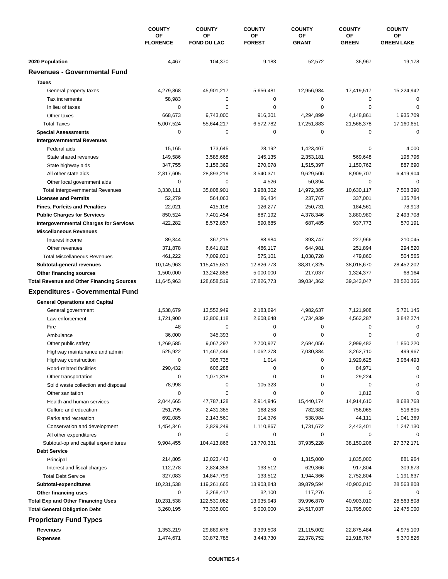|                                                          | <b>COUNTY</b><br>OF<br><b>FLORENCE</b> | <b>COUNTY</b>            | <b>COUNTY</b>       | <b>COUNTY</b>      | <b>COUNTY</b>      | <b>COUNTY</b>           |
|----------------------------------------------------------|----------------------------------------|--------------------------|---------------------|--------------------|--------------------|-------------------------|
|                                                          |                                        | OF<br><b>FOND DU LAC</b> | ΟF<br><b>FOREST</b> | OF<br><b>GRANT</b> | ΟF<br><b>GREEN</b> | ΟF<br><b>GREEN LAKE</b> |
| 2020 Population                                          | 4,467                                  | 104,370                  | 9,183               | 52,572             | 36,967             | 19,178                  |
| <b>Revenues - Governmental Fund</b>                      |                                        |                          |                     |                    |                    |                         |
| <b>Taxes</b>                                             |                                        |                          |                     |                    |                    |                         |
| General property taxes                                   | 4,279,868                              | 45,901,217               | 5,656,481           | 12,956,984         | 17,419,517         | 15,224,942              |
| Tax increments                                           | 58,983                                 | 0                        | 0                   | $\pmb{0}$          | 0                  | 0                       |
| In lieu of taxes                                         | 0                                      | 0                        | $\mathbf 0$         | 0                  | $\mathbf 0$        | $\Omega$                |
| Other taxes                                              | 668,673                                | 9,743,000                | 916,301             | 4,294,899          | 4,148,861          | 1,935,709               |
| <b>Total Taxes</b>                                       | 5,007,524                              | 55,644,217               | 6,572,782           | 17,251,883         | 21,568,378         | 17,160,651              |
| <b>Special Assessments</b>                               | 0                                      | 0                        | 0                   | 0                  | $\mathbf 0$        | 0                       |
| <b>Intergovernmental Revenues</b>                        |                                        |                          |                     |                    |                    |                         |
| Federal aids                                             | 15,165                                 | 173,645                  | 28,192              | 1,423,407          | 0                  | 4,000                   |
| State shared revenues                                    | 149,586                                | 3,585,668                | 145,135             | 2,353,181          | 569,648            | 196,796                 |
| State highway aids                                       | 347,755                                | 3,156,369                | 270,078             | 1,515,397          | 1,150,762          | 887,690                 |
| All other state aids                                     | 2,817,605                              | 28,893,219               | 3,540,371           | 9,629,506          | 8,909,707          | 6,419,904               |
| Other local government aids                              | 0                                      | 0                        | 4,526               | 50,894             | 0                  | 0                       |
| <b>Total Intergovernmental Revenues</b>                  | 3,330,111                              | 35,808,901               | 3,988,302           | 14,972,385         | 10,630,117         | 7,508,390               |
| <b>Licenses and Permits</b>                              | 52,279                                 | 564,063                  | 86,434              | 237,767            | 337,001            | 135,784                 |
| <b>Fines, Forfeits and Penalties</b>                     | 22,021                                 | 415,108                  | 126,277             | 250,731            | 184,561            | 78,913                  |
| <b>Public Charges for Services</b>                       | 850,524                                | 7,401,454                | 887,192             | 4,378,346          | 3,880,980          | 2,493,708               |
| <b>Intergovernmental Charges for Services</b>            | 422,282                                | 8,572,857                | 590,685             | 687,485            | 937,773            | 570,191                 |
| <b>Miscellaneous Revenues</b>                            |                                        |                          |                     |                    |                    |                         |
| Interest income                                          | 89,344                                 | 367,215                  | 88,984              | 393,747            | 227,966            | 210,045                 |
| Other revenues                                           | 371,878                                | 6,641,816                | 486,117             | 644,981            | 251,894            | 294,520                 |
| <b>Total Miscellaneous Revenues</b>                      | 461,222                                | 7,009,031                | 575,101             | 1,038,728          | 479,860            | 504,565                 |
| Subtotal-general revenues                                | 10,145,963                             | 115,415,631              | 12,826,773          | 38,817,325         | 38,018,670         | 28,452,202              |
| Other financing sources                                  | 1,500,000                              | 13,242,888               | 5,000,000           | 217,037            | 1,324,377          | 68,164                  |
| <b>Total Revenue and Other Financing Sources</b>         | 11,645,963                             | 128,658,519              | 17,826,773          | 39,034,362         | 39,343,047         | 28,520,366              |
| <b>Expenditures - Governmental Fund</b>                  |                                        |                          |                     |                    |                    |                         |
| <b>General Operations and Capital</b>                    |                                        |                          |                     |                    |                    |                         |
| General government                                       | 1,538,679                              | 13,552,949               | 2,183,694           | 4,982,637          | 7,121,908          | 5,721,145               |
| Law enforcement                                          | 1,721,900                              | 12,806,118               | 2,608,648           | 4,734,939          | 4,562,287          | 3,842,274               |
| Fire                                                     | 48                                     | 0                        | 0                   | 0                  | 0                  | 0                       |
| Ambulance                                                | 36,000                                 | 345,393                  | 0                   | $\mathbf 0$        | $\mathbf 0$        | $\Omega$                |
| Other public safety                                      | 1,269,585                              | 9,067,297                | 2,700,927           | 2,694,056          | 2,999,482          | 1,850,220               |
| Highway maintenance and admin                            | 525,922                                | 11,467,446               | 1,062,278           | 7,030,384          | 3,262,710          | 499,967                 |
| Highway construction                                     | 0                                      | 305,735                  | 1,014               | 0                  | 1,929,625          | 3,964,493               |
| Road-related facilities                                  | 290,432                                | 606,288                  | 0                   | 0                  | 84,971             | $\Omega$                |
| Other transportation                                     | 0                                      | 1,071,318                | 0                   | 0                  | 29,224             | O                       |
| Solid waste collection and disposal                      | 78,998                                 | 0                        | 105,323             | 0                  | 0                  | $\Omega$                |
| Other sanitation                                         | 0                                      | $\pmb{0}$                | 0                   | 0                  | 1,812              |                         |
| Health and human services                                | 2,044,665                              | 47,787,128               | 2,914,946           | 15,440,174         | 14,914,610         | 8,688,768               |
| Culture and education                                    | 251,795                                | 2,431,385                | 168,258             | 782,382            | 756,065            | 516,805                 |
| Parks and recreation                                     | 692,085                                | 2,143,560                | 914,376             | 538,984            | 44,111             | 1,041,369               |
| Conservation and development                             | 1,454,346                              | 2,829,249                | 1,110,867           | 1,731,672          | 2,443,401          | 1,247,130               |
| All other expenditures                                   | 0                                      | 0                        | 0                   | 0                  | 0                  |                         |
| Subtotal-op and capital expenditures                     | 9,904,455                              | 104,413,866              | 13,770,331          | 37,935,228         | 38,150,206         | 27,372,171              |
| <b>Debt Service</b>                                      |                                        |                          |                     | 1,315,000          | 1,835,000          | 881,964                 |
| Principal                                                | 214,805                                | 12,023,443               | 0<br>133,512        | 629,366            | 917,804            | 309,673                 |
| Interest and fiscal charges<br><b>Total Debt Service</b> | 112,278<br>327,083                     | 2,824,356<br>14,847,799  | 133,512             | 1,944,366          | 2,752,804          | 1,191,637               |
| Subtotal-expenditures                                    | 10,231,538                             | 119,261,665              | 13,903,843          | 39,879,594         | 40,903,010         | 28,563,808              |
| Other financing uses                                     | 0                                      | 3,268,417                | 32,100              | 117,276            | 0                  | 0                       |
| <b>Total Exp and Other Financing Uses</b>                | 10,231,538                             | 122,530,082              | 13,935,943          | 39,996,870         | 40,903,010         | 28,563,808              |
| <b>Total General Obligation Debt</b>                     | 3,260,195                              | 73,335,000               | 5,000,000           | 24,517,037         | 31,795,000         | 12,475,000              |
|                                                          |                                        |                          |                     |                    |                    |                         |
| <b>Proprietary Fund Types</b>                            |                                        |                          |                     |                    |                    |                         |
| <b>Revenues</b>                                          | 1,353,219                              | 29,889,676               | 3,399,508           | 21,115,002         | 22,875,484         | 4,975,109               |
| <b>Expenses</b>                                          | 1,474,671                              | 30,872,785               | 3,443,730           | 22,378,752         | 21,918,767         | 5,370,826               |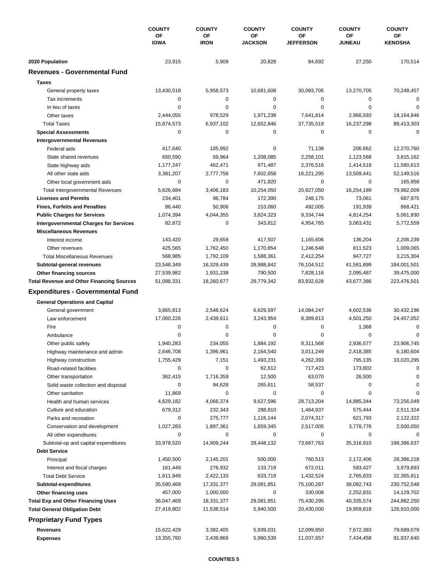|                                                      | <b>COUNTY</b><br>ΟF<br><b>IOWA</b> | <b>COUNTY</b><br>OF<br><b>IRON</b> | <b>COUNTY</b><br>OF<br><b>JACKSON</b> | <b>COUNTY</b><br>ΟF<br><b>JEFFERSON</b> | <b>COUNTY</b><br>OF<br><b>JUNEAU</b> | <b>COUNTY</b><br>ОF<br><b>KENOSHA</b> |
|------------------------------------------------------|------------------------------------|------------------------------------|---------------------------------------|-----------------------------------------|--------------------------------------|---------------------------------------|
|                                                      |                                    |                                    |                                       |                                         |                                      |                                       |
| 2020 Population                                      | 23,915                             | 5,909                              | 20,828                                | 84,692                                  | 27,250                               | 170,514                               |
| <b>Revenues - Governmental Fund</b>                  |                                    |                                    |                                       |                                         |                                      |                                       |
| <b>Taxes</b>                                         |                                    |                                    |                                       |                                         |                                      |                                       |
| General property taxes                               | 13,430,518                         | 5,958,573                          | 10,681,608                            | 30,093,705                              | 13,270,705                           | 70,248,457                            |
| Tax increments                                       | $\mathbf 0$                        | 0                                  | 0                                     | 0                                       | $\mathbf 0$                          | $\mathbf 0$                           |
| In lieu of taxes                                     | 0                                  | 0                                  | 0                                     | $\mathbf 0$                             | $\mathbf 0$                          | $\Omega$                              |
| Other taxes                                          | 2,444,055                          | 978,529                            | 1,971,238                             | 7,641,814                               | 2,966,593                            | 18,164,846                            |
| <b>Total Taxes</b>                                   | 15,874,573                         | 6,937,102                          | 12,652,846                            | 37,735,519                              | 16,237,298                           | 88,413,303                            |
| <b>Special Assessments</b>                           | $\mathbf 0$                        | 0                                  | 0                                     | 0                                       | $\mathbf 0$                          | $\mathbf 0$                           |
| <b>Intergovernmental Revenues</b>                    |                                    |                                    |                                       |                                         |                                      |                                       |
| Federal aids                                         | 417,640                            | 105,992                            | 0                                     | 71,138                                  | 206,662                              | 12,270,760                            |
| State shared revenues                                | 650,590                            | 59,964                             | 1,208,085                             | 2,258,101                               | 1,123,568                            | 3,815,162                             |
| State highway aids                                   | 1,177,247                          | 462,471                            | 971,487                               | 2,376,516                               | 1,414,518                            | 11,580,613                            |
| All other state aids                                 | 3,381,207                          | 2,777,756                          | 7,602,658                             | 16,221,295                              | 13,509,441                           | 52,149,516                            |
| Other local government aids                          | $\mathbf 0$                        | 0                                  | 471,820                               | $\pmb{0}$                               | 0                                    | 165,958                               |
| <b>Total Intergovernmental Revenues</b>              | 5,626,684                          | 3,406,183                          | 10,254,050                            | 20,927,050                              | 16,254,189                           | 79,982,009                            |
| <b>Licenses and Permits</b>                          | 234,401                            | 98,784                             | 172,390                               | 248,175                                 | 73,061                               | 687,975                               |
| <b>Fines, Forfeits and Penalties</b>                 | 86,440                             | 50,906                             | 153,060                               | 492,005                                 | 191,939                              | 868,421                               |
| <b>Public Charges for Services</b>                   | 1,074,394                          | 4,044,355                          | 3,824,323                             | 9,334,744                               | 4,814,254                            | 5,061,930                             |
| <b>Intergovernmental Charges for Services</b>        | 82,872                             | 0                                  | 343,812                               | 4,954,765                               | 3,063,431                            | 5,772,559                             |
| <b>Miscellaneous Revenues</b>                        |                                    |                                    |                                       |                                         |                                      |                                       |
| Interest income                                      | 143,420                            | 29,659                             | 417,507                               | 1,165,606                               | 136,204                              | 2,206,239                             |
| Other revenues                                       | 425,565                            | 1,762,450                          | 1,170,854                             | 1,246,648                               | 811,523                              | 1,009,065                             |
| <b>Total Miscellaneous Revenues</b>                  | 568,985                            | 1,792,109                          | 1,588,361                             | 2,412,254                               | 947,727                              | 3,215,304                             |
|                                                      | 23,548,349                         | 16,329,439                         | 28,988,842                            | 76,104,512                              | 41,581,899                           | 184,001,501                           |
| Subtotal-general revenues<br>Other financing sources | 27,539,982                         | 1,931,238                          | 790,500                               | 7,828,116                               | 2,095,487                            | 39,475,000                            |
| <b>Total Revenue and Other Financing Sources</b>     | 51,088,331                         | 18,260,677                         | 29,779,342                            | 83,932,628                              | 43,677,386                           | 223,476,501                           |
| <b>Expenditures - Governmental Fund</b>              |                                    |                                    |                                       |                                         |                                      |                                       |
|                                                      |                                    |                                    |                                       |                                         |                                      |                                       |
| <b>General Operations and Capital</b>                |                                    |                                    |                                       |                                         |                                      |                                       |
| General government                                   | 3,865,813                          | 2,548,624                          | 6,629,597                             | 14,084,247                              | 4,602,536                            | 30,432,196                            |
| Law enforcement                                      | 17,060,226                         | 2,439,611                          | 3,243,954                             | 8,389,813                               | 4,501,250                            | 24,457,052                            |
| Fire                                                 | 0                                  | 0                                  | 0                                     | 0                                       | 1,368                                | $\mathbf 0$                           |
| Ambulance                                            | $\mathbf 0$                        | 0                                  | 0                                     | $\mathbf 0$                             | 0                                    | 0                                     |
| Other public safety                                  | 1,940,283                          | 234,055                            | 1,884,192                             | 8,311,568                               | 2,936,577                            | 23,906,745                            |
| Highway maintenance and admin                        | 2,646,708                          | 1,396,961                          | 2,164,540                             | 3,011,249                               | 2,418,385                            | 6,180,604                             |
| Highway construction                                 | 1,755,429                          | 7,151                              | 1,493,231                             | 4,262,393                               | 795,135                              | 33,020,295                            |
| Road-related facilities                              | 0                                  | 0                                  | 62,612                                | 717,423                                 | 173,802                              | $\Omega$                              |
| Other transportation                                 | 362,415                            | 1,716,359                          | 12,500                                | 63,070                                  | 26,500                               | 0                                     |
| Solid waste collection and disposal                  | 0                                  | 94,628                             | 265,611                               | 58,537                                  | 0                                    | 0                                     |
| Other sanitation                                     | 11,869                             | 0                                  | 0                                     | 0                                       | 0                                    | $\Omega$                              |
| Health and human services                            | 4,629,182                          | 4,066,374                          | 9,627,596                             | 28,713,204                              | 14,885,344                           | 73,256,049                            |
| Culture and education                                | 679,312                            | 232,343                            | 288,810                               | 1,464,937                               | 575,444                              | 2,511,324                             |
| Parks and recreation                                 | 0                                  | 275,777                            | 1,116,144                             | 2,074,317                               | 621,793                              | 2,122,322                             |
| Conservation and development                         | 1,027,283                          | 1,897,361                          | 1,659,345                             | 2,517,005                               | 3,778,776                            | 2,500,050                             |
| All other expenditures                               | 0                                  | 0                                  | 0                                     | 0                                       | 0                                    |                                       |
| Subtotal-op and capital expenditures                 | 33,978,520                         | 14,909,244                         | 28,448,132                            | 73,667,763                              | 35,316,910                           | 198,386,637                           |
| <b>Debt Service</b>                                  |                                    |                                    |                                       |                                         |                                      |                                       |
| Principal                                            | 1,450,500                          | 2,145,201                          | 500,000                               | 760,513                                 | 2,172,406                            | 28,386,218                            |
| Interest and fiscal charges                          | 161,449                            | 276,932                            | 133,719                               | 672,011                                 | 593,427                              | 3,979,693                             |
| <b>Total Debt Service</b>                            | 1,611,949                          | 2,422,133                          | 633,719                               | 1,432,524                               | 2,765,833                            | 32,365,911                            |
| Subtotal-expenditures                                | 35,590,469                         | 17,331,377                         | 29,081,851                            | 75,100,287                              | 38,082,743                           | 230,752,548                           |
| Other financing uses                                 | 457,000                            | 1,000,000                          | 0                                     | 330,008                                 | 2,252,831                            | 14,129,702                            |
| <b>Total Exp and Other Financing Uses</b>            | 36,047,469                         | 18,331,377                         | 29,081,851                            | 75,430,295                              | 40,335,574                           | 244,882,250                           |
| <b>Total General Obligation Debt</b>                 | 27,419,802                         | 11,538,514                         | 5,940,500                             | 20,430,000                              | 19,959,818                           | 126,910,000                           |
| <b>Proprietary Fund Types</b>                        |                                    |                                    |                                       |                                         |                                      |                                       |
| Revenues                                             | 15,622,429                         | 3,382,405                          | 5,939,031                             | 12,099,850                              | 7,672,383                            | 79,689,079                            |
| <b>Expenses</b>                                      | 13,355,760                         | 2,439,866                          | 5,960,539                             | 11,037,657                              | 7,434,458                            | 91,937,640                            |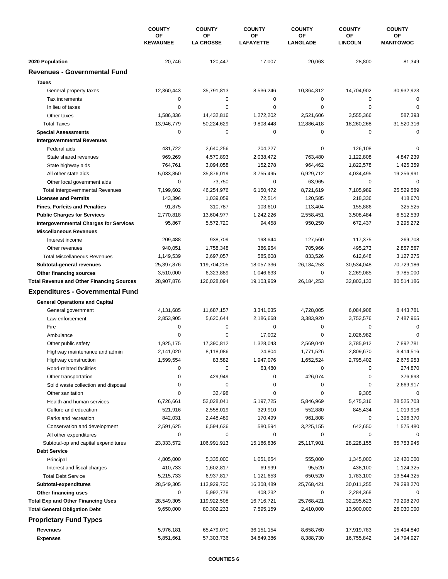|                                                                   | <b>COUNTY</b><br>ΟF<br><b>KEWAUNEE</b> | <b>COUNTY</b>            | <b>COUNTY</b>           | <b>COUNTY</b>           | <b>COUNTY</b>            | <b>COUNTY</b>            |
|-------------------------------------------------------------------|----------------------------------------|--------------------------|-------------------------|-------------------------|--------------------------|--------------------------|
|                                                                   |                                        | ΟF<br><b>LA CROSSE</b>   | OF<br><b>LAFAYETTE</b>  | ΟF<br><b>LANGLADE</b>   | OF<br><b>LINCOLN</b>     | OF<br><b>MANITOWOC</b>   |
| 2020 Population                                                   | 20,746                                 | 120,447                  | 17,007                  | 20,063                  | 28,800                   | 81,349                   |
| <b>Revenues - Governmental Fund</b>                               |                                        |                          |                         |                         |                          |                          |
| <b>Taxes</b>                                                      |                                        |                          |                         |                         |                          |                          |
| General property taxes                                            | 12,360,443                             | 35,791,813               | 8,536,246               | 10,364,812              | 14,704,902               | 30,932,923               |
| Tax increments                                                    | 0                                      | 0                        | 0                       | 0                       | 0                        | $\mathbf 0$              |
| In lieu of taxes                                                  | $\mathbf 0$                            | 0                        | 0                       | $\mathbf 0$             | $\mathbf 0$              | 0                        |
| Other taxes                                                       | 1,586,336                              | 14,432,816               | 1,272,202               | 2,521,606               | 3,555,366                | 587,393                  |
| <b>Total Taxes</b>                                                | 13,946,779                             | 50,224,629               | 9,808,448               | 12,886,418              | 18,260,268               | 31,520,316               |
| <b>Special Assessments</b>                                        | $\mathbf 0$                            | 0                        | 0                       | $\mathbf 0$             | $\mathbf 0$              | 0                        |
| <b>Intergovernmental Revenues</b>                                 |                                        |                          |                         |                         |                          |                          |
| Federal aids                                                      | 431,722                                | 2,640,256                | 204,227                 | 0                       | 126,108                  | $\Omega$                 |
| State shared revenues                                             | 969,269                                | 4,570,893                | 2,038,472               | 763,480                 | 1,122,808                | 4,847,239                |
| State highway aids                                                | 764,761                                | 3,094,058                | 152,278                 | 964,462                 | 1,822,578                | 1,425,359                |
| All other state aids                                              | 5,033,850                              | 35,876,019               | 3,755,495               | 6,929,712               | 4,034,495                | 19,256,991               |
| Other local government aids                                       | $\mathbf 0$                            | 73,750                   | 0                       | 63,965                  | 0                        | $\mathbf 0$              |
| <b>Total Intergovernmental Revenues</b>                           | 7,199,602                              | 46,254,976               | 6,150,472               | 8,721,619               | 7,105,989                | 25,529,589               |
| <b>Licenses and Permits</b>                                       | 143,396                                | 1,039,059                | 72,514                  | 120,585                 | 218,336                  | 418,670                  |
| <b>Fines, Forfeits and Penalties</b>                              | 91,875                                 | 310,787                  | 103,610                 | 113,404                 | 155,886                  | 325,525                  |
| <b>Public Charges for Services</b>                                | 2,770,818                              | 13,604,977               | 1,242,226               | 2,558,451               | 3,508,484                | 6,512,539                |
| <b>Intergovernmental Charges for Services</b>                     | 95,867                                 | 5,572,720                | 94,458                  | 950,250                 | 672,437                  | 3,295,272                |
| <b>Miscellaneous Revenues</b>                                     |                                        |                          |                         |                         |                          |                          |
| Interest income                                                   | 209,488                                | 938,709                  | 198,644                 | 127,560                 | 117,375                  | 269,708                  |
| Other revenues                                                    | 940,051                                | 1,758,348                | 386,964                 | 705,966                 | 495,273                  | 2,857,567                |
| <b>Total Miscellaneous Revenues</b>                               | 1,149,539                              | 2,697,057                | 585,608                 | 833,526                 | 612,648                  | 3,127,275                |
| Subtotal-general revenues                                         | 25,397,876                             | 119,704,205              | 18,057,336              | 26,184,253              | 30,534,048               | 70,729,186               |
| Other financing sources                                           | 3,510,000                              | 6,323,889                | 1,046,633               | $\mathbf 0$             | 2,269,085                | 9,785,000                |
| <b>Total Revenue and Other Financing Sources</b>                  | 28,907,876                             | 126,028,094              | 19,103,969              | 26,184,253              | 32,803,133               | 80,514,186               |
| <b>Expenditures - Governmental Fund</b>                           |                                        |                          |                         |                         |                          |                          |
| <b>General Operations and Capital</b>                             |                                        |                          |                         |                         |                          |                          |
| General government                                                | 4,131,685                              | 11,687,157               | 3,341,035               | 4,728,005               | 6,084,908                | 8,443,781                |
| Law enforcement                                                   | 2,853,905                              | 5,620,644                | 2,186,668               | 3,383,920               | 3,752,576                | 7,487,965                |
| Fire                                                              | $\mathbf 0$                            | 0                        | 0                       | 0                       | $\mathbf 0$              | $\mathbf 0$              |
| Ambulance                                                         | $\mathbf 0$                            | 0                        | 17,002                  | $\pmb{0}$               | 2,026,982                | 0                        |
| Other public safety                                               | 1,925,175                              | 17,390,812               | 1,328,043               | 2,569,040               | 3,785,912                | 7,892,781                |
| Highway maintenance and admin                                     | 2,141,020                              | 8,118,086                | 24,804                  | 1,771,526               | 2,809,670                | 3,414,516                |
| Highway construction                                              | 1,599,554                              | 83,582                   | 1,947,076               | 1,652,524               | 2,795,402                | 2,675,953                |
| Road-related facilities                                           | 0                                      | 0                        | 63,480                  | 0                       | 0                        | 274,870                  |
| Other transportation                                              | 0                                      | 429,949                  | 0                       | 426,074                 | 0                        | 376,693                  |
| Solid waste collection and disposal                               | 0                                      | 0                        | 0                       | 0                       | 0                        | 2,669,917                |
| Other sanitation                                                  | 0                                      | 32,498                   | 0                       | 0                       | 9,305                    | 0                        |
| Health and human services                                         | 6,726,661                              | 52,028,041               | 5,197,725               | 5,846,969               | 5,475,316                | 28,525,703               |
| Culture and education                                             | 521,916                                | 2,558,019                | 329,910                 | 552,880                 | 845,434                  | 1,019,916                |
| Parks and recreation                                              | 842,031                                | 2,448,489                | 170,499                 | 961,808                 | 0                        | 1,396,370                |
| Conservation and development                                      | 2,591,625                              | 6,594,636                | 580,594                 | 3,225,155               | 642,650                  | 1,575,480                |
| All other expenditures                                            | 0                                      | 0                        | 0                       | 0                       | 0                        | 0                        |
| Subtotal-op and capital expenditures                              | 23,333,572                             | 106,991,913              | 15,186,836              | 25,117,901              | 28,228,155               | 65,753,945               |
| <b>Debt Service</b>                                               |                                        |                          |                         |                         |                          |                          |
| Principal                                                         | 4,805,000                              | 5,335,000                | 1,051,654               | 555,000                 | 1,345,000                | 12,420,000               |
| Interest and fiscal charges                                       | 410,733                                | 1,602,817                | 69,999                  | 95,520                  | 438,100                  | 1,124,325                |
| <b>Total Debt Service</b>                                         | 5,215,733                              | 6,937,817                | 1,121,653               | 650,520                 | 1,783,100                | 13,544,325               |
| Subtotal-expenditures                                             | 28,549,305<br>0                        | 113,929,730              | 16,308,489              | 25,768,421<br>0         | 30,011,255               | 79,298,270<br>0          |
| Other financing uses<br><b>Total Exp and Other Financing Uses</b> |                                        | 5,992,778<br>119,922,508 | 408,232                 |                         | 2,284,368                |                          |
| <b>Total General Obligation Debt</b>                              | 28,549,305<br>9,650,000                | 80,302,233               | 16,716,721<br>7,595,159 | 25,768,421<br>2,410,000 | 32,295,623<br>13,900,000 | 79,298,270<br>26,030,000 |
|                                                                   |                                        |                          |                         |                         |                          |                          |
| <b>Proprietary Fund Types</b>                                     |                                        |                          |                         |                         |                          |                          |
| Revenues                                                          | 5,976,181                              | 65,479,070               | 36,151,154              | 8,658,760               | 17,919,783               | 15,494,840               |
| <b>Expenses</b>                                                   | 5,851,661                              | 57,303,736               | 34,849,386              | 8,388,730               | 16,755,842               | 14,794,927               |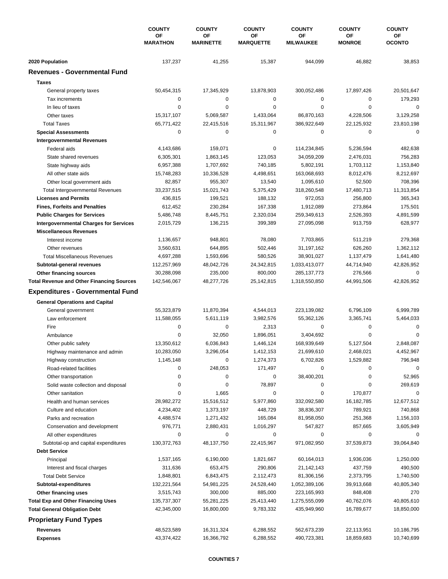|                                                  | <b>COUNTY</b><br>ΟF<br><b>MARATHON</b> | <b>COUNTY</b>          | <b>COUNTY</b><br>ΟF<br><b>MARQUETTE</b> | <b>COUNTY</b>                 | <b>COUNTY</b>       | <b>COUNTY</b><br>ОF<br><b>OCONTO</b> |
|--------------------------------------------------|----------------------------------------|------------------------|-----------------------------------------|-------------------------------|---------------------|--------------------------------------|
|                                                  |                                        | ΟF<br><b>MARINETTE</b> |                                         | <b>OF</b><br><b>MILWAUKEE</b> | OF<br><b>MONROE</b> |                                      |
| 2020 Population                                  | 137,237                                | 41,255                 | 15,387                                  | 944,099                       | 46,882              | 38,853                               |
| <b>Revenues - Governmental Fund</b>              |                                        |                        |                                         |                               |                     |                                      |
| <b>Taxes</b>                                     |                                        |                        |                                         |                               |                     |                                      |
| General property taxes                           | 50,454,315                             | 17,345,929             | 13,878,903                              | 300,052,486                   | 17,897,426          | 20,501,647                           |
| Tax increments                                   | $\mathbf 0$                            | 0                      | 0                                       | 0                             | 0                   | 179,293                              |
| In lieu of taxes                                 | 0                                      | 0                      | 0                                       | $\mathbf 0$                   | $\mathbf 0$         | $\mathbf 0$                          |
| Other taxes                                      | 15,317,107                             | 5,069,587              | 1,433,064                               | 86,870,163                    | 4,228,506           | 3,129,258                            |
| <b>Total Taxes</b>                               | 65,771,422                             | 22,415,516             | 15,311,967                              | 386,922,649                   | 22,125,932          | 23,810,198                           |
| <b>Special Assessments</b>                       | $\mathbf 0$                            | 0                      | 0                                       | 0                             | $\mathbf 0$         | 0                                    |
| <b>Intergovernmental Revenues</b>                |                                        |                        |                                         |                               |                     |                                      |
| Federal aids                                     | 4,143,686                              | 159,071                | 0                                       | 114,234,845                   | 5,236,594           | 482,638                              |
| State shared revenues                            | 6,305,301                              | 1,863,145              | 123,053                                 | 34,059,209                    | 2,476,031           | 756,283                              |
| State highway aids                               | 6,957,388                              | 1,707,692              | 740,185                                 | 5,802,191                     | 1,703,112           | 1,153,840                            |
| All other state aids                             | 15,748,283                             | 10,336,528             | 4,498,651                               | 163,068,693                   | 8,012,476           | 8,212,697                            |
| Other local government aids                      | 82,857                                 | 955,307                | 13,540                                  | 1,095,610                     | 52,500              | 708,396                              |
| <b>Total Intergovernmental Revenues</b>          | 33,237,515                             | 15,021,743             | 5,375,429                               | 318,260,548                   | 17,480,713          | 11,313,854                           |
| <b>Licenses and Permits</b>                      | 436,815                                | 199,521                | 188,132                                 | 972,053                       | 256,800             | 365,343                              |
| <b>Fines, Forfeits and Penalties</b>             | 612,452                                | 230,284                | 167,338                                 | 1,912,089                     | 273,864             | 175,501                              |
| <b>Public Charges for Services</b>               | 5,486,748                              | 8,445,751              | 2,320,034                               | 259,349,613                   | 2,526,393           | 4,891,599                            |
| <b>Intergovernmental Charges for Services</b>    | 2,015,729                              | 136,215                | 399,389                                 | 27,095,098                    | 913,759             | 628,977                              |
| <b>Miscellaneous Revenues</b>                    |                                        |                        |                                         |                               |                     |                                      |
| Interest income                                  | 1,136,657                              | 948,801                | 78,080                                  | 7,703,865                     | 511,219             | 279,368                              |
| Other revenues                                   | 3,560,631                              | 644,895                | 502,446                                 | 31,197,162                    | 626,260             | 1,362,112                            |
| <b>Total Miscellaneous Revenues</b>              | 4,697,288                              | 1,593,696              | 580,526                                 | 38,901,027                    | 1,137,479           | 1,641,480                            |
| Subtotal-general revenues                        | 112,257,969                            | 48,042,726             | 24,342,815                              | 1,033,413,077                 | 44,714,940          | 42,826,952                           |
| Other financing sources                          | 30,288,098                             | 235,000                | 800,000                                 | 285, 137, 773                 | 276,566             | 0                                    |
| <b>Total Revenue and Other Financing Sources</b> | 142,546,067                            | 48,277,726             | 25,142,815                              | 1,318,550,850                 | 44,991,506          | 42,826,952                           |
| <b>Expenditures - Governmental Fund</b>          |                                        |                        |                                         |                               |                     |                                      |
|                                                  |                                        |                        |                                         |                               |                     |                                      |
| <b>General Operations and Capital</b>            |                                        |                        |                                         |                               |                     |                                      |
| General government                               | 55,323,879                             | 11,870,394             | 4,544,013                               | 223,139,082                   | 6,796,109           | 6,999,789                            |
| Law enforcement                                  | 11,588,055                             | 5,611,119              | 3,982,576                               | 55,362,126                    | 3,365,741           | 5,464,033                            |
| Fire                                             | 0                                      | 0                      | 2,313                                   | 0                             | 0                   | $\mathbf 0$                          |
| Ambulance                                        | $\mathbf 0$                            | 32,050                 | 1,896,051                               | 3,404,692                     | $\mathbf 0$         | 0                                    |
| Other public safety                              | 13,350,612                             | 6,036,843              | 1,446,124                               | 168,939,649                   | 5,127,504           | 2,848,087                            |
| Highway maintenance and admin                    | 10,283,050                             | 3,296,054              | 1,412,153                               | 21,699,610                    | 2,468,021           | 4,452,967                            |
| Highway construction                             | 1,145,148                              | 0                      | 1,274,373                               | 6,702,826                     | 1,529,882           | 796,948                              |
| Road-related facilities                          | 0                                      | 248,053                | 171,497                                 | 0                             | 0                   | 0                                    |
| Other transportation                             | 0                                      | 0                      | 0                                       | 38,400,201                    | 0                   | 52,965                               |
| Solid waste collection and disposal              | 0                                      | 0                      | 78,897                                  | 0                             | 0                   | 269,619                              |
| Other sanitation                                 | 0                                      | 1,665                  | 0                                       | 0                             | 170,877             | $\mathbf 0$                          |
| Health and human services                        | 28,982,272                             | 15,516,512             | 5,977,860                               | 332,092,580                   | 16,182,785          | 12,677,512                           |
| Culture and education                            | 4,234,402                              | 1,373,197              | 448,729                                 | 38,836,307                    | 789,921             | 740,868                              |
| Parks and recreation                             | 4,488,574                              | 1,271,432              | 165,084                                 | 81,958,050                    | 251,368             | 1,156,103                            |
| Conservation and development                     | 976,771                                | 2,880,431              | 1,016,297                               | 547,827                       | 857,665             | 3,605,949                            |
| All other expenditures                           | 0                                      | 0                      | 0                                       | 0                             | 0                   |                                      |
| Subtotal-op and capital expenditures             | 130,372,763                            | 48,137,750             | 22,415,967                              | 971,082,950                   | 37,539,873          | 39,064,840                           |
| <b>Debt Service</b>                              |                                        |                        |                                         |                               |                     |                                      |
| Principal                                        | 1,537,165                              | 6,190,000              | 1,821,667                               | 60,164,013                    | 1,936,036           | 1,250,000                            |
| Interest and fiscal charges                      | 311,636                                | 653,475                | 290,806                                 | 21,142,143                    | 437,759             | 490,500                              |
| <b>Total Debt Service</b>                        | 1,848,801                              | 6,843,475              | 2,112,473                               | 81,306,156                    | 2,373,795           | 1,740,500                            |
| Subtotal-expenditures                            | 132,221,564                            | 54,981,225             | 24,528,440                              | 1,052,389,106                 | 39,913,668          | 40,805,340                           |
| Other financing uses                             | 3,515,743                              | 300,000                | 885,000                                 | 223,165,993                   | 848,408             | 270                                  |
| <b>Total Exp and Other Financing Uses</b>        | 135,737,307                            | 55,281,225             | 25,413,440                              | 1,275,555,099                 | 40,762,076          | 40,805,610                           |
| <b>Total General Obligation Debt</b>             | 42,345,000                             | 16,800,000             | 9,783,332                               | 435,949,960                   | 16,789,677          | 18,850,000                           |
| <b>Proprietary Fund Types</b>                    |                                        |                        |                                         |                               |                     |                                      |
| Revenues                                         | 48,523,589                             | 16,311,324             | 6,288,552                               | 562,673,239                   | 22,113,951          | 10,186,795                           |
| <b>Expenses</b>                                  | 43,374,422                             | 16,366,792             | 6,288,552                               | 490,723,381                   | 18,859,683          | 10,740,699                           |
|                                                  |                                        |                        |                                         |                               |                     |                                      |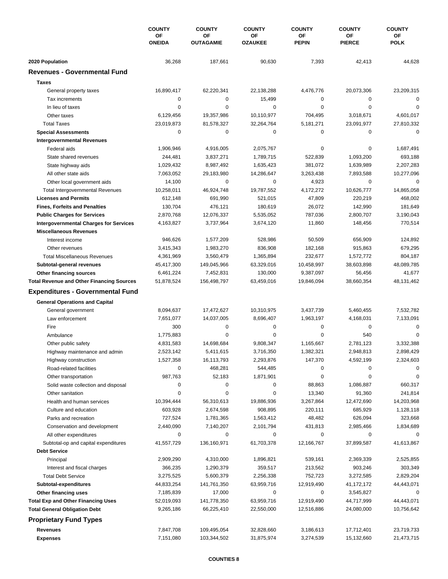|                                                  | <b>COUNTY</b><br>ΟF<br><b>ONEIDA</b> | <b>COUNTY</b>              | <b>COUNTY</b><br>OF<br><b>OZAUKEE</b> | <b>COUNTY</b>          | <b>COUNTY</b>            | <b>COUNTY</b><br>ОF<br><b>POLK</b> |
|--------------------------------------------------|--------------------------------------|----------------------------|---------------------------------------|------------------------|--------------------------|------------------------------------|
|                                                  |                                      | ΟF<br><b>OUTAGAMIE</b>     |                                       | ΟF<br><b>PEPIN</b>     | OF<br><b>PIERCE</b>      |                                    |
| 2020 Population                                  | 36,268                               | 187,661                    | 90,630                                | 7,393                  | 42,413                   | 44,628                             |
| <b>Revenues - Governmental Fund</b>              |                                      |                            |                                       |                        |                          |                                    |
| <b>Taxes</b>                                     |                                      |                            |                                       |                        |                          |                                    |
| General property taxes                           | 16,890,417                           | 62,220,341                 | 22,138,288                            | 4,476,776              | 20,073,306               | 23,209,315                         |
| Tax increments                                   | $\mathbf 0$                          | 0                          | 15,499                                | 0                      | 0                        | $\mathbf 0$                        |
| In lieu of taxes                                 | 0                                    | 0                          | 0                                     | $\mathbf 0$            | $\mathbf 0$              | 0                                  |
| Other taxes                                      | 6,129,456                            | 19,357,986                 | 10,110,977                            | 704,495                | 3,018,671                | 4,601,017                          |
| <b>Total Taxes</b>                               | 23,019,873                           | 81,578,327                 | 32,264,764                            | 5,181,271              | 23,091,977               | 27,810,332                         |
| <b>Special Assessments</b>                       | 0                                    | 0                          | 0                                     | 0                      | 0                        | $\mathbf 0$                        |
| <b>Intergovernmental Revenues</b>                |                                      |                            |                                       |                        |                          |                                    |
| Federal aids                                     | 1,906,946                            | 4,916,005                  | 2,075,767                             | 0                      | 0                        | 1,687,491                          |
| State shared revenues                            | 244,481                              | 3,837,271                  | 1,789,715                             | 522,839                | 1,093,200                | 693,188                            |
| State highway aids                               | 1,029,432                            | 8,987,492                  | 1,635,423                             | 381,072                | 1,639,989                | 2,207,283                          |
| All other state aids                             | 7,063,052                            | 29,183,980                 | 14,286,647                            | 3,263,438              | 7,893,588                | 10,277,096                         |
| Other local government aids                      | 14,100                               | 0                          | 0                                     | 4,923                  | 0                        | 0                                  |
| <b>Total Intergovernmental Revenues</b>          | 10,258,011                           | 46,924,748                 | 19,787,552                            | 4,172,272              | 10,626,777               | 14,865,058                         |
| <b>Licenses and Permits</b>                      | 612,148                              | 691,990                    | 521,015                               | 47,809                 | 220,219                  | 468,002                            |
| <b>Fines, Forfeits and Penalties</b>             | 130,704                              | 476,121                    | 180,619                               | 26,072                 | 142,990                  | 181,649                            |
| <b>Public Charges for Services</b>               | 2,870,768                            | 12,076,337                 | 5,535,052                             | 787,036                | 2,800,707                | 3,190,043                          |
| <b>Intergovernmental Charges for Services</b>    | 4,163,827                            | 3,737,964                  | 3,674,120                             | 11,860                 | 148,456                  | 770,514                            |
| <b>Miscellaneous Revenues</b>                    |                                      |                            |                                       |                        |                          |                                    |
| Interest income                                  | 946,626                              | 1,577,209                  | 528,986                               | 50,509                 | 656,909                  | 124,892                            |
| Other revenues                                   | 3,415,343                            | 1,983,270                  | 836,908                               | 182,168                | 915,863                  | 679,295                            |
| <b>Total Miscellaneous Revenues</b>              | 4,361,969                            | 3,560,479                  | 1,365,894                             | 232,677                | 1,572,772                | 804,187                            |
| Subtotal-general revenues                        | 45,417,300                           | 149,045,966                | 63,329,016                            | 10,458,997             | 38,603,898               | 48,089,785                         |
| Other financing sources                          | 6,461,224                            | 7,452,831                  | 130,000                               | 9,387,097              | 56,456                   | 41,677                             |
| <b>Total Revenue and Other Financing Sources</b> | 51,878,524                           | 156,498,797                | 63,459,016                            | 19,846,094             | 38,660,354               | 48,131,462                         |
| <b>Expenditures - Governmental Fund</b>          |                                      |                            |                                       |                        |                          |                                    |
| <b>General Operations and Capital</b>            |                                      |                            |                                       |                        |                          |                                    |
| General government                               | 8,094,637                            | 17,472,627                 | 10,310,975                            | 3,437,739              | 5,460,455                | 7,532,782                          |
| Law enforcement                                  | 7,651,077                            | 14,037,005                 | 8,696,407                             | 1,963,197              | 4,168,031                | 7,133,091                          |
| Fire                                             | 300                                  | 0                          | 0                                     | 0                      | 0                        | 0                                  |
| Ambulance                                        | 1,775,883                            | 0                          | 0                                     | $\mathbf 0$            | 540                      | 0                                  |
| Other public safety                              | 4,831,583                            | 14,698,684                 | 9,808,347                             | 1,165,667              | 2,781,123                | 3,332,388                          |
| Highway maintenance and admin                    | 2,523,142                            | 5,411,615                  | 3,716,350                             | 1,382,321              | 2,948,813                | 2,898,429                          |
| Highway construction                             | 1,527,358                            | 16,113,793                 | 2,293,876                             | 147,370                | 4,592,199                | 2,324,603                          |
| Road-related facilities                          | 0                                    | 468,281                    | 544,485                               | 0                      | 0                        | $\Omega$                           |
| Other transportation                             | 987,763                              | 52,183                     | 1,871,901                             | 0                      | 0                        | 0                                  |
| Solid waste collection and disposal              | 0                                    | 0                          | 0                                     | 88,863                 | 1,086,887                | 660,317                            |
| Other sanitation                                 | 0                                    | 0                          | 0                                     | 13,340                 | 91,360                   | 241,814                            |
| Health and human services                        | 10,394,444                           | 56,310,613                 | 19,886,936                            | 3,267,864              | 12,472,690               | 14,203,968                         |
| Culture and education                            | 603,928                              | 2,674,598                  | 908,895                               | 220,111                | 685,929                  | 1,128,118                          |
| Parks and recreation                             | 727,524                              | 1,781,365                  | 1,563,412                             | 48,482                 | 626,094                  | 323,668                            |
| Conservation and development                     | 2,440,090                            | 7,140,207                  | 2,101,794                             | 431,813                | 2,985,466                | 1,834,689                          |
| All other expenditures                           | 0                                    | 0                          | 0                                     | 0                      | 0                        |                                    |
| Subtotal-op and capital expenditures             | 41,557,729                           | 136,160,971                | 61,703,378                            | 12,166,767             | 37,899,587               | 41,613,867                         |
| <b>Debt Service</b>                              |                                      |                            |                                       |                        |                          |                                    |
| Principal                                        | 2,909,290                            | 4,310,000                  | 1,896,821                             | 539,161                | 2,369,339                | 2,525,855                          |
| Interest and fiscal charges                      | 366,235                              | 1,290,379                  | 359,517                               | 213,562                | 903,246                  | 303,349                            |
| <b>Total Debt Service</b>                        | 3,275,525                            | 5,600,379                  | 2,256,338                             | 752,723                | 3,272,585                | 2,829,204                          |
| Subtotal-expenditures                            | 44,833,254                           | 141,761,350                | 63,959,716                            | 12,919,490             | 41, 172, 172             | 44,443,071                         |
| Other financing uses                             | 7,185,839                            | 17,000                     | 0                                     | 0                      | 3,545,827                | 0                                  |
| <b>Total Exp and Other Financing Uses</b>        | 52,019,093                           | 141,778,350                | 63,959,716                            | 12,919,490             | 44,717,999               | 44,443,071                         |
| <b>Total General Obligation Debt</b>             | 9,265,186                            | 66,225,410                 | 22,550,000                            | 12,516,886             | 24,080,000               | 10,756,642                         |
| <b>Proprietary Fund Types</b>                    |                                      |                            |                                       |                        |                          |                                    |
| Revenues                                         |                                      |                            |                                       |                        |                          |                                    |
| <b>Expenses</b>                                  | 7,847,708<br>7,151,080               | 109,495,054<br>103,344,502 | 32,828,660<br>31,875,974              | 3,186,613<br>3,274,539 | 17,712,401<br>15,132,660 | 23,719,733<br>21,473,715           |
|                                                  |                                      |                            |                                       |                        |                          |                                    |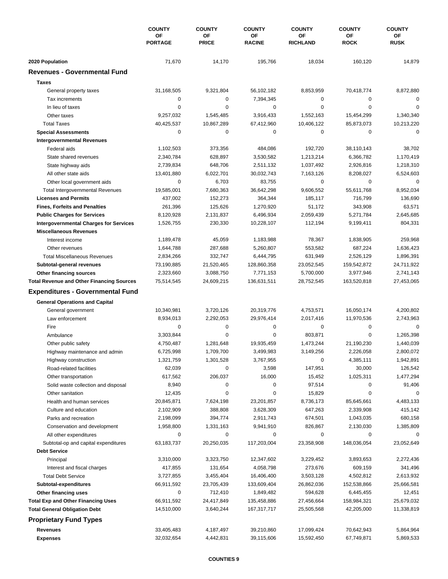|                                                        | <b>COUNTY</b>        | <b>COUNTY</b>      | <b>COUNTY</b>       | <b>COUNTY</b>         | <b>COUNTY</b>     | <b>COUNTY</b>     |
|--------------------------------------------------------|----------------------|--------------------|---------------------|-----------------------|-------------------|-------------------|
|                                                        | ΟF<br><b>PORTAGE</b> | OF<br><b>PRICE</b> | ΟF<br><b>RACINE</b> | ΟF<br><b>RICHLAND</b> | OF<br><b>ROCK</b> | ОF<br><b>RUSK</b> |
|                                                        |                      |                    |                     |                       |                   |                   |
| 2020 Population<br><b>Revenues - Governmental Fund</b> | 71,670               | 14,170             | 195,766             | 18,034                | 160,120           | 14,879            |
|                                                        |                      |                    |                     |                       |                   |                   |
| <b>Taxes</b>                                           |                      |                    |                     |                       |                   |                   |
| General property taxes                                 | 31,168,505           | 9,321,804          | 56,102,182          | 8,853,959             | 70,418,774        | 8,872,880         |
| Tax increments                                         | $\mathbf 0$          | 0                  | 7,394,345           | 0                     | 0                 | $\mathbf 0$       |
| In lieu of taxes                                       | $\mathbf 0$          | 0                  | 0                   | $\mathbf 0$           | $\mathbf 0$       | 0                 |
| Other taxes                                            | 9,257,032            | 1,545,485          | 3,916,433           | 1,552,163             | 15,454,299        | 1,340,340         |
| <b>Total Taxes</b>                                     | 40,425,537           | 10,867,289         | 67,412,960          | 10,406,122            | 85,873,073        | 10,213,220        |
| <b>Special Assessments</b>                             | $\mathbf 0$          | 0                  | 0                   | 0                     | $\mathbf 0$       | $\mathbf 0$       |
| <b>Intergovernmental Revenues</b>                      |                      |                    |                     |                       |                   |                   |
| Federal aids                                           | 1,102,503            | 373,356            | 484,086             | 192,720               | 38,110,143        | 38,702            |
| State shared revenues                                  | 2,340,784            | 628,897            | 3,530,582           | 1,213,214             | 6,366,782         | 1,170,419         |
| State highway aids                                     | 2,739,834            | 648,706            | 2,511,132           | 1,037,492             | 2,926,816         | 1,218,310         |
| All other state aids                                   | 13,401,880           | 6,022,701          | 30,032,743          | 7,163,126             | 8,208,027         | 6,524,603         |
| Other local government aids                            | 0                    | 6,703              | 83,755              | 0                     | $\mathbf 0$       | $\mathbf 0$       |
| <b>Total Intergovernmental Revenues</b>                | 19,585,001           | 7,680,363          | 36,642,298          | 9,606,552             | 55,611,768        | 8,952,034         |
| <b>Licenses and Permits</b>                            | 437,002              | 152,273            | 364,344             | 185,117               | 716,799           | 136,690           |
| <b>Fines, Forfeits and Penalties</b>                   | 261,396              | 125,626            | 1,270,920           | 51,172                | 343,908           | 63,571            |
| <b>Public Charges for Services</b>                     | 8,120,928            | 2,131,837          | 6,496,934           | 2,059,439             | 5,271,784         | 2,645,685         |
| <b>Intergovernmental Charges for Services</b>          | 1,526,755            | 230,330            | 10,228,107          | 112,194               | 9,199,411         | 804,331           |
| <b>Miscellaneous Revenues</b>                          |                      |                    |                     |                       |                   |                   |
| Interest income                                        | 1,189,478            | 45,059             | 1,183,988           | 78,367                | 1,838,905         | 259,968           |
| Other revenues                                         | 1,644,788            | 287,688            | 5,260,807           | 553,582               | 687,224           | 1,636,423         |
| <b>Total Miscellaneous Revenues</b>                    | 2,834,266            | 332,747            | 6,444,795           | 631,949               | 2,526,129         | 1,896,391         |
| Subtotal-general revenues                              | 73,190,885           | 21,520,465         | 128,860,358         | 23,052,545            | 159,542,872       | 24,711,922        |
| Other financing sources                                | 2,323,660            | 3,088,750          | 7,771,153           | 5,700,000             | 3,977,946         | 2,741,143         |
| <b>Total Revenue and Other Financing Sources</b>       | 75,514,545           | 24,609,215         | 136,631,511         | 28,752,545            | 163,520,818       | 27,453,065        |
| <b>Expenditures - Governmental Fund</b>                |                      |                    |                     |                       |                   |                   |
| <b>General Operations and Capital</b>                  |                      |                    |                     |                       |                   |                   |
| General government                                     | 10,340,981           | 3,720,126          | 20,319,776          | 4,753,571             | 16,050,174        | 4,200,802         |
| Law enforcement                                        | 8,934,013            | 2,292,053          | 29,976,414          | 2,017,416             | 11,970,536        | 2,743,963         |
| Fire                                                   | $\mathbf 0$          | 0                  | 0                   | 0                     | 0                 | $\mathbf 0$       |
| Ambulance                                              | 3,303,844            | 0                  | 0                   | 803,871               | $\mathbf 0$       | 1,265,398         |
|                                                        | 4,750,487            | 1,281,648          | 19,935,459          | 1,473,244             | 21,190,230        | 1,440,039         |
| Other public safety                                    |                      |                    |                     | 3,149,256             | 2,226,058         |                   |
| Highway maintenance and admin                          | 6,725,998            | 1,709,700          | 3,499,983           |                       |                   | 2,800,072         |
| Highway construction                                   | 1,321,759            | 1,301,528          | 3,767,955           | 0                     | 4,385,111         | 1,942,891         |
| Road-related facilities                                | 62,039               | 0                  | 3,598               | 147,951               | 30,000            | 126,542           |
| Other transportation                                   | 617,562              | 206,037            | 16,000              | 15,452                | 1,025,311         | 1,477,294         |
| Solid waste collection and disposal                    | 8,940                | 0                  | 0                   | 97,514                | 0                 | 91,406            |
| Other sanitation                                       | 12,435               | 0                  | 0                   | 15,829                | 0                 | 0                 |
| Health and human services                              | 20,845,871           | 7,624,198          | 23,201,857          | 8,736,173             | 85,645,661        | 4,483,133         |
| Culture and education                                  | 2,102,909            | 388,808            | 3,628,309           | 647,263               | 2,339,908         | 415,142           |
| Parks and recreation                                   | 2,198,099            | 394,774            | 2,911,743           | 674,501               | 1,043,035         | 680,158           |
| Conservation and development                           | 1,958,800            | 1,331,163          | 9,941,910           | 826,867               | 2,130,030         | 1,385,809         |
| All other expenditures                                 | 0                    | 0                  | 0                   | 0                     | 0                 | 0                 |
| Subtotal-op and capital expenditures                   | 63,183,737           | 20,250,035         | 117,203,004         | 23,358,908            | 148,036,054       | 23,052,649        |
| <b>Debt Service</b>                                    |                      |                    |                     |                       |                   |                   |
| Principal                                              | 3,310,000            | 3,323,750          | 12,347,602          | 3,229,452             | 3,893,653         | 2,272,436         |
| Interest and fiscal charges                            | 417,855              | 131,654            | 4,058,798           | 273,676               | 609,159           | 341,496           |
| <b>Total Debt Service</b>                              | 3,727,855            | 3,455,404          | 16,406,400          | 3,503,128             | 4,502,812         | 2,613,932         |
| Subtotal-expenditures                                  | 66,911,592           | 23,705,439         | 133,609,404         | 26,862,036            | 152,538,866       | 25,666,581        |
| Other financing uses                                   | 0                    | 712,410            | 1,849,482           | 594,628               | 6,445,455         | 12,451            |
| <b>Total Exp and Other Financing Uses</b>              | 66,911,592           | 24,417,849         | 135,458,886         | 27,456,664            | 158,984,321       | 25,679,032        |
| <b>Total General Obligation Debt</b>                   | 14,510,000           | 3,640,244          | 167,317,717         | 25,505,568            | 42,205,000        | 11,338,819        |
| <b>Proprietary Fund Types</b>                          |                      |                    |                     |                       |                   |                   |
| Revenues                                               | 33,405,483           | 4,187,497          | 39,210,860          | 17,099,424            | 70,642,943        | 5,864,964         |
| <b>Expenses</b>                                        | 32,032,654           | 4,442,831          | 39,115,606          | 15,592,450            | 67,749,871        | 5,869,533         |
|                                                        |                      |                    |                     |                       |                   |                   |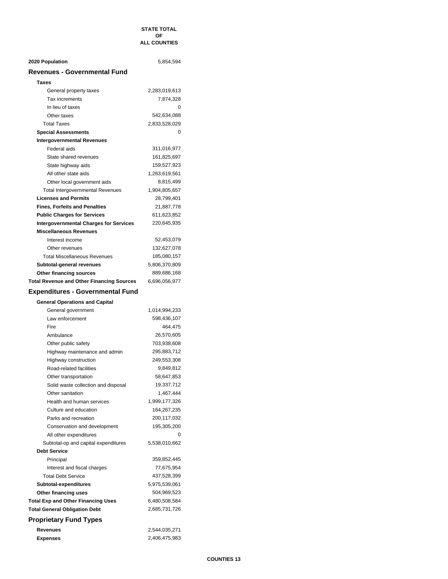#### **STATE TOTAL OF ALL COUNTIES**

| 2020 Population                                  | 5,854,594                    |
|--------------------------------------------------|------------------------------|
| <b>Revenues - Governmental Fund</b>              |                              |
| Taxes                                            |                              |
| General property taxes                           | 2,283,019,613                |
| Tax increments                                   | 7,874,328                    |
| In lieu of taxes                                 | 0                            |
| Other taxes                                      | 542,634,088                  |
| <b>Total Taxes</b>                               | 2,833,528,029                |
| <b>Special Assessments</b>                       | 0                            |
| <b>Intergovernmental Revenues</b>                |                              |
| Federal aids                                     | 311,016,977                  |
| State shared revenues                            | 161,825,697                  |
| State highway aids                               | 159,527,923                  |
| All other state aids                             | 1,263,619,561                |
| Other local government aids                      | 8,815,499                    |
| <b>Total Intergovernmental Revenues</b>          | 1,904,805,657                |
| <b>Licenses and Permits</b>                      | 28,799,401                   |
| <b>Fines, Forfeits and Penalties</b>             | 21,887,778                   |
| <b>Public Charges for Services</b>               | 611,623,852                  |
| <b>Intergovernmental Charges for Services</b>    | 220,645,935                  |
| <b>Miscellaneous Revenues</b>                    |                              |
| Interest income                                  | 52,453,079                   |
| Other revenues                                   |                              |
| <b>Total Miscellaneous Revenues</b>              | 132,627,078<br>185,080,157   |
|                                                  | 5,806,370,809                |
| Subtotal-general revenues                        |                              |
| <b>Other financing sources</b>                   | 889,686,168<br>6,696,056,977 |
| <b>Total Revenue and Other Financing Sources</b> |                              |
| <b>Expenditures - Governmental Fund</b>          |                              |
| <b>General Operations and Capital</b>            |                              |
| General government                               | 1,014,994,233                |
| Law enforcement                                  | 598,436,107                  |
| Fire                                             | 464,475                      |
| Ambulance                                        | 26,570,605                   |
| Other public safety                              | 703,938,608                  |
| Highway maintenance and admin                    | 295,883,712                  |
| Highway construction                             | 249,553,308                  |
| Road-related facilities                          | 9,849,812                    |
| Other transportation                             | 58,647,853                   |
| Solid waste collection and disposal              | 19,337,712                   |
| Other sanitation                                 | 1,467,444                    |
| Health and human services                        | 1,999,177,326                |
| Culture and education                            | 164,267,235                  |
| Parks and recreation                             | 200,117,032                  |
| Conservation and development                     | 195,305,200                  |
| All other expenditures                           | 0                            |
| Subtotal-op and capital expenditures             | 5,538,010,662                |
| <b>Debt Service</b>                              |                              |
| Principal                                        | 359,852,445                  |
| Interest and fiscal charges                      | 77,675,954                   |
| <b>Total Debt Service</b>                        | 437,528,399                  |
| Subtotal-expenditures                            | 5,975,539,061                |
| Other financing uses                             | 504,969,523                  |
| <b>Total Exp and Other Financing Uses</b>        | 6,480,508,584                |
| <b>Total General Obligation Debt</b>             | 2,685,731,726                |
| <b>Proprietary Fund Types</b>                    |                              |
| Revenues                                         | 2,544,035,271                |
| <b>Expenses</b>                                  | 2,406,475,983                |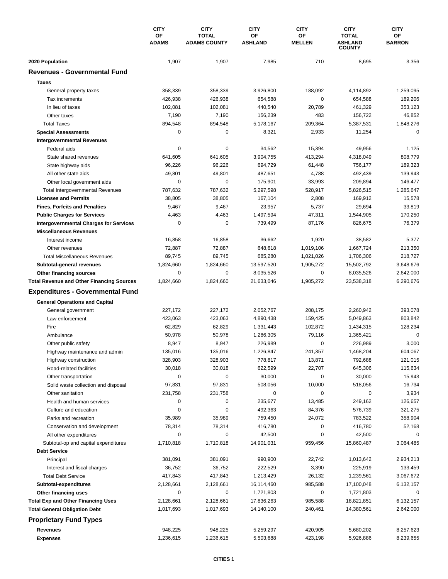|                                                  | <b>CITY</b>        | <b>CITY</b>                         | <b>CITY</b>          | <b>CITY</b>         | <b>CITY</b>                    | <b>CITY</b>         |
|--------------------------------------------------|--------------------|-------------------------------------|----------------------|---------------------|--------------------------------|---------------------|
|                                                  | OF<br><b>ADAMS</b> | <b>TOTAL</b><br><b>ADAMS COUNTY</b> | OF<br><b>ASHLAND</b> | ΟF<br><b>MELLEN</b> | <b>TOTAL</b><br><b>ASHLAND</b> | ОF<br><b>BARRON</b> |
|                                                  |                    |                                     |                      |                     | <b>COUNTY</b>                  |                     |
| 2020 Population                                  | 1,907              | 1,907                               | 7,985                | 710                 | 8,695                          | 3,356               |
| <b>Revenues - Governmental Fund</b>              |                    |                                     |                      |                     |                                |                     |
| <b>Taxes</b>                                     |                    |                                     |                      |                     |                                |                     |
| General property taxes                           | 358,339            | 358,339                             | 3,926,800            | 188,092             | 4,114,892                      | 1,259,095           |
| Tax increments                                   | 426,938            | 426,938                             | 654,588              | $\pmb{0}$           | 654,588                        | 189,206             |
| In lieu of taxes                                 | 102,081            | 102,081                             | 440,540              | 20,789              | 461,329                        | 353,123             |
| Other taxes                                      | 7,190              | 7,190                               | 156,239              | 483                 | 156,722                        | 46,852              |
| <b>Total Taxes</b>                               | 894,548            | 894,548                             | 5,178,167            | 209,364             | 5,387,531                      | 1,848,276           |
| <b>Special Assessments</b>                       | 0                  | 0                                   | 8,321                | 2,933               | 11,254                         | 0                   |
| <b>Intergovernmental Revenues</b>                |                    |                                     |                      |                     |                                |                     |
| Federal aids                                     | 0                  | 0                                   | 34,562               | 15,394              | 49,956                         | 1,125               |
| State shared revenues                            | 641,605            | 641,605                             | 3,904,755            | 413,294             | 4,318,049                      | 808,779             |
| State highway aids                               | 96,226             | 96,226                              | 694,729              | 61,448              | 756,177                        | 189,323             |
| All other state aids                             | 49,801             | 49,801                              | 487,651              | 4,788               | 492,439                        | 139,943             |
| Other local government aids                      | $\mathbf 0$        | 0                                   | 175,901              | 33,993              | 209,894                        | 146,477             |
| <b>Total Intergovernmental Revenues</b>          | 787,632            | 787,632                             | 5,297,598            | 528,917             | 5,826,515                      | 1,285,647           |
| <b>Licenses and Permits</b>                      | 38,805             | 38,805                              | 167,104              | 2,808               | 169,912                        | 15,578              |
| <b>Fines, Forfeits and Penalties</b>             | 9,467              | 9,467                               | 23,957               | 5,737               | 29,694                         | 33,819              |
| <b>Public Charges for Services</b>               | 4,463              | 4,463                               | 1,497,594            | 47,311              | 1,544,905                      | 170,250             |
| <b>Intergovernmental Charges for Services</b>    | 0                  | 0                                   | 739,499              | 87,176              | 826,675                        | 76,379              |
| <b>Miscellaneous Revenues</b>                    |                    |                                     |                      |                     |                                |                     |
| Interest income                                  | 16,858             | 16,858                              | 36,662               | 1,920               | 38,582                         | 5,377               |
| Other revenues                                   | 72,887             | 72,887                              | 648,618              | 1,019,106           | 1,667,724                      | 213,350             |
| <b>Total Miscellaneous Revenues</b>              | 89,745             | 89,745                              | 685,280              | 1,021,026           | 1,706,306                      | 218,727             |
| Subtotal-general revenues                        | 1,824,660          | 1,824,660                           | 13,597,520           | 1,905,272           | 15,502,792                     | 3,648,676           |
| Other financing sources                          | 0                  | 0                                   | 8,035,526            | 0                   | 8,035,526                      | 2,642,000           |
| <b>Total Revenue and Other Financing Sources</b> | 1,824,660          | 1,824,660                           | 21,633,046           | 1,905,272           | 23,538,318                     | 6,290,676           |
| <b>Expenditures - Governmental Fund</b>          |                    |                                     |                      |                     |                                |                     |
| <b>General Operations and Capital</b>            |                    |                                     |                      |                     |                                |                     |
| General government                               | 227,172            | 227,172                             | 2,052,767            | 208,175             | 2,260,942                      | 393,078             |
| Law enforcement                                  | 423,063            | 423,063                             | 4,890,438            | 159,425             | 5,049,863                      | 803,842             |
| Fire                                             | 62,829             | 62,829                              | 1,331,443            | 102,872             | 1,434,315                      | 128,234             |
| Ambulance                                        | 50,978             | 50,978                              | 1,286,305            | 79,116              | 1,365,421                      | 0                   |
| Other public safety                              | 8,947              | 8,947                               | 226,989              | 0                   | 226,989                        | 3,000               |
| Highway maintenance and admin                    | 135,016            | 135,016                             | 1,226,847            | 241,357             | 1,468,204                      | 604,067             |
| Highway construction                             | 328,903            | 328,903                             | 778,817              | 13,871              | 792,688                        | 121,015             |
| Road-related facilities                          | 30,018             | 30,018                              | 622,599              | 22,707              | 645,306                        | 115,634             |
| Other transportation                             | $\mathbf 0$        | 0                                   | 30,000               | 0                   | 30,000                         | 15,943              |
| Solid waste collection and disposal              | 97,831             | 97,831                              | 508,056              | 10,000              | 518,056                        | 16,734              |
| Other sanitation                                 | 231,758            | 231,758                             | 0                    | 0                   | $\mathbf 0$                    | 3,934               |
| Health and human services                        | 0                  | 0                                   | 235,677              | 13,485              | 249,162                        | 126,657             |
| Culture and education                            | 0                  | 0                                   | 492,363              | 84,376              | 576,739                        | 321,275             |
| Parks and recreation                             | 35,989             | 35,989                              | 759,450              | 24,072              | 783,522                        | 358,904             |
| Conservation and development                     | 78,314             | 78,314                              | 416,780              | 0                   | 416,780                        | 52,168              |
| All other expenditures                           | 0                  | 0                                   | 42,500               | 0                   | 42,500                         | $\Omega$            |
| Subtotal-op and capital expenditures             | 1,710,818          | 1,710,818                           | 14,901,031           | 959,456             | 15,860,487                     | 3,064,485           |
| <b>Debt Service</b>                              |                    |                                     |                      |                     |                                |                     |
| Principal                                        | 381,091            | 381,091                             | 990,900              | 22,742              | 1,013,642                      | 2,934,213           |
| Interest and fiscal charges                      | 36,752             | 36,752                              | 222,529              | 3,390               | 225,919                        | 133,459             |
| <b>Total Debt Service</b>                        | 417,843            | 417,843                             | 1,213,429            | 26,132              | 1,239,561                      | 3,067,672           |
| Subtotal-expenditures                            | 2,128,661          | 2,128,661                           | 16,114,460           | 985,588             | 17,100,048                     | 6,132,157           |
| Other financing uses                             | 0                  | 0                                   | 1,721,803            | 0                   | 1,721,803                      | 0                   |
| <b>Total Exp and Other Financing Uses</b>        | 2,128,661          | 2,128,661                           | 17,836,263           | 985,588             | 18,821,851                     | 6,132,157           |
| <b>Total General Obligation Debt</b>             | 1,017,693          | 1,017,693                           | 14,140,100           | 240,461             | 14,380,561                     | 2,642,000           |
| <b>Proprietary Fund Types</b>                    |                    |                                     |                      |                     |                                |                     |
| Revenues                                         | 948,225            | 948,225                             | 5,259,297            | 420,905             | 5,680,202                      | 8,257,623           |
| <b>Expenses</b>                                  | 1,236,615          | 1,236,615                           | 5,503,688            | 423,198             | 5,926,886                      | 8,239,655           |
|                                                  |                    |                                     |                      |                     |                                |                     |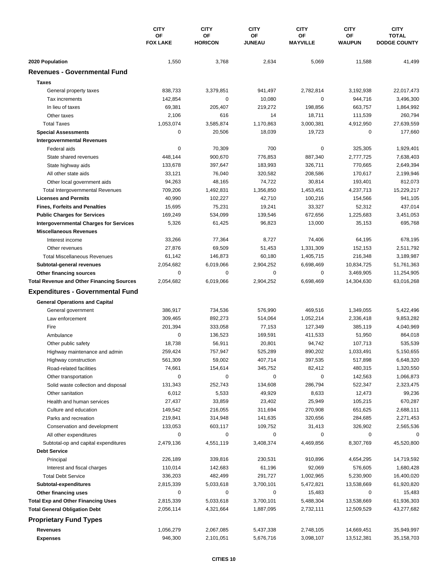|                                                  | <b>CITY</b><br>OF | <b>CITY</b><br>OF | <b>CITY</b><br>ΟF | <b>CITY</b><br>ΟF | <b>CITY</b><br>OF | <b>CITY</b><br><b>TOTAL</b> |
|--------------------------------------------------|-------------------|-------------------|-------------------|-------------------|-------------------|-----------------------------|
|                                                  | <b>FOX LAKE</b>   | <b>HORICON</b>    | <b>JUNEAU</b>     | <b>MAYVILLE</b>   | <b>WAUPUN</b>     | <b>DODGE COUNTY</b>         |
| 2020 Population                                  | 1,550             | 3,768             | 2,634             | 5,069             | 11,588            | 41,499                      |
| <b>Revenues - Governmental Fund</b>              |                   |                   |                   |                   |                   |                             |
| <b>Taxes</b>                                     |                   |                   |                   |                   |                   |                             |
| General property taxes                           | 838,733           | 3,379,851         | 941,497           | 2,782,814         | 3,192,938         | 22,017,473                  |
| Tax increments                                   | 142,854           | 0                 | 10,080            | 0                 | 944,716           | 3,496,300                   |
| In lieu of taxes                                 | 69,381            | 205,407           | 219,272           | 198,856           | 663,757           | 1,864,992                   |
| Other taxes                                      | 2,106             | 616               | 14                | 18,711            | 111,539           | 260,794                     |
| <b>Total Taxes</b>                               | 1,053,074         | 3,585,874         | 1,170,863         | 3,000,381         | 4,912,950         | 27,639,559                  |
| <b>Special Assessments</b>                       | $\mathbf 0$       | 20,506            | 18,039            | 19,723            | 0                 | 177,660                     |
| <b>Intergovernmental Revenues</b>                |                   |                   |                   |                   |                   |                             |
| Federal aids                                     | $\pmb{0}$         | 70,309            | 700               | 0                 | 325,305           | 1,929,401                   |
| State shared revenues                            | 448,144           | 900,670           | 776,853           | 887,340           | 2,777,725         | 7,638,403                   |
| State highway aids                               | 133,678           | 397,647           | 183,993           | 326,711           | 770,665           | 2,649,394                   |
| All other state aids                             | 33,121            | 76,040            | 320,582           | 208,586           | 170,617           | 2,199,946                   |
| Other local government aids                      | 94,263            | 48,165            | 74,722            | 30,814            | 193,401           | 812,073                     |
| <b>Total Intergovernmental Revenues</b>          | 709,206           | 1,492,831         | 1,356,850         | 1,453,451         | 4,237,713         | 15,229,217                  |
| <b>Licenses and Permits</b>                      | 40,990            | 102,227           | 42,710            | 100,216           | 154,566           | 941,105                     |
| <b>Fines, Forfeits and Penalties</b>             | 15,695            | 75,231            | 19,241            | 33,327            | 52,312            | 437,014                     |
| <b>Public Charges for Services</b>               | 169,249           | 534,099           | 139,546           | 672,656           | 1,225,683         | 3,451,053                   |
| <b>Intergovernmental Charges for Services</b>    | 5,326             | 61,425            | 96,823            | 13,000            | 35,153            | 695,768                     |
| <b>Miscellaneous Revenues</b>                    |                   |                   |                   |                   |                   |                             |
| Interest income                                  | 33,266            | 77,364            | 8,727             | 74,406            | 64,195            | 678,195                     |
| Other revenues                                   | 27,876            | 69,509            | 51,453            | 1,331,309         | 152,153           | 2,511,792                   |
| <b>Total Miscellaneous Revenues</b>              | 61,142            | 146,873           | 60,180            | 1,405,715         | 216,348           | 3,189,987                   |
| Subtotal-general revenues                        | 2,054,682         | 6,019,066         | 2,904,252         | 6,698,469         | 10,834,725        | 51,761,363                  |
| Other financing sources                          | $\mathbf 0$       | 0                 | 0                 | 0                 | 3,469,905         | 11,254,905                  |
| <b>Total Revenue and Other Financing Sources</b> | 2,054,682         | 6,019,066         | 2,904,252         | 6,698,469         | 14,304,630        | 63,016,268                  |
| <b>Expenditures - Governmental Fund</b>          |                   |                   |                   |                   |                   |                             |
| <b>General Operations and Capital</b>            |                   |                   |                   |                   |                   |                             |
| General government                               | 386,917           | 734,536           | 576,990           | 469,516           | 1,349,055         | 5,422,496                   |
| Law enforcement                                  | 309,465           | 892,273           | 514,064           | 1,052,214         | 2,336,418         | 9,853,282                   |
| Fire                                             | 201,394           | 333,058           | 77,153            | 127,349           | 385,119           | 4,040,969                   |
| Ambulance                                        | $\mathbf 0$       | 136,523           | 169,591           | 411,533           | 51,950            | 864,018                     |
| Other public safety                              | 18,738            | 56,911            | 20,801            | 94,742            | 107,713           | 535,539                     |
| Highway maintenance and admin                    | 259,424           | 757,947           | 525,289           | 890,202           | 1,033,491         | 5,150,655                   |
| Highway construction                             | 561,309           | 59,002            | 407,714           | 397,535           | 517,898           | 6,648,320                   |
| Road-related facilities                          | 74,661            | 154,614           | 345,752           | 82,412            | 480,315           | 1,320,550                   |
| Other transportation                             | 0                 | 0                 | 0                 | 0                 | 142,563           | 1,066,873                   |
| Solid waste collection and disposal              | 131,343           | 252,743           | 134,608           | 286,794           | 522,347           | 2,323,475                   |
| Other sanitation                                 | 6,012             | 5,533             | 49,929            | 8,633             | 12,473            | 99,236                      |
| Health and human services                        | 27,437            | 33,859            | 23,402            | 25,949            | 105,215           | 670,287                     |
| Culture and education                            | 149,542           | 216,055           | 311,694           | 270,908           | 651,625           | 2,688,111                   |
| Parks and recreation                             | 219,841           | 314,948           | 141,635           | 320,656           | 284,685           | 2,271,453                   |
| Conservation and development                     | 133,053           | 603,117           | 109,752           | 31,413            | 326,902           | 2,565,536                   |
| All other expenditures                           | 0                 | 0                 | 0                 | 0                 | 0                 | 0                           |
| Subtotal-op and capital expenditures             | 2,479,136         | 4,551,119         | 3,408,374         | 4,469,856         | 8,307,769         | 45,520,800                  |
| <b>Debt Service</b>                              |                   |                   |                   |                   |                   |                             |
| Principal                                        | 226,189           | 339,816           | 230,531           | 910,896           | 4,654,295         | 14,719,592                  |
| Interest and fiscal charges                      | 110,014           | 142,683           | 61,196            | 92,069            | 576,605           | 1,680,428                   |
| <b>Total Debt Service</b>                        | 336,203           | 482,499           | 291,727           | 1,002,965         | 5,230,900         | 16,400,020                  |
| Subtotal-expenditures                            | 2,815,339         | 5,033,618         | 3,700,101         | 5,472,821         | 13,538,669        | 61,920,820                  |
| Other financing uses                             | 0                 | 0                 | 0                 | 15,483            | 0                 | 15,483                      |
| <b>Total Exp and Other Financing Uses</b>        | 2,815,339         | 5,033,618         | 3,700,101         | 5,488,304         | 13,538,669        | 61,936,303                  |
| <b>Total General Obligation Debt</b>             | 2,056,114         | 4,321,664         | 1,887,095         | 2,732,111         | 12,509,529        | 43,277,682                  |
| <b>Proprietary Fund Types</b>                    |                   |                   |                   |                   |                   |                             |
| Revenues                                         | 1,056,279         | 2,067,085         | 5,437,338         | 2,748,105         | 14,669,451        | 35,949,997                  |
| <b>Expenses</b>                                  | 946,300           | 2,101,051         | 5,676,716         | 3,098,107         | 13,512,381        | 35,158,703                  |
|                                                  |                   |                   |                   |                   |                   |                             |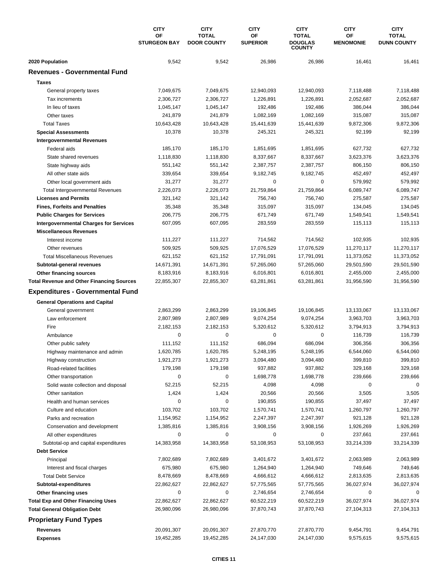|                                                  | <b>CITY</b>               | <b>CITY</b>                        | <b>CITY</b>           | <b>CITY</b>                                     | <b>CITY</b>            | <b>CITY</b>                        |
|--------------------------------------------------|---------------------------|------------------------------------|-----------------------|-------------------------------------------------|------------------------|------------------------------------|
|                                                  | OF<br><b>STURGEON BAY</b> | <b>TOTAL</b><br><b>DOOR COUNTY</b> | ΟF<br><b>SUPERIOR</b> | <b>TOTAL</b><br><b>DOUGLAS</b><br><b>COUNTY</b> | ΟF<br><b>MENOMONIE</b> | <b>TOTAL</b><br><b>DUNN COUNTY</b> |
| 2020 Population                                  | 9,542                     | 9,542                              | 26,986                | 26,986                                          | 16,461                 | 16,461                             |
| <b>Revenues - Governmental Fund</b>              |                           |                                    |                       |                                                 |                        |                                    |
| <b>Taxes</b>                                     |                           |                                    |                       |                                                 |                        |                                    |
| General property taxes                           | 7,049,675                 | 7,049,675                          | 12,940,093            | 12,940,093                                      | 7,118,488              | 7,118,488                          |
| Tax increments                                   | 2,306,727                 | 2,306,727                          | 1,226,891             | 1,226,891                                       | 2,052,687              | 2,052,687                          |
| In lieu of taxes                                 | 1,045,147                 | 1,045,147                          | 192,486               | 192,486                                         | 386,044                | 386,044                            |
| Other taxes                                      | 241,879                   | 241,879                            | 1,082,169             | 1,082,169                                       | 315,087                | 315,087                            |
| <b>Total Taxes</b>                               | 10,643,428                | 10,643,428                         | 15,441,639            | 15,441,639                                      | 9,872,306              | 9,872,306                          |
| <b>Special Assessments</b>                       | 10,378                    | 10,378                             | 245,321               | 245,321                                         | 92,199                 | 92,199                             |
| <b>Intergovernmental Revenues</b>                |                           |                                    |                       |                                                 |                        |                                    |
| Federal aids                                     | 185,170                   | 185,170                            | 1,851,695             | 1,851,695                                       | 627,732                | 627,732                            |
| State shared revenues                            | 1,118,830                 | 1,118,830                          | 8,337,667             | 8,337,667                                       | 3,623,376              | 3,623,376                          |
| State highway aids                               | 551,142                   | 551,142                            | 2,387,757             | 2,387,757                                       | 806,150                | 806,150                            |
| All other state aids                             | 339,654                   | 339,654                            | 9,182,745             | 9,182,745                                       | 452,497                | 452,497                            |
| Other local government aids                      | 31,277                    | 31,277                             | 0                     | $\pmb{0}$                                       | 579,992                | 579,992                            |
| <b>Total Intergovernmental Revenues</b>          | 2,226,073                 | 2,226,073                          | 21,759,864            | 21,759,864                                      | 6,089,747              | 6,089,747                          |
| <b>Licenses and Permits</b>                      | 321,142                   | 321,142                            | 756,740               | 756,740                                         | 275,587                | 275,587                            |
| <b>Fines, Forfeits and Penalties</b>             | 35,348                    | 35,348                             | 315,097               | 315,097                                         | 134,045                | 134,045                            |
| <b>Public Charges for Services</b>               | 206,775                   | 206,775                            | 671,749               | 671,749                                         | 1,549,541              | 1,549,541                          |
| <b>Intergovernmental Charges for Services</b>    | 607,095                   | 607,095                            | 283,559               | 283,559                                         | 115,113                | 115,113                            |
| <b>Miscellaneous Revenues</b>                    |                           |                                    |                       |                                                 |                        |                                    |
| Interest income                                  | 111,227                   | 111,227                            | 714,562               | 714,562                                         | 102,935                | 102,935                            |
| Other revenues                                   | 509,925                   | 509,925                            | 17,076,529            | 17,076,529                                      | 11,270,117             | 11,270,117                         |
| <b>Total Miscellaneous Revenues</b>              | 621,152                   | 621,152                            | 17,791,091            | 17,791,091                                      | 11,373,052             | 11,373,052                         |
| Subtotal-general revenues                        | 14,671,391                | 14,671,391                         | 57,265,060            | 57,265,060                                      | 29,501,590             | 29,501,590                         |
| Other financing sources                          | 8,183,916                 | 8,183,916                          | 6,016,801             | 6,016,801                                       | 2,455,000              | 2,455,000                          |
| <b>Total Revenue and Other Financing Sources</b> | 22,855,307                | 22,855,307                         | 63,281,861            | 63,281,861                                      | 31,956,590             | 31,956,590                         |
| <b>Expenditures - Governmental Fund</b>          |                           |                                    |                       |                                                 |                        |                                    |
| <b>General Operations and Capital</b>            |                           |                                    |                       |                                                 |                        |                                    |
| General government                               | 2,863,299                 | 2,863,299                          | 19,106,845            | 19,106,845                                      | 13,133,067             | 13,133,067                         |
| Law enforcement                                  | 2,807,989                 | 2,807,989                          | 9,074,254             | 9,074,254                                       | 3,963,703              | 3,963,703                          |
| Fire                                             | 2,182,153                 | 2,182,153                          | 5,320,612             | 5,320,612                                       | 3,794,913              | 3,794,913                          |
| Ambulance                                        | 0                         | 0                                  | 0                     | $\pmb{0}$                                       | 116,739                | 116,739                            |
| Other public safety                              | 111,152                   | 111,152                            | 686,094               | 686,094                                         | 306,356                | 306,356                            |
| Highway maintenance and admin                    | 1,620,785                 | 1,620,785                          | 5,248,195             | 5,248,195                                       | 6,544,060              | 6,544,060                          |
| Highway construction                             | 1,921,273                 | 1,921,273                          | 3,094,480             | 3,094,480                                       | 399,810                | 399,810                            |
| Road-related facilities                          | 179,198                   | 179,198                            | 937,882               | 937,882                                         | 329,168                | 329,168                            |
| Other transportation                             | 0                         | 0                                  | 1,698,778             | 1,698,778                                       | 239,666                | 239,666                            |
| Solid waste collection and disposal              | 52,215                    | 52,215                             | 4,098                 | 4,098                                           | 0                      | 0                                  |
| Other sanitation                                 | 1,424                     | 1,424                              | 20,566                | 20,566                                          | 3,505                  | 3,505                              |
| Health and human services                        | 0                         | 0                                  | 190,855               | 190,855                                         | 37,497                 | 37,497                             |
| Culture and education                            | 103,702                   | 103,702                            | 1,570,741             | 1,570,741                                       | 1,260,797              | 1,260,797                          |
| Parks and recreation                             | 1,154,952                 | 1,154,952                          | 2,247,397             | 2,247,397                                       | 921,128                | 921,128                            |
| Conservation and development                     | 1,385,816                 | 1,385,816                          | 3,908,156             | 3,908,156                                       | 1,926,269              | 1,926,269                          |
| All other expenditures                           | 0                         | 0                                  | 0                     | 0                                               | 237,661                | 237,661                            |
| Subtotal-op and capital expenditures             | 14,383,958                | 14,383,958                         | 53,108,953            | 53,108,953                                      | 33,214,339             | 33,214,339                         |
| <b>Debt Service</b>                              |                           |                                    |                       |                                                 |                        |                                    |
| Principal                                        | 7,802,689                 | 7,802,689                          | 3,401,672             | 3,401,672                                       | 2,063,989              | 2,063,989                          |
| Interest and fiscal charges                      | 675,980                   | 675,980                            | 1,264,940             | 1,264,940                                       | 749,646                | 749,646                            |
| <b>Total Debt Service</b>                        | 8,478,669                 | 8,478,669                          | 4,666,612             | 4,666,612                                       | 2,813,635              | 2,813,635                          |
| Subtotal-expenditures                            | 22,862,627                | 22,862,627                         | 57,775,565            | 57,775,565                                      | 36,027,974             | 36,027,974                         |
| Other financing uses                             | 0                         | 0                                  | 2,746,654             | 2,746,654                                       | 0                      | 0                                  |
| <b>Total Exp and Other Financing Uses</b>        | 22,862,627                | 22,862,627                         | 60,522,219            | 60,522,219                                      | 36,027,974             | 36,027,974                         |
| <b>Total General Obligation Debt</b>             | 26,980,096                | 26,980,096                         | 37,870,743            | 37,870,743                                      | 27,104,313             | 27,104,313                         |
| <b>Proprietary Fund Types</b>                    |                           |                                    |                       |                                                 |                        |                                    |
| <b>Revenues</b>                                  | 20,091,307                | 20,091,307                         | 27,870,770            | 27,870,770                                      | 9,454,791              | 9,454,791                          |
| <b>Expenses</b>                                  | 19,452,285                | 19,452,285                         | 24,147,030            | 24,147,030                                      | 9,575,615              | 9,575,615                          |
|                                                  |                           |                                    |                       |                                                 |                        |                                    |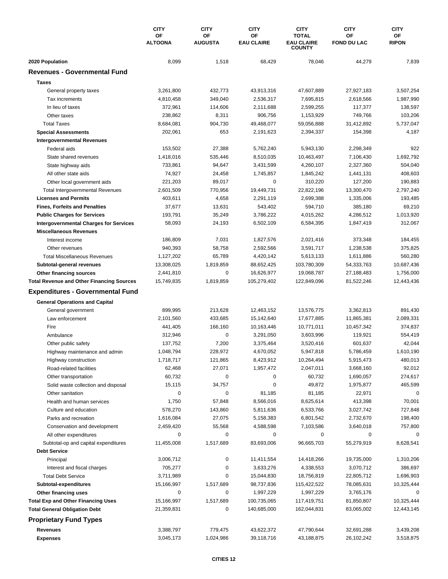|                                                        | <b>CITY</b>          | <b>CITY</b>          | <b>CITY</b>             | <b>CITY</b>                       | <b>CITY</b>              | <b>CITY</b>        |
|--------------------------------------------------------|----------------------|----------------------|-------------------------|-----------------------------------|--------------------------|--------------------|
|                                                        | OF<br><b>ALTOONA</b> | OF<br><b>AUGUSTA</b> | ΟF<br><b>EAU CLAIRE</b> | <b>TOTAL</b><br><b>EAU CLAIRE</b> | OF<br><b>FOND DU LAC</b> | ОF<br><b>RIPON</b> |
|                                                        |                      |                      |                         | <b>COUNTY</b>                     |                          |                    |
| 2020 Population<br><b>Revenues - Governmental Fund</b> | 8,099                | 1,518                | 68,429                  | 78,046                            | 44,279                   | 7,839              |
|                                                        |                      |                      |                         |                                   |                          |                    |
| <b>Taxes</b>                                           |                      |                      |                         |                                   |                          |                    |
| General property taxes                                 | 3,261,800            | 432,773              | 43,913,316              | 47,607,889                        | 27,927,183               | 3,507,254          |
| Tax increments                                         | 4,810,458            | 349,040              | 2,536,317               | 7,695,815                         | 2,618,566                | 1,987,990          |
| In lieu of taxes                                       | 372,961              | 114,606              | 2,111,688               | 2,599,255                         | 117,377                  | 138,597            |
| Other taxes                                            | 238,862              | 8,311                | 906,756                 | 1,153,929                         | 749,766                  | 103,206            |
| <b>Total Taxes</b>                                     | 8,684,081            | 904,730              | 49,468,077              | 59,056,888                        | 31,412,892               | 5,737,047          |
| <b>Special Assessments</b>                             | 202,061              | 653                  | 2,191,623               | 2,394,337                         | 154,398                  | 4,187              |
| <b>Intergovernmental Revenues</b>                      |                      |                      |                         |                                   |                          |                    |
| Federal aids                                           | 153,502              | 27,388               | 5,762,240               | 5,943,130                         | 2,298,349                | 922                |
| State shared revenues                                  | 1,418,016            | 535,446              | 8,510,035               | 10,463,497                        | 7,106,430                | 1,692,792          |
| State highway aids                                     | 733,861              | 94,647               | 3,431,599               | 4,260,107                         | 2,327,360                | 504,040            |
| All other state aids                                   | 74,927               | 24,458               | 1,745,857               | 1,845,242                         | 1,441,131                | 408,603            |
| Other local government aids                            | 221,203              | 89,017               | 0                       | 310,220                           | 127,200                  | 190,883            |
| Total Intergovernmental Revenues                       | 2,601,509            | 770,956              | 19,449,731              | 22,822,196                        | 13,300,470               | 2,797,240          |
| <b>Licenses and Permits</b>                            | 403,611              | 4,658                | 2,291,119               | 2,699,388                         | 1,335,006                | 193,485            |
| <b>Fines, Forfeits and Penalties</b>                   | 37,677               | 13,631               | 543,402                 | 594,710                           | 385,180                  | 69,210             |
| <b>Public Charges for Services</b>                     | 193,791              | 35,249               | 3,786,222               | 4,015,262                         | 4,286,512                | 1,013,920          |
| <b>Intergovernmental Charges for Services</b>          | 58,093               | 24,193               | 6,502,109               | 6,584,395                         | 1,847,419                | 312,067            |
| <b>Miscellaneous Revenues</b>                          |                      |                      |                         |                                   |                          |                    |
| Interest income                                        | 186,809              | 7,031                | 1,827,576               | 2,021,416                         | 373,348                  | 184,455            |
| Other revenues                                         | 940,393              | 58,758               | 2,592,566               | 3,591,717                         | 1,238,538                | 375,825            |
| <b>Total Miscellaneous Revenues</b>                    | 1,127,202            | 65,789               | 4,420,142               | 5,613,133                         | 1,611,886                | 560,280            |
| Subtotal-general revenues                              | 13,308,025           | 1,819,859            | 88,652,425              | 103,780,309                       | 54,333,763               | 10,687,436         |
| Other financing sources                                | 2,441,810            | 0                    | 16,626,977              | 19,068,787                        | 27,188,483               | 1,756,000          |
| <b>Total Revenue and Other Financing Sources</b>       | 15,749,835           | 1,819,859            | 105,279,402             | 122,849,096                       | 81,522,246               | 12,443,436         |
| <b>Expenditures - Governmental Fund</b>                |                      |                      |                         |                                   |                          |                    |
| <b>General Operations and Capital</b>                  |                      |                      |                         |                                   |                          |                    |
| General government                                     | 899,995              | 213,628              | 12,463,152              | 13,576,775                        | 3,362,813                | 891,430            |
| Law enforcement                                        | 2,101,560            | 433,685              | 15,142,640              | 17,677,885                        | 11,865,381               | 2,089,331          |
| Fire                                                   | 441,405              | 166,160              | 10,163,446              | 10,771,011                        | 10,457,342               | 374,837            |
| Ambulance                                              | 312,946              | 0                    | 3,291,050               | 3,603,996                         | 119,921                  | 554,419            |
| Other public safety                                    | 137,752              | 7,200                | 3,375,464               | 3,520,416                         | 601,637                  | 42,044             |
| Highway maintenance and admin                          | 1,048,794            | 228,972              | 4,670,052               | 5,947,818                         | 5,786,459                | 1,610,190          |
| Highway construction                                   | 1,718,717            | 121,865              | 8,423,912               | 10,264,494                        | 5,915,473                | 480,013            |
| Road-related facilities                                | 62,468               | 27,071               | 1,957,472               | 2,047,011                         | 3,668,160                | 92,012             |
| Other transportation                                   | 60,732               | 0                    | 0                       | 60,732                            | 1,690,057                | 274,617            |
| Solid waste collection and disposal                    | 15,115               | 34,757               | 0                       | 49,872                            | 1,975,877                | 465,599            |
| Other sanitation                                       | $\mathbf 0$          | 0                    | 81,185                  | 81,185                            | 22,971                   | 0                  |
| Health and human services                              | 1,750                | 57,848               | 8,566,016               | 8,625,614                         | 413,398                  | 70,001             |
| Culture and education                                  | 578,270              | 143,860              | 5,811,636               | 6,533,766                         | 3,027,742                | 727,848            |
| Parks and recreation                                   | 1,616,084            | 27,075               | 5,158,383               | 6,801,542                         | 2,732,670                | 198,400            |
| Conservation and development                           | 2,459,420            | 55,568               | 4,588,598               | 7,103,586                         | 3,640,018                | 757,800            |
| All other expenditures                                 | 0                    | 0                    | 0                       | 0                                 | 0                        | 0                  |
| Subtotal-op and capital expenditures                   | 11,455,008           | 1,517,689            | 83,693,006              | 96,665,703                        | 55,279,919               | 8,628,541          |
| <b>Debt Service</b>                                    |                      |                      |                         |                                   |                          |                    |
| Principal                                              | 3,006,712            | 0                    | 11,411,554              | 14,418,266                        | 19,735,000               | 1,310,206          |
| Interest and fiscal charges                            | 705,277              | 0                    | 3,633,276               | 4,338,553                         | 3,070,712                | 386,697            |
| <b>Total Debt Service</b>                              | 3,711,989            | 0                    | 15,044,830              | 18,756,819                        | 22,805,712               | 1,696,903          |
| Subtotal-expenditures                                  | 15,166,997           | 1,517,689            | 98,737,836              | 115,422,522                       | 78,085,631               | 10,325,444         |
| Other financing uses                                   | 0                    | 0                    | 1,997,229               | 1,997,229                         | 3,765,176                | 0                  |
| <b>Total Exp and Other Financing Uses</b>              | 15,166,997           | 1,517,689            | 100,735,065             | 117,419,751                       | 81,850,807               | 10,325,444         |
| <b>Total General Obligation Debt</b>                   | 21,359,831           | 0                    | 140,685,000             | 162,044,831                       | 83,065,002               | 12,443,145         |
| <b>Proprietary Fund Types</b>                          |                      |                      |                         |                                   |                          |                    |
| <b>Revenues</b>                                        | 3,388,797            | 779,475              | 43,622,372              | 47,790,644                        | 32,691,288               | 3,439,208          |
| <b>Expenses</b>                                        | 3,045,173            | 1,024,986            | 39,118,716              | 43,188,875                        | 26,102,242               | 3,518,875          |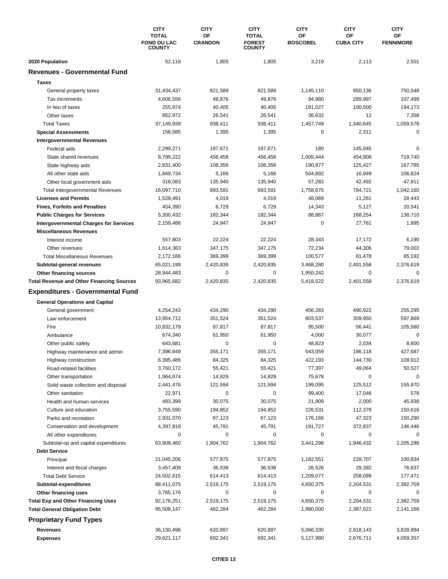|                                                  | <b>CITY</b>                                         | <b>CITY</b>          | <b>CITY</b>                                    | <b>CITY</b>           | <b>CITY</b>            | <b>CITY</b>            |
|--------------------------------------------------|-----------------------------------------------------|----------------------|------------------------------------------------|-----------------------|------------------------|------------------------|
|                                                  | <b>TOTAL</b><br><b>FOND DU LAC</b><br><b>COUNTY</b> | OF<br><b>CRANDON</b> | <b>TOTAL</b><br><b>FOREST</b><br><b>COUNTY</b> | OF<br><b>BOSCOBEL</b> | OF<br><b>CUBA CITY</b> | OF<br><b>FENNIMORE</b> |
| 2020 Population                                  | 52,118                                              | 1,805                | 1,805                                          | 3,219                 | 2,113                  | 2,501                  |
| <b>Revenues - Governmental Fund</b>              |                                                     |                      |                                                |                       |                        |                        |
| <b>Taxes</b>                                     |                                                     |                      |                                                |                       |                        |                        |
| General property taxes                           | 31,434,437                                          | 821,589              | 821,589                                        | 1,145,110             | 950,136                | 750,548                |
| Tax increments                                   | 4,606,556                                           | 49,876               | 49,876                                         | 94,980                | 289,997                | 107,499                |
| In lieu of taxes                                 | 255,974                                             | 40,405               | 40,405                                         | 181,027               | 100,500                | 194,173                |
| Other taxes                                      | 852,972                                             | 26,541               | 26,541                                         | 36,632                | 12                     | 7,358                  |
| <b>Total Taxes</b>                               | 37,149,939                                          | 938,411              | 938,411                                        | 1,457,749             | 1,340,645              | 1,059,578              |
| <b>Special Assessments</b>                       | 158,585                                             | 1,395                | 1,395                                          | 0                     | 2,311                  | 0                      |
| <b>Intergovernmental Revenues</b>                |                                                     |                      |                                                |                       |                        |                        |
| Federal aids                                     | 2,299,271                                           | 187,671              | 187,671                                        | 180                   | 145,045                | 0                      |
|                                                  | 8,799,222                                           |                      |                                                | 1,005,444             | 454,808                | 719,740                |
| State shared revenues                            | 2,831,400                                           | 456,458<br>108,356   | 456,458<br>108,356                             | 190,877               | 125,427                |                        |
| State highway aids                               |                                                     |                      |                                                |                       |                        | 167,785                |
| All other state aids                             | 1,849,734                                           | 5,166                | 5,166                                          | 504,892               | 16,949                 | 106,824                |
| Other local government aids                      | 318,083                                             | 135,940              | 135,940                                        | 57,282                | 42,492                 | 47,811                 |
| <b>Total Intergovernmental Revenues</b>          | 16,097,710                                          | 893,591              | 893,591                                        | 1,758,675             | 784,721                | 1,042,160              |
| <b>Licenses and Permits</b>                      | 1,528,491                                           | 4,019                | 4,019                                          | 48,069                | 11,261                 | 28,443                 |
| <b>Fines, Forfeits and Penalties</b>             | 454,390                                             | 6,729                | 6,729                                          | 14,343                | 5,127                  | 20,541                 |
| <b>Public Charges for Services</b>               | 5,300,432                                           | 182,344              | 182,344                                        | 88,867                | 168,254                | 138,710                |
| <b>Intergovernmental Charges for Services</b>    | 2,159,486                                           | 24,947               | 24,947                                         | $\pmb{0}$             | 27,761                 | 1,995                  |
| <b>Miscellaneous Revenues</b>                    |                                                     |                      |                                                |                       |                        |                        |
| Interest income                                  | 557,803                                             | 22,224               | 22,224                                         | 28,343                | 17,172                 | 6,190                  |
| Other revenues                                   | 1,614,363                                           | 347,175              | 347,175                                        | 72,234                | 44,306                 | 79,002                 |
| <b>Total Miscellaneous Revenues</b>              | 2,172,166                                           | 369,399              | 369,399                                        | 100,577               | 61,478                 | 85,192                 |
| Subtotal-general revenues                        | 65,021,199                                          | 2,420,835            | 2,420,835                                      | 3,468,280             | 2,401,558              | 2,376,619              |
| Other financing sources                          | 28,944,483                                          | 0                    | 0                                              | 1,950,242             | 0                      | 0                      |
| <b>Total Revenue and Other Financing Sources</b> | 93,965,682                                          | 2,420,835            | 2,420,835                                      | 5,418,522             | 2,401,558              | 2,376,619              |
| <b>Expenditures - Governmental Fund</b>          |                                                     |                      |                                                |                       |                        |                        |
| <b>General Operations and Capital</b>            |                                                     |                      |                                                |                       |                        |                        |
| General government                               | 4,254,243                                           | 434,290              | 434,290                                        | 456,283               | 490,922                | 255,295                |
| Law enforcement                                  | 13,954,712                                          | 351,524              | 351,524                                        | 803,537               | 309,950                | 597,869                |
| Fire                                             | 10,832,179                                          | 87,817               | 87,817                                         | 95,500                | 56,441                 | 105,560                |
| Ambulance                                        | 674,340                                             | 61,950               | 61,950                                         | 4,000                 | 30,077                 | 0                      |
| Other public safety                              | 643,681                                             | 0                    | 0                                              | 48,823                | 2,034                  | 8,600                  |
| Highway maintenance and admin                    | 7,396,649                                           | 355,171              | 355,171                                        | 543,059               | 186,118                | 427,687                |
| Highway construction                             | 6,395,486                                           | 84,325               | 84,325                                         | 422,193               | 144,730                | 109,912                |
| Road-related facilities                          | 3,760,172                                           | 55,421               | 55,421                                         | 77,397                | 49,064                 | 50,527                 |
| Other transportation                             | 1,964,674                                           | 14,829               | 14,829                                         | 75,678                | 0                      | 0                      |
| Solid waste collection and disposal              | 2,441,476                                           | 121,594              | 121,594                                        | 199,095               | 125,512                | 155,970                |
| Other sanitation                                 | 22,971                                              | 0                    | 0                                              | 99,400                | 17,046                 | 578                    |
| Health and human services                        | 483,399                                             | 30,075               | 30,075                                         | 21,909                | 2,000                  | 45,938                 |
| Culture and education                            | 3,755,590                                           | 194,852              | 194,852                                        | 226,531               | 112,378                | 150,616                |
| Parks and recreation                             | 2,931,070                                           | 67,123               | 67,123                                         | 176,166               | 47,323                 | 150,290                |
| Conservation and development                     | 4,397,818                                           | 45,791               | 45,791                                         | 191,727               | 372,837                | 146,446                |
| All other expenditures                           | 0                                                   | 0                    | 0                                              | 0                     | 0                      | $\Omega$               |
|                                                  |                                                     |                      | 1,904,762                                      | 3,441,298             | 1,946,432              |                        |
| Subtotal-op and capital expenditures             | 63,908,460                                          | 1,904,762            |                                                |                       |                        | 2,205,288              |
| <b>Debt Service</b>                              |                                                     |                      |                                                |                       |                        |                        |
| Principal                                        | 21,045,206                                          | 577,875              | 577,875                                        | 1,182,551             | 228,707                | 100,834                |
| Interest and fiscal charges                      | 3,457,409                                           | 36,538               | 36,538                                         | 26,526                | 29,392                 | 76,637                 |
| <b>Total Debt Service</b>                        | 24,502,615                                          | 614,413              | 614,413                                        | 1,209,077             | 258,099                | 177,471                |
| Subtotal-expenditures                            | 88,411,075                                          | 2,519,175            | 2,519,175                                      | 4,650,375             | 2,204,531              | 2,382,759              |
| Other financing uses                             | 3,765,176                                           | 0                    | 0                                              | 0                     | 0                      | 0                      |
| <b>Total Exp and Other Financing Uses</b>        | 92,176,251                                          | 2,519,175            | 2,519,175                                      | 4,650,375             | 2,204,531              | 2,382,759              |
| <b>Total General Obligation Debt</b>             | 95,508,147                                          | 462,284              | 462,284                                        | 1,980,000             | 1,387,021              | 2,141,166              |
| <b>Proprietary Fund Types</b>                    |                                                     |                      |                                                |                       |                        |                        |
| Revenues                                         | 36,130,496                                          | 620,897              | 620,897                                        | 5,066,330             | 2,918,143              | 3,828,994              |
| <b>Expenses</b>                                  | 29,621,117                                          | 692,341              | 692,341                                        | 5,127,980             | 2,676,711              | 4,059,357              |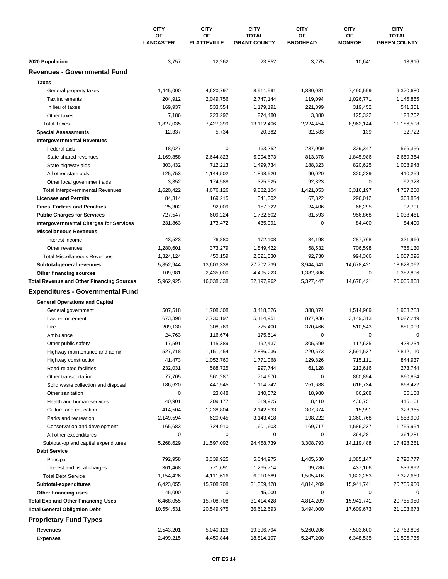|                                                  | <b>CITY</b>                   | <b>CITY</b>              | <b>CITY</b>                         | <b>CITY</b>           | <b>CITY</b>         | <b>CITY</b>                         |
|--------------------------------------------------|-------------------------------|--------------------------|-------------------------------------|-----------------------|---------------------|-------------------------------------|
|                                                  | <b>OF</b><br><b>LANCASTER</b> | OF<br><b>PLATTEVILLE</b> | <b>TOTAL</b><br><b>GRANT COUNTY</b> | OF<br><b>BRODHEAD</b> | ΟF<br><b>MONROE</b> | <b>TOTAL</b><br><b>GREEN COUNTY</b> |
| 2020 Population                                  | 3,757                         | 12,262                   | 23,852                              | 3,275                 | 10,641              | 13,916                              |
| <b>Revenues - Governmental Fund</b>              |                               |                          |                                     |                       |                     |                                     |
| <b>Taxes</b>                                     |                               |                          |                                     |                       |                     |                                     |
| General property taxes                           | 1,445,000                     | 4,620,797                | 8,911,591                           | 1,880,081             | 7,490,599           | 9,370,680                           |
| Tax increments                                   | 204,912                       | 2,049,756                | 2,747,144                           | 119,094               | 1,026,771           | 1,145,865                           |
| In lieu of taxes                                 | 169,937                       | 533,554                  | 1,179,191                           | 221,899               | 319,452             | 541,351                             |
| Other taxes                                      | 7,186                         | 223,292                  | 274,480                             | 3,380                 | 125,322             | 128,702                             |
| <b>Total Taxes</b>                               | 1,827,035                     | 7,427,399                | 13,112,406                          | 2,224,454             | 8,962,144           | 11,186,598                          |
| <b>Special Assessments</b>                       | 12,337                        | 5,734                    | 20,382                              | 32,583                | 139                 | 32,722                              |
| <b>Intergovernmental Revenues</b>                |                               |                          |                                     |                       |                     |                                     |
| Federal aids                                     | 18,027                        | 0                        | 163,252                             | 237,009               | 329,347             | 566,356                             |
| State shared revenues                            | 1,169,858                     | 2,644,823                | 5,994,673                           | 813,378               | 1,845,986           | 2,659,364                           |
| State highway aids                               | 303,432                       | 712,213                  | 1,499,734                           | 188,323               | 820,625             | 1,008,948                           |
| All other state aids                             | 125,753                       | 1,144,502                | 1,898,920                           | 90,020                | 320,239             | 410,259                             |
| Other local government aids                      | 3,352                         | 174,588                  | 325,525                             | 92,323                | $\mathbf 0$         | 92,323                              |
| <b>Total Intergovernmental Revenues</b>          | 1,620,422                     | 4,676,126                | 9,882,104                           | 1,421,053             | 3,316,197           | 4,737,250                           |
| <b>Licenses and Permits</b>                      | 84,314                        | 169,215                  | 341,302                             | 67,822                | 296,012             | 363,834                             |
| <b>Fines, Forfeits and Penalties</b>             | 25,302                        | 92,009                   | 157,322                             | 24,406                | 68,295              | 92,701                              |
| <b>Public Charges for Services</b>               | 727,547                       | 609,224                  | 1,732,602                           | 81,593                | 956,868             | 1,038,461                           |
| <b>Intergovernmental Charges for Services</b>    | 231,863                       | 173,472                  | 435,091                             | 0                     | 84,400              | 84,400                              |
| <b>Miscellaneous Revenues</b>                    |                               |                          |                                     |                       |                     |                                     |
| Interest income                                  | 43,523                        | 76,880                   | 172,108                             | 34,198                | 287,768             | 321,966                             |
| Other revenues                                   | 1,280,601                     | 373,279                  | 1,849,422                           | 58,532                | 706,598             | 765,130                             |
| <b>Total Miscellaneous Revenues</b>              | 1,324,124                     | 450,159                  | 2,021,530                           | 92,730                | 994,366             | 1,087,096                           |
| Subtotal-general revenues                        | 5,852,944                     | 13,603,338               | 27,702,739                          | 3,944,641             | 14,678,421          | 18,623,062                          |
| Other financing sources                          | 109,981                       | 2,435,000                | 4,495,223                           | 1,382,806             | $\mathbf 0$         | 1,382,806                           |
| <b>Total Revenue and Other Financing Sources</b> | 5,962,925                     | 16,038,338               | 32,197,962                          | 5,327,447             | 14,678,421          | 20,005,868                          |
| <b>Expenditures - Governmental Fund</b>          |                               |                          |                                     |                       |                     |                                     |
| <b>General Operations and Capital</b>            |                               |                          |                                     |                       |                     |                                     |
| General government                               | 507,518                       | 1,708,308                | 3,418,326                           | 388,874               | 1,514,909           | 1,903,783                           |
| Law enforcement                                  | 673,398                       | 2,730,197                | 5,114,951                           | 877,936               | 3,149,313           | 4,027,249                           |
| Fire                                             | 209,130                       | 308,769                  | 775,400                             | 370,466               | 510,543             | 881,009                             |
| Ambulance                                        | 24,763                        | 116,674                  | 175,514                             | $\pmb{0}$             | 0                   | $\mathbf 0$                         |
| Other public safety                              | 17,591                        | 115,389                  | 192,437                             | 305,599               | 117,635             | 423,234                             |
| Highway maintenance and admin                    | 527,718                       | 1,151,454                | 2,836,036                           | 220,573               | 2,591,537           | 2,812,110                           |
| Highway construction                             | 41,473                        | 1,052,760                | 1,771,068                           | 129,826               | 715,111             | 844,937                             |
| Road-related facilities                          | 232,031                       | 588,725                  | 997,744                             | 61,128                | 212,616             | 273,744                             |
| Other transportation                             | 77,705                        | 561,287                  | 714,670                             | 0                     | 860,854             | 860,854                             |
| Solid waste collection and disposal              | 186,620                       | 447,545                  | 1,114,742                           | 251,688               | 616,734             | 868,422                             |
| Other sanitation                                 | 0                             | 23,048                   | 140,072                             | 18,980                | 66,208              | 85,188                              |
| Health and human services                        | 40,901                        | 209,177                  | 319,925                             | 8,410                 | 436,751             | 445,161                             |
| Culture and education                            | 414,504                       | 1,238,804                | 2,142,833                           | 307,374               | 15,991              | 323,365                             |
| Parks and recreation                             | 2,149,594                     | 620,045                  | 3,143,418                           | 198,222               | 1,360,768           | 1,558,990                           |
| Conservation and development                     | 165,683                       | 724,910                  | 1,601,603                           | 169,717               | 1,586,237           | 1,755,954                           |
| All other expenditures                           | 0                             | 0                        | 0                                   | 0                     | 364,281             | 364,281                             |
| Subtotal-op and capital expenditures             | 5,268,629                     | 11,597,092               | 24,458,739                          | 3,308,793             | 14,119,488          | 17,428,281                          |
| <b>Debt Service</b>                              |                               |                          |                                     |                       |                     |                                     |
| Principal                                        | 792,958                       | 3,339,925                | 5,644,975                           | 1,405,630             | 1,385,147           | 2,790,777                           |
| Interest and fiscal charges                      | 361,468                       | 771,691                  | 1,265,714                           | 99,786                | 437,106             | 536,892                             |
| <b>Total Debt Service</b>                        | 1,154,426                     | 4,111,616                | 6,910,689                           | 1,505,416             | 1,822,253           | 3,327,669                           |
| Subtotal-expenditures                            | 6,423,055                     | 15,708,708               | 31,369,428                          | 4,814,209             | 15,941,741          | 20,755,950                          |
| Other financing uses                             | 45,000                        | 0                        | 45,000                              | 0                     | 0                   | 0                                   |
| <b>Total Exp and Other Financing Uses</b>        | 6,468,055                     | 15,708,708               | 31,414,428                          | 4,814,209             | 15,941,741          | 20,755,950                          |
| <b>Total General Obligation Debt</b>             | 10,554,531                    | 20,549,975               | 36,612,693                          | 3,494,000             | 17,609,673          | 21,103,673                          |
| <b>Proprietary Fund Types</b>                    |                               |                          |                                     |                       |                     |                                     |
| Revenues                                         | 2,543,201                     | 5,040,126                | 19,396,794                          | 5,260,206             | 7,503,600           | 12,763,806                          |
| <b>Expenses</b>                                  | 2,499,215                     | 4,450,844                | 18,814,107                          | 5,247,200             | 6,348,535           | 11,595,735                          |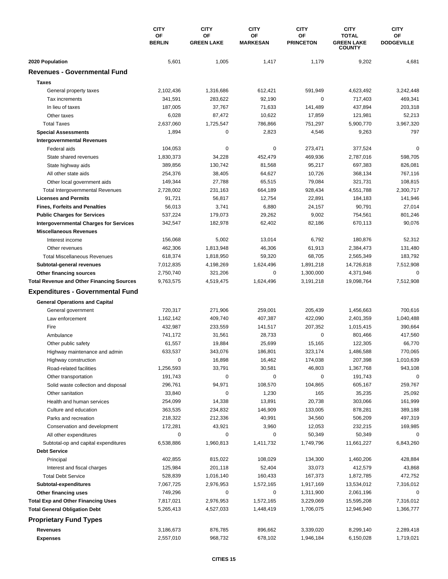|                                                  | <b>CITY</b><br>OF | <b>CITY</b><br>OF | <b>CITY</b><br>ΟF | <b>CITY</b><br>OF | <b>CITY</b><br><b>TOTAL</b>        | <b>CITY</b><br>OF |
|--------------------------------------------------|-------------------|-------------------|-------------------|-------------------|------------------------------------|-------------------|
|                                                  | <b>BERLIN</b>     | <b>GREEN LAKE</b> | <b>MARKESAN</b>   | <b>PRINCETON</b>  | <b>GREEN LAKE</b><br><b>COUNTY</b> | <b>DODGEVILLE</b> |
| 2020 Population                                  | 5,601             | 1,005             | 1,417             | 1,179             | 9,202                              | 4,681             |
| <b>Revenues - Governmental Fund</b>              |                   |                   |                   |                   |                                    |                   |
| <b>Taxes</b>                                     |                   |                   |                   |                   |                                    |                   |
| General property taxes                           | 2,102,436         | 1,316,686         | 612,421           | 591,949           | 4,623,492                          | 3,242,448         |
| Tax increments                                   | 341,591           | 283,622           | 92,190            | 0                 | 717,403                            | 469,341           |
| In lieu of taxes                                 | 187,005           | 37,767            | 71,633            | 141,489           | 437,894                            | 203,318           |
| Other taxes                                      | 6,028             | 87,472            | 10,622            | 17,859            | 121,981                            | 52,213            |
| <b>Total Taxes</b>                               | 2,637,060         | 1,725,547         | 786,866           | 751,297           | 5,900,770                          | 3,967,320         |
| <b>Special Assessments</b>                       | 1,894             | 0                 | 2,823             | 4,546             | 9,263                              | 797               |
| <b>Intergovernmental Revenues</b>                |                   |                   |                   |                   |                                    |                   |
| Federal aids                                     | 104,053           | 0                 | 0                 | 273,471           | 377,524                            | $\Omega$          |
| State shared revenues                            | 1,830,373         | 34,228            | 452,479           | 469,936           | 2,787,016                          | 598,705           |
| State highway aids                               | 389,856           | 130,742           | 81,568            | 95,217            | 697,383                            | 826,081           |
| All other state aids                             | 254,376           | 38,405            | 64,627            | 10,726            | 368,134                            | 767,116           |
| Other local government aids                      | 149,344           | 27,788            | 65,515            | 79,084            | 321,731                            | 108,815           |
| <b>Total Intergovernmental Revenues</b>          | 2,728,002         | 231,163           | 664,189           | 928,434           | 4,551,788                          | 2,300,717         |
| <b>Licenses and Permits</b>                      | 91,721            | 56,817            | 12,754            | 22,891            | 184,183                            | 141,946           |
| <b>Fines, Forfeits and Penalties</b>             | 56,013            | 3,741             | 6,880             | 24,157            | 90,791                             | 27,014            |
| <b>Public Charges for Services</b>               | 537,224           | 179,073           | 29,262            | 9,002             | 754,561                            | 801,246           |
| <b>Intergovernmental Charges for Services</b>    | 342,547           | 182,978           | 62,402            | 82,186            | 670,113                            | 90,076            |
| <b>Miscellaneous Revenues</b>                    |                   |                   |                   |                   |                                    |                   |
| Interest income                                  | 156,068           | 5,002             | 13,014            | 6,792             | 180,876                            | 52,312            |
| Other revenues                                   | 462,306           | 1,813,948         | 46,306            | 61,913            | 2,384,473                          | 131,480           |
| <b>Total Miscellaneous Revenues</b>              | 618,374           | 1,818,950         | 59,320            | 68,705            | 2,565,349                          | 183,792           |
| Subtotal-general revenues                        | 7,012,835         | 4,198,269         | 1,624,496         | 1,891,218         | 14,726,818                         | 7,512,908         |
| Other financing sources                          | 2,750,740         | 321,206           | 0                 | 1,300,000         | 4,371,946                          | 0                 |
| <b>Total Revenue and Other Financing Sources</b> | 9,763,575         | 4,519,475         | 1,624,496         | 3,191,218         | 19,098,764                         | 7,512,908         |
| <b>Expenditures - Governmental Fund</b>          |                   |                   |                   |                   |                                    |                   |
|                                                  |                   |                   |                   |                   |                                    |                   |
| <b>General Operations and Capital</b>            |                   |                   |                   |                   |                                    |                   |
| General government                               | 720,317           | 271,906           | 259,001           | 205,439           | 1,456,663                          | 700,616           |
| Law enforcement                                  | 1,162,142         | 409.740           | 407,387           | 422,090           | 2,401,359                          | 1,040,488         |
| Fire                                             | 432,987           | 233,559           | 141,517           | 207,352           | 1,015,415                          | 390,664           |
| Ambulance                                        | 741,172           | 31,561            | 28,733            | $\pmb{0}$         | 801,466                            | 417,560           |
| Other public safety                              | 61,557            | 19,884            | 25,699            | 15,165            | 122,305                            | 66,770            |
| Highway maintenance and admin                    | 633,537           | 343,076           | 186,801           | 323,174           | 1,486,588                          | 770,065           |
| Highway construction                             | 0                 | 16,898            | 16,462            | 174,038           | 207,398                            | 1,010,639         |
| Road-related facilities                          | 1,256,593         | 33,791            | 30,581            | 46,803            | 1,367,768                          | 943,108           |
| Other transportation                             | 191,743           | 0                 | 0                 | 0                 | 191,743                            | 0                 |
| Solid waste collection and disposal              | 296,761           | 94,971            | 108,570           | 104,865           | 605,167                            | 259,767           |
| Other sanitation                                 | 33,840            | 0                 | 1,230             | 165               | 35,235                             | 25,092            |
| Health and human services                        | 254,099           | 14,338            | 13,891            | 20,738            | 303,066                            | 161,999           |
| Culture and education                            | 363,535           | 234,832           | 146,909           | 133,005           | 878,281                            | 389,188           |
| Parks and recreation                             | 218,322           | 212,336           | 40,991            | 34,560            | 506,209                            | 497,319           |
| Conservation and development                     | 172,281           | 43,921            | 3,960             | 12,053            | 232,215                            | 169,985           |
| All other expenditures                           | 0                 | 0                 | 0                 | 50,349            | 50,349                             | 0                 |
| Subtotal-op and capital expenditures             | 6,538,886         | 1,960,813         | 1,411,732         | 1,749,796         | 11,661,227                         | 6,843,260         |
| <b>Debt Service</b>                              |                   |                   |                   |                   |                                    |                   |
| Principal                                        | 402,855           | 815,022           | 108,029           | 134,300           | 1,460,206                          | 428,884           |
| Interest and fiscal charges                      | 125,984           | 201,118           | 52,404            | 33,073            | 412,579                            | 43,868            |
| <b>Total Debt Service</b>                        | 528,839           | 1,016,140         | 160,433           | 167,373           | 1,872,785                          | 472,752           |
| Subtotal-expenditures                            | 7,067,725         | 2,976,953         | 1,572,165         | 1,917,169         | 13,534,012                         | 7,316,012         |
| Other financing uses                             | 749,296           | 0                 | 0                 | 1,311,900         | 2,061,196                          | 0                 |
| <b>Total Exp and Other Financing Uses</b>        | 7,817,021         | 2,976,953         | 1,572,165         | 3,229,069         | 15,595,208                         | 7,316,012         |
| <b>Total General Obligation Debt</b>             | 5,265,413         | 4,527,033         | 1,448,419         | 1,706,075         | 12,946,940                         | 1,366,777         |
| <b>Proprietary Fund Types</b>                    |                   |                   |                   |                   |                                    |                   |
| Revenues                                         | 3,186,673         | 876,785           | 896,662           | 3,339,020         | 8,299,140                          | 2,289,418         |
| <b>Expenses</b>                                  | 2,557,010         | 968,732           | 678,102           | 1,946,184         | 6,150,028                          | 1,719,021         |
|                                                  |                   |                   |                   |                   |                                    |                   |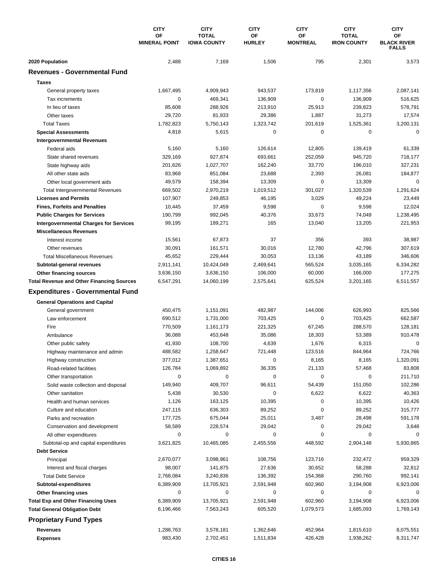|                                                  | <b>CITY</b><br>OF<br><b>MINERAL POINT</b> | <b>CITY</b><br><b>TOTAL</b><br><b>IOWA COUNTY</b> | <b>CITY</b><br>ΟF<br><b>HURLEY</b> | <b>CITY</b><br>ΟF<br><b>MONTREAL</b> | <b>CITY</b><br><b>TOTAL</b><br><b>IRON COUNTY</b> | <b>CITY</b><br>OF<br><b>BLACK RIVER</b><br><b>FALLS</b> |
|--------------------------------------------------|-------------------------------------------|---------------------------------------------------|------------------------------------|--------------------------------------|---------------------------------------------------|---------------------------------------------------------|
| 2020 Population                                  | 2,488                                     | 7,169                                             | 1,506                              | 795                                  | 2,301                                             | 3,573                                                   |
| <b>Revenues - Governmental Fund</b>              |                                           |                                                   |                                    |                                      |                                                   |                                                         |
| <b>Taxes</b>                                     |                                           |                                                   |                                    |                                      |                                                   |                                                         |
| General property taxes                           | 1,667,495                                 | 4,909,943                                         | 943,537                            | 173,819                              | 1,117,356                                         | 2,087,141                                               |
| Tax increments                                   | 0                                         | 469,341                                           | 136,909                            | 0                                    | 136,909                                           | 516,625                                                 |
| In lieu of taxes                                 | 85,608                                    | 288,926                                           | 213,910                            | 25,913                               | 239,823                                           | 578,791                                                 |
| Other taxes                                      | 29,720                                    | 81,933                                            | 29,386                             | 1,887                                | 31,273                                            | 17,574                                                  |
| <b>Total Taxes</b>                               | 1,782,823                                 | 5,750,143                                         | 1,323,742                          | 201,619                              | 1,525,361                                         | 3,200,131                                               |
| <b>Special Assessments</b>                       | 4,818                                     | 5,615                                             | 0                                  | 0                                    | 0                                                 | $\mathbf 0$                                             |
| <b>Intergovernmental Revenues</b>                |                                           |                                                   |                                    |                                      |                                                   |                                                         |
| Federal aids                                     | 5,160                                     | 5,160                                             | 126,614                            | 12,805                               | 139,419                                           | 61,339                                                  |
| State shared revenues                            | 329,169                                   | 927,874                                           | 693,661                            | 252,059                              | 945,720                                           | 718,177                                                 |
| State highway aids                               | 201,626                                   | 1,027,707                                         | 162,240                            | 33,770                               | 196,010                                           | 327,231                                                 |
| All other state aids                             | 83,968                                    | 851,084                                           | 23,688                             | 2,393                                | 26,081                                            | 184,877                                                 |
| Other local government aids                      | 49,579                                    | 158,394                                           | 13,309                             | 0                                    | 13,309                                            | $\mathbf 0$                                             |
| Total Intergovernmental Revenues                 | 669,502                                   | 2,970,219                                         | 1,019,512                          | 301,027                              | 1,320,539                                         | 1,291,624                                               |
| <b>Licenses and Permits</b>                      | 107,907                                   | 249,853                                           | 46,195                             | 3,029                                | 49,224                                            | 23,449                                                  |
| <b>Fines, Forfeits and Penalties</b>             | 10,445                                    | 37,459                                            | 9,598                              | 0                                    | 9,598                                             | 12,024                                                  |
| <b>Public Charges for Services</b>               | 190,799                                   | 992,045                                           | 40,376                             | 33,673                               | 74,049                                            | 1,238,495                                               |
| <b>Intergovernmental Charges for Services</b>    | 99,195                                    | 189,271                                           | 165                                | 13,040                               | 13,205                                            | 221,953                                                 |
| <b>Miscellaneous Revenues</b>                    |                                           |                                                   |                                    |                                      |                                                   |                                                         |
| Interest income                                  | 15,561                                    | 67,873                                            | 37                                 | 356                                  | 393                                               | 38,987                                                  |
| Other revenues                                   | 30,091                                    | 161,571                                           | 30,016                             | 12,780                               | 42,796                                            | 307,619                                                 |
| <b>Total Miscellaneous Revenues</b>              | 45,652                                    | 229,444                                           | 30,053                             | 13,136                               | 43,189                                            | 346,606                                                 |
| Subtotal-general revenues                        | 2,911,141                                 | 10,424,049                                        | 2,469,641                          | 565,524                              | 3,035,165                                         | 6,334,282                                               |
| Other financing sources                          | 3,636,150                                 | 3,636,150                                         | 106,000                            | 60,000                               | 166,000                                           | 177,275                                                 |
| <b>Total Revenue and Other Financing Sources</b> | 6,547,291                                 | 14,060,199                                        | 2,575,641                          | 625,524                              | 3,201,165                                         | 6,511,557                                               |
| <b>Expenditures - Governmental Fund</b>          |                                           |                                                   |                                    |                                      |                                                   |                                                         |
| <b>General Operations and Capital</b>            |                                           |                                                   |                                    |                                      |                                                   |                                                         |
| General government                               | 450,475                                   | 1,151,091                                         | 482,987                            | 144,006                              | 626,993                                           | 825,566                                                 |
| Law enforcement                                  | 690,512                                   | 1,731,000                                         | 703,425                            | 0                                    | 703,425                                           | 662,587                                                 |
| Fire                                             | 770,509                                   | 1,161,173                                         | 221,325                            | 67,245                               | 288,570                                           | 128,181                                                 |
| Ambulance                                        | 36,088                                    | 453,648                                           | 35,086                             | 18,303                               | 53,389                                            | 910,478                                                 |
| Other public safety                              | 41,930                                    | 108,700                                           | 4,639                              | 1,676                                | 6,315                                             | 0                                                       |
| Highway maintenance and admin                    | 488,582                                   | 1,258,647                                         | 721,448                            | 123,516                              | 844,964                                           | 724,766                                                 |
| Highway construction                             | 377,012                                   | 1,387,651                                         | 0                                  | 8,165                                | 8,165                                             | 1,320,091                                               |
| Road-related facilities                          | 126,784                                   | 1,069,892                                         | 36,335                             | 21,133                               | 57,468                                            | 83,808                                                  |
| Other transportation                             | 0                                         | 0                                                 | 0                                  | 0                                    | 0                                                 | 211,710                                                 |
| Solid waste collection and disposal              | 149,940                                   | 409,707                                           | 96,611                             | 54,439                               | 151,050                                           | 102,286                                                 |
| Other sanitation                                 | 5,438                                     | 30,530                                            | 0                                  | 6,622                                | 6,622                                             | 40,363                                                  |
| Health and human services                        | 1,126                                     | 163,125                                           | 10,395                             | 0                                    | 10,395                                            | 10,426                                                  |
| Culture and education                            | 247,115                                   | 636,303                                           | 89,252                             | 0                                    | 89,252                                            | 315,777                                                 |
| Parks and recreation                             | 177,725                                   | 675,044                                           | 25,011                             | 3,487                                | 28,498                                            | 591,178                                                 |
| Conservation and development                     | 58,589                                    | 228,574                                           | 29,042                             | 0                                    | 29,042                                            | 3,648                                                   |
| All other expenditures                           | 0                                         | 0                                                 | 0                                  | 0                                    | 0                                                 |                                                         |
| Subtotal-op and capital expenditures             | 3,621,825                                 | 10,465,085                                        | 2,455,556                          | 448,592                              | 2,904,148                                         | 5,930,865                                               |
| <b>Debt Service</b>                              |                                           |                                                   |                                    |                                      |                                                   |                                                         |
| Principal                                        | 2,670,077                                 | 3,098,961                                         | 108,756                            | 123,716                              | 232,472                                           | 959,329                                                 |
| Interest and fiscal charges                      | 98,007                                    | 141,875                                           | 27,636                             | 30,652                               | 58,288                                            | 32,812                                                  |
| <b>Total Debt Service</b>                        | 2,768,084                                 | 3,240,836                                         | 136,392                            | 154,368                              | 290,760                                           | 992,141                                                 |
| Subtotal-expenditures                            | 6,389,909                                 | 13,705,921                                        | 2,591,948                          | 602,960                              | 3,194,908                                         | 6,923,006                                               |
| Other financing uses                             | 0                                         | 0                                                 | 0                                  | 0                                    | 0                                                 | 0                                                       |
| <b>Total Exp and Other Financing Uses</b>        | 6,389,909                                 | 13,705,921                                        | 2,591,948                          | 602,960                              | 3,194,908                                         | 6,923,006                                               |
| <b>Total General Obligation Debt</b>             | 6,196,466                                 | 7,563,243                                         | 605,520                            | 1,079,573                            | 1,685,093                                         | 1,769,143                                               |
| <b>Proprietary Fund Types</b>                    |                                           |                                                   |                                    |                                      |                                                   |                                                         |
| <b>Revenues</b>                                  | 1,288,763                                 | 3,578,181                                         | 1,362,646                          | 452,964                              | 1,815,610                                         | 8,075,551                                               |
| <b>Expenses</b>                                  | 983,430                                   | 2,702,451                                         | 1,511,834                          | 426,428                              | 1,938,262                                         | 8,311,747                                               |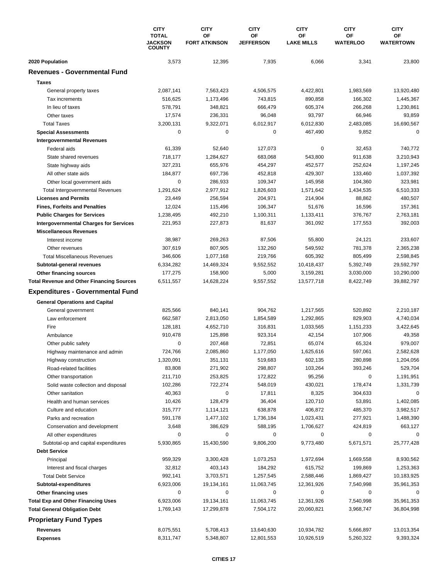|                                                        | <b>CITY</b><br><b>TOTAL</b>     | <b>CITY</b><br>OF    | <b>CITY</b><br>ΟF    | <b>CITY</b><br>ΟF | <b>CITY</b><br>OF | <b>CITY</b><br>OF |
|--------------------------------------------------------|---------------------------------|----------------------|----------------------|-------------------|-------------------|-------------------|
|                                                        | <b>JACKSON</b><br><b>COUNTY</b> | <b>FORT ATKINSON</b> | <b>JEFFERSON</b>     | <b>LAKE MILLS</b> | <b>WATERLOO</b>   | <b>WATERTOWN</b>  |
| 2020 Population                                        | 3,573                           | 12,395               | 7,935                | 6,066             | 3,341             | 23,800            |
| <b>Revenues - Governmental Fund</b>                    |                                 |                      |                      |                   |                   |                   |
| <b>Taxes</b>                                           |                                 |                      |                      |                   |                   |                   |
| General property taxes                                 | 2,087,141                       | 7,563,423            | 4,506,575            | 4,422,801         | 1,983,569         | 13,920,480        |
| Tax increments                                         | 516.625                         | 1,173,496            | 743,815              | 890,858           | 166,302           | 1,445,367         |
| In lieu of taxes                                       | 578,791                         | 348,821              | 666,479              | 605,374           | 266,268           | 1,230,861         |
| Other taxes                                            | 17,574                          | 236,331              | 96,048               | 93,797            | 66,946            | 93,859            |
| <b>Total Taxes</b>                                     | 3,200,131                       | 9,322,071            | 6,012,917            | 6,012,830         | 2,483,085         | 16,690,567        |
| <b>Special Assessments</b>                             | 0                               | 0                    | 0                    | 467,490           | 9,852             | 0                 |
| <b>Intergovernmental Revenues</b>                      |                                 |                      |                      |                   |                   |                   |
| Federal aids                                           | 61,339                          | 52,640               | 127,073              | 0                 | 32,453            | 740,772           |
| State shared revenues                                  | 718,177                         | 1,284,627            | 683,068              | 543,800           | 911,638           | 3,210,943         |
| State highway aids                                     | 327,231                         | 655,976              | 454,297              | 452,577           | 252,624           | 1,197,245         |
| All other state aids                                   | 184,877                         | 697,736              | 452,818              | 429,307           | 133,460           | 1,037,392         |
| Other local government aids                            | $\mathbf 0$                     | 286,933              | 109,347              | 145,958           | 104,360           | 323,981           |
| <b>Total Intergovernmental Revenues</b>                | 1,291,624                       | 2,977,912            | 1,826,603            | 1,571,642         | 1,434,535         | 6,510,333         |
| <b>Licenses and Permits</b>                            | 23,449                          | 256,594              | 204,971              | 214,904           | 88,862            | 480,507           |
| <b>Fines, Forfeits and Penalties</b>                   | 12,024                          | 115,496              | 106,347              | 51,676            | 16,596            | 157,361           |
| <b>Public Charges for Services</b>                     | 1,238,495                       | 492,210              | 1,100,311            | 1,133,411         | 376,767           | 2,763,181         |
| <b>Intergovernmental Charges for Services</b>          | 221,953                         | 227,873              | 81,637               | 361,092           | 177,553           | 392,003           |
| <b>Miscellaneous Revenues</b>                          |                                 |                      |                      |                   |                   |                   |
| Interest income                                        | 38,987                          | 269,263              | 87,506               | 55,800            | 24,121            | 233,607           |
| Other revenues                                         | 307,619                         | 807,905              | 132,260              | 549,592           | 781,378           | 2,365,238         |
| <b>Total Miscellaneous Revenues</b>                    | 346,606                         | 1,077,168            | 219,766              | 605,392           | 805,499           | 2,598,845         |
| Subtotal-general revenues                              | 6,334,282                       | 14,469,324           | 9,552,552            | 10,418,437        | 5,392,749         | 29,592,797        |
| Other financing sources                                | 177,275                         | 158,900              | 5,000                | 3,159,281         | 3,030,000         | 10,290,000        |
| <b>Total Revenue and Other Financing Sources</b>       | 6,511,557                       | 14,628,224           | 9,557,552            | 13,577,718        | 8,422,749         | 39,882,797        |
| <b>Expenditures - Governmental Fund</b>                |                                 |                      |                      |                   |                   |                   |
| <b>General Operations and Capital</b>                  |                                 |                      |                      |                   |                   |                   |
| General government                                     | 825,566                         | 840,141              | 904,762              | 1,217,565         | 520,892           | 2,210,187         |
| Law enforcement                                        | 662,587                         | 2,813,050            | 1,854,589            | 1,292,865         | 829,903           | 4,740,034         |
| Fire                                                   | 128,181                         | 4,652,710            | 316,831              | 1,033,565         | 1,151,233         | 3,422,645         |
| Ambulance                                              | 910,478                         | 125,898              | 923,314              | 42,154            | 107,906           | 49,358            |
| Other public safety                                    | 0                               | 207,468              | 72,851               | 65,074            | 65,324            | 979,007           |
| Highway maintenance and admin                          | 724,766                         | 2,085,860            | 1,177,050            | 1,625,616         | 597,061           | 2,582,628         |
| Highway construction                                   | 1,320,091                       | 351,131              | 519,683              | 602,135           | 280,898           | 1,204,056         |
| Road-related facilities                                | 83,808                          | 271,902              | 298,807              | 103,264           | 393,246           | 529,704           |
| Other transportation                                   | 211,710                         | 253,825              | 172,822              | 95,256            | 0                 | 1,191,951         |
| Solid waste collection and disposal                    | 102,286                         | 722,274              | 548,019              | 430,021           | 178,474           | 1,331,739         |
| Other sanitation                                       | 40,363                          | 0                    | 17,811               | 8,325             | 304,633           | 0                 |
| Health and human services                              | 10,426                          | 128,479              | 36,404               | 120,710           | 53,891            | 1,402,085         |
| Culture and education                                  | 315,777                         | 1,114,121            | 638,878              | 406,872           | 485,370           | 3,982,517         |
| Parks and recreation                                   | 591,178<br>3,648                | 1,477,102            | 1,736,184<br>588,195 | 1,023,431         | 277,921           | 1,488,390         |
| Conservation and development<br>All other expenditures | 0                               | 386,629<br>0         | 0                    | 1,706,627<br>0    | 424,819<br>0      | 663,127<br>0      |
| Subtotal-op and capital expenditures                   | 5,930,865                       | 15,430,590           | 9,806,200            | 9,773,480         | 5,671,571         | 25,777,428        |
| <b>Debt Service</b>                                    |                                 |                      |                      |                   |                   |                   |
| Principal                                              | 959,329                         | 3,300,428            | 1,073,253            | 1,972,694         | 1,669,558         | 8,930,562         |
| Interest and fiscal charges                            | 32,812                          | 403,143              | 184,292              | 615,752           | 199,869           | 1,253,363         |
| <b>Total Debt Service</b>                              | 992,141                         | 3,703,571            | 1,257,545            | 2,588,446         | 1,869,427         | 10,183,925        |
| Subtotal-expenditures                                  | 6,923,006                       | 19,134,161           | 11,063,745           | 12,361,926        | 7,540,998         | 35,961,353        |
| Other financing uses                                   | 0                               | 0                    | 0                    | 0                 | 0                 | 0                 |
| <b>Total Exp and Other Financing Uses</b>              | 6,923,006                       | 19,134,161           | 11,063,745           | 12,361,926        | 7,540,998         | 35,961,353        |
| <b>Total General Obligation Debt</b>                   | 1,769,143                       | 17,299,878           | 7,504,172            | 20,060,821        | 3,968,747         | 36,804,998        |
| <b>Proprietary Fund Types</b>                          |                                 |                      |                      |                   |                   |                   |
| Revenues                                               | 8,075,551                       | 5,708,413            | 13,640,630           | 10,934,782        | 5,666,897         | 13,013,354        |
| <b>Expenses</b>                                        | 8,311,747                       | 5,348,807            | 12,801,553           | 10,926,519        | 5,260,322         | 9,393,324         |
|                                                        |                                 |                      |                      |                   |                   |                   |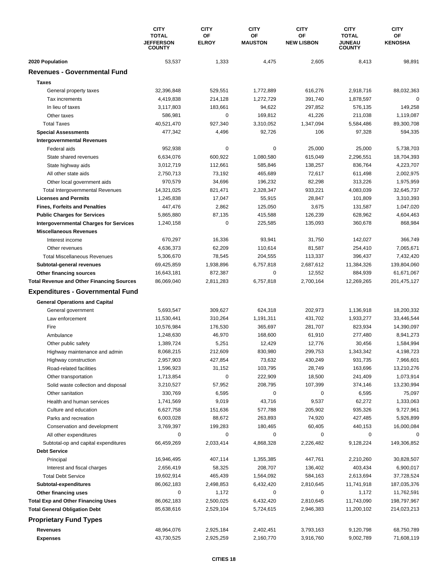|                                                                                             | <b>CITY</b><br><b>TOTAL</b>       | <b>CITY</b><br>OF  | <b>CITY</b><br><b>CITY</b><br>ΟF<br>OF |                    | <b>CITY</b><br><b>TOTAL</b>    | <b>CITY</b><br>OF        |
|---------------------------------------------------------------------------------------------|-----------------------------------|--------------------|----------------------------------------|--------------------|--------------------------------|--------------------------|
|                                                                                             | <b>JEFFERSON</b><br><b>COUNTY</b> | <b>ELROY</b>       | <b>MAUSTON</b>                         | <b>NEW LISBON</b>  | <b>JUNEAU</b><br><b>COUNTY</b> | <b>KENOSHA</b>           |
| 2020 Population                                                                             | 53,537                            | 1,333              | 4,475                                  | 2,605              | 8,413                          | 98,891                   |
| <b>Revenues - Governmental Fund</b>                                                         |                                   |                    |                                        |                    |                                |                          |
| <b>Taxes</b>                                                                                |                                   |                    |                                        |                    |                                |                          |
| General property taxes                                                                      | 32,396,848                        | 529,551            | 1,772,889                              | 616,276            | 2,918,716                      | 88,032,363               |
| Tax increments                                                                              | 4,419,838                         | 214,128            | 1,272,729                              | 391,740            | 1,878,597                      | 0                        |
| In lieu of taxes                                                                            | 3,117,803                         | 183,661            | 94,622                                 | 297,852            | 576,135                        | 149,258                  |
| Other taxes                                                                                 | 586,981                           | 0                  | 169,812                                | 41,226             | 211,038                        | 1,119,087                |
| <b>Total Taxes</b>                                                                          | 40,521,470                        | 927,340            | 3,310,052                              | 1,347,094          | 5,584,486                      | 89,300,708               |
| <b>Special Assessments</b>                                                                  | 477,342                           | 4,496              | 92,726                                 | 106                | 97,328                         | 594,335                  |
| <b>Intergovernmental Revenues</b>                                                           |                                   |                    |                                        |                    |                                |                          |
| Federal aids                                                                                | 952,938                           | 0                  | 0                                      | 25,000             | 25,000                         | 5,738,703                |
| State shared revenues                                                                       | 6,634,076                         | 600,922            | 1,080,580                              | 615,049            | 2,296,551                      | 18,704,393               |
| State highway aids                                                                          | 3,012,719                         | 112,661            | 585,846                                | 138,257            | 836,764                        | 4,223,707                |
| All other state aids                                                                        | 2,750,713                         | 73,192             | 465,689                                | 72,617             | 611,498                        | 2,002,975                |
| Other local government aids                                                                 | 970,579                           | 34,696             | 196,232                                | 82,298             | 313,226                        | 1,975,959                |
| <b>Total Intergovernmental Revenues</b>                                                     | 14,321,025                        | 821,471            | 2,328,347                              | 933,221            | 4,083,039                      | 32,645,737               |
| <b>Licenses and Permits</b>                                                                 | 1,245,838                         | 17,047             | 55,915                                 | 28,847             | 101,809                        | 3,310,393                |
| <b>Fines, Forfeits and Penalties</b>                                                        | 447,476                           | 2,862              | 125,050                                | 3,675              | 131,587                        | 1,047,020                |
| <b>Public Charges for Services</b>                                                          | 5,865,880                         | 87,135             | 415,588                                | 126,239            | 628,962                        | 4,604,463                |
| <b>Intergovernmental Charges for Services</b>                                               | 1,240,158                         | $\mathbf 0$        | 225,585                                | 135,093            | 360,678                        | 868,984                  |
| <b>Miscellaneous Revenues</b>                                                               |                                   |                    |                                        |                    |                                |                          |
| Interest income                                                                             | 670,297                           | 16,336             | 93,941                                 | 31,750             | 142,027                        | 366,749                  |
| Other revenues                                                                              | 4,636,373                         | 62,209             | 110,614                                | 81,587             | 254,410                        | 7,065,671                |
| <b>Total Miscellaneous Revenues</b>                                                         | 5,306,670                         | 78,545             | 204,555                                | 113,337            | 396,437                        | 7,432,420                |
| Subtotal-general revenues                                                                   | 69,425,859                        | 1,938,896          | 6,757,818                              | 2,687,612          | 11,384,326                     | 139,804,060              |
| Other financing sources                                                                     | 16,643,181                        | 872,387            | 0                                      | 12,552             | 884,939                        | 61,671,067               |
| <b>Total Revenue and Other Financing Sources</b><br><b>Expenditures - Governmental Fund</b> | 86,069,040                        | 2,811,283          | 6,757,818                              | 2,700,164          | 12,269,265                     | 201,475,127              |
|                                                                                             |                                   |                    |                                        |                    |                                |                          |
| <b>General Operations and Capital</b>                                                       |                                   |                    |                                        |                    |                                |                          |
| General government                                                                          | 5,693,547                         | 309,627            | 624,318                                | 202,973            | 1,136,918                      | 18,200,332               |
| Law enforcement<br>Fire                                                                     | 11,530,441<br>10,576,984          | 310,264<br>176,530 | 1,191,311<br>365,697                   | 431,702<br>281,707 | 1,933,277<br>823,934           | 33,446,544<br>14,390,097 |
| Ambulance                                                                                   | 1,248,630                         | 46,970             | 168,600                                | 61,910             | 277,480                        | 8,941,273                |
| Other public safety                                                                         | 1,389,724                         | 5,251              | 12,429                                 | 12,776             | 30,456                         | 1,584,994                |
| Highway maintenance and admin                                                               | 8,068,215                         | 212,609            | 830,980                                | 299,753            | 1,343,342                      | 4,198,723                |
| Highway construction                                                                        | 2,957,903                         | 427,854            | 73,632                                 | 430,249            | 931,735                        | 7,966,601                |
| Road-related facilities                                                                     | 1,596,923                         | 31,152             | 103,795                                | 28,749             | 163,696                        | 13,210,276               |
| Other transportation                                                                        | 1,713,854                         | 0                  | 222,909                                | 18,500             | 241,409                        | 1,073,914                |
| Solid waste collection and disposal                                                         | 3,210,527                         | 57,952             | 208,795                                | 107,399            | 374,146                        | 13,230,994               |
| Other sanitation                                                                            | 330,769                           | 6,595              | 0                                      | 0                  | 6,595                          | 75,097                   |
| Health and human services                                                                   | 1,741,569                         | 9,019              | 43,716                                 | 9,537              | 62,272                         | 1,333,063                |
| Culture and education                                                                       | 6,627,758                         | 151,636            | 577,788                                | 205,902            | 935,326                        | 9,727,961                |
| Parks and recreation                                                                        | 6,003,028                         | 88,672             | 263,893                                | 74,920             | 427,485                        | 5,926,899                |
| Conservation and development                                                                | 3,769,397                         | 199,283            | 180,465                                | 60,405             | 440,153                        | 16,000,084               |
| All other expenditures                                                                      | 0                                 | 0                  | 0                                      | 0                  | 0                              | 0                        |
| Subtotal-op and capital expenditures                                                        | 66,459,269                        | 2,033,414          | 4,868,328                              | 2,226,482          | 9,128,224                      | 149,306,852              |
| <b>Debt Service</b>                                                                         |                                   |                    |                                        |                    |                                |                          |
| Principal                                                                                   | 16,946,495                        | 407,114            | 1,355,385                              | 447,761            | 2,210,260                      | 30,828,507               |
| Interest and fiscal charges                                                                 | 2,656,419                         | 58,325             | 208,707                                | 136,402            | 403,434                        | 6,900,017                |
| <b>Total Debt Service</b>                                                                   | 19,602,914                        | 465,439            | 1,564,092                              | 584,163            | 2,613,694                      | 37,728,524               |
| Subtotal-expenditures                                                                       | 86,062,183                        | 2,498,853          | 6,432,420                              | 2,810,645          | 11,741,918                     | 187,035,376              |
| Other financing uses                                                                        | 0                                 | 1,172              | 0                                      | 0                  | 1,172                          | 11,762,591               |
| <b>Total Exp and Other Financing Uses</b>                                                   | 86,062,183                        | 2,500,025          | 6,432,420                              | 2,810,645          | 11,743,090                     | 198,797,967              |
| <b>Total General Obligation Debt</b>                                                        | 85,638,616                        | 2,529,104          | 5,724,615                              | 2,946,383          | 11,200,102                     | 214,023,213              |
| <b>Proprietary Fund Types</b>                                                               |                                   |                    |                                        |                    |                                |                          |
| Revenues                                                                                    | 48,964,076                        | 2,925,184          | 2,402,451                              | 3,793,163          | 9,120,798                      | 68,750,789               |
| <b>Expenses</b>                                                                             | 43,730,525                        | 2,925,259          | 2,160,770                              | 3,916,760          | 9,002,789                      | 71,608,119               |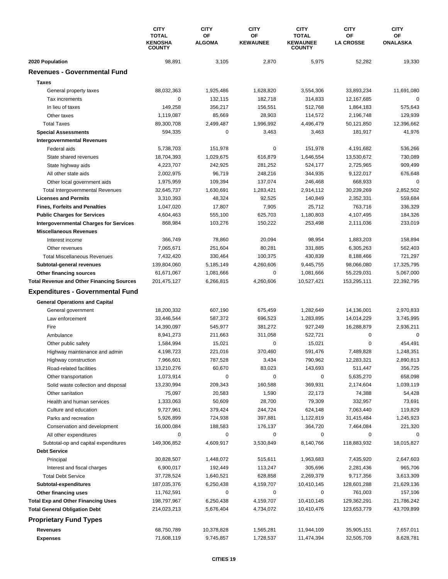|                                                         | <b>CITY</b><br><b>TOTAL</b><br><b>KENOSHA</b><br><b>COUNTY</b> | <b>CITY</b><br>OF<br><b>ALGOMA</b> | <b>CITY</b><br>ΟF<br><b>KEWAUNEE</b> | <b>CITY</b><br><b>TOTAL</b><br><b>KEWAUNEE</b><br><b>COUNTY</b> | <b>CITY</b><br>OF<br><b>LA CROSSE</b> | <b>CITY</b><br>OF<br>ONALASKA |
|---------------------------------------------------------|----------------------------------------------------------------|------------------------------------|--------------------------------------|-----------------------------------------------------------------|---------------------------------------|-------------------------------|
| 2020 Population                                         | 98,891                                                         | 3,105                              | 2,870                                | 5,975                                                           | 52,282                                | 19,330                        |
| <b>Revenues - Governmental Fund</b>                     |                                                                |                                    |                                      |                                                                 |                                       |                               |
| <b>Taxes</b>                                            |                                                                |                                    |                                      |                                                                 |                                       |                               |
| General property taxes                                  | 88,032,363                                                     | 1,925,486                          | 1,628,820                            | 3,554,306                                                       | 33,893,234                            | 11,691,080                    |
| Tax increments                                          | 0                                                              | 132,115                            | 182,718                              | 314,833                                                         | 12,167,685                            | 0                             |
| In lieu of taxes                                        | 149,258                                                        | 356,217                            | 156,551                              | 512,768                                                         | 1,864,183                             | 575,643                       |
| Other taxes                                             | 1,119,087                                                      | 85,669                             | 28,903                               | 114,572                                                         | 2,196,748                             | 129,939                       |
| <b>Total Taxes</b>                                      | 89,300,708                                                     | 2,499,487                          | 1,996,992                            | 4,496,479                                                       | 50,121,850                            | 12,396,662                    |
| <b>Special Assessments</b>                              | 594,335                                                        | 0                                  | 3,463                                | 3,463                                                           | 181,917                               | 41,976                        |
| <b>Intergovernmental Revenues</b>                       |                                                                |                                    |                                      |                                                                 |                                       |                               |
| Federal aids                                            | 5,738,703                                                      | 151,978                            | 0                                    | 151,978                                                         | 4,191,682                             | 536,266                       |
| State shared revenues                                   | 18,704,393                                                     | 1,029,675                          | 616,879                              | 1,646,554                                                       | 13,530,672                            | 730,089                       |
| State highway aids                                      | 4,223,707                                                      | 242,925                            | 281,252                              | 524,177                                                         | 2,725,965                             | 909,499                       |
| All other state aids                                    | 2,002,975                                                      | 96,719                             | 248,216                              | 344,935                                                         | 9,122,017                             | 676,648                       |
| Other local government aids                             | 1,975,959                                                      | 109.394                            | 137,074                              | 246,468                                                         | 668,933                               | 0                             |
| <b>Total Intergovernmental Revenues</b>                 | 32,645,737                                                     | 1,630,691                          | 1,283,421                            | 2,914,112                                                       | 30,239,269                            | 2,852,502                     |
| <b>Licenses and Permits</b>                             | 3,310,393                                                      | 48,324                             | 92,525                               | 140,849                                                         | 2,352,331                             | 559,684                       |
| <b>Fines, Forfeits and Penalties</b>                    | 1,047,020                                                      | 17,807                             | 7,905                                | 25,712                                                          | 763,716                               | 336,329                       |
| <b>Public Charges for Services</b>                      | 4,604,463                                                      | 555,100                            | 625,703                              | 1,180,803                                                       | 4,107,495                             | 184,326                       |
| <b>Intergovernmental Charges for Services</b>           | 868,984                                                        | 103,276                            | 150,222                              | 253,498                                                         | 2,111,036                             | 233,019                       |
| <b>Miscellaneous Revenues</b>                           |                                                                |                                    |                                      |                                                                 |                                       |                               |
| Interest income                                         | 366,749                                                        | 78,860                             | 20,094                               | 98,954                                                          | 1,883,203                             | 158,894                       |
| Other revenues                                          | 7,065,671                                                      | 251,604                            | 80,281                               | 331,885                                                         | 6,305,263                             | 562,403                       |
| <b>Total Miscellaneous Revenues</b>                     | 7,432,420                                                      | 330,464                            | 100,375                              | 430,839                                                         | 8,188,466                             | 721,297                       |
| Subtotal-general revenues                               | 139,804,060                                                    | 5,185,149                          | 4,260,606                            | 9,445,755                                                       | 98,066,080                            | 17,325,795                    |
| Other financing sources                                 | 61,671,067                                                     | 1,081,666                          | 0                                    | 1,081,666                                                       | 55,229,031                            | 5,067,000                     |
| <b>Total Revenue and Other Financing Sources</b>        | 201,475,127                                                    | 6,266,815                          | 4,260,606                            | 10,527,421                                                      | 153,295,111                           | 22,392,795                    |
| <b>Expenditures - Governmental Fund</b>                 |                                                                |                                    |                                      |                                                                 |                                       |                               |
|                                                         |                                                                |                                    |                                      |                                                                 |                                       |                               |
| <b>General Operations and Capital</b>                   |                                                                |                                    |                                      |                                                                 |                                       |                               |
| General government                                      | 18,200,332                                                     | 607,190                            | 675,459                              | 1,282,649                                                       | 14,136,001                            | 2,970,833                     |
| Law enforcement<br>Fire                                 | 33,446,544                                                     | 587,372                            | 696,523                              | 1,283,895                                                       | 14,014,229                            | 3,745,995                     |
|                                                         | 14,390,097<br>8,941,273                                        | 545,977                            | 381,272                              | 927,249                                                         | 16,288,879<br>0                       | 2,936,211<br>0                |
| Ambulance                                               | 1,584,994                                                      | 211,663<br>15,021                  | 311,058<br>0                         | 522,721<br>15,021                                               | 0                                     | 454,491                       |
| Other public safety                                     | 4,198,723                                                      | 221,016                            | 370,460                              | 591,476                                                         | 7,489,828                             | 1,248,351                     |
| Highway maintenance and admin                           |                                                                |                                    |                                      |                                                                 | 12,283,321                            |                               |
| Highway construction                                    | 7,966,601                                                      | 787,528                            | 3,434                                | 790,962                                                         |                                       | 2,890,813                     |
| Road-related facilities                                 | 13,210,276                                                     | 60,670                             | 83,023<br>0                          | 143,693                                                         | 511,447                               | 356,725                       |
| Other transportation                                    | 1,073,914                                                      | 0                                  |                                      | 0                                                               | 5,635,270                             | 658,098                       |
| Solid waste collection and disposal<br>Other sanitation | 13,230,994                                                     | 209,343                            | 160,588                              | 369,931                                                         | 2,174,604                             | 1,039,119                     |
| Health and human services                               | 75,097                                                         | 20,583                             | 1,590<br>28,700                      | 22,173                                                          | 74,388                                | 54,428                        |
|                                                         | 1,333,063<br>9,727,961                                         | 50,609                             | 244,724                              | 79,309                                                          | 332,957                               | 73,691<br>119,829             |
| Culture and education                                   |                                                                | 379,424                            |                                      | 624,148                                                         | 7,063,440                             |                               |
| Parks and recreation                                    | 5,926,899                                                      | 724,938                            | 397,881                              | 1,122,819                                                       | 31,415,484                            | 1,245,923                     |
| Conservation and development<br>All other expenditures  | 16,000,084<br>0                                                | 188,583<br>0                       | 176,137<br>0                         | 364,720<br>0                                                    | 7,464,084<br>0                        | 221,320<br>$\Omega$           |
| Subtotal-op and capital expenditures                    | 149,306,852                                                    | 4,609,917                          | 3,530,849                            | 8,140,766                                                       | 118,883,932                           | 18,015,827                    |
| <b>Debt Service</b>                                     |                                                                |                                    |                                      |                                                                 |                                       |                               |
| Principal                                               | 30,828,507                                                     | 1,448,072                          | 515,611                              | 1,963,683                                                       | 7,435,920                             | 2,647,603                     |
| Interest and fiscal charges                             | 6,900,017                                                      | 192,449                            | 113,247                              | 305,696                                                         | 2,281,436                             | 965,706                       |
| <b>Total Debt Service</b>                               | 37,728,524                                                     | 1,640,521                          | 628,858                              | 2,269,379                                                       | 9,717,356                             | 3,613,309                     |
| Subtotal-expenditures                                   | 187,035,376                                                    | 6,250,438                          | 4,159,707                            | 10,410,145                                                      | 128,601,288                           | 21,629,136                    |
| Other financing uses                                    | 11,762,591                                                     | 0                                  | 0                                    | 0                                                               | 761,003                               | 157,106                       |
| <b>Total Exp and Other Financing Uses</b>               | 198,797,967                                                    | 6,250,438                          | 4,159,707                            | 10,410,145                                                      | 129,362,291                           | 21,786,242                    |
| <b>Total General Obligation Debt</b>                    | 214,023,213                                                    | 5,676,404                          | 4,734,072                            | 10,410,476                                                      | 123,653,779                           | 43,709,899                    |
| <b>Proprietary Fund Types</b>                           |                                                                |                                    |                                      |                                                                 |                                       |                               |
| Revenues                                                | 68,750,789                                                     | 10,378,828                         | 1,565,281                            | 11,944,109                                                      | 35,905,151                            | 7,657,011                     |
| <b>Expenses</b>                                         | 71,608,119                                                     | 9,745,857                          | 1,728,537                            | 11,474,394                                                      | 32,505,709                            | 8,628,781                     |
|                                                         |                                                                |                                    |                                      |                                                                 |                                       |                               |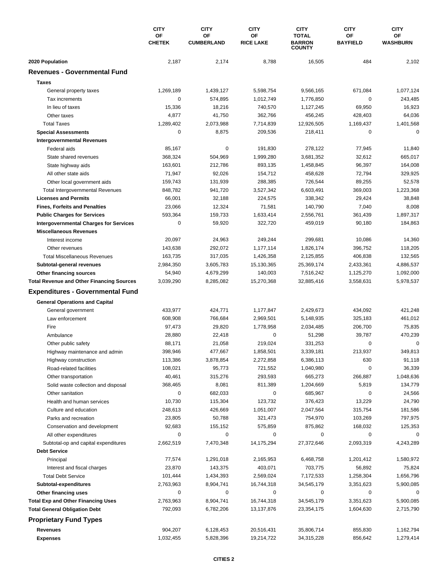|                                                  | <b>CITY</b><br>OF<br><b>CHETEK</b> | <b>CITY</b><br>OF<br><b>CUMBERLAND</b> | <b>CITY</b><br>ΟF<br><b>RICE LAKE</b> | <b>CITY</b><br><b>TOTAL</b><br><b>BARRON</b><br><b>COUNTY</b> | <b>CITY</b><br>OF<br><b>BAYFIELD</b> | <b>CITY</b><br>ОF<br><b>WASHBURN</b> |
|--------------------------------------------------|------------------------------------|----------------------------------------|---------------------------------------|---------------------------------------------------------------|--------------------------------------|--------------------------------------|
|                                                  |                                    |                                        |                                       |                                                               |                                      |                                      |
| 2020 Population                                  | 2,187                              | 2,174                                  | 8,788                                 | 16,505                                                        | 484                                  | 2,102                                |
| <b>Revenues - Governmental Fund</b>              |                                    |                                        |                                       |                                                               |                                      |                                      |
| <b>Taxes</b>                                     |                                    |                                        |                                       |                                                               |                                      |                                      |
| General property taxes                           | 1,269,189                          | 1,439,127                              | 5,598,754                             | 9,566,165                                                     | 671,084                              | 1,077,124                            |
| Tax increments                                   | $\mathbf 0$                        | 574,895                                | 1,012,749                             | 1,776,850                                                     | 0                                    | 243,485                              |
| In lieu of taxes                                 | 15,336                             | 18,216                                 | 740,570                               | 1,127,245                                                     | 69,950                               | 16,923                               |
| Other taxes                                      | 4,877                              | 41,750                                 | 362,766                               | 456,245                                                       | 428,403                              | 64,036                               |
| <b>Total Taxes</b>                               | 1,289,402                          | 2,073,988                              | 7,714,839                             | 12,926,505                                                    | 1,169,437                            | 1,401,568                            |
| <b>Special Assessments</b>                       | 0                                  | 8,875                                  | 209,536                               | 218,411                                                       | 0                                    | 0                                    |
| <b>Intergovernmental Revenues</b>                |                                    |                                        |                                       |                                                               |                                      |                                      |
| Federal aids                                     | 85,167                             | 0                                      | 191,830                               | 278,122                                                       | 77,945                               | 11,840                               |
| State shared revenues                            | 368,324                            | 504,969                                | 1,999,280                             | 3,681,352                                                     | 32,612                               | 665,017                              |
| State highway aids                               | 163,601                            | 212,786                                | 893,135                               | 1,458,845                                                     | 96,397                               | 164,008                              |
| All other state aids                             | 71,947                             | 92,026                                 | 154,712                               | 458,628                                                       | 72,794                               | 329,925                              |
| Other local government aids                      | 159,743                            | 131,939                                | 288,385                               | 726,544                                                       | 89,255                               | 52,578                               |
| Total Intergovernmental Revenues                 | 848,782                            | 941,720                                | 3,527,342                             | 6,603,491                                                     | 369,003                              | 1,223,368                            |
| <b>Licenses and Permits</b>                      | 66,001                             | 32,188                                 | 224,575                               | 338,342                                                       | 29,424                               | 38,848                               |
| <b>Fines, Forfeits and Penalties</b>             | 23,066                             | 12,324                                 | 71,581                                | 140,790                                                       | 7,040                                | 8,008                                |
| <b>Public Charges for Services</b>               | 593,364                            | 159,733                                | 1,633,414                             | 2,556,761                                                     | 361,439                              | 1,897,317                            |
| <b>Intergovernmental Charges for Services</b>    | $\mathbf 0$                        | 59,920                                 | 322,720                               | 459,019                                                       | 90,180                               | 184,863                              |
| <b>Miscellaneous Revenues</b>                    |                                    |                                        |                                       |                                                               |                                      |                                      |
| Interest income                                  | 20,097                             | 24,963                                 | 249,244                               | 299,681                                                       | 10,086                               | 14,360                               |
| Other revenues                                   | 143,638                            | 292,072                                | 1,177,114                             | 1,826,174                                                     | 396,752                              | 118,205                              |
| <b>Total Miscellaneous Revenues</b>              | 163,735                            | 317,035                                | 1,426,358                             | 2,125,855                                                     | 406,838                              | 132,565                              |
| Subtotal-general revenues                        | 2,984,350                          | 3,605,783                              | 15,130,365                            | 25,369,174                                                    | 2,433,361                            | 4,886,537                            |
| Other financing sources                          | 54,940                             | 4,679,299                              | 140,003                               | 7,516,242                                                     | 1,125,270                            | 1,092,000                            |
| <b>Total Revenue and Other Financing Sources</b> | 3,039,290                          | 8,285,082                              | 15,270,368                            | 32,885,416                                                    | 3,558,631                            | 5,978,537                            |
| <b>Expenditures - Governmental Fund</b>          |                                    |                                        |                                       |                                                               |                                      |                                      |
| <b>General Operations and Capital</b>            |                                    |                                        |                                       |                                                               |                                      |                                      |
| General government                               | 433,977                            | 424,771                                | 1,177,847                             | 2,429,673                                                     | 434,092                              | 421,248                              |
| Law enforcement                                  | 608,908                            | 766,684                                | 2,969,501                             | 5,148,935                                                     | 325,183                              | 461,012                              |
| Fire                                             | 97,473                             | 29,820                                 | 1,778,958                             | 2,034,485                                                     | 206,700                              | 75,835                               |
| Ambulance                                        | 28,880                             | 22,418                                 | 0                                     | 51,298                                                        | 39,787                               | 470,239                              |
| Other public safety                              | 88,171                             | 21,058                                 | 219,024                               | 331,253                                                       | $\mathbf 0$                          | $\mathbf 0$                          |
| Highway maintenance and admin                    | 398,946                            | 477,667                                | 1,858,501                             | 3,339,181                                                     | 213,937                              | 349,813                              |
| Highway construction                             | 113,386                            | 3,878,854                              | 2,272,858                             | 6,386,113                                                     | 630                                  | 91,118                               |
| Road-related facilities                          | 108,021                            | 95,773                                 | 721,552                               | 1,040,980                                                     | 0                                    | 36,339                               |
| Other transportation                             | 40,461                             | 315,276                                | 293,593                               | 665,273                                                       | 266,887                              | 1,048,636                            |
| Solid waste collection and disposal              | 368,465                            | 8,081                                  | 811,389                               | 1,204,669                                                     | 5,819                                | 134,779                              |
| Other sanitation                                 | $\mathbf 0$                        | 682,033                                | 0                                     | 685,967                                                       | $\mathbf 0$                          | 24,566                               |
| Health and human services                        | 10,730                             | 115,304                                | 123,732                               | 376,423                                                       | 13,229                               | 24,790                               |
| Culture and education                            | 248,613                            | 426,669                                | 1,051,007                             | 2,047,564                                                     | 315,754                              | 181,586                              |
| Parks and recreation                             | 23,805                             | 50,788                                 | 321,473                               | 754,970                                                       | 103,269                              | 797,975                              |
| Conservation and development                     | 92,683                             | 155,152                                | 575,859                               | 875,862                                                       | 168,032                              | 125,353                              |
| All other expenditures                           | 0                                  | 0                                      | 0                                     | 0                                                             | 0                                    | 0                                    |
| Subtotal-op and capital expenditures             | 2,662,519                          | 7,470,348                              | 14,175,294                            | 27,372,646                                                    | 2,093,319                            | 4,243,289                            |
| <b>Debt Service</b>                              |                                    |                                        |                                       |                                                               |                                      |                                      |
| Principal                                        | 77,574                             | 1,291,018                              | 2,165,953                             | 6,468,758                                                     | 1,201,412                            | 1,580,972                            |
| Interest and fiscal charges                      | 23,870                             | 143,375                                | 403,071                               | 703,775                                                       | 56,892                               | 75,824                               |
| <b>Total Debt Service</b>                        | 101,444                            | 1,434,393                              | 2,569,024                             | 7,172,533                                                     | 1,258,304                            | 1,656,796                            |
| Subtotal-expenditures                            | 2,763,963                          | 8,904,741                              | 16,744,318                            | 34,545,179                                                    | 3,351,623                            | 5,900,085                            |
| Other financing uses                             | 0                                  | 0                                      | 0                                     | 0                                                             | 0                                    | 0                                    |
| <b>Total Exp and Other Financing Uses</b>        | 2,763,963                          | 8,904,741                              | 16,744,318                            | 34,545,179                                                    | 3,351,623                            | 5,900,085                            |
| <b>Total General Obligation Debt</b>             | 792,093                            | 6,782,206                              | 13,137,876                            | 23,354,175                                                    | 1,604,630                            | 2,715,790                            |
| <b>Proprietary Fund Types</b>                    |                                    |                                        |                                       |                                                               |                                      |                                      |
| <b>Revenues</b>                                  | 904,207                            | 6,128,453                              | 20,516,431                            | 35,806,714                                                    | 855,830                              | 1,162,794                            |
| <b>Expenses</b>                                  | 1,032,455                          | 5,828,396                              | 19,214,722                            | 34,315,228                                                    | 856,642                              | 1,279,414                            |
|                                                  |                                    |                                        |                                       |                                                               |                                      |                                      |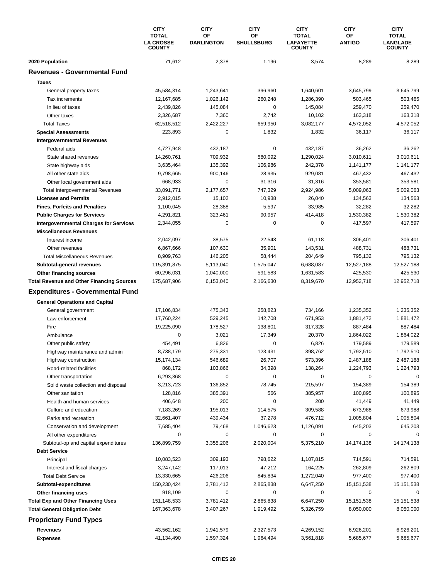|                                                                | <b>CITY</b><br><b>TOTAL</b><br><b>LA CROSSE</b><br><b>COUNTY</b> | <b>CITY</b><br>OF<br><b>DARLINGTON</b> | <b>CITY</b><br>OF<br><b>SHULLSBURG</b> | <b>CITY</b><br><b>TOTAL</b><br><b>LAFAYETTE</b><br><b>COUNTY</b> | <b>CITY</b><br>OF<br><b>ANTIGO</b> | <b>CITY</b><br><b>TOTAL</b><br><b>LANGLADE</b><br><b>COUNTY</b> |
|----------------------------------------------------------------|------------------------------------------------------------------|----------------------------------------|----------------------------------------|------------------------------------------------------------------|------------------------------------|-----------------------------------------------------------------|
| 2020 Population                                                | 71,612                                                           | 2,378                                  | 1,196                                  | 3,574                                                            | 8,289                              | 8,289                                                           |
| <b>Revenues - Governmental Fund</b>                            |                                                                  |                                        |                                        |                                                                  |                                    |                                                                 |
| <b>Taxes</b>                                                   |                                                                  |                                        |                                        |                                                                  |                                    |                                                                 |
| General property taxes                                         | 45,584,314                                                       | 1,243,641                              | 396,960                                | 1,640,601                                                        | 3,645,799                          | 3,645,799                                                       |
| Tax increments                                                 | 12,167,685                                                       | 1,026,142                              | 260,248                                | 1,286,390                                                        | 503,465                            | 503,465                                                         |
| In lieu of taxes                                               | 2,439,826                                                        | 145,084                                | 0                                      | 145,084                                                          | 259,470                            | 259,470                                                         |
| Other taxes                                                    | 2,326,687                                                        | 7,360                                  | 2,742                                  | 10,102                                                           | 163,318                            | 163,318                                                         |
| <b>Total Taxes</b>                                             | 62,518,512                                                       | 2,422,227                              | 659,950                                | 3,082,177                                                        | 4,572,052                          | 4,572,052                                                       |
| <b>Special Assessments</b>                                     | 223,893                                                          | 0                                      | 1,832                                  | 1,832                                                            | 36,117                             | 36,117                                                          |
| <b>Intergovernmental Revenues</b>                              |                                                                  |                                        |                                        |                                                                  |                                    |                                                                 |
| Federal aids                                                   | 4,727,948                                                        | 432,187                                | 0                                      | 432,187                                                          | 36,262                             | 36,262                                                          |
| State shared revenues                                          | 14,260,761                                                       | 709,932                                | 580,092                                | 1,290,024                                                        | 3,010,611                          | 3,010,611                                                       |
| State highway aids                                             | 3,635,464                                                        | 135,392                                | 106,986                                | 242,378                                                          | 1,141,177                          | 1,141,177                                                       |
| All other state aids                                           | 9,798,665                                                        | 900,146                                | 28,935                                 | 929.081                                                          | 467,432                            | 467,432                                                         |
| Other local government aids                                    | 668,933                                                          | 0                                      | 31,316                                 | 31,316                                                           | 353,581                            | 353,581                                                         |
| <b>Total Intergovernmental Revenues</b>                        | 33,091,771                                                       | 2,177,657                              | 747,329                                | 2,924,986                                                        | 5,009,063                          | 5,009,063                                                       |
| <b>Licenses and Permits</b>                                    | 2,912,015                                                        | 15,102                                 | 10,938                                 | 26,040                                                           | 134,563                            | 134,563                                                         |
| <b>Fines, Forfeits and Penalties</b>                           | 1,100,045                                                        | 28,388                                 | 5,597                                  | 33,985                                                           | 32,282                             | 32,282                                                          |
| <b>Public Charges for Services</b>                             | 4,291,821                                                        | 323,461                                | 90,957                                 | 414,418                                                          | 1,530,382                          | 1,530,382                                                       |
| <b>Intergovernmental Charges for Services</b>                  | 2,344,055                                                        | $\mathbf 0$                            | 0                                      | $\mathbf 0$                                                      | 417,597                            | 417,597                                                         |
| <b>Miscellaneous Revenues</b>                                  |                                                                  |                                        |                                        |                                                                  |                                    |                                                                 |
| Interest income                                                | 2,042,097                                                        | 38,575                                 | 22,543                                 | 61,118                                                           | 306,401                            | 306,401                                                         |
| Other revenues                                                 | 6,867,666                                                        | 107,630                                | 35,901                                 | 143,531                                                          | 488,731                            | 488,731                                                         |
| <b>Total Miscellaneous Revenues</b>                            | 8,909,763                                                        | 146,205                                | 58,444                                 | 204,649                                                          | 795,132                            | 795,132                                                         |
| Subtotal-general revenues                                      | 115,391,875                                                      | 5,113,040                              | 1,575,047                              | 6,688,087                                                        | 12,527,188                         | 12,527,188                                                      |
| Other financing sources                                        | 60,296,031                                                       | 1,040,000                              | 591,583                                | 1,631,583                                                        | 425,530                            | 425,530                                                         |
| <b>Total Revenue and Other Financing Sources</b>               | 175,687,906                                                      | 6,153,040                              | 2,166,630                              | 8,319,670                                                        | 12,952,718                         | 12,952,718                                                      |
| <b>Expenditures - Governmental Fund</b>                        |                                                                  |                                        |                                        |                                                                  |                                    |                                                                 |
| <b>General Operations and Capital</b>                          |                                                                  |                                        |                                        |                                                                  |                                    |                                                                 |
| General government                                             | 17,106,834                                                       | 475,343                                | 258,823                                | 734,166                                                          | 1,235,352                          | 1,235,352                                                       |
| Law enforcement                                                | 17,760,224                                                       | 529,245                                | 142,708                                | 671,953                                                          | 1,881,472                          | 1,881,472                                                       |
| Fire                                                           | 19,225,090                                                       | 178,527                                | 138,801                                | 317,328                                                          | 887,484                            | 887,484                                                         |
| Ambulance                                                      | $\mathbf 0$                                                      | 3,021                                  | 17,349                                 | 20,370                                                           | 1,864,022                          | 1,864,022                                                       |
| Other public safety                                            | 454,491                                                          | 6,826                                  | 0                                      | 6,826                                                            | 179,589                            | 179,589                                                         |
| Highway maintenance and admin                                  | 8,738,179                                                        | 275,331                                | 123,431                                | 398,762                                                          | 1,792,510                          | 1,792,510                                                       |
| Highway construction                                           | 15,174,134                                                       | 546,689                                | 26,707                                 | 573,396                                                          | 2,487,188                          | 2,487,188                                                       |
| Road-related facilities                                        | 868,172                                                          | 103,866                                | 34,398                                 | 138,264                                                          | 1,224,793                          | 1,224,793                                                       |
| Other transportation                                           | 6,293,368                                                        | 0                                      | 0                                      | 0                                                                | 0                                  | 0                                                               |
| Solid waste collection and disposal                            | 3,213,723                                                        | 136,852                                | 78,745                                 | 215,597                                                          | 154,389                            | 154,389                                                         |
| Other sanitation                                               | 128,816                                                          | 385,391                                | 566                                    | 385,957                                                          | 100,895                            | 100,895                                                         |
| Health and human services                                      | 406,648                                                          | 200                                    | 0                                      | 200                                                              | 41,449                             | 41,449                                                          |
| Culture and education                                          | 7,183,269                                                        | 195,013                                | 114,575                                | 309,588                                                          | 673,988                            | 673,988                                                         |
| Parks and recreation                                           | 32,661,407                                                       | 439,434                                | 37,278                                 | 476,712                                                          | 1,005,804                          | 1,005,804                                                       |
| Conservation and development                                   | 7,685,404                                                        | 79,468                                 | 1,046,623                              | 1,126,091                                                        | 645,203                            | 645,203                                                         |
| All other expenditures<br>Subtotal-op and capital expenditures | 0<br>136,899,759                                                 | 0<br>3,355,206                         | 0<br>2,020,004                         | 0                                                                | 0<br>14,174,138                    | 0                                                               |
| <b>Debt Service</b>                                            |                                                                  |                                        |                                        | 5,375,210                                                        |                                    | 14,174,138                                                      |
|                                                                | 10,083,523                                                       | 309,193                                |                                        |                                                                  |                                    |                                                                 |
| Principal                                                      |                                                                  | 117,013                                | 798,622<br>47,212                      | 1,107,815                                                        | 714,591<br>262,809                 | 714,591<br>262,809                                              |
| Interest and fiscal charges<br><b>Total Debt Service</b>       | 3,247,142<br>13,330,665                                          | 426,206                                | 845,834                                | 164,225<br>1,272,040                                             | 977,400                            | 977,400                                                         |
| Subtotal-expenditures                                          | 150,230,424                                                      | 3,781,412                              | 2,865,838                              | 6,647,250                                                        | 15,151,538                         | 15,151,538                                                      |
| Other financing uses                                           | 918,109                                                          | 0                                      | 0                                      | 0                                                                | 0                                  | 0                                                               |
| <b>Total Exp and Other Financing Uses</b>                      | 151,148,533                                                      | 3,781,412                              | 2,865,838                              | 6,647,250                                                        | 15, 151, 538                       | 15, 151, 538                                                    |
| <b>Total General Obligation Debt</b>                           | 167,363,678                                                      | 3,407,267                              | 1,919,492                              | 5,326,759                                                        | 8,050,000                          | 8,050,000                                                       |
| <b>Proprietary Fund Types</b>                                  |                                                                  |                                        |                                        |                                                                  |                                    |                                                                 |
| Revenues                                                       | 43,562,162                                                       | 1,941,579                              | 2,327,573                              | 4,269,152                                                        | 6,926,201                          | 6,926,201                                                       |
| <b>Expenses</b>                                                | 41,134,490                                                       | 1,597,324                              | 1,964,494                              | 3,561,818                                                        | 5,685,677                          | 5,685,677                                                       |
|                                                                |                                                                  |                                        |                                        |                                                                  |                                    |                                                                 |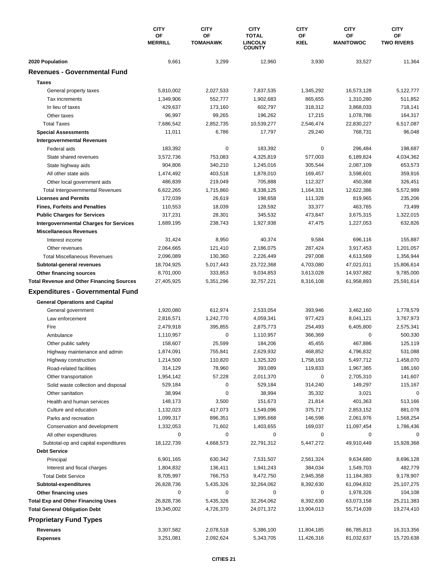|                                                  | <b>CITY</b><br>OF<br><b>MERRILL</b> | <b>CITY</b><br>OF<br><b>TOMAHAWK</b> | <b>CITY</b><br><b>TOTAL</b><br><b>LINCOLN</b> | <b>CITY</b><br>OF<br><b>KIEL</b> | <b>CITY</b><br>ΟF<br><b>MANITOWOC</b> | <b>CITY</b><br>OF<br><b>TWO RIVERS</b> |
|--------------------------------------------------|-------------------------------------|--------------------------------------|-----------------------------------------------|----------------------------------|---------------------------------------|----------------------------------------|
|                                                  |                                     | <b>COUNTY</b>                        |                                               |                                  |                                       |                                        |
| 2020 Population                                  | 9,661                               | 3,299                                | 12,960                                        | 3,930                            | 33,527                                | 11,364                                 |
| <b>Revenues - Governmental Fund</b>              |                                     |                                      |                                               |                                  |                                       |                                        |
| <b>Taxes</b>                                     |                                     |                                      |                                               |                                  |                                       |                                        |
| General property taxes                           | 5,810,002                           | 2,027,533                            | 7,837,535                                     | 1,345,292                        | 16,573,128                            | 5,122,777                              |
| Tax increments                                   | 1,349,906                           | 552.777                              | 1,902,683                                     | 865,655                          | 1,310,280                             | 511,852                                |
| In lieu of taxes                                 | 429,637                             | 173,160                              | 602,797                                       | 318,312                          | 3,868,033                             | 718,141                                |
| Other taxes                                      | 96,997                              | 99,265                               | 196,262                                       | 17,215                           | 1,078,786                             | 164,317                                |
| <b>Total Taxes</b>                               | 7,686,542                           | 2,852,735                            | 10,539,277                                    | 2,546,474                        | 22,830,227                            | 6,517,087                              |
| <b>Special Assessments</b>                       | 11,011                              | 6,786                                | 17,797                                        | 29,240                           | 768,731                               | 96,048                                 |
| <b>Intergovernmental Revenues</b>                |                                     |                                      |                                               |                                  |                                       |                                        |
| Federal aids                                     | 183,392                             | 0                                    | 183,392                                       | $\pmb{0}$                        | 296,484                               | 198,687                                |
| State shared revenues                            | 3,572,736                           | 753,083                              | 4,325,819                                     | 577,003                          | 6,189,824                             | 4,034,362                              |
| State highway aids                               | 904,806                             | 340,210                              | 1,245,016                                     | 305,544                          | 2,087,109                             | 653,573                                |
| All other state aids                             | 1,474,492                           | 403,518                              | 1,878,010                                     | 169,457                          | 3,598,601                             | 359,916                                |
| Other local government aids                      | 486,839                             | 219,049                              | 705,888                                       | 112,327                          | 450,368                               | 326,451                                |
| <b>Total Intergovernmental Revenues</b>          | 6,622,265                           | 1,715,860                            | 8,338,125                                     | 1,164,331                        | 12,622,386                            | 5,572,989                              |
| <b>Licenses and Permits</b>                      | 172,039                             | 26,619                               | 198,658                                       | 111,328                          | 819,965                               | 235,206                                |
| <b>Fines, Forfeits and Penalties</b>             | 110,553                             | 18,039                               | 128,592                                       | 33,377                           | 463,765                               | 73,499                                 |
| <b>Public Charges for Services</b>               | 317,231                             | 28,301                               | 345,532                                       | 473,847                          | 3,675,315                             | 1,322,015                              |
| <b>Intergovernmental Charges for Services</b>    | 1,689,195                           | 238,743                              | 1,927,938                                     | 47,475                           | 1,227,053                             | 632,826                                |
| <b>Miscellaneous Revenues</b>                    |                                     |                                      |                                               |                                  |                                       |                                        |
| Interest income                                  | 31,424                              | 8,950                                | 40,374                                        | 9,584                            | 696,116                               | 155,887                                |
| Other revenues                                   | 2,064,665                           | 121,410                              | 2,186,075                                     | 287,424                          | 3,917,453                             | 1,201,057                              |
| <b>Total Miscellaneous Revenues</b>              | 2,096,089                           | 130,360                              | 2,226,449                                     | 297,008                          | 4,613,569                             | 1,356,944                              |
| Subtotal-general revenues                        | 18,704,925                          | 5,017,443                            | 23,722,368                                    | 4,703,080                        | 47,021,011                            | 15,806,614                             |
| Other financing sources                          | 8,701,000                           | 333,853                              | 9,034,853                                     | 3,613,028                        | 14,937,882                            | 9,785,000                              |
| <b>Total Revenue and Other Financing Sources</b> | 27,405,925                          | 5,351,296                            | 32,757,221                                    | 8,316,108                        | 61,958,893                            | 25,591,614                             |
| <b>Expenditures - Governmental Fund</b>          |                                     |                                      |                                               |                                  |                                       |                                        |
| <b>General Operations and Capital</b>            |                                     |                                      |                                               |                                  |                                       |                                        |
| General government                               | 1,920,080                           | 612,974                              | 2,533,054                                     | 393,946                          | 3,462,160                             | 1,778,579                              |
| Law enforcement                                  | 2,816,571                           | 1,242,770                            | 4,059,341                                     | 977,423                          | 8.041.121                             | 3,767,973                              |
| Fire                                             | 2,479,918                           | 395,855                              | 2,875,773                                     | 254,493                          | 6,405,800                             | 2,575,341                              |
| Ambulance                                        | 1,110,957                           | 0                                    | 1,110,957                                     | 366,369                          | 0                                     | 500,330                                |
| Other public safety                              | 158,607                             | 25,599                               | 184,206                                       | 45,455                           | 467,886                               | 125,119                                |
| Highway maintenance and admin                    | 1,874,091                           | 755,841                              | 2,629,932                                     | 468,852                          | 4,796,832                             | 531,088                                |
| Highway construction                             | 1,214,500                           | 110,820                              | 1,325,320                                     | 1,758,163                        | 5,497,712                             | 1,458,070                              |
| Road-related facilities                          | 314,129                             | 78,960                               | 393,089                                       | 119,833                          | 1,967,365                             | 186,160                                |
| Other transportation                             | 1,954,142                           | 57,228                               | 2,011,370                                     | 0                                | 2,705,310                             | 141,607                                |
| Solid waste collection and disposal              | 529,184                             | 0                                    | 529,184                                       | 314,240                          | 149,297                               | 115,167                                |
| Other sanitation                                 | 38,994                              | 0                                    | 38,994                                        | 35,332                           | 3,021                                 | 0                                      |
| Health and human services                        | 148,173                             | 3,500                                | 151,673                                       | 21,814                           | 401,363                               | 513,166                                |
| Culture and education                            | 1,132,023                           | 417,073                              | 1,549,096                                     | 375,717                          | 2,853,152                             | 881,078                                |
| Parks and recreation                             | 1,099,317                           | 896,351                              | 1,995,668                                     | 146,598                          | 2,061,976                             | 1,568,254                              |
| Conservation and development                     | 1,332,053                           | 71,602                               | 1,403,655                                     | 169,037                          | 11,097,454                            | 1,786,436                              |
| All other expenditures                           | 0                                   | 0                                    | 0                                             | 0                                | 0                                     | 0                                      |
| Subtotal-op and capital expenditures             | 18,122,739                          | 4,668,573                            | 22,791,312                                    | 5,447,272                        | 49,910,449                            | 15,928,368                             |
| <b>Debt Service</b>                              |                                     |                                      |                                               |                                  |                                       |                                        |
| Principal                                        | 6,901,165                           | 630,342                              | 7,531,507                                     | 2,561,324                        | 9,634,680                             | 8,696,128                              |
| Interest and fiscal charges                      | 1,804,832                           | 136,411                              | 1,941,243                                     | 384,034                          | 1,549,703                             | 482,779                                |
| <b>Total Debt Service</b>                        | 8,705,997                           | 766,753                              | 9,472,750                                     | 2,945,358                        | 11,184,383                            | 9,178,907                              |
| Subtotal-expenditures                            | 26,828,736                          | 5,435,326                            | 32,264,062                                    | 8,392,630                        | 61,094,832                            | 25,107,275                             |
| Other financing uses                             | 0                                   | 0                                    | 0                                             | 0                                | 1,978,326                             | 104,108                                |
| <b>Total Exp and Other Financing Uses</b>        | 26,828,736                          | 5,435,326                            | 32,264,062                                    | 8,392,630                        | 63,073,158                            | 25,211,383                             |
| <b>Total General Obligation Debt</b>             | 19,345,002                          | 4,726,370                            | 24,071,372                                    | 13,904,013                       | 55,714,039                            | 19,274,410                             |
| <b>Proprietary Fund Types</b>                    |                                     |                                      |                                               |                                  |                                       |                                        |
| <b>Revenues</b>                                  | 3,307,582                           | 2,078,518                            | 5,386,100                                     | 11,804,185                       | 86,785,813                            | 16,313,356                             |
| <b>Expenses</b>                                  | 3,251,081                           | 2,092,624                            | 5,343,705                                     | 11,426,316                       | 81,032,637                            | 15,720,638                             |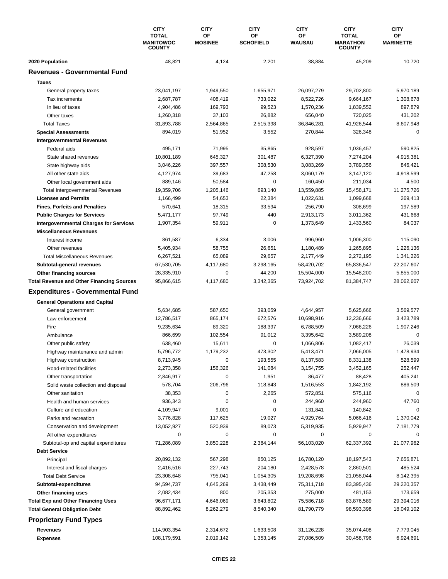|                                                  | <b>CITY</b><br><b>TOTAL</b><br><b>MANITOWOC</b><br><b>COUNTY</b> | <b>CITY</b><br><b>CITY</b><br>OF<br>ΟF |                  | <b>CITY</b><br>OF<br><b>WAUSAU</b> | <b>CITY</b><br><b>TOTAL</b><br><b>MARATHON</b><br><b>COUNTY</b> | <b>CITY</b><br>OF<br><b>MARINETTE</b> |
|--------------------------------------------------|------------------------------------------------------------------|----------------------------------------|------------------|------------------------------------|-----------------------------------------------------------------|---------------------------------------|
|                                                  |                                                                  | <b>MOSINEE</b>                         | <b>SCHOFIELD</b> |                                    |                                                                 |                                       |
| 2020 Population                                  | 48,821                                                           | 4,124                                  | 2,201            | 38,884                             | 45,209                                                          | 10,720                                |
| <b>Revenues - Governmental Fund</b>              |                                                                  |                                        |                  |                                    |                                                                 |                                       |
| <b>Taxes</b>                                     |                                                                  |                                        |                  |                                    |                                                                 |                                       |
| General property taxes                           | 23,041,197                                                       | 1,949,550                              | 1,655,971        | 26,097,279                         | 29,702,800                                                      | 5,970,189                             |
| Tax increments                                   | 2,687,787                                                        | 408,419                                | 733,022          | 8,522,726                          | 9,664,167                                                       | 1,308,678                             |
| In lieu of taxes                                 | 4,904,486                                                        | 169,793                                | 99,523           | 1,570,236                          | 1,839,552                                                       | 897,879                               |
| Other taxes                                      | 1,260,318                                                        | 37,103                                 | 26,882           | 656,040                            | 720,025                                                         | 431,202                               |
| <b>Total Taxes</b>                               | 31,893,788                                                       | 2,564,865                              | 2,515,398        | 36,846,281                         | 41,926,544                                                      | 8,607,948                             |
| <b>Special Assessments</b>                       | 894,019                                                          | 51,952                                 | 3,552            | 270,844                            | 326,348                                                         | 0                                     |
| <b>Intergovernmental Revenues</b>                |                                                                  |                                        |                  |                                    |                                                                 |                                       |
| Federal aids                                     | 495,171                                                          | 71,995                                 | 35,865           | 928,597                            | 1,036,457                                                       | 590,825                               |
| State shared revenues                            | 10,801,189                                                       | 645,327                                | 301,487          | 6,327,390                          | 7,274,204                                                       | 4,915,381                             |
| State highway aids                               | 3,046,226                                                        | 397,557                                | 308,530          | 3,083,269                          | 3,789,356                                                       | 846,421                               |
| All other state aids                             | 4,127,974                                                        | 39,683                                 | 47,258           | 3,060,179                          | 3,147,120                                                       | 4,918,599                             |
| Other local government aids                      | 889,146                                                          | 50,584                                 | 0                | 160,450                            | 211,034                                                         | 4,500                                 |
| <b>Total Intergovernmental Revenues</b>          | 19,359,706                                                       | 1,205,146                              | 693,140          | 13,559,885                         | 15,458,171                                                      | 11,275,726                            |
| <b>Licenses and Permits</b>                      | 1,166,499                                                        | 54,653                                 | 22,384           | 1,022,631                          | 1,099,668                                                       | 269,413                               |
| <b>Fines, Forfeits and Penalties</b>             | 570,641                                                          | 18,315                                 | 33,594           | 256,790                            | 308,699                                                         | 197,589                               |
| <b>Public Charges for Services</b>               | 5,471,177                                                        | 97,749                                 | 440              | 2,913,173                          | 3,011,362                                                       | 431,668                               |
| <b>Intergovernmental Charges for Services</b>    | 1,907,354                                                        | 59,911                                 | 0                | 1,373,649                          | 1,433,560                                                       | 84,037                                |
| <b>Miscellaneous Revenues</b>                    |                                                                  |                                        |                  |                                    |                                                                 |                                       |
| Interest income                                  | 861,587                                                          | 6,334                                  | 3,006            | 996,960                            | 1,006,300                                                       | 115,090                               |
| Other revenues                                   | 5,405,934                                                        | 58,755                                 | 26,651           | 1,180,489                          | 1,265,895                                                       | 1,226,136                             |
| <b>Total Miscellaneous Revenues</b>              | 6,267,521                                                        | 65,089                                 | 29,657           | 2,177,449                          | 2,272,195                                                       | 1,341,226                             |
| Subtotal-general revenues                        | 67,530,705                                                       | 4,117,680                              | 3,298,165        | 58,420,702                         | 65,836,547                                                      | 22,207,607                            |
| Other financing sources                          | 28,335,910                                                       | 0                                      | 44,200           | 15,504,000                         | 15,548,200                                                      | 5,855,000                             |
| <b>Total Revenue and Other Financing Sources</b> | 95,866,615                                                       | 4,117,680                              | 3,342,365        | 73,924,702                         | 81,384,747                                                      | 28,062,607                            |
| <b>Expenditures - Governmental Fund</b>          |                                                                  |                                        |                  |                                    |                                                                 |                                       |
| <b>General Operations and Capital</b>            |                                                                  |                                        |                  |                                    |                                                                 |                                       |
| General government                               | 5,634,685                                                        | 587,650                                | 393,059          | 4,644,957                          | 5,625,666                                                       | 3,569,577                             |
| Law enforcement                                  | 12,786,517                                                       | 865,174                                | 672,576          | 10,698,916                         | 12,236,666                                                      | 3,423,789                             |
| Fire                                             | 9,235,634                                                        | 89,320                                 | 188,397          | 6,788,509                          | 7,066,226                                                       | 1,907,246                             |
| Ambulance                                        | 866,699                                                          | 102,554                                | 91,012           | 3,395,642                          | 3,589,208                                                       | 0                                     |
| Other public safety                              | 638,460                                                          | 15,611                                 | 0                | 1,066,806                          | 1,082,417                                                       | 26,039                                |
| Highway maintenance and admin                    | 5,796,772                                                        | 1,179,232                              | 473,302          | 5,413,471                          | 7,066,005                                                       | 1,478,934                             |
| Highway construction                             | 8,713,945                                                        | 0                                      | 193,555          | 8,137,583                          | 8,331,138                                                       | 528,599                               |
| Road-related facilities                          | 2,273,358                                                        | 156,326                                | 141,084          | 3,154,755                          | 3,452,165                                                       | 252,447                               |
| Other transportation                             | 2,846,917                                                        | 0                                      | 1,951            | 86,477                             | 88,428                                                          | 405,241                               |
| Solid waste collection and disposal              | 578,704                                                          | 206,796                                | 118,843          | 1,516,553                          | 1,842,192                                                       | 886,509                               |
| Other sanitation                                 | 38,353                                                           | 0                                      | 2,265            | 572,851                            | 575,116                                                         | 0                                     |
| Health and human services                        | 936,343                                                          | 0                                      | 0                | 244,960                            | 244,960                                                         | 47,760                                |
| Culture and education                            | 4,109,947                                                        | 9,001                                  | 0                | 131,841                            | 140,842                                                         | 0                                     |
| Parks and recreation                             | 3,776,828                                                        | 117,625                                | 19,027           | 4,929,764                          | 5,066,416                                                       | 1,370,042                             |
| Conservation and development                     | 13,052,927                                                       | 520,939                                | 89,073           | 5,319,935                          | 5,929,947                                                       | 7,181,779                             |
| All other expenditures                           | 0                                                                | 0                                      | 0                | 0                                  | 0                                                               | 0                                     |
| Subtotal-op and capital expenditures             | 71,286,089                                                       | 3,850,228                              | 2,384,144        | 56,103,020                         | 62,337,392                                                      | 21,077,962                            |
| <b>Debt Service</b>                              |                                                                  |                                        |                  |                                    |                                                                 |                                       |
| Principal                                        | 20,892,132                                                       | 567,298                                | 850,125          | 16,780,120                         | 18,197,543                                                      | 7,656,871                             |
| Interest and fiscal charges                      | 2,416,516                                                        | 227,743                                | 204,180          | 2,428,578                          | 2,860,501                                                       | 485,524                               |
| <b>Total Debt Service</b>                        | 23,308,648                                                       | 795,041                                | 1,054,305        | 19,208,698                         | 21,058,044                                                      | 8,142,395                             |
| Subtotal-expenditures                            | 94,594,737                                                       | 4,645,269                              | 3,438,449        | 75,311,718                         | 83,395,436                                                      | 29,220,357                            |
| Other financing uses                             | 2,082,434                                                        | 800                                    | 205,353          | 275,000                            | 481,153                                                         | 173,659                               |
| <b>Total Exp and Other Financing Uses</b>        | 96,677,171                                                       | 4,646,069                              | 3,643,802        | 75,586,718                         | 83,876,589                                                      | 29,394,016                            |
| <b>Total General Obligation Debt</b>             | 88,892,462                                                       | 8,262,279                              | 8,540,340        | 81,790,779                         | 98,593,398                                                      | 18,049,102                            |
| <b>Proprietary Fund Types</b>                    |                                                                  |                                        |                  |                                    |                                                                 |                                       |
| Revenues                                         | 114,903,354                                                      | 2,314,672                              | 1,633,508        | 31,126,228                         | 35,074,408                                                      | 7,779,045                             |
| <b>Expenses</b>                                  | 108,179,591                                                      | 2,019,142                              | 1,353,145        | 27,086,509                         | 30,458,796                                                      | 6,924,691                             |
|                                                  |                                                                  |                                        |                  |                                    |                                                                 |                                       |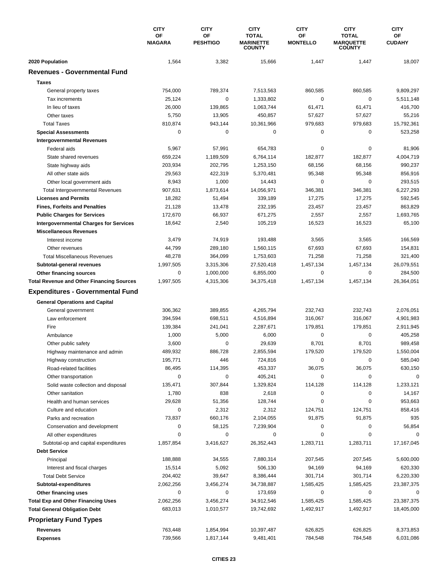|                                                                   | <b>CITY</b><br>OF<br><b>NIAGARA</b> | <b>CITY</b><br>OF<br><b>PESHTIGO</b> | <b>CITY</b><br><b>TOTAL</b><br><b>MARINETTE</b><br><b>COUNTY</b> | <b>CITY</b><br><b>OF</b><br><b>MONTELLO</b> | <b>CITY</b><br><b>TOTAL</b><br><b>MARQUETTE</b><br><b>COUNTY</b> | <b>CITY</b><br>ОF<br><b>CUDAHY</b> |
|-------------------------------------------------------------------|-------------------------------------|--------------------------------------|------------------------------------------------------------------|---------------------------------------------|------------------------------------------------------------------|------------------------------------|
| 2020 Population                                                   | 1,564                               | 3,382                                | 15,666                                                           | 1,447                                       | 1,447                                                            | 18,007                             |
| <b>Revenues - Governmental Fund</b>                               |                                     |                                      |                                                                  |                                             |                                                                  |                                    |
| <b>Taxes</b>                                                      |                                     |                                      |                                                                  |                                             |                                                                  |                                    |
| General property taxes                                            | 754,000                             | 789,374                              | 7,513,563                                                        | 860,585                                     | 860,585                                                          | 9,809,297                          |
| Tax increments                                                    | 25,124                              | 0                                    | 1,333,802                                                        | $\pmb{0}$                                   | $\mathbf 0$                                                      | 5,511,148                          |
| In lieu of taxes                                                  | 26,000                              | 139,865                              | 1,063,744                                                        | 61,471                                      | 61,471                                                           | 416,700                            |
| Other taxes                                                       | 5,750                               | 13,905                               | 450,857                                                          | 57,627                                      | 57,627                                                           | 55,216                             |
| <b>Total Taxes</b>                                                | 810,874                             | 943,144                              | 10,361,966                                                       | 979,683                                     | 979,683                                                          | 15,792,361                         |
| <b>Special Assessments</b>                                        | 0                                   | 0                                    | 0                                                                | 0                                           | 0                                                                | 523,258                            |
| <b>Intergovernmental Revenues</b>                                 |                                     |                                      |                                                                  |                                             |                                                                  |                                    |
| Federal aids                                                      | 5,967                               | 57,991                               | 654,783                                                          | $\pmb{0}$                                   | 0                                                                | 81,906                             |
| State shared revenues                                             | 659,224                             | 1,189,509                            | 6,764,114                                                        | 182,877                                     | 182,877                                                          | 4,004,719                          |
| State highway aids                                                | 203,934                             | 202,795                              | 1,253,150                                                        | 68,156                                      | 68,156                                                           | 990,237                            |
| All other state aids                                              | 29,563                              | 422,319                              | 5,370,481                                                        | 95,348                                      | 95,348                                                           | 856,916                            |
| Other local government aids                                       | 8,943                               | 1,000                                | 14,443                                                           | $\mathbf 0$                                 | 0                                                                | 293,515                            |
| <b>Total Intergovernmental Revenues</b>                           | 907,631                             | 1,873,614                            | 14,056,971                                                       | 346,381                                     | 346,381                                                          | 6,227,293                          |
| <b>Licenses and Permits</b>                                       | 18,282                              | 51,494                               | 339,189                                                          | 17,275                                      | 17,275                                                           | 592,545                            |
| <b>Fines, Forfeits and Penalties</b>                              | 21,128                              | 13,478                               | 232,195                                                          | 23,457                                      | 23,457                                                           | 863,829                            |
| <b>Public Charges for Services</b>                                | 172,670                             | 66,937                               | 671,275                                                          | 2,557                                       | 2,557                                                            | 1,693,765                          |
| <b>Intergovernmental Charges for Services</b>                     | 18,642                              | 2,540                                | 105,219                                                          | 16,523                                      | 16,523                                                           | 65,100                             |
| <b>Miscellaneous Revenues</b>                                     |                                     |                                      |                                                                  |                                             |                                                                  |                                    |
| Interest income                                                   | 3,479                               | 74,919                               | 193,488                                                          | 3,565                                       | 3,565                                                            | 166,569                            |
| Other revenues                                                    | 44,799                              | 289,180                              | 1,560,115                                                        | 67,693                                      | 67,693                                                           | 154,831                            |
| <b>Total Miscellaneous Revenues</b>                               | 48,278                              | 364,099                              | 1,753,603                                                        | 71,258                                      | 71,258                                                           | 321,400                            |
| Subtotal-general revenues                                         | 1,997,505                           | 3,315,306                            | 27,520,418                                                       | 1,457,134                                   | 1,457,134                                                        | 26,079,551                         |
| Other financing sources                                           | 0                                   | 1,000,000                            | 6,855,000                                                        | 0                                           | 0                                                                | 284,500                            |
| <b>Total Revenue and Other Financing Sources</b>                  | 1,997,505                           | 4,315,306                            | 34,375,418                                                       | 1,457,134                                   | 1,457,134                                                        | 26,364,051                         |
| <b>Expenditures - Governmental Fund</b>                           |                                     |                                      |                                                                  |                                             |                                                                  |                                    |
|                                                                   |                                     |                                      |                                                                  |                                             |                                                                  |                                    |
| <b>General Operations and Capital</b>                             |                                     |                                      |                                                                  |                                             |                                                                  |                                    |
| General government                                                | 306,362                             | 389,855                              | 4,265,794                                                        | 232,743                                     | 232,743                                                          | 2,076,051                          |
| Law enforcement<br>Fire                                           | 394,594                             | 698,511                              | 4,516,894                                                        | 316,067                                     | 316,067                                                          | 4,901,983                          |
|                                                                   | 139,384<br>1,000                    | 241,041<br>5,000                     | 2,287,671<br>6,000                                               | 179,851<br>$\pmb{0}$                        | 179,851<br>$\mathbf 0$                                           | 2,911,945<br>405,258               |
| Ambulance                                                         | 3,600                               | 0                                    | 29,639                                                           | 8,701                                       | 8,701                                                            | 989,458                            |
| Other public safety                                               | 489,932                             | 886,728                              | 2,855,594                                                        | 179,520                                     | 179,520                                                          | 1,550,004                          |
| Highway maintenance and admin                                     | 195,771                             | 446                                  |                                                                  | 0                                           | 0                                                                |                                    |
| Highway construction                                              | 86,495                              |                                      | 724,816                                                          |                                             | 36,075                                                           | 585,040                            |
| Road-related facilities                                           | 0                                   | 114,395<br>0                         | 453,337<br>405,241                                               | 36,075<br>0                                 | 0                                                                | 630,150<br>0                       |
| Other transportation                                              | 135,471                             | 307,844                              | 1,329,824                                                        | 114,128                                     | 114,128                                                          | 1,233,121                          |
| Solid waste collection and disposal<br>Other sanitation           | 1,780                               | 838                                  | 2,618                                                            | 0                                           | 0                                                                | 14,167                             |
| Health and human services                                         | 29,628                              | 51,356                               | 128,744                                                          | 0                                           | 0                                                                | 953,663                            |
|                                                                   | 0                                   | 2,312                                | 2,312                                                            | 124,751                                     | 124,751                                                          | 858,416                            |
| Culture and education<br>Parks and recreation                     | 73,837                              | 660,176                              | 2,104,055                                                        | 91,875                                      | 91,875                                                           | 935                                |
|                                                                   | 0                                   | 58,125                               |                                                                  | 0                                           | 0                                                                |                                    |
| Conservation and development<br>All other expenditures            | 0                                   | 0                                    | 7,239,904<br>0                                                   | 0                                           | 0                                                                | 56,854                             |
| Subtotal-op and capital expenditures                              | 1,857,854                           | 3,416,627                            | 26,352,443                                                       | 1,283,711                                   | 1,283,711                                                        | 17,167,045                         |
| <b>Debt Service</b>                                               |                                     |                                      |                                                                  |                                             |                                                                  |                                    |
| Principal                                                         | 188,888                             | 34,555                               | 7,880,314                                                        | 207,545                                     | 207,545                                                          | 5,600,000                          |
| Interest and fiscal charges                                       | 15,514                              | 5,092                                | 506,130                                                          | 94,169                                      | 94,169                                                           | 620,330                            |
| <b>Total Debt Service</b>                                         | 204,402                             | 39,647                               | 8,386,444                                                        | 301,714                                     | 301,714                                                          | 6,220,330                          |
| Subtotal-expenditures                                             | 2,062,256                           | 3,456,274                            | 34,738,887                                                       | 1,585,425                                   | 1,585,425                                                        | 23,387,375                         |
|                                                                   | 0                                   | 0                                    | 173,659                                                          | 0                                           | 0                                                                | 0                                  |
| Other financing uses<br><b>Total Exp and Other Financing Uses</b> | 2,062,256                           | 3,456,274                            | 34,912,546                                                       | 1,585,425                                   | 1,585,425                                                        | 23,387,375                         |
| <b>Total General Obligation Debt</b>                              | 683,013                             | 1,010,577                            | 19,742,692                                                       | 1,492,917                                   | 1,492,917                                                        | 18,405,000                         |
|                                                                   |                                     |                                      |                                                                  |                                             |                                                                  |                                    |
| <b>Proprietary Fund Types</b>                                     |                                     |                                      |                                                                  |                                             |                                                                  |                                    |
| <b>Revenues</b>                                                   | 763,448                             | 1,854,994                            | 10,397,487                                                       | 626,825                                     | 626,825                                                          | 8,373,853                          |
| <b>Expenses</b>                                                   | 739,566                             | 1,817,144                            | 9,481,401                                                        | 784,548                                     | 784,548                                                          | 6,031,086                          |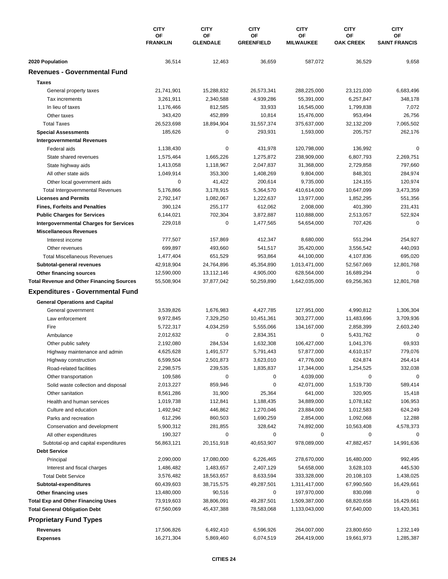|                                                  | <b>CITY</b><br>OF<br><b>FRANKLIN</b> | <b>CITY</b><br><b>CITY</b><br>OF<br>0F |                   | <b>CITY</b><br><b>OF</b><br><b>MILWAUKEE</b> | <b>CITY</b><br>ΟF<br><b>OAK CREEK</b> | <b>CITY</b><br><b>OF</b><br><b>SAINT FRANCIS</b> |
|--------------------------------------------------|--------------------------------------|----------------------------------------|-------------------|----------------------------------------------|---------------------------------------|--------------------------------------------------|
|                                                  |                                      | <b>GLENDALE</b>                        | <b>GREENFIELD</b> |                                              |                                       |                                                  |
| 2020 Population                                  | 36,514                               | 12,463                                 | 36,659            | 587,072                                      | 36,529                                | 9,658                                            |
| <b>Revenues - Governmental Fund</b>              |                                      |                                        |                   |                                              |                                       |                                                  |
| <b>Taxes</b>                                     |                                      |                                        |                   |                                              |                                       |                                                  |
| General property taxes                           | 21,741,901                           | 15,288,832                             | 26,573,341        | 288,225,000                                  | 23,121,030                            | 6,683,496                                        |
| Tax increments                                   | 3,261,911                            | 2,340,588                              | 4,939,286         | 55,391,000                                   | 6,257,847                             | 348,178                                          |
| In lieu of taxes                                 | 1,176,466                            | 812,585                                | 33,933            | 16,545,000                                   | 1,799,838                             | 7,072                                            |
| Other taxes                                      | 343,420                              | 452,899                                | 10,814            | 15,476,000                                   | 953,494                               | 26,756                                           |
| <b>Total Taxes</b>                               | 26,523,698                           | 18,894,904                             | 31,557,374        | 375,637,000                                  | 32,132,209                            | 7,065,502                                        |
| <b>Special Assessments</b>                       | 185,626                              | 0                                      | 293,931           | 1,593,000                                    | 205,757                               | 262,176                                          |
| <b>Intergovernmental Revenues</b>                |                                      |                                        |                   |                                              |                                       |                                                  |
| Federal aids                                     | 1,138,430                            | 0                                      | 431,978           | 120,798,000                                  | 136,992                               | $\Omega$                                         |
| State shared revenues                            | 1,575,464                            | 1,665,226                              | 1,275,872         | 238,909,000                                  | 6,807,793                             | 2,269,751                                        |
| State highway aids                               | 1,413,058                            | 1,118,967                              | 2,047,837         | 31,368,000                                   | 2,729,858                             | 797,660                                          |
| All other state aids                             | 1,049,914                            | 353,300                                | 1,408,269         | 9,804,000                                    | 848,301                               | 284,974                                          |
| Other local government aids                      | 0                                    | 41,422                                 | 200,614           | 9,735,000                                    | 124,155                               | 120,974                                          |
| <b>Total Intergovernmental Revenues</b>          | 5,176,866                            | 3,178,915                              | 5,364,570         | 410,614,000                                  | 10,647,099                            | 3,473,359                                        |
| <b>Licenses and Permits</b>                      | 2,792,147                            | 1,082,067                              | 1,222,637         | 13,977,000                                   | 1,852,295                             | 551,356                                          |
| <b>Fines, Forfeits and Penalties</b>             | 390,124                              | 255,177                                | 612,062           | 2,008,000                                    | 401,390                               | 231,431                                          |
| <b>Public Charges for Services</b>               | 6,144,021                            | 702,304                                | 3,872,887         | 110,888,000                                  | 2,513,057                             | 522,924                                          |
| <b>Intergovernmental Charges for Services</b>    | 229,018                              | 0                                      | 1,477,565         | 54,654,000                                   | 707,426                               | $\mathbf 0$                                      |
| <b>Miscellaneous Revenues</b>                    |                                      |                                        |                   |                                              |                                       |                                                  |
| Interest income                                  | 777,507                              | 157,869                                | 412,347           | 8,680,000                                    | 551,294                               | 254,927                                          |
| Other revenues                                   | 699,897                              | 493,660                                | 541,517           | 35,420,000                                   | 3,556,542                             | 440,093                                          |
| <b>Total Miscellaneous Revenues</b>              | 1,477,404                            | 651,529                                | 953,864           | 44,100,000                                   | 4,107,836                             | 695,020                                          |
| Subtotal-general revenues                        | 42,918,904                           | 24,764,896                             | 45,354,890        | 1,013,471,000                                | 52,567,069                            | 12,801,768                                       |
| Other financing sources                          | 12,590,000                           | 13,112,146                             | 4,905,000         | 628,564,000                                  | 16,689,294                            | 0                                                |
| <b>Total Revenue and Other Financing Sources</b> | 55,508,904                           | 37,877,042                             | 50,259,890        | 1,642,035,000                                | 69,256,363                            | 12,801,768                                       |
| <b>Expenditures - Governmental Fund</b>          |                                      |                                        |                   |                                              |                                       |                                                  |
| <b>General Operations and Capital</b>            |                                      |                                        |                   |                                              |                                       |                                                  |
| General government                               | 3,539,826                            | 1,676,983                              | 4,427,785         | 127,951,000                                  | 4,990,812                             | 1,306,304                                        |
| Law enforcement                                  | 9,972,845                            | 7,329,250                              | 10,451,361        | 303,277,000                                  | 11,483,696                            | 3,709,936                                        |
| Fire                                             | 5,722,317                            | 4,034,259                              | 5,555,066         | 134,167,000                                  | 2,858,399                             | 2,603,240                                        |
| Ambulance                                        | 2,012,632                            | 0                                      | 2,834,351         | 0                                            | 5,431,762                             | 0                                                |
| Other public safety                              | 2,192,080                            | 284,534                                | 1,632,308         | 106,427,000                                  | 1,041,376                             | 69,933                                           |
| Highway maintenance and admin                    | 4,625,628                            | 1,491,577                              | 5,791,443         | 57,877,000                                   | 4,610,157                             | 779,076                                          |
| Highway construction                             | 6,599,504                            | 2,501,873                              | 3,623,010         | 47,776,000                                   | 624,874                               | 264,414                                          |
| Road-related facilities                          | 2,298,575                            | 239,535                                | 1,835,837         | 17,344,000                                   | 1,254,525                             | 332,038                                          |
| Other transportation                             | 109,586                              | 0                                      | 0                 | 4,039,000                                    | 0                                     | $\Omega$                                         |
| Solid waste collection and disposal              | 2,013,227                            | 859,946                                | 0                 | 42,071,000                                   | 1,519,730                             | 589,414                                          |
| Other sanitation                                 | 8,561,286                            | 31,900                                 | 25,364            | 641,000                                      | 320,905                               | 15,418                                           |
| Health and human services                        | 1,019,738                            | 112,841                                | 1,188,435         | 34,889,000                                   | 1,078,162                             | 106,953                                          |
| Culture and education                            | 1,492,942                            | 446,862                                | 1,270,046         | 23,884,000                                   | 1,012,583                             | 624,249                                          |
| Parks and recreation                             | 612,296                              | 860,503                                | 1,690,259         | 2,854,000                                    | 1,092,068                             | 12,288                                           |
| Conservation and development                     | 5,900,312                            | 281,855                                | 328,642           | 74,892,000                                   | 10,563,408                            | 4,578,373                                        |
| All other expenditures                           | 190,327                              | 0                                      | 0                 | 0                                            | 0                                     |                                                  |
| Subtotal-op and capital expenditures             | 56,863,121                           | 20,151,918                             | 40,653,907        | 978,089,000                                  | 47,882,457                            | 14,991,636                                       |
| <b>Debt Service</b>                              |                                      |                                        |                   |                                              |                                       |                                                  |
| Principal                                        | 2,090,000                            | 17,080,000                             | 6,226,465         | 278,670,000                                  | 16,480,000                            | 992,495                                          |
| Interest and fiscal charges                      | 1,486,482                            | 1,483,657                              | 2,407,129         | 54,658,000                                   | 3,628,103                             | 445,530                                          |
| <b>Total Debt Service</b>                        | 3,576,482                            | 18,563,657                             | 8,633,594         | 333,328,000                                  | 20,108,103                            | 1,438,025                                        |
| Subtotal-expenditures                            | 60,439,603                           | 38,715,575                             | 49,287,501        | 1,311,417,000                                | 67,990,560                            | 16,429,661                                       |
| Other financing uses                             | 13,480,000                           | 90,516                                 | 0                 | 197,970,000                                  | 830,098                               | 0                                                |
| <b>Total Exp and Other Financing Uses</b>        | 73,919,603                           | 38,806,091                             | 49,287,501        | 1,509,387,000                                | 68,820,658                            | 16,429,661                                       |
| <b>Total General Obligation Debt</b>             | 67,560,069                           | 45,437,388                             | 78,583,068        | 1,133,043,000                                | 97,640,000                            | 19,420,361                                       |
|                                                  |                                      |                                        |                   |                                              |                                       |                                                  |
| <b>Proprietary Fund Types</b>                    |                                      |                                        |                   |                                              |                                       |                                                  |
| Revenues                                         | 17,506,826                           | 6,492,410                              | 6,596,926         | 264,007,000                                  | 23,800,650                            | 1,232,149                                        |
| <b>Expenses</b>                                  | 16,271,304                           | 5,869,460                              | 6,074,519         | 264,419,000                                  | 19,661,973                            | 1,285,387                                        |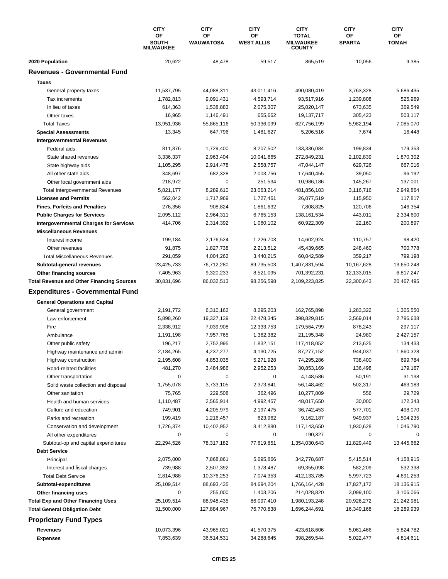|                                                  | <b>CITY</b><br>OF                | <b>CITY</b>            | <b>CITY</b>             | <b>CITY</b><br><b>TOTAL</b>       | <b>CITY</b>         | <b>CITY</b><br>ОF |
|--------------------------------------------------|----------------------------------|------------------------|-------------------------|-----------------------------------|---------------------|-------------------|
|                                                  | <b>SOUTH</b><br><b>MILWAUKEE</b> | OF<br><b>WAUWATOSA</b> | ΟF<br><b>WEST ALLIS</b> | <b>MILWAUKEE</b><br><b>COUNTY</b> | OF<br><b>SPARTA</b> | <b>TOMAH</b>      |
| 2020 Population                                  | 20,622                           | 48,478                 | 59,517                  | 865,519                           | 10,056              | 9,385             |
| <b>Revenues - Governmental Fund</b>              |                                  |                        |                         |                                   |                     |                   |
| <b>Taxes</b>                                     |                                  |                        |                         |                                   |                     |                   |
| General property taxes                           | 11,537,795                       | 44,088,311             | 43,011,416              | 490,080,419                       | 3,763,328           | 5,686,435         |
| Tax increments                                   | 1,782,813                        | 9,091,431              | 4,593,714               | 93,517,916                        | 1,239,808           | 525,969           |
| In lieu of taxes                                 | 614,363                          | 1,538,883              | 2,075,307               | 25,020,147                        | 673,635             | 369,549           |
| Other taxes                                      | 16,965                           | 1,146,491              | 655,662                 | 19,137,717                        | 305,423             | 503,117           |
| <b>Total Taxes</b>                               | 13,951,936                       | 55,865,116             | 50,336,099              | 627,756,199                       | 5,982,194           | 7,085,070         |
| <b>Special Assessments</b>                       | 13,345                           | 647,796                | 1,481,627               | 5,206,516                         | 7,674               | 16,448            |
| <b>Intergovernmental Revenues</b>                |                                  |                        |                         |                                   |                     |                   |
| Federal aids                                     | 811,876                          | 1,729,400              | 8,207,502               | 133,336,084                       | 199,834             | 179,353           |
| State shared revenues                            | 3,336,337                        | 2,963,404              | 10,041,665              | 272,849,231                       | 2,102,839           | 1,870,302         |
| State highway aids                               | 1,105,295                        | 2,914,478              | 2,558,757               | 47,044,147                        | 629,726             | 667,016           |
| All other state aids                             | 348,697                          | 682,328                | 2,003,756               | 17,640,455                        | 39,050              | 96,192            |
| Other local government aids                      | 218,972                          | 0                      | 251,534                 | 10,986,186                        | 145,267             | 137,001           |
| <b>Total Intergovernmental Revenues</b>          | 5,821,177                        | 8,289,610              | 23,063,214              | 481,856,103                       | 3,116,716           | 2,949,864         |
| <b>Licenses and Permits</b>                      | 562,042                          | 1,717,969              | 1,727,461               | 26,077,519                        | 115,950             | 117,817           |
| <b>Fines, Forfeits and Penalties</b>             | 276,356                          | 908,824                | 1,861,632               | 7,808,825                         | 120,706             | 146,354           |
| <b>Public Charges for Services</b>               | 2,095,112                        | 2,964,311              | 6,765,153               | 138, 161, 534                     | 443,011             | 2,334,600         |
| <b>Intergovernmental Charges for Services</b>    | 414,706                          | 2,314,392              | 1,060,102               | 60,922,309                        | 22,160              | 200,897           |
| <b>Miscellaneous Revenues</b>                    |                                  |                        |                         |                                   |                     |                   |
| Interest income                                  | 199,184                          | 2,176,524              | 1,226,703               | 14,602,924                        | 110,757             | 98,420            |
| Other revenues                                   | 91,875                           | 1,827,738              | 2,213,512               | 45,439,665                        | 248,460             | 700,778           |
| <b>Total Miscellaneous Revenues</b>              | 291,059                          | 4,004,262              | 3,440,215               | 60,042,589                        | 359,217             | 799,198           |
| Subtotal-general revenues                        | 23,425,733                       | 76,712,280             | 89,735,503              | 1,407,831,594                     | 10,167,628          | 13,650,248        |
| Other financing sources                          | 7,405,963                        | 9,320,233              | 8,521,095               | 701,392,231                       | 12,133,015          | 6,817,247         |
| <b>Total Revenue and Other Financing Sources</b> | 30,831,696                       | 86,032,513             | 98,256,598              | 2,109,223,825                     | 22,300,643          | 20,467,495        |
| <b>Expenditures - Governmental Fund</b>          |                                  |                        |                         |                                   |                     |                   |
| <b>General Operations and Capital</b>            |                                  |                        |                         |                                   |                     |                   |
| General government                               | 2,191,772                        | 6,310,162              | 8,295,203               | 162,765,898                       | 1,283,322           | 1,305,550         |
| Law enforcement                                  | 5,898,260                        | 19,327,139             | 22,478,345              | 398,829,815                       | 3,569,014           | 2,796,638         |
| Fire                                             | 2,338,912                        | 7,039,908              | 12,333,753              | 179,564,799                       | 878,243             | 297,117           |
| Ambulance                                        | 1,191,198                        | 7,957,765              | 1,362,382               | 21,195,348                        | 24,980              | 2,427,157         |
| Other public safety                              | 196,217                          | 2,752,995              | 1,832,151               | 117,418,052                       | 213,625             | 134,433           |
| Highway maintenance and admin                    | 2,184,265                        | 4,237,277              | 4,130,725               | 87,277,152                        | 944,037             | 1,860,328         |
| Highway construction                             | 2,195,608                        | 4,853,035              | 5,271,928               | 74,295,286                        | 738,400             | 699,784           |
| Road-related facilities                          | 481,270                          | 3,484,986              | 2,952,253               | 30,853,169                        | 136,498             | 179,167           |
| Other transportation                             | 0                                | 0                      | 0                       | 4,148,586                         | 50,191              | 31,138            |
| Solid waste collection and disposal              | 1,755,078                        | 3,733,105              | 2,373,841               | 56,148,462                        | 502,317             | 463,183           |
| Other sanitation                                 | 75,765                           | 229,508                | 362,496                 | 10,277,809                        | 556                 | 29,729            |
| Health and human services                        | 1,110,487                        | 2,565,914              | 4,992,457               | 48,017,650                        | 30,000              | 172,343           |
| Culture and education                            | 749,901                          | 4,205,979              | 2,197,475               | 36,742,453                        | 577,701             | 498,070           |
| Parks and recreation                             | 199,419                          | 1,216,457              | 623,962                 | 9,162,187                         | 949,937             | 1,504,235         |
| Conservation and development                     | 1,726,374                        | 10,402,952             | 8,412,880               | 117,143,650                       | 1,930,628           | 1,046,790         |
| All other expenditures                           | 0                                | 0                      | 0                       | 190,327                           | 0                   | 0                 |
| Subtotal-op and capital expenditures             | 22,294,526                       | 78,317,182             | 77,619,851              | 1,354,030,643                     | 11,829,449          | 13,445,662        |
| <b>Debt Service</b>                              |                                  |                        |                         |                                   |                     |                   |
| Principal                                        | 2,075,000                        | 7,868,861              | 5,695,866               | 342,778,687                       | 5,415,514           | 4,158,915         |
| Interest and fiscal charges                      | 739,988                          | 2,507,392              | 1,378,487               | 69,355,098                        | 582,209             | 532,338           |
| <b>Total Debt Service</b>                        | 2,814,988                        | 10,376,253             | 7,074,353               | 412,133,785                       | 5,997,723           | 4,691,253         |
| Subtotal-expenditures                            | 25,109,514                       | 88,693,435             | 84,694,204              | 1,766,164,428                     | 17,827,172          | 18,136,915        |
| Other financing uses                             | 0                                | 255,000                | 1,403,206               | 214,028,820                       | 3,099,100           | 3,106,066         |
| <b>Total Exp and Other Financing Uses</b>        | 25,109,514                       | 88,948,435             | 86,097,410              | 1,980,193,248                     | 20,926,272          | 21,242,981        |
| <b>Total General Obligation Debt</b>             | 31,500,000                       | 127,884,967            | 76,770,838              | 1,696,244,691                     | 16,349,168          | 18,289,939        |
| <b>Proprietary Fund Types</b>                    |                                  |                        |                         |                                   |                     |                   |
| Revenues                                         | 10,073,396                       | 43,965,021             | 41,570,375              | 423,618,606                       | 5,061,466           | 5,824,782         |
| <b>Expenses</b>                                  | 7,853,639                        | 36,514,531             | 34,288,645              | 398,269,544                       | 5,022,477           | 4,814,611         |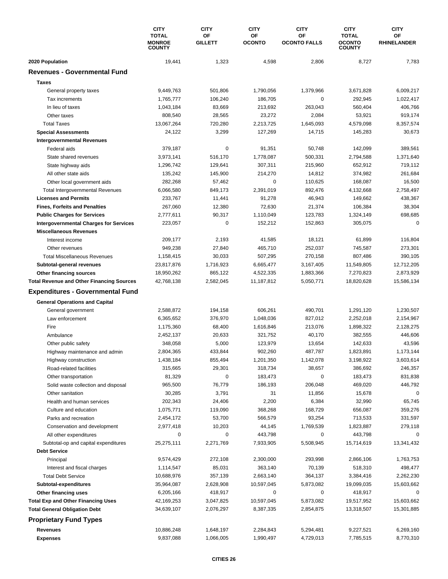|                                                  | <b>CITY</b><br><b>TOTAL</b><br><b>MONROE</b><br><b>COUNTY</b> | <b>CITY</b><br>ОF<br><b>GILLETT</b> | <b>CITY</b> | <b>CITY</b><br>ΟF<br>OF<br><b>OCONTO</b><br><b>OCONTO FALLS</b> | <b>CITY</b><br><b>TOTAL</b><br><b>OCONTO</b><br><b>COUNTY</b> | <b>CITY</b><br>ОF<br><b>RHINELANDER</b> |
|--------------------------------------------------|---------------------------------------------------------------|-------------------------------------|-------------|-----------------------------------------------------------------|---------------------------------------------------------------|-----------------------------------------|
|                                                  |                                                               |                                     |             |                                                                 |                                                               |                                         |
|                                                  |                                                               |                                     |             |                                                                 |                                                               |                                         |
| 2020 Population                                  | 19,441                                                        | 1,323                               | 4,598       | 2,806                                                           | 8,727                                                         | 7,783                                   |
| <b>Revenues - Governmental Fund</b>              |                                                               |                                     |             |                                                                 |                                                               |                                         |
| <b>Taxes</b>                                     |                                                               |                                     |             |                                                                 |                                                               |                                         |
| General property taxes                           | 9,449,763                                                     | 501,806                             | 1,790,056   | 1,379,966                                                       | 3,671,828                                                     | 6,009,217                               |
| Tax increments                                   | 1,765,777                                                     | 106,240                             | 186,705     | 0                                                               | 292,945                                                       | 1,022,417                               |
| In lieu of taxes                                 | 1,043,184                                                     | 83,669                              | 213,692     | 263,043                                                         | 560,404                                                       | 406,766                                 |
| Other taxes                                      | 808,540                                                       | 28,565                              | 23,272      | 2,084                                                           | 53,921                                                        | 919,174                                 |
| <b>Total Taxes</b>                               | 13,067,264                                                    | 720,280                             | 2,213,725   | 1,645,093                                                       | 4,579,098                                                     | 8,357,574                               |
| <b>Special Assessments</b>                       | 24,122                                                        | 3,299                               | 127,269     | 14,715                                                          | 145,283                                                       | 30,673                                  |
| <b>Intergovernmental Revenues</b>                |                                                               |                                     |             |                                                                 |                                                               |                                         |
| Federal aids                                     | 379,187                                                       | 0                                   | 91,351      | 50,748                                                          | 142,099                                                       | 389,561                                 |
| State shared revenues                            | 3,973,141                                                     | 516,170                             | 1,778,087   | 500,331                                                         | 2,794,588                                                     | 1,371,640                               |
| State highway aids                               | 1,296,742                                                     | 129,641                             | 307,311     | 215,960                                                         | 652,912                                                       | 719,112                                 |
| All other state aids                             | 135,242                                                       | 145,900                             | 214,270     | 14,812                                                          | 374,982                                                       | 261,684                                 |
| Other local government aids                      | 282,268                                                       | 57,462                              | 0           | 110,625                                                         | 168,087                                                       | 16,500                                  |
| <b>Total Intergovernmental Revenues</b>          | 6,066,580                                                     | 849,173                             | 2,391,019   | 892,476                                                         | 4,132,668                                                     | 2,758,497                               |
| <b>Licenses and Permits</b>                      | 233,767                                                       | 11,441                              | 91,278      | 46,943                                                          | 149,662                                                       | 438,367                                 |
| <b>Fines, Forfeits and Penalties</b>             | 267,060                                                       | 12,380                              | 72,630      | 21,374                                                          | 106,384                                                       | 38,304                                  |
| <b>Public Charges for Services</b>               | 2,777,611                                                     | 90,317                              | 1,110,049   | 123,783                                                         | 1,324,149                                                     | 698,685                                 |
| <b>Intergovernmental Charges for Services</b>    | 223,057                                                       | 0                                   | 152,212     | 152,863                                                         | 305,075                                                       | $\mathbf 0$                             |
| <b>Miscellaneous Revenues</b>                    |                                                               |                                     |             |                                                                 |                                                               |                                         |
| Interest income                                  | 209,177                                                       | 2,193                               | 41,585      | 18,121                                                          | 61,899                                                        | 116,804                                 |
| Other revenues                                   | 949,238                                                       | 27,840                              | 465,710     | 252,037                                                         | 745,587                                                       | 273,301                                 |
| <b>Total Miscellaneous Revenues</b>              | 1,158,415                                                     | 30,033                              | 507,295     | 270,158                                                         | 807,486                                                       | 390,105                                 |
| Subtotal-general revenues                        | 23,817,876                                                    | 1,716,923                           | 6,665,477   | 3,167,405                                                       | 11,549,805                                                    | 12,712,205                              |
| Other financing sources                          | 18,950,262                                                    | 865,122                             | 4,522,335   | 1,883,366                                                       | 7,270,823                                                     | 2,873,929                               |
| <b>Total Revenue and Other Financing Sources</b> | 42,768,138                                                    | 2,582,045                           | 11,187,812  | 5,050,771                                                       | 18,820,628                                                    | 15,586,134                              |
| <b>Expenditures - Governmental Fund</b>          |                                                               |                                     |             |                                                                 |                                                               |                                         |
| <b>General Operations and Capital</b>            |                                                               |                                     |             |                                                                 |                                                               |                                         |
| General government                               | 2,588,872                                                     | 194,158                             | 606,261     | 490,701                                                         | 1,291,120                                                     | 1,230,507                               |
| Law enforcement                                  | 6,365,652                                                     | 376,970                             | 1,048,036   | 827,012                                                         | 2,252,018                                                     | 2,154,967                               |
| Fire                                             | 1,175,360                                                     | 68,400                              | 1,616,846   | 213,076                                                         | 1,898,322                                                     | 2,128,275                               |
| Ambulance                                        | 2,452,137                                                     | 20,633                              | 321,752     | 40,170                                                          | 382,555                                                       | 446,606                                 |
| Other public safety                              | 348,058                                                       | 5,000                               | 123,979     | 13,654                                                          | 142,633                                                       | 43,596                                  |
| Highway maintenance and admin                    | 2,804,365                                                     | 433,844                             | 902,260     | 487,787                                                         | 1,823,891                                                     | 1,173,144                               |
| Highway construction                             | 1,438,184                                                     | 855,494                             | 1,201,350   | 1,142,078                                                       | 3,198,922                                                     | 3,603,614                               |
| Road-related facilities                          | 315,665                                                       | 29,301                              | 318,734     | 38,657                                                          | 386,692                                                       | 246,357                                 |
| Other transportation                             | 81,329                                                        | 0                                   | 183,473     | 0                                                               | 183,473                                                       | 831,838                                 |
| Solid waste collection and disposal              | 965,500                                                       | 76,779                              | 186,193     | 206,048                                                         | 469,020                                                       | 446,792                                 |
| Other sanitation                                 | 30,285                                                        | 3,791                               | 31          | 11,856                                                          | 15,678                                                        | 0                                       |
| Health and human services                        | 202,343                                                       | 24,406                              | 2,200       | 6,384                                                           | 32,990                                                        | 65,745                                  |
| Culture and education                            | 1,075,771                                                     | 119,090                             | 368,268     | 168,729                                                         | 656,087                                                       | 359,276                                 |
| Parks and recreation                             | 2,454,172                                                     | 53,700                              | 566,579     | 93,254                                                          | 713,533                                                       | 331,597                                 |
| Conservation and development                     | 2,977,418                                                     | 10,203                              | 44,145      | 1,769,539                                                       | 1,823,887                                                     | 279,118                                 |
| All other expenditures                           | 0                                                             | 0                                   | 443,798     | 0                                                               | 443,798                                                       | $\Omega$                                |
| Subtotal-op and capital expenditures             | 25,275,111                                                    | 2,271,769                           | 7,933,905   | 5,508,945                                                       | 15,714,619                                                    | 13,341,432                              |
| <b>Debt Service</b>                              |                                                               |                                     |             |                                                                 |                                                               |                                         |
| Principal                                        | 9,574,429                                                     | 272,108                             | 2,300,000   | 293,998                                                         | 2,866,106                                                     | 1,763,753                               |
| Interest and fiscal charges                      | 1,114,547                                                     | 85,031                              | 363,140     | 70,139                                                          | 518,310                                                       | 498,477                                 |
| <b>Total Debt Service</b>                        | 10,688,976                                                    | 357,139                             | 2,663,140   | 364,137                                                         | 3,384,416                                                     | 2,262,230                               |
| Subtotal-expenditures                            | 35,964,087                                                    | 2,628,908                           | 10,597,045  | 5,873,082                                                       | 19,099,035                                                    | 15,603,662                              |
| Other financing uses                             | 6,205,166                                                     | 418,917                             | 0           | 0                                                               | 418,917                                                       | 0                                       |
| <b>Total Exp and Other Financing Uses</b>        | 42,169,253                                                    | 3,047,825                           | 10,597,045  | 5,873,082                                                       | 19,517,952                                                    | 15,603,662                              |
| <b>Total General Obligation Debt</b>             | 34,639,107                                                    | 2,076,297                           | 8,387,335   | 2,854,875                                                       | 13,318,507                                                    | 15,301,885                              |
| <b>Proprietary Fund Types</b>                    |                                                               |                                     |             |                                                                 |                                                               |                                         |
| Revenues                                         | 10,886,248                                                    | 1,648,197                           | 2,284,843   | 5,294,481                                                       | 9,227,521                                                     | 6,269,160                               |
| <b>Expenses</b>                                  | 9,837,088                                                     | 1,066,005                           | 1,990,497   | 4,729,013                                                       | 7,785,515                                                     | 8,770,310                               |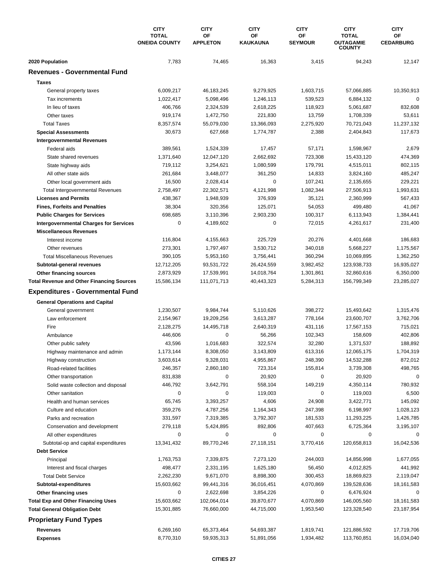|                                                  | <b>CITY</b><br><b>TOTAL</b><br><b>ONEIDA COUNTY</b> | <b>CITY</b><br>OF<br><b>APPLETON</b> | <b>CITY</b><br>ΟF<br>KAUKAUNA | <b>CITY</b><br>OF<br><b>SEYMOUR</b> | <b>CITY</b><br><b>TOTAL</b><br><b>OUTAGAMIE</b><br><b>COUNTY</b> | <b>CITY</b><br><b>OF</b><br><b>CEDARBURG</b> |
|--------------------------------------------------|-----------------------------------------------------|--------------------------------------|-------------------------------|-------------------------------------|------------------------------------------------------------------|----------------------------------------------|
| 2020 Population                                  | 7,783                                               | 74,465                               | 16,363                        | 3,415                               | 94,243                                                           | 12,147                                       |
| <b>Revenues - Governmental Fund</b>              |                                                     |                                      |                               |                                     |                                                                  |                                              |
| <b>Taxes</b>                                     |                                                     |                                      |                               |                                     |                                                                  |                                              |
| General property taxes                           | 6,009,217                                           | 46, 183, 245                         | 9,279,925                     | 1,603,715                           | 57,066,885                                                       | 10,350,913                                   |
| Tax increments                                   | 1,022,417                                           | 5,098,496                            | 1,246,113                     | 539,523                             | 6,884,132                                                        | $\mathbf 0$                                  |
| In lieu of taxes                                 | 406,766                                             | 2,324,539                            | 2,618,225                     | 118,923                             | 5,061,687                                                        | 832,608                                      |
| Other taxes                                      | 919,174                                             | 1,472,750                            | 221,830                       | 13,759                              | 1,708,339                                                        | 53,611                                       |
| <b>Total Taxes</b>                               | 8,357,574                                           | 55,079,030                           | 13,366,093                    | 2,275,920                           | 70,721,043                                                       | 11,237,132                                   |
| <b>Special Assessments</b>                       | 30,673                                              | 627,668                              | 1,774,787                     | 2,388                               | 2,404,843                                                        | 117,673                                      |
| <b>Intergovernmental Revenues</b>                |                                                     |                                      |                               |                                     |                                                                  |                                              |
| Federal aids                                     | 389,561                                             | 1,524,339                            | 17,457                        | 57,171                              | 1,598,967                                                        | 2,679                                        |
| State shared revenues                            | 1,371,640                                           | 12,047,120                           | 2,662,692                     | 723,308                             | 15,433,120                                                       | 474,369                                      |
| State highway aids                               | 719,112                                             | 3,254,621                            | 1,080,599                     | 179,791                             | 4,515,011                                                        | 802,115                                      |
| All other state aids                             | 261,684                                             | 3,448,077                            | 361,250                       | 14,833                              | 3,824,160                                                        | 485,247                                      |
| Other local government aids                      | 16,500                                              | 2,028,414                            | 0                             | 107,241                             | 2,135,655                                                        | 229,221                                      |
| <b>Total Intergovernmental Revenues</b>          | 2,758,497                                           | 22,302,571                           | 4,121,998                     | 1,082,344                           | 27,506,913                                                       | 1,993,631                                    |
| <b>Licenses and Permits</b>                      | 438,367                                             | 1,948,939                            | 376,939                       | 35,121                              | 2,360,999                                                        | 567,433                                      |
| <b>Fines, Forfeits and Penalties</b>             | 38,304                                              | 320,356                              | 125,071                       | 54,053                              | 499,480                                                          | 41,067                                       |
| <b>Public Charges for Services</b>               | 698,685                                             | 3,110,396                            | 2,903,230                     | 100,317                             | 6,113,943                                                        | 1,384,441                                    |
| <b>Intergovernmental Charges for Services</b>    | 0                                                   | 4,189,602                            | 0                             | 72,015                              | 4,261,617                                                        | 231,400                                      |
| <b>Miscellaneous Revenues</b>                    |                                                     |                                      |                               |                                     |                                                                  |                                              |
| Interest income                                  | 116,804                                             | 4,155,663                            | 225,729                       | 20,276                              | 4,401,668                                                        | 186,683                                      |
| Other revenues                                   | 273,301                                             | 1,797,497                            | 3,530,712                     | 340,018                             | 5,668,227                                                        | 1,175,567                                    |
| <b>Total Miscellaneous Revenues</b>              | 390,105                                             | 5,953,160                            | 3,756,441                     | 360,294                             | 10,069,895                                                       | 1,362,250                                    |
| Subtotal-general revenues                        | 12,712,205                                          | 93,531,722                           | 26,424,559                    | 3,982,452                           | 123,938,733                                                      | 16,935,027                                   |
| Other financing sources                          | 2,873,929                                           | 17,539,991                           | 14,018,764                    | 1,301,861                           | 32,860,616                                                       | 6,350,000                                    |
| <b>Total Revenue and Other Financing Sources</b> | 15,586,134                                          | 111,071,713                          | 40,443,323                    | 5,284,313                           | 156,799,349                                                      | 23,285,027                                   |
| <b>Expenditures - Governmental Fund</b>          |                                                     |                                      |                               |                                     |                                                                  |                                              |
| <b>General Operations and Capital</b>            |                                                     |                                      |                               |                                     |                                                                  |                                              |
| General government                               | 1,230,507                                           | 9,984,744                            | 5,110,626                     | 398,272                             | 15,493,642                                                       | 1,315,476                                    |
| Law enforcement                                  | 2,154,967                                           | 19,209,256                           | 3,613,287                     | 778,164                             | 23,600,707                                                       | 3,762,706                                    |
| Fire                                             | 2,128,275                                           | 14,495,718                           | 2,640,319                     | 431,116                             | 17,567,153                                                       | 715,021                                      |
| Ambulance                                        | 446,606                                             | 0                                    | 56,266                        | 102,343                             | 158,609                                                          | 402,806                                      |
| Other public safety                              | 43,596                                              | 1,016,683                            | 322,574                       | 32,280                              | 1,371,537                                                        | 188,892                                      |
| Highway maintenance and admin                    | 1,173,144                                           | 8,308,050                            | 3,143,809                     | 613,316                             | 12,065,175                                                       | 1,704,319                                    |
| Highway construction                             | 3,603,614                                           | 9,328,031                            | 4,955,867                     | 248,390                             | 14,532,288                                                       | 872,012                                      |
| Road-related facilities                          | 246,357                                             | 2,860,180                            | 723,314                       | 155,814                             | 3,739,308                                                        | 498,765                                      |
| Other transportation                             | 831,838                                             | 0                                    | 20,920                        | 0                                   | 20,920                                                           | 0                                            |
| Solid waste collection and disposal              | 446,792                                             | 3,642,791                            | 558,104                       | 149,219                             | 4,350,114                                                        | 780,932                                      |
| Other sanitation                                 | 0                                                   | 0                                    | 119,003                       | 0                                   | 119,003                                                          | 6,500                                        |
| Health and human services                        | 65,745                                              | 3,393,257                            | 4,606                         | 24,908                              | 3,422,771                                                        | 145,092                                      |
| Culture and education                            | 359,276                                             | 4,787,256                            | 1,164,343                     | 247,398                             | 6,198,997                                                        | 1,028,123                                    |
| Parks and recreation                             | 331,597                                             | 7,319,385                            | 3,792,307                     | 181,533                             | 11,293,225                                                       | 1,426,785                                    |
| Conservation and development                     | 279,118                                             | 5,424,895                            | 892,806                       | 407,663                             | 6,725,364                                                        | 3,195,107                                    |
| All other expenditures                           | 0                                                   | 0                                    | 0                             | 0                                   | 0                                                                | 0                                            |
| Subtotal-op and capital expenditures             | 13,341,432                                          | 89,770,246                           | 27,118,151                    | 3,770,416                           | 120,658,813                                                      | 16,042,536                                   |
| <b>Debt Service</b>                              |                                                     |                                      |                               |                                     |                                                                  |                                              |
| Principal                                        | 1,763,753                                           | 7,339,875                            | 7,273,120                     | 244,003                             | 14,856,998                                                       | 1,677,055                                    |
| Interest and fiscal charges                      | 498,477                                             | 2,331,195                            | 1,625,180                     | 56,450                              | 4,012,825                                                        | 441,992                                      |
| <b>Total Debt Service</b>                        | 2,262,230                                           | 9,671,070                            | 8,898,300                     | 300,453                             | 18,869,823                                                       | 2,119,047                                    |
| Subtotal-expenditures                            | 15,603,662                                          | 99,441,316                           | 36,016,451                    | 4,070,869                           | 139,528,636                                                      | 18,161,583                                   |
| Other financing uses                             | 0                                                   | 2,622,698                            | 3,854,226                     | 0                                   | 6,476,924                                                        | 0                                            |
| <b>Total Exp and Other Financing Uses</b>        | 15,603,662                                          | 102,064,014                          | 39,870,677                    | 4,070,869                           | 146,005,560                                                      | 18,161,583                                   |
| <b>Total General Obligation Debt</b>             | 15,301,885                                          | 76,660,000                           | 44,715,000                    | 1,953,540                           | 123,328,540                                                      | 23,187,954                                   |
| <b>Proprietary Fund Types</b>                    |                                                     |                                      |                               |                                     |                                                                  |                                              |
| Revenues                                         | 6,269,160                                           | 65,373,464                           | 54,693,387                    | 1,819,741                           | 121,886,592                                                      | 17,719,706                                   |
| <b>Expenses</b>                                  | 8,770,310                                           | 59,935,313                           | 51,891,056                    | 1,934,482                           | 113,760,851                                                      | 16,034,040                                   |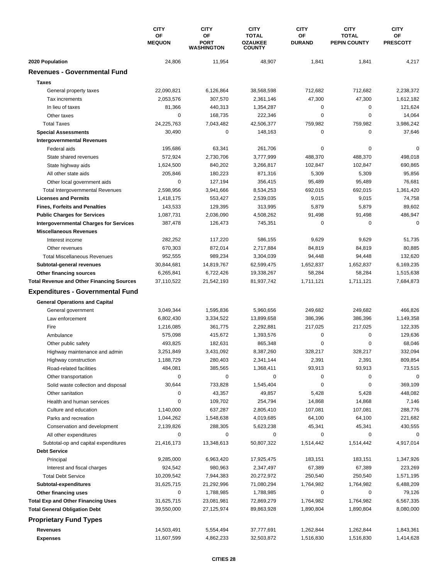|                                                  | <b>CITY</b>         | <b>CITY</b>                            | <b>CITY</b>                                     | <b>CITY</b>         | <b>CITY</b>                         | <b>CITY</b>           |
|--------------------------------------------------|---------------------|----------------------------------------|-------------------------------------------------|---------------------|-------------------------------------|-----------------------|
|                                                  | OF<br><b>MEQUON</b> | OF<br><b>PORT</b><br><b>WASHINGTON</b> | <b>TOTAL</b><br><b>OZAUKEE</b><br><b>COUNTY</b> | ΟF<br><b>DURAND</b> | <b>TOTAL</b><br><b>PEPIN COUNTY</b> | OF<br><b>PRESCOTT</b> |
| 2020 Population                                  | 24,806              | 11,954                                 | 48,907                                          | 1,841               | 1,841                               | 4,217                 |
| <b>Revenues - Governmental Fund</b>              |                     |                                        |                                                 |                     |                                     |                       |
| <b>Taxes</b>                                     |                     |                                        |                                                 |                     |                                     |                       |
| General property taxes                           | 22,090,821          | 6,126,864                              | 38,568,598                                      | 712,682             | 712,682                             | 2,238,372             |
| Tax increments                                   | 2,053,576           | 307.570                                | 2,361,146                                       | 47,300              | 47,300                              | 1,612,182             |
| In lieu of taxes                                 | 81,366              | 440,313                                | 1,354,287                                       | 0                   | $\mathbf 0$                         | 121,624               |
| Other taxes                                      | $\mathbf 0$         | 168,735                                | 222,346                                         | 0                   | $\mathbf 0$                         | 14,064                |
| <b>Total Taxes</b>                               | 24,225,763          | 7,043,482                              | 42,506,377                                      | 759,982             | 759,982                             | 3,986,242             |
| <b>Special Assessments</b>                       | 30,490              | 0                                      | 148,163                                         | 0                   | 0                                   | 37,646                |
| <b>Intergovernmental Revenues</b>                |                     |                                        |                                                 |                     |                                     |                       |
| Federal aids                                     | 195,686             | 63,341                                 | 261,706                                         | 0                   | $\mathbf 0$                         | $\Omega$              |
| State shared revenues                            | 572,924             | 2,730,706                              | 3,777,999                                       | 488,370             | 488,370                             | 498,018               |
| State highway aids                               | 1,624,500           | 840,202                                | 3,266,817                                       | 102,847             | 102,847                             | 690,865               |
| All other state aids                             | 205,846             | 180,223                                | 871,316                                         | 5,309               | 5,309                               | 95,856                |
| Other local government aids                      | $\mathbf 0$         | 127,194                                | 356,415                                         | 95,489              | 95,489                              | 76,681                |
| <b>Total Intergovernmental Revenues</b>          | 2,598,956           | 3,941,666                              | 8,534,253                                       | 692,015             | 692,015                             | 1,361,420             |
| <b>Licenses and Permits</b>                      | 1,418,175           | 553,427                                | 2,539,035                                       | 9,015               | 9,015                               | 74,758                |
| <b>Fines, Forfeits and Penalties</b>             | 143,533             | 129,395                                | 313,995                                         | 5,879               | 5,879                               | 89,602                |
| <b>Public Charges for Services</b>               | 1,087,731           | 2,036,090                              | 4,508,262                                       | 91,498              | 91,498                              | 486,947               |
| <b>Intergovernmental Charges for Services</b>    | 387,478             | 126,473                                | 745,351                                         | $\mathbf 0$         | 0                                   | $\mathbf 0$           |
| <b>Miscellaneous Revenues</b>                    |                     |                                        |                                                 |                     |                                     |                       |
| Interest income                                  | 282,252             | 117,220                                | 586,155                                         | 9,629               | 9,629                               | 51,735                |
| Other revenues                                   | 670,303             | 872,014                                | 2,717,884                                       | 84,819              | 84,819                              | 80,885                |
| <b>Total Miscellaneous Revenues</b>              | 952,555             | 989,234                                | 3,304,039                                       | 94,448              | 94,448                              | 132,620               |
| Subtotal-general revenues                        | 30,844,681          | 14,819,767                             | 62,599,475                                      | 1,652,837           | 1,652,837                           | 6,169,235             |
| Other financing sources                          | 6,265,841           | 6,722,426                              | 19,338,267                                      | 58,284              | 58,284                              | 1,515,638             |
| <b>Total Revenue and Other Financing Sources</b> | 37,110,522          | 21,542,193                             | 81,937,742                                      | 1,711,121           | 1,711,121                           | 7,684,873             |
| <b>Expenditures - Governmental Fund</b>          |                     |                                        |                                                 |                     |                                     |                       |
| <b>General Operations and Capital</b>            |                     |                                        |                                                 |                     |                                     |                       |
| General government                               | 3,049,344           | 1,595,836                              | 5,960,656                                       | 249,682             | 249,682                             | 466,826               |
| Law enforcement                                  | 6,802,430           | 3,334,522                              | 13,899,658                                      | 386.396             | 386,396                             | 1,149,358             |
| Fire                                             | 1,216,085           | 361,775                                | 2,292,881                                       | 217,025             | 217,025                             | 122,335               |
| Ambulance                                        | 575,098             | 415,672                                | 1,393,576                                       | 0                   | $\mathbf 0$                         | 129,636               |
| Other public safety                              | 493,825             | 182,631                                | 865,348                                         | $\pmb{0}$           | $\mathbf 0$                         | 68,046                |
| Highway maintenance and admin                    | 3,251,849           | 3,431,092                              | 8,387,260                                       | 328,217             | 328,217                             | 332,094               |
| Highway construction                             | 1,188,729           | 280,403                                | 2,341,144                                       | 2,391               | 2,391                               | 809,854               |
| Road-related facilities                          | 484,081             | 385,565                                | 1,368,411                                       | 93,913              | 93,913                              | 73,515                |
| Other transportation                             | 0                   | 0                                      | 0                                               | 0                   | 0                                   | $\mathbf 0$           |
| Solid waste collection and disposal              | 30,644              | 733,828                                | 1,545,404                                       | $\pmb{0}$           | 0                                   | 369,109               |
| Other sanitation                                 | 0                   | 43,357                                 | 49,857                                          | 5,428               | 5,428                               | 448,082               |
| Health and human services                        | 0                   | 109,702                                | 254,794                                         | 14,868              | 14,868                              | 7,146                 |
| Culture and education                            | 1,140,000           | 637,287                                | 2,805,410                                       | 107,081             | 107,081                             | 288,776               |
| Parks and recreation                             | 1,044,262           | 1,548,638                              | 4,019,685                                       | 64,100              | 64,100                              | 221,682               |
| Conservation and development                     | 2,139,826           | 288,305                                | 5,623,238                                       | 45,341              | 45,341                              | 430,555               |
| All other expenditures                           | 0                   | 0                                      | 0                                               | 0                   | 0                                   | 0                     |
| Subtotal-op and capital expenditures             | 21,416,173          | 13,348,613                             | 50,807,322                                      | 1,514,442           | 1,514,442                           | 4,917,014             |
| <b>Debt Service</b>                              |                     |                                        |                                                 |                     |                                     |                       |
| Principal                                        | 9,285,000           | 6,963,420                              | 17,925,475                                      | 183,151             | 183,151                             | 1,347,926             |
| Interest and fiscal charges                      | 924,542             | 980,963                                | 2,347,497                                       | 67,389              | 67,389                              | 223,269               |
| <b>Total Debt Service</b>                        | 10,209,542          | 7,944,383                              | 20,272,972                                      | 250,540             | 250,540                             | 1,571,195             |
| Subtotal-expenditures                            | 31,625,715          | 21,292,996                             | 71,080,294                                      | 1,764,982           | 1,764,982                           | 6,488,209             |
| Other financing uses                             | 0                   | 1,788,985                              | 1,788,985                                       | 0                   | 0                                   | 79,126                |
| <b>Total Exp and Other Financing Uses</b>        | 31,625,715          | 23,081,981                             | 72,869,279                                      | 1,764,982           | 1,764,982                           | 6,567,335             |
| <b>Total General Obligation Debt</b>             | 39,550,000          | 27,125,974                             | 89,863,928                                      | 1,890,804           | 1,890,804                           | 8,080,000             |
| <b>Proprietary Fund Types</b>                    |                     |                                        |                                                 |                     |                                     |                       |
| <b>Revenues</b>                                  | 14,503,491          | 5,554,494                              | 37,777,691                                      | 1,262,844           | 1,262,844                           | 1,843,361             |
| <b>Expenses</b>                                  | 11,607,599          | 4,862,233                              | 32,503,872                                      | 1,516,830           | 1,516,830                           | 1,414,628             |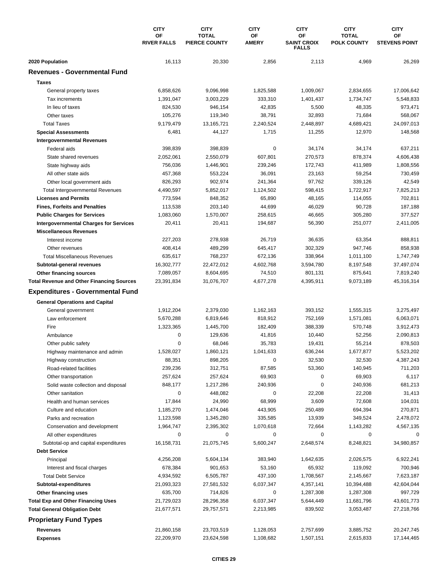|                                                  | <b>CITY</b><br>OF  | <b>CITY</b><br><b>TOTAL</b> | <b>CITY</b><br>ΟF | <b>CITY</b><br>OF                  | <b>CITY</b><br><b>TOTAL</b> | <b>CITY</b><br>OF    |
|--------------------------------------------------|--------------------|-----------------------------|-------------------|------------------------------------|-----------------------------|----------------------|
|                                                  | <b>RIVER FALLS</b> | <b>PIERCE COUNTY</b>        | <b>AMERY</b>      | <b>SAINT CROIX</b><br><b>FALLS</b> | <b>POLK COUNTY</b>          | <b>STEVENS POINT</b> |
| 2020 Population                                  | 16,113             | 20,330                      | 2,856             | 2,113                              | 4,969                       | 26,269               |
| <b>Revenues - Governmental Fund</b>              |                    |                             |                   |                                    |                             |                      |
| <b>Taxes</b>                                     |                    |                             |                   |                                    |                             |                      |
| General property taxes                           | 6,858,626          | 9,096,998                   | 1,825,588         | 1,009,067                          | 2,834,655                   | 17,006,642           |
| Tax increments                                   | 1,391,047          | 3,003,229                   | 333,310           | 1,401,437                          | 1,734,747                   | 5,548,833            |
| In lieu of taxes                                 | 824,530            | 946,154                     | 42,835            | 5,500                              | 48,335                      | 973,471              |
| Other taxes                                      | 105,276            | 119,340                     | 38,791            | 32,893                             | 71,684                      | 568,067              |
| <b>Total Taxes</b>                               | 9,179,479          | 13,165,721                  | 2,240,524         | 2,448,897                          | 4,689,421                   | 24,097,013           |
| <b>Special Assessments</b>                       | 6,481              | 44,127                      | 1,715             | 11,255                             | 12,970                      | 148,568              |
| <b>Intergovernmental Revenues</b>                |                    |                             |                   |                                    |                             |                      |
| Federal aids                                     | 398,839            | 398,839                     | 0                 | 34,174                             | 34,174                      | 637,211              |
| State shared revenues                            | 2,052,061          | 2,550,079                   | 607,801           | 270,573                            | 878,374                     | 4,606,438            |
| State highway aids                               | 756,036            | 1,446,901                   | 239,246           | 172,743                            | 411,989                     | 1,808,556            |
| All other state aids                             | 457,368            | 553,224                     | 36,091            | 23,163                             | 59,254                      | 730,459              |
| Other local government aids                      | 826,293            | 902,974                     | 241,364           | 97,762                             | 339,126                     | 42,549               |
| <b>Total Intergovernmental Revenues</b>          | 4,490,597          | 5,852,017                   | 1,124,502         | 598,415                            | 1,722,917                   | 7,825,213            |
| <b>Licenses and Permits</b>                      | 773,594            | 848,352                     | 65,890            | 48,165                             | 114,055                     | 702,811              |
| <b>Fines, Forfeits and Penalties</b>             | 113,538            | 203,140                     | 44,699            | 46,029                             | 90,728                      | 187,188              |
| <b>Public Charges for Services</b>               | 1,083,060          | 1,570,007                   | 258,615           | 46,665                             | 305,280                     | 377,527              |
| <b>Intergovernmental Charges for Services</b>    | 20,411             | 20,411                      | 194,687           | 56,390                             | 251,077                     | 2,411,005            |
| <b>Miscellaneous Revenues</b>                    |                    |                             |                   |                                    |                             |                      |
| Interest income                                  | 227,203            | 278,938                     | 26,719            | 36,635                             | 63,354                      | 888,811              |
| Other revenues                                   | 408,414            | 489,299                     | 645,417           | 302,329                            | 947,746                     | 858,938              |
| <b>Total Miscellaneous Revenues</b>              | 635,617            | 768,237                     | 672,136           | 338,964                            | 1,011,100                   | 1,747,749            |
| Subtotal-general revenues                        | 16,302,777         | 22,472,012                  | 4,602,768         | 3,594,780                          | 8,197,548                   | 37,497,074           |
| Other financing sources                          | 7,089,057          | 8,604,695                   | 74,510            | 801,131                            | 875,641                     | 7,819,240            |
| <b>Total Revenue and Other Financing Sources</b> | 23,391,834         | 31,076,707                  | 4,677,278         | 4,395,911                          | 9,073,189                   | 45,316,314           |
| <b>Expenditures - Governmental Fund</b>          |                    |                             |                   |                                    |                             |                      |
| <b>General Operations and Capital</b>            |                    |                             |                   |                                    |                             |                      |
| General government                               | 1,912,204          | 2,379,030                   | 1,162,163         | 393,152                            | 1,555,315                   | 3,275,497            |
| Law enforcement                                  | 5,670,288          | 6,819,646                   | 818,912           | 752,169                            | 1,571,081                   | 6,063,071            |
| Fire                                             | 1,323,365          | 1,445,700                   | 182,409           | 388,339                            | 570,748                     | 3,912,473            |
| Ambulance                                        | 0                  | 129,636                     | 41,816            | 10,440                             | 52,256                      | 2,090,813            |
| Other public safety                              | 0                  | 68,046                      | 35,783            | 19,431                             | 55,214                      | 878,503              |
| Highway maintenance and admin                    | 1,528,027          | 1,860,121                   | 1,041,633         | 636,244                            | 1,677,877                   | 5,523,202            |
| Highway construction                             | 88,351             | 898,205                     | 0                 | 32,530                             | 32,530                      | 4,387,243            |
| Road-related facilities                          | 239,236            | 312,751                     | 87,585            | 53,360                             | 140,945                     | 711,203              |
| Other transportation                             | 257,624            | 257,624                     | 69,903            | 0                                  | 69,903                      | 6,117                |
| Solid waste collection and disposal              | 848,177            | 1,217,286                   | 240,936           | 0                                  | 240,936                     | 681,213              |
| Other sanitation                                 | $\mathbf 0$        | 448,082                     | 0                 | 22,208                             | 22,208                      | 31,413               |
| Health and human services                        | 17,844             | 24,990                      | 68,999            | 3,609                              | 72,608                      | 104,031              |
| Culture and education                            | 1,185,270          | 1,474,046                   | 443,905           | 250,489                            | 694,394                     | 270,871              |
| Parks and recreation                             | 1,123,598          | 1,345,280                   | 335,585           | 13,939                             | 349,524                     | 2,478,072            |
| Conservation and development                     | 1,964,747          | 2,395,302                   | 1,070,618         | 72,664                             | 1,143,282                   | 4,567,135            |
| All other expenditures                           | 0                  | 0                           | 0                 | 0                                  | 0                           | $\Omega$             |
| Subtotal-op and capital expenditures             | 16,158,731         | 21,075,745                  | 5,600,247         | 2,648,574                          | 8,248,821                   | 34,980,857           |
| <b>Debt Service</b>                              |                    |                             |                   |                                    |                             |                      |
| Principal                                        | 4,256,208          | 5,604,134                   | 383,940           | 1,642,635                          | 2,026,575                   | 6,922,241            |
| Interest and fiscal charges                      | 678,384            | 901,653                     | 53,160            | 65,932                             | 119,092                     | 700,946              |
| <b>Total Debt Service</b>                        | 4,934,592          | 6,505,787                   | 437,100           | 1,708,567                          | 2,145,667                   | 7,623,187            |
| Subtotal-expenditures                            | 21,093,323         | 27,581,532                  | 6,037,347         | 4,357,141                          | 10,394,488                  | 42,604,044           |
| Other financing uses                             | 635,700            | 714,826                     | 0                 | 1,287,308                          | 1,287,308                   | 997,729              |
| <b>Total Exp and Other Financing Uses</b>        | 21,729,023         | 28,296,358                  | 6,037,347         | 5,644,449                          | 11,681,796                  | 43,601,773           |
| <b>Total General Obligation Debt</b>             | 21,677,571         | 29,757,571                  | 2,213,985         | 839,502                            | 3,053,487                   | 27,218,766           |
| <b>Proprietary Fund Types</b>                    |                    |                             |                   |                                    |                             |                      |
| <b>Revenues</b>                                  | 21,860,158         | 23,703,519                  | 1,128,053         | 2,757,699                          | 3,885,752                   | 20,247,745           |
| <b>Expenses</b>                                  | 22,209,970         | 23,624,598                  | 1,108,682         | 1,507,151                          | 2,615,833                   | 17,144,465           |
|                                                  |                    |                             |                   |                                    |                             |                      |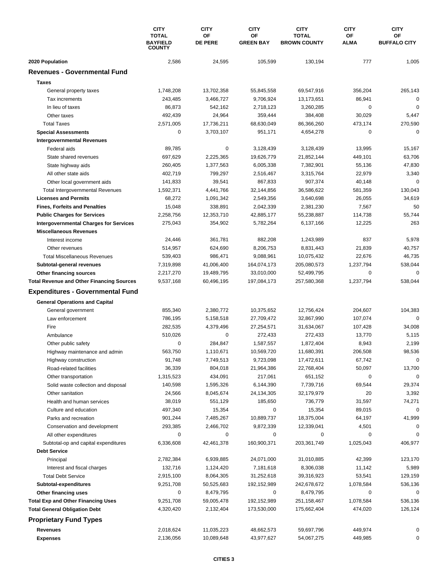|                                                  | <b>CITY</b><br><b>TOTAL</b><br><b>BAYFIELD</b><br><b>COUNTY</b> | <b>CITY</b><br>ΟF<br><b>DE PERE</b> | <b>CITY</b><br>ΟF<br><b>GREEN BAY</b> | <b>CITY</b><br><b>TOTAL</b><br><b>BROWN COUNTY</b> | <b>CITY</b><br>OF<br><b>ALMA</b> | <b>CITY</b><br>ОF<br><b>BUFFALO CITY</b> |
|--------------------------------------------------|-----------------------------------------------------------------|-------------------------------------|---------------------------------------|----------------------------------------------------|----------------------------------|------------------------------------------|
| 2020 Population                                  | 2,586                                                           | 24,595                              | 105,599                               | 130,194                                            | 777                              | 1,005                                    |
| <b>Revenues - Governmental Fund</b>              |                                                                 |                                     |                                       |                                                    |                                  |                                          |
| <b>Taxes</b>                                     |                                                                 |                                     |                                       |                                                    |                                  |                                          |
| General property taxes                           | 1,748,208                                                       | 13,702,358                          | 55,845,558                            | 69,547,916                                         | 356,204                          | 265,143                                  |
| Tax increments                                   | 243,485                                                         | 3,466,727                           | 9,706,924                             | 13,173,651                                         | 86,941                           | 0                                        |
| In lieu of taxes                                 | 86,873                                                          | 542,162                             | 2,718,123                             | 3,260,285                                          | 0                                | $\mathbf 0$                              |
| Other taxes                                      | 492,439                                                         | 24,964                              | 359,444                               | 384,408                                            | 30,029                           | 5,447                                    |
| <b>Total Taxes</b>                               | 2,571,005                                                       | 17,736,211                          | 68,630,049                            | 86,366,260                                         | 473,174                          | 270,590                                  |
| <b>Special Assessments</b>                       | 0                                                               | 3,703,107                           | 951,171                               | 4,654,278                                          | 0                                | $\mathbf 0$                              |
| <b>Intergovernmental Revenues</b>                |                                                                 |                                     |                                       |                                                    |                                  |                                          |
| Federal aids                                     | 89,785                                                          | 0                                   | 3,128,439                             | 3,128,439                                          | 13,995                           | 15,167                                   |
| State shared revenues                            | 697,629                                                         | 2,225,365                           | 19,626,779                            | 21,852,144                                         | 449,101                          | 63,706                                   |
| State highway aids                               | 260,405                                                         | 1,377,563                           | 6,005,338                             | 7,382,901                                          | 55,136                           | 47,830                                   |
| All other state aids                             | 402,719                                                         | 799,297                             | 2,516,467                             | 3,315,764                                          | 22,979                           | 3,340                                    |
| Other local government aids                      | 141,833                                                         | 39.541                              | 867,833                               | 907,374                                            | 40,148                           | 0                                        |
| <b>Total Intergovernmental Revenues</b>          | 1,592,371                                                       | 4,441,766                           | 32,144,856                            | 36,586,622                                         | 581,359                          | 130,043                                  |
| <b>Licenses and Permits</b>                      | 68,272                                                          | 1,091,342                           | 2,549,356                             | 3,640,698                                          | 26,055                           | 34,619                                   |
| <b>Fines, Forfeits and Penalties</b>             | 15,048                                                          | 338,891                             | 2,042,339                             | 2,381,230                                          | 7,567                            | 50                                       |
| <b>Public Charges for Services</b>               | 2,258,756                                                       | 12,353,710                          | 42,885,177                            | 55,238,887                                         | 114,738                          | 55,744                                   |
| <b>Intergovernmental Charges for Services</b>    | 275,043                                                         | 354,902                             | 5,782,264                             | 6,137,166                                          | 12,225                           | 263                                      |
| <b>Miscellaneous Revenues</b>                    |                                                                 |                                     |                                       |                                                    |                                  |                                          |
| Interest income                                  | 24,446                                                          | 361,781                             | 882,208                               | 1,243,989                                          | 837                              | 5,978                                    |
| Other revenues                                   | 514,957                                                         | 624,690                             | 8,206,753                             | 8,831,443                                          | 21,839                           | 40,757                                   |
| <b>Total Miscellaneous Revenues</b>              | 539,403                                                         | 986,471                             | 9,088,961                             | 10,075,432                                         | 22,676                           | 46,735                                   |
| Subtotal-general revenues                        | 7,319,898                                                       | 41,006,400                          | 164,074,173                           | 205,080,573                                        | 1,237,794                        | 538,044                                  |
| Other financing sources                          | 2,217,270                                                       | 19,489,795                          | 33,010,000                            | 52,499,795                                         | 0                                | 0                                        |
| <b>Total Revenue and Other Financing Sources</b> | 9,537,168                                                       | 60,496,195                          | 197,084,173                           | 257,580,368                                        | 1,237,794                        | 538,044                                  |
| <b>Expenditures - Governmental Fund</b>          |                                                                 |                                     |                                       |                                                    |                                  |                                          |
| <b>General Operations and Capital</b>            |                                                                 |                                     |                                       |                                                    |                                  |                                          |
| General government                               | 855,340                                                         | 2,380,772                           | 10,375,652                            | 12,756,424                                         | 204,607                          | 104,383                                  |
| Law enforcement                                  | 786,195                                                         | 5,158,518                           | 27,709,472                            | 32,867,990                                         | 107,074                          | $\mathbf 0$                              |
| Fire                                             | 282,535                                                         | 4,379,496                           | 27,254,571                            | 31,634,067                                         | 107,428                          | 34,008                                   |
| Ambulance                                        | 510,026                                                         | 0                                   | 272,433                               | 272,433                                            | 13,770                           | 5,115                                    |
| Other public safety                              | 0                                                               | 284,847                             | 1,587,557                             | 1,872,404                                          | 8,943                            | 2,199                                    |
| Highway maintenance and admin                    | 563,750                                                         | 1,110,671                           | 10,569,720                            | 11,680,391                                         | 206,508                          | 98,536                                   |
| Highway construction                             | 91,748                                                          | 7,749,513                           | 9,723,098                             | 17,472,611                                         | 67,742                           | 0                                        |
| Road-related facilities                          | 36,339                                                          | 804,018                             | 21,964,386                            | 22,768,404                                         | 50,097                           | 13,700                                   |
| Other transportation                             | 1,315,523                                                       | 434,091                             | 217,061                               | 651,152                                            | 0                                | $\mathbf 0$                              |
| Solid waste collection and disposal              | 140,598                                                         | 1,595,326                           | 6,144,390                             | 7,739,716                                          | 69,544                           | 29,374                                   |
| Other sanitation                                 | 24,566                                                          | 8,045,674                           | 24,134,305                            | 32,179,979                                         | 20                               | 3,392                                    |
| Health and human services                        | 38,019                                                          | 551,129                             | 185,650                               | 736,779                                            | 31,597                           | 74,271                                   |
| Culture and education                            | 497,340                                                         | 15,354                              | 0                                     | 15,354                                             | 89,015                           | 0                                        |
| Parks and recreation                             | 901,244                                                         | 7,485,267                           | 10,889,737                            | 18,375,004                                         | 64,197                           | 41,999                                   |
| Conservation and development                     | 293,385                                                         | 2,466,702                           | 9,872,339                             | 12,339,041                                         | 4,501                            | 0                                        |
| All other expenditures                           | 0                                                               | 0                                   | 0                                     | 0                                                  | 0                                |                                          |
| Subtotal-op and capital expenditures             | 6,336,608                                                       | 42,461,378                          | 160,900,371                           | 203,361,749                                        | 1,025,043                        | 406,977                                  |
| <b>Debt Service</b>                              |                                                                 |                                     |                                       |                                                    |                                  |                                          |
| Principal                                        | 2,782,384                                                       | 6,939,885                           | 24,071,000                            | 31,010,885                                         | 42,399                           | 123,170                                  |
| Interest and fiscal charges                      | 132,716                                                         | 1,124,420                           | 7,181,618                             | 8,306,038                                          | 11,142                           | 5,989                                    |
| <b>Total Debt Service</b>                        | 2,915,100                                                       | 8,064,305                           | 31,252,618                            | 39,316,923                                         | 53,541                           | 129,159                                  |
| Subtotal-expenditures                            | 9,251,708                                                       | 50,525,683                          | 192,152,989                           | 242,678,672                                        | 1,078,584                        | 536,136                                  |
| Other financing uses                             | 0                                                               | 8,479,795                           | 0                                     | 8,479,795                                          | 0                                | 0                                        |
| <b>Total Exp and Other Financing Uses</b>        | 9,251,708                                                       | 59,005,478                          | 192,152,989                           | 251,158,467                                        | 1,078,584                        | 536,136                                  |
| <b>Total General Obligation Debt</b>             | 4,320,420                                                       | 2,132,404                           | 173,530,000                           | 175,662,404                                        | 474,020                          | 126,124                                  |
| <b>Proprietary Fund Types</b>                    |                                                                 |                                     |                                       |                                                    |                                  |                                          |
| Revenues                                         | 2,018,624                                                       | 11,035,223                          | 48,662,573                            | 59,697,796                                         | 449,974                          | 0                                        |
| <b>Expenses</b>                                  | 2,136,056                                                       | 10,089,648                          | 43,977,627                            | 54,067,275                                         | 449,985                          | 0                                        |
|                                                  |                                                                 |                                     |                                       |                                                    |                                  |                                          |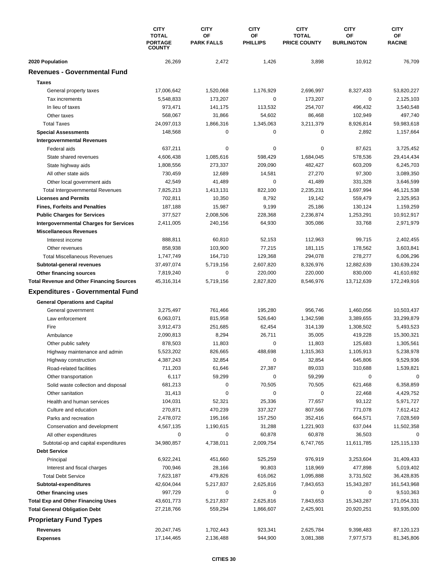|                                                  | <b>CITY</b><br><b>TOTAL</b><br><b>PORTAGE</b><br><b>COUNTY</b> | <b>CITY</b><br>OF | <b>CITY</b><br>OF | <b>CITY</b><br><b>TOTAL</b> | <b>CITY</b><br>OF | <b>CITY</b><br>ОF |
|--------------------------------------------------|----------------------------------------------------------------|-------------------|-------------------|-----------------------------|-------------------|-------------------|
|                                                  |                                                                | <b>PARK FALLS</b> | <b>PHILLIPS</b>   | <b>PRICE COUNTY</b>         | <b>BURLINGTON</b> | <b>RACINE</b>     |
| 2020 Population                                  | 26,269                                                         | 2,472             | 1,426             | 3,898                       | 10,912            | 76,709            |
| <b>Revenues - Governmental Fund</b>              |                                                                |                   |                   |                             |                   |                   |
| <b>Taxes</b>                                     |                                                                |                   |                   |                             |                   |                   |
| General property taxes                           | 17,006,642                                                     | 1,520,068         | 1,176,929         | 2,696,997                   | 8,327,433         | 53,820,227        |
| Tax increments                                   | 5,548,833                                                      | 173,207           | 0                 | 173,207                     | 0                 | 2,125,103         |
| In lieu of taxes                                 | 973,471                                                        | 141,175           | 113,532           | 254,707                     | 496,432           | 3,540,548         |
| Other taxes                                      | 568,067                                                        | 31,866            | 54,602            | 86,468                      | 102,949           | 497,740           |
| <b>Total Taxes</b>                               | 24,097,013                                                     | 1,866,316         | 1,345,063         | 3,211,379                   | 8,926,814         | 59,983,618        |
| <b>Special Assessments</b>                       | 148,568                                                        | 0                 | 0                 | 0                           | 2,892             | 1,157,664         |
| <b>Intergovernmental Revenues</b>                |                                                                |                   |                   |                             |                   |                   |
| Federal aids                                     | 637,211                                                        | 0                 | 0                 | 0                           | 87,621            | 3,725,452         |
| State shared revenues                            | 4,606,438                                                      | 1,085,616         | 598,429           | 1,684,045                   | 578,536           | 29,414,434        |
| State highway aids                               | 1,808,556                                                      | 273,337           | 209,090           | 482,427                     | 603,209           | 6,245,703         |
| All other state aids                             | 730,459                                                        | 12,689            | 14,581            | 27,270                      | 97,300            | 3,089,350         |
| Other local government aids                      | 42,549                                                         | 41,489            | 0                 | 41,489                      | 331,328           | 3,646,599         |
| <b>Total Intergovernmental Revenues</b>          | 7,825,213                                                      | 1,413,131         | 822,100           | 2,235,231                   | 1,697,994         | 46,121,538        |
| <b>Licenses and Permits</b>                      | 702,811                                                        | 10,350            | 8,792             | 19,142                      | 559,479           | 2,325,953         |
| <b>Fines, Forfeits and Penalties</b>             | 187,188                                                        | 15,987            | 9,199             | 25,186                      | 130,124           | 1,159,259         |
| <b>Public Charges for Services</b>               | 377,527                                                        | 2,008,506         | 228,368           | 2,236,874                   | 1,253,291         | 10,912,917        |
| <b>Intergovernmental Charges for Services</b>    | 2,411,005                                                      | 240,156           | 64,930            | 305,086                     | 33,768            | 2,971,979         |
| <b>Miscellaneous Revenues</b>                    |                                                                |                   |                   |                             |                   |                   |
| Interest income                                  | 888,811                                                        | 60,810            | 52,153            | 112,963                     | 99,715            | 2,402,455         |
| Other revenues                                   | 858,938                                                        | 103,900           | 77,215            | 181,115                     | 178,562           | 3,603,841         |
| <b>Total Miscellaneous Revenues</b>              | 1,747,749                                                      | 164,710           | 129,368           | 294,078                     | 278,277           | 6,006,296         |
| Subtotal-general revenues                        | 37,497,074                                                     | 5,719,156         | 2,607,820         | 8,326,976                   | 12,882,639        | 130,639,224       |
| Other financing sources                          | 7,819,240                                                      | 0                 | 220,000           | 220,000                     | 830,000           | 41,610,692        |
| <b>Total Revenue and Other Financing Sources</b> | 45,316,314                                                     | 5,719,156         | 2,827,820         | 8,546,976                   | 13,712,639        | 172,249,916       |
| <b>Expenditures - Governmental Fund</b>          |                                                                |                   |                   |                             |                   |                   |
| <b>General Operations and Capital</b>            |                                                                |                   |                   |                             |                   |                   |
| General government                               | 3,275,497                                                      | 761,466           | 195,280           | 956,746                     | 1,460,056         | 10,503,437        |
| Law enforcement                                  | 6,063,071                                                      | 815,958           | 526,640           | 1,342,598                   | 3,389,655         | 33,299,879        |
| Fire                                             | 3,912,473                                                      | 251,685           | 62,454            | 314,139                     | 1,308,502         | 5,493,523         |
| Ambulance                                        | 2,090,813                                                      | 8,294             | 26,711            | 35,005                      | 419,228           | 15,300,321        |
| Other public safety                              | 878,503                                                        | 11,803            | 0                 | 11,803                      | 125,683           | 1,305,561         |
| Highway maintenance and admin                    | 5,523,202                                                      | 826,665           | 488,698           | 1,315,363                   | 1,105,913         | 5,238,978         |
| Highway construction                             | 4,387,243                                                      | 32,854            | 0                 | 32,854                      | 645,806           | 9,529,936         |
| Road-related facilities                          | 711,203                                                        | 61,646            | 27,387            | 89,033                      | 310,688           | 1,539,821         |
| Other transportation                             | 6,117                                                          | 59,299            | 0                 | 59,299                      | 0                 | 0                 |
| Solid waste collection and disposal              | 681,213                                                        | 0                 | 70,505            | 70,505                      | 621,468           | 6,358,859         |
| Other sanitation                                 | 31,413                                                         | 0                 | 0                 | 0                           | 22,468            | 4,429,752         |
| Health and human services                        | 104,031                                                        | 52,321            | 25,336            | 77,657                      | 93,122            | 5,971,727         |
| Culture and education                            | 270,871                                                        | 470,239           | 337,327           | 807,566                     | 771,078           | 7,612,412         |
| Parks and recreation                             | 2,478,072                                                      | 195,166           | 157,250           | 352,416                     | 664,571           | 7,028,569         |
| Conservation and development                     | 4,567,135                                                      | 1,190,615         | 31,288            | 1,221,903                   | 637,044           | 11,502,358        |
| All other expenditures                           | 0                                                              | 0                 | 60,878            | 60,878                      | 36,503            | 0                 |
| Subtotal-op and capital expenditures             | 34,980,857                                                     | 4,738,011         | 2,009,754         | 6,747,765                   | 11,611,785        | 125,115,133       |
| <b>Debt Service</b>                              |                                                                |                   |                   |                             |                   |                   |
| Principal                                        | 6,922,241                                                      | 451,660           | 525,259           | 976,919                     | 3,253,604         | 31,409,433        |
| Interest and fiscal charges                      | 700,946                                                        | 28,166            | 90,803            | 118,969                     | 477,898           | 5,019,402         |
| <b>Total Debt Service</b>                        | 7,623,187                                                      | 479,826           | 616,062           | 1,095,888                   | 3,731,502         | 36,428,835        |
| Subtotal-expenditures                            | 42,604,044                                                     | 5,217,837         | 2,625,816         | 7,843,653                   | 15,343,287        | 161,543,968       |
| Other financing uses                             | 997,729                                                        | 0                 | 0                 | 0                           | 0                 | 9,510,363         |
| <b>Total Exp and Other Financing Uses</b>        | 43,601,773                                                     | 5,217,837         | 2,625,816         | 7,843,653                   | 15,343,287        | 171,054,331       |
| <b>Total General Obligation Debt</b>             | 27,218,766                                                     | 559,294           | 1,866,607         | 2,425,901                   | 20,920,251        | 93,935,000        |
| <b>Proprietary Fund Types</b>                    |                                                                |                   |                   |                             |                   |                   |
| Revenues                                         | 20,247,745                                                     | 1,702,443         | 923,341           | 2,625,784                   | 9,398,483         | 87,120,123        |
| <b>Expenses</b>                                  | 17,144,465                                                     | 2,136,488         | 944,900           | 3,081,388                   | 7,977,573         | 81,345,806        |
|                                                  |                                                                |                   |                   |                             |                   |                   |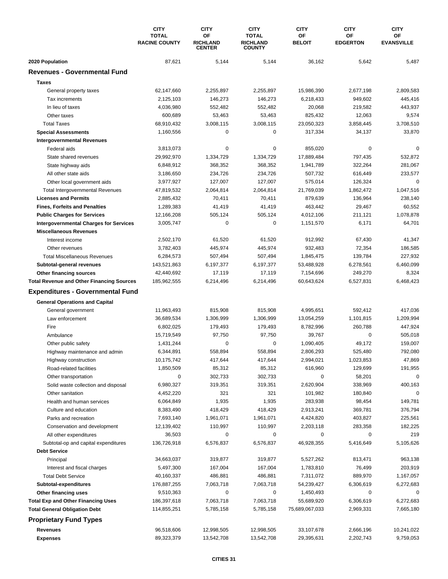|                                                  | <b>CITY</b><br><b>TOTAL</b><br><b>RACINE COUNTY</b> | <b>CITY</b><br>ОF<br><b>RICHLAND</b><br><b>CENTER</b> | <b>CITY</b><br><b>TOTAL</b><br><b>RICHLAND</b><br><b>COUNTY</b> | <b>CITY</b><br>ΟF<br><b>BELOIT</b> | <b>CITY</b><br>ΟF<br><b>EDGERTON</b> | <b>CITY</b><br>OF<br><b>EVANSVILLE</b> |
|--------------------------------------------------|-----------------------------------------------------|-------------------------------------------------------|-----------------------------------------------------------------|------------------------------------|--------------------------------------|----------------------------------------|
| 2020 Population                                  | 87,621                                              | 5,144                                                 | 5,144                                                           | 36,162                             | 5,642                                | 5,487                                  |
| <b>Revenues - Governmental Fund</b>              |                                                     |                                                       |                                                                 |                                    |                                      |                                        |
| <b>Taxes</b>                                     |                                                     |                                                       |                                                                 |                                    |                                      |                                        |
| General property taxes                           | 62,147,660                                          | 2,255,897                                             | 2,255,897                                                       | 15,986,390                         | 2,677,198                            | 2,809,583                              |
| Tax increments                                   | 2,125,103                                           | 146,273                                               | 146,273                                                         | 6,218,433                          | 949,602                              | 445,416                                |
| In lieu of taxes                                 | 4,036,980                                           | 552,482                                               | 552,482                                                         | 20,068                             | 219,582                              | 443,937                                |
| Other taxes                                      | 600,689                                             | 53,463                                                | 53,463                                                          | 825,432                            | 12,063                               | 9,574                                  |
| <b>Total Taxes</b>                               | 68,910,432                                          | 3,008,115                                             | 3,008,115                                                       | 23,050,323                         | 3,858,445                            | 3,708,510                              |
| <b>Special Assessments</b>                       | 1,160,556                                           | 0                                                     | 0                                                               | 317,334                            | 34,137                               | 33,870                                 |
| <b>Intergovernmental Revenues</b>                |                                                     |                                                       |                                                                 |                                    |                                      |                                        |
| Federal aids                                     | 3,813,073                                           | 0                                                     | 0                                                               | 855,020                            | 0                                    | $\Omega$                               |
| State shared revenues                            | 29,992,970                                          | 1,334,729                                             | 1,334,729                                                       | 17,889,484                         | 797,435                              | 532,872                                |
| State highway aids                               | 6,848,912                                           | 368,352                                               | 368,352                                                         | 1,941,789                          | 322,264                              | 281,067                                |
| All other state aids                             | 3,186,650                                           | 234,726                                               | 234,726                                                         | 507,732                            | 616,449                              | 233,577                                |
| Other local government aids                      | 3,977,927                                           | 127,007                                               | 127,007                                                         | 575,014                            | 126,324                              | $\mathbf 0$                            |
| <b>Total Intergovernmental Revenues</b>          | 47,819,532                                          | 2,064,814                                             | 2,064,814                                                       | 21,769,039                         | 1,862,472                            | 1,047,516                              |
| <b>Licenses and Permits</b>                      | 2,885,432                                           | 70,411                                                | 70,411                                                          | 879,639                            | 136,964                              | 238,140                                |
| <b>Fines, Forfeits and Penalties</b>             | 1,289,383                                           | 41,419                                                | 41,419                                                          | 463,442                            | 29,467                               | 60,552                                 |
| <b>Public Charges for Services</b>               | 12,166,208                                          | 505,124                                               | 505,124                                                         | 4,012,106                          | 211,121                              | 1,078,878                              |
| <b>Intergovernmental Charges for Services</b>    | 3,005,747                                           | 0                                                     | 0                                                               | 1,151,570                          | 6,171                                | 64,701                                 |
| <b>Miscellaneous Revenues</b>                    |                                                     |                                                       |                                                                 |                                    |                                      |                                        |
| Interest income                                  | 2,502,170                                           | 61,520                                                | 61,520                                                          | 912,992                            | 67,430                               | 41,347                                 |
| Other revenues                                   | 3,782,403                                           | 445,974                                               | 445,974                                                         | 932,483                            | 72,354                               | 186,585                                |
| <b>Total Miscellaneous Revenues</b>              | 6,284,573                                           | 507,494                                               | 507,494                                                         | 1,845,475                          | 139,784                              | 227,932                                |
| Subtotal-general revenues                        | 143,521,863                                         | 6,197,377                                             | 6,197,377                                                       | 53,488,928                         | 6,278,561                            | 6,460,099                              |
| Other financing sources                          | 42,440,692                                          | 17,119                                                | 17,119                                                          | 7,154,696                          | 249,270                              | 8,324                                  |
| <b>Total Revenue and Other Financing Sources</b> | 185,962,555                                         | 6,214,496                                             | 6,214,496                                                       | 60,643,624                         | 6,527,831                            | 6,468,423                              |
| <b>Expenditures - Governmental Fund</b>          |                                                     |                                                       |                                                                 |                                    |                                      |                                        |
| <b>General Operations and Capital</b>            |                                                     |                                                       |                                                                 |                                    |                                      |                                        |
| General government                               | 11,963,493                                          | 815,908                                               | 815,908                                                         | 4,995,651                          | 592,412                              | 417,036                                |
| Law enforcement                                  | 36,689,534                                          | 1,306,999                                             | 1,306,999                                                       | 13,054,259                         | 1,101,815                            | 1,209,994                              |
| Fire                                             | 6,802,025                                           | 179,493                                               | 179,493                                                         | 8,782,996                          | 260,788                              | 447,924                                |
| Ambulance                                        | 15,719,549                                          | 97,750                                                | 97,750                                                          | 39,767                             | 0                                    | 505,018                                |
| Other public safety                              | 1,431,244                                           | 0                                                     | 0                                                               | 1,090,405                          | 49,172                               | 159,007                                |
| Highway maintenance and admin                    | 6,344,891                                           | 558,894                                               | 558,894                                                         | 2,806,293                          | 525,480                              | 792,080                                |
| Highway construction                             | 10,175,742                                          | 417,644                                               | 417,644                                                         | 2,994,021                          | 1,023,853                            | 47,869                                 |
| Road-related facilities                          | 1,850,509                                           | 85,312                                                | 85,312                                                          | 616,960                            | 129,699                              | 191,955                                |
| Other transportation                             | 0                                                   | 302,733                                               | 302,733                                                         | 0                                  | 58,201                               | 0                                      |
| Solid waste collection and disposal              | 6,980,327                                           | 319,351                                               | 319,351                                                         | 2,620,904                          | 338,969                              | 400,163                                |
| Other sanitation                                 | 4,452,220                                           | 321                                                   | 321                                                             | 101,982                            | 180,840                              | 0                                      |
| Health and human services                        | 6,064,849                                           | 1,935                                                 | 1,935                                                           | 283,938                            | 98,454                               | 149,781                                |
| Culture and education                            | 8,383,490                                           | 418,429                                               | 418,429                                                         | 2,913,241                          | 369,781                              | 376,794                                |
| Parks and recreation                             | 7,693,140                                           | 1,961,071                                             | 1,961,071                                                       | 4,424,820                          | 403,827                              | 225,561                                |
| Conservation and development                     | 12,139,402                                          | 110,997                                               | 110,997                                                         | 2,203,118                          | 283,358                              | 182,225                                |
| All other expenditures                           | 36,503                                              | 0                                                     | 0                                                               | 0                                  | 0                                    | 219                                    |
| Subtotal-op and capital expenditures             | 136,726,918                                         | 6,576,837                                             | 6,576,837                                                       | 46,928,355                         | 5,416,649                            | 5,105,626                              |
| <b>Debt Service</b>                              |                                                     |                                                       |                                                                 |                                    |                                      |                                        |
| Principal                                        | 34,663,037                                          | 319,877                                               | 319,877                                                         | 5,527,262                          | 813,471                              | 963,138                                |
| Interest and fiscal charges                      | 5,497,300                                           | 167,004                                               | 167,004                                                         | 1,783,810                          | 76,499                               | 203,919                                |
| <b>Total Debt Service</b>                        | 40,160,337                                          | 486,881                                               | 486,881                                                         | 7,311,072                          | 889,970                              | 1,167,057                              |
| Subtotal-expenditures                            | 176,887,255                                         | 7,063,718                                             | 7,063,718                                                       | 54,239,427                         | 6,306,619                            | 6,272,683                              |
| Other financing uses                             | 9,510,363                                           | 0                                                     | 0                                                               | 1,450,493                          | 0                                    | 0                                      |
| <b>Total Exp and Other Financing Uses</b>        | 186,397,618                                         | 7,063,718                                             | 7,063,718                                                       | 55,689,920                         | 6,306,619                            | 6,272,683                              |
| <b>Total General Obligation Debt</b>             | 114,855,251                                         | 5,785,158                                             | 5,785,158                                                       | 75,689,067,033                     | 2,969,331                            | 7,665,180                              |
| <b>Proprietary Fund Types</b>                    |                                                     |                                                       |                                                                 |                                    |                                      |                                        |
| <b>Revenues</b>                                  | 96,518,606                                          | 12,998,505                                            | 12,998,505                                                      | 33,107,678                         | 2,666,196                            | 10,241,022                             |
| <b>Expenses</b>                                  | 89,323,379                                          | 13,542,708                                            | 13,542,708                                                      | 29,395,631                         | 2,202,743                            | 9,759,053                              |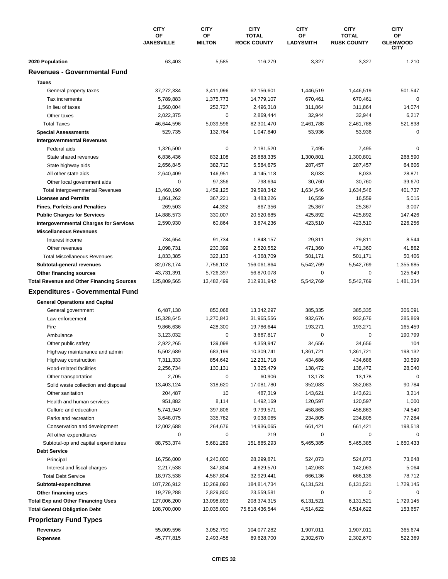|                                                                   | <b>CITY</b><br><b>OF</b><br><b>JANESVILLE</b> | <b>CITY</b><br>OF<br><b>MILTON</b> | <b>CITY</b><br><b>TOTAL</b><br><b>ROCK COUNTY</b> | <b>CITY</b><br><b>OF</b> | <b>CITY</b><br><b>TOTAL</b><br><b>RUSK COUNTY</b> | <b>CITY</b><br>ОF<br><b>GLENWOOD</b><br><b>CITY</b> |
|-------------------------------------------------------------------|-----------------------------------------------|------------------------------------|---------------------------------------------------|--------------------------|---------------------------------------------------|-----------------------------------------------------|
|                                                                   |                                               |                                    |                                                   | <b>LADYSMITH</b>         |                                                   |                                                     |
| 2020 Population                                                   | 63,403                                        | 5,585                              | 116,279                                           | 3,327                    | 3,327                                             | 1,210                                               |
| <b>Revenues - Governmental Fund</b>                               |                                               |                                    |                                                   |                          |                                                   |                                                     |
| <b>Taxes</b>                                                      |                                               |                                    |                                                   |                          |                                                   |                                                     |
| General property taxes                                            | 37,272,334                                    | 3,411,096                          | 62,156,601                                        | 1,446,519                | 1,446,519                                         | 501,547                                             |
| Tax increments                                                    | 5,789,883                                     | 1,375,773                          | 14,779,107                                        | 670,461                  | 670,461                                           | 0                                                   |
| In lieu of taxes                                                  | 1,560,004                                     | 252,727                            | 2,496,318                                         | 311,864                  | 311,864                                           | 14,074                                              |
| Other taxes                                                       | 2,022,375                                     | 0                                  | 2,869,444                                         | 32,944                   | 32,944                                            | 6,217                                               |
| <b>Total Taxes</b>                                                | 46,644,596                                    | 5,039,596                          | 82,301,470                                        | 2,461,788                | 2,461,788                                         | 521,838                                             |
| <b>Special Assessments</b>                                        | 529,735                                       | 132,764                            | 1,047,840                                         | 53,936                   | 53,936                                            | 0                                                   |
| <b>Intergovernmental Revenues</b>                                 |                                               |                                    |                                                   |                          |                                                   |                                                     |
| Federal aids                                                      | 1,326,500                                     | 0                                  | 2,181,520                                         | 7,495                    | 7,495                                             | 0                                                   |
| State shared revenues                                             | 6,836,436                                     | 832,108                            | 26,888,335                                        | 1,300,801                | 1,300,801                                         | 268,590                                             |
| State highway aids                                                | 2,656,845                                     | 382,710                            | 5,584,675                                         | 287,457                  | 287,457                                           | 64,606                                              |
| All other state aids                                              | 2,640,409                                     | 146,951                            | 4,145,118                                         | 8,033                    | 8,033                                             | 28,871                                              |
| Other local government aids                                       | $\mathbf 0$                                   | 97,356                             | 798,694                                           | 30,760                   | 30,760                                            | 39,670                                              |
| <b>Total Intergovernmental Revenues</b>                           | 13,460,190                                    | 1,459,125                          | 39,598,342                                        | 1,634,546                | 1,634,546                                         | 401,737                                             |
| <b>Licenses and Permits</b>                                       | 1,861,262                                     | 367,221                            | 3,483,226                                         | 16,559                   | 16,559                                            | 5,015                                               |
| <b>Fines, Forfeits and Penalties</b>                              | 269,503                                       | 44,392                             | 867,356                                           | 25,367                   | 25,367                                            | 3,007                                               |
| <b>Public Charges for Services</b>                                | 14,888,573                                    | 330,007                            | 20,520,685                                        | 425,892                  | 425,892                                           | 147,426                                             |
| <b>Intergovernmental Charges for Services</b>                     | 2,590,930                                     | 60,864                             | 3,874,236                                         | 423,510                  | 423,510                                           | 226,256                                             |
| <b>Miscellaneous Revenues</b>                                     |                                               |                                    |                                                   |                          |                                                   |                                                     |
| Interest income                                                   | 734,654                                       | 91,734                             | 1,848,157                                         | 29,811                   | 29,811                                            | 8,544                                               |
| Other revenues                                                    | 1,098,731                                     | 230,399                            | 2,520,552                                         | 471,360                  | 471,360                                           | 41,862                                              |
| <b>Total Miscellaneous Revenues</b>                               | 1,833,385                                     | 322,133                            | 4,368,709                                         | 501,171                  | 501,171                                           | 50,406                                              |
| Subtotal-general revenues                                         | 82,078,174                                    | 7,756,102                          | 156,061,864                                       | 5,542,769                | 5,542,769                                         | 1,355,685                                           |
| Other financing sources                                           | 43,731,391                                    | 5,726,397                          | 56,870,078                                        | 0                        | 0                                                 | 125,649                                             |
| <b>Total Revenue and Other Financing Sources</b>                  | 125,809,565                                   | 13,482,499                         | 212,931,942                                       | 5,542,769                | 5,542,769                                         | 1,481,334                                           |
| <b>Expenditures - Governmental Fund</b>                           |                                               |                                    |                                                   |                          |                                                   |                                                     |
| <b>General Operations and Capital</b>                             |                                               |                                    |                                                   |                          |                                                   |                                                     |
| General government                                                | 6,487,130                                     | 850,068                            | 13,342,297                                        | 385,335                  | 385,335                                           | 306,091                                             |
| Law enforcement                                                   | 15,328,645                                    | 1,270,843                          | 31,965,556                                        | 932,676                  | 932,676                                           | 285,869                                             |
| Fire                                                              | 9,866,636                                     | 428,300                            | 19,786,644                                        | 193,271                  | 193,271                                           | 165,459                                             |
| Ambulance                                                         | 3,123,032                                     | 0                                  | 3,667,817                                         | $\pmb{0}$                | 0                                                 | 190,799                                             |
| Other public safety                                               | 2,922,265                                     | 139,098                            | 4,359,947                                         | 34,656                   | 34,656                                            | 104                                                 |
| Highway maintenance and admin                                     | 5,502,689                                     | 683,199                            | 10,309,741                                        | 1,361,721                | 1,361,721                                         | 198,132                                             |
| Highway construction                                              | 7,311,333                                     | 854,642                            | 12,231,718                                        | 434,686                  | 434,686                                           | 30,599                                              |
| Road-related facilities                                           | 2,256,734                                     | 130,131                            | 3,325,479                                         | 138,472                  | 138,472                                           | 28,040                                              |
| Other transportation                                              | 2,705                                         | 0                                  | 60,906                                            | 13,178                   | 13,178                                            | $\mathbf 0$                                         |
| Solid waste collection and disposal                               | 13,403,124                                    | 318,620                            | 17,081,780                                        | 352,083                  | 352,083                                           | 90,784                                              |
| Other sanitation                                                  | 204,487                                       | 10                                 | 487,319                                           | 143,621                  | 143,621                                           | 3,214                                               |
| Health and human services                                         | 951,882                                       | 8,114                              | 1,492,169                                         | 120,597                  | 120,597                                           | 1,000                                               |
| Culture and education                                             | 5,741,949                                     | 397,806                            | 9,799,571                                         | 458,863                  | 458,863                                           | 74,540                                              |
| Parks and recreation                                              | 3,648,075                                     | 335,782                            | 9,038,065                                         | 234,805                  | 234,805                                           | 77,284                                              |
|                                                                   | 12,002,688                                    | 264,676                            | 14,936,065                                        | 661,421                  |                                                   | 198,518                                             |
| Conservation and development<br>All other expenditures            | 0                                             | 0                                  | 219                                               | 0                        | 661,421<br>0                                      | 0                                                   |
| Subtotal-op and capital expenditures                              | 88,753,374                                    | 5,681,289                          | 151,885,293                                       | 5,465,385                | 5,465,385                                         | 1,650,433                                           |
| <b>Debt Service</b>                                               |                                               |                                    |                                                   |                          |                                                   |                                                     |
| Principal                                                         | 16,756,000                                    | 4,240,000                          | 28,299,871                                        | 524,073                  | 524,073                                           | 73,648                                              |
| Interest and fiscal charges                                       | 2,217,538                                     | 347,804                            | 4,629,570                                         | 142,063                  | 142,063                                           | 5,064                                               |
| <b>Total Debt Service</b>                                         |                                               | 4,587,804                          | 32,929,441                                        | 666,136                  | 666,136                                           |                                                     |
| Subtotal-expenditures                                             | 18,973,538<br>107,726,912                     | 10,269,093                         | 184,814,734                                       | 6,131,521                | 6,131,521                                         | 78,712<br>1,729,145                                 |
|                                                                   |                                               |                                    |                                                   | 0                        | 0                                                 | 0                                                   |
| Other financing uses<br><b>Total Exp and Other Financing Uses</b> | 19,279,288<br>127,006,200                     | 2,829,800<br>13,098,893            | 23,559,581<br>208,374,315                         | 6,131,521                | 6,131,521                                         | 1,729,145                                           |
| <b>Total General Obligation Debt</b>                              | 108,700,000                                   | 10,035,000                         | 75,818,436,544                                    | 4,514,622                | 4,514,622                                         | 153,657                                             |
|                                                                   |                                               |                                    |                                                   |                          |                                                   |                                                     |
| <b>Proprietary Fund Types</b>                                     |                                               |                                    |                                                   |                          |                                                   |                                                     |
| Revenues                                                          | 55,009,596                                    | 3,052,790                          | 104,077,282                                       | 1,907,011                | 1,907,011                                         | 365,674                                             |
| <b>Expenses</b>                                                   | 45,777,815                                    | 2,493,458                          | 89,628,700                                        | 2,302,670                | 2,302,670                                         | 522,369                                             |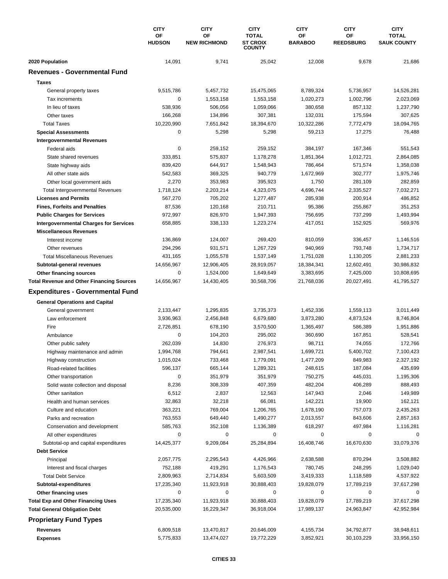|                                                  | <b>CITY</b><br>OF<br><b>HUDSON</b> | <b>CITY</b>         | <b>CITY</b><br><b>TOTAL</b>      | <b>CITY</b><br>ΟF    | <b>CITY</b><br>OF   | <b>CITY</b><br><b>TOTAL</b><br><b>SAUK COUNTY</b> |
|--------------------------------------------------|------------------------------------|---------------------|----------------------------------|----------------------|---------------------|---------------------------------------------------|
|                                                  |                                    | OF                  |                                  |                      |                     |                                                   |
|                                                  |                                    | <b>NEW RICHMOND</b> | <b>ST CROIX</b><br><b>COUNTY</b> | <b>BARABOO</b>       | <b>REEDSBURG</b>    |                                                   |
| 2020 Population                                  | 14,091                             | 9,741               | 25,042                           | 12,008               | 9,678               | 21,686                                            |
| <b>Revenues - Governmental Fund</b>              |                                    |                     |                                  |                      |                     |                                                   |
| <b>Taxes</b>                                     |                                    |                     |                                  |                      |                     |                                                   |
| General property taxes                           | 9,515,786                          | 5,457,732           | 15,475,065                       | 8,789,324            | 5,736,957           | 14,526,281                                        |
| Tax increments                                   | 0                                  | 1,553,158           | 1,553,158                        | 1,020,273            | 1,002,796           | 2,023,069                                         |
| In lieu of taxes                                 | 538,936                            | 506,056             | 1,059,066                        | 380,658              | 857,132             | 1,237,790                                         |
| Other taxes                                      | 166,268                            | 134,896             | 307,381                          | 132,031              | 175,594             | 307,625                                           |
| <b>Total Taxes</b>                               | 10,220,990                         | 7,651,842           | 18,394,670                       | 10,322,286           | 7,772,479           | 18,094,765                                        |
| <b>Special Assessments</b>                       | 0                                  | 5,298               | 5,298                            | 59,213               | 17,275              | 76,488                                            |
| <b>Intergovernmental Revenues</b>                |                                    |                     |                                  |                      |                     |                                                   |
| Federal aids                                     | $\mathbf 0$                        | 259,152             | 259,152                          | 384,197              | 167,346             | 551,543                                           |
| State shared revenues                            | 333,851                            | 575,837             | 1,178,278                        | 1,851,364            | 1,012,721           | 2,864,085                                         |
| State highway aids                               | 839,420                            | 644,917             | 1,548,943                        | 786,464              | 571,574             | 1,358,038                                         |
| All other state aids                             | 542,583                            | 369,325             | 940,779                          | 1,672,969            | 302,777             | 1,975,746                                         |
| Other local government aids                      | 2,270                              | 353,983             | 395,923                          | 1,750                | 281,109             | 282,859                                           |
| <b>Total Intergovernmental Revenues</b>          | 1,718,124                          | 2,203,214           | 4,323,075                        | 4,696,744            | 2,335,527           | 7,032,271                                         |
| <b>Licenses and Permits</b>                      | 567,270                            | 705,202             | 1,277,487                        | 285,938              | 200,914             | 486,852                                           |
| <b>Fines, Forfeits and Penalties</b>             | 87,536                             | 120,168             | 210,711                          | 95,386               | 255,867             | 351,253                                           |
| <b>Public Charges for Services</b>               | 972,997                            | 826,970             | 1,947,393                        | 756,695              | 737,299             | 1,493,994                                         |
| <b>Intergovernmental Charges for Services</b>    | 658,885                            | 338,133             | 1,223,274                        | 417,051              | 152,925             | 569,976                                           |
| <b>Miscellaneous Revenues</b>                    |                                    |                     |                                  |                      |                     |                                                   |
| Interest income                                  | 136,869                            | 124,007             | 269,420                          | 810,059              | 336,457             | 1,146,516                                         |
| Other revenues                                   | 294,296                            | 931,571             | 1,267,729                        | 940,969              | 793,748             | 1,734,717                                         |
| <b>Total Miscellaneous Revenues</b>              | 431,165                            | 1,055,578           | 1,537,149                        | 1,751,028            | 1,130,205           | 2,881,233                                         |
| Subtotal-general revenues                        | 14,656,967                         | 12,906,405          | 28,919,057                       | 18,384,341           | 12,602,491          | 30,986,832                                        |
| Other financing sources                          | 0                                  | 1,524,000           | 1,649,649                        | 3,383,695            | 7,425,000           | 10,808,695                                        |
| <b>Total Revenue and Other Financing Sources</b> | 14,656,967                         | 14,430,405          | 30,568,706                       | 21,768,036           | 20,027,491          | 41,795,527                                        |
| <b>Expenditures - Governmental Fund</b>          |                                    |                     |                                  |                      |                     |                                                   |
|                                                  |                                    |                     |                                  |                      |                     |                                                   |
| <b>General Operations and Capital</b>            | 2,133,447                          | 1,295,835           | 3,735,373                        | 1,452,336            | 1,559,113           | 3,011,449                                         |
| General government                               |                                    |                     |                                  |                      |                     |                                                   |
| Law enforcement<br>Fire                          | 3,936,963                          | 2,456,848           | 6,679,680<br>3,570,500           | 3,873,280            | 4,873,524           | 8,746,804<br>1,951,886                            |
|                                                  | 2,726,851<br>$\mathbf 0$           | 678,190             |                                  | 1,365,497<br>360,690 | 586,389             | 528,541                                           |
| Ambulance                                        | 262,039                            | 104,203             | 295,002                          |                      | 167,851             | 172,766                                           |
| Other public safety                              |                                    | 14,830              | 276,973<br>2,987,541             | 98,711<br>1,699,721  | 74,055<br>5,400,702 |                                                   |
| Highway maintenance and admin                    | 1,994,768                          | 794,641<br>733,468  |                                  |                      |                     | 7,100,423                                         |
| Highway construction                             | 1,015,024                          |                     | 1,779,091                        | 1,477,209            | 849,983             | 2,327,192                                         |
| Road-related facilities                          | 596,137                            | 665,144             | 1,289,321                        | 248,615              | 187,084             | 435,699                                           |
| Other transportation                             | 0                                  | 351,979             | 351,979                          | 750,275              | 445,031             | 1,195,306                                         |
| Solid waste collection and disposal              | 8,236                              | 308,339             | 407,359                          | 482,204              | 406,289             | 888,493                                           |
| Other sanitation                                 | 6,512                              | 2,837               | 12,563                           | 147,943              | 2,046               | 149,989                                           |
| Health and human services                        | 32,863                             | 32,218              | 66,081                           | 142,221              | 19,900              | 162,121                                           |
| Culture and education                            | 363,221                            | 769,004             | 1,206,765                        | 1,678,190            | 757,073             | 2,435,263                                         |
| Parks and recreation                             | 763,553                            | 649,440             | 1,490,277                        | 2,013,557            | 843,606             | 2,857,163                                         |
| Conservation and development                     | 585,763                            | 352,108             | 1,136,389                        | 618,297              | 497,984             | 1,116,281                                         |
| All other expenditures                           | 0                                  | 0                   | 0                                | 0                    | 0                   | 0                                                 |
| Subtotal-op and capital expenditures             | 14,425,377                         | 9,209,084           | 25,284,894                       | 16,408,746           | 16,670,630          | 33,079,376                                        |
| <b>Debt Service</b>                              |                                    |                     |                                  |                      |                     |                                                   |
| Principal                                        | 2,057,775                          | 2,295,543           | 4,426,966                        | 2,638,588            | 870,294             | 3,508,882                                         |
| Interest and fiscal charges                      | 752,188                            | 419,291             | 1,176,543                        | 780,745              | 248,295             | 1,029,040                                         |
| <b>Total Debt Service</b>                        | 2,809,963                          | 2,714,834           | 5,603,509                        | 3,419,333            | 1,118,589           | 4,537,922                                         |
| Subtotal-expenditures                            | 17,235,340                         | 11,923,918          | 30,888,403                       | 19,828,079           | 17,789,219          | 37,617,298                                        |
| Other financing uses                             | 0                                  | 0                   | 0                                | 0                    | 0                   | 0                                                 |
| <b>Total Exp and Other Financing Uses</b>        | 17,235,340                         | 11,923,918          | 30,888,403                       | 19,828,079           | 17,789,219          | 37,617,298                                        |
| <b>Total General Obligation Debt</b>             | 20,535,000                         | 16,229,347          | 36,918,004                       | 17,989,137           | 24,963,847          | 42,952,984                                        |
| <b>Proprietary Fund Types</b>                    |                                    |                     |                                  |                      |                     |                                                   |
| <b>Revenues</b>                                  | 6,809,518                          | 13,470,817          | 20,646,009                       | 4,155,734            | 34,792,877          | 38,948,611                                        |
| <b>Expenses</b>                                  | 5,775,833                          | 13,474,027          | 19,772,229                       | 3,852,921            | 30,103,229          | 33,956,150                                        |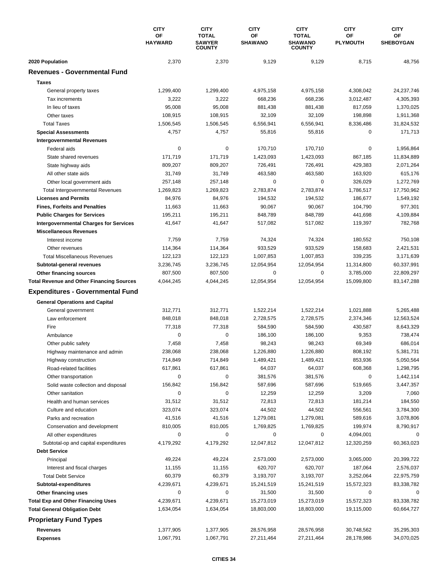|                                                  | <b>CITY</b><br>OF<br><b>HAYWARD</b> | <b>CITY</b><br><b>TOTAL</b><br><b>SAWYER</b><br><b>COUNTY</b> | <b>CITY</b><br><b>OF</b><br><b>SHAWANO</b> | <b>CITY</b><br><b>TOTAL</b><br><b>SHAWANO</b><br><b>COUNTY</b> | <b>CITY</b><br>ΟF<br><b>PLYMOUTH</b> | <b>CITY</b><br>OF<br><b>SHEBOYGAN</b> |
|--------------------------------------------------|-------------------------------------|---------------------------------------------------------------|--------------------------------------------|----------------------------------------------------------------|--------------------------------------|---------------------------------------|
| 2020 Population                                  | 2,370                               | 2,370                                                         | 9,129                                      | 9,129                                                          | 8,715                                | 48,756                                |
| <b>Revenues - Governmental Fund</b>              |                                     |                                                               |                                            |                                                                |                                      |                                       |
| <b>Taxes</b>                                     |                                     |                                                               |                                            |                                                                |                                      |                                       |
| General property taxes                           | 1,299,400                           | 1,299,400                                                     | 4,975,158                                  | 4,975,158                                                      | 4,308,042                            | 24,237,746                            |
| Tax increments                                   | 3,222                               | 3,222                                                         | 668,236                                    | 668,236                                                        | 3,012,487                            | 4,305,393                             |
| In lieu of taxes                                 | 95,008                              | 95,008                                                        | 881,438                                    | 881,438                                                        | 817,059                              | 1,370,025                             |
| Other taxes                                      | 108,915                             | 108,915                                                       | 32,109                                     | 32,109                                                         | 198,898                              | 1,911,368                             |
| <b>Total Taxes</b>                               | 1,506,545                           | 1,506,545                                                     | 6,556,941                                  | 6,556,941                                                      | 8,336,486                            | 31,824,532                            |
| <b>Special Assessments</b>                       | 4,757                               | 4,757                                                         | 55,816                                     | 55,816                                                         | 0                                    | 171,713                               |
| <b>Intergovernmental Revenues</b>                |                                     |                                                               |                                            |                                                                |                                      |                                       |
| Federal aids                                     | 0                                   | 0                                                             | 170,710                                    | 170,710                                                        | $\mathbf 0$                          | 1,956,864                             |
| State shared revenues                            | 171,719                             | 171,719                                                       | 1,423,093                                  | 1,423,093                                                      | 867,185                              | 11,834,889                            |
| State highway aids                               | 809,207                             | 809,207                                                       | 726,491                                    | 726,491                                                        | 429,383                              | 2,071,264                             |
| All other state aids                             | 31,749                              | 31,749                                                        | 463,580                                    | 463,580                                                        | 163,920                              | 615,176                               |
| Other local government aids                      | 257,148                             | 257,148                                                       | 0                                          | $\pmb{0}$                                                      | 326,029                              | 1,272,769                             |
| <b>Total Intergovernmental Revenues</b>          | 1,269,823                           | 1,269,823                                                     | 2,783,874                                  | 2,783,874                                                      | 1,786,517                            | 17,750,962                            |
| <b>Licenses and Permits</b>                      | 84,976                              | 84,976                                                        | 194,532                                    | 194,532                                                        | 186,677                              | 1,549,192                             |
| <b>Fines, Forfeits and Penalties</b>             | 11,663                              | 11,663                                                        | 90,067                                     | 90,067                                                         | 104,790                              | 977,301                               |
| <b>Public Charges for Services</b>               | 195,211                             | 195,211                                                       | 848,789                                    | 848,789                                                        | 441,698                              | 4,109,884                             |
| <b>Intergovernmental Charges for Services</b>    | 41,647                              | 41,647                                                        | 517,082                                    | 517,082                                                        | 119,397                              | 782,768                               |
| <b>Miscellaneous Revenues</b>                    |                                     |                                                               |                                            |                                                                |                                      |                                       |
| Interest income                                  | 7,759                               | 7,759                                                         | 74,324                                     | 74,324                                                         | 180,552                              | 750,108                               |
| Other revenues                                   | 114,364                             | 114,364                                                       | 933,529                                    | 933,529                                                        | 158,683                              | 2,421,531                             |
| <b>Total Miscellaneous Revenues</b>              | 122,123                             | 122,123                                                       | 1,007,853                                  | 1,007,853                                                      | 339,235                              | 3,171,639                             |
| Subtotal-general revenues                        | 3,236,745                           | 3,236,745                                                     | 12,054,954                                 | 12,054,954                                                     | 11,314,800                           | 60,337,991                            |
| Other financing sources                          | 807,500                             | 807,500                                                       | 0                                          | 0                                                              | 3,785,000                            | 22,809,297                            |
| <b>Total Revenue and Other Financing Sources</b> | 4,044,245                           | 4,044,245                                                     | 12,054,954                                 | 12,054,954                                                     | 15,099,800                           | 83,147,288                            |
| <b>Expenditures - Governmental Fund</b>          |                                     |                                                               |                                            |                                                                |                                      |                                       |
| <b>General Operations and Capital</b>            |                                     |                                                               |                                            |                                                                |                                      |                                       |
| General government                               | 312,771                             | 312.771                                                       | 1,522,214                                  | 1,522,214                                                      | 1,021,888                            | 5,265,488                             |
| Law enforcement                                  | 848,018                             | 848,018                                                       | 2,728,575                                  | 2,728,575                                                      | 2,374,346                            | 12,563,524                            |
| Fire                                             | 77,318                              | 77,318                                                        | 584,590                                    | 584,590                                                        | 430,587                              | 8,643,329                             |
| Ambulance                                        | 0                                   | 0                                                             | 186,100                                    | 186,100                                                        | 9,353                                | 738,474                               |
| Other public safety                              | 7,458                               | 7,458                                                         | 98,243                                     | 98,243                                                         | 69,349                               | 686,014                               |
| Highway maintenance and admin                    | 238,068                             | 238,068                                                       | 1,226,880                                  | 1,226,880                                                      | 808,192                              | 5,381,731                             |
| Highway construction                             | 714,849                             | 714,849                                                       | 1,489,421                                  | 1,489,421                                                      | 853,936                              | 5,050,564                             |
| Road-related facilities                          | 617,861                             | 617,861                                                       | 64,037                                     | 64,037                                                         | 608,368                              | 1,298,795                             |
| Other transportation                             | 0                                   | 0                                                             | 381,576                                    | 381,576                                                        | 0                                    | 1,442,114                             |
| Solid waste collection and disposal              | 156,842                             | 156,842                                                       | 587,696                                    | 587,696                                                        | 519,665                              | 3,447,357                             |
| Other sanitation                                 | $\mathbf 0$                         | $\pmb{0}$                                                     | 12,259                                     | 12,259                                                         | 3,209                                | 7,060                                 |
| Health and human services                        | 31,512                              | 31,512                                                        | 72,813                                     | 72,813                                                         | 181,214                              | 184,550                               |
| Culture and education                            | 323,074                             | 323,074                                                       | 44,502                                     | 44,502                                                         | 556,561                              | 3,784,300                             |
| Parks and recreation                             | 41,516                              | 41,516                                                        | 1,279,081                                  | 1,279,081                                                      | 589,616                              | 3,078,806                             |
| Conservation and development                     | 810,005                             | 810,005                                                       | 1,769,825                                  | 1,769,825                                                      | 199,974                              | 8,790,917                             |
| All other expenditures                           | 0                                   | 0                                                             | 0                                          | 0                                                              | 4,094,001                            | 0                                     |
| Subtotal-op and capital expenditures             | 4,179,292                           | 4,179,292                                                     | 12,047,812                                 | 12,047,812                                                     | 12,320,259                           | 60,363,023                            |
| <b>Debt Service</b>                              |                                     |                                                               |                                            |                                                                |                                      |                                       |
| Principal                                        | 49,224                              | 49,224                                                        | 2,573,000                                  | 2,573,000                                                      | 3,065,000                            | 20,399,722                            |
| Interest and fiscal charges                      | 11,155                              | 11,155                                                        | 620,707                                    | 620,707                                                        | 187,064                              | 2,576,037                             |
| <b>Total Debt Service</b>                        | 60,379                              | 60,379                                                        | 3,193,707                                  | 3,193,707                                                      | 3,252,064                            | 22,975,759                            |
| Subtotal-expenditures                            | 4,239,671                           | 4,239,671                                                     | 15,241,519                                 | 15,241,519                                                     | 15,572,323                           | 83,338,782                            |
| Other financing uses                             | 0                                   | 0                                                             | 31,500                                     | 31,500                                                         | 0                                    | 0                                     |
| <b>Total Exp and Other Financing Uses</b>        | 4,239,671                           | 4,239,671                                                     | 15,273,019                                 | 15,273,019                                                     | 15,572,323                           | 83,338,782                            |
| <b>Total General Obligation Debt</b>             | 1,634,054                           | 1,634,054                                                     | 18,803,000                                 | 18,803,000                                                     | 19,115,000                           | 60,664,727                            |
| <b>Proprietary Fund Types</b>                    |                                     |                                                               |                                            |                                                                |                                      |                                       |
|                                                  |                                     |                                                               |                                            |                                                                |                                      |                                       |
| <b>Revenues</b>                                  | 1,377,905                           | 1,377,905                                                     | 28,576,958                                 | 28,576,958                                                     | 30,748,562                           | 35,295,303                            |
| <b>Expenses</b>                                  | 1,067,791                           | 1,067,791                                                     | 27,211,464                                 | 27,211,464                                                     | 28,178,986                           | 34,070,025                            |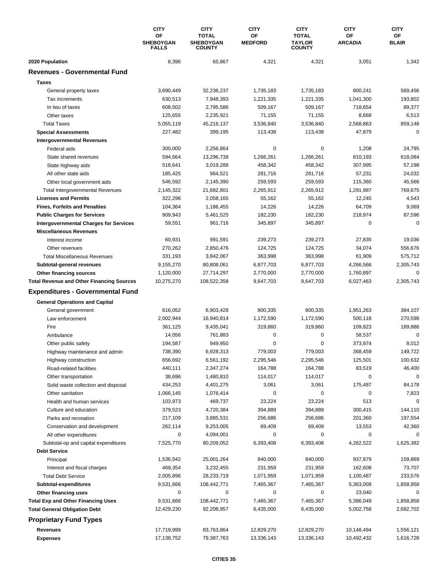|                                                  | <b>CITY</b>                            | <b>CITY</b>                                       | <b>CITY</b><br>ΟF | <b>CITY</b><br><b>TOTAL</b>    | <b>CITY</b>                 | <b>CITY</b>        |
|--------------------------------------------------|----------------------------------------|---------------------------------------------------|-------------------|--------------------------------|-----------------------------|--------------------|
|                                                  | OF<br><b>SHEBOYGAN</b><br><b>FALLS</b> | <b>TOTAL</b><br><b>SHEBOYGAN</b><br><b>COUNTY</b> | <b>MEDFORD</b>    | <b>TAYLOR</b><br><b>COUNTY</b> | <b>OF</b><br><b>ARCADIA</b> | ОF<br><b>BLAIR</b> |
| 2020 Population                                  | 8,396                                  | 65,867                                            | 4,321             | 4,321                          | 3,051                       | 1,342              |
| <b>Revenues - Governmental Fund</b>              |                                        |                                                   |                   |                                |                             |                    |
| <b>Taxes</b>                                     |                                        |                                                   |                   |                                |                             |                    |
| General property taxes                           | 3,690,449                              | 32,236,237                                        | 1,735,183         | 1,735,183                      | 800,241                     | 569,456            |
| Tax increments                                   | 630,513                                | 7,948,393                                         | 1,221,335         | 1,221,335                      | 1,041,300                   | 193,802            |
| In lieu of taxes                                 | 608,502                                | 2,795,586                                         | 509,167           | 509,167                        | 718,654                     | 89,377             |
| Other taxes                                      | 125,655                                | 2,235,921                                         | 71,155            | 71,155                         | 8,668                       | 6,513              |
| <b>Total Taxes</b>                               | 5,055,119                              | 45,216,137                                        | 3,536,840         | 3,536,840                      | 2,568,863                   | 859,148            |
| <b>Special Assessments</b>                       | 227,482                                | 399,195                                           | 113,438           | 113,438                        | 47,879                      | 0                  |
| <b>Intergovernmental Revenues</b>                |                                        |                                                   |                   |                                |                             |                    |
| Federal aids                                     | 300,000                                | 2,256,864                                         | 0                 | 0                              | 1,208                       | 24,795             |
| State shared revenues                            | 594,664                                | 13,296,738                                        | 1,266,261         | 1,266,261                      | 810,193                     | 618,084            |
| State highway aids                               | 518,641                                | 3,019,288                                         | 458,342           | 458,342                        | 307,995                     | 57,198             |
| All other state aids                             | 185,425                                | 964,521                                           | 281,716           | 281,716                        | 57,231                      | 24,032             |
| Other local government aids                      | 546,592                                | 2,145,390                                         | 259,593           | 259,593                        | 115,360                     | 45,566             |
| <b>Total Intergovernmental Revenues</b>          | 2,145,322                              | 21,682,801                                        | 2,265,912         | 2,265,912                      | 1,291,987                   | 769,675            |
| <b>Licenses and Permits</b>                      | 322,296                                | 2,058,165                                         | 55,162            | 55,162                         | 12,245                      | 4,543              |
| <b>Fines, Forfeits and Penalties</b>             | 104,364                                | 1,186,455                                         | 14,226            | 14,226                         | 64,709                      | 9,069              |
| <b>Public Charges for Services</b>               | 909,943                                | 5,461,525                                         | 182,230           | 182,230                        | 218,974                     | 87,596             |
| <b>Intergovernmental Charges for Services</b>    | 59,551                                 | 961,716                                           | 345,897           | 345,897                        | $\mathbf 0$                 | $\Omega$           |
| <b>Miscellaneous Revenues</b>                    |                                        |                                                   |                   |                                |                             |                    |
| Interest income                                  | 60,931                                 | 991,591                                           | 239,273           | 239,273                        | 27,835                      | 19,036             |
| Other revenues                                   | 270,262                                | 2,850,476                                         | 124,725           | 124,725                        | 34,074                      | 556,676            |
| <b>Total Miscellaneous Revenues</b>              | 331,193                                | 3,842,067                                         | 363,998           | 363,998                        | 61,909                      | 575,712            |
| Subtotal-general revenues                        | 9,155,270                              | 80,808,061                                        | 6,877,703         | 6,877,703                      | 4,266,566                   | 2,305,743          |
| Other financing sources                          | 1,120,000                              | 27,714,297                                        | 2,770,000         | 2,770,000                      | 1,760,897                   | 0                  |
| <b>Total Revenue and Other Financing Sources</b> | 10,275,270                             | 108,522,358                                       | 9,647,703         | 9,647,703                      | 6,027,463                   | 2,305,743          |
| <b>Expenditures - Governmental Fund</b>          |                                        |                                                   |                   |                                |                             |                    |
| <b>General Operations and Capital</b>            |                                        |                                                   |                   |                                |                             |                    |
| General government                               | 616,052                                | 6,903,428                                         | 800,335           | 800,335                        | 1,951,263                   | 384,107            |
| Law enforcement                                  | 2,002,944                              | 16,940,814                                        | 1,172,590         | 1,172,590                      | 500,118                     | 270,598            |
| Fire                                             | 361,125                                | 9,435,041                                         | 319.860           | 319,860                        | 109,823                     | 189,886            |
| Ambulance                                        | 14,056                                 | 761,883                                           | 0                 | 0                              | 58,537                      | $\mathbf 0$        |
| Other public safety                              | 194,587                                | 949,950                                           | 0                 | 0                              | 373,974                     | 8,012              |
| Highway maintenance and admin                    | 738,390                                | 6,928,313                                         | 779,003           | 779,003                        | 368,459                     | 149,722            |
| Highway construction                             | 656,692                                | 6,561,192                                         | 2,295,546         | 2,295,546                      | 125,501                     | 100,632            |
| Road-related facilities                          | 440,111                                | 2,347,274                                         | 164,788           | 164,788                        | 83,519                      | 46,400             |
| Other transportation                             | 38,696                                 | 1,480,810                                         | 114,017           | 114,017                        | 0                           | $\mathbf 0$        |
| Solid waste collection and disposal              | 434,253                                | 4,401,275                                         | 3,061             | 3,061                          | 175,487                     | 84,178             |
| Other sanitation                                 | 1,066,145                              | 1,076,414                                         | 0                 | 0                              | 0                           | 7,823              |
| Health and human services                        | 103,973                                | 469,737                                           | 23,224            | 23,224                         | 513                         | $\mathbf 0$        |
| Culture and education                            | 379,523                                | 4,720,384                                         | 394,889           | 394,889                        | 300,415                     | 144,110            |
| Parks and recreation                             | 217,109                                | 3,885,531                                         | 256,686           | 256,686                        | 201,360                     | 197,554            |
| Conservation and development                     | 262,114                                | 9,253,005                                         | 69,409            | 69,409                         | 13,553                      | 42,360             |
| All other expenditures                           | 0                                      | 4,094,001                                         | 0                 | 0                              | 0                           |                    |
| Subtotal-op and capital expenditures             | 7,525,770                              | 80,209,052                                        | 6,393,408         | 6,393,408                      | 4,262,522                   | 1,625,382          |
| <b>Debt Service</b>                              |                                        |                                                   |                   |                                |                             |                    |
| Principal                                        | 1,536,542                              | 25,001,264                                        | 840,000           | 840,000                        | 937,879                     | 159,869            |
| Interest and fiscal charges                      | 469,354                                | 3,232,455                                         | 231,959           | 231,959                        | 162,608                     | 73,707             |
| <b>Total Debt Service</b>                        | 2,005,896                              | 28,233,719                                        | 1,071,959         | 1,071,959                      | 1,100,487                   | 233,576            |
| Subtotal-expenditures                            | 9,531,666                              | 108,442,771                                       | 7,465,367         | 7,465,367                      | 5,363,009                   | 1,858,958          |
| Other financing uses                             | 0                                      | 0                                                 | 0                 | 0                              | 23,040                      | 0                  |
| <b>Total Exp and Other Financing Uses</b>        | 9,531,666                              | 108,442,771                                       | 7,465,367         | 7,465,367                      | 5,386,049                   | 1,858,958          |
| <b>Total General Obligation Debt</b>             | 12,429,230                             | 92,208,957                                        | 6,435,000         | 6,435,000                      | 5,002,758                   | 2,682,702          |
| <b>Proprietary Fund Types</b>                    |                                        |                                                   |                   |                                |                             |                    |
| Revenues                                         | 17,719,999                             | 83,763,864                                        | 12,829,270        | 12,829,270                     | 10,148,494                  | 1,556,121          |
| <b>Expenses</b>                                  | 17,138,752                             | 79,387,763                                        | 13,336,143        | 13,336,143                     | 10,492,432                  | 1,616,728          |
|                                                  |                                        |                                                   |                   |                                |                             |                    |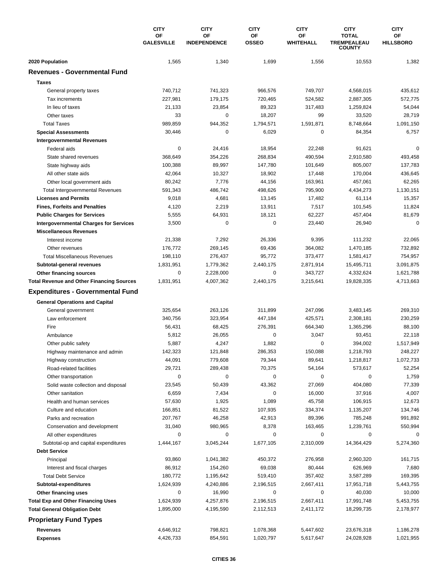|                                                  | <b>CITY</b>                    | <b>CITY</b>               | <b>CITY</b>        | <b>CITY</b>                   | <b>CITY</b>                                         | <b>CITY</b>            |
|--------------------------------------------------|--------------------------------|---------------------------|--------------------|-------------------------------|-----------------------------------------------------|------------------------|
|                                                  | <b>OF</b><br><b>GALESVILLE</b> | OF<br><b>INDEPENDENCE</b> | ΟF<br><b>OSSEO</b> | <b>OF</b><br><b>WHITEHALL</b> | <b>TOTAL</b><br><b>TREMPEALEAU</b><br><b>COUNTY</b> | OF<br><b>HILLSBORO</b> |
| 2020 Population                                  | 1,565                          | 1,340                     | 1,699              | 1,556                         | 10,553                                              | 1,382                  |
| <b>Revenues - Governmental Fund</b>              |                                |                           |                    |                               |                                                     |                        |
| <b>Taxes</b>                                     |                                |                           |                    |                               |                                                     |                        |
| General property taxes                           | 740,712                        | 741,323                   | 966,576            | 749,707                       | 4,568,015                                           | 435,612                |
| Tax increments                                   | 227,981                        | 179,175                   | 720,465            | 524,582                       | 2,887,305                                           | 572,775                |
| In lieu of taxes                                 | 21,133                         | 23,854                    | 89,323             | 317,483                       | 1,259,824                                           | 54,044                 |
| Other taxes                                      | 33                             | 0                         | 18,207             | 99                            | 33,520                                              | 28,719                 |
| <b>Total Taxes</b>                               | 989,859                        | 944,352                   | 1,794,571          | 1,591,871                     | 8,748,664                                           | 1,091,150              |
| <b>Special Assessments</b>                       | 30,446                         | 0                         | 6,029              | 0                             | 84,354                                              | 6,757                  |
| <b>Intergovernmental Revenues</b>                |                                |                           |                    |                               |                                                     |                        |
| Federal aids                                     | 0                              | 24,416                    | 18,954             | 22,248                        | 91,621                                              | $\Omega$               |
| State shared revenues                            | 368,649                        | 354,226                   | 268,834            | 490,594                       | 2,910,580                                           | 493,458                |
| State highway aids                               | 100,388                        | 89,997                    | 147,780            | 101,649                       | 805,007                                             | 137,783                |
| All other state aids                             | 42,064                         | 10,327                    | 18,902             | 17,448                        | 170,004                                             | 436,645                |
| Other local government aids                      | 80,242                         | 7,776                     | 44,156             | 163,961                       | 457,061                                             | 62,265                 |
| <b>Total Intergovernmental Revenues</b>          | 591,343                        | 486,742                   | 498,626            | 795,900                       | 4,434,273                                           | 1,130,151              |
| <b>Licenses and Permits</b>                      | 9,018                          | 4,681                     | 13,145             | 17,482                        | 61,114                                              | 15,357                 |
| <b>Fines, Forfeits and Penalties</b>             | 4,120                          | 2,219                     | 13,911             | 7,517                         | 101,545                                             | 11,824                 |
| <b>Public Charges for Services</b>               | 5,555                          | 64,931                    | 18,121             | 62,227                        | 457,404                                             | 81,679                 |
| <b>Intergovernmental Charges for Services</b>    | 3,500                          | 0                         | 0                  | 23,440                        | 26,940                                              | 0                      |
| <b>Miscellaneous Revenues</b>                    |                                |                           |                    |                               |                                                     |                        |
| Interest income                                  | 21,338                         | 7,292                     | 26,336             | 9,395                         | 111,232                                             | 22,065                 |
| Other revenues                                   | 176,772                        | 269,145                   | 69,436             | 364,082                       | 1,470,185                                           | 732,892                |
| <b>Total Miscellaneous Revenues</b>              | 198,110                        | 276,437                   | 95,772             | 373,477                       | 1,581,417                                           | 754,957                |
| Subtotal-general revenues                        | 1,831,951                      | 1,779,362                 | 2,440,175          | 2,871,914                     | 15,495,711                                          | 3,091,875              |
| Other financing sources                          | $\mathbf 0$                    | 2,228,000                 | 0                  | 343,727                       | 4,332,624                                           | 1,621,788              |
| <b>Total Revenue and Other Financing Sources</b> | 1,831,951                      | 4,007,362                 | 2,440,175          | 3,215,641                     | 19,828,335                                          | 4,713,663              |
| <b>Expenditures - Governmental Fund</b>          |                                |                           |                    |                               |                                                     |                        |
| <b>General Operations and Capital</b>            |                                |                           |                    |                               |                                                     |                        |
| General government                               | 325,654                        | 263,126                   | 311,899            | 247,096                       | 3,483,145                                           | 269,310                |
| Law enforcement                                  | 340,756                        | 323,954                   | 447,184            | 425,571                       | 2,308,181                                           | 230,259                |
| Fire                                             | 56,431                         | 68,425                    | 276,391            | 664,340                       | 1,365,296                                           | 88,100                 |
| Ambulance                                        | 5,812                          | 26,055                    | 0                  | 3,047                         | 93,451                                              | 22,118                 |
| Other public safety                              | 5,887                          | 4,247                     | 1,882              | $\pmb{0}$                     | 394,002                                             | 1,517,949              |
| Highway maintenance and admin                    | 142,323                        | 121,848                   | 286,353            | 150,088                       | 1,218,793                                           | 248,227                |
| Highway construction                             | 44,091                         | 779,608                   | 79,344             | 89,641                        | 1,218,817                                           | 1,072,733              |
| Road-related facilities                          | 29,721                         | 289,438                   | 70,375             | 54,164                        | 573,617                                             | 52,254                 |
| Other transportation                             | 0                              | 0                         | 0                  | 0                             | 0                                                   | 1,759                  |
| Solid waste collection and disposal              | 23,545                         | 50,439                    | 43,362             | 27,069                        | 404,080                                             | 77,339                 |
| Other sanitation                                 | 6,659                          | 7,434                     | 0                  | 16,000                        | 37,916                                              | 4,007                  |
| Health and human services                        | 57,630                         | 1,925                     | 1,089              | 45,758                        | 106,915                                             | 12,673                 |
| Culture and education                            | 166,851                        | 81,522                    | 107,935            | 334,374                       | 1,135,207                                           | 134,746                |
| Parks and recreation                             | 207,767                        | 46,258                    | 42,913             | 89,396                        | 785,248                                             | 991,892                |
| Conservation and development                     | 31,040                         | 980,965                   | 8,378              | 163,465                       | 1,239,761                                           | 550,994                |
| All other expenditures                           | 0                              | 0                         | 0                  | 0                             | 0                                                   | 0                      |
| Subtotal-op and capital expenditures             | 1,444,167                      | 3,045,244                 | 1,677,105          | 2,310,009                     | 14,364,429                                          | 5,274,360              |
| <b>Debt Service</b>                              |                                |                           |                    |                               |                                                     |                        |
| Principal                                        | 93,860                         | 1,041,382                 | 450,372            | 276,958                       | 2,960,320                                           | 161,715                |
| Interest and fiscal charges                      | 86,912                         | 154,260                   | 69,038             | 80,444                        | 626,969                                             | 7,680                  |
| <b>Total Debt Service</b>                        | 180,772                        | 1,195,642                 | 519,410            | 357,402                       | 3,587,289                                           | 169,395                |
| Subtotal-expenditures                            | 1,624,939                      | 4,240,886                 | 2,196,515          | 2,667,411                     | 17,951,718                                          | 5,443,755              |
| Other financing uses                             | 0                              | 16,990                    | 0                  | 0                             | 40,030                                              | 10,000                 |
| <b>Total Exp and Other Financing Uses</b>        | 1,624,939                      | 4,257,876                 | 2,196,515          | 2,667,411                     | 17,991,748                                          | 5,453,755              |
| <b>Total General Obligation Debt</b>             | 1,895,000                      | 4,195,590                 | 2,112,513          | 2,411,172                     | 18,299,735                                          | 2,178,977              |
| <b>Proprietary Fund Types</b>                    |                                |                           |                    |                               |                                                     |                        |
| <b>Revenues</b>                                  | 4,646,912                      | 798,821                   | 1,078,368          | 5,447,602                     | 23,676,318                                          | 1,186,278              |
| <b>Expenses</b>                                  | 4,426,733                      | 854,591                   | 1,020,797          | 5,617,647                     | 24,028,928                                          | 1,021,955              |
|                                                  |                                |                           |                    |                               |                                                     |                        |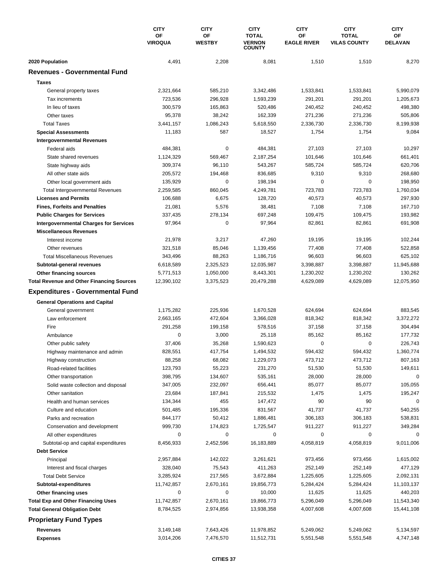|                                                      | <b>CITY</b><br>OF<br><b>VIROQUA</b> | <b>CITY</b>         | <b>CITY</b>                                    | <b>CITY</b>              | <b>CITY</b>                         | <b>CITY</b>          |
|------------------------------------------------------|-------------------------------------|---------------------|------------------------------------------------|--------------------------|-------------------------------------|----------------------|
|                                                      |                                     | OF<br><b>WESTBY</b> | <b>TOTAL</b><br><b>VERNON</b><br><b>COUNTY</b> | OF<br><b>EAGLE RIVER</b> | <b>TOTAL</b><br><b>VILAS COUNTY</b> | ОF<br><b>DELAVAN</b> |
| 2020 Population                                      | 4,491                               | 2,208               | 8,081                                          | 1,510                    | 1,510                               | 8,270                |
| <b>Revenues - Governmental Fund</b>                  |                                     |                     |                                                |                          |                                     |                      |
| <b>Taxes</b>                                         |                                     |                     |                                                |                          |                                     |                      |
| General property taxes                               | 2,321,664                           | 585,210             | 3,342,486                                      | 1,533,841                | 1,533,841                           | 5,990,079            |
| Tax increments                                       | 723,536                             | 296.928             | 1,593,239                                      | 291,201                  | 291,201                             | 1,205,673            |
| In lieu of taxes                                     | 300,579                             | 165,863             | 520,486                                        | 240,452                  | 240,452                             | 498,380              |
| Other taxes                                          | 95,378                              | 38,242              | 162,339                                        | 271,236                  | 271,236                             | 505,806              |
| <b>Total Taxes</b>                                   | 3,441,157                           | 1,086,243           | 5,618,550                                      | 2,336,730                | 2,336,730                           | 8,199,938            |
| <b>Special Assessments</b>                           | 11,183                              | 587                 | 18,527                                         | 1,754                    | 1,754                               | 9,084                |
| <b>Intergovernmental Revenues</b>                    |                                     |                     |                                                |                          |                                     |                      |
| Federal aids                                         | 484,381                             | $\pmb{0}$           | 484,381                                        | 27,103                   | 27,103                              | 10,297               |
| State shared revenues                                | 1,124,329                           | 569,467             | 2,187,254                                      | 101,646                  | 101,646                             | 661,401              |
| State highway aids                                   | 309,374                             | 96,110              | 543,267                                        | 585,724                  | 585,724                             | 620,706              |
| All other state aids                                 | 205,572                             | 194,468             | 836,685                                        | 9,310                    | 9,310                               | 268,680              |
| Other local government aids                          | 135,929                             | 0                   | 198,194                                        | 0                        | $\mathbf 0$                         | 198,950              |
| <b>Total Intergovernmental Revenues</b>              | 2,259,585                           | 860,045             | 4,249,781                                      | 723,783                  | 723.783                             | 1,760,034            |
| <b>Licenses and Permits</b>                          | 106,688                             | 6,675               | 128,720                                        | 40,573                   | 40,573                              | 297,930              |
| <b>Fines, Forfeits and Penalties</b>                 | 21,081                              | 5,576               | 38,481                                         | 7,108                    | 7,108                               | 167,710              |
| <b>Public Charges for Services</b>                   | 337,435                             | 278,134             | 697,248                                        | 109,475                  | 109,475                             | 193,982              |
| <b>Intergovernmental Charges for Services</b>        | 97,964                              | $\mathbf 0$         | 97,964                                         | 82,861                   | 82,861                              | 691,908              |
| <b>Miscellaneous Revenues</b>                        |                                     |                     |                                                |                          |                                     |                      |
| Interest income                                      | 21,978                              | 3,217               | 47,260                                         | 19,195                   | 19,195                              | 102,244              |
| Other revenues                                       | 321,518                             | 85,046              | 1,139,456                                      | 77,408                   | 77,408                              | 522,858              |
| <b>Total Miscellaneous Revenues</b>                  | 343,496                             | 88,263              | 1,186,716                                      | 96,603                   | 96,603                              | 625,102              |
| Subtotal-general revenues                            | 6,618,589                           | 2,325,523           | 12,035,987                                     | 3,398,887                | 3,398,887                           | 11,945,688           |
| Other financing sources                              | 5,771,513                           | 1,050,000           | 8,443,301                                      | 1,230,202                | 1,230,202                           | 130,262              |
| <b>Total Revenue and Other Financing Sources</b>     | 12,390,102                          | 3,375,523           | 20,479,288                                     | 4,629,089                | 4,629,089                           | 12,075,950           |
| <b>Expenditures - Governmental Fund</b>              |                                     |                     |                                                |                          |                                     |                      |
| <b>General Operations and Capital</b>                |                                     |                     |                                                |                          |                                     |                      |
| General government                                   | 1,175,282                           | 225,936             | 1,670,528                                      | 624,694                  | 624,694                             | 883,545              |
| Law enforcement                                      | 2,663,165                           | 472,604             | 3,366,028                                      | 818,342                  | 818,342                             | 3,372,272            |
| Fire                                                 | 291,258                             | 199,158             | 578,516                                        | 37,158                   | 37,158                              | 304,494              |
| Ambulance                                            | 0                                   | 3,000               | 25,118                                         | 85,162                   | 85,162                              | 177,732              |
| Other public safety                                  | 37,406                              | 35,268              | 1,590,623                                      | 0                        | $\mathbf 0$                         | 226,743              |
| Highway maintenance and admin                        | 828,551                             | 417,754             | 1,494,532                                      | 594,432                  | 594,432                             | 1,360,774            |
| Highway construction                                 | 88,258                              | 68,082              | 1,229,073                                      | 473,712                  | 473,712                             | 807,163              |
| Road-related facilities                              | 123,793                             | 55,223              | 231,270                                        | 51,530                   | 51,530                              | 149,611              |
| Other transportation                                 | 398,795                             | 134,607             | 535,161                                        | 28,000                   | 28,000                              | 0                    |
| Solid waste collection and disposal                  | 347,005                             | 232,097             | 656,441                                        | 85,077                   | 85,077                              | 105,055              |
| Other sanitation                                     | 23,684                              | 187,841             | 215,532                                        | 1,475                    | 1,475                               | 195,247              |
| Health and human services                            | 134,344                             | 455                 | 147,472                                        | 90                       | 90                                  | 0<br>540,255         |
| Culture and education                                | 501,485                             | 195,336             | 831,567                                        | 41,737                   | 41,737                              |                      |
| Parks and recreation<br>Conservation and development | 844,177                             | 50,412              | 1,886,481<br>1,725,547                         | 306,183                  | 306,183                             | 538,831              |
| All other expenditures                               | 999,730<br>0                        | 174,823<br>0        | 0                                              | 911,227<br>0             | 911,227<br>0                        | 349,284<br>0         |
| Subtotal-op and capital expenditures                 | 8,456,933                           | 2,452,596           | 16,183,889                                     | 4,058,819                | 4,058,819                           | 9,011,006            |
| <b>Debt Service</b>                                  |                                     |                     |                                                |                          |                                     |                      |
| Principal                                            | 2,957,884                           | 142,022             | 3,261,621                                      | 973,456                  | 973,456                             | 1,615,002            |
| Interest and fiscal charges                          | 328,040                             | 75,543              | 411,263                                        | 252,149                  | 252,149                             | 477,129              |
| <b>Total Debt Service</b>                            | 3,285,924                           | 217,565             | 3,672,884                                      | 1,225,605                | 1,225,605                           | 2,092,131            |
| Subtotal-expenditures                                | 11,742,857                          | 2,670,161           | 19,856,773                                     | 5,284,424                | 5,284,424                           | 11,103,137           |
| Other financing uses                                 | 0                                   | 0                   | 10,000                                         | 11,625                   | 11,625                              | 440,203              |
| <b>Total Exp and Other Financing Uses</b>            | 11,742,857                          | 2,670,161           | 19,866,773                                     | 5,296,049                | 5,296,049                           | 11,543,340           |
| <b>Total General Obligation Debt</b>                 | 8,784,525                           | 2,974,856           | 13,938,358                                     | 4,007,608                | 4,007,608                           | 15,441,108           |
| <b>Proprietary Fund Types</b>                        |                                     |                     |                                                |                          |                                     |                      |
|                                                      |                                     |                     |                                                |                          |                                     |                      |
| Revenues                                             | 3,149,148                           | 7,643,426           | 11,978,852                                     | 5,249,062                | 5,249,062                           | 5,134,597            |
| <b>Expenses</b>                                      | 3,014,206                           | 7,476,570           | 11,512,731                                     | 5,551,548                | 5,551,548                           | 4,747,148            |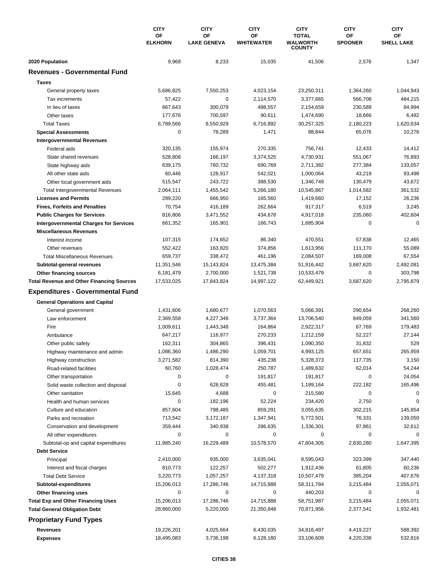|                                                       | <b>CITY</b><br>OF<br><b>ELKHORN</b> | <b>CITY</b><br>OF      | <b>CITY</b><br>ΟF    | <b>CITY</b><br><b>TOTAL</b>      | <b>CITY</b><br>ΟF | <b>CITY</b><br>OF<br><b>SHELL LAKE</b> |
|-------------------------------------------------------|-------------------------------------|------------------------|----------------------|----------------------------------|-------------------|----------------------------------------|
|                                                       |                                     | <b>LAKE GENEVA</b>     | <b>WHITEWATER</b>    | <b>WALWORTH</b><br><b>COUNTY</b> | <b>SPOONER</b>    |                                        |
| 2020 Population                                       | 9,968                               | 8,233                  | 15,035               | 41,506                           | 2,576             | 1,347                                  |
| <b>Revenues - Governmental Fund</b>                   |                                     |                        |                      |                                  |                   |                                        |
| <b>Taxes</b>                                          |                                     |                        |                      |                                  |                   |                                        |
| General property taxes                                | 5,686,825                           | 7,550,253              | 4,023,154            | 23,250,311                       | 1,364,260         | 1,044,943                              |
| Tax increments                                        | 57,422                              | 0                      | 2,114,570            | 3,377,665                        | 566,708           | 484,215                                |
| In lieu of taxes                                      | 867,643                             | 300,079                | 488,557              | 2,154,659                        | 230,589           | 84,994                                 |
| Other taxes                                           | 177,676                             | 700,597                | 90,611               | 1,474,690                        | 18,666            | 6,482                                  |
| <b>Total Taxes</b>                                    | 6,789,566                           | 8,550,929              | 6,716,892            | 30,257,325                       | 2,180,223         | 1,620,634                              |
| <b>Special Assessments</b>                            | 0                                   | 78,289                 | 1,471                | 88,844                           | 65,076            | 10,276                                 |
| <b>Intergovernmental Revenues</b>                     |                                     |                        |                      |                                  |                   |                                        |
| Federal aids                                          | 320,135                             | 155,974                | 270,335              | 756,741                          | 12,433            | 14,412                                 |
| State shared revenues                                 | 528,808                             | 166,197                | 3,374,525            | 4,730,931                        | 551,067           | 76,893                                 |
| State highway aids                                    | 639,175                             | 760,732                | 690,769              | 2,711,382                        | 277,384           | 133,057                                |
| All other state aids                                  | 60,446                              | 128,917                | 542,021              | 1,000,064                        | 43,219            | 93,498                                 |
| Other local government aids                           | 515,547                             | 243,722                | 388,530              | 1,346,749                        | 130,479           | 43,672                                 |
| <b>Total Intergovernmental Revenues</b>               | 2,064,111                           | 1,455,542              | 5,266,180            | 10,545,867                       | 1,014,582         | 361,532                                |
| <b>Licenses and Permits</b>                           | 289,220                             | 666,950                | 165,560              | 1,419,660                        | 17,152            | 26,236                                 |
| <b>Fines, Forfeits and Penalties</b>                  | 70,754                              | 416,189                | 262,664              | 917,317                          | 6,519             | 3,245                                  |
| <b>Public Charges for Services</b>                    | 816,806                             | 3,471,552              | 434,678              | 4,917,018                        | 235,060           | 402,604                                |
| <b>Intergovernmental Charges for Services</b>         | 661,352                             | 165,901                | 166,743              | 1,685,904                        | 0                 | $\Omega$                               |
| <b>Miscellaneous Revenues</b>                         |                                     |                        |                      |                                  |                   |                                        |
| Interest income                                       | 107,315                             | 174,652                | 86,340               | 470,551                          | 57,838            | 12,465                                 |
| Other revenues                                        | 552,422                             | 163,820                | 374,856              | 1,613,956                        | 111,170           | 55,089                                 |
| <b>Total Miscellaneous Revenues</b>                   | 659,737                             | 338,472                | 461,196              | 2,084,507                        | 169,008           | 67,554                                 |
| Subtotal-general revenues                             | 11,351,546                          | 15,143,824             | 13,475,384           | 51,916,442                       | 3,687,620         | 2,492,081                              |
| Other financing sources                               | 6,181,479                           | 2,700,000              | 1,521,738            | 10,533,479                       | 0                 | 303,798                                |
| <b>Total Revenue and Other Financing Sources</b>      | 17,533,025                          | 17,843,824             | 14,997,122           | 62,449,921                       | 3,687,620         | 2,795,879                              |
| <b>Expenditures - Governmental Fund</b>               |                                     |                        |                      |                                  |                   |                                        |
|                                                       |                                     |                        |                      |                                  |                   |                                        |
| <b>General Operations and Capital</b>                 |                                     |                        |                      |                                  | 290,654           |                                        |
| General government                                    | 1,431,606                           | 1,680,677              | 1,070,563            | 5,066,391<br>13,706,540          |                   | 268,260                                |
| Law enforcement<br>Fire                               | 2,369,558<br>1,009,611              | 4,227,346<br>1,443,348 | 3,737,364<br>164,864 | 2,922,317                        | 849,059<br>67,769 | 341,560<br>179,483                     |
|                                                       | 647,217                             | 116,977                | 270,233              | 1,212,159                        | 52,227            | 27,144                                 |
| Ambulance<br>Other public safety                      | 162,311                             | 304,865                | 396,431              | 1,090,350                        | 31,832            | 529                                    |
|                                                       | 1,086,360                           | 1,486,290              | 1,059,701            | 4,993,125                        | 657,651           | 265,959                                |
| Highway maintenance and admin<br>Highway construction | 3,271,582                           | 814,390                | 435,238              | 5,328,373                        | 117,735           | 3,150                                  |
| Road-related facilities                               | 60,760                              | 1,028,474              | 250,787              | 1,489,632                        | 62,014            | 54,244                                 |
| Other transportation                                  | 0                                   | 0                      | 191,817              | 191,817                          | $\mathbf 0$       | 24,054                                 |
| Solid waste collection and disposal                   | 0                                   | 628,628                | 455,481              | 1,189,164                        | 222,182           | 165,496                                |
| Other sanitation                                      | 15,645                              | 4,688                  | 0                    | 215,580                          | $\mathbf 0$       | 0                                      |
| Health and human services                             | 0                                   | 182,196                | 52,224               | 234,420                          | 2,750             | 0                                      |
| Culture and education                                 | 857,604                             | 798,485                | 859,291              | 3,055,635                        | 302,215           | 145,854                                |
| Parks and recreation                                  | 713,542                             | 3,172,187              | 1,347,941            | 5,772,501                        | 76,331            | 139,050                                |
| Conservation and development                          | 359,444                             | 340,938                | 286,635              | 1,336,301                        | 97,861            | 32,612                                 |
| All other expenditures                                | 0                                   | 0                      | 0                    | 0                                | 0                 | 0                                      |
| Subtotal-op and capital expenditures                  | 11,985,240                          | 16,229,489             | 10,578,570           | 47,804,305                       | 2,830,280         | 1,647,395                              |
| <b>Debt Service</b>                                   |                                     |                        |                      |                                  |                   |                                        |
| Principal                                             | 2,410,000                           | 935,000                | 3,635,041            | 8,595,043                        | 323,399           | 347,440                                |
| Interest and fiscal charges                           | 810,773                             | 122,257                | 502,277              | 1,912,436                        | 61,805            | 60,236                                 |
| <b>Total Debt Service</b>                             | 3,220,773                           | 1,057,257              | 4,137,318            | 10,507,479                       | 385,204           | 407,676                                |
| Subtotal-expenditures                                 | 15,206,013                          | 17,286,746             | 14,715,888           | 58,311,784                       | 3,215,484         | 2,055,071                              |
| Other financing uses                                  | 0                                   | 0                      | 0                    | 440,203                          | 0                 | 0                                      |
| <b>Total Exp and Other Financing Uses</b>             | 15,206,013                          | 17,286,746             | 14,715,888           | 58,751,987                       | 3,215,484         | 2,055,071                              |
| <b>Total General Obligation Debt</b>                  | 28,860,000                          | 5,220,000              | 21,350,848           | 70,871,956                       | 2,377,541         | 1,932,481                              |
|                                                       |                                     |                        |                      |                                  |                   |                                        |
| <b>Proprietary Fund Types</b>                         |                                     |                        |                      |                                  |                   |                                        |
| Revenues                                              | 19,226,201                          | 4,025,664              | 6,430,035            | 34,816,497                       | 4,419,227         | 588,392                                |
| <b>Expenses</b>                                       | 18,495,083                          | 3,736,198              | 6,128,180            | 33,106,609                       | 4,220,338         | 532,816                                |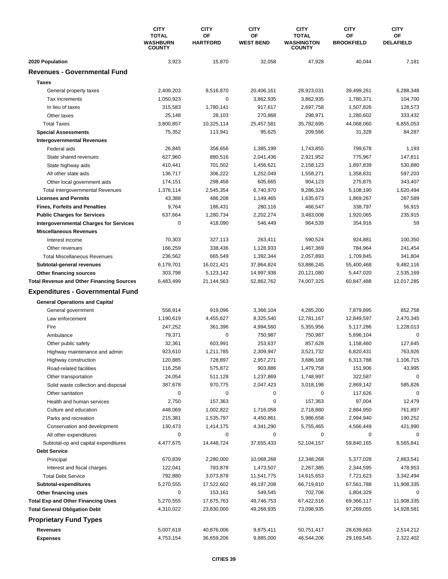|                                                  | <b>CITY</b><br><b>TOTAL</b><br><b>WASHBURN</b><br><b>COUNTY</b> | <b>CITY</b><br>ΟF<br><b>HARTFORD</b> | <b>CITY</b><br>ΟF<br><b>WEST BEND</b> | <b>CITY</b><br><b>TOTAL</b><br><b>WASHINGTON</b><br><b>COUNTY</b> | <b>CITY</b><br>ΟF<br><b>BROOKFIELD</b> | <b>CITY</b><br>OF<br><b>DELAFIELD</b> |
|--------------------------------------------------|-----------------------------------------------------------------|--------------------------------------|---------------------------------------|-------------------------------------------------------------------|----------------------------------------|---------------------------------------|
| 2020 Population                                  | 3,923                                                           | 15,870                               | 32,058                                | 47,928                                                            | 40,044                                 | 7,181                                 |
| <b>Revenues - Governmental Fund</b>              |                                                                 |                                      |                                       |                                                                   |                                        |                                       |
| <b>Taxes</b>                                     |                                                                 |                                      |                                       |                                                                   |                                        |                                       |
| General property taxes                           | 2,409,203                                                       | 8,516,870                            | 20,406,161                            | 28,923,031                                                        | 39,499,261                             | 6,288,348                             |
| Tax increments                                   | 1,050,923                                                       | 0                                    | 3,862,935                             | 3,862,935                                                         | 1,780,371                              | 104,700                               |
| In lieu of taxes                                 | 315,583                                                         | 1,780,141                            | 917,617                               | 2,697,758                                                         | 1,507,826                              | 128,573                               |
| Other taxes                                      | 25,148                                                          | 28,103                               | 270,868                               | 298,971                                                           | 1,280,602                              | 333,432                               |
| <b>Total Taxes</b>                               | 3,800,857                                                       | 10,325,114                           | 25,457,581                            | 35,782,695                                                        | 44,068,060                             | 6,855,053                             |
| <b>Special Assessments</b>                       | 75,352                                                          | 113,941                              | 95,625                                | 209,566                                                           | 31,328                                 | 84,287                                |
| <b>Intergovernmental Revenues</b>                |                                                                 |                                      |                                       |                                                                   |                                        |                                       |
| Federal aids                                     | 26,845                                                          | 358,656                              | 1,385,199                             | 1,743,855                                                         | 799,678                                | 1,193                                 |
| State shared revenues                            | 627,960                                                         | 880,516                              | 2,041,436                             | 2,921,952                                                         | 775,967                                | 147,811                               |
| State highway aids                               | 410,441                                                         | 701,502                              | 1,456,621                             | 2,158,123                                                         | 1,897,839                              | 530,880                               |
| All other state aids                             | 136,717                                                         | 306,222                              | 1,252,049                             | 1,558,271                                                         | 1,358,831                              | 597,203                               |
| Other local government aids                      | 174,151                                                         | 298,458                              | 605,665                               | 904,123                                                           | 275,875                                | 343,407                               |
| <b>Total Intergovernmental Revenues</b>          | 1,376,114                                                       | 2,545,354                            | 6,740,970                             | 9,286,324                                                         | 5,108,190                              | 1,620,494                             |
| <b>Licenses and Permits</b>                      | 43,388                                                          | 486,208                              | 1,149,465                             | 1,635,673                                                         | 1,869,267                              | 287,589                               |
| <b>Fines, Forfeits and Penalties</b>             | 9,764                                                           | 186,431                              | 280,116                               | 466,547                                                           | 338,797                                | 56,915                                |
| <b>Public Charges for Services</b>               | 637,664                                                         | 1,280,734                            | 2,202,274                             | 3,483,008                                                         | 1,920,065                              | 235,915                               |
| <b>Intergovernmental Charges for Services</b>    | $\mathbf 0$                                                     | 418,090                              | 546,449                               | 964,539                                                           | 354,916                                | 59                                    |
| <b>Miscellaneous Revenues</b>                    |                                                                 |                                      |                                       |                                                                   |                                        |                                       |
| Interest income                                  | 70,303                                                          | 327,113                              | 263,411                               | 590,524                                                           | 924,881                                | 100,350                               |
| Other revenues                                   | 166,259                                                         | 338,436                              | 1,128,933                             | 1,467,369                                                         | 784,964                                | 241,454                               |
| <b>Total Miscellaneous Revenues</b>              | 236,562                                                         | 665,549                              | 1,392,344                             | 2,057,893                                                         | 1,709,845                              | 341,804                               |
| Subtotal-general revenues                        | 6,179,701                                                       | 16,021,421                           | 37,864,824                            | 53,886,245                                                        | 55,400,468                             | 9,482,116                             |
| Other financing sources                          | 303,798                                                         | 5,123,142                            | 14,997,938                            | 20,121,080                                                        | 5,447,020                              | 2,535,169                             |
| <b>Total Revenue and Other Financing Sources</b> | 6,483,499                                                       | 21,144,563                           | 52,862,762                            | 74,007,325                                                        | 60,847,488                             | 12,017,285                            |
| <b>Expenditures - Governmental Fund</b>          |                                                                 |                                      |                                       |                                                                   |                                        |                                       |
| <b>General Operations and Capital</b>            |                                                                 |                                      |                                       |                                                                   |                                        |                                       |
| General government                               | 558,914                                                         | 919,096                              | 3,366,104                             | 4,285,200                                                         | 7,879,895                              | 852,758                               |
| Law enforcement                                  | 1,190,619                                                       | 4,455,627                            | 8,325,540                             | 12,781,167                                                        | 12,849,597                             | 2,470,345                             |
| Fire                                             | 247,252                                                         | 361.396                              | 4,994,560                             | 5,355,956                                                         | 5,117,286                              | 1,228,013                             |
| Ambulance                                        | 79,371                                                          | 0                                    | 750,987                               | 750,987                                                           | 5,696,104                              | 0                                     |
| Other public safety                              | 32,361                                                          | 603.991                              | 253,637                               | 857,628                                                           | 1,158,460                              | 127,645                               |
| Highway maintenance and admin                    | 923,610                                                         | 1,211,785                            | 2,309,947                             | 3,521,732                                                         | 6,820,431                              | 763,926                               |
| Highway construction                             | 120,885                                                         | 728,897                              | 2,957,271                             | 3,686,168                                                         | 6,313,788                              | 1,106,715                             |
| Road-related facilities                          | 116,258                                                         | 575,872                              | 903,886                               | 1,479,758                                                         | 151,906                                | 43,995                                |
| Other transportation                             | 24,054                                                          | 511,128                              | 1,237,869                             | 1,748,997                                                         | 322,587                                | 0                                     |
| Solid waste collection and disposal              | 387,678                                                         | 970,775                              | 2,047,423                             | 3,018,198                                                         | 2,869,142                              | 585,826                               |
| Other sanitation                                 | 0                                                               | 0                                    | 0                                     | 0                                                                 | 117,626                                | 0                                     |
| Health and human services                        | 2,750                                                           | 157,363                              | 0                                     | 157,363                                                           | 97,004                                 | 12,479                                |
| Culture and education                            | 448,069                                                         | 1,002,822                            | 1,716,058                             | 2,718,880                                                         | 2,884,950                              | 761,897                               |
| Parks and recreation                             | 215,381                                                         | 1,535,797                            | 4,450,861                             | 5,986,658                                                         | 2,994,940                              | 190,252                               |
| Conservation and development                     | 130,473                                                         | 1,414,175                            | 4,341,290                             | 5,755,465                                                         | 4,566,449                              | 421,990                               |
| All other expenditures                           | 0                                                               | 0                                    | 0                                     | 0                                                                 | 0                                      | $\Omega$                              |
| Subtotal-op and capital expenditures             | 4,477,675                                                       | 14,448,724                           | 37,655,433                            | 52,104,157                                                        | 59,840,165                             | 8,565,841                             |
| <b>Debt Service</b>                              |                                                                 |                                      |                                       |                                                                   |                                        |                                       |
| Principal                                        | 670,839                                                         | 2,280,000                            | 10,068,268                            | 12,348,268                                                        | 5,377,028                              | 2,863,541                             |
| Interest and fiscal charges                      | 122,041                                                         | 793,878                              | 1,473,507                             | 2,267,385                                                         | 2,344,595                              | 478,953                               |
| <b>Total Debt Service</b>                        | 792,880                                                         | 3,073,878                            | 11,541,775                            | 14,615,653                                                        | 7,721,623                              | 3,342,494                             |
| Subtotal-expenditures                            | 5,270,555                                                       | 17,522,602                           | 49,197,208                            | 66,719,810                                                        | 67,561,788                             | 11,908,335                            |
| Other financing uses                             | 0                                                               | 153,161                              | 549,545                               | 702,706                                                           | 1,804,329                              |                                       |
| <b>Total Exp and Other Financing Uses</b>        | 5,270,555                                                       | 17,675,763                           | 49,746,753                            | 67,422,516                                                        | 69,366,117                             | 11,908,335                            |
| <b>Total General Obligation Debt</b>             | 4,310,022                                                       | 23,830,000                           | 49,268,935                            | 73,098,935                                                        | 97,269,055                             | 14,928,581                            |
| <b>Proprietary Fund Types</b>                    |                                                                 |                                      |                                       |                                                                   |                                        |                                       |
| Revenues                                         | 5,007,619                                                       | 40,876,006                           | 9,875,411                             | 50,751,417                                                        | 28,639,663                             | 2,514,212                             |
| <b>Expenses</b>                                  | 4,753,154                                                       | 36,659,206                           | 9,885,000                             | 46,544,206                                                        | 29,169,545                             | 2,322,402                             |
|                                                  |                                                                 |                                      |                                       |                                                                   |                                        |                                       |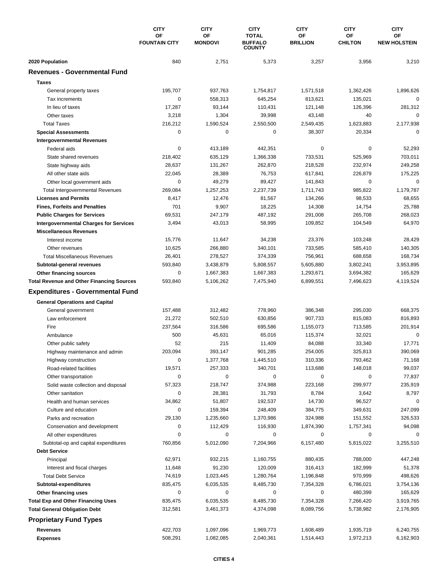|                                                  | <b>CITY</b>                | <b>CITY</b>          | <b>CITY</b>                                     | <b>CITY</b>           | <b>CITY</b>          | <b>CITY</b>               |
|--------------------------------------------------|----------------------------|----------------------|-------------------------------------------------|-----------------------|----------------------|---------------------------|
|                                                  | OF<br><b>FOUNTAIN CITY</b> | OF<br><b>MONDOVI</b> | <b>TOTAL</b><br><b>BUFFALO</b><br><b>COUNTY</b> | ΟF<br><b>BRILLION</b> | OF<br><b>CHILTON</b> | OF<br><b>NEW HOLSTEIN</b> |
| 2020 Population                                  | 840                        | 2,751                | 5,373                                           | 3,257                 | 3,956                | 3,210                     |
| <b>Revenues - Governmental Fund</b>              |                            |                      |                                                 |                       |                      |                           |
| <b>Taxes</b>                                     |                            |                      |                                                 |                       |                      |                           |
| General property taxes                           | 195,707                    | 937,763              | 1,754,817                                       | 1,571,518             | 1,362,426            | 1,896,626                 |
| Tax increments                                   | $\mathbf 0$                | 558,313              | 645,254                                         | 813,621               | 135,021              | $\mathbf 0$               |
| In lieu of taxes                                 | 17,287                     | 93,144               | 110,431                                         | 121,148               | 126,396              | 281,312                   |
| Other taxes                                      | 3,218                      | 1,304                | 39,998                                          | 43,148                | 40                   | $\mathbf 0$               |
| <b>Total Taxes</b>                               | 216,212                    | 1,590,524            | 2,550,500                                       | 2,549,435             | 1,623,883            | 2,177,938                 |
| <b>Special Assessments</b>                       | 0                          | 0                    | 0                                               | 38,307                | 20,334               | 0                         |
| <b>Intergovernmental Revenues</b>                |                            |                      |                                                 |                       |                      |                           |
| Federal aids                                     | 0                          | 413,189              | 442,351                                         | 0                     | 0                    | 52,293                    |
| State shared revenues                            | 218,402                    | 635,129              | 1,366,338                                       | 733,531               | 525,969              | 703,011                   |
| State highway aids                               | 28,637                     | 131,267              | 262,870                                         | 218,528               | 232,974              | 249,258                   |
| All other state aids                             | 22,045                     | 28,389               | 76,753                                          | 617,841               | 226,879              | 175,225                   |
| Other local government aids                      | 0                          | 49,279               | 89,427                                          | 141,843               | 0                    | $\mathbf 0$               |
| <b>Total Intergovernmental Revenues</b>          | 269,084                    | 1,257,253            | 2,237,739                                       | 1,711,743             | 985,822              | 1,179,787                 |
| <b>Licenses and Permits</b>                      | 8,417                      | 12,476               | 81,567                                          | 134,266               | 98,533               | 68,655                    |
| <b>Fines, Forfeits and Penalties</b>             | 701                        | 9,907                | 18,225                                          | 14,308                | 14,754               | 25,788                    |
| <b>Public Charges for Services</b>               | 69,531                     | 247,179              | 487,192                                         | 291,008               | 265,708              | 268,023                   |
| <b>Intergovernmental Charges for Services</b>    | 3,494                      | 43,013               | 58,995                                          | 109,852               | 104,549              | 64,970                    |
| <b>Miscellaneous Revenues</b>                    |                            |                      |                                                 |                       |                      |                           |
| Interest income                                  | 15,776                     | 11,647               | 34,238                                          | 23,376                | 103,248              | 28,429                    |
| Other revenues                                   | 10,625                     | 266,880              | 340,101                                         | 733,585               | 585,410              | 140,305                   |
| <b>Total Miscellaneous Revenues</b>              | 26,401                     | 278,527              | 374,339                                         | 756,961               | 688,658              | 168,734                   |
| Subtotal-general revenues                        | 593,840                    | 3,438,879            | 5,808,557                                       | 5,605,880             | 3,802,241            | 3,953,895                 |
| Other financing sources                          | 0                          | 1,667,383            | 1,667,383                                       | 1,293,671             | 3,694,382            | 165,629                   |
| <b>Total Revenue and Other Financing Sources</b> | 593,840                    | 5,106,262            | 7,475,940                                       | 6,899,551             | 7,496,623            | 4,119,524                 |
| <b>Expenditures - Governmental Fund</b>          |                            |                      |                                                 |                       |                      |                           |
| <b>General Operations and Capital</b>            |                            |                      |                                                 |                       |                      |                           |
| General government                               | 157,488                    | 312,482              | 778,960                                         | 386,348               | 295,030              | 668,375                   |
| Law enforcement                                  | 21,272                     | 502,510              | 630,856                                         | 907,733               | 815,083              | 816,893                   |
| Fire                                             | 237,564                    | 316,586              | 695,586                                         | 1,155,073             | 713,585              | 201,914                   |
| Ambulance                                        | 500                        | 45,631               | 65,016                                          | 115,374               | 32,021               | 0                         |
| Other public safety                              | 52                         | 215                  | 11,409                                          | 84,088                | 33,340               | 17,771                    |
| Highway maintenance and admin                    | 203,094                    | 393,147              | 901,285                                         | 254,005               | 325,813              | 390,069                   |
| Highway construction                             | 0                          | 1,377,768            | 1,445,510                                       | 310,336               | 793,462              | 71,168                    |
| Road-related facilities                          | 19,571                     | 257,333              | 340,701                                         | 113,688               | 148,018              | 99,037                    |
| Other transportation                             | 0                          | 0                    | 0                                               | 0                     | 0                    | 77,837                    |
| Solid waste collection and disposal              | 57,323                     | 218,747              | 374,988                                         | 223,168               | 299,977              | 235,919                   |
| Other sanitation                                 | 0                          | 28,381               | 31,793                                          | 8,784                 | 3,642                | 8,797                     |
| Health and human services                        | 34,862                     | 51,807               | 192,537                                         | 14,730                | 96,527               | 0                         |
| Culture and education                            | 0                          | 159,394              | 248,409                                         | 384,775               | 349,631              | 247,099                   |
| Parks and recreation                             | 29,130                     | 1,235,660            | 1,370,986                                       | 324,988               | 151,552              | 326,533                   |
| Conservation and development                     | 0                          | 112,429              | 116,930                                         | 1,874,390             | 1,757,341            | 94,098                    |
| All other expenditures                           | 0                          | 0                    | 0                                               | 0                     | 0                    | 0                         |
| Subtotal-op and capital expenditures             | 760,856                    | 5,012,090            | 7,204,966                                       | 6,157,480             | 5,815,022            | 3,255,510                 |
| <b>Debt Service</b>                              |                            |                      |                                                 |                       |                      |                           |
| Principal                                        | 62,971                     | 932,215              | 1,160,755                                       | 880,435               | 788,000              | 447,248                   |
| Interest and fiscal charges                      | 11,648                     | 91,230               | 120,009                                         | 316,413               | 182,999              | 51,378                    |
| <b>Total Debt Service</b>                        | 74,619                     | 1,023,445            | 1,280,764                                       | 1,196,848             | 970,999              | 498,626                   |
| Subtotal-expenditures                            | 835,475                    | 6,035,535            | 8,485,730                                       | 7,354,328             | 6,786,021            | 3,754,136                 |
| Other financing uses                             | 0                          | 0                    | 0                                               | 0                     | 480,399              | 165,629                   |
| <b>Total Exp and Other Financing Uses</b>        | 835,475                    | 6,035,535            | 8,485,730                                       | 7,354,328             | 7,266,420            | 3,919,765                 |
| <b>Total General Obligation Debt</b>             | 312,581                    | 3,461,373            | 4,374,098                                       | 8,089,756             | 5,738,982            | 2,176,905                 |
| <b>Proprietary Fund Types</b>                    |                            |                      |                                                 |                       |                      |                           |
| <b>Revenues</b>                                  | 422,703                    | 1,097,096            | 1,969,773                                       | 1,608,489             | 1,935,719            | 6,240,755                 |
| <b>Expenses</b>                                  | 508,291                    | 1,082,085            | 2,040,361                                       | 1,514,443             | 1,972,213            | 6,162,903                 |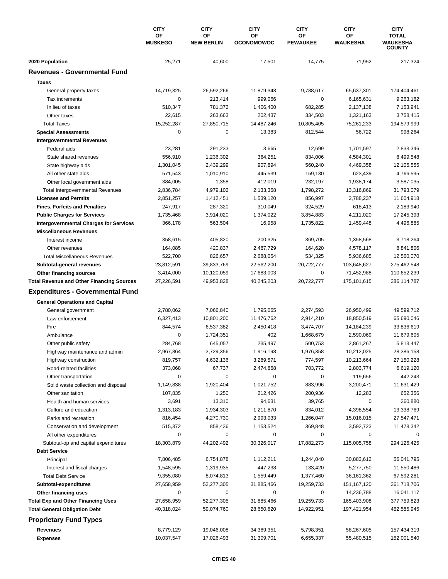|                                                        | <b>CITY</b><br>OF<br><b>MUSKEGO</b> | <b>CITY</b><br>ΟF<br><b>NEW BERLIN</b> | <b>CITY</b><br>OF<br><b>OCONOMOWOC</b> | <b>CITY</b><br>ΟF<br><b>PEWAUKEE</b> | <b>CITY</b><br>OF<br><b>WAUKESHA</b> | <b>CITY</b><br><b>TOTAL</b><br><b>WAUKESHA</b><br><b>COUNTY</b> |
|--------------------------------------------------------|-------------------------------------|----------------------------------------|----------------------------------------|--------------------------------------|--------------------------------------|-----------------------------------------------------------------|
| 2020 Population                                        | 25,271                              | 40,600                                 | 17,501                                 | 14,775                               | 71,952                               | 217,324                                                         |
| <b>Revenues - Governmental Fund</b>                    |                                     |                                        |                                        |                                      |                                      |                                                                 |
| <b>Taxes</b>                                           |                                     |                                        |                                        |                                      |                                      |                                                                 |
| General property taxes                                 | 14,719,325                          | 26,592,266                             | 11,879,343                             | 9,788,617                            | 65,637,301                           | 174,404,461                                                     |
| Tax increments                                         | $\mathbf 0$                         | 213,414                                | 999,066                                | 0                                    | 6,165,631                            | 9,263,182                                                       |
| In lieu of taxes                                       | 510,347                             | 781,372                                | 1,406,400                              | 682,285                              | 2,137,138                            | 7,153,941                                                       |
| Other taxes                                            | 22,615                              | 263,663                                | 202,437                                | 334,503                              | 1,321,163                            | 3,758,415                                                       |
| <b>Total Taxes</b>                                     | 15.252.287                          | 27,850,715                             | 14,487,246                             | 10,805,405                           | 75,261,233                           | 194,579,999                                                     |
| <b>Special Assessments</b>                             | $\mathbf 0$                         | 0                                      | 13,383                                 | 812,544                              | 56,722                               | 998,264                                                         |
| <b>Intergovernmental Revenues</b>                      |                                     |                                        |                                        |                                      |                                      |                                                                 |
| Federal aids                                           | 23,281                              | 291,233                                | 3,665                                  | 12,699                               | 1,701,597                            | 2,833,346                                                       |
| State shared revenues                                  | 556,910                             | 1,236,302                              | 364,251                                | 834,006                              | 4,584,301                            | 8,499,548                                                       |
| State highway aids                                     | 1,301,045                           | 2,439,299                              | 907,894                                | 560,240                              | 4,469,358                            | 12,106,555                                                      |
| All other state aids                                   | 571,543                             | 1,010,910                              | 445,539                                | 159,130                              | 623,439                              | 4,766,595                                                       |
| Other local government aids                            | 384,005                             | 1,358                                  | 412,019                                | 232,197                              | 1,938,174                            | 3,587,035                                                       |
| <b>Total Intergovernmental Revenues</b>                | 2,836,784                           | 4,979,102                              | 2,133,368                              | 1,798,272                            | 13,316,869                           | 31,793,079                                                      |
| <b>Licenses and Permits</b>                            | 2,851,257                           | 1,412,451                              | 1,539,120                              | 856,997                              | 2,788,237                            | 11,604,918                                                      |
| <b>Fines, Forfeits and Penalties</b>                   | 247,917                             | 287,320                                | 310,049                                | 324,529                              | 618,413                              | 2,183,940                                                       |
| <b>Public Charges for Services</b>                     | 1,735,468                           | 3,914,020                              | 1,374,022                              | 3,854,883                            | 4,211,020                            | 17,245,393                                                      |
| <b>Intergovernmental Charges for Services</b>          | 366,178                             | 563,504                                | 16,958                                 | 1,735,822                            | 1,459,448                            | 4,496,885                                                       |
| <b>Miscellaneous Revenues</b>                          |                                     |                                        |                                        |                                      |                                      |                                                                 |
| Interest income                                        | 358,615                             | 405,820                                | 200,325                                | 369,705                              | 1,358,568                            | 3,718,264                                                       |
| Other revenues                                         | 164,085                             | 420,837                                | 2,487,729                              | 164,620                              | 4,578,117                            | 8,841,806                                                       |
| <b>Total Miscellaneous Revenues</b>                    | 522,700                             | 826,657                                | 2,688,054                              | 534,325                              | 5,936,685                            | 12,560,070                                                      |
| Subtotal-general revenues                              | 23,812,591                          | 39,833,769                             | 22,562,200                             | 20,722,777                           | 103,648,627                          | 275,462,548                                                     |
| Other financing sources                                | 3,414,000                           | 10,120,059                             | 17,683,003                             | $\mathbf 0$                          | 71,452,988                           | 110,652,239                                                     |
| <b>Total Revenue and Other Financing Sources</b>       | 27,226,591                          | 49,953,828                             | 40,245,203                             | 20,722,777                           | 175,101,615                          | 386,114,787                                                     |
| <b>Expenditures - Governmental Fund</b>                |                                     |                                        |                                        |                                      |                                      |                                                                 |
| <b>General Operations and Capital</b>                  |                                     |                                        |                                        |                                      |                                      |                                                                 |
| General government                                     | 2,780,062                           | 7,066,840                              | 1,795,065                              | 2,274,593                            | 26,950,499                           | 49,599,712                                                      |
| Law enforcement                                        | 6,327,413                           | 10,801,200                             | 11,476,762                             | 2,914,210                            | 18,850,519                           | 65,690,046                                                      |
| Fire                                                   | 844,574                             | 6,537,382                              | 2,450,418                              | 3,474,707                            | 14,184,239                           | 33,836,619                                                      |
| Ambulance                                              | $\mathbf 0$                         | 1,724,351                              | 402                                    | 1,668,679                            | 2,590,069                            | 11,679,605                                                      |
| Other public safety                                    | 284,768                             | 645,057                                | 235,497                                | 500,753                              | 2,861,267                            | 5,813,447                                                       |
| Highway maintenance and admin                          | 2,967,864                           | 3,729,356                              | 1,916,198                              | 1,976,358                            | 10,212,025                           | 28,386,158                                                      |
| Highway construction                                   | 819,757                             | 4,632,136                              | 3,289,571                              | 774,597                              | 10,213,664                           | 27,150,228                                                      |
| Road-related facilities                                | 373,068                             | 67,737                                 | 2,474,868                              | 703,772                              | 2,803,774                            | 6,619,120                                                       |
| Other transportation                                   | 0                                   | 0                                      | 0                                      | 0                                    | 119,656                              | 442,243                                                         |
| Solid waste collection and disposal                    | 1,149,838                           | 1,920,404                              | 1,021,752                              | 883,996                              | 3,200,471                            | 11,631,429                                                      |
| Other sanitation                                       | 107,835                             | 1,250                                  | 212,426                                | 200,936                              | 12,283                               | 652,356                                                         |
| Health and human services                              | 3,691                               | 13,310                                 | 94,631                                 | 39,765                               | 0                                    | 260,880                                                         |
| Culture and education                                  | 1,313,183                           | 1,934,303                              | 1,211,870                              | 834,012                              | 4,398,554                            | 13,338,769                                                      |
| Parks and recreation                                   | 816,454                             | 4,270,730                              | 2,993,033                              | 1,266,047                            | 15,016,015                           | 27,547,471                                                      |
| Conservation and development<br>All other expenditures | 515,372<br>0                        | 858,436<br>0                           | 1,153,524<br>0                         | 369,848<br>0                         | 3,592,723<br>0                       | 11,478,342<br>0                                                 |
| Subtotal-op and capital expenditures                   | 18,303,879                          | 44,202,492                             | 30,326,017                             | 17,882,273                           | 115,005,758                          | 294,126,425                                                     |
| <b>Debt Service</b>                                    |                                     |                                        |                                        |                                      |                                      |                                                                 |
| Principal                                              | 7,806,485                           | 6,754,878                              | 1,112,211                              | 1,244,040                            | 30,883,612                           | 56,041,795                                                      |
| Interest and fiscal charges                            | 1,548,595                           | 1,319,935                              | 447,238                                | 133,420                              | 5,277,750                            | 11,550,486                                                      |
| <b>Total Debt Service</b>                              | 9,355,080                           | 8,074,813                              | 1,559,449                              | 1,377,460                            | 36,161,362                           | 67,592,281                                                      |
| Subtotal-expenditures                                  | 27,658,959                          | 52,277,305                             | 31,885,466                             | 19,259,733                           | 151, 167, 120                        | 361,718,706                                                     |
| Other financing uses                                   | 0                                   | 0                                      | 0                                      | 0                                    | 14,236,788                           | 16,041,117                                                      |
| <b>Total Exp and Other Financing Uses</b>              | 27,658,959                          | 52,277,305                             | 31,885,466                             | 19,259,733                           | 165,403,908                          | 377,759,823                                                     |
| <b>Total General Obligation Debt</b>                   | 40,318,024                          | 59,074,760                             | 28,650,620                             | 14,922,951                           | 197,421,954                          | 452,585,945                                                     |
| <b>Proprietary Fund Types</b>                          |                                     |                                        |                                        |                                      |                                      |                                                                 |
| Revenues                                               | 8,779,129                           | 19,046,008                             | 34,389,351                             | 5,798,351                            | 58,267,605                           | 157,434,319                                                     |
| <b>Expenses</b>                                        | 10,037,547                          | 17,026,493                             | 31,309,701                             | 6,655,337                            | 55,480,515                           | 152,001,540                                                     |
|                                                        |                                     |                                        |                                        |                                      |                                      |                                                                 |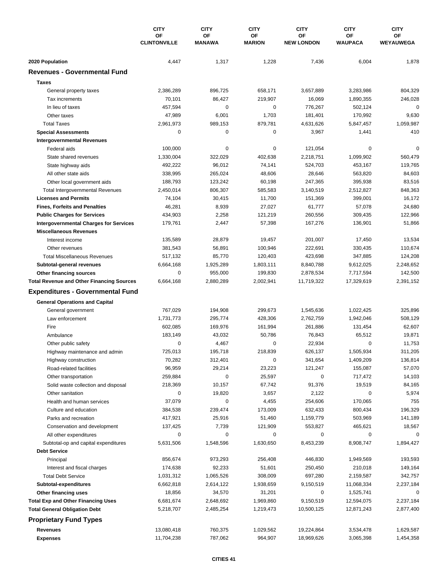|                                                                                   | <b>CITY</b><br>OF<br><b>CLINTONVILLE</b> | <b>CITY</b>            | <b>CITY</b>            | <b>CITY</b>             | <b>CITY</b>              | <b>CITY</b>            |
|-----------------------------------------------------------------------------------|------------------------------------------|------------------------|------------------------|-------------------------|--------------------------|------------------------|
|                                                                                   |                                          | OF<br><b>MANAWA</b>    | ΟF<br><b>MARION</b>    | ΟF<br><b>NEW LONDON</b> | OF<br>WAUPACA            | OF<br><b>WEYAUWEGA</b> |
| 2020 Population                                                                   | 4,447                                    | 1,317                  | 1,228                  | 7,436                   | 6,004                    | 1,878                  |
| <b>Revenues - Governmental Fund</b>                                               |                                          |                        |                        |                         |                          |                        |
| <b>Taxes</b>                                                                      |                                          |                        |                        |                         |                          |                        |
| General property taxes                                                            | 2,386,289                                | 896,725                | 658,171                | 3,657,889               | 3,283,986                | 804,329                |
| Tax increments                                                                    | 70,101                                   | 86,427                 | 219,907                | 16,069                  | 1,890,355                | 246,028                |
| In lieu of taxes                                                                  | 457,594                                  | $\pmb{0}$              | $\mathbf 0$            | 776,267                 | 502,124                  | 0                      |
| Other taxes                                                                       | 47,989                                   | 6,001                  | 1,703                  | 181,401                 | 170,992                  | 9,630                  |
| <b>Total Taxes</b>                                                                | 2,961,973                                | 989,153                | 879,781                | 4,631,626               | 5,847,457                | 1,059,987              |
| <b>Special Assessments</b>                                                        | 0                                        | 0                      | 0                      | 3,967                   | 1,441                    | 410                    |
| <b>Intergovernmental Revenues</b>                                                 |                                          |                        |                        |                         |                          |                        |
| Federal aids                                                                      | 100,000                                  | 0                      | 0                      | 121,054                 | 0                        | 0                      |
| State shared revenues                                                             | 1,330,004                                | 322,029                | 402,638                | 2,218,751               | 1,099,902                | 560,479                |
| State highway aids                                                                | 492,222                                  | 96,012                 | 74,141                 | 524,703                 | 453,167                  | 119,765                |
| All other state aids                                                              | 338,995                                  | 265,024                | 48,606                 | 28,646                  | 563,820                  | 84,603                 |
| Other local government aids                                                       | 188,793                                  | 123,242                | 60,198                 | 247,365                 | 395,938                  | 83,516                 |
| <b>Total Intergovernmental Revenues</b>                                           | 2,450,014                                | 806,307                | 585,583                | 3,140,519               | 2,512,827                | 848,363                |
| <b>Licenses and Permits</b>                                                       | 74,104                                   | 30,415                 | 11,700                 | 151,369                 | 399,001                  | 16,172                 |
| <b>Fines, Forfeits and Penalties</b>                                              | 46,281                                   | 8,939                  | 27,027                 | 61,777                  | 57,078                   | 24,680                 |
| <b>Public Charges for Services</b>                                                | 434,903                                  | 2,258                  | 121,219                | 260,556                 | 309,435                  | 122,966                |
| <b>Intergovernmental Charges for Services</b>                                     | 179,761                                  | 2,447                  | 57,398                 | 167,276                 | 136,901                  | 51,866                 |
| <b>Miscellaneous Revenues</b>                                                     |                                          |                        |                        |                         |                          |                        |
| Interest income                                                                   | 135,589                                  | 28,879                 | 19,457                 | 201,007                 | 17,450                   | 13,534                 |
| Other revenues                                                                    | 381,543                                  | 56,891                 | 100,946                | 222,691                 | 330,435                  | 110,674                |
| <b>Total Miscellaneous Revenues</b>                                               | 517,132                                  | 85,770                 | 120,403                | 423,698                 | 347,885                  | 124,208                |
| Subtotal-general revenues                                                         | 6,664,168                                | 1,925,289              | 1,803,111              | 8,840,788               | 9,612,025                | 2,248,652              |
| Other financing sources                                                           | 0                                        | 955,000                | 199,830                | 2,878,534               | 7,717,594                | 142,500                |
| <b>Total Revenue and Other Financing Sources</b>                                  | 6,664,168                                | 2,880,289              | 2,002,941              | 11,719,322              | 17,329,619               | 2,391,152              |
| <b>Expenditures - Governmental Fund</b>                                           |                                          |                        |                        |                         |                          |                        |
| <b>General Operations and Capital</b>                                             |                                          |                        |                        |                         |                          |                        |
| General government                                                                | 767,029                                  | 194,908                | 299,673                | 1,545,636               | 1,022,425                | 325,896                |
| Law enforcement                                                                   | 1,731,773                                | 295,774                | 428,306                | 2,762,759               | 1,942,046                | 508,129                |
| Fire                                                                              | 602,085                                  | 169,976                | 161,994                | 261,886                 | 131,454                  | 62,607                 |
| Ambulance                                                                         | 183,149                                  | 43,032                 | 50,786                 | 76,843                  | 65,512                   | 19,871                 |
| Other public safety                                                               | 0                                        | 4,467                  | 0                      | 22,934                  | 0                        | 11,753                 |
| Highway maintenance and admin                                                     | 725,013                                  | 195,718                | 218,839                | 626,137                 | 1,505,934                | 311,205                |
| Highway construction                                                              | 70,282                                   | 312,401                | 0                      | 341,654                 | 1,409,209                | 136,814                |
| Road-related facilities                                                           | 96,959                                   | 29,214                 | 23,223                 | 121,247                 | 155,087                  | 57,070                 |
| Other transportation                                                              | 259,884                                  | 0                      | 25,597                 | 0                       | 717,472                  | 14,103                 |
| Solid waste collection and disposal                                               | 218,369                                  | 10,157                 | 67,742                 | 91,376                  | 19,519                   | 84,165                 |
| Other sanitation                                                                  | 0                                        | 19,820                 | 3,657                  | 2,122                   | 0                        | 5,974                  |
| Health and human services                                                         | 37,079                                   | 0                      | 4,455                  | 254,606                 | 170,065                  | 755                    |
| Culture and education                                                             | 384,538                                  | 239,474                | 173,009                | 632,433                 | 800,434                  | 196,329                |
| Parks and recreation                                                              | 417,921                                  | 25,916                 | 51,460                 | 1,159,779               | 503,969                  | 141,189                |
| Conservation and development                                                      | 137,425                                  | 7,739                  | 121,909                | 553,827                 | 465,621                  | 18,567                 |
| All other expenditures                                                            | 0                                        | 0                      | 0                      | 0                       | 0                        | 0                      |
| Subtotal-op and capital expenditures                                              | 5,631,506                                | 1,548,596              | 1,630,650              | 8,453,239               | 8,908,747                | 1,894,427              |
| <b>Debt Service</b>                                                               |                                          |                        |                        |                         |                          |                        |
| Principal                                                                         | 856,674                                  | 973,293                | 256,408                | 446,830                 | 1,949,569                | 193,593                |
| Interest and fiscal charges                                                       | 174,638                                  | 92,233                 | 51,601                 | 250,450                 | 210,018                  | 149,164                |
| <b>Total Debt Service</b>                                                         | 1,031,312                                | 1,065,526              | 308,009                | 697,280                 | 2,159,587                | 342,757                |
| Subtotal-expenditures                                                             | 6,662,818                                | 2,614,122              | 1,938,659              | 9,150,519               | 11,068,334               | 2,237,184              |
| Other financing uses                                                              | 18,856                                   | 34,570                 | 31,201                 | 0                       | 1,525,741                | 0                      |
| <b>Total Exp and Other Financing Uses</b><br><b>Total General Obligation Debt</b> | 6,681,674<br>5,218,707                   | 2,648,692<br>2,485,254 | 1,969,860<br>1,219,473 | 9,150,519<br>10,500,125 | 12,594,075<br>12,871,243 | 2,237,184<br>2,877,400 |
|                                                                                   |                                          |                        |                        |                         |                          |                        |
| <b>Proprietary Fund Types</b>                                                     |                                          |                        |                        |                         |                          |                        |
| <b>Revenues</b>                                                                   | 13,080,418                               | 760,375                | 1,029,562              | 19,224,864              | 3,534,478                | 1,629,587              |
| <b>Expenses</b>                                                                   | 11,704,238                               | 787,062                | 964,907                | 18,969,626              | 3,065,398                | 1,454,358              |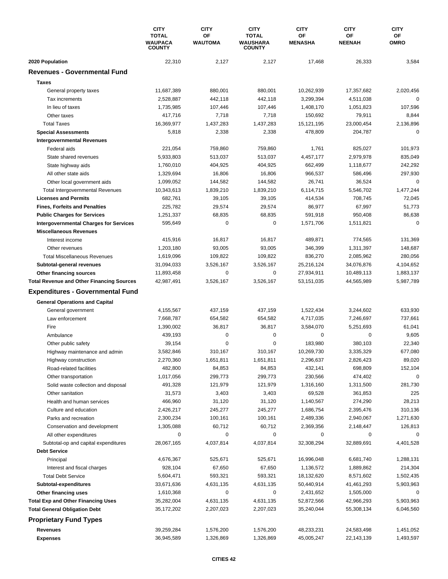|                                                        | <b>CITY</b><br><b>TOTAL</b><br><b>WAUPACA</b> | <b>CITY</b><br>OF<br><b>WAUTOMA</b> | <b>CITY</b><br><b>TOTAL</b><br>WAUSHARA | <b>CITY</b><br>OF<br><b>MENASHA</b> | <b>CITY</b><br>ΟF<br>NEENAH | <b>CITY</b><br>ОF<br><b>OMRO</b> |
|--------------------------------------------------------|-----------------------------------------------|-------------------------------------|-----------------------------------------|-------------------------------------|-----------------------------|----------------------------------|
|                                                        | <b>COUNTY</b><br>22,310                       | 2,127                               | <b>COUNTY</b><br>2,127                  | 17,468                              | 26,333                      | 3,584                            |
| 2020 Population<br><b>Revenues - Governmental Fund</b> |                                               |                                     |                                         |                                     |                             |                                  |
|                                                        |                                               |                                     |                                         |                                     |                             |                                  |
| <b>Taxes</b>                                           |                                               |                                     |                                         |                                     |                             |                                  |
| General property taxes                                 | 11,687,389                                    | 880,001                             | 880,001                                 | 10,262,939                          | 17,357,682                  | 2,020,456                        |
| Tax increments                                         | 2,528,887                                     | 442,118                             | 442,118                                 | 3,299,394                           | 4,511,038                   | $\mathbf 0$                      |
| In lieu of taxes                                       | 1,735,985                                     | 107,446                             | 107,446                                 | 1,408,170                           | 1,051,823                   | 107,596                          |
| Other taxes                                            | 417,716                                       | 7,718                               | 7,718                                   | 150,692                             | 79,911                      | 8,844                            |
| <b>Total Taxes</b>                                     | 16,369,977                                    | 1,437,283                           | 1,437,283                               | 15,121,195                          | 23,000,454                  | 2,136,896                        |
| <b>Special Assessments</b>                             | 5,818                                         | 2,338                               | 2,338                                   | 478,809                             | 204,787                     | 0                                |
| <b>Intergovernmental Revenues</b>                      |                                               |                                     |                                         |                                     |                             |                                  |
| Federal aids                                           | 221,054                                       | 759,860                             | 759,860                                 | 1,761                               | 825,027                     | 101,973                          |
| State shared revenues                                  | 5,933,803                                     | 513,037                             | 513,037                                 | 4,457,177                           | 2,979,978                   | 835,049                          |
| State highway aids                                     | 1,760,010                                     | 404,925                             | 404,925                                 | 662,499                             | 1,118,677                   | 242,292                          |
| All other state aids                                   | 1,329,694                                     | 16,806                              | 16,806                                  | 966,537                             | 586,496                     | 297,930                          |
| Other local government aids                            | 1,099,052                                     | 144,582                             | 144.582                                 | 26,741                              | 36,524                      | $\mathbf 0$                      |
| <b>Total Intergovernmental Revenues</b>                | 10,343,613                                    | 1,839,210                           | 1,839,210                               | 6,114,715                           | 5,546,702                   | 1,477,244                        |
| <b>Licenses and Permits</b>                            | 682,761                                       | 39,105                              | 39,105                                  | 414,534                             | 708,745                     | 72,045                           |
| <b>Fines, Forfeits and Penalties</b>                   | 225,782                                       | 29,574                              | 29,574                                  | 86,977                              | 67,997                      | 51,773                           |
| <b>Public Charges for Services</b>                     | 1,251,337                                     | 68,835                              | 68,835                                  | 591,918                             | 950,408                     | 86,638                           |
| <b>Intergovernmental Charges for Services</b>          | 595,649                                       | $\mathbf 0$                         | $\mathbf 0$                             | 1,571,706                           | 1,511,821                   | $\mathbf 0$                      |
| <b>Miscellaneous Revenues</b>                          |                                               |                                     |                                         |                                     |                             |                                  |
| Interest income                                        | 415,916                                       | 16,817                              | 16,817                                  | 489,871                             | 774,565                     | 131,369                          |
| Other revenues                                         | 1,203,180                                     | 93,005                              | 93,005                                  | 346,399                             | 1,311,397                   | 148,687                          |
| <b>Total Miscellaneous Revenues</b>                    | 1,619,096                                     | 109,822                             | 109,822                                 | 836,270                             | 2,085,962                   | 280,056                          |
| Subtotal-general revenues                              | 31,094,033                                    | 3,526,167                           | 3,526,167                               | 25,216,124                          | 34,076,876                  | 4,104,652                        |
| Other financing sources                                | 11,893,458                                    | $\mathbf 0$                         | 0                                       | 27,934,911                          | 10,489,113                  | 1,883,137                        |
| <b>Total Revenue and Other Financing Sources</b>       | 42,987,491                                    | 3,526,167                           | 3,526,167                               | 53,151,035                          | 44,565,989                  | 5,987,789                        |
| <b>Expenditures - Governmental Fund</b>                |                                               |                                     |                                         |                                     |                             |                                  |
|                                                        |                                               |                                     |                                         |                                     |                             |                                  |
| <b>General Operations and Capital</b>                  |                                               |                                     |                                         |                                     |                             |                                  |
| General government                                     | 4,155,567                                     | 437,159                             | 437,159                                 | 1,522,434                           | 3,244,602                   | 633,930                          |
| Law enforcement                                        | 7,668,787                                     | 654,582                             | 654,582                                 | 4,717,035                           | 7,246,697                   | 737,661                          |
| Fire                                                   | 1,390,002                                     | 36,817                              | 36,817                                  | 3,584,070                           | 5,251,693                   | 61,041                           |
| Ambulance                                              | 439,193                                       | 0                                   | 0                                       | 0                                   | 0                           | 9,605                            |
| Other public safety                                    | 39,154                                        | 0                                   | 0                                       | 183,980                             | 380,103                     | 22,340                           |
| Highway maintenance and admin                          | 3,582,846                                     | 310,167                             | 310,167                                 | 10,269,730                          | 3,335,329                   | 677,080                          |
| Highway construction                                   | 2,270,360                                     | 1,651,811                           | 1,651,811                               | 2,296,637                           | 2,826,423                   | 89,020                           |
| Road-related facilities                                | 482,800                                       | 84,853                              | 84,853                                  | 432,141                             | 698,809                     | 152,104                          |
| Other transportation                                   | 1,017,056                                     | 299,773                             | 299,773                                 | 230,566                             | 474,402                     | $\mathbf 0$                      |
| Solid waste collection and disposal                    | 491,328                                       | 121,979                             | 121,979                                 | 1,316,160                           | 1,311,500                   | 281,730                          |
| Other sanitation                                       | 31,573                                        | 3,403                               | 3,403                                   | 69,528                              | 361,853                     | 225                              |
| Health and human services                              | 466,960                                       | 31,120                              | 31,120                                  | 1,140,567                           | 274,290                     | 28,213                           |
| Culture and education                                  | 2,426,217                                     | 245,277                             | 245,277                                 | 1,686,754                           | 2,395,476                   | 310,136                          |
| Parks and recreation                                   | 2,300,234                                     | 100,161                             | 100,161                                 | 2,489,336                           | 2,940,067                   | 1,271,630                        |
| Conservation and development                           | 1,305,088                                     | 60,712                              | 60,712                                  | 2,369,356                           | 2,148,447                   | 126,813                          |
| All other expenditures                                 | 0                                             | 0                                   | 0                                       | 0                                   | 0                           | 0                                |
| Subtotal-op and capital expenditures                   | 28,067,165                                    | 4,037,814                           | 4,037,814                               | 32,308,294                          | 32,889,691                  | 4,401,528                        |
| <b>Debt Service</b>                                    |                                               |                                     |                                         |                                     |                             |                                  |
| Principal                                              | 4,676,367                                     | 525,671                             | 525,671                                 | 16,996,048                          | 6,681,740                   | 1,288,131                        |
| Interest and fiscal charges                            | 928,104                                       | 67,650                              | 67,650                                  | 1,136,572                           | 1,889,862                   | 214,304                          |
| <b>Total Debt Service</b>                              | 5,604,471                                     | 593,321                             | 593,321                                 | 18,132,620                          | 8,571,602                   | 1,502,435                        |
| Subtotal-expenditures                                  | 33,671,636                                    | 4,631,135                           | 4,631,135                               | 50,440,914                          | 41,461,293                  | 5,903,963                        |
| Other financing uses                                   | 1,610,368                                     | 0                                   | 0                                       | 2,431,652                           | 1,505,000                   | 0                                |
| <b>Total Exp and Other Financing Uses</b>              | 35,282,004                                    | 4,631,135                           | 4,631,135                               | 52,872,566                          | 42,966,293                  | 5,903,963                        |
| <b>Total General Obligation Debt</b>                   | 35,172,202                                    | 2,207,023                           | 2,207,023                               | 35,240,044                          | 55,308,134                  | 6,046,560                        |
| <b>Proprietary Fund Types</b>                          |                                               |                                     |                                         |                                     |                             |                                  |
| Revenues                                               | 39,259,284                                    | 1,576,200                           | 1,576,200                               | 48,233,231                          | 24,583,498                  | 1,451,052                        |
|                                                        | 36,945,589                                    |                                     |                                         |                                     |                             | 1,493,597                        |
| <b>Expenses</b>                                        |                                               | 1,326,869                           | 1,326,869                               | 45,005,247                          | 22,143,139                  |                                  |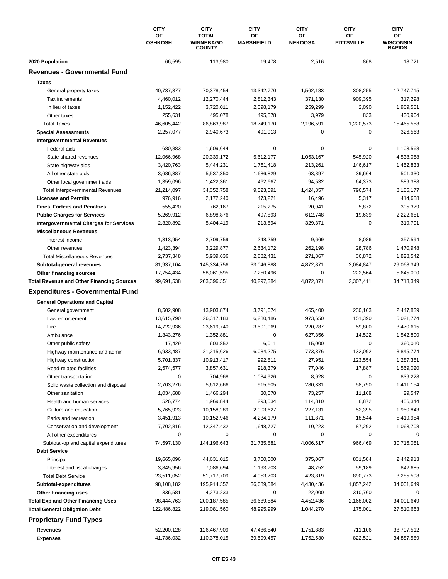|                                                  | <b>CITY</b><br>OF<br><b>OSHKOSH</b> | <b>CITY</b><br><b>TOTAL</b><br><b>WINNEBAGO</b> | <b>CITY</b><br>OF<br><b>MARSHFIELD</b> | <b>CITY</b><br><b>OF</b><br><b>NEKOOSA</b> | <b>CITY</b><br>OF<br><b>PITTSVILLE</b> | <b>CITY</b><br>ОF<br><b>WISCONSIN</b> |
|--------------------------------------------------|-------------------------------------|-------------------------------------------------|----------------------------------------|--------------------------------------------|----------------------------------------|---------------------------------------|
|                                                  |                                     | <b>COUNTY</b>                                   |                                        |                                            |                                        | <b>RAPIDS</b>                         |
| 2020 Population                                  | 66,595                              | 113,980                                         | 19,478                                 | 2,516                                      | 868                                    | 18,721                                |
| <b>Revenues - Governmental Fund</b>              |                                     |                                                 |                                        |                                            |                                        |                                       |
| <b>Taxes</b>                                     |                                     |                                                 |                                        |                                            |                                        |                                       |
| General property taxes                           | 40,737,377                          | 70,378,454                                      | 13,342,770                             | 1,562,183                                  | 308,255                                | 12,747,715                            |
| Tax increments                                   | 4,460,012                           | 12,270,444                                      | 2,812,343                              | 371,130                                    | 909,395                                | 317,298                               |
| In lieu of taxes                                 | 1,152,422                           | 3,720,011                                       | 2,098,179                              | 259,299                                    | 2,090                                  | 1,969,581                             |
| Other taxes                                      | 255,631                             | 495,078                                         | 495,878                                | 3,979                                      | 833                                    | 430,964                               |
| <b>Total Taxes</b>                               | 46,605,442                          | 86,863,987                                      | 18,749,170                             | 2,196,591                                  | 1,220,573                              | 15,465,558                            |
| <b>Special Assessments</b>                       | 2,257,077                           | 2,940,673                                       | 491,913                                | 0                                          | $\mathbf 0$                            | 326,563                               |
| <b>Intergovernmental Revenues</b>                |                                     |                                                 |                                        |                                            |                                        |                                       |
| Federal aids                                     | 680,883                             | 1,609,644                                       | 0                                      | $\pmb{0}$                                  | 0                                      | 1,103,568                             |
| State shared revenues                            | 12,066,968                          | 20,339,172                                      | 5,612,177                              | 1,053,167                                  | 545,920                                | 4,538,058                             |
| State highway aids                               | 3,420,763                           | 5,444,231                                       | 1,761,418                              | 213,261                                    | 146,617                                | 1,452,833                             |
| All other state aids                             | 3,686,387                           | 5,537,350                                       | 1,686,829                              | 63,897                                     | 39,664                                 | 501,330                               |
| Other local government aids                      | 1,359,096                           | 1,422,361                                       | 462,667                                | 94,532                                     | 64,373                                 | 589,388                               |
| <b>Total Intergovernmental Revenues</b>          | 21,214,097                          | 34, 352, 758                                    | 9,523,091                              | 1,424,857                                  | 796,574                                | 8,185,177                             |
| <b>Licenses and Permits</b>                      | 976,916                             | 2,172,240                                       | 473,221                                | 16,496                                     | 5,317                                  | 414,688                               |
| <b>Fines, Forfeits and Penalties</b>             | 555,420                             | 762,167                                         | 215,275                                | 20,941                                     | 5,872                                  | 305,379                               |
| <b>Public Charges for Services</b>               | 5,269,912                           | 6,898,876                                       | 497,893                                | 612,748                                    | 19,639                                 | 2,222,651                             |
| <b>Intergovernmental Charges for Services</b>    | 2,320,892                           | 5,404,419                                       | 213,894                                | 329,371                                    | 0                                      | 319,791                               |
| <b>Miscellaneous Revenues</b>                    |                                     |                                                 |                                        |                                            |                                        |                                       |
| Interest income                                  | 1,313,954                           | 2,709,759                                       | 248,259                                | 9,669                                      | 8,086                                  | 357,594                               |
| Other revenues                                   | 1,423,394                           | 3,229,877                                       | 2,634,172                              | 262,198                                    | 28,786                                 | 1,470,948                             |
| <b>Total Miscellaneous Revenues</b>              | 2,737,348                           | 5,939,636                                       | 2,882,431                              | 271,867                                    | 36,872                                 | 1,828,542                             |
| Subtotal-general revenues                        | 81,937,104                          | 145,334,756                                     | 33,046,888                             | 4,872,871                                  | 2,084,847                              | 29,068,349                            |
| Other financing sources                          | 17,754,434                          | 58,061,595                                      | 7,250,496                              | 0                                          | 222,564                                | 5,645,000                             |
| <b>Total Revenue and Other Financing Sources</b> | 99,691,538                          | 203,396,351                                     | 40,297,384                             | 4,872,871                                  | 2,307,411                              | 34,713,349                            |
| <b>Expenditures - Governmental Fund</b>          |                                     |                                                 |                                        |                                            |                                        |                                       |
| <b>General Operations and Capital</b>            |                                     |                                                 |                                        |                                            |                                        |                                       |
| General government                               | 8,502,908                           | 13,903,874                                      | 3,791,674                              | 465,400                                    | 230,163                                | 2,447,839                             |
| Law enforcement                                  | 13,615,790                          | 26,317,183                                      | 6,280,486                              | 973,650                                    | 151,390                                | 5,021,774                             |
| Fire                                             | 14,722,936                          | 23,619,740                                      | 3,501,069                              | 220,287                                    | 59,800                                 | 3,470,615                             |
| Ambulance                                        | 1,343,276                           | 1,352,881                                       | 0                                      | 627,356                                    | 14,522                                 | 1,542,890                             |
| Other public safety                              | 17,429                              | 603,852                                         | 6,011                                  | 15,000                                     | $\mathbf 0$                            | 360,010                               |
| Highway maintenance and admin                    | 6,933,487                           | 21,215,626                                      | 6,084,275                              | 773,376                                    | 132,092                                | 3,845,774                             |
| Highway construction                             | 5,701,337                           | 10,913,417                                      | 992,811                                | 27,951                                     | 123,554                                | 1,287,351                             |
| Road-related facilities                          | 2,574,577                           | 3,857,631                                       | 918,379                                | 77,046                                     | 17,887                                 | 1,569,020                             |
| Other transportation                             | 0                                   | 704,968                                         | 1,034,926                              | 8,928                                      | 0                                      | 839,228                               |
| Solid waste collection and disposal              | 2,703,276                           | 5,612,666                                       | 915,605                                | 280,331                                    | 58,790                                 | 1,411,154                             |
| Other sanitation                                 | 1,034,688                           | 1,466,294                                       | 30,578                                 | 73,257                                     | 11,168                                 | 29,547                                |
| Health and human services                        | 526,774                             | 1,969,844                                       | 293,534                                | 114,810                                    | 8,872                                  | 456,344                               |
| Culture and education                            | 5,765,923                           | 10,158,289                                      | 2,003,627                              | 227,131                                    | 52,395                                 | 1,950,843                             |
| Parks and recreation                             | 3,451,913                           | 10,152,946                                      | 4,234,179                              | 111,871                                    | 18,544                                 | 5,419,954                             |
| Conservation and development                     | 7,702,816                           | 12,347,432                                      | 1,648,727                              | 10,223                                     | 87,292                                 | 1,063,708                             |
| All other expenditures                           | 0                                   | 0                                               | 0                                      | 0                                          | 0                                      |                                       |
| Subtotal-op and capital expenditures             | 74,597,130                          | 144,196,643                                     | 31,735,881                             | 4,006,617                                  | 966,469                                | 30,716,051                            |
| <b>Debt Service</b>                              |                                     |                                                 |                                        |                                            |                                        |                                       |
| Principal                                        | 19,665,096                          | 44,631,015                                      | 3,760,000                              | 375,067                                    | 831,584                                | 2,442,913                             |
| Interest and fiscal charges                      | 3,845,956                           | 7,086,694                                       | 1,193,703                              | 48,752                                     | 59,189                                 | 842,685                               |
| <b>Total Debt Service</b>                        | 23,511,052                          | 51,717,709                                      | 4,953,703                              | 423,819                                    | 890,773                                | 3,285,598                             |
| Subtotal-expenditures                            | 98,108,182                          | 195,914,352                                     | 36,689,584                             | 4,430,436                                  | 1,857,242                              | 34,001,649                            |
| Other financing uses                             | 336,581                             | 4,273,233                                       | 0                                      | 22,000                                     | 310,760                                | 0                                     |
| <b>Total Exp and Other Financing Uses</b>        | 98,444,763                          | 200, 187, 585                                   | 36,689,584                             | 4,452,436                                  | 2,168,002                              | 34,001,649                            |
| <b>Total General Obligation Debt</b>             | 122,486,822                         | 219,081,560                                     | 48,995,999                             | 1,044,270                                  | 175,001                                | 27,510,663                            |
| <b>Proprietary Fund Types</b>                    |                                     |                                                 |                                        |                                            |                                        |                                       |
|                                                  |                                     |                                                 |                                        |                                            |                                        |                                       |
| Revenues                                         | 52,200,128                          | 126,467,909                                     | 47,486,540                             | 1,751,883                                  | 711,106                                | 38,707,512                            |
| <b>Expenses</b>                                  | 41,736,032                          | 110,378,015                                     | 39,599,457                             | 1,752,530                                  | 822,521                                | 34,887,589                            |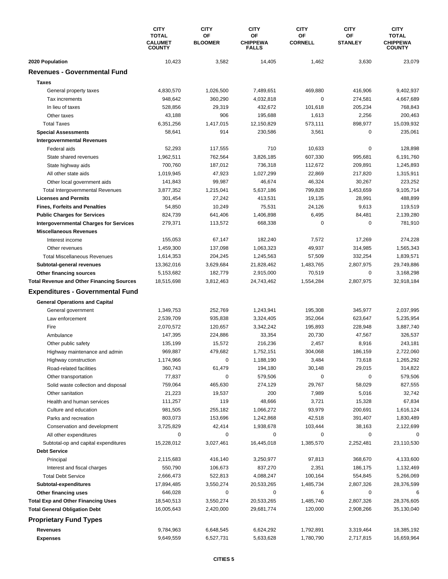|                                                  | <b>CITY</b><br><b>TOTAL</b><br><b>CALUMET</b><br><b>COUNTY</b> | <b>CITY</b><br>OF<br><b>BLOOMER</b> | <b>CITY</b><br>OF<br><b>CHIPPEWA</b><br><b>FALLS</b> | <b>CITY</b><br>OF<br><b>CORNELL</b> | <b>CITY</b><br>ΟF<br><b>STANLEY</b> | <b>CITY</b><br><b>TOTAL</b><br><b>CHIPPEWA</b><br><b>COUNTY</b> |
|--------------------------------------------------|----------------------------------------------------------------|-------------------------------------|------------------------------------------------------|-------------------------------------|-------------------------------------|-----------------------------------------------------------------|
|                                                  |                                                                |                                     |                                                      |                                     |                                     |                                                                 |
|                                                  |                                                                |                                     |                                                      |                                     |                                     |                                                                 |
| 2020 Population                                  | 10,423                                                         | 3,582                               | 14,405                                               | 1,462                               | 3,630                               | 23,079                                                          |
| <b>Revenues - Governmental Fund</b>              |                                                                |                                     |                                                      |                                     |                                     |                                                                 |
| <b>Taxes</b>                                     |                                                                |                                     |                                                      |                                     |                                     |                                                                 |
| General property taxes                           | 4,830,570                                                      | 1,026,500                           | 7,489,651                                            | 469,880                             | 416,906                             | 9,402,937                                                       |
| Tax increments                                   | 948,642                                                        | 360.290                             | 4,032,818                                            | 0                                   | 274,581                             | 4,667,689                                                       |
| In lieu of taxes                                 | 528,856                                                        | 29,319                              | 432,672                                              | 101,618                             | 205,234                             | 768,843                                                         |
| Other taxes                                      | 43,188                                                         | 906                                 | 195,688                                              | 1,613                               | 2,256                               | 200,463                                                         |
| <b>Total Taxes</b>                               | 6,351,256                                                      | 1,417,015                           | 12,150,829                                           | 573,111                             | 898,977                             | 15,039,932                                                      |
| <b>Special Assessments</b>                       | 58,641                                                         | 914                                 | 230,586                                              | 3,561                               | 0                                   | 235,061                                                         |
| <b>Intergovernmental Revenues</b>                |                                                                |                                     |                                                      |                                     |                                     |                                                                 |
| Federal aids                                     | 52,293                                                         | 117,555                             | 710                                                  | 10,633                              | 0                                   | 128,898                                                         |
| State shared revenues                            | 1,962,511                                                      | 762,564                             | 3,826,185                                            | 607,330                             | 995,681                             | 6,191,760                                                       |
| State highway aids                               | 700,760                                                        | 187,012                             | 736,318                                              | 112,672                             | 209,891                             | 1,245,893                                                       |
| All other state aids                             | 1,019,945                                                      | 47,923                              | 1,027,299                                            | 22,869                              | 217,820                             | 1,315,911                                                       |
| Other local government aids                      | 141,843                                                        | 99.987                              | 46,674                                               | 46,324                              | 30,267                              | 223,252                                                         |
| <b>Total Intergovernmental Revenues</b>          | 3,877,352                                                      | 1,215,041                           | 5,637,186                                            | 799,828                             | 1,453,659                           | 9,105,714                                                       |
| <b>Licenses and Permits</b>                      | 301,454                                                        | 27,242                              | 413,531                                              | 19,135                              | 28,991                              | 488,899                                                         |
| <b>Fines. Forfeits and Penalties</b>             | 54,850                                                         | 10,249                              | 75,531                                               | 24,126                              | 9,613                               | 119,519                                                         |
| <b>Public Charges for Services</b>               | 824,739                                                        | 641,406                             | 1,406,898                                            | 6,495                               | 84,481                              | 2,139,280                                                       |
| <b>Intergovernmental Charges for Services</b>    | 279,371                                                        | 113,572                             | 668,338                                              | 0                                   | $\mathbf 0$                         | 781,910                                                         |
| <b>Miscellaneous Revenues</b>                    |                                                                |                                     |                                                      |                                     |                                     |                                                                 |
| Interest income                                  | 155,053                                                        | 67,147                              | 182,240                                              | 7,572                               | 17,269                              | 274,228                                                         |
| Other revenues                                   | 1,459,300                                                      | 137,098                             | 1,063,323                                            | 49,937                              | 314,985                             | 1,565,343                                                       |
| <b>Total Miscellaneous Revenues</b>              | 1,614,353                                                      | 204,245                             | 1,245,563                                            | 57,509                              | 332,254                             | 1,839,571                                                       |
| Subtotal-general revenues                        | 13,362,016                                                     | 3,629,684                           | 21,828,462                                           | 1,483,765                           | 2,807,975                           | 29,749,886                                                      |
| Other financing sources                          | 5,153,682                                                      | 182,779                             | 2,915,000                                            | 70,519                              | 0                                   | 3,168,298                                                       |
| <b>Total Revenue and Other Financing Sources</b> | 18,515,698                                                     | 3,812,463                           | 24,743,462                                           | 1,554,284                           | 2,807,975                           | 32,918,184                                                      |
| <b>Expenditures - Governmental Fund</b>          |                                                                |                                     |                                                      |                                     |                                     |                                                                 |
|                                                  |                                                                |                                     |                                                      |                                     |                                     |                                                                 |
| <b>General Operations and Capital</b>            | 1,349,753                                                      | 252,769                             | 1,243,941                                            | 195,308                             | 345,977                             | 2,037,995                                                       |
| General government                               |                                                                |                                     |                                                      |                                     |                                     |                                                                 |
| Law enforcement                                  | 2,539,709                                                      | 935,838                             | 3,324,405                                            | 352,064                             | 623,647                             | 5,235,954                                                       |
| Fire                                             | 2,070,572                                                      | 120,657                             | 3,342,242                                            | 195,893                             | 228,948                             | 3,887,740                                                       |
| Ambulance                                        | 147,395                                                        | 224,886                             | 33,354                                               | 20,730                              | 47,567                              | 326,537                                                         |
| Other public safety                              | 135,199                                                        | 15,572                              | 216,236                                              | 2,457                               | 8,916                               | 243,181                                                         |
| Highway maintenance and admin                    | 969,887                                                        | 479,682                             | 1,752,151                                            | 304,068                             | 186,159                             | 2,722,060                                                       |
| Highway construction                             | 1,174,966                                                      | $\pmb{0}$                           | 1,188,190                                            | 3,484                               | 73,618                              | 1,265,292                                                       |
| Road-related facilities                          | 360,743                                                        | 61,479                              | 194,180                                              | 30,148                              | 29,015                              | 314,822                                                         |
| Other transportation                             | 77,837                                                         | $\pmb{0}$                           | 579,506                                              | 0                                   | $\pmb{0}$                           | 579,506                                                         |
| Solid waste collection and disposal              | 759,064                                                        | 465,630                             | 274,129                                              | 29,767                              | 58,029                              | 827,555                                                         |
| Other sanitation                                 | 21,223                                                         | 19,537                              | 200                                                  | 7,989                               | 5,016                               | 32,742                                                          |
| Health and human services                        | 111,257                                                        | 119                                 | 48,666                                               | 3,721                               | 15,328                              | 67,834                                                          |
| Culture and education                            | 981,505                                                        | 255,182                             | 1,066,272                                            | 93,979                              | 200,691                             | 1,616,124                                                       |
| Parks and recreation                             | 803,073                                                        | 153,696                             | 1,242,868                                            | 42,518                              | 391,407                             | 1,830,489                                                       |
| Conservation and development                     | 3,725,829                                                      | 42,414                              | 1,938,678                                            | 103,444                             | 38,163                              | 2,122,699                                                       |
| All other expenditures                           | 0                                                              | 0                                   | 0                                                    | 0                                   | 0                                   | 0                                                               |
| Subtotal-op and capital expenditures             | 15,228,012                                                     | 3,027,461                           | 16,445,018                                           | 1,385,570                           | 2,252,481                           | 23,110,530                                                      |
| <b>Debt Service</b>                              |                                                                |                                     |                                                      |                                     |                                     |                                                                 |
| Principal                                        | 2,115,683                                                      | 416,140                             | 3,250,977                                            | 97,813                              | 368,670                             | 4,133,600                                                       |
| Interest and fiscal charges                      | 550,790                                                        | 106,673                             | 837,270                                              | 2,351                               | 186,175                             | 1,132,469                                                       |
| <b>Total Debt Service</b>                        | 2,666,473                                                      | 522,813                             | 4,088,247                                            | 100,164                             | 554,845                             | 5,266,069                                                       |
| Subtotal-expenditures                            | 17,894,485                                                     | 3,550,274                           | 20,533,265                                           | 1,485,734                           | 2,807,326                           | 28,376,599                                                      |
| Other financing uses                             | 646,028                                                        | 0                                   | 0                                                    | 6                                   | 0                                   | 6                                                               |
| <b>Total Exp and Other Financing Uses</b>        | 18,540,513                                                     | 3,550,274                           | 20,533,265                                           | 1,485,740                           | 2,807,326                           | 28,376,605                                                      |
| <b>Total General Obligation Debt</b>             | 16,005,643                                                     | 2,420,000                           | 29,681,774                                           | 120,000                             | 2,908,266                           | 35,130,040                                                      |
| <b>Proprietary Fund Types</b>                    |                                                                |                                     |                                                      |                                     |                                     |                                                                 |
| Revenues                                         | 9,784,963                                                      | 6,648,545                           | 6,624,292                                            | 1,792,891                           | 3,319,464                           | 18,385,192                                                      |
| <b>Expenses</b>                                  | 9,649,559                                                      | 6,527,731                           | 5,633,628                                            | 1,780,790                           | 2,717,815                           | 16,659,964                                                      |
|                                                  |                                                                |                                     |                                                      |                                     |                                     |                                                                 |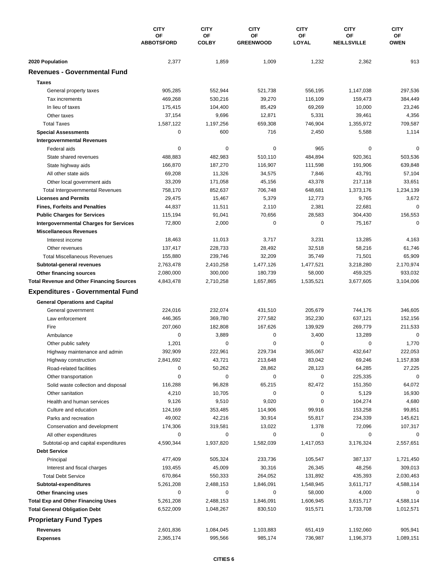|                                                        | <b>CITY</b><br>OF<br><b>ABBOTSFORD</b> | <b>CITY</b><br>OF<br><b>COLBY</b> | <b>CITY</b><br>OF<br><b>GREENWOOD</b> | <b>CITY</b><br>ОF<br>LOYAL | <b>CITY</b><br>ΟF<br><b>NEILLSVILLE</b> | <b>CITY</b><br>ОF<br><b>OWEN</b> |
|--------------------------------------------------------|----------------------------------------|-----------------------------------|---------------------------------------|----------------------------|-----------------------------------------|----------------------------------|
|                                                        |                                        |                                   |                                       |                            |                                         |                                  |
| 2020 Population<br><b>Revenues - Governmental Fund</b> | 2,377                                  | 1,859                             | 1,009                                 | 1,232                      | 2,362                                   | 913                              |
|                                                        |                                        |                                   |                                       |                            |                                         |                                  |
| <b>Taxes</b>                                           |                                        |                                   |                                       |                            |                                         |                                  |
| General property taxes                                 | 905,285                                | 552,944                           | 521,738                               | 556,195                    | 1,147,038                               | 297,536                          |
| Tax increments                                         | 469,268                                | 530,216                           | 39,270                                | 116,109                    | 159,473                                 | 384,449                          |
| In lieu of taxes<br>Other taxes                        | 175,415                                | 104,400                           | 85,429                                | 69,269                     | 10,000                                  | 23,246                           |
| <b>Total Taxes</b>                                     | 37,154<br>1.587.122                    | 9,696<br>1,197,256                | 12,871<br>659,308                     | 5,331<br>746,904           | 39,461<br>1,355,972                     | 4,356<br>709,587                 |
| <b>Special Assessments</b>                             | $\mathbf 0$                            | 600                               | 716                                   | 2,450                      | 5,588                                   | 1,114                            |
| <b>Intergovernmental Revenues</b>                      |                                        |                                   |                                       |                            |                                         |                                  |
| Federal aids                                           | 0                                      | 0                                 | $\pmb{0}$                             | 965                        | 0                                       | 0                                |
| State shared revenues                                  | 488,883                                | 482,983                           | 510,110                               | 484,894                    | 920,361                                 | 503,536                          |
| State highway aids                                     | 166,870                                | 187,270                           | 116,907                               | 111,598                    | 191,906                                 | 639,848                          |
| All other state aids                                   | 69,208                                 | 11,326                            | 34,575                                | 7,846                      | 43,791                                  | 57,104                           |
| Other local government aids                            | 33,209                                 | 171,058                           | 45,156                                | 43,378                     | 217,118                                 | 33,651                           |
| <b>Total Intergovernmental Revenues</b>                | 758,170                                | 852,637                           | 706,748                               | 648,681                    | 1,373,176                               | 1,234,139                        |
| <b>Licenses and Permits</b>                            | 29,475                                 | 15,467                            | 5,379                                 | 12,773                     | 9,765                                   | 3,672                            |
| <b>Fines, Forfeits and Penalties</b>                   | 44,837                                 | 11,511                            | 2,110                                 | 2,381                      | 22,681                                  | $\mathbf 0$                      |
| <b>Public Charges for Services</b>                     | 115,194                                | 91,041                            | 70,656                                | 28,583                     | 304,430                                 | 156,553                          |
| <b>Intergovernmental Charges for Services</b>          | 72,800                                 | 2,000                             | 0                                     | 0                          | 75,167                                  | $\mathbf 0$                      |
| <b>Miscellaneous Revenues</b>                          |                                        |                                   |                                       |                            |                                         |                                  |
| Interest income                                        | 18,463                                 | 11,013                            | 3,717                                 | 3,231                      | 13,285                                  | 4,163                            |
| Other revenues                                         | 137,417                                | 228,733                           | 28,492                                | 32,518                     | 58,216                                  | 61,746                           |
| <b>Total Miscellaneous Revenues</b>                    | 155,880                                | 239,746                           | 32,209                                | 35,749                     | 71,501                                  | 65,909                           |
| Subtotal-general revenues                              | 2,763,478                              | 2,410,258                         | 1,477,126                             | 1,477,521                  | 3,218,280                               | 2,170,974                        |
| Other financing sources                                | 2,080,000                              | 300,000                           | 180,739                               | 58,000                     | 459,325                                 | 933,032                          |
| <b>Total Revenue and Other Financing Sources</b>       | 4,843,478                              | 2,710,258                         | 1,657,865                             | 1,535,521                  | 3,677,605                               | 3,104,006                        |
| <b>Expenditures - Governmental Fund</b>                |                                        |                                   |                                       |                            |                                         |                                  |
| <b>General Operations and Capital</b>                  |                                        |                                   |                                       |                            |                                         |                                  |
| General government                                     | 224,016                                | 232,074                           | 431,510                               | 205,679                    | 744,176                                 | 346,605                          |
| Law enforcement                                        | 446,365                                | 369,780                           | 277,582                               | 352,230                    | 637,121                                 | 152,156                          |
| Fire                                                   | 207,060                                | 182,808                           | 167,626                               | 139,929                    | 269,779                                 | 211,533                          |
| Ambulance                                              | 0                                      | 3,889                             | 0                                     | 3,400                      | 13,289                                  | 0                                |
| Other public safety                                    | 1,201                                  | 0                                 | 0                                     | 0                          | 0                                       | 1,770                            |
| Highway maintenance and admin                          | 392,909                                | 222,961                           | 229,734                               | 365,067                    | 432,647                                 | 222,053                          |
| Highway construction                                   | 2,841,692                              | 43,721                            | 213,648                               | 83,042                     | 69,246                                  | 1,157,838                        |
| Road-related facilities                                | 0                                      | 50,262                            | 28,862                                | 28,123                     | 64,285                                  | 27,225                           |
| Other transportation                                   | 0                                      | 0                                 | 0                                     | 0                          | 225,335                                 | 0                                |
| Solid waste collection and disposal                    | 116,288                                | 96,828                            | 65,215                                | 82,472                     | 151,350                                 | 64,072                           |
| Other sanitation                                       | 4,210                                  | 10,705                            | 0                                     | 0                          | 5,129                                   | 16,930                           |
| Health and human services                              | 9,126                                  | 9,510                             | 9,020                                 | 0                          | 104,274                                 | 4,680                            |
| Culture and education                                  | 124,169                                | 353,485                           | 114,906                               | 99,916                     | 153,258                                 | 99,851                           |
| Parks and recreation                                   | 49,002                                 | 42,216                            | 30,914                                | 55,817                     | 234,339                                 | 145,621                          |
| Conservation and development                           | 174,306                                | 319,581                           | 13,022                                | 1,378                      | 72,096                                  | 107,317                          |
| All other expenditures                                 | 0                                      | 0                                 | 0                                     | 0                          | 0                                       | 0                                |
| Subtotal-op and capital expenditures                   | 4,590,344                              | 1,937,820                         | 1,582,039                             | 1,417,053                  | 3,176,324                               | 2,557,651                        |
| <b>Debt Service</b>                                    |                                        |                                   |                                       |                            |                                         |                                  |
| Principal                                              | 477,409                                | 505,324                           | 233,736                               | 105,547                    | 387,137                                 | 1,721,450                        |
| Interest and fiscal charges                            | 193,455                                | 45,009                            | 30,316                                | 26,345                     | 48,256                                  | 309,013                          |
| <b>Total Debt Service</b>                              | 670,864                                | 550,333                           | 264,052                               | 131,892                    | 435,393                                 | 2,030,463                        |
| Subtotal-expenditures                                  | 5,261,208                              | 2,488,153                         | 1,846,091                             | 1,548,945                  | 3,611,717                               | 4,588,114                        |
| Other financing uses                                   | 0                                      | 0                                 | 0                                     | 58,000                     | 4,000                                   | 0                                |
| <b>Total Exp and Other Financing Uses</b>              | 5,261,208                              | 2,488,153                         | 1,846,091                             | 1,606,945                  | 3,615,717                               | 4,588,114                        |
| <b>Total General Obligation Debt</b>                   | 6,522,009                              | 1,048,267                         | 830,510                               | 915,571                    | 1,733,708                               | 1,012,571                        |
| <b>Proprietary Fund Types</b>                          |                                        |                                   |                                       |                            |                                         |                                  |
| <b>Revenues</b>                                        | 2,601,836                              | 1,084,045                         | 1,103,883                             | 651,419                    | 1,192,060                               | 905,941                          |
| <b>Expenses</b>                                        | 2,365,174                              | 995,566                           | 985,174                               | 736,987                    | 1,196,373                               | 1,089,151                        |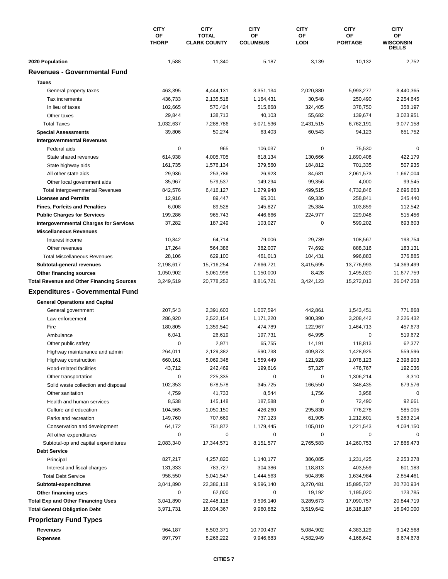|                                                  | <b>CITY</b><br>OF<br><b>THORP</b> | <b>CITY</b><br><b>TOTAL</b> | <b>CITY</b><br><b>OF</b><br><b>COLUMBUS</b> | <b>CITY</b><br>OF | <b>CITY</b><br>ΟF<br><b>PORTAGE</b> | <b>CITY</b><br>OF<br><b>WISCONSIN</b><br><b>DELLS</b> |
|--------------------------------------------------|-----------------------------------|-----------------------------|---------------------------------------------|-------------------|-------------------------------------|-------------------------------------------------------|
|                                                  |                                   | <b>CLARK COUNTY</b>         |                                             | <b>LODI</b>       |                                     |                                                       |
| 2020 Population                                  | 1,588                             | 11,340                      | 5,187                                       | 3,139             | 10,132                              | 2,752                                                 |
| <b>Revenues - Governmental Fund</b>              |                                   |                             |                                             |                   |                                     |                                                       |
| <b>Taxes</b>                                     |                                   |                             |                                             |                   |                                     |                                                       |
| General property taxes                           | 463,395                           | 4,444,131                   | 3,351,134                                   | 2,020,880         | 5,993,277                           | 3,440,365                                             |
| Tax increments                                   | 436,733                           | 2,135,518                   | 1,164,431                                   | 30,548            | 250,490                             | 2,254,645                                             |
| In lieu of taxes                                 | 102,665                           | 570,424                     | 515,868                                     | 324,405           | 378,750                             | 358,197                                               |
| Other taxes                                      | 29,844                            | 138,713                     | 40,103                                      | 55,682            | 139,674                             | 3,023,951                                             |
| <b>Total Taxes</b>                               | 1,032,637                         | 7,288,786                   | 5,071,536                                   | 2,431,515         | 6,762,191                           | 9,077,158                                             |
| <b>Special Assessments</b>                       | 39,806                            | 50,274                      | 63,403                                      | 60,543            | 94,123                              | 651,752                                               |
| <b>Intergovernmental Revenues</b>                |                                   |                             |                                             |                   |                                     |                                                       |
| Federal aids                                     | 0                                 | 965                         | 106,037                                     | 0                 | 75,530                              | $\Omega$                                              |
| State shared revenues                            | 614,938                           | 4,005,705                   | 618,134                                     | 130,666           | 1,890,408                           | 422,179                                               |
| State highway aids                               | 161,735                           | 1,576,134                   | 379,560                                     | 184,812           | 701,335                             | 507,935                                               |
| All other state aids                             | 29,936                            | 253,786                     | 26,923                                      | 84,681            | 2,061,573                           | 1,667,004                                             |
| Other local government aids                      | 35,967                            | 579,537                     | 149,294                                     | 99,356            | 4,000                               | 99,545                                                |
| <b>Total Intergovernmental Revenues</b>          | 842,576                           | 6,416,127                   | 1,279,948                                   | 499,515           | 4,732,846                           | 2,696,663                                             |
| <b>Licenses and Permits</b>                      | 12,916                            | 89,447                      | 95,301                                      | 69,330            | 258,841                             | 245,440                                               |
| <b>Fines, Forfeits and Penalties</b>             | 6,008                             | 89,528                      | 145,827                                     | 25,384            | 103,859                             | 112,542                                               |
| <b>Public Charges for Services</b>               | 199,286                           | 965,743                     | 446,666                                     | 224,977           | 229,048                             | 515,456                                               |
| <b>Intergovernmental Charges for Services</b>    | 37,282                            | 187,249                     | 103,027                                     | 0                 | 599,202                             | 693,603                                               |
| <b>Miscellaneous Revenues</b>                    |                                   |                             |                                             |                   |                                     |                                                       |
| Interest income                                  | 10,842                            | 64,714                      | 79,006                                      | 29,739            | 108,567                             | 193,754                                               |
| Other revenues                                   | 17,264                            | 564,386                     | 382,007                                     | 74,692            | 888,316                             | 183,131                                               |
| <b>Total Miscellaneous Revenues</b>              | 28,106                            | 629,100                     | 461,013                                     | 104,431           | 996,883                             | 376,885                                               |
| Subtotal-general revenues                        | 2,198,617                         | 15,716,254                  | 7,666,721                                   | 3,415,695         | 13,776,993                          | 14,369,499                                            |
| Other financing sources                          | 1,050,902                         | 5,061,998                   | 1,150,000                                   | 8,428             | 1,495,020                           | 11,677,759                                            |
| <b>Total Revenue and Other Financing Sources</b> | 3,249,519                         | 20,778,252                  | 8,816,721                                   | 3,424,123         | 15,272,013                          | 26,047,258                                            |
| <b>Expenditures - Governmental Fund</b>          |                                   |                             |                                             |                   |                                     |                                                       |
| <b>General Operations and Capital</b>            |                                   |                             |                                             |                   |                                     |                                                       |
| General government                               | 207,543                           | 2,391,603                   | 1,007,594                                   | 442,861           | 1,543,451                           | 771,868                                               |
| Law enforcement<br>Fire                          | 286,920                           | 2,522,154                   | 1,171,220                                   | 900,390           | 3,208,442                           | 2,226,432                                             |
| Ambulance                                        | 180,805<br>6,041                  | 1,359,540<br>26,619         | 474,789<br>197,731                          | 122,967<br>64,995 | 1,464,713<br>$\mathbf 0$            | 457,673<br>519,672                                    |
| Other public safety                              | 0                                 | 2,971                       | 65,755                                      | 14,191            | 118,813                             | 62,377                                                |
| Highway maintenance and admin                    | 264,011                           | 2,129,382                   | 590,738                                     | 409,873           | 1,428,925                           | 559,596                                               |
| Highway construction                             | 660,161                           | 5,069,348                   | 1,559,449                                   | 121,928           | 1,078,123                           | 2,398,903                                             |
| Road-related facilities                          | 43,712                            | 242,469                     | 199,616                                     | 57,327            | 476,767                             | 192,036                                               |
| Other transportation                             | 0                                 | 225,335                     | 0                                           | 0                 | 1,306,214                           | 3,310                                                 |
| Solid waste collection and disposal              | 102,353                           | 678,578                     | 345,725                                     | 166,550           | 348,435                             | 679,576                                               |
| Other sanitation                                 | 4,759                             | 41,733                      | 8,544                                       | 1,756             | 3,958                               | 0                                                     |
| Health and human services                        | 8,538                             | 145,148                     | 187,588                                     | 0                 | 72,490                              | 92,661                                                |
| Culture and education                            | 104,565                           | 1,050,150                   | 426,260                                     | 295,830           | 776,278                             | 585,005                                               |
| Parks and recreation                             | 149,760                           | 707,669                     | 737,123                                     | 61,905            | 1,212,601                           | 5,283,214                                             |
| Conservation and development                     | 64,172                            | 751,872                     | 1,179,445                                   | 105,010           | 1,221,543                           | 4,034,150                                             |
| All other expenditures                           | 0                                 | 0                           | 0                                           | 0                 | 0                                   |                                                       |
| Subtotal-op and capital expenditures             | 2,083,340                         | 17,344,571                  | 8,151,577                                   | 2,765,583         | 14,260,753                          | 17,866,473                                            |
| <b>Debt Service</b>                              |                                   |                             |                                             |                   |                                     |                                                       |
| Principal                                        | 827,217                           | 4,257,820                   | 1,140,177                                   | 386,085           | 1,231,425                           | 2,253,278                                             |
| Interest and fiscal charges                      | 131,333                           | 783,727                     | 304,386                                     | 118,813           | 403,559                             | 601,183                                               |
| <b>Total Debt Service</b>                        | 958,550                           | 5,041,547                   | 1,444,563                                   | 504,898           | 1,634,984                           | 2,854,461                                             |
| Subtotal-expenditures                            | 3,041,890                         | 22,386,118                  | 9,596,140                                   | 3,270,481         | 15,895,737                          | 20,720,934                                            |
| Other financing uses                             | 0                                 | 62,000                      | 0                                           | 19,192            | 1,195,020                           | 123,785                                               |
| <b>Total Exp and Other Financing Uses</b>        | 3,041,890                         | 22,448,118                  | 9,596,140                                   | 3,289,673         | 17,090,757                          | 20,844,719                                            |
| <b>Total General Obligation Debt</b>             | 3,971,731                         | 16,034,367                  | 9,960,882                                   | 3,519,642         | 16,318,187                          | 16,940,000                                            |
| <b>Proprietary Fund Types</b>                    |                                   |                             |                                             |                   |                                     |                                                       |
| Revenues                                         | 964,187                           | 8,503,371                   | 10,700,437                                  | 5,084,902         | 4,383,129                           | 9,142,568                                             |
| <b>Expenses</b>                                  | 897,797                           | 8,266,222                   | 9,946,683                                   | 4,582,949         | 4,168,642                           | 8,674,678                                             |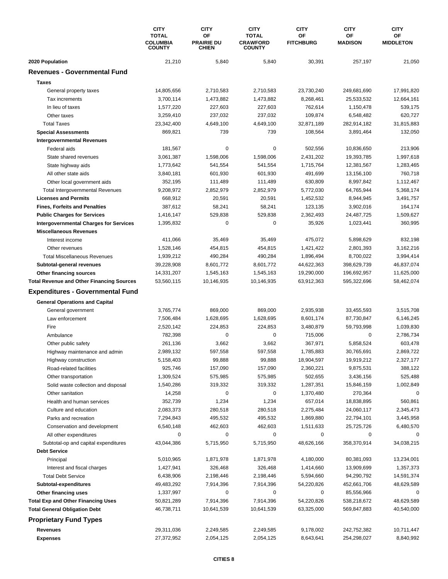|                                                                   | <b>CITY</b><br><b>TOTAL</b><br><b>COLUMBIA</b><br><b>COUNTY</b> | <b>CITY</b><br>OF<br><b>PRAIRIE DU</b><br>CHIEN | <b>CITY</b><br><b>TOTAL</b><br><b>CRAWFORD</b><br><b>COUNTY</b> | <b>CITY</b><br>OF<br><b>FITCHBURG</b> | <b>CITY</b><br>ΟF<br><b>MADISON</b> | <b>CITY</b><br>OF<br><b>MIDDLETON</b> |
|-------------------------------------------------------------------|-----------------------------------------------------------------|-------------------------------------------------|-----------------------------------------------------------------|---------------------------------------|-------------------------------------|---------------------------------------|
| 2020 Population                                                   | 21,210                                                          | 5,840                                           | 5,840                                                           | 30,391                                | 257,197                             | 21,050                                |
| <b>Revenues - Governmental Fund</b>                               |                                                                 |                                                 |                                                                 |                                       |                                     |                                       |
| <b>Taxes</b>                                                      |                                                                 |                                                 |                                                                 |                                       |                                     |                                       |
| General property taxes                                            | 14,805,656                                                      | 2,710,583                                       | 2,710,583                                                       | 23,730,240                            | 249,681,690                         | 17,991,820                            |
| Tax increments                                                    | 3,700,114                                                       | 1,473,882                                       | 1,473,882                                                       | 8,268,461                             | 25,533,532                          | 12,664,161                            |
| In lieu of taxes                                                  | 1,577,220                                                       | 227,603                                         | 227,603                                                         | 762,614                               | 1,150,478                           | 539,175                               |
| Other taxes                                                       | 3,259,410                                                       | 237,032                                         | 237,032                                                         | 109,874                               | 6,548,482                           | 620,727                               |
| <b>Total Taxes</b>                                                | 23,342,400                                                      | 4,649,100                                       | 4,649,100                                                       | 32,871,189                            | 282,914,182                         | 31,815,883                            |
| <b>Special Assessments</b>                                        | 869,821                                                         | 739                                             | 739                                                             | 108,564                               | 3,891,464                           | 132,050                               |
| <b>Intergovernmental Revenues</b>                                 |                                                                 |                                                 |                                                                 |                                       |                                     |                                       |
| Federal aids                                                      | 181,567                                                         | 0                                               | 0                                                               | 502,556                               | 10,836,650                          | 213,906                               |
| State shared revenues                                             | 3,061,387                                                       | 1,598,006                                       | 1,598,006                                                       | 2,431,202                             | 19,393,785                          | 1,997,618                             |
| State highway aids                                                | 1,773,642                                                       | 541,554                                         | 541,554                                                         | 1,715,764                             | 12,381,567                          | 1,283,465                             |
| All other state aids                                              | 3,840,181                                                       | 601,930                                         | 601,930                                                         | 491,699                               | 13,156,100                          | 760,718                               |
| Other local government aids                                       | 352,195                                                         | 111,489                                         | 111,489                                                         | 630,809                               | 8,997,842                           | 1,112,467                             |
| <b>Total Intergovernmental Revenues</b>                           | 9,208,972                                                       | 2,852,979                                       | 2,852,979                                                       | 5,772,030                             | 64,765,944                          | 5,368,174                             |
| <b>Licenses and Permits</b>                                       | 668,912                                                         | 20,591                                          | 20,591                                                          | 1,452,532                             | 8,944,945                           | 3,491,757                             |
| <b>Fines, Forfeits and Penalties</b>                              | 387,612                                                         | 58,241                                          | 58,241                                                          | 123,135                               | 3,902,016                           | 164,174                               |
| <b>Public Charges for Services</b>                                | 1,416,147                                                       | 529,838                                         | 529,838                                                         | 2,362,493                             | 24,487,725                          | 1,509,627                             |
| <b>Intergovernmental Charges for Services</b>                     | 1,395,832                                                       | $\mathbf 0$                                     | 0                                                               | 35,926                                | 1,023,441                           | 360,995                               |
| <b>Miscellaneous Revenues</b>                                     |                                                                 |                                                 |                                                                 |                                       |                                     |                                       |
| Interest income                                                   | 411,066                                                         | 35,469                                          | 35,469                                                          | 475,072                               | 5,898,629                           | 832,198                               |
| Other revenues                                                    | 1,528,146                                                       | 454,815                                         | 454,815                                                         | 1,421,422                             | 2,801,393                           | 3,162,216                             |
| <b>Total Miscellaneous Revenues</b>                               | 1,939,212                                                       | 490,284                                         | 490,284                                                         | 1,896,494                             | 8,700,022                           | 3,994,414                             |
| Subtotal-general revenues                                         | 39,228,908                                                      | 8,601,772                                       | 8,601,772                                                       | 44,622,363                            | 398,629,739                         | 46,837,074                            |
| Other financing sources                                           | 14,331,207                                                      | 1,545,163                                       | 1,545,163                                                       | 19,290,000                            | 196,692,957                         | 11,625,000                            |
| <b>Total Revenue and Other Financing Sources</b>                  | 53,560,115                                                      | 10,146,935                                      | 10,146,935                                                      | 63,912,363                            | 595,322,696                         | 58,462,074                            |
| <b>Expenditures - Governmental Fund</b>                           |                                                                 |                                                 |                                                                 |                                       |                                     |                                       |
| <b>General Operations and Capital</b>                             |                                                                 |                                                 |                                                                 |                                       |                                     |                                       |
| General government                                                | 3,765,774                                                       | 869,000                                         | 869,000                                                         | 2,935,938                             | 33,455,593                          | 3,515,708                             |
| Law enforcement                                                   | 7,506,484                                                       | 1,628,695                                       | 1,628,695                                                       | 8,601,174                             | 87,730,847                          | 6,146,245                             |
| Fire                                                              | 2,520,142                                                       | 224,853                                         | 224,853                                                         | 3,480,879                             | 59,793,998                          | 1,039,830                             |
| Ambulance                                                         | 782,398                                                         | 0                                               | 0                                                               | 715,006                               | 0                                   | 2,786,734                             |
| Other public safety                                               | 261,136                                                         | 3,662                                           | 3,662                                                           | 367,971                               | 5,858,524                           | 603,478                               |
| Highway maintenance and admin                                     | 2,989,132                                                       | 597,558                                         | 597,558                                                         | 1,785,883                             | 30,765,691                          | 2,869,722                             |
| Highway construction                                              | 5,158,403                                                       | 99,888                                          | 99,888                                                          | 18,904,597                            | 19,919,212                          | 2,327,177                             |
| Road-related facilities                                           | 925,746                                                         | 157,090                                         | 157,090                                                         | 2,360,221                             | 9,875,531                           | 388,122                               |
| Other transportation                                              | 1,309,524                                                       | 575,985                                         | 575,985                                                         | 502,655                               | 3,436,156                           | 525,488                               |
| Solid waste collection and disposal                               | 1,540,286                                                       | 319,332                                         | 319,332                                                         | 1,287,351                             | 15,846,159                          | 1,002,849                             |
| Other sanitation                                                  | 14,258                                                          | 0                                               | 0                                                               | 1,370,480                             | 270,364                             | 0                                     |
| Health and human services                                         | 352,739                                                         | 1,234                                           | 1,234                                                           | 657,014                               | 18,838,895                          | 560,861                               |
| Culture and education                                             | 2,083,373                                                       | 280,518                                         | 280,518                                                         | 2,275,484                             | 24,060,117                          | 2,345,473                             |
| Parks and recreation                                              | 7,294,843                                                       | 495,532                                         | 495,532                                                         | 1,869,880                             | 22,794,101                          | 3,445,958                             |
| Conservation and development                                      | 6,540,148                                                       | 462,603                                         | 462,603                                                         | 1,511,633                             | 25,725,726                          | 6,480,570                             |
| All other expenditures                                            | 0                                                               | 0                                               | 0                                                               | 0                                     | 0                                   | $\Omega$                              |
| Subtotal-op and capital expenditures                              | 43,044,386                                                      | 5,715,950                                       | 5,715,950                                                       | 48,626,166                            | 358,370,914                         | 34,038,215                            |
| <b>Debt Service</b>                                               |                                                                 |                                                 |                                                                 |                                       |                                     |                                       |
| Principal                                                         | 5,010,965                                                       | 1,871,978                                       | 1,871,978                                                       | 4,180,000                             | 80,381,093                          | 13,234,001                            |
| Interest and fiscal charges                                       | 1,427,941                                                       | 326,468                                         | 326,468                                                         | 1,414,660                             | 13,909,699                          | 1,357,373                             |
| <b>Total Debt Service</b>                                         | 6,438,906                                                       | 2,198,446                                       | 2,198,446                                                       | 5,594,660                             | 94,290,792                          | 14,591,374                            |
| Subtotal-expenditures                                             | 49,483,292                                                      | 7,914,396                                       | 7,914,396                                                       | 54,220,826                            | 452,661,706                         | 48,629,589                            |
|                                                                   | 1,337,997                                                       | 0                                               | 0                                                               | 0                                     | 85,556,966                          |                                       |
| Other financing uses<br><b>Total Exp and Other Financing Uses</b> | 50,821,289                                                      | 7,914,396                                       | 7,914,396                                                       | 54,220,826                            | 538,218,672                         | 48,629,589                            |
| <b>Total General Obligation Debt</b>                              | 46,738,711                                                      | 10,641,539                                      | 10,641,539                                                      | 63,325,000                            | 569,847,883                         | 40,540,000                            |
|                                                                   |                                                                 |                                                 |                                                                 |                                       |                                     |                                       |
| <b>Proprietary Fund Types</b>                                     |                                                                 |                                                 |                                                                 |                                       |                                     |                                       |
| Revenues                                                          | 29,311,036                                                      | 2,249,585                                       | 2,249,585                                                       | 9,178,002                             | 242,752,382                         | 10,711,447                            |
| <b>Expenses</b>                                                   | 27,372,952                                                      | 2,054,125                                       | 2,054,125                                                       | 8,643,641                             | 254,298,027                         | 8,840,992                             |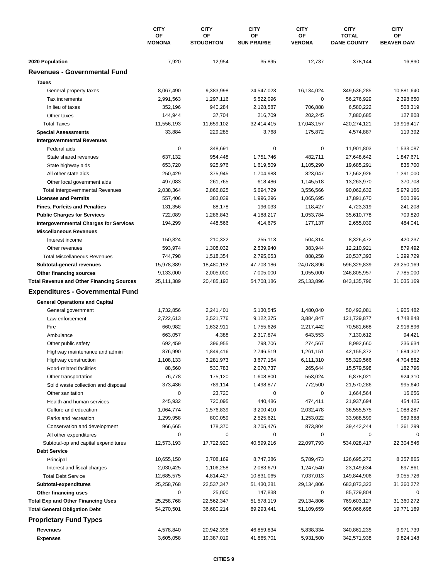|                                                                                             | <b>CITY</b>            | <b>CITY</b>            | <b>CITY</b>              | <b>CITY</b>          | <b>CITY</b>                        | <b>CITY</b>             |
|---------------------------------------------------------------------------------------------|------------------------|------------------------|--------------------------|----------------------|------------------------------------|-------------------------|
|                                                                                             | OF<br><b>MONONA</b>    | OF<br><b>STOUGHTON</b> | ОF<br><b>SUN PRAIRIE</b> | OF<br><b>VERONA</b>  | <b>TOTAL</b><br><b>DANE COUNTY</b> | ΟF<br><b>BEAVER DAM</b> |
|                                                                                             |                        |                        |                          |                      |                                    |                         |
| 2020 Population<br><b>Revenues - Governmental Fund</b>                                      | 7,920                  | 12,954                 | 35,895                   | 12,737               | 378,144                            | 16,890                  |
|                                                                                             |                        |                        |                          |                      |                                    |                         |
| <b>Taxes</b>                                                                                |                        |                        |                          |                      |                                    |                         |
| General property taxes                                                                      | 8,067,490              | 9,383,998              | 24,547,023               | 16,134,024           | 349,536,285                        | 10,881,640              |
| Tax increments                                                                              | 2,991,563              | 1,297,116              | 5,522,096                | $\pmb{0}$            | 56,276,929                         | 2,398,650               |
| In lieu of taxes                                                                            | 352,196                | 940,284                | 2,128,587                | 706,888              | 6,580,222                          | 508,319                 |
| Other taxes                                                                                 | 144,944                | 37,704                 | 216,709                  | 202,245              | 7,880,685                          | 127,808                 |
| <b>Total Taxes</b>                                                                          | 11,556,193             | 11,659,102             | 32,414,415               | 17,043,157           | 420,274,121                        | 13,916,417              |
| <b>Special Assessments</b>                                                                  | 33,884                 | 229,285                | 3,768                    | 175,872              | 4,574,887                          | 119,392                 |
| <b>Intergovernmental Revenues</b>                                                           |                        |                        |                          |                      |                                    |                         |
| Federal aids                                                                                | 0                      | 348,691                | 0                        | 0                    | 11,901,803                         | 1,533,087               |
| State shared revenues                                                                       | 637,132                | 954,448                | 1,751,746                | 482,711              | 27,648,642                         | 1,847,671               |
| State highway aids                                                                          | 653,720                | 925,976                | 1,619,509                | 1,105,290            | 19,685,291                         | 836,700                 |
| All other state aids                                                                        | 250,429                | 375,945                | 1,704,988                | 823,047              | 17,562,926                         | 1,391,000               |
| Other local government aids                                                                 | 497,083                | 261,765                | 618,486                  | 1,145,518            | 13,263,970                         | 370,708                 |
| <b>Total Intergovernmental Revenues</b>                                                     | 2,038,364              | 2,866,825              | 5,694,729                | 3,556,566            | 90,062,632                         | 5,979,166               |
| <b>Licenses and Permits</b>                                                                 | 557,406                | 383,039                | 1,996,296                | 1,065,695            | 17,891,670                         | 500,396                 |
| <b>Fines, Forfeits and Penalties</b>                                                        | 131,356                | 88,178                 | 196,033                  | 118,427              | 4,723,319                          | 241,208                 |
| <b>Public Charges for Services</b>                                                          | 722,089                | 1,286,843              | 4,188,217                | 1,053,784            | 35,610,778                         | 709,820                 |
| <b>Intergovernmental Charges for Services</b>                                               | 194,299                | 448,566                | 414,675                  | 177,137              | 2,655,039                          | 484,041                 |
| <b>Miscellaneous Revenues</b>                                                               |                        |                        |                          |                      |                                    |                         |
| Interest income                                                                             | 150,824                | 210,322                | 255,113                  | 504,314              | 8,326,472                          | 420,237                 |
| Other revenues                                                                              | 593,974                | 1,308,032              | 2,539,940                | 383,944              | 12,210,921                         | 879,492                 |
| <b>Total Miscellaneous Revenues</b>                                                         | 744,798                | 1,518,354              | 2,795,053                | 888,258              | 20,537,393                         | 1,299,729               |
| Subtotal-general revenues                                                                   | 15,978,389             | 18,480,192             | 47,703,186               | 24,078,896           | 596,329,839                        | 23,250,169              |
| Other financing sources                                                                     | 9,133,000              | 2,005,000              | 7,005,000                | 1,055,000            | 246,805,957                        | 7,785,000               |
| <b>Total Revenue and Other Financing Sources</b><br><b>Expenditures - Governmental Fund</b> | 25,111,389             | 20,485,192             | 54,708,186               | 25,133,896           | 843,135,796                        | 31,035,169              |
|                                                                                             |                        |                        |                          |                      |                                    |                         |
| <b>General Operations and Capital</b>                                                       |                        |                        |                          |                      |                                    |                         |
| General government                                                                          | 1,732,856              | 2,241,401              | 5,130,545                | 1,480,040            | 50,492,081                         | 1,905,482               |
| Law enforcement                                                                             | 2,722,613              | 3,521,776              | 9,122,375                | 3,884,847            | 121,729,877                        | 4,748,848               |
| Fire                                                                                        | 660,982                | 1,632,911              | 1,755,626                | 2,217,442            | 70,581,668                         | 2,916,896               |
| Ambulance                                                                                   | 663,057                | 4,388                  | 2,317,874                | 643,553              | 7,130,612                          | 94,421                  |
| Other public safety                                                                         | 692,459                | 396,955                | 798,706                  | 274,567              | 8,992,660                          | 236,634                 |
| Highway maintenance and admin                                                               | 876,990                | 1,849,416              | 2,746,519                | 1,261,151            | 42, 155, 372                       | 1,684,302               |
| Highway construction                                                                        | 1,108,133              | 3,281,973              | 3,677,164                | 6,111,310<br>265,644 | 55,329,566                         | 4,704,862               |
| Road-related facilities                                                                     | 88,560                 | 530,783                | 2,070,737                |                      | 15,579,598                         | 182,796                 |
| Other transportation                                                                        | 76,778                 | 175,120                | 1,608,800                | 553,024              | 6,878,021                          | 924,310                 |
| Solid waste collection and disposal                                                         | 373,436                | 789,114                | 1,498,877                | 772,500              | 21,570,286                         | 995,640                 |
| Other sanitation                                                                            | 0                      | 23,720                 | 0                        | 0                    | 1,664,564                          | 16,656                  |
| Health and human services                                                                   | 245,932                | 720,095                | 440,486                  | 474,411              | 21,937,694                         | 454,425                 |
| Culture and education                                                                       | 1,064,774<br>1,299,958 | 1,576,839<br>800,059   | 3,200,410                | 2,032,478            | 36,555,575                         | 1,088,287<br>989,688    |
| Parks and recreation                                                                        |                        |                        | 2,525,621                | 1,253,022            | 33,988,599                         |                         |
| Conservation and development<br>All other expenditures                                      | 966,665<br>0           | 178,370<br>0           | 3,705,476<br>0           | 873,804<br>0         | 39,442,244<br>0                    | 1,361,299               |
| Subtotal-op and capital expenditures                                                        | 12,573,193             | 17,722,920             | 40,599,216               | 22,097,793           | 534,028,417                        | 22,304,546              |
| <b>Debt Service</b>                                                                         |                        |                        |                          |                      |                                    |                         |
| Principal                                                                                   | 10,655,150             | 3,708,169              | 8,747,386                | 5,789,473            | 126,695,272                        | 8,357,865               |
| Interest and fiscal charges                                                                 | 2,030,425              | 1,106,258              | 2,083,679                | 1,247,540            | 23,149,634                         | 697,861                 |
| <b>Total Debt Service</b>                                                                   | 12,685,575             | 4,814,427              | 10,831,065               | 7,037,013            | 149,844,906                        | 9,055,726               |
| Subtotal-expenditures                                                                       | 25,258,768             | 22,537,347             | 51,430,281               | 29,134,806           | 683,873,323                        | 31,360,272              |
| Other financing uses                                                                        | 0                      | 25,000                 | 147,838                  | 0                    | 85,729,804                         | 0                       |
| <b>Total Exp and Other Financing Uses</b>                                                   | 25,258,768             | 22,562,347             | 51,578,119               | 29,134,806           | 769,603,127                        | 31,360,272              |
| <b>Total General Obligation Debt</b>                                                        | 54,270,501             | 36,680,214             | 89,293,441               | 51,109,659           | 905,066,698                        | 19,771,169              |
| <b>Proprietary Fund Types</b>                                                               |                        |                        |                          |                      |                                    |                         |
| Revenues                                                                                    | 4,578,840              | 20,942,396             | 46,859,834               | 5,838,334            | 340,861,235                        | 9,971,739               |
| <b>Expenses</b>                                                                             | 3,605,058              | 19,387,019             | 41,865,701               | 5,931,500            | 342,571,938                        | 9,824,148               |
|                                                                                             |                        |                        |                          |                      |                                    |                         |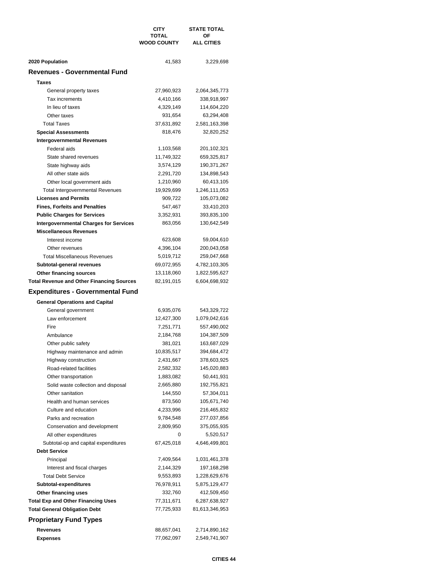|                                                  | CITY                               | <b>STATE TOTAL</b>      |
|--------------------------------------------------|------------------------------------|-------------------------|
|                                                  | <b>TOTAL</b><br><b>WOOD COUNTY</b> | ΟF<br><b>ALL CITIES</b> |
|                                                  |                                    |                         |
|                                                  |                                    |                         |
| 2020 Population                                  | 41,583                             | 3,229,698               |
| Revenues - Governmental Fund                     |                                    |                         |
| <b>Taxes</b>                                     |                                    |                         |
| General property taxes                           | 27,960,923                         | 2,064,345,773           |
| Tax increments                                   | 4,410,166                          | 338,918,997             |
| In lieu of taxes                                 | 4,329,149                          | 114,604,220             |
| Other taxes                                      | 931,654                            | 63,294,408              |
| <b>Total Taxes</b>                               | 37,631,892                         | 2,581,163,398           |
| <b>Special Assessments</b>                       | 818,476                            | 32,820,252              |
| <b>Intergovernmental Revenues</b>                |                                    |                         |
| Federal aids                                     | 1,103,568                          | 201,102,321             |
| State shared revenues                            | 11,749,322                         | 659,325,817             |
| State highway aids                               | 3,574,129                          | 190, 371, 267           |
| All other state aids                             | 2,291,720                          | 134,898,543             |
| Other local government aids                      | 1,210,960                          | 60,413,105              |
| <b>Total Intergovernmental Revenues</b>          | 19,929,699                         | 1,246,111,053           |
| <b>Licenses and Permits</b>                      | 909,722                            | 105,073,082             |
| <b>Fines, Forfeits and Penalties</b>             | 547,467                            | 33,410,203              |
| <b>Public Charges for Services</b>               | 3,352,931                          | 393,835,100             |
| <b>Intergovernmental Charges for Services</b>    | 863,056                            | 130,642,549             |
| <b>Miscellaneous Revenues</b>                    |                                    |                         |
| Interest income                                  | 623,608                            | 59,004,610              |
| Other revenues                                   | 4,396,104                          | 200,043,058             |
| <b>Total Miscellaneous Revenues</b>              | 5,019,712                          | 259,047,668             |
| Subtotal-general revenues                        | 69,072,955                         | 4,782,103,305           |
| Other financing sources                          | 13,118,060                         | 1,822,595,627           |
| <b>Total Revenue and Other Financing Sources</b> | 82,191,015                         | 6,604,698,932           |
| <b>Expenditures - Governmental Fund</b>          |                                    |                         |
|                                                  |                                    |                         |
| <b>General Operations and Capital</b>            |                                    |                         |
| General government                               | 6,935,076                          | 543,329,722             |
| Law enforcement                                  | 12,427,300                         | 1,079,042,616           |
| Fire                                             | 7,251,771                          | 557,490,002             |
| Ambulance                                        | 2,184,768                          | 104,387,509             |
| Other public safety                              | 381,021                            | 163,687,029             |
| Highway maintenance and admin                    | 10,835,517                         | 394,684,472             |
| Highway construction                             | 2,431,667                          | 378,603,925             |
| Road-related facilities                          | 2,582,332                          | 145,020,883             |
| Other transportation                             | 1,883,082                          | 50,441,931              |
| Solid waste collection and disposal              | 2,665,880                          | 192,755,821             |
| Other sanitation                                 | 144,550                            | 57,304,011              |
| Health and human services                        | 873,560                            | 105,671,740             |
| Culture and education                            | 4,233,996                          | 216,465,832             |
| Parks and recreation                             | 9,784,548                          | 277,037,856             |
| Conservation and development                     | 2,809,950                          | 375,055,935             |
| All other expenditures                           | 0                                  | 5,520,517               |
| Subtotal-op and capital expenditures             | 67,425,018                         | 4,646,499,801           |
| <b>Debt Service</b>                              |                                    |                         |
| Principal                                        | 7,409,564                          | 1,031,461,378           |
| Interest and fiscal charges                      | 2,144,329                          | 197,168,298             |
| <b>Total Debt Service</b>                        | 9,553,893                          | 1,228,629,676           |
| Subtotal-expenditures                            | 76,978,911                         | 5,875,129,477           |
| Other financing uses                             | 332,760                            | 412,509,450             |
| <b>Total Exp and Other Financing Uses</b>        | 77,311,671                         | 6,287,638,927           |
| <b>Total General Obligation Debt</b>             | 77,725,933                         | 81,613,346,953          |
| <b>Proprietary Fund Types</b>                    |                                    |                         |
| Revenues                                         | 88,657,041                         | 2,714,890,162           |
| Expenses                                         | 77,062,097                         | 2,549,741,907           |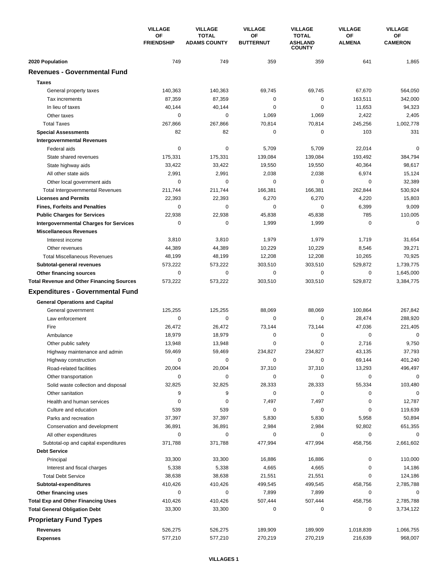|                                                                | <b>VILLAGE</b>          | <b>VILLAGE</b>                      | <b>VILLAGE</b>         | <b>VILLAGE</b>                                  | <b>VILLAGE</b>      | <b>VILLAGE</b>         |
|----------------------------------------------------------------|-------------------------|-------------------------------------|------------------------|-------------------------------------------------|---------------------|------------------------|
|                                                                | ΟF<br><b>FRIENDSHIP</b> | <b>TOTAL</b><br><b>ADAMS COUNTY</b> | OF<br><b>BUTTERNUT</b> | <b>TOTAL</b><br><b>ASHLAND</b><br><b>COUNTY</b> | OF<br><b>ALMENA</b> | OF<br><b>CAMERON</b>   |
| 2020 Population                                                | 749                     | 749                                 | 359                    | 359                                             | 641                 | 1,865                  |
| <b>Revenues - Governmental Fund</b>                            |                         |                                     |                        |                                                 |                     |                        |
| <b>Taxes</b>                                                   |                         |                                     |                        |                                                 |                     |                        |
| General property taxes                                         | 140,363                 | 140,363                             | 69,745                 | 69,745                                          | 67,670              | 564,050                |
| Tax increments                                                 | 87,359                  | 87,359                              | 0                      | 0                                               | 163,511             | 342,000                |
| In lieu of taxes                                               | 40,144                  | 40,144                              | 0                      | $\mathbf 0$                                     | 11,653              | 94,323                 |
| Other taxes                                                    | 0                       | 0                                   | 1,069                  | 1,069                                           | 2,422               | 2,405                  |
| <b>Total Taxes</b>                                             | 267,866                 | 267,866                             | 70,814                 | 70,814                                          | 245,256             | 1,002,778              |
| <b>Special Assessments</b>                                     | 82                      | 82                                  | 0                      | 0                                               | 103                 | 331                    |
| <b>Intergovernmental Revenues</b>                              |                         |                                     |                        |                                                 |                     |                        |
| Federal aids                                                   | $\mathbf 0$             | 0                                   | 5,709                  | 5,709                                           | 22,014              | 0                      |
| State shared revenues                                          | 175,331                 | 175,331                             | 139,084                | 139,084                                         | 193,492             | 384,794                |
| State highway aids                                             | 33,422                  | 33,422                              | 19,550                 | 19,550                                          | 40,364              | 98,617                 |
| All other state aids                                           | 2,991                   | 2,991                               | 2,038                  | 2,038                                           | 6,974               | 15,124                 |
| Other local government aids                                    | $\mathbf 0$             | 0                                   | 0                      | $\mathbf 0$                                     | $\mathbf 0$         | 32,389                 |
| <b>Total Intergovernmental Revenues</b>                        | 211,744                 | 211,744                             | 166,381                | 166,381                                         | 262,844             | 530,924                |
| <b>Licenses and Permits</b>                                    | 22,393                  | 22,393                              | 6,270                  | 6,270                                           | 4,220               | 15,803                 |
| <b>Fines, Forfeits and Penalties</b>                           | 0                       | 0                                   | 0                      | 0                                               | 6,399               | 9,009                  |
| <b>Public Charges for Services</b>                             | 22,938                  | 22,938                              | 45,838                 | 45,838                                          | 785                 | 110,005                |
| <b>Intergovernmental Charges for Services</b>                  | $\mathbf 0$             | $\mathbf 0$                         | 1,999                  | 1,999                                           | 0                   | $\mathbf 0$            |
| <b>Miscellaneous Revenues</b>                                  |                         |                                     |                        |                                                 |                     |                        |
| Interest income                                                | 3,810                   | 3,810                               | 1,979                  | 1,979                                           | 1,719               | 31,654                 |
| Other revenues                                                 | 44,389                  | 44,389                              | 10,229                 | 10,229                                          | 8,546               | 39,271                 |
| <b>Total Miscellaneous Revenues</b>                            | 48,199                  | 48,199                              | 12,208                 | 12,208                                          | 10,265              | 70,925                 |
| Subtotal-general revenues                                      | 573,222                 | 573,222                             | 303,510                | 303,510                                         | 529,872             | 1,739,775              |
| Other financing sources                                        | 0                       | 0                                   | 0                      | $\pmb{0}$                                       | 0                   | 1,645,000              |
| <b>Total Revenue and Other Financing Sources</b>               | 573,222                 | 573,222                             | 303,510                | 303,510                                         | 529,872             | 3,384,775              |
| <b>Expenditures - Governmental Fund</b>                        |                         |                                     |                        |                                                 |                     |                        |
|                                                                |                         |                                     |                        |                                                 |                     |                        |
| <b>General Operations and Capital</b>                          | 125,255                 | 125,255                             | 88,069                 | 88,069                                          | 100,864             | 267,842                |
| General government<br>Law enforcement                          | $\mathbf 0$             | 0                                   | 0                      | 0                                               | 28,474              | 288,920                |
| Fire                                                           | 26,472                  | 26,472                              | 73,144                 | 73,144                                          | 47,036              | 221,405                |
| Ambulance                                                      | 18,979                  | 18,979                              | 0                      | 0                                               | $\mathbf 0$         | 0                      |
| Other public safety                                            | 13,948                  | 13,948                              | 0                      | $\mathbf 0$                                     | 2,716               | 9,750                  |
| Highway maintenance and admin                                  | 59,469                  | 59,469                              | 234,827                | 234,827                                         | 43,135              | 37,793                 |
|                                                                | 0                       | 0                                   | 0                      | 0                                               | 69,144              |                        |
| Highway construction                                           | 20,004                  | 20,004                              | 37,310                 | 37,310                                          | 13,293              | 401,240                |
| Road-related facilities                                        | 0                       | 0                                   | 0                      | 0                                               | 0                   | 496,497<br>$\mathbf 0$ |
| Other transportation                                           | 32,825                  | 32,825                              | 28,333                 | 28,333                                          | 55,334              | 103,480                |
| Solid waste collection and disposal<br>Other sanitation        | 9                       | 9                                   | 0                      | 0                                               | 0                   | 0                      |
|                                                                | 0                       | 0                                   | 7,497                  | 7,497                                           | 0                   | 12,787                 |
| Health and human services                                      | 539                     | 539                                 | 0                      | 0                                               | 0                   | 119,639                |
| Culture and education                                          |                         |                                     |                        |                                                 |                     | 50,894                 |
| Parks and recreation<br>Conservation and development           | 37,397                  | 37,397                              | 5,830                  | 5,830<br>2,984                                  | 5,958               |                        |
|                                                                | 36,891<br>0             | 36,891<br>0                         | 2,984<br>0             | 0                                               | 92,802<br>0         | 651,355<br>0           |
| All other expenditures<br>Subtotal-op and capital expenditures | 371,788                 | 371,788                             | 477,994                | 477,994                                         | 458,756             | 2,661,602              |
| <b>Debt Service</b>                                            |                         |                                     |                        |                                                 |                     |                        |
|                                                                |                         |                                     | 16,886                 |                                                 | 0                   |                        |
| Principal                                                      | 33,300                  | 33,300                              |                        | 16,886                                          |                     | 110,000                |
| Interest and fiscal charges                                    | 5,338                   | 5,338<br>38,638                     | 4,665                  | 4,665                                           | 0<br>0              | 14,186                 |
| <b>Total Debt Service</b><br>Subtotal-expenditures             | 38,638<br>410,426       | 410,426                             | 21,551<br>499,545      | 21,551<br>499,545                               | 458,756             | 124,186<br>2,785,788   |
|                                                                | 0                       | 0                                   |                        |                                                 | 0                   | 0                      |
| Other financing uses                                           |                         |                                     | 7,899                  | 7,899                                           | 458,756             |                        |
| <b>Total Exp and Other Financing Uses</b>                      | 410,426<br>33,300       | 410,426<br>33,300                   | 507,444<br>0           | 507,444<br>0                                    | 0                   | 2,785,788<br>3,734,122 |
| <b>Total General Obligation Debt</b>                           |                         |                                     |                        |                                                 |                     |                        |
| <b>Proprietary Fund Types</b>                                  |                         |                                     |                        |                                                 |                     |                        |
| <b>Revenues</b>                                                | 526,275                 | 526,275                             | 189,909                | 189,909                                         | 1,018,839           | 1,066,755              |
| <b>Expenses</b>                                                | 577,210                 | 577,210                             | 270,219                | 270,219                                         | 216,639             | 968,007                |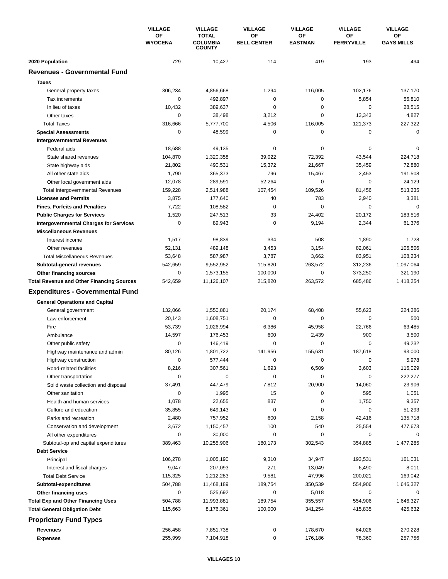|                                                  | <b>VILLAGE</b>       | <b>VILLAGE</b>                                   | <b>VILLAGE</b>           | <b>VILLAGE</b>       | <b>VILLAGE</b><br>OF | <b>VILLAGE</b>          |
|--------------------------------------------------|----------------------|--------------------------------------------------|--------------------------|----------------------|----------------------|-------------------------|
|                                                  | ΟF<br><b>WYOCENA</b> | <b>TOTAL</b><br><b>COLUMBIA</b><br><b>COUNTY</b> | ΟF<br><b>BELL CENTER</b> | ОF<br><b>EASTMAN</b> | <b>FERRYVILLE</b>    | ОF<br><b>GAYS MILLS</b> |
| 2020 Population                                  | 729                  | 10,427                                           | 114                      | 419                  | 193                  | 494                     |
| <b>Revenues - Governmental Fund</b>              |                      |                                                  |                          |                      |                      |                         |
| <b>Taxes</b>                                     |                      |                                                  |                          |                      |                      |                         |
| General property taxes                           | 306,234              | 4,856,668                                        | 1,294                    | 116,005              | 102,176              | 137,170                 |
| Tax increments                                   | 0                    | 492,897                                          | 0                        | 0                    | 5,854                | 56,810                  |
| In lieu of taxes                                 | 10,432               | 389,637                                          | 0                        | 0                    | $\mathbf 0$          | 28,515                  |
| Other taxes                                      | 0                    | 38,498                                           | 3,212                    | 0                    | 13,343               | 4,827                   |
| <b>Total Taxes</b>                               | 316,666              | 5,777,700                                        | 4,506                    | 116.005              | 121,373              | 227,322                 |
| <b>Special Assessments</b>                       | 0                    | 48,599                                           | 0                        | 0                    | 0                    | $\mathbf 0$             |
| <b>Intergovernmental Revenues</b>                |                      |                                                  |                          |                      |                      |                         |
| Federal aids                                     | 18,688               | 49,135                                           | 0                        | 0                    | 0                    | 0                       |
| State shared revenues                            | 104,870              | 1,320,358                                        | 39,022                   | 72,392               | 43,544               | 224,718                 |
| State highway aids                               | 21,802               | 490,531                                          | 15,372                   | 21,667               | 35,459               | 72,880                  |
| All other state aids                             | 1,790                | 365,373                                          | 796                      | 15,467               | 2,453                | 191,508                 |
| Other local government aids                      | 12,078               | 289,591                                          | 52,264                   | 0                    | $\mathbf 0$          | 24,129                  |
| <b>Total Intergovernmental Revenues</b>          | 159,228              | 2,514,988                                        | 107,454                  | 109,526              | 81,456               | 513,235                 |
| <b>Licenses and Permits</b>                      | 3,875                | 177,640                                          | 40                       | 783                  | 2,940                | 3,381                   |
| <b>Fines, Forfeits and Penalties</b>             | 7,722                | 108,582                                          | 0                        | $\Omega$             | 0                    | $\Omega$                |
| <b>Public Charges for Services</b>               | 1,520                | 247,513                                          | 33                       | 24,402               | 20,172               | 183,516                 |
| <b>Intergovernmental Charges for Services</b>    | 0                    | 89,943                                           | $\mathbf 0$              | 9,194                | 2,344                | 61,376                  |
| <b>Miscellaneous Revenues</b>                    |                      |                                                  |                          |                      |                      |                         |
| Interest income                                  | 1,517                | 98,839                                           | 334                      | 508                  | 1,890                | 1,728                   |
| Other revenues                                   | 52,131               | 489,148                                          | 3,453                    | 3,154                | 82,061               | 106,506                 |
| <b>Total Miscellaneous Revenues</b>              | 53,648               | 587,987                                          | 3,787                    | 3,662                | 83,951               | 108,234                 |
| Subtotal-general revenues                        | 542,659              | 9,552,952                                        | 115,820                  | 263,572              | 312,236              | 1,097,064               |
| Other financing sources                          | 0                    | 1,573,155                                        | 100,000                  | 0                    | 373,250              | 321,190                 |
| <b>Total Revenue and Other Financing Sources</b> | 542,659              | 11,126,107                                       | 215,820                  | 263,572              | 685,486              | 1,418,254               |
|                                                  |                      |                                                  |                          |                      |                      |                         |
| <b>Expenditures - Governmental Fund</b>          |                      |                                                  |                          |                      |                      |                         |
| <b>General Operations and Capital</b>            |                      |                                                  |                          |                      |                      |                         |
| General government                               | 132,066              | 1,550,881                                        | 20,174                   | 68,408               | 55,623               | 224,286                 |
| Law enforcement                                  | 20,143               | 1,608,751                                        | 0                        | 0                    | $\mathbf 0$          | 500                     |
| Fire                                             | 53,739               | 1,026,994                                        | 6,386                    | 45,958               | 22,766               | 63,485                  |
| Ambulance                                        | 14,597               | 176,453                                          | 600                      | 2,439                | 900                  | 3,500                   |
| Other public safety                              | 0                    | 146,419                                          | $\mathbf 0$              | 0                    | 0                    | 49,232                  |
| Highway maintenance and admin                    | 80,126               | 1,801,722                                        | 141,956                  | 155,631              | 187,618              | 93,000                  |
| Highway construction                             | 0                    | 577,444                                          | 0                        | 0                    | 0                    | 5,978                   |
| Road-related facilities                          | 8,216                | 307,561                                          | 1,693                    | 6,509                | 3,603                | 116,029                 |
| Other transportation                             | 0                    | 0                                                | 0                        | 0                    | 0                    | 222,277                 |
| Solid waste collection and disposal              | 37,491               | 447,479                                          | 7,812                    | 20,900               | 14,060               | 23,906                  |
| Other sanitation                                 | 0                    | 1,995                                            | 15                       | 0                    | 595                  | 1,051                   |
| Health and human services                        | 1,078                | 22,655                                           | 837                      | 0                    | 1,750                | 9,357                   |
| Culture and education                            | 35,855               | 649,143                                          | 0                        | 0                    | 0                    | 51,293                  |
| Parks and recreation                             | 2,480                | 757,952                                          | 600                      | 2,158                | 42,416               | 135,718                 |
| Conservation and development                     | 3,672                | 1,150,457                                        | 100                      | 540                  | 25,554               | 477,673                 |
| All other expenditures                           | 0                    | 30,000                                           | 0                        | 0                    | 0                    | $\Omega$                |
| Subtotal-op and capital expenditures             | 389,463              | 10,255,906                                       | 180,173                  | 302,543              | 354,885              | 1,477,285               |
| <b>Debt Service</b>                              |                      |                                                  |                          |                      |                      |                         |
| Principal                                        | 106,278              | 1,005,190                                        | 9,310                    | 34,947               | 193,531              | 161,031                 |
| Interest and fiscal charges                      | 9,047                | 207,093                                          | 271                      | 13,049               | 6,490                | 8,011                   |
| <b>Total Debt Service</b>                        | 115,325              | 1,212,283                                        | 9,581                    | 47,996               | 200,021              | 169,042                 |
| Subtotal-expenditures                            | 504,788              | 11,468,189                                       | 189,754                  | 350,539              | 554,906              | 1,646,327               |
| Other financing uses                             | 0                    | 525,692                                          | 0                        | 5,018                | 0                    | 0                       |
| <b>Total Exp and Other Financing Uses</b>        | 504,788              | 11,993,881                                       | 189,754                  | 355,557              | 554,906              | 1,646,327               |
| <b>Total General Obligation Debt</b>             | 115,663              | 8,176,361                                        | 100,000                  | 341,254              | 415,835              | 425,632                 |
| <b>Proprietary Fund Types</b>                    |                      |                                                  |                          |                      |                      |                         |
| Revenues                                         | 256,458              | 7,851,738                                        | 0                        | 178,670              | 64,026               | 270,228                 |
| <b>Expenses</b>                                  | 255,999              | 7,104,918                                        | 0                        | 176,186              | 78,360               | 257,756                 |
|                                                  |                      |                                                  |                          |                      |                      |                         |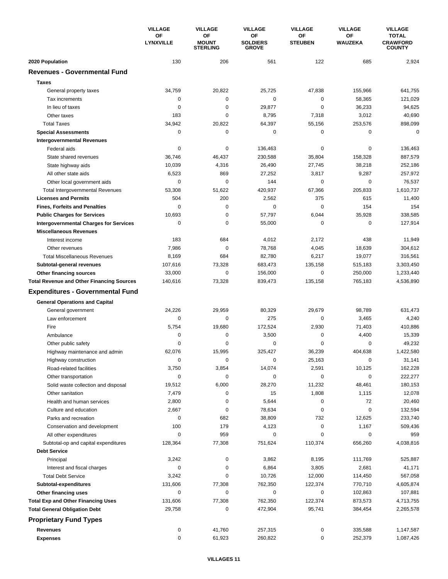|                                                  | <b>VILLAGE</b>         | <b>VILLAGE</b>                        | <b>VILLAGE</b>                        | <b>VILLAGE</b>       | <b>VILLAGE</b> | <b>VILLAGE</b>                                   |
|--------------------------------------------------|------------------------|---------------------------------------|---------------------------------------|----------------------|----------------|--------------------------------------------------|
|                                                  | ΟF<br><b>LYNXVILLE</b> | OF<br><b>MOUNT</b><br><b>STERLING</b> | ΟF<br><b>SOLDIERS</b><br><b>GROVE</b> | ΟF<br><b>STEUBEN</b> | ΟF<br>WAUZEKA  | <b>TOTAL</b><br><b>CRAWFORD</b><br><b>COUNTY</b> |
| 2020 Population                                  | 130                    | 206                                   | 561                                   | 122                  | 685            | 2,924                                            |
| <b>Revenues - Governmental Fund</b>              |                        |                                       |                                       |                      |                |                                                  |
| <b>Taxes</b>                                     |                        |                                       |                                       |                      |                |                                                  |
| General property taxes                           | 34,759                 | 20,822                                | 25,725                                | 47,838               | 155,966        | 641,755                                          |
| Tax increments                                   | 0                      | $\mathbf 0$                           | 0                                     | 0                    | 58,365         | 121,029                                          |
| In lieu of taxes                                 | 0                      | 0                                     | 29,877                                | 0                    | 36,233         | 94,625                                           |
| Other taxes                                      | 183                    | $\mathbf 0$                           | 8,795                                 | 7,318                | 3,012          | 40,690                                           |
| <b>Total Taxes</b>                               | 34,942                 | 20,822                                | 64,397                                | 55,156               | 253,576        | 898,099                                          |
| <b>Special Assessments</b>                       | 0                      | 0                                     | 0                                     | 0                    | 0              | 0                                                |
| <b>Intergovernmental Revenues</b>                |                        |                                       |                                       |                      |                |                                                  |
| Federal aids                                     | 0                      | 0                                     | 136,463                               | 0                    | 0              | 136,463                                          |
| State shared revenues                            | 36,746                 | 46,437                                | 230,588                               | 35,804               | 158,328        | 887,579                                          |
| State highway aids                               | 10,039                 | 4,316                                 | 26,490                                | 27,745               | 38,218         | 252,186                                          |
| All other state aids                             | 6,523                  | 869                                   | 27,252                                | 3,817                | 9,287          | 257,972                                          |
| Other local government aids                      | 0                      | 0                                     | 144                                   | 0                    | 0              | 76,537                                           |
| <b>Total Intergovernmental Revenues</b>          | 53,308                 | 51,622                                | 420,937                               | 67,366               | 205,833        | 1,610,737                                        |
| <b>Licenses and Permits</b>                      | 504                    | 200                                   | 2,562                                 | 375                  | 615            | 11,400                                           |
| <b>Fines, Forfeits and Penalties</b>             | 0                      | 0                                     | 0                                     | 0                    | 154            | 154                                              |
| <b>Public Charges for Services</b>               | 10,693                 | $\mathbf 0$                           | 57,797                                | 6,044                | 35,928         | 338,585                                          |
| <b>Intergovernmental Charges for Services</b>    | 0                      | $\mathbf 0$                           | 55,000                                | 0                    | $\mathbf 0$    | 127,914                                          |
| <b>Miscellaneous Revenues</b>                    |                        |                                       |                                       |                      |                |                                                  |
| Interest income                                  | 183                    | 684                                   | 4,012                                 | 2,172                | 438            | 11,949                                           |
| Other revenues                                   | 7,986                  | $\mathbf 0$                           | 78,768                                | 4,045                | 18,639         | 304,612                                          |
| <b>Total Miscellaneous Revenues</b>              | 8,169                  | 684                                   | 82,780                                | 6,217                | 19,077         | 316,561                                          |
| Subtotal-general revenues                        | 107,616                | 73,328                                | 683,473                               | 135,158              | 515,183        | 3,303,450                                        |
| Other financing sources                          | 33,000                 | 0                                     | 156,000                               | 0                    | 250,000        | 1,233,440                                        |
| <b>Total Revenue and Other Financing Sources</b> | 140,616                | 73,328                                | 839,473                               | 135,158              | 765,183        | 4,536,890                                        |
| <b>Expenditures - Governmental Fund</b>          |                        |                                       |                                       |                      |                |                                                  |
| <b>General Operations and Capital</b>            |                        |                                       |                                       |                      |                |                                                  |
| General government                               | 24,226                 | 29,959                                | 80,329                                | 29.679               | 98,789         | 631,473                                          |
| Law enforcement                                  | 0                      | 0                                     | 275                                   | 0                    | 3,465          | 4,240                                            |
| Fire                                             | 5,754                  | 19,680                                | 172,524                               | 2,930                | 71,403         | 410,886                                          |
| Ambulance                                        | 0                      | 0                                     | 3,500                                 | 0                    | 4,400          | 15,339                                           |
| Other public safety                              | 0                      | 0                                     | 0                                     | 0                    | 0              | 49,232                                           |
| Highway maintenance and admin                    | 62,076                 | 15,995                                | 325,427                               | 36.239               | 404.638        | 1,422,580                                        |
| Highway construction                             | 0                      | 0                                     | 0                                     | 25,163               | 0              | 31,141                                           |
| Road-related facilities                          | 3,750                  | 3,854                                 | 14,074                                | 2,591                | 10,125         | 162,228                                          |
| Other transportation                             | 0                      | 0                                     | 0                                     | $\pmb{0}$            | 0              | 222,277                                          |
| Solid waste collection and disposal              | 19,512                 | 6,000                                 | 28,270                                | 11,232               | 48,461         | 180,153                                          |
| Other sanitation                                 | 7,479                  | 0                                     | 15                                    | 1,808                | 1,115          | 12,078                                           |
| Health and human services                        | 2,800                  | 0                                     | 5,644                                 | 0                    | 72             | 20,460                                           |
| Culture and education                            | 2,667                  | 0                                     | 78,634                                | 0                    | 0              | 132,594                                          |
| Parks and recreation                             | 0                      | 682                                   | 38,809                                | 732                  | 12,625         | 233,740                                          |
| Conservation and development                     | 100                    | 179                                   | 4,123                                 | 0                    | 1,167          | 509,436                                          |
| All other expenditures                           | 0                      | 959                                   | 0                                     | 0                    | 0              | 959                                              |
| Subtotal-op and capital expenditures             | 128,364                | 77,308                                | 751,624                               | 110,374              | 656,260        | 4,038,816                                        |
| <b>Debt Service</b>                              |                        |                                       |                                       |                      |                |                                                  |
| Principal                                        | 3,242                  | 0                                     | 3,862                                 | 8,195                | 111,769        | 525,887                                          |
| Interest and fiscal charges                      | 0                      | 0                                     | 6,864                                 | 3,805                | 2,681          | 41,171                                           |
| <b>Total Debt Service</b>                        | 3,242                  | 0                                     | 10,726                                | 12,000               | 114,450        | 567,058                                          |
| Subtotal-expenditures                            | 131,606                | 77,308                                | 762,350                               | 122,374              | 770,710        | 4,605,874                                        |
| Other financing uses                             | 0                      | 0                                     | 0                                     | 0                    | 102,863        | 107,881                                          |
| <b>Total Exp and Other Financing Uses</b>        | 131,606                | 77,308                                | 762,350                               | 122,374              | 873,573        | 4,713,755                                        |
| <b>Total General Obligation Debt</b>             | 29,758                 | 0                                     | 472,904                               | 95,741               | 384,454        | 2,265,578                                        |
| <b>Proprietary Fund Types</b>                    |                        |                                       |                                       |                      |                |                                                  |
| Revenues                                         | 0                      | 41,760                                | 257,315                               | 0                    | 335,588        | 1,147,587                                        |
| <b>Expenses</b>                                  | 0                      | 61,923                                | 260,822                               | 0                    | 252,379        | 1,087,426                                        |
|                                                  |                        |                                       |                                       |                      |                |                                                  |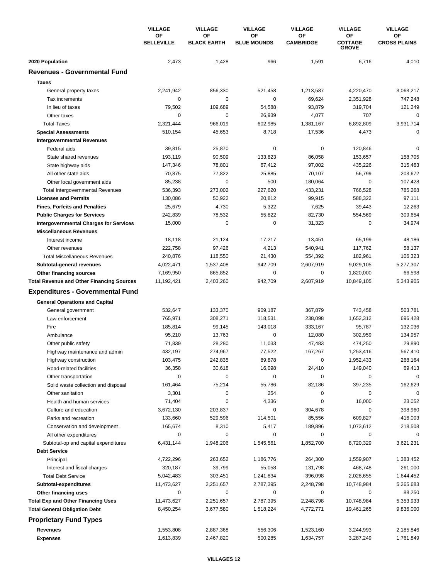|                                                  | <b>VILLAGE</b>          | <b>VILLAGE</b>           | <b>VILLAGE</b><br><b>VILLAGE</b> | <b>VILLAGE</b>         | <b>VILLAGE</b>                       |                           |
|--------------------------------------------------|-------------------------|--------------------------|----------------------------------|------------------------|--------------------------------------|---------------------------|
|                                                  | ΟF<br><b>BELLEVILLE</b> | ΟF<br><b>BLACK EARTH</b> | ΟF<br><b>BLUE MOUNDS</b>         | OF<br><b>CAMBRIDGE</b> | ΟF<br><b>COTTAGE</b><br><b>GROVE</b> | ΟF<br><b>CROSS PLAINS</b> |
| 2020 Population                                  | 2,473                   | 1,428                    | 966                              | 1,591                  | 6,716                                | 4,010                     |
| <b>Revenues - Governmental Fund</b>              |                         |                          |                                  |                        |                                      |                           |
| <b>Taxes</b>                                     |                         |                          |                                  |                        |                                      |                           |
| General property taxes                           | 2,241,942               | 856,330                  | 521,458                          | 1,213,587              | 4,220,470                            | 3,063,217                 |
| Tax increments                                   | 0                       | 0                        | 0                                | 69,624                 | 2,351,928                            | 747,248                   |
| In lieu of taxes                                 | 79,502                  | 109,689                  | 54,588                           | 93,879                 | 319,704                              | 121,249                   |
| Other taxes                                      | 0                       | 0                        | 26,939                           | 4,077                  | 707                                  | $\mathbf 0$               |
| <b>Total Taxes</b>                               | 2,321,444               | 966,019                  | 602,985                          | 1,381,167              | 6,892,809                            | 3,931,714                 |
| <b>Special Assessments</b>                       | 510,154                 | 45,653                   | 8,718                            | 17,536                 | 4,473                                | $\mathbf 0$               |
| <b>Intergovernmental Revenues</b>                |                         |                          |                                  |                        |                                      |                           |
| Federal aids                                     | 39,815                  | 25,870                   | 0                                | 0                      | 120,846                              | $\Omega$                  |
| State shared revenues                            | 193,119                 | 90,509                   | 133,823                          | 86,058                 | 153,657                              | 158,705                   |
| State highway aids                               | 147,346                 | 78,801                   | 67,412                           | 97,002                 | 435,226                              | 315,463                   |
| All other state aids                             | 70,875                  | 77,822                   | 25,885                           | 70,107                 | 56,799                               | 203,672                   |
| Other local government aids                      | 85,238                  | 0                        | 500                              | 180,064                | $\mathbf 0$                          | 107,428                   |
| <b>Total Intergovernmental Revenues</b>          | 536,393                 | 273,002                  | 227,620                          | 433,231                | 766,528                              | 785,268                   |
| <b>Licenses and Permits</b>                      | 130,086                 | 50,922                   | 20,812                           | 99,915                 | 588,322                              | 97,111                    |
| <b>Fines, Forfeits and Penalties</b>             | 25,679                  | 4,730                    | 5,322                            | 7,625                  | 39,443                               | 12,263                    |
| <b>Public Charges for Services</b>               | 242,839                 | 78,532                   | 55,822                           | 82,730                 | 554,569                              | 309,654                   |
| <b>Intergovernmental Charges for Services</b>    | 15,000                  | 0                        | 0                                | 31,323                 | $\mathbf 0$                          | 34,974                    |
| <b>Miscellaneous Revenues</b>                    |                         |                          |                                  |                        |                                      |                           |
| Interest income                                  | 18,118                  | 21,124                   | 17,217                           | 13,451                 | 65,199                               | 48,186                    |
| Other revenues                                   | 222,758                 | 97,426                   | 4,213                            | 540,941                | 117,762                              | 58,137                    |
| <b>Total Miscellaneous Revenues</b>              | 240,876                 | 118,550                  | 21,430                           | 554,392                | 182,961                              | 106,323                   |
| Subtotal-general revenues                        | 4,022,471               | 1,537,408                | 942,709                          | 2,607,919              | 9,029,105                            | 5,277,307                 |
| Other financing sources                          | 7,169,950               | 865,852                  | 0                                | 0                      | 1,820,000                            | 66,598                    |
| <b>Total Revenue and Other Financing Sources</b> | 11,192,421              | 2,403,260                | 942,709                          | 2,607,919              | 10,849,105                           | 5,343,905                 |
| <b>Expenditures - Governmental Fund</b>          |                         |                          |                                  |                        |                                      |                           |
| <b>General Operations and Capital</b>            |                         |                          |                                  |                        |                                      |                           |
| General government                               | 532,647                 | 133,370                  | 909,187                          | 367,879                | 743,458                              | 503,781                   |
| Law enforcement                                  | 765,971                 | 308,271                  | 118,531                          | 238,098                | 1,652,312                            | 696,428                   |
| Fire                                             | 185,814                 | 99,145                   | 143,018                          | 333,167                | 95,787                               | 132,036                   |
| Ambulance                                        | 95,210                  | 13,763                   | 0                                | 12,080                 | 302,959                              | 134,957                   |
| Other public safety                              | 71,839                  | 28,280                   | 11,033                           | 47,483                 | 474,250                              | 29,890                    |
| Highway maintenance and admin                    | 432,197                 | 274,967                  | 77,522                           | 167,267                | 1,253,416                            | 567,410                   |
| Highway construction                             | 103,475                 | 242,835                  | 89,878                           | 0                      | 1,952,433                            | 268,164                   |
| Road-related facilities                          | 36,358                  | 30,618                   | 16,098                           | 24,410                 | 149,040                              | 69,413                    |
| Other transportation                             | $\mathbf 0$             | 0                        | 0                                | 0                      | $\pmb{0}$                            | $\mathbf 0$               |
| Solid waste collection and disposal              | 161,464                 | 75,214                   | 55,786                           | 82,186                 | 397,235                              | 162,629                   |
| Other sanitation                                 | 3,301                   | 0                        | 254                              | 0                      | 0                                    | 0                         |
| Health and human services                        | 71,404                  | 0                        | 4,336                            | $\pmb{0}$              | 16,000                               | 23,052                    |
| Culture and education                            | 3,672,130               | 203,837                  | 0                                | 304,678                | 0                                    | 398,960                   |
| Parks and recreation                             | 133,660                 | 529,596                  | 114,501                          | 85,556                 | 609,827                              | 416,003                   |
| Conservation and development                     | 165,674                 | 8,310                    | 5,417                            | 189,896                | 1,073,612                            | 218,508                   |
| All other expenditures                           | 0                       | 0                        | 0                                | 0                      | 0                                    | 0                         |
| Subtotal-op and capital expenditures             | 6,431,144               | 1,948,206                | 1,545,561                        | 1,852,700              | 8,720,329                            | 3,621,231                 |
| <b>Debt Service</b>                              |                         |                          |                                  |                        |                                      |                           |
| Principal                                        | 4,722,296               | 263,652                  | 1,186,776                        | 264,300                | 1,559,907                            | 1,383,452                 |
| Interest and fiscal charges                      | 320,187                 | 39,799                   | 55,058                           | 131,798                | 468,748                              | 261,000                   |
| <b>Total Debt Service</b>                        | 5,042,483               | 303,451                  | 1,241,834                        | 396,098                | 2,028,655                            | 1,644,452                 |
| Subtotal-expenditures                            | 11,473,627              | 2,251,657                | 2,787,395                        | 2,248,798              | 10,748,984                           | 5,265,683                 |
| Other financing uses                             | 0                       | 0                        | 0                                | 0                      | 0                                    | 88,250                    |
| <b>Total Exp and Other Financing Uses</b>        | 11,473,627              | 2,251,657                | 2,787,395                        | 2,248,798              | 10,748,984                           | 5,353,933                 |
| <b>Total General Obligation Debt</b>             | 8,450,254               | 3,677,580                | 1,518,224                        | 4,772,771              | 19,461,265                           | 9,836,000                 |
| <b>Proprietary Fund Types</b>                    |                         |                          |                                  |                        |                                      |                           |
|                                                  |                         |                          |                                  |                        |                                      |                           |
| Revenues                                         | 1,553,808               | 2,887,368                | 556,306                          | 1,523,160              | 3,244,993                            | 2,185,846                 |
| <b>Expenses</b>                                  | 1,613,839               | 2,467,820                | 500,285                          | 1,634,757              | 3,287,249                            | 1,761,849                 |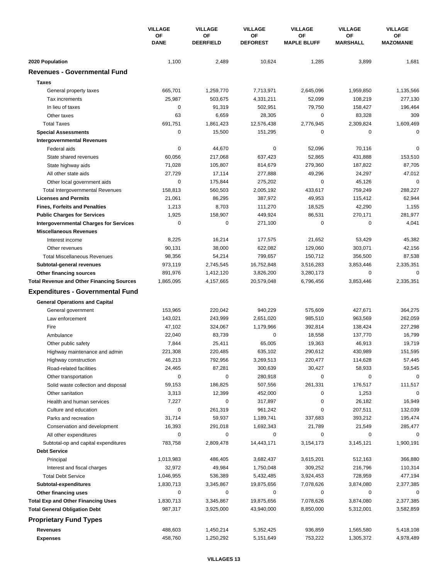|                                                  | <b>VILLAGE</b>    | <b>VILLAGE</b>         | <b>VILLAGE</b>        | <b>VILLAGE</b>           | <b>VILLAGE</b><br>OF<br><b>MARSHALL</b><br>3,899<br>1,959,850<br>108,219<br>158,427<br>83,328<br>2,309,824<br>0<br>70,116<br>431,888<br>187,822<br>24,297<br>45,126<br>759,249<br>115,412<br>42,290<br>270,171<br>0<br>53,429<br>303,071<br>356,500<br>3,853,446<br>0<br>3,853,446<br>427,671<br>963,569<br>138,424<br>137,770<br>46,913<br>430,989<br>114,628<br>58,933<br>0<br>176,517<br>1,253<br>26,182<br>207,511<br>393,212<br>21,549<br>0<br>3,145,121<br>512,163<br>216,796<br>728,959<br>3,874,080 | <b>VILLAGE</b><br>OF<br><b>MAZOMANIE</b> |
|--------------------------------------------------|-------------------|------------------------|-----------------------|--------------------------|-------------------------------------------------------------------------------------------------------------------------------------------------------------------------------------------------------------------------------------------------------------------------------------------------------------------------------------------------------------------------------------------------------------------------------------------------------------------------------------------------------------|------------------------------------------|
|                                                  | OF<br><b>DANE</b> | ΟF<br><b>DEERFIELD</b> | ΟF<br><b>DEFOREST</b> | ΟF<br><b>MAPLE BLUFF</b> |                                                                                                                                                                                                                                                                                                                                                                                                                                                                                                             |                                          |
| 2020 Population                                  | 1,100             | 2,489                  | 10,624                | 1,285                    |                                                                                                                                                                                                                                                                                                                                                                                                                                                                                                             | 1,681                                    |
| <b>Revenues - Governmental Fund</b>              |                   |                        |                       |                          |                                                                                                                                                                                                                                                                                                                                                                                                                                                                                                             |                                          |
| <b>Taxes</b>                                     |                   |                        |                       |                          |                                                                                                                                                                                                                                                                                                                                                                                                                                                                                                             |                                          |
| General property taxes                           | 665,701           | 1,259,770              | 7,713,971             | 2,645,096                |                                                                                                                                                                                                                                                                                                                                                                                                                                                                                                             | 1,135,566                                |
| Tax increments                                   | 25,987            | 503,675                | 4,331,211             | 52,099                   |                                                                                                                                                                                                                                                                                                                                                                                                                                                                                                             | 277,130                                  |
| In lieu of taxes                                 | $\mathbf 0$       | 91,319                 | 502,951               | 79,750                   |                                                                                                                                                                                                                                                                                                                                                                                                                                                                                                             | 196,464                                  |
| Other taxes                                      | 63                | 6,659                  | 28,305                | 0                        |                                                                                                                                                                                                                                                                                                                                                                                                                                                                                                             | 309                                      |
| <b>Total Taxes</b>                               | 691,751           | 1,861,423              | 12,576,438            | 2,776,945                |                                                                                                                                                                                                                                                                                                                                                                                                                                                                                                             | 1,609,469                                |
| <b>Special Assessments</b>                       | 0                 | 15,500                 | 151,295               | 0                        |                                                                                                                                                                                                                                                                                                                                                                                                                                                                                                             | 0                                        |
| <b>Intergovernmental Revenues</b>                |                   |                        |                       |                          |                                                                                                                                                                                                                                                                                                                                                                                                                                                                                                             |                                          |
| Federal aids                                     | 0                 | 44,670                 | 0                     | 52,096                   |                                                                                                                                                                                                                                                                                                                                                                                                                                                                                                             | 0                                        |
| State shared revenues                            | 60,056            | 217,068                | 637,423               | 52,865                   |                                                                                                                                                                                                                                                                                                                                                                                                                                                                                                             | 153,510                                  |
| State highway aids                               | 71,028            | 105,807                | 814,679               | 279,360                  |                                                                                                                                                                                                                                                                                                                                                                                                                                                                                                             | 87,705                                   |
| All other state aids                             | 27,729            | 17,114                 | 277,888               | 49,296                   |                                                                                                                                                                                                                                                                                                                                                                                                                                                                                                             | 47,012                                   |
| Other local government aids                      | $\mathbf 0$       | 175,844                | 275,202               | 0                        |                                                                                                                                                                                                                                                                                                                                                                                                                                                                                                             | $\mathbf 0$                              |
| <b>Total Intergovernmental Revenues</b>          | 158,813           | 560,503                | 2,005,192             | 433,617                  |                                                                                                                                                                                                                                                                                                                                                                                                                                                                                                             | 288,227                                  |
| <b>Licenses and Permits</b>                      | 21,061            | 86,295                 | 387,972               | 49,953                   |                                                                                                                                                                                                                                                                                                                                                                                                                                                                                                             | 62,944                                   |
| <b>Fines, Forfeits and Penalties</b>             | 1,213             | 8,703                  | 111,270               | 18,525                   |                                                                                                                                                                                                                                                                                                                                                                                                                                                                                                             | 1,155                                    |
| <b>Public Charges for Services</b>               | 1,925             | 158,907                | 449,924               | 86,531                   |                                                                                                                                                                                                                                                                                                                                                                                                                                                                                                             | 281,977                                  |
| <b>Intergovernmental Charges for Services</b>    | $\mathbf 0$       | 0                      | 271,100               | 0                        |                                                                                                                                                                                                                                                                                                                                                                                                                                                                                                             | 4,041                                    |
| <b>Miscellaneous Revenues</b>                    |                   |                        |                       |                          |                                                                                                                                                                                                                                                                                                                                                                                                                                                                                                             |                                          |
| Interest income                                  | 8,225             | 16,214                 | 177,575               | 21,652                   |                                                                                                                                                                                                                                                                                                                                                                                                                                                                                                             | 45,382                                   |
| Other revenues                                   | 90,131            | 38,000                 | 622,082               | 129,060                  |                                                                                                                                                                                                                                                                                                                                                                                                                                                                                                             | 42,156                                   |
| <b>Total Miscellaneous Revenues</b>              | 98,356            | 54,214                 | 799,657               | 150,712                  |                                                                                                                                                                                                                                                                                                                                                                                                                                                                                                             | 87,538                                   |
| Subtotal-general revenues                        | 973,119           | 2,745,545              | 16,752,848            | 3,516,283                |                                                                                                                                                                                                                                                                                                                                                                                                                                                                                                             | 2,335,351                                |
| Other financing sources                          | 891,976           | 1,412,120              | 3,826,200             | 3,280,173                |                                                                                                                                                                                                                                                                                                                                                                                                                                                                                                             | 0                                        |
| <b>Total Revenue and Other Financing Sources</b> | 1,865,095         | 4,157,665              | 20,579,048            | 6,796,456                |                                                                                                                                                                                                                                                                                                                                                                                                                                                                                                             | 2,335,351                                |
|                                                  |                   |                        |                       |                          |                                                                                                                                                                                                                                                                                                                                                                                                                                                                                                             |                                          |
| <b>Expenditures - Governmental Fund</b>          |                   |                        |                       |                          |                                                                                                                                                                                                                                                                                                                                                                                                                                                                                                             |                                          |
| <b>General Operations and Capital</b>            |                   |                        |                       |                          |                                                                                                                                                                                                                                                                                                                                                                                                                                                                                                             |                                          |
| General government                               | 153,965           | 220,042                | 940,229               | 575,609                  |                                                                                                                                                                                                                                                                                                                                                                                                                                                                                                             | 364,275                                  |
| Law enforcement                                  | 143,021           | 243,999                | 2,651,020             | 985,510                  |                                                                                                                                                                                                                                                                                                                                                                                                                                                                                                             | 262,059                                  |
| Fire                                             | 47,102            | 324,067                | 1,179,966             | 392,814                  |                                                                                                                                                                                                                                                                                                                                                                                                                                                                                                             | 227,298                                  |
| Ambulance                                        | 22,040            | 83,739                 | 0                     | 18,558                   |                                                                                                                                                                                                                                                                                                                                                                                                                                                                                                             | 16,799                                   |
| Other public safety                              | 7,844             | 25,411                 | 65,005                | 19,363                   |                                                                                                                                                                                                                                                                                                                                                                                                                                                                                                             | 19,719                                   |
| Highway maintenance and admin                    | 221,308           | 220,485                | 635,102               | 290,612                  |                                                                                                                                                                                                                                                                                                                                                                                                                                                                                                             | 151,595                                  |
| Highway construction                             | 46,213            | 792,956                | 3,269,513             | 220,477                  |                                                                                                                                                                                                                                                                                                                                                                                                                                                                                                             | 57,445                                   |
| Road-related facilities                          | 24,465            | 87,281                 | 300,639               | 30,427                   |                                                                                                                                                                                                                                                                                                                                                                                                                                                                                                             | 59,545                                   |
| Other transportation                             | $\mathbf 0$       | 0                      | 280,918               | 0                        |                                                                                                                                                                                                                                                                                                                                                                                                                                                                                                             | $\mathbf 0$                              |
| Solid waste collection and disposal              | 59,153            | 186,825                | 507,556               | 261,331                  |                                                                                                                                                                                                                                                                                                                                                                                                                                                                                                             | 111,517                                  |
| Other sanitation                                 | 3,313             | 12,399                 | 452,000               | 0                        |                                                                                                                                                                                                                                                                                                                                                                                                                                                                                                             | 0                                        |
| Health and human services                        | 7,227             | 0                      | 317,897               | 0                        |                                                                                                                                                                                                                                                                                                                                                                                                                                                                                                             | 16,949                                   |
| Culture and education                            | $\mathbf 0$       | 261,319                | 961,242               | 0                        |                                                                                                                                                                                                                                                                                                                                                                                                                                                                                                             | 132,039                                  |
| Parks and recreation                             | 31,714            | 59,937                 | 1,189,741             | 337,683                  |                                                                                                                                                                                                                                                                                                                                                                                                                                                                                                             | 195,474                                  |
| Conservation and development                     | 16,393            | 291,018                | 1,692,343             | 21,789                   |                                                                                                                                                                                                                                                                                                                                                                                                                                                                                                             | 285,477                                  |
| All other expenditures                           | 0                 | 0                      | 0                     | 0                        |                                                                                                                                                                                                                                                                                                                                                                                                                                                                                                             | 0                                        |
| Subtotal-op and capital expenditures             | 783,758           | 2,809,478              | 14,443,171            | 3,154,173                |                                                                                                                                                                                                                                                                                                                                                                                                                                                                                                             | 1,900,191                                |
| <b>Debt Service</b>                              |                   |                        |                       |                          |                                                                                                                                                                                                                                                                                                                                                                                                                                                                                                             |                                          |
| Principal                                        | 1,013,983         | 486,405                | 3,682,437             | 3,615,201                |                                                                                                                                                                                                                                                                                                                                                                                                                                                                                                             | 366,880                                  |
| Interest and fiscal charges                      | 32,972            | 49,984                 | 1,750,048             | 309,252                  |                                                                                                                                                                                                                                                                                                                                                                                                                                                                                                             | 110,314                                  |
| <b>Total Debt Service</b>                        | 1,046,955         | 536,389                | 5,432,485             | 3,924,453                |                                                                                                                                                                                                                                                                                                                                                                                                                                                                                                             | 477,194                                  |
| Subtotal-expenditures                            | 1,830,713         | 3,345,867              | 19,875,656            | 7,078,626                |                                                                                                                                                                                                                                                                                                                                                                                                                                                                                                             | 2,377,385                                |
| Other financing uses                             | 0                 | 0                      | 0                     | 0                        | 0                                                                                                                                                                                                                                                                                                                                                                                                                                                                                                           | 0                                        |
| <b>Total Exp and Other Financing Uses</b>        | 1,830,713         | 3,345,867              | 19,875,656            | 7,078,626                | 3,874,080                                                                                                                                                                                                                                                                                                                                                                                                                                                                                                   | 2,377,385                                |
| <b>Total General Obligation Debt</b>             | 987,317           | 3,925,000              | 43,940,000            | 8,850,000                | 5,312,001                                                                                                                                                                                                                                                                                                                                                                                                                                                                                                   | 3,582,859                                |
| <b>Proprietary Fund Types</b>                    |                   |                        |                       |                          |                                                                                                                                                                                                                                                                                                                                                                                                                                                                                                             |                                          |
| Revenues                                         | 488,603           | 1,450,214              | 5,352,425             | 936,859                  | 1,565,580                                                                                                                                                                                                                                                                                                                                                                                                                                                                                                   | 5,418,108                                |
| <b>Expenses</b>                                  | 458,760           | 1,250,292              | 5,151,649             | 753,222                  | 1,305,372                                                                                                                                                                                                                                                                                                                                                                                                                                                                                                   | 4,978,489                                |
|                                                  |                   |                        |                       |                          |                                                                                                                                                                                                                                                                                                                                                                                                                                                                                                             |                                          |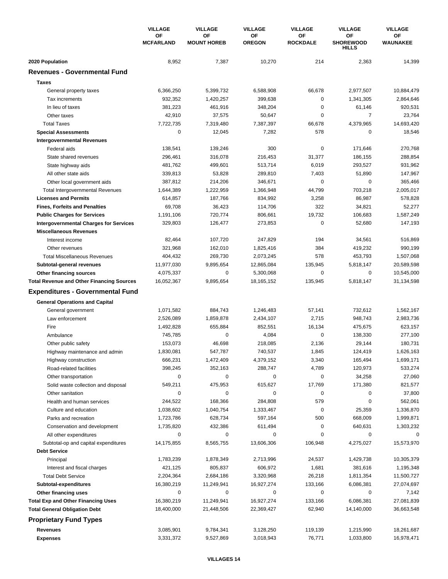|                                                  | <b>VILLAGE</b><br>ОF | <b>VILLAGE</b>           | <b>VILLAGE</b>      | <b>VILLAGE</b>        | <b>VILLAGE</b>                         | <b>VILLAGE</b>        |
|--------------------------------------------------|----------------------|--------------------------|---------------------|-----------------------|----------------------------------------|-----------------------|
|                                                  | <b>MCFARLAND</b>     | ΟF<br><b>MOUNT HOREB</b> | ΟF<br><b>OREGON</b> | OF<br><b>ROCKDALE</b> | ΟF<br><b>SHOREWOOD</b><br><b>HILLS</b> | OF<br><b>WAUNAKEE</b> |
| 2020 Population                                  | 8,952                | 7,387                    | 10,270              | 214                   | 2,363                                  | 14,399                |
| <b>Revenues - Governmental Fund</b>              |                      |                          |                     |                       |                                        |                       |
| <b>Taxes</b>                                     |                      |                          |                     |                       |                                        |                       |
| General property taxes                           | 6,366,250            | 5,399,732                | 6,588,908           | 66,678                | 2,977,507                              | 10,884,479            |
| Tax increments                                   | 932,352              | 1,420,257                | 399,638             | 0                     | 1,341,305                              | 2,864,646             |
| In lieu of taxes                                 | 381,223              | 461,916                  | 348,204             | $\mathbf 0$           | 61,146                                 | 920,531               |
| Other taxes                                      | 42,910               | 37,575                   | 50,647              | $\pmb{0}$             | $\overline{7}$                         | 23,764                |
| <b>Total Taxes</b>                               | 7,722,735            | 7,319,480                | 7,387,397           | 66,678                | 4,379,965                              | 14,693,420            |
| <b>Special Assessments</b>                       | 0                    | 12,045                   | 7,282               | 578                   | 0                                      | 18,546                |
| <b>Intergovernmental Revenues</b>                |                      |                          |                     |                       |                                        |                       |
| Federal aids                                     | 138,541              | 139,246                  | 300                 | 0                     | 171,646                                | 270,768               |
| State shared revenues                            | 296,461              | 316,078                  | 216,453             | 31,377                | 186,155                                | 288,854               |
| State highway aids                               | 481,762              | 499,601                  | 513,714             | 6,019                 | 293,527                                | 931,962               |
| All other state aids                             | 339,813              | 53,828                   | 289,810             | 7,403                 | 51,890                                 | 147,967               |
| Other local government aids                      | 387,812              | 214,206                  | 346,671             | $\mathbf 0$           | $\mathbf 0$                            | 365,466               |
| <b>Total Intergovernmental Revenues</b>          | 1,644,389            | 1,222,959                | 1,366,948           | 44,799                | 703,218                                | 2,005,017             |
| <b>Licenses and Permits</b>                      | 614,857              | 187,766                  | 834,992             | 3,258                 | 86,987                                 | 578,828               |
| <b>Fines, Forfeits and Penalties</b>             | 69,708               | 36,423                   | 114,706             | 322                   | 34,821                                 | 52,277                |
| <b>Public Charges for Services</b>               | 1,191,106            | 720,774                  | 806,661             | 19,732                | 106,683                                | 1,587,249             |
| <b>Intergovernmental Charges for Services</b>    | 329,803              | 126,477                  | 273,853             | $\pmb{0}$             | 52,680                                 | 147,193               |
| <b>Miscellaneous Revenues</b>                    |                      |                          |                     |                       |                                        |                       |
| Interest income                                  | 82,464               | 107,720                  | 247,829             | 194                   | 34,561                                 | 516,869               |
| Other revenues                                   | 321,968              | 162,010                  | 1,825,416           | 384                   | 419,232                                | 990,199               |
| <b>Total Miscellaneous Revenues</b>              | 404,432              | 269,730                  | 2,073,245           | 578                   | 453,793                                | 1,507,068             |
| Subtotal-general revenues                        | 11,977,030           | 9,895,654                | 12,865,084          | 135,945               | 5,818,147                              | 20,589,598            |
| Other financing sources                          | 4,075,337            | 0                        | 5,300,068           | $\pmb{0}$             | 0                                      | 10,545,000            |
| <b>Total Revenue and Other Financing Sources</b> | 16,052,367           | 9,895,654                | 18, 165, 152        | 135,945               | 5,818,147                              | 31,134,598            |
|                                                  |                      |                          |                     |                       |                                        |                       |
| <b>Expenditures - Governmental Fund</b>          |                      |                          |                     |                       |                                        |                       |
| <b>General Operations and Capital</b>            |                      |                          |                     |                       |                                        |                       |
| General government                               | 1,071,582            | 884,743                  | 1,246,483           | 57,141                | 732,612                                | 1,562,167             |
| Law enforcement                                  | 2,526,089            | 1,859,878                | 2,434,107           | 2,715                 | 948,743                                | 2,983,736             |
| Fire                                             | 1,492,828            | 655,884                  | 852,551             | 16,134                | 475,675                                | 623,157               |
| Ambulance                                        | 745,785              | 0                        | 4,084               | 0                     | 138,330                                | 277,100               |
| Other public safety                              | 153,073              | 46,698                   | 218,085             | 2,136                 | 29,144                                 | 180,731               |
| Highway maintenance and admin                    | 1,830,081            | 547,787                  | 740,537             | 1,845                 | 124,419                                | 1,626,163             |
| Highway construction                             | 666,231              | 1,472,409                | 4,379,152           | 3,340                 | 165,494                                | 1,699,171             |
| Road-related facilities                          | 398,245              | 352,163                  | 288,747             | 4,789                 | 120,973                                | 533,274               |
| Other transportation                             | 0                    | 0                        | 0                   | 0                     | 34,258                                 | 27,060                |
| Solid waste collection and disposal              | 549,211              | 475,953                  | 615,627             | 17,769                | 171,380                                | 821,577               |
| Other sanitation                                 | 0                    | 0                        | 0                   | 0                     | 0                                      | 37,800                |
| Health and human services                        | 244,522              | 168,366                  | 284,808             | 579                   | 0                                      | 562,061               |
| Culture and education                            | 1,038,602            | 1,040,754                | 1,333,467           | 0                     | 25,359                                 | 1,336,870             |
| Parks and recreation                             | 1,723,786            | 628,734                  | 597,164             | 500                   | 668,009                                | 1,999,871             |
| Conservation and development                     | 1,735,820            | 432,386                  | 611,494             | 0                     | 640,631                                | 1,303,232             |
| All other expenditures                           | 0                    | 0                        | 0                   | 0                     | 0                                      | 0                     |
| Subtotal-op and capital expenditures             | 14,175,855           | 8,565,755                | 13,606,306          | 106,948               | 4,275,027                              | 15,573,970            |
| <b>Debt Service</b>                              |                      |                          |                     |                       |                                        |                       |
| Principal                                        | 1,783,239            | 1,878,349                | 2,713,996           | 24,537                | 1,429,738                              | 10,305,379            |
| Interest and fiscal charges                      | 421,125              | 805,837                  | 606,972             | 1,681                 | 381,616                                | 1,195,348             |
| <b>Total Debt Service</b>                        | 2,204,364            | 2,684,186                | 3,320,968           | 26,218                | 1,811,354                              | 11,500,727            |
| Subtotal-expenditures                            | 16,380,219           | 11,249,941               | 16,927,274          | 133,166               | 6,086,381                              | 27,074,697            |
| Other financing uses                             | 0                    | 0                        | 0                   | 0                     | 0                                      | 7,142                 |
| <b>Total Exp and Other Financing Uses</b>        | 16,380,219           | 11,249,941               | 16,927,274          | 133,166               | 6,086,381                              | 27,081,839            |
| <b>Total General Obligation Debt</b>             | 18,400,000           | 21,448,506               | 22,369,427          | 62,940                | 14,140,000                             | 36,663,548            |
| <b>Proprietary Fund Types</b>                    |                      |                          |                     |                       |                                        |                       |
| Revenues                                         | 3,085,901            | 9,784,341                | 3,128,250           | 119,139               | 1,215,990                              | 18,261,687            |
| <b>Expenses</b>                                  | 3,331,372            | 9,527,869                | 3,018,943           | 76,771                | 1,033,800                              | 16,978,471            |
|                                                  |                      |                          |                     |                       |                                        |                       |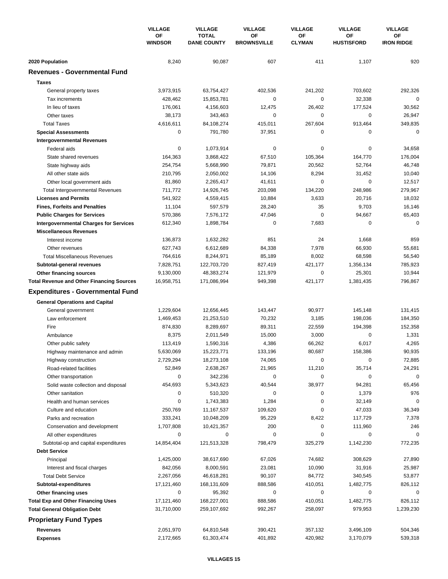|                                                  | <b>VILLAGE</b>       | <b>VILLAGE</b>                     | <b>VILLAGE</b>           | <b>VILLAGE</b>      | <b>VILLAGE</b><br>OF<br><b>HUSTISFORD</b><br>1,107<br>703,602<br>32,338<br>177,524<br>$\mathbf 0$<br>913,464<br>0<br>0<br>164,770<br>52,764<br>31,452<br>$\mathbf 0$<br>248,986<br>20,716<br>9,703<br>94,667<br>$\mathbf 0$<br>1,668<br>66,930<br>68,598<br>1,356,134<br>25,301<br>1,381,435<br>145,148<br>198,036<br>194,398<br>0<br>6,017<br>158,386<br>0<br>35,714<br>0<br>94,281<br>1,379<br>32,149<br>47,033<br>117,729<br>111,960<br>0<br>1,142,230<br>308,629<br>31,916 | <b>VILLAGE</b><br>ОF<br><b>IRON RIDGE</b> |
|--------------------------------------------------|----------------------|------------------------------------|--------------------------|---------------------|--------------------------------------------------------------------------------------------------------------------------------------------------------------------------------------------------------------------------------------------------------------------------------------------------------------------------------------------------------------------------------------------------------------------------------------------------------------------------------|-------------------------------------------|
|                                                  | ΟF<br><b>WINDSOR</b> | <b>TOTAL</b><br><b>DANE COUNTY</b> | ΟF<br><b>BROWNSVILLE</b> | ОF<br><b>CLYMAN</b> |                                                                                                                                                                                                                                                                                                                                                                                                                                                                                |                                           |
| 2020 Population                                  | 8,240                | 90,087                             | 607                      | 411                 |                                                                                                                                                                                                                                                                                                                                                                                                                                                                                | 920                                       |
| <b>Revenues - Governmental Fund</b>              |                      |                                    |                          |                     |                                                                                                                                                                                                                                                                                                                                                                                                                                                                                |                                           |
| <b>Taxes</b>                                     |                      |                                    |                          |                     |                                                                                                                                                                                                                                                                                                                                                                                                                                                                                |                                           |
| General property taxes                           | 3,973,915            | 63,754,427                         | 402,536                  | 241,202             |                                                                                                                                                                                                                                                                                                                                                                                                                                                                                | 292,326                                   |
| Tax increments                                   | 428,462              | 15,853,781                         | 0                        | 0                   |                                                                                                                                                                                                                                                                                                                                                                                                                                                                                | $\mathbf 0$                               |
| In lieu of taxes                                 | 176.061              | 4,156,603                          | 12,475                   | 26,402              |                                                                                                                                                                                                                                                                                                                                                                                                                                                                                | 30,562                                    |
| Other taxes                                      | 38,173               | 343,463                            | 0                        | 0                   |                                                                                                                                                                                                                                                                                                                                                                                                                                                                                | 26,947                                    |
| <b>Total Taxes</b>                               | 4,616,611            | 84,108,274                         | 415,011                  | 267,604             |                                                                                                                                                                                                                                                                                                                                                                                                                                                                                | 349,835                                   |
| <b>Special Assessments</b>                       | 0                    | 791,780                            | 37,951                   | 0                   |                                                                                                                                                                                                                                                                                                                                                                                                                                                                                | $\mathbf 0$                               |
| <b>Intergovernmental Revenues</b>                |                      |                                    |                          |                     |                                                                                                                                                                                                                                                                                                                                                                                                                                                                                |                                           |
| Federal aids                                     | 0                    | 1,073,914                          | 0                        | 0                   |                                                                                                                                                                                                                                                                                                                                                                                                                                                                                | 34,658                                    |
| State shared revenues                            | 164,363              | 3,868,422                          | 67,510                   | 105,364             |                                                                                                                                                                                                                                                                                                                                                                                                                                                                                | 176,004                                   |
| State highway aids                               | 254,754              | 5,668,990                          | 79,871                   | 20,562              |                                                                                                                                                                                                                                                                                                                                                                                                                                                                                | 46,748                                    |
| All other state aids                             | 210,795              | 2,050,002                          | 14,106                   | 8,294               |                                                                                                                                                                                                                                                                                                                                                                                                                                                                                | 10,040                                    |
| Other local government aids                      | 81,860               | 2,265,417                          | 41,611                   | 0                   |                                                                                                                                                                                                                                                                                                                                                                                                                                                                                | 12,517                                    |
| <b>Total Intergovernmental Revenues</b>          | 711,772              | 14,926,745                         | 203,098                  | 134,220             |                                                                                                                                                                                                                                                                                                                                                                                                                                                                                | 279,967                                   |
| <b>Licenses and Permits</b>                      | 541,922              | 4,559,415                          | 10,884                   | 3,633               |                                                                                                                                                                                                                                                                                                                                                                                                                                                                                | 18,032                                    |
| <b>Fines, Forfeits and Penalties</b>             | 11,104               | 597,579                            | 28,240                   | 35                  |                                                                                                                                                                                                                                                                                                                                                                                                                                                                                | 16,146                                    |
| <b>Public Charges for Services</b>               | 570,386              | 7,576,172                          | 47,046                   | 0                   |                                                                                                                                                                                                                                                                                                                                                                                                                                                                                | 65,403                                    |
| <b>Intergovernmental Charges for Services</b>    | 612,340              | 1,898,784                          | 0                        | 7,683               |                                                                                                                                                                                                                                                                                                                                                                                                                                                                                | $\Omega$                                  |
| <b>Miscellaneous Revenues</b>                    |                      |                                    |                          |                     |                                                                                                                                                                                                                                                                                                                                                                                                                                                                                |                                           |
| Interest income                                  | 136,873              | 1,632,282                          | 851                      | 24                  |                                                                                                                                                                                                                                                                                                                                                                                                                                                                                | 859                                       |
| Other revenues                                   | 627,743              | 6,612,689                          | 84,338                   | 7,978               |                                                                                                                                                                                                                                                                                                                                                                                                                                                                                | 55,681                                    |
| <b>Total Miscellaneous Revenues</b>              | 764,616              | 8,244,971                          | 85,189                   | 8,002               |                                                                                                                                                                                                                                                                                                                                                                                                                                                                                | 56,540                                    |
| Subtotal-general revenues                        | 7,828,751            | 122,703,720                        | 827,419                  | 421,177             |                                                                                                                                                                                                                                                                                                                                                                                                                                                                                | 785,923                                   |
| Other financing sources                          | 9,130,000            | 48,383,274                         | 121,979                  | 0                   |                                                                                                                                                                                                                                                                                                                                                                                                                                                                                | 10,944                                    |
| <b>Total Revenue and Other Financing Sources</b> | 16,958,751           | 171,086,994                        | 949,398                  | 421,177             |                                                                                                                                                                                                                                                                                                                                                                                                                                                                                | 796,867                                   |
| <b>Expenditures - Governmental Fund</b>          |                      |                                    |                          |                     |                                                                                                                                                                                                                                                                                                                                                                                                                                                                                |                                           |
| <b>General Operations and Capital</b>            |                      |                                    |                          |                     |                                                                                                                                                                                                                                                                                                                                                                                                                                                                                |                                           |
| General government                               | 1,229,604            | 12,656,445                         | 143,447                  | 90,977              |                                                                                                                                                                                                                                                                                                                                                                                                                                                                                | 131,415                                   |
| Law enforcement                                  | 1,469,453            | 21,253,510                         | 70,232                   | 3,185               |                                                                                                                                                                                                                                                                                                                                                                                                                                                                                | 184,350                                   |
| Fire                                             | 874,830              | 8,289,697                          | 89,311                   | 22,559              |                                                                                                                                                                                                                                                                                                                                                                                                                                                                                | 152,358                                   |
| Ambulance                                        | 8,375                | 2,011,549                          | 15,000                   | 3,000               |                                                                                                                                                                                                                                                                                                                                                                                                                                                                                | 1,331                                     |
| Other public safety                              | 113,419              | 1,590,316                          | 4,386                    | 66,262              |                                                                                                                                                                                                                                                                                                                                                                                                                                                                                | 4,265                                     |
| Highway maintenance and admin                    | 5,630,069            | 15,223,771                         | 133,196                  | 80,687              |                                                                                                                                                                                                                                                                                                                                                                                                                                                                                | 90,935                                    |
| Highway construction                             | 2,729,294            | 18,273,108                         | 74,065                   | 0                   |                                                                                                                                                                                                                                                                                                                                                                                                                                                                                | 72,885                                    |
| Road-related facilities                          | 52,849               | 2,638,267                          | 21,965                   | 11,210              |                                                                                                                                                                                                                                                                                                                                                                                                                                                                                | 24,291                                    |
| Other transportation                             | 0                    | 342,236                            | 0                        | 0                   |                                                                                                                                                                                                                                                                                                                                                                                                                                                                                | $\mathbf 0$                               |
| Solid waste collection and disposal              | 454,693              | 5,343,623                          | 40,544                   | 38,977              |                                                                                                                                                                                                                                                                                                                                                                                                                                                                                | 65,456                                    |
| Other sanitation                                 | 0                    | 510,320                            | 0                        | 0                   |                                                                                                                                                                                                                                                                                                                                                                                                                                                                                | 976                                       |
| Health and human services                        | 0                    | 1,743,383                          | 1,284                    | 0                   |                                                                                                                                                                                                                                                                                                                                                                                                                                                                                | $\mathbf 0$                               |
| Culture and education                            | 250,769              | 11,167,537                         | 109,620                  | 0                   |                                                                                                                                                                                                                                                                                                                                                                                                                                                                                | 36,349                                    |
| Parks and recreation                             | 333,241              | 10,048,209                         | 95,229                   | 8,422               |                                                                                                                                                                                                                                                                                                                                                                                                                                                                                | 7,378                                     |
| Conservation and development                     | 1,707,808            | 10,421,357                         | 200                      | 0                   |                                                                                                                                                                                                                                                                                                                                                                                                                                                                                | 246                                       |
| All other expenditures                           | 0                    | 0                                  | 0                        | 0                   |                                                                                                                                                                                                                                                                                                                                                                                                                                                                                | $\Omega$                                  |
| Subtotal-op and capital expenditures             | 14,854,404           | 121,513,328                        | 798,479                  | 325,279             |                                                                                                                                                                                                                                                                                                                                                                                                                                                                                | 772,235                                   |
| <b>Debt Service</b>                              |                      |                                    |                          |                     |                                                                                                                                                                                                                                                                                                                                                                                                                                                                                |                                           |
| Principal                                        | 1,425,000            | 38,617,690                         | 67,026                   | 74,682              |                                                                                                                                                                                                                                                                                                                                                                                                                                                                                | 27,890                                    |
| Interest and fiscal charges                      | 842,056              | 8,000,591                          | 23,081                   | 10,090              |                                                                                                                                                                                                                                                                                                                                                                                                                                                                                | 25,987                                    |
| <b>Total Debt Service</b>                        | 2,267,056            | 46,618,281                         | 90,107                   | 84,772              | 340,545                                                                                                                                                                                                                                                                                                                                                                                                                                                                        | 53,877                                    |
| Subtotal-expenditures                            | 17,121,460           | 168,131,609                        | 888,586                  | 410,051             | 1,482,775                                                                                                                                                                                                                                                                                                                                                                                                                                                                      | 826,112                                   |
| Other financing uses                             | 0                    | 95,392                             | 0                        | 0                   | 0                                                                                                                                                                                                                                                                                                                                                                                                                                                                              | 0                                         |
| <b>Total Exp and Other Financing Uses</b>        | 17,121,460           | 168,227,001                        | 888,586                  | 410,051             | 1,482,775                                                                                                                                                                                                                                                                                                                                                                                                                                                                      | 826,112                                   |
| <b>Total General Obligation Debt</b>             | 31,710,000           | 259,107,692                        | 992,267                  | 258,097             | 979,953                                                                                                                                                                                                                                                                                                                                                                                                                                                                        | 1,239,230                                 |
| <b>Proprietary Fund Types</b>                    |                      |                                    |                          |                     |                                                                                                                                                                                                                                                                                                                                                                                                                                                                                |                                           |
| Revenues                                         | 2,051,970            | 64,810,548                         | 390,421                  | 357,132             | 3,496,109                                                                                                                                                                                                                                                                                                                                                                                                                                                                      | 504,346                                   |
| <b>Expenses</b>                                  | 2,172,665            | 61,303,474                         | 401,892                  | 420,982             | 3,170,079                                                                                                                                                                                                                                                                                                                                                                                                                                                                      | 539,318                                   |
|                                                  |                      |                                    |                          |                     |                                                                                                                                                                                                                                                                                                                                                                                                                                                                                |                                           |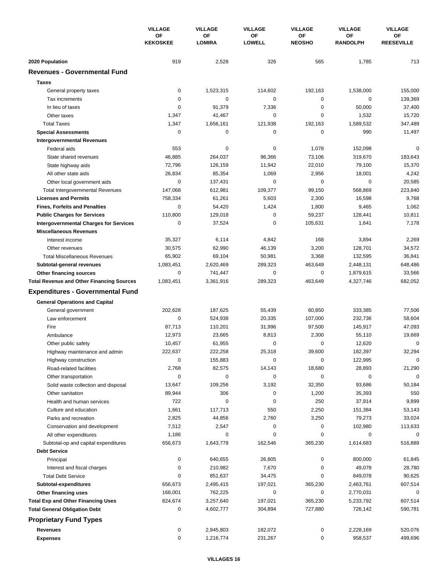|                                                  | <b>VILLAGE</b>        | <b>VILLAGE</b>      | <b>VILLAGE</b>      | <b>VILLAGE</b>      | <b>VILLAGE</b>        | <b>VILLAGE</b>          |
|--------------------------------------------------|-----------------------|---------------------|---------------------|---------------------|-----------------------|-------------------------|
|                                                  | ΟF<br><b>KEKOSKEE</b> | OF<br><b>LOMIRA</b> | OF<br><b>LOWELL</b> | ΟF<br><b>NEOSHO</b> | OF<br><b>RANDOLPH</b> | OF<br><b>REESEVILLE</b> |
| 2020 Population                                  | 919                   | 2,528               | 326                 | 565                 | 1,785                 | 713                     |
| <b>Revenues - Governmental Fund</b>              |                       |                     |                     |                     |                       |                         |
| <b>Taxes</b>                                     |                       |                     |                     |                     |                       |                         |
| General property taxes                           | 0                     | 1,523,315           | 114,602             | 192,163             | 1,538,000             | 155,000                 |
| Tax increments                                   | 0                     | 0                   | 0                   | 0                   | $\mathbf 0$           | 139,369                 |
| In lieu of taxes                                 | $\mathbf 0$           | 91,379              | 7,336               | $\mathbf 0$         | 50,000                | 37,400                  |
| Other taxes                                      | 1,347                 | 41,467              | 0                   | 0                   | 1,532                 | 15,720                  |
| <b>Total Taxes</b>                               | 1,347                 | 1,656,161           | 121,938             | 192,163             | 1,589,532             | 347,489                 |
| <b>Special Assessments</b>                       | 0                     | 0                   | 0                   | 0                   | 990                   | 11,497                  |
| <b>Intergovernmental Revenues</b>                |                       |                     |                     |                     |                       |                         |
| Federal aids                                     | 553                   | 0                   | 0                   | 1,078               | 152,098               | 0                       |
| State shared revenues                            | 46,885                | 264,037             | 96,366              | 73,106              | 319,670               | 183,643                 |
| State highway aids                               | 72,796                | 126,159             | 11,942              | 22,010              | 79,100                | 15,370                  |
| All other state aids                             | 26,834                | 85,354              | 1,069               | 2,956               | 18,001                | 4,242                   |
| Other local government aids                      | $\mathbf 0$           | 137,431             | 0                   | $\mathbf 0$         | $\mathbf 0$           | 20,585                  |
| <b>Total Intergovernmental Revenues</b>          | 147,068               | 612,981             | 109,377             | 99,150              | 568,869               | 223,840                 |
| <b>Licenses and Permits</b>                      | 758,334               | 61,261              | 5,603               | 2,300               | 16,598                | 9,768                   |
| <b>Fines, Forfeits and Penalties</b>             | 0                     | 54,420              | 1,424               | 1,800               | 9,465                 | 1,062                   |
| <b>Public Charges for Services</b>               | 110,800               | 129,018             | 0                   | 59,237              | 128,441               | 10,811                  |
| <b>Intergovernmental Charges for Services</b>    | $\mathbf 0$           | 37,524              | 0                   | 105,631             | 1,641                 | 7,178                   |
| <b>Miscellaneous Revenues</b>                    |                       |                     |                     |                     |                       |                         |
| Interest income                                  | 35,327                | 6,114               | 4,842               | 168                 | 3,894                 | 2,269                   |
| Other revenues                                   | 30,575                | 62,990              | 46,139              | 3,200               | 128,701               | 34,572                  |
| <b>Total Miscellaneous Revenues</b>              | 65,902                | 69,104              | 50,981              | 3,368               | 132,595               | 36,841                  |
| Subtotal-general revenues                        | 1,083,451             | 2,620,469           | 289,323             | 463,649             | 2,448,131             | 648,486                 |
| Other financing sources                          | 0                     | 741,447             | 0                   | 0                   | 1,879,615             | 33,566                  |
| <b>Total Revenue and Other Financing Sources</b> | 1,083,451             | 3,361,916           | 289,323             | 463,649             | 4,327,746             | 682,052                 |
|                                                  |                       |                     |                     |                     |                       |                         |
| <b>Expenditures - Governmental Fund</b>          |                       |                     |                     |                     |                       |                         |
| <b>General Operations and Capital</b>            |                       |                     |                     |                     |                       |                         |
| General government                               | 202,628               | 187,625             | 55,439              | 60,850              | 333,385               | 77,506                  |
| Law enforcement                                  | $\mathbf 0$           | 524,938             | 20,335              | 107,000             | 232,736               | 58,604                  |
| Fire                                             | 87,713                | 110,201             | 31,996              | 97,500              | 145,917               | 47,093                  |
| Ambulance                                        | 12,973                | 23,665              | 8,813               | 2,300               | 55,110                | 19,669                  |
| Other public safety                              | 10,457                | 61,955              | 0                   | 0                   | 12,620                | 0                       |
| Highway maintenance and admin                    | 222,637               | 222,258             | 25,318              | 39,600              | 182,397               | 32,294                  |
| Highway construction                             | 0                     | 155,883             | 0                   | 0                   | 122,995               | 0                       |
| Road-related facilities                          | 2,768                 | 82,575              | 14,143              | 18,680              | 28,893                | 21,290                  |
| Other transportation                             | 0                     | 0                   | 0                   | 0                   | 0                     | $\Omega$                |
| Solid waste collection and disposal              | 13,647                | 109,256             | 3,192               | 32,350              | 93,686                | 50,184                  |
| Other sanitation                                 | 89,944                | 306                 | 0                   | 1,200               | 35,393                | 550                     |
| Health and human services                        | 722                   | 0                   | 0                   | 250                 | 37,914                | 9,899                   |
| Culture and education                            | 1,661                 | 117,713             | 550                 | 2,250               | 151,384               | 53,143                  |
| Parks and recreation                             | 2,825                 | 44,856              | 2,760               | 3,250               | 79,273                | 33,024                  |
| Conservation and development                     | 7,512                 | 2,547               | 0                   | 0                   | 102,980               | 113,633                 |
| All other expenditures                           | 1,186                 | 0                   | 0                   | 0                   | 0                     | 0                       |
| Subtotal-op and capital expenditures             | 656,673               | 1,643,778           | 162,546             | 365,230             | 1,614,683             | 516,889                 |
| <b>Debt Service</b>                              |                       |                     |                     |                     |                       |                         |
| Principal                                        | $\pmb{0}$             | 640,655             | 26,805              | 0                   | 800,000               | 61,845                  |
| Interest and fiscal charges                      | 0                     | 210,982             | 7,670               | 0                   | 49,078                | 28,780                  |
| <b>Total Debt Service</b>                        | 0                     | 851,637             | 34,475              | 0                   | 849,078               | 90,625                  |
| Subtotal-expenditures                            | 656,673               | 2,495,415           | 197,021             | 365,230             | 2,463,761             | 607,514                 |
| Other financing uses                             | 168,001               | 762,225             | 0                   | 0                   | 2,770,031             | 0                       |
| <b>Total Exp and Other Financing Uses</b>        | 824,674               | 3,257,640           | 197,021             | 365,230             | 5,233,792             | 607,514                 |
| <b>Total General Obligation Debt</b>             | 0                     | 4,602,777           | 304,894             | 727,880             | 726,142               | 590,781                 |
| <b>Proprietary Fund Types</b>                    |                       |                     |                     |                     |                       |                         |
| <b>Revenues</b>                                  | 0                     | 2,945,803           | 182,072             | 0                   | 2,228,169             | 520,076                 |
| <b>Expenses</b>                                  | 0                     | 1,216,774           | 231,267             | 0                   | 958,537               | 499,696                 |
|                                                  |                       |                     |                     |                     |                       |                         |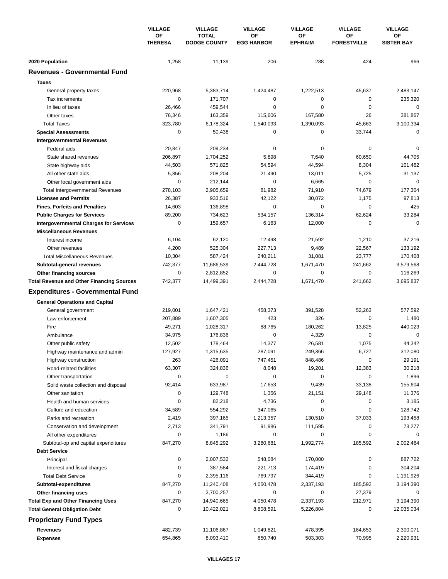|                                                  | <b>VILLAGE</b>       | <b>VILLAGE</b>                      | <b>VILLAGE</b>          | <b>VILLAGE</b>       | <b>VILLAGE</b>           | <b>VILLAGE</b>          |
|--------------------------------------------------|----------------------|-------------------------------------|-------------------------|----------------------|--------------------------|-------------------------|
|                                                  | OF<br><b>THERESA</b> | <b>TOTAL</b><br><b>DODGE COUNTY</b> | ΟF<br><b>EGG HARBOR</b> | ОF<br><b>EPHRAIM</b> | ΟF<br><b>FORESTVILLE</b> | OF<br><b>SISTER BAY</b> |
| 2020 Population                                  | 1,258                | 11,139                              | 206                     | 288                  | 424                      | 966                     |
| <b>Revenues - Governmental Fund</b>              |                      |                                     |                         |                      |                          |                         |
| <b>Taxes</b>                                     |                      |                                     |                         |                      |                          |                         |
| General property taxes                           | 220,968              | 5,383,714                           | 1,424,487               | 1,222,513            | 45,637                   | 2,483,147               |
| Tax increments                                   | 0                    | 171,707                             | 0                       | 0                    | 0                        | 235,320                 |
| In lieu of taxes                                 | 26,466               | 459,544                             | 0                       | $\mathbf 0$          | $\mathbf 0$              | $\mathbf 0$             |
| Other taxes                                      | 76,346               | 163,359                             | 115,606                 | 167,580              | 26                       | 381,867                 |
| <b>Total Taxes</b>                               | 323,780              | 6,178,324                           | 1,540,093               | 1,390,093            | 45,663                   | 3,100,334               |
| <b>Special Assessments</b>                       | 0                    | 50,438                              | 0                       | 0                    | 33,744                   | 0                       |
| <b>Intergovernmental Revenues</b>                |                      |                                     |                         |                      |                          |                         |
| Federal aids                                     | 20,847               | 209,234                             | 0                       | 0                    | 0                        | $\mathbf 0$             |
| State shared revenues                            | 206,897              | 1,704,252                           | 5,898                   | 7,640                | 60,650                   | 44,705                  |
| State highway aids                               | 44,503               | 571,825                             | 54,594                  | 44,594               | 8,304                    | 101,462                 |
| All other state aids                             | 5,856                | 208,204                             | 21,490                  | 13,011               | 5,725                    | 31,137                  |
| Other local government aids                      | $\mathbf 0$          | 212,144                             | 0                       | 6,665                | $\mathbf 0$              | $\mathbf 0$             |
| <b>Total Intergovernmental Revenues</b>          | 278,103              | 2,905,659                           | 81,982                  | 71,910               | 74,679                   | 177,304                 |
| <b>Licenses and Permits</b>                      | 26,387               | 933,516                             | 42,122                  | 30,072               | 1,175                    | 97,813                  |
| <b>Fines, Forfeits and Penalties</b>             | 14,603               | 136,898                             | 0                       | 0                    | 0                        | 425                     |
| <b>Public Charges for Services</b>               | 89,200               | 734,623                             | 534,157                 | 136,314              | 62,624                   | 33,284                  |
| <b>Intergovernmental Charges for Services</b>    | $\mathbf 0$          | 159,657                             | 6,163                   | 12,000               | $\mathbf 0$              | $\mathbf 0$             |
| <b>Miscellaneous Revenues</b>                    |                      |                                     |                         |                      |                          |                         |
| Interest income                                  | 6,104                | 62,120                              | 12,498                  | 21,592               | 1,210                    | 37,216                  |
| Other revenues                                   | 4,200                | 525,304                             | 227,713                 | 9,489                | 22,567                   | 133,192                 |
| <b>Total Miscellaneous Revenues</b>              | 10,304               | 587,424                             | 240,211                 | 31,081               | 23,777                   | 170,408                 |
| Subtotal-general revenues                        | 742,377              | 11,686,539                          | 2,444,728               | 1,671,470            | 241,662                  | 3,579,568               |
| Other financing sources                          | $\mathbf 0$          | 2,812,852                           | 0                       | 0                    | $\mathbf 0$              | 116,269                 |
| <b>Total Revenue and Other Financing Sources</b> | 742,377              | 14,499,391                          | 2,444,728               | 1,671,470            | 241,662                  | 3,695,837               |
| <b>Expenditures - Governmental Fund</b>          |                      |                                     |                         |                      |                          |                         |
| <b>General Operations and Capital</b>            |                      |                                     |                         |                      |                          |                         |
| General government                               | 219,001              | 1,647,421                           | 458,373                 | 391,528              | 52,263                   | 577,592                 |
| Law enforcement                                  | 207,889              | 1,607,305                           | 423                     | 326                  | $\mathbf 0$              | 1,480                   |
| Fire                                             | 49,271               | 1,028,317                           | 88,765                  | 180,262              | 13,825                   | 440,023                 |
| Ambulance                                        | 34,975               | 176,836                             | 0                       | 4,329                | $\mathbf 0$              | $\mathbf 0$             |
| Other public safety                              | 12,502               | 178,464                             | 14,377                  | 26,581               | 1,075                    | 44,342                  |
| Highway maintenance and admin                    | 127,927              | 1,315,635                           | 287,091                 | 249,366              | 6,727                    | 312,080                 |
| Highway construction                             | 263                  | 426,091                             | 747,451                 | 848,486              | 0                        | 29,191                  |
| Road-related facilities                          | 63,307               | 324,836                             | 8,048                   | 19,201               | 12,383                   | 30,218                  |
| Other transportation                             | 0                    | 0                                   | 0                       | 0                    | 0                        | 1,896                   |
| Solid waste collection and disposal              | 92,414               | 633,987                             | 17,653                  | 9,439                | 33,138                   | 155,604                 |
| Other sanitation                                 | 0                    | 129,748                             | 1,356                   | 21,151               | 29,148                   | 11,376                  |
| Health and human services                        | 0                    | 82,218                              | 4,736                   | 0                    | 0                        | 3,185                   |
| Culture and education                            | 34,589               | 554,292                             | 347,065                 | 0                    | 0                        | 128,742                 |
| Parks and recreation                             | 2,419                | 397,165                             | 1,213,357               | 130,510              | 37,033                   | 193,458                 |
| Conservation and development                     | 2,713                | 341,791                             | 91,986                  | 111,595              | 0                        | 73,277                  |
| All other expenditures                           | 0                    | 1,186                               | 0                       | 0                    | 0                        | 0                       |
| Subtotal-op and capital expenditures             | 847,270              | 8,845,292                           | 3,280,681               | 1,992,774            | 185,592                  | 2,002,464               |
| <b>Debt Service</b>                              |                      |                                     |                         |                      |                          |                         |
| Principal                                        | 0                    | 2,007,532                           | 548,084                 | 170,000              | 0                        | 887,722                 |
| Interest and fiscal charges                      | 0                    | 387,584                             | 221,713                 | 174,419              | 0                        | 304,204                 |
| <b>Total Debt Service</b>                        | 0                    | 2,395,116                           | 769,797                 | 344,419              | 0                        | 1,191,926               |
| Subtotal-expenditures                            | 847,270              | 11,240,408                          | 4,050,478               | 2,337,193            | 185,592                  | 3,194,390               |
| Other financing uses                             | 0                    | 3,700,257                           | 0                       | 0                    | 27,379                   | 0                       |
| <b>Total Exp and Other Financing Uses</b>        | 847,270              | 14,940,665                          | 4,050,478               | 2,337,193            | 212,971                  | 3,194,390               |
| <b>Total General Obligation Debt</b>             | 0                    | 10,422,021                          | 8,808,591               | 5,226,804            | 0                        | 12,035,034              |
| <b>Proprietary Fund Types</b>                    |                      |                                     |                         |                      |                          |                         |
| <b>Revenues</b>                                  | 482,739              | 11,106,867                          | 1,049,821               | 478,395              | 164,653                  | 2,300,071               |
| <b>Expenses</b>                                  | 654,865              | 8,093,410                           | 850,740                 | 503,303              | 70,995                   | 2,220,931               |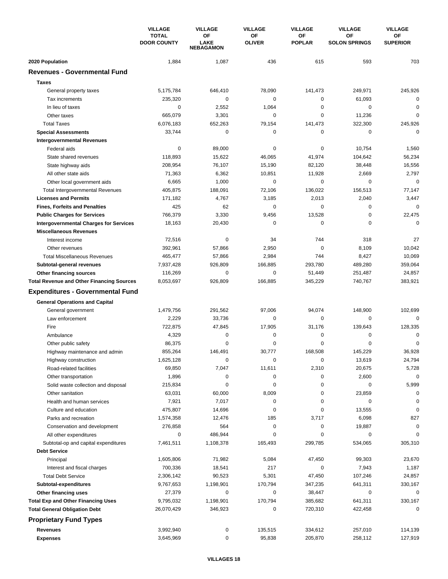|                                                  | <b>VILLAGE</b>                     | <b>VILLAGE</b>                        | <b>VILLAGE</b>      | <b>VILLAGE</b>      | <b>VILLAGE</b>                    | <b>VILLAGE</b>        |
|--------------------------------------------------|------------------------------------|---------------------------------------|---------------------|---------------------|-----------------------------------|-----------------------|
|                                                  | <b>TOTAL</b><br><b>DOOR COUNTY</b> | OF<br><b>LAKE</b><br><b>NEBAGAMON</b> | ΟF<br><b>OLIVER</b> | OF<br><b>POPLAR</b> | <b>OF</b><br><b>SOLON SPRINGS</b> | OF<br><b>SUPERIOR</b> |
| 2020 Population                                  | 1,884                              | 1,087                                 | 436                 | 615                 | 593                               | 703                   |
| <b>Revenues - Governmental Fund</b>              |                                    |                                       |                     |                     |                                   |                       |
| <b>Taxes</b>                                     |                                    |                                       |                     |                     |                                   |                       |
| General property taxes                           | 5,175,784                          | 646,410                               | 78,090              | 141,473             | 249,971                           | 245,926               |
| Tax increments                                   | 235,320                            | 0                                     | 0                   | 0                   | 61,093                            | $\mathbf 0$           |
| In lieu of taxes                                 | $\mathbf 0$                        | 2,552                                 | 1,064               | $\Omega$            | $\mathbf 0$                       | 0                     |
| Other taxes                                      | 665,079                            | 3,301                                 | 0                   | 0                   | 11,236                            | $\mathbf 0$           |
| <b>Total Taxes</b>                               | 6,076,183                          | 652,263                               | 79,154              | 141,473             | 322,300                           | 245,926               |
| <b>Special Assessments</b>                       | 33,744                             | 0                                     | 0                   | 0                   | 0                                 | $\mathbf 0$           |
| <b>Intergovernmental Revenues</b>                |                                    |                                       |                     |                     |                                   |                       |
| Federal aids                                     | 0                                  | 89,000                                | 0                   | 0                   | 10,754                            | 1,560                 |
| State shared revenues                            | 118,893                            | 15,622                                | 46,065              | 41,974              | 104,642                           | 56,234                |
| State highway aids                               | 208,954                            | 76,107                                | 15,190              | 82,120              | 38,448                            | 16,556                |
| All other state aids                             | 71,363                             | 6,362                                 | 10,851              | 11,928              | 2,669                             | 2,797                 |
| Other local government aids                      | 6,665                              | 1,000                                 | 0                   | 0                   | 0                                 | $\mathbf 0$           |
| <b>Total Intergovernmental Revenues</b>          | 405,875                            | 188,091                               | 72,106              | 136,022             | 156,513                           | 77,147                |
| <b>Licenses and Permits</b>                      | 171,182                            | 4,767                                 | 3,185               | 2,013               | 2,040                             | 3,447                 |
| <b>Fines, Forfeits and Penalties</b>             | 425                                | 62                                    | 0                   | 0                   | 0                                 | $\Omega$              |
| <b>Public Charges for Services</b>               | 766,379                            | 3,330                                 | 9,456               | 13,528              | 0                                 | 22,475                |
| <b>Intergovernmental Charges for Services</b>    | 18,163                             | 20,430                                | 0                   | 0                   | $\mathbf 0$                       | $\Omega$              |
| <b>Miscellaneous Revenues</b>                    |                                    |                                       |                     |                     |                                   |                       |
| Interest income                                  | 72,516                             | $\mathbf 0$                           | 34                  | 744                 | 318                               | 27                    |
| Other revenues                                   | 392,961                            | 57,866                                | 2,950               | 0                   | 8,109                             | 10,042                |
| <b>Total Miscellaneous Revenues</b>              | 465,477                            | 57,866                                | 2,984               | 744                 | 8,427                             | 10,069                |
| Subtotal-general revenues                        | 7,937,428                          | 926,809                               | 166,885             | 293,780             | 489,280                           | 359,064               |
| Other financing sources                          | 116,269                            | 0                                     | 0                   | 51,449              | 251,487                           | 24,857                |
| <b>Total Revenue and Other Financing Sources</b> | 8,053,697                          | 926,809                               | 166,885             | 345,229             | 740,767                           | 383,921               |
|                                                  |                                    |                                       |                     |                     |                                   |                       |
| <b>Expenditures - Governmental Fund</b>          |                                    |                                       |                     |                     |                                   |                       |
| <b>General Operations and Capital</b>            |                                    |                                       |                     |                     |                                   |                       |
| General government                               | 1,479,756                          | 291,562                               | 97,006              | 94,074              | 148,900                           | 102,699               |
| Law enforcement                                  | 2,229                              | 33.736                                | 0                   | 0                   | $\mathbf 0$                       | $\mathbf 0$           |
| Fire                                             | 722,875                            | 47,845                                | 17,905              | 31,176              | 139,643                           | 128,335               |
| Ambulance                                        | 4,329                              | 0                                     | 0                   | 0                   | 0                                 | 0                     |
| Other public safety                              | 86,375                             | 0                                     | 0                   | 0                   | $\Omega$                          | $\mathbf 0$           |
| Highway maintenance and admin                    | 855,264                            | 146,491                               | 30,777              | 168,508             | 145,229                           | 36,928                |
| Highway construction                             | 1,625,128                          | 0                                     | 0                   | 0                   | 13,619                            | 24,794                |
| Road-related facilities                          | 69,850                             | 7,047                                 | 11,611              | 2,310               | 20,675                            | 5,728                 |
| Other transportation                             | 1,896                              | 0                                     | 0                   | 0                   | 2,600                             | $\mathbf 0$           |
| Solid waste collection and disposal              | 215,834                            | 0                                     | 0                   | 0                   | 0                                 | 5,999                 |
| Other sanitation                                 | 63,031                             | 60,000                                | 8,009               | 0                   | 23,859                            | 0                     |
| Health and human services                        | 7,921                              | 7,017                                 | 0                   | 0                   | 0                                 | 0                     |
| Culture and education                            | 475,807                            | 14,696                                | 0                   | 0                   | 13,555                            | $\mathbf 0$           |
| Parks and recreation                             | 1,574,358                          | 12,476                                | 185                 | 3,717               | 6,098                             | 827                   |
| Conservation and development                     | 276,858                            | 564                                   | 0                   | 0                   | 19,887                            | $\mathbf 0$           |
| All other expenditures                           | 0                                  | 486,944                               | 0                   | 0                   | 0                                 | $\Omega$              |
| Subtotal-op and capital expenditures             | 7,461,511                          | 1,108,378                             | 165,493             | 299,785             | 534,065                           | 305,310               |
| <b>Debt Service</b>                              |                                    |                                       |                     |                     |                                   |                       |
| Principal                                        | 1,605,806                          | 71,982                                | 5,084               | 47,450              | 99,303                            | 23,670                |
| Interest and fiscal charges                      | 700,336                            | 18,541                                | 217                 | 0                   | 7,943                             | 1,187                 |
| <b>Total Debt Service</b>                        | 2,306,142                          | 90,523                                | 5,301               | 47,450              | 107,246                           | 24,857                |
| Subtotal-expenditures                            | 9,767,653                          | 1,198,901                             | 170,794             | 347,235             | 641,311                           | 330,167               |
| Other financing uses                             | 27,379                             | 0                                     | 0                   | 38,447              | 0                                 | 0                     |
| <b>Total Exp and Other Financing Uses</b>        | 9,795,032                          | 1,198,901                             | 170,794             | 385,682             | 641,311                           | 330,167               |
| <b>Total General Obligation Debt</b>             | 26,070,429                         | 346,923                               | 0                   | 720,310             | 422,458                           | 0                     |
| <b>Proprietary Fund Types</b>                    |                                    |                                       |                     |                     |                                   |                       |
| Revenues                                         | 3,992,940                          | 0                                     | 135,515             | 334,612             | 257,010                           | 114,139               |
| <b>Expenses</b>                                  | 3,645,969                          | 0                                     | 95,838              | 205,870             | 258,112                           | 127,919               |
|                                                  |                                    |                                       |                     |                     |                                   |                       |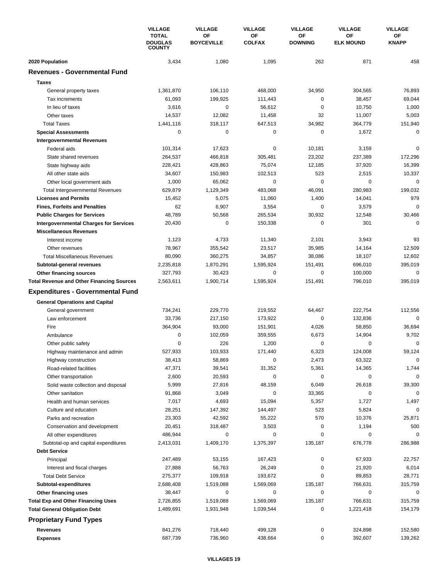|                                                       | <b>VILLAGE</b>                                  | <b>VILLAGE</b>          | <b>VILLAGE</b>      | <b>VILLAGE</b>       | <b>VILLAGE</b><br>ΟF<br><b>ELK MOUND</b> | <b>VILLAGE</b><br>OF<br><b>KNAPP</b> |
|-------------------------------------------------------|-------------------------------------------------|-------------------------|---------------------|----------------------|------------------------------------------|--------------------------------------|
|                                                       | <b>TOTAL</b><br><b>DOUGLAS</b><br><b>COUNTY</b> | ΟF<br><b>BOYCEVILLE</b> | ΟF<br><b>COLFAX</b> | ΟF<br><b>DOWNING</b> |                                          |                                      |
| 2020 Population                                       | 3,434                                           | 1,080                   | 1,095               | 262                  | 871                                      | 458                                  |
| <b>Revenues - Governmental Fund</b>                   |                                                 |                         |                     |                      |                                          |                                      |
| <b>Taxes</b>                                          |                                                 |                         |                     |                      |                                          |                                      |
| General property taxes                                | 1,361,870                                       | 106,110                 | 468,000             | 34,950               | 304,565                                  | 76,893                               |
| Tax increments                                        | 61,093                                          | 199,925                 | 111,443             | 0                    | 38,457                                   | 69,044                               |
| In lieu of taxes                                      | 3,616                                           | $\mathbf 0$             | 56,612              | 0                    | 10.750                                   | 1,000                                |
| Other taxes                                           | 14,537                                          | 12,082                  | 11,458              | 32                   | 11,007                                   | 5,003                                |
| <b>Total Taxes</b>                                    | 1,441,116                                       | 318,117                 | 647,513             | 34,982               | 364,779                                  | 151,940                              |
| <b>Special Assessments</b>                            | $\mathbf 0$                                     | 0                       | 0                   | $\pmb{0}$            | 1,672                                    | $\mathbf 0$                          |
| <b>Intergovernmental Revenues</b>                     |                                                 |                         |                     |                      |                                          |                                      |
| Federal aids                                          | 101,314                                         | 17,623                  | 0                   | 10,181               | 3,159                                    | $\mathbf 0$                          |
| State shared revenues                                 | 264,537                                         | 466,818                 | 305,481             | 23,202               | 237,389                                  | 172,296                              |
|                                                       | 228,421                                         | 428,863                 | 75,074              | 12,185               | 37,920                                   | 16,399                               |
| State highway aids                                    | 34,607                                          | 150,983                 | 102,513             | 523                  | 2,515                                    | 10,337                               |
| All other state aids                                  |                                                 |                         |                     |                      |                                          | $\mathbf 0$                          |
| Other local government aids                           | 1,000                                           | 65,062                  | 0                   | 0                    | 0                                        |                                      |
| <b>Total Intergovernmental Revenues</b>               | 629,879                                         | 1,129,349               | 483,068             | 46,091               | 280,983                                  | 199,032                              |
| <b>Licenses and Permits</b>                           | 15,452                                          | 5,075                   | 11,060              | 1,400                | 14,041                                   | 979                                  |
| <b>Fines, Forfeits and Penalties</b>                  | 62                                              | 6,907                   | 3,554               | 0                    | 3,579                                    | $\mathbf 0$                          |
| <b>Public Charges for Services</b>                    | 48,789                                          | 50,568                  | 265,534             | 30,932               | 12,548                                   | 30,466                               |
| <b>Intergovernmental Charges for Services</b>         | 20,430                                          | $\mathbf 0$             | 150,338             | $\mathbf 0$          | 301                                      | $\Omega$                             |
| <b>Miscellaneous Revenues</b>                         |                                                 |                         |                     |                      |                                          |                                      |
| Interest income                                       | 1,123                                           | 4,733                   | 11,340              | 2,101                | 3,943                                    | 93                                   |
| Other revenues                                        | 78,967                                          | 355,542                 | 23,517              | 35,985               | 14,164                                   | 12,509                               |
| <b>Total Miscellaneous Revenues</b>                   | 80,090                                          | 360,275                 | 34,857              | 38,086               | 18,107                                   | 12,602                               |
| Subtotal-general revenues                             | 2,235,818                                       | 1,870,291               | 1,595,924           | 151,491              | 696,010                                  | 395,019                              |
| Other financing sources                               | 327,793                                         | 30,423                  | 0                   | 0                    | 100,000                                  | 0                                    |
| <b>Total Revenue and Other Financing Sources</b>      | 2,563,611                                       | 1,900,714               | 1,595,924           | 151,491              | 796,010                                  | 395,019                              |
| <b>Expenditures - Governmental Fund</b>               |                                                 |                         |                     |                      |                                          |                                      |
| <b>General Operations and Capital</b>                 |                                                 |                         |                     |                      |                                          |                                      |
| General government                                    | 734,241                                         | 229,770                 | 219,552             | 64,467               | 222,754                                  | 112,556                              |
| Law enforcement                                       | 33,736                                          | 217,150                 | 173,922             | 0                    | 132,836                                  | 0                                    |
| Fire                                                  | 364,904                                         | 93,000                  | 151,901             | 4,026                | 58,850                                   | 36,694                               |
| Ambulance                                             | 0                                               | 102,059                 | 359,555             | 6,673                | 14,904                                   | 9,702                                |
| Other public safety                                   | 0                                               | 226                     | 1,200               | 0                    | 0                                        | 0                                    |
|                                                       | 527,933                                         | 103,933                 | 171,440             | 6,323                | 124,008                                  | 59,124                               |
| Highway maintenance and admin<br>Highway construction | 38,413                                          | 58,869                  | 0                   | 2,473                | 63,322                                   | $\mathbf 0$                          |
|                                                       | 47,371                                          |                         |                     |                      |                                          |                                      |
| Road-related facilities                               |                                                 | 39,541                  | 31,352              | 5,361<br>0           | 14,365<br>$\pmb{0}$                      | 1,744<br>$\mathbf 0$                 |
| Other transportation                                  | 2,600                                           | 20,593                  | 0                   |                      |                                          |                                      |
| Solid waste collection and disposal                   | 5,999                                           | 27,816                  | 48,159              | 6,049                | 26,618                                   | 39,300                               |
| Other sanitation                                      | 91,868                                          | 3,049                   | 0                   | 33,365               | 0                                        | 0                                    |
| Health and human services                             | 7,017                                           | 4,693                   | 15,094              | 5,357                | 1,727                                    | 1,497                                |
| Culture and education                                 | 28,251                                          | 147,392                 | 144,497             | 523                  | 5,824                                    | 0                                    |
| Parks and recreation                                  | 23,303                                          | 42,592                  | 55,222              | 570                  | 10,376                                   | 25,871                               |
| Conservation and development                          | 20,451                                          | 318,487                 | 3,503               | 0                    | 1,194                                    | 500                                  |
| All other expenditures                                | 486,944                                         | 0                       | 0                   | 0                    | 0                                        | 0                                    |
| Subtotal-op and capital expenditures                  | 2,413,031                                       | 1,409,170               | 1,375,397           | 135,187              | 676,778                                  | 286,988                              |
| <b>Debt Service</b>                                   |                                                 |                         |                     |                      |                                          |                                      |
| Principal                                             | 247,489                                         | 53,155                  | 167,423             | 0                    | 67,933                                   | 22,757                               |
| Interest and fiscal charges                           | 27,888                                          | 56,763                  | 26,249              | 0                    | 21,920                                   | 6,014                                |
| <b>Total Debt Service</b>                             | 275,377                                         | 109,918                 | 193,672             | 0                    | 89,853                                   | 28,771                               |
| Subtotal-expenditures                                 | 2,688,408                                       | 1,519,088               | 1,569,069           | 135,187              | 766,631                                  | 315,759                              |
| Other financing uses                                  | 38,447                                          | 0                       | 0                   | 0                    | 0                                        | 0                                    |
| <b>Total Exp and Other Financing Uses</b>             | 2,726,855                                       | 1,519,088               | 1,569,069           | 135,187              | 766,631                                  | 315,759                              |
| <b>Total General Obligation Debt</b>                  | 1,489,691                                       | 1,931,948               | 1,039,544           | 0                    | 1,221,418                                | 154,179                              |
| <b>Proprietary Fund Types</b>                         |                                                 |                         |                     |                      |                                          |                                      |
| <b>Revenues</b>                                       | 841,276                                         | 718,440                 | 499,128             | 0                    | 324,898                                  | 152,580                              |
| <b>Expenses</b>                                       | 687,739                                         | 736,960                 | 438,664             | 0                    | 392,607                                  | 139,262                              |
|                                                       |                                                 |                         |                     |                      |                                          |                                      |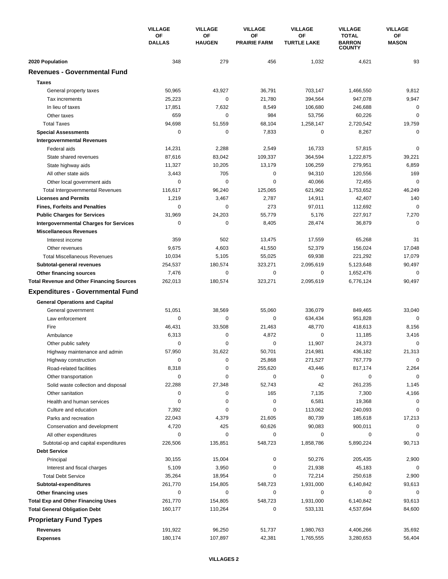|                                                  | <b>VILLAGE</b><br>OF<br><b>DALLAS</b> | <b>VILLAGE</b>      | <b>VILLAGE</b><br>ΟF<br><b>PRAIRIE FARM</b> | <b>VILLAGE</b><br>ΟF<br><b>TURTLE LAKE</b> | <b>VILLAGE</b><br><b>TOTAL</b><br><b>BARRON</b><br><b>COUNTY</b> | <b>VILLAGE</b><br>ОF<br><b>MASON</b> |
|--------------------------------------------------|---------------------------------------|---------------------|---------------------------------------------|--------------------------------------------|------------------------------------------------------------------|--------------------------------------|
|                                                  |                                       | ΟF<br><b>HAUGEN</b> |                                             |                                            |                                                                  |                                      |
| 2020 Population                                  | 348                                   | 279                 | 456                                         | 1,032                                      | 4,621                                                            | 93                                   |
| <b>Revenues - Governmental Fund</b>              |                                       |                     |                                             |                                            |                                                                  |                                      |
| <b>Taxes</b>                                     |                                       |                     |                                             |                                            |                                                                  |                                      |
| General property taxes                           | 50,965                                | 43,927              | 36,791                                      | 703,147                                    | 1,466,550                                                        | 9,812                                |
| Tax increments                                   | 25,223                                | $\pmb{0}$           | 21,780                                      | 394,564                                    | 947,078                                                          | 9,947                                |
| In lieu of taxes                                 | 17,851                                | 7,632               | 8,549                                       | 106,680                                    | 246,688                                                          | 0                                    |
| Other taxes                                      | 659                                   | 0                   | 984                                         | 53,756                                     | 60,226                                                           | 0                                    |
| <b>Total Taxes</b>                               | 94,698                                | 51,559              | 68,104                                      | 1,258,147                                  | 2,720,542                                                        | 19,759                               |
| <b>Special Assessments</b>                       | 0                                     | 0                   | 7,833                                       | 0                                          | 8,267                                                            | 0                                    |
| <b>Intergovernmental Revenues</b>                |                                       |                     |                                             |                                            |                                                                  |                                      |
| Federal aids                                     | 14,231                                | 2,288               | 2,549                                       | 16,733                                     | 57,815                                                           | 0                                    |
| State shared revenues                            | 87,616                                | 83,042              | 109,337                                     | 364,594                                    | 1,222,875                                                        | 39,221                               |
| State highway aids                               | 11,327                                | 10,205              | 13,179                                      | 106,259                                    | 279,951                                                          | 6,859                                |
| All other state aids                             | 3,443                                 | 705                 | $\mathbf 0$                                 | 94,310                                     | 120,556                                                          | 169                                  |
| Other local government aids                      | $\mathbf 0$                           | 0                   | $\mathbf 0$                                 | 40,066                                     | 72,455                                                           | 0                                    |
| <b>Total Intergovernmental Revenues</b>          | 116,617                               | 96,240              | 125,065                                     | 621,962                                    | 1,753,652                                                        | 46,249                               |
| <b>Licenses and Permits</b>                      | 1,219                                 | 3,467               | 2,787                                       | 14,911                                     | 42,407                                                           | 140                                  |
| <b>Fines, Forfeits and Penalties</b>             | 0                                     | 0                   | 273                                         | 97,011                                     | 112,692                                                          | $\Omega$                             |
| <b>Public Charges for Services</b>               | 31,969                                | 24,203              | 55,779                                      | 5,176                                      | 227,917                                                          | 7,270                                |
| <b>Intergovernmental Charges for Services</b>    | $\mathbf 0$                           | $\mathbf 0$         | 8,405                                       | 28,474                                     | 36,879                                                           | $\mathbf 0$                          |
| <b>Miscellaneous Revenues</b>                    |                                       |                     |                                             |                                            |                                                                  |                                      |
| Interest income                                  | 359                                   | 502                 | 13,475                                      | 17,559                                     | 65,268                                                           | 31                                   |
| Other revenues                                   | 9,675                                 | 4,603               | 41,550                                      | 52,379                                     | 156,024                                                          | 17,048                               |
| <b>Total Miscellaneous Revenues</b>              | 10,034                                | 5,105               | 55,025                                      | 69,938                                     | 221,292                                                          | 17,079                               |
| Subtotal-general revenues                        | 254,537                               | 180,574             | 323,271                                     | 2,095,619                                  | 5,123,648                                                        | 90,497                               |
| Other financing sources                          | 7,476                                 | 0                   | 0                                           | 0                                          | 1,652,476                                                        | 0                                    |
| <b>Total Revenue and Other Financing Sources</b> | 262,013                               | 180,574             | 323,271                                     | 2,095,619                                  | 6,776,124                                                        | 90,497                               |
| <b>Expenditures - Governmental Fund</b>          |                                       |                     |                                             |                                            |                                                                  |                                      |
| <b>General Operations and Capital</b>            |                                       |                     |                                             |                                            |                                                                  |                                      |
| General government                               | 51,051                                | 38,569              | 55,060                                      | 336,079                                    | 849,465                                                          | 33,040                               |
| Law enforcement                                  | 0                                     | 0                   | 0                                           | 634,434                                    | 951,828                                                          | $\mathbf 0$                          |
| Fire                                             | 46,431                                | 33,508              | 21,463                                      | 48,770                                     | 418,613                                                          | 8,156                                |
| Ambulance                                        | 6,313                                 | 0                   | 4,872                                       | 0                                          | 11,185                                                           | 3,416                                |
| Other public safety                              | 0                                     | 0                   | 0                                           | 11,907                                     | 24,373                                                           | 0                                    |
| Highway maintenance and admin                    | 57,950                                | 31,622              | 50,701                                      | 214,981                                    | 436,182                                                          | 21,313                               |
| Highway construction                             | 0                                     | 0                   | 25,868                                      | 271,527                                    | 767,779                                                          | 0                                    |
| Road-related facilities                          | 8,318                                 | 0                   | 255,620                                     | 43,446                                     | 817,174                                                          | 2,264                                |
| Other transportation                             | 0                                     | 0                   | 0                                           | 0                                          | 0                                                                | $\mathbf 0$                          |
| Solid waste collection and disposal              | 22,288                                | 27,348              | 52,743                                      | 42                                         | 261,235                                                          | 1,145                                |
| Other sanitation                                 | 0                                     | 0                   | 165                                         | 7,135                                      | 7,300                                                            | 4,166                                |
| Health and human services                        | 0                                     | 0                   | $\pmb{0}$                                   | 6,581                                      | 19,368                                                           | 0                                    |
| Culture and education                            | 7,392                                 | 0                   | 0                                           | 113,062                                    | 240,093                                                          | 0                                    |
| Parks and recreation                             | 22,043                                | 4,379               | 21,605                                      | 80,739                                     | 185,618                                                          | 17,213                               |
| Conservation and development                     | 4,720                                 | 425                 | 60,626                                      | 90,083                                     | 900,011                                                          | 0                                    |
| All other expenditures                           | 0                                     | 0                   | 0                                           | 0                                          | 0                                                                | $\Omega$                             |
| Subtotal-op and capital expenditures             | 226,506                               | 135,851             | 548,723                                     | 1,858,786                                  | 5,890,224                                                        | 90,713                               |
| <b>Debt Service</b>                              |                                       |                     |                                             |                                            |                                                                  |                                      |
| Principal                                        | 30,155                                | 15,004              | 0                                           | 50,276                                     | 205,435                                                          | 2,900                                |
| Interest and fiscal charges                      | 5,109                                 | 3,950               | 0                                           | 21,938                                     | 45,183                                                           | 0                                    |
| <b>Total Debt Service</b>                        | 35,264                                | 18,954              | 0                                           | 72,214                                     | 250,618                                                          | 2,900                                |
| Subtotal-expenditures                            | 261,770                               | 154,805             | 548,723                                     | 1,931,000                                  | 6,140,842                                                        | 93,613                               |
| Other financing uses                             | 0                                     | 0                   | 0                                           | 0                                          | 0                                                                | 0                                    |
| <b>Total Exp and Other Financing Uses</b>        | 261,770                               | 154,805             | 548,723                                     | 1,931,000                                  | 6,140,842                                                        | 93,613                               |
| <b>Total General Obligation Debt</b>             | 160,177                               | 110,264             | 0                                           | 533,131                                    | 4,537,694                                                        | 84,600                               |
| <b>Proprietary Fund Types</b>                    |                                       |                     |                                             |                                            |                                                                  |                                      |
| <b>Revenues</b>                                  | 191,922                               | 96,250              | 51,737                                      | 1,980,763                                  | 4,406,266                                                        | 35,692                               |
| <b>Expenses</b>                                  | 180,174                               | 107,897             | 42,381                                      | 1,765,555                                  | 3,280,653                                                        | 56,404                               |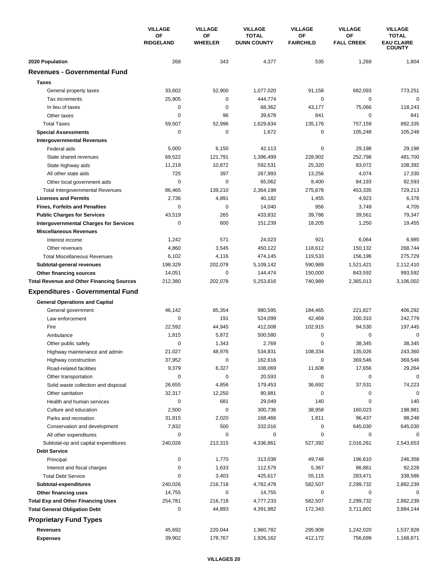|                                                  | <b>VILLAGE</b>         | <b>VILLAGE</b>       | <b>VILLAGE</b>                     | <b>VILLAGE</b>         | <b>VILLAGE</b>          | <b>VILLAGE</b>                                     |
|--------------------------------------------------|------------------------|----------------------|------------------------------------|------------------------|-------------------------|----------------------------------------------------|
|                                                  | OF<br><b>RIDGELAND</b> | OF<br><b>WHEELER</b> | <b>TOTAL</b><br><b>DUNN COUNTY</b> | ΟF<br><b>FAIRCHILD</b> | OF<br><b>FALL CREEK</b> | <b>TOTAL</b><br><b>EAU CLAIRE</b><br><b>COUNTY</b> |
| 2020 Population                                  | 268                    | 343                  | 4,377                              | 535                    | 1,269                   | 1,804                                              |
| <b>Revenues - Governmental Fund</b>              |                        |                      |                                    |                        |                         |                                                    |
| <b>Taxes</b>                                     |                        |                      |                                    |                        |                         |                                                    |
| General property taxes                           | 33,602                 | 52,900               | 1,077,020                          | 91,158                 | 682,093                 | 773,251                                            |
| Tax increments                                   | 25,905                 | 0                    | 444,774                            | 0                      | $\mathbf 0$             | $\mathbf 0$                                        |
| In lieu of taxes                                 | $\mathbf 0$            | 0                    | 68,362                             | 43,177                 | 75,066                  | 118,243                                            |
| Other taxes                                      | $\mathbf 0$            | 96                   | 39,678                             | 841                    | $\mathbf 0$             | 841                                                |
| <b>Total Taxes</b>                               | 59,507                 | 52,996               | 1,629,834                          | 135,176                | 757,159                 | 892,335                                            |
| <b>Special Assessments</b>                       | 0                      | 0                    | 1,672                              | 0                      | 105,248                 | 105,248                                            |
| <b>Intergovernmental Revenues</b>                |                        |                      |                                    |                        |                         |                                                    |
| Federal aids                                     | 5,000                  | 6,150                | 42,113                             | 0                      | 29,198                  | 29,198                                             |
| State shared revenues                            | 69,522                 | 121,791              | 1,396,499                          | 228,902                | 252,798                 | 481,700                                            |
| State highway aids                               | 11,218                 | 10,872               | 592,531                            | 25,320                 | 83,072                  | 108,392                                            |
| All other state aids                             | 725                    | 397                  | 267,993                            | 13,256                 | 4,074                   | 17,330                                             |
| Other local government aids                      | $\mathbf 0$            | 0                    | 65,062                             | 8,400                  | 84,193                  | 92,593                                             |
| Total Intergovernmental Revenues                 | 86,465                 | 139,210              | 2,364,198                          | 275,878                | 453,335                 | 729,213                                            |
| <b>Licenses and Permits</b>                      | 2,736                  | 4,891                | 40,182                             | 1,455                  | 4,923                   | 6,378                                              |
| <b>Fines, Forfeits and Penalties</b>             | 0                      | 0                    | 14,040                             | 956                    | 3,749                   | 4,705                                              |
| <b>Public Charges for Services</b>               | 43,519                 | 265                  | 433,832                            | 39,786                 | 39,561                  | 79,347                                             |
| <b>Intergovernmental Charges for Services</b>    | $\mathbf 0$            | 600                  | 151,239                            | 18,205                 | 1,250                   | 19,455                                             |
| <b>Miscellaneous Revenues</b>                    |                        |                      |                                    |                        |                         |                                                    |
| Interest income                                  | 1,242                  | 571                  | 24,023                             | 921                    | 6,064                   | 6,985                                              |
| Other revenues                                   | 4,860                  | 3,545                | 450,122                            | 118,612                | 150,132                 | 268,744                                            |
| <b>Total Miscellaneous Revenues</b>              | 6,102                  | 4,116                | 474,145                            | 119,533                | 156,196                 | 275,729                                            |
| Subtotal-general revenues                        | 198,329                | 202,078              | 5,109,142                          | 590,989                | 1,521,421               | 2,112,410                                          |
| Other financing sources                          | 14,051                 | 0                    | 144,474                            | 150,000                | 843,592                 | 993,592                                            |
| <b>Total Revenue and Other Financing Sources</b> | 212,380                | 202,078              | 5,253,616                          | 740,989                | 2,365,013               | 3,106,002                                          |
| <b>Expenditures - Governmental Fund</b>          |                        |                      |                                    |                        |                         |                                                    |
| <b>General Operations and Capital</b>            |                        |                      |                                    |                        |                         |                                                    |
| General government                               | 46,142                 | 85,354               | 980,595                            | 184,465                | 221,827                 | 406,292                                            |
| Law enforcement                                  | $\mathbf 0$            | 191                  | 524,099                            | 42,469                 | 200,310                 | 242,779                                            |
| Fire                                             | 22,592                 | 44,945               | 412,008                            | 102,915                | 94,530                  | 197,445                                            |
| Ambulance                                        | 1,815                  | 5,872                | 500,580                            | 0                      | $\mathbf 0$             | $\mathbf 0$                                        |
| Other public safety                              | 0                      | 1,343                | 2,769                              | $\mathbf 0$            | 38,345                  | 38,345                                             |
| Highway maintenance and admin                    | 21,027                 | 48,976               | 534,831                            | 108,334                | 135,026                 | 243,360                                            |
| Highway construction                             | 37,952                 | 0                    | 162,616                            | 0                      | 369,546                 | 369,546                                            |
| Road-related facilities                          | 9,379                  | 6,327                | 108,069                            | 11,608                 | 17,656                  | 29,264                                             |
| Other transportation                             | 0                      | 0                    | 20,593                             | 0                      | 0                       | $\mathbf 0$                                        |
| Solid waste collection and disposal              | 26,655                 | 4,856                | 179,453                            | 36,692                 | 37,531                  | 74,223                                             |
| Other sanitation                                 | 32,317                 | 12,250               | 80,981                             | 0                      | 0                       | $\Omega$                                           |
| Health and human services                        | $\mathbf 0$            | 681                  | 29,049                             | 140                    | $\mathbf 0$             | 140                                                |
| Culture and education                            | 2,500                  | 0                    | 300,736                            | 38,958                 | 160,023                 | 198,981                                            |
| Parks and recreation                             | 31,815                 | 2,020                | 168,466                            | 1,811                  | 96,437                  | 98,248                                             |
| Conservation and development                     | 7,832                  | 500                  | 332,016                            | 0                      | 645,030                 | 645,030                                            |
| All other expenditures                           | 0                      | 0                    | 0                                  | 0                      | 0                       | 0                                                  |
| Subtotal-op and capital expenditures             | 240,026                | 213,315              | 4,336,861                          | 527,392                | 2,016,261               | 2,543,653                                          |
| <b>Debt Service</b>                              |                        |                      |                                    |                        |                         |                                                    |
| Principal                                        | 0                      | 1,770                | 313,038                            | 49,748                 | 196,610                 | 246,358                                            |
| Interest and fiscal charges                      | 0                      | 1,633                | 112,579                            | 5,367                  | 86,861                  | 92,228                                             |
| <b>Total Debt Service</b>                        | 0                      | 3,403                | 425,617                            | 55,115                 | 283,471                 | 338,586                                            |
| Subtotal-expenditures                            | 240,026                | 216,718              | 4,762,478                          | 582,507                | 2,299,732               | 2,882,239                                          |
| Other financing uses                             | 14,755                 | 0                    | 14,755                             | 0                      | 0                       | 0                                                  |
| <b>Total Exp and Other Financing Uses</b>        | 254,781                | 216,718              | 4,777,233                          | 582,507                | 2,299,732               | 2,882,239                                          |
| <b>Total General Obligation Debt</b>             | 0                      | 44,893               | 4,391,982                          | 172,343                | 3,711,801               | 3,884,144                                          |
| <b>Proprietary Fund Types</b>                    |                        |                      |                                    |                        |                         |                                                    |
| <b>Revenues</b>                                  | 45,692                 | 220,044              |                                    |                        |                         |                                                    |
| <b>Expenses</b>                                  | 39,902                 | 178,767              | 1,960,782<br>1,926,162             | 295,908<br>412,172     | 1,242,020<br>756,699    | 1,537,928<br>1,168,871                             |
|                                                  |                        |                      |                                    |                        |                         |                                                    |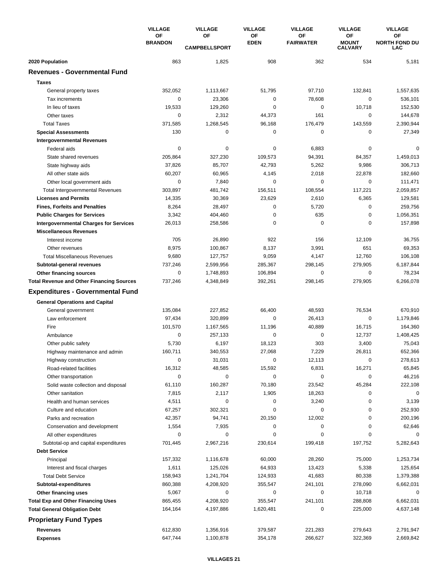|                                                  | <b>VILLAGE</b>       | <b>VILLAGE</b><br><b>VILLAGE</b> | <b>VILLAGE</b>    | <b>VILLAGE</b>         | <b>VILLAGE</b>                       |                                   |
|--------------------------------------------------|----------------------|----------------------------------|-------------------|------------------------|--------------------------------------|-----------------------------------|
|                                                  | OF<br><b>BRANDON</b> | OF<br><b>CAMPBELLSPORT</b>       | ΟF<br><b>EDEN</b> | OF<br><b>FAIRWATER</b> | ΟF<br><b>MOUNT</b><br><b>CALVARY</b> | OF<br><b>NORTH FOND DU</b><br>LAC |
| 2020 Population                                  | 863                  | 1,825                            | 908               | 362                    | 534                                  | 5,181                             |
| <b>Revenues - Governmental Fund</b>              |                      |                                  |                   |                        |                                      |                                   |
| <b>Taxes</b>                                     |                      |                                  |                   |                        |                                      |                                   |
| General property taxes                           | 352,052              | 1,113,667                        | 51,795            | 97,710                 | 132,841                              | 1,557,635                         |
| Tax increments                                   | $\mathbf 0$          | 23,306                           | 0                 | 78,608                 | $\mathbf 0$                          | 536,101                           |
| In lieu of taxes                                 | 19,533               | 129,260                          | 0                 | $\mathbf 0$            | 10,718                               | 152,530                           |
| Other taxes                                      | 0                    | 2,312                            | 44,373            | 161                    | 0                                    | 144,678                           |
| <b>Total Taxes</b>                               | 371,585              | 1,268,545                        | 96,168            | 176,479                | 143,559                              | 2,390,944                         |
| <b>Special Assessments</b>                       | 130                  | 0                                | 0                 | 0                      | 0                                    | 27,349                            |
| <b>Intergovernmental Revenues</b>                |                      |                                  |                   |                        |                                      |                                   |
| Federal aids                                     | 0                    | 0                                | 0                 | 6,883                  | 0                                    | $\Omega$                          |
| State shared revenues                            | 205,864              | 327,230                          | 109,573           | 94,391                 | 84,357                               | 1,459,013                         |
| State highway aids                               | 37,826               | 85,707                           | 42,793            | 5,262                  | 9,986                                | 306,713                           |
| All other state aids                             | 60,207               | 60,965                           | 4,145             | 2,018                  | 22,878                               | 182,660                           |
| Other local government aids                      | $\mathbf 0$          | 7,840                            | 0                 | $\mathbf 0$            | $\mathbf 0$                          | 111,471                           |
| <b>Total Intergovernmental Revenues</b>          | 303,897              | 481,742                          | 156,511           | 108,554                | 117,221                              | 2,059,857                         |
| <b>Licenses and Permits</b>                      | 14,335               | 30,369                           | 23,629            | 2,610                  | 6,365                                | 129,581                           |
| <b>Fines, Forfeits and Penalties</b>             | 8,264                | 28,497                           | 0                 | 5,720                  | 0                                    | 259,756                           |
| <b>Public Charges for Services</b>               | 3,342                | 404,460                          | 0                 | 635                    | 0                                    | 1,056,351                         |
| <b>Intergovernmental Charges for Services</b>    | 26,013               | 258,586                          | 0                 | $\mathbf 0$            | 0                                    | 157,898                           |
| <b>Miscellaneous Revenues</b>                    |                      |                                  |                   |                        |                                      |                                   |
| Interest income                                  | 705                  | 26,890                           | 922               | 156                    | 12,109                               | 36,755                            |
| Other revenues                                   | 8,975                | 100,867                          | 8,137             | 3,991                  | 651                                  | 69,353                            |
| <b>Total Miscellaneous Revenues</b>              | 9,680                | 127,757                          | 9,059             | 4,147                  | 12,760                               | 106,108                           |
| Subtotal-general revenues                        | 737,246              | 2,599,956                        | 285,367           | 298,145                | 279,905                              | 6,187,844                         |
| Other financing sources                          | 0                    | 1,748,893                        | 106,894           | $\mathbf 0$            | 0                                    | 78,234                            |
| <b>Total Revenue and Other Financing Sources</b> | 737,246              | 4,348,849                        | 392,261           | 298,145                | 279,905                              | 6,266,078                         |
|                                                  |                      |                                  |                   |                        |                                      |                                   |
| <b>Expenditures - Governmental Fund</b>          |                      |                                  |                   |                        |                                      |                                   |
| <b>General Operations and Capital</b>            |                      |                                  |                   |                        |                                      |                                   |
| General government                               | 135,084              | 227,852                          | 66,400            | 48,593                 | 76,534                               | 670,910                           |
| Law enforcement                                  | 97,434               | 320.899                          | 0                 | 26,413                 | $\mathbf 0$                          | 1,179,846                         |
| Fire                                             | 101,570              | 1,167,565                        | 11,196            | 40,889                 | 16,715                               | 164,360                           |
| Ambulance                                        | 0                    | 257,133                          | 0                 | 0                      | 12,737                               | 1,408,425                         |
| Other public safety                              | 5,730                | 6,197                            | 18,123            | 303                    | 3,400                                | 75,043                            |
| Highway maintenance and admin                    | 160,711              | 340,553                          | 27,068            | 7,229                  | 26,811                               | 652,366                           |
| Highway construction                             | 0                    | 31,031                           | 0                 | 12,113                 | 0                                    | 278,613                           |
| Road-related facilities                          | 16,312               | 48,585                           | 15,592            | 6,831                  | 16,271                               | 65,845                            |
| Other transportation                             | $\mathbf 0$          | 0                                | 0                 | $\mathbf 0$            | 0                                    | 46,216                            |
| Solid waste collection and disposal              | 61,110               | 160,287                          | 70,180            | 23,542                 | 45,284                               | 222,108                           |
| Other sanitation                                 | 7,815                | 2,117                            | 1,905             | 18,263                 | 0                                    | 0                                 |
| Health and human services                        | 4,511                | 0                                | 0                 | 3,240                  | 0                                    | 3,139                             |
| Culture and education                            | 67,257               | 302,321                          | 0                 | 0                      | 0                                    | 252,930                           |
| Parks and recreation                             | 42,357               | 94,741                           | 20,150            | 12,002                 | 0                                    | 200,196                           |
| Conservation and development                     | 1,554                | 7,935                            | 0                 | 0                      | 0                                    | 62,646                            |
| All other expenditures                           | 0                    | 0                                | 0                 | 0                      | 0                                    | $\Omega$                          |
| Subtotal-op and capital expenditures             | 701,445              | 2,967,216                        | 230,614           | 199,418                | 197,752                              | 5,282,643                         |
| <b>Debt Service</b>                              |                      |                                  |                   |                        |                                      |                                   |
| Principal                                        | 157,332              | 1,116,678                        | 60,000            | 28,260                 | 75,000                               | 1,253,734                         |
| Interest and fiscal charges                      | 1,611                | 125,026                          | 64,933            | 13,423                 | 5,338                                | 125,654                           |
| <b>Total Debt Service</b>                        | 158,943              | 1,241,704                        | 124,933           | 41,683                 | 80,338                               | 1,379,388                         |
| Subtotal-expenditures                            | 860,388              | 4,208,920                        | 355,547           | 241,101                | 278,090                              | 6,662,031                         |
| Other financing uses                             | 5,067                | 0                                | 0                 | 0                      | 10,718                               | 0                                 |
| <b>Total Exp and Other Financing Uses</b>        | 865,455              | 4,208,920                        | 355,547           | 241,101                | 288,808                              | 6,662,031                         |
| <b>Total General Obligation Debt</b>             | 164,164              | 4,197,886                        | 1,620,481         | 0                      | 225,000                              | 4,637,148                         |
| <b>Proprietary Fund Types</b>                    |                      |                                  |                   |                        |                                      |                                   |
| <b>Revenues</b>                                  | 612,830              | 1,356,916                        | 379,587           | 221,283                | 279,643                              | 2,791,947                         |
| <b>Expenses</b>                                  | 647,744              | 1,100,878                        | 354,178           | 266,627                | 322,369                              | 2,669,842                         |
|                                                  |                      |                                  |                   |                        |                                      |                                   |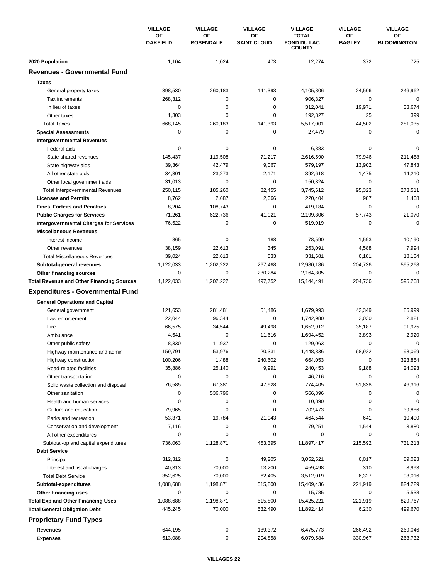|                                                  | <b>VILLAGE</b><br>ОF<br><b>OAKFIELD</b> | <b>VILLAGE</b>         | <b>VILLAGE</b><br>ΟF<br><b>SAINT CLOUD</b> | <b>VILLAGE</b><br><b>TOTAL</b><br><b>FOND DU LAC</b><br><b>COUNTY</b> | <b>VILLAGE</b><br>ΟF<br><b>BAGLEY</b> | <b>VILLAGE</b><br>OF<br><b>BLOOMINGTON</b> |
|--------------------------------------------------|-----------------------------------------|------------------------|--------------------------------------------|-----------------------------------------------------------------------|---------------------------------------|--------------------------------------------|
|                                                  |                                         | ΟF<br><b>ROSENDALE</b> |                                            |                                                                       |                                       |                                            |
| 2020 Population                                  | 1,104                                   | 1,024                  | 473                                        | 12,274                                                                | 372                                   | 725                                        |
| <b>Revenues - Governmental Fund</b>              |                                         |                        |                                            |                                                                       |                                       |                                            |
| <b>Taxes</b>                                     |                                         |                        |                                            |                                                                       |                                       |                                            |
| General property taxes                           | 398,530                                 | 260,183                | 141,393                                    | 4,105,806                                                             | 24,506                                | 246,962                                    |
| Tax increments                                   | 268,312                                 | 0                      | 0                                          | 906,327                                                               | 0                                     | $\mathbf 0$                                |
| In lieu of taxes                                 | 0                                       | 0                      | 0                                          | 312,041                                                               | 19,971                                | 33,674                                     |
| Other taxes                                      | 1,303                                   | 0                      | 0                                          | 192,827                                                               | 25                                    | 399                                        |
| <b>Total Taxes</b>                               | 668,145                                 | 260,183                | 141,393                                    | 5,517,001                                                             | 44,502                                | 281,035                                    |
| <b>Special Assessments</b>                       | $\mathbf 0$                             | $\pmb{0}$              | 0                                          | 27,479                                                                | 0                                     | 0                                          |
| <b>Intergovernmental Revenues</b>                |                                         |                        |                                            |                                                                       |                                       |                                            |
| Federal aids                                     | 0                                       | 0                      | 0                                          | 6,883                                                                 | 0                                     | $\Omega$                                   |
| State shared revenues                            | 145,437                                 | 119,508                | 71,217                                     | 2,616,590                                                             | 79,946                                | 211,458                                    |
| State highway aids                               | 39,364                                  | 42,479                 | 9,067                                      | 579,197                                                               | 13,902                                | 47,843                                     |
| All other state aids                             | 34,301                                  | 23,273                 | 2,171                                      | 392,618                                                               | 1,475                                 | 14,210                                     |
| Other local government aids                      | 31,013                                  | 0                      | 0                                          | 150,324                                                               | $\mathbf 0$                           | 0                                          |
| <b>Total Intergovernmental Revenues</b>          | 250,115                                 | 185,260                | 82,455                                     | 3,745,612                                                             | 95,323                                | 273,511                                    |
| <b>Licenses and Permits</b>                      | 8,762                                   | 2,687                  | 2,066                                      | 220,404                                                               | 987                                   | 1,468                                      |
| <b>Fines, Forfeits and Penalties</b>             | 8,204                                   | 108,743                | 0                                          | 419,184                                                               | 0                                     | $\Omega$                                   |
| <b>Public Charges for Services</b>               | 71,261                                  | 622,736                | 41,021                                     | 2,199,806                                                             | 57,743                                | 21,070                                     |
| <b>Intergovernmental Charges for Services</b>    | 76,522                                  | 0                      | $\mathbf 0$                                | 519,019                                                               | 0                                     | $\Omega$                                   |
| <b>Miscellaneous Revenues</b>                    |                                         |                        |                                            |                                                                       |                                       |                                            |
| Interest income                                  | 865                                     | 0                      | 188                                        | 78,590                                                                | 1,593                                 | 10,190                                     |
| Other revenues                                   | 38,159                                  | 22,613                 | 345                                        | 253,091                                                               | 4,588                                 | 7,994                                      |
| <b>Total Miscellaneous Revenues</b>              | 39,024                                  | 22,613                 | 533                                        | 331,681                                                               | 6,181                                 | 18,184                                     |
| Subtotal-general revenues                        | 1,122,033                               | 1,202,222              | 267,468                                    | 12,980,186                                                            | 204,736                               | 595,268                                    |
| <b>Other financing sources</b>                   | 0                                       | 0                      | 230,284                                    | 2,164,305                                                             | 0                                     | 0                                          |
| <b>Total Revenue and Other Financing Sources</b> | 1,122,033                               | 1,202,222              | 497,752                                    | 15,144,491                                                            | 204,736                               | 595,268                                    |
| <b>Expenditures - Governmental Fund</b>          |                                         |                        |                                            |                                                                       |                                       |                                            |
| <b>General Operations and Capital</b>            |                                         |                        |                                            |                                                                       |                                       |                                            |
| General government                               | 121,653                                 | 281,481                | 51,486                                     | 1,679,993                                                             | 42,349                                | 86,999                                     |
| Law enforcement                                  | 22,044                                  | 96,344                 | 0                                          | 1,742,980                                                             | 2,030                                 | 2,821                                      |
| Fire                                             | 66,575                                  | 34,544                 | 49,498                                     | 1,652,912                                                             | 35,187                                | 91,975                                     |
| Ambulance                                        | 4,541                                   | 0                      | 11,616                                     | 1,694,452                                                             | 3,893                                 | 2,920                                      |
| Other public safety                              | 8,330                                   | 11,937                 | 0                                          | 129,063                                                               | 0                                     | 0                                          |
| Highway maintenance and admin                    | 159,791                                 | 53,976                 | 20,331                                     | 1,448,836                                                             | 68,922                                | 98,069                                     |
| Highway construction                             | 100,206                                 | 1,488                  | 240,602                                    | 664,053                                                               | 0                                     | 323,854                                    |
| Road-related facilities                          | 35,886                                  | 25,140                 | 9,991                                      | 240,453                                                               | 9,188                                 | 24,093                                     |
| Other transportation                             | $\pmb{0}$                               | 0                      | 0                                          | 46,216                                                                | $\pmb{0}$                             | 0                                          |
| Solid waste collection and disposal              | 76,585                                  | 67,381                 | 47,928                                     | 774,405                                                               | 51,838                                | 46,316                                     |
| Other sanitation                                 | 0                                       | 536,796                | 0                                          | 566,896                                                               | 0                                     | 0                                          |
| Health and human services                        | 0                                       | 0                      | 0                                          | 10,890                                                                | 0                                     | 0                                          |
| Culture and education                            | 79,965                                  | 0                      | 0                                          | 702,473                                                               | 0                                     | 39,886                                     |
| Parks and recreation                             | 53,371                                  | 19,784                 | 21,943                                     | 464,544                                                               | 641                                   | 10,400                                     |
| Conservation and development                     | 7,116                                   | 0                      | 0                                          | 79,251                                                                | 1,544                                 | 3,880                                      |
| All other expenditures                           | 0                                       | 0                      | 0                                          | 0                                                                     | 0                                     | $\Omega$                                   |
| Subtotal-op and capital expenditures             | 736,063                                 | 1,128,871              | 453,395                                    | 11,897,417                                                            | 215,592                               | 731,213                                    |
| <b>Debt Service</b>                              |                                         |                        |                                            |                                                                       |                                       |                                            |
| Principal                                        | 312,312                                 | 0                      | 49,205                                     | 3,052,521                                                             | 6,017                                 | 89,023                                     |
| Interest and fiscal charges                      | 40,313                                  | 70,000                 | 13,200                                     | 459,498                                                               | 310                                   | 3,993                                      |
| <b>Total Debt Service</b>                        | 352,625                                 | 70,000                 | 62,405                                     | 3,512,019                                                             | 6,327                                 | 93,016                                     |
| Subtotal-expenditures                            | 1,088,688                               | 1,198,871              | 515,800                                    | 15,409,436                                                            | 221,919                               | 824,229                                    |
| Other financing uses                             | 0                                       | 0                      | 0                                          | 15,785                                                                | 0                                     | 5,538                                      |
| <b>Total Exp and Other Financing Uses</b>        | 1,088,688                               | 1,198,871              | 515,800                                    | 15,425,221                                                            | 221,919                               | 829,767                                    |
| <b>Total General Obligation Debt</b>             | 445,245                                 | 70,000                 | 532,490                                    | 11,892,414                                                            | 6,230                                 | 499,670                                    |
| <b>Proprietary Fund Types</b>                    |                                         |                        |                                            |                                                                       |                                       |                                            |
| Revenues                                         | 644,195                                 | 0                      | 189,372                                    | 6,475,773                                                             | 266,492                               | 269,046                                    |
| <b>Expenses</b>                                  | 513,088                                 | 0                      | 204,858                                    | 6,079,584                                                             | 330,967                               | 263,732                                    |
|                                                  |                                         |                        |                                            |                                                                       |                                       |                                            |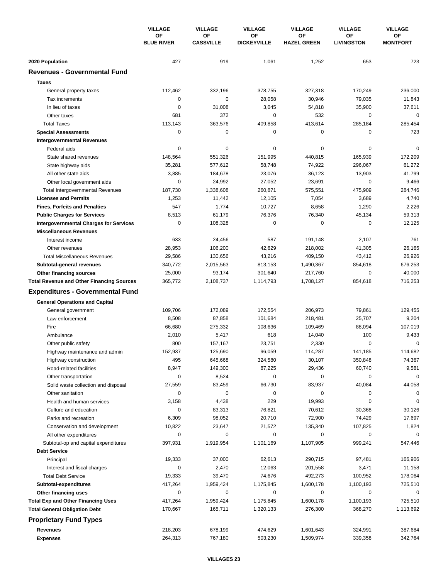|                                                                                   | <b>VILLAGE</b><br><b>OF</b><br><b>BLUE RIVER</b> | <b>VILLAGE</b><br>OF<br><b>CASSVILLE</b> | <b>VILLAGE</b><br>ΟF<br><b>DICKEYVILLE</b> | <b>VILLAGE</b>           | <b>VILLAGE</b><br>OF<br><b>LIVINGSTON</b> | <b>VILLAGE</b><br>ΟF<br><b>MONTFORT</b> |
|-----------------------------------------------------------------------------------|--------------------------------------------------|------------------------------------------|--------------------------------------------|--------------------------|-------------------------------------------|-----------------------------------------|
|                                                                                   |                                                  |                                          |                                            | ΟF<br><b>HAZEL GREEN</b> |                                           |                                         |
| 2020 Population                                                                   | 427                                              | 919                                      | 1,061                                      | 1,252                    | 653                                       | 723                                     |
| <b>Revenues - Governmental Fund</b>                                               |                                                  |                                          |                                            |                          |                                           |                                         |
| <b>Taxes</b>                                                                      |                                                  |                                          |                                            |                          |                                           |                                         |
| General property taxes                                                            | 112,462                                          | 332,196                                  | 378,755                                    | 327,318                  | 170,249                                   | 236,000                                 |
| Tax increments                                                                    | 0                                                | $\mathbf 0$                              | 28,058                                     | 30,946                   | 79,035                                    | 11,843                                  |
| In lieu of taxes                                                                  | 0                                                | 31,008                                   | 3,045                                      | 54,818                   | 35,900                                    | 37,611                                  |
| Other taxes                                                                       | 681                                              | 372                                      | 0                                          | 532                      | 0                                         | $\mathbf 0$                             |
| <b>Total Taxes</b>                                                                | 113,143                                          | 363,576                                  | 409,858                                    | 413,614                  | 285,184                                   | 285,454                                 |
| <b>Special Assessments</b>                                                        | 0                                                | $\pmb{0}$                                | 0                                          | 0                        | 0                                         | 723                                     |
| <b>Intergovernmental Revenues</b>                                                 |                                                  |                                          |                                            |                          |                                           |                                         |
| Federal aids                                                                      | 0                                                | 0                                        | 0                                          | 0                        | 0                                         | $\mathbf 0$                             |
| State shared revenues                                                             | 148,564                                          | 551,326                                  | 151,995                                    | 440,815                  | 165,939                                   | 172,209                                 |
| State highway aids                                                                | 35,281                                           | 577,612                                  | 58,748                                     | 74,922                   | 296,067                                   | 61,272                                  |
| All other state aids                                                              | 3,885                                            | 184,678                                  | 23,076                                     | 36,123                   | 13,903                                    | 41,799                                  |
| Other local government aids                                                       | 0                                                | 24,992                                   | 27,052                                     | 23,691                   | $\mathbf 0$                               | 9,466                                   |
| <b>Total Intergovernmental Revenues</b>                                           | 187,730                                          | 1,338,608                                | 260,871                                    | 575,551                  | 475,909                                   | 284,746                                 |
| <b>Licenses and Permits</b>                                                       | 1,253                                            | 11,442                                   | 12,105                                     | 7,054                    | 3,689                                     | 4,740                                   |
| <b>Fines, Forfeits and Penalties</b>                                              | 547                                              | 1,774                                    | 10,727                                     | 8,658                    | 1,290                                     | 2,226                                   |
| <b>Public Charges for Services</b>                                                | 8,513                                            | 61,179                                   | 76,376                                     | 76,340                   | 45,134                                    | 59,313                                  |
| <b>Intergovernmental Charges for Services</b>                                     | 0                                                | 108,328                                  | 0                                          | 0                        | $\mathbf 0$                               | 12.125                                  |
| <b>Miscellaneous Revenues</b>                                                     |                                                  |                                          |                                            |                          |                                           |                                         |
| Interest income                                                                   | 633                                              | 24,456                                   | 587                                        | 191,148                  | 2,107                                     | 761                                     |
| Other revenues                                                                    | 28,953                                           | 106,200                                  | 42,629                                     | 218,002                  | 41,305                                    | 26,165                                  |
| <b>Total Miscellaneous Revenues</b>                                               | 29,586                                           | 130,656                                  | 43,216                                     | 409,150                  | 43,412                                    | 26,926                                  |
| Subtotal-general revenues                                                         | 340,772                                          | 2,015,563                                | 813,153                                    | 1,490,367                | 854,618                                   | 676,253                                 |
| Other financing sources                                                           | 25,000                                           | 93,174                                   | 301,640                                    | 217,760                  | 0                                         | 40,000                                  |
| <b>Total Revenue and Other Financing Sources</b>                                  | 365,772                                          | 2,108,737                                | 1,114,793                                  | 1,708,127                | 854,618                                   | 716,253                                 |
| <b>Expenditures - Governmental Fund</b>                                           |                                                  |                                          |                                            |                          |                                           |                                         |
| <b>General Operations and Capital</b>                                             |                                                  |                                          |                                            |                          |                                           |                                         |
| General government                                                                | 109,706                                          | 172,089                                  | 172,554                                    | 206,973                  | 79,861                                    | 129,455                                 |
| Law enforcement                                                                   | 8,508                                            | 87,858                                   | 101,684                                    | 218,481                  | 25.707                                    | 9,204                                   |
| Fire                                                                              | 66,680                                           | 275,332                                  | 108,636                                    | 109,469                  | 88,094                                    | 107,019                                 |
| Ambulance                                                                         | 2,010                                            | 5,417                                    | 618                                        | 14,040                   | 100                                       | 9,433                                   |
| Other public safety                                                               | 800                                              | 157,167                                  | 23,751                                     | 2,330                    | 0                                         | 0                                       |
| Highway maintenance and admin                                                     | 152,937                                          | 125,690                                  | 96,059                                     | 114,287                  | 141,185                                   | 114,682                                 |
| Highway construction                                                              | 495                                              | 645,668                                  | 324,580                                    | 30,107                   | 350,848                                   | 74,367                                  |
| Road-related facilities                                                           | 8,947                                            | 149,300                                  | 87,225                                     | 29,436                   | 60,740                                    | 9,581                                   |
| Other transportation                                                              | 0                                                | 8,524                                    | 0                                          | 0                        | 0                                         | $\mathbf 0$                             |
| Solid waste collection and disposal                                               | 27,559                                           | 83,459                                   | 66,730                                     | 83,937                   | 40,084                                    | 44,058                                  |
| Other sanitation                                                                  | 0                                                | $\pmb{0}$                                | 0                                          | 0                        | 0                                         | $\mathbf 0$                             |
| Health and human services                                                         | 3,158                                            | 4,438                                    | 229                                        | 19,993                   | 0                                         | $\mathbf 0$                             |
| Culture and education                                                             | 0                                                | 83,313                                   | 76,821                                     | 70,612                   | 30,368                                    | 30,126                                  |
| Parks and recreation                                                              | 6,309                                            | 98,052                                   | 20,710                                     | 72,900                   | 74,429                                    | 17,697                                  |
| Conservation and development                                                      | 10,822                                           | 23,647                                   | 21,572                                     | 135,340                  | 107,825                                   | 1,824                                   |
| All other expenditures                                                            | 0                                                | 0                                        | 0                                          | 0                        | 0                                         | $\Omega$                                |
| Subtotal-op and capital expenditures                                              | 397,931                                          | 1,919,954                                | 1,101,169                                  | 1,107,905                | 999,241                                   | 547,446                                 |
| <b>Debt Service</b>                                                               |                                                  |                                          |                                            |                          |                                           |                                         |
| Principal                                                                         | 19,333                                           | 37,000                                   | 62,613                                     | 290,715                  | 97,481                                    | 166,906                                 |
| Interest and fiscal charges                                                       | 0                                                | 2,470                                    | 12,063                                     | 201,558                  | 3,471                                     | 11,158                                  |
| <b>Total Debt Service</b>                                                         | 19,333                                           | 39,470                                   | 74,676                                     | 492,273                  | 100,952                                   | 178,064                                 |
| Subtotal-expenditures                                                             | 417,264                                          | 1,959,424                                | 1,175,845                                  | 1,600,178                | 1,100,193                                 | 725,510                                 |
| Other financing uses                                                              | 0                                                | 0                                        | 0                                          | 0                        | 0                                         | 0                                       |
| <b>Total Exp and Other Financing Uses</b><br><b>Total General Obligation Debt</b> | 417,264                                          | 1,959,424                                | 1,175,845                                  | 1,600,178                | 1,100,193                                 | 725,510                                 |
|                                                                                   | 170,667                                          | 165,711                                  | 1,320,133                                  | 276,300                  | 368,270                                   | 1,113,692                               |
| <b>Proprietary Fund Types</b>                                                     |                                                  |                                          |                                            |                          |                                           |                                         |
| <b>Revenues</b>                                                                   | 218,203                                          | 678,199                                  | 474,629                                    | 1,601,643                | 324,991                                   | 387,684                                 |
| <b>Expenses</b>                                                                   | 264,313                                          | 767,180                                  | 503,230                                    | 1,509,974                | 339,358                                   | 342,764                                 |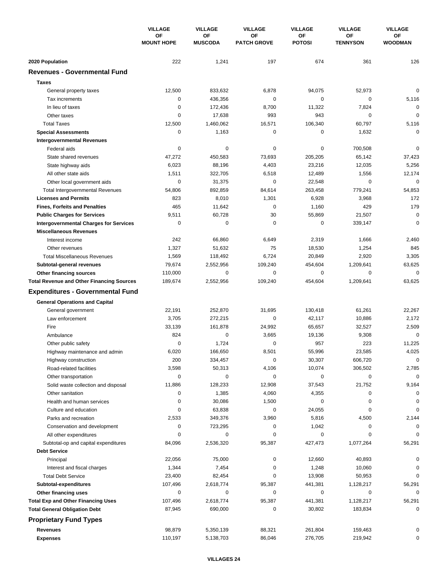| <b>MOUNT HOPE</b><br><b>MUSCODA</b><br><b>PATCH GROVE</b><br><b>POTOSI</b><br><b>TENNYSON</b><br><b>WOODMAN</b><br>2020 Population<br>222<br>1,241<br>197<br>674<br>361<br>126<br><b>Revenues - Governmental Fund</b><br><b>Taxes</b><br>833,632<br>$\mathbf 0$<br>12,500<br>6,878<br>94,075<br>52,973<br>General property taxes<br>$\pmb{0}$<br>$\mathbf 0$<br>Tax increments<br>0<br>436.356<br>0<br>5,116<br>$\mathbf 0$<br>$\mathbf 0$<br>In lieu of taxes<br>172,436<br>8,700<br>11,322<br>7,824<br>943<br>0<br>$\mathbf 0$<br>Other taxes<br>0<br>17,638<br>993<br>12,500<br>5,116<br><b>Total Taxes</b><br>1,460,062<br>16,571<br>106,340<br>60,797<br>$\mathbf 0$<br>0<br>1,163<br>0<br>0<br>1,632<br><b>Special Assessments</b><br><b>Intergovernmental Revenues</b><br>$\mathbf 0$<br>0<br>$\mathbf 0$<br>Federal aids<br>0<br>0<br>700,508<br>47,272<br>450,583<br>73,693<br>205,205<br>65,142<br>37,423<br>State shared revenues<br>6,023<br>88,196<br>4,403<br>23,216<br>12,035<br>5,256<br>State highway aids<br>1,511<br>322,705<br>6,518<br>12,489<br>1,556<br>12,174<br>All other state aids<br>$\mathbf 0$<br>0<br>$\mathbf 0$<br>$\mathbf 0$<br>Other local government aids<br>31,375<br>22,548<br>779,241<br>54,806<br>892,859<br>84,614<br>263,458<br>54,853<br><b>Total Intergovernmental Revenues</b><br>8,010<br>823<br>1,301<br>6,928<br>3,968<br>172<br><b>Licenses and Permits</b><br>465<br>179<br>11,642<br>0<br>1,160<br>429<br><b>Fines, Forfeits and Penalties</b><br>9,511<br>30<br>$\mathbf 0$<br><b>Public Charges for Services</b><br>60,728<br>55,869<br>21,507<br>$\mathbf 0$<br>$\mathbf 0$<br>$\mathbf 0$<br>$\mathbf 0$<br>$\mathbf 0$<br><b>Intergovernmental Charges for Services</b><br>339,147<br><b>Miscellaneous Revenues</b><br>242<br>66,860<br>6,649<br>2,319<br>1,666<br>2,460<br>Interest income<br>1,327<br>51,632<br>75<br>1,254<br>845<br>Other revenues<br>18,530<br>1,569<br>6,724<br>20,849<br>3,305<br><b>Total Miscellaneous Revenues</b><br>118,492<br>2,920<br>79,674<br>1,209,641<br>63,625<br>2,552,956<br>109,240<br>454,604<br>Subtotal-general revenues<br>0<br>$\mathbf 0$<br>$\mathbf 0$<br>110,000<br>0<br>0<br>Other financing sources<br>1,209,641<br>63,625<br><b>Total Revenue and Other Financing Sources</b><br>189,674<br>2,552,956<br>109,240<br>454,604<br><b>Expenditures - Governmental Fund</b><br><b>General Operations and Capital</b><br>22,191<br>252,870<br>31,695<br>130,418<br>61,261<br>22,267<br>General government<br>3,705<br>272,215<br>2,172<br>Law enforcement<br>0<br>42,117<br>10.886<br>Fire<br>33,139<br>161,878<br>24,992<br>65,657<br>32,527<br>2,509<br>824<br>$\mathbf 0$<br>3,665<br>9,308<br>$\mathbf 0$<br>19,136<br>Ambulance<br>957<br>0<br>1,724<br>0<br>223<br>11,225<br>Other public safety<br>6,020<br>166,650<br>8,501<br>55,996<br>4,025<br>23,585<br>Highway maintenance and admin<br>200<br>30,307<br>606,720<br>$\mathbf 0$<br>Highway construction<br>334,457<br>0<br>3,598<br>50,313<br>4,106<br>10,074<br>306,502<br>2,785<br>Road-related facilities<br>$\mathbf 0$<br>0<br>0<br>0<br>0<br>0<br>Other transportation<br>128,233<br>21,752<br>11,886<br>12,908<br>37,543<br>9,164<br>Solid waste collection and disposal<br>Other sanitation<br>0<br>1,385<br>4,060<br>4,355<br>0<br>0<br>$\pmb{0}$<br>0<br>30,086<br>1,500<br>0<br>0<br>Health and human services<br>0<br>$\mathbf 0$<br>$\mathbf 0$<br>0<br>63,838<br>24,055<br>Culture and education<br>2,533<br>349,376<br>3,960<br>5,816<br>4,500<br>2,144<br>Parks and recreation<br>Conservation and development<br>0<br>723,295<br>1,042<br>0<br>0<br>0<br>All other expenditures<br>$\mathbf 0$<br>0<br>0<br>0<br>0<br>$\Omega$<br>2,536,320<br>95,387<br>1,077,264<br>56,291<br>Subtotal-op and capital expenditures<br>84,096<br>427,473<br><b>Debt Service</b><br>Principal<br>22,056<br>75,000<br>0<br>40,893<br>0<br>12,660<br>1,344<br>7,454<br>0<br>1,248<br>10,060<br>0<br>Interest and fiscal charges<br>23,400<br>82,454<br>0<br>13,908<br>50,953<br>0<br><b>Total Debt Service</b><br>107,496<br>2,618,774<br>95,387<br>441,381<br>1,128,217<br>56,291<br>Subtotal-expenditures<br>0<br>0<br>0<br>0<br>0<br>0<br>Other financing uses<br><b>Total Exp and Other Financing Uses</b><br>107,496<br>2,618,774<br>95,387<br>441,381<br>1,128,217<br>56,291<br><b>Total General Obligation Debt</b><br>87,945<br>690,000<br>0<br>30,802<br>183,834<br>0<br><b>Proprietary Fund Types</b><br><b>Revenues</b><br>98,879<br>5,350,139<br>88,321<br>261,804<br>159,463<br>0<br>110,197<br>5,138,703<br>86,046<br>276,705<br>219,942<br>0<br><b>Expenses</b> |  | <b>VILLAGE</b><br><b>OF</b> | <b>VILLAGE</b> | <b>VILLAGE</b><br>ΟF | <b>VILLAGE</b> | <b>VILLAGE</b><br>ΟF | <b>VILLAGE</b><br><b>OF</b> |
|-------------------------------------------------------------------------------------------------------------------------------------------------------------------------------------------------------------------------------------------------------------------------------------------------------------------------------------------------------------------------------------------------------------------------------------------------------------------------------------------------------------------------------------------------------------------------------------------------------------------------------------------------------------------------------------------------------------------------------------------------------------------------------------------------------------------------------------------------------------------------------------------------------------------------------------------------------------------------------------------------------------------------------------------------------------------------------------------------------------------------------------------------------------------------------------------------------------------------------------------------------------------------------------------------------------------------------------------------------------------------------------------------------------------------------------------------------------------------------------------------------------------------------------------------------------------------------------------------------------------------------------------------------------------------------------------------------------------------------------------------------------------------------------------------------------------------------------------------------------------------------------------------------------------------------------------------------------------------------------------------------------------------------------------------------------------------------------------------------------------------------------------------------------------------------------------------------------------------------------------------------------------------------------------------------------------------------------------------------------------------------------------------------------------------------------------------------------------------------------------------------------------------------------------------------------------------------------------------------------------------------------------------------------------------------------------------------------------------------------------------------------------------------------------------------------------------------------------------------------------------------------------------------------------------------------------------------------------------------------------------------------------------------------------------------------------------------------------------------------------------------------------------------------------------------------------------------------------------------------------------------------------------------------------------------------------------------------------------------------------------------------------------------------------------------------------------------------------------------------------------------------------------------------------------------------------------------------------------------------------------------------------------------------------------------------------------------------------------------------------------------------------------------------------------------------------------------------------------------------------------------------------------------------------------------------------------------------------------------------------------------------------------------------------------------------------------------------------------------------------------------------------------------------------------------------------------------------------------------------------------------------------------------------------------------------------------------------------------------------------------------------------------------------------------------------------------------------------------------------------------------------------------------------------------------------------------------------------------------------------------------------------------|--|-----------------------------|----------------|----------------------|----------------|----------------------|-----------------------------|
|                                                                                                                                                                                                                                                                                                                                                                                                                                                                                                                                                                                                                                                                                                                                                                                                                                                                                                                                                                                                                                                                                                                                                                                                                                                                                                                                                                                                                                                                                                                                                                                                                                                                                                                                                                                                                                                                                                                                                                                                                                                                                                                                                                                                                                                                                                                                                                                                                                                                                                                                                                                                                                                                                                                                                                                                                                                                                                                                                                                                                                                                                                                                                                                                                                                                                                                                                                                                                                                                                                                                                                                                                                                                                                                                                                                                                                                                                                                                                                                                                                                                                                                                                                                                                                                                                                                                                                                                                                                                                                                                                                                                                                                 |  |                             | OF             |                      | ОF             |                      |                             |
|                                                                                                                                                                                                                                                                                                                                                                                                                                                                                                                                                                                                                                                                                                                                                                                                                                                                                                                                                                                                                                                                                                                                                                                                                                                                                                                                                                                                                                                                                                                                                                                                                                                                                                                                                                                                                                                                                                                                                                                                                                                                                                                                                                                                                                                                                                                                                                                                                                                                                                                                                                                                                                                                                                                                                                                                                                                                                                                                                                                                                                                                                                                                                                                                                                                                                                                                                                                                                                                                                                                                                                                                                                                                                                                                                                                                                                                                                                                                                                                                                                                                                                                                                                                                                                                                                                                                                                                                                                                                                                                                                                                                                                                 |  |                             |                |                      |                |                      |                             |
|                                                                                                                                                                                                                                                                                                                                                                                                                                                                                                                                                                                                                                                                                                                                                                                                                                                                                                                                                                                                                                                                                                                                                                                                                                                                                                                                                                                                                                                                                                                                                                                                                                                                                                                                                                                                                                                                                                                                                                                                                                                                                                                                                                                                                                                                                                                                                                                                                                                                                                                                                                                                                                                                                                                                                                                                                                                                                                                                                                                                                                                                                                                                                                                                                                                                                                                                                                                                                                                                                                                                                                                                                                                                                                                                                                                                                                                                                                                                                                                                                                                                                                                                                                                                                                                                                                                                                                                                                                                                                                                                                                                                                                                 |  |                             |                |                      |                |                      |                             |
|                                                                                                                                                                                                                                                                                                                                                                                                                                                                                                                                                                                                                                                                                                                                                                                                                                                                                                                                                                                                                                                                                                                                                                                                                                                                                                                                                                                                                                                                                                                                                                                                                                                                                                                                                                                                                                                                                                                                                                                                                                                                                                                                                                                                                                                                                                                                                                                                                                                                                                                                                                                                                                                                                                                                                                                                                                                                                                                                                                                                                                                                                                                                                                                                                                                                                                                                                                                                                                                                                                                                                                                                                                                                                                                                                                                                                                                                                                                                                                                                                                                                                                                                                                                                                                                                                                                                                                                                                                                                                                                                                                                                                                                 |  |                             |                |                      |                |                      |                             |
|                                                                                                                                                                                                                                                                                                                                                                                                                                                                                                                                                                                                                                                                                                                                                                                                                                                                                                                                                                                                                                                                                                                                                                                                                                                                                                                                                                                                                                                                                                                                                                                                                                                                                                                                                                                                                                                                                                                                                                                                                                                                                                                                                                                                                                                                                                                                                                                                                                                                                                                                                                                                                                                                                                                                                                                                                                                                                                                                                                                                                                                                                                                                                                                                                                                                                                                                                                                                                                                                                                                                                                                                                                                                                                                                                                                                                                                                                                                                                                                                                                                                                                                                                                                                                                                                                                                                                                                                                                                                                                                                                                                                                                                 |  |                             |                |                      |                |                      |                             |
|                                                                                                                                                                                                                                                                                                                                                                                                                                                                                                                                                                                                                                                                                                                                                                                                                                                                                                                                                                                                                                                                                                                                                                                                                                                                                                                                                                                                                                                                                                                                                                                                                                                                                                                                                                                                                                                                                                                                                                                                                                                                                                                                                                                                                                                                                                                                                                                                                                                                                                                                                                                                                                                                                                                                                                                                                                                                                                                                                                                                                                                                                                                                                                                                                                                                                                                                                                                                                                                                                                                                                                                                                                                                                                                                                                                                                                                                                                                                                                                                                                                                                                                                                                                                                                                                                                                                                                                                                                                                                                                                                                                                                                                 |  |                             |                |                      |                |                      |                             |
|                                                                                                                                                                                                                                                                                                                                                                                                                                                                                                                                                                                                                                                                                                                                                                                                                                                                                                                                                                                                                                                                                                                                                                                                                                                                                                                                                                                                                                                                                                                                                                                                                                                                                                                                                                                                                                                                                                                                                                                                                                                                                                                                                                                                                                                                                                                                                                                                                                                                                                                                                                                                                                                                                                                                                                                                                                                                                                                                                                                                                                                                                                                                                                                                                                                                                                                                                                                                                                                                                                                                                                                                                                                                                                                                                                                                                                                                                                                                                                                                                                                                                                                                                                                                                                                                                                                                                                                                                                                                                                                                                                                                                                                 |  |                             |                |                      |                |                      |                             |
|                                                                                                                                                                                                                                                                                                                                                                                                                                                                                                                                                                                                                                                                                                                                                                                                                                                                                                                                                                                                                                                                                                                                                                                                                                                                                                                                                                                                                                                                                                                                                                                                                                                                                                                                                                                                                                                                                                                                                                                                                                                                                                                                                                                                                                                                                                                                                                                                                                                                                                                                                                                                                                                                                                                                                                                                                                                                                                                                                                                                                                                                                                                                                                                                                                                                                                                                                                                                                                                                                                                                                                                                                                                                                                                                                                                                                                                                                                                                                                                                                                                                                                                                                                                                                                                                                                                                                                                                                                                                                                                                                                                                                                                 |  |                             |                |                      |                |                      |                             |
|                                                                                                                                                                                                                                                                                                                                                                                                                                                                                                                                                                                                                                                                                                                                                                                                                                                                                                                                                                                                                                                                                                                                                                                                                                                                                                                                                                                                                                                                                                                                                                                                                                                                                                                                                                                                                                                                                                                                                                                                                                                                                                                                                                                                                                                                                                                                                                                                                                                                                                                                                                                                                                                                                                                                                                                                                                                                                                                                                                                                                                                                                                                                                                                                                                                                                                                                                                                                                                                                                                                                                                                                                                                                                                                                                                                                                                                                                                                                                                                                                                                                                                                                                                                                                                                                                                                                                                                                                                                                                                                                                                                                                                                 |  |                             |                |                      |                |                      |                             |
|                                                                                                                                                                                                                                                                                                                                                                                                                                                                                                                                                                                                                                                                                                                                                                                                                                                                                                                                                                                                                                                                                                                                                                                                                                                                                                                                                                                                                                                                                                                                                                                                                                                                                                                                                                                                                                                                                                                                                                                                                                                                                                                                                                                                                                                                                                                                                                                                                                                                                                                                                                                                                                                                                                                                                                                                                                                                                                                                                                                                                                                                                                                                                                                                                                                                                                                                                                                                                                                                                                                                                                                                                                                                                                                                                                                                                                                                                                                                                                                                                                                                                                                                                                                                                                                                                                                                                                                                                                                                                                                                                                                                                                                 |  |                             |                |                      |                |                      |                             |
|                                                                                                                                                                                                                                                                                                                                                                                                                                                                                                                                                                                                                                                                                                                                                                                                                                                                                                                                                                                                                                                                                                                                                                                                                                                                                                                                                                                                                                                                                                                                                                                                                                                                                                                                                                                                                                                                                                                                                                                                                                                                                                                                                                                                                                                                                                                                                                                                                                                                                                                                                                                                                                                                                                                                                                                                                                                                                                                                                                                                                                                                                                                                                                                                                                                                                                                                                                                                                                                                                                                                                                                                                                                                                                                                                                                                                                                                                                                                                                                                                                                                                                                                                                                                                                                                                                                                                                                                                                                                                                                                                                                                                                                 |  |                             |                |                      |                |                      |                             |
|                                                                                                                                                                                                                                                                                                                                                                                                                                                                                                                                                                                                                                                                                                                                                                                                                                                                                                                                                                                                                                                                                                                                                                                                                                                                                                                                                                                                                                                                                                                                                                                                                                                                                                                                                                                                                                                                                                                                                                                                                                                                                                                                                                                                                                                                                                                                                                                                                                                                                                                                                                                                                                                                                                                                                                                                                                                                                                                                                                                                                                                                                                                                                                                                                                                                                                                                                                                                                                                                                                                                                                                                                                                                                                                                                                                                                                                                                                                                                                                                                                                                                                                                                                                                                                                                                                                                                                                                                                                                                                                                                                                                                                                 |  |                             |                |                      |                |                      |                             |
|                                                                                                                                                                                                                                                                                                                                                                                                                                                                                                                                                                                                                                                                                                                                                                                                                                                                                                                                                                                                                                                                                                                                                                                                                                                                                                                                                                                                                                                                                                                                                                                                                                                                                                                                                                                                                                                                                                                                                                                                                                                                                                                                                                                                                                                                                                                                                                                                                                                                                                                                                                                                                                                                                                                                                                                                                                                                                                                                                                                                                                                                                                                                                                                                                                                                                                                                                                                                                                                                                                                                                                                                                                                                                                                                                                                                                                                                                                                                                                                                                                                                                                                                                                                                                                                                                                                                                                                                                                                                                                                                                                                                                                                 |  |                             |                |                      |                |                      |                             |
|                                                                                                                                                                                                                                                                                                                                                                                                                                                                                                                                                                                                                                                                                                                                                                                                                                                                                                                                                                                                                                                                                                                                                                                                                                                                                                                                                                                                                                                                                                                                                                                                                                                                                                                                                                                                                                                                                                                                                                                                                                                                                                                                                                                                                                                                                                                                                                                                                                                                                                                                                                                                                                                                                                                                                                                                                                                                                                                                                                                                                                                                                                                                                                                                                                                                                                                                                                                                                                                                                                                                                                                                                                                                                                                                                                                                                                                                                                                                                                                                                                                                                                                                                                                                                                                                                                                                                                                                                                                                                                                                                                                                                                                 |  |                             |                |                      |                |                      |                             |
|                                                                                                                                                                                                                                                                                                                                                                                                                                                                                                                                                                                                                                                                                                                                                                                                                                                                                                                                                                                                                                                                                                                                                                                                                                                                                                                                                                                                                                                                                                                                                                                                                                                                                                                                                                                                                                                                                                                                                                                                                                                                                                                                                                                                                                                                                                                                                                                                                                                                                                                                                                                                                                                                                                                                                                                                                                                                                                                                                                                                                                                                                                                                                                                                                                                                                                                                                                                                                                                                                                                                                                                                                                                                                                                                                                                                                                                                                                                                                                                                                                                                                                                                                                                                                                                                                                                                                                                                                                                                                                                                                                                                                                                 |  |                             |                |                      |                |                      |                             |
|                                                                                                                                                                                                                                                                                                                                                                                                                                                                                                                                                                                                                                                                                                                                                                                                                                                                                                                                                                                                                                                                                                                                                                                                                                                                                                                                                                                                                                                                                                                                                                                                                                                                                                                                                                                                                                                                                                                                                                                                                                                                                                                                                                                                                                                                                                                                                                                                                                                                                                                                                                                                                                                                                                                                                                                                                                                                                                                                                                                                                                                                                                                                                                                                                                                                                                                                                                                                                                                                                                                                                                                                                                                                                                                                                                                                                                                                                                                                                                                                                                                                                                                                                                                                                                                                                                                                                                                                                                                                                                                                                                                                                                                 |  |                             |                |                      |                |                      |                             |
|                                                                                                                                                                                                                                                                                                                                                                                                                                                                                                                                                                                                                                                                                                                                                                                                                                                                                                                                                                                                                                                                                                                                                                                                                                                                                                                                                                                                                                                                                                                                                                                                                                                                                                                                                                                                                                                                                                                                                                                                                                                                                                                                                                                                                                                                                                                                                                                                                                                                                                                                                                                                                                                                                                                                                                                                                                                                                                                                                                                                                                                                                                                                                                                                                                                                                                                                                                                                                                                                                                                                                                                                                                                                                                                                                                                                                                                                                                                                                                                                                                                                                                                                                                                                                                                                                                                                                                                                                                                                                                                                                                                                                                                 |  |                             |                |                      |                |                      |                             |
|                                                                                                                                                                                                                                                                                                                                                                                                                                                                                                                                                                                                                                                                                                                                                                                                                                                                                                                                                                                                                                                                                                                                                                                                                                                                                                                                                                                                                                                                                                                                                                                                                                                                                                                                                                                                                                                                                                                                                                                                                                                                                                                                                                                                                                                                                                                                                                                                                                                                                                                                                                                                                                                                                                                                                                                                                                                                                                                                                                                                                                                                                                                                                                                                                                                                                                                                                                                                                                                                                                                                                                                                                                                                                                                                                                                                                                                                                                                                                                                                                                                                                                                                                                                                                                                                                                                                                                                                                                                                                                                                                                                                                                                 |  |                             |                |                      |                |                      |                             |
|                                                                                                                                                                                                                                                                                                                                                                                                                                                                                                                                                                                                                                                                                                                                                                                                                                                                                                                                                                                                                                                                                                                                                                                                                                                                                                                                                                                                                                                                                                                                                                                                                                                                                                                                                                                                                                                                                                                                                                                                                                                                                                                                                                                                                                                                                                                                                                                                                                                                                                                                                                                                                                                                                                                                                                                                                                                                                                                                                                                                                                                                                                                                                                                                                                                                                                                                                                                                                                                                                                                                                                                                                                                                                                                                                                                                                                                                                                                                                                                                                                                                                                                                                                                                                                                                                                                                                                                                                                                                                                                                                                                                                                                 |  |                             |                |                      |                |                      |                             |
|                                                                                                                                                                                                                                                                                                                                                                                                                                                                                                                                                                                                                                                                                                                                                                                                                                                                                                                                                                                                                                                                                                                                                                                                                                                                                                                                                                                                                                                                                                                                                                                                                                                                                                                                                                                                                                                                                                                                                                                                                                                                                                                                                                                                                                                                                                                                                                                                                                                                                                                                                                                                                                                                                                                                                                                                                                                                                                                                                                                                                                                                                                                                                                                                                                                                                                                                                                                                                                                                                                                                                                                                                                                                                                                                                                                                                                                                                                                                                                                                                                                                                                                                                                                                                                                                                                                                                                                                                                                                                                                                                                                                                                                 |  |                             |                |                      |                |                      |                             |
|                                                                                                                                                                                                                                                                                                                                                                                                                                                                                                                                                                                                                                                                                                                                                                                                                                                                                                                                                                                                                                                                                                                                                                                                                                                                                                                                                                                                                                                                                                                                                                                                                                                                                                                                                                                                                                                                                                                                                                                                                                                                                                                                                                                                                                                                                                                                                                                                                                                                                                                                                                                                                                                                                                                                                                                                                                                                                                                                                                                                                                                                                                                                                                                                                                                                                                                                                                                                                                                                                                                                                                                                                                                                                                                                                                                                                                                                                                                                                                                                                                                                                                                                                                                                                                                                                                                                                                                                                                                                                                                                                                                                                                                 |  |                             |                |                      |                |                      |                             |
|                                                                                                                                                                                                                                                                                                                                                                                                                                                                                                                                                                                                                                                                                                                                                                                                                                                                                                                                                                                                                                                                                                                                                                                                                                                                                                                                                                                                                                                                                                                                                                                                                                                                                                                                                                                                                                                                                                                                                                                                                                                                                                                                                                                                                                                                                                                                                                                                                                                                                                                                                                                                                                                                                                                                                                                                                                                                                                                                                                                                                                                                                                                                                                                                                                                                                                                                                                                                                                                                                                                                                                                                                                                                                                                                                                                                                                                                                                                                                                                                                                                                                                                                                                                                                                                                                                                                                                                                                                                                                                                                                                                                                                                 |  |                             |                |                      |                |                      |                             |
|                                                                                                                                                                                                                                                                                                                                                                                                                                                                                                                                                                                                                                                                                                                                                                                                                                                                                                                                                                                                                                                                                                                                                                                                                                                                                                                                                                                                                                                                                                                                                                                                                                                                                                                                                                                                                                                                                                                                                                                                                                                                                                                                                                                                                                                                                                                                                                                                                                                                                                                                                                                                                                                                                                                                                                                                                                                                                                                                                                                                                                                                                                                                                                                                                                                                                                                                                                                                                                                                                                                                                                                                                                                                                                                                                                                                                                                                                                                                                                                                                                                                                                                                                                                                                                                                                                                                                                                                                                                                                                                                                                                                                                                 |  |                             |                |                      |                |                      |                             |
|                                                                                                                                                                                                                                                                                                                                                                                                                                                                                                                                                                                                                                                                                                                                                                                                                                                                                                                                                                                                                                                                                                                                                                                                                                                                                                                                                                                                                                                                                                                                                                                                                                                                                                                                                                                                                                                                                                                                                                                                                                                                                                                                                                                                                                                                                                                                                                                                                                                                                                                                                                                                                                                                                                                                                                                                                                                                                                                                                                                                                                                                                                                                                                                                                                                                                                                                                                                                                                                                                                                                                                                                                                                                                                                                                                                                                                                                                                                                                                                                                                                                                                                                                                                                                                                                                                                                                                                                                                                                                                                                                                                                                                                 |  |                             |                |                      |                |                      |                             |
|                                                                                                                                                                                                                                                                                                                                                                                                                                                                                                                                                                                                                                                                                                                                                                                                                                                                                                                                                                                                                                                                                                                                                                                                                                                                                                                                                                                                                                                                                                                                                                                                                                                                                                                                                                                                                                                                                                                                                                                                                                                                                                                                                                                                                                                                                                                                                                                                                                                                                                                                                                                                                                                                                                                                                                                                                                                                                                                                                                                                                                                                                                                                                                                                                                                                                                                                                                                                                                                                                                                                                                                                                                                                                                                                                                                                                                                                                                                                                                                                                                                                                                                                                                                                                                                                                                                                                                                                                                                                                                                                                                                                                                                 |  |                             |                |                      |                |                      |                             |
|                                                                                                                                                                                                                                                                                                                                                                                                                                                                                                                                                                                                                                                                                                                                                                                                                                                                                                                                                                                                                                                                                                                                                                                                                                                                                                                                                                                                                                                                                                                                                                                                                                                                                                                                                                                                                                                                                                                                                                                                                                                                                                                                                                                                                                                                                                                                                                                                                                                                                                                                                                                                                                                                                                                                                                                                                                                                                                                                                                                                                                                                                                                                                                                                                                                                                                                                                                                                                                                                                                                                                                                                                                                                                                                                                                                                                                                                                                                                                                                                                                                                                                                                                                                                                                                                                                                                                                                                                                                                                                                                                                                                                                                 |  |                             |                |                      |                |                      |                             |
|                                                                                                                                                                                                                                                                                                                                                                                                                                                                                                                                                                                                                                                                                                                                                                                                                                                                                                                                                                                                                                                                                                                                                                                                                                                                                                                                                                                                                                                                                                                                                                                                                                                                                                                                                                                                                                                                                                                                                                                                                                                                                                                                                                                                                                                                                                                                                                                                                                                                                                                                                                                                                                                                                                                                                                                                                                                                                                                                                                                                                                                                                                                                                                                                                                                                                                                                                                                                                                                                                                                                                                                                                                                                                                                                                                                                                                                                                                                                                                                                                                                                                                                                                                                                                                                                                                                                                                                                                                                                                                                                                                                                                                                 |  |                             |                |                      |                |                      |                             |
|                                                                                                                                                                                                                                                                                                                                                                                                                                                                                                                                                                                                                                                                                                                                                                                                                                                                                                                                                                                                                                                                                                                                                                                                                                                                                                                                                                                                                                                                                                                                                                                                                                                                                                                                                                                                                                                                                                                                                                                                                                                                                                                                                                                                                                                                                                                                                                                                                                                                                                                                                                                                                                                                                                                                                                                                                                                                                                                                                                                                                                                                                                                                                                                                                                                                                                                                                                                                                                                                                                                                                                                                                                                                                                                                                                                                                                                                                                                                                                                                                                                                                                                                                                                                                                                                                                                                                                                                                                                                                                                                                                                                                                                 |  |                             |                |                      |                |                      |                             |
|                                                                                                                                                                                                                                                                                                                                                                                                                                                                                                                                                                                                                                                                                                                                                                                                                                                                                                                                                                                                                                                                                                                                                                                                                                                                                                                                                                                                                                                                                                                                                                                                                                                                                                                                                                                                                                                                                                                                                                                                                                                                                                                                                                                                                                                                                                                                                                                                                                                                                                                                                                                                                                                                                                                                                                                                                                                                                                                                                                                                                                                                                                                                                                                                                                                                                                                                                                                                                                                                                                                                                                                                                                                                                                                                                                                                                                                                                                                                                                                                                                                                                                                                                                                                                                                                                                                                                                                                                                                                                                                                                                                                                                                 |  |                             |                |                      |                |                      |                             |
|                                                                                                                                                                                                                                                                                                                                                                                                                                                                                                                                                                                                                                                                                                                                                                                                                                                                                                                                                                                                                                                                                                                                                                                                                                                                                                                                                                                                                                                                                                                                                                                                                                                                                                                                                                                                                                                                                                                                                                                                                                                                                                                                                                                                                                                                                                                                                                                                                                                                                                                                                                                                                                                                                                                                                                                                                                                                                                                                                                                                                                                                                                                                                                                                                                                                                                                                                                                                                                                                                                                                                                                                                                                                                                                                                                                                                                                                                                                                                                                                                                                                                                                                                                                                                                                                                                                                                                                                                                                                                                                                                                                                                                                 |  |                             |                |                      |                |                      |                             |
|                                                                                                                                                                                                                                                                                                                                                                                                                                                                                                                                                                                                                                                                                                                                                                                                                                                                                                                                                                                                                                                                                                                                                                                                                                                                                                                                                                                                                                                                                                                                                                                                                                                                                                                                                                                                                                                                                                                                                                                                                                                                                                                                                                                                                                                                                                                                                                                                                                                                                                                                                                                                                                                                                                                                                                                                                                                                                                                                                                                                                                                                                                                                                                                                                                                                                                                                                                                                                                                                                                                                                                                                                                                                                                                                                                                                                                                                                                                                                                                                                                                                                                                                                                                                                                                                                                                                                                                                                                                                                                                                                                                                                                                 |  |                             |                |                      |                |                      |                             |
|                                                                                                                                                                                                                                                                                                                                                                                                                                                                                                                                                                                                                                                                                                                                                                                                                                                                                                                                                                                                                                                                                                                                                                                                                                                                                                                                                                                                                                                                                                                                                                                                                                                                                                                                                                                                                                                                                                                                                                                                                                                                                                                                                                                                                                                                                                                                                                                                                                                                                                                                                                                                                                                                                                                                                                                                                                                                                                                                                                                                                                                                                                                                                                                                                                                                                                                                                                                                                                                                                                                                                                                                                                                                                                                                                                                                                                                                                                                                                                                                                                                                                                                                                                                                                                                                                                                                                                                                                                                                                                                                                                                                                                                 |  |                             |                |                      |                |                      |                             |
|                                                                                                                                                                                                                                                                                                                                                                                                                                                                                                                                                                                                                                                                                                                                                                                                                                                                                                                                                                                                                                                                                                                                                                                                                                                                                                                                                                                                                                                                                                                                                                                                                                                                                                                                                                                                                                                                                                                                                                                                                                                                                                                                                                                                                                                                                                                                                                                                                                                                                                                                                                                                                                                                                                                                                                                                                                                                                                                                                                                                                                                                                                                                                                                                                                                                                                                                                                                                                                                                                                                                                                                                                                                                                                                                                                                                                                                                                                                                                                                                                                                                                                                                                                                                                                                                                                                                                                                                                                                                                                                                                                                                                                                 |  |                             |                |                      |                |                      |                             |
|                                                                                                                                                                                                                                                                                                                                                                                                                                                                                                                                                                                                                                                                                                                                                                                                                                                                                                                                                                                                                                                                                                                                                                                                                                                                                                                                                                                                                                                                                                                                                                                                                                                                                                                                                                                                                                                                                                                                                                                                                                                                                                                                                                                                                                                                                                                                                                                                                                                                                                                                                                                                                                                                                                                                                                                                                                                                                                                                                                                                                                                                                                                                                                                                                                                                                                                                                                                                                                                                                                                                                                                                                                                                                                                                                                                                                                                                                                                                                                                                                                                                                                                                                                                                                                                                                                                                                                                                                                                                                                                                                                                                                                                 |  |                             |                |                      |                |                      |                             |
|                                                                                                                                                                                                                                                                                                                                                                                                                                                                                                                                                                                                                                                                                                                                                                                                                                                                                                                                                                                                                                                                                                                                                                                                                                                                                                                                                                                                                                                                                                                                                                                                                                                                                                                                                                                                                                                                                                                                                                                                                                                                                                                                                                                                                                                                                                                                                                                                                                                                                                                                                                                                                                                                                                                                                                                                                                                                                                                                                                                                                                                                                                                                                                                                                                                                                                                                                                                                                                                                                                                                                                                                                                                                                                                                                                                                                                                                                                                                                                                                                                                                                                                                                                                                                                                                                                                                                                                                                                                                                                                                                                                                                                                 |  |                             |                |                      |                |                      |                             |
|                                                                                                                                                                                                                                                                                                                                                                                                                                                                                                                                                                                                                                                                                                                                                                                                                                                                                                                                                                                                                                                                                                                                                                                                                                                                                                                                                                                                                                                                                                                                                                                                                                                                                                                                                                                                                                                                                                                                                                                                                                                                                                                                                                                                                                                                                                                                                                                                                                                                                                                                                                                                                                                                                                                                                                                                                                                                                                                                                                                                                                                                                                                                                                                                                                                                                                                                                                                                                                                                                                                                                                                                                                                                                                                                                                                                                                                                                                                                                                                                                                                                                                                                                                                                                                                                                                                                                                                                                                                                                                                                                                                                                                                 |  |                             |                |                      |                |                      |                             |
|                                                                                                                                                                                                                                                                                                                                                                                                                                                                                                                                                                                                                                                                                                                                                                                                                                                                                                                                                                                                                                                                                                                                                                                                                                                                                                                                                                                                                                                                                                                                                                                                                                                                                                                                                                                                                                                                                                                                                                                                                                                                                                                                                                                                                                                                                                                                                                                                                                                                                                                                                                                                                                                                                                                                                                                                                                                                                                                                                                                                                                                                                                                                                                                                                                                                                                                                                                                                                                                                                                                                                                                                                                                                                                                                                                                                                                                                                                                                                                                                                                                                                                                                                                                                                                                                                                                                                                                                                                                                                                                                                                                                                                                 |  |                             |                |                      |                |                      |                             |
|                                                                                                                                                                                                                                                                                                                                                                                                                                                                                                                                                                                                                                                                                                                                                                                                                                                                                                                                                                                                                                                                                                                                                                                                                                                                                                                                                                                                                                                                                                                                                                                                                                                                                                                                                                                                                                                                                                                                                                                                                                                                                                                                                                                                                                                                                                                                                                                                                                                                                                                                                                                                                                                                                                                                                                                                                                                                                                                                                                                                                                                                                                                                                                                                                                                                                                                                                                                                                                                                                                                                                                                                                                                                                                                                                                                                                                                                                                                                                                                                                                                                                                                                                                                                                                                                                                                                                                                                                                                                                                                                                                                                                                                 |  |                             |                |                      |                |                      |                             |
|                                                                                                                                                                                                                                                                                                                                                                                                                                                                                                                                                                                                                                                                                                                                                                                                                                                                                                                                                                                                                                                                                                                                                                                                                                                                                                                                                                                                                                                                                                                                                                                                                                                                                                                                                                                                                                                                                                                                                                                                                                                                                                                                                                                                                                                                                                                                                                                                                                                                                                                                                                                                                                                                                                                                                                                                                                                                                                                                                                                                                                                                                                                                                                                                                                                                                                                                                                                                                                                                                                                                                                                                                                                                                                                                                                                                                                                                                                                                                                                                                                                                                                                                                                                                                                                                                                                                                                                                                                                                                                                                                                                                                                                 |  |                             |                |                      |                |                      |                             |
|                                                                                                                                                                                                                                                                                                                                                                                                                                                                                                                                                                                                                                                                                                                                                                                                                                                                                                                                                                                                                                                                                                                                                                                                                                                                                                                                                                                                                                                                                                                                                                                                                                                                                                                                                                                                                                                                                                                                                                                                                                                                                                                                                                                                                                                                                                                                                                                                                                                                                                                                                                                                                                                                                                                                                                                                                                                                                                                                                                                                                                                                                                                                                                                                                                                                                                                                                                                                                                                                                                                                                                                                                                                                                                                                                                                                                                                                                                                                                                                                                                                                                                                                                                                                                                                                                                                                                                                                                                                                                                                                                                                                                                                 |  |                             |                |                      |                |                      |                             |
|                                                                                                                                                                                                                                                                                                                                                                                                                                                                                                                                                                                                                                                                                                                                                                                                                                                                                                                                                                                                                                                                                                                                                                                                                                                                                                                                                                                                                                                                                                                                                                                                                                                                                                                                                                                                                                                                                                                                                                                                                                                                                                                                                                                                                                                                                                                                                                                                                                                                                                                                                                                                                                                                                                                                                                                                                                                                                                                                                                                                                                                                                                                                                                                                                                                                                                                                                                                                                                                                                                                                                                                                                                                                                                                                                                                                                                                                                                                                                                                                                                                                                                                                                                                                                                                                                                                                                                                                                                                                                                                                                                                                                                                 |  |                             |                |                      |                |                      |                             |
|                                                                                                                                                                                                                                                                                                                                                                                                                                                                                                                                                                                                                                                                                                                                                                                                                                                                                                                                                                                                                                                                                                                                                                                                                                                                                                                                                                                                                                                                                                                                                                                                                                                                                                                                                                                                                                                                                                                                                                                                                                                                                                                                                                                                                                                                                                                                                                                                                                                                                                                                                                                                                                                                                                                                                                                                                                                                                                                                                                                                                                                                                                                                                                                                                                                                                                                                                                                                                                                                                                                                                                                                                                                                                                                                                                                                                                                                                                                                                                                                                                                                                                                                                                                                                                                                                                                                                                                                                                                                                                                                                                                                                                                 |  |                             |                |                      |                |                      |                             |
|                                                                                                                                                                                                                                                                                                                                                                                                                                                                                                                                                                                                                                                                                                                                                                                                                                                                                                                                                                                                                                                                                                                                                                                                                                                                                                                                                                                                                                                                                                                                                                                                                                                                                                                                                                                                                                                                                                                                                                                                                                                                                                                                                                                                                                                                                                                                                                                                                                                                                                                                                                                                                                                                                                                                                                                                                                                                                                                                                                                                                                                                                                                                                                                                                                                                                                                                                                                                                                                                                                                                                                                                                                                                                                                                                                                                                                                                                                                                                                                                                                                                                                                                                                                                                                                                                                                                                                                                                                                                                                                                                                                                                                                 |  |                             |                |                      |                |                      |                             |
|                                                                                                                                                                                                                                                                                                                                                                                                                                                                                                                                                                                                                                                                                                                                                                                                                                                                                                                                                                                                                                                                                                                                                                                                                                                                                                                                                                                                                                                                                                                                                                                                                                                                                                                                                                                                                                                                                                                                                                                                                                                                                                                                                                                                                                                                                                                                                                                                                                                                                                                                                                                                                                                                                                                                                                                                                                                                                                                                                                                                                                                                                                                                                                                                                                                                                                                                                                                                                                                                                                                                                                                                                                                                                                                                                                                                                                                                                                                                                                                                                                                                                                                                                                                                                                                                                                                                                                                                                                                                                                                                                                                                                                                 |  |                             |                |                      |                |                      |                             |
|                                                                                                                                                                                                                                                                                                                                                                                                                                                                                                                                                                                                                                                                                                                                                                                                                                                                                                                                                                                                                                                                                                                                                                                                                                                                                                                                                                                                                                                                                                                                                                                                                                                                                                                                                                                                                                                                                                                                                                                                                                                                                                                                                                                                                                                                                                                                                                                                                                                                                                                                                                                                                                                                                                                                                                                                                                                                                                                                                                                                                                                                                                                                                                                                                                                                                                                                                                                                                                                                                                                                                                                                                                                                                                                                                                                                                                                                                                                                                                                                                                                                                                                                                                                                                                                                                                                                                                                                                                                                                                                                                                                                                                                 |  |                             |                |                      |                |                      |                             |
|                                                                                                                                                                                                                                                                                                                                                                                                                                                                                                                                                                                                                                                                                                                                                                                                                                                                                                                                                                                                                                                                                                                                                                                                                                                                                                                                                                                                                                                                                                                                                                                                                                                                                                                                                                                                                                                                                                                                                                                                                                                                                                                                                                                                                                                                                                                                                                                                                                                                                                                                                                                                                                                                                                                                                                                                                                                                                                                                                                                                                                                                                                                                                                                                                                                                                                                                                                                                                                                                                                                                                                                                                                                                                                                                                                                                                                                                                                                                                                                                                                                                                                                                                                                                                                                                                                                                                                                                                                                                                                                                                                                                                                                 |  |                             |                |                      |                |                      |                             |
|                                                                                                                                                                                                                                                                                                                                                                                                                                                                                                                                                                                                                                                                                                                                                                                                                                                                                                                                                                                                                                                                                                                                                                                                                                                                                                                                                                                                                                                                                                                                                                                                                                                                                                                                                                                                                                                                                                                                                                                                                                                                                                                                                                                                                                                                                                                                                                                                                                                                                                                                                                                                                                                                                                                                                                                                                                                                                                                                                                                                                                                                                                                                                                                                                                                                                                                                                                                                                                                                                                                                                                                                                                                                                                                                                                                                                                                                                                                                                                                                                                                                                                                                                                                                                                                                                                                                                                                                                                                                                                                                                                                                                                                 |  |                             |                |                      |                |                      |                             |
|                                                                                                                                                                                                                                                                                                                                                                                                                                                                                                                                                                                                                                                                                                                                                                                                                                                                                                                                                                                                                                                                                                                                                                                                                                                                                                                                                                                                                                                                                                                                                                                                                                                                                                                                                                                                                                                                                                                                                                                                                                                                                                                                                                                                                                                                                                                                                                                                                                                                                                                                                                                                                                                                                                                                                                                                                                                                                                                                                                                                                                                                                                                                                                                                                                                                                                                                                                                                                                                                                                                                                                                                                                                                                                                                                                                                                                                                                                                                                                                                                                                                                                                                                                                                                                                                                                                                                                                                                                                                                                                                                                                                                                                 |  |                             |                |                      |                |                      |                             |
|                                                                                                                                                                                                                                                                                                                                                                                                                                                                                                                                                                                                                                                                                                                                                                                                                                                                                                                                                                                                                                                                                                                                                                                                                                                                                                                                                                                                                                                                                                                                                                                                                                                                                                                                                                                                                                                                                                                                                                                                                                                                                                                                                                                                                                                                                                                                                                                                                                                                                                                                                                                                                                                                                                                                                                                                                                                                                                                                                                                                                                                                                                                                                                                                                                                                                                                                                                                                                                                                                                                                                                                                                                                                                                                                                                                                                                                                                                                                                                                                                                                                                                                                                                                                                                                                                                                                                                                                                                                                                                                                                                                                                                                 |  |                             |                |                      |                |                      |                             |
|                                                                                                                                                                                                                                                                                                                                                                                                                                                                                                                                                                                                                                                                                                                                                                                                                                                                                                                                                                                                                                                                                                                                                                                                                                                                                                                                                                                                                                                                                                                                                                                                                                                                                                                                                                                                                                                                                                                                                                                                                                                                                                                                                                                                                                                                                                                                                                                                                                                                                                                                                                                                                                                                                                                                                                                                                                                                                                                                                                                                                                                                                                                                                                                                                                                                                                                                                                                                                                                                                                                                                                                                                                                                                                                                                                                                                                                                                                                                                                                                                                                                                                                                                                                                                                                                                                                                                                                                                                                                                                                                                                                                                                                 |  |                             |                |                      |                |                      |                             |
|                                                                                                                                                                                                                                                                                                                                                                                                                                                                                                                                                                                                                                                                                                                                                                                                                                                                                                                                                                                                                                                                                                                                                                                                                                                                                                                                                                                                                                                                                                                                                                                                                                                                                                                                                                                                                                                                                                                                                                                                                                                                                                                                                                                                                                                                                                                                                                                                                                                                                                                                                                                                                                                                                                                                                                                                                                                                                                                                                                                                                                                                                                                                                                                                                                                                                                                                                                                                                                                                                                                                                                                                                                                                                                                                                                                                                                                                                                                                                                                                                                                                                                                                                                                                                                                                                                                                                                                                                                                                                                                                                                                                                                                 |  |                             |                |                      |                |                      |                             |
|                                                                                                                                                                                                                                                                                                                                                                                                                                                                                                                                                                                                                                                                                                                                                                                                                                                                                                                                                                                                                                                                                                                                                                                                                                                                                                                                                                                                                                                                                                                                                                                                                                                                                                                                                                                                                                                                                                                                                                                                                                                                                                                                                                                                                                                                                                                                                                                                                                                                                                                                                                                                                                                                                                                                                                                                                                                                                                                                                                                                                                                                                                                                                                                                                                                                                                                                                                                                                                                                                                                                                                                                                                                                                                                                                                                                                                                                                                                                                                                                                                                                                                                                                                                                                                                                                                                                                                                                                                                                                                                                                                                                                                                 |  |                             |                |                      |                |                      |                             |
|                                                                                                                                                                                                                                                                                                                                                                                                                                                                                                                                                                                                                                                                                                                                                                                                                                                                                                                                                                                                                                                                                                                                                                                                                                                                                                                                                                                                                                                                                                                                                                                                                                                                                                                                                                                                                                                                                                                                                                                                                                                                                                                                                                                                                                                                                                                                                                                                                                                                                                                                                                                                                                                                                                                                                                                                                                                                                                                                                                                                                                                                                                                                                                                                                                                                                                                                                                                                                                                                                                                                                                                                                                                                                                                                                                                                                                                                                                                                                                                                                                                                                                                                                                                                                                                                                                                                                                                                                                                                                                                                                                                                                                                 |  |                             |                |                      |                |                      |                             |
|                                                                                                                                                                                                                                                                                                                                                                                                                                                                                                                                                                                                                                                                                                                                                                                                                                                                                                                                                                                                                                                                                                                                                                                                                                                                                                                                                                                                                                                                                                                                                                                                                                                                                                                                                                                                                                                                                                                                                                                                                                                                                                                                                                                                                                                                                                                                                                                                                                                                                                                                                                                                                                                                                                                                                                                                                                                                                                                                                                                                                                                                                                                                                                                                                                                                                                                                                                                                                                                                                                                                                                                                                                                                                                                                                                                                                                                                                                                                                                                                                                                                                                                                                                                                                                                                                                                                                                                                                                                                                                                                                                                                                                                 |  |                             |                |                      |                |                      |                             |
|                                                                                                                                                                                                                                                                                                                                                                                                                                                                                                                                                                                                                                                                                                                                                                                                                                                                                                                                                                                                                                                                                                                                                                                                                                                                                                                                                                                                                                                                                                                                                                                                                                                                                                                                                                                                                                                                                                                                                                                                                                                                                                                                                                                                                                                                                                                                                                                                                                                                                                                                                                                                                                                                                                                                                                                                                                                                                                                                                                                                                                                                                                                                                                                                                                                                                                                                                                                                                                                                                                                                                                                                                                                                                                                                                                                                                                                                                                                                                                                                                                                                                                                                                                                                                                                                                                                                                                                                                                                                                                                                                                                                                                                 |  |                             |                |                      |                |                      |                             |
|                                                                                                                                                                                                                                                                                                                                                                                                                                                                                                                                                                                                                                                                                                                                                                                                                                                                                                                                                                                                                                                                                                                                                                                                                                                                                                                                                                                                                                                                                                                                                                                                                                                                                                                                                                                                                                                                                                                                                                                                                                                                                                                                                                                                                                                                                                                                                                                                                                                                                                                                                                                                                                                                                                                                                                                                                                                                                                                                                                                                                                                                                                                                                                                                                                                                                                                                                                                                                                                                                                                                                                                                                                                                                                                                                                                                                                                                                                                                                                                                                                                                                                                                                                                                                                                                                                                                                                                                                                                                                                                                                                                                                                                 |  |                             |                |                      |                |                      |                             |
|                                                                                                                                                                                                                                                                                                                                                                                                                                                                                                                                                                                                                                                                                                                                                                                                                                                                                                                                                                                                                                                                                                                                                                                                                                                                                                                                                                                                                                                                                                                                                                                                                                                                                                                                                                                                                                                                                                                                                                                                                                                                                                                                                                                                                                                                                                                                                                                                                                                                                                                                                                                                                                                                                                                                                                                                                                                                                                                                                                                                                                                                                                                                                                                                                                                                                                                                                                                                                                                                                                                                                                                                                                                                                                                                                                                                                                                                                                                                                                                                                                                                                                                                                                                                                                                                                                                                                                                                                                                                                                                                                                                                                                                 |  |                             |                |                      |                |                      |                             |
|                                                                                                                                                                                                                                                                                                                                                                                                                                                                                                                                                                                                                                                                                                                                                                                                                                                                                                                                                                                                                                                                                                                                                                                                                                                                                                                                                                                                                                                                                                                                                                                                                                                                                                                                                                                                                                                                                                                                                                                                                                                                                                                                                                                                                                                                                                                                                                                                                                                                                                                                                                                                                                                                                                                                                                                                                                                                                                                                                                                                                                                                                                                                                                                                                                                                                                                                                                                                                                                                                                                                                                                                                                                                                                                                                                                                                                                                                                                                                                                                                                                                                                                                                                                                                                                                                                                                                                                                                                                                                                                                                                                                                                                 |  |                             |                |                      |                |                      |                             |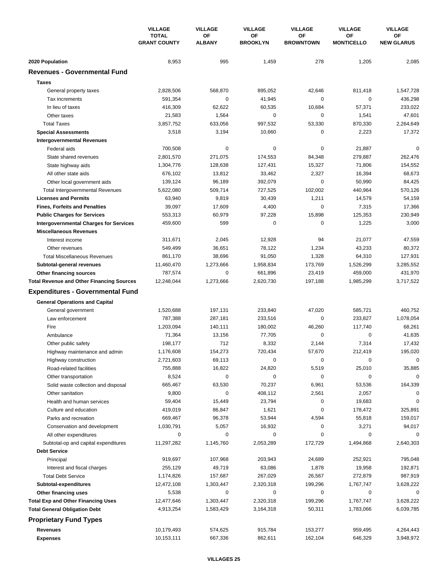|                                                  | <b>VILLAGE</b><br><b>TOTAL</b><br><b>GRANT COUNTY</b> | <b>VILLAGE</b>      | <b>VILLAGE</b>        | <b>VILLAGE</b>         | <b>VILLAGE</b>          | <b>VILLAGE</b>          |
|--------------------------------------------------|-------------------------------------------------------|---------------------|-----------------------|------------------------|-------------------------|-------------------------|
|                                                  |                                                       | OF<br><b>ALBANY</b> | ΟF<br><b>BROOKLYN</b> | OF<br><b>BROWNTOWN</b> | ΟF<br><b>MONTICELLO</b> | OF<br><b>NEW GLARUS</b> |
| 2020 Population                                  | 8,953                                                 | 995                 | 1,459                 | 278                    | 1,205                   | 2,085                   |
| <b>Revenues - Governmental Fund</b>              |                                                       |                     |                       |                        |                         |                         |
| <b>Taxes</b>                                     |                                                       |                     |                       |                        |                         |                         |
| General property taxes                           | 2,828,506                                             | 568,870             | 895,052               | 42,646                 | 811,418                 | 1,547,728               |
| Tax increments                                   | 591,354                                               | $\pmb{0}$           | 41,945                | 0                      | $\mathbf 0$             | 436,298                 |
| In lieu of taxes                                 | 416,309                                               | 62,622              | 60,535                | 10,684                 | 57,371                  | 233,022                 |
| Other taxes                                      | 21,583                                                | 1,564               | 0                     | 0                      | 1,541                   | 47,601                  |
| <b>Total Taxes</b>                               | 3,857,752                                             | 633,056             | 997,532               | 53,330                 | 870,330                 | 2,264,649               |
| <b>Special Assessments</b>                       | 3,518                                                 | 3,194               | 10,660                | 0                      | 2,223                   | 17,372                  |
| <b>Intergovernmental Revenues</b>                |                                                       |                     |                       |                        |                         |                         |
| Federal aids                                     | 700,508                                               | 0                   | 0                     | 0                      | 21,887                  | $\Omega$                |
| State shared revenues                            | 2,801,570                                             | 271,075             | 174,553               | 84,348                 | 279,887                 | 262,476                 |
| State highway aids                               | 1,304,776                                             | 128,638             | 127,431               | 15,327                 | 71,806                  | 154,552                 |
| All other state aids                             | 676,102                                               | 13,812              | 33,462                | 2,327                  | 16,394                  | 68,673                  |
| Other local government aids                      | 139,124                                               | 96,189              | 392,079               | $\mathbf 0$            | 50,990                  | 84,425                  |
| <b>Total Intergovernmental Revenues</b>          | 5,622,080                                             | 509,714             | 727,525               | 102,002                | 440,964                 | 570,126                 |
| <b>Licenses and Permits</b>                      | 63,940                                                | 9,819               | 30,439                | 1,211                  | 14,579                  | 54,159                  |
| <b>Fines, Forfeits and Penalties</b>             | 39,097                                                | 17,609              | 4,400                 | 0                      | 7,315                   | 17,366                  |
| <b>Public Charges for Services</b>               | 553,313                                               | 60,979              | 97,228                | 15,898                 | 125,353                 | 230,949                 |
| <b>Intergovernmental Charges for Services</b>    | 459,600                                               | 599                 | 0                     | $\mathbf 0$            | 1,225                   | 3,000                   |
| <b>Miscellaneous Revenues</b>                    |                                                       |                     |                       |                        |                         |                         |
| Interest income                                  | 311,671                                               | 2,045               | 12,928                | 94                     | 21,077                  | 47,559                  |
| Other revenues                                   | 549,499                                               | 36,651              | 78,122                | 1,234                  | 43,233                  | 80,372                  |
| <b>Total Miscellaneous Revenues</b>              | 861,170                                               | 38,696              | 91,050                | 1,328                  | 64,310                  | 127,931                 |
| Subtotal-general revenues                        | 11,460,470                                            | 1,273,666           | 1,958,834             | 173,769                | 1,526,299               | 3,285,552               |
| <b>Other financing sources</b>                   | 787,574                                               | 0                   | 661,896               | 23,419                 | 459,000                 | 431,970                 |
| <b>Total Revenue and Other Financing Sources</b> | 12,248,044                                            | 1,273,666           | 2,620,730             | 197,188                | 1,985,299               | 3,717,522               |
| <b>Expenditures - Governmental Fund</b>          |                                                       |                     |                       |                        |                         |                         |
|                                                  |                                                       |                     |                       |                        |                         |                         |
| <b>General Operations and Capital</b>            |                                                       |                     |                       |                        |                         |                         |
| General government                               | 1,520,688                                             | 197,131             | 233,840               | 47,020                 | 585,721                 | 460,752                 |
| Law enforcement                                  | 787,388                                               | 287,181             | 233,516               | 0                      | 233,827                 | 1,078,054               |
| Fire                                             | 1,203,094                                             | 140,111             | 180,002               | 46,260                 | 117,740                 | 68,261                  |
| Ambulance                                        | 71,364                                                | 13,156              | 77,705                | 0                      | $\mathbf 0$             | 41,635                  |
| Other public safety                              | 198,177                                               | 712                 | 8,332                 | 2,144                  | 7,314                   | 17,432                  |
| Highway maintenance and admin                    | 1,176,608                                             | 154,273             | 720,434               | 57,670                 | 212,419                 | 195,020                 |
| Highway construction                             | 2,721,603                                             | 69,113              | 0                     | 0                      | 0                       | 0                       |
| Road-related facilities                          | 755,888                                               | 16,822              | 24,820                | 5,519                  | 25,010                  | 35,885                  |
| Other transportation                             | 8,524                                                 | 0                   | 0                     | 0                      | 0                       | $\Omega$                |
| Solid waste collection and disposal              | 665,467                                               | 63,530              | 70,237                | 6,961                  | 53,536                  | 164,339                 |
| Other sanitation                                 | 9,800                                                 | 0                   | 408,112               | 2,561                  | 2,057                   | 0                       |
| Health and human services                        | 59,404                                                | 15,449              | 23,794                | $\pmb{0}$              | 19,683                  | 0                       |
| Culture and education                            | 419,019                                               | 86,847              | 1,621                 | 0                      | 178,472                 | 325,891                 |
| Parks and recreation                             | 669,467                                               | 96,378              | 53,944                | 4,594                  | 55,818                  | 159,017                 |
| Conservation and development                     | 1,030,791                                             | 5,057               | 16,932                | 0                      | 3,271                   | 94,017                  |
| All other expenditures                           | 0                                                     | 0                   | 0                     | 0                      | 0                       | $\Omega$                |
| Subtotal-op and capital expenditures             | 11,297,282                                            | 1,145,760           | 2,053,289             | 172,729                | 1,494,868               | 2,640,303               |
| <b>Debt Service</b>                              |                                                       |                     |                       |                        |                         |                         |
| Principal                                        | 919,697                                               | 107,968             | 203,943               | 24,689                 | 252,921                 | 795,048                 |
| Interest and fiscal charges                      | 255,129                                               | 49,719              | 63,086                | 1,878                  | 19,958                  | 192,871                 |
| <b>Total Debt Service</b>                        | 1,174,826                                             | 157,687             | 267,029               | 26,567                 | 272,879                 | 987,919                 |
| Subtotal-expenditures                            | 12,472,108                                            | 1,303,447           | 2,320,318             | 199,296                | 1,767,747               | 3,628,222               |
| Other financing uses                             | 5,538                                                 | 0                   | 0                     | 0                      | 0                       | 0                       |
| <b>Total Exp and Other Financing Uses</b>        | 12,477,646                                            | 1,303,447           | 2,320,318             | 199,296                | 1,767,747               | 3,628,222               |
| <b>Total General Obligation Debt</b>             | 4,913,254                                             | 1,583,429           | 3,164,318             | 50,311                 | 1,783,066               | 6,039,785               |
| <b>Proprietary Fund Types</b>                    |                                                       |                     |                       |                        |                         |                         |
| Revenues                                         | 10,179,493                                            | 574,625             | 915,784               | 153,277                | 959,495                 | 4,264,443               |
| <b>Expenses</b>                                  | 10,153,111                                            | 667,336             | 862,611               | 162,104                | 646,329                 | 3,948,972               |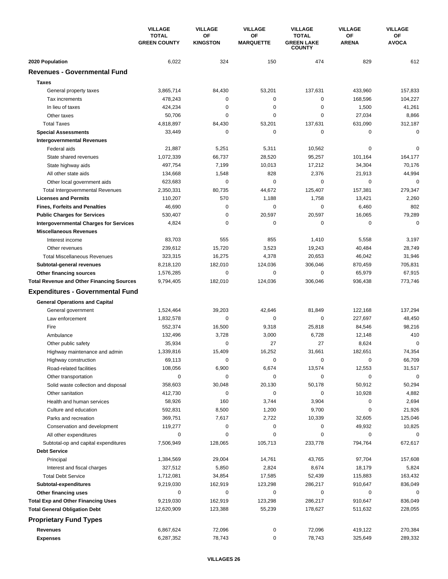|                                                             | <b>VILLAGE</b><br><b>TOTAL</b> | <b>VILLAGE</b>        | <b>VILLAGE</b>         | <b>VILLAGE</b>                                     | <b>VILLAGE</b>     | <b>VILLAGE</b>     |
|-------------------------------------------------------------|--------------------------------|-----------------------|------------------------|----------------------------------------------------|--------------------|--------------------|
|                                                             | <b>GREEN COUNTY</b>            | OF<br><b>KINGSTON</b> | ΟF<br><b>MARQUETTE</b> | <b>TOTAL</b><br><b>GREEN LAKE</b><br><b>COUNTY</b> | OF<br><b>ARENA</b> | ОF<br><b>AVOCA</b> |
| 2020 Population                                             | 6,022                          | 324                   | 150                    | 474                                                | 829                | 612                |
| <b>Revenues - Governmental Fund</b>                         |                                |                       |                        |                                                    |                    |                    |
| <b>Taxes</b>                                                |                                |                       |                        |                                                    |                    |                    |
| General property taxes                                      | 3,865,714                      | 84,430                | 53,201                 | 137,631                                            | 433,960            | 157,833            |
| Tax increments                                              | 478,243                        | 0                     | 0                      | 0                                                  | 168,596            | 104,227            |
| In lieu of taxes                                            | 424.234                        | $\mathbf 0$           | 0                      | 0                                                  | 1,500              | 41,261             |
| Other taxes                                                 | 50,706                         | $\mathbf 0$           | 0                      | 0                                                  | 27,034             | 8,866              |
| <b>Total Taxes</b>                                          | 4,818,897                      | 84,430                | 53,201                 | 137,631                                            | 631,090            | 312,187            |
| <b>Special Assessments</b>                                  | 33,449                         | 0                     | 0                      | 0                                                  | 0                  | $\mathbf 0$        |
| <b>Intergovernmental Revenues</b>                           |                                |                       |                        |                                                    |                    |                    |
| Federal aids                                                | 21,887                         | 5,251                 | 5,311                  | 10,562                                             | 0                  | $\mathbf 0$        |
| State shared revenues                                       | 1,072,339                      | 66,737                | 28,520                 | 95,257                                             | 101,164            | 164,177            |
| State highway aids                                          | 497,754                        | 7,199                 | 10,013                 | 17,212                                             | 34,304             | 70,176             |
| All other state aids                                        | 134,668                        | 1,548                 | 828                    | 2,376                                              | 21,913             | 44,994             |
| Other local government aids                                 | 623,683                        | $\mathbf 0$           | 0                      | 0                                                  | $\mathbf 0$        | $\mathbf 0$        |
| <b>Total Intergovernmental Revenues</b>                     | 2,350,331                      | 80,735                | 44,672                 | 125,407                                            | 157,381            | 279,347            |
| <b>Licenses and Permits</b>                                 | 110,207                        | 570                   | 1,188                  | 1,758                                              | 13,421             | 2,260              |
| <b>Fines, Forfeits and Penalties</b>                        | 46,690                         | 0                     | 0                      | 0                                                  | 6,460              | 802                |
| <b>Public Charges for Services</b>                          | 530,407                        | $\mathbf 0$           | 20,597                 | 20,597                                             | 16,065             | 79,289             |
| <b>Intergovernmental Charges for Services</b>               | 4,824                          | $\mathbf 0$           | 0                      | 0                                                  | $\mathbf 0$        | $\mathbf 0$        |
| <b>Miscellaneous Revenues</b>                               |                                |                       |                        |                                                    |                    |                    |
| Interest income                                             | 83,703                         | 555                   | 855                    | 1,410                                              | 5,558              | 3,197              |
| Other revenues                                              | 239,612                        | 15,720                | 3,523                  | 19,243                                             | 40,484             | 28,749             |
| <b>Total Miscellaneous Revenues</b>                         | 323,315                        | 16,275                | 4,378                  | 20,653                                             | 46,042             | 31,946             |
| Subtotal-general revenues                                   | 8,218,120                      | 182,010               | 124,036                | 306,046                                            | 870,459            | 705,831            |
| Other financing sources                                     | 1,576,285                      | $\mathbf 0$           | 0                      | 0                                                  | 65,979             | 67,915             |
| <b>Total Revenue and Other Financing Sources</b>            | 9,794,405                      | 182,010               | 124,036                | 306,046                                            | 936,438            | 773,746            |
| <b>Expenditures - Governmental Fund</b>                     |                                |                       |                        |                                                    |                    |                    |
|                                                             |                                |                       |                        |                                                    |                    |                    |
| <b>General Operations and Capital</b><br>General government | 1,524,464                      | 39,203                | 42,646                 | 81,849                                             | 122,168            | 137,294            |
| Law enforcement                                             | 1,832,578                      | 0                     | 0                      | 0                                                  | 227,697            | 48,450             |
| Fire                                                        | 552,374                        | 16,500                | 9,318                  | 25,818                                             | 84,546             | 98,216             |
| Ambulance                                                   | 132,496                        | 3,728                 | 3,000                  | 6,728                                              | 12,148             | 410                |
| Other public safety                                         | 35,934                         | 0                     | 27                     | 27                                                 | 8,624              | $\mathbf 0$        |
| Highway maintenance and admin                               | 1,339,816                      | 15,409                | 16.252                 | 31,661                                             | 182,651            | 74,354             |
| Highway construction                                        | 69,113                         | 0                     | 0                      | 0                                                  | 0                  | 66,709             |
| Road-related facilities                                     | 108,056                        | 6,900                 | 6,674                  | 13,574                                             | 12,553             | 31,517             |
| Other transportation                                        | 0                              | 0                     | 0                      | 0                                                  | 0                  | $\mathbf 0$        |
| Solid waste collection and disposal                         | 358,603                        | 30,048                | 20,130                 | 50,178                                             | 50,912             | 50,294             |
| Other sanitation                                            | 412,730                        | 0                     | 0                      | 0                                                  | 10,928             | 4,882              |
| Health and human services                                   | 58,926                         | 160                   | 3,744                  | 3,904                                              | 0                  | 2,694              |
| Culture and education                                       | 592,831                        | 8,500                 | 1,200                  | 9,700                                              | 0                  | 21,926             |
| Parks and recreation                                        | 369,751                        | 7,617                 | 2,722                  | 10,339                                             | 32,605             | 125,046            |
| Conservation and development                                | 119,277                        | 0                     | 0                      | 0                                                  | 49,932             | 10,825             |
| All other expenditures                                      | 0                              | 0                     | 0                      | 0                                                  | 0                  | $\Omega$           |
| Subtotal-op and capital expenditures                        | 7,506,949                      | 128,065               | 105,713                | 233,778                                            | 794,764            | 672,617            |
| <b>Debt Service</b>                                         |                                |                       |                        |                                                    |                    |                    |
| Principal                                                   | 1,384,569                      | 29,004                | 14,761                 | 43,765                                             | 97,704             | 157,608            |
| Interest and fiscal charges                                 | 327,512                        | 5,850                 | 2,824                  | 8,674                                              | 18,179             | 5,824              |
| <b>Total Debt Service</b>                                   | 1,712,081                      | 34,854                | 17,585                 | 52,439                                             | 115,883            | 163,432            |
| Subtotal-expenditures                                       | 9,219,030                      | 162,919               | 123,298                | 286,217                                            | 910,647            | 836,049            |
| Other financing uses                                        | 0                              | 0                     | 0                      | 0                                                  | 0                  | 0                  |
| <b>Total Exp and Other Financing Uses</b>                   | 9,219,030                      | 162,919               | 123,298                | 286,217                                            | 910,647            | 836,049            |
| <b>Total General Obligation Debt</b>                        | 12,620,909                     | 123,388               | 55,239                 | 178,627                                            | 511,632            | 228,055            |
| <b>Proprietary Fund Types</b>                               |                                |                       |                        |                                                    |                    |                    |
| Revenues                                                    | 6,867,624                      | 72,096                | 0                      | 72,096                                             | 419,122            | 270,384            |
| <b>Expenses</b>                                             | 6,287,352                      | 78,743                | 0                      | 78,743                                             | 325,649            | 289,332            |
|                                                             |                                |                       |                        |                                                    |                    |                    |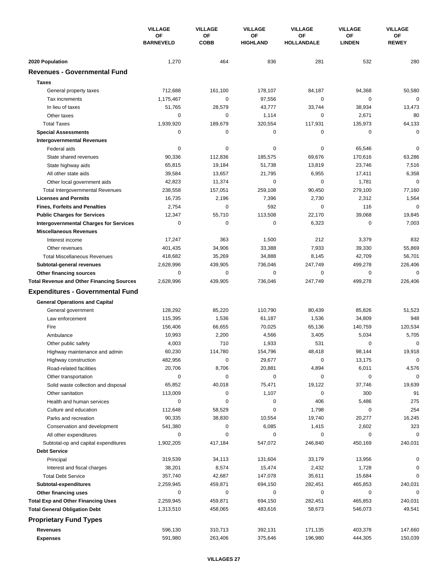|                                                  | <b>VILLAGE</b><br><b>OF</b><br><b>BARNEVELD</b> | <b>VILLAGE</b>    | <b>VILLAGE</b><br>ΟF<br><b>HIGHLAND</b> | <b>VILLAGE</b>          | <b>VILLAGE</b><br>OF<br><b>LINDEN</b> | <b>VILLAGE</b><br>ΟF<br><b>REWEY</b> |
|--------------------------------------------------|-------------------------------------------------|-------------------|-----------------------------------------|-------------------------|---------------------------------------|--------------------------------------|
|                                                  |                                                 | ΟF<br><b>COBB</b> |                                         | ΟF<br><b>HOLLANDALE</b> |                                       |                                      |
| 2020 Population                                  | 1,270                                           | 464               | 836                                     | 281                     | 532                                   | 280                                  |
| <b>Revenues - Governmental Fund</b>              |                                                 |                   |                                         |                         |                                       |                                      |
| <b>Taxes</b>                                     |                                                 |                   |                                         |                         |                                       |                                      |
| General property taxes                           | 712,688                                         | 161,100           | 178,107                                 | 84,187                  | 94,368                                | 50,580                               |
| Tax increments                                   | 1.175.467                                       | 0                 | 97,556                                  | 0                       | 0                                     | $\mathbf 0$                          |
| In lieu of taxes                                 | 51,765                                          | 28,579            | 43,777                                  | 33,744                  | 38,934                                | 13,473                               |
| Other taxes                                      | 0                                               | $\mathbf 0$       | 1,114                                   | 0                       | 2,671                                 | 80                                   |
| <b>Total Taxes</b>                               | 1,939,920                                       | 189,679           | 320,554                                 | 117,931                 | 135,973                               | 64,133                               |
| <b>Special Assessments</b>                       | 0                                               | $\pmb{0}$         | 0                                       | 0                       | 0                                     | 0                                    |
| <b>Intergovernmental Revenues</b>                |                                                 |                   |                                         |                         |                                       |                                      |
| Federal aids                                     | 0                                               | 0                 | 0                                       | 0                       | 65,546                                | $\mathbf 0$                          |
| State shared revenues                            | 90,336                                          | 112,836           | 185,575                                 | 69,676                  | 170,616                               | 63,286                               |
| State highway aids                               | 65,815                                          | 19,184            | 51,738                                  | 13,819                  | 23,746                                | 7,516                                |
| All other state aids                             | 39,584                                          | 13,657            | 21,795                                  | 6,955                   | 17,411                                | 6,358                                |
| Other local government aids                      | 42,823                                          | 11,374            | 0                                       | 0                       | 1,781                                 | $\mathbf 0$                          |
| <b>Total Intergovernmental Revenues</b>          | 238,558                                         | 157,051           | 259,108                                 | 90,450                  | 279,100                               | 77,160                               |
| <b>Licenses and Permits</b>                      | 16,735                                          | 2,196             | 7,396                                   | 2,730                   | 2,312                                 | 1,564                                |
| <b>Fines, Forfeits and Penalties</b>             | 2,754                                           | 0                 | 592                                     | $\Omega$                | 116                                   | $\Omega$                             |
| <b>Public Charges for Services</b>               | 12,347                                          | 55,710            | 113,508                                 | 22,170                  | 39,068                                | 19,845                               |
| <b>Intergovernmental Charges for Services</b>    | 0                                               | $\mathbf 0$       | 0                                       | 6,323                   | $\mathbf 0$                           | 7,003                                |
| <b>Miscellaneous Revenues</b>                    |                                                 |                   |                                         |                         |                                       |                                      |
| Interest income                                  | 17,247                                          | 363               | 1,500                                   | 212                     | 3,379                                 | 832                                  |
| Other revenues                                   | 401,435                                         | 34,906            | 33,388                                  | 7,933                   | 39,330                                | 55,869                               |
| <b>Total Miscellaneous Revenues</b>              | 418,682                                         | 35,269            | 34,888                                  | 8,145                   | 42,709                                | 56,701                               |
| Subtotal-general revenues                        | 2,628,996                                       | 439,905           | 736,046                                 | 247,749                 | 499,278                               | 226,406                              |
| Other financing sources                          | 0                                               | 0                 | 0                                       | 0                       | 0                                     | $\mathbf 0$                          |
| <b>Total Revenue and Other Financing Sources</b> | 2,628,996                                       | 439,905           | 736,046                                 | 247,749                 | 499,278                               | 226,406                              |
| <b>Expenditures - Governmental Fund</b>          |                                                 |                   |                                         |                         |                                       |                                      |
| <b>General Operations and Capital</b>            |                                                 |                   |                                         |                         |                                       |                                      |
| General government                               | 128,292                                         | 85,220            | 110,790                                 | 80,439                  | 85,826                                | 51,523                               |
| Law enforcement                                  | 115,395                                         | 1,536             | 61,187                                  | 1,536                   | 34,809                                | 948                                  |
| Fire                                             | 156,406                                         | 66,655            | 70,025                                  | 65,136                  | 140,759                               | 120,534                              |
| Ambulance                                        | 10,993                                          | 2,200             | 4,566                                   | 3,405                   | 5,034                                 | 5,705                                |
| Other public safety                              | 4,003                                           | 710               | 1,933                                   | 531                     | 0                                     | 0                                    |
| Highway maintenance and admin                    | 60,230                                          | 114,780           | 154,796                                 | 48,418                  | 98,144                                | 19,918                               |
| Highway construction                             | 482,956                                         | $\pmb{0}$         | 29,677                                  | 0                       | 13,175                                | $\mathbf 0$                          |
| Road-related facilities                          | 20,706                                          | 8,706             | 20,881                                  | 4,894                   | 6,011                                 | 4,576                                |
| Other transportation                             | 0                                               | 0                 | 0                                       | 0                       | 0                                     | $\mathbf 0$                          |
| Solid waste collection and disposal              | 65,852                                          | 40,018            | 75,471                                  | 19,122                  | 37,746                                | 19,639                               |
| Other sanitation                                 | 113,009                                         | 0                 | 1,107                                   | $\mathbf 0$             | 300                                   | 91                                   |
| Health and human services                        | 0                                               | 0                 | 0                                       | 406                     | 5,486                                 | 275                                  |
| Culture and education                            | 112,648                                         | 58,529            | 0                                       | 1,798                   | 0                                     | 254                                  |
| Parks and recreation                             | 90,335                                          | 38,830            | 10,554                                  | 19,740                  | 20,277                                | 16,245                               |
| Conservation and development                     | 541,380                                         | 0                 | 6,085                                   | 1,415                   | 2,602                                 | 323                                  |
| All other expenditures                           | 0                                               | 0                 | 0                                       | 0                       | 0                                     | $\Omega$                             |
| Subtotal-op and capital expenditures             | 1,902,205                                       | 417,184           | 547,072                                 | 246,840                 | 450,169                               | 240,031                              |
| <b>Debt Service</b>                              |                                                 |                   |                                         |                         |                                       |                                      |
| Principal                                        | 319,539                                         | 34,113            | 131,604                                 | 33,179                  | 13,956                                | 0                                    |
| Interest and fiscal charges                      | 38,201                                          | 8,574             | 15,474                                  | 2,432                   | 1,728                                 | 0                                    |
| <b>Total Debt Service</b>                        | 357,740                                         | 42,687            | 147,078                                 | 35,611                  | 15,684                                | 0                                    |
| Subtotal-expenditures                            | 2,259,945                                       | 459,871           | 694,150                                 | 282,451                 | 465,853                               | 240,031                              |
| Other financing uses                             | 0                                               | 0                 | 0                                       | 0                       | 0                                     | 0                                    |
| <b>Total Exp and Other Financing Uses</b>        | 2,259,945                                       | 459,871           | 694,150                                 | 282,451                 | 465,853                               | 240,031                              |
| <b>Total General Obligation Debt</b>             | 1,313,510                                       | 458,065           | 483,616                                 | 58,673                  | 546,073                               | 49,541                               |
| <b>Proprietary Fund Types</b>                    |                                                 |                   |                                         |                         |                                       |                                      |
| <b>Revenues</b>                                  | 596,130                                         | 310,713           | 392,131                                 | 171,135                 | 403,378                               | 147,660                              |
| <b>Expenses</b>                                  | 591,980                                         | 263,406           | 375,646                                 | 196,980                 | 444,305                               | 150,039                              |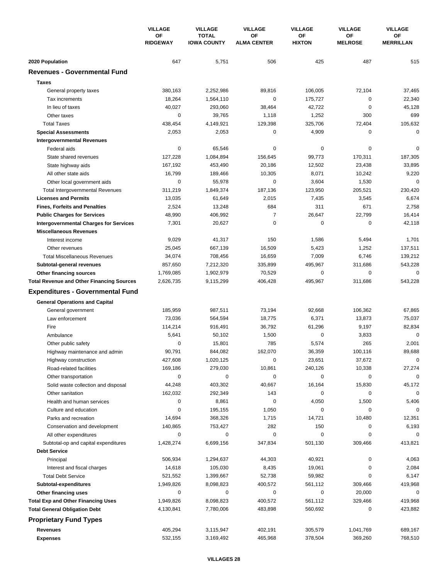|                                                  | <b>VILLAGE</b><br>ΟF<br><b>RIDGEWAY</b> | <b>VILLAGE</b>                     | <b>VILLAGE</b>           | <b>VILLAGE</b>      | <b>VILLAGE</b>       | <b>VILLAGE</b>         |
|--------------------------------------------------|-----------------------------------------|------------------------------------|--------------------------|---------------------|----------------------|------------------------|
|                                                  |                                         | <b>TOTAL</b><br><b>IOWA COUNTY</b> | OF<br><b>ALMA CENTER</b> | ΟF<br><b>HIXTON</b> | OF<br><b>MELROSE</b> | OF<br><b>MERRILLAN</b> |
| 2020 Population                                  | 647                                     | 5,751                              | 506                      | 425                 | 487                  | 515                    |
| <b>Revenues - Governmental Fund</b>              |                                         |                                    |                          |                     |                      |                        |
| <b>Taxes</b>                                     |                                         |                                    |                          |                     |                      |                        |
| General property taxes                           | 380,163                                 | 2,252,986                          | 89,816                   | 106,005             | 72,104               | 37,465                 |
| Tax increments                                   | 18,264                                  | 1,564,110                          | 0                        | 175,727             | 0                    | 22,340                 |
| In lieu of taxes                                 | 40,027                                  | 293,060                            | 38,464                   | 42,722              | $\mathbf 0$          | 45,128                 |
| Other taxes                                      | 0                                       | 39,765                             | 1,118                    | 1,252               | 300                  | 699                    |
| <b>Total Taxes</b>                               | 438,454                                 | 4,149,921                          | 129,398                  | 325,706             | 72,404               | 105,632                |
| <b>Special Assessments</b>                       | 2,053                                   | 2,053                              | 0                        | 4,909               | 0                    | 0                      |
| <b>Intergovernmental Revenues</b>                |                                         |                                    |                          |                     |                      |                        |
| Federal aids                                     | 0                                       | 65,546                             | 0                        | 0                   | $\mathbf 0$          | 0                      |
| State shared revenues                            | 127,228                                 | 1,084,894                          | 156,645                  | 99,773              | 170,311              | 187,305                |
| State highway aids                               | 167,192                                 | 453,490                            | 20,186                   | 12,502              | 23,438               | 33,895                 |
| All other state aids                             | 16,799                                  | 189,466                            | 10,305                   | 8,071               | 10,242               | 9,220                  |
| Other local government aids                      | $\mathbf 0$                             | 55,978                             | 0                        | 3,604               | 1,530                | $\mathbf 0$            |
| <b>Total Intergovernmental Revenues</b>          | 311,219                                 | 1,849,374                          | 187,136                  | 123,950             | 205,521              | 230,420                |
| <b>Licenses and Permits</b>                      | 13,035                                  | 61,649                             | 2,015                    | 7,435               | 3,545                | 6,674                  |
| <b>Fines, Forfeits and Penalties</b>             | 2,524                                   | 13,248                             | 684                      | 311                 | 671                  | 2,758                  |
| <b>Public Charges for Services</b>               | 48,990                                  | 406,992                            | 7                        | 26,647              | 22,799               | 16,414                 |
| <b>Intergovernmental Charges for Services</b>    | 7,301                                   | 20,627                             | 0                        | 0                   | $\mathbf 0$          | 42,118                 |
| <b>Miscellaneous Revenues</b>                    |                                         |                                    |                          |                     |                      |                        |
| Interest income                                  | 9,029                                   | 41,317                             | 150                      | 1,586               | 5,494                | 1,701                  |
| Other revenues                                   | 25,045                                  | 667,139                            | 16,509                   | 5,423               | 1,252                | 137,511                |
| <b>Total Miscellaneous Revenues</b>              | 34,074                                  | 708,456                            | 16,659                   | 7,009               | 6,746                | 139,212                |
| Subtotal-general revenues                        | 857,650                                 | 7,212,320                          | 335,899                  | 495,967             | 311,686              | 543,228                |
| Other financing sources                          | 1,769,085                               | 1,902,979                          | 70,529                   | 0                   | 0                    | 0                      |
| <b>Total Revenue and Other Financing Sources</b> | 2,626,735                               | 9,115,299                          | 406,428                  | 495,967             | 311,686              | 543,228                |
|                                                  |                                         |                                    |                          |                     |                      |                        |
| <b>Expenditures - Governmental Fund</b>          |                                         |                                    |                          |                     |                      |                        |
| <b>General Operations and Capital</b>            |                                         |                                    |                          |                     |                      |                        |
| General government                               | 185,959                                 | 987,511                            | 73,194                   | 92,668              | 106,362              | 67,865                 |
| Law enforcement                                  | 73,036                                  | 564,594                            | 18,775                   | 6,371               | 13,873               | 75,037                 |
| Fire                                             | 114,214                                 | 916,491                            | 36,792                   | 61,296              | 9,197                | 82,834                 |
| Ambulance                                        | 5,641                                   | 50,102                             | 1,500                    | 0                   | 3,833                | $\mathbf 0$            |
| Other public safety                              | 0                                       | 15,801                             | 785                      | 5,574               | 265                  | 2,001                  |
| Highway maintenance and admin                    | 90,791                                  | 844,082                            | 162,070                  | 36,359              | 100,116              | 89,688                 |
| Highway construction                             | 427,608                                 | 1,020,125                          | 0                        | 23,651              | 37,672               | 0                      |
| Road-related facilities                          | 169,186                                 | 279,030                            | 10,861                   | 240,126             | 10,338               | 27,274                 |
| Other transportation                             | 0                                       | 0                                  | 0                        | 0                   | 0                    | $\mathbf 0$            |
| Solid waste collection and disposal              | 44,248                                  | 403,302                            | 40,667                   | 16,164              | 15,830               | 45,172                 |
| Other sanitation                                 | 162,032                                 | 292,349                            | 143                      | 0                   | 0                    | $\mathbf 0$            |
| Health and human services                        | 0                                       | 8,861                              | 0                        | 4,050               | 1,500                | 5,406                  |
| Culture and education                            | 0                                       | 195,155                            | 1,050                    | 0                   | 0                    | 0                      |
| Parks and recreation                             | 14,694                                  | 368,326                            | 1,715                    | 14,721              | 10,480               | 12,351                 |
| Conservation and development                     | 140,865                                 | 753,427                            | 282                      | 150                 | 0                    | 6,193                  |
| All other expenditures                           | 0                                       | 0                                  | 0                        | 0                   | 0                    | $\Omega$               |
| Subtotal-op and capital expenditures             | 1,428,274                               | 6,699,156                          | 347,834                  | 501,130             | 309,466              | 413,821                |
| <b>Debt Service</b>                              |                                         |                                    |                          |                     |                      |                        |
| Principal                                        | 506,934                                 | 1,294,637                          | 44,303                   | 40,921              | 0                    | 4,063                  |
| Interest and fiscal charges                      | 14,618                                  | 105,030                            | 8,435                    | 19,061              | 0                    | 2,084                  |
| <b>Total Debt Service</b>                        | 521,552                                 | 1,399,667                          | 52,738                   | 59,982              | 0                    | 6,147                  |
| Subtotal-expenditures                            | 1,949,826                               | 8,098,823                          | 400,572                  | 561,112             | 309,466              | 419,968                |
| Other financing uses                             | 0                                       | 0                                  | 0                        | 0                   | 20,000               | 0                      |
| <b>Total Exp and Other Financing Uses</b>        | 1,949,826                               | 8,098,823                          | 400,572                  | 561,112             | 329,466              | 419,968                |
| <b>Total General Obligation Debt</b>             | 4,130,841                               | 7,780,006                          | 483,898                  | 560,692             | 0                    | 423,882                |
| <b>Proprietary Fund Types</b>                    |                                         |                                    |                          |                     |                      |                        |
| <b>Revenues</b>                                  | 405,294                                 | 3,115,947                          | 402,191                  | 305,579             | 1,041,769            | 689,167                |
| <b>Expenses</b>                                  | 532,155                                 | 3,169,492                          | 465,968                  | 378,504             | 369,260              | 768,510                |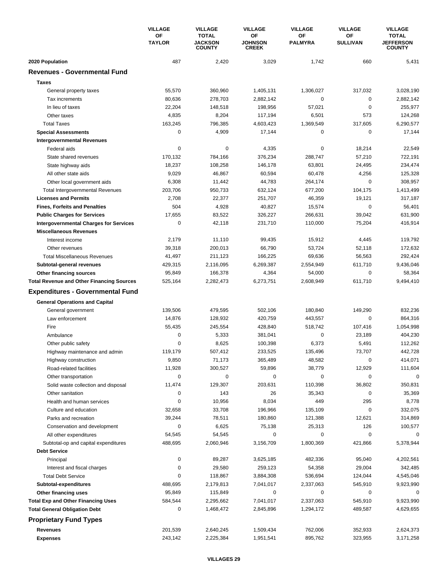|                                                                                   | <b>VILLAGE</b><br>ΟF<br><b>TAYLOR</b> | <b>VILLAGE</b>                                  | <b>VILLAGE</b>                       | <b>VILLAGE</b>       | <b>VILLAGE</b>        | <b>VILLAGE</b>                                    |
|-----------------------------------------------------------------------------------|---------------------------------------|-------------------------------------------------|--------------------------------------|----------------------|-----------------------|---------------------------------------------------|
|                                                                                   |                                       | <b>TOTAL</b><br><b>JACKSON</b><br><b>COUNTY</b> | OF<br><b>JOHNSON</b><br><b>CREEK</b> | OF<br><b>PALMYRA</b> | ΟF<br><b>SULLIVAN</b> | <b>TOTAL</b><br><b>JEFFERSON</b><br><b>COUNTY</b> |
| 2020 Population                                                                   | 487                                   | 2,420                                           | 3,029                                | 1,742                | 660                   | 5,431                                             |
| <b>Revenues - Governmental Fund</b>                                               |                                       |                                                 |                                      |                      |                       |                                                   |
| <b>Taxes</b>                                                                      |                                       |                                                 |                                      |                      |                       |                                                   |
| General property taxes                                                            | 55,570                                | 360,960                                         | 1,405,131                            | 1,306,027            | 317,032               | 3,028,190                                         |
| Tax increments                                                                    | 80,636                                | 278.703                                         | 2,882,142                            | 0                    | $\mathbf 0$           | 2,882,142                                         |
| In lieu of taxes                                                                  | 22,204                                | 148,518                                         | 198,956                              | 57,021               | $\mathbf 0$           | 255,977                                           |
| Other taxes                                                                       | 4,835                                 | 8,204                                           | 117,194                              | 6,501                | 573                   | 124,268                                           |
| <b>Total Taxes</b>                                                                | 163,245                               | 796,385                                         | 4,603,423                            | 1,369,549            | 317,605               | 6,290,577                                         |
| <b>Special Assessments</b>                                                        | 0                                     | 4,909                                           | 17,144                               | 0                    | 0                     | 17,144                                            |
| <b>Intergovernmental Revenues</b>                                                 |                                       |                                                 |                                      |                      |                       |                                                   |
| Federal aids                                                                      | 0                                     | $\pmb{0}$                                       | 4,335                                | 0                    | 18,214                | 22,549                                            |
| State shared revenues                                                             | 170,132                               | 784,166                                         | 376,234                              | 288,747              | 57,210                | 722,191                                           |
| State highway aids                                                                | 18,237                                | 108,258                                         | 146,178                              | 63,801               | 24,495                | 234,474                                           |
| All other state aids                                                              | 9,029                                 | 46,867                                          | 60,594                               | 60,478               | 4,256                 | 125,328                                           |
| Other local government aids                                                       | 6,308                                 | 11,442                                          | 44,783                               | 264,174              | 0                     | 308,957                                           |
| <b>Total Intergovernmental Revenues</b>                                           | 203,706                               | 950,733                                         | 632,124                              | 677,200              | 104,175               | 1,413,499                                         |
| <b>Licenses and Permits</b>                                                       | 2,708                                 | 22,377                                          | 251,707                              | 46,359               | 19,121                | 317,187                                           |
| <b>Fines, Forfeits and Penalties</b>                                              | 504                                   | 4,928                                           | 40,827                               | 15,574               | 0                     | 56,401                                            |
| <b>Public Charges for Services</b>                                                | 17,655                                | 83,522                                          | 326,227                              | 266,631              | 39,042                | 631,900                                           |
| <b>Intergovernmental Charges for Services</b>                                     | 0                                     | 42,118                                          | 231,710                              | 110,000              | 75,204                | 416,914                                           |
| <b>Miscellaneous Revenues</b>                                                     |                                       |                                                 |                                      |                      |                       |                                                   |
| Interest income                                                                   | 2,179                                 | 11,110                                          | 99,435                               | 15,912               | 4,445                 | 119,792                                           |
| Other revenues                                                                    | 39,318                                | 200,013                                         | 66,790                               | 53,724               | 52,118                | 172,632                                           |
| <b>Total Miscellaneous Revenues</b>                                               | 41,497                                | 211,123                                         | 166,225                              | 69,636               | 56,563                | 292,424                                           |
| Subtotal-general revenues                                                         | 429,315                               | 2,116,095                                       | 6,269,387                            | 2,554,949            | 611,710               | 9,436,046                                         |
| <b>Other financing sources</b>                                                    | 95,849                                | 166,378                                         | 4,364                                | 54,000               | 0                     | 58,364                                            |
| <b>Total Revenue and Other Financing Sources</b>                                  | 525,164                               | 2,282,473                                       | 6,273,751                            | 2,608,949            | 611,710               | 9,494,410                                         |
| <b>Expenditures - Governmental Fund</b>                                           |                                       |                                                 |                                      |                      |                       |                                                   |
| <b>General Operations and Capital</b>                                             |                                       |                                                 |                                      |                      |                       |                                                   |
| General government                                                                | 139,506                               | 479,595                                         | 502,106                              | 180,840              | 149,290               | 832,236                                           |
| Law enforcement                                                                   | 14,876                                | 128,932                                         | 420,759                              | 443,557              | 0                     | 864,316                                           |
| Fire                                                                              | 55,435                                | 245,554                                         | 428,840                              | 518,742              | 107,416               | 1,054,998                                         |
| Ambulance                                                                         | 0                                     | 5,333                                           | 381,041                              | 0                    | 23,189                | 404,230                                           |
| Other public safety                                                               | 0                                     | 8,625                                           | 100,398                              | 6,373                | 5,491                 | 112,262                                           |
| Highway maintenance and admin                                                     | 119.179                               | 507,412                                         | 233,525                              | 135,496              | 73,707                | 442,728                                           |
| Highway construction                                                              | 9,850                                 | 71,173                                          | 365,489                              | 48,582               | 0                     | 414,071                                           |
| Road-related facilities                                                           | 11,928                                | 300,527                                         | 59,896                               | 38,779               | 12,929                | 111,604                                           |
| Other transportation                                                              | 0                                     | $\pmb{0}$                                       | 0                                    | 0                    | 0                     | 0                                                 |
| Solid waste collection and disposal                                               | 11,474                                | 129,307                                         | 203,631                              | 110,398              | 36,802                | 350,831                                           |
| Other sanitation                                                                  | 0                                     | 143                                             | 26                                   | 35,343               | 0                     | 35,369                                            |
| Health and human services                                                         | 0                                     | 10,956                                          | 8,034                                | 449                  | 295                   | 8,778                                             |
| Culture and education                                                             | 32,658                                | 33,708                                          | 196,966                              | 135,109              | 0                     | 332,075                                           |
| Parks and recreation                                                              | 39,244                                | 78,511                                          | 180,860                              | 121,388              | 12,621                | 314,869                                           |
| Conservation and development                                                      | 0                                     | 6,625                                           | 75,138                               | 25,313               | 126                   | 100,577                                           |
| All other expenditures                                                            | 54,545                                | 54,545                                          | 0                                    | 0                    | 0                     | 0                                                 |
| Subtotal-op and capital expenditures                                              | 488,695                               | 2,060,946                                       | 3,156,709                            | 1,800,369            | 421,866               | 5,378,944                                         |
| <b>Debt Service</b>                                                               |                                       |                                                 |                                      |                      |                       |                                                   |
| Principal                                                                         | 0                                     | 89,287                                          | 3,625,185                            | 482,336              | 95,040                | 4,202,561                                         |
| Interest and fiscal charges                                                       | 0                                     | 29,580                                          | 259,123                              | 54,358               | 29,004                | 342,485                                           |
| <b>Total Debt Service</b>                                                         | 0                                     | 118,867                                         | 3,884,308                            | 536,694              | 124,044               | 4,545,046                                         |
| Subtotal-expenditures                                                             | 488,695                               | 2,179,813<br>115,849                            | 7,041,017<br>0                       | 2,337,063<br>0       | 545,910<br>0          | 9,923,990<br>0                                    |
| Other financing uses                                                              | 95,849<br>584,544                     | 2,295,662                                       | 7,041,017                            | 2,337,063            |                       |                                                   |
| <b>Total Exp and Other Financing Uses</b><br><b>Total General Obligation Debt</b> | 0                                     | 1,468,472                                       | 2,845,896                            | 1,294,172            | 545,910<br>489,587    | 9,923,990<br>4,629,655                            |
|                                                                                   |                                       |                                                 |                                      |                      |                       |                                                   |
| <b>Proprietary Fund Types</b>                                                     |                                       |                                                 |                                      |                      |                       |                                                   |
| Revenues                                                                          | 201,539                               | 2,640,245                                       | 1,509,434                            | 762,006              | 352,933               | 2,624,373                                         |
| <b>Expenses</b>                                                                   | 243,142                               | 2,225,384                                       | 1,951,541                            | 895,762              | 323,955               | 3,171,258                                         |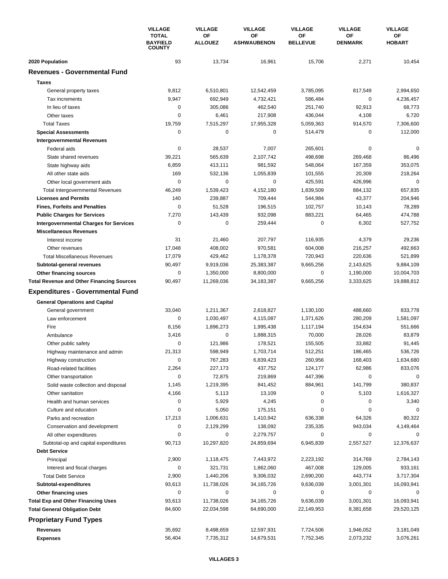|                                                             | <b>VILLAGE</b><br><b>TOTAL</b><br><b>BAYFIELD</b><br><b>COUNTY</b> | <b>VILLAGE</b> | <b>VILLAGE</b>       | <b>VILLAGE</b><br><b>OF</b> | <b>VILLAGE</b><br>OF | <b>VILLAGE</b><br>OF |
|-------------------------------------------------------------|--------------------------------------------------------------------|----------------|----------------------|-----------------------------|----------------------|----------------------|
|                                                             |                                                                    |                | OF<br><b>ALLOUEZ</b> | OF<br><b>ASHWAUBENON</b>    | <b>BELLEVUE</b>      | <b>DENMARK</b>       |
| 2020 Population                                             | 93                                                                 | 13,734         | 16,961               | 15,706                      | 2,271                | 10,454               |
| <b>Revenues - Governmental Fund</b>                         |                                                                    |                |                      |                             |                      |                      |
| <b>Taxes</b>                                                |                                                                    |                |                      |                             |                      |                      |
| General property taxes                                      | 9,812                                                              | 6,510,801      | 12,542,459           | 3,785,095                   | 817,549              | 2,994,650            |
| Tax increments                                              | 9,947                                                              | 692,949        | 4,732,421            | 586,484                     | 0                    | 4,236,457            |
| In lieu of taxes                                            | 0                                                                  | 305,086        | 462,540              | 251,740                     | 92,913               | 68,773               |
| Other taxes                                                 | 0                                                                  | 6,461          | 217,908              | 436,044                     | 4,108                | 6,720                |
| <b>Total Taxes</b>                                          | 19,759                                                             | 7,515,297      | 17,955,328           | 5,059,363                   | 914,570              | 7,306,600            |
| <b>Special Assessments</b>                                  | $\mathbf 0$                                                        | 0              | 0                    | 514,479                     | 0                    | 112,000              |
| <b>Intergovernmental Revenues</b>                           |                                                                    |                |                      |                             |                      |                      |
| Federal aids                                                | $\mathbf 0$                                                        | 28,537         | 7,007                | 265,601                     | $\mathbf 0$          | $\mathbf 0$          |
| State shared revenues                                       | 39,221                                                             | 565,639        | 2,107,742            | 498,698                     | 269,468              | 86,496               |
| State highway aids                                          | 6,859                                                              | 413,111        | 981,592              | 548,064                     | 167,359              | 353,075              |
| All other state aids                                        | 169                                                                | 532.136        | 1,055,839            | 101,555                     | 20,309               | 218,264              |
| Other local government aids                                 | 0                                                                  | 0              | 0                    | 425,591                     | 426,996              | $\mathbf 0$          |
| Total Intergovernmental Revenues                            | 46,249                                                             | 1,539,423      | 4,152,180            | 1,839,509                   | 884,132              | 657,835              |
| <b>Licenses and Permits</b>                                 | 140                                                                | 239,887        | 709,444              | 544,984                     | 43,377               | 204,946              |
| <b>Fines, Forfeits and Penalties</b>                        | $\mathbf 0$                                                        | 51,528         | 196,515              | 102,757                     | 10,143               | 78,289               |
| <b>Public Charges for Services</b>                          | 7,270                                                              | 143,439        | 932,098              | 883,221                     | 64,465               | 474,788              |
| <b>Intergovernmental Charges for Services</b>               | 0                                                                  | 0              | 259,444              | $\mathbf 0$                 | 6,302                | 527,752              |
| <b>Miscellaneous Revenues</b>                               |                                                                    |                |                      |                             |                      |                      |
| Interest income                                             | 31                                                                 | 21,460         | 207,797              | 116,935                     | 4,379                | 29,236               |
| Other revenues                                              | 17,048                                                             | 408,002        | 970,581              | 604,008                     | 216,257              | 492,663              |
| <b>Total Miscellaneous Revenues</b>                         | 17,079                                                             | 429,462        | 1,178,378            | 720,943                     | 220,636              | 521,899              |
| Subtotal-general revenues                                   | 90,497                                                             | 9,919,036      | 25,383,387           | 9,665,256                   | 2,143,625            | 9,884,109            |
| Other financing sources                                     | 0                                                                  | 1,350,000      | 8,800,000            | 0                           | 1,190,000            | 10,004,703           |
| <b>Total Revenue and Other Financing Sources</b>            | 90,497                                                             | 11,269,036     | 34,183,387           | 9,665,256                   | 3,333,625            | 19,888,812           |
| <b>Expenditures - Governmental Fund</b>                     |                                                                    |                |                      |                             |                      |                      |
|                                                             |                                                                    |                |                      |                             |                      |                      |
| <b>General Operations and Capital</b><br>General government | 33,040                                                             | 1,211,367      | 2,618,827            | 1,130,100                   | 488,660              | 833,778              |
| Law enforcement                                             | $\mathbf 0$                                                        | 1,030,497      | 4,115,087            | 1,371,626                   | 280,209              | 1,581,097            |
| Fire                                                        | 8,156                                                              | 1,896,273      | 1,995,438            | 1,117,194                   | 154,634              | 551,666              |
| Ambulance                                                   | 3,416                                                              | 0              | 1,888,315            | 70,000                      | 28,026               | 83,879               |
| Other public safety                                         | 0                                                                  | 121,986        | 178,521              | 155,505                     | 33,882               | 91,445               |
| Highway maintenance and admin                               | 21,313                                                             | 598,949        | 1.703.714            | 512,251                     | 186,465              | 536.726              |
| Highway construction                                        | 0                                                                  | 767,283        | 6,839,423            | 260,956                     | 168,403              | 1,634,680            |
| Road-related facilities                                     | 2,264                                                              | 227,173        | 437,752              | 124,177                     | 62,986               | 833,076              |
| Other transportation                                        | 0                                                                  | 72,875         | 219,869              | 447,396                     | $\mathbf 0$          | 0                    |
| Solid waste collection and disposal                         | 1,145                                                              | 1,219,395      | 841,452              | 884,961                     | 141,799              | 380,837              |
| Other sanitation                                            | 4,166                                                              | 5,113          | 13,109               | 0                           | 5,103                | 1,616,327            |
| Health and human services                                   | 0                                                                  | 5,929          | 4,245                | $\pmb{0}$                   | 0                    | 3,340                |
| Culture and education                                       | 0                                                                  | 5,050          | 175,151              | 0                           | $\mathbf 0$          | 0                    |
| Parks and recreation                                        | 17,213                                                             | 1,006,631      | 1,410,942            | 636,338                     | 64,326               | 80,322               |
| Conservation and development                                | 0                                                                  | 2,129,299      | 138,092              | 235,335                     | 943,034              | 4,149,464            |
| All other expenditures                                      | $\mathbf 0$                                                        | 0              | 2,279,757            | 0                           | 0                    | 0                    |
| Subtotal-op and capital expenditures                        | 90,713                                                             | 10,297,820     | 24,859,694           | 6,945,839                   | 2,557,527            | 12,376,637           |
| <b>Debt Service</b>                                         |                                                                    |                |                      |                             |                      |                      |
| Principal                                                   | 2,900                                                              | 1,118,475      | 7,443,972            | 2,223,192                   | 314,769              | 2,784,143            |
| Interest and fiscal charges                                 | 0                                                                  | 321,731        | 1,862,060            | 467,008                     | 129,005              | 933,161              |
| <b>Total Debt Service</b>                                   | 2,900                                                              | 1,440,206      | 9,306,032            | 2,690,200                   | 443,774              | 3,717,304            |
| Subtotal-expenditures                                       | 93,613                                                             | 11,738,026     | 34,165,726           | 9,636,039                   | 3,001,301            | 16,093,941           |
| Other financing uses                                        | 0                                                                  | 0              | 0                    | 0                           | 0                    | $\Omega$             |
| <b>Total Exp and Other Financing Uses</b>                   | 93,613                                                             | 11,738,026     | 34, 165, 726         | 9,636,039                   | 3,001,301            | 16,093,941           |
| <b>Total General Obligation Debt</b>                        | 84,600                                                             | 22,034,598     | 64,690,000           | 22,149,953                  | 8,381,658            | 29,520,125           |
| <b>Proprietary Fund Types</b>                               |                                                                    |                |                      |                             |                      |                      |
|                                                             |                                                                    |                |                      |                             |                      |                      |
| Revenues                                                    | 35,692                                                             | 8,498,659      | 12,597,931           | 7,724,506                   | 1,946,052            | 3,181,049            |
| <b>Expenses</b>                                             | 56,404                                                             | 7,735,312      | 14,679,531           | 7,752,345                   | 2,073,232            | 3,076,261            |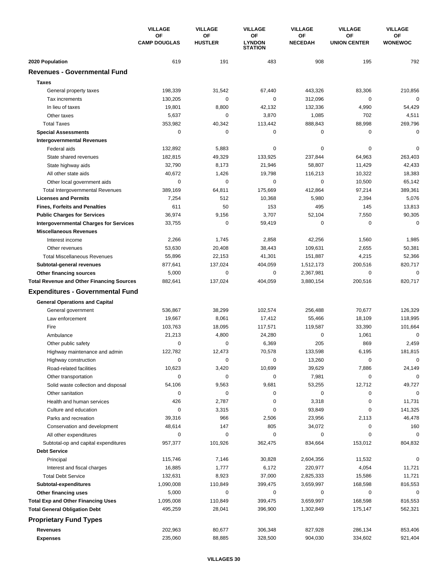| <b>CAMP DOUGLAS</b><br><b>HUSTLER</b><br><b>LYNDON</b><br><b>NECEDAH</b><br><b>UNION CENTER</b><br><b>WONEWOC</b><br><b>STATION</b><br>2020 Population<br>619<br>191<br>483<br>908<br>195<br>792<br><b>Revenues - Governmental Fund</b><br><b>Taxes</b><br>198,339<br>31,542<br>67,440<br>443,326<br>83,306<br>210,856<br>General property taxes<br>Tax increments<br>130,205<br>0<br>0<br>312,096<br>0<br>0<br>In lieu of taxes<br>19,801<br>8,800<br>42,132<br>132,336<br>4,990<br>54,429<br>3,870<br>Other taxes<br>5,637<br>0<br>1,085<br>702<br>4,511<br>269,796<br><b>Total Taxes</b><br>353,982<br>40,342<br>113,442<br>888,843<br>88,998<br>$\mathbf 0$<br>0<br>0<br>0<br>0<br>0<br><b>Special Assessments</b><br><b>Intergovernmental Revenues</b><br>$\mathbf 0$<br>Federal aids<br>132,892<br>5,883<br>0<br>0<br>0<br>182,815<br>49,329<br>133,925<br>237,844<br>64,963<br>263,403<br>State shared revenues<br>32,790<br>8,173<br>58,807<br>11,429<br>42,433<br>21,946<br>State highway aids<br>40,672<br>1,426<br>19,798<br>116,213<br>10,322<br>18,383<br>All other state aids<br>$\mathbf 0$<br>$\mathbf 0$<br>0<br>0<br>10,500<br>65,142<br>Other local government aids<br>97,214<br>389,169<br>64,811<br>175,669<br>412,864<br>389,361<br><b>Total Intergovernmental Revenues</b><br>7,254<br>512<br>10,368<br>5,980<br>2,394<br>5,076<br><b>Licenses and Permits</b><br>50<br>611<br>153<br>495<br>145<br>13,813<br><b>Fines, Forfeits and Penalties</b><br>9,156<br>3,707<br>7,550<br><b>Public Charges for Services</b><br>36,974<br>52,104<br>90,305<br>$\mathbf 0$<br>$\mathbf 0$<br>$\mathbf 0$<br>$\mathbf 0$<br><b>Intergovernmental Charges for Services</b><br>33,755<br>59,419<br><b>Miscellaneous Revenues</b><br>2,266<br>1,745<br>2,858<br>42,256<br>1,560<br>1,985<br>Interest income<br>Other revenues<br>53,630<br>20,408<br>38,443<br>109,631<br>2,655<br>50,381<br><b>Total Miscellaneous Revenues</b><br>55,896<br>22,153<br>41,301<br>151,887<br>4,215<br>52,366<br>820,717<br>877,641<br>137,024<br>404,059<br>1,512,173<br>200,516<br>Subtotal-general revenues<br>$\mathbf 0$<br>$\mathbf 0$<br>5,000<br>0<br>0<br>2,367,981<br>Other financing sources<br>820,717<br>882,641<br>137,024<br>404,059<br>3,880,154<br>200,516<br><b>Total Revenue and Other Financing Sources</b><br><b>Expenditures - Governmental Fund</b><br><b>General Operations and Capital</b><br>536,867<br>38,299<br>102,574<br>256,488<br>70,677<br>126,329<br>General government<br>Law enforcement<br>19,667<br>8,061<br>17,412<br>55,466<br>18,109<br>118,995<br>Fire<br>103,763<br>18,095<br>117,571<br>119,587<br>33,390<br>101,664<br>4,800<br>24,280<br>$\mathbf 0$<br>$\mathbf 0$<br>21,213<br>1,061<br>Ambulance<br>0<br>0<br>6,369<br>205<br>869<br>2,459<br>Other public safety<br>122,782<br>12,473<br>133,598<br>181,815<br>70,578<br>6,195<br>Highway maintenance and admin<br>13,260<br>Highway construction<br>0<br>0<br>0<br>0<br>0<br>10,699<br>10,623<br>3,420<br>39,629<br>7,886<br>24,149<br>Road-related facilities<br>$\mathbf 0$<br>0<br>0<br>0<br>7,981<br>$\Omega$<br>Other transportation<br>54,106<br>9,563<br>9,681<br>53,255<br>12,712<br>49,727<br>Solid waste collection and disposal<br>$\mathbf 0$<br>0<br>0<br>Other sanitation<br>0<br>0<br>0<br>426<br>2,787<br>0<br>3,318<br>0<br>11,731<br>Health and human services<br>0<br>3,315<br>0<br>93,849<br>0<br>141,325<br>Culture and education<br>46,478<br>39,316<br>966<br>2,506<br>23,956<br>2,113<br>Parks and recreation<br>Conservation and development<br>48,614<br>147<br>805<br>34,072<br>0<br>160<br>All other expenditures<br>0<br>0<br>0<br>0<br>0<br>0<br>957,377<br>101,926<br>362,475<br>153,012<br>804,832<br>Subtotal-op and capital expenditures<br>834,664<br><b>Debt Service</b><br>11,532<br>0<br>Principal<br>115,746<br>7,146<br>30,828<br>2,604,356<br>16,885<br>6,172<br>220,977<br>4,054<br>11,721<br>Interest and fiscal charges<br>1,777<br>8,923<br>37,000<br>15,586<br><b>Total Debt Service</b><br>132,631<br>2,825,333<br>11,721<br>1,090,008<br>110,849<br>399,475<br>3,659,997<br>168,598<br>816,553<br>Subtotal-expenditures<br>5,000<br>0<br>0<br>0<br>0<br>0<br>Other financing uses<br><b>Total Exp and Other Financing Uses</b><br>1,095,008<br>110,849<br>399,475<br>3,659,997<br>168,598<br>816,553<br><b>Total General Obligation Debt</b><br>495,259<br>28,041<br>396,900<br>1,302,849<br>175,147<br>562,321<br><b>Proprietary Fund Types</b><br><b>Revenues</b><br>202,963<br>80,677<br>306,348<br>827,928<br>286,134<br>853,406<br>235,060<br>88,885<br>328,500<br>904,030<br>334,602<br>921,404<br><b>Expenses</b> |  | <b>VILLAGE</b><br><b>OF</b> | <b>VILLAGE</b><br>OF | <b>VILLAGE</b> | <b>VILLAGE</b> | <b>VILLAGE</b><br><b>OF</b> | <b>VILLAGE</b><br>OF |
|---------------------------------------------------------------------------------------------------------------------------------------------------------------------------------------------------------------------------------------------------------------------------------------------------------------------------------------------------------------------------------------------------------------------------------------------------------------------------------------------------------------------------------------------------------------------------------------------------------------------------------------------------------------------------------------------------------------------------------------------------------------------------------------------------------------------------------------------------------------------------------------------------------------------------------------------------------------------------------------------------------------------------------------------------------------------------------------------------------------------------------------------------------------------------------------------------------------------------------------------------------------------------------------------------------------------------------------------------------------------------------------------------------------------------------------------------------------------------------------------------------------------------------------------------------------------------------------------------------------------------------------------------------------------------------------------------------------------------------------------------------------------------------------------------------------------------------------------------------------------------------------------------------------------------------------------------------------------------------------------------------------------------------------------------------------------------------------------------------------------------------------------------------------------------------------------------------------------------------------------------------------------------------------------------------------------------------------------------------------------------------------------------------------------------------------------------------------------------------------------------------------------------------------------------------------------------------------------------------------------------------------------------------------------------------------------------------------------------------------------------------------------------------------------------------------------------------------------------------------------------------------------------------------------------------------------------------------------------------------------------------------------------------------------------------------------------------------------------------------------------------------------------------------------------------------------------------------------------------------------------------------------------------------------------------------------------------------------------------------------------------------------------------------------------------------------------------------------------------------------------------------------------------------------------------------------------------------------------------------------------------------------------------------------------------------------------------------------------------------------------------------------------------------------------------------------------------------------------------------------------------------------------------------------------------------------------------------------------------------------------------------------------------------------------------------------------------------------------------------------------------------------------------------------------------------------------------------------------------------------------------------------------------------------------------------------------------------------------------------------------------------------------------------------------------------------------------------------------------------------------------------------------------------------------------------------------------------------------------------------------------------------------------------------|--|-----------------------------|----------------------|----------------|----------------|-----------------------------|----------------------|
|                                                                                                                                                                                                                                                                                                                                                                                                                                                                                                                                                                                                                                                                                                                                                                                                                                                                                                                                                                                                                                                                                                                                                                                                                                                                                                                                                                                                                                                                                                                                                                                                                                                                                                                                                                                                                                                                                                                                                                                                                                                                                                                                                                                                                                                                                                                                                                                                                                                                                                                                                                                                                                                                                                                                                                                                                                                                                                                                                                                                                                                                                                                                                                                                                                                                                                                                                                                                                                                                                                                                                                                                                                                                                                                                                                                                                                                                                                                                                                                                                                                                                                                                                                                                                                                                                                                                                                                                                                                                                                                                                                                                                                                                     |  |                             |                      | ΟF             | ОF             |                             |                      |
|                                                                                                                                                                                                                                                                                                                                                                                                                                                                                                                                                                                                                                                                                                                                                                                                                                                                                                                                                                                                                                                                                                                                                                                                                                                                                                                                                                                                                                                                                                                                                                                                                                                                                                                                                                                                                                                                                                                                                                                                                                                                                                                                                                                                                                                                                                                                                                                                                                                                                                                                                                                                                                                                                                                                                                                                                                                                                                                                                                                                                                                                                                                                                                                                                                                                                                                                                                                                                                                                                                                                                                                                                                                                                                                                                                                                                                                                                                                                                                                                                                                                                                                                                                                                                                                                                                                                                                                                                                                                                                                                                                                                                                                                     |  |                             |                      |                |                |                             |                      |
|                                                                                                                                                                                                                                                                                                                                                                                                                                                                                                                                                                                                                                                                                                                                                                                                                                                                                                                                                                                                                                                                                                                                                                                                                                                                                                                                                                                                                                                                                                                                                                                                                                                                                                                                                                                                                                                                                                                                                                                                                                                                                                                                                                                                                                                                                                                                                                                                                                                                                                                                                                                                                                                                                                                                                                                                                                                                                                                                                                                                                                                                                                                                                                                                                                                                                                                                                                                                                                                                                                                                                                                                                                                                                                                                                                                                                                                                                                                                                                                                                                                                                                                                                                                                                                                                                                                                                                                                                                                                                                                                                                                                                                                                     |  |                             |                      |                |                |                             |                      |
|                                                                                                                                                                                                                                                                                                                                                                                                                                                                                                                                                                                                                                                                                                                                                                                                                                                                                                                                                                                                                                                                                                                                                                                                                                                                                                                                                                                                                                                                                                                                                                                                                                                                                                                                                                                                                                                                                                                                                                                                                                                                                                                                                                                                                                                                                                                                                                                                                                                                                                                                                                                                                                                                                                                                                                                                                                                                                                                                                                                                                                                                                                                                                                                                                                                                                                                                                                                                                                                                                                                                                                                                                                                                                                                                                                                                                                                                                                                                                                                                                                                                                                                                                                                                                                                                                                                                                                                                                                                                                                                                                                                                                                                                     |  |                             |                      |                |                |                             |                      |
|                                                                                                                                                                                                                                                                                                                                                                                                                                                                                                                                                                                                                                                                                                                                                                                                                                                                                                                                                                                                                                                                                                                                                                                                                                                                                                                                                                                                                                                                                                                                                                                                                                                                                                                                                                                                                                                                                                                                                                                                                                                                                                                                                                                                                                                                                                                                                                                                                                                                                                                                                                                                                                                                                                                                                                                                                                                                                                                                                                                                                                                                                                                                                                                                                                                                                                                                                                                                                                                                                                                                                                                                                                                                                                                                                                                                                                                                                                                                                                                                                                                                                                                                                                                                                                                                                                                                                                                                                                                                                                                                                                                                                                                                     |  |                             |                      |                |                |                             |                      |
|                                                                                                                                                                                                                                                                                                                                                                                                                                                                                                                                                                                                                                                                                                                                                                                                                                                                                                                                                                                                                                                                                                                                                                                                                                                                                                                                                                                                                                                                                                                                                                                                                                                                                                                                                                                                                                                                                                                                                                                                                                                                                                                                                                                                                                                                                                                                                                                                                                                                                                                                                                                                                                                                                                                                                                                                                                                                                                                                                                                                                                                                                                                                                                                                                                                                                                                                                                                                                                                                                                                                                                                                                                                                                                                                                                                                                                                                                                                                                                                                                                                                                                                                                                                                                                                                                                                                                                                                                                                                                                                                                                                                                                                                     |  |                             |                      |                |                |                             |                      |
|                                                                                                                                                                                                                                                                                                                                                                                                                                                                                                                                                                                                                                                                                                                                                                                                                                                                                                                                                                                                                                                                                                                                                                                                                                                                                                                                                                                                                                                                                                                                                                                                                                                                                                                                                                                                                                                                                                                                                                                                                                                                                                                                                                                                                                                                                                                                                                                                                                                                                                                                                                                                                                                                                                                                                                                                                                                                                                                                                                                                                                                                                                                                                                                                                                                                                                                                                                                                                                                                                                                                                                                                                                                                                                                                                                                                                                                                                                                                                                                                                                                                                                                                                                                                                                                                                                                                                                                                                                                                                                                                                                                                                                                                     |  |                             |                      |                |                |                             |                      |
|                                                                                                                                                                                                                                                                                                                                                                                                                                                                                                                                                                                                                                                                                                                                                                                                                                                                                                                                                                                                                                                                                                                                                                                                                                                                                                                                                                                                                                                                                                                                                                                                                                                                                                                                                                                                                                                                                                                                                                                                                                                                                                                                                                                                                                                                                                                                                                                                                                                                                                                                                                                                                                                                                                                                                                                                                                                                                                                                                                                                                                                                                                                                                                                                                                                                                                                                                                                                                                                                                                                                                                                                                                                                                                                                                                                                                                                                                                                                                                                                                                                                                                                                                                                                                                                                                                                                                                                                                                                                                                                                                                                                                                                                     |  |                             |                      |                |                |                             |                      |
|                                                                                                                                                                                                                                                                                                                                                                                                                                                                                                                                                                                                                                                                                                                                                                                                                                                                                                                                                                                                                                                                                                                                                                                                                                                                                                                                                                                                                                                                                                                                                                                                                                                                                                                                                                                                                                                                                                                                                                                                                                                                                                                                                                                                                                                                                                                                                                                                                                                                                                                                                                                                                                                                                                                                                                                                                                                                                                                                                                                                                                                                                                                                                                                                                                                                                                                                                                                                                                                                                                                                                                                                                                                                                                                                                                                                                                                                                                                                                                                                                                                                                                                                                                                                                                                                                                                                                                                                                                                                                                                                                                                                                                                                     |  |                             |                      |                |                |                             |                      |
|                                                                                                                                                                                                                                                                                                                                                                                                                                                                                                                                                                                                                                                                                                                                                                                                                                                                                                                                                                                                                                                                                                                                                                                                                                                                                                                                                                                                                                                                                                                                                                                                                                                                                                                                                                                                                                                                                                                                                                                                                                                                                                                                                                                                                                                                                                                                                                                                                                                                                                                                                                                                                                                                                                                                                                                                                                                                                                                                                                                                                                                                                                                                                                                                                                                                                                                                                                                                                                                                                                                                                                                                                                                                                                                                                                                                                                                                                                                                                                                                                                                                                                                                                                                                                                                                                                                                                                                                                                                                                                                                                                                                                                                                     |  |                             |                      |                |                |                             |                      |
|                                                                                                                                                                                                                                                                                                                                                                                                                                                                                                                                                                                                                                                                                                                                                                                                                                                                                                                                                                                                                                                                                                                                                                                                                                                                                                                                                                                                                                                                                                                                                                                                                                                                                                                                                                                                                                                                                                                                                                                                                                                                                                                                                                                                                                                                                                                                                                                                                                                                                                                                                                                                                                                                                                                                                                                                                                                                                                                                                                                                                                                                                                                                                                                                                                                                                                                                                                                                                                                                                                                                                                                                                                                                                                                                                                                                                                                                                                                                                                                                                                                                                                                                                                                                                                                                                                                                                                                                                                                                                                                                                                                                                                                                     |  |                             |                      |                |                |                             |                      |
|                                                                                                                                                                                                                                                                                                                                                                                                                                                                                                                                                                                                                                                                                                                                                                                                                                                                                                                                                                                                                                                                                                                                                                                                                                                                                                                                                                                                                                                                                                                                                                                                                                                                                                                                                                                                                                                                                                                                                                                                                                                                                                                                                                                                                                                                                                                                                                                                                                                                                                                                                                                                                                                                                                                                                                                                                                                                                                                                                                                                                                                                                                                                                                                                                                                                                                                                                                                                                                                                                                                                                                                                                                                                                                                                                                                                                                                                                                                                                                                                                                                                                                                                                                                                                                                                                                                                                                                                                                                                                                                                                                                                                                                                     |  |                             |                      |                |                |                             |                      |
|                                                                                                                                                                                                                                                                                                                                                                                                                                                                                                                                                                                                                                                                                                                                                                                                                                                                                                                                                                                                                                                                                                                                                                                                                                                                                                                                                                                                                                                                                                                                                                                                                                                                                                                                                                                                                                                                                                                                                                                                                                                                                                                                                                                                                                                                                                                                                                                                                                                                                                                                                                                                                                                                                                                                                                                                                                                                                                                                                                                                                                                                                                                                                                                                                                                                                                                                                                                                                                                                                                                                                                                                                                                                                                                                                                                                                                                                                                                                                                                                                                                                                                                                                                                                                                                                                                                                                                                                                                                                                                                                                                                                                                                                     |  |                             |                      |                |                |                             |                      |
|                                                                                                                                                                                                                                                                                                                                                                                                                                                                                                                                                                                                                                                                                                                                                                                                                                                                                                                                                                                                                                                                                                                                                                                                                                                                                                                                                                                                                                                                                                                                                                                                                                                                                                                                                                                                                                                                                                                                                                                                                                                                                                                                                                                                                                                                                                                                                                                                                                                                                                                                                                                                                                                                                                                                                                                                                                                                                                                                                                                                                                                                                                                                                                                                                                                                                                                                                                                                                                                                                                                                                                                                                                                                                                                                                                                                                                                                                                                                                                                                                                                                                                                                                                                                                                                                                                                                                                                                                                                                                                                                                                                                                                                                     |  |                             |                      |                |                |                             |                      |
|                                                                                                                                                                                                                                                                                                                                                                                                                                                                                                                                                                                                                                                                                                                                                                                                                                                                                                                                                                                                                                                                                                                                                                                                                                                                                                                                                                                                                                                                                                                                                                                                                                                                                                                                                                                                                                                                                                                                                                                                                                                                                                                                                                                                                                                                                                                                                                                                                                                                                                                                                                                                                                                                                                                                                                                                                                                                                                                                                                                                                                                                                                                                                                                                                                                                                                                                                                                                                                                                                                                                                                                                                                                                                                                                                                                                                                                                                                                                                                                                                                                                                                                                                                                                                                                                                                                                                                                                                                                                                                                                                                                                                                                                     |  |                             |                      |                |                |                             |                      |
|                                                                                                                                                                                                                                                                                                                                                                                                                                                                                                                                                                                                                                                                                                                                                                                                                                                                                                                                                                                                                                                                                                                                                                                                                                                                                                                                                                                                                                                                                                                                                                                                                                                                                                                                                                                                                                                                                                                                                                                                                                                                                                                                                                                                                                                                                                                                                                                                                                                                                                                                                                                                                                                                                                                                                                                                                                                                                                                                                                                                                                                                                                                                                                                                                                                                                                                                                                                                                                                                                                                                                                                                                                                                                                                                                                                                                                                                                                                                                                                                                                                                                                                                                                                                                                                                                                                                                                                                                                                                                                                                                                                                                                                                     |  |                             |                      |                |                |                             |                      |
|                                                                                                                                                                                                                                                                                                                                                                                                                                                                                                                                                                                                                                                                                                                                                                                                                                                                                                                                                                                                                                                                                                                                                                                                                                                                                                                                                                                                                                                                                                                                                                                                                                                                                                                                                                                                                                                                                                                                                                                                                                                                                                                                                                                                                                                                                                                                                                                                                                                                                                                                                                                                                                                                                                                                                                                                                                                                                                                                                                                                                                                                                                                                                                                                                                                                                                                                                                                                                                                                                                                                                                                                                                                                                                                                                                                                                                                                                                                                                                                                                                                                                                                                                                                                                                                                                                                                                                                                                                                                                                                                                                                                                                                                     |  |                             |                      |                |                |                             |                      |
|                                                                                                                                                                                                                                                                                                                                                                                                                                                                                                                                                                                                                                                                                                                                                                                                                                                                                                                                                                                                                                                                                                                                                                                                                                                                                                                                                                                                                                                                                                                                                                                                                                                                                                                                                                                                                                                                                                                                                                                                                                                                                                                                                                                                                                                                                                                                                                                                                                                                                                                                                                                                                                                                                                                                                                                                                                                                                                                                                                                                                                                                                                                                                                                                                                                                                                                                                                                                                                                                                                                                                                                                                                                                                                                                                                                                                                                                                                                                                                                                                                                                                                                                                                                                                                                                                                                                                                                                                                                                                                                                                                                                                                                                     |  |                             |                      |                |                |                             |                      |
|                                                                                                                                                                                                                                                                                                                                                                                                                                                                                                                                                                                                                                                                                                                                                                                                                                                                                                                                                                                                                                                                                                                                                                                                                                                                                                                                                                                                                                                                                                                                                                                                                                                                                                                                                                                                                                                                                                                                                                                                                                                                                                                                                                                                                                                                                                                                                                                                                                                                                                                                                                                                                                                                                                                                                                                                                                                                                                                                                                                                                                                                                                                                                                                                                                                                                                                                                                                                                                                                                                                                                                                                                                                                                                                                                                                                                                                                                                                                                                                                                                                                                                                                                                                                                                                                                                                                                                                                                                                                                                                                                                                                                                                                     |  |                             |                      |                |                |                             |                      |
|                                                                                                                                                                                                                                                                                                                                                                                                                                                                                                                                                                                                                                                                                                                                                                                                                                                                                                                                                                                                                                                                                                                                                                                                                                                                                                                                                                                                                                                                                                                                                                                                                                                                                                                                                                                                                                                                                                                                                                                                                                                                                                                                                                                                                                                                                                                                                                                                                                                                                                                                                                                                                                                                                                                                                                                                                                                                                                                                                                                                                                                                                                                                                                                                                                                                                                                                                                                                                                                                                                                                                                                                                                                                                                                                                                                                                                                                                                                                                                                                                                                                                                                                                                                                                                                                                                                                                                                                                                                                                                                                                                                                                                                                     |  |                             |                      |                |                |                             |                      |
|                                                                                                                                                                                                                                                                                                                                                                                                                                                                                                                                                                                                                                                                                                                                                                                                                                                                                                                                                                                                                                                                                                                                                                                                                                                                                                                                                                                                                                                                                                                                                                                                                                                                                                                                                                                                                                                                                                                                                                                                                                                                                                                                                                                                                                                                                                                                                                                                                                                                                                                                                                                                                                                                                                                                                                                                                                                                                                                                                                                                                                                                                                                                                                                                                                                                                                                                                                                                                                                                                                                                                                                                                                                                                                                                                                                                                                                                                                                                                                                                                                                                                                                                                                                                                                                                                                                                                                                                                                                                                                                                                                                                                                                                     |  |                             |                      |                |                |                             |                      |
|                                                                                                                                                                                                                                                                                                                                                                                                                                                                                                                                                                                                                                                                                                                                                                                                                                                                                                                                                                                                                                                                                                                                                                                                                                                                                                                                                                                                                                                                                                                                                                                                                                                                                                                                                                                                                                                                                                                                                                                                                                                                                                                                                                                                                                                                                                                                                                                                                                                                                                                                                                                                                                                                                                                                                                                                                                                                                                                                                                                                                                                                                                                                                                                                                                                                                                                                                                                                                                                                                                                                                                                                                                                                                                                                                                                                                                                                                                                                                                                                                                                                                                                                                                                                                                                                                                                                                                                                                                                                                                                                                                                                                                                                     |  |                             |                      |                |                |                             |                      |
|                                                                                                                                                                                                                                                                                                                                                                                                                                                                                                                                                                                                                                                                                                                                                                                                                                                                                                                                                                                                                                                                                                                                                                                                                                                                                                                                                                                                                                                                                                                                                                                                                                                                                                                                                                                                                                                                                                                                                                                                                                                                                                                                                                                                                                                                                                                                                                                                                                                                                                                                                                                                                                                                                                                                                                                                                                                                                                                                                                                                                                                                                                                                                                                                                                                                                                                                                                                                                                                                                                                                                                                                                                                                                                                                                                                                                                                                                                                                                                                                                                                                                                                                                                                                                                                                                                                                                                                                                                                                                                                                                                                                                                                                     |  |                             |                      |                |                |                             |                      |
|                                                                                                                                                                                                                                                                                                                                                                                                                                                                                                                                                                                                                                                                                                                                                                                                                                                                                                                                                                                                                                                                                                                                                                                                                                                                                                                                                                                                                                                                                                                                                                                                                                                                                                                                                                                                                                                                                                                                                                                                                                                                                                                                                                                                                                                                                                                                                                                                                                                                                                                                                                                                                                                                                                                                                                                                                                                                                                                                                                                                                                                                                                                                                                                                                                                                                                                                                                                                                                                                                                                                                                                                                                                                                                                                                                                                                                                                                                                                                                                                                                                                                                                                                                                                                                                                                                                                                                                                                                                                                                                                                                                                                                                                     |  |                             |                      |                |                |                             |                      |
|                                                                                                                                                                                                                                                                                                                                                                                                                                                                                                                                                                                                                                                                                                                                                                                                                                                                                                                                                                                                                                                                                                                                                                                                                                                                                                                                                                                                                                                                                                                                                                                                                                                                                                                                                                                                                                                                                                                                                                                                                                                                                                                                                                                                                                                                                                                                                                                                                                                                                                                                                                                                                                                                                                                                                                                                                                                                                                                                                                                                                                                                                                                                                                                                                                                                                                                                                                                                                                                                                                                                                                                                                                                                                                                                                                                                                                                                                                                                                                                                                                                                                                                                                                                                                                                                                                                                                                                                                                                                                                                                                                                                                                                                     |  |                             |                      |                |                |                             |                      |
|                                                                                                                                                                                                                                                                                                                                                                                                                                                                                                                                                                                                                                                                                                                                                                                                                                                                                                                                                                                                                                                                                                                                                                                                                                                                                                                                                                                                                                                                                                                                                                                                                                                                                                                                                                                                                                                                                                                                                                                                                                                                                                                                                                                                                                                                                                                                                                                                                                                                                                                                                                                                                                                                                                                                                                                                                                                                                                                                                                                                                                                                                                                                                                                                                                                                                                                                                                                                                                                                                                                                                                                                                                                                                                                                                                                                                                                                                                                                                                                                                                                                                                                                                                                                                                                                                                                                                                                                                                                                                                                                                                                                                                                                     |  |                             |                      |                |                |                             |                      |
|                                                                                                                                                                                                                                                                                                                                                                                                                                                                                                                                                                                                                                                                                                                                                                                                                                                                                                                                                                                                                                                                                                                                                                                                                                                                                                                                                                                                                                                                                                                                                                                                                                                                                                                                                                                                                                                                                                                                                                                                                                                                                                                                                                                                                                                                                                                                                                                                                                                                                                                                                                                                                                                                                                                                                                                                                                                                                                                                                                                                                                                                                                                                                                                                                                                                                                                                                                                                                                                                                                                                                                                                                                                                                                                                                                                                                                                                                                                                                                                                                                                                                                                                                                                                                                                                                                                                                                                                                                                                                                                                                                                                                                                                     |  |                             |                      |                |                |                             |                      |
|                                                                                                                                                                                                                                                                                                                                                                                                                                                                                                                                                                                                                                                                                                                                                                                                                                                                                                                                                                                                                                                                                                                                                                                                                                                                                                                                                                                                                                                                                                                                                                                                                                                                                                                                                                                                                                                                                                                                                                                                                                                                                                                                                                                                                                                                                                                                                                                                                                                                                                                                                                                                                                                                                                                                                                                                                                                                                                                                                                                                                                                                                                                                                                                                                                                                                                                                                                                                                                                                                                                                                                                                                                                                                                                                                                                                                                                                                                                                                                                                                                                                                                                                                                                                                                                                                                                                                                                                                                                                                                                                                                                                                                                                     |  |                             |                      |                |                |                             |                      |
|                                                                                                                                                                                                                                                                                                                                                                                                                                                                                                                                                                                                                                                                                                                                                                                                                                                                                                                                                                                                                                                                                                                                                                                                                                                                                                                                                                                                                                                                                                                                                                                                                                                                                                                                                                                                                                                                                                                                                                                                                                                                                                                                                                                                                                                                                                                                                                                                                                                                                                                                                                                                                                                                                                                                                                                                                                                                                                                                                                                                                                                                                                                                                                                                                                                                                                                                                                                                                                                                                                                                                                                                                                                                                                                                                                                                                                                                                                                                                                                                                                                                                                                                                                                                                                                                                                                                                                                                                                                                                                                                                                                                                                                                     |  |                             |                      |                |                |                             |                      |
|                                                                                                                                                                                                                                                                                                                                                                                                                                                                                                                                                                                                                                                                                                                                                                                                                                                                                                                                                                                                                                                                                                                                                                                                                                                                                                                                                                                                                                                                                                                                                                                                                                                                                                                                                                                                                                                                                                                                                                                                                                                                                                                                                                                                                                                                                                                                                                                                                                                                                                                                                                                                                                                                                                                                                                                                                                                                                                                                                                                                                                                                                                                                                                                                                                                                                                                                                                                                                                                                                                                                                                                                                                                                                                                                                                                                                                                                                                                                                                                                                                                                                                                                                                                                                                                                                                                                                                                                                                                                                                                                                                                                                                                                     |  |                             |                      |                |                |                             |                      |
|                                                                                                                                                                                                                                                                                                                                                                                                                                                                                                                                                                                                                                                                                                                                                                                                                                                                                                                                                                                                                                                                                                                                                                                                                                                                                                                                                                                                                                                                                                                                                                                                                                                                                                                                                                                                                                                                                                                                                                                                                                                                                                                                                                                                                                                                                                                                                                                                                                                                                                                                                                                                                                                                                                                                                                                                                                                                                                                                                                                                                                                                                                                                                                                                                                                                                                                                                                                                                                                                                                                                                                                                                                                                                                                                                                                                                                                                                                                                                                                                                                                                                                                                                                                                                                                                                                                                                                                                                                                                                                                                                                                                                                                                     |  |                             |                      |                |                |                             |                      |
|                                                                                                                                                                                                                                                                                                                                                                                                                                                                                                                                                                                                                                                                                                                                                                                                                                                                                                                                                                                                                                                                                                                                                                                                                                                                                                                                                                                                                                                                                                                                                                                                                                                                                                                                                                                                                                                                                                                                                                                                                                                                                                                                                                                                                                                                                                                                                                                                                                                                                                                                                                                                                                                                                                                                                                                                                                                                                                                                                                                                                                                                                                                                                                                                                                                                                                                                                                                                                                                                                                                                                                                                                                                                                                                                                                                                                                                                                                                                                                                                                                                                                                                                                                                                                                                                                                                                                                                                                                                                                                                                                                                                                                                                     |  |                             |                      |                |                |                             |                      |
|                                                                                                                                                                                                                                                                                                                                                                                                                                                                                                                                                                                                                                                                                                                                                                                                                                                                                                                                                                                                                                                                                                                                                                                                                                                                                                                                                                                                                                                                                                                                                                                                                                                                                                                                                                                                                                                                                                                                                                                                                                                                                                                                                                                                                                                                                                                                                                                                                                                                                                                                                                                                                                                                                                                                                                                                                                                                                                                                                                                                                                                                                                                                                                                                                                                                                                                                                                                                                                                                                                                                                                                                                                                                                                                                                                                                                                                                                                                                                                                                                                                                                                                                                                                                                                                                                                                                                                                                                                                                                                                                                                                                                                                                     |  |                             |                      |                |                |                             |                      |
|                                                                                                                                                                                                                                                                                                                                                                                                                                                                                                                                                                                                                                                                                                                                                                                                                                                                                                                                                                                                                                                                                                                                                                                                                                                                                                                                                                                                                                                                                                                                                                                                                                                                                                                                                                                                                                                                                                                                                                                                                                                                                                                                                                                                                                                                                                                                                                                                                                                                                                                                                                                                                                                                                                                                                                                                                                                                                                                                                                                                                                                                                                                                                                                                                                                                                                                                                                                                                                                                                                                                                                                                                                                                                                                                                                                                                                                                                                                                                                                                                                                                                                                                                                                                                                                                                                                                                                                                                                                                                                                                                                                                                                                                     |  |                             |                      |                |                |                             |                      |
|                                                                                                                                                                                                                                                                                                                                                                                                                                                                                                                                                                                                                                                                                                                                                                                                                                                                                                                                                                                                                                                                                                                                                                                                                                                                                                                                                                                                                                                                                                                                                                                                                                                                                                                                                                                                                                                                                                                                                                                                                                                                                                                                                                                                                                                                                                                                                                                                                                                                                                                                                                                                                                                                                                                                                                                                                                                                                                                                                                                                                                                                                                                                                                                                                                                                                                                                                                                                                                                                                                                                                                                                                                                                                                                                                                                                                                                                                                                                                                                                                                                                                                                                                                                                                                                                                                                                                                                                                                                                                                                                                                                                                                                                     |  |                             |                      |                |                |                             |                      |
|                                                                                                                                                                                                                                                                                                                                                                                                                                                                                                                                                                                                                                                                                                                                                                                                                                                                                                                                                                                                                                                                                                                                                                                                                                                                                                                                                                                                                                                                                                                                                                                                                                                                                                                                                                                                                                                                                                                                                                                                                                                                                                                                                                                                                                                                                                                                                                                                                                                                                                                                                                                                                                                                                                                                                                                                                                                                                                                                                                                                                                                                                                                                                                                                                                                                                                                                                                                                                                                                                                                                                                                                                                                                                                                                                                                                                                                                                                                                                                                                                                                                                                                                                                                                                                                                                                                                                                                                                                                                                                                                                                                                                                                                     |  |                             |                      |                |                |                             |                      |
|                                                                                                                                                                                                                                                                                                                                                                                                                                                                                                                                                                                                                                                                                                                                                                                                                                                                                                                                                                                                                                                                                                                                                                                                                                                                                                                                                                                                                                                                                                                                                                                                                                                                                                                                                                                                                                                                                                                                                                                                                                                                                                                                                                                                                                                                                                                                                                                                                                                                                                                                                                                                                                                                                                                                                                                                                                                                                                                                                                                                                                                                                                                                                                                                                                                                                                                                                                                                                                                                                                                                                                                                                                                                                                                                                                                                                                                                                                                                                                                                                                                                                                                                                                                                                                                                                                                                                                                                                                                                                                                                                                                                                                                                     |  |                             |                      |                |                |                             |                      |
|                                                                                                                                                                                                                                                                                                                                                                                                                                                                                                                                                                                                                                                                                                                                                                                                                                                                                                                                                                                                                                                                                                                                                                                                                                                                                                                                                                                                                                                                                                                                                                                                                                                                                                                                                                                                                                                                                                                                                                                                                                                                                                                                                                                                                                                                                                                                                                                                                                                                                                                                                                                                                                                                                                                                                                                                                                                                                                                                                                                                                                                                                                                                                                                                                                                                                                                                                                                                                                                                                                                                                                                                                                                                                                                                                                                                                                                                                                                                                                                                                                                                                                                                                                                                                                                                                                                                                                                                                                                                                                                                                                                                                                                                     |  |                             |                      |                |                |                             |                      |
|                                                                                                                                                                                                                                                                                                                                                                                                                                                                                                                                                                                                                                                                                                                                                                                                                                                                                                                                                                                                                                                                                                                                                                                                                                                                                                                                                                                                                                                                                                                                                                                                                                                                                                                                                                                                                                                                                                                                                                                                                                                                                                                                                                                                                                                                                                                                                                                                                                                                                                                                                                                                                                                                                                                                                                                                                                                                                                                                                                                                                                                                                                                                                                                                                                                                                                                                                                                                                                                                                                                                                                                                                                                                                                                                                                                                                                                                                                                                                                                                                                                                                                                                                                                                                                                                                                                                                                                                                                                                                                                                                                                                                                                                     |  |                             |                      |                |                |                             |                      |
|                                                                                                                                                                                                                                                                                                                                                                                                                                                                                                                                                                                                                                                                                                                                                                                                                                                                                                                                                                                                                                                                                                                                                                                                                                                                                                                                                                                                                                                                                                                                                                                                                                                                                                                                                                                                                                                                                                                                                                                                                                                                                                                                                                                                                                                                                                                                                                                                                                                                                                                                                                                                                                                                                                                                                                                                                                                                                                                                                                                                                                                                                                                                                                                                                                                                                                                                                                                                                                                                                                                                                                                                                                                                                                                                                                                                                                                                                                                                                                                                                                                                                                                                                                                                                                                                                                                                                                                                                                                                                                                                                                                                                                                                     |  |                             |                      |                |                |                             |                      |
|                                                                                                                                                                                                                                                                                                                                                                                                                                                                                                                                                                                                                                                                                                                                                                                                                                                                                                                                                                                                                                                                                                                                                                                                                                                                                                                                                                                                                                                                                                                                                                                                                                                                                                                                                                                                                                                                                                                                                                                                                                                                                                                                                                                                                                                                                                                                                                                                                                                                                                                                                                                                                                                                                                                                                                                                                                                                                                                                                                                                                                                                                                                                                                                                                                                                                                                                                                                                                                                                                                                                                                                                                                                                                                                                                                                                                                                                                                                                                                                                                                                                                                                                                                                                                                                                                                                                                                                                                                                                                                                                                                                                                                                                     |  |                             |                      |                |                |                             |                      |
|                                                                                                                                                                                                                                                                                                                                                                                                                                                                                                                                                                                                                                                                                                                                                                                                                                                                                                                                                                                                                                                                                                                                                                                                                                                                                                                                                                                                                                                                                                                                                                                                                                                                                                                                                                                                                                                                                                                                                                                                                                                                                                                                                                                                                                                                                                                                                                                                                                                                                                                                                                                                                                                                                                                                                                                                                                                                                                                                                                                                                                                                                                                                                                                                                                                                                                                                                                                                                                                                                                                                                                                                                                                                                                                                                                                                                                                                                                                                                                                                                                                                                                                                                                                                                                                                                                                                                                                                                                                                                                                                                                                                                                                                     |  |                             |                      |                |                |                             |                      |
|                                                                                                                                                                                                                                                                                                                                                                                                                                                                                                                                                                                                                                                                                                                                                                                                                                                                                                                                                                                                                                                                                                                                                                                                                                                                                                                                                                                                                                                                                                                                                                                                                                                                                                                                                                                                                                                                                                                                                                                                                                                                                                                                                                                                                                                                                                                                                                                                                                                                                                                                                                                                                                                                                                                                                                                                                                                                                                                                                                                                                                                                                                                                                                                                                                                                                                                                                                                                                                                                                                                                                                                                                                                                                                                                                                                                                                                                                                                                                                                                                                                                                                                                                                                                                                                                                                                                                                                                                                                                                                                                                                                                                                                                     |  |                             |                      |                |                |                             |                      |
|                                                                                                                                                                                                                                                                                                                                                                                                                                                                                                                                                                                                                                                                                                                                                                                                                                                                                                                                                                                                                                                                                                                                                                                                                                                                                                                                                                                                                                                                                                                                                                                                                                                                                                                                                                                                                                                                                                                                                                                                                                                                                                                                                                                                                                                                                                                                                                                                                                                                                                                                                                                                                                                                                                                                                                                                                                                                                                                                                                                                                                                                                                                                                                                                                                                                                                                                                                                                                                                                                                                                                                                                                                                                                                                                                                                                                                                                                                                                                                                                                                                                                                                                                                                                                                                                                                                                                                                                                                                                                                                                                                                                                                                                     |  |                             |                      |                |                |                             |                      |
|                                                                                                                                                                                                                                                                                                                                                                                                                                                                                                                                                                                                                                                                                                                                                                                                                                                                                                                                                                                                                                                                                                                                                                                                                                                                                                                                                                                                                                                                                                                                                                                                                                                                                                                                                                                                                                                                                                                                                                                                                                                                                                                                                                                                                                                                                                                                                                                                                                                                                                                                                                                                                                                                                                                                                                                                                                                                                                                                                                                                                                                                                                                                                                                                                                                                                                                                                                                                                                                                                                                                                                                                                                                                                                                                                                                                                                                                                                                                                                                                                                                                                                                                                                                                                                                                                                                                                                                                                                                                                                                                                                                                                                                                     |  |                             |                      |                |                |                             |                      |
|                                                                                                                                                                                                                                                                                                                                                                                                                                                                                                                                                                                                                                                                                                                                                                                                                                                                                                                                                                                                                                                                                                                                                                                                                                                                                                                                                                                                                                                                                                                                                                                                                                                                                                                                                                                                                                                                                                                                                                                                                                                                                                                                                                                                                                                                                                                                                                                                                                                                                                                                                                                                                                                                                                                                                                                                                                                                                                                                                                                                                                                                                                                                                                                                                                                                                                                                                                                                                                                                                                                                                                                                                                                                                                                                                                                                                                                                                                                                                                                                                                                                                                                                                                                                                                                                                                                                                                                                                                                                                                                                                                                                                                                                     |  |                             |                      |                |                |                             |                      |
|                                                                                                                                                                                                                                                                                                                                                                                                                                                                                                                                                                                                                                                                                                                                                                                                                                                                                                                                                                                                                                                                                                                                                                                                                                                                                                                                                                                                                                                                                                                                                                                                                                                                                                                                                                                                                                                                                                                                                                                                                                                                                                                                                                                                                                                                                                                                                                                                                                                                                                                                                                                                                                                                                                                                                                                                                                                                                                                                                                                                                                                                                                                                                                                                                                                                                                                                                                                                                                                                                                                                                                                                                                                                                                                                                                                                                                                                                                                                                                                                                                                                                                                                                                                                                                                                                                                                                                                                                                                                                                                                                                                                                                                                     |  |                             |                      |                |                |                             |                      |
|                                                                                                                                                                                                                                                                                                                                                                                                                                                                                                                                                                                                                                                                                                                                                                                                                                                                                                                                                                                                                                                                                                                                                                                                                                                                                                                                                                                                                                                                                                                                                                                                                                                                                                                                                                                                                                                                                                                                                                                                                                                                                                                                                                                                                                                                                                                                                                                                                                                                                                                                                                                                                                                                                                                                                                                                                                                                                                                                                                                                                                                                                                                                                                                                                                                                                                                                                                                                                                                                                                                                                                                                                                                                                                                                                                                                                                                                                                                                                                                                                                                                                                                                                                                                                                                                                                                                                                                                                                                                                                                                                                                                                                                                     |  |                             |                      |                |                |                             |                      |
|                                                                                                                                                                                                                                                                                                                                                                                                                                                                                                                                                                                                                                                                                                                                                                                                                                                                                                                                                                                                                                                                                                                                                                                                                                                                                                                                                                                                                                                                                                                                                                                                                                                                                                                                                                                                                                                                                                                                                                                                                                                                                                                                                                                                                                                                                                                                                                                                                                                                                                                                                                                                                                                                                                                                                                                                                                                                                                                                                                                                                                                                                                                                                                                                                                                                                                                                                                                                                                                                                                                                                                                                                                                                                                                                                                                                                                                                                                                                                                                                                                                                                                                                                                                                                                                                                                                                                                                                                                                                                                                                                                                                                                                                     |  |                             |                      |                |                |                             |                      |
|                                                                                                                                                                                                                                                                                                                                                                                                                                                                                                                                                                                                                                                                                                                                                                                                                                                                                                                                                                                                                                                                                                                                                                                                                                                                                                                                                                                                                                                                                                                                                                                                                                                                                                                                                                                                                                                                                                                                                                                                                                                                                                                                                                                                                                                                                                                                                                                                                                                                                                                                                                                                                                                                                                                                                                                                                                                                                                                                                                                                                                                                                                                                                                                                                                                                                                                                                                                                                                                                                                                                                                                                                                                                                                                                                                                                                                                                                                                                                                                                                                                                                                                                                                                                                                                                                                                                                                                                                                                                                                                                                                                                                                                                     |  |                             |                      |                |                |                             |                      |
|                                                                                                                                                                                                                                                                                                                                                                                                                                                                                                                                                                                                                                                                                                                                                                                                                                                                                                                                                                                                                                                                                                                                                                                                                                                                                                                                                                                                                                                                                                                                                                                                                                                                                                                                                                                                                                                                                                                                                                                                                                                                                                                                                                                                                                                                                                                                                                                                                                                                                                                                                                                                                                                                                                                                                                                                                                                                                                                                                                                                                                                                                                                                                                                                                                                                                                                                                                                                                                                                                                                                                                                                                                                                                                                                                                                                                                                                                                                                                                                                                                                                                                                                                                                                                                                                                                                                                                                                                                                                                                                                                                                                                                                                     |  |                             |                      |                |                |                             |                      |
|                                                                                                                                                                                                                                                                                                                                                                                                                                                                                                                                                                                                                                                                                                                                                                                                                                                                                                                                                                                                                                                                                                                                                                                                                                                                                                                                                                                                                                                                                                                                                                                                                                                                                                                                                                                                                                                                                                                                                                                                                                                                                                                                                                                                                                                                                                                                                                                                                                                                                                                                                                                                                                                                                                                                                                                                                                                                                                                                                                                                                                                                                                                                                                                                                                                                                                                                                                                                                                                                                                                                                                                                                                                                                                                                                                                                                                                                                                                                                                                                                                                                                                                                                                                                                                                                                                                                                                                                                                                                                                                                                                                                                                                                     |  |                             |                      |                |                |                             |                      |
|                                                                                                                                                                                                                                                                                                                                                                                                                                                                                                                                                                                                                                                                                                                                                                                                                                                                                                                                                                                                                                                                                                                                                                                                                                                                                                                                                                                                                                                                                                                                                                                                                                                                                                                                                                                                                                                                                                                                                                                                                                                                                                                                                                                                                                                                                                                                                                                                                                                                                                                                                                                                                                                                                                                                                                                                                                                                                                                                                                                                                                                                                                                                                                                                                                                                                                                                                                                                                                                                                                                                                                                                                                                                                                                                                                                                                                                                                                                                                                                                                                                                                                                                                                                                                                                                                                                                                                                                                                                                                                                                                                                                                                                                     |  |                             |                      |                |                |                             |                      |
|                                                                                                                                                                                                                                                                                                                                                                                                                                                                                                                                                                                                                                                                                                                                                                                                                                                                                                                                                                                                                                                                                                                                                                                                                                                                                                                                                                                                                                                                                                                                                                                                                                                                                                                                                                                                                                                                                                                                                                                                                                                                                                                                                                                                                                                                                                                                                                                                                                                                                                                                                                                                                                                                                                                                                                                                                                                                                                                                                                                                                                                                                                                                                                                                                                                                                                                                                                                                                                                                                                                                                                                                                                                                                                                                                                                                                                                                                                                                                                                                                                                                                                                                                                                                                                                                                                                                                                                                                                                                                                                                                                                                                                                                     |  |                             |                      |                |                |                             |                      |
|                                                                                                                                                                                                                                                                                                                                                                                                                                                                                                                                                                                                                                                                                                                                                                                                                                                                                                                                                                                                                                                                                                                                                                                                                                                                                                                                                                                                                                                                                                                                                                                                                                                                                                                                                                                                                                                                                                                                                                                                                                                                                                                                                                                                                                                                                                                                                                                                                                                                                                                                                                                                                                                                                                                                                                                                                                                                                                                                                                                                                                                                                                                                                                                                                                                                                                                                                                                                                                                                                                                                                                                                                                                                                                                                                                                                                                                                                                                                                                                                                                                                                                                                                                                                                                                                                                                                                                                                                                                                                                                                                                                                                                                                     |  |                             |                      |                |                |                             |                      |
|                                                                                                                                                                                                                                                                                                                                                                                                                                                                                                                                                                                                                                                                                                                                                                                                                                                                                                                                                                                                                                                                                                                                                                                                                                                                                                                                                                                                                                                                                                                                                                                                                                                                                                                                                                                                                                                                                                                                                                                                                                                                                                                                                                                                                                                                                                                                                                                                                                                                                                                                                                                                                                                                                                                                                                                                                                                                                                                                                                                                                                                                                                                                                                                                                                                                                                                                                                                                                                                                                                                                                                                                                                                                                                                                                                                                                                                                                                                                                                                                                                                                                                                                                                                                                                                                                                                                                                                                                                                                                                                                                                                                                                                                     |  |                             |                      |                |                |                             |                      |
|                                                                                                                                                                                                                                                                                                                                                                                                                                                                                                                                                                                                                                                                                                                                                                                                                                                                                                                                                                                                                                                                                                                                                                                                                                                                                                                                                                                                                                                                                                                                                                                                                                                                                                                                                                                                                                                                                                                                                                                                                                                                                                                                                                                                                                                                                                                                                                                                                                                                                                                                                                                                                                                                                                                                                                                                                                                                                                                                                                                                                                                                                                                                                                                                                                                                                                                                                                                                                                                                                                                                                                                                                                                                                                                                                                                                                                                                                                                                                                                                                                                                                                                                                                                                                                                                                                                                                                                                                                                                                                                                                                                                                                                                     |  |                             |                      |                |                |                             |                      |
|                                                                                                                                                                                                                                                                                                                                                                                                                                                                                                                                                                                                                                                                                                                                                                                                                                                                                                                                                                                                                                                                                                                                                                                                                                                                                                                                                                                                                                                                                                                                                                                                                                                                                                                                                                                                                                                                                                                                                                                                                                                                                                                                                                                                                                                                                                                                                                                                                                                                                                                                                                                                                                                                                                                                                                                                                                                                                                                                                                                                                                                                                                                                                                                                                                                                                                                                                                                                                                                                                                                                                                                                                                                                                                                                                                                                                                                                                                                                                                                                                                                                                                                                                                                                                                                                                                                                                                                                                                                                                                                                                                                                                                                                     |  |                             |                      |                |                |                             |                      |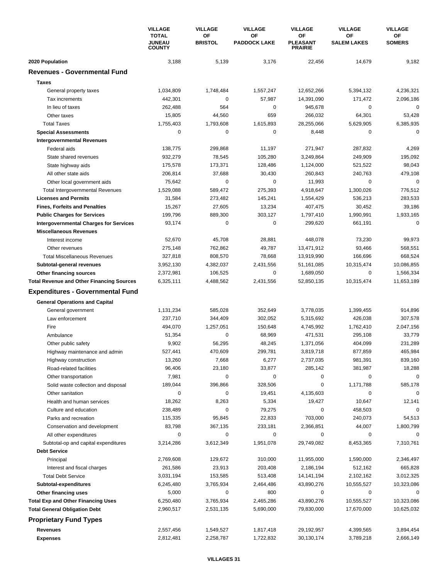|                                                  | <b>VILLAGE</b><br><b>TOTAL</b><br><b>JUNEAU</b><br><b>COUNTY</b> | <b>VILLAGE</b> | <b>VILLAGE</b><br>OF | <b>VILLAGE</b>      | <b>VILLAGE</b><br>OF                           | <b>VILLAGE</b>     |
|--------------------------------------------------|------------------------------------------------------------------|----------------|----------------------|---------------------|------------------------------------------------|--------------------|
|                                                  |                                                                  |                | OF<br><b>BRISTOL</b> | <b>PADDOCK LAKE</b> | <b>OF</b><br><b>PLEASANT</b><br><b>PRAIRIE</b> | <b>SALEM LAKES</b> |
| 2020 Population                                  | 3,188                                                            | 5,139          | 3,176                | 22,456              | 14,679                                         | 9,182              |
| <b>Revenues - Governmental Fund</b>              |                                                                  |                |                      |                     |                                                |                    |
| <b>Taxes</b>                                     |                                                                  |                |                      |                     |                                                |                    |
| General property taxes                           | 1,034,809                                                        | 1,748,484      | 1,557,247            | 12,652,266          | 5,394,132                                      | 4,236,321          |
| Tax increments                                   | 442,301                                                          | 0              | 57,987               | 14,391,090          | 171,472                                        | 2,096,186          |
| In lieu of taxes                                 | 262,488                                                          | 564            | 0                    | 945,678             | $\mathbf 0$                                    | 0                  |
| Other taxes                                      | 15,805                                                           | 44,560         | 659                  | 266,032             | 64,301                                         | 53,428             |
| <b>Total Taxes</b>                               | 1,755,403                                                        | 1,793,608      | 1,615,893            | 28,255,066          | 5,629,905                                      | 6,385,935          |
| <b>Special Assessments</b>                       | $\mathbf 0$                                                      | 0              | 0                    | 8,448               | 0                                              | $\mathbf 0$        |
| <b>Intergovernmental Revenues</b>                |                                                                  |                |                      |                     |                                                |                    |
| Federal aids                                     | 138,775                                                          | 299,868        | 11,197               | 271,947             | 287,832                                        | 4,269              |
| State shared revenues                            | 932,279                                                          | 78,545         | 105,280              | 3,249,864           | 249,909                                        | 195,092            |
| State highway aids                               | 175,578                                                          | 173,371        | 128,486              | 1,124,000           | 521,522                                        | 98,043             |
| All other state aids                             | 206,814                                                          | 37,688         | 30,430               | 260,843             | 240,763                                        | 479,108            |
| Other local government aids                      | 75,642                                                           | $\Omega$       | 0                    | 11,993              | 0                                              | $\mathbf 0$        |
| <b>Total Intergovernmental Revenues</b>          | 1,529,088                                                        | 589,472        | 275,393              | 4,918,647           | 1,300,026                                      | 776,512            |
| <b>Licenses and Permits</b>                      | 31,584                                                           | 273,482        | 145,241              | 1,554,429           | 536,213                                        | 283,533            |
| <b>Fines, Forfeits and Penalties</b>             | 15,267                                                           | 27,605         | 13,234               | 407,475             | 30,452                                         | 39,186             |
| <b>Public Charges for Services</b>               | 199,796                                                          | 889,300        | 303,127              | 1,797,410           | 1,990,991                                      | 1,933,165          |
| <b>Intergovernmental Charges for Services</b>    | 93,174                                                           | 0              | 0                    | 299,620             | 661,191                                        | $\mathbf 0$        |
| <b>Miscellaneous Revenues</b>                    |                                                                  |                |                      |                     |                                                |                    |
| Interest income                                  | 52,670                                                           | 45,708         | 28,881               | 448,078             | 73,230                                         | 99,973             |
| Other revenues                                   | 275,148                                                          | 762,862        | 49,787               | 13,471,912          | 93,466                                         | 568,551            |
| <b>Total Miscellaneous Revenues</b>              | 327,818                                                          | 808,570        | 78,668               | 13,919,990          | 166,696                                        | 668,524            |
| Subtotal-general revenues                        | 3,952,130                                                        | 4,382,037      | 2,431,556            | 51,161,085          | 10,315,474                                     | 10,086,855         |
| Other financing sources                          | 2,372,981                                                        | 106,525        | 0                    | 1,689,050           | 0                                              | 1,566,334          |
| <b>Total Revenue and Other Financing Sources</b> | 6,325,111                                                        | 4,488,562      | 2,431,556            | 52,850,135          | 10,315,474                                     | 11,653,189         |
| <b>Expenditures - Governmental Fund</b>          |                                                                  |                |                      |                     |                                                |                    |
| <b>General Operations and Capital</b>            |                                                                  |                |                      |                     |                                                |                    |
| General government                               | 1,131,234                                                        | 585,028        | 352,649              | 3,778,035           | 1,399,455                                      | 914,896            |
| Law enforcement                                  | 237,710                                                          | 344,409        | 302,052              | 5,315,692           | 426,038                                        | 307,578            |
| Fire                                             | 494,070                                                          | 1,257,051      | 150,648              | 4,745,992           | 1,762,410                                      | 2,047,156          |
| Ambulance                                        | 51,354                                                           | 0              | 68,969               | 471,531             | 295,108                                        | 33,779             |
| Other public safety                              | 9,902                                                            | 56,295         | 48,245               | 1,371,056           | 404,099                                        | 231,289            |
| Highway maintenance and admin                    | 527,441                                                          | 470,609        | 299,781              | 3,819,718           | 877,859                                        | 465,984            |
| Highway construction                             | 13,260                                                           | 7,668          | 6,277                | 2,737,035           | 981,391                                        | 839,160            |
| Road-related facilities                          | 96,406                                                           | 23,180         | 33,877               | 285,142             | 381,987                                        | 18,288             |
| Other transportation                             | 7,981                                                            | 0              | 0                    | 0                   | $\mathbf 0$                                    | $\mathbf 0$        |
| Solid waste collection and disposal              | 189,044                                                          | 396,866        | 328,506              | $\pmb{0}$           | 1,171,788                                      | 585,178            |
| Other sanitation                                 | $\mathbf 0$                                                      | 0              | 19,451               | 4,135,603           | 0                                              | 0                  |
| Health and human services                        | 18,262                                                           | 8,263          | 5,334                | 19,427              | 10,647                                         | 12,141             |
| Culture and education                            | 238,489                                                          | 0              | 79,275               | 0                   | 458,503                                        | 0                  |
| Parks and recreation                             | 115,335                                                          | 95,845         | 22,833               | 703,000             | 240,073                                        | 54,513             |
| Conservation and development                     | 83,798                                                           | 367,135        | 233,181              | 2,366,851           | 44,007                                         | 1,800,799          |
| All other expenditures                           | 0                                                                | 0              | 0                    | 0                   | 0                                              | 0                  |
| Subtotal-op and capital expenditures             | 3,214,286                                                        | 3,612,349      | 1,951,078            | 29,749,082          | 8,453,365                                      | 7,310,761          |
| <b>Debt Service</b>                              |                                                                  |                |                      |                     |                                                |                    |
| Principal                                        | 2,769,608                                                        | 129,672        | 310,000              | 11,955,000          | 1,590,000                                      | 2,346,497          |
| Interest and fiscal charges                      | 261,586                                                          | 23,913         | 203,408              | 2,186,194           | 512,162                                        | 665,828            |
| <b>Total Debt Service</b>                        | 3,031,194                                                        | 153,585        | 513,408              | 14, 141, 194        | 2,102,162                                      | 3,012,325          |
| Subtotal-expenditures                            | 6,245,480                                                        | 3,765,934      | 2,464,486            | 43,890,276          | 10,555,527                                     | 10,323,086         |
| Other financing uses                             | 5,000                                                            | 0              | 800                  | 0                   | 0                                              | 0                  |
| <b>Total Exp and Other Financing Uses</b>        | 6,250,480                                                        | 3,765,934      | 2,465,286            | 43,890,276          | 10,555,527                                     | 10,323,086         |
| <b>Total General Obligation Debt</b>             | 2,960,517                                                        | 2,531,135      | 5,690,000            | 79,830,000          | 17,670,000                                     | 10,625,032         |
| <b>Proprietary Fund Types</b>                    |                                                                  |                |                      |                     |                                                |                    |
| Revenues                                         | 2,557,456                                                        | 1,549,527      | 1,817,418            | 29,192,957          | 4,399,565                                      | 3,894,454          |
| <b>Expenses</b>                                  | 2,812,481                                                        | 2,258,787      | 1,722,832            | 30,130,174          | 3,789,218                                      | 2,666,149          |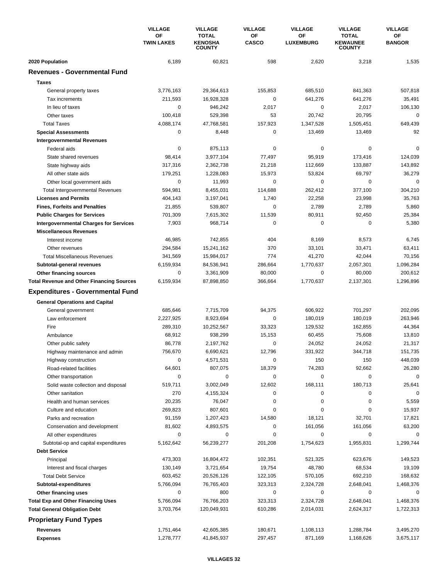|                                                  | <b>VILLAGE</b>          | <b>VILLAGE</b>                                  | <b>VILLAGE</b>     | <b>VILLAGE</b>         | <b>VILLAGE</b>                            | <b>VILLAGE</b>      |
|--------------------------------------------------|-------------------------|-------------------------------------------------|--------------------|------------------------|-------------------------------------------|---------------------|
|                                                  | ΟF<br><b>TWIN LAKES</b> | <b>TOTAL</b><br><b>KENOSHA</b><br><b>COUNTY</b> | ΟF<br><b>CASCO</b> | ОF<br><b>LUXEMBURG</b> | TOTAL<br><b>KEWAUNEE</b><br><b>COUNTY</b> | ОF<br><b>BANGOR</b> |
| 2020 Population                                  | 6,189                   | 60,821                                          | 598                | 2,620                  | 3,218                                     | 1,535               |
| <b>Revenues - Governmental Fund</b>              |                         |                                                 |                    |                        |                                           |                     |
| <b>Taxes</b>                                     |                         |                                                 |                    |                        |                                           |                     |
| General property taxes                           | 3,776,163               | 29,364,613                                      | 155,853            | 685,510                | 841,363                                   | 507,818             |
| Tax increments                                   | 211,593                 | 16,928,328                                      | 0                  | 641,276                | 641,276                                   | 35,491              |
| In lieu of taxes                                 | 0                       | 946.242                                         | 2,017              | 0                      | 2,017                                     | 106,130             |
| Other taxes                                      | 100,418                 | 529,398                                         | 53                 | 20,742                 | 20,795                                    | 0                   |
| <b>Total Taxes</b>                               | 4,088,174               | 47,768,581                                      | 157,923            | 1,347,528              | 1,505,451                                 | 649,439             |
| <b>Special Assessments</b>                       | 0                       | 8,448                                           | 0                  | 13,469                 | 13,469                                    | 92                  |
| <b>Intergovernmental Revenues</b>                |                         |                                                 |                    |                        |                                           |                     |
| Federal aids                                     | $\mathbf 0$             | 875,113                                         | 0                  | 0                      | $\mathbf 0$                               | 0                   |
| State shared revenues                            | 98,414                  | 3,977,104                                       | 77,497             | 95,919                 | 173,416                                   | 124,039             |
| State highway aids                               | 317,316                 | 2,362,738                                       | 21,218             | 112,669                | 133,887                                   | 143,892             |
| All other state aids                             | 179,251                 | 1,228,083                                       | 15,973             | 53,824                 | 69,797                                    | 36,279              |
| Other local government aids                      | $\mathbf 0$             | 11,993                                          | 0                  | 0                      | $\mathbf 0$                               | $\mathbf 0$         |
| <b>Total Intergovernmental Revenues</b>          | 594,981                 | 8,455,031                                       | 114,688            | 262,412                | 377,100                                   | 304,210             |
| <b>Licenses and Permits</b>                      | 404,143                 | 3,197,041                                       | 1,740              | 22,258                 | 23,998                                    | 35,763              |
| <b>Fines, Forfeits and Penalties</b>             | 21,855                  | 539,807                                         | 0                  | 2,789                  | 2,789                                     | 5,860               |
| <b>Public Charges for Services</b>               | 701,309                 | 7,615,302                                       | 11,539             | 80,911                 | 92,450                                    | 25,384              |
| <b>Intergovernmental Charges for Services</b>    | 7,903                   | 968,714                                         | 0                  | $\mathbf 0$            | $\mathbf 0$                               | 5,380               |
| <b>Miscellaneous Revenues</b>                    |                         |                                                 |                    |                        |                                           |                     |
| Interest income                                  | 46,985                  | 742,855                                         | 404                | 8,169                  | 8,573                                     | 6,745               |
| Other revenues                                   | 294,584                 | 15,241,162                                      | 370                | 33,101                 | 33,471                                    | 63,411              |
| <b>Total Miscellaneous Revenues</b>              | 341,569                 | 15,984,017                                      | 774                | 41,270                 | 42,044                                    | 70,156              |
| Subtotal-general revenues                        | 6,159,934               | 84,536,941                                      | 286,664            | 1,770,637              | 2,057,301                                 | 1,096,284           |
| Other financing sources                          | 0                       | 3,361,909                                       | 80,000             | 0                      | 80,000                                    | 200,612             |
| <b>Total Revenue and Other Financing Sources</b> | 6,159,934               | 87,898,850                                      | 366,664            | 1,770,637              | 2,137,301                                 | 1,296,896           |
| <b>Expenditures - Governmental Fund</b>          |                         |                                                 |                    |                        |                                           |                     |
|                                                  |                         |                                                 |                    |                        |                                           |                     |
| <b>General Operations and Capital</b>            |                         |                                                 |                    |                        |                                           |                     |
| General government                               | 685,646                 | 7,715,709                                       | 94,375             | 606,922                | 701,297                                   | 202,095             |
| Law enforcement                                  | 2,227,925               | 8,923,694                                       | 0                  | 180,019                | 180,019                                   | 263,946             |
| Fire                                             | 289,310                 | 10,252,567                                      | 33,323             | 129,532                | 162,855                                   | 44,364              |
| Ambulance                                        | 68,912                  | 938,299                                         | 15,153             | 60,455                 | 75,608                                    | 13,810              |
| Other public safety                              | 86,778                  | 2,197,762                                       | 0                  | 24,052                 | 24,052                                    | 21,317              |
| Highway maintenance and admin                    | 756,670                 | 6,690,621                                       | 12,796             | 331,922                | 344,718                                   | 151,735             |
| Highway construction                             | 0                       | 4,571,531                                       | 0                  | 150                    | 150                                       | 448,039             |
| Road-related facilities                          | 64,601                  | 807,075                                         | 18,379             | 74,283                 | 92,662                                    | 26,280              |
| Other transportation                             | 0                       | 0                                               | 0                  | 0                      | $\mathbf 0$                               | $\mathbf 0$         |
| Solid waste collection and disposal              | 519,711                 | 3,002,049                                       | 12,602             | 168,111                | 180,713                                   | 25,641              |
| Other sanitation                                 | 270                     | 4,155,324                                       | 0                  | 0                      | 0                                         | 0                   |
| Health and human services                        | 20,235                  | 76,047                                          | 0                  | 0                      | $\mathbf 0$                               | 5,559               |
| Culture and education                            | 269,823                 | 807,601                                         | 0                  | 0                      | 0                                         | 15,937              |
| Parks and recreation                             | 91,159                  | 1,207,423                                       | 14,580             | 18,121                 | 32,701                                    | 17,821              |
| Conservation and development                     | 81,602                  | 4,893,575                                       | 0                  | 161,056                | 161,056                                   | 63,200              |
| All other expenditures                           | 0                       | 0                                               | 0                  | 0                      | 0                                         | 0                   |
| Subtotal-op and capital expenditures             | 5,162,642               | 56,239,277                                      | 201,208            | 1,754,623              | 1,955,831                                 | 1,299,744           |
| <b>Debt Service</b>                              |                         |                                                 |                    |                        |                                           |                     |
| Principal                                        | 473,303                 | 16,804,472                                      | 102,351            | 521,325                | 623,676                                   | 149,523             |
| Interest and fiscal charges                      | 130,149                 | 3,721,654                                       | 19,754             | 48,780                 | 68,534                                    | 19,109              |
| <b>Total Debt Service</b>                        | 603,452                 | 20,526,126                                      | 122,105            | 570,105                | 692,210                                   | 168,632             |
| Subtotal-expenditures                            | 5,766,094               | 76,765,403                                      | 323,313            | 2,324,728              | 2,648,041                                 | 1,468,376           |
| Other financing uses                             | 0                       | 800                                             | 0                  | 0                      | 0                                         | 0                   |
| <b>Total Exp and Other Financing Uses</b>        | 5,766,094               | 76,766,203                                      | 323,313            | 2,324,728              | 2,648,041                                 | 1,468,376           |
| <b>Total General Obligation Debt</b>             | 3,703,764               | 120,049,931                                     | 610,286            | 2,014,031              | 2,624,317                                 | 1,722,313           |
| <b>Proprietary Fund Types</b>                    |                         |                                                 |                    |                        |                                           |                     |
| Revenues                                         | 1,751,464               | 42,605,385                                      | 180,671            | 1,108,113              | 1,288,784                                 | 3,495,270           |
| <b>Expenses</b>                                  | 1,278,777               | 41,845,937                                      | 297,457            | 871,169                | 1,168,626                                 | 3,675,117           |
|                                                  |                         |                                                 |                    |                        |                                           |                     |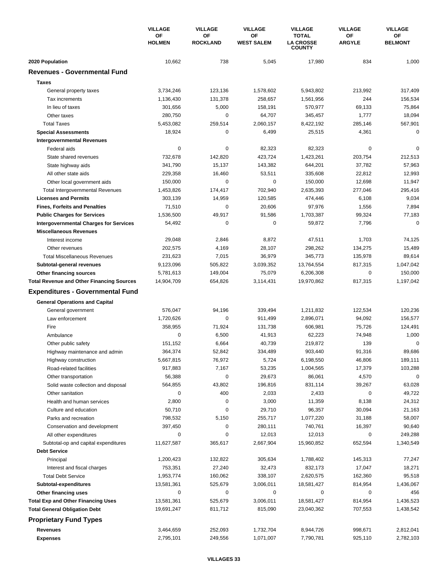|                                                  | <b>VILLAGE</b><br>ΟF<br><b>HOLMEN</b> | <b>VILLAGE</b>        | <b>VILLAGE</b>          | <b>VILLAGE</b>                                    | <b>VILLAGE</b>      | <b>VILLAGE</b>       |
|--------------------------------------------------|---------------------------------------|-----------------------|-------------------------|---------------------------------------------------|---------------------|----------------------|
|                                                  |                                       | OF<br><b>ROCKLAND</b> | OF<br><b>WEST SALEM</b> | <b>TOTAL</b><br><b>LA CROSSE</b><br><b>COUNTY</b> | OF<br><b>ARGYLE</b> | OF<br><b>BELMONT</b> |
| 2020 Population                                  | 10,662                                | 738                   | 5,045                   | 17,980                                            | 834                 | 1,000                |
| <b>Revenues - Governmental Fund</b>              |                                       |                       |                         |                                                   |                     |                      |
| <b>Taxes</b>                                     |                                       |                       |                         |                                                   |                     |                      |
| General property taxes                           | 3,734,246                             | 123,136               | 1,578,602               | 5,943,802                                         | 213,992             | 317,409              |
| Tax increments                                   | 1,136,430                             | 131,378               | 258,657                 | 1,561,956                                         | 244                 | 156,534              |
| In lieu of taxes                                 | 301,656                               | 5,000                 | 158,191                 | 570,977                                           | 69,133              | 75,864               |
| Other taxes                                      | 280,750                               | 0                     | 64,707                  | 345,457                                           | 1,777               | 18,094               |
| <b>Total Taxes</b>                               | 5,453,082                             | 259,514               | 2,060,157               | 8,422,192                                         | 285,146             | 567,901              |
| <b>Special Assessments</b>                       | 18,924                                | 0                     | 6,499                   | 25,515                                            | 4,361               | $\mathbf 0$          |
| <b>Intergovernmental Revenues</b>                |                                       |                       |                         |                                                   |                     |                      |
| Federal aids                                     | $\mathbf 0$                           | 0                     | 82,323                  | 82,323                                            | $\mathbf 0$         | 0                    |
| State shared revenues                            | 732,678                               | 142,820               | 423,724                 | 1,423,261                                         | 203,754             | 212,513              |
| State highway aids                               | 341,790                               | 15,137                | 143,382                 | 644,201                                           | 37,782              | 57,963               |
| All other state aids                             | 229,358                               | 16,460                | 53,511                  | 335,608                                           | 22,812              | 12,993               |
| Other local government aids                      | 150,000                               | $\Omega$              | 0                       | 150,000                                           | 12,698              | 11,947               |
| <b>Total Intergovernmental Revenues</b>          | 1,453,826                             | 174,417               | 702,940                 | 2,635,393                                         | 277,046             | 295,416              |
| <b>Licenses and Permits</b>                      | 303,139                               | 14,959                | 120,585                 | 474,446                                           | 6,108               | 9,034                |
| <b>Fines, Forfeits and Penalties</b>             | 71,510                                | $\mathbf 0$           | 20,606                  | 97,976                                            | 1,556               | 7,894                |
| <b>Public Charges for Services</b>               | 1,536,500                             | 49,917                | 91,586                  | 1,703,387                                         | 99,324              | 77,183               |
| <b>Intergovernmental Charges for Services</b>    | 54,492                                | 0                     | 0                       | 59,872                                            | 7,796               | $\mathbf 0$          |
| <b>Miscellaneous Revenues</b>                    |                                       |                       |                         |                                                   |                     |                      |
| Interest income                                  | 29,048                                | 2,846                 | 8,872                   | 47,511                                            | 1,703               | 74,125               |
| Other revenues                                   | 202,575                               | 4,169                 | 28,107                  | 298,262                                           | 134,275             | 15,489               |
| <b>Total Miscellaneous Revenues</b>              | 231,623                               | 7,015                 | 36,979                  | 345,773                                           | 135,978             | 89,614               |
| Subtotal-general revenues                        | 9,123,096                             | 505,822               | 3,039,352               | 13,764,554                                        | 817,315             | 1,047,042            |
| Other financing sources                          | 5,781,613                             | 149,004               | 75,079                  | 6,206,308                                         | 0                   | 150,000              |
| <b>Total Revenue and Other Financing Sources</b> | 14,904,709                            | 654,826               | 3,114,431               | 19,970,862                                        | 817,315             | 1,197,042            |
| <b>Expenditures - Governmental Fund</b>          |                                       |                       |                         |                                                   |                     |                      |
| <b>General Operations and Capital</b>            |                                       |                       |                         |                                                   |                     |                      |
| General government                               | 576,047                               | 94,196                | 339,494                 | 1,211,832                                         | 122,534             | 120,236              |
| Law enforcement                                  | 1,720,626                             | 0                     | 911,499                 | 2,896,071                                         | 94,092              | 156,577              |
| Fire                                             | 358,955                               | 71,924                | 131,738                 | 606,981                                           | 75,726              | 124,491              |
| Ambulance                                        | $\mathbf 0$                           | 6,500                 | 41,913                  | 62,223                                            | 74,948              | 1,000                |
| Other public safety                              | 151,152                               | 6,664                 | 40,739                  | 219,872                                           | 139                 | 0                    |
| Highway maintenance and admin                    | 364,374                               | 52,842                | 334,489                 | 903,440                                           | 91,316              | 89,686               |
| Highway construction                             | 5,667,815                             | 76,972                | 5,724                   | 6,198,550                                         | 46,806              | 189,111              |
| Road-related facilities                          | 917,883                               | 7,167                 | 53,235                  | 1,004,565                                         | 17,379              | 103,288              |
| Other transportation                             | 56,388                                | 0                     | 29,673                  | 86,061                                            | 4,570               | $\mathbf 0$          |
| Solid waste collection and disposal              | 564,855                               | 43,802                | 196,816                 | 831,114                                           | 39,267              | 63,028               |
| Other sanitation                                 | $\mathbf 0$                           | 400                   | 2,033                   | 2,433                                             | 0                   | 49,722               |
| Health and human services                        | 2,800                                 | 0                     | 3,000                   | 11,359                                            | 8,138               | 24,312               |
| Culture and education                            | 50,710                                | 0                     | 29,710                  | 96,357                                            | 30,094              | 21,163               |
| Parks and recreation                             | 798,532                               | 5,150                 | 255,717                 | 1,077,220                                         | 31,188              | 58,007               |
| Conservation and development                     | 397,450                               | 0                     | 280,111                 | 740,761                                           | 16,397              | 90,640               |
| All other expenditures                           | 0                                     | 0                     | 12,013                  | 12,013                                            | 0                   | 249,288              |
| Subtotal-op and capital expenditures             | 11,627,587                            | 365,617               | 2,667,904               | 15,960,852                                        | 652,594             | 1,340,549            |
| <b>Debt Service</b>                              |                                       |                       |                         |                                                   |                     |                      |
| Principal                                        | 1,200,423                             | 132,822               | 305,634                 | 1,788,402                                         | 145,313             | 77,247               |
| Interest and fiscal charges                      | 753,351                               | 27,240                | 32,473                  | 832,173                                           | 17,047              | 18,271               |
| <b>Total Debt Service</b>                        | 1,953,774                             | 160,062               | 338,107                 | 2,620,575                                         | 162,360             | 95,518               |
| Subtotal-expenditures                            | 13,581,361                            | 525,679               | 3,006,011               | 18,581,427                                        | 814,954             | 1,436,067            |
| Other financing uses                             | 0                                     | 0                     | 0                       | 0                                                 | 0                   | 456                  |
| <b>Total Exp and Other Financing Uses</b>        | 13,581,361                            | 525,679               | 3,006,011               | 18,581,427                                        | 814,954             | 1,436,523            |
| <b>Total General Obligation Debt</b>             | 19,691,247                            | 811,712               | 815,090                 | 23,040,362                                        | 707,553             | 1,438,542            |
| <b>Proprietary Fund Types</b>                    |                                       |                       |                         |                                                   |                     |                      |
| Revenues                                         | 3,464,659                             | 252,093               | 1,732,704               | 8,944,726                                         | 998,671             | 2,812,041            |
| <b>Expenses</b>                                  | 2,795,101                             | 249,556               | 1,071,007               | 7,790,781                                         | 925,110             | 2,782,103            |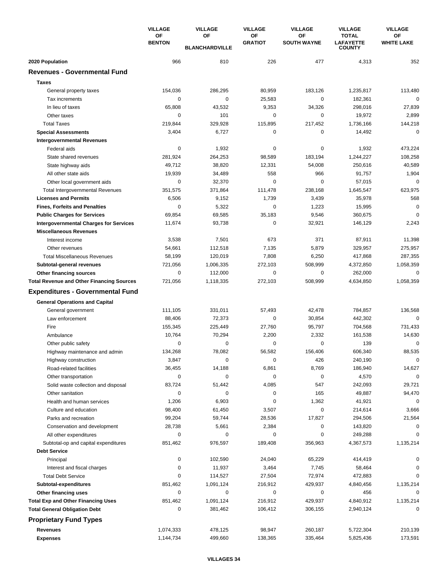|                                                                                   | <b>VILLAGE</b><br><b>OF</b> | <b>VILLAGE</b>              | <b>VILLAGE</b>       | <b>VILLAGE</b>           | <b>VILLAGE</b>                                    | <b>VILLAGE</b>          |
|-----------------------------------------------------------------------------------|-----------------------------|-----------------------------|----------------------|--------------------------|---------------------------------------------------|-------------------------|
|                                                                                   | <b>BENTON</b>               | OF<br><b>BLANCHARDVILLE</b> | OF<br><b>GRATIOT</b> | ΟF<br><b>SOUTH WAYNE</b> | <b>TOTAL</b><br><b>LAFAYETTE</b><br><b>COUNTY</b> | OF<br><b>WHITE LAKE</b> |
| 2020 Population                                                                   | 966                         | 810                         | 226                  | 477                      | 4,313                                             | 352                     |
| <b>Revenues - Governmental Fund</b>                                               |                             |                             |                      |                          |                                                   |                         |
| <b>Taxes</b>                                                                      |                             |                             |                      |                          |                                                   |                         |
| General property taxes                                                            | 154,036                     | 286,295                     | 80,959               | 183,126                  | 1,235,817                                         | 113,480                 |
| Tax increments                                                                    | $\mathbf 0$                 | 0                           | 25,583               | 0                        | 182,361                                           | $\mathbf 0$             |
| In lieu of taxes                                                                  | 65,808                      | 43,532                      | 9,353                | 34,326                   | 298,016                                           | 27,839                  |
| Other taxes                                                                       | 0                           | 101                         | 0                    | 0                        | 19,972                                            | 2,899                   |
| <b>Total Taxes</b>                                                                | 219,844                     | 329,928                     | 115,895              | 217,452                  | 1,736,166                                         | 144,218                 |
| <b>Special Assessments</b>                                                        | 3,404                       | 6,727                       | 0                    | 0                        | 14,492                                            | $\mathbf 0$             |
| <b>Intergovernmental Revenues</b>                                                 |                             |                             |                      |                          |                                                   |                         |
| Federal aids                                                                      | $\mathbf 0$                 | 1,932                       | 0                    | 0                        | 1,932                                             | 473,224                 |
| State shared revenues                                                             | 281,924                     | 264,253                     | 98,589               | 183,194                  | 1,244,227                                         | 108,258                 |
| State highway aids                                                                | 49,712                      | 38,820                      | 12,331               | 54,008                   | 250,616                                           | 40,589                  |
| All other state aids                                                              | 19,939                      | 34,489                      | 558                  | 966                      | 91,757                                            | 1,904                   |
| Other local government aids                                                       | 0                           | 32,370                      | 0                    | $\Omega$                 | 57,015                                            | 0                       |
| <b>Total Intergovernmental Revenues</b>                                           | 351,575                     | 371,864                     | 111,478              | 238,168                  | 1,645,547                                         | 623,975                 |
| <b>Licenses and Permits</b>                                                       | 6,506                       | 9,152                       | 1,739                | 3,439                    | 35,978                                            | 568                     |
| <b>Fines, Forfeits and Penalties</b>                                              | $\mathbf 0$                 | 5,322                       | 0                    | 1,223                    | 15,995                                            | $\mathbf 0$             |
| <b>Public Charges for Services</b>                                                | 69,854                      | 69,585                      | 35,183               | 9,546                    | 360,675                                           | $\mathbf 0$             |
| <b>Intergovernmental Charges for Services</b>                                     | 11,674                      | 93,738                      | 0                    | 32,921                   | 146,129                                           | 2,243                   |
| <b>Miscellaneous Revenues</b>                                                     |                             |                             |                      |                          |                                                   |                         |
| Interest income                                                                   | 3,538                       | 7,501                       | 673                  | 371                      | 87,911                                            | 11,398                  |
| Other revenues                                                                    | 54,661                      | 112,518                     | 7,135                | 5,879                    | 329,957                                           | 275,957                 |
| <b>Total Miscellaneous Revenues</b>                                               | 58,199                      | 120,019                     | 7,808                | 6,250                    | 417,868                                           | 287,355                 |
| Subtotal-general revenues                                                         | 721,056                     | 1,006,335                   | 272,103              | 508,999                  | 4,372,850                                         | 1,058,359               |
| Other financing sources                                                           | 0                           | 112,000                     | 0                    | 0                        | 262,000                                           | 0                       |
| <b>Total Revenue and Other Financing Sources</b>                                  | 721,056                     | 1,118,335                   | 272,103              | 508,999                  | 4,634,850                                         | 1,058,359               |
| <b>Expenditures - Governmental Fund</b>                                           |                             |                             |                      |                          |                                                   |                         |
| <b>General Operations and Capital</b>                                             |                             |                             |                      |                          |                                                   |                         |
| General government                                                                | 111,105                     | 331,011                     | 57,493               | 42,478                   | 784,857                                           | 136,568                 |
| Law enforcement                                                                   | 88,406                      | 72,373                      | 0                    | 30,854                   | 442,302                                           | 0                       |
| Fire                                                                              | 155,345                     | 225,449                     | 27,760               | 95,797                   | 704,568                                           | 731,433                 |
| Ambulance                                                                         | 10,764                      | 70,294                      | 2,200                | 2,332                    | 161,538                                           | 14,630                  |
| Other public safety                                                               | 0                           | 0                           | 0                    | 0                        | 139                                               | 0                       |
| Highway maintenance and admin                                                     | 134,268                     | 78,082                      | 56,582               | 156,406                  | 606,340                                           | 88,535                  |
| Highway construction                                                              | 3,847                       | 0                           | $\pmb{0}$            | 426                      | 240,190                                           | 0                       |
| Road-related facilities                                                           | 36,455                      | 14,188                      | 6,861                | 8,769                    | 186,940                                           | 14,627                  |
| Other transportation                                                              | $\mathbf 0$                 | 0                           | 0                    | 0                        | 4,570                                             | $\mathbf 0$             |
| Solid waste collection and disposal                                               | 83,724                      | 51,442                      | 4,085                | 547                      | 242,093                                           | 29,721                  |
| Other sanitation                                                                  | 0                           | 0                           | 0                    | 165                      | 49,887                                            | 94,470                  |
| Health and human services                                                         | 1,206                       | 6,903                       | 0                    | 1,362                    | 41,921                                            | 0                       |
| Culture and education                                                             | 98,400                      | 61,450                      | 3,507                | 0                        | 214,614                                           | 3,666                   |
| Parks and recreation                                                              | 99,204                      | 59,744                      | 28,536               | 17,827                   | 294,506                                           | 21,564                  |
| Conservation and development                                                      | 28,738                      | 5,661                       | 2,384                | 0                        | 143,820                                           | 0                       |
| All other expenditures                                                            | 0                           | 0                           | 0                    | 0                        | 249,288                                           | 0                       |
| Subtotal-op and capital expenditures                                              | 851,462                     | 976,597                     | 189,408              | 356,963                  | 4,367,573                                         | 1,135,214               |
| <b>Debt Service</b>                                                               |                             |                             |                      |                          |                                                   |                         |
| Principal                                                                         | 0                           | 102,590                     | 24,040               | 65,229                   | 414,419                                           | 0                       |
| Interest and fiscal charges                                                       | 0                           | 11,937                      | 3,464                | 7,745                    | 58,464                                            | 0                       |
| <b>Total Debt Service</b>                                                         | 0                           | 114,527                     | 27,504               | 72,974                   | 472,883                                           | 0                       |
| Subtotal-expenditures                                                             | 851,462<br>0                | 1,091,124<br>0              | 216,912<br>0         | 429,937<br>0             | 4,840,456<br>456                                  | 1,135,214<br>0          |
| Other financing uses                                                              | 851,462                     | 1,091,124                   | 216,912              | 429,937                  |                                                   |                         |
| <b>Total Exp and Other Financing Uses</b><br><b>Total General Obligation Debt</b> | 0                           | 381,462                     | 106,412              | 306,155                  | 4,840,912<br>2,940,124                            | 1,135,214<br>0          |
|                                                                                   |                             |                             |                      |                          |                                                   |                         |
| <b>Proprietary Fund Types</b>                                                     |                             |                             |                      |                          |                                                   |                         |
| Revenues                                                                          | 1,074,333                   | 478,125                     | 98,947               | 260,187                  | 5,722,304                                         | 210,139                 |
| <b>Expenses</b>                                                                   | 1,144,734                   | 499,660                     | 138,365              | 335,464                  | 5,825,436                                         | 173,591                 |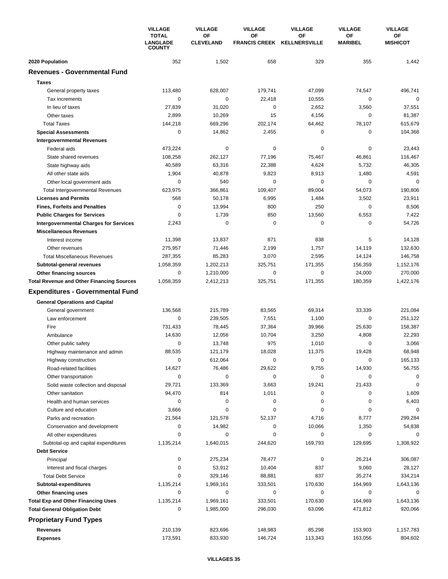|                                                  | <b>VILLAGE</b><br><b>TOTAL</b><br><b>LANGLADE</b><br><b>COUNTY</b> | <b>VILLAGE</b><br><b>VILLAGE</b><br>OF<br><b>OF</b><br><b>CLEVELAND</b> |              | <b>VILLAGE</b><br><b>OF</b><br>FRANCIS CREEK KELLNERSVILLE | <b>VILLAGE</b><br>OF<br><b>MARIBEL</b> | <b>VILLAGE</b><br>OF<br><b>MISHICOT</b> |
|--------------------------------------------------|--------------------------------------------------------------------|-------------------------------------------------------------------------|--------------|------------------------------------------------------------|----------------------------------------|-----------------------------------------|
|                                                  |                                                                    |                                                                         |              |                                                            |                                        |                                         |
| 2020 Population                                  | 352                                                                | 1,502                                                                   | 658          | 329                                                        | 355                                    | 1,442                                   |
| <b>Revenues - Governmental Fund</b>              |                                                                    |                                                                         |              |                                                            |                                        |                                         |
| <b>Taxes</b>                                     |                                                                    |                                                                         |              |                                                            |                                        |                                         |
| General property taxes                           | 113,480                                                            | 628,007                                                                 | 179,741      | 47,099                                                     | 74,547                                 | 496,741                                 |
| Tax increments                                   | 0                                                                  | 0                                                                       | 22,418       | 10,555                                                     | 0                                      | $\mathbf 0$                             |
| In lieu of taxes                                 | 27,839                                                             | 31,020                                                                  | 0            | 2,652                                                      | 3,560                                  | 37,551                                  |
| Other taxes                                      | 2,899                                                              | 10,269                                                                  | 15           | 4,156                                                      | 0                                      | 81,387                                  |
| <b>Total Taxes</b>                               | 144,218                                                            | 669,296                                                                 | 202,174      | 64,462                                                     | 78,107                                 | 615,679                                 |
| <b>Special Assessments</b>                       | $\mathbf 0$                                                        | 14,862                                                                  | 2,455        | $\pmb{0}$                                                  | $\mathbf 0$                            | 104,368                                 |
| <b>Intergovernmental Revenues</b>                |                                                                    |                                                                         |              |                                                            |                                        |                                         |
| Federal aids                                     | 473,224                                                            | $\pmb{0}$                                                               | 0            | $\pmb{0}$                                                  | $\mathbf 0$                            | 23,443                                  |
| State shared revenues                            | 108,258                                                            | 262,127                                                                 | 77,196       | 75,467                                                     | 46,861                                 | 116,467                                 |
| State highway aids                               | 40,589                                                             | 63,316                                                                  | 22,388       | 4,624                                                      | 5,732                                  | 46,305                                  |
| All other state aids                             | 1,904                                                              | 40,878                                                                  | 9,823        | 8,913                                                      | 1,480                                  | 4,591                                   |
| Other local government aids                      | 0                                                                  | 540                                                                     | 0            | 0                                                          | 0                                      | $\mathbf 0$                             |
| Total Intergovernmental Revenues                 | 623,975                                                            | 366,861                                                                 | 109,407      | 89,004                                                     | 54,073                                 | 190,806                                 |
| <b>Licenses and Permits</b>                      | 568                                                                | 50,178                                                                  | 6,995        | 1,484                                                      | 3,502                                  | 23,911                                  |
| <b>Fines, Forfeits and Penalties</b>             | $\mathbf 0$                                                        | 13,994                                                                  | 800          | 250                                                        | $\mathbf 0$                            | 8,506                                   |
| <b>Public Charges for Services</b>               | 0                                                                  | 1,739                                                                   | 850          | 13,560                                                     | 6,553                                  | 7,422                                   |
| <b>Intergovernmental Charges for Services</b>    | 2,243                                                              | $\mathbf 0$                                                             | 0            | $\mathbf 0$                                                | $\mathbf 0$                            | 54,726                                  |
| <b>Miscellaneous Revenues</b>                    |                                                                    |                                                                         |              |                                                            |                                        |                                         |
| Interest income                                  | 11,398                                                             | 13,837                                                                  | 871          | 838                                                        | 5                                      | 14,128                                  |
| Other revenues                                   | 275,957                                                            | 71,446                                                                  | 2,199        | 1,757                                                      | 14,119                                 | 132,630                                 |
| <b>Total Miscellaneous Revenues</b>              | 287,355                                                            | 85,283                                                                  | 3,070        | 2,595                                                      | 14,124                                 | 146,758                                 |
| Subtotal-general revenues                        | 1,058,359                                                          | 1,202,213                                                               | 325,751      | 171,355                                                    | 156,359                                | 1,152,176                               |
| Other financing sources                          | 0<br>1,058,359                                                     | 1,210,000<br>2,412,213                                                  | 0<br>325,751 | 0<br>171,355                                               | 24,000<br>180,359                      | 270,000<br>1,422,176                    |
| <b>Total Revenue and Other Financing Sources</b> |                                                                    |                                                                         |              |                                                            |                                        |                                         |
| <b>Expenditures - Governmental Fund</b>          |                                                                    |                                                                         |              |                                                            |                                        |                                         |
| <b>General Operations and Capital</b>            |                                                                    |                                                                         |              |                                                            |                                        |                                         |
| General government                               | 136,568                                                            | 215,789                                                                 | 83,565       | 69,314                                                     | 33,339                                 | 221,084                                 |
| Law enforcement                                  | 0                                                                  | 239,505                                                                 | 7,551        | 1,100                                                      | 0                                      | 251,122                                 |
| Fire                                             | 731,433                                                            | 78,445                                                                  | 37,364       | 39,966                                                     | 25,630                                 | 158,387                                 |
| Ambulance                                        | 14,630                                                             | 12,056                                                                  | 10,704       | 3,250                                                      | 4,808                                  | 22,293                                  |
| Other public safety                              | 0<br>88,535                                                        | 13,748                                                                  | 975          | 1,010                                                      | 0<br>19,428                            | 3,066<br>68,948                         |
| Highway maintenance and admin                    | 0                                                                  | 121,179<br>612,064                                                      | 18,028<br>0  | 11,375<br>$\pmb{0}$                                        | $\mathbf 0$                            | 165,133                                 |
| Highway construction<br>Road-related facilities  | 14,627                                                             | 76,486                                                                  | 29,622       | 9,755                                                      | 14,930                                 | 56,755                                  |
| Other transportation                             | $\mathbf 0$                                                        | $\pmb{0}$                                                               | 0            | $\pmb{0}$                                                  | 0                                      | 0                                       |
| Solid waste collection and disposal              | 29,721                                                             | 133,369                                                                 | 3,663        | 19,241                                                     | 21,433                                 | 0                                       |
| Other sanitation                                 | 94,470                                                             | 814                                                                     | 1,011        | 0                                                          | 0                                      | 1,609                                   |
| Health and human services                        | 0                                                                  | 0                                                                       | 0            | 0                                                          | 0                                      | 6,403                                   |
| Culture and education                            | 3,666                                                              | 0                                                                       | 0            | $\pmb{0}$                                                  | 0                                      | 0                                       |
| Parks and recreation                             | 21,564                                                             | 121,578                                                                 | 52,137       | 4,716                                                      | 8,777                                  | 299,284                                 |
| Conservation and development                     | 0                                                                  | 14,982                                                                  | 0            | 10,066                                                     | 1,350                                  | 54,838                                  |
| All other expenditures                           | 0                                                                  | $\pmb{0}$                                                               | 0            | $\pmb{0}$                                                  | $\mathbf 0$                            | $\Omega$                                |
| Subtotal-op and capital expenditures             | 1,135,214                                                          | 1,640,015                                                               | 244,620      | 169,793                                                    | 129,695                                | 1,308,922                               |
| <b>Debt Service</b>                              |                                                                    |                                                                         |              |                                                            |                                        |                                         |
| Principal                                        | 0                                                                  | 275,234                                                                 | 78,477       | $\pmb{0}$                                                  | 26,214                                 | 306,087                                 |
| Interest and fiscal charges                      | 0                                                                  | 53,912                                                                  | 10,404       | 837                                                        | 9,060                                  | 28,127                                  |
| <b>Total Debt Service</b>                        | 0                                                                  | 329,146                                                                 | 88,881       | 837                                                        | 35,274                                 | 334,214                                 |
| Subtotal-expenditures                            | 1,135,214                                                          | 1,969,161                                                               | 333,501      | 170,630                                                    | 164,969                                | 1,643,136                               |
| Other financing uses                             | 0                                                                  | 0                                                                       | 0            | 0                                                          | 0                                      | 0                                       |
| <b>Total Exp and Other Financing Uses</b>        | 1,135,214                                                          | 1,969,161                                                               | 333,501      | 170,630                                                    | 164,969                                | 1,643,136                               |
| <b>Total General Obligation Debt</b>             | 0                                                                  | 1,985,000                                                               | 296,030      | 63,096                                                     | 471,812                                | 920,066                                 |
| <b>Proprietary Fund Types</b>                    |                                                                    |                                                                         |              |                                                            |                                        |                                         |
| Revenues                                         | 210,139                                                            | 823,696                                                                 | 148,983      | 85,298                                                     | 153,903                                | 1,157,783                               |
| <b>Expenses</b>                                  | 173,591                                                            | 833,930                                                                 | 146,724      | 113,343                                                    | 163,056                                | 804,602                                 |
|                                                  |                                                                    |                                                                         |              |                                                            |                                        |                                         |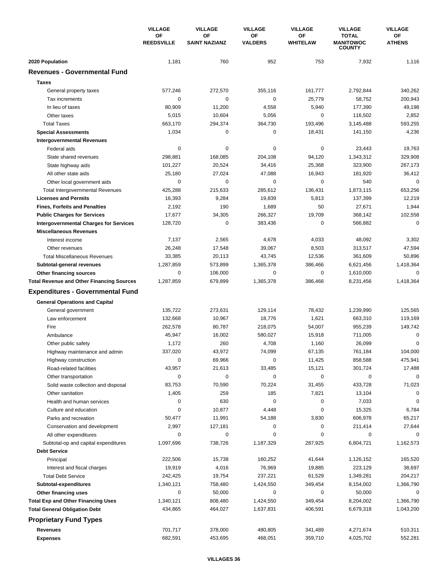|                                                  | <b>VILLAGE</b><br>ΟF<br><b>REEDSVILLE</b> | <b>VILLAGE</b>             | <b>VILLAGE</b>       | <b>VILLAGE</b>        | <b>VILLAGE</b>                                    | <b>VILLAGE</b>      |
|--------------------------------------------------|-------------------------------------------|----------------------------|----------------------|-----------------------|---------------------------------------------------|---------------------|
|                                                  |                                           | ΟF<br><b>SAINT NAZIANZ</b> | ΟF<br><b>VALDERS</b> | ΟF<br><b>WHITELAW</b> | <b>TOTAL</b><br><b>MANITOWOC</b><br><b>COUNTY</b> | ОF<br><b>ATHENS</b> |
| 2020 Population                                  | 1,181                                     | 760                        | 952                  | 753                   | 7,932                                             | 1,116               |
| <b>Revenues - Governmental Fund</b>              |                                           |                            |                      |                       |                                                   |                     |
| <b>Taxes</b>                                     |                                           |                            |                      |                       |                                                   |                     |
| General property taxes                           | 577,246                                   | 272,570                    | 355,116              | 161,777               | 2,792,844                                         | 340,262             |
| Tax increments                                   | $\mathbf 0$                               | 0                          | 0                    | 25,779                | 58,752                                            | 200,943             |
| In lieu of taxes                                 | 80,909                                    | 11,200                     | 4,558                | 5,940                 | 177,390                                           | 49,198              |
| Other taxes                                      | 5,015                                     | 10,604                     | 5,056                | 0                     | 116,502                                           | 2,852               |
| <b>Total Taxes</b>                               | 663,170                                   | 294,374                    | 364,730              | 193,496               | 3,145,488                                         | 593,255             |
| <b>Special Assessments</b>                       | 1,034                                     | 0                          | 0                    | 18,431                | 141,150                                           | 4,236               |
| <b>Intergovernmental Revenues</b>                |                                           |                            |                      |                       |                                                   |                     |
| Federal aids                                     | $\mathbf 0$                               | 0                          | 0                    | 0                     | 23,443                                            | 19,763              |
| State shared revenues                            | 298,881                                   | 168,085                    | 204,108              | 94,120                | 1,343,312                                         | 329,908             |
| State highway aids                               | 101,227                                   | 20,524                     | 34,416               | 25,368                | 323,900                                           | 267,173             |
| All other state aids                             | 25,180                                    | 27,024                     | 47,088               | 16,943                | 181,920                                           | 36,412              |
| Other local government aids                      | 0                                         | 0                          | 0                    | 0                     | 540                                               | $\mathbf 0$         |
| <b>Total Intergovernmental Revenues</b>          | 425,288                                   | 215,633                    | 285,612              | 136,431               | 1,873,115                                         | 653,256             |
| <b>Licenses and Permits</b>                      | 16,393                                    | 9,284                      | 19,839               | 5,813                 | 137,399                                           | 12,219              |
| <b>Fines, Forfeits and Penalties</b>             | 2,192                                     | 190                        | 1,689                | 50                    | 27,671                                            | 1,944               |
| <b>Public Charges for Services</b>               | 17,677                                    | 34,305                     | 266,327              | 19,709                | 368,142                                           | 102,558             |
| <b>Intergovernmental Charges for Services</b>    | 128,720                                   | $\mathbf 0$                | 383,436              | $\mathbf 0$           | 566,882                                           | $\mathbf 0$         |
| <b>Miscellaneous Revenues</b>                    |                                           |                            |                      |                       |                                                   |                     |
| Interest income                                  | 7,137                                     | 2,565                      | 4,678                | 4,033                 | 48,092                                            | 3,302               |
| Other revenues                                   | 26,248                                    | 17,548                     | 39,067               | 8,503                 | 313,517                                           | 47,594              |
| <b>Total Miscellaneous Revenues</b>              | 33,385                                    | 20,113                     | 43,745               | 12,536                | 361,609                                           | 50,896              |
| Subtotal-general revenues                        | 1,287,859                                 | 573,899                    | 1,365,378            | 386,466               | 6,621,456                                         | 1,418,364           |
| Other financing sources                          | 0                                         | 106,000                    | 0                    | 0                     | 1,610,000                                         | 0                   |
| <b>Total Revenue and Other Financing Sources</b> | 1,287,859                                 | 679,899                    | 1,365,378            | 386,466               | 8,231,456                                         | 1,418,364           |
| <b>Expenditures - Governmental Fund</b>          |                                           |                            |                      |                       |                                                   |                     |
| <b>General Operations and Capital</b>            |                                           |                            |                      |                       |                                                   |                     |
| General government                               | 135,722                                   | 273,631                    | 129,114              | 78,432                | 1,239,990                                         | 125,565             |
| Law enforcement                                  | 132,668                                   | 10,967                     | 18,776               | 1,621                 | 663,310                                           | 119,169             |
| Fire                                             | 262,578                                   | 80,787                     | 218,075              | 54,007                | 955,239                                           | 149,742             |
| Ambulance                                        | 45,947                                    | 16,002                     | 580,027              | 15,918                | 711,005                                           | 0                   |
| Other public safety                              | 1,172                                     | 260                        | 4,708                | 1,160                 | 26,099                                            | 0                   |
| Highway maintenance and admin                    | 337,020                                   | 43,972                     | 74,099               | 67,135                | 761,184                                           | 104,000             |
| Highway construction                             | 0                                         | 69,966                     | 0                    | 11,425                | 858,588                                           | 475,941             |
| Road-related facilities                          | 43,957                                    | 21,613                     | 33,485               | 15,121                | 301,724                                           | 17,488              |
| Other transportation                             | 0                                         | 0                          | 0                    | 0                     | 0                                                 | $\mathbf 0$         |
| Solid waste collection and disposal              | 83,753                                    | 70,590                     | 70,224               | 31,455                | 433,728                                           | 71,023              |
| Other sanitation                                 | 1,405                                     | 259                        | 185                  | 7,821                 | 13,104                                            | 0                   |
| Health and human services                        | 0                                         | 630                        | 0                    | 0                     | 7,033                                             | 0                   |
| Culture and education                            | 0                                         | 10,877                     | 4,448                | 0                     | 15,325                                            | 6,784               |
| Parks and recreation                             | 50,477                                    | 11,991                     | 54,188               | 3,830                 | 606,978                                           | 65,217              |
| Conservation and development                     | 2,997                                     | 127,181                    | 0                    | 0                     | 211,414                                           | 27,644              |
| All other expenditures                           | 0                                         | 0                          | 0                    | 0                     | 0                                                 | 0                   |
| Subtotal-op and capital expenditures             | 1,097,696                                 | 738,726                    | 1,187,329            | 287,925               | 6,804,721                                         | 1,162,573           |
| <b>Debt Service</b>                              |                                           |                            |                      |                       |                                                   |                     |
| Principal                                        | 222,506                                   | 15,738                     | 160,252              | 41,644                | 1,126,152                                         | 165,520             |
| Interest and fiscal charges                      | 19,919                                    | 4,016                      | 76,969               | 19,885                | 223,129                                           | 38,697              |
| <b>Total Debt Service</b>                        | 242,425                                   | 19,754                     | 237,221              | 61,529                | 1,349,281                                         | 204,217             |
| Subtotal-expenditures                            | 1,340,121                                 | 758,480                    | 1,424,550            | 349,454               | 8,154,002                                         | 1,366,790           |
| Other financing uses                             | 0                                         | 50,000                     | 0                    | 0                     | 50,000                                            | 0                   |
| <b>Total Exp and Other Financing Uses</b>        | 1,340,121                                 | 808,480                    | 1,424,550            | 349,454               | 8,204,002                                         | 1,366,790           |
| <b>Total General Obligation Debt</b>             | 434,865                                   | 464,027                    | 1,637,831            | 406,591               | 6,679,318                                         | 1,043,200           |
| <b>Proprietary Fund Types</b>                    |                                           |                            |                      |                       |                                                   |                     |
| Revenues                                         | 701,717                                   | 378,000                    | 480,805              | 341,489               | 4,271,674                                         | 510,311             |
| <b>Expenses</b>                                  | 682,591                                   | 453,695                    | 468,051              | 359,710               | 4,025,702                                         | 552,281             |
|                                                  |                                           |                            |                      |                       |                                                   |                     |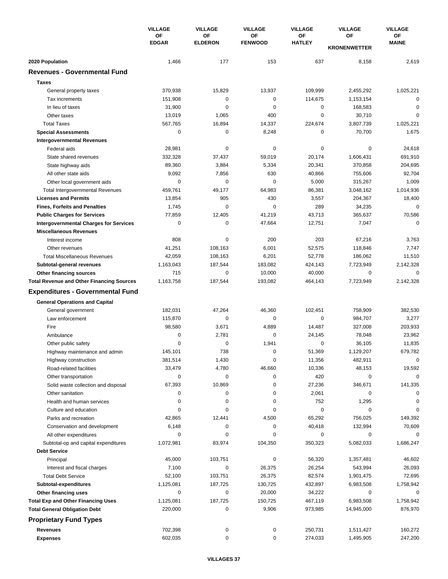|                                                             | <b>VILLAGE</b><br>OF<br><b>EDGAR</b> | <b>VILLAGE</b>       | <b>VILLAGE</b>       | <b>VILLAGE</b>      | <b>VILLAGE</b>            | <b>VILLAGE</b>     |
|-------------------------------------------------------------|--------------------------------------|----------------------|----------------------|---------------------|---------------------------|--------------------|
|                                                             |                                      | OF<br><b>ELDERON</b> | OF<br><b>FENWOOD</b> | ΟF<br><b>HATLEY</b> | OF<br><b>KRONENWETTER</b> | ОF<br><b>MAINE</b> |
| 2020 Population                                             | 1,466                                | 177                  | 153                  | 637                 | 8,158                     | 2,619              |
| <b>Revenues - Governmental Fund</b>                         |                                      |                      |                      |                     |                           |                    |
| <b>Taxes</b>                                                |                                      |                      |                      |                     |                           |                    |
| General property taxes                                      | 370,938                              | 15,829               | 13,937               | 109,999             | 2,455,292                 | 1,025,221          |
| Tax increments                                              | 151,908                              | 0                    | 0                    | 114,675             | 1,153,154                 | 0                  |
| In lieu of taxes                                            | 31,900                               | 0                    | 0                    | 0                   | 168,583                   | $\mathbf 0$        |
| Other taxes                                                 | 13,019                               | 1,065                | 400                  | 0                   | 30,710                    | 0                  |
| <b>Total Taxes</b>                                          | 567,765                              | 16,894               | 14,337               | 224,674             | 3,807,739                 | 1,025,221          |
| <b>Special Assessments</b>                                  | 0                                    | 0                    | 8,248                | 0                   | 70,700                    | 1,675              |
| <b>Intergovernmental Revenues</b>                           |                                      |                      |                      |                     |                           |                    |
| Federal aids                                                | 28,981                               | 0                    | 0                    | 0                   | $\mathbf 0$               | 24,618             |
| State shared revenues                                       | 332,328                              | 37,437               | 59,019               | 20,174              | 1,606,431                 | 691,910            |
| State highway aids                                          | 89,360                               | 3,884                | 5,334                | 20,341              | 370,858                   | 204,695            |
| All other state aids                                        | 9,092                                | 7,856                | 630                  | 40,866              | 755,606                   | 92,704             |
| Other local government aids                                 | $\mathbf 0$                          | 0                    | 0                    | 5,000               | 315,267                   | 1,009              |
| <b>Total Intergovernmental Revenues</b>                     | 459,761                              | 49,177               | 64,983               | 86,381              | 3,048,162                 | 1,014,936          |
| <b>Licenses and Permits</b>                                 | 13,854                               | 905                  | 430                  | 3,557               | 204,367                   | 18,400             |
| <b>Fines, Forfeits and Penalties</b>                        | 1,745                                | $\mathbf 0$          | 0                    | 289                 | 34,235                    | 0                  |
| <b>Public Charges for Services</b>                          | 77,859                               | 12,405               | 41,219               | 43,713              | 365,637                   | 70,586             |
| <b>Intergovernmental Charges for Services</b>               | $\mathbf 0$                          | $\mathbf 0$          | 47,664               | 12,751              | 7,047                     | $\mathbf 0$        |
| <b>Miscellaneous Revenues</b>                               |                                      |                      |                      |                     |                           |                    |
| Interest income                                             | 808                                  | 0                    | 200                  | 203                 | 67,216                    | 3,763              |
| Other revenues                                              | 41,251                               | 108,163              | 6,001                | 52,575              | 118,846                   | 7,747              |
| <b>Total Miscellaneous Revenues</b>                         | 42,059                               | 108,163              | 6,201                | 52,778              | 186,062                   | 11,510             |
| Subtotal-general revenues                                   | 1,163,043                            | 187,544              | 183,082              | 424,143             | 7,723,949                 | 2,142,328          |
| Other financing sources                                     | 715                                  | 0                    | 10,000               | 40,000              | 0                         | 0                  |
| <b>Total Revenue and Other Financing Sources</b>            | 1,163,758                            | 187,544              | 193,082              | 464,143             | 7,723,949                 | 2,142,328          |
| <b>Expenditures - Governmental Fund</b>                     |                                      |                      |                      |                     |                           |                    |
| <b>General Operations and Capital</b>                       |                                      |                      |                      |                     |                           |                    |
|                                                             | 182,031                              | 47,264               | 46,360               | 102,451             | 758,909                   | 382,530            |
| General government<br>Law enforcement                       | 115,870                              | $\mathbf 0$          | 0                    | 0                   | 984,707                   | 3,277              |
| Fire                                                        | 98,580                               | 3,671                | 4,889                | 14,487              | 327,008                   | 203,933            |
| Ambulance                                                   | $\mathbf 0$                          | 2,781                | 0                    | 24,145              | 78,048                    | 23,962             |
| Other public safety                                         | 0                                    | 0                    | 1,941                | 0                   | 36,105                    | 11,835             |
| Highway maintenance and admin                               | 145,101                              | 738                  | 0                    | 51,369              | 1,129,207                 | 679,782            |
| Highway construction                                        | 381,514                              | 1,430                | 0                    | 11,356              | 482,911                   | 0                  |
| Road-related facilities                                     | 33,479                               | 4,780                | 46,660               | 10,336              | 48,153                    | 19,592             |
|                                                             | $\mathbf 0$                          | 0                    | 0                    | 420                 | 0                         | $\Omega$           |
| Other transportation<br>Solid waste collection and disposal | 67,393                               | 10,869               | 0                    | 27,236              | 346,671                   | 141,335            |
| Other sanitation                                            | 0                                    | 0                    | 0                    | 2,061               | $\mathbf 0$               | $\Omega$           |
| Health and human services                                   | 0                                    | 0                    | 0                    | 752                 | 1,295                     | $\Omega$           |
| Culture and education                                       | 0                                    | 0                    | 0                    | $\pmb{0}$           | $\mathbf 0$               | 0                  |
| Parks and recreation                                        | 42,865                               | 12,441               | 4,500                | 65,292              | 756,025                   | 149,392            |
| Conservation and development                                | 6,148                                | 0                    | 0                    | 40,418              | 132,994                   | 70,609             |
| All other expenditures                                      | 0                                    | 0                    | 0                    | 0                   | 0                         | 0                  |
| Subtotal-op and capital expenditures                        | 1,072,981                            | 83,974               | 104,350              | 350,323             | 5,082,033                 | 1,686,247          |
| <b>Debt Service</b>                                         |                                      |                      |                      |                     |                           |                    |
| Principal                                                   | 45,000                               | 103,751              | 0                    | 56,320              | 1,357,481                 | 46,602             |
| Interest and fiscal charges                                 | 7,100                                | 0                    | 26,375               | 26,254              | 543,994                   | 26,093             |
| <b>Total Debt Service</b>                                   | 52,100                               | 103,751              | 26,375               | 82,574              | 1,901,475                 | 72,695             |
| Subtotal-expenditures                                       | 1,125,081                            | 187,725              | 130,725              | 432,897             | 6,983,508                 | 1,758,942          |
| Other financing uses                                        | 0                                    | 0                    | 20,000               | 34,222              | 0                         | 0                  |
| <b>Total Exp and Other Financing Uses</b>                   | 1,125,081                            | 187,725              | 150,725              | 467,119             | 6,983,508                 | 1,758,942          |
| <b>Total General Obligation Debt</b>                        | 220,000                              | 0                    | 9,906                | 973,985             | 14,945,000                | 876,970            |
| <b>Proprietary Fund Types</b>                               |                                      |                      |                      |                     |                           |                    |
| <b>Revenues</b>                                             | 702,398                              | 0                    | 0                    | 250,731             | 1,511,427                 | 160,272            |
| <b>Expenses</b>                                             | 602,035                              | 0                    | 0                    | 274,033             | 1,495,905                 | 247,200            |
|                                                             |                                      |                      |                      |                     |                           |                    |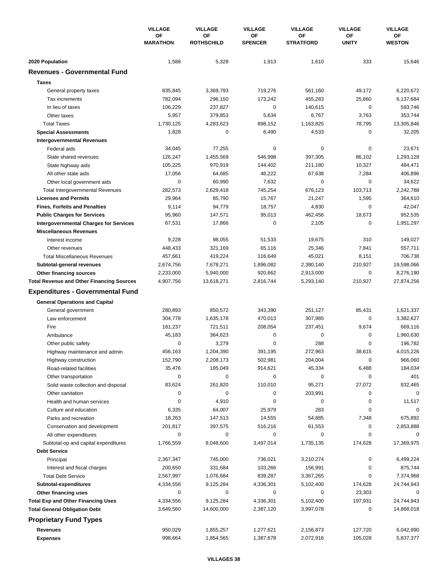|                                                  | <b>VILLAGE</b><br>OF<br><b>MARATHON</b> | <b>VILLAGE</b> | <b>VILLAGE</b>          | <b>VILLAGE</b>       | <b>VILLAGE</b>         | <b>VILLAGE</b>     |
|--------------------------------------------------|-----------------------------------------|----------------|-------------------------|----------------------|------------------------|--------------------|
|                                                  |                                         |                | ΟF<br><b>ROTHSCHILD</b> | OF<br><b>SPENCER</b> | ΟF<br><b>STRATFORD</b> | OF<br><b>UNITY</b> |
| 2020 Population                                  | 1,588                                   | 5,328          | 1,913                   | 1,610                | 333                    | 15,646             |
| <b>Revenues - Governmental Fund</b>              |                                         |                |                         |                      |                        |                    |
| <b>Taxes</b>                                     |                                         |                |                         |                      |                        |                    |
| General property taxes                           | 835,845                                 | 3,369,793      | 719,276                 | 561,160              | 49,172                 | 6,220,672          |
| Tax increments                                   | 782,094                                 | 296,150        | 173,242                 | 455,283              | 25,860                 | 6,137,684          |
| In lieu of taxes                                 | 106,229                                 | 237,827        | 0                       | 140,615              | $\mathbf 0$            | 593,746            |
| Other taxes                                      | 5,957                                   | 379,853        | 5,634                   | 6,767                | 3,763                  | 353,744            |
| <b>Total Taxes</b>                               | 1,730,125                               | 4,283,623      | 898,152                 | 1,163,825            | 78,795                 | 13,305,846         |
| <b>Special Assessments</b>                       | 1,828                                   | 0              | 6,490                   | 4,533                | 0                      | 32,205             |
| <b>Intergovernmental Revenues</b>                |                                         |                |                         |                      |                        |                    |
| Federal aids                                     | 34,045                                  | 77,255         | 0                       | 0                    | $\mathbf 0$            | 23,671             |
| State shared revenues                            | 126,247                                 | 1,455,569      | 546,998                 | 397,305              | 86,102                 | 1,293,128          |
| State highway aids                               | 105,225                                 | 970,919        | 144,402                 | 211,180              | 10,327                 | 484,471            |
| All other state aids                             | 17,056                                  | 64,685         | 46,222                  | 67,638               | 7,284                  | 406,896            |
| Other local government aids                      | $\mathbf 0$                             | 60,990         | 7,632                   | 0                    | $\mathbf 0$            | 34,622             |
| Total Intergovernmental Revenues                 | 282,573                                 | 2,629,418      | 745,254                 | 676,123              | 103,713                | 2,242,788          |
| <b>Licenses and Permits</b>                      | 29,964                                  | 85,790         | 15,767                  | 21,247               | 1,595                  | 364,610            |
| <b>Fines, Forfeits and Penalties</b>             | 9,114                                   | 94,779         | 18,757                  | 4,830                | $\mathbf 0$            | 42,047             |
| <b>Public Charges for Services</b>               | 95,960                                  | 147,571        | 95,013                  | 462,456              | 18,673                 | 952,535            |
| <b>Intergovernmental Charges for Services</b>    | 67,531                                  | 17,866         | 0                       | 2,105                | $\mathbf 0$            | 1,951,297          |
| <b>Miscellaneous Revenues</b>                    |                                         |                |                         |                      |                        |                    |
| Interest income                                  | 9,228                                   | 98,055         | 51,533                  | 19,675               | 310                    | 149,027            |
| Other revenues                                   | 448,433                                 | 321,169        | 65,116                  | 25,346               | 7,841                  | 557,711            |
| <b>Total Miscellaneous Revenues</b>              | 457,661                                 | 419,224        | 116,649                 | 45,021               | 8,151                  | 706,738            |
| Subtotal-general revenues                        | 2,674,756                               | 7,678,271      | 1,896,082               | 2,380,140            | 210,927                | 19,598,066         |
| Other financing sources                          | 2,233,000                               | 5,940,000      | 920,662                 | 2,913,000            | 0                      | 8,276,190          |
| <b>Total Revenue and Other Financing Sources</b> | 4,907,756                               | 13,618,271     | 2,816,744               | 5,293,140            | 210,927                | 27,874,256         |
| <b>Expenditures - Governmental Fund</b>          |                                         |                |                         |                      |                        |                    |
| <b>General Operations and Capital</b>            |                                         |                |                         |                      |                        |                    |
| General government                               | 280,893                                 | 850,572        | 343,390                 | 251,127              | 85,431                 | 1,621,337          |
| Law enforcement                                  | 304,778                                 | 1,635,178      | 470,013                 | 307,985              | $\mathbf 0$            | 3,382,627          |
| Fire                                             | 181,237                                 | 721,511        | 208,054                 | 237,451              | 9,674                  | 669,116            |
| Ambulance                                        | 45,183                                  | 364,623        | 0                       | $\mathbf 0$          | $\mathbf 0$            | 1,960,630          |
| Other public safety                              | 0                                       | 3,279          | 0                       | 288                  | $\mathbf 0$            | 196,782            |
| Highway maintenance and admin                    | 456,163                                 | 1,204,390      | 391,195                 | 272,963              | 38,615                 | 4,015,226          |
| Highway construction                             | 152,790                                 | 2,208,173      | 502,981                 | 204,004              | 0                      | 966,060            |
| Road-related facilities                          | 35,476                                  | 185,049        | 914,621                 | 45,334               | 6,488                  | 184,034            |
| Other transportation                             | 0                                       | 0              | 0                       | 0                    | 0                      | 401                |
| Solid waste collection and disposal              | 83,624                                  | 261,820        | 110,010                 | 95,271               | 27,072                 | 832,465            |
| Other sanitation                                 | 0                                       | 0              | 0                       | 203,991              | 0                      | $\mathbf 0$        |
| Health and human services                        | 0                                       | 4,910          | 0                       | $\pmb{0}$            | 0                      | 11,517             |
| Culture and education                            | 6,335                                   | 64,007         | 25,979                  | 283                  | $\mathbf 0$            | 0                  |
| Parks and recreation                             | 18,263                                  | 147,513        | 14,555                  | 54,885               | 7,348                  | 675,892            |
| Conservation and development                     | 201,817                                 | 397,575        | 516,216                 | 61,553               | 0                      | 2,853,888          |
| All other expenditures                           | 0                                       | 0              | 0                       | 0                    | 0                      | 0                  |
| Subtotal-op and capital expenditures             | 1,766,559                               | 8,048,600      | 3,497,014               | 1,735,135            | 174,628                | 17,369,975         |
| <b>Debt Service</b>                              |                                         |                |                         |                      |                        |                    |
| Principal                                        | 2,367,347                               | 745,000        | 736,021                 | 3,210,274            | 0                      | 6,499,224          |
| Interest and fiscal charges                      | 200,650                                 | 331,684        | 103,266                 | 156,991              | 0                      | 875,744            |
| <b>Total Debt Service</b>                        | 2,567,997                               | 1,076,684      | 839,287                 | 3,367,265            | 0                      | 7,374,968          |
| Subtotal-expenditures                            | 4,334,556                               | 9,125,284      | 4,336,301               | 5,102,400            | 174,628                | 24,744,943         |
| Other financing uses                             | 0                                       | 0              | 0                       | 0                    | 23,303                 | 0                  |
| <b>Total Exp and Other Financing Uses</b>        | 4,334,556                               | 9,125,284      | 4,336,301               | 5,102,400            | 197,931                | 24,744,943         |
| <b>Total General Obligation Debt</b>             | 3,649,560                               | 14,600,000     | 2,387,120               | 3,997,078            | 0                      | 14,868,018         |
| <b>Proprietary Fund Types</b>                    |                                         |                |                         |                      |                        |                    |
| <b>Revenues</b>                                  | 950,029                                 | 1,855,257      | 1,277,621               | 2,156,873            | 127,720                | 6,042,990          |
| <b>Expenses</b>                                  | 998,664                                 | 1,854,565      | 1,387,678               | 2,072,916            | 105,028                | 5,837,377          |
|                                                  |                                         |                |                         |                      |                        |                    |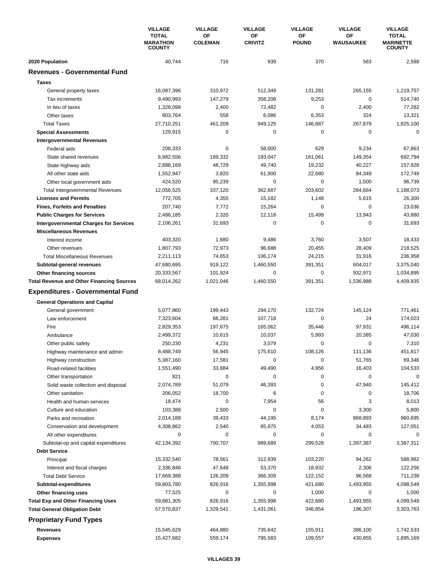|                                                  | <b>VILLAGE</b><br><b>TOTAL</b><br><b>MARATHON</b> | <b>VILLAGE</b><br>OF<br><b>COLEMAN</b> | <b>VILLAGE</b><br>ΟF<br><b>CRIVITZ</b> | <b>VILLAGE</b><br>ΟF<br><b>POUND</b> | <b>VILLAGE</b><br>ΟF<br>WAUSAUKEE | <b>VILLAGE</b><br><b>TOTAL</b><br><b>MARINETTE</b> |
|--------------------------------------------------|---------------------------------------------------|----------------------------------------|----------------------------------------|--------------------------------------|-----------------------------------|----------------------------------------------------|
|                                                  | <b>COUNTY</b>                                     |                                        |                                        |                                      |                                   | <b>COUNTY</b>                                      |
| 2020 Population                                  | 40,744                                            | 716                                    | 939                                    | 370                                  | 563                               | 2,588                                              |
| <b>Revenues - Governmental Fund</b>              |                                                   |                                        |                                        |                                      |                                   |                                                    |
| <b>Taxes</b>                                     |                                                   |                                        |                                        |                                      |                                   |                                                    |
| General property taxes                           | 16,087,396                                        | 310,972                                | 512,349                                | 131,281                              | 265,155                           | 1,219,757                                          |
| Tax increments                                   | 9,490,993                                         | 147,279                                | 358,208                                | 9,253                                | $\mathbf 0$                       | 514,740                                            |
| In lieu of taxes                                 | 1,328,098                                         | 2,400                                  | 72,482                                 | 0                                    | 2,400                             | 77,282                                             |
| Other taxes                                      | 803,764                                           | 558                                    | 6,086                                  | 6,353                                | 324                               | 13,321                                             |
| <b>Total Taxes</b>                               | 27,710,251                                        | 461,209                                | 949,125                                | 146,887                              | 267,879                           | 1,825,100                                          |
| <b>Special Assessments</b>                       | 129,915                                           | 0                                      | 0                                      | 0                                    | 0                                 | $\mathbf 0$                                        |
| <b>Intergovernmental Revenues</b>                |                                                   |                                        |                                        |                                      |                                   |                                                    |
| Federal aids                                     | 208,333                                           | $\pmb{0}$                              | 58,000                                 | 629                                  | 9,234                             | 67,863                                             |
| State shared revenues                            | 6,982,556                                         | 189,332                                | 193,047                                | 161,061                              | 149,354                           | 692,794                                            |
| State highway aids                               | 2,888,169                                         | 48,729                                 | 49,740                                 | 19,232                               | 40,227                            | 157,928                                            |
| All other state aids                             | 1,552,947                                         | 3,820                                  | 61,900                                 | 22,680                               | 84,349                            | 172,749                                            |
| Other local government aids                      | 424,520                                           | 95,239                                 | 0                                      | 0                                    | 1,500                             | 96,739                                             |
| <b>Total Intergovernmental Revenues</b>          | 12,056,525                                        | 337,120                                | 362,687                                | 203,602                              | 284,664                           | 1,188,073                                          |
| <b>Licenses and Permits</b>                      | 772,705                                           | 4,355                                  | 15,182                                 | 1,148                                | 5,615                             | 26,300                                             |
| <b>Fines, Forfeits and Penalties</b>             | 207,740                                           | 7,772                                  | 15,264                                 | 0                                    | 0                                 | 23,036                                             |
| <b>Public Charges for Services</b>               | 2,486,185                                         | 2,320                                  | 12,118                                 | 15,499                               | 13,943                            | 43,880                                             |
| <b>Intergovernmental Charges for Services</b>    | 2,106,261                                         | 31,693                                 | $\Omega$                               | 0                                    | $\mathbf 0$                       | 31,693                                             |
| <b>Miscellaneous Revenues</b>                    |                                                   |                                        |                                        |                                      |                                   |                                                    |
| Interest income                                  | 403,320                                           | 1,680                                  | 9,486                                  | 3,760                                | 3,507                             | 18,433                                             |
| Other revenues                                   | 1,807,793                                         | 72,973                                 | 96,688                                 | 20,455                               | 28,409                            | 218,525                                            |
| <b>Total Miscellaneous Revenues</b>              | 2,211,113                                         | 74,653                                 | 106,174                                | 24,215                               | 31,916                            | 236,958                                            |
| Subtotal-general revenues                        | 47,680,695                                        | 919,122                                | 1,460,550                              | 391,351                              | 604,017                           | 3,375,040                                          |
| Other financing sources                          | 20,333,567                                        | 101,924                                | 0                                      | 0                                    | 932,971                           | 1,034,895                                          |
| <b>Total Revenue and Other Financing Sources</b> | 68,014,262                                        | 1,021,046                              | 1,460,550                              | 391,351                              | 1,536,988                         | 4,409,935                                          |
| <b>Expenditures - Governmental Fund</b>          |                                                   |                                        |                                        |                                      |                                   |                                                    |
| <b>General Operations and Capital</b>            |                                                   |                                        |                                        |                                      |                                   |                                                    |
| General government                               | 5,077,860                                         | 199,443                                | 294,170                                | 132,724                              | 145,124                           | 771,461                                            |
| Law enforcement                                  | 7,323,604                                         | 66,281                                 | 107,718                                | 0                                    | 24                                | 174,023                                            |
| Fire                                             | 2,829,353                                         | 197,675                                | 165,062                                | 35,446                               | 97,931                            | 496,114                                            |
| Ambulance                                        | 2,499,372                                         | 10,615                                 | 10,037                                 | 5,993                                | 20,385                            | 47,030                                             |
| Other public safety                              | 250,230                                           | 4,231                                  | 3,079                                  | 0                                    | $\mathbf 0$                       | 7,310                                              |
| Highway maintenance and admin                    | 8,488,749                                         | 56,945                                 | 175,610                                | 108,126                              | 111,136                           | 451.817                                            |
| Highway construction                             | 5,387,160                                         | 17,581                                 | 0                                      | 0                                    | 51,765                            | 69,346                                             |
| Road-related facilities                          | 1,551,490                                         | 33,684                                 | 49,490                                 | 4,956                                | 16,403                            | 104,533                                            |
| Other transportation                             | 821                                               | 0                                      | 0                                      | 0                                    | 0                                 | $\mathbf 0$                                        |
| Solid waste collection and disposal              | 2,074,789                                         | 51,079                                 | 46,393                                 | 0                                    | 47,940                            | 145,412                                            |
| Other sanitation                                 | 206,052                                           | 18,700                                 | 6                                      | 0                                    | 0                                 | 18,706                                             |
| Health and human services                        | 18,474                                            | 0                                      | 7,954                                  | 56                                   | 3                                 | 8,013                                              |
| Culture and education                            | 103,388                                           | 2,500                                  | 0                                      | 0                                    | 3,300                             | 5,800                                              |
| Parks and recreation                             | 2,014,188                                         | 39,433                                 | 44,195                                 | 8,174                                | 868,893                           | 960,695                                            |
| Conservation and development                     | 4,308,862                                         | 2,540                                  | 85,975                                 | 4,053                                | 34,483                            | 127,051                                            |
| All other expenditures                           | 0                                                 | 0                                      | 0                                      | 0                                    | 0                                 | 0                                                  |
| Subtotal-op and capital expenditures             | 42,134,392                                        | 700,707                                | 989,689                                | 299,528                              | 1,397,387                         | 3,387,311                                          |
| <b>Debt Service</b>                              |                                                   |                                        |                                        |                                      |                                   |                                                    |
| Principal                                        | 15,332,540                                        | 78,561                                 | 312,939                                | 103,220                              | 94,262                            | 588,982                                            |
| Interest and fiscal charges                      | 2,336,848                                         | 47,648                                 | 53,370                                 | 18,932                               | 2,306                             | 122,256                                            |
| <b>Total Debt Service</b>                        | 17,669,388                                        | 126,209                                | 366,309                                | 122,152                              | 96,568                            | 711,238                                            |
| Subtotal-expenditures                            | 59,803,780                                        | 826,916                                | 1,355,998                              | 421,680                              | 1,493,955                         | 4,098,549                                          |
| Other financing uses                             | 77,525                                            | 0                                      | 0                                      | 1,000                                | 0                                 | 1,000                                              |
| <b>Total Exp and Other Financing Uses</b>        | 59,881,305                                        | 826,916                                | 1,355,998                              | 422,680                              | 1,493,955                         | 4,099,549                                          |
| <b>Total General Obligation Debt</b>             | 57,570,837                                        | 1,329,541                              | 1,431,061                              | 346,854                              | 196,307                           | 3,303,763                                          |
| <b>Proprietary Fund Types</b>                    |                                                   |                                        |                                        |                                      |                                   |                                                    |
| Revenues                                         | 15,545,629                                        | 464,880                                | 735,642                                | 155,911                              | 386,100                           | 1,742,533                                          |
| <b>Expenses</b>                                  | 15,427,682                                        | 559,174                                | 795,583                                | 109,557                              | 430,855                           | 1,895,169                                          |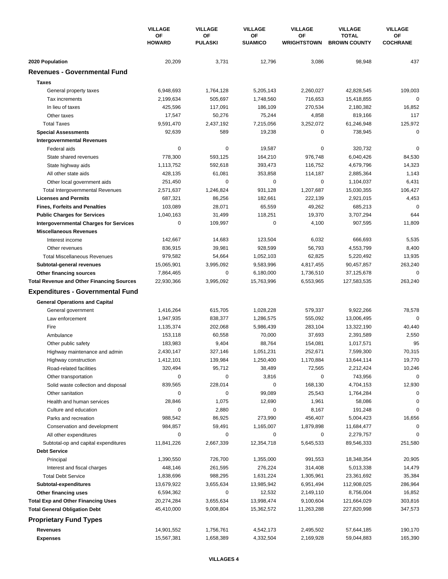|                                                             | <b>VILLAGE</b><br>ΟF<br><b>HOWARD</b> | <b>VILLAGE</b><br>ΟF<br><b>PULASKI</b> | <b>VILLAGE</b><br>ΟF<br><b>SUAMICO</b> | <b>VILLAGE</b><br>ΟF<br><b>WRIGHTSTOWN</b> | <b>VILLAGE</b><br><b>TOTAL</b><br><b>BROWN COUNTY</b> | <b>VILLAGE</b><br>OF<br><b>COCHRANE</b> |
|-------------------------------------------------------------|---------------------------------------|----------------------------------------|----------------------------------------|--------------------------------------------|-------------------------------------------------------|-----------------------------------------|
|                                                             |                                       |                                        |                                        |                                            |                                                       |                                         |
| 2020 Population                                             | 20,209                                | 3,731                                  | 12,796                                 | 3,086                                      | 98,948                                                | 437                                     |
| <b>Revenues - Governmental Fund</b>                         |                                       |                                        |                                        |                                            |                                                       |                                         |
| <b>Taxes</b>                                                |                                       |                                        |                                        |                                            |                                                       |                                         |
| General property taxes                                      | 6,948,693                             | 1,764,128                              | 5,205,143                              | 2,260,027                                  | 42,828,545                                            | 109,003                                 |
| Tax increments                                              | 2,199,634                             | 505,697                                | 1,748,560                              | 716,653                                    | 15,418,855                                            | 0                                       |
| In lieu of taxes                                            | 425,596                               | 117,091                                | 186,109                                | 270,534                                    | 2,180,382                                             | 16,852                                  |
| Other taxes                                                 | 17,547                                | 50,276                                 | 75,244                                 | 4,858                                      | 819,166                                               | 117                                     |
| <b>Total Taxes</b>                                          | 9,591,470                             | 2,437,192                              | 7,215,056                              | 3,252,072                                  | 61,246,948                                            | 125,972                                 |
| <b>Special Assessments</b>                                  | 92,639                                | 589                                    | 19,238                                 | 0                                          | 738,945                                               | 0                                       |
| <b>Intergovernmental Revenues</b>                           |                                       |                                        |                                        |                                            |                                                       |                                         |
| Federal aids                                                | 0                                     | 0                                      | 19,587                                 | 0                                          | 320,732                                               | 0                                       |
| State shared revenues                                       | 778,300                               | 593,125                                | 164,210                                | 976,748                                    | 6,040,426                                             | 84,530                                  |
| State highway aids                                          | 1,113,752                             | 592,618                                | 393,473                                | 116,752                                    | 4,679,796                                             | 14,323                                  |
| All other state aids                                        | 428,135                               | 61,081                                 | 353,858                                | 114,187                                    | 2,885,364                                             | 1,143                                   |
| Other local government aids                                 | 251,450                               | 0                                      | 0                                      | 0                                          | 1,104,037                                             | 6,431                                   |
| <b>Total Intergovernmental Revenues</b>                     | 2,571,637                             | 1,246,824                              | 931,128                                | 1,207,687                                  | 15,030,355                                            | 106,427                                 |
| <b>Licenses and Permits</b>                                 | 687,321                               | 86,256                                 | 182,661                                | 222,139                                    | 2,921,015                                             | 4,453                                   |
| <b>Fines, Forfeits and Penalties</b>                        | 103,089                               | 28,071                                 | 65,559                                 | 49,262                                     | 685,213                                               | $\Omega$                                |
| <b>Public Charges for Services</b>                          | 1,040,163                             | 31,499                                 | 118,251                                | 19,370                                     | 3,707,294                                             | 644                                     |
| <b>Intergovernmental Charges for Services</b>               | 0                                     | 109,997                                | 0                                      | 4,100                                      | 907,595                                               | 11,809                                  |
| <b>Miscellaneous Revenues</b>                               |                                       |                                        |                                        |                                            |                                                       |                                         |
| Interest income                                             | 142,667                               | 14,683                                 | 123,504                                | 6,032                                      | 666,693                                               | 5,535                                   |
| Other revenues                                              | 836,915                               | 39,981                                 | 928,599                                | 56,793                                     | 4,553,799                                             | 8,400                                   |
| <b>Total Miscellaneous Revenues</b>                         | 979,582                               | 54,664                                 | 1,052,103                              | 62,825                                     | 5,220,492                                             | 13,935                                  |
| Subtotal-general revenues                                   | 15,065,901                            | 3,995,092                              | 9,583,996                              | 4,817,455                                  | 90,457,857                                            | 263,240                                 |
| Other financing sources                                     | 7,864,465                             | 0                                      | 6,180,000                              | 1,736,510                                  | 37,125,678                                            | 0                                       |
| <b>Total Revenue and Other Financing Sources</b>            | 22,930,366                            | 3,995,092                              | 15,763,996                             | 6,553,965                                  | 127,583,535                                           | 263,240                                 |
| <b>Expenditures - Governmental Fund</b>                     |                                       |                                        |                                        |                                            |                                                       |                                         |
| <b>General Operations and Capital</b>                       |                                       |                                        |                                        |                                            |                                                       |                                         |
| General government                                          | 1,416,264                             | 615,705                                | 1,028,228                              | 579,337                                    | 9,922,266                                             | 78,578                                  |
| Law enforcement                                             | 1,947,935                             | 838,377                                | 1,286,575                              | 555,092                                    | 13,006,495                                            | $\mathbf 0$                             |
| Fire                                                        | 1,135,374                             | 202,068                                | 5,986,439                              | 283,104                                    | 13,322,190                                            | 40,440                                  |
| Ambulance                                                   | 153,118                               | 60,558                                 | 70,000                                 | 37,693                                     | 2,391,589                                             | 2,550                                   |
| Other public safety                                         | 183,983                               | 9,404                                  | 88,764                                 | 154,081                                    | 1,017,571                                             | 95                                      |
| Highway maintenance and admin                               | 2,430,147                             | 327,146                                | 1,051,231                              | 252,671                                    | 7,599,300                                             | 70,315                                  |
| Highway construction                                        | 1,412,101                             | 139,984                                | 1,250,400                              | 1,170,884                                  | 13,644,114                                            | 19,770                                  |
| Road-related facilities                                     | 320,494                               | 95,712                                 | 38,489                                 | 72,565                                     | 2,212,424                                             | 10,246                                  |
| Other transportation                                        | 0                                     | 0                                      | 3,816                                  | 0                                          | 743,956                                               | $\mathbf 0$                             |
| Solid waste collection and disposal                         | 839,565                               | 228,014                                | 0                                      | 168,130                                    | 4,704,153                                             | 12,930                                  |
| Other sanitation                                            | 0                                     | 0                                      | 99,089                                 | 25,543                                     | 1,764,284                                             | 0                                       |
| Health and human services                                   | 28,846                                | 1,075                                  | 12,690                                 | 1,961                                      | 58,086                                                | 0                                       |
| Culture and education                                       | 0                                     | 2,880                                  | 0                                      | 8,167                                      | 191,248                                               | 0                                       |
| Parks and recreation                                        | 988,542                               | 86,925                                 | 273,990                                | 456,407                                    | 5,004,423                                             | 16,656                                  |
| Conservation and development                                | 984,857                               | 59,491                                 | 1,165,007                              | 1,879,898                                  | 11,684,477                                            | 0                                       |
| All other expenditures                                      | 0                                     | 0                                      | 0                                      | 0                                          | 2,279,757                                             | $\Omega$                                |
| Subtotal-op and capital expenditures<br><b>Debt Service</b> | 11,841,226                            | 2,667,339                              | 12,354,718                             | 5,645,533                                  | 89,546,333                                            | 251,580                                 |
| Principal                                                   | 1,390,550                             | 726,700                                | 1,355,000                              | 991,553                                    | 18,348,354                                            | 20,905                                  |
| Interest and fiscal charges                                 | 448,146                               | 261,595                                | 276,224                                | 314,408                                    | 5,013,338                                             | 14,479                                  |
| <b>Total Debt Service</b>                                   | 1,838,696                             | 988,295                                | 1,631,224                              | 1,305,961                                  | 23,361,692                                            | 35,384                                  |
| Subtotal-expenditures                                       | 13,679,922                            | 3,655,634                              | 13,985,942                             | 6,951,494                                  | 112,908,025                                           | 286,964                                 |
| Other financing uses                                        | 6,594,362                             | 0                                      | 12,532                                 | 2,149,110                                  | 8,756,004                                             | 16,852                                  |
| <b>Total Exp and Other Financing Uses</b>                   | 20,274,284                            | 3,655,634                              | 13,998,474                             | 9,100,604                                  | 121,664,029                                           | 303,816                                 |
| <b>Total General Obligation Debt</b>                        | 45,410,000                            | 9,008,804                              | 15,362,572                             | 11,263,288                                 | 227,820,998                                           | 347,573                                 |
| <b>Proprietary Fund Types</b>                               |                                       |                                        |                                        |                                            |                                                       |                                         |
| <b>Revenues</b>                                             | 14,901,552                            | 1,756,761                              | 4,542,173                              | 2,495,502                                  | 57,644,185                                            | 190,170                                 |
| <b>Expenses</b>                                             | 15,567,381                            | 1,658,389                              | 4,332,504                              | 2,169,928                                  | 59,044,883                                            | 165,390                                 |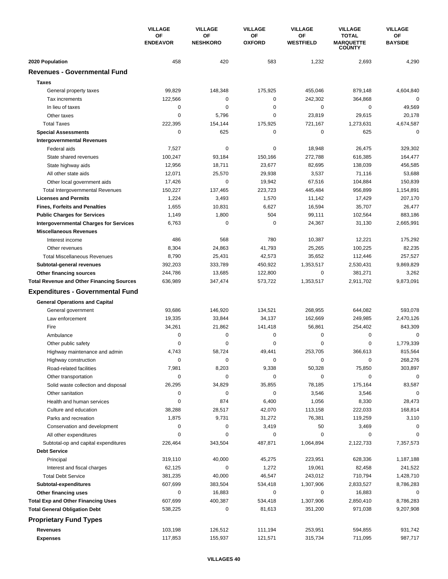|                                                  | <b>VILLAGE</b><br>ΟF<br><b>ENDEAVOR</b> | <b>VILLAGE</b>        | <b>VILLAGE</b><br>OF<br><b>OXFORD</b> | <b>VILLAGE</b>         | <b>VILLAGE</b>                                    | <b>VILLAGE</b><br>OF<br><b>BAYSIDE</b> |
|--------------------------------------------------|-----------------------------------------|-----------------------|---------------------------------------|------------------------|---------------------------------------------------|----------------------------------------|
|                                                  |                                         | ΟF<br><b>NESHKORO</b> |                                       | ΟF<br><b>WESTFIELD</b> | <b>TOTAL</b><br><b>MARQUETTE</b><br><b>COUNTY</b> |                                        |
| 2020 Population                                  | 458                                     | 420                   | 583                                   | 1,232                  | 2,693                                             | 4,290                                  |
| <b>Revenues - Governmental Fund</b>              |                                         |                       |                                       |                        |                                                   |                                        |
| <b>Taxes</b>                                     |                                         |                       |                                       |                        |                                                   |                                        |
| General property taxes                           | 99,829                                  | 148,348               | 175,925                               | 455,046                | 879,148                                           | 4,604,840                              |
| Tax increments                                   | 122,566                                 | 0                     | 0                                     | 242,302                | 364,868                                           | 0                                      |
| In lieu of taxes                                 | $\mathbf 0$                             | 0                     | 0                                     | 0                      | $\mathbf 0$                                       | 49,569                                 |
| Other taxes                                      | $\mathbf 0$                             | 5,796                 | 0                                     | 23,819                 | 29,615                                            | 20,178                                 |
| <b>Total Taxes</b>                               | 222,395                                 | 154.144               | 175,925                               | 721,167                | 1,273,631                                         | 4,674,587                              |
| <b>Special Assessments</b>                       | 0                                       | 625                   | 0                                     | 0                      | 625                                               | 0                                      |
| <b>Intergovernmental Revenues</b>                |                                         |                       |                                       |                        |                                                   |                                        |
| Federal aids                                     | 7,527                                   | 0                     | 0                                     | 18,948                 | 26,475                                            | 329,302                                |
| State shared revenues                            | 100,247                                 | 93,184                | 150,166                               | 272,788                | 616,385                                           | 164,477                                |
| State highway aids                               | 12,956                                  | 18,711                | 23,677                                | 82,695                 | 138,039                                           | 456,585                                |
| All other state aids                             | 12,071                                  | 25,570                | 29,938                                | 3,537                  | 71,116                                            | 53,688                                 |
| Other local government aids                      | 17,426                                  | 0                     | 19,942                                | 67,516                 | 104,884                                           | 150,839                                |
| <b>Total Intergovernmental Revenues</b>          | 150,227                                 | 137,465               | 223,723                               | 445,484                | 956,899                                           | 1,154,891                              |
| <b>Licenses and Permits</b>                      | 1,224                                   | 3,493                 | 1,570                                 | 11,142                 | 17,429                                            | 207,170                                |
| <b>Fines, Forfeits and Penalties</b>             | 1,655                                   | 10,831                | 6,627                                 | 16,594                 | 35,707                                            | 26,477                                 |
| <b>Public Charges for Services</b>               | 1,149                                   | 1,800                 | 504                                   | 99,111                 | 102,564                                           | 883,186                                |
| <b>Intergovernmental Charges for Services</b>    | 6,763                                   | 0                     | 0                                     | 24,367                 | 31,130                                            | 2,665,991                              |
| <b>Miscellaneous Revenues</b>                    |                                         |                       |                                       |                        |                                                   |                                        |
| Interest income                                  | 486                                     | 568                   | 780                                   | 10,387                 | 12,221                                            | 175,292                                |
| Other revenues                                   | 8,304                                   | 24,863                | 41,793                                | 25,265                 | 100,225                                           | 82,235                                 |
| <b>Total Miscellaneous Revenues</b>              | 8,790                                   | 25,431                | 42,573                                | 35,652                 | 112,446                                           | 257,527                                |
| Subtotal-general revenues                        | 392,203                                 | 333,789               | 450,922                               | 1,353,517              | 2,530,431                                         | 9,869,829                              |
| Other financing sources                          | 244,786                                 | 13,685                | 122,800                               | 0                      | 381,271                                           | 3,262                                  |
| <b>Total Revenue and Other Financing Sources</b> | 636,989                                 | 347,474               | 573,722                               | 1,353,517              | 2,911,702                                         | 9,873,091                              |
| <b>Expenditures - Governmental Fund</b>          |                                         |                       |                                       |                        |                                                   |                                        |
| <b>General Operations and Capital</b>            |                                         |                       |                                       |                        |                                                   |                                        |
| General government                               | 93,686                                  | 146,920               | 134,521                               | 268,955                | 644,082                                           | 593,078                                |
| Law enforcement                                  | 19,335                                  | 33,844                | 34,137                                | 162,669                | 249,985                                           | 2,470,126                              |
| Fire                                             | 34,261                                  | 21,862                | 141,418                               | 56,861                 | 254,402                                           | 843,309                                |
| Ambulance                                        | 0                                       | 0                     | 0                                     | 0                      | $\mathbf 0$                                       | 0                                      |
| Other public safety                              | $\mathbf 0$                             | 0                     | 0                                     | $\mathbf 0$            | 0                                                 | 1,779,339                              |
| Highway maintenance and admin                    | 4,743                                   | 58,724                | 49,441                                | 253,705                | 366,613                                           | 815,564                                |
| Highway construction                             | 0                                       | 0                     | 0                                     | 0                      | 0                                                 | 268,276                                |
| Road-related facilities                          | 7,981                                   | 8,203                 | 9,338                                 | 50,328                 | 75,850                                            | 303,897                                |
| Other transportation                             | 0                                       | 0                     | 0                                     | 0                      | 0                                                 | $\mathbf 0$                            |
| Solid waste collection and disposal              | 26,295                                  | 34,829                | 35,855                                | 78,185                 | 175,164                                           | 83,587                                 |
| Other sanitation                                 | 0                                       | 0                     | 0                                     | 3,546                  | 3,546                                             | 0                                      |
| Health and human services                        | 0                                       | 874                   | 6,400                                 | 1,056                  | 8,330                                             | 28,473                                 |
| Culture and education                            | 38,288                                  | 28,517                | 42,070                                | 113,158                | 222,033                                           | 168,814                                |
| Parks and recreation                             | 1,875                                   | 9,731                 | 31,272                                | 76,381                 | 119,259                                           | 3,110                                  |
| Conservation and development                     | 0                                       | 0                     | 3,419                                 | 50                     | 3,469                                             |                                        |
| All other expenditures                           | 0                                       | 0                     | 0                                     | 0                      | 0                                                 | $\Omega$                               |
| Subtotal-op and capital expenditures             | 226,464                                 | 343,504               | 487,871                               | 1,064,894              | 2,122,733                                         | 7,357,573                              |
| <b>Debt Service</b>                              |                                         |                       |                                       |                        |                                                   |                                        |
| Principal                                        | 319,110                                 | 40,000                | 45,275                                | 223,951                | 628,336                                           | 1,187,188                              |
| Interest and fiscal charges                      | 62,125                                  | 0                     | 1,272                                 | 19,061                 | 82,458                                            | 241,522                                |
| <b>Total Debt Service</b>                        | 381,235                                 | 40,000                | 46,547                                | 243,012                | 710,794                                           | 1,428,710                              |
| Subtotal-expenditures                            | 607,699                                 | 383,504               | 534,418                               | 1,307,906              | 2,833,527                                         | 8,786,283                              |
| Other financing uses                             | 0                                       | 16,883                | 0                                     | 0                      | 16,883                                            | 0                                      |
| <b>Total Exp and Other Financing Uses</b>        | 607,699                                 | 400,387               | 534,418                               | 1,307,906              | 2,850,410                                         | 8,786,283                              |
| <b>Total General Obligation Debt</b>             | 538,225                                 | 0                     | 81,613                                | 351,200                | 971,038                                           | 9,207,908                              |
| <b>Proprietary Fund Types</b>                    |                                         |                       |                                       |                        |                                                   |                                        |
| <b>Revenues</b>                                  | 103,198                                 | 126,512               | 111,194                               | 253,951                | 594,855                                           | 931,742                                |
| <b>Expenses</b>                                  | 117,853                                 | 155,937               | 121,571                               | 315,734                | 711,095                                           | 987,717                                |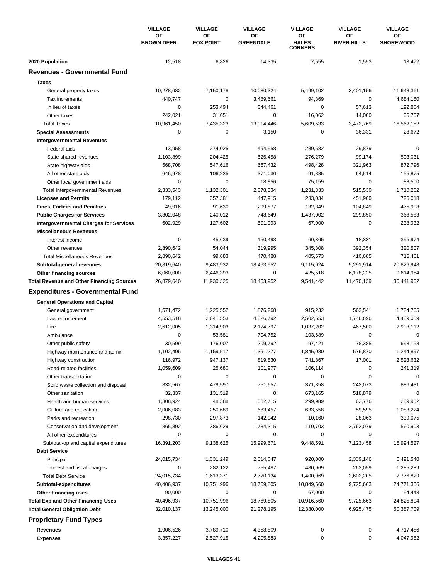|                                                                   | <b>VILLAGE</b>          | <b>VILLAGE</b>         | <b>VILLAGE</b>         | <b>VILLAGE</b>                       | <b>VILLAGE</b>           | <b>VILLAGE</b>         |
|-------------------------------------------------------------------|-------------------------|------------------------|------------------------|--------------------------------------|--------------------------|------------------------|
|                                                                   | OF<br><b>BROWN DEER</b> | ОF<br><b>FOX POINT</b> | ΟF<br><b>GREENDALE</b> | ΟF<br><b>HALES</b><br><b>CORNERS</b> | OF<br><b>RIVER HILLS</b> | ΟF<br><b>SHOREWOOD</b> |
| 2020 Population                                                   | 12,518                  | 6,826                  | 14,335                 | 7,555                                | 1,553                    | 13,472                 |
| <b>Revenues - Governmental Fund</b>                               |                         |                        |                        |                                      |                          |                        |
| <b>Taxes</b>                                                      |                         |                        |                        |                                      |                          |                        |
| General property taxes                                            | 10,278,682              | 7,150,178              | 10,080,324             | 5,499,102                            | 3,401,156                | 11,648,361             |
| Tax increments                                                    | 440,747                 | 0                      | 3,489,661              | 94,369                               | $\mathbf 0$              | 4,684,150              |
| In lieu of taxes                                                  | 0                       | 253.494                | 344,461                | 0                                    | 57,613                   | 192,884                |
| Other taxes                                                       | 242,021                 | 31,651                 | 0                      | 16,062                               | 14,000                   | 36,757                 |
| <b>Total Taxes</b>                                                | 10,961,450              | 7,435,323              | 13,914,446             | 5,609,533                            | 3,472,769                | 16,562,152             |
| <b>Special Assessments</b>                                        | 0                       | 0                      | 3,150                  | 0                                    | 36,331                   | 28,672                 |
| <b>Intergovernmental Revenues</b>                                 |                         |                        |                        |                                      |                          |                        |
| Federal aids                                                      | 13,958                  | 274,025                | 494,558                | 289,582                              | 29,879                   | $\Omega$               |
| State shared revenues                                             | 1,103,899               | 204,425                | 526,458                | 276,279                              | 99,174                   | 593,031                |
| State highway aids                                                | 568,708                 | 547,616                | 667,432                | 498,428                              | 321,963                  | 872,796                |
| All other state aids                                              | 646,978                 | 106,235                | 371,030                | 91,885                               | 64,514                   | 155,875                |
| Other local government aids                                       | 0                       | 0                      | 18,856                 | 75,159                               | $\mathbf 0$              | 88,500                 |
| <b>Total Intergovernmental Revenues</b>                           | 2,333,543               | 1,132,301              | 2,078,334              | 1,231,333                            | 515,530                  | 1,710,202              |
| <b>Licenses and Permits</b>                                       | 179,112                 | 357,381                | 447,915                | 233,034                              | 451,900                  | 726,018                |
| <b>Fines, Forfeits and Penalties</b>                              | 49,916                  | 91,630                 | 299,877                | 132,349                              | 104,849                  | 475,908                |
| <b>Public Charges for Services</b>                                | 3,802,048               | 240,012                | 748,649                | 1,437,002                            | 299,850                  | 368,583                |
| <b>Intergovernmental Charges for Services</b>                     | 602,929                 | 127,602                | 501,093                | 67,000                               | $\mathbf 0$              | 238,932                |
| <b>Miscellaneous Revenues</b>                                     |                         |                        |                        |                                      |                          |                        |
| Interest income                                                   | 0                       | 45,639                 | 150,493                | 60,365                               | 18,331                   | 395,974                |
| Other revenues                                                    | 2,890,642               | 54,044                 | 319,995                | 345,308                              | 392,354                  | 320,507                |
| <b>Total Miscellaneous Revenues</b>                               | 2,890,642               | 99,683                 | 470,488                | 405,673                              | 410,685                  | 716,481                |
| Subtotal-general revenues                                         | 20,819,640              | 9,483,932              | 18,463,952             | 9,115,924                            | 5,291,914                | 20,826,948             |
| <b>Other financing sources</b>                                    | 6,060,000               | 2,446,393              | 0                      | 425,518                              | 6,178,225                | 9,614,954              |
| <b>Total Revenue and Other Financing Sources</b>                  | 26,879,640              | 11,930,325             | 18,463,952             | 9,541,442                            | 11,470,139               | 30,441,902             |
| <b>Expenditures - Governmental Fund</b>                           |                         |                        |                        |                                      |                          |                        |
| <b>General Operations and Capital</b>                             |                         |                        |                        |                                      |                          |                        |
| General government                                                | 1,571,472               | 1,225,552              | 1,876,268              | 915,232                              | 563,541                  | 1,734,765              |
| Law enforcement                                                   | 4,553,518               | 2,641,553              | 4,826,792              | 2,502,553                            | 1.746.696                | 4,489,059              |
| Fire                                                              | 2,612,005               | 1,314,903              | 2,174,797              | 1,037,202                            | 467,500                  | 2,903,112              |
| Ambulance                                                         | 0                       | 53,581                 | 704,752                | 103,689                              | 0                        | $\mathbf 0$            |
| Other public safety                                               | 30,599                  | 176,007                | 209,792                | 97,421                               | 78,385                   | 698,158                |
| Highway maintenance and admin                                     | 1,102,495               | 1,159,517              | 1,391,277              | 1,845,080                            | 576,870                  | 1,244,897              |
| Highway construction                                              | 116,972                 | 947,137                | 819,830                | 741,867                              | 17,001                   | 2,523,632              |
| Road-related facilities                                           | 1,059,609               | 25,680                 | 101,977                | 106,114                              | 0                        | 241,319                |
| Other transportation                                              | 0                       | 0                      | 0                      | 0                                    | 0                        | 0                      |
| Solid waste collection and disposal                               | 832,567                 | 479,597                | 751,657                | 371,858                              | 242,073                  | 886,431                |
| Other sanitation                                                  | 32,337                  | 131,519                | 0                      | 673,165                              | 518,879                  | $\Omega$               |
| Health and human services                                         | 1,308,924               | 48,388                 | 582,715                | 299,989                              | 62,776                   | 289,952                |
| Culture and education                                             | 2,006,083               | 250,689                | 683,457                | 633,558                              | 59,595                   | 1,083,224              |
| Parks and recreation                                              | 298,730                 | 297,873                | 142,042                | 10,160                               | 28,063                   | 339,075                |
| Conservation and development                                      | 865,892                 | 386,629                | 1,734,315              | 110,703                              | 2,762,079                | 560,903                |
| All other expenditures                                            | 0                       | 0                      | 0                      | 0                                    | 0                        | 0                      |
| Subtotal-op and capital expenditures                              | 16,391,203              | 9,138,625              | 15,999,671             | 9,448,591                            | 7,123,458                | 16,994,527             |
| <b>Debt Service</b>                                               |                         |                        |                        |                                      |                          |                        |
| Principal                                                         | 24,015,734              | 1,331,249              | 2,014,647              | 920,000                              | 2,339,146                | 6,491,540              |
| Interest and fiscal charges                                       | 0                       | 282,122                | 755,487                | 480,969                              | 263,059                  | 1,285,289              |
| <b>Total Debt Service</b>                                         | 24,015,734              | 1,613,371              | 2,770,134              | 1,400,969                            | 2,602,205                | 7,776,829              |
|                                                                   | 40,406,937              | 10,751,996             | 18,769,805             | 10,849,560                           | 9,725,663                | 24,771,356             |
| Subtotal-expenditures                                             | 90,000                  | 0                      | 0                      | 67,000                               | 0                        | 54,448                 |
| Other financing uses<br><b>Total Exp and Other Financing Uses</b> |                         | 10,751,996             | 18,769,805             | 10,916,560                           | 9,725,663                | 24,825,804             |
| <b>Total General Obligation Debt</b>                              | 40,496,937              |                        |                        | 12,380,000                           | 6,925,475                | 50,387,709             |
|                                                                   | 32,010,137              | 13,245,000             | 21,278,195             |                                      |                          |                        |
| <b>Proprietary Fund Types</b>                                     |                         |                        |                        |                                      |                          |                        |
| <b>Revenues</b>                                                   | 1,906,526               | 3,789,710              | 4,358,509              | 0                                    | 0                        | 4,717,456              |
| <b>Expenses</b>                                                   | 3,357,227               | 2,527,915              | 4,205,883              | 0                                    | 0                        | 4,047,952              |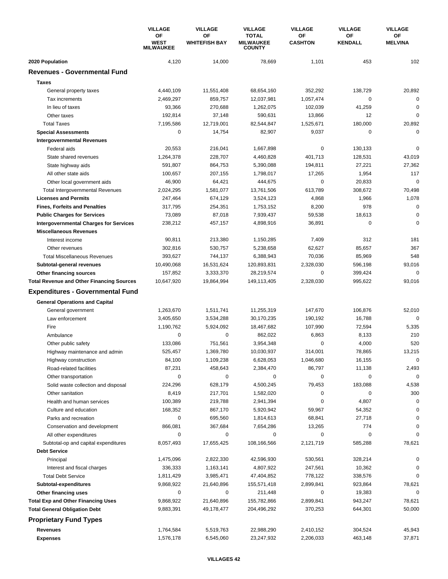|                                                  | <b>VILLAGE</b><br>ΟF<br><b>WEST</b><br><b>MILWAUKEE</b> | <b>VILLAGE</b>             | <b>VILLAGE</b><br><b>TOTAL</b><br><b>MILWAUKEE</b><br><b>COUNTY</b> | <b>VILLAGE</b>       | <b>VILLAGE</b><br>OF<br><b>KENDALL</b> | <b>VILLAGE</b><br>ОF<br><b>MELVINA</b> |
|--------------------------------------------------|---------------------------------------------------------|----------------------------|---------------------------------------------------------------------|----------------------|----------------------------------------|----------------------------------------|
|                                                  |                                                         | ΟF<br><b>WHITEFISH BAY</b> |                                                                     | ОF<br><b>CASHTON</b> |                                        |                                        |
| 2020 Population                                  | 4,120                                                   | 14,000                     | 78,669                                                              | 1,101                | 453                                    | 102                                    |
| <b>Revenues - Governmental Fund</b>              |                                                         |                            |                                                                     |                      |                                        |                                        |
| <b>Taxes</b>                                     |                                                         |                            |                                                                     |                      |                                        |                                        |
| General property taxes                           | 4,440,109                                               | 11,551,408                 | 68,654,160                                                          | 352,292              | 138,729                                | 20,892                                 |
| Tax increments                                   | 2,469,297                                               | 859,757                    | 12,037,981                                                          | 1,057,474            | $\mathbf 0$                            | $\mathbf 0$                            |
| In lieu of taxes                                 | 93,366                                                  | 270,688                    | 1,262,075                                                           | 102,039              | 41,259                                 | $\mathbf 0$                            |
| Other taxes                                      | 192,814                                                 | 37,148                     | 590,631                                                             | 13,866               | $12 \overline{ }$                      | $\mathbf 0$                            |
| <b>Total Taxes</b>                               | 7,195,586                                               | 12,719,001                 | 82,544,847                                                          | 1.525.671            | 180,000                                | 20,892                                 |
| <b>Special Assessments</b>                       | 0                                                       | 14,754                     | 82,907                                                              | 9,037                | 0                                      | $\mathbf 0$                            |
| <b>Intergovernmental Revenues</b>                |                                                         |                            |                                                                     |                      |                                        |                                        |
| Federal aids                                     | 20,553                                                  | 216,041                    | 1,667,898                                                           | 0                    | 130,133                                | $\mathbf 0$                            |
| State shared revenues                            | 1,264,378                                               | 228,707                    | 4,460,828                                                           | 401,713              | 128,531                                | 43,019                                 |
| State highway aids                               | 591,807                                                 | 864,753                    | 5,390,088                                                           | 194,811              | 27,221                                 | 27,362                                 |
| All other state aids                             | 100,657                                                 | 207,155                    | 1,798,017                                                           | 17,265               | 1,954                                  | 117                                    |
| Other local government aids                      | 46,900                                                  | 64,421                     | 444.675                                                             | 0                    | 20,833                                 | $\mathbf 0$                            |
| <b>Total Intergovernmental Revenues</b>          | 2,024,295                                               | 1,581,077                  | 13,761,506                                                          | 613,789              | 308,672                                | 70,498                                 |
| <b>Licenses and Permits</b>                      | 247,464                                                 | 674,129                    | 3,524,123                                                           | 4,868                | 1,966                                  | 1,078                                  |
| <b>Fines, Forfeits and Penalties</b>             | 317,795                                                 | 254,351                    | 1,753,152                                                           | 8,200                | 978                                    | $\mathbf 0$                            |
| <b>Public Charges for Services</b>               | 73,089                                                  | 87,018                     | 7,939,437                                                           | 59,538               | 18,613                                 | $\mathbf 0$                            |
| <b>Intergovernmental Charges for Services</b>    | 238,212                                                 | 457,157                    | 4,898,916                                                           | 36,891               | $\mathbf 0$                            | $\mathbf 0$                            |
| <b>Miscellaneous Revenues</b>                    |                                                         |                            |                                                                     |                      |                                        |                                        |
| Interest income                                  | 90,811                                                  | 213,380                    | 1,150,285                                                           | 7,409                | 312                                    | 181                                    |
| Other revenues                                   | 302,816                                                 | 530,757                    | 5,238,658                                                           | 62,627               | 85,657                                 | 367                                    |
| <b>Total Miscellaneous Revenues</b>              | 393,627                                                 | 744,137                    | 6,388,943                                                           | 70,036               | 85,969                                 | 548                                    |
| Subtotal-general revenues                        | 10,490,068                                              | 16,531,624                 | 120,893,831                                                         | 2,328,030            | 596,198                                | 93,016                                 |
| Other financing sources                          | 157,852                                                 | 3,333,370                  | 28,219,574                                                          | 0                    | 399,424                                | 0                                      |
| <b>Total Revenue and Other Financing Sources</b> | 10,647,920                                              | 19,864,994                 | 149,113,405                                                         | 2,328,030            | 995,622                                | 93,016                                 |
|                                                  |                                                         |                            |                                                                     |                      |                                        |                                        |
| <b>Expenditures - Governmental Fund</b>          |                                                         |                            |                                                                     |                      |                                        |                                        |
| <b>General Operations and Capital</b>            |                                                         |                            |                                                                     |                      |                                        |                                        |
| General government                               | 1,263,670                                               | 1,511,741                  | 11,255,319                                                          | 147,670              | 106,876                                | 52,010                                 |
| Law enforcement                                  | 3,405,650                                               | 3,534,288                  | 30,170,235                                                          | 190,192              | 16.788                                 | $\mathbf 0$                            |
| Fire                                             | 1,190,762                                               | 5,924,092                  | 18,467,682                                                          | 107,990              | 72,594                                 | 5,335                                  |
| Ambulance                                        | 0                                                       | $\mathbf 0$                | 862,022                                                             | 6,863                | 8,133                                  | 210                                    |
| Other public safety                              | 133,086                                                 | 751.561                    | 3,954,348                                                           | 0                    | 4,000                                  | 520                                    |
| Highway maintenance and admin                    | 525,457                                                 | 1,369,780                  | 10,030,937                                                          | 314,001              | 78,865                                 | 13,215                                 |
| Highway construction                             | 84,100                                                  | 1,109,238                  | 6,628,053                                                           | 1,046,680            | 16,155                                 | 0                                      |
| Road-related facilities                          | 87,231                                                  | 458,643                    | 2,384,470                                                           | 86,797               | 11,138                                 | 2,493                                  |
| Other transportation                             | 0                                                       | 0                          | 0                                                                   | 0                    | 0                                      | $\mathbf 0$                            |
| Solid waste collection and disposal              | 224,296                                                 | 628,179                    | 4,500,245                                                           | 79,453               | 183,088                                | 4,538                                  |
| Other sanitation                                 | 8,419                                                   | 217,701                    | 1,582,020                                                           | 0                    | 0                                      | 300                                    |
| Health and human services                        | 100,389                                                 | 219,788                    | 2,941,394                                                           | 0                    | 4,807                                  | $\mathbf 0$                            |
| Culture and education                            | 168,352                                                 | 867,170                    | 5,920,942                                                           | 59,967               | 54,352                                 | 0                                      |
| Parks and recreation                             | 0                                                       | 695,560                    | 1,814,613                                                           | 68,841               | 27,718                                 | $\mathbf 0$                            |
| Conservation and development                     | 866,081                                                 | 367,684                    | 7,654,286                                                           | 13,265               | 774                                    | $\mathbf 0$                            |
| All other expenditures                           | 0                                                       | 0                          | 0                                                                   | 0                    | 0                                      | $\Omega$                               |
| Subtotal-op and capital expenditures             | 8,057,493                                               | 17,655,425                 | 108,166,566                                                         | 2,121,719            | 585,288                                | 78,621                                 |
| <b>Debt Service</b>                              |                                                         |                            |                                                                     |                      |                                        |                                        |
| Principal                                        | 1,475,096                                               | 2,822,330                  | 42,596,930                                                          | 530,561              | 328,214                                | 0                                      |
| Interest and fiscal charges                      | 336,333                                                 | 1,163,141                  | 4,807,922                                                           | 247,561              | 10,362                                 | 0                                      |
| <b>Total Debt Service</b>                        | 1,811,429                                               | 3,985,471                  | 47,404,852                                                          | 778,122              | 338,576                                | 0                                      |
| Subtotal-expenditures                            | 9,868,922                                               | 21,640,896                 | 155,571,418                                                         | 2,899,841            | 923,864                                | 78,621                                 |
| Other financing uses                             | 0                                                       | 0                          | 211,448                                                             | 0                    | 19,383                                 | 0                                      |
| <b>Total Exp and Other Financing Uses</b>        | 9,868,922                                               | 21,640,896                 | 155,782,866                                                         | 2,899,841            | 943,247                                | 78,621                                 |
| <b>Total General Obligation Debt</b>             | 9,883,391                                               | 49,178,477                 | 204,496,292                                                         | 370,253              | 644,301                                | 50,000                                 |
| <b>Proprietary Fund Types</b>                    |                                                         |                            |                                                                     |                      |                                        |                                        |
| Revenues                                         | 1,764,584                                               | 5,519,763                  | 22,988,290                                                          | 2,410,152            | 304,524                                | 45,943                                 |
| <b>Expenses</b>                                  | 1,576,178                                               | 6,545,060                  | 23,247,932                                                          | 2,206,033            | 463,148                                | 37,871                                 |
|                                                  |                                                         |                            |                                                                     |                      |                                        |                                        |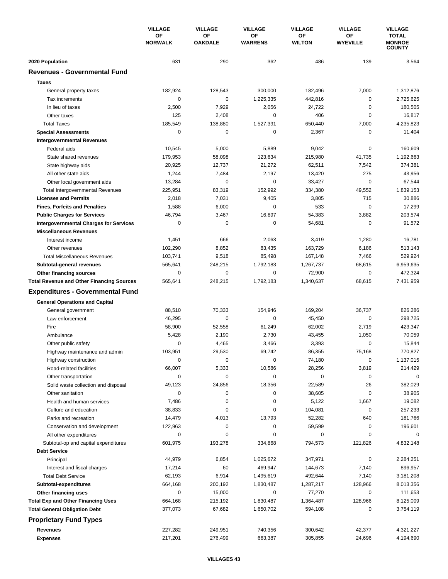|                                                                   | <b>VILLAGE</b>       | <b>VILLAGE</b>       | <b>VILLAGE</b>       | <b>VILLAGE</b>      | <b>VILLAGE</b>               | <b>VILLAGE</b>                                 |
|-------------------------------------------------------------------|----------------------|----------------------|----------------------|---------------------|------------------------------|------------------------------------------------|
|                                                                   | OF<br><b>NORWALK</b> | OF<br><b>OAKDALE</b> | ΟF<br><b>WARRENS</b> | OF<br><b>WILTON</b> | <b>OF</b><br><b>WYEVILLE</b> | <b>TOTAL</b><br><b>MONROE</b><br><b>COUNTY</b> |
| 2020 Population                                                   | 631                  | 290                  | 362                  | 486                 | 139                          | 3,564                                          |
| <b>Revenues - Governmental Fund</b>                               |                      |                      |                      |                     |                              |                                                |
| <b>Taxes</b>                                                      |                      |                      |                      |                     |                              |                                                |
| General property taxes                                            | 182,924              | 128,543              | 300,000              | 182,496             | 7,000                        | 1,312,876                                      |
| Tax increments                                                    | 0                    | 0                    | 1.225.335            | 442,816             | 0                            | 2,725,625                                      |
| In lieu of taxes                                                  | 2,500                | 7,929                | 2,056                | 24,722              | $\mathbf 0$                  | 180,505                                        |
| Other taxes                                                       | 125                  | 2,408                | 0                    | 406                 | $\mathbf 0$                  | 16,817                                         |
| <b>Total Taxes</b>                                                | 185,549              | 138,880              | 1,527,391            | 650,440             | 7,000                        | 4,235,823                                      |
| <b>Special Assessments</b>                                        | 0                    | 0                    | 0                    | 2,367               | 0                            | 11,404                                         |
| <b>Intergovernmental Revenues</b>                                 |                      |                      |                      |                     |                              |                                                |
| Federal aids                                                      | 10,545               | 5,000                | 5,889                | 9,042               | 0                            | 160,609                                        |
| State shared revenues                                             | 179,953              | 58,098               | 123,634              | 215,980             | 41,735                       | 1,192,663                                      |
| State highway aids                                                | 20,925               | 12,737               | 21,272               | 62,511              | 7,542                        | 374,381                                        |
| All other state aids                                              | 1,244                | 7,484                | 2,197                | 13,420              | 275                          | 43,956                                         |
| Other local government aids                                       | 13,284               | 0                    | 0                    | 33,427              | $\mathbf 0$                  | 67,544                                         |
| <b>Total Intergovernmental Revenues</b>                           | 225,951              | 83,319               | 152,992              | 334,380             | 49,552                       | 1,839,153                                      |
| <b>Licenses and Permits</b>                                       | 2,018                | 7,031                | 9,405                | 3,805               | 715                          | 30,886                                         |
| <b>Fines, Forfeits and Penalties</b>                              | 1,588                | 6,000                | 0                    | 533                 | $\mathbf 0$                  | 17,299                                         |
| <b>Public Charges for Services</b>                                | 46,794               | 3,467                | 16,897               | 54,383              | 3,882                        | 203,574                                        |
| <b>Intergovernmental Charges for Services</b>                     | $\mathbf 0$          | $\mathbf 0$          | 0                    | 54,681              | $\mathbf 0$                  | 91,572                                         |
| <b>Miscellaneous Revenues</b>                                     |                      |                      |                      |                     |                              |                                                |
| Interest income                                                   | 1,451                | 666                  | 2,063                | 3,419               | 1,280                        | 16,781                                         |
| Other revenues                                                    | 102,290              | 8,852                | 83,435               | 163,729             | 6,186                        | 513,143                                        |
| <b>Total Miscellaneous Revenues</b>                               | 103,741              | 9,518                | 85,498               | 167,148             | 7,466                        | 529,924                                        |
| Subtotal-general revenues                                         | 565,641              | 248,215              | 1,792,183            | 1,267,737           | 68,615                       | 6,959,635                                      |
| Other financing sources                                           | 0                    | $\mathbf 0$          | 0                    | 72,900              | 0                            | 472,324                                        |
| <b>Total Revenue and Other Financing Sources</b>                  | 565,641              | 248,215              | 1,792,183            | 1,340,637           | 68,615                       | 7,431,959                                      |
| <b>Expenditures - Governmental Fund</b>                           |                      |                      |                      |                     |                              |                                                |
| <b>General Operations and Capital</b>                             |                      |                      |                      |                     |                              |                                                |
| General government                                                | 88,510               | 70,333               | 154,946              | 169,204             | 36,737                       | 826,286                                        |
| Law enforcement                                                   | 46,295               | 0                    | 0                    | 45,450              | $\mathbf 0$                  | 298,725                                        |
| Fire                                                              | 58,900               | 52,558               | 61,249               | 62,002              | 2,719                        | 423,347                                        |
| Ambulance                                                         | 5,428                | 2,190                | 2,730                | 43,455              | 1,050                        | 70,059                                         |
| Other public safety                                               | 0                    | 4,465                | 3,466                | 3,393               | $\mathbf 0$                  | 15,844                                         |
| Highway maintenance and admin                                     | 103,951              | 29,530               | 69,742               | 86,355              | 75,168                       | 770,827                                        |
| Highway construction                                              | 0                    | 0                    | 0                    | 74,180              | 0                            | 1,137,015                                      |
| Road-related facilities                                           | 66,007               | 5,333                | 10,586               | 28,256              | 3,819                        | 214,429                                        |
| Other transportation                                              | 0                    | 0                    | 0                    | 0                   | 0                            | 0                                              |
| Solid waste collection and disposal                               | 49,123               | 24,856               | 18,356               | 22,589              | 26                           | 382,029                                        |
| Other sanitation                                                  | 0                    | 0                    | 0                    | 38,605              | 0                            | 38,905                                         |
| Health and human services                                         | 7,486                | 0                    | 0                    | 5,122               | 1,667                        | 19,082                                         |
| Culture and education                                             | 38,833               | 0                    | 0                    | 104,081             | 0                            | 257,233                                        |
| Parks and recreation                                              | 14,479               | 4,013                | 13,793               | 52,282              | 640                          | 181,766                                        |
| Conservation and development                                      | 122,963              | 0                    | 0                    | 59,599              | 0                            | 196,601                                        |
| All other expenditures                                            | 0                    | 0                    | 0                    | 0                   | 0                            | 0                                              |
| Subtotal-op and capital expenditures                              | 601,975              | 193,278              | 334,868              | 794,573             | 121,826                      | 4,832,148                                      |
| <b>Debt Service</b>                                               |                      |                      |                      |                     |                              |                                                |
| Principal                                                         | 44,979               | 6,854                | 1,025,672            | 347,971             | 0                            | 2,284,251                                      |
| Interest and fiscal charges                                       | 17,214               | 60                   | 469,947              | 144,673             | 7,140                        | 896,957                                        |
| <b>Total Debt Service</b>                                         | 62,193               | 6,914                | 1,495,619            | 492,644             | 7,140                        | 3,181,208                                      |
| Subtotal-expenditures                                             | 664,168<br>0         | 200,192<br>15,000    | 1,830,487<br>0       | 1,287,217<br>77,270 | 128,966<br>0                 | 8,013,356                                      |
| Other financing uses<br><b>Total Exp and Other Financing Uses</b> | 664,168              | 215,192              | 1,830,487            | 1,364,487           | 128,966                      | 111,653<br>8,125,009                           |
| <b>Total General Obligation Debt</b>                              | 377,073              | 67,682               | 1,650,702            | 594,108             | 0                            | 3,754,119                                      |
|                                                                   |                      |                      |                      |                     |                              |                                                |
| <b>Proprietary Fund Types</b>                                     |                      |                      |                      |                     |                              |                                                |
| <b>Revenues</b>                                                   | 227,282              | 249,951              | 740,356              | 300,642             | 42,377                       | 4,321,227                                      |
| <b>Expenses</b>                                                   | 217,201              | 276,499              | 663,387              | 305,855             | 24,696                       | 4,194,690                                      |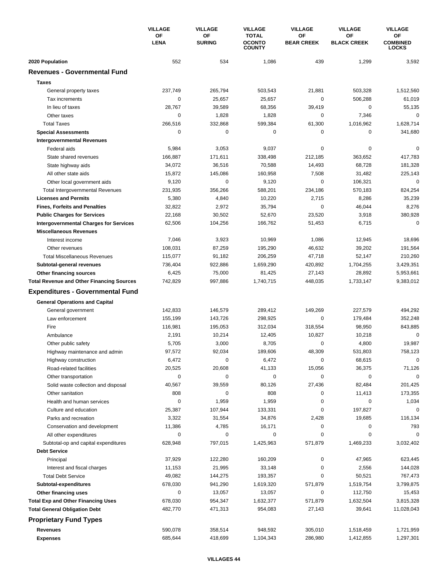|                                                                | <b>VILLAGE</b><br>OF<br><b>LENA</b> | <b>VILLAGE</b><br>OF<br><b>SURING</b> | <b>VILLAGE</b><br><b>TOTAL</b><br><b>OCONTO</b><br><b>COUNTY</b> | <b>VILLAGE</b><br>ΟF<br><b>BEAR CREEK</b> | <b>VILLAGE</b><br>OF<br><b>BLACK CREEK</b> | <b>VILLAGE</b><br>ОF<br><b>COMBINED</b><br><b>LOCKS</b> |
|----------------------------------------------------------------|-------------------------------------|---------------------------------------|------------------------------------------------------------------|-------------------------------------------|--------------------------------------------|---------------------------------------------------------|
|                                                                |                                     |                                       |                                                                  |                                           |                                            |                                                         |
| 2020 Population                                                | 552                                 | 534                                   | 1,086                                                            | 439                                       | 1,299                                      | 3,592                                                   |
| <b>Revenues - Governmental Fund</b>                            |                                     |                                       |                                                                  |                                           |                                            |                                                         |
| <b>Taxes</b>                                                   |                                     |                                       |                                                                  |                                           |                                            |                                                         |
| General property taxes                                         | 237,749                             | 265,794                               | 503,543                                                          | 21,881                                    | 503,328                                    | 1,512,560                                               |
| Tax increments                                                 | $\mathbf 0$                         | 25,657                                | 25,657                                                           | 0                                         | 506,288                                    | 61,019                                                  |
| In lieu of taxes                                               | 28,767                              | 39.589                                | 68,356                                                           | 39,419                                    | $\mathbf 0$                                | 55,135                                                  |
| Other taxes                                                    | 0                                   | 1,828                                 | 1,828                                                            | 0                                         | 7,346                                      | 0                                                       |
| <b>Total Taxes</b>                                             | 266,516                             | 332,868                               | 599,384                                                          | 61,300                                    | 1,016,962                                  | 1,628,714                                               |
| <b>Special Assessments</b>                                     | $\mathbf 0$                         | 0                                     | 0                                                                | 0                                         | 0                                          | 341,680                                                 |
| <b>Intergovernmental Revenues</b>                              |                                     |                                       |                                                                  |                                           |                                            |                                                         |
| Federal aids                                                   | 5,984                               | 3,053                                 | 9,037                                                            | 0                                         | 0                                          | 0                                                       |
| State shared revenues                                          | 166,887                             | 171,611                               | 338,498                                                          | 212,185                                   | 363,652                                    | 417,783                                                 |
| State highway aids                                             | 34,072                              | 36,516                                | 70,588                                                           | 14,493                                    | 68,728                                     | 181,328                                                 |
| All other state aids                                           | 15,872                              | 145,086                               | 160,958                                                          | 7,508                                     | 31,482                                     | 225,143                                                 |
| Other local government aids                                    | 9,120                               | 0                                     | 9,120                                                            | 0                                         | 106,321                                    | $\mathbf 0$                                             |
| <b>Total Intergovernmental Revenues</b>                        | 231,935                             | 356,266                               | 588,201                                                          | 234,186                                   | 570,183                                    | 824,254                                                 |
| <b>Licenses and Permits</b>                                    | 5,380                               | 4,840                                 | 10,220                                                           | 2,715                                     | 8,286                                      | 35,239                                                  |
| <b>Fines, Forfeits and Penalties</b>                           | 32,822                              | 2,972                                 | 35,794                                                           | 0                                         | 46,044                                     | 8,276                                                   |
| <b>Public Charges for Services</b>                             | 22,168                              | 30,502                                | 52,670                                                           | 23,520                                    | 3,918                                      | 380,928                                                 |
| <b>Intergovernmental Charges for Services</b>                  | 62,506                              | 104,256                               | 166,762                                                          | 51,453                                    | 6,715                                      | $\mathbf 0$                                             |
| <b>Miscellaneous Revenues</b>                                  |                                     |                                       |                                                                  |                                           |                                            |                                                         |
| Interest income                                                | 7,046                               | 3,923                                 | 10,969                                                           | 1,086                                     | 12,945                                     | 18,696                                                  |
| Other revenues                                                 | 108,031                             | 87,259                                | 195,290                                                          | 46,632                                    | 39,202                                     | 191,564                                                 |
| <b>Total Miscellaneous Revenues</b>                            | 115,077                             | 91,182                                | 206,259                                                          | 47,718                                    | 52,147                                     | 210,260                                                 |
| Subtotal-general revenues                                      | 736,404                             | 922,886                               | 1,659,290                                                        | 420,892                                   | 1,704,255                                  | 3,429,351                                               |
| Other financing sources                                        | 6,425                               | 75,000                                | 81,425                                                           | 27,143                                    | 28,892                                     | 5,953,661                                               |
| <b>Total Revenue and Other Financing Sources</b>               | 742,829                             | 997,886                               | 1,740,715                                                        | 448,035                                   | 1,733,147                                  | 9,383,012                                               |
| <b>Expenditures - Governmental Fund</b>                        |                                     |                                       |                                                                  |                                           |                                            |                                                         |
|                                                                |                                     |                                       |                                                                  |                                           |                                            |                                                         |
| <b>General Operations and Capital</b><br>General government    | 142,833                             | 146,579                               | 289,412                                                          | 149,269                                   | 227,579                                    | 494,292                                                 |
| Law enforcement                                                | 155,199                             | 143,726                               | 298,925                                                          | 0                                         | 179,484                                    | 352,248                                                 |
| Fire                                                           | 116,981                             | 195,053                               | 312,034                                                          | 318,554                                   | 98,950                                     | 843,885                                                 |
| Ambulance                                                      | 2,191                               | 10,214                                | 12,405                                                           | 10,827                                    | 10,218                                     | 0                                                       |
| Other public safety                                            | 5,705                               | 3,000                                 | 8,705                                                            | 0                                         | 4,800                                      | 19,987                                                  |
| Highway maintenance and admin                                  | 97,572                              | 92,034                                | 189,606                                                          | 48,309                                    | 531,803                                    | 758,123                                                 |
|                                                                | 6,472                               | 0                                     | 6,472                                                            | 0                                         | 68,615                                     | 0                                                       |
| Highway construction<br>Road-related facilities                | 20,525                              | 20,608                                | 41,133                                                           | 15,056                                    | 36,375                                     | 71,126                                                  |
| Other transportation                                           | $\pmb{0}$                           | 0                                     | 0                                                                | 0                                         | $\pmb{0}$                                  | $\mathbf 0$                                             |
| Solid waste collection and disposal                            | 40,567                              | 39,559                                | 80,126                                                           | 27,436                                    | 82,484                                     | 201,425                                                 |
| Other sanitation                                               | 808                                 | 0                                     | 808                                                              | 0                                         |                                            | 173,355                                                 |
|                                                                | 0                                   | 1,959                                 | 1,959                                                            | 0                                         | 11,413<br>$\mathbf 0$                      |                                                         |
| Health and human services                                      | 25,387                              | 107,944                               | 133,331                                                          | 0                                         | 197,827                                    | 1,034<br>0                                              |
| Culture and education                                          | 3,322                               | 31,554                                | 34,876                                                           | 2,428                                     | 19,685                                     | 116,134                                                 |
| Parks and recreation                                           |                                     | 4,785                                 | 16,171                                                           | 0                                         | 0                                          | 793                                                     |
| Conservation and development                                   | 11,386<br>0                         | 0                                     | 0                                                                | 0                                         | 0                                          | $\Omega$                                                |
| All other expenditures<br>Subtotal-op and capital expenditures | 628,948                             | 797,015                               | 1,425,963                                                        | 571,879                                   | 1,469,233                                  | 3,032,402                                               |
| <b>Debt Service</b>                                            |                                     |                                       |                                                                  |                                           |                                            |                                                         |
|                                                                |                                     |                                       |                                                                  | 0                                         |                                            |                                                         |
| Principal                                                      | 37,929                              | 122,280<br>21,995                     | 160,209<br>33,148                                                | 0                                         | 47,965<br>2,556                            | 623,445<br>144,028                                      |
| Interest and fiscal charges                                    | 11,153                              |                                       |                                                                  |                                           |                                            |                                                         |
| <b>Total Debt Service</b>                                      | 49,082<br>678,030                   | 144,275<br>941,290                    | 193,357<br>1,619,320                                             | 0<br>571,879                              | 50,521<br>1,519,754                        | 767,473<br>3,799,875                                    |
| Subtotal-expenditures                                          | 0                                   | 13,057                                | 13,057                                                           | 0                                         | 112,750                                    |                                                         |
| Other financing uses                                           |                                     |                                       |                                                                  |                                           |                                            | 15,453                                                  |
| <b>Total Exp and Other Financing Uses</b>                      | 678,030<br>482,770                  | 954,347                               | 1,632,377<br>954,083                                             | 571,879                                   | 1,632,504<br>39,641                        | 3,815,328                                               |
| <b>Total General Obligation Debt</b>                           |                                     | 471,313                               |                                                                  | 27,143                                    |                                            | 11,028,043                                              |
| <b>Proprietary Fund Types</b>                                  |                                     |                                       |                                                                  |                                           |                                            |                                                         |
| Revenues                                                       | 590,078                             | 358,514                               | 948,592                                                          | 305,010                                   | 1,518,459                                  | 1,721,959                                               |
| <b>Expenses</b>                                                | 685,644                             | 418,699                               | 1,104,343                                                        | 286,980                                   | 1,412,855                                  | 1,297,301                                               |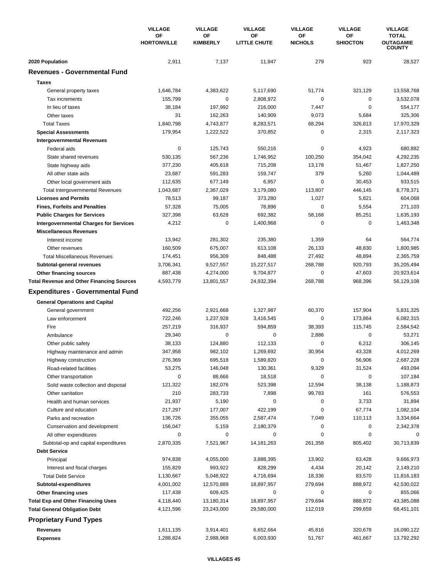|                                                  | <b>VILLAGE</b><br><b>OF</b><br><b>HORTONVILLE</b> | <b>VILLAGE</b>        | <b>VILLAGE</b>            | <b>VILLAGE</b>       | <b>VILLAGE</b>        | <b>VILLAGE</b>                   |
|--------------------------------------------------|---------------------------------------------------|-----------------------|---------------------------|----------------------|-----------------------|----------------------------------|
|                                                  |                                                   | OF<br><b>KIMBERLY</b> | OF<br><b>LITTLE CHUTE</b> | OF<br><b>NICHOLS</b> | OF<br><b>SHIOCTON</b> | <b>TOTAL</b><br><b>OUTAGAMIE</b> |
|                                                  |                                                   |                       |                           |                      |                       | <b>COUNTY</b>                    |
| 2020 Population                                  | 2,911                                             | 7,137                 | 11,947                    | 279                  | 923                   | 28,527                           |
| <b>Revenues - Governmental Fund</b>              |                                                   |                       |                           |                      |                       |                                  |
| <b>Taxes</b>                                     |                                                   |                       |                           |                      |                       |                                  |
| General property taxes                           | 1,646,784                                         | 4,383,622             | 5,117,690                 | 51,774               | 321,129               | 13,558,768                       |
| Tax increments                                   | 155.799                                           | $\mathbf 0$           | 2,808,972                 | $\mathbf 0$          | $\mathbf 0$           | 3,532,078                        |
| In lieu of taxes                                 | 38,184                                            | 197,992               | 216,000                   | 7,447                | $\mathbf 0$           | 554,177                          |
| Other taxes                                      | 31                                                | 162,263               | 140,909                   | 9,073                | 5,684                 | 325,306                          |
| <b>Total Taxes</b>                               | 1,840,798                                         | 4,743,877             | 8,283,571                 | 68,294               | 326,813               | 17,970,329                       |
| <b>Special Assessments</b>                       | 179,954                                           | 1,222,522             | 370,852                   | $\mathbf 0$          | 2,315                 | 2,117,323                        |
| <b>Intergovernmental Revenues</b>                |                                                   |                       |                           |                      |                       |                                  |
| Federal aids                                     | $\pmb{0}$                                         | 125,743               | 550,216                   | $\pmb{0}$            | 4,923                 | 680,882                          |
| State shared revenues                            | 530,135                                           | 567,236               | 1,746,952                 | 100,250              | 354,042               | 4,292,235                        |
| State highway aids                               | 377,230                                           | 405,618               | 715,208                   | 13,178               | 51,467                | 1,827,250                        |
| All other state aids                             | 23,687                                            | 591,283               | 159,747                   | 379                  | 5,260                 | 1,044,489                        |
| Other local government aids                      | 112,635                                           | 677,149               | 6,957                     | $\mathbf 0$          | 30,453                | 933,515                          |
| <b>Total Intergovernmental Revenues</b>          | 1,043,687                                         | 2,367,029             | 3,179,080                 | 113,807              | 446,145               | 8,778,371                        |
| <b>Licenses and Permits</b>                      | 78,513                                            | 99,187                | 373,280                   | 1,027                | 5,821                 | 604,068                          |
| <b>Fines, Forfeits and Penalties</b>             | 57,328                                            | 75,005                | 78,896                    | $\mathbf 0$          | 5,554                 | 271,103                          |
| <b>Public Charges for Services</b>               | 327,398                                           | 63,628                | 692,382                   | 58,168               | 85,251                | 1,635,193                        |
| <b>Intergovernmental Charges for Services</b>    | 4,212                                             | $\mathbf 0$           | 1,400,968                 | $\mathbf 0$          | 0                     | 1,463,348                        |
| <b>Miscellaneous Revenues</b>                    |                                                   |                       |                           |                      |                       |                                  |
| Interest income                                  | 13,942                                            | 281,302               | 235,380                   | 1,359                | 64                    | 564,774                          |
| Other revenues                                   | 160,509                                           | 675,007               | 613,108                   | 26,133               | 48,830                | 1,800,985                        |
| <b>Total Miscellaneous Revenues</b>              | 174,451                                           | 956,309               | 848,488                   | 27,492               | 48,894                | 2,365,759                        |
|                                                  |                                                   |                       |                           | 268,788              | 920,793               | 35,205,494                       |
| Subtotal-general revenues                        | 3,706,341                                         | 9,527,557             | 15,227,517                | 0                    | 47,603                | 20,923,614                       |
| Other financing sources                          | 887,438                                           | 4,274,000             | 9,704,877                 | 268,788              |                       |                                  |
| <b>Total Revenue and Other Financing Sources</b> | 4,593,779                                         | 13,801,557            | 24,932,394                |                      | 968,396               | 56,129,108                       |
| <b>Expenditures - Governmental Fund</b>          |                                                   |                       |                           |                      |                       |                                  |
| <b>General Operations and Capital</b>            |                                                   |                       |                           |                      |                       |                                  |
| General government                               | 492,256                                           | 2,921,668             | 1,327,987                 | 60,370               | 157,904               | 5,831,325                        |
| Law enforcement                                  | 722,246                                           | 1,237,928             | 3,416,545                 | 0                    | 173,864               | 6,082,315                        |
| Fire                                             | 257,219                                           | 316,937               | 594,859                   | 38,393               | 115,745               | 2,584,542                        |
| Ambulance                                        | 29,340                                            | 0                     | 0                         | 2,886                | $\mathbf 0$           | 53,271                           |
| Other public safety                              | 38,133                                            | 124,880               | 112,133                   | 0                    | 6,212                 | 306,145                          |
| Highway maintenance and admin                    | 347,958                                           | 982,102               | 1,269,692                 | 30,954               | 43,328                | 4,012,269                        |
| Highway construction                             | 276,369                                           | 695,518               | 1,589,820                 | 0                    | 56,906                | 2,687,228                        |
| Road-related facilities                          | 53,275                                            | 146,048               | 130,361                   | 9,329                | 31,524                | 493,094                          |
| Other transportation                             | $\mathbf 0$                                       | 88,666                | 18,518                    | 0                    | 0                     | 107,184                          |
| Solid waste collection and disposal              | 121,322                                           | 182,076               | 523,398                   | 12,594               | 38,138                | 1,188,873                        |
| Other sanitation                                 | 210                                               | 283,733               | 7,898                     | 99,783               | 161                   | 576,553                          |
| Health and human services                        | 21,937                                            | 5,190                 | 0                         | 0                    | 3,733                 | 31,894                           |
| Culture and education                            | 217,297                                           | 177,007               | 422,199                   | 0                    | 67,774                | 1,082,104                        |
| Parks and recreation                             | 136,726                                           | 355,055               | 2,587,474                 | 7,049                | 110,113               | 3,334,664                        |
| Conservation and development                     | 156,047                                           | 5,159                 | 2,180,379                 | 0                    | 0                     | 2,342,378                        |
| All other expenditures                           | 0                                                 | 0                     | 0                         | 0                    | 0                     |                                  |
| Subtotal-op and capital expenditures             | 2,870,335                                         | 7,521,967             | 14, 181, 263              | 261,358              | 805,402               | 30,713,839                       |
| <b>Debt Service</b>                              |                                                   |                       |                           |                      |                       |                                  |
| Principal                                        | 974,838                                           | 4,055,000             | 3,888,395                 | 13,902               | 63,428                | 9,666,973                        |
| Interest and fiscal charges                      | 155,829                                           | 993,922               | 828,299                   | 4,434                | 20,142                | 2,149,210                        |
| <b>Total Debt Service</b>                        | 1,130,667                                         | 5,048,922             | 4,716,694                 | 18,336               | 83,570                | 11,816,183                       |
| Subtotal-expenditures                            | 4,001,002                                         | 12,570,889            | 18,897,957                | 279,694              | 888,972               | 42,530,022                       |
| Other financing uses                             | 117,438                                           | 609,425               | 0                         | 0                    | 0                     | 855,066                          |
| <b>Total Exp and Other Financing Uses</b>        | 4,118,440                                         | 13,180,314            | 18,897,957                | 279,694              | 888,972               | 43,385,088                       |
| <b>Total General Obligation Debt</b>             | 4,121,596                                         | 23,243,000            | 29,580,000                | 112,019              | 299,659               | 68,451,101                       |
| <b>Proprietary Fund Types</b>                    |                                                   |                       |                           |                      |                       |                                  |
| Revenues                                         | 1,611,135                                         | 3,914,401             | 6,652,664                 | 45,816               | 320,678               | 16,090,122                       |
| <b>Expenses</b>                                  | 1,288,824                                         | 2,988,968             | 6,003,930                 | 51,767               | 461,667               | 13,792,292                       |
|                                                  |                                                   |                       |                           |                      |                       |                                  |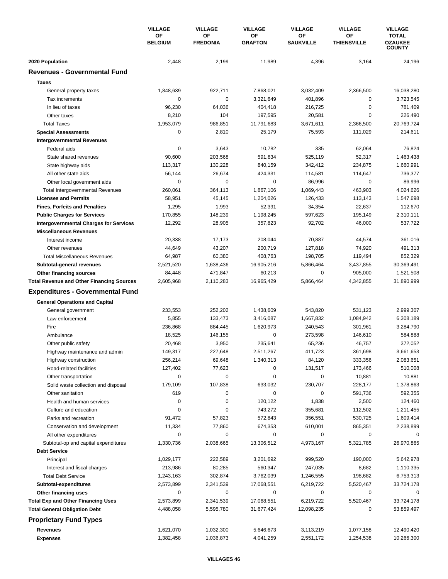|                                                  | <b>VILLAGE</b><br>OF<br><b>BELGIUM</b> | <b>VILLAGE</b>        | <b>VILLAGE</b>       | <b>VILLAGE</b>         | <b>VILLAGE</b>                  | <b>VILLAGE</b>                                  |
|--------------------------------------------------|----------------------------------------|-----------------------|----------------------|------------------------|---------------------------------|-------------------------------------------------|
|                                                  |                                        | OF<br><b>FREDONIA</b> | ΟF<br><b>GRAFTON</b> | OF<br><b>SAUKVILLE</b> | <b>OF</b><br><b>THIENSVILLE</b> | <b>TOTAL</b><br><b>OZAUKEE</b><br><b>COUNTY</b> |
| 2020 Population                                  | 2,448                                  | 2,199                 | 11,989               | 4,396                  | 3,164                           | 24,196                                          |
| <b>Revenues - Governmental Fund</b>              |                                        |                       |                      |                        |                                 |                                                 |
| <b>Taxes</b>                                     |                                        |                       |                      |                        |                                 |                                                 |
| General property taxes                           | 1,848,639                              | 922,711               | 7,868,021            | 3,032,409              | 2,366,500                       | 16,038,280                                      |
| Tax increments                                   | 0                                      | 0                     | 3,321,649            | 401,896                | 0                               | 3,723,545                                       |
| In lieu of taxes                                 | 96,230                                 | 64,036                | 404,418              | 216,725                | $\mathbf 0$                     | 781,409                                         |
| Other taxes                                      | 8,210                                  | 104                   | 197,595              | 20,581                 | $\mathbf 0$                     | 226,490                                         |
| <b>Total Taxes</b>                               | 1,953,079                              | 986.851               | 11,791,683           | 3,671,611              | 2,366,500                       | 20,769,724                                      |
| <b>Special Assessments</b>                       | 0                                      | 2,810                 | 25,179               | 75,593                 | 111,029                         | 214,611                                         |
| <b>Intergovernmental Revenues</b>                |                                        |                       |                      |                        |                                 |                                                 |
| Federal aids                                     | 0                                      | 3,643                 | 10,782               | 335                    | 62,064                          | 76,824                                          |
| State shared revenues                            | 90,600                                 | 203,568               | 591,834              | 525,119                | 52,317                          | 1,463,438                                       |
| State highway aids                               | 113,317                                | 130,228               | 840,159              | 342,412                | 234,875                         | 1,660,991                                       |
| All other state aids                             | 56,144                                 | 26,674                | 424,331              | 114,581                | 114,647                         | 736,377                                         |
| Other local government aids                      | $\mathbf 0$                            | 0                     | 0                    | 86,996                 | 0                               | 86,996                                          |
| <b>Total Intergovernmental Revenues</b>          | 260,061                                | 364,113               | 1,867,106            | 1,069,443              | 463,903                         | 4,024,626                                       |
| <b>Licenses and Permits</b>                      | 58,951                                 | 45,145                | 1,204,026            | 126,433                | 113,143                         | 1,547,698                                       |
| <b>Fines, Forfeits and Penalties</b>             | 1,295                                  | 1,993                 | 52,391               | 34,354                 | 22,637                          | 112,670                                         |
| <b>Public Charges for Services</b>               | 170,855                                | 148,239               | 1,198,245            | 597,623                | 195,149                         | 2,310,111                                       |
| <b>Intergovernmental Charges for Services</b>    | 12,292                                 | 28,905                | 357,823              | 92,702                 | 46,000                          | 537,722                                         |
| <b>Miscellaneous Revenues</b>                    |                                        |                       |                      |                        |                                 |                                                 |
| Interest income                                  | 20,338                                 | 17,173                | 208,044              | 70,887                 | 44,574                          | 361,016                                         |
| Other revenues                                   | 44,649                                 | 43,207                | 200,719              | 127,818                | 74,920                          | 491,313                                         |
| <b>Total Miscellaneous Revenues</b>              | 64,987                                 | 60,380                | 408,763              | 198,705                | 119,494                         | 852,329                                         |
| Subtotal-general revenues                        | 2,521,520                              | 1,638,436             | 16,905,216           | 5,866,464              | 3,437,855                       | 30,369,491                                      |
| Other financing sources                          | 84,448                                 | 471,847               | 60,213               | 0                      | 905,000                         | 1,521,508                                       |
| <b>Total Revenue and Other Financing Sources</b> | 2,605,968                              | 2,110,283             | 16,965,429           | 5,866,464              | 4,342,855                       | 31,890,999                                      |
| <b>Expenditures - Governmental Fund</b>          |                                        |                       |                      |                        |                                 |                                                 |
| <b>General Operations and Capital</b>            |                                        |                       |                      |                        |                                 |                                                 |
| General government                               | 233,553                                | 252,202               | 1,438,609            | 543,820                | 531,123                         | 2,999,307                                       |
| Law enforcement                                  | 5,855                                  | 133.473               | 3,416,087            | 1.667.832              | 1,084,942                       | 6,308,189                                       |
| Fire                                             | 236,868                                | 884,445               | 1,620,973            | 240,543                | 301,961                         | 3,284,790                                       |
| Ambulance                                        | 18,525                                 | 146,155               | 0                    | 273,598                | 146,610                         | 584,888                                         |
| Other public safety                              | 20,468                                 | 3,950                 | 235,641              | 65,236                 | 46,757                          | 372,052                                         |
| Highway maintenance and admin                    | 149,317                                | 227,648               | 2,511,267            | 411,723                | 361,698                         | 3,661,653                                       |
| Highway construction                             | 256,214                                | 69,648                | 1,340,313            | 84,120                 | 333,356                         | 2,083,651                                       |
| Road-related facilities                          | 127,402                                | 77,623                | 0                    | 131,517                | 173,466                         | 510,008                                         |
| Other transportation                             | 0                                      | 0                     | 0                    | 0                      | 10,881                          | 10,881                                          |
| Solid waste collection and disposal              | 179,109                                | 107,838               | 633,032              | 230,707                | 228,177                         | 1,378,863                                       |
| Other sanitation                                 | 619                                    | 0                     | 0                    | 0                      | 591,736                         | 592,355                                         |
| Health and human services                        | 0                                      | 0                     | 120,122              | 1,838                  | 2,500                           | 124,460                                         |
| Culture and education                            | 0                                      | 0                     | 743,272              | 355,681                | 112,502                         | 1,211,455                                       |
| Parks and recreation                             | 91,472                                 | 57,823                | 572,843              | 356,551                | 530,725                         | 1,609,414                                       |
| Conservation and development                     | 11,334                                 | 77,860                | 674,353              | 610,001                | 865,351                         | 2,238,899                                       |
| All other expenditures                           | 0                                      | 0                     | 0                    | 0                      | 0                               | 0                                               |
| Subtotal-op and capital expenditures             | 1,330,736                              | 2,038,665             | 13,306,512           | 4,973,167              | 5,321,785                       | 26,970,865                                      |
| <b>Debt Service</b>                              |                                        |                       |                      |                        |                                 |                                                 |
| Principal                                        | 1,029,177                              | 222,589               | 3,201,692            | 999,520                | 190,000                         | 5,642,978                                       |
| Interest and fiscal charges                      | 213,986                                | 80,285                | 560,347              | 247,035                | 8,682                           | 1,110,335                                       |
| <b>Total Debt Service</b>                        | 1,243,163                              | 302,874               | 3,762,039            | 1,246,555              | 198,682                         | 6,753,313                                       |
| Subtotal-expenditures                            | 2,573,899                              | 2,341,539             | 17,068,551           | 6,219,722              | 5,520,467                       | 33,724,178                                      |
| Other financing uses                             | 0                                      | 0                     | 0                    | 0                      | 0                               | 0                                               |
| <b>Total Exp and Other Financing Uses</b>        | 2,573,899                              | 2,341,539             | 17,068,551           | 6,219,722              | 5,520,467                       | 33,724,178                                      |
| <b>Total General Obligation Debt</b>             | 4,488,058                              | 5,595,780             | 31,677,424           | 12,098,235             | 0                               | 53,859,497                                      |
| <b>Proprietary Fund Types</b>                    |                                        |                       |                      |                        |                                 |                                                 |
| <b>Revenues</b>                                  | 1,621,070                              | 1,032,300             | 5,646,673            | 3,113,219              | 1,077,158                       | 12,490,420                                      |
| <b>Expenses</b>                                  | 1,382,458                              | 1,036,873             | 4,041,259            | 2,551,172              | 1,254,538                       | 10,266,300                                      |
|                                                  |                                        |                       |                      |                        |                                 |                                                 |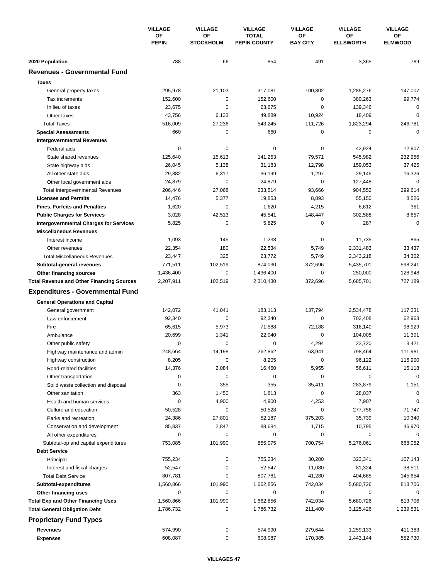|                                                       | <b>VILLAGE</b><br>ΟF<br><b>PEPIN</b> | <b>VILLAGE</b><br>OF<br><b>STOCKHOLM</b> | <b>VILLAGE</b><br><b>TOTAL</b><br><b>PEPIN COUNTY</b> | <b>VILLAGE</b>        | <b>VILLAGE</b><br>OF<br><b>ELLSWORTH</b> | <b>VILLAGE</b><br>ОF<br><b>ELMWOOD</b> |
|-------------------------------------------------------|--------------------------------------|------------------------------------------|-------------------------------------------------------|-----------------------|------------------------------------------|----------------------------------------|
|                                                       |                                      |                                          |                                                       | OF<br><b>BAY CITY</b> |                                          |                                        |
| 2020 Population                                       | 788                                  | 66                                       | 854                                                   | 491                   | 3,365                                    | 789                                    |
| <b>Revenues - Governmental Fund</b>                   |                                      |                                          |                                                       |                       |                                          |                                        |
| <b>Taxes</b>                                          |                                      |                                          |                                                       |                       |                                          |                                        |
| General property taxes                                | 295,978                              | 21,103                                   | 317,081                                               | 100,802               | 1,285,276                                | 147,007                                |
| Tax increments                                        | 152,600                              | 0                                        | 152,600                                               | 0                     | 380,263                                  | 99,774                                 |
| In lieu of taxes                                      | 23,675                               | 0                                        | 23,675                                                | 0                     | 139,346                                  | $\mathbf 0$                            |
| Other taxes                                           | 43,756                               | 6,133                                    | 49,889                                                | 10,924                | 18,409                                   | $\mathbf 0$                            |
| <b>Total Taxes</b>                                    | 516,009                              | 27,236                                   | 543,245                                               | 111,726               | 1,823,294                                | 246,781                                |
| <b>Special Assessments</b>                            | 660                                  | 0                                        | 660                                                   | 0                     | 0                                        | $\mathbf 0$                            |
| <b>Intergovernmental Revenues</b>                     |                                      |                                          |                                                       |                       |                                          |                                        |
| Federal aids                                          | 0                                    | $\pmb{0}$                                | 0                                                     | 0                     | 42,924                                   | 12,907                                 |
| State shared revenues                                 | 125,640                              | 15,613                                   | 141,253                                               | 79,571                | 545,982                                  | 232,956                                |
| State highway aids                                    | 26,045                               | 5,138                                    | 31,183                                                | 12,798                | 159,053                                  | 37,425                                 |
| All other state aids                                  | 29,882                               | 6,317                                    | 36,199                                                | 1,297                 | 29,145                                   | 16,326                                 |
| Other local government aids                           | 24,879                               | 0                                        | 24,879                                                | 0                     | 127,448                                  | $\mathbf 0$                            |
| <b>Total Intergovernmental Revenues</b>               | 206,446                              | 27,068                                   | 233,514                                               | 93,666                | 904,552                                  | 299,614                                |
| <b>Licenses and Permits</b>                           | 14,476                               | 5,377                                    | 19,853                                                | 8,893                 | 55,150                                   | 8,526                                  |
| <b>Fines, Forfeits and Penalties</b>                  | 1,620                                | 0                                        | 1,620                                                 | 4,215                 | 6,612                                    | 361                                    |
| <b>Public Charges for Services</b>                    | 3,028                                | 42,513                                   | 45,541                                                | 148,447               | 302,588                                  | 8,657                                  |
| <b>Intergovernmental Charges for Services</b>         | 5,825                                | $\mathbf 0$                              | 5,825                                                 | 0                     | 287                                      | $\mathbf 0$                            |
| <b>Miscellaneous Revenues</b>                         |                                      |                                          |                                                       |                       |                                          |                                        |
| Interest income                                       | 1,093                                | 145                                      | 1,238                                                 | 0                     | 11,735                                   | 865                                    |
| Other revenues                                        | 22,354                               | 180                                      | 22,534                                                | 5,749                 | 2,331,483                                | 33,437                                 |
| <b>Total Miscellaneous Revenues</b>                   | 23,447                               | 325                                      | 23,772                                                | 5,749                 | 2,343,218                                | 34,302                                 |
| Subtotal-general revenues                             | 771,511                              | 102,519                                  | 874,030                                               | 372,696               | 5,435,701                                | 598,241                                |
| Other financing sources                               | 1,436,400                            | $\mathbf 0$                              | 1,436,400                                             | 0                     | 250,000                                  | 128,948                                |
| <b>Total Revenue and Other Financing Sources</b>      | 2,207,911                            | 102,519                                  | 2,310,430                                             | 372,696               | 5,685,701                                | 727,189                                |
| <b>Expenditures - Governmental Fund</b>               |                                      |                                          |                                                       |                       |                                          |                                        |
|                                                       |                                      |                                          |                                                       |                       |                                          |                                        |
| <b>General Operations and Capital</b>                 | 142,072                              | 41,041                                   | 183,113                                               | 137,794               | 2,534,478                                | 117,231                                |
| General government<br>Law enforcement                 | 92,340                               | 0                                        | 92,340                                                | 0                     | 702,408                                  | 62,963                                 |
| Fire                                                  | 65,615                               | 5,973                                    | 71,588                                                | 72,188                | 316,140                                  | 98,929                                 |
| Ambulance                                             | 20,699                               | 1,341                                    | 22,040                                                | 0                     | 104,005                                  | 11,301                                 |
| Other public safety                                   | 0                                    | 0                                        | 0                                                     | 4,294                 | 23,720                                   | 3,421                                  |
|                                                       | 248,664                              | 14,198                                   | 262,862                                               | 63,941                | 798,464                                  | 111,981                                |
| Highway maintenance and admin<br>Highway construction | 8,205                                | 0                                        | 8,205                                                 | 0                     | 96,122                                   | 116,900                                |
| Road-related facilities                               | 14,376                               | 2,084                                    | 16,460                                                | 5,955                 | 56,611                                   | 15,118                                 |
| Other transportation                                  | 0                                    | 0                                        | 0                                                     | 0                     | $\mathbf 0$                              | $\mathbf 0$                            |
| Solid waste collection and disposal                   | 0                                    | 355                                      | 355                                                   | 35,411                | 283,879                                  | 1,151                                  |
| Other sanitation                                      | 363                                  | 1,450                                    | 1,813                                                 | 0                     | 28,037                                   | 0                                      |
| Health and human services                             | 0                                    | 4,900                                    | 4,900                                                 | 4,253                 | 7,907                                    | $\mathbf 0$                            |
| Culture and education                                 | 50,528                               | 0                                        | 50,528                                                | 0                     | 277,756                                  | 71,747                                 |
| Parks and recreation                                  | 24,386                               | 27,801                                   | 52,187                                                | 375,203               | 35,739                                   | 10,340                                 |
| Conservation and development                          | 85,837                               | 2,847                                    | 88,684                                                | 1,715                 | 10,795                                   | 46,970                                 |
| All other expenditures                                | 0                                    | 0                                        | 0                                                     | 0                     | 0                                        | 0                                      |
| Subtotal-op and capital expenditures                  | 753,085                              | 101,990                                  | 855,075                                               | 700,754               | 5,276,061                                | 668,052                                |
| <b>Debt Service</b>                                   |                                      |                                          |                                                       |                       |                                          |                                        |
| Principal                                             | 755,234                              | $\pmb{0}$                                | 755,234                                               | 30,200                | 323,341                                  | 107,143                                |
| Interest and fiscal charges                           | 52,547                               | 0                                        | 52,547                                                | 11,080                | 81,324                                   | 38,511                                 |
| <b>Total Debt Service</b>                             | 807,781                              | 0                                        | 807,781                                               | 41,280                | 404,665                                  | 145,654                                |
| Subtotal-expenditures                                 | 1,560,866                            | 101,990                                  | 1,662,856                                             | 742,034               | 5,680,726                                | 813,706                                |
| Other financing uses                                  | 0                                    | 0                                        | 0                                                     | 0                     | 0                                        | 0                                      |
| <b>Total Exp and Other Financing Uses</b>             | 1,560,866                            | 101,990                                  | 1,662,856                                             | 742,034               | 5,680,726                                | 813,706                                |
| <b>Total General Obligation Debt</b>                  | 1,786,732                            | 0                                        | 1,786,732                                             | 211,400               | 3,125,426                                | 1,239,531                              |
| <b>Proprietary Fund Types</b>                         |                                      |                                          |                                                       |                       |                                          |                                        |
|                                                       |                                      |                                          |                                                       |                       |                                          |                                        |
| Revenues<br><b>Expenses</b>                           | 574,990<br>608,087                   | 0<br>0                                   | 574,990<br>608,087                                    | 279,644<br>170,385    | 1,259,133<br>1,443,144                   | 411,383<br>552,730                     |
|                                                       |                                      |                                          |                                                       |                       |                                          |                                        |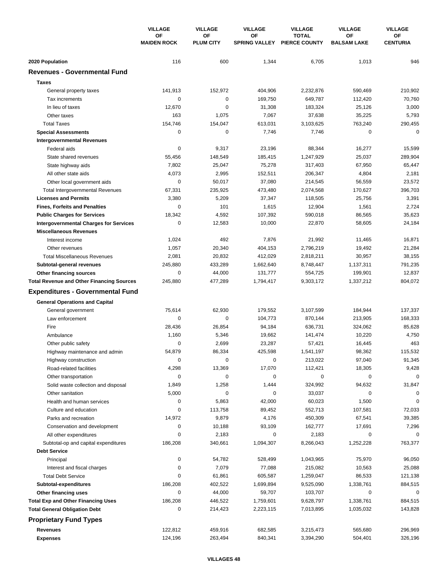|                                                                                   | <b>VILLAGE</b><br>OF<br><b>MAIDEN ROCK</b> | <b>VILLAGE</b><br>OF<br><b>PLUM CITY</b> | <b>VILLAGE</b><br>ΟF<br><b>SPRING VALLEY</b> | <b>VILLAGE</b><br><b>TOTAL</b><br><b>PIERCE COUNTY</b> | <b>VILLAGE</b><br><b>OF</b><br><b>BALSAM LAKE</b> | <b>VILLAGE</b><br>ОF<br><b>CENTURIA</b> |
|-----------------------------------------------------------------------------------|--------------------------------------------|------------------------------------------|----------------------------------------------|--------------------------------------------------------|---------------------------------------------------|-----------------------------------------|
|                                                                                   |                                            |                                          |                                              |                                                        |                                                   |                                         |
| 2020 Population                                                                   | 116                                        | 600                                      | 1,344                                        | 6,705                                                  | 1,013                                             | 946                                     |
| <b>Revenues - Governmental Fund</b>                                               |                                            |                                          |                                              |                                                        |                                                   |                                         |
| <b>Taxes</b>                                                                      |                                            |                                          |                                              |                                                        |                                                   |                                         |
| General property taxes                                                            | 141,913                                    | 152,972                                  | 404,906                                      | 2,232,876                                              | 590,469                                           | 210,902                                 |
| Tax increments                                                                    | 0                                          | 0                                        | 169.750                                      | 649,787                                                | 112,420                                           | 70,760                                  |
| In lieu of taxes                                                                  | 12,670                                     | 0                                        | 31,308                                       | 183,324                                                | 25,126                                            | 3,000                                   |
| Other taxes                                                                       | 163                                        | 1,075                                    | 7,067                                        | 37,638                                                 | 35,225                                            | 5,793                                   |
| <b>Total Taxes</b>                                                                | 154,746                                    | 154,047                                  | 613,031                                      | 3,103,625                                              | 763,240                                           | 290,455                                 |
| <b>Special Assessments</b>                                                        | 0                                          | 0                                        | 7,746                                        | 7,746                                                  | 0                                                 | $\mathbf 0$                             |
| <b>Intergovernmental Revenues</b>                                                 |                                            |                                          |                                              |                                                        |                                                   |                                         |
| Federal aids                                                                      | 0                                          | 9,317                                    | 23,196                                       | 88,344                                                 | 16,277                                            | 15,599                                  |
| State shared revenues                                                             | 55,456                                     | 148,549                                  | 185,415                                      | 1,247,929                                              | 25,037                                            | 289,904                                 |
| State highway aids                                                                | 7,802                                      | 25,047                                   | 75,278                                       | 317,403                                                | 67,950                                            | 65,447                                  |
| All other state aids                                                              | 4,073                                      | 2,995                                    | 152,511                                      | 206,347                                                | 4,804                                             | 2,181                                   |
| Other local government aids                                                       | 0                                          | 50,017                                   | 37,080                                       | 214,545                                                | 56,559                                            | 23,572                                  |
| <b>Total Intergovernmental Revenues</b>                                           | 67,331                                     | 235,925                                  | 473,480                                      | 2,074,568                                              | 170,627                                           | 396,703                                 |
| <b>Licenses and Permits</b>                                                       | 3,380                                      | 5,209                                    | 37,347                                       | 118,505                                                | 25,756                                            | 3,391                                   |
| <b>Fines, Forfeits and Penalties</b>                                              | 0                                          | 101                                      | 1,615                                        | 12,904                                                 | 1,561                                             | 2,724                                   |
| <b>Public Charges for Services</b>                                                | 18,342                                     | 4,592                                    | 107,392                                      | 590,018                                                | 86,565                                            | 35,623                                  |
| <b>Intergovernmental Charges for Services</b>                                     | $\mathbf 0$                                | 12,583                                   | 10,000                                       | 22,870                                                 | 58,605                                            | 24,184                                  |
| <b>Miscellaneous Revenues</b>                                                     |                                            |                                          |                                              |                                                        |                                                   |                                         |
| Interest income                                                                   | 1,024                                      | 492                                      | 7,876                                        | 21,992                                                 | 11,465                                            | 16,871                                  |
| Other revenues                                                                    | 1,057                                      | 20,340                                   | 404,153                                      | 2,796,219                                              | 19,492                                            | 21,284                                  |
| <b>Total Miscellaneous Revenues</b>                                               | 2,081                                      | 20,832                                   | 412,029                                      | 2,818,211                                              | 30,957                                            | 38,155                                  |
| Subtotal-general revenues                                                         | 245,880                                    | 433,289                                  | 1,662,640                                    | 8,748,447                                              | 1,137,311                                         | 791,235                                 |
| Other financing sources                                                           | 0                                          | 44,000                                   | 131,777                                      | 554,725                                                | 199,901                                           | 12,837                                  |
| <b>Total Revenue and Other Financing Sources</b>                                  | 245,880                                    | 477,289                                  | 1,794,417                                    | 9,303,172                                              | 1,337,212                                         | 804,072                                 |
| <b>Expenditures - Governmental Fund</b>                                           |                                            |                                          |                                              |                                                        |                                                   |                                         |
|                                                                                   |                                            |                                          |                                              |                                                        |                                                   |                                         |
| <b>General Operations and Capital</b>                                             |                                            |                                          |                                              |                                                        |                                                   |                                         |
| General government                                                                | 75,614                                     | 62,930                                   | 179,552                                      | 3,107,599                                              | 184,944                                           | 137,337                                 |
| Law enforcement                                                                   | 0                                          | 0                                        | 104,773                                      | 870.144                                                | 213,905                                           | 168,333                                 |
| Fire                                                                              | 28,436                                     | 26,854                                   | 94,184                                       | 636,731                                                | 324,062                                           | 85,628                                  |
| Ambulance                                                                         | 1,160<br>0                                 | 5,346                                    | 19,662                                       | 141,474                                                | 10,220                                            | 4,750<br>463                            |
| Other public safety                                                               | 54,879                                     | 2,699<br>86,334                          | 23,287<br>425,598                            | 57,421                                                 | 16,445<br>98,362                                  | 115,532                                 |
| Highway maintenance and admin                                                     |                                            |                                          | 0                                            | 1,541,197                                              |                                                   |                                         |
| Highway construction                                                              | 0                                          | 0                                        | 17,070                                       | 213,022                                                | 97,040                                            | 91,345                                  |
| Road-related facilities                                                           | 4,298<br>0                                 | 13,369<br>0                              | 0                                            | 112,421<br>0                                           | 18,305<br>0                                       | 9,428<br>$\mathbf 0$                    |
| Other transportation                                                              |                                            | 1,258                                    | 1,444                                        |                                                        |                                                   |                                         |
| Solid waste collection and disposal<br>Other sanitation                           | 1,849                                      | $\mathbf 0$                              | 0                                            | 324,992                                                | 94,632<br>0                                       | 31,847<br>0                             |
| Health and human services                                                         | 5,000<br>0                                 |                                          |                                              | 33,037                                                 |                                                   | 0                                       |
|                                                                                   | 0                                          | 5,863                                    | 42,000                                       | 60,023<br>552,713                                      | 1,500                                             |                                         |
| Culture and education<br>Parks and recreation                                     | 14,972                                     | 113,758<br>9,879                         | 89,452                                       |                                                        | 107,581                                           | 72,033                                  |
| Conservation and development                                                      | 0                                          |                                          | 4,176                                        | 450,309<br>162,777                                     | 67,541                                            | 39,385                                  |
|                                                                                   | 0                                          | 10,188<br>2,183                          | 93,109<br>0                                  |                                                        | 17,691<br>0                                       | 7,296<br>0                              |
| All other expenditures                                                            | 186,208                                    |                                          | 1,094,307                                    | 2,183                                                  | 1,252,228                                         | 763,377                                 |
| Subtotal-op and capital expenditures<br><b>Debt Service</b>                       |                                            | 340,661                                  |                                              | 8,266,043                                              |                                                   |                                         |
|                                                                                   | 0                                          |                                          |                                              |                                                        | 75,970                                            |                                         |
| Principal                                                                         |                                            | 54,782                                   | 528,499                                      | 1,043,965                                              |                                                   | 96,050                                  |
| Interest and fiscal charges                                                       | 0<br>0                                     | 7,079<br>61,861                          | 77,088<br>605,587                            | 215,082                                                | 10,563                                            | 25,088                                  |
| <b>Total Debt Service</b>                                                         | 186,208                                    |                                          |                                              | 1,259,047                                              | 86,533                                            | 121,138                                 |
| Subtotal-expenditures                                                             | 0                                          | 402,522<br>44,000                        | 1,699,894                                    | 9,525,090                                              | 1,338,761<br>0                                    | 884,515<br>0                            |
| Other financing uses                                                              |                                            |                                          | 59,707                                       | 103,707                                                |                                                   |                                         |
| <b>Total Exp and Other Financing Uses</b><br><b>Total General Obligation Debt</b> | 186,208<br>0                               | 446,522<br>214,423                       | 1,759,601                                    | 9,628,797                                              | 1,338,761                                         | 884,515                                 |
|                                                                                   |                                            |                                          | 2,223,115                                    | 7,013,895                                              | 1,035,032                                         | 143,828                                 |
| <b>Proprietary Fund Types</b>                                                     |                                            |                                          |                                              |                                                        |                                                   |                                         |
| Revenues                                                                          | 122,812                                    | 459,916                                  | 682,585                                      | 3,215,473                                              | 565,680                                           | 296,969                                 |
| <b>Expenses</b>                                                                   | 124,196                                    | 263,494                                  | 840,341                                      | 3,394,290                                              | 504,401                                           | 326,196                                 |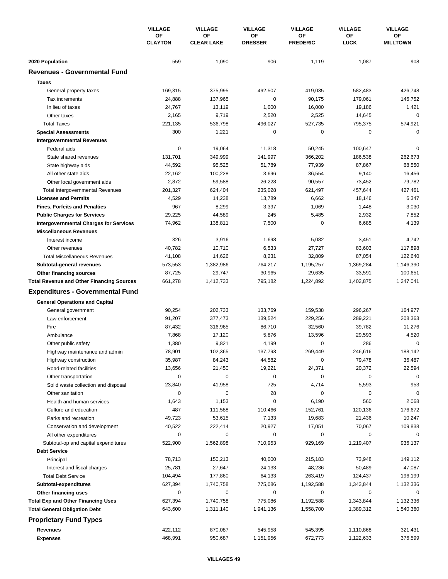|                                                  | <b>VILLAGE</b><br>ΟF<br><b>CLAYTON</b> | <b>VILLAGE</b>          | <b>VILLAGE</b><br>OF<br><b>DRESSER</b> | <b>VILLAGE</b>        | <b>VILLAGE</b><br>OF<br><b>LUCK</b> | <b>VILLAGE</b><br>OF<br><b>MILLTOWN</b> |
|--------------------------------------------------|----------------------------------------|-------------------------|----------------------------------------|-----------------------|-------------------------------------|-----------------------------------------|
|                                                  |                                        | ΟF<br><b>CLEAR LAKE</b> |                                        | ΟF<br><b>FREDERIC</b> |                                     |                                         |
| 2020 Population                                  | 559                                    | 1,090                   | 906                                    | 1,119                 | 1,087                               | 908                                     |
| <b>Revenues - Governmental Fund</b>              |                                        |                         |                                        |                       |                                     |                                         |
| <b>Taxes</b>                                     |                                        |                         |                                        |                       |                                     |                                         |
| General property taxes                           | 169,315                                | 375,995                 | 492,507                                | 419,035               | 582,483                             | 426,748                                 |
| Tax increments                                   | 24,888                                 | 137,965                 | 0                                      | 90,175                | 179,061                             | 146,752                                 |
| In lieu of taxes                                 | 24,767                                 | 13,119                  | 1,000                                  | 16,000                | 19,186                              | 1,421                                   |
| Other taxes                                      | 2,165                                  | 9,719                   | 2,520                                  | 2,525                 | 14,645                              | 0                                       |
| <b>Total Taxes</b>                               | 221,135                                | 536,798                 | 496,027                                | 527,735               | 795,375                             | 574,921                                 |
| <b>Special Assessments</b>                       | 300                                    | 1,221                   | 0                                      | 0                     | 0                                   | 0                                       |
| <b>Intergovernmental Revenues</b>                |                                        |                         |                                        |                       |                                     |                                         |
| Federal aids                                     | $\mathbf 0$                            | 19,064                  | 11,318                                 | 50,245                | 100,647                             | 0                                       |
| State shared revenues                            | 131,701                                | 349,999                 | 141,997                                | 366,202               | 186,538                             | 262,673                                 |
| State highway aids                               | 44,592                                 | 95,525                  | 51,789                                 | 77,939                | 87,867                              | 68,550                                  |
| All other state aids                             | 22,162                                 | 100,228                 | 3,696                                  | 36,554                | 9,140                               | 16,456                                  |
| Other local government aids                      | 2,872                                  | 59,588                  | 26,228                                 | 90,557                | 73,452                              | 79,782                                  |
| <b>Total Intergovernmental Revenues</b>          | 201,327                                | 624,404                 | 235,028                                | 621,497               | 457,644                             | 427,461                                 |
| <b>Licenses and Permits</b>                      | 4,529                                  | 14,238                  | 13,789                                 | 6,662                 | 18,146                              | 6,347                                   |
| <b>Fines, Forfeits and Penalties</b>             | 967                                    | 8,299                   | 3,397                                  | 1,069                 | 1,448                               | 3,030                                   |
| <b>Public Charges for Services</b>               | 29,225                                 | 44,589                  | 245                                    | 5,485                 | 2,932                               | 7,852                                   |
| <b>Intergovernmental Charges for Services</b>    | 74,962                                 | 138,811                 | 7,500                                  | 0                     | 6,685                               | 4,139                                   |
| <b>Miscellaneous Revenues</b>                    |                                        |                         |                                        |                       |                                     |                                         |
| Interest income                                  | 326                                    | 3,916                   | 1,698                                  | 5,082                 | 3,451                               | 4,742                                   |
| Other revenues                                   | 40,782                                 | 10,710                  | 6,533                                  | 27,727                | 83,603                              | 117,898                                 |
| <b>Total Miscellaneous Revenues</b>              | 41,108                                 | 14,626                  | 8,231                                  | 32,809                | 87,054                              | 122,640                                 |
| Subtotal-general revenues                        | 573,553                                | 1,382,986               | 764,217                                | 1,195,257             | 1,369,284                           | 1,146,390                               |
| Other financing sources                          | 87,725                                 | 29,747                  | 30,965                                 | 29,635                | 33,591                              | 100,651                                 |
| <b>Total Revenue and Other Financing Sources</b> | 661,278                                | 1,412,733               | 795,182                                | 1,224,892             | 1,402,875                           | 1,247,041                               |
| <b>Expenditures - Governmental Fund</b>          |                                        |                         |                                        |                       |                                     |                                         |
| <b>General Operations and Capital</b>            |                                        |                         |                                        |                       |                                     |                                         |
| General government                               | 90,254                                 | 202,733                 | 133,769                                | 159,538               | 296,267                             | 164,977                                 |
| Law enforcement                                  | 91,207                                 | 377,473                 | 139,524                                | 229,256               | 289,221                             | 208,363                                 |
| Fire                                             | 87,432                                 | 316,965                 | 86,710                                 | 32,560                | 39,782                              | 11,276                                  |
| Ambulance                                        | 7,868                                  | 17,120                  | 5,876                                  | 13,596                | 29,593                              | 4,520                                   |
| Other public safety                              | 1,380                                  | 9,821                   | 4,199                                  | 0                     | 286                                 | 0                                       |
| Highway maintenance and admin                    | 78,901                                 | 102,365                 | 137,793                                | 269,449               | 246,616                             | 188,142                                 |
| Highway construction                             | 35,987                                 | 84,243                  | 44,582                                 | 0                     | 79,478                              | 36,487                                  |
| Road-related facilities                          | 13,656                                 | 21,450                  | 19,221                                 | 24,371                | 20,372                              | 22,594                                  |
| Other transportation                             | $\mathbf 0$                            | 0                       | $\pmb{0}$                              | 0                     | $\mathbf 0$                         | $\mathbf 0$                             |
| Solid waste collection and disposal              | 23,840                                 | 41,958                  | 725                                    | 4,714                 | 5,593                               | 953                                     |
| Other sanitation                                 | 0                                      | 0                       | 28                                     | $\pmb{0}$             | 0                                   | $\mathbf 0$                             |
| Health and human services                        | 1,643                                  | 1,153                   | 0                                      | 6,190                 | 560                                 | 2,068                                   |
| Culture and education                            | 487                                    | 111,588                 | 110,466                                | 152,761               | 120,136                             | 176,672                                 |
| Parks and recreation                             | 49,723                                 | 53,615                  | 7,133                                  | 19,683                | 21,436                              | 10,247                                  |
| Conservation and development                     | 40,522                                 | 222,414                 | 20,927                                 | 17,051                | 70,067                              | 109,838                                 |
| All other expenditures                           | 0                                      | 0                       | 0                                      | 0                     | 0                                   | 0                                       |
| Subtotal-op and capital expenditures             | 522,900                                | 1,562,898               | 710,953                                | 929,169               | 1,219,407                           | 936,137                                 |
| <b>Debt Service</b>                              |                                        |                         |                                        |                       |                                     |                                         |
| Principal                                        | 78,713                                 | 150,213                 | 40,000                                 | 215,183               | 73,948                              | 149,112                                 |
| Interest and fiscal charges                      | 25,781                                 | 27,647                  | 24,133                                 | 48,236                | 50,489                              | 47,087                                  |
| <b>Total Debt Service</b>                        | 104,494                                | 177,860                 | 64,133                                 | 263,419               | 124,437                             | 196,199                                 |
| Subtotal-expenditures                            | 627,394                                | 1,740,758               | 775,086                                | 1,192,588             | 1,343,844                           | 1,132,336                               |
| Other financing uses                             | 0                                      | 0                       | 0                                      | 0                     | 0                                   | 0                                       |
| <b>Total Exp and Other Financing Uses</b>        | 627,394                                | 1,740,758               | 775,086                                | 1,192,588             | 1,343,844                           | 1,132,336                               |
| <b>Total General Obligation Debt</b>             | 643,600                                | 1,311,140               | 1,941,136                              | 1,558,700             | 1,389,312                           | 1,540,360                               |
| <b>Proprietary Fund Types</b>                    |                                        |                         |                                        |                       |                                     |                                         |
| <b>Revenues</b>                                  | 422,112                                | 870,087                 | 545,958                                | 545,395               | 1,110,868                           | 321,431                                 |
| <b>Expenses</b>                                  | 468,991                                | 950,687                 | 1,151,956                              | 672,773               | 1,122,633                           | 376,599                                 |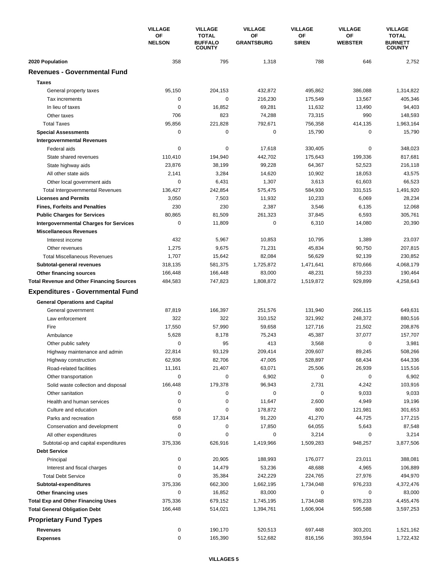|                                                  | <b>VILLAGE</b>      | <b>VILLAGE</b>                                  | <b>VILLAGE</b>          | <b>VILLAGE</b>     | <b>VILLAGE</b>       | <b>VILLAGE</b>                                  |
|--------------------------------------------------|---------------------|-------------------------------------------------|-------------------------|--------------------|----------------------|-------------------------------------------------|
|                                                  | ΟF<br><b>NELSON</b> | <b>TOTAL</b><br><b>BUFFALO</b><br><b>COUNTY</b> | ΟF<br><b>GRANTSBURG</b> | ΟF<br><b>SIREN</b> | ΟF<br><b>WEBSTER</b> | <b>TOTAL</b><br><b>BURNETT</b><br><b>COUNTY</b> |
| 2020 Population                                  | 358                 | 795                                             | 1,318                   | 788                | 646                  | 2,752                                           |
| <b>Revenues - Governmental Fund</b>              |                     |                                                 |                         |                    |                      |                                                 |
| <b>Taxes</b>                                     |                     |                                                 |                         |                    |                      |                                                 |
| General property taxes                           | 95,150              | 204,153                                         | 432,872                 | 495,862            | 386,088              | 1,314,822                                       |
| Tax increments                                   | 0                   | 0                                               | 216,230                 | 175,549            | 13,567               | 405,346                                         |
| In lieu of taxes                                 | 0                   | 16,852                                          | 69,281                  | 11,632             | 13,490               | 94,403                                          |
| Other taxes                                      | 706                 | 823                                             | 74,288                  | 73,315             | 990                  | 148,593                                         |
| <b>Total Taxes</b>                               | 95,856              | 221,828                                         | 792,671                 | 756,358            | 414,135              | 1,963,164                                       |
| <b>Special Assessments</b>                       | 0                   | $\pmb{0}$                                       | 0                       | 15,790             | 0                    | 15,790                                          |
| <b>Intergovernmental Revenues</b>                |                     |                                                 |                         |                    |                      |                                                 |
| Federal aids                                     | 0                   | 0                                               | 17,618                  | 330,405            | 0                    | 348,023                                         |
| State shared revenues                            | 110,410             | 194,940                                         | 442,702                 | 175,643            | 199,336              | 817,681                                         |
| State highway aids                               | 23,876              | 38,199                                          | 99,228                  | 64,367             | 52,523               | 216,118                                         |
| All other state aids                             | 2,141               | 3,284                                           | 14,620                  | 10,902             | 18,053               | 43,575                                          |
| Other local government aids                      | 0                   | 6,431                                           | 1,307                   | 3,613              | 61,603               | 66,523                                          |
| <b>Total Intergovernmental Revenues</b>          | 136,427             | 242,854                                         | 575,475                 | 584,930            | 331,515              | 1,491,920                                       |
| <b>Licenses and Permits</b>                      | 3,050               | 7,503                                           | 11,932                  | 10,233             | 6,069                | 28,234                                          |
| <b>Fines, Forfeits and Penalties</b>             | 230                 | 230                                             | 2,387                   | 3,546              | 6,135                | 12,068                                          |
| <b>Public Charges for Services</b>               | 80,865              | 81,509                                          | 261,323                 | 37,845             | 6,593                | 305,761                                         |
| <b>Intergovernmental Charges for Services</b>    | 0                   | 11,809                                          | 0                       | 6,310              | 14,080               | 20,390                                          |
|                                                  |                     |                                                 |                         |                    |                      |                                                 |
| <b>Miscellaneous Revenues</b>                    | 432                 |                                                 |                         |                    |                      |                                                 |
| Interest income                                  |                     | 5,967                                           | 10,853                  | 10,795             | 1,389                | 23,037                                          |
| Other revenues                                   | 1,275               | 9,675                                           | 71,231                  | 45,834             | 90,750               | 207,815                                         |
| <b>Total Miscellaneous Revenues</b>              | 1,707               | 15,642                                          | 82,084                  | 56,629             | 92,139               | 230,852                                         |
| Subtotal-general revenues                        | 318,135             | 581,375                                         | 1,725,872               | 1,471,641          | 870,666              | 4,068,179                                       |
| Other financing sources                          | 166,448             | 166,448                                         | 83,000                  | 48,231             | 59,233               | 190,464                                         |
| <b>Total Revenue and Other Financing Sources</b> | 484,583             | 747,823                                         | 1,808,872               | 1,519,872          | 929,899              | 4,258,643                                       |
| <b>Expenditures - Governmental Fund</b>          |                     |                                                 |                         |                    |                      |                                                 |
| <b>General Operations and Capital</b>            |                     |                                                 |                         |                    |                      |                                                 |
| General government                               | 87,819              | 166,397                                         | 251,576                 | 131,940            | 266,115              | 649,631                                         |
| Law enforcement                                  | 322                 | 322                                             | 310,152                 | 321,992            | 248,372              | 880,516                                         |
| Fire                                             | 17,550              | 57,990                                          | 59,658                  | 127,716            | 21,502               | 208,876                                         |
| Ambulance                                        | 5,628               | 8,178                                           | 75,243                  | 45,387             | 37,077               | 157,707                                         |
| Other public safety                              | 0                   | 95                                              | 413                     | 3,568              | 0                    | 3,981                                           |
| Highway maintenance and admin                    | 22,814              | 93,129                                          | 209,414                 | 209,607            | 89,245               | 508,266                                         |
| Highway construction                             | 62,936              | 82,706                                          | 47,005                  | 528,897            | 68,434               | 644,336                                         |
| Road-related facilities                          | 11,161              | 21,407                                          | 63,071                  | 25,506             | 26,939               | 115,516                                         |
| Other transportation                             | 0                   | $\pmb{0}$                                       | 6,902                   | 0                  | 0                    | 6,902                                           |
| Solid waste collection and disposal              | 166,448             | 179,378                                         | 96,943                  | 2,731              | 4,242                | 103,916                                         |
| Other sanitation                                 | 0                   | 0                                               | 0                       | 0                  | 9,033                | 9,033                                           |
| Health and human services                        | 0                   | $\pmb{0}$                                       | 11,647                  | 2,600              | 4,949                | 19,196                                          |
| Culture and education                            | 0                   | 0                                               | 178,872                 | 800                | 121,981              | 301,653                                         |
| Parks and recreation                             | 658                 | 17,314                                          | 91,220                  | 41,270             | 44,725               | 177,215                                         |
| Conservation and development                     | 0                   | 0                                               | 17,850                  | 64,055             | 5,643                | 87,548                                          |
| All other expenditures                           | 0                   | 0                                               | 0                       | 3,214              | 0                    | 3,214                                           |
| Subtotal-op and capital expenditures             | 375,336             | 626,916                                         | 1,419,966               | 1,509,283          | 948,257              | 3,877,506                                       |
| <b>Debt Service</b>                              |                     |                                                 |                         |                    |                      |                                                 |
| Principal                                        | 0                   | 20,905                                          | 188,993                 | 176,077            | 23,011               | 388,081                                         |
| Interest and fiscal charges                      | 0                   | 14,479                                          | 53,236                  | 48,688             | 4,965                | 106,889                                         |
| <b>Total Debt Service</b>                        | 0                   | 35,384                                          | 242,229                 | 224,765            | 27,976               | 494,970                                         |
| Subtotal-expenditures                            | 375,336             | 662,300                                         | 1,662,195               | 1,734,048          | 976,233              | 4,372,476                                       |
| Other financing uses                             | 0                   | 16,852                                          | 83,000                  | 0                  | 0                    | 83,000                                          |
| <b>Total Exp and Other Financing Uses</b>        | 375,336             | 679,152                                         | 1,745,195               | 1,734,048          | 976,233              | 4,455,476                                       |
|                                                  | 166,448             | 514,021                                         | 1,394,761               | 1,606,904          | 595,588              | 3,597,253                                       |
| <b>Total General Obligation Debt</b>             |                     |                                                 |                         |                    |                      |                                                 |
| <b>Proprietary Fund Types</b>                    |                     |                                                 |                         |                    |                      |                                                 |
| Revenues                                         | 0                   | 190,170                                         | 520,513                 | 697,448            | 303,201              | 1,521,162                                       |
| <b>Expenses</b>                                  | 0                   | 165,390                                         | 512,682                 | 816,156            | 393,594              | 1,722,432                                       |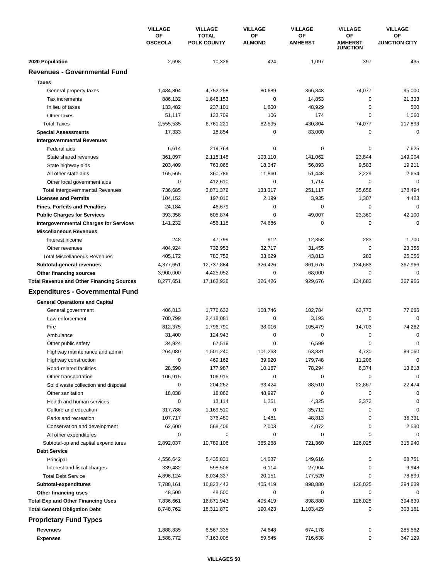|                                                  | <b>VILLAGE</b>       | <b>VILLAGE</b>                     | <b>VILLAGE</b>      | <b>VILLAGE</b>       | <b>VILLAGE</b>                          | <b>VILLAGE</b>             |
|--------------------------------------------------|----------------------|------------------------------------|---------------------|----------------------|-----------------------------------------|----------------------------|
|                                                  | ΟF<br><b>OSCEOLA</b> | <b>TOTAL</b><br><b>POLK COUNTY</b> | OF<br><b>ALMOND</b> | OF<br><b>AMHERST</b> | OF<br><b>AMHERST</b><br><b>JUNCTION</b> | OF<br><b>JUNCTION CITY</b> |
| 2020 Population                                  | 2,698                | 10,326                             | 424                 | 1,097                | 397                                     | 435                        |
| <b>Revenues - Governmental Fund</b>              |                      |                                    |                     |                      |                                         |                            |
| <b>Taxes</b>                                     |                      |                                    |                     |                      |                                         |                            |
| General property taxes                           | 1,484,804            | 4,752,258                          | 80,689              | 366,848              | 74,077                                  | 95,000                     |
| Tax increments                                   | 886,132              | 1,648,153                          | 0                   | 14,853               | $\mathbf 0$                             | 21,333                     |
| In lieu of taxes                                 | 133,482              | 237,101                            | 1,800               | 48,929               | 0                                       | 500                        |
| Other taxes                                      | 51,117               | 123,709                            | 106                 | 174                  | $\mathbf 0$                             | 1,060                      |
| <b>Total Taxes</b>                               | 2,555,535            | 6,761,221                          | 82,595              | 430,804              | 74,077                                  | 117,893                    |
| <b>Special Assessments</b>                       | 17,333               | 18,854                             | 0                   | 83,000               | 0                                       | $\mathbf 0$                |
| <b>Intergovernmental Revenues</b>                |                      |                                    |                     |                      |                                         |                            |
| Federal aids                                     | 6,614                | 219,764                            | 0                   | 0                    | 0                                       | 7,625                      |
| State shared revenues                            | 361,097              | 2,115,148                          | 103,110             | 141,062              | 23,844                                  | 149,004                    |
| State highway aids                               | 203,409              | 763,068                            | 18,347              | 56,893               | 9,583                                   | 19,211                     |
| All other state aids                             | 165,565              | 360,786                            | 11,860              | 51,448               | 2,229                                   | 2,654                      |
| Other local government aids                      | 0                    | 412,610                            | 0                   | 1,714                | 0                                       | $\mathbf 0$                |
| <b>Total Intergovernmental Revenues</b>          | 736,685              | 3,871,376                          | 133,317             | 251,117              | 35,656                                  | 178,494                    |
| <b>Licenses and Permits</b>                      | 104,152              | 197,010                            | 2,199               | 3,935                | 1,307                                   | 4,423                      |
| <b>Fines, Forfeits and Penalties</b>             | 24,184               | 46,679                             | 0                   | 0                    | $\mathbf 0$                             | $\Omega$                   |
| <b>Public Charges for Services</b>               | 393,358              | 605,874                            | 0                   | 49,007               | 23,360                                  | 42,100                     |
| <b>Intergovernmental Charges for Services</b>    | 141,232              | 456,118                            | 74,686              | $\mathbf 0$          | $\mathbf 0$                             | $\Omega$                   |
| <b>Miscellaneous Revenues</b>                    |                      |                                    |                     |                      |                                         |                            |
| Interest income                                  | 248                  | 47,799                             | 912                 | 12,358               | 283                                     | 1,700                      |
| Other revenues                                   | 404,924              | 732,953                            | 32,717              | 31,455               | 0                                       | 23,356                     |
| <b>Total Miscellaneous Revenues</b>              | 405,172              | 780,752                            | 33,629              | 43,813               | 283                                     | 25,056                     |
| Subtotal-general revenues                        | 4,377,651            | 12,737,884                         | 326,426             | 861,676              | 134,683                                 | 367,966                    |
| Other financing sources                          | 3,900,000            | 4,425,052                          | 0                   | 68,000               | 0                                       | 0                          |
| <b>Total Revenue and Other Financing Sources</b> | 8,277,651            | 17,162,936                         | 326,426             | 929,676              | 134,683                                 | 367,966                    |
| <b>Expenditures - Governmental Fund</b>          |                      |                                    |                     |                      |                                         |                            |
| <b>General Operations and Capital</b>            |                      |                                    |                     |                      |                                         |                            |
| General government                               | 406,813              | 1,776,632                          | 108,746             | 102,784              | 63,773                                  | 77,665                     |
| Law enforcement                                  | 700,799              | 2,418,081                          | 0                   | 3,193                | 0                                       | $\mathbf 0$                |
| Fire                                             | 812,375              | 1,796,790                          | 38,016              | 105,479              | 14,703                                  | 74,262                     |
| Ambulance                                        | 31,400               | 124,943                            | 0                   | 0                    | 0                                       | $\Omega$                   |
| Other public safety                              | 34,924               | 67,518                             | 0                   | 6,599                | 0                                       | $\Omega$                   |
| Highway maintenance and admin                    | 264,080              | 1,501,240                          | 101,263             | 63,831               | 4,730                                   | 89.060                     |
| Highway construction                             | 0                    | 469,162                            | 39,920              | 179,748              | 11,206                                  | 0                          |
| Road-related facilities                          | 28,590               | 177,987                            | 10,167              | 78,294               | 6,374                                   | 13,618                     |
| Other transportation                             | 106,915              | 106,915                            | 0                   | 0                    | 0                                       | $\Omega$                   |
| Solid waste collection and disposal              | 0                    | 204,262                            | 33,424              | 88,510               | 22,867                                  | 22,474                     |
| Other sanitation                                 | 18,038               | 18,066                             | 48,997              | 0                    | 0                                       | 0                          |
| Health and human services                        | $\mathbf 0$          | 13,114                             | 1,251               | 4,325                | 2,372                                   | 0                          |
| Culture and education                            | 317,786              | 1,169,510                          | 0                   | 35,712               | 0                                       | 0                          |
| Parks and recreation                             | 107,717              | 376,480                            | 1,481               | 48,813               | 0                                       | 36,331                     |
| Conservation and development                     | 62,600               | 568,406                            | 2,003               | 4,072                | 0                                       | 2,530                      |
| All other expenditures                           | 0                    | 0                                  | 0                   | 0                    | 0                                       |                            |
| Subtotal-op and capital expenditures             | 2,892,037            | 10,789,106                         | 385,268             | 721,360              | 126,025                                 | 315,940                    |
| <b>Debt Service</b>                              |                      |                                    |                     |                      |                                         |                            |
| Principal                                        | 4,556,642            | 5,435,831                          | 14,037              | 149,616              | 0                                       | 68,751                     |
| Interest and fiscal charges                      | 339,482              | 598,506                            | 6,114               | 27,904               | 0                                       | 9,948                      |
| <b>Total Debt Service</b>                        | 4,896,124            | 6,034,337                          | 20,151              | 177,520              | 0                                       | 78,699                     |
| Subtotal-expenditures                            | 7,788,161            | 16,823,443                         | 405,419             | 898,880              | 126,025                                 | 394,639                    |
| Other financing uses                             | 48,500               | 48,500                             | 0                   | 0                    | 0                                       | 0                          |
| <b>Total Exp and Other Financing Uses</b>        | 7,836,661            | 16,871,943                         | 405,419             | 898,880              | 126,025                                 | 394,639                    |
| <b>Total General Obligation Debt</b>             | 8,748,762            | 18,311,870                         | 190,423             | 1,103,429            | 0                                       | 303,181                    |
| <b>Proprietary Fund Types</b>                    |                      |                                    |                     |                      |                                         |                            |
| <b>Revenues</b>                                  | 1,888,835            | 6,567,335                          | 74,648              | 674,178              | $\pmb{0}$                               | 285,562                    |
| <b>Expenses</b>                                  | 1,588,772            | 7,163,008                          | 59,545              | 716,638              | 0                                       | 347,129                    |
|                                                  |                      |                                    |                     |                      |                                         |                            |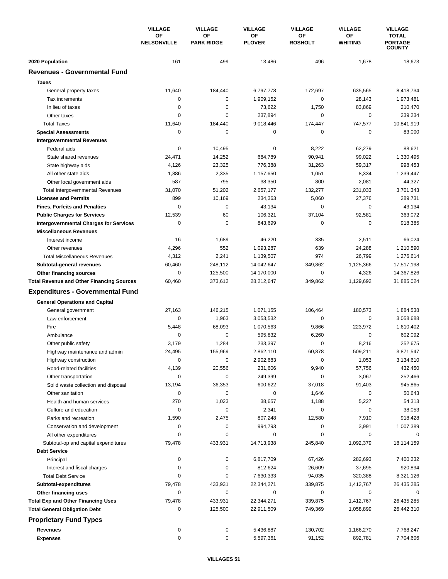|                                                  | <b>VILLAGE</b><br>OF<br><b>NELSONVILLE</b> | <b>VILLAGE</b>          | <b>VILLAGE</b>      | <b>VILLAGE</b>       | <b>VILLAGE</b>       | <b>VILLAGE</b>                                  |
|--------------------------------------------------|--------------------------------------------|-------------------------|---------------------|----------------------|----------------------|-------------------------------------------------|
|                                                  |                                            | OF<br><b>PARK RIDGE</b> | ΟF<br><b>PLOVER</b> | OF<br><b>ROSHOLT</b> | ΟF<br><b>WHITING</b> | <b>TOTAL</b><br><b>PORTAGE</b><br><b>COUNTY</b> |
| 2020 Population                                  | 161                                        | 499                     | 13,486              | 496                  | 1,678                | 18,673                                          |
| <b>Revenues - Governmental Fund</b>              |                                            |                         |                     |                      |                      |                                                 |
| <b>Taxes</b>                                     |                                            |                         |                     |                      |                      |                                                 |
| General property taxes                           | 11,640                                     | 184,440                 | 6,797,778           | 172,697              | 635,565              | 8,418,734                                       |
| Tax increments                                   | 0                                          | 0                       | 1.909.152           | 0                    | 28,143               | 1,973,481                                       |
| In lieu of taxes                                 | 0                                          | $\Omega$                | 73,622              | 1,750                | 83,869               | 210,470                                         |
| Other taxes                                      | 0                                          | 0                       | 237,894             | 0                    | $\mathbf 0$          | 239,234                                         |
| <b>Total Taxes</b>                               | 11,640                                     | 184,440                 | 9,018,446           | 174,447              | 747,577              | 10,841,919                                      |
| <b>Special Assessments</b>                       | 0                                          | 0                       | 0                   | 0                    | 0                    | 83,000                                          |
| <b>Intergovernmental Revenues</b>                |                                            |                         |                     |                      |                      |                                                 |
| Federal aids                                     | $\mathbf 0$                                | 10,495                  | 0                   | 8,222                | 62,279               | 88,621                                          |
| State shared revenues                            | 24,471                                     | 14,252                  | 684,789             | 90,941               | 99,022               | 1,330,495                                       |
| State highway aids                               | 4,126                                      | 23,325                  | 776,388             | 31,263               | 59,317               | 998,453                                         |
| All other state aids                             | 1,886                                      | 2,335                   | 1,157,650           | 1,051                | 8,334                | 1,239,447                                       |
| Other local government aids                      | 587                                        | 795                     | 38,350              | 800                  | 2,081                | 44,327                                          |
| <b>Total Intergovernmental Revenues</b>          | 31,070                                     | 51,202                  | 2,657,177           | 132,277              | 231,033              | 3,701,343                                       |
| <b>Licenses and Permits</b>                      | 899                                        | 10,169                  | 234,363             | 5,060                | 27,376               | 289,731                                         |
| <b>Fines, Forfeits and Penalties</b>             | 0                                          | 0                       | 43,134              | 0                    | 0                    | 43,134                                          |
| <b>Public Charges for Services</b>               | 12,539                                     | 60                      | 106,321             | 37,104               | 92,581               | 363,072                                         |
| <b>Intergovernmental Charges for Services</b>    | $\mathbf 0$                                | $\mathbf 0$             | 843,699             | 0                    | $\mathbf 0$          | 918,385                                         |
| <b>Miscellaneous Revenues</b>                    |                                            |                         |                     |                      |                      |                                                 |
| Interest income                                  | 16                                         | 1,689                   | 46,220              | 335                  | 2,511                | 66,024                                          |
| Other revenues                                   | 4,296                                      | 552                     | 1,093,287           | 639                  | 24,288               | 1,210,590                                       |
| <b>Total Miscellaneous Revenues</b>              | 4,312                                      | 2,241                   | 1,139,507           | 974                  | 26,799               | 1,276,614                                       |
| Subtotal-general revenues                        | 60,460                                     | 248,112                 | 14,042,647          | 349,862              | 1,125,366            | 17,517,198                                      |
| Other financing sources                          | 0                                          | 125,500                 | 14,170,000          | 0                    | 4,326                | 14,367,826                                      |
| <b>Total Revenue and Other Financing Sources</b> | 60,460                                     | 373,612                 | 28,212,647          | 349,862              | 1,129,692            | 31,885,024                                      |
| <b>Expenditures - Governmental Fund</b>          |                                            |                         |                     |                      |                      |                                                 |
| <b>General Operations and Capital</b>            |                                            |                         |                     |                      |                      |                                                 |
| General government                               | 27,163                                     | 146,215                 | 1,071,155           | 106,464              | 180,573              | 1,884,538                                       |
| Law enforcement                                  | 0                                          | 1,963                   | 3,053,532           | 0                    | $\mathbf 0$          | 3,058,688                                       |
| Fire                                             | 5,448                                      | 68,093                  | 1,070,563           | 9,866                | 223,972              | 1,610,402                                       |
| Ambulance                                        | 0                                          | 0                       | 595,832             | 6,260                | $\mathbf 0$          | 602,092                                         |
| Other public safety                              | 3,179                                      | 1,284                   | 233,397             | 0                    | 8,216                | 252,675                                         |
| Highway maintenance and admin                    | 24,495                                     | 155,969                 | 2,862,110           | 60,878               | 509,211              | 3,871,547                                       |
| Highway construction                             | 0                                          | $\pmb{0}$               | 2,902,683           | 0                    | 1,053                | 3,134,610                                       |
| Road-related facilities                          | 4,139                                      | 20,556                  | 231,606             | 9,940                | 57,756               | 432,450                                         |
| Other transportation                             | 0                                          | 0                       | 249,399             | 0                    | 3,067                | 252,466                                         |
| Solid waste collection and disposal              | 13,194                                     | 36,353                  | 600,622             | 37,018               | 91,403               | 945,865                                         |
| Other sanitation                                 | 0                                          | $\pmb{0}$               | 0                   | 1,646                | 0                    | 50,643                                          |
| Health and human services                        | 270                                        | 1,023                   | 38,657              | 1,188                | 5,227                | 54,313                                          |
| Culture and education                            | 0                                          | 0                       | 2,341               | 0                    | 0                    | 38,053                                          |
| Parks and recreation                             | 1,590                                      | 2,475                   | 807,248             | 12,580               | 7,910                | 918,428                                         |
| Conservation and development                     | 0                                          | 0                       | 994,793             | 0                    | 3,991                | 1,007,389                                       |
| All other expenditures                           | 0                                          | 0                       | 0                   | 0                    | 0                    | 0                                               |
| Subtotal-op and capital expenditures             | 79,478                                     | 433,931                 | 14,713,938          | 245,840              | 1,092,379            | 18,114,159                                      |
| <b>Debt Service</b>                              |                                            |                         |                     |                      |                      |                                                 |
| Principal                                        | 0                                          | 0                       | 6,817,709           | 67,426               | 282,693              | 7,400,232                                       |
| Interest and fiscal charges                      | 0                                          | 0                       | 812,624             | 26,609               | 37,695               | 920,894                                         |
| <b>Total Debt Service</b>                        | 0                                          | 0                       | 7,630,333           | 94,035               | 320,388              | 8,321,126                                       |
| Subtotal-expenditures                            | 79,478                                     | 433,931                 | 22,344,271          | 339,875              | 1,412,767            | 26,435,285                                      |
| Other financing uses                             | 0                                          | 0                       | 0                   | 0                    | 0                    | 0                                               |
| <b>Total Exp and Other Financing Uses</b>        | 79,478                                     | 433,931                 | 22,344,271          | 339,875              | 1,412,767            | 26,435,285                                      |
| <b>Total General Obligation Debt</b>             | 0                                          | 125,500                 | 22,911,509          | 749,369              | 1,058,899            | 26,442,310                                      |
| <b>Proprietary Fund Types</b>                    |                                            |                         |                     |                      |                      |                                                 |
| <b>Revenues</b>                                  | 0                                          | 0                       | 5,436,887           | 130,702              | 1,166,270            | 7,768,247                                       |
| <b>Expenses</b>                                  | 0                                          | 0                       | 5,597,361           | 91,152               | 892,781              | 7,704,606                                       |
|                                                  |                                            |                         |                     |                      |                      |                                                 |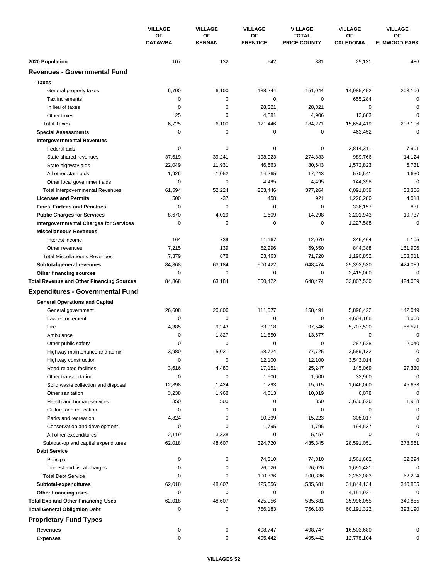|                                                  | <b>VILLAGE</b><br>OF<br><b>CATAWBA</b> | <b>VILLAGE</b><br><b>VILLAGE</b> | <b>VILLAGE</b>      | <b>VILLAGE</b>        | <b>VILLAGE</b>                      |                        |
|--------------------------------------------------|----------------------------------------|----------------------------------|---------------------|-----------------------|-------------------------------------|------------------------|
|                                                  |                                        |                                  | OF<br><b>KENNAN</b> | ΟF<br><b>PRENTICE</b> | <b>TOTAL</b><br><b>PRICE COUNTY</b> | OF<br><b>CALEDONIA</b> |
| 2020 Population                                  | 107                                    | 132                              | 642                 | 881                   | 25,131                              | 486                    |
| <b>Revenues - Governmental Fund</b>              |                                        |                                  |                     |                       |                                     |                        |
| <b>Taxes</b>                                     |                                        |                                  |                     |                       |                                     |                        |
| General property taxes                           | 6,700                                  | 6,100                            | 138,244             | 151,044               | 14,985,452                          | 203,106                |
| Tax increments                                   | 0                                      | 0                                | $\mathbf 0$         | $\pmb{0}$             | 655,284                             | $\mathbf 0$            |
| In lieu of taxes                                 | $\mathbf 0$                            | $\mathbf 0$                      | 28,321              | 28,321                | $\mathbf 0$                         | 0                      |
| Other taxes                                      | 25                                     | $\mathbf 0$                      | 4,881               | 4,906                 | 13,683                              | 0                      |
| <b>Total Taxes</b>                               | 6,725                                  | 6,100                            | 171,446             | 184,271               | 15,654,419                          | 203,106                |
| <b>Special Assessments</b>                       | 0                                      | 0                                | 0                   | 0                     | 463,452                             | $\mathbf 0$            |
| <b>Intergovernmental Revenues</b>                |                                        |                                  |                     |                       |                                     |                        |
| Federal aids                                     | 0                                      | 0                                | 0                   | 0                     | 2,814,311                           | 7,901                  |
| State shared revenues                            | 37,619                                 | 39,241                           | 198,023             | 274,883               | 989,766                             | 14,124                 |
| State highway aids                               | 22,049                                 | 11,931                           | 46,663              | 80,643                | 1,572,823                           | 6,731                  |
| All other state aids                             | 1,926                                  | 1,052                            | 14,265              | 17,243                | 570,541                             | 4,630                  |
| Other local government aids                      | 0                                      | 0                                | 4,495               | 4,495                 | 144,398                             | $\mathbf 0$            |
| <b>Total Intergovernmental Revenues</b>          | 61,594                                 | 52,224                           | 263,446             | 377,264               | 6,091,839                           | 33,386                 |
| <b>Licenses and Permits</b>                      | 500                                    | $-37$                            | 458                 | 921                   | 1,226,280                           | 4,018                  |
| <b>Fines, Forfeits and Penalties</b>             | $\mathbf 0$                            | 0                                | $\mathbf 0$         | $\mathbf 0$           | 336,157                             | 831                    |
| <b>Public Charges for Services</b>               | 8,670                                  | 4,019                            | 1,609               | 14,298                | 3,201,943                           | 19,737                 |
| <b>Intergovernmental Charges for Services</b>    | $\mathbf 0$                            | $\mathbf 0$                      | $\mathbf 0$         | $\mathbf 0$           | 1,227,588                           | $\mathbf 0$            |
| <b>Miscellaneous Revenues</b>                    |                                        |                                  |                     |                       |                                     |                        |
| Interest income                                  | 164                                    | 739                              | 11,167              | 12,070                | 346,464                             | 1,105                  |
| Other revenues                                   | 7,215                                  | 139                              | 52,296              | 59,650                | 844,388                             | 161,906                |
| <b>Total Miscellaneous Revenues</b>              | 7,379                                  | 878                              | 63,463              | 71,720                | 1,190,852                           | 163,011                |
| Subtotal-general revenues                        | 84,868                                 | 63,184                           | 500,422             | 648,474               | 29,392,530                          | 424,089                |
| Other financing sources                          | 0                                      | 0                                | 0                   | 0                     | 3,415,000                           | 0                      |
| <b>Total Revenue and Other Financing Sources</b> | 84,868                                 | 63,184                           | 500,422             | 648,474               | 32,807,530                          | 424,089                |
|                                                  |                                        |                                  |                     |                       |                                     |                        |
| <b>Expenditures - Governmental Fund</b>          |                                        |                                  |                     |                       |                                     |                        |
| <b>General Operations and Capital</b>            |                                        |                                  |                     |                       |                                     |                        |
| General government                               | 26,608                                 | 20,806                           | 111,077             | 158,491               | 5,896,422                           | 142,049                |
| Law enforcement                                  | 0                                      | 0                                | $\mathbf 0$         | 0                     | 4,604,108                           | 3,000                  |
| Fire                                             | 4,385                                  | 9,243                            | 83,918              | 97,546                | 5,707,520                           | 56,521                 |
| Ambulance                                        | 0                                      | 1,827                            | 11,850              | 13,677                | 0                                   | 0                      |
| Other public safety                              | 0                                      | 0                                | 0                   | 0                     | 287,628                             | 2,040                  |
| Highway maintenance and admin                    | 3,980                                  | 5,021                            | 68,724              | 77,725                | 2,589,132                           | 0                      |
| Highway construction                             | 0                                      | 0                                | 12,100              | 12,100                | 3,543,014                           | 0                      |
| Road-related facilities                          | 3,616                                  | 4,480                            | 17,151              | 25,247                | 145,069                             | 27,330                 |
| Other transportation                             | 0                                      | 0                                | 1,600               | 1,600                 | 32,900                              | $\mathbf 0$            |
| Solid waste collection and disposal              | 12,898                                 | 1,424                            | 1,293               | 15,615                | 1,646,000                           | 45,633                 |
| Other sanitation                                 | 3,238                                  | 1,968                            | 4,813               | 10,019                | 6,078                               | 0                      |
| Health and human services                        | 350                                    | 500                              | 0                   | 850                   | 3,630,626                           | 1,988                  |
| Culture and education                            | 0                                      | 0                                | 0                   | 0                     | 0                                   | 0                      |
| Parks and recreation                             | 4,824                                  | 0                                | 10,399              | 15,223                | 308,017                             |                        |
| Conservation and development                     | 0                                      | 0                                | 1,795               | 1,795                 | 194,537                             | $\Omega$               |
| All other expenditures                           | 2,119                                  | 3,338                            | 0                   | 5,457                 | 0                                   |                        |
| Subtotal-op and capital expenditures             | 62,018                                 | 48,607                           | 324,720             | 435,345               | 28,591,051                          | 278,561                |
| <b>Debt Service</b>                              |                                        |                                  |                     |                       |                                     |                        |
| Principal                                        | 0                                      | $\pmb{0}$                        | 74,310              | 74,310                | 1,561,602                           | 62,294                 |
| Interest and fiscal charges                      | 0                                      | 0                                | 26,026              | 26,026                | 1,691,481                           | 0                      |
| <b>Total Debt Service</b>                        | 0                                      | 0                                | 100,336             | 100,336               | 3,253,083                           | 62,294                 |
| Subtotal-expenditures                            | 62,018                                 | 48,607                           | 425,056             | 535,681               | 31,844,134                          | 340,855                |
| Other financing uses                             | 0                                      | 0                                | 0                   | 0                     | 4,151,921                           | 0                      |
| <b>Total Exp and Other Financing Uses</b>        | 62,018                                 | 48,607                           | 425,056             | 535,681               | 35,996,055                          | 340,855                |
| <b>Total General Obligation Debt</b>             | 0                                      | 0                                | 756,183             | 756,183               | 60,191,322                          | 393,190                |
| <b>Proprietary Fund Types</b>                    |                                        |                                  |                     |                       |                                     |                        |
| <b>Revenues</b>                                  | 0                                      | 0                                | 498,747             | 498,747               | 16,503,680                          | 0                      |
| <b>Expenses</b>                                  | 0                                      | $\pmb{0}$                        | 495,442             | 495,442               | 12,778,104                          | 0                      |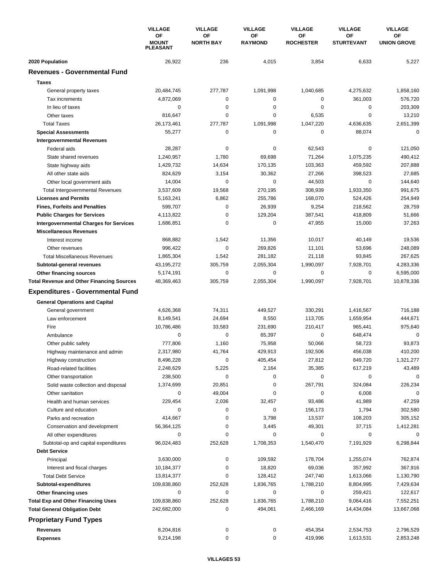|                                                  | <b>VILLAGE</b><br>OF<br><b>MOUNT</b><br><b>PLEASANT</b> | <b>VILLAGE</b>         | <b>VILLAGE</b>       | <b>VILLAGE</b>         | <b>VILLAGE</b>          | <b>VILLAGE</b>           |
|--------------------------------------------------|---------------------------------------------------------|------------------------|----------------------|------------------------|-------------------------|--------------------------|
|                                                  |                                                         | OF<br><b>NORTH BAY</b> | ΟF<br><b>RAYMOND</b> | ОF<br><b>ROCHESTER</b> | OF<br><b>STURTEVANT</b> | ΟF<br><b>UNION GROVE</b> |
| 2020 Population                                  | 26,922                                                  | 236                    | 4,015                | 3,854                  | 6,633                   | 5,227                    |
| <b>Revenues - Governmental Fund</b>              |                                                         |                        |                      |                        |                         |                          |
| <b>Taxes</b>                                     |                                                         |                        |                      |                        |                         |                          |
| General property taxes                           | 20,484,745                                              | 277,787                | 1,091,998            | 1,040,685              | 4,275,632               | 1,858,160                |
| Tax increments                                   | 4,872,069                                               | $\mathbf 0$            | 0                    | 0                      | 361,003                 | 576,720                  |
| In lieu of taxes                                 | 0                                                       | $\mathbf 0$            | 0                    | 0                      | $\mathbf 0$             | 203,309                  |
| Other taxes                                      | 816,647                                                 | $\mathbf 0$            | 0                    | 6,535                  | $\mathbf 0$             | 13,210                   |
| <b>Total Taxes</b>                               | 26,173,461                                              | 277,787                | 1,091,998            | 1,047,220              | 4,636,635               | 2,651,399                |
| <b>Special Assessments</b>                       | 55,277                                                  | 0                      | 0                    | 0                      | 88,074                  | 0                        |
| <b>Intergovernmental Revenues</b>                |                                                         |                        |                      |                        |                         |                          |
| Federal aids                                     | 28,287                                                  | 0                      | 0                    | 62,543                 | 0                       | 121,050                  |
| State shared revenues                            | 1,240,957                                               | 1,780                  | 69,698               | 71,264                 | 1,075,235               | 490,412                  |
| State highway aids                               | 1,429,732                                               | 14,634                 | 170,135              | 103,363                | 459,592                 | 207,888                  |
| All other state aids                             | 824,629                                                 | 3,154                  | 30,362               | 27,266                 | 398,523                 | 27,685                   |
| Other local government aids                      | 14,004                                                  | $\mathbf 0$            | 0                    | 44,503                 | $\mathbf 0$             | 144,640                  |
| <b>Total Intergovernmental Revenues</b>          | 3,537,609                                               | 19,568                 | 270,195              | 308,939                | 1,933,350               | 991,675                  |
| <b>Licenses and Permits</b>                      | 5,163,241                                               | 6,862                  | 255,786              | 168,070                | 524,426                 | 254,949                  |
| <b>Fines, Forfeits and Penalties</b>             | 599,707                                                 | 0                      | 26,939               | 9,254                  | 218,562                 | 28,759                   |
| <b>Public Charges for Services</b>               | 4,113,822                                               | $\mathbf 0$            | 129,204              | 387,541                | 418,809                 | 51,666                   |
| <b>Intergovernmental Charges for Services</b>    | 1,686,851                                               | $\mathbf 0$            | 0                    | 47,955                 | 15,000                  | 37,263                   |
| <b>Miscellaneous Revenues</b>                    |                                                         |                        |                      |                        |                         |                          |
| Interest income                                  | 868,882                                                 | 1,542                  | 11,356               | 10,017                 | 40,149                  | 19,536                   |
| Other revenues                                   | 996,422                                                 | $\mathbf 0$            | 269,826              | 11,101                 | 53,696                  | 248,089                  |
| <b>Total Miscellaneous Revenues</b>              | 1,865,304                                               | 1,542                  | 281,182              | 21,118                 | 93,845                  | 267,625                  |
| Subtotal-general revenues                        | 43,195,272                                              | 305,759                | 2,055,304            | 1,990,097              | 7,928,701               | 4,283,336                |
| Other financing sources                          | 5,174,191                                               | $\mathbf 0$            | 0                    | 0                      | 0                       | 6,595,000                |
| <b>Total Revenue and Other Financing Sources</b> | 48,369,463                                              | 305,759                | 2,055,304            | 1,990,097              | 7,928,701               | 10,878,336               |
| <b>Expenditures - Governmental Fund</b>          |                                                         |                        |                      |                        |                         |                          |
| <b>General Operations and Capital</b>            |                                                         |                        |                      |                        |                         |                          |
| General government                               | 4,626,368                                               | 74,311                 | 449,527              | 330,291                | 1,416,567               | 716,188                  |
| Law enforcement                                  | 8,149,541                                               | 24,694                 | 8,550                | 113,705                | 1,659,954               | 444,671                  |
| Fire                                             | 10,786,486                                              | 33,583                 | 231,690              | 210,417                | 965,441                 | 975,640                  |
| Ambulance                                        | 0                                                       | $\mathbf 0$            | 65,397               | 0                      | 648,474                 | 0                        |
| Other public safety                              | 777,806                                                 | 1,160                  | 75,958               | 50,066                 | 58,723                  | 93,873                   |
| Highway maintenance and admin                    | 2,317,980                                               | 41,764                 | 429,913              | 192,506                | 456,038                 | 410,200                  |
| Highway construction                             | 8,496,228                                               | 0                      | 405,454              | 27,812                 | 849,720                 | 1,321,277                |
| Road-related facilities                          | 2,248,629                                               | 5,225                  | 2,164                | 35,385                 | 617,219                 | 43,489                   |
| Other transportation                             | 238,500                                                 | 0                      | 0                    | 0                      | 0                       | 0                        |
| Solid waste collection and disposal              | 1,374,699                                               | 20,851                 | 0                    | 267,791                | 324,084                 | 226,234                  |
| Other sanitation                                 | 0                                                       | 49,004                 | 0                    | 0                      | 6,008                   | $\mathbf 0$              |
| Health and human services                        | 229,454                                                 | 2,036                  | 32,457               | 93,486                 | 41,989                  | 47,259                   |
| Culture and education                            | 0                                                       | 0                      | 0                    | 156,173                | 1,794                   | 302,580                  |
| Parks and recreation                             | 414,667                                                 | 0                      | 3,798                | 13,537                 | 108,203                 | 305,152                  |
| Conservation and development                     | 56,364,125                                              | 0                      | 3,445                | 49,301                 | 37,715                  | 1,412,281                |
| All other expenditures                           | 0                                                       | 0                      | 0                    | 0                      | 0                       | 0                        |
| Subtotal-op and capital expenditures             | 96,024,483                                              | 252,628                | 1,708,353            | 1,540,470              | 7,191,929               | 6,298,844                |
| <b>Debt Service</b>                              |                                                         |                        |                      |                        |                         |                          |
| Principal                                        | 3,630,000                                               | 0                      | 109,592              | 178,704                | 1,255,074               | 762,874                  |
| Interest and fiscal charges                      | 10,184,377                                              | 0                      | 18,820               | 69,036                 | 357,992                 | 367,916                  |
| <b>Total Debt Service</b>                        | 13,814,377                                              | 0                      | 128,412              | 247,740                | 1,613,066               | 1,130,790                |
| Subtotal-expenditures                            | 109,838,860                                             | 252,628                | 1,836,765            | 1,788,210              | 8,804,995               | 7,429,634                |
| Other financing uses                             | 0                                                       | 0                      | 0                    | 0                      | 259,421                 | 122,617                  |
| <b>Total Exp and Other Financing Uses</b>        | 109,838,860                                             | 252,628                | 1,836,765            | 1,788,210              | 9,064,416               | 7,552,251                |
| <b>Total General Obligation Debt</b>             | 242,682,000                                             | 0                      | 494,061              | 2,466,169              | 14,434,084              | 13,667,068               |
| <b>Proprietary Fund Types</b>                    |                                                         |                        |                      |                        |                         |                          |
| Revenues                                         | 8,204,816                                               | 0                      | 0                    | 454,354                | 2,534,753               | 2,796,529                |
| <b>Expenses</b>                                  | 9,214,198                                               | 0                      | 0                    | 419,996                | 1,613,531               | 2,853,248                |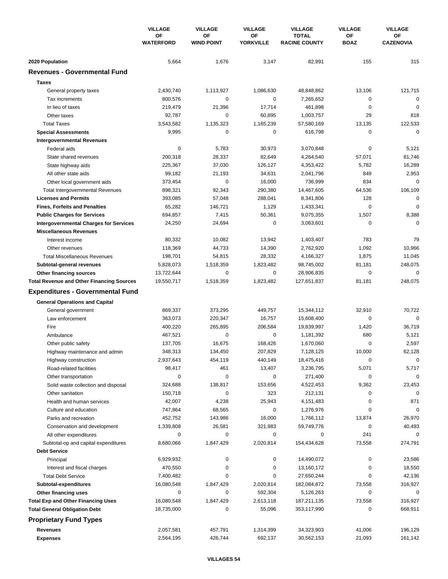|                                                  | <b>VILLAGE</b><br>ΟF<br><b>WATERFORD</b> | <b>VILLAGE</b><br><b>VILLAGE</b> | <b>VILLAGE</b>         | <b>VILLAGE</b>                       | <b>VILLAGE</b>    |                        |
|--------------------------------------------------|------------------------------------------|----------------------------------|------------------------|--------------------------------------|-------------------|------------------------|
|                                                  |                                          | ΟF<br><b>WIND POINT</b>          | ΟF<br><b>YORKVILLE</b> | <b>TOTAL</b><br><b>RACINE COUNTY</b> | OF<br><b>BOAZ</b> | ΟF<br><b>CAZENOVIA</b> |
| 2020 Population                                  | 5,664                                    | 1,676                            | 3,147                  | 82,991                               | 155               | 315                    |
| <b>Revenues - Governmental Fund</b>              |                                          |                                  |                        |                                      |                   |                        |
| <b>Taxes</b>                                     |                                          |                                  |                        |                                      |                   |                        |
| General property taxes                           | 2,430,740                                | 1,113,927                        | 1,086,630              | 48,848,862                           | 13,106            | 121,715                |
| Tax increments                                   | 800,576                                  | 0                                | $\mathbf 0$            | 7,265,652                            | 0                 | 0                      |
| In lieu of taxes                                 | 219,479                                  | 21,396                           | 17,714                 | 461,898                              | $\mathbf 0$       | $\mathbf 0$            |
| Other taxes                                      | 92,787                                   | 0                                | 60,895                 | 1,003,757                            | 29                | 818                    |
| <b>Total Taxes</b>                               | 3,543,582                                | 1,135,323                        | 1,165,239              | 57,580,169                           | 13,135            | 122,533                |
| <b>Special Assessments</b>                       | 9,995                                    | 0                                | 0                      | 616,798                              | 0                 | $\mathbf 0$            |
| <b>Intergovernmental Revenues</b>                |                                          |                                  |                        |                                      |                   |                        |
| Federal aids                                     | 0                                        | 5,783                            | 30,973                 | 3,070,848                            | 0                 | 5,121                  |
| State shared revenues                            | 200,318                                  | 28,337                           | 82,649                 | 4,264,540                            | 57,071            | 81,746                 |
| State highway aids                               | 225,367                                  | 37,030                           | 126,127                | 4,353,422                            | 5,782             | 16,289                 |
| All other state aids                             | 99,182                                   | 21,193                           | 34,631                 | 2,041,796                            | 849               | 2,953                  |
| Other local government aids                      | 373,454                                  | 0                                | 16,000                 | 736,999                              | 834               | $\mathbf 0$            |
| <b>Total Intergovernmental Revenues</b>          | 898,321                                  | 92,343                           | 290,380                | 14,467,605                           | 64,536            | 106,109                |
| <b>Licenses and Permits</b>                      | 393,085                                  | 57,048                           | 288,041                | 8,341,806                            | 128               | 0                      |
| <b>Fines, Forfeits and Penalties</b>             | 65,282                                   | 146,721                          | 1,129                  | 1,433,341                            | 0                 | $\Omega$               |
| <b>Public Charges for Services</b>               | 694,857                                  | 7,415                            | 50,361                 | 9,075,355                            | 1,507             | 8,388                  |
| <b>Intergovernmental Charges for Services</b>    | 24,250                                   | 24,694                           | 0                      | 3,063,601                            | $\mathbf 0$       | $\mathbf 0$            |
| <b>Miscellaneous Revenues</b>                    |                                          |                                  |                        |                                      |                   |                        |
| Interest income                                  | 80,332                                   | 10,082                           | 13,942                 | 1,403,407                            | 783               | 79                     |
| Other revenues                                   | 118,369                                  | 44,733                           | 14,390                 | 2,762,920                            | 1,092             | 10,966                 |
| <b>Total Miscellaneous Revenues</b>              | 198,701                                  | 54,815                           | 28,332                 | 4,166,327                            | 1,875             | 11,045                 |
| Subtotal-general revenues                        | 5,828,073                                | 1,518,359                        | 1,823,482              | 98,745,002                           | 81,181            | 248,075                |
| Other financing sources                          | 13,722,644                               | 0                                | 0                      | 28,906,835                           | $\mathbf 0$       | 0                      |
| <b>Total Revenue and Other Financing Sources</b> | 19,550,717                               | 1,518,359                        | 1,823,482              | 127,651,837                          | 81,181            | 248,075                |
| <b>Expenditures - Governmental Fund</b>          |                                          |                                  |                        |                                      |                   |                        |
|                                                  |                                          |                                  |                        |                                      |                   |                        |
| <b>General Operations and Capital</b>            |                                          |                                  |                        |                                      |                   |                        |
| General government<br>Law enforcement            | 869,337                                  | 373,295                          | 449,757                | 15,344,112<br>15,608,400             | 32,910<br>0       | 70,722<br>$\mathbf 0$  |
| Fire                                             | 363,073                                  | 220,347                          | 16,757                 |                                      |                   |                        |
| Ambulance                                        | 400,220<br>467,521                       | 265,895<br>0                     | 206,584<br>0           | 19,839,997<br>1,181,392              | 1,420<br>680      | 36,719<br>5,121        |
| Other public safety                              | 137,705                                  | 16,675                           | 168,426                | 1,670,060                            | 0                 | 2,597                  |
| Highway maintenance and admin                    | 348,313                                  | 134,450                          | 207,829                | 7,128,125                            | 10,000            | 62,128                 |
| Highway construction                             | 2,937,643                                | 454,119                          | 440,149                | 18,475,416                           | 0                 | 0                      |
| Road-related facilities                          | 98,417                                   | 461                              | 13,407                 | 3,236,795                            | 5,071             | 5,717                  |
| Other transportation                             | 0                                        | 0                                | 0                      | 271,400                              | 0                 | $\mathbf 0$            |
| Solid waste collection and disposal              | 324,688                                  | 138,817                          | 153,656                | 4,522,453                            | 9,362             | 23,453                 |
| Other sanitation                                 | 150,718                                  | $\pmb{0}$                        | 323                    | 212,131                              | 0                 | 0                      |
| Health and human services                        | 42,007                                   | 4,238                            | 25,943                 | 4,151,483                            | 0                 | 871                    |
| Culture and education                            | 747,864                                  | 68,565                           | 0                      | 1,276,976                            | 0                 | 0                      |
| Parks and recreation                             | 452,752                                  | 143,986                          | 16,000                 | 1,766,112                            | 13,874            | 26,970                 |
| Conservation and development                     | 1,339,808                                | 26,581                           | 321,983                | 59,749,776                           | 0                 | 40,493                 |
| All other expenditures                           | 0                                        | 0                                | 0                      | 0                                    | 241               | $\Omega$               |
| Subtotal-op and capital expenditures             | 8,680,066                                | 1,847,429                        | 2,020,814              | 154,434,628                          | 73,558            | 274,791                |
| <b>Debt Service</b>                              |                                          |                                  |                        |                                      |                   |                        |
| Principal                                        | 6,929,932                                | 0                                | 0                      | 14,490,072                           | 0                 | 23,586                 |
| Interest and fiscal charges                      | 470,550                                  | 0                                | 0                      | 13,160,172                           | 0                 | 18,550                 |
| <b>Total Debt Service</b>                        | 7,400,482                                | 0                                | 0                      | 27,650,244                           | 0                 | 42,136                 |
| Subtotal-expenditures                            | 16,080,548                               | 1,847,429                        | 2,020,814              | 182,084,872                          | 73,558            | 316,927                |
| Other financing uses                             | 0                                        | 0                                | 592,304                | 5,126,263                            | 0                 | 0                      |
| <b>Total Exp and Other Financing Uses</b>        | 16,080,548                               | 1,847,429                        | 2,613,118              | 187,211,135                          | 73,558            | 316,927                |
| <b>Total General Obligation Debt</b>             | 18,735,000                               | 0                                | 55,096                 | 353,117,990                          | 0                 | 668,911                |
| <b>Proprietary Fund Types</b>                    |                                          |                                  |                        |                                      |                   |                        |
|                                                  |                                          |                                  |                        |                                      |                   |                        |
| Revenues                                         | 2,057,581                                | 457,791                          | 1,314,399              | 34,323,903                           | 41,006            | 196,129                |
| <b>Expenses</b>                                  | 2,564,195                                | 426,744                          | 692,137                | 30,562,153                           | 21,093            | 161,142                |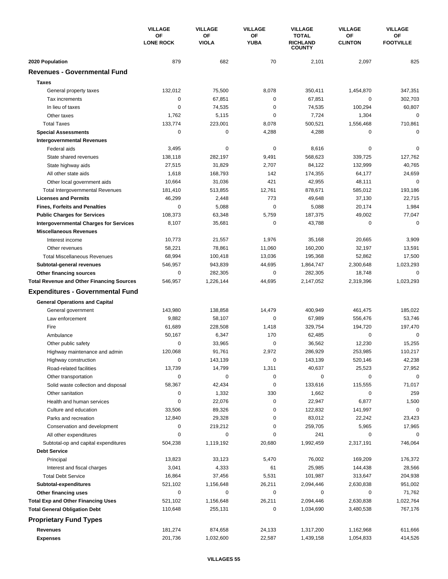|                                                  | <b>VILLAGE</b>         | <b>VILLAGE</b>     | <b>VILLAGE</b>    | <b>VILLAGE</b>                                   | <b>VILLAGE</b>       | <b>VILLAGE</b>         |
|--------------------------------------------------|------------------------|--------------------|-------------------|--------------------------------------------------|----------------------|------------------------|
|                                                  | ΟF<br><b>LONE ROCK</b> | OF<br><b>VIOLA</b> | ΟF<br><b>YUBA</b> | <b>TOTAL</b><br><b>RICHLAND</b><br><b>COUNTY</b> | OF<br><b>CLINTON</b> | OF<br><b>FOOTVILLE</b> |
| 2020 Population                                  | 879                    | 682                | 70                | 2,101                                            | 2,097                | 825                    |
| <b>Revenues - Governmental Fund</b>              |                        |                    |                   |                                                  |                      |                        |
| <b>Taxes</b>                                     |                        |                    |                   |                                                  |                      |                        |
| General property taxes                           | 132,012                | 75,500             | 8,078             | 350,411                                          | 1,454,870            | 347,351                |
| Tax increments                                   | $\mathbf 0$            | 67,851             | 0                 | 67,851                                           | 0                    | 302,703                |
| In lieu of taxes                                 | $\mathbf 0$            | 74,535             | 0                 | 74,535                                           | 100,294              | 60,807                 |
| Other taxes                                      | 1,762                  | 5,115              | 0                 | 7,724                                            | 1,304                | 0                      |
| <b>Total Taxes</b>                               | 133,774                | 223,001            | 8,078             | 500,521                                          | 1,556,468            | 710,861                |
| <b>Special Assessments</b>                       | 0                      | 0                  | 4,288             | 4,288                                            | 0                    | 0                      |
| <b>Intergovernmental Revenues</b>                |                        |                    |                   |                                                  |                      |                        |
| Federal aids                                     | 3,495                  | 0                  | 0                 | 8,616                                            | 0                    | 0                      |
| State shared revenues                            | 138,118                | 282,197            | 9,491             | 568,623                                          | 339,725              | 127,762                |
| State highway aids                               | 27,515                 | 31,829             | 2,707             | 84,122                                           | 132,999              | 40,765                 |
| All other state aids                             | 1,618                  | 168,793            | 142               | 174,355                                          | 64,177               | 24,659                 |
| Other local government aids                      | 10,664                 | 31,036             | 421               | 42,955                                           | 48,111               | $\mathbf 0$            |
| <b>Total Intergovernmental Revenues</b>          | 181,410                | 513,855            | 12,761            | 878,671                                          | 585,012              | 193,186                |
| <b>Licenses and Permits</b>                      | 46,299                 | 2,448              | 773               | 49,648                                           | 37,130               | 22,715                 |
| <b>Fines, Forfeits and Penalties</b>             | 0                      | 5,088              | 0                 | 5,088                                            | 20,174               | 1,984                  |
| <b>Public Charges for Services</b>               | 108,373                | 63,348             | 5,759             | 187,375                                          | 49,002               | 77,047                 |
| <b>Intergovernmental Charges for Services</b>    | 8,107                  | 35,681             | 0                 | 43,788                                           | $\mathbf 0$          | $\mathbf 0$            |
| <b>Miscellaneous Revenues</b>                    |                        |                    |                   |                                                  |                      |                        |
| Interest income                                  | 10,773                 | 21,557             | 1,976             | 35,168                                           | 20,665               | 3,909                  |
| Other revenues                                   | 58,221                 | 78,861             | 11,060            | 160,200                                          | 32,197               | 13,591                 |
| <b>Total Miscellaneous Revenues</b>              | 68,994                 | 100,418            | 13,036            | 195,368                                          | 52,862               | 17,500                 |
| Subtotal-general revenues                        | 546,957                | 943,839            | 44,695            | 1,864,747                                        | 2,300,648            | 1,023,293              |
| Other financing sources                          | 0                      | 282,305            | 0                 | 282,305                                          | 18,748               | 0                      |
| <b>Total Revenue and Other Financing Sources</b> | 546,957                | 1,226,144          | 44,695            | 2,147,052                                        | 2,319,396            | 1,023,293              |
| <b>Expenditures - Governmental Fund</b>          |                        |                    |                   |                                                  |                      |                        |
|                                                  |                        |                    |                   |                                                  |                      |                        |
| <b>General Operations and Capital</b>            |                        |                    |                   |                                                  |                      |                        |
| General government                               | 143,980                | 138,858            | 14,479            | 400,949                                          | 461,475              | 185,022                |
| Law enforcement                                  | 9,882                  | 58,107             | 0                 | 67,989                                           | 556,476              | 53,746                 |
| Fire                                             | 61,689                 | 228,508            | 1,418             | 329,754                                          | 194,720              | 197,470                |
| Ambulance                                        | 50,167                 | 6,347              | 170               | 62,485                                           | 0                    | 0                      |
| Other public safety                              | 0                      | 33,965             | 0                 | 36,562                                           | 12,230               | 15,255                 |
| Highway maintenance and admin                    | 120,068                | 91,761             | 2,972             | 286,929                                          | 253,985              | 110,217                |
| Highway construction                             | 0                      | 143,139            | 0                 | 143,139                                          | 520,146              | 42,238                 |
| Road-related facilities                          | 13,739                 | 14,799             | 1,311             | 40,637                                           | 25,523               | 27,952                 |
| Other transportation                             | $\mathbf 0$            | 0                  | 0                 | 0                                                | 0                    | $\mathbf 0$            |
| Solid waste collection and disposal              | 58,367                 | 42,434             | 0                 | 133,616                                          | 115,555              | 71,017                 |
| Other sanitation                                 | 0                      | 1,332              | 330               | 1,662                                            | $\mathbf 0$          | 259                    |
| Health and human services                        | 0                      | 22,076             | 0                 | 22,947                                           | 6,877                | 1,500                  |
| Culture and education                            | 33,506                 | 89,326             | 0                 | 122,832                                          | 141,997              | 0                      |
| Parks and recreation                             | 12,840                 | 29,328             | 0                 | 83,012                                           | 22,242               | 23,423                 |
| Conservation and development                     | 0                      | 219,212            | 0                 | 259,705                                          | 5,965                | 17,965                 |
| All other expenditures                           | 0                      | 0                  | 0                 | 241                                              | 0                    | 0                      |
| Subtotal-op and capital expenditures             | 504,238                | 1,119,192          | 20,680            | 1,992,459                                        | 2,317,191            | 746,064                |
| <b>Debt Service</b>                              |                        |                    |                   |                                                  |                      |                        |
| Principal                                        | 13,823                 | 33,123             | 5,470             | 76,002                                           | 169,209              | 176,372                |
| Interest and fiscal charges                      | 3,041                  | 4,333              | 61                | 25,985                                           | 144,438              | 28,566                 |
| <b>Total Debt Service</b>                        | 16,864                 | 37,456             | 5,531             | 101,987                                          | 313,647              | 204,938                |
| Subtotal-expenditures                            | 521,102                | 1,156,648          | 26,211            | 2,094,446                                        | 2,630,838            | 951,002                |
| Other financing uses                             | 0                      | 0                  | 0                 | 0                                                | 0                    | 71,762                 |
| <b>Total Exp and Other Financing Uses</b>        | 521,102                | 1,156,648          | 26,211            | 2,094,446                                        | 2,630,838            | 1,022,764              |
| <b>Total General Obligation Debt</b>             | 110,648                | 255,131            | 0                 | 1,034,690                                        | 3,480,538            | 767,176                |
| <b>Proprietary Fund Types</b>                    |                        |                    |                   |                                                  |                      |                        |
| <b>Revenues</b>                                  | 181,274                | 874,658            | 24,133            | 1,317,200                                        | 1,162,968            | 611,666                |
| <b>Expenses</b>                                  | 201,736                | 1,032,600          | 22,587            | 1,439,158                                        | 1,054,833            | 414,526                |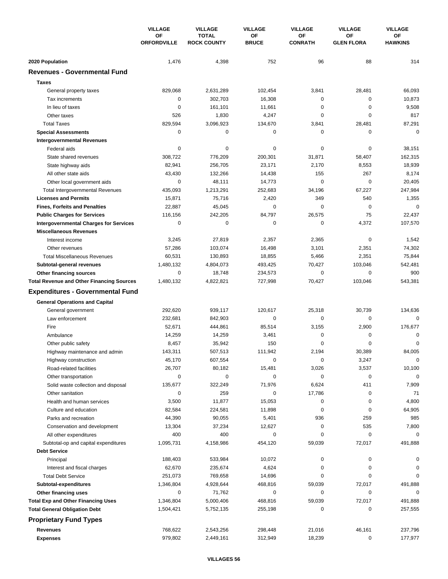|                                                  | <b>VILLAGE</b><br><b>OF</b><br><b>ORFORDVILLE</b> | <b>VILLAGE</b>                     | <b>VILLAGE</b>     | <b>VILLAGE</b>       | <b>VILLAGE</b>          | <b>VILLAGE</b>       |
|--------------------------------------------------|---------------------------------------------------|------------------------------------|--------------------|----------------------|-------------------------|----------------------|
|                                                  |                                                   | <b>TOTAL</b><br><b>ROCK COUNTY</b> | OF<br><b>BRUCE</b> | OF<br><b>CONRATH</b> | OF<br><b>GLEN FLORA</b> | ΟF<br><b>HAWKINS</b> |
| 2020 Population                                  | 1,476                                             | 4,398                              | 752                | 96                   | 88                      | 314                  |
| <b>Revenues - Governmental Fund</b>              |                                                   |                                    |                    |                      |                         |                      |
| <b>Taxes</b>                                     |                                                   |                                    |                    |                      |                         |                      |
| General property taxes                           | 829,068                                           | 2,631,289                          | 102,454            | 3,841                | 28,481                  | 66,093               |
| Tax increments                                   | $\mathbf 0$                                       | 302,703                            | 16,308             | 0                    | 0                       | 10,873               |
| In lieu of taxes                                 | 0                                                 | 161,101                            | 11,661             | 0                    | 0                       | 9,508                |
| Other taxes                                      | 526                                               | 1,830                              | 4,247              | 0                    | $\mathbf 0$             | 817                  |
| <b>Total Taxes</b>                               | 829,594                                           | 3,096,923                          | 134,670            | 3,841                | 28,481                  | 87,291               |
| <b>Special Assessments</b>                       | 0                                                 | 0                                  | 0                  | 0                    | 0                       | $\mathbf 0$          |
| <b>Intergovernmental Revenues</b>                |                                                   |                                    |                    |                      |                         |                      |
| Federal aids                                     | 0                                                 | 0                                  | 0                  | 0                    | 0                       | 38,151               |
| State shared revenues                            | 308,722                                           | 776,209                            | 200,301            | 31,871               | 58,407                  | 162,315              |
| State highway aids                               | 82,941                                            | 256,705                            | 23,171             | 2,170                | 8,553                   | 18,939               |
| All other state aids                             | 43,430                                            | 132,266                            | 14,438             | 155                  | 267                     | 8,174                |
| Other local government aids                      | 0                                                 | 48,111                             | 14,773             | 0                    | 0                       | 20,405               |
| <b>Total Intergovernmental Revenues</b>          | 435,093                                           | 1,213,291                          | 252,683            | 34,196               | 67,227                  | 247,984              |
| <b>Licenses and Permits</b>                      | 15,871                                            | 75,716                             | 2,420              | 349                  | 540                     | 1,355                |
| <b>Fines, Forfeits and Penalties</b>             | 22,887                                            | 45,045                             | 0                  | $\Omega$             | 0                       | 0                    |
| <b>Public Charges for Services</b>               | 116,156                                           | 242,205                            | 84,797             | 26,575               | 75                      | 22,437               |
| <b>Intergovernmental Charges for Services</b>    | 0                                                 | 0                                  | 0                  | $\mathbf 0$          | 4,372                   | 107,570              |
| <b>Miscellaneous Revenues</b>                    |                                                   |                                    |                    |                      |                         |                      |
| Interest income                                  | 3,245                                             | 27,819                             | 2,357              | 2,365                | $\mathbf 0$             | 1,542                |
| Other revenues                                   | 57,286                                            | 103,074                            | 16,498             | 3,101                | 2,351                   | 74,302               |
| <b>Total Miscellaneous Revenues</b>              | 60,531                                            | 130,893                            | 18,855             | 5,466                | 2,351                   | 75,844               |
| Subtotal-general revenues                        | 1,480,132                                         | 4,804,073                          | 493,425            | 70,427               | 103,046                 | 542,481              |
| Other financing sources                          | $\mathbf 0$                                       | 18,748                             | 234,573            | 0                    | 0                       | 900                  |
| <b>Total Revenue and Other Financing Sources</b> | 1,480,132                                         | 4,822,821                          | 727,998            | 70,427               | 103,046                 | 543,381              |
| <b>Expenditures - Governmental Fund</b>          |                                                   |                                    |                    |                      |                         |                      |
| <b>General Operations and Capital</b>            |                                                   |                                    |                    |                      |                         |                      |
| General government                               | 292,620                                           | 939,117                            | 120,617            | 25,318               | 30,739                  | 134,636              |
| Law enforcement                                  | 232,681                                           | 842,903                            | 0                  | 0                    | 0                       | $\Omega$             |
| Fire                                             | 52,671                                            | 444,861                            | 85,514             | 3,155                | 2,900                   | 176,677              |
| Ambulance                                        | 14,259                                            | 14,259                             | 3,461              | 0                    | 0                       | 0                    |
| Other public safety                              | 8,457                                             | 35,942                             | 150                | 0                    | $\mathbf 0$             | 0                    |
| Highway maintenance and admin                    | 143,311                                           | 507,513                            | 111,942            | 2,194                | 30,389                  | 84,005               |
| Highway construction                             | 45,170                                            | 607,554                            | 0                  | 0                    | 3,247                   | $\mathbf 0$          |
| Road-related facilities                          | 26,707                                            | 80,182                             | 15,481             | 3,026                | 3,537                   | 10,100               |
| Other transportation                             | 0                                                 | 0                                  | 0                  | 0                    | $\pmb{0}$               | $\Omega$             |
| Solid waste collection and disposal              | 135,677                                           | 322,249                            | 71,976             | 6,624                | 411                     | 7,909                |
| Other sanitation                                 | 0                                                 | 259                                | 0                  | 17,786               | 0                       | 71                   |
| Health and human services                        | 3,500                                             | 11,877                             | 15,053             | 0                    | 0                       | 4,800                |
| Culture and education                            | 82,584                                            | 224,581                            | 11,898             | 0                    | 0                       | 64,905               |
| Parks and recreation                             | 44,390                                            | 90,055                             | 5,401              | 936                  | 259                     | 985                  |
| Conservation and development                     | 13,304                                            | 37,234                             | 12,627             | 0                    | 535                     | 7,800                |
| All other expenditures                           | 400                                               | 400                                | 0                  | 0                    | $\mathbf 0$             | 0                    |
| Subtotal-op and capital expenditures             | 1,095,731                                         | 4,158,986                          | 454,120            | 59,039               | 72,017                  | 491,888              |
| <b>Debt Service</b>                              |                                                   |                                    |                    |                      |                         |                      |
| Principal                                        | 188,403                                           | 533,984                            | 10,072             | 0                    | 0                       | 0                    |
| Interest and fiscal charges                      | 62,670                                            | 235,674                            | 4,624              | 0                    | 0                       | 0                    |
| <b>Total Debt Service</b>                        | 251,073                                           | 769,658                            | 14,696             | 0                    | 0                       | 0                    |
| Subtotal-expenditures                            | 1,346,804                                         | 4,928,644                          | 468,816            | 59,039               | 72,017                  | 491,888              |
| Other financing uses                             | 0                                                 | 71,762                             | 0                  | 0                    | 0                       | 0                    |
| <b>Total Exp and Other Financing Uses</b>        | 1,346,804                                         | 5,000,406                          | 468,816            | 59,039               | 72,017                  | 491,888              |
| <b>Total General Obligation Debt</b>             | 1,504,421                                         | 5,752,135                          | 255,198            | 0                    | 0                       | 257,555              |
| <b>Proprietary Fund Types</b>                    |                                                   |                                    |                    |                      |                         |                      |
| <b>Revenues</b>                                  | 768,622                                           | 2,543,256                          | 298,448            | 21,016               | 46,161                  | 237,796              |
| <b>Expenses</b>                                  | 979,802                                           | 2,449,161                          | 312,949            | 18,239               | 0                       | 177,977              |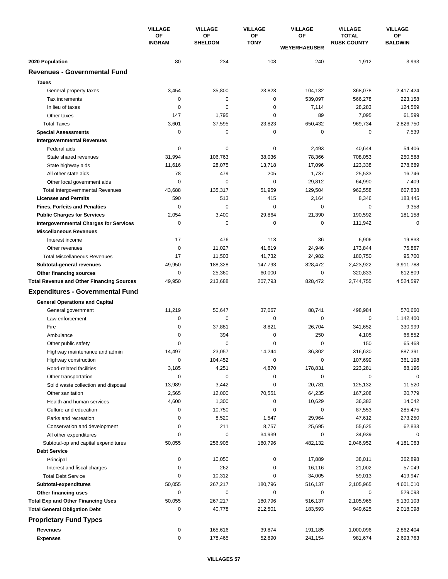|                                                  | <b>VILLAGE</b><br>OF<br><b>INGRAM</b> | <b>VILLAGE</b><br>OF<br>ΟF<br><b>SHELDON</b> | <b>VILLAGE</b> | <b>VILLAGE</b>            | <b>VILLAGE</b><br><b>TOTAL</b><br><b>RUSK COUNTY</b> | <b>VILLAGE</b><br>OF<br><b>BALDWIN</b> |
|--------------------------------------------------|---------------------------------------|----------------------------------------------|----------------|---------------------------|------------------------------------------------------|----------------------------------------|
|                                                  |                                       |                                              | <b>TONY</b>    | OF<br><b>WEYERHAEUSER</b> |                                                      |                                        |
| 2020 Population                                  | 80                                    | 234                                          | 108            | 240                       | 1,912                                                | 3,993                                  |
| <b>Revenues - Governmental Fund</b>              |                                       |                                              |                |                           |                                                      |                                        |
| <b>Taxes</b>                                     |                                       |                                              |                |                           |                                                      |                                        |
| General property taxes                           | 3,454                                 | 35,800                                       | 23,823         | 104,132                   | 368,078                                              | 2,417,424                              |
| Tax increments                                   | $\mathbf 0$                           | 0                                            | 0              | 539,097                   | 566,278                                              | 223,158                                |
| In lieu of taxes                                 | $\mathbf 0$                           | 0                                            | 0              | 7,114                     | 28,283                                               | 124,569                                |
| Other taxes                                      | 147                                   | 1,795                                        | 0              | 89                        | 7,095                                                | 61,599                                 |
| <b>Total Taxes</b>                               | 3,601                                 | 37,595                                       | 23,823         | 650,432                   | 969,734                                              | 2,826,750                              |
| <b>Special Assessments</b>                       | 0                                     | 0                                            | 0              | 0                         | 0                                                    | 7,539                                  |
| <b>Intergovernmental Revenues</b>                |                                       |                                              |                |                           |                                                      |                                        |
| Federal aids                                     | 0                                     | 0                                            | 0              | 2,493                     | 40,644                                               | 54,406                                 |
| State shared revenues                            | 31,994                                | 106,763                                      | 38,036         | 78,366                    | 708,053                                              | 250,588                                |
| State highway aids                               | 11,616                                | 28,075                                       | 13,718         | 17,096                    | 123,338                                              | 278,689                                |
| All other state aids                             | 78                                    | 479                                          | 205            | 1,737                     | 25,533                                               | 16,746                                 |
| Other local government aids                      | $\mathbf 0$                           | 0                                            | 0              | 29,812                    | 64,990                                               | 7,409                                  |
| <b>Total Intergovernmental Revenues</b>          | 43,688                                | 135,317                                      | 51,959         | 129,504                   | 962,558                                              | 607,838                                |
| <b>Licenses and Permits</b>                      | 590                                   | 513                                          | 415            | 2,164                     | 8,346                                                | 183,445                                |
| <b>Fines, Forfeits and Penalties</b>             | $\mathbf 0$                           | $\mathbf 0$                                  | 0              | 0                         | 0                                                    | 9,358                                  |
| <b>Public Charges for Services</b>               | 2,054                                 | 3,400                                        | 29,864         | 21,390                    | 190,592                                              | 181,158                                |
| <b>Intergovernmental Charges for Services</b>    | $\mathbf 0$                           | 0                                            | 0              | $\mathbf 0$               | 111,942                                              | $\mathbf 0$                            |
| <b>Miscellaneous Revenues</b>                    |                                       |                                              |                |                           |                                                      |                                        |
| Interest income                                  | 17                                    | 476                                          | 113            | 36                        | 6,906                                                | 19,833                                 |
| Other revenues                                   | $\mathbf 0$                           | 11,027                                       | 41,619         | 24,946                    | 173,844                                              | 75,867                                 |
| <b>Total Miscellaneous Revenues</b>              | 17                                    | 11,503                                       | 41,732         | 24,982                    | 180,750                                              | 95,700                                 |
| Subtotal-general revenues                        | 49,950                                | 188,328                                      | 147,793        | 828,472                   | 2,423,922                                            | 3,911,788                              |
| Other financing sources                          | 0                                     | 25,360                                       | 60,000         | 0                         | 320,833                                              | 612,809                                |
| <b>Total Revenue and Other Financing Sources</b> | 49,950                                | 213,688                                      | 207,793        | 828,472                   | 2,744,755                                            | 4,524,597                              |
| <b>Expenditures - Governmental Fund</b>          |                                       |                                              |                |                           |                                                      |                                        |
|                                                  |                                       |                                              |                |                           |                                                      |                                        |
| <b>General Operations and Capital</b>            |                                       |                                              |                |                           |                                                      |                                        |
| General government                               | 11,219                                | 50,647                                       | 37,067         | 88,741                    | 498,984                                              | 570,660                                |
| Law enforcement                                  | 0                                     | 0                                            | 0              | 0                         | $\mathbf 0$                                          | 1,142,400                              |
| Fire                                             | $\mathbf 0$                           | 37,881                                       | 8,821          | 26,704                    | 341,652                                              | 330,999                                |
| Ambulance                                        | 0                                     | 394                                          | 0              | 250                       | 4,105                                                | 66,852                                 |
| Other public safety                              | $\mathbf 0$                           | 0                                            | 0              | $\mathbf 0$               | 150                                                  | 65,468                                 |
| Highway maintenance and admin                    | 14,497                                | 23,057                                       | 14,244         | 36,302                    | 316,630                                              | 887,391                                |
| Highway construction                             | 0                                     | 104,452                                      | 0              | $\pmb{0}$                 | 107,699                                              | 361,198                                |
| Road-related facilities                          | 3,185                                 | 4,251                                        | 4,870          | 178,831                   | 223,281                                              | 88,196                                 |
| Other transportation                             | $\pmb{0}$                             | 0                                            | 0              | 0                         | $\mathbf 0$                                          | $\mathbf 0$                            |
| Solid waste collection and disposal              | 13,989                                | 3,442                                        | 0              | 20,781                    | 125,132                                              | 11,520                                 |
| Other sanitation                                 | 2,565                                 | 12,000                                       | 70,551         | 64,235                    | 167,208                                              | 20,779                                 |
| Health and human services                        | 4,600                                 | 1,300                                        | 0              | 10,629                    | 36,382                                               | 14,042                                 |
| Culture and education                            | 0                                     | 10,750                                       | 0              | 0                         | 87,553                                               | 285,475                                |
| Parks and recreation                             | 0                                     | 8,520                                        | 1,547          | 29,964                    | 47,612                                               | 273,250                                |
| Conservation and development                     | 0                                     | 211                                          | 8,757          | 25,695                    | 55,625                                               | 62,833                                 |
| All other expenditures                           | 0                                     | 0                                            | 34,939         | 0                         | 34,939                                               | 0                                      |
| Subtotal-op and capital expenditures             | 50,055                                | 256,905                                      | 180,796        | 482,132                   | 2,046,952                                            | 4,181,063                              |
| <b>Debt Service</b>                              |                                       |                                              |                |                           |                                                      |                                        |
| Principal                                        | 0                                     | 10,050                                       | 0              | 17,889                    | 38,011                                               | 362,898                                |
| Interest and fiscal charges                      | 0                                     | 262                                          | 0              | 16,116                    | 21,002                                               | 57,049                                 |
| <b>Total Debt Service</b>                        | 0                                     | 10,312                                       | 0              | 34,005                    | 59,013                                               | 419,947                                |
| Subtotal-expenditures                            | 50,055                                | 267,217                                      | 180,796        | 516,137                   | 2,105,965                                            | 4,601,010                              |
| Other financing uses                             | 0                                     | 0                                            | 0              | 0                         | 0                                                    | 529,093                                |
| <b>Total Exp and Other Financing Uses</b>        | 50,055                                | 267,217                                      | 180,796        | 516,137                   | 2,105,965                                            | 5,130,103                              |
| <b>Total General Obligation Debt</b>             | 0                                     | 40,778                                       | 212,501        | 183,593                   | 949,625                                              | 2,018,098                              |
| <b>Proprietary Fund Types</b>                    |                                       |                                              |                |                           |                                                      |                                        |
| Revenues                                         | $\pmb{0}$                             | 165,616                                      | 39,874         | 191,185                   | 1,000,096                                            | 2,862,404                              |
| <b>Expenses</b>                                  | 0                                     | 178,465                                      | 52,890         | 241,154                   | 981,674                                              | 2,693,763                              |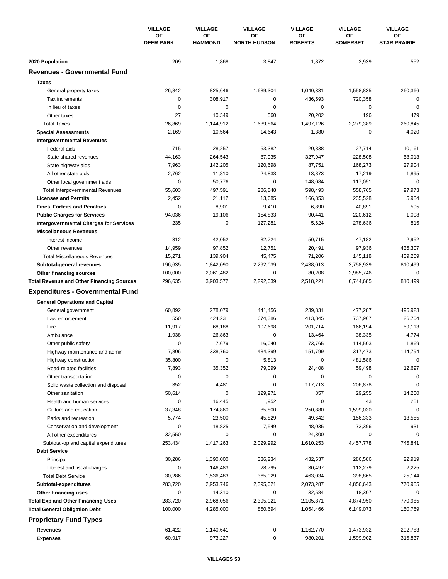|                                                  | <b>VILLAGE</b><br>ΟF<br><b>DEER PARK</b> | <b>VILLAGE</b> | <b>VILLAGE</b>       | <b>VILLAGE</b>            | <b>VILLAGE</b>       | <b>VILLAGE</b>        |
|--------------------------------------------------|------------------------------------------|----------------|----------------------|---------------------------|----------------------|-----------------------|
|                                                  |                                          |                | OF<br><b>HAMMOND</b> | ΟF<br><b>NORTH HUDSON</b> | ΟF<br><b>ROBERTS</b> | OF<br><b>SOMERSET</b> |
| 2020 Population                                  | 209                                      | 1,868          | 3,847                | 1,872                     | 2,939                | 552                   |
| <b>Revenues - Governmental Fund</b>              |                                          |                |                      |                           |                      |                       |
| <b>Taxes</b>                                     |                                          |                |                      |                           |                      |                       |
| General property taxes                           | 26,842                                   | 825,646        | 1,639,304            | 1,040,331                 | 1,558,835            | 260,366               |
| Tax increments                                   | 0                                        | 308,917        | 0                    | 436,593                   | 720,358              | $\mathbf 0$           |
| In lieu of taxes                                 | $\mathbf 0$                              | 0              | 0                    | 0                         | $\mathbf 0$          | $\mathbf 0$           |
| Other taxes                                      | 27                                       | 10,349         | 560                  | 20,202                    | 196                  | 479                   |
| <b>Total Taxes</b>                               | 26,869                                   | 1,144,912      | 1,639,864            | 1,497,126                 | 2,279,389            | 260,845               |
| <b>Special Assessments</b>                       | 2,169                                    | 10,564         | 14,643               | 1,380                     | 0                    | 4,020                 |
| <b>Intergovernmental Revenues</b>                |                                          |                |                      |                           |                      |                       |
| Federal aids                                     | 715                                      | 28,257         | 53,382               | 20,838                    | 27,714               | 10,161                |
| State shared revenues                            | 44,163                                   | 264,543        | 87,935               | 327,947                   | 228,508              | 58,013                |
| State highway aids                               | 7,963                                    | 142,205        | 120,698              | 87,751                    | 168,273              | 27,904                |
| All other state aids                             | 2,762                                    | 11,810         | 24,833               | 13,873                    | 17,219               | 1,895                 |
| Other local government aids                      | $\mathbf 0$                              | 50,776         | 0                    | 148,084                   | 117,051              | $\mathbf 0$           |
| <b>Total Intergovernmental Revenues</b>          | 55,603                                   | 497,591        | 286,848              | 598,493                   | 558,765              | 97,973                |
| <b>Licenses and Permits</b>                      | 2,452                                    | 21,112         | 13,685               | 166,853                   | 235,528              | 5,984                 |
| <b>Fines, Forfeits and Penalties</b>             | 0                                        | 8,901          | 9,410                | 6,890                     | 40,891               | 595                   |
| <b>Public Charges for Services</b>               | 94,036                                   | 19,106         | 154,833              | 90,441                    | 220,612              | 1,008                 |
| <b>Intergovernmental Charges for Services</b>    | 235                                      | 0              | 127,281              | 5,624                     | 278,636              | 815                   |
| <b>Miscellaneous Revenues</b>                    |                                          |                |                      |                           |                      |                       |
| Interest income                                  | 312                                      | 42,052         | 32,724               | 50,715                    | 47,182               | 2,952                 |
| Other revenues                                   | 14,959                                   | 97,852         | 12,751               | 20,491                    | 97,936               | 436,307               |
| <b>Total Miscellaneous Revenues</b>              | 15,271                                   | 139,904        | 45,475               | 71,206                    | 145,118              | 439,259               |
| Subtotal-general revenues                        | 196,635                                  | 1,842,090      | 2,292,039            | 2,438,013                 | 3,758,939            | 810,499               |
| Other financing sources                          | 100,000                                  | 2,061,482      | 0                    | 80,208                    | 2,985,746            | 0                     |
| <b>Total Revenue and Other Financing Sources</b> | 296,635                                  | 3,903,572      | 2,292,039            | 2,518,221                 | 6,744,685            | 810,499               |
| <b>Expenditures - Governmental Fund</b>          |                                          |                |                      |                           |                      |                       |
| <b>General Operations and Capital</b>            |                                          |                |                      |                           |                      |                       |
| General government                               | 60,892                                   | 278,079        | 441,456              | 239,831                   | 477,287              | 496,923               |
| Law enforcement                                  | 550                                      | 424,231        | 674,386              | 413,845                   | 737,967              | 26,704                |
| Fire                                             | 11,917                                   | 68,188         | 107,698              | 201,714                   | 166,194              | 59,113                |
| Ambulance                                        | 1,938                                    | 26,863         | 0                    | 13,464                    | 38,335               | 4,774                 |
| Other public safety                              | 0                                        | 7,679          | 16,040               | 73,765                    | 114,503              | 1,869                 |
| Highway maintenance and admin                    | 7,806                                    | 338,760        | 434,399              | 151,799                   | 317,473              | 114,794               |
| Highway construction                             | 35,800                                   | 0              | 5,813                | 0                         | 481,586              | 0                     |
| Road-related facilities                          | 7,893                                    | 35,352         | 79,099               | 24,408                    | 59,498               | 12,697                |
| Other transportation                             | 0                                        | 0              | 0                    | 0                         | 0                    | 0                     |
| Solid waste collection and disposal              | 352                                      | 4,481          | 0                    | 117,713                   | 206,878              | 0                     |
| Other sanitation                                 | 50,614                                   | 0              | 129,971              | 857                       | 29,255               | 14,200                |
| Health and human services                        | 0                                        | 16,445         | 1,952                | $\pmb{0}$                 | 43                   | 281                   |
| Culture and education                            | 37,348                                   | 174,860        | 85,800               | 250,880                   | 1,599,030            | 0                     |
| Parks and recreation                             | 5,774                                    | 23,500         | 45,829               | 49,642                    | 156,333              | 13,555                |
| Conservation and development                     | 0                                        | 18,825         | 7,549                | 48,035                    | 73,396               | 931                   |
| All other expenditures                           | 32,550                                   | 0              | 0                    | 24,300                    | 0                    | $\Omega$              |
| Subtotal-op and capital expenditures             | 253,434                                  | 1,417,263      | 2,029,992            | 1,610,253                 | 4,457,778            | 745,841               |
| <b>Debt Service</b>                              |                                          |                |                      |                           |                      |                       |
| Principal                                        | 30,286                                   | 1,390,000      | 336,234              | 432,537                   | 286,586              | 22,919                |
| Interest and fiscal charges                      | 0                                        | 146,483        | 28,795               | 30,497                    | 112,279              | 2,225                 |
| <b>Total Debt Service</b>                        | 30,286                                   | 1,536,483      | 365,029              | 463,034                   | 398,865              | 25,144                |
| Subtotal-expenditures                            | 283,720                                  | 2,953,746      | 2,395,021            | 2,073,287                 | 4,856,643            | 770,985               |
| Other financing uses                             | 0                                        | 14,310         | 0                    | 32,584                    | 18,307               | 0                     |
| <b>Total Exp and Other Financing Uses</b>        | 283,720                                  | 2,968,056      | 2,395,021            | 2,105,871                 | 4,874,950            | 770,985               |
| <b>Total General Obligation Debt</b>             | 100,000                                  | 4,285,000      | 850,694              | 1,054,466                 | 6,149,073            | 150,769               |
| <b>Proprietary Fund Types</b>                    |                                          |                |                      |                           |                      |                       |
| Revenues                                         | 61,422                                   | 1,140,641      | 0                    | 1,162,770                 | 1,473,932            | 292,783               |
| <b>Expenses</b>                                  | 60,917                                   | 973,227        | 0                    | 980,201                   | 1,599,902            | 315,837               |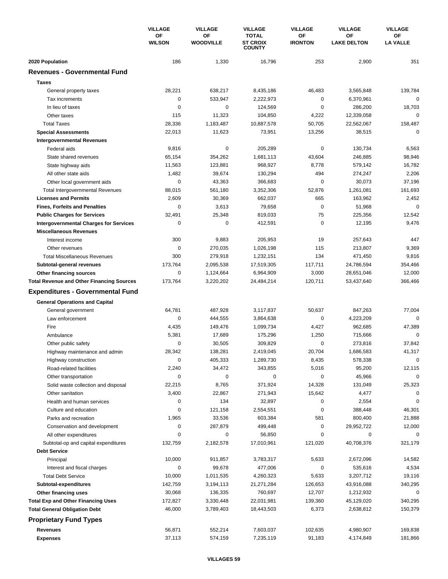|                                                  | <b>VILLAGE</b><br>ΟF<br><b>WILSON</b> | <b>VILLAGE</b> | <b>VILLAGE</b>         | <b>VILLAGE</b>                                   | <b>VILLAGE</b>       | <b>VILLAGE</b>           |
|--------------------------------------------------|---------------------------------------|----------------|------------------------|--------------------------------------------------|----------------------|--------------------------|
|                                                  |                                       |                | ΟF<br><b>WOODVILLE</b> | <b>TOTAL</b><br><b>ST CROIX</b><br><b>COUNTY</b> | OF<br><b>IRONTON</b> | ΟF<br><b>LAKE DELTON</b> |
| 2020 Population                                  | 186                                   | 1,330          | 16,796                 | 253                                              | 2,900                | 351                      |
| <b>Revenues - Governmental Fund</b>              |                                       |                |                        |                                                  |                      |                          |
| <b>Taxes</b>                                     |                                       |                |                        |                                                  |                      |                          |
| General property taxes                           | 28,221                                | 638,217        | 8,435,186              | 46,483                                           | 3,565,848            | 139,784                  |
| Tax increments                                   | 0                                     | 533,947        | 2,222,973              | 0                                                | 6,370,961            | $\mathbf 0$              |
| In lieu of taxes                                 | 0                                     | 0              | 124,569                | 0                                                | 286,200              | 18,703                   |
| Other taxes                                      | 115                                   | 11,323         | 104,850                | 4,222                                            | 12,339,058           | $\mathbf 0$              |
| <b>Total Taxes</b>                               | 28,336                                | 1,183,487      | 10,887,578             | 50,705                                           | 22,562,067           | 158,487                  |
| <b>Special Assessments</b>                       | 22,013                                | 11,623         | 73,951                 | 13,256                                           | 38,515               | $\mathbf 0$              |
| <b>Intergovernmental Revenues</b>                |                                       |                |                        |                                                  |                      |                          |
| Federal aids                                     | 9,816                                 | 0              | 205,289                | 0                                                | 130,734              | 6,563                    |
| State shared revenues                            | 65,154                                | 354,262        | 1,681,113              | 43,604                                           | 246,885              | 98,946                   |
| State highway aids                               | 11,563                                | 123,881        | 968,927                | 8,778                                            | 579,142              | 16,782                   |
| All other state aids                             | 1,482                                 | 39,674         | 130,294                | 494                                              | 274,247              | 2,206                    |
| Other local government aids                      | $\mathbf 0$                           | 43,363         | 366,683                | 0                                                | 30,073               | 37,196                   |
| <b>Total Intergovernmental Revenues</b>          | 88,015                                | 561,180        | 3,352,306              | 52,876                                           | 1,261,081            | 161,693                  |
| <b>Licenses and Permits</b>                      | 2,609                                 | 30,369         | 662,037                | 665                                              | 163,962              | 2,452                    |
| <b>Fines, Forfeits and Penalties</b>             | 0                                     | 3,613          | 79,658                 | 0                                                | 51,968               | $\Omega$                 |
| <b>Public Charges for Services</b>               | 32,491                                | 25,348         | 819,033                | 75                                               | 225,356              | 12,542                   |
| <b>Intergovernmental Charges for Services</b>    | $\mathbf 0$                           | $\mathbf 0$    | 412,591                | 0                                                | 12,195               | 9,476                    |
| <b>Miscellaneous Revenues</b>                    |                                       |                |                        |                                                  |                      |                          |
| Interest income                                  | 300                                   | 9,883          | 205,953                | 19                                               | 257,643              | 447                      |
| Other revenues                                   | 0                                     | 270,035        | 1,026,198              | 115                                              | 213,807              | 9,369                    |
| <b>Total Miscellaneous Revenues</b>              | 300                                   | 279,918        | 1,232,151              | 134                                              | 471,450              | 9,816                    |
| Subtotal-general revenues                        | 173,764                               | 2,095,538      | 17,519,305             | 117,711                                          | 24,786,594           | 354,466                  |
| Other financing sources                          | 0                                     | 1,124,664      | 6,964,909              | 3,000                                            | 28,651,046           | 12,000                   |
| <b>Total Revenue and Other Financing Sources</b> | 173,764                               | 3,220,202      | 24,484,214             | 120,711                                          | 53,437,640           | 366,466                  |
| <b>Expenditures - Governmental Fund</b>          |                                       |                |                        |                                                  |                      |                          |
| <b>General Operations and Capital</b>            |                                       |                |                        |                                                  |                      |                          |
| General government                               | 64,781                                | 487,928        | 3,117,837              | 50,637                                           | 847,263              | 77,004                   |
| Law enforcement                                  | 0                                     | 444,555        | 3,864,638              | 0                                                | 4,223,209            | $\mathbf 0$              |
| Fire                                             | 4,435                                 | 149,476        | 1,099,734              | 4,427                                            | 962,685              | 47,389                   |
| Ambulance                                        | 5,381                                 | 17,689         | 175,296                | 1,250                                            | 715,666              | 0                        |
| Other public safety                              | 0                                     | 30,505         | 309,829                | 0                                                | 273,816              | 37,842                   |
| Highway maintenance and admin                    | 28,342                                | 138,281        | 2,419,045              | 20,704                                           | 1,686,583            | 41,317                   |
| Highway construction                             | 0                                     | 405,333        | 1,289,730              | 8,435                                            | 578,338              | $\mathbf 0$              |
| Road-related facilities                          | 2,240                                 | 34,472         | 343,855                | 5,016                                            | 95,200               | 12,115                   |
| Other transportation                             | 0                                     | 0              | $\mathbf 0$            | $\mathbf 0$                                      | 45,966               | $\mathbf 0$              |
| Solid waste collection and disposal              | 22,215                                | 8,765          | 371,924                | 14,328                                           | 131,049              | 25,323                   |
| Other sanitation                                 | 3,400                                 | 22,867         | 271,943                | 15,642                                           | 4,477                | 0                        |
| Health and human services                        | 0                                     | 134            | 32,897                 | 0                                                | 2,554                | $\mathbf 0$              |
| Culture and education                            | 0                                     | 121,158        | 2,554,551              | 0                                                | 388,448              | 46,301                   |
| Parks and recreation                             | 1,965                                 | 33,536         | 603,384                | 581                                              | 800,400              | 21,888                   |
| Conservation and development                     | 0                                     | 287,879        | 499,448                | 0                                                | 29,952,722           | 12,000                   |
| All other expenditures                           | 0                                     | 0              | 56,850                 | 0                                                | 0                    | 0                        |
| Subtotal-op and capital expenditures             | 132,759                               | 2,182,578      | 17,010,961             | 121,020                                          | 40,708,376           | 321,179                  |
| <b>Debt Service</b>                              |                                       |                |                        |                                                  |                      |                          |
| Principal                                        | 10,000                                | 911,857        | 3,783,317              | 5,633                                            | 2,672,096            | 14,582                   |
| Interest and fiscal charges                      | 0                                     | 99,678         | 477,006                | 0                                                | 535,616              | 4,534                    |
| <b>Total Debt Service</b>                        | 10,000                                | 1,011,535      | 4,260,323              | 5,633                                            | 3,207,712            | 19,116                   |
| Subtotal-expenditures                            | 142,759                               | 3,194,113      | 21,271,284             | 126,653                                          | 43,916,088           | 340,295                  |
| Other financing uses                             | 30,068                                | 136,335        | 760,697                | 12,707                                           | 1,212,932            | 0                        |
| <b>Total Exp and Other Financing Uses</b>        | 172,827                               | 3,330,448      | 22,031,981             | 139,360                                          | 45,129,020           | 340,295                  |
| <b>Total General Obligation Debt</b>             | 46,000                                | 3,789,403      | 18,443,503             | 6,373                                            | 2,638,812            | 150,379                  |
| <b>Proprietary Fund Types</b>                    |                                       |                |                        |                                                  |                      |                          |
| Revenues                                         | 56,871                                | 552,214        | 7,603,037              | 102,635                                          | 4,980,907            | 169,838                  |
| <b>Expenses</b>                                  | 37,113                                | 574,159        | 7,235,119              | 91,183                                           | 4,174,849            | 181,866                  |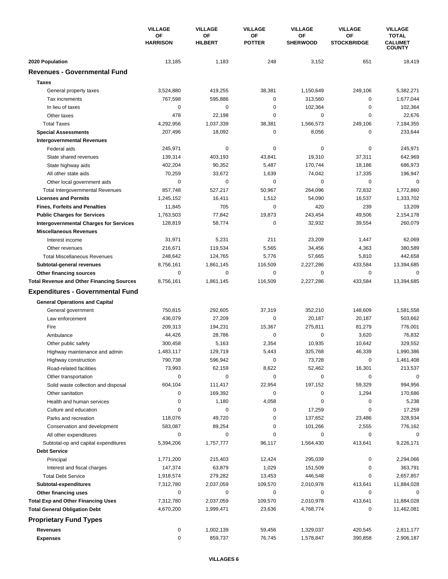|                                                  | <b>VILLAGE</b><br>OF<br><b>HARRISON</b> | <b>VILLAGE</b>       | <b>VILLAGE</b>      | <b>VILLAGE</b>        | <b>VILLAGE</b>                  | <b>VILLAGE</b>                                  |
|--------------------------------------------------|-----------------------------------------|----------------------|---------------------|-----------------------|---------------------------------|-------------------------------------------------|
|                                                  |                                         | OF<br><b>HILBERT</b> | ΟF<br><b>POTTER</b> | OF<br><b>SHERWOOD</b> | <b>OF</b><br><b>STOCKBRIDGE</b> | <b>TOTAL</b><br><b>CALUMET</b><br><b>COUNTY</b> |
| 2020 Population                                  | 13,185                                  | 1,183                | 248                 | 3,152                 | 651                             | 18,419                                          |
| <b>Revenues - Governmental Fund</b>              |                                         |                      |                     |                       |                                 |                                                 |
| <b>Taxes</b>                                     |                                         |                      |                     |                       |                                 |                                                 |
| General property taxes                           | 3,524,880                               | 419,255              | 38,381              | 1,150,649             | 249,106                         | 5,382,271                                       |
| Tax increments                                   | 767,598                                 | 595,886              | 0                   | 313,560               | 0                               | 1,677,044                                       |
| In lieu of taxes                                 | $\mathbf 0$                             | 0                    | 0                   | 102,364               | $\mathbf 0$                     | 102,364                                         |
| Other taxes                                      | 478                                     | 22,198               | 0                   | 0                     | $\mathbf 0$                     | 22,676                                          |
| <b>Total Taxes</b>                               | 4,292,956                               | 1,037,339            | 38,381              | 1,566,573             | 249,106                         | 7,184,355                                       |
| <b>Special Assessments</b>                       | 207,496                                 | 18,092               | 0                   | 8,056                 | $\mathbf 0$                     | 233,644                                         |
| <b>Intergovernmental Revenues</b>                |                                         |                      |                     |                       |                                 |                                                 |
| Federal aids                                     | 245,971                                 | $\pmb{0}$            | 0                   | 0                     | 0                               | 245,971                                         |
| State shared revenues                            | 139,314                                 | 403,193              | 43,841              | 19,310                | 37,311                          | 642,969                                         |
| State highway aids                               | 402,204                                 | 90,352               | 5,487               | 170,744               | 18,186                          | 686,973                                         |
| All other state aids                             | 70,259                                  | 33,672               | 1,639               | 74,042                | 17,335                          | 196,947                                         |
| Other local government aids                      | $\mathbf 0$                             | 0                    | 0                   | 0                     | $\mathbf 0$                     | $\mathbf 0$                                     |
| <b>Total Intergovernmental Revenues</b>          | 857,748                                 | 527,217              | 50,967              | 264,096               | 72,832                          | 1,772,860                                       |
| <b>Licenses and Permits</b>                      | 1,245,152                               | 16,411               | 1,512               | 54,090                | 16,537                          | 1,333,702                                       |
| <b>Fines, Forfeits and Penalties</b>             | 11,845                                  | 705                  | 0                   | 420                   | 239                             | 13,209                                          |
| <b>Public Charges for Services</b>               | 1,763,503                               | 77,842               | 19,873              | 243,454               | 49,506                          | 2,154,178                                       |
| <b>Intergovernmental Charges for Services</b>    | 128,819                                 | 58,774               | 0                   | 32,932                | 39,554                          | 260,079                                         |
| <b>Miscellaneous Revenues</b>                    |                                         |                      |                     |                       |                                 |                                                 |
| Interest income                                  | 31,971                                  | 5,231                | 211                 | 23,209                | 1,447                           | 62,069                                          |
| Other revenues                                   | 216,671                                 | 119,534              | 5,565               | 34,456                | 4,363                           | 380,589                                         |
| <b>Total Miscellaneous Revenues</b>              | 248,642                                 | 124,765              | 5,776               | 57,665                | 5,810                           | 442,658                                         |
| Subtotal-general revenues                        | 8,756,161                               | 1,861,145            | 116,509             | 2,227,286             | 433,584                         | 13,394,685                                      |
| Other financing sources                          | 0                                       | 0                    | 0                   | 0                     | 0                               | 0                                               |
| <b>Total Revenue and Other Financing Sources</b> | 8,756,161                               | 1,861,145            | 116,509             | 2,227,286             | 433,584                         | 13,394,685                                      |
|                                                  |                                         |                      |                     |                       |                                 |                                                 |
| <b>Expenditures - Governmental Fund</b>          |                                         |                      |                     |                       |                                 |                                                 |
| <b>General Operations and Capital</b>            |                                         |                      |                     |                       |                                 |                                                 |
| General government                               | 750,815                                 | 292,605              | 37,319              | 352,210               | 148,609                         | 1,581,558                                       |
| Law enforcement                                  | 436,079                                 | 27,209               | 0                   | 20,187                | 20,187                          | 503,662                                         |
| Fire                                             | 209,313                                 | 194,231              | 15,367              | 275,811               | 81,279                          | 776,001                                         |
| Ambulance                                        | 44,426                                  | 28,786               | 0                   | 0                     | 3,620                           | 76,832                                          |
| Other public safety                              | 300,458                                 | 5,163                | 2,354               | 10,935                | 10,642                          | 329,552                                         |
| Highway maintenance and admin                    | 1,483,117                               | 129,719              | 5,443               | 325,768               | 46,339                          | 1,990,386                                       |
| Highway construction                             | 790,738                                 | 596,942              | 0                   | 73,728                | 0                               | 1,461,408                                       |
| Road-related facilities                          | 73,993                                  | 62,159               | 8,622               | 52,462                | 16,301                          | 213,537                                         |
| Other transportation                             | 0                                       | $\pmb{0}$            | 0                   | 0                     | 0                               | 0                                               |
| Solid waste collection and disposal              | 604,104                                 | 111,417              | 22,954              | 197,152               | 59,329                          | 994,956                                         |
| Other sanitation                                 | 0                                       | 169,392              | 0                   | 0                     | 1,294                           | 170,686                                         |
| Health and human services                        | 0                                       | 1,180                | 4,058               | 0                     | 0                               | 5,238                                           |
| Culture and education                            | 0                                       | 0                    | 0                   | 17,259                | 0                               | 17,259                                          |
| Parks and recreation                             | 118,076                                 | 49,720               | 0                   | 137,652               | 23,486                          | 328,934                                         |
| Conservation and development                     | 583,087                                 | 89,254               | 0                   | 101,266               | 2,555                           | 776,162                                         |
| All other expenditures                           | 0                                       | 0                    | 0                   | 0                     | 0                               | 0                                               |
| Subtotal-op and capital expenditures             | 5,394,206                               | 1,757,777            | 96,117              | 1,564,430             | 413,641                         | 9,226,171                                       |
| <b>Debt Service</b>                              |                                         |                      |                     |                       |                                 |                                                 |
| Principal                                        | 1,771,200                               | 215,403              | 12,424              | 295,039               | 0                               | 2,294,066                                       |
| Interest and fiscal charges                      | 147,374                                 | 63,879               | 1,029               | 151,509               | 0                               | 363,791                                         |
| <b>Total Debt Service</b>                        | 1,918,574                               | 279,282              | 13,453              | 446,548               | 0                               | 2,657,857                                       |
| Subtotal-expenditures                            | 7,312,780                               | 2,037,059            | 109,570             | 2,010,978             | 413,641                         | 11,884,028                                      |
| Other financing uses                             | 0                                       | 0                    | 0                   | 0                     | 0                               | 0                                               |
| <b>Total Exp and Other Financing Uses</b>        | 7,312,780                               | 2,037,059            | 109,570             | 2,010,978             | 413,641                         | 11,884,028                                      |
| <b>Total General Obligation Debt</b>             | 4,670,200                               | 1,999,471            | 23,636              | 4,768,774             | 0                               | 11,462,081                                      |
| <b>Proprietary Fund Types</b>                    |                                         |                      |                     |                       |                                 |                                                 |
| <b>Revenues</b>                                  | 0                                       | 1,002,139            | 59,456              | 1,329,037             | 420,545                         | 2,811,177                                       |
| <b>Expenses</b>                                  | 0                                       | 859,737              | 76,745              | 1,578,847             | 390,858                         | 2,906,187                                       |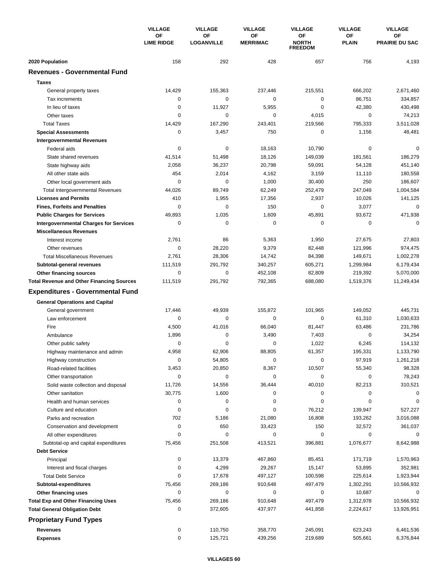|                                                  | <b>VILLAGE</b><br>ОF<br><b>LIME RIDGE</b> | <b>VILLAGE</b>          | <b>VILLAGE</b>        | <b>VILLAGE</b>                       | <b>VILLAGE</b>     | <b>VILLAGE</b>              |
|--------------------------------------------------|-------------------------------------------|-------------------------|-----------------------|--------------------------------------|--------------------|-----------------------------|
|                                                  |                                           | OF<br><b>LOGANVILLE</b> | ΟF<br><b>MERRIMAC</b> | OF<br><b>NORTH</b><br><b>FREEDOM</b> | ΟF<br><b>PLAIN</b> | OF<br><b>PRAIRIE DU SAC</b> |
| 2020 Population                                  | 158                                       | 292                     | 428                   | 657                                  | 756                | 4,193                       |
| <b>Revenues - Governmental Fund</b>              |                                           |                         |                       |                                      |                    |                             |
| <b>Taxes</b>                                     |                                           |                         |                       |                                      |                    |                             |
| General property taxes                           | 14,429                                    | 155,363                 | 237,446               | 215,551                              | 666,202            | 2,671,460                   |
| Tax increments                                   | 0                                         | 0                       | 0                     | 0                                    | 86,751             | 334,857                     |
| In lieu of taxes                                 | $\mathbf 0$                               | 11,927                  | 5,955                 | $\mathbf 0$                          | 42,380             | 430,498                     |
| Other taxes                                      | 0                                         | 0                       | 0                     | 4,015                                | 0                  | 74,213                      |
| <b>Total Taxes</b>                               | 14,429                                    | 167,290                 | 243,401               | 219,566                              | 795,333            | 3,511,028                   |
| <b>Special Assessments</b>                       | 0                                         | 3,457                   | 750                   | 0                                    | 1,156              | 48,481                      |
| <b>Intergovernmental Revenues</b>                |                                           |                         |                       |                                      |                    |                             |
| Federal aids                                     | 0                                         | 0                       | 18,163                | 10,790                               | $\mathbf 0$        | $\Omega$                    |
| State shared revenues                            | 41,514                                    | 51,498                  | 18,126                | 149,039                              | 181,561            | 186,279                     |
| State highway aids                               | 2,058                                     | 36,237                  | 20,798                | 59,091                               | 54,128             | 451,140                     |
| All other state aids                             | 454                                       | 2,014                   | 4,162                 | 3,159                                | 11,110             | 180,558                     |
| Other local government aids                      | 0                                         | 0                       | 1,000                 | 30,400                               | 250                | 186,607                     |
| <b>Total Intergovernmental Revenues</b>          | 44,026                                    | 89,749                  | 62,249                | 252,479                              | 247,049            | 1,004,584                   |
| <b>Licenses and Permits</b>                      | 410                                       | 1,955                   | 17,356                | 2,937                                | 10,026             | 141,125                     |
| <b>Fines, Forfeits and Penalties</b>             | 0                                         | $\mathbf 0$             | 150                   | 0                                    | 3,077              | $\Omega$                    |
| <b>Public Charges for Services</b>               | 49,893                                    | 1,035                   | 1,609                 | 45,891                               | 93,672             | 471,938                     |
| <b>Intergovernmental Charges for Services</b>    | $\mathbf 0$                               | $\mathbf 0$             | $\mathbf 0$           | $\mathbf 0$                          | $\mathbf 0$        | $\Omega$                    |
| <b>Miscellaneous Revenues</b>                    |                                           |                         |                       |                                      |                    |                             |
| Interest income                                  | 2,761                                     | 86                      | 5,363                 | 1,950                                | 27,675             | 27,803                      |
| Other revenues                                   | 0                                         | 28,220                  | 9,379                 | 82,448                               | 121,996            | 974,475                     |
| <b>Total Miscellaneous Revenues</b>              | 2,761                                     | 28,306                  | 14,742                | 84,398                               | 149,671            | 1,002,278                   |
| Subtotal-general revenues                        | 111,519                                   | 291,792                 | 340,257               | 605,271                              | 1,299,984          | 6,179,434                   |
| <b>Other financing sources</b>                   | 0                                         | $\pmb{0}$               | 452,108               | 82,809                               | 219,392            | 5,070,000                   |
| <b>Total Revenue and Other Financing Sources</b> | 111,519                                   | 291,792                 | 792,365               | 688,080                              | 1,519,376          | 11,249,434                  |
|                                                  |                                           |                         |                       |                                      |                    |                             |
| <b>Expenditures - Governmental Fund</b>          |                                           |                         |                       |                                      |                    |                             |
| <b>General Operations and Capital</b>            |                                           |                         |                       |                                      |                    |                             |
| General government                               | 17,446                                    | 49,939                  | 155,872               | 101,965                              | 149,052            | 445,731                     |
| Law enforcement                                  | 0                                         | 0                       | 0                     | 0                                    | 61,310             | 1,030,633                   |
| Fire                                             | 4,500                                     | 41,016                  | 66,040                | 81,447                               | 63,486             | 231,786                     |
| Ambulance                                        | 1,896                                     | 0                       | 3,490                 | 7,403                                | $\mathbf 0$        | 34,254                      |
| Other public safety                              | 0                                         | 0                       | 0                     | 1,022                                | 6,245              | 114,132                     |
| Highway maintenance and admin                    | 4,958                                     | 62,906                  | 88,805                | 61,357                               | 195,331            | 1,133,790                   |
| Highway construction                             | 0                                         | 54,805                  | 0                     | 0                                    | 97,919             | 1,261,218                   |
| Road-related facilities                          | 3,453                                     | 20,850                  | 8,367                 | 10,507                               | 55,340             | 98,328                      |
| Other transportation                             | 0                                         | 0                       | 0                     | 0                                    | 0                  | 78,243                      |
| Solid waste collection and disposal              | 11,726                                    | 14,556                  | 36,444                | 40,010                               | 82,213             | 310,521                     |
| Other sanitation                                 | 30,775                                    | 1,600                   | 0                     | 0                                    | 0                  | 0                           |
| Health and human services                        | 0                                         | 0                       | 0                     | 0                                    | 0                  | 0                           |
| Culture and education                            | 0                                         | 0                       | 0                     | 76,212                               | 139,947            | 527,227                     |
| Parks and recreation                             | 702                                       | 5,186                   | 21,080                | 16,808                               | 193,262            | 3,016,088                   |
| Conservation and development                     | 0                                         | 650                     | 33,423                | 150                                  | 32,572             | 361,037                     |
| All other expenditures                           | 0                                         | 0                       | 0                     | 0                                    | 0                  | 0                           |
| Subtotal-op and capital expenditures             | 75,456                                    | 251,508                 | 413,521               | 396,881                              | 1,076,677          | 8,642,988                   |
| <b>Debt Service</b>                              |                                           |                         |                       |                                      |                    |                             |
| Principal                                        | 0                                         | 13,379                  | 467,860               | 85,451                               | 171,719            | 1,570,963                   |
| Interest and fiscal charges                      | 0                                         | 4,299                   | 29,267                | 15,147                               | 53,895             | 352,981                     |
| <b>Total Debt Service</b>                        | 0                                         | 17,678                  | 497,127               | 100,598                              | 225,614            | 1,923,944                   |
| Subtotal-expenditures                            | 75,456                                    | 269,186                 | 910,648               | 497,479                              | 1,302,291          | 10,566,932                  |
| Other financing uses                             | 0                                         | 0                       | 0                     | 0                                    | 10,687             | 0                           |
| <b>Total Exp and Other Financing Uses</b>        | 75,456                                    | 269,186                 | 910,648               | 497,479                              | 1,312,978          | 10,566,932                  |
| <b>Total General Obligation Debt</b>             | 0                                         | 372,605                 | 437,977               | 441,858                              | 2,224,617          | 13,926,951                  |
| <b>Proprietary Fund Types</b>                    |                                           |                         |                       |                                      |                    |                             |
| Revenues                                         | 0                                         | 110,750                 | 358,770               | 245,091                              | 623,243            | 6,461,536                   |
| <b>Expenses</b>                                  | 0                                         | 125,721                 | 439,256               | 219,689                              | 505,661            | 6,376,844                   |
|                                                  |                                           |                         |                       |                                      |                    |                             |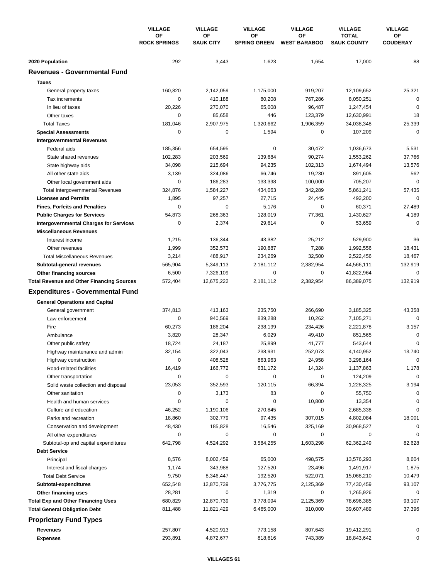|                                                  | <b>VILLAGE</b><br><b>OF</b><br><b>ROCK SPRINGS</b> | <b>VILLAGE</b>         | <b>VILLAGE</b><br>ΟF<br><b>SPRING GREEN</b> | <b>VILLAGE</b>            | <b>VILLAGE</b><br><b>TOTAL</b><br><b>SAUK COUNTY</b> | <b>VILLAGE</b><br>ОF<br><b>COUDERAY</b> |
|--------------------------------------------------|----------------------------------------------------|------------------------|---------------------------------------------|---------------------------|------------------------------------------------------|-----------------------------------------|
|                                                  |                                                    | OF<br><b>SAUK CITY</b> |                                             | ΟF<br><b>WEST BARABOO</b> |                                                      |                                         |
| 2020 Population                                  | 292                                                | 3,443                  | 1,623                                       | 1,654                     | 17,000                                               | 88                                      |
| <b>Revenues - Governmental Fund</b>              |                                                    |                        |                                             |                           |                                                      |                                         |
| <b>Taxes</b>                                     |                                                    |                        |                                             |                           |                                                      |                                         |
| General property taxes                           | 160,820                                            | 2,142,059              | 1,175,000                                   | 919,207                   | 12,109,652                                           | 25,321                                  |
| Tax increments                                   | 0                                                  | 410,188                | 80,208                                      | 767,286                   | 8,050,251                                            | $\mathbf 0$                             |
| In lieu of taxes                                 | 20,226                                             | 270,070                | 65,008                                      | 96,487                    | 1,247,454                                            | $\mathbf 0$                             |
| Other taxes                                      | 0                                                  | 85,658                 | 446                                         | 123,379                   | 12,630,991                                           | 18                                      |
| <b>Total Taxes</b>                               | 181,046                                            | 2,907,975              | 1,320,662                                   | 1,906,359                 | 34,038,348                                           | 25,339                                  |
| <b>Special Assessments</b>                       | 0                                                  | 0                      | 1,594                                       | 0                         | 107,209                                              | 0                                       |
| <b>Intergovernmental Revenues</b>                |                                                    |                        |                                             |                           |                                                      |                                         |
| Federal aids                                     | 185,356                                            | 654,595                | 0                                           | 30,472                    | 1,036,673                                            | 5,531                                   |
| State shared revenues                            | 102,283                                            | 203,569                | 139,684                                     | 90,274                    | 1,553,262                                            | 37,766                                  |
| State highway aids                               | 34,098                                             | 215,694                | 94,235                                      | 102,313                   | 1,674,494                                            | 13,576                                  |
| All other state aids                             | 3,139                                              | 324,086                | 66,746                                      | 19,230                    | 891,605                                              | 562                                     |
| Other local government aids                      | $\mathbf 0$                                        | 186,283                | 133,398                                     | 100,000                   | 705,207                                              | $\mathbf 0$                             |
| <b>Total Intergovernmental Revenues</b>          | 324,876                                            | 1,584,227              | 434,063                                     | 342,289                   | 5,861,241                                            | 57,435                                  |
| <b>Licenses and Permits</b>                      | 1,895                                              | 97,257                 | 27,715                                      | 24,445                    | 492,200                                              | $\mathbf 0$                             |
| <b>Fines, Forfeits and Penalties</b>             | 0                                                  | 0                      | 5,176                                       | 0                         | 60,371                                               | 27,489                                  |
| <b>Public Charges for Services</b>               | 54,873                                             | 268,363                | 128,019                                     | 77,361                    | 1,430,627                                            | 4,189                                   |
| <b>Intergovernmental Charges for Services</b>    | $\mathbf 0$                                        | 2,374                  | 29,614                                      | $\mathbf 0$               | 53,659                                               | $\mathbf 0$                             |
| <b>Miscellaneous Revenues</b>                    |                                                    |                        |                                             |                           |                                                      |                                         |
| Interest income                                  | 1,215                                              | 136,344                | 43,382                                      | 25,212                    | 529,900                                              | 36                                      |
| Other revenues                                   | 1,999                                              | 352,573                | 190,887                                     | 7,288                     | 1,992,556                                            | 18,431                                  |
| <b>Total Miscellaneous Revenues</b>              | 3,214                                              | 488,917                | 234,269                                     | 32,500                    | 2,522,456                                            | 18,467                                  |
| Subtotal-general revenues                        | 565,904                                            | 5,349,113              | 2,181,112                                   | 2,382,954                 | 44,566,111                                           | 132,919                                 |
| Other financing sources                          | 6,500                                              | 7,326,109              | 0                                           | 0                         | 41,822,964                                           | $\mathbf 0$                             |
| <b>Total Revenue and Other Financing Sources</b> | 572,404                                            | 12,675,222             | 2,181,112                                   | 2,382,954                 | 86,389,075                                           | 132,919                                 |
| <b>Expenditures - Governmental Fund</b>          |                                                    |                        |                                             |                           |                                                      |                                         |
| <b>General Operations and Capital</b>            |                                                    |                        |                                             |                           |                                                      |                                         |
| General government                               | 374,813                                            | 413,163                | 235,750                                     | 266,690                   | 3,185,325                                            | 43,358                                  |
| Law enforcement                                  | $\mathbf 0$                                        | 940,569                | 839,288                                     | 10,262                    | 7,105,271                                            | $\mathbf 0$                             |
| Fire                                             | 60,273                                             | 186,204                | 238,199                                     | 234,426                   | 2,221,878                                            | 3,157                                   |
| Ambulance                                        | 3,820                                              | 28,347                 | 6,029                                       | 49,410                    | 851,565                                              | $\mathbf 0$                             |
| Other public safety                              | 18,724                                             | 24,187                 | 25,899                                      | 41,777                    | 543,644                                              | $\mathbf 0$                             |
| Highway maintenance and admin                    | 32,154                                             | 322,043                | 238,931                                     | 252,073                   | 4,140,952                                            | 13,740                                  |
| Highway construction                             | 0                                                  | 408,528                | 863,963                                     | 24,958                    | 3,298,164                                            | $\mathbf 0$                             |
| Road-related facilities                          | 16,419                                             | 166,772                | 631,172                                     | 14,324                    | 1,137,863                                            | 1,178                                   |
| Other transportation                             | 0                                                  | 0                      | 0                                           | 0                         | 124,209                                              | $\mathbf 0$                             |
| Solid waste collection and disposal              | 23,053                                             | 352,593                | 120,115                                     | 66,394                    | 1,228,325                                            | 3,194                                   |
| Other sanitation                                 | 0                                                  | 3,173                  | 83                                          | 0                         | 55,750                                               | 0                                       |
| Health and human services                        | 0                                                  | 0                      | 0                                           | 10,800                    | 13,354                                               | 0                                       |
| Culture and education                            | 46,252                                             | 1,190,106              | 270,845                                     | 0                         | 2,685,338                                            | $\mathbf 0$                             |
| Parks and recreation                             | 18,860                                             | 302,779                | 97,435                                      | 307,015                   | 4,802,084                                            | 18,001                                  |
| Conservation and development                     | 48,430                                             | 185,828                | 16,546                                      | 325,169                   | 30,968,527                                           | 0                                       |
| All other expenditures                           | 0                                                  | 0                      | 0                                           | 0                         | 0                                                    | 0                                       |
| Subtotal-op and capital expenditures             | 642,798                                            | 4,524,292              | 3,584,255                                   | 1,603,298                 | 62,362,249                                           | 82,628                                  |
| <b>Debt Service</b>                              |                                                    |                        |                                             |                           |                                                      |                                         |
| Principal                                        | 8,576                                              | 8,002,459              | 65,000                                      | 498,575                   | 13,576,293                                           | 8,604                                   |
| Interest and fiscal charges                      | 1,174                                              | 343,988                | 127,520                                     | 23,496                    | 1,491,917                                            | 1,875                                   |
| <b>Total Debt Service</b>                        | 9,750                                              | 8,346,447              | 192,520                                     | 522,071                   | 15,068,210                                           | 10,479                                  |
| Subtotal-expenditures                            | 652,548                                            | 12,870,739             | 3,776,775                                   | 2,125,369                 | 77,430,459                                           | 93,107                                  |
| Other financing uses                             | 28,281                                             | 0                      | 1,319                                       | 0                         | 1,265,926                                            | 0                                       |
| <b>Total Exp and Other Financing Uses</b>        | 680,829                                            | 12,870,739             | 3,778,094                                   | 2,125,369                 | 78,696,385                                           | 93,107                                  |
| <b>Total General Obligation Debt</b>             | 811,488                                            | 11,821,429             | 6,465,000                                   | 310,000                   | 39,607,489                                           | 37,396                                  |
| <b>Proprietary Fund Types</b>                    |                                                    |                        |                                             |                           |                                                      |                                         |
| <b>Revenues</b>                                  | 257,807                                            | 4,520,913              | 773,158                                     | 807,643                   | 19,412,291                                           | 0                                       |
| <b>Expenses</b>                                  | 293,891                                            | 4,872,677              | 818,616                                     | 743,389                   | 18,843,642                                           | 0                                       |
|                                                  |                                                    |                        |                                             |                           |                                                      |                                         |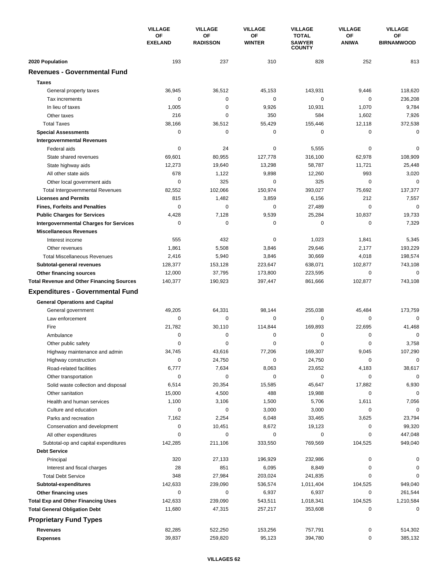|                                                             | <b>VILLAGE</b><br>ОF<br><b>EXELAND</b> | <b>VILLAGE</b>        | <b>VILLAGE</b>      | <b>VILLAGE</b>                                 | <b>VILLAGE</b>        | <b>VILLAGE</b>          |
|-------------------------------------------------------------|----------------------------------------|-----------------------|---------------------|------------------------------------------------|-----------------------|-------------------------|
|                                                             |                                        | ΟF<br><b>RADISSON</b> | ΟF<br><b>WINTER</b> | <b>TOTAL</b><br><b>SAWYER</b><br><b>COUNTY</b> | ΟF<br><b>ANIWA</b>    | OF<br><b>BIRNAMWOOD</b> |
| 2020 Population                                             | 193                                    | 237                   | 310                 | 828                                            | 252                   | 813                     |
| <b>Revenues - Governmental Fund</b>                         |                                        |                       |                     |                                                |                       |                         |
| <b>Taxes</b>                                                |                                        |                       |                     |                                                |                       |                         |
| General property taxes                                      | 36,945                                 | 36,512                | 45,153              | 143,931                                        | 9,446                 | 118,620                 |
| Tax increments                                              | 0                                      | 0                     | 0                   | $\pmb{0}$                                      | 0                     | 236,208                 |
| In lieu of taxes                                            | 1,005                                  | 0                     | 9,926               | 10,931                                         | 1,070                 | 9,784                   |
| Other taxes                                                 | 216                                    | 0                     | 350                 | 584                                            | 1,602                 | 7,926                   |
| <b>Total Taxes</b>                                          | 38,166                                 | 36,512                | 55,429              | 155,446                                        | 12,118                | 372,538                 |
| <b>Special Assessments</b>                                  | $\mathbf 0$                            | 0                     | 0                   | $\pmb{0}$                                      | 0                     | 0                       |
| <b>Intergovernmental Revenues</b>                           |                                        |                       |                     |                                                |                       |                         |
| Federal aids                                                | 0                                      | 24                    | 0                   | 5,555                                          | 0                     | $\Omega$                |
| State shared revenues                                       | 69,601                                 | 80,955                | 127,778             | 316,100                                        | 62,978                | 108,909                 |
| State highway aids                                          | 12,273                                 | 19,640                | 13,298              | 58,787                                         | 11,721                | 25,448                  |
| All other state aids                                        | 678                                    | 1,122                 | 9,898               | 12,260                                         | 993                   | 3,020                   |
| Other local government aids                                 | 0                                      | 325                   | 0                   | 325                                            | $\mathbf 0$           | 0                       |
| <b>Total Intergovernmental Revenues</b>                     | 82,552                                 | 102,066               | 150,974             | 393,027                                        | 75,692                | 137,377                 |
| <b>Licenses and Permits</b>                                 | 815                                    | 1,482                 | 3,859               | 6,156                                          | 212                   | 7,557                   |
| <b>Fines, Forfeits and Penalties</b>                        | $\mathbf 0$                            | $\mathbf 0$           | 0                   | 27,489                                         | 0                     | $\Omega$                |
| <b>Public Charges for Services</b>                          | 4,428                                  | 7,128                 | 9,539               | 25,284                                         | 10,837                | 19,733                  |
| <b>Intergovernmental Charges for Services</b>               | $\mathbf 0$                            | 0                     | 0                   | 0                                              | $\mathbf 0$           | 7,329                   |
| <b>Miscellaneous Revenues</b>                               |                                        |                       |                     |                                                |                       |                         |
| Interest income                                             | 555                                    | 432                   | 0                   | 1,023                                          | 1,841                 | 5,345                   |
| Other revenues                                              | 1,861                                  | 5,508                 | 3,846               | 29,646                                         | 2,177                 | 193,229                 |
| <b>Total Miscellaneous Revenues</b>                         | 2,416                                  | 5,940                 | 3,846               | 30,669                                         | 4,018                 | 198,574                 |
| Subtotal-general revenues                                   | 128,377                                | 153,128               | 223,647             | 638,071                                        | 102,877               | 743,108                 |
| <b>Other financing sources</b>                              | 12,000                                 | 37,795                | 173,800             | 223,595                                        | 0                     | 0                       |
| <b>Total Revenue and Other Financing Sources</b>            | 140,377                                | 190,923               | 397,447             | 861,666                                        | 102,877               | 743,108                 |
| <b>Expenditures - Governmental Fund</b>                     |                                        |                       |                     |                                                |                       |                         |
|                                                             |                                        |                       |                     |                                                |                       |                         |
| <b>General Operations and Capital</b>                       |                                        |                       |                     |                                                |                       |                         |
| General government                                          | 49,205                                 | 64,331                | 98,144              | 255,038<br>$\mathbf 0$                         | 45,484<br>$\mathbf 0$ | 173,759<br>$\mathbf 0$  |
| Law enforcement<br>Fire                                     | 0                                      | 0                     | 0                   | 169,893                                        |                       |                         |
|                                                             | 21,782<br>0                            | 30,110<br>0           | 114,844<br>0        | 0                                              | 22,695<br>0           | 41,468<br>0             |
| Ambulance<br>Other public safety                            | 0                                      | 0                     | 0                   | $\mathbf 0$                                    | 0                     | 3,758                   |
|                                                             | 34,745                                 | 43,616                | 77.206              | 169,307                                        | 9,045                 | 107,290                 |
| Highway maintenance and admin                               | $\mathbf 0$                            |                       |                     |                                                | 0                     | 0                       |
| Highway construction                                        |                                        | 24,750                | 0                   | 24,750                                         |                       |                         |
| Road-related facilities                                     | 6,777<br>0                             | 7,634<br>0            | 8,063<br>0          | 23,652<br>$\pmb{0}$                            | 4,183                 | 38,617<br>$\mathbf 0$   |
| Other transportation                                        |                                        |                       |                     |                                                | 0                     |                         |
| Solid waste collection and disposal<br>Other sanitation     | 6,514                                  | 20,354                | 15,585              | 45,647                                         | 17,882<br>$\mathbf 0$ | 6,930<br>0              |
|                                                             | 15,000                                 | 4,500                 | 488                 | 19,988                                         |                       |                         |
| Health and human services                                   | 1,100<br>0                             | 3,106<br>0            | 1,500<br>3,000      | 5,706                                          | 1,611<br>0            | 7,056<br>0              |
| Culture and education                                       | 7,162                                  | 2,254                 | 6,048               | 3,000                                          | 3,625                 | 23,794                  |
| Parks and recreation<br>Conservation and development        | 0                                      |                       | 8,672               | 33,465                                         | 0                     | 99,320                  |
|                                                             | 0                                      | 10,451<br>0           | 0                   | 19,123<br>0                                    | 0                     | 447,048                 |
| All other expenditures                                      | 142,285                                | 211,106               | 333,550             | 769,569                                        | 104,525               | 949,040                 |
| Subtotal-op and capital expenditures<br><b>Debt Service</b> |                                        |                       |                     |                                                |                       |                         |
|                                                             | 320                                    | 27,133                |                     |                                                | 0                     | 0                       |
| Principal                                                   |                                        |                       | 196,929             | 232,986                                        |                       |                         |
| Interest and fiscal charges                                 | 28<br>348                              | 851<br>27,984         | 6,095               | 8,849<br>241,835                               | 0<br>0                | 0<br>0                  |
| <b>Total Debt Service</b>                                   | 142,633                                | 239,090               | 203,024<br>536,574  |                                                |                       |                         |
| Subtotal-expenditures                                       | 0                                      | 0                     | 6,937               | 1,011,404<br>6,937                             | 104,525<br>0          | 949,040<br>261,544      |
| Other financing uses                                        |                                        |                       |                     |                                                | 104,525               |                         |
| <b>Total Exp and Other Financing Uses</b>                   | 142,633<br>11,680                      | 239,090               | 543,511<br>257,217  | 1,018,341                                      | 0                     | 1,210,584<br>0          |
| <b>Total General Obligation Debt</b>                        |                                        | 47,315                |                     | 353,608                                        |                       |                         |
| <b>Proprietary Fund Types</b>                               |                                        |                       |                     |                                                |                       |                         |
| Revenues                                                    | 82,285                                 | 522,250               | 153,256             | 757,791                                        | 0                     | 514,302                 |
| <b>Expenses</b>                                             | 39,837                                 | 259,820               | 95,123              | 394,780                                        | $\pmb{0}$             | 385,132                 |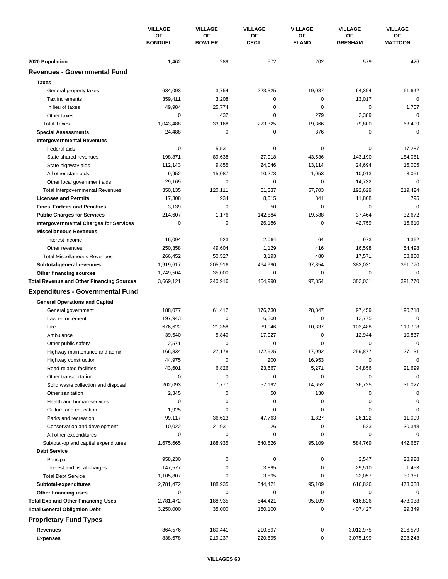|                                                        | <b>VILLAGE</b><br>ΟF<br><b>BONDUEL</b> | <b>VILLAGE</b>      | <b>VILLAGE</b>     | <b>VILLAGE</b>     | <b>VILLAGE</b>       | <b>VILLAGE</b>       |
|--------------------------------------------------------|----------------------------------------|---------------------|--------------------|--------------------|----------------------|----------------------|
|                                                        |                                        | OF<br><b>BOWLER</b> | ΟF<br><b>CECIL</b> | OF<br><b>ELAND</b> | ΟF<br><b>GRESHAM</b> | OF<br><b>MATTOON</b> |
| 2020 Population                                        | 1,462                                  | 289                 | 572                | 202                | 579                  | 426                  |
| <b>Revenues - Governmental Fund</b>                    |                                        |                     |                    |                    |                      |                      |
| <b>Taxes</b>                                           |                                        |                     |                    |                    |                      |                      |
| General property taxes                                 | 634,093                                | 3,754               | 223,325            | 19,087             | 64,394               | 61,642               |
| Tax increments                                         | 359,411                                | 3,208               | 0                  | 0                  | 13,017               | $\mathbf 0$          |
| In lieu of taxes                                       | 49,984                                 | 25,774              | 0                  | 0                  | $\mathbf 0$          | 1,767                |
| Other taxes                                            | 0                                      | 432                 | 0                  | 279                | 2,389                | $\mathbf 0$          |
| <b>Total Taxes</b>                                     | 1,043,488                              | 33,168              | 223,325            | 19,366             | 79,800               | 63,409               |
| <b>Special Assessments</b>                             | 24,488                                 | 0                   | 0                  | 376                | 0                    | 0                    |
| <b>Intergovernmental Revenues</b>                      |                                        |                     |                    |                    |                      |                      |
| Federal aids                                           | 0                                      | 5,531               | 0                  | 0                  | 0                    | 17,287               |
| State shared revenues                                  | 198,871                                | 89,638              | 27,018             | 43,536             | 143,190              | 184,081              |
| State highway aids                                     | 112,143                                | 9,855               | 24,046             | 13,114             | 24,694               | 15,005               |
| All other state aids                                   | 9,952                                  | 15,087              | 10,273             | 1,053              | 10,013               | 3,051                |
| Other local government aids                            | 29,169                                 | 0                   | 0                  | 0                  | 14,732               | $\mathbf 0$          |
| <b>Total Intergovernmental Revenues</b>                | 350,135                                | 120,111             | 61,337             | 57,703             | 192,629              | 219,424              |
| <b>Licenses and Permits</b>                            | 17,308                                 | 934                 | 8,015              | 341                | 11,808               | 795                  |
| <b>Fines, Forfeits and Penalties</b>                   | 3,139                                  | 0                   | 50                 | 0                  | $\mathbf 0$          | $\mathbf 0$          |
| <b>Public Charges for Services</b>                     | 214,607                                | 1,176               | 142,884            | 19,588             | 37,464               | 32,672               |
| <b>Intergovernmental Charges for Services</b>          | 0                                      | $\mathbf 0$         | 26,186             | 0                  | 42,759               | 16,610               |
| <b>Miscellaneous Revenues</b>                          |                                        |                     |                    |                    |                      |                      |
| Interest income                                        | 16,094                                 | 923                 | 2,064              | 64                 | 973                  | 4,362                |
| Other revenues                                         | 250,358                                | 49,604              | 1,129              | 416                | 16,598               | 54,498               |
| <b>Total Miscellaneous Revenues</b>                    | 266,452                                | 50,527              | 3,193              | 480                | 17,571               | 58,860               |
| Subtotal-general revenues                              | 1,919,617                              | 205,916             | 464,990            | 97,854             | 382,031              | 391,770              |
| Other financing sources                                | 1,749,504                              | 35,000              | 0                  | 0                  | $\mathbf 0$          | $\mathbf 0$          |
| <b>Total Revenue and Other Financing Sources</b>       | 3,669,121                              | 240,916             | 464,990            | 97,854             | 382,031              | 391,770              |
| <b>Expenditures - Governmental Fund</b>                |                                        |                     |                    |                    |                      |                      |
| <b>General Operations and Capital</b>                  |                                        |                     |                    |                    |                      |                      |
| General government                                     | 188,077                                | 61,412              | 176,730            | 28,847             | 97,459               | 190,718              |
| Law enforcement                                        | 197,943                                | 0                   | 6,300              | 0                  | 12,775               | 0                    |
| Fire                                                   | 676,622                                | 21,358              | 39,046             | 10,337             | 103,488              | 119,798              |
| Ambulance                                              | 39,540                                 | 5,840               | 17,027             | 0                  | 12,944               | 10,837               |
| Other public safety                                    | 2,571                                  | 0                   | 0                  | 0                  | 0                    | $\mathbf 0$          |
| Highway maintenance and admin                          | 166,834                                | 27,178              | 172,525            | 17,092             | 259,877              | 27,131               |
| Highway construction                                   | 44,975                                 | 0                   | 200                | 16,953             | 0                    | 0                    |
| Road-related facilities                                | 43,601                                 | 6,826               | 23,667             | 5,271              | 34,856               | 21,699               |
| Other transportation                                   | 0                                      | $\pmb{0}$           | 0                  | 0                  | 0                    | $\mathbf 0$          |
| Solid waste collection and disposal                    | 202,093                                | 7,777               | 57,192             | 14,652             | 36,725               | 31,027               |
| Other sanitation                                       | 2,345                                  | $\pmb{0}$           | 50                 | 130                | 0                    | 0                    |
| Health and human services                              | 0                                      | 0                   | 0                  | 0                  | $\mathbf 0$          | 0                    |
| Culture and education                                  | 1,925                                  | 0                   | 0                  | 0                  | 0                    | $\mathbf 0$          |
| Parks and recreation                                   | 99,117                                 | 36,613              | 47,763<br>26       | 1,827<br>0         | 26,122<br>523        | 11,099<br>30,348     |
| Conservation and development<br>All other expenditures | 10,022<br>0                            | 21,931<br>0         | 0                  | 0                  | 0                    | 0                    |
| Subtotal-op and capital expenditures                   | 1,675,665                              | 188,935             | 540,526            | 95,109             | 584,769              | 442,657              |
| <b>Debt Service</b>                                    |                                        |                     |                    |                    |                      |                      |
| Principal                                              | 958,230                                | $\pmb{0}$           | 0                  | 0                  | 2,547                | 28,928               |
| Interest and fiscal charges                            | 147,577                                | 0                   | 3,895              | 0                  | 29,510               | 1,453                |
| <b>Total Debt Service</b>                              | 1,105,807                              | 0                   | 3,895              | 0                  | 32,057               | 30,381               |
| Subtotal-expenditures                                  | 2,781,472                              | 188,935             | 544,421            | 95,109             | 616,826              | 473,038              |
| Other financing uses                                   | 0                                      | 0                   | 0                  | 0                  | 0                    | 0                    |
| <b>Total Exp and Other Financing Uses</b>              | 2,781,472                              | 188,935             | 544,421            | 95,109             | 616,826              | 473,038              |
| <b>Total General Obligation Debt</b>                   | 3,250,000                              | 35,000              | 150,100            | 0                  | 407,427              | 29,349               |
| <b>Proprietary Fund Types</b>                          |                                        |                     |                    |                    |                      |                      |
| Revenues                                               | 864,576                                | 180,441             | 210,597            | 0                  | 3,012,975            | 206,579              |
| <b>Expenses</b>                                        | 838,678                                | 219,237             | 220,595            | 0                  | 3,075,199            | 208,243              |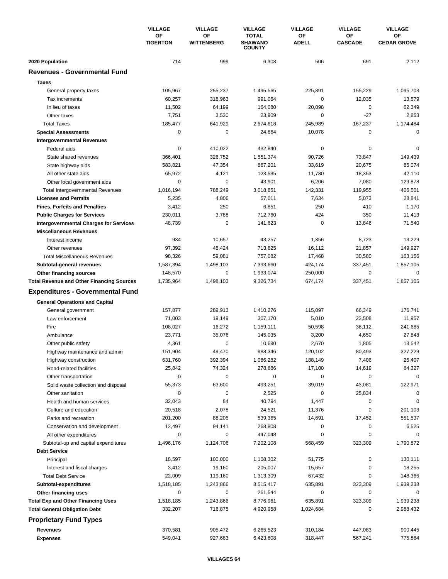|                                                  | <b>VILLAGE</b><br>ОF<br><b>TIGERTON</b> | <b>VILLAGE</b>          | <b>VILLAGE</b>                                  | <b>VILLAGE</b>     | <b>VILLAGE</b>       | <b>VILLAGE</b>           |
|--------------------------------------------------|-----------------------------------------|-------------------------|-------------------------------------------------|--------------------|----------------------|--------------------------|
|                                                  |                                         | ΟF<br><b>WITTENBERG</b> | <b>TOTAL</b><br><b>SHAWANO</b><br><b>COUNTY</b> | OF<br><b>ADELL</b> | OF<br><b>CASCADE</b> | OF<br><b>CEDAR GROVE</b> |
| 2020 Population                                  | 714                                     | 999                     | 6,308                                           | 506                | 691                  | 2,112                    |
| <b>Revenues - Governmental Fund</b>              |                                         |                         |                                                 |                    |                      |                          |
| <b>Taxes</b>                                     |                                         |                         |                                                 |                    |                      |                          |
| General property taxes                           | 105,967                                 | 255,237                 | 1,495,565                                       | 225,891            | 155,229              | 1,095,703                |
| Tax increments                                   | 60,257                                  | 318,963                 | 991,064                                         | 0                  | 12,035               | 13,579                   |
| In lieu of taxes                                 | 11,502                                  | 64,199                  | 164,080                                         | 20,098             | 0                    | 62,349                   |
| Other taxes                                      | 7,751                                   | 3,530                   | 23,909                                          | 0                  | -27                  | 2,853                    |
| <b>Total Taxes</b>                               | 185,477                                 | 641,929                 | 2,674,618                                       | 245,989            | 167,237              | 1,174,484                |
| <b>Special Assessments</b>                       | $\mathbf 0$                             | 0                       | 24,864                                          | 10,078             | 0                    | $\mathbf 0$              |
| <b>Intergovernmental Revenues</b>                |                                         |                         |                                                 |                    |                      |                          |
| Federal aids                                     | 0                                       | 410,022                 | 432,840                                         | 0                  | 0                    | $\Omega$                 |
| State shared revenues                            | 366,401                                 | 326,752                 | 1,551,374                                       | 90,726             | 73,847               | 149,439                  |
| State highway aids                               | 583,821                                 | 47,354                  | 867,201                                         | 33,619             | 20,675               | 85,074                   |
| All other state aids                             | 65,972                                  | 4,121                   | 123,535                                         | 11,780             | 18,353               | 42,110                   |
| Other local government aids                      | 0                                       | 0                       | 43,901                                          | 6,206              | 7,080                | 129,878                  |
| <b>Total Intergovernmental Revenues</b>          | 1,016,194                               | 788,249                 | 3,018,851                                       | 142,331            | 119,955              | 406,501                  |
| <b>Licenses and Permits</b>                      | 5,235                                   | 4,806                   | 57,011                                          | 7,634              | 5,073                | 28,841                   |
| <b>Fines, Forfeits and Penalties</b>             | 3,412                                   | 250                     | 6,851                                           | 250                | 410                  | 1,170                    |
| <b>Public Charges for Services</b>               | 230,011                                 | 3,788                   | 712,760                                         | 424                | 350                  | 11,413                   |
| <b>Intergovernmental Charges for Services</b>    | 48,739                                  | $\mathbf 0$             | 141,623                                         | $\mathbf 0$        | 13,846               | 71,540                   |
| <b>Miscellaneous Revenues</b>                    |                                         |                         |                                                 |                    |                      |                          |
| Interest income                                  | 934                                     | 10,657                  | 43,257                                          | 1,356              | 8,723                | 13,229                   |
| Other revenues                                   | 97,392                                  | 48,424                  | 713,825                                         | 16,112             | 21,857               | 149,927                  |
| <b>Total Miscellaneous Revenues</b>              | 98,326                                  | 59,081                  | 757,082                                         | 17,468             | 30,580               | 163,156                  |
| Subtotal-general revenues                        | 1,587,394                               | 1,498,103               | 7,393,660                                       | 424,174            | 337,451              | 1,857,105                |
| <b>Other financing sources</b>                   | 148,570                                 | 0                       | 1,933,074                                       | 250,000            | 0                    | 0                        |
| <b>Total Revenue and Other Financing Sources</b> | 1,735,964                               | 1,498,103               | 9,326,734                                       | 674,174            | 337,451              | 1,857,105                |
| <b>Expenditures - Governmental Fund</b>          |                                         |                         |                                                 |                    |                      |                          |
| <b>General Operations and Capital</b>            |                                         |                         |                                                 |                    |                      |                          |
| General government                               | 157,877                                 | 289,913                 | 1,410,276                                       | 115,097            | 66,349               | 176,741                  |
| Law enforcement                                  | 71,003                                  | 19,149                  | 307,170                                         | 5,010              | 23,508               | 11,957                   |
| Fire                                             | 108,027                                 | 16,272                  | 1,159,111                                       | 50,598             | 38,112               | 241,685                  |
| Ambulance                                        | 23,771                                  | 35,076                  | 145,035                                         | 3,200              | 4,650                | 27,848                   |
| Other public safety                              | 4,361                                   | 0                       | 10,690                                          | 2,670              | 1,805                | 13,542                   |
| Highway maintenance and admin                    | 151,904                                 | 49,470                  | 988,346                                         | 120,102            | 80.493               | 327,229                  |
| Highway construction                             | 631,760                                 | 392,394                 | 1,086,282                                       | 188,149            | 7,406                | 25,407                   |
| Road-related facilities                          | 25,842                                  | 74,324                  | 278,886                                         | 17,100             | 14,619               | 84,327                   |
| Other transportation                             | $\mathbf 0$                             | 0                       | 0                                               | 0                  | 0                    | $\mathbf 0$              |
| Solid waste collection and disposal              | 55,373                                  | 63,600                  | 493,251                                         | 39,019             | 43,081               | 122,971                  |
| Other sanitation                                 | 0                                       | 0                       | 2,525                                           | $\pmb{0}$          | 25,834               | 0                        |
| Health and human services                        | 32,043                                  | 84                      | 40,794                                          | 1,447              | 0                    | 0                        |
| Culture and education                            | 20,518                                  | 2,078                   | 24,521                                          | 11,376             | 0                    | 201,103                  |
| Parks and recreation                             | 201,200                                 | 88,205                  | 539,365                                         | 14,691             | 17,452               | 551,537                  |
| Conservation and development                     | 12,497                                  | 94,141                  | 268,808                                         | 0                  | 0                    | 6,525                    |
| All other expenditures                           | 0                                       | 0                       | 447,048                                         | 0                  | 0                    | $\Omega$                 |
| Subtotal-op and capital expenditures             | 1,496,176                               | 1,124,706               | 7,202,108                                       | 568,459            | 323,309              | 1,790,872                |
| <b>Debt Service</b>                              |                                         |                         |                                                 |                    |                      |                          |
| Principal                                        | 18,597                                  | 100,000                 | 1,108,302                                       | 51,775             | 0                    | 130,111                  |
| Interest and fiscal charges                      | 3,412                                   | 19,160                  | 205,007                                         | 15,657             | 0                    | 18,255                   |
| <b>Total Debt Service</b>                        | 22,009                                  | 119,160                 | 1,313,309                                       | 67,432             | 0                    | 148,366                  |
| Subtotal-expenditures                            | 1,518,185                               | 1,243,866               | 8,515,417                                       | 635,891            | 323,309              | 1,939,238                |
| Other financing uses                             | 0                                       | 0                       | 261,544                                         | 0                  | 0                    | 0                        |
| <b>Total Exp and Other Financing Uses</b>        | 1,518,185                               | 1,243,866               | 8,776,961                                       | 635,891            | 323,309              | 1,939,238                |
| <b>Total General Obligation Debt</b>             | 332,207                                 | 716,875                 | 4,920,958                                       | 1,024,684          | 0                    | 2,988,432                |
| <b>Proprietary Fund Types</b>                    |                                         |                         |                                                 |                    |                      |                          |
| Revenues                                         | 370,581                                 | 905,472                 | 6,265,523                                       | 310,184            | 447,083              | 900,445                  |
| <b>Expenses</b>                                  | 549,041                                 | 927,683                 | 6,423,808                                       | 318,447            | 567,241              | 775,864                  |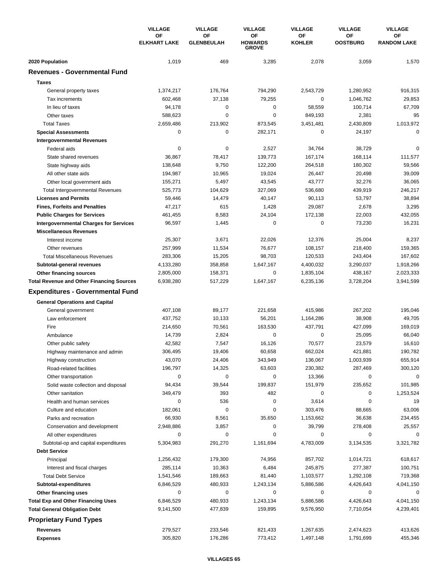|                                                  | <b>VILLAGE</b>            | <b>VILLAGE</b>          | <b>VILLAGE</b>                              | <b>VILLAGE</b>      | <b>VILLAGE</b>        | <b>VILLAGE</b>           |
|--------------------------------------------------|---------------------------|-------------------------|---------------------------------------------|---------------------|-----------------------|--------------------------|
|                                                  | OF<br><b>ELKHART LAKE</b> | OF<br><b>GLENBEULAH</b> | <b>OF</b><br><b>HOWARDS</b><br><b>GROVE</b> | ΟF<br><b>KOHLER</b> | OF<br><b>OOSTBURG</b> | OF<br><b>RANDOM LAKE</b> |
| 2020 Population                                  | 1,019                     | 469                     | 3,285                                       | 2,078               | 3,059                 | 1,570                    |
| <b>Revenues - Governmental Fund</b>              |                           |                         |                                             |                     |                       |                          |
| <b>Taxes</b>                                     |                           |                         |                                             |                     |                       |                          |
| General property taxes                           | 1,374,217                 | 176,764                 | 794,290                                     | 2,543,729           | 1,280,952             | 916,315                  |
| Tax increments                                   | 602,468                   | 37,138                  | 79,255                                      | 0                   | 1.046.762             | 29,853                   |
| In lieu of taxes                                 | 94,178                    | $\mathbf 0$             | $\mathbf 0$                                 | 58,559              | 100,714               | 67,709                   |
| Other taxes                                      | 588,623                   | 0                       | 0                                           | 849,193             | 2,381                 | 95                       |
| <b>Total Taxes</b>                               | 2,659,486                 | 213,902                 | 873,545                                     | 3,451,481           | 2,430,809             | 1,013,972                |
| <b>Special Assessments</b>                       | 0                         | 0                       | 282,171                                     | 0                   | 24,197                | 0                        |
| <b>Intergovernmental Revenues</b>                |                           |                         |                                             |                     |                       |                          |
| Federal aids                                     | 0                         | $\pmb{0}$               | 2,527                                       | 34,764              | 38,729                | 0                        |
| State shared revenues                            | 36,867                    | 78,417                  | 139,773                                     | 167,174             | 168,114               | 111,577                  |
| State highway aids                               | 138,648                   | 9,750                   | 122,200                                     | 264,518             | 180,302               | 59,566                   |
| All other state aids                             | 194,987                   | 10,965                  | 19,024                                      | 26,447              | 20,498                | 39,009                   |
| Other local government aids                      | 155,271                   | 5,497                   | 43,545                                      | 43,777              | 32,276                | 36,065                   |
| <b>Total Intergovernmental Revenues</b>          | 525,773                   | 104,629                 | 327,069                                     | 536,680             | 439,919               | 246,217                  |
| <b>Licenses and Permits</b>                      | 59,446                    | 14,479                  | 40,147                                      | 90,113              | 53,797                | 38,894                   |
| <b>Fines, Forfeits and Penalties</b>             | 47,217                    | 615                     | 1,428                                       | 29,087              | 2,678                 | 3,295                    |
| <b>Public Charges for Services</b>               | 461,455                   | 8,583                   | 24,104                                      | 172,138             | 22,003                | 432,055                  |
| <b>Intergovernmental Charges for Services</b>    | 96,597                    | 1,445                   | 0                                           | $\mathbf 0$         | 73,230                | 16,231                   |
| <b>Miscellaneous Revenues</b>                    |                           |                         |                                             |                     |                       |                          |
| Interest income                                  | 25,307                    | 3,671                   | 22,026                                      | 12,376              | 25,004                | 8,237                    |
| Other revenues                                   | 257,999                   | 11,534                  | 76,677                                      | 108,157             | 218,400               | 159,365                  |
| <b>Total Miscellaneous Revenues</b>              | 283,306                   | 15,205                  | 98,703                                      | 120,533             | 243,404               | 167,602                  |
| Subtotal-general revenues                        | 4,133,280                 | 358,858                 | 1,647,167                                   | 4,400,032           | 3,290,037             | 1,918,266                |
| Other financing sources                          | 2,805,000                 | 158,371                 | 0                                           | 1,835,104           | 438,167               | 2,023,333                |
| <b>Total Revenue and Other Financing Sources</b> | 6,938,280                 | 517,229                 | 1,647,167                                   | 6,235,136           | 3,728,204             | 3,941,599                |
| <b>Expenditures - Governmental Fund</b>          |                           |                         |                                             |                     |                       |                          |
| <b>General Operations and Capital</b>            |                           |                         |                                             |                     |                       |                          |
| General government                               | 407,108                   | 89,177                  | 221,658                                     | 415,986             | 267,202               | 195,046                  |
| Law enforcement                                  | 437,752                   | 10,133                  | 56,201                                      | 1,164,286           | 38,908                | 49,705                   |
| Fire                                             | 214,650                   | 70,561                  | 163,530                                     | 437,791             | 427,099               | 169,019                  |
| Ambulance                                        | 14,739                    | 2,824                   | $\mathbf 0$                                 | 0                   | 25,095                | 66,040                   |
| Other public safety                              | 42,582                    | 7,547                   | 16,126                                      | 70,577              | 23,579                | 16,610                   |
| Highway maintenance and admin                    | 306,495                   | 19,406                  | 60,658                                      | 662,024             | 421,881               | 190,782                  |
| Highway construction                             | 43,070                    | 24,406                  | 343,949                                     | 136,067             | 1,003,939             | 655,914                  |
| Road-related facilities                          | 196,797                   | 14,325                  | 63,603                                      | 230,382             | 287,469               | 300,120                  |
| Other transportation                             | 0                         | 0                       | 0                                           | 13,366              | 0                     | $\mathbf 0$              |
| Solid waste collection and disposal              | 94,434                    | 39,544                  | 199,837                                     | 151,979             | 235,652               | 101,985                  |
| Other sanitation                                 | 349,479                   | 393                     | 482                                         | 0                   | 0                     | 1,253,524                |
| Health and human services                        | 0                         | 536                     | 0                                           | 3,614               | $\mathbf 0$           | 19                       |
| Culture and education                            | 182,061                   | 0                       | 0                                           | 303,476             | 88,665                | 63,006                   |
| Parks and recreation                             | 66,930                    | 8,561                   | 35,650                                      | 1,153,662           | 36,638                | 234,455                  |
| Conservation and development                     | 2,948,886                 | 3,857                   | 0                                           | 39,799              | 278,408               | 25,557                   |
| All other expenditures                           | 0                         | 0                       | 0                                           | 0                   | 0                     | $\Omega$                 |
| Subtotal-op and capital expenditures             | 5,304,983                 | 291,270                 | 1,161,694                                   | 4,783,009           | 3,134,535             | 3,321,782                |
| <b>Debt Service</b>                              |                           |                         |                                             |                     |                       |                          |
| Principal                                        | 1,256,432                 | 179,300                 | 74,956                                      | 857,702             | 1,014,721             | 618,617                  |
| Interest and fiscal charges                      | 285,114                   | 10,363                  | 6,484                                       | 245,875             | 277,387               | 100,751                  |
| <b>Total Debt Service</b>                        | 1,541,546                 | 189,663                 | 81,440                                      | 1,103,577           | 1,292,108             | 719,368                  |
| Subtotal-expenditures                            | 6,846,529                 | 480,933                 | 1,243,134                                   | 5,886,586           | 4,426,643             | 4,041,150                |
| Other financing uses                             | 0                         | 0                       | 0                                           | 0                   | 0                     | 0                        |
| <b>Total Exp and Other Financing Uses</b>        | 6,846,529                 | 480,933                 | 1,243,134                                   | 5,886,586           | 4,426,643             | 4,041,150                |
| <b>Total General Obligation Debt</b>             | 9,141,500                 | 477,839                 | 159,895                                     | 9,576,950           | 7,710,054             | 4,239,401                |
| <b>Proprietary Fund Types</b>                    |                           |                         |                                             |                     |                       |                          |
| <b>Revenues</b>                                  | 279,527                   | 233,546                 | 821,433                                     | 1,267,635           | 2,474,623             | 413,626                  |
| <b>Expenses</b>                                  | 305,820                   | 176,286                 | 773,412                                     | 1,497,148           | 1,791,699             | 455,346                  |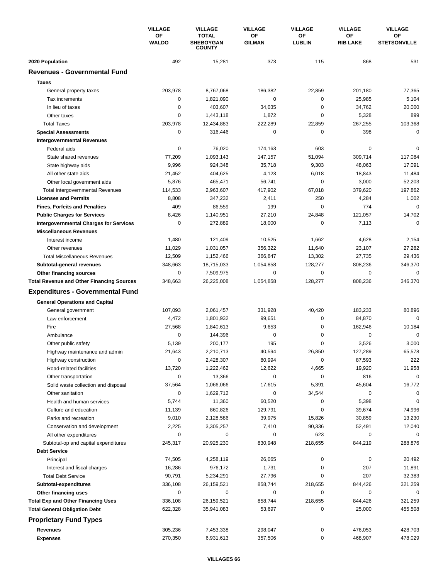|                                                  | <b>VILLAGE</b><br>OF<br><b>WALDO</b> | <b>VILLAGE</b>                                    | <b>VILLAGE</b>      | <b>VILLAGE</b>      | <b>VILLAGE</b>        | <b>VILLAGE</b>            |
|--------------------------------------------------|--------------------------------------|---------------------------------------------------|---------------------|---------------------|-----------------------|---------------------------|
|                                                  |                                      | <b>TOTAL</b><br><b>SHEBOYGAN</b><br><b>COUNTY</b> | ΟF<br><b>GILMAN</b> | OF<br><b>LUBLIN</b> | ΟF<br><b>RIB LAKE</b> | OF<br><b>STETSONVILLE</b> |
| 2020 Population                                  | 492                                  | 15,281                                            | 373                 | 115                 | 868                   | 531                       |
| <b>Revenues - Governmental Fund</b>              |                                      |                                                   |                     |                     |                       |                           |
| <b>Taxes</b>                                     |                                      |                                                   |                     |                     |                       |                           |
| General property taxes                           | 203,978                              | 8,767,068                                         | 186,382             | 22,859              | 201,180               | 77,365                    |
| Tax increments                                   | 0                                    | 1,821,090                                         | 0                   | 0                   | 25,985                | 5,104                     |
| In lieu of taxes                                 | $\mathbf 0$                          | 403,607                                           | 34,035              | $\mathbf 0$         | 34,762                | 20,000                    |
| Other taxes                                      | 0                                    | 1,443,118                                         | 1,872               | $\pmb{0}$           | 5,328                 | 899                       |
| <b>Total Taxes</b>                               | 203,978                              | 12,434,883                                        | 222,289             | 22,859              | 267,255               | 103,368                   |
| <b>Special Assessments</b>                       | 0                                    | 316,446                                           | 0                   | 0                   | 398                   | 0                         |
| <b>Intergovernmental Revenues</b>                |                                      |                                                   |                     |                     |                       |                           |
| Federal aids                                     | 0                                    | 76,020                                            | 174,163             | 603                 | 0                     | $\Omega$                  |
| State shared revenues                            | 77,209                               | 1,093,143                                         | 147,157             | 51,094              | 309,714               | 117,084                   |
| State highway aids                               | 9,996                                | 924,348                                           | 35,718              | 9,303               | 48,063                | 17,091                    |
| All other state aids                             | 21,452                               | 404,625                                           | 4,123               | 6,018               | 18,843                | 11,484                    |
| Other local government aids                      | 5,876                                | 465,471                                           | 56,741              | $\mathbf 0$         | 3,000                 | 52,203                    |
| <b>Total Intergovernmental Revenues</b>          | 114,533                              | 2,963,607                                         | 417,902             | 67,018              | 379,620               | 197,862                   |
| <b>Licenses and Permits</b>                      | 8,808                                | 347,232                                           | 2,411               | 250                 | 4,284                 | 1,002                     |
| <b>Fines, Forfeits and Penalties</b>             | 409                                  | 86,559                                            | 199                 | 0                   | 774                   | $\Omega$                  |
| <b>Public Charges for Services</b>               | 8,426                                | 1,140,951                                         | 27,210              | 24,848              | 121,057               | 14,702                    |
| <b>Intergovernmental Charges for Services</b>    | $\mathbf 0$                          | 272,889                                           | 18,000              | $\mathbf 0$         | 7,113                 | $\mathbf 0$               |
| <b>Miscellaneous Revenues</b>                    |                                      |                                                   |                     |                     |                       |                           |
| Interest income                                  | 1,480                                | 121,409                                           | 10,525              | 1,662               | 4,628                 | 2,154                     |
| Other revenues                                   | 11,029                               | 1,031,057                                         | 356,322             | 11,640              | 23,107                | 27,282                    |
| <b>Total Miscellaneous Revenues</b>              | 12,509                               | 1,152,466                                         | 366,847             | 13,302              | 27,735                | 29,436                    |
| Subtotal-general revenues                        | 348,663                              | 18,715,033                                        | 1,054,858           | 128,277             | 808,236               | 346,370                   |
| <b>Other financing sources</b>                   | 0                                    | 7,509,975                                         | 0                   | 0                   | $\mathbf 0$           | 0                         |
| <b>Total Revenue and Other Financing Sources</b> | 348,663                              | 26,225,008                                        | 1,054,858           | 128,277             | 808,236               | 346,370                   |
|                                                  |                                      |                                                   |                     |                     |                       |                           |
| <b>Expenditures - Governmental Fund</b>          |                                      |                                                   |                     |                     |                       |                           |
| <b>General Operations and Capital</b>            |                                      |                                                   |                     |                     |                       |                           |
| General government                               | 107,093                              | 2,061,457                                         | 331,928             | 40,420              | 183,233               | 80,896                    |
| Law enforcement                                  | 4,472                                | 1,801,932                                         | 99,651              | 0                   | 84,870                | $\mathbf 0$               |
| Fire                                             | 27,568                               | 1,840,613                                         | 9,653               | $\pmb{0}$           | 162,946               | 10,184                    |
| Ambulance                                        | 0                                    | 144,396                                           | 0                   | 0                   | 0                     | 0                         |
| Other public safety                              | 5,139                                | 200,177                                           | 195                 | $\mathbf 0$         | 3,526                 | 3,000                     |
| Highway maintenance and admin                    | 21,643                               | 2,210,713                                         | 40,594              | 26,850              | 127,289               | 65,578                    |
| Highway construction                             | $\mathbf 0$                          | 2,428,307                                         | 80,994              | 0                   | 87,593                | 222                       |
| Road-related facilities                          | 13,720                               | 1,222,462                                         | 12,622              | 4,665               | 19,920                | 11,958                    |
| Other transportation                             | 0                                    | 13,366                                            | 0                   | $\pmb{0}$           | 816                   | $\mathbf 0$               |
| Solid waste collection and disposal              | 37,564                               | 1,066,066                                         | 17,615              | 5,391               | 45,604                | 16,772                    |
| Other sanitation                                 | 0                                    | 1,629,712                                         | 0                   | 34,544              | 0                     | 0                         |
| Health and human services                        | 5,744                                | 11,360                                            | 60,520              | 0                   | 5,398                 | 0                         |
| Culture and education                            | 11,139                               | 860,826                                           | 129,791             | 0                   | 39,674                | 74,996                    |
| Parks and recreation                             | 9,010                                | 2,128,586                                         | 39,975              | 15,826              | 30,859                | 13,230                    |
| Conservation and development                     | 2,225                                | 3,305,257                                         | 7,410               | 90,336              | 52,491                | 12,040                    |
| All other expenditures                           | 0                                    | 0                                                 | 0                   | 623                 | 0                     | 0                         |
| Subtotal-op and capital expenditures             | 245,317                              | 20,925,230                                        | 830,948             | 218,655             | 844,219               | 288,876                   |
| <b>Debt Service</b>                              |                                      |                                                   |                     |                     |                       |                           |
| Principal                                        | 74,505                               | 4,258,119                                         | 26,065              | 0                   | 0                     | 20,492                    |
| Interest and fiscal charges                      | 16,286                               | 976,172                                           | 1,731               | 0                   | 207                   | 11,891                    |
| <b>Total Debt Service</b>                        | 90,791                               | 5,234,291                                         | 27,796              | 0                   | 207                   | 32,383                    |
| Subtotal-expenditures                            | 336,108                              | 26,159,521                                        | 858,744             | 218,655             | 844,426               | 321,259                   |
| Other financing uses                             | 0                                    | 0                                                 | 0                   | 0                   | 0                     | 0                         |
| <b>Total Exp and Other Financing Uses</b>        | 336,108                              | 26,159,521                                        | 858,744             | 218,655             | 844,426               | 321,259                   |
| <b>Total General Obligation Debt</b>             | 622,328                              | 35,941,083                                        | 53,697              | 0                   | 25,000                | 455,508                   |
| <b>Proprietary Fund Types</b>                    |                                      |                                                   |                     |                     |                       |                           |
| Revenues                                         | 305,236                              | 7,453,338                                         | 298,047             | 0                   | 476,053               | 428,703                   |
| <b>Expenses</b>                                  | 270,350                              | 6,931,613                                         | 357,506             | $\pmb{0}$           | 468,907               | 478,029                   |
|                                                  |                                      |                                                   |                     |                     |                       |                           |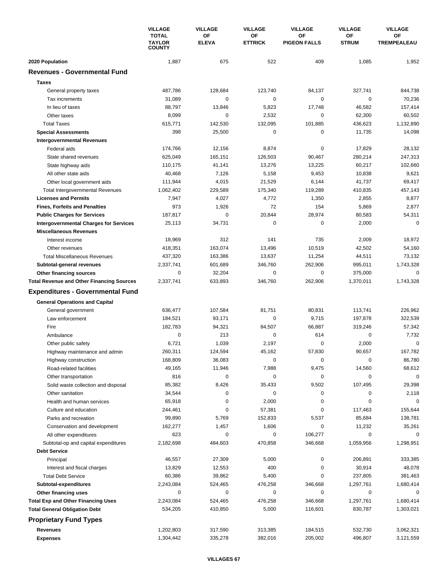|                                                  | <b>VILLAGE</b><br><b>TOTAL</b><br><b>TAYLOR</b><br><b>COUNTY</b> | <b>VILLAGE</b><br>OF | <b>VILLAGE</b><br>ΟF | <b>VILLAGE</b><br><b>OF</b> | <b>VILLAGE</b><br>ΟF | <b>VILLAGE</b><br>OF |
|--------------------------------------------------|------------------------------------------------------------------|----------------------|----------------------|-----------------------------|----------------------|----------------------|
|                                                  |                                                                  | <b>ELEVA</b>         | <b>ETTRICK</b>       | <b>PIGEON FALLS</b>         | <b>STRUM</b>         | <b>TREMPEALEAU</b>   |
| 2020 Population                                  | 1,887                                                            | 675                  | 522                  | 409                         | 1,085                | 1,952                |
| <b>Revenues - Governmental Fund</b>              |                                                                  |                      |                      |                             |                      |                      |
| <b>Taxes</b>                                     |                                                                  |                      |                      |                             |                      |                      |
| General property taxes                           | 487,786                                                          | 128,684              | 123,740              | 84,137                      | 327,741              | 844,738              |
| Tax increments                                   | 31,089                                                           | 0                    | 0                    | 0                           | $\mathbf 0$          | 70,236               |
| In lieu of taxes                                 | 88,797                                                           | 13,846               | 5,823                | 17,748                      | 46,582               | 157,414              |
| Other taxes                                      | 8,099                                                            | 0                    | 2,532                | 0                           | 62,300               | 60,502               |
| <b>Total Taxes</b>                               | 615,771                                                          | 142,530              | 132,095              | 101,885                     | 436,623              | 1,132,890            |
| <b>Special Assessments</b>                       | 398                                                              | 25,500               | 0                    | $\pmb{0}$                   | 11,735               | 14,098               |
| <b>Intergovernmental Revenues</b>                |                                                                  |                      |                      |                             |                      |                      |
| Federal aids                                     | 174,766                                                          | 12,156               | 8,874                | $\mathbf 0$                 | 17,829               | 28,132               |
| State shared revenues                            | 625,049                                                          | 165,151              | 126,503              | 90,467                      | 280,214              | 247,313              |
| State highway aids                               | 110,175                                                          | 41,141               | 13,276               | 13,225                      | 60,217               | 102,660              |
| All other state aids                             | 40,468                                                           | 7,126                | 5,158                | 9,453                       | 10,838               | 9,621                |
| Other local government aids                      | 111,944                                                          | 4,015                | 21,529               | 6,144                       | 41,737               | 69,417               |
| <b>Total Intergovernmental Revenues</b>          | 1,062,402                                                        | 229,589              | 175,340              | 119,289                     | 410,835              | 457,143              |
| <b>Licenses and Permits</b>                      | 7,947                                                            | 4,027                | 4,772                | 1,350                       | 2,855                | 8,877                |
| <b>Fines, Forfeits and Penalties</b>             | 973                                                              | 1,926                | 72                   | 154                         | 5,869                | 2,877                |
| <b>Public Charges for Services</b>               | 187,817                                                          | $\mathbf 0$          | 20,844               | 28,974                      | 80,583               | 54,311               |
| <b>Intergovernmental Charges for Services</b>    | 25,113                                                           | 34,731               | $\mathbf 0$          | $\mathbf 0$                 | 2,000                | $\mathbf 0$          |
| <b>Miscellaneous Revenues</b>                    |                                                                  |                      |                      |                             |                      |                      |
| Interest income                                  | 18,969                                                           | 312                  | 141                  | 735                         | 2,009                | 18,972               |
| Other revenues                                   | 418,351                                                          | 163,074              | 13,496               | 10,519                      | 42,502               | 54,160               |
| <b>Total Miscellaneous Revenues</b>              | 437,320                                                          | 163,386              | 13,637               | 11,254                      | 44,511               | 73,132               |
| Subtotal-general revenues                        | 2,337,741                                                        | 601,689              | 346,760              | 262,906                     | 995,011              | 1,743,328            |
| Other financing sources                          | 0                                                                | 32,204               | 0                    | $\pmb{0}$                   | 375,000              | $\mathbf 0$          |
| <b>Total Revenue and Other Financing Sources</b> | 2,337,741                                                        | 633,893              | 346,760              | 262,906                     | 1,370,011            | 1,743,328            |
| <b>Expenditures - Governmental Fund</b>          |                                                                  |                      |                      |                             |                      |                      |
| <b>General Operations and Capital</b>            |                                                                  |                      |                      |                             |                      |                      |
| General government                               | 636,477                                                          | 107,584              | 81,751               | 80,831                      | 113,741              | 226,962              |
| Law enforcement                                  | 184,521                                                          | 93,171               | 0                    | 9,715                       | 197,878              | 322,539              |
| Fire                                             | 182,783                                                          | 94,321               | 84,507               | 66,887                      | 319,246              | 57,342               |
| Ambulance                                        | $\mathbf 0$                                                      | 213                  | 0                    | 614                         | $\mathbf 0$          | 7,732                |
| Other public safety                              | 6,721                                                            | 1,039                | 2,197                | 0                           | 2,000                | $\Omega$             |
| Highway maintenance and admin                    | 260,311                                                          | 124,594              | 45,162               | 57,830                      | 90,657               | 167,782              |
| Highway construction                             | 168,809                                                          | 36,083               | 0                    | 0                           | 0                    | 86,780               |
| Road-related facilities                          | 49,165                                                           | 11,946               | 7,988                | 9,475                       | 14,560               | 68,612               |
| Other transportation                             | 816                                                              | $\pmb{0}$            | 0                    | $\pmb{0}$                   | 0                    | 0                    |
| Solid waste collection and disposal              | 85,382                                                           | 8,426                | 35,433               | 9,502                       | 107,495              | 29,398               |
| Other sanitation                                 | 34,544                                                           | 0                    | 0                    | $\pmb{0}$                   | 0                    | 2,118                |
| Health and human services                        | 65,918                                                           | 0                    | 2,000                | 0                           | $\mathbf 0$          | 0                    |
| Culture and education                            | 244,461                                                          | 0                    | 57,381               | $\pmb{0}$                   | 117,463              | 155,644              |
| Parks and recreation                             | 99,890                                                           | 5,769                | 152,833              | 5,537                       | 85,684               | 138,781              |
| Conservation and development                     | 162,277                                                          | 1,457                | 1,606                | 0                           | 11,232               | 35,261               |
| All other expenditures                           | 623                                                              | 0                    | 0                    | 106,277                     | 0                    | $\Omega$             |
| Subtotal-op and capital expenditures             | 2,182,698                                                        | 484,603              | 470,858              | 346,668                     | 1,059,956            | 1,298,951            |
| <b>Debt Service</b>                              |                                                                  |                      |                      |                             |                      |                      |
| Principal                                        | 46,557                                                           | 27,309               | 5,000                | $\pmb{0}$                   | 206,891              | 333,385              |
| Interest and fiscal charges                      | 13,829                                                           | 12,553               | 400                  | $\pmb{0}$                   | 30,914               | 48,078               |
| <b>Total Debt Service</b>                        | 60,386                                                           | 39,862               | 5,400                | 0                           | 237,805              | 381,463              |
| Subtotal-expenditures                            | 2,243,084                                                        | 524,465              | 476,258              | 346,668                     | 1,297,761            | 1,680,414            |
| Other financing uses                             | 0                                                                | 0                    | 0                    | 0                           | 0                    | 0                    |
| <b>Total Exp and Other Financing Uses</b>        | 2,243,084                                                        | 524,465              | 476,258              | 346,668                     | 1,297,761            | 1,680,414            |
| <b>Total General Obligation Debt</b>             | 534,205                                                          | 410,850              | 5,000                | 116,601                     | 830,787              | 1,303,021            |
|                                                  |                                                                  |                      |                      |                             |                      |                      |
| <b>Proprietary Fund Types</b>                    |                                                                  |                      |                      |                             |                      |                      |
| Revenues                                         | 1,202,803                                                        | 317,590              | 313,385              | 184,515                     | 532,730              | 3,062,321            |
| <b>Expenses</b>                                  | 1,304,442                                                        | 335,278              | 382,016              | 205,002                     | 496,807              | 3,121,559            |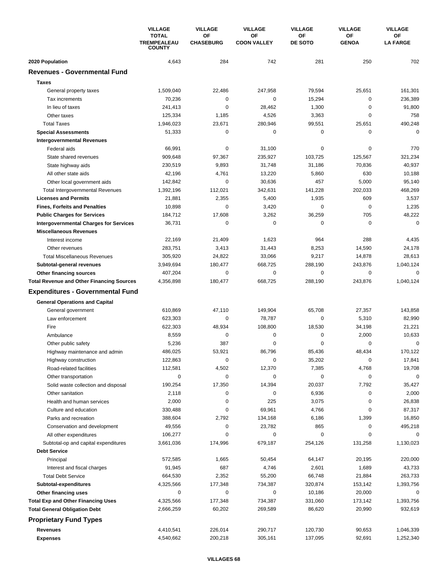|                                                  | <b>VILLAGE</b><br><b>TOTAL</b><br><b>TREMPEALEAU</b><br><b>COUNTY</b> | <b>VILLAGE</b>         | <b>VILLAGE</b>           | <b>VILLAGE</b> | <b>VILLAGE</b>     | <b>VILLAGE</b>        |
|--------------------------------------------------|-----------------------------------------------------------------------|------------------------|--------------------------|----------------|--------------------|-----------------------|
|                                                  |                                                                       | OF<br><b>CHASEBURG</b> | ΟF<br><b>COON VALLEY</b> | ОF<br>DE SOTO  | OF<br><b>GENOA</b> | ОF<br><b>LA FARGE</b> |
| 2020 Population                                  | 4,643                                                                 | 284                    | 742                      | 281            | 250                | 702                   |
| <b>Revenues - Governmental Fund</b>              |                                                                       |                        |                          |                |                    |                       |
| <b>Taxes</b>                                     |                                                                       |                        |                          |                |                    |                       |
| General property taxes                           | 1,509,040                                                             | 22,486                 | 247,958                  | 79,594         | 25,651             | 161,301               |
| Tax increments                                   | 70,236                                                                | 0                      | 0                        | 15,294         | 0                  | 236,389               |
| In lieu of taxes                                 | 241,413                                                               | $\mathbf 0$            | 28,462                   | 1,300          | $\mathbf 0$        | 91,800                |
| Other taxes                                      | 125,334                                                               | 1,185                  | 4,526                    | 3,363          | $\mathbf 0$        | 758                   |
| <b>Total Taxes</b>                               | 1,946,023                                                             | 23,671                 | 280,946                  | 99,551         | 25,651             | 490,248               |
| <b>Special Assessments</b>                       | 51,333                                                                | 0                      | 0                        | 0              | 0                  | $\mathbf 0$           |
| <b>Intergovernmental Revenues</b>                |                                                                       |                        |                          |                |                    |                       |
| Federal aids                                     | 66,991                                                                | 0                      | 31,100                   | 0              | 0                  | 770                   |
| State shared revenues                            | 909,648                                                               | 97,367                 | 235,927                  | 103,725        | 125,567            | 321,234               |
| State highway aids                               | 230,519                                                               | 9,893                  | 31,748                   | 31,186         | 70,836             | 40,937                |
| All other state aids                             | 42,196                                                                | 4,761                  | 13,220                   | 5,860          | 630                | 10,188                |
| Other local government aids                      | 142,842                                                               | $\mathbf 0$            | 30,636                   | 457            | 5,000              | 95,140                |
| <b>Total Intergovernmental Revenues</b>          | 1,392,196                                                             | 112,021                | 342,631                  | 141,228        | 202,033            | 468,269               |
| <b>Licenses and Permits</b>                      | 21,881                                                                | 2,355                  | 5,400                    | 1,935          | 609                | 3,537                 |
| <b>Fines, Forfeits and Penalties</b>             | 10,898                                                                | 0                      | 3,420                    | 0              | 0                  | 1,235                 |
| <b>Public Charges for Services</b>               | 184,712                                                               | 17,608                 | 3,262                    | 36,259         | 705                | 48,222                |
| <b>Intergovernmental Charges for Services</b>    | 36,731                                                                | $\mathbf 0$            | 0                        | 0              | $\mathbf 0$        | $\mathbf 0$           |
| <b>Miscellaneous Revenues</b>                    |                                                                       |                        |                          |                |                    |                       |
| Interest income                                  | 22,169                                                                | 21,409                 | 1,623                    | 964            | 288                | 4,435                 |
| Other revenues                                   | 283,751                                                               | 3,413                  | 31,443                   | 8,253          | 14,590             | 24,178                |
| <b>Total Miscellaneous Revenues</b>              | 305,920                                                               | 24,822                 | 33,066                   | 9,217          | 14,878             | 28,613                |
| Subtotal-general revenues                        | 3,949,694                                                             | 180,477                | 668,725                  | 288,190        | 243,876            | 1,040,124             |
| Other financing sources                          | 407,204                                                               | $\mathbf 0$            | 0                        | 0              | 0                  | 0                     |
| <b>Total Revenue and Other Financing Sources</b> | 4,356,898                                                             | 180,477                | 668,725                  | 288,190        | 243,876            | 1,040,124             |
|                                                  |                                                                       |                        |                          |                |                    |                       |
| <b>Expenditures - Governmental Fund</b>          |                                                                       |                        |                          |                |                    |                       |
| <b>General Operations and Capital</b>            |                                                                       |                        |                          |                |                    |                       |
| General government                               | 610,869                                                               | 47,110                 | 149,904                  | 65,708         | 27,357             | 143,858               |
| Law enforcement                                  | 623,303                                                               | 0                      | 78,787                   | 0              | 5,310              | 82,990                |
| Fire                                             | 622,303                                                               | 48,934                 | 108,800                  | 18,530         | 34,198             | 21,221                |
| Ambulance                                        | 8,559                                                                 | 0                      | 0                        | 0              | 2,000              | 10,633                |
| Other public safety                              | 5,236                                                                 | 387                    | 0                        | 0              | 0                  | $\mathbf 0$           |
| Highway maintenance and admin                    | 486,025                                                               | 53,921                 | 86,796                   | 85,436         | 48,434             | 170,122               |
| Highway construction                             | 122,863                                                               | 0                      | 0                        | 35,202         | 0                  | 17,841                |
| Road-related facilities                          | 112,581                                                               | 4,502                  | 12,370                   | 7,385          | 4,768              | 19,708                |
| Other transportation                             | 0                                                                     | $\mathbf 0$            | 0                        | 0              | 0                  | $\mathbf 0$           |
| Solid waste collection and disposal              | 190,254                                                               | 17,350                 | 14,394                   | 20,037         | 7,792              | 35,427                |
| Other sanitation                                 | 2,118                                                                 | 0                      | 0                        | 6,936          | 0                  | 2,000                 |
| Health and human services                        | 2,000                                                                 | 0                      | 225                      | 3,075          | 0                  | 26,838                |
| Culture and education                            | 330,488                                                               | 0                      | 69,961                   | 4,766          | 0                  | 87,317                |
| Parks and recreation                             | 388,604                                                               | 2,792                  | 134,168                  | 6,186          | 1,399              | 16,850                |
| Conservation and development                     | 49,556                                                                | 0                      | 23,782                   | 865            | 0                  | 495,218               |
| All other expenditures                           | 106,277                                                               | 0                      | 0                        | 0              | 0                  | 0                     |
| Subtotal-op and capital expenditures             | 3,661,036                                                             | 174,996                | 679,187                  | 254,126        | 131,258            | 1,130,023             |
| <b>Debt Service</b>                              |                                                                       |                        |                          |                |                    |                       |
| Principal                                        | 572,585                                                               | 1,665                  | 50,454                   | 64,147         | 20,195             | 220,000               |
| Interest and fiscal charges                      | 91,945                                                                | 687                    | 4,746                    | 2,601          | 1,689              | 43,733                |
| <b>Total Debt Service</b>                        | 664,530                                                               | 2,352                  | 55,200                   | 66,748         | 21,884             | 263,733               |
| Subtotal-expenditures                            | 4,325,566                                                             | 177,348                | 734,387                  | 320,874        | 153,142            | 1,393,756             |
| Other financing uses                             | 0                                                                     | 0                      | 0                        | 10,186         | 20,000             | 0                     |
| <b>Total Exp and Other Financing Uses</b>        | 4,325,566                                                             | 177,348                | 734,387                  | 331,060        | 173,142            | 1,393,756             |
| <b>Total General Obligation Debt</b>             | 2,666,259                                                             | 60,202                 | 269,589                  | 86,620         | 20,990             | 932,619               |
| <b>Proprietary Fund Types</b>                    |                                                                       |                        |                          |                |                    |                       |
| Revenues                                         | 4,410,541                                                             | 226,014                | 290,717                  | 120,730        | 90,653             | 1,046,339             |
| <b>Expenses</b>                                  | 4,540,662                                                             | 200,218                | 305,161                  | 137,095        | 92,691             | 1,252,340             |
|                                                  |                                                                       |                        |                          |                |                    |                       |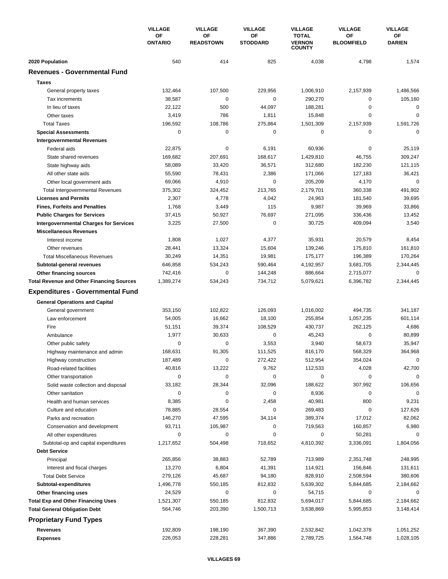|                                                  | <b>VILLAGE</b><br>ΟF<br><b>ONTARIO</b> | <b>VILLAGE</b>         | <b>VILLAGE</b>        | <b>VILLAGE</b>                                 | <b>VILLAGE</b>          | <b>VILLAGE</b>      |
|--------------------------------------------------|----------------------------------------|------------------------|-----------------------|------------------------------------------------|-------------------------|---------------------|
|                                                  |                                        | ΟF<br><b>READSTOWN</b> | ΟF<br><b>STODDARD</b> | <b>TOTAL</b><br><b>VERNON</b><br><b>COUNTY</b> | OF<br><b>BLOOMFIELD</b> | ОF<br><b>DARIEN</b> |
| 2020 Population                                  | 540                                    | 414                    | 825                   | 4,038                                          | 4,798                   | 1,574               |
| <b>Revenues - Governmental Fund</b>              |                                        |                        |                       |                                                |                         |                     |
| <b>Taxes</b>                                     |                                        |                        |                       |                                                |                         |                     |
| General property taxes                           | 132,464                                | 107,500                | 229,956               | 1,006,910                                      | 2,157,939               | 1,486,566           |
| Tax increments                                   | 38,587                                 | $\mathbf 0$            | 0                     | 290,270                                        | 0                       | 105,160             |
| In lieu of taxes                                 | 22,122                                 | 500                    | 44,097                | 188,281                                        | $\mathbf 0$             | 0                   |
| Other taxes                                      | 3,419                                  | 786                    | 1,811                 | 15,848                                         | $\mathbf 0$             | $\mathbf 0$         |
| <b>Total Taxes</b>                               | 196,592                                | 108,786                | 275,864               | 1,501,309                                      | 2,157,939               | 1,591,726           |
| <b>Special Assessments</b>                       | 0                                      | 0                      | 0                     | 0                                              | 0                       | 0                   |
| <b>Intergovernmental Revenues</b>                |                                        |                        |                       |                                                |                         |                     |
| Federal aids                                     | 22,875                                 | 0                      | 6,191                 | 60,936                                         | 0                       | 25,119              |
| State shared revenues                            | 169,682                                | 207,691                | 168,617               | 1,429,810                                      | 46,755                  | 309,247             |
| State highway aids                               | 58,089                                 | 33,420                 | 36,571                | 312,680                                        | 182,230                 | 121,115             |
| All other state aids                             | 55,590                                 | 78,431                 | 2,386                 | 171,066                                        | 127,183                 | 36,421              |
| Other local government aids                      | 69,066                                 | 4,910                  | 0                     | 205,209                                        | 4,170                   | $\mathbf 0$         |
| <b>Total Intergovernmental Revenues</b>          | 375,302                                | 324,452                | 213,765               | 2,179,701                                      | 360,338                 | 491,902             |
| <b>Licenses and Permits</b>                      | 2,307                                  | 4,778                  | 4,042                 | 24,963                                         | 181,540                 | 39,695              |
| <b>Fines, Forfeits and Penalties</b>             | 1,768                                  | 3,449                  | 115                   | 9,987                                          | 39,969                  | 33,866              |
| <b>Public Charges for Services</b>               | 37,415                                 | 50,927                 | 76,697                | 271,095                                        | 336,436                 | 13,452              |
| <b>Intergovernmental Charges for Services</b>    | 3,225                                  | 27,500                 | 0                     | 30,725                                         | 409,094                 | 3,540               |
| <b>Miscellaneous Revenues</b>                    |                                        |                        |                       |                                                |                         |                     |
| Interest income                                  | 1,808                                  | 1,027                  | 4,377                 | 35,931                                         | 20,579                  | 8,454               |
| Other revenues                                   | 28,441                                 | 13,324                 | 15,604                | 139,246                                        | 175,810                 | 161,810             |
| <b>Total Miscellaneous Revenues</b>              | 30,249                                 | 14,351                 | 19,981                | 175,177                                        | 196,389                 | 170,264             |
| Subtotal-general revenues                        | 646,858                                | 534,243                | 590,464               | 4,192,957                                      | 3,681,705               | 2,344,445           |
| Other financing sources                          | 742,416                                | 0                      | 144,248               | 886,664                                        | 2,715,077               | $\Omega$            |
| <b>Total Revenue and Other Financing Sources</b> | 1,389,274                              | 534,243                | 734,712               | 5,079,621                                      | 6,396,782               | 2,344,445           |
| <b>Expenditures - Governmental Fund</b>          |                                        |                        |                       |                                                |                         |                     |
| <b>General Operations and Capital</b>            |                                        |                        |                       |                                                |                         |                     |
| General government                               | 353,150                                | 102,822                | 126,093               | 1,016,002                                      | 494,735                 | 341,187             |
| Law enforcement                                  | 54,005                                 | 16,662                 | 18,100                | 255,854                                        | 1,057,235               | 601,114             |
| Fire                                             | 51,151                                 | 39,374                 | 108,529               | 430,737                                        | 262,125                 | 4,686               |
| Ambulance                                        | 1,977                                  | 30,633                 | 0                     | 45,243                                         | 0                       | 80,899              |
| Other public safety                              | 0                                      | 0                      | 3,553                 | 3,940                                          | 58,673                  | 35,947              |
| Highway maintenance and admin                    | 168,631                                | 91,305                 | 111,525               | 816,170                                        | 568,329                 | 364,968             |
| Highway construction                             | 187,489                                | 0                      | 272,422               | 512,954                                        | 354,024                 | $\mathbf 0$         |
| Road-related facilities                          | 40,816                                 | 13,222                 | 9,762                 | 112,533                                        | 4,028                   | 42,700              |
| Other transportation                             | 0                                      | 0                      | 0                     | 0                                              | 0                       | $\mathbf 0$         |
| Solid waste collection and disposal              | 33,182                                 | 28,344                 | 32,096                | 188,622                                        | 307,992                 | 106,656             |
| Other sanitation                                 | 0                                      | 0                      | 0                     | 8,936                                          | 0                       | 0                   |
| Health and human services                        | 8,385                                  | 0                      | 2,458                 | 40,981                                         | 800                     | 9,231               |
| Culture and education                            | 78,885                                 | 28,554                 | 0                     | 269,483                                        | 0                       | 127,626             |
| Parks and recreation                             | 146,270                                | 47,595                 | 34,114                | 389,374                                        | 17,012                  | 82,062              |
| Conservation and development                     | 93,711                                 | 105,987                | 0                     | 719,563                                        | 160,857                 | 6,980               |
| All other expenditures                           | 0                                      | 0                      | 0                     | 0                                              | 50,281                  | $\Omega$            |
| Subtotal-op and capital expenditures             | 1,217,652                              | 504,498                | 718,652               | 4,810,392                                      | 3,336,091               | 1,804,056           |
| <b>Debt Service</b>                              |                                        |                        |                       |                                                |                         |                     |
| Principal                                        | 265,856                                | 38,883                 | 52,789                | 713,989                                        | 2,351,748               | 248,995             |
| Interest and fiscal charges                      | 13,270                                 | 6,804                  | 41,391                | 114,921                                        | 156,846                 | 131,611             |
| <b>Total Debt Service</b>                        | 279,126                                | 45,687                 | 94,180                | 828,910                                        | 2,508,594               | 380,606             |
| Subtotal-expenditures                            | 1,496,778                              | 550,185                | 812,832               | 5,639,302                                      | 5,844,685               | 2,184,662           |
| Other financing uses                             | 24,529                                 | 0                      | 0                     | 54,715                                         | 0                       | 0                   |
| <b>Total Exp and Other Financing Uses</b>        | 1,521,307                              | 550,185                | 812,832               | 5,694,017                                      | 5,844,685               | 2,184,662           |
| <b>Total General Obligation Debt</b>             | 564,746                                | 203,390                | 1,500,713             | 3,638,869                                      | 5,995,853               | 3,148,414           |
| <b>Proprietary Fund Types</b>                    |                                        |                        |                       |                                                |                         |                     |
| Revenues                                         | 192,809                                | 198,190                | 367,390               | 2,532,842                                      | 1,042,378               | 1,051,252           |
| <b>Expenses</b>                                  | 226,053                                | 228,281                | 347,886               | 2,789,725                                      | 1,564,748               | 1,028,105           |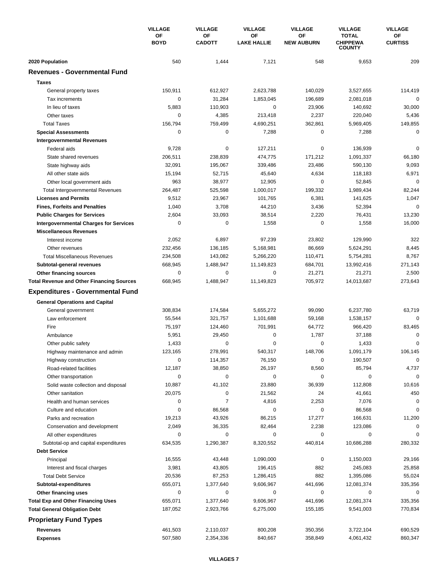|                                                                                   | <b>VILLAGE</b><br>OF<br><b>BOYD</b> | <b>VILLAGE</b>      | <b>VILLAGE</b><br>ΟF<br><b>LAKE HALLIE</b> | <b>VILLAGE</b><br>ОF<br><b>NEW AUBURN</b> | <b>VILLAGE</b><br><b>TOTAL</b><br><b>CHIPPEWA</b><br><b>COUNTY</b> | <b>VILLAGE</b><br>ОF<br><b>CURTISS</b> |
|-----------------------------------------------------------------------------------|-------------------------------------|---------------------|--------------------------------------------|-------------------------------------------|--------------------------------------------------------------------|----------------------------------------|
|                                                                                   |                                     | OF<br><b>CADOTT</b> |                                            |                                           |                                                                    |                                        |
| 2020 Population                                                                   | 540                                 | 1,444               | 7,121                                      | 548                                       | 9,653                                                              | 209                                    |
| <b>Revenues - Governmental Fund</b>                                               |                                     |                     |                                            |                                           |                                                                    |                                        |
| <b>Taxes</b>                                                                      |                                     |                     |                                            |                                           |                                                                    |                                        |
| General property taxes                                                            | 150,911                             | 612,927             | 2,623,788                                  | 140,029                                   | 3,527,655                                                          | 114,419                                |
| Tax increments                                                                    | 0                                   | 31,284              | 1,853,045                                  | 196,689                                   | 2,081,018                                                          | 0                                      |
| In lieu of taxes                                                                  | 5,883                               | 110,903             | 0                                          | 23,906                                    | 140,692                                                            | 30,000                                 |
| Other taxes                                                                       | 0                                   | 4,385               | 213,418                                    | 2,237                                     | 220,040                                                            | 5,436                                  |
| <b>Total Taxes</b>                                                                | 156,794                             | 759,499             | 4,690,251                                  | 362,861                                   | 5,969,405                                                          | 149,855                                |
| <b>Special Assessments</b>                                                        | 0                                   | 0                   | 7,288                                      | 0                                         | 7,288                                                              | $\mathbf 0$                            |
| <b>Intergovernmental Revenues</b>                                                 |                                     |                     |                                            |                                           |                                                                    |                                        |
| Federal aids                                                                      | 9,728                               | 0                   | 127,211                                    | 0                                         | 136,939                                                            | $\mathbf 0$                            |
| State shared revenues                                                             | 206,511                             | 238,839             | 474,775                                    | 171,212                                   | 1,091,337                                                          | 66,180                                 |
| State highway aids                                                                | 32,091                              | 195,067             | 339,486                                    | 23,486                                    | 590,130                                                            | 9,093                                  |
| All other state aids                                                              | 15,194                              | 52,715              | 45,640                                     | 4,634                                     | 118,183                                                            | 6,971                                  |
| Other local government aids                                                       | 963                                 | 38,977              | 12,905                                     | 0                                         | 52,845                                                             | $\mathbf 0$                            |
| <b>Total Intergovernmental Revenues</b>                                           | 264,487                             | 525,598             | 1,000,017                                  | 199,332                                   | 1,989,434                                                          | 82,244                                 |
| <b>Licenses and Permits</b>                                                       | 9,512                               | 23,967              | 101,765                                    | 6,381                                     | 141,625                                                            | 1,047                                  |
| <b>Fines, Forfeits and Penalties</b>                                              | 1,040                               | 3,708               | 44,210                                     | 3,436                                     | 52,394                                                             | $\Omega$                               |
| <b>Public Charges for Services</b>                                                | 2,604                               | 33,093              | 38,514                                     | 2,220                                     | 76,431                                                             | 13,230                                 |
| <b>Intergovernmental Charges for Services</b>                                     | 0                                   | $\mathbf 0$         | 1,558                                      | 0                                         | 1,558                                                              | 16,000                                 |
| <b>Miscellaneous Revenues</b>                                                     |                                     |                     |                                            |                                           |                                                                    |                                        |
| Interest income                                                                   | 2,052                               | 6,897               | 97,239                                     | 23,802                                    | 129,990                                                            | 322                                    |
| Other revenues                                                                    | 232,456                             | 136,185             | 5,168,981                                  | 86,669                                    | 5,624,291                                                          | 8,445                                  |
| <b>Total Miscellaneous Revenues</b>                                               | 234,508                             | 143,082             | 5,266,220                                  | 110,471                                   | 5,754,281                                                          | 8,767                                  |
| Subtotal-general revenues                                                         | 668,945                             | 1,488,947           | 11,149,823                                 | 684,701                                   | 13,992,416                                                         | 271,143                                |
| Other financing sources                                                           | 0                                   | $\mathbf 0$         | 0                                          | 21,271                                    | 21,271                                                             | 2,500                                  |
| <b>Total Revenue and Other Financing Sources</b>                                  | 668,945                             | 1,488,947           | 11,149,823                                 | 705,972                                   | 14,013,687                                                         | 273,643                                |
| <b>Expenditures - Governmental Fund</b>                                           |                                     |                     |                                            |                                           |                                                                    |                                        |
| <b>General Operations and Capital</b>                                             |                                     |                     |                                            |                                           |                                                                    |                                        |
| General government                                                                | 308,834                             | 174,584             | 5,655,272                                  | 99,090                                    | 6,237,780                                                          | 63,719                                 |
| Law enforcement                                                                   | 55,544                              | 321,757             | 1,101,688                                  | 59,168                                    | 1,538,157                                                          | $\Omega$                               |
| Fire                                                                              | 75,197                              | 124,460             | 701,991                                    | 64,772                                    | 966,420                                                            | 83,465                                 |
| Ambulance                                                                         | 5,951                               | 29,450              | 0                                          | 1,787                                     | 37,188                                                             | 0                                      |
| Other public safety                                                               | 1,433                               | 0                   | 0                                          | 0                                         | 1,433                                                              | 0                                      |
| Highway maintenance and admin                                                     | 123,165                             | 278,991             | 540,317                                    | 148,706                                   | 1,091,179                                                          | 106.145                                |
| Highway construction                                                              | 0                                   | 114,357             | 76,150                                     | 0                                         | 190,507                                                            | $\mathbf 0$                            |
| Road-related facilities                                                           | 12,187                              | 38,850              | 26,197                                     | 8,560                                     | 85,794                                                             | 4,737                                  |
| Other transportation                                                              | 0                                   | $\mathbf 0$         | 0                                          | 0                                         | 0                                                                  | $\mathbf 0$                            |
| Solid waste collection and disposal                                               | 10,887                              | 41,102              | 23,880                                     | 36,939                                    | 112,808                                                            | 10,616                                 |
| Other sanitation                                                                  | 20,075                              | 0                   | 21,562                                     | 24                                        | 41,661                                                             | 450                                    |
| Health and human services                                                         | 0                                   | 7                   | 4,816                                      | 2,253                                     | 7,076                                                              | 0                                      |
| Culture and education                                                             | 0                                   | 86,568              | 0                                          | 0                                         | 86,568                                                             | 0                                      |
| Parks and recreation                                                              | 19,213                              | 43,926              | 86,215                                     | 17,277                                    | 166,631                                                            | 11,200                                 |
| Conservation and development                                                      | 2,049                               | 36,335              | 82,464                                     | 2,238                                     | 123,086                                                            | $\mathbf 0$                            |
| All other expenditures                                                            | 0                                   | 0                   | 0                                          | 0                                         | 0                                                                  |                                        |
| Subtotal-op and capital expenditures                                              | 634,535                             | 1,290,387           | 8,320,552                                  | 440,814                                   | 10,686,288                                                         | 280,332                                |
| <b>Debt Service</b>                                                               |                                     |                     |                                            |                                           |                                                                    |                                        |
| Principal                                                                         | 16,555                              | 43,448              | 1,090,000                                  | 0                                         | 1,150,003                                                          | 29,166                                 |
| Interest and fiscal charges                                                       | 3,981                               | 43,805              | 196,415                                    | 882                                       | 245,083                                                            | 25,858                                 |
| <b>Total Debt Service</b>                                                         | 20,536                              | 87,253              | 1,286,415                                  | 882                                       | 1,395,086                                                          | 55,024                                 |
| Subtotal-expenditures                                                             | 655,071                             | 1,377,640           | 9,606,967                                  | 441,696<br>0                              | 12,081,374                                                         | 335,356                                |
| Other financing uses                                                              | 0                                   | 0                   | 0                                          |                                           | 0                                                                  | 0                                      |
| <b>Total Exp and Other Financing Uses</b><br><b>Total General Obligation Debt</b> | 655,071                             | 1,377,640           | 9,606,967                                  | 441,696                                   | 12,081,374                                                         | 335,356                                |
|                                                                                   | 187,052                             | 2,923,766           | 6,275,000                                  | 155,185                                   | 9,541,003                                                          | 770,834                                |
| <b>Proprietary Fund Types</b>                                                     |                                     |                     |                                            |                                           |                                                                    |                                        |
| Revenues                                                                          | 461,503                             | 2,110,037           | 800,208                                    | 350,356                                   | 3,722,104                                                          | 690,529                                |
| <b>Expenses</b>                                                                   | 507,580                             | 2,354,336           | 840,667                                    | 358,849                                   | 4,061,432                                                          | 860,347                                |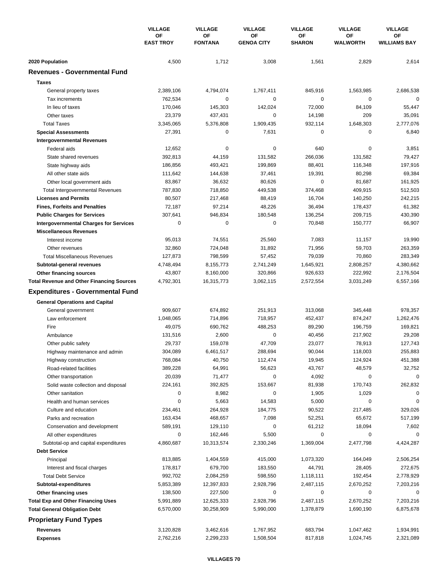|                                                  | <b>VILLAGE</b><br><b>OF</b><br><b>EAST TROY</b> | <b>VILLAGE</b>       | <b>VILLAGE</b>          | <b>VILLAGE</b>      | <b>VILLAGE</b>        | <b>VILLAGE</b>            |
|--------------------------------------------------|-------------------------------------------------|----------------------|-------------------------|---------------------|-----------------------|---------------------------|
|                                                  |                                                 | OF<br><b>FONTANA</b> | ΟF<br><b>GENOA CITY</b> | OF<br><b>SHARON</b> | ΟF<br><b>WALWORTH</b> | ΟF<br><b>WILLIAMS BAY</b> |
| 2020 Population                                  | 4,500                                           | 1,712                | 3,008                   | 1,561               | 2,829                 | 2,614                     |
| <b>Revenues - Governmental Fund</b>              |                                                 |                      |                         |                     |                       |                           |
| <b>Taxes</b>                                     |                                                 |                      |                         |                     |                       |                           |
| General property taxes                           | 2,389,106                                       | 4,794,074            | 1,767,411               | 845,916             | 1,563,985             | 2,686,538                 |
| Tax increments                                   | 762,534                                         | 0                    | 0                       | 0                   | $\mathbf 0$           | 0                         |
| In lieu of taxes                                 | 170,046                                         | 145,303              | 142,024                 | 72,000              | 84,109                | 55,447                    |
| Other taxes                                      | 23,379                                          | 437,431              | 0                       | 14,198              | 209                   | 35,091                    |
| <b>Total Taxes</b>                               | 3,345,065                                       | 5,376,808            | 1,909,435               | 932,114             | 1,648,303             | 2,777,076                 |
| <b>Special Assessments</b>                       | 27,391                                          | 0                    | 7,631                   | 0                   | 0                     | 6,840                     |
| <b>Intergovernmental Revenues</b>                |                                                 |                      |                         |                     |                       |                           |
| Federal aids                                     | 12,652                                          | 0                    | 0                       | 640                 | $\mathbf 0$           | 3,851                     |
| State shared revenues                            | 392,813                                         | 44,159               | 131,582                 | 266,036             | 131,582               | 79,427                    |
| State highway aids                               | 186,856                                         | 493,421              | 199,869                 | 88,401              | 116,348               | 197,916                   |
| All other state aids                             | 111,642                                         | 144,638              | 37,461                  | 19,391              | 80,298                | 69,384                    |
| Other local government aids                      | 83,867                                          | 36,632               | 80,626                  | $\mathbf 0$         | 81,687                | 161,925                   |
| <b>Total Intergovernmental Revenues</b>          | 787,830                                         | 718,850              | 449,538                 | 374,468             | 409,915               | 512,503                   |
| <b>Licenses and Permits</b>                      | 80,507                                          | 217,468              | 88,419                  | 16,704              | 140,250               | 242,215                   |
| <b>Fines, Forfeits and Penalties</b>             | 72,187                                          | 97,214               | 48,226                  | 36,494              | 178,437               | 61,382                    |
| <b>Public Charges for Services</b>               | 307,641                                         | 946,834              | 180,548                 | 136,254             | 209,715               | 430,390                   |
| <b>Intergovernmental Charges for Services</b>    | $\mathbf 0$                                     | $\mathbf 0$          | $\mathbf 0$             | 70,848              | 150,777               | 66,907                    |
| <b>Miscellaneous Revenues</b>                    |                                                 |                      |                         |                     |                       |                           |
| Interest income                                  | 95,013                                          | 74,551               | 25,560                  | 7,083               | 11,157                | 19,990                    |
| Other revenues                                   | 32,860                                          | 724,048              | 31,892                  | 71,956              | 59,703                | 263,359                   |
| <b>Total Miscellaneous Revenues</b>              | 127,873                                         | 798,599              | 57,452                  | 79,039              | 70,860                | 283,349                   |
| Subtotal-general revenues                        | 4,748,494                                       | 8,155,773            | 2,741,249               | 1,645,921           | 2,808,257             | 4,380,662                 |
| <b>Other financing sources</b>                   | 43,807                                          | 8,160,000            | 320,866                 | 926,633             | 222,992               | 2,176,504                 |
| <b>Total Revenue and Other Financing Sources</b> | 4,792,301                                       | 16,315,773           | 3,062,115               | 2,572,554           | 3,031,249             | 6,557,166                 |
| <b>Expenditures - Governmental Fund</b>          |                                                 |                      |                         |                     |                       |                           |
| <b>General Operations and Capital</b>            |                                                 |                      |                         |                     |                       |                           |
| General government                               | 909,607                                         | 674,892              | 251,913                 | 313,068             | 345,448               | 978,357                   |
| Law enforcement                                  | 1,048,065                                       | 714,896              | 718,957                 | 452,437             | 874,247               | 1,262,476                 |
| Fire                                             | 49,075                                          | 690,762              | 488,253                 | 89,290              | 196,759               | 169,821                   |
| Ambulance                                        | 131,516                                         | 2,600                | 0                       | 40,456              | 217,902               | 29,208                    |
| Other public safety                              | 29,737                                          | 159,078              | 47,709                  | 23,077              | 78,913                | 127,743                   |
| Highway maintenance and admin                    | 304,089                                         | 6,461,517            | 288,694                 | 90,044              | 118,003               | 255,883                   |
| Highway construction                             | 768,084                                         | 40,750               | 112,474                 | 19,945              | 124,924               | 451,388                   |
| Road-related facilities                          | 389,228                                         | 64,991               | 56,623                  | 43,767              | 48,579                | 32,752                    |
| Other transportation                             | 20,039                                          | 71,477               | 0                       | 4,092               | 0                     | $\mathbf 0$               |
| Solid waste collection and disposal              | 224,161                                         | 392,825              | 153,667                 | 81,938              | 170,743               | 262,832                   |
| Other sanitation                                 | 0                                               | 8,982                | 0                       | 1,905               | 1,029                 | $\Omega$                  |
| Health and human services                        | 0                                               | 5,663                | 14,583                  | 5,000               | $\mathbf 0$           | $\Omega$                  |
| Culture and education                            | 234,461                                         | 264,928              | 184,775                 | 90,522              | 217,485               | 329,026                   |
| Parks and recreation                             | 163,434                                         | 468,657              | 7,098                   | 52,251              | 65,672                | 517,199                   |
| Conservation and development                     | 589,191                                         | 129,110              | 0                       | 61,212              | 18,094                | 7,602                     |
| All other expenditures                           | 0                                               | 162,446              | 5,500                   | 0                   | 0                     | $\Omega$                  |
| Subtotal-op and capital expenditures             | 4,860,687                                       | 10,313,574           | 2,330,246               | 1,369,004           | 2,477,798             | 4,424,287                 |
| <b>Debt Service</b>                              |                                                 |                      |                         |                     |                       |                           |
| Principal                                        | 813,885                                         | 1,404,559            | 415,000                 | 1,073,320           | 164,049               | 2,506,254                 |
| Interest and fiscal charges                      | 178,817                                         | 679,700              | 183,550                 | 44,791              | 28,405                | 272,675                   |
| <b>Total Debt Service</b>                        | 992,702                                         | 2,084,259            | 598,550                 | 1,118,111           | 192,454               | 2,778,929                 |
| Subtotal-expenditures                            | 5,853,389                                       | 12,397,833           | 2,928,796               | 2,487,115           | 2,670,252             | 7,203,216                 |
| Other financing uses                             | 138,500                                         | 227,500              | 0                       | 0                   | 0                     | 0                         |
| <b>Total Exp and Other Financing Uses</b>        | 5,991,889                                       | 12,625,333           | 2,928,796               | 2,487,115           | 2,670,252             | 7,203,216                 |
| <b>Total General Obligation Debt</b>             | 6,570,000                                       | 30,258,909           | 5,990,000               | 1,378,879           | 1,690,190             | 6,875,678                 |
| <b>Proprietary Fund Types</b>                    |                                                 |                      |                         |                     |                       |                           |
|                                                  |                                                 |                      |                         |                     |                       |                           |
| <b>Revenues</b>                                  | 3,120,828                                       | 3,462,616            | 1,767,952               | 683,794             | 1,047,462             | 1,934,991                 |
| <b>Expenses</b>                                  | 2,762,216                                       | 2,299,233            | 1,508,504               | 817,818             | 1,024,745             | 2,321,089                 |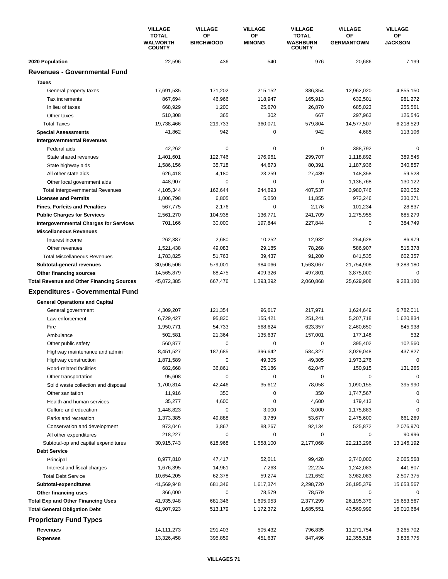|                                                  | <b>VILLAGE</b>                            | <b>VILLAGE</b>         | <b>VILLAGE</b>      | <b>VILLAGE</b>                                   | <b>VILLAGE</b>          | <b>VILLAGE</b>       |
|--------------------------------------------------|-------------------------------------------|------------------------|---------------------|--------------------------------------------------|-------------------------|----------------------|
|                                                  | <b>TOTAL</b><br>WALWORTH<br><b>COUNTY</b> | OF<br><b>BIRCHWOOD</b> | OF<br><b>MINONG</b> | <b>TOTAL</b><br><b>WASHBURN</b><br><b>COUNTY</b> | OF<br><b>GERMANTOWN</b> | OF<br><b>JACKSON</b> |
| 2020 Population                                  | 22,596                                    | 436                    | 540                 | 976                                              | 20,686                  | 7,199                |
| <b>Revenues - Governmental Fund</b>              |                                           |                        |                     |                                                  |                         |                      |
| <b>Taxes</b>                                     |                                           |                        |                     |                                                  |                         |                      |
| General property taxes                           | 17,691,535                                | 171,202                | 215,152             | 386,354                                          | 12,962,020              | 4,855,150            |
| Tax increments                                   | 867,694                                   | 46,966                 | 118,947             | 165,913                                          | 632,501                 | 981,272              |
| In lieu of taxes                                 | 668.929                                   | 1,200                  | 25,670              | 26,870                                           | 685,023                 | 255,561              |
| Other taxes                                      | 510,308                                   | 365                    | 302                 | 667                                              | 297,963                 | 126,546              |
| <b>Total Taxes</b>                               | 19,738,466                                | 219.733                | 360,071             | 579,804                                          | 14,577,507              | 6,218,529            |
| <b>Special Assessments</b>                       | 41,862                                    | 942                    | 0                   | 942                                              | 4,685                   | 113,106              |
| <b>Intergovernmental Revenues</b>                |                                           |                        |                     |                                                  |                         |                      |
| Federal aids                                     | 42,262                                    | 0                      | 0                   | 0                                                | 388,792                 | 0                    |
| State shared revenues                            | 1,401,601                                 | 122,746                | 176,961             | 299,707                                          | 1,118,892               | 389,545              |
| State highway aids                               | 1,586,156                                 | 35,718                 | 44,673              | 80,391                                           | 1,187,936               | 340,857              |
| All other state aids                             | 626,418                                   | 4,180                  | 23,259              | 27.439                                           | 148,358                 | 59,528               |
| Other local government aids                      | 448,907                                   | 0                      | 0                   | 0                                                | 1,136,768               | 130,122              |
| <b>Total Intergovernmental Revenues</b>          | 4,105,344                                 | 162,644                | 244,893             | 407,537                                          | 3,980,746               | 920,052              |
| <b>Licenses and Permits</b>                      | 1,006,798                                 | 6,805                  | 5,050               | 11,855                                           | 973,246                 | 330,271              |
| <b>Fines, Forfeits and Penalties</b>             | 567,775                                   | 2,176                  | 0                   | 2,176                                            | 101,234                 | 28,837               |
| <b>Public Charges for Services</b>               | 2,561,270                                 | 104,938                | 136,771             | 241,709                                          | 1,275,955               | 685,279              |
| <b>Intergovernmental Charges for Services</b>    | 701,166                                   | 30,000                 | 197,844             | 227,844                                          | $\mathbf 0$             | 384,749              |
| <b>Miscellaneous Revenues</b>                    |                                           |                        |                     |                                                  |                         |                      |
| Interest income                                  | 262,387                                   | 2,680                  | 10,252              | 12,932                                           | 254,628                 | 86,979               |
| Other revenues                                   | 1,521,438                                 | 49,083                 | 29,185              | 78,268                                           | 586,907                 | 515,378              |
| <b>Total Miscellaneous Revenues</b>              | 1,783,825                                 | 51,763                 | 39,437              | 91,200                                           | 841,535                 | 602,357              |
| Subtotal-general revenues                        | 30,506,506                                | 579,001                | 984,066             | 1,563,067                                        | 21,754,908              | 9,283,180            |
| Other financing sources                          | 14,565,879                                | 88,475                 | 409,326             | 497,801                                          | 3,875,000               | 0                    |
| <b>Total Revenue and Other Financing Sources</b> | 45,072,385                                | 667,476                | 1,393,392           | 2,060,868                                        | 25,629,908              | 9,283,180            |
| <b>Expenditures - Governmental Fund</b>          |                                           |                        |                     |                                                  |                         |                      |
| <b>General Operations and Capital</b>            |                                           |                        |                     |                                                  |                         |                      |
| General government                               | 4,309,207                                 | 121,354                | 96,617              | 217,971                                          | 1,624,649               | 6,782,011            |
| Law enforcement                                  | 6,729,427                                 | 95,820                 | 155,421             | 251,241                                          | 5,207,718               | 1,620,834            |
| Fire                                             | 1,950,771                                 | 54,733                 | 568,624             | 623,357                                          | 2,460,650               | 845,938              |
| Ambulance                                        | 502,581                                   | 21,364                 | 135,637             | 157,001                                          | 177,148                 | 532                  |
| Other public safety                              | 560,877                                   | 0                      | 0                   | 0                                                | 395,402                 | 102,560              |
| Highway maintenance and admin                    | 8,451,527                                 | 187,685                | 396,642             | 584,327                                          | 3,029,048               | 437,827              |
| Highway construction                             | 1,871,589                                 | 0                      | 49,305              | 49,305                                           | 1,973,276               | 0                    |
| Road-related facilities                          | 682,668                                   | 36,861                 | 25,186              | 62,047                                           | 150,915                 | 131,265              |
| Other transportation                             | 95,608                                    | 0                      | 0                   | 0                                                | $\mathbf 0$             | 0                    |
| Solid waste collection and disposal              | 1,700,814                                 | 42,446                 | 35,612              | 78,058                                           | 1,090,155               | 395,990              |
| Other sanitation                                 | 11,916                                    | 350                    | 0                   | 350                                              | 1,747,567               | 0                    |
| Health and human services                        | 35,277                                    | 4,600                  | 0                   | 4,600                                            | 179,413                 | 0                    |
| Culture and education                            | 1,448,823                                 | 0                      | 3,000               | 3,000                                            | 1,175,883               | 0                    |
| Parks and recreation                             | 1,373,385                                 | 49,888                 | 3,789               | 53,677                                           | 2,475,600               | 661,269              |
| Conservation and development                     | 973,046                                   | 3,867                  | 88,267              | 92,134                                           | 525,872                 | 2,076,970            |
| All other expenditures                           | 218,227                                   | 0                      | 0                   | 0                                                | 0                       | 90,996               |
| Subtotal-op and capital expenditures             | 30,915,743                                | 618,968                | 1,558,100           | 2,177,068                                        | 22,213,296              | 13,146,192           |
| <b>Debt Service</b>                              |                                           |                        |                     |                                                  |                         |                      |
| Principal                                        | 8,977,810                                 | 47,417                 | 52,011              | 99,428                                           | 2,740,000               | 2,065,568            |
| Interest and fiscal charges                      | 1,676,395                                 | 14,961                 | 7,263               | 22,224                                           | 1,242,083               | 441,807              |
| <b>Total Debt Service</b>                        | 10,654,205                                | 62,378                 | 59,274              | 121,652                                          | 3,982,083               | 2,507,375            |
| Subtotal-expenditures                            | 41,569,948                                | 681,346                | 1,617,374           | 2,298,720                                        | 26, 195, 379            | 15,653,567           |
| Other financing uses                             | 366,000                                   | 0                      | 78,579              | 78,579                                           | 0                       | 0                    |
| <b>Total Exp and Other Financing Uses</b>        | 41,935,948                                | 681,346                | 1,695,953           | 2,377,299                                        | 26, 195, 379            | 15,653,567           |
| <b>Total General Obligation Debt</b>             | 61,907,923                                | 513,179                | 1,172,372           | 1,685,551                                        | 43,569,999              | 16,010,684           |
| <b>Proprietary Fund Types</b>                    |                                           |                        |                     |                                                  |                         |                      |
|                                                  |                                           |                        |                     |                                                  |                         |                      |
| Revenues                                         | 14, 111, 273                              | 291,403                | 505,432             | 796,835                                          | 11,271,754              | 3,265,702            |
| <b>Expenses</b>                                  | 13,326,458                                | 395,859                | 451,637             | 847,496                                          | 12,355,518              | 3,836,775            |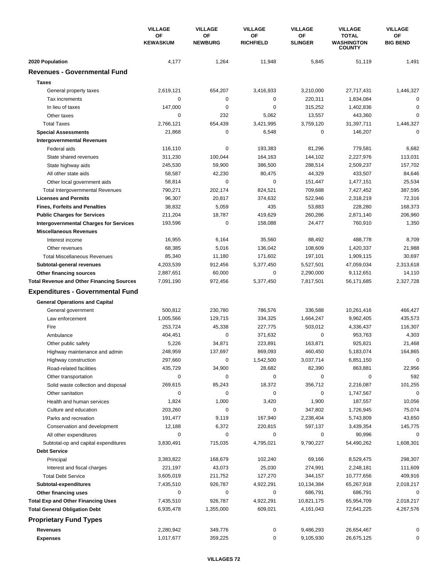|                                                                                   | <b>VILLAGE</b>               | <b>VILLAGE</b>       | <b>VILLAGE</b>         | <b>VILLAGE</b>        | <b>VILLAGE</b>                                     | <b>VILLAGE</b>         |
|-----------------------------------------------------------------------------------|------------------------------|----------------------|------------------------|-----------------------|----------------------------------------------------|------------------------|
|                                                                                   | <b>OF</b><br><b>KEWASKUM</b> | OF<br><b>NEWBURG</b> | ΟF<br><b>RICHFIELD</b> | OF<br><b>SLINGER</b>  | <b>TOTAL</b><br><b>WASHINGTON</b><br><b>COUNTY</b> | ΟF<br><b>BIG BEND</b>  |
| 2020 Population                                                                   | 4,177                        | 1,264                | 11,948                 | 5,845                 | 51,119                                             | 1,491                  |
| <b>Revenues - Governmental Fund</b>                                               |                              |                      |                        |                       |                                                    |                        |
| <b>Taxes</b>                                                                      |                              |                      |                        |                       |                                                    |                        |
| General property taxes                                                            | 2,619,121                    | 654,207              | 3,416,933              | 3,210,000             | 27,717,431                                         | 1,446,327              |
| Tax increments                                                                    | $\mathbf 0$                  | 0                    | 0                      | 220,311               | 1,834,084                                          | 0                      |
| In lieu of taxes                                                                  | 147,000                      | 0                    | 0                      | 315,252               | 1,402,836                                          | 0                      |
| Other taxes                                                                       | $\mathbf 0$                  | 232                  | 5,062                  | 13,557                | 443,360                                            | 0                      |
| <b>Total Taxes</b>                                                                | 2,766,121                    | 654,439              | 3,421,995              | 3,759,120             | 31,397,711                                         | 1,446,327              |
| <b>Special Assessments</b>                                                        | 21,868                       | 0                    | 6,548                  | 0                     | 146,207                                            | 0                      |
| <b>Intergovernmental Revenues</b>                                                 |                              |                      |                        |                       |                                                    |                        |
| Federal aids                                                                      | 116,110                      | 0                    | 193,383                | 81,296                | 779,581                                            | 6,682                  |
| State shared revenues                                                             | 311,230                      | 100,044              | 164,163                | 144,102               | 2,227,976                                          | 113,031                |
| State highway aids                                                                | 245,530                      | 59,900               | 386,500                | 288,514               | 2,509,237                                          | 157,702                |
| All other state aids                                                              | 58,587                       | 42,230               | 80,475                 | 44,329                | 433,507                                            | 84,646                 |
| Other local government aids                                                       | 58,814                       | $\mathbf 0$          | 0                      | 151,447               | 1,477,151                                          | 25,534                 |
| <b>Total Intergovernmental Revenues</b>                                           | 790,271                      | 202,174              | 824,521                | 709,688               | 7,427,452                                          | 387,595                |
| <b>Licenses and Permits</b>                                                       | 96,307                       | 20,817               | 374,632                | 522,946               | 2,318,219                                          | 72,316                 |
| <b>Fines, Forfeits and Penalties</b>                                              | 38,832                       | 5,059                | 435                    | 53,883                | 228,280                                            | 168,373                |
| <b>Public Charges for Services</b>                                                | 211,204                      | 18,787               | 419,629                | 260,286               | 2,871,140                                          | 206,960                |
| <b>Intergovernmental Charges for Services</b>                                     | 193,596                      | $\mathbf 0$          | 158,088                | 24,477                | 760,910                                            | 1,350                  |
| <b>Miscellaneous Revenues</b>                                                     |                              |                      |                        |                       |                                                    |                        |
| Interest income                                                                   | 16,955                       | 6,164                | 35,560                 | 88,492                | 488,778                                            | 8,709                  |
| Other revenues                                                                    | 68,385                       | 5,016                | 136,042                | 108,609               | 1,420,337                                          | 21,988                 |
| <b>Total Miscellaneous Revenues</b>                                               | 85,340                       | 11,180               | 171,602                | 197,101               | 1,909,115                                          | 30,697                 |
| Subtotal-general revenues                                                         | 4,203,539                    | 912,456              | 5,377,450              | 5,527,501             | 47,059,034                                         | 2,313,618              |
| <b>Other financing sources</b>                                                    | 2,887,651                    | 60,000               | 0                      | 2,290,000             | 9,112,651                                          | 14,110                 |
| <b>Total Revenue and Other Financing Sources</b>                                  | 7,091,190                    | 972,456              | 5,377,450              | 7,817,501             | 56,171,685                                         | 2,327,728              |
| <b>Expenditures - Governmental Fund</b>                                           |                              |                      |                        |                       |                                                    |                        |
| <b>General Operations and Capital</b>                                             |                              |                      |                        |                       |                                                    |                        |
| General government                                                                | 500,812                      | 230,780              | 786,576                | 336,588               | 10,261,416                                         | 466,427                |
| Law enforcement                                                                   | 1,005,566                    | 129,715              | 334,325                | 1,664,247             | 9,962,405                                          | 435,573                |
| Fire                                                                              | 253,724                      | 45,338               | 227,775                | 503,012               | 4,336,437                                          | 116,307                |
| Ambulance                                                                         | 404,451                      | 0                    | 371,632                | $\pmb{0}$             | 953,763                                            | 4,303                  |
| Other public safety                                                               | 5,226                        | 34,871               | 223,891                | 163,871               | 925,821                                            | 21,468                 |
| Highway maintenance and admin                                                     | 248,959                      | 137,697              | 869,093                | 460,450               | 5,183,074                                          | 164,865                |
| Highway construction                                                              | 297,660                      | 0                    | 1,542,500              | 3,037,714             | 6,851,150                                          | 0                      |
| Road-related facilities                                                           | 435,729                      | 34,900               | 28,682                 | 82,390                | 863,881                                            | 22,956                 |
| Other transportation                                                              | 0                            | 0                    | 0                      | 0                     | 0                                                  | 592                    |
| Solid waste collection and disposal                                               | 269,615                      | 85,243               | 18,372                 | 356,712               | 2,216,087                                          | 101,255                |
| Other sanitation                                                                  | 0                            | $\pmb{0}$            | 0                      | $\pmb{0}$             | 1,747,567                                          | $\mathbf 0$            |
| Health and human services                                                         | 1,824                        | 1,000                | 3,420                  | 1,900                 | 187,557                                            | 10,056                 |
| Culture and education                                                             | 203,260                      | 0                    | 0                      | 347,802               | 1,726,945                                          | 75,074                 |
| Parks and recreation                                                              | 191,477                      | 9,119                | 167,940                | 2,238,404             | 5,743,809                                          | 43,650                 |
| Conservation and development                                                      | 12,188                       | 6,372                | 220,815                | 597,137               | 3,439,354                                          | 145,775                |
| All other expenditures                                                            | 0                            | 0                    | 0                      | 0                     | 90,996                                             | 0                      |
| Subtotal-op and capital expenditures                                              | 3,830,491                    | 715,035              | 4,795,021              | 9,790,227             | 54,490,262                                         | 1,608,301              |
| <b>Debt Service</b>                                                               |                              |                      |                        |                       |                                                    |                        |
| Principal                                                                         | 3,383,822                    | 168,679              | 102,240                | 69,166                | 8,529,475                                          | 298,307                |
| Interest and fiscal charges                                                       | 221,197                      | 43,073               | 25,030                 | 274,991               | 2,248,181                                          | 111,609                |
| <b>Total Debt Service</b>                                                         | 3,605,019                    | 211,752              | 127,270                | 344,157               | 10,777,656                                         | 409,916                |
| Subtotal-expenditures                                                             | 7,435,510<br>0               | 926,787<br>0         | 4,922,291<br>0         | 10,134,384            | 65,267,918                                         | 2,018,217<br>0         |
| Other financing uses                                                              | 7,435,510                    | 926,787              | 4,922,291              | 686,791<br>10,821,175 | 686,791                                            |                        |
| <b>Total Exp and Other Financing Uses</b><br><b>Total General Obligation Debt</b> | 6,935,478                    | 1,355,000            | 609,021                | 4,161,043             | 65,954,709<br>72,641,225                           | 2,018,217<br>4,267,576 |
|                                                                                   |                              |                      |                        |                       |                                                    |                        |
| <b>Proprietary Fund Types</b>                                                     |                              |                      |                        |                       |                                                    |                        |
| <b>Revenues</b>                                                                   | 2,280,942                    | 349,776              | 0                      | 9,486,293             | 26,654,467                                         |                        |
| <b>Expenses</b>                                                                   | 1,017,677                    | 359,225              | 0                      | 9,105,930             | 26,675,125                                         | 0                      |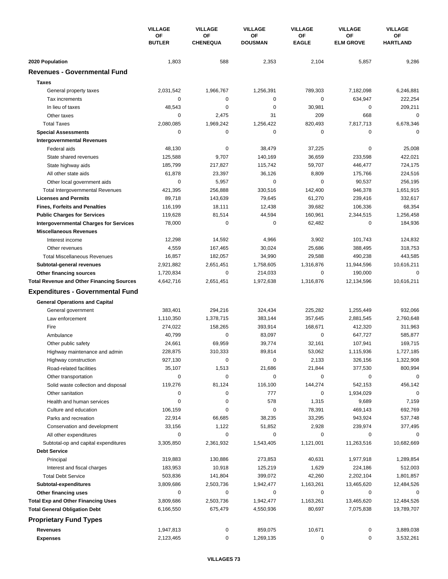|                                                  | <b>VILLAGE</b><br>OF<br><b>BUTLER</b> | <b>VILLAGE</b><br><b>VILLAGE</b> |                      | <b>VILLAGE</b>     | <b>VILLAGE</b>         | <b>VILLAGE</b>        |
|--------------------------------------------------|---------------------------------------|----------------------------------|----------------------|--------------------|------------------------|-----------------------|
|                                                  |                                       | OF<br><b>CHENEQUA</b>            | OF<br><b>DOUSMAN</b> | ΟF<br><b>EAGLE</b> | OF<br><b>ELM GROVE</b> | OF<br><b>HARTLAND</b> |
| 2020 Population                                  | 1,803                                 | 588                              | 2,353                | 2,104              | 5,857                  | 9,286                 |
| <b>Revenues - Governmental Fund</b>              |                                       |                                  |                      |                    |                        |                       |
| <b>Taxes</b>                                     |                                       |                                  |                      |                    |                        |                       |
| General property taxes                           | 2,031,542                             | 1,966,767                        | 1,256,391            | 789,303            | 7,182,098              | 6,246,881             |
| Tax increments                                   | 0                                     | 0                                | 0                    | 0                  | 634,947                | 222,254               |
| In lieu of taxes                                 | 48,543                                | 0                                | 0                    | 30,981             | 0                      | 209,211               |
| Other taxes                                      | 0                                     | 2,475                            | 31                   | 209                | 668                    | 0                     |
| <b>Total Taxes</b>                               | 2,080,085                             | 1,969,242                        | 1,256,422            | 820,493            | 7,817,713              | 6,678,346             |
| <b>Special Assessments</b>                       | 0                                     | 0                                | 0                    | 0                  | 0                      | 0                     |
| <b>Intergovernmental Revenues</b>                |                                       |                                  |                      |                    |                        |                       |
| Federal aids                                     | 48,130                                | 0                                | 38,479               | 37,225             | $\mathbf 0$            | 25,008                |
| State shared revenues                            | 125,588                               | 9,707                            | 140,169              | 36,659             | 233,598                | 422,021               |
| State highway aids                               | 185,799                               | 217,827                          | 115,742              | 59,707             | 446,477                | 724,175               |
| All other state aids                             | 61,878                                | 23,397                           | 36,126               | 8,809              | 175,766                | 224,516               |
| Other local government aids                      | $\mathbf 0$                           | 5,957                            | 0                    | $\mathbf 0$        | 90,537                 | 256,195               |
| Total Intergovernmental Revenues                 | 421,395                               | 256,888                          | 330,516              | 142,400            | 946,378                | 1,651,915             |
| <b>Licenses and Permits</b>                      | 89,718                                | 143,639                          | 79,645               | 61,270             | 239,416                | 332,617               |
| <b>Fines, Forfeits and Penalties</b>             | 116,199                               | 18,111                           | 12,438               | 39,682             | 106,336                | 68,354                |
| <b>Public Charges for Services</b>               | 119,628                               | 81,514                           | 44,594               | 160,961            | 2,344,515              | 1,256,458             |
| <b>Intergovernmental Charges for Services</b>    | 78,000                                | $\mathbf 0$                      | 0                    | 62,482             | $\mathbf 0$            | 184,936               |
| <b>Miscellaneous Revenues</b>                    |                                       |                                  |                      |                    |                        |                       |
| Interest income                                  | 12,298                                | 14,592                           | 4,966                | 3,902              | 101,743                | 124,832               |
| Other revenues                                   | 4,559                                 | 167,465                          | 30,024               | 25,686             | 388,495                | 318,753               |
| <b>Total Miscellaneous Revenues</b>              | 16,857                                | 182,057                          | 34,990               | 29,588             | 490,238                | 443,585               |
| Subtotal-general revenues                        | 2,921,882                             | 2,651,451                        | 1,758,605            | 1,316,876          | 11,944,596             | 10,616,211            |
| Other financing sources                          | 1,720,834                             | 0                                | 214,033              | 0                  | 190,000                | 0                     |
| <b>Total Revenue and Other Financing Sources</b> | 4,642,716                             | 2,651,451                        | 1,972,638            | 1,316,876          | 12,134,596             | 10,616,211            |
| <b>Expenditures - Governmental Fund</b>          |                                       |                                  |                      |                    |                        |                       |
| <b>General Operations and Capital</b>            |                                       |                                  |                      |                    |                        |                       |
| General government                               | 383,401                               | 294,216                          | 324,434              | 225,282            | 1,255,449              | 932,066               |
| Law enforcement                                  | 1,110,350                             | 1,378,715                        | 383,144              | 357,645            | 2,881,545              | 2,760,648             |
| Fire                                             | 274,022                               | 158,265                          | 393,914              | 168,671            | 412,320                | 311,963               |
| Ambulance                                        | 40,799                                | 0                                | 83,097               | 0                  | 647,727                | 585,877               |
| Other public safety                              | 24,661                                | 69,959                           | 39,774               | 32,161             | 107,941                | 169,715               |
| Highway maintenance and admin                    | 228,875                               | 310,333                          | 89,814               | 53,062             | 1,115,936              | 1,727,185             |
| Highway construction                             | 927,130                               | 0                                | 0                    | 2,133              | 326,156                | 1,322,908             |
| Road-related facilities                          | 35,107                                | 1,513                            | 21,686               | 21,844             | 377,530                | 800,994               |
| Other transportation                             | $\mathbf 0$                           | 0                                | 0                    | 0                  | 0                      | $\mathbf 0$           |
| Solid waste collection and disposal              | 119,276                               | 81,124                           | 116,100              | 144,274            | 542,153                | 456,142               |
| Other sanitation                                 | 0                                     | 0                                | 777                  | 0                  | 1,934,029              | 0                     |
| Health and human services                        | 0                                     | 0                                | 578                  | 1,315              | 9,689                  | 7,159                 |
| Culture and education                            | 106,159                               | 0                                | 0                    | 78,391             | 469,143                | 692,769               |
| Parks and recreation                             | 22,914                                | 66,685                           | 38,235               | 33,295             | 943,924                | 537,748               |
| Conservation and development                     | 33,156                                | 1,122                            | 51,852               | 2,928              | 239,974                | 377,495               |
| All other expenditures                           | 0                                     | 0                                | 0                    | 0                  | 0                      | 0                     |
| Subtotal-op and capital expenditures             | 3,305,850                             | 2,361,932                        | 1,543,405            | 1,121,001          | 11,263,516             | 10,682,669            |
| <b>Debt Service</b>                              |                                       |                                  |                      |                    |                        |                       |
| Principal                                        | 319,883                               | 130,886                          | 273,853              | 40,631             | 1,977,918              | 1,289,854             |
| Interest and fiscal charges                      | 183,953                               | 10,918                           | 125,219              | 1,629              | 224,186                | 512,003               |
| <b>Total Debt Service</b>                        | 503,836                               | 141,804                          | 399,072              | 42,260             | 2,202,104              | 1,801,857             |
| Subtotal-expenditures                            | 3,809,686                             | 2,503,736                        | 1,942,477            | 1,163,261          | 13,465,620             | 12,484,526            |
| Other financing uses                             | 0                                     | 0                                | 0                    | 0                  | 0                      | 0                     |
| <b>Total Exp and Other Financing Uses</b>        | 3,809,686                             | 2,503,736                        | 1,942,477            | 1,163,261          | 13,465,620             | 12,484,526            |
| <b>Total General Obligation Debt</b>             | 6,166,550                             | 675,479                          | 4,550,936            | 80,697             | 7,075,838              | 19,789,707            |
| <b>Proprietary Fund Types</b>                    |                                       |                                  |                      |                    |                        |                       |
| <b>Revenues</b>                                  | 1,947,813                             | 0                                | 859,075              | 10,671             | 0                      | 3,889,038             |
| <b>Expenses</b>                                  | 2,123,465                             | 0                                | 1,269,135            | 0                  | 0                      | 3,532,261             |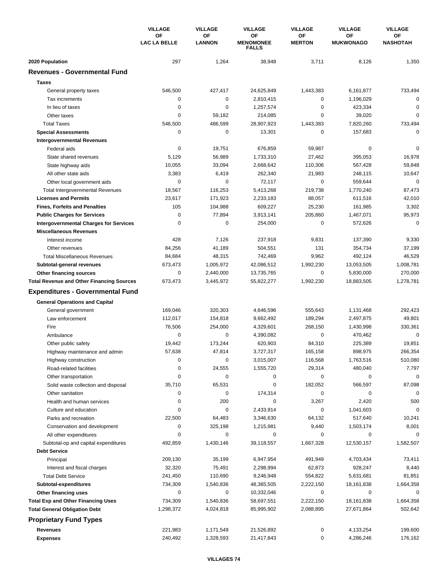|                                                  | <b>VILLAGE</b>            | <b>VILLAGE</b>      | <b>VILLAGE</b>                         | <b>VILLAGE</b>      | <b>VILLAGE</b>         | <b>VILLAGE</b>        |
|--------------------------------------------------|---------------------------|---------------------|----------------------------------------|---------------------|------------------------|-----------------------|
|                                                  | OF<br><b>LAC LA BELLE</b> | OF<br><b>LANNON</b> | ΟF<br><b>MENOMONEE</b><br><b>FALLS</b> | OF<br><b>MERTON</b> | OF<br><b>MUKWONAGO</b> | OF<br><b>NASHOTAH</b> |
| 2020 Population                                  | 297                       | 1,264               | 38,948                                 | 3,711               | 8,126                  | 1,350                 |
| <b>Revenues - Governmental Fund</b>              |                           |                     |                                        |                     |                        |                       |
| <b>Taxes</b>                                     |                           |                     |                                        |                     |                        |                       |
| General property taxes                           | 546,500                   | 427,417             | 24,625,849                             | 1,443,383           | 6,161,877              | 733,494               |
| Tax increments                                   | 0                         | $\pmb{0}$           | 2,810,415                              | 0                   | 1,196,029              | $\mathbf 0$           |
| In lieu of taxes                                 | 0                         | 0                   | 1,257,574                              | 0                   | 423,334                | 0                     |
| Other taxes                                      | 0                         | 59,182              | 214,085                                | 0                   | 39.020                 | $\mathbf 0$           |
| <b>Total Taxes</b>                               | 546,500                   | 486,599             | 28,907,923                             | 1,443,383           | 7,820,260              | 733,494               |
| <b>Special Assessments</b>                       | 0                         | 0                   | 13,301                                 | 0                   | 157,683                | $\mathbf 0$           |
| <b>Intergovernmental Revenues</b>                |                           |                     |                                        |                     |                        |                       |
| Federal aids                                     | 0                         | 19,751              | 676,859                                | 59,987              | 0                      | 0                     |
| State shared revenues                            | 5,129                     | 56,989              | 1,733,310                              | 27,462              | 395,053                | 16,978                |
| State highway aids                               | 10,055                    | 33,094              | 2,668,642                              | 110,306             | 567,428                | 59,848                |
| All other state aids                             | 3,383                     | 6,419               | 262,340                                | 21,983              | 248,115                | 10,647                |
| Other local government aids                      | 0                         | 0                   | 72,117                                 | 0                   | 559,644                | $\mathbf 0$           |
| <b>Total Intergovernmental Revenues</b>          | 18,567                    | 116,253             | 5,413,268                              | 219,738             | 1,770,240              | 87,473                |
| <b>Licenses and Permits</b>                      | 23,617                    | 171,923             | 2,233,183                              | 88,057              | 611,516                | 42,010                |
| <b>Fines, Forfeits and Penalties</b>             | 105                       | 104,988             | 609,227                                | 25,230              | 161,985                | 3,302                 |
| <b>Public Charges for Services</b>               | 0                         | 77,894              | 3,913,141                              | 205,860             | 1,467,071              | 95,973                |
| <b>Intergovernmental Charges for Services</b>    | 0                         | 0                   | 254,000                                | 0                   | 572,626                | $\mathbf 0$           |
| <b>Miscellaneous Revenues</b>                    |                           |                     |                                        |                     |                        |                       |
| Interest income                                  | 428                       | 7,126               | 237,918                                | 9,831               | 137,390                | 9,330                 |
| Other revenues                                   | 84,256                    | 41,189              | 504,551                                | 131                 | 354,734                | 37,199                |
| <b>Total Miscellaneous Revenues</b>              | 84,684                    | 48,315              | 742,469                                | 9,962               | 492,124                | 46,529                |
| Subtotal-general revenues                        | 673,473                   | 1,005,972           | 42,086,512                             | 1,992,230           | 13,053,505             | 1,008,781             |
| Other financing sources                          | 0                         | 2,440,000           | 13,735,765                             | 0                   | 5,830,000              | 270,000               |
| <b>Total Revenue and Other Financing Sources</b> | 673,473                   | 3,445,972           | 55,822,277                             | 1,992,230           | 18,883,505             | 1,278,781             |
| <b>Expenditures - Governmental Fund</b>          |                           |                     |                                        |                     |                        |                       |
| <b>General Operations and Capital</b>            |                           |                     |                                        |                     |                        |                       |
| General government                               | 169,046                   | 320,303             | 4,646,596                              | 555,643             | 1,131,468              | 292,423               |
| Law enforcement                                  | 112,017                   | 154,818             | 9,662,492                              | 189,294             | 2,497,875              | 49,801                |
| Fire                                             | 76,506                    | 254,000             | 4,329,601                              | 268,150             | 1,430,998              | 330,361               |
| Ambulance                                        | $\mathbf 0$               | 0                   | 4,390,082                              | 0                   | 470,462                | $\mathbf 0$           |
| Other public safety                              | 19,442                    | 173,244             | 620,903                                | 84,310              | 225,389                | 19,851                |
| Highway maintenance and admin                    | 57,638                    | 47,814              | 3,727,317                              | 165,158             | 898,975                | 266,354               |
| Highway construction                             | 0                         | 0                   | 3,015,007                              | 116,568             | 1,763,516              | 510,080               |
| Road-related facilities                          | 0                         | 24,555              | 1,555,720                              | 29,314              | 480,040                | 7,797                 |
| Other transportation                             | 0                         | 0                   | 0                                      | 0                   | 0                      | $\mathbf 0$           |
| Solid waste collection and disposal              | 35,710                    | 65,531              | 0                                      | 182,052             | 566,597                | 87,098                |
| Other sanitation                                 | 0                         | 0                   | 174,314                                | 0                   | 0                      | $\mathbf 0$           |
| Health and human services                        | 0                         | 200                 | 0                                      | 3,267               | 2,420                  | 500                   |
| Culture and education                            | 0                         | 0                   | 2,433,914                              | 0                   | 1,041,603              | $\pmb{0}$             |
| Parks and recreation                             | 22,500                    | 64,483              | 3,346,630                              | 64,132              | 517,640                | 10,241                |
| Conservation and development                     | 0                         | 325,198             | 1,215,981                              | 9,440               | 1,503,174              | 8,001                 |
| All other expenditures                           | 0                         | 0                   | 0                                      | 0                   | 0                      | 0                     |
| Subtotal-op and capital expenditures             | 492,859                   | 1,430,146           | 39,118,557                             | 1,667,328           | 12,530,157             | 1,582,507             |
| <b>Debt Service</b>                              |                           |                     |                                        |                     |                        |                       |
| Principal                                        | 209,130                   | 35,199              | 6,947,954                              | 491,949             | 4,703,434              | 73,411                |
| Interest and fiscal charges                      | 32,320                    | 75,491              | 2,298,994                              | 62,873              | 928,247                | 8,440                 |
| <b>Total Debt Service</b>                        | 241,450                   | 110,690             | 9,246,948                              | 554,822             | 5,631,681              | 81,851                |
| Subtotal-expenditures                            | 734,309                   | 1,540,836           | 48,365,505                             | 2,222,150           | 18,161,838             | 1,664,358             |
| Other financing uses                             | 0                         | 0                   | 10,332,046                             | 0                   | 0                      | 0                     |
| <b>Total Exp and Other Financing Uses</b>        | 734,309                   | 1,540,836           | 58,697,551                             | 2,222,150           | 18,161,838             | 1,664,358             |
| <b>Total General Obligation Debt</b>             | 1,298,372                 | 4,024,818           | 85,995,902                             | 2,088,895           | 27,671,864             | 502,642               |
| <b>Proprietary Fund Types</b>                    |                           |                     |                                        |                     |                        |                       |
| <b>Revenues</b>                                  | 221,983                   | 1,171,549           | 21,526,892                             | 0                   | 4,133,254              | 199,600               |
| <b>Expenses</b>                                  | 240,492                   | 1,328,593           | 21,417,843                             | 0                   | 4,286,246              | 176,162               |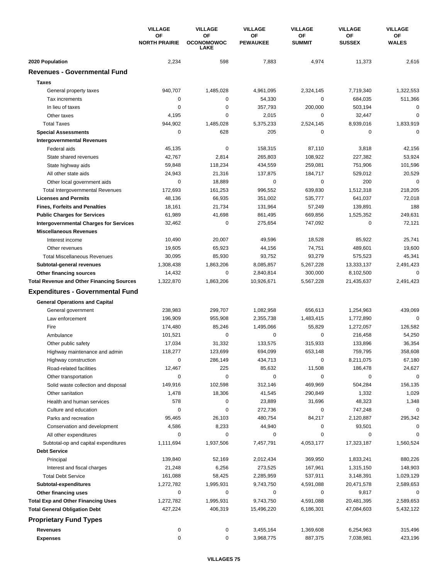|                                                       | <b>VILLAGE</b>                    | <b>VILLAGE</b>                         | <b>VILLAGE</b>        | <b>VILLAGE</b>             | <b>VILLAGE</b>      | <b>VILLAGE</b>     |
|-------------------------------------------------------|-----------------------------------|----------------------------------------|-----------------------|----------------------------|---------------------|--------------------|
|                                                       | <b>OF</b><br><b>NORTH PRAIRIE</b> | OF<br><b>OCONOMOWOC</b><br><b>LAKE</b> | ΟF<br><b>PEWAUKEE</b> | <b>OF</b><br><b>SUMMIT</b> | ΟF<br><b>SUSSEX</b> | ОF<br><b>WALES</b> |
| 2020 Population                                       | 2,234                             | 598                                    | 7,883                 | 4,974                      | 11,373              | 2,616              |
| <b>Revenues - Governmental Fund</b>                   |                                   |                                        |                       |                            |                     |                    |
| <b>Taxes</b>                                          |                                   |                                        |                       |                            |                     |                    |
| General property taxes                                | 940,707                           | 1,485,028                              | 4,961,095             | 2,324,145                  | 7,719,340           | 1,322,553          |
| Tax increments                                        | 0                                 | $\mathbf 0$                            | 54,330                | $\mathbf 0$                | 684,035             | 511,366            |
| In lieu of taxes                                      | 0                                 | 0                                      | 357,793               | 200,000                    | 503,194             | 0                  |
| Other taxes                                           | 4,195                             | $\mathbf 0$                            | 2,015                 | 0                          | 32,447              | $\mathbf 0$        |
| <b>Total Taxes</b>                                    | 944,902                           | 1,485,028                              | 5,375,233             | 2,524,145                  | 8,939,016           | 1,833,919          |
| <b>Special Assessments</b>                            | 0                                 | 628                                    | 205                   | 0                          | 0                   | $\mathbf 0$        |
| <b>Intergovernmental Revenues</b>                     |                                   |                                        |                       |                            |                     |                    |
| Federal aids                                          | 45,135                            | 0                                      | 158,315               | 87,110                     | 3,818               | 42,156             |
| State shared revenues                                 | 42,767                            | 2,814                                  | 265,803               | 108,922                    | 227,382             | 53,924             |
| State highway aids                                    | 59,848                            | 118,234                                | 434,559               | 259,081                    | 751,906             | 101,596            |
| All other state aids                                  | 24,943                            | 21,316                                 | 137,875               | 184,717                    | 529,012             | 20,529             |
| Other local government aids                           | 0                                 | 18,889                                 | 0                     | $\mathbf 0$                | 200                 | $\mathbf 0$        |
| <b>Total Intergovernmental Revenues</b>               | 172,693                           | 161,253                                | 996,552               | 639,830                    | 1,512,318           | 218,205            |
| <b>Licenses and Permits</b>                           | 48,136                            | 66,935                                 | 351,002               | 535,777                    | 641,037             | 72,018             |
| <b>Fines, Forfeits and Penalties</b>                  | 18,161                            | 21,734                                 | 131,964               | 57,249                     | 139,891             | 188                |
| <b>Public Charges for Services</b>                    | 61,989                            | 41,698                                 | 861,495               | 669,856                    | 1,525,352           | 249,631            |
| <b>Intergovernmental Charges for Services</b>         | 32,462                            | $\mathbf 0$                            | 275,654               | 747,092                    | 0                   | 72,121             |
| <b>Miscellaneous Revenues</b>                         |                                   |                                        |                       |                            |                     |                    |
| Interest income                                       | 10,490                            | 20,007                                 | 49,596                | 18,528                     | 85,922              | 25,741             |
| Other revenues                                        | 19,605                            | 65,923                                 | 44,156                | 74,751                     | 489,601             | 19,600             |
| <b>Total Miscellaneous Revenues</b>                   | 30,095                            | 85,930                                 | 93,752                | 93,279                     | 575,523             | 45,341             |
| Subtotal-general revenues                             | 1,308,438                         | 1,863,206                              | 8,085,857             | 5,267,228                  | 13,333,137          | 2,491,423          |
| Other financing sources                               | 14,432                            | 0                                      | 2,840,814             | 300,000                    | 8,102,500           | 0<br>2,491,423     |
| <b>Total Revenue and Other Financing Sources</b>      | 1,322,870                         | 1,863,206                              | 10,926,671            | 5,567,228                  | 21,435,637          |                    |
| <b>Expenditures - Governmental Fund</b>               |                                   |                                        |                       |                            |                     |                    |
| <b>General Operations and Capital</b>                 |                                   |                                        |                       |                            |                     |                    |
| General government                                    | 238,983                           | 299,707                                | 1,082,958             | 656,613                    | 1,254,963           | 439,069            |
| Law enforcement                                       | 196,909                           | 955,908                                | 2,355,738             | 1,483,415                  | 1,772,890           | $\mathbf 0$        |
| Fire                                                  | 174,480                           | 85,246                                 | 1,495,066             | 55,829                     | 1,272,057           | 126,582            |
| Ambulance                                             | 101,521                           | $\mathbf 0$                            | 0                     | 0<br>315,933               | 216,458             | 54,250             |
| Other public safety                                   | 17,034<br>118,277                 | 31,332<br>123,699                      | 133,575<br>694,099    | 653,148                    | 133,896<br>759,795  | 36,354<br>358,608  |
| Highway maintenance and admin<br>Highway construction | 0                                 | 286,149                                | 434,713               | 0                          | 8,211,075           | 67,180             |
| Road-related facilities                               | 12,467                            | 225                                    | 85,632                | 11,508                     | 186,478             | 24,627             |
| Other transportation                                  | 0                                 | 0                                      | 0                     | 0                          | 0                   | 0                  |
| Solid waste collection and disposal                   | 149,916                           | 102,598                                | 312,146               | 469,969                    | 504,284             | 156,135            |
| Other sanitation                                      | 1,478                             | 18,306                                 | 41,545                | 290,849                    | 1,332               | 1,029              |
| Health and human services                             | 578                               | 0                                      | 23,889                | 31,696                     | 48,323              | 1,348              |
| Culture and education                                 | 0                                 | 0                                      | 272,736               | 0                          | 747,248             | 0                  |
| Parks and recreation                                  | 95,465                            | 26,103                                 | 480,754               | 84,217                     | 2,120,887           | 295,342            |
| Conservation and development                          | 4,586                             | 8,233                                  | 44,940                | 0                          | 93,501              | 0                  |
| All other expenditures                                | 0                                 | 0                                      | 0                     | 0                          | 0                   | 0                  |
| Subtotal-op and capital expenditures                  | 1,111,694                         | 1,937,506                              | 7,457,791             | 4,053,177                  | 17,323,187          | 1,560,524          |
| <b>Debt Service</b>                                   |                                   |                                        |                       |                            |                     |                    |
| Principal                                             | 139,840                           | 52,169                                 | 2,012,434             | 369,950                    | 1,833,241           | 880,226            |
| Interest and fiscal charges                           | 21,248                            | 6,256                                  | 273,525               | 167,961                    | 1,315,150           | 148,903            |
| <b>Total Debt Service</b>                             | 161,088                           | 58,425                                 | 2,285,959             | 537,911                    | 3,148,391           | 1,029,129          |
| Subtotal-expenditures                                 | 1,272,782                         | 1,995,931                              | 9,743,750             | 4,591,088                  | 20,471,578          | 2,589,653          |
| Other financing uses                                  | 0                                 | 0                                      | 0                     | 0                          | 9,817               | 0                  |
| <b>Total Exp and Other Financing Uses</b>             | 1,272,782                         | 1,995,931                              | 9,743,750             | 4,591,088                  | 20,481,395          | 2,589,653          |
| <b>Total General Obligation Debt</b>                  | 427,224                           | 406,319                                | 15,496,220            | 6,186,301                  | 47,084,603          | 5,432,122          |
| <b>Proprietary Fund Types</b>                         |                                   |                                        |                       |                            |                     |                    |
| <b>Revenues</b>                                       | 0                                 | 0                                      | 3,455,164             | 1,369,608                  | 6,254,963           | 315,496            |
| <b>Expenses</b>                                       | $\pmb{0}$                         | 0                                      | 3,968,775             | 887,375                    | 7,038,981           | 423,196            |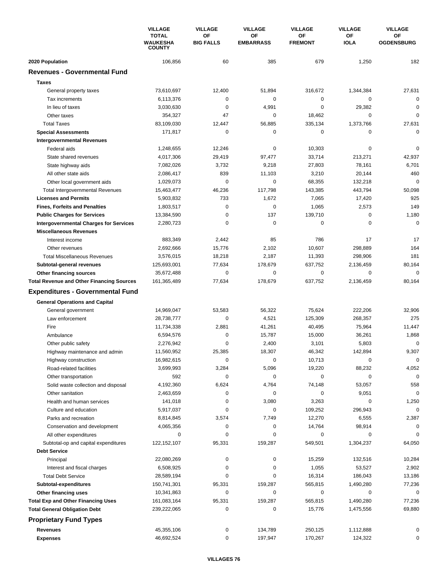|                                                          | <b>VILLAGE</b><br><b>TOTAL</b><br>WAUKESHA<br><b>COUNTY</b> | <b>VILLAGE</b><br><b>VILLAGE</b><br>ΟF<br>ΟF | <b>VILLAGE</b><br>OF | <b>VILLAGE</b><br>OF | <b>VILLAGE</b><br>OF   |                   |
|----------------------------------------------------------|-------------------------------------------------------------|----------------------------------------------|----------------------|----------------------|------------------------|-------------------|
|                                                          |                                                             | <b>BIG FALLS</b>                             | <b>EMBARRASS</b>     | <b>FREMONT</b>       | <b>IOLA</b>            | <b>OGDENSBURG</b> |
| 2020 Population                                          | 106,856                                                     | 60                                           | 385                  | 679                  | 1,250                  | 182               |
| <b>Revenues - Governmental Fund</b>                      |                                                             |                                              |                      |                      |                        |                   |
| <b>Taxes</b>                                             |                                                             |                                              |                      |                      |                        |                   |
| General property taxes                                   | 73,610,697                                                  | 12,400                                       | 51,894               | 316,672              | 1,344,384              | 27,631            |
| Tax increments                                           | 6,113,376                                                   | 0                                            | 0                    | $\pmb{0}$            | 0                      | 0                 |
| In lieu of taxes                                         | 3,030,630                                                   | 0                                            | 4,991                | $\mathbf 0$          | 29.382                 | 0                 |
| Other taxes                                              | 354,327                                                     | 47                                           | 0                    | 18,462               | 0                      | 0                 |
| <b>Total Taxes</b>                                       | 83,109,030                                                  | 12,447                                       | 56,885               | 335,134              | 1,373,766              | 27,631            |
| <b>Special Assessments</b>                               | 171,817                                                     | 0                                            | 0                    | 0                    | 0                      | $\mathbf 0$       |
| <b>Intergovernmental Revenues</b>                        |                                                             |                                              |                      |                      |                        |                   |
| Federal aids                                             | 1,248,655                                                   | 12,246                                       | 0                    | 10,303               | 0                      | $\Omega$          |
| State shared revenues                                    | 4,017,306                                                   | 29,419                                       | 97,477               | 33,714               | 213,271                | 42,937            |
| State highway aids                                       | 7,082,026                                                   | 3,732                                        | 9,218                | 27,803               | 78,161                 | 6,701             |
| All other state aids                                     | 2,086,417                                                   | 839                                          | 11,103               | 3,210                | 20,144                 | 460               |
| Other local government aids                              | 1,029,073                                                   | 0                                            | 0                    | 68,355               | 132,218                | $\mathbf 0$       |
| <b>Total Intergovernmental Revenues</b>                  | 15,463,477                                                  | 46,236                                       | 117,798              | 143,385              | 443,794                | 50,098            |
| <b>Licenses and Permits</b>                              | 5,903,832                                                   | 733                                          | 1,672                | 7,065                | 17,420                 | 925               |
| <b>Fines, Forfeits and Penalties</b>                     | 1,803,517                                                   | 0                                            | 0                    | 1,065                | 2,573                  | 149               |
| <b>Public Charges for Services</b>                       | 13,384,590                                                  | $\mathbf 0$                                  | 137                  | 139,710              | $\mathbf 0$            | 1,180             |
| <b>Intergovernmental Charges for Services</b>            | 2,280,723                                                   | 0                                            | $\mathbf 0$          | 0                    | 0                      | $\mathbf 0$       |
| <b>Miscellaneous Revenues</b>                            |                                                             |                                              |                      |                      |                        |                   |
| Interest income                                          | 883,349                                                     | 2,442                                        | 85                   | 786                  | 17                     | 17                |
| Other revenues                                           | 2,692,666                                                   | 15,776                                       | 2,102                | 10,607               | 298,889                | 164               |
| <b>Total Miscellaneous Revenues</b>                      | 3,576,015                                                   | 18,218                                       | 2,187                | 11,393               | 298,906                | 181               |
| Subtotal-general revenues                                | 125,693,001                                                 | 77,634                                       | 178,679              | 637,752              | 2,136,459              | 80,164            |
| <b>Other financing sources</b>                           | 35,672,488                                                  | 0                                            | 0                    | 0                    | 0                      | 0                 |
| <b>Total Revenue and Other Financing Sources</b>         | 161,365,489                                                 | 77,634                                       | 178,679              | 637,752              | 2,136,459              | 80,164            |
| <b>Expenditures - Governmental Fund</b>                  |                                                             |                                              |                      |                      |                        |                   |
|                                                          |                                                             |                                              |                      |                      |                        |                   |
| <b>General Operations and Capital</b>                    |                                                             |                                              |                      |                      |                        |                   |
| General government                                       | 14,969,047                                                  | 53,583                                       | 56,322               | 75,624               | 222,206                | 32,906            |
| Law enforcement<br>Fire                                  | 28,738,777                                                  | $\pmb{0}$                                    | 4,521                | 125,309              | 268,357                | 275               |
|                                                          | 11,734,338                                                  | 2,881                                        | 41,261               | 40,495               | 75,964                 | 11,447            |
| Ambulance                                                | 6,594,576                                                   | 0<br>0                                       | 15,787               | 15,000               | 36,261                 | 1,868             |
| Other public safety                                      | 2,276,942                                                   |                                              | 2,400                | 3,101                | 5,803                  | 0                 |
| Highway maintenance and admin                            | 11,560,952                                                  | 25,385                                       | 18,307               | 46,342               | 142,894                | 9,307             |
| Highway construction                                     | 16,982,615                                                  | 0                                            | 0                    | 10,713               | 0                      | 0                 |
| Road-related facilities                                  | 3,699,993                                                   | 3,284                                        | 5,096                | 19,220<br>$\pmb{0}$  | 88,232                 | 4,052<br>$\Omega$ |
| Other transportation                                     | 592                                                         | 0                                            | 0                    |                      | 0                      |                   |
| Solid waste collection and disposal<br>Other sanitation  | 4,192,360<br>2,463,659                                      | 6,624                                        | 4,764                | 74,148<br>$\pmb{0}$  | 53,057                 | 558<br>0          |
|                                                          |                                                             | 0<br>0                                       | 0                    |                      | 9,051                  |                   |
| Health and human services                                | 141,018                                                     | 0                                            | 3,080<br>0           | 3,263                | 0                      | 1,250<br>0        |
| Culture and education                                    | 5,917,037                                                   |                                              |                      | 109,252              | 296,943                |                   |
| Parks and recreation                                     | 8,814,845                                                   | 3,574                                        | 7,749                | 12,270               | 6,555                  | 2,387             |
| Conservation and development                             | 4,065,356                                                   | 0                                            | 0                    | 14,764               | 98,914                 | 0<br>$\Omega$     |
| All other expenditures                                   | 0                                                           | 0                                            | 0                    | 0                    | 0                      |                   |
| Subtotal-op and capital expenditures                     | 122, 152, 107                                               | 95,331                                       | 159,287              | 549,501              | 1,304,237              | 64,050            |
| <b>Debt Service</b>                                      |                                                             |                                              |                      |                      |                        |                   |
| Principal                                                | 22,080,269<br>6,508,925                                     | 0<br>0                                       | 0<br>0               | 15,259<br>1,055      | 132,516<br>53,527      | 10,284            |
| Interest and fiscal charges<br><b>Total Debt Service</b> | 28,589,194                                                  | 0                                            | 0                    | 16,314               | 186,043                | 2,902<br>13,186   |
|                                                          |                                                             |                                              |                      |                      |                        |                   |
| Subtotal-expenditures                                    | 150,741,301                                                 | 95,331<br>0                                  | 159,287<br>0         | 565,815<br>0         | 1,490,280<br>0         | 77,236<br>0       |
| Other financing uses                                     | 10,341,863                                                  |                                              | 159,287              | 565,815              |                        |                   |
| <b>Total Exp and Other Financing Uses</b>                | 161,083,164<br>239,222,065                                  | 95,331<br>0                                  | 0                    | 15,776               | 1,490,280<br>1,475,556 | 77,236<br>69,880  |
| <b>Total General Obligation Debt</b>                     |                                                             |                                              |                      |                      |                        |                   |
| <b>Proprietary Fund Types</b>                            |                                                             |                                              |                      |                      |                        |                   |
| Revenues                                                 | 45,355,106                                                  | 0                                            | 134,789              | 250,125              | 1,112,888              | 0                 |
| <b>Expenses</b>                                          | 46,692,524                                                  | 0                                            | 197,947              | 170,267              | 124,322                | 0                 |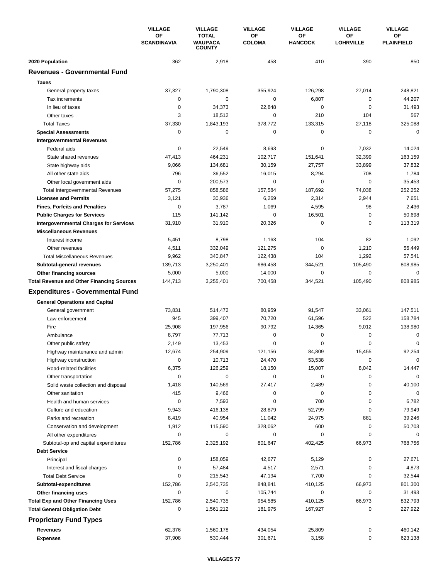|                                                                                   | <b>VILLAGE</b>                  | <b>VILLAGE</b>                                  | <b>VILLAGE</b>      | <b>VILLAGE</b>              | <b>VILLAGE</b>                | <b>VILLAGE</b>          |
|-----------------------------------------------------------------------------------|---------------------------------|-------------------------------------------------|---------------------|-----------------------------|-------------------------------|-------------------------|
|                                                                                   | <b>OF</b><br><b>SCANDINAVIA</b> | <b>TOTAL</b><br><b>WAUPACA</b><br><b>COUNTY</b> | ΟF<br><b>COLOMA</b> | <b>OF</b><br><b>HANCOCK</b> | <b>OF</b><br><b>LOHRVILLE</b> | OF<br><b>PLAINFIELD</b> |
| 2020 Population                                                                   | 362                             | 2,918                                           | 458                 | 410                         | 390                           | 850                     |
| <b>Revenues - Governmental Fund</b>                                               |                                 |                                                 |                     |                             |                               |                         |
| <b>Taxes</b>                                                                      |                                 |                                                 |                     |                             |                               |                         |
| General property taxes                                                            | 37,327                          | 1,790,308                                       | 355,924             | 126,298                     | 27,014                        | 248,821                 |
| Tax increments                                                                    | 0                               | 0                                               | 0                   | 6,807                       | 0                             | 44,207                  |
| In lieu of taxes                                                                  | 0                               | 34,373                                          | 22,848              | $\mathbf 0$                 | $\mathbf 0$                   | 31,493                  |
| Other taxes                                                                       | 3                               | 18,512                                          | 0                   | 210                         | 104                           | 567                     |
| <b>Total Taxes</b>                                                                | 37,330                          | 1,843,193                                       | 378,772             | 133,315                     | 27,118                        | 325,088                 |
| <b>Special Assessments</b>                                                        | 0                               | 0                                               | 0                   | 0                           | 0                             | 0                       |
| <b>Intergovernmental Revenues</b>                                                 |                                 |                                                 |                     |                             |                               |                         |
| Federal aids                                                                      | $\mathbf 0$                     | 22,549                                          | 8,693               | 0                           | 7,032                         | 14,024                  |
| State shared revenues                                                             | 47,413                          | 464,231                                         | 102,717             | 151,641                     | 32,399                        | 163,159                 |
| State highway aids                                                                | 9,066                           | 134,681                                         | 30,159              | 27,757                      | 33,899                        | 37,832                  |
| All other state aids                                                              | 796                             | 36,552                                          | 16,015              | 8,294                       | 708                           | 1,784                   |
| Other local government aids                                                       | $\mathbf 0$                     | 200,573                                         | 0                   | 0                           | $\mathbf 0$                   | 35,453                  |
| <b>Total Intergovernmental Revenues</b>                                           | 57,275                          | 858,586                                         | 157,584             | 187,692                     | 74,038                        | 252,252                 |
| <b>Licenses and Permits</b>                                                       | 3,121                           | 30,936                                          | 6,269               | 2,314                       | 2,944                         | 7,651                   |
| <b>Fines, Forfeits and Penalties</b>                                              | 0                               | 3,787                                           | 1,069               | 4,595                       | 98                            | 2,436                   |
| <b>Public Charges for Services</b>                                                | 115                             | 141,142                                         | 0                   | 16,501                      | 0                             | 50,698                  |
| <b>Intergovernmental Charges for Services</b>                                     | 31,910                          | 31,910                                          | 20,326              | $\mathbf 0$                 | $\mathbf 0$                   | 113,319                 |
| <b>Miscellaneous Revenues</b>                                                     |                                 |                                                 |                     |                             |                               |                         |
| Interest income                                                                   | 5,451                           | 8,798                                           | 1,163               | 104                         | 82                            | 1,092                   |
| Other revenues                                                                    | 4,511                           | 332,049                                         | 121,275             | $\mathbf 0$                 | 1,210                         | 56,449                  |
| <b>Total Miscellaneous Revenues</b>                                               | 9,962                           | 340,847                                         | 122,438             | 104                         | 1,292                         | 57,541                  |
| Subtotal-general revenues                                                         | 139,713                         | 3,250,401                                       | 686,458             | 344,521                     | 105,490                       | 808,985                 |
| Other financing sources                                                           | 5,000                           | 5,000                                           | 14,000              | $\mathbf 0$                 | $\mathbf 0$                   | $\mathbf 0$             |
| <b>Total Revenue and Other Financing Sources</b>                                  | 144,713                         | 3,255,401                                       | 700,458             | 344,521                     | 105,490                       | 808,985                 |
| <b>Expenditures - Governmental Fund</b>                                           |                                 |                                                 |                     |                             |                               |                         |
| <b>General Operations and Capital</b>                                             |                                 |                                                 |                     |                             |                               |                         |
| General government                                                                | 73,831                          | 514,472                                         | 80,959              | 91,547                      | 33,061                        | 147,511                 |
| Law enforcement                                                                   | 945                             | 399,407                                         | 70,720              | 61,596                      | 522                           | 158,784                 |
| Fire                                                                              | 25,908                          | 197,956                                         | 90,792              | 14,365                      | 9,012                         | 138,980                 |
| Ambulance                                                                         | 8,797                           | 77,713                                          | 0                   | $\mathbf 0$                 | $\mathbf 0$                   | $\mathbf 0$             |
| Other public safety                                                               | 2,149                           | 13,453                                          | 0                   | 0                           | $\mathbf 0$                   | $\mathbf 0$             |
| Highway maintenance and admin                                                     | 12,674                          | 254,909                                         | 121,156             | 84,809                      | 15,455                        | 92,254                  |
| Highway construction                                                              | 0                               | 10,713                                          | 24,470              | 53,538                      | 0                             | 0                       |
| Road-related facilities                                                           | 6,375                           | 126,259                                         | 18,150              | 15,007                      | 8,042                         | 14,447                  |
| Other transportation                                                              | $\mathbf 0$                     | 0                                               | 0                   | 0                           | 0                             | 0                       |
| Solid waste collection and disposal                                               | 1,418                           | 140,569                                         | 27,417              | 2,489                       | 0                             | 40,100                  |
| Other sanitation                                                                  | 415                             | 9,466                                           | 0                   | 0                           | 0                             | $\mathbf 0$             |
| Health and human services                                                         | 0                               | 7,593                                           | 0                   | 700                         | 0                             | 6,782                   |
| Culture and education                                                             | 9,943                           | 416,138                                         | 28,879              | 52,799                      | 0                             | 79,949                  |
| Parks and recreation                                                              | 8,419                           | 40,954                                          | 11,042              | 24,975                      | 881                           | 39,246                  |
| Conservation and development                                                      | 1,912                           | 115,590                                         | 328,062             | 600                         | 0                             | 50,703                  |
| All other expenditures                                                            | 0                               | 0                                               | 0                   | 0                           | 0                             | 0                       |
| Subtotal-op and capital expenditures                                              | 152,786                         | 2,325,192                                       | 801,647             | 402,425                     | 66,973                        | 768,756                 |
| <b>Debt Service</b>                                                               |                                 |                                                 |                     |                             |                               |                         |
| Principal                                                                         | 0                               | 158,059                                         | 42,677              | 5,129                       | 0                             | 27,671                  |
| Interest and fiscal charges                                                       | 0                               | 57,484                                          | 4,517               | 2,571                       | 0                             | 4,873                   |
| <b>Total Debt Service</b>                                                         | 0                               | 215,543                                         | 47,194              | 7,700                       | 0                             | 32,544                  |
| Subtotal-expenditures                                                             | 152,786<br>0                    | 2,540,735<br>0                                  | 848,841<br>105,744  | 410,125<br>0                | 66,973<br>0                   | 801,300                 |
| Other financing uses                                                              | 152,786                         |                                                 |                     |                             |                               | 31,493<br>832,793       |
| <b>Total Exp and Other Financing Uses</b><br><b>Total General Obligation Debt</b> | 0                               | 2,540,735<br>1,561,212                          | 954,585<br>181,975  | 410,125<br>167,927          | 66,973<br>0                   | 227,922                 |
|                                                                                   |                                 |                                                 |                     |                             |                               |                         |
| <b>Proprietary Fund Types</b>                                                     |                                 |                                                 |                     |                             |                               |                         |
| <b>Revenues</b>                                                                   | 62,376                          | 1,560,178                                       | 434,054             | 25,809                      | 0                             | 460,142                 |
| <b>Expenses</b>                                                                   | 37,908                          | 530,444                                         | 301,671             | 3,158                       | 0                             | 623,138                 |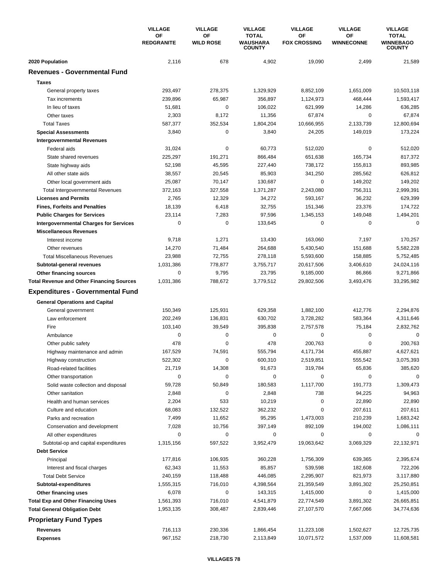|                                                  | <b>VILLAGE</b>          | <b>VILLAGE</b><br><b>VILLAGE</b> | <b>VILLAGE</b>                                   | <b>VILLAGE</b>            | <b>VILLAGE</b>          |                                                   |
|--------------------------------------------------|-------------------------|----------------------------------|--------------------------------------------------|---------------------------|-------------------------|---------------------------------------------------|
|                                                  | ΟF<br><b>REDGRANITE</b> | ΟF<br><b>WILD ROSE</b>           | <b>TOTAL</b><br><b>WAUSHARA</b><br><b>COUNTY</b> | ΟF<br><b>FOX CROSSING</b> | OF<br><b>WINNECONNE</b> | <b>TOTAL</b><br><b>WINNEBAGO</b><br><b>COUNTY</b> |
| 2020 Population                                  | 2,116                   | 678                              | 4,902                                            | 19,090                    | 2,499                   | 21,589                                            |
| <b>Revenues - Governmental Fund</b>              |                         |                                  |                                                  |                           |                         |                                                   |
| <b>Taxes</b>                                     |                         |                                  |                                                  |                           |                         |                                                   |
| General property taxes                           | 293,497                 | 278,375                          | 1,329,929                                        | 8,852,109                 | 1,651,009               | 10,503,118                                        |
| Tax increments                                   | 239,896                 | 65,987                           | 356,897                                          | 1,124,973                 | 468,444                 | 1,593,417                                         |
| In lieu of taxes                                 | 51,681                  | 0                                | 106,022                                          | 621,999                   | 14,286                  | 636,285                                           |
| Other taxes                                      | 2,303                   | 8,172                            | 11,356                                           | 67,874                    | 0                       | 67,874                                            |
| <b>Total Taxes</b>                               | 587,377                 | 352,534                          | 1,804,204                                        | 10,666,955                | 2,133,739               | 12,800,694                                        |
| <b>Special Assessments</b>                       | 3,840                   | 0                                | 3,840                                            | 24,205                    | 149,019                 | 173,224                                           |
| <b>Intergovernmental Revenues</b>                |                         |                                  |                                                  |                           |                         |                                                   |
| Federal aids                                     | 31,024                  | 0                                | 60,773                                           | 512,020                   | 0                       | 512,020                                           |
| State shared revenues                            | 225,297                 | 191,271                          | 866,484                                          | 651,638                   | 165,734                 | 817,372                                           |
| State highway aids                               | 52,198                  | 45,595                           | 227,440                                          | 738,172                   | 155,813                 | 893,985                                           |
| All other state aids                             | 38,557                  | 20,545                           | 85,903                                           | 341,250                   | 285,562                 | 626,812                                           |
| Other local government aids                      | 25,087                  | 70,147                           | 130,687                                          | 0                         | 149,202                 | 149,202                                           |
| <b>Total Intergovernmental Revenues</b>          | 372,163                 | 327,558                          | 1,371,287                                        | 2,243,080                 | 756,311                 | 2,999,391                                         |
| <b>Licenses and Permits</b>                      | 2,765                   | 12,329                           | 34,272                                           | 593,167                   | 36,232                  | 629,399                                           |
| <b>Fines, Forfeits and Penalties</b>             | 18,139                  | 6,418                            | 32,755                                           | 151,346                   | 23,376                  | 174,722                                           |
| <b>Public Charges for Services</b>               | 23,114                  | 7,283                            | 97,596                                           | 1,345,153                 | 149,048                 | 1,494,201                                         |
| <b>Intergovernmental Charges for Services</b>    | $\mathbf 0$             | $\mathbf 0$                      | 133,645                                          | 0                         | 0                       | $\mathbf 0$                                       |
| <b>Miscellaneous Revenues</b>                    |                         |                                  |                                                  |                           |                         |                                                   |
| Interest income                                  | 9,718                   | 1,271                            | 13,430                                           | 163,060                   | 7,197                   | 170,257                                           |
| Other revenues                                   | 14,270                  | 71,484                           | 264,688                                          | 5,430,540                 | 151,688                 | 5,582,228                                         |
| <b>Total Miscellaneous Revenues</b>              | 23,988                  | 72,755                           | 278,118                                          | 5,593,600                 | 158,885                 | 5,752,485                                         |
| Subtotal-general revenues                        | 1,031,386               | 778,877                          | 3,755,717                                        | 20,617,506                | 3,406,610               | 24,024,116                                        |
| Other financing sources                          | 0                       | 9,795                            | 23,795                                           | 9,185,000                 | 86,866                  | 9,271,866                                         |
| <b>Total Revenue and Other Financing Sources</b> | 1,031,386               | 788,672                          | 3,779,512                                        | 29,802,506                | 3,493,476               | 33,295,982                                        |
| <b>Expenditures - Governmental Fund</b>          |                         |                                  |                                                  |                           |                         |                                                   |
| <b>General Operations and Capital</b>            |                         |                                  |                                                  |                           |                         |                                                   |
| General government                               | 150,349                 | 125,931                          | 629,358                                          | 1,882,100                 | 412,776                 | 2,294,876                                         |
| Law enforcement                                  | 202,249                 | 136,831                          | 630.702                                          | 3,728,282                 | 583,364                 | 4,311,646                                         |
| Fire                                             | 103,140                 | 39,549                           | 395,838                                          | 2,757,578                 | 75,184                  | 2,832,762                                         |
| Ambulance                                        | $\mathbf 0$             | 0                                | 0                                                | 0                         | $\mathbf 0$             | 0                                                 |
| Other public safety                              | 478                     | 0                                | 478                                              | 200,763                   | $\mathbf 0$             | 200,763                                           |
| Highway maintenance and admin                    | 167,529                 | 74,591                           | 555,794                                          | 4,171,734                 | 455,887                 | 4,627,621                                         |
| Highway construction                             | 522,302                 | 0                                | 600,310                                          | 2,519,851                 | 555,542                 | 3,075,393                                         |
| Road-related facilities                          | 21,719                  | 14,308                           | 91,673                                           | 319,784                   | 65,836                  | 385,620                                           |
| Other transportation                             | $\mathbf 0$             | 0                                | 0                                                | 0                         | 0                       | 0                                                 |
| Solid waste collection and disposal              | 59,728                  | 50,849                           | 180,583                                          | 1,117,700                 | 191,773                 | 1,309,473                                         |
| Other sanitation                                 | 2,848                   | 0                                | 2,848                                            | 738                       | 94,225                  | 94,963                                            |
| Health and human services                        | 2,204                   | 533                              | 10,219                                           | 0                         | 22,890                  | 22,890                                            |
| Culture and education                            | 68,083                  | 132,522                          | 362,232                                          | 0                         | 207,611                 | 207,611                                           |
| Parks and recreation                             | 7,499                   | 11,652                           | 95,295                                           | 1,473,003                 | 210,239                 | 1,683,242                                         |
| Conservation and development                     | 7,028                   | 10,756                           | 397,149                                          | 892,109                   | 194,002                 | 1,086,111                                         |
| All other expenditures                           | 0                       | 0                                | 0                                                | 0                         | 0                       | 0                                                 |
| Subtotal-op and capital expenditures             | 1,315,156               | 597,522                          | 3,952,479                                        | 19,063,642                | 3,069,329               | 22,132,971                                        |
| <b>Debt Service</b>                              |                         |                                  |                                                  |                           |                         |                                                   |
| Principal                                        | 177,816                 | 106,935                          | 360,228                                          | 1,756,309                 | 639,365                 | 2,395,674                                         |
| Interest and fiscal charges                      | 62,343                  | 11,553                           | 85,857                                           | 539,598                   | 182,608                 | 722,206                                           |
| <b>Total Debt Service</b>                        | 240,159                 | 118,488                          | 446,085                                          | 2,295,907                 | 821,973                 | 3,117,880                                         |
| Subtotal-expenditures                            | 1,555,315               | 716,010                          | 4,398,564                                        | 21,359,549                | 3,891,302               | 25,250,851                                        |
| Other financing uses                             | 6,078                   | 0                                | 143,315                                          | 1,415,000                 | 0                       | 1,415,000                                         |
| <b>Total Exp and Other Financing Uses</b>        | 1,561,393               | 716,010                          | 4,541,879                                        | 22,774,549                | 3,891,302               | 26,665,851                                        |
| <b>Total General Obligation Debt</b>             | 1,953,135               | 308,487                          | 2,839,446                                        | 27,107,570                | 7,667,066               | 34,774,636                                        |
| <b>Proprietary Fund Types</b>                    |                         |                                  |                                                  |                           |                         |                                                   |
| <b>Revenues</b>                                  | 716,113                 | 230,336                          | 1,866,454                                        | 11,223,108                | 1,502,627               | 12,725,735                                        |
| <b>Expenses</b>                                  | 967,152                 | 218,730                          | 2,113,849                                        | 10,071,572                | 1,537,009               | 11,608,581                                        |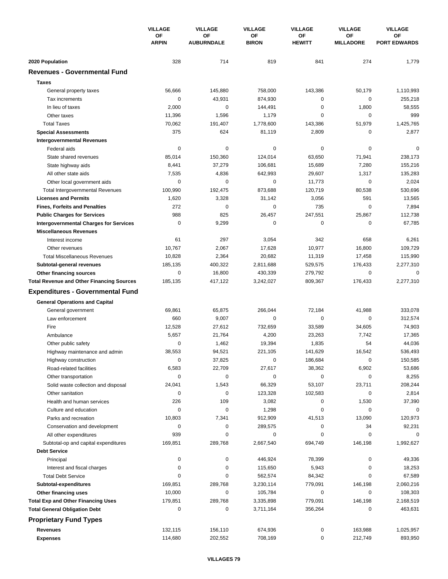|                                                  | <b>VILLAGE</b><br><b>OF</b><br><b>ARPIN</b> | <b>VILLAGE</b>          | <b>VILLAGE</b>            | <b>VILLAGE</b>      | <b>VILLAGE</b>         | <b>VILLAGE</b>            |
|--------------------------------------------------|---------------------------------------------|-------------------------|---------------------------|---------------------|------------------------|---------------------------|
|                                                  |                                             | OF<br><b>AUBURNDALE</b> | <b>OF</b><br><b>BIRON</b> | ΟF<br><b>HEWITT</b> | OF<br><b>MILLADORE</b> | OF<br><b>PORT EDWARDS</b> |
| 2020 Population                                  | 328                                         | 714                     | 819                       | 841                 | 274                    | 1,779                     |
| <b>Revenues - Governmental Fund</b>              |                                             |                         |                           |                     |                        |                           |
| <b>Taxes</b>                                     |                                             |                         |                           |                     |                        |                           |
| General property taxes                           | 56,666                                      | 145,880                 | 758,000                   | 143,386             | 50,179                 | 1,110,993                 |
| Tax increments                                   | 0                                           | 43,931                  | 874,930                   | 0                   | $\mathbf 0$            | 255,218                   |
| In lieu of taxes                                 | 2,000                                       | 0                       | 144,491                   | $\mathbf 0$         | 1,800                  | 58,555                    |
| Other taxes                                      | 11,396                                      | 1,596                   | 1,179                     | $\mathbf 0$         | $\mathbf 0$            | 999                       |
| <b>Total Taxes</b>                               | 70,062                                      | 191,407                 | 1,778,600                 | 143,386             | 51,979                 | 1,425,765                 |
| <b>Special Assessments</b>                       | 375                                         | 624                     | 81,119                    | 2,809               | 0                      | 2,877                     |
| <b>Intergovernmental Revenues</b>                |                                             |                         |                           |                     |                        |                           |
| Federal aids                                     | 0                                           | $\pmb{0}$               | 0                         | 0                   | $\mathbf 0$            | $\Omega$                  |
| State shared revenues                            | 85,014                                      | 150,360                 | 124,014                   | 63,650              | 71,941                 | 238,173                   |
| State highway aids                               | 8,441                                       | 37,279                  | 106,681                   | 15,689              | 7,280                  | 155,216                   |
| All other state aids                             | 7,535                                       | 4,836                   | 642,993                   | 29,607              | 1,317                  | 135,283                   |
| Other local government aids                      | 0                                           | 0                       | 0                         | 11,773              | $\mathbf 0$            | 2,024                     |
| <b>Total Intergovernmental Revenues</b>          | 100,990                                     | 192,475                 | 873,688                   | 120,719             | 80,538                 | 530,696                   |
| <b>Licenses and Permits</b>                      | 1,620                                       | 3,328                   | 31,142                    | 3,056               | 591                    | 13,565                    |
| <b>Fines, Forfeits and Penalties</b>             | 272                                         | 0                       | 0                         | 735                 | $\mathbf 0$            | 7,894                     |
| <b>Public Charges for Services</b>               | 988                                         | 825                     | 26,457                    | 247,551             | 25,867                 | 112,738                   |
| <b>Intergovernmental Charges for Services</b>    | $\mathbf 0$                                 | 9,299                   | $\mathbf 0$               | $\mathbf 0$         | $\mathbf 0$            | 67,785                    |
| <b>Miscellaneous Revenues</b>                    |                                             |                         |                           |                     |                        |                           |
| Interest income                                  | 61                                          | 297                     | 3,054                     | 342                 | 658                    | 6,261                     |
| Other revenues                                   | 10,767                                      | 2,067                   | 17,628                    | 10,977              | 16,800                 | 109,729                   |
| <b>Total Miscellaneous Revenues</b>              | 10,828                                      | 2,364                   | 20,682                    | 11,319              | 17,458                 | 115,990                   |
| Subtotal-general revenues                        | 185,135                                     | 400,322                 | 2,811,688                 | 529,575             | 176,433                | 2,277,310                 |
| Other financing sources                          | 0                                           | 16,800                  | 430,339                   | 279,792             | 0                      | 0                         |
| <b>Total Revenue and Other Financing Sources</b> | 185,135                                     | 417,122                 | 3,242,027                 | 809,367             | 176,433                | 2,277,310                 |
| <b>Expenditures - Governmental Fund</b>          |                                             |                         |                           |                     |                        |                           |
| <b>General Operations and Capital</b>            |                                             |                         |                           |                     |                        |                           |
| General government                               | 69,861                                      | 65,875                  | 266,044                   | 72,184              | 41,988                 | 333,078                   |
| Law enforcement                                  | 660                                         | 9,007                   | $\mathbf 0$               | $\mathbf 0$         | $\mathbf 0$            | 312,574                   |
| Fire                                             | 12,528                                      | 27,612                  | 732,659                   | 33,589              | 34,605                 | 74,903                    |
| Ambulance                                        | 5,657                                       | 21,764                  | 4,200                     | 23,263              | 7,742                  | 17,365                    |
| Other public safety                              | 0                                           | 1,462                   | 19,394                    | 1,835               | 54                     | 44,036                    |
| Highway maintenance and admin                    | 38,553                                      | 94,521                  | 221,105                   | 141,629             | 16,542                 | 536,493                   |
| Highway construction                             | 0                                           | 37,825                  | $\pmb{0}$                 | 186,684             | $\mathbf 0$            | 150,585                   |
| Road-related facilities                          | 6,583                                       | 22,709                  | 27,617                    | 38,362              | 6,902                  | 53,686                    |
| Other transportation                             | 0                                           | 0                       | 0                         | 0                   | $\mathbf 0$            | 8,255                     |
| Solid waste collection and disposal              | 24,041                                      | 1,543                   | 66,329                    | 53,107              | 23,711                 | 208,244                   |
| Other sanitation                                 | 0                                           | $\pmb{0}$               | 123,328                   | 102,583             | $\mathbf 0$            | 2,814                     |
| Health and human services                        | 226                                         | 109                     | 3,082                     | 0                   | 1,530                  | 37,390                    |
| Culture and education                            | 0                                           | 0                       | 1,298                     | $\pmb{0}$           | 0                      | 0                         |
| Parks and recreation                             | 10,803                                      | 7,341                   | 912,909                   | 41,513              | 13,090                 | 120,973                   |
| Conservation and development                     | 0                                           | 0                       | 289,575                   | 0                   | 34                     | 92,231                    |
| All other expenditures                           | 939                                         | 0                       | 0                         | 0                   | 0                      | $\Omega$                  |
| Subtotal-op and capital expenditures             | 169,851                                     | 289,768                 | 2,667,540                 | 694,749             | 146,198                | 1,992,627                 |
| <b>Debt Service</b>                              |                                             |                         |                           |                     |                        |                           |
| Principal                                        | 0                                           | 0                       | 446,924                   | 78,399              | 0                      | 49,336                    |
| Interest and fiscal charges                      | 0                                           | 0                       | 115,650                   | 5,943               | 0                      | 18,253                    |
| <b>Total Debt Service</b>                        | 0                                           | 0                       | 562,574                   | 84,342              | 0                      | 67,589                    |
| Subtotal-expenditures                            | 169,851                                     | 289,768                 | 3,230,114                 | 779,091             | 146,198                | 2,060,216                 |
| Other financing uses                             | 10,000                                      | 0                       | 105,784                   | 0                   | 0                      | 108,303                   |
| <b>Total Exp and Other Financing Uses</b>        | 179,851                                     | 289,768                 | 3,335,898                 | 779,091             | 146,198                | 2,168,519                 |
| <b>Total General Obligation Debt</b>             | 0                                           | 0                       | 3,711,164                 | 356,264             | 0                      | 463,631                   |
| <b>Proprietary Fund Types</b>                    |                                             |                         |                           |                     |                        |                           |
| <b>Revenues</b>                                  | 132,115                                     | 156,110                 | 674,936                   | 0                   | 163,988                | 1,025,957                 |
| <b>Expenses</b>                                  | 114,680                                     | 202,552                 | 708,169                   | 0                   | 212,749                | 893,950                   |
|                                                  |                                             |                         |                           |                     |                        |                           |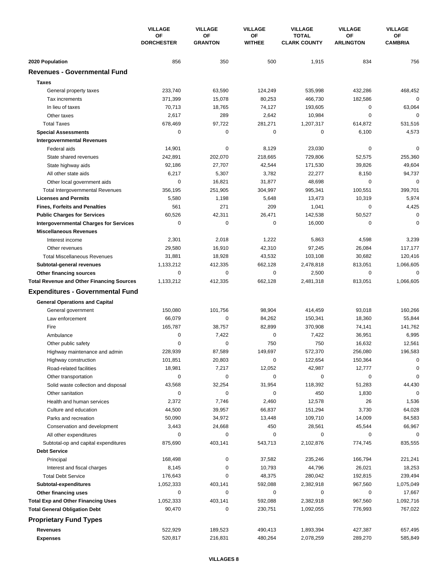|                                                  | <b>VILLAGE</b><br>OF<br><b>DORCHESTER</b> | <b>VILLAGE</b>       | <b>VILLAGE</b>      | <b>VILLAGE</b><br><b>TOTAL</b><br><b>CLARK COUNTY</b> | <b>VILLAGE</b><br>ΟF<br><b>ARLINGTON</b> | <b>VILLAGE</b><br>ОF<br><b>CAMBRIA</b> |
|--------------------------------------------------|-------------------------------------------|----------------------|---------------------|-------------------------------------------------------|------------------------------------------|----------------------------------------|
|                                                  |                                           | OF<br><b>GRANTON</b> | ΟF<br><b>WITHEE</b> |                                                       |                                          |                                        |
| 2020 Population                                  | 856                                       | 350                  | 500                 | 1,915                                                 | 834                                      | 756                                    |
| <b>Revenues - Governmental Fund</b>              |                                           |                      |                     |                                                       |                                          |                                        |
| <b>Taxes</b>                                     |                                           |                      |                     |                                                       |                                          |                                        |
| General property taxes                           | 233,740                                   | 63,590               | 124,249             | 535,998                                               | 432,286                                  | 468,452                                |
| Tax increments                                   | 371,399                                   | 15,078               | 80,253              | 466.730                                               | 182,586                                  | $\mathbf 0$                            |
| In lieu of taxes                                 | 70,713                                    | 18,765               | 74,127              | 193,605                                               | $\mathbf 0$                              | 63,064                                 |
| Other taxes                                      | 2,617                                     | 289                  | 2,642               | 10,984                                                | $\mathbf 0$                              | $\mathbf 0$                            |
| <b>Total Taxes</b>                               | 678,469                                   | 97,722               | 281,271             | 1,207,317                                             | 614,872                                  | 531,516                                |
| <b>Special Assessments</b>                       | 0                                         | 0                    | 0                   | 0                                                     | 6,100                                    | 4,573                                  |
| <b>Intergovernmental Revenues</b>                |                                           |                      |                     |                                                       |                                          |                                        |
| Federal aids                                     | 14,901                                    | $\pmb{0}$            | 8,129               | 23,030                                                | 0                                        | $\mathbf 0$                            |
| State shared revenues                            | 242,891                                   | 202,070              | 218,665             | 729,806                                               | 52,575                                   | 255,360                                |
| State highway aids                               | 92,186                                    | 27,707               | 42,544              | 171,530                                               | 39,826                                   | 49,604                                 |
| All other state aids                             | 6,217                                     | 5,307                | 3,782               | 22,277                                                | 8,150                                    | 94,737                                 |
| Other local government aids                      | 0                                         | 16,821               | 31,877              | 48,698                                                | $\mathbf 0$                              | $\mathbf 0$                            |
| <b>Total Intergovernmental Revenues</b>          | 356,195                                   | 251,905              | 304,997             | 995,341                                               | 100,551                                  | 399,701                                |
| <b>Licenses and Permits</b>                      | 5,580                                     | 1,198                | 5,648               | 13,473                                                | 10,319                                   | 5,974                                  |
| <b>Fines, Forfeits and Penalties</b>             | 561                                       | 271                  | 209                 | 1,041                                                 | 0                                        | 4,425                                  |
| <b>Public Charges for Services</b>               | 60,526                                    | 42,311               | 26,471              | 142,538                                               | 50,527                                   | 0                                      |
| <b>Intergovernmental Charges for Services</b>    | $\mathbf 0$                               | $\mathbf 0$          | 0                   | 16,000                                                | $\mathbf 0$                              | $\mathbf 0$                            |
| <b>Miscellaneous Revenues</b>                    |                                           |                      |                     |                                                       |                                          |                                        |
| Interest income                                  | 2,301                                     | 2,018                | 1,222               | 5,863                                                 | 4,598                                    | 3,239                                  |
| Other revenues                                   | 29,580                                    | 16,910               | 42,310              | 97,245                                                | 26,084                                   | 117,177                                |
| <b>Total Miscellaneous Revenues</b>              | 31,881                                    | 18,928               | 43,532              | 103,108                                               | 30,682                                   | 120,416                                |
| Subtotal-general revenues                        | 1,133,212                                 | 412,335              | 662,128             | 2,478,818                                             | 813,051                                  | 1,066,605                              |
| Other financing sources                          | $\mathbf 0$                               | 0                    | 0                   | 2,500                                                 | 0                                        | $\mathbf 0$                            |
| <b>Total Revenue and Other Financing Sources</b> | 1,133,212                                 | 412,335              | 662,128             | 2,481,318                                             | 813,051                                  | 1,066,605                              |
| <b>Expenditures - Governmental Fund</b>          |                                           |                      |                     |                                                       |                                          |                                        |
| <b>General Operations and Capital</b>            |                                           |                      |                     |                                                       |                                          |                                        |
| General government                               | 150,080                                   | 101,756              | 98,904              | 414,459                                               | 93,018                                   | 160,266                                |
| Law enforcement                                  | 66,079                                    | 0                    | 84,262              | 150,341                                               | 18,360                                   | 55,844                                 |
| Fire                                             | 165,787                                   | 38,757               | 82,899              | 370,908                                               | 74,141                                   | 141,762                                |
| Ambulance                                        | $\mathbf 0$                               | 7,422                | 0                   | 7,422                                                 | 36,951                                   | 6,995                                  |
| Other public safety                              | 0                                         | 0                    | 750                 | 750                                                   | 16,632                                   | 12,561                                 |
| Highway maintenance and admin                    | 228,939                                   | 87,589               | 149,697             | 572,370                                               | 256,080                                  | 196,583                                |
| Highway construction                             | 101,851                                   | 20,803               | 0                   | 122,654                                               | 150,364                                  | 0                                      |
| Road-related facilities                          | 18,981                                    | 7,217                | 12,052              | 42,987                                                | 12,777                                   | 0                                      |
| Other transportation                             | 0                                         | 0                    | 0                   | 0                                                     | 0                                        | $\mathbf 0$                            |
| Solid waste collection and disposal              | 43,568                                    | 32,254               | 31,954              | 118,392                                               | 51,283                                   | 44,430                                 |
| Other sanitation                                 | 0                                         | $\mathbf 0$          | 0                   | 450                                                   | 1,830                                    | $\mathbf 0$                            |
| Health and human services                        | 2,372                                     | 7,746                | 2,460               | 12,578                                                | 26                                       | 1,536                                  |
| Culture and education                            | 44,500                                    | 39,957               | 66,837              | 151,294                                               | 3,730                                    | 64,028                                 |
| Parks and recreation                             | 50,090                                    | 34,972               | 13,448              | 109,710                                               | 14,009                                   | 84,583                                 |
| Conservation and development                     | 3,443                                     | 24,668               | 450                 | 28,561                                                | 45,544                                   | 66,967                                 |
| All other expenditures                           | 0                                         | 0                    | 0                   | 0                                                     | 0                                        | 0                                      |
| Subtotal-op and capital expenditures             | 875,690                                   | 403,141              | 543,713             | 2,102,876                                             | 774,745                                  | 835,555                                |
| <b>Debt Service</b>                              |                                           |                      |                     |                                                       |                                          |                                        |
| Principal                                        | 168,498                                   | 0                    | 37,582              | 235,246                                               | 166,794                                  | 221,241                                |
| Interest and fiscal charges                      | 8,145                                     | 0                    | 10,793              | 44,796                                                | 26,021                                   | 18,253                                 |
| <b>Total Debt Service</b>                        | 176,643                                   | 0                    | 48,375              | 280,042                                               | 192,815                                  | 239,494                                |
| Subtotal-expenditures                            | 1,052,333                                 | 403,141              | 592,088             | 2,382,918                                             | 967,560                                  | 1,075,049                              |
| Other financing uses                             | 0                                         | 0                    | 0                   | 0                                                     | 0                                        | 17,667                                 |
| <b>Total Exp and Other Financing Uses</b>        | 1,052,333                                 | 403,141              | 592,088             | 2,382,918                                             | 967,560                                  | 1,092,716                              |
| <b>Total General Obligation Debt</b>             | 90,470                                    | 0                    | 230,751             | 1,092,055                                             | 776,993                                  | 767,022                                |
| <b>Proprietary Fund Types</b>                    |                                           |                      |                     |                                                       |                                          |                                        |
| <b>Revenues</b>                                  | 522,929                                   | 189,523              | 490,413             | 1,893,394                                             | 427,387                                  | 657,495                                |
| <b>Expenses</b>                                  | 520,817                                   | 216,831              | 480,264             | 2,078,259                                             | 289,270                                  | 585,849                                |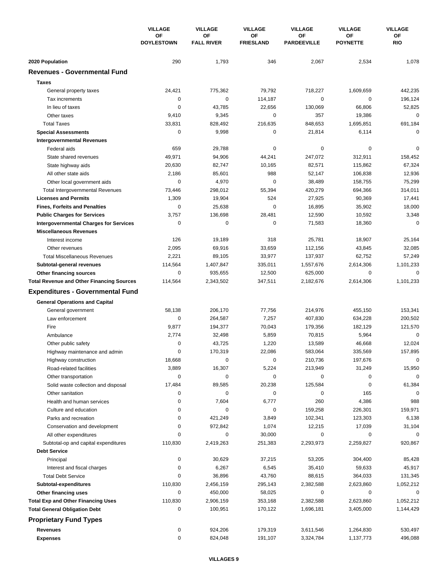|                                                                             | <b>VILLAGE</b><br>OF<br><b>DOYLESTOWN</b> | <b>VILLAGE</b><br><b>VILLAGE</b> |                        | <b>VILLAGE</b>           | <b>VILLAGE</b>        | <b>VILLAGE</b>   |
|-----------------------------------------------------------------------------|-------------------------------------------|----------------------------------|------------------------|--------------------------|-----------------------|------------------|
|                                                                             |                                           | OF<br><b>FALL RIVER</b>          | ΟF<br><b>FRIESLAND</b> | ΟF<br><b>PARDEEVILLE</b> | ΟF<br><b>POYNETTE</b> | <b>OF</b><br>RIO |
| 2020 Population                                                             | 290                                       | 1,793                            | 346                    | 2,067                    | 2,534                 | 1,078            |
| <b>Revenues - Governmental Fund</b>                                         |                                           |                                  |                        |                          |                       |                  |
| <b>Taxes</b>                                                                |                                           |                                  |                        |                          |                       |                  |
| General property taxes                                                      | 24,421                                    | 775,362                          | 79,792                 | 718,227                  | 1,609,659             | 442,235          |
| Tax increments                                                              | 0                                         | 0                                | 114,187                | 0                        | 0                     | 196,124          |
| In lieu of taxes                                                            | 0                                         | 43,785                           | 22,656                 | 130,069                  | 66,806                | 52,825           |
| Other taxes                                                                 | 9,410                                     | 9,345                            | 0                      | 357                      | 19,386                | $\mathbf 0$      |
| <b>Total Taxes</b>                                                          | 33,831                                    | 828,492                          | 216,635                | 848,653                  | 1,695,851             | 691,184          |
| <b>Special Assessments</b>                                                  | 0                                         | 9,998                            | 0                      | 21,814                   | 6,114                 | $\mathbf 0$      |
| <b>Intergovernmental Revenues</b>                                           |                                           |                                  |                        |                          |                       |                  |
| Federal aids                                                                | 659                                       | 29,788                           | 0                      | 0                        | 0                     | $\mathbf 0$      |
| State shared revenues                                                       | 49,971                                    | 94,906                           | 44,241                 | 247,072                  | 312,911               | 158,452          |
| State highway aids                                                          | 20,630                                    | 82,747                           | 10,165                 | 82,571                   | 115,862               | 67,324           |
| All other state aids                                                        | 2,186                                     | 85,601                           | 988                    | 52,147                   | 106,838               | 12,936           |
| Other local government aids                                                 | 0                                         | 4,970                            | 0                      | 38,489                   | 158,755               | 75,299           |
| <b>Total Intergovernmental Revenues</b>                                     | 73,446                                    | 298,012                          | 55,394                 | 420,279                  | 694,366               | 314,011          |
| <b>Licenses and Permits</b>                                                 | 1,309                                     | 19,904                           | 524                    | 27,925                   | 90,369                | 17,441           |
| <b>Fines, Forfeits and Penalties</b>                                        | 0                                         | 25,638                           | 0                      | 16,895                   | 35,902                | 18,000           |
| <b>Public Charges for Services</b>                                          | 3,757                                     | 136,698                          | 28,481                 | 12,590                   | 10,592                | 3,348            |
| <b>Intergovernmental Charges for Services</b>                               | $\mathbf 0$                               | $\mathbf 0$                      | 0                      | 71,583                   | 18,360                | $\mathbf 0$      |
| <b>Miscellaneous Revenues</b>                                               |                                           |                                  |                        |                          |                       |                  |
| Interest income                                                             | 126                                       | 19,189                           | 318                    | 25,781                   | 18,907                | 25,164           |
| Other revenues                                                              | 2,095                                     | 69,916                           | 33,659                 | 112,156                  | 43,845                | 32,085           |
| <b>Total Miscellaneous Revenues</b>                                         | 2,221                                     | 89,105                           | 33,977                 | 137,937                  | 62,752                | 57,249           |
| Subtotal-general revenues                                                   | 114,564<br>0                              | 1,407,847                        | 335,011                | 1,557,676                | 2,614,306<br>0        | 1,101,233<br>0   |
| Other financing sources<br><b>Total Revenue and Other Financing Sources</b> | 114,564                                   | 935,655<br>2,343,502             | 12,500<br>347,511      | 625,000<br>2,182,676     | 2,614,306             | 1,101,233        |
| <b>Expenditures - Governmental Fund</b>                                     |                                           |                                  |                        |                          |                       |                  |
|                                                                             |                                           |                                  |                        |                          |                       |                  |
| <b>General Operations and Capital</b>                                       |                                           |                                  |                        |                          |                       | 153,341          |
| General government<br>Law enforcement                                       | 58,138<br>$\mathbf 0$                     | 206,170<br>264,587               | 77,756<br>7,257        | 214,976                  | 455,150               | 200,502          |
| Fire                                                                        | 9,877                                     | 194,377                          | 70,043                 | 407,830<br>179,356       | 634,228<br>182,129    | 121,570          |
| Ambulance                                                                   | 2,774                                     | 32,498                           | 5,859                  | 70,815                   | 5,964                 | $\mathbf 0$      |
| Other public safety                                                         | 0                                         | 43,725                           | 1,220                  | 13,589                   | 46,668                | 12,024           |
| Highway maintenance and admin                                               | $\Omega$                                  | 170,319                          | 22,086                 | 583,064                  | 335,569               | 157,895          |
| Highway construction                                                        | 18,668                                    | 0                                | 0                      | 210,736                  | 197,676               | 0                |
| Road-related facilities                                                     | 3,889                                     | 16,307                           | 5,224                  | 213,949                  | 31,249                | 15,950           |
| Other transportation                                                        | 0                                         | 0                                | 0                      | 0                        | 0                     | $\mathbf 0$      |
| Solid waste collection and disposal                                         | 17,484                                    | 89,585                           | 20,238                 | 125,584                  | 0                     | 61,384           |
| Other sanitation                                                            | 0                                         | $\pmb{0}$                        | 0                      | 0                        | 165                   | 0                |
| Health and human services                                                   | 0                                         | 7,604                            | 6,777                  | 260                      | 4,386                 | 988              |
| Culture and education                                                       | 0                                         | 0                                | 0                      | 159,258                  | 226,301               | 159,971          |
| Parks and recreation                                                        | 0                                         | 421,249                          | 3,849                  | 102,341                  | 123,303               | 6,138            |
| Conservation and development                                                | 0                                         | 972,842                          | 1,074                  | 12,215                   | 17,039                | 31,104           |
| All other expenditures                                                      | 0                                         | 0                                | 30,000                 | 0                        | 0                     | 0                |
| Subtotal-op and capital expenditures                                        | 110,830                                   | 2,419,263                        | 251,383                | 2,293,973                | 2,259,827             | 920,867          |
| <b>Debt Service</b>                                                         |                                           |                                  |                        |                          |                       |                  |
| Principal                                                                   | 0                                         | 30,629                           | 37,215                 | 53,205                   | 304,400               | 85,428           |
| Interest and fiscal charges                                                 | 0                                         | 6,267                            | 6,545                  | 35,410                   | 59,633                | 45,917           |
| <b>Total Debt Service</b>                                                   | 0                                         | 36,896                           | 43,760                 | 88,615                   | 364,033               | 131,345          |
| Subtotal-expenditures                                                       | 110,830                                   | 2,456,159                        | 295,143                | 2,382,588                | 2,623,860             | 1,052,212        |
| Other financing uses                                                        | 0                                         | 450,000                          | 58,025                 | 0                        | 0                     | 0                |
| <b>Total Exp and Other Financing Uses</b>                                   | 110,830                                   | 2,906,159                        | 353,168                | 2,382,588                | 2,623,860             | 1,052,212        |
| <b>Total General Obligation Debt</b>                                        | 0                                         | 100,951                          | 170,122                | 1,696,181                | 3,405,000             | 1,144,429        |
| <b>Proprietary Fund Types</b>                                               |                                           |                                  |                        |                          |                       |                  |
| Revenues                                                                    | 0                                         | 924,206                          | 179,319                | 3,611,546                | 1,264,830             | 530,497          |
| <b>Expenses</b>                                                             | 0                                         | 824,048                          | 191,107                | 3,324,784                | 1,137,773             | 496,088          |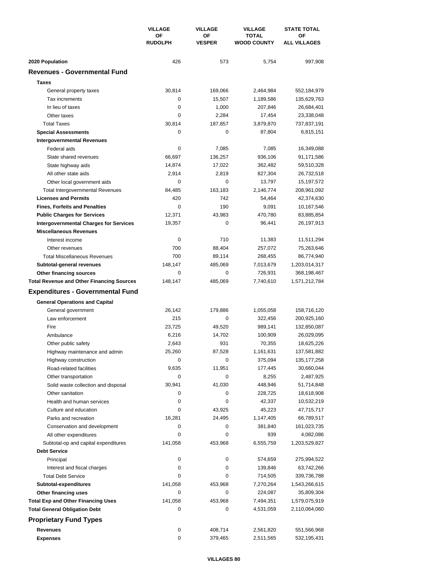|                                                  | <b>VILLAGE</b>       | <b>VILLAGE</b>      | <b>VILLAGE</b>                     | <b>STATE TOTAL</b>        |  |
|--------------------------------------------------|----------------------|---------------------|------------------------------------|---------------------------|--|
|                                                  | ΟF<br><b>RUDOLPH</b> | ΟF<br><b>VESPER</b> | <b>TOTAL</b><br><b>WOOD COUNTY</b> | ΟF<br><b>ALL VILLAGES</b> |  |
| 2020 Population                                  | 426                  | 573                 | 5,754                              | 997,908                   |  |
| <b>Revenues - Governmental Fund</b>              |                      |                     |                                    |                           |  |
| <b>Taxes</b>                                     |                      |                     |                                    |                           |  |
| General property taxes                           | 30,814               | 169,066             | 2,464,984                          | 552,184,979               |  |
| Tax increments                                   | 0                    | 15,507              | 1,189,586                          | 135,629,763               |  |
| In lieu of taxes                                 | 0                    | 1,000               | 207,846                            | 26,684,401                |  |
| Other taxes                                      | 0                    | 2,284               | 17,454                             | 23,338,048                |  |
| <b>Total Taxes</b>                               | 30,814               | 187,857             | 3,879,870                          | 737,837,191               |  |
| <b>Special Assessments</b>                       | 0                    | 0                   | 87,804                             | 6,815,151                 |  |
| <b>Intergovernmental Revenues</b>                |                      |                     |                                    |                           |  |
| Federal aids                                     | 0                    | 7,085               | 7,085                              | 16,349,088                |  |
| State shared revenues                            | 66,697               | 136,257             | 936,106                            | 91,171,586                |  |
| State highway aids                               | 14,874               | 17,022              | 362,482                            | 59,510,328                |  |
| All other state aids                             | 2,914                | 2,819               | 827,304                            | 26,732,518                |  |
| Other local government aids                      | 0                    | 0                   | 13,797                             | 15,197,572                |  |
| <b>Total Intergovernmental Revenues</b>          | 84,485               | 163,183             | 2,146,774                          | 208,961,092               |  |
| <b>Licenses and Permits</b>                      | 420                  | 742                 | 54,464                             | 42,374,630                |  |
| <b>Fines, Forfeits and Penalties</b>             | 0                    | 190                 | 9,091                              | 10,167,546                |  |
| <b>Public Charges for Services</b>               | 12,371               | 43,983              | 470,780                            | 83,885,854                |  |
| <b>Intergovernmental Charges for Services</b>    | 19,357               | 0                   | 96,441                             | 26,197,913                |  |
| <b>Miscellaneous Revenues</b>                    |                      |                     |                                    |                           |  |
| Interest income                                  | 0                    | 710                 | 11,383                             | 11,511,294                |  |
| Other revenues                                   | 700                  | 88,404              | 257,072                            | 75,263,646                |  |
| <b>Total Miscellaneous Revenues</b>              | 700                  | 89,114              | 268,455                            | 86,774,940                |  |
| Subtotal-general revenues                        | 148,147              | 485,069             | 7,013,679                          | 1,203,014,317             |  |
| Other financing sources                          | 0                    | 0                   | 726,931                            | 368,198,467               |  |
| <b>Total Revenue and Other Financing Sources</b> | 148,147              | 485,069             | 7,740,610                          | 1,571,212,784             |  |
| <b>Expenditures - Governmental Fund</b>          |                      |                     |                                    |                           |  |
| <b>General Operations and Capital</b>            |                      |                     |                                    |                           |  |
| General government                               | 26,142               | 179,886             | 1,055,058                          | 158,716,120               |  |
| Law enforcement                                  | 215                  | 0                   | 322,456                            | 200,925,160               |  |
| Fire                                             | 23,725               | 49,520              | 989,141                            | 132,850,087               |  |
| Ambulance                                        | 6,216                | 14,702              | 100,909                            | 26,029,095                |  |
| Other public safety                              | 2,643                | 931                 | 70,355                             | 18,625,226                |  |
| Highway maintenance and admin                    | 25,260               | 87,528              | 1,161,631                          | 137,581,882               |  |
| Highway construction                             | 0                    | 0                   | 375,094                            | 135, 177, 258             |  |
| Road-related facilities                          | 9,635                | 11,951              | 177,445                            | 30,660,044                |  |
| Other transportation                             | 0                    | 0                   | 8,255                              | 2,487,925                 |  |
| Solid waste collection and disposal              | 30,941               | 41,030              | 448,946                            | 51,714,848                |  |
| Other sanitation                                 | 0                    | 0                   | 228,725                            | 18,618,908                |  |
| Health and human services                        | 0                    | 0                   | 42,337                             | 10,532,219                |  |
| Culture and education                            | 0                    | 43,925              | 45,223                             | 47,715,717                |  |
| Parks and recreation                             | 16,281               | 24,495              | 1,147,405                          | 66,789,517                |  |
| Conservation and development                     | 0                    | 0                   | 381,840                            | 161,023,735               |  |
| All other expenditures                           | 0                    | 0                   | 939                                | 4,082,086                 |  |
| Subtotal-op and capital expenditures             | 141,058              | 453,968             | 6,555,759                          | 1,203,529,827             |  |
| <b>Debt Service</b>                              |                      |                     |                                    |                           |  |
| Principal                                        | 0                    | 0                   | 574,659                            | 275,994,522               |  |
| Interest and fiscal charges                      | 0                    | 0                   | 139,846                            | 63,742,266                |  |
| <b>Total Debt Service</b>                        | 0                    | 0                   | 714,505                            | 339,736,788               |  |
| Subtotal-expenditures                            | 141,058              | 453,968             | 7,270,264                          | 1,543,266,615             |  |
| Other financing uses                             | 0                    | 0                   | 224,087                            | 35,809,304                |  |
| <b>Total Exp and Other Financing Uses</b>        | 141,058              | 453,968             | 7,494,351                          | 1,579,075,919             |  |
| <b>Total General Obligation Debt</b>             | 0                    | 0                   | 4,531,059                          | 2,110,064,060             |  |
| <b>Proprietary Fund Types</b>                    |                      |                     |                                    |                           |  |
| <b>Revenues</b>                                  | 0                    | 408,714             | 2,561,820                          | 551,566,968               |  |
| <b>Expenses</b>                                  | 0                    | 379,465             | 2,511,565                          | 532,195,431               |  |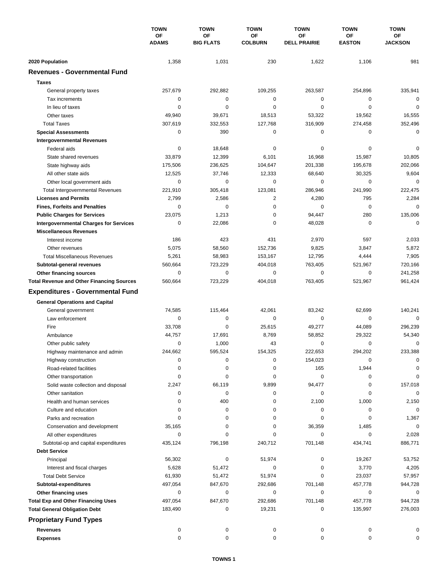|                                                  | <b>TOWN</b>        | <b>TOWN</b>            | <b>TOWN</b>          | <b>TOWN</b>                      | <b>TOWN</b>         | <b>TOWN</b>          |
|--------------------------------------------------|--------------------|------------------------|----------------------|----------------------------------|---------------------|----------------------|
|                                                  | OF<br><b>ADAMS</b> | OF<br><b>BIG FLATS</b> | OF<br><b>COLBURN</b> | <b>OF</b><br><b>DELL PRAIRIE</b> | ΟF<br><b>EASTON</b> | ОF<br><b>JACKSON</b> |
| 2020 Population                                  | 1,358              | 1,031                  | 230                  | 1,622                            | 1,106               | 981                  |
| <b>Revenues - Governmental Fund</b>              |                    |                        |                      |                                  |                     |                      |
| <b>Taxes</b>                                     |                    |                        |                      |                                  |                     |                      |
| General property taxes                           | 257,679            | 292,882                | 109,255              | 263,587                          | 254,896             | 335,941              |
| Tax increments                                   | 0                  | $\pmb{0}$              | $\mathbf 0$          | 0                                | 0                   | $\mathbf 0$          |
| In lieu of taxes                                 | 0                  | 0                      | 0                    | 0                                | $\mathbf 0$         | 0                    |
| Other taxes                                      | 49,940             | 39,671                 | 18,513               | 53,322                           | 19,562              | 16,555               |
| <b>Total Taxes</b>                               | 307,619            | 332,553                | 127,768              | 316,909                          | 274,458             | 352,496              |
| <b>Special Assessments</b>                       | 0                  | 390                    | 0                    | 0                                | 0                   | $\mathbf 0$          |
| <b>Intergovernmental Revenues</b>                |                    |                        |                      |                                  |                     |                      |
| Federal aids                                     | 0                  | 18,648                 | 0                    | 0                                | 0                   | 0                    |
| State shared revenues                            | 33,879             | 12,399                 | 6,101                | 16,968                           | 15,987              | 10,805               |
| State highway aids                               | 175,506            | 236,625                | 104,647              | 201,338                          | 195,678             | 202,066              |
| All other state aids                             | 12,525             | 37,746                 | 12,333               | 68,640                           | 30,325              | 9,604                |
| Other local government aids                      | 0                  | 0                      | 0                    | 0                                | $\mathbf 0$         | $\mathbf 0$          |
| <b>Total Intergovernmental Revenues</b>          | 221,910            | 305,418                | 123,081              | 286,946                          | 241,990             | 222,475              |
| <b>Licenses and Permits</b>                      | 2,799              | 2,586                  | 2                    | 4,280                            | 795                 | 2,284                |
| <b>Fines, Forfeits and Penalties</b>             | 0                  | 0                      | 0                    | 0                                | $\mathbf 0$         | $\Omega$             |
| <b>Public Charges for Services</b>               | 23,075             | 1,213                  | 0                    | 94,447                           | 280                 | 135,006              |
| <b>Intergovernmental Charges for Services</b>    | 0                  | 22,086                 | 0                    | 48,028                           | 0                   | $\mathbf 0$          |
| <b>Miscellaneous Revenues</b>                    |                    |                        |                      |                                  |                     |                      |
| Interest income                                  | 186                | 423                    | 431                  | 2,970                            | 597                 | 2,033                |
| Other revenues                                   | 5,075              | 58,560                 | 152,736              | 9,825                            | 3,847               | 5,872                |
| <b>Total Miscellaneous Revenues</b>              | 5,261              | 58,983                 | 153,167              | 12,795                           | 4,444               | 7,905                |
| Subtotal-general revenues                        | 560,664            | 723,229                | 404,018              | 763,405                          | 521,967             | 720,166              |
| Other financing sources                          | 0                  | $\mathbf 0$            | 0                    | 0                                | 0                   | 241,258              |
| <b>Total Revenue and Other Financing Sources</b> | 560,664            | 723,229                | 404,018              | 763,405                          | 521,967             | 961,424              |
|                                                  |                    |                        |                      |                                  |                     |                      |
| <b>Expenditures - Governmental Fund</b>          |                    |                        |                      |                                  |                     |                      |
| <b>General Operations and Capital</b>            |                    |                        |                      |                                  |                     |                      |
| General government                               | 74,585             | 115,464                | 42,061               | 83,242                           | 62,699              | 140,241              |
| Law enforcement                                  | 0                  | 0                      | 0                    | 0                                | 0                   | 0                    |
| Fire                                             | 33,708             | $\mathbf 0$            | 25,615               | 49,277                           | 44,089              | 296,239              |
| Ambulance                                        | 44,757             | 17,691                 | 8,769                | 58,852                           | 29,322              | 54,340               |
| Other public safety                              | 0                  | 1,000                  | 43                   | 0                                | $\mathbf 0$         | $\mathbf 0$          |
| Highway maintenance and admin                    | 244,662            | 595,524                | 154,325              | 222,653                          | 294,202             | 233,388              |
| Highway construction                             | 0                  | 0                      | 0                    | 154,023                          | 0                   | 0                    |
| Road-related facilities                          | 0                  | 0                      | 0                    | 165                              | 1,944               | 0                    |
| Other transportation                             | 0                  | 0                      | 0                    | 0                                | 0                   | 0                    |
| Solid waste collection and disposal              | 2,247              | 66,119                 | 9,899                | 94,477                           | 0                   | 157,018              |
| Other sanitation                                 | 0                  | 0                      | 0                    | 0                                | 0                   | $\mathbf 0$          |
| Health and human services                        | 0                  | 400                    | 0                    | 2,100                            | 1,000               | 2,150                |
| Culture and education                            | 0                  | 0                      | 0                    | 0                                | 0                   | 0                    |
| Parks and recreation                             | 0                  | 0                      | 0                    | 0                                | 0                   | 1,367                |
| Conservation and development                     | 35,165             | 0                      | 0                    | 36,359                           | 1,485               | 0                    |
| All other expenditures                           | 0                  | 0                      | 0                    | 0                                | 0                   | 2,028                |
| Subtotal-op and capital expenditures             | 435,124            | 796,198                | 240,712              | 701,148                          | 434,741             | 886,771              |
| <b>Debt Service</b>                              |                    |                        |                      |                                  |                     |                      |
| Principal                                        | 56,302             | 0                      | 51,974               | 0                                | 19,267              | 53,752               |
| Interest and fiscal charges                      | 5,628              | 51,472                 | 0                    | 0                                | 3,770               | 4,205                |
| <b>Total Debt Service</b>                        | 61,930             | 51,472                 | 51,974               | 0                                | 23,037              | 57,957               |
| Subtotal-expenditures                            | 497,054            | 847,670                | 292,686              | 701,148                          | 457,778             | 944,728              |
| Other financing uses                             | 0                  | 0                      | 0                    | 0                                | 0                   | 0                    |
| <b>Total Exp and Other Financing Uses</b>        | 497,054            | 847,670                | 292,686              | 701,148                          | 457,778             | 944,728              |
| <b>Total General Obligation Debt</b>             | 183,490            | 0                      | 19,231               | 0                                | 135,997             | 276,003              |
| <b>Proprietary Fund Types</b>                    |                    |                        |                      |                                  |                     |                      |
| <b>Revenues</b>                                  | 0                  | 0                      | 0                    | 0                                | 0                   | 0                    |
| <b>Expenses</b>                                  | 0                  | 0                      | 0                    | 0                                | 0                   | 0                    |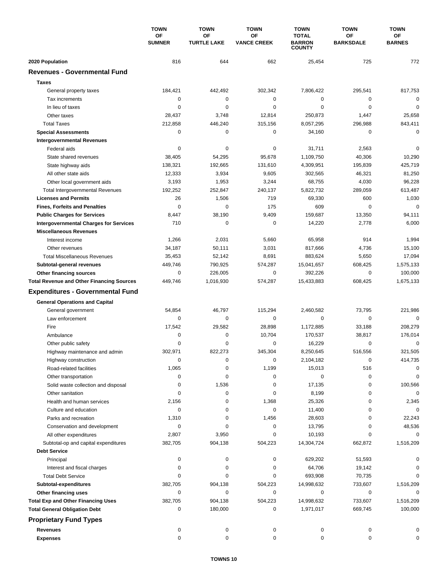|                                                  | <b>TOWN</b><br>OF<br><b>SUMNER</b> | <b>TOWN</b>              | <b>TOWN</b><br>OF<br><b>VANCE CREEK</b> | <b>TOWN</b><br><b>TOTAL</b><br><b>BARRON</b><br><b>COUNTY</b> | <b>TOWN</b><br><b>OF</b><br><b>BARKSDALE</b> | <b>TOWN</b><br><b>OF</b><br><b>BARNES</b> |
|--------------------------------------------------|------------------------------------|--------------------------|-----------------------------------------|---------------------------------------------------------------|----------------------------------------------|-------------------------------------------|
|                                                  |                                    | OF<br><b>TURTLE LAKE</b> |                                         |                                                               |                                              |                                           |
| 2020 Population                                  | 816                                | 644                      | 662                                     | 25,454                                                        | 725                                          | 772                                       |
| <b>Revenues - Governmental Fund</b>              |                                    |                          |                                         |                                                               |                                              |                                           |
| <b>Taxes</b>                                     |                                    |                          |                                         |                                                               |                                              |                                           |
| General property taxes                           | 184,421                            | 442,492                  | 302,342                                 | 7,806,422                                                     | 295,541                                      | 817,753                                   |
| Tax increments                                   | 0                                  | $\mathbf 0$              | 0                                       | 0                                                             | $\mathbf 0$                                  | $\mathbf 0$                               |
| In lieu of taxes                                 | 0                                  | 0                        | 0                                       | 0                                                             | $\mathbf 0$                                  | 0                                         |
| Other taxes                                      | 28,437                             | 3,748                    | 12,814                                  | 250,873                                                       | 1,447                                        | 25,658                                    |
| <b>Total Taxes</b>                               | 212,858                            | 446,240                  | 315,156                                 | 8,057,295                                                     | 296,988                                      | 843,411                                   |
| <b>Special Assessments</b>                       | 0                                  | 0                        | 0                                       | 34,160                                                        | $\mathbf 0$                                  | $\mathbf 0$                               |
| <b>Intergovernmental Revenues</b>                |                                    |                          |                                         |                                                               |                                              |                                           |
| Federal aids                                     | 0                                  | 0                        | 0                                       | 31,711                                                        | 2,563                                        | 0                                         |
| State shared revenues                            | 38,405                             | 54,295                   | 95,678                                  | 1,109,750                                                     | 40,306                                       | 10,290                                    |
| State highway aids                               | 138,321                            | 192,665                  | 131,610                                 | 4,309,951                                                     | 195,839                                      | 425,719                                   |
| All other state aids                             | 12,333                             | 3,934                    | 9,605                                   | 302,565                                                       | 46,321                                       | 81,250                                    |
| Other local government aids                      | 3,193                              | 1,953                    | 3,244                                   | 68,755                                                        | 4,030                                        | 96,228                                    |
| <b>Total Intergovernmental Revenues</b>          | 192,252                            | 252,847                  | 240,137                                 | 5,822,732                                                     | 289,059                                      | 613,487                                   |
| <b>Licenses and Permits</b>                      | 26                                 | 1,506                    | 719                                     | 69,330                                                        | 600                                          | 1,030                                     |
| <b>Fines, Forfeits and Penalties</b>             | 0                                  | 0                        | 175                                     | 609                                                           | $\mathbf 0$                                  | $\mathbf 0$                               |
| <b>Public Charges for Services</b>               | 8,447                              | 38,190                   | 9,409                                   | 159,687                                                       | 13,350                                       | 94,111                                    |
| <b>Intergovernmental Charges for Services</b>    | 710                                | $\mathbf 0$              | 0                                       | 14,220                                                        | 2,778                                        | 6,000                                     |
| <b>Miscellaneous Revenues</b>                    |                                    |                          |                                         |                                                               |                                              |                                           |
| Interest income                                  | 1,266                              | 2,031                    | 5,660                                   | 65,958                                                        | 914                                          | 1,994                                     |
| Other revenues                                   | 34,187                             | 50,111                   | 3,031                                   | 817,666                                                       | 4,736                                        | 15,100                                    |
| <b>Total Miscellaneous Revenues</b>              | 35,453                             | 52,142                   | 8,691                                   | 883,624                                                       | 5,650                                        | 17,094                                    |
| Subtotal-general revenues                        | 449,746                            | 790,925                  | 574,287                                 | 15,041,657                                                    | 608,425                                      | 1,575,133                                 |
| Other financing sources                          | 0                                  | 226,005                  | 0                                       | 392,226                                                       | 0                                            | 100,000                                   |
| <b>Total Revenue and Other Financing Sources</b> | 449,746                            | 1,016,930                | 574,287                                 | 15,433,883                                                    | 608,425                                      | 1,675,133                                 |
|                                                  |                                    |                          |                                         |                                                               |                                              |                                           |
| <b>Expenditures - Governmental Fund</b>          |                                    |                          |                                         |                                                               |                                              |                                           |
| <b>General Operations and Capital</b>            |                                    |                          |                                         |                                                               |                                              |                                           |
| General government                               | 54,854                             | 46,797                   | 115,294                                 | 2,460,582                                                     | 73,795                                       | 221,986                                   |
| Law enforcement                                  | 0                                  | 0                        | 0                                       | 0                                                             | $\mathbf 0$                                  | $\mathbf 0$                               |
| Fire                                             | 17,542                             | 29,582                   | 28,898                                  | 1,172,885                                                     | 33,188                                       | 208,279                                   |
| Ambulance                                        | 0                                  | 0                        | 10,704                                  | 170,537                                                       | 38,817                                       | 176,014                                   |
| Other public safety                              | 0                                  | 0                        | 0                                       | 16,229                                                        | $\mathbf 0$                                  | $\mathbf 0$                               |
| Highway maintenance and admin                    | 302,971                            | 822,273                  | 345,304                                 | 8,250,645                                                     | 516,556                                      | 321,505                                   |
| Highway construction                             | 0                                  | 0                        | 0                                       | 2,104,182                                                     | 0                                            | 414,735                                   |
| Road-related facilities                          | 1,065                              | 0                        | 1,199                                   | 15,013                                                        | 516                                          | 0                                         |
| Other transportation                             | 0                                  | 0                        | 0                                       | 0                                                             | 0                                            | 0                                         |
| Solid waste collection and disposal              | 0                                  | 1,536                    | 0                                       | 17,135                                                        | 0                                            | 100,566                                   |
| Other sanitation                                 | 0                                  | 0                        | 0                                       | 8,199                                                         | 0                                            | $\mathbf 0$                               |
| Health and human services                        | 2,156                              | 0                        | 1,368                                   | 25,326                                                        | 0                                            | 2,345                                     |
| Culture and education                            | 0                                  | 0                        | 0                                       | 11,400                                                        | 0                                            | 0                                         |
| Parks and recreation                             | 1,310                              | 0                        | 1,456                                   | 28,603                                                        | 0                                            | 22,243                                    |
| Conservation and development                     | 0                                  | 0                        | 0                                       | 13,795                                                        | 0                                            | 48,536                                    |
| All other expenditures                           | 2,807                              | 3,950                    | 0                                       | 10,193                                                        | 0                                            | 0                                         |
| Subtotal-op and capital expenditures             | 382,705                            | 904,138                  | 504,223                                 | 14,304,724                                                    | 662,872                                      | 1,516,209                                 |
| <b>Debt Service</b>                              |                                    |                          |                                         |                                                               |                                              |                                           |
| Principal                                        | 0                                  | 0                        | 0                                       | 629,202                                                       | 51,593                                       | 0                                         |
| Interest and fiscal charges                      | 0                                  | $\pmb{0}$                | 0                                       | 64,706                                                        | 19,142                                       | 0                                         |
| <b>Total Debt Service</b>                        | 0                                  | 0                        | 0                                       | 693,908                                                       | 70,735                                       | 0                                         |
| Subtotal-expenditures                            | 382,705                            | 904,138                  | 504,223                                 | 14,998,632                                                    | 733,607                                      | 1,516,209                                 |
| Other financing uses                             | 0                                  | 0                        | 0                                       | 0                                                             | 0                                            | 0                                         |
| <b>Total Exp and Other Financing Uses</b>        | 382,705                            | 904,138                  | 504,223                                 | 14,998,632                                                    | 733,607                                      | 1,516,209                                 |
| <b>Total General Obligation Debt</b>             | 0                                  | 180,000                  | 0                                       | 1,971,017                                                     | 669,745                                      | 100,000                                   |
| <b>Proprietary Fund Types</b>                    |                                    |                          |                                         |                                                               |                                              |                                           |
| <b>Revenues</b>                                  | 0                                  | 0                        | 0                                       | 0                                                             | 0                                            | 0                                         |
| <b>Expenses</b>                                  | $\mathbf 0$                        | 0                        | 0                                       | 0                                                             | 0                                            | 0                                         |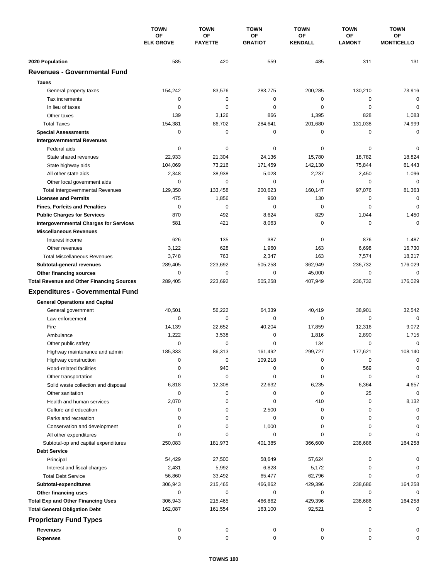|                                                  | <b>TOWN</b><br>OF<br><b>ELK GROVE</b> | <b>TOWN</b>          | <b>TOWN</b>          | <b>TOWN</b>          | <b>TOWN</b>         | <b>TOWN</b>             |
|--------------------------------------------------|---------------------------------------|----------------------|----------------------|----------------------|---------------------|-------------------------|
|                                                  |                                       | OF<br><b>FAYETTE</b> | OF<br><b>GRATIOT</b> | OF<br><b>KENDALL</b> | ΟF<br><b>LAMONT</b> | ОF<br><b>MONTICELLO</b> |
| 2020 Population                                  | 585                                   | 420                  | 559                  | 485                  | 311                 | 131                     |
| <b>Revenues - Governmental Fund</b>              |                                       |                      |                      |                      |                     |                         |
| <b>Taxes</b>                                     |                                       |                      |                      |                      |                     |                         |
|                                                  | 154,242                               | 83,576               | 283,775              | 200,285              | 130,210             | 73,916                  |
| General property taxes<br>Tax increments         | 0                                     | $\pmb{0}$            | 0                    | 0                    | 0                   | $\mathbf 0$             |
| In lieu of taxes                                 | 0                                     | $\mathbf 0$          | 0                    | 0                    | $\mathbf 0$         | $\mathbf 0$             |
| Other taxes                                      | 139                                   | 3,126                | 866                  | 1,395                | 828                 | 1,083                   |
| <b>Total Taxes</b>                               | 154,381                               | 86,702               | 284,641              | 201,680              | 131,038             | 74,999                  |
| <b>Special Assessments</b>                       | 0                                     | $\pmb{0}$            | 0                    | 0                    | 0                   | $\mathbf 0$             |
| <b>Intergovernmental Revenues</b>                |                                       |                      |                      |                      |                     |                         |
| Federal aids                                     | 0                                     | 0                    | 0                    | 0                    | 0                   | 0                       |
| State shared revenues                            | 22,933                                | 21,304               | 24,136               | 15,780               | 18,782              | 18,824                  |
| State highway aids                               | 104,069                               | 73,216               | 171,459              | 142,130              | 75,844              | 61,443                  |
| All other state aids                             | 2,348                                 | 38,938               | 5,028                | 2,237                | 2,450               | 1,096                   |
| Other local government aids                      | 0                                     | $\mathbf 0$          | 0                    | 0                    | 0                   | $\mathbf 0$             |
| <b>Total Intergovernmental Revenues</b>          | 129,350                               | 133,458              | 200,623              | 160,147              | 97,076              | 81,363                  |
| <b>Licenses and Permits</b>                      | 475                                   | 1,856                | 960                  | 130                  | 0                   | $\mathbf 0$             |
| <b>Fines, Forfeits and Penalties</b>             | $\mathbf 0$                           | $\mathbf 0$          | 0                    | 0                    | $\mathbf 0$         | $\mathbf 0$             |
| <b>Public Charges for Services</b>               | 870                                   | 492                  | 8,624                | 829                  | 1,044               | 1,450                   |
| <b>Intergovernmental Charges for Services</b>    | 581                                   | 421                  | 8,063                | 0                    | 0                   | $\mathbf 0$             |
| <b>Miscellaneous Revenues</b>                    |                                       |                      |                      |                      |                     |                         |
| Interest income                                  | 626                                   | 135                  | 387                  | 0                    | 876                 | 1,487                   |
| Other revenues                                   | 3,122                                 | 628                  | 1,960                | 163                  | 6,698               | 16,730                  |
| <b>Total Miscellaneous Revenues</b>              | 3,748                                 | 763                  | 2,347                | 163                  | 7,574               | 18,217                  |
| Subtotal-general revenues                        | 289,405                               | 223,692              | 505,258              | 362,949              | 236,732             | 176,029                 |
| Other financing sources                          | 0                                     | $\pmb{0}$            | 0                    | 45,000               | 0                   | $\mathbf 0$             |
| <b>Total Revenue and Other Financing Sources</b> | 289,405                               | 223,692              | 505,258              | 407,949              | 236,732             | 176,029                 |
|                                                  |                                       |                      |                      |                      |                     |                         |
| <b>Expenditures - Governmental Fund</b>          |                                       |                      |                      |                      |                     |                         |
| <b>General Operations and Capital</b>            |                                       |                      |                      |                      |                     |                         |
| General government                               | 40,501                                | 56,222               | 64,339               | 40,419               | 38,901              | 32,542                  |
| Law enforcement                                  | 0                                     | 0                    | $\mathbf 0$          | 0                    | $\mathbf 0$         | $\mathbf 0$             |
| Fire                                             | 14,139                                | 22,652               | 40,204               | 17,859               | 12,316              | 9,072                   |
| Ambulance                                        | 1,222                                 | 3,538                | 0                    | 1,816                | 2,890               | 1,715                   |
| Other public safety                              | $\mathbf 0$                           | 0                    | 0                    | 134                  | 0                   | $\mathbf 0$             |
| Highway maintenance and admin                    | 185,333                               | 86,313               | 161,492              | 299,727              | 177,621             | 108,140                 |
| Highway construction                             | 0                                     | 0                    | 109,218              | 0                    | 0                   | 0                       |
| Road-related facilities                          | 0                                     | 940                  | 0                    | 0                    | 569                 | 0                       |
| Other transportation                             | 0                                     | 0                    | 0                    | 0                    | 0                   | 0                       |
| Solid waste collection and disposal              | 6,818                                 | 12,308               | 22,632               | 6,235                | 6,364               | 4,657                   |
| Other sanitation                                 | 0                                     | 0                    | 0                    | 0                    | 25                  | $\mathbf 0$             |
| Health and human services                        | 2,070                                 | 0                    | 0                    | 410                  | 0                   | 8,132                   |
| Culture and education                            | 0                                     | 0                    | 2,500                | 0                    | 0                   | 0                       |
| Parks and recreation                             | 0                                     | 0                    | 0                    | 0                    | 0                   | 0                       |
| Conservation and development                     | 0                                     | 0                    | 1,000                | 0                    | 0                   | 0                       |
| All other expenditures                           | $\Omega$                              | 0                    | 0                    | 0                    | 0                   | 0                       |
| Subtotal-op and capital expenditures             | 250,083                               | 181,973              | 401,385              | 366,600              | 238,686             | 164,258                 |
| <b>Debt Service</b>                              |                                       |                      |                      |                      |                     |                         |
| Principal                                        | 54,429                                | 27,500               | 58,649               | 57,624               | 0                   | 0                       |
| Interest and fiscal charges                      | 2,431                                 | 5,992                | 6,828                | 5,172                | 0                   | 0                       |
| <b>Total Debt Service</b>                        | 56,860                                | 33,492               | 65,477               | 62,796               | 0                   | 0                       |
| Subtotal-expenditures                            | 306,943                               | 215,465              | 466,862              | 429,396              | 238,686             | 164,258                 |
| Other financing uses                             | 0                                     | 0                    | 0                    | 0                    | 0                   | 0                       |
| <b>Total Exp and Other Financing Uses</b>        | 306,943                               | 215,465              | 466,862              | 429,396              | 238,686             | 164,258                 |
| <b>Total General Obligation Debt</b>             | 162,087                               | 161,554              | 163,100              | 92,521               | 0                   | $\mathbf 0$             |
| <b>Proprietary Fund Types</b>                    |                                       |                      |                      |                      |                     |                         |
| <b>Revenues</b>                                  | 0                                     | 0                    | 0                    | 0                    | 0                   |                         |
| <b>Expenses</b>                                  | 0                                     | 0                    | 0                    | 0                    | 0                   | 0                       |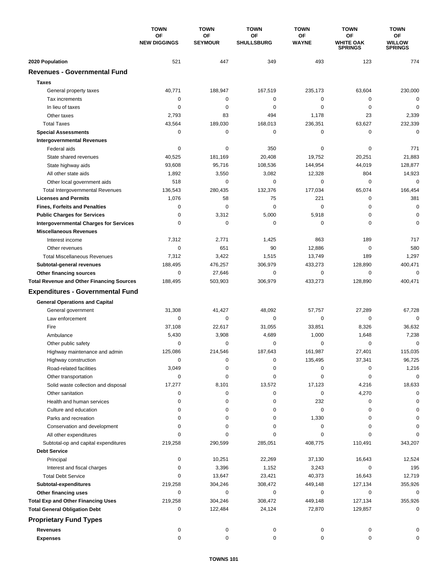|                                                  | <b>TOWN</b><br>OF<br><b>NEW DIGGINGS</b> | <b>TOWN</b><br>OF<br><b>SEYMOUR</b> | <b>TOWN</b><br>ΟF<br><b>SHULLSBURG</b> | <b>TOWN</b><br>OF | <b>TOWN</b><br>OF<br><b>WHITE OAK</b><br><b>SPRINGS</b> | <b>TOWN</b><br>ОF<br><b>WILLOW</b><br><b>SPRINGS</b> |
|--------------------------------------------------|------------------------------------------|-------------------------------------|----------------------------------------|-------------------|---------------------------------------------------------|------------------------------------------------------|
|                                                  |                                          |                                     |                                        |                   |                                                         |                                                      |
|                                                  |                                          |                                     |                                        | <b>WAYNE</b>      |                                                         |                                                      |
| 2020 Population                                  | 521                                      | 447                                 | 349                                    | 493               | 123                                                     | 774                                                  |
| <b>Revenues - Governmental Fund</b>              |                                          |                                     |                                        |                   |                                                         |                                                      |
| <b>Taxes</b>                                     |                                          |                                     |                                        |                   |                                                         |                                                      |
| General property taxes                           | 40,771                                   | 188,947                             | 167,519                                | 235,173           | 63,604                                                  | 230,000                                              |
| Tax increments                                   | 0                                        | 0                                   | 0                                      | 0                 | 0                                                       | $\mathbf 0$                                          |
| In lieu of taxes                                 | 0                                        | $\mathbf 0$                         | 0                                      | 0                 | $\mathbf 0$                                             | $\mathbf 0$                                          |
| Other taxes                                      | 2,793                                    | 83                                  | 494                                    | 1,178             | 23                                                      | 2,339                                                |
| <b>Total Taxes</b>                               | 43,564                                   | 189,030                             | 168,013                                | 236,351           | 63,627                                                  | 232,339                                              |
| <b>Special Assessments</b>                       | 0                                        | $\pmb{0}$                           | 0                                      | 0                 | $\mathbf 0$                                             | $\mathbf 0$                                          |
| <b>Intergovernmental Revenues</b>                |                                          |                                     |                                        |                   |                                                         |                                                      |
| Federal aids                                     | 0                                        | 0                                   | 350                                    | 0                 | 0                                                       | 771                                                  |
| State shared revenues                            | 40,525                                   | 181,169                             | 20,408                                 | 19,752            | 20,251                                                  | 21,883                                               |
| State highway aids                               | 93,608                                   | 95,716                              | 108,536                                | 144,954           | 44,019                                                  | 128,877                                              |
| All other state aids                             | 1,892                                    | 3,550                               | 3,082                                  | 12,328            | 804                                                     | 14,923                                               |
| Other local government aids                      | 518                                      | $\mathbf 0$                         | 0                                      | 0                 | $\mathbf 0$                                             | $\mathbf 0$                                          |
| <b>Total Intergovernmental Revenues</b>          | 136,543                                  | 280,435                             | 132,376                                | 177,034           | 65,074                                                  | 166,454                                              |
| <b>Licenses and Permits</b>                      | 1,076                                    | 58                                  | 75                                     | 221               | $\mathbf 0$                                             | 381                                                  |
| <b>Fines, Forfeits and Penalties</b>             | 0                                        | $\mathbf 0$                         | $\Omega$                               | 0                 | $\mathbf 0$                                             | $\pmb{0}$                                            |
| <b>Public Charges for Services</b>               | 0                                        | 3,312                               | 5,000                                  | 5,918             | $\mathbf 0$                                             | $\mathbf 0$                                          |
| <b>Intergovernmental Charges for Services</b>    | 0                                        | $\mathbf 0$                         | 0                                      | 0                 | 0                                                       | $\mathbf 0$                                          |
| <b>Miscellaneous Revenues</b>                    |                                          |                                     |                                        |                   |                                                         |                                                      |
| Interest income                                  | 7,312                                    | 2,771                               | 1,425                                  | 863               | 189                                                     | 717                                                  |
| Other revenues                                   | 0                                        | 651                                 | 90                                     | 12,886            | 0                                                       | 580                                                  |
| <b>Total Miscellaneous Revenues</b>              | 7,312                                    | 3,422                               | 1,515                                  | 13,749            | 189                                                     | 1,297                                                |
| Subtotal-general revenues                        | 188,495                                  | 476,257                             | 306,979                                | 433,273           | 128,890                                                 | 400,471                                              |
| Other financing sources                          | 0                                        | 27,646                              | 0                                      | 0                 | $\mathbf 0$                                             | $\mathbf 0$                                          |
| <b>Total Revenue and Other Financing Sources</b> | 188,495                                  | 503,903                             | 306,979                                | 433,273           | 128,890                                                 | 400,471                                              |
|                                                  |                                          |                                     |                                        |                   |                                                         |                                                      |
| <b>Expenditures - Governmental Fund</b>          |                                          |                                     |                                        |                   |                                                         |                                                      |
| <b>General Operations and Capital</b>            |                                          |                                     |                                        |                   |                                                         |                                                      |
| General government                               | 31,308                                   | 41,427                              | 48,092                                 | 57,757            | 27,289                                                  | 67,728                                               |
| Law enforcement                                  | 0                                        | 0                                   | $\mathbf 0$                            | 0                 | 0                                                       | 0                                                    |
| Fire                                             | 37,108                                   | 22,617                              | 31,055                                 | 33,851            | 8,326                                                   | 36,632                                               |
| Ambulance                                        | 5,430                                    | 3,908                               | 4,689                                  | 1,000             | 1,648                                                   | 7,238                                                |
| Other public safety                              | 0                                        | 0                                   | 0                                      | 0                 | 0                                                       | $\mathbf 0$                                          |
| Highway maintenance and admin                    | 125,086                                  | 214,546                             | 187,643                                | 161,987           | 27,401                                                  | 115,035                                              |
| Highway construction                             | 0                                        | 0                                   | 0                                      | 135,495           | 37,341                                                  | 96,725                                               |
| Road-related facilities                          | 3,049                                    | 0                                   | 0                                      | 0                 | 0                                                       | 1,216                                                |
| Other transportation                             | 0                                        | 0                                   | 0                                      | 0                 | 0                                                       | 0                                                    |
| Solid waste collection and disposal              | 17,277                                   | 8,101                               | 13,572                                 | 17,123            | 4,216                                                   | 18,633                                               |
| Other sanitation                                 | 0                                        | 0                                   | 0                                      | 0                 | 4,270                                                   | $\Omega$                                             |
| Health and human services                        | 0                                        | 0                                   | 0                                      | 232               | 0                                                       | $\Omega$                                             |
| Culture and education                            | 0                                        | 0                                   | 0                                      | 0                 | 0                                                       | $\Omega$                                             |
| Parks and recreation                             | 0                                        | 0                                   | 0                                      | 1,330             | 0                                                       | O                                                    |
| Conservation and development                     | 0                                        | 0                                   | 0                                      | 0                 | 0                                                       |                                                      |
| All other expenditures                           | 0                                        | 0                                   | 0                                      | 0                 | 0                                                       | O                                                    |
| Subtotal-op and capital expenditures             | 219,258                                  | 290,599                             | 285,051                                | 408,775           | 110,491                                                 | 343,207                                              |
| <b>Debt Service</b>                              |                                          |                                     |                                        |                   |                                                         |                                                      |
| Principal                                        | 0                                        | 10,251                              | 22,269                                 | 37,130            | 16,643                                                  | 12,524                                               |
| Interest and fiscal charges                      | 0                                        | 3,396                               | 1,152                                  | 3,243             | 0                                                       | 195                                                  |
| <b>Total Debt Service</b>                        | 0                                        | 13,647                              | 23,421                                 | 40,373            | 16,643                                                  | 12,719                                               |
| Subtotal-expenditures                            | 219,258                                  | 304,246                             | 308,472                                | 449,148           | 127,134                                                 | 355,926                                              |
| Other financing uses                             | 0                                        | 0                                   | 0                                      | 0                 | 0                                                       | 0                                                    |
| <b>Total Exp and Other Financing Uses</b>        | 219,258                                  | 304,246                             | 308,472                                | 449,148           | 127,134                                                 | 355,926                                              |
| <b>Total General Obligation Debt</b>             | 0                                        | 122,484                             | 24,124                                 | 72,870            | 129,857                                                 | 0                                                    |
| <b>Proprietary Fund Types</b>                    |                                          |                                     |                                        |                   |                                                         |                                                      |
| <b>Revenues</b>                                  | 0                                        | 0                                   | 0                                      | 0                 | 0                                                       |                                                      |
| <b>Expenses</b>                                  | 0                                        | 0                                   | 0                                      | 0                 | 0                                                       | 0                                                    |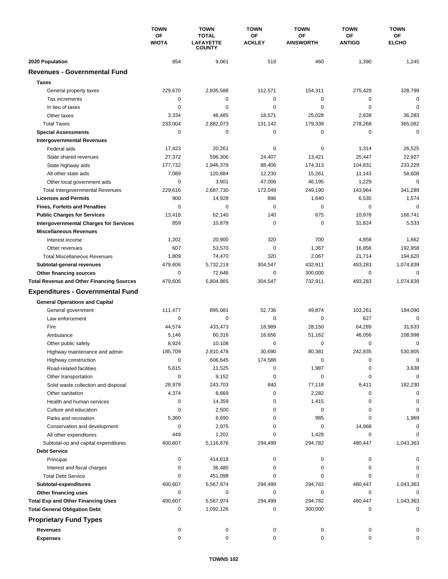|                                                  | <b>TOWN</b><br>ΟF<br><b>WIOTA</b> | <b>TOWN</b>                                       | <b>TOWN</b>         | <b>TOWN</b>            | <b>TOWN</b>                | <b>TOWN</b>        |
|--------------------------------------------------|-----------------------------------|---------------------------------------------------|---------------------|------------------------|----------------------------|--------------------|
|                                                  |                                   | <b>TOTAL</b><br><b>LAFAYETTE</b><br><b>COUNTY</b> | OF<br><b>ACKLEY</b> | ΟF<br><b>AINSWORTH</b> | <b>OF</b><br><b>ANTIGO</b> | ОF<br><b>ELCHO</b> |
| 2020 Population                                  | 854                               | 9,061                                             | 519                 | 460                    | 1,390                      | 1,245              |
| <b>Revenues - Governmental Fund</b>              |                                   |                                                   |                     |                        |                            |                    |
| <b>Taxes</b>                                     |                                   |                                                   |                     |                        |                            |                    |
| General property taxes                           | 229,670                           | 2,835,588                                         | 112,571             | 154,311                | 275,429                    | 328,799            |
| Tax increments                                   | 0                                 | 0                                                 | 0                   | 0                      | 0                          | 0                  |
| In lieu of taxes                                 | 0                                 | $\mathbf 0$                                       | $\mathbf 0$         | 0                      | $\mathbf 0$                | $\mathbf 0$        |
| Other taxes                                      | 3,334                             | 46,485                                            | 18,571              | 25,028                 | 2,839                      | 36,283             |
| <b>Total Taxes</b>                               | 233,004                           | 2,882,073                                         | 131,142             | 179,339                | 278,268                    | 365,082            |
| <b>Special Assessments</b>                       | 0                                 | 0                                                 | 0                   | 0                      | 0                          | $\mathbf 0$        |
| <b>Intergovernmental Revenues</b>                |                                   |                                                   |                     |                        |                            |                    |
| Federal aids                                     | 17,423                            | 20,261                                            | 0                   | 0                      | 1,314                      | 26,525             |
| State shared revenues                            | 27,372                            | 596,306                                           | 24,407              | 13,421                 | 25,447                     | 22,927             |
| State highway aids                               | 177,732                           | 1,946,378                                         | 88,406              | 174,313                | 104,831                    | 233,229            |
| All other state aids                             | 7,089                             | 120,884                                           | 12,230              | 15,261                 | 11,143                     | 58,608             |
| Other local government aids                      | 0                                 | 3,901                                             | 47,006              | 46,195                 | 1,229                      | $\mathbf 0$        |
| <b>Total Intergovernmental Revenues</b>          | 229,616                           | 2,687,730                                         | 172,049             | 249,190                | 143,964                    | 341,289            |
| <b>Licenses and Permits</b>                      | 900                               | 14,928                                            | 896                 | 1,640                  | 6,535                      | 1,574              |
| <b>Fines, Forfeits and Penalties</b>             | 0                                 | 0                                                 | 0                   | 0                      | 0                          | $\Omega$           |
| <b>Public Charges for Services</b>               | 13,418                            | 62,140                                            | 140                 | 675                    | 10,978                     | 166,741            |
| <b>Intergovernmental Charges for Services</b>    | 859                               | 10,878                                            | $\mathbf 0$         | $\mathbf 0$            | 31,824                     | 5,533              |
| <b>Miscellaneous Revenues</b>                    |                                   |                                                   |                     |                        |                            |                    |
| Interest income                                  | 1,202                             | 20,900                                            | 320                 | 700                    | 4,858                      | 1,662              |
| Other revenues                                   | 607                               | 53,570                                            | $\pmb{0}$           | 1,367                  | 16,856                     | 192,958            |
| <b>Total Miscellaneous Revenues</b>              | 1,809                             | 74,470                                            | 320                 | 2,067                  | 21,714                     | 194,620            |
| Subtotal-general revenues                        | 479,606                           | 5,732,219                                         | 304,547             | 432,911                | 493,283                    | 1,074,839          |
| Other financing sources                          | 0                                 | 72,646                                            | 0                   | 300,000                | $\mathbf 0$                | 0                  |
| <b>Total Revenue and Other Financing Sources</b> | 479,606                           | 5,804,865                                         | 304,547             | 732,911                | 493,283                    | 1,074,839          |
| <b>Expenditures - Governmental Fund</b>          |                                   |                                                   |                     |                        |                            |                    |
| <b>General Operations and Capital</b>            |                                   |                                                   |                     |                        |                            |                    |
| General government                               | 111,477                           | 895,081                                           | 52,736              | 49,874                 | 103,261                    | 184,090            |
| Law enforcement                                  | 0                                 | 0                                                 | $\mathbf 0$         | 0                      | 627                        | $\Omega$           |
| Fire                                             | 44,574                            | 433,473                                           | 18,989              | 28,150                 | 64,289                     | 31,633             |
| Ambulance                                        | 5,146                             | 60,316                                            | 16,656              | 51,162                 | 46,056                     | 108,998            |
| Other public safety                              | 8,924                             | 10,108                                            | 0                   | 0                      | $\mathbf 0$                | 0                  |
| Highway maintenance and admin                    | 185,709                           | 2,810,478                                         | 30,690              | 80,381                 | 242,835                    | 530,805            |
| Highway construction                             | 0                                 | 606,645                                           | 174,588             | 0                      | 0                          | 0                  |
| Road-related facilities                          | 5,615                             | 11,525                                            | 0                   | 1,987                  | 0                          | 3,638              |
| Other transportation                             | 0                                 | 9,152                                             | 0                   | 0                      | 0                          | $\Omega$           |
| Solid waste collection and disposal              | 28,979                            | 243,703                                           | 840                 | 77,118                 | 8,411                      | 182,230            |
| Other sanitation                                 | 4,374                             | 8,669                                             | 0                   | 2,282                  | 0                          | $\Omega$           |
| Health and human services                        | 0                                 | 14,359                                            | 0                   | 1,415                  | 0                          | 0                  |
| Culture and education                            | 0                                 | 2,500                                             | 0                   | 0                      | 0                          | 0                  |
| Parks and recreation                             | 5,360                             | 6,690                                             | 0                   | 985                    | 0                          | 1,969              |
| Conservation and development                     | 0                                 | 2,975                                             | 0                   | 0                      | 14,968                     | 0                  |
| All other expenditures                           | 449                               | 1,202                                             | 0                   | 1,428                  | 0                          | $\Omega$           |
| Subtotal-op and capital expenditures             | 400,607                           | 5,116,876                                         | 294,499             | 294,782                | 480,447                    | 1,043,363          |
| <b>Debt Service</b>                              |                                   |                                                   |                     |                        |                            |                    |
| Principal                                        | 0                                 | 414,618                                           | 0                   | 0                      | 0                          | 0                  |
| Interest and fiscal charges                      | 0                                 | 36,480                                            | 0                   | 0                      | 0                          | 0                  |
| <b>Total Debt Service</b>                        | 0                                 | 451,098                                           | 0                   | 0                      | 0                          | $\Omega$           |
| Subtotal-expenditures                            | 400,607                           | 5,567,974                                         | 294,499             | 294,782                | 480,447                    | 1,043,363          |
| Other financing uses                             | 0                                 | 0                                                 | 0                   | 0                      | 0                          | 0                  |
| <b>Total Exp and Other Financing Uses</b>        | 400,607                           | 5,567,974                                         | 294,499             | 294,782                | 480,447                    | 1,043,363          |
| <b>Total General Obligation Debt</b>             | 0                                 | 1,092,126                                         | 0                   | 300,000                | 0                          | 0                  |
| <b>Proprietary Fund Types</b>                    |                                   |                                                   |                     |                        |                            |                    |
| <b>Revenues</b>                                  | 0                                 | 0                                                 | 0                   | 0                      | 0                          |                    |
| <b>Expenses</b>                                  | 0                                 | $\pmb{0}$                                         | 0                   | 0                      | 0                          | 0                  |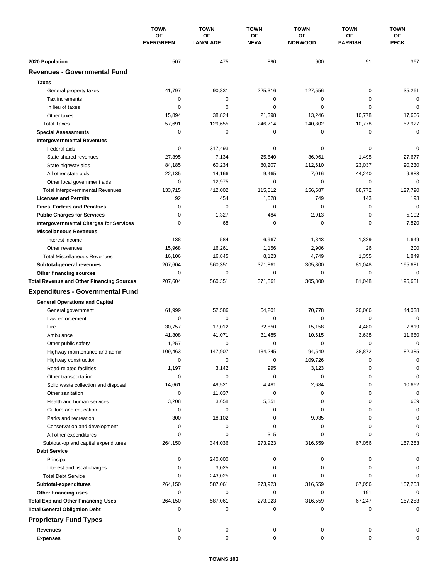|                                                  | <b>TOWN</b><br>OF<br><b>EVERGREEN</b> | <b>TOWN</b>           | <b>TOWN</b>       | <b>TOWN</b>          | <b>TOWN</b>          | <b>TOWN</b>       |
|--------------------------------------------------|---------------------------------------|-----------------------|-------------------|----------------------|----------------------|-------------------|
|                                                  |                                       | OF<br><b>LANGLADE</b> | OF<br><b>NEVA</b> | OF<br><b>NORWOOD</b> | ΟF<br><b>PARRISH</b> | ОF<br><b>PECK</b> |
|                                                  |                                       |                       |                   |                      |                      |                   |
| 2020 Population                                  | 507                                   | 475                   | 890               | 900                  | 91                   | 367               |
| <b>Revenues - Governmental Fund</b>              |                                       |                       |                   |                      |                      |                   |
| <b>Taxes</b>                                     |                                       |                       |                   |                      |                      |                   |
| General property taxes                           | 41,797                                | 90,831                | 225,316           | 127,556              | $\mathbf 0$          | 35,261            |
| Tax increments                                   | 0                                     | 0                     | $\mathbf 0$       | $\mathbf 0$          | 0                    | $\mathbf 0$       |
| In lieu of taxes                                 | 0                                     | 0                     | $\mathbf 0$       | $\mathbf 0$          | 0                    | $\mathbf 0$       |
| Other taxes                                      | 15,894                                | 38,824                | 21,398            | 13,246               | 10,778               | 17,666            |
| <b>Total Taxes</b>                               | 57,691                                | 129,655               | 246,714           | 140,802              | 10,778               | 52,927            |
| <b>Special Assessments</b>                       | 0                                     | 0                     | 0                 | $\mathbf 0$          | 0                    | 0                 |
| <b>Intergovernmental Revenues</b>                |                                       |                       |                   |                      |                      |                   |
| Federal aids                                     | 0                                     | 317,493               | 0                 | 0                    | 0                    | 0                 |
| State shared revenues                            | 27,395                                | 7,134                 | 25,840            | 36,961               | 1,495                | 27,677            |
| State highway aids                               | 84,185                                | 60,234                | 80,207            | 112,610              | 23,037               | 90,230            |
| All other state aids                             | 22,135                                | 14,166                | 9,465             | 7,016                | 44,240               | 9,883             |
| Other local government aids                      | 0                                     | 12,975                | 0                 | $\mathbf 0$          | 0                    | $\mathbf 0$       |
| <b>Total Intergovernmental Revenues</b>          | 133,715                               | 412,002               | 115,512           | 156,587              | 68,772               | 127,790           |
| <b>Licenses and Permits</b>                      | 92                                    | 454                   | 1,028             | 749                  | 143                  | 193               |
| <b>Fines, Forfeits and Penalties</b>             | 0                                     | $\Omega$              | 0                 | $\mathbf 0$          | 0                    | $\mathbf 0$       |
| <b>Public Charges for Services</b>               | 0                                     | 1,327                 | 484               | 2,913                | 0                    | 5,102             |
| <b>Intergovernmental Charges for Services</b>    | 0                                     | 68                    | 0                 | 0                    | 0                    | 7,820             |
| <b>Miscellaneous Revenues</b>                    |                                       |                       |                   |                      |                      |                   |
| Interest income                                  | 138                                   | 584                   | 6,967             | 1,843                | 1,329                | 1,649             |
| Other revenues                                   | 15,968                                | 16,261                | 1,156             | 2,906                | 26                   | 200               |
| <b>Total Miscellaneous Revenues</b>              | 16,106                                | 16,845                | 8,123             | 4,749                | 1,355                | 1,849             |
| Subtotal-general revenues                        | 207,604                               | 560,351               | 371,861           | 305,800              | 81,048               | 195,681           |
| Other financing sources                          | 0                                     | $\mathbf 0$           | $\mathbf 0$       | $\mathbf 0$          | 0                    | $\mathbf 0$       |
| <b>Total Revenue and Other Financing Sources</b> | 207,604                               | 560,351               | 371,861           | 305,800              | 81,048               | 195,681           |
| <b>Expenditures - Governmental Fund</b>          |                                       |                       |                   |                      |                      |                   |
| <b>General Operations and Capital</b>            |                                       |                       |                   |                      |                      |                   |
| General government                               | 61,999                                | 52,586                | 64,201            | 70,778               | 20,066               | 44,038            |
| Law enforcement                                  | 0                                     | $\mathbf 0$           | 0                 | $\mathbf 0$          | $\mathbf 0$          | $\Omega$          |
| Fire                                             | 30,757                                | 17.012                | 32.850            | 15,158               | 4,480                | 7,819             |
| Ambulance                                        | 41,308                                | 41,071                | 31,485            | 10,615               | 3,638                | 11,680            |
| Other public safety                              | 1,257                                 | 0                     | $\mathbf 0$       | $\pmb{0}$            | 0                    | 0                 |
| Highway maintenance and admin                    | 109,463                               | 147.907               | 134,245           | 94,540               | 38,872               | 82.385            |
| Highway construction                             | 0                                     | 0                     | 0                 | 109,726              | 0                    | 0                 |
| Road-related facilities                          | 1,197                                 | 3,142                 | 995               | 3,123                | 0                    | 0                 |
| Other transportation                             | 0                                     | 0                     | 0                 | 0                    | 0                    | 0                 |
| Solid waste collection and disposal              | 14,661                                | 49,521                | 4,481             | 2,684                | 0                    | 10,662            |
| Other sanitation                                 | 0                                     | 11,037                | 0                 | 0                    | 0                    | $\mathbf 0$       |
| Health and human services                        | 3,208                                 | 3,658                 | 5,351             | 0                    | 0                    | 669               |
| Culture and education                            | 0                                     | 0                     | 0                 | 0                    | 0                    | 0                 |
| Parks and recreation                             | 300                                   | 18,102                | 0                 | 9,935                | 0                    | 0                 |
| Conservation and development                     | 0                                     | 0                     | 0                 | 0                    | 0                    | 0                 |
| All other expenditures                           | 0                                     |                       | 315               | 0                    | 0                    |                   |
| Subtotal-op and capital expenditures             | 264,150                               | 344,036               | 273,923           | 316,559              | 67,056               | 157,253           |
| <b>Debt Service</b>                              |                                       |                       |                   |                      |                      |                   |
| Principal                                        | 0                                     | 240,000               | 0                 | 0                    | 0                    |                   |
| Interest and fiscal charges                      | 0                                     | 3,025                 | 0                 | 0                    | 0                    | 0                 |
| <b>Total Debt Service</b>                        | 0                                     | 243,025               | 0                 | 0                    | 0                    | O                 |
| Subtotal-expenditures                            | 264,150                               | 587,061               | 273,923           | 316,559              | 67,056               | 157,253           |
| Other financing uses                             | 0                                     | 0                     | 0                 | 0                    | 191                  | 0                 |
| <b>Total Exp and Other Financing Uses</b>        | 264,150                               | 587,061               | 273,923           | 316,559              | 67,247               | 157,253           |
| <b>Total General Obligation Debt</b>             | 0                                     | 0                     | 0                 | 0                    | 0                    | 0                 |
| <b>Proprietary Fund Types</b>                    |                                       |                       |                   |                      |                      |                   |
|                                                  |                                       |                       |                   |                      |                      |                   |
| <b>Revenues</b>                                  | 0                                     | 0                     | 0                 | 0                    | 0                    | 0                 |
| <b>Expenses</b>                                  | 0                                     | 0                     | 0                 | 0                    | 0                    | 0                 |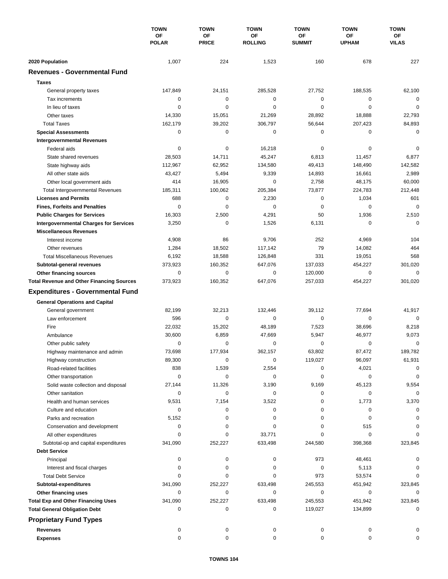|                                                        | <b>TOWN</b><br>OF<br><b>POLAR</b> | <b>TOWN</b>        | <b>TOWN</b><br>OF<br><b>ROLLING</b> | <b>TOWN</b><br>OF<br><b>SUMMIT</b> | <b>TOWN</b>               | <b>TOWN</b><br>OF<br><b>VILAS</b> |
|--------------------------------------------------------|-----------------------------------|--------------------|-------------------------------------|------------------------------------|---------------------------|-----------------------------------|
|                                                        |                                   | OF<br><b>PRICE</b> |                                     |                                    | <b>OF</b><br><b>UPHAM</b> |                                   |
|                                                        |                                   |                    |                                     |                                    |                           |                                   |
| 2020 Population<br><b>Revenues - Governmental Fund</b> | 1,007                             | 224                | 1,523                               | 160                                | 678                       | 227                               |
|                                                        |                                   |                    |                                     |                                    |                           |                                   |
| <b>Taxes</b>                                           |                                   |                    |                                     |                                    |                           |                                   |
| General property taxes                                 | 147,849                           | 24,151             | 285,528                             | 27,752                             | 188,535                   | 62,100                            |
| Tax increments                                         | 0                                 | $\pmb{0}$          | 0                                   | 0                                  | 0                         | $\mathbf 0$                       |
| In lieu of taxes                                       | 0                                 | 0                  | 0                                   | 0                                  | $\mathbf 0$               | $\mathbf 0$                       |
| Other taxes                                            | 14,330                            | 15,051             | 21,269                              | 28,892                             | 18,888                    | 22,793                            |
| <b>Total Taxes</b>                                     | 162,179                           | 39,202             | 306,797                             | 56,644                             | 207,423                   | 84,893                            |
| <b>Special Assessments</b>                             | 0                                 | $\pmb{0}$          | 0                                   | 0                                  | 0                         | $\mathbf 0$                       |
| <b>Intergovernmental Revenues</b>                      |                                   |                    |                                     |                                    |                           |                                   |
| Federal aids                                           | 0                                 | $\pmb{0}$          | 16,218                              | 0                                  | 0                         | 0                                 |
| State shared revenues                                  | 28,503                            | 14,711             | 45,247                              | 6,813                              | 11,457                    | 6,877                             |
| State highway aids                                     | 112,967                           | 62,952             | 134,580                             | 49,413                             | 148,490                   | 142,582                           |
| All other state aids                                   | 43,427                            | 5,494              | 9,339                               | 14,893                             | 16,661                    | 2,989                             |
| Other local government aids                            | 414                               | 16,905             | 0                                   | 2,758                              | 48,175                    | 60,000                            |
| <b>Total Intergovernmental Revenues</b>                | 185,311                           | 100,062            | 205,384                             | 73,877                             | 224,783                   | 212,448                           |
| <b>Licenses and Permits</b>                            | 688                               | 0                  | 2,230                               | 0                                  | 1,034                     | 601                               |
| <b>Fines, Forfeits and Penalties</b>                   | 0                                 | $\mathbf 0$        | $\mathbf 0$                         | 0                                  | 0                         | $\mathbf 0$                       |
| <b>Public Charges for Services</b>                     | 16,303                            | 2,500              | 4,291                               | 50                                 | 1,936                     | 2,510                             |
| <b>Intergovernmental Charges for Services</b>          | 3,250                             | $\mathbf 0$        | 1,526                               | 6,131                              | 0                         | $\mathbf 0$                       |
| <b>Miscellaneous Revenues</b>                          |                                   |                    |                                     |                                    |                           |                                   |
| Interest income                                        | 4,908                             | 86                 | 9,706                               | 252                                | 4,969                     | 104                               |
| Other revenues                                         | 1,284                             | 18,502             | 117,142                             | 79                                 | 14,082                    | 464                               |
| <b>Total Miscellaneous Revenues</b>                    | 6,192                             | 18,588             | 126,848                             | 331                                | 19,051                    | 568                               |
| Subtotal-general revenues                              | 373,923                           | 160,352            | 647,076                             | 137,033                            | 454,227                   | 301,020                           |
| Other financing sources                                | 0                                 | $\mathbf 0$        | 0                                   | 120,000                            | $\mathbf 0$               | $\mathbf 0$                       |
| <b>Total Revenue and Other Financing Sources</b>       | 373,923                           | 160,352            | 647,076                             | 257,033                            | 454,227                   | 301,020                           |
| <b>Expenditures - Governmental Fund</b>                |                                   |                    |                                     |                                    |                           |                                   |
|                                                        |                                   |                    |                                     |                                    |                           |                                   |
| <b>General Operations and Capital</b>                  |                                   |                    |                                     |                                    |                           |                                   |
| General government                                     | 82,199                            | 32,213             | 132,446                             | 39,112                             | 77,694                    | 41,917                            |
| Law enforcement                                        | 596                               | $\mathbf 0$        | 0                                   | 0                                  | 0                         | $\mathbf 0$                       |
| Fire                                                   | 22,032                            | 15,202             | 48,189                              | 7,523                              | 38,696                    | 8,218                             |
| Ambulance                                              | 30,600                            | 6,859              | 47,669                              | 5,947                              | 46,977                    | 9,073                             |
| Other public safety                                    | 0                                 | 0                  | 0                                   | 0                                  | 0                         | $\mathbf 0$                       |
| Highway maintenance and admin                          | 73,698                            | 177,934            | 362,157                             | 63,802                             | 87,472                    | 189,782                           |
| Highway construction                                   | 89,300                            | 0                  | 0                                   | 119,027                            | 96,097                    | 61,931                            |
| Road-related facilities                                | 838                               | 1,539              | 2,554                               | 0                                  | 4,021                     | 0                                 |
| Other transportation                                   | 0                                 | $\pmb{0}$          | 0                                   | 0                                  | 0                         | $\mathbf 0$                       |
| Solid waste collection and disposal                    | 27,144                            | 11,326             | 3,190                               | 9,169                              | 45,123                    | 9,554                             |
| Other sanitation                                       | 0                                 | $\pmb{0}$          | 0                                   | 0                                  | 0                         | $\mathbf 0$                       |
| Health and human services                              | 9,531                             | 7,154              | 3,522                               | 0                                  | 1,773                     | 3,370                             |
| Culture and education                                  | 0                                 | 0                  | 0                                   | 0                                  | 0                         | 0                                 |
| Parks and recreation                                   | 5,152                             | 0                  | 0                                   | 0                                  | 0                         | 0                                 |
| Conservation and development                           | 0                                 | 0                  | 0                                   | 0                                  | 515                       | 0                                 |
| All other expenditures                                 | 0                                 | 0                  | 33,771                              | 0                                  | 0                         | $\Omega$                          |
| Subtotal-op and capital expenditures                   | 341,090                           | 252,227            | 633,498                             | 244,580                            | 398,368                   | 323,845                           |
| <b>Debt Service</b>                                    |                                   |                    |                                     |                                    |                           |                                   |
| Principal                                              | 0                                 | 0                  | 0                                   | 973                                | 48,461                    | 0                                 |
| Interest and fiscal charges                            | 0                                 | 0                  | 0                                   | 0                                  | 5,113                     | 0                                 |
| <b>Total Debt Service</b>                              | 0                                 | 0                  | 0                                   | 973                                | 53,574                    | $\Omega$                          |
| Subtotal-expenditures                                  | 341,090                           | 252,227            | 633,498                             | 245,553                            | 451,942                   | 323,845                           |
| Other financing uses                                   | 0                                 | 0                  | 0                                   | 0                                  | 0                         | 0                                 |
| <b>Total Exp and Other Financing Uses</b>              | 341,090                           | 252,227            | 633,498                             | 245,553                            | 451,942                   | 323,845                           |
| <b>Total General Obligation Debt</b>                   | 0                                 | 0                  | 0                                   | 119,027                            | 134,899                   | 0                                 |
| <b>Proprietary Fund Types</b>                          |                                   |                    |                                     |                                    |                           |                                   |
|                                                        |                                   |                    |                                     |                                    |                           |                                   |
| <b>Revenues</b>                                        | 0                                 | 0                  | 0                                   | 0                                  | 0                         |                                   |
| <b>Expenses</b>                                        | 0                                 | 0                  | 0                                   | 0                                  | 0                         | O                                 |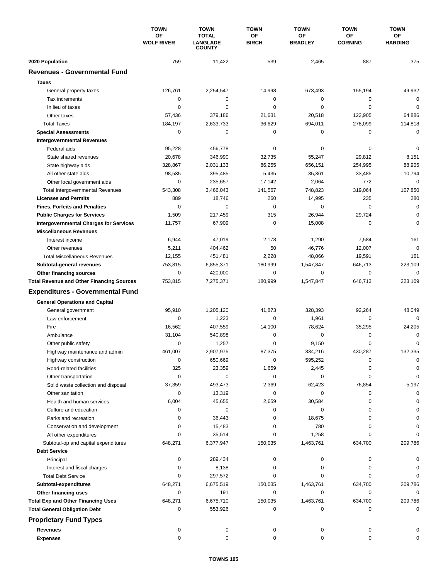|                                                  | <b>TOWN</b><br><b>OF</b><br><b>WOLF RIVER</b> | <b>TOWN</b><br><b>TOTAL</b><br><b>LANGLADE</b><br><b>COUNTY</b> | <b>TOWN</b><br>OF<br><b>BIRCH</b> | <b>TOWN</b><br>OF<br><b>BRADLEY</b> | <b>TOWN</b><br><b>OF</b><br><b>CORNING</b> | <b>TOWN</b><br>ОF<br><b>HARDING</b> |
|--------------------------------------------------|-----------------------------------------------|-----------------------------------------------------------------|-----------------------------------|-------------------------------------|--------------------------------------------|-------------------------------------|
|                                                  |                                               |                                                                 |                                   |                                     |                                            |                                     |
| 2020 Population                                  | 759                                           | 11,422                                                          | 539                               | 2,465                               | 887                                        | 375                                 |
| <b>Revenues - Governmental Fund</b>              |                                               |                                                                 |                                   |                                     |                                            |                                     |
| <b>Taxes</b>                                     |                                               |                                                                 |                                   |                                     |                                            |                                     |
| General property taxes                           | 126,761                                       | 2,254,547                                                       | 14,998                            | 673,493                             | 155,194                                    | 49,932                              |
| Tax increments                                   | 0                                             | 0                                                               | 0                                 | 0                                   | $\mathbf 0$                                | $\mathbf 0$                         |
| In lieu of taxes                                 | 0                                             | 0                                                               | 0                                 | 0                                   | $\mathbf 0$                                | $\mathbf 0$                         |
| Other taxes                                      | 57,436                                        | 379,186                                                         | 21,631                            | 20,518                              | 122,905                                    | 64,886                              |
| <b>Total Taxes</b>                               | 184,197                                       | 2,633,733                                                       | 36,629                            | 694,011                             | 278,099                                    | 114,818                             |
| <b>Special Assessments</b>                       | 0                                             | 0                                                               | 0                                 | 0                                   | 0                                          | $\mathbf 0$                         |
| <b>Intergovernmental Revenues</b>                |                                               |                                                                 |                                   |                                     |                                            |                                     |
| Federal aids                                     | 95,228                                        | 456,778                                                         | 0                                 | 0                                   | 0                                          | $\mathbf 0$                         |
| State shared revenues                            | 20,678                                        | 346,990                                                         | 32,735                            | 55,247                              | 29,812                                     | 8,151                               |
| State highway aids                               | 328,867                                       | 2,031,133                                                       | 86,255                            | 656,151                             | 254,995                                    | 88,905                              |
| All other state aids                             | 98,535                                        | 395,485                                                         | 5,435                             | 35,361                              | 33,485                                     | 10,794                              |
| Other local government aids                      | 0                                             | 235,657                                                         | 17,142                            | 2,064                               | 772                                        | $\mathbf 0$                         |
| <b>Total Intergovernmental Revenues</b>          | 543,308                                       | 3,466,043                                                       | 141,567                           | 748,823                             | 319,064                                    | 107,850                             |
| <b>Licenses and Permits</b>                      | 889                                           | 18,746                                                          | 260                               | 14,995                              | 235                                        | 280                                 |
| <b>Fines, Forfeits and Penalties</b>             | 0                                             | 0                                                               | $\mathbf 0$                       | 0                                   | $\mathbf 0$                                | $\mathbf 0$                         |
| <b>Public Charges for Services</b>               | 1,509                                         | 217,459                                                         | 315                               | 26,944                              | 29,724                                     | 0                                   |
| <b>Intergovernmental Charges for Services</b>    | 11,757                                        | 67,909                                                          | 0                                 | 15,008                              | 0                                          | $\Omega$                            |
| <b>Miscellaneous Revenues</b>                    |                                               |                                                                 |                                   |                                     |                                            |                                     |
| Interest income                                  | 6,944                                         | 47,019                                                          | 2,178                             | 1,290                               | 7,584                                      | 161                                 |
| Other revenues                                   | 5,211                                         | 404,462                                                         | 50                                | 46,776                              | 12,007                                     | $\mathbf 0$                         |
| <b>Total Miscellaneous Revenues</b>              | 12,155                                        | 451,481                                                         | 2,228                             | 48,066                              | 19,591                                     | 161                                 |
| Subtotal-general revenues                        | 753,815                                       | 6,855,371                                                       | 180,999                           | 1,547,847                           | 646,713                                    | 223,109                             |
| Other financing sources                          | 0                                             | 420,000                                                         | 0                                 | 0                                   | $\mathbf 0$                                | $\mathbf 0$                         |
| <b>Total Revenue and Other Financing Sources</b> | 753,815                                       | 7,275,371                                                       | 180,999                           | 1,547,847                           | 646,713                                    | 223,109                             |
| <b>Expenditures - Governmental Fund</b>          |                                               |                                                                 |                                   |                                     |                                            |                                     |
| <b>General Operations and Capital</b>            |                                               |                                                                 |                                   |                                     |                                            |                                     |
| General government                               | 95,910                                        | 1,205,120                                                       | 41,873                            | 328,393                             | 92,264                                     | 48,049                              |
| Law enforcement                                  | 0                                             | 1,223                                                           | $\mathbf 0$                       | 1,961                               | 0                                          | $\Omega$                            |
| Fire                                             | 16,562                                        | 407,559                                                         | 14,100                            | 78,624                              | 35,295                                     | 24,205                              |
| Ambulance                                        | 31,104                                        | 540,898                                                         | 0                                 | 0                                   | 0                                          | 0                                   |
| Other public safety                              | 0                                             | 1,257                                                           | 0                                 | 9,150                               | 0                                          | $\mathbf 0$                         |
| Highway maintenance and admin                    | 461,007                                       | 2,907,975                                                       | 87,375                            | 334,216                             | 430,287                                    | 132,335                             |
| Highway construction                             | 0                                             | 650,669                                                         | 0                                 | 595,252                             | 0                                          | 0                                   |
| Road-related facilities                          | 325                                           | 23,359                                                          | 1,659                             | 2,445                               | 0                                          | 0                                   |
| Other transportation                             | 0                                             | 0                                                               | 0                                 | 0                                   | 0                                          | 0                                   |
| Solid waste collection and disposal              | 37,359                                        | 493,473                                                         | 2,369                             | 62,423                              | 76,854                                     | 5,197                               |
| Other sanitation                                 | 0                                             | 13,319                                                          | 0                                 | 0                                   | 0                                          | 0                                   |
| Health and human services                        | 6,004                                         | 45,655                                                          | 2,659                             | 30,584                              | 0                                          | 0                                   |
| Culture and education                            | 0                                             | 0                                                               | 0                                 | 0                                   | 0                                          | 0                                   |
| Parks and recreation                             | 0                                             | 36,443                                                          | 0                                 | 18,675                              | 0                                          | 0                                   |
| Conservation and development                     | 0                                             | 15,483                                                          | 0                                 | 780                                 | 0                                          |                                     |
| All other expenditures                           | 0                                             | 35,514                                                          | 0                                 | 1,258                               | 0                                          |                                     |
| Subtotal-op and capital expenditures             | 648,271                                       | 6,377,947                                                       | 150,035                           | 1,463,761                           | 634,700                                    | 209,786                             |
| <b>Debt Service</b>                              |                                               |                                                                 |                                   |                                     |                                            |                                     |
| Principal                                        | 0                                             | 289,434                                                         | 0                                 | 0                                   | 0                                          |                                     |
| Interest and fiscal charges                      | 0                                             | 8,138                                                           | 0                                 | 0                                   | 0                                          | 0                                   |
| <b>Total Debt Service</b>                        | 0                                             | 297,572                                                         | 0                                 | 0                                   | $\Omega$                                   | $\Omega$                            |
| Subtotal-expenditures                            | 648,271                                       | 6,675,519                                                       | 150,035                           | 1,463,761                           | 634,700                                    | 209,786                             |
| Other financing uses                             | 0                                             | 191                                                             | 0                                 | 0                                   | 0                                          | 0                                   |
| <b>Total Exp and Other Financing Uses</b>        | 648,271                                       | 6,675,710                                                       | 150,035                           | 1,463,761                           | 634,700                                    | 209,786                             |
| <b>Total General Obligation Debt</b>             | 0                                             | 553,926                                                         | 0                                 | 0                                   | 0                                          | 0                                   |
| <b>Proprietary Fund Types</b>                    |                                               |                                                                 |                                   |                                     |                                            |                                     |
| <b>Revenues</b>                                  | 0                                             | 0                                                               | 0                                 | 0                                   | 0                                          |                                     |
| <b>Expenses</b>                                  | 0                                             | 0                                                               | 0                                 | 0                                   | 0                                          | O                                   |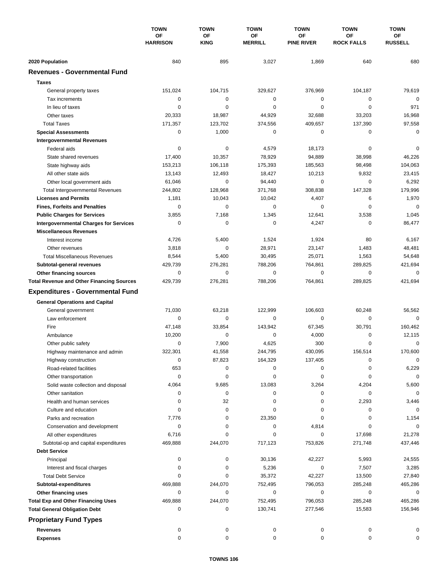|                                                        | <b>TOWN</b><br><b>OF</b><br><b>HARRISON</b> | <b>TOWN</b>              | <b>TOWN</b><br>ΟF<br><b>MERRILL</b> | <b>TOWN</b><br>ΟF<br><b>PINE RIVER</b> | <b>TOWN</b><br>ОF<br><b>ROCK FALLS</b> | <b>TOWN</b><br>ОF<br><b>RUSSELL</b> |
|--------------------------------------------------------|---------------------------------------------|--------------------------|-------------------------------------|----------------------------------------|----------------------------------------|-------------------------------------|
|                                                        |                                             | <b>OF</b><br><b>KING</b> |                                     |                                        |                                        |                                     |
|                                                        |                                             |                          |                                     |                                        |                                        |                                     |
| 2020 Population<br><b>Revenues - Governmental Fund</b> | 840                                         | 895                      | 3,027                               | 1,869                                  | 640                                    | 680                                 |
|                                                        |                                             |                          |                                     |                                        |                                        |                                     |
| <b>Taxes</b>                                           |                                             |                          |                                     |                                        |                                        |                                     |
| General property taxes                                 | 151,024                                     | 104,715                  | 329,627                             | 376,969                                | 104,187                                | 79,619                              |
| Tax increments                                         | 0                                           | $\mathbf 0$              | 0                                   | 0                                      | 0                                      | $\mathbf 0$                         |
| In lieu of taxes                                       | 0                                           | 0                        | 0                                   | 0                                      | $\mathbf 0$                            | 971                                 |
| Other taxes                                            | 20,333                                      | 18,987                   | 44,929                              | 32,688                                 | 33,203                                 | 16,968                              |
| <b>Total Taxes</b>                                     | 171,357                                     | 123,702                  | 374,556                             | 409,657                                | 137,390                                | 97,558                              |
| <b>Special Assessments</b>                             | 0                                           | 1,000                    | 0                                   | 0                                      | 0                                      | 0                                   |
| <b>Intergovernmental Revenues</b>                      |                                             |                          |                                     |                                        |                                        |                                     |
| Federal aids                                           | 0                                           | 0                        | 4,579                               | 18,173                                 | 0                                      | 0                                   |
| State shared revenues                                  | 17,400                                      | 10,357                   | 78,929                              | 94,889                                 | 38,998                                 | 46,226                              |
| State highway aids                                     | 153,213                                     | 106,118                  | 175,393                             | 185,563                                | 98,498                                 | 104,063                             |
| All other state aids                                   | 13,143                                      | 12,493                   | 18,427                              | 10,213                                 | 9,832                                  | 23,415                              |
| Other local government aids                            | 61,046                                      | $\mathbf 0$              | 94,440                              | 0                                      | $\mathbf 0$                            | 6,292                               |
| <b>Total Intergovernmental Revenues</b>                | 244,802                                     | 128,968                  | 371,768                             | 308,838                                | 147,328                                | 179,996                             |
| <b>Licenses and Permits</b>                            | 1,181                                       | 10,043                   | 10,042                              | 4,407                                  | 6                                      | 1,970                               |
| <b>Fines, Forfeits and Penalties</b>                   | $\Omega$                                    | $\Omega$                 | 0                                   | $\Omega$                               | $\Omega$                               | $\mathbf 0$                         |
| <b>Public Charges for Services</b>                     | 3,855                                       | 7,168                    | 1,345                               | 12,641                                 | 3,538                                  | 1,045                               |
| <b>Intergovernmental Charges for Services</b>          | 0                                           | 0                        | 0                                   | 4,247                                  | 0                                      | 86,477                              |
| <b>Miscellaneous Revenues</b>                          |                                             |                          |                                     |                                        |                                        |                                     |
| Interest income                                        | 4,726                                       | 5,400                    | 1,524                               | 1,924                                  | 80                                     | 6,167                               |
| Other revenues                                         | 3,818                                       | $\mathbf 0$              | 28,971                              | 23,147                                 | 1,483                                  | 48,481                              |
| <b>Total Miscellaneous Revenues</b>                    | 8,544                                       | 5,400                    | 30,495                              | 25,071                                 | 1,563                                  | 54,648                              |
| Subtotal-general revenues                              | 429,739                                     | 276,281                  | 788,206                             | 764,861                                | 289,825                                | 421,694                             |
| Other financing sources                                | $\mathbf 0$                                 | $\mathbf 0$              | $\mathbf 0$                         | 0                                      | $\mathbf 0$                            | 0                                   |
| <b>Total Revenue and Other Financing Sources</b>       | 429,739                                     | 276,281                  | 788,206                             | 764,861                                | 289,825                                | 421,694                             |
| <b>Expenditures - Governmental Fund</b>                |                                             |                          |                                     |                                        |                                        |                                     |
| <b>General Operations and Capital</b>                  |                                             |                          |                                     |                                        |                                        |                                     |
| General government                                     | 71,030                                      | 63,218                   | 122,999                             | 106.603                                | 60,248                                 | 56,562                              |
| Law enforcement                                        | 0                                           | 0                        | $\mathbf 0$                         | 0                                      | 0                                      | $\Omega$                            |
| Fire                                                   | 47,148                                      | 33,854                   | 143,942                             | 67,345                                 | 30,791                                 | 160,462                             |
| Ambulance                                              | 10,200                                      | 0                        | 0                                   | 4,000                                  | $\mathbf 0$                            | 12,115                              |
| Other public safety                                    | 0                                           | 7,900                    | 4,625                               | 300                                    | $\mathbf 0$                            | 0                                   |
| Highway maintenance and admin                          | 322,301                                     | 41,558                   | 244,795                             | 430,095                                | 156,514                                | 170,600                             |
| Highway construction                                   | 0                                           | 87,823                   | 164,329                             | 137,405                                | 0                                      | 0                                   |
| Road-related facilities                                | 653                                         | 0                        | 0                                   | 0                                      | 0                                      | 6,229                               |
| Other transportation                                   | 0                                           | 0                        | 0                                   | 0                                      | 0                                      | 0                                   |
| Solid waste collection and disposal                    | 4,064                                       | 9,685                    | 13,083                              | 3,264                                  | 4,204                                  | 5,600                               |
| Other sanitation                                       | 0                                           | 0                        | 0                                   | 0                                      | 0                                      | $\mathbf 0$                         |
| Health and human services                              | 0                                           | 32                       | 0                                   | 0                                      | 2,293                                  | 3,446                               |
| Culture and education                                  | 0                                           | 0                        | 0                                   | 0                                      | 0                                      | 0                                   |
| Parks and recreation                                   | 7,776                                       | 0                        | 23,350                              | 0                                      | 0                                      | 1,154                               |
| Conservation and development                           | 0                                           | 0                        | 0                                   | 4,814                                  | 0                                      | 0                                   |
| All other expenditures                                 | 6,716                                       | 0                        | 0                                   | 0                                      | 17,698                                 | 21,278                              |
| Subtotal-op and capital expenditures                   | 469,888                                     | 244,070                  | 717,123                             | 753,826                                | 271,748                                | 437,446                             |
| <b>Debt Service</b>                                    |                                             |                          |                                     |                                        |                                        |                                     |
| Principal                                              | 0                                           | 0                        | 30,136                              | 42,227                                 | 5,993                                  | 24,555                              |
| Interest and fiscal charges                            | 0                                           | 0                        | 5,236                               | 0                                      | 7,507                                  | 3,285                               |
| <b>Total Debt Service</b>                              | 0                                           | 0                        | 35,372                              | 42,227                                 | 13,500                                 | 27,840                              |
| Subtotal-expenditures                                  | 469,888                                     | 244,070                  | 752,495                             | 796,053                                | 285,248                                | 465,286                             |
| Other financing uses                                   | 0                                           | 0                        | 0                                   | 0                                      | 0                                      | 0                                   |
| <b>Total Exp and Other Financing Uses</b>              | 469,888                                     | 244,070                  | 752,495                             | 796,053                                | 285,248                                | 465,286                             |
| <b>Total General Obligation Debt</b>                   | 0                                           | 0                        | 130,741                             | 277,546                                | 15,583                                 | 156,946                             |
| <b>Proprietary Fund Types</b>                          |                                             |                          |                                     |                                        |                                        |                                     |
| <b>Revenues</b>                                        | 0                                           | 0                        | 0                                   | 0                                      | 0                                      | 0                                   |
| <b>Expenses</b>                                        | 0                                           | 0                        | 0                                   | 0                                      | 0                                      | 0                                   |
|                                                        |                                             |                          |                                     |                                        |                                        |                                     |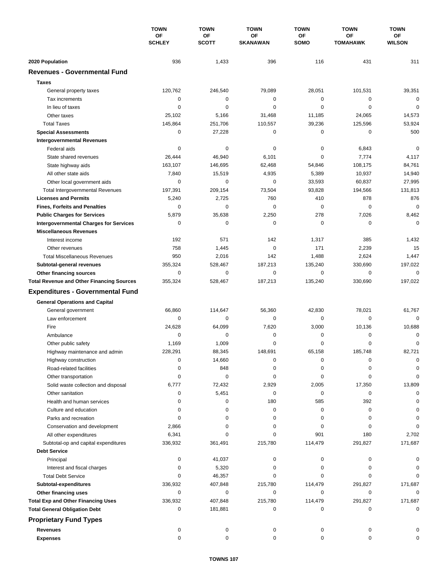|                                                  | <b>TOWN</b><br><b>OF</b><br><b>SCHLEY</b> | <b>TOWN</b>        | <b>TOWN</b><br>OF<br><b>SKANAWAN</b> | <b>TOWN</b>       | <b>TOWN</b>                  | <b>TOWN</b>         |
|--------------------------------------------------|-------------------------------------------|--------------------|--------------------------------------|-------------------|------------------------------|---------------------|
|                                                  |                                           | OF<br><b>SCOTT</b> |                                      | <b>OF</b><br>SOMO | <b>OF</b><br><b>TOMAHAWK</b> | ОF<br><b>WILSON</b> |
| 2020 Population                                  | 936                                       | 1,433              | 396                                  | 116               | 431                          | 311                 |
| <b>Revenues - Governmental Fund</b>              |                                           |                    |                                      |                   |                              |                     |
|                                                  |                                           |                    |                                      |                   |                              |                     |
| <b>Taxes</b>                                     |                                           |                    |                                      |                   |                              |                     |
| General property taxes                           | 120,762                                   | 246,540            | 79,089                               | 28,051            | 101,531                      | 39,351              |
| Tax increments                                   | 0                                         | $\mathbf 0$        | 0                                    | 0                 | $\mathbf 0$                  | $\mathbf 0$         |
| In lieu of taxes                                 | 0                                         | 0                  | 0                                    | 0                 | $\mathbf 0$                  | $\mathbf 0$         |
| Other taxes                                      | 25,102                                    | 5,166              | 31,468                               | 11,185            | 24,065                       | 14,573              |
| <b>Total Taxes</b>                               | 145,864                                   | 251,706            | 110,557                              | 39,236            | 125,596                      | 53,924              |
| <b>Special Assessments</b>                       | 0                                         | 27,228             | 0                                    | 0                 | 0                            | 500                 |
| <b>Intergovernmental Revenues</b>                |                                           |                    |                                      |                   |                              |                     |
| Federal aids                                     | 0                                         | 0                  | 0                                    | 0                 | 6,843                        | $\mathbf 0$         |
| State shared revenues                            | 26,444                                    | 46,940             | 6,101                                | 0                 | 7,774                        | 4,117               |
| State highway aids                               | 163,107                                   | 146,695            | 62,468                               | 54,846            | 108,175                      | 84,761              |
| All other state aids                             | 7,840                                     | 15,519             | 4,935                                | 5,389             | 10,937                       | 14,940              |
| Other local government aids                      | 0                                         | 0                  | 0                                    | 33,593            | 60,837                       | 27,995              |
| <b>Total Intergovernmental Revenues</b>          | 197,391                                   | 209,154            | 73,504                               | 93,828            | 194,566                      | 131,813             |
| <b>Licenses and Permits</b>                      | 5,240                                     | 2,725              | 760                                  | 410               | 878                          | 876                 |
| <b>Fines, Forfeits and Penalties</b>             | 0                                         | $\mathbf 0$        | 0                                    | 0                 | $\mathbf 0$                  | $\mathbf 0$         |
| <b>Public Charges for Services</b>               | 5,879                                     | 35,638             | 2,250                                | 278               | 7,026                        | 8,462               |
| <b>Intergovernmental Charges for Services</b>    | 0                                         | $\mathbf 0$        | 0                                    | 0                 | $\mathbf 0$                  | $\mathbf 0$         |
| <b>Miscellaneous Revenues</b>                    |                                           |                    |                                      |                   |                              |                     |
| Interest income                                  | 192                                       | 571                | 142                                  | 1,317             | 385                          | 1,432               |
| Other revenues                                   | 758                                       | 1,445              | $\mathbf 0$                          | 171               | 2,239                        | 15                  |
| <b>Total Miscellaneous Revenues</b>              | 950                                       | 2,016              | 142                                  | 1,488             | 2,624                        | 1,447               |
| Subtotal-general revenues                        | 355,324                                   | 528,467            | 187,213                              | 135,240           | 330,690                      | 197,022             |
| Other financing sources                          | 0                                         | 0                  | 0                                    | 0                 | $\mathbf 0$                  | $\mathbf 0$         |
| <b>Total Revenue and Other Financing Sources</b> | 355,324                                   | 528,467            | 187,213                              | 135,240           | 330,690                      | 197,022             |
| <b>Expenditures - Governmental Fund</b>          |                                           |                    |                                      |                   |                              |                     |
|                                                  |                                           |                    |                                      |                   |                              |                     |
| <b>General Operations and Capital</b>            | 66,860                                    | 114,647            | 56,360                               | 42,830            | 78,021                       | 61,767              |
| General government<br>Law enforcement            | 0                                         | 0                  | $\mathbf 0$                          | 0                 | $\mathbf 0$                  | $\mathbf 0$         |
| Fire                                             | 24,628                                    | 64,099             | 7,620                                | 3,000             | 10,136                       | 10,688              |
|                                                  | 0                                         | 0                  | 0                                    | 0                 | $\mathbf 0$                  | 0                   |
| Ambulance                                        |                                           | 1,009              | 0                                    | 0                 | $\mathbf 0$                  | $\mathbf 0$         |
| Other public safety                              | 1,169                                     | 88,345             |                                      |                   |                              | 82,721              |
| Highway maintenance and admin                    | 228,291                                   |                    | 148,691                              | 65,158            | 185,748                      |                     |
| Highway construction                             | 0                                         | 14,660             | 0                                    | 0                 | 0                            | 0                   |
| Road-related facilities                          | 0                                         | 848                | 0                                    | 0                 | 0                            | 0                   |
| Other transportation                             | 0                                         | $\mathbf 0$        | 0                                    | 0                 | 0                            | 0                   |
| Solid waste collection and disposal              | 6,777                                     | 72,432             | 2,929                                | 2,005             | 17,350                       | 13,809              |
| Other sanitation                                 | 0                                         | 5,451              | 0                                    | 0                 | 0                            | $\mathbf 0$         |
| Health and human services                        | 0                                         | 0                  | 180                                  | 585               | 392                          | $\Omega$            |
| Culture and education                            | 0                                         | 0                  | 0                                    | 0                 | 0                            | 0                   |
| Parks and recreation                             | 0                                         | 0                  | 0                                    | 0                 | 0                            | 0                   |
| Conservation and development                     | 2,866                                     | 0                  | 0                                    | 0                 | 0                            | 0                   |
| All other expenditures                           | 6,341                                     | 0                  | 0                                    | 901               | 180                          | 2,702               |
| Subtotal-op and capital expenditures             | 336,932                                   | 361,491            | 215,780                              | 114,479           | 291,827                      | 171,687             |
| <b>Debt Service</b>                              |                                           |                    |                                      |                   |                              |                     |
| Principal                                        | 0                                         | 41,037             | 0                                    | 0                 | 0                            | 0                   |
| Interest and fiscal charges                      | 0                                         | 5,320              | 0                                    | 0                 | 0                            | 0                   |
| <b>Total Debt Service</b>                        | 0                                         | 46,357             | 0                                    | 0                 | 0                            | 0                   |
| Subtotal-expenditures                            | 336,932                                   | 407,848            | 215,780                              | 114,479           | 291,827                      | 171,687             |
| Other financing uses                             | 0                                         | 0                  | 0                                    | 0                 | 0                            | 0                   |
| <b>Total Exp and Other Financing Uses</b>        | 336,932                                   | 407,848            | 215,780                              | 114,479           | 291,827                      | 171,687             |
| <b>Total General Obligation Debt</b>             | 0                                         | 181,881            | 0                                    | 0                 | 0                            | $\mathbf 0$         |
| <b>Proprietary Fund Types</b>                    |                                           |                    |                                      |                   |                              |                     |
| <b>Revenues</b>                                  | 0                                         | 0                  | 0                                    | 0                 | 0                            |                     |
| <b>Expenses</b>                                  | $\mathbf 0$                               | 0                  | 0                                    | 0                 | 0                            | 0                   |
|                                                  |                                           |                    |                                      |                   |                              |                     |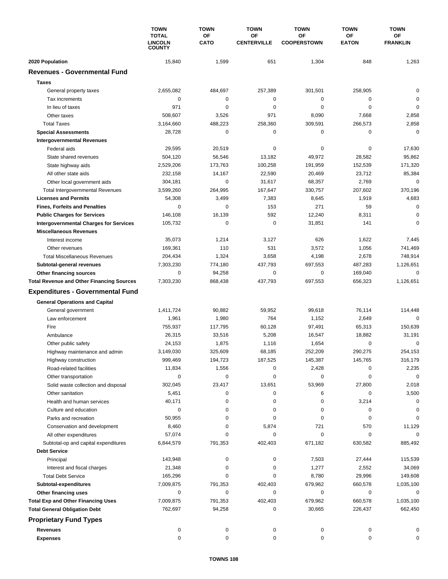|                                                  | <b>TOWN</b><br><b>TOTAL</b><br><b>LINCOLN</b><br><b>COUNTY</b> | <b>TOWN</b>       | <b>TOWN</b>              | <b>TOWN</b><br>OF<br><b>COOPERSTOWN</b> | <b>TOWN</b>        | <b>TOWN</b><br>ОF<br><b>FRANKLIN</b> |
|--------------------------------------------------|----------------------------------------------------------------|-------------------|--------------------------|-----------------------------------------|--------------------|--------------------------------------|
|                                                  |                                                                | OF<br><b>CATO</b> | ΟF<br><b>CENTERVILLE</b> |                                         | ΟF<br><b>EATON</b> |                                      |
| 2020 Population                                  | 15,840                                                         | 1,599             | 651                      | 1,304                                   | 848                | 1,263                                |
| <b>Revenues - Governmental Fund</b>              |                                                                |                   |                          |                                         |                    |                                      |
| <b>Taxes</b>                                     |                                                                |                   |                          |                                         |                    |                                      |
| General property taxes                           | 2,655,082                                                      | 484,697           | 257,389                  | 301,501                                 | 258,905            | 0                                    |
| Tax increments                                   | 0                                                              | $\pmb{0}$         | 0                        | 0                                       | $\mathbf 0$        | $\mathbf 0$                          |
| In lieu of taxes                                 | 971                                                            | 0                 | 0                        | 0                                       | $\mathbf 0$        | $\mathbf 0$                          |
| Other taxes                                      | 508,607                                                        | 3,526             | 971                      | 8,090                                   | 7,668              | 2,858                                |
| <b>Total Taxes</b>                               | 3,164,660                                                      | 488,223           | 258,360                  | 309,591                                 | 266,573            | 2,858                                |
| <b>Special Assessments</b>                       | 28,728                                                         | 0                 | 0                        | 0                                       | 0                  | $\mathbf 0$                          |
| <b>Intergovernmental Revenues</b>                |                                                                |                   |                          |                                         |                    |                                      |
| Federal aids                                     | 29,595                                                         | 20,519            | 0                        | 0                                       | 0                  | 17,630                               |
| State shared revenues                            | 504,120                                                        | 56,546            | 13,182                   | 49,972                                  | 28,582             | 95,862                               |
| State highway aids                               | 2,529,206                                                      | 173,763           | 100,258                  | 191,959                                 | 152,539            | 171,320                              |
| All other state aids                             | 232,158                                                        | 14,167            | 22,590                   | 20,469                                  | 23,712             | 85,384                               |
| Other local government aids                      | 304,181                                                        | 0                 | 31,617                   | 68,357                                  | 2,769              | $\mathbf 0$                          |
| <b>Total Intergovernmental Revenues</b>          | 3,599,260                                                      | 264,995           | 167,647                  | 330,757                                 | 207,602            | 370,196                              |
| <b>Licenses and Permits</b>                      | 54,308                                                         | 3,499             | 7,383                    | 8,645                                   | 1,919              | 4,683                                |
| <b>Fines, Forfeits and Penalties</b>             | 0                                                              | 0                 | 153                      | 271                                     | 59                 | $\mathbf 0$                          |
| <b>Public Charges for Services</b>               | 146,108                                                        | 16,139            | 592                      | 12,240                                  | 8,311              | $\mathbf 0$                          |
| <b>Intergovernmental Charges for Services</b>    | 105,732                                                        | $\mathbf 0$       | $\mathbf 0$              | 31,851                                  | 141                | $\mathbf 0$                          |
| <b>Miscellaneous Revenues</b>                    |                                                                |                   |                          |                                         |                    |                                      |
| Interest income                                  | 35,073                                                         | 1,214             | 3,127                    | 626                                     | 1,622              | 7,445                                |
| Other revenues                                   | 169,361                                                        | 110               | 531                      | 3,572                                   | 1,056              | 741,469                              |
| <b>Total Miscellaneous Revenues</b>              | 204,434                                                        | 1,324             | 3,658                    | 4,198                                   | 2,678              | 748,914                              |
| Subtotal-general revenues                        | 7,303,230                                                      | 774,180           | 437,793                  | 697,553                                 | 487,283            | 1,126,651                            |
| Other financing sources                          | 0                                                              | 94,258            | 0                        | 0                                       | 169,040            | 0                                    |
| <b>Total Revenue and Other Financing Sources</b> | 7,303,230                                                      | 868,438           | 437,793                  | 697,553                                 | 656,323            | 1,126,651                            |
| <b>Expenditures - Governmental Fund</b>          |                                                                |                   |                          |                                         |                    |                                      |
|                                                  |                                                                |                   |                          |                                         |                    |                                      |
| <b>General Operations and Capital</b>            |                                                                |                   |                          |                                         |                    |                                      |
| General government                               | 1,411,724                                                      | 90,882            | 59,952                   | 99,618                                  | 76,114             | 114,448                              |
| Law enforcement                                  | 1,961                                                          | 1,980             | 764                      | 1,152                                   | 2,649              | 0                                    |
| Fire                                             | 755,937                                                        | 117,795           | 60,128                   | 97,491                                  | 65,313             | 150,639                              |
| Ambulance                                        | 26,315                                                         | 33,516            | 5,208                    | 16,547                                  | 18,882             | 31,191                               |
| Other public safety                              | 24,153                                                         | 1,875             | 1,116                    | 1,654                                   | $\mathbf 0$        | 0                                    |
| Highway maintenance and admin                    | 3,149,030                                                      | 325,609           | 68,185                   | 252,209                                 | 290,275            | 254,153                              |
| Highway construction                             | 999,469                                                        | 194,723           | 187,525                  | 145,387                                 | 145,765            | 316,179                              |
| Road-related facilities                          | 11,834                                                         | 1,556             | 0                        | 2,428                                   | 0                  | 2,235                                |
| Other transportation                             | 0                                                              | $\pmb{0}$         | 0                        | 0                                       | 0                  | $\mathbf 0$                          |
| Solid waste collection and disposal              | 302,045                                                        | 23,417            | 13,651                   | 53,969                                  | 27,800             | 2,018                                |
| Other sanitation                                 | 5,451                                                          | 0                 | 0                        | 6                                       | 0                  | 3,500                                |
| Health and human services                        | 40,171                                                         | 0                 | 0                        | 0                                       | 3,214              | 0                                    |
| Culture and education                            | 0                                                              | 0                 | 0                        | 0                                       | 0                  | 0                                    |
| Parks and recreation                             | 50,955                                                         | 0                 | 0                        | 0                                       | 0                  | 0                                    |
| Conservation and development                     | 8,460                                                          | 0                 | 5,874                    | 721                                     | 570                | 11,129                               |
| All other expenditures                           | 57,074                                                         | 0                 | 0                        | 0                                       | 0                  | 0                                    |
| Subtotal-op and capital expenditures             | 6,844,579                                                      | 791,353           | 402,403                  | 671,182                                 | 630,582            | 885,492                              |
| <b>Debt Service</b>                              |                                                                |                   |                          |                                         |                    |                                      |
| Principal                                        | 143,948                                                        | $\pmb{0}$         | 0                        | 7,503                                   | 27,444             | 115,539                              |
| Interest and fiscal charges                      | 21,348                                                         | 0                 | 0                        | 1,277                                   | 2,552              | 34,069                               |
| <b>Total Debt Service</b>                        | 165,296                                                        | 0                 | 0                        | 8,780                                   | 29,996             | 149,608                              |
| Subtotal-expenditures                            | 7,009,875                                                      | 791,353           | 402,403                  | 679,962                                 | 660,578            | 1,035,100                            |
| Other financing uses                             | 0                                                              | 0                 | 0                        | 0                                       | 0                  | 0                                    |
| <b>Total Exp and Other Financing Uses</b>        | 7,009,875                                                      | 791,353           | 402,403                  | 679,962                                 | 660,578            | 1,035,100                            |
| <b>Total General Obligation Debt</b>             | 762,697                                                        | 94,258            | 0                        | 30,665                                  | 226,437            | 662,450                              |
| <b>Proprietary Fund Types</b>                    |                                                                |                   |                          |                                         |                    |                                      |
| Revenues                                         | 0                                                              | 0                 | 0                        | 0                                       | 0                  | 0                                    |
| <b>Expenses</b>                                  | 0                                                              | 0                 | $\mathbf 0$              | 0                                       | 0                  | 0                                    |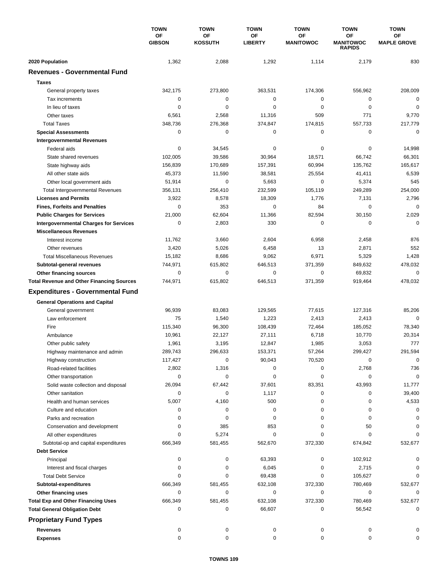|                                                  | <b>TOWN</b><br>OF<br><b>GIBSON</b> | <b>TOWN</b>          | <b>TOWN</b>          | <b>TOWN</b>            | <b>TOWN</b>            | <b>TOWN</b>              |
|--------------------------------------------------|------------------------------------|----------------------|----------------------|------------------------|------------------------|--------------------------|
|                                                  |                                    | OF<br><b>KOSSUTH</b> | ΟF<br><b>LIBERTY</b> | ΟF<br><b>MANITOWOC</b> | OF<br><b>MANITOWOC</b> | ΟF<br><b>MAPLE GROVE</b> |
|                                                  |                                    |                      |                      |                        | <b>RAPIDS</b>          |                          |
| 2020 Population                                  | 1,362                              | 2,088                | 1,292                | 1,114                  | 2,179                  | 830                      |
| <b>Revenues - Governmental Fund</b>              |                                    |                      |                      |                        |                        |                          |
| <b>Taxes</b>                                     |                                    |                      |                      |                        |                        |                          |
| General property taxes                           | 342,175                            | 273,800              | 363,531              | 174,306                | 556,962                | 208,009                  |
| Tax increments                                   | 0                                  | $\mathbf 0$          | 0                    | $\mathbf 0$            | 0                      | $\mathbf 0$              |
| In lieu of taxes                                 | 0                                  | 0                    | 0                    | 0                      | $\mathbf 0$            | 0                        |
| Other taxes                                      | 6,561                              | 2,568                | 11,316               | 509                    | 771                    | 9,770                    |
| <b>Total Taxes</b>                               | 348,736                            | 276,368              | 374,847              | 174,815                | 557,733                | 217,779                  |
| <b>Special Assessments</b>                       | 0                                  | 0                    | 0                    | 0                      | 0                      | $\mathbf 0$              |
| <b>Intergovernmental Revenues</b>                |                                    |                      |                      |                        |                        |                          |
| Federal aids                                     | 0                                  | 34,545               | 0                    | 0                      | 0                      | 14,998                   |
| State shared revenues                            | 102,005                            | 39,586               | 30,964               | 18,571                 | 66,742                 | 66,301                   |
| State highway aids                               | 156,839                            | 170,689              | 157,391              | 60,994                 | 135,762                | 165,617                  |
| All other state aids                             | 45,373                             | 11,590               | 38,581               | 25,554                 | 41,411                 | 6,539                    |
| Other local government aids                      | 51,914                             | 0                    | 5,663                | $\mathbf 0$            | 5,374                  | 545                      |
| <b>Total Intergovernmental Revenues</b>          | 356,131                            | 256,410              | 232,599              | 105,119                | 249,289                | 254,000                  |
| <b>Licenses and Permits</b>                      | 3,922                              | 8,578                | 18,309               | 1,776                  | 7,131                  | 2,796                    |
| <b>Fines, Forfeits and Penalties</b>             | 0                                  | 353                  | 0                    | 84                     | 0                      | $\mathbf 0$              |
| <b>Public Charges for Services</b>               | 21,000                             | 62,604               | 11,366               | 82,594                 | 30,150                 | 2,029                    |
| <b>Intergovernmental Charges for Services</b>    | 0                                  | 2,803                | 330                  | 0                      | 0                      | $\mathbf 0$              |
| <b>Miscellaneous Revenues</b>                    |                                    |                      |                      |                        |                        |                          |
| Interest income                                  | 11,762                             | 3,660                | 2,604                | 6,958                  | 2,458                  | 876                      |
| Other revenues                                   | 3,420                              | 5,026                | 6,458                | 13                     | 2,871                  | 552                      |
| <b>Total Miscellaneous Revenues</b>              | 15,182                             | 8,686                | 9,062                | 6,971                  | 5,329                  | 1,428                    |
| Subtotal-general revenues                        | 744,971                            | 615,802              | 646,513              | 371,359                | 849,632                | 478,032                  |
| Other financing sources                          | 0                                  | 0                    | 0                    | 0                      | 69,832                 | $\mathbf 0$              |
| <b>Total Revenue and Other Financing Sources</b> | 744,971                            | 615,802              | 646,513              | 371,359                | 919,464                | 478,032                  |
| <b>Expenditures - Governmental Fund</b>          |                                    |                      |                      |                        |                        |                          |
|                                                  |                                    |                      |                      |                        |                        |                          |
| <b>General Operations and Capital</b>            |                                    |                      |                      |                        |                        |                          |
| General government                               | 96,939                             | 83,083               | 129,565              | 77,615                 | 127,316                | 85,206                   |
| Law enforcement                                  | 75                                 | 1,540                | 1,223                | 2,413                  | 2,413                  | $\mathbf 0$              |
| Fire                                             | 115,340                            | 96,300               | 108,439              | 72,464                 | 185,052                | 78,340                   |
| Ambulance                                        | 10,961                             | 22,127               | 27,111               | 6,718                  | 10,770                 | 20,314                   |
| Other public safety                              | 1,961                              | 3,195                | 12,847               | 1,985                  | 3,053                  | 777                      |
| Highway maintenance and admin                    | 289,743                            | 296,633              | 153,371              | 57,264                 | 299,427                | 291,594                  |
| Highway construction                             | 117,427                            | $\pmb{0}$            | 90,043               | 70,520                 | 0                      | 0                        |
| Road-related facilities                          | 2,802                              | 1,316                | 0                    | 0                      | 2,768                  | 736                      |
| Other transportation                             | 0                                  | $\mathbf 0$          | 0                    | 0                      | 0                      | $\mathbf 0$              |
| Solid waste collection and disposal              | 26,094                             | 67,442               | 37,601               | 83,351                 | 43,993                 | 11,777                   |
| Other sanitation                                 | 0                                  | 0                    | 1,117                | 0                      | 0                      | 39,400                   |
| Health and human services                        | 5,007                              | 4,160                | 500                  | 0                      | 0                      | 4,533                    |
| Culture and education                            | 0                                  | 0                    | 0                    | 0                      | 0                      | 0                        |
| Parks and recreation                             | 0                                  | 0                    | 0                    | 0                      | 0                      | 0                        |
| Conservation and development                     | 0                                  | 385                  | 853                  | 0                      | 50                     | $\Omega$                 |
| All other expenditures                           | 0                                  | 5,274                | 0                    | 0                      | 0                      | ŋ                        |
| Subtotal-op and capital expenditures             | 666,349                            | 581,455              | 562,670              | 372,330                | 674,842                | 532,677                  |
| <b>Debt Service</b>                              |                                    |                      |                      |                        |                        |                          |
| Principal                                        | 0                                  | 0                    | 63,393               | 0                      | 102,912                | C                        |
| Interest and fiscal charges                      | 0                                  | 0                    | 6,045                | 0                      | 2,715                  | 0                        |
| <b>Total Debt Service</b>                        | 0                                  | 0                    | 69,438               | 0                      | 105,627                | $\Omega$                 |
| Subtotal-expenditures                            | 666,349                            | 581,455              | 632,108              | 372,330                | 780,469                | 532,677                  |
| Other financing uses                             | 0                                  | 0                    | 0                    | 0                      | 0                      | 0                        |
| <b>Total Exp and Other Financing Uses</b>        | 666,349                            | 581,455              | 632,108              | 372,330                | 780,469                | 532,677                  |
| <b>Total General Obligation Debt</b>             | 0                                  | 0                    | 66,607               | 0                      | 56,542                 | 0                        |
| <b>Proprietary Fund Types</b>                    |                                    |                      |                      |                        |                        |                          |
|                                                  |                                    |                      |                      |                        |                        |                          |
| <b>Revenues</b>                                  | 0                                  | 0                    | 0                    | 0                      | 0                      |                          |
| <b>Expenses</b>                                  | 0                                  | 0                    | 0                    | 0                      | 0                      |                          |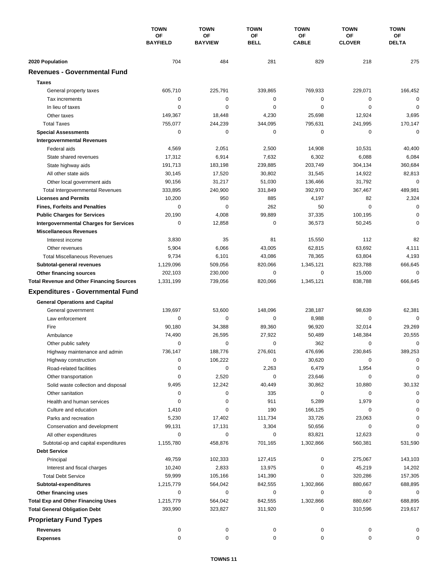|                                                  | <b>TOWN</b><br>OF<br><b>BAYFIELD</b> | <b>TOWN</b><br>OF<br><b>BAYVIEW</b> | <b>TOWN</b><br>ΟF<br><b>BELL</b> | <b>TOWN</b><br>ОF<br><b>CABLE</b> | <b>TOWN</b><br>ΟF<br><b>CLOVER</b> | <b>TOWN</b><br>ОF<br><b>DELTA</b> |
|--------------------------------------------------|--------------------------------------|-------------------------------------|----------------------------------|-----------------------------------|------------------------------------|-----------------------------------|
|                                                  |                                      |                                     |                                  |                                   |                                    |                                   |
|                                                  |                                      |                                     |                                  |                                   |                                    |                                   |
| 2020 Population                                  | 704                                  | 484                                 | 281                              | 829                               | 218                                | 275                               |
| <b>Revenues - Governmental Fund</b>              |                                      |                                     |                                  |                                   |                                    |                                   |
| <b>Taxes</b>                                     |                                      |                                     |                                  |                                   |                                    |                                   |
| General property taxes                           | 605,710                              | 225,791                             | 339,865                          | 769,933                           | 229,071                            | 166,452                           |
| Tax increments                                   | 0                                    | $\mathbf 0$                         | $\mathbf 0$                      | 0                                 | 0                                  | $\mathbf 0$                       |
| In lieu of taxes                                 | 0                                    | 0                                   | $\mathbf 0$                      | 0                                 | $\mathbf 0$                        | $\mathbf 0$                       |
| Other taxes                                      | 149,367                              | 18,448                              | 4,230                            | 25,698                            | 12,924                             | 3,695                             |
| <b>Total Taxes</b>                               | 755,077                              | 244,239                             | 344,095                          | 795,631                           | 241,995                            | 170,147                           |
| <b>Special Assessments</b>                       | 0                                    | $\mathbf 0$                         | 0                                | 0                                 | 0                                  | 0                                 |
| <b>Intergovernmental Revenues</b>                |                                      |                                     |                                  |                                   |                                    |                                   |
| Federal aids                                     | 4,569                                | 2,051                               | 2,500                            | 14,908                            | 10,531                             | 40,400                            |
| State shared revenues                            | 17,312                               | 6,914                               | 7,632                            | 6,302                             | 6,088                              | 6,084                             |
| State highway aids                               | 191,713                              | 183,198                             | 239,885                          | 203,749                           | 304,134                            | 360,684                           |
| All other state aids                             | 30,145                               | 17,520                              | 30,802                           | 31,545                            | 14,922                             | 82,813                            |
| Other local government aids                      | 90,156                               | 31,217                              | 51,030                           | 136,466                           | 31,792                             | $\mathbf 0$                       |
| <b>Total Intergovernmental Revenues</b>          | 333,895                              | 240,900                             | 331,849                          | 392,970                           | 367,467                            | 489,981                           |
| <b>Licenses and Permits</b>                      | 10,200                               | 950                                 | 885                              | 4,197                             | 82                                 | 2,324                             |
| <b>Fines, Forfeits and Penalties</b>             | $\Omega$                             | $\Omega$                            | 262                              | 50                                | $\Omega$                           | $\mathbf 0$                       |
| <b>Public Charges for Services</b>               | 20,190                               | 4,008                               | 99,889                           | 37,335                            | 100,195                            | $\mathbf 0$                       |
| <b>Intergovernmental Charges for Services</b>    | 0                                    | 12,858                              | $\mathbf 0$                      | 36,573                            | 50,245                             | $\Omega$                          |
| <b>Miscellaneous Revenues</b>                    |                                      |                                     |                                  |                                   |                                    |                                   |
| Interest income                                  | 3,830                                | 35                                  | 81                               | 15,550                            | 112                                | 82                                |
| Other revenues                                   | 5,904                                | 6,066                               | 43,005                           | 62,815                            | 63,692                             | 4,111                             |
| <b>Total Miscellaneous Revenues</b>              | 9,734                                | 6,101                               | 43,086                           | 78,365                            | 63,804                             | 4,193                             |
| Subtotal-general revenues                        | 1,129,096                            | 509,056                             | 820,066                          | 1,345,121                         | 823,788                            | 666,645                           |
| Other financing sources                          | 202,103                              | 230,000                             | 0                                | 0                                 | 15,000                             | 0                                 |
| <b>Total Revenue and Other Financing Sources</b> | 1,331,199                            | 739,056                             | 820,066                          | 1,345,121                         | 838,788                            | 666,645                           |
| <b>Expenditures - Governmental Fund</b>          |                                      |                                     |                                  |                                   |                                    |                                   |
| <b>General Operations and Capital</b>            |                                      |                                     |                                  |                                   |                                    |                                   |
| General government                               | 139,697                              | 53,600                              | 148,096                          | 238,187                           | 98,639                             | 62,381                            |
| Law enforcement                                  | 0                                    | 0                                   | $\mathbf 0$                      | 8,988                             | 0                                  | $\Omega$                          |
| Fire                                             | 90,180                               | 34,388                              | 89,360                           | 96,920                            | 32,014                             | 29,269                            |
| Ambulance                                        | 74,490                               | 26,595                              | 27,922                           | 50,489                            | 148,384                            | 20,555                            |
| Other public safety                              | 0                                    | $\mathbf 0$                         | 0                                | 362                               | $\mathbf 0$                        | 0                                 |
| Highway maintenance and admin                    | 736,147                              | 188.776                             | 276,601                          | 476.696                           | 230,845                            | 389,253                           |
| Highway construction                             | 0                                    | 106,222                             | 0                                | 30,620                            | 0                                  | 0                                 |
| Road-related facilities                          | 0                                    | 0                                   | 2,263                            | 6,479                             | 1,954                              | 0                                 |
| Other transportation                             | 0                                    | 2,520                               | 0                                | 23,646                            | 0                                  | 0                                 |
| Solid waste collection and disposal              | 9,495                                | 12,242                              | 40,449                           | 30,862                            | 10,880                             | 30,132                            |
| Other sanitation                                 | 0                                    | 0                                   | 335                              | 0                                 | 0                                  | $\mathbf 0$                       |
| Health and human services                        | 0                                    | 0                                   | 911                              | 5,289                             | 1,979                              |                                   |
| Culture and education                            | 1,410                                | 0                                   | 190                              | 166,125                           | 0                                  | 0                                 |
| Parks and recreation                             | 5,230                                | 17,402                              | 111,734                          | 33,726                            | 23,063                             | 0                                 |
| Conservation and development                     | 99,131                               | 17,131                              | 3,304                            | 50,656                            | 0                                  |                                   |
| All other expenditures                           | 0                                    | 0                                   | 0                                | 83,821                            | 12,623                             |                                   |
| Subtotal-op and capital expenditures             | 1,155,780                            | 458,876                             | 701,165                          | 1,302,866                         | 560,381                            | 531,590                           |
| <b>Debt Service</b>                              |                                      |                                     |                                  |                                   |                                    |                                   |
| Principal                                        | 49,759                               | 102,333                             | 127,415                          | 0                                 | 275,067                            | 143,103                           |
| Interest and fiscal charges                      | 10,240                               | 2,833                               | 13,975                           | 0                                 | 45,219                             | 14,202                            |
| <b>Total Debt Service</b>                        | 59,999                               | 105,166                             | 141,390                          | 0                                 | 320,286                            | 157,305                           |
| Subtotal-expenditures                            | 1,215,779                            | 564,042                             | 842,555                          | 1,302,866                         | 880,667                            | 688,895                           |
| Other financing uses                             | 0                                    | 0                                   | 0                                | 0                                 | 0                                  | 0                                 |
| <b>Total Exp and Other Financing Uses</b>        | 1,215,779                            | 564,042                             | 842,555                          | 1,302,866                         | 880,667                            | 688,895                           |
| <b>Total General Obligation Debt</b>             | 393,990                              | 323,827                             | 311,920                          | 0                                 | 310,596                            | 219,617                           |
| <b>Proprietary Fund Types</b>                    |                                      |                                     |                                  |                                   |                                    |                                   |
| Revenues                                         | 0                                    | 0                                   | 0                                | 0                                 | 0                                  | 0                                 |
| <b>Expenses</b>                                  | 0                                    | 0                                   | 0                                | 0                                 | 0                                  | 0                                 |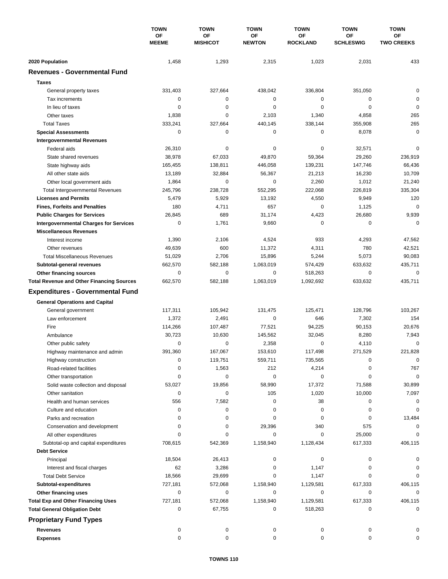|                                                  | <b>TOWN</b><br>ΟF<br><b>MEEME</b> | <b>TOWN</b>           | <b>TOWN</b><br>ΟF<br><b>NEWTON</b> | <b>TOWN</b><br>ΟF<br><b>ROCKLAND</b> | <b>TOWN</b><br><b>OF</b><br><b>SCHLESWIG</b> | <b>TOWN</b><br>OF<br><b>TWO CREEKS</b> |
|--------------------------------------------------|-----------------------------------|-----------------------|------------------------------------|--------------------------------------|----------------------------------------------|----------------------------------------|
|                                                  |                                   | OF<br><b>MISHICOT</b> |                                    |                                      |                                              |                                        |
| 2020 Population                                  | 1,458                             | 1,293                 | 2,315                              | 1,023                                | 2,031                                        | 433                                    |
| <b>Revenues - Governmental Fund</b>              |                                   |                       |                                    |                                      |                                              |                                        |
| <b>Taxes</b>                                     |                                   |                       |                                    |                                      |                                              |                                        |
| General property taxes                           | 331,403                           | 327,664               | 438,042                            | 336,804                              | 351,050                                      | $\mathbf 0$                            |
| Tax increments                                   | 0                                 | 0                     | 0                                  | 0                                    | 0                                            | $\mathbf 0$                            |
| In lieu of taxes                                 | 0                                 | 0                     | 0                                  | 0                                    | $\mathbf 0$                                  | $\pmb{0}$                              |
| Other taxes                                      | 1,838                             | $\mathbf 0$           | 2,103                              | 1,340                                | 4,858                                        | 265                                    |
| <b>Total Taxes</b>                               | 333,241                           | 327,664               | 440,145                            | 338,144                              | 355,908                                      | 265                                    |
| <b>Special Assessments</b>                       | 0                                 | 0                     | 0                                  | 0                                    | 8,078                                        | $\mathbf 0$                            |
| <b>Intergovernmental Revenues</b>                |                                   |                       |                                    |                                      |                                              |                                        |
| Federal aids                                     | 26,310                            | 0                     | 0                                  | 0                                    | 32,571                                       | $\mathbf 0$                            |
| State shared revenues                            | 38,978                            | 67,033                | 49,870                             | 59,364                               | 29,260                                       | 236,919                                |
| State highway aids                               | 165,455                           | 138,811               | 446,058                            | 139,231                              | 147,746                                      | 66,436                                 |
| All other state aids                             | 13,189                            | 32,884                | 56,367                             | 21,213                               | 16,230                                       | 10,709                                 |
| Other local government aids                      | 1,864                             | 0                     | 0                                  | 2,260                                | 1,012                                        | 21,240                                 |
| <b>Total Intergovernmental Revenues</b>          | 245,796                           | 238,728               | 552,295                            | 222,068                              | 226.819                                      | 335,304                                |
| <b>Licenses and Permits</b>                      | 5,479                             | 5,929                 | 13,192                             | 4,550                                | 9,949                                        | 120                                    |
| <b>Fines, Forfeits and Penalties</b>             | 180                               | 4,711                 | 657                                | 0                                    | 1,125                                        | $\mathbf 0$                            |
| <b>Public Charges for Services</b>               | 26,845                            | 689                   | 31,174                             | 4,423                                | 26,680                                       | 9,939                                  |
| <b>Intergovernmental Charges for Services</b>    | 0                                 | 1,761                 | 9,660                              | 0                                    | 0                                            | $\mathbf 0$                            |
| <b>Miscellaneous Revenues</b>                    |                                   |                       |                                    |                                      |                                              |                                        |
| Interest income                                  | 1,390                             | 2,106                 | 4,524                              | 933                                  | 4,293                                        | 47,562                                 |
| Other revenues                                   | 49,639                            | 600                   | 11,372                             | 4,311                                | 780                                          | 42,521                                 |
| <b>Total Miscellaneous Revenues</b>              | 51,029                            | 2,706                 | 15,896                             | 5,244                                | 5,073                                        | 90,083                                 |
| Subtotal-general revenues                        | 662,570                           | 582,188               | 1,063,019                          | 574,429                              | 633,632                                      | 435,711                                |
| Other financing sources                          | 0                                 | $\pmb{0}$             | 0                                  | 518,263                              | 0                                            | $\mathbf 0$                            |
| <b>Total Revenue and Other Financing Sources</b> | 662,570                           | 582,188               | 1,063,019                          | 1,092,692                            | 633,632                                      | 435,711                                |
|                                                  |                                   |                       |                                    |                                      |                                              |                                        |
| <b>Expenditures - Governmental Fund</b>          |                                   |                       |                                    |                                      |                                              |                                        |
| <b>General Operations and Capital</b>            |                                   |                       |                                    |                                      |                                              |                                        |
| General government                               | 117,311                           | 105,942               | 131,475                            | 125,471                              | 128,796                                      | 103,267                                |
| Law enforcement                                  | 1,372                             | 2,491                 | $\mathbf 0$                        | 646                                  | 7,302                                        | 154                                    |
| Fire                                             | 114,266                           | 107,487               | 77,521                             | 94,225                               | 90,153                                       | 20,676                                 |
| Ambulance                                        | 30,723                            | 10,630                | 145,562                            | 32,045                               | 8,280                                        | 7,943                                  |
| Other public safety                              | 0                                 | 0                     | 2,358                              | 0                                    | 4,110                                        | $\mathbf 0$                            |
| Highway maintenance and admin                    | 391,360                           | 167,067               | 153,610                            | 117,498                              | 271,529                                      | 221,828                                |
| Highway construction                             | 0                                 | 119,751               | 559,711                            | 735,565                              | 0                                            | $\pmb{0}$                              |
| Road-related facilities                          | 0                                 | 1,563                 | 212                                | 4,214                                | 0                                            | 767                                    |
| Other transportation                             | 0                                 | 0                     | 0                                  | 0                                    | 0                                            | $\mathbf 0$                            |
| Solid waste collection and disposal              | 53,027                            | 19,856                | 58,990                             | 17,372                               | 71,588                                       | 30,899                                 |
| Other sanitation                                 | 0                                 | $\pmb{0}$             | 105                                | 1,020                                | 10,000                                       | 7,097                                  |
| Health and human services                        | 556                               | 7,582                 | 0                                  | 38                                   | 0                                            | 0                                      |
| Culture and education                            | 0                                 | 0                     | 0                                  | 0                                    | 0                                            | 0                                      |
| Parks and recreation                             | 0                                 | 0                     | 0                                  | 0                                    | 0                                            | 13,484                                 |
| Conservation and development                     | 0                                 | 0                     | 29,396                             | 340                                  | 575                                          | 0                                      |
| All other expenditures                           | $\Omega$                          | 0                     | 0                                  | 0                                    | 25,000                                       | $\Omega$                               |
| Subtotal-op and capital expenditures             | 708,615                           | 542,369               | 1,158,940                          | 1,128,434                            | 617,333                                      | 406,115                                |
| <b>Debt Service</b>                              |                                   |                       |                                    |                                      |                                              |                                        |
| Principal                                        | 18,504                            | 26,413                | 0                                  | 0                                    | 0                                            | 0                                      |
| Interest and fiscal charges                      | 62                                | 3,286                 | 0                                  | 1,147                                | 0                                            | 0                                      |
| <b>Total Debt Service</b>                        | 18,566                            | 29,699                | 0                                  | 1,147                                | 0                                            | 0                                      |
| Subtotal-expenditures                            | 727,181                           | 572,068               | 1,158,940                          | 1,129,581                            | 617,333                                      | 406,115                                |
| Other financing uses                             | 0                                 | 0                     | 0                                  | 0                                    | 0                                            | 0                                      |
| <b>Total Exp and Other Financing Uses</b>        | 727,181                           | 572,068               | 1,158,940                          | 1,129,581                            | 617,333                                      | 406,115                                |
| <b>Total General Obligation Debt</b>             | 0                                 | 67,755                | 0                                  | 518,263                              | 0                                            | $\mathbf 0$                            |
| <b>Proprietary Fund Types</b>                    |                                   |                       |                                    |                                      |                                              |                                        |
| <b>Revenues</b>                                  | 0                                 | 0                     | 0                                  | 0                                    | 0                                            | 0                                      |
| <b>Expenses</b>                                  | 0                                 | 0                     | 0                                  | 0                                    | 0                                            | 0                                      |
|                                                  |                                   |                       |                                    |                                      |                                              |                                        |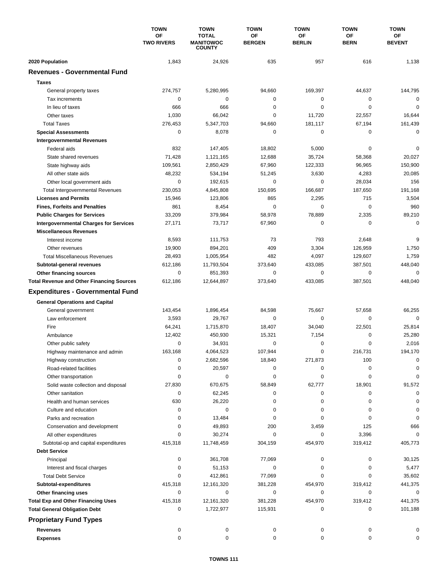|                                                                                   | <b>TOWN</b><br>OF<br><b>TWO RIVERS</b> | <b>TOWN</b>                                       | <b>TOWN</b>         | <b>TOWN</b>         | <b>TOWN</b>       | <b>TOWN</b>         |
|-----------------------------------------------------------------------------------|----------------------------------------|---------------------------------------------------|---------------------|---------------------|-------------------|---------------------|
|                                                                                   |                                        | <b>TOTAL</b><br><b>MANITOWOC</b><br><b>COUNTY</b> | OF<br><b>BERGEN</b> | OF<br><b>BERLIN</b> | OF<br><b>BERN</b> | ОF<br><b>BEVENT</b> |
| 2020 Population                                                                   | 1,843                                  | 24,926                                            | 635                 | 957                 | 616               | 1,138               |
| <b>Revenues - Governmental Fund</b>                                               |                                        |                                                   |                     |                     |                   |                     |
| <b>Taxes</b>                                                                      |                                        |                                                   |                     |                     |                   |                     |
| General property taxes                                                            | 274,757                                | 5,280,995                                         | 94,660              | 169,397             | 44,637            | 144,795             |
| Tax increments                                                                    | 0                                      | $\mathbf 0$                                       | 0                   | 0                   | 0                 | $\mathbf 0$         |
| In lieu of taxes                                                                  | 666                                    | 666                                               | 0                   | 0                   | $\mathbf 0$       | $\mathbf 0$         |
| Other taxes                                                                       | 1,030                                  | 66,042                                            | 0                   | 11,720              | 22,557            | 16,644              |
| <b>Total Taxes</b>                                                                | 276,453                                | 5,347,703                                         | 94,660              | 181,117             | 67,194            | 161,439             |
| <b>Special Assessments</b>                                                        | 0                                      | 8,078                                             | 0                   | 0                   | 0                 | $\mathbf 0$         |
| <b>Intergovernmental Revenues</b>                                                 |                                        |                                                   |                     |                     |                   |                     |
| Federal aids                                                                      | 832                                    | 147,405                                           | 18,802              | 5,000               | 0                 | 0                   |
| State shared revenues                                                             | 71,428                                 | 1,121,165                                         | 12,688              | 35,724              | 58,368            | 20,027              |
| State highway aids                                                                | 109,561                                | 2,850,429                                         | 67,960              | 122,333             | 96,965            | 150,900             |
| All other state aids                                                              | 48,232                                 | 534,194                                           | 51,245              | 3,630               | 4,283             | 20,085              |
| Other local government aids                                                       | 0                                      | 192,615                                           | 0                   | 0                   | 28,034            | 156                 |
| <b>Total Intergovernmental Revenues</b>                                           | 230,053                                | 4,845,808                                         | 150,695             | 166,687             | 187,650           | 191,168             |
| <b>Licenses and Permits</b>                                                       | 15,946                                 | 123,806                                           | 865                 | 2,295               | 715               | 3,504               |
| <b>Fines, Forfeits and Penalties</b>                                              | 861                                    | 8,454                                             | 0                   | 0                   | $\mathbf 0$       | 960                 |
| <b>Public Charges for Services</b>                                                | 33,209                                 | 379,984                                           | 58,978              | 78,889              | 2,335             | 89,210              |
| <b>Intergovernmental Charges for Services</b>                                     | 27,171                                 | 73,717                                            | 67,960              | 0                   | 0                 | $\mathbf 0$         |
| <b>Miscellaneous Revenues</b>                                                     |                                        |                                                   |                     |                     |                   |                     |
| Interest income                                                                   | 8,593                                  | 111,753                                           | 73                  | 793                 | 2,648             | 9                   |
| Other revenues                                                                    | 19,900                                 | 894,201                                           | 409                 | 3,304               | 126,959           | 1,750               |
| <b>Total Miscellaneous Revenues</b>                                               | 28,493                                 | 1,005,954                                         | 482                 | 4,097               | 129,607           | 1,759               |
| Subtotal-general revenues                                                         | 612,186                                | 11,793,504                                        | 373,640             | 433,085             | 387,501           | 448,040             |
| Other financing sources                                                           | 0                                      | 851,393                                           | 0                   | 0                   | $\mathbf 0$       | $\mathbf 0$         |
| <b>Total Revenue and Other Financing Sources</b>                                  | 612,186                                | 12,644,897                                        | 373,640             | 433,085             | 387,501           | 448,040             |
| <b>Expenditures - Governmental Fund</b>                                           |                                        |                                                   |                     |                     |                   |                     |
| <b>General Operations and Capital</b>                                             |                                        |                                                   |                     |                     |                   |                     |
| General government                                                                | 143,454                                | 1,896,454                                         | 84,598              | 75,667              | 57,658            | 66,255              |
| Law enforcement                                                                   | 3,593                                  | 29,767                                            | $\mathbf 0$         | 0                   | 0                 | $\mathbf 0$         |
| Fire                                                                              | 64,241                                 | 1,715,870                                         | 18,407              | 34,040              | 22,501            | 25,814              |
| Ambulance                                                                         | 12,402                                 | 450,930                                           | 15,321              | 7,154               | 0                 | 25,280              |
| Other public safety                                                               | 0                                      | 34,931                                            | 0                   | 0                   | $\mathbf 0$       | 2,016               |
| Highway maintenance and admin                                                     | 163,168                                | 4,064,523                                         | 107,944             | $\Omega$            | 216,731           | 194,170             |
| Highway construction                                                              | 0                                      | 2,682,596                                         | 18,840              | 271,873             | 100               | 0                   |
| Road-related facilities                                                           | 0                                      | 20,597                                            | 0                   | 0                   | 0                 | 0                   |
| Other transportation                                                              | 0                                      | 0                                                 | 0                   | 0                   | 0                 | 0                   |
| Solid waste collection and disposal                                               | 27,830                                 | 670,675                                           | 58,849              | 62,777              | 18,901            | 91,572              |
| Other sanitation                                                                  | 0                                      | 62,245                                            | 0                   | 0                   | 0                 | 0                   |
| Health and human services                                                         | 630                                    | 26,220                                            | 0                   | 0                   | 0                 | 0                   |
| Culture and education                                                             | 0                                      | 0                                                 | 0                   | 0                   | 0                 | 0                   |
| Parks and recreation                                                              | 0                                      | 13,484                                            | 0                   | 0                   | 0                 | 0                   |
| Conservation and development                                                      | 0                                      | 49,893                                            | 200                 | 3,459               | 125               | 666                 |
| All other expenditures                                                            | 0                                      | 30,274                                            | 0                   | 0                   | 3,396             | $\mathbf 0$         |
| Subtotal-op and capital expenditures                                              | 415,318                                | 11,748,459                                        | 304,159             | 454,970             | 319,412           | 405,773             |
| <b>Debt Service</b>                                                               |                                        |                                                   |                     |                     |                   |                     |
| Principal                                                                         | 0                                      | 361,708                                           | 77,069              | 0                   | 0                 | 30,125              |
| Interest and fiscal charges                                                       | 0                                      | 51,153                                            | 0                   | 0                   | 0                 | 5,477               |
| <b>Total Debt Service</b>                                                         | 0                                      | 412,861                                           | 77,069              | 0                   | 0                 | 35,602              |
| Subtotal-expenditures                                                             | 415,318                                | 12, 161, 320<br>0                                 | 381,228<br>0        | 454,970<br>0        | 319,412<br>0      | 441,375             |
| Other financing uses                                                              | 0                                      |                                                   |                     |                     |                   | 0                   |
| <b>Total Exp and Other Financing Uses</b><br><b>Total General Obligation Debt</b> | 415,318<br>0                           | 12, 161, 320<br>1,722,977                         | 381,228<br>115,931  | 454,970<br>0        | 319,412<br>0      | 441,375<br>101,188  |
|                                                                                   |                                        |                                                   |                     |                     |                   |                     |
| <b>Proprietary Fund Types</b>                                                     |                                        |                                                   |                     |                     |                   |                     |
| <b>Revenues</b>                                                                   | 0<br>0                                 | 0<br>0                                            | 0<br>0              | 0                   | 0                 | 0                   |
| <b>Expenses</b>                                                                   |                                        |                                                   |                     | 0                   | 0                 | 0                   |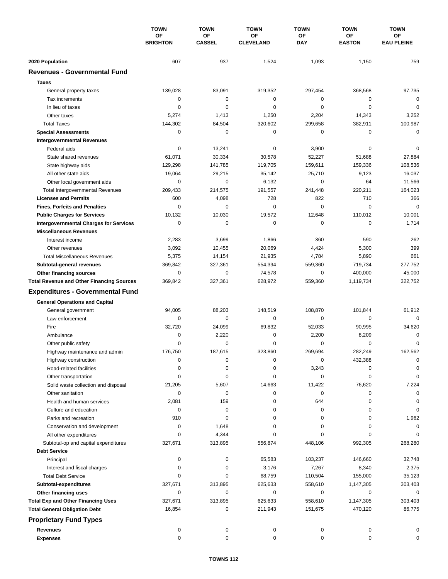|                                                  | <b>TOWN</b><br>OF<br><b>BRIGHTON</b> | <b>TOWN</b>         | <b>TOWN</b><br>OF<br><b>CLEVELAND</b> | <b>TOWN</b>      | <b>TOWN</b>         | <b>TOWN</b><br>ОF<br><b>EAU PLEINE</b> |
|--------------------------------------------------|--------------------------------------|---------------------|---------------------------------------|------------------|---------------------|----------------------------------------|
|                                                  |                                      | OF<br><b>CASSEL</b> |                                       | OF<br><b>DAY</b> | ΟF<br><b>EASTON</b> |                                        |
| 2020 Population                                  | 607                                  | 937                 | 1,524                                 | 1,093            | 1,150               | 759                                    |
| <b>Revenues - Governmental Fund</b>              |                                      |                     |                                       |                  |                     |                                        |
| <b>Taxes</b>                                     |                                      |                     |                                       |                  |                     |                                        |
| General property taxes                           | 139,028                              | 83,091              | 319,352                               | 297,454          | 368,568             | 97,735                                 |
| Tax increments                                   | $\mathbf 0$                          | 0                   | $\mathbf 0$                           | 0                | 0                   | $\mathbf 0$                            |
| In lieu of taxes                                 | $\mathbf 0$                          | $\mathbf 0$         | $\mathbf 0$                           | 0                | $\mathbf 0$         | $\mathbf 0$                            |
| Other taxes                                      | 5,274                                | 1,413               | 1,250                                 | 2,204            | 14,343              | 3,252                                  |
| <b>Total Taxes</b>                               | 144,302                              | 84,504              | 320,602                               | 299,658          | 382,911             | 100,987                                |
| <b>Special Assessments</b>                       | 0                                    | 0                   | 0                                     | 0                | 0                   | $\mathbf 0$                            |
| <b>Intergovernmental Revenues</b>                |                                      |                     |                                       |                  |                     |                                        |
| Federal aids                                     | 0                                    | 13,241              | 0                                     | 3,900            | 0                   | 0                                      |
| State shared revenues                            | 61,071                               | 30,334              | 30,578                                | 52,227           | 51,688              | 27,884                                 |
| State highway aids                               | 129,298                              | 141,785             | 119,705                               | 159,611          | 159,336             | 108,536                                |
| All other state aids                             | 19,064                               | 29,215              | 35,142                                | 25,710           | 9,123               | 16,037                                 |
| Other local government aids                      | 0                                    | $\mathbf 0$         | 6,132                                 | 0                | 64                  | 11,566                                 |
| <b>Total Intergovernmental Revenues</b>          | 209,433                              | 214,575             | 191,557                               | 241,448          | 220,211             | 164,023                                |
| <b>Licenses and Permits</b>                      | 600                                  | 4,098               | 728                                   | 822              | 710                 | 366                                    |
| <b>Fines, Forfeits and Penalties</b>             | 0                                    | 0                   | 0                                     | 0                | $\mathbf 0$         | $\mathbf 0$                            |
| <b>Public Charges for Services</b>               | 10,132                               | 10,030              | 19,572                                | 12,648           | 110,012             | 10,001                                 |
| <b>Intergovernmental Charges for Services</b>    | 0                                    | 0                   | $\mathbf 0$                           | 0                | $\mathbf 0$         | 1,714                                  |
| <b>Miscellaneous Revenues</b>                    |                                      |                     |                                       |                  |                     |                                        |
| Interest income                                  | 2,283                                | 3,699               | 1,866                                 | 360              | 590                 | 262                                    |
| Other revenues                                   | 3,092                                | 10,455              | 20,069                                | 4,424            | 5,300               | 399                                    |
| <b>Total Miscellaneous Revenues</b>              | 5,375                                | 14,154              | 21,935                                | 4,784            | 5,890               | 661                                    |
| Subtotal-general revenues                        | 369,842                              | 327,361             | 554,394                               | 559,360          | 719,734             | 277,752                                |
| Other financing sources                          | $\mathbf 0$                          | $\mathbf 0$         | 74,578                                | 0                | 400,000             | 45,000                                 |
| <b>Total Revenue and Other Financing Sources</b> | 369,842                              | 327,361             | 628,972                               | 559,360          | 1,119,734           | 322,752                                |
| <b>Expenditures - Governmental Fund</b>          |                                      |                     |                                       |                  |                     |                                        |
| <b>General Operations and Capital</b>            |                                      |                     |                                       |                  |                     |                                        |
| General government                               | 94,005                               | 88,203              | 148,519                               | 108,870          | 101,844             | 61,912                                 |
| Law enforcement                                  | 0                                    | 0                   | 0                                     | 0                | 0                   | $\Omega$                               |
| Fire                                             | 32,720                               | 24,099              | 69,832                                | 52,033           | 90,995              | 34,620                                 |
| Ambulance                                        | 0                                    | 2,220               | 0                                     | 2,200            | 8,209               | 0                                      |
| Other public safety                              | 0                                    | 0                   | 0                                     | 0                | 0                   | $\mathbf 0$                            |
| Highway maintenance and admin                    | 176,750                              | 187,615             | 323.860                               | 269,694          | 282.249             | 162.562                                |
| Highway construction                             | 0                                    | 0                   | 0                                     | 0                | 432,388             | 0                                      |
| Road-related facilities                          | 0                                    | 0                   | 0                                     | 3,243            | 0                   | 0                                      |
| Other transportation                             | 0                                    | 0                   | 0                                     | 0                | 0                   | $\Omega$                               |
| Solid waste collection and disposal              | 21,205                               | 5,607               | 14,663                                | 11,422           | 76,620              | 7,224                                  |
| Other sanitation                                 | 0                                    | 0                   | 0                                     | 0                | 0                   | 0                                      |
| Health and human services                        | 2,081                                | 159                 | 0                                     | 644              | 0                   | 0                                      |
| Culture and education                            | 0                                    | 0                   | 0                                     | 0                | 0                   | 0                                      |
| Parks and recreation                             | 910                                  | 0                   | 0                                     | 0                | 0                   | 1,962                                  |
| Conservation and development                     | 0                                    | 1,648               | 0                                     | 0                | 0                   | 0                                      |
| All other expenditures                           | $\Omega$                             | 4,344               | $\Omega$                              | 0                | 0                   | O                                      |
| Subtotal-op and capital expenditures             | 327,671                              | 313,895             | 556,874                               | 448,106          | 992,305             | 268,280                                |
| <b>Debt Service</b>                              |                                      |                     |                                       |                  |                     |                                        |
| Principal                                        | 0                                    | 0                   | 65,583                                | 103,237          | 146,660             | 32,748                                 |
| Interest and fiscal charges                      | 0                                    | 0                   | 3,176                                 | 7,267            | 8,340               | 2,375                                  |
| <b>Total Debt Service</b>                        | $\Omega$                             | $\mathbf 0$         | 68,759                                | 110,504          | 155,000             | 35,123                                 |
| Subtotal-expenditures                            | 327,671                              | 313,895             | 625,633                               | 558,610          | 1,147,305           | 303,403                                |
| Other financing uses                             | 0                                    | 0                   | 0                                     | 0                | 0                   | 0                                      |
| <b>Total Exp and Other Financing Uses</b>        | 327,671                              | 313,895             | 625,633                               | 558,610          | 1,147,305           | 303,403                                |
| <b>Total General Obligation Debt</b>             | 16,854                               | 0                   | 211,943                               | 151,675          | 470,120             | 86,775                                 |
| <b>Proprietary Fund Types</b>                    |                                      |                     |                                       |                  |                     |                                        |
| Revenues                                         | 0                                    | 0                   | 0                                     | 0                | 0                   |                                        |
| <b>Expenses</b>                                  | 0                                    | 0                   | 0                                     | 0                | 0                   |                                        |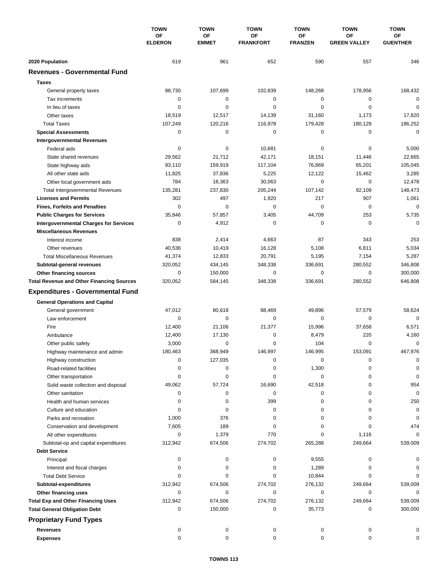|                                                  | <b>TOWN</b><br>OF<br><b>ELDERON</b> | <b>TOWN</b><br>OF<br><b>EMMET</b> | <b>TOWN</b><br><b>OF</b><br><b>FRANKFORT</b> | <b>TOWN</b><br>OF<br><b>FRANZEN</b> | <b>TOWN</b><br>OF<br><b>GREEN VALLEY</b> | <b>TOWN</b><br>OF<br><b>GUENTHER</b> |
|--------------------------------------------------|-------------------------------------|-----------------------------------|----------------------------------------------|-------------------------------------|------------------------------------------|--------------------------------------|
|                                                  |                                     |                                   |                                              |                                     |                                          |                                      |
|                                                  |                                     |                                   |                                              |                                     |                                          |                                      |
| 2020 Population                                  | 619                                 | 961                               | 652                                          | 590                                 | 557                                      | 346                                  |
| <b>Revenues - Governmental Fund</b>              |                                     |                                   |                                              |                                     |                                          |                                      |
| <b>Taxes</b>                                     |                                     |                                   |                                              |                                     |                                          |                                      |
| General property taxes                           | 88,730                              | 107,699                           | 102,839                                      | 148,268                             | 178,956                                  | 168,432                              |
| Tax increments                                   | 0                                   | 0                                 | 0                                            | $\mathbf 0$                         | $\mathbf 0$                              | 0                                    |
| In lieu of taxes                                 | 0                                   | 0                                 | 0                                            | 0                                   | 0                                        | 0                                    |
| Other taxes                                      | 18,519                              | 12,517                            | 14,139                                       | 31,160                              | 1,173                                    | 17,820                               |
| <b>Total Taxes</b>                               | 107,249                             | 120,216                           | 116,978                                      | 179,428                             | 180,129                                  | 186,252                              |
| <b>Special Assessments</b>                       | 0                                   | 0                                 | 0                                            | $\pmb{0}$                           | 0                                        | $\mathbf 0$                          |
| <b>Intergovernmental Revenues</b>                |                                     |                                   |                                              |                                     |                                          |                                      |
| Federal aids                                     | 0                                   | 0                                 | 10,681                                       | 0                                   | 0                                        | 5,000                                |
| State shared revenues                            | 29,562                              | 21,712                            | 42,171                                       | 18,151                              | 11,446                                   | 22,665                               |
| State highway aids                               | 93,110                              | 159,919                           | 117,104                                      | 76,869                              | 65,201                                   | 105,045                              |
| All other state aids                             | 11,825                              | 37,836                            | 5,225                                        | 12,122                              | 15,462                                   | 3,285                                |
| Other local government aids                      | 784                                 | 18,363                            | 30,063                                       | $\mathbf 0$                         | $\mathbf 0$                              | 12,478                               |
| <b>Total Intergovernmental Revenues</b>          | 135,281                             | 237,830                           | 205,244                                      | 107,142                             | 92,109                                   | 148,473                              |
| <b>Licenses and Permits</b>                      | 302                                 | 497                               | 1,920                                        | 217                                 | 907                                      | 1,061                                |
| <b>Fines, Forfeits and Penalties</b>             | $\mathbf 0$                         | $\mathbf 0$                       | 0                                            | $\mathbf 0$                         | $\mathbf 0$                              | $\mathbf 0$                          |
| <b>Public Charges for Services</b>               | 35,846                              | 57,857                            | 3,405                                        | 44,709                              | 253                                      | 5,735                                |
| <b>Intergovernmental Charges for Services</b>    | 0                                   | 4,912                             | 0                                            | $\mathbf 0$                         | 0                                        | $\mathbf 0$                          |
| <b>Miscellaneous Revenues</b>                    |                                     |                                   |                                              |                                     |                                          |                                      |
| Interest income                                  | 838                                 | 2,414                             | 4,663                                        | 87                                  | 343                                      | 253                                  |
| Other revenues                                   | 40,536                              | 10,419                            | 16,128                                       | 5,108                               | 6,811                                    | 5,034                                |
| <b>Total Miscellaneous Revenues</b>              | 41,374                              | 12,833                            | 20,791                                       | 5,195                               | 7,154                                    | 5,287                                |
| Subtotal-general revenues                        | 320,052                             | 434,145                           | 348,338                                      | 336,691                             | 280,552                                  | 346,808                              |
| Other financing sources                          | 0                                   | 150,000                           | $\mathbf 0$                                  | $\mathbf 0$                         | 0                                        | 300,000                              |
| <b>Total Revenue and Other Financing Sources</b> | 320,052                             | 584,145                           | 348,338                                      | 336,691                             | 280,552                                  | 646,808                              |
| <b>Expenditures - Governmental Fund</b>          |                                     |                                   |                                              |                                     |                                          |                                      |
|                                                  |                                     |                                   |                                              |                                     |                                          |                                      |
| <b>General Operations and Capital</b>            |                                     |                                   |                                              |                                     |                                          |                                      |
| General government                               | 47,012                              | 80,618                            | 88,469                                       | 49,896                              | 57,579                                   | 58,624                               |
| Law enforcement                                  | 0                                   | 0                                 | $\mathbf 0$                                  | 0                                   | $\mathbf 0$                              | $\mathbf 0$                          |
| Fire                                             | 12,400                              | 21,106                            | 21,377                                       | 15,996                              | 37,658                                   | 6,571                                |
| Ambulance                                        | 12,400                              | 17,130                            | 0                                            | 8,479                               | 220                                      | 4,160                                |
| Other public safety                              | 3,000                               | 0                                 | 0                                            | 104                                 | 0                                        | 0                                    |
| Highway maintenance and admin                    | 180,463                             | 368.949                           | 146,997                                      | 146,995                             | 153,091                                  | 467,976                              |
| Highway construction                             | 0                                   | 127,035                           | 0                                            | 0                                   | 0                                        | 0                                    |
| Road-related facilities                          | 0                                   | 0                                 | 0                                            | 1,300                               | 0                                        | 0                                    |
| Other transportation                             | 0                                   | 0                                 | 0                                            | $\mathbf 0$                         | 0                                        | $\mathbf 0$                          |
| Solid waste collection and disposal              | 49,062                              | 57,724                            | 16,690                                       | 42,518                              | 0                                        | 954                                  |
| Other sanitation                                 | 0                                   | 0                                 | 0                                            | 0                                   | 0                                        | $\mathbf 0$                          |
| Health and human services                        | 0                                   | 0                                 | 399                                          | 0                                   | 0                                        | 250                                  |
| Culture and education                            | 0                                   | 0                                 | 0                                            | 0                                   | 0                                        | 0                                    |
| Parks and recreation                             | 1,000                               | 376                               | 0                                            | 0                                   | 0                                        | 0                                    |
| Conservation and development                     | 7,605                               | 189                               | 0                                            | 0                                   | 0                                        | 474                                  |
| All other expenditures                           | 0                                   | 1,379                             | 770                                          | 0                                   | 1,116                                    | $\Omega$                             |
| Subtotal-op and capital expenditures             | 312,942                             | 674,506                           | 274,702                                      | 265,288                             | 249,664                                  | 539,009                              |
| <b>Debt Service</b>                              |                                     |                                   |                                              |                                     |                                          |                                      |
| Principal                                        | 0                                   | 0                                 | 0                                            | 9,555                               | 0                                        | 0                                    |
| Interest and fiscal charges                      | 0                                   | 0                                 | 0                                            | 1,289                               | 0                                        | 0                                    |
| <b>Total Debt Service</b>                        | 0                                   | 0                                 | 0                                            | 10,844                              | 0                                        | 0                                    |
| Subtotal-expenditures                            | 312,942                             | 674,506                           | 274,702                                      | 276,132                             | 249,664                                  | 539,009                              |
| Other financing uses                             | 0                                   | 0                                 | 0                                            | 0                                   | 0                                        | 0                                    |
| <b>Total Exp and Other Financing Uses</b>        | 312,942                             | 674,506                           | 274,702                                      | 276,132                             | 249,664                                  | 539,009                              |
| <b>Total General Obligation Debt</b>             | 0                                   | 150,000                           | 0                                            | 35,773                              | 0                                        | 300,000                              |
| <b>Proprietary Fund Types</b>                    |                                     |                                   |                                              |                                     |                                          |                                      |
| <b>Revenues</b>                                  | 0                                   | 0                                 | 0                                            | 0                                   | 0                                        | 0                                    |
| <b>Expenses</b>                                  | 0                                   | 0                                 | 0                                            | 0                                   | 0                                        | 0                                    |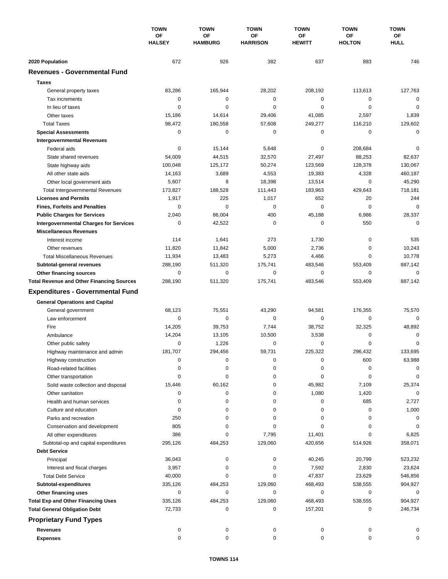|                                                  | <b>TOWN</b><br>OF<br><b>HALSEY</b> | <b>TOWN</b>          | <b>TOWN</b>           | <b>TOWN</b>         | <b>TOWN</b>         | <b>TOWN</b>       |
|--------------------------------------------------|------------------------------------|----------------------|-----------------------|---------------------|---------------------|-------------------|
|                                                  |                                    | OF<br><b>HAMBURG</b> | ΟF<br><b>HARRISON</b> | ОF<br><b>HEWITT</b> | ΟF<br><b>HOLTON</b> | ОF<br><b>HULL</b> |
|                                                  |                                    |                      |                       |                     |                     |                   |
| 2020 Population                                  | 672                                | 926                  | 382                   | 637                 | 883                 | 746               |
| <b>Revenues - Governmental Fund</b>              |                                    |                      |                       |                     |                     |                   |
| <b>Taxes</b>                                     |                                    |                      |                       |                     |                     |                   |
| General property taxes                           | 83,286                             | 165,944              | 28,202                | 208,192             | 113,613             | 127,763           |
| Tax increments                                   | 0                                  | $\mathbf 0$          | $\mathbf 0$           | $\mathbf 0$         | 0                   | $\mathbf 0$       |
| In lieu of taxes                                 | 0                                  | 0                    | 0                     | 0                   | $\mathbf 0$         | $\mathbf 0$       |
| Other taxes                                      | 15,186                             | 14,614               | 29,406                | 41,085              | 2,597               | 1,839             |
| <b>Total Taxes</b>                               | 98,472                             | 180,558              | 57,608                | 249,277             | 116,210             | 129,602           |
| <b>Special Assessments</b>                       | 0                                  | $\mathbf 0$          | 0                     | 0                   | 0                   | $\mathbf 0$       |
| <b>Intergovernmental Revenues</b>                |                                    |                      |                       |                     |                     |                   |
| Federal aids                                     | 0                                  | 15,144               | 5,648                 | 0                   | 208,684             | 0                 |
| State shared revenues                            | 54,009                             | 44,515               | 32,570                | 27,497              | 88,253              | 82,637            |
| State highway aids                               | 100,048                            | 125,172              | 50,274                | 123,569             | 128,378             | 130,067           |
| All other state aids                             | 14,163                             | 3,689                | 4,553                 | 19,383              | 4,328               | 460,187           |
| Other local government aids                      | 5,607                              | 8                    | 18.398                | 13,514              | $\mathbf 0$         | 45,290            |
| <b>Total Intergovernmental Revenues</b>          | 173,827                            | 188,528              | 111,443               | 183,963             | 429,643             | 718,181           |
| <b>Licenses and Permits</b>                      | 1,917                              | 225                  | 1,017                 | 652                 | 20                  | 244               |
| <b>Fines, Forfeits and Penalties</b>             | $\Omega$                           | $\Omega$             | 0                     | $\Omega$            | $\Omega$            | $\Omega$          |
| <b>Public Charges for Services</b>               | 2,040                              | 86,004               | 400                   | 45,188              | 6,986               | 28,337            |
| <b>Intergovernmental Charges for Services</b>    | 0                                  | 42,522               | 0                     | 0                   | 550                 | $\Omega$          |
| <b>Miscellaneous Revenues</b>                    |                                    |                      |                       |                     |                     |                   |
| Interest income                                  | 114                                | 1,641                | 273                   | 1,730               | 0                   | 535               |
| Other revenues                                   | 11,820                             | 11,842               | 5,000                 | 2,736               | 0                   | 10,243            |
| <b>Total Miscellaneous Revenues</b>              | 11,934                             | 13,483               | 5,273                 | 4,466               | $\mathbf 0$         | 10,778            |
| Subtotal-general revenues                        | 288,190                            | 511,320              | 175,741               | 483,546             | 553,409             | 887,142           |
| Other financing sources                          | $\mathbf 0$                        | 0                    | $\mathbf 0$           | 0                   | $\mathbf 0$         | $\mathbf 0$       |
| <b>Total Revenue and Other Financing Sources</b> | 288,190                            | 511,320              | 175,741               | 483,546             | 553,409             | 887,142           |
| <b>Expenditures - Governmental Fund</b>          |                                    |                      |                       |                     |                     |                   |
|                                                  |                                    |                      |                       |                     |                     |                   |
| <b>General Operations and Capital</b>            | 68,123                             | 75,551               | 43,290                | 94,581              | 176,355             | 75,570            |
| General government<br>Law enforcement            | 0                                  | 0                    | 0                     | 0                   | 0                   | $\Omega$          |
| Fire                                             | 14,205                             | 39,753               | 7,744                 | 38,752              | 32,325              | 48,892            |
|                                                  | 14,204                             | 13,105               | 10,500                | 3,538               | 0                   | 0                 |
| Ambulance                                        | 0                                  | 1,226                | 0                     | 0                   | $\mathbf 0$         | 0                 |
| Other public safety                              | 181,707                            | 294,456              | 59,731                | 225,322             | 296,432             | 133,695           |
| Highway maintenance and admin                    |                                    | $\pmb{0}$            |                       |                     |                     |                   |
| Highway construction                             | 0                                  |                      | 0                     | 0                   | 600                 | 63,988            |
| Road-related facilities                          | 0                                  | 0                    | 0                     | 0                   | 0                   | 0                 |
| Other transportation                             | 0                                  | 0                    | 0                     | 0                   | 0                   | 0                 |
| Solid waste collection and disposal              | 15,446                             | 60,162               | 0                     | 45,982              | 7,109               | 25,374            |
| Other sanitation                                 | 0                                  | 0                    | 0                     | 1,080               | 1,420               | $\mathbf 0$       |
| Health and human services                        | 0                                  | 0                    | 0                     | 0                   | 685                 | 2,727             |
| Culture and education                            | 0                                  | 0                    | 0                     | 0                   | 0                   | 1,000             |
| Parks and recreation                             | 250                                | 0                    | 0                     | 0                   | 0                   | 0                 |
| Conservation and development                     | 805                                | 0                    | 0                     | 0                   | 0                   | 0                 |
| All other expenditures                           | 386                                | 0                    | 7,795                 | 11,401              | 0                   | 6,825             |
| Subtotal-op and capital expenditures             | 295,126                            | 484,253              | 129,060               | 420,656             | 514,926             | 358,071           |
| <b>Debt Service</b>                              |                                    |                      |                       |                     |                     |                   |
| Principal                                        | 36,043                             | 0                    | 0                     | 40,245              | 20,799              | 523,232           |
| Interest and fiscal charges                      | 3,957                              | 0                    | 0                     | 7,592               | 2,830               | 23,624            |
| <b>Total Debt Service</b>                        | 40,000                             | 0                    | 0                     | 47,837              | 23,629              | 546,856           |
| Subtotal-expenditures                            | 335,126                            | 484,253              | 129,060               | 468,493             | 538,555             | 904,927           |
| Other financing uses                             | 0                                  | 0                    | 0                     | 0                   | 0                   | 0                 |
| <b>Total Exp and Other Financing Uses</b>        | 335,126                            | 484,253              | 129,060               | 468,493             | 538,555             | 904,927           |
| <b>Total General Obligation Debt</b>             | 72,733                             | 0                    | 0                     | 157,201             | 0                   | 246,734           |
| <b>Proprietary Fund Types</b>                    |                                    |                      |                       |                     |                     |                   |
| <b>Revenues</b>                                  | 0                                  | 0                    | 0                     | 0                   | 0                   | 0                 |
| <b>Expenses</b>                                  | 0                                  | 0                    | 0                     | 0                   | 0                   | 0                 |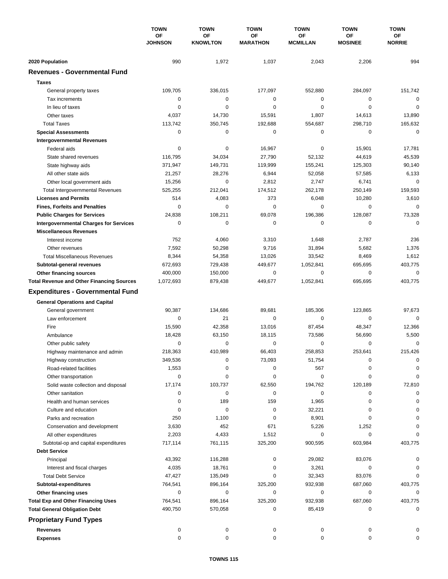|                                                          | <b>TOWN</b><br>OF<br><b>JOHNSON</b> | <b>TOWN</b>                  | <b>TOWN</b><br>ΟF<br><b>MARATHON</b> | <b>TOWN</b>           | <b>TOWN</b><br>ΟF<br><b>MOSINEE</b> | <b>TOWN</b><br>ΟF<br><b>NORRIE</b> |
|----------------------------------------------------------|-------------------------------------|------------------------------|--------------------------------------|-----------------------|-------------------------------------|------------------------------------|
|                                                          |                                     | <b>OF</b><br><b>KNOWLTON</b> |                                      | ΟF<br><b>MCMILLAN</b> |                                     |                                    |
| 2020 Population                                          | 990                                 | 1,972                        | 1,037                                | 2,043                 | 2,206                               | 994                                |
| <b>Revenues - Governmental Fund</b>                      |                                     |                              |                                      |                       |                                     |                                    |
| <b>Taxes</b>                                             |                                     |                              |                                      |                       |                                     |                                    |
| General property taxes                                   | 109,705                             | 336,015                      | 177,097                              | 552,880               | 284,097                             | 151,742                            |
| Tax increments                                           | 0                                   | 0                            | 0                                    | 0                     | 0                                   | $\mathbf 0$                        |
| In lieu of taxes                                         | 0                                   | 0                            | $\mathbf 0$                          | 0                     | $\mathbf 0$                         | $\mathbf 0$                        |
| Other taxes                                              | 4,037                               | 14,730                       | 15,591                               | 1,807                 | 14,613                              | 13,890                             |
| <b>Total Taxes</b>                                       | 113,742                             | 350,745                      | 192,688                              | 554,687               | 298,710                             | 165,632                            |
| <b>Special Assessments</b>                               | 0                                   | $\mathbf 0$                  | 0                                    | 0                     | $\mathbf 0$                         | $\mathbf 0$                        |
| <b>Intergovernmental Revenues</b>                        |                                     |                              |                                      |                       |                                     |                                    |
| Federal aids                                             | 0                                   | 0                            | 16,967                               | 0                     | 15,901                              | 17,781                             |
| State shared revenues                                    | 116,795                             | 34,034                       | 27,790                               | 52,132                | 44,619                              | 45,539                             |
| State highway aids                                       | 371,947                             | 149,731                      | 119,999                              | 155,241               | 125,303                             | 90,140                             |
| All other state aids                                     | 21,257                              | 28,276                       | 6,944                                | 52,058                | 57,585                              | 6,133                              |
| Other local government aids                              | 15,256                              | $\mathbf 0$                  | 2,812                                | 2,747                 | 6,741                               | $\mathbf 0$                        |
| <b>Total Intergovernmental Revenues</b>                  | 525,255                             | 212,041                      | 174,512                              | 262,178               | 250,149                             | 159,593                            |
| <b>Licenses and Permits</b>                              | 514                                 | 4,083                        | 373                                  | 6,048                 | 10,280                              | 3,610                              |
| <b>Fines, Forfeits and Penalties</b>                     | $\Omega$                            | $\Omega$                     | $\Omega$                             | $\Omega$              | 0                                   | $\Omega$                           |
| <b>Public Charges for Services</b>                       | 24,838                              | 108,211                      | 69,078                               | 196,386               | 128,087                             | 73,328                             |
| <b>Intergovernmental Charges for Services</b>            | 0                                   | $\mathbf 0$                  | $\mathbf 0$                          | 0                     | 0                                   | $\Omega$                           |
| <b>Miscellaneous Revenues</b>                            |                                     |                              |                                      |                       |                                     |                                    |
| Interest income                                          | 752                                 | 4,060                        | 3,310                                | 1,648                 | 2,787                               | 236                                |
| Other revenues                                           | 7,592                               | 50,298                       | 9,716                                | 31,894                | 5,682                               | 1,376                              |
| <b>Total Miscellaneous Revenues</b>                      | 8,344                               | 54,358                       | 13,026                               | 33,542                | 8,469                               | 1,612                              |
| Subtotal-general revenues                                | 672,693                             | 729,438                      | 449,677                              | 1,052,841             | 695,695                             | 403,775                            |
| Other financing sources                                  | 400,000                             | 150,000                      | $\mathbf 0$                          | 0                     | 0                                   | $\mathbf 0$                        |
| <b>Total Revenue and Other Financing Sources</b>         | 1,072,693                           | 879,438                      | 449,677                              | 1,052,841             | 695,695                             | 403,775                            |
| <b>Expenditures - Governmental Fund</b>                  |                                     |                              |                                      |                       |                                     |                                    |
| <b>General Operations and Capital</b>                    |                                     |                              |                                      |                       |                                     |                                    |
| General government                                       | 90,387                              | 134.686                      | 89,681                               | 185,306               | 123,865                             | 97,673                             |
| Law enforcement                                          | 0                                   | 21                           | $\mathbf 0$                          | 0                     | 0                                   | $\Omega$                           |
| Fire                                                     | 15,590                              | 42,358                       | 13,016                               | 87.454                | 48,347                              | 12,366                             |
| Ambulance                                                | 18,428                              | 63,150                       | 18,115                               | 73,586                | 56,690                              | 5,500                              |
| Other public safety                                      | 0                                   | $\mathbf 0$                  | 0                                    | 0                     | $\mathbf 0$                         | 0                                  |
| Highway maintenance and admin                            | 218,363                             | 410,989                      | 66,403                               | 258,853               | 253,641                             | 215,426                            |
| Highway construction                                     | 349,536                             | 0                            | 73,093                               | 51,754                | 0                                   | 0                                  |
| Road-related facilities                                  | 1,553                               | 0                            | 0                                    | 567                   | 0                                   | 0                                  |
| Other transportation                                     | 0                                   | 0                            | 0                                    | 0                     | 0                                   | $\Omega$                           |
| Solid waste collection and disposal                      | 17,174                              | 103,737                      | 62,550                               | 194,762               | 120,189                             | 72,810                             |
| Other sanitation                                         | 0                                   | 0                            | 0                                    | 0                     | 0                                   | 0                                  |
| Health and human services                                | 0                                   | 189                          | 159                                  | 1,965                 | 0                                   |                                    |
| Culture and education                                    | 0                                   | 0                            | 0                                    | 32,221                | 0                                   | 0                                  |
| Parks and recreation                                     | 250                                 | 1,100                        | 0                                    | 8,901                 | 0                                   | 0                                  |
| Conservation and development                             | 3,630                               | 452                          | 671                                  | 5,226                 | 1,252                               |                                    |
| All other expenditures                                   | 2,203                               | 4,433                        | 1,512                                | 0                     | 0<br>603,984                        |                                    |
| Subtotal-op and capital expenditures                     | 717,114                             | 761,115                      | 325,200                              | 900,595               |                                     | 403,775                            |
| <b>Debt Service</b>                                      |                                     |                              |                                      |                       |                                     |                                    |
| Principal                                                | 43,392<br>4,035                     | 116,288<br>18,761            | 0<br>0                               | 29,082<br>3,261       | 83,076<br>0                         | 0                                  |
| Interest and fiscal charges<br><b>Total Debt Service</b> | 47,427                              | 135,049                      | 0                                    | 32,343                | 83,076                              | $\Omega$                           |
| Subtotal-expenditures                                    | 764,541                             | 896,164                      | 325,200                              | 932,938               | 687,060                             | 403,775                            |
| Other financing uses                                     | 0                                   | 0                            | 0                                    | 0                     | 0                                   | 0                                  |
| <b>Total Exp and Other Financing Uses</b>                | 764,541                             | 896,164                      | 325,200                              | 932,938               | 687,060                             | 403,775                            |
| <b>Total General Obligation Debt</b>                     | 490,750                             | 570,058                      | 0                                    | 85,419                | 0                                   | 0                                  |
| <b>Proprietary Fund Types</b>                            |                                     |                              |                                      |                       |                                     |                                    |
| <b>Revenues</b>                                          |                                     |                              |                                      |                       |                                     |                                    |
| <b>Expenses</b>                                          | 0<br>0                              | 0<br>0                       | 0<br>0                               | 0<br>0                | 0<br>0                              | 0                                  |
|                                                          |                                     |                              |                                      |                       |                                     |                                    |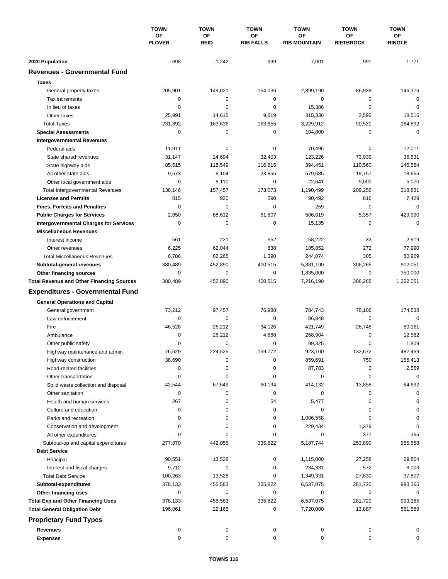|                                                  | <b>TOWN</b><br>ΟF<br><b>PLOVER</b> | <b>TOWN</b>              | <b>TOWN</b><br><b>OF</b><br><b>RIB FALLS</b> | <b>TOWN</b>               | <b>TOWN</b>                   | <b>TOWN</b>         |
|--------------------------------------------------|------------------------------------|--------------------------|----------------------------------------------|---------------------------|-------------------------------|---------------------|
|                                                  |                                    | <b>OF</b><br><b>REID</b> |                                              | ΟF<br><b>RIB MOUNTAIN</b> | <b>OF</b><br><b>RIETBROCK</b> | ОF<br><b>RINGLE</b> |
| 2020 Population                                  | 698                                | 1,242                    | 999                                          | 7,001                     | 991                           | 1,771               |
| <b>Revenues - Governmental Fund</b>              |                                    |                          |                                              |                           |                               |                     |
| <b>Taxes</b>                                     |                                    |                          |                                              |                           |                               |                     |
| General property taxes                           | 205,901                            | 149,021                  | 154,036                                      | 2,899,190                 | 86,939                        | 146,376             |
| Tax increments                                   | 0                                  | 0                        | 0                                            | 0                         | 0                             | 0                   |
| In lieu of taxes                                 | 0                                  | $\mathbf 0$              | 0                                            | 15,386                    | $\mathbf 0$                   | $\mathbf 0$         |
| Other taxes                                      | 25,991                             | 14,615                   | 9,619                                        | 315,336                   | 3,592                         | 18,516              |
| <b>Total Taxes</b>                               | 231,892                            | 163,636                  | 163,655                                      | 3,229,912                 | 90,531                        | 164,892             |
| <b>Special Assessments</b>                       | 0                                  | 0                        | 0                                            | 104,800                   | 0                             | 0                   |
| <b>Intergovernmental Revenues</b>                |                                    |                          |                                              |                           |                               |                     |
| Federal aids                                     | 11,911                             | 0                        | 0                                            | 70,496                    | 0                             | 12,011              |
| State shared revenues                            | 31,147                             | 24,694                   | 32,403                                       | 123,226                   | 73,939                        | 36,531              |
| State highway aids                               | 85,515                             | 118,549                  | 116,815                                      | 394,451                   | 110,560                       | 146,564             |
| All other state aids                             | 9,573                              | 6,104                    | 23,855                                       | 579,685                   | 19,757                        | 18,655              |
| Other local government aids                      | 0                                  | 8,110                    | 0                                            | 22,641                    | 5,000                         | 5,070               |
| <b>Total Intergovernmental Revenues</b>          | 138,146                            | 157,457                  | 173,073                                      | 1,190,499                 | 209,256                       | 218,831             |
| <b>Licenses and Permits</b>                      | 815                                | 920                      | 590                                          | 90,492                    | 816                           | 7,429               |
| <b>Fines, Forfeits and Penalties</b>             | 0                                  | 0                        | $\mathbf 0$                                  | 259                       | 0                             | $\Omega$            |
| <b>Public Charges for Services</b>               | 2,850                              | 68,612                   | 61,807                                       | 506,019                   | 5,357                         | 429,990             |
| <b>Intergovernmental Charges for Services</b>    | $\mathbf 0$                        | $\mathbf 0$              | $\mathbf 0$                                  | 15,135                    | $\mathbf 0$                   | $\mathbf 0$         |
| <b>Miscellaneous Revenues</b>                    |                                    |                          |                                              |                           |                               |                     |
| Interest income                                  | 561                                | 221                      | 552                                          | 58,222                    | 33                            | 2,919               |
| Other revenues                                   | 6,225                              | 62,044                   | 838                                          | 185,852                   | 272                           | 77,990              |
| <b>Total Miscellaneous Revenues</b>              | 6,786                              | 62,265                   | 1,390                                        | 244,074                   | 305                           | 80,909              |
| Subtotal-general revenues                        | 380,489                            | 452,890                  | 400,515                                      | 5,381,190                 | 306,265                       | 902,051             |
| Other financing sources                          | 0                                  | $\mathbf 0$              | 0                                            | 1,835,000                 | 0                             | 350,000             |
| <b>Total Revenue and Other Financing Sources</b> | 380,489                            | 452,890                  | 400,515                                      | 7,216,190                 | 306,265                       | 1,252,051           |
| <b>Expenditures - Governmental Fund</b>          |                                    |                          |                                              |                           |                               |                     |
| <b>General Operations and Capital</b>            |                                    |                          |                                              |                           |                               |                     |
| General government                               | 73,212                             | 97,457                   | 76,988                                       | 784,743                   | 78,106                        | 174,538             |
| Law enforcement                                  | $\mathbf 0$                        | 0                        | $\mathbf 0$                                  | 86,848                    | $\mathbf 0$                   | 0                   |
| Fire                                             | 46,528                             | 26,212                   | 34,126                                       | 421,749                   | 26,748                        | 60,161              |
| Ambulance                                        | 0                                  | 26,212                   | 4,688                                        | 268,904                   | 0                             | 12,582              |
| Other public safety                              | $\Omega$                           | $\mathbf 0$              | 0                                            | 99,325                    | $\mathbf 0$                   | 1,809               |
| Highway maintenance and admin                    | 76,629                             | 224,525                  | 159,772                                      | 923,100                   | 132,672                       | 482,439             |
| Highway construction                             | 38,690                             | 0                        | $\pmb{0}$                                    | 859,691                   | 750                           | 156,413             |
| Road-related facilities                          | 0                                  | 0                        | 0                                            | 87,783                    | 0                             | 2,559               |
| Other transportation                             | 0                                  | 0                        | 0                                            | 0                         | 0                             | $\mathbf 0$         |
| Solid waste collection and disposal              | 42,544                             | 67,649                   | 60,194                                       | 414,132                   | 13,858                        | 64,692              |
| Other sanitation                                 | 0                                  | 0                        | 0                                            | 0                         | 0                             | 0                   |
| Health and human services                        | 267                                | 0                        | 54                                           | 5,477                     | 0                             | 0                   |
| Culture and education                            | 0                                  | 0                        | 0                                            | 0                         | 0                             | 0                   |
| Parks and recreation                             | 0                                  | 0                        | 0                                            | 1,006,558                 | 0                             | 0                   |
| Conservation and development                     | $\Omega$                           | 0                        | 0                                            | 229,434                   | 1,379                         | 0                   |
| All other expenditures                           | $\Omega$                           | 0                        | 0                                            | 0                         | 377                           | 365                 |
| Subtotal-op and capital expenditures             | 277,870                            | 442,055                  | 335,822                                      | 5,187,744                 | 253,890                       | 955,558             |
| <b>Debt Service</b>                              |                                    |                          |                                              |                           |                               |                     |
| Principal                                        | 90,551                             | 13,528                   | 0                                            | 1,115,000                 | 27,258                        | 29,804              |
| Interest and fiscal charges                      | 9,712                              | 0                        | 0                                            | 234,331                   | 572                           | 8,003               |
| <b>Total Debt Service</b>                        | 100,263                            | 13,528                   | 0                                            | 1,349,331                 | 27,830                        | 37,807              |
| Subtotal-expenditures                            | 378,133                            | 455,583                  | 335,822                                      | 6,537,075                 | 281,720                       | 993,365             |
| Other financing uses                             | 0                                  | 0                        | 0                                            | 0                         | 0                             | 0                   |
| <b>Total Exp and Other Financing Uses</b>        | 378,133                            | 455,583                  | 335,822                                      | 6,537,075                 | 281,720                       | 993,365             |
| <b>Total General Obligation Debt</b>             | 196,061                            | 22,165                   | 0                                            | 7,720,000                 | 13,887                        | 551,569             |
| <b>Proprietary Fund Types</b>                    |                                    |                          |                                              |                           |                               |                     |
| <b>Revenues</b>                                  | 0                                  | 0                        | 0                                            | 0                         | 0                             | 0                   |
| <b>Expenses</b>                                  | 0                                  | $\pmb{0}$                | 0                                            | 0                         | 0                             | 0                   |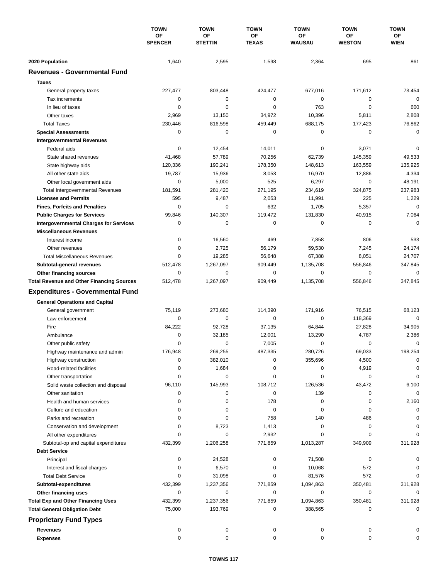|                                                         | <b>TOWN</b><br>OF<br><b>SPENCER</b> | <b>TOWN</b><br>OF<br><b>STETTIN</b> | <b>TOWN</b><br>OF<br><b>TEXAS</b> | <b>TOWN</b><br>ΟF<br><b>WAUSAU</b> | <b>TOWN</b><br>OF<br><b>WESTON</b> | <b>TOWN</b><br>OF<br><b>WIEN</b> |
|---------------------------------------------------------|-------------------------------------|-------------------------------------|-----------------------------------|------------------------------------|------------------------------------|----------------------------------|
|                                                         |                                     |                                     |                                   |                                    |                                    |                                  |
|                                                         |                                     |                                     |                                   |                                    |                                    |                                  |
| 2020 Population                                         | 1,640                               | 2,595                               | 1,598                             | 2,364                              | 695                                | 861                              |
| <b>Revenues - Governmental Fund</b>                     |                                     |                                     |                                   |                                    |                                    |                                  |
| <b>Taxes</b>                                            |                                     |                                     |                                   |                                    |                                    |                                  |
| General property taxes                                  | 227,477                             | 803,448                             | 424,477                           | 677,016                            | 171,612                            | 73,454                           |
| Tax increments                                          | 0                                   | 0                                   | 0                                 | 0                                  | 0                                  | $\Omega$                         |
| In lieu of taxes                                        | 0                                   | 0                                   | 0                                 | 763                                | 0                                  | 600                              |
| Other taxes                                             | 2,969                               | 13,150                              | 34,972                            | 10,396                             | 5,811                              | 2,808                            |
| <b>Total Taxes</b>                                      | 230,446                             | 816,598                             | 459,449                           | 688,175                            | 177,423                            | 76,862                           |
| <b>Special Assessments</b>                              | 0                                   | 0                                   | 0                                 | 0                                  | 0                                  | $\mathbf 0$                      |
| <b>Intergovernmental Revenues</b>                       |                                     |                                     |                                   |                                    |                                    |                                  |
| Federal aids                                            | 0                                   | 12,454                              | 14,011                            | 0                                  | 3,071                              | 0                                |
| State shared revenues                                   | 41,468                              | 57,789                              | 70,256                            | 62,739                             | 145,359                            | 49,533                           |
| State highway aids                                      | 120,336                             | 190,241                             | 178,350                           | 148,613                            | 163,559                            | 135,925                          |
| All other state aids                                    | 19,787                              | 15,936                              | 8,053                             | 16,970                             | 12,886                             | 4,334                            |
| Other local government aids                             | 0                                   | 5,000                               | 525                               | 6,297                              | 0                                  | 48,191                           |
| <b>Total Intergovernmental Revenues</b>                 | 181,591                             | 281,420                             | 271,195                           | 234,619                            | 324,875                            | 237,983                          |
| <b>Licenses and Permits</b>                             | 595                                 | 9,487                               | 2,053                             | 11,991                             | 225                                | 1,229                            |
| <b>Fines, Forfeits and Penalties</b>                    | $\Omega$                            | $\Omega$                            | 632                               | 1,705                              | 5,357                              | $\Omega$                         |
| <b>Public Charges for Services</b>                      | 99,846                              | 140,307                             | 119,472                           | 131,830                            | 40,915                             | 7,064                            |
| <b>Intergovernmental Charges for Services</b>           | 0                                   | 0                                   | 0                                 | 0                                  | 0                                  | $\Omega$                         |
| <b>Miscellaneous Revenues</b>                           |                                     |                                     |                                   |                                    |                                    |                                  |
| Interest income                                         | $\mathbf 0$                         | 16,560                              | 469                               | 7,858                              | 806                                | 533                              |
| Other revenues                                          | $\mathbf 0$                         | 2,725                               | 56,179                            | 59,530                             | 7,245                              | 24,174                           |
| <b>Total Miscellaneous Revenues</b>                     | 0                                   | 19,285                              | 56,648                            | 67,388                             | 8,051                              | 24,707                           |
| Subtotal-general revenues                               | 512,478                             | 1,267,097                           | 909,449                           | 1,135,708                          | 556,846                            | 347,845                          |
| Other financing sources                                 | 0                                   | 0                                   | 0                                 | 0                                  | 0                                  | 0                                |
| <b>Total Revenue and Other Financing Sources</b>        | 512,478                             | 1,267,097                           | 909,449                           | 1,135,708                          | 556,846                            | 347,845                          |
| <b>Expenditures - Governmental Fund</b>                 |                                     |                                     |                                   |                                    |                                    |                                  |
|                                                         |                                     |                                     |                                   |                                    |                                    |                                  |
| <b>General Operations and Capital</b>                   | 75,119                              | 273,680                             | 114,390                           | 171,916                            | 76,515                             | 68,123                           |
| General government<br>Law enforcement                   | $\mathbf 0$                         | $\mathbf 0$                         | $\mathbf 0$                       | 0                                  |                                    | $\mathbf 0$                      |
| Fire                                                    | 84,222                              | 92,728                              | 37,135                            | 64,844                             | 118,369<br>27,828                  | 34,905                           |
|                                                         | 0                                   | 32,185                              | 12,001                            | 13,290                             | 4,787                              | 2,386                            |
| Ambulance                                               | 0                                   | 0                                   | 7,005                             | 0                                  | 0                                  | $\mathbf 0$                      |
| Other public safety                                     | 176.948                             | 269,255                             | 487,335                           | 280,726                            | 69,033                             | 198,254                          |
| Highway maintenance and admin                           | 0                                   |                                     | 0                                 | 355,696                            |                                    | 0                                |
| Highway construction                                    | 0                                   | 382,010<br>1,684                    | 0                                 | 0                                  | 4,500                              | 0                                |
| Road-related facilities                                 | 0                                   | 0                                   | 0                                 | 0                                  | 4,919                              | 0                                |
| Other transportation                                    | 96,110                              | 145,993                             | 108,712                           | 126,536                            | 0<br>43,472                        | 6,100                            |
| Solid waste collection and disposal<br>Other sanitation | 0                                   | 0                                   | 0                                 | 139                                | 0                                  | $\mathbf 0$                      |
| Health and human services                               | 0                                   | 0                                   | 178                               | 0                                  | 0                                  | 2,160                            |
| Culture and education                                   | 0                                   | 0                                   | 0                                 | 0                                  | 0                                  | 0                                |
|                                                         | 0                                   | 0                                   | 758                               | 140                                | 486                                | $\Omega$                         |
| Parks and recreation                                    | 0                                   |                                     | 1,413                             | 0                                  | 0                                  | 0                                |
| Conservation and development<br>All other expenditures  |                                     | 8,723<br>0                          | 2,932                             | 0                                  | 0                                  |                                  |
|                                                         | 432,399                             | 1,206,258                           | 771,859                           | 1,013,287                          | 349,909                            | 311,928                          |
| Subtotal-op and capital expenditures                    |                                     |                                     |                                   |                                    |                                    |                                  |
| <b>Debt Service</b>                                     |                                     |                                     |                                   |                                    |                                    | O                                |
| Principal                                               | 0                                   | 24,528                              | 0                                 | 71,508                             | 0                                  |                                  |
| Interest and fiscal charges                             | 0<br>0                              | 6,570<br>31,098                     | 0<br>0                            | 10,068                             | 572<br>572                         | 0<br>$\Omega$                    |
| <b>Total Debt Service</b>                               |                                     |                                     |                                   | 81,576                             |                                    |                                  |
| Subtotal-expenditures                                   | 432,399<br>0                        | 1,237,356<br>0                      | 771,859<br>0                      | 1,094,863<br>0                     | 350,481<br>0                       | 311,928<br>0                     |
| Other financing uses                                    |                                     |                                     |                                   |                                    |                                    |                                  |
| <b>Total Exp and Other Financing Uses</b>               | 432,399                             | 1,237,356                           | 771,859                           | 1,094,863                          | 350,481                            | 311,928                          |
| <b>Total General Obligation Debt</b>                    | 75,000                              | 193,769                             | 0                                 | 388,565                            | 0                                  | 0                                |
| <b>Proprietary Fund Types</b>                           |                                     |                                     |                                   |                                    |                                    |                                  |
| <b>Revenues</b>                                         | 0                                   | 0                                   | 0                                 | 0                                  | 0                                  |                                  |
| <b>Expenses</b>                                         | 0                                   | 0                                   | 0                                 | 0                                  | 0                                  | 0                                |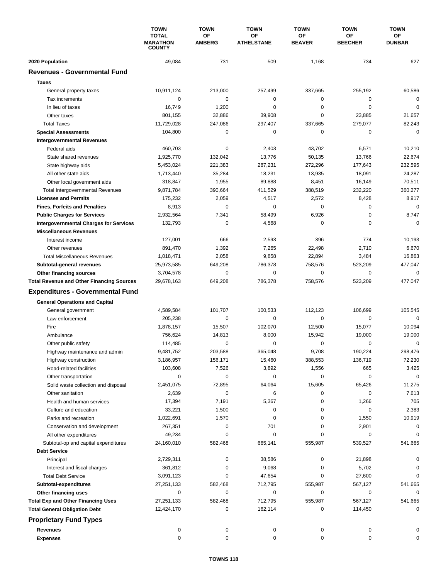|                                                                                   | <b>TOWN</b><br><b>TOTAL</b><br><b>MARATHON</b><br><b>COUNTY</b> | <b>TOWN</b>         | <b>TOWN</b><br>ΟF<br><b>ATHELSTANE</b> | <b>TOWN</b>         | <b>TOWN</b>          | <b>TOWN</b><br>ΟF<br><b>DUNBAR</b> |
|-----------------------------------------------------------------------------------|-----------------------------------------------------------------|---------------------|----------------------------------------|---------------------|----------------------|------------------------------------|
|                                                                                   |                                                                 | OF<br><b>AMBERG</b> |                                        | OF<br><b>BEAVER</b> | ΟF<br><b>BEECHER</b> |                                    |
| 2020 Population                                                                   | 49,084                                                          | 731                 | 509                                    | 1,168               | 734                  | 627                                |
| <b>Revenues - Governmental Fund</b>                                               |                                                                 |                     |                                        |                     |                      |                                    |
| <b>Taxes</b>                                                                      |                                                                 |                     |                                        |                     |                      |                                    |
| General property taxes                                                            | 10,911,124                                                      | 213,000             | 257,499                                | 337,665             | 255,192              | 60,586                             |
| Tax increments                                                                    | 0                                                               | 0                   | 0                                      | 0                   | $\mathbf 0$          | $\mathbf 0$                        |
| In lieu of taxes                                                                  | 16,749                                                          | 1,200               | 0                                      | 0                   | $\mathbf 0$          | $\mathbf 0$                        |
| Other taxes                                                                       | 801,155                                                         | 32,886              | 39,908                                 | 0                   | 23,885               | 21,657                             |
| <b>Total Taxes</b>                                                                | 11,729,028                                                      | 247,086             | 297,407                                | 337,665             | 279,077              | 82,243                             |
| <b>Special Assessments</b>                                                        | 104,800                                                         | 0                   | 0                                      | 0                   | 0                    | $\mathbf 0$                        |
| <b>Intergovernmental Revenues</b>                                                 |                                                                 |                     |                                        |                     |                      |                                    |
| Federal aids                                                                      | 460,703                                                         | $\pmb{0}$           | 2,403                                  | 43,702              | 6,571                | 10,210                             |
| State shared revenues                                                             | 1,925,770                                                       | 132,042             | 13,776                                 | 50,135              | 13,766               | 22,674                             |
| State highway aids                                                                | 5,453,024                                                       | 221,383             | 287,231                                | 272,296             | 177,643              | 232,595                            |
| All other state aids                                                              | 1,713,440                                                       | 35,284              | 18,231                                 | 13,935              | 18,091               | 24,287                             |
| Other local government aids                                                       | 318,847                                                         | 1,955               | 89,888                                 | 8,451               | 16,149               | 70,511                             |
| <b>Total Intergovernmental Revenues</b>                                           | 9,871,784                                                       | 390,664             | 411,529                                | 388,519             | 232,220              | 360,277                            |
| <b>Licenses and Permits</b>                                                       | 175,232                                                         | 2,059               | 4,517                                  | 2,572               | 8,428                | 8,917                              |
| <b>Fines, Forfeits and Penalties</b>                                              | 8,913                                                           | 0                   | 0                                      | 0                   | 0                    | 0                                  |
| <b>Public Charges for Services</b>                                                | 2,932,564                                                       | 7,341               | 58,499                                 | 6,926               | 0                    | 8,747                              |
| <b>Intergovernmental Charges for Services</b>                                     | 132,793                                                         | $\mathbf 0$         | 4,568                                  | 0                   | $\mathbf 0$          | $\mathbf 0$                        |
| <b>Miscellaneous Revenues</b>                                                     |                                                                 |                     |                                        |                     |                      |                                    |
| Interest income                                                                   | 127,001                                                         | 666                 | 2,593                                  | 396                 | 774                  | 10,193                             |
| Other revenues                                                                    | 891,470                                                         | 1,392               | 7,265                                  | 22,498              | 2,710                | 6,670                              |
| <b>Total Miscellaneous Revenues</b>                                               | 1,018,471                                                       | 2,058               | 9,858                                  | 22,894              | 3,484                | 16,863                             |
| Subtotal-general revenues                                                         | 25,973,585                                                      | 649,208             | 786,378                                | 758,576             | 523,209              | 477,047                            |
| Other financing sources                                                           | 3,704,578                                                       | 0                   | 0                                      | 0                   | $\mathbf 0$          | $\mathbf 0$                        |
| <b>Total Revenue and Other Financing Sources</b>                                  | 29,678,163                                                      | 649,208             | 786,378                                | 758,576             | 523,209              | 477,047                            |
| <b>Expenditures - Governmental Fund</b>                                           |                                                                 |                     |                                        |                     |                      |                                    |
| <b>General Operations and Capital</b>                                             |                                                                 |                     |                                        |                     |                      |                                    |
| General government                                                                | 4,589,584                                                       | 101,707             | 100,533                                | 112,123             | 106,699              | 105,545                            |
| Law enforcement                                                                   | 205,238                                                         | 0                   | 0                                      | 0                   | $\mathbf 0$          | $\mathbf 0$                        |
| Fire                                                                              | 1,878,157                                                       | 15,507              | 102,070                                | 12,500              | 15,077               | 10,094                             |
| Ambulance                                                                         | 756,624                                                         | 14,813              | 8,000                                  | 15,942              | 19,000               | 19,000                             |
| Other public safety                                                               | 114,485                                                         | 0                   | 0                                      | 0                   | $\mathbf 0$          | $\mathbf 0$                        |
| Highway maintenance and admin                                                     | 9,481,752                                                       | 203,588             | 365,048                                | 9,708               | 190,224              | 298,476                            |
| Highway construction                                                              | 3,186,957                                                       | 156,171             | 15,460                                 | 388,553             | 136,719              | 72,230                             |
| Road-related facilities                                                           | 103,608                                                         | 7,526               | 3,892                                  | 1,556               | 665                  | 3,425                              |
| Other transportation                                                              | 0                                                               | 0                   | 0                                      | 0                   | 0                    | $\mathbf 0$                        |
| Solid waste collection and disposal                                               | 2,451,075                                                       | 72,895              | 64,064                                 | 15,605              | 65,426               | 11,275                             |
| Other sanitation                                                                  | 2,639                                                           | $\pmb{0}$           | 6                                      | 0                   | 0                    | 7,613                              |
| Health and human services                                                         | 17,394                                                          | 7,191               | 5,367                                  | 0                   | 1,266                | 705                                |
| Culture and education                                                             | 33,221                                                          | 1,500               | 0                                      | 0                   | 0                    | 2,383                              |
| Parks and recreation                                                              | 1,022,691                                                       | 1,570               | 0                                      | 0                   | 1,550                | 10,919                             |
| Conservation and development                                                      | 267,351                                                         | 0                   | 701                                    | 0                   | 2,901                | 0                                  |
| All other expenditures                                                            | 49,234                                                          | 0                   | 0                                      | 0                   | 0                    | $\Omega$                           |
| Subtotal-op and capital expenditures                                              | 24,160,010                                                      | 582,468             | 665,141                                | 555,987             | 539,527              | 541,665                            |
| <b>Debt Service</b>                                                               |                                                                 |                     |                                        |                     |                      |                                    |
| Principal                                                                         | 2,729,311                                                       | 0                   | 38,586                                 | 0                   | 21,898               | 0                                  |
| Interest and fiscal charges                                                       | 361,812                                                         | 0                   | 9,068                                  | 0                   | 5,702                | 0                                  |
| <b>Total Debt Service</b>                                                         | 3,091,123                                                       | 0                   | 47,654                                 | 0                   | 27,600               | 0                                  |
| Subtotal-expenditures                                                             | 27,251,133                                                      | 582,468             | 712,795                                | 555,987             | 567,127              | 541,665                            |
| Other financing uses                                                              | 0                                                               | 0<br>582,468        | 0<br>712,795                           | 0<br>555,987        | 0<br>567,127         | 0                                  |
| <b>Total Exp and Other Financing Uses</b><br><b>Total General Obligation Debt</b> | 27,251,133<br>12,424,170                                        | 0                   | 162,114                                | 0                   | 114,450              | 541,665<br>0                       |
|                                                                                   |                                                                 |                     |                                        |                     |                      |                                    |
| <b>Proprietary Fund Types</b>                                                     |                                                                 |                     |                                        |                     |                      |                                    |
| <b>Revenues</b>                                                                   | 0<br>0                                                          | 0<br>0              | 0<br>0                                 | 0<br>0              | 0<br>0               | 0<br>0                             |
| <b>Expenses</b>                                                                   |                                                                 |                     |                                        |                     |                      |                                    |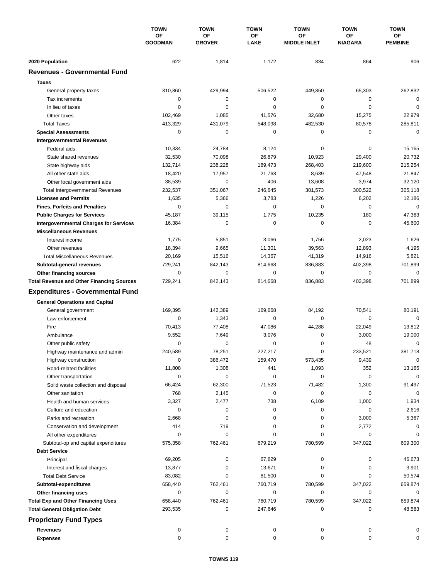|                                                                             | <b>TOWN</b><br>OF<br><b>GOODMAN</b> | <b>TOWN</b><br>OF<br><b>GROVER</b> | <b>TOWN</b><br>OF<br>LAKE | <b>TOWN</b>                      | <b>TOWN</b>          | <b>TOWN</b>          |
|-----------------------------------------------------------------------------|-------------------------------------|------------------------------------|---------------------------|----------------------------------|----------------------|----------------------|
|                                                                             |                                     |                                    |                           | <b>OF</b><br><b>MIDDLE INLET</b> | ΟF<br><b>NIAGARA</b> | ОF<br><b>PEMBINE</b> |
| 2020 Population                                                             | 622                                 | 1,814                              | 1,172                     | 834                              | 864                  | 906                  |
| <b>Revenues - Governmental Fund</b>                                         |                                     |                                    |                           |                                  |                      |                      |
| <b>Taxes</b>                                                                |                                     |                                    |                           |                                  |                      |                      |
| General property taxes                                                      | 310,860                             | 429,994                            | 506,522                   | 449,850                          | 65,303               | 262,832              |
| Tax increments                                                              | 0                                   | 0                                  | $\mathbf 0$               | 0                                | 0                    | $\mathbf 0$          |
| In lieu of taxes                                                            | 0                                   | 0                                  | 0                         | 0                                | $\mathbf 0$          | $\mathbf 0$          |
| Other taxes                                                                 | 102,469                             | 1,085                              | 41,576                    | 32,680                           | 15,275               | 22,979               |
| <b>Total Taxes</b>                                                          | 413,329                             | 431,079                            | 548,098                   | 482,530                          | 80,578               | 285,811              |
| <b>Special Assessments</b>                                                  | 0                                   | 0                                  | 0                         | 0                                | 0                    | $\mathbf 0$          |
| <b>Intergovernmental Revenues</b>                                           |                                     |                                    |                           |                                  |                      |                      |
| Federal aids                                                                | 10,334                              | 24,784                             | 8,124                     | 0                                | 0                    | 15,165               |
| State shared revenues                                                       | 32,530                              | 70,098                             | 26,879                    | 10,923                           | 29,400               | 20,732               |
| State highway aids                                                          | 132,714                             | 238,228                            | 189,473                   | 268,403                          | 219,600              | 215,254              |
| All other state aids                                                        | 18,420                              | 17,957                             | 21,763                    | 8,639                            | 47,548               | 21,847               |
| Other local government aids                                                 | 38,539                              | $\pmb{0}$                          | 406                       | 13,608                           | 3,974                | 32,120               |
| <b>Total Intergovernmental Revenues</b>                                     | 232,537                             | 351,067                            | 246,645                   | 301,573                          | 300,522              | 305,118              |
| <b>Licenses and Permits</b>                                                 | 1,635                               | 5,366                              | 3,783                     | 1,226                            | 6,202                | 12,186               |
| <b>Fines, Forfeits and Penalties</b>                                        | 0                                   | $\mathbf 0$                        | 0                         | 0                                | $\mathbf 0$          | $\mathbf 0$          |
| <b>Public Charges for Services</b>                                          | 45,187                              | 39,115                             | 1,775                     | 10,235                           | 180                  | 47,363               |
| <b>Intergovernmental Charges for Services</b>                               | 16,384                              | 0                                  | 0                         | 0                                | 0                    | 45,600               |
| <b>Miscellaneous Revenues</b>                                               |                                     |                                    |                           |                                  |                      |                      |
| Interest income                                                             | 1,775                               | 5,851                              | 3,066                     | 1,756                            | 2,023                | 1,626                |
| Other revenues                                                              | 18,394                              | 9,665                              | 11,301                    | 39,563                           | 12,893               | 4,195                |
| <b>Total Miscellaneous Revenues</b>                                         | 20,169                              | 15,516                             | 14,367                    | 41,319                           | 14,916               | 5,821                |
|                                                                             | 729,241                             | 842,143                            | 814,668                   | 836,883                          | 402,398              | 701,899              |
| Subtotal-general revenues                                                   | 0                                   | $\pmb{0}$                          | 0                         | 0                                | 0                    | $\mathbf 0$          |
| Other financing sources<br><b>Total Revenue and Other Financing Sources</b> | 729,241                             | 842,143                            | 814,668                   | 836,883                          | 402,398              | 701,899              |
|                                                                             |                                     |                                    |                           |                                  |                      |                      |
| <b>Expenditures - Governmental Fund</b>                                     |                                     |                                    |                           |                                  |                      |                      |
| <b>General Operations and Capital</b>                                       |                                     |                                    |                           |                                  |                      |                      |
| General government                                                          | 169,395                             | 142,389                            | 169,668                   | 84,192                           | 70,541               | 80,191               |
| Law enforcement                                                             | 0                                   | 1,343                              | $\mathbf 0$               | 0                                | 0                    | $\mathbf 0$          |
| Fire                                                                        | 70,413                              | 77,408                             | 47,086                    | 44,288                           | 22,049               | 13,812               |
| Ambulance                                                                   | 9,552                               | 7,649                              | 3,076                     | 0                                | 3,000                | 19,000               |
| Other public safety                                                         | $\mathbf 0$                         | 0                                  | 0                         | 0                                | 48                   | $\mathbf 0$          |
| Highway maintenance and admin                                               | 240,589                             | 78,251                             | 227.217                   | 0                                | 233.521              | 381,718              |
| Highway construction                                                        | 0                                   | 386,472                            | 159,470                   | 573,435                          | 9,439                | $\pmb{0}$            |
| Road-related facilities                                                     | 11,808                              | 1,308                              | 441                       | 1,093                            | 352                  | 13,165               |
| Other transportation                                                        | 0                                   | 0                                  | 0                         | 0                                | 0                    | $\mathbf 0$          |
| Solid waste collection and disposal                                         | 66,424                              | 62,300                             | 71,523                    | 71,482                           | 1,300                | 91,497               |
| Other sanitation                                                            | 768                                 | 2,145                              | 0                         | 0                                | 0                    | $\mathbf 0$          |
| Health and human services                                                   | 3,327                               | 2,477                              | 738                       | 6,109                            | 1,000                | 1,934                |
| Culture and education                                                       | 0                                   | 0                                  | 0                         | 0                                | 0                    | 2,616                |
| Parks and recreation                                                        | 2,668                               | $\pmb{0}$                          | 0                         | 0                                | 3,000                | 5,367                |
| Conservation and development                                                | 414                                 | 719                                | 0                         | 0                                | 2,772                | 0                    |
| All other expenditures                                                      | 0                                   | 0                                  | 0                         | 0                                | 0                    | 0                    |
| Subtotal-op and capital expenditures                                        | 575,358                             | 762,461                            | 679,219                   | 780,599                          | 347,022              | 609,300              |
| <b>Debt Service</b>                                                         |                                     |                                    |                           |                                  |                      |                      |
| Principal                                                                   | 69,205                              | 0                                  | 67,829                    | 0                                | 0                    | 46,673               |
| Interest and fiscal charges                                                 | 13,877                              | 0                                  | 13,671                    | 0                                | 0                    | 3,901                |
| <b>Total Debt Service</b>                                                   | 83,082                              | 0                                  | 81,500                    | 0                                | 0                    | 50,574               |
| Subtotal-expenditures                                                       | 658,440                             | 762,461                            | 760,719                   | 780,599                          | 347,022              | 659,874              |
| Other financing uses                                                        | 0                                   | 0                                  | 0                         | 0                                | 0                    | 0                    |
| <b>Total Exp and Other Financing Uses</b>                                   | 658,440                             | 762,461                            | 760,719                   | 780,599                          | 347,022              | 659,874              |
| <b>Total General Obligation Debt</b>                                        | 293,535                             | 0                                  | 247,646                   | 0                                | 0                    | 48,583               |
| <b>Proprietary Fund Types</b>                                               |                                     |                                    |                           |                                  |                      |                      |
| <b>Revenues</b>                                                             | 0                                   | 0                                  | 0                         | 0                                | 0                    | 0                    |
| <b>Expenses</b>                                                             | 0                                   | 0                                  | 0                         | 0                                | 0                    | 0                    |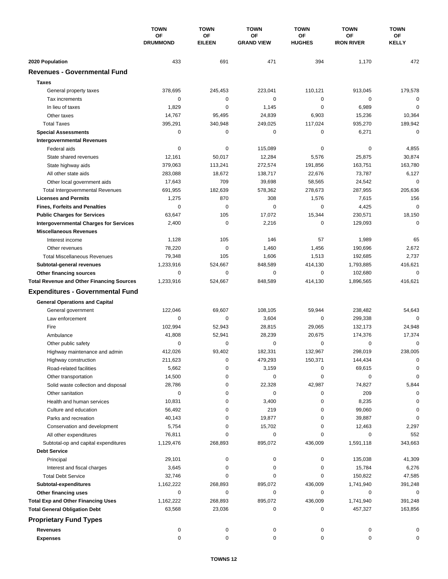|                                                  | <b>TOWN</b><br>OF<br><b>DRUMMOND</b> | <b>TOWN</b>         | <b>TOWN</b><br>OF<br><b>GRAND VIEW</b> | <b>TOWN</b><br>ОF<br><b>HUGHES</b> | <b>TOWN</b><br>OF<br><b>IRON RIVER</b> | <b>TOWN</b><br>ΟF<br>KELLY |
|--------------------------------------------------|--------------------------------------|---------------------|----------------------------------------|------------------------------------|----------------------------------------|----------------------------|
|                                                  |                                      | OF<br><b>EILEEN</b> |                                        |                                    |                                        |                            |
|                                                  |                                      |                     |                                        |                                    |                                        |                            |
| 2020 Population                                  | 433                                  | 691                 | 471                                    | 394                                | 1,170                                  | 472                        |
| <b>Revenues - Governmental Fund</b>              |                                      |                     |                                        |                                    |                                        |                            |
| <b>Taxes</b>                                     |                                      |                     |                                        |                                    |                                        |                            |
| General property taxes                           | 378,695                              | 245,453             | 223,041                                | 110,121                            | 913,045                                | 179,578                    |
| Tax increments                                   | 0                                    | 0                   | $\mathbf 0$                            | 0                                  | 0                                      | 0                          |
| In lieu of taxes                                 | 1,829                                | $\mathbf 0$         | 1,145                                  | 0                                  | 6,989                                  | $\mathbf 0$                |
| Other taxes                                      | 14,767                               | 95,495              | 24,839                                 | 6,903                              | 15,236                                 | 10,364                     |
| <b>Total Taxes</b>                               | 395,291                              | 340,948             | 249,025                                | 117,024                            | 935,270                                | 189,942                    |
| <b>Special Assessments</b>                       | 0                                    | 0                   | 0                                      | 0                                  | 6,271                                  | 0                          |
| <b>Intergovernmental Revenues</b>                |                                      |                     |                                        |                                    |                                        |                            |
| Federal aids                                     | 0                                    | 0                   | 115,089                                | 0                                  | 0                                      | 4,855                      |
| State shared revenues                            | 12,161                               | 50,017              | 12,284                                 | 5,576                              | 25,875                                 | 30,874                     |
| State highway aids                               | 379,063                              | 113,241             | 272,574                                | 191,856                            | 163,751                                | 163,780                    |
| All other state aids                             | 283,088                              | 18,672              | 138,717                                | 22,676                             | 73,787                                 | 6,127                      |
| Other local government aids                      | 17,643                               | 709                 | 39,698                                 | 58,565                             | 24,542                                 | $\mathbf 0$                |
| <b>Total Intergovernmental Revenues</b>          | 691,955                              | 182,639             | 578,362                                | 278,673                            | 287,955                                | 205,636                    |
| <b>Licenses and Permits</b>                      | 1,275                                | 870                 | 308                                    | 1,576                              | 7,615                                  | 156                        |
| <b>Fines, Forfeits and Penalties</b>             | 0                                    | $\mathbf 0$         | $\mathbf 0$                            | 0                                  | 4,425                                  | $\mathbf 0$                |
| <b>Public Charges for Services</b>               | 63,647                               | 105                 | 17,072                                 | 15,344                             | 230,571                                | 18,150                     |
| <b>Intergovernmental Charges for Services</b>    | 2,400                                | 0                   | 2,216                                  | 0                                  | 129,093                                | $\mathbf 0$                |
| <b>Miscellaneous Revenues</b>                    |                                      |                     |                                        |                                    |                                        |                            |
| Interest income                                  | 1,128                                | 105                 | 146                                    | 57                                 | 1,989                                  | 65                         |
| Other revenues                                   | 78,220                               | $\mathbf 0$         | 1,460                                  | 1,456                              | 190,696                                | 2,672                      |
| <b>Total Miscellaneous Revenues</b>              | 79,348                               | 105                 | 1,606                                  | 1,513                              | 192,685                                | 2,737                      |
| Subtotal-general revenues                        | 1,233,916                            | 524,667             | 848,589                                | 414,130                            | 1,793,885                              | 416,621                    |
| Other financing sources                          | 0                                    | 0                   | 0                                      | 0                                  | 102,680                                | $\mathbf 0$                |
| <b>Total Revenue and Other Financing Sources</b> | 1,233,916                            | 524,667             | 848,589                                | 414,130                            | 1,896,565                              | 416,621                    |
| <b>Expenditures - Governmental Fund</b>          |                                      |                     |                                        |                                    |                                        |                            |
| <b>General Operations and Capital</b>            |                                      |                     |                                        |                                    |                                        |                            |
| General government                               | 122,046                              | 69,607              | 108,105                                | 59,944                             | 238,482                                | 54,643                     |
| Law enforcement                                  | 0                                    | 0                   | 3,604                                  | 0                                  | 299,338                                | $\Omega$                   |
| Fire                                             | 102,994                              | 52,943              | 28,815                                 | 29,065                             | 132,173                                | 24,948                     |
| Ambulance                                        | 41,808                               | 52,941              | 28,239                                 | 20,675                             | 174,376                                | 17,374                     |
| Other public safety                              | 0                                    | 0                   | 0                                      | 0                                  | 0                                      | $\mathbf 0$                |
| Highway maintenance and admin                    | 412,026                              | 93,402              | 182,331                                | 132,967                            | 298.019                                | 238,005                    |
| Highway construction                             | 211,623                              | 0                   | 479,293                                | 150,371                            | 144,434                                | 0                          |
| Road-related facilities                          | 5,662                                | 0                   | 3,159                                  | 0                                  | 69,615                                 | 0                          |
| Other transportation                             | 14,500                               | 0                   | 0                                      | 0                                  | 0                                      | 0                          |
| Solid waste collection and disposal              | 28,786                               | 0                   | 22,328                                 | 42,987                             | 74,827                                 | 5,844                      |
| Other sanitation                                 | 0                                    | 0                   | 0                                      | 0                                  | 209                                    | 0                          |
| Health and human services                        | 10,831                               | 0                   | 3,400                                  | 0                                  | 8,235                                  | $\Omega$                   |
| Culture and education                            | 56,492                               | 0                   | 219                                    | 0                                  | 99,060                                 | 0                          |
| Parks and recreation                             | 40,143                               | 0                   | 19,877                                 | 0                                  | 39,887                                 | 0                          |
| Conservation and development                     | 5,754                                | 0                   | 15,702                                 | 0                                  | 12,463                                 | 2,297                      |
| All other expenditures                           | 76,811                               | 0                   | 0                                      | 0                                  | 0                                      | 552                        |
| Subtotal-op and capital expenditures             | 1,129,476                            | 268,893             | 895,072                                | 436,009                            | 1,591,118                              | 343,663                    |
| <b>Debt Service</b>                              |                                      |                     |                                        |                                    |                                        |                            |
| Principal                                        | 29,101                               | 0                   | 0                                      | 0                                  | 135,038                                | 41,309                     |
| Interest and fiscal charges                      | 3,645                                | 0                   | 0                                      | 0                                  | 15,784                                 | 6,276                      |
| <b>Total Debt Service</b>                        | 32,746                               | 0                   | 0                                      | 0                                  | 150,822                                | 47,585                     |
| Subtotal-expenditures                            | 1,162,222                            | 268,893             | 895,072                                | 436,009                            | 1,741,940                              | 391,248                    |
| Other financing uses                             | 0                                    | 0                   | 0                                      | 0                                  | 0                                      | 0                          |
| <b>Total Exp and Other Financing Uses</b>        | 1,162,222                            | 268,893             | 895,072                                | 436,009                            | 1,741,940                              | 391,248                    |
| <b>Total General Obligation Debt</b>             | 63,568                               | 23,036              | 0                                      | 0                                  | 457,327                                | 163,856                    |
| <b>Proprietary Fund Types</b>                    |                                      |                     |                                        |                                    |                                        |                            |
| Revenues                                         | 0                                    | 0                   | 0                                      | 0                                  | 0                                      |                            |
| <b>Expenses</b>                                  | 0                                    | 0                   | 0                                      | 0                                  | 0                                      | 0                          |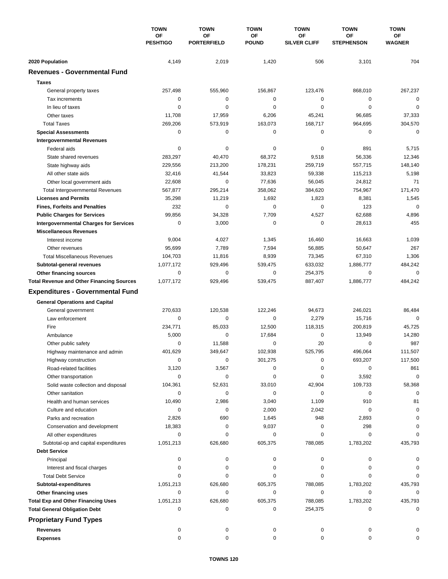|                                                       | <b>TOWN</b><br><b>OF</b><br><b>PESHTIGO</b> | <b>TOWN</b>                     | <b>TOWN</b>            | <b>TOWN</b>               | <b>TOWN</b>             | <b>TOWN</b>        |
|-------------------------------------------------------|---------------------------------------------|---------------------------------|------------------------|---------------------------|-------------------------|--------------------|
|                                                       |                                             | <b>OF</b><br><b>PORTERFIELD</b> | ΟF<br><b>POUND</b>     | ΟF<br><b>SILVER CLIFF</b> | ΟF<br><b>STEPHENSON</b> | ΟF<br>WAGNER       |
| 2020 Population                                       | 4,149                                       | 2,019                           | 1,420                  | 506                       | 3,101                   | 704                |
| <b>Revenues - Governmental Fund</b>                   |                                             |                                 |                        |                           |                         |                    |
| <b>Taxes</b>                                          |                                             |                                 |                        |                           |                         |                    |
| General property taxes                                | 257,498                                     | 555,960                         | 156,867                | 123,476                   | 868,010                 | 267,237            |
| Tax increments                                        | 0                                           | 0                               | $\mathbf 0$            | 0                         | 0                       | $\mathbf 0$        |
| In lieu of taxes                                      | 0                                           | 0                               | $\mathbf 0$            | 0                         | $\mathbf 0$             | $\mathbf 0$        |
| Other taxes                                           | 11,708                                      | 17,959                          | 6,206                  | 45,241                    | 96,685                  | 37,333             |
| <b>Total Taxes</b>                                    | 269,206                                     | 573,919                         | 163,073                | 168,717                   | 964,695                 | 304,570            |
| <b>Special Assessments</b>                            | 0                                           | 0                               | 0                      | 0                         | 0                       | $\mathbf 0$        |
| <b>Intergovernmental Revenues</b>                     |                                             |                                 |                        |                           |                         |                    |
| Federal aids                                          | 0                                           | 0                               | 0                      | 0                         | 891                     | 5,715              |
| State shared revenues                                 | 283,297                                     | 40,470                          | 68,372                 | 9,518                     | 56,336                  | 12,346             |
| State highway aids                                    | 229,556                                     | 213,200                         | 178,231                | 259,719                   | 557,715                 | 148,140            |
| All other state aids                                  | 32,416                                      | 41,544                          | 33,823                 | 59,338                    | 115,213                 | 5,198              |
| Other local government aids                           | 22,608                                      | 0                               | 77,636                 | 56,045                    | 24,812                  | 71                 |
| <b>Total Intergovernmental Revenues</b>               | 567,877                                     | 295,214                         | 358,062                | 384,620                   | 754,967                 | 171,470            |
| <b>Licenses and Permits</b>                           | 35,298                                      | 11,219                          | 1,692                  | 1,823                     | 8,381                   | 1,545              |
| <b>Fines, Forfeits and Penalties</b>                  | 232                                         | $\mathbf 0$                     | 0                      | 0                         | 123                     | $\mathbf 0$        |
| <b>Public Charges for Services</b>                    | 99,856                                      | 34,328                          | 7,709                  | 4,527                     | 62,688                  | 4,896              |
| <b>Intergovernmental Charges for Services</b>         | 0                                           | 3,000                           | 0                      | 0                         | 28,613                  | 455                |
| <b>Miscellaneous Revenues</b>                         |                                             |                                 |                        |                           |                         |                    |
| Interest income                                       | 9,004                                       | 4,027                           | 1,345                  | 16,460                    | 16,663                  | 1,039              |
| Other revenues                                        | 95,699                                      | 7,789                           | 7,594                  | 56,885                    | 50,647                  | 267                |
| <b>Total Miscellaneous Revenues</b>                   | 104,703                                     | 11,816                          | 8,939                  | 73,345                    | 67,310                  | 1,306              |
| Subtotal-general revenues                             | 1,077,172                                   | 929,496                         | 539,475                | 633,032                   | 1,886,777               | 484,242            |
| Other financing sources                               | $\mathbf 0$                                 | $\mathbf 0$                     | 0                      | 254,375                   | $\mathbf 0$             | $\mathbf 0$        |
| <b>Total Revenue and Other Financing Sources</b>      | 1,077,172                                   | 929,496                         | 539,475                | 887,407                   | 1,886,777               | 484,242            |
| <b>Expenditures - Governmental Fund</b>               |                                             |                                 |                        |                           |                         |                    |
|                                                       |                                             |                                 |                        |                           |                         |                    |
| <b>General Operations and Capital</b>                 | 270,633                                     |                                 |                        |                           |                         |                    |
| General government                                    | $\mathbf 0$                                 | 120,538<br>0                    | 122,246<br>$\mathbf 0$ | 94,673                    | 246,021                 | 86,484<br>$\Omega$ |
| Law enforcement<br>Fire                               | 234,771                                     | 85,033                          | 12,500                 | 2,279<br>118,315          | 15,716<br>200,819       | 45,725             |
| Ambulance                                             | 5,000                                       | $\mathbf 0$                     | 17,684                 | 0                         | 13,949                  | 14,280             |
|                                                       | 0                                           | 11,588                          | 0                      | 20                        | $\mathbf 0$             | 987                |
| Other public safety                                   | 401,629                                     | 349,647                         | 102,938                | 525,795                   | 496.064                 | 111,507            |
| Highway maintenance and admin<br>Highway construction | 0                                           | 0                               | 301,275                | 0                         | 693,207                 | 117,500            |
| Road-related facilities                               | 3,120                                       | 3,567                           | 0                      | 0                         | 0                       | 861                |
| Other transportation                                  | 0                                           | 0                               | 0                      | 0                         | 3,592                   | 0                  |
| Solid waste collection and disposal                   | 104,361                                     | 52,631                          | 33,010                 | 42,904                    | 109,733                 | 58,368             |
| Other sanitation                                      | 0                                           | 0                               | 0                      | 0                         | 0                       | 0                  |
| Health and human services                             | 10,490                                      | 2,986                           | 3,040                  | 1,109                     | 910                     | 81                 |
| Culture and education                                 | 0                                           | 0                               | 2,000                  | 2,042                     | 0                       | 0                  |
| Parks and recreation                                  | 2,826                                       | 690                             | 1,645                  | 948                       | 2,893                   | 0                  |
| Conservation and development                          | 18,383                                      | 0                               | 9,037                  | 0                         | 298                     |                    |
| All other expenditures                                | 0                                           | 0                               | 0                      | 0                         | 0                       |                    |
| Subtotal-op and capital expenditures                  | 1,051,213                                   | 626,680                         | 605,375                | 788,085                   | 1,783,202               | 435,793            |
| <b>Debt Service</b>                                   |                                             |                                 |                        |                           |                         |                    |
| Principal                                             | 0                                           | 0                               | 0                      | 0                         | 0                       |                    |
| Interest and fiscal charges                           | 0                                           | 0                               | 0                      | 0                         | 0                       |                    |
| <b>Total Debt Service</b>                             | $\Omega$                                    | 0                               | 0                      | 0                         | 0                       |                    |
| Subtotal-expenditures                                 | 1,051,213                                   | 626,680                         | 605,375                | 788,085                   | 1,783,202               | 435,793            |
| Other financing uses                                  | 0                                           | 0                               | 0                      | 0                         | $\mathbf 0$             | 0                  |
| <b>Total Exp and Other Financing Uses</b>             | 1,051,213                                   | 626,680                         | 605,375                | 788,085                   | 1,783,202               | 435,793            |
| <b>Total General Obligation Debt</b>                  | 0                                           | 0                               | 0                      | 254,375                   | 0                       | 0                  |
| <b>Proprietary Fund Types</b>                         |                                             |                                 |                        |                           |                         |                    |
|                                                       |                                             |                                 |                        |                           |                         |                    |
| <b>Revenues</b>                                       | 0                                           | 0                               | 0                      | 0                         | 0                       |                    |
| <b>Expenses</b>                                       | 0                                           | 0                               | 0                      | 0                         | 0                       | 0                  |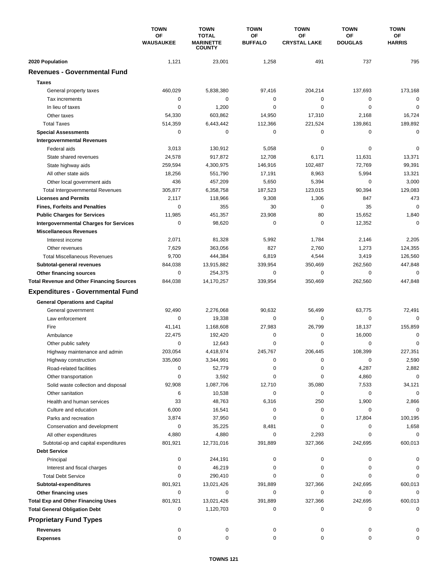|                                                  | <b>TOWN</b><br><b>OF</b><br><b>WAUSAUKEE</b> | <b>TOWN</b>                                       | <b>TOWN</b>          | <b>TOWN</b><br>OF<br><b>CRYSTAL LAKE</b> | <b>TOWN</b><br><b>OF</b><br><b>DOUGLAS</b> | <b>TOWN</b><br>OF<br><b>HARRIS</b> |
|--------------------------------------------------|----------------------------------------------|---------------------------------------------------|----------------------|------------------------------------------|--------------------------------------------|------------------------------------|
|                                                  |                                              | <b>TOTAL</b><br><b>MARINETTE</b><br><b>COUNTY</b> | OF<br><b>BUFFALO</b> |                                          |                                            |                                    |
| 2020 Population                                  | 1,121                                        | 23,001                                            | 1,258                | 491                                      | 737                                        | 795                                |
| <b>Revenues - Governmental Fund</b>              |                                              |                                                   |                      |                                          |                                            |                                    |
| <b>Taxes</b>                                     |                                              |                                                   |                      |                                          |                                            |                                    |
| General property taxes                           | 460,029                                      | 5,838,380                                         | 97,416               | 204,214                                  | 137,693                                    | 173,168                            |
| Tax increments                                   | 0                                            | 0                                                 | 0                    | 0                                        | 0                                          | 0                                  |
| In lieu of taxes                                 | 0                                            | 1,200                                             | 0                    | 0                                        | $\mathbf 0$                                | $\mathbf 0$                        |
| Other taxes                                      | 54,330                                       | 603,862                                           | 14,950               | 17,310                                   | 2,168                                      | 16,724                             |
| <b>Total Taxes</b>                               | 514,359                                      | 6,443,442                                         | 112,366              | 221,524                                  | 139,861                                    | 189,892                            |
| <b>Special Assessments</b>                       | 0                                            | 0                                                 | 0                    | 0                                        | 0                                          | 0                                  |
| <b>Intergovernmental Revenues</b>                |                                              |                                                   |                      |                                          |                                            |                                    |
| Federal aids                                     | 3,013                                        | 130,912                                           | 5,058                | 0                                        | 0                                          | $\mathbf 0$                        |
| State shared revenues                            | 24,578                                       | 917,872                                           | 12,708               | 6,171                                    | 11,631                                     | 13,371                             |
| State highway aids                               | 259,594                                      | 4,300,975                                         | 146,916              | 102,487                                  | 72,769                                     | 99,391                             |
| All other state aids                             | 18,256                                       | 551,790                                           | 17,191               | 8,963                                    | 5,994                                      | 13,321                             |
| Other local government aids                      | 436                                          | 457,209                                           | 5,650                | 5,394                                    | 0                                          | 3,000                              |
| <b>Total Intergovernmental Revenues</b>          | 305,877                                      | 6,358,758                                         | 187,523              | 123,015                                  | 90,394                                     | 129,083                            |
| <b>Licenses and Permits</b>                      | 2,117                                        | 118,966                                           | 9,308                | 1,306                                    | 847                                        | 473                                |
| <b>Fines, Forfeits and Penalties</b>             | 0                                            | 355                                               | 30                   | 0                                        | 35                                         | $\Omega$                           |
| <b>Public Charges for Services</b>               | 11,985                                       | 451,357                                           | 23,908               | 80                                       | 15,652                                     | 1,840                              |
| <b>Intergovernmental Charges for Services</b>    | 0                                            | 98,620                                            | $\mathbf 0$          | 0                                        | 12,352                                     | $\Omega$                           |
| <b>Miscellaneous Revenues</b>                    |                                              |                                                   |                      |                                          |                                            |                                    |
| Interest income                                  | 2,071                                        | 81,328                                            | 5,992                | 1,784                                    | 2,146                                      | 2,205                              |
| Other revenues                                   | 7,629                                        | 363,056                                           | 827                  | 2,760                                    | 1,273                                      | 124,355                            |
| <b>Total Miscellaneous Revenues</b>              | 9,700                                        | 444,384                                           | 6,819                | 4,544                                    | 3,419                                      | 126,560                            |
| Subtotal-general revenues                        | 844,038                                      | 13,915,882                                        | 339,954              | 350,469                                  | 262,560                                    | 447,848                            |
| Other financing sources                          | 0                                            | 254,375                                           | 0                    | 0                                        | $\mathbf 0$                                | $\mathbf 0$                        |
| <b>Total Revenue and Other Financing Sources</b> | 844,038                                      | 14,170,257                                        | 339,954              | 350,469                                  | 262,560                                    | 447,848                            |
| <b>Expenditures - Governmental Fund</b>          |                                              |                                                   |                      |                                          |                                            |                                    |
| <b>General Operations and Capital</b>            |                                              |                                                   |                      |                                          |                                            |                                    |
| General government                               | 92,490                                       | 2,276,068                                         | 90,632               | 56,499                                   | 63,775                                     | 72,491                             |
| Law enforcement                                  | 0                                            | 19,338                                            | 0                    | 0                                        | $\mathbf 0$                                | $\Omega$                           |
| Fire                                             | 41,141                                       | 1,168,608                                         | 27,983               | 26,799                                   | 18,137                                     | 155,859                            |
| Ambulance                                        | 22,475                                       | 192,420                                           | 0                    | 0                                        | 16,000                                     | 0                                  |
| Other public safety                              | 0                                            | 12,643                                            | 0                    | 0                                        | 0                                          | 0                                  |
| Highway maintenance and admin                    | 203,054                                      | 4,418,974                                         | 245,767              | 206,445                                  | 108,399                                    | 227,351                            |
| Highway construction                             | 335,060                                      | 3,344,991                                         | 0                    | 0                                        | 0                                          | 2,590                              |
| Road-related facilities                          | 0                                            | 52,779                                            | 0                    | 0                                        | 4,287                                      | 2,882                              |
| Other transportation                             | 0                                            | 3,592                                             | 0                    | 0                                        | 4,860                                      | $\mathbf 0$                        |
| Solid waste collection and disposal              | 92,908                                       | 1,087,706                                         | 12,710               | 35,080                                   | 7,533                                      | 34,121                             |
| Other sanitation                                 | 6                                            | 10,538                                            | 0                    | 0                                        | 0                                          | $\mathbf 0$                        |
| Health and human services                        | 33                                           | 48,763                                            | 6,316                | 250                                      | 1,900                                      | 2,866                              |
| Culture and education                            | 6,000                                        | 16,541                                            | 0                    | 0                                        | 0                                          | 0                                  |
| Parks and recreation                             | 3,874                                        | 37,950                                            | 0                    | 0                                        | 17,804                                     | 100,195                            |
| Conservation and development                     | 0                                            | 35,225                                            | 8,481                | 0                                        | 0                                          | 1,658                              |
| All other expenditures                           | 4,880                                        | 4,880                                             | 0                    | 2,293                                    | 0                                          | 0                                  |
| Subtotal-op and capital expenditures             | 801,921                                      | 12,731,016                                        | 391,889              | 327,366                                  | 242,695                                    | 600,013                            |
| <b>Debt Service</b>                              |                                              |                                                   |                      |                                          |                                            |                                    |
| Principal                                        | 0                                            | 244,191                                           | 0                    | 0                                        | 0                                          | 0                                  |
| Interest and fiscal charges                      | 0                                            | 46,219                                            | 0                    | 0                                        | 0                                          | 0                                  |
| <b>Total Debt Service</b>                        | 0                                            | 290,410                                           | 0                    | 0                                        | 0                                          | $\Omega$                           |
| Subtotal-expenditures                            | 801,921                                      | 13,021,426                                        | 391,889              | 327,366                                  | 242,695                                    | 600,013                            |
| Other financing uses                             | 0                                            | 0                                                 | 0                    | 0                                        | 0                                          | 0                                  |
| <b>Total Exp and Other Financing Uses</b>        | 801,921                                      | 13,021,426                                        | 391,889              | 327,366                                  | 242,695                                    | 600,013                            |
| <b>Total General Obligation Debt</b>             | 0                                            | 1,120,703                                         | 0                    | 0                                        | 0                                          | 0                                  |
| <b>Proprietary Fund Types</b>                    |                                              |                                                   |                      |                                          |                                            |                                    |
| <b>Revenues</b>                                  | 0                                            | 0                                                 | 0                    | 0                                        | 0                                          |                                    |
| <b>Expenses</b>                                  | 0                                            | 0                                                 | 0                    | $\mathbf 0$                              | 0                                          | 0                                  |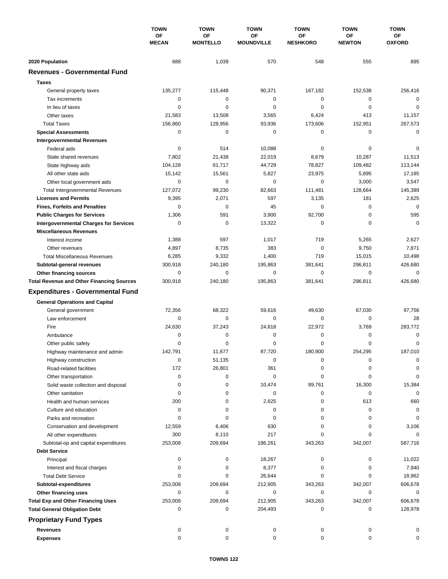|                                                                        | <b>TOWN</b><br>ΟF<br><b>MECAN</b> | <b>TOWN</b>                  | <b>TOWN</b><br><b>OF</b><br><b>MOUNDVILLE</b> | <b>TOWN</b>           | <b>TOWN</b>                | <b>TOWN</b><br>ΟF<br><b>OXFORD</b> |
|------------------------------------------------------------------------|-----------------------------------|------------------------------|-----------------------------------------------|-----------------------|----------------------------|------------------------------------|
|                                                                        |                                   | <b>OF</b><br><b>MONTELLO</b> |                                               | ΟF<br><b>NESHKORO</b> | <b>OF</b><br><b>NEWTON</b> |                                    |
| 2020 Population                                                        | 688                               | 1,039                        | 570                                           | 548                   | 555                        | 895                                |
| <b>Revenues - Governmental Fund</b>                                    |                                   |                              |                                               |                       |                            |                                    |
| <b>Taxes</b>                                                           |                                   |                              |                                               |                       |                            |                                    |
| General property taxes                                                 | 135,277                           | 115,448                      | 90,371                                        | 167,182               | 152,538                    | 256,416                            |
| Tax increments                                                         | 0                                 | 0                            | 0                                             | 0                     | 0                          | 0                                  |
| In lieu of taxes                                                       | 0                                 | 0                            | 0                                             | 0                     | 0                          | 0                                  |
| Other taxes                                                            | 21,583                            | 13,508                       | 3,565                                         | 6,424                 | 413                        | 11,157                             |
| <b>Total Taxes</b>                                                     | 156,860                           | 128,956                      | 93,936                                        | 173,606               | 152,951                    | 267,573                            |
| <b>Special Assessments</b>                                             | 0                                 | 0                            | 0                                             | 0                     | 0                          | 0                                  |
| <b>Intergovernmental Revenues</b>                                      |                                   |                              |                                               |                       |                            |                                    |
| Federal aids                                                           | 0                                 | 514                          | 10,088                                        | 0                     | 0                          | 0                                  |
| State shared revenues                                                  | 7,802                             | 21,438                       | 22,019                                        | 8,679                 | 10,287                     | 11,513                             |
|                                                                        | 104,128                           | 61,717                       | 44,729                                        | 78,827                | 109,482                    | 113,144                            |
| State highway aids<br>All other state aids                             | 15,142                            | 15,561                       | 5,827                                         | 23,975                | 5,895                      | 17,185                             |
|                                                                        | 0                                 | 0                            | $\mathbf 0$                                   | 0                     | 3,000                      | 3,547                              |
| Other local government aids                                            | 127,072                           | 99,230                       | 82,663                                        | 111,481               | 128,664                    | 145,389                            |
| <b>Total Intergovernmental Revenues</b><br><b>Licenses and Permits</b> | 9,395                             | 2,071                        | 597                                           | 3,135                 | 181                        | 2,625                              |
|                                                                        | 0                                 | $\mathbf 0$                  | 45                                            | 0                     | $\mathbf 0$                | $\Omega$                           |
| <b>Fines, Forfeits and Penalties</b>                                   |                                   |                              |                                               |                       |                            |                                    |
| <b>Public Charges for Services</b>                                     | 1,306                             | 591                          | 3,900                                         | 92,700                | 0                          | 595                                |
| <b>Intergovernmental Charges for Services</b>                          | $\mathbf 0$                       | $\mathbf 0$                  | 13,322                                        | $\mathbf 0$           | $\mathbf 0$                | $\mathbf 0$                        |
| <b>Miscellaneous Revenues</b>                                          |                                   |                              |                                               |                       |                            |                                    |
| Interest income                                                        | 1,388                             | 597                          | 1,017                                         | 719                   | 5,265                      | 2,627                              |
| Other revenues                                                         | 4,897                             | 8,735                        | 383                                           | $\mathbf 0$           | 9,750                      | 7,871                              |
| <b>Total Miscellaneous Revenues</b>                                    | 6,285                             | 9,332                        | 1,400                                         | 719                   | 15,015                     | 10,498                             |
| Subtotal-general revenues                                              | 300,918                           | 240,180                      | 195,863                                       | 381,641               | 296,811                    | 426,680                            |
| Other financing sources                                                | 0                                 | 0                            | $\mathbf 0$                                   | 0                     | $\mathbf 0$                | 0                                  |
| <b>Total Revenue and Other Financing Sources</b>                       | 300,918                           | 240,180                      | 195,863                                       | 381,641               | 296,811                    | 426,680                            |
| <b>Expenditures - Governmental Fund</b>                                |                                   |                              |                                               |                       |                            |                                    |
| <b>General Operations and Capital</b>                                  |                                   |                              |                                               |                       |                            |                                    |
| General government                                                     | 72,356                            | 68,322                       | 59,616                                        | 49,630                | 67,030                     | 97,756                             |
| Law enforcement                                                        | 0                                 | $\mathbf 0$                  | 0                                             | 0                     | 0                          | 28                                 |
| Fire                                                                   | 24,630                            | 37,243                       | 24,618                                        | 22,972                | 3,769                      | 283,772                            |
| Ambulance                                                              | 0                                 | $\mathbf 0$                  | 0                                             | 0                     | 0                          | 0                                  |
| Other public safety                                                    | 0                                 | 0                            | 0                                             | 0                     | $\mathbf 0$                | 0                                  |
| Highway maintenance and admin                                          | 142,791                           | 11,677                       | 87,720                                        | 180,900               | 254,295                    | 187,010                            |
| Highway construction                                                   | 0                                 | 51,135                       | 0                                             | 0                     | 0                          | 0                                  |
| Road-related facilities                                                | 172                               | 26,801                       | 361                                           | 0                     | 0                          | 0                                  |
| Other transportation                                                   | $\mathbf 0$                       | 0                            | 0                                             | 0                     | 0                          | 0                                  |
| Solid waste collection and disposal                                    | 0                                 | 0                            | 10,474                                        | 89,761                | 16,300                     | 15,384                             |
| Other sanitation                                                       | 0                                 | 0                            | 0                                             | 0                     | 0                          | $\mathbf 0$                        |
| Health and human services                                              | 200                               | 0                            | 2,625                                         | 0                     | 613                        | 660                                |
| Culture and education                                                  | 0                                 | 0                            | 0                                             | 0                     | 0                          | 0                                  |
| Parks and recreation                                                   | 0                                 | 0                            | 0                                             | 0                     | 0                          | 0                                  |
| Conservation and development                                           | 12,559                            | 6,406                        | 630                                           | 0                     | 0                          | 3,106                              |
| All other expenditures                                                 | 300                               | 8,110                        | 217                                           | 0                     | 0                          | $\Omega$                           |
| Subtotal-op and capital expenditures                                   | 253,008                           | 209,694                      | 186,261                                       | 343,263               | 342,007                    | 587,716                            |
| <b>Debt Service</b>                                                    |                                   |                              |                                               |                       |                            |                                    |
| Principal                                                              | 0                                 | 0                            | 18,267                                        | 0                     | 0                          | 11,022                             |
| Interest and fiscal charges                                            | 0                                 | 0                            | 8,377                                         | 0                     | 0                          | 7,940                              |
| <b>Total Debt Service</b>                                              | 0                                 | 0                            | 26,644                                        | 0                     | 0                          | 18,962                             |
| Subtotal-expenditures                                                  | 253,008                           | 209,694                      | 212,905                                       | 343,263               | 342,007                    | 606,678                            |
| Other financing uses                                                   | 0                                 | 0                            | 0                                             | 0                     | 0                          | 0                                  |
| <b>Total Exp and Other Financing Uses</b>                              | 253,008                           | 209,694                      | 212,905                                       | 343,263               | 342,007                    | 606,678                            |
| <b>Total General Obligation Debt</b>                                   | 0                                 | 0                            | 204,493                                       | 0                     | 0                          | 128,978                            |
| <b>Proprietary Fund Types</b>                                          |                                   |                              |                                               |                       |                            |                                    |
| <b>Revenues</b>                                                        | 0                                 | 0                            | 0                                             | 0                     | 0                          |                                    |
| <b>Expenses</b>                                                        | 0                                 | 0                            | 0                                             | 0                     | 0                          | 0                                  |
|                                                                        |                                   |                              |                                               |                       |                            |                                    |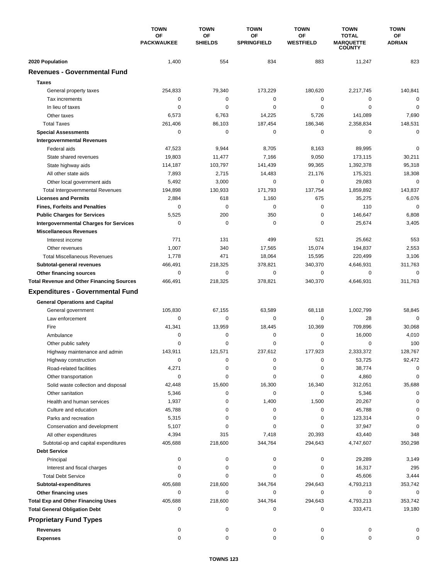|                                                  | <b>TOWN</b><br>OF<br><b>PACKWAUKEE</b> | <b>TOWN</b>          | <b>TOWN</b><br>ΟF<br><b>SPRINGFIELD</b> | <b>TOWN</b><br>ΟF<br><b>WESTFIELD</b> | <b>TOWN</b><br><b>TOTAL</b><br><b>MARQUETTE</b><br><b>COUNTY</b> | <b>TOWN</b><br>OF<br><b>ADRIAN</b> |
|--------------------------------------------------|----------------------------------------|----------------------|-----------------------------------------|---------------------------------------|------------------------------------------------------------------|------------------------------------|
|                                                  |                                        | OF<br><b>SHIELDS</b> |                                         |                                       |                                                                  |                                    |
| 2020 Population                                  | 1,400                                  | 554                  | 834                                     | 883                                   | 11,247                                                           | 823                                |
| <b>Revenues - Governmental Fund</b>              |                                        |                      |                                         |                                       |                                                                  |                                    |
| <b>Taxes</b>                                     |                                        |                      |                                         |                                       |                                                                  |                                    |
| General property taxes                           | 254,833                                | 79,340               | 173,229                                 | 180,620                               | 2,217,745                                                        | 140,841                            |
| Tax increments                                   | $\mathbf 0$                            | 0                    | 0                                       | 0                                     | 0                                                                | $\mathbf 0$                        |
| In lieu of taxes                                 | $\mathbf 0$                            | $\mathbf 0$          | 0                                       | $\mathbf 0$                           | $\mathbf 0$                                                      | $\mathbf 0$                        |
| Other taxes                                      | 6,573                                  | 6,763                | 14,225                                  | 5,726                                 | 141,089                                                          | 7,690                              |
| <b>Total Taxes</b>                               | 261,406                                | 86,103               | 187,454                                 | 186,346                               | 2,358,834                                                        | 148,531                            |
| <b>Special Assessments</b>                       | $\mathbf 0$                            | $\mathbf 0$          | 0                                       | 0                                     | 0                                                                | $\mathbf 0$                        |
| <b>Intergovernmental Revenues</b>                |                                        |                      |                                         |                                       |                                                                  |                                    |
| Federal aids                                     | 47,523                                 | 9,944                | 8,705                                   | 8,163                                 | 89,995                                                           | $\mathbf 0$                        |
| State shared revenues                            | 19,803                                 | 11,477               | 7,166                                   | 9,050                                 | 173,115                                                          | 30,211                             |
| State highway aids                               | 114,187                                | 103,797              | 141,439                                 | 99,365                                | 1,392,378                                                        | 95,318                             |
| All other state aids                             | 7,893                                  | 2,715                | 14,483                                  | 21,176                                | 175,321                                                          | 18,308                             |
| Other local government aids                      | 5,492                                  | 3,000                | $\mathbf 0$                             | $\mathbf 0$                           | 29,083                                                           | $\mathbf 0$                        |
| <b>Total Intergovernmental Revenues</b>          | 194,898                                | 130,933              | 171,793                                 | 137,754                               | 1,859,892                                                        | 143,837                            |
| <b>Licenses and Permits</b>                      | 2,884                                  | 618                  | 1,160                                   | 675                                   | 35,275                                                           | 6,076                              |
| <b>Fines, Forfeits and Penalties</b>             | 0                                      | $\Omega$             | 0                                       | $\mathbf 0$                           | 110                                                              | $\mathbf 0$                        |
| <b>Public Charges for Services</b>               | 5,525                                  | 200                  | 350                                     | $\mathbf 0$                           | 146,647                                                          | 6,808                              |
| <b>Intergovernmental Charges for Services</b>    | 0                                      | $\mathbf 0$          | 0                                       | 0                                     | 25,674                                                           | 3,405                              |
| <b>Miscellaneous Revenues</b>                    |                                        |                      |                                         |                                       |                                                                  |                                    |
| Interest income                                  | 771                                    | 131                  | 499                                     | 521                                   | 25,662                                                           | 553                                |
| Other revenues                                   | 1,007                                  | 340                  | 17,565                                  | 15,074                                | 194,837                                                          | 2,553                              |
| <b>Total Miscellaneous Revenues</b>              | 1,778                                  | 471                  | 18,064                                  | 15,595                                | 220,499                                                          | 3,106                              |
| Subtotal-general revenues                        | 466,491                                | 218,325              | 378,821                                 | 340,370                               | 4,646,931                                                        | 311,763                            |
| Other financing sources                          | $\mathbf 0$                            | $\mathbf 0$          | 0                                       | 0                                     | $\mathbf 0$                                                      | $\mathbf 0$                        |
| <b>Total Revenue and Other Financing Sources</b> | 466,491                                | 218,325              | 378,821                                 | 340,370                               | 4,646,931                                                        | 311,763                            |
| <b>Expenditures - Governmental Fund</b>          |                                        |                      |                                         |                                       |                                                                  |                                    |
| <b>General Operations and Capital</b>            |                                        |                      |                                         |                                       |                                                                  |                                    |
| General government                               | 105,830                                | 67,155               | 63,589                                  | 68,118                                | 1,002,799                                                        | 58,845                             |
| Law enforcement                                  | $\mathbf 0$                            | 0                    | 0                                       | 0                                     | 28                                                               | $\Omega$                           |
| Fire                                             | 41,341                                 | 13,959               | 18,445                                  | 10,369                                | 709.896                                                          | 30,068                             |
| Ambulance                                        | 0                                      | $\pmb{0}$            | 0                                       | 0                                     | 16,000                                                           | 4,010                              |
| Other public safety                              | $\mathbf 0$                            | $\mathbf 0$          | 0                                       | $\mathbf 0$                           | $\mathbf 0$                                                      | 100                                |
| Highway maintenance and admin                    | 143,911                                | 121.571              | 237.612                                 | 177,923                               | 2,333,372                                                        | 128,767                            |
| Highway construction                             | 0                                      | 0                    | 0                                       | 0                                     | 53,725                                                           | 92,472                             |
| Road-related facilities                          | 4,271                                  | 0                    | 0                                       | 0                                     | 38,774                                                           | 0                                  |
| Other transportation                             | 0                                      | 0                    | 0                                       | 0                                     | 4,860                                                            | 0                                  |
| Solid waste collection and disposal              | 42,448                                 | 15,600               | 16,300                                  | 16,340                                | 312,051                                                          | 35,688                             |
| Other sanitation                                 | 5,346                                  | 0                    | 0                                       | 0                                     | 5,346                                                            | 0                                  |
| Health and human services                        | 1,937                                  | 0                    | 1,400                                   | 1,500                                 | 20,267                                                           | C                                  |
| Culture and education                            | 45,788                                 | 0                    | 0                                       | 0                                     | 45,788                                                           | 0                                  |
| Parks and recreation                             | 5,315                                  | 0                    | 0                                       | 0                                     | 123,314                                                          | 0                                  |
| Conservation and development                     | 5,107                                  | 0                    | 0                                       | 0                                     | 37,947                                                           | 0                                  |
| All other expenditures                           | 4,394                                  | 315                  | 7,418                                   | 20,393                                | 43,440                                                           | 348                                |
| Subtotal-op and capital expenditures             | 405,688                                | 218,600              | 344,764                                 | 294,643                               | 4,747,607                                                        | 350,298                            |
| <b>Debt Service</b>                              |                                        |                      |                                         |                                       |                                                                  |                                    |
| Principal                                        | 0                                      | 0                    | 0                                       | 0                                     | 29,289                                                           | 3,149                              |
| Interest and fiscal charges                      | 0                                      | 0                    | 0                                       | 0                                     | 16,317                                                           | 295                                |
| <b>Total Debt Service</b>                        | 0                                      | 0                    | 0                                       | 0                                     | 45,606                                                           | 3,444                              |
| Subtotal-expenditures                            | 405,688                                | 218,600              | 344,764                                 | 294,643                               | 4,793,213                                                        | 353,742                            |
| Other financing uses                             | 0                                      | 0                    | 0                                       | 0                                     | 0                                                                | 0                                  |
| <b>Total Exp and Other Financing Uses</b>        | 405,688                                | 218,600              | 344,764                                 | 294,643                               | 4,793,213                                                        | 353,742                            |
| <b>Total General Obligation Debt</b>             | 0                                      | 0                    | 0                                       | 0                                     | 333,471                                                          | 19,180                             |
| <b>Proprietary Fund Types</b>                    |                                        |                      |                                         |                                       |                                                                  |                                    |
| <b>Revenues</b>                                  | 0                                      | 0                    | 0                                       | 0                                     | 0                                                                |                                    |
| <b>Expenses</b>                                  | $\mathbf 0$                            | 0                    | $\mathbf 0$                             | 0                                     | $\mathbf 0$                                                      | $\Omega$                           |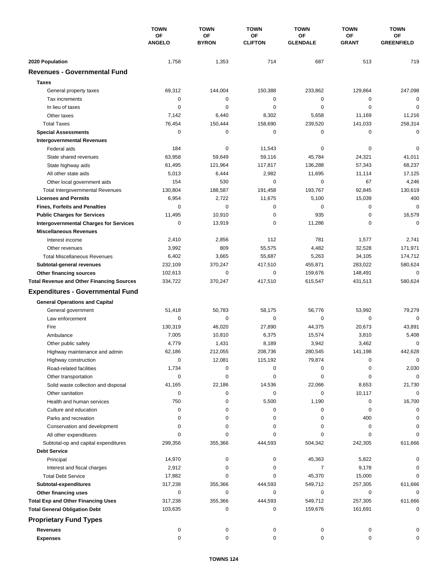|                                                  | <b>TOWN</b><br>OF<br><b>ANGELO</b> | <b>TOWN</b><br>OF<br><b>BYRON</b> | <b>TOWN</b><br>OF<br><b>CLIFTON</b> | <b>TOWN</b><br>OF<br><b>GLENDALE</b> | <b>TOWN</b><br>ΟF<br><b>GRANT</b> | <b>TOWN</b><br>ОF<br><b>GREENFIELD</b> |
|--------------------------------------------------|------------------------------------|-----------------------------------|-------------------------------------|--------------------------------------|-----------------------------------|----------------------------------------|
|                                                  |                                    |                                   |                                     |                                      |                                   |                                        |
| 2020 Population                                  | 1,758                              | 1,353                             | 714                                 | 687                                  | 513                               | 719                                    |
| <b>Revenues - Governmental Fund</b>              |                                    |                                   |                                     |                                      |                                   |                                        |
| <b>Taxes</b>                                     |                                    |                                   |                                     |                                      |                                   |                                        |
| General property taxes                           | 69,312                             | 144,004                           | 150,388                             | 233,862                              | 129,864                           | 247,098                                |
| Tax increments                                   | 0                                  | 0                                 | $\mathbf 0$                         | 0                                    | 0                                 | $\mathbf 0$                            |
| In lieu of taxes                                 | 0                                  | 0                                 | 0                                   | 0                                    | $\mathbf 0$                       | $\mathbf 0$                            |
| Other taxes                                      | 7,142                              | 6,440                             | 8,302                               | 5,658                                | 11,169                            | 11,216                                 |
| <b>Total Taxes</b>                               | 76,454                             | 150,444                           | 158,690                             | 239,520                              | 141,033                           | 258,314                                |
| <b>Special Assessments</b>                       | 0                                  | 0                                 | 0                                   | 0                                    | 0                                 | $\mathbf 0$                            |
| <b>Intergovernmental Revenues</b>                |                                    |                                   |                                     |                                      |                                   |                                        |
| Federal aids                                     | 184                                | 0                                 | 11,543                              | 0                                    | 0                                 | $\mathbf 0$                            |
| State shared revenues                            | 63,958                             | 59,649                            | 59,116                              | 45,784                               | 24,321                            | 41,011                                 |
| State highway aids                               | 61,495                             | 121,964                           | 117,817                             | 136,288                              | 57,343                            | 68,237                                 |
| All other state aids                             | 5,013                              | 6,444                             | 2,982                               | 11,695                               | 11,114                            | 17,125                                 |
| Other local government aids                      | 154                                | 530                               | 0                                   | 0                                    | 67                                | 4,246                                  |
| <b>Total Intergovernmental Revenues</b>          | 130,804                            | 188,587                           | 191,458                             | 193,767                              | 92,845                            | 130,619                                |
| <b>Licenses and Permits</b>                      | 6,954                              | 2,722                             | 11,675                              | 5,100                                | 15,039                            | 400                                    |
| <b>Fines, Forfeits and Penalties</b>             | $\Omega$                           | $\mathbf 0$                       | 0                                   | 0                                    | 0                                 | $\mathbf 0$                            |
| <b>Public Charges for Services</b>               | 11,495                             | 10,910                            | 0                                   | 935                                  | $\mathbf 0$                       | 16,579                                 |
| <b>Intergovernmental Charges for Services</b>    | 0                                  | 13,919                            | 0                                   | 11,286                               | 0                                 | $\mathbf 0$                            |
| <b>Miscellaneous Revenues</b>                    |                                    |                                   |                                     |                                      |                                   |                                        |
| Interest income                                  | 2,410                              | 2,856                             | 112                                 | 781                                  | 1,577                             | 2,741                                  |
| Other revenues                                   | 3,992                              | 809                               | 55,575                              | 4,482                                | 32,528                            | 171,971                                |
| <b>Total Miscellaneous Revenues</b>              | 6,402                              | 3,665                             | 55,687                              | 5,263                                | 34,105                            | 174,712                                |
| Subtotal-general revenues                        | 232,109                            | 370,247                           | 417,510                             | 455,871                              | 283,022                           | 580,624                                |
| Other financing sources                          | 102,613                            | $\pmb{0}$                         | 0                                   | 159,676                              | 148,491                           | $\mathbf 0$                            |
| <b>Total Revenue and Other Financing Sources</b> | 334,722                            | 370,247                           | 417,510                             | 615,547                              | 431,513                           | 580,624                                |
| <b>Expenditures - Governmental Fund</b>          |                                    |                                   |                                     |                                      |                                   |                                        |
| <b>General Operations and Capital</b>            |                                    |                                   |                                     |                                      |                                   |                                        |
| General government                               | 51,418                             | 50,783                            | 58,175                              | 56,776                               | 53,992                            | 79,279                                 |
| Law enforcement                                  | 0                                  | 0                                 | 0                                   | 0                                    | 0                                 | $\mathbf 0$                            |
| Fire                                             | 130,319                            | 46,020                            | 27,890                              | 44,375                               | 20,673                            | 43,891                                 |
| Ambulance                                        | 7,005                              | 10,810                            | 6,375                               | 15,574                               | 3,810                             | 5,408                                  |
| Other public safety                              | 4,779                              | 1,431                             | 8,189                               | 3,942                                | 3,462                             | $\mathbf 0$                            |
| Highway maintenance and admin                    | 62,186                             | 212,055                           | 208,736                             | 280,545                              | 141,198                           | 442,628                                |
| Highway construction                             | 0                                  | 12,081                            | 115,192                             | 79,874                               | 0                                 | 0                                      |
| Road-related facilities                          | 1,734                              | 0                                 | 0                                   | 0                                    | 0                                 | 2,030                                  |
| Other transportation                             | 0                                  | 0                                 | 0                                   | 0                                    | 0                                 | $\mathbf 0$                            |
| Solid waste collection and disposal              | 41,165                             | 22,186                            | 14,536                              | 22,066                               | 8,653                             | 21,730                                 |
| Other sanitation                                 | 0                                  | 0                                 | 0                                   | 0                                    | 10,117                            | $\mathbf 0$                            |
| Health and human services                        | 750                                | 0                                 | 5,500                               | 1,190                                | 0                                 | 16,700                                 |
| Culture and education                            | 0                                  | 0                                 | 0                                   | 0                                    | 0                                 | 0                                      |
| Parks and recreation                             | 0                                  | 0                                 | 0                                   | 0                                    | 400                               | 0                                      |
| Conservation and development                     | 0                                  | 0                                 | 0                                   | 0                                    | 0                                 | 0                                      |
| All other expenditures                           | 0                                  | 0                                 | 0                                   | 0                                    | 0                                 | $\Omega$                               |
| Subtotal-op and capital expenditures             | 299,356                            | 355,366                           | 444,593                             | 504,342                              | 242,305                           | 611,666                                |
| <b>Debt Service</b>                              |                                    |                                   |                                     |                                      |                                   |                                        |
| Principal                                        | 14,970                             | 0                                 | 0                                   | 45,363                               | 5,822                             | 0                                      |
| Interest and fiscal charges                      | 2,912                              | 0                                 | 0                                   | 7                                    | 9,178                             | 0                                      |
| <b>Total Debt Service</b>                        | 17,882                             | 0                                 | 0                                   | 45,370                               | 15,000                            | 0                                      |
| Subtotal-expenditures                            | 317,238<br>0                       | 355,366<br>0                      | 444,593<br>0                        | 549,712<br>0                         | 257,305<br>0                      | 611,666<br>0                           |
| Other financing uses                             |                                    |                                   |                                     |                                      |                                   |                                        |
| <b>Total Exp and Other Financing Uses</b>        | 317,238<br>103,635                 | 355,366<br>0                      | 444,593<br>0                        | 549,712<br>159,676                   | 257,305<br>161,691                | 611,666<br>$\mathbf 0$                 |
| <b>Total General Obligation Debt</b>             |                                    |                                   |                                     |                                      |                                   |                                        |
| <b>Proprietary Fund Types</b>                    |                                    |                                   |                                     |                                      |                                   |                                        |
| <b>Revenues</b>                                  | 0                                  | 0                                 | 0                                   | 0                                    | 0                                 |                                        |
| <b>Expenses</b>                                  | 0                                  | 0                                 | 0                                   | 0                                    | 0                                 | 0                                      |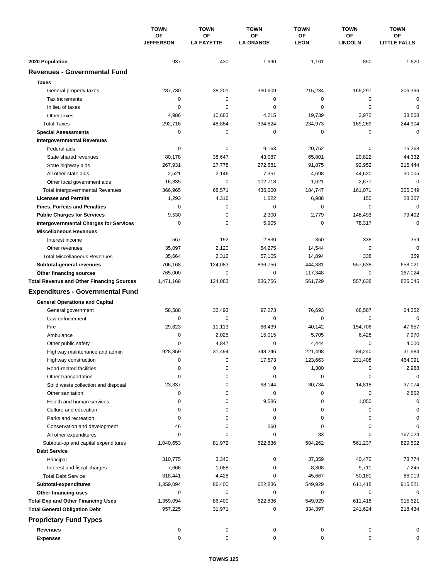| <b>OF</b><br>OF<br>ΟF<br><b>OF</b><br>ОF<br><b>JEFFERSON</b><br><b>LA FAYETTE</b><br><b>LA GRANGE</b><br><b>LEON</b><br><b>LINCOLN</b><br><b>LITTLE FALLS</b><br>937<br>430<br>1,990<br>1,161<br>850<br>1,620<br>2020 Population<br><b>Revenues - Governmental Fund</b><br><b>Taxes</b><br>287,730<br>38,201<br>330,609<br>215,234<br>165,297<br>206,396<br>General property taxes<br>$\mathbf 0$<br>$\mathbf 0$<br>$\pmb{0}$<br>$\mathbf 0$<br>Tax increments<br>0<br>0<br>$\mathbf 0$<br>$\mathbf 0$<br>0<br>$\mathbf 0$<br>$\mathbf 0$<br>$\mathbf 0$<br>In lieu of taxes<br>19,739<br>Other taxes<br>4,986<br>10,683<br>4,215<br>3,972<br>38,508<br>292,716<br>48,884<br>334,824<br>234,973<br>169,269<br>244,904<br><b>Total Taxes</b><br>$\mathbf 0$<br>0<br>$\mathbf 0$<br>0<br>0<br>0<br><b>Special Assessments</b><br><b>Intergovernmental Revenues</b><br>Federal aids<br>0<br>0<br>9,163<br>20,752<br>0<br>15,268<br>43,087<br>20,822<br>44,332<br>80,178<br>38,647<br>65,801<br>State shared revenues<br>267,931<br>27,778<br>272,681<br>91,875<br>92,952<br>215,444<br>State highway aids<br>7,351<br>4,698<br>2,521<br>2,146<br>44,620<br>30,005<br>All other state aids<br>$\mathbf 0$<br>1,621<br>2,677<br>$\mathbf 0$<br>Other local government aids<br>16,335<br>102,718<br>366,965<br>68,571<br>435,000<br>184,747<br>161,071<br>305,049<br><b>Total Intergovernmental Revenues</b><br>1,622<br>6,988<br><b>Licenses and Permits</b><br>1,293<br>4,316<br>150<br>28,307<br>$\mathbf 0$<br>0<br>$\Omega$<br>$\mathbf 0$<br>$\mathbf 0$<br>0<br><b>Fines, Forfeits and Penalties</b><br>9,530<br>$\mathbf 0$<br>2,300<br>2,779<br>148,493<br>79,402<br><b>Public Charges for Services</b><br>$\mathbf 0$<br><b>Intergovernmental Charges for Services</b><br>0<br>0<br>5,905<br>0<br>78,317<br><b>Miscellaneous Revenues</b><br>567<br>192<br>2,830<br>350<br>338<br>359<br>Interest income<br>$\mathbf 0$<br>$\mathbf 0$<br>35,097<br>2,120<br>54,275<br>14,544<br>Other revenues<br>338<br><b>Total Miscellaneous Revenues</b><br>35,664<br>2,312<br>57,105<br>14,894<br>359<br>658,021<br>706,168<br>124,083<br>836,756<br>444,381<br>557,638<br>Subtotal-general revenues<br>$\mathbf 0$<br>0<br>$\mathbf 0$<br>167,024<br>765,000<br>117,348<br>Other financing sources<br><b>Total Revenue and Other Financing Sources</b><br>124,083<br>836,756<br>561,729<br>557,638<br>825,045<br>1,471,168<br><b>Expenditures - Governmental Fund</b><br><b>General Operations and Capital</b><br>58,588<br>32,493<br>97,273<br>76,693<br>68,587<br>64,252<br>General government<br>$\Omega$<br>Law enforcement<br>0<br>$\Omega$<br>0<br>0<br>0<br>Fire<br>29,823<br>11.113<br>66,439<br>40,142<br>154.706<br>47,657<br>7,970<br>0<br>2,025<br>15,015<br>5,705<br>6,428<br>Ambulance<br>$\mathbf 0$<br>4,847<br>0<br>4,444<br>$\mathbf 0$<br>4,000<br>Other public safety<br>928,859<br>31,584<br>31,494<br>348,246<br>221.498<br>84,240<br>Highway maintenance and admin<br>0<br>0<br>123,663<br>464,091<br>Highway construction<br>17,573<br>231,408<br>0<br>0<br>1,300<br>2,988<br>Road-related facilities<br>0<br>0<br>$\mathbf 0$<br>0<br>0<br>0<br>0<br>0<br>Other transportation<br>23,337<br>0<br>68,144<br>30,734<br>14,818<br>37,074<br>Solid waste collection and disposal<br>Other sanitation<br>0<br>0<br>0<br>0<br>0<br>2,862<br>0<br>9,586<br>0<br>1,050<br>0<br>Health and human services<br>0<br>0<br>0<br>0<br>0<br>Culture and education<br>0<br>0<br>0<br>0<br>0<br>0<br>0<br>Parks and recreation<br>0<br>Conservation and development<br>0<br>560<br>0<br>46<br>0<br>0<br>167,024<br>All other expenditures<br>0<br>0<br>0<br>83<br>0<br>1,040,653<br>81,972<br>622,836<br>504,262<br>561,237<br>829,502<br>Subtotal-op and capital expenditures<br><b>Debt Service</b><br>310,775<br>37,359<br>40,470<br>78,774<br>Principal<br>3,340<br>0<br>Interest and fiscal charges<br>7,666<br>1,088<br>0<br>8,308<br>9,711<br>7,245<br>318,441<br>4,428<br>0<br>45,667<br>50,181<br>86,019<br><b>Total Debt Service</b><br>1,359,094<br>86,400<br>622,836<br>549,929<br>611,418<br>915,521<br>Subtotal-expenditures<br>0<br>0<br>0<br>0<br>0<br>0<br>Other financing uses<br><b>Total Exp and Other Financing Uses</b><br>549,929<br>1,359,094<br>86,400<br>622,836<br>611,418<br>915,521<br><b>Total General Obligation Debt</b><br>957,225<br>31,971<br>0<br>334,397<br>241,624<br>218,434<br><b>Proprietary Fund Types</b><br><b>Revenues</b><br>0<br>0<br>0<br>0<br>0<br>0<br>0<br>0<br>0<br>0<br><b>Expenses</b><br>0<br>0 |  | <b>TOWN</b><br>OF | <b>TOWN</b> | <b>TOWN</b> | <b>TOWN</b> | <b>TOWN</b> | <b>TOWN</b> |
|-----------------------------------------------------------------------------------------------------------------------------------------------------------------------------------------------------------------------------------------------------------------------------------------------------------------------------------------------------------------------------------------------------------------------------------------------------------------------------------------------------------------------------------------------------------------------------------------------------------------------------------------------------------------------------------------------------------------------------------------------------------------------------------------------------------------------------------------------------------------------------------------------------------------------------------------------------------------------------------------------------------------------------------------------------------------------------------------------------------------------------------------------------------------------------------------------------------------------------------------------------------------------------------------------------------------------------------------------------------------------------------------------------------------------------------------------------------------------------------------------------------------------------------------------------------------------------------------------------------------------------------------------------------------------------------------------------------------------------------------------------------------------------------------------------------------------------------------------------------------------------------------------------------------------------------------------------------------------------------------------------------------------------------------------------------------------------------------------------------------------------------------------------------------------------------------------------------------------------------------------------------------------------------------------------------------------------------------------------------------------------------------------------------------------------------------------------------------------------------------------------------------------------------------------------------------------------------------------------------------------------------------------------------------------------------------------------------------------------------------------------------------------------------------------------------------------------------------------------------------------------------------------------------------------------------------------------------------------------------------------------------------------------------------------------------------------------------------------------------------------------------------------------------------------------------------------------------------------------------------------------------------------------------------------------------------------------------------------------------------------------------------------------------------------------------------------------------------------------------------------------------------------------------------------------------------------------------------------------------------------------------------------------------------------------------------------------------------------------------------------------------------------------------------------------------------------------------------------------------------------------------------------------------------------------------------------------------------------------------------------------------------------------------------------------------------------------------------------------------------------------------------------------------------------------------------------------------------------------------------------------------------------------------------------------------------------------------------------------------------------------------------------------------------------------------------------------------------------------------------------------------------------------------------------------------|--|-------------------|-------------|-------------|-------------|-------------|-------------|
|                                                                                                                                                                                                                                                                                                                                                                                                                                                                                                                                                                                                                                                                                                                                                                                                                                                                                                                                                                                                                                                                                                                                                                                                                                                                                                                                                                                                                                                                                                                                                                                                                                                                                                                                                                                                                                                                                                                                                                                                                                                                                                                                                                                                                                                                                                                                                                                                                                                                                                                                                                                                                                                                                                                                                                                                                                                                                                                                                                                                                                                                                                                                                                                                                                                                                                                                                                                                                                                                                                                                                                                                                                                                                                                                                                                                                                                                                                                                                                                                                                                                                                                                                                                                                                                                                                                                                                                                                                                                                                                                                           |  |                   |             |             |             |             |             |
|                                                                                                                                                                                                                                                                                                                                                                                                                                                                                                                                                                                                                                                                                                                                                                                                                                                                                                                                                                                                                                                                                                                                                                                                                                                                                                                                                                                                                                                                                                                                                                                                                                                                                                                                                                                                                                                                                                                                                                                                                                                                                                                                                                                                                                                                                                                                                                                                                                                                                                                                                                                                                                                                                                                                                                                                                                                                                                                                                                                                                                                                                                                                                                                                                                                                                                                                                                                                                                                                                                                                                                                                                                                                                                                                                                                                                                                                                                                                                                                                                                                                                                                                                                                                                                                                                                                                                                                                                                                                                                                                                           |  |                   |             |             |             |             |             |
|                                                                                                                                                                                                                                                                                                                                                                                                                                                                                                                                                                                                                                                                                                                                                                                                                                                                                                                                                                                                                                                                                                                                                                                                                                                                                                                                                                                                                                                                                                                                                                                                                                                                                                                                                                                                                                                                                                                                                                                                                                                                                                                                                                                                                                                                                                                                                                                                                                                                                                                                                                                                                                                                                                                                                                                                                                                                                                                                                                                                                                                                                                                                                                                                                                                                                                                                                                                                                                                                                                                                                                                                                                                                                                                                                                                                                                                                                                                                                                                                                                                                                                                                                                                                                                                                                                                                                                                                                                                                                                                                                           |  |                   |             |             |             |             |             |
|                                                                                                                                                                                                                                                                                                                                                                                                                                                                                                                                                                                                                                                                                                                                                                                                                                                                                                                                                                                                                                                                                                                                                                                                                                                                                                                                                                                                                                                                                                                                                                                                                                                                                                                                                                                                                                                                                                                                                                                                                                                                                                                                                                                                                                                                                                                                                                                                                                                                                                                                                                                                                                                                                                                                                                                                                                                                                                                                                                                                                                                                                                                                                                                                                                                                                                                                                                                                                                                                                                                                                                                                                                                                                                                                                                                                                                                                                                                                                                                                                                                                                                                                                                                                                                                                                                                                                                                                                                                                                                                                                           |  |                   |             |             |             |             |             |
|                                                                                                                                                                                                                                                                                                                                                                                                                                                                                                                                                                                                                                                                                                                                                                                                                                                                                                                                                                                                                                                                                                                                                                                                                                                                                                                                                                                                                                                                                                                                                                                                                                                                                                                                                                                                                                                                                                                                                                                                                                                                                                                                                                                                                                                                                                                                                                                                                                                                                                                                                                                                                                                                                                                                                                                                                                                                                                                                                                                                                                                                                                                                                                                                                                                                                                                                                                                                                                                                                                                                                                                                                                                                                                                                                                                                                                                                                                                                                                                                                                                                                                                                                                                                                                                                                                                                                                                                                                                                                                                                                           |  |                   |             |             |             |             |             |
|                                                                                                                                                                                                                                                                                                                                                                                                                                                                                                                                                                                                                                                                                                                                                                                                                                                                                                                                                                                                                                                                                                                                                                                                                                                                                                                                                                                                                                                                                                                                                                                                                                                                                                                                                                                                                                                                                                                                                                                                                                                                                                                                                                                                                                                                                                                                                                                                                                                                                                                                                                                                                                                                                                                                                                                                                                                                                                                                                                                                                                                                                                                                                                                                                                                                                                                                                                                                                                                                                                                                                                                                                                                                                                                                                                                                                                                                                                                                                                                                                                                                                                                                                                                                                                                                                                                                                                                                                                                                                                                                                           |  |                   |             |             |             |             |             |
|                                                                                                                                                                                                                                                                                                                                                                                                                                                                                                                                                                                                                                                                                                                                                                                                                                                                                                                                                                                                                                                                                                                                                                                                                                                                                                                                                                                                                                                                                                                                                                                                                                                                                                                                                                                                                                                                                                                                                                                                                                                                                                                                                                                                                                                                                                                                                                                                                                                                                                                                                                                                                                                                                                                                                                                                                                                                                                                                                                                                                                                                                                                                                                                                                                                                                                                                                                                                                                                                                                                                                                                                                                                                                                                                                                                                                                                                                                                                                                                                                                                                                                                                                                                                                                                                                                                                                                                                                                                                                                                                                           |  |                   |             |             |             |             |             |
|                                                                                                                                                                                                                                                                                                                                                                                                                                                                                                                                                                                                                                                                                                                                                                                                                                                                                                                                                                                                                                                                                                                                                                                                                                                                                                                                                                                                                                                                                                                                                                                                                                                                                                                                                                                                                                                                                                                                                                                                                                                                                                                                                                                                                                                                                                                                                                                                                                                                                                                                                                                                                                                                                                                                                                                                                                                                                                                                                                                                                                                                                                                                                                                                                                                                                                                                                                                                                                                                                                                                                                                                                                                                                                                                                                                                                                                                                                                                                                                                                                                                                                                                                                                                                                                                                                                                                                                                                                                                                                                                                           |  |                   |             |             |             |             |             |
|                                                                                                                                                                                                                                                                                                                                                                                                                                                                                                                                                                                                                                                                                                                                                                                                                                                                                                                                                                                                                                                                                                                                                                                                                                                                                                                                                                                                                                                                                                                                                                                                                                                                                                                                                                                                                                                                                                                                                                                                                                                                                                                                                                                                                                                                                                                                                                                                                                                                                                                                                                                                                                                                                                                                                                                                                                                                                                                                                                                                                                                                                                                                                                                                                                                                                                                                                                                                                                                                                                                                                                                                                                                                                                                                                                                                                                                                                                                                                                                                                                                                                                                                                                                                                                                                                                                                                                                                                                                                                                                                                           |  |                   |             |             |             |             |             |
|                                                                                                                                                                                                                                                                                                                                                                                                                                                                                                                                                                                                                                                                                                                                                                                                                                                                                                                                                                                                                                                                                                                                                                                                                                                                                                                                                                                                                                                                                                                                                                                                                                                                                                                                                                                                                                                                                                                                                                                                                                                                                                                                                                                                                                                                                                                                                                                                                                                                                                                                                                                                                                                                                                                                                                                                                                                                                                                                                                                                                                                                                                                                                                                                                                                                                                                                                                                                                                                                                                                                                                                                                                                                                                                                                                                                                                                                                                                                                                                                                                                                                                                                                                                                                                                                                                                                                                                                                                                                                                                                                           |  |                   |             |             |             |             |             |
|                                                                                                                                                                                                                                                                                                                                                                                                                                                                                                                                                                                                                                                                                                                                                                                                                                                                                                                                                                                                                                                                                                                                                                                                                                                                                                                                                                                                                                                                                                                                                                                                                                                                                                                                                                                                                                                                                                                                                                                                                                                                                                                                                                                                                                                                                                                                                                                                                                                                                                                                                                                                                                                                                                                                                                                                                                                                                                                                                                                                                                                                                                                                                                                                                                                                                                                                                                                                                                                                                                                                                                                                                                                                                                                                                                                                                                                                                                                                                                                                                                                                                                                                                                                                                                                                                                                                                                                                                                                                                                                                                           |  |                   |             |             |             |             |             |
|                                                                                                                                                                                                                                                                                                                                                                                                                                                                                                                                                                                                                                                                                                                                                                                                                                                                                                                                                                                                                                                                                                                                                                                                                                                                                                                                                                                                                                                                                                                                                                                                                                                                                                                                                                                                                                                                                                                                                                                                                                                                                                                                                                                                                                                                                                                                                                                                                                                                                                                                                                                                                                                                                                                                                                                                                                                                                                                                                                                                                                                                                                                                                                                                                                                                                                                                                                                                                                                                                                                                                                                                                                                                                                                                                                                                                                                                                                                                                                                                                                                                                                                                                                                                                                                                                                                                                                                                                                                                                                                                                           |  |                   |             |             |             |             |             |
|                                                                                                                                                                                                                                                                                                                                                                                                                                                                                                                                                                                                                                                                                                                                                                                                                                                                                                                                                                                                                                                                                                                                                                                                                                                                                                                                                                                                                                                                                                                                                                                                                                                                                                                                                                                                                                                                                                                                                                                                                                                                                                                                                                                                                                                                                                                                                                                                                                                                                                                                                                                                                                                                                                                                                                                                                                                                                                                                                                                                                                                                                                                                                                                                                                                                                                                                                                                                                                                                                                                                                                                                                                                                                                                                                                                                                                                                                                                                                                                                                                                                                                                                                                                                                                                                                                                                                                                                                                                                                                                                                           |  |                   |             |             |             |             |             |
|                                                                                                                                                                                                                                                                                                                                                                                                                                                                                                                                                                                                                                                                                                                                                                                                                                                                                                                                                                                                                                                                                                                                                                                                                                                                                                                                                                                                                                                                                                                                                                                                                                                                                                                                                                                                                                                                                                                                                                                                                                                                                                                                                                                                                                                                                                                                                                                                                                                                                                                                                                                                                                                                                                                                                                                                                                                                                                                                                                                                                                                                                                                                                                                                                                                                                                                                                                                                                                                                                                                                                                                                                                                                                                                                                                                                                                                                                                                                                                                                                                                                                                                                                                                                                                                                                                                                                                                                                                                                                                                                                           |  |                   |             |             |             |             |             |
|                                                                                                                                                                                                                                                                                                                                                                                                                                                                                                                                                                                                                                                                                                                                                                                                                                                                                                                                                                                                                                                                                                                                                                                                                                                                                                                                                                                                                                                                                                                                                                                                                                                                                                                                                                                                                                                                                                                                                                                                                                                                                                                                                                                                                                                                                                                                                                                                                                                                                                                                                                                                                                                                                                                                                                                                                                                                                                                                                                                                                                                                                                                                                                                                                                                                                                                                                                                                                                                                                                                                                                                                                                                                                                                                                                                                                                                                                                                                                                                                                                                                                                                                                                                                                                                                                                                                                                                                                                                                                                                                                           |  |                   |             |             |             |             |             |
|                                                                                                                                                                                                                                                                                                                                                                                                                                                                                                                                                                                                                                                                                                                                                                                                                                                                                                                                                                                                                                                                                                                                                                                                                                                                                                                                                                                                                                                                                                                                                                                                                                                                                                                                                                                                                                                                                                                                                                                                                                                                                                                                                                                                                                                                                                                                                                                                                                                                                                                                                                                                                                                                                                                                                                                                                                                                                                                                                                                                                                                                                                                                                                                                                                                                                                                                                                                                                                                                                                                                                                                                                                                                                                                                                                                                                                                                                                                                                                                                                                                                                                                                                                                                                                                                                                                                                                                                                                                                                                                                                           |  |                   |             |             |             |             |             |
|                                                                                                                                                                                                                                                                                                                                                                                                                                                                                                                                                                                                                                                                                                                                                                                                                                                                                                                                                                                                                                                                                                                                                                                                                                                                                                                                                                                                                                                                                                                                                                                                                                                                                                                                                                                                                                                                                                                                                                                                                                                                                                                                                                                                                                                                                                                                                                                                                                                                                                                                                                                                                                                                                                                                                                                                                                                                                                                                                                                                                                                                                                                                                                                                                                                                                                                                                                                                                                                                                                                                                                                                                                                                                                                                                                                                                                                                                                                                                                                                                                                                                                                                                                                                                                                                                                                                                                                                                                                                                                                                                           |  |                   |             |             |             |             |             |
|                                                                                                                                                                                                                                                                                                                                                                                                                                                                                                                                                                                                                                                                                                                                                                                                                                                                                                                                                                                                                                                                                                                                                                                                                                                                                                                                                                                                                                                                                                                                                                                                                                                                                                                                                                                                                                                                                                                                                                                                                                                                                                                                                                                                                                                                                                                                                                                                                                                                                                                                                                                                                                                                                                                                                                                                                                                                                                                                                                                                                                                                                                                                                                                                                                                                                                                                                                                                                                                                                                                                                                                                                                                                                                                                                                                                                                                                                                                                                                                                                                                                                                                                                                                                                                                                                                                                                                                                                                                                                                                                                           |  |                   |             |             |             |             |             |
|                                                                                                                                                                                                                                                                                                                                                                                                                                                                                                                                                                                                                                                                                                                                                                                                                                                                                                                                                                                                                                                                                                                                                                                                                                                                                                                                                                                                                                                                                                                                                                                                                                                                                                                                                                                                                                                                                                                                                                                                                                                                                                                                                                                                                                                                                                                                                                                                                                                                                                                                                                                                                                                                                                                                                                                                                                                                                                                                                                                                                                                                                                                                                                                                                                                                                                                                                                                                                                                                                                                                                                                                                                                                                                                                                                                                                                                                                                                                                                                                                                                                                                                                                                                                                                                                                                                                                                                                                                                                                                                                                           |  |                   |             |             |             |             |             |
|                                                                                                                                                                                                                                                                                                                                                                                                                                                                                                                                                                                                                                                                                                                                                                                                                                                                                                                                                                                                                                                                                                                                                                                                                                                                                                                                                                                                                                                                                                                                                                                                                                                                                                                                                                                                                                                                                                                                                                                                                                                                                                                                                                                                                                                                                                                                                                                                                                                                                                                                                                                                                                                                                                                                                                                                                                                                                                                                                                                                                                                                                                                                                                                                                                                                                                                                                                                                                                                                                                                                                                                                                                                                                                                                                                                                                                                                                                                                                                                                                                                                                                                                                                                                                                                                                                                                                                                                                                                                                                                                                           |  |                   |             |             |             |             |             |
|                                                                                                                                                                                                                                                                                                                                                                                                                                                                                                                                                                                                                                                                                                                                                                                                                                                                                                                                                                                                                                                                                                                                                                                                                                                                                                                                                                                                                                                                                                                                                                                                                                                                                                                                                                                                                                                                                                                                                                                                                                                                                                                                                                                                                                                                                                                                                                                                                                                                                                                                                                                                                                                                                                                                                                                                                                                                                                                                                                                                                                                                                                                                                                                                                                                                                                                                                                                                                                                                                                                                                                                                                                                                                                                                                                                                                                                                                                                                                                                                                                                                                                                                                                                                                                                                                                                                                                                                                                                                                                                                                           |  |                   |             |             |             |             |             |
|                                                                                                                                                                                                                                                                                                                                                                                                                                                                                                                                                                                                                                                                                                                                                                                                                                                                                                                                                                                                                                                                                                                                                                                                                                                                                                                                                                                                                                                                                                                                                                                                                                                                                                                                                                                                                                                                                                                                                                                                                                                                                                                                                                                                                                                                                                                                                                                                                                                                                                                                                                                                                                                                                                                                                                                                                                                                                                                                                                                                                                                                                                                                                                                                                                                                                                                                                                                                                                                                                                                                                                                                                                                                                                                                                                                                                                                                                                                                                                                                                                                                                                                                                                                                                                                                                                                                                                                                                                                                                                                                                           |  |                   |             |             |             |             |             |
|                                                                                                                                                                                                                                                                                                                                                                                                                                                                                                                                                                                                                                                                                                                                                                                                                                                                                                                                                                                                                                                                                                                                                                                                                                                                                                                                                                                                                                                                                                                                                                                                                                                                                                                                                                                                                                                                                                                                                                                                                                                                                                                                                                                                                                                                                                                                                                                                                                                                                                                                                                                                                                                                                                                                                                                                                                                                                                                                                                                                                                                                                                                                                                                                                                                                                                                                                                                                                                                                                                                                                                                                                                                                                                                                                                                                                                                                                                                                                                                                                                                                                                                                                                                                                                                                                                                                                                                                                                                                                                                                                           |  |                   |             |             |             |             |             |
|                                                                                                                                                                                                                                                                                                                                                                                                                                                                                                                                                                                                                                                                                                                                                                                                                                                                                                                                                                                                                                                                                                                                                                                                                                                                                                                                                                                                                                                                                                                                                                                                                                                                                                                                                                                                                                                                                                                                                                                                                                                                                                                                                                                                                                                                                                                                                                                                                                                                                                                                                                                                                                                                                                                                                                                                                                                                                                                                                                                                                                                                                                                                                                                                                                                                                                                                                                                                                                                                                                                                                                                                                                                                                                                                                                                                                                                                                                                                                                                                                                                                                                                                                                                                                                                                                                                                                                                                                                                                                                                                                           |  |                   |             |             |             |             |             |
|                                                                                                                                                                                                                                                                                                                                                                                                                                                                                                                                                                                                                                                                                                                                                                                                                                                                                                                                                                                                                                                                                                                                                                                                                                                                                                                                                                                                                                                                                                                                                                                                                                                                                                                                                                                                                                                                                                                                                                                                                                                                                                                                                                                                                                                                                                                                                                                                                                                                                                                                                                                                                                                                                                                                                                                                                                                                                                                                                                                                                                                                                                                                                                                                                                                                                                                                                                                                                                                                                                                                                                                                                                                                                                                                                                                                                                                                                                                                                                                                                                                                                                                                                                                                                                                                                                                                                                                                                                                                                                                                                           |  |                   |             |             |             |             |             |
|                                                                                                                                                                                                                                                                                                                                                                                                                                                                                                                                                                                                                                                                                                                                                                                                                                                                                                                                                                                                                                                                                                                                                                                                                                                                                                                                                                                                                                                                                                                                                                                                                                                                                                                                                                                                                                                                                                                                                                                                                                                                                                                                                                                                                                                                                                                                                                                                                                                                                                                                                                                                                                                                                                                                                                                                                                                                                                                                                                                                                                                                                                                                                                                                                                                                                                                                                                                                                                                                                                                                                                                                                                                                                                                                                                                                                                                                                                                                                                                                                                                                                                                                                                                                                                                                                                                                                                                                                                                                                                                                                           |  |                   |             |             |             |             |             |
|                                                                                                                                                                                                                                                                                                                                                                                                                                                                                                                                                                                                                                                                                                                                                                                                                                                                                                                                                                                                                                                                                                                                                                                                                                                                                                                                                                                                                                                                                                                                                                                                                                                                                                                                                                                                                                                                                                                                                                                                                                                                                                                                                                                                                                                                                                                                                                                                                                                                                                                                                                                                                                                                                                                                                                                                                                                                                                                                                                                                                                                                                                                                                                                                                                                                                                                                                                                                                                                                                                                                                                                                                                                                                                                                                                                                                                                                                                                                                                                                                                                                                                                                                                                                                                                                                                                                                                                                                                                                                                                                                           |  |                   |             |             |             |             |             |
|                                                                                                                                                                                                                                                                                                                                                                                                                                                                                                                                                                                                                                                                                                                                                                                                                                                                                                                                                                                                                                                                                                                                                                                                                                                                                                                                                                                                                                                                                                                                                                                                                                                                                                                                                                                                                                                                                                                                                                                                                                                                                                                                                                                                                                                                                                                                                                                                                                                                                                                                                                                                                                                                                                                                                                                                                                                                                                                                                                                                                                                                                                                                                                                                                                                                                                                                                                                                                                                                                                                                                                                                                                                                                                                                                                                                                                                                                                                                                                                                                                                                                                                                                                                                                                                                                                                                                                                                                                                                                                                                                           |  |                   |             |             |             |             |             |
|                                                                                                                                                                                                                                                                                                                                                                                                                                                                                                                                                                                                                                                                                                                                                                                                                                                                                                                                                                                                                                                                                                                                                                                                                                                                                                                                                                                                                                                                                                                                                                                                                                                                                                                                                                                                                                                                                                                                                                                                                                                                                                                                                                                                                                                                                                                                                                                                                                                                                                                                                                                                                                                                                                                                                                                                                                                                                                                                                                                                                                                                                                                                                                                                                                                                                                                                                                                                                                                                                                                                                                                                                                                                                                                                                                                                                                                                                                                                                                                                                                                                                                                                                                                                                                                                                                                                                                                                                                                                                                                                                           |  |                   |             |             |             |             |             |
|                                                                                                                                                                                                                                                                                                                                                                                                                                                                                                                                                                                                                                                                                                                                                                                                                                                                                                                                                                                                                                                                                                                                                                                                                                                                                                                                                                                                                                                                                                                                                                                                                                                                                                                                                                                                                                                                                                                                                                                                                                                                                                                                                                                                                                                                                                                                                                                                                                                                                                                                                                                                                                                                                                                                                                                                                                                                                                                                                                                                                                                                                                                                                                                                                                                                                                                                                                                                                                                                                                                                                                                                                                                                                                                                                                                                                                                                                                                                                                                                                                                                                                                                                                                                                                                                                                                                                                                                                                                                                                                                                           |  |                   |             |             |             |             |             |
|                                                                                                                                                                                                                                                                                                                                                                                                                                                                                                                                                                                                                                                                                                                                                                                                                                                                                                                                                                                                                                                                                                                                                                                                                                                                                                                                                                                                                                                                                                                                                                                                                                                                                                                                                                                                                                                                                                                                                                                                                                                                                                                                                                                                                                                                                                                                                                                                                                                                                                                                                                                                                                                                                                                                                                                                                                                                                                                                                                                                                                                                                                                                                                                                                                                                                                                                                                                                                                                                                                                                                                                                                                                                                                                                                                                                                                                                                                                                                                                                                                                                                                                                                                                                                                                                                                                                                                                                                                                                                                                                                           |  |                   |             |             |             |             |             |
|                                                                                                                                                                                                                                                                                                                                                                                                                                                                                                                                                                                                                                                                                                                                                                                                                                                                                                                                                                                                                                                                                                                                                                                                                                                                                                                                                                                                                                                                                                                                                                                                                                                                                                                                                                                                                                                                                                                                                                                                                                                                                                                                                                                                                                                                                                                                                                                                                                                                                                                                                                                                                                                                                                                                                                                                                                                                                                                                                                                                                                                                                                                                                                                                                                                                                                                                                                                                                                                                                                                                                                                                                                                                                                                                                                                                                                                                                                                                                                                                                                                                                                                                                                                                                                                                                                                                                                                                                                                                                                                                                           |  |                   |             |             |             |             |             |
|                                                                                                                                                                                                                                                                                                                                                                                                                                                                                                                                                                                                                                                                                                                                                                                                                                                                                                                                                                                                                                                                                                                                                                                                                                                                                                                                                                                                                                                                                                                                                                                                                                                                                                                                                                                                                                                                                                                                                                                                                                                                                                                                                                                                                                                                                                                                                                                                                                                                                                                                                                                                                                                                                                                                                                                                                                                                                                                                                                                                                                                                                                                                                                                                                                                                                                                                                                                                                                                                                                                                                                                                                                                                                                                                                                                                                                                                                                                                                                                                                                                                                                                                                                                                                                                                                                                                                                                                                                                                                                                                                           |  |                   |             |             |             |             |             |
|                                                                                                                                                                                                                                                                                                                                                                                                                                                                                                                                                                                                                                                                                                                                                                                                                                                                                                                                                                                                                                                                                                                                                                                                                                                                                                                                                                                                                                                                                                                                                                                                                                                                                                                                                                                                                                                                                                                                                                                                                                                                                                                                                                                                                                                                                                                                                                                                                                                                                                                                                                                                                                                                                                                                                                                                                                                                                                                                                                                                                                                                                                                                                                                                                                                                                                                                                                                                                                                                                                                                                                                                                                                                                                                                                                                                                                                                                                                                                                                                                                                                                                                                                                                                                                                                                                                                                                                                                                                                                                                                                           |  |                   |             |             |             |             |             |
|                                                                                                                                                                                                                                                                                                                                                                                                                                                                                                                                                                                                                                                                                                                                                                                                                                                                                                                                                                                                                                                                                                                                                                                                                                                                                                                                                                                                                                                                                                                                                                                                                                                                                                                                                                                                                                                                                                                                                                                                                                                                                                                                                                                                                                                                                                                                                                                                                                                                                                                                                                                                                                                                                                                                                                                                                                                                                                                                                                                                                                                                                                                                                                                                                                                                                                                                                                                                                                                                                                                                                                                                                                                                                                                                                                                                                                                                                                                                                                                                                                                                                                                                                                                                                                                                                                                                                                                                                                                                                                                                                           |  |                   |             |             |             |             |             |
|                                                                                                                                                                                                                                                                                                                                                                                                                                                                                                                                                                                                                                                                                                                                                                                                                                                                                                                                                                                                                                                                                                                                                                                                                                                                                                                                                                                                                                                                                                                                                                                                                                                                                                                                                                                                                                                                                                                                                                                                                                                                                                                                                                                                                                                                                                                                                                                                                                                                                                                                                                                                                                                                                                                                                                                                                                                                                                                                                                                                                                                                                                                                                                                                                                                                                                                                                                                                                                                                                                                                                                                                                                                                                                                                                                                                                                                                                                                                                                                                                                                                                                                                                                                                                                                                                                                                                                                                                                                                                                                                                           |  |                   |             |             |             |             |             |
|                                                                                                                                                                                                                                                                                                                                                                                                                                                                                                                                                                                                                                                                                                                                                                                                                                                                                                                                                                                                                                                                                                                                                                                                                                                                                                                                                                                                                                                                                                                                                                                                                                                                                                                                                                                                                                                                                                                                                                                                                                                                                                                                                                                                                                                                                                                                                                                                                                                                                                                                                                                                                                                                                                                                                                                                                                                                                                                                                                                                                                                                                                                                                                                                                                                                                                                                                                                                                                                                                                                                                                                                                                                                                                                                                                                                                                                                                                                                                                                                                                                                                                                                                                                                                                                                                                                                                                                                                                                                                                                                                           |  |                   |             |             |             |             |             |
|                                                                                                                                                                                                                                                                                                                                                                                                                                                                                                                                                                                                                                                                                                                                                                                                                                                                                                                                                                                                                                                                                                                                                                                                                                                                                                                                                                                                                                                                                                                                                                                                                                                                                                                                                                                                                                                                                                                                                                                                                                                                                                                                                                                                                                                                                                                                                                                                                                                                                                                                                                                                                                                                                                                                                                                                                                                                                                                                                                                                                                                                                                                                                                                                                                                                                                                                                                                                                                                                                                                                                                                                                                                                                                                                                                                                                                                                                                                                                                                                                                                                                                                                                                                                                                                                                                                                                                                                                                                                                                                                                           |  |                   |             |             |             |             |             |
|                                                                                                                                                                                                                                                                                                                                                                                                                                                                                                                                                                                                                                                                                                                                                                                                                                                                                                                                                                                                                                                                                                                                                                                                                                                                                                                                                                                                                                                                                                                                                                                                                                                                                                                                                                                                                                                                                                                                                                                                                                                                                                                                                                                                                                                                                                                                                                                                                                                                                                                                                                                                                                                                                                                                                                                                                                                                                                                                                                                                                                                                                                                                                                                                                                                                                                                                                                                                                                                                                                                                                                                                                                                                                                                                                                                                                                                                                                                                                                                                                                                                                                                                                                                                                                                                                                                                                                                                                                                                                                                                                           |  |                   |             |             |             |             |             |
|                                                                                                                                                                                                                                                                                                                                                                                                                                                                                                                                                                                                                                                                                                                                                                                                                                                                                                                                                                                                                                                                                                                                                                                                                                                                                                                                                                                                                                                                                                                                                                                                                                                                                                                                                                                                                                                                                                                                                                                                                                                                                                                                                                                                                                                                                                                                                                                                                                                                                                                                                                                                                                                                                                                                                                                                                                                                                                                                                                                                                                                                                                                                                                                                                                                                                                                                                                                                                                                                                                                                                                                                                                                                                                                                                                                                                                                                                                                                                                                                                                                                                                                                                                                                                                                                                                                                                                                                                                                                                                                                                           |  |                   |             |             |             |             |             |
|                                                                                                                                                                                                                                                                                                                                                                                                                                                                                                                                                                                                                                                                                                                                                                                                                                                                                                                                                                                                                                                                                                                                                                                                                                                                                                                                                                                                                                                                                                                                                                                                                                                                                                                                                                                                                                                                                                                                                                                                                                                                                                                                                                                                                                                                                                                                                                                                                                                                                                                                                                                                                                                                                                                                                                                                                                                                                                                                                                                                                                                                                                                                                                                                                                                                                                                                                                                                                                                                                                                                                                                                                                                                                                                                                                                                                                                                                                                                                                                                                                                                                                                                                                                                                                                                                                                                                                                                                                                                                                                                                           |  |                   |             |             |             |             |             |
|                                                                                                                                                                                                                                                                                                                                                                                                                                                                                                                                                                                                                                                                                                                                                                                                                                                                                                                                                                                                                                                                                                                                                                                                                                                                                                                                                                                                                                                                                                                                                                                                                                                                                                                                                                                                                                                                                                                                                                                                                                                                                                                                                                                                                                                                                                                                                                                                                                                                                                                                                                                                                                                                                                                                                                                                                                                                                                                                                                                                                                                                                                                                                                                                                                                                                                                                                                                                                                                                                                                                                                                                                                                                                                                                                                                                                                                                                                                                                                                                                                                                                                                                                                                                                                                                                                                                                                                                                                                                                                                                                           |  |                   |             |             |             |             |             |
|                                                                                                                                                                                                                                                                                                                                                                                                                                                                                                                                                                                                                                                                                                                                                                                                                                                                                                                                                                                                                                                                                                                                                                                                                                                                                                                                                                                                                                                                                                                                                                                                                                                                                                                                                                                                                                                                                                                                                                                                                                                                                                                                                                                                                                                                                                                                                                                                                                                                                                                                                                                                                                                                                                                                                                                                                                                                                                                                                                                                                                                                                                                                                                                                                                                                                                                                                                                                                                                                                                                                                                                                                                                                                                                                                                                                                                                                                                                                                                                                                                                                                                                                                                                                                                                                                                                                                                                                                                                                                                                                                           |  |                   |             |             |             |             |             |
|                                                                                                                                                                                                                                                                                                                                                                                                                                                                                                                                                                                                                                                                                                                                                                                                                                                                                                                                                                                                                                                                                                                                                                                                                                                                                                                                                                                                                                                                                                                                                                                                                                                                                                                                                                                                                                                                                                                                                                                                                                                                                                                                                                                                                                                                                                                                                                                                                                                                                                                                                                                                                                                                                                                                                                                                                                                                                                                                                                                                                                                                                                                                                                                                                                                                                                                                                                                                                                                                                                                                                                                                                                                                                                                                                                                                                                                                                                                                                                                                                                                                                                                                                                                                                                                                                                                                                                                                                                                                                                                                                           |  |                   |             |             |             |             |             |
|                                                                                                                                                                                                                                                                                                                                                                                                                                                                                                                                                                                                                                                                                                                                                                                                                                                                                                                                                                                                                                                                                                                                                                                                                                                                                                                                                                                                                                                                                                                                                                                                                                                                                                                                                                                                                                                                                                                                                                                                                                                                                                                                                                                                                                                                                                                                                                                                                                                                                                                                                                                                                                                                                                                                                                                                                                                                                                                                                                                                                                                                                                                                                                                                                                                                                                                                                                                                                                                                                                                                                                                                                                                                                                                                                                                                                                                                                                                                                                                                                                                                                                                                                                                                                                                                                                                                                                                                                                                                                                                                                           |  |                   |             |             |             |             |             |
|                                                                                                                                                                                                                                                                                                                                                                                                                                                                                                                                                                                                                                                                                                                                                                                                                                                                                                                                                                                                                                                                                                                                                                                                                                                                                                                                                                                                                                                                                                                                                                                                                                                                                                                                                                                                                                                                                                                                                                                                                                                                                                                                                                                                                                                                                                                                                                                                                                                                                                                                                                                                                                                                                                                                                                                                                                                                                                                                                                                                                                                                                                                                                                                                                                                                                                                                                                                                                                                                                                                                                                                                                                                                                                                                                                                                                                                                                                                                                                                                                                                                                                                                                                                                                                                                                                                                                                                                                                                                                                                                                           |  |                   |             |             |             |             |             |
|                                                                                                                                                                                                                                                                                                                                                                                                                                                                                                                                                                                                                                                                                                                                                                                                                                                                                                                                                                                                                                                                                                                                                                                                                                                                                                                                                                                                                                                                                                                                                                                                                                                                                                                                                                                                                                                                                                                                                                                                                                                                                                                                                                                                                                                                                                                                                                                                                                                                                                                                                                                                                                                                                                                                                                                                                                                                                                                                                                                                                                                                                                                                                                                                                                                                                                                                                                                                                                                                                                                                                                                                                                                                                                                                                                                                                                                                                                                                                                                                                                                                                                                                                                                                                                                                                                                                                                                                                                                                                                                                                           |  |                   |             |             |             |             |             |
|                                                                                                                                                                                                                                                                                                                                                                                                                                                                                                                                                                                                                                                                                                                                                                                                                                                                                                                                                                                                                                                                                                                                                                                                                                                                                                                                                                                                                                                                                                                                                                                                                                                                                                                                                                                                                                                                                                                                                                                                                                                                                                                                                                                                                                                                                                                                                                                                                                                                                                                                                                                                                                                                                                                                                                                                                                                                                                                                                                                                                                                                                                                                                                                                                                                                                                                                                                                                                                                                                                                                                                                                                                                                                                                                                                                                                                                                                                                                                                                                                                                                                                                                                                                                                                                                                                                                                                                                                                                                                                                                                           |  |                   |             |             |             |             |             |
|                                                                                                                                                                                                                                                                                                                                                                                                                                                                                                                                                                                                                                                                                                                                                                                                                                                                                                                                                                                                                                                                                                                                                                                                                                                                                                                                                                                                                                                                                                                                                                                                                                                                                                                                                                                                                                                                                                                                                                                                                                                                                                                                                                                                                                                                                                                                                                                                                                                                                                                                                                                                                                                                                                                                                                                                                                                                                                                                                                                                                                                                                                                                                                                                                                                                                                                                                                                                                                                                                                                                                                                                                                                                                                                                                                                                                                                                                                                                                                                                                                                                                                                                                                                                                                                                                                                                                                                                                                                                                                                                                           |  |                   |             |             |             |             |             |
|                                                                                                                                                                                                                                                                                                                                                                                                                                                                                                                                                                                                                                                                                                                                                                                                                                                                                                                                                                                                                                                                                                                                                                                                                                                                                                                                                                                                                                                                                                                                                                                                                                                                                                                                                                                                                                                                                                                                                                                                                                                                                                                                                                                                                                                                                                                                                                                                                                                                                                                                                                                                                                                                                                                                                                                                                                                                                                                                                                                                                                                                                                                                                                                                                                                                                                                                                                                                                                                                                                                                                                                                                                                                                                                                                                                                                                                                                                                                                                                                                                                                                                                                                                                                                                                                                                                                                                                                                                                                                                                                                           |  |                   |             |             |             |             |             |
|                                                                                                                                                                                                                                                                                                                                                                                                                                                                                                                                                                                                                                                                                                                                                                                                                                                                                                                                                                                                                                                                                                                                                                                                                                                                                                                                                                                                                                                                                                                                                                                                                                                                                                                                                                                                                                                                                                                                                                                                                                                                                                                                                                                                                                                                                                                                                                                                                                                                                                                                                                                                                                                                                                                                                                                                                                                                                                                                                                                                                                                                                                                                                                                                                                                                                                                                                                                                                                                                                                                                                                                                                                                                                                                                                                                                                                                                                                                                                                                                                                                                                                                                                                                                                                                                                                                                                                                                                                                                                                                                                           |  |                   |             |             |             |             |             |
|                                                                                                                                                                                                                                                                                                                                                                                                                                                                                                                                                                                                                                                                                                                                                                                                                                                                                                                                                                                                                                                                                                                                                                                                                                                                                                                                                                                                                                                                                                                                                                                                                                                                                                                                                                                                                                                                                                                                                                                                                                                                                                                                                                                                                                                                                                                                                                                                                                                                                                                                                                                                                                                                                                                                                                                                                                                                                                                                                                                                                                                                                                                                                                                                                                                                                                                                                                                                                                                                                                                                                                                                                                                                                                                                                                                                                                                                                                                                                                                                                                                                                                                                                                                                                                                                                                                                                                                                                                                                                                                                                           |  |                   |             |             |             |             |             |
|                                                                                                                                                                                                                                                                                                                                                                                                                                                                                                                                                                                                                                                                                                                                                                                                                                                                                                                                                                                                                                                                                                                                                                                                                                                                                                                                                                                                                                                                                                                                                                                                                                                                                                                                                                                                                                                                                                                                                                                                                                                                                                                                                                                                                                                                                                                                                                                                                                                                                                                                                                                                                                                                                                                                                                                                                                                                                                                                                                                                                                                                                                                                                                                                                                                                                                                                                                                                                                                                                                                                                                                                                                                                                                                                                                                                                                                                                                                                                                                                                                                                                                                                                                                                                                                                                                                                                                                                                                                                                                                                                           |  |                   |             |             |             |             |             |
|                                                                                                                                                                                                                                                                                                                                                                                                                                                                                                                                                                                                                                                                                                                                                                                                                                                                                                                                                                                                                                                                                                                                                                                                                                                                                                                                                                                                                                                                                                                                                                                                                                                                                                                                                                                                                                                                                                                                                                                                                                                                                                                                                                                                                                                                                                                                                                                                                                                                                                                                                                                                                                                                                                                                                                                                                                                                                                                                                                                                                                                                                                                                                                                                                                                                                                                                                                                                                                                                                                                                                                                                                                                                                                                                                                                                                                                                                                                                                                                                                                                                                                                                                                                                                                                                                                                                                                                                                                                                                                                                                           |  |                   |             |             |             |             |             |
|                                                                                                                                                                                                                                                                                                                                                                                                                                                                                                                                                                                                                                                                                                                                                                                                                                                                                                                                                                                                                                                                                                                                                                                                                                                                                                                                                                                                                                                                                                                                                                                                                                                                                                                                                                                                                                                                                                                                                                                                                                                                                                                                                                                                                                                                                                                                                                                                                                                                                                                                                                                                                                                                                                                                                                                                                                                                                                                                                                                                                                                                                                                                                                                                                                                                                                                                                                                                                                                                                                                                                                                                                                                                                                                                                                                                                                                                                                                                                                                                                                                                                                                                                                                                                                                                                                                                                                                                                                                                                                                                                           |  |                   |             |             |             |             |             |
|                                                                                                                                                                                                                                                                                                                                                                                                                                                                                                                                                                                                                                                                                                                                                                                                                                                                                                                                                                                                                                                                                                                                                                                                                                                                                                                                                                                                                                                                                                                                                                                                                                                                                                                                                                                                                                                                                                                                                                                                                                                                                                                                                                                                                                                                                                                                                                                                                                                                                                                                                                                                                                                                                                                                                                                                                                                                                                                                                                                                                                                                                                                                                                                                                                                                                                                                                                                                                                                                                                                                                                                                                                                                                                                                                                                                                                                                                                                                                                                                                                                                                                                                                                                                                                                                                                                                                                                                                                                                                                                                                           |  |                   |             |             |             |             |             |
|                                                                                                                                                                                                                                                                                                                                                                                                                                                                                                                                                                                                                                                                                                                                                                                                                                                                                                                                                                                                                                                                                                                                                                                                                                                                                                                                                                                                                                                                                                                                                                                                                                                                                                                                                                                                                                                                                                                                                                                                                                                                                                                                                                                                                                                                                                                                                                                                                                                                                                                                                                                                                                                                                                                                                                                                                                                                                                                                                                                                                                                                                                                                                                                                                                                                                                                                                                                                                                                                                                                                                                                                                                                                                                                                                                                                                                                                                                                                                                                                                                                                                                                                                                                                                                                                                                                                                                                                                                                                                                                                                           |  |                   |             |             |             |             |             |
|                                                                                                                                                                                                                                                                                                                                                                                                                                                                                                                                                                                                                                                                                                                                                                                                                                                                                                                                                                                                                                                                                                                                                                                                                                                                                                                                                                                                                                                                                                                                                                                                                                                                                                                                                                                                                                                                                                                                                                                                                                                                                                                                                                                                                                                                                                                                                                                                                                                                                                                                                                                                                                                                                                                                                                                                                                                                                                                                                                                                                                                                                                                                                                                                                                                                                                                                                                                                                                                                                                                                                                                                                                                                                                                                                                                                                                                                                                                                                                                                                                                                                                                                                                                                                                                                                                                                                                                                                                                                                                                                                           |  |                   |             |             |             |             |             |
|                                                                                                                                                                                                                                                                                                                                                                                                                                                                                                                                                                                                                                                                                                                                                                                                                                                                                                                                                                                                                                                                                                                                                                                                                                                                                                                                                                                                                                                                                                                                                                                                                                                                                                                                                                                                                                                                                                                                                                                                                                                                                                                                                                                                                                                                                                                                                                                                                                                                                                                                                                                                                                                                                                                                                                                                                                                                                                                                                                                                                                                                                                                                                                                                                                                                                                                                                                                                                                                                                                                                                                                                                                                                                                                                                                                                                                                                                                                                                                                                                                                                                                                                                                                                                                                                                                                                                                                                                                                                                                                                                           |  |                   |             |             |             |             |             |
|                                                                                                                                                                                                                                                                                                                                                                                                                                                                                                                                                                                                                                                                                                                                                                                                                                                                                                                                                                                                                                                                                                                                                                                                                                                                                                                                                                                                                                                                                                                                                                                                                                                                                                                                                                                                                                                                                                                                                                                                                                                                                                                                                                                                                                                                                                                                                                                                                                                                                                                                                                                                                                                                                                                                                                                                                                                                                                                                                                                                                                                                                                                                                                                                                                                                                                                                                                                                                                                                                                                                                                                                                                                                                                                                                                                                                                                                                                                                                                                                                                                                                                                                                                                                                                                                                                                                                                                                                                                                                                                                                           |  |                   |             |             |             |             |             |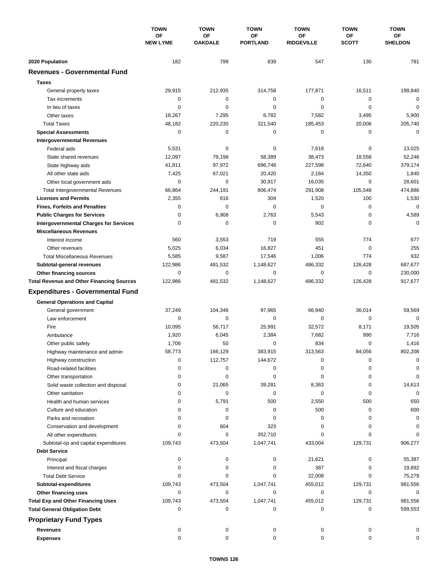|                                                          | <b>TOWN</b><br><b>OF</b><br><b>NEW LYME</b> | <b>TOWN</b>                 | <b>TOWN</b>           | <b>TOWN</b>             | <b>TOWN</b>        | <b>TOWN</b>          |
|----------------------------------------------------------|---------------------------------------------|-----------------------------|-----------------------|-------------------------|--------------------|----------------------|
|                                                          |                                             | <b>OF</b><br><b>OAKDALE</b> | ΟF<br><b>PORTLAND</b> | ΟF<br><b>RIDGEVILLE</b> | ΟF<br><b>SCOTT</b> | ОF<br><b>SHELDON</b> |
| 2020 Population                                          | 182                                         | 799                         | 839                   | 547                     | 130                | 781                  |
| <b>Revenues - Governmental Fund</b>                      |                                             |                             |                       |                         |                    |                      |
| <b>Taxes</b>                                             |                                             |                             |                       |                         |                    |                      |
| General property taxes                                   | 29,915                                      | 212,935                     | 314,758               | 177,871                 | 16,511             | 199,840              |
| Tax increments                                           | 0                                           | $\mathbf 0$                 | $\pmb{0}$             | 0                       | 0                  | $\mathbf 0$          |
| In lieu of taxes                                         | 0                                           | 0                           | $\mathbf 0$           | $\mathbf 0$             | $\mathbf 0$        | $\mathbf 0$          |
| Other taxes                                              | 18,267                                      | 7,295                       | 6,782                 | 7,582                   | 3,495              | 5,900                |
| <b>Total Taxes</b>                                       | 48,182                                      | 220,230                     | 321,540               | 185,453                 | 20,006             | 205,740              |
| <b>Special Assessments</b>                               | 0                                           | $\mathbf 0$                 | 0                     | 0                       | 0                  | 0                    |
| <b>Intergovernmental Revenues</b>                        |                                             |                             |                       |                         |                    |                      |
| Federal aids                                             | 5,531                                       | 0                           | 0                     | 7,618                   | 0                  | 13,025               |
| State shared revenues                                    | 12,097                                      | 79,198                      | 58,389                | 38,473                  | 18,558             | 52,246               |
| State highway aids                                       | 41,811                                      | 97,972                      | 696,748               | 227,598                 | 72,640             | 379,174              |
| All other state aids                                     | 7,425                                       | 67,021                      | 20,420                | 2,184                   | 14,350             | 1,840                |
| Other local government aids                              | 0                                           | $\mathbf 0$                 | 30,917                | 16,035                  | $\mathbf 0$        | 28,601               |
| <b>Total Intergovernmental Revenues</b>                  | 66,864                                      | 244,191                     | 806,474               | 291,908                 | 105,548            | 474,886              |
| <b>Licenses and Permits</b>                              | 2,355                                       | 616                         | 304                   | 1,520                   | 100                | 1,530                |
| <b>Fines, Forfeits and Penalties</b>                     | 0                                           | $\Omega$                    | $\Omega$              | 0                       | $\mathbf 0$        | $\mathbf 0$          |
| <b>Public Charges for Services</b>                       | 0                                           | 6,908                       | 2,763                 | 5,543                   | $\mathbf 0$        | 4,589                |
| <b>Intergovernmental Charges for Services</b>            | 0                                           | 0                           | $\mathbf 0$           | 902                     | 0                  | $\mathbf 0$          |
| <b>Miscellaneous Revenues</b>                            |                                             |                             |                       |                         |                    |                      |
| Interest income                                          | 560                                         | 3,553                       | 719                   | 555                     | 774                | 677                  |
| Other revenues                                           | 5,025                                       | 6,034                       | 16,827                | 451                     | $\mathbf 0$        | 255                  |
| <b>Total Miscellaneous Revenues</b>                      | 5,585                                       | 9,587                       | 17,546                | 1,006                   | 774                | 932                  |
| Subtotal-general revenues                                | 122,986                                     | 481,532                     | 1,148,627             | 486,332                 | 126,428            | 687,677              |
| Other financing sources                                  | $\mathbf 0$                                 | $\mathbf 0$                 | $\mathbf 0$           | 0                       | $\mathbf 0$        | 230,000              |
| <b>Total Revenue and Other Financing Sources</b>         | 122,986                                     | 481,532                     | 1,148,627             | 486,332                 | 126,428            | 917,677              |
| <b>Expenditures - Governmental Fund</b>                  |                                             |                             |                       |                         |                    |                      |
| <b>General Operations and Capital</b>                    |                                             |                             |                       |                         |                    |                      |
| General government                                       | 37,249                                      | 104,346                     | 97,965                | 66,940                  | 36,014             | 59,569               |
| Law enforcement                                          | 0                                           | 0                           | 0                     | 0                       | 0                  | $\mathbf 0$          |
| Fire                                                     | 10,095                                      | 56,717                      | 25,991                | 32,572                  | 8,171              | 19,505               |
| Ambulance                                                | 1,920                                       | 6,045                       | 2,384                 | 7,682                   | 990                | 7,716                |
| Other public safety                                      | 1,706                                       | 50                          | 0                     | 834                     | $\mathbf 0$        | 1,416                |
| Highway maintenance and admin                            | 58.773                                      | 166,129                     | 383,915               | 313,563                 | 84,056             | 802,208              |
| Highway construction                                     | 0                                           | 112,757                     | 144,672               | 0                       | 0                  | 0                    |
| Road-related facilities                                  | 0                                           | 0                           | 0                     | 0                       | 0                  | 0                    |
| Other transportation                                     | 0                                           | 0                           | 0                     | 0                       | 0                  | 0                    |
| Solid waste collection and disposal                      | 0                                           | 21,065                      | 39,281                | 8,363                   | 0                  | 14,613               |
| Other sanitation                                         | 0                                           | 0                           | 0                     | 0                       | 0                  | $\mathbf 0$          |
| Health and human services                                | 0                                           | 5,791                       | 500                   | 2,550                   | 500                | 650                  |
| Culture and education                                    | 0                                           | 0                           | 0                     | 500                     | 0                  | 600                  |
| Parks and recreation                                     | 0                                           | 0                           | 0                     | 0                       | 0                  | 0                    |
| Conservation and development                             | 0                                           | 604                         | 323                   | 0                       | 0                  | 0                    |
| All other expenditures                                   |                                             | 0                           | 352,710               | 0                       | 0                  | $\Omega$             |
| Subtotal-op and capital expenditures                     | 109,743                                     | 473,504                     | 1,047,741             | 433,004                 | 129,731            | 906,277              |
| <b>Debt Service</b>                                      |                                             |                             |                       |                         |                    |                      |
| Principal                                                | 0<br>0                                      | 0                           | 0                     | 21,621                  | 0                  | 55,387               |
| Interest and fiscal charges<br><b>Total Debt Service</b> | $\Omega$                                    | 0<br>0                      | 0<br>0                | 387<br>22,008           | 0<br>0             | 19,892<br>75,279     |
| Subtotal-expenditures                                    | 109,743                                     | 473,504                     | 1,047,741             | 455,012                 | 129,731            | 981,556              |
| Other financing uses                                     | 0                                           | 0                           | 0                     | 0                       | $\mathbf 0$        | 0                    |
| <b>Total Exp and Other Financing Uses</b>                | 109,743                                     | 473,504                     | 1,047,741             | 455,012                 | 129,731            | 981,556              |
| <b>Total General Obligation Debt</b>                     | 0                                           | 0                           | 0                     | 0                       | 0                  | 599,553              |
|                                                          |                                             |                             |                       |                         |                    |                      |
| <b>Proprietary Fund Types</b>                            |                                             |                             |                       |                         |                    |                      |
| <b>Revenues</b>                                          | 0                                           | 0                           | 0                     | 0                       | 0                  | 0                    |
| <b>Expenses</b>                                          | 0                                           | 0                           | 0                     | 0                       | 0                  | 0                    |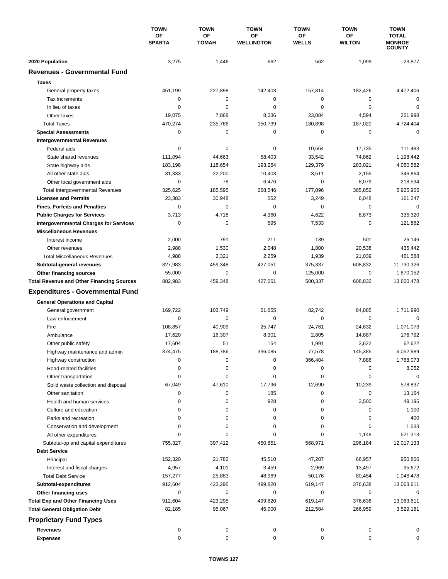|                                                                        | <b>TOWN</b><br>OF<br><b>SPARTA</b> | <b>TOWN</b>               | <b>TOWN</b>             | <b>TOWN</b>               | <b>TOWN</b>                | <b>TOWN</b>                                    |
|------------------------------------------------------------------------|------------------------------------|---------------------------|-------------------------|---------------------------|----------------------------|------------------------------------------------|
|                                                                        |                                    | <b>OF</b><br><b>TOMAH</b> | OF<br><b>WELLINGTON</b> | <b>OF</b><br><b>WELLS</b> | <b>OF</b><br><b>WILTON</b> | <b>TOTAL</b><br><b>MONROE</b><br><b>COUNTY</b> |
| 2020 Population                                                        | 3,275                              | 1,446                     | 662                     | 562                       | 1,099                      | 23,877                                         |
| <b>Revenues - Governmental Fund</b>                                    |                                    |                           |                         |                           |                            |                                                |
| <b>Taxes</b>                                                           |                                    |                           |                         |                           |                            |                                                |
| General property taxes                                                 | 451,199                            | 227,898                   | 142,403                 | 157,814                   | 182,426                    | 4,472,406                                      |
| Tax increments                                                         | 0                                  | 0                         | $\mathbf 0$             | 0                         | 0                          | 0                                              |
| In lieu of taxes                                                       | 0                                  | 0                         | 0                       | 0                         | $\mathbf 0$                | 0                                              |
| Other taxes                                                            | 19,075                             | 7,868                     | 8,336                   | 23,084                    | 4,594                      | 251,998                                        |
| <b>Total Taxes</b>                                                     | 470,274                            | 235,766                   | 150,739                 | 180,898                   | 187,020                    | 4,724,404                                      |
| <b>Special Assessments</b>                                             | 0                                  | 0                         | 0                       | 0                         | 0                          | 0                                              |
| <b>Intergovernmental Revenues</b>                                      |                                    |                           |                         |                           |                            |                                                |
| Federal aids                                                           | 0                                  | 0                         | 0                       | 10,664                    | 17,735                     | 111,483                                        |
| State shared revenues                                                  | 111,094                            | 44,663                    | 58,403                  | 33,542                    | 74,862                     | 1,198,442                                      |
| State highway aids                                                     | 183,198                            | 118,654                   | 193,264                 | 129,379                   | 283,021                    | 4,050,582                                      |
| All other state aids                                                   | 31,333                             | 22,200                    | 10,403                  | 3,511                     | 2,155                      | 346,864                                        |
|                                                                        | 0                                  | 78                        | 6,476                   | 0                         | 8,079                      | 218,534                                        |
| Other local government aids                                            |                                    | 185,595                   | 268,546                 | 177,096                   | 385,852                    | 5,925,905                                      |
| <b>Total Intergovernmental Revenues</b><br><b>Licenses and Permits</b> | 325,625                            |                           |                         |                           |                            |                                                |
|                                                                        | 23,383                             | 30,948                    | 552                     | 3,249                     | 6,048                      | 161,247                                        |
| <b>Fines, Forfeits and Penalties</b>                                   | 0                                  | 0                         | $\mathbf 0$             | 0                         | 0                          | 0                                              |
| <b>Public Charges for Services</b>                                     | 3,713                              | 4,718                     | 4,360                   | 4,622                     | 8,873                      | 335,320                                        |
| <b>Intergovernmental Charges for Services</b>                          | 0                                  | $\mathbf 0$               | 595                     | 7,533                     | 0                          | 121,862                                        |
| <b>Miscellaneous Revenues</b>                                          |                                    |                           |                         |                           |                            |                                                |
| Interest income                                                        | 2,000                              | 791                       | 211                     | 139                       | 501                        | 26,146                                         |
| Other revenues                                                         | 2,988                              | 1,530                     | 2,048                   | 1,800                     | 20,538                     | 435,442                                        |
| <b>Total Miscellaneous Revenues</b>                                    | 4,988                              | 2,321                     | 2,259                   | 1,939                     | 21,039                     | 461,588                                        |
| Subtotal-general revenues                                              | 827,983                            | 459,348                   | 427,051                 | 375,337                   | 608,832                    | 11,730,326                                     |
| Other financing sources                                                | 55,000                             | $\mathbf 0$               | $\mathbf 0$             | 125,000                   | $\mathbf 0$                | 1,870,152                                      |
| <b>Total Revenue and Other Financing Sources</b>                       | 882,983                            | 459,348                   | 427,051                 | 500,337                   | 608,832                    | 13,600,478                                     |
| <b>Expenditures - Governmental Fund</b>                                |                                    |                           |                         |                           |                            |                                                |
| <b>General Operations and Capital</b>                                  |                                    |                           |                         |                           |                            |                                                |
| General government                                                     | 169,722                            | 103,749                   | 61,655                  | 82,742                    | 84,885                     | 1,711,990                                      |
| Law enforcement                                                        | 0                                  | 0                         | $\mathbf 0$             | $\mathbf 0$               | $\mathbf 0$                | $\mathbf 0$                                    |
| Fire                                                                   | 108,857                            | 40,909                    | 25.747                  | 24,761                    | 24,632                     | 1,071,073                                      |
| Ambulance                                                              | 17,620                             | 16,307                    | 8,301                   | 2,805                     | 14,887                     | 176,792                                        |
| Other public safety                                                    | 17,604                             | 51                        | 154                     | 1,991                     | 3,622                      | 62,622                                         |
| Highway maintenance and admin                                          | 374,475                            | 188,786                   | 336,085                 | 77,578                    | 145,385                    | 6,052,989                                      |
| Highway construction                                                   | 0                                  | 0                         | 0                       | 366,404                   | 7,886                      | 1,768,073                                      |
| Road-related facilities                                                | 0                                  | 0                         | 0                       | 0                         | 0                          | 8,052                                          |
| Other transportation                                                   | 0                                  | 0                         | 0                       | 0                         | 0                          | 0                                              |
| Solid waste collection and disposal                                    | 67,049                             | 47,610                    | 17,796                  | 12,690                    | 10,239                     | 578,837                                        |
| Other sanitation                                                       | 0                                  | 0                         | 185                     | 0                         | 0                          | 13,164                                         |
| Health and human services                                              | 0                                  | 0                         | 928                     | 0                         | 3,500                      | 49,195                                         |
| Culture and education                                                  | 0                                  | 0                         | 0                       | 0                         | 0                          | 1,100                                          |
| Parks and recreation                                                   | 0                                  | 0                         | 0                       | 0                         | 0                          | 400                                            |
| Conservation and development                                           | 0                                  | 0                         | 0                       | 0                         | 0                          | 1,533                                          |
| All other expenditures                                                 | $\Omega$                           | 0                         | 0                       | 0                         | 1,148                      | 521,313                                        |
| Subtotal-op and capital expenditures                                   | 755,327                            | 397,412                   | 450,851                 | 568,971                   | 296,184                    | 12,017,133                                     |
| <b>Debt Service</b>                                                    |                                    |                           |                         |                           |                            |                                                |
|                                                                        |                                    |                           |                         |                           |                            |                                                |
| Principal                                                              | 152,320                            | 21,782                    | 45,510                  | 47,207                    | 66,957                     | 950,806                                        |
| Interest and fiscal charges                                            | 4,957                              | 4,101                     | 3,459                   | 2,969                     | 13,497                     | 95,672                                         |
| <b>Total Debt Service</b>                                              | 157,277                            | 25,883                    | 48,969                  | 50,176                    | 80,454                     | 1,046,478                                      |
| Subtotal-expenditures                                                  | 912,604                            | 423,295                   | 499,820                 | 619,147                   | 376,638                    | 13,063,611                                     |
| Other financing uses                                                   | 0                                  | 0                         | 0                       | 0                         | 0                          | 0                                              |
| <b>Total Exp and Other Financing Uses</b>                              | 912,604                            | 423,295                   | 499,820                 | 619,147                   | 376,638                    | 13,063,611                                     |
| <b>Total General Obligation Debt</b>                                   | 82,185                             | 95,067                    | 45,000                  | 212,584                   | 266,959                    | 3,529,181                                      |
| <b>Proprietary Fund Types</b>                                          |                                    |                           |                         |                           |                            |                                                |
| <b>Revenues</b>                                                        | 0                                  | 0                         | 0                       | 0                         | 0                          | 0                                              |
| <b>Expenses</b>                                                        | 0                                  | 0                         | 0                       | 0                         | 0                          | 0                                              |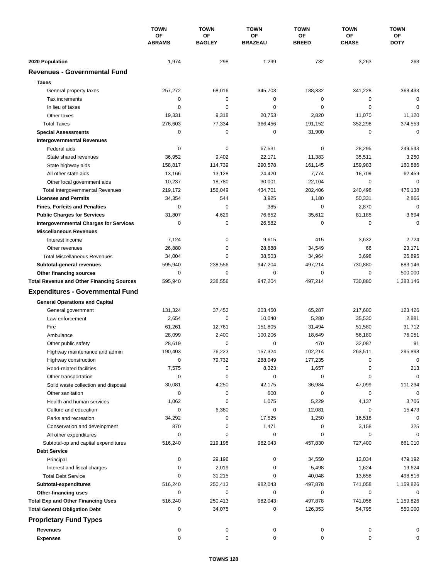|                                                  | <b>TOWN</b><br>OF<br><b>ABRAMS</b> | <b>TOWN</b>         | <b>TOWN</b><br>OF<br><b>BRAZEAU</b> | <b>TOWN</b><br>OF<br><b>BREED</b> | <b>TOWN</b><br>OF<br><b>CHASE</b> | <b>TOWN</b><br>ОF<br><b>DOTY</b> |
|--------------------------------------------------|------------------------------------|---------------------|-------------------------------------|-----------------------------------|-----------------------------------|----------------------------------|
|                                                  |                                    | OF<br><b>BAGLEY</b> |                                     |                                   |                                   |                                  |
|                                                  |                                    |                     |                                     |                                   |                                   |                                  |
| 2020 Population                                  | 1,974                              | 298                 | 1,299                               | 732                               | 3,263                             | 263                              |
| <b>Revenues - Governmental Fund</b>              |                                    |                     |                                     |                                   |                                   |                                  |
| <b>Taxes</b>                                     |                                    |                     |                                     |                                   |                                   |                                  |
| General property taxes                           | 257,272                            | 68,016              | 345,703                             | 188,332                           | 341,228                           | 363,433                          |
| Tax increments                                   | 0                                  | 0                   | 0                                   | $\mathbf 0$                       | 0                                 | $\Omega$                         |
| In lieu of taxes                                 | $\mathbf 0$                        | 0                   | $\mathbf 0$                         | $\mathbf 0$                       | 0                                 | 0                                |
| Other taxes                                      | 19,331                             | 9,318               | 20,753                              | 2,820                             | 11,070                            | 11,120                           |
| <b>Total Taxes</b>                               | 276,603                            | 77,334              | 366,456                             | 191,152                           | 352,298                           | 374,553                          |
| <b>Special Assessments</b>                       | 0                                  | 0                   | $\mathbf 0$                         | 31,900                            | 0                                 | $\mathbf 0$                      |
| <b>Intergovernmental Revenues</b>                |                                    |                     |                                     |                                   |                                   |                                  |
| Federal aids                                     | 0                                  | 0                   | 67,531                              | 0                                 | 28,295                            | 249,543                          |
| State shared revenues                            | 36,952                             | 9,402               | 22,171                              | 11,383                            | 35,511                            | 3,250                            |
| State highway aids                               | 158,817                            | 114,739             | 290,578                             | 161,145                           | 159,983                           | 160,886                          |
| All other state aids                             | 13,166                             | 13,128              | 24,420                              | 7,774                             | 16,709                            | 62,459                           |
| Other local government aids                      | 10,237                             | 18,780              | 30,001                              | 22,104                            | $\mathbf 0$                       | 0                                |
| <b>Total Intergovernmental Revenues</b>          | 219,172                            | 156,049             | 434,701                             | 202,406                           | 240,498                           | 476,138                          |
| <b>Licenses and Permits</b>                      | 34,354                             | 544                 | 3,925                               | 1,180                             | 50,331                            | 2,866                            |
| <b>Fines, Forfeits and Penalties</b>             | 0                                  | $\Omega$            | 385                                 | $\mathbf 0$                       | 2,870                             | $\Omega$                         |
| <b>Public Charges for Services</b>               | 31,807                             | 4,629               | 76,652                              | 35,612                            | 81,185                            | 3,694                            |
| <b>Intergovernmental Charges for Services</b>    | 0                                  | 0                   | 26,582                              | $\mathbf 0$                       | 0                                 | $\Omega$                         |
| <b>Miscellaneous Revenues</b>                    |                                    |                     |                                     |                                   |                                   |                                  |
| Interest income                                  | 7,124                              | $\mathbf 0$         | 9,615                               | 415                               | 3,632                             | 2,724                            |
| Other revenues                                   | 26,880                             | 0                   | 28,888                              | 34,549                            | 66                                | 23,171                           |
| <b>Total Miscellaneous Revenues</b>              | 34,004                             | $\Omega$            | 38,503                              | 34,964                            | 3,698                             | 25,895                           |
| Subtotal-general revenues                        | 595,940                            | 238,556             | 947,204                             | 497,214                           | 730,880                           | 883,146                          |
| Other financing sources                          | 0                                  | 0                   | $\mathbf 0$                         | $\mathbf 0$                       | 0                                 | 500,000                          |
| <b>Total Revenue and Other Financing Sources</b> | 595,940                            | 238,556             | 947,204                             | 497,214                           | 730,880                           | 1,383,146                        |
| <b>Expenditures - Governmental Fund</b>          |                                    |                     |                                     |                                   |                                   |                                  |
|                                                  |                                    |                     |                                     |                                   |                                   |                                  |
| <b>General Operations and Capital</b>            |                                    |                     |                                     |                                   |                                   |                                  |
| General government                               | 131,324                            | 37,452              | 203,450                             | 65,287                            | 217,600                           | 123,426                          |
| Law enforcement                                  | 2,654                              | $\mathbf 0$         | 10,040                              | 5,280                             | 35,530                            | 2,881                            |
| Fire                                             | 61,261                             | 12.761              | 151,805                             | 31,494                            | 51,580                            | 31,712                           |
| Ambulance                                        | 28,099                             | 2,400               | 100,206                             | 18,649                            | 56,180                            | 76,051                           |
| Other public safety                              | 28,619                             | 0                   | $\mathbf 0$                         | 470                               | 32,087                            | 91                               |
| Highway maintenance and admin                    | 190,403                            | 76,223              | 157,324                             | 102,214                           | 263,511                           | 295,898                          |
| Highway construction                             | 0                                  | 79,732              | 288,049                             | 177,235                           | 0                                 | 0                                |
| Road-related facilities                          | 7,575                              | 0                   | 8,323                               | 1,657                             | 0                                 | 213                              |
| Other transportation                             | 0                                  | 0                   | 0                                   | 0                                 | 0                                 | $\mathbf 0$                      |
| Solid waste collection and disposal              | 30,081                             | 4,250               | 42,175                              | 36,984                            | 47,099                            | 111,234                          |
| Other sanitation                                 | 0                                  | 0                   | 600                                 | 0                                 | 0                                 | $\mathbf 0$                      |
| Health and human services                        | 1,062                              | 0                   | 1,075                               | 5,229                             | 4,137                             | 3,706                            |
| Culture and education                            | 0                                  | 6,380               | 0                                   | 12,081                            | 0                                 | 15,473                           |
| Parks and recreation                             | 34,292                             | 0                   | 17,525                              | 1,250                             | 16,518                            | 0                                |
| Conservation and development                     | 870                                | 0                   | 1,471                               | 0                                 | 3,158                             | 325                              |
| All other expenditures                           | 0                                  | 0                   | 0                                   | 0                                 | 0                                 | 0                                |
| Subtotal-op and capital expenditures             | 516,240                            | 219,198             | 982,043                             | 457,830                           | 727,400                           | 661,010                          |
| <b>Debt Service</b>                              |                                    |                     |                                     |                                   |                                   |                                  |
| Principal                                        | 0                                  | 29,196              | 0                                   | 34,550                            | 12,034                            | 479,192                          |
| Interest and fiscal charges                      | 0                                  | 2,019               | 0                                   | 5,498                             | 1,624                             | 19,624                           |
| <b>Total Debt Service</b>                        | 0                                  | 31,215              | 0                                   | 40,048                            | 13,658                            | 498,816                          |
| Subtotal-expenditures                            | 516,240                            | 250,413             | 982,043                             | 497,878                           | 741,058                           | 1,159,826                        |
| Other financing uses                             | 0                                  | 0                   | 0                                   | 0                                 | 0                                 | 0                                |
| <b>Total Exp and Other Financing Uses</b>        | 516,240                            | 250,413             | 982,043                             | 497,878                           | 741,058                           | 1,159,826                        |
| <b>Total General Obligation Debt</b>             | 0                                  | 34,075              | 0                                   | 126,353                           | 54,795                            | 550,000                          |
| <b>Proprietary Fund Types</b>                    |                                    |                     |                                     |                                   |                                   |                                  |
| <b>Revenues</b>                                  | 0                                  | 0                   | 0                                   | 0                                 | 0                                 | 0                                |
| <b>Expenses</b>                                  | 0                                  | 0                   | 0                                   | 0                                 | $\mathbf 0$                       | 0                                |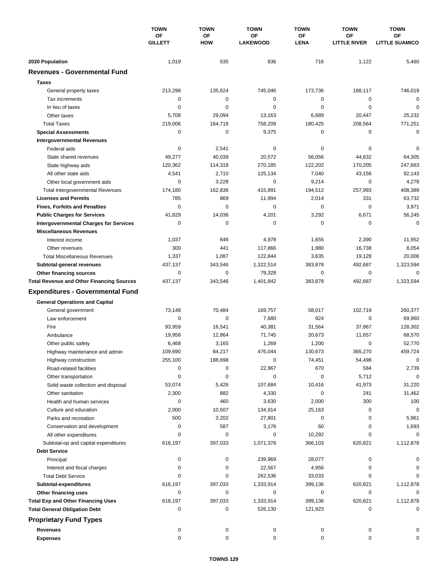|                                                  | <b>TOWN</b><br>OF<br>GILLETT | <b>TOWN</b>             | <b>TOWN</b><br>OF<br><b>LAKEWOOD</b> | <b>TOWN</b>              | <b>TOWN</b><br><b>OF</b><br><b>LITTLE RIVER</b> | <b>TOWN</b><br><b>OF</b><br><b>LITTLE SUAMICO</b> |
|--------------------------------------------------|------------------------------|-------------------------|--------------------------------------|--------------------------|-------------------------------------------------|---------------------------------------------------|
|                                                  |                              | <b>OF</b><br><b>HOW</b> |                                      | <b>OF</b><br><b>LENA</b> |                                                 |                                                   |
| 2020 Population                                  | 1,019                        | 535                     | 836                                  | 716                      | 1,122                                           | 5,460                                             |
| <b>Revenues - Governmental Fund</b>              |                              |                         |                                      |                          |                                                 |                                                   |
| <b>Taxes</b>                                     |                              |                         |                                      |                          |                                                 |                                                   |
| General property taxes                           | 213,298                      | 135,624                 | 745,046                              | 173,736                  | 188,117                                         | 746,019                                           |
| Tax increments                                   | 0                            | 0                       | $\mathbf 0$                          | 0                        | 0                                               | 0                                                 |
| In lieu of taxes                                 | 0                            | 0                       | $\mathbf 0$                          | 0                        | $\mathbf 0$                                     | $\mathbf 0$                                       |
| Other taxes                                      | 5,708                        | 29,094                  | 13,163                               | 6,689                    | 20,447                                          | 25,232                                            |
| <b>Total Taxes</b>                               | 219,006                      | 164,718                 | 758,209                              | 180,425                  | 208,564                                         | 771,251                                           |
| <b>Special Assessments</b>                       | 0                            | 0                       | 9,375                                | 0                        | 0                                               | 0                                                 |
| <b>Intergovernmental Revenues</b>                |                              |                         |                                      |                          |                                                 |                                                   |
| Federal aids                                     | 0                            | 2,541                   | 0                                    | 0                        | 0                                               | 0                                                 |
| State shared revenues                            | 49,277                       | 40,039                  | 20,572                               | 56,056                   | 44,632                                          | 64,305                                            |
| State highway aids                               | 120,362                      | 114,318                 | 270,185                              | 122,202                  | 170,205                                         | 247,663                                           |
| All other state aids                             | 4,541                        | 2,710                   | 125,134                              | 7,040                    | 43,156                                          | 92,143                                            |
| Other local government aids                      | 0                            | 3,228                   | $\mathbf 0$                          | 9,214                    | $\mathbf 0$                                     | 4,278                                             |
| <b>Total Intergovernmental Revenues</b>          | 174,180                      | 162,836                 | 415,891                              | 194,512                  | 257,993                                         | 408,389                                           |
| <b>Licenses and Permits</b>                      | 785                          | 869                     | 11,994                               | 2,014                    | 331                                             | 63,732                                            |
| <b>Fines, Forfeits and Penalties</b>             | $\mathbf 0$                  | $\mathbf 0$             | 0                                    | 0                        | $\mathbf 0$                                     | 3,971                                             |
| <b>Public Charges for Services</b>               | 41,829                       | 14,036                  | 4,201                                | 3,292                    | 6,671                                           | 56,245                                            |
| <b>Intergovernmental Charges for Services</b>    | 0                            | $\mathbf 0$             | $\mathbf 0$                          | $\mathbf 0$              | 0                                               | $\mathbf 0$                                       |
| <b>Miscellaneous Revenues</b>                    |                              |                         |                                      |                          |                                                 |                                                   |
| Interest income                                  | 1,037                        | 646                     | 4,978                                | 1,655                    | 2,390                                           | 11,952                                            |
| Other revenues                                   | 300                          | 441                     | 117,866                              | 1,980                    | 16,738                                          | 8,054                                             |
| <b>Total Miscellaneous Revenues</b>              | 1,337                        | 1,087                   | 122,844                              | 3,635                    | 19,128                                          | 20,006                                            |
| Subtotal-general revenues                        | 437,137                      | 343,546                 | 1,322,514                            | 383,878                  | 492,687                                         | 1,323,594                                         |
| Other financing sources                          | 0                            | $\mathbf 0$             | 79,328                               | 0                        | $\mathbf 0$                                     | 0                                                 |
| <b>Total Revenue and Other Financing Sources</b> | 437,137                      | 343,546                 | 1,401,842                            | 383,878                  | 492,687                                         | 1,323,594                                         |
|                                                  |                              |                         |                                      |                          |                                                 |                                                   |
| <b>Expenditures - Governmental Fund</b>          |                              |                         |                                      |                          |                                                 |                                                   |
| <b>General Operations and Capital</b>            |                              |                         |                                      |                          |                                                 |                                                   |
| General government                               | 73,148                       | 70,484                  | 169,757                              | 58,017                   | 102,719                                         | 260,377                                           |
| Law enforcement                                  | 0                            | $\mathbf 0$             | 7,680                                | 924                      | $\mathbf 0$                                     | 69,960                                            |
| Fire                                             | 93,959                       | 16,541                  | 40,381                               | 31,564                   | 37,867                                          | 128,302                                           |
| Ambulance                                        | 19,958                       | 12,864                  | 71,745                               | 20,673                   | 11,657                                          | 68,570                                            |
| Other public safety                              | 6,468                        | 3,165                   | 1,269                                | 1,200                    | $\mathbf 0$                                     | 52,770                                            |
| Highway maintenance and admin                    | 109,690                      | 84,217                  | 476,044                              | 130,673                  | 365,270                                         | 459,724                                           |
| Highway construction                             | 255,100                      | 188,698                 | 0                                    | 74,451                   | 54,498                                          | 0                                                 |
| Road-related facilities                          | 0                            | 0                       | 22,967                               | 670                      | 584                                             | 2,739                                             |
| Other transportation                             | 0                            | 0                       | 0                                    | $\pmb{0}$                | 5,712                                           | 0                                                 |
| Solid waste collection and disposal              | 53,074                       | 5,426                   | 107,684                              | 10,416                   | 41,973                                          | 31,220                                            |
| Other sanitation                                 | 2,300                        | 882                     | 4,330                                | 0                        | 241                                             | 31,462                                            |
| Health and human services                        | 0                            | 460                     | 3,630                                | 2,000                    | 300                                             | 100                                               |
| Culture and education                            | 2,000                        | 10,507                  | 134,914                              | 25,163                   | 0                                               | 0                                                 |
| Parks and recreation                             | 500                          | 3,202                   | 27,801                               | 0                        | 0                                               | 5,961                                             |
| Conservation and development                     | 0                            | 587                     | 3,176                                | 60                       | 0                                               | 1,693                                             |
| All other expenditures                           | 0                            | 0                       | 0                                    | 10,292                   | 0                                               | 0                                                 |
| Subtotal-op and capital expenditures             | 616,197                      | 397,033                 | 1,071,378                            | 366,103                  | 620,821                                         | 1,112,878                                         |
| <b>Debt Service</b>                              |                              |                         |                                      |                          |                                                 |                                                   |
| Principal                                        | 0                            | 0                       | 239,969                              | 28,077                   | 0                                               | 0                                                 |
| Interest and fiscal charges                      | 0                            | 0                       | 22,567                               | 4,956                    | 0                                               | 0                                                 |
| <b>Total Debt Service</b>                        | 0                            | 0                       | 262,536                              | 33,033                   | 0                                               | 0                                                 |
| Subtotal-expenditures                            | 616,197                      | 397,033                 | 1,333,914                            | 399,136                  | 620,821                                         | 1,112,878                                         |
| Other financing uses                             | 0                            | 0                       | 0                                    | 0                        | 0                                               | 0                                                 |
| <b>Total Exp and Other Financing Uses</b>        | 616,197                      | 397,033                 | 1,333,914                            | 399,136                  | 620,821                                         | 1,112,878                                         |
| <b>Total General Obligation Debt</b>             | 0                            | 0                       | 526,130                              | 121,923                  | 0                                               | 0                                                 |
| <b>Proprietary Fund Types</b>                    |                              |                         |                                      |                          |                                                 |                                                   |
| <b>Revenues</b>                                  | 0                            | 0                       | 0                                    | 0                        | 0                                               |                                                   |
| <b>Expenses</b>                                  | 0                            | 0                       | 0                                    | 0                        | 0                                               | 0                                                 |
|                                                  |                              |                         |                                      |                          |                                                 |                                                   |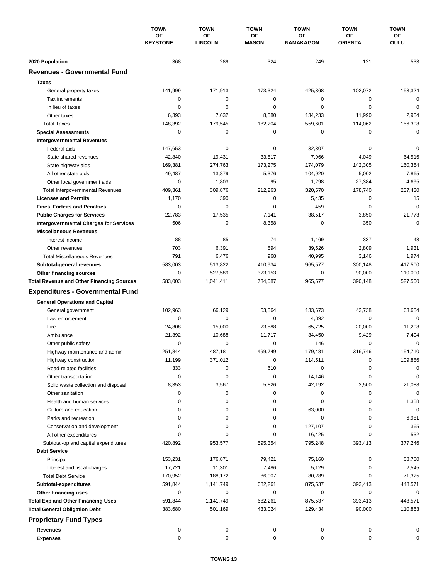|                                                         | <b>TOWN</b><br>OF<br><b>KEYSTONE</b> | <b>TOWN</b>          | <b>TOWN</b><br>OF<br><b>MASON</b> | <b>TOWN</b><br>OF<br><b>NAMAKAGON</b> | <b>TOWN</b><br>ΟF<br><b>ORIENTA</b> | <b>TOWN</b><br>ОF<br><b>OULU</b> |
|---------------------------------------------------------|--------------------------------------|----------------------|-----------------------------------|---------------------------------------|-------------------------------------|----------------------------------|
|                                                         |                                      | OF<br><b>LINCOLN</b> |                                   |                                       |                                     |                                  |
|                                                         |                                      |                      |                                   |                                       |                                     |                                  |
| 2020 Population                                         | 368                                  | 289                  | 324                               | 249                                   | 121                                 | 533                              |
| <b>Revenues - Governmental Fund</b>                     |                                      |                      |                                   |                                       |                                     |                                  |
| <b>Taxes</b>                                            |                                      |                      |                                   |                                       |                                     |                                  |
| General property taxes                                  | 141,999                              | 171,913              | 173,324                           | 425,368                               | 102,072                             | 153,324                          |
| Tax increments                                          | 0                                    | 0                    | 0                                 | 0                                     | $\mathbf 0$                         | $\mathbf 0$                      |
| In lieu of taxes                                        | 0                                    | 0                    | 0                                 | 0                                     | $\Omega$                            | $\mathbf 0$                      |
| Other taxes                                             | 6,393                                | 7,632                | 8,880                             | 134,233                               | 11,990                              | 2,984                            |
| <b>Total Taxes</b>                                      | 148,392                              | 179,545              | 182,204                           | 559,601                               | 114,062                             | 156,308                          |
| <b>Special Assessments</b>                              | 0                                    | 0                    | 0                                 | 0                                     | 0                                   | $\mathbf 0$                      |
| <b>Intergovernmental Revenues</b>                       |                                      |                      |                                   |                                       |                                     |                                  |
| Federal aids                                            | 147,653                              | 0                    | 0                                 | 32,307                                | 0                                   | 0                                |
| State shared revenues                                   | 42,840                               | 19,431               | 33,517                            | 7,966                                 | 4,049                               | 64,516                           |
| State highway aids                                      | 169,381                              | 274,763              | 173,275                           | 174,079                               | 142,305                             | 160,354                          |
| All other state aids                                    | 49,487                               | 13,879               | 5,376                             | 104,920                               | 5,002                               | 7,865                            |
| Other local government aids                             | 0                                    | 1,803                | 95                                | 1,298                                 | 27,384                              | 4,695                            |
| <b>Total Intergovernmental Revenues</b>                 | 409,361                              | 309,876              | 212,263                           | 320,570                               | 178,740                             | 237,430                          |
| <b>Licenses and Permits</b>                             | 1,170                                | 390                  | 0                                 | 5,435                                 | 0                                   | 15                               |
| <b>Fines, Forfeits and Penalties</b>                    | 0                                    | $\Omega$             | 0                                 | 459                                   | $\mathbf 0$                         | $\mathbf 0$                      |
| <b>Public Charges for Services</b>                      | 22,783                               | 17,535               | 7,141                             | 38,517                                | 3,850                               | 21,773                           |
| <b>Intergovernmental Charges for Services</b>           | 506                                  | 0                    | 8,358                             | 0                                     | 350                                 | $\Omega$                         |
| <b>Miscellaneous Revenues</b>                           |                                      |                      |                                   |                                       |                                     |                                  |
| Interest income                                         | 88                                   | 85                   | 74                                | 1,469                                 | 337                                 | 43                               |
| Other revenues                                          | 703                                  | 6,391                | 894                               | 39,526                                | 2,809                               | 1,931                            |
| <b>Total Miscellaneous Revenues</b>                     | 791                                  | 6,476                | 968                               | 40,995                                | 3,146                               | 1,974                            |
| Subtotal-general revenues                               | 583,003                              | 513,822              | 410,934                           | 965,577                               | 300,148                             | 417,500                          |
| Other financing sources                                 | 0                                    | 527,589              | 323,153                           | 0                                     | 90,000                              | 110,000                          |
| <b>Total Revenue and Other Financing Sources</b>        | 583,003                              | 1,041,411            | 734,087                           | 965,577                               | 390,148                             | 527,500                          |
| <b>Expenditures - Governmental Fund</b>                 |                                      |                      |                                   |                                       |                                     |                                  |
| <b>General Operations and Capital</b>                   |                                      |                      |                                   |                                       |                                     |                                  |
|                                                         | 102,963                              | 66.129               | 53,864                            | 133,673                               | 43,738                              | 63,684                           |
| General government<br>Law enforcement                   | 0                                    | 0                    | $\mathbf 0$                       | 4,392                                 | 0                                   | $\Omega$                         |
| Fire                                                    | 24,808                               | 15,000               | 23,588                            | 65,725                                | 20,000                              | 11,208                           |
| Ambulance                                               | 21,392                               | 10,688               | 11,717                            | 34,450                                | 9,429                               | 7,404                            |
| Other public safety                                     | 0                                    | 0                    | 0                                 | 146                                   | $\mathbf 0$                         | $\mathbf 0$                      |
|                                                         | 251.844                              | 487,181              | 499,749                           | 179.481                               | 316,746                             | 154,710                          |
| Highway maintenance and admin<br>Highway construction   |                                      |                      | 0                                 |                                       | 0                                   | 109,886                          |
| Road-related facilities                                 | 11,199<br>333                        | 371,012<br>0         | 610                               | 114,511<br>0                          | 0                                   | 0                                |
|                                                         | 0                                    | 0                    | 0                                 | 14,146                                | 0                                   | 0                                |
| Other transportation                                    | 8,353                                | 3,567                | 5,826                             | 42,192                                | 3,500                               | 21,088                           |
| Solid waste collection and disposal<br>Other sanitation | 0                                    | 0                    | 0                                 | 0                                     | 0                                   | $\mathbf 0$                      |
|                                                         | 0                                    | 0                    | 0                                 | 0                                     | 0                                   | 1,388                            |
| Health and human services<br>Culture and education      | 0                                    | 0                    | 0                                 | 63,000                                | 0                                   | 0                                |
| Parks and recreation                                    | 0                                    | 0                    | 0                                 | 0                                     | 0                                   | 6,981                            |
| Conservation and development                            | 0                                    | 0                    | 0                                 | 127,107                               | 0                                   | 365                              |
| All other expenditures                                  | 0                                    | 0                    | 0                                 | 16,425                                | 0                                   | 532                              |
| Subtotal-op and capital expenditures                    | 420,892                              | 953,577              | 595,354                           | 795,248                               | 393,413                             | 377,246                          |
|                                                         |                                      |                      |                                   |                                       |                                     |                                  |
| <b>Debt Service</b>                                     |                                      |                      |                                   |                                       |                                     |                                  |
| Principal                                               | 153,231                              | 176,871              | 79,421                            | 75,160                                | 0                                   | 68,780                           |
| Interest and fiscal charges                             | 17,721                               | 11,301               | 7,486                             | 5,129                                 | 0<br>0                              | 2,545                            |
| <b>Total Debt Service</b>                               | 170,952                              | 188,172              | 86,907                            | 80,289                                |                                     | 71,325                           |
| Subtotal-expenditures                                   | 591,844                              | 1,141,749            | 682,261                           | 875,537                               | 393,413                             | 448,571                          |
| Other financing uses                                    | 0                                    | 0                    | 0                                 | 0                                     | 0                                   | 0                                |
| <b>Total Exp and Other Financing Uses</b>               | 591,844                              | 1,141,749            | 682,261                           | 875,537                               | 393,413                             | 448,571                          |
| <b>Total General Obligation Debt</b>                    | 383,680                              | 501,169              | 433,024                           | 129,434                               | 90,000                              | 110,863                          |
| <b>Proprietary Fund Types</b>                           |                                      |                      |                                   |                                       |                                     |                                  |
| <b>Revenues</b>                                         | 0                                    | 0                    | 0                                 | 0                                     | 0                                   | 0                                |
| <b>Expenses</b>                                         | 0                                    | 0                    | 0                                 | 0                                     | 0                                   | 0                                |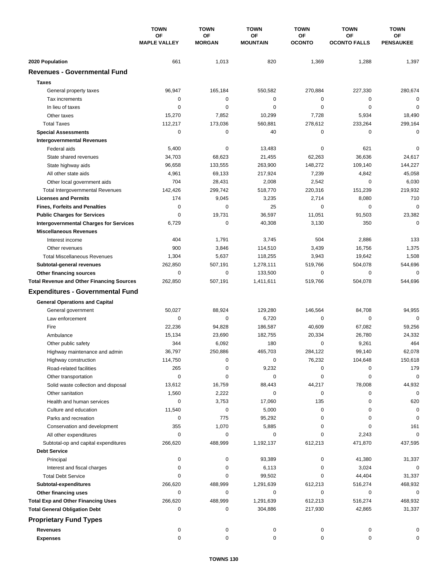|                                                  | <b>TOWN</b><br>OF<br><b>MAPLE VALLEY</b> | <b>TOWN</b><br>OF<br><b>MORGAN</b> | <b>TOWN</b><br><b>TOWN</b><br>OF<br>ОF<br><b>OCONTO</b><br><b>MOUNTAIN</b> | <b>TOWN</b> | <b>TOWN</b>               |                               |
|--------------------------------------------------|------------------------------------------|------------------------------------|----------------------------------------------------------------------------|-------------|---------------------------|-------------------------------|
|                                                  |                                          |                                    |                                                                            |             | ΟF<br><b>OCONTO FALLS</b> | <b>OF</b><br><b>PENSAUKEE</b> |
| 2020 Population                                  | 661                                      | 1,013                              | 820                                                                        | 1,369       | 1,288                     | 1,397                         |
| <b>Revenues - Governmental Fund</b>              |                                          |                                    |                                                                            |             |                           |                               |
| <b>Taxes</b>                                     |                                          |                                    |                                                                            |             |                           |                               |
| General property taxes                           | 96,947                                   | 165,184                            | 550,582                                                                    | 270,884     | 227,330                   | 280,674                       |
| Tax increments                                   | 0                                        | $\mathbf 0$                        | $\mathbf 0$                                                                | 0           | 0                         | $\mathbf 0$                   |
| In lieu of taxes                                 | 0                                        | 0                                  | $\mathbf 0$                                                                | 0           | $\mathbf 0$               | 0                             |
| Other taxes                                      | 15,270                                   | 7,852                              | 10,299                                                                     | 7,728       | 5,934                     | 18,490                        |
| <b>Total Taxes</b>                               | 112,217                                  | 173,036                            | 560.881                                                                    | 278,612     | 233,264                   | 299,164                       |
| <b>Special Assessments</b>                       | 0                                        | $\mathbf 0$                        | 40                                                                         | 0           | 0                         | 0                             |
| <b>Intergovernmental Revenues</b>                |                                          |                                    |                                                                            |             |                           |                               |
| Federal aids                                     | 5,400                                    | 0                                  | 13,483                                                                     | 0           | 621                       | 0                             |
| State shared revenues                            | 34,703                                   | 68,623                             | 21,455                                                                     | 62,263      | 36,636                    | 24,617                        |
| State highway aids                               | 96,658                                   | 133,555                            | 263,900                                                                    | 148,272     | 109,140                   | 144,227                       |
| All other state aids                             | 4,961                                    | 69,133                             | 217,924                                                                    | 7,239       | 4,842                     | 45,058                        |
| Other local government aids                      | 704                                      | 28,431                             | 2,008                                                                      | 2,542       | $\mathbf 0$               | 6,030                         |
| <b>Total Intergovernmental Revenues</b>          | 142,426                                  | 299,742                            | 518,770                                                                    | 220,316     | 151,239                   | 219,932                       |
| <b>Licenses and Permits</b>                      | 174                                      | 9,045                              | 3,235                                                                      | 2,714       | 8,080                     | 710                           |
| <b>Fines, Forfeits and Penalties</b>             | 0                                        | $\Omega$                           | 25                                                                         | $\Omega$    | 0                         | $\mathbf 0$                   |
| <b>Public Charges for Services</b>               | 0                                        | 19,731                             | 36,597                                                                     | 11,051      | 91,503                    | 23,382                        |
| <b>Intergovernmental Charges for Services</b>    | 6,729                                    | $\mathbf 0$                        | 40,308                                                                     | 3,130       | 350                       | $\Omega$                      |
| <b>Miscellaneous Revenues</b>                    |                                          |                                    |                                                                            |             |                           |                               |
| Interest income                                  | 404                                      | 1,791                              | 3,745                                                                      | 504         | 2,886                     | 133                           |
| Other revenues                                   | 900                                      | 3,846                              | 114,510                                                                    | 3,439       | 16,756                    | 1,375                         |
| <b>Total Miscellaneous Revenues</b>              | 1,304                                    | 5,637                              | 118,255                                                                    | 3,943       | 19,642                    | 1,508                         |
| Subtotal-general revenues                        | 262,850                                  | 507,191                            | 1,278,111                                                                  | 519,766     | 504,078                   | 544,696                       |
| Other financing sources                          | $\mathbf 0$                              | $\mathbf 0$                        | 133,500                                                                    | 0           | $\mathbf 0$               | $\mathbf 0$                   |
| <b>Total Revenue and Other Financing Sources</b> | 262,850                                  | 507,191                            | 1,411,611                                                                  | 519,766     | 504,078                   | 544,696                       |
| <b>Expenditures - Governmental Fund</b>          |                                          |                                    |                                                                            |             |                           |                               |
| <b>General Operations and Capital</b>            |                                          |                                    |                                                                            |             |                           |                               |
| General government                               | 50,027                                   | 88,924                             | 129,280                                                                    | 146,564     | 84,708                    | 94,955                        |
| Law enforcement                                  | 0                                        | 0                                  | 6,720                                                                      | 0           | 0                         | $\mathbf 0$                   |
| Fire                                             | 22,236                                   | 94,828                             | 186,587                                                                    | 40,609      | 67,082                    | 59,256                        |
| Ambulance                                        | 15,134                                   | 23,690                             | 182,755                                                                    | 20,334      | 26,780                    | 24,332                        |
| Other public safety                              | 344                                      | 6,092                              | 180                                                                        | 0           | 9,261                     | 464                           |
| Highway maintenance and admin                    | 36,797                                   | 250,886                            | 465,703                                                                    | 284,122     | 99.140                    | 62,078                        |
| Highway construction                             | 114,750                                  | 0                                  | 0                                                                          | 76,232      | 104,648                   | 150,618                       |
| Road-related facilities                          | 265                                      | 0                                  | 9,232                                                                      | 0           | 0                         | 179                           |
| Other transportation                             | 0                                        | 0                                  | 0                                                                          | 0           | 0                         | 0                             |
| Solid waste collection and disposal              | 13,612                                   | 16,759                             | 88,443                                                                     | 44,217      | 78,008                    | 44,932                        |
| Other sanitation                                 | 1,560                                    | 2,222                              | 0                                                                          | 0           | 0                         | $\mathbf 0$                   |
| Health and human services                        | 0                                        | 3,753                              | 17,060                                                                     | 135         | 0                         | 620                           |
| Culture and education                            | 11,540                                   | 0                                  | 5,000                                                                      | 0           | 0                         | 0                             |
| Parks and recreation                             | 0                                        | 775                                | 95,292                                                                     | 0           | 0                         | 0                             |
| Conservation and development                     | 355                                      | 1,070                              | 5,885                                                                      | 0           | 0                         | 161                           |
| All other expenditures                           | 0                                        | 0                                  | 0                                                                          | 0           | 2,243                     | 0                             |
| Subtotal-op and capital expenditures             | 266,620                                  | 488,999                            | 1,192,137                                                                  | 612,213     | 471,870                   | 437,595                       |
| <b>Debt Service</b>                              |                                          |                                    |                                                                            |             |                           |                               |
| Principal                                        | 0                                        | 0                                  | 93,389                                                                     | 0           | 41,380                    | 31,337                        |
| Interest and fiscal charges                      | 0                                        | 0                                  | 6,113                                                                      | 0           | 3,024                     | 0                             |
| <b>Total Debt Service</b>                        | 0                                        | 0                                  | 99,502                                                                     | 0           | 44,404                    | 31,337                        |
| Subtotal-expenditures                            | 266,620                                  | 488,999                            | 1,291,639                                                                  | 612,213     | 516,274                   | 468,932                       |
| Other financing uses                             | 0                                        | 0                                  | 0                                                                          | 0           | 0                         | 0                             |
| <b>Total Exp and Other Financing Uses</b>        | 266,620                                  | 488,999                            | 1,291,639                                                                  | 612,213     | 516,274                   | 468,932                       |
| <b>Total General Obligation Debt</b>             | 0                                        | 0                                  | 304,886                                                                    | 217,930     | 42,865                    | 31,337                        |
| <b>Proprietary Fund Types</b>                    |                                          |                                    |                                                                            |             |                           |                               |
| <b>Revenues</b>                                  | 0                                        | 0                                  | 0                                                                          | 0           | 0                         | 0                             |
| <b>Expenses</b>                                  | 0                                        | 0                                  | 0                                                                          | 0           | 0                         | 0                             |
|                                                  |                                          |                                    |                                                                            |             |                           |                               |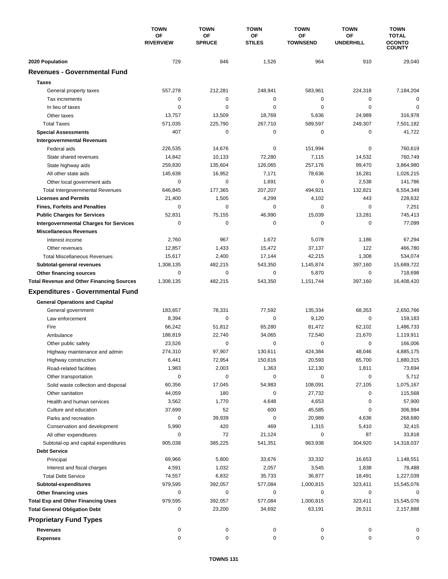|                                                  | <b>TOWN</b>            | <b>TOWN</b>         | <b>TOWN</b>         | <b>TOWN</b>           | <b>TOWN</b>            | <b>TOWN</b>                                    |
|--------------------------------------------------|------------------------|---------------------|---------------------|-----------------------|------------------------|------------------------------------------------|
|                                                  | ΟF<br><b>RIVERVIEW</b> | OF<br><b>SPRUCE</b> | ΟF<br><b>STILES</b> | ОF<br><b>TOWNSEND</b> | ΟF<br><b>UNDERHILL</b> | <b>TOTAL</b><br><b>OCONTO</b><br><b>COUNTY</b> |
| 2020 Population                                  | 729                    | 846                 | 1,526               | 964                   | 910                    | 29,040                                         |
| <b>Revenues - Governmental Fund</b>              |                        |                     |                     |                       |                        |                                                |
| <b>Taxes</b>                                     |                        |                     |                     |                       |                        |                                                |
| General property taxes                           | 557,278                | 212,281             | 248,941             | 583,961               | 224,318                | 7,184,204                                      |
| Tax increments                                   | 0                      | $\mathbf 0$         | $\mathbf 0$         | 0                     | 0                      | $\Omega$                                       |
| In lieu of taxes                                 | 0                      | 0                   | $\mathbf 0$         | 0                     | $\mathbf 0$            | 0                                              |
| Other taxes                                      | 13,757                 | 13,509              | 18,769              | 5,636                 | 24,989                 | 316,978                                        |
| <b>Total Taxes</b>                               | 571,035                | 225,790             | 267,710             | 589,597               | 249,307                | 7,501,182                                      |
| <b>Special Assessments</b>                       | 407                    | 0                   | 0                   | 0                     | 0                      | 41,722                                         |
| <b>Intergovernmental Revenues</b>                |                        |                     |                     |                       |                        |                                                |
| Federal aids                                     | 226,535                | 14,676              | 0                   | 151,994               | 0                      | 760,619                                        |
| State shared revenues                            | 14,842                 | 10,133              | 72,280              | 7,115                 | 14,532                 | 760,749                                        |
| State highway aids                               | 259,830                | 135,604             | 126,065             | 257,176               | 99,470                 | 3,864,980                                      |
| All other state aids                             | 145,638                | 16,952              | 7,171               | 78,636                | 16,281                 | 1,026,215                                      |
| Other local government aids                      | 0                      | $\mathbf 0$         | 1,691               | 0                     | 2,538                  | 141,786                                        |
| <b>Total Intergovernmental Revenues</b>          | 646,845                | 177,365             | 207,207             | 494,921               | 132,821                | 6,554,349                                      |
| <b>Licenses and Permits</b>                      | 21,400                 | 1,505               | 4,299               | 4,102                 | 443                    | 228,632                                        |
| <b>Fines, Forfeits and Penalties</b>             | $\Omega$               | $\Omega$            | 0                   | $\Omega$              | $\Omega$               | 7,251                                          |
| <b>Public Charges for Services</b>               | 52,831                 | 75,155              | 46,990              | 15,039                | 13,281                 | 745,413                                        |
| <b>Intergovernmental Charges for Services</b>    | 0                      | $\mathbf 0$         | 0                   | 0                     | $\mathbf 0$            | 77,099                                         |
| <b>Miscellaneous Revenues</b>                    |                        |                     |                     |                       |                        |                                                |
| Interest income                                  | 2,760                  | 967                 | 1,672               | 5,078                 | 1,186                  | 67,294                                         |
| Other revenues                                   | 12,857                 | 1,433               | 15,472              | 37,137                | 122                    | 466,780                                        |
| <b>Total Miscellaneous Revenues</b>              | 15,617                 | 2,400               | 17,144              | 42,215                | 1,308                  | 534,074                                        |
| Subtotal-general revenues                        | 1,308,135              | 482,215             | 543,350             | 1,145,874             | 397,160                | 15,689,722                                     |
| Other financing sources                          | $\mathbf 0$            | $\mathbf 0$         | 0                   | 5,870                 | $\mathbf 0$            | 718,698                                        |
| <b>Total Revenue and Other Financing Sources</b> | 1,308,135              | 482,215             | 543,350             | 1,151,744             | 397,160                | 16,408,420                                     |
| <b>Expenditures - Governmental Fund</b>          |                        |                     |                     |                       |                        |                                                |
| <b>General Operations and Capital</b>            |                        |                     |                     |                       |                        |                                                |
| General government                               | 183,657                | 78,331              | 77,592              | 135,334               | 68,353                 | 2,650,766                                      |
| Law enforcement                                  | 8,394                  | $\mathbf 0$         | $\mathbf 0$         | 9,120                 | 0                      | 159,183                                        |
| Fire                                             | 66,242                 | 51,812              | 65,280              | 81,472                | 62,102                 | 1,486,733                                      |
| Ambulance                                        | 188,819                | 22,740              | 34,065              | 72,540                | 21,670                 | 1,119,911                                      |
| Other public safety                              | 23,526                 | $\mathbf 0$         | 0                   | 0                     | $\mathbf 0$            | 166,006                                        |
| Highway maintenance and admin                    | 274,310                | 97.907              | 130.611             | 424.384               | 48,046                 | 4,885,175                                      |
| Highway construction                             | 6,441                  | 72,954              | 150,616             | 20,593                | 65,700                 | 1,880,315                                      |
| Road-related facilities                          | 1,983                  | 2,003               | 1,363               | 12,130                | 1,811                  | 73,694                                         |
| Other transportation                             | 0                      | 0                   | 0                   | 0                     | 0                      | 5,712                                          |
| Solid waste collection and disposal              | 60,356                 | 17,045              | 54,983              | 108,091               | 27,105                 | 1,075,167                                      |
| Other sanitation                                 | 44,059                 | 180                 | 0                   | 27,732                | 0                      | 115,568                                        |
| Health and human services                        | 3,562                  | 1,770               | 4,648               | 4,653                 | 0                      | 57,900                                         |
| Culture and education                            | 37,699                 | 52                  | 600                 | 45,585                | 0                      | 306,994                                        |
| Parks and recreation                             | 0                      | 39,939              | 0                   | 20,989                | 4,636                  | 268,680                                        |
| Conservation and development                     | 5,990                  | 420                 | 469                 | 1,315                 | 5,410                  | 32,415                                         |
| All other expenditures                           | 0                      | 72                  | 21,124              | 0                     | 87                     | 33,818                                         |
| Subtotal-op and capital expenditures             | 905,038                | 385,225             | 541,351             | 963,938               | 304,920                | 14,318,037                                     |
| <b>Debt Service</b>                              |                        |                     |                     |                       |                        |                                                |
| Principal                                        | 69,966                 | 5,800               | 33,676              | 33,332                | 16,653                 | 1,148,551                                      |
| Interest and fiscal charges                      | 4,591                  | 1,032               | 2,057               | 3,545                 | 1,838                  | 78,488                                         |
| <b>Total Debt Service</b>                        | 74,557                 | 6,832               | 35,733              | 36,877                | 18,491                 | 1,227,039                                      |
| Subtotal-expenditures                            | 979,595                | 392,057             | 577,084             | 1,000,815             | 323,411                | 15,545,076                                     |
| Other financing uses                             | 0                      | 0                   | 0                   | 0                     | 0                      | 0                                              |
| <b>Total Exp and Other Financing Uses</b>        | 979,595                | 392,057             | 577,084             | 1,000,815             | 323,411                | 15,545,076                                     |
| <b>Total General Obligation Debt</b>             | 0                      | 23,200              | 34,692              | 63,191                | 26,511                 | 2,157,888                                      |
| <b>Proprietary Fund Types</b>                    |                        |                     |                     |                       |                        |                                                |
| <b>Revenues</b>                                  | 0                      | 0                   | 0                   | 0                     | 0                      | 0                                              |
| <b>Expenses</b>                                  | 0                      | 0                   | 0                   | 0                     | 0                      | 0                                              |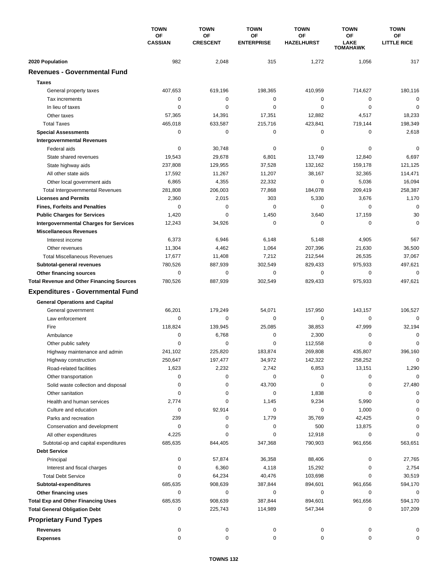|                                                  | <b>TOWN</b><br><b>OF</b><br><b>CASSIAN</b> | <b>TOWN</b><br>OF<br><b>CRESCENT</b> | <b>TOWN</b><br>ΟF<br><b>ENTERPRISE</b> | <b>TOWN</b><br>ΟF<br><b>HAZELHURST</b> | <b>TOWN</b><br>ΟF<br><b>LAKE</b><br>TOMAHAWK | <b>TOWN</b><br>ΟF<br><b>LITTLE RICE</b> |
|--------------------------------------------------|--------------------------------------------|--------------------------------------|----------------------------------------|----------------------------------------|----------------------------------------------|-----------------------------------------|
|                                                  |                                            |                                      |                                        |                                        |                                              |                                         |
|                                                  |                                            |                                      |                                        |                                        |                                              |                                         |
| 2020 Population                                  | 982                                        | 2,048                                | 315                                    | 1,272                                  | 1,056                                        | 317                                     |
| <b>Revenues - Governmental Fund</b>              |                                            |                                      |                                        |                                        |                                              |                                         |
| <b>Taxes</b>                                     |                                            |                                      |                                        |                                        |                                              |                                         |
| General property taxes                           | 407,653                                    | 619,196                              | 198,365                                | 410,959                                | 714,627                                      | 180,116                                 |
| Tax increments                                   | 0                                          | $\mathbf 0$                          | 0                                      | 0                                      | $\mathbf 0$                                  | $\mathbf 0$                             |
| In lieu of taxes                                 | 0                                          | 0                                    | 0                                      | 0                                      | $\mathbf 0$                                  | $\mathbf 0$                             |
| Other taxes                                      | 57,365                                     | 14,391                               | 17,351                                 | 12,882                                 | 4,517                                        | 18,233                                  |
| <b>Total Taxes</b>                               | 465,018                                    | 633,587                              | 215,716                                | 423,841                                | 719,144                                      | 198,349                                 |
| <b>Special Assessments</b>                       | 0                                          | 0                                    | 0                                      | 0                                      | 0                                            | 2,618                                   |
| <b>Intergovernmental Revenues</b>                |                                            |                                      |                                        |                                        |                                              |                                         |
| Federal aids                                     | 0                                          | 30,748                               | 0                                      | 0                                      | 0                                            | 0                                       |
| State shared revenues                            | 19,543                                     | 29,678                               | 6,801                                  | 13,749                                 | 12,840                                       | 6,697                                   |
| State highway aids                               | 237,808                                    | 129,955                              | 37,528                                 | 132,162                                | 159,178                                      | 121,125                                 |
| All other state aids                             | 17,592                                     | 11,267                               | 11,207                                 | 38,167                                 | 32,365                                       | 114,471                                 |
| Other local government aids                      | 6,865                                      | 4,355                                | 22,332                                 | $\mathbf 0$                            | 5,036                                        | 16,094                                  |
| <b>Total Intergovernmental Revenues</b>          | 281,808                                    | 206,003                              | 77,868                                 | 184,078                                | 209,419                                      | 258,387                                 |
| <b>Licenses and Permits</b>                      | 2,360                                      | 2,015                                | 303                                    | 5,330                                  | 3,676                                        | 1,170                                   |
| <b>Fines, Forfeits and Penalties</b>             | 0                                          | 0                                    | 0                                      | 0                                      | 0                                            | $\mathbf 0$                             |
| <b>Public Charges for Services</b>               | 1,420                                      | 0                                    | 1,450                                  | 3,640                                  | 17,159                                       | 30                                      |
| <b>Intergovernmental Charges for Services</b>    | 12,243                                     | 34,926                               | 0                                      | 0                                      | $\mathbf 0$                                  | $\mathbf 0$                             |
| <b>Miscellaneous Revenues</b>                    |                                            |                                      |                                        |                                        |                                              |                                         |
| Interest income                                  | 6,373                                      | 6,946                                | 6,148                                  | 5,148                                  | 4,905                                        | 567                                     |
| Other revenues                                   | 11,304                                     | 4,462                                | 1,064                                  | 207,396                                | 21,630                                       | 36,500                                  |
| <b>Total Miscellaneous Revenues</b>              | 17,677                                     | 11,408                               | 7,212                                  | 212,544                                | 26,535                                       | 37,067                                  |
| Subtotal-general revenues                        | 780,526                                    | 887,939                              | 302,549                                | 829,433                                | 975,933                                      | 497,621                                 |
| Other financing sources                          | $\mathbf 0$                                | 0                                    | 0                                      | 0                                      | 0                                            | $\mathbf 0$                             |
| <b>Total Revenue and Other Financing Sources</b> | 780,526                                    | 887,939                              | 302,549                                | 829,433                                | 975,933                                      | 497,621                                 |
| <b>Expenditures - Governmental Fund</b>          |                                            |                                      |                                        |                                        |                                              |                                         |
| <b>General Operations and Capital</b>            |                                            |                                      |                                        |                                        |                                              |                                         |
| General government                               | 66,201                                     | 179,249                              | 54,071                                 | 157,950                                | 143,157                                      | 106,527                                 |
| Law enforcement                                  | $\mathbf 0$                                | 0                                    | 0                                      | 0                                      | 0                                            | $\mathbf 0$                             |
| Fire                                             | 118,824                                    | 139,945                              | 25,085                                 | 38,853                                 | 47,999                                       | 32,194                                  |
| Ambulance                                        | 0                                          | 6,768                                | 0                                      | 2,300                                  | 0                                            | 0                                       |
| Other public safety                              | 0                                          | $\mathbf 0$                          | 0                                      | 112,558                                | $\mathbf 0$                                  | $\mathbf 0$                             |
| Highway maintenance and admin                    | 241,102                                    | 225,820                              | 183,874                                | 269,808                                | 435,807                                      | 396,160                                 |
| Highway construction                             | 250,647                                    | 197,477                              | 34,972                                 | 142,322                                | 258,252                                      | 0                                       |
| Road-related facilities                          | 1,623                                      | 2,232                                | 2,742                                  | 6,853                                  | 13,151                                       | 1,290                                   |
| Other transportation                             | 0                                          | 0                                    | 0                                      | 0                                      | 0                                            | $\mathbf 0$                             |
| Solid waste collection and disposal              | 0                                          | 0                                    | 43,700                                 | 0                                      | 0                                            | 27,480                                  |
| Other sanitation                                 | 0                                          | 0                                    | 0                                      | 1,838                                  | 0                                            | 0                                       |
| Health and human services                        | 2,774                                      | 0                                    | 1,145                                  | 9,234                                  | 5,990                                        | 0                                       |
| Culture and education                            | 0                                          | 92,914                               | 0                                      | 0                                      | 1,000                                        | 0                                       |
| Parks and recreation                             | 239                                        | 0                                    | 1,779                                  | 35,769                                 | 42,425                                       | 0                                       |
| Conservation and development                     | 0                                          | 0                                    | 0                                      | 500                                    | 13,875                                       | 0                                       |
| All other expenditures                           | 4,225                                      | 0                                    | 0                                      | 12,918                                 | 0                                            | 0                                       |
| Subtotal-op and capital expenditures             | 685,635                                    | 844,405                              | 347,368                                | 790,903                                | 961,656                                      | 563,651                                 |
| <b>Debt Service</b>                              |                                            |                                      |                                        |                                        |                                              |                                         |
| Principal                                        | 0                                          | 57,874                               | 36,358                                 | 88,406                                 | 0                                            | 27,765                                  |
| Interest and fiscal charges                      | 0                                          | 6,360                                | 4,118                                  | 15,292                                 | 0                                            | 2,754                                   |
| <b>Total Debt Service</b>                        | 0                                          | 64,234                               | 40,476                                 | 103,698                                | 0                                            | 30,519                                  |
| Subtotal-expenditures                            | 685,635                                    | 908,639                              | 387,844                                | 894,601                                | 961,656                                      | 594,170                                 |
| Other financing uses                             | 0                                          | 0                                    | 0                                      | 0                                      | 0                                            | 0                                       |
| <b>Total Exp and Other Financing Uses</b>        | 685,635                                    | 908,639                              | 387,844                                | 894,601                                | 961,656                                      | 594,170                                 |
| <b>Total General Obligation Debt</b>             | 0                                          | 225,743                              | 114,989                                | 547,344                                | 0                                            | 107,209                                 |
| <b>Proprietary Fund Types</b>                    |                                            |                                      |                                        |                                        |                                              |                                         |
| <b>Revenues</b>                                  | 0                                          | 0                                    | 0                                      | 0                                      | 0                                            | 0                                       |
| <b>Expenses</b>                                  | 0                                          | 0                                    | 0                                      | 0                                      | 0                                            | 0                                       |
|                                                  |                                            |                                      |                                        |                                        |                                              |                                         |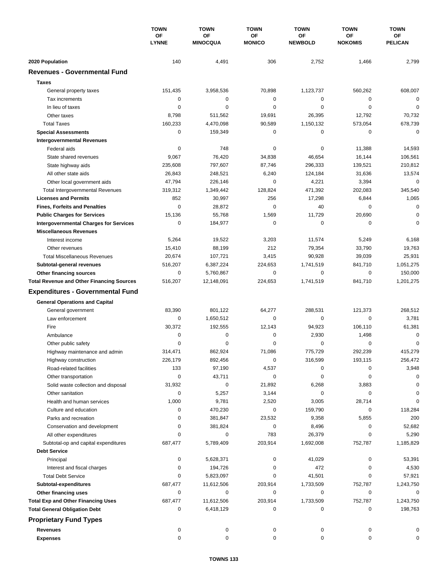|                                                  | <b>TOWN</b><br>ОF<br><b>LYNNE</b> | <b>TOWN</b>                  | <b>TOWN</b><br><b>OF</b><br><b>MONICO</b> | <b>TOWN</b>          | <b>TOWN</b>                 | <b>TOWN</b><br>ΟF<br><b>PELICAN</b> |
|--------------------------------------------------|-----------------------------------|------------------------------|-------------------------------------------|----------------------|-----------------------------|-------------------------------------|
|                                                  |                                   | <b>OF</b><br><b>MINOCQUA</b> |                                           | ΟF<br><b>NEWBOLD</b> | <b>OF</b><br><b>NOKOMIS</b> |                                     |
| 2020 Population                                  | 140                               | 4,491                        | 306                                       | 2,752                | 1,466                       | 2,799                               |
| <b>Revenues - Governmental Fund</b>              |                                   |                              |                                           |                      |                             |                                     |
| <b>Taxes</b>                                     |                                   |                              |                                           |                      |                             |                                     |
| General property taxes                           | 151,435                           | 3,958,536                    | 70,898                                    | 1,123,737            | 560,262                     | 608,007                             |
| Tax increments                                   | 0                                 | 0                            | 0                                         | 0                    | 0                           | 0                                   |
| In lieu of taxes                                 | 0                                 | 0                            | $\mathbf 0$                               | 0                    | $\mathbf 0$                 | 0                                   |
| Other taxes                                      | 8,798                             | 511,562                      | 19,691                                    | 26,395               | 12,792                      | 70,732                              |
| <b>Total Taxes</b>                               | 160,233                           | 4,470,098                    | 90,589                                    | 1,150,132            | 573,054                     | 678,739                             |
| <b>Special Assessments</b>                       | 0                                 | 159,349                      | 0                                         | 0                    | 0                           | 0                                   |
| <b>Intergovernmental Revenues</b>                |                                   |                              |                                           |                      |                             |                                     |
| Federal aids                                     | 0                                 | 748                          | 0                                         | 0                    | 11,388                      | 14,593                              |
| State shared revenues                            | 9,067                             | 76,420                       | 34,838                                    | 46,654               | 16,144                      | 106,561                             |
|                                                  | 235,608                           | 797,607                      | 87,746                                    | 296,333              | 139,521                     | 210,812                             |
| State highway aids<br>All other state aids       | 26,843                            | 248,521                      | 6,240                                     | 124,184              | 31,636                      | 13,574                              |
|                                                  |                                   |                              | 0                                         |                      |                             | $\mathbf 0$                         |
| Other local government aids                      | 47,794                            | 226,146                      |                                           | 4,221                | 3,394                       |                                     |
| <b>Total Intergovernmental Revenues</b>          | 319,312                           | 1,349,442                    | 128,824                                   | 471,392              | 202,083                     | 345,540                             |
| <b>Licenses and Permits</b>                      | 852                               | 30,997                       | 256                                       | 17,298               | 6,844                       | 1,065                               |
| <b>Fines, Forfeits and Penalties</b>             | $\mathbf 0$                       | 28,872                       | $\mathbf 0$                               | 40                   | 0                           | $\mathbf 0$                         |
| <b>Public Charges for Services</b>               | 15,136                            | 55,768                       | 1,569                                     | 11,729               | 20,690                      | 0                                   |
| <b>Intergovernmental Charges for Services</b>    | 0                                 | 184,977                      | $\mathbf 0$                               | 0                    | 0                           | $\Omega$                            |
| <b>Miscellaneous Revenues</b>                    |                                   |                              |                                           |                      |                             |                                     |
| Interest income                                  | 5,264                             | 19,522                       | 3,203                                     | 11,574               | 5,249                       | 6,168                               |
| Other revenues                                   | 15,410                            | 88,199                       | 212                                       | 79,354               | 33,790                      | 19,763                              |
| <b>Total Miscellaneous Revenues</b>              | 20,674                            | 107,721                      | 3,415                                     | 90,928               | 39,039                      | 25,931                              |
| Subtotal-general revenues                        | 516,207                           | 6,387,224                    | 224,653                                   | 1,741,519            | 841,710                     | 1,051,275                           |
| Other financing sources                          | 0                                 | 5,760,867                    | 0                                         | 0                    | $\mathbf 0$                 | 150,000                             |
| <b>Total Revenue and Other Financing Sources</b> | 516,207                           | 12,148,091                   | 224,653                                   | 1,741,519            | 841,710                     | 1,201,275                           |
| <b>Expenditures - Governmental Fund</b>          |                                   |                              |                                           |                      |                             |                                     |
| <b>General Operations and Capital</b>            |                                   |                              |                                           |                      |                             |                                     |
| General government                               | 83,390                            | 801,122                      | 64,277                                    | 288,531              | 121,373                     | 268,512                             |
| Law enforcement                                  | 0                                 | 1,650,512                    | 0                                         | 0                    | 0                           | 3,781                               |
| Fire                                             | 30,372                            | 192,555                      | 12,143                                    | 94,923               | 106,110                     | 61,381                              |
| Ambulance                                        | 0                                 | 0                            | 0                                         | 2,930                | 1,498                       | 0                                   |
| Other public safety                              | 0                                 | 0                            | 0                                         | 0                    | $\mathbf 0$                 | 0                                   |
| Highway maintenance and admin                    | 314,471                           | 862,924                      | 71,086                                    | 775,729              | 292,239                     | 415,279                             |
| Highway construction                             | 226,179                           | 892,456                      | 0                                         | 316,599              | 193,115                     | 256,472                             |
| Road-related facilities                          | 133                               | 97,190                       | 4,537                                     | 0                    | 0                           | 3,948                               |
| Other transportation                             | 0                                 | 43,711                       | 0                                         | 0                    | 0                           | 0                                   |
| Solid waste collection and disposal              | 31,932                            | 0                            | 21,892                                    | 6,268                | 3,883                       | 0                                   |
| Other sanitation                                 | 0                                 | 5,257                        | 3,144                                     | 0                    | 0                           | 0                                   |
| Health and human services                        | 1,000                             | 9,781                        | 2,520                                     | 3,005                | 28,714                      | 0                                   |
| Culture and education                            | 0                                 | 470,230                      | 0                                         | 159,790              | 0                           | 118,284                             |
| Parks and recreation                             | 0                                 | 381,847                      | 23,532                                    | 9,358                | 5,855                       | 200                                 |
| Conservation and development                     | 0                                 | 381,824                      | 0                                         | 8,496                | 0                           | 52,682                              |
| All other expenditures                           | 0                                 | 0                            | 783                                       | 26,379               | 0                           | 5,290                               |
| Subtotal-op and capital expenditures             | 687,477                           | 5,789,409                    | 203,914                                   | 1,692,008            | 752,787                     | 1,185,829                           |
| <b>Debt Service</b>                              |                                   |                              |                                           |                      |                             |                                     |
|                                                  |                                   |                              |                                           |                      |                             |                                     |
| Principal                                        | 0                                 | 5,628,371                    | 0                                         | 41,029               | 0                           | 53,391                              |
| Interest and fiscal charges                      | 0                                 | 194,726                      | 0                                         | 472                  | 0                           | 4,530                               |
| <b>Total Debt Service</b>                        | 0                                 | 5,823,097                    | 0                                         | 41,501               | 0                           | 57,921                              |
| Subtotal-expenditures                            | 687,477                           | 11,612,506                   | 203,914                                   | 1,733,509            | 752,787                     | 1,243,750                           |
| Other financing uses                             | 0                                 | 0                            | 0                                         | 0                    | 0                           | 0                                   |
| <b>Total Exp and Other Financing Uses</b>        | 687,477                           | 11,612,506                   | 203,914                                   | 1,733,509            | 752,787                     | 1,243,750                           |
| <b>Total General Obligation Debt</b>             | 0                                 | 6,418,129                    | 0                                         | 0                    | 0                           | 198,763                             |
| <b>Proprietary Fund Types</b>                    |                                   |                              |                                           |                      |                             |                                     |
| <b>Revenues</b>                                  | 0                                 | 0                            | 0                                         | 0                    | 0                           |                                     |
| <b>Expenses</b>                                  | 0                                 | 0                            | 0                                         | 0                    | 0                           | 0                                   |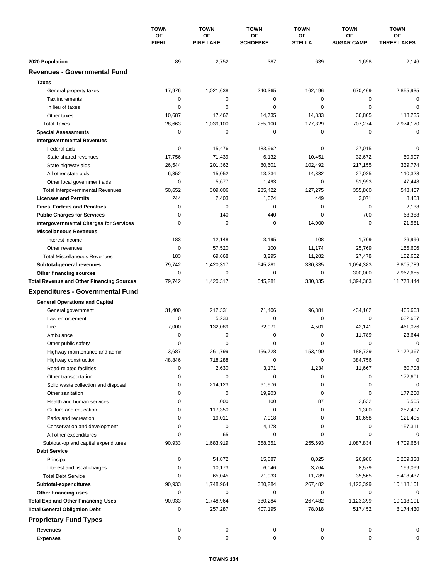|                                                  | <b>TOWN</b><br>ОF<br><b>PIEHL</b> | <b>TOWN</b>            | <b>TOWN</b><br>OF<br><b>SCHOEPKE</b> | <b>TOWN</b>         | <b>TOWN</b>                    | <b>TOWN</b><br>OF<br><b>THREE LAKES</b> |
|--------------------------------------------------|-----------------------------------|------------------------|--------------------------------------|---------------------|--------------------------------|-----------------------------------------|
|                                                  |                                   | OF<br><b>PINE LAKE</b> |                                      | ΟF<br><b>STELLA</b> | <b>OF</b><br><b>SUGAR CAMP</b> |                                         |
| 2020 Population                                  | 89                                | 2,752                  | 387                                  | 639                 | 1,698                          | 2,146                                   |
| <b>Revenues - Governmental Fund</b>              |                                   |                        |                                      |                     |                                |                                         |
| <b>Taxes</b>                                     |                                   |                        |                                      |                     |                                |                                         |
| General property taxes                           | 17,976                            | 1,021,638              | 240,365                              | 162,496             | 670,469                        | 2,855,935                               |
| Tax increments                                   | 0                                 | 0                      | 0                                    | 0                   | 0                              | 0                                       |
| In lieu of taxes                                 | 0                                 | 0                      | 0                                    | 0                   | $\mathbf 0$                    | $\mathbf 0$                             |
| Other taxes                                      | 10,687                            | 17,462                 | 14,735                               | 14,833              | 36,805                         | 118,235                                 |
| <b>Total Taxes</b>                               | 28,663                            | 1,039,100              | 255,100                              | 177,329             | 707,274                        | 2,974,170                               |
| <b>Special Assessments</b>                       | 0                                 | 0                      | 0                                    | 0                   | $\mathbf 0$                    | $\mathbf 0$                             |
| <b>Intergovernmental Revenues</b>                |                                   |                        |                                      |                     |                                |                                         |
| Federal aids                                     | 0                                 | 15,476                 | 183,962                              | 0                   | 27,015                         | $\mathbf 0$                             |
| State shared revenues                            | 17,756                            | 71,439                 | 6,132                                | 10,451              | 32,672                         | 50,907                                  |
| State highway aids                               | 26,544                            | 201,362                | 80,601                               | 102,492             | 217,155                        | 339,774                                 |
| All other state aids                             | 6,352                             | 15,052                 | 13,234                               | 14,332              | 27,025                         | 110,328                                 |
| Other local government aids                      | 0                                 | 5,677                  | 1,493                                | 0                   | 51,993                         | 47,448                                  |
| <b>Total Intergovernmental Revenues</b>          | 50,652                            | 309,006                | 285,422                              | 127,275             | 355,860                        | 548,457                                 |
| <b>Licenses and Permits</b>                      | 244                               | 2,403                  | 1,024                                | 449                 | 3,071                          | 8,453                                   |
| <b>Fines, Forfeits and Penalties</b>             | 0                                 | $\mathbf 0$            | 0                                    | 0                   | $\mathbf 0$                    | 2,138                                   |
| <b>Public Charges for Services</b>               | 0                                 | 140                    | 440                                  | 0                   | 700                            | 68,388                                  |
| <b>Intergovernmental Charges for Services</b>    | 0                                 | $\mathbf 0$            | 0                                    | 14,000              | $\mathbf 0$                    | 21,581                                  |
| <b>Miscellaneous Revenues</b>                    |                                   |                        |                                      |                     |                                |                                         |
| Interest income                                  | 183                               | 12,148                 | 3,195                                | 108                 | 1,709                          | 26,996                                  |
| Other revenues                                   | 0                                 | 57,520                 | 100                                  | 11,174              | 25,769                         | 155,606                                 |
| <b>Total Miscellaneous Revenues</b>              | 183                               | 69,668                 | 3,295                                | 11,282              | 27,478                         | 182,602                                 |
| Subtotal-general revenues                        | 79,742                            | 1,420,317              | 545,281                              | 330,335             | 1,094,383                      | 3,805,789                               |
| Other financing sources                          | 0                                 | 0                      | 0                                    | 0                   | 300,000                        | 7,967,655                               |
| <b>Total Revenue and Other Financing Sources</b> | 79,742                            | 1,420,317              | 545,281                              | 330,335             | 1,394,383                      | 11,773,444                              |
|                                                  |                                   |                        |                                      |                     |                                |                                         |
| <b>Expenditures - Governmental Fund</b>          |                                   |                        |                                      |                     |                                |                                         |
| <b>General Operations and Capital</b>            |                                   |                        |                                      |                     |                                |                                         |
| General government                               | 31,400                            | 212,331                | 71,406                               | 96,381              | 434,162                        | 466,663                                 |
| Law enforcement                                  | 0                                 | 5,233                  | $\mathbf 0$                          | 0                   | $\mathbf 0$                    | 632,687                                 |
| Fire                                             | 7,000                             | 132,089                | 32,971                               | 4,501               | 42,141                         | 461,076                                 |
| Ambulance                                        | 0                                 | 0                      | 0                                    | 0                   | 11,789                         | 23,644                                  |
| Other public safety                              | 0                                 | 0                      | 0                                    | 0                   | 0                              | $\mathbf 0$                             |
| Highway maintenance and admin                    | 3,687                             | 261,799                | 156,728                              | 153,490             | 188,729                        | 2,172,367                               |
| Highway construction                             | 48,846                            | 718,288                | 0                                    | 0                   | 384,756                        | 0                                       |
| Road-related facilities                          | 0                                 | 2,630                  | 3,171                                | 1,234               | 11,667                         | 60,708                                  |
| Other transportation                             | 0                                 | 0                      | 0                                    | 0                   | 0                              | 172,601                                 |
| Solid waste collection and disposal              | 0                                 | 214,123                | 61,976                               | 0                   | 0                              | 0                                       |
| Other sanitation                                 | 0                                 | 0                      | 19,903                               | 0                   | 0                              | 177,200                                 |
| Health and human services                        | 0                                 | 1,000                  | 100                                  | 87                  | 2,632                          | 6,505                                   |
| Culture and education                            | 0                                 | 117,350                | 0                                    | 0                   | 1,300                          | 257,497                                 |
| Parks and recreation                             | 0                                 | 19,011                 | 7,918                                | 0                   | 10,658                         | 121,405                                 |
| Conservation and development                     | 0                                 | 0                      | 4,178                                | 0                   | 0                              | 157,311                                 |
| All other expenditures                           | 0                                 | 65                     | 0                                    | 0                   | 0                              | 0                                       |
| Subtotal-op and capital expenditures             | 90,933                            | 1,683,919              | 358,351                              | 255,693             | 1,087,834                      | 4,709,664                               |
| <b>Debt Service</b>                              |                                   |                        |                                      |                     |                                |                                         |
| Principal                                        | 0                                 | 54,872                 | 15,887                               | 8,025               | 26,986                         | 5,209,338                               |
| Interest and fiscal charges                      | 0                                 | 10,173                 | 6,046                                | 3,764               | 8,579                          | 199,099                                 |
| <b>Total Debt Service</b>                        | 0                                 | 65,045                 | 21,933                               | 11,789              | 35,565                         | 5,408,437                               |
| Subtotal-expenditures                            | 90,933                            | 1,748,964              | 380,284                              | 267,482             | 1,123,399                      | 10,118,101                              |
| Other financing uses                             | 0                                 | 0                      | 0                                    | 0                   | 0                              | 0                                       |
| <b>Total Exp and Other Financing Uses</b>        | 90,933                            | 1,748,964              | 380,284                              | 267,482             | 1,123,399                      | 10,118,101                              |
| <b>Total General Obligation Debt</b>             | 0                                 | 257,287                | 407,195                              | 78,018              | 517,452                        | 8,174,430                               |
| <b>Proprietary Fund Types</b>                    |                                   |                        |                                      |                     |                                |                                         |
| <b>Revenues</b>                                  | 0                                 | 0                      | 0                                    | 0                   | 0                              | 0                                       |
| <b>Expenses</b>                                  | 0                                 | 0                      | 0                                    | 0                   | 0                              | 0                                       |
|                                                  |                                   |                        |                                      |                     |                                |                                         |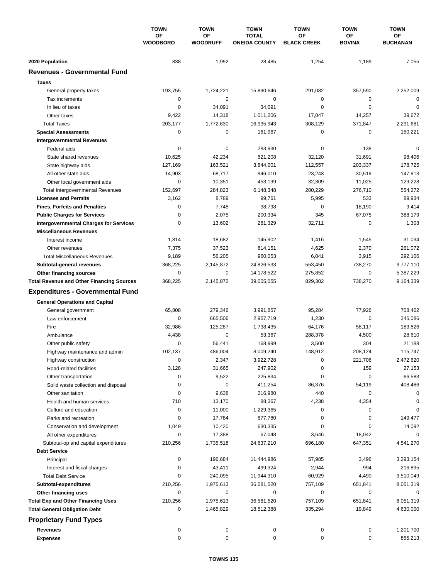|                                                  | <b>TOWN</b><br>OF<br><b>WOODBORO</b> | <b>TOWN</b>           | <b>TOWN</b>                          | <b>TOWN</b>              | <b>TOWN</b>                | <b>TOWN</b>           |
|--------------------------------------------------|--------------------------------------|-----------------------|--------------------------------------|--------------------------|----------------------------|-----------------------|
|                                                  |                                      | OF<br><b>WOODRUFF</b> | <b>TOTAL</b><br><b>ONEIDA COUNTY</b> | OF<br><b>BLACK CREEK</b> | <b>OF</b><br><b>BOVINA</b> | ОF<br><b>BUCHANAN</b> |
| 2020 Population                                  | 838                                  | 1,992                 | 28,485                               | 1,254                    | 1,189                      | 7,055                 |
| <b>Revenues - Governmental Fund</b>              |                                      |                       |                                      |                          |                            |                       |
| <b>Taxes</b>                                     |                                      |                       |                                      |                          |                            |                       |
| General property taxes                           | 193,755                              | 1,724,221             | 15,890,646                           | 291,082                  | 357,590                    | 2,252,009             |
| Tax increments                                   | $\mathbf 0$                          | 0                     | 0                                    | 0                        | 0                          | $\mathbf 0$           |
| In lieu of taxes                                 | $\mathbf 0$                          | 34,091                | 34,091                               | $\mathbf 0$              | $\mathbf 0$                | 0                     |
| Other taxes                                      | 9,422                                | 14,318                | 1,011,206                            | 17,047                   | 14,257                     | 39,672                |
| <b>Total Taxes</b>                               | 203,177                              | 1,772,630             | 16,935,943                           | 308,129                  | 371,847                    | 2,291,681             |
| <b>Special Assessments</b>                       | $\mathbf 0$                          | 0                     | 161,967                              | 0                        | $\mathbf 0$                | 150,221               |
| <b>Intergovernmental Revenues</b>                |                                      |                       |                                      |                          |                            |                       |
| Federal aids                                     | 0                                    | 0                     | 283,930                              | 0                        | 138                        | 0                     |
| State shared revenues                            | 10,625                               | 42,234                | 621,208                              | 32,120                   | 31,691                     | 98,406                |
| State highway aids                               | 127,169                              | 163,521               | 3,844,001                            | 112,557                  | 203,337                    | 178,725               |
| All other state aids                             | 14,903                               | 68,717                | 946,010                              | 23,243                   | 30,519                     | 147,913               |
| Other local government aids                      | $\mathbf 0$                          | 10,351                | 453,199                              | 32,309                   | 11,025                     | 129,228               |
| <b>Total Intergovernmental Revenues</b>          | 152,697                              | 284,823               | 6,148,348                            | 200,229                  | 276,710                    | 554,272               |
| <b>Licenses and Permits</b>                      | 3,162                                | 8,789                 | 99,761                               | 5,995                    | 533                        | 89,934                |
| <b>Fines, Forfeits and Penalties</b>             | $\mathbf 0$                          | 7,748                 | 38,798                               | $\mathbf 0$              | 18,190                     | 9,414                 |
| <b>Public Charges for Services</b>               | $\mathbf 0$                          | 2,075                 | 200,334                              | 345                      | 67,075                     | 388,179               |
| <b>Intergovernmental Charges for Services</b>    | $\mathbf 0$                          | 13,602                | 281,329                              | 32,711                   | 0                          | 1,303                 |
| <b>Miscellaneous Revenues</b>                    |                                      |                       |                                      |                          |                            |                       |
| Interest income                                  | 1,814                                | 18,682                | 145,902                              | 1,416                    | 1,545                      | 31,034                |
| Other revenues                                   | 7,375                                | 37,523                | 814,151                              | 4,625                    | 2,370                      | 261,072               |
| <b>Total Miscellaneous Revenues</b>              | 9,189                                | 56,205                | 960,053                              | 6,041                    | 3,915                      | 292,106               |
| Subtotal-general revenues                        | 368,225                              | 2,145,872             | 24,826,533                           | 553,450                  | 738,270                    | 3,777,110             |
| Other financing sources                          | $\mathbf 0$                          | 0                     | 14,178,522                           | 275,852                  | $\mathbf 0$                | 5,387,229             |
| <b>Total Revenue and Other Financing Sources</b> | 368,225                              | 2,145,872             | 39,005,055                           | 829,302                  | 738,270                    | 9,164,339             |
| <b>Expenditures - Governmental Fund</b>          |                                      |                       |                                      |                          |                            |                       |
| <b>General Operations and Capital</b>            |                                      |                       |                                      |                          |                            |                       |
| General government                               | 65,808                               | 279,346               | 3,991,857                            | 95,284                   | 77,926                     | 708,402               |
| Law enforcement                                  | 0                                    | 665,506               | 2,957,719                            | 1,230                    | $\mathbf 0$                | 345,086               |
| Fire                                             | 32,986                               | 125,287               | 1,738,435                            | 64,176                   | 58,117                     | 183,826               |
| Ambulance                                        | 4,438                                | 0                     | 53,367                               | 288,378                  | 4,500                      | 28,610                |
| Other public safety                              | 0                                    | 56,441                | 168,999                              | 3,500                    | 304                        | 21,188                |
| Highway maintenance and admin                    | 102,137                              | 486,004               | 8,009,240                            | 148,912                  | 208,124                    | 115,747               |
| Highway construction                             | 0                                    | 2,347                 | 3,922,728                            | 0                        | 221,706                    | 2,472,620             |
| Road-related facilities                          | 3,128                                | 31,665                | 247,902                              | 0                        | 159                        | 27,153                |
| Other transportation                             | 0                                    | 9,522                 | 225,834                              | 0                        | 0                          | 66,583                |
| Solid waste collection and disposal              | 0                                    | 0                     | 411,254                              | 86,376                   | 54,119                     | 408,486               |
| Other sanitation                                 | 0                                    | 9,638                 | 216,980                              | 440                      | 0                          | 0                     |
| Health and human services                        | 710                                  | 13,170                | 88,367                               | 4,238                    | 4,354                      | 0                     |
| Culture and education                            | 0                                    | 11,000                | 1,229,365                            | 0                        | 0                          | 0                     |
| Parks and recreation                             | 0                                    | 17,784                | 677,780                              | 0                        | 0                          | 149,477               |
| Conservation and development                     | 1,049                                | 10,420                | 630,335                              | 0                        | 0                          | 14,092                |
| All other expenditures                           | 0                                    | 17,388                | 67,048                               | 3,646                    | 18,042                     | 0                     |
| Subtotal-op and capital expenditures             | 210,256                              | 1,735,518             | 24,637,210                           | 696,180                  | 647,351                    | 4,541,270             |
| <b>Debt Service</b>                              |                                      |                       |                                      |                          |                            |                       |
| Principal                                        | 0                                    | 196,684               | 11,444,986                           | 57,985                   | 3,496                      | 3,293,154             |
| Interest and fiscal charges                      | 0                                    | 43,411                | 499,324                              | 2,944                    | 994                        | 216,895               |
| <b>Total Debt Service</b>                        | 0                                    | 240,095               | 11,944,310                           | 60,929                   | 4,490                      | 3,510,049             |
| Subtotal-expenditures                            | 210,256                              | 1,975,613             | 36,581,520                           | 757,109                  | 651,841                    | 8,051,319             |
| Other financing uses                             | 0                                    | 0                     | 0                                    | 0                        | 0                          | 0                     |
| <b>Total Exp and Other Financing Uses</b>        | 210,256                              | 1,975,613             | 36,581,520                           | 757,109                  | 651,841                    | 8,051,319             |
| <b>Total General Obligation Debt</b>             | 0                                    | 1,465,829             | 18,512,388                           | 335,294                  | 19,849                     | 4,630,000             |
| <b>Proprietary Fund Types</b>                    |                                      |                       |                                      |                          |                            |                       |
| Revenues                                         | 0                                    | 0                     | 0                                    | 0                        | 0                          | 1,201,700             |
| <b>Expenses</b>                                  | 0                                    | 0                     | 0                                    | 0                        | 0                          | 855,213               |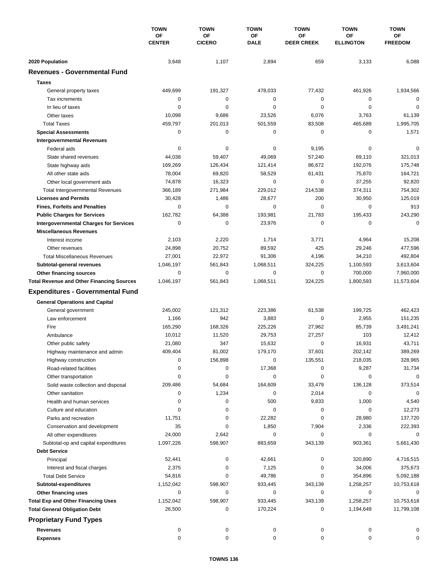|                                                  | <b>TOWN</b><br>ОF<br><b>CENTER</b> | <b>TOWN</b><br>OF<br><b>CICERO</b> | <b>TOWN</b><br>OF<br><b>DALE</b> | <b>TOWN</b>             | <b>TOWN</b>                   | <b>TOWN</b><br>OF<br><b>FREEDOM</b> |
|--------------------------------------------------|------------------------------------|------------------------------------|----------------------------------|-------------------------|-------------------------------|-------------------------------------|
|                                                  |                                    |                                    |                                  | ΟF<br><b>DEER CREEK</b> | <b>OF</b><br><b>ELLINGTON</b> |                                     |
| 2020 Population                                  | 3,648                              | 1,107                              | 2,894                            | 659                     | 3,133                         | 6,088                               |
| <b>Revenues - Governmental Fund</b>              |                                    |                                    |                                  |                         |                               |                                     |
| <b>Taxes</b>                                     |                                    |                                    |                                  |                         |                               |                                     |
| General property taxes                           | 449,699                            | 191,327                            | 478,033                          | 77,432                  | 461,926                       | 1,934,566                           |
| Tax increments                                   | 0                                  | $\pmb{0}$                          | 0                                | 0                       | 0                             | $\mathbf 0$                         |
| In lieu of taxes                                 | 0                                  | 0                                  | 0                                | 0                       | $\mathbf 0$                   | $\mathbf 0$                         |
| Other taxes                                      | 10,098                             | 9,686                              | 23,526                           | 6,076                   | 3,763                         | 61,139                              |
| <b>Total Taxes</b>                               | 459,797                            | 201,013                            | 501,559                          | 83,508                  | 465,689                       | 1,995,705                           |
| <b>Special Assessments</b>                       | 0                                  | 0                                  | 0                                | 0                       | 0                             | 1,571                               |
| <b>Intergovernmental Revenues</b>                |                                    |                                    |                                  |                         |                               |                                     |
| Federal aids                                     | 0                                  | 0                                  | 0                                | 9,195                   | 0                             | 0                                   |
| State shared revenues                            | 44,038                             | 59,407                             | 49,069                           | 57,240                  | 69,110                        | 321,013                             |
| State highway aids                               | 169,269                            | 126,434                            | 121,414                          | 86,672                  | 192,076                       | 175,748                             |
| All other state aids                             | 78,004                             | 69,820                             | 58,529                           | 61,431                  | 75,870                        | 164,721                             |
|                                                  | 74,878                             | 16,323                             | 0                                | 0                       | 37,255                        | 92,820                              |
| Other local government aids                      |                                    |                                    | 229,012                          | 214,538                 |                               |                                     |
| <b>Total Intergovernmental Revenues</b>          | 366,189                            | 271,984                            |                                  |                         | 374,311                       | 754,302                             |
| <b>Licenses and Permits</b>                      | 30,428                             | 1,486                              | 28,677                           | 200                     | 30,950                        | 125,019                             |
| <b>Fines, Forfeits and Penalties</b>             | 0                                  | 0                                  | 0                                | 0                       | 0                             | 913                                 |
| <b>Public Charges for Services</b>               | 162,782                            | 64,388                             | 193,981                          | 21,783                  | 195,433                       | 243,290                             |
| <b>Intergovernmental Charges for Services</b>    | $\mathbf 0$                        | $\mathbf 0$                        | 23,976                           | 0                       | 0                             | $\mathbf 0$                         |
| <b>Miscellaneous Revenues</b>                    |                                    |                                    |                                  |                         |                               |                                     |
| Interest income                                  | 2,103                              | 2,220                              | 1,714                            | 3,771                   | 4,964                         | 15,208                              |
| Other revenues                                   | 24,898                             | 20,752                             | 89,592                           | 425                     | 29,246                        | 477,596                             |
| <b>Total Miscellaneous Revenues</b>              | 27,001                             | 22,972                             | 91,306                           | 4,196                   | 34,210                        | 492,804                             |
| Subtotal-general revenues                        | 1,046,197                          | 561,843                            | 1,068,511                        | 324,225                 | 1,100,593                     | 3,613,604                           |
| Other financing sources                          | 0                                  | $\pmb{0}$                          | 0                                | 0                       | 700,000                       | 7,960,000                           |
| <b>Total Revenue and Other Financing Sources</b> | 1,046,197                          | 561,843                            | 1,068,511                        | 324,225                 | 1,800,593                     | 11,573,604                          |
| <b>Expenditures - Governmental Fund</b>          |                                    |                                    |                                  |                         |                               |                                     |
| <b>General Operations and Capital</b>            |                                    |                                    |                                  |                         |                               |                                     |
| General government                               | 245,002                            | 121,312                            | 223,386                          | 61,538                  | 199,725                       | 462,423                             |
| Law enforcement                                  | 1,166                              | 942                                | 3,883                            | 0                       | 2,955                         | 151,235                             |
| Fire                                             | 165,290                            | 168,326                            | 225,226                          | 27,962                  | 85,739                        | 3,491,241                           |
| Ambulance                                        | 10,012                             | 11,520                             | 29,753                           | 27,257                  | 103                           | 12,412                              |
| Other public safety                              | 21,080                             | 347                                | 15,632                           | 0                       | 16,931                        | 43,711                              |
| Highway maintenance and admin                    | 409,404                            | 81,002                             | 179,170                          | 37,601                  | 202,142                       | 389,269                             |
| Highway construction                             | 0                                  | 156,898                            | 0                                | 135,551                 | 218,035                       | 328,965                             |
| Road-related facilities                          | 0                                  | 0                                  | 17,368                           | 0                       | 9,287                         | 31,734                              |
| Other transportation                             | 0                                  | 0                                  | 0                                | 0                       | 0                             | $\mathbf 0$                         |
| Solid waste collection and disposal              | 209,486                            | 54,684                             | 164,609                          | 33,479                  | 136,128                       | 373,514                             |
| Other sanitation                                 | 0                                  | 1,234                              | 0                                | 2,014                   | 0                             | $\mathbf 0$                         |
| Health and human services                        | 0                                  | 0                                  | 500                              | 9,833                   | 1,000                         | 4,540                               |
| Culture and education                            | 0                                  | 0                                  | 0                                | 0                       | 0                             | 12,273                              |
| Parks and recreation                             | 11,751                             | 0                                  | 22,282                           | 0                       | 28,980                        | 137,720                             |
| Conservation and development                     | 35                                 | 0                                  | 1,850                            | 7,904                   | 2,336                         | 222,393                             |
| All other expenditures                           | 24,000                             | 2,642                              | 0                                | 0                       | 0                             | 0                                   |
| Subtotal-op and capital expenditures             | 1,097,226                          | 598,907                            | 883,659                          | 343,139                 | 903,361                       | 5,661,430                           |
| <b>Debt Service</b>                              |                                    |                                    |                                  |                         |                               |                                     |
|                                                  |                                    |                                    |                                  |                         |                               |                                     |
| Principal                                        | 52,441                             | 0                                  | 42,661                           | 0                       | 320,890                       | 4,716,515                           |
| Interest and fiscal charges                      | 2,375                              | 0                                  | 7,125                            | 0                       | 34,006                        | 375,673                             |
| <b>Total Debt Service</b>                        | 54,816                             | 0                                  | 49,786                           | 0                       | 354,896                       | 5,092,188                           |
| Subtotal-expenditures                            | 1,152,042                          | 598,907                            | 933,445                          | 343,139                 | 1,258,257                     | 10,753,618                          |
| Other financing uses                             | 0                                  | 0                                  | 0                                | 0                       | 0                             | 0                                   |
| <b>Total Exp and Other Financing Uses</b>        | 1,152,042                          | 598,907                            | 933,445                          | 343,139                 | 1,258,257                     | 10,753,618                          |
| <b>Total General Obligation Debt</b>             | 26,500                             | 0                                  | 170,224                          | 0                       | 1,194,649                     | 11,799,108                          |
| <b>Proprietary Fund Types</b>                    |                                    |                                    |                                  |                         |                               |                                     |
| <b>Revenues</b>                                  | 0                                  | 0                                  | 0                                | 0                       | 0                             | 0                                   |
| <b>Expenses</b>                                  | 0                                  | 0                                  | 0                                | 0                       | 0                             | 0                                   |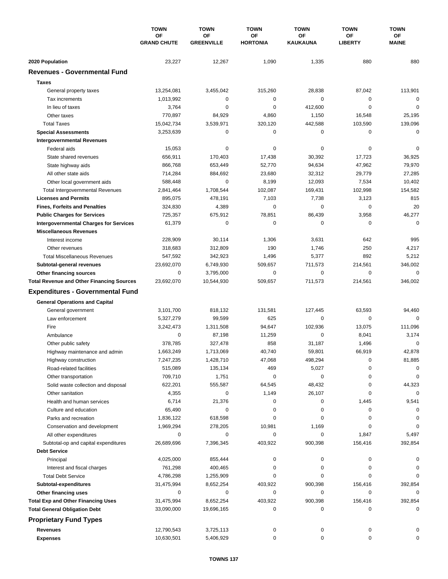|                                                  | <b>TOWN</b><br>OF<br><b>GRAND CHUTE</b> | <b>TOWN</b><br>OF<br><b>GREENVILLE</b> | <b>TOWN</b><br>ΟF<br><b>HORTONIA</b> | <b>TOWN</b><br>OF<br>KAUKAUNA | <b>TOWN</b><br>ΟF<br><b>LIBERTY</b> | <b>TOWN</b><br>ОF<br><b>MAINE</b> |
|--------------------------------------------------|-----------------------------------------|----------------------------------------|--------------------------------------|-------------------------------|-------------------------------------|-----------------------------------|
|                                                  |                                         |                                        |                                      |                               |                                     |                                   |
|                                                  |                                         |                                        |                                      |                               |                                     |                                   |
| 2020 Population                                  | 23,227                                  | 12,267                                 | 1,090                                | 1,335                         | 880                                 | 880                               |
| <b>Revenues - Governmental Fund</b>              |                                         |                                        |                                      |                               |                                     |                                   |
| <b>Taxes</b>                                     |                                         |                                        |                                      |                               |                                     |                                   |
| General property taxes                           | 13,254,081                              | 3,455,042                              | 315,260                              | 28,838                        | 87,042                              | 113,901                           |
| Tax increments                                   | 1,013,992                               | 0                                      | 0                                    | 0                             | 0                                   | $\mathbf 0$                       |
| In lieu of taxes                                 | 3,764                                   | $\mathbf 0$                            | 0                                    | 412.600                       | $\mathbf 0$                         | $\mathbf 0$                       |
| Other taxes                                      | 770,897                                 | 84,929                                 | 4,860                                | 1,150                         | 16,548                              | 25,195                            |
| <b>Total Taxes</b>                               | 15,042,734                              | 3,539,971                              | 320,120                              | 442,588                       | 103,590                             | 139,096                           |
| <b>Special Assessments</b>                       | 3,253,639                               | 0                                      | 0                                    | 0                             | $\mathbf 0$                         | 0                                 |
| <b>Intergovernmental Revenues</b>                |                                         |                                        |                                      |                               |                                     |                                   |
| Federal aids                                     | 15,053                                  | 0                                      | 0                                    | 0                             | 0                                   | 0                                 |
| State shared revenues                            | 656,911                                 | 170,403                                | 17,438                               | 30,392                        | 17,723                              | 36,925                            |
| State highway aids                               | 866,768                                 | 653,449                                | 52,770                               | 94,634                        | 47,962                              | 79,970                            |
| All other state aids                             | 714,284                                 | 884,692                                | 23,680                               | 32,312                        | 29,779                              | 27,285                            |
| Other local government aids                      | 588,448                                 | $\mathbf 0$                            | 8,199                                | 12,093                        | 7,534                               | 10,402                            |
| Total Intergovernmental Revenues                 | 2,841,464                               | 1,708,544                              | 102,087                              | 169,431                       | 102,998                             | 154,582                           |
| <b>Licenses and Permits</b>                      | 895,075                                 | 478,191                                | 7,103                                | 7,738                         | 3,123                               | 815                               |
| <b>Fines, Forfeits and Penalties</b>             | 324,830                                 | 4,389                                  | 0                                    | 0                             | 0                                   | 20                                |
| <b>Public Charges for Services</b>               | 725,357                                 | 675,912                                | 78,851                               | 86,439                        | 3,958                               | 46,277                            |
| <b>Intergovernmental Charges for Services</b>    | 61,379                                  | 0                                      | 0                                    | 0                             | 0                                   | $\mathbf 0$                       |
| <b>Miscellaneous Revenues</b>                    |                                         |                                        |                                      |                               |                                     |                                   |
|                                                  | 228,909                                 | 30,114                                 | 1,306                                | 3,631                         | 642                                 | 995                               |
| Interest income                                  |                                         |                                        |                                      |                               |                                     |                                   |
| Other revenues                                   | 318,683                                 | 312,809                                | 190                                  | 1,746                         | 250                                 | 4,217                             |
| <b>Total Miscellaneous Revenues</b>              | 547,592                                 | 342,923                                | 1,496                                | 5,377                         | 892                                 | 5,212                             |
| Subtotal-general revenues                        | 23,692,070                              | 6,749,930                              | 509,657                              | 711,573                       | 214,561                             | 346,002                           |
| Other financing sources                          | 0                                       | 3,795,000                              | 0                                    | 0                             | $\mathbf 0$                         | $\mathbf 0$                       |
| <b>Total Revenue and Other Financing Sources</b> | 23,692,070                              | 10,544,930                             | 509,657                              | 711,573                       | 214,561                             | 346,002                           |
| <b>Expenditures - Governmental Fund</b>          |                                         |                                        |                                      |                               |                                     |                                   |
| <b>General Operations and Capital</b>            |                                         |                                        |                                      |                               |                                     |                                   |
| General government                               | 3,101,700                               | 818,132                                | 131,581                              | 127,445                       | 63,593                              | 94,460                            |
| Law enforcement                                  | 5,327,279                               | 99,599                                 | 625                                  | 0                             | 0                                   | $\Omega$                          |
| Fire                                             | 3,242,473                               | 1,311,508                              | 94,647                               | 102,936                       | 13,075                              | 111,096                           |
| Ambulance                                        | 0                                       | 87,198                                 | 11,259                               | 0                             | 8,041                               | 3,174                             |
| Other public safety                              | 378,785                                 | 327,478                                | 858                                  | 31,187                        | 1,496                               | $\mathbf 0$                       |
| Highway maintenance and admin                    | 1,663,249                               | 1,713,069                              | 40,740                               | 59,801                        | 66,919                              | 42,878                            |
| Highway construction                             | 7,247,235                               | 1,428,710                              | 47,068                               | 498,294                       | 0                                   | 81,885                            |
| Road-related facilities                          | 515,089                                 | 135,134                                | 469                                  | 5,027                         | 0                                   | 0                                 |
| Other transportation                             | 709,710                                 | 1,751                                  | 0                                    | 0                             | 0                                   | 0                                 |
| Solid waste collection and disposal              | 622,201                                 | 555,587                                | 64,545                               | 48,432                        | 0                                   | 44,323                            |
| Other sanitation                                 | 4,355                                   | 0                                      | 1,149                                | 26,107                        | 0                                   | 0                                 |
| Health and human services                        | 6,714                                   | 21,376                                 | 0                                    | 0                             | 1,445                               | 9,541                             |
| Culture and education                            | 65,490                                  | 0                                      | 0                                    | 0                             | 0                                   | 0                                 |
| Parks and recreation                             | 1,836,122                               | 618,598                                | 0                                    | 0                             | $\Omega$                            | 0                                 |
| Conservation and development                     | 1,969,294                               | 278,205                                | 10,981                               | 1,169                         | 0                                   | 0                                 |
| All other expenditures                           | 0                                       | 0                                      | 0                                    | 0                             | 1,847                               | 5,497                             |
| Subtotal-op and capital expenditures             | 26,689,696                              | 7,396,345                              | 403,922                              | 900,398                       | 156,416                             | 392,854                           |
| <b>Debt Service</b>                              |                                         |                                        |                                      |                               |                                     |                                   |
|                                                  |                                         |                                        |                                      |                               |                                     |                                   |
| Principal                                        | 4,025,000                               | 855,444                                | 0                                    | 0                             | 0                                   | 0                                 |
| Interest and fiscal charges                      | 761,298                                 | 400,465                                | 0                                    | 0                             | 0                                   |                                   |
| <b>Total Debt Service</b>                        | 4,786,298                               | 1,255,909                              | 0                                    | 0                             | 0                                   | $\Omega$                          |
| Subtotal-expenditures                            | 31,475,994                              | 8,652,254                              | 403,922                              | 900,398                       | 156,416                             | 392,854                           |
| Other financing uses                             | 0                                       | 0                                      | 0                                    | 0                             | 0                                   | 0                                 |
| <b>Total Exp and Other Financing Uses</b>        | 31,475,994                              | 8,652,254                              | 403,922                              | 900,398                       | 156,416                             | 392,854                           |
| <b>Total General Obligation Debt</b>             | 33,090,000                              | 19,696,165                             | 0                                    | 0                             | 0                                   | 0                                 |
| <b>Proprietary Fund Types</b>                    |                                         |                                        |                                      |                               |                                     |                                   |
| <b>Revenues</b>                                  | 12,790,543                              | 3,725,113                              | 0                                    | 0                             | 0                                   |                                   |
| <b>Expenses</b>                                  | 10,630,501                              | 5,406,929                              | 0                                    | 0                             | 0                                   | 0                                 |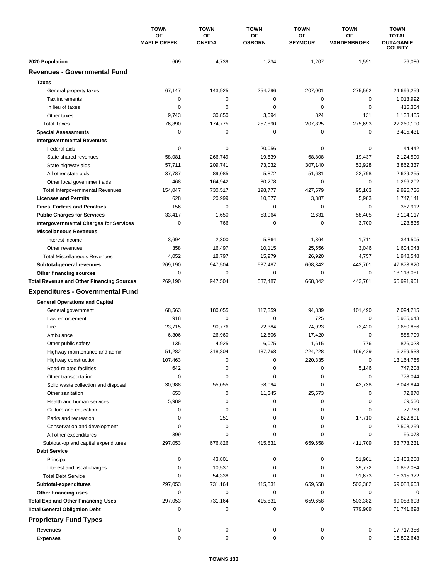|                                                  | <b>TOWN</b><br>OF<br><b>MAPLE CREEK</b> | <b>TOWN</b><br>OF | <b>TOWN</b><br>OF<br><b>OSBORN</b> | <b>TOWN</b><br>OF | <b>TOWN</b><br>OF<br><b>VANDENBROEK</b> | <b>TOWN</b><br><b>TOTAL</b><br><b>OUTAGAMIE</b><br><b>COUNTY</b> |
|--------------------------------------------------|-----------------------------------------|-------------------|------------------------------------|-------------------|-----------------------------------------|------------------------------------------------------------------|
|                                                  |                                         |                   |                                    |                   |                                         |                                                                  |
|                                                  |                                         | <b>ONEIDA</b>     |                                    | <b>SEYMOUR</b>    |                                         |                                                                  |
| 2020 Population                                  | 609                                     | 4,739             | 1,234                              | 1,207             | 1,591                                   | 76,086                                                           |
| <b>Revenues - Governmental Fund</b>              |                                         |                   |                                    |                   |                                         |                                                                  |
| <b>Taxes</b>                                     |                                         |                   |                                    |                   |                                         |                                                                  |
| General property taxes                           | 67,147                                  | 143,925           | 254,796                            | 207,001           | 275,562                                 | 24,696,259                                                       |
| Tax increments                                   | 0                                       | 0                 | 0                                  | 0                 | 0                                       | 1,013,992                                                        |
| In lieu of taxes                                 | 0                                       | $\mathbf 0$       | 0                                  | $\mathbf 0$       | $\mathbf 0$                             | 416,364                                                          |
| Other taxes                                      | 9,743                                   | 30,850            | 3,094                              | 824               | 131                                     | 1,133,485                                                        |
| <b>Total Taxes</b>                               | 76,890                                  | 174,775           | 257,890                            | 207,825           | 275,693                                 | 27,260,100                                                       |
| <b>Special Assessments</b>                       | 0                                       | $\pmb{0}$         | 0                                  | 0                 | 0                                       | 3,405,431                                                        |
| <b>Intergovernmental Revenues</b>                |                                         |                   |                                    |                   |                                         |                                                                  |
| Federal aids                                     | 0                                       | 0                 | 20,056                             | 0                 | 0                                       | 44,442                                                           |
| State shared revenues                            | 58,081                                  | 266,749           | 19,539                             | 68,808            | 19,437                                  | 2,124,500                                                        |
| State highway aids                               | 57,711                                  | 209,741           | 73,032                             | 307,140           | 52,928                                  | 3,862,337                                                        |
| All other state aids                             | 37,787                                  | 89,085            | 5,872                              | 51,631            | 22,798                                  | 2,629,255                                                        |
| Other local government aids                      | 468                                     | 164,942           | 80,278                             | 0                 | $\mathbf 0$                             | 1,266,202                                                        |
| <b>Total Intergovernmental Revenues</b>          | 154,047                                 | 730,517           | 198,777                            | 427,579           | 95,163                                  | 9,926,736                                                        |
| <b>Licenses and Permits</b>                      | 628                                     | 20,999            | 10,877                             | 3,387             | 5,983                                   | 1,747,141                                                        |
| <b>Fines, Forfeits and Penalties</b>             | 156                                     | 0                 | 0                                  | 0                 | 0                                       | 357,912                                                          |
| <b>Public Charges for Services</b>               | 33,417                                  | 1,650             | 53,964                             | 2,631             | 58,405                                  | 3,104,117                                                        |
| <b>Intergovernmental Charges for Services</b>    | 0                                       | 766               | 0                                  | 0                 | 3,700                                   | 123,835                                                          |
| <b>Miscellaneous Revenues</b>                    |                                         |                   |                                    |                   |                                         |                                                                  |
| Interest income                                  | 3,694                                   | 2,300             | 5,864                              | 1,364             | 1,711                                   | 344,505                                                          |
| Other revenues                                   | 358                                     | 16,497            | 10,115                             | 25,556            | 3,046                                   | 1,604,043                                                        |
| <b>Total Miscellaneous Revenues</b>              | 4,052                                   | 18,797            | 15,979                             | 26,920            | 4,757                                   | 1,948,548                                                        |
| Subtotal-general revenues                        | 269,190                                 | 947,504           | 537,487                            | 668,342           | 443,701                                 | 47,873,820                                                       |
| Other financing sources                          | 0                                       | $\pmb{0}$         | 0                                  | 0                 | 0                                       | 18,118,081                                                       |
| <b>Total Revenue and Other Financing Sources</b> | 269,190                                 | 947,504           | 537,487                            | 668,342           | 443,701                                 | 65,991,901                                                       |
| <b>Expenditures - Governmental Fund</b>          |                                         |                   |                                    |                   |                                         |                                                                  |
| <b>General Operations and Capital</b>            |                                         |                   |                                    |                   |                                         |                                                                  |
| General government                               | 68,563                                  | 180,055           | 117,359                            | 94,839            | 101,490                                 | 7,094,215                                                        |
| Law enforcement                                  | 918                                     | 0                 | 0                                  | 725               | 0                                       | 5,935,643                                                        |
| Fire                                             | 23,715                                  | 90,776            | 72,384                             | 74,923            | 73,420                                  | 9,680,856                                                        |
| Ambulance                                        | 6,306                                   | 26,960            | 12,806                             | 17,420            | 0                                       | 585,709                                                          |
| Other public safety                              | 135                                     | 4,925             | 6,075                              | 1,615             | 776                                     | 876,023                                                          |
| Highway maintenance and admin                    | 51,282                                  | 318,804           | 137,768                            | 224,228           | 169,429                                 | 6,259,538                                                        |
| Highway construction                             | 107,463                                 | 0                 | 0                                  | 220,335           | 0                                       | 13,164,765                                                       |
| Road-related facilities                          | 642                                     | 0                 | 0                                  | 0                 | 5,146                                   | 747,208                                                          |
|                                                  | 0                                       | 0                 | 0                                  | 0                 | 0                                       | 778,044                                                          |
| Other transportation                             | 30,988                                  |                   | 58,094                             | 0                 |                                         |                                                                  |
| Solid waste collection and disposal              |                                         | 55,055            |                                    |                   | 43,738                                  | 3,043,844                                                        |
| Other sanitation                                 | 653                                     | 0<br>0            | 11,345<br>0                        | 25,573<br>0       | 0                                       | 72,870                                                           |
| Health and human services                        | 5,989                                   | 0                 | 0                                  | 0                 | 0<br>0                                  | 69,530                                                           |
| Culture and education                            | 0<br>0                                  |                   |                                    | 0                 |                                         | 77,763                                                           |
| Parks and recreation                             |                                         | 251               | 0                                  |                   | 17,710                                  | 2,822,891                                                        |
| Conservation and development                     | 0                                       | 0                 | 0                                  | 0                 | 0                                       | 2,508,259                                                        |
| All other expenditures                           | 399                                     | 0                 | 0                                  | 0                 | 0                                       | 56,073                                                           |
| Subtotal-op and capital expenditures             | 297,053                                 | 676,826           | 415,831                            | 659,658           | 411,709                                 | 53,773,231                                                       |
| <b>Debt Service</b>                              |                                         |                   |                                    |                   |                                         |                                                                  |
| Principal                                        | 0                                       | 43,801            | 0                                  | 0                 | 51,901                                  | 13,463,288                                                       |
| Interest and fiscal charges                      | 0                                       | 10,537            | 0                                  | 0                 | 39,772                                  | 1,852,084                                                        |
| <b>Total Debt Service</b>                        | 0                                       | 54,338            | 0                                  | 0                 | 91,673                                  | 15,315,372                                                       |
| Subtotal-expenditures                            | 297,053                                 | 731,164           | 415,831                            | 659,658           | 503,382                                 | 69,088,603                                                       |
| Other financing uses                             | 0                                       | 0                 | 0                                  | 0                 | 0                                       | 0                                                                |
| <b>Total Exp and Other Financing Uses</b>        | 297,053                                 | 731,164           | 415,831                            | 659,658           | 503,382                                 | 69,088,603                                                       |
| <b>Total General Obligation Debt</b>             | 0                                       | 0                 | 0                                  | 0                 | 779,909                                 | 71,741,698                                                       |
| <b>Proprietary Fund Types</b>                    |                                         |                   |                                    |                   |                                         |                                                                  |
| <b>Revenues</b>                                  | 0                                       | 0                 | 0                                  | 0                 | 0                                       | 17,717,356                                                       |
| <b>Expenses</b>                                  | $\mathbf 0$                             | 0                 | 0                                  | 0                 | 0                                       | 16,892,643                                                       |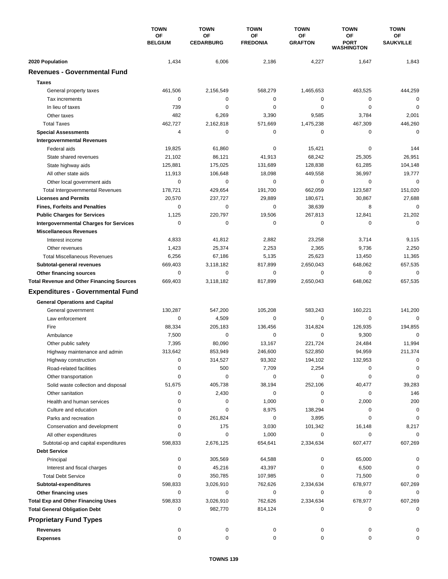|                                                  | <b>TOWN</b><br><b>OF</b><br><b>BELGIUM</b> | <b>TOWN</b><br><b>OF</b><br><b>CEDARBURG</b> | <b>TOWN</b><br><b>OF</b><br><b>FREDONIA</b> | <b>TOWN</b><br>ΟF<br><b>GRAFTON</b> | <b>TOWN</b><br><b>OF</b><br><b>PORT</b><br>WASHINGTON | <b>TOWN</b><br>ΟF<br><b>SAUKVILLE</b> |
|--------------------------------------------------|--------------------------------------------|----------------------------------------------|---------------------------------------------|-------------------------------------|-------------------------------------------------------|---------------------------------------|
|                                                  |                                            |                                              |                                             |                                     |                                                       |                                       |
|                                                  |                                            |                                              |                                             |                                     |                                                       |                                       |
| 2020 Population                                  | 1,434                                      | 6,006                                        | 2,186                                       | 4,227                               | 1,647                                                 | 1,843                                 |
| <b>Revenues - Governmental Fund</b>              |                                            |                                              |                                             |                                     |                                                       |                                       |
| <b>Taxes</b>                                     |                                            |                                              |                                             |                                     |                                                       |                                       |
| General property taxes                           | 461,506                                    | 2,156,549                                    | 568,279                                     | 1,465,653                           | 463,525                                               | 444,259                               |
| Tax increments                                   | 0                                          | 0                                            | 0                                           | 0                                   | $\mathbf 0$                                           | 0                                     |
| In lieu of taxes                                 | 739                                        | 0                                            | 0                                           | 0                                   | 0                                                     | 0                                     |
| Other taxes                                      | 482                                        | 6,269                                        | 3,390                                       | 9,585                               | 3,784                                                 | 2,001                                 |
| <b>Total Taxes</b>                               | 462,727                                    | 2,162,818                                    | 571,669                                     | 1,475,238                           | 467,309                                               | 446,260                               |
| <b>Special Assessments</b>                       | 4                                          | 0                                            | 0                                           | 0                                   | 0                                                     | $\mathbf 0$                           |
| <b>Intergovernmental Revenues</b>                |                                            |                                              |                                             |                                     |                                                       |                                       |
| Federal aids                                     | 19,825                                     | 61,860                                       | 0                                           | 15,421                              | 0                                                     | 144                                   |
| State shared revenues                            | 21,102                                     | 86,121                                       | 41,913                                      | 68,242                              | 25,305                                                | 26,951                                |
| State highway aids                               | 125,881                                    | 175,025                                      | 131,689                                     | 128,838                             | 61,285                                                | 104,148                               |
| All other state aids                             | 11,913                                     | 106,648                                      | 18,098                                      | 449,558                             | 36,997                                                | 19,777                                |
| Other local government aids                      | 0                                          | $\mathbf 0$                                  | $\mathbf 0$                                 | 0                                   | $\mathbf 0$                                           | $\mathbf 0$                           |
| <b>Total Intergovernmental Revenues</b>          | 178,721                                    | 429,654                                      | 191,700                                     | 662,059                             | 123,587                                               | 151,020                               |
| <b>Licenses and Permits</b>                      | 20,570                                     | 237,727                                      | 29,889                                      | 180,671                             | 30,867                                                | 27,688                                |
| <b>Fines, Forfeits and Penalties</b>             | $\mathbf 0$                                | 0                                            | 0                                           | 38,639                              | 8                                                     | $\mathbf 0$                           |
| <b>Public Charges for Services</b>               | 1,125                                      | 220,797                                      | 19,506                                      | 267,813                             | 12,841                                                | 21,202                                |
| <b>Intergovernmental Charges for Services</b>    | 0                                          | $\mathbf 0$                                  | $\mathbf 0$                                 | 0                                   | 0                                                     | $\Omega$                              |
| <b>Miscellaneous Revenues</b>                    |                                            |                                              |                                             |                                     |                                                       |                                       |
| Interest income                                  | 4,833                                      | 41,812                                       | 2,882                                       | 23,258                              | 3,714                                                 | 9,115                                 |
| Other revenues                                   | 1,423                                      | 25,374                                       | 2,253                                       | 2,365                               | 9,736                                                 | 2,250                                 |
| <b>Total Miscellaneous Revenues</b>              | 6,256                                      | 67,186                                       | 5,135                                       | 25,623                              | 13,450                                                | 11,365                                |
| Subtotal-general revenues                        | 669,403                                    | 3,118,182                                    | 817,899                                     | 2,650,043                           | 648,062                                               | 657,535                               |
| Other financing sources                          | 0                                          | $\mathbf 0$                                  | 0                                           | 0                                   | $\mathbf 0$                                           | 0                                     |
| <b>Total Revenue and Other Financing Sources</b> | 669,403                                    | 3,118,182                                    | 817,899                                     | 2,650,043                           | 648,062                                               | 657,535                               |
| <b>Expenditures - Governmental Fund</b>          |                                            |                                              |                                             |                                     |                                                       |                                       |
|                                                  |                                            |                                              |                                             |                                     |                                                       |                                       |
| <b>General Operations and Capital</b>            |                                            |                                              |                                             |                                     |                                                       |                                       |
| General government                               | 130,287                                    | 547,200                                      | 105,208                                     | 583,243                             | 160,221                                               | 141,200                               |
| Law enforcement                                  | 0                                          | 4,509                                        | $\mathbf 0$                                 | 0                                   | $\mathbf 0$                                           | $\mathbf 0$                           |
| Fire                                             | 88,334                                     | 205,183                                      | 136,456                                     | 314,824                             | 126,935                                               | 194,855                               |
| Ambulance                                        | 7,500                                      | $\mathbf 0$                                  | 0                                           | 0                                   | 9,300                                                 | $\mathbf 0$                           |
| Other public safety                              | 7,395                                      | 80,090                                       | 13,167                                      | 221,724                             | 24,484                                                | 11,994                                |
| Highway maintenance and admin                    | 313,642                                    | 853,949                                      | 246,600                                     | 522,850                             | 94,959                                                | 211,374                               |
| Highway construction                             | 0                                          | 314,527                                      | 93,302                                      | 194,102                             | 132,953                                               | 0                                     |
| Road-related facilities                          | 0                                          | 500                                          | 7,709                                       | 2,254                               | 0                                                     | 0                                     |
| Other transportation                             | 0                                          | 0                                            | 0                                           | 0                                   | 0                                                     | 0                                     |
| Solid waste collection and disposal              | 51,675                                     | 405,738                                      | 38,194                                      | 252,106                             | 40,477                                                | 39,283                                |
| Other sanitation                                 | 0                                          | 2,430                                        | 0                                           | 0                                   | 0                                                     | 146                                   |
| Health and human services                        | 0                                          | 0                                            | 1,000                                       | 0                                   | 2,000                                                 | 200                                   |
| Culture and education                            | 0                                          | 0                                            | 8,975                                       | 138,294                             | 0                                                     | 0                                     |
| Parks and recreation                             | 0                                          | 261,824                                      | 0                                           | 3,895                               | 0                                                     | 0                                     |
| Conservation and development                     | 0                                          | 175                                          | 3,030                                       | 101,342                             | 16,148                                                | 8,217                                 |
| All other expenditures                           | $\Omega$                                   | 0                                            | 1,000                                       | 0                                   | 0                                                     | 0                                     |
| Subtotal-op and capital expenditures             | 598,833                                    | 2,676,125                                    | 654,641                                     | 2,334,634                           | 607,477                                               | 607,269                               |
| <b>Debt Service</b>                              |                                            |                                              |                                             |                                     |                                                       |                                       |
| Principal                                        | 0                                          | 305,569                                      | 64,588                                      | 0                                   | 65,000                                                | 0                                     |
| Interest and fiscal charges                      | 0                                          | 45,216                                       | 43,397                                      | 0                                   | 6,500                                                 | 0                                     |
| <b>Total Debt Service</b>                        | 0                                          | 350,785                                      | 107,985                                     | 0                                   | 71,500                                                | $\Omega$                              |
| Subtotal-expenditures                            | 598,833                                    | 3,026,910                                    | 762,626                                     | 2,334,634                           | 678,977                                               | 607,269                               |
| Other financing uses                             | 0                                          | 0                                            | 0                                           | 0                                   | 0                                                     | 0                                     |
| <b>Total Exp and Other Financing Uses</b>        | 598,833                                    | 3,026,910                                    | 762,626                                     | 2,334,634                           | 678,977                                               | 607,269                               |
| <b>Total General Obligation Debt</b>             | 0                                          | 982,770                                      | 814,124                                     | 0                                   | 0                                                     | 0                                     |
| <b>Proprietary Fund Types</b>                    |                                            |                                              |                                             |                                     |                                                       |                                       |
| <b>Revenues</b>                                  | 0                                          | 0                                            | 0                                           | 0                                   | 0                                                     |                                       |
| <b>Expenses</b>                                  | 0                                          | 0                                            | 0                                           | 0                                   | 0                                                     | 0                                     |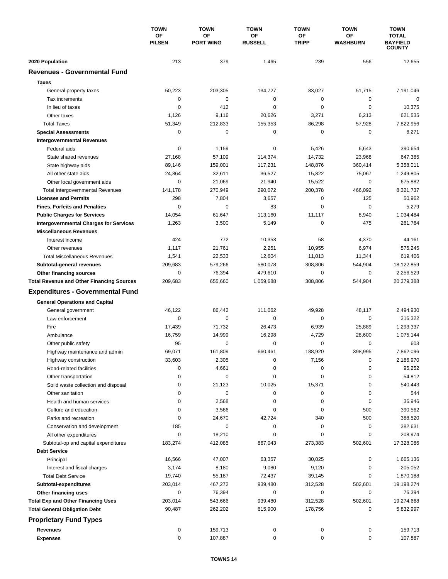|                                                       | <b>TOWN</b>         | <b>TOWN</b>            | <b>TOWN</b>          | <b>TOWN</b>        | <b>TOWN</b>           | <b>TOWN</b>                                      |
|-------------------------------------------------------|---------------------|------------------------|----------------------|--------------------|-----------------------|--------------------------------------------------|
|                                                       | OF<br><b>PILSEN</b> | OF<br><b>PORT WING</b> | ΟF<br><b>RUSSELL</b> | ΟF<br><b>TRIPP</b> | <b>OF</b><br>WASHBURN | <b>TOTAL</b><br><b>BAYFIELD</b><br><b>COUNTY</b> |
| 2020 Population                                       | 213                 | 379                    | 1,465                | 239                | 556                   | 12,655                                           |
| <b>Revenues - Governmental Fund</b>                   |                     |                        |                      |                    |                       |                                                  |
| <b>Taxes</b>                                          |                     |                        |                      |                    |                       |                                                  |
|                                                       | 50,223              | 203,305                | 134,727              | 83,027             | 51,715                | 7,191,046                                        |
| General property taxes<br>Tax increments              | 0                   | $\mathbf 0$            | $\pmb{0}$            | 0                  | $\mathbf 0$           | $\mathbf 0$                                      |
| In lieu of taxes                                      | 0                   | 412                    | 0                    | 0                  | $\mathbf 0$           | 10,375                                           |
| Other taxes                                           | 1,126               | 9,116                  | 20,626               | 3,271              | 6,213                 | 621,535                                          |
| <b>Total Taxes</b>                                    | 51,349              | 212,833                | 155,353              | 86,298             | 57,928                | 7,822,956                                        |
| <b>Special Assessments</b>                            | 0                   | 0                      | 0                    | 0                  | 0                     | 6,271                                            |
| <b>Intergovernmental Revenues</b>                     |                     |                        |                      |                    |                       |                                                  |
| Federal aids                                          | 0                   | 1,159                  | 0                    | 5,426              | 6,643                 | 390,654                                          |
| State shared revenues                                 | 27,168              | 57,109                 | 114,374              | 14,732             | 23,968                | 647,385                                          |
| State highway aids                                    | 89,146              | 159,001                | 117,231              | 148,876            | 360,414               | 5,358,011                                        |
| All other state aids                                  | 24,864              | 32,611                 | 36,527               | 15,822             | 75,067                | 1,249,805                                        |
| Other local government aids                           | 0                   | 21.069                 | 21,940               | 15,522             | $\mathbf 0$           | 675,882                                          |
| <b>Total Intergovernmental Revenues</b>               | 141,178             | 270,949                | 290,072              | 200,378            | 466,092               | 8,321,737                                        |
| <b>Licenses and Permits</b>                           | 298                 | 7,804                  | 3,657                | 0                  | 125                   | 50,962                                           |
| <b>Fines, Forfeits and Penalties</b>                  | $\Omega$            | $\Omega$               | 83                   | $\Omega$           | $\Omega$              | 5,279                                            |
| <b>Public Charges for Services</b>                    | 14,054              | 61,647                 | 113,160              | 11,117             | 8,940                 | 1,034,484                                        |
| <b>Intergovernmental Charges for Services</b>         | 1,263               | 3,500                  | 5,149                | 0                  | 475                   | 261,764                                          |
| <b>Miscellaneous Revenues</b>                         |                     |                        |                      |                    |                       |                                                  |
| Interest income                                       | 424                 | 772                    | 10,353               | 58                 | 4,370                 | 44,161                                           |
|                                                       |                     |                        |                      |                    |                       |                                                  |
| Other revenues<br><b>Total Miscellaneous Revenues</b> | 1,117               | 21,761<br>22,533       | 2,251<br>12,604      | 10,955             | 6,974                 | 575,245                                          |
|                                                       | 1,541               | 579,266                | 580,078              | 11,013<br>308,806  | 11,344<br>544,904     | 619,406                                          |
| Subtotal-general revenues                             | 209,683<br>0        | 76,394                 | 479,610              | 0                  | 0                     | 18,122,859<br>2,256,529                          |
| Other financing sources                               | 209,683             | 655,660                | 1,059,688            | 308,806            | 544,904               | 20,379,388                                       |
| <b>Total Revenue and Other Financing Sources</b>      |                     |                        |                      |                    |                       |                                                  |
| <b>Expenditures - Governmental Fund</b>               |                     |                        |                      |                    |                       |                                                  |
| <b>General Operations and Capital</b>                 |                     |                        |                      |                    |                       |                                                  |
| General government                                    | 46,122              | 86,442                 | 111,062              | 49,928             | 48,117                | 2,494,930                                        |
| Law enforcement                                       | $\mathbf 0$         | $\mathbf 0$            | $\mathbf 0$          | 0                  | 0                     | 316,322                                          |
| Fire                                                  | 17,439              | 71,732                 | 26,473               | 6,939              | 25,889                | 1,293,337                                        |
| Ambulance                                             | 16,759              | 14,999                 | 16,298               | 4,729              | 28,600                | 1,075,144                                        |
| Other public safety                                   | 95                  | $\mathbf 0$            | 0                    | 0                  | $\mathbf 0$           | 603                                              |
| Highway maintenance and admin                         | 69,071              | 161,809                | 660,461              | 188,920            | 398,995               | 7,862,096                                        |
| Highway construction                                  | 33,603              | 2,305                  | 0                    | 7,156              | 0                     | 2,186,970                                        |
| Road-related facilities                               | 0                   | 4,661                  | 0                    | 0                  | 0                     | 95,252                                           |
| Other transportation                                  | 0                   | 0                      | 0                    | 0                  | 0                     | 54,812                                           |
| Solid waste collection and disposal                   | 0                   | 21,123                 | 10,025               | 15,371             | 0                     | 540,443                                          |
| Other sanitation                                      | 0                   | 0                      | 0                    | 0                  | 0                     | 544                                              |
| Health and human services                             | 0                   | 2,568                  | 0                    | 0                  | 0                     | 36,946                                           |
| Culture and education                                 | 0                   | 3,566                  | 0                    | 0                  | 500                   | 390,562                                          |
| Parks and recreation                                  | 0                   | 24,670                 | 42,724               | 340                | 500                   | 388,520                                          |
| Conservation and development                          | 185                 | 0                      | 0                    | 0                  | 0                     | 382,631                                          |
| All other expenditures                                | 0                   | 18,210                 | 0                    | 0                  | 0                     | 208,974                                          |
| Subtotal-op and capital expenditures                  | 183,274             | 412,085                | 867,043              | 273,383            | 502,601               | 17,328,086                                       |
| <b>Debt Service</b>                                   |                     |                        |                      |                    |                       |                                                  |
| Principal                                             | 16,566              | 47,007                 | 63,357               | 30,025             | 0                     | 1,665,136                                        |
| Interest and fiscal charges                           | 3,174               | 8,180                  | 9,080                | 9,120              | 0                     | 205,052                                          |
| <b>Total Debt Service</b>                             | 19,740              | 55,187                 | 72,437               | 39,145             | 0                     | 1,870,188                                        |
| Subtotal-expenditures                                 | 203,014             | 467,272                | 939,480              | 312,528            | 502,601               | 19,198,274                                       |
| Other financing uses                                  | 0                   | 76,394                 | 0                    | 0                  | 0                     | 76,394                                           |
| <b>Total Exp and Other Financing Uses</b>             | 203,014             | 543,666                | 939,480              | 312,528            | 502,601               | 19,274,668                                       |
| <b>Total General Obligation Debt</b>                  | 90,487              | 262,202                | 615,900              | 178,756            | 0                     | 5,832,997                                        |
| <b>Proprietary Fund Types</b>                         |                     |                        |                      |                    |                       |                                                  |
| <b>Revenues</b>                                       | 0                   | 159,713                | 0                    | 0                  | 0                     | 159,713                                          |
| <b>Expenses</b>                                       | 0                   | 107,887                | 0                    | 0                  | 0                     | 107,887                                          |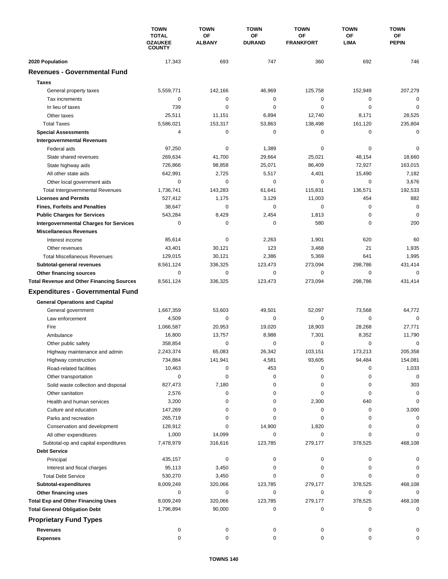|                                                  | <b>TOWN</b><br><b>TOTAL</b><br><b>OZAUKEE</b><br><b>COUNTY</b> | <b>TOWN</b>         | <b>TOWN</b><br><b>TOWN</b><br>OF<br>OF<br><b>DURAND</b><br><b>FRANKFORT</b> |             | <b>TOWN</b>       | <b>TOWN</b><br>ΟF<br><b>PEPIN</b> |
|--------------------------------------------------|----------------------------------------------------------------|---------------------|-----------------------------------------------------------------------------|-------------|-------------------|-----------------------------------|
|                                                  |                                                                | OF<br><b>ALBANY</b> |                                                                             |             | OF<br><b>LIMA</b> |                                   |
|                                                  |                                                                |                     |                                                                             |             |                   |                                   |
| 2020 Population                                  | 17,343                                                         | 693                 | 747                                                                         | 360         | 692               | 746                               |
| <b>Revenues - Governmental Fund</b>              |                                                                |                     |                                                                             |             |                   |                                   |
| <b>Taxes</b>                                     |                                                                |                     |                                                                             |             |                   |                                   |
| General property taxes                           | 5,559,771                                                      | 142,166             | 46,969                                                                      | 125,758     | 152,949           | 207,279                           |
| Tax increments                                   | 0                                                              | 0                   | 0                                                                           | 0           | 0                 | 0                                 |
| In lieu of taxes                                 | 739                                                            | $\Omega$            | $\mathbf 0$                                                                 | $\mathbf 0$ | $\mathbf 0$       | $\mathbf 0$                       |
| Other taxes                                      | 25,511                                                         | 11,151              | 6,894                                                                       | 12,740      | 8,171             | 28,525                            |
| <b>Total Taxes</b>                               | 5,586,021                                                      | 153,317             | 53,863                                                                      | 138,498     | 161,120           | 235,804                           |
| <b>Special Assessments</b>                       | 4                                                              | 0                   | 0                                                                           | 0           | 0                 | 0                                 |
| <b>Intergovernmental Revenues</b>                |                                                                |                     |                                                                             |             |                   |                                   |
| Federal aids                                     | 97,250                                                         | 0                   | 1,389                                                                       | 0           | 0                 | 0                                 |
| State shared revenues                            | 269,634                                                        | 41,700              | 29,664                                                                      | 25,021      | 48,154            | 18,660                            |
| State highway aids                               | 726,866                                                        | 98,858              | 25,071                                                                      | 86,409      | 72,927            | 163,015                           |
| All other state aids                             | 642,991                                                        | 2,725               | 5,517                                                                       | 4,401       | 15,490            | 7,182                             |
| Other local government aids                      | $\mathbf 0$                                                    | $\Omega$            | $\mathbf 0$                                                                 | $\mathbf 0$ | 0                 | 3,676                             |
| <b>Total Intergovernmental Revenues</b>          | 1,736,741                                                      | 143,283             | 61,641                                                                      | 115,831     | 136,571           | 192,533                           |
| <b>Licenses and Permits</b>                      | 527,412                                                        | 1,175               | 3,129                                                                       | 11,003      | 454               | 882                               |
| <b>Fines, Forfeits and Penalties</b>             | 38,647                                                         | 0                   | 0                                                                           | 0           | 0                 | $\mathbf 0$                       |
| <b>Public Charges for Services</b>               | 543,284                                                        | 8,429               | 2,454                                                                       | 1,813       | 0                 | $\mathbf 0$                       |
| <b>Intergovernmental Charges for Services</b>    | 0                                                              | 0                   | $\mathbf 0$                                                                 | 580         | $\mathbf 0$       | 200                               |
| <b>Miscellaneous Revenues</b>                    |                                                                |                     |                                                                             |             |                   |                                   |
| Interest income                                  | 85,614                                                         | 0                   | 2,263                                                                       | 1,901       | 620               | 60                                |
| Other revenues                                   | 43,401                                                         | 30,121              | 123                                                                         | 3,468       | 21                | 1,935                             |
| <b>Total Miscellaneous Revenues</b>              | 129,015                                                        | 30,121              | 2,386                                                                       | 5,369       | 641               | 1,995                             |
| Subtotal-general revenues                        | 8,561,124                                                      | 336,325             | 123,473                                                                     | 273,094     | 298,786           | 431,414                           |
| Other financing sources                          | 0                                                              | 0                   | 0                                                                           | 0           | $\mathbf 0$       | $\mathbf 0$                       |
| <b>Total Revenue and Other Financing Sources</b> | 8,561,124                                                      | 336,325             | 123,473                                                                     | 273,094     | 298,786           | 431,414                           |
| <b>Expenditures - Governmental Fund</b>          |                                                                |                     |                                                                             |             |                   |                                   |
| <b>General Operations and Capital</b>            |                                                                |                     |                                                                             |             |                   |                                   |
| General government                               | 1,667,359                                                      | 53,603              | 49,501                                                                      | 52,097      | 73,568            | 64,772                            |
| Law enforcement                                  | 4,509                                                          | 0                   | 0                                                                           | 0           | 0                 | 0                                 |
| Fire                                             | 1,066,587                                                      | 20,953              | 19,020                                                                      | 18,903      | 28,268            | 27,771                            |
| Ambulance                                        | 16,800                                                         | 13,757              | 8,988                                                                       | 7,301       | 8,352             | 11,790                            |
| Other public safety                              | 358,854                                                        | 0                   | 0                                                                           | 0           | 0                 | 0                                 |
| Highway maintenance and admin                    | 2,243,374                                                      | 65,083              | 26,342                                                                      | 103,151     | 173,213           | 205,358                           |
| Highway construction                             | 734,884                                                        | 141,941             | 4,581                                                                       | 93,605      | 94,484            | 154,081                           |
| Road-related facilities                          | 10,463                                                         | 0                   | 453                                                                         | 0           | 0                 | 1,033                             |
| Other transportation                             | 0                                                              | 0                   | 0                                                                           | 0           | 0                 | $\mathbf 0$                       |
| Solid waste collection and disposal              | 827,473                                                        | 7,180               | 0                                                                           | 0           | 0                 | 303                               |
| Other sanitation                                 | 2,576                                                          | 0                   | 0                                                                           | 0           | 0                 | 0                                 |
| Health and human services                        | 3,200                                                          | 0                   | 0                                                                           | 2,300       | 640               | 0                                 |
| Culture and education                            | 147,269                                                        | 0                   | 0                                                                           | 0           | 0                 | 3,000                             |
| Parks and recreation                             | 265,719                                                        | 0                   | 0                                                                           | 0           | 0                 | 0                                 |
| Conservation and development                     | 128,912                                                        | 0                   | 14,900                                                                      | 1,820       | 0                 |                                   |
| All other expenditures                           | 1,000                                                          | 14,099              | 0                                                                           | 0           | 0                 | $\Omega$                          |
| Subtotal-op and capital expenditures             | 7,478,979                                                      | 316,616             | 123,785                                                                     | 279,177     | 378,525           | 468,108                           |
| <b>Debt Service</b>                              |                                                                |                     |                                                                             |             |                   |                                   |
| Principal                                        | 435,157                                                        | 0                   | 0                                                                           | 0           | 0                 | 0                                 |
| Interest and fiscal charges                      | 95,113                                                         | 3,450               | 0                                                                           | 0           | 0                 | 0                                 |
| <b>Total Debt Service</b>                        | 530,270                                                        | 3,450               | 0                                                                           | 0           | 0                 | 0                                 |
| Subtotal-expenditures                            | 8,009,249                                                      | 320,066             | 123,785                                                                     | 279,177     | 378,525           | 468,108                           |
| Other financing uses                             | 0                                                              | 0                   | 0                                                                           | 0           | 0                 | 0                                 |
| <b>Total Exp and Other Financing Uses</b>        | 8,009,249                                                      | 320,066             | 123,785                                                                     | 279,177     | 378,525           | 468,108                           |
| <b>Total General Obligation Debt</b>             | 1,796,894                                                      | 90,000              | 0                                                                           | 0           | 0                 | 0                                 |
| <b>Proprietary Fund Types</b>                    |                                                                |                     |                                                                             |             |                   |                                   |
|                                                  |                                                                |                     |                                                                             |             |                   |                                   |
| Revenues                                         | 0<br>0                                                         | 0<br>0              | 0<br>$\mathbf 0$                                                            | 0<br>0      | 0<br>0            | 0<br>0                            |
| <b>Expenses</b>                                  |                                                                |                     |                                                                             |             |                   |                                   |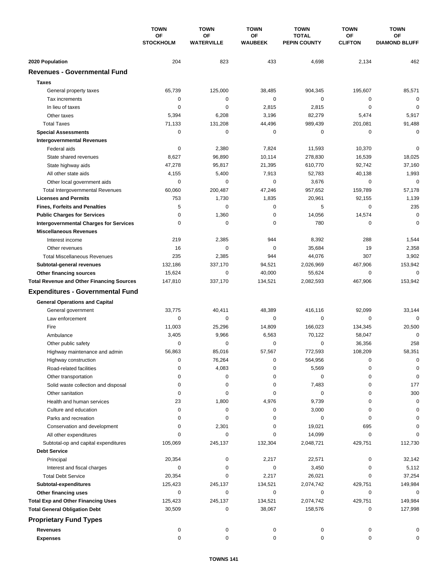|                                                  | <b>TOWN</b>            | <b>TOWN</b><br><b>TOWN</b> |                      | <b>TOWN</b>                         | <b>TOWN</b>                 | <b>TOWN</b>                |
|--------------------------------------------------|------------------------|----------------------------|----------------------|-------------------------------------|-----------------------------|----------------------------|
|                                                  | OF<br><b>STOCKHOLM</b> | OF<br><b>WATERVILLE</b>    | ΟF<br><b>WAUBEEK</b> | <b>TOTAL</b><br><b>PEPIN COUNTY</b> | <b>OF</b><br><b>CLIFTON</b> | ОF<br><b>DIAMOND BLUFF</b> |
| 2020 Population                                  | 204                    | 823                        | 433                  | 4,698                               | 2,134                       | 462                        |
| <b>Revenues - Governmental Fund</b>              |                        |                            |                      |                                     |                             |                            |
| <b>Taxes</b>                                     |                        |                            |                      |                                     |                             |                            |
| General property taxes                           | 65,739                 | 125,000                    | 38,485               | 904,345                             | 195,607                     | 85,571                     |
| Tax increments                                   | $\mathbf 0$            | 0                          | $\mathbf 0$          | $\mathbf 0$                         | 0                           | $\mathbf 0$                |
| In lieu of taxes                                 | $\mathbf 0$            | $\mathbf 0$                | 2,815                | 2,815                               | $\mathbf 0$                 | $\mathbf 0$                |
| Other taxes                                      | 5,394                  | 6,208                      | 3,196                | 82,279                              | 5,474                       | 5,917                      |
| <b>Total Taxes</b>                               | 71,133                 | 131,208                    | 44,496               | 989,439                             | 201,081                     | 91,488                     |
| <b>Special Assessments</b>                       | $\mathbf 0$            | $\mathbf 0$                | 0                    | 0                                   | 0                           | $\mathbf 0$                |
| <b>Intergovernmental Revenues</b>                |                        |                            |                      |                                     |                             |                            |
| Federal aids                                     | 0                      | 2,380                      | 7,824                | 11,593                              | 10,370                      | $\mathbf 0$                |
| State shared revenues                            | 8,627                  | 96,890                     | 10,114               | 278,830                             | 16,539                      | 18,025                     |
| State highway aids                               | 47,278                 | 95,817                     | 21,395               | 610,770                             | 92,742                      | 37,160                     |
| All other state aids                             | 4,155                  | 5,400                      | 7,913                | 52,783                              | 40,138                      | 1,993                      |
| Other local government aids                      | 0                      | $\mathbf 0$                | 0                    | 3,676                               | $\mathbf 0$                 | $\mathbf 0$                |
| <b>Total Intergovernmental Revenues</b>          | 60,060                 | 200,487                    | 47,246               | 957,652                             | 159,789                     | 57,178                     |
| <b>Licenses and Permits</b>                      | 753                    | 1,730                      | 1,835                | 20,961                              | 92,155                      | 1,139                      |
| <b>Fines, Forfeits and Penalties</b>             | 5                      | $\Omega$                   | 0                    | 5                                   | $\mathbf 0$                 | 235                        |
| <b>Public Charges for Services</b>               | $\mathbf 0$            | 1,360                      | 0                    | 14,056                              | 14,574                      | $\mathbf 0$                |
| <b>Intergovernmental Charges for Services</b>    | 0                      | $\mathbf 0$                | 0                    | 780                                 | 0                           | $\mathbf 0$                |
| <b>Miscellaneous Revenues</b>                    |                        |                            |                      |                                     |                             |                            |
| Interest income                                  | 219                    | 2,385                      | 944                  | 8,392                               | 288                         | 1,544                      |
| Other revenues                                   | 16                     | $\mathbf 0$                | $\pmb{0}$            | 35,684                              | 19                          | 2,358                      |
| <b>Total Miscellaneous Revenues</b>              | 235                    | 2,385                      | 944                  | 44,076                              | 307                         | 3,902                      |
| Subtotal-general revenues                        | 132,186                | 337,170                    | 94,521               | 2,026,969                           | 467,906                     | 153,942                    |
| Other financing sources                          | 15,624                 | $\mathbf 0$                | 40,000               | 55,624                              | 0                           | $\mathbf 0$                |
| <b>Total Revenue and Other Financing Sources</b> | 147,810                | 337,170                    | 134,521              | 2,082,593                           | 467,906                     | 153,942                    |
|                                                  |                        |                            |                      |                                     |                             |                            |
| <b>Expenditures - Governmental Fund</b>          |                        |                            |                      |                                     |                             |                            |
| <b>General Operations and Capital</b>            |                        |                            |                      |                                     |                             |                            |
| General government                               | 33,775                 | 40,411                     | 48,389               | 416.116                             | 92,099                      | 33,144                     |
| Law enforcement                                  | $\mathbf 0$            | 0                          | 0                    | 0                                   | $\mathbf 0$                 | $\Omega$                   |
| Fire                                             | 11,003                 | 25,296                     | 14,809               | 166,023                             | 134,345                     | 20,500                     |
| Ambulance                                        | 3,405                  | 9,966                      | 6,563                | 70,122                              | 58,047                      | $\mathbf 0$                |
| Other public safety                              | 0                      | $\mathbf 0$                | 0                    | 0                                   | 36,356                      | 258                        |
| Highway maintenance and admin                    | 56,863                 | 85,016                     | 57,567               | 772,593                             | 108,209                     | 58,351                     |
| Highway construction                             | 0                      | 76,264                     | 0                    | 564,956                             | 0                           | 0                          |
| Road-related facilities                          | 0                      | 4,083                      | 0                    | 5,569                               | 0                           | 0                          |
| Other transportation                             | 0                      | 0                          | 0                    | 0                                   | 0                           | 0                          |
| Solid waste collection and disposal              | 0                      | 0                          | 0                    | 7,483                               | 0                           | 177                        |
| Other sanitation                                 | 0                      | 0                          | 0                    | 0                                   | 0                           | 300                        |
| Health and human services                        | 23                     | 1,800                      | 4,976                | 9,739                               | 0                           | $\mathbf 0$                |
| Culture and education                            | 0                      | 0                          | 0                    | 3,000                               | 0                           | 0                          |
| Parks and recreation                             | 0                      | 0                          | 0                    | 0                                   | 0                           | 0                          |
| Conservation and development                     | 0                      | 2,301                      | 0                    | 19,021                              | 695                         | 0                          |
| All other expenditures                           | 0                      | 0                          | 0                    | 14,099                              | 0                           | $\Omega$                   |
| Subtotal-op and capital expenditures             | 105,069                | 245,137                    | 132,304              | 2,048,721                           | 429,751                     | 112,730                    |
| <b>Debt Service</b>                              |                        |                            |                      |                                     |                             |                            |
| Principal                                        | 20,354                 | 0                          | 2,217                | 22,571                              | 0                           | 32,142                     |
| Interest and fiscal charges                      | 0                      | 0                          | 0                    | 3,450                               | 0                           | 5,112                      |
| <b>Total Debt Service</b>                        | 20,354                 | $\mathbf 0$                | 2,217                | 26,021                              | 0                           | 37,254                     |
| Subtotal-expenditures                            | 125,423                | 245,137                    | 134,521              | 2,074,742                           | 429,751                     | 149,984                    |
| Other financing uses                             | 0                      | 0                          | 0                    | 0                                   | 0                           | 0                          |
| <b>Total Exp and Other Financing Uses</b>        | 125,423                | 245,137                    | 134,521              | 2,074,742                           | 429,751                     | 149,984                    |
| <b>Total General Obligation Debt</b>             | 30,509                 | 0                          | 38,067               | 158,576                             | 0                           | 127,998                    |
| <b>Proprietary Fund Types</b>                    |                        |                            |                      |                                     |                             |                            |
| <b>Revenues</b>                                  | 0                      | 0                          | 0                    | 0                                   | 0                           | 0                          |
| <b>Expenses</b>                                  | 0                      | 0                          | 0                    | 0                                   | 0                           | 0                          |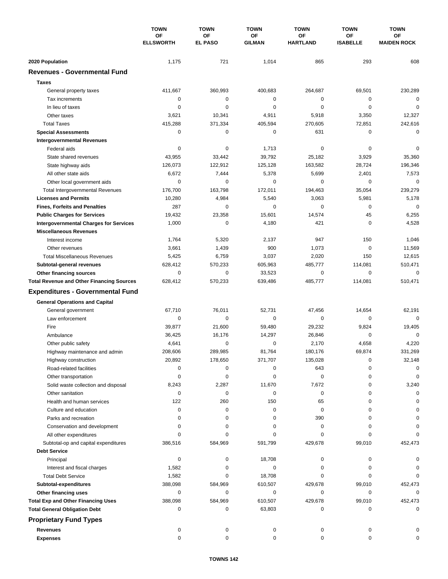|                                                             | <b>TOWN</b><br>OF<br><b>ELLSWORTH</b> | <b>TOWN</b><br>OF<br><b>EL PASO</b> | <b>TOWN</b><br>ΟF<br><b>GILMAN</b> | <b>TOWN</b><br>OF<br><b>HARTLAND</b> | <b>TOWN</b><br>ΟF<br><b>ISABELLE</b> | <b>TOWN</b><br>ОF<br><b>MAIDEN ROCK</b> |
|-------------------------------------------------------------|---------------------------------------|-------------------------------------|------------------------------------|--------------------------------------|--------------------------------------|-----------------------------------------|
|                                                             |                                       |                                     |                                    |                                      |                                      |                                         |
|                                                             |                                       |                                     |                                    |                                      |                                      |                                         |
| 2020 Population                                             | 1,175                                 | 721                                 | 1,014                              | 865                                  | 293                                  | 608                                     |
| <b>Revenues - Governmental Fund</b>                         |                                       |                                     |                                    |                                      |                                      |                                         |
| <b>Taxes</b>                                                |                                       |                                     |                                    |                                      |                                      |                                         |
| General property taxes                                      | 411,667                               | 360,993                             | 400,683                            | 264,687                              | 69,501                               | 230,289                                 |
| Tax increments                                              | $\mathbf 0$                           | $\mathbf 0$                         | $\pmb{0}$                          | 0                                    | 0                                    | $\mathbf 0$                             |
| In lieu of taxes                                            | $\mathbf 0$                           | $\mathbf 0$                         | 0                                  | $\mathbf 0$                          | $\mathbf 0$                          | $\mathbf 0$                             |
| Other taxes                                                 | 3,621                                 | 10,341                              | 4,911                              | 5,918                                | 3,350                                | 12,327                                  |
| <b>Total Taxes</b>                                          | 415,288                               | 371,334                             | 405,594                            | 270,605                              | 72,851                               | 242,616                                 |
| <b>Special Assessments</b>                                  | $\mathbf 0$                           | $\mathbf 0$                         | 0                                  | 631                                  | 0                                    | $\mathbf 0$                             |
| <b>Intergovernmental Revenues</b>                           |                                       |                                     |                                    |                                      |                                      |                                         |
| Federal aids                                                | 0                                     | 0                                   | 1,713                              | 0                                    | 0                                    | $\mathbf 0$                             |
| State shared revenues                                       | 43,955                                | 33,442                              | 39,792                             | 25,182                               | 3,929                                | 35,360                                  |
| State highway aids                                          | 126,073                               | 122,912                             | 125,128                            | 163,582                              | 28,724                               | 196,346                                 |
| All other state aids                                        | 6,672                                 | 7,444                               | 5,378                              | 5,699                                | 2,401                                | 7,573                                   |
| Other local government aids                                 | $\mathbf 0$                           | $\mathbf 0$                         | 0                                  | $\mathbf 0$                          | $\mathbf 0$                          | $\mathbf 0$                             |
| <b>Total Intergovernmental Revenues</b>                     | 176,700                               | 163,798                             | 172,011                            | 194,463                              | 35,054                               | 239,279                                 |
| <b>Licenses and Permits</b>                                 | 10,280                                | 4,984                               | 5,540                              | 3,063                                | 5,981                                | 5,178                                   |
| <b>Fines, Forfeits and Penalties</b>                        | 287                                   | $\Omega$                            | 0                                  | $\mathbf 0$                          | 0                                    | $\mathbf 0$                             |
| <b>Public Charges for Services</b>                          | 19,432                                | 23,358                              | 15,601                             | 14,574                               | 45                                   | 6,255                                   |
| <b>Intergovernmental Charges for Services</b>               | 1,000                                 | $\mathbf 0$                         | 4,180                              | 421                                  | $\mathbf 0$                          | 4,528                                   |
| <b>Miscellaneous Revenues</b>                               |                                       |                                     |                                    |                                      |                                      |                                         |
| Interest income                                             | 1,764                                 | 5,320                               | 2,137                              | 947                                  | 150                                  | 1,046                                   |
| Other revenues                                              | 3,661                                 | 1,439                               | 900                                | 1,073                                | $\mathbf 0$                          | 11,569                                  |
| <b>Total Miscellaneous Revenues</b>                         | 5,425                                 | 6,759                               | 3,037                              | 2,020                                | 150                                  | 12,615                                  |
| Subtotal-general revenues                                   | 628,412                               | 570,233                             | 605,963                            | 485,777                              | 114,081                              | 510,471                                 |
| Other financing sources                                     | $\mathbf 0$                           | 0                                   | 33,523                             | 0                                    | $\mathbf 0$                          | $\mathbf 0$                             |
| <b>Total Revenue and Other Financing Sources</b>            | 628,412                               | 570,233                             | 639,486                            | 485,777                              | 114,081                              | 510,471                                 |
| <b>Expenditures - Governmental Fund</b>                     |                                       |                                     |                                    |                                      |                                      |                                         |
| <b>General Operations and Capital</b>                       |                                       |                                     |                                    |                                      |                                      |                                         |
| General government                                          | 67,710                                | 76,011                              | 52,731                             | 47,456                               | 14,654                               | 62,191                                  |
| Law enforcement                                             | 0                                     | $\mathbf 0$                         | 0                                  | 0                                    | 0                                    | $\mathbf 0$                             |
| Fire                                                        | 39,877                                | 21,600                              | 59,480                             | 29,232                               | 9,824                                | 19,405                                  |
| Ambulance                                                   | 36,425                                | 16,176                              | 14,297                             | 26,846                               | 0                                    | $\mathbf 0$                             |
| Other public safety                                         | 4,641                                 | $\pmb{0}$                           | 0                                  | 2,170                                | 4,658                                | 4,220                                   |
| Highway maintenance and admin                               | 208,606                               | 289,985                             | 81,764                             | 180,176                              | 69.874                               | 331,269                                 |
| Highway construction                                        | 20,892                                | 178,650                             | 371,707                            | 135,028                              | 0                                    | 32,148                                  |
| Road-related facilities                                     | 0                                     | 0                                   | 0                                  | 643                                  | 0                                    | 0                                       |
|                                                             | 0                                     | 0                                   | 0                                  | 0                                    | 0                                    | 0                                       |
| Other transportation<br>Solid waste collection and disposal | 8,243                                 | 2,287                               | 11,670                             | 7,672                                | 0                                    | 3,240                                   |
| Other sanitation                                            | 0                                     | 0                                   | 0                                  | 0                                    | 0                                    | $\Omega$                                |
| Health and human services                                   | 122                                   | 260                                 | 150                                | 65                                   | 0                                    |                                         |
| Culture and education                                       | 0                                     | 0                                   | 0                                  | $\pmb{0}$                            | 0                                    | $\Omega$                                |
| Parks and recreation                                        | 0                                     | 0                                   | 0                                  | 390                                  | $\Omega$                             |                                         |
| Conservation and development                                | 0                                     | 0                                   | 0                                  | 0                                    | $\Omega$                             |                                         |
| All other expenditures                                      | 0                                     | 0                                   | 0                                  | 0                                    | $\Omega$                             | 0                                       |
|                                                             | 386,516                               | 584,969                             | 591,799                            | 429,678                              | 99,010                               | 452,473                                 |
| Subtotal-op and capital expenditures<br><b>Debt Service</b> |                                       |                                     |                                    |                                      |                                      |                                         |
|                                                             |                                       |                                     |                                    | 0                                    |                                      |                                         |
| Principal                                                   | 0                                     | 0<br>0                              | 18,708<br>0                        | 0                                    | 0<br>0                               |                                         |
| Interest and fiscal charges<br><b>Total Debt Service</b>    | 1,582<br>1,582                        | 0                                   | 18,708                             | 0                                    | 0                                    | $\Omega$                                |
|                                                             |                                       |                                     |                                    |                                      |                                      |                                         |
| Subtotal-expenditures                                       | 388,098<br>0                          | 584,969<br>0                        | 610,507<br>0                       | 429,678<br>0                         | 99,010<br>0                          | 452,473<br>$\Omega$                     |
| Other financing uses                                        |                                       |                                     |                                    |                                      |                                      |                                         |
| <b>Total Exp and Other Financing Uses</b>                   | 388,098<br>0                          | 584,969<br>0                        | 610,507                            | 429,678<br>0                         | 99,010<br>0                          | 452,473<br>0                            |
| <b>Total General Obligation Debt</b>                        |                                       |                                     | 63,803                             |                                      |                                      |                                         |
| <b>Proprietary Fund Types</b>                               |                                       |                                     |                                    |                                      |                                      |                                         |
| <b>Revenues</b>                                             | 0                                     | 0                                   | 0                                  | 0                                    | 0                                    |                                         |
| <b>Expenses</b>                                             | 0                                     | 0                                   | 0                                  | 0                                    | 0                                    | 0                                       |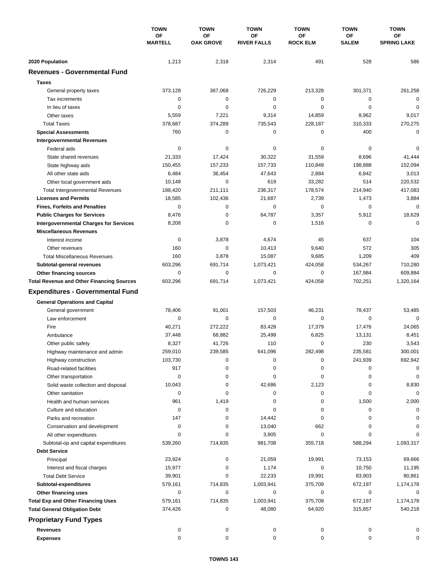|                                                        | <b>TOWN</b><br>OF<br><b>MARTELL</b> | <b>TOWN</b>            | <b>TOWN</b>              | <b>TOWN</b>           | <b>TOWN</b>               | <b>TOWN</b>              |
|--------------------------------------------------------|-------------------------------------|------------------------|--------------------------|-----------------------|---------------------------|--------------------------|
|                                                        |                                     | OF<br><b>OAK GROVE</b> | OF<br><b>RIVER FALLS</b> | OF<br><b>ROCK ELM</b> | <b>OF</b><br><b>SALEM</b> | ОF<br><b>SPRING LAKE</b> |
|                                                        |                                     |                        |                          |                       |                           |                          |
| 2020 Population<br><b>Revenues - Governmental Fund</b> | 1,213                               | 2,318                  | 2,314                    | 491                   | 528                       | 586                      |
|                                                        |                                     |                        |                          |                       |                           |                          |
| <b>Taxes</b>                                           |                                     |                        |                          |                       |                           |                          |
| General property taxes                                 | 373,128                             | 367,068                | 726,229                  | 213,328               | 301,371                   | 261,258                  |
| Tax increments                                         | 0                                   | $\pmb{0}$              | 0                        | 0                     | 0                         | $\mathbf 0$              |
| In lieu of taxes                                       | 0                                   | $\mathbf 0$            | 0                        | 0                     | $\mathbf 0$               | $\mathbf 0$              |
| Other taxes                                            | 5,559                               | 7,221                  | 9,314                    | 14,859                | 8,962                     | 9,017                    |
| <b>Total Taxes</b>                                     | 378,687                             | 374,289                | 735,543                  | 228,187               | 310,333                   | 270,275                  |
| <b>Special Assessments</b>                             | 760                                 | 0                      | 0                        | 0                     | 400                       | $\mathbf 0$              |
| <b>Intergovernmental Revenues</b>                      |                                     |                        |                          |                       |                           |                          |
| Federal aids                                           | 0                                   | 0                      | 0                        | 0                     | 0                         | 0                        |
| State shared revenues                                  | 21,333                              | 17,424                 | 30,322                   | 31,559                | 8,696                     | 41,444                   |
| State highway aids                                     | 150,455                             | 157,233                | 157,733                  | 110,849               | 198,888                   | 152,094                  |
| All other state aids                                   | 6,484                               | 36,454                 | 47,643                   | 2,884                 | 6,842                     | 3,013                    |
| Other local government aids                            | 10,148                              | $\mathbf 0$            | 619                      | 33,282                | 514                       | 220,532                  |
| <b>Total Intergovernmental Revenues</b>                | 188,420                             | 211,111                | 236,317                  | 178,574               | 214,940                   | 417,083                  |
| <b>Licenses and Permits</b>                            | 18,585                              | 102,436                | 21,687                   | 2,739                 | 1,473                     | 3,884                    |
| <b>Fines, Forfeits and Penalties</b>                   | 0                                   | $\mathbf 0$            | 0                        | 0                     | 0                         | $\mathbf 0$              |
| <b>Public Charges for Services</b>                     | 8,476                               | $\mathbf 0$            | 64,787                   | 3,357                 | 5,912                     | 18,629                   |
| <b>Intergovernmental Charges for Services</b>          | 8,208                               | 0                      | 0                        | 1,516                 | 0                         | $\mathbf 0$              |
| <b>Miscellaneous Revenues</b>                          |                                     |                        |                          |                       |                           |                          |
| Interest income                                        | 0                                   | 3,878                  | 4,674                    | 45                    | 637                       | 104                      |
| Other revenues                                         | 160                                 | $\mathbf 0$            | 10,413                   | 9,640                 | 572                       | 305                      |
| <b>Total Miscellaneous Revenues</b>                    | 160                                 | 3,878                  | 15,087                   | 9,685                 | 1,209                     | 409                      |
| Subtotal-general revenues                              | 603,296                             | 691,714                | 1,073,421                | 424,058               | 534,267                   | 710,280                  |
| Other financing sources                                | 0                                   | $\pmb{0}$              | 0                        | 0                     | 167,984                   | 609,884                  |
| <b>Total Revenue and Other Financing Sources</b>       | 603,296                             | 691,714                | 1,073,421                | 424,058               | 702,251                   | 1,320,164                |
| <b>Expenditures - Governmental Fund</b>                |                                     |                        |                          |                       |                           |                          |
|                                                        |                                     |                        |                          |                       |                           |                          |
| <b>General Operations and Capital</b>                  |                                     |                        |                          |                       |                           |                          |
| General government                                     | 78,406                              | 91,001                 | 157,503                  | 46,231                | 78,437                    | 53,485                   |
| Law enforcement                                        | 0                                   | 0                      | 0                        | $\mathbf 0$           | $\mathbf 0$               | $\mathbf 0$              |
| Fire                                                   | 40,271                              | 272,222                | 83,428                   | 17,379                | 17,476                    | 24,065                   |
| Ambulance                                              | 37,448                              | 68,882                 | 25,498                   | 6,825                 | 13,131                    | 8,451                    |
| Other public safety                                    | 8,327                               | 41,726                 | 110                      | 0                     | 230                       | 3,543                    |
| Highway maintenance and admin                          | 259.010                             | 239,585                | 641,096                  | 282,498               | 235,581                   | 300,001                  |
| Highway construction                                   | 103,730                             | 0                      | 0                        | 0                     | 241,939                   | 692,942                  |
| Road-related facilities                                | 917                                 | 0                      | 0                        | 0                     | 0                         | 0                        |
| Other transportation                                   | 0                                   | 0                      | 0                        | 0                     | 0                         | 0                        |
| Solid waste collection and disposal                    | 10,043                              | 0                      | 42,686                   | 2,123                 | 0                         | 8,830                    |
| Other sanitation                                       | 0                                   | 0                      | 0                        | 0                     | 0                         | $\mathbf 0$              |
| Health and human services                              | 961                                 | 1,419                  | 0                        | 0                     | 1,500                     | 2,000                    |
| Culture and education                                  | 0                                   | 0                      | 0                        | 0                     | 0                         | 0                        |
| Parks and recreation                                   | 147                                 | 0                      | 14,442                   | 0                     | 0                         | 0                        |
| Conservation and development                           | 0                                   | 0                      | 13,040                   | 662                   | 0                         | 0                        |
| All other expenditures                                 | 0                                   | 0                      | 3,905                    | 0                     | 0                         | 0                        |
| Subtotal-op and capital expenditures                   | 539,260                             | 714,835                | 981,708                  | 355,718               | 588,294                   | 1,093,317                |
| <b>Debt Service</b>                                    |                                     |                        |                          |                       |                           |                          |
| Principal                                              | 23,924                              | 0                      | 21,059                   | 19,991                | 73,153                    | 69,666                   |
| Interest and fiscal charges                            | 15,977                              | 0                      | 1,174                    | 0                     | 10,750                    | 11,195                   |
| <b>Total Debt Service</b>                              | 39,901                              | 0                      | 22,233                   | 19,991                | 83,903                    | 80,861                   |
| Subtotal-expenditures                                  | 579,161                             | 714,835                | 1,003,941                | 375,709               | 672,197                   | 1,174,178                |
| Other financing uses                                   | 0                                   | 0                      | 0                        | 0                     | 0                         | 0                        |
| <b>Total Exp and Other Financing Uses</b>              | 579,161                             | 714,835                | 1,003,941                | 375,709               | 672,197                   | 1,174,178                |
| <b>Total General Obligation Debt</b>                   | 374,426                             | 0                      | 48,080                   | 64,920                | 315,857                   | 540,218                  |
| <b>Proprietary Fund Types</b>                          |                                     |                        |                          |                       |                           |                          |
| <b>Revenues</b>                                        |                                     |                        |                          |                       |                           | 0                        |
| <b>Expenses</b>                                        | 0<br>0                              | 0<br>0                 | 0<br>0                   | 0<br>0                | 0<br>0                    | 0                        |
|                                                        |                                     |                        |                          |                       |                           |                          |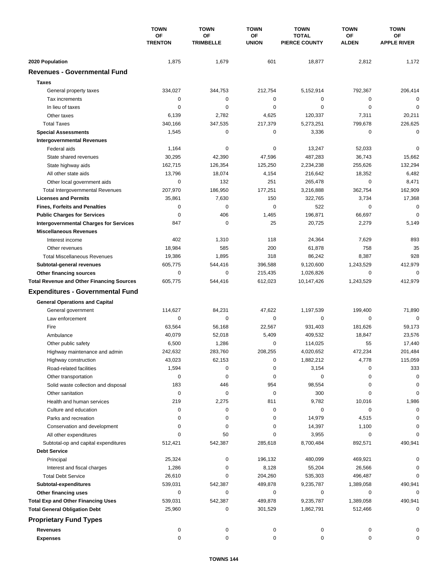|                                                  | <b>TOWN</b><br>ΟF<br><b>TRENTON</b> | <b>TOWN</b><br><b>TOWN</b><br>OF<br>OF<br><b>TRIMBELLE</b><br><b>UNION</b> |             | <b>TOWN</b>                          | <b>TOWN</b><br>ΟF<br><b>ALDEN</b> | <b>TOWN</b><br>OF<br><b>APPLE RIVER</b> |
|--------------------------------------------------|-------------------------------------|----------------------------------------------------------------------------|-------------|--------------------------------------|-----------------------------------|-----------------------------------------|
|                                                  |                                     |                                                                            |             | <b>TOTAL</b><br><b>PIERCE COUNTY</b> |                                   |                                         |
| 2020 Population                                  | 1,875                               | 1,679                                                                      | 601         | 18,877                               | 2,812                             | 1,172                                   |
| <b>Revenues - Governmental Fund</b>              |                                     |                                                                            |             |                                      |                                   |                                         |
| <b>Taxes</b>                                     |                                     |                                                                            |             |                                      |                                   |                                         |
| General property taxes                           | 334,027                             | 344,753                                                                    | 212,754     | 5,152,914                            | 792,367                           | 206,414                                 |
| Tax increments                                   | 0                                   | $\mathbf 0$                                                                | 0           | 0                                    | $\mathbf 0$                       | $\mathbf 0$                             |
| In lieu of taxes                                 | 0                                   | 0                                                                          | 0           | 0                                    | $\mathbf 0$                       | $\mathbf 0$                             |
| Other taxes                                      | 6,139                               | 2,782                                                                      | 4,625       | 120,337                              | 7,311                             | 20,211                                  |
| <b>Total Taxes</b>                               | 340,166                             | 347,535                                                                    | 217,379     | 5,273,251                            | 799,678                           | 226,625                                 |
| <b>Special Assessments</b>                       | 1,545                               | 0                                                                          | 0           | 3,336                                | $\mathbf 0$                       | $\mathbf 0$                             |
| <b>Intergovernmental Revenues</b>                |                                     |                                                                            |             |                                      |                                   |                                         |
| Federal aids                                     | 1,164                               | 0                                                                          | 0           | 13,247                               | 52,033                            | $\mathbf 0$                             |
| State shared revenues                            | 30,295                              | 42,390                                                                     | 47,596      | 487,283                              | 36,743                            | 15,662                                  |
| State highway aids                               | 162,715                             | 126,354                                                                    | 125,250     | 2,234,238                            | 255,626                           | 132,294                                 |
| All other state aids                             | 13,796                              | 18,074                                                                     | 4,154       | 216,642                              | 18,352                            | 6,482                                   |
| Other local government aids                      | 0                                   | 132                                                                        | 251         | 265,478                              | $\mathbf 0$                       | 8,471                                   |
| <b>Total Intergovernmental Revenues</b>          | 207,970                             | 186,950                                                                    | 177,251     | 3,216,888                            | 362,754                           | 162,909                                 |
| <b>Licenses and Permits</b>                      | 35,861                              | 7,630                                                                      | 150         | 322,765                              | 3,734                             | 17,368                                  |
| <b>Fines, Forfeits and Penalties</b>             | 0                                   | $\mathbf 0$                                                                | 0           | 522                                  | 0                                 | $\mathbf 0$                             |
| <b>Public Charges for Services</b>               | 0                                   | 406                                                                        | 1,465       | 196,871                              | 66,697                            | 0                                       |
| <b>Intergovernmental Charges for Services</b>    | 847                                 | $\mathbf 0$                                                                | 25          | 20,725                               | 2,279                             | 5,149                                   |
| <b>Miscellaneous Revenues</b>                    |                                     |                                                                            |             |                                      |                                   |                                         |
| Interest income                                  | 402                                 | 1,310                                                                      | 118         | 24,364                               | 7,629                             | 893                                     |
| Other revenues                                   | 18,984                              | 585                                                                        | 200         | 61,878                               | 758                               | 35                                      |
| <b>Total Miscellaneous Revenues</b>              | 19,386                              | 1,895                                                                      | 318         | 86,242                               | 8,387                             | 928                                     |
| Subtotal-general revenues                        | 605,775                             | 544,416                                                                    | 396,588     | 9,120,600                            | 1,243,529                         | 412,979                                 |
| Other financing sources                          | 0                                   | 0                                                                          | 215,435     | 1,026,826                            | 0                                 | $\mathbf 0$                             |
| <b>Total Revenue and Other Financing Sources</b> | 605,775                             | 544,416                                                                    | 612,023     | 10,147,426                           | 1,243,529                         | 412,979                                 |
|                                                  |                                     |                                                                            |             |                                      |                                   |                                         |
| <b>Expenditures - Governmental Fund</b>          |                                     |                                                                            |             |                                      |                                   |                                         |
| <b>General Operations and Capital</b>            |                                     |                                                                            |             |                                      |                                   |                                         |
| General government                               | 114,627                             | 84,231                                                                     | 47,622      | 1,197,539                            | 199,400                           | 71,890                                  |
| Law enforcement                                  | 0                                   | 0                                                                          | $\mathbf 0$ | 0                                    | 0                                 | $\mathbf 0$                             |
| Fire                                             | 63,564                              | 56,168                                                                     | 22,567      | 931,403                              | 181,626                           | 59,173                                  |
| Ambulance                                        | 40,079                              | 52,018                                                                     | 5,409       | 409,532                              | 18,847                            | 23,576                                  |
| Other public safety                              | 6,500                               | 1,286                                                                      | 0           | 114,025                              | 55                                | 17,440                                  |
| Highway maintenance and admin                    | 242,632                             | 283,760                                                                    | 208,255     | 4,020,652                            | 472,234                           | 201,484                                 |
| Highway construction                             | 43,023                              | 62,153                                                                     | 0           | 1,882,212                            | 4,778                             | 115,059                                 |
| Road-related facilities                          | 1,594                               | 0                                                                          | 0           | 3,154                                | 0                                 | 333                                     |
| Other transportation                             | 0                                   | 0                                                                          | 0           | 0                                    | 0                                 | 0                                       |
| Solid waste collection and disposal              | 183                                 | 446                                                                        | 954         | 98,554                               | 0                                 | 0                                       |
| Other sanitation                                 | 0                                   | $\pmb{0}$                                                                  | $\mathbf 0$ | 300                                  | 0                                 | 0                                       |
| Health and human services                        | 219                                 | 2,275                                                                      | 811         | 9,782                                | 10,016                            | 1,986                                   |
| Culture and education                            | 0                                   | 0                                                                          | 0           | 0                                    | 0                                 | 0                                       |
| Parks and recreation                             | 0                                   | 0                                                                          | 0           | 14,979                               | 4,515                             | 0                                       |
| Conservation and development                     | 0                                   | 0                                                                          | 0           | 14,397                               | 1,100                             | 0                                       |
| All other expenditures                           | $\Omega$                            | 50                                                                         | 0           | 3,955                                | 0                                 | $\Omega$                                |
| Subtotal-op and capital expenditures             | 512,421                             | 542,387                                                                    | 285,618     | 8,700,484                            | 892,571                           | 490,941                                 |
| <b>Debt Service</b>                              |                                     |                                                                            |             |                                      |                                   |                                         |
| Principal                                        | 25,324                              | 0                                                                          | 196,132     | 480,099                              | 469,921                           | 0                                       |
| Interest and fiscal charges                      | 1,286                               | 0                                                                          | 8,128       | 55,204                               | 26,566                            | 0                                       |
| <b>Total Debt Service</b>                        | 26,610                              | 0                                                                          | 204,260     | 535,303                              | 496,487                           | 0                                       |
| Subtotal-expenditures                            | 539,031                             | 542,387                                                                    | 489,878     | 9,235,787                            | 1,389,058                         | 490,941                                 |
| Other financing uses                             | 0                                   | 0                                                                          | 0           | 0                                    | 0                                 | 0                                       |
| <b>Total Exp and Other Financing Uses</b>        | 539,031                             | 542,387                                                                    | 489,878     | 9,235,787                            | 1,389,058                         | 490,941                                 |
| <b>Total General Obligation Debt</b>             | 25,960                              | 0                                                                          | 301,529     | 1,862,791                            | 512,466                           | 0                                       |
| <b>Proprietary Fund Types</b>                    |                                     |                                                                            |             |                                      |                                   |                                         |
| <b>Revenues</b>                                  | 0                                   | 0                                                                          | 0           | 0                                    | 0                                 | 0                                       |
| <b>Expenses</b>                                  | 0                                   | 0                                                                          | 0           | 0                                    | 0                                 | 0                                       |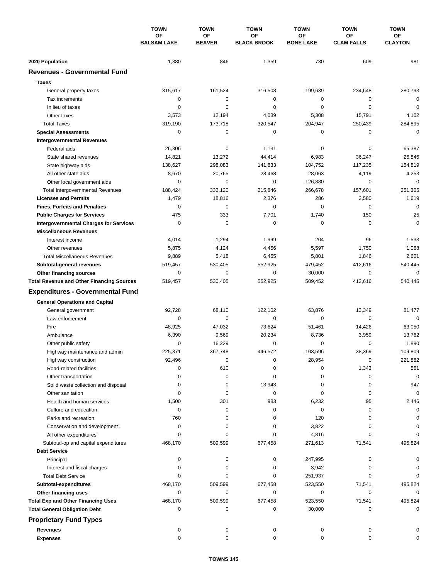|                                                                                | <b>TOWN</b><br><b>OF</b><br><b>BALSAM LAKE</b> | <b>TOWN</b>                | <b>TOWN</b>              | <b>TOWN</b>            | <b>TOWN</b>                    | <b>TOWN</b>          |
|--------------------------------------------------------------------------------|------------------------------------------------|----------------------------|--------------------------|------------------------|--------------------------------|----------------------|
|                                                                                |                                                | <b>OF</b><br><b>BEAVER</b> | OF<br><b>BLACK BROOK</b> | ΟF<br><b>BONE LAKE</b> | <b>OF</b><br><b>CLAM FALLS</b> | ΟF<br><b>CLAYTON</b> |
|                                                                                |                                                |                            |                          |                        |                                |                      |
| 2020 Population<br><b>Revenues - Governmental Fund</b>                         | 1,380                                          | 846                        | 1,359                    | 730                    | 609                            | 981                  |
|                                                                                |                                                |                            |                          |                        |                                |                      |
| <b>Taxes</b>                                                                   |                                                |                            |                          |                        |                                |                      |
| General property taxes                                                         | 315,617                                        | 161,524                    | 316,508                  | 199,639                | 234,648                        | 280,793              |
| Tax increments                                                                 | 0                                              | $\mathbf 0$                | $\mathbf 0$              | 0                      | 0                              | $\mathbf 0$          |
| In lieu of taxes                                                               | 0                                              | $\mathbf 0$                | $\mathbf 0$              | 0                      | $\mathbf 0$                    | $\mathbf 0$          |
| Other taxes                                                                    | 3,573                                          | 12,194                     | 4,039                    | 5,308                  | 15,791                         | 4,102                |
| <b>Total Taxes</b>                                                             | 319,190                                        | 173,718                    | 320,547                  | 204,947                | 250,439                        | 284,895              |
| <b>Special Assessments</b>                                                     | 0                                              | $\mathbf 0$                | 0                        | 0                      | $\mathbf 0$                    | $\mathbf 0$          |
| <b>Intergovernmental Revenues</b>                                              |                                                |                            |                          |                        |                                |                      |
| Federal aids                                                                   | 26,306<br>14,821                               | 0<br>13,272                | 1,131<br>44,414          | 0<br>6,983             | 0<br>36,247                    | 65,387<br>26,846     |
| State shared revenues                                                          |                                                |                            |                          |                        |                                |                      |
| State highway aids                                                             | 138,627<br>8,670                               | 298,083<br>20,765          | 141,833<br>28,468        | 104,752<br>28,063      | 117,235<br>4,119               | 154,819<br>4,253     |
| All other state aids<br>Other local government aids                            | 0                                              | $\mathbf 0$                | $\mathbf 0$              |                        | $\mathbf 0$                    | $\mathbf 0$          |
|                                                                                |                                                | 332,120                    | 215,846                  | 126,880<br>266,678     | 157,601                        |                      |
| <b>Total Intergovernmental Revenues</b><br><b>Licenses and Permits</b>         | 188,424<br>1,479                               | 18,816                     | 2,376                    | 286                    | 2,580                          | 251,305<br>1,619     |
|                                                                                | $\Omega$                                       | $\mathbf 0$                | 0                        | $\Omega$               | $\mathbf 0$                    | $\mathbf 0$          |
| <b>Fines, Forfeits and Penalties</b>                                           | 475                                            | 333                        | 7,701                    | 1,740                  | 150                            | 25                   |
| <b>Public Charges for Services</b>                                             | 0                                              | 0                          | $\mathbf 0$              | 0                      | $\mathbf 0$                    | $\mathbf 0$          |
| <b>Intergovernmental Charges for Services</b><br><b>Miscellaneous Revenues</b> |                                                |                            |                          |                        |                                |                      |
|                                                                                | 4,014                                          | 1,294                      | 1,999                    | 204                    | 96                             | 1,533                |
| Interest income                                                                |                                                |                            |                          |                        | 1,750                          |                      |
| Other revenues<br><b>Total Miscellaneous Revenues</b>                          | 5,875<br>9,889                                 | 4,124<br>5,418             | 4,456<br>6,455           | 5,597<br>5,801         | 1,846                          | 1,068<br>2,601       |
|                                                                                |                                                | 530,405                    | 552,925                  | 479,452                | 412,616                        | 540,445              |
| Subtotal-general revenues                                                      | 519,457<br>0                                   | $\mathbf 0$                | 0                        | 30,000                 | $\mathbf 0$                    | $\mathbf 0$          |
| Other financing sources<br><b>Total Revenue and Other Financing Sources</b>    | 519,457                                        | 530,405                    | 552,925                  | 509,452                | 412,616                        | 540,445              |
|                                                                                |                                                |                            |                          |                        |                                |                      |
| <b>Expenditures - Governmental Fund</b>                                        |                                                |                            |                          |                        |                                |                      |
| <b>General Operations and Capital</b>                                          |                                                |                            |                          |                        |                                |                      |
| General government                                                             | 92,728                                         | 68.110                     | 122,102                  | 63,876                 | 13,349                         | 81,477               |
| Law enforcement                                                                | 0                                              | 0                          | $\mathbf 0$              | 0                      | 0                              | $\mathbf 0$          |
| Fire                                                                           | 48,925                                         | 47,032                     | 73,624                   | 51,461                 | 14,426                         | 63,050               |
| Ambulance                                                                      | 6,390                                          | 9,569                      | 20,234                   | 8,736                  | 3,959                          | 13,762               |
| Other public safety                                                            | 0                                              | 16,229                     | 0                        | 0                      | $\mathbf 0$                    | 1,890                |
| Highway maintenance and admin                                                  | 225,371                                        | 367,748                    | 446,572                  | 103,596                | 38,369                         | 109,809              |
| Highway construction                                                           | 92,496                                         | $\pmb{0}$                  | 0                        | 28,954                 | 0                              | 221,882              |
| Road-related facilities                                                        | 0                                              | 610                        | 0                        | 0                      | 1,343                          | 561                  |
| Other transportation                                                           | 0                                              | 0                          | 0                        | 0                      | 0                              | 0                    |
| Solid waste collection and disposal                                            | 0                                              | 0                          | 13,943                   | 0                      | 0                              | 947                  |
| Other sanitation                                                               | 0                                              | 0                          | 0                        | 0                      | 0                              | 0                    |
| Health and human services                                                      | 1,500                                          | 301                        | 983                      | 6,232                  | 95                             | 2,446                |
| Culture and education                                                          | 0                                              | 0                          | 0                        | 0                      | 0                              | 0                    |
| Parks and recreation                                                           | 760                                            | 0                          | 0                        | 120                    | 0                              | 0                    |
| Conservation and development                                                   | 0                                              | 0                          | 0                        | 3,822                  | 0                              | 0                    |
| All other expenditures                                                         | $\Omega$                                       | 0                          | 0                        | 4,816                  | 0                              | $\Omega$             |
| Subtotal-op and capital expenditures                                           | 468,170                                        | 509,599                    | 677,458                  | 271,613                | 71,541                         | 495,824              |
| <b>Debt Service</b>                                                            |                                                |                            |                          |                        |                                |                      |
| Principal                                                                      | 0                                              | 0                          | 0                        | 247,995                | 0                              |                      |
| Interest and fiscal charges                                                    | 0                                              | 0                          | 0                        | 3,942                  | 0                              |                      |
| <b>Total Debt Service</b>                                                      | $\Omega$                                       | 0                          | 0                        | 251,937                | 0                              |                      |
| Subtotal-expenditures                                                          | 468,170                                        | 509,599                    | 677,458                  | 523,550                | 71,541                         | 495,824              |
| Other financing uses                                                           | 0                                              | 0                          | 0                        | 0                      | 0                              | $\Omega$             |
| <b>Total Exp and Other Financing Uses</b>                                      | 468,170                                        | 509,599                    | 677,458                  | 523,550                | 71,541                         | 495,824              |
| <b>Total General Obligation Debt</b>                                           | 0                                              | 0                          | 0                        | 30,000                 | 0                              | 0                    |
| <b>Proprietary Fund Types</b>                                                  |                                                |                            |                          |                        |                                |                      |
| <b>Revenues</b>                                                                | 0                                              | 0                          | 0                        | 0                      | 0                              |                      |
| <b>Expenses</b>                                                                | 0                                              | 0                          | 0                        | 0                      | 0                              | 0                    |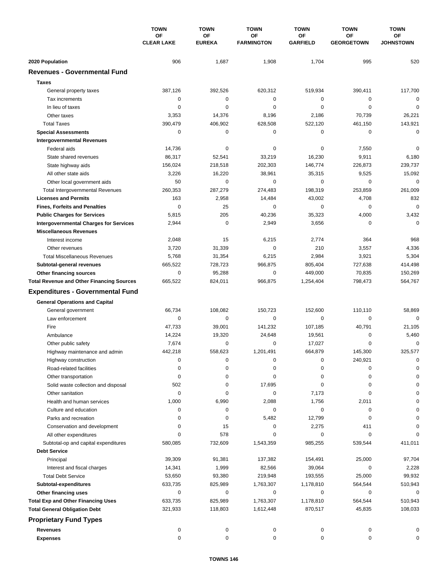|                                                                        | <b>TOWN</b><br>OF<br><b>CLEAR LAKE</b> | <b>TOWN</b>            | <b>TOWN</b>             | <b>TOWN</b>           | <b>TOWN</b>                    | <b>TOWN</b>            |
|------------------------------------------------------------------------|----------------------------------------|------------------------|-------------------------|-----------------------|--------------------------------|------------------------|
|                                                                        |                                        | OF<br><b>EUREKA</b>    | ΟF<br><b>FARMINGTON</b> | ΟF<br><b>GARFIELD</b> | <b>OF</b><br><b>GEORGETOWN</b> | ОF<br><b>JOHNSTOWN</b> |
|                                                                        |                                        |                        |                         |                       |                                |                        |
| 2020 Population<br><b>Revenues - Governmental Fund</b>                 | 906                                    | 1,687                  | 1,908                   | 1,704                 | 995                            | 520                    |
|                                                                        |                                        |                        |                         |                       |                                |                        |
| <b>Taxes</b>                                                           |                                        |                        |                         |                       |                                |                        |
| General property taxes                                                 | 387,126                                | 392,526                | 620,312                 | 519,934               | 390,411                        | 117,700                |
| Tax increments                                                         | $\mathbf 0$                            | $\mathbf 0$            | 0                       | 0                     | 0                              | $\mathbf 0$            |
| In lieu of taxes                                                       | $\mathbf 0$                            | $\mathbf 0$            | 0                       | $\mathbf 0$           | $\mathbf 0$                    | $\mathbf 0$            |
| Other taxes                                                            | 3,353                                  | 14,376                 | 8,196                   | 2,186                 | 70,739                         | 26,221                 |
| <b>Total Taxes</b>                                                     | 390,479                                | 406,902<br>$\mathbf 0$ | 628,508                 | 522,120               | 461,150                        | 143,921                |
| <b>Special Assessments</b>                                             | $\mathbf 0$                            |                        | 0                       | 0                     | 0                              | $\mathbf 0$            |
| <b>Intergovernmental Revenues</b>                                      |                                        |                        |                         |                       |                                | $\mathbf 0$            |
| Federal aids                                                           | 14,736<br>86,317                       | 0<br>52,541            | 0<br>33,219             | 0<br>16,230           | 7,550<br>9,911                 | 6,180                  |
| State shared revenues                                                  |                                        |                        |                         |                       |                                |                        |
| State highway aids<br>All other state aids                             | 156,024<br>3,226                       | 218,518<br>16,220      | 202,303<br>38,961       | 146,774<br>35,315     | 226,873<br>9,525               | 239,737<br>15,092      |
|                                                                        | 50                                     | $\mathbf 0$            | 0                       | $\mathbf 0$           | $\mathbf 0$                    | $\mathbf 0$            |
| Other local government aids                                            |                                        | 287,279                |                         | 198,319               | 253,859                        | 261,009                |
| <b>Total Intergovernmental Revenues</b><br><b>Licenses and Permits</b> | 260,353<br>163                         | 2,958                  | 274,483                 |                       | 4,708                          | 832                    |
|                                                                        | $\mathbf 0$                            | 25                     | 14,484<br>0             | 43,002<br>$\Omega$    | $\mathbf 0$                    | $\mathbf 0$            |
| <b>Fines, Forfeits and Penalties</b>                                   |                                        |                        |                         |                       |                                |                        |
| <b>Public Charges for Services</b>                                     | 5,815                                  | 205<br>$\mathbf 0$     | 40,236                  | 35,323                | 4,000                          | 3,432<br>$\Omega$      |
| <b>Intergovernmental Charges for Services</b>                          | 2,944                                  |                        | 2,949                   | 3,656                 | 0                              |                        |
| <b>Miscellaneous Revenues</b>                                          |                                        |                        |                         |                       |                                |                        |
| Interest income                                                        | 2,048                                  | 15                     | 6,215                   | 2,774                 | 364                            | 968                    |
| Other revenues                                                         | 3,720                                  | 31,339                 | 0                       | 210                   | 3,557                          | 4,336                  |
| <b>Total Miscellaneous Revenues</b>                                    | 5,768                                  | 31,354                 | 6,215                   | 2,984                 | 3,921                          | 5,304                  |
| Subtotal-general revenues                                              | 665,522<br>$\mathbf 0$                 | 728,723                | 966,875<br>0            | 805,404               | 727,638                        | 414,498                |
| Other financing sources                                                |                                        | 95,288                 |                         | 449,000               | 70,835                         | 150,269                |
| <b>Total Revenue and Other Financing Sources</b>                       | 665,522                                | 824,011                | 966,875                 | 1,254,404             | 798,473                        | 564,767                |
| <b>Expenditures - Governmental Fund</b>                                |                                        |                        |                         |                       |                                |                        |
| <b>General Operations and Capital</b>                                  |                                        |                        |                         |                       |                                |                        |
| General government                                                     | 66,734                                 | 108,082                | 150.723                 | 152,600               | 110,110                        | 58,869                 |
| Law enforcement                                                        | 0                                      | $\mathbf 0$            | 0                       | 0                     | 0                              | $\Omega$               |
| Fire                                                                   | 47,733                                 | 39,001                 | 141,232                 | 107,185               | 40,791                         | 21,105                 |
| Ambulance                                                              | 14,224                                 | 19,320                 | 24,648                  | 19,561                | 0                              | 5,460                  |
| Other public safety                                                    | 7,674                                  | $\mathbf 0$            | 0                       | 17,027                | $\mathbf 0$                    | $\mathbf 0$            |
| Highway maintenance and admin                                          | 442,218                                | 558,623                | 1,201,491               | 664,879               | 145.300                        | 325,577                |
| Highway construction                                                   | 0                                      | 0                      | 0                       | 0                     | 240,921                        | 0                      |
| Road-related facilities                                                | 0                                      | 0                      | 0                       | 0                     | 0                              | 0                      |
| Other transportation                                                   | 0                                      | 0                      | 0                       | 0                     | 0                              | C                      |
| Solid waste collection and disposal                                    | 502                                    | 0                      | 17,695                  | 0                     | 0                              | $\Omega$               |
| Other sanitation                                                       | 0                                      | 0                      | 0                       | 7,173                 | 0                              | $\Omega$               |
| Health and human services                                              | 1,000                                  | 6,990                  | 2,088                   | 1,756                 | 2,011                          | $\Omega$               |
| Culture and education                                                  | 0                                      | 0                      | 0                       | $\pmb{0}$             | 0                              | $\Omega$               |
| Parks and recreation                                                   | 0                                      | 0                      | 5,482                   | 12,799                | 0                              | 0                      |
| Conservation and development                                           | 0                                      | 15                     | 0                       | 2,275                 | 411                            | 0                      |
| All other expenditures                                                 | 0                                      | 578                    | 0                       | 0                     | 0                              | $\Omega$               |
| Subtotal-op and capital expenditures                                   | 580,085                                | 732,609                | 1,543,359               | 985,255               | 539,544                        | 411,011                |
| <b>Debt Service</b>                                                    |                                        |                        |                         |                       |                                |                        |
| Principal                                                              | 39,309                                 | 91,381                 | 137,382                 | 154,491               | 25,000                         | 97,704                 |
| Interest and fiscal charges                                            | 14,341                                 | 1,999                  | 82,566                  | 39,064                | 0                              | 2,228                  |
| <b>Total Debt Service</b>                                              | 53,650                                 | 93,380                 | 219,948                 | 193,555               | 25,000                         | 99,932                 |
| Subtotal-expenditures                                                  | 633,735                                | 825,989                | 1,763,307               | 1,178,810             | 564,544                        | 510,943                |
| Other financing uses                                                   | $\mathbf 0$                            | 0                      | 0                       | 0                     | 0                              | 0                      |
| <b>Total Exp and Other Financing Uses</b>                              | 633,735                                | 825,989                | 1,763,307               | 1,178,810             | 564,544                        | 510,943                |
| <b>Total General Obligation Debt</b>                                   | 321,933                                | 118,803                | 1,612,448               | 870,517               | 45,835                         | 108,033                |
| <b>Proprietary Fund Types</b>                                          |                                        |                        |                         |                       |                                |                        |
| <b>Revenues</b>                                                        | 0                                      | 0                      | 0                       | 0                     | 0                              | 0                      |
| <b>Expenses</b>                                                        | 0                                      | 0                      | 0                       | 0                     | 0                              | 0                      |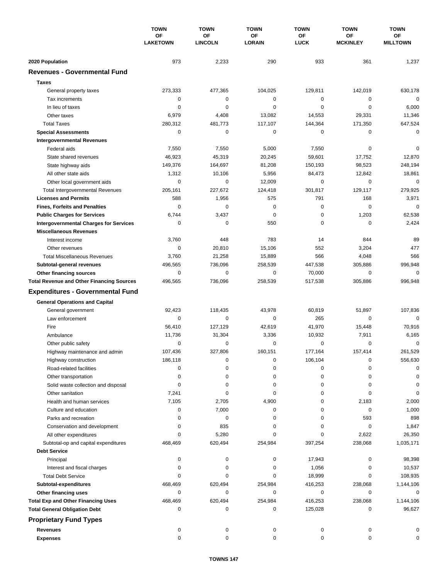|                                                  | <b>TOWN</b><br>OF<br><b>LAKETOWN</b> | <b>TOWN</b>          | <b>TOWN</b>         | <b>TOWN</b>       | <b>TOWN</b>           | <b>TOWN</b>           |
|--------------------------------------------------|--------------------------------------|----------------------|---------------------|-------------------|-----------------------|-----------------------|
|                                                  |                                      | OF<br><b>LINCOLN</b> | ΟF<br><b>LORAIN</b> | ΟF<br><b>LUCK</b> | OF<br><b>MCKINLEY</b> | ΟF<br><b>MILLTOWN</b> |
|                                                  |                                      |                      |                     |                   |                       |                       |
| 2020 Population                                  | 973                                  | 2,233                | 290                 | 933               | 361                   | 1,237                 |
| <b>Revenues - Governmental Fund</b>              |                                      |                      |                     |                   |                       |                       |
| <b>Taxes</b>                                     |                                      |                      |                     |                   |                       |                       |
| General property taxes                           | 273,333                              | 477,365              | 104,025             | 129,811           | 142,019               | 630,178               |
| Tax increments                                   | $\mathbf 0$                          | 0                    | 0                   | 0                 | 0                     | $\mathbf 0$           |
| In lieu of taxes                                 | $\mathbf 0$                          | $\mathbf 0$          | $\mathbf 0$         | 0                 | $\mathbf 0$           | 6,000                 |
| Other taxes                                      | 6,979                                | 4,408                | 13,082              | 14,553            | 29,331                | 11,346                |
| <b>Total Taxes</b>                               | 280,312                              | 481,773              | 117,107             | 144,364           | 171,350               | 647,524               |
| <b>Special Assessments</b>                       | 0                                    | 0                    | 0                   | 0                 | 0                     | 0                     |
| <b>Intergovernmental Revenues</b>                |                                      |                      |                     |                   |                       |                       |
| Federal aids                                     | 7,550                                | 7,550                | 5,000               | 7,550             | 0                     | 0                     |
| State shared revenues                            | 46,923                               | 45,319               | 20,245              | 59,601            | 17,752                | 12,870                |
| State highway aids                               | 149,376                              | 164,697              | 81,208              | 150,193           | 98,523                | 248,194               |
| All other state aids                             | 1,312                                | 10,106               | 5,956               | 84,473            | 12,842                | 18,861                |
| Other local government aids                      | 0                                    | $\mathbf 0$          | 12,009              | $\mathbf 0$       | $\mathbf 0$           | $\mathbf 0$           |
| <b>Total Intergovernmental Revenues</b>          | 205,161                              | 227,672              | 124,418             | 301,817           | 129,117               | 279,925               |
| <b>Licenses and Permits</b>                      | 588                                  | 1,956                | 575                 | 791               | 168                   | 3,971                 |
| <b>Fines, Forfeits and Penalties</b>             | 0                                    | $\mathbf 0$          | $\mathbf 0$         | 0                 | $\mathbf 0$           | $\mathbf 0$           |
| <b>Public Charges for Services</b>               | 6,744                                | 3,437                | $\mathbf 0$         | 0                 | 1,203                 | 62,538                |
| <b>Intergovernmental Charges for Services</b>    | 0                                    | 0                    | 550                 | 0                 | 0                     | 2,424                 |
| <b>Miscellaneous Revenues</b>                    |                                      |                      |                     |                   |                       |                       |
| Interest income                                  | 3,760                                | 448                  | 783                 | 14                | 844                   | 89                    |
| Other revenues                                   | 0                                    | 20,810               | 15,106              | 552               | 3,204                 | 477                   |
| <b>Total Miscellaneous Revenues</b>              | 3,760                                | 21,258               | 15,889              | 566               | 4,048                 | 566                   |
| Subtotal-general revenues                        | 496,565                              | 736,096              | 258,539             | 447,538           | 305,886               | 996,948               |
| Other financing sources                          | $\mathbf 0$                          | $\mathbf 0$          | 0                   | 70,000            | 0                     | 0                     |
| <b>Total Revenue and Other Financing Sources</b> | 496,565                              | 736,096              | 258,539             | 517,538           | 305,886               | 996,948               |
| <b>Expenditures - Governmental Fund</b>          |                                      |                      |                     |                   |                       |                       |
| <b>General Operations and Capital</b>            |                                      |                      |                     |                   |                       |                       |
| General government                               | 92,423                               | 118,435              | 43,978              | 60,819            | 51,897                | 107,836               |
| Law enforcement                                  | 0                                    | 0                    | 0                   | 265               | 0                     | $\mathbf 0$           |
| Fire                                             | 56,410                               | 127,129              | 42,619              | 41,970            | 15,448                | 70,916                |
| Ambulance                                        | 11,736                               | 31,304               | 3,336               | 10,932            | 7,911                 | 6,165                 |
| Other public safety                              | 0                                    | 0                    | 0                   | 0                 | 0                     | $\mathbf 0$           |
| Highway maintenance and admin                    | 107,436                              | 327.806              | 160,151             | 177,164           | 157,414               | 261,529               |
| Highway construction                             | 186,118                              | 0                    | 0                   | 106,104           | 0                     | 556,630               |
| Road-related facilities                          | 0                                    | 0                    | 0                   | 0                 | 0                     | 0                     |
| Other transportation                             | 0                                    | 0                    | 0                   | 0                 | 0                     | 0                     |
| Solid waste collection and disposal              | 0                                    | 0                    | 0                   | 0                 | 0                     | 0                     |
| Other sanitation                                 | 7,241                                | 0                    | 0                   | 0                 | 0                     | 0                     |
| Health and human services                        | 7,105                                | 2,705                | 4,900               | 0                 | 2,183                 | 2,000                 |
| Culture and education                            | 0                                    | 7,000                | 0                   | 0                 | 0                     | 1,000                 |
| Parks and recreation                             | $\Omega$                             | 0                    | 0                   | 0                 | 593                   | 898                   |
| Conservation and development                     | 0                                    | 835                  | 0                   | 0                 | 0                     | 1,847                 |
| All other expenditures                           | $\Omega$                             | 5,280                | 0                   | 0                 | 2,622                 | 26,350                |
| Subtotal-op and capital expenditures             | 468,469                              | 620,494              | 254,984             | 397,254           | 238,068               | 1,035,171             |
| <b>Debt Service</b>                              |                                      |                      |                     |                   |                       |                       |
| Principal                                        | 0                                    | 0                    | 0                   | 17,943            | 0                     | 98,398                |
| Interest and fiscal charges                      | 0                                    | 0                    | 0                   | 1,056             | 0                     | 10,537                |
| <b>Total Debt Service</b>                        | $\Omega$                             | $\Omega$             | 0                   | 18,999            | 0                     | 108,935               |
| Subtotal-expenditures                            | 468,469                              | 620,494              | 254,984             | 416,253           | 238,068               | 1,144,106             |
| Other financing uses                             | $\Omega$                             | 0                    | 0                   | 0                 | 0                     | 0                     |
| <b>Total Exp and Other Financing Uses</b>        | 468,469                              | 620,494              | 254,984             | 416,253           | 238,068               | 1,144,106             |
| <b>Total General Obligation Debt</b>             | 0                                    | 0                    | 0                   | 125,028           | 0                     | 96,627                |
| <b>Proprietary Fund Types</b>                    |                                      |                      |                     |                   |                       |                       |
| Revenues                                         | 0                                    | 0                    | 0                   | 0                 | 0                     |                       |
| <b>Expenses</b>                                  | 0                                    | 0                    | 0                   | 0                 | 0                     | O                     |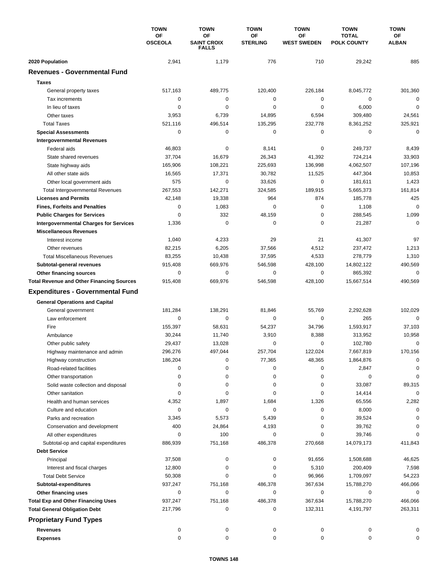|                                                  | <b>TOWN</b><br>OF<br><b>OSCEOLA</b> | <b>TOWN</b> | <b>TOWN</b>                              | <b>TOWN</b>           | <b>TOWN</b>              | <b>TOWN</b>                        |
|--------------------------------------------------|-------------------------------------|-------------|------------------------------------------|-----------------------|--------------------------|------------------------------------|
|                                                  |                                     |             | OF<br><b>SAINT CROIX</b><br><b>FALLS</b> | OF<br><b>STERLING</b> | ΟF<br><b>WEST SWEDEN</b> | <b>TOTAL</b><br><b>POLK COUNTY</b> |
| 2020 Population                                  | 2,941                               | 1,179       | 776                                      | 710                   | 29,242                   | 885                                |
| <b>Revenues - Governmental Fund</b>              |                                     |             |                                          |                       |                          |                                    |
| <b>Taxes</b>                                     |                                     |             |                                          |                       |                          |                                    |
| General property taxes                           | 517,163                             | 489,775     | 120,400                                  | 226,184               | 8,045,772                | 301,360                            |
| Tax increments                                   | 0                                   | 0           | 0                                        | 0                     | 0                        | 0                                  |
| In lieu of taxes                                 | 0                                   | $\mathbf 0$ | 0                                        | 0                     | 6,000                    | $\mathbf 0$                        |
| Other taxes                                      | 3,953                               | 6,739       | 14,895                                   | 6,594                 | 309,480                  | 24,561                             |
| <b>Total Taxes</b>                               | 521,116                             | 496,514     | 135,295                                  | 232,778               | 8,361,252                | 325,921                            |
| <b>Special Assessments</b>                       | 0                                   | 0           | 0                                        | 0                     | 0                        | 0                                  |
| <b>Intergovernmental Revenues</b>                |                                     |             |                                          |                       |                          |                                    |
| Federal aids                                     | 46,803                              | 0           | 8,141                                    | 0                     | 249,737                  | 8,439                              |
| State shared revenues                            | 37,704                              | 16,679      | 26,343                                   | 41,392                | 724,214                  | 33,903                             |
| State highway aids                               | 165,906                             | 108,221     | 225,693                                  | 136,998               | 4,062,507                | 107,196                            |
| All other state aids                             | 16,565                              | 17,371      | 30,782                                   | 11,525                | 447,304                  | 10,853                             |
| Other local government aids                      | 575                                 | $\mathbf 0$ | 33,626                                   | 0                     | 181,611                  | 1,423                              |
| <b>Total Intergovernmental Revenues</b>          | 267,553                             | 142,271     | 324,585                                  | 189,915               | 5,665,373                | 161,814                            |
| <b>Licenses and Permits</b>                      | 42,148                              | 19,338      | 964                                      | 874                   | 185,778                  | 425                                |
| <b>Fines, Forfeits and Penalties</b>             | 0                                   | 1,083       | 0                                        | 0                     | 1,108                    | $\mathbf 0$                        |
| <b>Public Charges for Services</b>               | 0                                   | 332         | 48,159                                   | 0                     | 288,545                  | 1,099                              |
| <b>Intergovernmental Charges for Services</b>    | 1,336                               | $\mathbf 0$ | $\mathbf 0$                              | 0                     | 21,287                   | $\Omega$                           |
| <b>Miscellaneous Revenues</b>                    |                                     |             |                                          |                       |                          |                                    |
| Interest income                                  | 1,040                               | 4,233       | 29                                       | 21                    | 41,307                   | 97                                 |
| Other revenues                                   | 82,215                              | 6,205       | 37,566                                   | 4,512                 | 237,472                  | 1,213                              |
| <b>Total Miscellaneous Revenues</b>              | 83,255                              | 10,438      | 37,595                                   | 4,533                 | 278,779                  | 1,310                              |
| Subtotal-general revenues                        | 915,408                             | 669,976     | 546,598                                  | 428,100               | 14,802,122               | 490,569                            |
| Other financing sources                          | 0                                   | $\mathbf 0$ | 0                                        | 0                     | 865,392                  | 0                                  |
| <b>Total Revenue and Other Financing Sources</b> | 915,408                             | 669,976     | 546,598                                  | 428,100               | 15,667,514               | 490,569                            |
| <b>Expenditures - Governmental Fund</b>          |                                     |             |                                          |                       |                          |                                    |
| <b>General Operations and Capital</b>            |                                     |             |                                          |                       |                          |                                    |
| General government                               | 181,284                             | 138,291     | 81,846                                   | 55,769                | 2,292,628                | 102,029                            |
| Law enforcement                                  | 0                                   | 0           | $\mathbf 0$                              | 0                     | 265                      | 0                                  |
| Fire                                             | 155,397                             | 58,631      | 54,237                                   | 34,796                | 1,593,917                | 37,103                             |
| Ambulance                                        | 30,244                              | 11,740      | 3,910                                    | 8,388                 | 313,952                  | 10,958                             |
| Other public safety                              | 29,437                              | 13,028      | 0                                        | 0                     | 102,780                  | 0                                  |
| Highway maintenance and admin                    | 296,276                             | 497,044     | 257,704                                  | 122,024               | 7,667,819                | 170,156                            |
| Highway construction                             | 186,204                             | 0           | 77,365                                   | 48,365                | 1,864,876                | 0                                  |
| Road-related facilities                          | 0                                   | 0           | 0                                        | 0                     | 2,847                    | $\Omega$                           |
| Other transportation                             | 0                                   | 0           | 0                                        | 0                     | 0                        | 0                                  |
| Solid waste collection and disposal              | 0                                   | 0           | 0                                        | $\pmb{0}$             | 33,087                   | 89,315                             |
| Other sanitation                                 | 0                                   | 0           | 0                                        | 0                     | 14,414                   | $\mathbf 0$                        |
| Health and human services                        | 4,352                               | 1,897       | 1,684                                    | 1,326                 | 65,556                   | 2,282                              |
| Culture and education                            | 0                                   | 0           | 0                                        | 0                     | 8,000                    | 0                                  |
| Parks and recreation                             | 3,345                               | 5,573       | 5,439                                    | 0                     | 39,524                   | 0                                  |
| Conservation and development                     | 400                                 | 24,864      | 4,193                                    | 0                     | 39,762                   | $\Omega$                           |
| All other expenditures                           | 0                                   | 100         | 0                                        | 0                     | 39,746                   |                                    |
| Subtotal-op and capital expenditures             | 886,939                             | 751,168     | 486,378                                  | 270,668               | 14,079,173               | 411,843                            |
| <b>Debt Service</b>                              |                                     |             |                                          |                       |                          |                                    |
| Principal                                        | 37,508                              | 0           | 0                                        | 91,656                | 1,508,688                | 46,625                             |
| Interest and fiscal charges                      | 12,800                              | 0           | 0                                        | 5,310                 | 200,409                  | 7,598                              |
| <b>Total Debt Service</b>                        | 50,308                              | 0           | 0                                        | 96,966                | 1,709,097                | 54,223                             |
| Subtotal-expenditures                            | 937,247                             | 751,168     | 486,378                                  | 367,634               | 15,788,270               | 466,066                            |
| Other financing uses                             | 0                                   | 0           | 0                                        | 0                     | 0                        | 0                                  |
| <b>Total Exp and Other Financing Uses</b>        | 937,247                             | 751,168     | 486,378                                  | 367,634               | 15,788,270               | 466,066                            |
| <b>Total General Obligation Debt</b>             | 217,796                             | 0           | 0                                        | 132,311               | 4,191,797                | 263,311                            |
| <b>Proprietary Fund Types</b>                    |                                     |             |                                          |                       |                          |                                    |
| <b>Revenues</b>                                  | 0                                   | 0           | 0                                        | 0                     | 0                        | 0                                  |
| <b>Expenses</b>                                  | 0                                   | $\pmb{0}$   | 0                                        | 0                     | 0                        | 0                                  |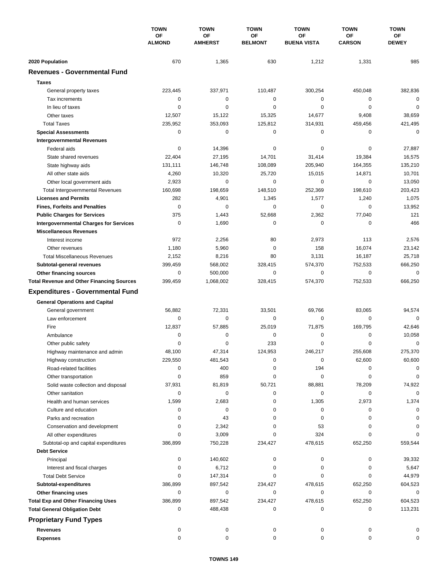|                                                  | <b>TOWN</b><br>OF<br><b>ALMOND</b> | <b>TOWN</b>          | <b>TOWN</b>                 | <b>TOWN</b>              | <b>TOWN</b>         | <b>TOWN</b>        |
|--------------------------------------------------|------------------------------------|----------------------|-----------------------------|--------------------------|---------------------|--------------------|
|                                                  |                                    | OF<br><b>AMHERST</b> | <b>OF</b><br><b>BELMONT</b> | OF<br><b>BUENA VISTA</b> | OF<br><b>CARSON</b> | ОF<br><b>DEWEY</b> |
|                                                  |                                    |                      |                             |                          |                     |                    |
| 2020 Population                                  | 670                                | 1,365                | 630                         | 1,212                    | 1,331               | 985                |
| <b>Revenues - Governmental Fund</b>              |                                    |                      |                             |                          |                     |                    |
| <b>Taxes</b>                                     |                                    |                      |                             |                          |                     |                    |
| General property taxes                           | 223,445                            | 337,971              | 110,487                     | 300,254                  | 450,048             | 382,836            |
| Tax increments                                   | 0                                  | 0                    | 0                           | $\mathbf 0$              | $\mathbf 0$         | 0                  |
| In lieu of taxes                                 | 0                                  | 0                    | 0                           | 0                        | 0                   | 0                  |
| Other taxes                                      | 12,507                             | 15,122               | 15,325                      | 14,677                   | 9,408               | 38,659             |
| <b>Total Taxes</b>                               | 235,952                            | 353,093              | 125,812                     | 314,931                  | 459,456             | 421,495            |
| <b>Special Assessments</b>                       | 0                                  | 0                    | 0                           | 0                        | 0                   | $\mathbf 0$        |
| <b>Intergovernmental Revenues</b>                |                                    |                      |                             |                          |                     |                    |
| Federal aids                                     | 0                                  | 14,396               | 0                           | 0                        | 0                   | 27,887             |
| State shared revenues                            | 22,404                             | 27,195               | 14,701                      | 31,414                   | 19,384              | 16,575             |
| State highway aids                               | 131,111                            | 146,748              | 108,089                     | 205,940                  | 164,355             | 135,210            |
| All other state aids                             | 4,260                              | 10,320               | 25,720                      | 15,015                   | 14,871              | 10,701             |
| Other local government aids                      | 2,923                              | 0                    | 0                           | 0                        | 0                   | 13,050             |
| <b>Total Intergovernmental Revenues</b>          | 160,698                            | 198,659              | 148,510                     | 252,369                  | 198,610             | 203,423            |
| <b>Licenses and Permits</b>                      | 282                                | 4,901                | 1,345                       | 1,577                    | 1,240               | 1,075              |
| <b>Fines, Forfeits and Penalties</b>             | $\mathbf 0$                        | 0                    | 0                           | $\mathbf 0$              | 0                   | 13,952             |
| <b>Public Charges for Services</b>               | 375                                | 1,443                | 52,668                      | 2,362                    | 77,040              | 121                |
| <b>Intergovernmental Charges for Services</b>    | 0                                  | 1,690                | 0                           | $\mathbf 0$              | $\mathbf 0$         | 466                |
| <b>Miscellaneous Revenues</b>                    |                                    |                      |                             |                          |                     |                    |
| Interest income                                  | 972                                | 2,256                | 80                          | 2,973                    | 113                 | 2,576              |
| Other revenues                                   | 1,180                              | 5,960                | 0                           | 158                      | 16,074              | 23,142             |
| <b>Total Miscellaneous Revenues</b>              | 2,152                              | 8,216                | 80                          | 3,131                    | 16,187              | 25,718             |
| Subtotal-general revenues                        | 399,459                            | 568,002              | 328,415                     | 574,370                  | 752,533             | 666,250            |
| Other financing sources                          | 0                                  | 500,000              | $\mathbf 0$                 | $\mathbf 0$              | 0                   | $\mathbf 0$        |
| <b>Total Revenue and Other Financing Sources</b> | 399,459                            | 1,068,002            | 328,415                     | 574,370                  | 752,533             | 666,250            |
| <b>Expenditures - Governmental Fund</b>          |                                    |                      |                             |                          |                     |                    |
|                                                  |                                    |                      |                             |                          |                     |                    |
| <b>General Operations and Capital</b>            |                                    |                      |                             |                          |                     |                    |
| General government                               | 56,882                             | 72,331               | 33,501                      | 69,766                   | 83,065              | 94,574             |
| Law enforcement                                  | 0                                  | 0                    | $\mathbf 0$                 | 0                        | $\mathbf 0$         | $\Omega$           |
| Fire                                             | 12,837                             | 57,885               | 25,019                      | 71,875                   | 169,795             | 42,646             |
| Ambulance                                        | 0                                  | 0                    | $\mathbf 0$                 | $\pmb{0}$                | 0                   | 10,058             |
| Other public safety                              | 0                                  | 0                    | 233                         | $\mathbf 0$              | 0                   | 0                  |
| Highway maintenance and admin                    | 48,100                             | 47,314               | 124,953                     | 246,217                  | 255,608             | 275,370            |
| Highway construction                             | 229,550                            | 481,543              | 0                           | $\pmb{0}$                | 62,600              | 60,600             |
| Road-related facilities                          | 0                                  | 400                  | 0                           | 194                      | 0                   | 0                  |
| Other transportation                             | 0                                  | 859                  | 0                           | $\mathbf 0$              | 0                   | 0                  |
| Solid waste collection and disposal              | 37,931                             | 81,819               | 50,721                      | 88,881                   | 78,209              | 74,922             |
| Other sanitation                                 | 0                                  | 0                    | 0                           | 0                        | 0                   | 0                  |
| Health and human services                        | 1,599                              | 2,683                | 0                           | 1,305                    | 2,973               | 1,374              |
| Culture and education                            | 0                                  | 0                    | 0                           | 0                        | 0                   | 0                  |
| Parks and recreation                             | 0                                  | 43                   | 0                           | 0                        | 0                   | 0                  |
| Conservation and development                     | 0                                  | 2,342                | 0                           | 53                       | 0                   | 0                  |
| All other expenditures                           | 0                                  | 3,009                | 0                           | 324                      | 0                   | $\Omega$           |
| Subtotal-op and capital expenditures             | 386,899                            | 750,228              | 234,427                     | 478,615                  | 652,250             | 559,544            |
| <b>Debt Service</b>                              |                                    |                      |                             |                          |                     |                    |
| Principal                                        | 0                                  | 140,602              | 0                           | 0                        | 0                   | 39,332             |
| Interest and fiscal charges                      | 0                                  | 6,712                | 0                           | $\pmb{0}$                | 0                   | 5,647              |
| <b>Total Debt Service</b>                        | 0                                  | 147,314              | 0                           | 0                        | 0                   | 44,979             |
| Subtotal-expenditures                            | 386,899                            | 897,542              | 234,427                     | 478,615                  | 652,250             | 604,523            |
| Other financing uses                             | 0                                  | 0                    | 0                           | 0                        | 0                   | 0                  |
| <b>Total Exp and Other Financing Uses</b>        | 386,899                            | 897,542              | 234,427                     | 478,615                  | 652,250             | 604,523            |
| <b>Total General Obligation Debt</b>             | 0                                  | 488,438              | 0                           | 0                        | 0                   | 113,231            |
| <b>Proprietary Fund Types</b>                    |                                    |                      |                             |                          |                     |                    |
| <b>Revenues</b>                                  | 0                                  | 0                    | 0                           | 0                        | 0                   | 0                  |
| <b>Expenses</b>                                  | 0                                  | 0                    | $\mathbf 0$                 | 0                        | 0                   | 0                  |
|                                                  |                                    |                      |                             |                          |                     |                    |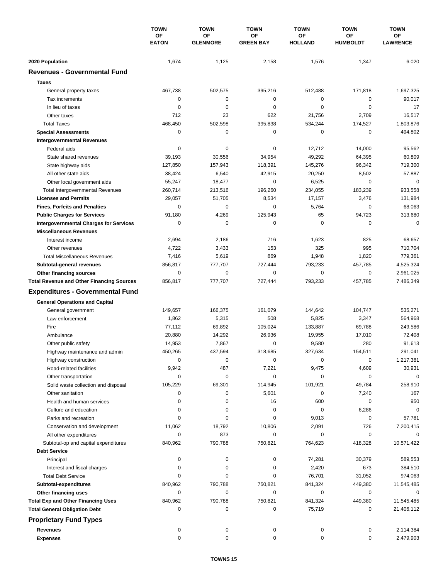|                                                  | <b>TOWN</b><br>OF<br><b>EATON</b> | <b>TOWN</b>           | <b>TOWN</b>            | <b>TOWN</b>          | <b>TOWN</b>           | <b>TOWN</b>           |
|--------------------------------------------------|-----------------------------------|-----------------------|------------------------|----------------------|-----------------------|-----------------------|
|                                                  |                                   | OF<br><b>GLENMORE</b> | ΟF<br><b>GREEN BAY</b> | ΟF<br><b>HOLLAND</b> | OF<br><b>HUMBOLDT</b> | ОF<br><b>LAWRENCE</b> |
|                                                  |                                   |                       |                        |                      |                       |                       |
| 2020 Population                                  | 1,674                             | 1,125                 | 2,158                  | 1,576                | 1,347                 | 6,020                 |
| <b>Revenues - Governmental Fund</b>              |                                   |                       |                        |                      |                       |                       |
| <b>Taxes</b>                                     |                                   |                       |                        |                      |                       |                       |
| General property taxes                           | 467,738                           | 502,575               | 395,216                | 512,488              | 171,818               | 1,697,325             |
| Tax increments                                   | 0                                 | 0                     | $\pmb{0}$              | 0                    | 0                     | 90,017                |
| In lieu of taxes                                 | 0                                 | 0                     | $\pmb{0}$              | 0                    | $\mathbf 0$           | 17                    |
| Other taxes                                      | 712                               | 23                    | 622                    | 21,756               | 2,709                 | 16,517                |
| <b>Total Taxes</b>                               | 468,450                           | 502,598               | 395,838                | 534,244              | 174,527               | 1,803,876             |
| <b>Special Assessments</b>                       | 0                                 | 0                     | 0                      | 0                    | 0                     | 494,802               |
| <b>Intergovernmental Revenues</b>                |                                   |                       |                        |                      |                       |                       |
| Federal aids                                     | 0                                 | 0                     | 0                      | 12,712               | 14,000                | 95,562                |
| State shared revenues                            | 39,193                            | 30,556                | 34,954                 | 49,292               | 64,395                | 60,809                |
| State highway aids                               | 127,850                           | 157,943               | 118,391                | 145,276              | 96,342                | 719,300               |
| All other state aids                             | 38,424                            | 6,540                 | 42,915                 | 20,250               | 8,502                 | 57,887                |
| Other local government aids                      | 55,247                            | 18,477                | $\pmb{0}$              | 6,525                | 0                     | 0                     |
| <b>Total Intergovernmental Revenues</b>          | 260,714                           | 213,516               | 196,260                | 234,055              | 183,239               | 933,558               |
| <b>Licenses and Permits</b>                      | 29,057                            | 51,705                | 8,534                  | 17,157               | 3,476                 | 131,984               |
| <b>Fines, Forfeits and Penalties</b>             | 0                                 | 0                     | 0                      | 5,764                | 0                     | 68,063                |
| <b>Public Charges for Services</b>               | 91,180                            | 4,269                 | 125,943                | 65                   | 94,723                | 313,680               |
| <b>Intergovernmental Charges for Services</b>    | 0                                 | $\mathbf 0$           | 0                      | 0                    | 0                     | $\mathbf 0$           |
| <b>Miscellaneous Revenues</b>                    |                                   |                       |                        |                      |                       |                       |
| Interest income                                  | 2,694                             | 2,186                 | 716                    | 1,623                | 825                   | 68,657                |
| Other revenues                                   | 4,722                             | 3,433                 | 153                    | 325                  | 995                   | 710,704               |
| <b>Total Miscellaneous Revenues</b>              | 7,416                             | 5,619                 | 869                    | 1,948                | 1,820                 | 779,361               |
| Subtotal-general revenues                        | 856,817                           | 777,707               | 727,444                | 793,233              | 457,785               | 4,525,324             |
| Other financing sources                          | 0                                 | 0                     | 0                      | 0                    | 0                     | 2,961,025             |
| <b>Total Revenue and Other Financing Sources</b> | 856,817                           | 777,707               | 727,444                | 793,233              | 457,785               | 7,486,349             |
| <b>Expenditures - Governmental Fund</b>          |                                   |                       |                        |                      |                       |                       |
|                                                  |                                   |                       |                        |                      |                       |                       |
| <b>General Operations and Capital</b>            |                                   |                       |                        |                      |                       |                       |
| General government                               | 149,657                           | 166,375               | 161,079                | 144,642              | 104,747               | 535,271               |
| Law enforcement                                  | 1,862                             | 5,315                 | 508                    | 5,825                | 3,347                 | 564,968               |
| Fire                                             | 77,112                            | 69,892                | 105,024                | 133,887              | 69,788                | 249,586               |
| Ambulance                                        | 20,880                            | 14,292                | 26,936                 | 19,955               | 17,010                | 72,408                |
| Other public safety                              | 14,953                            | 7,867                 | 0                      | 9,580                | 280                   | 91,613                |
| Highway maintenance and admin                    | 450,265                           | 437,594               | 318,685                | 327,634              | 154,511               | 291,041               |
| Highway construction                             | 0                                 | 0                     | 0                      | 0                    | 0                     | 1,217,381             |
| Road-related facilities                          | 9,942                             | 487                   | 7,221                  | 9,475                | 4,609                 | 30,931                |
| Other transportation                             | 0                                 | 0                     | 0                      | 0                    | 0                     | 0                     |
| Solid waste collection and disposal              | 105,229                           | 69,301                | 114,945                | 101,921              | 49,784                | 258,910               |
| Other sanitation                                 | 0                                 | 0                     | 5,601                  | 0                    | 7,240                 | 167                   |
| Health and human services                        | 0                                 | 0                     | 16                     | 600                  | 0                     | 950                   |
| Culture and education                            | 0                                 | 0                     | 0                      | 0                    | 6,286                 | 0                     |
| Parks and recreation                             | 0                                 | $\pmb{0}$             | 0                      | 9,013                | 0                     | 57,781                |
| Conservation and development                     | 11,062                            | 18,792                | 10,806                 | 2,091                | 726                   | 7,200,415             |
| All other expenditures                           | 0                                 | 873                   | 0                      | 0                    | 0                     | 0                     |
| Subtotal-op and capital expenditures             | 840,962                           | 790,788               | 750,821                | 764,623              | 418,328               | 10,571,422            |
| <b>Debt Service</b>                              |                                   |                       |                        |                      |                       |                       |
| Principal                                        | 0                                 | 0                     | 0                      | 74,281               | 30,379                | 589,553               |
| Interest and fiscal charges                      | 0                                 | 0                     | 0                      | 2,420                | 673                   | 384,510               |
| <b>Total Debt Service</b>                        | 0                                 | 0                     | 0                      | 76,701               | 31,052                | 974,063               |
| Subtotal-expenditures                            | 840,962                           | 790,788               | 750,821                | 841,324              | 449,380               | 11,545,485            |
| Other financing uses                             | 0                                 | 0                     | 0                      | 0                    | 0                     | 0                     |
| <b>Total Exp and Other Financing Uses</b>        | 840,962                           | 790,788               | 750,821                | 841,324              | 449,380               | 11,545,485            |
| <b>Total General Obligation Debt</b>             | 0                                 | 0                     | 0                      | 75,719               | 0                     | 21,406,112            |
| <b>Proprietary Fund Types</b>                    |                                   |                       |                        |                      |                       |                       |
| <b>Revenues</b>                                  | 0                                 | 0                     | 0                      | 0                    | 0                     | 2,114,384             |
| <b>Expenses</b>                                  | 0                                 | 0                     | 0                      | 0                    | 0                     | 2,479,903             |
|                                                  |                                   |                       |                        |                      |                       |                       |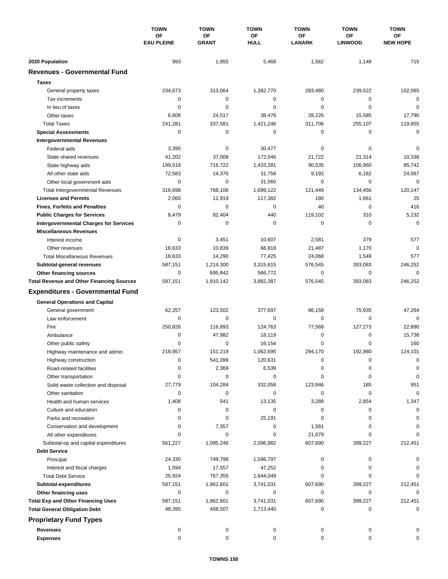|                                                  | <b>TOWN</b><br>OF<br><b>EAU PLEINE</b> | <b>TOWN</b>        | <b>TOWN</b>       | <b>TOWN</b>         | <b>TOWN</b>          | <b>TOWN</b>           |
|--------------------------------------------------|----------------------------------------|--------------------|-------------------|---------------------|----------------------|-----------------------|
|                                                  |                                        | OF<br><b>GRANT</b> | OF<br><b>HULL</b> | OF<br><b>LANARK</b> | ΟF<br><b>LINWOOD</b> | ОF<br><b>NEW HOPE</b> |
|                                                  |                                        |                    |                   |                     |                      |                       |
| 2020 Population                                  | 993                                    | 1,955              | 5,468             | 1,562               | 1,148                | 715                   |
| <b>Revenues - Governmental Fund</b>              |                                        |                    |                   |                     |                      |                       |
| <b>Taxes</b>                                     |                                        |                    |                   |                     |                      |                       |
| General property taxes                           | 234,673                                | 313,064            | 1,382,770         | 283,480             | 239,522              | 102,065               |
| Tax increments                                   | 0                                      | 0                  | 0                 | 0                   | $\mathbf 0$          | $\mathbf 0$           |
| In lieu of taxes                                 | 0                                      | 0                  | 0                 | 0                   | $\mathbf 0$          | $\mathbf 0$           |
| Other taxes                                      | 6,608                                  | 24,517             | 38,476            | 28,226              | 15,585               | 17,790                |
| <b>Total Taxes</b>                               | 241,281                                | 337,581            | 1,421,246         | 311,706             | 255,107              | 119,855               |
| <b>Special Assessments</b>                       | 0                                      | 0                  | 0                 | 0                   | 0                    | 0                     |
| <b>Intergovernmental Revenues</b>                |                                        |                    |                   |                     |                      |                       |
| Federal aids                                     | 3,395                                  | 0                  | 30,477            | 0                   | 0                    | 0                     |
| State shared revenues                            | 41,202                                 | 37,008             | 172,046           | 21,722              | 21,314               | 10,338                |
| State highway aids                               | 199,518                                | 716,722            | 1,433,281         | 90,535              | 106,960              | 85,742                |
| All other state aids                             | 72,583                                 | 14,376             | 31,758            | 9,192               | 6,182                | 24,067                |
| Other local government aids                      | 0                                      | $\mathbf 0$        | 31,560            | 0                   | $\mathbf 0$          | $\mathbf 0$           |
| <b>Total Intergovernmental Revenues</b>          | 316,698                                | 768,106            | 1,699,122         | 121,449             | 134,456              | 120,147               |
| <b>Licenses and Permits</b>                      | 2,060                                  | 11,919             | 117,382           | 180                 | 1,661                | 25                    |
| <b>Fines, Forfeits and Penalties</b>             | 0                                      | 0                  | 0                 | 40                  | 0                    | 416                   |
| <b>Public Charges for Services</b>               | 8,479                                  | 82,404             | 440               | 119,102             | 310                  | 5,232                 |
| <b>Intergovernmental Charges for Services</b>    | 0                                      | 0                  | 0                 | 0                   | 0                    | $\mathbf 0$           |
| <b>Miscellaneous Revenues</b>                    |                                        |                    |                   |                     |                      |                       |
| Interest income                                  | 0                                      | 3,451              | 10,607            | 2,581               | 379                  | 577                   |
| Other revenues                                   | 18,633                                 | 10,839             | 66,818            | 21,487              | 1,170                | $\mathbf 0$           |
| <b>Total Miscellaneous Revenues</b>              | 18,633                                 | 14,290             | 77,425            | 24,068              | 1,549                | 577                   |
| Subtotal-general revenues                        | 587,151                                | 1,214,300          | 3,315,615         | 576,545             | 393,083              | 246,252               |
| Other financing sources                          | 0                                      | 695,842            | 566,772           | 0                   | $\mathbf 0$          | $\mathbf 0$           |
| <b>Total Revenue and Other Financing Sources</b> | 587,151                                | 1,910,142          | 3,882,387         | 576,545             | 393,083              | 246,252               |
| <b>Expenditures - Governmental Fund</b>          |                                        |                    |                   |                     |                      |                       |
|                                                  |                                        |                    |                   |                     |                      |                       |
| <b>General Operations and Capital</b>            | 62,257                                 | 123,502            | 377,697           | 86,158              | 75,935               | 47,264                |
| General government<br>Law enforcement            | 0                                      | 0                  | 0                 | 0                   | 0                    | $\Omega$              |
| Fire                                             | 250.826                                | 116,893            | 124.763           | 77,568              | 127,273              | 22,890                |
| Ambulance                                        | 0                                      | 47,982             | 18,119            | 0                   | 0                    | 15,738                |
|                                                  | 0                                      | 0                  | 16,154            | 0                   | $\mathbf 0$          | 160                   |
| Other public safety                              |                                        | 151,219            | 1,062,695         | 294,170             | 192,980              | 124,101               |
| Highway maintenance and admin                    | 218,957                                |                    |                   |                     |                      |                       |
| Highway construction                             | 0                                      | 541,099            | 120,631           | 0                   | 0                    | $\mathbf 0$           |
| Road-related facilities                          | 0                                      | 2,369              | 6,539             | 0                   | 0                    | 0                     |
| Other transportation                             | 0                                      | 0                  | 0                 | 0                   | 0                    | $\mathbf 0$           |
| Solid waste collection and disposal              | 27,779                                 | 104,284            | 332,058           | 123,846             | 185                  | 951                   |
| Other sanitation                                 | 0                                      | 0                  | 0                 | 0                   | 0                    | $\mathbf 0$           |
| Health and human services                        | 1,408                                  | 541                | 13,135            | 3,288               | 2,854                | 1,347                 |
| Culture and education                            | 0                                      | 0                  | 0                 | 0                   | 0                    | 0                     |
| Parks and recreation                             | 0                                      | 0                  | 25,191            | 0                   | 0                    | 0                     |
| Conservation and development                     | 0                                      | 7,357              | 0                 | 1,581               | 0                    | 0                     |
| All other expenditures                           | 0                                      | 0                  | 0                 | 21,079              | 0                    | $\Omega$              |
| Subtotal-op and capital expenditures             | 561,227                                | 1,095,246          | 2,096,982         | 607,690             | 399,227              | 212,451               |
| <b>Debt Service</b>                              |                                        |                    |                   |                     |                      |                       |
| Principal                                        | 24,330                                 | 749,798            | 1,596,797         | 0                   | 0                    |                       |
| Interest and fiscal charges                      | 1,594                                  | 17,557             | 47,252            | 0                   | 0                    | 0                     |
| <b>Total Debt Service</b>                        | 25,924                                 | 767,355            | 1,644,049         | 0                   | 0                    | $\Omega$              |
| Subtotal-expenditures                            | 587,151                                | 1,862,601          | 3,741,031         | 607,690             | 399,227              | 212,451               |
| Other financing uses                             | 0                                      | 0                  | 0                 | 0                   | 0                    | 0                     |
| <b>Total Exp and Other Financing Uses</b>        | 587,151                                | 1,862,601          | 3,741,031         | 607,690             | 399,227              | 212,451               |
| <b>Total General Obligation Debt</b>             | 48,395                                 | 458,507            | 1,713,440         | 0                   | 0                    | 0                     |
| <b>Proprietary Fund Types</b>                    |                                        |                    |                   |                     |                      |                       |
| <b>Revenues</b>                                  | 0                                      | 0                  | 0                 | 0                   | 0                    |                       |
| <b>Expenses</b>                                  | 0                                      | 0                  | 0                 | 0                   | 0                    | 0                     |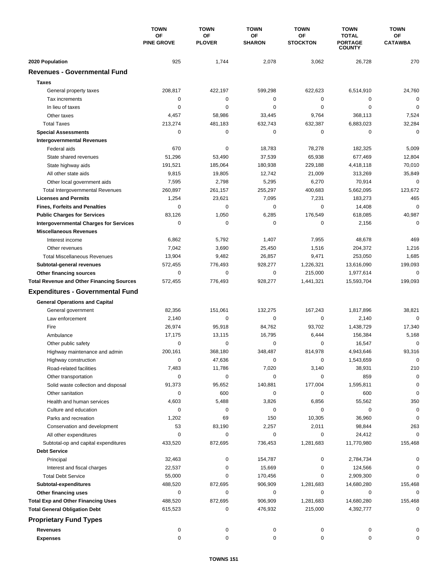|                                                                | <b>TOWN</b>             | <b>TOWN</b>         | <b>TOWN</b>         | <b>TOWN</b>           | <b>TOWN</b>                                     | <b>TOWN</b>          |
|----------------------------------------------------------------|-------------------------|---------------------|---------------------|-----------------------|-------------------------------------------------|----------------------|
|                                                                | OF<br><b>PINE GROVE</b> | OF<br><b>PLOVER</b> | OF<br><b>SHARON</b> | ΟF<br><b>STOCKTON</b> | <b>TOTAL</b><br><b>PORTAGE</b><br><b>COUNTY</b> | OF<br><b>CATAWBA</b> |
| 2020 Population                                                | 925                     | 1,744               | 2,078               | 3,062                 | 26,728                                          | 270                  |
| <b>Revenues - Governmental Fund</b>                            |                         |                     |                     |                       |                                                 |                      |
| <b>Taxes</b>                                                   |                         |                     |                     |                       |                                                 |                      |
| General property taxes                                         | 208,817                 | 422,197             | 599,298             | 622,623               | 6,514,910                                       | 24,760               |
| Tax increments                                                 | 0                       | $\pmb{0}$           | $\mathbf 0$         | 0                     | 0                                               | $\mathbf 0$          |
| In lieu of taxes                                               | 0                       | 0                   | 0                   | 0                     | $\mathbf 0$                                     | $\mathbf 0$          |
| Other taxes                                                    | 4,457                   | 58,986              | 33,445              | 9,764                 | 368,113                                         | 7,524                |
| <b>Total Taxes</b>                                             | 213,274                 | 481,183             | 632,743             | 632,387               | 6,883,023                                       | 32,284               |
| <b>Special Assessments</b>                                     | 0                       | $\pmb{0}$           | 0                   | 0                     | 0                                               | $\mathbf 0$          |
| <b>Intergovernmental Revenues</b>                              |                         |                     |                     |                       |                                                 |                      |
| Federal aids                                                   | 670                     | 0                   | 18,783              | 78,278                | 182,325                                         | 5,009                |
| State shared revenues                                          | 51,296                  | 53,490              | 37,539              | 65,938                | 677,469                                         | 12,804               |
| State highway aids                                             | 191,521                 | 185,064             | 180,938             | 229,188               | 4,418,118                                       | 70,010               |
| All other state aids                                           | 9,815                   | 19,805              | 12,742              | 21,009                | 313,269                                         | 35,849               |
| Other local government aids                                    | 7,595                   | 2,798               | 5,295               | 6,270                 | 70,914                                          | $\mathbf 0$          |
| <b>Total Intergovernmental Revenues</b>                        | 260,897                 | 261,157             | 255,297             | 400,683               | 5,662,095                                       | 123,672              |
| <b>Licenses and Permits</b>                                    | 1,254                   | 23,621              | 7,095               | 7,231                 | 183,273                                         | 465                  |
| <b>Fines, Forfeits and Penalties</b>                           | 0                       | $\mathbf 0$         | 0                   | 0                     | 14,408                                          | $\mathbf 0$          |
| <b>Public Charges for Services</b>                             | 83,126                  | 1,050               | 6,285               | 176,549               | 618,085                                         | 40,987               |
| <b>Intergovernmental Charges for Services</b>                  | 0                       | 0                   | 0                   | 0                     | 2,156                                           | $\mathbf 0$          |
| <b>Miscellaneous Revenues</b>                                  |                         |                     |                     |                       |                                                 |                      |
| Interest income                                                | 6,862                   | 5,792               | 1,407               | 7,955                 | 48,678                                          | 469                  |
| Other revenues                                                 | 7,042                   | 3,690               | 25,450              | 1,516                 | 204,372                                         | 1,216                |
| <b>Total Miscellaneous Revenues</b>                            | 13,904                  | 9,482               | 26,857              | 9,471                 | 253,050                                         | 1,685                |
| Subtotal-general revenues                                      | 572,455                 | 776,493             | 928,277             | 1,226,321             | 13,616,090                                      | 199,093              |
| Other financing sources                                        | 0                       | $\pmb{0}$           | 0                   | 215,000               | 1,977,614                                       | $\mathbf 0$          |
| <b>Total Revenue and Other Financing Sources</b>               | 572,455                 | 776,493             | 928,277             | 1,441,321             | 15,593,704                                      | 199,093              |
| <b>Expenditures - Governmental Fund</b>                        |                         |                     |                     |                       |                                                 |                      |
| <b>General Operations and Capital</b>                          |                         |                     |                     |                       |                                                 |                      |
| General government                                             | 82,356                  | 151,061             | 132,275             | 167,243               | 1,817,896                                       | 38,821               |
| Law enforcement                                                | 2,140                   | 0                   | 0                   | $\mathbf 0$           | 2,140                                           | $\mathbf 0$          |
| Fire                                                           | 26,974                  | 95,918              | 84,762              | 93,702                | 1,438,729                                       | 17,340               |
| Ambulance                                                      | 17,175                  | 13,115              | 16,795              | 6,444                 | 156,384                                         | 5,168                |
| Other public safety                                            | $\mathbf 0$             | 0                   | 0                   | 0                     | 16,547                                          | $\mathbf 0$          |
| Highway maintenance and admin                                  | 200,161                 | 368.180             | 348,487             | 814,978               | 4,943,646                                       | 93,316               |
| Highway construction                                           | 0                       | 47,636              | 0                   | 0                     | 1,543,659                                       | $\pmb{0}$            |
| Road-related facilities                                        | 7,483                   | 11,786              | 7,020               | 3,140                 | 38,931                                          | 210                  |
| Other transportation                                           | 0                       | 0                   | 0                   | 0                     | 859                                             | $\mathbf 0$          |
| Solid waste collection and disposal                            | 91,373                  | 95,652              | 140,881             | 177,004               | 1,595,811                                       | 0                    |
| Other sanitation                                               | 0                       | 600                 | 0                   | 0                     | 600                                             | 0                    |
| Health and human services                                      | 4,603                   | 5,488               | 3,826               | 6,856                 | 55,562                                          | 350                  |
| Culture and education                                          | 0                       | 0                   | 0                   | 0                     | 0                                               | 0                    |
| Parks and recreation                                           | 1,202                   | 69                  | 150                 | 10,305                | 36,960                                          | 0                    |
| Conservation and development                                   | 53<br>0                 | 83,190<br>0         | 2,257<br>0          | 2,011<br>0            | 98,844                                          | 263<br>0             |
| All other expenditures<br>Subtotal-op and capital expenditures | 433,520                 | 872,695             | 736,453             | 1,281,683             | 24,412<br>11,770,980                            | 155,468              |
| <b>Debt Service</b>                                            |                         |                     |                     |                       |                                                 |                      |
| Principal                                                      | 32,463                  | 0                   | 154,787             | 0                     | 2,784,734                                       | 0                    |
| Interest and fiscal charges                                    | 22,537                  | 0                   | 15,669              | 0                     | 124,566                                         | 0                    |
| <b>Total Debt Service</b>                                      | 55,000                  | 0                   | 170,456             | 0                     | 2,909,300                                       | 0                    |
| Subtotal-expenditures                                          | 488,520                 | 872,695             | 906,909             | 1,281,683             | 14,680,280                                      | 155,468              |
| Other financing uses                                           | 0                       | 0                   | 0                   | 0                     | 0                                               | 0                    |
| <b>Total Exp and Other Financing Uses</b>                      | 488,520                 | 872,695             | 906,909             | 1,281,683             | 14,680,280                                      | 155,468              |
| <b>Total General Obligation Debt</b>                           | 615,523                 | 0                   | 476,932             | 215,000               | 4,392,777                                       | 0                    |
| <b>Proprietary Fund Types</b>                                  |                         |                     |                     |                       |                                                 |                      |
|                                                                |                         |                     |                     |                       |                                                 |                      |
| <b>Revenues</b>                                                | 0<br>0                  | 0                   | 0<br>0              | 0                     | 0<br>0                                          |                      |
| <b>Expenses</b>                                                |                         | 0                   |                     | 0                     |                                                 | 0                    |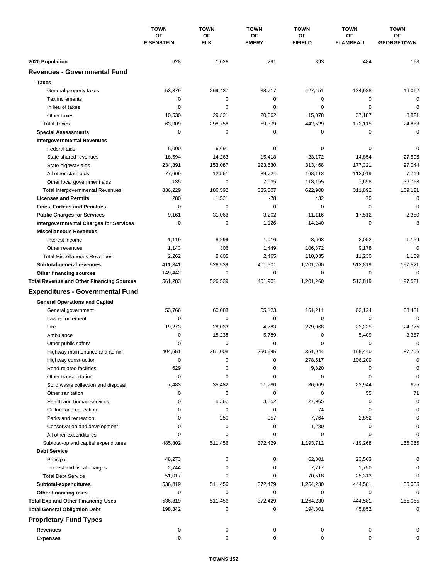|                                                  | <b>TOWN</b><br><b>OF</b><br><b>EISENSTEIN</b> | <b>TOWN</b><br>OF<br><b>ELK</b> | <b>TOWN</b><br>ΟF<br><b>EMERY</b> | <b>TOWN</b><br>ΟF<br><b>FIFIELD</b> | <b>TOWN</b><br><b>OF</b><br><b>FLAMBEAU</b> | <b>TOWN</b><br>ОF<br><b>GEORGETOWN</b> |
|--------------------------------------------------|-----------------------------------------------|---------------------------------|-----------------------------------|-------------------------------------|---------------------------------------------|----------------------------------------|
|                                                  |                                               |                                 |                                   |                                     |                                             |                                        |
|                                                  |                                               |                                 |                                   |                                     |                                             |                                        |
| 2020 Population                                  | 628                                           | 1,026                           | 291                               | 893                                 | 484                                         | 168                                    |
| <b>Revenues - Governmental Fund</b>              |                                               |                                 |                                   |                                     |                                             |                                        |
| <b>Taxes</b>                                     |                                               |                                 |                                   |                                     |                                             |                                        |
| General property taxes                           | 53,379                                        | 269,437                         | 38,717                            | 427,451                             | 134,928                                     | 16,062                                 |
| Tax increments                                   | $\mathbf 0$                                   | $\pmb{0}$                       | 0                                 | $\mathbf 0$                         | 0                                           | $\mathbf 0$                            |
| In lieu of taxes                                 | $\mathbf 0$                                   | $\mathbf 0$                     | 0                                 | $\mathbf 0$                         | $\mathbf 0$                                 | $\mathbf 0$                            |
| Other taxes                                      | 10,530                                        | 29,321                          | 20,662                            | 15,078                              | 37,187                                      | 8,821                                  |
| <b>Total Taxes</b>                               | 63,909                                        | 298,758                         | 59,379                            | 442,529                             | 172,115                                     | 24,883                                 |
| <b>Special Assessments</b>                       | $\mathbf 0$                                   | $\mathbf 0$                     | 0                                 | 0                                   | 0                                           | $\mathbf 0$                            |
| <b>Intergovernmental Revenues</b>                |                                               |                                 |                                   |                                     |                                             |                                        |
| Federal aids                                     | 5,000                                         | 6,691                           | 0                                 | 0                                   | 0                                           | $\mathbf 0$                            |
| State shared revenues                            | 18,594                                        | 14,263                          | 15,418                            | 23,172                              | 14,854                                      | 27,595                                 |
| State highway aids                               | 234,891                                       | 153,087                         | 223,630                           | 313,468                             | 177,321                                     | 97,044                                 |
| All other state aids                             | 77,609                                        | 12,551                          | 89,724                            | 168,113                             | 112,019                                     | 7,719                                  |
| Other local government aids                      | 135                                           | $\mathbf 0$                     | 7,035                             | 118,155                             | 7,698                                       | 36,763                                 |
| <b>Total Intergovernmental Revenues</b>          | 336,229                                       | 186,592                         | 335,807                           | 622,908                             | 311,892                                     | 169,121                                |
| <b>Licenses and Permits</b>                      | 280                                           | 1,521                           | $-78$                             | 432                                 | 70                                          | $\mathbf 0$                            |
| <b>Fines, Forfeits and Penalties</b>             | $\mathbf 0$                                   | $\Omega$                        | 0                                 | $\Omega$                            | $\Omega$                                    | $\mathbf 0$                            |
| <b>Public Charges for Services</b>               | 9,161                                         | 31,063                          | 3,202                             | 11,116                              | 17,512                                      | 2,350                                  |
| <b>Intergovernmental Charges for Services</b>    | 0                                             | $\mathbf 0$                     | 1,126                             | 14,240                              | 0                                           | 8                                      |
| <b>Miscellaneous Revenues</b>                    |                                               |                                 |                                   |                                     |                                             |                                        |
| Interest income                                  | 1,119                                         | 8,299                           | 1,016                             | 3,663                               | 2,052                                       | 1,159                                  |
| Other revenues                                   | 1,143                                         | 306                             | 1,449                             | 106,372                             | 9,178                                       | $\mathbf 0$                            |
| <b>Total Miscellaneous Revenues</b>              | 2,262                                         | 8,605                           | 2,465                             | 110,035                             | 11,230                                      | 1,159                                  |
| Subtotal-general revenues                        | 411,841                                       | 526,539                         | 401,901                           | 1,201,260                           | 512,819                                     | 197,521                                |
| Other financing sources                          | 149,442                                       | $\mathbf 0$                     | 0                                 | 0                                   | $\mathbf 0$                                 | $\mathbf 0$                            |
| <b>Total Revenue and Other Financing Sources</b> | 561,283                                       | 526,539                         | 401,901                           | 1,201,260                           | 512,819                                     | 197,521                                |
| <b>Expenditures - Governmental Fund</b>          |                                               |                                 |                                   |                                     |                                             |                                        |
|                                                  |                                               |                                 |                                   |                                     |                                             |                                        |
| <b>General Operations and Capital</b>            |                                               |                                 |                                   |                                     |                                             |                                        |
| General government                               | 53,766                                        | 60,083                          | 55,123                            | 151,211                             | 62,124                                      | 38,451                                 |
| Law enforcement                                  | 0                                             | 0                               | $\mathbf 0$                       | 0                                   | $\mathbf 0$                                 | $\Omega$                               |
| Fire                                             | 19,273                                        | 28,033                          | 4,783                             | 279,068                             | 23,235                                      | 24,775                                 |
| Ambulance                                        | 0                                             | 18,238                          | 5,789                             | $\pmb{0}$                           | 5,409                                       | 3,387                                  |
| Other public safety                              | $\mathbf 0$                                   | $\mathbf 0$                     | 0                                 | $\mathbf 0$                         | $\mathbf 0$                                 | $\mathbf 0$                            |
| Highway maintenance and admin                    | 404,651                                       | 361.008                         | 290,645                           | 351,944                             | 195,440                                     | 87.706                                 |
| Highway construction                             | 0                                             | 0                               | 0                                 | 278,517                             | 106,209                                     | 0                                      |
| Road-related facilities                          | 629                                           | 0                               | 0                                 | 9,820                               | 0                                           | 0                                      |
| Other transportation                             | 0                                             | 0                               | 0                                 | 0                                   | 0                                           | 0                                      |
| Solid waste collection and disposal              | 7,483                                         | 35,482                          | 11,780                            | 86,069                              | 23,944                                      | 675                                    |
| Other sanitation                                 | 0                                             | 0                               | 0                                 | 0                                   | 55                                          | 71                                     |
| Health and human services                        | 0                                             | 8,362                           | 3,352                             | 27,965                              | 0                                           | $\mathbf 0$                            |
| Culture and education                            | 0                                             | 0                               | 0                                 | 74                                  | 0                                           | 0                                      |
| Parks and recreation                             | 0                                             | 250                             | 957                               | 7,764                               | 2,852                                       | $\Omega$                               |
| Conservation and development                     | 0                                             | 0                               | 0                                 | 1,280                               | 0                                           | 0                                      |
| All other expenditures                           | 0                                             | 0                               | 0                                 | 0                                   | 0                                           | $\Omega$                               |
| Subtotal-op and capital expenditures             | 485,802                                       | 511,456                         | 372,429                           | 1,193,712                           | 419,268                                     | 155,065                                |
| <b>Debt Service</b>                              |                                               |                                 |                                   |                                     |                                             |                                        |
| Principal                                        | 48,273                                        | 0                               | 0                                 | 62,801                              | 23,563                                      | O                                      |
| Interest and fiscal charges                      | 2,744                                         | 0                               | 0                                 | 7,717                               | 1,750                                       | 0                                      |
| <b>Total Debt Service</b>                        | 51,017                                        | 0                               | 0                                 | 70,518                              | 25,313                                      | $\Omega$                               |
| Subtotal-expenditures                            | 536,819                                       | 511,456                         | 372,429                           | 1,264,230                           | 444,581                                     | 155,065                                |
| Other financing uses                             | 0                                             | 0                               | 0                                 | 0                                   | 0                                           | 0                                      |
| <b>Total Exp and Other Financing Uses</b>        | 536,819                                       | 511,456                         | 372,429                           | 1,264,230                           | 444,581                                     | 155,065                                |
| <b>Total General Obligation Debt</b>             | 198,342                                       | 0                               | 0                                 | 194,301                             | 45,852                                      | 0                                      |
| <b>Proprietary Fund Types</b>                    |                                               |                                 |                                   |                                     |                                             |                                        |
| <b>Revenues</b>                                  | 0                                             | 0                               | 0                                 | 0                                   | 0                                           |                                        |
| <b>Expenses</b>                                  | 0                                             | 0                               | 0                                 | 0                                   | 0                                           | 0                                      |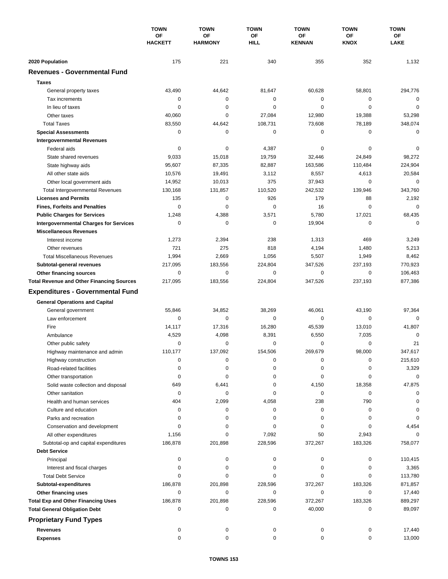|                                                  | <b>TOWN</b><br>OF<br><b>HACKETT</b> | <b>TOWN</b><br>OF<br><b>HARMONY</b> | <b>TOWN</b><br>OF<br><b>HILL</b> | <b>TOWN</b><br>OF<br><b>KENNAN</b> | <b>TOWN</b><br><b>OF</b><br><b>KNOX</b> | <b>TOWN</b><br>OF<br><b>LAKE</b> |
|--------------------------------------------------|-------------------------------------|-------------------------------------|----------------------------------|------------------------------------|-----------------------------------------|----------------------------------|
|                                                  |                                     |                                     |                                  |                                    |                                         |                                  |
|                                                  |                                     |                                     |                                  |                                    |                                         |                                  |
| 2020 Population                                  | 175                                 | 221                                 | 340                              | 355                                | 352                                     | 1,132                            |
| <b>Revenues - Governmental Fund</b>              |                                     |                                     |                                  |                                    |                                         |                                  |
| <b>Taxes</b>                                     |                                     |                                     |                                  |                                    |                                         |                                  |
| General property taxes                           | 43,490                              | 44,642                              | 81,647                           | 60,628                             | 58,801                                  | 294,776                          |
| Tax increments                                   | 0                                   | 0                                   | 0                                | 0                                  | 0                                       | $\mathbf 0$                      |
| In lieu of taxes                                 | 0                                   | 0                                   | 0                                | 0                                  | $\mathbf 0$                             | $\mathbf 0$                      |
| Other taxes                                      | 40,060                              | 0                                   | 27,084                           | 12,980                             | 19,388                                  | 53,298                           |
| <b>Total Taxes</b>                               | 83,550                              | 44,642                              | 108,731                          | 73,608                             | 78,189                                  | 348,074                          |
| <b>Special Assessments</b>                       | 0                                   | 0                                   | 0                                | 0                                  | 0                                       | $\mathbf 0$                      |
| <b>Intergovernmental Revenues</b>                |                                     |                                     |                                  |                                    |                                         |                                  |
| Federal aids                                     | 0                                   | 0                                   | 4,387                            | 0                                  | 0                                       | 0                                |
| State shared revenues                            | 9,033                               | 15,018                              | 19,759                           | 32,446                             | 24,849                                  | 98,272                           |
| State highway aids                               | 95,607                              | 87,335                              | 82,887                           | 163,586                            | 110,484                                 | 224,904                          |
| All other state aids                             | 10,576                              | 19,491                              | 3,112                            | 8,557                              | 4,613                                   | 20,584                           |
| Other local government aids                      | 14,952                              | 10,013                              | 375                              | 37,943                             | 0                                       | $\mathbf 0$                      |
| <b>Total Intergovernmental Revenues</b>          | 130,168                             | 131,857                             | 110,520                          | 242,532                            | 139,946                                 | 343,760                          |
| <b>Licenses and Permits</b>                      | 135                                 | 0                                   | 926                              | 179                                | 88                                      | 2,192                            |
| <b>Fines, Forfeits and Penalties</b>             | 0                                   | $\mathbf 0$                         | 0                                | 16                                 | $\Omega$                                | $\mathbf 0$                      |
| <b>Public Charges for Services</b>               | 1,248                               | 4,388                               | 3,571                            | 5,780                              | 17,021                                  | 68,435                           |
| <b>Intergovernmental Charges for Services</b>    | 0                                   | 0                                   | 0                                | 19,904                             | 0                                       | $\mathbf 0$                      |
| <b>Miscellaneous Revenues</b>                    |                                     |                                     |                                  |                                    |                                         |                                  |
| Interest income                                  | 1,273                               | 2,394                               | 238                              | 1,313                              | 469                                     | 3,249                            |
| Other revenues                                   | 721                                 | 275                                 | 818                              | 4,194                              | 1,480                                   | 5,213                            |
| <b>Total Miscellaneous Revenues</b>              | 1,994                               | 2,669                               | 1,056                            | 5,507                              | 1,949                                   | 8,462                            |
| Subtotal-general revenues                        | 217,095                             | 183,556                             | 224,804                          | 347,526                            | 237,193                                 | 770,923                          |
| Other financing sources                          | 0                                   | 0                                   | 0                                | 0                                  | $\mathbf 0$                             | 106,463                          |
| <b>Total Revenue and Other Financing Sources</b> | 217,095                             | 183,556                             | 224,804                          | 347,526                            | 237,193                                 | 877,386                          |
| <b>Expenditures - Governmental Fund</b>          |                                     |                                     |                                  |                                    |                                         |                                  |
| <b>General Operations and Capital</b>            |                                     |                                     |                                  |                                    |                                         |                                  |
| General government                               | 55,846                              | 34,852                              | 38,269                           | 46,061                             | 43,190                                  | 97,364                           |
| Law enforcement                                  | 0                                   | $\mathbf 0$                         | $\mathbf 0$                      | 0                                  | 0                                       | $\Omega$                         |
| Fire                                             | 14,117                              | 17,316                              | 16,280                           | 45,539                             | 13,010                                  | 41,807                           |
| Ambulance                                        | 4,529                               | 4,098                               | 8,391                            | 6,550                              | 7,035                                   | 0                                |
| Other public safety                              | 0                                   | 0                                   | 0                                | 0                                  | $\mathbf 0$                             | 21                               |
| Highway maintenance and admin                    | 110,177                             | 137,092                             | 154,506                          | 269.679                            | 98,000                                  | 347.617                          |
| Highway construction                             | 0                                   | 0                                   | 0                                | 0                                  | 0                                       | 215,610                          |
| Road-related facilities                          | 0                                   | 0                                   | 0                                | 0                                  | 0                                       | 3,329                            |
| Other transportation                             | 0                                   | 0                                   | 0                                | 0                                  | 0                                       | 0                                |
| Solid waste collection and disposal              | 649                                 | 6,441                               | 0                                | 4,150                              | 18,358                                  | 47,875                           |
| Other sanitation                                 | 0                                   | 0                                   | 0                                | 0                                  | 0                                       | 0                                |
| Health and human services                        | 404                                 | 2,099                               | 4,058                            | 238                                | 790                                     |                                  |
| Culture and education                            | 0                                   | 0                                   | 0                                | 0                                  | 0                                       | 0                                |
| Parks and recreation                             | 0                                   | 0                                   | 0                                | 0                                  | 0                                       | 0                                |
| Conservation and development                     | 0                                   | 0                                   | 0                                | 0                                  | 0                                       | 4,454                            |
| All other expenditures                           | 1,156                               | 0                                   | 7,092                            | 50                                 | 2,943                                   |                                  |
| Subtotal-op and capital expenditures             | 186,878                             | 201,898                             | 228,596                          | 372,267                            | 183,326                                 | 758,077                          |
| <b>Debt Service</b>                              |                                     |                                     |                                  |                                    |                                         |                                  |
| Principal                                        | 0                                   | 0                                   | 0                                | 0                                  | 0                                       | 110,415                          |
| Interest and fiscal charges                      | 0                                   | 0                                   | 0                                | 0                                  | 0                                       | 3,365                            |
| <b>Total Debt Service</b>                        | 0                                   | 0                                   | 0                                | 0                                  | 0                                       | 113,780                          |
| Subtotal-expenditures                            | 186,878                             | 201,898                             | 228,596                          | 372,267                            | 183,326                                 | 871,857                          |
| Other financing uses                             | 0                                   | 0                                   | 0                                | 0                                  | 0                                       | 17,440                           |
| <b>Total Exp and Other Financing Uses</b>        | 186,878                             | 201,898                             | 228,596                          | 372,267                            | 183,326                                 | 889,297                          |
| <b>Total General Obligation Debt</b>             | 0                                   | 0                                   | 0                                | 40,000                             | 0                                       | 89,097                           |
| <b>Proprietary Fund Types</b>                    |                                     |                                     |                                  |                                    |                                         |                                  |
| <b>Revenues</b>                                  | 0                                   | 0                                   | 0                                | 0                                  | 0                                       | 17,440                           |
| <b>Expenses</b>                                  | 0                                   | 0                                   | 0                                | 0                                  | 0                                       | 13,000                           |
|                                                  |                                     |                                     |                                  |                                    |                                         |                                  |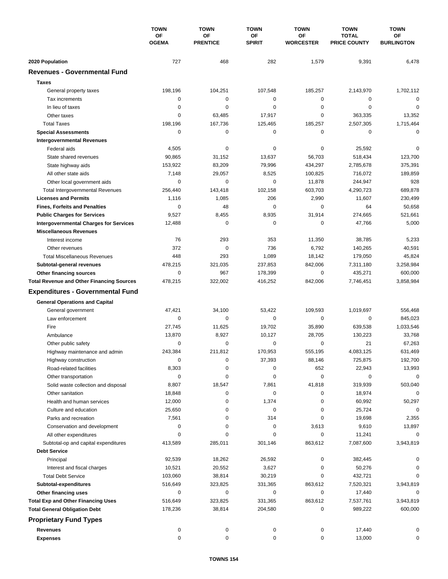|                                                  | <b>TOWN</b><br>ΟF<br><b>OGEMA</b> | <b>TOWN</b>           | <b>TOWN</b><br>OF<br><b>SPIRIT</b> | <b>TOWN</b>            | <b>TOWN</b>                         | <b>TOWN</b>             |
|--------------------------------------------------|-----------------------------------|-----------------------|------------------------------------|------------------------|-------------------------------------|-------------------------|
|                                                  |                                   | OF<br><b>PRENTICE</b> |                                    | ΟF<br><b>WORCESTER</b> | <b>TOTAL</b><br><b>PRICE COUNTY</b> | OF<br><b>BURLINGTON</b> |
| 2020 Population                                  | 727                               | 468                   | 282                                | 1,579                  | 9,391                               | 6,478                   |
| <b>Revenues - Governmental Fund</b>              |                                   |                       |                                    |                        |                                     |                         |
| <b>Taxes</b>                                     |                                   |                       |                                    |                        |                                     |                         |
| General property taxes                           | 198,196                           | 104,251               | 107,548                            | 185,257                | 2,143,970                           | 1,702,112               |
| Tax increments                                   | 0                                 | $\pmb{0}$             | 0                                  | 0                      | 0                                   | $\mathbf 0$             |
| In lieu of taxes                                 | 0                                 | 0                     | 0                                  | 0                      | $\mathbf 0$                         | $\mathbf 0$             |
| Other taxes                                      | 0                                 | 63,485                | 17,917                             | 0                      | 363,335                             | 13,352                  |
| <b>Total Taxes</b>                               | 198,196                           | 167,736               | 125,465                            | 185,257                | 2,507,305                           | 1,715,464               |
| <b>Special Assessments</b>                       | 0                                 | 0                     | 0                                  | 0                      | $\mathbf 0$                         | $\mathbf 0$             |
| <b>Intergovernmental Revenues</b>                |                                   |                       |                                    |                        |                                     |                         |
| Federal aids                                     | 4,505                             | 0                     | 0                                  | 0                      | 25,592                              | 0                       |
| State shared revenues                            | 90,865                            | 31,152                | 13,637                             | 56,703                 | 518,434                             | 123,700                 |
| State highway aids                               | 153,922                           | 83,209                | 79,996                             | 434,297                | 2,785,678                           | 375,391                 |
| All other state aids                             | 7,148                             | 29,057                | 8,525                              | 100,825                | 716,072                             | 189,859                 |
| Other local government aids                      | 0                                 | $\mathbf 0$           | 0                                  | 11,878                 | 244,947                             | 928                     |
| <b>Total Intergovernmental Revenues</b>          | 256,440                           | 143,418               | 102,158                            | 603,703                | 4,290,723                           | 689,878                 |
| <b>Licenses and Permits</b>                      | 1,116                             | 1,085                 | 206                                | 2,990                  | 11,607                              | 230,499                 |
| <b>Fines, Forfeits and Penalties</b>             | 0                                 | 48                    | 0                                  | 0                      | 64                                  | 50,658                  |
| <b>Public Charges for Services</b>               | 9,527                             | 8,455                 | 8,935                              | 31,914                 | 274,665                             | 521,661                 |
| <b>Intergovernmental Charges for Services</b>    | 12,488                            | $\mathbf 0$           | 0                                  | 0                      | 47,766                              | 5,000                   |
| <b>Miscellaneous Revenues</b>                    |                                   |                       |                                    |                        |                                     |                         |
| Interest income                                  | 76                                | 293                   | 353                                | 11,350                 | 38,785                              | 5,233                   |
| Other revenues                                   | 372                               | $\mathbf 0$           | 736                                | 6,792                  | 140,265                             | 40,591                  |
| <b>Total Miscellaneous Revenues</b>              | 448                               | 293                   | 1,089                              | 18,142                 | 179,050                             | 45,824                  |
| Subtotal-general revenues                        | 478,215                           | 321,035               | 237,853                            | 842,006                | 7,311,180                           | 3,258,984               |
| Other financing sources                          | 0                                 | 967                   | 178,399                            | 0                      | 435,271                             | 600,000                 |
| <b>Total Revenue and Other Financing Sources</b> | 478,215                           | 322,002               | 416,252                            | 842,006                | 7,746,451                           | 3,858,984               |
|                                                  |                                   |                       |                                    |                        |                                     |                         |
| <b>Expenditures - Governmental Fund</b>          |                                   |                       |                                    |                        |                                     |                         |
| <b>General Operations and Capital</b>            |                                   |                       |                                    |                        |                                     |                         |
| General government                               | 47,421                            | 34,100                | 53,422                             | 109,593                | 1,019,697                           | 556,468                 |
| Law enforcement                                  | 0                                 | 0                     | $\mathbf 0$                        | 0                      | 0                                   | 845,023                 |
| Fire                                             | 27,745                            | 11,625                | 19,702                             | 35,890                 | 639,538                             | 1,033,546               |
| Ambulance                                        | 13,870                            | 8,927                 | 10,127                             | 28,705                 | 130,223                             | 33,768                  |
| Other public safety                              | 0                                 | 0                     | 0                                  | 0                      | 21                                  | 67,263                  |
| Highway maintenance and admin                    | 243,384                           | 211,812               | 170,953                            | 555,195                | 4,083,125                           | 631,469                 |
| Highway construction                             | 0                                 | 0                     | 37,393                             | 88,146                 | 725,875                             | 192,700                 |
| Road-related facilities                          | 8,303                             | 0                     | 0                                  | 652                    | 22,943                              | 13,993                  |
| Other transportation                             | 0                                 | 0                     | 0                                  | 0                      | 0                                   | 0                       |
| Solid waste collection and disposal              | 8,807                             | 18,547                | 7,861                              | 41,818                 | 319,939                             | 503,040                 |
| Other sanitation                                 | 18,848                            | 0                     | 0                                  | 0                      | 18,974                              | 0                       |
| Health and human services                        | 12,000                            | 0                     | 1,374                              | 0                      | 60,992                              | 50,297                  |
| Culture and education                            | 25,650                            | 0                     | 0                                  | 0                      | 25,724                              | 0                       |
| Parks and recreation                             | 7,561                             | 0                     | 314                                | 0                      | 19,698                              | 2,355                   |
| Conservation and development                     | 0                                 | 0                     | 0                                  | 3,613                  | 9,610                               | 13,897                  |
| All other expenditures                           | 0                                 | 0                     | 0                                  | 0                      | 11,241                              | 0                       |
| Subtotal-op and capital expenditures             | 413,589                           | 285,011               | 301,146                            | 863,612                | 7,087,600                           | 3,943,819               |
| <b>Debt Service</b>                              |                                   |                       |                                    |                        |                                     |                         |
| Principal                                        | 92,539                            | 18,262                | 26,592                             | 0                      | 382,445                             | 0                       |
| Interest and fiscal charges                      | 10,521                            | 20,552                | 3,627                              | 0                      | 50,276                              | 0                       |
| <b>Total Debt Service</b>                        | 103,060                           | 38,814                | 30,219                             | 0                      | 432,721                             | 0                       |
| Subtotal-expenditures                            | 516,649                           | 323,825               | 331,365                            | 863,612                | 7,520,321                           | 3,943,819               |
| Other financing uses                             | 0                                 | 0                     | 0                                  | 0                      | 17,440                              | 0                       |
| <b>Total Exp and Other Financing Uses</b>        | 516,649                           | 323,825               | 331,365                            | 863,612                | 7,537,761                           | 3,943,819               |
| <b>Total General Obligation Debt</b>             | 178,236                           | 38,814                | 204,580                            | 0                      | 989,222                             | 600,000                 |
| <b>Proprietary Fund Types</b>                    |                                   |                       |                                    |                        |                                     |                         |
| <b>Revenues</b>                                  | 0                                 | 0                     |                                    | 0                      | 17,440                              | 0                       |
| <b>Expenses</b>                                  | 0                                 | 0                     | 0<br>0                             | 0                      | 13,000                              | 0                       |
|                                                  |                                   |                       |                                    |                        |                                     |                         |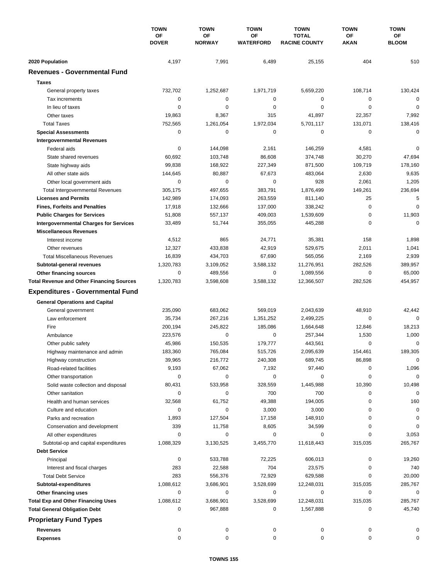|                                                  | <b>TOWN</b><br>ΟF<br><b>DOVER</b> | <b>TOWN</b><br><b>OF</b><br><b>NORWAY</b> | <b>TOWN</b><br>OF<br><b>WATERFORD</b> | <b>TOWN</b><br><b>TOTAL</b><br><b>RACINE COUNTY</b> | <b>TOWN</b> | <b>TOWN</b>        |
|--------------------------------------------------|-----------------------------------|-------------------------------------------|---------------------------------------|-----------------------------------------------------|-------------|--------------------|
|                                                  |                                   |                                           |                                       |                                                     | ОF<br>AKAN  | ОF<br><b>BLOOM</b> |
| 2020 Population                                  | 4,197                             | 7,991                                     | 6,489                                 | 25,155                                              | 404         | 510                |
| <b>Revenues - Governmental Fund</b>              |                                   |                                           |                                       |                                                     |             |                    |
| <b>Taxes</b>                                     |                                   |                                           |                                       |                                                     |             |                    |
| General property taxes                           | 732,702                           | 1,252,687                                 | 1,971,719                             | 5,659,220                                           | 108,714     | 130,424            |
| Tax increments                                   | 0                                 | 0                                         | 0                                     | 0                                                   | 0           | 0                  |
| In lieu of taxes                                 | 0                                 | 0                                         | 0                                     | 0                                                   | $\mathbf 0$ | $\mathbf 0$        |
| Other taxes                                      | 19,863                            | 8,367                                     | 315                                   | 41,897                                              | 22,357      | 7,992              |
| <b>Total Taxes</b>                               | 752,565                           | 1,261,054                                 | 1,972,034                             | 5,701,117                                           | 131,071     | 138,416            |
| <b>Special Assessments</b>                       | 0                                 | 0                                         | 0                                     | 0                                                   | 0           | 0                  |
| <b>Intergovernmental Revenues</b>                |                                   |                                           |                                       |                                                     |             |                    |
| Federal aids                                     | 0                                 | 144,098                                   | 2,161                                 | 146,259                                             | 4,581       | 0                  |
| State shared revenues                            | 60,692                            | 103,748                                   | 86,608                                | 374,748                                             | 30,270      | 47,694             |
| State highway aids                               | 99,838                            | 168,922                                   | 227,349                               | 871,500                                             | 109,719     | 178,160            |
| All other state aids                             | 144,645                           | 80,887                                    | 67,673                                | 483,064                                             | 2,630       | 9,635              |
| Other local government aids                      | 0                                 | $\mathbf 0$                               | 0                                     | 928                                                 | 2,061       | 1,205              |
| <b>Total Intergovernmental Revenues</b>          | 305,175                           | 497,655                                   | 383,791                               | 1,876,499                                           | 149,261     | 236,694            |
| <b>Licenses and Permits</b>                      | 142,989                           | 174,093                                   | 263,559                               | 811,140                                             | 25          | 5                  |
| <b>Fines, Forfeits and Penalties</b>             | 17,918                            | 132,666                                   | 137,000                               | 338,242                                             | $\mathbf 0$ | $\Omega$           |
| <b>Public Charges for Services</b>               | 51,808                            | 557,137                                   | 409,003                               | 1,539,609                                           | 0           | 11,903             |
| <b>Intergovernmental Charges for Services</b>    | 33,489                            | 51,744                                    | 355,055                               | 445,288                                             | $\mathbf 0$ | $\Omega$           |
| <b>Miscellaneous Revenues</b>                    |                                   |                                           |                                       |                                                     |             |                    |
| Interest income                                  | 4,512                             | 865                                       | 24,771                                | 35,381                                              | 158         | 1,898              |
| Other revenues                                   | 12,327                            | 433,838                                   | 42,919                                | 529,675                                             | 2,011       | 1,041              |
| <b>Total Miscellaneous Revenues</b>              | 16,839                            | 434,703                                   | 67,690                                | 565,056                                             | 2,169       | 2,939              |
| Subtotal-general revenues                        | 1,320,783                         | 3,109,052                                 | 3,588,132                             | 11,276,951                                          | 282,526     | 389,957            |
| Other financing sources                          | 0                                 | 489,556                                   | 0                                     | 1,089,556                                           | 0           | 65,000             |
| <b>Total Revenue and Other Financing Sources</b> | 1,320,783                         | 3,598,608                                 | 3,588,132                             | 12,366,507                                          | 282,526     | 454,957            |
| <b>Expenditures - Governmental Fund</b>          |                                   |                                           |                                       |                                                     |             |                    |
| <b>General Operations and Capital</b>            |                                   |                                           |                                       |                                                     |             |                    |
| General government                               | 235,090                           | 683,062                                   | 569,019                               | 2,043,639                                           | 48,910      | 42,442             |
| Law enforcement                                  | 35,734                            | 267,216                                   | 1,351,252                             | 2,499,225                                           | 0           | $\Omega$           |
| Fire                                             | 200,194                           | 245,822                                   | 185,086                               | 1,664,648                                           | 12,846      | 18,213             |
| Ambulance                                        | 223,576                           | $\mathbf 0$                               | 0                                     | 257,344                                             | 1,530       | 1,000              |
| Other public safety                              | 45,986                            | 150,535                                   | 179,777                               | 443,561                                             | 0           | 0                  |
| Highway maintenance and admin                    | 183,360                           | 765,084                                   | 515,726                               | 2,095,639                                           | 154,461     | 189,305            |
| Highway construction                             | 39,965                            | 216,772                                   | 240,308                               | 689,745                                             | 86,898      | $\mathbf 0$        |
| Road-related facilities                          | 9,193                             | 67,062                                    | 7,192                                 | 97,440                                              | 0           | 1,096              |
| Other transportation                             | 0                                 | 0                                         | 0                                     | 0                                                   | 0           | $\mathbf 0$        |
| Solid waste collection and disposal              | 80,431                            | 533,958                                   | 328,559                               | 1,445,988                                           | 10,390      | 10,498             |
| Other sanitation                                 | 0                                 | 0                                         | 700                                   | 700                                                 | 0           | 0                  |
| Health and human services                        | 32,568                            | 61,752                                    | 49,388                                | 194,005                                             | 0           | 160                |
| Culture and education                            | 0                                 | 0                                         | 3,000                                 | 3,000                                               | 0           | $\mathbf 0$        |
| Parks and recreation                             | 1,893                             | 127,504                                   | 17,158                                | 148,910                                             | 0           | 0                  |
| Conservation and development                     | 339                               | 11,758                                    | 8,605                                 | 34,599                                              | 0           | 0                  |
| All other expenditures                           | 0                                 | 0                                         | 0                                     | 0                                                   | 0           | 3,053              |
| Subtotal-op and capital expenditures             | 1,088,329                         | 3,130,525                                 | 3,455,770                             | 11,618,443                                          | 315,035     | 265,767            |
| <b>Debt Service</b>                              |                                   |                                           |                                       |                                                     |             |                    |
| Principal                                        | 0                                 | 533,788                                   | 72,225                                | 606,013                                             | 0           | 19,260             |
| Interest and fiscal charges                      | 283                               | 22,588                                    | 704                                   | 23,575                                              | 0           | 740                |
| <b>Total Debt Service</b>                        | 283                               | 556,376                                   | 72,929                                | 629,588                                             | 0           | 20,000             |
| Subtotal-expenditures                            | 1,088,612                         | 3,686,901                                 | 3,528,699                             | 12,248,031                                          | 315,035     | 285,767            |
| Other financing uses                             | 0                                 | 0                                         | 0                                     | 0                                                   | 0           | 0                  |
| <b>Total Exp and Other Financing Uses</b>        | 1,088,612                         | 3,686,901                                 | 3,528,699                             | 12,248,031                                          | 315,035     | 285,767            |
| <b>Total General Obligation Debt</b>             | 0                                 | 967,888                                   | 0                                     | 1,567,888                                           | 0           | 45,740             |
| <b>Proprietary Fund Types</b>                    |                                   |                                           |                                       |                                                     |             |                    |
| <b>Revenues</b>                                  | 0                                 | 0                                         | 0                                     | 0                                                   | 0           | 0                  |
| <b>Expenses</b>                                  | 0                                 | 0                                         | 0                                     | 0                                                   | 0           | 0                  |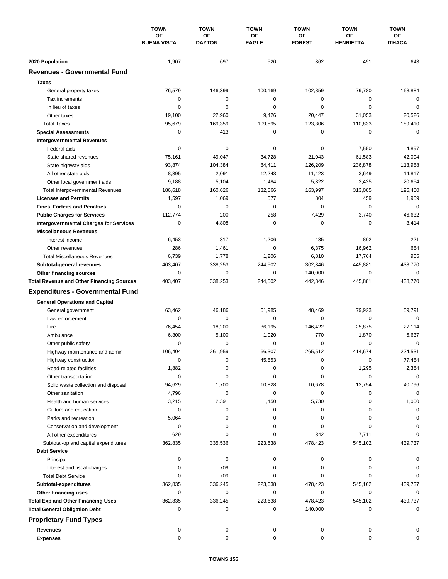|                                                  | <b>TOWN</b><br>OF<br><b>BUENA VISTA</b> | <b>TOWN</b><br>OF<br><b>DAYTON</b> | <b>TOWN</b><br>OF<br><b>EAGLE</b> | <b>TOWN</b><br>OF<br><b>FOREST</b> | <b>TOWN</b><br>ΟF<br><b>HENRIETTA</b> | <b>TOWN</b><br>ОF<br><b>ITHACA</b> |
|--------------------------------------------------|-----------------------------------------|------------------------------------|-----------------------------------|------------------------------------|---------------------------------------|------------------------------------|
|                                                  |                                         |                                    |                                   |                                    |                                       |                                    |
|                                                  |                                         |                                    |                                   |                                    |                                       |                                    |
| 2020 Population                                  | 1,907                                   | 697                                | 520                               | 362                                | 491                                   | 643                                |
| <b>Revenues - Governmental Fund</b>              |                                         |                                    |                                   |                                    |                                       |                                    |
| <b>Taxes</b>                                     |                                         |                                    |                                   |                                    |                                       |                                    |
| General property taxes                           | 76,579                                  | 146,399                            | 100,169                           | 102,859                            | 79,780                                | 168,884                            |
| Tax increments                                   | 0                                       | 0                                  | 0                                 | 0                                  | 0                                     | $\mathbf 0$                        |
| In lieu of taxes                                 | 0                                       | $\mathbf 0$                        | 0                                 | 0                                  | $\mathbf 0$                           | $\mathbf 0$                        |
| Other taxes                                      | 19,100                                  | 22,960                             | 9,426                             | 20,447                             | 31,053                                | 20,526                             |
| <b>Total Taxes</b>                               | 95,679                                  | 169,359                            | 109,595                           | 123,306                            | 110,833                               | 189,410                            |
| <b>Special Assessments</b>                       | 0                                       | 413                                | 0                                 | 0                                  | 0                                     | 0                                  |
| <b>Intergovernmental Revenues</b>                |                                         |                                    |                                   |                                    |                                       |                                    |
| Federal aids                                     | 0                                       | 0                                  | 0                                 | 0                                  | 7,550                                 | 4,897                              |
| State shared revenues                            | 75,161                                  | 49,047                             | 34,728                            | 21,043                             | 61,583                                | 42,094                             |
| State highway aids                               | 93,874                                  | 104,384                            | 84,411                            | 126,209                            | 236,878                               | 113,988                            |
| All other state aids                             | 8,395                                   | 2,091                              | 12,243                            | 11,423                             | 3,649                                 | 14,817                             |
| Other local government aids                      | 9,188                                   | 5,104                              | 1,484                             | 5,322                              | 3,425                                 | 20,654                             |
| <b>Total Intergovernmental Revenues</b>          | 186,618                                 | 160,626                            | 132,866                           | 163,997                            | 313,085                               | 196,450                            |
| <b>Licenses and Permits</b>                      | 1,597                                   | 1,069                              | 577                               | 804                                | 459                                   | 1,959                              |
| <b>Fines, Forfeits and Penalties</b>             | 0                                       | 0                                  | 0                                 | 0                                  | 0                                     | 0                                  |
| <b>Public Charges for Services</b>               | 112,774                                 | 200                                | 258                               | 7,429                              | 3,740                                 | 46,632                             |
| <b>Intergovernmental Charges for Services</b>    | 0                                       | 4,808                              | $\mathbf 0$                       | 0                                  | 0                                     | 3,414                              |
| <b>Miscellaneous Revenues</b>                    |                                         |                                    |                                   |                                    |                                       |                                    |
| Interest income                                  | 6,453                                   | 317                                | 1,206                             | 435                                | 802                                   | 221                                |
| Other revenues                                   | 286                                     | 1,461                              | $\mathbf 0$                       | 6,375                              | 16,962                                | 684                                |
| <b>Total Miscellaneous Revenues</b>              | 6,739                                   | 1,778                              | 1,206                             | 6,810                              | 17,764                                | 905                                |
| Subtotal-general revenues                        | 403,407                                 | 338,253                            | 244,502                           | 302,346                            | 445,881                               | 438,770                            |
| Other financing sources                          | 0                                       | 0                                  | 0                                 | 140,000                            | $\mathbf 0$                           | $\mathbf 0$                        |
| <b>Total Revenue and Other Financing Sources</b> | 403,407                                 | 338,253                            | 244,502                           | 442,346                            | 445,881                               | 438,770                            |
| <b>Expenditures - Governmental Fund</b>          |                                         |                                    |                                   |                                    |                                       |                                    |
| <b>General Operations and Capital</b>            |                                         |                                    |                                   |                                    |                                       |                                    |
| General government                               | 63,462                                  | 46,186                             | 61,985                            | 48,469                             | 79,923                                | 59,791                             |
| Law enforcement                                  | 0                                       | 0                                  | 0                                 | 0                                  | 0                                     | $\mathbf 0$                        |
| Fire                                             | 76,454                                  | 18,200                             | 36,195                            | 146,422                            | 25,875                                | 27,114                             |
| Ambulance                                        | 6,300                                   | 5,100                              | 1,020                             | 770                                | 1,870                                 | 6,637                              |
| Other public safety                              | 0                                       | 0                                  | 0                                 | 0                                  | 0                                     | $\mathbf 0$                        |
| Highway maintenance and admin                    | 106,404                                 | 261,959                            | 66,307                            | 265,512                            | 414,674                               | 224,531                            |
| Highway construction                             | 0                                       | 0                                  | 45,853                            | 0                                  | 0                                     | 77,484                             |
| Road-related facilities                          | 1,882                                   | 0                                  | 0                                 | 0                                  | 1,295                                 | 2,384                              |
| Other transportation                             | 0                                       | 0                                  | 0                                 | 0                                  | 0                                     | 0                                  |
| Solid waste collection and disposal              | 94,629                                  | 1,700                              | 10,828                            | 10,678                             | 13,754                                | 40,796                             |
| Other sanitation                                 | 4,796                                   | 0                                  | 0                                 | 0                                  | 0                                     | $\mathbf 0$                        |
| Health and human services                        | 3,215                                   | 2,391                              | 1,450                             | 5,730                              | 0                                     | 1,000                              |
| Culture and education                            | 0                                       | 0                                  | 0                                 | 0                                  | 0                                     | 0                                  |
| Parks and recreation                             | 5,064                                   | 0                                  | 0                                 | 0                                  | 0                                     |                                    |
| Conservation and development                     | 0                                       | 0                                  | 0                                 | 0                                  | 0                                     |                                    |
| All other expenditures                           | 629                                     | 0                                  | 0                                 | 842                                | 7,711                                 |                                    |
| Subtotal-op and capital expenditures             | 362,835                                 | 335,536                            | 223,638                           | 478,423                            | 545,102                               | 439,737                            |
| <b>Debt Service</b>                              |                                         |                                    |                                   |                                    |                                       |                                    |
| Principal                                        | 0                                       | 0                                  | 0                                 | 0                                  | 0                                     |                                    |
| Interest and fiscal charges                      | 0                                       | 709                                | 0                                 | 0                                  | 0                                     |                                    |
| <b>Total Debt Service</b>                        | 0                                       | 709                                | 0                                 | 0                                  | 0                                     |                                    |
| Subtotal-expenditures                            | 362,835                                 | 336,245                            | 223,638                           | 478,423                            | 545,102                               | 439,737                            |
| Other financing uses                             | 0                                       | 0                                  | 0                                 | 0                                  | 0                                     | 0                                  |
| <b>Total Exp and Other Financing Uses</b>        | 362,835                                 | 336,245                            | 223,638                           | 478,423                            | 545,102                               | 439,737                            |
| <b>Total General Obligation Debt</b>             | 0                                       | 0                                  | 0                                 | 140,000                            | 0                                     | $\mathbf 0$                        |
| <b>Proprietary Fund Types</b>                    |                                         |                                    |                                   |                                    |                                       |                                    |
| <b>Revenues</b>                                  | 0                                       | 0                                  | 0                                 | 0                                  | 0                                     |                                    |
| <b>Expenses</b>                                  | 0                                       | 0                                  | 0                                 | 0                                  | 0                                     | $\Omega$                           |
|                                                  |                                         |                                    |                                   |                                    |                                       |                                    |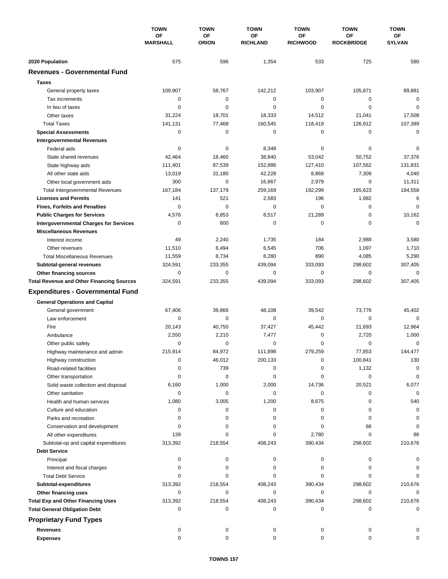|                                                          | <b>TOWN</b><br><b>OF</b><br><b>MARSHALL</b> | <b>TOWN</b>               | <b>TOWN</b>           | <b>TOWN</b>           | <b>TOWN</b>                    | <b>TOWN</b>         |
|----------------------------------------------------------|---------------------------------------------|---------------------------|-----------------------|-----------------------|--------------------------------|---------------------|
|                                                          |                                             | <b>OF</b><br><b>ORION</b> | ΟF<br><b>RICHLAND</b> | ОF<br><b>RICHWOOD</b> | <b>OF</b><br><b>ROCKBRIDGE</b> | ΟF<br><b>SYLVAN</b> |
| 2020 Population                                          | 575                                         | 596                       | 1,354                 | 533                   | 725                            | 580                 |
| <b>Revenues - Governmental Fund</b>                      |                                             |                           |                       |                       |                                |                     |
| <b>Taxes</b>                                             |                                             |                           |                       |                       |                                |                     |
| General property taxes                                   | 109,907                                     | 58,767                    | 142,212               | 103,907               | 105,871                        | 89,881              |
| Tax increments                                           | 0                                           | 0                         | $\mathbf 0$           | 0                     | 0                              | $\mathbf 0$         |
| In lieu of taxes                                         | 0                                           | 0                         | 0                     | 0                     | $\mathbf 0$                    | 0                   |
| Other taxes                                              | 31,224                                      | 18,701                    | 18,333                | 14,512                | 21,041                         | 17,508              |
| <b>Total Taxes</b>                                       | 141,131                                     | 77,468                    | 160,545               | 118,419               | 126,912                        | 107,389             |
| <b>Special Assessments</b>                               | 0                                           | $\mathbf 0$               | 0                     | 0                     | $\mathbf 0$                    | 0                   |
| <b>Intergovernmental Revenues</b>                        |                                             |                           |                       |                       |                                |                     |
| Federal aids                                             | 0                                           | 0                         | 8,348                 | 0                     | 0                              | 0                   |
| State shared revenues                                    | 42,464                                      | 18,460                    | 38,840                | 53,042                | 50,752                         | 37,376              |
| State highway aids                                       | 111,401                                     | 87,539                    | 152,886               | 127,410               | 107,562                        | 131,831             |
| All other state aids                                     | 13,019                                      | 31,180                    | 42,228                | 8,868                 | 7,309                          | 4,040               |
| Other local government aids                              | 300                                         | $\mathbf 0$               | 16,867                | 2,979                 | $\mathbf 0$                    | 11,311              |
| <b>Total Intergovernmental Revenues</b>                  | 167,184                                     | 137,179                   | 259,169               | 192,299               | 165,623                        | 184,558             |
| <b>Licenses and Permits</b>                              | 141                                         | 521                       | 2,583                 | 196                   | 1,982                          | 6                   |
| <b>Fines, Forfeits and Penalties</b>                     | $\Omega$                                    | $\Omega$                  | 0                     | $\Omega$              | $\mathbf 0$                    | $\mathbf 0$         |
| <b>Public Charges for Services</b>                       | 4,576                                       | 8,853                     | 8,517                 | 21,289                | $\mathbf 0$                    | 10,162              |
| <b>Intergovernmental Charges for Services</b>            | 0                                           | 600                       | $\mathbf 0$           | 0                     | 0                              | $\Omega$            |
| <b>Miscellaneous Revenues</b>                            |                                             |                           |                       |                       |                                |                     |
| Interest income                                          | 49                                          | 2,240                     | 1,735                 | 184                   | 2,988                          | 3,580               |
| Other revenues                                           | 11,510                                      | 6,494                     | 6,545                 | 706                   | 1,097                          | 1,710               |
| <b>Total Miscellaneous Revenues</b>                      | 11,559                                      | 8,734                     | 8,280                 | 890                   | 4,085                          | 5,290               |
| Subtotal-general revenues                                | 324,591                                     | 233,355                   | 439,094               | 333,093               | 298,602                        | 307,405             |
| Other financing sources                                  | $\mathbf 0$                                 | $\mathbf 0$               | 0                     | 0                     | 0                              | $\mathbf 0$         |
| <b>Total Revenue and Other Financing Sources</b>         | 324,591                                     | 233,355                   | 439,094               | 333,093               | 298,602                        | 307,405             |
| <b>Expenditures - Governmental Fund</b>                  |                                             |                           |                       |                       |                                |                     |
| <b>General Operations and Capital</b>                    |                                             |                           |                       |                       |                                |                     |
| General government                                       | 67,406                                      | 39,866                    | 48.108                | 39,542                | 73,776                         | 45,402              |
| Law enforcement                                          | 0                                           | 0                         | $\mathbf 0$           | $\mathbf 0$           | 0                              | $\Omega$            |
| Fire                                                     | 20,143                                      | 40,750                    | 37,427                | 45,442                | 21.693                         | 12,964              |
| Ambulance                                                | 2,550                                       | 2,210                     | 7,477                 | 0                     | 2,720                          | 1,000               |
| Other public safety                                      | $\mathbf 0$                                 | $\mathbf 0$               | 0                     | 0                     | $\mathbf 0$                    | 0                   |
| Highway maintenance and admin                            | 215,914                                     | 84,972                    | 111,898               | 279,259               | 77,853                         | 144,477             |
| Highway construction                                     | 0                                           | 46,012                    | 200,133               | 0                     | 100,841                        | 130                 |
| Road-related facilities                                  | 0                                           | 739                       | 0                     | 0                     | 1,132                          | 0                   |
| Other transportation                                     | 0                                           | 0                         | 0                     | 0                     | 0                              | 0                   |
| Solid waste collection and disposal                      | 6,160                                       | 1,000                     | 2,000                 | 14,736                | 20,521                         | 6,077               |
| Other sanitation                                         | 0                                           | 0                         | 0                     | 0                     | 0                              | 0                   |
| Health and human services                                | 1,080                                       | 3,005                     | 1,200                 | 8,675                 | 0                              | 540                 |
| Culture and education                                    | 0                                           | 0                         | 0                     | 0                     | 0                              | 0                   |
| Parks and recreation                                     | 0                                           | 0                         | 0                     | 0                     | 0                              | 0                   |
| Conservation and development                             | 0                                           | 0                         | 0                     | 0                     | 66                             | 0                   |
| All other expenditures                                   | 139                                         | 0                         | 0                     | 2,780                 | 0                              | 86                  |
| Subtotal-op and capital expenditures                     | 313,392                                     | 218,554                   | 408,243               | 390,434               | 298,602                        | 210,676             |
| <b>Debt Service</b>                                      |                                             |                           |                       |                       |                                |                     |
| Principal                                                | 0<br>0                                      | 0<br>0                    | 0<br>0                | 0<br>0                | 0<br>0                         | 0                   |
| Interest and fiscal charges<br><b>Total Debt Service</b> | $\Omega$                                    | $\Omega$                  | 0                     | 0                     | 0                              |                     |
|                                                          | 313,392                                     | 218,554                   | 408,243               | 390,434               | 298,602                        | 210,676             |
| Subtotal-expenditures<br>Other financing uses            | 0                                           | 0                         | 0                     | 0                     | $\mathbf 0$                    | $\Omega$            |
| <b>Total Exp and Other Financing Uses</b>                | 313,392                                     | 218,554                   | 408,243               | 390,434               | 298,602                        | 210,676             |
| <b>Total General Obligation Debt</b>                     | 0                                           | 0                         | 0                     | 0                     | 0                              | 0                   |
| <b>Proprietary Fund Types</b>                            |                                             |                           |                       |                       |                                |                     |
|                                                          |                                             |                           |                       |                       |                                |                     |
| <b>Revenues</b>                                          | 0<br>0                                      | 0<br>0                    | 0<br>0                | 0<br>0                | 0<br>0                         | 0                   |
| <b>Expenses</b>                                          |                                             |                           |                       |                       |                                |                     |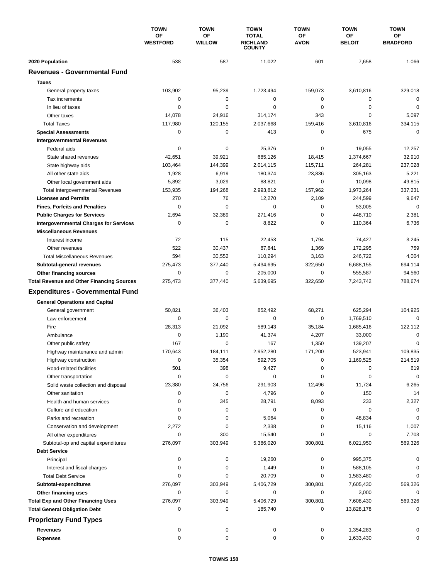|                                                  | <b>TOWN</b><br>ΟF<br><b>WESTFORD</b> | <b>TOWN</b>         | <b>TOWN</b>                                      | <b>TOWN</b>              | <b>TOWN</b>                | <b>TOWN</b>           |
|--------------------------------------------------|--------------------------------------|---------------------|--------------------------------------------------|--------------------------|----------------------------|-----------------------|
|                                                  |                                      | <b>OF</b><br>WILLOW | <b>TOTAL</b><br><b>RICHLAND</b><br><b>COUNTY</b> | <b>OF</b><br><b>AVON</b> | <b>OF</b><br><b>BELOIT</b> | ΟF<br><b>BRADFORD</b> |
| 2020 Population                                  | 538                                  | 587                 | 11,022                                           | 601                      | 7,658                      | 1,066                 |
| <b>Revenues - Governmental Fund</b>              |                                      |                     |                                                  |                          |                            |                       |
| <b>Taxes</b>                                     |                                      |                     |                                                  |                          |                            |                       |
| General property taxes                           | 103,902                              | 95,239              | 1,723,494                                        | 159,073                  | 3,610,816                  | 329,018               |
| Tax increments                                   | 0                                    | 0                   | 0                                                | 0                        | 0                          | $\mathbf 0$           |
| In lieu of taxes                                 | 0                                    | 0                   | 0                                                | 0                        | 0                          | 0                     |
| Other taxes                                      | 14,078                               | 24,916              | 314,174                                          | 343                      | $\mathbf 0$                | 5,097                 |
| <b>Total Taxes</b>                               | 117,980                              | 120,155             | 2,037,668                                        | 159,416                  | 3,610,816                  | 334,115               |
| <b>Special Assessments</b>                       | 0                                    | 0                   | 413                                              | 0                        | 675                        | $\mathbf 0$           |
| <b>Intergovernmental Revenues</b>                |                                      |                     |                                                  |                          |                            |                       |
| Federal aids                                     | 0                                    | 0                   | 25,376                                           | 0                        | 19,055                     | 12,257                |
| State shared revenues                            | 42,651                               | 39,921              | 685,126                                          | 18,415                   | 1,374,667                  | 32,910                |
| State highway aids                               | 103,464                              | 144,399             | 2,014,115                                        | 115,711                  | 264,281                    | 237,028               |
| All other state aids                             | 1,928                                | 6,919               | 180,374                                          | 23,836                   | 305,163                    | 5,221                 |
| Other local government aids                      | 5,892                                | 3,029               | 88,821                                           | 0                        | 10,098                     | 49,815                |
| <b>Total Intergovernmental Revenues</b>          | 153,935                              | 194,268             | 2,993,812                                        | 157,962                  | 1,973,264                  | 337,231               |
| <b>Licenses and Permits</b>                      | 270                                  | 76                  | 12,270                                           | 2,109                    | 244,599                    | 9,647                 |
| <b>Fines, Forfeits and Penalties</b>             | $\mathbf 0$                          | $\mathbf 0$         | $\mathbf 0$                                      | 0                        | 53,005                     | $\mathbf 0$           |
| <b>Public Charges for Services</b>               | 2,694                                | 32,389              | 271,416                                          | 0                        | 448,710                    | 2,381                 |
| <b>Intergovernmental Charges for Services</b>    | 0                                    | $\mathbf 0$         | 8,822                                            | 0                        | 110,364                    | 6,736                 |
| <b>Miscellaneous Revenues</b>                    |                                      |                     |                                                  |                          |                            |                       |
| Interest income                                  | 72                                   | 115                 | 22,453                                           | 1,794                    | 74,427                     | 3,245                 |
| Other revenues                                   | 522                                  | 30,437              | 87,841                                           | 1,369                    | 172,295                    | 759                   |
| <b>Total Miscellaneous Revenues</b>              | 594                                  | 30,552              | 110,294                                          | 3,163                    | 246,722                    | 4,004                 |
| Subtotal-general revenues                        | 275,473                              | 377,440             | 5,434,695                                        | 322,650                  | 6,688,155                  | 694,114               |
| Other financing sources                          | 0                                    | $\mathbf 0$         | 205,000                                          | 0                        | 555,587                    | 94,560                |
| <b>Total Revenue and Other Financing Sources</b> | 275,473                              | 377,440             | 5,639,695                                        | 322,650                  | 7,243,742                  | 788,674               |
| <b>Expenditures - Governmental Fund</b>          |                                      |                     |                                                  |                          |                            |                       |
|                                                  |                                      |                     |                                                  |                          |                            |                       |
| <b>General Operations and Capital</b>            |                                      |                     |                                                  |                          |                            |                       |
| General government                               | 50,821                               | 36,403              | 852,492                                          | 68,271                   | 625,294                    | 104,925               |
| Law enforcement                                  | $\mathbf 0$                          | 0                   | $\mathbf 0$                                      | 0                        | 1,769,510                  | $\mathbf 0$           |
| Fire                                             | 28,313                               | 21,092              | 589,143                                          | 35,184                   | 1,685,416                  | 122,112               |
| Ambulance                                        | 0                                    | 1,190               | 41,374                                           | 4,207                    | 33,000                     | $\mathbf 0$           |
| Other public safety                              | 167                                  | $\mathbf 0$         | 167                                              | 1,350                    | 139,207                    | 0                     |
| Highway maintenance and admin                    | 170,643                              | 184,111             | 2,952,280                                        | 171,200                  | 523,941                    | 109,835               |
| Highway construction                             | 0                                    | 35,354              | 592,705                                          | 0                        | 1,169,525                  | 214,519               |
| Road-related facilities                          | 501                                  | 398                 | 9,427                                            | 0                        | 0                          | 619                   |
| Other transportation                             | 0                                    | 0                   | 0                                                | 0                        | 0                          | $\mathbf 0$           |
| Solid waste collection and disposal              | 23,380                               | 24,756              | 291,903                                          | 12,496                   | 11,724                     | 6,265                 |
| Other sanitation                                 | 0                                    | 0                   | 4,796                                            | 0                        | 150                        | 14                    |
| Health and human services                        | 0                                    | 345                 | 28,791                                           | 8,093                    | 233                        | 2,327                 |
| Culture and education                            | 0                                    | 0                   | 0                                                | 0                        | 0                          | 0                     |
| Parks and recreation                             | 0                                    | 0                   | 5,064                                            | 0                        | 48,834                     | 0                     |
| Conservation and development                     | 2,272                                | 0                   | 2,338                                            | 0                        | 15,116                     | 1,007                 |
| All other expenditures                           | 0                                    | 300                 | 15,540                                           | 0                        | 0                          | 7,703                 |
| Subtotal-op and capital expenditures             | 276,097                              | 303,949             | 5,386,020                                        | 300,801                  | 6,021,950                  | 569,326               |
| <b>Debt Service</b>                              |                                      |                     |                                                  |                          |                            |                       |
| Principal                                        | 0                                    | 0                   | 19,260                                           | 0                        | 995,375                    | 0                     |
| Interest and fiscal charges                      | 0                                    | 0                   | 1,449                                            | 0                        | 588,105                    | 0                     |
| <b>Total Debt Service</b>                        | 0                                    | 0                   | 20,709                                           | 0                        | 1,583,480                  | 0                     |
| Subtotal-expenditures                            | 276,097                              | 303,949             | 5,406,729                                        | 300,801                  | 7,605,430                  | 569,326               |
| Other financing uses                             | 0                                    | 0                   | 0                                                | 0                        | 3,000                      | 0                     |
| <b>Total Exp and Other Financing Uses</b>        | 276,097                              | 303,949             | 5,406,729                                        | 300,801                  | 7,608,430                  | 569,326               |
| <b>Total General Obligation Debt</b>             | 0                                    | 0                   | 185,740                                          | 0                        | 13,828,178                 | 0                     |
| <b>Proprietary Fund Types</b>                    |                                      |                     |                                                  |                          |                            |                       |
| <b>Revenues</b>                                  | 0                                    | 0                   | 0                                                | 0                        | 1,354,283                  |                       |
| <b>Expenses</b>                                  | 0                                    | 0                   | 0                                                | 0                        | 1,633,430                  | 0                     |
|                                                  |                                      |                     |                                                  |                          |                            |                       |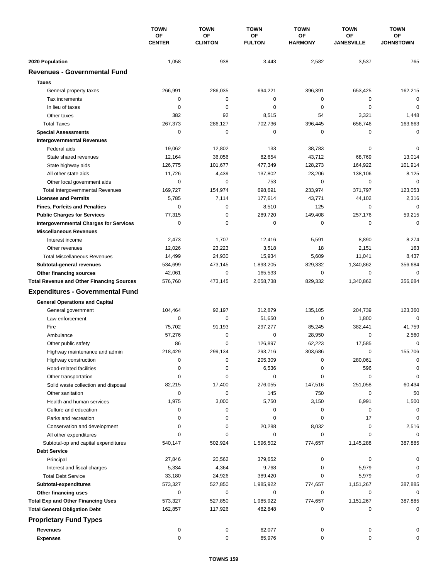|                                                    | <b>TOWN</b><br>OF<br><b>CENTER</b> | <b>TOWN</b>          | <b>TOWN</b><br>OF<br><b>FULTON</b> | <b>TOWN</b>          | <b>TOWN</b>                    | <b>TOWN</b><br>ОF<br><b>JOHNSTOWN</b> |
|----------------------------------------------------|------------------------------------|----------------------|------------------------------------|----------------------|--------------------------------|---------------------------------------|
|                                                    |                                    | OF<br><b>CLINTON</b> |                                    | OF<br><b>HARMONY</b> | <b>OF</b><br><b>JANESVILLE</b> |                                       |
|                                                    |                                    |                      |                                    |                      |                                |                                       |
| 2020 Population                                    | 1,058                              | 938                  | 3,443                              | 2,582                | 3,537                          | 765                                   |
| <b>Revenues - Governmental Fund</b>                |                                    |                      |                                    |                      |                                |                                       |
| <b>Taxes</b>                                       |                                    |                      |                                    |                      |                                |                                       |
| General property taxes                             | 266,991                            | 286,035              | 694,221                            | 396,391              | 653,425                        | 162,215                               |
| Tax increments                                     | 0                                  | 0                    | 0                                  | 0                    | $\mathbf 0$                    | $\mathbf 0$                           |
| In lieu of taxes                                   | 0                                  | 0                    | 0                                  | 0                    | $\mathbf 0$                    | $\mathbf 0$                           |
| Other taxes                                        | 382                                | 92                   | 8,515                              | 54                   | 3,321                          | 1,448                                 |
| <b>Total Taxes</b>                                 | 267,373                            | 286,127              | 702,736                            | 396,445              | 656,746                        | 163,663                               |
| <b>Special Assessments</b>                         | 0                                  | $\mathbf 0$          | 0                                  | 0                    | 0                              | $\mathbf 0$                           |
| <b>Intergovernmental Revenues</b>                  |                                    |                      |                                    |                      |                                |                                       |
| Federal aids                                       | 19,062                             | 12,802               | 133                                | 38,783               | 0                              | 0                                     |
| State shared revenues                              | 12,164                             | 36,056               | 82,654                             | 43,712               | 68,769                         | 13,014                                |
| State highway aids                                 | 126,775                            | 101,677              | 477,349                            | 128,273              | 164,922                        | 101,914                               |
| All other state aids                               | 11,726                             | 4,439                | 137,802                            | 23,206               | 138,106                        | 8,125                                 |
| Other local government aids                        | 0                                  | 0                    | 753                                | 0                    | 0                              | $\mathbf 0$                           |
| <b>Total Intergovernmental Revenues</b>            | 169,727                            | 154,974              | 698,691                            | 233,974              | 371,797                        | 123,053                               |
| <b>Licenses and Permits</b>                        | 5,785                              | 7,114                | 177,614                            | 43,771               | 44,102                         | 2,316                                 |
| <b>Fines, Forfeits and Penalties</b>               | 0                                  | 0                    | 8,510                              | 125                  | 0                              | 0                                     |
| <b>Public Charges for Services</b>                 | 77,315                             | 0                    | 289.720                            | 149,408              | 257,176                        | 59,215                                |
| <b>Intergovernmental Charges for Services</b>      | 0                                  | 0                    | 0                                  | 0                    | 0                              | $\mathbf 0$                           |
| <b>Miscellaneous Revenues</b>                      |                                    |                      |                                    |                      |                                |                                       |
| Interest income                                    | 2,473                              | 1,707                | 12,416                             | 5,591                | 8,890                          | 8,274                                 |
| Other revenues                                     | 12,026                             | 23,223               | 3,518                              | 18                   | 2,151                          | 163                                   |
| <b>Total Miscellaneous Revenues</b>                | 14,499                             | 24,930               | 15,934                             | 5,609                | 11,041                         | 8,437                                 |
| Subtotal-general revenues                          | 534,699                            | 473,145              | 1,893,205                          | 829,332              | 1,340,862                      | 356,684                               |
| Other financing sources                            | 42,061                             | $\pmb{0}$            | 165,533                            | 0                    | $\mathbf 0$                    | $\mathbf 0$                           |
| <b>Total Revenue and Other Financing Sources</b>   | 576,760                            | 473,145              | 2,058,738                          | 829,332              | 1,340,862                      | 356,684                               |
| <b>Expenditures - Governmental Fund</b>            |                                    |                      |                                    |                      |                                |                                       |
|                                                    |                                    |                      |                                    |                      |                                |                                       |
| <b>General Operations and Capital</b>              | 104,464                            | 92,197               | 312,879                            | 135,105              | 204,739                        | 123,360                               |
| General government<br>Law enforcement              | 0                                  | $\mathbf 0$          |                                    | 0                    | 1,800                          | $\mathbf 0$                           |
| Fire                                               | 75,702                             | 91,193               | 51,650<br>297,277                  | 85,245               | 382,441                        | 41,759                                |
|                                                    | 57,276                             | $\pmb{0}$            | 0                                  | 28,950               | 0                              | 2,560                                 |
| Ambulance                                          | 86                                 | 0                    | 126,897                            | 62,223               | 17,585                         | 0                                     |
| Other public safety                                | 218,429                            | 299,134              | 293,716                            | 303,686              | 0                              | 155,706                               |
| Highway maintenance and admin                      |                                    | 0                    | 205,309                            | 0                    | 280,061                        | 0                                     |
| Highway construction                               | 0<br>0                             | 0                    |                                    |                      |                                | 0                                     |
| Road-related facilities                            | 0                                  | 0                    | 6,536<br>0                         | 0<br>0               | 596<br>0                       | $\mathbf 0$                           |
| Other transportation                               | 82,215                             |                      | 276,055                            | 147,516              |                                |                                       |
| Solid waste collection and disposal                |                                    | 17,400<br>$\pmb{0}$  |                                    |                      | 251,058                        | 60,434                                |
| Other sanitation                                   | 0                                  |                      | 145                                | 750                  | 0                              | 50                                    |
| Health and human services<br>Culture and education | 1,975<br>0                         | 3,000<br>0           | 5,750<br>0                         | 3,150<br>0           | 6,991<br>0                     | 1,500<br>0                            |
|                                                    | 0                                  | 0                    | 0                                  | 0                    | 17                             | 0                                     |
| Parks and recreation                               |                                    |                      |                                    |                      | 0                              |                                       |
| Conservation and development                       | 0<br>0                             | 0<br>0               | 20,288<br>0                        | 8,032<br>0           | 0                              | 2,516<br>$\Omega$                     |
| All other expenditures                             |                                    |                      |                                    | 774,657              |                                |                                       |
| Subtotal-op and capital expenditures               | 540,147                            | 502,924              | 1,596,502                          |                      | 1,145,288                      | 387,885                               |
| <b>Debt Service</b><br>Principal                   |                                    |                      |                                    |                      |                                | 0                                     |
|                                                    | 27,846                             | 20,562               | 379,652                            | 0<br>0               | 0                              | 0                                     |
| Interest and fiscal charges                        | 5,334                              | 4,364                | 9,768                              | 0                    | 5,979                          | $\Omega$                              |
| <b>Total Debt Service</b>                          | 33,180                             | 24,926               | 389,420                            |                      | 5,979                          |                                       |
| Subtotal-expenditures                              | 573,327                            | 527,850              | 1,985,922                          | 774,657              | 1,151,267                      | 387,885                               |
| Other financing uses                               | 0                                  | 0                    | 0                                  | 0                    | 0                              | 0                                     |
| <b>Total Exp and Other Financing Uses</b>          | 573,327                            | 527,850              | 1,985,922                          | 774,657              | 1,151,267                      | 387,885                               |
| <b>Total General Obligation Debt</b>               | 162,857                            | 117,926              | 482,848                            | 0                    | 0                              | 0                                     |
| <b>Proprietary Fund Types</b>                      |                                    |                      |                                    |                      |                                |                                       |
| <b>Revenues</b>                                    | 0                                  | 0                    | 62,077                             | 0                    | 0                              |                                       |
| <b>Expenses</b>                                    | 0                                  | 0                    | 65,976                             | 0                    | 0                              | 0                                     |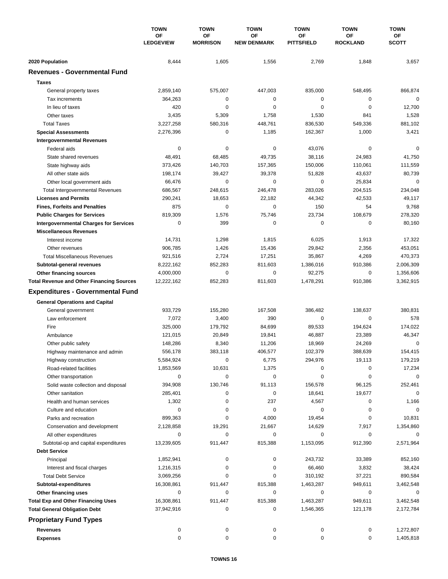|                                                  | <b>TOWN</b><br>ΟF<br><b>LEDGEVIEW</b> | <b>TOWN</b>           | <b>TOWN</b><br>OF<br><b>NEW DENMARK</b> | <b>TOWN</b><br>ОF<br><b>PITTSFIELD</b> | <b>TOWN</b><br>ΟF<br><b>ROCKLAND</b> | <b>TOWN</b><br>OF<br><b>SCOTT</b> |
|--------------------------------------------------|---------------------------------------|-----------------------|-----------------------------------------|----------------------------------------|--------------------------------------|-----------------------------------|
|                                                  |                                       | OF<br><b>MORRISON</b> |                                         |                                        |                                      |                                   |
|                                                  |                                       |                       |                                         |                                        |                                      |                                   |
| 2020 Population                                  | 8,444                                 | 1,605                 | 1,556                                   | 2,769                                  | 1,848                                | 3,657                             |
| <b>Revenues - Governmental Fund</b>              |                                       |                       |                                         |                                        |                                      |                                   |
| <b>Taxes</b>                                     |                                       |                       |                                         |                                        |                                      |                                   |
| General property taxes                           | 2,859,140                             | 575,007               | 447,003                                 | 835,000                                | 548,495                              | 866,874                           |
| Tax increments                                   | 364,263                               | 0                     | 0                                       | 0                                      | 0                                    | $\mathbf 0$                       |
| In lieu of taxes                                 | 420                                   | 0                     | 0                                       | 0                                      | 0                                    | 12,700                            |
| Other taxes                                      | 3,435                                 | 5,309                 | 1,758                                   | 1,530                                  | 841                                  | 1,528                             |
| <b>Total Taxes</b>                               | 3,227,258                             | 580,316               | 448,761                                 | 836,530                                | 549,336                              | 881,102                           |
| <b>Special Assessments</b>                       | 2,276,396                             | 0                     | 1,185                                   | 162,367                                | 1,000                                | 3,421                             |
| <b>Intergovernmental Revenues</b>                |                                       |                       |                                         |                                        |                                      |                                   |
| Federal aids                                     | 0                                     | 0                     | 0                                       | 43,076                                 | 0                                    | 0                                 |
| State shared revenues                            | 48,491                                | 68,485                | 49,735                                  | 38,116                                 | 24,983                               | 41,750                            |
| State highway aids                               | 373,426                               | 140,703               | 157,365                                 | 150,006                                | 110,061                              | 111,559                           |
| All other state aids                             | 198,174                               | 39,427                | 39,378                                  | 51,828                                 | 43,637                               | 80,739                            |
| Other local government aids                      | 66,476                                | 0                     | 0                                       | 0                                      | 25,834                               | $\mathbf 0$                       |
| <b>Total Intergovernmental Revenues</b>          | 686,567                               | 248,615               | 246,478                                 | 283,026                                | 204,515                              | 234,048                           |
| <b>Licenses and Permits</b>                      | 290,241                               | 18,653                | 22,182                                  | 44,342                                 | 42,533                               | 49,117                            |
| <b>Fines, Forfeits and Penalties</b>             | 875                                   | $\mathbf 0$           | 0                                       | 150                                    | 54                                   | 9,768                             |
| <b>Public Charges for Services</b>               | 819,309                               | 1,576                 | 75,746                                  | 23,734                                 | 108,679                              | 278,320                           |
| <b>Intergovernmental Charges for Services</b>    | 0                                     | 399                   | 0                                       | 0                                      | 0                                    | 80,160                            |
| <b>Miscellaneous Revenues</b>                    |                                       |                       |                                         |                                        |                                      |                                   |
| Interest income                                  | 14,731                                | 1,298                 | 1,815                                   | 6,025                                  | 1,913                                | 17,322                            |
| Other revenues                                   | 906,785                               | 1,426                 | 15,436                                  | 29,842                                 | 2,356                                | 453,051                           |
| <b>Total Miscellaneous Revenues</b>              | 921,516                               | 2,724                 | 17,251                                  | 35,867                                 | 4,269                                | 470,373                           |
| Subtotal-general revenues                        | 8,222,162                             | 852,283               | 811,603                                 | 1,386,016                              | 910,386                              | 2,006,309                         |
| Other financing sources                          | 4,000,000                             | $\pmb{0}$             | 0                                       | 92,275                                 | 0                                    | 1,356,606                         |
| <b>Total Revenue and Other Financing Sources</b> | 12,222,162                            | 852,283               | 811,603                                 | 1,478,291                              | 910,386                              | 3,362,915                         |
| <b>Expenditures - Governmental Fund</b>          |                                       |                       |                                         |                                        |                                      |                                   |
| <b>General Operations and Capital</b>            |                                       |                       |                                         |                                        |                                      |                                   |
| General government                               | 933,729                               | 155,280               | 167,508                                 | 386,482                                | 138,637                              | 380,831                           |
| Law enforcement                                  | 7,072                                 | 3,400                 | 390                                     | 0                                      | 0                                    | 578                               |
| Fire                                             | 325,000                               | 179,792               | 84,699                                  | 89,533                                 | 194,624                              | 174,022                           |
| Ambulance                                        | 121,015                               | 20,849                | 19,841                                  | 46,887                                 | 23,389                               | 46,347                            |
| Other public safety                              | 148,286                               | 8,340                 | 11,206                                  | 18,969                                 | 24,269                               | $\mathbf 0$                       |
| Highway maintenance and admin                    | 556,178                               | 383,118               | 406,577                                 | 102,379                                | 388,639                              | 154,415                           |
| Highway construction                             | 5,584,924                             | 0                     | 6,775                                   | 294,976                                | 19,113                               | 179,219                           |
| Road-related facilities                          | 1,853,569                             | 10,631                | 1,375                                   | 0                                      | 0                                    | 17,234                            |
| Other transportation                             | 0                                     | 0                     | 0                                       | 0                                      | 0                                    | 0                                 |
| Solid waste collection and disposal              | 394,908                               | 130,746               | 91,113                                  | 156,578                                | 96,125                               | 252,461                           |
| Other sanitation                                 | 285,401                               | 0                     | 0                                       | 18,641                                 | 19,677                               | $\mathbf 0$                       |
| Health and human services                        | 1,302                                 | 0                     | 237                                     | 4,567                                  | 0                                    | 1,166                             |
| Culture and education                            | 0                                     | 0                     | 0                                       | 0                                      | 0                                    | 0                                 |
| Parks and recreation                             | 899,363                               | 0                     | 4,000                                   | 19,454                                 | 0                                    | 10,831                            |
| Conservation and development                     | 2,128,858                             | 19,291                | 21,667                                  | 14,629                                 | 7,917                                | 1,354,860                         |
| All other expenditures                           | 0                                     | 0                     | 0                                       | 0                                      | 0                                    | 0                                 |
| Subtotal-op and capital expenditures             | 13,239,605                            | 911,447               | 815,388                                 | 1,153,095                              | 912,390                              | 2,571,964                         |
| <b>Debt Service</b>                              |                                       |                       |                                         |                                        |                                      |                                   |
| Principal                                        | 1,852,941                             | 0                     | 0                                       | 243,732                                | 33,389                               | 852,160                           |
| Interest and fiscal charges                      | 1,216,315                             | 0                     | 0                                       | 66,460                                 | 3,832                                | 38,424                            |
| <b>Total Debt Service</b>                        | 3,069,256                             | 0                     | 0                                       | 310,192                                | 37,221                               | 890,584                           |
| Subtotal-expenditures                            | 16,308,861                            | 911,447               | 815,388                                 | 1,463,287                              | 949,611                              | 3,462,548                         |
| Other financing uses                             | 0                                     | 0                     | 0                                       | 0                                      | 0                                    | 0                                 |
| <b>Total Exp and Other Financing Uses</b>        | 16,308,861                            | 911,447               | 815,388                                 | 1,463,287                              | 949,611                              | 3,462,548                         |
| <b>Total General Obligation Debt</b>             | 37,942,916                            | 0                     | 0                                       | 1,546,365                              | 121,178                              | 2,172,784                         |
| <b>Proprietary Fund Types</b>                    |                                       |                       |                                         |                                        |                                      |                                   |
| <b>Revenues</b>                                  | 0                                     | 0                     | 0                                       | 0                                      | 0                                    | 1,272,807                         |
| <b>Expenses</b>                                  | 0                                     | 0                     | 0                                       | 0                                      | 0                                    | 1,405,818                         |
|                                                  |                                       |                       |                                         |                                        |                                      |                                   |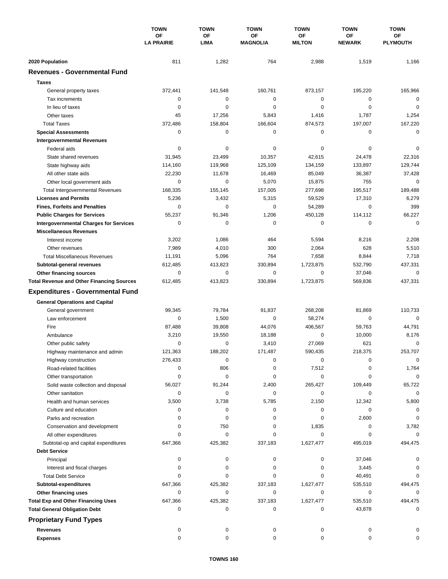|                                                  | <b>TOWN</b><br><b>OF</b><br><b>LA PRAIRIE</b> | <b>TOWN</b><br><b>OF</b><br><b>LIMA</b> | <b>TOWN</b><br><b>OF</b><br><b>MAGNOLIA</b> | <b>TOWN</b>                | <b>TOWN</b><br><b>OF</b><br><b>NEWARK</b> | <b>TOWN</b><br>ΟF<br><b>PLYMOUTH</b> |
|--------------------------------------------------|-----------------------------------------------|-----------------------------------------|---------------------------------------------|----------------------------|-------------------------------------------|--------------------------------------|
|                                                  |                                               |                                         |                                             | <b>OF</b><br><b>MILTON</b> |                                           |                                      |
| 2020 Population                                  | 811                                           | 1,282                                   | 764                                         | 2,988                      | 1,519                                     | 1,166                                |
| <b>Revenues - Governmental Fund</b>              |                                               |                                         |                                             |                            |                                           |                                      |
| <b>Taxes</b>                                     |                                               |                                         |                                             |                            |                                           |                                      |
| General property taxes                           | 372,441                                       | 141,548                                 | 160,761                                     | 873,157                    | 195,220                                   | 165,966                              |
| Tax increments                                   | 0                                             | 0                                       | 0                                           | 0                          | $\mathbf 0$                               | $\mathbf 0$                          |
| In lieu of taxes                                 | 0                                             | 0                                       | 0                                           | 0                          | $\mathbf 0$                               | $\mathbf 0$                          |
| Other taxes                                      | 45                                            | 17,256                                  | 5,843                                       | 1,416                      | 1,787                                     | 1,254                                |
| <b>Total Taxes</b>                               | 372,486                                       | 158,804                                 | 166,604                                     | 874,573                    | 197,007                                   | 167,220                              |
| <b>Special Assessments</b>                       | 0                                             | 0                                       | 0                                           | 0                          | 0                                         | $\mathbf 0$                          |
| <b>Intergovernmental Revenues</b>                |                                               |                                         |                                             |                            |                                           |                                      |
| Federal aids                                     | 0                                             | 0                                       | 0                                           | 0                          | 0                                         | 0                                    |
| State shared revenues                            | 31,945                                        | 23,499                                  | 10,357                                      | 42,615                     | 24,478                                    | 22,316                               |
| State highway aids                               | 114,160                                       | 119,968                                 | 125,109                                     | 134,159                    | 133,897                                   | 129,744                              |
| All other state aids                             | 22,230                                        | 11,678                                  | 16,469                                      | 85,049                     | 36,387                                    | 37,428                               |
| Other local government aids                      | 0                                             | $\mathbf 0$                             | 5,070                                       | 15,875                     | 755                                       | $\mathbf 0$                          |
| <b>Total Intergovernmental Revenues</b>          | 168,335                                       | 155,145                                 | 157,005                                     | 277,698                    | 195,517                                   | 189,488                              |
| <b>Licenses and Permits</b>                      | 5,236                                         | 3,432                                   | 5,315                                       | 59,529                     | 17,310                                    | 6,279                                |
| <b>Fines, Forfeits and Penalties</b>             | 0                                             | $\Omega$                                | $\mathbf 0$                                 | 54,289                     | 0                                         | 399                                  |
| <b>Public Charges for Services</b>               | 55,237                                        | 91,346                                  | 1,206                                       | 450,128                    | 114,112                                   | 66,227                               |
| <b>Intergovernmental Charges for Services</b>    | 0                                             | $\mathbf 0$                             | $\mathbf 0$                                 | $\mathbf 0$                | 0                                         | $\mathbf 0$                          |
| <b>Miscellaneous Revenues</b>                    |                                               |                                         |                                             |                            |                                           |                                      |
| Interest income                                  | 3,202                                         | 1,086                                   | 464                                         | 5,594                      | 8,216                                     | 2,208                                |
| Other revenues                                   | 7,989                                         | 4,010                                   | 300                                         | 2,064                      | 628                                       | 5,510                                |
| <b>Total Miscellaneous Revenues</b>              | 11,191                                        | 5,096                                   | 764                                         | 7,658                      | 8,844                                     | 7,718                                |
| Subtotal-general revenues                        | 612,485                                       | 413,823                                 | 330,894                                     | 1,723,875                  | 532,790                                   | 437,331                              |
| Other financing sources                          | 0                                             | 0                                       | $\mathbf 0$                                 | 0                          | 37,046                                    | $\mathbf 0$                          |
| <b>Total Revenue and Other Financing Sources</b> | 612,485                                       | 413,823                                 | 330,894                                     | 1,723,875                  | 569,836                                   | 437,331                              |
|                                                  |                                               |                                         |                                             |                            |                                           |                                      |
| <b>Expenditures - Governmental Fund</b>          |                                               |                                         |                                             |                            |                                           |                                      |
| <b>General Operations and Capital</b>            |                                               |                                         |                                             |                            |                                           |                                      |
| General government                               | 99,345                                        | 79,784                                  | 91,837                                      | 268,208                    | 81,869                                    | 110,733                              |
| Law enforcement                                  | 0                                             | 1,500                                   | 0                                           | 58,274                     | 0                                         | $\mathbf 0$                          |
| Fire                                             | 87,488                                        | 39,808                                  | 44,076                                      | 406,567                    | 59,763                                    | 44,791                               |
| Ambulance                                        | 3,210                                         | 19,550                                  | 18,188                                      | 0                          | 10,000                                    | 8,176                                |
| Other public safety                              | 0                                             | 0                                       | 3,410                                       | 27,069                     | 621                                       | 0                                    |
| Highway maintenance and admin                    | 121,363                                       | 188,202                                 | 171,487                                     | 590,435                    | 218,375                                   | 253,707                              |
| Highway construction                             | 276,433                                       | 0                                       | 0                                           | 0                          | 0                                         | 0                                    |
| Road-related facilities                          | 0                                             | 806                                     | 0                                           | 7,512                      | 0                                         | 1,764                                |
| Other transportation                             | 0                                             | $\mathbf 0$                             | 0                                           | 0                          | 0                                         | $\mathbf 0$                          |
| Solid waste collection and disposal              | 56,027                                        | 91,244                                  | 2,400                                       | 265,427                    | 109,449                                   | 65,722                               |
| Other sanitation                                 | 0                                             | 0                                       | 0                                           | 0                          | 0                                         | $\mathbf 0$                          |
| Health and human services                        | 3,500                                         | 3,738                                   | 5,785                                       | 2,150                      | 12,342                                    | 5,800                                |
| Culture and education                            | 0                                             | 0                                       | 0                                           | 0                          | 0                                         | 0                                    |
| Parks and recreation                             | 0                                             | 0                                       | 0                                           | 0                          | 2,600                                     | 0                                    |
| Conservation and development                     | 0                                             | 750                                     | 0                                           | 1,835                      | 0                                         | 3,782                                |
| All other expenditures                           | $\Omega$                                      | 0                                       | 0                                           | 0                          | 0                                         | $\Omega$                             |
| Subtotal-op and capital expenditures             | 647,366                                       | 425,382                                 | 337,183                                     | 1,627,477                  | 495,019                                   | 494,475                              |
| <b>Debt Service</b>                              |                                               |                                         |                                             |                            |                                           |                                      |
| Principal                                        | 0                                             | 0                                       | 0                                           | 0                          | 37,046                                    | 0                                    |
| Interest and fiscal charges                      | 0                                             | 0                                       | 0                                           | 0                          | 3,445                                     | 0                                    |
| <b>Total Debt Service</b>                        | 0                                             | 0                                       | 0                                           | 0                          | 40,491                                    | $\Omega$                             |
| Subtotal-expenditures                            | 647,366                                       | 425,382                                 | 337,183                                     | 1,627,477                  | 535,510                                   | 494,475                              |
| Other financing uses                             | 0                                             | 0                                       | 0                                           | 0                          | 0                                         | 0                                    |
| <b>Total Exp and Other Financing Uses</b>        | 647,366                                       | 425,382                                 | 337,183                                     | 1,627,477                  | 535,510                                   | 494,475                              |
| <b>Total General Obligation Debt</b>             | 0                                             | 0                                       | 0                                           | 0                          | 43,878                                    | 0                                    |
| <b>Proprietary Fund Types</b>                    |                                               |                                         |                                             |                            |                                           |                                      |
| <b>Revenues</b>                                  | 0                                             | 0                                       | 0                                           | 0                          | 0                                         |                                      |
| <b>Expenses</b>                                  | 0                                             | 0                                       | 0                                           | 0                          | 0                                         | 0                                    |
|                                                  |                                               |                                         |                                             |                            |                                           |                                      |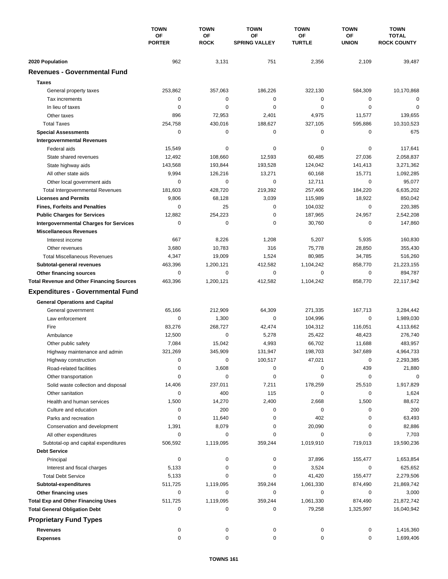|                                                  | <b>TOWN</b><br>ОF<br><b>PORTER</b> | <b>TOWN</b>       | <b>TOWN</b>                | <b>TOWN</b>         | <b>TOWN</b>            | <b>TOWN</b>                        |
|--------------------------------------------------|------------------------------------|-------------------|----------------------------|---------------------|------------------------|------------------------------------|
|                                                  |                                    | OF<br><b>ROCK</b> | OF<br><b>SPRING VALLEY</b> | ΟF<br><b>TURTLE</b> | ΟF<br><b>UNION</b>     | <b>TOTAL</b><br><b>ROCK COUNTY</b> |
| 2020 Population                                  | 962                                | 3,131             | 751                        | 2,356               | 2,109                  | 39,487                             |
| <b>Revenues - Governmental Fund</b>              |                                    |                   |                            |                     |                        |                                    |
| <b>Taxes</b>                                     |                                    |                   |                            |                     |                        |                                    |
|                                                  | 253,862                            | 357,063           | 186,226                    | 322,130             | 584,309                | 10,170,868                         |
| General property taxes                           | 0                                  | $\pmb{0}$         | 0                          | 0                   | 0                      | 0                                  |
| Tax increments                                   | 0                                  | 0                 | 0                          | 0                   | $\mathbf 0$            | $\mathbf 0$                        |
| In lieu of taxes                                 |                                    |                   |                            |                     |                        |                                    |
| Other taxes                                      | 896                                | 72,953            | 2,401                      | 4,975               | 11,577                 | 139,655                            |
| <b>Total Taxes</b>                               | 254,758<br>0                       | 430,016           | 188,627<br>0               | 327,105             | 595,886<br>$\mathbf 0$ | 10,310,523                         |
| <b>Special Assessments</b>                       |                                    | 0                 |                            | 0                   |                        | 675                                |
| <b>Intergovernmental Revenues</b>                |                                    |                   |                            |                     |                        |                                    |
| Federal aids                                     | 15,549                             | 0                 | 0                          | 0                   | 0                      | 117,641                            |
| State shared revenues                            | 12,492                             | 108,660           | 12,593                     | 60,485              | 27,036                 | 2,058,837                          |
| State highway aids                               | 143,568                            | 193,844           | 193,528                    | 124,042             | 141,413                | 3,271,362                          |
| All other state aids                             | 9,994                              | 126,216           | 13,271                     | 60,168              | 15,771                 | 1,092,285                          |
| Other local government aids                      | 0                                  | 0                 | 0                          | 12,711              | $\mathbf 0$            | 95,077                             |
| <b>Total Intergovernmental Revenues</b>          | 181,603                            | 428,720           | 219,392                    | 257,406             | 184,220                | 6,635,202                          |
| <b>Licenses and Permits</b>                      | 9,806                              | 68,128            | 3,039                      | 115,989             | 18,922                 | 850,042                            |
| <b>Fines, Forfeits and Penalties</b>             | 0                                  | 25                | 0                          | 104,032             | 0                      | 220,385                            |
| <b>Public Charges for Services</b>               | 12,882                             | 254,223           | 0                          | 187,965             | 24,957                 | 2,542,208                          |
| <b>Intergovernmental Charges for Services</b>    | $\mathbf 0$                        | $\mathbf 0$       | 0                          | 30,760              | 0                      | 147,860                            |
| <b>Miscellaneous Revenues</b>                    |                                    |                   |                            |                     |                        |                                    |
| Interest income                                  | 667                                | 8,226             | 1,208                      | 5,207               | 5,935                  | 160,830                            |
| Other revenues                                   | 3,680                              | 10,783            | 316                        | 75,778              | 28,850                 | 355,430                            |
| <b>Total Miscellaneous Revenues</b>              | 4,347                              | 19,009            | 1,524                      | 80,985              | 34,785                 | 516,260                            |
| Subtotal-general revenues                        | 463,396                            | 1,200,121         | 412,582                    | 1,104,242           | 858,770                | 21,223,155                         |
| Other financing sources                          | 0                                  | 0                 | 0                          | 0                   | 0                      | 894,787                            |
| <b>Total Revenue and Other Financing Sources</b> | 463,396                            | 1,200,121         | 412,582                    | 1,104,242           | 858,770                | 22,117,942                         |
| <b>Expenditures - Governmental Fund</b>          |                                    |                   |                            |                     |                        |                                    |
| <b>General Operations and Capital</b>            |                                    |                   |                            |                     |                        |                                    |
| General government                               | 65,166                             | 212,909           | 64,309                     | 271,335             | 167,713                | 3,284,442                          |
| Law enforcement                                  | $\mathbf 0$                        | 1,300             | 0                          | 104,996             | 0                      | 1,989,030                          |
| Fire                                             | 83,276                             | 268,727           | 42,474                     | 104,312             | 116,051                | 4,113,662                          |
| Ambulance                                        | 12,500                             | 0                 | 5,278                      | 25,422              | 48,423                 | 276,740                            |
| Other public safety                              | 7,084                              | 15,042            | 4,993                      | 66,702              | 11,688                 | 483,957                            |
|                                                  | 321,269                            | 345,909           | 131,947                    | 198,703             | 347,689                | 4,964,733                          |
| Highway maintenance and admin                    |                                    |                   |                            |                     |                        |                                    |
| Highway construction                             | 0                                  | 0                 | 100,517                    | 47,021              | 0                      | 2,293,385                          |
| Road-related facilities                          | 0                                  | 3,608             | 0                          | 0                   | 439                    | 21,880                             |
| Other transportation                             | 0                                  | $\pmb{0}$         | 0                          | 0                   | 0                      | $\mathbf 0$                        |
| Solid waste collection and disposal              | 14,406                             | 237,011           | 7,211                      | 178,259             | 25,510                 | 1,917,829                          |
| Other sanitation                                 | 0                                  | 400               | 115                        | 0                   | 0                      | 1,624                              |
| Health and human services                        | 1,500                              | 14,270            | 2,400                      | 2,668               | 1,500                  | 88,672                             |
| Culture and education                            | 0                                  | 200               | 0                          | 0                   | 0                      | 200                                |
| Parks and recreation                             | 0                                  | 11,640            | 0                          | 402                 | 0                      | 63,493                             |
| Conservation and development                     | 1,391                              | 8,079             | 0                          | 20,090              | 0                      | 82,886                             |
| All other expenditures                           | 0                                  | 0                 | 0                          | 0                   | 0                      | 7,703                              |
| Subtotal-op and capital expenditures             | 506,592                            | 1,119,095         | 359,244                    | 1,019,910           | 719,013                | 19,590,236                         |
| <b>Debt Service</b>                              |                                    |                   |                            |                     |                        |                                    |
| Principal                                        | 0                                  | 0                 | 0                          | 37,896              | 155,477                | 1,653,854                          |
| Interest and fiscal charges                      | 5,133                              | 0                 | 0                          | 3,524               | 0                      | 625,652                            |
| <b>Total Debt Service</b>                        | 5,133                              | 0                 | 0                          | 41,420              | 155,477                | 2,279,506                          |
| Subtotal-expenditures                            | 511,725                            | 1,119,095         | 359,244                    | 1,061,330           | 874,490                | 21,869,742                         |
| Other financing uses                             | 0                                  | 0                 | 0                          | 0                   | 0                      | 3,000                              |
| <b>Total Exp and Other Financing Uses</b>        | 511,725                            | 1,119,095         | 359,244                    | 1,061,330           | 874,490                | 21,872,742                         |
| <b>Total General Obligation Debt</b>             | 0                                  | 0                 | 0                          | 79,258              | 1,325,997              | 16,040,942                         |
| <b>Proprietary Fund Types</b>                    |                                    |                   |                            |                     |                        |                                    |
| <b>Revenues</b>                                  | 0                                  | 0                 | 0                          | 0                   | 0                      | 1,416,360                          |
| <b>Expenses</b>                                  | 0                                  | 0                 | 0                          | 0                   | 0                      | 1,699,406                          |
|                                                  |                                    |                   |                            |                     |                        |                                    |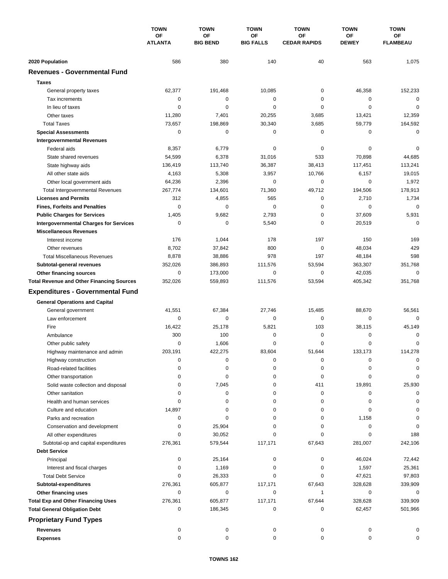|                                                  | <b>TOWN</b><br><b>OF</b><br><b>ATLANTA</b> | <b>TOWN</b>                  | <b>TOWN</b><br><b>OF</b><br><b>BIG FALLS</b> | <b>TOWN</b><br>ΟF<br><b>CEDAR RAPIDS</b> | <b>TOWN</b><br><b>OF</b><br><b>DEWEY</b> | <b>TOWN</b>           |
|--------------------------------------------------|--------------------------------------------|------------------------------|----------------------------------------------|------------------------------------------|------------------------------------------|-----------------------|
|                                                  |                                            | <b>OF</b><br><b>BIG BEND</b> |                                              |                                          |                                          | ΟF<br><b>FLAMBEAU</b> |
| 2020 Population                                  | 586                                        | 380                          | 140                                          | 40                                       | 563                                      | 1,075                 |
| <b>Revenues - Governmental Fund</b>              |                                            |                              |                                              |                                          |                                          |                       |
| <b>Taxes</b>                                     |                                            |                              |                                              |                                          |                                          |                       |
| General property taxes                           | 62,377                                     | 191,468                      | 10,085                                       | $\pmb{0}$                                | 46,358                                   | 152,233               |
| Tax increments                                   | 0                                          | 0                            | 0                                            | 0                                        | 0                                        | 0                     |
| In lieu of taxes                                 | 0                                          | 0                            | 0                                            | 0                                        | $\mathbf 0$                              | $\mathbf 0$           |
| Other taxes                                      | 11,280                                     | 7,401                        | 20,255                                       | 3,685                                    | 13,421                                   | 12,359                |
| <b>Total Taxes</b>                               | 73,657                                     | 198,869                      | 30,340                                       | 3,685                                    | 59,779                                   | 164,592               |
| <b>Special Assessments</b>                       | 0                                          | 0                            | 0                                            | 0                                        | 0                                        | $\mathbf 0$           |
| <b>Intergovernmental Revenues</b>                |                                            |                              |                                              |                                          |                                          |                       |
| Federal aids                                     | 8,357                                      | 6,779                        | 0                                            | 0                                        | 0                                        | 0                     |
| State shared revenues                            | 54,599                                     | 6,378                        | 31,016                                       | 533                                      | 70,898                                   | 44,685                |
| State highway aids                               | 136,419                                    | 113,740                      | 36,387                                       | 38,413                                   | 117,451                                  | 113,241               |
| All other state aids                             | 4,163                                      | 5,308                        | 3,957                                        | 10,766                                   | 6,157                                    | 19,015                |
| Other local government aids                      | 64,236                                     | 2,396                        | 0                                            | 0                                        | $\mathbf 0$                              | 1,972                 |
| <b>Total Intergovernmental Revenues</b>          | 267,774                                    | 134,601                      | 71,360                                       | 49,712                                   | 194,506                                  | 178,913               |
| <b>Licenses and Permits</b>                      | 312                                        | 4,855                        | 565                                          | 0                                        | 2,710                                    | 1,734                 |
| <b>Fines, Forfeits and Penalties</b>             | $\mathbf 0$                                | $\mathbf 0$                  | $\mathbf 0$                                  | 0                                        | 0                                        | 0                     |
| <b>Public Charges for Services</b>               | 1,405                                      | 9,682                        | 2,793                                        | $\pmb{0}$                                | 37,609                                   | 5,931                 |
| <b>Intergovernmental Charges for Services</b>    | $\mathbf 0$                                | $\mathbf 0$                  | 5,540                                        | $\pmb{0}$                                | 20,519                                   | $\mathbf 0$           |
| <b>Miscellaneous Revenues</b>                    |                                            |                              |                                              |                                          |                                          |                       |
| Interest income                                  | 176                                        | 1,044                        | 178                                          | 197                                      | 150                                      | 169                   |
| Other revenues                                   | 8,702                                      | 37,842                       | 800                                          | 0                                        | 48,034                                   | 429                   |
| <b>Total Miscellaneous Revenues</b>              | 8,878                                      | 38,886                       | 978                                          | 197                                      | 48,184                                   | 598                   |
| Subtotal-general revenues                        | 352,026                                    | 386,893                      | 111,576                                      | 53,594                                   | 363,307                                  | 351,768               |
| Other financing sources                          | 0                                          | 173,000                      | $\mathbf 0$                                  | 0                                        | 42,035                                   | 0                     |
| <b>Total Revenue and Other Financing Sources</b> | 352,026                                    | 559,893                      | 111,576                                      | 53,594                                   | 405,342                                  | 351,768               |
|                                                  |                                            |                              |                                              |                                          |                                          |                       |
| <b>Expenditures - Governmental Fund</b>          |                                            |                              |                                              |                                          |                                          |                       |
| <b>General Operations and Capital</b>            |                                            |                              |                                              |                                          |                                          |                       |
| General government                               | 41,551                                     | 67,384                       | 27,746                                       | 15,485                                   | 88,670                                   | 56,561                |
| Law enforcement                                  | 0                                          | 0                            | $\mathbf 0$                                  | $\mathbf 0$                              | 0                                        | $\mathbf 0$           |
| Fire                                             | 16,422                                     | 25,178                       | 5,821                                        | 103                                      | 38,115                                   | 45,149                |
| Ambulance                                        | 300                                        | 100                          | $\mathbf 0$                                  | 0                                        | $\mathbf 0$                              | 0                     |
| Other public safety                              | 0                                          | 1,606                        | 0                                            | 0                                        | $\mathbf 0$                              | 0                     |
| Highway maintenance and admin                    | 203,191                                    | 422,275                      | 83,604                                       | 51,644                                   | 133,173                                  | 114,278               |
| Highway construction                             | 0                                          | 0                            | 0                                            | 0                                        | 0                                        | 0                     |
| Road-related facilities                          | 0                                          | 0                            | 0                                            | 0                                        | 0                                        | 0                     |
| Other transportation                             | 0                                          | 0                            | 0                                            | 0                                        | 0                                        | 0                     |
| Solid waste collection and disposal              | 0                                          | 7,045                        | 0                                            | 411                                      | 19,891                                   | 25,930                |
| Other sanitation                                 | 0                                          | 0                            | 0                                            | 0                                        | 0                                        | 0                     |
| Health and human services                        | 0                                          | 0                            | 0                                            | 0                                        | 0                                        | 0                     |
| Culture and education                            | 14,897                                     | 0                            | 0                                            | 0                                        | 0                                        | 0                     |
| Parks and recreation                             | 0                                          | 0                            | 0                                            | 0                                        | 1,158                                    | 0                     |
| Conservation and development                     | 0                                          | 25,904                       | 0                                            | 0                                        | 0                                        | 0                     |
| All other expenditures                           | 0                                          | 30,052                       | 0                                            | 0                                        | 0                                        | 188                   |
| Subtotal-op and capital expenditures             | 276,361                                    | 579,544                      | 117,171                                      | 67,643                                   | 281,007                                  | 242,106               |
| <b>Debt Service</b>                              |                                            |                              |                                              |                                          |                                          |                       |
| Principal                                        | 0                                          | 25,164                       | 0                                            | 0                                        | 46,024                                   | 72,442                |
| Interest and fiscal charges                      | 0                                          | 1,169                        | 0                                            | 0                                        | 1,597                                    | 25,361                |
| <b>Total Debt Service</b>                        | 0                                          | 26,333                       | 0                                            | 0                                        | 47,621                                   | 97,803                |
| Subtotal-expenditures                            | 276,361                                    | 605,877                      | 117,171                                      | 67,643                                   | 328,628                                  | 339,909               |
| Other financing uses                             | 0                                          | 0                            | 0                                            | 1                                        | 0                                        | 0                     |
| <b>Total Exp and Other Financing Uses</b>        | 276,361                                    | 605,877                      | 117,171                                      | 67,644                                   | 328,628                                  | 339,909               |
| <b>Total General Obligation Debt</b>             | 0                                          | 186,345                      | 0                                            | 0                                        | 62,457                                   | 501,966               |
| <b>Proprietary Fund Types</b>                    |                                            |                              |                                              |                                          |                                          |                       |
| <b>Revenues</b>                                  | 0                                          | 0                            | 0                                            | 0                                        | 0                                        | 0                     |
| <b>Expenses</b>                                  | $\mathbf 0$                                | 0                            | 0                                            | 0                                        | 0                                        | 0                     |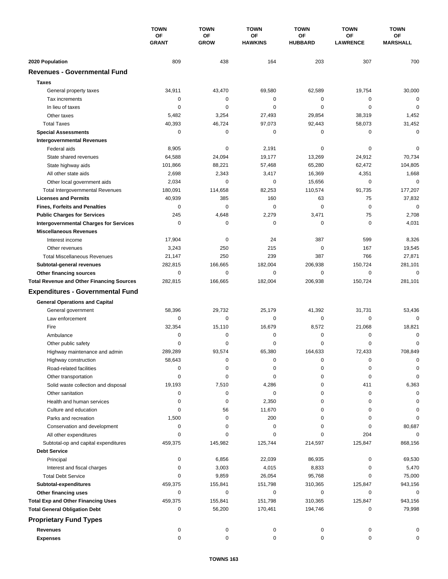|                                                  | <b>TOWN</b><br>OF<br><b>GRANT</b> | <b>TOWN</b>              | <b>TOWN</b><br>OF<br><b>HAWKINS</b> | <b>TOWN</b>          | <b>TOWN</b><br><b>OF</b><br><b>LAWRENCE</b> | <b>TOWN</b><br><b>OF</b><br><b>MARSHALL</b> |
|--------------------------------------------------|-----------------------------------|--------------------------|-------------------------------------|----------------------|---------------------------------------------|---------------------------------------------|
|                                                  |                                   | <b>OF</b><br><b>GROW</b> |                                     | OF<br><b>HUBBARD</b> |                                             |                                             |
| 2020 Population                                  | 809                               | 438                      | 164                                 | 203                  | 307                                         | 700                                         |
| <b>Revenues - Governmental Fund</b>              |                                   |                          |                                     |                      |                                             |                                             |
| <b>Taxes</b>                                     |                                   |                          |                                     |                      |                                             |                                             |
| General property taxes                           | 34,911                            | 43,470                   | 69,580                              | 62,589               | 19,754                                      | 30,000                                      |
| Tax increments                                   | 0                                 | 0                        | 0                                   | 0                    | 0                                           | $\mathbf 0$                                 |
| In lieu of taxes                                 | 0                                 | 0                        | 0                                   | 0                    | $\mathbf 0$                                 | $\mathbf 0$                                 |
| Other taxes                                      | 5,482                             | 3,254                    | 27,493                              | 29,854               | 38,319                                      | 1,452                                       |
| <b>Total Taxes</b>                               | 40,393                            | 46,724                   | 97,073                              | 92,443               | 58,073                                      | 31,452                                      |
| <b>Special Assessments</b>                       | 0                                 | 0                        | 0                                   | 0                    | 0                                           | $\mathbf 0$                                 |
| <b>Intergovernmental Revenues</b>                |                                   |                          |                                     |                      |                                             |                                             |
| Federal aids                                     | 8,905                             | $\pmb{0}$                | 2,191                               | 0                    | 0                                           | 0                                           |
| State shared revenues                            | 64,588                            | 24,094                   | 19,177                              | 13,269               | 24,912                                      | 70,734                                      |
| State highway aids                               | 101,866                           | 88,221                   | 57,468                              | 65,280               | 62,472                                      | 104,805                                     |
| All other state aids                             | 2,698                             | 2,343                    | 3,417                               | 16,369               | 4,351                                       | 1,668                                       |
| Other local government aids                      | 2,034                             | 0                        | 0                                   | 15,656               | $\mathbf 0$                                 | $\mathbf 0$                                 |
| <b>Total Intergovernmental Revenues</b>          | 180,091                           | 114,658                  | 82,253                              | 110,574              | 91,735                                      | 177,207                                     |
| <b>Licenses and Permits</b>                      | 40,939                            | 385                      | 160                                 | 63                   | 75                                          | 37,832                                      |
| <b>Fines, Forfeits and Penalties</b>             | 0                                 | $\mathbf 0$              | $\mathbf 0$                         | 0                    | $\mathbf 0$                                 | $\mathbf 0$                                 |
| <b>Public Charges for Services</b>               | 245                               | 4,648                    | 2,279                               | 3,471                | 75                                          | 2,708                                       |
| <b>Intergovernmental Charges for Services</b>    | $\mathbf 0$                       | $\mathbf 0$              | $\mathbf 0$                         | $\mathbf 0$          | $\mathbf 0$                                 | 4,031                                       |
| <b>Miscellaneous Revenues</b>                    |                                   |                          |                                     |                      |                                             |                                             |
| Interest income                                  | 17,904                            | $\mathbf 0$              | 24                                  | 387                  | 599                                         | 8,326                                       |
| Other revenues                                   | 3,243                             | 250                      | 215                                 | 0                    | 167                                         | 19,545                                      |
| <b>Total Miscellaneous Revenues</b>              | 21,147                            | 250                      | 239                                 | 387                  | 766                                         | 27,871                                      |
| Subtotal-general revenues                        | 282,815                           | 166,665                  | 182,004                             | 206,938              | 150,724                                     | 281,101                                     |
| Other financing sources                          | 0                                 | $\mathbf 0$              | 0                                   | 0                    | $\mathbf 0$                                 | $\mathbf 0$                                 |
| <b>Total Revenue and Other Financing Sources</b> | 282,815                           | 166,665                  | 182,004                             | 206,938              | 150,724                                     | 281,101                                     |
| <b>Expenditures - Governmental Fund</b>          |                                   |                          |                                     |                      |                                             |                                             |
| <b>General Operations and Capital</b>            |                                   |                          |                                     |                      |                                             |                                             |
| General government                               | 58,396                            | 29,732                   | 25,179                              | 41,392               | 31,731                                      | 53,436                                      |
| Law enforcement                                  | 0                                 | $\mathbf 0$              | 0                                   | 0                    | $\mathbf 0$                                 | $\mathbf 0$                                 |
| Fire                                             | 32,354                            | 15,110                   | 16,679                              | 8,572                | 21,068                                      | 18,821                                      |
| Ambulance                                        | 0                                 | $\pmb{0}$                | 0                                   | 0                    | $\mathbf 0$                                 | 0                                           |
| Other public safety                              | 0                                 | 0                        | 0                                   | 0                    | 0                                           | 0                                           |
| Highway maintenance and admin                    | 289,289                           | 93,574                   | 65,380                              | 164,633              | 72,433                                      | 708,849                                     |
| Highway construction                             | 58,643                            | 0                        | 0                                   | 0                    | 0                                           | 0                                           |
| Road-related facilities                          | 0                                 | 0                        | 0                                   | 0                    | 0                                           | $\Omega$                                    |
| Other transportation                             | 0                                 | 0                        | 0                                   | 0                    | 0                                           | 0                                           |
| Solid waste collection and disposal              | 19,193                            | 7,510                    | 4,286                               | 0                    | 411                                         | 6,363                                       |
| Other sanitation                                 | 0                                 | $\pmb{0}$                | 0                                   | 0                    | 0                                           | 0                                           |
| Health and human services                        | 0                                 | 0                        | 2,350                               | 0                    | 0                                           | 0                                           |
| Culture and education                            | 0                                 | 56                       | 11,670                              | 0                    | $\mathbf 0$                                 | 0                                           |
| Parks and recreation                             | 1,500                             | 0                        | 200                                 | 0                    | 0                                           | 0                                           |
| Conservation and development                     | 0                                 | 0                        | 0                                   | 0                    | 0                                           | 80,687                                      |
| All other expenditures                           | 0                                 | 0                        | 0                                   | 0                    | 204                                         | $\Omega$                                    |
| Subtotal-op and capital expenditures             | 459,375                           | 145,982                  | 125,744                             | 214,597              | 125,847                                     | 868,156                                     |
| <b>Debt Service</b>                              |                                   |                          |                                     |                      |                                             |                                             |
| Principal                                        | 0                                 | 6,856                    | 22,039                              | 86,935               | 0                                           | 69,530                                      |
| Interest and fiscal charges                      | 0<br>0                            | 3,003<br>9,859           | 4,015                               | 8,833<br>95,768      | 0<br>0                                      | 5,470                                       |
| <b>Total Debt Service</b>                        |                                   |                          | 26,054                              |                      |                                             | 75,000                                      |
| Subtotal-expenditures<br>Other financing uses    | 459,375<br>0                      | 155,841<br>$\pmb{0}$     | 151,798<br>0                        | 310,365<br>0         | 125,847<br>0                                | 943,156<br>0                                |
| <b>Total Exp and Other Financing Uses</b>        | 459,375                           | 155,841                  | 151,798                             | 310,365              | 125,847                                     | 943,156                                     |
| <b>Total General Obligation Debt</b>             | 0                                 | 56,200                   | 170,461                             | 194,746              | 0                                           | 79,998                                      |
|                                                  |                                   |                          |                                     |                      |                                             |                                             |
| <b>Proprietary Fund Types</b>                    |                                   |                          |                                     |                      |                                             |                                             |
| <b>Revenues</b>                                  | 0                                 | 0                        | 0                                   | 0                    | 0                                           | 0                                           |
| <b>Expenses</b>                                  | 0                                 | 0                        | 0                                   | $\mathbf 0$          | 0                                           | 0                                           |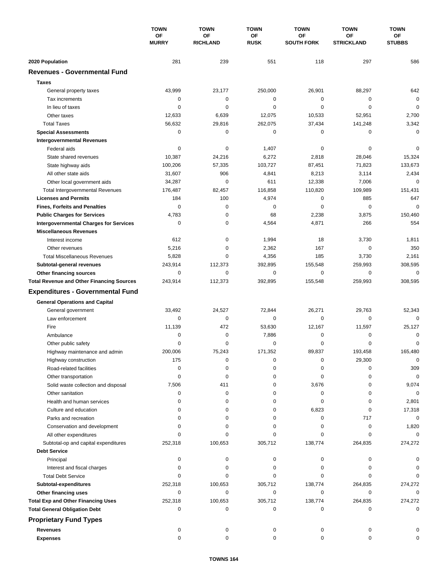|                                                  | <b>TOWN</b><br>ОF<br><b>MURRY</b> | <b>TOWN</b>                  | <b>TOWN</b><br>ΟF<br><b>RUSK</b> | <b>TOWN</b><br>ΟF<br><b>SOUTH FORK</b> | <b>TOWN</b><br><b>OF</b><br><b>STRICKLAND</b> | <b>TOWN</b>  |
|--------------------------------------------------|-----------------------------------|------------------------------|----------------------------------|----------------------------------------|-----------------------------------------------|--------------|
|                                                  |                                   | <b>OF</b><br><b>RICHLAND</b> |                                  |                                        |                                               | ΟF<br>STUBBS |
| 2020 Population                                  | 281                               | 239                          | 551                              | 118                                    | 297                                           | 586          |
| <b>Revenues - Governmental Fund</b>              |                                   |                              |                                  |                                        |                                               |              |
| <b>Taxes</b>                                     |                                   |                              |                                  |                                        |                                               |              |
| General property taxes                           | 43,999                            | 23,177                       | 250,000                          | 26,901                                 | 88,297                                        | 642          |
| Tax increments                                   | 0                                 | 0                            | 0                                | $\pmb{0}$                              | 0                                             | $\mathbf 0$  |
| In lieu of taxes                                 | 0                                 | 0                            | $\mathbf 0$                      | 0                                      | $\mathbf 0$                                   | $\mathbf 0$  |
| Other taxes                                      | 12,633                            | 6,639                        | 12,075                           | 10,533                                 | 52,951                                        | 2,700        |
| <b>Total Taxes</b>                               | 56,632                            | 29,816                       | 262,075                          | 37,434                                 | 141,248                                       | 3,342        |
| <b>Special Assessments</b>                       | 0                                 | 0                            | 0                                | 0                                      | 0                                             | 0            |
| <b>Intergovernmental Revenues</b>                |                                   |                              |                                  |                                        |                                               |              |
| Federal aids                                     | 0                                 | 0                            | 1,407                            | 0                                      | 0                                             | 0            |
| State shared revenues                            | 10,387                            | 24,216                       | 6,272                            | 2,818                                  | 28,046                                        | 15,324       |
| State highway aids                               | 100,206                           | 57,335                       | 103,727                          | 87,451                                 | 71,823                                        | 133,673      |
| All other state aids                             | 31,607                            | 906                          | 4,841                            | 8,213                                  | 3,114                                         | 2,434        |
| Other local government aids                      | 34,287                            | $\mathbf 0$                  | 611                              | 12,338                                 | 7,006                                         | $\mathbf 0$  |
| <b>Total Intergovernmental Revenues</b>          | 176,487                           | 82,457                       | 116,858                          | 110,820                                | 109,989                                       | 151,431      |
| <b>Licenses and Permits</b>                      | 184                               | 100                          | 4,974                            | 0                                      | 885                                           | 647          |
| <b>Fines, Forfeits and Penalties</b>             | $\mathbf 0$                       | $\mathbf 0$                  | 0                                | 0                                      | $\mathbf 0$                                   | $\mathbf 0$  |
| <b>Public Charges for Services</b>               | 4,783                             | 0                            | 68                               | 2,238                                  | 3,875                                         | 150,460      |
| <b>Intergovernmental Charges for Services</b>    | $\mathbf 0$                       | $\mathbf 0$                  | 4,564                            | 4,871                                  | 266                                           | 554          |
| <b>Miscellaneous Revenues</b>                    |                                   |                              |                                  |                                        |                                               |              |
| Interest income                                  | 612                               | 0                            | 1,994                            | 18                                     | 3,730                                         | 1,811        |
| Other revenues                                   | 5,216                             | $\mathbf 0$                  | 2,362                            | 167                                    | $\mathbf 0$                                   | 350          |
| <b>Total Miscellaneous Revenues</b>              | 5,828                             | 0                            | 4,356                            | 185                                    | 3,730                                         | 2,161        |
| Subtotal-general revenues                        | 243,914                           | 112,373                      | 392,895                          | 155,548                                | 259,993                                       | 308,595      |
| Other financing sources                          | 0                                 | $\mathbf 0$                  | $\mathbf 0$                      | 0                                      | $\mathbf 0$                                   | 0            |
| <b>Total Revenue and Other Financing Sources</b> | 243,914                           | 112,373                      | 392,895                          | 155,548                                | 259,993                                       | 308,595      |
| <b>Expenditures - Governmental Fund</b>          |                                   |                              |                                  |                                        |                                               |              |
| <b>General Operations and Capital</b>            |                                   |                              |                                  |                                        |                                               |              |
| General government                               | 33,492                            | 24,527                       | 72,844                           | 26,271                                 | 29,763                                        | 52,343       |
| Law enforcement                                  | 0                                 | $\mathbf 0$                  | 0                                | 0                                      | $\mathbf 0$                                   | $\Omega$     |
| Fire                                             | 11,139                            | 472                          | 53,630                           | 12,167                                 | 11,597                                        | 25,127       |
| Ambulance                                        | 0                                 | 0                            | 7,886                            | 0                                      | $\mathbf 0$                                   | 0            |
| Other public safety                              | 0                                 | $\mathbf 0$                  | 0                                | 0                                      | $\mathbf 0$                                   | 0            |
| Highway maintenance and admin                    | 200,006                           | 75,243                       | 171,352                          | 89,837                                 | 193,458                                       | 165,480      |
| Highway construction                             | 175                               | 0                            | 0                                | 0                                      | 29,300                                        | $\mathbf 0$  |
| Road-related facilities                          | 0                                 | 0                            | 0                                | 0                                      | 0                                             | 309          |
| Other transportation                             | 0                                 | 0                            | 0                                | 0                                      | 0                                             | $\mathbf 0$  |
| Solid waste collection and disposal              | 7,506                             | 411                          | 0                                | 3,676                                  | 0                                             | 9,074        |
| Other sanitation                                 | 0                                 | 0                            | 0                                | 0                                      | 0                                             | $\mathbf 0$  |
| Health and human services                        | 0                                 | 0                            | 0                                | 0                                      | 0                                             | 2,801        |
| Culture and education                            | 0                                 | 0                            | 0                                | 6,823                                  | 0                                             | 17,318       |
| Parks and recreation                             | 0                                 | 0                            | 0                                | 0                                      | 717                                           | 0            |
| Conservation and development                     | $\Omega$                          | 0                            | 0                                | 0                                      | 0                                             | 1,820        |
| All other expenditures                           | $\Omega$                          | 0                            | 0                                | 0                                      | 0                                             | 0            |
| Subtotal-op and capital expenditures             | 252,318                           | 100,653                      | 305,712                          | 138,774                                | 264,835                                       | 274,272      |
| <b>Debt Service</b>                              |                                   |                              |                                  |                                        |                                               |              |
| Principal                                        | 0                                 | 0                            | 0                                | 0                                      | 0                                             | 0            |
| Interest and fiscal charges                      | 0                                 | 0                            | 0                                | 0                                      | 0                                             | 0            |
| <b>Total Debt Service</b>                        | 0                                 | 0                            | 0                                | 0                                      | 0                                             | $\Omega$     |
| Subtotal-expenditures                            | 252,318                           | 100,653                      | 305,712                          | 138,774                                | 264,835                                       | 274,272      |
| Other financing uses                             | 0                                 | 0                            | $\mathbf 0$                      | 0                                      | 0                                             | $\Omega$     |
| <b>Total Exp and Other Financing Uses</b>        | 252,318                           | 100,653                      | 305,712                          | 138,774                                | 264,835                                       | 274,272      |
| <b>Total General Obligation Debt</b>             | 0                                 | 0                            | 0                                | 0                                      | 0                                             | $\mathbf 0$  |
| <b>Proprietary Fund Types</b>                    |                                   |                              |                                  |                                        |                                               |              |
| <b>Revenues</b>                                  | 0                                 | 0                            | 0                                | 0                                      | 0                                             |              |
| <b>Expenses</b>                                  | $\mathbf 0$                       | 0                            | $\mathbf 0$                      | 0                                      | 0                                             | O            |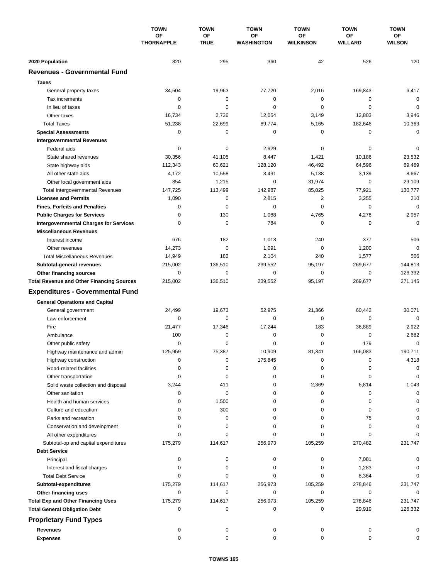|                                                                             | <b>TOWN</b><br><b>OF</b><br><b>THORNAPPLE</b> | <b>TOWN</b>              | <b>TOWN</b><br><b>OF</b><br><b>WASHINGTON</b> | <b>TOWN</b>            | <b>TOWN</b>                 | <b>TOWN</b>         |
|-----------------------------------------------------------------------------|-----------------------------------------------|--------------------------|-----------------------------------------------|------------------------|-----------------------------|---------------------|
|                                                                             |                                               | <b>OF</b><br><b>TRUE</b> |                                               | ΟF<br><b>WILKINSON</b> | <b>OF</b><br><b>WILLARD</b> | ОF<br><b>WILSON</b> |
| 2020 Population                                                             | 820                                           | 295                      | 360                                           | 42                     | 526                         | 120                 |
| <b>Revenues - Governmental Fund</b>                                         |                                               |                          |                                               |                        |                             |                     |
| <b>Taxes</b>                                                                |                                               |                          |                                               |                        |                             |                     |
| General property taxes                                                      | 34,504                                        | 19,963                   | 77,720                                        | 2,016                  | 169,843                     | 6,417               |
| Tax increments                                                              | 0                                             | 0                        | 0                                             | $\pmb{0}$              | 0                           | $\mathbf 0$         |
| In lieu of taxes                                                            | 0                                             | 0                        | 0                                             | 0                      | $\mathbf 0$                 | 0                   |
| Other taxes                                                                 | 16,734                                        | 2,736                    | 12,054                                        | 3,149                  | 12,803                      | 3,946               |
| <b>Total Taxes</b>                                                          | 51,238                                        | 22,699                   | 89,774                                        | 5,165                  | 182,646                     | 10,363              |
| <b>Special Assessments</b>                                                  | 0                                             | 0                        | 0                                             | 0                      | 0                           | $\mathbf 0$         |
| <b>Intergovernmental Revenues</b>                                           |                                               |                          |                                               |                        |                             |                     |
| Federal aids                                                                | 0                                             | 0                        | 2,929                                         | 0                      | 0                           | 0                   |
| State shared revenues                                                       | 30,356                                        | 41,105                   | 8,447                                         | 1,421                  | 10,186                      | 23,532              |
| State highway aids                                                          | 112,343                                       | 60,621                   | 128,120                                       | 46,492                 | 64,596                      | 69,469              |
| All other state aids                                                        | 4,172                                         | 10,558                   | 3,491                                         | 5,138                  | 3,139                       | 8,667               |
| Other local government aids                                                 | 854                                           | 1,215                    | 0                                             | 31,974                 | $\mathbf 0$                 | 29,109              |
| <b>Total Intergovernmental Revenues</b>                                     | 147,725                                       | 113,499                  | 142,987                                       | 85,025                 | 77,921                      | 130.777             |
| <b>Licenses and Permits</b>                                                 | 1,090                                         | 0                        | 2,815                                         | 2                      | 3,255                       | 210                 |
| <b>Fines, Forfeits and Penalties</b>                                        | 0                                             | $\mathbf 0$              | $\mathbf 0$                                   | 0                      | $\mathbf 0$                 | $\mathbf 0$         |
| <b>Public Charges for Services</b>                                          | 0                                             | 130                      | 1,088                                         | 4,765                  | 4,278                       | 2,957               |
| <b>Intergovernmental Charges for Services</b>                               | 0                                             | $\mathbf 0$              | 784                                           | $\mathbf 0$            | 0                           | $\mathbf 0$         |
| <b>Miscellaneous Revenues</b>                                               |                                               |                          |                                               |                        |                             |                     |
| Interest income                                                             | 676                                           | 182                      | 1,013                                         | 240                    | 377                         | 506                 |
| Other revenues                                                              | 14,273                                        | $\mathbf 0$              | 1,091                                         | $\mathbf 0$            | 1,200                       | $\mathbf 0$         |
| <b>Total Miscellaneous Revenues</b>                                         | 14,949                                        | 182                      | 2,104                                         | 240                    | 1,577                       | 506                 |
|                                                                             | 215,002                                       | 136,510                  | 239,552                                       | 95,197                 | 269,677                     | 144,813             |
| Subtotal-general revenues                                                   | 0                                             | $\mathbf 0$              | $\mathbf 0$                                   | 0                      | 0                           | 126,332             |
| Other financing sources<br><b>Total Revenue and Other Financing Sources</b> | 215,002                                       | 136,510                  | 239,552                                       | 95,197                 | 269,677                     | 271,145             |
|                                                                             |                                               |                          |                                               |                        |                             |                     |
| <b>Expenditures - Governmental Fund</b>                                     |                                               |                          |                                               |                        |                             |                     |
| <b>General Operations and Capital</b>                                       |                                               |                          |                                               |                        |                             |                     |
| General government                                                          | 24,499                                        | 19,673                   | 52,975                                        | 21,366                 | 60,442                      | 30,071              |
| Law enforcement                                                             | 0                                             | $\mathbf 0$              | $\mathbf 0$                                   | $\mathbf 0$            | 0                           | $\mathbf 0$         |
| Fire                                                                        | 21,477                                        | 17,346                   | 17,244                                        | 183                    | 36,889                      | 2,922               |
| Ambulance                                                                   | 100                                           | 0                        | 0                                             | $\pmb{0}$              | 0                           | 2,682               |
| Other public safety                                                         | 0                                             | 0                        | 0                                             | 0                      | 179                         | 0                   |
| Highway maintenance and admin                                               | 125,959                                       | 75,387                   | 10,909                                        | 81,341                 | 166,083                     | 190,711             |
| Highway construction                                                        | 0                                             | 0                        | 175,845                                       | 0                      | 0                           | 4,318               |
| Road-related facilities                                                     | 0                                             | 0                        | 0                                             | 0                      | 0                           | 0                   |
| Other transportation                                                        | 0                                             | 0                        | 0                                             | 0                      | 0                           | 0                   |
| Solid waste collection and disposal                                         | 3,244                                         | 411                      | 0                                             | 2,369                  | 6,814                       | 1,043               |
| Other sanitation                                                            | 0                                             | 0                        | 0                                             | 0                      | 0                           | 0                   |
| Health and human services                                                   | 0                                             | 1,500                    | 0                                             | 0                      | 0                           | 0                   |
| Culture and education                                                       | 0                                             | 300                      | 0                                             | 0                      | 0                           | 0                   |
| Parks and recreation                                                        | 0                                             | 0                        | 0                                             | 0                      | 75                          | 0                   |
| Conservation and development                                                | 0                                             | 0                        | 0                                             | 0                      | 0                           |                     |
| All other expenditures                                                      | $\Omega$                                      | 0                        | 0                                             | 0                      | 0                           |                     |
| Subtotal-op and capital expenditures                                        | 175,279                                       | 114,617                  | 256,973                                       | 105,259                | 270,482                     | 231,747             |
| <b>Debt Service</b>                                                         |                                               |                          |                                               |                        |                             |                     |
| Principal                                                                   | 0                                             | 0                        | 0                                             | 0                      | 7,081                       | O                   |
| Interest and fiscal charges                                                 | 0                                             | $\pmb{0}$                | 0                                             | 0                      | 1,283                       | 0                   |
| <b>Total Debt Service</b>                                                   | 0                                             | 0                        | 0                                             | 0                      | 8,364                       | $\Omega$            |
| Subtotal-expenditures                                                       | 175,279                                       | 114,617                  | 256,973                                       | 105,259                | 278,846                     | 231,747             |
| Other financing uses                                                        | 0                                             | 0                        | 0                                             | 0                      | 0                           | 0                   |
| <b>Total Exp and Other Financing Uses</b>                                   | 175,279                                       | 114,617                  | 256,973                                       | 105,259                | 278,846                     | 231,747             |
| <b>Total General Obligation Debt</b>                                        | 0                                             | 0                        | 0                                             | 0                      | 29,919                      | 126,332             |
| <b>Proprietary Fund Types</b>                                               |                                               |                          |                                               |                        |                             |                     |
| <b>Revenues</b>                                                             | 0                                             | 0                        | 0                                             | 0                      | 0                           |                     |
| <b>Expenses</b>                                                             | $\mathbf 0$                                   | 0                        | $\mathbf 0$                                   | 0                      | 0                           | $\Omega$            |
|                                                                             |                                               |                          |                                               |                        |                             |                     |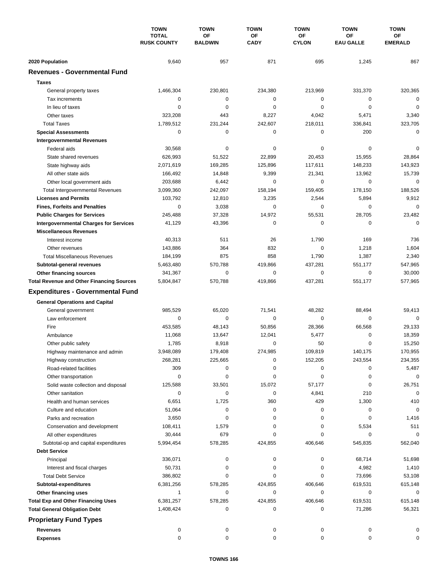|                                                  | <b>TOWN</b><br><b>TOTAL</b><br><b>RUSK COUNTY</b> | <b>TOWN</b><br><b>OF</b> | <b>TOWN</b><br>OF<br><b>CADY</b> | <b>TOWN</b><br>OF | <b>TOWN</b><br>ΟF | <b>TOWN</b><br>ОF<br><b>EMERALD</b> |
|--------------------------------------------------|---------------------------------------------------|--------------------------|----------------------------------|-------------------|-------------------|-------------------------------------|
|                                                  |                                                   | <b>BALDWIN</b>           |                                  | <b>CYLON</b>      | <b>EAU GALLE</b>  |                                     |
| 2020 Population                                  | 9,640                                             | 957                      | 871                              | 695               | 1,245             | 867                                 |
| <b>Revenues - Governmental Fund</b>              |                                                   |                          |                                  |                   |                   |                                     |
| <b>Taxes</b>                                     |                                                   |                          |                                  |                   |                   |                                     |
| General property taxes                           | 1,466,304                                         | 230,801                  | 234,380                          | 213,969           | 331,370           | 320,365                             |
| Tax increments                                   | 0                                                 | $\mathbf 0$              | 0                                | 0                 | 0                 | $\mathbf 0$                         |
| In lieu of taxes                                 | 0                                                 | $\mathbf 0$              | 0                                | 0                 | $\mathbf 0$       | $\mathbf 0$                         |
| Other taxes                                      | 323,208                                           | 443                      | 8,227                            | 4,042             | 5,471             | 3,340                               |
| <b>Total Taxes</b>                               | 1,789,512                                         | 231,244                  | 242,607                          | 218,011           | 336,841           | 323,705                             |
| <b>Special Assessments</b>                       | 0                                                 | 0                        | 0                                | 0                 | 200               | $\mathbf 0$                         |
| <b>Intergovernmental Revenues</b>                |                                                   |                          |                                  |                   |                   |                                     |
| Federal aids                                     | 30,568                                            | 0                        | 0                                | 0                 | 0                 | 0                                   |
| State shared revenues                            | 626,993                                           | 51,522                   | 22,899                           | 20,453            | 15,955            | 28,864                              |
| State highway aids                               | 2,071,619                                         | 169,285                  | 125,896                          | 117,611           | 148,233           | 143,923                             |
| All other state aids                             | 166,492                                           | 14,848                   | 9,399                            | 21,341            | 13,962            | 15,739                              |
| Other local government aids                      | 203,688                                           | 6,442                    | 0                                | 0                 | $\mathbf 0$       | $\mathbf 0$                         |
| <b>Total Intergovernmental Revenues</b>          | 3,099,360                                         | 242,097                  | 158,194                          | 159,405           | 178,150           | 188,526                             |
| <b>Licenses and Permits</b>                      | 103,792                                           | 12,810                   | 3,235                            | 2,544             | 5,894             | 9,912                               |
| <b>Fines, Forfeits and Penalties</b>             | 0                                                 | 3,038                    | 0                                | 0                 | 0                 | $\mathbf 0$                         |
| <b>Public Charges for Services</b>               | 245,488                                           | 37,328                   | 14,972                           | 55,531            | 28,705            | 23,482                              |
| <b>Intergovernmental Charges for Services</b>    | 41,129                                            | 43,396                   | 0                                | 0                 | 0                 | $\Omega$                            |
| <b>Miscellaneous Revenues</b>                    |                                                   |                          |                                  |                   |                   |                                     |
| Interest income                                  | 40,313                                            | 511                      | 26                               | 1,790             | 169               | 736                                 |
| Other revenues                                   | 143,886                                           | 364                      | 832                              | 0                 | 1,218             | 1,604                               |
| <b>Total Miscellaneous Revenues</b>              | 184,199                                           | 875                      | 858                              | 1,790             | 1,387             | 2,340                               |
| Subtotal-general revenues                        | 5,463,480                                         | 570,788                  | 419,866                          | 437,281           | 551,177           | 547,965                             |
| Other financing sources                          | 341,367                                           | $\mathbf 0$              | 0                                | 0                 | $\mathbf 0$       | 30,000                              |
| <b>Total Revenue and Other Financing Sources</b> | 5,804,847                                         | 570,788                  | 419,866                          | 437,281           | 551,177           | 577,965                             |
| <b>Expenditures - Governmental Fund</b>          |                                                   |                          |                                  |                   |                   |                                     |
| <b>General Operations and Capital</b>            |                                                   |                          |                                  |                   |                   |                                     |
| General government                               | 985,529                                           | 65,020                   | 71,541                           | 48,282            | 88,494            | 59,413                              |
| Law enforcement                                  | 0                                                 | $\mathbf 0$              | $\mathbf 0$                      | 0                 | 0                 | $\Omega$                            |
| Fire                                             | 453,585                                           | 48,143                   | 50,856                           | 28,366            | 66,568            | 29,133                              |
| Ambulance                                        | 11,068                                            | 13,647                   | 12,041                           | 5,477             | 0                 | 18,359                              |
| Other public safety                              | 1,785                                             | 8,918                    | 0                                | 50                | $\mathbf 0$       | 15,250                              |
| Highway maintenance and admin                    | 3,948,089                                         | 179,408                  | 274,985                          | 109,819           | 140,175           | 170,955                             |
| Highway construction                             | 268,281                                           | 225,665                  | 0                                | 152,205           | 243,554           | 234,355                             |
| Road-related facilities                          | 309                                               | 0                        | 0                                | 0                 | 0                 | 5,487                               |
| Other transportation                             | 0                                                 | 0                        | 0                                | 0                 | 0                 | 0                                   |
| Solid waste collection and disposal              | 125,588                                           | 33,501                   | 15,072                           | 57,177            | 0                 | 26,751                              |
| Other sanitation                                 | 0                                                 | 0                        | 0                                | 4,841             | 210               | $\mathbf 0$                         |
| Health and human services                        | 6,651                                             | 1,725                    | 360                              | 429               | 1,300             | 410                                 |
| Culture and education                            | 51,064                                            | 0                        | 0                                | 0                 | 0                 | 0                                   |
| Parks and recreation                             | 3,650                                             | 0                        | 0                                | 0                 | 0                 | 1,416                               |
| Conservation and development                     | 108,411                                           | 1,579                    | 0                                | 0                 | 5,534             | 511                                 |
| All other expenditures                           | 30,444                                            | 679                      | 0                                | 0                 | 0                 | 0                                   |
| Subtotal-op and capital expenditures             | 5,994,454                                         | 578,285                  | 424,855                          | 406,646           | 545,835           | 562,040                             |
| <b>Debt Service</b>                              |                                                   |                          |                                  |                   |                   |                                     |
| Principal                                        | 336,071                                           | 0                        | 0                                | 0                 | 68,714            | 51,698                              |
| Interest and fiscal charges                      | 50,731                                            | 0                        | 0                                | 0                 | 4,982             | 1,410                               |
| <b>Total Debt Service</b>                        | 386,802                                           | 0                        | 0                                | 0                 | 73,696            | 53,108                              |
| Subtotal-expenditures                            | 6,381,256                                         | 578,285                  | 424,855                          | 406,646           | 619,531           | 615,148                             |
| Other financing uses                             | 1                                                 | 0                        | 0                                | 0                 | 0                 | 0                                   |
| <b>Total Exp and Other Financing Uses</b>        | 6,381,257                                         | 578,285                  | 424,855                          | 406,646           | 619,531           | 615,148                             |
| <b>Total General Obligation Debt</b>             | 1,408,424                                         | 0                        | 0                                | 0                 | 71,286            | 56,321                              |
| <b>Proprietary Fund Types</b>                    |                                                   |                          |                                  |                   |                   |                                     |
| <b>Revenues</b>                                  | 0                                                 | 0                        | 0                                | 0                 | 0                 | 0                                   |
| <b>Expenses</b>                                  | 0                                                 | 0                        | 0                                | 0                 | 0                 | 0                                   |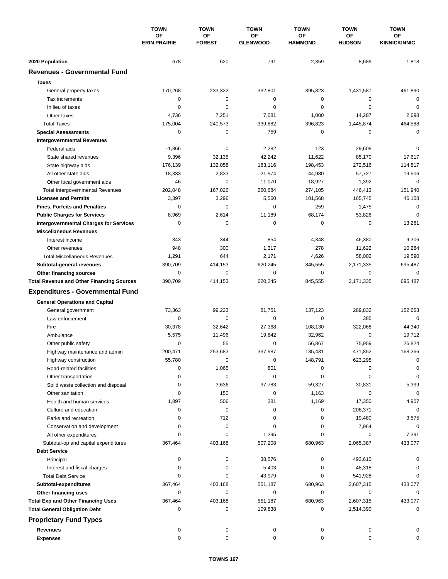|                                                  | <b>TOWN</b><br>OF<br><b>ERIN PRAIRIE</b> | <b>TOWN</b>         | <b>TOWN</b>           | <b>TOWN</b>          | <b>TOWN</b>         | <b>TOWN</b>               |
|--------------------------------------------------|------------------------------------------|---------------------|-----------------------|----------------------|---------------------|---------------------------|
|                                                  |                                          | OF<br><b>FOREST</b> | OF<br><b>GLENWOOD</b> | OF<br><b>HAMMOND</b> | ΟF<br><b>HUDSON</b> | ОF<br><b>KINNICKINNIC</b> |
| 2020 Population                                  | 678                                      | 620                 | 791                   | 2,359                | 8,689               | 1,818                     |
| <b>Revenues - Governmental Fund</b>              |                                          |                     |                       |                      |                     |                           |
| <b>Taxes</b>                                     |                                          |                     |                       |                      |                     |                           |
| General property taxes                           | 170,268                                  | 233,322             | 332,801               | 395,823              | 1,431,587           | 461,890                   |
| Tax increments                                   | 0                                        | $\mathbf 0$         | $\mathbf 0$           | 0                    | 0                   | $\mathbf 0$               |
| In lieu of taxes                                 | 0                                        | $\mathbf 0$         | 0                     | 0                    | $\mathbf 0$         | $\mathbf 0$               |
| Other taxes                                      | 4,736                                    | 7,251               | 7,081                 | 1,000                | 14,287              | 2,698                     |
| <b>Total Taxes</b>                               | 175,004                                  | 240,573             | 339,882               | 396,823              | 1,445,874           | 464,588                   |
| <b>Special Assessments</b>                       | 0                                        | 0                   | 759                   | 0                    | 0                   | $\mathbf 0$               |
| <b>Intergovernmental Revenues</b>                |                                          |                     |                       |                      |                     |                           |
| Federal aids                                     | $-1,866$                                 | 0                   | 2,282                 | 123                  | 29,608              | 0                         |
| State shared revenues                            | 9,396                                    | 32,135              | 42,242                | 11,622               | 85,170              | 17,617                    |
| State highway aids                               | 176,139                                  | 132,058             | 183,116               | 198,453              | 272,516             | 114,817                   |
| All other state aids                             | 18,333                                   | 2,833               | 21,974                | 44,980               | 57,727              | 19,506                    |
| Other local government aids                      | 46                                       | $\mathbf 0$         | 11,070                | 18,927               | 1,392               | $\mathbf 0$               |
| <b>Total Intergovernmental Revenues</b>          | 202,048                                  | 167,026             | 260,684               | 274,105              | 446,413             | 151,940                   |
| <b>Licenses and Permits</b>                      | 3,397                                    | 3,296               | 5,560                 | 101,568              | 165,745             | 46,108                    |
| <b>Fines, Forfeits and Penalties</b>             | 0                                        | $\mathbf 0$         | 0                     | 259                  | 1,475               | $\mathbf 0$               |
| <b>Public Charges for Services</b>               | 8,969                                    | 2,614               | 11,189                | 68,174               | 53,826              | $\mathbf 0$               |
| <b>Intergovernmental Charges for Services</b>    | 0                                        | 0                   | 0                     | 0                    | 0                   | 13,261                    |
| <b>Miscellaneous Revenues</b>                    |                                          |                     |                       |                      |                     |                           |
| Interest income                                  | 343                                      | 344                 | 854                   | 4,348                | 46,380              | 9,306                     |
| Other revenues                                   | 948                                      | 300                 | 1,317                 | 278                  | 11,622              | 10,284                    |
| <b>Total Miscellaneous Revenues</b>              | 1,291                                    | 644                 | 2,171                 | 4,626                | 58,002              | 19,590                    |
| Subtotal-general revenues                        | 390,709                                  | 414,153             | 620,245               | 845,555              | 2,171,335           | 695,487                   |
| Other financing sources                          | 0                                        | $\pmb{0}$           | 0                     | 0                    | 0                   | $\mathbf 0$               |
| <b>Total Revenue and Other Financing Sources</b> | 390,709                                  | 414,153             | 620,245               | 845,555              | 2,171,335           | 695,487                   |
|                                                  |                                          |                     |                       |                      |                     |                           |
| <b>Expenditures - Governmental Fund</b>          |                                          |                     |                       |                      |                     |                           |
| <b>General Operations and Capital</b>            |                                          |                     |                       |                      |                     |                           |
| General government                               | 73,363                                   | 99,223              | 81,751                | 137,123              | 289,832             | 152,663                   |
| Law enforcement                                  | 0                                        | 0                   | 0                     | 0                    | 385                 | $\mathbf 0$               |
| Fire                                             | 30,378                                   | 32,642              | 27,368                | 108,130              | 322,068             | 44,340                    |
| Ambulance                                        | 5,575                                    | 11,496              | 19,842                | 32,962               | $\mathbf 0$         | 19,712                    |
| Other public safety                              | $\mathbf 0$                              | 55                  | 0                     | 56,867               | 75,959              | 26,824                    |
| Highway maintenance and admin                    | 200,471                                  | 253,683             | 337,987               | 135,431              | 471,852             | 168,266                   |
| Highway construction                             | 55,780                                   | 0                   | 0                     | 148,791              | 623,295             | 0                         |
| Road-related facilities                          | 0                                        | 1,065               | 801                   | 0                    | 0                   | 0                         |
| Other transportation                             | 0                                        | 0                   | 0                     | 0                    | 0                   | 0                         |
| Solid waste collection and disposal              | 0                                        | 3,636               | 37,783                | 59,327               | 30,831              | 5,399                     |
| Other sanitation                                 | 0                                        | 150                 | 0                     | 1,163                | 0                   | $\mathbf 0$               |
| Health and human services                        | 1,897                                    | 506                 | 381                   | 1,169                | 17,350              | 4,907                     |
| Culture and education                            | 0                                        | 0                   | 0                     | 0                    | 206,371             | 0                         |
| Parks and recreation                             | 0                                        | 712                 | 0                     | 0                    | 19,480              | 3,575                     |
| Conservation and development                     | 0                                        | 0                   | 0                     | 0                    | 7,964               | 0                         |
| All other expenditures                           | $\Omega$                                 | 0                   | 1,295                 | 0                    | 0                   | 7,391                     |
| Subtotal-op and capital expenditures             | 367,464                                  | 403,168             | 507,208               | 680,963              | 2,065,387           | 433,077                   |
| <b>Debt Service</b>                              |                                          |                     |                       |                      |                     |                           |
| Principal                                        | 0                                        | 0                   | 38,576                | 0                    | 493,610             | 0                         |
| Interest and fiscal charges                      | 0                                        | 0                   | 5,403                 | 0                    | 48,318              | 0                         |
| <b>Total Debt Service</b>                        | 0                                        | 0                   | 43,979                | 0                    | 541,928             | 0                         |
| Subtotal-expenditures                            | 367,464                                  | 403,168             | 551,187               | 680,963              | 2,607,315           | 433,077                   |
| Other financing uses                             | 0                                        | 0                   | 0                     | 0                    | 0                   | 0                         |
| <b>Total Exp and Other Financing Uses</b>        | 367,464                                  | 403,168             | 551,187               | 680,963              | 2,607,315           | 433,077                   |
| <b>Total General Obligation Debt</b>             | 0                                        | 0                   | 109,838               | 0                    | 1,514,390           | $\mathbf 0$               |
| <b>Proprietary Fund Types</b>                    |                                          |                     |                       |                      |                     |                           |
| <b>Revenues</b>                                  | 0                                        | 0                   | 0                     | 0                    | 0                   |                           |
| <b>Expenses</b>                                  | 0                                        | 0                   | 0                     | 0                    | 0                   | 0                         |
|                                                  |                                          |                     |                       |                      |                     |                           |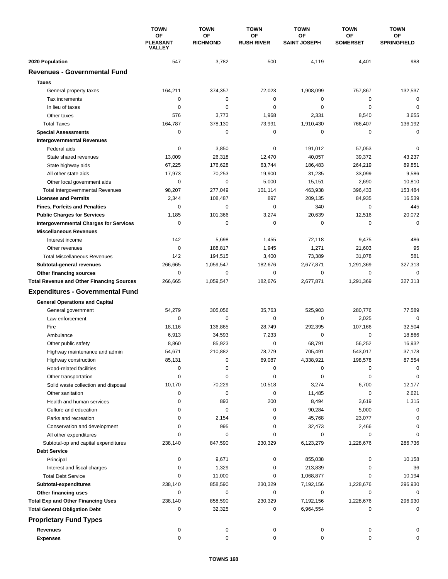|                                                  | <b>TOWN</b><br>ΟF<br><b>PLEASANT</b><br><b>VALLEY</b> | <b>TOWN</b>           | <b>TOWN</b>             | <b>TOWN</b>               | <b>TOWN</b>           | <b>TOWN</b>              |
|--------------------------------------------------|-------------------------------------------------------|-----------------------|-------------------------|---------------------------|-----------------------|--------------------------|
|                                                  |                                                       | OF<br><b>RICHMOND</b> | ΟF<br><b>RUSH RIVER</b> | OF<br><b>SAINT JOSEPH</b> | ΟF<br><b>SOMERSET</b> | ОF<br><b>SPRINGFIELD</b> |
| 2020 Population                                  | 547                                                   | 3,782                 | 500                     | 4,119                     | 4,401                 | 988                      |
| <b>Revenues - Governmental Fund</b>              |                                                       |                       |                         |                           |                       |                          |
| <b>Taxes</b>                                     |                                                       |                       |                         |                           |                       |                          |
| General property taxes                           | 164,211                                               | 374,357               | 72,023                  | 1,908,099                 | 757,867               | 132,537                  |
| Tax increments                                   | 0                                                     | $\pmb{0}$             | 0                       | 0                         | 0                     | $\mathbf 0$              |
| In lieu of taxes                                 | 0                                                     | $\mathbf 0$           | 0                       | 0                         | $\mathbf 0$           | $\mathbf 0$              |
| Other taxes                                      | 576                                                   | 3,773                 | 1,968                   | 2,331                     | 8,540                 | 3,655                    |
| <b>Total Taxes</b>                               | 164,787                                               | 378,130               | 73,991                  | 1,910,430                 | 766,407               | 136,192                  |
| <b>Special Assessments</b>                       | 0                                                     | 0                     | 0                       | 0                         | 0                     | $\mathbf 0$              |
| <b>Intergovernmental Revenues</b>                |                                                       |                       |                         |                           |                       |                          |
| Federal aids                                     | 0                                                     | 3,850                 | 0                       | 191,012                   | 57,053                | $\mathbf 0$              |
| State shared revenues                            | 13,009                                                | 26,318                | 12,470                  | 40,057                    | 39,372                | 43,237                   |
| State highway aids                               | 67,225                                                | 176,628               | 63,744                  | 186,483                   | 264,219               | 89,851                   |
| All other state aids                             | 17,973                                                | 70,253                | 19,900                  | 31,235                    | 33,099                | 9,586                    |
| Other local government aids                      | $\mathbf 0$                                           | 0                     | 5,000                   | 15,151                    | 2,690                 | 10,810                   |
| <b>Total Intergovernmental Revenues</b>          | 98,207                                                | 277,049               | 101,114                 | 463,938                   | 396,433               | 153,484                  |
| <b>Licenses and Permits</b>                      | 2,344                                                 | 108,487               | 897                     | 209,135                   | 84,935                | 16,539                   |
| <b>Fines, Forfeits and Penalties</b>             | 0                                                     | 0                     | 0                       | 340                       | $\Omega$              | 445                      |
| <b>Public Charges for Services</b>               | 1,185                                                 | 101,366               | 3,274                   | 20,639                    | 12,516                | 20,072                   |
| <b>Intergovernmental Charges for Services</b>    | $\mathbf 0$                                           | $\mathbf 0$           | 0                       | 0                         | $\mathbf 0$           | $\mathbf 0$              |
| <b>Miscellaneous Revenues</b>                    |                                                       |                       |                         |                           |                       |                          |
| Interest income                                  | 142                                                   | 5,698                 | 1,455                   | 72,118                    | 9,475                 | 486                      |
| Other revenues                                   | 0                                                     | 188,817               | 1,945                   | 1,271                     | 21,603                | 95                       |
| <b>Total Miscellaneous Revenues</b>              | 142                                                   | 194,515               | 3,400                   | 73,389                    | 31,078                | 581                      |
| Subtotal-general revenues                        | 266,665                                               | 1,059,547             | 182,676                 | 2,677,871                 | 1,291,369             | 327,313                  |
| Other financing sources                          | 0                                                     | 0                     | 0                       | 0                         | $\mathbf 0$           | $\mathbf 0$              |
| <b>Total Revenue and Other Financing Sources</b> | 266,665                                               | 1,059,547             | 182,676                 | 2,677,871                 | 1,291,369             | 327,313                  |
| <b>Expenditures - Governmental Fund</b>          |                                                       |                       |                         |                           |                       |                          |
| <b>General Operations and Capital</b>            |                                                       |                       |                         |                           |                       |                          |
| General government                               | 54,279                                                | 305,056               | 35,763                  | 525,903                   | 280,776               | 77,589                   |
| Law enforcement                                  | 0                                                     | 0                     | 0                       | 0                         | 2,025                 | $\mathbf 0$              |
| Fire                                             | 18,116                                                | 136,865               | 28,749                  | 292,395                   | 107,166               | 32,504                   |
| Ambulance                                        | 6,913                                                 | 34,593                | 7,233                   | 0                         | 0                     | 18,866                   |
| Other public safety                              | 8,860                                                 | 85,923                | 0                       | 68,791                    | 56,252                | 16,932                   |
| Highway maintenance and admin                    | 54,671                                                | 210,882               | 78.779                  | 705,491                   | 543,017               | 37,178                   |
| Highway construction                             | 85,131                                                | 0                     | 69,087                  | 4,338,921                 | 198,578               | 87,554                   |
| Road-related facilities                          | 0                                                     | 0                     | 0                       | 0                         | 0                     | 0                        |
| Other transportation                             | 0                                                     | 0                     | 0                       | 0                         | 0                     | 0                        |
| Solid waste collection and disposal              | 10,170                                                | 70,229                | 10,518                  | 3,274                     | 6,700                 | 12,177                   |
| Other sanitation                                 | 0                                                     | 0                     | 0                       | 11,485                    | 0                     | 2,621                    |
| Health and human services                        | 0                                                     | 893                   | 200                     | 8,494                     | 3,619                 | 1,315                    |
| Culture and education                            | 0                                                     | 0                     | 0                       | 90,284                    | 5,000                 | 0                        |
| Parks and recreation                             | $\Omega$                                              | 2,154                 | 0                       | 45,768                    | 23,077                | 0                        |
| Conservation and development                     | $\Omega$                                              | 995                   | 0                       | 32,473                    | 2,466                 | $\Omega$                 |
| All other expenditures                           | 0                                                     | 0                     | 0                       | 0                         | 0                     | $\Omega$                 |
| Subtotal-op and capital expenditures             | 238,140                                               | 847,590               | 230,329                 | 6,123,279                 | 1,228,676             | 286,736                  |
| <b>Debt Service</b>                              |                                                       |                       |                         |                           |                       |                          |
| Principal                                        | 0                                                     | 9,671                 | 0                       | 855,038                   | 0                     | 10,158                   |
| Interest and fiscal charges                      | 0                                                     | 1,329                 | 0                       | 213,839                   | 0                     | 36                       |
| <b>Total Debt Service</b>                        | 0                                                     | 11,000                | 0                       | 1,068,877                 | 0                     | 10,194                   |
| Subtotal-expenditures                            | 238,140                                               | 858,590               | 230,329                 | 7,192,156                 | 1,228,676             | 296,930                  |
| Other financing uses                             | $\Omega$                                              | 0                     | 0                       | 0                         | 0                     | 0                        |
| <b>Total Exp and Other Financing Uses</b>        | 238,140                                               | 858,590               | 230,329                 | 7,192,156                 | 1,228,676             | 296,930                  |
| <b>Total General Obligation Debt</b>             | 0                                                     | 32,325                | 0                       | 6,964,554                 | 0                     | 0                        |
| <b>Proprietary Fund Types</b>                    |                                                       |                       |                         |                           |                       |                          |
| Revenues                                         | 0                                                     | 0                     | 0                       | 0                         | 0                     | 0                        |
| <b>Expenses</b>                                  | $\mathbf 0$                                           | 0                     | 0                       | 0                         | $\mathbf 0$           | 0                        |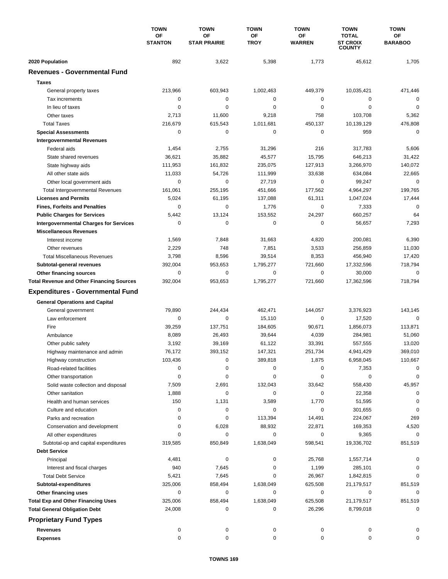|                                                        | <b>TOWN</b><br>OF<br><b>STANTON</b> | <b>TOWN</b>               | <b>TOWN</b>       | <b>TOWN</b>         | <b>TOWN</b>                                      | <b>TOWN</b>          |
|--------------------------------------------------------|-------------------------------------|---------------------------|-------------------|---------------------|--------------------------------------------------|----------------------|
|                                                        |                                     | OF<br><b>STAR PRAIRIE</b> | OF<br><b>TROY</b> | ΟF<br><b>WARREN</b> | <b>TOTAL</b><br><b>ST CROIX</b><br><b>COUNTY</b> | OF<br><b>BARABOO</b> |
| 2020 Population                                        | 892                                 | 3,622                     | 5,398             | 1,773               | 45,612                                           | 1,705                |
| <b>Revenues - Governmental Fund</b>                    |                                     |                           |                   |                     |                                                  |                      |
| <b>Taxes</b>                                           |                                     |                           |                   |                     |                                                  |                      |
| General property taxes                                 | 213,966                             | 603,943                   | 1,002,463         | 449,379             | 10,035,421                                       | 471,446              |
| Tax increments                                         | 0                                   | $\pmb{0}$                 | 0                 | 0                   | 0                                                | $\mathbf 0$          |
| In lieu of taxes                                       | 0                                   | 0                         | 0                 | 0                   | $\mathbf 0$                                      | 0                    |
| Other taxes                                            | 2,713                               | 11,600                    | 9,218             | 758                 | 103,708                                          | 5,362                |
| <b>Total Taxes</b>                                     | 216,679                             | 615,543                   | 1,011,681         | 450,137             | 10,139,129                                       | 476,808              |
| <b>Special Assessments</b>                             | 0                                   | 0                         | 0                 | 0                   | 959                                              | $\mathbf 0$          |
| <b>Intergovernmental Revenues</b>                      |                                     |                           |                   |                     |                                                  |                      |
| Federal aids                                           | 1,454                               | 2,755                     | 31,296            | 216                 | 317,783                                          | 5,606                |
| State shared revenues                                  | 36,621                              | 35,882                    | 45,577            | 15,795              | 646,213                                          | 31,422               |
| State highway aids                                     | 111,953                             | 161,832                   | 235,075           | 127,913             | 3,266,970                                        | 140,072              |
| All other state aids                                   | 11,033                              | 54,726                    | 111,999           | 33,638              | 634,084                                          | 22,665               |
| Other local government aids                            | 0                                   | 0                         | 27,719            | 0                   | 99,247                                           | $\mathbf 0$          |
| <b>Total Intergovernmental Revenues</b>                | 161,061                             | 255,195                   | 451,666           | 177,562             | 4,964,297                                        | 199,765              |
| <b>Licenses and Permits</b>                            | 5,024                               | 61,195                    | 137,088           | 61,311              | 1,047,024                                        | 17,444               |
| <b>Fines, Forfeits and Penalties</b>                   | 0                                   | 0                         | 1,776             | 0                   | 7,333                                            | 0                    |
| <b>Public Charges for Services</b>                     | 5,442                               | 13,124                    | 153,552           | 24,297              | 660,257                                          | 64                   |
| <b>Intergovernmental Charges for Services</b>          | 0                                   | 0                         | 0                 | 0                   | 56,657                                           | 7,293                |
| <b>Miscellaneous Revenues</b>                          |                                     |                           |                   |                     |                                                  |                      |
| Interest income                                        | 1,569                               | 7,848                     | 31,663            | 4,820               | 200,081                                          | 6,390                |
| Other revenues                                         | 2,229                               | 748                       | 7,851             | 3,533               | 256,859                                          | 11,030               |
| <b>Total Miscellaneous Revenues</b>                    | 3,798                               | 8,596                     | 39,514            | 8,353               | 456,940                                          | 17,420               |
| Subtotal-general revenues                              | 392,004                             | 953,653                   | 1,795,277         | 721,660             | 17,332,596                                       | 718,794              |
| Other financing sources                                | 0                                   | 0                         | 0                 | 0                   | 30,000                                           | 0                    |
| <b>Total Revenue and Other Financing Sources</b>       | 392,004                             | 953,653                   | 1,795,277         | 721,660             | 17,362,596                                       | 718,794              |
| <b>Expenditures - Governmental Fund</b>                |                                     |                           |                   |                     |                                                  |                      |
| <b>General Operations and Capital</b>                  |                                     |                           |                   |                     |                                                  |                      |
| General government                                     | 79,890                              | 244,434                   | 462,471           | 144,057             | 3,376,923                                        | 143,145              |
| Law enforcement                                        | 0                                   | 0                         | 15,110            | 0                   | 17,520                                           | $\mathbf 0$          |
| Fire                                                   | 39,259                              | 137,751                   | 184,605           | 90,671              | 1,856,073                                        | 113,871              |
| Ambulance                                              | 8,089                               | 26,493                    | 39,644            | 4,039               | 284,981                                          | 51,060               |
| Other public safety                                    | 3,192                               | 39,169                    | 61,122            | 33,391              | 557,555                                          | 13,020               |
| Highway maintenance and admin                          | 76,172                              | 393,152                   | 147,321           | 251,734             | 4,941,429                                        | 369,010              |
| Highway construction                                   | 103,436                             | 0                         | 389,818           | 1,875               | 6,958,045                                        | 110,667              |
| Road-related facilities                                | 0                                   | 0                         | 0                 | 0                   | 7,353                                            | 0                    |
| Other transportation                                   | 0                                   | 0                         | 0                 | 0                   | 0                                                | 0                    |
| Solid waste collection and disposal                    | 7,509                               | 2,691                     | 132,043           | 33,642              | 558,430                                          | 45,957               |
| Other sanitation                                       | 1,888                               | $\pmb{0}$                 | 0                 | 0                   | 22,358                                           | 0                    |
| Health and human services                              | 150                                 | 1,131                     | 3,589             | 1,770               | 51,595                                           | 0                    |
| Culture and education                                  | 0                                   | 0                         | 0                 | 0                   | 301,655                                          | 0                    |
| Parks and recreation                                   | 0                                   | 0                         | 113,394           | 14,491              | 224,067                                          | 269                  |
| Conservation and development<br>All other expenditures | 0<br>0                              | 6,028<br>0                | 88,932<br>0       | 22,871<br>0         | 169,353<br>9,365                                 | 4,520<br>0           |
| Subtotal-op and capital expenditures                   | 319,585                             | 850,849                   | 1,638,049         | 598,541             | 19,336,702                                       | 851,519              |
| <b>Debt Service</b>                                    |                                     |                           |                   |                     |                                                  |                      |
| Principal                                              | 4,481                               | 0                         | 0                 | 25,768              | 1,557,714                                        | 0                    |
| Interest and fiscal charges                            | 940                                 | 7,645                     | 0                 | 1,199               | 285,101                                          | 0                    |
| <b>Total Debt Service</b>                              | 5,421                               | 7,645                     | 0                 | 26,967              | 1,842,815                                        | 0                    |
| Subtotal-expenditures                                  | 325,006                             | 858,494                   | 1,638,049         | 625,508             | 21,179,517                                       | 851,519              |
| Other financing uses                                   | 0                                   | 0                         | 0                 | 0                   | 0                                                | 0                    |
| <b>Total Exp and Other Financing Uses</b>              | 325,006                             | 858,494                   | 1,638,049         | 625,508             | 21,179,517                                       | 851,519              |
| <b>Total General Obligation Debt</b>                   | 24,008                              | 0                         | 0                 | 26,296              | 8,799,018                                        | 0                    |
| <b>Proprietary Fund Types</b>                          |                                     |                           |                   |                     |                                                  |                      |
| <b>Revenues</b>                                        | 0                                   | 0                         | 0                 | 0                   | 0                                                | 0                    |
| <b>Expenses</b>                                        | $\mathbf 0$                         | 0                         | 0                 | 0                   | 0                                                | 0                    |
|                                                        |                                     |                           |                   |                     |                                                  |                      |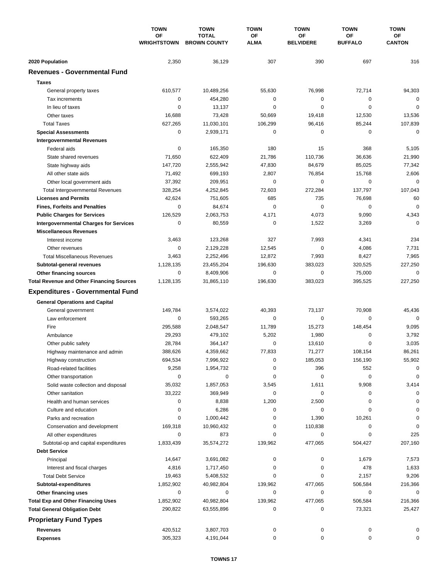|                                                    | <b>TOWN</b><br>OF<br><b>WRIGHTSTOWN</b> | <b>TOWN</b>                         | <b>TOWN</b> | <b>TOWN</b>            | <b>TOWN</b>          | <b>TOWN</b>         |
|----------------------------------------------------|-----------------------------------------|-------------------------------------|-------------|------------------------|----------------------|---------------------|
|                                                    |                                         | <b>TOTAL</b><br><b>BROWN COUNTY</b> | OF<br>ALMA  | OF<br><b>BELVIDERE</b> | ΟF<br><b>BUFFALO</b> | ОF<br><b>CANTON</b> |
| 2020 Population                                    | 2,350                                   | 36,129                              | 307         | 390                    | 697                  | 316                 |
| <b>Revenues - Governmental Fund</b>                |                                         |                                     |             |                        |                      |                     |
| <b>Taxes</b>                                       |                                         |                                     |             |                        |                      |                     |
| General property taxes                             | 610,577                                 | 10,489,256                          | 55,630      | 76,998                 | 72,714               | 94,303              |
| Tax increments                                     | 0                                       | 454,280                             | 0           | 0                      | 0                    | $\mathbf 0$         |
| In lieu of taxes                                   | 0                                       | 13,137                              | 0           | 0                      | $\mathbf 0$          | $\mathbf 0$         |
| Other taxes                                        | 16,688                                  | 73,428                              | 50,669      | 19,418                 | 12,530               | 13,536              |
| <b>Total Taxes</b>                                 | 627,265                                 | 11,030,101                          | 106,299     | 96,416                 | 85,244               | 107,839             |
| <b>Special Assessments</b>                         | 0                                       | 2,939,171                           | 0           | 0                      | 0                    | $\mathbf 0$         |
| <b>Intergovernmental Revenues</b>                  |                                         |                                     |             |                        |                      |                     |
| Federal aids                                       | 0                                       | 165,350                             | 180         | 15                     | 368                  | 5,105               |
| State shared revenues                              | 71,650                                  | 622,409                             | 21,786      | 110,736                | 36,636               | 21,990              |
| State highway aids                                 | 147,720                                 | 2,555,942                           | 47,830      | 84,679                 | 85,025               | 77,342              |
| All other state aids                               | 71,492                                  | 699,193                             | 2,807       | 76,854                 | 15,768               | 2,606               |
| Other local government aids                        | 37,392                                  | 209,951                             | 0           | 0                      | 0                    | $\mathbf 0$         |
| <b>Total Intergovernmental Revenues</b>            | 328,254                                 | 4,252,845                           | 72,603      | 272,284                | 137,797              | 107,043             |
| <b>Licenses and Permits</b>                        | 42,624                                  | 751,605                             | 685         | 735                    | 76,698               | 60                  |
| <b>Fines, Forfeits and Penalties</b>               | 0                                       | 84,674                              | 0           | 0                      | 0                    | $\mathbf 0$         |
| <b>Public Charges for Services</b>                 | 126,529                                 | 2,063,753                           | 4,171       | 4,073                  | 9,090                | 4,343               |
| <b>Intergovernmental Charges for Services</b>      | 0                                       | 80,559                              | 0           | 1,522                  | 3,269                | $\Omega$            |
| <b>Miscellaneous Revenues</b>                      |                                         |                                     |             |                        |                      |                     |
| Interest income                                    | 3,463                                   | 123,268                             | 327         | 7,993                  | 4,341                | 234                 |
| Other revenues                                     | 0                                       | 2,129,228                           | 12,545      | 0                      | 4,086                | 7,731               |
| <b>Total Miscellaneous Revenues</b>                | 3,463                                   | 2,252,496                           | 12,872      | 7,993                  | 8,427                | 7,965               |
| Subtotal-general revenues                          | 1,128,135                               | 23,455,204                          | 196,630     | 383,023                | 320,525              | 227,250             |
| Other financing sources                            | 0                                       | 8,409,906                           | 0           | 0                      | 75,000               | 0                   |
| <b>Total Revenue and Other Financing Sources</b>   | 1,128,135                               | 31,865,110                          | 196,630     | 383,023                | 395,525              | 227,250             |
| <b>Expenditures - Governmental Fund</b>            |                                         |                                     |             |                        |                      |                     |
| <b>General Operations and Capital</b>              |                                         |                                     |             |                        |                      |                     |
| General government                                 | 149,784                                 | 3,574,022                           | 40,393      | 73,137                 | 70,908               | 45,436              |
| Law enforcement                                    | 0                                       | 593,265                             | $\mathbf 0$ | 0                      | 0                    | $\mathbf 0$         |
| Fire                                               | 295,588                                 | 2,048,547                           | 11,789      | 15,273                 | 148,454              | 9,095               |
| Ambulance                                          | 29,293                                  | 479,102                             | 5,202       | 1,980                  | 0                    | 3,792               |
| Other public safety                                | 28,784                                  | 364,147                             | 0           | 13,610                 | $\mathbf 0$          | 3,035               |
| Highway maintenance and admin                      | 388,626                                 | 4,359,662                           | 77,833      | 71,277                 | 108,154              | 86,261              |
| Highway construction                               | 694,534                                 | 7,996,922                           | 0           | 185,053                | 156,190              | 55,902              |
| Road-related facilities                            | 9,258                                   | 1,954,732                           | 0           | 396                    | 552                  | 0                   |
| Other transportation                               | 0                                       | 0                                   | 0           | 0                      | 0                    | $\mathbf 0$         |
| Solid waste collection and disposal                | 35,032                                  | 1,857,053                           | 3,545       | 1,611                  | 9,908                | 3,414               |
| Other sanitation                                   | 33,222                                  | 369,949                             | 0           | 0                      | 0                    | 0                   |
| Health and human services                          | 0                                       | 8,838                               | 1,200       | 2,500                  | 0                    | 0                   |
| Culture and education                              | 0                                       | 6,286                               | 0           | 0                      | 0                    | 0                   |
| Parks and recreation                               | 0                                       | 1,000,442                           | 0           | 1,390                  | 10,261               | 0                   |
| Conservation and development                       | 169,318                                 | 10,960,432                          | 0           | 110,838                | 0                    | 0                   |
| All other expenditures                             | 0                                       | 873                                 | 0           | 0                      | 0                    | 225                 |
| Subtotal-op and capital expenditures               | 1,833,439                               | 35,574,272                          | 139,962     | 477,065                | 504,427              | 207,160             |
| <b>Debt Service</b>                                |                                         |                                     |             |                        |                      |                     |
| Principal                                          | 14,647<br>4,816                         | 3,691,082                           | 0<br>0      | 0<br>0                 | 1,679<br>478         | 7,573               |
| Interest and fiscal charges                        |                                         | 1,717,450                           | 0           | 0                      |                      | 1,633               |
| <b>Total Debt Service</b><br>Subtotal-expenditures | 19,463<br>1,852,902                     | 5,408,532<br>40,982,804             | 139,962     | 477,065                | 2,157<br>506,584     | 9,206<br>216,366    |
| Other financing uses                               | 0                                       | 0                                   | 0           | 0                      | 0                    | 0                   |
| <b>Total Exp and Other Financing Uses</b>          | 1,852,902                               | 40,982,804                          | 139,962     | 477,065                | 506,584              | 216,366             |
| <b>Total General Obligation Debt</b>               | 290,822                                 | 63,555,896                          | 0           | 0                      | 73,321               | 25,427              |
| <b>Proprietary Fund Types</b>                      |                                         |                                     |             |                        |                      |                     |
| <b>Revenues</b>                                    |                                         |                                     |             |                        |                      |                     |
| <b>Expenses</b>                                    | 420,512<br>305,323                      | 3,807,703<br>4,191,044              | 0<br>0      | 0<br>0                 | 0<br>0               | 0<br>0              |
|                                                    |                                         |                                     |             |                        |                      |                     |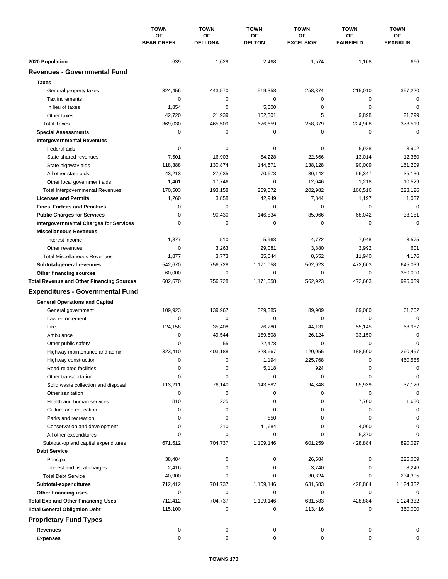|                                                  | <b>TOWN</b><br>OF<br><b>BEAR CREEK</b> | <b>TOWN</b>          | <b>TOWN</b>         | <b>TOWN</b>            | <b>TOWN</b>            | <b>TOWN</b>           |
|--------------------------------------------------|----------------------------------------|----------------------|---------------------|------------------------|------------------------|-----------------------|
|                                                  |                                        | OF<br><b>DELLONA</b> | ΟF<br><b>DELTON</b> | OF<br><b>EXCELSIOR</b> | OF<br><b>FAIRFIELD</b> | ОF<br><b>FRANKLIN</b> |
| 2020 Population                                  | 639                                    | 1,629                | 2,468               | 1,574                  | 1,108                  | 666                   |
| <b>Revenues - Governmental Fund</b>              |                                        |                      |                     |                        |                        |                       |
| <b>Taxes</b>                                     |                                        |                      |                     |                        |                        |                       |
| General property taxes                           | 324,456                                | 443,570              | 519,358             | 258,374                | 215,010                | 357,220               |
| Tax increments                                   | 0                                      | 0                    | $\mathbf 0$         | 0                      | 0                      | $\mathbf 0$           |
| In lieu of taxes                                 | 1,854                                  | $\mathbf 0$          | 5,000               | 0                      | $\mathbf 0$            | $\mathbf 0$           |
| Other taxes                                      | 42,720                                 | 21,939               | 152,301             | 5                      | 9,898                  | 21,299                |
| <b>Total Taxes</b>                               | 369,030                                | 465,509              | 676,659             | 258,379                | 224,908                | 378,519               |
| <b>Special Assessments</b>                       | 0                                      | $\pmb{0}$            | 0                   | 0                      | $\mathbf 0$            | $\mathbf 0$           |
| <b>Intergovernmental Revenues</b>                |                                        |                      |                     |                        |                        |                       |
| Federal aids                                     | 0                                      | 0                    | 0                   | 0                      | 5,928                  | 3,902                 |
| State shared revenues                            | 7,501                                  | 16,903               | 54,228              | 22,666                 | 13,014                 | 12,350                |
| State highway aids                               | 118,388                                | 130,874              | 144,671             | 138,128                | 90,009                 | 161,209               |
| All other state aids                             | 43,213                                 | 27,635               | 70,673              | 30,142                 | 56,347                 | 35,136                |
| Other local government aids                      | 1,401                                  | 17,746               | 0                   | 12,046                 | 1,218                  | 10,529                |
| <b>Total Intergovernmental Revenues</b>          | 170,503                                | 193,158              | 269,572             | 202,982                | 166,516                | 223,126               |
| <b>Licenses and Permits</b>                      | 1,260                                  | 3,858                | 42,949              | 7,844                  | 1,197                  | 1,037                 |
| <b>Fines, Forfeits and Penalties</b>             | 0                                      | 0                    | 0                   | 0                      | 0                      | $\mathbf 0$           |
| <b>Public Charges for Services</b>               | 0                                      | 90,430               | 146,834             | 85,066                 | 68,042                 | 38,181                |
| <b>Intergovernmental Charges for Services</b>    | 0                                      | $\mathbf 0$          | 0                   | 0                      | 0                      | $\mathbf 0$           |
| <b>Miscellaneous Revenues</b>                    |                                        |                      |                     |                        |                        |                       |
| Interest income                                  | 1,877                                  | 510                  | 5,963               | 4,772                  | 7,948                  | 3,575                 |
| Other revenues                                   | 0                                      | 3,263                | 29,081              | 3,880                  | 3,992                  | 601                   |
| <b>Total Miscellaneous Revenues</b>              | 1,877                                  | 3,773                | 35,044              | 8,652                  | 11,940                 | 4,176                 |
| Subtotal-general revenues                        | 542,670                                | 756,728              | 1,171,058           | 562,923                | 472,603                | 645,039               |
| Other financing sources                          | 60,000                                 | $\mathbf 0$          | 0                   | 0                      | $\mathbf 0$            | 350,000               |
| <b>Total Revenue and Other Financing Sources</b> | 602,670                                | 756,728              | 1,171,058           | 562,923                | 472,603                | 995,039               |
| <b>Expenditures - Governmental Fund</b>          |                                        |                      |                     |                        |                        |                       |
| <b>General Operations and Capital</b>            |                                        |                      |                     |                        |                        |                       |
| General government                               | 109,923                                | 139,967              | 329.385             | 89,909                 | 69,080                 | 61,202                |
| Law enforcement                                  | 0                                      | 0                    | 0                   | 0                      | 0                      | $\Omega$              |
| Fire                                             | 124,158                                | 35,408               | 76,280              | 44,131                 | 55,145                 | 68,987                |
| Ambulance                                        | 0                                      | 49,544               | 159,608             | 26,124                 | 33,150                 | 0                     |
| Other public safety                              | 0                                      | 55                   | 22,478              | 0                      | 0                      | 0                     |
| Highway maintenance and admin                    | 323,410                                | 403,188              | 328,667             | 120,055                | 188,500                | 260,497               |
| Highway construction                             | 0                                      | 0                    | 1,194               | 225,768                | 0                      | 460,585               |
| Road-related facilities                          | 0                                      | 0                    | 5,118               | 924                    | 0                      | 0                     |
| Other transportation                             | 0                                      | 0                    | 0                   | 0                      | 0                      | 0                     |
| Solid waste collection and disposal              | 113,211                                | 76,140               | 143,882             | 94,348                 | 65,939                 | 37,126                |
| Other sanitation                                 | 0                                      | 0                    | 0                   | 0                      | 0                      | $\mathbf 0$           |
| Health and human services                        | 810                                    | 225                  | 0                   | 0                      | 7,700                  | 1,630                 |
| Culture and education                            | 0                                      | 0                    | 0                   | 0                      | 0                      | 0                     |
| Parks and recreation                             | $\Omega$                               | 0                    | 850                 | 0                      | 0                      | $\Omega$              |
| Conservation and development                     | 0                                      | 210                  | 41,684              | 0                      | 4,000                  |                       |
| All other expenditures                           | 0                                      | 0                    | 0                   | 0                      | 5,370                  |                       |
| Subtotal-op and capital expenditures             | 671,512                                | 704,737              | 1,109,146           | 601,259                | 428,884                | 890,027               |
| <b>Debt Service</b>                              |                                        |                      |                     |                        |                        |                       |
| Principal                                        | 38,484                                 | 0                    | 0                   | 26,584                 | 0                      | 226,059               |
| Interest and fiscal charges                      | 2,416                                  | 0                    | 0                   | 3,740                  | 0                      | 8,246                 |
| <b>Total Debt Service</b>                        | 40,900                                 | 0                    | 0                   | 30,324                 | 0                      | 234,305               |
| Subtotal-expenditures                            | 712,412                                | 704,737              | 1,109,146           | 631,583                | 428,884                | 1,124,332             |
| Other financing uses                             | 0                                      | 0                    | 0                   | 0                      | 0                      | 0                     |
| <b>Total Exp and Other Financing Uses</b>        | 712,412                                | 704,737              | 1,109,146           | 631,583                | 428,884                | 1,124,332             |
| <b>Total General Obligation Debt</b>             | 115,100                                | 0                    | 0                   | 113,416                | 0                      | 350,000               |
| <b>Proprietary Fund Types</b>                    |                                        |                      |                     |                        |                        |                       |
| <b>Revenues</b>                                  | 0                                      | 0                    | 0                   | 0                      | 0                      |                       |
| <b>Expenses</b>                                  | 0                                      | 0                    | 0                   | 0                      | 0                      | 0                     |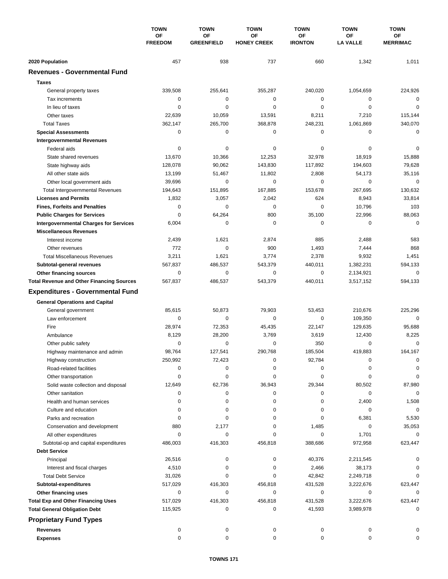|                                                  | <b>TOWN</b><br>OF<br><b>FREEDOM</b> | <b>TOWN</b>             | <b>TOWN</b><br>OF<br><b>HONEY CREEK</b> | <b>TOWN</b>          | <b>TOWN</b>                  | <b>TOWN</b>           |
|--------------------------------------------------|-------------------------------------|-------------------------|-----------------------------------------|----------------------|------------------------------|-----------------------|
|                                                  |                                     | OF<br><b>GREENFIELD</b> |                                         | ΟF<br><b>IRONTON</b> | <b>OF</b><br><b>LA VALLE</b> | OF<br><b>MERRIMAC</b> |
| 2020 Population                                  | 457                                 | 938                     | 737                                     | 660                  | 1,342                        | 1,011                 |
| <b>Revenues - Governmental Fund</b>              |                                     |                         |                                         |                      |                              |                       |
| <b>Taxes</b>                                     |                                     |                         |                                         |                      |                              |                       |
|                                                  | 339,508                             | 255,641                 | 355,287                                 | 240,020              | 1,054,659                    | 224,926               |
| General property taxes                           |                                     |                         | 0                                       |                      | $\mathbf 0$                  | $\mathbf 0$           |
| Tax increments                                   | 0                                   | $\pmb{0}$               | 0                                       | 0<br>0               | $\mathbf 0$                  |                       |
| In lieu of taxes                                 | 0                                   | 0                       |                                         |                      |                              | 0                     |
| Other taxes                                      | 22,639                              | 10,059                  | 13,591                                  | 8,211                | 7,210<br>1,061,869           | 115,144               |
| <b>Total Taxes</b>                               | 362,147                             | 265,700                 | 368,878                                 | 248,231              | $\mathbf 0$                  | 340,070               |
| <b>Special Assessments</b>                       | 0                                   | 0                       | 0                                       | 0                    |                              | $\mathbf 0$           |
| <b>Intergovernmental Revenues</b>                |                                     |                         |                                         |                      |                              |                       |
| Federal aids                                     | 0                                   | 0                       | 0                                       | 0                    | 0                            | $\mathbf 0$           |
| State shared revenues                            | 13,670                              | 10,366                  | 12,253                                  | 32,978               | 18,919                       | 15,888                |
| State highway aids                               | 128,078                             | 90,062                  | 143,830                                 | 117,892              | 194,603                      | 79,628                |
| All other state aids                             | 13,199                              | 51,467                  | 11,802                                  | 2,808                | 54,173                       | 35,116                |
| Other local government aids                      | 39,696                              | $\mathbf 0$             | 0                                       | 0                    | $\mathbf 0$                  | $\mathbf 0$           |
| <b>Total Intergovernmental Revenues</b>          | 194,643                             | 151,895                 | 167,885                                 | 153,678              | 267,695                      | 130,632               |
| <b>Licenses and Permits</b>                      | 1,832                               | 3,057                   | 2,042                                   | 624                  | 8,943                        | 33,814                |
| <b>Fines, Forfeits and Penalties</b>             | 0                                   | 0                       | 0                                       | 0                    | 10,796                       | 103                   |
| <b>Public Charges for Services</b>               | 0                                   | 64,264                  | 800                                     | 35,100               | 22,996                       | 88,063                |
| <b>Intergovernmental Charges for Services</b>    | 6,004                               | $\mathbf 0$             | 0                                       | 0                    | 0                            | $\mathbf 0$           |
| <b>Miscellaneous Revenues</b>                    |                                     |                         |                                         |                      |                              |                       |
| Interest income                                  | 2,439                               | 1,621                   | 2,874                                   | 885                  | 2,488                        | 583                   |
| Other revenues                                   | 772                                 | $\mathbf 0$             | 900                                     | 1,493                | 7,444                        | 868                   |
| <b>Total Miscellaneous Revenues</b>              | 3,211                               | 1,621                   | 3,774                                   | 2,378                | 9,932                        | 1,451                 |
| Subtotal-general revenues                        | 567,837                             | 486,537                 | 543,379                                 | 440,011              | 1,382,231                    | 594,133               |
| Other financing sources                          | 0                                   | $\pmb{0}$               | 0                                       | 0                    | 2,134,921                    | $\mathbf 0$           |
| <b>Total Revenue and Other Financing Sources</b> | 567,837                             | 486,537                 | 543,379                                 | 440,011              | 3,517,152                    | 594,133               |
| <b>Expenditures - Governmental Fund</b>          |                                     |                         |                                         |                      |                              |                       |
| <b>General Operations and Capital</b>            |                                     |                         |                                         |                      |                              |                       |
| General government                               | 85,615                              | 50,873                  | 79,903                                  | 53,453               | 210,676                      | 225,296               |
| Law enforcement                                  | $\mathbf 0$                         | 0                       | 0                                       | 0                    | 109,350                      | $\mathbf 0$           |
| Fire                                             | 28,974                              | 72,353                  | 45,435                                  | 22,147               | 129,635                      | 95,688                |
| Ambulance                                        | 8,129                               | 28,200                  | 3,769                                   | 3,619                | 12,430                       | 8,225                 |
|                                                  | 0                                   | 0                       | 0                                       | 350                  | $\mathbf 0$                  | $\mathbf 0$           |
| Other public safety                              |                                     | 127,541                 | 290,768                                 | 185,504              | 419,883                      | 164,167               |
| Highway maintenance and admin                    | 98,764                              |                         |                                         |                      |                              |                       |
| Highway construction                             | 250,992                             | 72,423                  | 0                                       | 92,784               | 0                            | 0                     |
| Road-related facilities                          | 0                                   | 0                       | 0                                       | 0                    | 0                            | 0                     |
| Other transportation                             | 0                                   | 0                       | 0                                       | 0                    | 0                            | $\mathbf 0$           |
| Solid waste collection and disposal              | 12,649                              | 62,736                  | 36,943                                  | 29,344               | 80,502                       | 87,980                |
| Other sanitation                                 | 0                                   | 0                       | 0                                       | 0                    | 0                            | $\mathbf 0$           |
| Health and human services                        | 0                                   | 0                       | 0                                       | 0                    | 2,400                        | 1,508                 |
| Culture and education                            | 0                                   | 0                       | 0                                       | 0                    | 0                            | 0                     |
| Parks and recreation                             | 0                                   | 0                       | 0                                       | 0                    | 6,381                        | 5,530                 |
| Conservation and development                     | 880                                 | 2,177                   | 0                                       | 1,485                | 0                            | 35,053                |
| All other expenditures                           | 0                                   | 0                       | 0                                       | 0                    | 1,701                        | 0                     |
| Subtotal-op and capital expenditures             | 486,003                             | 416,303                 | 456,818                                 | 388,686              | 972,958                      | 623,447               |
| <b>Debt Service</b>                              |                                     |                         |                                         |                      |                              |                       |
| Principal                                        | 26,516                              | 0                       | 0                                       | 40,376               | 2,211,545                    | 0                     |
| Interest and fiscal charges                      | 4,510                               | 0                       | 0                                       | 2,466                | 38,173                       | 0                     |
| <b>Total Debt Service</b>                        | 31,026                              | 0                       | 0                                       | 42,842               | 2,249,718                    | 0                     |
| Subtotal-expenditures                            | 517,029                             | 416,303                 | 456,818                                 | 431,528              | 3,222,676                    | 623,447               |
| Other financing uses                             | 0                                   | 0                       | 0                                       | 0                    | 0                            | 0                     |
| <b>Total Exp and Other Financing Uses</b>        | 517,029                             | 416,303                 | 456,818                                 | 431,528              | 3,222,676                    | 623,447               |
| <b>Total General Obligation Debt</b>             | 115,925                             | 0                       | 0                                       | 41,593               | 3,989,978                    | 0                     |
| <b>Proprietary Fund Types</b>                    |                                     |                         |                                         |                      |                              |                       |
| <b>Revenues</b>                                  | 0                                   | 0                       | 0                                       | 0                    | 0                            | 0                     |
| <b>Expenses</b>                                  | $\mathbf 0$                         | 0                       | 0                                       | 0                    | $\mathbf 0$                  | 0                     |
|                                                  |                                     |                         |                                         |                      |                              |                       |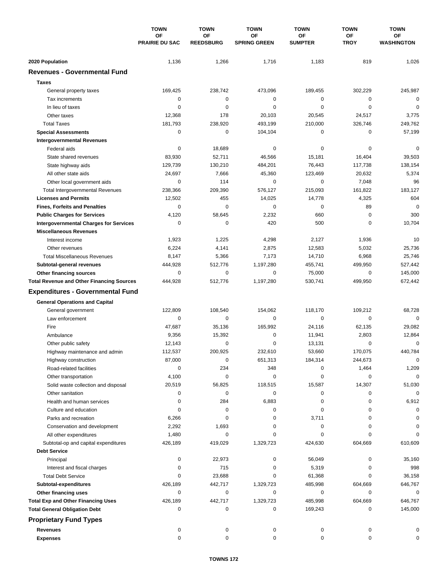|                                                             | <b>TOWN</b><br>OF<br><b>PRAIRIE DU SAC</b> | <b>TOWN</b>            | <b>TOWN</b>               | <b>TOWN</b>          | <b>TOWN</b>          | <b>TOWN</b>             |
|-------------------------------------------------------------|--------------------------------------------|------------------------|---------------------------|----------------------|----------------------|-------------------------|
|                                                             |                                            | OF<br><b>REEDSBURG</b> | ΟF<br><b>SPRING GREEN</b> | ΟF<br><b>SUMPTER</b> | ΟF<br><b>TROY</b>    | ОF<br><b>WASHINGTON</b> |
| 2020 Population                                             | 1,136                                      | 1,266                  | 1,716                     | 1,183                | 819                  | 1,026                   |
| <b>Revenues - Governmental Fund</b>                         |                                            |                        |                           |                      |                      |                         |
| <b>Taxes</b>                                                |                                            |                        |                           |                      |                      |                         |
| General property taxes                                      | 169,425                                    | 238,742                | 473,096                   | 189,455              | 302,229              | 245,987                 |
| Tax increments                                              | $\mathbf 0$                                | $\mathbf 0$            | 0                         | 0                    | 0                    | $\mathbf 0$             |
| In lieu of taxes                                            | $\mathbf 0$                                | $\mathbf 0$            | 0                         | $\mathbf 0$          | $\mathbf 0$          | $\mathbf 0$             |
| Other taxes                                                 | 12,368                                     | 178                    | 20,103                    | 20,545               | 24,517               | 3,775                   |
| <b>Total Taxes</b>                                          | 181,793                                    | 238,920                | 493,199                   | 210,000              | 326,746              | 249,762                 |
| <b>Special Assessments</b>                                  | $\mathbf 0$                                | 0                      | 104,104                   | 0                    | 0                    | 57,199                  |
| <b>Intergovernmental Revenues</b>                           |                                            |                        |                           |                      |                      |                         |
| Federal aids                                                | 0                                          | 18,689                 | 0                         | 0                    | 0                    | 0                       |
| State shared revenues                                       | 83,930                                     | 52,711                 | 46,566                    | 15,181               | 16,404               | 39,503                  |
| State highway aids                                          | 129,739                                    | 130,210                | 484,201                   | 76,443               | 117,738              | 138,154                 |
| All other state aids                                        | 24,697                                     | 7,666                  | 45,360                    | 123,469              | 20,632               | 5,374                   |
| Other local government aids                                 | $\mathbf 0$                                | 114                    | 0                         | $\mathbf 0$          | 7,048                | 96                      |
| <b>Total Intergovernmental Revenues</b>                     | 238,366                                    | 209,390                | 576,127                   | 215,093              | 161,822              | 183.127                 |
| <b>Licenses and Permits</b>                                 | 12,502                                     | 455                    | 14,025                    | 14,778               | 4,325                | 604                     |
| <b>Fines, Forfeits and Penalties</b>                        | 0                                          | $\Omega$               | 0                         | 0                    | 89                   | $\mathbf 0$             |
| <b>Public Charges for Services</b>                          | 4,120                                      | 58,645                 | 2,232                     | 660                  | $\mathbf 0$          | 300                     |
| <b>Intergovernmental Charges for Services</b>               | 0                                          | $\mathbf 0$            | 420                       | 500                  | 0                    | 10,704                  |
| <b>Miscellaneous Revenues</b>                               |                                            |                        |                           |                      |                      |                         |
| Interest income                                             | 1,923                                      | 1,225                  | 4,298                     | 2,127                | 1,936                | 10                      |
| Other revenues                                              | 6,224                                      | 4,141                  | 2,875                     | 12,583               | 5,032                | 25,736                  |
| <b>Total Miscellaneous Revenues</b>                         | 8,147                                      | 5,366                  | 7,173                     | 14,710               | 6,968                | 25,746                  |
| Subtotal-general revenues                                   | 444,928                                    | 512,776                | 1,197,280                 | 455,741              | 499,950              | 527,442                 |
| Other financing sources                                     | $\mathbf 0$                                | $\mathbf 0$            | 0                         | 75,000               | 0                    | 145,000                 |
| <b>Total Revenue and Other Financing Sources</b>            | 444,928                                    | 512,776                | 1,197,280                 | 530,741              | 499,950              | 672,442                 |
| <b>Expenditures - Governmental Fund</b>                     |                                            |                        |                           |                      |                      |                         |
|                                                             |                                            |                        |                           |                      |                      |                         |
| <b>General Operations and Capital</b>                       |                                            |                        |                           |                      |                      |                         |
| General government                                          | 122,809                                    | 108,540                | 154,062                   | 118,170              | 109,212              | 68,728                  |
| Law enforcement                                             | $\mathbf 0$                                | 0                      | $\mathbf 0$               | 0                    | $\mathbf 0$          | $\mathbf 0$             |
| Fire                                                        | 47,687                                     | 35,136                 | 165,992                   | 24,116               | 62,135               | 29,082                  |
| Ambulance                                                   | 9,356                                      | 15,392<br>$\mathbf 0$  | 0<br>0                    | 11,941               | 2,803<br>$\mathbf 0$ | 12,864<br>$\mathbf 0$   |
| Other public safety                                         | 12,143<br>112,537                          | 200,925                | 232,610                   | 13,131               | 170,075              |                         |
| Highway maintenance and admin                               | 87,000                                     | 0                      |                           | 53,660<br>184,314    |                      | 440,784<br>0            |
| Highway construction                                        | 0                                          | 234                    | 651,313<br>348            | 0                    | 244,673<br>1,464     | 1,209                   |
| Road-related facilities                                     | 4,100                                      | 0                      | 0                         | 0                    | 0                    | $\mathbf 0$             |
| Other transportation<br>Solid waste collection and disposal | 20,519                                     | 56,825                 | 118,515                   | 15,587               | 14,307               | 51,030                  |
| Other sanitation                                            | 0                                          | 0                      | 0                         | 0                    | 0                    | $\mathbf 0$             |
| Health and human services                                   | 0                                          | 284                    | 6,883                     | 0                    | 0                    | 6,912                   |
| Culture and education                                       | 0                                          | 0                      | 0                         | 0                    | 0                    | 0                       |
| Parks and recreation                                        | 6,266                                      | 0                      | 0                         | 3,711                | 0                    | 0                       |
| Conservation and development                                | 2,292                                      | 1,693                  | 0                         | 0                    | 0                    | 0                       |
| All other expenditures                                      | 1,480                                      | 0                      | 0                         | 0                    | 0                    | $\Omega$                |
| Subtotal-op and capital expenditures                        | 426,189                                    | 419,029                | 1,329,723                 | 424,630              | 604,669              | 610,609                 |
| <b>Debt Service</b>                                         |                                            |                        |                           |                      |                      |                         |
| Principal                                                   | 0                                          | 22,973                 | 0                         | 56,049               | 0                    | 35,160                  |
| Interest and fiscal charges                                 | 0                                          | 715                    | 0                         | 5,319                | 0                    | 998                     |
| <b>Total Debt Service</b>                                   | 0                                          | 23,688                 | 0                         | 61,368               | 0                    | 36,158                  |
| Subtotal-expenditures                                       | 426,189                                    | 442,717                | 1,329,723                 | 485,998              | 604,669              | 646,767                 |
| Other financing uses                                        | 0                                          | 0                      | 0                         | 0                    | 0                    | 0                       |
| <b>Total Exp and Other Financing Uses</b>                   | 426,189                                    | 442,717                | 1,329,723                 | 485,998              | 604,669              | 646,767                 |
| <b>Total General Obligation Debt</b>                        | 0                                          | 0                      | 0                         | 169,243              | 0                    | 145,000                 |
|                                                             |                                            |                        |                           |                      |                      |                         |
| <b>Proprietary Fund Types</b>                               |                                            |                        |                           |                      |                      |                         |
| <b>Revenues</b>                                             | 0                                          | 0                      | 0                         | 0                    | 0                    | 0                       |
| <b>Expenses</b>                                             | 0                                          | 0                      | 0                         | 0                    | 0                    | 0                       |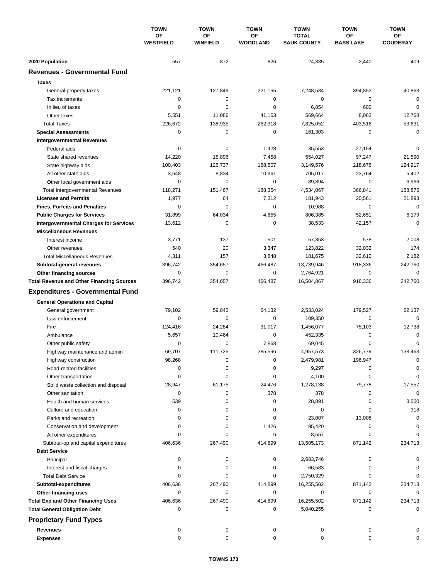|                                                             | <b>TOWN</b><br>OF<br><b>WESTFIELD</b> | <b>TOWN</b><br><b>TOWN</b> | <b>TOWN</b>           | <b>TOWN</b>                        | <b>TOWN</b>                   |                       |
|-------------------------------------------------------------|---------------------------------------|----------------------------|-----------------------|------------------------------------|-------------------------------|-----------------------|
|                                                             |                                       | OF<br><b>WINFIELD</b>      | ΟF<br><b>WOODLAND</b> | <b>TOTAL</b><br><b>SAUK COUNTY</b> | <b>OF</b><br><b>BASS LAKE</b> | ОF<br><b>COUDERAY</b> |
| 2020 Population                                             | 557                                   | 872                        | 826                   | 24,335                             | 2,440                         | 409                   |
| <b>Revenues - Governmental Fund</b>                         |                                       |                            |                       |                                    |                               |                       |
| <b>Taxes</b>                                                |                                       |                            |                       |                                    |                               |                       |
| General property taxes                                      | 221,121                               | 127,849                    | 221,155               | 7,248,534                          | 394,853                       | 40,863                |
| Tax increments                                              | $\mathbf 0$                           | 0                          | 0                     | 0                                  | $\mathbf 0$                   | $\mathbf 0$           |
| In lieu of taxes                                            | $\mathbf 0$                           | $\mathbf 0$                | 0                     | 6,854                              | 600                           | $\mathbf 0$           |
| Other taxes                                                 | 5,551                                 | 11,086                     | 41,163                | 569,664                            | 8,063                         | 12,768                |
| <b>Total Taxes</b>                                          | 226,672                               | 138,935                    | 262,318               | 7,825,052                          | 403,516                       | 53,631                |
| <b>Special Assessments</b>                                  | $\mathbf 0$                           | $\mathbf 0$                | 0                     | 161,303                            | 0                             | $\mathbf 0$           |
| <b>Intergovernmental Revenues</b>                           |                                       |                            |                       |                                    |                               |                       |
| Federal aids                                                | 0                                     | 0                          | 1,428                 | 35,553                             | 27,154                        | $\mathbf 0$           |
| State shared revenues                                       | 14,220                                | 15,896                     | 7,458                 | 554,027                            | 97,247                        | 21,590                |
| State highway aids                                          | 100,403                               | 126,737                    | 168,507               | 3,149,576                          | 218,676                       | 124,917               |
| All other state aids                                        | 3,648                                 | 8,834                      | 10,961                | 705,017                            | 23,764                        | 5,402                 |
| Other local government aids                                 | 0                                     | $\mathbf 0$                | 0                     | 89,894                             | $\mathbf 0$                   | 6,966                 |
| <b>Total Intergovernmental Revenues</b>                     | 118,271                               | 151.467                    | 188,354               | 4,534,067                          | 366,841                       | 158,875               |
| <b>Licenses and Permits</b>                                 | 1,977                                 | 64                         | 7,312                 | 181,943                            | 20,561                        | 21,893                |
| <b>Fines, Forfeits and Penalties</b>                        | $\mathbf 0$                           | $\Omega$                   | 0                     | 10,988                             | $\mathbf 0$                   | $\mathbf 0$           |
| <b>Public Charges for Services</b>                          | 31,899                                | 64,034                     | 4,655                 | 806,385                            | 52,651                        | 6,179                 |
| <b>Intergovernmental Charges for Services</b>               | 13,612                                | 0                          | $\mathbf 0$           | 38,533                             | 42,157                        | $\mathbf 0$           |
| <b>Miscellaneous Revenues</b>                               |                                       |                            |                       |                                    |                               |                       |
| Interest income                                             | 3,771                                 | 137                        | 501                   | 57,853                             | 578                           | 2,008                 |
| Other revenues                                              | 540                                   | 20                         | 3,347                 | 123,822                            | 32,032                        | 174                   |
| <b>Total Miscellaneous Revenues</b>                         | 4,311                                 | 157                        | 3,848                 | 181,675                            | 32,610                        | 2,182                 |
| Subtotal-general revenues                                   | 396,742                               | 354,657                    | 466,487               | 13,739,946                         | 918,336                       | 242,760               |
| Other financing sources                                     | $\mathbf 0$                           | $\mathbf 0$                | 0                     | 2,764,921                          | $\mathbf 0$                   | $\mathbf 0$           |
| <b>Total Revenue and Other Financing Sources</b>            | 396,742                               | 354,657                    | 466,487               | 16,504,867                         | 918,336                       | 242,760               |
| <b>Expenditures - Governmental Fund</b>                     |                                       |                            |                       |                                    |                               |                       |
|                                                             |                                       |                            |                       |                                    |                               |                       |
| <b>General Operations and Capital</b><br>General government | 79,102                                | 59,842                     | 64,132                | 2,533,024                          | 179,527                       | 62,137                |
| Law enforcement                                             | $\mathbf 0$                           | 0                          | $\mathbf 0$           | 109,350                            | $\mathbf 0$                   | $\Omega$              |
| Fire                                                        | 124,416                               | 24,284                     | 31,017                | 1,456,077                          | 75,103                        | 12,738                |
| Ambulance                                                   | 5,657                                 | 10,464                     | 0                     | 452,335                            | 0                             | 0                     |
| Other public safety                                         | 0                                     | $\mathbf 0$                | 7,868                 | 69,045                             | $\mathbf 0$                   | $\mathbf 0$           |
| Highway maintenance and admin                               | 69.707                                | 111,725                    | 285,596               | 4,957,573                          | 326.779                       | 138,463               |
| Highway construction                                        | 98,268                                | 0                          | 0                     | 2,479,981                          | 196,947                       | 0                     |
| Road-related facilities                                     | 0                                     | 0                          | 0                     | 9,297                              | 0                             | 0                     |
| Other transportation                                        | 0                                     | 0                          | 0                     | 4,100                              | 0                             | 0                     |
| Solid waste collection and disposal                         | 28,947                                | 61,175                     | 24,476                | 1,278,138                          | 79,778                        | 17,557                |
| Other sanitation                                            | 0                                     | 0                          | 378                   | 378                                | 0                             | $\mathbf 0$           |
| Health and human services                                   | 539                                   | 0                          | 0                     | 28,891                             | 0                             | 3,500                 |
| Culture and education                                       | 0                                     | 0                          | 0                     | 0                                  | 0                             | 318                   |
| Parks and recreation                                        | 0                                     | 0                          | 0                     | 23,007                             | 13,008                        | 0                     |
| Conservation and development                                | 0                                     | 0                          | 1,426                 | 95,420                             | 0                             | 0                     |
| All other expenditures                                      | 0                                     | 0                          | 6                     | 8,557                              | 0                             | $\Omega$              |
| Subtotal-op and capital expenditures                        | 406,636                               | 267,490                    | 414,899               | 13,505,173                         | 871,142                       | 234,713               |
| <b>Debt Service</b>                                         |                                       |                            |                       |                                    |                               |                       |
| Principal                                                   | 0                                     | 0                          | 0                     | 2,683,746                          | 0                             |                       |
| Interest and fiscal charges                                 | 0                                     | 0                          | 0                     | 66,583                             | 0                             | 0                     |
| <b>Total Debt Service</b>                                   | 0                                     | 0                          | 0                     | 2,750,329                          | $\Omega$                      | $\Omega$              |
| Subtotal-expenditures                                       | 406,636                               | 267,490                    | 414,899               | 16,255,502                         | 871,142                       | 234,713               |
| Other financing uses                                        | 0                                     | 0                          | 0                     | 0                                  | 0                             | 0                     |
| <b>Total Exp and Other Financing Uses</b>                   | 406,636                               | 267,490                    | 414,899               | 16,255,502                         | 871,142                       | 234,713               |
| <b>Total General Obligation Debt</b>                        | 0                                     | 0                          | 0                     | 5,040,255                          | 0                             | $\mathbf 0$           |
| <b>Proprietary Fund Types</b>                               |                                       |                            |                       |                                    |                               |                       |
| <b>Revenues</b>                                             | 0                                     | 0                          | 0                     | 0                                  | 0                             |                       |
| <b>Expenses</b>                                             | 0                                     | 0                          | 0                     | 0                                  | 0                             | 0                     |
|                                                             |                                       |                            |                       |                                    |                               |                       |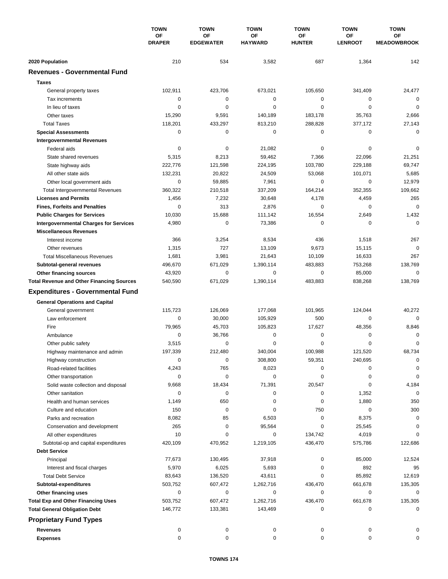|                                                  | <b>TOWN</b><br><b>OF</b><br><b>DRAPER</b> | <b>TOWN</b>            | <b>TOWN</b><br>OF<br><b>HAYWARD</b> | <b>TOWN</b>         | <b>TOWN</b>                 | <b>TOWN</b>              |
|--------------------------------------------------|-------------------------------------------|------------------------|-------------------------------------|---------------------|-----------------------------|--------------------------|
|                                                  |                                           | OF<br><b>EDGEWATER</b> |                                     | ΟF<br><b>HUNTER</b> | <b>OF</b><br><b>LENROOT</b> | ΟF<br><b>MEADOWBROOK</b> |
| 2020 Population                                  | 210                                       | 534                    | 3,582                               | 687                 | 1,364                       | 142                      |
| <b>Revenues - Governmental Fund</b>              |                                           |                        |                                     |                     |                             |                          |
| <b>Taxes</b>                                     |                                           |                        |                                     |                     |                             |                          |
| General property taxes                           | 102,911                                   | 423,706                | 673,021                             | 105,650             | 341,409                     | 24,477                   |
| Tax increments                                   | $\mathbf 0$                               | $\mathbf 0$            | 0                                   | 0                   | 0                           | $\mathbf 0$              |
| In lieu of taxes                                 | 0                                         | 0                      | 0                                   | 0                   | $\mathbf 0$                 | 0                        |
| Other taxes                                      | 15,290                                    | 9,591                  | 140,189                             | 183,178             | 35,763                      | 2,666                    |
| <b>Total Taxes</b>                               | 118,201                                   | 433,297                | 813,210                             | 288,828             | 377,172                     | 27,143                   |
| <b>Special Assessments</b>                       | 0                                         | 0                      | 0                                   | 0                   | $\mathbf 0$                 | $\mathbf 0$              |
| <b>Intergovernmental Revenues</b>                |                                           |                        |                                     |                     |                             |                          |
| Federal aids                                     | 0                                         | 0                      | 21,082                              | 0                   | 0                           | $\mathbf 0$              |
| State shared revenues                            | 5,315                                     | 8,213                  | 59,462                              | 7,366               | 22,096                      | 21,251                   |
| State highway aids                               | 222,776                                   | 121,598                | 224,195                             | 103,780             | 229,188                     | 69,747                   |
| All other state aids                             | 132,231                                   | 20,822                 | 24,509                              | 53,068              | 101,071                     | 5,685                    |
| Other local government aids                      | $\mathbf 0$                               | 59,885                 | 7,961                               | $\mathbf 0$         | 0                           | 12,979                   |
| <b>Total Intergovernmental Revenues</b>          | 360,322                                   | 210,518                | 337,209                             | 164,214             | 352,355                     | 109,662                  |
| <b>Licenses and Permits</b>                      | 1,456                                     | 7,232                  | 30,648                              | 4,178               | 4,459                       | 265                      |
| <b>Fines, Forfeits and Penalties</b>             | 0                                         | 313                    | 2,876                               | 0                   | 0                           | $\mathbf 0$              |
| <b>Public Charges for Services</b>               | 10,030                                    | 15,688                 | 111,142                             | 16,554              | 2,649                       | 1,432                    |
| <b>Intergovernmental Charges for Services</b>    | 4,980                                     | $\mathbf 0$            | 73,386                              | $\mathbf 0$         | 0                           | $\Omega$                 |
| <b>Miscellaneous Revenues</b>                    |                                           |                        |                                     |                     |                             |                          |
| Interest income                                  | 366                                       | 3,254                  | 8,534                               | 436                 | 1,518                       | 267                      |
| Other revenues                                   | 1,315                                     | 727                    | 13,109                              | 9,673               | 15,115                      | $\mathbf 0$              |
| <b>Total Miscellaneous Revenues</b>              | 1,681                                     | 3,981                  | 21,643                              | 10,109              | 16,633                      | 267                      |
| Subtotal-general revenues                        | 496,670                                   | 671,029                | 1,390,114                           | 483,883             | 753,268                     | 138,769                  |
| Other financing sources                          | 43,920                                    | $\mathbf 0$            | 0                                   | $\mathbf 0$         | 85,000                      | $\mathbf 0$              |
| <b>Total Revenue and Other Financing Sources</b> | 540,590                                   | 671,029                | 1,390,114                           | 483,883             | 838,268                     | 138,769                  |
|                                                  |                                           |                        |                                     |                     |                             |                          |
| <b>Expenditures - Governmental Fund</b>          |                                           |                        |                                     |                     |                             |                          |
| <b>General Operations and Capital</b>            |                                           |                        |                                     |                     |                             |                          |
| General government                               | 115,723                                   | 126,069                | 177,068                             | 101,965             | 124,044                     | 40,272                   |
| Law enforcement                                  | $\mathbf 0$                               | 30,000                 | 105,929                             | 500                 | 0                           | $\mathbf 0$              |
| Fire                                             | 79,965                                    | 45,703                 | 105,823                             | 17,627              | 48,356                      | 8,846                    |
| Ambulance                                        | $\mathbf 0$                               | 36,766                 | 0                                   | $\mathbf 0$         | 0                           | 0                        |
| Other public safety                              | 3,515                                     | $\mathbf 0$            | 0                                   | 0                   | $\mathbf 0$                 | $\mathbf 0$              |
| Highway maintenance and admin                    | 197,339                                   | 212,480                | 340,004                             | 100,988             | 121,520                     | 68,734                   |
| Highway construction                             | 0                                         | 0                      | 308,800                             | 59,351              | 240,695                     | 0                        |
| Road-related facilities                          | 4,243                                     | 765                    | 8,023                               | 0                   | 0                           | 0                        |
| Other transportation                             | 0                                         | $\mathbf 0$            | 0                                   | 0                   | 0                           | $\mathbf 0$              |
| Solid waste collection and disposal              | 9,668                                     | 18,434                 | 71,391                              | 20,547              | 0                           | 4,184                    |
| Other sanitation                                 | 0                                         | 0                      | 0                                   | 0                   | 1,352                       | $\mathbf 0$              |
| Health and human services                        | 1,149                                     | 650                    | 0                                   | 0                   | 1,880                       | 350                      |
| Culture and education                            | 150                                       | 0                      | 0                                   | 750                 | 0                           | 300                      |
| Parks and recreation                             | 8,082                                     | 85                     | 6,503                               | 0                   | 8,375                       | $\pmb{0}$                |
| Conservation and development                     | 265                                       | 0                      | 95,564                              | 0                   | 25,545                      | 0                        |
| All other expenditures                           | 10                                        | 0                      | 0                                   | 134,742             | 4,019                       | 0                        |
| Subtotal-op and capital expenditures             | 420,109                                   | 470,952                | 1,219,105                           | 436,470             | 575,786                     | 122,686                  |
| <b>Debt Service</b>                              |                                           |                        |                                     |                     |                             |                          |
| Principal                                        | 77,673                                    | 130,495                | 37,918                              | 0                   | 85,000                      | 12,524                   |
| Interest and fiscal charges                      | 5,970                                     | 6,025                  | 5,693                               | 0                   | 892                         | 95                       |
| <b>Total Debt Service</b>                        | 83,643                                    | 136,520                | 43,611                              | 0                   | 85,892                      | 12,619                   |
| Subtotal-expenditures                            | 503,752                                   | 607,472                | 1,262,716                           | 436,470             | 661,678                     | 135,305                  |
| Other financing uses                             | $\mathbf 0$                               | 0                      | 0                                   | 0                   | 0                           | 0                        |
| <b>Total Exp and Other Financing Uses</b>        | 503,752                                   | 607,472                | 1,262,716                           | 436,470             | 661,678                     | 135,305                  |
| <b>Total General Obligation Debt</b>             | 146,772                                   | 133,381                | 143,469                             | 0                   | 0                           | $\mathbf 0$              |
| <b>Proprietary Fund Types</b>                    |                                           |                        |                                     |                     |                             |                          |
| <b>Revenues</b>                                  | 0                                         | 0                      | 0                                   | 0                   | 0                           | 0                        |
| <b>Expenses</b>                                  | 0                                         | 0                      | 0                                   | 0                   | 0                           | 0                        |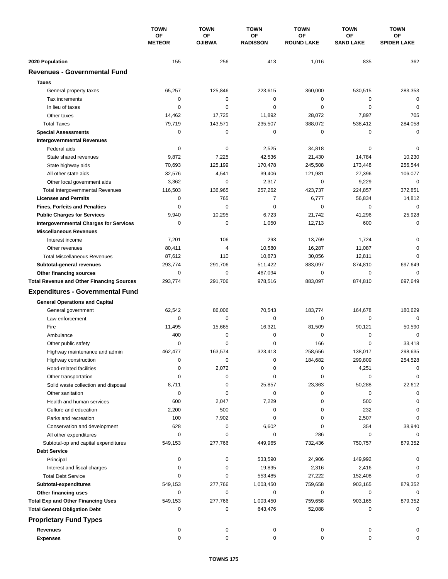|                                                  | <b>TOWN</b><br><b>OF</b><br><b>METEOR</b> | <b>TOWN</b><br>OF<br><b>OJIBWA</b> | <b>TOWN</b>           | <b>TOWN</b><br><b>OF</b><br><b>ROUND LAKE</b> | <b>TOWN</b>                   | <b>TOWN</b><br>OF<br><b>SPIDER LAKE</b> |
|--------------------------------------------------|-------------------------------------------|------------------------------------|-----------------------|-----------------------------------------------|-------------------------------|-----------------------------------------|
|                                                  |                                           |                                    | OF<br><b>RADISSON</b> |                                               | <b>OF</b><br><b>SAND LAKE</b> |                                         |
| 2020 Population                                  | 155                                       | 256                                | 413                   | 1,016                                         | 835                           | 362                                     |
| <b>Revenues - Governmental Fund</b>              |                                           |                                    |                       |                                               |                               |                                         |
| <b>Taxes</b>                                     |                                           |                                    |                       |                                               |                               |                                         |
|                                                  | 65,257                                    | 125,846                            | 223,615               | 360,000                                       | 530,515                       | 283,353                                 |
| General property taxes                           |                                           | $\mathbf 0$                        | 0                     |                                               | $\mathbf 0$                   | $\mathbf 0$                             |
| Tax increments                                   | 0<br>0                                    | 0                                  | 0                     | 0<br>0                                        | $\mathbf 0$                   | 0                                       |
| In lieu of taxes                                 |                                           |                                    |                       |                                               |                               |                                         |
| Other taxes                                      | 14,462                                    | 17,725                             | 11,892                | 28,072                                        | 7,897                         | 705                                     |
| <b>Total Taxes</b>                               | 79,719                                    | 143,571                            | 235,507               | 388,072                                       | 538,412                       | 284,058                                 |
| <b>Special Assessments</b>                       | 0                                         | 0                                  | 0                     | 0                                             | $\mathbf 0$                   | $\mathbf 0$                             |
| <b>Intergovernmental Revenues</b>                |                                           |                                    |                       |                                               |                               |                                         |
| Federal aids                                     | 0                                         | 0                                  | 2,525                 | 34,818                                        | 0                             | 0                                       |
| State shared revenues                            | 9,872                                     | 7,225                              | 42,536                | 21,430                                        | 14,784                        | 10,230                                  |
| State highway aids                               | 70,693                                    | 125,199                            | 170,478               | 245,508                                       | 173,448                       | 256,544                                 |
| All other state aids                             | 32,576                                    | 4,541                              | 39,406                | 121,981                                       | 27,396                        | 106,077                                 |
| Other local government aids                      | 3,362                                     | 0                                  | 2,317                 | 0                                             | 9,229                         | $\mathbf 0$                             |
| <b>Total Intergovernmental Revenues</b>          | 116,503                                   | 136,965                            | 257,262               | 423,737                                       | 224,857                       | 372,851                                 |
| <b>Licenses and Permits</b>                      | 0                                         | 765                                | 7                     | 6,777                                         | 56,834                        | 14,812                                  |
| <b>Fines, Forfeits and Penalties</b>             | 0                                         | $\mathbf 0$                        | 0                     | 0                                             | 0                             | $\mathbf 0$                             |
| <b>Public Charges for Services</b>               | 9,940                                     | 10,295                             | 6,723                 | 21,742                                        | 41,296                        | 25,928                                  |
| <b>Intergovernmental Charges for Services</b>    | 0                                         | $\mathbf 0$                        | 1,050                 | 12,713                                        | 600                           | $\mathbf 0$                             |
| <b>Miscellaneous Revenues</b>                    |                                           |                                    |                       |                                               |                               |                                         |
| Interest income                                  | 7,201                                     | 106                                | 293                   | 13,769                                        | 1,724                         | $\mathbf 0$                             |
| Other revenues                                   | 80,411                                    | $\overline{4}$                     | 10,580                | 16,287                                        | 11,087                        | $\mathbf 0$                             |
| <b>Total Miscellaneous Revenues</b>              | 87,612                                    | 110                                | 10,873                | 30,056                                        | 12,811                        | $\mathbf 0$                             |
| Subtotal-general revenues                        | 293,774                                   | 291,706                            | 511,422               | 883,097                                       | 874,810                       | 697,649                                 |
| Other financing sources                          | 0                                         | 0                                  | 467,094               | 0                                             | 0                             | $\mathbf 0$                             |
| <b>Total Revenue and Other Financing Sources</b> | 293,774                                   | 291,706                            | 978,516               | 883,097                                       | 874,810                       | 697,649                                 |
| <b>Expenditures - Governmental Fund</b>          |                                           |                                    |                       |                                               |                               |                                         |
|                                                  |                                           |                                    |                       |                                               |                               |                                         |
| <b>General Operations and Capital</b>            | 62,542                                    | 86,006                             | 70,543                | 183,774                                       | 164,678                       | 180,629                                 |
| General government<br>Law enforcement            | 0                                         |                                    | 0                     |                                               |                               | $\mathbf 0$                             |
|                                                  |                                           | 0                                  |                       | 0                                             | 0                             |                                         |
| Fire                                             | 11,495                                    | 15,665                             | 16,321                | 81,509                                        | 90,121                        | 50,590                                  |
| Ambulance                                        | 400                                       | 0                                  | 0                     | 0                                             | 0                             | $\mathbf 0$                             |
| Other public safety                              | 0                                         | 0                                  | 0                     | 166                                           | $\mathbf 0$                   | 33,418                                  |
| Highway maintenance and admin                    | 462,477                                   | 163,574                            | 323,413               | 258,656                                       | 138,017                       | 298,635                                 |
| Highway construction                             | 0                                         | 0                                  | 0                     | 184,682                                       | 299,809                       | 254,528                                 |
| Road-related facilities                          | 0                                         | 2,072                              | 0                     | 0                                             | 4,251                         | 0                                       |
| Other transportation                             | 0                                         | 0                                  | 0                     | 0                                             | 0                             | 0                                       |
| Solid waste collection and disposal              | 8,711                                     | 0                                  | 25,857                | 23,363                                        | 50,288                        | 22,612                                  |
| Other sanitation                                 | 0                                         | $\mathbf 0$                        | 0                     | 0                                             | 0                             | $\Omega$                                |
| Health and human services                        | 600                                       | 2,047                              | 7,229                 | 0                                             | 500                           | $\Omega$                                |
| Culture and education                            | 2,200                                     | 500                                | 0                     | 0                                             | 232                           | 0                                       |
| Parks and recreation                             | 100                                       | 7,902                              | 0                     | 0                                             | 2,507                         | 0                                       |
| Conservation and development                     | 628                                       | 0                                  | 6,602                 | 0                                             | 354                           | 38,940                                  |
| All other expenditures                           | 0                                         | 0                                  | 0                     | 286                                           | 0                             | 0                                       |
| Subtotal-op and capital expenditures             | 549,153                                   | 277,766                            | 449,965               | 732,436                                       | 750,757                       | 879,352                                 |
| <b>Debt Service</b>                              |                                           |                                    |                       |                                               |                               |                                         |
| Principal                                        | 0                                         | 0                                  | 533,590               | 24,906                                        | 149,992                       | 0                                       |
| Interest and fiscal charges                      | 0                                         | 0                                  | 19,895                | 2,316                                         | 2,416                         | 0                                       |
| <b>Total Debt Service</b>                        | 0                                         | 0                                  | 553,485               | 27,222                                        | 152,408                       | 0                                       |
| Subtotal-expenditures                            | 549,153                                   | 277,766                            | 1,003,450             | 759,658                                       | 903,165                       | 879,352                                 |
| Other financing uses                             | 0                                         | 0                                  | 0                     | 0                                             | 0                             | 0                                       |
| <b>Total Exp and Other Financing Uses</b>        | 549,153                                   | 277,766                            | 1,003,450             | 759,658                                       | 903,165                       | 879,352                                 |
| <b>Total General Obligation Debt</b>             | 0                                         | 0                                  | 643,476               | 52,088                                        | 0                             | $\mathbf 0$                             |
| <b>Proprietary Fund Types</b>                    |                                           |                                    |                       |                                               |                               |                                         |
|                                                  |                                           |                                    |                       |                                               |                               |                                         |
| <b>Revenues</b>                                  | 0                                         | 0                                  | 0                     | 0                                             | 0                             | 0                                       |
| <b>Expenses</b>                                  | 0                                         | 0                                  | 0                     | 0                                             | 0                             | 0                                       |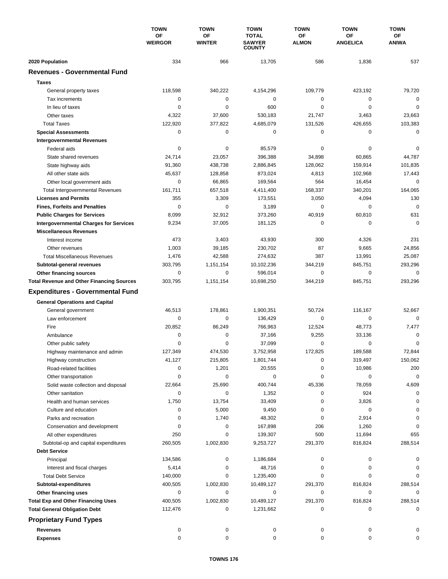|                                                  | <b>TOWN</b><br><b>OF</b><br><b>WEIRGOR</b> | <b>TOWN</b>                | <b>TOWN</b><br><b>TOTAL</b><br><b>SAWYER</b><br><b>COUNTY</b> | <b>TOWN</b>               | <b>TOWN</b><br><b>OF</b><br><b>ANGELICA</b> | <b>TOWN</b><br>ОF<br><b>ANIWA</b> |
|--------------------------------------------------|--------------------------------------------|----------------------------|---------------------------------------------------------------|---------------------------|---------------------------------------------|-----------------------------------|
|                                                  |                                            | <b>OF</b><br><b>WINTER</b> |                                                               | <b>OF</b><br><b>ALMON</b> |                                             |                                   |
| 2020 Population                                  | 334                                        | 966                        | 13,705                                                        | 586                       | 1,836                                       | 537                               |
| <b>Revenues - Governmental Fund</b>              |                                            |                            |                                                               |                           |                                             |                                   |
| <b>Taxes</b>                                     |                                            |                            |                                                               |                           |                                             |                                   |
| General property taxes                           | 118,598                                    | 340,222                    | 4,154,296                                                     | 109,779                   | 423,192                                     | 79,720                            |
| Tax increments                                   | 0                                          | 0                          | 0                                                             | 0                         | $\mathbf 0$                                 | 0                                 |
| In lieu of taxes                                 | 0                                          | 0                          | 600                                                           | 0                         | $\mathbf 0$                                 | 0                                 |
| Other taxes                                      | 4,322                                      | 37,600                     | 530,183                                                       | 21,747                    | 3,463                                       | 23,663                            |
| <b>Total Taxes</b>                               | 122,920                                    | 377,822                    | 4,685,079                                                     | 131,526                   | 426,655                                     | 103,383                           |
| <b>Special Assessments</b>                       | 0                                          | 0                          | 0                                                             | 0                         | 0                                           | 0                                 |
| <b>Intergovernmental Revenues</b>                |                                            |                            |                                                               |                           |                                             |                                   |
| Federal aids                                     | 0                                          | 0                          | 85,579                                                        | 0                         | 0                                           | 0                                 |
| State shared revenues                            | 24,714                                     | 23,057                     | 396,388                                                       | 34,898                    | 60,865                                      | 44,787                            |
| State highway aids                               | 91,360                                     | 438,738                    | 2,886,845                                                     | 128,062                   | 159,914                                     | 101,835                           |
| All other state aids                             | 45,637                                     | 128,858                    | 873,024                                                       | 4,813                     | 102,968                                     | 17,443                            |
|                                                  | 0                                          | 66,865                     |                                                               | 564                       |                                             | $\mathbf 0$                       |
| Other local government aids                      |                                            |                            | 169,564                                                       |                           | 16,454                                      |                                   |
| <b>Total Intergovernmental Revenues</b>          | 161,711                                    | 657,518                    | 4,411,400                                                     | 168,337                   | 340,201                                     | 164,065                           |
| <b>Licenses and Permits</b>                      | 355                                        | 3,309                      | 173,551                                                       | 3,050                     | 4,094                                       | 130                               |
| <b>Fines, Forfeits and Penalties</b>             | $\mathbf 0$                                | 0                          | 3,189                                                         | 0                         | 0                                           | $\mathbf 0$                       |
| <b>Public Charges for Services</b>               | 8,099                                      | 32,912                     | 373,260                                                       | 40,919                    | 60,810                                      | 631                               |
| <b>Intergovernmental Charges for Services</b>    | 9,234                                      | 37,005                     | 181,125                                                       | 0                         | 0                                           | $\Omega$                          |
| <b>Miscellaneous Revenues</b>                    |                                            |                            |                                                               |                           |                                             |                                   |
| Interest income                                  | 473                                        | 3,403                      | 43,930                                                        | 300                       | 4,326                                       | 231                               |
| Other revenues                                   | 1,003                                      | 39,185                     | 230,702                                                       | 87                        | 9,665                                       | 24,856                            |
| <b>Total Miscellaneous Revenues</b>              | 1,476                                      | 42,588                     | 274,632                                                       | 387                       | 13,991                                      | 25,087                            |
| Subtotal-general revenues                        | 303,795                                    | 1,151,154                  | 10,102,236                                                    | 344,219                   | 845,751                                     | 293,296                           |
| Other financing sources                          | 0                                          | 0                          | 596,014                                                       | 0                         | $\mathbf 0$                                 | 0                                 |
| <b>Total Revenue and Other Financing Sources</b> | 303,795                                    | 1,151,154                  | 10,698,250                                                    | 344,219                   | 845,751                                     | 293,296                           |
| <b>Expenditures - Governmental Fund</b>          |                                            |                            |                                                               |                           |                                             |                                   |
| <b>General Operations and Capital</b>            |                                            |                            |                                                               |                           |                                             |                                   |
| General government                               | 46,513                                     | 178,861                    | 1,900,351                                                     | 50,724                    | 116,167                                     | 52,667                            |
| Law enforcement                                  | 0                                          | $\mathbf 0$                | 136,429                                                       | 0                         | 0                                           | $\Omega$                          |
| Fire                                             | 20,852                                     | 86,249                     | 766,963                                                       | 12,524                    | 48,773                                      | 7,477                             |
| Ambulance                                        | 0                                          | $\mathbf 0$                | 37,166                                                        | 9,255                     | 33,136                                      | 0                                 |
| Other public safety                              | 0                                          | 0                          | 37,099                                                        | 0                         | $\mathbf 0$                                 | 0                                 |
| Highway maintenance and admin                    | 127,349                                    | 474,530                    | 3,752,958                                                     | 172,825                   | 189,588                                     | 72,844                            |
| Highway construction                             | 41,127                                     | 215,805                    | 1,801,744                                                     | 0                         | 319,497                                     | 150,062                           |
|                                                  | 0                                          | 1,201                      | 20,555                                                        | 0                         | 10,986                                      | 200                               |
| Road-related facilities                          | 0                                          | 0                          | 0                                                             | 0                         | 0                                           | $\mathbf 0$                       |
| Other transportation                             |                                            |                            |                                                               |                           |                                             |                                   |
| Solid waste collection and disposal              | 22,664                                     | 25,690                     | 400,744                                                       | 45,336                    | 78,059                                      | 4,609                             |
| Other sanitation                                 | 0                                          | 0                          | 1,352                                                         | 0                         | 924                                         | 0                                 |
| Health and human services                        | 1,750                                      | 13,754                     | 33,409                                                        | 0                         | 3,826                                       | 0                                 |
| Culture and education                            | 0                                          | 5,000                      | 9,450                                                         | 0                         | 0                                           | 0                                 |
| Parks and recreation                             | 0                                          | 1,740                      | 48,302                                                        | 0                         | 2,914                                       | 0                                 |
| Conservation and development                     | 0                                          | 0                          | 167,898                                                       | 206                       | 1,260                                       | 0                                 |
| All other expenditures                           | 250                                        | 0                          | 139,307                                                       | 500                       | 11,694                                      | 655                               |
| Subtotal-op and capital expenditures             | 260,505                                    | 1,002,830                  | 9,253,727                                                     | 291,370                   | 816,824                                     | 288,514                           |
| <b>Debt Service</b>                              |                                            |                            |                                                               |                           |                                             |                                   |
| Principal                                        | 134,586                                    | 0                          | 1,186,684                                                     | 0                         | 0                                           | 0                                 |
| Interest and fiscal charges                      | 5,414                                      | 0                          | 48,716                                                        | 0                         | 0                                           | 0                                 |
| <b>Total Debt Service</b>                        | 140,000                                    | 0                          | 1,235,400                                                     | 0                         | 0                                           | 0                                 |
| Subtotal-expenditures                            | 400,505                                    | 1,002,830                  | 10,489,127                                                    | 291,370                   | 816,824                                     | 288,514                           |
| Other financing uses                             | 0                                          | 0                          | 0                                                             | 0                         | 0                                           | 0                                 |
| <b>Total Exp and Other Financing Uses</b>        | 400,505                                    | 1,002,830                  | 10,489,127                                                    | 291,370                   | 816,824                                     | 288,514                           |
| <b>Total General Obligation Debt</b>             | 112,476                                    | 0                          | 1,231,662                                                     | 0                         | 0                                           | 0                                 |
| <b>Proprietary Fund Types</b>                    |                                            |                            |                                                               |                           |                                             |                                   |
| <b>Revenues</b>                                  | 0                                          | 0                          | 0                                                             | 0                         | 0                                           |                                   |
| <b>Expenses</b>                                  | 0                                          | 0                          | 0                                                             | 0                         | 0                                           | 0                                 |
|                                                  |                                            |                            |                                                               |                           |                                             |                                   |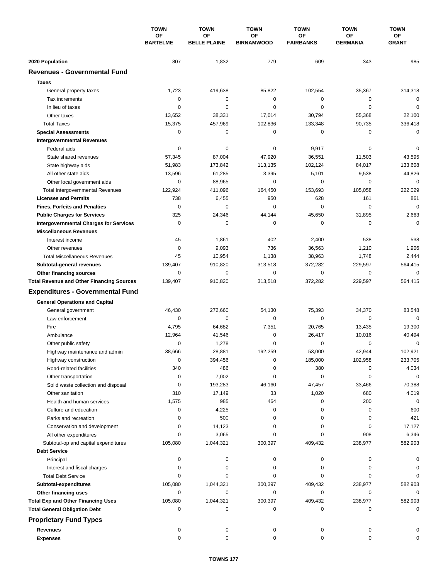|                                                  | <b>TOWN</b><br><b>OF</b><br><b>BARTELME</b> | <b>TOWN</b>                      | <b>TOWN</b><br><b>OF</b><br><b>BIRNAMWOOD</b> | <b>TOWN</b><br>ΟF<br><b>FAIRBANKS</b> | <b>TOWN</b><br><b>OF</b><br><b>GERMANIA</b> | <b>TOWN</b><br>0F<br><b>GRANT</b> |
|--------------------------------------------------|---------------------------------------------|----------------------------------|-----------------------------------------------|---------------------------------------|---------------------------------------------|-----------------------------------|
|                                                  |                                             | <b>OF</b><br><b>BELLE PLAINE</b> |                                               |                                       |                                             |                                   |
| 2020 Population                                  | 807                                         | 1,832                            | 779                                           | 609                                   | 343                                         | 985                               |
| <b>Revenues - Governmental Fund</b>              |                                             |                                  |                                               |                                       |                                             |                                   |
| <b>Taxes</b>                                     |                                             |                                  |                                               |                                       |                                             |                                   |
| General property taxes                           | 1,723                                       | 419,638                          | 85,822                                        | 102,554                               | 35,367                                      | 314,318                           |
| Tax increments                                   | 0                                           | 0                                | $\mathbf 0$                                   | 0                                     | 0                                           | 0                                 |
| In lieu of taxes                                 | 0                                           | 0                                | 0                                             | 0                                     | $\mathbf 0$                                 | $\mathbf 0$                       |
| Other taxes                                      | 13,652                                      | 38,331                           | 17,014                                        | 30,794                                | 55,368                                      | 22,100                            |
| <b>Total Taxes</b>                               | 15,375                                      | 457,969                          | 102,836                                       | 133,348                               | 90,735                                      | 336,418                           |
| <b>Special Assessments</b>                       | 0                                           | 0                                | 0                                             | 0                                     | 0                                           | 0                                 |
| <b>Intergovernmental Revenues</b>                |                                             |                                  |                                               |                                       |                                             |                                   |
| Federal aids                                     | 0                                           | 0                                | 0                                             | 9,917                                 | 0                                           | 0                                 |
| State shared revenues                            | 57,345                                      | 87,004                           | 47,920                                        | 36,551                                | 11,503                                      | 43,595                            |
| State highway aids                               | 51,983                                      | 173,842                          | 113,135                                       | 102,124                               | 84,017                                      | 133,608                           |
| All other state aids                             | 13,596                                      | 61,285                           | 3,395                                         | 5,101                                 | 9,538                                       | 44,826                            |
| Other local government aids                      | 0                                           | 88,965                           | 0                                             | 0                                     | $\mathbf 0$                                 | 0                                 |
| <b>Total Intergovernmental Revenues</b>          | 122,924                                     | 411,096                          | 164,450                                       | 153,693                               | 105,058                                     | 222,029                           |
| <b>Licenses and Permits</b>                      | 738                                         | 6,455                            | 950                                           | 628                                   | 161                                         | 861                               |
| <b>Fines, Forfeits and Penalties</b>             | 0                                           | 0                                | 0                                             | 0                                     | $\mathbf 0$                                 | $\mathbf 0$                       |
| <b>Public Charges for Services</b>               | 325                                         | 24,346                           | 44,144                                        | 45,650                                | 31,895                                      | 2,663                             |
| <b>Intergovernmental Charges for Services</b>    | $\mathbf 0$                                 | $\mathbf 0$                      | $\mathbf 0$                                   | 0                                     | $\mathbf 0$                                 | $\Omega$                          |
| <b>Miscellaneous Revenues</b>                    |                                             |                                  |                                               |                                       |                                             |                                   |
| Interest income                                  | 45                                          | 1,861                            | 402                                           | 2,400                                 | 538                                         | 538                               |
| Other revenues                                   | 0                                           | 9,093                            | 736                                           | 36,563                                | 1,210                                       | 1,906                             |
| <b>Total Miscellaneous Revenues</b>              | 45                                          | 10,954                           | 1,138                                         | 38,963                                | 1,748                                       | 2,444                             |
| Subtotal-general revenues                        | 139,407                                     | 910,820                          | 313,518                                       | 372,282                               | 229,597                                     | 564,415                           |
| Other financing sources                          | 0                                           | $\mathbf 0$                      | 0                                             | 0                                     | $\mathbf 0$                                 | $\mathbf 0$                       |
| <b>Total Revenue and Other Financing Sources</b> | 139,407                                     | 910,820                          | 313,518                                       | 372,282                               | 229,597                                     | 564,415                           |
|                                                  |                                             |                                  |                                               |                                       |                                             |                                   |
| <b>Expenditures - Governmental Fund</b>          |                                             |                                  |                                               |                                       |                                             |                                   |
| <b>General Operations and Capital</b>            |                                             |                                  |                                               |                                       |                                             |                                   |
| General government                               | 46,430                                      | 272,660                          | 54,130                                        | 75,393                                | 34,370                                      | 83,548                            |
| Law enforcement                                  | 0                                           | 0                                | $\mathbf 0$                                   | 0                                     | $\mathbf 0$                                 | $\mathbf 0$                       |
| Fire                                             | 4,795                                       | 64,682                           | 7,351                                         | 20,765                                | 13,435                                      | 19,300                            |
| Ambulance                                        | 12,964                                      | 41,546                           | $\mathbf 0$                                   | 26,417                                | 10,016                                      | 40,494                            |
| Other public safety                              | 0                                           | 1,278                            | 0                                             | 0                                     | 0                                           | 0                                 |
| Highway maintenance and admin                    | 38,666                                      | 28,881                           | 192,259                                       | 53,000                                | 42,944                                      | 102,921                           |
| Highway construction                             | 0                                           | 394,456                          | $\pmb{0}$                                     | 185,000                               | 102,958                                     | 233,705                           |
| Road-related facilities                          | 340                                         | 486                              | 0                                             | 380                                   | 0                                           | 4,034                             |
| Other transportation                             | 0                                           | 7,002                            | 0                                             | 0                                     | 0                                           | 0                                 |
| Solid waste collection and disposal              | 0                                           | 193,283                          | 46,160                                        | 47,457                                | 33,466                                      | 70,388                            |
| Other sanitation                                 | 310                                         | 17,149                           | 33                                            | 1,020                                 | 680                                         | 4,019                             |
| Health and human services                        | 1,575                                       | 985                              | 464                                           | 0                                     | 200                                         | 0                                 |
| Culture and education                            | 0                                           | 4,225                            | 0                                             | 0                                     | 0                                           | 600                               |
| Parks and recreation                             | 0                                           | 500                              | 0                                             | 0                                     | 0                                           | 421                               |
| Conservation and development                     | 0                                           | 14,123                           | 0                                             | 0                                     | 0                                           | 17,127                            |
| All other expenditures                           | 0                                           | 3,065                            | 0                                             | 0                                     | 908                                         | 6,346                             |
| Subtotal-op and capital expenditures             | 105,080                                     | 1,044,321                        | 300,397                                       | 409,432                               | 238,977                                     | 582,903                           |
| <b>Debt Service</b>                              |                                             |                                  |                                               |                                       |                                             |                                   |
| Principal                                        | 0                                           | 0                                | 0                                             | 0                                     | 0                                           | 0                                 |
| Interest and fiscal charges                      | 0                                           | 0                                | 0                                             | 0                                     | 0                                           | 0                                 |
| <b>Total Debt Service</b>                        | 0                                           | 0                                | 0                                             | 0                                     | 0                                           | 0                                 |
| Subtotal-expenditures                            | 105,080                                     | 1,044,321                        | 300,397                                       | 409,432                               | 238,977                                     | 582,903                           |
| Other financing uses                             | 0                                           | 0                                | 0                                             | 0                                     | 0                                           | 0                                 |
| <b>Total Exp and Other Financing Uses</b>        | 105,080                                     | 1,044,321                        | 300,397                                       | 409,432                               | 238,977                                     | 582,903                           |
| <b>Total General Obligation Debt</b>             | 0                                           | 0                                | 0                                             | 0                                     | 0                                           | 0                                 |
| <b>Proprietary Fund Types</b>                    |                                             |                                  |                                               |                                       |                                             |                                   |
| <b>Revenues</b>                                  |                                             |                                  |                                               |                                       |                                             |                                   |
| <b>Expenses</b>                                  | 0<br>$\mathbf 0$                            | 0<br>0                           | 0<br>0                                        | 0<br>0                                | 0<br>0                                      | 0                                 |
|                                                  |                                             |                                  |                                               |                                       |                                             |                                   |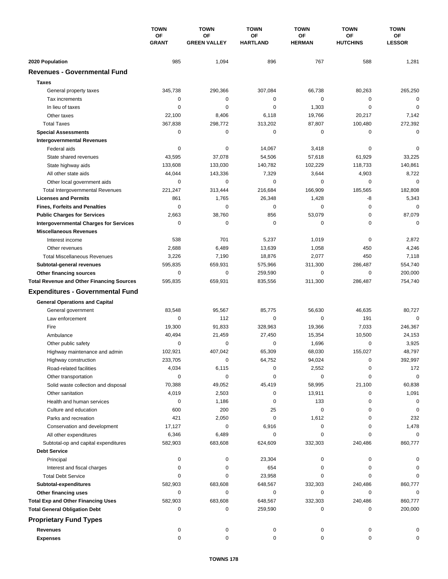|                                                         | <b>TOWN</b><br>OF<br><b>GRANT</b> | <b>TOWN</b>               | <b>TOWN</b><br>OF<br><b>HARTLAND</b> | <b>TOWN</b>         | <b>TOWN</b>                  | <b>TOWN</b><br>OF<br><b>LESSOR</b> |
|---------------------------------------------------------|-----------------------------------|---------------------------|--------------------------------------|---------------------|------------------------------|------------------------------------|
|                                                         |                                   | OF<br><b>GREEN VALLEY</b> |                                      | OF<br><b>HERMAN</b> | <b>OF</b><br><b>HUTCHINS</b> |                                    |
| 2020 Population                                         | 985                               | 1,094                     | 896                                  | 767                 | 588                          | 1,281                              |
| <b>Revenues - Governmental Fund</b>                     |                                   |                           |                                      |                     |                              |                                    |
| <b>Taxes</b>                                            |                                   |                           |                                      |                     |                              |                                    |
| General property taxes                                  | 345,738                           | 290,366                   | 307,084                              | 66,738              | 80,263                       | 265,250                            |
| Tax increments                                          | 0                                 | 0                         | 0                                    | 0                   | 0                            | 0                                  |
| In lieu of taxes                                        | 0                                 | $\mathbf 0$               | 0                                    | 1,303               | $\mathbf 0$                  | $\mathbf 0$                        |
| Other taxes                                             | 22,100                            | 8,406                     | 6,118                                | 19,766              | 20,217                       | 7,142                              |
| <b>Total Taxes</b>                                      | 367,838                           | 298,772                   | 313,202                              | 87,807              | 100,480                      | 272,392                            |
| <b>Special Assessments</b>                              | 0                                 | 0                         | 0                                    | 0                   | 0                            | $\mathbf 0$                        |
| <b>Intergovernmental Revenues</b>                       |                                   |                           |                                      |                     |                              |                                    |
| Federal aids                                            | 0                                 | $\pmb{0}$                 | 14,067                               | 3,418               | 0                            | 0                                  |
| State shared revenues                                   | 43,595                            | 37,078                    | 54,506                               | 57,618              | 61,929                       | 33,225                             |
| State highway aids                                      | 133,608                           | 133,030                   | 140,782                              | 102,229             | 118,733                      | 140,861                            |
| All other state aids                                    | 44,044                            | 143,336                   | 7,329                                | 3,644               | 4,903                        | 8,722                              |
| Other local government aids                             | 0                                 | 0                         | 0                                    | 0                   | 0                            | $\mathbf 0$                        |
| <b>Total Intergovernmental Revenues</b>                 | 221,247                           | 313,444                   | 216,684                              | 166,909             | 185.565                      | 182,808                            |
| <b>Licenses and Permits</b>                             | 861                               | 1,765                     | 26,348                               | 1,428               | -8                           | 5,343                              |
| <b>Fines, Forfeits and Penalties</b>                    | 0                                 | 0                         | 0                                    | 0                   | $\mathbf 0$                  | $\Omega$                           |
| <b>Public Charges for Services</b>                      | 2,663                             | 38,760                    | 856                                  | 53,079              | 0                            | 87,079                             |
| <b>Intergovernmental Charges for Services</b>           | 0                                 | $\mathbf 0$               | $\mathbf 0$                          | 0                   | $\mathbf 0$                  | $\mathbf 0$                        |
| <b>Miscellaneous Revenues</b>                           |                                   |                           |                                      |                     |                              |                                    |
| Interest income                                         | 538                               | 701                       | 5,237                                | 1,019               | 0                            | 2,872                              |
| Other revenues                                          | 2,688                             | 6,489                     | 13,639                               | 1,058               | 450                          | 4,246                              |
| <b>Total Miscellaneous Revenues</b>                     | 3,226                             | 7,190                     | 18,876                               | 2,077               | 450                          | 7,118                              |
| Subtotal-general revenues                               | 595,835                           | 659,931                   | 575,966                              | 311,300             | 286,487                      | 554,740                            |
| Other financing sources                                 | 0                                 | $\mathbf 0$               | 259,590                              | 0                   | $\mathbf 0$                  | 200,000                            |
| <b>Total Revenue and Other Financing Sources</b>        | 595,835                           | 659,931                   | 835,556                              | 311,300             | 286,487                      | 754,740                            |
| <b>Expenditures - Governmental Fund</b>                 |                                   |                           |                                      |                     |                              |                                    |
| <b>General Operations and Capital</b>                   |                                   |                           |                                      |                     |                              |                                    |
| General government                                      | 83,548                            | 95,567                    | 85,775                               | 56,630              | 46,635                       | 80,727                             |
| Law enforcement                                         | 0                                 | 112                       | 0                                    | 0                   | 191                          | $\mathbf 0$                        |
| Fire                                                    | 19,300                            | 91,833                    | 328,963                              | 19,366              | 7,033                        | 246,367                            |
| Ambulance                                               | 40,494                            | 21,459                    | 27,450                               | 15,354              | 10,500                       | 24,153                             |
| Other public safety                                     | 0                                 | 0                         | 0                                    | 1,696               | 0                            | 3,925                              |
| Highway maintenance and admin                           | 102,921                           | 407,042                   | 65,309                               | 68,030              | 155,027                      | 48,797                             |
| Highway construction                                    | 233,705                           | 0                         | 64,752                               | 94,024              | 0                            | 392,997                            |
| Road-related facilities                                 | 4,034                             | 6,115                     | 0                                    | 2,552               | 0                            | 172                                |
| Other transportation                                    | 0                                 | $\pmb{0}$                 | 0                                    | 0                   | 0                            | $\mathbf 0$                        |
| Solid waste collection and disposal<br>Other sanitation | 70,388                            | 49,052                    | 45,419                               | 58,995              | 21,100                       | 60,838                             |
|                                                         | 4,019<br>0                        | 2,503<br>1,186            | 0<br>0                               | 13,911<br>133       | 0<br>0                       | 1,091<br>0                         |
| Health and human services<br>Culture and education      | 600                               | 200                       | 25                                   | 0                   | 0                            | 0                                  |
| Parks and recreation                                    | 421                               | 2,050                     | 0                                    | 1,612               | 0                            | 232                                |
| Conservation and development                            | 17,127                            | 0                         | 6,916                                | 0                   | 0                            | 1,478                              |
| All other expenditures                                  | 6,346                             | 6,489                     | 0                                    | 0                   | 0                            | $\Omega$                           |
| Subtotal-op and capital expenditures                    | 582,903                           | 683,608                   | 624,609                              | 332,303             | 240,486                      | 860,777                            |
| <b>Debt Service</b>                                     |                                   |                           |                                      |                     |                              |                                    |
| Principal                                               | 0                                 | 0                         | 23,304                               | 0                   | 0                            | 0                                  |
| Interest and fiscal charges                             | 0                                 | $\pmb{0}$                 | 654                                  | 0                   | 0                            | 0                                  |
| <b>Total Debt Service</b>                               | 0                                 | 0                         | 23,958                               | 0                   | $\Omega$                     | $\Omega$                           |
| Subtotal-expenditures                                   | 582,903                           | 683,608                   | 648,567                              | 332,303             | 240,486                      | 860,777                            |
| Other financing uses                                    | 0                                 | 0                         | 0                                    | 0                   | 0                            | $\Omega$                           |
| <b>Total Exp and Other Financing Uses</b>               | 582,903                           | 683,608                   | 648,567                              | 332,303             | 240,486                      | 860,777                            |
| <b>Total General Obligation Debt</b>                    | 0                                 | 0                         | 259,590                              | 0                   | 0                            | 200,000                            |
| <b>Proprietary Fund Types</b>                           |                                   |                           |                                      |                     |                              |                                    |
| <b>Revenues</b>                                         | 0                                 | 0                         | 0                                    | 0                   | 0                            | 0                                  |
| <b>Expenses</b>                                         | 0                                 | 0                         | 0                                    | $\mathbf 0$         | 0                            | $\Omega$                           |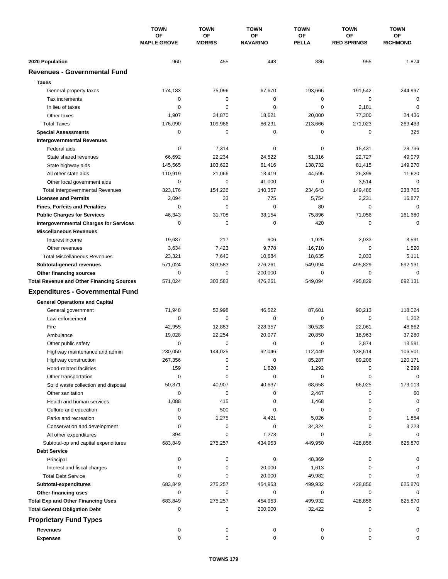|                                                  | <b>TOWN</b><br><b>OF</b><br><b>MAPLE GROVE</b> | <b>TOWN</b><br><b>OF</b><br><b>MORRIS</b> | <b>TOWN</b><br><b>OF</b><br><b>NAVARINO</b> | <b>TOWN</b><br><b>OF</b><br><b>PELLA</b> | <b>TOWN</b><br><b>OF</b><br><b>RED SPRINGS</b> | <b>TOWN</b><br><b>OF</b><br><b>RICHMOND</b> |
|--------------------------------------------------|------------------------------------------------|-------------------------------------------|---------------------------------------------|------------------------------------------|------------------------------------------------|---------------------------------------------|
|                                                  |                                                |                                           |                                             |                                          |                                                |                                             |
| 2020 Population                                  | 960                                            | 455                                       | 443                                         | 886                                      | 955                                            | 1,874                                       |
| <b>Revenues - Governmental Fund</b>              |                                                |                                           |                                             |                                          |                                                |                                             |
| <b>Taxes</b>                                     |                                                |                                           |                                             |                                          |                                                |                                             |
| General property taxes                           | 174,183                                        | 75,096                                    | 67,670                                      | 193,666                                  | 191,542                                        | 244,997                                     |
| Tax increments                                   | 0                                              | 0                                         | 0                                           | 0                                        | $\mathbf 0$                                    | $\mathbf 0$                                 |
| In lieu of taxes                                 | 0                                              | 0                                         | $\mathbf 0$                                 | 0                                        | 2,181                                          | $\mathbf 0$                                 |
| Other taxes                                      | 1,907                                          | 34,870                                    | 18,621                                      | 20,000                                   | 77,300                                         | 24,436                                      |
| <b>Total Taxes</b>                               | 176,090                                        | 109,966                                   | 86,291                                      | 213,666                                  | 271,023                                        | 269,433                                     |
| <b>Special Assessments</b>                       | 0                                              | 0                                         | 0                                           | 0                                        | 0                                              | 325                                         |
| <b>Intergovernmental Revenues</b>                |                                                |                                           |                                             |                                          |                                                |                                             |
| Federal aids                                     | 0                                              | 7,314                                     | 0                                           | 0                                        | 15,431                                         | 28,736                                      |
| State shared revenues                            | 66,692                                         | 22,234                                    | 24,522                                      | 51,316                                   | 22,727                                         | 49,079                                      |
| State highway aids                               | 145,565                                        | 103,622                                   | 61,416                                      | 138,732                                  | 81,415                                         | 149,270                                     |
| All other state aids                             | 110,919                                        | 21,066                                    | 13,419                                      | 44,595                                   | 26,399                                         | 11,620                                      |
| Other local government aids                      | 0                                              | $\mathbf 0$                               | 41,000                                      | 0                                        | 3,514                                          | $\mathbf 0$                                 |
| <b>Total Intergovernmental Revenues</b>          | 323,176                                        | 154,236                                   | 140,357                                     | 234,643                                  | 149,486                                        | 238,705                                     |
| <b>Licenses and Permits</b>                      | 2,094                                          | 33                                        | 775                                         | 5,754                                    | 2,231                                          | 16,877                                      |
| <b>Fines, Forfeits and Penalties</b>             | 0                                              | $\mathbf 0$                               | $\mathbf 0$                                 | 80                                       | $\mathbf 0$                                    | $\mathbf 0$                                 |
| <b>Public Charges for Services</b>               | 46,343                                         | 31,708                                    | 38,154                                      | 75,896                                   | 71,056                                         | 161,680                                     |
| <b>Intergovernmental Charges for Services</b>    | 0                                              | $\mathbf 0$                               | $\mathbf 0$                                 | 420                                      | 0                                              | $\mathbf 0$                                 |
| <b>Miscellaneous Revenues</b>                    |                                                |                                           |                                             |                                          |                                                |                                             |
| Interest income                                  | 19,687                                         | 217                                       | 906                                         | 1,925                                    | 2,033                                          | 3,591                                       |
| Other revenues                                   | 3,634                                          | 7,423                                     | 9,778                                       | 16,710                                   | $\mathbf 0$                                    | 1,520                                       |
| <b>Total Miscellaneous Revenues</b>              | 23,321                                         | 7,640                                     | 10,684                                      | 18,635                                   | 2,033                                          | 5,111                                       |
| Subtotal-general revenues                        | 571,024                                        | 303,583                                   | 276,261                                     | 549,094                                  | 495,829                                        | 692,131                                     |
| Other financing sources                          | 0                                              | $\mathbf 0$                               | 200,000                                     | 0                                        | $\mathbf 0$                                    | 0                                           |
| <b>Total Revenue and Other Financing Sources</b> | 571,024                                        | 303,583                                   | 476,261                                     | 549,094                                  | 495,829                                        | 692,131                                     |
|                                                  |                                                |                                           |                                             |                                          |                                                |                                             |
| <b>Expenditures - Governmental Fund</b>          |                                                |                                           |                                             |                                          |                                                |                                             |
| <b>General Operations and Capital</b>            |                                                |                                           |                                             |                                          |                                                |                                             |
| General government                               | 71,948                                         | 52,998                                    | 46,522                                      | 87,601                                   | 90,213                                         | 118,024                                     |
| Law enforcement                                  | 0                                              | 0                                         | $\mathbf 0$                                 | 0                                        | $\mathbf 0$                                    | 1,202                                       |
| Fire                                             | 42,955                                         | 12,883                                    | 228,357                                     | 30,528                                   | 22,061                                         | 48,662                                      |
| Ambulance                                        | 19,028                                         | 22,254                                    | 20,077                                      | 20,850                                   | 18,963                                         | 37,280                                      |
| Other public safety                              | 0                                              | $\mathbf 0$                               | 0                                           | 0                                        | 3,874                                          | 13,581                                      |
| Highway maintenance and admin                    | 230,050                                        | 144,025                                   | 92,046                                      | 112,449                                  | 138,514                                        | 106,501                                     |
| Highway construction                             | 267,356                                        | 0                                         | 0                                           | 85,287                                   | 89,206                                         | 120,171                                     |
| Road-related facilities                          | 159                                            | 0                                         | 1,620                                       | 1,292                                    | 0                                              | 2,299                                       |
| Other transportation                             | 0                                              | 0                                         | 0                                           | 0                                        | 0                                              | 0                                           |
| Solid waste collection and disposal              | 50,871                                         | 40,907                                    | 40,637                                      | 68,658                                   | 66,025                                         | 173,013                                     |
| Other sanitation                                 | 0                                              | 0                                         | 0                                           | 2,467                                    | 0                                              | 60                                          |
| Health and human services                        | 1,088                                          | 415                                       | 0                                           | 1,468                                    | 0                                              | 0                                           |
| Culture and education                            | 0                                              | 500                                       | 0                                           | 0                                        | 0                                              | 0                                           |
| Parks and recreation                             | 0                                              | 1,275                                     | 4,421                                       | 5,026                                    | 0                                              | 1,854                                       |
| Conservation and development                     | 0                                              | 0                                         | 0                                           | 34,324                                   | 0                                              | 3,223                                       |
| All other expenditures                           | 394                                            | 0                                         | 1,273                                       | 0                                        | 0                                              | 0                                           |
| Subtotal-op and capital expenditures             | 683,849                                        | 275,257                                   | 434,953                                     | 449,950                                  | 428,856                                        | 625,870                                     |
| <b>Debt Service</b>                              |                                                |                                           |                                             |                                          |                                                |                                             |
| Principal                                        | 0                                              | 0                                         | 0                                           | 48,369                                   | 0                                              | 0                                           |
| Interest and fiscal charges                      | 0                                              | 0                                         | 20,000                                      | 1,613                                    | 0                                              | 0                                           |
| <b>Total Debt Service</b>                        | 0                                              | 0                                         | 20,000                                      | 49,982                                   | 0                                              | $\Omega$                                    |
| Subtotal-expenditures                            | 683,849                                        | 275,257                                   | 454,953                                     | 499,932                                  | 428,856                                        | 625,870                                     |
| Other financing uses                             | 0                                              | 0                                         | 0                                           | 0                                        | 0                                              | 0                                           |
| <b>Total Exp and Other Financing Uses</b>        | 683,849                                        | 275,257                                   | 454,953                                     | 499,932                                  | 428,856                                        | 625,870                                     |
| <b>Total General Obligation Debt</b>             | 0                                              | 0                                         | 200,000                                     | 32,422                                   | 0                                              | 0                                           |
| <b>Proprietary Fund Types</b>                    |                                                |                                           |                                             |                                          |                                                |                                             |
| <b>Revenues</b>                                  | 0                                              | 0                                         | 0                                           | 0                                        | 0                                              |                                             |
| <b>Expenses</b>                                  | 0                                              | 0                                         | 0                                           | 0                                        | 0                                              | 0                                           |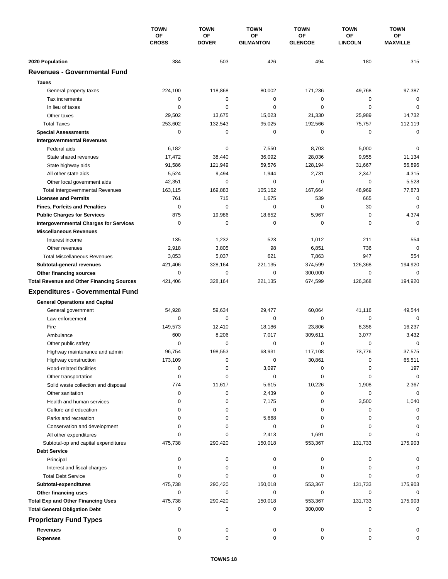|                                                             | <b>TOWN</b><br>ΟF<br><b>CROSS</b> | <b>TOWN</b>               | <b>TOWN</b><br><b>OF</b><br><b>GILMANTON</b> | <b>TOWN</b><br>ΟF<br><b>GLENCOE</b> | <b>TOWN</b><br><b>OF</b><br><b>LINCOLN</b> | <b>TOWN</b>                  |
|-------------------------------------------------------------|-----------------------------------|---------------------------|----------------------------------------------|-------------------------------------|--------------------------------------------|------------------------------|
|                                                             |                                   | <b>OF</b><br><b>DOVER</b> |                                              |                                     |                                            | <b>OF</b><br><b>MAXVILLE</b> |
| 2020 Population                                             | 384                               | 503                       | 426                                          | 494                                 | 180                                        | 315                          |
| <b>Revenues - Governmental Fund</b>                         |                                   |                           |                                              |                                     |                                            |                              |
| <b>Taxes</b>                                                |                                   |                           |                                              |                                     |                                            |                              |
| General property taxes                                      | 224,100                           | 118,868                   | 80,002                                       | 171,236                             | 49,768                                     | 97,387                       |
| Tax increments                                              | 0                                 | 0                         | 0                                            | 0                                   | 0                                          | 0                            |
| In lieu of taxes                                            | 0                                 | $\mathbf 0$               | 0                                            | 0                                   | $\mathbf 0$                                | $\mathbf 0$                  |
| Other taxes                                                 | 29,502                            | 13,675                    | 15,023                                       | 21,330                              | 25,989                                     | 14,732                       |
| <b>Total Taxes</b>                                          | 253,602                           | 132,543                   | 95,025                                       | 192,566                             | 75,757                                     | 112,119                      |
| <b>Special Assessments</b>                                  | 0                                 | 0                         | 0                                            | 0                                   | 0                                          | $\mathbf 0$                  |
| <b>Intergovernmental Revenues</b>                           |                                   |                           |                                              |                                     |                                            |                              |
| Federal aids                                                | 6,182                             | 0                         | 7,550                                        | 8,703                               | 5,000                                      | 0                            |
| State shared revenues                                       | 17,472                            | 38,440                    | 36,092                                       | 28,036                              | 9,955                                      | 11,134                       |
| State highway aids                                          | 91,586                            | 121,949                   | 59,576                                       | 128,194                             | 31,667                                     | 56,896                       |
| All other state aids                                        | 5,524                             | 9,494                     | 1,944                                        | 2,731                               | 2,347                                      | 4,315                        |
| Other local government aids                                 | 42,351                            | 0                         | 0                                            | 0                                   | $\mathbf 0$                                | 5,528                        |
| <b>Total Intergovernmental Revenues</b>                     | 163,115                           | 169,883                   | 105,162                                      | 167,664                             | 48,969                                     | 77,873                       |
| <b>Licenses and Permits</b>                                 | 761                               | 715                       | 1,675                                        | 539                                 | 665                                        | 0                            |
| <b>Fines, Forfeits and Penalties</b>                        | 0                                 | $\mathbf 0$               | 0                                            | 0                                   | 30                                         | $\mathbf 0$                  |
| <b>Public Charges for Services</b>                          | 875                               | 19,986                    | 18,652                                       | 5,967                               | 0                                          | 4,374                        |
| <b>Intergovernmental Charges for Services</b>               | $\mathbf 0$                       | $\mathbf 0$               | $\mathbf 0$                                  | $\mathbf 0$                         | $\mathbf 0$                                | $\Omega$                     |
| <b>Miscellaneous Revenues</b>                               |                                   |                           |                                              |                                     |                                            |                              |
| Interest income                                             | 135                               | 1,232                     | 523                                          | 1,012                               | 211                                        | 554                          |
| Other revenues                                              | 2,918                             | 3,805                     | 98                                           | 6,851                               | 736                                        | $\mathbf 0$                  |
| <b>Total Miscellaneous Revenues</b>                         | 3,053                             | 5,037                     | 621                                          | 7,863                               | 947                                        | 554                          |
| Subtotal-general revenues                                   | 421,406                           | 328,164                   | 221,135                                      | 374,599                             | 126,368                                    | 194,920                      |
| Other financing sources                                     | 0                                 | $\mathbf 0$               | 0                                            | 300,000                             | $\mathbf 0$                                | $\mathbf 0$                  |
| <b>Total Revenue and Other Financing Sources</b>            | 421,406                           | 328,164                   | 221,135                                      | 674,599                             | 126,368                                    | 194,920                      |
| <b>Expenditures - Governmental Fund</b>                     |                                   |                           |                                              |                                     |                                            |                              |
|                                                             |                                   |                           |                                              |                                     |                                            |                              |
| <b>General Operations and Capital</b>                       |                                   |                           |                                              |                                     |                                            |                              |
| General government                                          | 54,928<br>0                       | 59,634                    | 29,477<br>$\mathbf 0$                        | 60,064                              | 41,116<br>$\mathbf 0$                      | 49,544<br>$\Omega$           |
| Law enforcement                                             |                                   | 0                         |                                              | 0                                   |                                            |                              |
| Fire                                                        | 149,573<br>600                    | 12,410<br>8,206           | 18,186<br>7,017                              | 23,806<br>309,611                   | 8,356<br>3,077                             | 16,237<br>3,432              |
| Ambulance                                                   | 0                                 | 0                         | 0                                            | 0                                   | $\mathbf 0$                                | 0                            |
| Other public safety                                         | 96,754                            | 198,553                   | 68,931                                       | 117,108                             | 73,776                                     | 37,575                       |
| Highway maintenance and admin<br>Highway construction       | 173,109                           | 0                         | 0                                            | 30,861                              | 0                                          | 65,511                       |
| Road-related facilities                                     | 0                                 | 0                         | 3,097                                        | 0                                   | 0                                          | 197                          |
|                                                             | 0                                 | 0                         | 0                                            | 0                                   | 0                                          | $\mathbf 0$                  |
| Other transportation<br>Solid waste collection and disposal | 774                               | 11,617                    | 5,615                                        | 10,226                              | 1,908                                      | 2,367                        |
| Other sanitation                                            | 0                                 | 0                         | 2,439                                        | 0                                   | 0                                          | $\mathbf 0$                  |
| Health and human services                                   | 0                                 | 0                         | 7,175                                        | 0                                   | 3,500                                      | 1,040                        |
| Culture and education                                       | 0                                 | 0                         | 0                                            | 0                                   | 0                                          | 0                            |
| Parks and recreation                                        | $\Omega$                          | 0                         | 5,668                                        | 0                                   | 0                                          | $\Omega$                     |
| Conservation and development                                | $\Omega$                          | 0                         | 0                                            | 0                                   | 0                                          | $\Omega$                     |
| All other expenditures                                      | $\Omega$                          | 0                         | 2,413                                        | 1,691                               | 0                                          | $\Omega$                     |
| Subtotal-op and capital expenditures                        | 475,738                           | 290,420                   | 150,018                                      | 553,367                             | 131,733                                    | 175,903                      |
| <b>Debt Service</b>                                         |                                   |                           |                                              |                                     |                                            |                              |
| Principal                                                   | 0                                 | 0                         | 0                                            | 0                                   | 0                                          | 0                            |
| Interest and fiscal charges                                 | 0                                 | 0                         | 0                                            | 0                                   | 0                                          | 0                            |
| <b>Total Debt Service</b>                                   | 0                                 | 0                         | 0                                            | 0                                   | 0                                          | $\Omega$                     |
| Subtotal-expenditures                                       | 475,738                           | 290,420                   | 150,018                                      | 553,367                             | 131,733                                    | 175,903                      |
| Other financing uses                                        | 0                                 | 0                         | 0                                            | 0                                   | 0                                          | 0                            |
| <b>Total Exp and Other Financing Uses</b>                   | 475,738                           | 290,420                   | 150,018                                      | 553,367                             | 131,733                                    | 175,903                      |
| <b>Total General Obligation Debt</b>                        | 0                                 | 0                         | 0                                            | 300,000                             | 0                                          | 0                            |
|                                                             |                                   |                           |                                              |                                     |                                            |                              |
| <b>Proprietary Fund Types</b>                               |                                   |                           |                                              |                                     |                                            |                              |
| <b>Revenues</b>                                             | 0                                 | 0                         | 0                                            | 0                                   | 0                                          |                              |
| <b>Expenses</b>                                             | $\mathbf 0$                       | 0                         | $\mathbf 0$                                  | 0                                   | 0                                          |                              |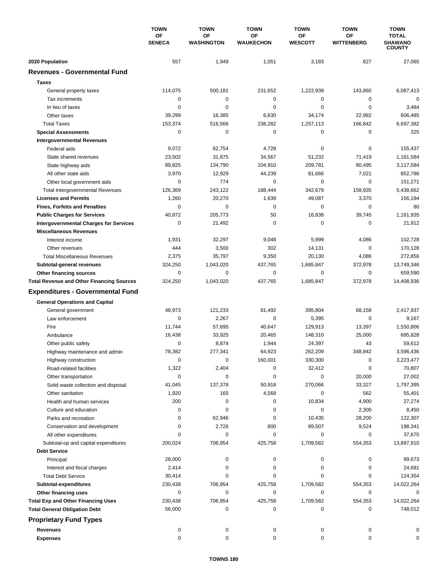|                                                  | <b>TOWN</b><br>OF<br><b>SENECA</b> | <b>TOWN</b>                    | <b>TOWN</b><br><b>OF</b><br><b>WAUKECHON</b> | <b>TOWN</b>          | <b>TOWN</b><br><b>OF</b><br><b>WITTENBERG</b> | <b>TOWN</b><br><b>TOTAL</b><br>SHAWANO<br><b>COUNTY</b> |
|--------------------------------------------------|------------------------------------|--------------------------------|----------------------------------------------|----------------------|-----------------------------------------------|---------------------------------------------------------|
|                                                  |                                    | <b>OF</b><br><b>WASHINGTON</b> |                                              | ΟF<br><b>WESCOTT</b> |                                               |                                                         |
| 2020 Population                                  | 557                                | 1,949                          | 1,051                                        | 3,183                | 827                                           | 27,065                                                  |
| <b>Revenues - Governmental Fund</b>              |                                    |                                |                                              |                      |                                               |                                                         |
| <b>Taxes</b>                                     |                                    |                                |                                              |                      |                                               |                                                         |
| General property taxes                           | 114,075                            | 500,181                        | 231,652                                      | 1,222,939            | 143,860                                       | 6,087,413                                               |
| Tax increments                                   | 0                                  | 0                              | $\mathbf 0$                                  | 0                    | 0                                             | $\mathbf 0$                                             |
| In lieu of taxes                                 | 0                                  | 0                              | $\mathbf 0$                                  | 0                    | $\mathbf 0$                                   | 3,484                                                   |
| Other taxes                                      | 39,299                             | 16,385                         | 6,630                                        | 34,174               | 22,982                                        | 606,485                                                 |
| <b>Total Taxes</b>                               | 153,374                            | 516,566                        | 238,282                                      | 1,257,113            | 166,842                                       | 6,697,382                                               |
| <b>Special Assessments</b>                       | 0                                  | 0                              | 0                                            | 0                    | 0                                             | 325                                                     |
| <b>Intergovernmental Revenues</b>                |                                    |                                |                                              |                      |                                               |                                                         |
| Federal aids                                     | 9,072                              | 62,754                         | 4,728                                        | 0                    | 0                                             | 155,437                                                 |
| State shared revenues                            | 23,502                             | 31,875                         | 34,567                                       | 51,232               | 71,419                                        | 1,161,584                                               |
| State highway aids                               | 89,825                             | 134,790                        | 104,910                                      | 209,781              | 80,495                                        | 3,117,584                                               |
| All other state aids                             | 3,970                              | 12,929                         | 44,239                                       | 81,666               | 7,021                                         | 852,786                                                 |
| Other local government aids                      | 0                                  | 774                            | $\mathbf 0$                                  | 0                    | $\mathbf 0$                                   | 151,271                                                 |
| <b>Total Intergovernmental Revenues</b>          | 126,369                            | 243,122                        | 188,444                                      | 342,679              | 158,935                                       | 5,438,662                                               |
| <b>Licenses and Permits</b>                      | 1,260                              | 20,270                         | 1,639                                        | 49,087               | 3,370                                         | 156,194                                                 |
| <b>Fines, Forfeits and Penalties</b>             | 0                                  | 0                              | $\mathbf 0$                                  | 0                    | 0                                             | 80                                                      |
| <b>Public Charges for Services</b>               | 40,872                             | 205,773                        | 50                                           | 16,838               | 39,745                                        | 1,161,935                                               |
| <b>Intergovernmental Charges for Services</b>    | 0                                  | 21,492                         | $\mathbf 0$                                  | 0                    | 0                                             | 21,912                                                  |
| <b>Miscellaneous Revenues</b>                    |                                    |                                |                                              |                      |                                               |                                                         |
| Interest income                                  | 1,931                              | 32,297                         | 9,048                                        | 5,999                | 4,086                                         | 102,728                                                 |
| Other revenues                                   | 444                                | 3,500                          | 302                                          | 14,131               | $\mathbf 0$                                   | 170,128                                                 |
| <b>Total Miscellaneous Revenues</b>              | 2,375                              | 35,797                         | 9,350                                        | 20,130               | 4,086                                         | 272,856                                                 |
| Subtotal-general revenues                        | 324,250                            | 1,043,020                      | 437,765                                      | 1,685,847            | 372,978                                       | 13,749,346                                              |
| Other financing sources                          | 0                                  | 0                              | $\mathbf 0$                                  | 0                    | $\mathbf 0$                                   | 659,590                                                 |
| <b>Total Revenue and Other Financing Sources</b> | 324,250                            | 1,043,020                      | 437,765                                      | 1,685,847            | 372,978                                       | 14,408,936                                              |
| <b>Expenditures - Governmental Fund</b>          |                                    |                                |                                              |                      |                                               |                                                         |
| <b>General Operations and Capital</b>            |                                    |                                |                                              |                      |                                               |                                                         |
| General government                               | 48,973                             | 121,233                        | 81,492                                       | 395,804              | 68,158                                        | 2,417,937                                               |
| Law enforcement                                  | 0                                  | 2,267                          | $\mathbf 0$                                  | 5,395                | 0                                             | 9,167                                                   |
| Fire                                             | 11,744                             | 57,695                         | 40,647                                       | 129,913              | 13,397                                        | 1,550,806                                               |
| Ambulance                                        | 16,438                             | 33,925                         | 20,465                                       | 148,310              | 25,000                                        | 695,828                                                 |
| Other public safety                              | 0                                  | 8,874                          | 1,944                                        | 24,397               | 43                                            | 59,612                                                  |
| Highway maintenance and admin                    | 78,382                             | 277,341                        | 64,923                                       | 262,209              | 348,942                                       | 3,596,436                                               |
| Highway construction                             | 0                                  | 0                              | 160,001                                      | 330,300              | 0                                             | 3,223,477                                               |
| Road-related facilities                          | 1,322                              | 2,404                          | 0                                            | 32,412               | 0                                             | 70,807                                                  |
| Other transportation                             | 0                                  | 0                              | 0                                            | $\pmb{0}$            | 20,000                                        | 27,002                                                  |
| Solid waste collection and disposal              | 41,045                             | 137,378                        | 50,918                                       | 270,066              | 33,327                                        | 1,797,395                                               |
| Other sanitation                                 | 1,920                              | 165                            | 4,568                                        | 0                    | 562                                           | 55,401                                                  |
| Health and human services                        | 200                                | 0                              | 0                                            | 10,834               | 4,900                                         | 27,274                                                  |
| Culture and education                            | 0                                  | 0                              | 0                                            | 0                    | 2,300                                         | 8,450                                                   |
| Parks and recreation                             | 0                                  | 62,946                         | 0                                            | 10,435               | 28,200                                        | 122,307                                                 |
| Conservation and development                     | 0                                  | 2,726                          | 800                                          | 89,507               | 9,524                                         | 198,341                                                 |
| All other expenditures                           | 0                                  | 0                              | 0                                            | 0                    | 0                                             | 37,670                                                  |
| Subtotal-op and capital expenditures             | 200,024                            | 706,954                        | 425,758                                      | 1,709,582            | 554,353                                       | 13,897,910                                              |
| <b>Debt Service</b>                              |                                    |                                |                                              |                      |                                               |                                                         |
| Principal                                        | 28,000                             | 0                              | 0                                            | 0                    | 0                                             | 99,673                                                  |
| Interest and fiscal charges                      | 2,414                              | $\pmb{0}$                      | 0                                            | 0                    | 0                                             | 24,681                                                  |
| <b>Total Debt Service</b>                        | 30,414                             | 0                              | 0                                            | 0                    | 0                                             | 124,354                                                 |
| Subtotal-expenditures                            | 230,438                            | 706,954                        | 425,758                                      | 1,709,582            | 554,353                                       | 14,022,264                                              |
| Other financing uses                             | 0                                  | 0                              | 0                                            | 0                    | 0                                             | 0                                                       |
| <b>Total Exp and Other Financing Uses</b>        | 230,438<br>56,000                  | 706,954<br>0                   | 425,758<br>0                                 | 1,709,582<br>0       | 554,353<br>0                                  | 14,022,264<br>748,012                                   |
| <b>Total General Obligation Debt</b>             |                                    |                                |                                              |                      |                                               |                                                         |
| <b>Proprietary Fund Types</b>                    |                                    |                                |                                              |                      |                                               |                                                         |
| <b>Revenues</b>                                  | 0                                  | 0                              | 0                                            | 0                    | 0                                             |                                                         |
| <b>Expenses</b>                                  | 0                                  | 0                              | 0                                            | 0                    | 0                                             | 0                                                       |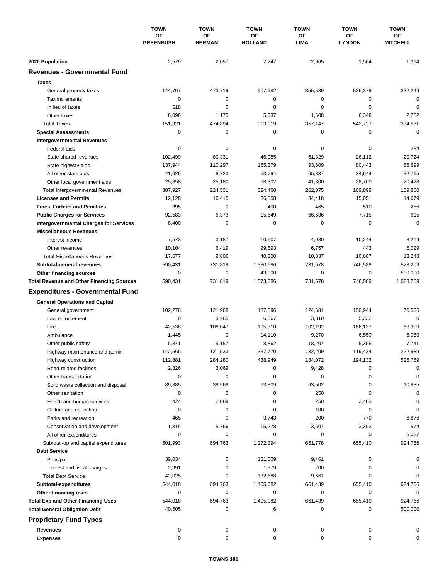|                                                  | <b>TOWN</b><br>OF<br><b>GREENBUSH</b> | <b>TOWN</b><br>OF<br><b>HERMAN</b> | <b>TOWN</b><br>OF<br><b>HOLLAND</b> | <b>TOWN</b><br>ΟF | <b>TOWN</b><br>ΟF<br><b>LYNDON</b> | <b>TOWN</b><br>ОF<br><b>MITCHELL</b> |
|--------------------------------------------------|---------------------------------------|------------------------------------|-------------------------------------|-------------------|------------------------------------|--------------------------------------|
|                                                  |                                       |                                    |                                     |                   |                                    |                                      |
|                                                  |                                       |                                    |                                     | <b>LIMA</b>       |                                    |                                      |
| 2020 Population                                  | 2,579                                 | 2,057                              | 2,247                               | 2,965             | 1,564                              | 1,314                                |
| <b>Revenues - Governmental Fund</b>              |                                       |                                    |                                     |                   |                                    |                                      |
| <b>Taxes</b>                                     |                                       |                                    |                                     |                   |                                    |                                      |
| General property taxes                           | 144,707                               | 473,719                            | 907,982                             | 355,539           | 536,379                            | 332,249                              |
| Tax increments                                   | $\mathbf 0$                           | 0                                  | 0                                   | 0                 | 0                                  | $\mathbf 0$                          |
| In lieu of taxes                                 | 518                                   | $\mathbf 0$                        | $\mathbf 0$                         | 0                 | $\mathbf 0$                        | $\mathbf 0$                          |
| Other taxes                                      | 6,096                                 | 1,175                              | 5,037                               | 1,608             | 6,348                              | 2,282                                |
| <b>Total Taxes</b>                               | 151,321                               | 474,894                            | 913,019                             | 357,147           | 542,727                            | 334,531                              |
| <b>Special Assessments</b>                       | 0                                     | 0                                  | 0                                   | 0                 | 0                                  | $\mathbf 0$                          |
| <b>Intergovernmental Revenues</b>                |                                       |                                    |                                     |                   |                                    |                                      |
| Federal aids                                     | 0                                     | 0                                  | 0                                   | 0                 | 0                                  | 234                                  |
| State shared revenues                            | 102,499                               | 80,331                             | 46,985                              | 61,329            | 26,112                             | 20,724                               |
| State highway aids                               | 137,944                               | 110,297                            | 165,379                             | 93,609            | 80,443                             | 85,699                               |
| All other state aids                             | 41,626                                | 8,723                              | 53,794                              | 65,837            | 34,644                             | 32,765                               |
| Other local government aids                      | 25,858                                | 25,180                             | 58,302                              | 41,300            | 28,700                             | 20,428                               |
| <b>Total Intergovernmental Revenues</b>          | 307,927                               | 224,531                            | 324,460                             | 262,075           | 169,899                            | 159,850                              |
| <b>Licenses and Permits</b>                      | 12,128                                | 16,415                             | 36,858                              | 34,418            | 15,051                             | 14,679                               |
| <b>Fines, Forfeits and Penalties</b>             | 395                                   | $\mathbf 0$                        | 400                                 | 465               | 510                                | 286                                  |
| <b>Public Charges for Services</b>               | 92,583                                | 6,373                              | 15,649                              | 66,636            | 7,715                              | 615                                  |
| <b>Intergovernmental Charges for Services</b>    | 8,400                                 | 0                                  | 0                                   | 0                 | 0                                  | $\mathbf 0$                          |
| <b>Miscellaneous Revenues</b>                    |                                       |                                    |                                     |                   |                                    |                                      |
| Interest income                                  | 7,573                                 | 3,187                              | 10,607                              | 4,080             | 10,244                             | 8,219                                |
| Other revenues                                   | 10,104                                | 6,419                              | 29,693                              | 6,757             | 443                                | 5,029                                |
| <b>Total Miscellaneous Revenues</b>              | 17,677                                | 9,606                              | 40,300                              | 10,837            | 10,687                             | 13,248                               |
| Subtotal-general revenues                        | 590,431                               | 731,819                            | 1,330,686                           | 731,578           | 746,589                            | 523,209                              |
| Other financing sources                          | $\mathbf 0$                           | $\mathbf 0$                        | 43,000                              | 0                 | 0                                  | 500,000                              |
| <b>Total Revenue and Other Financing Sources</b> | 590,431                               | 731,819                            | 1,373,686                           | 731,578           | 746,589                            | 1,023,209                            |
| <b>Expenditures - Governmental Fund</b>          |                                       |                                    |                                     |                   |                                    |                                      |
| <b>General Operations and Capital</b>            |                                       |                                    |                                     |                   |                                    |                                      |
| General government                               | 102,278                               | 121,968                            | 187,896                             | 124,681           | 150,944                            | 70,566                               |
| Law enforcement                                  | 0                                     | 3,285                              | 6,667                               | 3,810             | 5,332                              | $\mathbf 0$                          |
| Fire                                             | 42,538                                | 108,047                            | 195,310                             | 102,192           | 166,137                            | 68,309                               |
| Ambulance                                        | 1,445                                 | 0                                  | 14,110                              | 9,270             | 6,550                              | 5,050                                |
| Other public safety                              | 5,371                                 | 5,157                              | 8,862                               | 18,207            | 5,355                              | 7,741                                |
| Highway maintenance and admin                    | 142,565                               | 121,533                            | 337,770                             | 132,209           | 119,434                            | 222,989                              |
| Highway construction                             | 112,881                               | 284,280                            | 438,949                             | 184,072           | 194,132                            | 525,759                              |
| Road-related facilities                          | 2,826                                 | 3,069                              | 0                                   | 9,428             | 0                                  | 0                                    |
| Other transportation                             | 0                                     | 0                                  | 0                                   | 0                 | 0                                  | 0                                    |
| Solid waste collection and disposal              | 89,885                                | 39,569                             | 63,809                              | 63,502            | 0                                  | 10,835                               |
| Other sanitation                                 | 0                                     | 0                                  | 0                                   | 250               | 0                                  | 0                                    |
| Health and human services                        | 424                                   | 2,089                              | 0                                   | 250               | 3,403                              | 0                                    |
| Culture and education                            | 0                                     | 0                                  | 0                                   | 100               | 0                                  | 0                                    |
| Parks and recreation                             | 465                                   | 0                                  | 3,743                               | 200               | 770                                | 6,876                                |
| Conservation and development                     | 1,315                                 | 5,766                              | 15,278                              | 3,607             | 3,353                              | 574                                  |
| All other expenditures                           | 0                                     | 0                                  | 0                                   | 0                 | 0                                  | 6,067                                |
| Subtotal-op and capital expenditures             | 501,993                               | 694,763                            | 1,272,394                           | 651,778           | 655,410                            | 924,766                              |
| <b>Debt Service</b>                              |                                       |                                    |                                     |                   |                                    |                                      |
| Principal                                        | 39,034                                | 0                                  | 131,309                             | 9,461             | 0                                  | 0                                    |
| Interest and fiscal charges                      | 2,991                                 | 0                                  | 1,379                               | 200               | 0                                  |                                      |
| <b>Total Debt Service</b>                        | 42,025                                | 0                                  | 132,688                             | 9,661             | 0                                  | $\Omega$                             |
| Subtotal-expenditures                            | 544,018                               | 694,763                            | 1,405,082                           | 661,439           | 655,410                            | 924,766                              |
| Other financing uses                             | 0                                     | 0                                  | 0                                   | 0                 | 0                                  | 0                                    |
| <b>Total Exp and Other Financing Uses</b>        | 544,018                               | 694,763                            | 1,405,082                           | 661,439           | 655,410                            | 924,766                              |
| <b>Total General Obligation Debt</b>             | 40,505                                | 0                                  | 6                                   | 0                 | 0                                  | 500,000                              |
| <b>Proprietary Fund Types</b>                    |                                       |                                    |                                     |                   |                                    |                                      |
| Revenues                                         | 0                                     |                                    |                                     |                   |                                    |                                      |
| <b>Expenses</b>                                  | 0                                     | 0<br>0                             | 0<br>0                              | 0<br>0            | 0<br>0                             | 0                                    |
|                                                  |                                       |                                    |                                     |                   |                                    |                                      |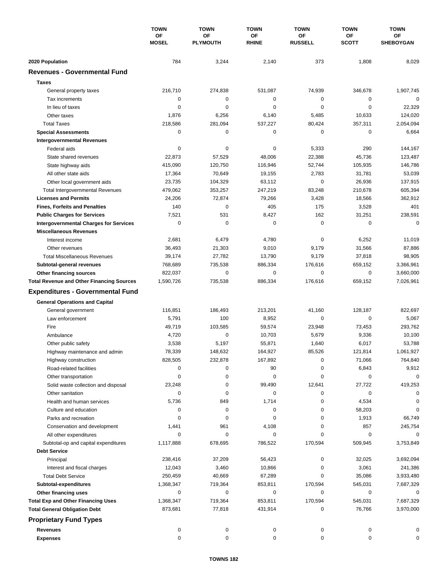|                                                  | <b>TOWN</b><br>OF<br><b>MOSEL</b> | <b>TOWN</b>           | <b>TOWN</b>        | <b>TOWN</b>          | <b>TOWN</b>        | <b>TOWN</b>            |
|--------------------------------------------------|-----------------------------------|-----------------------|--------------------|----------------------|--------------------|------------------------|
|                                                  |                                   | OF<br><b>PLYMOUTH</b> | ΟF<br><b>RHINE</b> | ΟF<br><b>RUSSELL</b> | ΟF<br><b>SCOTT</b> | OF<br><b>SHEBOYGAN</b> |
|                                                  |                                   |                       |                    |                      |                    |                        |
| 2020 Population                                  | 784                               | 3,244                 | 2,140              | 373                  | 1,808              | 8,029                  |
| <b>Revenues - Governmental Fund</b>              |                                   |                       |                    |                      |                    |                        |
| <b>Taxes</b>                                     |                                   |                       |                    |                      |                    |                        |
| General property taxes                           | 216,710                           | 274,838               | 531,087            | 74,939               | 346,678            | 1,907,745              |
| Tax increments                                   | $\mathbf 0$                       | $\mathbf 0$           | 0                  | $\mathbf 0$          | 0                  | $\mathbf 0$            |
| In lieu of taxes                                 | 0                                 | 0                     | 0                  | 0                    | $\mathbf 0$        | 22,329                 |
| Other taxes                                      | 1,876                             | 6,256                 | 6,140              | 5,485                | 10,633             | 124,020                |
| <b>Total Taxes</b>                               | 218,586                           | 281,094               | 537,227            | 80,424               | 357,311            | 2,054,094              |
| <b>Special Assessments</b>                       | 0                                 | 0                     | 0                  | 0                    | $\mathbf 0$        | 6,664                  |
| <b>Intergovernmental Revenues</b>                |                                   |                       |                    |                      |                    |                        |
| Federal aids                                     | 0                                 | 0                     | 0                  | 5,333                | 290                | 144,167                |
| State shared revenues                            | 22,873                            | 57,529                | 48,006             | 22,388               | 45,736             | 123,487                |
| State highway aids                               | 415,090                           | 120,750               | 116,946            | 52,744               | 105,935            | 146,786                |
| All other state aids                             | 17,364                            | 70,649                | 19,155             | 2,783                | 31,781             | 53,039                 |
| Other local government aids                      | 23,735                            | 104,329               | 63,112             | $\mathbf 0$          | 26,936             | 137,915                |
| <b>Total Intergovernmental Revenues</b>          | 479,062                           | 353,257               | 247,219            | 83,248               | 210,678            | 605,394                |
| <b>Licenses and Permits</b>                      | 24,206                            | 72,874                | 79,266             | 3,428                | 18,566             | 362,912                |
| <b>Fines, Forfeits and Penalties</b>             | 140                               | $\mathbf 0$           | 405                | 175                  | 3,528              | 401                    |
| <b>Public Charges for Services</b>               | 7,521                             | 531                   | 8,427              | 162                  | 31,251             | 238,591                |
| <b>Intergovernmental Charges for Services</b>    | $\mathbf 0$                       | $\mathbf 0$           | 0                  | $\mathbf 0$          | 0                  | $\mathbf 0$            |
| <b>Miscellaneous Revenues</b>                    |                                   |                       |                    |                      |                    |                        |
| Interest income                                  | 2,681                             | 6,479                 | 4,780              | $\pmb{0}$            | 6,252              | 11,019                 |
| Other revenues                                   | 36,493                            | 21,303                | 9,010              | 9,179                | 31,566             | 87,886                 |
| <b>Total Miscellaneous Revenues</b>              | 39,174                            | 27,782                | 13,790             | 9,179                | 37,818             | 98,905                 |
| Subtotal-general revenues                        | 768,689                           | 735,538               | 886,334            | 176,616              | 659,152            | 3,366,961              |
| Other financing sources                          | 822,037                           | $\mathbf 0$           | 0                  | $\mathbf 0$          | 0                  | 3,660,000              |
| <b>Total Revenue and Other Financing Sources</b> | 1,590,726                         | 735,538               | 886,334            | 176,616              | 659,152            | 7,026,961              |
| <b>Expenditures - Governmental Fund</b>          |                                   |                       |                    |                      |                    |                        |
| <b>General Operations and Capital</b>            |                                   |                       |                    |                      |                    |                        |
| General government                               | 116,851                           | 186,493               | 213,201            | 41,160               | 128,187            | 822,697                |
| Law enforcement                                  | 5,791                             | 100                   | 8,952              | 0                    | $\mathbf 0$        | 5,067                  |
| Fire                                             | 49,719                            | 103,585               | 59,574             | 23,948               | 73,453             | 293,762                |
| Ambulance                                        | 4,720                             | $\mathbf 0$           | 10,703             | 5,679                | 9,336              | 10,100                 |
| Other public safety                              | 3,538                             | 5,197                 | 55,871             | 1,640                | 6,017              | 53,788                 |
| Highway maintenance and admin                    | 78,339                            | 148,632               | 164,927            | 85,526               | 121,814            | 1,061,927              |
| Highway construction                             | 828,505                           | 232,878               | 167,892            | 0                    | 71,066             | 764,840                |
| Road-related facilities                          | 0                                 | 0                     | 90                 | 0                    | 6,843              | 9,912                  |
| Other transportation                             | 0                                 | 0                     | 0                  | 0                    | 0                  | $\mathbf 0$            |
| Solid waste collection and disposal              | 23,248                            | 0                     | 99,490             | 12,641               | 27,722             | 419,253                |
| Other sanitation                                 | 0                                 | 0                     | 0                  | 0                    | 0                  | 0                      |
| Health and human services                        | 5,736                             | 849                   | 1,714              | 0                    | 4,534              | 0                      |
| Culture and education                            | 0                                 | 0                     | 0                  | 0                    | 58,203             | 0                      |
| Parks and recreation                             | 0                                 | 0                     | 0                  | 0                    | 1,913              | 66,749                 |
| Conservation and development                     | 1,441                             | 961                   | 4,108              | 0                    | 857                | 245,754                |
| All other expenditures                           | 0                                 | 0                     | 0                  | 0                    | 0                  | 0                      |
| Subtotal-op and capital expenditures             | 1,117,888                         | 678,695               | 786,522            | 170,594              | 509,945            | 3,753,849              |
| <b>Debt Service</b>                              |                                   |                       |                    |                      |                    |                        |
| Principal                                        | 238,416                           | 37,209                | 56,423             | 0                    | 32,025             | 3,692,094              |
| Interest and fiscal charges                      | 12,043                            | 3,460                 | 10,866             | 0                    | 3,061              | 241,386                |
| <b>Total Debt Service</b>                        | 250,459                           | 40,669                | 67,289             | 0                    | 35,086             | 3,933,480              |
| Subtotal-expenditures                            | 1,368,347                         | 719,364               | 853,811            | 170,594              | 545,031            | 7,687,329              |
| Other financing uses                             | 0                                 | 0                     | 0                  | 0                    | 0                  | 0                      |
| <b>Total Exp and Other Financing Uses</b>        | 1,368,347                         | 719,364               | 853,811            | 170,594              | 545,031            | 7,687,329              |
| <b>Total General Obligation Debt</b>             | 873,681                           | 77,818                | 431,914            | 0                    | 76,766             | 3,970,000              |
| <b>Proprietary Fund Types</b>                    |                                   |                       |                    |                      |                    |                        |
|                                                  |                                   |                       |                    |                      |                    |                        |
| <b>Revenues</b>                                  | 0                                 | 0                     | 0                  | 0                    | 0                  | 0                      |
| <b>Expenses</b>                                  | 0                                 | 0                     | 0                  | 0                    | 0                  | 0                      |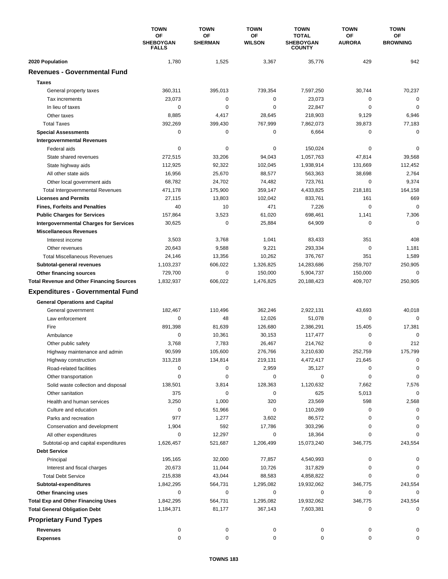|                                                         | <b>TOWN</b><br><b>OF</b><br><b>SHEBOYGAN</b><br><b>FALLS</b> | <b>TOWN</b>          | <b>TOWN</b>         | <b>TOWN</b>                                       | <b>TOWN</b>                | <b>TOWN</b>           |
|---------------------------------------------------------|--------------------------------------------------------------|----------------------|---------------------|---------------------------------------------------|----------------------------|-----------------------|
|                                                         |                                                              | OF<br><b>SHERMAN</b> | ΟF<br><b>WILSON</b> | <b>TOTAL</b><br><b>SHEBOYGAN</b><br><b>COUNTY</b> | <b>OF</b><br><b>AURORA</b> | OF<br><b>BROWNING</b> |
| 2020 Population                                         | 1,780                                                        | 1,525                | 3,367               | 35,776                                            | 429                        | 942                   |
| <b>Revenues - Governmental Fund</b>                     |                                                              |                      |                     |                                                   |                            |                       |
| <b>Taxes</b>                                            |                                                              |                      |                     |                                                   |                            |                       |
| General property taxes                                  | 360,311                                                      | 395,013              | 739,354             | 7,597,250                                         | 30,744                     | 70,237                |
| Tax increments                                          | 23,073                                                       | $\mathbf 0$          | 0                   | 23,073                                            | 0                          | $\mathbf 0$           |
| In lieu of taxes                                        | 0                                                            | 0                    | 0                   | 22,847                                            | $\mathbf 0$                | 0                     |
| Other taxes                                             | 8,885                                                        | 4,417                | 28,645              | 218,903                                           | 9,129                      | 6,946                 |
| <b>Total Taxes</b>                                      | 392,269                                                      | 399,430              | 767,999             | 7,862,073                                         | 39,873                     | 77,183                |
| <b>Special Assessments</b>                              | 0                                                            | 0                    | 0                   | 6,664                                             | 0                          | $\mathbf 0$           |
| <b>Intergovernmental Revenues</b>                       |                                                              |                      |                     |                                                   |                            |                       |
| Federal aids                                            | 0                                                            | 0                    | 0                   | 150,024                                           | 0                          | 0                     |
| State shared revenues                                   | 272,515                                                      | 33,206               | 94,043              | 1,057,763                                         | 47,814                     | 39,568                |
| State highway aids                                      | 112,925                                                      | 92,322               | 102,045             | 1,938,914                                         | 131,669                    | 112,452               |
| All other state aids                                    | 16,956                                                       | 25,670               | 88,577              | 563,363                                           | 38,698                     | 2,764                 |
| Other local government aids                             | 68,782                                                       | 24,702               | 74,482              | 723,761                                           | $\mathbf 0$                | 9,374                 |
| <b>Total Intergovernmental Revenues</b>                 | 471,178                                                      | 175,900              | 359,147             | 4,433,825                                         | 218,181                    | 164.158               |
| <b>Licenses and Permits</b>                             | 27,115                                                       | 13,803               | 102,042             | 833,761                                           | 161                        | 669                   |
| <b>Fines, Forfeits and Penalties</b>                    | 40                                                           | 10                   | 471                 | 7,226                                             | $\Omega$                   | $\mathbf 0$           |
| <b>Public Charges for Services</b>                      | 157,864                                                      | 3,523                | 61,020              | 698,461                                           | 1,141                      | 7,306                 |
| <b>Intergovernmental Charges for Services</b>           | 30,625                                                       | $\mathbf 0$          | 25,884              | 64,909                                            | $\mathbf 0$                | $\Omega$              |
| <b>Miscellaneous Revenues</b>                           |                                                              |                      |                     |                                                   |                            |                       |
| Interest income                                         | 3,503                                                        | 3,768                | 1,041               | 83,433                                            | 351                        | 408                   |
| Other revenues                                          | 20,643                                                       | 9,588                | 9,221               | 293,334                                           | $\mathbf 0$                | 1,181                 |
| <b>Total Miscellaneous Revenues</b>                     | 24,146                                                       | 13,356               | 10,262              | 376,767                                           | 351                        | 1,589                 |
| Subtotal-general revenues                               | 1,103,237                                                    | 606,022              | 1,326,825           | 14,283,686                                        | 259,707                    | 250,905               |
| Other financing sources                                 | 729,700                                                      | $\mathbf 0$          | 150,000             | 5,904,737                                         | 150,000                    | $\mathbf 0$           |
| <b>Total Revenue and Other Financing Sources</b>        | 1,832,937                                                    | 606,022              | 1,476,825           | 20,188,423                                        | 409,707                    | 250,905               |
| <b>Expenditures - Governmental Fund</b>                 |                                                              |                      |                     |                                                   |                            |                       |
|                                                         |                                                              |                      |                     |                                                   |                            |                       |
| <b>General Operations and Capital</b>                   |                                                              |                      |                     |                                                   |                            |                       |
| General government                                      | 182,467<br>$\mathbf 0$                                       | 110,496              | 362,246             | 2,922,131                                         | 43,693<br>0                | 40,018<br>$\mathbf 0$ |
| Law enforcement<br>Fire                                 | 891,398                                                      | 48<br>81,639         | 12,026              | 51,078<br>2,386,291                               |                            |                       |
|                                                         | 0                                                            | 10,361               | 126,680<br>30,153   | 117,477                                           | 15,405<br>0                | 17,381<br>$\mathbf 0$ |
| Ambulance                                               | 3,768                                                        | 7,783                | 26,467              | 214,762                                           | $\mathbf 0$                | 212                   |
| Other public safety<br>Highway maintenance and admin    | 90,599                                                       | 105,600              | 276,766             | 3,210,630                                         | 252,759                    | 175,799               |
|                                                         | 313,218                                                      | 134,814              | 219,131             | 4,472,417                                         | 21,645                     | 0                     |
| Highway construction                                    | 0                                                            | 0                    | 2,959               | 35,127                                            | 0                          | 0                     |
| Road-related facilities                                 | 0                                                            | 0                    | 0                   | 0                                                 | 0                          | $\mathbf 0$           |
| Other transportation                                    | 138,501                                                      | 3,814                | 128,363             | 1,120,632                                         | 7,662                      | 7,576                 |
| Solid waste collection and disposal<br>Other sanitation | 375                                                          | 0                    | 0                   | 625                                               | 5,013                      | $\mathbf 0$           |
| Health and human services                               | 3,250                                                        | 1,000                | 320                 | 23,569                                            | 598                        | 2,568                 |
| Culture and education                                   | 0                                                            | 51,966               | 0                   | 110,269                                           | 0                          | 0                     |
| Parks and recreation                                    | 977                                                          | 1,277                | 3,602               | 86,572                                            | 0                          | 0                     |
| Conservation and development                            | 1,904                                                        | 592                  | 17,786              | 303,296                                           | 0                          | 0                     |
| All other expenditures                                  | 0                                                            | 12,297               | 0                   | 18,364                                            | 0                          | $\Omega$              |
| Subtotal-op and capital expenditures                    | 1,626,457                                                    | 521,687              | 1,206,499           | 15,073,240                                        | 346,775                    | 243,554               |
| <b>Debt Service</b>                                     |                                                              |                      |                     |                                                   |                            |                       |
| Principal                                               | 195,165                                                      | 32,000               | 77,857              | 4,540,993                                         | 0                          | 0                     |
| Interest and fiscal charges                             | 20,673                                                       | 11,044               | 10,726              | 317,829                                           | 0                          | 0                     |
| <b>Total Debt Service</b>                               | 215,838                                                      | 43,044               | 88,583              | 4,858,822                                         | 0                          | 0                     |
| Subtotal-expenditures                                   | 1,842,295                                                    | 564,731              | 1,295,082           | 19,932,062                                        | 346,775                    | 243,554               |
| Other financing uses                                    | 0                                                            | 0                    | 0                   | 0                                                 | 0                          | 0                     |
| <b>Total Exp and Other Financing Uses</b>               | 1,842,295                                                    | 564,731              | 1,295,082           | 19,932,062                                        | 346,775                    | 243,554               |
| <b>Total General Obligation Debt</b>                    | 1,184,371                                                    | 81,177               | 367,143             | 7,603,381                                         | 0                          | 0                     |
|                                                         |                                                              |                      |                     |                                                   |                            |                       |
| <b>Proprietary Fund Types</b>                           |                                                              |                      |                     |                                                   |                            |                       |
| <b>Revenues</b>                                         | 0                                                            | 0                    | 0                   | 0                                                 | 0                          | 0                     |
| <b>Expenses</b>                                         | 0                                                            | 0                    | 0                   | 0                                                 | 0                          | 0                     |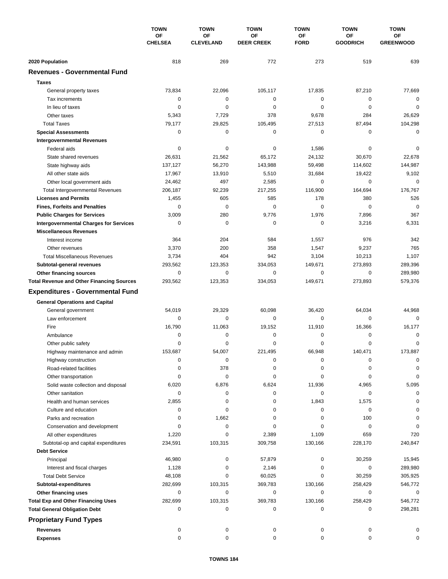|                                                  | <b>TOWN</b><br>ΟF<br><b>CHELSEA</b> | <b>TOWN</b>            | <b>TOWN</b>             | <b>TOWN</b>       | <b>TOWN</b>                  | <b>TOWN</b>            |
|--------------------------------------------------|-------------------------------------|------------------------|-------------------------|-------------------|------------------------------|------------------------|
|                                                  |                                     | OF<br><b>CLEVELAND</b> | OF<br><b>DEER CREEK</b> | OF<br><b>FORD</b> | <b>OF</b><br><b>GOODRICH</b> | OF<br><b>GREENWOOD</b> |
| 2020 Population                                  | 818                                 | 269                    | 772                     | 273               | 519                          | 639                    |
| <b>Revenues - Governmental Fund</b>              |                                     |                        |                         |                   |                              |                        |
| <b>Taxes</b>                                     |                                     |                        |                         |                   |                              |                        |
| General property taxes                           | 73,834                              | 22,096                 | 105,117                 | 17,835            | 87,210                       | 77,669                 |
| Tax increments                                   | 0                                   | $\mathbf 0$            | 0                       | 0                 | $\mathbf 0$                  | $\mathbf 0$            |
| In lieu of taxes                                 | 0                                   | 0                      | 0                       | 0                 | 0                            | $\mathbf 0$            |
| Other taxes                                      | 5,343                               | 7,729                  | 378                     | 9,678             | 284                          | 26,629                 |
| <b>Total Taxes</b>                               | 79,177                              | 29,825                 | 105,495                 | 27,513            | 87,494                       | 104,298                |
| <b>Special Assessments</b>                       | 0                                   | 0                      | 0                       | 0                 | 0                            | $\mathbf 0$            |
| <b>Intergovernmental Revenues</b>                |                                     |                        |                         |                   |                              |                        |
| Federal aids                                     | 0                                   | 0                      | 0                       | 1,586             | 0                            | 0                      |
| State shared revenues                            | 26,631                              | 21,562                 | 65,172                  | 24,132            | 30,670                       | 22,678                 |
| State highway aids                               | 137,127                             | 56,270                 | 143,988                 | 59,498            | 114,602                      | 144,987                |
| All other state aids                             | 17,967                              | 13,910                 | 5,510                   | 31,684            | 19,422                       | 9,102                  |
| Other local government aids                      | 24,462                              | 497                    | 2,585                   | 0                 | $\mathbf 0$                  | $\mathbf 0$            |
| <b>Total Intergovernmental Revenues</b>          | 206,187                             | 92,239                 | 217,255                 | 116,900           | 164,694                      | 176,767                |
| <b>Licenses and Permits</b>                      | 1,455                               | 605                    | 585                     | 178               | 380                          | 526                    |
| <b>Fines, Forfeits and Penalties</b>             | 0                                   | $\mathbf 0$            | 0                       | 0                 | $\mathbf 0$                  | $\mathbf 0$            |
| <b>Public Charges for Services</b>               | 3,009                               | 280                    | 9,776                   | 1,976             | 7,896                        | 367                    |
| <b>Intergovernmental Charges for Services</b>    | 0                                   | 0                      | 0                       | 0                 | 3,216                        | 6,331                  |
| <b>Miscellaneous Revenues</b>                    |                                     |                        |                         |                   |                              |                        |
| Interest income                                  | 364                                 | 204                    | 584                     | 1,557             | 976                          | 342                    |
| Other revenues                                   | 3,370                               | 200                    | 358                     | 1,547             | 9,237                        | 765                    |
| <b>Total Miscellaneous Revenues</b>              | 3,734                               | 404                    | 942                     | 3,104             | 10,213                       | 1,107                  |
| Subtotal-general revenues                        | 293,562                             | 123,353                | 334,053                 | 149,671           | 273,893                      | 289,396                |
| Other financing sources                          | 0                                   | 0                      | 0                       | 0                 | 0                            | 289,980                |
| <b>Total Revenue and Other Financing Sources</b> | 293,562                             | 123,353                | 334,053                 | 149,671           | 273,893                      | 579,376                |
|                                                  |                                     |                        |                         |                   |                              |                        |
| <b>Expenditures - Governmental Fund</b>          |                                     |                        |                         |                   |                              |                        |
| <b>General Operations and Capital</b>            |                                     |                        |                         |                   |                              |                        |
| General government                               | 54,019                              | 29,329                 | 60,098                  | 36,420            | 64,034                       | 44,968                 |
| Law enforcement                                  | 0                                   | 0                      | $\mathbf 0$             | 0                 | 0                            | $\Omega$               |
| Fire                                             | 16,790                              | 11,063                 | 19,152                  | 11,910            | 16,366                       | 16,177                 |
| Ambulance                                        | 0                                   | 0                      | 0                       | 0                 | 0                            | 0                      |
| Other public safety                              | 0                                   | 0                      | 0                       | 0                 | $\mathbf 0$                  | $\mathbf 0$            |
| Highway maintenance and admin                    | 153,687                             | 54,007                 | 221,495                 | 66,948            | 140,471                      | 173,887                |
| Highway construction                             | 0                                   | $\pmb{0}$              | 0                       | 0                 | 0                            | $\mathbf 0$            |
| Road-related facilities                          | 0                                   | 378                    | 0                       | 0                 | 0                            | 0                      |
| Other transportation                             | 0                                   | $\pmb{0}$              | 0                       | 0                 | 0                            | $\mathbf 0$            |
| Solid waste collection and disposal              | 6,020                               | 6,876                  | 6,624                   | 11,936            | 4,965                        | 5,095                  |
| Other sanitation                                 | 0                                   | 0                      | 0                       | 0                 | 0                            | $\mathbf 0$            |
| Health and human services                        | 2,855                               | 0                      | 0                       | 1,843             | 1,575                        | $\Omega$               |
| Culture and education                            | 0                                   | 0                      | 0                       | 0                 | 0                            | 0                      |
| Parks and recreation                             | 0                                   | 1,662                  | 0                       | 0                 | 100                          | 0                      |
| Conservation and development                     | 0                                   | 0                      | 0                       | 0                 | 0                            | $\Omega$               |
| All other expenditures                           | 1,220                               | 0                      | 2,389                   | 1,109             | 659                          | 720                    |
| Subtotal-op and capital expenditures             | 234,591                             | 103,315                | 309,758                 | 130,166           | 228,170                      | 240,847                |
| <b>Debt Service</b>                              |                                     |                        |                         |                   |                              |                        |
| Principal                                        | 46,980                              | 0                      | 57,879                  | 0                 | 30,259                       | 15,945                 |
| Interest and fiscal charges                      | 1,128                               | 0                      | 2,146                   | 0                 | 0                            | 289,980                |
| <b>Total Debt Service</b>                        | 48,108                              | 0                      | 60,025                  | 0                 | 30,259                       | 305,925                |
| Subtotal-expenditures                            | 282,699                             | 103,315                | 369,783                 | 130,166           | 258,429                      | 546,772                |
| Other financing uses                             | 0                                   | 0                      | 0                       | 0                 | 0                            | 0                      |
| <b>Total Exp and Other Financing Uses</b>        | 282,699                             | 103,315                | 369,783                 | 130,166           | 258,429                      | 546,772                |
| <b>Total General Obligation Debt</b>             | 0                                   | 0                      | 0                       | 0                 | 0                            | 298,281                |
| <b>Proprietary Fund Types</b>                    |                                     |                        |                         |                   |                              |                        |
| <b>Revenues</b>                                  | 0                                   | 0                      | 0                       | 0                 | 0                            | 0                      |
| <b>Expenses</b>                                  | 0                                   | 0                      | 0                       | 0                 | 0                            | 0                      |
|                                                  |                                     |                        |                         |                   |                              |                        |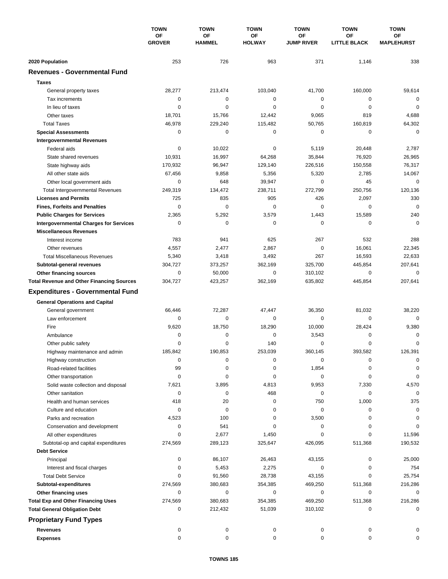|                                                  | <b>TOWN</b><br><b>OF</b><br><b>GROVER</b> | <b>TOWN</b>                | <b>TOWN</b><br>ΟF<br><b>HOLWAY</b> | <b>TOWN</b><br>ΟF<br><b>JUMP RIVER</b> | <b>TOWN</b><br>ΟF<br><b>LITTLE BLACK</b> | <b>TOWN</b><br><b>OF</b><br><b>MAPLEHURST</b> |
|--------------------------------------------------|-------------------------------------------|----------------------------|------------------------------------|----------------------------------------|------------------------------------------|-----------------------------------------------|
|                                                  |                                           | <b>OF</b><br><b>HAMMEL</b> |                                    |                                        |                                          |                                               |
| 2020 Population                                  | 253                                       | 726                        | 963                                | 371                                    | 1,146                                    | 338                                           |
| <b>Revenues - Governmental Fund</b>              |                                           |                            |                                    |                                        |                                          |                                               |
| <b>Taxes</b>                                     |                                           |                            |                                    |                                        |                                          |                                               |
| General property taxes                           | 28,277                                    | 213,474                    | 103,040                            | 41,700                                 | 160,000                                  | 59,614                                        |
| Tax increments                                   | 0                                         | $\mathbf 0$                | 0                                  | 0                                      | 0                                        | $\mathbf 0$                                   |
| In lieu of taxes                                 | 0                                         | 0                          | $\mathbf 0$                        | 0                                      | $\mathbf 0$                              | $\mathbf 0$                                   |
| Other taxes                                      | 18,701                                    | 15,766                     | 12,442                             | 9,065                                  | 819                                      | 4,688                                         |
| <b>Total Taxes</b>                               | 46,978                                    | 229,240                    | 115,482                            | 50,765                                 | 160,819                                  | 64,302                                        |
| <b>Special Assessments</b>                       | 0                                         | $\mathbf 0$                | 0                                  | 0                                      | $\mathbf 0$                              | $\mathbf 0$                                   |
| <b>Intergovernmental Revenues</b>                |                                           |                            |                                    |                                        |                                          |                                               |
| Federal aids                                     | 0                                         | 10,022                     | 0                                  | 5,119                                  | 20,448                                   | 2,787                                         |
| State shared revenues                            | 10,931                                    | 16,997                     | 64,268                             | 35,844                                 | 76,920                                   | 26,965                                        |
| State highway aids                               | 170,932                                   | 96,947                     | 129,140                            | 226,516                                | 150,558                                  | 76,317                                        |
| All other state aids                             | 67,456                                    | 9,858                      | 5,356                              | 5,320                                  | 2,785                                    | 14,067                                        |
| Other local government aids                      | 0                                         | 648                        | 39,947                             | 0                                      | 45                                       | $\mathbf 0$                                   |
| <b>Total Intergovernmental Revenues</b>          | 249,319                                   | 134,472                    | 238,711                            | 272,799                                | 250,756                                  | 120,136                                       |
| <b>Licenses and Permits</b>                      | 725                                       | 835                        | 905                                | 426                                    | 2,097                                    | 330                                           |
| <b>Fines, Forfeits and Penalties</b>             | $\Omega$                                  | $\Omega$                   | 0                                  | $\Omega$                               | 0                                        | $\mathbf 0$                                   |
| <b>Public Charges for Services</b>               | 2,365                                     | 5,292                      | 3,579                              | 1,443                                  | 15,589                                   | 240                                           |
| <b>Intergovernmental Charges for Services</b>    | 0                                         | 0                          | 0                                  | 0                                      | 0                                        | $\Omega$                                      |
| <b>Miscellaneous Revenues</b>                    |                                           |                            |                                    |                                        |                                          |                                               |
| Interest income                                  | 783                                       | 941                        | 625                                | 267                                    | 532                                      | 288                                           |
| Other revenues                                   | 4,557                                     | 2,477                      | 2,867                              | $\mathbf 0$                            | 16,061                                   | 22,345                                        |
| <b>Total Miscellaneous Revenues</b>              | 5,340                                     | 3,418                      | 3,492                              | 267                                    | 16,593                                   | 22,633                                        |
| Subtotal-general revenues                        | 304,727                                   | 373,257                    | 362,169                            | 325,700                                | 445,854                                  | 207,641                                       |
| Other financing sources                          | 0                                         | 50,000                     | $\mathbf 0$                        | 310,102                                | $\mathbf 0$                              | $\mathbf 0$                                   |
| <b>Total Revenue and Other Financing Sources</b> | 304,727                                   | 423,257                    | 362,169                            | 635,802                                | 445,854                                  | 207,641                                       |
| <b>Expenditures - Governmental Fund</b>          |                                           |                            |                                    |                                        |                                          |                                               |
| <b>General Operations and Capital</b>            |                                           |                            |                                    |                                        |                                          |                                               |
| General government                               | 66,446                                    | 72,287                     | 47,447                             | 36,350                                 | 81,032                                   | 38,220                                        |
| Law enforcement                                  | 0                                         | 0                          | 0                                  | 0                                      | 0                                        | $\Omega$                                      |
| Fire                                             | 9,620                                     | 18,750                     | 18,290                             | 10,000                                 | 28,424                                   | 9,380                                         |
| Ambulance                                        | 0                                         | 0                          | 0                                  | 3,543                                  | 0                                        | 0                                             |
| Other public safety                              | 0                                         | $\mathbf 0$                | 140                                | 0                                      | $\mathbf 0$                              | 0                                             |
| Highway maintenance and admin                    | 185,842                                   | 190.853                    | 253,039                            | 360,145                                | 393,582                                  | 126.391                                       |
| Highway construction                             | 0                                         | 0                          | 0                                  | 0                                      | 0                                        | 0                                             |
| Road-related facilities                          | 99                                        | 0                          | 0                                  | 1,854                                  | 0                                        | 0                                             |
| Other transportation                             | 0                                         | 0                          | 0                                  | 0                                      | 0                                        | 0                                             |
| Solid waste collection and disposal              | 7,621                                     | 3,895                      | 4,813                              | 9,953                                  | 7,330                                    | 4,570                                         |
| Other sanitation                                 | 0                                         | 0                          | 468                                | 0                                      | 0                                        | $\mathbf 0$                                   |
| Health and human services                        | 418                                       | 20                         | 0                                  | 750                                    | 1,000                                    | 375                                           |
| Culture and education                            | 0                                         | 0                          | 0                                  | 0                                      | 0                                        | 0                                             |
| Parks and recreation                             | 4,523                                     | 100                        | 0                                  | 3,500                                  | 0                                        | 0                                             |
| Conservation and development                     | 0                                         | 541                        | 0                                  | 0                                      | 0                                        | 0                                             |
| All other expenditures                           | $\Omega$                                  | 2,677                      | 1,450                              | 0                                      | 0                                        | 11,596                                        |
| Subtotal-op and capital expenditures             | 274,569                                   | 289,123                    | 325,647                            | 426,095                                | 511,368                                  | 190,532                                       |
| <b>Debt Service</b>                              |                                           |                            |                                    |                                        |                                          |                                               |
| Principal                                        | 0                                         | 86,107                     | 26,463                             | 43,155                                 | 0                                        | 25,000                                        |
| Interest and fiscal charges                      | 0                                         | 5,453                      | 2,275                              | 0                                      | 0                                        | 754                                           |
| <b>Total Debt Service</b>                        | 0                                         | 91,560                     | 28,738                             | 43,155                                 | 0                                        | 25,754                                        |
| Subtotal-expenditures                            | 274,569                                   | 380,683                    | 354,385                            | 469,250                                | 511,368                                  | 216,286                                       |
| Other financing uses                             | 0                                         | 0                          | 0                                  | 0                                      | 0                                        | 0                                             |
| <b>Total Exp and Other Financing Uses</b>        | 274,569                                   | 380,683                    | 354,385                            | 469,250                                | 511,368                                  | 216,286                                       |
| <b>Total General Obligation Debt</b>             | 0                                         | 212,432                    | 51,039                             | 310,102                                | 0                                        | $\mathbf 0$                                   |
| <b>Proprietary Fund Types</b>                    |                                           |                            |                                    |                                        |                                          |                                               |
| <b>Revenues</b>                                  | 0                                         | 0                          | 0                                  | 0                                      | 0                                        |                                               |
| <b>Expenses</b>                                  | 0                                         | 0                          | 0                                  | 0                                      | 0                                        | 0                                             |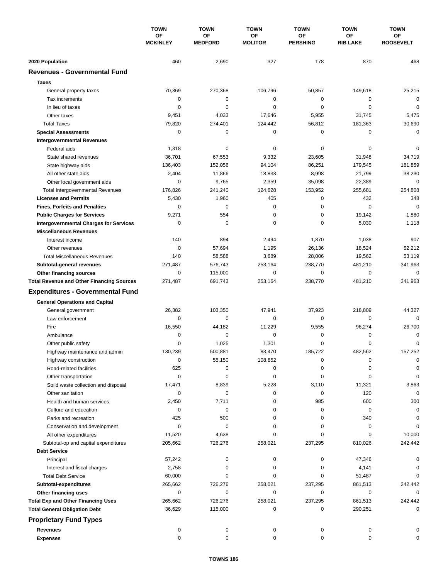|                                                             | <b>TOWN</b><br>OF<br><b>MCKINLEY</b> | <b>TOWN</b>          | <b>TOWN</b>          | <b>TOWN</b>           | <b>TOWN</b>           | <b>TOWN</b>            |
|-------------------------------------------------------------|--------------------------------------|----------------------|----------------------|-----------------------|-----------------------|------------------------|
|                                                             |                                      | OF<br><b>MEDFORD</b> | OF<br><b>MOLITOR</b> | OF<br><b>PERSHING</b> | ΟF<br><b>RIB LAKE</b> | ОF<br><b>ROOSEVELT</b> |
|                                                             |                                      |                      |                      |                       |                       |                        |
| 2020 Population<br><b>Revenues - Governmental Fund</b>      | 460                                  | 2,690                | 327                  | 178                   | 870                   | 468                    |
|                                                             |                                      |                      |                      |                       |                       |                        |
| <b>Taxes</b>                                                |                                      |                      |                      |                       |                       |                        |
| General property taxes                                      | 70,369                               | 270,368              | 106,796              | 50,857                | 149,618               | 25,215                 |
| Tax increments                                              | 0                                    | $\pmb{0}$            | $\mathbf 0$          | 0                     | 0                     | $\mathbf 0$            |
| In lieu of taxes<br>Other taxes                             | 0                                    | 0                    | 0                    | 0                     | $\mathbf 0$           | $\mathbf 0$            |
| <b>Total Taxes</b>                                          | 9,451                                | 4,033                | 17,646               | 5,955                 | 31,745                | 5,475<br>30,690        |
| <b>Special Assessments</b>                                  | 79,820<br>0                          | 274,401<br>0         | 124,442<br>0         | 56,812<br>0           | 181,363<br>0          | $\mathbf 0$            |
| <b>Intergovernmental Revenues</b>                           |                                      |                      |                      |                       |                       |                        |
| Federal aids                                                | 1,318                                | 0                    | 0                    | 0                     | 0                     | 0                      |
| State shared revenues                                       | 36,701                               | 67,553               | 9,332                | 23,605                | 31,948                | 34,719                 |
| State highway aids                                          | 136,403                              | 152,056              | 94,104               | 86,251                | 179,545               | 181,859                |
| All other state aids                                        | 2,404                                | 11,866               | 18,833               | 8,998                 | 21,799                | 38,230                 |
| Other local government aids                                 | 0                                    | 9,765                | 2,359                | 35,098                | 22,389                | $\mathbf 0$            |
| <b>Total Intergovernmental Revenues</b>                     | 176,826                              | 241,240              | 124,628              | 153,952               | 255,681               | 254,808                |
| <b>Licenses and Permits</b>                                 | 5,430                                | 1,960                | 405                  | 0                     | 432                   | 348                    |
| <b>Fines, Forfeits and Penalties</b>                        | 0                                    | $\mathbf 0$          | 0                    | 0                     | $\mathbf 0$           | $\mathbf 0$            |
| <b>Public Charges for Services</b>                          | 9,271                                | 554                  | 0                    | 0                     | 19,142                | 1,880                  |
| <b>Intergovernmental Charges for Services</b>               | 0                                    | 0                    | 0                    | 0                     | 5,030                 | 1,118                  |
| <b>Miscellaneous Revenues</b>                               |                                      |                      |                      |                       |                       |                        |
| Interest income                                             | 140                                  | 894                  | 2,494                | 1,870                 | 1,038                 | 907                    |
| Other revenues                                              | 0                                    | 57,694               | 1,195                | 26,136                | 18,524                | 52,212                 |
| <b>Total Miscellaneous Revenues</b>                         | 140                                  | 58,588               | 3,689                | 28,006                | 19,562                | 53,119                 |
| Subtotal-general revenues                                   | 271,487                              | 576,743              | 253,164              | 238,770               | 481,210               | 341,963                |
| Other financing sources                                     | 0                                    | 115,000              | 0                    | 0                     | 0                     | $\mathbf 0$            |
| <b>Total Revenue and Other Financing Sources</b>            | 271,487                              | 691,743              | 253,164              | 238,770               | 481,210               | 341,963                |
| <b>Expenditures - Governmental Fund</b>                     |                                      |                      |                      |                       |                       |                        |
|                                                             |                                      |                      |                      |                       |                       |                        |
| <b>General Operations and Capital</b><br>General government | 26,382                               | 103,350              | 47,941               | 37,923                | 218,809               | 44,327                 |
| Law enforcement                                             | 0                                    | 0                    | 0                    | 0                     | 0                     | $\Omega$               |
| Fire                                                        | 16,550                               | 44,182               | 11,229               | 9,555                 | 96,274                | 26,700                 |
| Ambulance                                                   | 0                                    | 0                    | 0                    | 0                     | 0                     | 0                      |
| Other public safety                                         | 0                                    | 1,025                | 1,301                | 0                     | $\mathbf 0$           | $\mathbf 0$            |
| Highway maintenance and admin                               | 130,239                              | 500.881              | 83,470               | 185,722               | 482,562               | 157,252                |
| Highway construction                                        | $\mathbf 0$                          | 55,150               | 108,852              | 0                     | 0                     | 0                      |
| Road-related facilities                                     | 625                                  | 0                    | 0                    | 0                     | 0                     | 0                      |
| Other transportation                                        | 0                                    | 0                    | 0                    | 0                     | 0                     | 0                      |
| Solid waste collection and disposal                         | 17,471                               | 8,839                | 5,228                | 3,110                 | 11,321                | 3,863                  |
| Other sanitation                                            | 0                                    | 0                    | 0                    | 0                     | 120                   | $\mathbf 0$            |
| Health and human services                                   | 2,450                                | 7,711                | 0                    | 985                   | 600                   | 300                    |
| Culture and education                                       | 0                                    | 0                    | 0                    | 0                     | 0                     | 0                      |
| Parks and recreation                                        | 425                                  | 500                  | 0                    | 0                     | 340                   | 0                      |
| Conservation and development                                | 0                                    | 0                    | 0                    | 0                     | 0                     | 0                      |
| All other expenditures                                      | 11,520                               | 4,638                | 0                    | 0                     | 0                     | 10,000                 |
| Subtotal-op and capital expenditures                        | 205,662                              | 726,276              | 258,021              | 237,295               | 810,026               | 242,442                |
| <b>Debt Service</b>                                         |                                      |                      |                      |                       |                       |                        |
| Principal                                                   | 57,242                               | 0                    | 0                    | 0                     | 47,346                | 0                      |
| Interest and fiscal charges                                 | 2,758                                | 0                    | 0                    | 0                     | 4,141                 | 0                      |
| <b>Total Debt Service</b>                                   | 60,000                               | 0                    | 0                    | 0                     | 51,487                | 0                      |
| Subtotal-expenditures                                       | 265,662                              | 726,276              | 258,021              | 237,295               | 861,513               | 242,442                |
| Other financing uses                                        | 0                                    | 0                    | 0                    | 0                     | 0                     | $\Omega$               |
| <b>Total Exp and Other Financing Uses</b>                   | 265,662                              | 726,276              | 258,021              | 237,295               | 861,513               | 242,442                |
| <b>Total General Obligation Debt</b>                        | 36,629                               | 115,000              | 0                    | 0                     | 290,251               | $\mathbf 0$            |
| <b>Proprietary Fund Types</b>                               |                                      |                      |                      |                       |                       |                        |
| <b>Revenues</b>                                             | 0                                    | 0                    | 0                    | 0                     | 0                     |                        |
| <b>Expenses</b>                                             | $\mathbf 0$                          | 0                    | 0                    | 0                     | 0                     | $\Omega$               |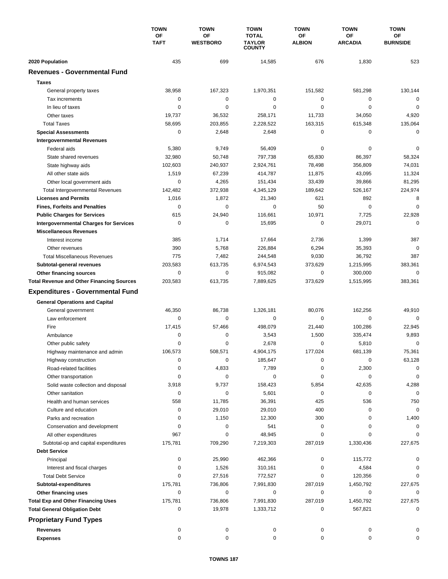|                                                  | <b>TOWN</b><br>ΟF<br><b>TAFT</b> | <b>TOWN</b>                  | <b>TOWN</b><br><b>TOTAL</b><br><b>TAYLOR</b><br><b>COUNTY</b> | <b>TOWN</b><br>ΟF<br><b>ALBION</b> | <b>TOWN</b>                 | <b>TOWN</b><br><b>OF</b><br><b>BURNSIDE</b> |
|--------------------------------------------------|----------------------------------|------------------------------|---------------------------------------------------------------|------------------------------------|-----------------------------|---------------------------------------------|
|                                                  |                                  | <b>OF</b><br><b>WESTBORO</b> |                                                               |                                    | <b>OF</b><br><b>ARCADIA</b> |                                             |
| 2020 Population                                  | 435                              | 699                          | 14,585                                                        | 676                                | 1,830                       | 523                                         |
| <b>Revenues - Governmental Fund</b>              |                                  |                              |                                                               |                                    |                             |                                             |
| <b>Taxes</b>                                     |                                  |                              |                                                               |                                    |                             |                                             |
| General property taxes                           | 38,958                           | 167,323                      | 1,970,351                                                     | 151,582                            | 581,298                     | 130,144                                     |
| Tax increments                                   | 0                                | 0                            | 0                                                             | 0                                  | 0                           | 0                                           |
| In lieu of taxes                                 | 0                                | $\mathbf 0$                  | $\mathbf 0$                                                   | 0                                  | $\mathbf 0$                 | $\mathbf 0$                                 |
| Other taxes                                      | 19,737                           | 36,532                       | 258,171                                                       | 11,733                             | 34,050                      | 4,920                                       |
| <b>Total Taxes</b>                               | 58,695                           | 203,855                      | 2,228,522                                                     | 163,315                            | 615,348                     | 135,064                                     |
| <b>Special Assessments</b>                       | 0                                | 2,648                        | 2,648                                                         | 0                                  | 0                           | 0                                           |
| <b>Intergovernmental Revenues</b>                |                                  |                              |                                                               |                                    |                             |                                             |
| Federal aids                                     | 5,380                            | 9,749                        | 56,409                                                        | 0                                  | 0                           | 0                                           |
| State shared revenues                            | 32,980                           | 50,748                       | 797,738                                                       | 65,830                             | 86,397                      | 58,324                                      |
| State highway aids                               | 102,603                          | 240,937                      | 2,924,761                                                     | 78,498                             | 356,809                     | 74,031                                      |
| All other state aids                             | 1,519                            | 67,239                       | 414,787                                                       | 11,875                             | 43,095                      | 11,324                                      |
| Other local government aids                      | 0                                | 4,265                        | 151,434                                                       | 33,439                             | 39,866                      | 81,295                                      |
| <b>Total Intergovernmental Revenues</b>          | 142,482                          | 372,938                      | 4,345,129                                                     | 189.642                            | 526,167                     | 224,974                                     |
| <b>Licenses and Permits</b>                      | 1,016                            | 1,872                        | 21,340                                                        | 621                                | 892                         | 8                                           |
| <b>Fines, Forfeits and Penalties</b>             | 0                                | 0                            | 0                                                             | 50                                 | 0                           | $\Omega$                                    |
| <b>Public Charges for Services</b>               | 615                              | 24,940                       | 116,661                                                       | 10,971                             | 7,725                       | 22,928                                      |
| <b>Intergovernmental Charges for Services</b>    | $\mathbf 0$                      | $\mathbf 0$                  | 15,695                                                        | $\mathbf 0$                        | 29,071                      | $\Omega$                                    |
| <b>Miscellaneous Revenues</b>                    |                                  |                              |                                                               |                                    |                             |                                             |
| Interest income                                  | 385                              | 1,714                        | 17,664                                                        | 2,736                              | 1,399                       | 387                                         |
| Other revenues                                   | 390                              | 5,768                        | 226,884                                                       | 6,294                              | 35,393                      | $\mathbf 0$                                 |
| <b>Total Miscellaneous Revenues</b>              | 775                              | 7,482                        | 244,548                                                       | 9,030                              | 36,792                      | 387                                         |
| Subtotal-general revenues                        | 203,583                          | 613,735                      | 6,974,543                                                     | 373,629                            | 1,215,995                   | 383,361                                     |
| Other financing sources                          | 0                                | $\mathbf 0$                  | 915,082                                                       | 0                                  | 300,000                     | $\mathbf 0$                                 |
| <b>Total Revenue and Other Financing Sources</b> | 203,583                          | 613,735                      | 7,889,625                                                     | 373,629                            | 1,515,995                   | 383,361                                     |
| <b>Expenditures - Governmental Fund</b>          |                                  |                              |                                                               |                                    |                             |                                             |
| <b>General Operations and Capital</b>            |                                  |                              |                                                               |                                    |                             |                                             |
| General government                               | 46,350                           | 86,738                       | 1,326,181                                                     | 80,076                             | 162,256                     | 49,910                                      |
| Law enforcement                                  | 0                                | $\mathbf 0$                  | $\mathbf 0$                                                   | 0                                  | $\mathbf 0$                 | $\mathbf 0$                                 |
| Fire                                             | 17,415                           | 57,466                       | 498,079                                                       | 21,440                             | 100,286                     | 22,945                                      |
| Ambulance                                        | 0                                | 0                            | 3,543                                                         | 1,500                              | 335,474                     | 9,893                                       |
| Other public safety                              | $\Omega$                         | 0                            | 2,678                                                         | 0                                  | 5,810                       | 0                                           |
| Highway maintenance and admin                    | 106,573                          | 508,571                      | 4,904,175                                                     | 177,024                            | 681,139                     | 75,361                                      |
| Highway construction                             | 0                                | 0                            | 185,647                                                       | 0                                  | 0                           | 63,128                                      |
| Road-related facilities                          | 0                                | 4,833                        | 7,789                                                         | 0                                  | 2,300                       | 0                                           |
| Other transportation                             | 0                                | 0                            | 0                                                             | 0                                  | 0                           | $\mathbf 0$                                 |
| Solid waste collection and disposal              | 3,918                            | 9,737                        | 158,423                                                       | 5,854                              | 42,635                      | 4,288                                       |
| Other sanitation                                 | 0                                | 0                            | 5,601                                                         | 0                                  | 0                           | 0                                           |
| Health and human services                        | 558                              | 11,785                       | 36,391                                                        | 425                                | 536                         | 750                                         |
| Culture and education                            | 0                                | 29,010                       | 29,010                                                        | 400                                | 0                           | 0                                           |
| Parks and recreation                             | 0                                | 1,150                        | 12,300                                                        | 300                                | 0                           | 1,400                                       |
| Conservation and development                     | 0                                | 0                            | 541                                                           | 0                                  | 0                           | 0                                           |
| All other expenditures                           | 967                              | 0                            | 48,945                                                        | 0                                  | 0                           |                                             |
| Subtotal-op and capital expenditures             | 175,781                          | 709,290                      | 7,219,303                                                     | 287,019                            | 1,330,436                   | 227,675                                     |
| <b>Debt Service</b>                              |                                  |                              |                                                               |                                    |                             |                                             |
| Principal                                        | 0                                | 25,990                       | 462,366                                                       | 0                                  | 115,772                     | 0                                           |
| Interest and fiscal charges                      | 0                                | 1,526                        | 310,161                                                       | 0                                  | 4,584                       | 0                                           |
| <b>Total Debt Service</b>                        | 0                                | 27,516                       | 772,527                                                       | 0                                  | 120,356                     | 0                                           |
| Subtotal-expenditures                            | 175,781                          | 736,806                      | 7,991,830                                                     | 287,019                            | 1,450,792                   | 227,675                                     |
| Other financing uses                             | 0                                | 0                            | 0                                                             | 0                                  | 0                           | 0                                           |
| <b>Total Exp and Other Financing Uses</b>        | 175,781                          | 736,806                      | 7,991,830                                                     | 287,019                            | 1,450,792                   | 227,675                                     |
| <b>Total General Obligation Debt</b>             | 0                                | 19,978                       | 1,333,712                                                     | 0                                  | 567,821                     | 0                                           |
| <b>Proprietary Fund Types</b>                    |                                  |                              |                                                               |                                    |                             |                                             |
| <b>Revenues</b>                                  | 0                                | 0                            | 0                                                             | 0                                  | 0                           | 0                                           |
| <b>Expenses</b>                                  | 0                                | 0                            | 0                                                             | 0                                  | 0                           | 0                                           |
|                                                  |                                  |                              |                                                               |                                    |                             |                                             |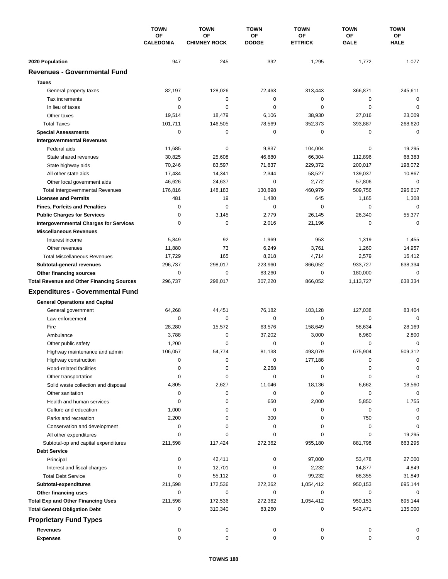|                                                  | <b>TOWN</b><br>OF<br><b>CALEDONIA</b> | <b>TOWN</b>               | <b>TOWN</b>        | <b>TOWN</b>          | <b>TOWN</b>       | <b>TOWN</b>       |
|--------------------------------------------------|---------------------------------------|---------------------------|--------------------|----------------------|-------------------|-------------------|
|                                                  |                                       | OF<br><b>CHIMNEY ROCK</b> | OF<br><b>DODGE</b> | OF<br><b>ETTRICK</b> | OF<br><b>GALE</b> | OF<br><b>HALE</b> |
|                                                  |                                       |                           |                    |                      |                   |                   |
| 2020 Population                                  | 947                                   | 245                       | 392                | 1,295                | 1,772             | 1,077             |
| <b>Revenues - Governmental Fund</b>              |                                       |                           |                    |                      |                   |                   |
| <b>Taxes</b>                                     |                                       |                           |                    |                      |                   |                   |
| General property taxes                           | 82,197                                | 128,026                   | 72,463             | 313,443              | 366,871           | 245,611           |
| Tax increments                                   | 0                                     | 0                         | 0                  | 0                    | $\mathbf 0$       | $\mathbf 0$       |
| In lieu of taxes                                 | 0                                     | 0                         | 0                  | 0                    | $\mathbf 0$       | $\mathbf 0$       |
| Other taxes                                      | 19,514                                | 18,479                    | 6,106              | 38,930               | 27,016            | 23,009            |
| <b>Total Taxes</b>                               | 101,711                               | 146,505                   | 78,569             | 352,373              | 393,887           | 268,620           |
| <b>Special Assessments</b>                       | 0                                     | $\mathbf 0$               | 0                  | 0                    | 0                 | $\mathbf 0$       |
| <b>Intergovernmental Revenues</b>                |                                       |                           |                    |                      |                   |                   |
| Federal aids                                     | 11,685                                | 0                         | 9,837              | 104,004              | 0                 | 19,295            |
| State shared revenues                            | 30,825                                | 25,608                    | 46,880             | 66,304               | 112,896           | 68,383            |
| State highway aids                               | 70,246                                | 83,597                    | 71,837             | 229,372              | 200,017           | 198,072           |
| All other state aids                             | 17,434                                | 14,341                    | 2,344              | 58,527               | 139,037           | 10,867            |
| Other local government aids                      | 46,626                                | 24,637                    | 0                  | 2,772                | 57,806            | $\mathbf 0$       |
| <b>Total Intergovernmental Revenues</b>          | 176,816                               | 148,183                   | 130,898            | 460,979              | 509,756           | 296,617           |
| <b>Licenses and Permits</b>                      | 481                                   | 19                        | 1,480              | 645                  | 1,165             | 1,308             |
| <b>Fines, Forfeits and Penalties</b>             | 0                                     | $\mathbf 0$               | 0                  | $\Omega$             | 0                 | $\mathbf 0$       |
| <b>Public Charges for Services</b>               | 0                                     | 3,145                     | 2,779              | 26,145               | 26,340            | 55,377            |
| <b>Intergovernmental Charges for Services</b>    | 0                                     | 0                         | 2,016              | 21,196               | 0                 | $\mathbf 0$       |
| <b>Miscellaneous Revenues</b>                    |                                       |                           |                    |                      |                   |                   |
| Interest income                                  | 5,849                                 | 92                        | 1,969              | 953                  | 1,319             | 1,455             |
| Other revenues                                   | 11,880                                | 73                        | 6,249              | 3,761                | 1,260             | 14,957            |
| <b>Total Miscellaneous Revenues</b>              | 17,729                                | 165                       | 8,218              | 4,714                | 2,579             | 16,412            |
| Subtotal-general revenues                        | 296,737                               | 298,017                   | 223,960            | 866,052              | 933,727           | 638,334           |
| Other financing sources                          | 0                                     | $\pmb{0}$                 | 83,260             | 0                    | 180,000           | $\mathbf 0$       |
| <b>Total Revenue and Other Financing Sources</b> | 296,737                               | 298,017                   | 307,220            | 866,052              | 1,113,727         | 638,334           |
| <b>Expenditures - Governmental Fund</b>          |                                       |                           |                    |                      |                   |                   |
| <b>General Operations and Capital</b>            |                                       |                           |                    |                      |                   |                   |
| General government                               | 64,268                                | 44,451                    | 76,182             | 103,128              | 127,038           | 83,404            |
| Law enforcement                                  | 0                                     | 0                         | $\mathbf 0$        | 0                    | 0                 | $\Omega$          |
| Fire                                             | 28,280                                | 15,572                    | 63,576             | 158,649              | 58,634            | 28.169            |
| Ambulance                                        | 3,788                                 | 0                         | 37,202             | 3,000                | 6,960             | 2,800             |
| Other public safety                              | 1,200                                 | 0                         | 0                  | 0                    | $\mathbf 0$       | $\mathbf 0$       |
| Highway maintenance and admin                    | 106,057                               | 54,774                    | 81,138             | 493,079              | 675,904           | 509,312           |
| Highway construction                             | 0                                     | 0                         | 0                  | 177,188              | 0                 | 0                 |
| Road-related facilities                          | 0                                     | 0                         | 2,268              | 0                    | 0                 | 0                 |
| Other transportation                             | 0                                     | 0                         | 0                  | 0                    | 0                 | 0                 |
| Solid waste collection and disposal              | 4,805                                 | 2,627                     | 11,046             | 18,136               | 6,662             | 18,560            |
| Other sanitation                                 | 0                                     | 0                         | 0                  | 0                    | 0                 | $\mathbf 0$       |
| Health and human services                        | 0                                     | 0                         | 650                | 2,000                | 5,850             | 1,755             |
| Culture and education                            | 1,000                                 | 0                         | 0                  | 0                    | 0                 | 0                 |
| Parks and recreation                             | 2,200                                 | 0                         | 300                | 0                    | 750               | 0                 |
| Conservation and development                     | 0                                     | 0                         | 0                  | 0                    | 0                 | 0                 |
| All other expenditures                           | $\Omega$                              | $\Omega$                  | 0                  | 0                    | 0                 | 19,295            |
| Subtotal-op and capital expenditures             | 211,598                               | 117,424                   | 272,362            | 955,180              | 881,798           | 663,295           |
| <b>Debt Service</b>                              |                                       |                           |                    |                      |                   |                   |
| Principal                                        | 0                                     | 42,411                    | 0                  | 97,000               | 53,478            | 27,000            |
| Interest and fiscal charges                      | 0                                     | 12,701                    | 0                  | 2,232                | 14,877            | 4,849             |
| <b>Total Debt Service</b>                        | 0                                     | 55,112                    | 0                  | 99,232               | 68,355            | 31,849            |
| Subtotal-expenditures                            | 211,598                               | 172,536                   | 272,362            | 1,054,412            | 950,153           | 695,144           |
| Other financing uses                             | 0                                     | 0                         | 0                  | 0                    | 0                 | 0                 |
| <b>Total Exp and Other Financing Uses</b>        | 211,598                               | 172,536                   | 272,362            | 1,054,412            | 950,153           | 695,144           |
| <b>Total General Obligation Debt</b>             | 0                                     | 310,340                   | 83,260             | 0                    | 543,471           | 135,000           |
| <b>Proprietary Fund Types</b>                    |                                       |                           |                    |                      |                   |                   |
| <b>Revenues</b>                                  | 0                                     | 0                         | 0                  | 0                    | 0                 | 0                 |
| <b>Expenses</b>                                  | 0                                     | 0                         | 0                  | 0                    | 0                 | 0                 |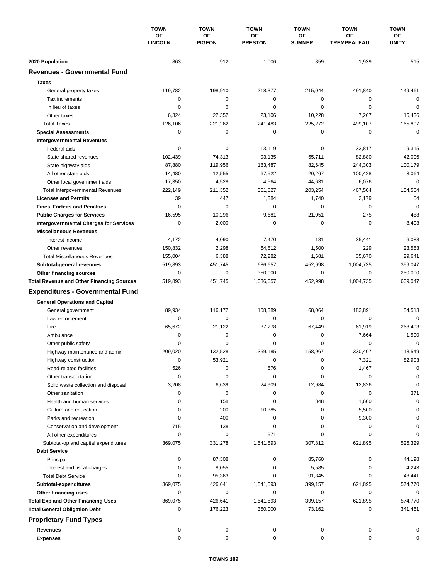|                                                                             | <b>TOWN</b><br>OF<br><b>LINCOLN</b> | <b>TOWN</b><br>OF<br><b>PIGEON</b> | <b>TOWN</b><br>OF<br><b>PRESTON</b> | <b>TOWN</b><br>OF | <b>TOWN</b><br>OF<br><b>TREMPEALEAU</b> | <b>TOWN</b><br>ОF<br><b>UNITY</b> |
|-----------------------------------------------------------------------------|-------------------------------------|------------------------------------|-------------------------------------|-------------------|-----------------------------------------|-----------------------------------|
|                                                                             |                                     |                                    |                                     |                   |                                         |                                   |
|                                                                             |                                     |                                    |                                     | <b>SUMNER</b>     |                                         |                                   |
| 2020 Population                                                             | 863                                 | 912                                | 1,006                               | 859               | 1,939                                   | 515                               |
| <b>Revenues - Governmental Fund</b>                                         |                                     |                                    |                                     |                   |                                         |                                   |
| <b>Taxes</b>                                                                |                                     |                                    |                                     |                   |                                         |                                   |
| General property taxes                                                      | 119,782                             | 198,910                            | 218,377                             | 215,044           | 491,840                                 | 149,461                           |
| Tax increments                                                              | 0                                   | 0                                  | 0                                   | 0                 | 0                                       | $\Omega$                          |
| In lieu of taxes                                                            | 0                                   | 0                                  | $\mathbf 0$                         | $\mathbf 0$       | 0                                       | $\mathbf 0$                       |
| Other taxes                                                                 | 6,324                               | 22,352                             | 23,106                              | 10,228            | 7,267                                   | 16,436                            |
| <b>Total Taxes</b>                                                          | 126,106                             | 221,262                            | 241,483                             | 225,272           | 499,107                                 | 165,897                           |
| <b>Special Assessments</b>                                                  | 0                                   | 0                                  | $\mathbf 0$                         | $\mathbf 0$       | 0                                       | $\mathbf 0$                       |
| <b>Intergovernmental Revenues</b>                                           |                                     |                                    |                                     |                   |                                         |                                   |
| Federal aids                                                                | 0                                   | 0                                  | 13,119                              | 0                 | 33,817                                  | 9,315                             |
| State shared revenues                                                       | 102,439                             | 74,313                             | 93,135                              | 55,711            | 82,880                                  | 42,006                            |
| State highway aids                                                          | 87,880                              | 119,956                            | 183,487                             | 82,645            | 244,303                                 | 100,179                           |
| All other state aids                                                        | 14,480                              | 12,555                             | 67,522                              | 20,267            | 100,428                                 | 3,064                             |
| Other local government aids                                                 | 17,350                              | 4,528                              | 4,564                               | 44,631            | 6,076                                   | 0                                 |
| <b>Total Intergovernmental Revenues</b>                                     | 222,149                             | 211,352                            | 361,827                             | 203,254           | 467,504                                 | 154,564                           |
| <b>Licenses and Permits</b>                                                 | 39                                  | 447                                | 1,384                               | 1,740             | 2,179                                   | 54                                |
| <b>Fines, Forfeits and Penalties</b>                                        | 0                                   | $\Omega$                           | 0                                   | $\Omega$          | 0                                       | $\Omega$                          |
| <b>Public Charges for Services</b>                                          | 16,595                              | 10,296                             | 9,681                               | 21,051            | 275                                     | 488                               |
| <b>Intergovernmental Charges for Services</b>                               | 0                                   | 2,000                              | 0                                   | $\mathbf 0$       | $\mathbf 0$                             | 8,403                             |
| <b>Miscellaneous Revenues</b>                                               |                                     |                                    |                                     |                   |                                         |                                   |
| Interest income                                                             | 4,172                               | 4,090                              | 7,470                               | 181               | 35,441                                  | 6,088                             |
| Other revenues                                                              | 150,832                             | 2,298                              | 64,812                              | 1,500             | 229                                     | 23,553                            |
| <b>Total Miscellaneous Revenues</b>                                         | 155,004                             | 6,388                              | 72,282                              | 1,681             | 35,670                                  | 29,641                            |
|                                                                             |                                     | 451,745                            | 686,657                             | 452,998           | 1,004,735                               | 359,047                           |
| Subtotal-general revenues                                                   | 519,893<br>0                        | 0                                  | 350,000                             | $\mathbf 0$       | 0                                       | 250,000                           |
| Other financing sources<br><b>Total Revenue and Other Financing Sources</b> | 519,893                             | 451,745                            | 1,036,657                           | 452,998           | 1,004,735                               | 609,047                           |
|                                                                             |                                     |                                    |                                     |                   |                                         |                                   |
| <b>Expenditures - Governmental Fund</b>                                     |                                     |                                    |                                     |                   |                                         |                                   |
| <b>General Operations and Capital</b>                                       |                                     |                                    |                                     |                   |                                         |                                   |
| General government                                                          | 89,934                              | 116,172                            | 108,389                             | 68,064            | 183,891                                 | 54,513                            |
| Law enforcement                                                             | $\mathbf 0$                         | $\mathbf 0$                        | $\mathbf 0$                         | $\mathbf 0$       | $\mathbf 0$                             | $\Omega$                          |
| Fire                                                                        | 65,672                              | 21,122                             | 37,278                              | 67,449            | 61,919                                  | 268,493                           |
| Ambulance                                                                   | 0                                   | 0                                  | 0                                   | 0                 | 7,664                                   | 1,500                             |
| Other public safety                                                         | 0                                   | 0                                  | $\mathbf 0$                         | $\mathbf 0$       | 0                                       | 0                                 |
| Highway maintenance and admin                                               | 209.020                             | 132.528                            | 1,359,185                           | 158,967           | 330,407                                 | 118,549                           |
| Highway construction                                                        | 0                                   | 53,921                             | 0                                   | 0                 | 7,321                                   | 82,903                            |
| Road-related facilities                                                     | 526                                 | 0                                  | 876                                 | 0                 | 1,467                                   | 0                                 |
| Other transportation                                                        | 0                                   | 0                                  | 0                                   | 0                 | 0                                       | 0                                 |
| Solid waste collection and disposal                                         | 3,208                               | 6,639                              | 24,909                              | 12,984            | 12,826                                  | 0                                 |
| Other sanitation                                                            | 0                                   | 0                                  | 0                                   | 0                 | 0                                       | 371                               |
| Health and human services                                                   | 0                                   | 158                                | 0                                   | 348               | 1,600                                   | 0                                 |
| Culture and education                                                       | 0                                   | 200                                | 10,385                              | 0                 | 5,500                                   | 0                                 |
| Parks and recreation                                                        | 0                                   | 400                                | 0                                   | 0                 | 9,300                                   | 0                                 |
| Conservation and development                                                | 715                                 | 138                                | 0                                   | 0                 | 0                                       | 0                                 |
| All other expenditures                                                      | 0                                   | $\mathbf 0$                        | 571                                 | 0                 | 0                                       |                                   |
| Subtotal-op and capital expenditures                                        | 369,075                             | 331,278                            | 1,541,593                           | 307,812           | 621,895                                 | 526,329                           |
| <b>Debt Service</b>                                                         |                                     |                                    |                                     |                   |                                         |                                   |
| Principal                                                                   | 0                                   | 87,308                             | 0                                   | 85,760            | 0                                       | 44,198                            |
| Interest and fiscal charges                                                 | 0                                   | 8,055                              | 0                                   | 5,585             | 0                                       | 4,243                             |
| <b>Total Debt Service</b>                                                   | 0                                   | 95,363                             | 0                                   | 91,345            | 0                                       | 48,441                            |
| Subtotal-expenditures                                                       | 369,075                             | 426,641                            | 1,541,593                           | 399,157           | 621,895                                 | 574,770                           |
| Other financing uses                                                        | 0                                   | 0                                  | 0                                   | 0                 | 0                                       | 0                                 |
| <b>Total Exp and Other Financing Uses</b>                                   | 369,075                             | 426,641                            | 1,541,593                           | 399,157           | 621,895                                 | 574,770                           |
| <b>Total General Obligation Debt</b>                                        | 0                                   | 176,223                            | 350,000                             | 73,162            | 0                                       | 341,461                           |
| <b>Proprietary Fund Types</b>                                               |                                     |                                    |                                     |                   |                                         |                                   |
| <b>Revenues</b>                                                             | 0                                   | 0                                  | 0                                   | 0                 | 0                                       | 0                                 |
| <b>Expenses</b>                                                             | 0                                   | 0                                  | 0                                   | 0                 | 0                                       | 0                                 |
|                                                                             |                                     |                                    |                                     |                   |                                         |                                   |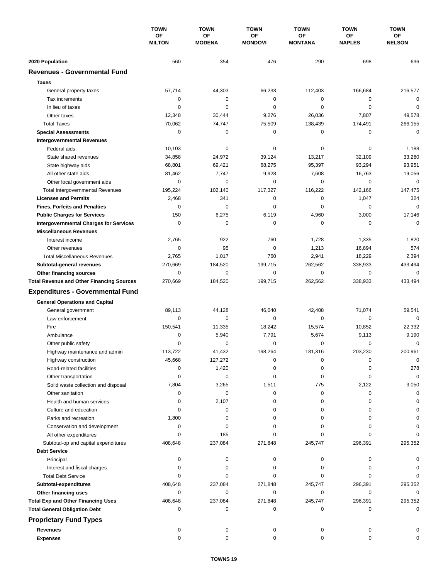|                                                                                     | <b>TOWN</b><br><b>OF</b><br><b>MILTON</b> | <b>TOWN</b>                | <b>TOWN</b><br>OF<br><b>MONDOVI</b> | <b>TOWN</b>                 | <b>TOWN</b>                | <b>TOWN</b>         |
|-------------------------------------------------------------------------------------|-------------------------------------------|----------------------------|-------------------------------------|-----------------------------|----------------------------|---------------------|
|                                                                                     |                                           | <b>OF</b><br><b>MODENA</b> |                                     | <b>OF</b><br><b>MONTANA</b> | <b>OF</b><br><b>NAPLES</b> | ОF<br><b>NELSON</b> |
| 2020 Population                                                                     | 560                                       | 354                        | 476                                 | 290                         | 698                        | 636                 |
| <b>Revenues - Governmental Fund</b>                                                 |                                           |                            |                                     |                             |                            |                     |
| <b>Taxes</b>                                                                        |                                           |                            |                                     |                             |                            |                     |
| General property taxes                                                              | 57,714                                    | 44,303                     | 66,233                              | 112,403                     | 166,684                    | 216,577             |
| Tax increments                                                                      | 0                                         | 0                          | $\mathbf 0$                         | 0                           | $\mathbf 0$                | 0                   |
| In lieu of taxes                                                                    | 0                                         | 0                          | $\mathbf 0$                         | 0                           | $\mathbf 0$                | $\mathbf 0$         |
| Other taxes                                                                         | 12,348                                    | 30,444                     | 9,276                               | 26,036                      | 7,807                      | 49,578              |
| <b>Total Taxes</b>                                                                  | 70,062                                    | 74,747                     | 75,509                              | 138,439                     | 174,491                    | 266,155             |
| <b>Special Assessments</b>                                                          | 0                                         | 0                          | 0                                   | 0                           | 0                          | $\mathbf 0$         |
| <b>Intergovernmental Revenues</b>                                                   |                                           |                            |                                     |                             |                            |                     |
| Federal aids                                                                        | 10,103                                    | 0                          | 0                                   | 0                           | 0                          | 1,188               |
| State shared revenues                                                               | 34,858                                    | 24,972                     | 39,124                              | 13,217                      | 32,109                     | 33,280              |
| State highway aids                                                                  | 68,801                                    | 69,421                     | 68,275                              | 95,397                      | 93,294                     | 93,951              |
| All other state aids                                                                | 81,462                                    | 7,747                      | 9,928                               | 7,608                       | 16,763                     | 19,056              |
| Other local government aids                                                         | 0                                         | $\mathbf 0$                | 0                                   | 0                           | $\mathbf 0$                | $\mathbf 0$         |
| <b>Total Intergovernmental Revenues</b>                                             | 195,224                                   | 102,140                    | 117,327                             | 116.222                     | 142,166                    | 147,475             |
| <b>Licenses and Permits</b>                                                         | 2,468                                     | 341                        | $\mathbf 0$                         | 0                           | 1,047                      | 324                 |
| <b>Fines, Forfeits and Penalties</b>                                                | 0                                         | $\mathbf 0$                | $\mathbf 0$                         | 0                           | 0                          | $\mathbf 0$         |
|                                                                                     | 150                                       | 6,275                      | 6,119                               | 4,960                       | 3,000                      | 17,146              |
| <b>Public Charges for Services</b><br><b>Intergovernmental Charges for Services</b> | $\mathbf 0$                               | $\mathbf 0$                | $\mathbf 0$                         | $\mathbf 0$                 | 0                          | $\mathbf 0$         |
| <b>Miscellaneous Revenues</b>                                                       |                                           |                            |                                     |                             |                            |                     |
|                                                                                     | 2,765                                     | 922                        | 760                                 | 1,728                       | 1,335                      | 1,820               |
| Interest income<br>Other revenues                                                   | 0                                         | 95                         | 0                                   |                             |                            | 574                 |
|                                                                                     |                                           |                            | 760                                 | 1,213                       | 16,894<br>18,229           | 2,394               |
| <b>Total Miscellaneous Revenues</b>                                                 | 2,765<br>270,669                          | 1,017                      | 199,715                             | 2,941<br>262,562            | 338,933                    | 433,494             |
| Subtotal-general revenues                                                           | 0                                         | 184,520<br>$\mathbf 0$     | $\mathbf 0$                         | 0                           | $\mathbf 0$                | 0                   |
| Other financing sources<br><b>Total Revenue and Other Financing Sources</b>         | 270,669                                   | 184,520                    | 199,715                             | 262,562                     | 338,933                    | 433,494             |
| <b>Expenditures - Governmental Fund</b>                                             |                                           |                            |                                     |                             |                            |                     |
|                                                                                     |                                           |                            |                                     |                             |                            |                     |
| <b>General Operations and Capital</b>                                               |                                           |                            |                                     |                             |                            |                     |
| General government                                                                  | 89,113                                    | 44,128                     | 46,040                              | 42,408                      | 71,074                     | 59,541              |
| Law enforcement                                                                     | $\mathbf 0$                               | 0                          | 0                                   | 0                           | 0                          | $\mathbf 0$         |
| Fire                                                                                | 150,541                                   | 11,335                     | 18,242                              | 15,574                      | 10,852                     | 22,332              |
| Ambulance                                                                           | 0                                         | 5,940                      | 7,791                               | 5,674                       | 9,113                      | 9,190               |
| Other public safety                                                                 | 0                                         | 0                          | 0                                   | 0                           | $\mathbf 0$                | 0                   |
| Highway maintenance and admin                                                       | 113,722                                   | 41,432                     | 198,264                             | 181,316                     | 203,230                    | 200,961             |
| Highway construction                                                                | 45,668                                    | 127,272                    | 0                                   | 0                           | 0                          | $\mathbf 0$         |
| Road-related facilities                                                             | 0                                         | 1,420                      | 0                                   | 0                           | 0                          | 278                 |
| Other transportation                                                                | 0                                         | 0                          | 0                                   | 0                           | 0                          | $\mathbf 0$         |
| Solid waste collection and disposal                                                 | 7,804                                     | 3,265                      | 1,511                               | 775                         | 2,122                      | 3,050               |
| Other sanitation                                                                    | 0                                         | 0                          | 0                                   | 0                           | 0                          | 0                   |
| Health and human services                                                           | 0                                         | 2,107                      | 0                                   | 0                           | 0                          | $\Omega$            |
| Culture and education                                                               | 0                                         | 0                          | 0                                   | 0                           | 0                          | 0                   |
| Parks and recreation                                                                | 1,800                                     | 0                          | 0                                   | 0                           | 0                          | 0                   |
| Conservation and development                                                        | 0                                         | 0                          | 0                                   | 0                           | 0                          |                     |
| All other expenditures                                                              | 0                                         | 185                        | 0                                   | 0                           | 0                          |                     |
| Subtotal-op and capital expenditures                                                | 408,648                                   | 237,084                    | 271,848                             | 245,747                     | 296,391                    | 295,352             |
| <b>Debt Service</b>                                                                 |                                           |                            |                                     |                             |                            |                     |
| Principal                                                                           | 0                                         | 0                          | 0                                   | 0                           | 0                          | O                   |
| Interest and fiscal charges                                                         | 0                                         | 0                          | 0                                   | 0                           | 0                          | 0                   |
| <b>Total Debt Service</b>                                                           | 0                                         | 0                          | 0                                   | 0                           | 0                          | $\Omega$            |
| Subtotal-expenditures                                                               | 408,648                                   | 237,084                    | 271,848                             | 245,747                     | 296,391                    | 295,352             |
| Other financing uses                                                                | 0                                         | 0                          | 0                                   | 0                           | 0                          | 0                   |
| <b>Total Exp and Other Financing Uses</b>                                           | 408,648                                   | 237,084                    | 271,848                             | 245,747                     | 296,391                    | 295,352             |
| <b>Total General Obligation Debt</b>                                                | 0                                         | 0                          | 0                                   | 0                           | 0                          | $\mathbf 0$         |
| <b>Proprietary Fund Types</b>                                                       |                                           |                            |                                     |                             |                            |                     |
| <b>Revenues</b>                                                                     | 0                                         | 0                          | 0                                   | 0                           | 0                          |                     |
| <b>Expenses</b>                                                                     | $\mathbf 0$                               | 0                          | $\mathbf 0$                         | 0                           | 0                          | O                   |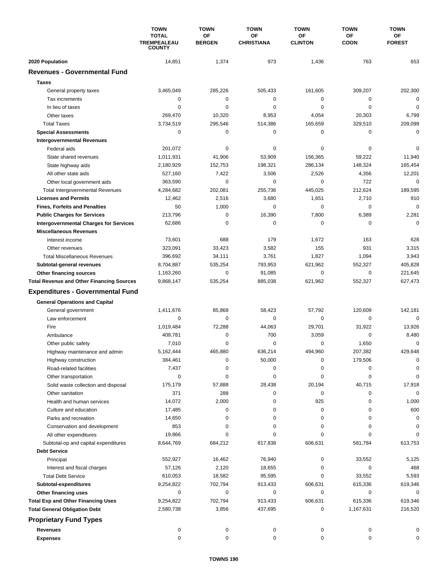|                                                                   | <b>TOWN</b><br><b>TOTAL</b><br><b>TREMPEALEAU</b><br><b>COUNTY</b> | <b>TOWN</b>                | <b>TOWN</b>             | <b>TOWN</b>          | <b>TOWN</b>       | <b>TOWN</b>         |
|-------------------------------------------------------------------|--------------------------------------------------------------------|----------------------------|-------------------------|----------------------|-------------------|---------------------|
|                                                                   |                                                                    | <b>OF</b><br><b>BERGEN</b> | OF<br><b>CHRISTIANA</b> | OF<br><b>CLINTON</b> | OF<br><b>COON</b> | ОF<br><b>FOREST</b> |
| 2020 Population                                                   | 14,851                                                             | 1,374                      | 973                     | 1,436                | 763               | 653                 |
| <b>Revenues - Governmental Fund</b>                               |                                                                    |                            |                         |                      |                   |                     |
| <b>Taxes</b>                                                      |                                                                    |                            |                         |                      |                   |                     |
| General property taxes                                            | 3,465,049                                                          | 285,226                    | 505,433                 | 161,605              | 309,207           | 202,300             |
| Tax increments                                                    | 0                                                                  | 0                          | 0                       | 0                    | $\mathbf 0$       | $\mathbf 0$         |
| In lieu of taxes                                                  | 0                                                                  | 0                          | 0                       | 0                    | $\mathbf 0$       | $\mathbf 0$         |
| Other taxes                                                       | 269.470                                                            | 10,320                     | 8,953                   | 4,054                | 20,303            | 6,799               |
| <b>Total Taxes</b>                                                | 3,734,519                                                          | 295,546                    | 514,386                 | 165,659              | 329,510           | 209,099             |
| <b>Special Assessments</b>                                        | 0                                                                  | 0                          | 0                       | 0                    | 0                 | $\mathbf 0$         |
| <b>Intergovernmental Revenues</b>                                 |                                                                    |                            |                         |                      |                   |                     |
| Federal aids                                                      | 201,072                                                            | 0                          | 0                       | 0                    | 0                 | 0                   |
| State shared revenues                                             | 1,011,931                                                          | 41,906                     | 53,909                  | 156,365              | 59,222            | 11,940              |
| State highway aids                                                | 2,180,929                                                          | 152,753                    | 198,321                 | 286,134              | 148,324           | 165,454             |
| All other state aids                                              | 527,160                                                            | 7,422                      | 3,506                   | 2,526                | 4,356             | 12,201              |
| Other local government aids                                       | 363,590                                                            | $\mathbf 0$                | 0                       | 0                    | 722               | $\mathbf 0$         |
| <b>Total Intergovernmental Revenues</b>                           | 4,284,682                                                          | 202,081                    | 255,736                 | 445,025              | 212,624           | 189,595             |
| <b>Licenses and Permits</b>                                       | 12,462                                                             | 2,516                      | 3,680                   | 1,651                | 2,710             | 910                 |
| <b>Fines, Forfeits and Penalties</b>                              | 50                                                                 | 1,000                      | 0                       | 0                    | 0                 | $\mathbf 0$         |
| <b>Public Charges for Services</b>                                | 213,796                                                            | $\mathbf 0$                | 16,390                  | 7,800                | 6,389             | 2,281               |
| <b>Intergovernmental Charges for Services</b>                     | 62,686                                                             | 0                          | 0                       | 0                    | 0                 | $\Omega$            |
| <b>Miscellaneous Revenues</b>                                     |                                                                    |                            |                         |                      |                   |                     |
| Interest income                                                   | 73,601                                                             | 688                        | 179                     | 1,672                | 163               | 628                 |
| Other revenues                                                    | 323,091                                                            | 33,423                     | 3,582                   | 155                  | 931               | 3,315               |
| <b>Total Miscellaneous Revenues</b>                               | 396,692                                                            | 34,111                     | 3,761                   | 1,827                | 1,094             | 3,943               |
| Subtotal-general revenues                                         | 8,704,887                                                          | 535,254                    | 793,953                 | 621,962              | 552,327           | 405,828             |
| Other financing sources                                           | 1,163,260                                                          | 0                          | 91,085                  | 0                    | $\mathbf 0$       | 221,645             |
| <b>Total Revenue and Other Financing Sources</b>                  | 9,868,147                                                          | 535,254                    | 885,038                 | 621,962              | 552,327           | 627,473             |
| <b>Expenditures - Governmental Fund</b>                           |                                                                    |                            |                         |                      |                   |                     |
| <b>General Operations and Capital</b>                             |                                                                    |                            |                         |                      |                   |                     |
| General government                                                | 1,411,676                                                          | 85,868                     | 58,423                  | 57,792               | 120,609           | 142,181             |
| Law enforcement                                                   | 0                                                                  | $\mathbf 0$                | $\mathbf 0$             | 0                    | 0                 | $\mathbf 0$         |
| Fire                                                              | 1.019.484                                                          | 72,288                     | 44,063                  | 29,701               | 31,922            | 13,926              |
| Ambulance                                                         | 409,781                                                            | 0                          | 700                     | 3,059                | $\mathbf 0$       | 8,480               |
| Other public safety                                               | 7,010                                                              | 0                          | 0                       | 0                    | 1,650             | $\mathbf 0$         |
| Highway maintenance and admin                                     | 5,162,444                                                          | 465,880                    | 636.214                 | 494,960              | 207.382           | 429,648             |
| Highway construction                                              | 384,461                                                            | 0                          | 50,000                  | 0                    | 179,506           | 0                   |
| Road-related facilities                                           | 7,437                                                              | 0                          | 0                       | 0                    | 0                 | 0                   |
| Other transportation                                              | 0                                                                  | 0                          | 0                       | 0                    | 0                 | 0                   |
| Solid waste collection and disposal                               | 175,179                                                            | 57,888                     | 28,438                  | 20,194               | 40,715            | 17,918              |
| Other sanitation                                                  | 371                                                                | 288                        | 0                       | 0                    | 0                 | $\mathbf 0$         |
| Health and human services                                         | 14,072                                                             | 2,000                      | 0                       | 925                  | 0                 | 1,000               |
| Culture and education                                             | 17,485                                                             | 0                          | 0                       | 0                    | 0                 | 600                 |
| Parks and recreation                                              | 14,650                                                             | 0                          | 0                       | 0                    | 0                 | 0                   |
| Conservation and development                                      | 853                                                                | 0                          | 0                       | 0                    | 0                 | 0                   |
| All other expenditures                                            | 19,866                                                             | 0                          | 0                       | 0                    | $\Omega$          | O                   |
| Subtotal-op and capital expenditures                              | 8,644,769                                                          | 684,212                    | 817,838                 | 606,631              | 581,784           | 613,753             |
| <b>Debt Service</b>                                               |                                                                    |                            |                         |                      |                   |                     |
| Principal                                                         | 552,927                                                            | 16,462                     | 76,940                  | 0                    | 33,552            | 5,125               |
| Interest and fiscal charges                                       | 57,126                                                             | 2,120                      | 18,655                  | 0                    | 0                 | 468                 |
| <b>Total Debt Service</b>                                         | 610,053<br>9,254,822                                               | 18,582<br>702,794          | 95,595                  | 0<br>606,631         | 33,552<br>615,336 | 5,593<br>619,346    |
| Subtotal-expenditures                                             | 0                                                                  | 0                          | 913,433<br>0            | 0                    | 0                 | 0                   |
| Other financing uses<br><b>Total Exp and Other Financing Uses</b> | 9,254,822                                                          | 702,794                    | 913,433                 | 606,631              | 615,336           | 619,346             |
| <b>Total General Obligation Debt</b>                              | 2,580,738                                                          | 3,856                      | 437,695                 | 0                    | 1,167,631         | 216,520             |
| <b>Proprietary Fund Types</b>                                     |                                                                    |                            |                         |                      |                   |                     |
|                                                                   |                                                                    |                            |                         |                      |                   |                     |
| <b>Revenues</b>                                                   | 0<br>0                                                             | 0<br>0                     | 0<br>0                  | 0<br>0               | 0<br>0            | 0<br>0              |
| <b>Expenses</b>                                                   |                                                                    |                            |                         |                      |                   |                     |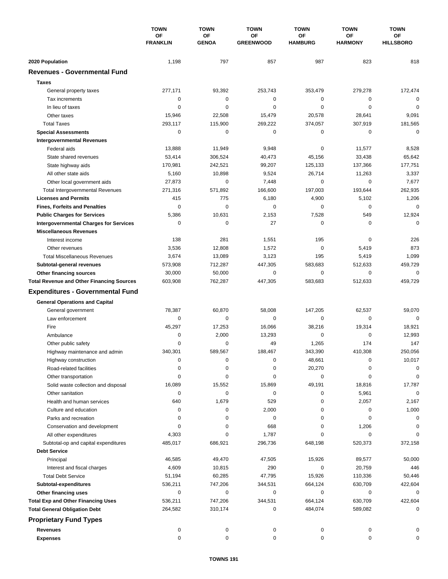|                                                  | <b>TOWN</b><br><b>OF</b><br><b>FRANKLIN</b> | <b>TOWN</b>               | <b>TOWN</b><br>ΟF<br><b>GREENWOOD</b> | <b>TOWN</b>          | <b>TOWN</b><br><b>OF</b><br><b>HARMONY</b> | <b>TOWN</b><br>ОF<br><b>HILLSBORO</b> |
|--------------------------------------------------|---------------------------------------------|---------------------------|---------------------------------------|----------------------|--------------------------------------------|---------------------------------------|
|                                                  |                                             | <b>OF</b><br><b>GENOA</b> |                                       | ΟF<br><b>HAMBURG</b> |                                            |                                       |
| 2020 Population                                  | 1,198                                       | 797                       | 857                                   | 987                  | 823                                        | 818                                   |
| <b>Revenues - Governmental Fund</b>              |                                             |                           |                                       |                      |                                            |                                       |
| <b>Taxes</b>                                     |                                             |                           |                                       |                      |                                            |                                       |
| General property taxes                           | 277,171                                     | 93,392                    | 253,743                               | 353,479              | 279,278                                    | 172,474                               |
| Tax increments                                   | 0                                           | $\mathbf 0$               | 0                                     | 0                    | 0                                          | 0                                     |
| In lieu of taxes                                 | 0                                           | 0                         | $\mathbf 0$                           | 0                    | $\mathbf 0$                                | $\mathbf 0$                           |
| Other taxes                                      | 15,946                                      | 22,508                    | 15,479                                | 20,578               | 28,641                                     | 9,091                                 |
| <b>Total Taxes</b>                               | 293,117                                     | 115,900                   | 269,222                               | 374,057              | 307,919                                    | 181,565                               |
| <b>Special Assessments</b>                       | 0                                           | $\mathbf 0$               | 0                                     | 0                    | $\mathbf 0$                                | $\mathbf 0$                           |
| <b>Intergovernmental Revenues</b>                |                                             |                           |                                       |                      |                                            |                                       |
| Federal aids                                     | 13,888                                      | 11,949                    | 9,948                                 | 0                    | 11,577                                     | 8,528                                 |
| State shared revenues                            | 53,414                                      | 306,524                   | 40,473                                | 45,156               | 33,438                                     | 65,642                                |
| State highway aids                               | 170,981                                     | 242,521                   | 99,207                                | 125,133              | 137,366                                    | 177,751                               |
| All other state aids                             | 5,160                                       | 10,898                    | 9,524                                 | 26,714               | 11,263                                     | 3,337                                 |
| Other local government aids                      | 27,873                                      | $\mathbf 0$               | 7,448                                 | $\mathbf 0$          | $\mathbf 0$                                | 7,677                                 |
| <b>Total Intergovernmental Revenues</b>          | 271,316                                     | 571.892                   | 166,600                               | 197,003              | 193,644                                    | 262,935                               |
| <b>Licenses and Permits</b>                      | 415                                         | 775                       | 6,180                                 | 4,900                | 5,102                                      | 1,206                                 |
| <b>Fines, Forfeits and Penalties</b>             | $\Omega$                                    | $\Omega$                  | 0                                     | $\Omega$             | $\mathbf 0$                                | $\mathbf 0$                           |
| <b>Public Charges for Services</b>               | 5,386                                       | 10,631                    | 2,153                                 | 7,528                | 549                                        | 12,924                                |
| <b>Intergovernmental Charges for Services</b>    | 0                                           | $\mathbf 0$               | 27                                    | 0                    | 0                                          | $\mathbf 0$                           |
| <b>Miscellaneous Revenues</b>                    |                                             |                           |                                       |                      |                                            |                                       |
| Interest income                                  | 138                                         | 281                       | 1,551                                 | 195                  | 0                                          | 226                                   |
| Other revenues                                   | 3,536                                       | 12,808                    | 1,572                                 | $\mathbf 0$          | 5,419                                      | 873                                   |
| <b>Total Miscellaneous Revenues</b>              | 3,674                                       | 13,089                    | 3,123                                 | 195                  | 5,419                                      | 1,099                                 |
| Subtotal-general revenues                        | 573,908                                     | 712,287                   | 447,305                               | 583,683              | 512,633                                    | 459,729                               |
| Other financing sources                          | 30,000                                      | 50,000                    | 0                                     | 0                    | $\mathbf 0$                                | $\mathbf 0$                           |
| <b>Total Revenue and Other Financing Sources</b> | 603,908                                     | 762,287                   | 447,305                               | 583,683              | 512,633                                    | 459,729                               |
| <b>Expenditures - Governmental Fund</b>          |                                             |                           |                                       |                      |                                            |                                       |
| <b>General Operations and Capital</b>            |                                             |                           |                                       |                      |                                            |                                       |
| General government                               | 78,387                                      | 60,870                    | 58,008                                | 147,205              | 62,537                                     | 59,070                                |
| Law enforcement                                  | 0                                           | 0                         | 0                                     | 0                    | 0                                          | $\mathbf 0$                           |
| Fire                                             | 45,297                                      | 17,253                    | 16,066                                | 38,216               | 19,314                                     | 18,921                                |
| Ambulance                                        | 0                                           | 2,000                     | 13,293                                | 0                    | 0                                          | 12,993                                |
| Other public safety                              | 0                                           | $\mathbf 0$               | 49                                    | 1,265                | 174                                        | 147                                   |
| Highway maintenance and admin                    | 340,301                                     | 589,567                   | 188,467                               | 343,390              | 410,308                                    | 250,056                               |
| Highway construction                             | 0                                           | 0                         | 0                                     | 48,661               | 0                                          | 10,017                                |
| Road-related facilities                          | 0                                           | 0                         | 0                                     | 20,270               | 0                                          | 0                                     |
| Other transportation                             | 0                                           | 0                         | 0                                     | 0                    | 0                                          | 0                                     |
| Solid waste collection and disposal              | 16,089                                      | 15,552                    | 15,869                                | 49,191               | 18,816                                     | 17,787                                |
| Other sanitation                                 | 0                                           | 0                         | 0                                     | 0                    | 5,961                                      | $\mathbf 0$                           |
| Health and human services                        | 640                                         | 1,679                     | 529                                   | 0                    | 2,057                                      | 2,167                                 |
| Culture and education                            | 0                                           | 0                         | 2,000                                 | 0                    | 0                                          | 1,000                                 |
| Parks and recreation                             | 0                                           | 0                         | 0                                     | 0                    | 0                                          | 0                                     |
| Conservation and development                     | 0                                           | 0                         | 668                                   | 0                    | 1,206                                      | 0                                     |
| All other expenditures                           | 4,303                                       | 0                         | 1,787                                 | 0                    | 0                                          | $\Omega$                              |
| Subtotal-op and capital expenditures             | 485,017                                     | 686,921                   | 296,736                               | 648,198              | 520,373                                    | 372,158                               |
| <b>Debt Service</b>                              |                                             |                           |                                       |                      |                                            |                                       |
| Principal                                        | 46,585                                      | 49,470                    | 47,505                                | 15,926               | 89,577                                     | 50,000                                |
| Interest and fiscal charges                      | 4,609                                       | 10,815                    | 290                                   | 0                    | 20,759                                     | 446                                   |
| <b>Total Debt Service</b>                        | 51,194                                      | 60,285                    | 47,795                                | 15,926               | 110,336                                    | 50,446                                |
| Subtotal-expenditures                            | 536,211                                     | 747,206                   | 344,531                               | 664,124              | 630,709                                    | 422,604                               |
| Other financing uses                             | 0                                           | 0                         | 0                                     | 0                    | 0                                          | 0                                     |
| <b>Total Exp and Other Financing Uses</b>        | 536,211                                     | 747,206                   | 344,531                               | 664,124              | 630,709                                    | 422,604                               |
| <b>Total General Obligation Debt</b>             | 264,582                                     | 310,174                   | 0                                     | 484,074              | 589,082                                    | 0                                     |
| <b>Proprietary Fund Types</b>                    |                                             |                           |                                       |                      |                                            |                                       |
| <b>Revenues</b>                                  | 0                                           | 0                         | 0                                     | 0                    | 0                                          | 0                                     |
| <b>Expenses</b>                                  | 0                                           | 0                         | 0                                     | 0                    | 0                                          | 0                                     |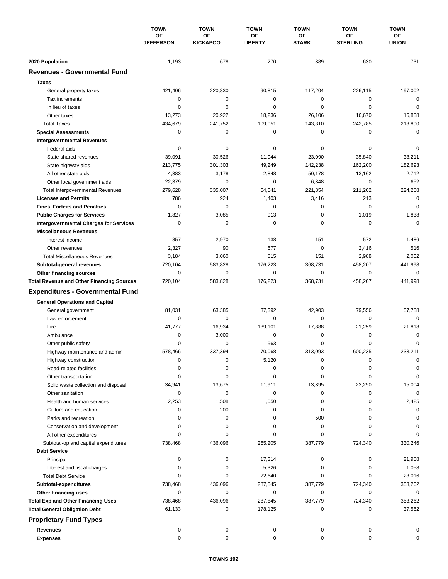|                                                  | <b>TOWN</b><br><b>OF</b><br><b>JEFFERSON</b> | <b>TOWN</b>           | <b>TOWN</b>            | <b>TOWN</b>        | <b>TOWN</b>                  | <b>TOWN</b>        |
|--------------------------------------------------|----------------------------------------------|-----------------------|------------------------|--------------------|------------------------------|--------------------|
|                                                  |                                              | OF<br><b>KICKAPOO</b> | ΟF<br><b>LIBERTY</b>   | ОF<br><b>STARK</b> | <b>OF</b><br><b>STERLING</b> | ОF<br><b>UNION</b> |
|                                                  |                                              |                       |                        |                    |                              |                    |
| 2020 Population                                  | 1,193                                        | 678                   | 270                    | 389                | 630                          | 731                |
| <b>Revenues - Governmental Fund</b>              |                                              |                       |                        |                    |                              |                    |
| <b>Taxes</b>                                     |                                              |                       |                        |                    |                              |                    |
| General property taxes                           | 421,406                                      | 220,830               | 90,815                 | 117,204            | 226,115                      | 197,002            |
| Tax increments                                   | 0                                            | $\mathbf 0$           | $\mathbf 0$            | 0                  | $\mathbf 0$                  | $\mathbf 0$        |
| In lieu of taxes                                 | 0                                            | 0                     | $\mathbf 0$            | 0                  | $\mathbf 0$                  | $\mathbf 0$        |
| Other taxes                                      | 13,273                                       | 20,922                | 18,236                 | 26,106             | 16,670                       | 16,888             |
| <b>Total Taxes</b>                               | 434,679                                      | 241,752               | 109,051                | 143,310            | 242,785                      | 213,890            |
| <b>Special Assessments</b>                       | 0                                            | $\mathbf 0$           | 0                      | 0                  | 0                            | 0                  |
| <b>Intergovernmental Revenues</b>                |                                              |                       |                        |                    |                              |                    |
| Federal aids                                     | 0                                            | 0                     | 0                      | 0                  | 0                            | $\mathbf 0$        |
| State shared revenues                            | 39,091                                       | 30,526                | 11,944                 | 23,090             | 35,840                       | 38,211             |
| State highway aids                               | 213,775                                      | 301,303               | 49,249                 | 142,238            | 162,200                      | 182,693            |
| All other state aids                             | 4,383                                        | 3,178                 | 2,848                  | 50,178             | 13,162                       | 2,712              |
| Other local government aids                      | 22,379                                       | 0                     | $\mathbf 0$            | 6,348              | $\mathbf 0$                  | 652                |
| <b>Total Intergovernmental Revenues</b>          | 279,628                                      | 335,007               | 64,041                 | 221,854            | 211,202                      | 224,268            |
| <b>Licenses and Permits</b>                      | 786                                          | 924                   | 1,403                  | 3,416              | 213                          | $\mathbf 0$        |
| <b>Fines, Forfeits and Penalties</b>             | $\Omega$                                     | $\Omega$              | 0                      | 0                  | $\Omega$                     | $\mathbf 0$        |
| <b>Public Charges for Services</b>               | 1,827                                        | 3,085                 | 913                    | 0                  | 1,019                        | 1,838              |
| <b>Intergovernmental Charges for Services</b>    | 0                                            | 0                     | $\mathbf 0$            | 0                  | 0                            | $\mathbf 0$        |
| <b>Miscellaneous Revenues</b>                    |                                              |                       |                        |                    |                              |                    |
| Interest income                                  | 857                                          | 2,970                 | 138                    | 151                | 572                          | 1,486              |
| Other revenues                                   | 2,327                                        | 90                    | 677                    | $\mathbf 0$        | 2,416                        | 516                |
| <b>Total Miscellaneous Revenues</b>              | 3,184                                        | 3,060                 | 815                    | 151                | 2,988                        | 2,002              |
| Subtotal-general revenues                        | 720,104                                      | 583,828               | 176,223                | 368,731            | 458,207                      | 441,998            |
| Other financing sources                          | $\mathbf 0$                                  | 0                     | $\mathbf 0$            | 0                  | $\mathbf 0$                  | $\mathbf 0$        |
| <b>Total Revenue and Other Financing Sources</b> | 720,104                                      | 583,828               | 176,223                | 368,731            | 458,207                      | 441,998            |
| <b>Expenditures - Governmental Fund</b>          |                                              |                       |                        |                    |                              |                    |
|                                                  |                                              |                       |                        |                    |                              |                    |
| <b>General Operations and Capital</b>            | 81,031                                       |                       | 37,392                 | 42.903             |                              |                    |
| General government                               |                                              | 63,385                |                        |                    | 79,556                       | 57,788<br>$\Omega$ |
| Law enforcement<br>Fire                          | $\mathbf 0$                                  | 0                     | $\mathbf 0$            | 0                  | 0                            |                    |
|                                                  | 41,777                                       | 16,934                | 139,101<br>$\mathbf 0$ | 17,888             | 21,259                       | 21,818             |
| Ambulance                                        | 0                                            | 3,000                 |                        | 0                  | 0                            | 0                  |
| Other public safety                              | 0                                            | $\mathbf 0$           | 563                    | 0                  | $\mathbf 0$                  | 0                  |
| Highway maintenance and admin                    | 578,466                                      | 337,394               | 70,068                 | 313,093            | 600,235                      | 233,211            |
| Highway construction                             | 0                                            | 0                     | 5,120                  | 0                  | 0                            | 0                  |
| Road-related facilities                          | 0                                            | 0                     | 0                      | 0                  | 0                            | 0                  |
| Other transportation                             | 0                                            | 0                     | 0                      | 0                  | 0                            | $\Omega$           |
| Solid waste collection and disposal              | 34,941                                       | 13,675                | 11,911                 | 13,395             | 23,290                       | 15,004             |
| Other sanitation                                 | 0                                            | 0                     | 0                      | 0                  | 0                            | $\mathbf 0$        |
| Health and human services                        | 2,253                                        | 1,508                 | 1,050                  | 0                  | 0                            | 2,425              |
| Culture and education                            | 0                                            | 200                   | 0                      | 0                  | 0                            | 0                  |
| Parks and recreation                             | 0                                            | 0                     | 0                      | 500                | 0                            | 0                  |
| Conservation and development                     | 0                                            | 0                     | 0                      | 0                  | 0                            | 0                  |
| All other expenditures                           | $\Omega$                                     | 0                     | 0                      | 0                  | 0                            | O                  |
| Subtotal-op and capital expenditures             | 738,468                                      | 436,096               | 265,205                | 387,779            | 724,340                      | 330,246            |
| <b>Debt Service</b>                              |                                              |                       |                        |                    |                              |                    |
| Principal                                        | 0                                            | 0                     | 17,314                 | 0                  | 0                            | 21,958             |
| Interest and fiscal charges                      | 0                                            | 0                     | 5,326                  | 0                  | 0                            | 1,058              |
| <b>Total Debt Service</b>                        | $\Omega$                                     | 0                     | 22,640                 | 0                  | 0                            | 23,016             |
| Subtotal-expenditures                            | 738,468                                      | 436,096               | 287,845                | 387,779            | 724,340                      | 353,262            |
| Other financing uses                             | 0                                            | 0                     | 0                      | 0                  | 0                            | 0                  |
| <b>Total Exp and Other Financing Uses</b>        | 738,468                                      | 436,096               | 287,845                | 387,779            | 724,340                      | 353,262            |
| <b>Total General Obligation Debt</b>             | 61,133                                       | 0                     | 178,125                | 0                  | 0                            | 37,562             |
| <b>Proprietary Fund Types</b>                    |                                              |                       |                        |                    |                              |                    |
| <b>Revenues</b>                                  | 0                                            | 0                     | 0                      | 0                  | 0                            | 0                  |
| <b>Expenses</b>                                  | 0                                            | 0                     | 0                      | 0                  | 0                            | 0                  |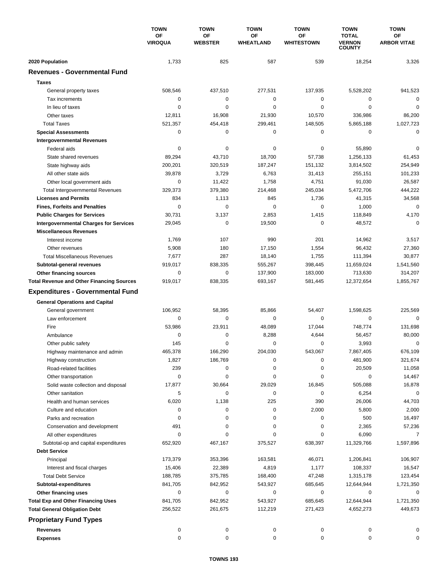|                                                  | <b>TOWN</b><br>OF<br><b>VIROQUA</b> | <b>TOWN</b>          | <b>TOWN</b>     | <b>TOWN</b>             | <b>TOWN</b>                                    | <b>TOWN</b>              |
|--------------------------------------------------|-------------------------------------|----------------------|-----------------|-------------------------|------------------------------------------------|--------------------------|
|                                                  |                                     | OF<br><b>WEBSTER</b> | OF<br>WHEATLAND | ΟF<br><b>WHITESTOWN</b> | <b>TOTAL</b><br><b>VERNON</b><br><b>COUNTY</b> | OF<br><b>ARBOR VITAE</b> |
| 2020 Population                                  | 1,733                               | 825                  | 587             | 539                     | 18,254                                         | 3,326                    |
| <b>Revenues - Governmental Fund</b>              |                                     |                      |                 |                         |                                                |                          |
| <b>Taxes</b>                                     |                                     |                      |                 |                         |                                                |                          |
| General property taxes                           | 508,546                             | 437,510              | 277,531         | 137,935                 | 5,528,202                                      | 941,523                  |
| Tax increments                                   | 0                                   | 0                    | 0               | 0                       | $\mathbf 0$                                    | 0                        |
| In lieu of taxes                                 | $\mathbf 0$                         | 0                    | 0               | $\mathbf 0$             | $\mathbf 0$                                    | $\mathbf 0$              |
| Other taxes                                      | 12,811                              | 16,908               | 21,930          | 10,570                  | 336,986                                        | 86,200                   |
| <b>Total Taxes</b>                               | 521,357                             | 454,418              | 299,461         | 148,505                 | 5,865,188                                      | 1,027,723                |
| <b>Special Assessments</b>                       | 0                                   | 0                    | 0               | 0                       | 0                                              | 0                        |
| <b>Intergovernmental Revenues</b>                |                                     |                      |                 |                         |                                                |                          |
| Federal aids                                     | $\mathbf 0$                         | 0                    | 0               | 0                       | 55,890                                         | 0                        |
| State shared revenues                            | 89,294                              | 43,710               | 18,700          | 57,738                  | 1,256,133                                      | 61,453                   |
| State highway aids                               | 200,201                             | 320,519              | 187,247         | 151,132                 | 3,814,502                                      | 254,949                  |
| All other state aids                             | 39,878                              | 3,729                | 6,763           | 31,413                  | 255,151                                        | 101,233                  |
| Other local government aids                      | $\mathbf 0$                         | 11,422               | 1,758           | 4,751                   | 91,030                                         | 26,587                   |
| <b>Total Intergovernmental Revenues</b>          | 329,373                             | 379,380              | 214,468         | 245,034                 | 5,472,706                                      | 444,222                  |
| <b>Licenses and Permits</b>                      | 834                                 | 1,113                | 845             | 1,736                   | 41,315                                         | 34,568                   |
| <b>Fines, Forfeits and Penalties</b>             | 0                                   | 0                    | 0               | 0                       | 1,000                                          | 0                        |
| <b>Public Charges for Services</b>               | 30,731                              | 3,137                | 2,853           | 1,415                   | 118,849                                        | 4,170                    |
| <b>Intergovernmental Charges for Services</b>    | 29,045                              | $\mathbf 0$          | 19,500          | 0                       | 48,572                                         | $\mathbf 0$              |
| <b>Miscellaneous Revenues</b>                    |                                     |                      |                 |                         |                                                |                          |
| Interest income                                  | 1,769                               | 107                  | 990             | 201                     | 14,962                                         | 3,517                    |
| Other revenues                                   | 5,908                               | 180                  | 17,150          | 1,554                   | 96,432                                         | 27,360                   |
| <b>Total Miscellaneous Revenues</b>              | 7,677                               | 287                  | 18,140          | 1,755                   | 111,394                                        | 30,877                   |
| Subtotal-general revenues                        | 919,017                             | 838,335              | 555,267         | 398,445                 | 11,659,024                                     | 1,541,560                |
| Other financing sources                          | $\mathbf 0$                         | 0                    | 137,900         | 183,000                 | 713,630                                        | 314,207                  |
| <b>Total Revenue and Other Financing Sources</b> | 919,017                             | 838,335              | 693,167         | 581,445                 | 12,372,654                                     | 1,855,767                |
| <b>Expenditures - Governmental Fund</b>          |                                     |                      |                 |                         |                                                |                          |
| <b>General Operations and Capital</b>            |                                     |                      |                 |                         |                                                |                          |
| General government                               | 106,952                             | 58,395               | 85,866          | 54,407                  | 1,598,625                                      | 225,569                  |
| Law enforcement                                  | $\mathbf 0$                         | $\mathbf 0$          | 0               | 0                       | $\mathbf 0$                                    | $\mathbf 0$              |
| Fire                                             | 53,986                              | 23,911               | 48,089          | 17,044                  | 748,774                                        | 131,698                  |
| Ambulance                                        | $\mathbf 0$                         | 0                    | 8,288           | 4,644                   | 56,457                                         | 80,000                   |
| Other public safety                              | 145                                 | 0                    | 0               | 0                       | 3,993                                          | 0                        |
| Highway maintenance and admin                    | 465,378                             | 166,290              | 204,030         | 543,067                 | 7,867,405                                      | 676,109                  |
| Highway construction                             | 1,827                               | 186,769              | 0               | $\pmb{0}$               | 481,900                                        | 321,674                  |
| Road-related facilities                          | 239                                 | 0                    | 0               | 0                       | 20,509                                         | 11,058                   |
| Other transportation                             | $\mathbf 0$                         | 0                    | 0               | 0                       | 0                                              | 14,467                   |
| Solid waste collection and disposal              | 17,877                              | 30,664               | 29,029          | 16,845                  | 505,088                                        | 16,878                   |
| Other sanitation                                 | 5                                   | 0                    | 0               | 0                       | 6,254                                          | $\mathbf 0$              |
| Health and human services                        | 6,020                               | 1,138                | 225             | 390                     | 26,006                                         | 44,703                   |
| Culture and education                            | 0                                   | 0                    | 0               | 2,000                   | 5,800                                          | 2,000                    |
| Parks and recreation                             | 0                                   | 0                    | 0               | 0                       | 500                                            | 16,497                   |
| Conservation and development                     | 491                                 | 0                    | 0               | 0                       | 2,365                                          | 57,236                   |
| All other expenditures                           | 0                                   | 0                    | 0               | 0                       | 6,090                                          | 7                        |
| Subtotal-op and capital expenditures             | 652,920                             | 467,167              | 375,527         | 638,397                 | 11,329,766                                     | 1,597,896                |
| <b>Debt Service</b>                              |                                     |                      |                 |                         |                                                |                          |
| Principal                                        | 173,379                             | 353,396              | 163,581         | 46,071                  | 1,206,841                                      | 106,907                  |
| Interest and fiscal charges                      | 15,406                              | 22,389               | 4,819           | 1,177                   | 108,337                                        | 16,547                   |
| <b>Total Debt Service</b>                        | 188,785                             | 375,785              | 168,400         | 47,248                  | 1,315,178                                      | 123,454                  |
| Subtotal-expenditures                            | 841,705                             | 842,952              | 543,927         | 685,645                 | 12,644,944                                     | 1,721,350                |
| Other financing uses                             | 0                                   | 0                    | 0               | 0                       | 0                                              | 0                        |
| <b>Total Exp and Other Financing Uses</b>        | 841,705                             | 842,952              | 543,927         | 685,645                 | 12,644,944                                     | 1,721,350                |
| <b>Total General Obligation Debt</b>             | 256,522                             | 261,675              | 112,219         | 271,423                 | 4,652,273                                      | 449,673                  |
| <b>Proprietary Fund Types</b>                    |                                     |                      |                 |                         |                                                |                          |
|                                                  |                                     |                      |                 |                         |                                                |                          |
| <b>Revenues</b>                                  | 0                                   | 0                    | 0               | 0                       | 0                                              | 0                        |
| <b>Expenses</b>                                  | $\mathsf 0$                         | 0                    | 0               | 0                       | $\mathbf 0$                                    | 0                        |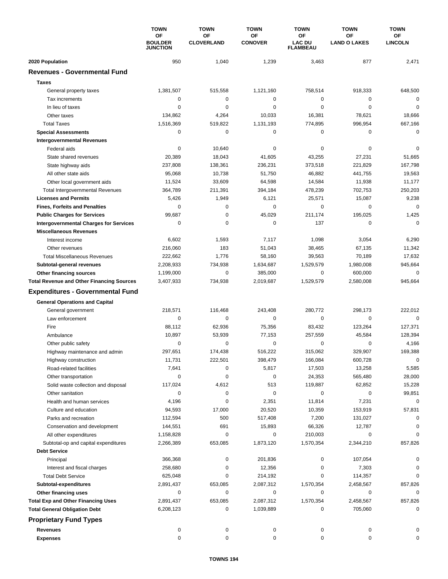|                                                  | <b>TOWN</b><br>ΟF<br><b>BOULDER</b><br><b>JUNCTION</b> | <b>TOWN</b>                    | <b>TOWN</b>          | <b>TOWN</b>                            | <b>TOWN</b><br><b>OF</b><br><b>LAND O LAKES</b> | <b>TOWN</b><br><b>OF</b><br><b>LINCOLN</b> |
|--------------------------------------------------|--------------------------------------------------------|--------------------------------|----------------------|----------------------------------------|-------------------------------------------------|--------------------------------------------|
|                                                  |                                                        | <b>OF</b><br><b>CLOVERLAND</b> | OF<br><b>CONOVER</b> | ΟF<br><b>LAC DU</b><br><b>FLAMBEAU</b> |                                                 |                                            |
| 2020 Population                                  | 950                                                    | 1,040                          | 1,239                | 3,463                                  | 877                                             | 2,471                                      |
| <b>Revenues - Governmental Fund</b>              |                                                        |                                |                      |                                        |                                                 |                                            |
| <b>Taxes</b>                                     |                                                        |                                |                      |                                        |                                                 |                                            |
| General property taxes                           | 1,381,507                                              | 515,558                        | 1,121,160            | 758,514                                | 918,333                                         | 648,500                                    |
| Tax increments                                   | 0                                                      | 0                              | 0                    | 0                                      | 0                                               | 0                                          |
| In lieu of taxes                                 | 0                                                      | 0                              | 0                    | 0                                      | $\mathbf 0$                                     | $\mathbf 0$                                |
| Other taxes                                      | 134,862                                                | 4,264                          | 10,033               | 16,381                                 | 78,621                                          | 18,666                                     |
| <b>Total Taxes</b>                               | 1,516,369                                              | 519,822                        | 1,131,193            | 774,895                                | 996,954                                         | 667,166                                    |
| <b>Special Assessments</b>                       | 0                                                      | 0                              | 0                    | 0                                      | 0                                               | 0                                          |
| <b>Intergovernmental Revenues</b>                |                                                        |                                |                      |                                        |                                                 |                                            |
| Federal aids                                     | 0                                                      | 10,640                         | 0                    | 0                                      | 0                                               | 0                                          |
| State shared revenues                            | 20,389                                                 | 18,043                         | 41,605               | 43,255                                 | 27,231                                          | 51,665                                     |
| State highway aids                               | 237,808                                                | 138,361                        | 236,231              | 373,518                                | 221,829                                         | 167,798                                    |
| All other state aids                             | 95,068                                                 | 10,738                         | 51,750               | 46,882                                 | 441,755                                         | 19,563                                     |
| Other local government aids                      | 11,524                                                 | 33,609                         | 64,598               | 14,584                                 | 11,938                                          | 11,177                                     |
| <b>Total Intergovernmental Revenues</b>          | 364,789                                                | 211,391                        | 394,184              | 478,239                                | 702,753                                         | 250,203                                    |
| <b>Licenses and Permits</b>                      | 5,426                                                  | 1,949                          | 6,121                | 25,571                                 | 15,087                                          | 9,238                                      |
| <b>Fines, Forfeits and Penalties</b>             | 0                                                      | 0                              | 0                    | 0                                      | 0                                               | $\Omega$                                   |
| <b>Public Charges for Services</b>               | 99,687                                                 | 0                              | 45,029               | 211,174                                | 195,025                                         | 1,425                                      |
| <b>Intergovernmental Charges for Services</b>    | $\mathbf 0$                                            | $\mathbf 0$                    | $\mathbf 0$          | 137                                    | $\mathbf 0$                                     | $\Omega$                                   |
| <b>Miscellaneous Revenues</b>                    |                                                        |                                |                      |                                        |                                                 |                                            |
| Interest income                                  | 6,602                                                  | 1,593                          | 7,117                | 1,098                                  | 3,054                                           | 6,290                                      |
| Other revenues                                   | 216,060                                                | 183                            | 51,043               | 38,465                                 | 67,135                                          | 11,342                                     |
| <b>Total Miscellaneous Revenues</b>              | 222,662                                                | 1,776                          | 58,160               | 39,563                                 | 70,189                                          | 17,632                                     |
| Subtotal-general revenues                        | 2,208,933                                              | 734,938                        | 1,634,687            | 1,529,579                              | 1,980,008                                       | 945,664                                    |
| Other financing sources                          | 1,199,000                                              | $\mathbf 0$                    | 385,000              | 0                                      | 600,000                                         | $\mathbf 0$                                |
| <b>Total Revenue and Other Financing Sources</b> | 3,407,933                                              | 734,938                        | 2,019,687            | 1,529,579                              | 2,580,008                                       | 945,664                                    |
| <b>Expenditures - Governmental Fund</b>          |                                                        |                                |                      |                                        |                                                 |                                            |
| <b>General Operations and Capital</b>            |                                                        |                                |                      |                                        |                                                 |                                            |
| General government                               | 218,571                                                | 116,468                        | 243,408              | 280,772                                | 298,173                                         | 222,012                                    |
| Law enforcement                                  | $\mathbf 0$                                            | 0                              | $\mathbf 0$          | 0                                      | $\mathbf 0$                                     | $\mathbf 0$                                |
| Fire                                             | 88,112                                                 | 62,936                         | 75,356               | 83,432                                 | 123,264                                         | 127,371                                    |
| Ambulance                                        | 10,897                                                 | 53,939                         | 77,153               | 257,559                                | 45,584                                          | 128,394                                    |
| Other public safety                              | 0                                                      | 0                              | 0                    | 0                                      | 0                                               | 4,166                                      |
| Highway maintenance and admin                    | 297,651                                                | 174.438                        | 516,222              | 315,062                                | 329,907                                         | 169,388                                    |
| Highway construction                             | 11,731                                                 | 222,501                        | 398,479              | 166,084                                | 600,728                                         | $\mathbf 0$                                |
| Road-related facilities                          | 7,641                                                  | 0                              | 5,817                | 17,503                                 | 13,258                                          | 5,585                                      |
| Other transportation                             | 0                                                      | 0                              | $\mathbf 0$          | 24,353                                 | 565,480                                         | 28,000                                     |
| Solid waste collection and disposal              | 117,024                                                | 4,612                          | 513                  | 119,887                                | 62,852                                          | 15,228                                     |
| Other sanitation                                 | 0                                                      | 0                              | $\pmb{0}$            | $\pmb{0}$                              | 0                                               | 99,851                                     |
| Health and human services                        | 4,196                                                  | 0                              | 2,351                | 11,814                                 | 7,231                                           | 0                                          |
| Culture and education                            | 94,593                                                 | 17,000                         | 20,520               | 10,359                                 | 153,919                                         | 57,831                                     |
| Parks and recreation                             | 112,594                                                | 500                            | 517,408              | 7,200                                  | 131,027                                         | 0                                          |
| Conservation and development                     | 144,551                                                | 691                            | 15,893               | 66,326                                 | 12,787                                          |                                            |
| All other expenditures                           | 1,158,828                                              | 0                              | 0                    | 210,003                                | 0                                               | $\Omega$                                   |
| Subtotal-op and capital expenditures             | 2,266,389                                              | 653,085                        | 1,873,120            | 1,570,354                              | 2,344,210                                       | 857,826                                    |
| <b>Debt Service</b>                              |                                                        |                                |                      |                                        |                                                 |                                            |
| Principal                                        | 366,368                                                | 0                              | 201,836              | 0                                      | 107,054                                         | 0                                          |
| Interest and fiscal charges                      | 258,680                                                | 0                              | 12,356               | 0                                      | 7,303                                           | 0                                          |
| <b>Total Debt Service</b>                        | 625,048                                                | 0                              | 214,192              | 0                                      | 114,357                                         | 0                                          |
| Subtotal-expenditures                            | 2,891,437                                              | 653,085                        | 2,087,312            | 1,570,354                              | 2,458,567                                       | 857,826                                    |
| Other financing uses                             | 0                                                      | 0                              | 0                    | 0                                      | 0                                               | 0                                          |
| <b>Total Exp and Other Financing Uses</b>        | 2,891,437                                              | 653,085                        | 2,087,312            | 1,570,354                              | 2,458,567                                       | 857,826                                    |
| <b>Total General Obligation Debt</b>             | 6,208,123                                              | 0                              | 1,039,889            | 0                                      | 705,060                                         | 0                                          |
| <b>Proprietary Fund Types</b>                    |                                                        |                                |                      |                                        |                                                 |                                            |
| <b>Revenues</b>                                  | 0                                                      | 0                              | 0                    | 0                                      | 0                                               | 0                                          |
| <b>Expenses</b>                                  | 0                                                      | $\pmb{0}$                      | 0                    | 0                                      | 0                                               | 0                                          |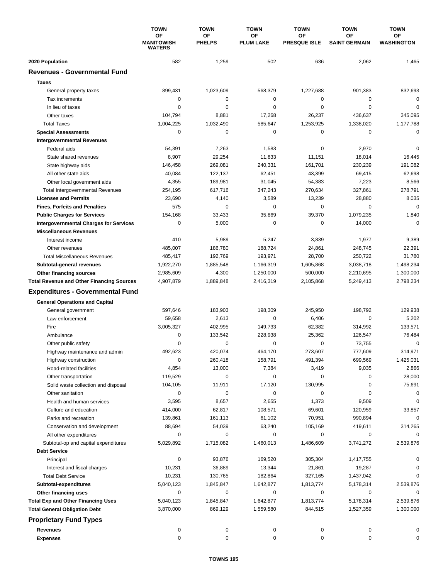|                                                  | <b>TOWN</b><br>ΟF<br><b>MANITOWISH</b><br><b>WATERS</b> | <b>TOWN</b>         | <b>TOWN</b>            | <b>TOWN</b>                      | <b>TOWN</b>                       | <b>TOWN</b>             |
|--------------------------------------------------|---------------------------------------------------------|---------------------|------------------------|----------------------------------|-----------------------------------|-------------------------|
|                                                  |                                                         | OF<br><b>PHELPS</b> | OF<br><b>PLUM LAKE</b> | <b>OF</b><br><b>PRESQUE ISLE</b> | <b>OF</b><br><b>SAINT GERMAIN</b> | OF<br><b>WASHINGTON</b> |
| 2020 Population                                  | 582                                                     | 1,259               | 502                    | 636                              | 2,062                             | 1,465                   |
| <b>Revenues - Governmental Fund</b>              |                                                         |                     |                        |                                  |                                   |                         |
| <b>Taxes</b>                                     |                                                         |                     |                        |                                  |                                   |                         |
| General property taxes                           | 899,431                                                 | 1,023,609           | 568,379                | 1,227,688                        | 901,383                           | 832,693                 |
| Tax increments                                   | 0                                                       | 0                   | 0                      | 0                                | $\mathbf 0$                       | $\mathbf 0$             |
| In lieu of taxes                                 | 0                                                       | 0                   | 0                      | 0                                | $\mathbf 0$                       | 0                       |
| Other taxes                                      | 104,794                                                 | 8,881               | 17,268                 | 26,237                           | 436,637                           | 345,095                 |
| <b>Total Taxes</b>                               | 1,004,225                                               | 1,032,490           | 585,647                | 1,253,925                        | 1,338,020                         | 1,177,788               |
| <b>Special Assessments</b>                       | 0                                                       | 0                   | 0                      | 0                                | $\mathbf 0$                       | $\mathbf 0$             |
| <b>Intergovernmental Revenues</b>                |                                                         |                     |                        |                                  |                                   |                         |
| Federal aids                                     | 54,391                                                  | 7,263               | 1,583                  | 0                                | 2,970                             | 0                       |
| State shared revenues                            | 8,907                                                   | 29,254              | 11,833                 | 11,151                           | 18,014                            | 16,445                  |
| State highway aids                               | 146,458                                                 | 269,081             | 240,331                | 161,701                          | 230,239                           | 191,082                 |
| All other state aids                             | 40,084                                                  | 122,137             | 62,451                 | 43,399                           | 69,415                            | 62,698                  |
| Other local government aids                      | 4,355                                                   | 189,981             | 31,045                 | 54,383                           | 7,223                             | 8,566                   |
| <b>Total Intergovernmental Revenues</b>          | 254,195                                                 | 617,716             | 347,243                | 270,634                          | 327,861                           | 278,791                 |
| <b>Licenses and Permits</b>                      | 23,690                                                  | 4,140               | 3,589                  | 13,239                           | 28,880                            | 8,035                   |
| <b>Fines, Forfeits and Penalties</b>             | 575                                                     | 0                   | 0                      | 0                                | 0                                 | $\mathbf 0$             |
| <b>Public Charges for Services</b>               | 154,168                                                 | 33,433              | 35,869                 | 39,370                           | 1,079,235                         | 1,840                   |
| <b>Intergovernmental Charges for Services</b>    | 0                                                       | 5,000               | 0                      | 0                                | 14,000                            | $\Omega$                |
| <b>Miscellaneous Revenues</b>                    |                                                         |                     |                        |                                  |                                   |                         |
| Interest income                                  | 410                                                     | 5,989               | 5,247                  | 3,839                            | 1,977                             | 9,389                   |
| Other revenues                                   | 485,007                                                 | 186,780             | 188,724                | 24,861                           | 248,745                           | 22,391                  |
| <b>Total Miscellaneous Revenues</b>              | 485,417                                                 | 192,769             | 193,971                | 28,700                           | 250,722                           | 31,780                  |
| Subtotal-general revenues                        | 1,922,270                                               | 1,885,548           | 1,166,319              | 1,605,868                        | 3,038,718                         | 1,498,234               |
| Other financing sources                          | 2,985,609                                               | 4,300               | 1,250,000              | 500,000                          | 2,210,695                         | 1,300,000               |
| <b>Total Revenue and Other Financing Sources</b> | 4,907,879                                               | 1,889,848           | 2,416,319              | 2,105,868                        | 5,249,413                         | 2,798,234               |
| <b>Expenditures - Governmental Fund</b>          |                                                         |                     |                        |                                  |                                   |                         |
|                                                  |                                                         |                     |                        |                                  |                                   |                         |
| <b>General Operations and Capital</b>            |                                                         |                     |                        |                                  |                                   |                         |
| General government                               | 597,646                                                 | 183,903             | 198,309                | 245,950                          | 198,792                           | 129,938                 |
| Law enforcement                                  | 59,658                                                  | 2,613               | 0                      | 6,406                            | $\mathbf 0$                       | 5,202                   |
| Fire                                             | 3,005,327                                               | 402,995             | 149,733                | 62,382                           | 314,992                           | 133,571                 |
| Ambulance                                        | 0                                                       | 133,542             | 228,938                | 25,362                           | 126,547                           | 76,484                  |
| Other public safety                              | 0                                                       | 0                   | 0                      | 0                                | 73,755                            | $\mathbf 0$             |
| Highway maintenance and admin                    | 492,623                                                 | 420,074             | 464,170                | 273,607                          | 777,609                           | 314,971                 |
| Highway construction                             | 0                                                       | 260,418             | 158,791                | 491,394                          | 699,569                           | 1,425,031               |
| Road-related facilities                          | 4,854                                                   | 13,000              | 7,384                  | 3,419                            | 9,035                             | 2,866                   |
| Other transportation                             | 119,529                                                 | 0                   | 0                      | 0                                | 0                                 | 28,000                  |
| Solid waste collection and disposal              | 104,105                                                 | 11,911              | 17,120                 | 130,995                          | 0                                 | 75,691                  |
| Other sanitation                                 | 0                                                       | 0                   | 0                      | 0                                | 0                                 | 0                       |
| Health and human services                        | 3,595                                                   | 8,657               | 2,655                  | 1,373                            | 9,509                             | 0                       |
| Culture and education                            | 414,000                                                 | 62,817              | 108,571                | 69,601                           | 120,959                           | 33,857                  |
| Parks and recreation                             | 139,861                                                 | 161,113             | 61,102                 | 70,951                           | 990,894                           | 0                       |
| Conservation and development                     | 88,694                                                  | 54,039              | 63,240                 | 105,169                          | 419,611                           | 314,265                 |
| All other expenditures                           | 0                                                       | 0                   | 0                      | 0                                | 0                                 | 0                       |
| Subtotal-op and capital expenditures             | 5,029,892                                               | 1,715,082           | 1,460,013              | 1,486,609                        | 3,741,272                         | 2,539,876               |
| <b>Debt Service</b>                              |                                                         |                     |                        |                                  |                                   |                         |
| Principal                                        | 0                                                       | 93,876              | 169,520                | 305,304                          | 1,417,755                         | 0                       |
| Interest and fiscal charges                      | 10,231                                                  | 36,889              | 13,344                 | 21,861                           | 19,287                            | 0                       |
| <b>Total Debt Service</b>                        | 10,231                                                  | 130,765             | 182,864                | 327,165                          | 1,437,042                         | 0                       |
| Subtotal-expenditures                            | 5,040,123                                               | 1,845,847           | 1,642,877              | 1,813,774                        | 5,178,314                         | 2,539,876               |
| Other financing uses                             | 0                                                       | 0                   | 0                      | 0                                | 0                                 | 0                       |
| <b>Total Exp and Other Financing Uses</b>        | 5,040,123                                               | 1,845,847           | 1,642,877              | 1,813,774                        | 5,178,314                         | 2,539,876               |
| <b>Total General Obligation Debt</b>             | 3,870,000                                               | 869,129             | 1,559,580              | 844,515                          | 1,527,359                         | 1,300,000               |
| <b>Proprietary Fund Types</b>                    |                                                         |                     |                        |                                  |                                   |                         |
| <b>Revenues</b>                                  | 0                                                       | 0                   | 0                      | 0                                | 0                                 | 0                       |
| <b>Expenses</b>                                  | 0                                                       | 0                   | 0                      | 0                                | 0                                 | 0                       |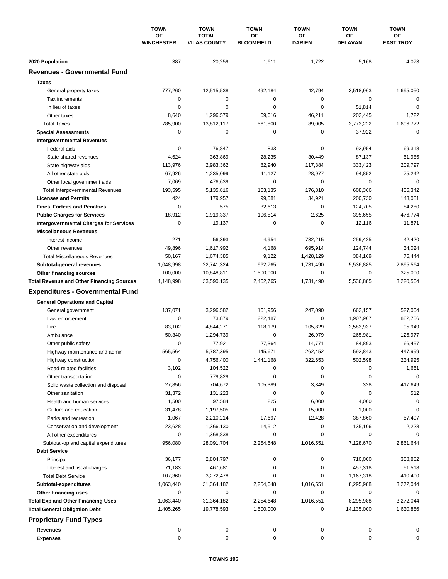|                                                  | <b>TOWN</b><br>ΟF<br><b>WINCHESTER</b> | <b>TOWN</b>                         | <b>TOWN</b>             | <b>TOWN</b>         | <b>TOWN</b>          | <b>TOWN</b>            |
|--------------------------------------------------|----------------------------------------|-------------------------------------|-------------------------|---------------------|----------------------|------------------------|
|                                                  |                                        | <b>TOTAL</b><br><b>VILAS COUNTY</b> | OF<br><b>BLOOMFIELD</b> | OF<br><b>DARIEN</b> | ΟF<br><b>DELAVAN</b> | ОF<br><b>EAST TROY</b> |
| 2020 Population                                  | 387                                    | 20,259                              | 1,611                   | 1,722               | 5,168                | 4,073                  |
| <b>Revenues - Governmental Fund</b>              |                                        |                                     |                         |                     |                      |                        |
| <b>Taxes</b>                                     |                                        |                                     |                         |                     |                      |                        |
| General property taxes                           | 777,260                                | 12,515,538                          | 492,184                 | 42,794              | 3,518,963            | 1,695,050              |
| Tax increments                                   | 0                                      | 0                                   | 0                       | 0                   | 0                    | $\mathbf 0$            |
| In lieu of taxes                                 | 0                                      | 0                                   | 0                       | 0                   | 51,814               | $\mathbf 0$            |
| Other taxes                                      | 8,640                                  | 1,296,579                           | 69,616                  | 46,211              | 202,445              | 1,722                  |
| <b>Total Taxes</b>                               | 785,900                                | 13,812,117                          | 561,800                 | 89,005              | 3,773,222            | 1,696,772              |
| <b>Special Assessments</b>                       | 0                                      | 0                                   | 0                       | 0                   | 37,922               | $\mathbf 0$            |
| <b>Intergovernmental Revenues</b>                |                                        |                                     |                         |                     |                      |                        |
| Federal aids                                     | 0                                      | 76,847                              | 833                     | 0                   | 92,954               | 69,318                 |
| State shared revenues                            | 4,624                                  | 363,869                             | 28,235                  | 30,449              | 87,137               | 51,985                 |
| State highway aids                               | 113,976                                | 2,983,362                           | 82,940                  | 117,384             | 333,423              | 209,797                |
| All other state aids                             | 67,926                                 | 1,235,099                           | 41,127                  | 28,977              | 94,852               | 75,242                 |
| Other local government aids                      | 7,069                                  | 476,639                             | $\mathbf 0$             | 0                   | 0                    | $\mathbf 0$            |
| <b>Total Intergovernmental Revenues</b>          | 193,595                                | 5,135,816                           | 153,135                 | 176,810             | 608,366              | 406,342                |
| <b>Licenses and Permits</b>                      | 424                                    | 179,957                             | 99,581                  | 34,921              | 200,730              | 143,081                |
| <b>Fines, Forfeits and Penalties</b>             | 0                                      | 575                                 | 32,613                  | 0                   | 124,705              | 84,280                 |
| <b>Public Charges for Services</b>               | 18,912                                 | 1,919,337                           | 106,514                 | 2,625               | 395,655              | 476,774                |
| <b>Intergovernmental Charges for Services</b>    | 0                                      | 19,137                              | 0                       | 0                   | 12,116               | 11,871                 |
| <b>Miscellaneous Revenues</b>                    |                                        |                                     |                         |                     |                      |                        |
| Interest income                                  | 271                                    | 56,393                              | 4,954                   | 732,215             | 259,425              | 42,420                 |
| Other revenues                                   | 49,896                                 | 1,617,992                           | 4,168                   | 695,914             | 124,744              | 34,024                 |
| <b>Total Miscellaneous Revenues</b>              | 50,167                                 | 1,674,385                           | 9,122                   | 1,428,129           | 384,169              | 76,444                 |
| Subtotal-general revenues                        | 1,048,998                              | 22,741,324                          | 962,765                 | 1,731,490           | 5,536,885            | 2,895,564              |
| Other financing sources                          | 100,000                                | 10,848,811                          | 1,500,000               | 0                   | 0                    | 325,000                |
| <b>Total Revenue and Other Financing Sources</b> | 1,148,998                              | 33,590,135                          | 2,462,765               | 1,731,490           | 5,536,885            | 3,220,564              |
| <b>Expenditures - Governmental Fund</b>          |                                        |                                     |                         |                     |                      |                        |
| <b>General Operations and Capital</b>            |                                        |                                     |                         |                     |                      |                        |
| General government                               | 137,071                                | 3,296,582                           | 161,956                 | 247,090             | 662,157              | 527,004                |
| Law enforcement                                  | 0                                      | 73,879                              | 222,487                 | 0                   | 1,907,967            | 882,786                |
| Fire                                             | 83,102                                 | 4,844,271                           | 118,179                 | 105,829             | 2,583,937            | 95,949                 |
| Ambulance                                        | 50,340                                 | 1,294,739                           | 0                       | 26,979              | 265,981              | 126,977                |
| Other public safety                              | 0                                      | 77,921                              | 27,364                  | 14,771              | 84,893               | 66,457                 |
| Highway maintenance and admin                    | 565,564                                | 5,787,395                           | 145,671                 | 262,452             | 592,843              | 447.999                |
| Highway construction                             | 0                                      | 4,756,400                           | 1,441,168               | 322,653             | 502,598              | 234,925                |
| Road-related facilities                          | 3,102                                  | 104,522                             | 0                       | 0                   | 0                    | 1,661                  |
| Other transportation                             | 0                                      | 779,829                             | 0                       | 0                   | 0                    | 0                      |
| Solid waste collection and disposal              | 27,856                                 | 704,672                             | 105,389                 | 3,349               | 328                  | 417,649                |
| Other sanitation                                 | 31,372                                 | 131,223                             | 0                       | 0                   | 0                    | 512                    |
| Health and human services                        | 1,500                                  | 97,584                              | 225                     | 6,000               | 4,000                | 0                      |
| Culture and education                            | 31,478                                 | 1,197,505                           | 0                       | 15,000              | 1,000                | 0                      |
| Parks and recreation                             | 1,067                                  | 2,210,214                           | 17,697                  | 12,428              | 387,860              | 57,497                 |
| Conservation and development                     | 23,628                                 | 1,366,130                           | 14,512                  | 0                   | 135,106              | 2,228                  |
| All other expenditures                           | 0                                      | 1,368,838                           | 0                       | 0                   | 0                    | 0                      |
| Subtotal-op and capital expenditures             | 956,080                                | 28,091,704                          | 2,254,648               | 1,016,551           | 7,128,670            | 2,861,644              |
| <b>Debt Service</b>                              |                                        |                                     |                         |                     |                      |                        |
| Principal                                        | 36,177                                 | 2,804,797                           | 0                       | 0                   | 710,000              | 358,882                |
| Interest and fiscal charges                      | 71,183                                 | 467,681                             | 0                       | 0                   | 457,318              | 51,518                 |
| <b>Total Debt Service</b>                        | 107,360                                | 3,272,478                           | 0                       | 0                   | 1,167,318            | 410,400                |
| Subtotal-expenditures                            | 1,063,440                              | 31,364,182                          | 2,254,648               | 1,016,551           | 8,295,988            | 3,272,044              |
| Other financing uses                             | 0                                      | 0                                   | 0                       | 0                   | 0                    | 0                      |
| <b>Total Exp and Other Financing Uses</b>        | 1,063,440                              | 31,364,182                          | 2,254,648               | 1,016,551           | 8,295,988            | 3,272,044              |
| <b>Total General Obligation Debt</b>             | 1,405,265                              | 19,778,593                          | 1,500,000               | 0                   | 14,135,000           | 1,630,856              |
| <b>Proprietary Fund Types</b>                    |                                        |                                     |                         |                     |                      |                        |
| <b>Revenues</b>                                  | 0                                      | 0                                   | 0                       | 0                   | 0                    | 0                      |
| <b>Expenses</b>                                  | 0                                      | 0                                   | 0                       | 0                   | 0                    | 0                      |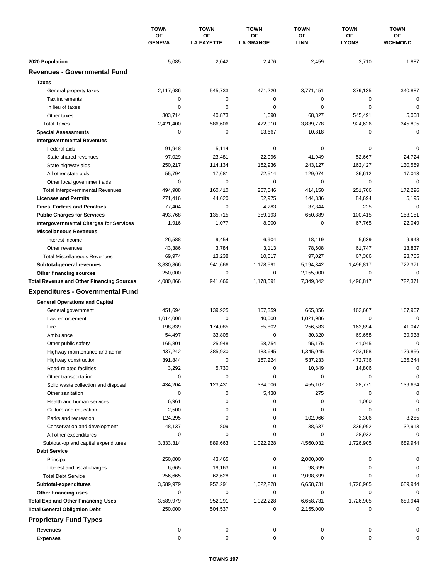|                                                  | <b>TOWN</b><br>OF<br><b>GENEVA</b> | <b>TOWN</b>                    | <b>TOWN</b>            | <b>TOWN</b>       | <b>TOWN</b>        | <b>TOWN</b>           |
|--------------------------------------------------|------------------------------------|--------------------------------|------------------------|-------------------|--------------------|-----------------------|
|                                                  |                                    | <b>OF</b><br><b>LA FAYETTE</b> | ΟF<br><b>LA GRANGE</b> | OF<br><b>LINN</b> | ΟF<br><b>LYONS</b> | ОF<br><b>RICHMOND</b> |
| 2020 Population                                  | 5,085                              | 2,042                          | 2,476                  | 2,459             | 3,710              | 1,887                 |
| <b>Revenues - Governmental Fund</b>              |                                    |                                |                        |                   |                    |                       |
| <b>Taxes</b>                                     |                                    |                                |                        |                   |                    |                       |
| General property taxes                           | 2,117,686                          | 545,733                        | 471,220                | 3,771,451         | 379,135            | 340,887               |
| Tax increments                                   | 0                                  | 0                              | 0                      | 0                 | 0                  | $\mathbf 0$           |
| In lieu of taxes                                 | 0                                  | 0                              | $\mathbf 0$            | 0                 | $\mathbf 0$        | 0                     |
| Other taxes                                      | 303,714                            | 40,873                         | 1,690                  | 68,327            | 545,491            | 5,008                 |
| <b>Total Taxes</b>                               | 2,421,400                          | 586,606                        | 472,910                | 3,839,778         | 924,626            | 345,895               |
| <b>Special Assessments</b>                       | 0                                  | 0                              | 13,667                 | 10,818            | 0                  | 0                     |
| <b>Intergovernmental Revenues</b>                |                                    |                                |                        |                   |                    |                       |
| Federal aids                                     | 91,948                             | 5,114                          | 0                      | 0                 | 0                  | 0                     |
| State shared revenues                            | 97,029                             | 23,481                         | 22,096                 | 41,949            | 52,667             | 24,724                |
| State highway aids                               | 250,217                            | 114,134                        | 162,936                | 243,127           | 162,427            | 130,559               |
| All other state aids                             | 55,794                             | 17,681                         | 72,514                 | 129,074           | 36,612             | 17,013                |
| Other local government aids                      | 0                                  | 0                              | $\mathbf 0$            | $\mathbf 0$       | $\mathbf 0$        | $\mathbf 0$           |
| <b>Total Intergovernmental Revenues</b>          | 494,988                            | 160,410                        | 257,546                | 414,150           | 251,706            | 172,296               |
| <b>Licenses and Permits</b>                      | 271,416                            | 44,620                         | 52,975                 | 144,336           | 84,694             | 5,195                 |
| <b>Fines, Forfeits and Penalties</b>             | 77,404                             | $\mathbf 0$                    | 4,283                  | 37,344            | 225                | $\mathbf 0$           |
| <b>Public Charges for Services</b>               | 493,768                            | 135,715                        | 359,193                | 650,889           | 100,415            | 153,151               |
| <b>Intergovernmental Charges for Services</b>    | 1,916                              | 1,077                          | 8,000                  | 0                 | 67,765             | 22,049                |
| <b>Miscellaneous Revenues</b>                    |                                    |                                |                        |                   |                    |                       |
| Interest income                                  | 26,588                             | 9,454                          | 6,904                  | 18,419            | 5,639              | 9,948                 |
| Other revenues                                   | 43,386                             | 3,784                          | 3,113                  | 78,608            | 61,747             | 13,837                |
| <b>Total Miscellaneous Revenues</b>              | 69,974                             | 13,238                         | 10,017                 | 97,027            | 67,386             | 23,785                |
| Subtotal-general revenues                        | 3,830,866                          | 941,666                        | 1,178,591              | 5,194,342         | 1,496,817          | 722,371               |
| Other financing sources                          | 250,000                            | $\mathbf 0$                    | $\mathbf 0$            | 2,155,000         | 0                  | $\mathbf 0$           |
| <b>Total Revenue and Other Financing Sources</b> | 4,080,866                          | 941,666                        | 1,178,591              | 7,349,342         | 1,496,817          | 722,371               |
| <b>Expenditures - Governmental Fund</b>          |                                    |                                |                        |                   |                    |                       |
|                                                  |                                    |                                |                        |                   |                    |                       |
| <b>General Operations and Capital</b>            |                                    |                                |                        |                   |                    |                       |
| General government                               | 451,694                            | 139.925                        | 167,359                | 665.856           | 162,607            | 167,967               |
| Law enforcement                                  | 1,014,008                          | 0                              | 40,000                 | 1,021,986         | 0                  | $\mathbf 0$           |
| Fire                                             | 198,839                            | 174,085                        | 55,802                 | 256,583           | 163,894            | 41,047                |
| Ambulance                                        | 54,497                             | 33,805                         | $\mathbf 0$            | 30,320            | 69,658             | 39,938                |
| Other public safety                              | 165,801<br>437,242                 | 25,948                         | 68,754                 | 95,175            | 41,045             | 0<br>129,856          |
| Highway maintenance and admin                    |                                    | 385,930                        | 183,645                | 1,345,045         | 403,158            |                       |
| Highway construction                             | 391,844                            | 0                              | 167,224                | 537,233           | 472,736            | 135,244               |
| Road-related facilities                          | 3,292                              | 5,730                          | 0                      | 10,849            | 14,806             | 0                     |
| Other transportation                             | 0                                  | 0                              | 0                      | 0                 | 0                  |                       |
| Solid waste collection and disposal              | 434,204                            | 123,431                        | 334,006                | 455,107           | 28,771             | 139,694               |
| Other sanitation                                 | 0                                  | 0<br>0                         | 5,438<br>0             | 275<br>0          | 0                  | 0<br>0                |
| Health and human services                        | 6,961                              | 0                              | 0                      | 0                 | 1,000<br>0         | 0                     |
| Culture and education<br>Parks and recreation    | 2,500<br>124,295                   | 0                              | 0                      | 102,966           | 3,306              | 3,285                 |
| Conservation and development                     | 48,137                             | 809                            | 0                      | 38,637            |                    |                       |
| All other expenditures                           | 0                                  | 0                              | 0                      | 0                 | 336,992<br>28,932  | 32,913<br>0           |
| Subtotal-op and capital expenditures             | 3,333,314                          | 889,663                        | 1,022,228              | 4,560,032         | 1,726,905          | 689,944               |
| <b>Debt Service</b>                              |                                    |                                |                        |                   |                    |                       |
| Principal                                        | 250,000                            | 43,465                         | 0                      | 2,000,000         | 0                  |                       |
| Interest and fiscal charges                      | 6,665                              | 19,163                         | 0                      | 98,699            | 0                  | 0                     |
| <b>Total Debt Service</b>                        | 256,665                            | 62,628                         | 0                      | 2,098,699         | 0                  | $\Omega$              |
| Subtotal-expenditures                            | 3,589,979                          | 952,291                        | 1,022,228              | 6,658,731         | 1,726,905          | 689,944               |
| Other financing uses                             | 0                                  | 0                              | 0                      | 0                 | 0                  | 0                     |
| <b>Total Exp and Other Financing Uses</b>        | 3,589,979                          | 952,291                        | 1,022,228              | 6,658,731         | 1,726,905          | 689,944               |
| <b>Total General Obligation Debt</b>             | 250,000                            | 504,537                        | 0                      | 2,155,000         | 0                  | 0                     |
|                                                  |                                    |                                |                        |                   |                    |                       |
| <b>Proprietary Fund Types</b>                    |                                    |                                |                        |                   |                    |                       |
| <b>Revenues</b>                                  | 0                                  | 0                              | 0                      | 0                 | 0                  | 0                     |
| <b>Expenses</b>                                  | 0                                  | 0                              | 0                      | 0                 | 0                  | 0                     |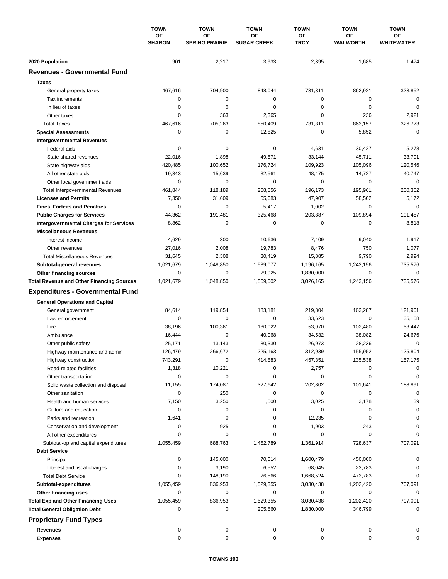|                                                  | <b>TOWN</b><br>ΟF<br><b>SHARON</b> | <b>TOWN</b>                 | <b>TOWN</b><br>OF<br><b>SUGAR CREEK</b> | <b>TOWN</b>       | <b>TOWN</b><br><b>OF</b><br>WALWORTH | <b>TOWN</b><br>OF<br><b>WHITEWATER</b> |
|--------------------------------------------------|------------------------------------|-----------------------------|-----------------------------------------|-------------------|--------------------------------------|----------------------------------------|
|                                                  |                                    | OF<br><b>SPRING PRAIRIE</b> |                                         | OF<br><b>TROY</b> |                                      |                                        |
| 2020 Population                                  | 901                                | 2,217                       | 3,933                                   | 2,395             | 1,685                                | 1,474                                  |
| <b>Revenues - Governmental Fund</b>              |                                    |                             |                                         |                   |                                      |                                        |
| <b>Taxes</b>                                     |                                    |                             |                                         |                   |                                      |                                        |
| General property taxes                           | 467,616                            | 704,900                     | 848,044                                 | 731,311           | 862,921                              | 323,852                                |
| Tax increments                                   | 0                                  | $\pmb{0}$                   | 0                                       | 0                 | $\mathbf 0$                          | $\mathbf 0$                            |
| In lieu of taxes                                 | 0                                  | 0                           | 0                                       | 0                 | $\mathbf 0$                          | $\mathbf 0$                            |
| Other taxes                                      | 0                                  | 363                         | 2,365                                   | 0                 | 236                                  | 2,921                                  |
| <b>Total Taxes</b>                               | 467,616                            | 705,263                     | 850,409                                 | 731,311           | 863,157                              | 326,773                                |
| <b>Special Assessments</b>                       | $\mathbf 0$                        | $\pmb{0}$                   | 12,825                                  | 0                 | 5,852                                | $\mathbf 0$                            |
| <b>Intergovernmental Revenues</b>                |                                    |                             |                                         |                   |                                      |                                        |
| Federal aids                                     | 0                                  | 0                           | 0                                       | 4,631             | 30,427                               | 5,278                                  |
| State shared revenues                            | 22,016                             | 1,898                       | 49,571                                  | 33,144            | 45,711                               | 33,791                                 |
| State highway aids                               | 420,485                            | 100,652                     | 176,724                                 | 109,923           | 105,096                              | 120,546                                |
| All other state aids                             | 19,343                             | 15,639                      | 32,561                                  | 48,475            | 14,727                               | 40,747                                 |
| Other local government aids                      | 0                                  | 0                           | 0                                       | 0                 | $\mathbf 0$                          | $\mathbf 0$                            |
| <b>Total Intergovernmental Revenues</b>          | 461,844                            | 118,189                     | 258,856                                 | 196,173           | 195,961                              | 200,362                                |
| <b>Licenses and Permits</b>                      | 7,350                              | 31,609                      | 55,683                                  | 47,907            | 58,502                               | 5,172                                  |
| <b>Fines, Forfeits and Penalties</b>             | 0                                  | 0                           | 5,417                                   | 1,002             | 0                                    | $\mathbf 0$                            |
| <b>Public Charges for Services</b>               | 44,362                             | 191,481                     | 325,468                                 | 203,887           | 109,894                              | 191,457                                |
| <b>Intergovernmental Charges for Services</b>    | 8,862                              | $\mathbf 0$                 | 0                                       | 0                 | 0                                    | 8,818                                  |
| <b>Miscellaneous Revenues</b>                    |                                    |                             |                                         |                   |                                      |                                        |
| Interest income                                  | 4,629                              | 300                         | 10,636                                  | 7,409             | 9,040                                | 1,917                                  |
| Other revenues                                   | 27,016                             | 2,008                       | 19,783                                  | 8,476             | 750                                  | 1,077                                  |
| <b>Total Miscellaneous Revenues</b>              | 31,645                             | 2,308                       | 30,419                                  | 15,885            | 9,790                                | 2,994                                  |
| Subtotal-general revenues                        | 1,021,679                          | 1,048,850                   | 1,539,077                               | 1,196,165         | 1,243,156                            | 735,576                                |
| Other financing sources                          | 0                                  | 0                           | 29,925                                  | 1,830,000         | 0                                    | $\mathbf 0$                            |
| <b>Total Revenue and Other Financing Sources</b> | 1,021,679                          | 1,048,850                   | 1,569,002                               | 3,026,165         | 1,243,156                            | 735,576                                |
|                                                  |                                    |                             |                                         |                   |                                      |                                        |
| <b>Expenditures - Governmental Fund</b>          |                                    |                             |                                         |                   |                                      |                                        |
| <b>General Operations and Capital</b>            |                                    |                             |                                         |                   |                                      |                                        |
| General government                               | 84,614                             | 119,854                     | 183,181                                 | 219,804           | 163,287                              | 121,901                                |
| Law enforcement                                  | $\mathbf 0$                        | 0                           | $\mathbf 0$                             | 33,623            | 0                                    | 35,158                                 |
| Fire                                             | 38,196                             | 100,361                     | 180,022                                 | 53,970            | 102,480                              | 53,447                                 |
| Ambulance                                        | 16,444                             | 0                           | 40,068                                  | 34,532            | 38,082                               | 24,676                                 |
| Other public safety                              | 25,171                             | 13,143                      | 80,330                                  | 26,973            | 28,236                               | $\mathbf 0$                            |
| Highway maintenance and admin                    | 126,479                            | 266,672                     | 225,163                                 | 312,939           | 155,952                              | 125,804                                |
| Highway construction                             | 743,291                            | 0                           | 414,883                                 | 457,351           | 135,538                              | 157,175                                |
| Road-related facilities                          | 1,318                              | 10,221                      | 0                                       | 2,757             | 0                                    | 0                                      |
| Other transportation                             | 0                                  | 0                           | 0                                       | 0                 | 0                                    | 0                                      |
| Solid waste collection and disposal              | 11,155                             | 174,087                     | 327,642                                 | 202,802           | 101,641                              | 188,891                                |
| Other sanitation                                 | 0                                  | 250                         | 0                                       | 0                 | 0                                    | $\mathbf 0$                            |
| Health and human services                        | 7,150                              | 3,250                       | 1,500                                   | 3,025             | 3,178                                | 39                                     |
| Culture and education                            | 0                                  | 0                           | 0                                       | 0                 | 0                                    | 0                                      |
| Parks and recreation                             | 1,641                              | 0                           | 0                                       | 12,235            | 0                                    | 0                                      |
| Conservation and development                     | 0                                  | 925                         | 0                                       | 1,903             | 243                                  | 0                                      |
| All other expenditures                           | 0                                  | 0                           | 0                                       | 0                 | 0                                    | $\Omega$                               |
| Subtotal-op and capital expenditures             | 1,055,459                          | 688,763                     | 1,452,789                               | 1,361,914         | 728,637                              | 707,091                                |
| <b>Debt Service</b>                              |                                    |                             |                                         |                   |                                      |                                        |
| Principal                                        | 0                                  | 145,000                     | 70,014                                  | 1,600,479         | 450,000                              | 0                                      |
| Interest and fiscal charges                      | 0                                  | 3,190                       | 6,552                                   | 68,045            | 23,783                               | 0                                      |
| <b>Total Debt Service</b>                        | 0                                  | 148,190                     | 76,566                                  | 1,668,524         | 473,783                              | 0                                      |
| Subtotal-expenditures                            | 1,055,459                          | 836,953                     | 1,529,355                               | 3,030,438         | 1,202,420                            | 707,091                                |
| Other financing uses                             | 0                                  | 0                           | 0                                       | 0                 | 0                                    | 0                                      |
| <b>Total Exp and Other Financing Uses</b>        | 1,055,459                          | 836,953                     | 1,529,355                               | 3,030,438         | 1,202,420                            | 707,091                                |
| <b>Total General Obligation Debt</b>             | 0                                  | 0                           | 205,860                                 | 1,830,000         | 346,799                              | 0                                      |
| <b>Proprietary Fund Types</b>                    |                                    |                             |                                         |                   |                                      |                                        |
| <b>Revenues</b>                                  | 0                                  | 0                           | 0                                       | 0                 | 0                                    | 0                                      |
| <b>Expenses</b>                                  | 0                                  | 0                           | 0                                       | 0                 | 0                                    | 0                                      |
|                                                  |                                    |                             |                                         |                   |                                      |                                        |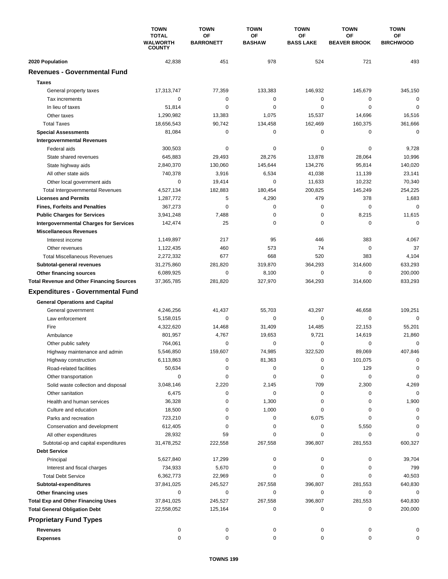|                                                  | <b>TOWN</b><br><b>TOTAL</b><br>WALWORTH<br><b>COUNTY</b> | <b>TOWN</b>            | <b>TOWN</b><br>ΟF<br><b>BASHAW</b> | <b>TOWN</b>            | <b>TOWN</b>               | <b>TOWN</b><br>ОF<br><b>BIRCHWOOD</b> |
|--------------------------------------------------|----------------------------------------------------------|------------------------|------------------------------------|------------------------|---------------------------|---------------------------------------|
|                                                  |                                                          | OF<br><b>BARRONETT</b> |                                    | OF<br><b>BASS LAKE</b> | OF<br><b>BEAVER BROOK</b> |                                       |
| 2020 Population                                  | 42,838                                                   | 451                    | 978                                | 524                    | 721                       | 493                                   |
| <b>Revenues - Governmental Fund</b>              |                                                          |                        |                                    |                        |                           |                                       |
| <b>Taxes</b>                                     |                                                          |                        |                                    |                        |                           |                                       |
| General property taxes                           | 17,313,747                                               | 77,359                 | 133,383                            | 146,932                | 145,679                   | 345,150                               |
| Tax increments                                   | 0                                                        | 0                      | 0                                  | 0                      | 0                         | $\mathbf 0$                           |
| In lieu of taxes                                 | 51,814                                                   | 0                      | 0                                  | 0                      | $\mathbf 0$               | $\mathbf 0$                           |
| Other taxes                                      | 1,290,982                                                | 13,383                 | 1,075                              | 15,537                 | 14,696                    | 16,516                                |
| <b>Total Taxes</b>                               | 18,656,543                                               | 90,742                 | 134,458                            | 162,469                | 160,375                   | 361,666                               |
| <b>Special Assessments</b>                       | 81,084                                                   | 0                      | 0                                  | 0                      | 0                         | $\mathbf 0$                           |
| <b>Intergovernmental Revenues</b>                |                                                          |                        |                                    |                        |                           |                                       |
| Federal aids                                     | 300,503                                                  | 0                      | 0                                  | 0                      | 0                         | 9,728                                 |
| State shared revenues                            | 645,883                                                  | 29,493                 | 28,276                             | 13,878                 | 28,064                    | 10,996                                |
| State highway aids                               | 2,840,370                                                | 130,060                | 145,644                            | 134,276                | 95,814                    | 140,020                               |
| All other state aids                             | 740,378                                                  | 3,916                  | 6,534                              | 41,038                 | 11,139                    | 23,141                                |
| Other local government aids                      | $\mathbf 0$                                              | 19,414                 | 0                                  | 11,633                 | 10,232                    | 70,340                                |
| <b>Total Intergovernmental Revenues</b>          | 4,527,134                                                | 182,883                | 180,454                            | 200,825                | 145,249                   | 254,225                               |
| <b>Licenses and Permits</b>                      | 1,287,772                                                | 5                      | 4,290                              | 479                    | 378                       | 1,683                                 |
| <b>Fines, Forfeits and Penalties</b>             | 367,273                                                  | 0                      | 0                                  | 0                      | 0                         | $\Omega$                              |
| <b>Public Charges for Services</b>               | 3,941,248                                                | 7,488                  | 0                                  | 0                      | 8,215                     | 11,615                                |
| <b>Intergovernmental Charges for Services</b>    | 142,474                                                  | 25                     | 0                                  | 0                      | $\mathbf 0$               | $\mathbf 0$                           |
| <b>Miscellaneous Revenues</b>                    |                                                          |                        |                                    |                        |                           |                                       |
| Interest income                                  | 1,149,897                                                | 217                    | 95                                 | 446                    | 383                       | 4,067                                 |
| Other revenues                                   | 1,122,435                                                | 460                    | 573                                | 74                     | 0                         | 37                                    |
| <b>Total Miscellaneous Revenues</b>              | 2,272,332                                                | 677                    | 668                                | 520                    | 383                       | 4,104                                 |
| Subtotal-general revenues                        | 31,275,860                                               | 281,820                | 319,870                            | 364,293                | 314,600                   | 633,293                               |
| Other financing sources                          | 6,089,925                                                | $\mathbf 0$            | 8,100                              | 0                      | $\mathbf 0$               | 200,000                               |
| <b>Total Revenue and Other Financing Sources</b> | 37,365,785                                               | 281,820                | 327,970                            | 364,293                | 314,600                   | 833,293                               |
| <b>Expenditures - Governmental Fund</b>          |                                                          |                        |                                    |                        |                           |                                       |
| <b>General Operations and Capital</b>            |                                                          |                        |                                    |                        |                           |                                       |
| General government                               | 4,246,256                                                | 41,437                 | 55,703                             | 43,297                 | 46,658                    | 109,251                               |
| Law enforcement                                  | 5,158,015                                                | 0                      | 0                                  | 0                      | $\mathbf 0$               | $\mathbf 0$                           |
| Fire                                             | 4,322,620                                                | 14,468                 | 31,409                             | 14,485                 | 22,153                    | 55,201                                |
| Ambulance                                        | 801,957                                                  | 4,767                  | 19,653                             | 9,721                  | 14,619                    | 21,860                                |
| Other public safety                              | 764,061                                                  | 0                      | 0                                  | 0                      | 0                         | $\mathbf 0$                           |
| Highway maintenance and admin                    | 5,546,850                                                | 159.607                | 74,985                             | 322,520                | 89.069                    | 407,846                               |
| Highway construction                             | 6,113,863                                                | 0                      | 81,363                             | 0                      | 101,075                   | 0                                     |
| Road-related facilities                          | 50,634                                                   | 0                      | 0                                  | 0                      | 129                       | 0                                     |
| Other transportation                             | 0                                                        | 0                      | 0                                  | 0                      | 0                         | 0                                     |
| Solid waste collection and disposal              | 3,048,146                                                | 2,220                  | 2,145                              | 709                    | 2,300                     | 4,269                                 |
| Other sanitation                                 | 6,475                                                    | 0                      | 0                                  | 0                      | 0                         | $\mathbf 0$                           |
| Health and human services                        | 36,328                                                   | 0                      | 1,300                              | 0                      | 0                         | 1,900                                 |
| Culture and education                            | 18,500                                                   | 0                      | 1,000                              | 0                      | 0                         | 0                                     |
| Parks and recreation                             | 723,210                                                  | 0                      | 0                                  | 6,075                  | $\mathbf 0$               | $\Omega$                              |
| Conservation and development                     | 612,405                                                  | 0                      | 0                                  | 0                      | 5,550                     | $\Omega$                              |
| All other expenditures                           | 28,932                                                   | 59                     | 0                                  | 0                      | 0                         | $\Omega$                              |
| Subtotal-op and capital expenditures             | 31,478,252                                               | 222,558                | 267,558                            | 396,807                | 281,553                   | 600,327                               |
| <b>Debt Service</b>                              |                                                          |                        |                                    |                        |                           |                                       |
| Principal                                        | 5,627,840                                                | 17,299                 | 0                                  | 0                      | 0                         | 39,704                                |
| Interest and fiscal charges                      | 734,933                                                  | 5,670                  | 0                                  | 0                      | 0                         | 799                                   |
| <b>Total Debt Service</b>                        | 6,362,773                                                | 22,969                 | 0                                  | 0                      | $\mathbf 0$               | 40,503                                |
| Subtotal-expenditures                            | 37,841,025                                               | 245,527                | 267,558                            | 396,807                | 281,553                   | 640,830                               |
| Other financing uses                             | 0                                                        | 0                      | 0                                  | 0                      | 0                         | 0                                     |
| <b>Total Exp and Other Financing Uses</b>        | 37,841,025                                               | 245,527                | 267,558                            | 396,807                | 281,553                   | 640,830                               |
| <b>Total General Obligation Debt</b>             | 22,558,052                                               | 125,164                | 0                                  | 0                      | 0                         | 200,000                               |
| <b>Proprietary Fund Types</b>                    |                                                          |                        |                                    |                        |                           |                                       |
| Revenues                                         | 0                                                        | 0                      | 0                                  | 0                      | 0                         | 0                                     |
| <b>Expenses</b>                                  | $\mathbf 0$                                              | 0                      | 0                                  | 0                      | $\mathbf 0$               | 0                                     |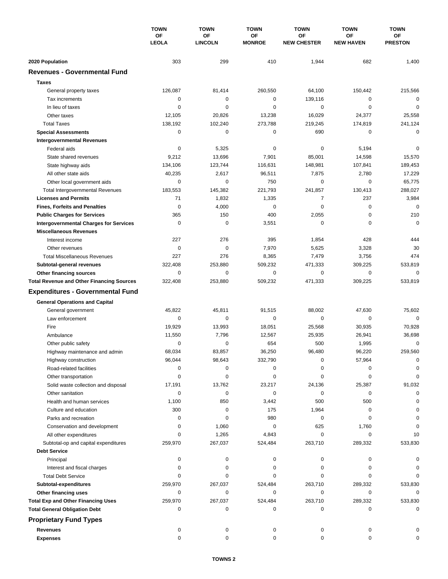|                                                  | <b>TOWN</b><br>ΟF<br><b>LEOLA</b> | <b>TOWN</b>                 | <b>TOWN</b><br><b>OF</b><br><b>MONROE</b> | <b>TOWN</b>              | <b>TOWN</b>                   | <b>TOWN</b>                 |
|--------------------------------------------------|-----------------------------------|-----------------------------|-------------------------------------------|--------------------------|-------------------------------|-----------------------------|
|                                                  |                                   | <b>OF</b><br><b>LINCOLN</b> |                                           | ΟF<br><b>NEW CHESTER</b> | <b>OF</b><br><b>NEW HAVEN</b> | <b>OF</b><br><b>PRESTON</b> |
| 2020 Population                                  | 303                               | 299                         | 410                                       | 1,944                    | 682                           | 1,400                       |
| <b>Revenues - Governmental Fund</b>              |                                   |                             |                                           |                          |                               |                             |
| <b>Taxes</b>                                     |                                   |                             |                                           |                          |                               |                             |
| General property taxes                           | 126,087                           | 81,414                      | 260,550                                   | 64,100                   | 150,442                       | 215,566                     |
| Tax increments                                   | 0                                 | 0                           | 0                                         | 139,116                  | 0                             | 0                           |
| In lieu of taxes                                 | 0                                 | 0                           | 0                                         | 0                        | $\mathbf 0$                   | $\mathbf 0$                 |
| Other taxes                                      | 12,105                            | 20,826                      | 13,238                                    | 16,029                   | 24,377                        | 25,558                      |
| <b>Total Taxes</b>                               | 138,192                           | 102,240                     | 273,788                                   | 219,245                  | 174,819                       | 241,124                     |
| <b>Special Assessments</b>                       | 0                                 | 0                           | 0                                         | 690                      | 0                             | 0                           |
| <b>Intergovernmental Revenues</b>                |                                   |                             |                                           |                          |                               |                             |
| Federal aids                                     | 0                                 | 5,325                       | 0                                         | 0                        | 5,194                         | 0                           |
| State shared revenues                            | 9,212                             | 13,696                      | 7,901                                     | 85,001                   | 14,598                        | 15,570                      |
| State highway aids                               | 134,106                           | 123,744                     | 116,631                                   | 148,981                  | 107,841                       | 189,453                     |
| All other state aids                             | 40,235                            | 2,617                       | 96,511                                    | 7,875                    | 2,780                         | 17,229                      |
| Other local government aids                      | 0                                 | $\mathbf 0$                 | 750                                       | 0                        | $\mathbf 0$                   | 65,775                      |
| <b>Total Intergovernmental Revenues</b>          | 183,553                           | 145,382                     | 221,793                                   | 241,857                  | 130,413                       | 288,027                     |
| <b>Licenses and Permits</b>                      | 71                                | 1,832                       | 1,335                                     | 7                        | 237                           | 3,984                       |
| <b>Fines, Forfeits and Penalties</b>             | 0                                 | 4,000                       | 0                                         | $\mathbf 0$              | 0                             | $\Omega$                    |
| <b>Public Charges for Services</b>               | 365                               | 150                         | 400                                       | 2,055                    | 0                             | 210                         |
| <b>Intergovernmental Charges for Services</b>    | $\mathbf 0$                       | $\mathbf 0$                 | 3,551                                     | $\mathbf 0$              | $\mathbf 0$                   | $\mathbf 0$                 |
| <b>Miscellaneous Revenues</b>                    |                                   |                             |                                           |                          |                               |                             |
| Interest income                                  | 227                               | 276                         | 395                                       | 1,854                    | 428                           | 444                         |
| Other revenues                                   | 0                                 | $\mathbf 0$                 | 7,970                                     | 5,625                    | 3,328                         | 30                          |
| <b>Total Miscellaneous Revenues</b>              | 227                               | 276                         | 8,365                                     | 7,479                    | 3,756                         | 474                         |
| Subtotal-general revenues                        | 322,408                           | 253,880                     | 509,232                                   | 471,333                  | 309,225                       | 533,819                     |
| Other financing sources                          | 0                                 | $\mathbf 0$                 | 0                                         | 0                        | $\mathbf 0$                   | $\mathbf 0$                 |
| <b>Total Revenue and Other Financing Sources</b> | 322,408                           | 253,880                     | 509,232                                   | 471,333                  | 309,225                       | 533,819                     |
| <b>Expenditures - Governmental Fund</b>          |                                   |                             |                                           |                          |                               |                             |
| <b>General Operations and Capital</b>            |                                   |                             |                                           |                          |                               |                             |
| General government                               | 45,822                            | 45,811                      | 91,515                                    | 88,002                   | 47,630                        | 75,602                      |
| Law enforcement                                  | 0                                 | 0                           | $\mathbf 0$                               | 0                        | $\mathbf 0$                   | $\mathbf 0$                 |
| Fire                                             | 19,929                            | 13,993                      | 18,051                                    | 25,568                   | 30,935                        | 70,928                      |
| Ambulance                                        | 11,550                            | 7,796                       | 12,567                                    | 25,935                   | 26,941                        | 36,698                      |
| Other public safety                              | 0                                 | 0                           | 654                                       | 500                      | 1,995                         | 0                           |
| Highway maintenance and admin                    | 68,034                            | 83,857                      | 36,250                                    | 96,480                   | 96,220                        | 259,560                     |
| Highway construction                             | 96,044                            | 98,643                      | 332,790                                   | 0                        | 57,964                        | $\Omega$                    |
| Road-related facilities                          | 0                                 | 0                           | 0                                         | 0                        | 0                             |                             |
| Other transportation                             | 0                                 | 0                           | 0                                         | 0                        | 0                             | $\Omega$                    |
| Solid waste collection and disposal              | 17,191                            | 13,762                      | 23,217                                    | 24,136                   | 25,387                        | 91,032                      |
| Other sanitation                                 | 0                                 | $\mathbf 0$                 | 0                                         | 0                        | 0                             | $\Omega$                    |
| Health and human services                        | 1,100                             | 850                         | 3,442                                     | 500                      | 500                           | $\Omega$                    |
| Culture and education                            | 300                               | 0                           | 175                                       | 1,964                    | 0                             | 0                           |
| Parks and recreation                             | 0                                 | 0                           | 980                                       | 0                        | 0                             | $\Omega$                    |
| Conservation and development                     | 0                                 | 1,060                       | 0                                         | 625                      | 1,760                         |                             |
| All other expenditures                           | 0                                 | 1,265                       | 4,843                                     | 0                        | 0                             | 10                          |
| Subtotal-op and capital expenditures             | 259,970                           | 267,037                     | 524,484                                   | 263,710                  | 289,332                       | 533,830                     |
| <b>Debt Service</b>                              |                                   |                             |                                           |                          |                               |                             |
| Principal                                        | 0                                 | 0                           | 0                                         | 0                        | 0                             | 0                           |
| Interest and fiscal charges                      | 0                                 | 0                           | 0                                         | 0                        | 0                             | 0                           |
| <b>Total Debt Service</b>                        | 0                                 | 0                           | 0                                         | 0                        | 0                             | $\Omega$                    |
| Subtotal-expenditures                            | 259,970                           | 267,037                     | 524,484                                   | 263,710                  | 289,332                       | 533,830                     |
| Other financing uses                             | 0                                 | 0                           | 0                                         | 0                        | 0                             | 0                           |
| <b>Total Exp and Other Financing Uses</b>        | 259,970                           | 267,037                     | 524,484                                   | 263,710                  | 289,332                       | 533,830                     |
| <b>Total General Obligation Debt</b>             | 0                                 | 0                           | 0                                         | 0                        | 0                             | 0                           |
| <b>Proprietary Fund Types</b>                    |                                   |                             |                                           |                          |                               |                             |
| <b>Revenues</b>                                  | 0                                 | 0                           | 0                                         | 0                        | 0                             |                             |
| <b>Expenses</b>                                  | $\mathbf 0$                       | 0                           | $\mathbf 0$                               | 0                        | $\mathbf 0$                   |                             |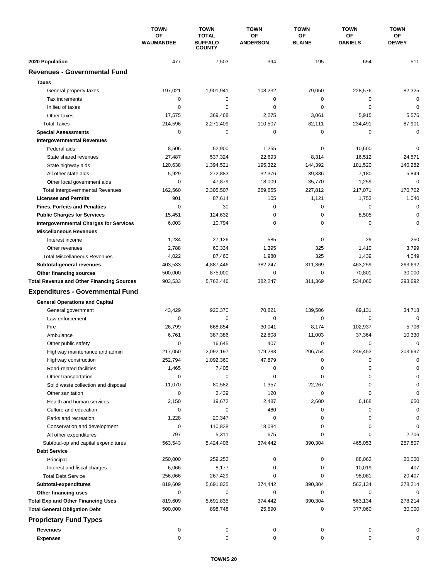|                                                  | <b>TOWN</b>     | <b>TOWN</b>                                     | <b>TOWN</b>           | <b>TOWN</b>         | <b>TOWN</b>          | <b>TOWN</b>        |
|--------------------------------------------------|-----------------|-------------------------------------------------|-----------------------|---------------------|----------------------|--------------------|
|                                                  | OF<br>WAUMANDEE | <b>TOTAL</b><br><b>BUFFALO</b><br><b>COUNTY</b> | ΟF<br><b>ANDERSON</b> | ΟF<br><b>BLAINE</b> | ΟF<br><b>DANIELS</b> | ОF<br><b>DEWEY</b> |
| 2020 Population                                  | 477             | 7,503                                           | 394                   | 195                 | 654                  | 511                |
| <b>Revenues - Governmental Fund</b>              |                 |                                                 |                       |                     |                      |                    |
| <b>Taxes</b>                                     |                 |                                                 |                       |                     |                      |                    |
| General property taxes                           | 197,021         | 1,901,941                                       | 108,232               | 79,050              | 228,576              | 82,325             |
| Tax increments                                   | 0               | 0                                               | $\mathbf 0$           | 0                   | 0                    | $\mathbf 0$        |
| In lieu of taxes                                 | 0               | 0                                               | 0                     | 0                   | $\mathbf 0$          | $\mathbf 0$        |
| Other taxes                                      | 17,575          | 369,468                                         | 2,275                 | 3,061               | 5,915                | 5,576              |
| <b>Total Taxes</b>                               | 214,596         | 2,271,409                                       | 110,507               | 82,111              | 234,491              | 87,901             |
| <b>Special Assessments</b>                       | 0               | 0                                               | 0                     | 0                   | 0                    | 0                  |
| <b>Intergovernmental Revenues</b>                |                 |                                                 |                       |                     |                      |                    |
| Federal aids                                     | 8,506           | 52,900                                          | 1,255                 | 0                   | 10,600               | $\mathbf 0$        |
| State shared revenues                            | 27,487          | 537,324                                         | 22,693                | 8,314               | 16,512               | 24,571             |
| State highway aids                               | 120,638         | 1,394,521                                       | 195,322               | 144,392             | 181,520              | 140,282            |
| All other state aids                             | 5,929           | 272,883                                         | 32,376                | 39,336              | 7,180                | 5,849              |
| Other local government aids                      | 0               | 47,879                                          | 18,009                | 35.770              | 1,259                | $\mathbf 0$        |
| <b>Total Intergovernmental Revenues</b>          | 162,560         | 2,305,507                                       | 269,655               | 227,812             | 217,071              | 170,702            |
| <b>Licenses and Permits</b>                      | 901             | 87,614                                          | 105                   | 1,121               | 1,753                | 1,040              |
| <b>Fines, Forfeits and Penalties</b>             | $\Omega$        | 30                                              | 0                     | 0                   | 0                    | $\mathbf 0$        |
| <b>Public Charges for Services</b>               | 15,451          | 124,632                                         | 0                     | 0                   | 8,505                | $\mathbf 0$        |
| <b>Intergovernmental Charges for Services</b>    | 6,003           | 10,794                                          | 0                     | 0                   | 0                    | $\Omega$           |
| <b>Miscellaneous Revenues</b>                    |                 |                                                 |                       |                     |                      |                    |
| Interest income                                  | 1,234           | 27,126                                          | 585                   | 0                   | 29                   | 250                |
| Other revenues                                   | 2,788           | 60,334                                          | 1,395                 | 325                 | 1,410                | 3,799              |
| <b>Total Miscellaneous Revenues</b>              | 4,022           | 87,460                                          | 1,980                 | 325                 | 1,439                | 4,049              |
| Subtotal-general revenues                        | 403,533         | 4,887,446                                       | 382,247               | 311,369             | 463,259              | 263,692            |
| Other financing sources                          | 500,000         | 875,000                                         | 0                     | 0                   | 70,801               | 30,000             |
| <b>Total Revenue and Other Financing Sources</b> | 903,533         | 5,762,446                                       | 382,247               | 311,369             | 534,060              | 293,692            |
| <b>Expenditures - Governmental Fund</b>          |                 |                                                 |                       |                     |                      |                    |
| <b>General Operations and Capital</b>            |                 |                                                 |                       |                     |                      |                    |
| General government                               | 43,429          | 920,370                                         | 70,821                | 139,506             | 69,131               | 34,718             |
| Law enforcement                                  | 0               | 0                                               | 0                     | 0                   | 0                    | $\Omega$           |
| Fire                                             | 26,799          | 668,854                                         | 30,041                | 8,174               | 102,937              | 5,706              |
| Ambulance                                        | 6,761           | 387,386                                         | 22,808                | 11,003              | 37,364               | 10,330             |
| Other public safety                              | 0               | 16,645                                          | 407                   | 0                   | $\mathbf 0$          | 0                  |
| Highway maintenance and admin                    | 217.050         | 2,092,197                                       | 179,283               | 206,754             | 249,453              | 203.697            |
| Highway construction                             | 252,794         | 1,092,360                                       | 47,879                | 0                   | 0                    | 0                  |
| Road-related facilities                          | 1,465           | 7,405                                           | 0                     | 0                   | 0                    | 0                  |
| Other transportation                             | 0               | 0                                               | 0                     | 0                   | 0                    | $\Omega$           |
| Solid waste collection and disposal              | 11,070          | 80,582                                          | 1,357                 | 22,267              | 0                    | 0                  |
| Other sanitation                                 | 0               | 2,439                                           | 120                   | 0                   | 0                    | 0                  |
| Health and human services                        | 2,150           | 19,672                                          | 2,487                 | 2,600               | 6,168                | 650                |
| Culture and education                            | 0               | 0                                               | 480                   | 0                   | 0                    | 0                  |
| Parks and recreation                             | 1,228           | 20,347                                          | 0                     | 0                   | 0                    | 0                  |
| Conservation and development                     | 0               | 110,838                                         | 18,084                | 0                   | 0                    | 0                  |
| All other expenditures                           | 797             | 5,311                                           | 675                   | 0                   | 0                    | 2,706              |
| Subtotal-op and capital expenditures             | 563,543         | 5,424,406                                       | 374,442               | 390,304             | 465,053              | 257,807            |
| <b>Debt Service</b>                              |                 |                                                 |                       |                     |                      |                    |
| Principal                                        | 250,000         | 259,252                                         | 0                     | 0                   | 88,062               | 20,000             |
| Interest and fiscal charges                      | 6,066           | 8,177                                           | 0                     | 0                   | 10,019               | 407                |
| <b>Total Debt Service</b>                        | 256,066         | 267,429                                         | 0                     | 0                   | 98,081               | 20,407             |
| Subtotal-expenditures                            | 819,609         | 5,691,835                                       | 374,442               | 390,304             | 563,134              | 278,214            |
| Other financing uses                             | 0               | 0                                               | 0                     | 0                   | 0                    | 0                  |
| <b>Total Exp and Other Financing Uses</b>        | 819,609         | 5,691,835                                       | 374,442               | 390,304             | 563,134              | 278,214            |
| <b>Total General Obligation Debt</b>             | 500,000         | 898,748                                         | 25,690                | 0                   | 377,060              | 30,000             |
| <b>Proprietary Fund Types</b>                    |                 |                                                 |                       |                     |                      |                    |
| <b>Revenues</b>                                  | 0               | 0                                               | 0                     | 0                   | 0                    | 0                  |
| <b>Expenses</b>                                  | 0               | 0                                               | 0                     | 0                   | 0                    | 0                  |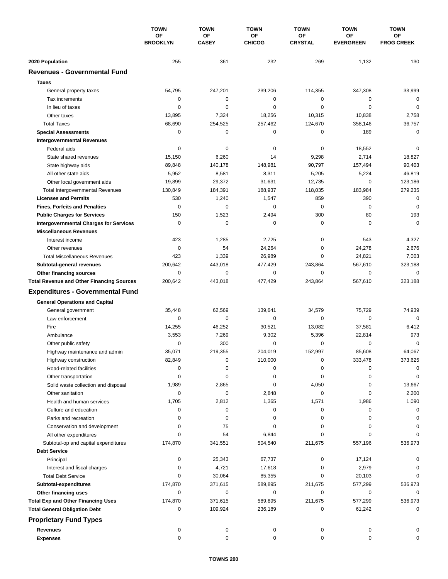|                                                  | <b>TOWN</b><br>OF<br><b>BROOKLYN</b> | <b>TOWN</b><br>OF<br><b>CASEY</b> | <b>TOWN</b><br>OF<br><b>CHICOG</b> | <b>TOWN</b><br>ΟF<br><b>CRYSTAL</b> | <b>TOWN</b><br><b>OF</b><br><b>EVERGREEN</b> | <b>TOWN</b><br>OF<br><b>FROG CREEK</b> |
|--------------------------------------------------|--------------------------------------|-----------------------------------|------------------------------------|-------------------------------------|----------------------------------------------|----------------------------------------|
|                                                  |                                      |                                   |                                    |                                     |                                              |                                        |
| 2020 Population                                  | 255                                  | 361                               | 232                                | 269                                 | 1,132                                        | 130                                    |
| <b>Revenues - Governmental Fund</b>              |                                      |                                   |                                    |                                     |                                              |                                        |
| <b>Taxes</b>                                     |                                      |                                   |                                    |                                     |                                              |                                        |
| General property taxes                           | 54,795                               | 247,201                           | 239,206                            | 114,355                             | 347,308                                      | 33,999                                 |
| Tax increments                                   | 0                                    | $\mathbf 0$                       | 0                                  | 0                                   | 0                                            | $\mathbf 0$                            |
| In lieu of taxes                                 | 0                                    | 0                                 | 0                                  | 0                                   | $\mathbf 0$                                  | $\mathbf 0$                            |
| Other taxes                                      | 13,895                               | 7,324                             | 18,256                             | 10,315                              | 10,838                                       | 2,758                                  |
| <b>Total Taxes</b>                               | 68,690                               | 254,525                           | 257,462                            | 124,670                             | 358,146                                      | 36,757                                 |
| <b>Special Assessments</b>                       | 0                                    | 0                                 | 0                                  | 0                                   | 189                                          | $\mathbf 0$                            |
| <b>Intergovernmental Revenues</b>                |                                      |                                   |                                    |                                     |                                              |                                        |
| Federal aids                                     | 0                                    | 0                                 | 0                                  | 0                                   | 18,552                                       | $\mathbf 0$                            |
| State shared revenues                            | 15,150                               | 6,260                             | 14                                 | 9,298                               | 2,714                                        | 18,827                                 |
| State highway aids                               | 89,848                               | 140,178                           | 148,981                            | 90,797                              | 157,494                                      | 90,403                                 |
| All other state aids                             | 5,952                                | 8,581                             | 8,311                              | 5,205                               | 5,224                                        | 46,819                                 |
| Other local government aids                      | 19,899                               | 29,372                            | 31,631                             | 12,735                              | 0                                            | 123,186                                |
| <b>Total Intergovernmental Revenues</b>          | 130,849                              | 184,391                           | 188,937                            | 118,035                             | 183,984                                      | 279,235                                |
| <b>Licenses and Permits</b>                      | 530                                  | 1,240                             | 1,547                              | 859                                 | 390                                          | $\mathbf 0$                            |
| <b>Fines, Forfeits and Penalties</b>             | $\mathbf 0$                          | $\mathbf 0$                       | 0                                  | 0                                   | $\mathbf 0$                                  | $\mathbf 0$                            |
| <b>Public Charges for Services</b>               | 150                                  | 1,523                             | 2,494                              | 300                                 | 80                                           | 193                                    |
| <b>Intergovernmental Charges for Services</b>    | 0                                    | $\mathbf 0$                       | 0                                  | 0                                   | $\mathbf 0$                                  | $\mathbf 0$                            |
| <b>Miscellaneous Revenues</b>                    |                                      |                                   |                                    |                                     |                                              |                                        |
| Interest income                                  | 423                                  | 1,285                             | 2,725                              | 0                                   | 543                                          | 4,327                                  |
| Other revenues                                   | $\mathbf 0$                          | 54                                | 24,264                             | 0                                   | 24,278                                       | 2,676                                  |
| <b>Total Miscellaneous Revenues</b>              | 423                                  | 1,339                             | 26,989                             | 0                                   | 24,821                                       | 7,003                                  |
|                                                  | 200,642                              | 443,018                           | 477,429                            | 243,864                             | 567,610                                      | 323,188                                |
| Subtotal-general revenues                        | 0                                    | $\pmb{0}$                         | 0                                  | 0                                   | 0                                            | $\mathbf 0$                            |
| Other financing sources                          | 200,642                              | 443,018                           | 477,429                            | 243,864                             | 567,610                                      | 323,188                                |
| <b>Total Revenue and Other Financing Sources</b> |                                      |                                   |                                    |                                     |                                              |                                        |
| <b>Expenditures - Governmental Fund</b>          |                                      |                                   |                                    |                                     |                                              |                                        |
| <b>General Operations and Capital</b>            |                                      |                                   |                                    |                                     |                                              |                                        |
| General government                               | 35,448                               | 62,569                            | 139,641                            | 34,579                              | 75,729                                       | 74,939                                 |
| Law enforcement                                  | 0                                    | 0                                 | 0                                  | 0                                   | $\mathbf 0$                                  | $\mathbf 0$                            |
| Fire                                             | 14,255                               | 46,252                            | 30,521                             | 13,082                              | 37,581                                       | 6,412                                  |
| Ambulance                                        | 3,553                                | 7,269                             | 9,302                              | 5,396                               | 22,814                                       | 973                                    |
| Other public safety                              | 0                                    | 300                               | 0                                  | 0                                   | 0                                            | $\mathbf 0$                            |
| Highway maintenance and admin                    | 35,071                               | 219,355                           | 204,019                            | 152,997                             | 85,608                                       | 64,067                                 |
| Highway construction                             | 82,849                               | 0                                 | 110,000                            | 0                                   | 333,478                                      | 373,625                                |
| Road-related facilities                          | 0                                    | 0                                 | 0                                  | 0                                   | 0                                            | 0                                      |
| Other transportation                             | 0                                    | 0                                 | 0                                  | 0                                   | 0                                            | 0                                      |
| Solid waste collection and disposal              | 1,989                                | 2,865                             | 0                                  | 4,050                               | 0                                            | 13,667                                 |
| Other sanitation                                 | 0                                    | $\pmb{0}$                         | 2,848                              | 0                                   | 0                                            | 2,200                                  |
| Health and human services                        | 1,705                                | 2,812                             | 1,365                              | 1,571                               | 1,986                                        | 1,090                                  |
| Culture and education                            | 0                                    | 0                                 | 0                                  | 0                                   | 0                                            | 0                                      |
| Parks and recreation                             | 0                                    | 0                                 | 0                                  | 0                                   | 0                                            | 0                                      |
| Conservation and development                     | 0                                    | 75                                | 0                                  | 0                                   | 0                                            | 0                                      |
| All other expenditures                           | $\Omega$                             | 54                                | 6,844                              | 0                                   | 0                                            | $\Omega$                               |
| Subtotal-op and capital expenditures             | 174,870                              | 341,551                           | 504,540                            | 211,675                             | 557,196                                      | 536,973                                |
| <b>Debt Service</b>                              |                                      |                                   |                                    |                                     |                                              |                                        |
| Principal                                        | 0                                    | 25,343                            | 67,737                             | 0                                   | 17,124                                       | 0                                      |
| Interest and fiscal charges                      | 0                                    | 4,721                             | 17,618                             | 0                                   | 2,979                                        | 0                                      |
| <b>Total Debt Service</b>                        | 0                                    | 30,064                            | 85,355                             | 0                                   | 20,103                                       | 0                                      |
| Subtotal-expenditures                            | 174,870                              | 371,615                           | 589,895                            | 211,675                             | 577,299                                      | 536,973                                |
| Other financing uses                             | 0                                    | 0                                 | 0                                  | 0                                   | 0                                            | 0                                      |
| <b>Total Exp and Other Financing Uses</b>        | 174,870                              | 371,615                           | 589,895                            | 211,675                             | 577,299                                      | 536,973                                |
| <b>Total General Obligation Debt</b>             | 0                                    | 109,924                           | 236,189                            | 0                                   | 61,242                                       | 0                                      |
| <b>Proprietary Fund Types</b>                    |                                      |                                   |                                    |                                     |                                              |                                        |
| <b>Revenues</b>                                  | 0                                    |                                   |                                    |                                     |                                              | $\Omega$                               |
| <b>Expenses</b>                                  | 0                                    | 0<br>0                            | 0<br>0                             | 0<br>0                              | 0<br>0                                       | 0                                      |
|                                                  |                                      |                                   |                                    |                                     |                                              |                                        |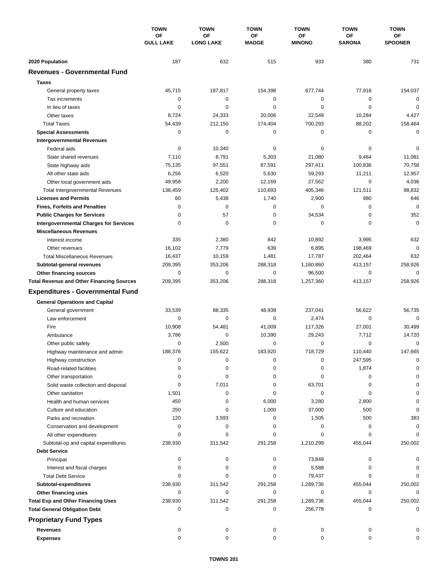|                                                  | <b>TOWN</b><br>OF<br><b>GULL LAKE</b> | <b>TOWN</b>            | <b>TOWN</b>        | <b>TOWN</b>                | <b>TOWN</b>         | <b>TOWN</b>          |
|--------------------------------------------------|---------------------------------------|------------------------|--------------------|----------------------------|---------------------|----------------------|
|                                                  |                                       | OF<br><b>LONG LAKE</b> | OF<br><b>MADGE</b> | <b>OF</b><br><b>MINONG</b> | ΟF<br><b>SARONA</b> | ОF<br><b>SPOONER</b> |
| 2020 Population                                  | 187                                   | 632                    | 515                | 933                        | 380                 | 731                  |
| <b>Revenues - Governmental Fund</b>              |                                       |                        |                    |                            |                     |                      |
| <b>Taxes</b>                                     |                                       |                        |                    |                            |                     |                      |
| General property taxes                           | 45,715                                | 187,817                | 154,398            | 677,744                    | 77,918              | 154,037              |
| Tax increments                                   | 0                                     | $\pmb{0}$              | $\mathbf 0$        | 0                          | 0                   | $\mathbf 0$          |
| In lieu of taxes                                 | 0                                     | $\mathbf 0$            | 0                  | 0                          | $\mathbf 0$         | $\mathbf 0$          |
| Other taxes                                      | 8,724                                 | 24,333                 | 20,006             | 22,549                     | 10,284              | 4,427                |
| <b>Total Taxes</b>                               | 54,439                                | 212,150                | 174,404            | 700,293                    | 88,202              | 158,464              |
| <b>Special Assessments</b>                       | 0                                     | 0                      | 0                  | 0                          | 0                   | $\mathbf 0$          |
| <b>Intergovernmental Revenues</b>                |                                       |                        |                    |                            |                     |                      |
| Federal aids                                     | 0                                     | 10,340                 | 0                  | 0                          | 0                   | 0                    |
| State shared revenues                            | 7,110                                 | 8,791                  | 5,303              | 21,080                     | 9,464               | 11,081               |
| State highway aids                               | 75,135                                | 97,551                 | 87,591             | 297,411                    | 100,836             | 70,758               |
| All other state aids                             | 6,256                                 | 6,520                  | 5,630              | 59,293                     | 11,211              | 12,957               |
| Other local government aids                      | 49,958                                | 2,200                  | 12,169             | 27,562                     | $\mathbf 0$         | 4,036                |
| <b>Total Intergovernmental Revenues</b>          | 138,459                               | 125,402                | 110,693            | 405,346                    | 121,511             | 98,832               |
| <b>Licenses and Permits</b>                      | 60                                    | 5,438                  | 1,740              | 2,900                      | 980                 | 646                  |
| <b>Fines, Forfeits and Penalties</b>             | $\mathbf 0$                           | $\mathbf 0$            | 0                  | 0                          | $\mathbf 0$         | $\mathbf 0$          |
| <b>Public Charges for Services</b>               | 0                                     | 57                     | 0                  | 34,534                     | $\mathbf 0$         | 352                  |
| <b>Intergovernmental Charges for Services</b>    | 0                                     | 0                      | 0                  | 0                          | 0                   | $\mathbf 0$          |
| <b>Miscellaneous Revenues</b>                    |                                       |                        |                    |                            |                     |                      |
| Interest income                                  | 335                                   | 2,380                  | 842                | 10,892                     | 3,995               | 632                  |
| Other revenues                                   | 16,102                                | 7,779                  | 639                | 6,895                      | 198,469             | $\mathbf 0$          |
| <b>Total Miscellaneous Revenues</b>              | 16,437                                | 10,159                 | 1,481              | 17,787                     | 202,464             | 632                  |
| Subtotal-general revenues                        | 209,395                               | 353,206                | 288,318            | 1,160,860                  | 413,157             | 258,926              |
| Other financing sources                          | 0                                     | $\pmb{0}$              | 0                  | 96,500                     | $\mathbf 0$         | $\mathbf 0$          |
| <b>Total Revenue and Other Financing Sources</b> | 209,395                               | 353,206                | 288,318            | 1,257,360                  | 413,157             | 258,926              |
| <b>Expenditures - Governmental Fund</b>          |                                       |                        |                    |                            |                     |                      |
| <b>General Operations and Capital</b>            |                                       |                        |                    |                            |                     |                      |
| General government                               | 33,539                                | 88,335                 | 48,939             | 237,041                    | 56,622              | 56,735               |
| Law enforcement                                  | 0                                     | 0                      | 0                  | 2,474                      | 0                   | $\mathbf 0$          |
| Fire                                             | 10,908                                | 54,481                 | 41,009             | 117,326                    | 27,001              | 30,499               |
| Ambulance                                        | 3,786                                 | 0                      | 10,390             | 29,243                     | 7,712               | 14,720               |
| Other public safety                              | $\mathbf 0$                           | 2,500                  | 0                  | 0                          | 0                   | $\mathbf 0$          |
| Highway maintenance and admin                    | 188,376                               | 155,622                | 183,920            | 718,729                    | 110,440             | 147,665              |
| Highway construction                             | 0                                     | 0                      | 0                  | 0                          | 247,595             | 0                    |
| Road-related facilities                          | 0                                     | 0                      | 0                  | 0                          | 1,874               | $\Omega$             |
| Other transportation                             | 0                                     | 0                      | 0                  | 0                          | 0                   |                      |
| Solid waste collection and disposal              | 0                                     | 7,011                  | 0                  | 63,701                     | 0                   | 0                    |
| Other sanitation                                 | 1,501                                 | 0                      | 0                  | 0                          | 0                   | $\Omega$             |
| Health and human services                        | 450                                   | 0                      | 6,000              | 3,280                      | 2,800               | 0                    |
| Culture and education                            | 250                                   | 0                      | 1,000              | 37,000                     | 500                 | 0                    |
| Parks and recreation                             | 120                                   | 3,593                  | 0                  | 1,505                      | 500                 | 383                  |
| Conservation and development                     | 0                                     | 0                      | 0                  | 0                          | 0                   | 0                    |
| All other expenditures                           | 0                                     | 0                      | 0                  | 0                          | 0                   | $\Omega$             |
| Subtotal-op and capital expenditures             | 238,930                               | 311,542                | 291,258            | 1,210,299                  | 455,044             | 250,002              |
| <b>Debt Service</b>                              |                                       |                        |                    |                            |                     |                      |
| Principal                                        | 0                                     | 0                      | 0                  | 73,849                     | 0                   | O                    |
| Interest and fiscal charges                      | 0                                     | 0                      | 0                  | 5,588                      | 0                   | 0                    |
| <b>Total Debt Service</b>                        | 0                                     | 0                      | 0                  | 79,437                     | 0                   | $\Omega$             |
| Subtotal-expenditures                            | 238,930                               | 311,542                | 291,258            | 1,289,736                  | 455,044             | 250,002              |
| Other financing uses                             | 0                                     | 0                      | 0                  | 0                          | 0                   | 0                    |
| <b>Total Exp and Other Financing Uses</b>        | 238,930                               | 311,542                | 291,258            | 1,289,736                  | 455,044             | 250,002              |
| <b>Total General Obligation Debt</b>             | 0                                     | 0                      | 0                  | 256,778                    | 0                   | $\mathbf 0$          |
| <b>Proprietary Fund Types</b>                    |                                       |                        |                    |                            |                     |                      |
| <b>Revenues</b>                                  | 0                                     | 0                      | 0                  | 0                          | 0                   |                      |
| <b>Expenses</b>                                  | 0                                     | 0                      | 0                  | 0                          | 0                   | 0                    |
|                                                  |                                       |                        |                    |                            |                     |                      |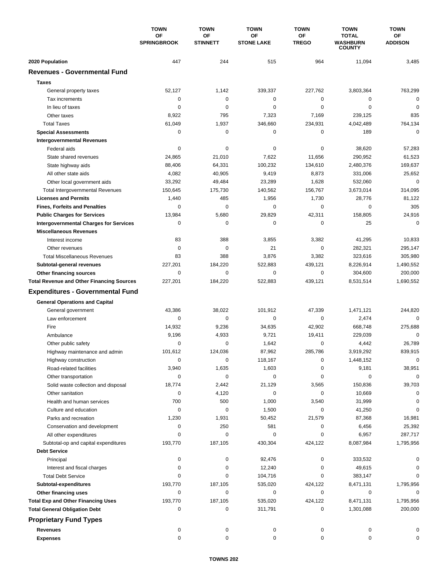|                                                  | <b>TOWN</b>              | <b>TOWN</b>           | <b>TOWN</b>             | <b>TOWN</b>               | <b>TOWN</b>                                      | <b>TOWN</b>          |
|--------------------------------------------------|--------------------------|-----------------------|-------------------------|---------------------------|--------------------------------------------------|----------------------|
|                                                  | OF<br><b>SPRINGBROOK</b> | OF<br><b>STINNETT</b> | OF<br><b>STONE LAKE</b> | <b>OF</b><br><b>TREGO</b> | <b>TOTAL</b><br><b>WASHBURN</b><br><b>COUNTY</b> | ОF<br><b>ADDISON</b> |
| 2020 Population                                  | 447                      | 244                   | 515                     | 964                       | 11,094                                           | 3,485                |
| <b>Revenues - Governmental Fund</b>              |                          |                       |                         |                           |                                                  |                      |
| <b>Taxes</b>                                     |                          |                       |                         |                           |                                                  |                      |
| General property taxes                           | 52,127                   | 1,142                 | 339,337                 | 227,762                   | 3,803,364                                        | 763,299              |
| Tax increments                                   | 0                        | $\mathbf 0$           | $\mathbf 0$             | 0                         | 0                                                | $\mathbf 0$          |
| In lieu of taxes                                 | 0                        | 0                     | 0                       | 0                         | $\mathbf 0$                                      | $\mathbf 0$          |
| Other taxes                                      | 8,922                    | 795                   | 7,323                   | 7,169                     | 239,125                                          | 835                  |
| <b>Total Taxes</b>                               | 61,049                   | 1,937                 | 346,660                 | 234,931                   | 4,042,489                                        | 764,134              |
| <b>Special Assessments</b>                       | 0                        | 0                     | 0                       | 0                         | 189                                              | $\mathbf 0$          |
| <b>Intergovernmental Revenues</b>                |                          |                       |                         |                           |                                                  |                      |
| Federal aids                                     | 0                        | 0                     | 0                       | 0                         | 38,620                                           | 57,283               |
| State shared revenues                            | 24,865                   | 21,010                | 7,622                   | 11,656                    | 290,952                                          | 61,523               |
| State highway aids                               | 88,406                   | 64,331                | 100,232                 | 134,610                   | 2,480,376                                        | 169,637              |
| All other state aids                             | 4,082                    | 40,905                | 9,419                   | 8,873                     | 331,006                                          | 25,652               |
| Other local government aids                      | 33,292                   | 49,484                | 23,289                  | 1,628                     | 532,060                                          | $\mathbf 0$          |
| <b>Total Intergovernmental Revenues</b>          | 150,645                  | 175,730               | 140,562                 | 156,767                   | 3,673,014                                        | 314,095              |
| <b>Licenses and Permits</b>                      | 1,440                    | 485                   | 1,956                   | 1,730                     | 28,776                                           | 81,122               |
| <b>Fines, Forfeits and Penalties</b>             | 0                        | $\mathbf 0$           | 0                       | 0                         | 0                                                | 305                  |
| <b>Public Charges for Services</b>               | 13,984                   | 5,680                 | 29,829                  | 42,311                    | 158,805                                          | 24,916               |
| <b>Intergovernmental Charges for Services</b>    | 0                        | 0                     | 0                       | 0                         | 25                                               | 0                    |
| <b>Miscellaneous Revenues</b>                    |                          |                       |                         |                           |                                                  |                      |
| Interest income                                  | 83                       | 388                   | 3,855                   | 3,382                     | 41,295                                           | 10,833               |
| Other revenues                                   | $\mathbf 0$              | $\mathbf 0$           | 21                      | 0                         | 282,321                                          | 295,147              |
| <b>Total Miscellaneous Revenues</b>              | 83                       | 388                   | 3,876                   | 3,382                     | 323,616                                          | 305,980              |
| Subtotal-general revenues                        | 227,201                  | 184,220               | 522,883                 | 439,121                   | 8,226,914                                        | 1,490,552            |
| Other financing sources                          | 0                        | $\mathbf 0$           | 0                       | 0                         | 304,600                                          | 200,000              |
| <b>Total Revenue and Other Financing Sources</b> | 227,201                  | 184,220               | 522,883                 | 439,121                   | 8,531,514                                        | 1,690,552            |
| <b>Expenditures - Governmental Fund</b>          |                          |                       |                         |                           |                                                  |                      |
| <b>General Operations and Capital</b>            |                          |                       |                         |                           |                                                  |                      |
| General government                               | 43,386                   | 38,022                | 101,912                 | 47,339                    | 1,471,121                                        | 244,820              |
| Law enforcement                                  | 0                        | 0                     | 0                       | 0                         | 2,474                                            | $\mathbf 0$          |
| Fire                                             | 14,932                   | 9,236                 | 34,635                  | 42,902                    | 668,748                                          | 275,688              |
| Ambulance                                        | 9,196                    | 4,933                 | 9,721                   | 19,411                    | 229,039                                          | $\mathbf 0$          |
| Other public safety                              | $\mathbf 0$              | 0                     | 1,642                   | 0                         | 4,442                                            | 26,789               |
| Highway maintenance and admin                    | 101,612                  | 124,036               | 87,962                  | 285,786                   | 3,919,292                                        | 839,915              |
| Highway construction                             | 0                        | 0                     | 118,167                 | 0                         | 1,448,152                                        | $\pmb{0}$            |
| Road-related facilities                          | 3,940                    | 1,635                 | 1,603                   | 0                         | 9,181                                            | 38,951               |
| Other transportation                             | 0                        | 0                     | 0                       | 0                         | 0                                                | 0                    |
| Solid waste collection and disposal              | 18,774                   | 2,442                 | 21,129                  | 3,565                     | 150,836                                          | 39,703               |
| Other sanitation                                 | 0                        | 4,120                 | 0                       | 0                         | 10,669                                           | 0                    |
| Health and human services                        | 700                      | 500                   | 1,000                   | 3,540                     | 31,999                                           | 0                    |
| Culture and education                            | 0                        | 0                     | 1,500                   | 0                         | 41,250                                           | 0                    |
| Parks and recreation                             | 1,230                    | 1,931                 | 50,452                  | 21,579                    | 87,368                                           | 16,981               |
| Conservation and development                     | 0                        | 250                   | 581                     | 0                         | 6,456                                            | 25,392               |
| All other expenditures                           | 0                        | 0                     | 0                       | 0                         | 6,957                                            | 287,717              |
| Subtotal-op and capital expenditures             | 193,770                  | 187,105               | 430,304                 | 424,122                   | 8,087,984                                        | 1,795,956            |
| <b>Debt Service</b>                              |                          |                       |                         |                           |                                                  |                      |
| Principal                                        | 0                        | 0                     | 92,476                  | 0                         | 333,532                                          | 0                    |
| Interest and fiscal charges                      | 0                        | 0                     | 12,240                  | 0                         | 49,615                                           | 0                    |
| <b>Total Debt Service</b>                        | 0                        | 0                     | 104,716                 | 0                         | 383,147                                          | 0                    |
| Subtotal-expenditures                            | 193,770                  | 187,105               | 535,020                 | 424,122                   | 8,471,131                                        | 1,795,956            |
| Other financing uses                             | 0                        | 0                     | 0                       | 0                         | 0                                                | 0                    |
| <b>Total Exp and Other Financing Uses</b>        | 193,770                  | 187,105               | 535,020                 | 424,122                   | 8,471,131                                        | 1,795,956            |
| <b>Total General Obligation Debt</b>             | 0                        | 0                     | 311,791                 | 0                         | 1,301,088                                        | 200,000              |
| <b>Proprietary Fund Types</b>                    |                          |                       |                         |                           |                                                  |                      |
| <b>Revenues</b>                                  | 0                        | 0                     | 0                       | 0                         | 0                                                | 0                    |
| <b>Expenses</b>                                  | 0                        | 0                     | 0                       | 0                         | 0                                                | 0                    |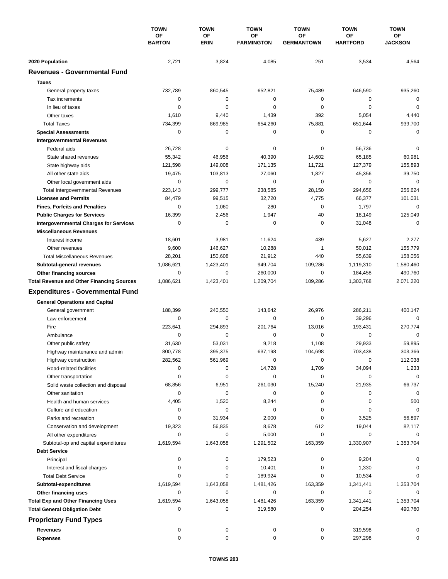|                                                  | <b>TOWN</b><br>OF<br><b>BARTON</b> | <b>TOWN</b>       | <b>TOWN</b><br>OF<br><b>FARMINGTON</b> | <b>TOWN</b>                    | <b>TOWN</b>           | <b>TOWN</b>                 |
|--------------------------------------------------|------------------------------------|-------------------|----------------------------------------|--------------------------------|-----------------------|-----------------------------|
|                                                  |                                    | OF<br><b>ERIN</b> |                                        | <b>OF</b><br><b>GERMANTOWN</b> | ΟF<br><b>HARTFORD</b> | <b>OF</b><br><b>JACKSON</b> |
| 2020 Population                                  | 2,721                              | 3,824             | 4,085                                  | 251                            | 3,534                 | 4,564                       |
| <b>Revenues - Governmental Fund</b>              |                                    |                   |                                        |                                |                       |                             |
| <b>Taxes</b>                                     |                                    |                   |                                        |                                |                       |                             |
|                                                  |                                    |                   |                                        |                                |                       |                             |
| General property taxes                           | 732,789                            | 860,545           | 652,821                                | 75,489                         | 646,590               | 935,260<br>$\mathbf 0$      |
| Tax increments                                   | 0                                  | 0                 | $\mathbf 0$                            | 0                              | 0                     |                             |
| In lieu of taxes                                 | 0                                  | 0                 | 0                                      | 0                              | $\mathbf 0$           | $\mathbf 0$                 |
| Other taxes                                      | 1,610                              | 9,440             | 1,439                                  | 392                            | 5,054                 | 4,440                       |
| <b>Total Taxes</b>                               | 734,399                            | 869,985           | 654,260                                | 75,881                         | 651,644               | 939,700                     |
| <b>Special Assessments</b>                       | 0                                  | 0                 | 0                                      | 0                              | 0                     | $\mathbf 0$                 |
| <b>Intergovernmental Revenues</b>                |                                    |                   |                                        |                                |                       |                             |
| Federal aids                                     | 26,728                             | 0                 | 0                                      | 0                              | 56,736                | 0                           |
| State shared revenues                            | 55,342                             | 46,956            | 40,390                                 | 14,602                         | 65,185                | 60,981                      |
| State highway aids                               | 121,598                            | 149,008           | 171,135                                | 11,721                         | 127,379               | 155,893                     |
| All other state aids                             | 19,475                             | 103,813           | 27,060                                 | 1,827                          | 45,356                | 39,750                      |
| Other local government aids                      | 0                                  | 0                 | 0                                      | 0                              | $\mathbf 0$           | $\mathbf 0$                 |
| <b>Total Intergovernmental Revenues</b>          | 223,143                            | 299,777           | 238,585                                | 28,150                         | 294,656               | 256,624                     |
| <b>Licenses and Permits</b>                      | 84,479                             | 99,515            | 32,720                                 | 4,775                          | 66,377                | 101,031                     |
| <b>Fines, Forfeits and Penalties</b>             | 0                                  | 1,060             | 280                                    | 0                              | 1,797                 | $\mathbf 0$                 |
| <b>Public Charges for Services</b>               | 16,399                             | 2,456             | 1,947                                  | 40                             | 18,149                | 125,049                     |
| <b>Intergovernmental Charges for Services</b>    | 0                                  | 0                 | 0                                      | 0                              | 31,048                | $\mathbf 0$                 |
| <b>Miscellaneous Revenues</b>                    |                                    |                   |                                        |                                |                       |                             |
| Interest income                                  | 18,601                             | 3,981             | 11,624                                 | 439                            | 5,627                 | 2,277                       |
| Other revenues                                   | 9,600                              | 146,627           | 10,288                                 | 1                              | 50,012                | 155,779                     |
| <b>Total Miscellaneous Revenues</b>              | 28,201                             | 150,608           | 21,912                                 | 440                            | 55,639                | 158,056                     |
| Subtotal-general revenues                        | 1,086,621                          | 1,423,401         | 949,704                                | 109,286                        | 1,119,310             | 1,580,460                   |
| Other financing sources                          | 0                                  | $\mathbf 0$       | 260,000                                | 0                              | 184,458               | 490,760                     |
| <b>Total Revenue and Other Financing Sources</b> | 1,086,621                          | 1,423,401         | 1,209,704                              | 109,286                        | 1,303,768             | 2,071,220                   |
| <b>Expenditures - Governmental Fund</b>          |                                    |                   |                                        |                                |                       |                             |
|                                                  |                                    |                   |                                        |                                |                       |                             |
| <b>General Operations and Capital</b>            | 188,399                            | 240,550           | 143,642                                | 26,976                         | 286,211               | 400,147                     |
| General government                               | 0                                  |                   | $\mathbf 0$                            | $\mathbf 0$                    |                       | $\mathbf 0$                 |
| Law enforcement<br>Fire                          |                                    | 0<br>294,893      | 201,764                                |                                | 39,296                |                             |
|                                                  | 223,641                            |                   |                                        | 13,016                         | 193,431               | 270,774                     |
| Ambulance                                        | 0                                  | 0                 | 0                                      | 0                              | 0                     | 0                           |
| Other public safety                              | 31,630                             | 53,031            | 9,218                                  | 1,108                          | 29,933                | 59,895                      |
| Highway maintenance and admin                    | 800,778                            | 395,375           | 637,198                                | 104,698                        | 703,438               | 303,366                     |
| Highway construction                             | 282,562                            | 561,969           | 0                                      | 0                              | 0                     | 112,038                     |
| Road-related facilities                          | 0                                  | 0                 | 14,728                                 | 1,709                          | 34,094                | 1,233                       |
| Other transportation                             | 0                                  | 0                 | 0                                      | 0                              | 0                     | 0                           |
| Solid waste collection and disposal              | 68,856                             | 6,951             | 261,030                                | 15,240                         | 21,935                | 66,737                      |
| Other sanitation                                 | 0                                  | 0                 | 0                                      | 0                              | 0                     | $\mathbf 0$                 |
| Health and human services                        | 4,405                              | 1,520             | 8,244                                  | 0                              | 0                     | 500                         |
| Culture and education                            | 0                                  | 0                 | 0                                      | 0                              | 0                     | 0                           |
| Parks and recreation                             | 0                                  | 31,934            | 2,000                                  | 0                              | 3,525                 | 56,897                      |
| Conservation and development                     | 19,323                             | 56,835            | 8,678                                  | 612                            | 19,044                | 82,117                      |
| All other expenditures                           | 0                                  | 0                 | 5,000                                  | 0                              | 0                     | 0                           |
| Subtotal-op and capital expenditures             | 1,619,594                          | 1,643,058         | 1,291,502                              | 163,359                        | 1,330,907             | 1,353,704                   |
| <b>Debt Service</b>                              |                                    |                   |                                        |                                |                       |                             |
| Principal                                        | 0                                  | 0                 | 179,523                                | 0                              | 9,204                 | 0                           |
| Interest and fiscal charges                      | 0                                  | 0                 | 10,401                                 | 0                              | 1,330                 | 0                           |
| <b>Total Debt Service</b>                        | 0                                  | 0                 | 189,924                                | 0                              | 10,534                | 0                           |
| Subtotal-expenditures                            | 1,619,594                          | 1,643,058         | 1,481,426                              | 163,359                        | 1,341,441             | 1,353,704                   |
| Other financing uses                             | 0                                  | 0                 | 0                                      | 0                              | 0                     | 0                           |
| <b>Total Exp and Other Financing Uses</b>        | 1,619,594                          | 1,643,058         | 1,481,426                              | 163,359                        | 1,341,441             | 1,353,704                   |
| <b>Total General Obligation Debt</b>             | 0                                  | 0                 | 319,580                                | 0                              | 204,254               | 490,760                     |
| <b>Proprietary Fund Types</b>                    |                                    |                   |                                        |                                |                       |                             |
| <b>Revenues</b>                                  | 0                                  | 0                 | 0                                      |                                | 319,598               |                             |
|                                                  | 0                                  | 0                 | 0                                      | 0                              |                       |                             |
| <b>Expenses</b>                                  |                                    |                   |                                        | 0                              | 297,298               | 0                           |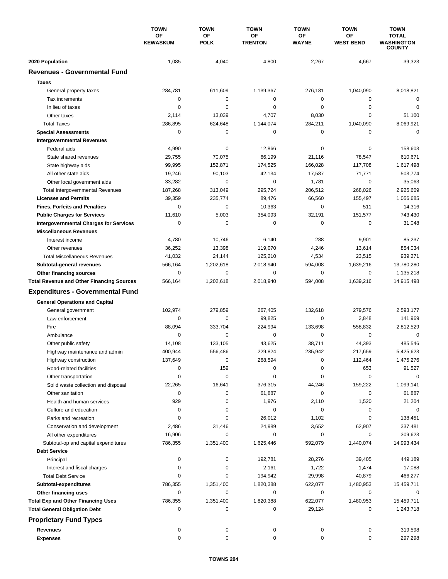|                                                  | <b>TOWN</b><br>OF<br><b>KEWASKUM</b> | <b>TOWN</b><br><b>OF</b><br><b>POLK</b> | <b>TOWN</b><br>ΟF<br><b>TRENTON</b> | <b>TOWN</b><br>ОF<br><b>WAYNE</b> | <b>TOWN</b><br><b>OF</b><br><b>WEST BEND</b> | <b>TOWN</b><br><b>TOTAL</b><br><b>WASHINGTON</b><br><b>COUNTY</b> |
|--------------------------------------------------|--------------------------------------|-----------------------------------------|-------------------------------------|-----------------------------------|----------------------------------------------|-------------------------------------------------------------------|
|                                                  |                                      |                                         |                                     |                                   |                                              |                                                                   |
|                                                  |                                      |                                         |                                     |                                   |                                              |                                                                   |
| 2020 Population                                  | 1,085                                | 4,040                                   | 4,800                               | 2,267                             | 4,667                                        | 39,323                                                            |
| <b>Revenues - Governmental Fund</b>              |                                      |                                         |                                     |                                   |                                              |                                                                   |
| <b>Taxes</b>                                     |                                      |                                         |                                     |                                   |                                              |                                                                   |
| General property taxes                           | 284,781                              | 611,609                                 | 1,139,367                           | 276,181                           | 1,040,090                                    | 8,018,821                                                         |
| Tax increments                                   | 0                                    | $\mathbf 0$                             | $\mathbf 0$                         | 0                                 | 0                                            | $\mathbf 0$                                                       |
| In lieu of taxes                                 | 0                                    | 0                                       | $\mathbf 0$                         | 0                                 | 0                                            | $\mathbf 0$                                                       |
| Other taxes                                      | 2,114                                | 13,039                                  | 4,707                               | 8,030                             | 0                                            | 51,100                                                            |
| <b>Total Taxes</b>                               | 286,895                              | 624,648                                 | 1,144,074                           | 284,211                           | 1,040,090                                    | 8,069,921                                                         |
| <b>Special Assessments</b>                       | 0                                    | $\mathbf 0$                             | 0                                   | 0                                 | $\mathbf 0$                                  | 0                                                                 |
| <b>Intergovernmental Revenues</b>                |                                      |                                         |                                     |                                   |                                              |                                                                   |
| Federal aids                                     | 4,990                                | 0                                       | 12,866                              | 0                                 | 0                                            | 158,603                                                           |
| State shared revenues                            | 29,755                               | 70,075                                  | 66,199                              | 21,116                            | 78,547                                       | 610,671                                                           |
| State highway aids                               | 99,995                               | 152,871                                 | 174,525                             | 166,028                           | 117,708                                      | 1,617,498                                                         |
| All other state aids                             | 19,246                               | 90,103                                  | 42,134                              | 17,587                            | 71,771                                       | 503,774                                                           |
| Other local government aids                      | 33,282                               | $\mathbf 0$                             | $\mathbf 0$                         | 1,781                             | $\mathbf 0$                                  | 35,063                                                            |
| <b>Total Intergovernmental Revenues</b>          | 187,268                              | 313,049                                 | 295,724                             | 206,512                           | 268,026                                      | 2,925,609                                                         |
| <b>Licenses and Permits</b>                      | 39,359                               | 235,774                                 | 89,476                              | 66,560                            | 155,497                                      | 1,056,685                                                         |
| <b>Fines, Forfeits and Penalties</b>             | $\Omega$                             | $\mathbf 0$                             | 10,363                              | $\Omega$                          | 511                                          | 14,316                                                            |
| <b>Public Charges for Services</b>               | 11,610                               | 5,003                                   | 354,093                             | 32,191                            | 151,577                                      | 743,430                                                           |
| <b>Intergovernmental Charges for Services</b>    | 0                                    | 0                                       | 0                                   | 0                                 | 0                                            | 31,048                                                            |
| <b>Miscellaneous Revenues</b>                    |                                      |                                         |                                     |                                   |                                              |                                                                   |
| Interest income                                  | 4,780                                | 10,746                                  | 6,140                               | 288                               | 9,901                                        | 85,237                                                            |
| Other revenues                                   | 36,252                               | 13,398                                  | 119,070                             | 4,246                             | 13,614                                       | 854,034                                                           |
| <b>Total Miscellaneous Revenues</b>              | 41,032                               | 24,144                                  | 125,210                             | 4,534                             | 23,515                                       | 939,271                                                           |
| Subtotal-general revenues                        | 566,164                              | 1,202,618                               | 2,018,940                           | 594,008                           | 1,639,216                                    | 13,780,280                                                        |
| Other financing sources                          | $\mathbf 0$                          | $\mathbf 0$                             | $\mathbf 0$                         | 0                                 | $\mathbf 0$                                  | 1,135,218                                                         |
| <b>Total Revenue and Other Financing Sources</b> | 566,164                              | 1,202,618                               | 2,018,940                           | 594,008                           | 1,639,216                                    | 14,915,498                                                        |
| <b>Expenditures - Governmental Fund</b>          |                                      |                                         |                                     |                                   |                                              |                                                                   |
| <b>General Operations and Capital</b>            |                                      |                                         |                                     |                                   |                                              |                                                                   |
| General government                               | 102,974                              | 279.859                                 | 267,405                             | 132,618                           | 279,576                                      | 2,593,177                                                         |
| Law enforcement                                  | 0                                    | 0                                       | 99,825                              | 0                                 | 2,848                                        | 141,969                                                           |
| Fire                                             | 88,094                               | 333,704                                 | 224,994                             | 133,698                           | 558,832                                      | 2,812,529                                                         |
| Ambulance                                        | $\Omega$                             | 0                                       | 0                                   | 0                                 | $\mathbf 0$                                  | $\mathbf 0$                                                       |
| Other public safety                              | 14,108                               | 133.105                                 | 43,625                              | 38,711                            | 44,393                                       | 485,546                                                           |
|                                                  | 400,944                              | 556,486                                 | 229.824                             | 235,942                           | 217,659                                      | 5,425,623                                                         |
| Highway maintenance and admin                    | 137,649                              | $\pmb{0}$                               | 268,594                             | 0                                 |                                              | 1,475,276                                                         |
| Highway construction                             | 0                                    | 159                                     | 0                                   | 0                                 | 112,464<br>653                               | 91,527                                                            |
| Road-related facilities                          | 0                                    | 0                                       | 0                                   | 0                                 | 0                                            | 0                                                                 |
| Other transportation                             |                                      |                                         |                                     |                                   | 159,222                                      | 1,099,141                                                         |
| Solid waste collection and disposal              | 22,265                               | 16,641                                  | 376,315                             | 44,246                            |                                              |                                                                   |
| Other sanitation                                 | 0                                    | 0                                       | 61,887                              | 0                                 | 0                                            | 61,887                                                            |
| Health and human services                        | 929                                  | 0                                       | 1,976                               | 2,110                             | 1,520                                        | 21,204                                                            |
| Culture and education                            | 0                                    | 0                                       | 0                                   | 0                                 | 0                                            | 0                                                                 |
| Parks and recreation                             | 0                                    | 0                                       | 26,012                              | 1,102                             | 0                                            | 138,451                                                           |
| Conservation and development                     | 2,486                                | 31,446                                  | 24,989                              | 3,652                             | 62,907                                       | 337,481                                                           |
| All other expenditures                           | 16,906                               | 0                                       | 0                                   | 0                                 | 0                                            | 309,623                                                           |
| Subtotal-op and capital expenditures             | 786,355                              | 1,351,400                               | 1,625,446                           | 592,079                           | 1,440,074                                    | 14,993,434                                                        |
| <b>Debt Service</b>                              |                                      |                                         |                                     |                                   |                                              |                                                                   |
| Principal                                        | 0                                    | 0                                       | 192,781                             | 28,276                            | 39,405                                       | 449,189                                                           |
| Interest and fiscal charges                      | 0                                    | 0                                       | 2,161                               | 1,722                             | 1,474                                        | 17,088                                                            |
| <b>Total Debt Service</b>                        | 0                                    | 0                                       | 194,942                             | 29,998                            | 40,879                                       | 466,277                                                           |
| Subtotal-expenditures                            | 786,355                              | 1,351,400                               | 1,820,388                           | 622,077                           | 1,480,953                                    | 15,459,711                                                        |
| Other financing uses                             | 0                                    | 0                                       | 0                                   | 0                                 | 0                                            | 0                                                                 |
| <b>Total Exp and Other Financing Uses</b>        | 786,355                              | 1,351,400                               | 1,820,388                           | 622,077                           | 1,480,953                                    | 15,459,711                                                        |
| <b>Total General Obligation Debt</b>             | 0                                    | 0                                       | 0                                   | 29,124                            | 0                                            | 1,243,718                                                         |
| <b>Proprietary Fund Types</b>                    |                                      |                                         |                                     |                                   |                                              |                                                                   |
| <b>Revenues</b>                                  | 0                                    | 0                                       | 0                                   | 0                                 | 0                                            | 319,598                                                           |
| <b>Expenses</b>                                  | 0                                    | 0                                       | 0                                   | 0                                 | 0                                            | 297,298                                                           |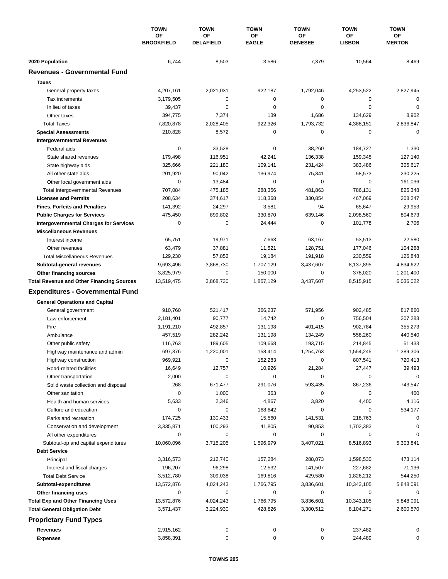|                                                  | <b>TOWN</b>             | <b>TOWN</b>            | <b>TOWN</b>        | <b>TOWN</b>          | <b>TOWN</b>         | <b>TOWN</b>         |
|--------------------------------------------------|-------------------------|------------------------|--------------------|----------------------|---------------------|---------------------|
|                                                  | ΟF<br><b>BROOKFIELD</b> | OF<br><b>DELAFIELD</b> | ΟF<br><b>EAGLE</b> | ОF<br><b>GENESEE</b> | ΟF<br><b>LISBON</b> | ΟF<br><b>MERTON</b> |
| 2020 Population                                  | 6,744                   | 8,503                  | 3,586              | 7,379                | 10,564              | 8,469               |
| <b>Revenues - Governmental Fund</b>              |                         |                        |                    |                      |                     |                     |
| <b>Taxes</b>                                     |                         |                        |                    |                      |                     |                     |
| General property taxes                           | 4,207,161               | 2,021,031              | 922,187            | 1,792,046            | 4,253,522           | 2,827,945           |
| Tax increments                                   | 3,179,505               | 0                      | $\pmb{0}$          | 0                    | $\mathbf 0$         | $\mathbf 0$         |
| In lieu of taxes                                 | 39,437                  | 0                      | 0                  | 0                    | $\mathbf 0$         | $\mathbf 0$         |
| Other taxes                                      | 394,775                 | 7,374                  | 139                | 1,686                | 134,629             | 8,902               |
| <b>Total Taxes</b>                               | 7,820,878               | 2,028,405              | 922,326            | 1,793,732            | 4,388,151           | 2,836,847           |
| <b>Special Assessments</b>                       | 210,828                 | 8,572                  | 0                  | 0                    | 0                   | $\mathbf 0$         |
| <b>Intergovernmental Revenues</b>                |                         |                        |                    |                      |                     |                     |
| Federal aids                                     | 0                       | 33,528                 | 0                  | 38,260               | 184,727             | 1,330               |
| State shared revenues                            | 179,498                 | 116,951                | 42,241             | 136,338              | 159,345             | 127,140             |
| State highway aids                               | 325,666                 | 221,180                | 109,141            | 231,424              | 383,486             | 305,617             |
| All other state aids                             | 201,920                 | 90,042                 | 136,974            | 75,841               | 58,573              | 230,225             |
| Other local government aids                      | 0                       | 13,484                 | 0                  | 0                    | $\mathbf 0$         | 161,036             |
| <b>Total Intergovernmental Revenues</b>          | 707,084                 | 475,185                | 288,356            | 481,863              | 786,131             | 825,348             |
| <b>Licenses and Permits</b>                      | 208,634                 | 374,617                | 118,368            | 330,854              | 467,069             | 208,247             |
| <b>Fines, Forfeits and Penalties</b>             | 141,392                 | 24,297                 | 3,581              | 94                   | 65,647              | 29,953              |
| <b>Public Charges for Services</b>               | 475,450                 | 899,802                | 330,870            | 639,146              | 2,098,560           | 804,673             |
| <b>Intergovernmental Charges for Services</b>    | 0                       | 0                      | 24,444             | 0                    | 101,778             | 2,706               |
| <b>Miscellaneous Revenues</b>                    |                         |                        |                    |                      |                     |                     |
| Interest income                                  | 65,751                  | 19,971                 | 7,663              | 63,167               | 53,513              | 22,580              |
| Other revenues                                   | 63,479                  | 37,881                 | 11,521             | 128,751              | 177,046             | 104,268             |
| <b>Total Miscellaneous Revenues</b>              | 129,230                 | 57,852                 | 19,184             | 191,918              | 230,559             | 126,848             |
| Subtotal-general revenues                        | 9,693,496               | 3,868,730              | 1,707,129          | 3,437,607            | 8,137,895           | 4,834,622           |
| Other financing sources                          | 3,825,979               | $\mathbf 0$            | 150,000            | 0                    | 378,020             | 1,201,400           |
| <b>Total Revenue and Other Financing Sources</b> | 13,519,475              | 3,868,730              | 1,857,129          | 3,437,607            | 8,515,915           | 6,036,022           |
| <b>Expenditures - Governmental Fund</b>          |                         |                        |                    |                      |                     |                     |
| <b>General Operations and Capital</b>            |                         |                        |                    |                      |                     |                     |
| General government                               | 910,760                 | 521,417                | 366,237            | 571,956              | 902,485             | 817,860             |
| Law enforcement                                  | 2,181,401               | 90,777                 | 14,742             | 0                    | 756,504             | 207,283             |
| Fire                                             | 1,191,210               | 492,857                | 131,198            | 401,415              | 902,784             | 355,273             |
| Ambulance                                        | 457,519                 | 282,242                | 131,198            | 134,249              | 558,260             | 440,540             |
| Other public safety                              | 116,763                 | 189,605                | 109,668            | 193,715              | 214,845             | 51,433              |
| Highway maintenance and admin                    | 697,376                 | 1,220,001              | 158,414            | 1,254,763            | 1,554,245           | 1,389,306           |
| Highway construction                             | 969,921                 | 0                      | 152,283            | 0                    | 807,541             | 720,413             |
| Road-related facilities                          | 16,649                  | 12,757                 | 10,926             | 21,284               | 27,447              | 39,493              |
| Other transportation                             | 2,000                   | 0                      | 0                  | 0                    | 0                   | 0                   |
| Solid waste collection and disposal              | 268                     | 671,477                | 291,076            | 593,435              | 867,236             | 743,547             |
| Other sanitation                                 | 0                       | 1,000                  | 363                | 0                    | 0                   | 400                 |
| Health and human services                        | 5,633                   | 2,346                  | 4,867              | 3,820                | 4,400               | 4,116               |
| Culture and education                            | 0                       | 0                      | 168,642            | 0                    | 0                   | 534,177             |
| Parks and recreation                             | 174,725                 | 130,433                | 15,560             | 141,531              | 218,763             | 0                   |
| Conservation and development                     | 3,335,871               | 100,293                | 41,805             | 90,853               | 1,702,383           | 0                   |
| All other expenditures                           | 0                       | 0                      | 0                  | 0                    | 0                   | 0                   |
| Subtotal-op and capital expenditures             | 10,060,096              | 3,715,205              | 1,596,979          | 3,407,021            | 8,516,893           | 5,303,841           |
| <b>Debt Service</b>                              |                         |                        |                    |                      |                     |                     |
| Principal                                        | 3,316,573               | 212,740                | 157,284            | 288,073              | 1,598,530           | 473,114             |
| Interest and fiscal charges                      | 196,207                 | 96,298                 | 12,532             | 141,507              | 227,682             | 71,136              |
| <b>Total Debt Service</b>                        | 3,512,780               | 309,038                | 169,816            | 429,580              | 1,826,212           | 544,250             |
| Subtotal-expenditures                            | 13,572,876              | 4,024,243              | 1,766,795          | 3,836,601            | 10,343,105          | 5,848,091           |
| Other financing uses                             | 0                       | 0                      | 0                  | 0                    | 0                   | 0                   |
| <b>Total Exp and Other Financing Uses</b>        | 13,572,876              | 4,024,243              | 1,766,795          | 3,836,601            | 10,343,105          | 5,848,091           |
| <b>Total General Obligation Debt</b>             | 3,571,437               | 3,224,930              | 428,826            | 3,300,512            | 8,104,271           | 2,600,570           |
| <b>Proprietary Fund Types</b>                    |                         |                        |                    |                      |                     |                     |
| <b>Revenues</b>                                  | 2,915,162               | 0                      | 0                  | 0                    | 237,482             | 0                   |
| <b>Expenses</b>                                  | 3,858,391               | 0                      | 0                  | 0                    | 244,489             | 0                   |
|                                                  |                         |                        |                    |                      |                     |                     |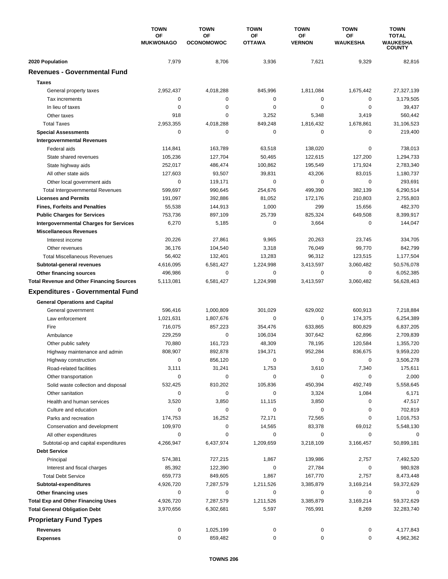|                                                  | <b>TOWN</b>            | <b>TOWN</b>             | <b>TOWN</b>         | <b>TOWN</b>         | <b>TOWN</b>           | <b>TOWN</b>                                      |
|--------------------------------------------------|------------------------|-------------------------|---------------------|---------------------|-----------------------|--------------------------------------------------|
|                                                  | OF<br><b>MUKWONAGO</b> | OF<br><b>OCONOMOWOC</b> | OF<br><b>OTTAWA</b> | ΟF<br><b>VERNON</b> | OF<br><b>WAUKESHA</b> | <b>TOTAL</b><br><b>WAUKESHA</b><br><b>COUNTY</b> |
| 2020 Population                                  | 7,979                  | 8,706                   | 3,936               | 7,621               | 9,329                 | 82,816                                           |
| <b>Revenues - Governmental Fund</b>              |                        |                         |                     |                     |                       |                                                  |
| <b>Taxes</b>                                     |                        |                         |                     |                     |                       |                                                  |
| General property taxes                           | 2,952,437              | 4,018,288               | 845,996             | 1,811,084           | 1,675,442             | 27,327,139                                       |
| Tax increments                                   | 0                      | 0                       | 0                   | 0                   | 0                     | 3,179,505                                        |
| In lieu of taxes                                 | 0                      | $\pmb{0}$               | 0                   | 0                   | $\mathbf 0$           | 39,437                                           |
| Other taxes                                      | 918                    | 0                       | 3,252               | 5,348               | 3,419                 | 560,442                                          |
| <b>Total Taxes</b>                               | 2,953,355              | 4,018,288               | 849,248             | 1,816,432           | 1,678,861             | 31,106,523                                       |
| <b>Special Assessments</b>                       | 0                      | 0                       | 0                   | 0                   | 0                     | 219,400                                          |
| <b>Intergovernmental Revenues</b>                |                        |                         |                     |                     |                       |                                                  |
| Federal aids                                     | 114,841                | 163,789                 | 63,518              | 138,020             | 0                     | 738,013                                          |
| State shared revenues                            | 105,236                | 127,704                 | 50,465              | 122,615             | 127,200               | 1,294,733                                        |
| State highway aids                               | 252,017                | 486,474                 | 100,862             | 195,549             | 171,924               | 2,783,340                                        |
| All other state aids                             | 127,603                | 93,507                  | 39,831              | 43,206              | 83,015                | 1,180,737                                        |
| Other local government aids                      | 0                      | 119,171                 | 0                   | 0                   | $\mathbf 0$           | 293,691                                          |
| <b>Total Intergovernmental Revenues</b>          | 599,697                | 990,645                 | 254,676             | 499,390             | 382,139               | 6,290,514                                        |
| <b>Licenses and Permits</b>                      | 191,097                | 392,886                 | 81,052              | 172,176             | 210,803               | 2,755,803                                        |
| <b>Fines, Forfeits and Penalties</b>             | 55,538                 | 144,913                 | 1,000               | 299                 | 15,656                | 482,370                                          |
| <b>Public Charges for Services</b>               | 753,736                | 897,109                 | 25,739              | 825,324             | 649,508               | 8,399,917                                        |
| <b>Intergovernmental Charges for Services</b>    | 6,270                  | 5,185                   | 0                   | 3,664               | 0                     | 144,047                                          |
| <b>Miscellaneous Revenues</b>                    |                        |                         |                     |                     |                       |                                                  |
| Interest income                                  | 20,226                 | 27,861                  | 9,965               | 20,263              | 23,745                | 334,705                                          |
| Other revenues                                   | 36,176                 | 104,540                 | 3,318               | 76,049              | 99,770                | 842,799                                          |
| <b>Total Miscellaneous Revenues</b>              | 56,402                 | 132,401                 | 13,283              | 96,312              | 123,515               | 1,177,504                                        |
| Subtotal-general revenues                        | 4,616,095              | 6,581,427               | 1,224,998           | 3,413,597           | 3,060,482             | 50,576,078                                       |
| Other financing sources                          | 496,986                | $\pmb{0}$               | 0                   | 0                   | $\mathbf 0$           | 6,052,385                                        |
| <b>Total Revenue and Other Financing Sources</b> | 5,113,081              | 6,581,427               | 1,224,998           | 3,413,597           | 3,060,482             | 56,628,463                                       |
| <b>Expenditures - Governmental Fund</b>          |                        |                         |                     |                     |                       |                                                  |
| <b>General Operations and Capital</b>            |                        |                         |                     |                     |                       |                                                  |
| General government                               | 596,416                | 1,000,809               | 301,029             | 629,002             | 600,913               | 7,218,884                                        |
| Law enforcement                                  | 1,021,631              | 1,807,676               | 0                   | 0                   | 174,375               | 6,254,389                                        |
| Fire                                             | 716,075                | 857,223                 | 354,476             | 633,865             | 800,829               | 6,837,205                                        |
| Ambulance                                        | 229,259                | 0                       | 106,034             | 307,642             | 62,896                | 2,709,839                                        |
| Other public safety                              | 70,880                 | 161,723                 | 48,309              | 78,195              | 120,584               | 1,355,720                                        |
| Highway maintenance and admin                    | 808,907                | 892,878                 | 194,371             | 952,284             | 836,675               | 9,959,220                                        |
| Highway construction                             | 0                      | 856,120                 | 0                   | 0                   | 0                     | 3,506,278                                        |
| Road-related facilities                          | 3,111                  | 31,241                  | 1,753               | 3,610               | 7,340                 | 175,611                                          |
| Other transportation                             | 0                      | 0                       | 0                   | 0                   | 0                     | 2,000                                            |
| Solid waste collection and disposal              | 532,425                | 810,202                 | 105,836             | 450,394             | 492,749               | 5,558,645                                        |
| Other sanitation                                 | 0                      | 0                       | 0                   | 3,324               | 1,084                 | 6,171                                            |
| Health and human services                        | 3,520                  | 3,850                   | 11,115              | 3,850               | 0                     | 47,517                                           |
| Culture and education                            | 0                      | 0                       | 0                   | 0                   | 0                     | 702,819                                          |
| Parks and recreation                             | 174,753                | 16,252                  | 72,171              | 72,565              | 0                     | 1,016,753                                        |
| Conservation and development                     | 109,970                | 0                       | 14,565              | 83,378              | 69,012                | 5,548,130                                        |
| All other expenditures                           | 0                      | 0                       | 0                   | 0                   | 0                     | 0                                                |
| Subtotal-op and capital expenditures             | 4,266,947              | 6,437,974               | 1,209,659           | 3,218,109           | 3,166,457             | 50,899,181                                       |
| <b>Debt Service</b>                              |                        |                         |                     |                     |                       |                                                  |
| Principal                                        | 574,381                | 727,215                 | 1,867               | 139,986             | 2,757                 | 7,492,520                                        |
| Interest and fiscal charges                      | 85,392                 | 122,390                 | 0                   | 27,784              | 0                     | 980,928                                          |
| <b>Total Debt Service</b>                        | 659,773                | 849,605                 | 1,867               | 167,770             | 2,757                 | 8,473,448                                        |
| Subtotal-expenditures                            | 4,926,720              | 7,287,579               | 1,211,526           | 3,385,879           | 3,169,214             | 59,372,629                                       |
| Other financing uses                             | 0                      | 0                       | 0                   | 0                   | 0                     | 0                                                |
| <b>Total Exp and Other Financing Uses</b>        | 4,926,720              | 7,287,579               | 1,211,526           | 3,385,879           | 3,169,214             | 59,372,629                                       |
| <b>Total General Obligation Debt</b>             | 3,970,656              | 6,302,681               | 5,597               | 765,991             | 8,269                 | 32,283,740                                       |
| <b>Proprietary Fund Types</b>                    |                        |                         |                     |                     |                       |                                                  |
| <b>Revenues</b>                                  | 0                      | 1,025,199               | 0                   | 0                   | 0                     | 4,177,843                                        |
| <b>Expenses</b>                                  | 0                      | 859,482                 | 0                   | 0                   | 0                     | 4,962,362                                        |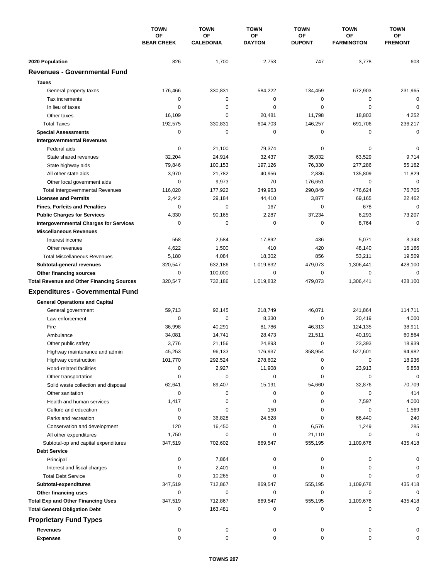|                                                                   | <b>TOWN</b>             | <b>TOWN</b>            | <b>TOWN</b>         | <b>TOWN</b>         | <b>TOWN</b>             | <b>TOWN</b>          |
|-------------------------------------------------------------------|-------------------------|------------------------|---------------------|---------------------|-------------------------|----------------------|
|                                                                   | OF<br><b>BEAR CREEK</b> | OF<br><b>CALEDONIA</b> | ΟF<br><b>DAYTON</b> | OF<br><b>DUPONT</b> | ΟF<br><b>FARMINGTON</b> | ОF<br><b>FREMONT</b> |
| 2020 Population                                                   | 826                     | 1,700                  | 2,753               | 747                 | 3,778                   | 603                  |
| <b>Revenues - Governmental Fund</b>                               |                         |                        |                     |                     |                         |                      |
| <b>Taxes</b>                                                      |                         |                        |                     |                     |                         |                      |
| General property taxes                                            | 176,466                 | 330,831                | 584,222             | 134,459             | 672,903                 | 231,965              |
| Tax increments                                                    | 0                       | $\pmb{0}$              | $\mathbf 0$         | 0                   | 0                       | $\mathbf 0$          |
| In lieu of taxes                                                  | 0                       | $\mathbf 0$            | 0                   | 0                   | $\mathbf 0$             | $\mathbf 0$          |
| Other taxes                                                       | 16,109                  | 0                      | 20,481              | 11,798              | 18,803                  | 4,252                |
| <b>Total Taxes</b>                                                | 192,575                 | 330,831                | 604,703             | 146,257             | 691,706                 | 236,217              |
| <b>Special Assessments</b>                                        | 0                       | 0                      | 0                   | 0                   | $\mathbf 0$             | $\mathbf 0$          |
| <b>Intergovernmental Revenues</b>                                 |                         |                        |                     |                     |                         |                      |
| Federal aids                                                      | 0                       | 21,100                 | 79,374              | 0                   | 0                       | 0                    |
| State shared revenues                                             | 32,204                  | 24,914                 | 32,437              | 35,032              | 63,529                  | 9,714                |
| State highway aids                                                | 79,846                  | 100,153                | 197,126             | 76,330              | 277,286                 | 55,162               |
| All other state aids                                              | 3,970                   | 21,782                 | 40,956              | 2,836               | 135,809                 | 11,829               |
| Other local government aids                                       | 0                       | 9,973                  | 70                  | 176,651             | $\mathbf 0$             | $\mathbf 0$          |
| <b>Total Intergovernmental Revenues</b>                           | 116,020                 | 177,922                | 349,963             | 290,849             | 476,624                 | 76,705               |
| <b>Licenses and Permits</b>                                       | 2,442                   | 29,184                 | 44,410              | 3,877               | 69,165                  | 22,462               |
| <b>Fines, Forfeits and Penalties</b>                              | 0                       | 0                      | 167                 | 0                   | 678                     | $\mathbf 0$          |
| <b>Public Charges for Services</b>                                | 4,330                   | 90,165                 | 2,287               | 37,234              | 6,293                   | 73,207               |
| <b>Intergovernmental Charges for Services</b>                     | 0                       | $\mathbf 0$            | 0                   | 0                   | 8,764                   | $\mathbf 0$          |
| <b>Miscellaneous Revenues</b>                                     |                         |                        |                     |                     |                         |                      |
| Interest income                                                   | 558                     | 2,584                  | 17,892              | 436                 | 5,071                   | 3,343                |
| Other revenues                                                    | 4,622                   | 1,500                  | 410                 | 420                 | 48,140                  | 16,166               |
| <b>Total Miscellaneous Revenues</b>                               | 5,180                   | 4,084                  | 18,302              | 856                 | 53,211                  | 19,509               |
| Subtotal-general revenues                                         | 320,547                 | 632,186                | 1,019,832           | 479,073             | 1,306,441               | 428,100              |
| Other financing sources                                           | 0                       | 100,000                | 0                   | 0                   | $\mathbf 0$             | $\mathbf 0$          |
| <b>Total Revenue and Other Financing Sources</b>                  | 320,547                 | 732,186                | 1,019,832           | 479,073             | 1,306,441               | 428,100              |
| <b>Expenditures - Governmental Fund</b>                           |                         |                        |                     |                     |                         |                      |
| <b>General Operations and Capital</b>                             |                         |                        |                     |                     |                         |                      |
| General government                                                | 59,713                  | 92,145                 | 218,749             | 46,071              | 241,864                 | 114,711              |
| Law enforcement                                                   | 0                       | 0                      | 8,330               | 0                   | 20,419                  | 4,000                |
| Fire                                                              | 36,998                  | 40,291                 | 81,786              | 46,313              | 124,135                 | 38,911               |
| Ambulance                                                         | 34,081                  | 14,741                 | 28,473              | 21,511              | 40,191                  | 60,864               |
| Other public safety                                               | 3,776                   | 21,156                 | 24,893              | 0                   | 23,393                  | 18,939               |
| Highway maintenance and admin                                     | 45,253                  | 96,133                 | 176,937             | 358,954             | 527,601                 | 94,982               |
| Highway construction                                              | 101,770                 | 292,524                | 278,602             | 0                   | 0                       | 18,936               |
| Road-related facilities                                           | 0                       | 2,927                  | 11,908              | 0                   | 23,913                  | 6,858                |
| Other transportation                                              | 0                       | 0                      | 0                   | 0                   | 0                       | 0                    |
| Solid waste collection and disposal                               | 62,641                  | 89,407                 | 15,191              | 54,660              | 32,876                  | 70,709               |
| Other sanitation                                                  | 0                       | 0                      | 0                   | 0                   | 0                       | 414                  |
| Health and human services                                         | 1,417                   | 0                      | 0                   | 0                   | 7,597                   | 4,000                |
| Culture and education                                             | 0                       | 0                      | 150                 | 0                   | 0                       | 1,569                |
| Parks and recreation                                              | 0                       | 36,828                 | 24,528              | 0                   | 66,440                  | 240                  |
| Conservation and development                                      | 120                     | 16,450                 | 0                   | 6,576               | 1,249                   | 285                  |
| All other expenditures                                            | 1,750                   | 0                      | 0                   | 21,110              | 0                       | 0                    |
| Subtotal-op and capital expenditures                              | 347,519                 | 702,602                | 869,547             | 555,195             | 1,109,678               | 435,418              |
| <b>Debt Service</b>                                               |                         |                        |                     |                     |                         |                      |
| Principal                                                         | 0                       | 7,864                  | 0                   | 0                   | 0                       | 0                    |
| Interest and fiscal charges                                       | 0                       | 2,401                  | 0                   | 0                   | 0                       |                      |
| <b>Total Debt Service</b>                                         | 0                       | 10,265                 | 0                   | 0                   | 0                       | 0                    |
| Subtotal-expenditures                                             | 347,519                 | 712,867                | 869,547             | 555,195             | 1,109,678               | 435,418              |
| Other financing uses<br><b>Total Exp and Other Financing Uses</b> | 0                       | 0                      | 0<br>869,547        | 0                   | 0<br>1,109,678          | 0<br>435,418         |
| <b>Total General Obligation Debt</b>                              | 347,519<br>0            | 712,867<br>163,481     | 0                   | 555,195<br>0        | 0                       | 0                    |
| <b>Proprietary Fund Types</b>                                     |                         |                        |                     |                     |                         |                      |
|                                                                   |                         |                        |                     |                     |                         |                      |
| <b>Revenues</b><br><b>Expenses</b>                                | 0<br>0                  | 0<br>0                 | 0<br>0              | 0<br>0              | 0<br>0                  | 0                    |
|                                                                   |                         |                        |                     |                     |                         |                      |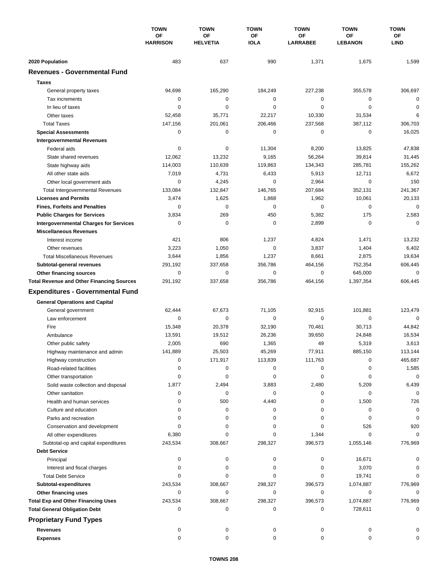|                                                                        | <b>TOWN</b><br>OF<br><b>HARRISON</b> | <b>TOWN</b>                  | <b>TOWN</b>            | <b>TOWN</b>           | <b>TOWN</b>                 | <b>TOWN</b>           |
|------------------------------------------------------------------------|--------------------------------------|------------------------------|------------------------|-----------------------|-----------------------------|-----------------------|
|                                                                        |                                      | <b>OF</b><br><b>HELVETIA</b> | ΟF<br><b>IOLA</b>      | ΟF<br><b>LARRABEE</b> | <b>OF</b><br><b>LEBANON</b> | ΟF<br><b>LIND</b>     |
|                                                                        |                                      |                              |                        |                       |                             |                       |
| 2020 Population<br><b>Revenues - Governmental Fund</b>                 | 483                                  | 637                          | 990                    | 1,371                 | 1,675                       | 1,599                 |
|                                                                        |                                      |                              |                        |                       |                             |                       |
| <b>Taxes</b>                                                           |                                      |                              |                        |                       |                             |                       |
| General property taxes                                                 | 94,698                               | 165,290                      | 184,249                | 227,238               | 355,578                     | 306,697               |
| Tax increments                                                         | 0                                    | $\mathbf 0$                  | $\mathbf 0$            | 0                     | 0                           | $\mathbf 0$           |
| In lieu of taxes                                                       | 0                                    | 0                            | $\mathbf 0$            | 0                     | $\mathbf 0$                 | 0                     |
| Other taxes                                                            | 52,458                               | 35,771                       | 22,217                 | 10,330                | 31,534                      | 6                     |
| <b>Total Taxes</b>                                                     | 147,156<br>0                         | 201,061<br>$\mathbf 0$       | 206,466<br>0           | 237,568<br>0          | 387,112<br>$\mathbf 0$      | 306,703               |
| <b>Special Assessments</b>                                             |                                      |                              |                        |                       |                             | 16,025                |
| <b>Intergovernmental Revenues</b>                                      |                                      |                              |                        |                       |                             |                       |
| Federal aids                                                           | 0<br>12,062                          | 0<br>13,232                  | 11,304<br>9,165        | 8,200<br>56,264       | 13,825<br>39,814            | 47,838                |
| State shared revenues                                                  |                                      |                              |                        |                       |                             | 31,445                |
| State highway aids<br>All other state aids                             | 114,003<br>7,019                     | 110,639<br>4,731             | 119,863<br>6,433       | 134,343<br>5,913      | 285,781<br>12,711           | 155,262<br>6,672      |
| Other local government aids                                            | 0                                    | 4,245                        | $\mathbf 0$            | 2,964                 | $\mathbf 0$                 | 150                   |
|                                                                        | 133,084                              | 132.847                      | 146,765                | 207,684               | 352,131                     | 241,367               |
| <b>Total Intergovernmental Revenues</b><br><b>Licenses and Permits</b> | 3,474                                | 1,625                        | 1,868                  | 1,962                 | 10,061                      |                       |
|                                                                        | $\Omega$                             | $\mathbf 0$                  | 0                      | 0                     | $\mathbf 0$                 | 20,133<br>$\mathbf 0$ |
| <b>Fines, Forfeits and Penalties</b>                                   |                                      |                              |                        |                       |                             |                       |
| <b>Public Charges for Services</b>                                     | 3,834                                | 269                          | 450                    | 5,382                 | 175                         | 2,583                 |
| <b>Intergovernmental Charges for Services</b>                          | 0                                    | 0                            | $\mathbf 0$            | 2,899                 | $\mathbf 0$                 | $\mathbf 0$           |
| <b>Miscellaneous Revenues</b>                                          |                                      |                              |                        |                       |                             |                       |
| Interest income                                                        | 421                                  | 806                          | 1,237                  | 4,824                 | 1,471                       | 13,232                |
| Other revenues                                                         | 3,223                                | 1,050                        | $\mathbf 0$            | 3,837                 | 1,404                       | 6,402                 |
| <b>Total Miscellaneous Revenues</b>                                    | 3,644                                | 1,856                        | 1,237                  | 8,661                 | 2,875                       | 19,634                |
| Subtotal-general revenues                                              | 291,192<br>$\mathbf 0$               | 337,658<br>$\mathbf 0$       | 356,786<br>$\mathbf 0$ | 464,156               | 752,354                     | 606,445               |
| Other financing sources                                                |                                      |                              |                        | 0                     | 645,000                     | $\mathbf 0$           |
| <b>Total Revenue and Other Financing Sources</b>                       | 291,192                              | 337,658                      | 356,786                | 464,156               | 1,397,354                   | 606,445               |
| <b>Expenditures - Governmental Fund</b>                                |                                      |                              |                        |                       |                             |                       |
| <b>General Operations and Capital</b>                                  |                                      |                              |                        |                       |                             |                       |
| General government                                                     | 62,444                               | 67,673                       | 71,105                 | 92,915                | 101,881                     | 123,479               |
| Law enforcement                                                        | 0                                    | 0                            | $\mathbf 0$            | $\mathbf 0$           | 0                           | $\mathbf 0$           |
| Fire                                                                   | 15,348                               | 20,378                       | 32,190                 | 70.461                | 30,713                      | 44,842                |
| Ambulance                                                              | 13,591                               | 19,512                       | 26,236                 | 39,650                | 24,848                      | 16,534                |
| Other public safety                                                    | 2,005                                | 690                          | 1,365                  | 49                    | 5,319                       | 3,613                 |
| Highway maintenance and admin                                          | 141.889                              | 25,503                       | 45,269                 | 77,911                | 885,150                     | 113,144               |
| Highway construction                                                   | 0                                    | 171,917                      | 113,839                | 111,763               | 0                           | 465,687               |
| Road-related facilities                                                | 0                                    | 0                            | 0                      | 0                     | 0                           | 1,585                 |
| Other transportation                                                   | 0                                    | 0                            | 0                      | 0                     | 0                           | $\mathbf 0$           |
| Solid waste collection and disposal                                    | 1,877                                | 2,494                        | 3,883                  | 2,480                 | 5,209                       | 6,439                 |
| Other sanitation                                                       | 0                                    | 0                            | 0                      | 0                     | 0                           | $\mathbf 0$           |
| Health and human services                                              | 0                                    | 500                          | 4,440                  | 0                     | 1,500                       | 726                   |
| Culture and education                                                  | 0                                    | 0                            | 0                      | 0                     | 0                           | 0                     |
| Parks and recreation                                                   | 0                                    | 0                            | 0                      | 0                     | 0                           | 0                     |
| Conservation and development                                           | 0                                    | 0                            | 0                      | 0                     | 526                         | 920                   |
| All other expenditures                                                 | 6,380                                | 0                            | 0                      | 1,344                 | 0                           | 0                     |
| Subtotal-op and capital expenditures                                   | 243,534                              | 308,667                      | 298,327                | 396,573               | 1,055,146                   | 776,969               |
| <b>Debt Service</b>                                                    |                                      |                              |                        |                       |                             |                       |
| Principal                                                              | 0                                    | 0                            | 0                      | 0                     | 16,671                      |                       |
| Interest and fiscal charges                                            | 0                                    | 0                            | 0                      | 0                     | 3,070                       | 0                     |
| <b>Total Debt Service</b>                                              | $\Omega$                             | 0                            | 0                      | 0                     | 19,741                      |                       |
| Subtotal-expenditures                                                  | 243,534                              | 308,667                      | 298,327                | 396,573               | 1,074,887                   | 776,969               |
| Other financing uses                                                   | 0                                    | 0                            | 0                      | 0                     | 0                           | 0                     |
| <b>Total Exp and Other Financing Uses</b>                              | 243,534                              | 308,667                      | 298,327                | 396,573               | 1,074,887                   | 776,969               |
| <b>Total General Obligation Debt</b>                                   | 0                                    | 0                            | 0                      | 0                     | 728,611                     | $\mathbf 0$           |
| <b>Proprietary Fund Types</b>                                          |                                      |                              |                        |                       |                             |                       |
| <b>Revenues</b>                                                        | 0                                    | 0                            | 0                      | 0                     | 0                           |                       |
| <b>Expenses</b>                                                        | 0                                    | 0                            | 0                      | 0                     | 0                           | 0                     |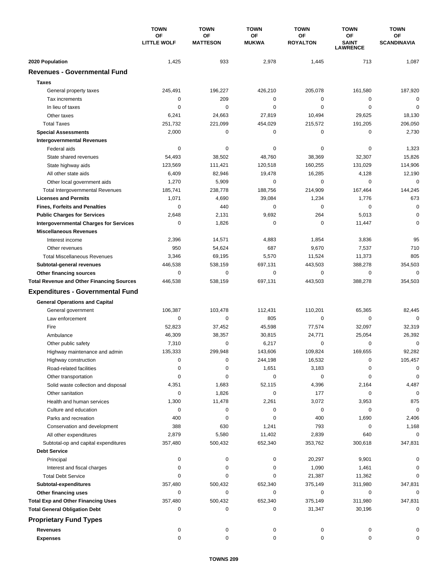|                                                  | <b>TOWN</b>              | <b>TOWN</b>           | <b>TOWN</b>        | <b>TOWN</b>                  | <b>TOWN</b>                           | <b>TOWN</b>              |
|--------------------------------------------------|--------------------------|-----------------------|--------------------|------------------------------|---------------------------------------|--------------------------|
|                                                  | OF<br><b>LITTLE WOLF</b> | OF<br><b>MATTESON</b> | ΟF<br><b>MUKWA</b> | <b>OF</b><br><b>ROYALTON</b> | OF<br><b>SAINT</b><br><b>LAWRENCE</b> | ОF<br><b>SCANDINAVIA</b> |
| 2020 Population                                  | 1,425                    | 933                   | 2,978              | 1,445                        | 713                                   | 1,087                    |
| <b>Revenues - Governmental Fund</b>              |                          |                       |                    |                              |                                       |                          |
| <b>Taxes</b>                                     |                          |                       |                    |                              |                                       |                          |
| General property taxes                           | 245,491                  | 196,227               | 426,210            | 205,078                      | 161,580                               | 187,920                  |
| Tax increments                                   | $\mathbf 0$              | 209                   | 0                  | 0                            | 0                                     | $\mathbf 0$              |
| In lieu of taxes                                 | $\mathbf 0$              | $\mathbf 0$           | $\mathbf 0$        | $\mathbf 0$                  | $\mathbf 0$                           | $\mathbf 0$              |
| Other taxes                                      | 6,241                    | 24,663                | 27,819             | 10,494                       | 29,625                                | 18,130                   |
| <b>Total Taxes</b>                               | 251,732                  | 221,099               | 454,029            | 215,572                      | 191,205                               | 206,050                  |
| <b>Special Assessments</b>                       | 2,000                    | 0                     | 0                  | 0                            | 0                                     | 2,730                    |
| <b>Intergovernmental Revenues</b>                |                          |                       |                    |                              |                                       |                          |
| Federal aids                                     | 0                        | 0                     | 0                  | 0                            | 0                                     | 1,323                    |
| State shared revenues                            | 54,493                   | 38,502                | 48,760             | 38,369                       | 32,307                                | 15,826                   |
| State highway aids                               | 123,569                  | 111,421               | 120,518            | 160,255                      | 131,029                               | 114,906                  |
| All other state aids                             | 6,409                    | 82,946                | 19,478             | 16,285                       | 4,128                                 | 12,190                   |
| Other local government aids                      | 1,270                    | 5,909                 | 0                  | 0                            | $\mathbf 0$                           | $\mathbf 0$              |
| <b>Total Intergovernmental Revenues</b>          | 185,741                  | 238,778               | 188,756            | 214,909                      | 167,464                               | 144,245                  |
| <b>Licenses and Permits</b>                      | 1,071                    | 4,690                 | 39,084             | 1,234                        | 1,776                                 | 673                      |
| <b>Fines, Forfeits and Penalties</b>             | 0                        | 440                   | 0                  | 0                            | $\mathbf 0$                           | $\mathbf 0$              |
| <b>Public Charges for Services</b>               | 2,648                    | 2,131                 | 9,692              | 264                          | 5,013                                 | $\mathbf 0$              |
| <b>Intergovernmental Charges for Services</b>    | 0                        | 1,826                 | 0                  | 0                            | 11,447                                | 0                        |
| <b>Miscellaneous Revenues</b>                    |                          |                       |                    |                              |                                       |                          |
| Interest income                                  | 2,396                    | 14,571                | 4,883              | 1,854                        | 3,836                                 | 95                       |
| Other revenues                                   | 950                      | 54,624                | 687                | 9,670                        | 7,537                                 | 710                      |
| <b>Total Miscellaneous Revenues</b>              | 3,346                    | 69,195                | 5,570              | 11,524                       | 11,373                                | 805                      |
| Subtotal-general revenues                        | 446,538                  | 538,159               | 697,131            | 443,503                      | 388,278                               | 354,503                  |
| Other financing sources                          | 0                        | $\pmb{0}$             | 0                  | 0                            | 0                                     | 0                        |
| <b>Total Revenue and Other Financing Sources</b> | 446,538                  | 538,159               | 697,131            | 443,503                      | 388,278                               | 354,503                  |
| <b>Expenditures - Governmental Fund</b>          |                          |                       |                    |                              |                                       |                          |
| <b>General Operations and Capital</b>            |                          |                       |                    |                              |                                       |                          |
| General government                               | 106,387                  | 103,478               | 112,431            | 110,201                      | 65,365                                | 82,445                   |
| Law enforcement                                  | 0                        | 0                     | 805                | 0                            | $\mathbf 0$                           | $\Omega$                 |
| Fire                                             | 52,823                   | 37,452                | 45,598             | 77,574                       | 32,097                                | 32,319                   |
| Ambulance                                        | 46,309                   | 38,357                | 30,815             | 24,771                       | 25,054                                | 26,392                   |
| Other public safety                              | 7,310                    | 0                     | 6,217              | 0                            | 0                                     | 0                        |
| Highway maintenance and admin                    | 135,333                  | 299,948               | 143,606            | 109,824                      | 169,655                               | 92,282                   |
| Highway construction                             | 0                        | 0                     | 244,198            | 16,532                       | 0                                     | 105,457                  |
| Road-related facilities                          | 0                        | 0                     | 1,651              | 3,183                        | 0                                     | 0                        |
| Other transportation                             | 0                        | 0                     | 0                  | 0                            | 0                                     | 0                        |
| Solid waste collection and disposal              | 4,351                    | 1,683                 | 52,115             | 4,396                        | 2,164                                 | 4,487                    |
| Other sanitation                                 | 0                        | 1,826                 | 0                  | 177                          | 0                                     | 0                        |
| Health and human services                        | 1,300                    | 11,478                | 2,261              | 3,072                        | 3,953                                 | 875                      |
| Culture and education                            | 0                        | 0                     | 0                  | 0                            | 0                                     | 0                        |
| Parks and recreation                             | 400                      | 0                     | 0                  | 400                          | 1,690                                 | 2,406                    |
| Conservation and development                     | 388                      | 630                   | 1,241              | 793                          | 0                                     | 1,168                    |
| All other expenditures                           | 2,879                    | 5,580                 | 11,402             | 2,839                        | 640                                   | 0                        |
| Subtotal-op and capital expenditures             | 357,480                  | 500,432               | 652,340            | 353,762                      | 300,618                               | 347,831                  |
| <b>Debt Service</b>                              |                          |                       |                    |                              |                                       |                          |
| Principal                                        | 0                        | 0                     | 0                  | 20,297                       | 9,901                                 | O                        |
| Interest and fiscal charges                      | 0                        | 0                     | 0                  | 1,090                        | 1,461                                 | 0                        |
| <b>Total Debt Service</b>                        | 0                        | 0                     | 0                  | 21,387                       | 11,362                                | $\Omega$                 |
| Subtotal-expenditures                            | 357,480                  | 500,432               | 652,340            | 375,149                      | 311,980                               | 347,831                  |
| Other financing uses                             | 0                        | 0                     | 0                  | 0                            | 0                                     | 0                        |
| <b>Total Exp and Other Financing Uses</b>        | 357,480                  | 500,432               | 652,340            | 375,149                      | 311,980                               | 347,831                  |
| <b>Total General Obligation Debt</b>             | 0                        | 0                     | 0                  | 31,347                       | 30,196                                | 0                        |
| <b>Proprietary Fund Types</b>                    |                          |                       |                    |                              |                                       |                          |
| <b>Revenues</b>                                  | 0                        | 0                     | 0                  | 0                            | 0                                     |                          |
| <b>Expenses</b>                                  | 0                        | 0                     | 0                  | 0                            | 0                                     |                          |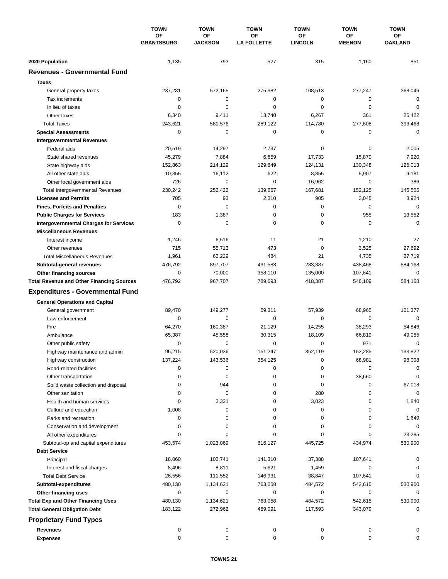|                                                                   | <b>TOWN</b><br>OF<br><b>GRANTSBURG</b> | <b>TOWN</b>          | <b>TOWN</b>              | <b>TOWN</b>          | <b>TOWN</b>         | <b>TOWN</b>          |
|-------------------------------------------------------------------|----------------------------------------|----------------------|--------------------------|----------------------|---------------------|----------------------|
|                                                                   |                                        | OF<br><b>JACKSON</b> | OF<br><b>LA FOLLETTE</b> | ΟF<br><b>LINCOLN</b> | ΟF<br><b>MEENON</b> | ΟF<br><b>OAKLAND</b> |
|                                                                   |                                        |                      |                          |                      |                     |                      |
| 2020 Population                                                   | 1,135                                  | 793                  | 527                      | 315                  | 1,160               | 851                  |
| <b>Revenues - Governmental Fund</b>                               |                                        |                      |                          |                      |                     |                      |
| <b>Taxes</b>                                                      |                                        |                      |                          |                      |                     |                      |
| General property taxes                                            | 237,281                                | 572,165              | 275,382                  | 108,513              | 277,247             | 368,046              |
| Tax increments                                                    | $\mathbf 0$                            | 0                    | $\mathbf 0$              | 0                    | 0                   | 0                    |
| In lieu of taxes                                                  | $\mathbf 0$                            | $\mathbf 0$          | $\mathbf 0$              | 0                    | $\mathbf 0$         | $\mathbf 0$          |
| Other taxes                                                       | 6,340                                  | 9,411                | 13,740                   | 6,267                | 361                 | 25,422               |
| <b>Total Taxes</b>                                                | 243,621                                | 581,576              | 289,122                  | 114,780              | 277,608             | 393,468              |
| <b>Special Assessments</b>                                        | 0                                      | 0                    | 0                        | 0                    | 0                   | 0                    |
| <b>Intergovernmental Revenues</b>                                 |                                        |                      |                          |                      |                     |                      |
| Federal aids                                                      | 20,519                                 | 14,297               | 2,737                    | 0                    | 0                   | 2,005                |
| State shared revenues                                             | 45,279                                 | 7,884                | 6,659                    | 17,733               | 15,870              | 7,920                |
| State highway aids                                                | 152,863                                | 214,129              | 129,649                  | 124,131              | 130,348             | 126,013              |
| All other state aids                                              | 10,855                                 | 16,112               | 622                      | 8,855                | 5,907               | 9,181                |
| Other local government aids                                       | 726                                    | $\mathbf 0$          | $\mathbf 0$              | 16,962               | $\mathbf 0$         | 386                  |
| <b>Total Intergovernmental Revenues</b>                           | 230,242                                | 252,422              | 139,667                  | 167,681              | 152,125             | 145,505              |
| <b>Licenses and Permits</b>                                       | 785                                    | 93                   | 2,310                    | 905                  | 3,045               | 3,924                |
| <b>Fines, Forfeits and Penalties</b>                              | $\mathbf 0$                            | $\mathbf 0$          | 0                        | 0                    | 0                   | $\mathbf 0$          |
| <b>Public Charges for Services</b>                                | 183                                    | 1,387                | 0                        | 0                    | 955                 | 13,552               |
| <b>Intergovernmental Charges for Services</b>                     | 0                                      | 0                    | 0                        | 0                    | 0                   | $\mathbf 0$          |
| <b>Miscellaneous Revenues</b>                                     |                                        |                      |                          |                      |                     |                      |
| Interest income                                                   | 1,246                                  | 6,516                | 11                       | 21                   | 1,210               | 27                   |
| Other revenues                                                    | 715                                    | 55,713               | 473                      | $\pmb{0}$            | 3,525               | 27,692               |
| <b>Total Miscellaneous Revenues</b>                               | 1,961                                  | 62,229               | 484                      | 21                   | 4,735               | 27,719               |
| Subtotal-general revenues                                         | 476,792                                | 897,707              | 431,583                  | 283,387              | 438,468             | 584,168              |
| Other financing sources                                           | 0                                      | 70,000               | 358,110                  | 135,000              | 107,641             | $\mathbf 0$          |
| <b>Total Revenue and Other Financing Sources</b>                  | 476,792                                | 967,707              | 789,693                  | 418,387              | 546,109             | 584,168              |
| <b>Expenditures - Governmental Fund</b>                           |                                        |                      |                          |                      |                     |                      |
| <b>General Operations and Capital</b>                             |                                        |                      |                          |                      |                     |                      |
| General government                                                | 89,470                                 | 149,277              | 59,311                   | 57,939               | 68,965              | 101,377              |
| Law enforcement                                                   | 0                                      | 0                    | $\mathbf 0$              | 0                    | 0                   | 0                    |
| Fire                                                              | 64,270                                 | 160,387              | 21,129                   | 14,255               | 38,293              | 54,846               |
| Ambulance                                                         | 65,387                                 | 45,558               | 30,315                   | 18,109               | 66,819              | 49,055               |
| Other public safety                                               | 0                                      | 0                    | 0                        | 0                    | 971                 | $\mathbf 0$          |
| Highway maintenance and admin                                     | 96,215                                 | 520.036              | 151,247                  | 352,119              | 152,285             | 133,822              |
| Highway construction                                              | 137,224                                | 143,536              | 354,125                  | 0                    | 68,981              | 98,008               |
| Road-related facilities                                           | 0                                      | 0                    | 0                        | 0                    | 0                   | 0                    |
| Other transportation                                              | 0                                      | 0                    | 0                        | 0                    | 38,660              | 0                    |
| Solid waste collection and disposal                               | 0                                      | 944                  | 0                        | 0                    | 0                   | 67,018               |
| Other sanitation                                                  | 0                                      | 0                    | 0                        | 280                  | 0                   | $\mathbf 0$          |
| Health and human services                                         | $\Omega$                               | 3,331                | 0                        | 3,023                | 0                   | 1,840                |
| Culture and education                                             | 1,008                                  | 0                    | 0                        | 0                    | 0                   | 0                    |
| Parks and recreation                                              | 0                                      | 0                    | 0                        | 0                    | 0                   | 1,649                |
| Conservation and development                                      | 0                                      | 0                    | 0                        | 0                    | 0                   | 0                    |
| All other expenditures                                            | $\Omega$                               | 0                    | $\Omega$                 | 0                    | 0                   | 23,285               |
| Subtotal-op and capital expenditures                              | 453,574                                | 1,023,069            | 616,127                  | 445,725              | 434,974             | 530,900              |
| <b>Debt Service</b>                                               |                                        |                      |                          |                      |                     |                      |
| Principal                                                         | 18,060                                 | 102,741              | 141,310                  | 37,388               | 107,641             | 0                    |
| Interest and fiscal charges                                       | 8,496                                  | 8,811                | 5,621                    | 1,459                | 0                   | $\Omega$             |
| <b>Total Debt Service</b>                                         | 26,556                                 | 111,552              | 146,931                  | 38,847               | 107,641             |                      |
| Subtotal-expenditures                                             | 480,130<br>0                           | 1,134,621<br>0       | 763,058<br>0             | 484,572<br>0         | 542,615<br>0        | 530,900<br>0         |
| Other financing uses<br><b>Total Exp and Other Financing Uses</b> |                                        |                      | 763,058                  |                      |                     | 530,900              |
| <b>Total General Obligation Debt</b>                              | 480,130<br>183,122                     | 1,134,621<br>272,962 | 469,091                  | 484,572<br>117,593   | 542,615<br>343,079  | 0                    |
|                                                                   |                                        |                      |                          |                      |                     |                      |
| <b>Proprietary Fund Types</b>                                     |                                        |                      |                          |                      |                     |                      |
| Revenues                                                          | 0<br>0                                 | 0                    | 0<br>0                   | 0                    | 0                   |                      |
| <b>Expenses</b>                                                   |                                        | 0                    |                          | 0                    | 0                   | 0                    |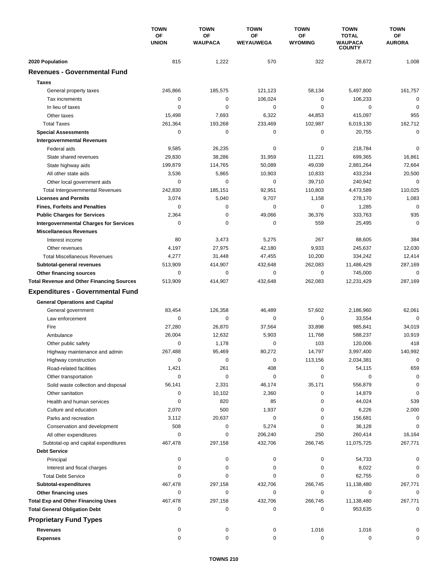|                                                             | <b>TOWN</b><br>ΟF<br><b>UNION</b> | <b>TOWN</b><br>OF<br><b>WAUPACA</b> | <b>TOWN</b><br>ΟF<br>WEYAUWEGA | <b>TOWN</b>          | <b>TOWN</b><br><b>TOTAL</b><br><b>WAUPACA</b><br><b>COUNTY</b> | <b>TOWN</b><br><b>OF</b><br><b>AURORA</b> |
|-------------------------------------------------------------|-----------------------------------|-------------------------------------|--------------------------------|----------------------|----------------------------------------------------------------|-------------------------------------------|
|                                                             |                                   |                                     |                                | OF<br><b>WYOMING</b> |                                                                |                                           |
| 2020 Population                                             | 815                               | 1,222                               | 570                            | 322                  | 28,672                                                         | 1,008                                     |
| <b>Revenues - Governmental Fund</b>                         |                                   |                                     |                                |                      |                                                                |                                           |
| <b>Taxes</b>                                                |                                   |                                     |                                |                      |                                                                |                                           |
| General property taxes                                      | 245,866                           | 185,575                             | 121,123                        | 58,134               | 5,497,800                                                      | 161,757                                   |
| Tax increments                                              | 0                                 | 0                                   | 106,024                        | 0                    | 106,233                                                        | $\mathbf 0$                               |
| In lieu of taxes                                            | 0                                 | 0                                   | 0                              | 0                    | $\mathbf 0$                                                    | $\mathbf 0$                               |
| Other taxes                                                 | 15,498                            | 7,693                               | 6,322                          | 44,853               | 415,097                                                        | 955                                       |
| <b>Total Taxes</b>                                          | 261,364                           | 193,268                             | 233,469                        | 102,987              | 6,019,130                                                      | 162,712                                   |
| <b>Special Assessments</b>                                  | 0                                 | 0                                   | 0                              | 0                    | 20,755                                                         | $\mathbf 0$                               |
| <b>Intergovernmental Revenues</b>                           |                                   |                                     |                                |                      |                                                                |                                           |
| Federal aids                                                | 9,585                             | 26,235                              | 0                              | 0                    | 218,784                                                        | $\mathbf 0$                               |
| State shared revenues                                       | 29,830                            | 38,286                              | 31,959                         | 11,221               | 699,365                                                        | 16,861                                    |
| State highway aids                                          | 199,879                           | 114,765                             | 50,089                         | 49,039               | 2,881,264                                                      | 72,664                                    |
| All other state aids                                        | 3,536                             | 5,865                               | 10,903                         | 10,833               | 433,234                                                        | 20,500                                    |
| Other local government aids                                 | 0                                 | 0                                   | 0                              | 39,710               | 240,942                                                        | $\mathbf 0$                               |
| <b>Total Intergovernmental Revenues</b>                     | 242,830                           | 185,151                             | 92,951                         | 110,803              | 4,473,589                                                      | 110,025                                   |
| <b>Licenses and Permits</b>                                 | 3,074                             | 5,040                               | 9,707                          | 1,158                | 278,170                                                        | 1,083                                     |
| <b>Fines, Forfeits and Penalties</b>                        | 0                                 | 0                                   | 0                              | 0                    | 1,285                                                          | $\mathbf 0$                               |
| <b>Public Charges for Services</b>                          | 2,364                             | 0                                   | 49,066                         | 36,376               | 333,763                                                        | 935                                       |
| <b>Intergovernmental Charges for Services</b>               | $\mathbf 0$                       | $\mathbf 0$                         | 0                              | 559                  | 25,495                                                         | $\mathbf 0$                               |
| <b>Miscellaneous Revenues</b>                               |                                   |                                     |                                |                      |                                                                |                                           |
| Interest income                                             | 80                                | 3,473                               | 5,275                          | 267                  | 88,605                                                         | 384                                       |
| Other revenues                                              | 4,197                             | 27,975                              | 42,180                         | 9,933                | 245,637                                                        | 12,030                                    |
| <b>Total Miscellaneous Revenues</b>                         | 4,277                             | 31,448                              | 47,455                         | 10,200               | 334,242                                                        | 12,414                                    |
| Subtotal-general revenues                                   | 513,909                           | 414,907                             | 432,648                        | 262,083              | 11,486,429                                                     | 287,169                                   |
| Other financing sources                                     | 0                                 | 0                                   | 0                              | 0                    | 745,000                                                        | $\mathbf 0$                               |
| <b>Total Revenue and Other Financing Sources</b>            | 513,909                           | 414,907                             | 432,648                        | 262,083              | 12,231,429                                                     | 287,169                                   |
| <b>Expenditures - Governmental Fund</b>                     |                                   |                                     |                                |                      |                                                                |                                           |
| <b>General Operations and Capital</b>                       |                                   |                                     |                                |                      |                                                                |                                           |
| General government                                          | 83,454                            | 126,358                             | 46,489                         | 57,602               | 2,186,960                                                      | 62,061                                    |
| Law enforcement                                             | 0                                 | $\mathbf 0$                         | 0                              | 0                    | 33,554                                                         | $\mathbf 0$                               |
| Fire                                                        | 27,280                            | 26,870                              | 37,564                         | 33,898               | 985,841                                                        | 34,019                                    |
| Ambulance                                                   | 26,004                            | 12,632                              | 5,903                          | 11,768               | 588,237                                                        | 10,919                                    |
| Other public safety                                         | 0                                 | 1,178                               | 0                              | 103                  | 120,006                                                        | 418                                       |
| Highway maintenance and admin                               | 267,488                           | 95,469                              | 80,272                         | 14,797               | 3,997,400                                                      | 140,992                                   |
| Highway construction                                        | $\mathbf 0$                       | $\pmb{0}$                           | 0                              | 113,156              | 2,034,381                                                      | $\mathbf 0$                               |
| Road-related facilities                                     | 1,421                             | 261                                 | 408                            | 0                    | 54,115                                                         | 659                                       |
| Other transportation                                        | 0                                 | $\pmb{0}$                           | 0                              | 0                    | 0                                                              | $\mathbf 0$                               |
| Solid waste collection and disposal                         | 56,141                            | 2,331                               | 46,174                         | 35,171               | 556,879                                                        | $\mathbf 0$                               |
| Other sanitation                                            | 0                                 | 10,102                              | 2,360                          | 0                    | 14,879                                                         | $\mathbf 0$                               |
| Health and human services                                   | 0                                 | 820                                 | 85                             | 0                    | 44,024                                                         | 539                                       |
| Culture and education                                       | 2,070                             | 500                                 | 1,937                          | 0                    | 6,226                                                          | 2,000                                     |
| Parks and recreation                                        | 3,112                             | 20,637                              | 0                              | 0                    | 156,681                                                        | 0                                         |
| Conservation and development                                | 508                               | 0                                   | 5,274                          | 0                    | 36,128                                                         | 0                                         |
| All other expenditures                                      | 0                                 | 0                                   | 206,240                        | 250                  | 260,414                                                        | 16,164                                    |
| Subtotal-op and capital expenditures<br><b>Debt Service</b> | 467,478                           | 297,158                             | 432,706                        | 266,745              | 11,075,725                                                     | 267,771                                   |
| Principal                                                   | 0                                 | 0                                   | 0                              | 0                    | 54,733                                                         | 0                                         |
| Interest and fiscal charges                                 | 0                                 | 0                                   | 0                              | 0                    | 8,022                                                          | 0                                         |
| <b>Total Debt Service</b>                                   | 0                                 | 0                                   | 0                              | 0                    | 62,755                                                         | 0                                         |
| Subtotal-expenditures                                       | 467,478                           | 297,158                             | 432,706                        | 266,745              | 11,138,480                                                     | 267,771                                   |
| Other financing uses                                        | 0                                 | 0                                   | 0                              | 0                    | 0                                                              | 0                                         |
| <b>Total Exp and Other Financing Uses</b>                   | 467,478                           | 297,158                             | 432,706                        | 266,745              | 11,138,480                                                     | 267,771                                   |
| <b>Total General Obligation Debt</b>                        | 0                                 | 0                                   | 0                              | 0                    | 953,635                                                        | 0                                         |
| <b>Proprietary Fund Types</b>                               |                                   |                                     |                                |                      |                                                                |                                           |
| <b>Revenues</b>                                             | 0                                 |                                     |                                |                      |                                                                | 0                                         |
| <b>Expenses</b>                                             | 0                                 | 0<br>0                              | 0<br>0                         | 1,016<br>0           | 1,016<br>0                                                     | 0                                         |
|                                                             |                                   |                                     |                                |                      |                                                                |                                           |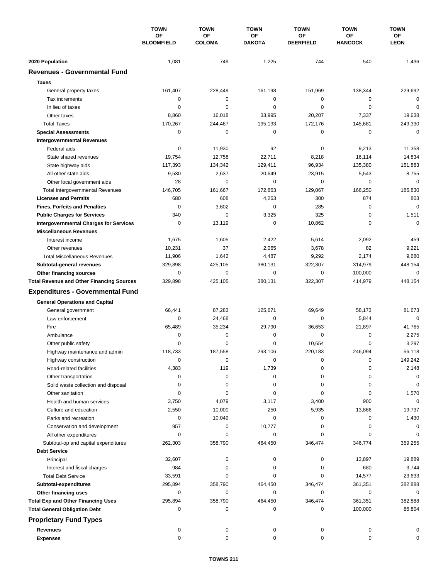|                                                          | <b>TOWN</b><br>OF<br><b>BLOOMFIELD</b> | <b>TOWN</b><br>OF<br><b>COLOMA</b> | <b>TOWN</b><br>OF | <b>TOWN</b><br>OF | <b>TOWN</b><br>ΟF<br><b>HANCOCK</b> | <b>TOWN</b><br>ОF<br><b>LEON</b> |
|----------------------------------------------------------|----------------------------------------|------------------------------------|-------------------|-------------------|-------------------------------------|----------------------------------|
|                                                          |                                        |                                    |                   |                   |                                     |                                  |
|                                                          |                                        |                                    | <b>DAKOTA</b>     | <b>DEERFIELD</b>  |                                     |                                  |
| 2020 Population                                          | 1,081                                  | 749                                | 1,225             | 744               | 540                                 | 1,436                            |
| <b>Revenues - Governmental Fund</b>                      |                                        |                                    |                   |                   |                                     |                                  |
| <b>Taxes</b>                                             |                                        |                                    |                   |                   |                                     |                                  |
| General property taxes                                   | 161,407                                | 228,449                            | 161,198           | 151,969           | 138,344                             | 229,692                          |
| Tax increments                                           | 0                                      | 0                                  | 0                 | 0                 | $\mathbf 0$                         | $\Omega$                         |
| In lieu of taxes                                         | 0                                      | 0                                  | $\mathbf 0$       | $\mathbf 0$       | 0                                   | $\mathbf 0$                      |
| Other taxes                                              | 8,860                                  | 16,018                             | 33,995            | 20,207            | 7,337                               | 19.638                           |
| <b>Total Taxes</b>                                       | 170,267                                | 244,467                            | 195,193           | 172,176           | 145,681                             | 249,330                          |
| <b>Special Assessments</b>                               | 0                                      | 0                                  | 0                 | 0                 | 0                                   | $\mathbf 0$                      |
| <b>Intergovernmental Revenues</b>                        |                                        |                                    |                   |                   |                                     |                                  |
| Federal aids                                             | 0                                      | 11,930                             | 92                | 0                 | 9,213                               | 11,358                           |
| State shared revenues                                    | 19,754                                 | 12,758                             | 22,711            | 8,218             | 16,114                              | 14,834                           |
| State highway aids                                       | 117,393                                | 134,342                            | 129,411           | 96,934            | 135,380                             | 151,883                          |
| All other state aids                                     | 9,530                                  | 2,637                              | 20,649            | 23,915            | 5,543                               | 8,755                            |
| Other local government aids                              | 28                                     | $\mathbf 0$                        | 0                 | $\mathbf 0$       | 0                                   | $\mathbf 0$                      |
| <b>Total Intergovernmental Revenues</b>                  | 146,705                                | 161,667                            | 172,863           | 129,067           | 166,250                             | 186,830                          |
| <b>Licenses and Permits</b>                              | 680                                    | 608                                | 4,263             | 300               | 874                                 | 803                              |
| <b>Fines, Forfeits and Penalties</b>                     | $\mathbf 0$                            | 3,602                              | 0                 | 285               | 0                                   | $\mathbf 0$                      |
| <b>Public Charges for Services</b>                       | 340                                    | $\Omega$                           | 3,325             | 325               | 0                                   | 1,511                            |
| <b>Intergovernmental Charges for Services</b>            | 0                                      | 13,119                             | 0                 | 10,862            | 0                                   | $\mathbf 0$                      |
| <b>Miscellaneous Revenues</b>                            |                                        |                                    |                   |                   |                                     |                                  |
| Interest income                                          | 1,675                                  | 1,605                              | 2,422             | 5,614             | 2,092                               | 459                              |
| Other revenues                                           | 10,231                                 | 37                                 | 2,065             | 3,678             | 82                                  | 9,221                            |
| <b>Total Miscellaneous Revenues</b>                      | 11,906                                 | 1,642                              | 4,487             | 9,292             | 2,174                               | 9,680                            |
| Subtotal-general revenues                                | 329,898                                | 425,105                            | 380,131           | 322,307           | 314,979                             | 448,154                          |
| Other financing sources                                  | 0                                      | 0                                  | $\mathbf 0$       | 0                 | 100,000                             | $\mathbf 0$                      |
| <b>Total Revenue and Other Financing Sources</b>         | 329,898                                | 425,105                            | 380,131           | 322,307           | 414,979                             | 448,154                          |
| <b>Expenditures - Governmental Fund</b>                  |                                        |                                    |                   |                   |                                     |                                  |
| <b>General Operations and Capital</b>                    |                                        |                                    |                   |                   |                                     |                                  |
| General government                                       | 66,441                                 | 87,283                             | 125,671           | 69,649            | 58.173                              | 81,673                           |
| Law enforcement                                          | $\mathbf 0$                            | 24,468                             | 0                 | $\mathbf 0$       | 5,844                               | $\mathbf 0$                      |
| Fire                                                     | 65,489                                 | 35,234                             | 29,790            | 36,653            | 21,897                              | 41,765                           |
| Ambulance                                                | 0                                      | 0                                  | 0                 | $\mathbf 0$       | 0                                   | 2,275                            |
| Other public safety                                      | 0                                      | 0                                  | 0                 | 10,654            | 0                                   | 3,297                            |
| Highway maintenance and admin                            | 118.733                                | 187.558                            | 293.106           | 220.183           | 246.094                             | 56,118                           |
| Highway construction                                     | 0                                      | 0                                  | 0                 | 0                 | 0                                   | 149,242                          |
| Road-related facilities                                  | 4,383                                  | 119                                | 1,739             | 0                 | 0                                   | 2,148                            |
| Other transportation                                     | 0                                      | 0                                  | 0                 | 0                 | 0                                   | 0                                |
| Solid waste collection and disposal                      | 0                                      | 0                                  | 0                 | 0                 | 0                                   | 0                                |
| Other sanitation                                         | 0                                      | 0                                  | 0                 | 0                 | 0                                   | 1,570                            |
| Health and human services                                | 3,750                                  | 4,079                              | 3,117             | 3,400             | 900                                 | $\mathbf 0$                      |
| Culture and education                                    | 2,550                                  | 10,000                             | 250               | 5,935             | 13,866                              | 19,737                           |
| Parks and recreation                                     | 0                                      | 10,049                             | 0                 | 0                 | 0                                   | 1,430                            |
| Conservation and development                             | 957                                    | 0                                  | 10,777            | 0                 | 0                                   | 0                                |
| All other expenditures                                   | 0                                      | 0                                  | 0                 | 0                 | 0                                   | $\Omega$                         |
| Subtotal-op and capital expenditures                     | 262,303                                | 358,790                            | 464,450           | 346,474           | 346,774                             | 359,255                          |
| <b>Debt Service</b>                                      |                                        |                                    |                   |                   |                                     |                                  |
| Principal                                                | 32,607                                 | 0                                  | 0                 | 0                 | 13,897                              | 19,889                           |
| Interest and fiscal charges<br><b>Total Debt Service</b> | 984<br>33,591                          | 0<br>$\Omega$                      | 0<br>0            | 0<br>0            | 680<br>14,577                       | 3,744<br>23,633                  |
| Subtotal-expenditures                                    | 295,894                                | 358,790                            | 464,450           | 346,474           | 361,351                             | 382,888                          |
| Other financing uses                                     | 0                                      | 0                                  | 0                 | 0                 | 0                                   | 0                                |
| <b>Total Exp and Other Financing Uses</b>                | 295,894                                | 358,790                            | 464,450           | 346,474           | 361,351                             | 382,888                          |
| <b>Total General Obligation Debt</b>                     | 0                                      | 0                                  | 0                 | 0                 | 100,000                             | 86,804                           |
| <b>Proprietary Fund Types</b>                            |                                        |                                    |                   |                   |                                     |                                  |
|                                                          |                                        |                                    |                   |                   |                                     |                                  |
| <b>Revenues</b>                                          | 0<br>0                                 | 0<br>0                             | 0<br>0            | 0<br>$\mathbf 0$  | 0<br>$\mathbf 0$                    | 0<br>0                           |
| <b>Expenses</b>                                          |                                        |                                    |                   |                   |                                     |                                  |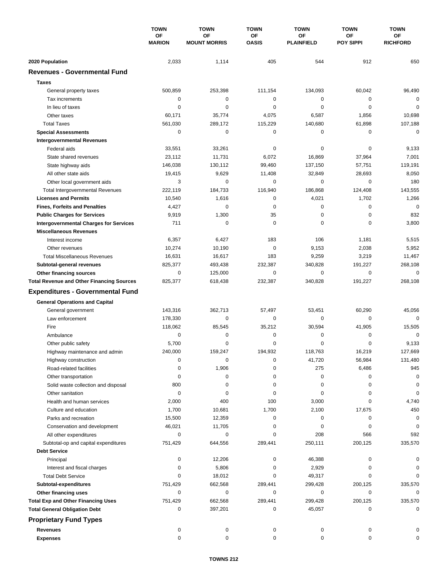|                                                  | <b>TOWN</b><br>OF<br><b>MARION</b> | <b>TOWN</b>               | <b>TOWN</b>        | <b>TOWN</b>             | <b>TOWN</b>            | <b>TOWN</b>           |
|--------------------------------------------------|------------------------------------|---------------------------|--------------------|-------------------------|------------------------|-----------------------|
|                                                  |                                    | OF<br><b>MOUNT MORRIS</b> | OF<br><b>OASIS</b> | OF<br><b>PLAINFIELD</b> | ΟF<br><b>POY SIPPI</b> | ОF<br><b>RICHFORD</b> |
|                                                  |                                    |                           |                    |                         |                        |                       |
| 2020 Population                                  | 2,033                              | 1,114                     | 405                | 544                     | 912                    | 650                   |
| <b>Revenues - Governmental Fund</b>              |                                    |                           |                    |                         |                        |                       |
| <b>Taxes</b>                                     |                                    |                           |                    |                         |                        |                       |
| General property taxes                           | 500,859                            | 253,398                   | 111,154            | 134,093                 | 60,042                 | 96,490                |
| Tax increments                                   | 0                                  | $\mathbf 0$               | 0                  | 0                       | $\mathbf 0$            | $\mathbf 0$           |
| In lieu of taxes                                 | 0                                  | 0                         | 0                  | 0                       | $\mathbf 0$            | $\mathbf 0$           |
| Other taxes                                      | 60,171                             | 35,774                    | 4,075              | 6,587                   | 1,856                  | 10,698                |
| <b>Total Taxes</b>                               | 561,030                            | 289,172                   | 115,229            | 140,680                 | 61,898                 | 107,188               |
| <b>Special Assessments</b>                       | 0                                  | 0                         | 0                  | 0                       | 0                      | $\mathbf 0$           |
| <b>Intergovernmental Revenues</b>                |                                    |                           |                    |                         |                        |                       |
| Federal aids                                     | 33,551                             | 33,261                    | 0                  | 0                       | 0                      | 9,133                 |
| State shared revenues                            | 23,112                             | 11,731                    | 6,072              | 16,869                  | 37,964                 | 7,001                 |
| State highway aids                               | 146,038                            | 130,112                   | 99,460             | 137,150                 | 57,751                 | 119,191               |
| All other state aids                             | 19,415                             | 9,629                     | 11,408             | 32,849                  | 28,693                 | 8,050                 |
| Other local government aids                      | 3                                  | 0                         | 0                  | 0                       | 0                      | 180                   |
| <b>Total Intergovernmental Revenues</b>          | 222,119                            | 184,733                   | 116,940            | 186,868                 | 124,408                | 143,555               |
| <b>Licenses and Permits</b>                      | 10,540                             | 1,616                     | 0                  | 4,021                   | 1,702                  | 1,266                 |
| <b>Fines, Forfeits and Penalties</b>             | 4,427                              | $\mathbf 0$               | 0                  | 0                       | $\mathbf 0$            | $\mathbf 0$           |
| <b>Public Charges for Services</b>               | 9,919                              | 1,300                     | 35                 | 0                       | $\mathbf 0$            | 832                   |
| <b>Intergovernmental Charges for Services</b>    | 711                                | 0                         | 0                  | 0                       | $\mathbf 0$            | 3,800                 |
| <b>Miscellaneous Revenues</b>                    |                                    |                           |                    |                         |                        |                       |
| Interest income                                  | 6,357                              | 6,427                     | 183                | 106                     | 1,181                  | 5,515                 |
| Other revenues                                   | 10,274                             | 10,190                    | $\mathbf 0$        | 9,153                   | 2,038                  | 5,952                 |
| <b>Total Miscellaneous Revenues</b>              | 16,631                             | 16,617                    | 183                | 9,259                   | 3,219                  | 11,467                |
| Subtotal-general revenues                        | 825,377                            | 493,438                   | 232,387            | 340,828                 | 191,227                | 268,108               |
| Other financing sources                          | 0                                  | 125,000                   | 0                  | 0                       | $\mathbf 0$            | $\mathbf 0$           |
| <b>Total Revenue and Other Financing Sources</b> | 825,377                            | 618,438                   | 232,387            | 340,828                 | 191,227                | 268,108               |
| <b>Expenditures - Governmental Fund</b>          |                                    |                           |                    |                         |                        |                       |
|                                                  |                                    |                           |                    |                         |                        |                       |
| <b>General Operations and Capital</b>            |                                    |                           |                    |                         |                        |                       |
| General government                               | 143,316                            | 362,713                   | 57,497             | 53,451                  | 60,290                 | 45,056                |
| Law enforcement                                  | 178,330                            | 0                         | $\mathbf 0$        | 0                       | 0                      | $\Omega$              |
| Fire                                             | 118,062                            | 85,545                    | 35,212             | 30,594                  | 41,905                 | 15,505                |
| Ambulance                                        | 0                                  | 0                         | 0                  | 0                       | 0                      | $\mathbf 0$           |
| Other public safety                              | 5,700                              | 0                         | 0                  | 0                       | $\mathbf 0$            | 9,133                 |
| Highway maintenance and admin                    | 240,000                            | 159,247                   | 194,932            | 118,763                 | 16,219                 | 127,669               |
| Highway construction                             | 0                                  | 0                         | 0                  | 41,720                  | 56,984                 | 131,480               |
| Road-related facilities                          | 0                                  | 1,906                     | 0                  | 275                     | 6,486                  | 945                   |
| Other transportation                             | 0                                  | 0                         | 0                  | 0                       | 0                      | 0                     |
| Solid waste collection and disposal              | 800                                | 0                         | 0                  | 0                       | 0                      | 0                     |
| Other sanitation                                 | 0                                  | 0                         | 0                  | 0                       | 0                      | 0                     |
| Health and human services                        | 2,000                              | 400                       | 100                | 3,000                   | 0                      | 4,740                 |
| Culture and education                            | 1,700                              | 10,681                    | 1,700              | 2,100                   | 17,675                 | 450                   |
| Parks and recreation                             | 15,500                             | 12,359                    | 0                  | 0                       | 0                      | 0                     |
| Conservation and development                     | 46,021                             | 11,705                    | 0                  | 0                       | 0                      | $\mathbf 0$           |
| All other expenditures                           | 0                                  | 0                         | 0                  | 208                     | 566                    | 592                   |
| Subtotal-op and capital expenditures             | 751,429                            | 644,556                   | 289,441            | 250,111                 | 200,125                | 335,570               |
| <b>Debt Service</b>                              |                                    |                           |                    |                         |                        |                       |
| Principal                                        | 0                                  | 12,206                    | 0                  | 46,388                  | 0                      |                       |
| Interest and fiscal charges                      | 0                                  | 5,806                     | 0                  | 2,929                   | 0                      | 0                     |
| <b>Total Debt Service</b>                        | 0                                  | 18,012                    | 0                  | 49,317                  | 0                      | $\Omega$              |
| Subtotal-expenditures                            | 751,429                            | 662,568                   | 289,441            | 299,428                 | 200,125                | 335,570               |
| Other financing uses                             | 0                                  | 0                         | 0                  | 0                       | 0                      | 0                     |
| <b>Total Exp and Other Financing Uses</b>        | 751,429                            | 662,568                   | 289,441            | 299,428                 | 200,125                | 335,570               |
| <b>Total General Obligation Debt</b>             | 0                                  | 397,201                   | 0                  | 45,057                  | 0                      | 0                     |
| <b>Proprietary Fund Types</b>                    |                                    |                           |                    |                         |                        |                       |
| <b>Revenues</b>                                  | 0                                  | 0                         | 0                  | 0                       | 0                      | 0                     |
| <b>Expenses</b>                                  | 0                                  | 0                         | 0                  | 0                       | 0                      | 0                     |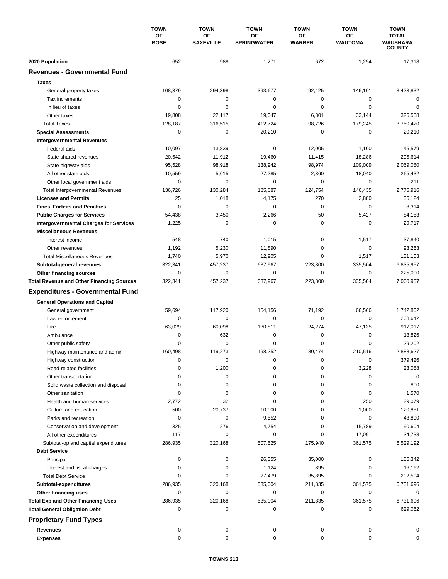|                                                        | <b>TOWN</b><br>ΟF<br><b>ROSE</b> | <b>TOWN</b>                   | <b>TOWN</b>              | <b>TOWN</b>         | <b>TOWN</b>                 | <b>TOWN</b>                     |
|--------------------------------------------------------|----------------------------------|-------------------------------|--------------------------|---------------------|-----------------------------|---------------------------------|
|                                                        |                                  | <b>OF</b><br><b>SAXEVILLE</b> | OF<br><b>SPRINGWATER</b> | ΟF<br><b>WARREN</b> | <b>OF</b><br><b>WAUTOMA</b> | <b>TOTAL</b><br><b>WAUSHARA</b> |
|                                                        |                                  |                               |                          |                     |                             | <b>COUNTY</b>                   |
| 2020 Population<br><b>Revenues - Governmental Fund</b> | 652                              | 988                           | 1,271                    | 672                 | 1,294                       | 17,318                          |
|                                                        |                                  |                               |                          |                     |                             |                                 |
| <b>Taxes</b>                                           |                                  |                               |                          |                     |                             |                                 |
| General property taxes                                 | 108,379                          | 294,398                       | 393,677                  | 92,425              | 146,101                     | 3,423,832                       |
| Tax increments                                         | 0                                | 0                             | 0                        | 0                   | 0                           | 0                               |
| In lieu of taxes                                       | 0                                | $\mathbf 0$                   | 0                        | 0                   | $\mathbf 0$                 | $\mathbf 0$                     |
| Other taxes                                            | 19,808                           | 22,117                        | 19,047                   | 6,301               | 33,144                      | 326,588                         |
| <b>Total Taxes</b>                                     | 128,187                          | 316,515                       | 412,724                  | 98,726              | 179,245                     | 3,750,420                       |
| <b>Special Assessments</b>                             | 0                                | 0                             | 20,210                   | 0                   | 0                           | 20,210                          |
| <b>Intergovernmental Revenues</b>                      |                                  |                               |                          |                     |                             |                                 |
| Federal aids                                           | 10,097                           | 13,839                        | 0                        | 12,005              | 1,100                       | 145,579                         |
| State shared revenues                                  | 20,542                           | 11,912                        | 19,460                   | 11,415              | 18,286                      | 295,614                         |
| State highway aids                                     | 95,528                           | 98,918                        | 138,942                  | 98,974              | 109,009                     | 2,069,080                       |
| All other state aids                                   | 10,559                           | 5,615                         | 27,285                   | 2,360               | 18,040                      | 265,432                         |
| Other local government aids                            | 0                                | $\mathbf 0$                   | 0                        | 0                   | $\mathbf 0$                 | 211                             |
| <b>Total Intergovernmental Revenues</b>                | 136,726                          | 130,284                       | 185,687                  | 124,754             | 146,435                     | 2,775,916                       |
| <b>Licenses and Permits</b>                            | 25                               | 1,018                         | 4,175                    | 270                 | 2,880                       | 36,124                          |
| <b>Fines, Forfeits and Penalties</b>                   | 0                                | 0                             | 0                        | 0                   | 0                           | 8,314                           |
| <b>Public Charges for Services</b>                     | 54,438                           | 3,450                         | 2,266                    | 50                  | 5,427                       | 84,153                          |
| <b>Intergovernmental Charges for Services</b>          | 1,225                            | $\mathbf 0$                   | $\mathbf 0$              | 0                   | $\mathbf 0$                 | 29,717                          |
| <b>Miscellaneous Revenues</b>                          |                                  |                               |                          |                     |                             |                                 |
| Interest income                                        | 548                              | 740                           | 1,015                    | 0                   | 1,517                       | 37,840                          |
| Other revenues                                         | 1,192                            | 5,230                         | 11,890                   | 0                   | $\mathbf 0$                 | 93,263                          |
| <b>Total Miscellaneous Revenues</b>                    | 1,740                            | 5,970                         | 12,905                   | 0                   | 1,517                       | 131,103                         |
| Subtotal-general revenues                              | 322,341                          | 457,237                       | 637,967                  | 223,800             | 335,504                     | 6,835,957                       |
| Other financing sources                                | 0                                | $\mathbf 0$                   | 0                        | 0                   | $\mathbf 0$                 | 225,000                         |
| <b>Total Revenue and Other Financing Sources</b>       | 322,341                          | 457,237                       | 637,967                  | 223,800             | 335,504                     | 7,060,957                       |
| <b>Expenditures - Governmental Fund</b>                |                                  |                               |                          |                     |                             |                                 |
|                                                        |                                  |                               |                          |                     |                             |                                 |
| <b>General Operations and Capital</b>                  |                                  |                               |                          |                     |                             |                                 |
| General government                                     | 59,694                           | 117,920                       | 154,156                  | 71,192              | 66,566                      | 1,742,802                       |
| Law enforcement                                        | 0                                | 0                             | $\mathbf 0$              | 0                   | $\mathbf 0$                 | 208,642                         |
| Fire                                                   | 63,029                           | 60,098                        | 130,811                  | 24,274              | 47,135                      | 917,017                         |
| Ambulance                                              | 0                                | 632                           | $\mathbf 0$              | 0                   | $\mathbf 0$                 | 13,826                          |
| Other public safety                                    | $\Omega$                         | $\mathbf 0$                   | $\Omega$                 | 0                   | $\mathbf 0$                 | 29,202                          |
| Highway maintenance and admin                          | 160,498                          | 119,273                       | 198,252                  | 80,474              | 210,516                     | 2,888,627                       |
| Highway construction                                   | 0                                | 0                             | 0                        | 0                   | 0                           | 379,426                         |
| Road-related facilities                                | 0                                | 1,200                         | 0                        | 0                   | 3,228                       | 23,088                          |
| Other transportation                                   | 0                                | 0                             | 0                        | 0                   | 0                           | $\mathbf 0$                     |
| Solid waste collection and disposal                    | 0                                | $\pmb{0}$                     | 0                        | 0                   | 0                           | 800                             |
| Other sanitation                                       | 0                                | 0                             | 0                        | 0                   | 0                           | 1,570                           |
| Health and human services                              | 2,772                            | 32                            | 0                        | 0                   | 250                         | 29,079                          |
| Culture and education                                  | 500                              | 20,737                        | 10,000                   | 0                   | 1,000                       | 120,881                         |
| Parks and recreation                                   | 0                                | 0                             | 9,552                    | 0                   | 0                           | 48,890                          |
| Conservation and development                           | 325                              | 276                           | 4,754                    | 0                   | 15,789                      | 90,604                          |
| All other expenditures                                 | 117                              | 0                             | 0                        | 0                   | 17,091                      | 34,738                          |
| Subtotal-op and capital expenditures                   | 286,935                          | 320,168                       | 507,525                  | 175,940             | 361,575                     | 6,529,192                       |
| <b>Debt Service</b>                                    |                                  |                               |                          |                     |                             |                                 |
| Principal                                              | 0                                | 0                             | 26,355                   | 35,000              | 0                           | 186,342                         |
| Interest and fiscal charges                            | 0                                | 0                             | 1,124                    | 895                 | 0                           | 16,162                          |
| <b>Total Debt Service</b>                              | 0                                | 0                             | 27,479                   | 35,895              | 0                           | 202,504                         |
| Subtotal-expenditures                                  | 286,935                          | 320,168                       | 535,004                  | 211,835             | 361,575                     | 6,731,696                       |
| Other financing uses                                   | 0                                | 0                             | 0                        | 0                   | 0                           | 0                               |
| <b>Total Exp and Other Financing Uses</b>              | 286,935                          | 320,168                       | 535,004                  | 211,835             | 361,575                     | 6,731,696                       |
| <b>Total General Obligation Debt</b>                   | 0                                | 0                             | 0                        | 0                   | 0                           | 629,062                         |
| <b>Proprietary Fund Types</b>                          |                                  |                               |                          |                     |                             |                                 |
|                                                        |                                  |                               |                          |                     |                             |                                 |
| <b>Revenues</b>                                        | 0                                | 0                             | 0                        | 0                   | 0                           | 0                               |
| <b>Expenses</b>                                        | $\mathbf 0$                      | $\pmb{0}$                     | $\pmb{0}$                | 0                   | 0                           | 0                               |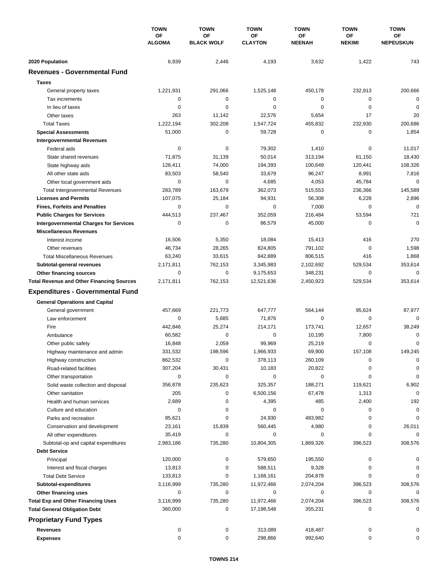|                                                  | <b>TOWN</b><br>OF<br><b>ALGOMA</b> | <b>TOWN</b>             | <b>TOWN</b>          | <b>TOWN</b>         | <b>TOWN</b>         | <b>TOWN</b>            |
|--------------------------------------------------|------------------------------------|-------------------------|----------------------|---------------------|---------------------|------------------------|
|                                                  |                                    | OF<br><b>BLACK WOLF</b> | OF<br><b>CLAYTON</b> | OF<br><b>NEENAH</b> | ΟF<br><b>NEKIMI</b> | ОF<br><b>NEPEUSKUN</b> |
| 2020 Population                                  | 6,939                              | 2,446                   | 4,193                | 3,632               | 1,422               | 743                    |
| <b>Revenues - Governmental Fund</b>              |                                    |                         |                      |                     |                     |                        |
| <b>Taxes</b>                                     |                                    |                         |                      |                     |                     |                        |
| General property taxes                           | 1,221,931                          | 291,066                 | 1,525,148            | 450,178             | 232,913             | 200,666                |
| Tax increments                                   | 0                                  | $\pmb{0}$               | 0                    | 0                   | 0                   | $\mathbf 0$            |
| In lieu of taxes                                 | 0                                  | $\mathbf 0$             | 0                    | 0                   | 0                   | 0                      |
| Other taxes                                      | 263                                | 11,142                  | 22,576               | 5,654               | 17                  | 20                     |
| <b>Total Taxes</b>                               | 1,222,194                          | 302,208                 | 1,547,724            | 455,832             | 232,930             | 200,686                |
| <b>Special Assessments</b>                       | 51,000                             | 0                       | 59,728               | 0                   | 0                   | 1,854                  |
| <b>Intergovernmental Revenues</b>                |                                    |                         |                      |                     |                     |                        |
| Federal aids                                     | 0                                  | 0                       | 79,302               | 1,410               | 0                   | 11,017                 |
| State shared revenues                            | 71,875                             | 31,139                  | 50,014               | 313,194             | 61,150              | 18,430                 |
| State highway aids                               | 128,411                            | 74,000                  | 194,393              | 100,649             | 120,441             | 108,326                |
| All other state aids                             | 83,503                             | 58,540                  | 33,679               | 96,247              | 8,991               | 7,816                  |
| Other local government aids                      | 0                                  | 0                       | 4,685                | 4,053               | 45,784              | $\mathbf 0$            |
| <b>Total Intergovernmental Revenues</b>          | 283,789                            | 163,679                 | 362,073              | 515,553             | 236,366             | 145,589                |
| <b>Licenses and Permits</b>                      | 107,075                            | 25,184                  | 94,931               | 56,308              | 6,228               | 2,896                  |
| <b>Fines, Forfeits and Penalties</b>             | 0                                  | 0                       | 0                    | 7,000               | 0                   | $\mathbf 0$            |
| <b>Public Charges for Services</b>               | 444,513                            | 237,467                 | 352,059              | 216,484             | 53,594              | 721                    |
| <b>Intergovernmental Charges for Services</b>    | 0                                  | 0                       | 86,579               | 45,000              | 0                   | $\mathbf 0$            |
| <b>Miscellaneous Revenues</b>                    |                                    |                         |                      |                     |                     |                        |
| Interest income                                  | 16,506                             | 5,350                   | 18,084               | 15,413              | 416                 | 270                    |
| Other revenues                                   | 46,734                             | 28,265                  | 824,805              | 791,102             | $\mathbf 0$         | 1,598                  |
| <b>Total Miscellaneous Revenues</b>              | 63,240                             | 33,615                  | 842,889              | 806,515             | 416                 | 1,868                  |
| Subtotal-general revenues                        | 2,171,811                          | 762,153                 | 3,345,983            | 2,102,692           | 529,534             | 353,614                |
| Other financing sources                          | 0                                  | $\pmb{0}$               | 9,175,653            | 348,231             | 0                   | $\mathbf 0$            |
| <b>Total Revenue and Other Financing Sources</b> | 2,171,811                          | 762,153                 | 12,521,636           | 2,450,923           | 529,534             | 353,614                |
| <b>Expenditures - Governmental Fund</b>          |                                    |                         |                      |                     |                     |                        |
| <b>General Operations and Capital</b>            |                                    |                         |                      |                     |                     |                        |
| General government                               | 457,669                            | 221,773                 | 647,777              | 564,144             | 95,624              | 87,977                 |
| Law enforcement                                  | 0                                  | 5,685                   | 71,876               | $\mathbf 0$         | $\mathbf 0$         | $\mathbf 0$            |
| Fire                                             | 442,846                            | 25,274                  | 214,171              | 173,741             | 12,657              | 38,249                 |
| Ambulance                                        | 60,582                             | $\pmb{0}$               | 0                    | 10,195              | 7,800               | 0                      |
| Other public safety                              | 16,848                             | 2,059                   | 99,969               | 25,219              | 0                   | $\mathbf 0$            |
| Highway maintenance and admin                    | 331,532                            | 198,596                 | 1,966,933            | 69,900              | 157,108             | 149,245                |
| Highway construction                             | 862,532                            | 0                       | 378,113              | 260,109             | 0                   | 0                      |
| Road-related facilities                          | 307,204                            | 30,431                  | 10,183               | 20,822              | 0                   | 0                      |
| Other transportation                             | 0                                  | 0                       | 0                    | 0                   | 0                   | $\mathbf 0$            |
| Solid waste collection and disposal              | 356,878                            | 235,623                 | 325,357              | 188,271             | 119,621             | 6,902                  |
| Other sanitation                                 | 205                                | 0                       | 6,500,156            | 67,478              | 1,313               | $\mathbf 0$            |
| Health and human services                        | 2,689                              | 0                       | 4,395                | 485                 | 2,400               | 192                    |
| Culture and education                            | 0                                  | 0                       | 0                    | 0                   | 0                   | 0                      |
| Parks and recreation                             | 85,621                             | 0                       | 24,930               | 483,982             | 0                   | $\mathbf 0$            |
| Conservation and development                     | 23,161                             | 15,839                  | 560,445              | 4,980               | 0                   | 26,011                 |
| All other expenditures                           | 35,419                             | 0                       | 0                    | 0                   | 0                   | 0                      |
| Subtotal-op and capital expenditures             | 2,983,186                          | 735,280                 | 10,804,305           | 1,869,326           | 396,523             | 308,576                |
| <b>Debt Service</b>                              |                                    |                         |                      |                     |                     |                        |
| Principal                                        | 120,000                            | 0                       | 579,650              | 195,550             | 0                   | 0                      |
| Interest and fiscal charges                      | 13,813                             | 0                       | 588,511              | 9,328               | 0                   | 0                      |
| <b>Total Debt Service</b>                        | 133,813                            | 0                       | 1,168,161            | 204,878             | 0                   | 0                      |
| Subtotal-expenditures                            | 3,116,999                          | 735,280                 | 11,972,466           | 2,074,204           | 396,523             | 308,576                |
| Other financing uses                             | 0                                  | 0                       | 0                    | 0                   | 0                   | 0                      |
| <b>Total Exp and Other Financing Uses</b>        | 3,116,999                          | 735,280                 | 11,972,466           | 2,074,204           | 396,523             | 308,576                |
| <b>Total General Obligation Debt</b>             | 360,000                            | 0                       | 17,198,548           | 355,231             | 0                   | $\mathbf 0$            |
| <b>Proprietary Fund Types</b>                    |                                    |                         |                      |                     |                     |                        |
| <b>Revenues</b>                                  | 0                                  | 0                       | 313,089              | 418,487             | 0                   | 0                      |
| <b>Expenses</b>                                  | 0                                  | 0                       | 298,866              | 992,640             | 0                   | 0                      |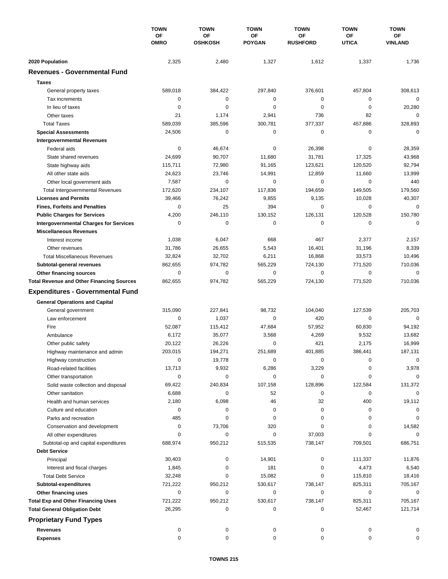|                                                  | <b>TOWN</b><br>OF<br><b>OMRO</b> | <b>TOWN</b><br>OF<br><b>OSHKOSH</b> | <b>TOWN</b><br>OF<br><b>POYGAN</b> | <b>TOWN</b><br>OF<br><b>RUSHFORD</b> | <b>TOWN</b><br>OF<br><b>UTICA</b> | <b>TOWN</b><br>ОF<br><b>VINLAND</b> |
|--------------------------------------------------|----------------------------------|-------------------------------------|------------------------------------|--------------------------------------|-----------------------------------|-------------------------------------|
|                                                  |                                  |                                     |                                    |                                      |                                   |                                     |
|                                                  |                                  |                                     |                                    |                                      |                                   |                                     |
| 2020 Population                                  | 2,325                            | 2,480                               | 1,327                              | 1,612                                | 1,337                             | 1,736                               |
| <b>Revenues - Governmental Fund</b>              |                                  |                                     |                                    |                                      |                                   |                                     |
| <b>Taxes</b>                                     |                                  |                                     |                                    |                                      |                                   |                                     |
| General property taxes                           | 589,018                          | 384,422                             | 297,840                            | 376,601                              | 457,804                           | 308,613                             |
| Tax increments                                   | 0                                | $\mathbf 0$                         | 0                                  | 0                                    | 0                                 | $\mathbf 0$                         |
| In lieu of taxes                                 | 0                                | 0                                   | 0                                  | 0                                    | 0                                 | 20,280                              |
| Other taxes                                      | 21                               | 1,174                               | 2,941                              | 736                                  | 82                                | $\mathbf 0$                         |
| <b>Total Taxes</b>                               | 589,039                          | 385,596                             | 300,781                            | 377,337                              | 457,886                           | 328,893                             |
| <b>Special Assessments</b>                       | 24,506                           | 0                                   | 0                                  | 0                                    | 0                                 | $\mathbf 0$                         |
| <b>Intergovernmental Revenues</b>                |                                  |                                     |                                    |                                      |                                   |                                     |
| Federal aids                                     | 0                                | 46,674                              | 0                                  | 26,398                               | 0                                 | 28,359                              |
| State shared revenues                            | 24,699                           | 90,707                              | 11,680                             | 31,781                               | 17,325                            | 43,968                              |
| State highway aids                               | 115,711                          | 72,980                              | 91,165                             | 123,621                              | 120,520                           | 92,794                              |
| All other state aids                             | 24,623                           | 23,746                              | 14,991                             | 12,859                               | 11,660                            | 13,999                              |
| Other local government aids                      | 7,587                            | 0                                   | 0                                  | 0                                    | 0                                 | 440                                 |
| <b>Total Intergovernmental Revenues</b>          | 172,620                          | 234,107                             | 117,836                            | 194,659                              | 149,505                           | 179,560                             |
| <b>Licenses and Permits</b>                      | 39,466                           | 76,242                              | 9,855                              | 9,135                                | 10,028                            | 40,307                              |
| <b>Fines, Forfeits and Penalties</b>             | 0                                | 25                                  | 394                                | 0                                    | 0                                 | $\mathbf 0$                         |
| <b>Public Charges for Services</b>               | 4,200                            | 246,110                             | 130,152                            | 126,131                              | 120,528                           | 150,780                             |
| <b>Intergovernmental Charges for Services</b>    | 0                                | 0                                   | 0                                  | 0                                    | 0                                 | $\mathbf 0$                         |
| <b>Miscellaneous Revenues</b>                    |                                  |                                     |                                    |                                      |                                   |                                     |
| Interest income                                  | 1,038                            | 6,047                               | 668                                | 467                                  | 2,377                             | 2,157                               |
| Other revenues                                   | 31,786                           | 26,655                              | 5,543                              | 16,401                               | 31,196                            | 8,339                               |
| <b>Total Miscellaneous Revenues</b>              | 32,824                           | 32,702                              | 6,211                              | 16,868                               | 33,573                            | 10,496                              |
| Subtotal-general revenues                        | 862,655                          | 974,782                             | 565,229                            | 724,130                              | 771,520                           | 710,036                             |
| Other financing sources                          | 0                                | 0                                   | 0                                  | 0                                    | $\mathbf 0$                       | $\mathbf 0$                         |
| <b>Total Revenue and Other Financing Sources</b> | 862,655                          | 974,782                             | 565,229                            | 724,130                              | 771,520                           | 710,036                             |
| <b>Expenditures - Governmental Fund</b>          |                                  |                                     |                                    |                                      |                                   |                                     |
|                                                  |                                  |                                     |                                    |                                      |                                   |                                     |
| <b>General Operations and Capital</b>            |                                  |                                     |                                    |                                      |                                   |                                     |
| General government                               | 315,090                          | 227,841                             | 98,732                             | 104,040                              | 127,539                           | 205,703                             |
| Law enforcement                                  | 0                                | 1,037                               | $\mathbf 0$                        | 420                                  | 0                                 | $\mathbf 0$                         |
| Fire                                             | 52,087                           | 115,412                             | 47,684                             | 57,952                               | 60,830                            | 94,192                              |
| Ambulance                                        | 6,172                            | 35,077                              | 3,568                              | 4,269                                | 9,532                             | 13,682                              |
| Other public safety                              | 20,122                           | 26,226                              | 0                                  | 421                                  | 2,175                             | 16,999                              |
| Highway maintenance and admin                    | 203,015                          | 194,271                             | 251,689                            | 401,885                              | 386,441                           | 187,131                             |
| Highway construction                             | 0                                | 19,778                              | 0                                  | 0                                    | 0                                 | 0                                   |
| Road-related facilities                          | 13,713                           | 9,932                               | 6,286                              | 3,229                                | 0                                 | 3,978                               |
| Other transportation                             | 0                                | 0                                   | 0                                  | 0                                    | 0                                 | 0                                   |
| Solid waste collection and disposal              | 69,422                           | 240,834                             | 107,158                            | 128,896                              | 122,584                           | 131,372                             |
| Other sanitation                                 | 6,688                            | 0                                   | 52                                 | 0                                    | 0                                 | $\mathbf 0$                         |
| Health and human services                        | 2,180                            | 6,098                               | 46                                 | 32                                   | 400                               | 19,112                              |
| Culture and education                            | 0                                | 0                                   | 0                                  | 0                                    | 0                                 | 0                                   |
| Parks and recreation                             | 485                              | 0                                   | 0                                  | 0                                    | 0                                 | 0                                   |
| Conservation and development                     | 0                                | 73,706                              | 320                                | 0                                    | 0                                 | 14,582                              |
| All other expenditures                           | $\Omega$                         | 0                                   | 0                                  | 37,003                               | 0                                 | 0                                   |
| Subtotal-op and capital expenditures             | 688,974                          | 950,212                             | 515,535                            | 738,147                              | 709,501                           | 686,751                             |
| <b>Debt Service</b>                              |                                  |                                     |                                    |                                      |                                   |                                     |
| Principal                                        | 30,403                           | 0                                   | 14,901                             | 0                                    | 111,337                           | 11,876                              |
| Interest and fiscal charges                      | 1,845                            | 0                                   | 181                                | 0                                    | 4,473                             | 6,540                               |
| <b>Total Debt Service</b>                        | 32,248                           | 0                                   | 15,082                             | 0                                    | 115,810                           | 18,416                              |
| Subtotal-expenditures                            | 721,222                          | 950,212                             | 530,617                            | 738,147                              | 825,311                           | 705,167                             |
| Other financing uses                             | 0                                | 0                                   | 0                                  | 0                                    | 0                                 | 0                                   |
| <b>Total Exp and Other Financing Uses</b>        | 721,222                          | 950,212                             | 530,617                            | 738,147                              | 825,311                           | 705,167                             |
| <b>Total General Obligation Debt</b>             | 26,295                           | 0                                   | 0                                  | 0                                    | 52,467                            | 121,714                             |
| <b>Proprietary Fund Types</b>                    |                                  |                                     |                                    |                                      |                                   |                                     |
| <b>Revenues</b>                                  | 0                                | 0                                   | 0                                  | 0                                    | 0                                 | 0                                   |
| <b>Expenses</b>                                  | 0                                | 0                                   | 0                                  | 0                                    | 0                                 | 0                                   |
|                                                  |                                  |                                     |                                    |                                      |                                   |                                     |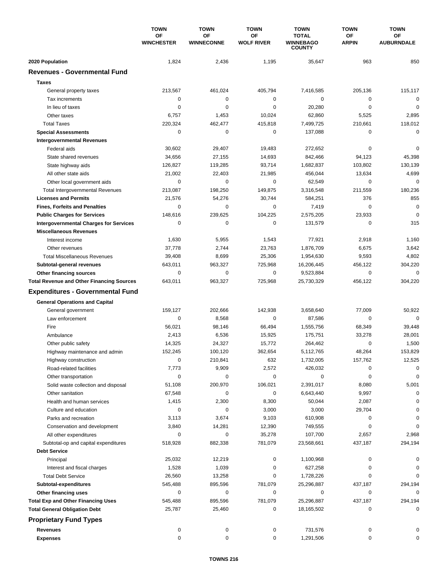|                                                  | <b>TOWN</b><br>OF<br><b>WINCHESTER</b> | <b>TOWN</b>             | <b>TOWN</b>             | <b>TOWN</b>                                       | <b>TOWN</b>        | <b>TOWN</b>             |
|--------------------------------------------------|----------------------------------------|-------------------------|-------------------------|---------------------------------------------------|--------------------|-------------------------|
|                                                  |                                        | OF<br><b>WINNECONNE</b> | OF<br><b>WOLF RIVER</b> | <b>TOTAL</b><br><b>WINNEBAGO</b><br><b>COUNTY</b> | OF<br><b>ARPIN</b> | OF<br><b>AUBURNDALE</b> |
| 2020 Population                                  | 1,824                                  | 2,436                   | 1,195                   | 35,647                                            | 963                | 850                     |
| <b>Revenues - Governmental Fund</b>              |                                        |                         |                         |                                                   |                    |                         |
| <b>Taxes</b>                                     |                                        |                         |                         |                                                   |                    |                         |
| General property taxes                           | 213,567                                | 461,024                 | 405,794                 | 7,416,585                                         | 205,136            | 115,117                 |
| Tax increments                                   | 0                                      | $\mathbf 0$             | $\mathbf 0$             | 0                                                 | $\mathbf 0$        | $\mathbf 0$             |
| In lieu of taxes                                 | 0                                      | 0                       | $\mathbf 0$             | 20,280                                            | $\mathbf 0$        | $\mathbf 0$             |
| Other taxes                                      | 6,757                                  | 1,453                   | 10,024                  | 62,860                                            | 5,525              | 2,895                   |
| <b>Total Taxes</b>                               | 220,324                                | 462,477                 | 415,818                 | 7,499,725                                         | 210,661            | 118,012                 |
| <b>Special Assessments</b>                       | 0                                      | 0                       | 0                       | 137,088                                           | 0                  | 0                       |
| <b>Intergovernmental Revenues</b>                |                                        |                         |                         |                                                   |                    |                         |
| Federal aids                                     | 30,602                                 | 29,407                  | 19,483                  | 272,652                                           | 0                  | 0                       |
| State shared revenues                            | 34,656                                 | 27,155                  | 14,693                  | 842,466                                           | 94,123             | 45,398                  |
| State highway aids                               | 126,827                                | 119,285                 | 93,714                  | 1,682,837                                         | 103,802            | 130,139                 |
| All other state aids                             | 21,002                                 | 22,403                  | 21,985                  | 456,044                                           | 13,634             | 4,699                   |
| Other local government aids                      | 0                                      | 0                       | 0                       | 62,549                                            | 0                  | $\mathbf 0$             |
| <b>Total Intergovernmental Revenues</b>          | 213,087                                | 198,250                 | 149,875                 | 3,316,548                                         | 211,559            | 180,236                 |
| <b>Licenses and Permits</b>                      | 21,576                                 | 54,276                  | 30,744                  | 584,251                                           | 376                | 855                     |
| <b>Fines, Forfeits and Penalties</b>             | 0                                      | 0                       | 0                       | 7,419                                             | $\mathbf 0$        | $\mathbf 0$             |
| <b>Public Charges for Services</b>               | 148,616                                | 239,625                 | 104,225                 | 2,575,205                                         | 23,933             | $\mathbf 0$             |
| <b>Intergovernmental Charges for Services</b>    | 0                                      | $\mathbf 0$             | 0                       | 131,579                                           | $\mathbf 0$        | 315                     |
| <b>Miscellaneous Revenues</b>                    |                                        |                         |                         |                                                   |                    |                         |
| Interest income                                  | 1,630                                  | 5,955                   | 1,543                   | 77,921                                            | 2,918              | 1,160                   |
| Other revenues                                   | 37,778                                 | 2,744                   | 23,763                  | 1,876,709                                         | 6,675              | 3,642                   |
| <b>Total Miscellaneous Revenues</b>              | 39,408                                 | 8,699                   | 25,306                  | 1,954,630                                         | 9,593              | 4,802                   |
| Subtotal-general revenues                        | 643,011                                | 963,327                 | 725,968                 | 16,206,445                                        | 456,122            | 304,220                 |
| Other financing sources                          | 0                                      | 0                       | 0                       | 9,523,884                                         | $\mathbf 0$        | $\mathbf 0$             |
| <b>Total Revenue and Other Financing Sources</b> | 643,011                                | 963,327                 | 725,968                 | 25,730,329                                        | 456,122            | 304,220                 |
|                                                  |                                        |                         |                         |                                                   |                    |                         |
| <b>Expenditures - Governmental Fund</b>          |                                        |                         |                         |                                                   |                    |                         |
| <b>General Operations and Capital</b>            |                                        |                         |                         |                                                   |                    |                         |
| General government                               | 159,127                                | 202,666                 | 142,938                 | 3,658,640                                         | 77,009             | 50,922                  |
| Law enforcement                                  | $\mathbf 0$                            | 8,568                   | 0                       | 87,586                                            | 0                  | $\mathbf 0$             |
| Fire                                             | 56,021                                 | 98,146                  | 66,494                  | 1,555,756                                         | 68,349             | 39,448                  |
| Ambulance                                        | 2,413                                  | 6,536                   | 15,925                  | 175,751                                           | 33,278             | 28,001                  |
| Other public safety                              | 14,325                                 | 24,327                  | 15,772                  | 264,462                                           | 0                  | 1,500                   |
| Highway maintenance and admin                    | 152,245                                | 100,120                 | 362,654                 | 5,112,765                                         | 48,264             | 153,829                 |
| Highway construction                             | 0                                      | 210,841                 | 632                     | 1,732,005                                         | 157,762            | 12,525                  |
| Road-related facilities                          | 7,773                                  | 9,909                   | 2,572                   | 426,032                                           | 0                  | 0                       |
| Other transportation                             | 0                                      | 0                       | 0                       | 0                                                 | 0                  | 0                       |
| Solid waste collection and disposal              | 51,108                                 | 200,970                 | 106,021                 | 2,391,017                                         | 8,080              | 5,001                   |
| Other sanitation                                 | 67,548                                 | 0                       | 0                       | 6,643,440                                         | 9,997              | 0                       |
| Health and human services                        | 1,415                                  | 2,300                   | 8,300                   | 50,044                                            | 2,087              | $\Omega$                |
| Culture and education                            | 0                                      | 0                       | 3,000                   | 3,000                                             | 29,704             | 0                       |
| Parks and recreation                             | 3,113                                  | 3,674                   | 9,103                   | 610,908                                           | 0                  | 0                       |
| Conservation and development                     | 3,840                                  | 14,281                  | 12,390                  | 749,555                                           | 0                  | 0                       |
| All other expenditures                           | 0                                      | 0                       | 35,278                  | 107,700                                           | 2,657              | 2,968                   |
| Subtotal-op and capital expenditures             | 518,928                                | 882,338                 | 781,079                 | 23,568,661                                        | 437,187            | 294,194                 |
| <b>Debt Service</b>                              |                                        |                         |                         |                                                   |                    |                         |
| Principal                                        | 25,032                                 | 12,219                  | 0                       | 1,100,968                                         | 0                  | 0                       |
| Interest and fiscal charges                      | 1,528                                  | 1,039                   | 0                       | 627,258                                           | 0                  | 0                       |
| <b>Total Debt Service</b>                        | 26,560                                 | 13,258                  | 0                       | 1,728,226                                         | 0                  | 0                       |
| Subtotal-expenditures                            | 545,488                                | 895,596                 | 781,079                 | 25,296,887                                        | 437,187            | 294,194                 |
| Other financing uses                             | 0                                      | 0                       | 0                       | 0                                                 | 0                  | 0                       |
| <b>Total Exp and Other Financing Uses</b>        | 545,488                                | 895,596                 | 781,079                 | 25,296,887                                        | 437,187            | 294,194                 |
| <b>Total General Obligation Debt</b>             | 25,787                                 | 25,460                  | 0                       | 18,165,502                                        | 0                  | 0                       |
| <b>Proprietary Fund Types</b>                    |                                        |                         |                         |                                                   |                    |                         |
| <b>Revenues</b>                                  | 0                                      | 0                       | 0                       | 731,576                                           | 0                  |                         |
| <b>Expenses</b>                                  | 0                                      | 0                       | 0                       | 1,291,506                                         | 0                  | 0                       |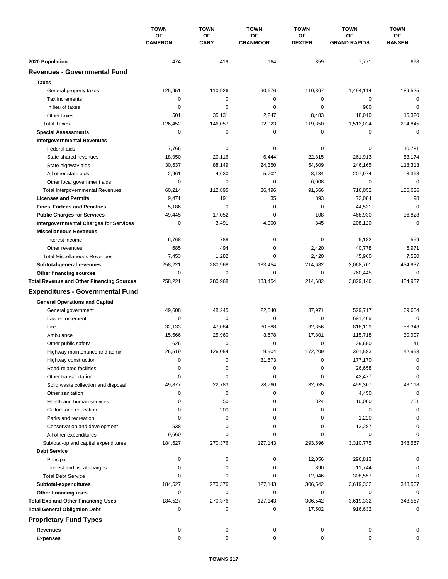|                                                             | <b>TOWN</b><br>OF<br><b>CAMERON</b> | <b>TOWN</b>       | <b>TOWN</b>           | <b>TOWN</b>         | <b>TOWN</b>               | <b>TOWN</b>         |
|-------------------------------------------------------------|-------------------------------------|-------------------|-----------------------|---------------------|---------------------------|---------------------|
|                                                             |                                     | OF<br><b>CARY</b> | OF<br><b>CRANMOOR</b> | ОF<br><b>DEXTER</b> | OF<br><b>GRAND RAPIDS</b> | ОF<br><b>HANSEN</b> |
|                                                             |                                     |                   |                       |                     |                           |                     |
| 2020 Population                                             | 474                                 | 419               | 164                   | 359                 | 7,771                     | 698                 |
| <b>Revenues - Governmental Fund</b>                         |                                     |                   |                       |                     |                           |                     |
| <b>Taxes</b>                                                |                                     |                   |                       |                     |                           |                     |
| General property taxes                                      | 125,951                             | 110,926           | 90,676                | 110,867             | 1,494,114                 | 189,525             |
| Tax increments                                              | $\mathbf 0$                         | 0                 | 0                     | 0                   | 0                         | $\mathbf 0$         |
| In lieu of taxes                                            | $\mathbf 0$                         | $\mathbf 0$       | $\mathbf 0$           | 0                   | 900                       | $\mathbf 0$         |
| Other taxes                                                 | 501                                 | 35,131            | 2,247                 | 8,483               | 18,010                    | 15,320              |
| <b>Total Taxes</b>                                          | 126,452                             | 146,057           | 92,923                | 119,350             | 1,513,024                 | 204,845             |
| <b>Special Assessments</b>                                  | 0                                   | 0                 | 0                     | 0                   | 0                         | 0                   |
| <b>Intergovernmental Revenues</b>                           |                                     |                   |                       |                     |                           |                     |
| Federal aids                                                | 7,766                               | 0                 | 0                     | 0                   | 0                         | 10,781              |
| State shared revenues                                       | 18,950                              | 20,116            | 6,444                 | 22,815              | 261,913                   | 53,174              |
| State highway aids                                          | 30,537                              | 88,149            | 24,350                | 54,609              | 246,165                   | 118,313             |
| All other state aids                                        | 2,961                               | 4,630             | 5,702                 | 8,134               | 207,974                   | 3,368               |
| Other local government aids                                 | 0                                   | $\mathbf 0$       | $\mathbf 0$           | 6,008               | $\mathbf 0$               | $\mathbf 0$         |
| <b>Total Intergovernmental Revenues</b>                     | 60,214                              | 112,895           | 36,496                | 91,566              | 716,052                   | 185,636             |
| <b>Licenses and Permits</b>                                 | 9,471                               | 191               | 35                    | 893                 | 72,084                    | 98                  |
| <b>Fines, Forfeits and Penalties</b>                        | 5,186                               | $\mathbf 0$       | $\mathbf 0$           | 0                   | 44,531                    | $\mathbf 0$         |
| <b>Public Charges for Services</b>                          | 49,445                              | 17,052            | 0                     | 108                 | 468,930                   | 36,828              |
| <b>Intergovernmental Charges for Services</b>               | 0                                   | 3,491             | 4,000                 | 345                 | 208,120                   | $\mathbf 0$         |
| <b>Miscellaneous Revenues</b>                               |                                     |                   |                       |                     |                           |                     |
| Interest income                                             | 6,768                               | 788               | 0                     | 0                   | 5,182                     | 559                 |
| Other revenues                                              | 685                                 | 494               | 0                     | 2,420               | 40,778                    | 6,971               |
| <b>Total Miscellaneous Revenues</b>                         | 7,453                               | 1,282             | $\mathbf 0$           | 2,420               | 45,960                    | 7,530               |
| Subtotal-general revenues                                   | 258,221                             | 280,968           | 133,454               | 214,682             | 3,068,701                 | 434,937             |
| Other financing sources                                     | 0                                   | 0                 | $\mathbf 0$           | 0                   | 760,445                   | $\mathbf 0$         |
| <b>Total Revenue and Other Financing Sources</b>            | 258,221                             | 280,968           | 133,454               | 214,682             | 3,829,146                 | 434,937             |
| <b>Expenditures - Governmental Fund</b>                     |                                     |                   |                       |                     |                           |                     |
| <b>General Operations and Capital</b>                       |                                     |                   |                       |                     |                           |                     |
| General government                                          | 49,608                              | 48,245            | 22,540                | 37,971              | 529,717                   | 69,684              |
| Law enforcement                                             | 0                                   | 0                 | 0                     | 0                   | 691,409                   | 0                   |
| Fire                                                        | 32,133                              | 47,084            | 30,588                | 32,356              | 818,129                   | 56,348              |
| Ambulance                                                   | 15,566                              | 25,960            | 3,678                 | 17,801              | 115,718                   | 30,997              |
| Other public safety                                         | 626                                 | 0                 | 0                     | 0                   | 29,650                    | 141                 |
| Highway maintenance and admin                               | 26,519                              | 126,054           | 9,904                 | 172,209             | 391,583                   | 142,998             |
| Highway construction                                        | 0                                   | 0                 | 31,673                | 0                   | 177,170                   | 0                   |
| Road-related facilities                                     | 0                                   | 0                 | 0                     | 0                   | 26,658                    | 0                   |
| Other transportation                                        | 0                                   | 0                 | 0                     | 0                   | 42,477                    | 0                   |
| Solid waste collection and disposal                         | 49,877                              | 22,783            | 28,760                | 32,935              | 459,307                   | 48,118              |
| Other sanitation                                            | 0                                   | 0                 | 0                     | 0                   | 4,450                     | 0                   |
| Health and human services                                   | 0                                   | 50                | 0                     | 324                 | 10,000                    | 281                 |
| Culture and education                                       | 0                                   | 200               | 0                     | 0                   | 0                         | 0                   |
| Parks and recreation                                        | 0                                   | 0                 | 0                     | 0                   | 1,220                     | $\Omega$            |
| Conservation and development                                | 538                                 | 0                 | 0                     | 0                   | 13,287                    |                     |
| All other expenditures                                      | 9,660                               | 0                 | $\Omega$              | 0                   | 0                         | O                   |
|                                                             | 184,527                             | 270,376           | 127,143               | 293,596             | 3,310,775                 | 348,567             |
| Subtotal-op and capital expenditures<br><b>Debt Service</b> |                                     |                   |                       |                     |                           |                     |
|                                                             | 0                                   | 0                 | 0                     | 12,056              | 296,813                   |                     |
| Principal<br>Interest and fiscal charges                    | 0                                   | 0                 | 0                     | 890                 | 11,744                    |                     |
|                                                             | $\Omega$                            | $\Omega$          | 0                     |                     |                           |                     |
| <b>Total Debt Service</b>                                   |                                     |                   | 127,143               | 12,946              | 308,557                   |                     |
| Subtotal-expenditures                                       | 184,527<br>0                        | 270,376<br>0      | 0                     | 306,542<br>0        | 3,619,332<br>0            | 348,567<br>0        |
| Other financing uses                                        |                                     |                   |                       |                     |                           |                     |
| <b>Total Exp and Other Financing Uses</b>                   | 184,527<br>0                        | 270,376<br>0      | 127,143<br>0          | 306,542             | 3,619,332                 | 348,567<br>0        |
| <b>Total General Obligation Debt</b>                        |                                     |                   |                       | 17,502              | 916,632                   |                     |
| <b>Proprietary Fund Types</b>                               |                                     |                   |                       |                     |                           |                     |
| Revenues                                                    | 0                                   | 0                 | 0                     | 0                   | 0                         |                     |
| <b>Expenses</b>                                             | 0                                   | 0                 | 0                     | 0                   | 0                         |                     |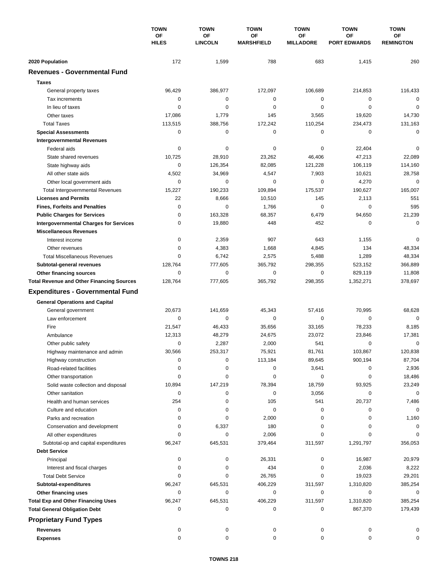|                                                  | <b>TOWN</b><br>ΟF<br><b>HILES</b> | <b>TOWN</b><br><b>OF</b><br><b>LINCOLN</b> | <b>TOWN</b><br>OF<br><b>MARSHFIELD</b> | <b>TOWN</b>            | <b>TOWN</b><br><b>OF</b><br><b>PORT EDWARDS</b> | <b>TOWN</b><br><b>OF</b><br><b>REMINGTON</b> |
|--------------------------------------------------|-----------------------------------|--------------------------------------------|----------------------------------------|------------------------|-------------------------------------------------|----------------------------------------------|
|                                                  |                                   |                                            |                                        | ΟF<br><b>MILLADORE</b> |                                                 |                                              |
| 2020 Population                                  | 172                               | 1,599                                      | 788                                    | 683                    | 1,415                                           | 260                                          |
| <b>Revenues - Governmental Fund</b>              |                                   |                                            |                                        |                        |                                                 |                                              |
| <b>Taxes</b>                                     |                                   |                                            |                                        |                        |                                                 |                                              |
| General property taxes                           | 96,429                            | 386,977                                    | 172,097                                | 106,689                | 214,853                                         | 116,433                                      |
| Tax increments                                   | 0                                 | 0                                          | 0                                      | 0                      | 0                                               | 0                                            |
| In lieu of taxes                                 | 0                                 | 0                                          | 0                                      | 0                      | $\mathbf 0$                                     | $\mathbf 0$                                  |
| Other taxes                                      | 17,086                            | 1,779                                      | 145                                    | 3,565                  | 19,620                                          | 14,730                                       |
| <b>Total Taxes</b>                               | 113,515                           | 388,756                                    | 172,242                                | 110,254                | 234,473                                         | 131,163                                      |
| <b>Special Assessments</b>                       | 0                                 | 0                                          | 0                                      | 0                      | 0                                               | $\mathbf 0$                                  |
| <b>Intergovernmental Revenues</b>                |                                   |                                            |                                        |                        |                                                 |                                              |
| Federal aids                                     | 0                                 | 0                                          | 0                                      | 0                      | 22,404                                          | 0                                            |
| State shared revenues                            | 10,725                            | 28,910                                     | 23,262                                 | 46,406                 | 47,213                                          | 22,089                                       |
| State highway aids                               | 0                                 | 126,354                                    | 82,085                                 | 121,228                | 106,119                                         | 114,160                                      |
| All other state aids                             | 4,502                             | 34,969                                     | 4,547                                  | 7,903                  | 10,621                                          | 28,758                                       |
| Other local government aids                      | 0                                 | $\mathbf 0$                                | 0                                      | 0                      | 4,270                                           | $\mathbf 0$                                  |
| <b>Total Intergovernmental Revenues</b>          | 15,227                            | 190,233                                    | 109,894                                | 175,537                | 190,627                                         | 165,007                                      |
| <b>Licenses and Permits</b>                      | 22                                | 8,666                                      | 10,510                                 | 145                    | 2,113                                           | 551                                          |
| <b>Fines, Forfeits and Penalties</b>             | 0                                 | 0                                          | 1,766                                  | 0                      | 0                                               | 595                                          |
| <b>Public Charges for Services</b>               | 0                                 | 163,328                                    | 68,357                                 | 6,479                  | 94,650                                          | 21,239                                       |
| <b>Intergovernmental Charges for Services</b>    | $\mathbf 0$                       | 19,880                                     | 448                                    | 452                    | $\mathbf 0$                                     | $\mathbf 0$                                  |
| <b>Miscellaneous Revenues</b>                    |                                   |                                            |                                        |                        |                                                 |                                              |
| Interest income                                  | 0                                 | 2,359                                      | 907                                    | 643                    | 1,155                                           | 0                                            |
| Other revenues                                   | 0                                 | 4,383                                      | 1,668                                  | 4,845                  | 134                                             | 48,334                                       |
| <b>Total Miscellaneous Revenues</b>              | $\Omega$                          | 6,742                                      | 2,575                                  | 5,488                  | 1,289                                           | 48,334                                       |
| Subtotal-general revenues                        | 128,764                           | 777,605                                    | 365,792                                | 298,355                | 523,152                                         | 366,889                                      |
| Other financing sources                          | $\Omega$                          | $\mathbf 0$                                | 0                                      | 0                      | 829,119                                         | 11,808                                       |
| <b>Total Revenue and Other Financing Sources</b> | 128,764                           | 777,605                                    | 365,792                                | 298,355                | 1,352,271                                       | 378,697                                      |
| <b>Expenditures - Governmental Fund</b>          |                                   |                                            |                                        |                        |                                                 |                                              |
| <b>General Operations and Capital</b>            |                                   |                                            |                                        |                        |                                                 |                                              |
| General government                               | 20,673                            | 141,659                                    | 45,343                                 | 57,416                 | 70,995                                          | 68,628                                       |
| Law enforcement                                  | 0                                 | 0                                          | $\mathbf 0$                            | 0                      | $\mathbf 0$                                     | $\Omega$                                     |
| Fire                                             | 21,547                            | 46,433                                     | 35,656                                 | 33,165                 | 78,233                                          | 8,185                                        |
| Ambulance                                        | 12,313                            | 48,279                                     | 24,675                                 | 23,072                 | 23,846                                          | 17,381                                       |
| Other public safety                              | 0                                 | 2,287                                      | 2,000                                  | 541                    | $\mathbf 0$                                     | 0                                            |
| Highway maintenance and admin                    | 30,566                            | 253,317                                    | 75,921                                 | 81,761                 | 103,867                                         | 120,838                                      |
| Highway construction                             | 0                                 | 0                                          | 113,184                                | 89,645                 | 900,194                                         | 87,704                                       |
| Road-related facilities                          | 0                                 | 0                                          | 0                                      | 3,641                  | 0                                               | 2,936                                        |
| Other transportation                             | 0                                 | 0                                          | 0                                      | 0                      | 0                                               | 18,486                                       |
| Solid waste collection and disposal              | 10,894                            | 147,219                                    | 78,394                                 | 18,759                 | 93,925                                          | 23,249                                       |
| Other sanitation                                 | 0                                 | 0                                          | 0                                      | 3,056                  | 0                                               | $\mathbf 0$                                  |
| Health and human services                        | 254                               | 0                                          | 105                                    | 541                    | 20,737                                          | 7,486                                        |
| Culture and education                            | 0                                 | 0                                          | $\pmb{0}$                              | 0                      | 0                                               | 0                                            |
| Parks and recreation                             | 0                                 | 0                                          | 2,000                                  | 0                      | 0                                               | 1,160                                        |
| Conservation and development                     | 0                                 | 6,337                                      | 180                                    | 0                      | 0                                               | 0                                            |
| All other expenditures                           | 0                                 | 0                                          | 2,006                                  | 0                      | 0                                               | $\Omega$                                     |
| Subtotal-op and capital expenditures             | 96,247                            | 645,531                                    | 379,464                                | 311,597                | 1,291,797                                       | 356,053                                      |
| <b>Debt Service</b>                              |                                   |                                            |                                        |                        |                                                 |                                              |
| Principal                                        | 0                                 | 0                                          | 26,331                                 | 0                      | 16,987                                          | 20,979                                       |
| Interest and fiscal charges                      | 0                                 | 0                                          | 434                                    | 0                      | 2,036                                           | 8,222                                        |
| <b>Total Debt Service</b>                        | 0                                 | 0                                          | 26,765                                 | 0                      | 19,023                                          | 29,201                                       |
| Subtotal-expenditures                            | 96,247                            | 645,531                                    | 406,229                                | 311,597                | 1,310,820                                       | 385,254                                      |
| Other financing uses                             | 0                                 | 0                                          | 0                                      | 0                      | 0                                               | 0                                            |
| <b>Total Exp and Other Financing Uses</b>        | 96,247                            | 645,531                                    | 406,229                                | 311,597                | 1,310,820                                       | 385,254                                      |
| <b>Total General Obligation Debt</b>             | 0                                 | 0                                          | 0                                      | 0                      | 867,370                                         | 179,439                                      |
| <b>Proprietary Fund Types</b>                    |                                   |                                            |                                        |                        |                                                 |                                              |
| <b>Revenues</b>                                  | 0                                 | 0                                          | 0                                      | 0                      | 0                                               | 0                                            |
| <b>Expenses</b>                                  | 0                                 | 0                                          | 0                                      | 0                      | 0                                               | 0                                            |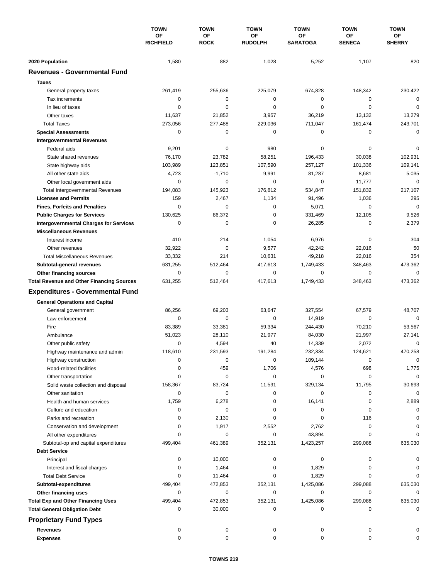|                                                  | <b>TOWN</b><br><b>OF</b><br><b>RICHFIELD</b> | <b>TOWN</b><br><b>OF</b><br><b>ROCK</b> | <b>TOWN</b><br>ΟF<br><b>RUDOLPH</b> | <b>TOWN</b>           | <b>TOWN</b>         | <b>TOWN</b><br>ОF<br><b>SHERRY</b> |
|--------------------------------------------------|----------------------------------------------|-----------------------------------------|-------------------------------------|-----------------------|---------------------|------------------------------------|
|                                                  |                                              |                                         |                                     | ОF<br><b>SARATOGA</b> | ΟF<br><b>SENECA</b> |                                    |
| 2020 Population                                  | 1,580                                        | 882                                     | 1,028                               | 5,252                 | 1,107               | 820                                |
| <b>Revenues - Governmental Fund</b>              |                                              |                                         |                                     |                       |                     |                                    |
| <b>Taxes</b>                                     |                                              |                                         |                                     |                       |                     |                                    |
| General property taxes                           | 261,419                                      | 255,636                                 | 225,079                             | 674,828               | 148,342             | 230,422                            |
| Tax increments                                   | 0                                            | $\mathbf 0$                             | 0                                   | 0                     | $\mathbf 0$         | $\mathbf 0$                        |
| In lieu of taxes                                 | 0                                            | 0                                       | $\mathbf 0$                         | 0                     | $\mathbf 0$         | $\mathbf 0$                        |
| Other taxes                                      | 11,637                                       | 21,852                                  | 3,957                               | 36,219                | 13,132              | 13,279                             |
| <b>Total Taxes</b>                               | 273,056                                      | 277,488                                 | 229,036                             | 711,047               | 161,474             | 243,701                            |
| <b>Special Assessments</b>                       | 0                                            | $\mathbf 0$                             | 0                                   | 0                     | 0                   | 0                                  |
| <b>Intergovernmental Revenues</b>                |                                              |                                         |                                     |                       |                     |                                    |
| Federal aids                                     | 9,201                                        | 0                                       | 980                                 | 0                     | 0                   | 0                                  |
| State shared revenues                            | 76,170                                       | 23,782                                  | 58,251                              | 196,433               | 30,038              | 102,931                            |
| State highway aids                               | 103,989                                      | 123,851                                 | 107,590                             | 257,127               | 101,336             | 109,141                            |
| All other state aids                             | 4,723                                        | $-1,710$                                | 9,991                               | 81,287                | 8,681               | 5,035                              |
| Other local government aids                      | 0                                            | $\mathbf 0$                             | $\mathbf 0$                         | 0                     | 11,777              | $\mathbf 0$                        |
| <b>Total Intergovernmental Revenues</b>          | 194,083                                      | 145,923                                 | 176,812                             | 534,847               | 151,832             | 217,107                            |
| <b>Licenses and Permits</b>                      | 159                                          | 2,467                                   | 1,134                               | 91,496                | 1,036               | 295                                |
| <b>Fines, Forfeits and Penalties</b>             | $\Omega$                                     | $\Omega$                                | 0                                   | 5,071                 | 0                   | $\mathbf 0$                        |
| <b>Public Charges for Services</b>               | 130,625                                      | 86,372                                  | $\mathbf 0$                         | 331,469               | 12,105              | 9,526                              |
| <b>Intergovernmental Charges for Services</b>    | 0                                            | $\mathbf 0$                             | 0                                   | 26,285                | 0                   | 2,379                              |
| <b>Miscellaneous Revenues</b>                    |                                              |                                         |                                     |                       |                     |                                    |
| Interest income                                  | 410                                          | 214                                     | 1,054                               | 6,976                 | 0                   | 304                                |
| Other revenues                                   | 32,922                                       | $\mathbf 0$                             | 9,577                               | 42,242                | 22,016              | 50                                 |
| <b>Total Miscellaneous Revenues</b>              | 33,332                                       | 214                                     | 10,631                              | 49,218                | 22,016              | 354                                |
| Subtotal-general revenues                        | 631,255                                      | 512,464                                 | 417,613                             | 1,749,433             | 348,463             | 473,362                            |
| Other financing sources                          | $\mathbf 0$                                  | 0                                       | $\mathbf 0$                         | 0                     | $\mathbf 0$         | $\mathbf 0$                        |
| <b>Total Revenue and Other Financing Sources</b> | 631,255                                      | 512,464                                 | 417,613                             | 1,749,433             | 348,463             | 473,362                            |
| <b>Expenditures - Governmental Fund</b>          |                                              |                                         |                                     |                       |                     |                                    |
| <b>General Operations and Capital</b>            |                                              |                                         |                                     |                       |                     |                                    |
| General government                               | 86,256                                       | 69.203                                  | 63,647                              | 327,554               | 67,579              | 48,707                             |
| Law enforcement                                  | 0                                            | 0                                       | 0                                   | 14,919                | 0                   | $\mathbf 0$                        |
| Fire                                             | 83,389                                       | 33,381                                  | 59,334                              | 244,430               | 70,210              | 53,567                             |
| Ambulance                                        | 51,023                                       | 28,110                                  | 21,977                              | 84,030                | 21,997              | 27,141                             |
| Other public safety                              | 0                                            | 4,594                                   | 40                                  | 14,339                | 2,072               | 0                                  |
| Highway maintenance and admin                    | 118,610                                      | 231,593                                 | 191.284                             | 232,334               | 124,621             | 470,258                            |
| Highway construction                             | 0                                            | 0                                       | 0                                   | 109,144               | 0                   | 0                                  |
| Road-related facilities                          | 0                                            | 459                                     | 1,706                               | 4,576                 | 698                 | 1,775                              |
| Other transportation                             | 0                                            | 0                                       | 0                                   | 0                     | 0                   | 0                                  |
| Solid waste collection and disposal              | 158,367                                      | 83,724                                  | 11,591                              | 329,134               | 11,795              | 30,693                             |
| Other sanitation                                 | 0                                            | 0                                       | 0                                   | 0                     | 0                   | $\mathbf 0$                        |
| Health and human services                        | 1,759                                        | 6,278                                   | 0                                   | 16,141                | 0                   | 2,889                              |
| Culture and education                            | 0                                            | 0                                       | 0                                   | 0                     | 0                   | 0                                  |
| Parks and recreation                             | 0                                            | 2,130                                   | 0                                   | 0                     | 116                 | 0                                  |
| Conservation and development                     | 0                                            | 1,917                                   | 2,552                               | 2,762                 | 0                   | 0                                  |
| All other expenditures                           | $\Omega$                                     | 0                                       | 0                                   | 43,894                | 0                   | O                                  |
| Subtotal-op and capital expenditures             | 499,404                                      | 461,389                                 | 352,131                             | 1,423,257             | 299,088             | 635,030                            |
| <b>Debt Service</b>                              |                                              |                                         |                                     |                       |                     |                                    |
| Principal                                        | 0                                            | 10,000                                  | 0                                   | 0                     | 0                   |                                    |
| Interest and fiscal charges                      | 0                                            | 1,464                                   | 0                                   | 1,829                 | 0                   | 0                                  |
| <b>Total Debt Service</b>                        | 0                                            | 11,464                                  | 0                                   | 1,829                 | 0                   |                                    |
| Subtotal-expenditures                            | 499,404                                      | 472,853                                 | 352,131                             | 1,425,086             | 299,088             | 635,030                            |
| Other financing uses                             | 0                                            | 0                                       | 0                                   | 0                     | 0                   | 0                                  |
| <b>Total Exp and Other Financing Uses</b>        | 499,404                                      | 472,853                                 | 352,131                             | 1,425,086             | 299,088             | 635,030                            |
| <b>Total General Obligation Debt</b>             | 0                                            | 30,000                                  | 0                                   | 0                     | 0                   | 0                                  |
| <b>Proprietary Fund Types</b>                    |                                              |                                         |                                     |                       |                     |                                    |
| <b>Revenues</b>                                  | 0                                            | 0                                       | 0                                   | 0                     | 0                   |                                    |
| <b>Expenses</b>                                  | 0                                            | 0                                       | 0                                   | 0                     | 0                   | $\Omega$                           |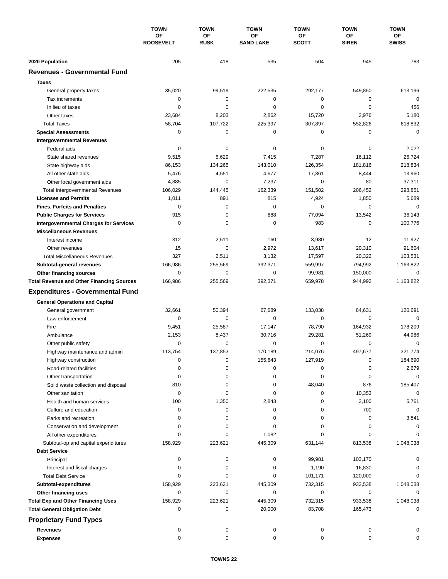|                                                             | <b>TOWN</b><br>OF<br><b>ROOSEVELT</b> | <b>TOWN</b><br>OF<br><b>RUSK</b> | <b>TOWN</b><br>OF<br><b>SAND LAKE</b> | <b>TOWN</b><br>ОF<br><b>SCOTT</b> | <b>TOWN</b><br>ΟF<br><b>SIREN</b> | <b>TOWN</b><br>ОF<br><b>SWISS</b> |
|-------------------------------------------------------------|---------------------------------------|----------------------------------|---------------------------------------|-----------------------------------|-----------------------------------|-----------------------------------|
|                                                             |                                       |                                  |                                       |                                   |                                   |                                   |
|                                                             |                                       |                                  |                                       |                                   |                                   |                                   |
| 2020 Population                                             | 205                                   | 418                              | 535                                   | 504                               | 945                               | 783                               |
| <b>Revenues - Governmental Fund</b>                         |                                       |                                  |                                       |                                   |                                   |                                   |
| <b>Taxes</b>                                                |                                       |                                  |                                       |                                   |                                   |                                   |
| General property taxes                                      | 35,020                                | 99,519                           | 222,535                               | 292,177                           | 549,850                           | 613,196                           |
| Tax increments                                              | 0                                     | 0                                | $\mathbf 0$                           | 0                                 | 0                                 | $\mathbf 0$                       |
| In lieu of taxes                                            | 0                                     | $\mathbf 0$                      | $\mathbf 0$                           | 0                                 | $\mathbf 0$                       | 456                               |
| Other taxes                                                 | 23,684                                | 8,203                            | 2,862                                 | 15,720                            | 2,976                             | 5,180                             |
| <b>Total Taxes</b>                                          | 58,704                                | 107,722                          | 225,397                               | 307,897                           | 552,826                           | 618,832                           |
| <b>Special Assessments</b>                                  | 0                                     | $\mathbf 0$                      | 0                                     | 0                                 | 0                                 | 0                                 |
| <b>Intergovernmental Revenues</b>                           |                                       |                                  |                                       |                                   |                                   |                                   |
| Federal aids                                                | 0                                     | 0                                | 0                                     | 0                                 | 0                                 | 2,022                             |
| State shared revenues                                       | 9,515                                 | 5,629                            | 7,415                                 | 7,287                             | 16,112                            | 26,724                            |
| State highway aids                                          | 86,153                                | 134,265                          | 143,010                               | 126,354                           | 181,816                           | 218,834                           |
| All other state aids                                        | 5,476                                 | 4,551                            | 4,677                                 | 17,861                            | 8,444                             | 13,960                            |
| Other local government aids                                 | 4,885                                 | $\mathbf 0$                      | 7,237                                 | $\mathbf 0$                       | 80                                | 37,311                            |
| <b>Total Intergovernmental Revenues</b>                     | 106,029                               | 144,445                          | 162,339                               | 151,502                           | 206,452                           | 298,851                           |
| <b>Licenses and Permits</b>                                 | 1,011                                 | 891                              | 815                                   | 4,924                             | 1,850                             | 5,689                             |
| <b>Fines, Forfeits and Penalties</b>                        | 0                                     | $\mathbf 0$                      | $\mathbf 0$                           | 0                                 | 0                                 | $\mathbf 0$                       |
| <b>Public Charges for Services</b>                          | 915                                   | $\mathbf 0$                      | 688                                   | 77,094                            | 13,542                            | 36,143                            |
| <b>Intergovernmental Charges for Services</b>               | 0                                     | 0                                | $\mathbf 0$                           | 983                               | $\mathbf 0$                       | 100,776                           |
| <b>Miscellaneous Revenues</b>                               |                                       |                                  |                                       |                                   |                                   |                                   |
| Interest income                                             | 312                                   | 2,511                            | 160                                   | 3,980                             | 12                                | 11,927                            |
| Other revenues                                              | 15                                    | 0                                | 2,972                                 | 13,617                            | 20,310                            | 91,604                            |
| <b>Total Miscellaneous Revenues</b>                         | 327                                   | 2,511                            | 3,132                                 | 17,597                            | 20,322                            | 103,531                           |
| Subtotal-general revenues                                   | 166,986                               | 255,569                          | 392,371                               | 559,997                           | 794,992                           | 1,163,822                         |
| Other financing sources                                     | 0                                     | $\mathbf 0$                      | 0                                     | 99,981                            | 150,000                           | $\mathbf 0$                       |
| <b>Total Revenue and Other Financing Sources</b>            | 166,986                               | 255,569                          | 392,371                               | 659,978                           | 944,992                           | 1,163,822                         |
| <b>Expenditures - Governmental Fund</b>                     |                                       |                                  |                                       |                                   |                                   |                                   |
|                                                             |                                       |                                  |                                       |                                   |                                   |                                   |
| <b>General Operations and Capital</b>                       | 32,661                                |                                  | 67,689                                |                                   |                                   |                                   |
| General government<br>Law enforcement                       | $\mathbf 0$                           | 50,394<br>0                      | $\mathbf 0$                           | 133,038                           | 84,631<br>0                       | 120,691<br>$\mathbf 0$            |
| Fire                                                        |                                       | 25,587                           | 17,147                                | 0<br>78,790                       | 164,932                           | 178,209                           |
|                                                             | 9,451                                 |                                  |                                       |                                   |                                   |                                   |
| Ambulance                                                   | 2,153<br>0                            | 8,437<br>0                       | 30,716<br>0                           | 29,281<br>0                       | 51,269<br>0                       | 44,986<br>$\mathbf 0$             |
| Other public safety                                         | 113,754                               | 137.853                          | 170,189                               | 214,076                           | 497,677                           | 321,774                           |
| Highway maintenance and admin                               | 0                                     | 0                                | 155,643                               | 127,919                           | 0                                 | 184,690                           |
| Highway construction<br>Road-related facilities             | 0                                     | 0                                | 0                                     | 0                                 | 0                                 | 2,679                             |
|                                                             | 0                                     | 0                                | 0                                     | 0                                 | 0                                 | 0                                 |
| Other transportation<br>Solid waste collection and disposal | 810                                   | 0                                | 0                                     | 48,040                            | 876                               | 185,407                           |
| Other sanitation                                            | 0                                     | 0                                | 0                                     | 0                                 | 10,353                            | $\mathbf 0$                       |
| Health and human services                                   | 100                                   | 1,350                            | 2,843                                 | 0                                 | 3,100                             | 5,761                             |
| Culture and education                                       | 0                                     | 0                                | 0                                     | 0                                 | 700                               | 0                                 |
| Parks and recreation                                        | $\Omega$                              | 0                                | 0                                     | 0                                 | 0                                 | 3,841                             |
| Conservation and development                                | 0                                     | 0                                | 0                                     | 0                                 | 0                                 | 0                                 |
| All other expenditures                                      | $\Omega$                              | 0                                | 1,082                                 | 0                                 | 0                                 |                                   |
| Subtotal-op and capital expenditures                        | 158,929                               | 223,621                          | 445,309                               | 631,144                           | 813,538                           | 1,048,038                         |
| <b>Debt Service</b>                                         |                                       |                                  |                                       |                                   |                                   |                                   |
| Principal                                                   | 0                                     | 0                                | 0                                     | 99,981                            | 103,170                           |                                   |
| Interest and fiscal charges                                 | 0                                     | 0                                | 0                                     | 1,190                             | 16,830                            |                                   |
| <b>Total Debt Service</b>                                   | $\Omega$                              | $\Omega$                         | 0                                     | 101,171                           | 120,000                           |                                   |
| Subtotal-expenditures                                       | 158,929                               | 223,621                          | 445,309                               | 732,315                           | 933,538                           | 1,048,038                         |
| Other financing uses                                        | 0                                     | 0                                | 0                                     | 0                                 | 0                                 | $\Omega$                          |
| <b>Total Exp and Other Financing Uses</b>                   | 158,929                               | 223,621                          | 445,309                               | 732,315                           | 933,538                           | 1,048,038                         |
| <b>Total General Obligation Debt</b>                        | 0                                     | 0                                | 20,000                                | 83,708                            | 165,473                           | 0                                 |
|                                                             |                                       |                                  |                                       |                                   |                                   |                                   |
| <b>Proprietary Fund Types</b>                               |                                       |                                  |                                       |                                   |                                   |                                   |
| Revenues                                                    | 0                                     | 0                                | 0                                     | 0                                 | 0                                 |                                   |
| <b>Expenses</b>                                             | 0                                     | 0                                | 0                                     | 0                                 | 0                                 |                                   |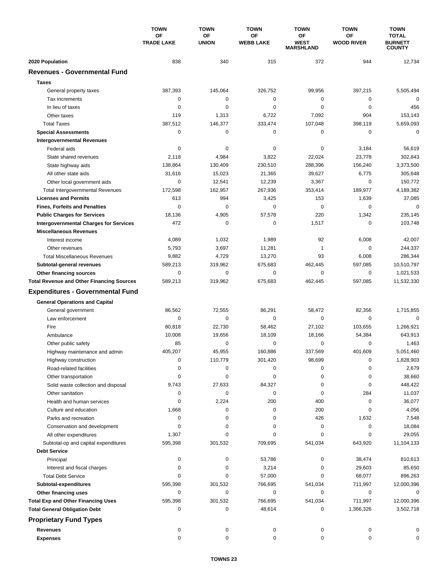|                                                  | <b>TOWN</b>                    | <b>TOWN</b>               | <b>TOWN</b>            | <b>TOWN</b>                           | <b>TOWN</b>                    | <b>TOWN</b>                                     |
|--------------------------------------------------|--------------------------------|---------------------------|------------------------|---------------------------------------|--------------------------------|-------------------------------------------------|
|                                                  | <b>OF</b><br><b>TRADE LAKE</b> | <b>OF</b><br><b>UNION</b> | OF<br><b>WEBB LAKE</b> | ΟF<br><b>WEST</b><br><b>MARSHLAND</b> | <b>OF</b><br><b>WOOD RIVER</b> | <b>TOTAL</b><br><b>BURNETT</b><br><b>COUNTY</b> |
| 2020 Population                                  | 838                            | 340                       | 315                    | 372                                   | 944                            | 12,734                                          |
| <b>Revenues - Governmental Fund</b>              |                                |                           |                        |                                       |                                |                                                 |
| <b>Taxes</b>                                     |                                |                           |                        |                                       |                                |                                                 |
| General property taxes                           | 387,393                        | 145,064                   | 326,752                | 99,956                                | 397,215                        | 5,505,494                                       |
| Tax increments                                   | 0                              | 0                         | $\mathbf 0$            | 0                                     | 0                              | 0                                               |
| In lieu of taxes                                 | 0                              | 0                         | $\mathbf 0$            | 0                                     | 0                              | 456                                             |
| Other taxes                                      | 119                            | 1,313                     | 6,722                  | 7,092                                 | 904                            | 153,143                                         |
| <b>Total Taxes</b>                               | 387,512                        | 146,377                   | 333,474                | 107,048                               | 398,119                        | 5,659,093                                       |
| <b>Special Assessments</b>                       | 0                              | 0                         | 0                      | 0                                     | $\mathbf 0$                    | 0                                               |
| <b>Intergovernmental Revenues</b>                |                                |                           |                        |                                       |                                |                                                 |
| Federal aids                                     | 0                              | 0                         | 0                      | 0                                     | 3,184                          | 56,619                                          |
| State shared revenues                            | 2,118                          | 4,984                     | 3,822                  | 22,024                                | 23,778                         | 302,843                                         |
| State highway aids                               | 138,864                        | 130,409                   | 230,510                | 288,396                               | 156,240                        | 3,373,500                                       |
| All other state aids                             | 31,616                         | 15,023                    | 21,365                 | 39,627                                | 6,775                          | 305,648                                         |
| Other local government aids                      | 0                              | 12,541                    | 12,239                 | 3,367                                 | $\mathbf 0$                    | 150,772                                         |
| <b>Total Intergovernmental Revenues</b>          | 172,598                        | 162,957                   | 267,936                | 353,414                               | 189,977                        | 4,189,382                                       |
| <b>Licenses and Permits</b>                      | 613                            | 994                       | 3,425                  | 153                                   | 1,639                          | 37,085                                          |
| <b>Fines, Forfeits and Penalties</b>             | $\Omega$                       | $\mathbf 0$               | $\mathbf 0$            | 0                                     | 0                              | $\Omega$                                        |
| <b>Public Charges for Services</b>               | 18,136                         | 4,905                     | 57,578                 | 220                                   | 1,342                          | 235,145                                         |
| <b>Intergovernmental Charges for Services</b>    | 472                            | $\mathbf 0$               | $\mathbf 0$            | 1,517                                 | $\mathbf 0$                    | 103,748                                         |
| <b>Miscellaneous Revenues</b>                    |                                |                           |                        |                                       |                                |                                                 |
| Interest income                                  | 4,089                          | 1,032                     | 1,989                  | 92                                    | 6,008                          | 42,007                                          |
| Other revenues                                   | 5,793                          | 3,697                     | 11,281                 | 1                                     | $\mathbf 0$                    | 244,337                                         |
| <b>Total Miscellaneous Revenues</b>              | 9,882                          | 4,729                     | 13,270                 | 93                                    | 6,008                          | 286,344                                         |
| Subtotal-general revenues                        | 589,213                        | 319,962                   | 675,683                | 462,445                               | 597,085                        | 10,510,797                                      |
| Other financing sources                          | 0                              | $\mathbf 0$               | $\mathbf 0$            | 0                                     | 0                              | 1,021,533                                       |
| <b>Total Revenue and Other Financing Sources</b> | 589,213                        | 319,962                   | 675,683                | 462,445                               | 597,085                        | 11,532,330                                      |
| <b>Expenditures - Governmental Fund</b>          |                                |                           |                        |                                       |                                |                                                 |
| <b>General Operations and Capital</b>            |                                |                           |                        |                                       |                                |                                                 |
| General government                               | 86,562                         | 72,555                    | 86,291                 | 58,472                                | 82,356                         | 1,715,855                                       |
| Law enforcement                                  | $\mathbf 0$                    | $\mathbf 0$               | 0                      | $\mathbf 0$                           | $\mathbf 0$                    | $\mathbf 0$                                     |
| Fire                                             | 80,818                         | 22,730                    | 58,462                 | 27,102                                | 103,655                        | 1,266,921                                       |
| Ambulance                                        | 10,008                         | 19,656                    | 18,109                 | 18,166                                | 54,384                         | 643,913                                         |
| Other public safety                              | 85                             | $\mathbf 0$               | 0                      | 0                                     | $\mathbf 0$                    | 1,463                                           |
| Highway maintenance and admin                    | 405,207                        | 45,955                    | 160,886                | 337,569                               | 401,609                        | 5,051,460                                       |
| Highway construction                             | 0                              | 110,779                   | 301,420                | 98,699                                | 0                              | 1,828,903                                       |
| Road-related facilities                          | 0                              | 0                         | 0                      | 0                                     | 0                              | 2,679                                           |
| Other transportation                             | 0                              | 0                         | 0                      | 0                                     | 0                              | 38,660                                          |
| Solid waste collection and disposal              | 9,743                          | 27,633                    | 84,327                 | 0                                     | 0                              | 448,422                                         |
| Other sanitation                                 | 0                              | 0                         | 0                      | 0                                     | 284                            | 11,037                                          |
| Health and human services                        | 0                              | 2,224                     | 200                    | 400                                   | 0                              | 36,077                                          |
| Culture and education                            | 1,668                          | 0                         | 0                      | 200                                   | 0                              | 4,056                                           |
| Parks and recreation                             | 0                              | 0                         | 0                      | 426                                   | 1,632                          | 7,548                                           |
| Conservation and development                     | 0                              | 0                         | 0                      | 0                                     | 0                              | 18,084                                          |
| All other expenditures                           | 1,307                          | 0                         | 0                      | 0                                     | 0                              | 29,055                                          |
| Subtotal-op and capital expenditures             | 595,398                        | 301,532                   | 709,695                | 541,034                               | 643,920                        | 11,104,133                                      |
| <b>Debt Service</b>                              |                                |                           |                        |                                       |                                |                                                 |
| Principal                                        | 0                              | 0                         | 53,786                 | 0                                     | 38,474                         | 810,613                                         |
| Interest and fiscal charges                      | 0                              | 0                         | 3,214                  | 0                                     | 29,603                         | 85,650                                          |
| <b>Total Debt Service</b>                        | 0                              | 0                         | 57,000                 | 0                                     | 68,077                         | 896,263                                         |
| Subtotal-expenditures                            | 595,398                        | 301,532                   | 766,695                | 541,034                               | 711,997                        | 12,000,396                                      |
| Other financing uses                             | 0                              | 0                         | 0                      | 0                                     | 0                              | 0                                               |
| <b>Total Exp and Other Financing Uses</b>        | 595,398                        | 301,532                   | 766,695                | 541,034                               | 711,997                        | 12,000,396                                      |
| <b>Total General Obligation Debt</b>             | 0                              | 0                         | 48,614                 | 0                                     | 1,366,326                      | 3,502,718                                       |
| <b>Proprietary Fund Types</b>                    |                                |                           |                        |                                       |                                |                                                 |
| <b>Revenues</b>                                  | 0                              | 0                         | 0                      | 0                                     | 0                              | 0                                               |
| <b>Expenses</b>                                  | 0                              | 0                         | 0                      | 0                                     | 0                              | 0                                               |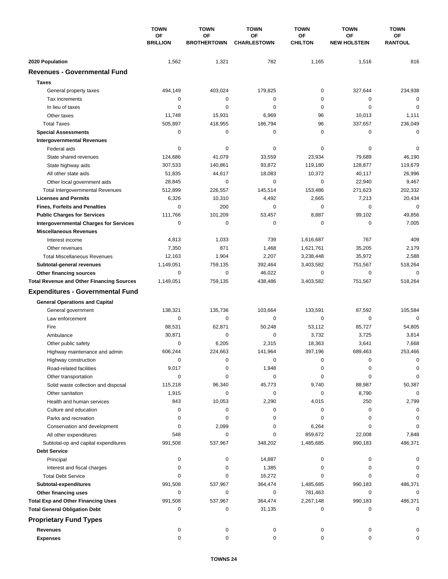|                                                  | <b>TOWN</b><br><b>OF</b><br><b>BRILLION</b> | <b>TOWN</b><br><b>OF</b><br><b>BROTHERTOWN</b> | <b>TOWN</b><br><b>OF</b><br><b>CHARLESTOWN</b> | <b>TOWN</b>                 | <b>TOWN</b>                      | <b>TOWN</b>          |
|--------------------------------------------------|---------------------------------------------|------------------------------------------------|------------------------------------------------|-----------------------------|----------------------------------|----------------------|
|                                                  |                                             |                                                |                                                | <b>OF</b><br><b>CHILTON</b> | <b>OF</b><br><b>NEW HOLSTEIN</b> | ΟF<br><b>RANTOUL</b> |
| 2020 Population                                  | 1,562                                       | 1,321                                          | 782                                            | 1,165                       | 1,516                            | 816                  |
| <b>Revenues - Governmental Fund</b>              |                                             |                                                |                                                |                             |                                  |                      |
| <b>Taxes</b>                                     |                                             |                                                |                                                |                             |                                  |                      |
| General property taxes                           | 494,149                                     | 403,024                                        | 179,825                                        | $\pmb{0}$                   | 327,644                          | 234,938              |
| Tax increments                                   | 0                                           | 0                                              | 0                                              | 0                           | $\mathbf 0$                      | $\mathbf 0$          |
| In lieu of taxes                                 | 0                                           | 0                                              | 0                                              | 0                           | $\mathbf 0$                      | 0                    |
| Other taxes                                      | 11,748                                      | 15,931                                         | 6,969                                          | 96                          | 10,013                           | 1,111                |
| <b>Total Taxes</b>                               | 505,897                                     | 418,955                                        | 186,794                                        | 96                          | 337,657                          | 236,049              |
| <b>Special Assessments</b>                       | 0                                           | 0                                              | 0                                              | 0                           | 0                                | $\mathbf 0$          |
| <b>Intergovernmental Revenues</b>                |                                             |                                                |                                                |                             |                                  |                      |
| Federal aids                                     | 0                                           | 0                                              | 0                                              | 0                           | 0                                | 0                    |
| State shared revenues                            | 124,686                                     | 41,079                                         | 33,559                                         | 23,934                      | 79,689                           | 46,190               |
| State highway aids                               | 307,533                                     | 140,861                                        | 93,872                                         | 119,180                     | 128,877                          | 119,679              |
| All other state aids                             | 51,835                                      | 44,617                                         | 18,083                                         | 10,372                      | 40,117                           | 26,996               |
| Other local government aids                      | 28,845                                      | 0                                              | $\mathbf 0$                                    | 0                           | 22,940                           | 9,467                |
| <b>Total Intergovernmental Revenues</b>          | 512,899                                     | 226,557                                        | 145,514                                        | 153,486                     | 271,623                          | 202,332              |
| <b>Licenses and Permits</b>                      | 6,326                                       | 10,310                                         | 4,492                                          | 2,665                       | 7,213                            | 20,434               |
| <b>Fines, Forfeits and Penalties</b>             | $\Omega$                                    | 200                                            | 0                                              | 0                           | $\mathbf 0$                      | $\Omega$             |
| <b>Public Charges for Services</b>               | 111,766                                     | 101,209                                        | 53,457                                         | 8,887                       | 99,102                           | 49,856               |
| <b>Intergovernmental Charges for Services</b>    | 0                                           | $\mathbf 0$                                    | $\mathbf 0$                                    | $\pmb{0}$                   | $\mathbf 0$                      | 7,005                |
| <b>Miscellaneous Revenues</b>                    |                                             |                                                |                                                |                             |                                  |                      |
| Interest income                                  | 4,813                                       | 1,033                                          | 739                                            | 1,616,687                   | 767                              | 409                  |
| Other revenues                                   | 7,350                                       | 871                                            | 1,468                                          | 1,621,761                   | 35,205                           | 2,179                |
| <b>Total Miscellaneous Revenues</b>              | 12,163                                      | 1,904                                          | 2,207                                          | 3,238,448                   | 35,972                           | 2,588                |
| Subtotal-general revenues                        | 1,149,051                                   | 759,135                                        | 392,464                                        | 3,403,582                   | 751,567                          | 518,264              |
| Other financing sources                          | $\mathbf 0$                                 | $\mathbf 0$                                    | 46,022                                         | 0                           | $\mathbf 0$                      | 0                    |
| <b>Total Revenue and Other Financing Sources</b> | 1,149,051                                   | 759,135                                        | 438,486                                        | 3,403,582                   | 751,567                          | 518,264              |
|                                                  |                                             |                                                |                                                |                             |                                  |                      |
| <b>Expenditures - Governmental Fund</b>          |                                             |                                                |                                                |                             |                                  |                      |
| <b>General Operations and Capital</b>            |                                             |                                                |                                                |                             |                                  |                      |
| General government                               | 138,321                                     | 135,736                                        | 103,664                                        | 133,591                     | 87,592                           | 105,584              |
| Law enforcement                                  | $\mathbf 0$                                 | 0                                              | 0                                              | 0                           | $\mathbf 0$                      | $\mathbf 0$          |
| Fire                                             | 88,531                                      | 62,871                                         | 50,248                                         | 53.112                      | 85,727                           | 54,805               |
| Ambulance                                        | 30,871                                      | 0                                              | 0                                              | 3,732                       | 3,725                            | 3,814                |
| Other public safety                              | 0                                           | 6,205                                          | 2,315                                          | 18,363                      | 3,641                            | 7,668                |
| Highway maintenance and admin                    | 606,244                                     | 224,663                                        | 141,964                                        | 397,196                     | 689,463                          | 253,466              |
| Highway construction                             | 0                                           | 0                                              | 0                                              | 0                           | 0                                | 0                    |
| Road-related facilities                          | 9,017                                       | 0                                              | 1,948                                          | 0                           | 0                                | 0                    |
| Other transportation                             | 0                                           | 0                                              | 0                                              | 0                           | 0                                | 0                    |
| Solid waste collection and disposal              | 115,218                                     | 96,340                                         | 45,773                                         | 9,740                       | 88,987                           | 50,387               |
| Other sanitation                                 | 1,915                                       | 0                                              | 0                                              | 0                           | 8,790                            | $\mathbf 0$          |
| Health and human services                        | 843                                         | 10,053                                         | 2,290                                          | 4,015                       | 250                              | 2,799                |
| Culture and education                            | 0                                           | 0                                              | 0                                              | 0                           | 0                                | 0                    |
| Parks and recreation                             | 0                                           | 0                                              | 0                                              | 0                           | 0                                | 0                    |
| Conservation and development                     | 0                                           | 2,099                                          | 0                                              | 6,264                       | 0                                | 0                    |
| All other expenditures                           | 548                                         | 0                                              | 0                                              | 859,672                     | 22,008                           | 7,848                |
| Subtotal-op and capital expenditures             | 991,508                                     | 537,967                                        | 348,202                                        | 1,485,685                   | 990,183                          | 486,371              |
| <b>Debt Service</b>                              |                                             |                                                |                                                |                             |                                  |                      |
| Principal                                        | 0                                           | 0                                              | 14,887                                         | 0                           | 0                                | 0                    |
| Interest and fiscal charges                      | 0                                           | 0                                              | 1,385                                          | 0                           | 0                                | 0                    |
| <b>Total Debt Service</b>                        | 0                                           | 0                                              | 16,272                                         | 0                           | 0                                | $\Omega$             |
| Subtotal-expenditures                            | 991,508                                     | 537,967                                        | 364,474                                        | 1,485,685                   | 990,183                          | 486,371              |
| Other financing uses                             | 0                                           | 0                                              | 0                                              | 781,463                     | 0                                | $\Omega$             |
| <b>Total Exp and Other Financing Uses</b>        | 991,508                                     | 537,967                                        | 364,474                                        | 2,267,148                   | 990,183                          | 486,371              |
| <b>Total General Obligation Debt</b>             | 0                                           | 0                                              | 31,135                                         | 0                           | 0                                | 0                    |
| <b>Proprietary Fund Types</b>                    |                                             |                                                |                                                |                             |                                  |                      |
| <b>Revenues</b>                                  | 0                                           | 0                                              | 0                                              | 0                           | 0                                |                      |
| <b>Expenses</b>                                  | $\mathbf 0$                                 | 0                                              | $\mathbf 0$                                    | 0                           | 0                                | 0                    |
|                                                  |                                             |                                                |                                                |                             |                                  |                      |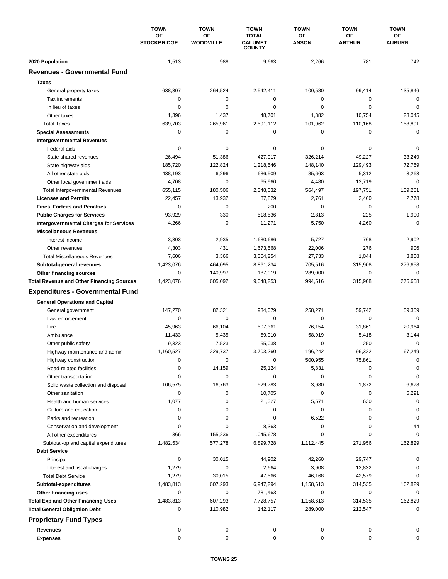|                                                  | <b>TOWN</b><br><b>OF</b><br><b>STOCKBRIDGE</b> | <b>TOWN</b>            | <b>TOWN</b><br><b>TOTAL</b><br><b>CALUMET</b><br><b>COUNTY</b> | <b>TOWN</b>        | <b>TOWN</b>         | <b>TOWN</b><br>ΟF<br><b>AUBURN</b> |
|--------------------------------------------------|------------------------------------------------|------------------------|----------------------------------------------------------------|--------------------|---------------------|------------------------------------|
|                                                  |                                                | OF<br><b>WOODVILLE</b> |                                                                | ОF<br><b>ANSON</b> | ΟF<br><b>ARTHUR</b> |                                    |
| 2020 Population                                  | 1,513                                          | 988                    | 9,663                                                          | 2,266              | 781                 | 742                                |
| <b>Revenues - Governmental Fund</b>              |                                                |                        |                                                                |                    |                     |                                    |
| <b>Taxes</b>                                     |                                                |                        |                                                                |                    |                     |                                    |
| General property taxes                           | 638,307                                        | 264,524                | 2,542,411                                                      | 100,580            | 99,414              | 135,846                            |
| Tax increments                                   | 0                                              | $\mathbf 0$            | $\mathbf 0$                                                    | 0                  | 0                   | $\mathbf 0$                        |
| In lieu of taxes                                 | 0                                              | 0                      | $\mathbf 0$                                                    | 0                  | $\mathbf 0$         | $\mathbf 0$                        |
| Other taxes                                      | 1,396                                          | 1,437                  | 48,701                                                         | 1,382              | 10,754              | 23,045                             |
| <b>Total Taxes</b>                               | 639,703                                        | 265,961                | 2,591,112                                                      | 101,962            | 110,168             | 158,891                            |
| <b>Special Assessments</b>                       | 0                                              | 0                      | 0                                                              | 0                  | 0                   | 0                                  |
| <b>Intergovernmental Revenues</b>                |                                                |                        |                                                                |                    |                     |                                    |
| Federal aids                                     | 0                                              | 0                      | 0                                                              | 0                  | 0                   | 0                                  |
| State shared revenues                            | 26,494                                         | 51,386                 | 427,017                                                        | 326,214            | 49,227              | 33,249                             |
| State highway aids                               | 185,720                                        | 122,824                | 1,218,546                                                      | 148,140            | 129,493             | 72,769                             |
| All other state aids                             | 438,193                                        | 6,296                  | 636,509                                                        | 85,663             | 5,312               | 3,263                              |
| Other local government aids                      | 4,708                                          | 0                      | 65,960                                                         | 4,480              | 13,719              | $\mathbf 0$                        |
| <b>Total Intergovernmental Revenues</b>          | 655,115                                        | 180,506                | 2,348,032                                                      | 564,497            | 197,751             | 109,281                            |
| <b>Licenses and Permits</b>                      | 22,457                                         | 13.932                 | 87,829                                                         | 2,761              | 2,460               | 2,778                              |
| <b>Fines, Forfeits and Penalties</b>             | 0                                              | $\mathbf 0$            | 200                                                            | 0                  | 0                   | $\mathbf 0$                        |
| <b>Public Charges for Services</b>               | 93,929                                         | 330                    | 518,536                                                        | 2,813              | 225                 | 1,900                              |
| <b>Intergovernmental Charges for Services</b>    | 4,266                                          | 0                      | 11,271                                                         | 5,750              | 4,260               | $\mathbf 0$                        |
| <b>Miscellaneous Revenues</b>                    |                                                |                        |                                                                |                    |                     |                                    |
| Interest income                                  | 3,303                                          | 2,935                  | 1,630,686                                                      | 5,727              | 768                 | 2,902                              |
| Other revenues                                   | 4,303                                          | 431                    | 1,673,568                                                      | 22,006             | 276                 | 906                                |
| <b>Total Miscellaneous Revenues</b>              | 7,606                                          | 3,366                  | 3,304,254                                                      | 27,733             | 1,044               | 3,808                              |
| Subtotal-general revenues                        | 1,423,076                                      | 464,095                | 8,861,234                                                      | 705,516            | 315,908             | 276,658                            |
| Other financing sources                          | 0                                              | 140,997                | 187,019                                                        | 289,000            | $\mathbf 0$         | 0                                  |
| <b>Total Revenue and Other Financing Sources</b> | 1,423,076                                      | 605,092                | 9,048,253                                                      | 994,516            | 315,908             | 276,658                            |
| <b>Expenditures - Governmental Fund</b>          |                                                |                        |                                                                |                    |                     |                                    |
| <b>General Operations and Capital</b>            |                                                |                        |                                                                |                    |                     |                                    |
| General government                               | 147,270                                        | 82,321                 | 934,079                                                        | 258.271            | 59,742              | 59,359                             |
| Law enforcement                                  | 0                                              | 0                      | $\mathbf 0$                                                    | 0                  | 0                   | $\mathbf 0$                        |
| Fire                                             | 45,963                                         | 66,104                 | 507,361                                                        | 76,154             | 31,861              | 20,964                             |
| Ambulance                                        | 11,433                                         | 5,435                  | 59,010                                                         | 58,919             | 5,418               | 3,144                              |
| Other public safety                              | 9,323                                          | 7,523                  | 55,038                                                         | 0                  | 250                 | 0                                  |
| Highway maintenance and admin                    | 1,160,527                                      | 229,737                | 3,703,260                                                      | 196,242            | 96,322              | 67,249                             |
| Highway construction                             | 0                                              | 0                      | 0                                                              | 500,955            | 75,861              | 0                                  |
| Road-related facilities                          | 0                                              | 14,159                 | 25,124                                                         | 5,831              | 0                   | 0                                  |
| Other transportation                             | 0                                              | 0                      | 0                                                              | 0                  | 0                   | 0                                  |
| Solid waste collection and disposal              | 106,575                                        | 16,763                 | 529,783                                                        | 3,980              | 1,872               | 6,678                              |
| Other sanitation                                 | 0                                              | 0                      | 10,705                                                         | 0                  | 0                   | 5,291                              |
| Health and human services                        | 1,077                                          | 0                      | 21,327                                                         | 5,571              | 630                 | $\mathbf 0$                        |
| Culture and education                            | 0                                              | 0                      | 0                                                              | 0                  | 0                   | 0                                  |
| Parks and recreation                             | 0                                              | 0                      | 0                                                              | 6,522              | 0                   | 0                                  |
| Conservation and development                     | 0                                              | 0                      | 8,363                                                          | 0                  | 0                   | 144                                |
| All other expenditures                           | 366                                            | 155,236                | 1,045,678                                                      | 0                  | 0                   | 0                                  |
| Subtotal-op and capital expenditures             | 1,482,534                                      | 577,278                | 6,899,728                                                      | 1,112,445          | 271,956             | 162,829                            |
| <b>Debt Service</b>                              |                                                |                        |                                                                |                    |                     |                                    |
| Principal                                        | 0                                              | 30,015                 | 44,902                                                         | 42,260             | 29,747              |                                    |
| Interest and fiscal charges                      | 1,279                                          | 0                      | 2,664                                                          | 3,908              | 12,832              | 0                                  |
| <b>Total Debt Service</b>                        | 1,279                                          | 30,015                 | 47,566                                                         | 46,168             | 42,579              | $\Omega$                           |
| Subtotal-expenditures                            | 1,483,813                                      | 607,293                | 6,947,294                                                      | 1,158,613          | 314,535             | 162,829                            |
| Other financing uses                             | 0                                              | 0                      | 781,463                                                        | 0                  | 0                   | $\Omega$                           |
| <b>Total Exp and Other Financing Uses</b>        | 1,483,813                                      | 607,293                | 7,728,757                                                      | 1,158,613          | 314,535             | 162,829                            |
| <b>Total General Obligation Debt</b>             | 0                                              | 110,982                | 142,117                                                        | 289,000            | 212,547             | 0                                  |
| <b>Proprietary Fund Types</b>                    |                                                |                        |                                                                |                    |                     |                                    |
|                                                  |                                                |                        |                                                                |                    |                     |                                    |
| <b>Revenues</b>                                  | 0                                              | 0                      | 0                                                              | 0                  | 0                   |                                    |
| <b>Expenses</b>                                  | 0                                              | 0                      | 0                                                              | 0                  | 0                   | 0                                  |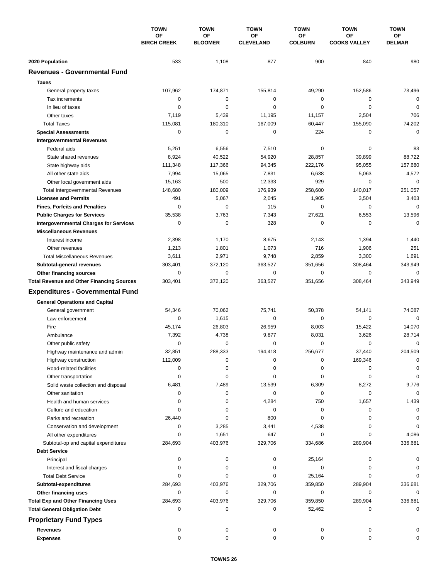|                                                  | <b>TOWN</b><br>OF<br><b>BIRCH CREEK</b> | <b>TOWN</b>          | <b>TOWN</b>            | <b>TOWN</b>          | <b>TOWN</b>               | <b>TOWN</b>         |
|--------------------------------------------------|-----------------------------------------|----------------------|------------------------|----------------------|---------------------------|---------------------|
|                                                  |                                         | OF<br><b>BLOOMER</b> | OF<br><b>CLEVELAND</b> | ОF<br><b>COLBURN</b> | OF<br><b>COOKS VALLEY</b> | ΟF<br><b>DELMAR</b> |
|                                                  |                                         |                      |                        |                      |                           |                     |
| 2020 Population                                  | 533                                     | 1,108                | 877                    | 900                  | 840                       | 980                 |
| <b>Revenues - Governmental Fund</b>              |                                         |                      |                        |                      |                           |                     |
| <b>Taxes</b>                                     |                                         |                      |                        |                      |                           |                     |
| General property taxes                           | 107,962                                 | 174,871              | 155,814                | 49,290               | 152,586                   | 73,496              |
| Tax increments                                   | 0                                       | 0                    | $\mathbf 0$            | 0                    | 0                         | $\mathbf 0$         |
| In lieu of taxes                                 | $\mathbf 0$                             | $\mathbf 0$          | $\mathbf 0$            | 0                    | $\mathbf 0$               | $\mathbf 0$         |
| Other taxes                                      | 7,119                                   | 5,439                | 11,195                 | 11,157               | 2,504                     | 706                 |
| <b>Total Taxes</b>                               | 115,081                                 | 180,310              | 167,009                | 60,447               | 155,090                   | 74,202              |
| <b>Special Assessments</b>                       | 0                                       | 0                    | 0                      | 224                  | 0                         | 0                   |
| <b>Intergovernmental Revenues</b>                |                                         |                      |                        |                      |                           |                     |
| Federal aids                                     | 5,251                                   | 6,556                | 7,510                  | 0                    | 0                         | 83                  |
| State shared revenues                            | 8,924                                   | 40,522               | 54,920                 | 28,857               | 39,899                    | 88,722              |
| State highway aids                               | 111,348                                 | 117,366              | 94,345                 | 222,176              | 95,055                    | 157,680             |
| All other state aids                             | 7,994                                   | 15,065               | 7,831                  | 6,638                | 5,063                     | 4,572               |
| Other local government aids                      | 15,163                                  | 500                  | 12,333                 | 929                  | $\mathbf 0$               | $\mathbf 0$         |
| <b>Total Intergovernmental Revenues</b>          | 148,680                                 | 180,009              | 176,939                | 258,600              | 140,017                   | 251,057             |
| <b>Licenses and Permits</b>                      | 491                                     | 5,067                | 2,045                  | 1,905                | 3,504                     | 3,403               |
| <b>Fines, Forfeits and Penalties</b>             | $\mathbf 0$                             | $\mathbf 0$          | 115                    | 0                    | 0                         | $\mathbf 0$         |
| <b>Public Charges for Services</b>               | 35,538                                  | 3,763                | 7,343                  | 27,621               | 6,553                     | 13,596              |
| <b>Intergovernmental Charges for Services</b>    | 0                                       | 0                    | 328                    | $\mathbf 0$          | 0                         | $\mathbf 0$         |
| <b>Miscellaneous Revenues</b>                    |                                         |                      |                        |                      |                           |                     |
| Interest income                                  | 2,398                                   | 1,170                | 8,675                  | 2,143                | 1,394                     | 1,440               |
| Other revenues                                   | 1,213                                   | 1,801                | 1,073                  | 716                  | 1,906                     | 251                 |
| <b>Total Miscellaneous Revenues</b>              | 3,611                                   | 2,971                | 9,748                  | 2,859                | 3,300                     | 1,691               |
| Subtotal-general revenues                        | 303,401                                 | 372,120              | 363,527                | 351,656              | 308,464                   | 343,949             |
| Other financing sources                          | 0                                       | $\mathbf 0$          | 0                      | 0                    | $\mathbf 0$               | $\mathbf 0$         |
| <b>Total Revenue and Other Financing Sources</b> | 303,401                                 | 372,120              | 363,527                | 351,656              | 308,464                   | 343,949             |
| <b>Expenditures - Governmental Fund</b>          |                                         |                      |                        |                      |                           |                     |
| <b>General Operations and Capital</b>            |                                         |                      |                        |                      |                           |                     |
| General government                               | 54,346                                  | 70,062               | 75,741                 | 50,378               | 54,141                    | 74,087              |
| Law enforcement                                  | 0                                       | 1,615                | 0                      | 0                    | 0                         | $\mathbf 0$         |
| Fire                                             | 45,174                                  | 26,803               | 26,959                 | 8,003                | 15,422                    | 14,070              |
| Ambulance                                        | 7,392                                   | 4,738                | 9,877                  | 8,031                | 3,626                     | 28,714              |
| Other public safety                              | 0                                       | 0                    | 0                      | 0                    | 0                         | $\mathbf 0$         |
| Highway maintenance and admin                    | 32.851                                  | 288.333              | 194,418                | 256,677              | 37,440                    | 204,509             |
| Highway construction                             | 112,009                                 | 0                    | 0                      | 0                    | 169,346                   | 0                   |
| Road-related facilities                          | 0                                       | 0                    | 0                      | 0                    | 0                         | 0                   |
| Other transportation                             | 0                                       | 0                    | 0                      | 0                    | 0                         | $\Omega$            |
| Solid waste collection and disposal              | 6,481                                   | 7,489                | 13,539                 | 6,309                | 8,272                     | 9,776               |
| Other sanitation                                 | 0                                       | 0                    | 0                      | 0                    | 0                         | 0                   |
| Health and human services                        | 0                                       | 0                    | 4,284                  | 750                  | 1,657                     | 1,439               |
| Culture and education                            | 0                                       | 0                    | 0                      | 0                    | 0                         | 0                   |
| Parks and recreation                             | 26,440                                  | 0                    | 800                    | 0                    | $\Omega$                  | $\Omega$            |
| Conservation and development                     | 0                                       | 3,285                | 3,441                  | 4,538                | 0                         | 0                   |
| All other expenditures                           | $\Omega$                                | 1,651                | 647                    | 0                    | 0                         | 4,086               |
| Subtotal-op and capital expenditures             | 284,693                                 | 403,976              | 329,706                | 334,686              | 289,904                   | 336,681             |
| <b>Debt Service</b>                              |                                         |                      |                        |                      |                           |                     |
| Principal                                        | 0                                       | 0                    | 0                      | 25,164               | 0                         |                     |
| Interest and fiscal charges                      | 0                                       | 0                    | 0                      | 0                    | 0                         |                     |
| <b>Total Debt Service</b>                        | $\Omega$                                | $\Omega$             | 0                      | 25,164               | 0                         |                     |
| Subtotal-expenditures                            | 284,693                                 | 403,976              | 329,706                | 359,850              | 289,904                   | 336,681             |
| Other financing uses                             | 0                                       | 0                    | 0                      | 0                    | 0                         | $\Omega$            |
| <b>Total Exp and Other Financing Uses</b>        | 284,693                                 | 403,976              | 329,706                | 359,850              | 289,904                   | 336,681             |
| <b>Total General Obligation Debt</b>             | 0                                       | 0                    | 0                      | 52,462               | 0                         | 0                   |
|                                                  |                                         |                      |                        |                      |                           |                     |
| <b>Proprietary Fund Types</b>                    |                                         |                      |                        |                      |                           |                     |
| Revenues                                         | 0                                       | 0                    | 0                      | 0                    | 0                         |                     |
| <b>Expenses</b>                                  | 0                                       | 0                    | 0                      | 0                    | 0                         |                     |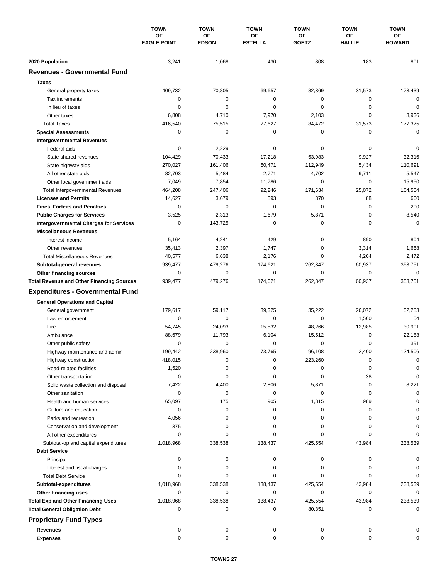|                                                  | <b>TOWN</b><br>OF<br><b>EAGLE POINT</b> | <b>TOWN</b><br>OF<br><b>EDSON</b> | <b>TOWN</b><br>ΟF<br><b>ESTELLA</b> | <b>TOWN</b><br>ОF<br><b>GOETZ</b> | <b>TOWN</b><br>ΟF<br><b>HALLIE</b> | <b>TOWN</b><br>ΟF<br><b>HOWARD</b> |
|--------------------------------------------------|-----------------------------------------|-----------------------------------|-------------------------------------|-----------------------------------|------------------------------------|------------------------------------|
|                                                  |                                         |                                   |                                     |                                   |                                    |                                    |
|                                                  |                                         |                                   |                                     |                                   |                                    |                                    |
| 2020 Population                                  | 3,241                                   | 1,068                             | 430                                 | 808                               | 183                                | 801                                |
| <b>Revenues - Governmental Fund</b>              |                                         |                                   |                                     |                                   |                                    |                                    |
| <b>Taxes</b>                                     |                                         |                                   |                                     |                                   |                                    |                                    |
| General property taxes                           | 409,732                                 | 70,805                            | 69,657                              | 82,369                            | 31,573                             | 173,439                            |
| Tax increments                                   | 0                                       | 0                                 | 0                                   | 0                                 | 0                                  | 0                                  |
| In lieu of taxes                                 | $\mathbf 0$                             | $\mathbf 0$                       | $\mathbf 0$                         | 0                                 | $\mathbf 0$                        | $\mathbf 0$                        |
| Other taxes                                      | 6,808                                   | 4,710                             | 7,970                               | 2,103                             | $\mathbf 0$                        | 3,936                              |
| <b>Total Taxes</b>                               | 416,540                                 | 75,515                            | 77,627                              | 84,472                            | 31,573                             | 177,375                            |
| <b>Special Assessments</b>                       | 0                                       | 0                                 | 0                                   | 0                                 | $\mathbf 0$                        | 0                                  |
| <b>Intergovernmental Revenues</b>                |                                         |                                   |                                     |                                   |                                    |                                    |
| Federal aids                                     | 0                                       | 2,229                             | 0                                   | 0                                 | 0                                  | 0                                  |
| State shared revenues                            | 104,429                                 | 70,433                            | 17,218                              | 53,983                            | 9,927                              | 32,316                             |
| State highway aids                               | 270,027                                 | 161,406                           | 60,471                              | 112,949                           | 5,434                              | 110,691                            |
| All other state aids                             | 82,703                                  | 5,484                             | 2,771                               | 4,702                             | 9,711                              | 5,547                              |
| Other local government aids                      | 7,049                                   | 7,854                             | 11,786                              | 0                                 | $\mathbf 0$                        | 15,950                             |
| <b>Total Intergovernmental Revenues</b>          | 464,208                                 | 247,406                           | 92,246                              | 171,634                           | 25,072                             | 164,504                            |
| <b>Licenses and Permits</b>                      | 14,627                                  | 3,679                             | 893                                 | 370                               | 88                                 | 660                                |
| <b>Fines, Forfeits and Penalties</b>             | 0                                       | $\mathbf 0$                       | $\mathbf 0$                         | 0                                 | $\mathbf 0$                        | 200                                |
| <b>Public Charges for Services</b>               | 3,525                                   | 2,313                             | 1,679                               | 5,871                             | $\mathbf 0$                        | 8,540                              |
| <b>Intergovernmental Charges for Services</b>    | 0                                       | 143,725                           | 0                                   | 0                                 | 0                                  | 0                                  |
| <b>Miscellaneous Revenues</b>                    |                                         |                                   |                                     |                                   |                                    |                                    |
| Interest income                                  | 5,164                                   | 4,241                             | 429                                 | 0                                 | 890                                | 804                                |
| Other revenues                                   | 35,413                                  | 2,397                             | 1,747                               | 0                                 | 3,314                              | 1,668                              |
| <b>Total Miscellaneous Revenues</b>              | 40,577                                  | 6,638                             | 2,176                               | 0                                 | 4,204                              | 2,472                              |
| Subtotal-general revenues                        | 939,477                                 | 479,276                           | 174,621                             | 262,347                           | 60,937                             | 353,751                            |
| Other financing sources                          | 0                                       | $\mathbf 0$                       | $\mathbf 0$                         | 0                                 | 0                                  | $\mathbf 0$                        |
| <b>Total Revenue and Other Financing Sources</b> | 939,477                                 | 479,276                           | 174,621                             | 262,347                           | 60,937                             | 353,751                            |
| <b>Expenditures - Governmental Fund</b>          |                                         |                                   |                                     |                                   |                                    |                                    |
| <b>General Operations and Capital</b>            |                                         |                                   |                                     |                                   |                                    |                                    |
| General government                               | 179,617                                 | 59,117                            | 39,325                              | 35,222                            | 26,072                             | 52,283                             |
| Law enforcement                                  | 0                                       | 0                                 | $\mathbf 0$                         | 0                                 | 1,500                              | 54                                 |
| Fire                                             | 54,745                                  | 24,093                            | 15,532                              | 48,266                            | 12,985                             | 30,901                             |
| Ambulance                                        | 88,679                                  | 11,793                            | 6,104                               | 15,512                            | 0                                  | 22,183                             |
| Other public safety                              | 0                                       | 0                                 | 0                                   | 0                                 | $\mathbf 0$                        | 391                                |
| Highway maintenance and admin                    | 199.442                                 | 238.960                           | 73,765                              | 96,108                            | 2.400                              | 124.506                            |
| Highway construction                             | 418,015                                 | 0                                 | 0                                   | 223,260                           | 0                                  | 0                                  |
| Road-related facilities                          | 1,520                                   | 0                                 | 0                                   | 0                                 | 0                                  | 0                                  |
| Other transportation                             | 0                                       | 0                                 | 0                                   | 0                                 | 38                                 | $\Omega$                           |
| Solid waste collection and disposal              | 7,422                                   | 4,400                             | 2,806                               | 5,871                             | 0                                  | 8,221                              |
| Other sanitation                                 | 0                                       | 0                                 | 0                                   | 0                                 | 0                                  | $\Omega$                           |
| Health and human services                        | 65,097                                  | 175                               | 905                                 | 1,315                             | 989                                |                                    |
| Culture and education                            | 0                                       | 0                                 | 0                                   | 0                                 | 0                                  | $\Omega$                           |
| Parks and recreation                             | 4,056                                   | 0                                 | 0                                   | 0                                 | 0                                  |                                    |
| Conservation and development                     | 375                                     | 0                                 | 0                                   | 0                                 | 0                                  |                                    |
| All other expenditures                           | 0                                       | 0                                 | $\Omega$                            | 0                                 | $\Omega$                           |                                    |
| Subtotal-op and capital expenditures             | 1,018,968                               | 338,538                           | 138,437                             | 425,554                           | 43,984                             | 238,539                            |
| <b>Debt Service</b>                              |                                         |                                   |                                     |                                   |                                    |                                    |
| Principal                                        | 0                                       | 0                                 | 0                                   | 0                                 | 0                                  |                                    |
| Interest and fiscal charges                      | 0                                       | 0                                 | 0                                   | 0                                 | 0                                  |                                    |
| <b>Total Debt Service</b>                        | 0                                       | $\Omega$                          | 0                                   | ი                                 | 0                                  |                                    |
| Subtotal-expenditures                            | 1,018,968                               | 338,538                           | 138,437                             | 425,554                           | 43,984                             | 238,539                            |
| Other financing uses                             | 0                                       | 0                                 | 0                                   | 0                                 | 0                                  | $\Omega$                           |
| <b>Total Exp and Other Financing Uses</b>        | 1,018,968                               | 338,538                           | 138,437                             | 425,554                           | 43,984                             | 238,539                            |
| <b>Total General Obligation Debt</b>             | 0                                       | 0                                 | 0                                   | 80,351                            | 0                                  | 0                                  |
| <b>Proprietary Fund Types</b>                    |                                         |                                   |                                     |                                   |                                    |                                    |
|                                                  |                                         |                                   |                                     |                                   |                                    |                                    |
| Revenues                                         | 0                                       | 0                                 | 0                                   | 0                                 | 0                                  |                                    |
| <b>Expenses</b>                                  | $\mathbf 0$                             | 0                                 | $\mathbf 0$                         | 0                                 | 0                                  |                                    |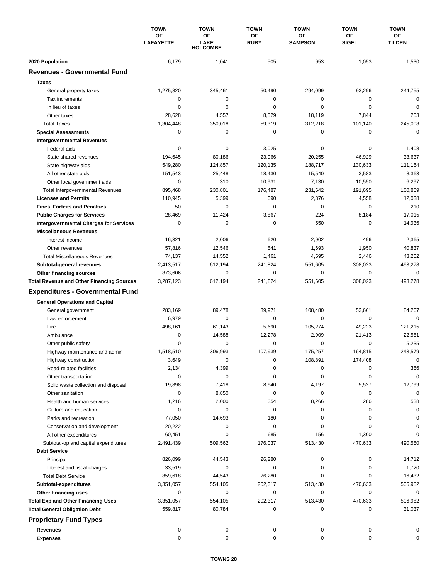|                                                  | <b>TOWN</b>      | <b>TOWN</b>             | <b>TOWN</b> | <b>TOWN</b>          | <b>TOWN</b>  | <b>TOWN</b>   |
|--------------------------------------------------|------------------|-------------------------|-------------|----------------------|--------------|---------------|
|                                                  | <b>OF</b>        | OF                      | ΟF          | ΟF<br><b>SAMPSON</b> | <b>OF</b>    | ΟF            |
|                                                  | <b>LAFAYETTE</b> | LAKE<br><b>HOLCOMBE</b> | <b>RUBY</b> |                      | <b>SIGEL</b> | <b>TILDEN</b> |
| 2020 Population                                  | 6,179            | 1,041                   | 505         | 953                  | 1,053        | 1,530         |
| <b>Revenues - Governmental Fund</b>              |                  |                         |             |                      |              |               |
| <b>Taxes</b>                                     |                  |                         |             |                      |              |               |
| General property taxes                           | 1,275,820        | 345,461                 | 50,490      | 294,099              | 93,296       | 244,755       |
| Tax increments                                   | 0                | $\mathbf 0$             | 0           | 0                    | 0            | $\mathbf 0$   |
| In lieu of taxes                                 | 0                | 0                       | $\mathbf 0$ | 0                    | $\mathbf 0$  | 0             |
| Other taxes                                      | 28,628           | 4,557                   | 8,829       | 18,119               | 7,844        | 253           |
| <b>Total Taxes</b>                               | 1,304,448        | 350,018                 | 59,319      | 312,218              | 101,140      | 245,008       |
| <b>Special Assessments</b>                       | 0                | $\mathbf 0$             | 0           | 0                    | 0            | 0             |
| <b>Intergovernmental Revenues</b>                |                  |                         |             |                      |              |               |
| Federal aids                                     | 0                | 0                       | 3,025       | 0                    | 0            | 1,408         |
| State shared revenues                            | 194,645          | 80,186                  | 23,966      | 20,255               | 46,929       | 33,637        |
| State highway aids                               | 549,280          | 124,857                 | 120,135     | 188,717              | 130,633      | 111,164       |
| All other state aids                             | 151,543          | 25,448                  | 18,430      | 15,540               | 3,583        | 8,363         |
| Other local government aids                      | 0                | 310                     | 10,931      | 7,130                | 10,550       | 6,297         |
| <b>Total Intergovernmental Revenues</b>          | 895,468          | 230,801                 | 176,487     | 231,642              | 191,695      | 160,869       |
| <b>Licenses and Permits</b>                      | 110,945          | 5,399                   | 690         | 2,376                | 4,558        | 12,038        |
| <b>Fines, Forfeits and Penalties</b>             | 50               | $\Omega$                | 0           | 0                    | 0            | 210           |
| <b>Public Charges for Services</b>               | 28,469           | 11,424                  | 3,867       | 224                  | 8,184        | 17,015        |
| <b>Intergovernmental Charges for Services</b>    | 0                | 0                       | 0           | 550                  | 0            | 14,936        |
| <b>Miscellaneous Revenues</b>                    |                  |                         |             |                      |              |               |
| Interest income                                  | 16,321           | 2,006                   | 620         | 2,902                | 496          | 2,365         |
| Other revenues                                   | 57,816           | 12,546                  | 841         | 1,693                | 1,950        | 40,837        |
| <b>Total Miscellaneous Revenues</b>              | 74,137           | 14,552                  | 1,461       | 4,595                | 2,446        | 43,202        |
| Subtotal-general revenues                        | 2,413,517        | 612,194                 | 241,824     | 551,605              | 308,023      | 493,278       |
| Other financing sources                          | 873,606          | 0                       | $\mathbf 0$ | 0                    | $\mathbf 0$  | $\mathbf 0$   |
| <b>Total Revenue and Other Financing Sources</b> | 3,287,123        | 612,194                 | 241,824     | 551,605              | 308,023      | 493,278       |
| <b>Expenditures - Governmental Fund</b>          |                  |                         |             |                      |              |               |
| <b>General Operations and Capital</b>            |                  |                         |             |                      |              |               |
| General government                               | 283,169          | 89,478                  | 39,971      | 108,480              | 53,661       | 84,267        |
| Law enforcement                                  | 6,979            | 0                       | 0           | 0                    | 0            | $\Omega$      |
| Fire                                             | 498,161          | 61,143                  | 5,690       | 105,274              | 49,223       | 121,215       |
| Ambulance                                        | 0                | 14,588                  | 12,278      | 2,909                | 21,413       | 22,551        |
| Other public safety                              | 0                | $\mathbf 0$             | 0           | 0                    | $\mathbf 0$  | 5,235         |
| Highway maintenance and admin                    | 1,518,510        | 306.993                 | 107,939     | 175,257              | 164,815      | 243,579       |
| Highway construction                             | 3,649            | 0                       | 0           | 108,891              | 174,408      | $\pmb{0}$     |
| Road-related facilities                          | 2,134            | 4,399                   | 0           | 0                    | 0            | 366           |
| Other transportation                             | 0                | 0                       | 0           | 0                    | 0            | $\mathbf 0$   |
| Solid waste collection and disposal              | 19,898           | 7,418                   | 8,940       | 4,197                | 5,527        | 12,799        |
| Other sanitation                                 | 0                | 8,850                   | 0           | 0                    | 0            | $\mathbf 0$   |
| Health and human services                        | 1,216            | 2,000                   | 354         | 8,266                | 286          | 538           |
| Culture and education                            | 0                | 0                       | 0           | 0                    | 0            | 0             |
| Parks and recreation                             | 77,050           | 14,693                  | 180         | 0                    | 0            | 0             |
| Conservation and development                     | 20,222           | 0                       | 0           | 0                    | 0            | 0             |
| All other expenditures                           | 60,451           | 0                       | 685         | 156                  | 1,300        | O             |
| Subtotal-op and capital expenditures             | 2,491,439        | 509,562                 | 176,037     | 513,430              | 470,633      | 490,550       |
| <b>Debt Service</b>                              |                  |                         |             |                      |              |               |
| Principal                                        | 826,099          | 44,543                  | 26,280      | 0                    | 0            | 14,712        |
| Interest and fiscal charges                      | 33,519           | 0                       | 0           | 0                    | 0            | 1,720         |
| <b>Total Debt Service</b>                        | 859,618          | 44,543                  | 26,280      | 0                    | 0            | 16,432        |
| Subtotal-expenditures                            | 3,351,057        | 554,105                 | 202,317     | 513,430              | 470,633      | 506,982       |
| Other financing uses                             | 0                | 0                       | 0           | 0                    | 0            | 0             |
| <b>Total Exp and Other Financing Uses</b>        | 3,351,057        | 554,105                 | 202,317     | 513,430              | 470,633      | 506,982       |
| <b>Total General Obligation Debt</b>             | 559,817          | 80,784                  | 0           | 0                    | 0            | 31,037        |
| <b>Proprietary Fund Types</b>                    |                  |                         |             |                      |              |               |
| <b>Revenues</b>                                  | 0                | 0                       | 0           | 0                    | 0            | 0             |
| <b>Expenses</b>                                  | 0                | 0                       | 0           | 0                    | 0            | 0             |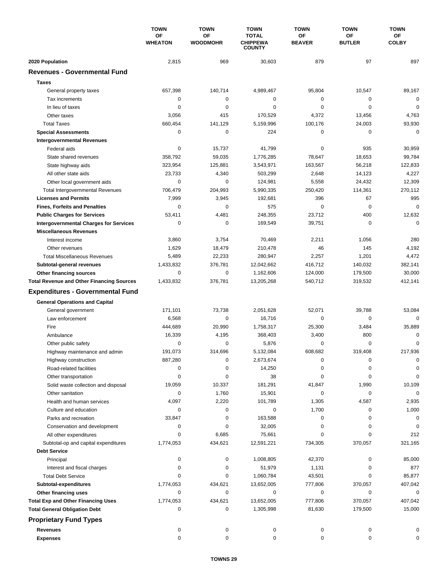|                                                  | <b>TOWN</b><br><b>OF</b><br><b>WHEATON</b> | <b>TOWN</b>                  | <b>TOWN</b><br><b>TOTAL</b><br><b>CHIPPEWA</b><br><b>COUNTY</b> | <b>TOWN</b>         | <b>TOWN</b><br><b>OF</b><br><b>BUTLER</b> | <b>TOWN</b><br>ΟF<br><b>COLBY</b> |
|--------------------------------------------------|--------------------------------------------|------------------------------|-----------------------------------------------------------------|---------------------|-------------------------------------------|-----------------------------------|
|                                                  |                                            | <b>OF</b><br><b>WOODMOHR</b> |                                                                 | ΟF<br><b>BEAVER</b> |                                           |                                   |
| 2020 Population                                  | 2,815                                      | 969                          | 30,603                                                          | 879                 | 97                                        | 897                               |
| <b>Revenues - Governmental Fund</b>              |                                            |                              |                                                                 |                     |                                           |                                   |
| <b>Taxes</b>                                     |                                            |                              |                                                                 |                     |                                           |                                   |
| General property taxes                           | 657,398                                    | 140,714                      | 4,989,467                                                       | 95,804              | 10,547                                    | 89,167                            |
| Tax increments                                   | 0                                          | 0                            | 0                                                               | 0                   | 0                                         | $\mathbf 0$                       |
| In lieu of taxes                                 | 0                                          | 0                            | 0                                                               | 0                   | $\mathbf 0$                               | $\mathbf 0$                       |
| Other taxes                                      | 3,056                                      | 415                          | 170,529                                                         | 4,372               | 13,456                                    | 4,763                             |
| <b>Total Taxes</b>                               | 660,454                                    | 141,129                      | 5,159,996                                                       | 100,176             | 24,003                                    | 93,930                            |
| <b>Special Assessments</b>                       | 0                                          | 0                            | 224                                                             | 0                   | 0                                         | $\mathbf 0$                       |
| <b>Intergovernmental Revenues</b>                |                                            |                              |                                                                 |                     |                                           |                                   |
| Federal aids                                     | 0                                          | 15,737                       | 41,799                                                          | 0                   | 935                                       | 30,959                            |
| State shared revenues                            | 358,792                                    | 59,035                       | 1,776,285                                                       | 78,647              | 18,653                                    | 99,784                            |
| State highway aids                               | 323,954                                    | 125,881                      | 3,543,971                                                       | 163,567             | 56,218                                    | 122,833                           |
| All other state aids                             | 23,733                                     | 4,340                        | 503,299                                                         | 2,648               | 14,123                                    | 4,227                             |
| Other local government aids                      | 0                                          | $\mathbf 0$                  | 124,981                                                         | 5,558               | 24,432                                    | 12,309                            |
| <b>Total Intergovernmental Revenues</b>          | 706,479                                    | 204,993                      | 5,990,335                                                       | 250,420             | 114,361                                   | 270,112                           |
| <b>Licenses and Permits</b>                      | 7,999                                      | 3,945                        | 192,681                                                         | 396                 | 67                                        | 995                               |
| <b>Fines, Forfeits and Penalties</b>             | 0                                          | 0                            | 575                                                             | 0                   | $\mathbf 0$                               | $\mathbf 0$                       |
| <b>Public Charges for Services</b>               | 53,411                                     | 4,481                        | 248,355                                                         | 23,712              | 400                                       | 12,632                            |
| <b>Intergovernmental Charges for Services</b>    | 0                                          | $\mathbf 0$                  | 169,549                                                         | 39,751              | 0                                         | $\Omega$                          |
| <b>Miscellaneous Revenues</b>                    |                                            |                              |                                                                 |                     |                                           |                                   |
| Interest income                                  | 3,860                                      | 3,754                        | 70,469                                                          | 2,211               | 1,056                                     | 280                               |
| Other revenues                                   | 1,629                                      | 18,479                       | 210,478                                                         | 46                  | 145                                       | 4,192                             |
| <b>Total Miscellaneous Revenues</b>              | 5,489                                      | 22,233                       | 280,947                                                         | 2,257               | 1,201                                     | 4,472                             |
| Subtotal-general revenues                        | 1,433,832                                  | 376,781                      | 12,042,662                                                      | 416,712             | 140,032                                   | 382,141                           |
| Other financing sources                          | 0                                          | $\mathbf 0$                  | 1,162,606                                                       | 124,000             | 179,500                                   | 30,000                            |
| <b>Total Revenue and Other Financing Sources</b> | 1,433,832                                  | 376,781                      | 13,205,268                                                      | 540,712             | 319,532                                   | 412,141                           |
| <b>Expenditures - Governmental Fund</b>          |                                            |                              |                                                                 |                     |                                           |                                   |
|                                                  |                                            |                              |                                                                 |                     |                                           |                                   |
| <b>General Operations and Capital</b>            |                                            |                              |                                                                 |                     |                                           |                                   |
| General government                               | 171,101                                    | 73,738                       | 2,051,628                                                       | 52,071              | 39,788                                    | 53,084                            |
| Law enforcement                                  | 6,568                                      | $\mathbf 0$                  | 16,716                                                          | 0                   | 0                                         | $\Omega$                          |
| Fire                                             | 444,689                                    | 20,990                       | 1,758,317                                                       | 25,300              | 3,484                                     | 35,889                            |
| Ambulance                                        | 16,339                                     | 4,195                        | 368,403                                                         | 3,400               | 800                                       | 0                                 |
| Other public safety                              | 0                                          | 0                            | 5,876                                                           | 0                   | 0                                         | 0                                 |
| Highway maintenance and admin                    | 191,073                                    | 314,696                      | 5,132,084                                                       | 608,682             | 319,408                                   | 217,936                           |
| Highway construction                             | 887,280                                    | 0                            | 2,673,674                                                       | 0                   | 0                                         | 0                                 |
| Road-related facilities                          | 0                                          | 0                            | 14,250                                                          | 0                   | 0                                         | 0                                 |
| Other transportation                             | 0                                          | 0                            | 38                                                              | 0                   | 0                                         | 0                                 |
| Solid waste collection and disposal              | 19,059                                     | 10,337                       | 181,291                                                         | 41,847              | 1,990                                     | 10,109                            |
| Other sanitation                                 | 0                                          | 1,760                        | 15,901                                                          | 0                   | 0                                         | $\mathbf 0$                       |
| Health and human services                        | 4,097                                      | 2,220                        | 101,789                                                         | 1,305               | 4,587                                     | 2,935                             |
| Culture and education                            | 0                                          | 0                            | 0                                                               | 1,700               | 0                                         | 1,000                             |
| Parks and recreation                             | 33,847                                     | 0                            | 163,588                                                         | 0                   | 0                                         | 0                                 |
| Conservation and development                     | 0                                          | 0                            | 32,005                                                          | 0                   | 0                                         | 0                                 |
| All other expenditures                           | 0                                          | 6,685                        | 75,661                                                          | 0                   | 0                                         | 212                               |
| Subtotal-op and capital expenditures             | 1,774,053                                  | 434,621                      | 12,591,221                                                      | 734,305             | 370,057                                   | 321,165                           |
| <b>Debt Service</b>                              |                                            |                              |                                                                 |                     |                                           |                                   |
| Principal                                        | 0                                          | 0                            | 1,008,805                                                       | 42,370              | 0                                         | 85,000                            |
| Interest and fiscal charges                      | 0                                          | 0                            | 51,979                                                          | 1,131               | 0                                         | 877                               |
| <b>Total Debt Service</b>                        | 0                                          | 0                            | 1,060,784                                                       | 43,501              | 0                                         | 85,877                            |
| Subtotal-expenditures                            | 1,774,053                                  | 434,621                      | 13,652,005                                                      | 777,806             | 370,057                                   | 407,042                           |
| Other financing uses                             | 0                                          | 0                            | 0                                                               | 0                   | 0                                         | 0                                 |
| <b>Total Exp and Other Financing Uses</b>        | 1,774,053                                  | 434,621                      | 13,652,005                                                      | 777,806             | 370,057                                   | 407,042                           |
| <b>Total General Obligation Debt</b>             | 0                                          | 0                            | 1,305,998                                                       | 81,630              | 179,500                                   | 15,000                            |
| <b>Proprietary Fund Types</b>                    |                                            |                              |                                                                 |                     |                                           |                                   |
| <b>Revenues</b>                                  | 0                                          | 0                            | 0                                                               | 0                   | 0                                         | 0                                 |
| <b>Expenses</b>                                  | 0                                          | 0                            | 0                                                               | 0                   | 0                                         | 0                                 |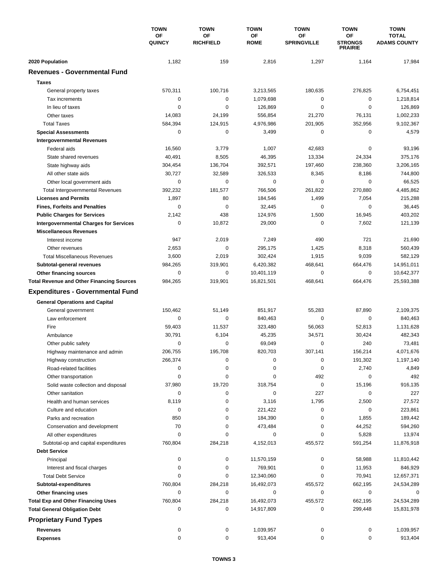|                                                  | <b>TOWN</b><br>OF<br><b>QUINCY</b> | <b>TOWN</b>            | <b>TOWN</b><br><b>OF</b><br><b>ROME</b> | <b>TOWN</b><br>OF<br><b>SPRINGVILLE</b> | <b>TOWN</b><br>ΟF<br><b>STRONGS</b><br><b>PRAIRIE</b> | <b>TOWN</b><br><b>TOTAL</b><br><b>ADAMS COUNTY</b> |
|--------------------------------------------------|------------------------------------|------------------------|-----------------------------------------|-----------------------------------------|-------------------------------------------------------|----------------------------------------------------|
|                                                  |                                    | OF<br><b>RICHFIELD</b> |                                         |                                         |                                                       |                                                    |
| 2020 Population                                  | 1,182                              | 159                    | 2,816                                   | 1,297                                   | 1,164                                                 | 17,984                                             |
| <b>Revenues - Governmental Fund</b>              |                                    |                        |                                         |                                         |                                                       |                                                    |
| <b>Taxes</b>                                     |                                    |                        |                                         |                                         |                                                       |                                                    |
| General property taxes                           | 570,311                            | 100,716                | 3,213,565                               | 180,635                                 | 276,825                                               | 6,754,451                                          |
| Tax increments                                   | 0                                  | $\mathbf 0$            | 1,079,698                               | $\pmb{0}$                               | $\mathbf 0$                                           | 1,218,814                                          |
| In lieu of taxes                                 | 0                                  | 0                      | 126,869                                 | $\mathbf 0$                             | $\mathbf 0$                                           | 126,869                                            |
| Other taxes                                      | 14,083                             | 24,199                 | 556,854                                 | 21,270                                  | 76,131                                                | 1,002,233                                          |
| <b>Total Taxes</b>                               | 584,394                            | 124,915                | 4,976,986                               | 201,905                                 | 352,956                                               | 9,102,367                                          |
| <b>Special Assessments</b>                       | 0                                  | 0                      | 3,499                                   | 0                                       | $\mathbf 0$                                           | 4,579                                              |
| <b>Intergovernmental Revenues</b>                |                                    |                        |                                         |                                         |                                                       |                                                    |
| Federal aids                                     | 16,560                             | 3,779                  | 1,007                                   | 42,683                                  | 0                                                     | 93,196                                             |
| State shared revenues                            | 40,491                             | 8,505                  | 46,395                                  | 13,334                                  | 24,334                                                | 375,176                                            |
| State highway aids                               | 304,454                            | 136,704                | 392,571                                 | 197,460                                 | 238,360                                               | 3,206,165                                          |
| All other state aids                             | 30,727                             | 32,589                 | 326,533                                 | 8,345                                   | 8,186                                                 | 744,800                                            |
| Other local government aids                      | 0                                  | $\pmb{0}$              | 0                                       | $\mathbf 0$                             | $\mathbf 0$                                           | 66,525                                             |
| <b>Total Intergovernmental Revenues</b>          | 392,232                            | 181,577                | 766,506                                 | 261,822                                 | 270,880                                               | 4,485,862                                          |
| <b>Licenses and Permits</b>                      | 1,897                              | 80                     | 184,546                                 | 1,499                                   | 7,054                                                 | 215,288                                            |
| <b>Fines, Forfeits and Penalties</b>             | 0                                  | $\mathbf 0$            | 32,445                                  | 0                                       | $\mathbf 0$                                           | 36,445                                             |
| <b>Public Charges for Services</b>               | 2,142                              | 438                    | 124,976                                 | 1,500                                   | 16,945                                                | 403,202                                            |
| <b>Intergovernmental Charges for Services</b>    | $\mathbf 0$                        | 10,872                 | 29,000                                  | $\mathbf 0$                             | 7,602                                                 | 121,139                                            |
| <b>Miscellaneous Revenues</b>                    |                                    |                        |                                         |                                         |                                                       |                                                    |
| Interest income                                  | 947                                | 2,019                  | 7,249                                   | 490                                     | 721                                                   | 21,690                                             |
| Other revenues                                   | 2,653                              | $\mathbf 0$            | 295,175                                 | 1,425                                   | 8,318                                                 | 560,439                                            |
| <b>Total Miscellaneous Revenues</b>              | 3,600                              | 2,019                  | 302,424                                 | 1,915                                   | 9,039                                                 | 582,129                                            |
| Subtotal-general revenues                        | 984,265                            | 319,901                | 6,420,382                               | 468,641                                 | 664,476                                               | 14,951,011                                         |
| Other financing sources                          | 0                                  | 0                      | 10,401,119                              | $\pmb{0}$                               | $\mathbf 0$                                           | 10,642,377                                         |
| <b>Total Revenue and Other Financing Sources</b> | 984,265                            | 319,901                | 16,821,501                              | 468,641                                 | 664,476                                               | 25,593,388                                         |
| <b>Expenditures - Governmental Fund</b>          |                                    |                        |                                         |                                         |                                                       |                                                    |
|                                                  |                                    |                        |                                         |                                         |                                                       |                                                    |
| <b>General Operations and Capital</b>            |                                    |                        |                                         |                                         |                                                       |                                                    |
| General government                               | 150,462                            | 51,149                 | 851,917                                 | 55,283                                  | 87,890                                                | 2,109,375                                          |
| Law enforcement                                  | 0                                  | 0                      | 840,463                                 | 0                                       | 0                                                     | 840,463                                            |
| Fire                                             | 59,403                             | 11,537                 | 323,480                                 | 56,063                                  | 52,813                                                | 1,131,628                                          |
| Ambulance                                        | 30,791                             | 6,104                  | 45,235                                  | 34,571                                  | 30,424                                                | 482,343                                            |
| Other public safety                              | 0                                  | 0                      | 69,049                                  | $\pmb{0}$                               | 240                                                   | 73,481                                             |
| Highway maintenance and admin                    | 206,755                            | 195,708                | 820,703                                 | 307,141                                 | 156,214                                               | 4,071,676                                          |
| Highway construction                             | 266,374                            | 0                      | 0                                       | 0                                       | 191,302                                               | 1,197,140                                          |
| Road-related facilities                          | 0                                  | 0                      | 0                                       | 0                                       | 2,740                                                 | 4,849                                              |
| Other transportation                             | 0                                  | 0                      | 0                                       | 492                                     | 0                                                     | 492                                                |
| Solid waste collection and disposal              | 37,980                             | 19,720                 | 318,754                                 | $\pmb{0}$                               | 15,196                                                | 916,135                                            |
| Other sanitation                                 | 0                                  | 0                      | 0                                       | 227                                     | $\pmb{0}$                                             | 227                                                |
| Health and human services                        | 8,119                              | 0                      | 3,116                                   | 1,795                                   | 2,500                                                 | 27,572                                             |
| Culture and education                            | 0                                  | 0                      | 221,422                                 | $\pmb{0}$                               | 0                                                     | 223,861                                            |
| Parks and recreation                             | 850                                | 0                      | 184,390                                 | 0                                       | 1,855                                                 | 189,442                                            |
| Conservation and development                     | 70                                 | 0                      | 473,484                                 | 0                                       | 44,252                                                | 594,260                                            |
| All other expenditures                           | 0                                  | 0                      | 0                                       | 0                                       | 5,828                                                 | 13,974                                             |
| Subtotal-op and capital expenditures             | 760,804                            | 284,218                | 4,152,013                               | 455,572                                 | 591,254                                               | 11,876,918                                         |
| <b>Debt Service</b>                              |                                    |                        |                                         |                                         |                                                       |                                                    |
| Principal                                        | 0                                  | 0                      | 11,570,159                              | 0                                       | 58,988                                                | 11,810,442                                         |
| Interest and fiscal charges                      | 0                                  | 0                      | 769,901                                 | 0                                       | 11,953                                                | 846,929                                            |
| <b>Total Debt Service</b>                        | 0                                  | 0                      | 12,340,060                              | 0                                       | 70,941                                                | 12,657,371                                         |
| Subtotal-expenditures                            | 760,804                            | 284,218                | 16,492,073                              | 455,572                                 | 662,195                                               | 24,534,289                                         |
| Other financing uses                             | 0                                  | 0                      | 0                                       | 0                                       | 0                                                     | 0                                                  |
| <b>Total Exp and Other Financing Uses</b>        | 760,804                            | 284,218                | 16,492,073                              | 455,572                                 | 662,195                                               | 24,534,289                                         |
| <b>Total General Obligation Debt</b>             | 0                                  | 0                      | 14,917,809                              | 0                                       | 299,448                                               | 15,831,978                                         |
| <b>Proprietary Fund Types</b>                    |                                    |                        |                                         |                                         |                                                       |                                                    |
| <b>Revenues</b>                                  | 0                                  | 0                      | 1,039,957                               | 0                                       | 0                                                     | 1,039,957                                          |
| <b>Expenses</b>                                  | 0                                  | 0                      | 913,404                                 | 0                                       | 0                                                     | 913,404                                            |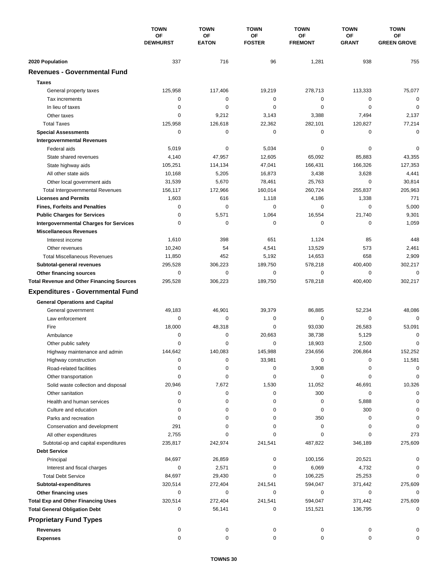|                                                  | <b>TOWN</b><br><b>OF</b><br><b>DEWHURST</b> | <b>TOWN</b>               | <b>TOWN</b>         | <b>TOWN</b>          | <b>TOWN</b>        | <b>TOWN</b>              |
|--------------------------------------------------|---------------------------------------------|---------------------------|---------------------|----------------------|--------------------|--------------------------|
|                                                  |                                             | <b>OF</b><br><b>EATON</b> | ΟF<br><b>FOSTER</b> | ΟF<br><b>FREMONT</b> | ΟF<br><b>GRANT</b> | ОF<br><b>GREEN GROVE</b> |
|                                                  |                                             |                           |                     |                      |                    |                          |
| 2020 Population                                  | 337                                         | 716                       | 96                  | 1,281                | 938                | 755                      |
| <b>Revenues - Governmental Fund</b>              |                                             |                           |                     |                      |                    |                          |
| <b>Taxes</b>                                     |                                             |                           |                     |                      |                    |                          |
| General property taxes                           | 125,958                                     | 117,406                   | 19,219              | 278,713              | 113,333            | 75,077                   |
| Tax increments                                   | $\mathbf 0$                                 | 0                         | 0                   | 0                    | 0                  | $\mathbf 0$              |
| In lieu of taxes                                 | 0                                           | $\mathbf 0$               | 0                   | $\mathbf 0$          | $\mathbf 0$        | $\mathbf 0$              |
| Other taxes                                      | $\mathbf 0$                                 | 9,212                     | 3,143               | 3,388                | 7,494              | 2,137                    |
| <b>Total Taxes</b>                               | 125,958                                     | 126,618                   | 22,362              | 282,101              | 120,827            | 77,214                   |
| <b>Special Assessments</b>                       | $\mathbf 0$                                 | $\mathbf 0$               | 0                   | 0                    | 0                  | $\mathbf 0$              |
| <b>Intergovernmental Revenues</b>                |                                             |                           |                     |                      |                    |                          |
| Federal aids                                     | 5,019                                       | 0                         | 5,034               | 0                    | 0                  | 0                        |
| State shared revenues                            | 4,140                                       | 47,957                    | 12,605              | 65,092               | 85,883             | 43,355                   |
| State highway aids                               | 105,251                                     | 114,134                   | 47,041              | 166,431              | 166,326            | 127,353                  |
| All other state aids                             | 10,168                                      | 5,205                     | 16,873              | 3,438                | 3,628              | 4,441                    |
| Other local government aids                      | 31,539                                      | 5,670                     | 78,461              | 25,763               | $\mathbf 0$        | 30,814                   |
| <b>Total Intergovernmental Revenues</b>          | 156,117                                     | 172,966                   | 160,014             | 260,724              | 255,837            | 205,963                  |
| <b>Licenses and Permits</b>                      | 1,603                                       | 616                       | 1,118               | 4,186                | 1,338              | 771                      |
| <b>Fines, Forfeits and Penalties</b>             | $\mathbf 0$                                 | $\Omega$                  | 0                   | 0                    | $\mathbf 0$        | 5,000                    |
| <b>Public Charges for Services</b>               | $\mathbf 0$                                 | 5,571                     | 1,064               | 16,554               | 21,740             | 9,301                    |
| <b>Intergovernmental Charges for Services</b>    | 0                                           | $\mathbf 0$               | 0                   | 0                    | 0                  | 1,059                    |
| <b>Miscellaneous Revenues</b>                    |                                             |                           |                     |                      |                    |                          |
| Interest income                                  | 1,610                                       | 398                       | 651                 | 1,124                | 85                 | 448                      |
| Other revenues                                   | 10,240                                      | 54                        | 4,541               | 13,529               | 573                | 2,461                    |
| <b>Total Miscellaneous Revenues</b>              | 11,850                                      | 452                       | 5,192               | 14,653               | 658                | 2,909                    |
| Subtotal-general revenues                        | 295,528                                     | 306,223                   | 189,750             | 578,218              | 400,400            | 302,217                  |
| Other financing sources                          | $\mathbf 0$                                 | $\mathbf 0$               | 0                   | 0                    | $\mathbf 0$        | $\mathbf 0$              |
| <b>Total Revenue and Other Financing Sources</b> | 295,528                                     | 306,223                   | 189,750             | 578,218              | 400,400            | 302,217                  |
| <b>Expenditures - Governmental Fund</b>          |                                             |                           |                     |                      |                    |                          |
|                                                  |                                             |                           |                     |                      |                    |                          |
| <b>General Operations and Capital</b>            |                                             |                           |                     |                      |                    |                          |
| General government                               | 49,183                                      | 46,901                    | 39,379              | 86,885               | 52,234             | 48,086                   |
| Law enforcement                                  | $\mathbf 0$                                 | 0                         | 0                   | 0                    | 0                  | $\Omega$                 |
| Fire                                             | 18,000                                      | 48,318                    | 0                   | 93,030               | 26,583             | 53,091                   |
| Ambulance                                        | 0                                           | 0                         | 20,663              | 38,738               | 5,129              | 0                        |
| Other public safety                              | $\mathbf 0$                                 | $\mathbf 0$               | 0                   | 18,903               | 2,500              | $\mathbf 0$              |
| Highway maintenance and admin                    | 144,642                                     | 140.083                   | 145,988             | 234,656              | 206,864            | 152,252                  |
| Highway construction                             | 0                                           | 0                         | 33,981              | 0                    | 0                  | 11,581                   |
| Road-related facilities                          | 0                                           | 0                         | 0                   | 3,908                | 0                  | 0                        |
| Other transportation                             | 0                                           | 0                         | 0                   | 0                    | 0                  | 0                        |
| Solid waste collection and disposal              | 20,946                                      | 7,672                     | 1,530               | 11,052               | 46,691             | 10,326                   |
| Other sanitation                                 | 0                                           | 0                         | 0                   | 300                  | 0                  | 0                        |
| Health and human services                        | 0                                           | 0                         | 0                   | 0                    | 5,888              | 0                        |
| Culture and education                            | 0                                           | 0                         | 0                   | 0                    | 300                | 0                        |
| Parks and recreation                             | 0                                           | 0                         | 0                   | 350                  | 0                  | 0                        |
| Conservation and development                     | 291                                         | 0                         | 0                   | 0                    | 0                  | 0                        |
| All other expenditures                           | 2,755                                       | 0                         | 0                   | 0                    | 0                  | 273                      |
| Subtotal-op and capital expenditures             | 235,817                                     | 242,974                   | 241,541             | 487,822              | 346,189            | 275,609                  |
| <b>Debt Service</b>                              |                                             |                           |                     |                      |                    |                          |
| Principal                                        | 84,697                                      | 26,859                    | 0                   | 100,156              | 20,521             | 0                        |
| Interest and fiscal charges                      | 0                                           | 2,571                     | 0                   | 6,069                | 4,732              | 0                        |
| <b>Total Debt Service</b>                        | 84,697                                      | 29,430                    | 0                   | 106,225              | 25,253             | $\Omega$                 |
| Subtotal-expenditures                            | 320,514                                     | 272,404                   | 241,541             | 594,047              | 371,442            | 275,609                  |
| Other financing uses                             | 0                                           | 0                         | 0                   | 0                    | 0                  | 0                        |
| <b>Total Exp and Other Financing Uses</b>        | 320,514                                     | 272,404                   | 241,541             | 594,047              | 371,442            | 275,609                  |
| <b>Total General Obligation Debt</b>             | 0                                           | 56,141                    | 0                   | 151,521              | 136,795            | $\mathbf 0$              |
| <b>Proprietary Fund Types</b>                    |                                             |                           |                     |                      |                    |                          |
| <b>Revenues</b>                                  | 0                                           | 0                         | 0                   | 0                    | 0                  |                          |
| <b>Expenses</b>                                  | 0                                           | 0                         | 0                   | 0                    | 0                  | 0                        |
|                                                  |                                             |                           |                     |                      |                    |                          |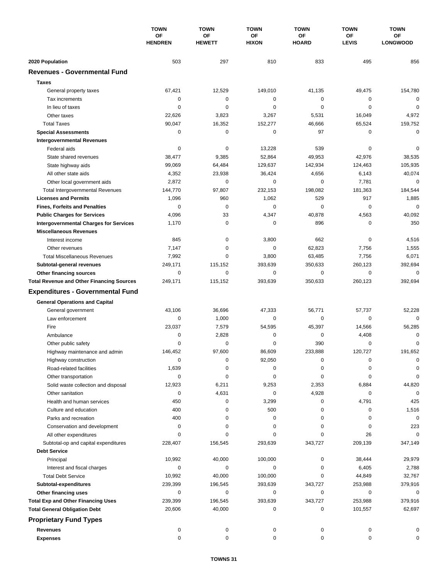|                                                        | <b>TOWN</b><br>OF<br><b>HENDREN</b> | <b>TOWN</b>                | <b>TOWN</b>        | <b>TOWN</b>        | <b>TOWN</b>        | <b>TOWN</b>           |
|--------------------------------------------------------|-------------------------------------|----------------------------|--------------------|--------------------|--------------------|-----------------------|
|                                                        |                                     | <b>OF</b><br><b>HEWETT</b> | ΟF<br><b>HIXON</b> | ОF<br><b>HOARD</b> | ΟF<br><b>LEVIS</b> | ОF<br><b>LONGWOOD</b> |
|                                                        |                                     |                            |                    |                    |                    |                       |
| 2020 Population<br><b>Revenues - Governmental Fund</b> | 503                                 | 297                        | 810                | 833                | 495                | 856                   |
|                                                        |                                     |                            |                    |                    |                    |                       |
| <b>Taxes</b>                                           |                                     |                            |                    |                    |                    |                       |
| General property taxes                                 | 67,421                              | 12,529                     | 149,010            | 41,135             | 49,475             | 154,780               |
| Tax increments                                         | 0                                   | $\mathbf 0$                | $\mathbf 0$        | 0                  | 0                  | $\mathbf 0$           |
| In lieu of taxes                                       | 0                                   | 0                          | $\mathbf 0$        | 0                  | $\mathbf 0$        | $\mathbf 0$           |
| Other taxes                                            | 22,626                              | 3,823                      | 3,267              | 5,531              | 16,049             | 4,972                 |
| <b>Total Taxes</b>                                     | 90,047                              | 16,352                     | 152,277            | 46,666             | 65,524             | 159,752               |
| <b>Special Assessments</b>                             | 0                                   | $\mathbf 0$                | 0                  | 97                 | 0                  | 0                     |
| <b>Intergovernmental Revenues</b>                      |                                     |                            |                    |                    |                    |                       |
| Federal aids                                           | 0                                   | 0                          | 13,228             | 539                | 0                  | 0                     |
| State shared revenues                                  | 38,477                              | 9,385                      | 52,864             | 49,953             | 42,976             | 38,535                |
| State highway aids                                     | 99,069                              | 64,484                     | 129,637            | 142,934            | 124,463            | 105,935               |
| All other state aids                                   | 4,352                               | 23,938                     | 36,424             | 4,656              | 6,143              | 40,074                |
| Other local government aids                            | 2,872                               | $\mathbf 0$                | $\mathbf 0$        | 0                  | 7,781              | $\mathbf 0$           |
| <b>Total Intergovernmental Revenues</b>                | 144,770                             | 97,807                     | 232,153            | 198.082            | 181,363            | 184,544               |
| <b>Licenses and Permits</b>                            | 1,096                               | 960                        | 1,062              | 529                | 917                | 1,885                 |
| <b>Fines, Forfeits and Penalties</b>                   | $\Omega$                            | $\mathbf 0$                | 0                  | $\Omega$           | $\mathbf 0$        | $\mathbf 0$           |
| <b>Public Charges for Services</b>                     | 4,096                               | 33                         | 4,347              | 40,878             | 4,563              | 40,092                |
| <b>Intergovernmental Charges for Services</b>          | 1,170                               | 0                          | 0                  | 896                | 0                  | 350                   |
| <b>Miscellaneous Revenues</b>                          |                                     |                            |                    |                    |                    |                       |
| Interest income                                        | 845                                 | 0                          | 3,800              | 662                | 0                  | 4,516                 |
| Other revenues                                         | 7,147                               | $\mathbf 0$                | 0                  | 62,823             | 7,756              | 1,555                 |
| <b>Total Miscellaneous Revenues</b>                    | 7,992                               | 0                          | 3,800              | 63,485             | 7,756              | 6,071                 |
| Subtotal-general revenues                              | 249,171                             | 115,152                    | 393,639            | 350,633            | 260,123            | 392,694               |
| Other financing sources                                | 0                                   | $\mathbf 0$                | $\mathbf 0$        | 0                  | $\mathbf 0$        | $\mathbf 0$           |
| <b>Total Revenue and Other Financing Sources</b>       | 249,171                             | 115,152                    | 393,639            | 350,633            | 260,123            | 392,694               |
| <b>Expenditures - Governmental Fund</b>                |                                     |                            |                    |                    |                    |                       |
| <b>General Operations and Capital</b>                  |                                     |                            |                    |                    |                    |                       |
| General government                                     | 43,106                              | 36,696                     | 47,333             | 56,771             | 57,737             | 52,228                |
| Law enforcement                                        | $\mathbf 0$                         | 1,000                      | 0                  | 0                  | 0                  | $\Omega$              |
| Fire                                                   | 23,037                              | 7,579                      | 54,595             | 45,397             | 14,566             | 56,285                |
| Ambulance                                              | 0                                   | 2,828                      | 0                  | 0                  | 4,408              | 0                     |
| Other public safety                                    | 0                                   | $\mathbf 0$                | $\mathbf 0$        | 390                | $\mathbf 0$        | 0                     |
| Highway maintenance and admin                          | 146.452                             | 97,600                     | 86.609             | 233,888            | 120,727            | 191,652               |
| Highway construction                                   | 0                                   | $\pmb{0}$                  | 92,050             | 0                  | 0                  | 0                     |
| Road-related facilities                                | 1,639                               | 0                          | 0                  | 0                  | 0                  | 0                     |
| Other transportation                                   | 0                                   | 0                          | 0                  | 0                  | 0                  | 0                     |
| Solid waste collection and disposal                    | 12,923                              | 6,211                      | 9,253              | 2,353              | 6,884              | 44,820                |
| Other sanitation                                       | 0                                   | 4,631                      | 0                  | 4,928              | 0                  | $\mathbf 0$           |
| Health and human services                              | 450                                 | 0                          | 3,299              | 0                  | 4,791              | 425                   |
| Culture and education                                  | 400                                 | 0                          | 500                | 0                  | 0                  | 1,516                 |
| Parks and recreation                                   | 400                                 | 0                          | 0                  | 0                  | 0                  | 0                     |
| Conservation and development                           | 0                                   | 0                          | 0                  | 0                  | 0                  | 223                   |
| All other expenditures                                 | $\Omega$                            | $\Omega$                   | 0                  | 0                  | 26                 | 0                     |
| Subtotal-op and capital expenditures                   | 228,407                             | 156,545                    | 293,639            | 343,727            | 209,139            | 347,149               |
| <b>Debt Service</b>                                    |                                     |                            |                    |                    |                    |                       |
| Principal                                              | 10,992                              | 40,000                     | 100,000            | 0                  | 38,444             | 29,979                |
| Interest and fiscal charges                            | 0                                   | 0                          | 0                  | 0                  | 6,405              | 2,788                 |
| <b>Total Debt Service</b>                              | 10,992                              | 40,000                     | 100,000            | 0                  | 44,849             | 32,767                |
| Subtotal-expenditures                                  | 239,399                             | 196,545                    | 393,639            | 343,727            | 253,988            | 379,916               |
| Other financing uses                                   | 0                                   | 0                          | 0                  | 0                  | 0                  | 0                     |
| <b>Total Exp and Other Financing Uses</b>              | 239,399                             | 196,545                    | 393,639            | 343,727            | 253,988            | 379,916               |
| <b>Total General Obligation Debt</b>                   | 20,606                              | 40,000                     | 0                  | 0                  | 101,557            | 62,697                |
| <b>Proprietary Fund Types</b>                          |                                     |                            |                    |                    |                    |                       |
| <b>Revenues</b>                                        | 0                                   | 0                          | 0                  | 0                  | 0                  | 0                     |
| <b>Expenses</b>                                        | 0                                   | 0                          | 0                  | 0                  | 0                  | 0                     |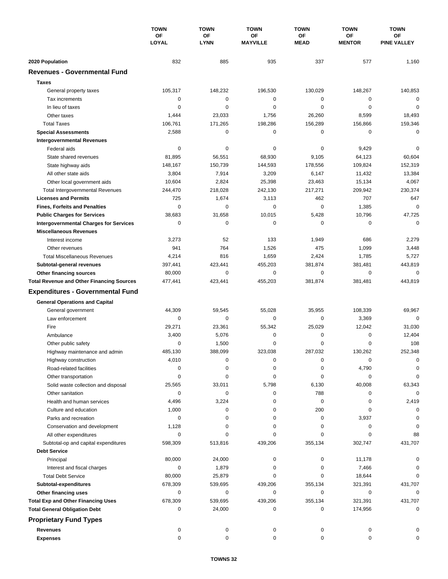|                                                  | <b>TOWN</b><br>ΟF<br>LOYAL | <b>TOWN</b>              | <b>TOWN</b><br><b>OF</b><br><b>MAYVILLE</b> | <b>TOWN</b><br><b>OF</b><br><b>MEAD</b> | <b>TOWN</b><br><b>OF</b><br><b>MENTOR</b> | <b>TOWN</b><br><b>OF</b><br><b>PINE VALLEY</b> |
|--------------------------------------------------|----------------------------|--------------------------|---------------------------------------------|-----------------------------------------|-------------------------------------------|------------------------------------------------|
|                                                  |                            | <b>OF</b><br><b>LYNN</b> |                                             |                                         |                                           |                                                |
| 2020 Population                                  | 832                        | 885                      | 935                                         | 337                                     | 577                                       | 1,160                                          |
| <b>Revenues - Governmental Fund</b>              |                            |                          |                                             |                                         |                                           |                                                |
| <b>Taxes</b>                                     |                            |                          |                                             |                                         |                                           |                                                |
| General property taxes                           | 105,317                    | 148,232                  | 196,530                                     | 130,029                                 | 148,267                                   | 140,853                                        |
| Tax increments                                   | $\mathbf 0$                | $\mathbf 0$              | $\mathbf 0$                                 | 0                                       | $\mathbf 0$                               | $\mathbf 0$                                    |
| In lieu of taxes                                 | 0                          | 0                        | $\mathbf 0$                                 | 0                                       | $\mathbf 0$                               | 0                                              |
| Other taxes                                      | 1,444                      | 23,033                   | 1,756                                       | 26,260                                  | 8,599                                     | 18,493                                         |
| <b>Total Taxes</b>                               | 106,761                    | 171,265                  | 198,286                                     | 156,289                                 | 156,866                                   | 159,346                                        |
| <b>Special Assessments</b>                       | 2,588                      | 0                        | 0                                           | 0                                       | 0                                         | $\mathbf 0$                                    |
| <b>Intergovernmental Revenues</b>                |                            |                          |                                             |                                         |                                           |                                                |
| Federal aids                                     | 0                          | 0                        | 0                                           | 0                                       | 9,429                                     | 0                                              |
| State shared revenues                            | 81,895                     | 56,551                   | 68,930                                      | 9,105                                   | 64,123                                    | 60,604                                         |
| State highway aids                               | 148,167                    | 150,739                  | 144,593                                     | 178,556                                 | 109,824                                   | 152,319                                        |
| All other state aids                             | 3,804                      | 7,914                    | 3,209                                       | 6,147                                   | 11,432                                    | 13,384                                         |
| Other local government aids                      | 10,604                     | 2,824                    | 25,398                                      | 23,463                                  | 15,134                                    | 4,067                                          |
| <b>Total Intergovernmental Revenues</b>          | 244,470                    | 218,028                  | 242,130                                     | 217,271                                 | 209,942                                   | 230,374                                        |
| <b>Licenses and Permits</b>                      | 725                        | 1,674                    | 3,113                                       | 462                                     | 707                                       | 647                                            |
| <b>Fines, Forfeits and Penalties</b>             | $\mathbf 0$                | $\Omega$                 | $\mathbf 0$                                 | 0                                       | 1,385                                     | $\mathbf 0$                                    |
| <b>Public Charges for Services</b>               | 38,683                     | 31,658                   | 10,015                                      | 5,428                                   | 10,796                                    | 47,725                                         |
| <b>Intergovernmental Charges for Services</b>    | 0                          | $\mathbf 0$              | $\mathbf 0$                                 | 0                                       | 0                                         | $\mathbf 0$                                    |
| <b>Miscellaneous Revenues</b>                    |                            |                          |                                             |                                         |                                           |                                                |
| Interest income                                  | 3,273                      | 52                       | 133                                         | 1,949                                   | 686                                       | 2,279                                          |
| Other revenues                                   | 941                        | 764                      | 1,526                                       | 475                                     | 1,099                                     | 3,448                                          |
| <b>Total Miscellaneous Revenues</b>              | 4,214                      | 816                      | 1,659                                       | 2,424                                   | 1,785                                     | 5,727                                          |
| Subtotal-general revenues                        | 397,441                    | 423,441                  | 455,203                                     | 381,874                                 | 381,481                                   | 443,819                                        |
| Other financing sources                          | 80,000                     | $\mathbf 0$              | $\mathbf 0$                                 | 0                                       | $\mathbf 0$                               | 0                                              |
| <b>Total Revenue and Other Financing Sources</b> | 477,441                    | 423,441                  | 455,203                                     | 381,874                                 | 381,481                                   | 443,819                                        |
| <b>Expenditures - Governmental Fund</b>          |                            |                          |                                             |                                         |                                           |                                                |
|                                                  |                            |                          |                                             |                                         |                                           |                                                |
| <b>General Operations and Capital</b>            |                            |                          |                                             |                                         |                                           |                                                |
| General government                               | 44,309                     | 59,545                   | 55,028                                      | 35,955                                  | 108,339                                   | 69,967                                         |
| Law enforcement                                  | 0                          | 0                        | $\mathbf 0$                                 | 0                                       | 3,369                                     | $\mathbf 0$                                    |
| Fire                                             | 29,271                     | 23,361                   | 55,342                                      | 25,029                                  | 12,042                                    | 31,030                                         |
| Ambulance                                        | 3,400                      | 5,076                    | 0                                           | 0                                       | $\mathbf 0$                               | 12,404                                         |
| Other public safety                              | 0                          | 1,500                    | 0                                           | 0                                       | 0                                         | 108                                            |
| Highway maintenance and admin                    | 485,130                    | 388,099                  | 323,038                                     | 287,032                                 | 130,262                                   | 252,348                                        |
| Highway construction                             | 4,010                      | 0                        | 0                                           | 0                                       | 0                                         | 0                                              |
| Road-related facilities                          | 0                          | 0                        | 0                                           | 0                                       | 4,790                                     | 0                                              |
| Other transportation                             | 0                          | 0                        | 0                                           | 0                                       | 0                                         | 0                                              |
| Solid waste collection and disposal              | 25,565                     | 33,011                   | 5,798                                       | 6,130                                   | 40,008                                    | 63,343                                         |
| Other sanitation                                 | 0                          | 0                        | 0                                           | 788                                     | 0                                         | $\mathbf 0$                                    |
| Health and human services                        | 4,496                      | 3,224                    | 0                                           | 0                                       | 0                                         | 2,419                                          |
| Culture and education                            | 1,000                      | 0                        | 0                                           | 200                                     | 0                                         | 0                                              |
| Parks and recreation                             | 0                          | 0                        | 0                                           | 0                                       | 3,937                                     | 0                                              |
| Conservation and development                     | 1,128                      | 0                        | 0                                           | 0                                       | 0                                         | 0                                              |
| All other expenditures                           | 0                          | 0                        | 0                                           | 0                                       | 0                                         | 88                                             |
| Subtotal-op and capital expenditures             | 598,309                    | 513,816                  | 439,206                                     | 355,134                                 | 302,747                                   | 431,707                                        |
| <b>Debt Service</b>                              |                            |                          |                                             |                                         |                                           |                                                |
| Principal                                        | 80,000                     | 24,000                   | 0                                           | 0                                       | 11,178                                    | 0                                              |
| Interest and fiscal charges                      | 0                          | 1,879                    | 0                                           | 0                                       | 7,466                                     | 0                                              |
| <b>Total Debt Service</b>                        | 80,000                     | 25,879                   | 0                                           | 0                                       | 18,644                                    | $\Omega$                                       |
| Subtotal-expenditures                            | 678,309                    | 539,695                  | 439,206                                     | 355,134                                 | 321,391                                   | 431,707                                        |
| Other financing uses                             | 0                          | 0                        | 0                                           | 0                                       | 0                                         | 0                                              |
| <b>Total Exp and Other Financing Uses</b>        | 678,309                    | 539,695                  | 439,206                                     | 355,134                                 | 321,391                                   | 431,707                                        |
| <b>Total General Obligation Debt</b>             | 0                          | 24,000                   | 0                                           | 0                                       | 174,956                                   | 0                                              |
| <b>Proprietary Fund Types</b>                    |                            |                          |                                             |                                         |                                           |                                                |
| <b>Revenues</b>                                  | 0                          | 0                        | 0                                           | 0                                       | 0                                         |                                                |
| <b>Expenses</b>                                  | 0                          | 0                        | 0                                           | 0                                       | 0                                         | 0                                              |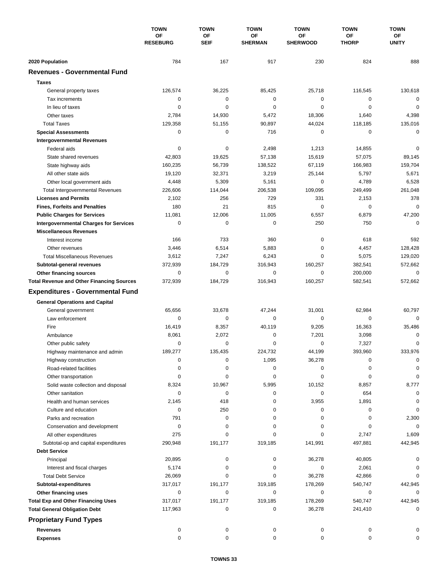|                                                  | <b>TOWN</b>                  | <b>TOWN</b>              | <b>TOWN</b>          | <b>TOWN</b>           | <b>TOWN</b>        | <b>TOWN</b>        |
|--------------------------------------------------|------------------------------|--------------------------|----------------------|-----------------------|--------------------|--------------------|
|                                                  | <b>OF</b><br><b>RESEBURG</b> | <b>OF</b><br><b>SEIF</b> | ΟF<br><b>SHERMAN</b> | ОF<br><b>SHERWOOD</b> | ΟF<br><b>THORP</b> | ОF<br><b>UNITY</b> |
| 2020 Population                                  | 784                          | 167                      | 917                  | 230                   | 824                | 888                |
| <b>Revenues - Governmental Fund</b>              |                              |                          |                      |                       |                    |                    |
| <b>Taxes</b>                                     |                              |                          |                      |                       |                    |                    |
| General property taxes                           | 126,574                      | 36,225                   | 85,425               | 25,718                | 116,545            | 130,618            |
| Tax increments                                   | 0                            | $\mathbf 0$              | $\mathbf 0$          | 0                     | 0                  | $\mathbf 0$        |
| In lieu of taxes                                 | 0                            | 0                        | $\mathbf 0$          | 0                     | $\mathbf 0$        | $\mathbf 0$        |
| Other taxes                                      | 2,784                        | 14,930                   | 5,472                | 18,306                | 1,640              | 4,398              |
| <b>Total Taxes</b>                               | 129,358                      | 51,155                   | 90,897               | 44,024                | 118,185            | 135,016            |
| <b>Special Assessments</b>                       | 0                            | $\mathbf 0$              | 716                  | 0                     | $\mathbf 0$        | 0                  |
| <b>Intergovernmental Revenues</b>                |                              |                          |                      |                       |                    |                    |
| Federal aids                                     | 0                            | 0                        | 2,498                | 1,213                 | 14,855             | 0                  |
| State shared revenues                            | 42,803                       | 19,625                   | 57,138               | 15,619                | 57,075             | 89,145             |
| State highway aids                               | 160,235                      | 56,739                   | 138,522              | 67,119                | 166,983            | 159,704            |
| All other state aids                             | 19,120                       | 32,371                   | 3,219                | 25,144                | 5,797              | 5,671              |
| Other local government aids                      | 4,448                        | 5,309                    | 5,161                | $\mathbf 0$           | 4,789              | 6,528              |
| <b>Total Intergovernmental Revenues</b>          | 226,606                      | 114,044                  | 206,538              | 109,095               | 249,499            | 261.048            |
| <b>Licenses and Permits</b>                      | 2,102                        | 256                      | 729                  | 331                   | 2,153              | 378                |
| <b>Fines, Forfeits and Penalties</b>             | 180                          | 21                       | 815                  | 0                     | 0                  | $\mathbf 0$        |
| <b>Public Charges for Services</b>               | 11,081                       | 12,006                   | 11,005               | 6,557                 | 6,879              | 47,200             |
| <b>Intergovernmental Charges for Services</b>    | 0                            | $\mathbf 0$              | $\mathbf 0$          | 250                   | 750                | $\Omega$           |
| <b>Miscellaneous Revenues</b>                    |                              |                          |                      |                       |                    |                    |
| Interest income                                  | 166                          | 733                      | 360                  | 0                     | 618                | 592                |
| Other revenues                                   | 3,446                        | 6,514                    | 5,883                | $\mathbf 0$           | 4,457              | 128,428            |
| <b>Total Miscellaneous Revenues</b>              | 3,612                        | 7,247                    | 6,243                | 0                     | 5,075              | 129,020            |
| Subtotal-general revenues                        | 372,939                      | 184,729                  | 316,943              | 160,257               | 382,541            | 572,662            |
| Other financing sources                          | $\mathbf 0$                  | $\mathbf 0$              | $\mathbf 0$          | 0                     | 200,000            | 0                  |
| <b>Total Revenue and Other Financing Sources</b> | 372,939                      | 184,729                  | 316,943              | 160,257               | 582,541            | 572,662            |
|                                                  |                              |                          |                      |                       |                    |                    |
| <b>Expenditures - Governmental Fund</b>          |                              |                          |                      |                       |                    |                    |
| <b>General Operations and Capital</b>            |                              |                          |                      |                       |                    |                    |
| General government                               | 65,656                       | 33,678                   | 47,244               | 31,001                | 62,984             | 60,797             |
| Law enforcement                                  | 0                            | $\mathbf 0$              | 0                    | 0                     | 0                  | $\Omega$           |
| Fire                                             | 16,419                       | 8,357                    | 40,119               | 9,205                 | 16,363             | 35,486             |
| Ambulance                                        | 8,061                        | 2,072                    | 0                    | 7,201                 | 3,098              | 0                  |
| Other public safety                              | 0                            | $\mathbf 0$              | $\mathbf 0$          | 0                     | 7,327              | 0                  |
| Highway maintenance and admin                    | 189,277                      | 135,435                  | 224,732              | 44,199                | 393,960            | 333,976            |
| Highway construction                             | 0                            | $\pmb{0}$                | 1,095                | 36,278                | 0                  | 0                  |
| Road-related facilities                          | 0                            | 0                        | 0                    | 0                     | 0                  | 0                  |
| Other transportation                             | 0                            | 0                        | 0                    | 0                     | 0                  | $\Omega$           |
| Solid waste collection and disposal              | 8,324                        | 10,967                   | 5,995                | 10,152                | 8,857              | 8,777              |
| Other sanitation                                 | 0                            | 0                        | 0                    | 0                     | 654                | 0                  |
| Health and human services                        | 2,145                        | 418                      | 0                    | 3,955                 | 1,891              | 0                  |
| Culture and education                            | 0                            | 250                      | 0                    | 0                     | 0                  | 0                  |
| Parks and recreation                             | 791                          | 0                        | 0                    | 0                     | 0                  | 2,300              |
| Conservation and development                     | 0                            | 0                        | 0                    | 0                     | 0                  | 0                  |
| All other expenditures                           | 275                          | 0                        | 0                    | 0                     | 2,747              | 1,609              |
| Subtotal-op and capital expenditures             | 290,948                      | 191,177                  | 319,185              | 141,991               | 497,881            | 442,945            |
| <b>Debt Service</b>                              |                              |                          |                      |                       |                    |                    |
| Principal                                        | 20,895                       | 0                        | 0                    | 36,278                | 40,805             |                    |
| Interest and fiscal charges                      | 5,174                        | 0                        | 0                    | 0                     | 2,061              | 0                  |
| <b>Total Debt Service</b>                        | 26,069                       | $\Omega$                 | 0                    | 36,278                | 42,866             | $\Omega$           |
| Subtotal-expenditures                            | 317,017                      | 191,177                  | 319,185              | 178,269               | 540,747            | 442,945            |
| Other financing uses                             | 0                            | 0                        | 0                    | 0                     | 0                  |                    |
| <b>Total Exp and Other Financing Uses</b>        | 317,017                      | 191,177                  | 319,185              | 178,269               | 540,747            | 442,945            |
| <b>Total General Obligation Debt</b>             | 117,963                      | 0                        | 0                    | 36,278                | 241,410            | 0                  |
| <b>Proprietary Fund Types</b>                    |                              |                          |                      |                       |                    |                    |
| <b>Revenues</b>                                  | 0                            | 0                        | 0                    | 0                     | 0                  |                    |
| <b>Expenses</b>                                  | 0                            | 0                        | 0                    | 0                     | 0                  | 0                  |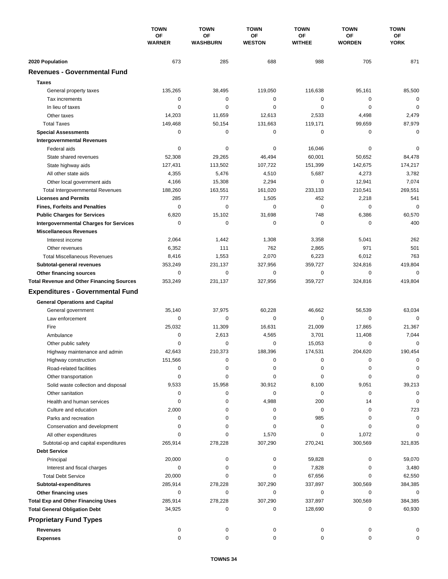|                                                  | <b>TOWN</b><br><b>OF</b><br><b>WARNER</b> | <b>TOWN</b>                  | <b>TOWN</b><br>ΟF<br><b>WESTON</b> | <b>TOWN</b>         | <b>TOWN</b>         | <b>TOWN</b><br>ОF<br><b>YORK</b> |
|--------------------------------------------------|-------------------------------------------|------------------------------|------------------------------------|---------------------|---------------------|----------------------------------|
|                                                  |                                           | <b>OF</b><br><b>WASHBURN</b> |                                    | ОF<br><b>WITHEE</b> | ΟF<br><b>WORDEN</b> |                                  |
|                                                  |                                           |                              |                                    |                     |                     |                                  |
| 2020 Population                                  | 673                                       | 285                          | 688                                | 988                 | 705                 | 871                              |
| <b>Revenues - Governmental Fund</b>              |                                           |                              |                                    |                     |                     |                                  |
| <b>Taxes</b>                                     |                                           |                              |                                    |                     |                     |                                  |
| General property taxes                           | 135,265                                   | 38,495                       | 119,050                            | 116,638             | 95,161              | 85,500                           |
| Tax increments                                   | 0                                         | 0                            | 0                                  | 0                   | 0                   | $\mathbf 0$                      |
| In lieu of taxes                                 | 0                                         | 0                            | $\mathbf 0$                        | 0                   | $\mathbf 0$         | $\mathbf 0$                      |
| Other taxes                                      | 14,203                                    | 11,659                       | 12,613                             | 2,533               | 4,498               | 2,479                            |
| <b>Total Taxes</b>                               | 149,468                                   | 50,154                       | 131,663                            | 119,171             | 99,659              | 87,979                           |
| <b>Special Assessments</b>                       | 0                                         | 0                            | 0                                  | 0                   | 0                   | 0                                |
| <b>Intergovernmental Revenues</b>                |                                           |                              |                                    |                     |                     |                                  |
| Federal aids                                     | 0                                         | 0                            | 0                                  | 16,046              | 0                   | 0                                |
| State shared revenues                            | 52,308                                    | 29,265                       | 46,494                             | 60,001              | 50,652              | 84,478                           |
| State highway aids                               | 127,431                                   | 113,502                      | 107,722                            | 151,399             | 142,675             | 174,217                          |
| All other state aids                             | 4,355                                     | 5,476                        | 4,510                              | 5,687               | 4,273               | 3,782                            |
| Other local government aids                      | 4,166                                     | 15,308                       | 2,294                              | $\mathbf 0$         | 12,941              | 7,074                            |
| <b>Total Intergovernmental Revenues</b>          | 188,260                                   | 163,551                      | 161,020                            | 233,133             | 210,541             | 269,551                          |
| <b>Licenses and Permits</b>                      | 285                                       | 777                          | 1,505                              | 452                 | 2,218               | 541                              |
| <b>Fines, Forfeits and Penalties</b>             | $\Omega$                                  | $\Omega$                     | $\Omega$                           | $\Omega$            | $\Omega$            | $\mathbf 0$                      |
| <b>Public Charges for Services</b>               | 6,820                                     | 15,102                       | 31,698                             | 748                 | 6,386               | 60,570                           |
| <b>Intergovernmental Charges for Services</b>    | 0                                         | $\mathbf 0$                  | $\mathbf 0$                        | 0                   | 0                   | 400                              |
| <b>Miscellaneous Revenues</b>                    |                                           |                              |                                    |                     |                     |                                  |
| Interest income                                  | 2,064                                     | 1,442                        | 1,308                              | 3,358               | 5,041               | 262                              |
| Other revenues                                   | 6,352                                     | 111                          | 762                                | 2,865               | 971                 | 501                              |
| <b>Total Miscellaneous Revenues</b>              | 8,416                                     | 1,553                        | 2,070                              | 6,223               | 6,012               | 763                              |
| Subtotal-general revenues                        | 353,249                                   | 231,137                      | 327,956                            | 359,727             | 324,816             | 419,804                          |
| Other financing sources                          | $\mathbf 0$                               | $\mathbf 0$                  | 0                                  | 0                   | $\mathbf 0$         | 0                                |
| <b>Total Revenue and Other Financing Sources</b> | 353,249                                   | 231,137                      | 327,956                            | 359,727             | 324,816             | 419,804                          |
| <b>Expenditures - Governmental Fund</b>          |                                           |                              |                                    |                     |                     |                                  |
| <b>General Operations and Capital</b>            |                                           |                              |                                    |                     |                     |                                  |
| General government                               | 35,140                                    | 37,975                       | 60,228                             | 46,662              | 56,539              | 63,034                           |
| Law enforcement                                  | 0                                         | 0                            | $\mathbf 0$                        | 0                   | 0                   | $\Omega$                         |
| Fire                                             | 25,032                                    | 11,309                       | 16,631                             | 21,009              | 17,865              | 21,367                           |
| Ambulance                                        | 0                                         | 2,613                        | 4,565                              | 3,701               | 11,408              | 7,044                            |
| Other public safety                              | 0                                         | $\mathbf 0$                  | 0                                  | 15,053              | $\mathbf 0$         | 0                                |
| Highway maintenance and admin                    | 42,643                                    | 210,373                      | 188,396                            | 174,531             | 204,620             | 190.454                          |
| Highway construction                             | 151,566                                   | 0                            | 0                                  | 0                   | 0                   | 0                                |
| Road-related facilities                          | 0                                         | 0                            | 0                                  | 0                   | 0                   | 0                                |
| Other transportation                             | 0                                         | 0                            | 0                                  | 0                   | 0                   | 0                                |
| Solid waste collection and disposal              | 9,533                                     | 15,958                       | 30,912                             | 8,100               | 9,051               | 39,213                           |
| Other sanitation                                 | 0                                         | 0                            | 0                                  | 0                   | 0                   | 0                                |
| Health and human services                        | 0                                         | 0                            | 4,988                              | 200                 | 14                  | 0                                |
| Culture and education                            | 2,000                                     | 0                            | 0                                  | 0                   | 0                   | 723                              |
| Parks and recreation                             | 0                                         | 0                            | 0                                  | 985                 | 0                   | 0                                |
| Conservation and development                     | 0                                         | 0                            | 0                                  | 0                   | 0                   | 0                                |
| All other expenditures                           | $\Omega$                                  | 0                            | 1,570                              | 0                   | 1,072               | $\Omega$                         |
| Subtotal-op and capital expenditures             | 265,914                                   | 278,228                      | 307,290                            | 270,241             | 300,569             | 321,835                          |
| <b>Debt Service</b>                              |                                           |                              |                                    |                     |                     |                                  |
| Principal                                        | 20,000                                    | 0                            | 0                                  | 59,828              | 0                   | 59,070                           |
| Interest and fiscal charges                      | 0                                         | 0                            | 0                                  | 7,828               | 0                   | 3,480                            |
| <b>Total Debt Service</b>                        | 20,000                                    | 0                            | 0                                  | 67,656              | 0                   | 62,550                           |
| Subtotal-expenditures                            | 285,914                                   | 278,228                      | 307,290                            | 337,897             | 300,569             | 384,385                          |
| Other financing uses                             | 0                                         | 0                            | 0                                  | 0                   | $\mathbf 0$         | 0                                |
| <b>Total Exp and Other Financing Uses</b>        | 285,914                                   | 278,228                      | 307,290                            | 337,897             | 300,569             | 384,385                          |
| <b>Total General Obligation Debt</b>             | 34,925                                    | 0                            | 0                                  | 128,690             | 0                   | 60,930                           |
| <b>Proprietary Fund Types</b>                    |                                           |                              |                                    |                     |                     |                                  |
|                                                  |                                           |                              |                                    |                     |                     |                                  |
| <b>Revenues</b><br><b>Expenses</b>               | 0<br>0                                    | 0<br>0                       | 0<br>0                             | 0<br>0              | 0<br>0              | 0<br>0                           |
|                                                  |                                           |                              |                                    |                     |                     |                                  |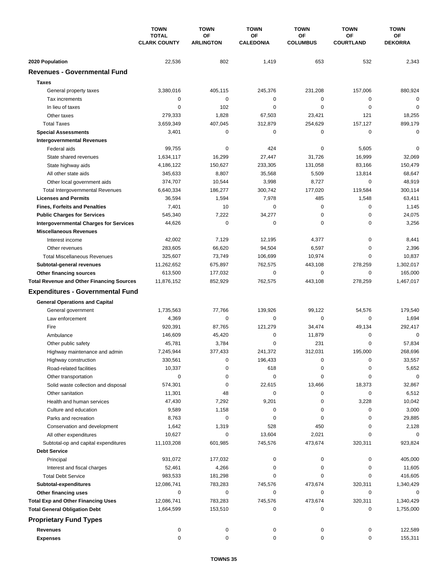|                                                  | <b>TOWN</b><br><b>TOTAL</b><br><b>CLARK COUNTY</b> | <b>TOWN</b>            | <b>TOWN</b><br>ΟF<br><b>CALEDONIA</b> | <b>TOWN</b>           | <b>TOWN</b>            | <b>TOWN</b><br>ОF<br><b>DEKORRA</b> |
|--------------------------------------------------|----------------------------------------------------|------------------------|---------------------------------------|-----------------------|------------------------|-------------------------------------|
|                                                  |                                                    | OF<br><b>ARLINGTON</b> |                                       | ОF<br><b>COLUMBUS</b> | ΟF<br><b>COURTLAND</b> |                                     |
| 2020 Population                                  | 22,536                                             | 802                    | 1,419                                 | 653                   | 532                    | 2,343                               |
| <b>Revenues - Governmental Fund</b>              |                                                    |                        |                                       |                       |                        |                                     |
| <b>Taxes</b>                                     |                                                    |                        |                                       |                       |                        |                                     |
| General property taxes                           | 3,380,016                                          | 405,115                | 245,376                               | 231,208               | 157,006                | 880,924                             |
| Tax increments                                   | 0                                                  | $\mathbf 0$            | $\mathbf 0$                           | 0                     | 0                      | $\mathbf 0$                         |
| In lieu of taxes                                 | 0                                                  | 102                    | $\mathbf 0$                           | 0                     | $\mathbf 0$            | $\mathbf 0$                         |
| Other taxes                                      | 279,333                                            | 1,828                  | 67,503                                | 23,421                | 121                    | 18,255                              |
| <b>Total Taxes</b>                               | 3,659,349                                          | 407,045                | 312,879                               | 254,629               | 157,127                | 899,179                             |
| <b>Special Assessments</b>                       | 3,401                                              | $\mathbf 0$            | 0                                     | 0                     | $\mathbf 0$            | 0                                   |
| <b>Intergovernmental Revenues</b>                |                                                    |                        |                                       |                       |                        |                                     |
| Federal aids                                     | 99,755                                             | 0                      | 424                                   | 0                     | 5,605                  | 0                                   |
| State shared revenues                            | 1,634,117                                          | 16,299                 | 27,447                                | 31,726                | 16,999                 | 32,069                              |
| State highway aids                               | 4,186,122                                          | 150,627                | 233,305                               | 131,058               | 83,166                 | 150,479                             |
| All other state aids                             | 345,633                                            | 8,807                  | 35,568                                | 5,509                 | 13,814                 | 68,647                              |
| Other local government aids                      | 374,707                                            | 10,544                 | 3,998                                 | 8,727                 | $\mathbf 0$            | 48,919                              |
| <b>Total Intergovernmental Revenues</b>          | 6,640,334                                          | 186,277                | 300,742                               | 177,020               | 119,584                | 300,114                             |
| <b>Licenses and Permits</b>                      | 36,594                                             | 1,594                  | 7,978                                 | 485                   | 1,548                  | 63,411                              |
| <b>Fines, Forfeits and Penalties</b>             | 7,401                                              | 10                     | 0                                     | $\Omega$              | 0                      | 1,145                               |
| <b>Public Charges for Services</b>               | 545,340                                            | 7,222                  | 34,277                                | 0                     | $\mathbf 0$            | 24,075                              |
| <b>Intergovernmental Charges for Services</b>    | 44,626                                             | $\mathbf 0$            | 0                                     | 0                     | 0                      | 3,256                               |
| <b>Miscellaneous Revenues</b>                    |                                                    |                        |                                       |                       |                        |                                     |
| Interest income                                  | 42,002                                             | 7,129                  | 12,195                                | 4,377                 | 0                      | 8,441                               |
| Other revenues                                   | 283,605                                            | 66,620                 | 94,504                                | 6,597                 | 0                      | 2,396                               |
| <b>Total Miscellaneous Revenues</b>              | 325,607                                            | 73,749                 | 106,699                               | 10,974                | $\mathbf 0$            | 10,837                              |
| Subtotal-general revenues                        | 11,262,652                                         | 675,897                | 762,575                               | 443,108               | 278,259                | 1,302,017                           |
| Other financing sources                          | 613,500                                            | 177,032                | $\mathbf 0$                           | 0                     | $\mathbf 0$            | 165,000                             |
| <b>Total Revenue and Other Financing Sources</b> | 11,876,152                                         | 852,929                | 762,575                               | 443,108               | 278,259                | 1,467,017                           |
| <b>Expenditures - Governmental Fund</b>          |                                                    |                        |                                       |                       |                        |                                     |
| <b>General Operations and Capital</b>            |                                                    |                        |                                       |                       |                        |                                     |
| General government                               | 1,735,563                                          | 77,766                 | 139.926                               | 99,122                | 54,576                 | 179,540                             |
| Law enforcement                                  | 4,369                                              | 0                      | $\mathbf 0$                           | 0                     | 0                      | 1,694                               |
| Fire                                             | 920,391                                            | 87,765                 | 121,279                               | 34,474                | 49,134                 | 292,417                             |
| Ambulance                                        | 146,609                                            | 45,420                 | 0                                     | 11,879                | 0                      | $\mathbf 0$                         |
| Other public safety                              | 45,781                                             | 3,784                  | $\mathbf 0$                           | 231                   | $\mathbf 0$            | 57,834                              |
| Highway maintenance and admin                    | 7,245,944                                          | 377,433                | 241,372                               | 312,031               | 195,000                | 268,696                             |
| Highway construction                             | 330,561                                            | $\pmb{0}$              | 196,433                               | 0                     | 0                      | 33,557                              |
| Road-related facilities                          | 10,337                                             | 0                      | 618                                   | 0                     | 0                      | 5,652                               |
| Other transportation                             | 0                                                  | 0                      | 0                                     | 0                     | 0                      | 0                                   |
| Solid waste collection and disposal              | 574,301                                            | 0                      | 22,615                                | 13,466                | 18,373                 | 32,867                              |
| Other sanitation                                 | 11,301                                             | 48                     | 0                                     | 0                     | 0                      | 6,512                               |
| Health and human services                        | 47,430                                             | 7,292                  | 9,201                                 | 0                     | 3,228                  | 10,042                              |
| Culture and education                            | 9,589                                              | 1,158                  | 0                                     | 0                     | 0                      | 3,000                               |
| Parks and recreation                             | 8,763                                              | 0                      | 0                                     | 0                     | 0                      | 29,885                              |
| Conservation and development                     | 1,642                                              | 1,319                  | 528                                   | 450                   | 0                      | 2,128                               |
| All other expenditures                           | 10,627                                             | 0                      | 13,604                                | 2,021                 | 0                      | 0                                   |
| Subtotal-op and capital expenditures             | 11,103,208                                         | 601,985                | 745,576                               | 473,674               | 320,311                | 923,824                             |
| <b>Debt Service</b>                              |                                                    |                        |                                       |                       |                        |                                     |
| Principal                                        | 931,072                                            | 177,032                | 0                                     | 0                     | 0                      | 405,000                             |
| Interest and fiscal charges                      | 52,461                                             | 4,266                  | 0                                     | 0                     | 0                      | 11,605                              |
| <b>Total Debt Service</b>                        | 983,533                                            | 181,298                | 0                                     | 0                     | 0                      | 416,605                             |
| Subtotal-expenditures                            | 12,086,741                                         | 783,283                | 745,576                               | 473,674               | 320,311                | 1,340,429                           |
| Other financing uses                             | 0                                                  | 0                      | 0                                     | 0                     | 0                      | 0                                   |
| <b>Total Exp and Other Financing Uses</b>        | 12,086,741                                         | 783,283                | 745,576                               | 473,674               | 320,311                | 1,340,429                           |
| <b>Total General Obligation Debt</b>             | 1,664,599                                          | 153,510                | 0                                     | 0                     | 0                      | 1,755,000                           |
| <b>Proprietary Fund Types</b>                    |                                                    |                        |                                       |                       |                        |                                     |
| <b>Revenues</b>                                  | 0                                                  | 0                      | 0                                     | 0                     | 0                      | 122,589                             |
| <b>Expenses</b>                                  | $\mathbf 0$                                        | 0                      | $\mathbf 0$                           | 0                     | 0                      | 155,311                             |
|                                                  |                                                    |                        |                                       |                       |                        |                                     |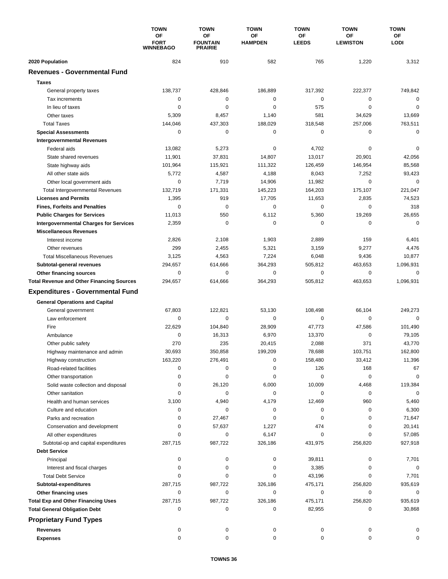|                                                  | <b>TOWN</b>                           | <b>TOWN</b>                                    | <b>TOWN</b>                 | <b>TOWN</b>        | <b>TOWN</b>                  | <b>TOWN</b>       |
|--------------------------------------------------|---------------------------------------|------------------------------------------------|-----------------------------|--------------------|------------------------------|-------------------|
|                                                  | ΟF<br><b>FORT</b><br><b>WINNEBAGO</b> | <b>OF</b><br><b>FOUNTAIN</b><br><b>PRAIRIE</b> | <b>OF</b><br><b>HAMPDEN</b> | ΟF<br><b>LEEDS</b> | <b>OF</b><br><b>LEWISTON</b> | ΟF<br><b>LODI</b> |
| 2020 Population                                  | 824                                   | 910                                            | 582                         | 765                | 1,220                        | 3,312             |
| <b>Revenues - Governmental Fund</b>              |                                       |                                                |                             |                    |                              |                   |
| <b>Taxes</b>                                     |                                       |                                                |                             |                    |                              |                   |
| General property taxes                           | 138,737                               | 428,846                                        | 186,889                     | 317,392            | 222,377                      | 749,842           |
| Tax increments                                   | $\mathbf 0$                           | 0                                              | $\mathbf 0$                 | $\mathbf 0$        | $\mathbf 0$                  | $\mathbf 0$       |
| In lieu of taxes                                 | 0                                     | 0                                              | 0                           | 575                | $\mathbf 0$                  | 0                 |
| Other taxes                                      | 5,309                                 | 8,457                                          | 1,140                       | 581                | 34,629                       | 13,669            |
| <b>Total Taxes</b>                               | 144,046                               | 437,303                                        | 188,029                     | 318,548            | 257,006                      | 763,511           |
| <b>Special Assessments</b>                       | 0                                     | 0                                              | 0                           | 0                  | 0                            | $\mathbf 0$       |
| <b>Intergovernmental Revenues</b>                |                                       |                                                |                             |                    |                              |                   |
| Federal aids                                     | 13,082                                | 5,273                                          | 0                           | 4,702              | 0                            | 0                 |
| State shared revenues                            | 11,901                                | 37,831                                         | 14,807                      | 13,017             | 20,901                       | 42,056            |
| State highway aids                               | 101,964                               | 115,921                                        | 111,322                     | 126,459            | 146,954                      | 85,568            |
| All other state aids                             | 5,772                                 | 4,587                                          | 4,188                       | 8,043              | 7,252                        | 93,423            |
|                                                  | 0                                     |                                                |                             |                    | $\mathbf 0$                  | $\mathbf 0$       |
| Other local government aids                      |                                       | 7,719<br>171.331                               | 14,906                      | 11,982             |                              |                   |
| <b>Total Intergovernmental Revenues</b>          | 132,719                               |                                                | 145,223                     | 164,203            | 175,107                      | 221,047           |
| <b>Licenses and Permits</b>                      | 1,395                                 | 919                                            | 17,705                      | 11,653             | 2,835                        | 74,523            |
| <b>Fines, Forfeits and Penalties</b>             | 0                                     | $\mathbf 0$                                    | $\mathbf 0$                 | 0                  | 0                            | 318               |
| <b>Public Charges for Services</b>               | 11,013                                | 550                                            | 6,112                       | 5,360              | 19,269                       | 26,655            |
| <b>Intergovernmental Charges for Services</b>    | 2,359                                 | $\mathbf 0$                                    | $\mathbf 0$                 | 0                  | 0                            | $\mathbf 0$       |
| <b>Miscellaneous Revenues</b>                    |                                       |                                                |                             |                    |                              |                   |
| Interest income                                  | 2,826                                 | 2,108                                          | 1,903                       | 2,889              | 159                          | 6,401             |
| Other revenues                                   | 299                                   | 2,455                                          | 5,321                       | 3,159              | 9,277                        | 4,476             |
| <b>Total Miscellaneous Revenues</b>              | 3,125                                 | 4,563                                          | 7,224                       | 6,048              | 9,436                        | 10,877            |
| Subtotal-general revenues                        | 294,657                               | 614,666                                        | 364,293                     | 505,812            | 463,653                      | 1,096,931         |
| Other financing sources                          | 0                                     | 0                                              | 0                           | 0                  | $\mathbf 0$                  | 0                 |
| <b>Total Revenue and Other Financing Sources</b> | 294,657                               | 614,666                                        | 364,293                     | 505,812            | 463,653                      | 1,096,931         |
| <b>Expenditures - Governmental Fund</b>          |                                       |                                                |                             |                    |                              |                   |
| <b>General Operations and Capital</b>            |                                       |                                                |                             |                    |                              |                   |
| General government                               | 67,803                                | 122,821                                        | 53,130                      | 108,498            | 66,104                       | 249,273           |
| Law enforcement                                  | 0                                     | $\mathbf 0$                                    | 0                           | 0                  | $\mathbf 0$                  | $\mathbf 0$       |
| Fire                                             | 22,629                                | 104,840                                        | 28,909                      | 47,773             | 47,586                       | 101,490           |
| Ambulance                                        | 0                                     | 16,313                                         | 6,970                       | 13,370             | $\mathbf 0$                  | 79,105            |
| Other public safety                              | 270                                   | 235                                            | 20,415                      | 2,088              | 371                          | 43,770            |
|                                                  | 30,693                                | 350,858                                        | 199,209                     | 78,688             | 103,751                      | 162,800           |
| Highway maintenance and admin                    |                                       |                                                |                             |                    |                              |                   |
| Highway construction                             | 163,220                               | 276,491                                        | 0                           | 158,480            | 33,412                       | 11,396            |
| Road-related facilities                          | 0                                     | 0                                              | 0                           | 126                | 168                          | 67                |
| Other transportation                             | 0                                     | 0                                              | 0                           | 0                  | 0                            | 0                 |
| Solid waste collection and disposal              | 0                                     | 26,120                                         | 6,000                       | 10,009             | 4,468                        | 119,384           |
| Other sanitation                                 | 0                                     | 0                                              | 0                           | 0                  | 0                            | $\mathbf 0$       |
| Health and human services                        | 3,100                                 | 4,940                                          | 4,179                       | 12,469             | 960                          | 5,460             |
| Culture and education                            | 0                                     | 0                                              | 0                           | 0                  | 0                            | 6,300             |
| Parks and recreation                             | 0                                     | 27,467                                         | 0                           | 0                  | 0                            | 71,647            |
| Conservation and development                     | 0                                     | 57,637                                         | 1,227                       | 474                | 0                            | 20,141            |
| All other expenditures                           | 0                                     | 0                                              | 6,147                       | 0                  | 0                            | 57,085            |
| Subtotal-op and capital expenditures             | 287,715                               | 987,722                                        | 326,186                     | 431,975            | 256,820                      | 927,918           |
| <b>Debt Service</b>                              |                                       |                                                |                             |                    |                              |                   |
| Principal                                        | 0                                     | 0                                              | 0                           | 39,811             | 0                            | 7,701             |
| Interest and fiscal charges                      | 0                                     | 0                                              | 0                           | 3,385              | 0                            | 0                 |
| <b>Total Debt Service</b>                        | 0                                     | 0                                              | 0                           | 43,196             | 0                            | 7,701             |
| Subtotal-expenditures                            | 287,715                               | 987,722                                        | 326,186                     | 475,171            | 256,820                      | 935,619           |
| Other financing uses                             | 0                                     | 0                                              | 0                           | 0                  | 0                            | 0                 |
| <b>Total Exp and Other Financing Uses</b>        | 287,715                               | 987,722                                        | 326,186                     | 475,171            | 256,820                      | 935,619           |
| <b>Total General Obligation Debt</b>             | 0                                     | 0                                              | 0                           | 82,955             | 0                            | 30,868            |
| <b>Proprietary Fund Types</b>                    |                                       |                                                |                             |                    |                              |                   |
| <b>Revenues</b>                                  | 0                                     | 0                                              | 0                           | 0                  | 0                            | 0                 |
| <b>Expenses</b>                                  | 0                                     | 0                                              | 0                           | 0                  | 0                            | 0                 |
|                                                  |                                       |                                                |                             |                    |                              |                   |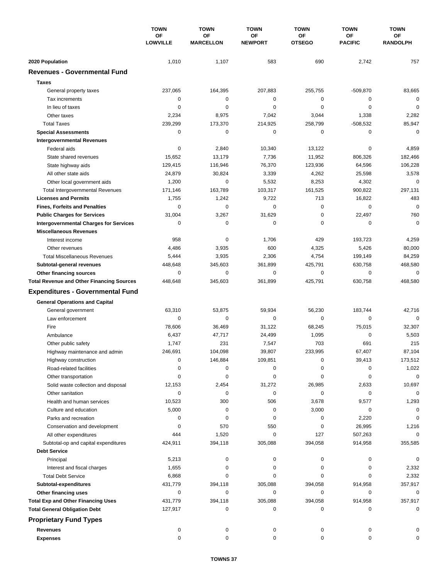|                                                  | <b>TOWN</b><br>OF<br><b>LOWVILLE</b> | <b>TOWN</b>            | <b>TOWN</b><br>OF<br><b>NEWPORT</b> | <b>TOWN</b>         | <b>TOWN</b>          | <b>TOWN</b><br>ОF<br><b>RANDOLPH</b> |
|--------------------------------------------------|--------------------------------------|------------------------|-------------------------------------|---------------------|----------------------|--------------------------------------|
|                                                  |                                      | OF<br><b>MARCELLON</b> |                                     | OF<br><b>OTSEGO</b> | ΟF<br><b>PACIFIC</b> |                                      |
| 2020 Population                                  | 1,010                                | 1,107                  | 583                                 | 690                 | 2,742                | 757                                  |
| <b>Revenues - Governmental Fund</b>              |                                      |                        |                                     |                     |                      |                                      |
| <b>Taxes</b>                                     |                                      |                        |                                     |                     |                      |                                      |
| General property taxes                           | 237,065                              | 164,395                | 207,883                             | 255,755             | $-509,870$           | 83,665                               |
| Tax increments                                   | 0                                    | $\pmb{0}$              | $\mathbf 0$                         | 0                   | 0                    | $\mathbf 0$                          |
| In lieu of taxes                                 | 0                                    | $\mathbf 0$            | 0                                   | 0                   | $\mathbf 0$          | $\mathbf 0$                          |
| Other taxes                                      | 2,234                                | 8,975                  | 7,042                               | 3,044               | 1,338                | 2,282                                |
| <b>Total Taxes</b>                               | 239,299                              | 173,370                | 214,925                             | 258,799             | $-508,532$           | 85,947                               |
| <b>Special Assessments</b>                       | 0                                    | 0                      | 0                                   | 0                   | 0                    | $\mathbf 0$                          |
| <b>Intergovernmental Revenues</b>                |                                      |                        |                                     |                     |                      |                                      |
| Federal aids                                     | 0                                    | 2,840                  | 10,340                              | 13,122              | 0                    | 4,859                                |
| State shared revenues                            | 15,652                               | 13,179                 | 7,736                               | 11,952              | 806,326              | 182,466                              |
| State highway aids                               | 129,415                              | 116,946                | 76,370                              | 123,936             | 64,596               | 106,228                              |
| All other state aids                             | 24,879                               | 30,824                 | 3,339                               | 4,262               | 25,598               | 3,578                                |
| Other local government aids                      | 1,200                                | 0                      | 5,532                               | 8,253               | 4,302                | $\mathbf 0$                          |
| <b>Total Intergovernmental Revenues</b>          | 171,146                              | 163,789                | 103,317                             | 161,525             | 900,822              | 297,131                              |
| <b>Licenses and Permits</b>                      | 1,755                                | 1,242                  | 9,722                               | 713                 | 16,822               | 483                                  |
| <b>Fines, Forfeits and Penalties</b>             | 0                                    | $\mathbf 0$            | 0                                   | 0                   | $\mathbf 0$          | $\mathbf 0$                          |
| <b>Public Charges for Services</b>               | 31,004                               | 3,267                  | 31,629                              | 0                   | 22,497               | 760                                  |
| <b>Intergovernmental Charges for Services</b>    | 0                                    | 0                      | 0                                   | 0                   | 0                    | $\mathbf 0$                          |
| <b>Miscellaneous Revenues</b>                    |                                      |                        |                                     |                     |                      |                                      |
| Interest income                                  | 958                                  | 0                      | 1,706                               | 429                 | 193,723              | 4,259                                |
| Other revenues                                   | 4,486                                | 3,935                  | 600                                 | 4,325               | 5,426                | 80,000                               |
| <b>Total Miscellaneous Revenues</b>              | 5,444                                | 3,935                  | 2,306                               | 4,754               | 199,149              | 84,259                               |
| Subtotal-general revenues                        | 448,648                              | 345,603                | 361,899                             | 425,791             | 630,758              | 468,580                              |
| Other financing sources                          | 0                                    | $\pmb{0}$              | 0                                   | 0                   | 0                    | $\mathbf 0$                          |
| <b>Total Revenue and Other Financing Sources</b> | 448,648                              | 345,603                | 361,899                             | 425,791             | 630,758              | 468,580                              |
| <b>Expenditures - Governmental Fund</b>          |                                      |                        |                                     |                     |                      |                                      |
| <b>General Operations and Capital</b>            |                                      |                        |                                     |                     |                      |                                      |
| General government                               | 63,310                               | 53,875                 | 59,934                              | 56,230              | 183,744              | 42,716                               |
| Law enforcement                                  | 0                                    | 0                      | 0                                   | $\mathbf 0$         | $\mathbf 0$          | $\mathbf 0$                          |
| Fire                                             | 78,606                               | 36,469                 | 31,122                              | 68,245              | 75,015               | 32,307                               |
| Ambulance                                        | 6,437                                | 47,717                 | 24,499                              | 1,095               | $\mathbf 0$          | 5,503                                |
| Other public safety                              | 1,747                                | 231                    | 7,547                               | 703                 | 691                  | 215                                  |
| Highway maintenance and admin                    | 246,691                              | 104,098                | 39,807                              | 233,995             | 67,407               | 87,104                               |
| Highway construction                             | 0                                    | 146,884                | 109,851                             | 0                   | 39,413               | 173,512                              |
| Road-related facilities                          | 0                                    | 0                      | 0                                   | 0                   | 0                    | 1,022                                |
| Other transportation                             | 0                                    | 0                      | 0                                   | 0                   | 0                    | $\mathbf 0$                          |
| Solid waste collection and disposal              | 12,153                               | 2,454                  | 31,272                              | 26,985              | 2,633                | 10,697                               |
| Other sanitation                                 | 0                                    | 0                      | 0                                   | 0                   | 0                    | $\mathbf 0$                          |
| Health and human services                        | 10,523                               | 300                    | 506                                 | 3,678               | 9,577                | 1,293                                |
| Culture and education                            | 5,000                                | 0                      | 0                                   | 3,000               | 0                    | 0                                    |
| Parks and recreation                             | 0                                    | 0                      | 0                                   | 0                   | 2,220                | 0                                    |
| Conservation and development                     | 0                                    | 570                    | 550                                 | 0                   | 26,995               | 1,216                                |
| All other expenditures                           | 444                                  | 1,520                  | 0                                   | 127                 | 507,263              | 0                                    |
| Subtotal-op and capital expenditures             | 424,911                              | 394,118                | 305,088                             | 394,058             | 914,958              | 355,585                              |
| <b>Debt Service</b>                              |                                      |                        |                                     |                     |                      |                                      |
| Principal                                        | 5,213                                | 0                      | 0                                   | 0                   | 0                    | 0                                    |
| Interest and fiscal charges                      | 1,655                                | 0                      | 0                                   | 0                   | 0                    | 2,332                                |
| <b>Total Debt Service</b>                        | 6,868                                | 0                      | 0                                   | 0                   | 0                    | 2,332                                |
| Subtotal-expenditures                            | 431,779                              | 394,118                | 305,088                             | 394,058             | 914,958              | 357,917                              |
| Other financing uses                             | 0                                    | 0                      | 0                                   | 0                   | 0                    | 0                                    |
| <b>Total Exp and Other Financing Uses</b>        | 431,779                              | 394,118                | 305,088                             | 394,058             | 914,958              | 357,917                              |
| <b>Total General Obligation Debt</b>             | 127,917                              | 0                      | 0                                   | 0                   | 0                    | $\mathbf 0$                          |
| <b>Proprietary Fund Types</b>                    |                                      |                        |                                     |                     |                      |                                      |
| <b>Revenues</b>                                  | 0                                    | 0                      | 0                                   | 0                   | 0                    |                                      |
| <b>Expenses</b>                                  | $\mathbf 0$                          | 0                      | 0                                   | 0                   | 0                    | 0                                    |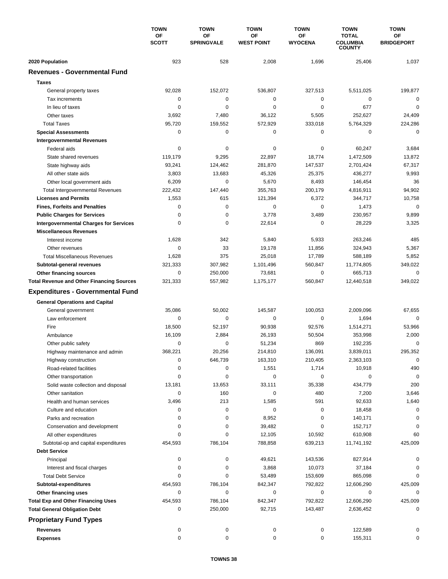|                                                  | <b>TOWN</b>        | <b>TOWN</b>             | <b>TOWN</b>             | <b>TOWN</b>          | <b>TOWN</b>                                      | <b>TOWN</b>             |
|--------------------------------------------------|--------------------|-------------------------|-------------------------|----------------------|--------------------------------------------------|-------------------------|
|                                                  | OF<br><b>SCOTT</b> | OF<br><b>SPRINGVALE</b> | ΟF<br><b>WEST POINT</b> | ΟF<br><b>WYOCENA</b> | <b>TOTAL</b><br><b>COLUMBIA</b><br><b>COUNTY</b> | ΟF<br><b>BRIDGEPORT</b> |
| 2020 Population                                  | 923                | 528                     | 2,008                   | 1,696                | 25,406                                           | 1,037                   |
| <b>Revenues - Governmental Fund</b>              |                    |                         |                         |                      |                                                  |                         |
| <b>Taxes</b>                                     |                    |                         |                         |                      |                                                  |                         |
| General property taxes                           | 92,028             | 152,072                 | 536,807                 | 327,513              | 5,511,025                                        | 199,877                 |
| Tax increments                                   | 0                  | $\mathbf 0$             | 0                       | 0                    | 0                                                | 0                       |
| In lieu of taxes                                 | 0                  | $\Omega$                | 0                       | 0                    | 677                                              | $\mathbf 0$             |
| Other taxes                                      | 3,692              | 7,480                   | 36,122                  | 5,505                | 252,627                                          | 24,409                  |
| <b>Total Taxes</b>                               | 95,720             | 159,552                 | 572,929                 | 333,018              | 5,764,329                                        | 224,286                 |
| <b>Special Assessments</b>                       | 0                  | 0                       | 0                       | 0                    | 0                                                | 0                       |
| <b>Intergovernmental Revenues</b>                |                    |                         |                         |                      |                                                  |                         |
| Federal aids                                     | 0                  | 0                       | 0                       | 0                    | 60,247                                           | 3,684                   |
| State shared revenues                            | 119,179            | 9,295                   | 22,897                  | 18,774               | 1,472,509                                        | 13,872                  |
| State highway aids                               | 93,241             | 124,462                 | 281,870                 | 147,537              | 2,701,424                                        | 67,317                  |
| All other state aids                             | 3,803              | 13,683                  | 45,326                  | 25,375               | 436,277                                          | 9,993                   |
| Other local government aids                      | 6,209              | $\mathbf 0$             | 5,670                   | 8,493                | 146,454                                          | 36                      |
| <b>Total Intergovernmental Revenues</b>          | 222,432            | 147,440                 | 355,763                 | 200,179              | 4,816,911                                        | 94,902                  |
| <b>Licenses and Permits</b>                      | 1,553              | 615                     | 121,394                 | 6,372                | 344,717                                          | 10,758                  |
| <b>Fines, Forfeits and Penalties</b>             | 0                  | $\mathbf 0$             | 0                       | 0                    | 1,473                                            | 0                       |
| <b>Public Charges for Services</b>               | 0                  | 0                       | 3,778                   | 3,489                | 230,957                                          | 9,899                   |
| <b>Intergovernmental Charges for Services</b>    | 0                  | $\mathbf 0$             | 22,614                  | $\mathbf 0$          | 28,229                                           | 3,325                   |
| <b>Miscellaneous Revenues</b>                    |                    |                         |                         |                      |                                                  |                         |
| Interest income                                  | 1,628              | 342                     | 5,840                   | 5,933                | 263,246                                          | 485                     |
| Other revenues                                   | 0                  | 33                      | 19,178                  | 11,856               | 324,943                                          | 5,367                   |
| <b>Total Miscellaneous Revenues</b>              | 1,628              | 375                     | 25,018                  | 17,789               | 588,189                                          | 5,852                   |
| Subtotal-general revenues                        | 321,333            | 307,982                 | 1,101,496               | 560,847              | 11,774,805                                       | 349,022                 |
| Other financing sources                          | 0                  | 250,000                 | 73,681                  | 0                    | 665,713                                          | $\mathbf 0$             |
| <b>Total Revenue and Other Financing Sources</b> | 321,333            | 557,982                 | 1,175,177               | 560,847              | 12,440,518                                       | 349,022                 |
| <b>Expenditures - Governmental Fund</b>          |                    |                         |                         |                      |                                                  |                         |
| <b>General Operations and Capital</b>            |                    |                         |                         |                      |                                                  |                         |
| General government                               | 35,086             | 50,002                  | 145,587                 | 100,053              | 2,009,096                                        | 67,655                  |
| Law enforcement                                  | 0                  | $\mathbf 0$             | 0                       | 0                    | 1,694                                            | $\mathbf 0$             |
| Fire                                             | 18,500             | 52,197                  | 90,938                  | 92,576               | 1,514,271                                        | 53,966                  |
| Ambulance                                        | 16,109             | 2,884                   | 26,193                  | 50,504               | 353,998                                          | 2,000                   |
| Other public safety                              | 0                  | 0                       | 51,234                  | 869                  | 192,235                                          | $\mathbf 0$             |
| Highway maintenance and admin                    | 368,221            | 20,256                  | 214,810                 | 136,091              | 3,839,011                                        | 295,352                 |
| Highway construction                             | 0                  | 646,739                 | 163,310                 | 210,405              | 2,363,103                                        | 0                       |
| Road-related facilities                          | 0                  | 0                       | 1,551                   | 1,714                | 10,918                                           | 490                     |
| Other transportation                             | 0                  | 0                       | 0                       | 0                    | 0                                                | 0                       |
| Solid waste collection and disposal              | 13,181             | 13,653                  | 33,111                  | 35,338               | 434,779                                          | 200                     |
| Other sanitation                                 | 0                  | 160                     | 0                       | 480                  | 7,200                                            | 3,646                   |
| Health and human services                        | 3,496              | 213                     | 1,585                   | 591                  | 92,633                                           | 1,640                   |
| Culture and education                            | 0                  | $\pmb{0}$               | 0                       | 0                    | 18,458                                           | 0                       |
| Parks and recreation                             | 0                  | 0                       | 8,952                   | 0                    | 140,171                                          | 0                       |
| Conservation and development                     | 0                  | 0                       | 39,482                  | 0                    | 152,717                                          | 0                       |
| All other expenditures                           | 0                  | 0                       | 12,105                  | 10,592               | 610,908                                          | 60                      |
| Subtotal-op and capital expenditures             | 454,593            | 786,104                 | 788,858                 | 639,213              | 11,741,192                                       | 425,009                 |
| <b>Debt Service</b>                              |                    |                         |                         |                      |                                                  |                         |
| Principal                                        | 0                  | 0                       | 49,621                  | 143,536              | 827,914                                          | 0                       |
| Interest and fiscal charges                      | 0                  | 0                       | 3,868                   | 10,073               | 37,184                                           | 0                       |
| <b>Total Debt Service</b>                        | 0                  | 0                       | 53,489                  | 153,609              | 865,098                                          | 0                       |
| Subtotal-expenditures                            | 454,593            | 786,104                 | 842,347                 | 792,822              | 12,606,290                                       | 425,009                 |
| Other financing uses                             | 0                  | 0                       | 0                       | 0                    | 0                                                | 0                       |
| <b>Total Exp and Other Financing Uses</b>        | 454,593            | 786,104                 | 842,347                 | 792,822              | 12,606,290                                       | 425,009                 |
| <b>Total General Obligation Debt</b>             | 0                  | 250,000                 | 92,715                  | 143,487              | 2,636,452                                        | 0                       |
| <b>Proprietary Fund Types</b>                    |                    |                         |                         |                      |                                                  |                         |
| Revenues                                         | 0                  | 0                       | 0                       | 0                    | 122,589                                          |                         |
| <b>Expenses</b>                                  | 0                  | 0                       | 0                       | 0                    | 155,311                                          | 0                       |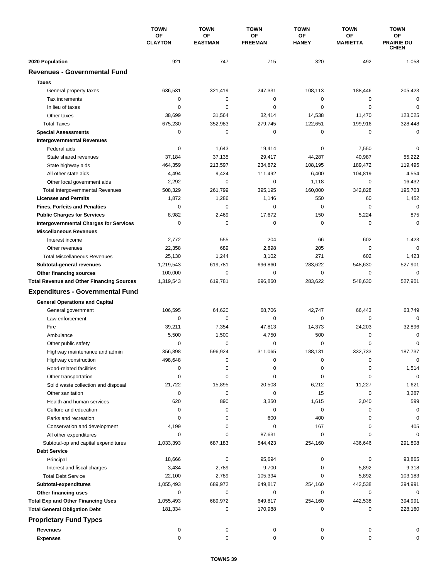|                                                  | <b>TOWN</b>                 | <b>TOWN</b>                 | <b>TOWN</b>          | <b>TOWN</b>        | <b>TOWN</b>                  | <b>TOWN</b>                      |
|--------------------------------------------------|-----------------------------|-----------------------------|----------------------|--------------------|------------------------------|----------------------------------|
|                                                  | <b>OF</b><br><b>CLAYTON</b> | <b>OF</b><br><b>EASTMAN</b> | ΟF<br><b>FREEMAN</b> | ΟF<br><b>HANEY</b> | <b>OF</b><br><b>MARIETTA</b> | ΟF<br><b>PRAIRIE DU</b><br>CHIEN |
| 2020 Population                                  | 921                         | 747                         | 715                  | 320                | 492                          | 1,058                            |
| <b>Revenues - Governmental Fund</b>              |                             |                             |                      |                    |                              |                                  |
| <b>Taxes</b>                                     |                             |                             |                      |                    |                              |                                  |
| General property taxes                           | 636,531                     | 321,419                     | 247,331              | 108,113            | 188,446                      | 205,423                          |
| Tax increments                                   | 0                           | $\mathbf 0$                 | $\mathbf 0$          | $\mathbf 0$        | 0                            | $\mathbf 0$                      |
| In lieu of taxes                                 | 0                           | 0                           | $\mathbf 0$          | 0                  | $\mathbf 0$                  | $\mathbf 0$                      |
| Other taxes                                      | 38,699                      | 31,564                      | 32,414               | 14,538             | 11,470                       | 123,025                          |
| <b>Total Taxes</b>                               | 675,230                     | 352,983                     | 279,745              | 122,651            | 199,916                      | 328,448                          |
| <b>Special Assessments</b>                       | 0                           | $\mathbf 0$                 | 0                    | 0                  | 0                            | $\mathbf 0$                      |
| <b>Intergovernmental Revenues</b>                |                             |                             |                      |                    |                              |                                  |
| Federal aids                                     | 0                           | 1,643                       | 19,414               | 0                  | 7,550                        | 0                                |
| State shared revenues                            | 37,184                      | 37,135                      | 29,417               | 44,287             | 40,987                       | 55,222                           |
| State highway aids                               | 464,359                     | 213,597                     | 234,872              | 108,195            | 189,472                      | 119,495                          |
| All other state aids                             | 4,494                       | 9,424                       | 111,492              | 6,400              | 104,819                      | 4,554                            |
| Other local government aids                      | 2,292                       | 0                           | $\mathbf 0$          | 1,118              | $\mathbf 0$                  | 16,432                           |
| <b>Total Intergovernmental Revenues</b>          | 508,329                     | 261,799                     | 395,195              | 160.000            | 342,828                      | 195,703                          |
| <b>Licenses and Permits</b>                      | 1,872                       | 1,286                       | 1,146                | 550                | 60                           | 1,452                            |
| <b>Fines, Forfeits and Penalties</b>             | $\Omega$                    | $\Omega$                    | $\Omega$             | $\Omega$           | $\Omega$                     | $\mathbf 0$                      |
| <b>Public Charges for Services</b>               | 8,982                       | 2,469                       | 17,672               | 150                | 5,224                        | 875                              |
| <b>Intergovernmental Charges for Services</b>    | 0                           | 0                           | $\mathbf 0$          | 0                  | 0                            | $\mathbf 0$                      |
| <b>Miscellaneous Revenues</b>                    |                             |                             |                      |                    |                              |                                  |
| Interest income                                  | 2,772                       | 555                         | 204                  | 66                 | 602                          | 1,423                            |
| Other revenues                                   | 22,358                      | 689                         | 2,898                | 205                | $\mathbf 0$                  | $\mathbf 0$                      |
| <b>Total Miscellaneous Revenues</b>              | 25,130                      | 1,244                       | 3,102                | 271                | 602                          | 1,423                            |
| Subtotal-general revenues                        | 1,219,543                   | 619,781                     | 696,860              | 283,622            | 548,630                      | 527,901                          |
| Other financing sources                          | 100,000                     | 0                           | 0                    | 0                  | $\mathbf 0$                  | $\mathbf 0$                      |
| <b>Total Revenue and Other Financing Sources</b> | 1,319,543                   | 619,781                     | 696,860              | 283,622            | 548,630                      | 527,901                          |
| <b>Expenditures - Governmental Fund</b>          |                             |                             |                      |                    |                              |                                  |
| <b>General Operations and Capital</b>            |                             |                             |                      |                    |                              |                                  |
| General government                               | 106,595                     | 64,620                      | 68,706               | 42,747             | 66.443                       | 63,749                           |
| Law enforcement                                  | $\mathbf 0$                 | 0                           | $\mathbf 0$          | 0                  | 0                            | $\Omega$                         |
| Fire                                             | 39,211                      | 7,354                       | 47,813               | 14,373             | 24,203                       | 32,896                           |
| Ambulance                                        | 5,500                       | 1,500                       | 4,750                | 500                | 0                            | 0                                |
| Other public safety                              | 0                           | $\mathbf 0$                 | 0                    | 0                  | $\mathbf 0$                  | 0                                |
| Highway maintenance and admin                    | 356,898                     | 596,924                     | 311,065              | 188.131            | 332,733                      | 187,737                          |
| Highway construction                             | 498,648                     | 0                           | 0                    | 0                  | 0                            | 0                                |
| Road-related facilities                          | 0                           | 0                           | 0                    | 0                  | 0                            | 1,514                            |
| Other transportation                             | 0                           | 0                           | 0                    | 0                  | 0                            | $\mathbf 0$                      |
| Solid waste collection and disposal              | 21,722                      | 15,895                      | 20,508               | 6,212              | 11,227                       | 1,621                            |
| Other sanitation                                 | 0                           | 0                           | 0                    | 15                 | 0                            | 3,287                            |
| Health and human services                        | 620                         | 890                         | 3,350                | 1,615              | 2,040                        | 599                              |
| Culture and education                            | 0                           | 0                           | 0                    | $\pmb{0}$          | 0                            | 0                                |
| Parks and recreation                             | 0                           | 0                           | 600                  | 400                | 0                            | 0                                |
| Conservation and development                     | 4,199                       | 0                           | $\pmb{0}$            | 167                | 0                            | 405                              |
| All other expenditures                           | 0                           | 0                           | 87,631               | 0                  | 0                            | $\mathbf 0$                      |
| Subtotal-op and capital expenditures             | 1,033,393                   | 687,183                     | 544,423              | 254,160            | 436,646                      | 291,808                          |
| <b>Debt Service</b>                              |                             |                             |                      |                    |                              |                                  |
| Principal                                        | 18,666                      | 0                           | 95,694               | 0                  | 0                            | 93,865                           |
| Interest and fiscal charges                      | 3,434                       | 2,789                       | 9,700                | 0                  | 5,892                        | 9,318                            |
| <b>Total Debt Service</b>                        | 22,100                      | 2,789                       | 105,394              | 0                  | 5,892                        | 103,183                          |
| Subtotal-expenditures                            | 1,055,493                   | 689,972                     | 649,817              | 254,160            | 442,538                      | 394,991                          |
| Other financing uses                             | 0                           | 0                           | 0                    | 0                  | 0                            | 0                                |
| <b>Total Exp and Other Financing Uses</b>        | 1,055,493                   | 689,972                     | 649,817              | 254,160            | 442,538                      | 394,991                          |
| <b>Total General Obligation Debt</b>             | 181,334                     | 0                           | 170,988              | 0                  | 0                            | 228,160                          |
| <b>Proprietary Fund Types</b>                    |                             |                             |                      |                    |                              |                                  |
| <b>Revenues</b>                                  | 0                           | 0                           | 0                    | 0                  | 0                            | 0                                |
| <b>Expenses</b>                                  | 0                           | 0                           | 0                    | 0                  | 0                            | 0                                |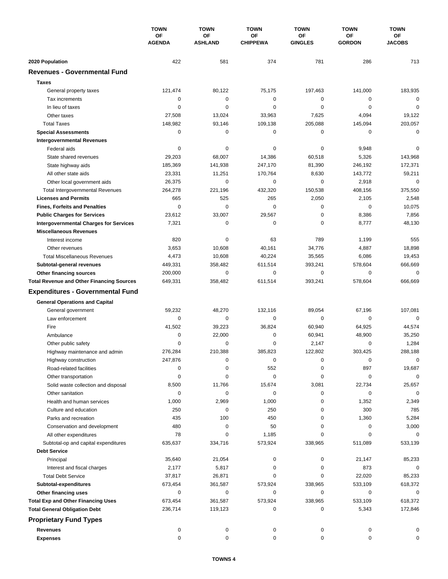|                                                  | <b>TOWN</b><br><b>OF</b><br><b>AGENDA</b> | <b>TOWN</b><br>OF<br><b>ASHLAND</b> | <b>TOWN</b><br>ΟF<br><b>CHIPPEWA</b> | <b>TOWN</b><br>ОF<br><b>GINGLES</b> | <b>TOWN</b><br>ΟF<br><b>GORDON</b> | <b>TOWN</b><br>ΟF<br><b>JACOBS</b> |
|--------------------------------------------------|-------------------------------------------|-------------------------------------|--------------------------------------|-------------------------------------|------------------------------------|------------------------------------|
|                                                  |                                           |                                     |                                      |                                     |                                    |                                    |
|                                                  |                                           |                                     |                                      |                                     |                                    |                                    |
| 2020 Population                                  | 422                                       | 581                                 | 374                                  | 781                                 | 286                                | 713                                |
| <b>Revenues - Governmental Fund</b>              |                                           |                                     |                                      |                                     |                                    |                                    |
| <b>Taxes</b>                                     |                                           |                                     |                                      |                                     |                                    |                                    |
| General property taxes                           | 121,474                                   | 80,122                              | 75,175                               | 197,463                             | 141,000                            | 183,935                            |
| Tax increments                                   | 0                                         | $\mathbf 0$                         | 0                                    | 0                                   | 0                                  | $\mathbf 0$                        |
| In lieu of taxes                                 | 0                                         | 0                                   | 0                                    | 0                                   | $\mathbf 0$                        | $\mathbf 0$                        |
| Other taxes                                      | 27,508                                    | 13,024                              | 33,963                               | 7,625                               | 4,094                              | 19,122                             |
| <b>Total Taxes</b>                               | 148,982                                   | 93,146                              | 109,138                              | 205,088                             | 145,094                            | 203,057                            |
| <b>Special Assessments</b>                       | 0                                         | $\mathbf 0$                         | 0                                    | 0                                   | 0                                  | 0                                  |
| <b>Intergovernmental Revenues</b>                |                                           |                                     |                                      |                                     |                                    |                                    |
| Federal aids                                     | 0                                         | 0                                   | 0                                    | 0                                   | 9,948                              | 0                                  |
| State shared revenues                            | 29,203                                    | 68,007                              | 14,386                               | 60,518                              | 5,326                              | 143,968                            |
| State highway aids                               | 185,369                                   | 141,938                             | 247,170                              | 81,390                              | 246,192                            | 172,371                            |
| All other state aids                             | 23,331                                    | 11,251                              | 170,764                              | 8,630                               | 143,772                            | 59,211                             |
| Other local government aids                      | 26,375                                    | $\mathbf 0$                         | $\mathbf 0$                          | 0                                   | 2,918                              | $\mathbf 0$                        |
| <b>Total Intergovernmental Revenues</b>          | 264,278                                   | 221,196                             | 432,320                              | 150,538                             | 408,156                            | 375,550                            |
| <b>Licenses and Permits</b>                      | 665                                       | 525                                 | 265                                  | 2,050                               | 2,105                              | 2,548                              |
| <b>Fines, Forfeits and Penalties</b>             | $\Omega$                                  | $\Omega$                            | $\Omega$                             | 0                                   | 0                                  | 10,075                             |
| <b>Public Charges for Services</b>               | 23,612                                    | 33,007                              | 29,567                               | 0                                   | 8,386                              | 7,856                              |
| <b>Intergovernmental Charges for Services</b>    | 7,321                                     | 0                                   | $\mathbf 0$                          | 0                                   | 8,777                              | 48,130                             |
| <b>Miscellaneous Revenues</b>                    |                                           |                                     |                                      |                                     |                                    |                                    |
| Interest income                                  | 820                                       | 0                                   | 63                                   | 789                                 | 1,199                              | 555                                |
| Other revenues                                   | 3,653                                     | 10,608                              | 40,161                               | 34,776                              | 4,887                              | 18,898                             |
| <b>Total Miscellaneous Revenues</b>              | 4,473                                     | 10,608                              | 40,224                               | 35,565                              | 6,086                              | 19,453                             |
| Subtotal-general revenues                        | 449,331                                   | 358,482                             | 611,514                              | 393,241                             | 578,604                            | 666,669                            |
| Other financing sources                          | 200,000                                   | $\mathbf 0$                         | $\mathbf 0$                          | 0                                   | $\mathbf 0$                        | 0                                  |
| <b>Total Revenue and Other Financing Sources</b> | 649,331                                   | 358,482                             | 611,514                              | 393,241                             | 578,604                            | 666,669                            |
| <b>Expenditures - Governmental Fund</b>          |                                           |                                     |                                      |                                     |                                    |                                    |
| <b>General Operations and Capital</b>            |                                           |                                     |                                      |                                     |                                    |                                    |
| General government                               | 59,232                                    | 48,270                              | 132,116                              | 89,054                              | 67,196                             | 107,081                            |
| Law enforcement                                  | $\mathbf 0$                               | 0                                   | 0                                    | 0                                   | 0                                  | $\mathbf 0$                        |
| Fire                                             | 41,502                                    | 39,223                              | 36,824                               | 60,940                              | 64,925                             | 44,574                             |
| Ambulance                                        | 0                                         | 22,000                              | 0                                    | 60,941                              | 48,900                             | 35,250                             |
| Other public safety                              | 0                                         | $\mathbf 0$                         | $\mathbf 0$                          | 2,147                               | $\mathbf 0$                        | 1,284                              |
| Highway maintenance and admin                    | 276.284                                   | 210,388                             | 385,823                              | 122,802                             | 303,425                            | 288,188                            |
| Highway construction                             | 247,876                                   | 0                                   | 0                                    | 0                                   | 0                                  | 0                                  |
| Road-related facilities                          | 0                                         | 0                                   | 552                                  | 0                                   | 897                                | 19,687                             |
| Other transportation                             | 0                                         | 0                                   | 0                                    | 0                                   | 0                                  | 0                                  |
| Solid waste collection and disposal              | 8,500                                     | 11,766                              | 15,674                               | 3,081                               | 22,734                             | 25,657                             |
| Other sanitation                                 | 0                                         | 0                                   | 0                                    | 0                                   | 0                                  | $\mathbf 0$                        |
| Health and human services                        | 1,000                                     | 2,969                               | 1,000                                | 0                                   | 1,352                              | 2,349                              |
| Culture and education                            | 250                                       | 0                                   | 250                                  | 0                                   | 300                                | 785                                |
| Parks and recreation                             | 435                                       | 100                                 | 450                                  | 0                                   | 1,360                              | 5,284                              |
| Conservation and development                     | 480                                       | 0                                   | 50                                   | 0                                   | 0                                  | 3,000                              |
| All other expenditures                           | 78                                        | 0                                   | 1,185                                | 0                                   | 0                                  | 0                                  |
| Subtotal-op and capital expenditures             | 635,637                                   | 334,716                             | 573,924                              | 338,965                             | 511,089                            | 533,139                            |
| <b>Debt Service</b>                              |                                           |                                     |                                      |                                     |                                    |                                    |
| Principal                                        | 35,640                                    | 21,054                              | 0                                    | 0                                   | 21,147                             | 85,233                             |
| Interest and fiscal charges                      | 2,177                                     | 5,817                               | 0                                    | 0                                   | 873                                | 0                                  |
| <b>Total Debt Service</b>                        | 37,817                                    | 26,871                              | 0                                    | 0                                   | 22,020                             | 85,233                             |
| Subtotal-expenditures                            | 673,454                                   | 361,587                             | 573,924                              | 338,965                             | 533,109                            | 618,372                            |
| Other financing uses                             | 0                                         | 0                                   | 0                                    | 0                                   | 0                                  | 0                                  |
| <b>Total Exp and Other Financing Uses</b>        | 673,454                                   | 361,587                             | 573,924                              | 338,965                             | 533,109                            | 618,372                            |
| <b>Total General Obligation Debt</b>             | 236,714                                   | 119,123                             | 0                                    | 0                                   | 5,343                              | 172,846                            |
| <b>Proprietary Fund Types</b>                    |                                           |                                     |                                      |                                     |                                    |                                    |
|                                                  |                                           |                                     |                                      |                                     |                                    |                                    |
| <b>Revenues</b>                                  | 0                                         | 0                                   | 0                                    | 0                                   | 0                                  | 0                                  |
| <b>Expenses</b>                                  | 0                                         | 0                                   | 0                                    | 0                                   | 0                                  | 0                                  |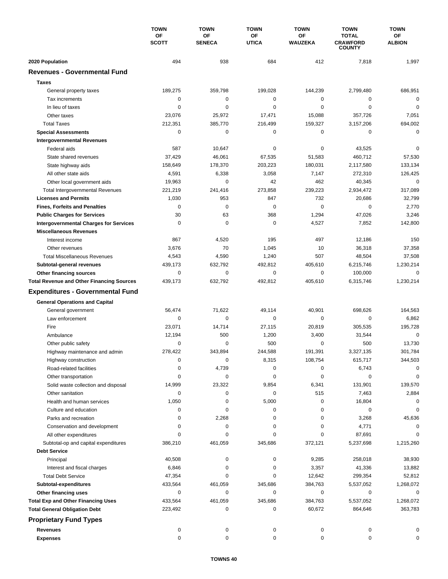|                                                  | <b>TOWN</b><br>ΟF<br><b>SCOTT</b> | <b>TOWN</b>         | <b>TOWN</b><br>ΟF<br><b>UTICA</b> | <b>TOWN</b><br>OF<br><b>WAUZEKA</b> | <b>TOWN</b><br><b>TOTAL</b><br><b>CRAWFORD</b><br><b>COUNTY</b> | <b>TOWN</b><br><b>OF</b><br><b>ALBION</b> |
|--------------------------------------------------|-----------------------------------|---------------------|-----------------------------------|-------------------------------------|-----------------------------------------------------------------|-------------------------------------------|
|                                                  |                                   | OF<br><b>SENECA</b> |                                   |                                     |                                                                 |                                           |
| 2020 Population                                  | 494                               | 938                 | 684                               | 412                                 | 7,818                                                           | 1,997                                     |
| <b>Revenues - Governmental Fund</b>              |                                   |                     |                                   |                                     |                                                                 |                                           |
| <b>Taxes</b>                                     |                                   |                     |                                   |                                     |                                                                 |                                           |
| General property taxes                           | 189,275                           | 359,798             | 199,028                           | 144,239                             | 2,799,480                                                       | 686,951                                   |
| Tax increments                                   | 0                                 | 0                   | 0                                 | 0                                   | 0                                                               | $\mathbf 0$                               |
| In lieu of taxes                                 | 0                                 | 0                   | 0                                 | 0                                   | $\mathbf 0$                                                     | $\mathbf 0$                               |
| Other taxes                                      | 23,076                            | 25,972              | 17,471                            | 15,088                              | 357,726                                                         | 7,051                                     |
| <b>Total Taxes</b>                               | 212,351                           | 385,770             | 216,499                           | 159,327                             | 3,157,206                                                       | 694,002                                   |
| <b>Special Assessments</b>                       | 0                                 | 0                   | 0                                 | 0                                   | 0                                                               | $\mathbf 0$                               |
| <b>Intergovernmental Revenues</b>                |                                   |                     |                                   |                                     |                                                                 |                                           |
| Federal aids                                     | 587                               | 10,647              | 0                                 | 0                                   | 43,525                                                          | $\mathbf 0$                               |
| State shared revenues                            | 37,429                            | 46,061              | 67,535                            | 51,583                              | 460,712                                                         | 57,530                                    |
| State highway aids                               | 158,649                           | 178,370             | 203,223                           | 180,031                             | 2,117,580                                                       | 133,134                                   |
| All other state aids                             | 4,591                             | 6,338               | 3,058                             | 7,147                               | 272,310                                                         | 126,425                                   |
| Other local government aids                      | 19,963                            | 0                   | 42                                | 462                                 | 40,345                                                          | $\mathbf 0$                               |
| <b>Total Intergovernmental Revenues</b>          | 221,219                           | 241,416             | 273,858                           | 239,223                             | 2,934,472                                                       | 317,089                                   |
| <b>Licenses and Permits</b>                      | 1,030                             | 953                 | 847                               | 732                                 | 20,686                                                          | 32,799                                    |
| <b>Fines, Forfeits and Penalties</b>             | 0                                 | 0                   | 0                                 | 0                                   | $\mathbf 0$                                                     | 2,770                                     |
| <b>Public Charges for Services</b>               | 30                                | 63                  | 368                               | 1,294                               | 47,026                                                          | 3,246                                     |
| <b>Intergovernmental Charges for Services</b>    | $\mathbf 0$                       | $\mathbf 0$         | $\mathbf 0$                       | 4,527                               | 7,852                                                           | 142,800                                   |
| <b>Miscellaneous Revenues</b>                    |                                   |                     |                                   |                                     |                                                                 |                                           |
| Interest income                                  | 867                               | 4,520               | 195                               | 497                                 | 12,186                                                          | 150                                       |
| Other revenues                                   | 3,676                             | 70                  | 1,045                             | 10                                  | 36,318                                                          | 37,358                                    |
| <b>Total Miscellaneous Revenues</b>              | 4,543                             | 4,590               | 1,240                             | 507                                 | 48,504                                                          | 37,508                                    |
| Subtotal-general revenues                        | 439,173                           | 632,792             | 492,812                           | 405,610                             | 6,215,746                                                       | 1,230,214                                 |
| Other financing sources                          | $\mathbf 0$                       | $\mathbf 0$         | 0                                 | 0                                   | 100,000                                                         | $\mathbf 0$                               |
| <b>Total Revenue and Other Financing Sources</b> | 439,173                           | 632,792             | 492,812                           | 405,610                             | 6,315,746                                                       | 1,230,214                                 |
| <b>Expenditures - Governmental Fund</b>          |                                   |                     |                                   |                                     |                                                                 |                                           |
| <b>General Operations and Capital</b>            |                                   |                     |                                   |                                     |                                                                 |                                           |
| General government                               | 56,474                            | 71,622              | 49,114                            | 40,901                              | 698,626                                                         | 164,563                                   |
| Law enforcement                                  | 0                                 | $\mathbf 0$         | 0                                 | 0                                   | $\mathbf 0$                                                     | 6,862                                     |
| Fire                                             | 23,071                            | 14,714              | 27,115                            | 20,819                              | 305,535                                                         | 195,728                                   |
| Ambulance                                        | 12,194                            | 500                 | 1,200                             | 3,400                               | 31,544                                                          | $\mathbf 0$                               |
| Other public safety                              | 0                                 | 0                   | 500                               | 0                                   | 500                                                             | 13,730                                    |
| Highway maintenance and admin                    | 278,422                           | 343,894             | 244,588                           | 191,391                             | 3,327,135                                                       | 301,784                                   |
| Highway construction                             | 0                                 | 0                   | 8,315                             | 108,754                             | 615,717                                                         | 344,503                                   |
| Road-related facilities                          | 0                                 | 4,739               | 0                                 | 0                                   | 6,743                                                           | $\Omega$                                  |
| Other transportation                             | 0                                 | 0                   | 0                                 | 0                                   | 0                                                               | 0                                         |
| Solid waste collection and disposal              | 14,999                            | 23,322              | 9,854                             | 6,341                               | 131,901                                                         | 139,570                                   |
| Other sanitation                                 | 0                                 | 0                   | 0                                 | 515                                 | 7,463                                                           | 2,884                                     |
| Health and human services                        | 1,050                             | 0                   | 5,000                             | 0                                   | 16,804                                                          | 0                                         |
| Culture and education                            | 0                                 | 0                   | 0                                 | 0                                   | 0                                                               | 0                                         |
| Parks and recreation                             | 0                                 | 2,268               | 0                                 | 0                                   | 3,268                                                           | 45,636                                    |
| Conservation and development                     | 0                                 | 0                   | 0                                 | 0                                   | 4,771                                                           | $\Omega$                                  |
| All other expenditures                           | 0                                 | 0                   | 0                                 | 0                                   | 87,691                                                          | $\Omega$                                  |
| Subtotal-op and capital expenditures             | 386,210                           | 461,059             | 345,686                           | 372,121                             | 5,237,698                                                       | 1,215,260                                 |
| <b>Debt Service</b>                              |                                   |                     |                                   |                                     |                                                                 |                                           |
| Principal                                        | 40,508                            | 0                   | 0                                 | 9,285                               | 258,018                                                         | 38,930                                    |
| Interest and fiscal charges                      | 6,846                             | 0                   | 0                                 | 3,357                               | 41,336                                                          | 13,882                                    |
| <b>Total Debt Service</b>                        | 47,354                            | 0                   | 0                                 | 12,642                              | 299,354                                                         | 52,812                                    |
| Subtotal-expenditures                            | 433,564                           | 461,059             | 345,686                           | 384,763                             | 5,537,052                                                       | 1,268,072                                 |
| Other financing uses                             | 0                                 | 0                   | 0                                 | 0                                   | 0                                                               | 0                                         |
| <b>Total Exp and Other Financing Uses</b>        | 433,564                           | 461,059             | 345,686                           | 384,763                             | 5,537,052                                                       | 1,268,072                                 |
| <b>Total General Obligation Debt</b>             | 223,492                           | 0                   | 0                                 | 60,672                              | 864,646                                                         | 363,783                                   |
| <b>Proprietary Fund Types</b>                    |                                   |                     |                                   |                                     |                                                                 |                                           |
| <b>Revenues</b>                                  | 0                                 | 0                   | 0                                 | 0                                   | 0                                                               | 0                                         |
| <b>Expenses</b>                                  | 0                                 | 0                   | 0                                 | 0                                   | 0                                                               | 0                                         |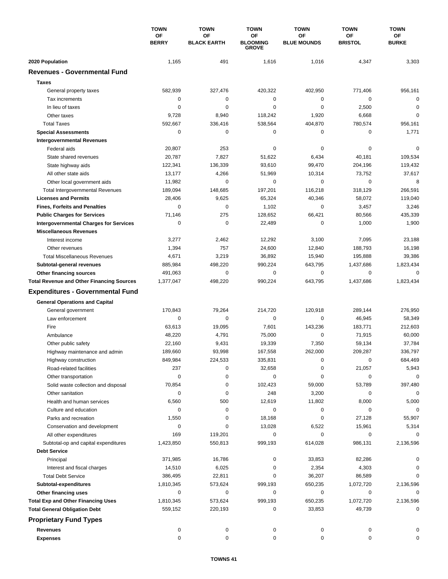|                                                  | <b>TOWN</b>        | <b>TOWN</b>              | <b>TOWN</b>                           | <b>TOWN</b>              | <b>TOWN</b>          | <b>TOWN</b>               |
|--------------------------------------------------|--------------------|--------------------------|---------------------------------------|--------------------------|----------------------|---------------------------|
|                                                  | ΟF<br><b>BERRY</b> | OF<br><b>BLACK EARTH</b> | ΟF<br><b>BLOOMING</b><br><b>GROVE</b> | OF<br><b>BLUE MOUNDS</b> | ΟF<br><b>BRISTOL</b> | <b>OF</b><br><b>BURKE</b> |
| 2020 Population                                  | 1,165              | 491                      | 1,616                                 | 1,016                    | 4,347                | 3,303                     |
| <b>Revenues - Governmental Fund</b>              |                    |                          |                                       |                          |                      |                           |
| <b>Taxes</b>                                     |                    |                          |                                       |                          |                      |                           |
| General property taxes                           | 582,939            | 327,476                  | 420,322                               | 402,950                  | 771,406              | 956,161                   |
| Tax increments                                   | 0                  | 0                        | 0                                     | 0                        | 0                    | $\mathbf 0$               |
| In lieu of taxes                                 | 0                  | 0                        | 0                                     | 0                        | 2,500                | $\mathbf 0$               |
| Other taxes                                      | 9,728              | 8,940                    | 118,242                               | 1,920                    | 6,668                | $\mathbf 0$               |
| <b>Total Taxes</b>                               | 592,667            | 336,416                  | 538,564                               | 404,870                  | 780,574              | 956,161                   |
| <b>Special Assessments</b>                       | 0                  | 0                        | 0                                     | 0                        | 0                    | 1,771                     |
| <b>Intergovernmental Revenues</b>                |                    |                          |                                       |                          |                      |                           |
| Federal aids                                     | 20,807             | 253                      | 0                                     | 0                        | 0                    | $\mathbf 0$               |
| State shared revenues                            | 20,787             | 7,827                    | 51,622                                | 6,434                    | 40,181               | 109,534                   |
| State highway aids                               | 122,341            | 136,339                  | 93,610                                | 99,470                   | 204,196              | 119,432                   |
| All other state aids                             | 13,177             | 4,266                    | 51,969                                | 10,314                   | 73,752               | 37,617                    |
| Other local government aids                      | 11,982             | 0                        | 0                                     | 0                        | $\mathbf 0$          | 8                         |
| <b>Total Intergovernmental Revenues</b>          | 189,094            | 148,685                  | 197,201                               | 116,218                  | 318,129              | 266.591                   |
| <b>Licenses and Permits</b>                      | 28,406             | 9,625                    | 65,324                                | 40,346                   | 58,072               | 119,040                   |
| <b>Fines, Forfeits and Penalties</b>             | 0                  | 0                        | 1,102                                 | 0                        | 3,457                | 3,246                     |
| <b>Public Charges for Services</b>               | 71,146             | 275                      | 128,652                               | 66,421                   | 80,566               | 435,339                   |
| <b>Intergovernmental Charges for Services</b>    | $\mathbf 0$        | $\mathbf 0$              | 22,489                                | 0                        | 1,000                | 1,900                     |
| <b>Miscellaneous Revenues</b>                    |                    |                          |                                       |                          |                      |                           |
| Interest income                                  | 3,277              | 2,462                    | 12,292                                | 3,100                    | 7,095                | 23,188                    |
| Other revenues                                   | 1,394              | 757                      | 24,600                                | 12,840                   | 188,793              | 16,198                    |
| <b>Total Miscellaneous Revenues</b>              | 4,671              | 3,219                    | 36,892                                | 15,940                   | 195,888              | 39,386                    |
| Subtotal-general revenues                        | 885,984            | 498,220                  | 990,224                               | 643,795                  | 1,437,686            | 1,823,434                 |
| Other financing sources                          | 491,063            | 0                        | 0                                     | 0                        | 0                    | $\mathbf 0$               |
| <b>Total Revenue and Other Financing Sources</b> | 1,377,047          | 498,220                  | 990,224                               | 643,795                  | 1,437,686            | 1,823,434                 |
|                                                  |                    |                          |                                       |                          |                      |                           |
| <b>Expenditures - Governmental Fund</b>          |                    |                          |                                       |                          |                      |                           |
| <b>General Operations and Capital</b>            |                    |                          |                                       |                          |                      |                           |
| General government                               | 170,843            | 79,264                   | 214,720                               | 120,918                  | 289,144              | 276,950                   |
| Law enforcement                                  | 0                  | 0                        | 0                                     | 0                        | 46,945               | 58,349                    |
| Fire                                             | 63,613             | 19,095                   | 7,601                                 | 143,236                  | 183,771              | 212,603                   |
| Ambulance                                        | 48,220             | 4,791                    | 75,000                                | 0                        | 71,915               | 60,000                    |
| Other public safety                              | 22,160             | 9,431                    | 19,339                                | 7,350                    | 59,134               | 37,784                    |
| Highway maintenance and admin                    | 189,660            | 93,998                   | 167,558                               | 262,000                  | 209,287              | 336,797                   |
| Highway construction                             | 849,984            | 224,533                  | 335,831                               | 0                        | 0                    | 684,469                   |
| Road-related facilities                          | 237                | 0                        | 32,658                                | 0                        | 21,057               | 5,943                     |
| Other transportation                             | 0                  | 0                        | 0                                     | 0                        | 0                    | $\mathbf 0$               |
| Solid waste collection and disposal              | 70,854             | 0                        | 102,423                               | 59,000                   | 53,789               | 397,480                   |
| Other sanitation                                 | 0                  | 0                        | 248                                   | 3,200                    | 0                    | 0                         |
| Health and human services                        | 6,560              | 500                      | 12,619                                | 11,802                   | 8,000                | 5,000                     |
| Culture and education                            | 0                  | $\pmb{0}$                | 0                                     | 0                        | 0                    | 0                         |
| Parks and recreation                             | 1,550              | 0                        | 18,168                                | 0                        | 27,128               | 55,907                    |
| Conservation and development                     | 0                  | 0                        | 13,028                                | 6,522                    | 15,961               | 5,314                     |
| All other expenditures                           | 169                | 119,201                  | 0                                     | 0                        | 0                    | 0                         |
| Subtotal-op and capital expenditures             | 1,423,850          | 550,813                  | 999,193                               | 614,028                  | 986,131              | 2,136,596                 |
| <b>Debt Service</b>                              |                    |                          |                                       |                          |                      |                           |
| Principal                                        | 371,985            | 16,786                   | 0                                     | 33,853                   | 82,286               | 0                         |
| Interest and fiscal charges                      | 14,510             | 6,025                    | 0                                     | 2,354                    | 4,303                | 0                         |
| <b>Total Debt Service</b>                        | 386,495            | 22,811                   | 0                                     | 36,207                   | 86,589               | 0                         |
| Subtotal-expenditures                            | 1,810,345          | 573,624                  | 999,193                               | 650,235                  | 1,072,720            | 2,136,596                 |
| Other financing uses                             | 0                  | 0                        | 0                                     | 0                        | 0                    | 0                         |
| <b>Total Exp and Other Financing Uses</b>        | 1,810,345          | 573,624                  | 999,193                               | 650,235                  | 1,072,720            | 2,136,596                 |
| <b>Total General Obligation Debt</b>             | 559,152            | 220,193                  | 0                                     | 33,853                   | 49,739               | 0                         |
| <b>Proprietary Fund Types</b>                    |                    |                          |                                       |                          |                      |                           |
| <b>Revenues</b>                                  | 0                  | 0                        | 0                                     | 0                        | 0                    | 0                         |
| <b>Expenses</b>                                  | 0                  | 0                        | 0                                     | 0                        | 0                    | 0                         |
|                                                  |                    |                          |                                       |                          |                      |                           |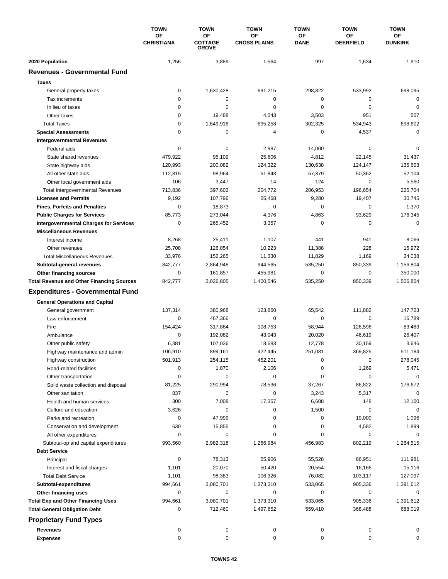|                                                  | <b>TOWN</b>                    | <b>TOWN</b>                          | <b>TOWN</b>                      | <b>TOWN</b>              | <b>TOWN</b>                   | <b>TOWN</b>                 |
|--------------------------------------------------|--------------------------------|--------------------------------------|----------------------------------|--------------------------|-------------------------------|-----------------------------|
|                                                  | <b>OF</b><br><b>CHRISTIANA</b> | OF<br><b>COTTAGE</b><br><b>GROVE</b> | <b>OF</b><br><b>CROSS PLAINS</b> | <b>OF</b><br><b>DANE</b> | <b>OF</b><br><b>DEERFIELD</b> | <b>OF</b><br><b>DUNKIRK</b> |
| 2020 Population                                  | 1,256                          | 3,889                                | 1,564                            | 997                      | 1,634                         | 1,910                       |
| <b>Revenues - Governmental Fund</b>              |                                |                                      |                                  |                          |                               |                             |
| <b>Taxes</b>                                     |                                |                                      |                                  |                          |                               |                             |
| General property taxes                           | 0                              | 1,630,428                            | 691,215                          | 298,822                  | 533,992                       | 698,095                     |
| Tax increments                                   | 0                              | 0                                    | 0                                | 0                        | 0                             | $\mathbf 0$                 |
| In lieu of taxes                                 | 0                              | 0                                    | 0                                | 0                        | 0                             | 0                           |
| Other taxes                                      | 0                              | 19,488                               | 4,043                            | 3,503                    | 951                           | 507                         |
| <b>Total Taxes</b>                               | 0                              | 1,649,916                            | 695,258                          | 302,325                  | 534,943                       | 698,602                     |
| <b>Special Assessments</b>                       | 0                              | 0                                    | 4                                | 0                        | 4,537                         | 0                           |
| <b>Intergovernmental Revenues</b>                |                                |                                      |                                  |                          |                               |                             |
| Federal aids                                     | 0                              | 0                                    | 2,987                            | 14,000                   | 0                             | 0                           |
| State shared revenues                            | 479,922                        | 95,109                               | 25,606                           | 4,812                    | 22,145                        | 31,437                      |
| State highway aids                               | 120,993                        | 200,082                              | 124,322                          | 130,638                  | 124,147                       | 136,603                     |
| All other state aids                             | 112,815                        | 98,964                               | 51,843                           | 57,379                   | 50,362                        | 52,104                      |
| Other local government aids                      | 106                            | 3,447                                | 14                               | 124                      | $\mathbf 0$                   | 5,560                       |
| <b>Total Intergovernmental Revenues</b>          | 713,836                        | 397,602                              | 204,772                          | 206,953                  | 196,654                       | 225,704                     |
| <b>Licenses and Permits</b>                      | 9,192                          | 107,796                              | 25,468                           | 9,280                    | 19,407                        | 30,745                      |
| <b>Fines, Forfeits and Penalties</b>             | 0                              | 18,873                               | 0                                | 0                        | 0                             | 1,370                       |
| <b>Public Charges for Services</b>               | 85,773                         | 273,044                              | 4,376                            | 4,863                    | 93,629                        | 176,345                     |
|                                                  | 0                              | 265,452                              | 3,357                            | 0                        | 0                             | $\mathbf 0$                 |
| <b>Intergovernmental Charges for Services</b>    |                                |                                      |                                  |                          |                               |                             |
| <b>Miscellaneous Revenues</b>                    |                                |                                      | 1,107                            | 441                      | 941                           |                             |
| Interest income                                  | 8,268                          | 25,411                               |                                  |                          |                               | 8,066                       |
| Other revenues                                   | 25,708                         | 126,854                              | 10,223                           | 11,388                   | 228                           | 15,972                      |
| <b>Total Miscellaneous Revenues</b>              | 33,976                         | 152,265                              | 11,330                           | 11,829                   | 1,169                         | 24,038                      |
| Subtotal-general revenues                        | 842,777<br>0                   | 2,864,948                            | 944,565                          | 535,250                  | 850,339<br>$\mathbf 0$        | 1,156,804                   |
| <b>Other financing sources</b>                   |                                | 161,857                              | 455,981                          | 0                        |                               | 350,000                     |
| <b>Total Revenue and Other Financing Sources</b> | 842,777                        | 3,026,805                            | 1,400,546                        | 535,250                  | 850,339                       | 1,506,804                   |
| <b>Expenditures - Governmental Fund</b>          |                                |                                      |                                  |                          |                               |                             |
| <b>General Operations and Capital</b>            |                                |                                      |                                  |                          |                               |                             |
| General government                               | 137,314                        | 380,968                              | 123,860                          | 65,542                   | 111,882                       | 147,723                     |
| Law enforcement                                  | 0                              | 467,366                              | 0                                | 0                        | $\mathbf 0$                   | 16,789                      |
| Fire                                             | 154,424                        | 317,864                              | 108,753                          | 58,944                   | 126,596                       | 83,483                      |
| Ambulance                                        | $\Omega$                       | 192,082                              | 43,043                           | 20,020                   | 46,619                        | 26,407                      |
| Other public safety                              | 6,381                          | 107,036                              | 18,683                           | 12,778                   | 30,159                        | 3,646                       |
| Highway maintenance and admin                    | 106,910                        | 899,161                              | 422,445                          | 251,081                  | 369,825                       | 511,184                     |
| Highway construction                             | 501,913                        | 254,115                              | 452,201                          | 0                        | 0                             | 278,045                     |
| Road-related facilities                          | 0                              | 1,870                                | 2,106                            | 0                        | 1,269                         | 5,471                       |
| Other transportation                             | 0                              | 0                                    | 0                                | 0                        | 0                             | 0                           |
| Solid waste collection and disposal              | 81,225                         | 290,994                              | 78,536                           | 37,267                   | 86,822                        | 176,672                     |
| Other sanitation                                 | 837                            | 0                                    | 0                                | 3,243                    | 5,317                         | $\mathbf 0$                 |
| Health and human services                        | 300                            | 7,008                                | 17,357                           | 6,608                    | 148                           | 12,100                      |
| Culture and education                            | 3,626                          | 0                                    | 0                                | 1,500                    | 0                             | 0                           |
| Parks and recreation                             | 0                              | 47,999                               | 0                                | 0                        | 19,000                        | 1,096                       |
| Conservation and development                     | 630                            | 15,855                               | 0                                | 0                        | 4,582                         | 1,899                       |
| All other expenditures                           | 0                              | 0                                    | 0                                | 0                        | 0                             | 0                           |
| Subtotal-op and capital expenditures             | 993,560                        | 2,982,318                            | 1,266,984                        | 456,983                  | 802,219                       | 1,264,515                   |
| <b>Debt Service</b>                              |                                |                                      |                                  |                          |                               |                             |
| Principal                                        | 0                              | 78,313                               | 55,906                           | 55,528                   | 86,951                        | 111,981                     |
| Interest and fiscal charges                      | 1,101                          | 20,070                               | 50,420                           | 20,554                   | 16,166                        | 15,116                      |
| <b>Total Debt Service</b>                        | 1,101                          | 98,383                               | 106,326                          | 76,082                   | 103,117                       | 127,097                     |
| Subtotal-expenditures                            | 994,661                        | 3,080,701                            | 1,373,310                        | 533,065                  | 905,336                       | 1,391,612                   |
| Other financing uses                             | 0                              | 0                                    | 0                                | 0                        | 0                             | 0                           |
| <b>Total Exp and Other Financing Uses</b>        | 994,661                        | 3,080,701                            | 1,373,310                        | 533,065                  | 905,336                       | 1,391,612                   |
| <b>Total General Obligation Debt</b>             | 0                              | 712,460                              | 1,497,652                        | 559,410                  | 368,488                       | 688,019                     |
| <b>Proprietary Fund Types</b>                    |                                |                                      |                                  |                          |                               |                             |
| <b>Revenues</b>                                  |                                |                                      |                                  |                          |                               |                             |
| <b>Expenses</b>                                  | 0<br>0                         | 0<br>0                               | 0<br>0                           | 0<br>0                   | 0<br>0                        | 0<br>0                      |
|                                                  |                                |                                      |                                  |                          |                               |                             |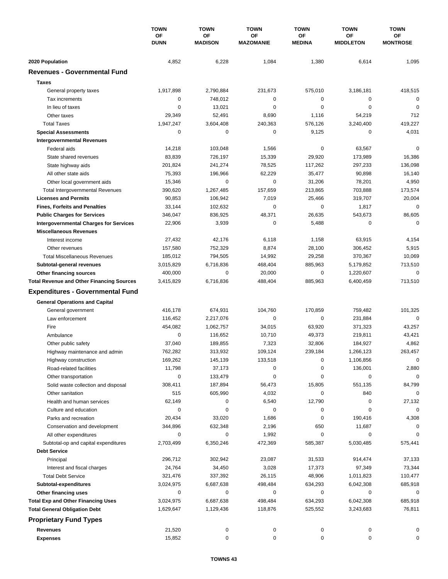|                                                  | <b>TOWN</b><br>ΟF<br><b>DUNN</b> | <b>TOWN</b>          | <b>TOWN</b><br>ΟF<br><b>MAZOMANIE</b> | <b>TOWN</b><br>ΟF<br><b>MEDINA</b> | <b>TOWN</b><br><b>OF</b><br><b>MIDDLETON</b> | <b>TOWN</b><br>OF<br><b>MONTROSE</b> |
|--------------------------------------------------|----------------------------------|----------------------|---------------------------------------|------------------------------------|----------------------------------------------|--------------------------------------|
|                                                  |                                  | OF<br><b>MADISON</b> |                                       |                                    |                                              |                                      |
| 2020 Population                                  | 4,852                            | 6,228                | 1,084                                 | 1,380                              | 6,614                                        | 1,095                                |
| <b>Revenues - Governmental Fund</b>              |                                  |                      |                                       |                                    |                                              |                                      |
|                                                  |                                  |                      |                                       |                                    |                                              |                                      |
| <b>Taxes</b>                                     |                                  |                      |                                       |                                    |                                              |                                      |
| General property taxes                           | 1,917,898                        | 2,790,884            | 231,673                               | 575,010                            | 3,186,181                                    | 418,515                              |
| Tax increments                                   | 0                                | 748.012              | 0                                     | 0                                  | 0                                            | $\mathbf 0$                          |
| In lieu of taxes                                 | 0                                | 13,021               | 0                                     | 0                                  | $\mathbf 0$                                  | $\mathbf 0$                          |
| Other taxes                                      | 29,349                           | 52,491               | 8,690                                 | 1,116                              | 54,219                                       | 712                                  |
| <b>Total Taxes</b>                               | 1,947,247                        | 3,604,408            | 240,363                               | 576,126                            | 3,240,400                                    | 419,227                              |
| <b>Special Assessments</b>                       | 0                                | 0                    | 0                                     | 9,125                              | 0                                            | 4,031                                |
| <b>Intergovernmental Revenues</b>                |                                  |                      |                                       |                                    |                                              |                                      |
| Federal aids                                     | 14,218                           | 103,048              | 1,566                                 | 0                                  | 63,567                                       | 0                                    |
| State shared revenues                            | 83,839                           | 726,197              | 15,339                                | 29,920                             | 173,989                                      | 16,386                               |
| State highway aids                               | 201,824                          | 241,274              | 78,525                                | 117,262                            | 297,233                                      | 136,098                              |
| All other state aids                             | 75,393                           | 196,966              | 62,229                                | 35,477                             | 90,898                                       | 16,140                               |
| Other local government aids                      | 15,346                           | 0                    | 0                                     | 31,206                             | 78,201                                       | 4,950                                |
| <b>Total Intergovernmental Revenues</b>          | 390,620                          | 1,267,485            | 157,659                               | 213,865                            | 703,888                                      | 173,574                              |
| <b>Licenses and Permits</b>                      | 90,853                           | 106,942              | 7,019                                 | 25,466                             | 319,707                                      | 20,004                               |
| <b>Fines, Forfeits and Penalties</b>             | 33,144                           | 102,632              | 0                                     | 0                                  | 1,817                                        | $\mathbf 0$                          |
| <b>Public Charges for Services</b>               | 346,047                          | 836,925              | 48,371                                | 26,635                             | 543,673                                      | 86,605                               |
| <b>Intergovernmental Charges for Services</b>    | 22,906                           | 3,939                | 0                                     | 5,488                              | 0                                            | $\mathbf 0$                          |
| <b>Miscellaneous Revenues</b>                    |                                  |                      |                                       |                                    |                                              |                                      |
| Interest income                                  | 27,432                           | 42,176               | 6,118                                 | 1,158                              | 63,915                                       | 4,154                                |
| Other revenues                                   | 157,580                          | 752,329              | 8,874                                 | 28,100                             | 306,452                                      | 5,915                                |
| <b>Total Miscellaneous Revenues</b>              | 185,012                          | 794,505              | 14,992                                | 29,258                             | 370,367                                      | 10,069                               |
| Subtotal-general revenues                        | 3,015,829                        | 6,716,836            | 468,404                               | 885,963                            | 5,179,852                                    | 713,510                              |
| Other financing sources                          | 400,000                          | 0                    | 20,000                                | 0                                  | 1,220,607                                    | $\mathbf 0$                          |
| <b>Total Revenue and Other Financing Sources</b> | 3,415,829                        | 6,716,836            | 488,404                               | 885,963                            | 6,400,459                                    | 713,510                              |
| <b>Expenditures - Governmental Fund</b>          |                                  |                      |                                       |                                    |                                              |                                      |
|                                                  |                                  |                      |                                       |                                    |                                              |                                      |
| <b>General Operations and Capital</b>            | 416,178                          | 674,931              | 104,760                               | 170,859                            | 759,482                                      | 101,325                              |
| General government<br>Law enforcement            |                                  |                      |                                       |                                    |                                              | $\mathbf 0$                          |
|                                                  | 116,452                          | 2,217,076            | 0                                     | 0                                  | 231,884                                      |                                      |
| Fire                                             | 454,082                          | 1,062,757            | 34,015                                | 63,920                             | 371,323                                      | 43,257                               |
| Ambulance                                        | $\mathbf 0$                      | 116,652              | 10,710                                | 49,373                             | 219,811                                      | 43,421                               |
| Other public safety                              | 37,040                           | 189,855              | 7,323                                 | 32,806                             | 184,927                                      | 4,862                                |
| Highway maintenance and admin                    | 762,282                          | 313,932              | 109,124                               | 239,184                            | 1,266,123                                    | 263,457                              |
| Highway construction                             | 169,262                          | 145,139              | 133,518                               | 0                                  | 1,106,856                                    | 0                                    |
| Road-related facilities                          | 11,798                           | 37,173               | 0                                     | 0                                  | 136,001                                      | 2,880                                |
| Other transportation                             | 0                                | 133,479              | 0                                     | 0                                  | 0                                            | $\mathbf 0$                          |
| Solid waste collection and disposal              | 308,411                          | 187,894              | 56,473                                | 15,805                             | 551,135                                      | 84,799                               |
| Other sanitation                                 | 515                              | 605,990              | 4,032                                 | 0                                  | 840                                          | $\mathbf 0$                          |
| Health and human services                        | 62,149                           | 0                    | 6,540                                 | 12,790                             | 0                                            | 27,132                               |
| Culture and education                            | 0                                | 0                    | 0                                     | 0                                  | 0                                            | 0                                    |
| Parks and recreation                             | 20,434                           | 33,020               | 1,686                                 | 0                                  | 190,416                                      | 4,308                                |
| Conservation and development                     | 344,896                          | 632,348              | 2,196                                 | 650                                | 11,687                                       | 0                                    |
| All other expenditures                           | 0                                | 0                    | 1,992                                 | 0                                  | 0                                            | 0                                    |
| Subtotal-op and capital expenditures             | 2,703,499                        | 6,350,246            | 472,369                               | 585,387                            | 5,030,485                                    | 575,441                              |
| <b>Debt Service</b>                              |                                  |                      |                                       |                                    |                                              |                                      |
| Principal                                        | 296,712                          | 302,942              | 23,087                                | 31,533                             | 914,474                                      | 37,133                               |
| Interest and fiscal charges                      | 24,764                           | 34,450               | 3,028                                 | 17,373                             | 97,349                                       | 73,344                               |
| <b>Total Debt Service</b>                        | 321,476                          | 337,392              | 26,115                                | 48,906                             | 1,011,823                                    | 110,477                              |
| Subtotal-expenditures                            | 3,024,975                        | 6,687,638            | 498,484                               | 634,293                            | 6,042,308                                    | 685,918                              |
| Other financing uses                             | 0                                | 0                    | 0                                     | 0                                  | 0                                            | 0                                    |
| <b>Total Exp and Other Financing Uses</b>        | 3,024,975                        | 6,687,638            | 498,484                               | 634,293                            | 6,042,308                                    | 685,918                              |
| <b>Total General Obligation Debt</b>             | 1,629,647                        | 1,129,436            | 118,876                               | 525,552                            | 3,243,683                                    | 76,811                               |
| <b>Proprietary Fund Types</b>                    |                                  |                      |                                       |                                    |                                              |                                      |
| <b>Revenues</b>                                  | 21,520                           | 0                    |                                       | 0                                  |                                              | 0                                    |
| <b>Expenses</b>                                  | 15,852                           | 0                    | 0<br>0                                | 0                                  | 0<br>0                                       | 0                                    |
|                                                  |                                  |                      |                                       |                                    |                                              |                                      |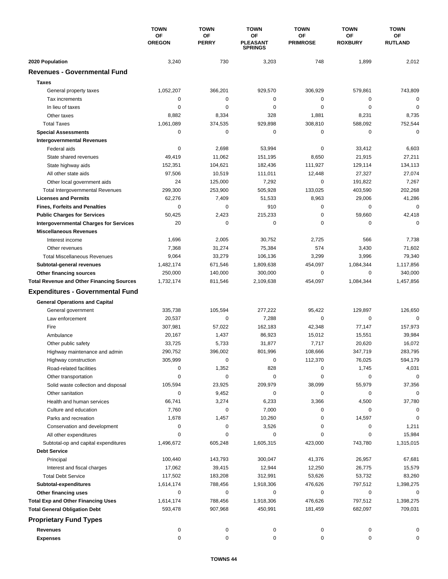|                                                  | <b>TOWN</b><br><b>OF</b><br><b>OREGON</b> | <b>TOWN</b><br><b>OF</b><br><b>PERRY</b> | <b>TOWN</b><br>OF<br><b>PLEASANT</b><br><b>SPRINGS</b> | <b>TOWN</b><br>ΟF<br><b>PRIMROSE</b> | <b>TOWN</b><br><b>OF</b><br><b>ROXBURY</b> | <b>TOWN</b><br><b>OF</b><br><b>RUTLAND</b> |
|--------------------------------------------------|-------------------------------------------|------------------------------------------|--------------------------------------------------------|--------------------------------------|--------------------------------------------|--------------------------------------------|
|                                                  |                                           |                                          |                                                        |                                      |                                            |                                            |
| 2020 Population                                  | 3,240                                     | 730                                      | 3,203                                                  | 748                                  | 1,899                                      | 2,012                                      |
| <b>Revenues - Governmental Fund</b>              |                                           |                                          |                                                        |                                      |                                            |                                            |
| <b>Taxes</b>                                     |                                           |                                          |                                                        |                                      |                                            |                                            |
| General property taxes                           | 1,052,207                                 | 366,201                                  | 929,570                                                | 306,929                              | 579,861                                    | 743,809                                    |
| Tax increments                                   | 0                                         | 0                                        | 0                                                      | 0                                    | 0                                          | 0                                          |
| In lieu of taxes                                 | 0                                         | 0                                        | 0                                                      | 0                                    | $\mathbf 0$                                | 0                                          |
| Other taxes                                      | 8,882                                     | 8,334                                    | 328                                                    | 1,881                                | 8,231                                      | 8,735                                      |
| <b>Total Taxes</b>                               | 1,061,089                                 | 374,535                                  | 929,898                                                | 308,810                              | 588,092                                    | 752,544                                    |
| <b>Special Assessments</b>                       | 0                                         | 0                                        | 0                                                      | 0                                    | 0                                          | $\mathbf 0$                                |
| <b>Intergovernmental Revenues</b>                |                                           |                                          |                                                        |                                      |                                            |                                            |
| Federal aids                                     | 0                                         | 2,698                                    | 53,994                                                 | 0                                    | 33,412                                     | 6,603                                      |
| State shared revenues                            | 49,419                                    | 11,062                                   | 151,195                                                | 8,650                                | 21,915                                     | 27,211                                     |
| State highway aids                               | 152,351                                   | 104,621                                  | 182,436                                                | 111,927                              | 129,114                                    | 134,113                                    |
| All other state aids                             | 97,506                                    | 10,519                                   | 111,011                                                | 12,448                               | 27,327                                     | 27,074                                     |
| Other local government aids                      | 24                                        | 125,000                                  | 7,292                                                  | 0                                    | 191,822                                    | 7,267                                      |
| <b>Total Intergovernmental Revenues</b>          | 299,300                                   | 253,900                                  | 505,928                                                | 133,025                              | 403,590                                    | 202,268                                    |
| <b>Licenses and Permits</b>                      | 62,276                                    | 7,409                                    | 51,533                                                 | 8,963                                | 29,006                                     | 41,286                                     |
| <b>Fines, Forfeits and Penalties</b>             | 0                                         | 0                                        | 910                                                    | 0                                    | 0                                          | 0                                          |
| <b>Public Charges for Services</b>               | 50,425                                    | 2,423                                    | 215,233                                                | 0                                    | 59,660                                     | 42,418                                     |
| <b>Intergovernmental Charges for Services</b>    | 20                                        | $\mathbf 0$                              | $\mathbf 0$                                            | 0                                    | 0                                          | $\Omega$                                   |
| <b>Miscellaneous Revenues</b>                    |                                           |                                          |                                                        |                                      |                                            |                                            |
| Interest income                                  | 1,696                                     | 2,005                                    | 30,752                                                 | 2,725                                | 566                                        | 7,738                                      |
| Other revenues                                   | 7,368                                     | 31,274                                   | 75,384                                                 | 574                                  | 3,430                                      | 71,602                                     |
| <b>Total Miscellaneous Revenues</b>              | 9,064                                     | 33,279                                   | 106,136                                                | 3,299                                | 3,996                                      | 79,340                                     |
| Subtotal-general revenues                        | 1,482,174                                 | 671,546                                  | 1,809,638                                              | 454,097                              | 1,084,344                                  | 1,117,856                                  |
| <b>Other financing sources</b>                   | 250,000                                   | 140,000                                  | 300,000                                                | 0                                    | 0                                          | 340,000                                    |
| <b>Total Revenue and Other Financing Sources</b> | 1,732,174                                 | 811,546                                  | 2,109,638                                              | 454,097                              | 1,084,344                                  | 1,457,856                                  |
| <b>Expenditures - Governmental Fund</b>          |                                           |                                          |                                                        |                                      |                                            |                                            |
|                                                  |                                           |                                          |                                                        |                                      |                                            |                                            |
| <b>General Operations and Capital</b>            |                                           |                                          |                                                        |                                      |                                            |                                            |
| General government                               | 335,738                                   | 105,594                                  | 277,222                                                | 95,422                               | 129,897                                    | 126,650                                    |
| Law enforcement                                  | 20,537                                    | 0                                        | 7,288                                                  | $\mathbf 0$                          | $\mathbf 0$                                | $\mathbf 0$                                |
| Fire                                             | 307,981                                   | 57,022                                   | 162,183                                                | 42,348                               | 77,147                                     | 157,973                                    |
| Ambulance                                        | 20,167                                    | 1,437                                    | 86,923                                                 | 15,012                               | 15,551                                     | 39,984                                     |
| Other public safety                              | 33,725                                    | 5,733                                    | 31,877                                                 | 7,717                                | 20,620                                     | 16,072                                     |
| Highway maintenance and admin                    | 290,752                                   | 396,002                                  | 801,996                                                | 108,666                              | 347,719                                    | 283,795                                    |
| Highway construction                             | 305,999                                   | 0                                        | 0                                                      | 112,370                              | 76,025                                     | 594,179                                    |
| Road-related facilities                          | 0                                         | 1,352                                    | 828                                                    | 0                                    | 1,745                                      | 4,031                                      |
| Other transportation                             | 0                                         | 0                                        | $\mathbf 0$                                            | 0                                    | 0                                          | 0                                          |
| Solid waste collection and disposal              | 105,594                                   | 23,925                                   | 209,979                                                | 38,099                               | 55,979                                     | 37,356                                     |
| Other sanitation                                 | 0                                         | 9,452                                    | 0                                                      | 0                                    | 0                                          | $\mathbf 0$                                |
| Health and human services                        | 66,741                                    | 3,274                                    | 6,233                                                  | 3,366                                | 4,500                                      | 37,780                                     |
| Culture and education                            | 7,760                                     | 0                                        | 7,000                                                  | 0                                    | 0                                          | 0                                          |
| Parks and recreation                             | 1,678                                     | 1,457                                    | 10,260                                                 | 0                                    | 14,597                                     | 0                                          |
| Conservation and development                     | 0                                         | 0                                        | 3,526                                                  | 0                                    | 0                                          | 1,211                                      |
| All other expenditures                           | 0                                         | 0                                        | 0                                                      | 0                                    | 0                                          | 15,984                                     |
| Subtotal-op and capital expenditures             | 1,496,672                                 | 605,248                                  | 1,605,315                                              | 423,000                              | 743,780                                    | 1,315,015                                  |
| <b>Debt Service</b>                              |                                           |                                          |                                                        |                                      |                                            |                                            |
| Principal                                        | 100,440                                   | 143,793                                  | 300,047                                                | 41,376                               | 26,957                                     | 67,681                                     |
| Interest and fiscal charges                      | 17,062                                    | 39,415                                   | 12,944                                                 | 12,250                               | 26,775                                     | 15,579                                     |
| <b>Total Debt Service</b>                        | 117,502                                   | 183,208                                  | 312,991                                                | 53,626                               | 53,732                                     | 83,260                                     |
| Subtotal-expenditures                            | 1,614,174                                 | 788,456                                  | 1,918,306                                              | 476,626                              | 797,512                                    | 1,398,275                                  |
| Other financing uses                             | 0                                         | 0                                        | 0                                                      | 0                                    | 0                                          | 0                                          |
| <b>Total Exp and Other Financing Uses</b>        | 1,614,174                                 | 788,456                                  | 1,918,306                                              | 476,626                              | 797,512                                    | 1,398,275                                  |
| <b>Total General Obligation Debt</b>             | 593,478                                   | 907,968                                  | 450,991                                                | 181,459                              | 682,097                                    | 709,031                                    |
| <b>Proprietary Fund Types</b>                    |                                           |                                          |                                                        |                                      |                                            |                                            |
| <b>Revenues</b>                                  | 0                                         | 0                                        | 0                                                      | 0                                    | 0                                          | 0                                          |
| <b>Expenses</b>                                  | 0                                         | 0                                        | 0                                                      | 0                                    | 0                                          | 0                                          |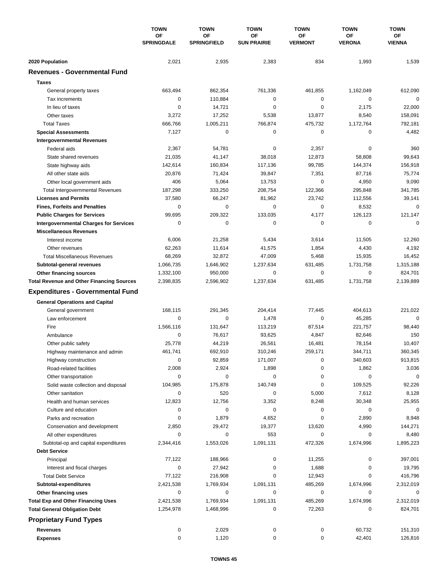|                                                  | <b>TOWN</b><br>OF<br><b>SPRINGDALE</b> | <b>TOWN</b>              | <b>TOWN</b>              | <b>TOWN</b>          | <b>TOWN</b>         | <b>TOWN</b>         |
|--------------------------------------------------|----------------------------------------|--------------------------|--------------------------|----------------------|---------------------|---------------------|
|                                                  |                                        | OF<br><b>SPRINGFIELD</b> | ΟF<br><b>SUN PRAIRIE</b> | ОF<br><b>VERMONT</b> | ΟF<br><b>VERONA</b> | ОF<br><b>VIENNA</b> |
|                                                  |                                        |                          |                          |                      |                     |                     |
| 2020 Population                                  | 2,021                                  | 2,935                    | 2,383                    | 834                  | 1,993               | 1,539               |
| <b>Revenues - Governmental Fund</b>              |                                        |                          |                          |                      |                     |                     |
| <b>Taxes</b>                                     |                                        |                          |                          |                      |                     |                     |
| General property taxes                           | 663,494                                | 862,354                  | 761,336                  | 461,855              | 1,162,049           | 612,090             |
| Tax increments                                   | $\mathbf 0$                            | 110,884                  | 0                        | 0                    | $\mathbf 0$         | $\mathbf 0$         |
| In lieu of taxes                                 | $\mathbf 0$                            | 14,721                   | 0                        | $\mathbf 0$          | 2,175               | 22,000              |
| Other taxes                                      | 3,272                                  | 17,252                   | 5,538                    | 13,877               | 8,540               | 158,091             |
| <b>Total Taxes</b>                               | 666,766                                | 1,005,211                | 766,874                  | 475,732              | 1,172,764           | 792,181             |
| <b>Special Assessments</b>                       | 7,127                                  | $\mathbf 0$              | 0                        | 0                    | $\mathbf 0$         | 4,482               |
| <b>Intergovernmental Revenues</b>                |                                        |                          |                          |                      |                     |                     |
| Federal aids                                     | 2,367                                  | 54,781                   | 0                        | 2,357                | 0                   | 360                 |
| State shared revenues                            | 21,035                                 | 41,147                   | 38,018                   | 12,873               | 58,808              | 99,643              |
| State highway aids                               | 142,614                                | 160,834                  | 117,136                  | 99,785               | 144,374             | 156,918             |
| All other state aids                             | 20,876                                 | 71,424                   | 39,847                   | 7,351                | 87,716              | 75,774              |
| Other local government aids                      | 406                                    | 5,064                    | 13,753                   | $\mathbf 0$          | 4,950               | 9,090               |
| <b>Total Intergovernmental Revenues</b>          | 187,298                                | 333,250                  | 208,754                  | 122,366              | 295,848             | 341,785             |
| <b>Licenses and Permits</b>                      | 37,580                                 | 66,247                   | 81,962                   | 23,742               | 112,556             | 39,141              |
| <b>Fines, Forfeits and Penalties</b>             | 0                                      | 0                        | 0                        | $\mathbf 0$          | 8,532               | $\mathbf 0$         |
| <b>Public Charges for Services</b>               | 99,695                                 | 209,322                  | 133,035                  | 4,177                | 126,123             | 121,147             |
| <b>Intergovernmental Charges for Services</b>    | 0                                      | 0                        | 0                        | 0                    | $\mathbf 0$         | $\mathbf 0$         |
| <b>Miscellaneous Revenues</b>                    |                                        |                          |                          |                      |                     |                     |
| Interest income                                  | 6,006                                  | 21,258                   | 5,434                    | 3,614                | 11,505              | 12,260              |
| Other revenues                                   | 62,263                                 | 11,614                   | 41,575                   | 1,854                | 4,430               | 4,192               |
| <b>Total Miscellaneous Revenues</b>              | 68,269                                 | 32,872                   | 47,009                   | 5,468                | 15,935              | 16,452              |
| Subtotal-general revenues                        | 1,066,735                              | 1,646,902                | 1,237,634                | 631,485              | 1,731,758           | 1,315,188           |
| Other financing sources                          | 1,332,100                              | 950,000                  | 0                        | 0                    | $\mathbf 0$         | 824,701             |
| <b>Total Revenue and Other Financing Sources</b> | 2,398,835                              | 2,596,902                | 1,237,634                | 631,485              | 1,731,758           | 2,139,889           |
| <b>Expenditures - Governmental Fund</b>          |                                        |                          |                          |                      |                     |                     |
| <b>General Operations and Capital</b>            |                                        |                          |                          |                      |                     |                     |
| General government                               | 168,115                                | 291,345                  | 204,414                  | 77,445               | 404,613             | 221,022             |
| Law enforcement                                  | $\mathbf 0$                            | $\mathbf 0$              | 1,478                    | 0                    | 45,285              | $\mathbf 0$         |
| Fire                                             | 1,566,116                              | 131,647                  | 113,219                  | 87,514               | 221,757             | 98,440              |
| Ambulance                                        | 0                                      | 76,617                   | 93,625                   | 4,847                | 82,646              | 150                 |
| Other public safety                              | 25,778                                 | 44,219                   | 26,561                   | 16,481               | 78,154              | 10,407              |
| Highway maintenance and admin                    | 461,741                                | 692,910                  | 310,246                  | 259,171              | 344,711             | 360,345             |
| Highway construction                             | 0                                      | 92,859                   | 171,007                  | 0                    | 340,603             | 913,815             |
| Road-related facilities                          | 2,008                                  | 2,924                    | 1,898                    | 0                    | 1,862               | 3,036               |
| Other transportation                             | 0                                      | 0                        | 0                        | 0                    | 0                   | 0                   |
| Solid waste collection and disposal              | 104,985                                | 175,878                  | 140,749                  | 0                    | 109,525             | 92,226              |
| Other sanitation                                 | 0                                      | 520                      | 0                        | 5,000                | 7,612               | 8,128               |
| Health and human services                        | 12,823                                 | 12,756                   | 3,352                    | 8,248                | 30,348              | 25,955              |
| Culture and education                            | 0                                      | 0                        | 0                        | 0                    | 0                   | 0                   |
| Parks and recreation                             | 0                                      | 1,879                    | 4,652                    | 0                    | 2,890               | 8,948               |
| Conservation and development                     | 2,850                                  | 29,472                   | 19,377                   | 13,620               | 4,990               | 144,271             |
| All other expenditures                           | 0                                      | 0                        | 553                      | 0                    | 0                   | 8,480               |
| Subtotal-op and capital expenditures             | 2,344,416                              | 1,553,026                | 1,091,131                | 472,326              | 1,674,996           | 1,895,223           |
| <b>Debt Service</b>                              |                                        |                          |                          |                      |                     |                     |
| Principal                                        | 77,122                                 | 188,966                  | 0                        | 11,255               | 0                   | 397,001             |
| Interest and fiscal charges                      | 0                                      | 27,942                   | 0                        | 1,688                | 0                   | 19,795              |
| <b>Total Debt Service</b>                        | 77,122                                 | 216,908                  | 0                        | 12,943               | 0                   | 416,796             |
| Subtotal-expenditures                            | 2,421,538                              | 1,769,934                | 1,091,131                | 485,269              | 1,674,996           | 2,312,019           |
| Other financing uses                             | 0                                      | 0                        | 0                        | 0                    | 0                   | 0                   |
| <b>Total Exp and Other Financing Uses</b>        | 2,421,538                              | 1,769,934                | 1,091,131                | 485,269              | 1,674,996           | 2,312,019           |
| <b>Total General Obligation Debt</b>             | 1,254,978                              | 1,468,996                | 0                        | 72,263               | 0                   | 824,701             |
| <b>Proprietary Fund Types</b>                    |                                        |                          |                          |                      |                     |                     |
| <b>Revenues</b>                                  | 0                                      | 2,029                    | 0                        | 0                    | 60,732              | 151,310             |
| <b>Expenses</b>                                  | 0                                      | 1,120                    | 0                        | 0                    | 42,401              | 126,816             |
|                                                  |                                        |                          |                          |                      |                     |                     |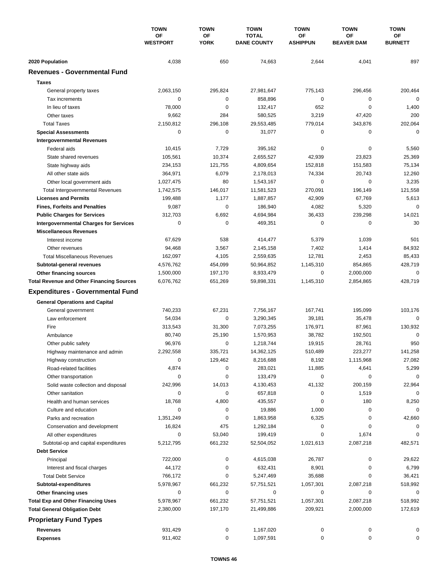|                                                                   | <b>TOWN</b><br>ΟF<br><b>WESTPORT</b> | <b>TOWN</b>       | <b>TOWN</b><br><b>TOTAL</b><br><b>DANE COUNTY</b> | <b>TOWN</b>           | <b>TOWN</b><br><b>OF</b><br><b>BEAVER DAM</b> | <b>TOWN</b><br><b>OF</b><br><b>BURNETT</b> |
|-------------------------------------------------------------------|--------------------------------------|-------------------|---------------------------------------------------|-----------------------|-----------------------------------------------|--------------------------------------------|
|                                                                   |                                      | OF<br><b>YORK</b> |                                                   | ΟF<br><b>ASHIPPUN</b> |                                               |                                            |
|                                                                   |                                      |                   |                                                   |                       |                                               |                                            |
| 2020 Population                                                   | 4,038                                | 650               | 74,663                                            | 2,644                 | 4,041                                         | 897                                        |
| <b>Revenues - Governmental Fund</b>                               |                                      |                   |                                                   |                       |                                               |                                            |
| <b>Taxes</b>                                                      |                                      |                   |                                                   |                       |                                               |                                            |
| General property taxes                                            | 2,063,150                            | 295,824           | 27,981,647                                        | 775,143               | 296,456                                       | 200,464                                    |
| Tax increments                                                    | 0                                    | 0                 | 858,896                                           | $\mathbf 0$           | 0                                             | $\mathbf 0$                                |
| In lieu of taxes                                                  | 78,000                               | 0                 | 132,417                                           | 652                   | $\mathbf 0$                                   | 1,400                                      |
| Other taxes                                                       | 9,662                                | 284               | 580,525                                           | 3,219                 | 47,420                                        | 200                                        |
| <b>Total Taxes</b>                                                | 2,150,812                            | 296,108           | 29,553,485                                        | 779,014               | 343,876                                       | 202,064                                    |
| <b>Special Assessments</b>                                        | 0                                    | 0                 | 31,077                                            | 0                     | 0                                             | $\mathbf 0$                                |
| <b>Intergovernmental Revenues</b>                                 |                                      |                   |                                                   |                       |                                               |                                            |
| Federal aids                                                      | 10,415                               | 7,729             | 395,162                                           | 0                     | 0                                             | 5,560                                      |
| State shared revenues                                             | 105,561                              | 10,374            | 2,655,527                                         | 42,939                | 23,823                                        | 25,369                                     |
| State highway aids                                                | 234,153                              | 121,755           | 4,809,654                                         | 152,818               | 151,583                                       | 75,134                                     |
| All other state aids                                              | 364,971                              | 6,079             | 2,178,013                                         | 74,334                | 20,743                                        | 12,260                                     |
| Other local government aids                                       | 1,027,475                            | 80                | 1,543,167                                         | 0                     | $\mathbf 0$                                   | 3,235                                      |
| <b>Total Intergovernmental Revenues</b>                           | 1,742,575                            | 146,017           | 11,581,523                                        | 270,091               | 196,149                                       | 121,558                                    |
| <b>Licenses and Permits</b>                                       | 199,488                              | 1,177             | 1,887,857                                         | 42,909                | 67,769                                        | 5,613                                      |
| <b>Fines, Forfeits and Penalties</b>                              | 9,087                                | 0                 | 186,940                                           | 4,082                 | 5,320                                         | $\mathbf 0$                                |
| <b>Public Charges for Services</b>                                | 312,703                              | 6,692             | 4,694,984                                         | 36,433                | 239,298                                       | 14,021                                     |
| <b>Intergovernmental Charges for Services</b>                     | 0                                    | $\mathbf 0$       | 469,351                                           | 0                     | 0                                             | 30                                         |
| <b>Miscellaneous Revenues</b>                                     |                                      |                   |                                                   |                       |                                               |                                            |
| Interest income                                                   | 67,629                               | 538               | 414,477                                           | 5,379                 | 1,039                                         | 501                                        |
| Other revenues                                                    | 94,468                               | 3,567             | 2,145,158                                         | 7,402                 | 1,414                                         | 84,932                                     |
| <b>Total Miscellaneous Revenues</b>                               | 162,097                              | 4,105             | 2,559,635                                         | 12,781                | 2,453                                         | 85,433                                     |
| Subtotal-general revenues                                         | 4,576,762                            | 454,099           | 50,964,852                                        | 1,145,310             | 854,865                                       | 428,719                                    |
| <b>Other financing sources</b>                                    | 1,500,000                            | 197,170           | 8,933,479                                         | 0                     | 2,000,000                                     | 0                                          |
| <b>Total Revenue and Other Financing Sources</b>                  | 6,076,762                            | 651,269           | 59,898,331                                        | 1,145,310             | 2,854,865                                     | 428,719                                    |
| <b>Expenditures - Governmental Fund</b>                           |                                      |                   |                                                   |                       |                                               |                                            |
| <b>General Operations and Capital</b>                             |                                      |                   |                                                   |                       |                                               |                                            |
| General government                                                | 740,233                              | 67,231            | 7,756,167                                         | 167,741               | 195,099                                       | 103,176                                    |
| Law enforcement                                                   | 54,034                               | 0                 | 3,290,345                                         | 39,181                | 35,478                                        | $\mathbf 0$                                |
| Fire                                                              | 313,543                              | 31,300            | 7,073,255                                         | 176,971               | 87,961                                        | 130,932                                    |
| Ambulance                                                         | 80,740                               | 25,190            | 1,570,953                                         | 38,782                | 192,501                                       | $\mathbf 0$                                |
| Other public safety                                               | 96,976                               | 0                 | 1,218,744                                         | 19,915                | 28,761                                        | 950                                        |
| Highway maintenance and admin                                     | 2,292,558                            | 335,721           | 14,362,125                                        | 510,489               | 223,277                                       | 141,258                                    |
| Highway construction                                              | 0                                    | 129,462           | 8,216,688                                         | 8,192                 | 1,115,968                                     | 27,082                                     |
| Road-related facilities                                           | 4,874                                | 0                 | 283,021                                           | 11,885                | 4,641                                         | 5,299                                      |
|                                                                   | 0                                    | 0                 | 133,479                                           | 0                     | 0                                             | 0                                          |
| Other transportation                                              | 242,996                              | 14,013            | 4,130,453                                         | 41,132                | 200,159                                       | 22,964                                     |
| Solid waste collection and disposal<br>Other sanitation           | 0                                    | 0                 | 657,818                                           | 0                     | 1,519                                         | $\mathbf 0$                                |
| Health and human services                                         | 18,768                               | 4,800             | 435,557                                           | 0                     | 180                                           | 8,250                                      |
| Culture and education                                             | 0                                    | 0                 | 19,886                                            | 1,000                 | 0                                             | 0                                          |
| Parks and recreation                                              | 1,351,249                            | 0                 | 1,863,958                                         | 6,325                 | 0                                             | 42,660                                     |
| Conservation and development                                      | 16,824                               | 475               | 1,292,184                                         | 0                     | 0                                             | 0                                          |
| All other expenditures                                            | 0                                    | 53,040            | 199,419                                           | 0                     | 1,674                                         |                                            |
| Subtotal-op and capital expenditures                              | 5,212,795                            | 661,232           | 52,504,052                                        | 1,021,613             | 2,087,218                                     | 482,571                                    |
| <b>Debt Service</b>                                               |                                      |                   |                                                   |                       |                                               |                                            |
| Principal                                                         | 722,000                              | 0                 | 4,615,038                                         | 26,787                | 0                                             | 29,622                                     |
| Interest and fiscal charges                                       | 44,172                               | 0                 | 632,431                                           | 8,901                 | 0                                             | 6,799                                      |
| <b>Total Debt Service</b>                                         | 766,172                              | 0                 | 5,247,469                                         | 35,688                | 0                                             | 36,421                                     |
| Subtotal-expenditures                                             | 5,978,967                            | 661,232           | 57,751,521                                        | 1,057,301             | 2,087,218                                     | 518,992                                    |
|                                                                   | 0                                    | 0                 | 0                                                 | 0                     | 0                                             | 0                                          |
| Other financing uses<br><b>Total Exp and Other Financing Uses</b> | 5,978,967                            | 661,232           | 57,751,521                                        | 1,057,301             | 2,087,218                                     | 518,992                                    |
| <b>Total General Obligation Debt</b>                              | 2,380,000                            | 197,170           | 21,499,886                                        | 209,921               | 2,000,000                                     | 172,619                                    |
|                                                                   |                                      |                   |                                                   |                       |                                               |                                            |
| <b>Proprietary Fund Types</b>                                     |                                      |                   |                                                   |                       |                                               |                                            |
| Revenues                                                          | 931,429                              | 0                 | 1,167,020                                         | 0                     | 0                                             | 0                                          |
| <b>Expenses</b>                                                   | 911,402                              | 0                 | 1,097,591                                         | 0                     | 0                                             | 0                                          |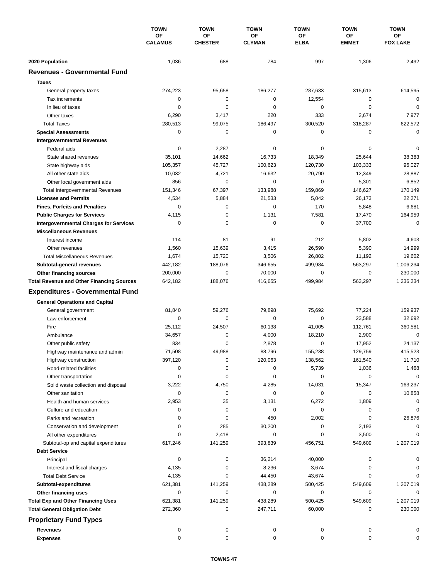|                                                         | <b>TOWN</b>          | <b>TOWN</b>          | <b>TOWN</b>         | <b>TOWN</b> | <b>TOWN</b>        | <b>TOWN</b>           |
|---------------------------------------------------------|----------------------|----------------------|---------------------|-------------|--------------------|-----------------------|
|                                                         | OF<br><b>CALAMUS</b> | OF<br><b>CHESTER</b> | ΟF<br><b>CLYMAN</b> | OF          | ΟF<br><b>EMMET</b> | ОF<br><b>FOX LAKE</b> |
|                                                         |                      |                      |                     | <b>ELBA</b> |                    |                       |
| 2020 Population                                         | 1,036                | 688                  | 784                 | 997         | 1,306              | 2,492                 |
| <b>Revenues - Governmental Fund</b>                     |                      |                      |                     |             |                    |                       |
| <b>Taxes</b>                                            |                      |                      |                     |             |                    |                       |
| General property taxes                                  | 274,223              | 95,658               | 186,277             | 287,633     | 315,613            | 614,595               |
| Tax increments                                          | 0                    | 0                    | 0                   | 12,554      | 0                  | $\mathbf 0$           |
| In lieu of taxes                                        | 0                    | $\mathbf 0$          | $\mathbf 0$         | $\mathbf 0$ | $\mathbf 0$        | $\mathbf 0$           |
| Other taxes                                             | 6,290                | 3,417                | 220                 | 333         | 2,674              | 7,977                 |
| <b>Total Taxes</b>                                      | 280,513              | 99,075               | 186,497             | 300,520     | 318,287            | 622,572               |
| <b>Special Assessments</b>                              | 0                    | 0                    | 0                   | 0           | 0                  | $\pmb{0}$             |
| <b>Intergovernmental Revenues</b>                       |                      |                      |                     |             |                    |                       |
| Federal aids                                            | 0                    | 2,287                | 0                   | 0           | 0                  | 0                     |
| State shared revenues                                   | 35,101               | 14,662               | 16,733              | 18,349      | 25,644             | 38,383                |
| State highway aids                                      | 105,357              | 45,727               | 100,623             | 120,730     | 103,333            | 96,027                |
| All other state aids                                    | 10,032               | 4,721                | 16,632              | 20,790      | 12,349             | 28,887                |
| Other local government aids                             | 856                  | $\mathbf 0$          | $\mathbf 0$         | 0           | 5,301              | 6,852                 |
| <b>Total Intergovernmental Revenues</b>                 | 151,346              | 67,397               | 133,988             | 159,869     | 146,627            | 170,149               |
| <b>Licenses and Permits</b>                             | 4,534                | 5,884                | 21,533              | 5,042       | 26,173             | 22,271                |
| <b>Fines, Forfeits and Penalties</b>                    | $\Omega$             | 0                    | $\mathbf 0$         | 170         | 5,848              | 6,681                 |
| <b>Public Charges for Services</b>                      | 4,115                | $\mathbf 0$          | 1,131               | 7,581       | 17,470             | 164,959               |
| <b>Intergovernmental Charges for Services</b>           | 0                    | 0                    | $\mathbf 0$         | $\mathbf 0$ | 37,700             | 0                     |
| <b>Miscellaneous Revenues</b>                           |                      |                      |                     |             |                    |                       |
| Interest income                                         | 114                  | 81                   | 91                  | 212         | 5,802              | 4,603                 |
| Other revenues                                          | 1,560                | 15,639               | 3,415               | 26,590      | 5,390              | 14,999                |
| <b>Total Miscellaneous Revenues</b>                     | 1,674                | 15,720               | 3,506               | 26,802      | 11,192             | 19,602                |
| Subtotal-general revenues                               | 442,182              | 188,076              | 346,655             | 499,984     | 563,297            | 1,006,234             |
| Other financing sources                                 | 200,000              | 0                    | 70,000              | 0           | 0                  | 230,000               |
| <b>Total Revenue and Other Financing Sources</b>        | 642,182              | 188,076              | 416,655             | 499,984     | 563,297            | 1,236,234             |
| <b>Expenditures - Governmental Fund</b>                 |                      |                      |                     |             |                    |                       |
|                                                         |                      |                      |                     |             |                    |                       |
| <b>General Operations and Capital</b>                   | 81,840               | 59,276               | 79,898              | 75,692      | 77,224             | 159,937               |
| General government<br>Law enforcement                   | 0                    | 0                    | 0                   | $\mathbf 0$ | 23,588             | 32,692                |
| Fire                                                    | 25,112               | 24,507               | 60,138              | 41,005      | 112,761            | 360,581               |
| Ambulance                                               | 34,657               | 0                    | 4,000               | 18,210      | 2,900              | 0                     |
|                                                         | 834                  | 0                    | 2,878               | 0           | 17,952             | 24,137                |
| Other public safety<br>Highway maintenance and admin    | 71,508               | 49,988               | 88,796              | 155,238     | 129,759            | 415,523               |
|                                                         | 397,120              | 0                    | 120,063             | 138,562     | 161,540            | 11,710                |
| Highway construction<br>Road-related facilities         | 0                    | 0                    | 0                   | 5,739       | 1,036              | 1,468                 |
|                                                         | 0                    | 0                    | 0                   | 0           | 0                  | 0                     |
| Other transportation                                    | 3,222                | 4,750                | 4,285               | 14,031      | 15,347             | 163,237               |
| Solid waste collection and disposal<br>Other sanitation | 0                    | 0                    | 0                   | 0           | 0                  | 10,858                |
| Health and human services                               | 2,953                | 35                   | 3,131               | 6,272       | 1,809              | 0                     |
| Culture and education                                   | 0                    | 0                    | 0                   | 0           | 0                  | 0                     |
| Parks and recreation                                    | $\Omega$             | 0                    | 450                 | 2,002       | 0                  | 26,876                |
| Conservation and development                            | 0                    | 285                  | 30,200              | 0           | 2,193              | 0                     |
| All other expenditures                                  | $\Omega$             | 2,418                | 0                   | 0           | 3,500              |                       |
| Subtotal-op and capital expenditures                    | 617,246              | 141,259              | 393,839             | 456,751     | 549,609            | 1,207,019             |
| <b>Debt Service</b>                                     |                      |                      |                     |             |                    |                       |
| Principal                                               | 0                    | 0                    | 36,214              | 40,000      | 0                  |                       |
| Interest and fiscal charges                             | 4,135                | 0                    | 8,236               | 3,674       | 0                  |                       |
| <b>Total Debt Service</b>                               | 4,135                | 0                    | 44,450              | 43,674      | 0                  | $\Omega$              |
| Subtotal-expenditures                                   | 621,381              | 141,259              | 438,289             | 500,425     | 549,609            | 1,207,019             |
| Other financing uses                                    | 0                    | 0                    | 0                   | 0           | 0                  | 0                     |
| <b>Total Exp and Other Financing Uses</b>               | 621,381              | 141,259              | 438,289             | 500,425     | 549,609            | 1,207,019             |
| <b>Total General Obligation Debt</b>                    | 272,360              | 0                    | 247,711             | 60,000      | 0                  | 230,000               |
|                                                         |                      |                      |                     |             |                    |                       |
| <b>Proprietary Fund Types</b>                           |                      |                      |                     |             |                    |                       |
| Revenues                                                | 0                    | 0                    | 0                   | 0           | 0                  |                       |
| <b>Expenses</b>                                         | 0                    | 0                    | 0                   | 0           | 0                  |                       |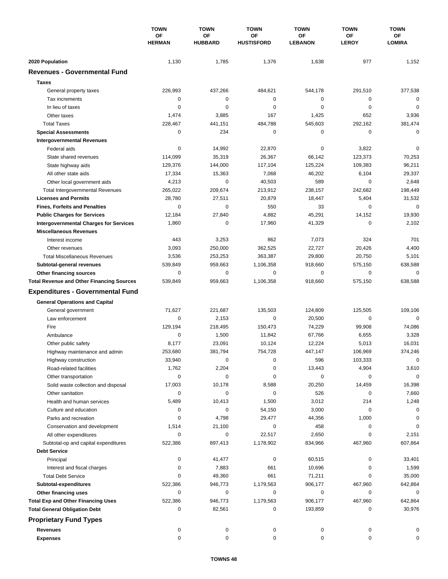|                                                  | <b>TOWN</b><br>OF<br><b>HERMAN</b> | <b>TOWN</b>          | <b>TOWN</b><br>OF<br><b>HUSTISFORD</b> | <b>TOWN</b><br>OF<br><b>LEBANON</b> | <b>TOWN</b><br>ΟF<br><b>LEROY</b> | <b>TOWN</b><br>ОF<br><b>LOMIRA</b> |
|--------------------------------------------------|------------------------------------|----------------------|----------------------------------------|-------------------------------------|-----------------------------------|------------------------------------|
|                                                  |                                    | OF<br><b>HUBBARD</b> |                                        |                                     |                                   |                                    |
|                                                  |                                    |                      |                                        |                                     |                                   |                                    |
| 2020 Population                                  | 1,130                              | 1,785                | 1,376                                  | 1,638                               | 977                               | 1,152                              |
| <b>Revenues - Governmental Fund</b>              |                                    |                      |                                        |                                     |                                   |                                    |
| <b>Taxes</b>                                     |                                    |                      |                                        |                                     |                                   |                                    |
| General property taxes                           | 226,993                            | 437,266              | 484,621                                | 544,178                             | 291,510                           | 377,538                            |
| Tax increments                                   | 0                                  | $\mathbf 0$          | 0                                      | 0                                   | 0                                 | $\mathbf 0$                        |
| In lieu of taxes                                 | 0                                  | 0                    | 0                                      | 0                                   | $\mathbf 0$                       | $\mathbf 0$                        |
| Other taxes                                      | 1,474                              | 3,885                | 167                                    | 1,425                               | 652                               | 3,936                              |
| <b>Total Taxes</b>                               | 228,467                            | 441,151              | 484,788                                | 545,603                             | 292,162                           | 381,474                            |
| <b>Special Assessments</b>                       | 0                                  | 234                  | 0                                      | 0                                   | 0                                 | $\mathbf 0$                        |
| <b>Intergovernmental Revenues</b>                |                                    |                      |                                        |                                     |                                   |                                    |
| Federal aids                                     | 0                                  | 14,992               | 22,870                                 | 0                                   | 3,822                             | 0                                  |
| State shared revenues                            | 114,099                            | 35,319               | 26,367                                 | 66,142                              | 123,373                           | 70,253                             |
| State highway aids                               | 129,376                            | 144,000              | 117,104                                | 125,224                             | 109,383                           | 96,211                             |
| All other state aids                             | 17,334                             | 15,363               | 7,068                                  | 46,202                              | 6,104                             | 29,337                             |
| Other local government aids                      | 4,213                              | 0                    | 40,503                                 | 589                                 | 0                                 | 2,648                              |
| <b>Total Intergovernmental Revenues</b>          | 265,022                            | 209,674              | 213,912                                | 238,157                             | 242,682                           | 198,449                            |
| <b>Licenses and Permits</b>                      | 28,780                             | 27,511               | 20,879                                 | 18,447                              | 5,404                             | 31,532                             |
| <b>Fines, Forfeits and Penalties</b>             | 0                                  | 0                    | 550                                    | 33                                  | 0                                 | $\mathbf 0$                        |
| <b>Public Charges for Services</b>               | 12,184                             | 27,840               | 4,882                                  | 45,291                              | 14,152                            | 19,930                             |
| <b>Intergovernmental Charges for Services</b>    | 1,860                              | 0                    | 17,960                                 | 41,329                              | 0                                 | 2,102                              |
| <b>Miscellaneous Revenues</b>                    |                                    |                      |                                        |                                     |                                   |                                    |
| Interest income                                  | 443                                | 3,253                | 862                                    | 7,073                               | 324                               | 701                                |
| Other revenues                                   | 3,093                              | 250,000              | 362,525                                | 22,727                              | 20,426                            | 4,400                              |
| <b>Total Miscellaneous Revenues</b>              | 3,536                              | 253,253              | 363,387                                | 29,800                              | 20,750                            | 5,101                              |
| Subtotal-general revenues                        | 539,849                            | 959,663              | 1,106,358                              | 918,660                             | 575,150                           | 638,588                            |
| Other financing sources                          | 0                                  | $\mathbf 0$          | 0                                      | 0                                   | $\mathbf 0$                       | 0                                  |
| <b>Total Revenue and Other Financing Sources</b> | 539,849                            | 959,663              | 1,106,358                              | 918,660                             | 575,150                           | 638,588                            |
|                                                  |                                    |                      |                                        |                                     |                                   |                                    |
| <b>Expenditures - Governmental Fund</b>          |                                    |                      |                                        |                                     |                                   |                                    |
| <b>General Operations and Capital</b>            |                                    |                      |                                        |                                     |                                   |                                    |
| General government                               | 71,627                             | 221,687              | 135,503                                | 124,809                             | 125,505                           | 109,106                            |
| Law enforcement                                  | 0                                  | 2,153                | $\mathbf 0$                            | 20,500                              | 0                                 | $\mathbf 0$                        |
| Fire                                             | 129,194                            | 218,495              | 150,473                                | 74,229                              | 99,908                            | 74,086                             |
| Ambulance                                        | 0                                  | 1,500                | 11,842                                 | 67,766                              | 6,655                             | 3,328                              |
| Other public safety                              | 8,177                              | 23,091               | 10,124                                 | 12,224                              | 5,013                             | 16,031                             |
| Highway maintenance and admin                    | 253.680                            | 381,794              | 754,728                                | 447,147                             | 106,969                           | 374,246                            |
| Highway construction                             | 33,940                             | 0                    | 0                                      | 596                                 | 103,333                           | 0                                  |
| Road-related facilities                          | 1,762                              | 2,204                | 0                                      | 13,443                              | 4,904                             | 3,610                              |
| Other transportation                             | 0                                  | 0                    | 0                                      | 0                                   | 0                                 | 0                                  |
| Solid waste collection and disposal              | 17,003                             | 10,178               | 8,588                                  | 20,250                              | 14,459                            | 16,398                             |
| Other sanitation                                 | 0                                  | 0                    | 0                                      | 526                                 | 0                                 | 7,660                              |
| Health and human services                        | 5,489                              | 10,413               | 1,500                                  | 3,012                               | 214                               | 1,248                              |
| Culture and education                            | 0                                  | 0                    | 54,150                                 | 3,000                               | 0                                 | 0                                  |
| Parks and recreation                             | 0                                  | 4,798                | 29,477                                 | 44,356                              | 1,000                             | 0                                  |
| Conservation and development                     | 1,514                              | 21,100               | 0                                      | 458                                 | 0                                 | 0                                  |
| All other expenditures                           | 0                                  | 0                    | 22,517                                 | 2,650                               | 0                                 | 2,151                              |
| Subtotal-op and capital expenditures             | 522,386                            | 897,413              | 1,178,902                              | 834,966                             | 467,960                           | 607,864                            |
| <b>Debt Service</b>                              |                                    |                      |                                        |                                     |                                   |                                    |
| Principal                                        | 0                                  | 41,477               | 0                                      | 60,515                              | 0                                 | 33,401                             |
| Interest and fiscal charges                      | 0                                  | 7,883                | 661                                    | 10,696                              | 0                                 | 1,599                              |
| <b>Total Debt Service</b>                        | 0                                  | 49,360               | 661                                    | 71,211                              | 0                                 | 35,000                             |
| Subtotal-expenditures                            | 522,386                            | 946,773              | 1,179,563                              | 906,177                             | 467,960                           | 642,864                            |
| Other financing uses                             | 0                                  | 0                    | 0                                      | 0                                   | 0                                 | 0                                  |
| <b>Total Exp and Other Financing Uses</b>        | 522,386                            | 946,773              | 1,179,563                              | 906,177                             | 467,960                           | 642,864                            |
| <b>Total General Obligation Debt</b>             | 0                                  | 82,561               | 0                                      | 193,859                             | 0                                 | 30,976                             |
| <b>Proprietary Fund Types</b>                    |                                    |                      |                                        |                                     |                                   |                                    |
| <b>Revenues</b>                                  | 0                                  | 0                    | 0                                      | 0                                   | 0                                 | 0                                  |
| <b>Expenses</b>                                  | 0                                  | 0                    | 0                                      | 0                                   | 0                                 | 0                                  |
|                                                  |                                    |                      |                                        |                                     |                                   |                                    |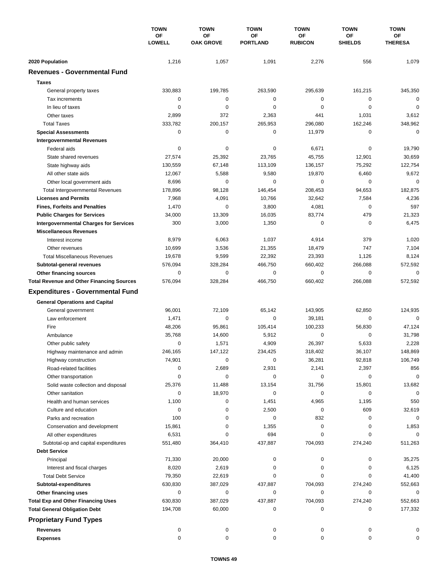|                                                  | <b>TOWN</b><br><b>OF</b><br><b>LOWELL</b> | <b>TOWN</b>                   | <b>TOWN</b><br><b>OF</b><br><b>PORTLAND</b> | <b>TOWN</b>          | <b>TOWN</b>                 | <b>TOWN</b><br>ОF<br><b>THERESA</b> |
|--------------------------------------------------|-------------------------------------------|-------------------------------|---------------------------------------------|----------------------|-----------------------------|-------------------------------------|
|                                                  |                                           | <b>OF</b><br><b>OAK GROVE</b> |                                             | ΟF<br><b>RUBICON</b> | <b>OF</b><br><b>SHIELDS</b> |                                     |
| 2020 Population                                  | 1,216                                     | 1,057                         | 1,091                                       | 2,276                | 556                         | 1,079                               |
| <b>Revenues - Governmental Fund</b>              |                                           |                               |                                             |                      |                             |                                     |
|                                                  |                                           |                               |                                             |                      |                             |                                     |
| <b>Taxes</b>                                     |                                           |                               |                                             |                      |                             |                                     |
| General property taxes                           | 330,883                                   | 199,785                       | 263,590                                     | 295,639              | 161,215                     | 345,350                             |
| Tax increments                                   | 0                                         | 0                             | 0                                           | 0                    | $\mathbf 0$                 | 0                                   |
| In lieu of taxes                                 | 0                                         | 0                             | 0                                           | 0                    | $\mathbf 0$                 | 0                                   |
| Other taxes                                      | 2,899                                     | 372                           | 2,363                                       | 441                  | 1,031                       | 3,612                               |
| <b>Total Taxes</b>                               | 333,782                                   | 200,157                       | 265,953                                     | 296,080              | 162,246                     | 348,962                             |
| <b>Special Assessments</b>                       | 0                                         | 0                             | 0                                           | 11,979               | 0                           | $\mathbf 0$                         |
| <b>Intergovernmental Revenues</b>                |                                           |                               |                                             |                      |                             |                                     |
| Federal aids                                     | 0                                         | 0                             | 0                                           | 6,671                | 0                           | 19,790                              |
| State shared revenues                            | 27,574                                    | 25,392                        | 23,765                                      | 45,755               | 12,901                      | 30,659                              |
| State highway aids                               | 130,559                                   | 67,148                        | 113,109                                     | 136,157              | 75,292                      | 122,754                             |
| All other state aids                             | 12,067                                    | 5,588                         | 9,580                                       | 19,870               | 6,460                       | 9,672                               |
| Other local government aids                      | 8,696                                     | 0                             | $\mathbf 0$                                 | 0                    | $\mathbf 0$                 | $\mathbf 0$                         |
| <b>Total Intergovernmental Revenues</b>          | 178,896                                   | 98,128                        | 146,454                                     | 208,453              | 94,653                      | 182,875                             |
| <b>Licenses and Permits</b>                      | 7,968                                     | 4,091                         | 10,766                                      | 32,642               | 7,584                       | 4,236                               |
| <b>Fines, Forfeits and Penalties</b>             | 1,470                                     | 0                             | 3,800                                       | 4,081                | 0                           | 597                                 |
| <b>Public Charges for Services</b>               | 34,000                                    | 13,309                        | 16,035                                      | 83,774               | 479                         | 21,323                              |
| <b>Intergovernmental Charges for Services</b>    | 300                                       | 3,000                         | 1,350                                       | 0                    | 0                           | 6,475                               |
| <b>Miscellaneous Revenues</b>                    |                                           |                               |                                             |                      |                             |                                     |
| Interest income                                  | 8,979                                     | 6,063                         | 1,037                                       | 4,914                | 379                         | 1,020                               |
| Other revenues                                   | 10,699                                    | 3,536                         | 21,355                                      | 18,479               | 747                         | 7,104                               |
| <b>Total Miscellaneous Revenues</b>              | 19,678                                    | 9,599                         | 22,392                                      | 23,393               | 1,126                       | 8,124                               |
| Subtotal-general revenues                        | 576,094                                   | 328,284                       | 466,750                                     | 660,402              | 266,088                     | 572,592                             |
| <b>Other financing sources</b>                   | 0                                         | 0                             | $\mathbf 0$                                 | 0                    | $\mathbf 0$                 | 0                                   |
| <b>Total Revenue and Other Financing Sources</b> | 576,094                                   | 328,284                       | 466,750                                     | 660,402              | 266,088                     | 572,592                             |
| <b>Expenditures - Governmental Fund</b>          |                                           |                               |                                             |                      |                             |                                     |
|                                                  |                                           |                               |                                             |                      |                             |                                     |
| <b>General Operations and Capital</b>            |                                           |                               |                                             |                      |                             |                                     |
| General government                               | 96,001                                    | 72,109                        | 65,142                                      | 143,905              | 62,850                      | 124,935                             |
| Law enforcement                                  | 1,471                                     | 0                             | $\mathbf 0$                                 | 39,181               | 0                           | $\mathbf 0$                         |
| Fire                                             | 48,206                                    | 95,861                        | 105,414                                     | 100,233              | 56,830                      | 47,124                              |
| Ambulance                                        | 35,768                                    | 14,600                        | 5,912                                       | 0                    | $\mathbf 0$                 | 31,798                              |
| Other public safety                              | 0                                         | 1,571                         | 4,909                                       | 26,397               | 5,633                       | 2,228                               |
| Highway maintenance and admin                    | 246,165                                   | 147,122                       | 234,425                                     | 318,402              | 36,107                      | 148,869                             |
| Highway construction                             | 74,901                                    | 0                             | 0                                           | 36,281               | 92,818                      | 106,749                             |
| Road-related facilities                          | 0                                         | 2,689                         | 2,931                                       | 2,141                | 2,397                       | 856                                 |
| Other transportation                             | 0                                         | 0                             | 0                                           | 0                    | 0                           | $\mathbf 0$                         |
| Solid waste collection and disposal              | 25,376                                    | 11,488                        | 13,154                                      | 31,756               | 15,801                      | 13,682                              |
| Other sanitation                                 | 0                                         | 18,970                        | 0                                           | 0                    | 0                           | $\mathbf 0$                         |
| Health and human services                        | 1,100                                     | 0                             | 1,451                                       | 4,965                | 1,195                       | 550                                 |
| Culture and education                            | 0                                         | 0                             | 2,500                                       | 0                    | 609                         | 32,619                              |
| Parks and recreation                             | 100                                       | 0                             | 0                                           | 832                  | 0                           | 0                                   |
| Conservation and development                     | 15,861                                    | 0                             | 1,355                                       | 0                    | 0                           | 1,853                               |
| All other expenditures                           | 6,531                                     | 0                             | 694                                         | 0                    | 0                           | 0                                   |
| Subtotal-op and capital expenditures             | 551,480                                   | 364,410                       | 437,887                                     | 704,093              | 274,240                     | 511,263                             |
| <b>Debt Service</b>                              |                                           |                               |                                             |                      |                             |                                     |
| Principal                                        | 71,330                                    | 20,000                        | 0                                           | 0                    | 0                           | 35,275                              |
| Interest and fiscal charges                      | 8,020                                     | 2,619                         | 0                                           | 0                    | 0                           | 6,125                               |
| <b>Total Debt Service</b>                        | 79,350                                    | 22,619                        | 0                                           | 0                    | 0                           | 41,400                              |
| Subtotal-expenditures                            | 630,830                                   | 387,029                       | 437,887                                     | 704,093              | 274,240                     | 552,663                             |
| Other financing uses                             | 0                                         | 0                             | 0                                           | 0                    | 0                           | 0                                   |
| <b>Total Exp and Other Financing Uses</b>        | 630,830                                   | 387,029                       | 437,887                                     | 704,093              | 274,240                     | 552,663                             |
| <b>Total General Obligation Debt</b>             | 194,708                                   | 60,000                        | 0                                           | 0                    | 0                           | 177,332                             |
| <b>Proprietary Fund Types</b>                    |                                           |                               |                                             |                      |                             |                                     |
|                                                  |                                           |                               |                                             |                      |                             |                                     |
| <b>Revenues</b>                                  | 0                                         | 0                             | 0                                           | 0                    | 0                           |                                     |
| <b>Expenses</b>                                  | 0                                         | 0                             | 0                                           | 0                    | 0                           | 0                                   |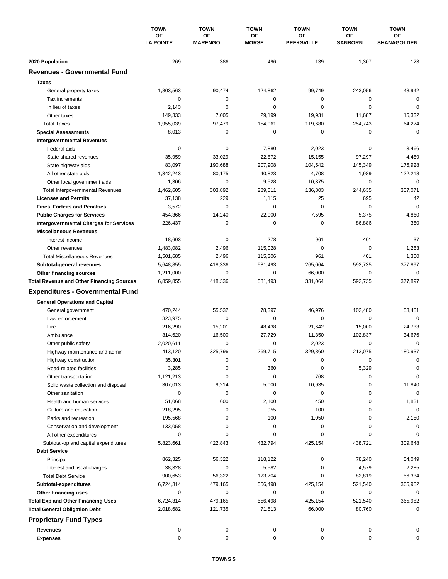|                                                        | <b>TOWN</b><br><b>OF</b><br><b>LA POINTE</b> | <b>TOWN</b>          | <b>TOWN</b>        | <b>TOWN</b>             | <b>TOWN</b>          | <b>TOWN</b>       |
|--------------------------------------------------------|----------------------------------------------|----------------------|--------------------|-------------------------|----------------------|-------------------|
|                                                        |                                              | OF<br><b>MARENGO</b> | OF<br><b>MORSE</b> | OF<br><b>PEEKSVILLE</b> | OF<br><b>SANBORN</b> | ΟF<br>SHANAGOLDEN |
|                                                        |                                              |                      |                    |                         |                      |                   |
| 2020 Population<br><b>Revenues - Governmental Fund</b> | 269                                          | 386                  | 496                | 139                     | 1,307                | 123               |
|                                                        |                                              |                      |                    |                         |                      |                   |
| <b>Taxes</b>                                           |                                              |                      |                    |                         |                      |                   |
| General property taxes                                 | 1,803,563                                    | 90,474               | 124,862            | 99,749                  | 243,056              | 48,942            |
| Tax increments                                         | $\mathbf 0$                                  | 0                    | 0                  | 0                       | 0                    | $\mathbf 0$       |
| In lieu of taxes                                       | 2,143                                        | 0                    | 0                  | 0                       | $\mathbf 0$          | $\mathbf 0$       |
| Other taxes                                            | 149,333                                      | 7,005                | 29,199             | 19,931                  | 11,687               | 15,332            |
| <b>Total Taxes</b>                                     | 1,955,039                                    | 97,479               | 154,061            | 119,680                 | 254,743              | 64,274            |
| <b>Special Assessments</b>                             | 8,013                                        | 0                    | 0                  | 0                       | 0                    | $\mathbf 0$       |
| <b>Intergovernmental Revenues</b>                      |                                              |                      |                    |                         |                      |                   |
| Federal aids                                           | 0                                            | 0                    | 7,880              | 2,023                   | 0                    | 3,466             |
| State shared revenues                                  | 35,959                                       | 33,029               | 22,872             | 15,155                  | 97,297               | 4,459             |
| State highway aids                                     | 83,097                                       | 190,688              | 207,908            | 104,542                 | 145,349              | 176,928           |
| All other state aids                                   | 1,342,243                                    | 80,175               | 40,823             | 4,708                   | 1,989                | 122,218           |
| Other local government aids                            | 1,306                                        | 0                    | 9,528              | 10,375                  | 0                    | $\mathbf 0$       |
| <b>Total Intergovernmental Revenues</b>                | 1,462,605                                    | 303,892              | 289,011            | 136,803                 | 244,635              | 307,071           |
| <b>Licenses and Permits</b>                            | 37,138                                       | 229                  | 1,115              | 25                      | 695                  | 42                |
| <b>Fines, Forfeits and Penalties</b>                   | 3,572                                        | 0                    | 0                  | 0                       | $\mathbf 0$          | $\mathbf 0$       |
| <b>Public Charges for Services</b>                     | 454,366                                      | 14,240               | 22,000             | 7,595                   | 5,375                | 4,860             |
| <b>Intergovernmental Charges for Services</b>          | 226,437                                      | 0                    | 0                  | $\pmb{0}$               | 86,886               | 350               |
| <b>Miscellaneous Revenues</b>                          |                                              |                      |                    |                         |                      |                   |
| Interest income                                        | 18,603                                       | 0                    | 278                | 961                     | 401                  | 37                |
| Other revenues                                         | 1,483,082                                    | 2,496                | 115,028            | $\pmb{0}$               | 0                    | 1,263             |
| <b>Total Miscellaneous Revenues</b>                    | 1,501,685                                    | 2,496                | 115,306            | 961                     | 401                  | 1,300             |
| Subtotal-general revenues                              | 5,648,855                                    | 418,336              | 581,493            | 265,064                 | 592,735              | 377,897           |
| Other financing sources                                | 1,211,000                                    | 0                    | 0                  | 66,000                  | $\mathbf 0$          | $\mathbf 0$       |
| <b>Total Revenue and Other Financing Sources</b>       | 6,859,855                                    | 418,336              | 581,493            | 331,064                 | 592,735              | 377,897           |
| <b>Expenditures - Governmental Fund</b>                |                                              |                      |                    |                         |                      |                   |
|                                                        |                                              |                      |                    |                         |                      |                   |
| <b>General Operations and Capital</b>                  |                                              |                      |                    |                         |                      |                   |
| General government                                     | 470,244                                      | 55,532               | 78,397             | 46,976                  | 102,480              | 53,481            |
| Law enforcement                                        | 323,975                                      | $\mathbf 0$          | 0                  | 0                       | 0                    | $\Omega$          |
| Fire                                                   | 216,290                                      | 15,201               | 48,438             | 21,642                  | 15,000               | 24,733            |
| Ambulance                                              | 314,620                                      | 16,500               | 27,729             | 11,350                  | 102,837              | 34,676            |
| Other public safety                                    | 2,020,611                                    | 0                    | 0                  | 2,023                   | $\mathbf 0$          | $\mathbf 0$       |
| Highway maintenance and admin                          | 413,120                                      | 325.796              | 269,715            | 329,860                 | 213,075              | 180,937           |
| Highway construction                                   | 35,301                                       | 0                    | 0                  | 0                       | 0                    | 0                 |
| Road-related facilities                                | 3,285                                        | 0                    | 360                | 0                       | 5,329                | 0                 |
| Other transportation                                   | 1,121,213                                    | 0                    | 0                  | 768                     | 0                    | 0                 |
| Solid waste collection and disposal                    | 307,013                                      | 9,214                | 5,000              | 10,935                  | 0                    | 11,840            |
| Other sanitation                                       | 0                                            | 0                    | 0                  | 0                       | 0                    | 0                 |
| Health and human services                              | 51,068                                       | 600                  | 2,100              | 450                     | 0                    | 1,831             |
| Culture and education                                  | 218,295                                      | 0                    | 955                | 100                     | 0                    | 0                 |
| Parks and recreation                                   | 195,568                                      | 0                    | 100                | 1,050                   | 0                    | 2,150             |
| Conservation and development                           | 133,058                                      | 0                    | 0                  | 0                       | 0                    | 0                 |
| All other expenditures                                 | 0                                            | 0                    | 0                  | 0                       | 0                    | 0                 |
| Subtotal-op and capital expenditures                   | 5,823,661                                    | 422,843              | 432,794            | 425,154                 | 438,721              | 309,648           |
| <b>Debt Service</b>                                    |                                              |                      |                    |                         |                      |                   |
| Principal                                              | 862,325                                      | 56,322               | 118,122            | 0                       | 78,240               | 54,049            |
| Interest and fiscal charges                            | 38,328                                       | 0                    | 5,582              | 0                       | 4,579                | 2,285             |
| <b>Total Debt Service</b>                              | 900,653                                      | 56,322               | 123,704            | 0                       | 82,819               | 56,334            |
| Subtotal-expenditures                                  | 6,724,314                                    | 479,165              | 556,498            | 425,154                 | 521,540              | 365,982           |
| Other financing uses                                   | 0                                            | 0                    | 0                  | 0                       | 0                    | 0                 |
| <b>Total Exp and Other Financing Uses</b>              | 6,724,314                                    | 479,165              | 556,498            | 425,154                 | 521,540              | 365,982           |
| <b>Total General Obligation Debt</b>                   | 2,018,682                                    | 121,735              | 71,513             | 66,000                  | 80,760               | 0                 |
| <b>Proprietary Fund Types</b>                          |                                              |                      |                    |                         |                      |                   |
| <b>Revenues</b>                                        | 0                                            |                      |                    |                         |                      |                   |
| <b>Expenses</b>                                        | 0                                            | 0<br>0               | 0<br>0             | 0<br>0                  | 0<br>$\mathbf 0$     | 0                 |
|                                                        |                                              |                      |                    |                         |                      |                   |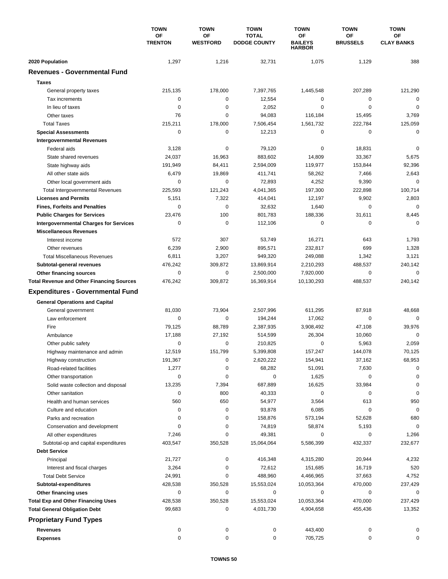|                                                                                   | <b>TOWN</b>          | <b>TOWN</b>           | <b>TOWN</b>                         | <b>TOWN</b>                           | <b>TOWN</b>           | <b>TOWN</b>             |
|-----------------------------------------------------------------------------------|----------------------|-----------------------|-------------------------------------|---------------------------------------|-----------------------|-------------------------|
|                                                                                   | OF<br><b>TRENTON</b> | OF<br><b>WESTFORD</b> | <b>TOTAL</b><br><b>DODGE COUNTY</b> | 0F<br><b>BAILEYS</b><br><b>HARBOR</b> | OF<br><b>BRUSSELS</b> | ΟF<br><b>CLAY BANKS</b> |
| 2020 Population                                                                   | 1,297                | 1,216                 | 32,731                              | 1,075                                 | 1,129                 | 388                     |
| <b>Revenues - Governmental Fund</b>                                               |                      |                       |                                     |                                       |                       |                         |
| <b>Taxes</b>                                                                      |                      |                       |                                     |                                       |                       |                         |
| General property taxes                                                            | 215,135              | 178,000               | 7,397,765                           | 1,445,548                             | 207,289               | 121,290                 |
| Tax increments                                                                    | 0                    | $\pmb{0}$             | 12,554                              | 0                                     | 0                     | 0                       |
| In lieu of taxes                                                                  | 0                    | 0                     | 2,052                               | 0                                     | $\mathbf 0$           | $\mathbf 0$             |
| Other taxes                                                                       | 76                   | $\mathbf 0$           | 94,083                              | 116,184                               | 15,495                | 3,769                   |
| <b>Total Taxes</b>                                                                | 215,211              | 178,000               | 7,506,454                           | 1,561,732                             | 222,784               | 125,059                 |
| <b>Special Assessments</b>                                                        | 0                    | 0                     | 12,213                              | 0                                     | 0                     | $\mathbf 0$             |
| <b>Intergovernmental Revenues</b>                                                 |                      |                       |                                     |                                       |                       |                         |
| Federal aids                                                                      | 3,128                | 0                     | 79,120                              | 0                                     | 18,831                | $\mathbf 0$             |
| State shared revenues                                                             | 24,037               | 16,963                | 883,602                             | 14,809                                | 33,367                | 5,675                   |
| State highway aids                                                                | 191,949              | 84,411                | 2,594,009                           | 119,977                               | 153,844               | 92,396                  |
| All other state aids                                                              | 6,479                | 19,869                | 411,741                             | 58,262                                | 7,466                 | 2,643                   |
| Other local government aids                                                       | 0                    | $\mathbf 0$           | 72,893                              | 4,252                                 | 9,390                 | $\mathbf 0$             |
| <b>Total Intergovernmental Revenues</b>                                           | 225,593              | 121,243               | 4,041,365                           | 197,300                               | 222,898               | 100,714                 |
| <b>Licenses and Permits</b>                                                       | 5,151                | 7,322                 | 414,041                             | 12,197                                | 9,902                 | 2,803                   |
| <b>Fines, Forfeits and Penalties</b>                                              | 0                    | 0                     | 32,632                              | 1,640                                 | 0                     | $\Omega$                |
| <b>Public Charges for Services</b>                                                | 23,476               | 100                   | 801,783                             | 188,336                               | 31,611                | 8,445                   |
| <b>Intergovernmental Charges for Services</b>                                     | 0                    | $\mathbf 0$           | 112,106                             | 0                                     | $\mathbf 0$           | $\mathbf 0$             |
| <b>Miscellaneous Revenues</b>                                                     |                      |                       |                                     |                                       |                       |                         |
| Interest income                                                                   | 572                  | 307                   | 53,749                              | 16,271                                | 643                   | 1,793                   |
| Other revenues                                                                    | 6,239                | 2,900                 | 895,571                             | 232,817                               | 699                   | 1,328                   |
| <b>Total Miscellaneous Revenues</b>                                               | 6,811                | 3,207                 | 949,320                             | 249,088                               | 1,342                 | 3,121                   |
| Subtotal-general revenues                                                         | 476,242              | 309,872               | 13,869,914                          | 2,210,293                             | 488,537               | 240,142                 |
| Other financing sources                                                           | 0                    | 0                     | 2,500,000                           | 7,920,000                             | 0                     | $\mathbf 0$             |
| <b>Total Revenue and Other Financing Sources</b>                                  | 476,242              | 309,872               | 16,369,914                          | 10,130,293                            | 488,537               | 240,142                 |
| <b>Expenditures - Governmental Fund</b>                                           |                      |                       |                                     |                                       |                       |                         |
| <b>General Operations and Capital</b>                                             |                      |                       |                                     |                                       |                       |                         |
| General government                                                                | 81,030               | 73,904                | 2,507,996                           | 611,295                               | 87,918                | 48,668                  |
| Law enforcement                                                                   | 0                    | $\mathbf 0$           | 194,244                             | 17,062                                | 0                     | $\mathbf 0$             |
| Fire                                                                              | 79,125               | 88,789                | 2,387,935                           | 3,908,492                             | 47,108                | 39,976                  |
| Ambulance                                                                         | 17,188               | 27,192                | 514,599                             | 26,304                                | 10,060                | $\mathbf 0$             |
| Other public safety                                                               | 0                    | $\mathbf 0$           | 210,825                             | 0                                     | 5,963                 | 2,059                   |
| Highway maintenance and admin                                                     | 12,519               | 151,799               | 5,399,808                           | 157,247                               | 144,078               | 70,125                  |
| Highway construction                                                              | 191,367              | $\pmb{0}$             | 2,620,222                           | 154,941                               | 37,162                | 68,953                  |
| Road-related facilities                                                           | 1,277                | 0                     | 68,282                              | 51,091                                | 7,630                 | $\Omega$                |
| Other transportation                                                              | 0                    | $\pmb{0}$             | 0                                   | 1,625                                 | 0                     | 0                       |
| Solid waste collection and disposal                                               | 13,235               | 7,394                 | 687,889                             | 16,625                                | 33,984                | $\mathbf 0$             |
| Other sanitation                                                                  | 0                    | 800                   | 40,333                              | 0                                     | 0                     | $\mathbf 0$             |
| Health and human services                                                         | 560                  | 650                   | 54,977                              | 3,564                                 | 613                   | 950                     |
| Culture and education                                                             | 0                    | $\pmb{0}$             | 93,878                              | 6,085                                 | 0                     | $\mathbf 0$             |
| Parks and recreation                                                              | 0                    | 0                     | 158,876                             | 573,194                               | 52,628                | 680                     |
| Conservation and development                                                      | 0                    | 0                     | 74,819                              | 58,874                                | 5,193                 | 0                       |
| All other expenditures                                                            | 7,246                | 0                     | 49,381                              | 0                                     | 0                     | 1,266                   |
| Subtotal-op and capital expenditures                                              | 403,547              | 350,528               | 15,064,064                          | 5,586,399                             | 432,337               | 232,677                 |
| <b>Debt Service</b>                                                               |                      |                       |                                     |                                       |                       |                         |
| Principal                                                                         | 21,727               | 0                     | 416,348                             | 4,315,280                             | 20,944                | 4,232                   |
| Interest and fiscal charges                                                       | 3,264                | 0                     | 72,612                              | 151,685                               | 16,719                | 520                     |
| <b>Total Debt Service</b>                                                         | 24,991               | 0                     | 488,960                             | 4,466,965                             | 37,663                | 4,752                   |
| Subtotal-expenditures                                                             | 428,538              | 350,528               | 15,553,024                          | 10,053,364                            | 470,000               | 237,429                 |
| Other financing uses                                                              | 0<br>428,538         | 0<br>350,528          | 0<br>15,553,024                     | 0                                     | 0                     | 0                       |
| <b>Total Exp and Other Financing Uses</b><br><b>Total General Obligation Debt</b> | 99,683               | 0                     | 4,031,730                           | 10,053,364<br>4,904,658               | 470,000<br>455,436    | 237,429<br>13,352       |
|                                                                                   |                      |                       |                                     |                                       |                       |                         |
| <b>Proprietary Fund Types</b>                                                     |                      |                       |                                     |                                       |                       |                         |
| <b>Revenues</b>                                                                   | 0<br>0               | 0<br>0                | 0<br>0                              | 443,400                               | 0<br>0                | 0                       |
| <b>Expenses</b>                                                                   |                      |                       |                                     | 705,725                               |                       | 0                       |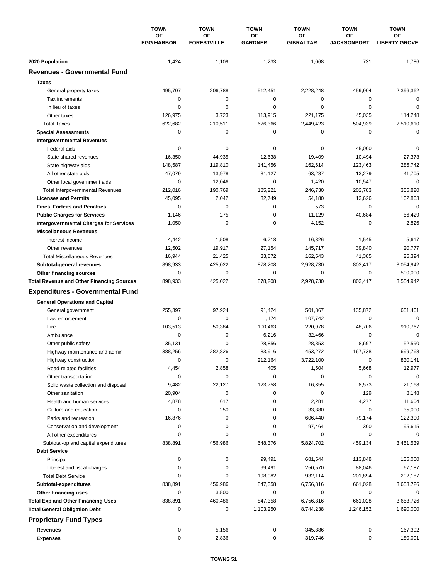|                                                  | <b>TOWN</b><br><b>OF</b><br><b>EGG HARBOR</b> | <b>TOWN</b>              | <b>TOWN</b>          | <b>TOWN</b>            | <b>TOWN</b>              | <b>TOWN</b>                |
|--------------------------------------------------|-----------------------------------------------|--------------------------|----------------------|------------------------|--------------------------|----------------------------|
|                                                  |                                               | OF<br><b>FORESTVILLE</b> | ΟF<br><b>GARDNER</b> | ΟF<br><b>GIBRALTAR</b> | OF<br><b>JACKSONPORT</b> | ΟF<br><b>LIBERTY GROVE</b> |
|                                                  |                                               |                          |                      |                        |                          |                            |
| 2020 Population                                  | 1,424                                         | 1,109                    | 1,233                | 1,068                  | 731                      | 1,786                      |
| <b>Revenues - Governmental Fund</b>              |                                               |                          |                      |                        |                          |                            |
| <b>Taxes</b>                                     |                                               |                          |                      |                        |                          |                            |
| General property taxes                           | 495,707                                       | 206,788                  | 512,451              | 2,228,248              | 459,904                  | 2,396,362                  |
| Tax increments                                   | $\mathbf 0$                                   | $\mathbf 0$              | 0                    | 0                      | 0                        | $\mathbf 0$                |
| In lieu of taxes                                 | $\mathbf 0$                                   | $\mathbf 0$              | 0                    | $\mathbf 0$            | $\mathbf 0$              | $\mathbf 0$                |
| Other taxes                                      | 126,975                                       | 3,723                    | 113,915              | 221,175                | 45,035                   | 114,248                    |
| <b>Total Taxes</b>                               | 622,682                                       | 210,511                  | 626,366              | 2,449,423              | 504,939                  | 2,510,610                  |
| <b>Special Assessments</b>                       | $\mathbf 0$                                   | 0                        | 0                    | 0                      | $\mathbf 0$              | $\mathbf 0$                |
| <b>Intergovernmental Revenues</b>                |                                               |                          |                      |                        |                          |                            |
| Federal aids                                     | 0                                             | 0                        | 0                    | 0                      | 45,000                   | 0                          |
| State shared revenues                            | 16,350                                        | 44,935                   | 12,638               | 19,409                 | 10,494                   | 27,373                     |
| State highway aids                               | 148,587                                       | 119,810                  | 141,456              | 162,614                | 123,463                  | 286,742                    |
| All other state aids                             | 47,079                                        | 13,978                   | 31,127               | 63,287                 | 13,279                   | 41,705                     |
| Other local government aids                      | $\mathbf 0$                                   | 12,046                   | $\mathbf 0$          | 1,420                  | 10,547                   | $\mathbf 0$                |
| <b>Total Intergovernmental Revenues</b>          | 212,016                                       | 190,769                  | 185,221              | 246,730                | 202,783                  | 355,820                    |
| <b>Licenses and Permits</b>                      | 45,095                                        | 2,042                    | 32,749               | 54,180                 | 13,626                   | 102,863                    |
| <b>Fines, Forfeits and Penalties</b>             | 0                                             | $\Omega$                 | 0                    | 573                    | 0                        | $\mathbf 0$                |
| <b>Public Charges for Services</b>               | 1,146                                         | 275                      | 0                    | 11,129                 | 40,684                   | 56,429                     |
| <b>Intergovernmental Charges for Services</b>    | 1,050                                         | $\mathbf 0$              | 0                    | 4,152                  | 0                        | 2,826                      |
| <b>Miscellaneous Revenues</b>                    |                                               |                          |                      |                        |                          |                            |
| Interest income                                  | 4,442                                         | 1,508                    | 6,718                | 16,826                 | 1,545                    | 5,617                      |
| Other revenues                                   | 12,502                                        | 19,917                   | 27,154               | 145,717                | 39,840                   | 20,777                     |
| <b>Total Miscellaneous Revenues</b>              | 16,944                                        | 21,425                   | 33,872               | 162,543                | 41,385                   | 26,394                     |
| Subtotal-general revenues                        | 898,933                                       | 425,022                  | 878,208              | 2,928,730              | 803,417                  | 3,054,942                  |
| Other financing sources                          | $\mathbf 0$                                   | $\mathbf 0$              | 0                    | $\mathbf 0$            | $\mathbf 0$              | 500,000                    |
| <b>Total Revenue and Other Financing Sources</b> | 898,933                                       | 425,022                  | 878,208              | 2,928,730              | 803,417                  | 3,554,942                  |
| <b>Expenditures - Governmental Fund</b>          |                                               |                          |                      |                        |                          |                            |
|                                                  |                                               |                          |                      |                        |                          |                            |
| <b>General Operations and Capital</b>            | 255,397                                       | 97,924                   | 91,424               | 501,867                | 135,872                  | 651,461                    |
| General government<br>Law enforcement            | $\mathbf 0$                                   | 0                        |                      |                        | $\mathbf 0$              | $\Omega$                   |
| Fire                                             | 103,513                                       | 50,384                   | 1,174<br>100,463     | 107,742<br>220,978     | 48,706                   | 910,767                    |
|                                                  | $\mathbf 0$                                   | 0                        | 6,216                | 32,466                 | $\mathbf 0$              | 0                          |
| Ambulance                                        | 35,131                                        | $\mathbf 0$              | 28.856               | 28,853                 | 8,697                    | 52,590                     |
| Other public safety                              | 388,256                                       | 282,826                  | 83,916               | 453,272                | 167,738                  | 699,768                    |
| Highway maintenance and admin                    | 0                                             | 0                        |                      |                        | 0                        |                            |
| Highway construction                             | 4,454                                         |                          | 212,164<br>405       | 3,722,100              |                          | 830,141                    |
| Road-related facilities                          |                                               | 2,858<br>0               |                      | 1,504                  | 5,668                    | 12,977<br>0                |
| Other transportation                             | 0                                             |                          | 0                    | 0                      | 0                        |                            |
| Solid waste collection and disposal              | 9,482                                         | 22,127                   | 123,758              | 16,355                 | 8,573                    | 21,168                     |
| Other sanitation                                 | 20,904                                        | 0                        | 0                    | 0                      | 129                      | 8,148                      |
| Health and human services                        | 4,878                                         | 617                      | 0                    | 2,281                  | 4,277                    | 11,604                     |
| Culture and education                            | 0                                             | 250<br>$\pmb{0}$         | 0                    | 33,380                 | 0                        | 35,000                     |
| Parks and recreation                             | 16,876                                        |                          | 0                    | 606,440                | 79,174                   | 122,300                    |
| Conservation and development                     | 0<br>0                                        | 0<br>0                   | 0<br>0               | 97,464<br>0            | 300<br>0                 | 95,615<br>0                |
| All other expenditures                           |                                               |                          |                      |                        |                          | 3,451,539                  |
| Subtotal-op and capital expenditures             | 838,891                                       | 456,986                  | 648,376              | 5,824,702              | 459,134                  |                            |
| <b>Debt Service</b>                              |                                               |                          |                      |                        |                          |                            |
| Principal                                        | 0                                             | 0                        | 99,491               | 681,544                | 113,848                  | 135,000                    |
| Interest and fiscal charges                      | 0                                             | 0                        | 99,491               | 250,570                | 88,046                   | 67,187                     |
| <b>Total Debt Service</b>                        | 0                                             | $\mathbf 0$              | 198,982              | 932,114                | 201,894                  | 202,187                    |
| Subtotal-expenditures                            | 838,891                                       | 456,986                  | 847,358              | 6,756,816              | 661,028                  | 3,653,726                  |
| Other financing uses                             | 0                                             | 3,500                    | 0                    | 0                      | 0                        | 0                          |
| <b>Total Exp and Other Financing Uses</b>        | 838,891                                       | 460,486                  | 847,358              | 6,756,816              | 661,028                  | 3,653,726                  |
| <b>Total General Obligation Debt</b>             | 0                                             | 0                        | 1,103,250            | 8,744,238              | 1,246,152                | 1,690,000                  |
| <b>Proprietary Fund Types</b>                    |                                               |                          |                      |                        |                          |                            |
| <b>Revenues</b>                                  | 0                                             | 5,156                    | 0                    | 345,886                | 0                        | 167,392                    |
| <b>Expenses</b>                                  | 0                                             | 2,836                    | 0                    | 319,746                | 0                        | 180,091                    |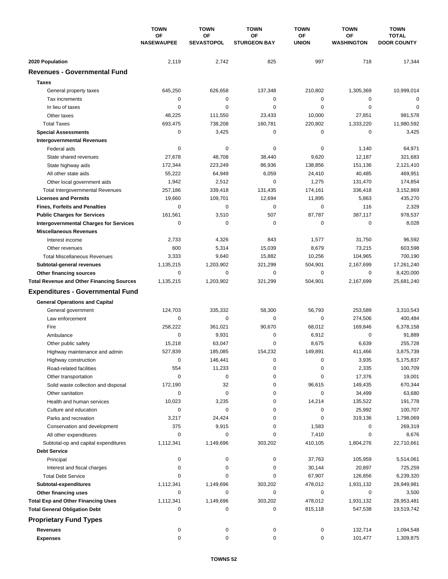|                                                  | <b>TOWN</b>             | <b>TOWN</b>             | <b>TOWN</b>               | <b>TOWN</b>        | <b>TOWN</b>             | <b>TOWN</b>                        |
|--------------------------------------------------|-------------------------|-------------------------|---------------------------|--------------------|-------------------------|------------------------------------|
|                                                  | OF<br><b>NASEWAUPEE</b> | OF<br><b>SEVASTOPOL</b> | ΟF<br><b>STURGEON BAY</b> | OF<br><b>UNION</b> | OF<br><b>WASHINGTON</b> | <b>TOTAL</b><br><b>DOOR COUNTY</b> |
| 2020 Population                                  | 2,119                   | 2,742                   | 825                       | 997                | 718                     | 17,344                             |
| <b>Revenues - Governmental Fund</b>              |                         |                         |                           |                    |                         |                                    |
| <b>Taxes</b>                                     |                         |                         |                           |                    |                         |                                    |
| General property taxes                           | 645,250                 | 626,658                 | 137,348                   | 210,802            | 1,305,369               | 10,999,014                         |
| Tax increments                                   | 0                       | 0                       | 0                         | 0                  | 0                       | $\mathbf 0$                        |
| In lieu of taxes                                 | 0                       | $\mathbf 0$             | 0                         | 0                  | $\mathbf 0$             | $\mathbf 0$                        |
| Other taxes                                      | 48,225                  | 111,550                 | 23,433                    | 10,000             | 27,851                  | 981,578                            |
| <b>Total Taxes</b>                               | 693,475                 | 738,208                 | 160,781                   | 220,802            | 1,333,220               | 11,980,592                         |
| <b>Special Assessments</b>                       | 0                       | 3,425                   | 0                         | 0                  | 0                       | 3,425                              |
| <b>Intergovernmental Revenues</b>                |                         |                         |                           |                    |                         |                                    |
| Federal aids                                     | 0                       | 0                       | 0                         | 0                  | 1,140                   | 64,971                             |
| State shared revenues                            | 27,678                  | 48,708                  | 38,440                    | 9,620              | 12,187                  | 321,683                            |
| State highway aids                               | 172,344                 | 223,249                 | 86,936                    | 138,856            | 151,136                 | 2,121,410                          |
| All other state aids                             | 55,222                  | 64,949                  | 6,059                     | 24,410             | 40,485                  | 469,951                            |
| Other local government aids                      | 1,942                   | 2,512                   | 0                         | 1,275              | 131,470                 | 174,854                            |
| <b>Total Intergovernmental Revenues</b>          | 257,186                 | 339,418                 | 131,435                   | 174,161            | 336,418                 | 3,152,869                          |
| <b>Licenses and Permits</b>                      | 19,660                  | 109,701                 | 12,694                    | 11,895             | 5,863                   | 435,270                            |
| <b>Fines, Forfeits and Penalties</b>             | 0                       | $\mathbf 0$             | 0                         | 0                  | 116                     | 2,329                              |
| <b>Public Charges for Services</b>               | 161,561                 | 3,510                   | 507                       | 87,787             | 387,117                 | 978,537                            |
| <b>Intergovernmental Charges for Services</b>    | 0                       | $\mathbf 0$             | 0                         | 0                  | 0                       | 8,028                              |
| <b>Miscellaneous Revenues</b>                    |                         |                         |                           |                    |                         |                                    |
| Interest income                                  | 2,733                   | 4,326                   | 843                       | 1,577              | 31,750                  | 96,592                             |
| Other revenues                                   | 600                     | 5,314                   | 15,039                    | 8,679              | 73,215                  | 603,598                            |
| <b>Total Miscellaneous Revenues</b>              | 3,333                   | 9,640                   | 15,882                    | 10,256             | 104,965                 | 700,190                            |
| Subtotal-general revenues                        | 1,135,215               | 1,203,902               | 321,299                   | 504,901            | 2,167,699               | 17,261,240                         |
| Other financing sources                          | 0                       | $\mathbf 0$             | 0                         | 0                  | 0                       | 8,420,000                          |
| <b>Total Revenue and Other Financing Sources</b> | 1,135,215               | 1,203,902               | 321,299                   | 504,901            | 2,167,699               | 25,681,240                         |
| <b>Expenditures - Governmental Fund</b>          |                         |                         |                           |                    |                         |                                    |
| <b>General Operations and Capital</b>            |                         |                         |                           |                    |                         |                                    |
| General government                               | 124,703                 | 335,332                 | 58,300                    | 56,793             | 253,589                 | 3,310,543                          |
| Law enforcement                                  | 0                       | $\mathbf 0$             | 0                         | 0                  | 274,506                 | 400,484                            |
| Fire                                             | 258,222                 | 361,021                 | 90,670                    | 68,012             | 169,846                 | 6,378,158                          |
| Ambulance                                        | 0                       | 9,931                   | 0                         | 6,912              | $\mathbf 0$             | 91,889                             |
| Other public safety                              | 15,218                  | 63,047                  | 0                         | 8,675              | 6,639                   | 255,728                            |
| Highway maintenance and admin                    | 527,839                 | 185,085                 | 154,232                   | 149,891            | 411,466                 | 3,875,739                          |
| Highway construction                             | 0                       | 146,441                 | 0                         | 0                  | 3,935                   | 5,175,837                          |
| Road-related facilities                          | 554                     | 11,233                  | 0                         | 0                  | 2,335                   | 100,709                            |
| Other transportation                             | 0                       | 0                       | 0                         | 0                  | 17,376                  | 19,001                             |
| Solid waste collection and disposal              | 172,190                 | 32                      | 0                         | 96,615             | 149,435                 | 670,344                            |
| Other sanitation                                 | 0                       | $\mathbf 0$             | 0                         | 0                  | 34,499                  | 63,680                             |
| Health and human services                        | 10,023                  | 3,235                   | 0                         | 14,214             | 135,522                 | 191,778                            |
| Culture and education                            | 0                       | 0                       | 0                         | 0                  | 25,992                  | 100,707                            |
| Parks and recreation                             | 3,217                   | 24,424                  | 0                         | 0                  | 319,136                 | 1,798,069                          |
| Conservation and development                     | 375                     | 9,915                   | 0                         | 1,583              | 0                       | 269,319                            |
| All other expenditures                           | 0                       | 0                       | 0                         | 7,410              | 0                       | 8,676                              |
| Subtotal-op and capital expenditures             | 1,112,341               | 1,149,696               | 303,202                   | 410,105            | 1,804,276               | 22,710,661                         |
| <b>Debt Service</b>                              |                         |                         |                           |                    |                         |                                    |
| Principal                                        | 0                       | 0                       | 0                         | 37,763             | 105,959                 | 5,514,061                          |
| Interest and fiscal charges                      | 0                       | 0                       | 0                         | 30,144             | 20,897                  | 725,259                            |
| <b>Total Debt Service</b>                        | 0                       | 0                       | 0                         | 67,907             | 126,856                 | 6,239,320                          |
| Subtotal-expenditures                            | 1,112,341               | 1,149,696               | 303,202                   | 478,012            | 1,931,132               | 28,949,981                         |
| Other financing uses                             | 0                       | 0                       | 0                         | 0                  | 0                       | 3,500                              |
| <b>Total Exp and Other Financing Uses</b>        | 1,112,341               | 1,149,696               | 303,202                   | 478,012            | 1,931,132               | 28,953,481                         |
| <b>Total General Obligation Debt</b>             | 0                       | 0                       | 0                         | 815,118            | 547,538                 | 19,519,742                         |
| <b>Proprietary Fund Types</b>                    |                         |                         |                           |                    |                         |                                    |
| <b>Revenues</b>                                  | 0                       | 0                       | 0                         | 0                  | 132,714                 | 1,094,548                          |
| <b>Expenses</b>                                  | 0                       | $\pmb{0}$               | 0                         | 0                  | 101,477                 | 1,309,875                          |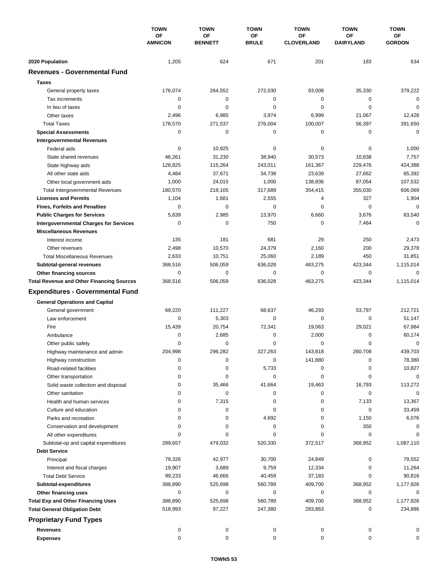|                                                  | <b>TOWN</b><br>OF<br><b>AMNICON</b> | <b>TOWN</b>          | <b>TOWN</b>        | <b>TOWN</b>             | <b>TOWN</b>                   | <b>TOWN</b>         |
|--------------------------------------------------|-------------------------------------|----------------------|--------------------|-------------------------|-------------------------------|---------------------|
|                                                  |                                     | OF<br><b>BENNETT</b> | ΟF<br><b>BRULE</b> | ΟF<br><b>CLOVERLAND</b> | <b>OF</b><br><b>DAIRYLAND</b> | ОF<br><b>GORDON</b> |
| 2020 Population                                  | 1,205                               | 624                  | 671                | 201                     | 183                           | 634                 |
| <b>Revenues - Governmental Fund</b>              |                                     |                      |                    |                         |                               |                     |
| <b>Taxes</b>                                     |                                     |                      |                    |                         |                               |                     |
| General property taxes                           | 176,074                             | 264,552              | 272,030            | 93,008                  | 35,330                        | 379,222             |
| Tax increments                                   | 0                                   | $\mathbf 0$          | $\mathbf 0$        | 0                       | 0                             | $\mathbf 0$         |
| In lieu of taxes                                 | 0                                   | 0                    | $\mathbf 0$        | 0                       | $\mathbf 0$                   | $\mathbf 0$         |
| Other taxes                                      | 2,496                               | 6,985                | 3,974              | 6,999                   | 21,067                        | 12,428              |
| <b>Total Taxes</b>                               | 178,570                             | 271,537              | 276,004            | 100,007                 | 56,397                        | 391,650             |
| <b>Special Assessments</b>                       | 0                                   | 0                    | 0                  | 0                       | 0                             | $\mathbf 0$         |
| <b>Intergovernmental Revenues</b>                |                                     |                      |                    |                         |                               |                     |
| Federal aids                                     | 0                                   | 10,925               | 0                  | 0                       | 0                             | 1,000               |
| State shared revenues                            | 46,261                              | 31,230               | 38,940             | 30,573                  | 10,838                        | 7,757               |
| State highway aids                               | 128,825                             | 115,264              | 243,011            | 161,367                 | 229,476                       | 424,388             |
| All other state aids                             | 4,484                               | 37,671               | 34,738             | 23,639                  | 27,662                        | 65,392              |
| Other local government aids                      | 1,000                               | 24,015               | 1,000              | 138,836                 | 87,054                        | 107,532             |
| <b>Total Intergovernmental Revenues</b>          | 180,570                             | 219,105              | 317,689            | 354,415                 | 355,030                       | 606,069             |
| <b>Licenses and Permits</b>                      | 1,104                               | 1,681                | 2,555              | 4                       | 327                           | 1,904               |
| <b>Fines, Forfeits and Penalties</b>             | $\Omega$                            | $\Omega$             | 0                  | $\Omega$                | $\mathbf 0$                   | $\mathbf 0$         |
| <b>Public Charges for Services</b>               | 5,639                               | 2,985                | 13,970             | 6,660                   | 3,676                         | 83,540              |
| <b>Intergovernmental Charges for Services</b>    | 0                                   | $\mathbf 0$          | 750                | 0                       | 7,464                         | $\mathbf 0$         |
| <b>Miscellaneous Revenues</b>                    |                                     |                      |                    |                         |                               |                     |
| Interest income                                  | 135                                 | 181                  | 681                | 29                      | 250                           | 2,473               |
| Other revenues                                   | 2,498                               | 10,570               | 24,379             | 2,160                   | 200                           | 29,378              |
| <b>Total Miscellaneous Revenues</b>              | 2,633                               | 10,751               | 25,060             | 2,189                   | 450                           | 31,851              |
| Subtotal-general revenues                        | 368,516                             | 506,059              | 636,028            | 463,275                 | 423,344                       | 1,115,014           |
| <b>Other financing sources</b>                   | $\mathbf 0$                         | 0                    | $\mathbf 0$        | 0                       | $\mathbf 0$                   | 0                   |
| <b>Total Revenue and Other Financing Sources</b> | 368,516                             | 506,059              | 636,028            | 463,275                 | 423,344                       | 1,115,014           |
| <b>Expenditures - Governmental Fund</b>          |                                     |                      |                    |                         |                               |                     |
| <b>General Operations and Capital</b>            |                                     |                      |                    |                         |                               |                     |
| General government                               | 69,220                              | 111,227              | 68,637             | 46,293                  | 53,797                        | 212,721             |
| Law enforcement                                  | 0                                   | 5,303                | $\mathbf 0$        | 0                       | 0                             | 51,147              |
| Fire                                             | 15,439                              | 20,754               | 72,341             | 19,063                  | 29,021                        | 67,984              |
| Ambulance                                        | 0                                   | 2,685                | 0                  | 2,000                   | 0                             | 60,174              |
| Other public safety                              | 0                                   | $\mathbf 0$          | $\mathbf 0$        | 0                       | $\mathbf 0$                   | 0                   |
| Highway maintenance and admin                    | 204,998                             | 296,282              | 327.263            | 143.818                 | 260,708                       | 439,703             |
| Highway construction                             | 0                                   | 0                    | 0                  | 141,880                 | 0                             | 78,380              |
| Road-related facilities                          | 0                                   | 0                    | 5,733              | 0                       | 0                             | 10,827              |
| Other transportation                             | 0                                   | 0                    | 0                  | 0                       | 0                             | 0                   |
| Solid waste collection and disposal              | 0                                   | 35,466               | 41,664             | 19,463                  | 16,793                        | 113,272             |
| Other sanitation                                 | 0                                   | 0                    | 0                  | 0                       | 0                             | 0                   |
| Health and human services                        | 0                                   | 7,315                | 0                  | 0                       | 7,133                         | 13,367              |
| Culture and education                            | 0                                   | 0                    | 0                  | 0                       | 0                             | 33,459              |
| Parks and recreation                             | 0                                   | 0                    | 4,692              | 0                       | 1,150                         | 6,076               |
| Conservation and development                     | 0                                   | 0                    | 0                  | 0                       | 350                           | 0                   |
| All other expenditures                           | $\Omega$                            | 0                    | 0                  | 0                       | 0                             | $\Omega$            |
| Subtotal-op and capital expenditures             | 289,657                             | 479,032              | 520,330            | 372,517                 | 368,952                       | 1,087,110           |
| <b>Debt Service</b>                              |                                     |                      |                    |                         |                               |                     |
| Principal                                        | 79,326                              | 42,977               | 30,700             | 24,849                  | 0                             | 79,552              |
| Interest and fiscal charges                      | 19,907                              | 3,689                | 9,759              | 12,334                  | 0                             | 11,264              |
| <b>Total Debt Service</b>                        | 99,233                              | 46,666               | 40,459             | 37,183                  | 0                             | 90,816              |
| Subtotal-expenditures                            | 388,890                             | 525,698              | 560,789            | 409,700                 | 368,952                       | 1,177,926           |
| Other financing uses                             | 0                                   | 0                    | 0                  | 0                       | 0                             | 0                   |
| <b>Total Exp and Other Financing Uses</b>        | 388,890                             | 525,698              | 560,789            | 409,700                 | 368,952                       | 1,177,926           |
| <b>Total General Obligation Debt</b>             | 518,993                             | 97,227               | 247,380            | 283,863                 | 0                             | 234,886             |
| <b>Proprietary Fund Types</b>                    |                                     |                      |                    |                         |                               |                     |
| <b>Revenues</b>                                  | 0                                   | 0                    | 0                  | 0                       | 0                             | 0                   |
| <b>Expenses</b>                                  | 0                                   | 0                    | 0                  | 0                       | 0                             | 0                   |
|                                                  |                                     |                      |                    |                         |                               |                     |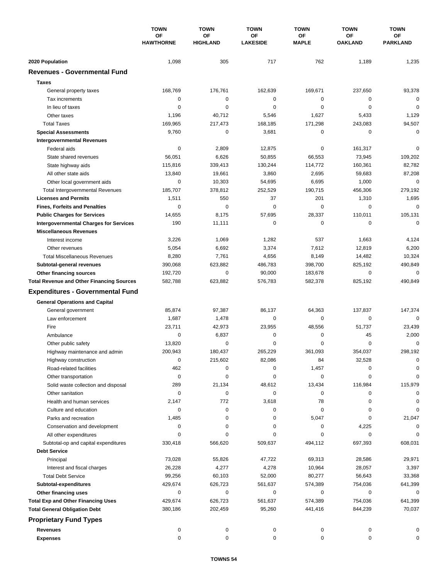|                                                        | <b>TOWN</b><br>OF<br><b>HAWTHORNE</b> | <b>TOWN</b>           | <b>TOWN</b>           | <b>TOWN</b>        | <b>TOWN</b>          | <b>TOWN</b>           |
|--------------------------------------------------------|---------------------------------------|-----------------------|-----------------------|--------------------|----------------------|-----------------------|
|                                                        |                                       | OF<br><b>HIGHLAND</b> | OF<br><b>LAKESIDE</b> | OF<br><b>MAPLE</b> | ΟF<br><b>OAKLAND</b> | ОF<br><b>PARKLAND</b> |
|                                                        |                                       |                       |                       |                    |                      |                       |
| 2020 Population<br><b>Revenues - Governmental Fund</b> | 1,098                                 | 305                   | 717                   | 762                | 1,189                | 1,235                 |
|                                                        |                                       |                       |                       |                    |                      |                       |
| <b>Taxes</b>                                           |                                       |                       |                       |                    |                      |                       |
| General property taxes                                 | 168,769                               | 176,761               | 162,639               | 169,671            | 237,650              | 93,378                |
| Tax increments                                         | 0                                     | 0                     | 0                     | 0                  | 0                    | $\mathbf 0$           |
| In lieu of taxes                                       | 0                                     | $\mathbf 0$           | 0                     | 0                  | $\mathbf 0$          | $\mathbf 0$           |
| Other taxes                                            | 1,196                                 | 40,712                | 5,546                 | 1,627              | 5,433                | 1,129                 |
| <b>Total Taxes</b>                                     | 169,965                               | 217,473               | 168,185               | 171,298            | 243,083              | 94,507                |
| <b>Special Assessments</b>                             | 9,760                                 | 0                     | 3,681                 | 0                  | 0                    | $\mathbf 0$           |
| <b>Intergovernmental Revenues</b>                      |                                       |                       |                       |                    |                      |                       |
| Federal aids                                           | 0                                     | 2,809                 | 12,875                | 0                  | 161,317              | $\mathbf 0$           |
| State shared revenues                                  | 56,051                                | 6,626                 | 50,855                | 66,553             | 73,945               | 109,202               |
| State highway aids                                     | 115,816                               | 339,413               | 130,244               | 114,772            | 160,361              | 82,782                |
| All other state aids                                   | 13,840                                | 19,661                | 3,860                 | 2,695              | 59,683               | 87,208<br>$\mathbf 0$ |
| Other local government aids                            | 0                                     | 10,303                | 54,695                | 6,695              | 1,000                |                       |
| <b>Total Intergovernmental Revenues</b>                | 185,707                               | 378,812               | 252,529               | 190,715            | 456,306              | 279,192               |
| <b>Licenses and Permits</b>                            | 1,511                                 | 550                   | 37                    | 201                | 1,310                | 1,695                 |
| <b>Fines, Forfeits and Penalties</b>                   | 0                                     | $\mathbf 0$           | 0                     | 0                  | $\mathbf 0$          | $\mathbf 0$           |
| <b>Public Charges for Services</b>                     | 14,655                                | 8,175                 | 57,695                | 28,337             | 110,011              | 105,131               |
| <b>Intergovernmental Charges for Services</b>          | 190                                   | 11,111                | 0                     | 0                  | 0                    | $\mathbf 0$           |
| <b>Miscellaneous Revenues</b>                          |                                       |                       |                       |                    |                      |                       |
| Interest income                                        | 3,226                                 | 1,069                 | 1,282                 | 537                | 1,663                | 4,124                 |
| Other revenues                                         | 5,054                                 | 6,692                 | 3,374                 | 7,612              | 12,819               | 6,200                 |
| <b>Total Miscellaneous Revenues</b>                    | 8,280                                 | 7,761                 | 4,656                 | 8,149              | 14,482               | 10,324                |
| Subtotal-general revenues                              | 390,068                               | 623,882               | 486,783               | 398,700            | 825,192              | 490,849               |
| Other financing sources                                | 192,720                               | $\pmb{0}$             | 90,000                | 183,678            | 0                    | $\mathbf 0$           |
| <b>Total Revenue and Other Financing Sources</b>       | 582,788                               | 623,882               | 576,783               | 582,378            | 825,192              | 490,849               |
| <b>Expenditures - Governmental Fund</b>                |                                       |                       |                       |                    |                      |                       |
| <b>General Operations and Capital</b>                  |                                       |                       |                       |                    |                      |                       |
| General government                                     | 85,874                                | 97,387                | 86,137                | 64,363             | 137,837              | 147,374               |
| Law enforcement                                        | 1,687                                 | 1,478                 | 0                     | 0                  | 0                    | 0                     |
| Fire                                                   | 23,711                                | 42,973                | 23,955                | 48,556             | 51,737               | 23,439                |
| Ambulance                                              | 0                                     | 6,837                 | 0                     | 0                  | 45                   | 2,000                 |
| Other public safety                                    | 13,820                                | $\pmb{0}$             | 0                     | 0                  | 0                    | $\mathbf 0$           |
| Highway maintenance and admin                          | 200,943                               | 180,437               | 265,229               | 361,093            | 354,037              | 298,192               |
| Highway construction                                   | 0                                     | 215,602               | 82,086                | 84                 | 32,528               | 0                     |
| Road-related facilities                                | 462                                   | 0                     | 0                     | 1,457              | 0                    | 0                     |
| Other transportation                                   | 0                                     | 0                     | 0                     | 0                  | 0                    | 0                     |
| Solid waste collection and disposal                    | 289                                   | 21,134                | 48,612                | 13,434             | 116,984              | 115,979               |
| Other sanitation                                       | 0                                     | 0                     | 0                     | 0                  | 0                    | 0                     |
| Health and human services                              | 2,147                                 | 772                   | 3,618                 | 78                 | 0                    | 0                     |
| Culture and education                                  | 0                                     | 0                     | 0                     | 0                  | 0                    | 0                     |
| Parks and recreation                                   | 1,485                                 | 0                     | 0                     | 5,047              | 0                    | 21,047                |
| Conservation and development                           | 0                                     | 0                     | 0                     | 0                  | 4,225                | 0                     |
| All other expenditures                                 | $\Omega$                              | 0                     | 0                     | 0                  | 0                    | 0                     |
| Subtotal-op and capital expenditures                   | 330,418                               | 566,620               | 509,637               | 494,112            | 697,393              | 608,031               |
| <b>Debt Service</b>                                    |                                       |                       |                       |                    |                      |                       |
| Principal                                              | 73,028                                | 55,826                | 47,722                | 69,313             | 28,586               | 29,971                |
| Interest and fiscal charges                            | 26,228                                | 4,277                 | 4,278                 | 10,964             | 28,057               | 3,397                 |
| <b>Total Debt Service</b>                              | 99,256                                | 60,103                | 52,000                | 80,277             | 56,643               | 33,368                |
| Subtotal-expenditures                                  | 429,674                               | 626,723               | 561,637               | 574,389            | 754,036              | 641,399               |
| Other financing uses                                   | 0                                     | 0                     | 0                     | 0                  | 0                    | 0                     |
| <b>Total Exp and Other Financing Uses</b>              | 429,674                               | 626,723               | 561,637               | 574,389            | 754,036              | 641,399               |
| <b>Total General Obligation Debt</b>                   | 380,186                               | 202,459               | 95,260                | 441,416            | 844,239              | 70,037                |
| <b>Proprietary Fund Types</b>                          |                                       |                       |                       |                    |                      |                       |
| Revenues                                               | 0                                     | 0                     | 0                     | 0                  | 0                    | 0                     |
| <b>Expenses</b>                                        | 0                                     | 0                     | 0                     | 0                  | 0                    | 0                     |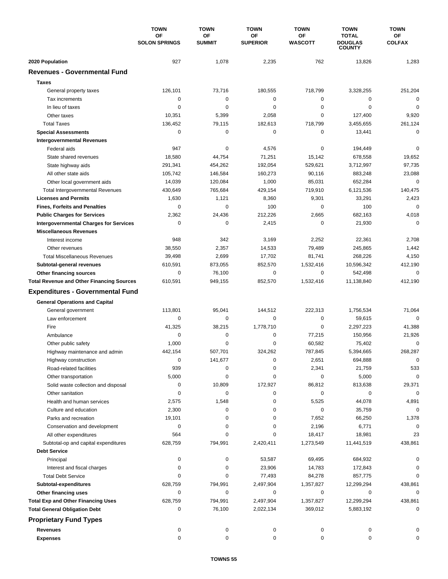|                                                  | <b>TOWN</b><br>OF<br><b>SOLON SPRINGS</b> | <b>TOWN</b>         | <b>TOWN</b>           | <b>TOWN</b>          | <b>TOWN</b>                    | <b>TOWN</b>                |
|--------------------------------------------------|-------------------------------------------|---------------------|-----------------------|----------------------|--------------------------------|----------------------------|
|                                                  |                                           | OF<br><b>SUMMIT</b> | ΟF<br><b>SUPERIOR</b> | ΟF<br><b>WASCOTT</b> | <b>TOTAL</b><br><b>DOUGLAS</b> | <b>OF</b><br><b>COLFAX</b> |
|                                                  |                                           |                     |                       |                      | <b>COUNTY</b>                  |                            |
| 2020 Population                                  | 927                                       | 1,078               | 2,235                 | 762                  | 13,826                         | 1,283                      |
| <b>Revenues - Governmental Fund</b>              |                                           |                     |                       |                      |                                |                            |
| <b>Taxes</b>                                     |                                           |                     |                       |                      |                                |                            |
| General property taxes                           | 126,101                                   | 73,716              | 180,555               | 718,799              | 3,328,255                      | 251,204                    |
| Tax increments                                   | $\mathbf 0$                               | $\mathbf 0$         | $\mathbf 0$           | 0                    | 0                              | $\mathbf 0$                |
| In lieu of taxes                                 | $\mathbf 0$                               | $\mathbf 0$         | 0                     | 0                    | $\mathbf 0$                    | $\mathbf 0$                |
| Other taxes                                      | 10,351                                    | 5,399               | 2,058                 | $\mathbf 0$          | 127,400                        | 9,920                      |
| <b>Total Taxes</b>                               | 136,452                                   | 79,115              | 182,613               | 718,799              | 3,455,655                      | 261,124                    |
| <b>Special Assessments</b>                       | $\mathbf 0$                               | $\mathbf 0$         | 0                     | $\mathbf 0$          | 13,441                         | $\mathbf 0$                |
| <b>Intergovernmental Revenues</b>                |                                           |                     |                       |                      |                                |                            |
| Federal aids                                     | 947                                       | 0                   | 4,576                 | 0                    | 194,449                        | $\mathbf 0$                |
| State shared revenues                            | 18,580                                    | 44,754              | 71,251                | 15,142               | 678,558                        | 19,652                     |
| State highway aids                               | 291,341                                   | 454,262             | 192,054               | 529,621              | 3,712,997                      | 97,735                     |
| All other state aids                             | 105,742                                   | 146,584             | 160,273               | 90,116               | 883,248                        | 23,088                     |
| Other local government aids                      | 14,039                                    | 120,084             | 1,000                 | 85,031               | 652,284                        | $\mathbf 0$                |
| <b>Total Intergovernmental Revenues</b>          | 430,649                                   | 765,684             | 429,154               | 719,910              | 6,121,536                      | 140,475                    |
| <b>Licenses and Permits</b>                      | 1,630                                     | 1,121               | 8,360                 | 9,301                | 33,291                         | 2,423                      |
| <b>Fines, Forfeits and Penalties</b>             | 0                                         | $\Omega$            | 100                   | $\Omega$             | 100                            | $\mathbf 0$                |
| <b>Public Charges for Services</b>               | 2,362                                     | 24,436              | 212,226               | 2,665                | 682,163                        | 4,018                      |
| <b>Intergovernmental Charges for Services</b>    | 0                                         | $\mathbf 0$         | 2,415                 | 0                    | 21,930                         | $\mathbf 0$                |
| <b>Miscellaneous Revenues</b>                    |                                           |                     |                       |                      |                                |                            |
| Interest income                                  | 948                                       | 342                 | 3,169                 | 2,252                | 22,361                         | 2,708                      |
| Other revenues                                   | 38,550                                    | 2,357               | 14,533                | 79,489               | 245,865                        | 1,442                      |
| <b>Total Miscellaneous Revenues</b>              | 39,498                                    | 2,699               | 17,702                | 81,741               | 268,226                        | 4,150                      |
| Subtotal-general revenues                        | 610,591                                   | 873,055             | 852,570               | 1,532,416            | 10,596,342                     | 412,190                    |
| Other financing sources                          | $\mathbf 0$                               | 76,100              | 0                     | $\mathbf 0$          | 542,498                        | $\mathbf 0$                |
| <b>Total Revenue and Other Financing Sources</b> | 610,591                                   | 949,155             | 852,570               | 1,532,416            | 11,138,840                     | 412,190                    |
| <b>Expenditures - Governmental Fund</b>          |                                           |                     |                       |                      |                                |                            |
| <b>General Operations and Capital</b>            |                                           |                     |                       |                      |                                |                            |
| General government                               | 113,801                                   | 95,041              | 144,512               | 222,313              | 1,756,534                      | 71,064                     |
| Law enforcement                                  | 0                                         | 0                   | $\mathbf 0$           | 0                    | 59,615                         | $\Omega$                   |
| Fire                                             | 41,325                                    | 38,215              | 1.778.710             | $\mathbf 0$          | 2,297,223                      | 41,388                     |
| Ambulance                                        | 0                                         | 0                   | 0                     | 77,215               | 150,956                        | 21,926                     |
| Other public safety                              | 1,000                                     | $\mathbf 0$         | 0                     | 60,582               | 75,402                         | $\mathbf 0$                |
| Highway maintenance and admin                    | 442,154                                   | 507,701             | 324,262               | 787,845              | 5,394,665                      | 268,287                    |
| Highway construction                             | 0                                         | 141,677             | 0                     | 2,651                | 694,888                        | $\pmb{0}$                  |
| Road-related facilities                          | 939                                       | 0                   | 0                     | 2,341                | 21,759                         | 533                        |
| Other transportation                             | 5,000                                     | 0                   | 0                     | 0                    | 5,000                          | $\mathbf 0$                |
| Solid waste collection and disposal              | 0                                         | 10,809              | 172,927               | 86,812               | 813,638                        | 29,371                     |
| Other sanitation                                 | 0                                         | 0                   | 0                     | 0                    | 0                              | $\mathbf 0$                |
| Health and human services                        | 2,575                                     | 1,548               | 0                     | 5,525                | 44,078                         | 4,891                      |
| Culture and education                            | 2,300                                     | 0                   | 0                     | $\pmb{0}$            | 35,759                         | 0                          |
| Parks and recreation                             | 19,101                                    | 0                   | 0                     | 7,652                | 66,250                         | 1,378                      |
| Conservation and development                     | 0                                         | 0                   | 0                     | 2,196                | 6,771                          | 0                          |
| All other expenditures                           | 564                                       | 0                   | 0                     | 18,417               | 18,981                         | 23                         |
| Subtotal-op and capital expenditures             | 628,759                                   | 794,991             | 2,420,411             | 1,273,549            | 11,441,519                     | 438,861                    |
| <b>Debt Service</b>                              |                                           |                     |                       |                      |                                |                            |
| Principal                                        | 0                                         | 0                   | 53,587                | 69,495               | 684,932                        | 0                          |
| Interest and fiscal charges                      | 0                                         | 0                   | 23,906                | 14,783               | 172,843                        | 0                          |
| <b>Total Debt Service</b>                        | 0                                         | 0                   | 77,493                | 84,278               | 857,775                        | 0                          |
| Subtotal-expenditures                            | 628,759                                   | 794,991             | 2,497,904             | 1,357,827            | 12,299,294                     | 438,861                    |
| Other financing uses                             | 0                                         | 0                   | 0                     | 0                    | 0                              | 0                          |
| <b>Total Exp and Other Financing Uses</b>        | 628,759                                   | 794,991             | 2,497,904             | 1,357,827            | 12,299,294                     | 438,861                    |
| <b>Total General Obligation Debt</b>             | 0                                         | 76,100              | 2,022,134             | 369,012              | 5,883,192                      | 0                          |
|                                                  |                                           |                     |                       |                      |                                |                            |
| <b>Proprietary Fund Types</b>                    |                                           |                     |                       |                      |                                |                            |
| <b>Revenues</b>                                  | 0                                         | 0                   | 0                     | 0                    | 0                              |                            |
| <b>Expenses</b>                                  | 0                                         | 0                   | 0                     | 0                    | 0                              | 0                          |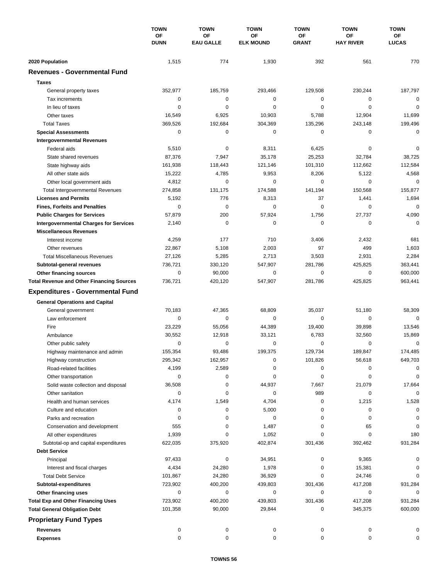|                                                  | <b>TOWN</b><br>OF<br><b>DUNN</b> | <b>TOWN</b><br>OF<br><b>EAU GALLE</b> | <b>TOWN</b><br>OF<br><b>ELK MOUND</b> | <b>TOWN</b><br>OF<br><b>GRANT</b> | <b>TOWN</b><br><b>OF</b><br><b>HAY RIVER</b> | <b>TOWN</b><br>ОF<br><b>LUCAS</b> |
|--------------------------------------------------|----------------------------------|---------------------------------------|---------------------------------------|-----------------------------------|----------------------------------------------|-----------------------------------|
|                                                  |                                  |                                       |                                       |                                   |                                              |                                   |
|                                                  |                                  |                                       |                                       |                                   |                                              |                                   |
| 2020 Population                                  | 1,515                            | 774                                   | 1,930                                 | 392                               | 561                                          | 770                               |
| <b>Revenues - Governmental Fund</b>              |                                  |                                       |                                       |                                   |                                              |                                   |
| <b>Taxes</b>                                     |                                  |                                       |                                       |                                   |                                              |                                   |
| General property taxes                           | 352,977                          | 185,759                               | 293,466                               | 129,508                           | 230,244                                      | 187,797                           |
| Tax increments                                   | 0                                | $\pmb{0}$                             | 0                                     | 0                                 | $\mathbf 0$                                  | $\mathbf 0$                       |
| In lieu of taxes                                 | 0                                | 0                                     | 0                                     | 0                                 | $\mathbf 0$                                  | 0                                 |
| Other taxes                                      | 16,549                           | 6,925                                 | 10,903                                | 5,788                             | 12,904                                       | 11,699                            |
| <b>Total Taxes</b>                               | 369,526                          | 192,684                               | 304,369                               | 135,296                           | 243,148                                      | 199,496                           |
| <b>Special Assessments</b>                       | 0                                | 0                                     | 0                                     | 0                                 | 0                                            | $\mathbf 0$                       |
| <b>Intergovernmental Revenues</b>                |                                  |                                       |                                       |                                   |                                              |                                   |
| Federal aids                                     | 5,510                            | 0                                     | 8,311                                 | 6,425                             | 0                                            | 0                                 |
| State shared revenues                            | 87,376                           | 7,947                                 | 35,178                                | 25,253                            | 32,784                                       | 38,725                            |
| State highway aids                               | 161,938                          | 118,443                               | 121,146                               | 101,310                           | 112,662                                      | 112,584                           |
| All other state aids                             | 15,222                           | 4,785                                 | 9,953                                 | 8,206                             | 5,122                                        | 4,568                             |
| Other local government aids                      | 4,812                            | $\mathbf 0$                           | 0                                     | 0                                 | $\mathbf 0$                                  | $\mathbf 0$                       |
| <b>Total Intergovernmental Revenues</b>          | 274,858                          | 131,175                               | 174,588                               | 141,194                           | 150,568                                      | 155,877                           |
| <b>Licenses and Permits</b>                      | 5,192                            | 776                                   | 8,313                                 | 37                                | 1,441                                        | 1,694                             |
| <b>Fines, Forfeits and Penalties</b>             | 0                                | $\mathbf 0$                           | 0                                     | 0                                 | 0                                            | $\mathbf 0$                       |
| <b>Public Charges for Services</b>               | 57,879                           | 200                                   | 57,924                                | 1,756                             | 27,737                                       | 4,090                             |
| <b>Intergovernmental Charges for Services</b>    | 2,140                            | $\mathbf 0$                           | 0                                     | 0                                 | 0                                            | $\mathbf 0$                       |
| <b>Miscellaneous Revenues</b>                    |                                  |                                       |                                       |                                   |                                              |                                   |
| Interest income                                  | 4,259                            | 177                                   | 710                                   | 3,406                             | 2,432                                        | 681                               |
| Other revenues                                   | 22,867                           | 5,108                                 | 2,003                                 | 97                                | 499                                          | 1,603                             |
| <b>Total Miscellaneous Revenues</b>              | 27,126                           | 5,285                                 | 2,713                                 | 3,503                             | 2,931                                        | 2,284                             |
| Subtotal-general revenues                        | 736,721                          | 330,120                               | 547,907                               | 281,786                           | 425,825                                      | 363,441                           |
| Other financing sources                          | 0                                | 90,000                                | 0                                     | 0                                 | $\mathbf 0$                                  | 600,000                           |
| <b>Total Revenue and Other Financing Sources</b> | 736,721                          | 420,120                               | 547,907                               | 281,786                           | 425,825                                      | 963,441                           |
| <b>Expenditures - Governmental Fund</b>          |                                  |                                       |                                       |                                   |                                              |                                   |
|                                                  |                                  |                                       |                                       |                                   |                                              |                                   |
| <b>General Operations and Capital</b>            |                                  |                                       |                                       |                                   |                                              |                                   |
| General government                               | 70,183                           | 47,365                                | 68,809                                | 35,037                            | 51,180                                       | 58,309                            |
| Law enforcement                                  | 0                                | $\mathbf 0$                           | 0                                     | 0                                 | 0                                            | $\mathbf 0$                       |
| Fire                                             | 23,229                           | 55,056                                | 44,389                                | 19,400                            | 39,898                                       | 13,546                            |
| Ambulance                                        | 30,552                           | 12,918                                | 33,121                                | 6,783                             | 32,560                                       | 15,869                            |
| Other public safety                              | 0                                | 0                                     | 0                                     | 0                                 | 0                                            | 0                                 |
| Highway maintenance and admin                    | 155,354                          | 93,486                                | 199,375                               | 129,734                           | 189,847                                      | 174,485                           |
| Highway construction                             | 295,342                          | 162,957                               | 0                                     | 101,826                           | 56,618                                       | 649,703                           |
| Road-related facilities                          | 4,199                            | 2,589                                 | 0                                     | 0                                 | 0                                            | 0                                 |
| Other transportation                             | 0                                | 0                                     | 0                                     | 0                                 | 0                                            | 0                                 |
| Solid waste collection and disposal              | 36,508                           | 0                                     | 44,937                                | 7,667                             | 21,079                                       | 17,664                            |
| Other sanitation                                 | 0                                | $\pmb{0}$                             | 0                                     | 989                               | 0                                            | $\mathbf 0$                       |
| Health and human services                        | 4,174                            | 1,549                                 | 4,704                                 | 0                                 | 1,215                                        | 1,528                             |
| Culture and education                            | 0                                | 0                                     | 5,000                                 | 0                                 | 0                                            | 0                                 |
| Parks and recreation                             | 0                                | 0                                     | 0                                     | 0                                 | 0                                            | 0                                 |
| Conservation and development                     | 555                              | 0                                     | 1,487                                 | 0                                 | 65                                           | 0                                 |
| All other expenditures                           | 1,939                            | 0                                     | 1,052                                 | 0                                 | 0                                            | 180                               |
| Subtotal-op and capital expenditures             | 622,035                          | 375,920                               | 402,874                               | 301,436                           | 392,462                                      | 931,284                           |
| <b>Debt Service</b>                              |                                  |                                       |                                       |                                   |                                              |                                   |
| Principal                                        | 97,433                           | 0                                     | 34,951                                | 0                                 | 9,365                                        | 0                                 |
| Interest and fiscal charges                      | 4,434                            | 24,280                                | 1,978                                 | 0                                 | 15,381                                       | 0                                 |
| <b>Total Debt Service</b>                        | 101,867                          | 24,280                                | 36,929                                | 0                                 | 24,746                                       | 0                                 |
| Subtotal-expenditures                            | 723,902                          | 400,200                               | 439,803                               | 301,436                           | 417,208                                      | 931,284                           |
| Other financing uses                             | 0                                | 0                                     | 0                                     | 0                                 | 0                                            | 0                                 |
| <b>Total Exp and Other Financing Uses</b>        | 723,902                          | 400,200                               | 439,803                               | 301,436                           | 417,208                                      | 931,284                           |
| <b>Total General Obligation Debt</b>             | 101,358                          | 90,000                                | 29,844                                | 0                                 | 345,375                                      | 600,000                           |
| <b>Proprietary Fund Types</b>                    |                                  |                                       |                                       |                                   |                                              |                                   |
| <b>Revenues</b>                                  | 0                                | 0                                     | 0                                     | 0                                 | 0                                            |                                   |
| <b>Expenses</b>                                  | 0                                | 0                                     | 0                                     | 0                                 | 0                                            | 0                                 |
|                                                  |                                  |                                       |                                       |                                   |                                              |                                   |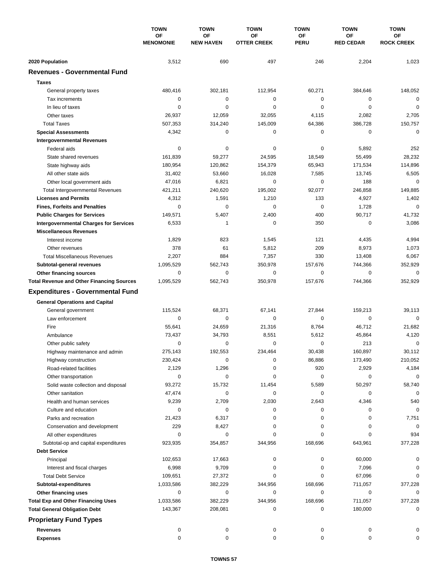|                                                  | <b>TOWN</b><br>OF<br><b>MENOMONIE</b> | <b>TOWN</b>            | <b>TOWN</b>              | <b>TOWN</b>       | <b>TOWN</b>                   | <b>TOWN</b>             |
|--------------------------------------------------|---------------------------------------|------------------------|--------------------------|-------------------|-------------------------------|-------------------------|
|                                                  |                                       | OF<br><b>NEW HAVEN</b> | ΟF<br><b>OTTER CREEK</b> | OF<br><b>PERU</b> | <b>OF</b><br><b>RED CEDAR</b> | ОF<br><b>ROCK CREEK</b> |
|                                                  |                                       |                        |                          |                   |                               |                         |
| 2020 Population                                  | 3,512                                 | 690                    | 497                      | 246               | 2,204                         | 1,023                   |
| <b>Revenues - Governmental Fund</b>              |                                       |                        |                          |                   |                               |                         |
| <b>Taxes</b>                                     |                                       |                        |                          |                   |                               |                         |
| General property taxes                           | 480,416                               | 302,181                | 112,954                  | 60,271            | 384,646                       | 148,052                 |
| Tax increments                                   | $\mathbf 0$                           | $\mathbf 0$            | 0                        | $\mathbf 0$       | 0                             | $\mathbf 0$             |
| In lieu of taxes                                 | $\mathbf 0$                           | $\mathbf 0$            | 0                        | $\mathbf 0$       | $\mathbf 0$                   | $\mathbf 0$             |
| Other taxes                                      | 26,937                                | 12,059                 | 32,055                   | 4,115             | 2,082                         | 2,705                   |
| <b>Total Taxes</b>                               | 507,353                               | 314,240                | 145,009                  | 64,386            | 386,728                       | 150,757                 |
| <b>Special Assessments</b>                       | 4,342                                 | 0                      | 0                        | 0                 | $\mathbf 0$                   | $\mathbf 0$             |
| <b>Intergovernmental Revenues</b>                |                                       |                        |                          |                   |                               |                         |
| Federal aids                                     | 0                                     | 0                      | 0                        | 0                 | 5,892                         | 252                     |
| State shared revenues                            | 161,839                               | 59,277                 | 24,595                   | 18,549            | 55,499                        | 28,232                  |
| State highway aids                               | 180,954                               | 120,862                | 154,379                  | 65,943            | 171,534                       | 114,896                 |
| All other state aids                             | 31,402                                | 53,660                 | 16,028                   | 7,585             | 13,745                        | 6,505                   |
| Other local government aids                      | 47,016                                | 6,821                  | 0                        | $\mathbf 0$       | 188                           | $\mathbf 0$             |
| <b>Total Intergovernmental Revenues</b>          | 421,211                               | 240,620                | 195,002                  | 92,077            | 246,858                       | 149,885                 |
| <b>Licenses and Permits</b>                      | 4,312                                 | 1,591                  | 1,210                    | 133               | 4,927                         | 1,402                   |
| <b>Fines, Forfeits and Penalties</b>             | $\mathbf 0$                           | $\mathbf 0$            | 0                        | $\Omega$          | 1,728                         | $\mathbf 0$             |
| <b>Public Charges for Services</b>               | 149,571                               | 5,407                  | 2,400                    | 400               | 90,717                        | 41,732                  |
| <b>Intergovernmental Charges for Services</b>    | 6,533                                 | $\mathbf{1}$           | 0                        | 350               | 0                             | 3,086                   |
| <b>Miscellaneous Revenues</b>                    |                                       |                        |                          |                   |                               |                         |
| Interest income                                  | 1,829                                 | 823                    | 1,545                    | 121               | 4,435                         | 4,994                   |
| Other revenues                                   | 378                                   | 61                     | 5,812                    | 209               | 8,973                         | 1,073                   |
| <b>Total Miscellaneous Revenues</b>              | 2,207                                 | 884                    | 7,357                    | 330               | 13,408                        | 6,067                   |
| Subtotal-general revenues                        | 1,095,529                             | 562,743                | 350,978                  | 157,676           | 744,366                       | 352,929                 |
| Other financing sources                          | $\mathbf 0$                           | $\mathbf 0$            | 0                        | $\mathbf 0$       | $\mathbf 0$                   | $\mathbf 0$             |
| <b>Total Revenue and Other Financing Sources</b> | 1,095,529                             | 562,743                | 350,978                  | 157,676           | 744,366                       | 352,929                 |
| <b>Expenditures - Governmental Fund</b>          |                                       |                        |                          |                   |                               |                         |
| <b>General Operations and Capital</b>            |                                       |                        |                          |                   |                               |                         |
| General government                               | 115,524                               | 68,371                 | 67,141                   | 27,844            | 159,213                       | 39,113                  |
| Law enforcement                                  | 0                                     | 0                      | 0                        | 0                 | $\mathbf 0$                   | $\mathbf 0$             |
| Fire                                             | 55,641                                | 24,659                 | 21,316                   | 8,764             | 46,712                        | 21,682                  |
| Ambulance                                        | 73,437                                | 34,793                 | 8,551                    | 5,612             | 45,864                        | 4,120                   |
| Other public safety                              | $\mathbf 0$                           | $\mathbf 0$            | 0                        | 0                 | 213                           | $\mathbf 0$             |
| Highway maintenance and admin                    | 275.143                               | 192,553                | 234,464                  | 30.438            | 160,897                       | 30,112                  |
| Highway construction                             | 230,424                               | 0                      | 0                        | 86,886            | 173,490                       | 210,052                 |
| Road-related facilities                          | 2,129                                 | 1,296                  | 0                        | 920               | 2,929                         | 4,184                   |
| Other transportation                             | 0                                     | 0                      | 0                        | 0                 | 0                             | 0                       |
| Solid waste collection and disposal              | 93,272                                | 15,732                 | 11,454                   | 5,589             | 50,297                        | 58,740                  |
| Other sanitation                                 | 47,474                                | 0                      | 0                        | 0                 | 0                             | 0                       |
| Health and human services                        | 9,239                                 | 2,709                  | 2,030                    | 2,643             | 4,346                         | 540                     |
| Culture and education                            | 0                                     | 0                      | 0                        | 0                 | 0                             | 0                       |
| Parks and recreation                             | 21,423                                | 6,317                  | 0                        | 0                 | 0                             | 7,751                   |
| Conservation and development                     | 229                                   | 8,427                  | 0                        | 0                 | 0                             | 0                       |
| All other expenditures                           | 0                                     | 0                      | 0                        | 0                 | 0                             | 934                     |
| Subtotal-op and capital expenditures             | 923,935                               | 354,857                | 344,956                  | 168,696           | 643,961                       | 377,228                 |
| <b>Debt Service</b>                              |                                       |                        |                          |                   |                               |                         |
| Principal                                        | 102,653                               | 17,663                 | 0                        | 0                 | 60,000                        | 0                       |
| Interest and fiscal charges                      | 6,998                                 | 9,709                  | 0                        | 0                 | 7,096                         | 0                       |
| <b>Total Debt Service</b>                        | 109,651                               | 27,372                 | 0                        | 0                 | 67,096                        | 0                       |
| Subtotal-expenditures                            | 1,033,586                             | 382,229                | 344,956                  | 168,696           | 711,057                       | 377,228                 |
| Other financing uses                             | 0                                     | 0                      | 0                        | 0                 | 0                             | 0                       |
| <b>Total Exp and Other Financing Uses</b>        | 1,033,586                             | 382,229                | 344,956                  | 168,696           | 711,057                       | 377,228                 |
| <b>Total General Obligation Debt</b>             | 143,367                               | 208,081                | 0                        | 0                 | 180,000                       | $\mathbf 0$             |
| <b>Proprietary Fund Types</b>                    |                                       |                        |                          |                   |                               |                         |
| <b>Revenues</b>                                  | 0                                     | 0                      | 0                        | 0                 | 0                             |                         |
| <b>Expenses</b>                                  | 0                                     | 0                      | 0                        | 0                 | 0                             | 0                       |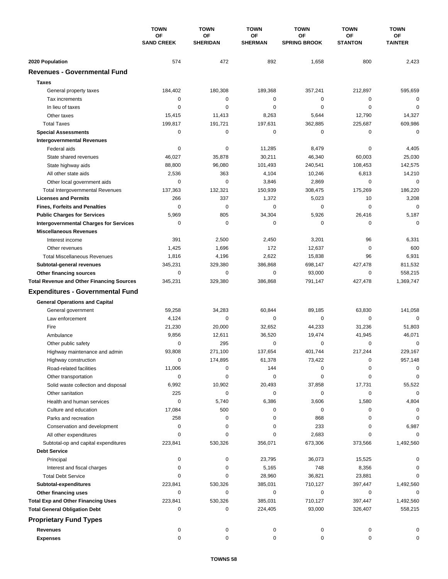|                                                  | <b>TOWN</b><br><b>OF</b><br><b>SAND CREEK</b> | <b>TOWN</b><br>OF<br><b>SHERIDAN</b> | <b>TOWN</b><br>OF<br><b>SHERMAN</b> | <b>TOWN</b><br>OF<br><b>SPRING BROOK</b> | <b>TOWN</b><br><b>OF</b><br><b>STANTON</b> | <b>TOWN</b><br><b>OF</b><br><b>TAINTER</b> |
|--------------------------------------------------|-----------------------------------------------|--------------------------------------|-------------------------------------|------------------------------------------|--------------------------------------------|--------------------------------------------|
|                                                  |                                               |                                      |                                     |                                          |                                            |                                            |
| 2020 Population                                  | 574                                           | 472                                  | 892                                 | 1,658                                    | 800                                        | 2,423                                      |
| <b>Revenues - Governmental Fund</b>              |                                               |                                      |                                     |                                          |                                            |                                            |
| <b>Taxes</b>                                     |                                               |                                      |                                     |                                          |                                            |                                            |
| General property taxes                           | 184,402                                       | 180,308                              | 189,368                             | 357,241                                  | 212,897                                    | 595,659                                    |
| Tax increments                                   | 0                                             | $\pmb{0}$                            | 0                                   | 0                                        | $\mathbf 0$                                | $\mathbf 0$                                |
| In lieu of taxes                                 | 0                                             | 0                                    | 0                                   | 0                                        | $\mathbf 0$                                | 0                                          |
| Other taxes                                      | 15,415                                        | 11,413                               | 8,263                               | 5,644                                    | 12,790                                     | 14,327                                     |
| <b>Total Taxes</b>                               | 199,817                                       | 191,721                              | 197,631                             | 362,885                                  | 225,687                                    | 609,986                                    |
| <b>Special Assessments</b>                       | 0                                             | $\mathbf 0$                          | 0                                   | 0                                        | 0                                          | $\mathbf 0$                                |
| <b>Intergovernmental Revenues</b>                |                                               |                                      |                                     |                                          |                                            |                                            |
| Federal aids                                     | 0                                             | 0                                    | 11,285                              | 8,479                                    | 0                                          | 4,405                                      |
| State shared revenues                            | 46,027                                        | 35,878                               | 30,211                              | 46,340                                   | 60,003                                     | 25,030                                     |
| State highway aids                               | 88,800                                        | 96,080                               | 101,493                             | 240,541                                  | 108,453                                    | 142,575                                    |
| All other state aids                             | 2,536                                         | 363                                  | 4,104                               | 10,246                                   | 6,813                                      | 14,210                                     |
| Other local government aids                      | 0                                             | $\mathbf 0$                          | 3,846                               | 2,869                                    | $\mathbf 0$                                | $\mathbf 0$                                |
| <b>Total Intergovernmental Revenues</b>          | 137,363                                       | 132,321                              | 150,939                             | 308,475                                  | 175,269                                    | 186,220                                    |
| <b>Licenses and Permits</b>                      | 266                                           | 337                                  | 1,372                               | 5,023                                    | 10                                         | 3,208                                      |
| <b>Fines, Forfeits and Penalties</b>             | 0                                             | $\mathbf 0$                          | 0                                   | 0                                        | $\mathbf 0$                                | 0                                          |
| <b>Public Charges for Services</b>               | 5,969                                         | 805                                  | 34,304                              | 5,926                                    | 26,416                                     | 5,187                                      |
| <b>Intergovernmental Charges for Services</b>    | 0                                             | $\mathbf 0$                          | 0                                   | 0                                        | 0                                          | $\mathbf 0$                                |
| <b>Miscellaneous Revenues</b>                    |                                               |                                      |                                     |                                          |                                            |                                            |
| Interest income                                  | 391                                           | 2,500                                | 2,450                               | 3,201                                    | 96                                         | 6,331                                      |
| Other revenues                                   | 1,425                                         | 1,696                                | 172                                 | 12,637                                   | $\mathbf 0$                                | 600                                        |
| <b>Total Miscellaneous Revenues</b>              | 1,816                                         | 4,196                                | 2,622                               | 15,838                                   | 96                                         | 6,931                                      |
| Subtotal-general revenues                        | 345,231                                       | 329,380                              | 386,868                             | 698,147                                  | 427,478                                    | 811,532                                    |
| Other financing sources                          | 0                                             | $\mathbf 0$                          | 0                                   | 93,000                                   | $\mathbf 0$                                | 558,215                                    |
| <b>Total Revenue and Other Financing Sources</b> | 345,231                                       | 329,380                              | 386,868                             | 791,147                                  | 427,478                                    | 1,369,747                                  |
|                                                  |                                               |                                      |                                     |                                          |                                            |                                            |
| <b>Expenditures - Governmental Fund</b>          |                                               |                                      |                                     |                                          |                                            |                                            |
| <b>General Operations and Capital</b>            |                                               |                                      |                                     |                                          |                                            |                                            |
| General government                               | 59,258                                        | 34,283                               | 60,844                              | 89,185                                   | 63,830                                     | 141,058                                    |
| Law enforcement                                  | 4,124                                         | $\mathbf 0$                          | 0                                   | 0                                        | 0                                          | $\mathbf 0$                                |
| Fire                                             | 21,230                                        | 20,000                               | 32,652                              | 44,233                                   | 31,236                                     | 51,803                                     |
| Ambulance                                        | 9,856                                         | 12,611                               | 36,520                              | 19,474                                   | 41,945                                     | 46,071                                     |
| Other public safety                              | 0                                             | 295                                  | 0                                   | 0                                        | 0                                          | $\mathbf 0$                                |
| Highway maintenance and admin                    | 93,808                                        | 271,100                              | 137,654                             | 401,744                                  | 217,244                                    | 229,167                                    |
| Highway construction                             | 0                                             | 174,895                              | 61,378                              | 73,422                                   | 0                                          | 957,148                                    |
| Road-related facilities                          | 11,006                                        | 0                                    | 144                                 | 0                                        | 0                                          | 0                                          |
| Other transportation                             | 0                                             | 0                                    | 0                                   | 0                                        | 0                                          | 0                                          |
| Solid waste collection and disposal              | 6,992                                         | 10,902                               | 20,493                              | 37,858                                   | 17,731                                     | 55,522                                     |
| Other sanitation                                 | 225                                           | $\pmb{0}$                            | 0                                   | 0                                        | 0                                          | $\mathbf 0$                                |
| Health and human services                        | 0                                             | 5,740                                | 6,386                               | 3,606                                    | 1,580                                      | 4,804                                      |
| Culture and education                            | 17,084                                        | 500                                  | 0                                   | 0                                        | 0                                          | 0                                          |
| Parks and recreation                             | 258                                           | 0                                    | 0                                   | 868                                      | 0                                          | 0                                          |
| Conservation and development                     | 0                                             | 0                                    | 0                                   | 233                                      | 0                                          | 6,987                                      |
| All other expenditures                           | 0                                             | 0                                    | 0                                   | 2,683                                    | 0                                          | $\Omega$                                   |
| Subtotal-op and capital expenditures             | 223,841                                       | 530,326                              | 356,071                             | 673,306                                  | 373,566                                    | 1,492,560                                  |
| <b>Debt Service</b>                              |                                               |                                      |                                     |                                          |                                            |                                            |
| Principal                                        | 0                                             | 0                                    | 23,795                              | 36,073                                   | 15,525                                     | O                                          |
| Interest and fiscal charges                      | 0                                             | 0                                    | 5,165                               | 748                                      | 8,356                                      | 0                                          |
| <b>Total Debt Service</b>                        | 0                                             | 0                                    | 28,960                              | 36,821                                   | 23,881                                     | 0                                          |
| Subtotal-expenditures                            | 223,841                                       | 530,326                              | 385,031                             | 710,127                                  | 397,447                                    | 1,492,560                                  |
| Other financing uses                             | 0                                             | 0                                    | 0                                   | 0                                        | 0                                          | 0                                          |
| <b>Total Exp and Other Financing Uses</b>        | 223,841                                       | 530,326                              | 385,031                             | 710,127                                  | 397,447                                    | 1,492,560                                  |
| <b>Total General Obligation Debt</b>             | 0                                             | 0                                    | 224,405                             | 93,000                                   | 326,407                                    | 558,215                                    |
| <b>Proprietary Fund Types</b>                    |                                               |                                      |                                     |                                          |                                            |                                            |
| <b>Revenues</b>                                  | 0                                             | 0                                    | 0                                   | 0                                        | 0                                          |                                            |
| <b>Expenses</b>                                  | 0                                             | 0                                    | 0                                   | 0                                        | 0                                          | 0                                          |
|                                                  |                                               |                                      |                                     |                                          |                                            |                                            |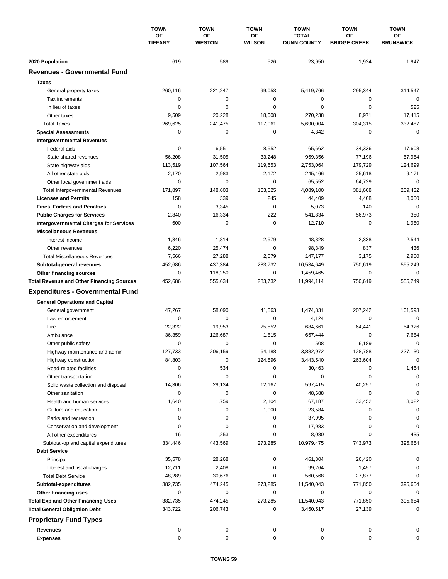|                                                       | <b>TOWN</b>           | <b>TOWN</b>            | <b>TOWN</b>           | <b>TOWN</b>                        | <b>TOWN</b>               | <b>TOWN</b>            |
|-------------------------------------------------------|-----------------------|------------------------|-----------------------|------------------------------------|---------------------------|------------------------|
|                                                       | OF<br><b>TIFFANY</b>  | OF<br><b>WESTON</b>    | ΟF<br><b>WILSON</b>   | <b>TOTAL</b><br><b>DUNN COUNTY</b> | ΟF<br><b>BRIDGE CREEK</b> | ΟF<br><b>BRUNSWICK</b> |
| 2020 Population                                       | 619                   | 589                    | 526                   | 23,950                             | 1,924                     | 1,947                  |
| <b>Revenues - Governmental Fund</b>                   |                       |                        |                       |                                    |                           |                        |
| <b>Taxes</b>                                          |                       |                        |                       |                                    |                           |                        |
| General property taxes                                | 260,116               | 221,247                | 99,053                | 5,419,766                          | 295,344                   | 314,547                |
| Tax increments                                        | 0                     | $\mathbf 0$            | $\mathbf 0$           | 0                                  | 0                         | $\mathbf 0$            |
| In lieu of taxes                                      | 0                     | 0                      | 0                     | 0                                  | $\mathbf 0$               | 525                    |
| Other taxes                                           | 9,509                 | 20,228                 | 18,008                | 270,238                            | 8,971                     | 17,415                 |
| <b>Total Taxes</b>                                    | 269,625               | 241,475                | 117,061               | 5,690,004                          | 304,315                   | 332,487                |
| <b>Special Assessments</b>                            | 0                     | $\mathbf 0$            | 0                     | 4,342                              | 0                         | $\mathbf 0$            |
| <b>Intergovernmental Revenues</b>                     |                       |                        |                       |                                    |                           |                        |
| Federal aids                                          | 0                     | 6,551                  | 8,552                 | 65,662                             | 34,336                    | 17,608                 |
| State shared revenues                                 | 56,208                | 31,505                 | 33,248                | 959,356                            | 77,196                    | 57,954                 |
| State highway aids                                    | 113,519               | 107,564                | 119,653               | 2,753,064                          | 179,729                   | 124,699                |
| All other state aids                                  | 2,170                 | 2,983                  | 2,172                 | 245,466                            | 25,618                    | 9,171                  |
| Other local government aids                           | 0                     | 0                      | 0                     | 65,552                             | 64,729                    | $\mathbf 0$            |
| <b>Total Intergovernmental Revenues</b>               | 171,897               | 148,603                | 163,625               | 4,089,100                          | 381,608                   | 209,432                |
| <b>Licenses and Permits</b>                           | 158                   | 339                    | 245                   | 44,409                             | 4,408                     | 8,050                  |
| <b>Fines, Forfeits and Penalties</b>                  | $\Omega$              | 3,345                  | $\mathbf 0$           | 5,073                              | 140                       | $\mathbf 0$            |
| <b>Public Charges for Services</b>                    | 2,840                 | 16,334                 | 222                   | 541,834                            | 56,973                    | 350                    |
| <b>Intergovernmental Charges for Services</b>         | 600                   | 0                      | $\mathbf 0$           | 12,710                             | 0                         | 1,950                  |
| <b>Miscellaneous Revenues</b>                         |                       |                        |                       |                                    |                           |                        |
| Interest income                                       | 1,346                 | 1,814                  | 2,579                 | 48,828                             | 2,338                     | 2,544                  |
| Other revenues                                        | 6,220                 | 25,474                 | $\mathbf 0$           | 98,349                             | 837                       | 436                    |
| <b>Total Miscellaneous Revenues</b>                   | 7,566                 | 27,288                 | 2,579                 | 147,177                            | 3,175                     | 2,980                  |
| Subtotal-general revenues                             | 452,686               | 437,384                | 283,732               | 10,534,649                         | 750,619                   | 555,249                |
| <b>Other financing sources</b>                        | $\mathbf 0$           | 118,250                | 0                     | 1,459,465                          | $\mathbf 0$               | 0                      |
| <b>Total Revenue and Other Financing Sources</b>      | 452,686               | 555,634                | 283,732               | 11,994,114                         | 750,619                   | 555,249                |
| <b>Expenditures - Governmental Fund</b>               |                       |                        |                       |                                    |                           |                        |
|                                                       |                       |                        |                       |                                    |                           |                        |
| <b>General Operations and Capital</b>                 |                       |                        |                       |                                    |                           |                        |
| General government                                    | 47,267                | 58,090                 | 41,863<br>$\mathbf 0$ | 1,474,831                          | 207,242                   | 101,593<br>$\mathbf 0$ |
| Law enforcement<br>Fire                               | 0<br>22.322           | 0<br>19,953            | 25,552                | 4,124<br>684,661                   | 0                         |                        |
|                                                       |                       |                        |                       |                                    | 64,441<br>0               | 54,326                 |
| Ambulance                                             | 36,359<br>$\mathbf 0$ | 126,687<br>$\mathbf 0$ | 1,815<br>0            | 657,444<br>508                     | 6,189                     | 7,684<br>0             |
| Other public safety                                   | 127,733               | 206,159                | 64,188                | 3,882,972                          | 128,788                   | 227,130                |
| Highway maintenance and admin<br>Highway construction | 84,803                | 0                      | 124,596               | 3,443,540                          | 263,604                   | 0                      |
| Road-related facilities                               | 0                     | 534                    | 0                     | 30,463                             | 0                         | 1,464                  |
| Other transportation                                  | 0                     | 0                      | 0                     | 0                                  | 0                         | $\Omega$               |
| Solid waste collection and disposal                   | 14,306                | 29,134                 | 12,167                | 597,415                            | 40,257                    | 0                      |
| Other sanitation                                      | 0                     | 0                      | 0                     | 48,688                             | 0                         | 0                      |
| Health and human services                             | 1,640                 | 1,759                  | 2,104                 | 67,187                             | 33,452                    | 3,022                  |
| Culture and education                                 | 0                     | 0                      | 1,000                 | 23,584                             | 0                         | 0                      |
| Parks and recreation                                  | 0                     | 0                      | 0                     | 37,995                             | 0                         | 0                      |
| Conservation and development                          | 0                     | 0                      | 0                     | 17,983                             | 0                         | 0                      |
| All other expenditures                                | 16                    | 1,253                  | 0                     | 8,080                              | 0                         | 435                    |
| Subtotal-op and capital expenditures                  | 334,446               | 443,569                | 273,285               | 10,979,475                         | 743,973                   | 395,654                |
| <b>Debt Service</b>                                   |                       |                        |                       |                                    |                           |                        |
| Principal                                             | 35,578                | 28,268                 | 0                     | 461,304                            | 26,420                    |                        |
| Interest and fiscal charges                           | 12,711                | 2,408                  | 0                     | 99,264                             | 1,457                     | 0                      |
| <b>Total Debt Service</b>                             | 48,289                | 30,676                 | 0                     | 560,568                            | 27,877                    | $\Omega$               |
| Subtotal-expenditures                                 | 382,735               | 474,245                | 273,285               | 11,540,043                         | 771,850                   | 395,654                |
| Other financing uses                                  | 0                     | 0                      | 0                     | 0                                  | 0                         | 0                      |
| <b>Total Exp and Other Financing Uses</b>             | 382,735               | 474,245                | 273,285               | 11,540,043                         | 771,850                   | 395,654                |
| <b>Total General Obligation Debt</b>                  | 343,722               | 206,743                | 0                     | 3,450,517                          | 27,139                    | 0                      |
|                                                       |                       |                        |                       |                                    |                           |                        |
| <b>Proprietary Fund Types</b>                         |                       |                        |                       |                                    |                           |                        |
| <b>Revenues</b>                                       | 0                     | 0                      | 0                     | 0                                  | 0                         | 0                      |
| <b>Expenses</b>                                       | 0                     | 0                      | 0                     | 0                                  | 0                         | 0                      |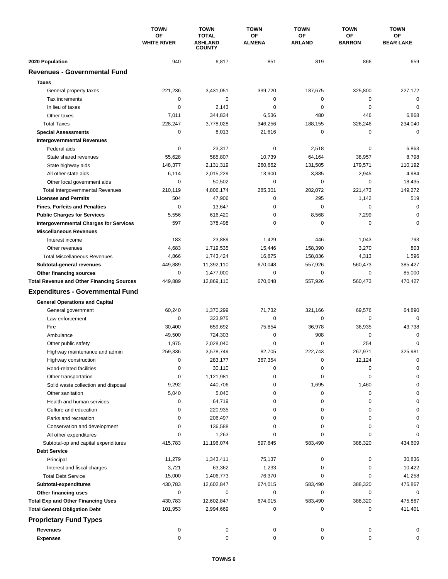|                                                  | <b>TOWN</b>              | <b>TOWN</b>                                     | <b>TOWN</b>         | <b>TOWN</b>         | <b>TOWN</b>         | <b>TOWN</b>            |
|--------------------------------------------------|--------------------------|-------------------------------------------------|---------------------|---------------------|---------------------|------------------------|
|                                                  | OF<br><b>WHITE RIVER</b> | <b>TOTAL</b><br><b>ASHLAND</b><br><b>COUNTY</b> | ΟF<br><b>ALMENA</b> | ΟF<br><b>ARLAND</b> | ΟF<br><b>BARRON</b> | ΟF<br><b>BEAR LAKE</b> |
| 2020 Population                                  | 940                      | 6,817                                           | 851                 | 819                 | 866                 | 659                    |
| <b>Revenues - Governmental Fund</b>              |                          |                                                 |                     |                     |                     |                        |
| <b>Taxes</b>                                     |                          |                                                 |                     |                     |                     |                        |
| General property taxes                           | 221,236                  | 3,431,051                                       | 339,720             | 187,675             | 325,800             | 227,172                |
| Tax increments                                   | 0                        | 0                                               | 0                   | 0                   | 0                   | $\mathbf 0$            |
| In lieu of taxes                                 | 0                        | 2,143                                           | $\mathbf 0$         | $\mathbf 0$         | $\mathbf 0$         | $\mathbf 0$            |
| Other taxes                                      | 7,011                    | 344,834                                         | 6,536               | 480                 | 446                 | 6,868                  |
| <b>Total Taxes</b>                               | 228,247                  | 3,778,028                                       | 346,256             | 188,155             | 326,246             | 234,040                |
| <b>Special Assessments</b>                       | 0                        | 8,013                                           | 21,616              | 0                   | 0                   | $\mathbf 0$            |
| <b>Intergovernmental Revenues</b>                |                          |                                                 |                     |                     |                     |                        |
| Federal aids                                     | 0                        | 23,317                                          | 0                   | 2,518               | 0                   | 6,863                  |
| State shared revenues                            | 55,628                   | 585,807                                         | 10,739              | 64,164              | 38,957              | 8,798                  |
| State highway aids                               | 148,377                  | 2,131,319                                       | 260,662             | 131,505             | 179,571             | 110,192                |
| All other state aids                             | 6,114                    | 2,015,229                                       | 13,900              | 3,885               | 2,945               | 4,984                  |
| Other local government aids                      | 0                        | 50,502                                          | $\mathbf 0$         | 0                   | $\mathbf 0$         | 18,435                 |
| <b>Total Intergovernmental Revenues</b>          | 210,119                  | 4,806,174                                       | 285,301             | 202.072             | 221,473             | 149,272                |
| <b>Licenses and Permits</b>                      | 504                      | 47,906                                          | 0                   | 295                 | 1,142               | 519                    |
| <b>Fines, Forfeits and Penalties</b>             | $\Omega$                 | 13,647                                          | 0                   | $\Omega$            | $\Omega$            | $\mathbf 0$            |
| <b>Public Charges for Services</b>               | 5,556                    | 616,420                                         | $\mathbf 0$         | 8,568               | 7,299               | $\mathbf 0$            |
| <b>Intergovernmental Charges for Services</b>    | 597                      | 378,498                                         | 0                   | 0                   | 0                   | $\mathbf 0$            |
| <b>Miscellaneous Revenues</b>                    |                          |                                                 |                     |                     |                     |                        |
| Interest income                                  | 183                      | 23,889                                          | 1,429               | 446                 | 1,043               | 793                    |
| Other revenues                                   | 4,683                    | 1,719,535                                       | 15,446              | 158,390             | 3,270               | 803                    |
| <b>Total Miscellaneous Revenues</b>              | 4,866                    | 1,743,424                                       | 16,875              | 158,836             | 4,313               | 1,596                  |
| Subtotal-general revenues                        | 449,889                  | 11,392,110                                      | 670,048             | 557,926             | 560,473             | 385,427                |
| <b>Other financing sources</b>                   | $\mathbf 0$              | 1,477,000                                       | $\mathbf 0$         | 0                   | $\mathbf 0$         | 85,000                 |
| <b>Total Revenue and Other Financing Sources</b> | 449,889                  | 12,869,110                                      | 670,048             | 557,926             | 560,473             | 470,427                |
| <b>Expenditures - Governmental Fund</b>          |                          |                                                 |                     |                     |                     |                        |
| <b>General Operations and Capital</b>            |                          |                                                 |                     |                     |                     |                        |
| General government                               | 60,240                   | 1,370,299                                       | 71,732              | 321.166             | 69,576              | 64,890                 |
| Law enforcement                                  | 0                        | 323,975                                         | $\mathbf 0$         | 0                   | 0                   | $\Omega$               |
| Fire                                             | 30,400                   | 659,692                                         | 75,854              | 36,978              | 36,935              | 43,738                 |
| Ambulance                                        | 49,500                   | 724,303                                         | 0                   | 908                 | 0                   | 0                      |
| Other public safety                              | 1,975                    | 2,028,040                                       | $\mathbf 0$         | 0                   | 254                 | 0                      |
| Highway maintenance and admin                    | 259,336                  | 3,578,749                                       | 82,705              | 222,743             | 267,971             | 325,981                |
| Highway construction                             | 0                        | 283,177                                         | 367,354             | 0                   | 12,124              | 0                      |
| Road-related facilities                          | 0                        | 30,110                                          | 0                   | 0                   | 0                   | 0                      |
| Other transportation                             | 0                        | 1,121,981                                       | 0                   | 0                   | 0                   | $\Omega$               |
| Solid waste collection and disposal              | 9,292                    | 440,706                                         | 0                   | 1,695               | 1,460               | 0                      |
| Other sanitation                                 | 5,040                    | 5,040                                           | 0                   | 0                   | 0                   | $\Omega$               |
| Health and human services                        | 0                        | 64,719                                          | 0                   | 0                   | 0                   |                        |
| Culture and education                            | 0                        | 220,935                                         | 0                   | 0                   | 0                   | $\Omega$               |
| Parks and recreation                             | 0                        | 206,497                                         | 0                   | 0                   | 0                   | 0                      |
| Conservation and development                     | 0                        | 136,588                                         | 0                   | 0                   | 0                   | 0                      |
| All other expenditures                           | ŋ                        | 1,263                                           | 0                   | 0                   | 0                   | 0                      |
| Subtotal-op and capital expenditures             | 415,783                  | 11,196,074                                      | 597,645             | 583,490             | 388,320             | 434,609                |
| <b>Debt Service</b>                              |                          |                                                 |                     |                     |                     |                        |
| Principal                                        | 11,279                   | 1,343,411                                       | 75,137              | 0                   | 0                   | 30,836                 |
| Interest and fiscal charges                      | 3,721                    | 63,362                                          | 1,233               | 0                   | 0                   | 10,422                 |
| <b>Total Debt Service</b>                        | 15,000                   | 1,406,773                                       | 76,370              | 0                   | 0                   | 41,258                 |
| Subtotal-expenditures                            | 430,783                  | 12,602,847                                      | 674,015             | 583,490             | 388,320             | 475,867                |
| Other financing uses                             | 0                        | 0                                               | 0                   | 0                   | 0                   | 0                      |
| <b>Total Exp and Other Financing Uses</b>        | 430,783                  | 12,602,847                                      | 674,015             | 583,490             | 388,320             | 475,867                |
| <b>Total General Obligation Debt</b>             | 101,953                  | 2,994,669                                       | 0                   | 0                   | 0                   | 411,401                |
| <b>Proprietary Fund Types</b>                    |                          |                                                 |                     |                     |                     |                        |
| <b>Revenues</b>                                  | 0                        | 0                                               | 0                   | 0                   | 0                   | 0                      |
| <b>Expenses</b>                                  | 0                        | 0                                               | 0                   | 0                   | 0                   | 0                      |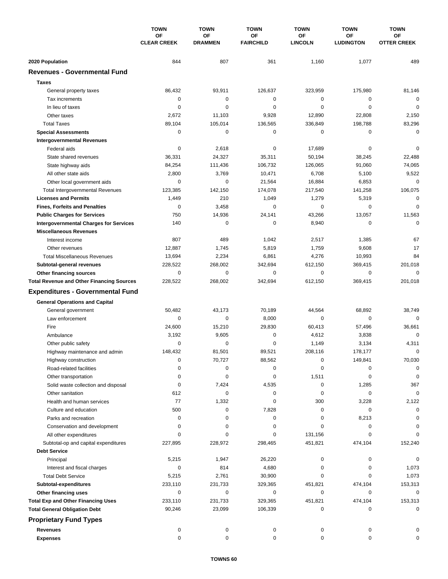|                                                                                     | <b>TOWN</b><br><b>OF</b><br><b>CLEAR CREEK</b> | <b>TOWN</b>            | <b>TOWN</b>            | <b>TOWN</b>          | <b>TOWN</b>            | <b>TOWN</b>              |
|-------------------------------------------------------------------------------------|------------------------------------------------|------------------------|------------------------|----------------------|------------------------|--------------------------|
|                                                                                     |                                                | OF<br><b>DRAMMEN</b>   | ΟF<br><b>FAIRCHILD</b> | ΟF<br><b>LINCOLN</b> | ΟF<br><b>LUDINGTON</b> | ОF<br><b>OTTER CREEK</b> |
| 2020 Population                                                                     | 844                                            | 807                    | 361                    | 1,160                | 1,077                  | 489                      |
| <b>Revenues - Governmental Fund</b>                                                 |                                                |                        |                        |                      |                        |                          |
| <b>Taxes</b>                                                                        |                                                |                        |                        |                      |                        |                          |
|                                                                                     | 86,432                                         | 93,911                 | 126,637                | 323,959              | 175,980                | 81,146                   |
| General property taxes<br>Tax increments                                            | $\mathbf 0$                                    | $\mathbf 0$            | 0                      | 0                    | 0                      | $\mathbf 0$              |
| In lieu of taxes                                                                    | $\mathbf 0$                                    | $\mathbf 0$            | 0                      | $\mathbf 0$          | $\mathbf 0$            | $\mathbf 0$              |
| Other taxes                                                                         | 2,672                                          | 11,103                 | 9,928                  | 12,890               | 22,808                 | 2,150                    |
| <b>Total Taxes</b>                                                                  | 89,104                                         | 105,014                | 136,565                | 336,849              | 198,788                | 83,296                   |
| <b>Special Assessments</b>                                                          | 0                                              | 0                      | 0                      | 0                    | 0                      | $\mathbf 0$              |
| <b>Intergovernmental Revenues</b>                                                   |                                                |                        |                        |                      |                        |                          |
| Federal aids                                                                        | 0                                              | 2,618                  | 0                      | 17,689               | 0                      | $\mathbf 0$              |
| State shared revenues                                                               | 36,331                                         | 24,327                 | 35,311                 | 50,194               | 38,245                 | 22,488                   |
| State highway aids                                                                  | 84,254                                         | 111,436                | 106,732                | 126,065              | 91,060                 | 74,065                   |
| All other state aids                                                                | 2,800                                          | 3,769                  | 10,471                 | 6,708                | 5,100                  | 9,522                    |
| Other local government aids                                                         | 0                                              | $\mathbf 0$            | 21,564                 | 16,884               | 6,853                  | $\mathbf 0$              |
| <b>Total Intergovernmental Revenues</b>                                             | 123,385                                        | 142,150                | 174,078                | 217,540              | 141,258                | 106,075                  |
| <b>Licenses and Permits</b>                                                         | 1,449                                          | 210                    | 1,049                  | 1,279                | 5,319                  | $\mathbf 0$              |
| <b>Fines, Forfeits and Penalties</b>                                                | 0                                              | 3,458                  | 0                      | 0                    | $\mathbf 0$            | $\mathbf 0$              |
|                                                                                     | 750                                            | 14,936                 | 24,141                 | 43,266               | 13,057                 | 11,563                   |
| <b>Public Charges for Services</b><br><b>Intergovernmental Charges for Services</b> | 140                                            | $\mathbf 0$            | 0                      | 8,940                | 0                      | $\mathbf 0$              |
| <b>Miscellaneous Revenues</b>                                                       |                                                |                        |                        |                      |                        |                          |
|                                                                                     | 807                                            | 489                    | 1,042                  | 2,517                | 1,385                  | 67                       |
| Interest income                                                                     |                                                |                        |                        |                      |                        | 17                       |
| Other revenues<br><b>Total Miscellaneous Revenues</b>                               | 12,887                                         | 1,745<br>2,234         | 5,819                  | 1,759<br>4,276       | 9,608                  | 84                       |
|                                                                                     | 13,694                                         |                        | 6,861                  |                      | 10,993                 | 201,018                  |
| Subtotal-general revenues                                                           | 228,522<br>$\mathbf 0$                         | 268,002<br>$\mathbf 0$ | 342,694<br>0           | 612,150<br>0         | 369,415<br>0           | $\mathbf 0$              |
| Other financing sources                                                             | 228,522                                        | 268,002                | 342,694                | 612,150              | 369,415                | 201,018                  |
| <b>Total Revenue and Other Financing Sources</b>                                    |                                                |                        |                        |                      |                        |                          |
| <b>Expenditures - Governmental Fund</b>                                             |                                                |                        |                        |                      |                        |                          |
| <b>General Operations and Capital</b>                                               |                                                |                        |                        |                      |                        |                          |
| General government                                                                  | 50,482                                         | 43,173                 | 70,189                 | 44,564               | 68,892                 | 38,749                   |
| Law enforcement                                                                     | $\mathbf 0$                                    | $\mathbf 0$            | 8,000                  | 0                    | $\mathbf 0$            | $\Omega$                 |
| Fire                                                                                | 24,600                                         | 15,210                 | 29,830                 | 60,413               | 57,496                 | 36,661                   |
| Ambulance                                                                           | 3,192                                          | 9,605                  | 0                      | 4,612                | 3,838                  | $\mathbf 0$              |
| Other public safety                                                                 | $\mathbf 0$                                    | 0                      | 0                      | 1,149                | 3,134                  | 4,311                    |
| Highway maintenance and admin                                                       | 148,432                                        | 81.501                 | 89,521                 | 208.116              | 178,177                | 0                        |
| Highway construction                                                                | 0                                              | 70,727                 | 88,562                 | 0                    | 149,841                | 70,030                   |
| Road-related facilities                                                             | 0                                              | 0                      | 0                      | 0                    | 0                      | 0                        |
| Other transportation                                                                | 0                                              | 0                      | 0                      | 1,511                | 0                      | 0                        |
| Solid waste collection and disposal                                                 | 0                                              | 7,424                  | 4,535                  | 0                    | 1,285                  | 367                      |
| Other sanitation                                                                    | 612                                            | 0                      | 0                      | 0                    | 0                      | $\mathbf 0$              |
| Health and human services                                                           | 77                                             | 1,332                  | 0                      | 300                  | 3,228                  | 2,122                    |
| Culture and education                                                               | 500                                            | 0                      | 7,828                  | 0                    | 0                      | 0                        |
| Parks and recreation                                                                | 0                                              | 0                      | 0                      | 0                    | 8,213                  | 0                        |
| Conservation and development                                                        | 0                                              | 0                      | 0                      | 0                    | 0                      | 0                        |
| All other expenditures                                                              | 0                                              | 0                      | 0                      | 131,156              | 0                      | $\Omega$                 |
| Subtotal-op and capital expenditures                                                | 227,895                                        | 228,972                | 298,465                | 451,821              | 474,104                | 152,240                  |
| <b>Debt Service</b>                                                                 |                                                |                        |                        |                      |                        |                          |
| Principal                                                                           | 5,215                                          | 1,947                  | 26,220                 | 0                    | 0                      | 0                        |
| Interest and fiscal charges                                                         | 0                                              | 814                    | 4,680                  | 0                    | 0                      | 1,073                    |
| <b>Total Debt Service</b>                                                           | 5,215                                          | 2,761                  | 30,900                 | 0                    | 0                      | 1,073                    |
| Subtotal-expenditures                                                               | 233,110                                        | 231,733                | 329,365                | 451,821              | 474,104                | 153,313                  |
| Other financing uses                                                                | 0                                              | $\pmb{0}$              | 0                      | 0                    | 0                      | 0                        |
| <b>Total Exp and Other Financing Uses</b>                                           | 233,110                                        | 231,733                | 329,365                | 451,821              | 474,104                | 153,313                  |
| <b>Total General Obligation Debt</b>                                                | 90,246                                         | 23,099                 | 106,339                | 0                    | 0                      | $\mathbf 0$              |
| <b>Proprietary Fund Types</b>                                                       |                                                |                        |                        |                      |                        |                          |
| <b>Revenues</b>                                                                     | 0                                              | 0                      | 0                      | 0                    | 0                      |                          |
| <b>Expenses</b>                                                                     | 0                                              | 0                      | 0                      | 0                    | 0                      | 0                        |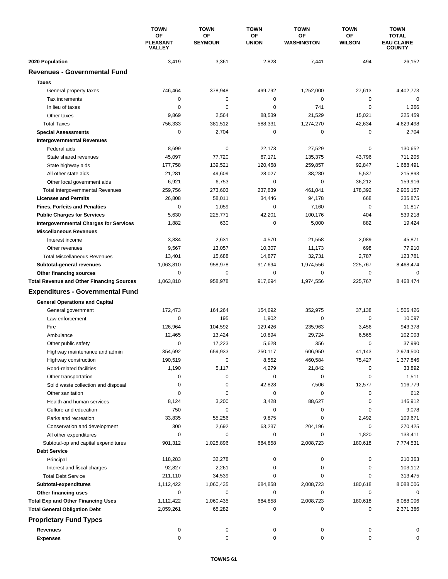|                                                  | <b>TOWN</b><br>ΟF<br><b>PLEASANT</b><br><b>VALLEY</b> | <b>TOWN</b>                 | <b>TOWN</b>        | <b>TOWN</b>             | <b>TOWN</b>                | <b>TOWN</b>                                        |
|--------------------------------------------------|-------------------------------------------------------|-----------------------------|--------------------|-------------------------|----------------------------|----------------------------------------------------|
|                                                  |                                                       | <b>OF</b><br><b>SEYMOUR</b> | ΟF<br><b>UNION</b> | ΟF<br><b>WASHINGTON</b> | <b>OF</b><br><b>WILSON</b> | <b>TOTAL</b><br><b>EAU CLAIRE</b><br><b>COUNTY</b> |
| 2020 Population                                  | 3,419                                                 | 3,361                       | 2,828              | 7,441                   | 494                        | 26,152                                             |
| <b>Revenues - Governmental Fund</b>              |                                                       |                             |                    |                         |                            |                                                    |
| <b>Taxes</b>                                     |                                                       |                             |                    |                         |                            |                                                    |
| General property taxes                           | 746,464                                               | 378,948                     | 499,792            | 1,252,000               | 27,613                     | 4,402,773                                          |
| Tax increments                                   | 0                                                     | 0                           | $\mathbf 0$        | 0                       | 0                          | 0                                                  |
| In lieu of taxes                                 | $\Omega$                                              | $\mathbf 0$                 | 0                  | 741                     | $\mathbf 0$                | 1,266                                              |
| Other taxes                                      | 9,869                                                 | 2,564                       | 88,539             | 21,529                  | 15,021                     | 225,459                                            |
| <b>Total Taxes</b>                               | 756,333                                               | 381,512                     | 588,331            | 1,274,270               | 42,634                     | 4,629,498                                          |
| <b>Special Assessments</b>                       | 0                                                     | 2,704                       | 0                  | 0                       | 0                          | 2,704                                              |
| <b>Intergovernmental Revenues</b>                |                                                       |                             |                    |                         |                            |                                                    |
| Federal aids                                     | 8,699                                                 | 0                           | 22,173             | 27,529                  | 0                          | 130,652                                            |
| State shared revenues                            | 45,097                                                | 77,720                      | 67,171             | 135,375                 | 43,796                     | 711,205                                            |
| State highway aids                               | 177,758                                               | 139,521                     | 120,468            | 259,857                 | 92,847                     | 1,688,491                                          |
| All other state aids                             | 21,281                                                | 49,609                      | 28,027             | 38,280                  | 5,537                      | 215,893                                            |
| Other local government aids                      | 6,921                                                 | 6,753                       | 0                  | 0                       | 36,212                     | 159,916                                            |
| <b>Total Intergovernmental Revenues</b>          | 259,756                                               | 273,603                     | 237,839            | 461,041                 | 178,392                    | 2,906,157                                          |
| <b>Licenses and Permits</b>                      | 26,808                                                | 58,011                      | 34,446             | 94,178                  | 668                        | 235,875                                            |
| <b>Fines, Forfeits and Penalties</b>             | 0                                                     | 1,059                       | 0                  | 7,160                   | 0                          | 11,817                                             |
| <b>Public Charges for Services</b>               | 5,630                                                 | 225,771                     | 42,201             | 100,176                 | 404                        | 539,218                                            |
| <b>Intergovernmental Charges for Services</b>    | 1,882                                                 | 630                         | $\mathbf 0$        | 5,000                   | 882                        | 19,424                                             |
| <b>Miscellaneous Revenues</b>                    |                                                       |                             |                    |                         |                            |                                                    |
| Interest income                                  | 3,834                                                 | 2,631                       | 4,570              | 21,558                  | 2,089                      | 45,871                                             |
| Other revenues                                   | 9,567                                                 | 13,057                      | 10,307             | 11,173                  | 698                        | 77,910                                             |
| <b>Total Miscellaneous Revenues</b>              | 13,401                                                | 15,688                      | 14,877             | 32,731                  | 2,787                      | 123,781                                            |
| Subtotal-general revenues                        | 1,063,810                                             | 958,978                     | 917,694            | 1,974,556               | 225,767                    | 8,468,474                                          |
| Other financing sources                          | 0                                                     | $\mathbf 0$                 | 0                  | 0                       | $\mathbf 0$                | 0                                                  |
| <b>Total Revenue and Other Financing Sources</b> | 1,063,810                                             | 958,978                     | 917,694            | 1,974,556               | 225,767                    | 8,468,474                                          |
| <b>Expenditures - Governmental Fund</b>          |                                                       |                             |                    |                         |                            |                                                    |
| <b>General Operations and Capital</b>            |                                                       |                             |                    |                         |                            |                                                    |
| General government                               | 172,473                                               | 164,264                     | 154,692            | 352,975                 | 37,138                     | 1,506,426                                          |
| Law enforcement                                  | 0                                                     | 195                         | 1,902              | 0                       | $\mathbf 0$                | 10,097                                             |
| Fire                                             | 126,964                                               | 104,592                     | 129,426            | 235,963                 | 3,456                      | 943,378                                            |
| Ambulance                                        | 12,465                                                | 13,424                      | 10,894             | 29,724                  | 6,565                      | 102,003                                            |
| Other public safety                              | $\Omega$                                              | 17,223                      | 5,628              | 356                     | $\mathbf 0$                | 37,990                                             |
| Highway maintenance and admin                    | 354,692                                               | 659,933                     | 250,117            | 606,950                 | 41,143                     | 2,974,500                                          |
| Highway construction                             | 190,519                                               | 0                           | 8,552              | 460,584                 | 75,427                     | 1,377,846                                          |
| Road-related facilities                          | 1,190                                                 | 5,117                       | 4,279              | 21,842                  | 0                          | 33,892                                             |
| Other transportation                             | 0                                                     | 0                           | 0                  | 0                       | 0                          | 1,511                                              |
| Solid waste collection and disposal              | 0                                                     | 0                           | 42,828             | 7,506                   | 12,577                     | 116,779                                            |
| Other sanitation                                 | 0                                                     | 0                           | 0                  | 0                       | 0                          | 612                                                |
| Health and human services                        | 8,124                                                 | 3,200                       | 3,428              | 88,627                  | 0                          | 146,912                                            |
| Culture and education                            | 750                                                   | 0                           | 0                  | 0                       | 0                          | 9,078                                              |
| Parks and recreation                             | 33,835                                                | 55,256                      | 9,875              | 0                       | 2,492                      | 109,671                                            |
| Conservation and development                     | 300                                                   | 2,692                       | 63,237             | 204,196                 | 0                          | 270,425                                            |
| All other expenditures                           | 0                                                     | 0                           | 0                  | 0                       | 1,820                      | 133,411                                            |
| Subtotal-op and capital expenditures             | 901,312                                               | 1,025,896                   | 684,858            | 2,008,723               | 180,618                    | 7,774,531                                          |
| <b>Debt Service</b>                              |                                                       |                             |                    |                         |                            |                                                    |
| Principal                                        | 118,283                                               | 32,278                      | 0                  | 0                       | 0                          | 210,363                                            |
| Interest and fiscal charges                      | 92,827                                                | 2,261                       | 0                  | 0                       | 0                          | 103,112                                            |
| <b>Total Debt Service</b>                        | 211,110                                               | 34,539                      | 0                  | 0                       | 0                          | 313,475                                            |
| Subtotal-expenditures                            | 1,112,422                                             | 1,060,435                   | 684,858            | 2,008,723               | 180,618                    | 8,088,006                                          |
| Other financing uses                             | 0                                                     | 0                           | 0                  | 0                       | 0                          | 0                                                  |
| <b>Total Exp and Other Financing Uses</b>        | 1,112,422                                             | 1,060,435                   | 684,858            | 2,008,723               | 180,618                    | 8,088,006                                          |
| <b>Total General Obligation Debt</b>             | 2,059,261                                             | 65,282                      | 0                  | 0                       | 0                          | 2,371,366                                          |
| <b>Proprietary Fund Types</b>                    |                                                       |                             |                    |                         |                            |                                                    |
| <b>Revenues</b>                                  | 0                                                     | 0                           | 0                  | 0                       | 0                          | 0                                                  |
| <b>Expenses</b>                                  | 0                                                     | $\pmb{0}$                   | $\mathbf 0$        | 0                       | 0                          | 0                                                  |
|                                                  |                                                       |                             |                    |                         |                            |                                                    |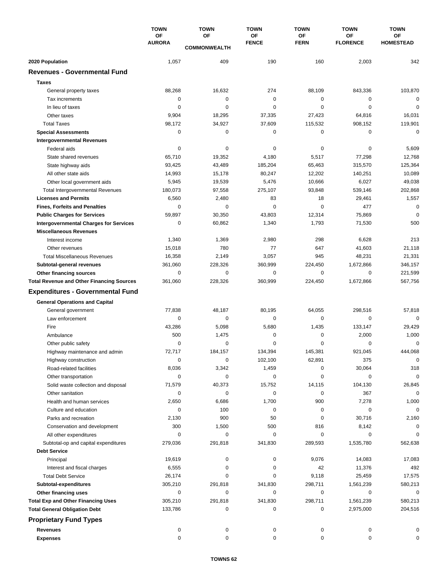|                                                  | <b>TOWN</b>         | <b>TOWN</b>           | <b>TOWN</b>        | <b>TOWN</b>              | <b>TOWN</b>                  | <b>TOWN</b>                   |
|--------------------------------------------------|---------------------|-----------------------|--------------------|--------------------------|------------------------------|-------------------------------|
|                                                  | OF<br><b>AURORA</b> | OF                    | ΟF<br><b>FENCE</b> | <b>OF</b><br><b>FERN</b> | <b>OF</b><br><b>FLORENCE</b> | <b>OF</b><br><b>HOMESTEAD</b> |
|                                                  |                     | <b>COMMONWEALTH</b>   |                    |                          |                              |                               |
| 2020 Population                                  | 1,057               | 409                   | 190                | 160                      | 2,003                        | 342                           |
| <b>Revenues - Governmental Fund</b>              |                     |                       |                    |                          |                              |                               |
| <b>Taxes</b>                                     |                     |                       |                    |                          |                              |                               |
| General property taxes                           | 88,268              | 16,632                | 274                | 88,109                   | 843,336                      | 103,870                       |
| Tax increments                                   | 0                   | 0                     | 0                  | 0                        | 0                            | $\mathbf 0$                   |
| In lieu of taxes                                 | 0                   | 0                     | 0                  | 0                        | $\mathbf 0$                  | $\mathbf 0$                   |
| Other taxes                                      | 9,904               | 18,295                | 37,335             | 27,423                   | 64,816                       | 16,031                        |
| <b>Total Taxes</b>                               | 98,172              | 34,927                | 37,609             | 115,532                  | 908,152                      | 119,901                       |
| <b>Special Assessments</b>                       | 0                   | 0                     | 0                  | 0                        | 0                            | $\mathbf 0$                   |
| <b>Intergovernmental Revenues</b>                |                     |                       |                    |                          |                              |                               |
| Federal aids                                     | 0                   | $\pmb{0}$             | 0                  | 0                        | 0                            | 5,609                         |
| State shared revenues                            | 65,710              | 19,352                | 4,180              | 5,517                    | 77,298                       | 12,768                        |
| State highway aids                               | 93,425              | 43,489                | 185,204            | 65,463                   | 315,570                      | 125,364                       |
| All other state aids                             | 14,993              | 15,178                | 80,247             | 12,202                   | 140,251                      | 10,089                        |
| Other local government aids                      | 5,945               | 19,539                | 5,476              | 10,666                   | 6,027                        | 49,038                        |
| <b>Total Intergovernmental Revenues</b>          | 180,073             | 97,558                | 275,107            | 93,848                   | 539,146                      | 202,868                       |
| <b>Licenses and Permits</b>                      | 6,560               | 2,480                 | 83                 | 18                       | 29,461                       | 1,557                         |
| <b>Fines, Forfeits and Penalties</b>             | 0                   | 0                     | 0                  | $\Omega$                 | 477                          | $\mathbf 0$                   |
| <b>Public Charges for Services</b>               | 59,897              | 30,350                | 43,803             | 12,314                   | 75,869                       | $\mathbf 0$                   |
| <b>Intergovernmental Charges for Services</b>    | $\mathbf 0$         | 60,862                | 1,340              | 1,793                    | 71,530                       | 500                           |
| <b>Miscellaneous Revenues</b>                    |                     |                       |                    |                          |                              |                               |
| Interest income                                  | 1,340               | 1,369                 | 2,980              | 298                      | 6,628                        | 213                           |
| Other revenues                                   | 15,018              | 780                   | 77                 | 647                      | 41,603                       | 21,118                        |
| <b>Total Miscellaneous Revenues</b>              | 16,358              | 2,149                 | 3,057              | 945                      | 48,231                       | 21,331                        |
| Subtotal-general revenues                        | 361,060             | 228,326               | 360,999            | 224,450                  | 1,672,866                    | 346,157                       |
| Other financing sources                          | 0                   | 0                     | 0                  | 0                        | 0                            | 221,599                       |
| <b>Total Revenue and Other Financing Sources</b> | 361,060             | 228,326               | 360,999            | 224,450                  | 1,672,866                    | 567,756                       |
| <b>Expenditures - Governmental Fund</b>          |                     |                       |                    |                          |                              |                               |
|                                                  |                     |                       |                    |                          |                              |                               |
| <b>General Operations and Capital</b>            |                     |                       |                    |                          |                              |                               |
| General government                               | 77,838<br>0         | 48,187<br>0           | 80,195<br>0        | 64,055<br>0              | 298,516<br>$\mathbf 0$       | 57,818<br>$\mathbf 0$         |
| Law enforcement<br>Fire                          | 43,286              |                       | 5,680              |                          | 133,147                      |                               |
|                                                  | 500                 | 5,098<br>1,475        | 0                  | 1,435<br>0               | 2,000                        | 29,429<br>1,000               |
| Ambulance                                        | 0                   | 0                     | $\Omega$           | 0                        | $\mathbf 0$                  | $\mathbf 0$                   |
| Other public safety                              | 72,717              | 184,157               | 134,394            | 145,381                  | 921,045                      | 444,068                       |
| Highway maintenance and admin                    |                     | $\pmb{0}$             |                    |                          |                              | $\mathbf 0$                   |
| Highway construction                             | 0                   |                       | 102,100            | 62,891                   | 375                          |                               |
| Road-related facilities                          | 8,036<br>0          | 3,342<br>0            | 1,459<br>0         | 0<br>0                   | 30,064                       | 318<br>$\mathbf 0$            |
| Other transportation                             |                     |                       | 15,752             |                          | 0                            |                               |
| Solid waste collection and disposal              | 71,579              | 40,373<br>$\mathbf 0$ | 0                  | 14,115<br>0              | 104,130<br>367               | 26,845<br>$\mathbf 0$         |
| Other sanitation                                 | 0                   |                       |                    |                          |                              |                               |
| Health and human services                        | 2,650               | 6,686                 | 1,700<br>0         | 900                      | 7,278<br>0                   | 1,000<br>$\mathbf 0$          |
| Culture and education<br>Parks and recreation    | 0                   | 100<br>900            | 50                 | 0<br>0                   |                              |                               |
|                                                  | 2,130               |                       |                    |                          | 30,716                       | 2,160                         |
| Conservation and development                     | 300<br>0            | 1,500<br>0            | 500<br>0           | 816                      | 8,142<br>0                   | 0<br>$\Omega$                 |
| All other expenditures                           |                     |                       |                    | 0                        |                              |                               |
| Subtotal-op and capital expenditures             | 279,036             | 291,818               | 341,830            | 289,593                  | 1,535,780                    | 562,638                       |
| <b>Debt Service</b>                              |                     |                       |                    |                          |                              |                               |
| Principal                                        | 19,619              | 0                     | 0                  | 9,076                    | 14,083                       | 17,083                        |
| Interest and fiscal charges                      | 6,555               | 0<br>0                | 0<br>0             | 42                       | 11,376                       | 492                           |
| <b>Total Debt Service</b>                        | 26,174              |                       |                    | 9,118                    | 25,459                       | 17,575                        |
| Subtotal-expenditures                            | 305,210<br>0        | 291,818<br>0          | 341,830<br>0       | 298,711<br>0             | 1,561,239<br>0               | 580,213<br>0                  |
| Other financing uses                             |                     |                       |                    |                          |                              |                               |
| <b>Total Exp and Other Financing Uses</b>        | 305,210             | 291,818               | 341,830            | 298,711                  | 1,561,239                    | 580,213                       |
| <b>Total General Obligation Debt</b>             | 133,786             | 0                     | 0                  | 0                        | 2,975,000                    | 204,516                       |
| <b>Proprietary Fund Types</b>                    |                     |                       |                    |                          |                              |                               |
| <b>Revenues</b>                                  | 0                   | 0                     | 0                  | 0                        | 0                            | 0                             |
| <b>Expenses</b>                                  | 0                   | 0                     | 0                  | 0                        | 0                            | 0                             |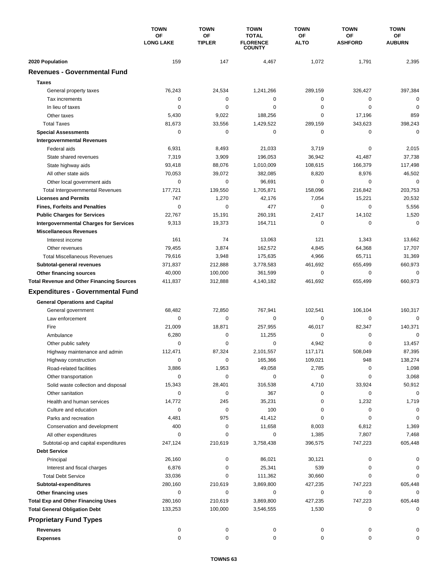|                                                  | <b>TOWN</b><br><b>OF</b><br><b>LONG LAKE</b> | <b>TOWN</b><br><b>OF</b><br><b>TIPLER</b> | <b>TOWN</b><br><b>TOTAL</b><br><b>FLORENCE</b><br><b>COUNTY</b> | <b>TOWN</b><br><b>OF</b><br><b>ALTO</b> | <b>TOWN</b>                 | <b>TOWN</b><br>ОF<br><b>AUBURN</b> |
|--------------------------------------------------|----------------------------------------------|-------------------------------------------|-----------------------------------------------------------------|-----------------------------------------|-----------------------------|------------------------------------|
|                                                  |                                              |                                           |                                                                 |                                         | <b>OF</b><br><b>ASHFORD</b> |                                    |
| 2020 Population                                  | 159                                          | 147                                       | 4,467                                                           | 1,072                                   | 1,791                       | 2,395                              |
| <b>Revenues - Governmental Fund</b>              |                                              |                                           |                                                                 |                                         |                             |                                    |
| <b>Taxes</b>                                     |                                              |                                           |                                                                 |                                         |                             |                                    |
| General property taxes                           | 76,243                                       | 24,534                                    | 1,241,266                                                       | 289,159                                 | 326,427                     | 397,384                            |
| Tax increments                                   | 0                                            | 0                                         | $\mathbf 0$                                                     | 0                                       | $\mathbf 0$                 | 0                                  |
| In lieu of taxes                                 | 0                                            | 0                                         | 0                                                               | 0                                       | $\mathbf 0$                 | 0                                  |
| Other taxes                                      | 5,430                                        | 9,022                                     | 188,256                                                         | 0                                       | 17,196                      | 859                                |
| <b>Total Taxes</b>                               | 81,673                                       | 33,556                                    | 1,429,522                                                       | 289,159                                 | 343,623                     | 398,243                            |
| <b>Special Assessments</b>                       | 0                                            | 0                                         | $\pmb{0}$                                                       | 0                                       | 0                           | $\mathbf 0$                        |
| <b>Intergovernmental Revenues</b>                |                                              |                                           |                                                                 |                                         |                             |                                    |
| Federal aids                                     | 6,931                                        | 8,493                                     | 21,033                                                          | 3,719                                   | 0                           | 2,015                              |
| State shared revenues                            | 7,319                                        | 3,909                                     | 196,053                                                         | 36,942                                  | 41,487                      | 37,738                             |
| State highway aids                               | 93,418                                       | 88,076                                    | 1,010,009                                                       | 108,615                                 | 166,379                     | 117,498                            |
| All other state aids                             | 70,053                                       | 39,072                                    | 382,085                                                         | 8,820                                   | 8,976                       | 46,502                             |
| Other local government aids                      | 0                                            | $\mathbf 0$                               | 96,691                                                          | 0                                       | $\mathbf 0$                 | $\mathbf 0$                        |
| <b>Total Intergovernmental Revenues</b>          | 177,721                                      | 139,550                                   | 1,705,871                                                       | 158,096                                 | 216,842                     | 203,753                            |
| <b>Licenses and Permits</b>                      | 747                                          | 1,270                                     | 42,176                                                          | 7,054                                   | 15,221                      | 20,532                             |
| <b>Fines, Forfeits and Penalties</b>             | $\mathbf 0$                                  | $\mathbf 0$                               | 477                                                             | 0                                       | $\mathbf 0$                 | 5,556                              |
| <b>Public Charges for Services</b>               | 22,767                                       | 15,191                                    | 260.191                                                         | 2,417                                   | 14,102                      | 1,520                              |
| <b>Intergovernmental Charges for Services</b>    | 9,313                                        | 19,373                                    | 164,711                                                         | $\mathbf 0$                             | $\mathbf 0$                 | $\mathbf 0$                        |
| <b>Miscellaneous Revenues</b>                    |                                              |                                           |                                                                 |                                         |                             |                                    |
| Interest income                                  | 161                                          | 74                                        | 13,063                                                          | 121                                     | 1,343                       | 13,662                             |
| Other revenues                                   | 79,455                                       | 3,874                                     | 162,572                                                         | 4,845                                   | 64,368                      | 17,707                             |
| <b>Total Miscellaneous Revenues</b>              | 79,616                                       | 3,948                                     | 175,635                                                         | 4,966                                   | 65,711                      | 31,369                             |
| Subtotal-general revenues                        | 371,837                                      | 212,888                                   | 3,778,583                                                       | 461,692                                 | 655,499                     | 660,973                            |
| <b>Other financing sources</b>                   | 40,000                                       | 100,000                                   | 361,599                                                         | 0                                       | $\mathbf 0$                 | 0                                  |
| <b>Total Revenue and Other Financing Sources</b> | 411,837                                      | 312,888                                   | 4,140,182                                                       | 461,692                                 | 655,499                     | 660,973                            |
| <b>Expenditures - Governmental Fund</b>          |                                              |                                           |                                                                 |                                         |                             |                                    |
|                                                  |                                              |                                           |                                                                 |                                         |                             |                                    |
| <b>General Operations and Capital</b>            |                                              |                                           |                                                                 |                                         |                             |                                    |
| General government                               | 68,482                                       | 72,850                                    | 767,941                                                         | 102,541                                 | 106,104                     | 160,317                            |
| Law enforcement                                  | 0                                            | 0                                         | 0                                                               | 0                                       | 0                           | $\mathbf 0$                        |
| Fire                                             | 21,009                                       | 18,871                                    | 257,955                                                         | 46,017                                  | 82,347                      | 140,371                            |
| Ambulance                                        | 6,280                                        | 0                                         | 11,255                                                          | 0                                       | $\mathbf 0$                 | $\mathbf 0$                        |
| Other public safety                              | 0                                            | 0                                         | 0                                                               | 4,942                                   | 0                           | 13,457                             |
| Highway maintenance and admin                    | 112,471                                      | 87,324                                    | 2,101,557                                                       | 117,171                                 | 508,049                     | 87,395                             |
| Highway construction                             | 0                                            | 0                                         | 165,366                                                         | 109,021                                 | 948                         | 138,274                            |
| Road-related facilities                          | 3,886                                        | 1,953                                     | 49,058                                                          | 2,785                                   | 0                           | 1,098                              |
| Other transportation                             | 0                                            | 0                                         | 0                                                               | 0                                       | 0                           | 3,068                              |
| Solid waste collection and disposal              | 15,343                                       | 28,401                                    | 316,538                                                         | 4,710                                   | 33,924                      | 50,912                             |
| Other sanitation                                 | 0                                            | 0                                         | 367                                                             | 0                                       | 0                           | $\mathbf 0$                        |
| Health and human services                        | 14,772                                       | 245                                       | 35,231                                                          | 0                                       | 1,232                       | 1,719                              |
| Culture and education                            | 0                                            | 0                                         | 100                                                             | 0                                       | 0                           | 0                                  |
| Parks and recreation                             | 4,481                                        | 975                                       | 41,412                                                          | 0                                       | 0                           | 0                                  |
| Conservation and development                     | 400                                          | 0                                         | 11,658                                                          | 8,003                                   | 6,812                       | 1,369                              |
| All other expenditures                           | 0                                            | 0                                         | 0                                                               | 1,385                                   | 7,807                       | 7,468                              |
| Subtotal-op and capital expenditures             | 247,124                                      | 210,619                                   | 3,758,438                                                       | 396,575                                 | 747,223                     | 605,448                            |
| <b>Debt Service</b>                              |                                              |                                           |                                                                 |                                         |                             |                                    |
| Principal                                        | 26,160                                       | 0                                         | 86,021                                                          | 30,121                                  | 0                           | 0                                  |
| Interest and fiscal charges                      | 6,876                                        | 0                                         | 25,341                                                          | 539                                     | 0                           | 0                                  |
| <b>Total Debt Service</b>                        | 33,036                                       | 0                                         | 111,362                                                         | 30,660                                  | 0                           | 0                                  |
| Subtotal-expenditures                            | 280,160                                      | 210,619                                   | 3,869,800                                                       | 427,235                                 | 747,223                     | 605,448                            |
| Other financing uses                             | 0                                            | 0                                         | 0                                                               | 0                                       | 0                           | 0                                  |
| <b>Total Exp and Other Financing Uses</b>        | 280,160                                      | 210,619                                   | 3,869,800                                                       | 427,235                                 | 747,223                     | 605,448                            |
| <b>Total General Obligation Debt</b>             | 133,253                                      | 100,000                                   | 3,546,555                                                       | 1,530                                   | 0                           | 0                                  |
| <b>Proprietary Fund Types</b>                    |                                              |                                           |                                                                 |                                         |                             |                                    |
| <b>Revenues</b>                                  | 0                                            | 0                                         | 0                                                               | 0                                       | 0                           |                                    |
| <b>Expenses</b>                                  | 0                                            | 0                                         | 0                                                               | 0                                       | 0                           | 0                                  |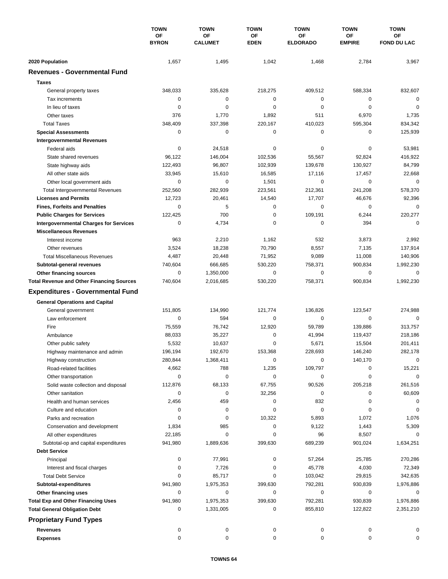|                                                  | <b>TOWN</b><br>OF<br><b>BYRON</b> | <b>TOWN</b>          | <b>TOWN</b><br>ΟF<br><b>EDEN</b> | <b>TOWN</b><br>ΟF<br><b>ELDORADO</b> | <b>TOWN</b><br><b>OF</b><br><b>EMPIRE</b> | <b>TOWN</b><br>ΟF<br><b>FOND DU LAC</b> |
|--------------------------------------------------|-----------------------------------|----------------------|----------------------------------|--------------------------------------|-------------------------------------------|-----------------------------------------|
|                                                  |                                   | OF<br><b>CALUMET</b> |                                  |                                      |                                           |                                         |
| 2020 Population                                  | 1,657                             | 1,495                | 1,042                            | 1,468                                | 2,784                                     | 3,967                                   |
| <b>Revenues - Governmental Fund</b>              |                                   |                      |                                  |                                      |                                           |                                         |
| <b>Taxes</b>                                     |                                   |                      |                                  |                                      |                                           |                                         |
| General property taxes                           | 348,033                           | 335,628              | 218,275                          | 409,512                              | 588,334                                   | 832,607                                 |
| Tax increments                                   | 0                                 | $\mathbf 0$          | 0                                | $\mathbf 0$                          | 0                                         | $\mathbf 0$                             |
| In lieu of taxes                                 | 0                                 | 0                    | 0                                | 0                                    | $\mathbf 0$                               | 0                                       |
| Other taxes                                      | 376                               | 1,770                | 1,892                            | 511                                  | 6,970                                     | 1,735                                   |
| <b>Total Taxes</b>                               | 348,409                           | 337,398              | 220,167                          | 410,023                              | 595,304                                   | 834,342                                 |
| <b>Special Assessments</b>                       | 0                                 | 0                    | 0                                | $\mathbf 0$                          | 0                                         | 125,939                                 |
| <b>Intergovernmental Revenues</b>                |                                   |                      |                                  |                                      |                                           |                                         |
| Federal aids                                     | 0                                 | 24,518               | 0                                | 0                                    | 0                                         | 53,981                                  |
| State shared revenues                            | 96,122                            | 146,004              | 102,536                          | 55,567                               | 92,824                                    | 416,922                                 |
| State highway aids                               | 122,493                           | 96,807               | 102,939                          | 139,678                              | 130,927                                   | 84,799                                  |
| All other state aids                             | 33,945                            | 15,610               | 16,585                           | 17,116                               | 17,457                                    | 22,668                                  |
| Other local government aids                      | 0                                 | 0                    | 1,501                            | 0                                    | $\mathbf 0$                               | 0                                       |
| <b>Total Intergovernmental Revenues</b>          | 252,560                           | 282,939              | 223,561                          | 212,361                              | 241,208                                   | 578,370                                 |
| <b>Licenses and Permits</b>                      | 12,723                            | 20,461               | 14,540                           | 17,707                               | 46,676                                    | 92,396                                  |
| <b>Fines, Forfeits and Penalties</b>             | 0                                 | 5                    | 0                                | 0                                    | 0                                         | 0                                       |
| <b>Public Charges for Services</b>               | 122,425                           | 700                  | $\pmb{0}$                        | 109,191                              | 6,244                                     | 220,277                                 |
| <b>Intergovernmental Charges for Services</b>    | 0                                 | 4,734                | 0                                | 0                                    | 394                                       | $\mathbf 0$                             |
| <b>Miscellaneous Revenues</b>                    |                                   |                      |                                  |                                      |                                           |                                         |
| Interest income                                  | 963                               | 2,210                | 1,162                            | 532                                  | 3,873                                     | 2,992                                   |
| Other revenues                                   | 3,524                             | 18,238               | 70,790                           | 8,557                                | 7,135                                     | 137,914                                 |
| <b>Total Miscellaneous Revenues</b>              | 4,487                             | 20,448               | 71,952                           | 9,089                                | 11,008                                    | 140,906                                 |
| Subtotal-general revenues                        | 740,604                           | 666,685              | 530,220                          | 758,371                              | 900,834                                   | 1,992,230                               |
| Other financing sources                          | 0                                 | 1,350,000            | 0                                | $\mathbf 0$                          | 0                                         | $\mathbf 0$                             |
| <b>Total Revenue and Other Financing Sources</b> | 740,604                           | 2,016,685            | 530,220                          | 758,371                              | 900,834                                   | 1,992,230                               |
|                                                  |                                   |                      |                                  |                                      |                                           |                                         |
| <b>Expenditures - Governmental Fund</b>          |                                   |                      |                                  |                                      |                                           |                                         |
| <b>General Operations and Capital</b>            |                                   |                      |                                  |                                      |                                           |                                         |
| General government                               | 151,805                           | 134,990              | 121,774                          | 136,826                              | 123,547                                   | 274,988                                 |
| Law enforcement                                  | 0                                 | 594                  | 0                                | 0                                    | 0                                         | $\mathbf 0$                             |
| Fire                                             | 75,559                            | 76,742               | 12,920                           | 59,789                               | 139,886                                   | 313,757                                 |
| Ambulance                                        | 88,033                            | 35,227               | 0                                | 41,994                               | 119,437                                   | 218,186                                 |
| Other public safety                              | 5,532                             | 10,637               | 0                                | 5,671                                | 15,504                                    | 201,411                                 |
| Highway maintenance and admin                    | 196,194                           | 192,670              | 153,368                          | 228,693                              | 146,240                                   | 282,178                                 |
| Highway construction                             | 280,844                           | 1,368,411            | 0                                | 0                                    | 140,170                                   | 0                                       |
| Road-related facilities                          | 4,662                             | 788                  | 1,235                            | 109,797                              | 0                                         | 15,221                                  |
| Other transportation                             | 0                                 | 0                    | 0                                | 0                                    | 0                                         | $\Omega$                                |
| Solid waste collection and disposal              | 112,876                           | 68,133               | 67,755                           | 90,526                               | 205,218                                   | 261,516                                 |
| Other sanitation                                 | 0                                 | 0                    | 32,256                           | 0                                    | 0                                         | 60,609                                  |
| Health and human services                        | 2,456                             | 459                  | 0                                | 832                                  | 0                                         | 0                                       |
| Culture and education                            | 0                                 | 0                    | 0                                | 0                                    | 0                                         | 0                                       |
| Parks and recreation                             | 0                                 | 0                    | 10,322                           | 5,893                                | 1,072                                     | 1,076                                   |
| Conservation and development                     | 1,834                             | 985                  | 0                                | 9,122                                | 1,443                                     | 5,309                                   |
| All other expenditures                           | 22,185                            | 0                    | 0                                | 96                                   | 8,507                                     | 0                                       |
| Subtotal-op and capital expenditures             | 941,980                           | 1,889,636            | 399,630                          | 689,239                              | 901,024                                   | 1,634,251                               |
| <b>Debt Service</b>                              |                                   |                      |                                  |                                      |                                           |                                         |
| Principal                                        | 0                                 | 77,991               | 0                                | 57,264                               | 25,785                                    | 270,286                                 |
| Interest and fiscal charges                      | 0                                 | 7,726                | 0                                | 45,778                               | 4,030                                     | 72,349                                  |
| <b>Total Debt Service</b>                        | 0                                 | 85,717               | 0                                | 103,042                              | 29,815                                    | 342,635                                 |
| Subtotal-expenditures                            | 941,980                           | 1,975,353            | 399,630                          | 792,281                              | 930,839                                   | 1,976,886                               |
| Other financing uses                             | 0                                 | 0                    | 0                                | 0                                    | 0                                         | 0                                       |
| <b>Total Exp and Other Financing Uses</b>        | 941,980                           | 1,975,353            | 399,630                          | 792,281                              | 930,839                                   | 1,976,886                               |
| <b>Total General Obligation Debt</b>             | 0                                 | 1,331,005            | 0                                | 855,810                              | 122,822                                   | 2,351,210                               |
| <b>Proprietary Fund Types</b>                    |                                   |                      |                                  |                                      |                                           |                                         |
| <b>Revenues</b>                                  | 0                                 | 0                    | 0                                | 0                                    | 0                                         |                                         |
| <b>Expenses</b>                                  | 0                                 | 0                    | 0                                | 0                                    | 0                                         | 0                                       |
|                                                  |                                   |                      |                                  |                                      |                                           |                                         |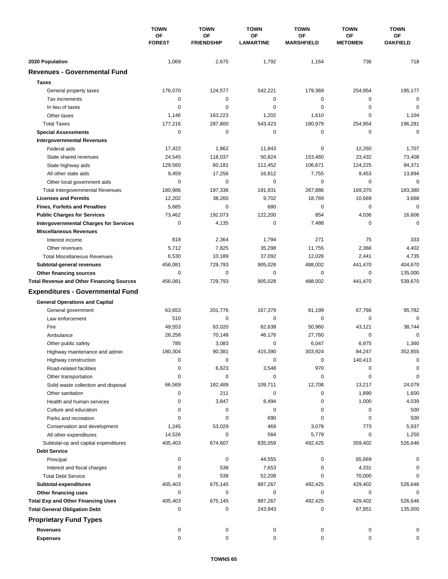|                                                                             | <b>TOWN</b><br><b>OF</b><br><b>FOREST</b> | <b>TOWN</b>             | <b>TOWN</b><br>OF<br><b>LAMARTINE</b> | <b>TOWN</b>             | <b>TOWN</b>                 | <b>TOWN</b>           |
|-----------------------------------------------------------------------------|-------------------------------------------|-------------------------|---------------------------------------|-------------------------|-----------------------------|-----------------------|
|                                                                             |                                           | OF<br><b>FRIENDSHIP</b> |                                       | ΟF<br><b>MARSHFIELD</b> | <b>OF</b><br><b>METOMEN</b> | OF<br><b>OAKFIELD</b> |
| 2020 Population                                                             | 1,069                                     | 2,675                   | 1,792                                 | 1,164                   | 736                         | 718                   |
| <b>Revenues - Governmental Fund</b>                                         |                                           |                         |                                       |                         |                             |                       |
| <b>Taxes</b>                                                                |                                           |                         |                                       |                         |                             |                       |
| General property taxes                                                      | 176,070                                   | 124,577                 | 542,221                               | 179,369                 | 254,954                     | 195,177               |
| Tax increments                                                              | 0                                         | $\mathbf 0$             | 0                                     | $\mathbf 0$             | 0                           | $\mathbf 0$           |
| In lieu of taxes                                                            | 0                                         | 0                       | 0                                     | 0                       | 0                           | $\mathbf 0$           |
| Other taxes                                                                 | 1,146                                     | 163,223                 | 1,202                                 | 1,610                   | $\mathbf 0$                 | 1,104                 |
| <b>Total Taxes</b>                                                          | 177,216                                   | 287,800                 | 543,423                               | 180,979                 | 254,954                     | 196,281               |
| <b>Special Assessments</b>                                                  | $\mathbf 0$                               | $\mathbf 0$             | 0                                     | 0                       | $\mathbf 0$                 | $\mathbf 0$           |
| <b>Intergovernmental Revenues</b>                                           |                                           |                         |                                       |                         |                             |                       |
| Federal aids                                                                | 17,422                                    | 1,862                   | 11,843                                | 0                       | 12,260                      | 1,707                 |
| State shared revenues                                                       | 24,545                                    | 118,037                 | 50,824                                | 153,460                 | 23,432                      | 73,408                |
| State highway aids                                                          | 129,560                                   | 60,181                  | 112,452                               | 106,671                 | 124,225                     | 94,371                |
| All other state aids                                                        | 9,459                                     | 17.256                  | 16,812                                | 7,755                   | 9,453                       | 13,894                |
| Other local government aids                                                 | 0                                         | $\mathbf 0$             | 0                                     | $\mathbf 0$             | $\mathbf 0$                 | $\mathbf 0$           |
| <b>Total Intergovernmental Revenues</b>                                     | 180,986                                   | 197,336                 | 191,931                               | 267,886                 | 169,370                     | 183,380               |
| <b>Licenses and Permits</b>                                                 | 12,202                                    | 38,260                  | 9,702                                 | 18,769                  | 10,669                      | 3,668                 |
| <b>Fines, Forfeits and Penalties</b>                                        | 5,685                                     | $\mathbf 0$             | 680                                   | 0                       | 0                           | $\mathbf 0$           |
| <b>Public Charges for Services</b>                                          | 73,462                                    | 192,073                 | 122,200                               | 854                     | 4,036                       | 16,606                |
| <b>Intergovernmental Charges for Services</b>                               | $\mathbf 0$                               | 4,135                   | 0                                     | 7,488                   | $\mathbf 0$                 | $\mathbf 0$           |
| <b>Miscellaneous Revenues</b>                                               |                                           |                         |                                       |                         |                             |                       |
| Interest income                                                             | 818                                       | 2,364                   | 1,794                                 | 271                     | 75                          | 333                   |
| Other revenues                                                              | 5,712                                     | 7,825                   | 35,298                                | 11,755                  | 2,366                       | 4,402                 |
| <b>Total Miscellaneous Revenues</b>                                         |                                           |                         |                                       |                         |                             |                       |
|                                                                             | 6,530<br>456,081                          | 10,189<br>729,793       | 37,092<br>905,028                     | 12,026<br>488,002       | 2,441<br>441,470            | 4,735<br>404,670      |
| Subtotal-general revenues                                                   | $\mathbf 0$                               | $\mathbf 0$             | 0                                     | $\mathbf 0$             | $\mathbf 0$                 | 135,000               |
| Other financing sources<br><b>Total Revenue and Other Financing Sources</b> | 456,081                                   | 729,793                 | 905,028                               | 488,002                 | 441,470                     | 539,670               |
|                                                                             |                                           |                         |                                       |                         |                             |                       |
| <b>Expenditures - Governmental Fund</b>                                     |                                           |                         |                                       |                         |                             |                       |
| <b>General Operations and Capital</b>                                       |                                           |                         |                                       |                         |                             |                       |
| General government                                                          | 63,653                                    | 201,776                 | 167,379                               | 81,199                  | 67,766                      | 95,782                |
| Law enforcement                                                             | 510                                       | 0                       | 0                                     | 0                       | $\mathbf 0$                 | $\mathbf 0$           |
| Fire                                                                        | 49,553                                    | 63,020                  | 82.638                                | 50,960                  | 43,121                      | 38,744                |
| Ambulance                                                                   | 28,258                                    | 70,148                  | 46,176                                | 27,760                  | $\mathbf 0$                 | $\mathbf 0$           |
| Other public safety                                                         | 785                                       | 3,083                   | 0                                     | 6,047                   | 6,975                       | 1,360                 |
| Highway maintenance and admin                                               | 180,304                                   | 90,381                  | 415,390                               | 303,924                 | 84,247                      | 352,855               |
| Highway construction                                                        | 0                                         | 0                       | 0                                     | 0                       | 140,413                     | 0                     |
| Road-related facilities                                                     | 0                                         | 6,623                   | 3,548                                 | 970                     | 0                           | 0                     |
| Other transportation                                                        | 0                                         | $\mathbf 0$             | 0                                     | 0                       | 0                           | $\mathbf 0$           |
| Solid waste collection and disposal                                         | 66,569                                    | 182,489                 | 109,711                               | 12,708                  | 13,217                      | 24,079                |
| Other sanitation                                                            | 0                                         | 211                     | 0                                     | 0                       | 1,890                       | 1,600                 |
| Health and human services                                                   | 0                                         | 3,847                   | 8,494                                 | 0                       | 1,000                       | 4,039                 |
| Culture and education                                                       | 0                                         | 0                       | 0                                     | 0                       | 0                           | 500                   |
| Parks and recreation                                                        | 0                                         | 0                       | 690                                   | 0                       | 0                           | 500                   |
| Conservation and development                                                | 1,245                                     | 53,029                  | 469                                   | 3,078                   | 773                         | 5,937                 |
| All other expenditures                                                      | 14,526                                    | 0                       | 564                                   | 5,779                   | 0                           | 1,250                 |
| Subtotal-op and capital expenditures                                        | 405,403                                   | 674,607                 | 835,059                               | 492,425                 | 359,402                     | 526,646               |
| <b>Debt Service</b>                                                         |                                           |                         |                                       |                         |                             |                       |
| Principal                                                                   | 0                                         | 0                       | 44,555                                | 0                       | 65,669                      | 0                     |
| Interest and fiscal charges                                                 | 0                                         | 538                     | 7,653                                 | 0                       | 4,331                       | 0                     |
| <b>Total Debt Service</b>                                                   | 0                                         | 538                     | 52,208                                | 0                       | 70,000                      | 0                     |
| Subtotal-expenditures                                                       | 405,403                                   | 675,145                 | 887,267                               | 492,425                 | 429,402                     | 526,646               |
| Other financing uses                                                        | 0                                         | 0                       | 0                                     | 0                       | 0                           | 0                     |
| <b>Total Exp and Other Financing Uses</b>                                   | 405,403                                   | 675,145                 | 887,267                               | 492,425                 | 429,402                     | 526,646               |
| <b>Total General Obligation Debt</b>                                        | 0                                         | 0                       | 243,943                               | 0                       | 67,851                      | 135,000               |
| <b>Proprietary Fund Types</b>                                               |                                           |                         |                                       |                         |                             |                       |
| <b>Revenues</b>                                                             | 0                                         | 0                       | 0                                     | 0                       | 0                           | 0                     |
| <b>Expenses</b>                                                             | 0                                         | 0                       | 0                                     | 0                       | 0                           | 0                     |
|                                                                             |                                           |                         |                                       |                         |                             |                       |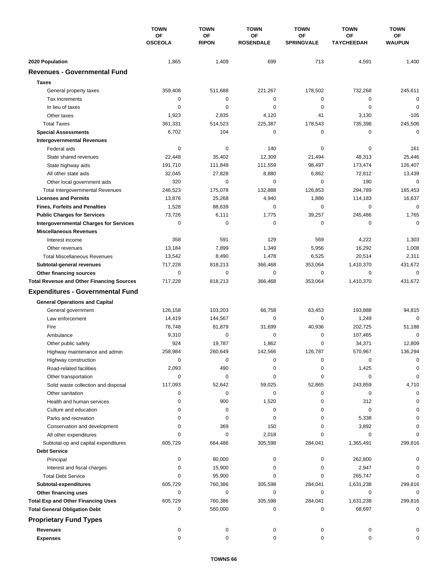|                                                  | <b>TOWN</b><br><b>OF</b><br><b>OSCEOLA</b> | <b>TOWN</b>               | <b>TOWN</b><br><b>OF</b><br><b>ROSENDALE</b> | <b>TOWN</b>             | <b>TOWN</b>                    | <b>TOWN</b>           |
|--------------------------------------------------|--------------------------------------------|---------------------------|----------------------------------------------|-------------------------|--------------------------------|-----------------------|
|                                                  |                                            | <b>OF</b><br><b>RIPON</b> |                                              | ΟF<br><b>SPRINGVALE</b> | <b>OF</b><br><b>TAYCHEEDAH</b> | ОF<br><b>WAUPUN</b>   |
| 2020 Population                                  | 1,865                                      | 1,409                     | 699                                          | 713                     | 4,591                          | 1,400                 |
| <b>Revenues - Governmental Fund</b>              |                                            |                           |                                              |                         |                                |                       |
| <b>Taxes</b>                                     |                                            |                           |                                              |                         |                                |                       |
| General property taxes                           | 359,408                                    | 511,688                   | 221,267                                      | 178,502                 | 732,268                        | 245,611               |
| Tax increments                                   | 0                                          | 0                         | $\mathbf 0$                                  | 0                       | $\mathbf 0$                    | $\mathbf 0$           |
| In lieu of taxes                                 | 0                                          | 0                         | 0                                            | 0                       | $\mathbf 0$                    | 0                     |
| Other taxes                                      | 1,923                                      | 2,835                     | 4,120                                        | 41                      | 3,130                          | $-105$                |
|                                                  |                                            |                           |                                              |                         |                                | 245,506               |
| <b>Total Taxes</b>                               | 361,331                                    | 514,523                   | 225,387                                      | 178,543<br>0            | 735,398                        | $\mathbf 0$           |
| <b>Special Assessments</b>                       | 6,702                                      | 104                       | 0                                            |                         | 0                              |                       |
| <b>Intergovernmental Revenues</b>                |                                            |                           |                                              |                         |                                |                       |
| Federal aids                                     | 0                                          | 0                         | 140                                          | 0                       | 0                              | 161                   |
| State shared revenues                            | 22,448                                     | 35,402                    | 12,309                                       | 21,494                  | 48,313                         | 25,446                |
| State highway aids                               | 191,710                                    | 111,848                   | 111,559                                      | 98,497                  | 173,474                        | 126,407               |
| All other state aids                             | 32,045                                     | 27,828                    | 8,880                                        | 6,862                   | 72,812                         | 13,439                |
| Other local government aids                      | 320                                        | $\mathbf 0$               | 0                                            | 0                       | 190                            | $\mathbf 0$           |
| <b>Total Intergovernmental Revenues</b>          | 246,523                                    | 175,078                   | 132,888                                      | 126,853                 | 294,789                        | 165,453               |
| <b>Licenses and Permits</b>                      | 13,876                                     | 25,268                    | 4,940                                        | 1,886                   | 114,183                        | 16,637                |
| <b>Fines, Forfeits and Penalties</b>             | 1,528                                      | 88,639                    | 0                                            | 0                       | 0                              | $\mathbf 0$           |
| <b>Public Charges for Services</b>               | 73,726                                     | 6,111                     | 1,775                                        | 39,257                  | 245,486                        | 1,765                 |
| <b>Intergovernmental Charges for Services</b>    | 0                                          | $\mathbf 0$               | $\mathbf 0$                                  | $\mathbf 0$             | 0                              | $\mathbf 0$           |
| <b>Miscellaneous Revenues</b>                    |                                            |                           |                                              |                         |                                |                       |
| Interest income                                  | 358                                        | 591                       | 129                                          | 569                     | 4,222                          | 1,303                 |
| Other revenues                                   | 13,184                                     | 7,899                     | 1,349                                        | 5,956                   | 16,292                         | 1,008                 |
| <b>Total Miscellaneous Revenues</b>              | 13,542                                     | 8,490                     | 1,478                                        | 6,525                   | 20,514                         | 2,311                 |
| Subtotal-general revenues                        | 717,228                                    | 818,213                   | 366,468                                      | 353,064                 | 1,410,370                      | 431,672               |
| Other financing sources                          | 0                                          | $\mathbf 0$               | $\mathbf 0$                                  | 0                       | $\mathbf 0$                    | 0                     |
| <b>Total Revenue and Other Financing Sources</b> | 717,228                                    | 818,213                   | 366,468                                      | 353,064                 | 1,410,370                      | 431,672               |
| <b>Expenditures - Governmental Fund</b>          |                                            |                           |                                              |                         |                                |                       |
| <b>General Operations and Capital</b>            |                                            |                           |                                              |                         |                                |                       |
| General government                               | 126,158                                    | 103,203                   | 66,758                                       | 63,453                  | 193,888                        | 94,815                |
| Law enforcement                                  | 14,419                                     | 144,567                   | 0                                            | $\pmb{0}$               | 1,249                          | $\Omega$              |
| Fire                                             |                                            |                           | 31,699                                       | 40,936                  | 202,725                        |                       |
|                                                  | 76,748                                     | 81,879<br>$\mathbf 0$     | 0                                            |                         |                                | 51,188<br>$\mathbf 0$ |
| Ambulance                                        | 9,310                                      |                           |                                              | 0                       | 107,465                        |                       |
| Other public safety                              | 924                                        | 19,787                    | 1,862                                        | 0                       | 34,371                         | 12,809                |
| Highway maintenance and admin                    | 258,984                                    | 260,649                   | 142,566                                      | 126,787                 | 570,967                        | 136,294               |
| Highway construction                             | 0                                          | 0                         | 0                                            | 0                       | 0                              | 0                     |
| Road-related facilities                          | 2,093                                      | 490                       | 0                                            | 0                       | 1,425                          | 0                     |
| Other transportation                             | 0                                          | 0                         | 0                                            | 0                       | 0                              | 0                     |
| Solid waste collection and disposal              | 117,093                                    | 52,642                    | 59,025                                       | 52,865                  | 243,859                        | 4,710                 |
| Other sanitation                                 | 0                                          | 0                         | 0                                            | 0                       | 0                              | 0                     |
| Health and human services                        | 0                                          | 900                       | 1,520                                        | 0                       | 312                            | $\Omega$              |
| Culture and education                            | 0                                          | 0                         | 0                                            | 0                       | 0                              | 0                     |
| Parks and recreation                             | 0                                          | 0                         | 0                                            | 0                       | 5,338                          | 0                     |
| Conservation and development                     | $\Omega$                                   | 369                       | 150                                          | 0                       | 3,892                          |                       |
| All other expenditures                           | $\Omega$                                   | 0                         | 2,018                                        | 0                       | 0                              |                       |
| Subtotal-op and capital expenditures             | 605,729                                    | 664,486                   | 305,598                                      | 284,041                 | 1,365,491                      | 299,816               |
| <b>Debt Service</b>                              |                                            |                           |                                              |                         |                                |                       |
| Principal                                        | 0                                          | 80,000                    | 0                                            | 0                       | 262,800                        | O                     |
| Interest and fiscal charges                      | 0                                          | 15,900                    | 0                                            | 0                       | 2,947                          | 0                     |
| <b>Total Debt Service</b>                        | 0                                          | 95,900                    | 0                                            | 0                       | 265,747                        | $\Omega$              |
| Subtotal-expenditures                            | 605,729                                    | 760,386                   | 305,598                                      | 284,041                 | 1,631,238                      | 299,816               |
| Other financing uses                             | 0                                          | 0                         | 0                                            | 0                       | 0                              | 0                     |
| <b>Total Exp and Other Financing Uses</b>        | 605,729                                    | 760,386                   | 305,598                                      | 284,041                 | 1,631,238                      | 299,816               |
| <b>Total General Obligation Debt</b>             | 0                                          | 560,000                   | 0                                            | 0                       | 68,697                         | 0                     |
| <b>Proprietary Fund Types</b>                    |                                            |                           |                                              |                         |                                |                       |
| <b>Revenues</b>                                  | 0                                          | 0                         | 0                                            | 0                       | 0                              |                       |
| <b>Expenses</b>                                  | 0                                          | 0                         | 0                                            | 0                       | 0                              | 0                     |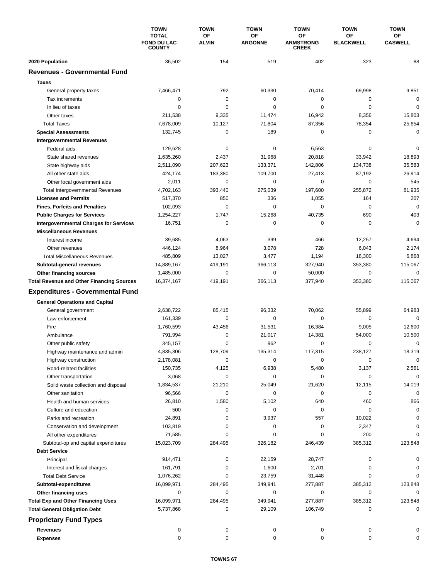|                                                         | <b>TOWN</b><br><b>TOTAL</b><br><b>FOND DU LAC</b><br><b>COUNTY</b> | <b>TOWN</b>               | <b>TOWN</b>          | <b>TOWN</b>                            | <b>TOWN</b><br><b>OF</b><br><b>BLACKWELL</b> | <b>TOWN</b><br><b>OF</b><br><b>CASWELL</b> |
|---------------------------------------------------------|--------------------------------------------------------------------|---------------------------|----------------------|----------------------------------------|----------------------------------------------|--------------------------------------------|
|                                                         |                                                                    | <b>OF</b><br><b>ALVIN</b> | ΟF<br><b>ARGONNE</b> | OF<br><b>ARMSTRONG</b><br><b>CREEK</b> |                                              |                                            |
| 2020 Population                                         | 36,502                                                             | 154                       | 519                  | 402                                    | 323                                          | 88                                         |
| <b>Revenues - Governmental Fund</b>                     |                                                                    |                           |                      |                                        |                                              |                                            |
| <b>Taxes</b>                                            |                                                                    |                           |                      |                                        |                                              |                                            |
| General property taxes                                  | 7,466,471                                                          | 792                       | 60,330               | 70,414                                 | 69,998                                       | 9,851                                      |
| Tax increments                                          | 0                                                                  | 0                         | 0                    | 0                                      | 0                                            | $\mathbf 0$                                |
| In lieu of taxes                                        | 0                                                                  | 0                         | 0                    | 0                                      | $\mathbf 0$                                  | $\mathbf 0$                                |
| Other taxes                                             | 211,538                                                            | 9,335                     | 11,474               | 16,942                                 | 8,356                                        | 15,803                                     |
| <b>Total Taxes</b>                                      | 7,678,009                                                          | 10,127                    | 71,804               | 87,356                                 | 78,354                                       | 25,654                                     |
| <b>Special Assessments</b>                              | 132,745                                                            | 0                         | 189                  | 0                                      | 0                                            | $\mathbf 0$                                |
| <b>Intergovernmental Revenues</b>                       |                                                                    |                           |                      |                                        |                                              |                                            |
| Federal aids                                            | 129,628                                                            | $\pmb{0}$                 | 0                    | 6,563                                  | 0                                            | $\mathbf 0$                                |
| State shared revenues                                   | 1,635,260                                                          | 2,437                     | 31,968               | 20,818                                 | 33,942                                       | 18,893                                     |
| State highway aids                                      | 2,511,090                                                          | 207,623                   | 133,371              | 142,806                                | 134,738                                      | 35,583                                     |
| All other state aids                                    | 424,174                                                            | 183,380                   | 109,700              | 27,413                                 | 87,192                                       | 26,914                                     |
| Other local government aids                             | 2,011                                                              | 0                         | 0                    | 0                                      | $\mathbf 0$                                  | 545                                        |
| <b>Total Intergovernmental Revenues</b>                 | 4,702,163                                                          | 393.440                   | 275.039              | 197,600                                | 255,872                                      | 81,935                                     |
| <b>Licenses and Permits</b>                             | 517,370                                                            | 850                       | 336                  | 1,055                                  | 164                                          | 207                                        |
| <b>Fines, Forfeits and Penalties</b>                    | 102,093                                                            | $\mathbf 0$               | 0                    | 0                                      | 0                                            | $\mathbf 0$                                |
| <b>Public Charges for Services</b>                      | 1,254,227                                                          | 1,747                     | 15,268               | 40,735                                 | 690                                          | 403                                        |
| <b>Intergovernmental Charges for Services</b>           | 16,751                                                             | $\mathbf 0$               | 0                    | 0                                      | $\mathbf 0$                                  | $\mathbf 0$                                |
| <b>Miscellaneous Revenues</b>                           |                                                                    |                           |                      |                                        |                                              |                                            |
| Interest income                                         | 39,685                                                             | 4,063                     | 399                  | 466                                    | 12,257                                       | 4,694                                      |
| Other revenues                                          | 446,124                                                            | 8,964                     | 3,078                | 728                                    | 6,043                                        | 2,174                                      |
| <b>Total Miscellaneous Revenues</b>                     | 485,809                                                            | 13,027                    | 3,477                | 1,194                                  | 18,300                                       | 6,868                                      |
| Subtotal-general revenues                               | 14,889,167                                                         | 419,191                   | 366,113              | 327,940                                | 353,380                                      | 115,067                                    |
| Other financing sources                                 | 1,485,000                                                          | 0                         | 0                    | 50,000                                 | $\mathbf 0$                                  | $\mathbf 0$                                |
| <b>Total Revenue and Other Financing Sources</b>        | 16,374,167                                                         | 419,191                   | 366,113              | 377,940                                | 353,380                                      | 115,067                                    |
| <b>Expenditures - Governmental Fund</b>                 |                                                                    |                           |                      |                                        |                                              |                                            |
|                                                         |                                                                    |                           |                      |                                        |                                              |                                            |
| <b>General Operations and Capital</b>                   |                                                                    |                           |                      |                                        |                                              |                                            |
| General government                                      | 2,638,722                                                          | 85,415                    | 96,332               | 70,062                                 | 55,899                                       | 64,983                                     |
| Law enforcement                                         | 161.339                                                            | 0                         | 0                    | 0                                      | 0                                            | $\mathbf 0$                                |
| Fire                                                    | 1,760,599                                                          | 43,456<br>0               | 31,531               | 16,384                                 | 9,005                                        | 12,600                                     |
| Ambulance                                               | 791,994                                                            | 0                         | 21,017<br>962        | 14,381<br>0                            | 54,000<br>$\mathbf 0$                        | 10,500<br>$\mathbf 0$                      |
| Other public safety                                     | 345,157<br>4,835,306                                               | 128,709                   | 135,314              | 117,315                                | 238,127                                      | 18,319                                     |
| Highway maintenance and admin                           |                                                                    | 0                         | 0                    | 0                                      | 0                                            | 0                                          |
| Highway construction<br>Road-related facilities         | 2,178,081<br>150,735                                               | 4,125                     | 6,938                | 5,480                                  | 3,137                                        | 2,561                                      |
| Other transportation                                    | 3,068                                                              | 0                         | 0                    | 0                                      | 0                                            | $\mathbf 0$                                |
|                                                         |                                                                    | 21,210                    | 25,049               | 21,620                                 | 12,115                                       |                                            |
| Solid waste collection and disposal<br>Other sanitation | 1,834,537                                                          | $\mathbf 0$               | 0                    | 0                                      | $\mathbf 0$                                  | 14,019<br>0                                |
|                                                         | 96,566<br>26,810                                                   | 1,580                     | 5,102                | 640                                    | 460                                          | 866                                        |
| Health and human services                               | 500                                                                | 0                         | 0                    | 0                                      | 0                                            | $\mathbf 0$                                |
| Culture and education<br>Parks and recreation           | 24,891                                                             | 0                         | 3,937                | 557                                    | 10,022                                       | $\Omega$                                   |
| Conservation and development                            | 103,819                                                            | 0                         | 0                    | 0                                      | 2,347                                        | $\Omega$                                   |
| All other expenditures                                  | 71,585                                                             | 0                         | 0                    | 0                                      | 200                                          | $\Omega$                                   |
| Subtotal-op and capital expenditures                    | 15,023,709                                                         | 284,495                   | 326,182              | 246,439                                | 385,312                                      | 123,848                                    |
| <b>Debt Service</b>                                     |                                                                    |                           |                      |                                        |                                              |                                            |
| Principal                                               | 914,471                                                            | 0                         | 22,159               | 28,747                                 | 0                                            | 0                                          |
| Interest and fiscal charges                             | 161,791                                                            | 0                         | 1,600                | 2,701                                  | 0                                            | 0                                          |
| <b>Total Debt Service</b>                               | 1,076,262                                                          | 0                         | 23,759               | 31,448                                 | 0                                            | 0                                          |
| Subtotal-expenditures                                   | 16,099,971                                                         | 284,495                   | 349,941              | 277,887                                | 385,312                                      | 123,848                                    |
| Other financing uses                                    | 0                                                                  | 0                         | 0                    | 0                                      | 0                                            | 0                                          |
| <b>Total Exp and Other Financing Uses</b>               | 16,099,971                                                         | 284,495                   | 349,941              | 277,887                                | 385,312                                      | 123,848                                    |
| <b>Total General Obligation Debt</b>                    | 5,737,868                                                          | 0                         | 29,109               | 106,749                                | 0                                            | 0                                          |
|                                                         |                                                                    |                           |                      |                                        |                                              |                                            |
| <b>Proprietary Fund Types</b>                           |                                                                    |                           |                      |                                        |                                              |                                            |
| <b>Revenues</b>                                         | 0                                                                  | 0                         | 0                    | 0                                      | 0                                            | 0                                          |
| <b>Expenses</b>                                         | 0                                                                  | 0                         | 0                    | 0                                      | 0                                            | 0                                          |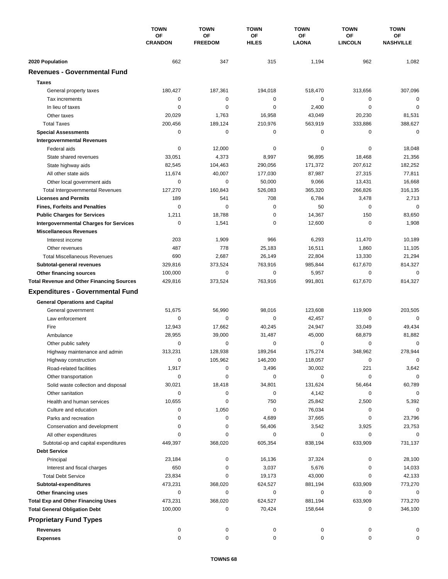|                                                  | <b>TOWN</b><br><b>OF</b><br><b>CRANDON</b> | <b>TOWN</b>          | <b>TOWN</b>        | <b>TOWN</b>        | <b>TOWN</b>          | <b>TOWN</b>            |
|--------------------------------------------------|--------------------------------------------|----------------------|--------------------|--------------------|----------------------|------------------------|
|                                                  |                                            | OF<br><b>FREEDOM</b> | ΟF<br><b>HILES</b> | OF<br><b>LAONA</b> | ОF<br><b>LINCOLN</b> | ОF<br><b>NASHVILLE</b> |
| 2020 Population                                  | 662                                        | 347                  | 315                | 1,194              | 962                  | 1,082                  |
| <b>Revenues - Governmental Fund</b>              |                                            |                      |                    |                    |                      |                        |
| <b>Taxes</b>                                     |                                            |                      |                    |                    |                      |                        |
| General property taxes                           | 180,427                                    | 187,361              | 194,018            | 518,470            | 313,656              | 307,096                |
| Tax increments                                   | 0                                          | $\mathbf 0$          | $\mathbf 0$        | 0                  | 0                    | $\mathbf 0$            |
| In lieu of taxes                                 | 0                                          | 0                    | $\mathbf 0$        | 2,400              | $\mathbf 0$          | $\mathbf 0$            |
| Other taxes                                      | 20,029                                     | 1,763                | 16,958             | 43,049             | 20,230               | 81,531                 |
| <b>Total Taxes</b>                               | 200,456                                    | 189,124              | 210,976            | 563,919            | 333,886              | 388,627                |
| <b>Special Assessments</b>                       | 0                                          | 0                    | 0                  | 0                  | 0                    | $\mathbf 0$            |
| <b>Intergovernmental Revenues</b>                |                                            |                      |                    |                    |                      |                        |
| Federal aids                                     | 0                                          | 12,000               | 0                  | 0                  | 0                    | 18,048                 |
| State shared revenues                            | 33,051                                     | 4,373                | 8,997              | 96,895             | 18,468               | 21,356                 |
| State highway aids                               | 82,545                                     | 104,463              | 290,056            | 171,372            | 207,612              | 182,252                |
| All other state aids                             | 11,674                                     | 40,007               | 177,030            | 87,987             | 27,315               | 77,811                 |
| Other local government aids                      | 0                                          | $\mathbf 0$          | 50,000             | 9,066              | 13,431               | 16,668                 |
| <b>Total Intergovernmental Revenues</b>          | 127,270                                    | 160,843              | 526,083            | 365,320            | 266,826              | 316,135                |
| <b>Licenses and Permits</b>                      | 189                                        | 541                  | 708                | 6,784              | 3,478                | 2,713                  |
| <b>Fines, Forfeits and Penalties</b>             | $\Omega$                                   | $\Omega$             | 0                  | 50                 | 0                    | $\mathbf 0$            |
| <b>Public Charges for Services</b>               | 1,211                                      | 18,788               | $\mathbf 0$        | 14,367             | 150                  | 83,650                 |
| <b>Intergovernmental Charges for Services</b>    | 0                                          | 1,541                | 0                  | 12,600             | $\mathbf 0$          | 1,908                  |
| <b>Miscellaneous Revenues</b>                    |                                            |                      |                    |                    |                      |                        |
| Interest income                                  | 203                                        | 1,909                | 966                | 6,293              | 11,470               | 10,189                 |
| Other revenues                                   | 487                                        | 778                  | 25,183             | 16,511             | 1,860                | 11,105                 |
| <b>Total Miscellaneous Revenues</b>              | 690                                        | 2,687                | 26,149             | 22,804             | 13,330               | 21,294                 |
| Subtotal-general revenues                        | 329,816                                    | 373,524              | 763,916            | 985,844            | 617,670              | 814,327                |
| <b>Other financing sources</b>                   | 100,000                                    | $\mathbf 0$          | 0                  | 5,957              | $\mathbf 0$          | 0                      |
| <b>Total Revenue and Other Financing Sources</b> | 429,816                                    | 373,524              | 763,916            | 991,801            | 617,670              | 814,327                |
| <b>Expenditures - Governmental Fund</b>          |                                            |                      |                    |                    |                      |                        |
| <b>General Operations and Capital</b>            |                                            |                      |                    |                    |                      |                        |
| General government                               | 51,675                                     | 56,990               | 98,016             | 123,608            | 119,909              | 203,505                |
| Law enforcement                                  | 0                                          | 0                    | $\mathbf 0$        | 42,457             | 0                    | $\mathbf 0$            |
| Fire                                             | 12,943                                     | 17,662               | 40,245             | 24,947             | 33,049               | 49,434                 |
| Ambulance                                        | 28,955                                     | 39,000               | 31,487             | 45,000             | 68,879               | 81,882                 |
| Other public safety                              | 0                                          | $\mathbf 0$          | 0                  | 0                  | $\mathbf 0$          | 0                      |
| Highway maintenance and admin                    | 313,231                                    | 128,938              | 189,264            | 175,274            | 348,962              | 278,944                |
| Highway construction                             | 0                                          | 105,962              | 146,200            | 118,057            | 0                    | 0                      |
| Road-related facilities                          | 1,917                                      | 0                    | 3,496              | 30,002             | 221                  | 3,642                  |
| Other transportation                             | 0                                          | 0                    | 0                  | 0                  | 0                    | 0                      |
| Solid waste collection and disposal              | 30,021                                     | 18,418               | 34,801             | 131,624            | 56,464               | 60,789                 |
| Other sanitation                                 | 0                                          | 0                    | 0                  | 4,142              | 0                    | $\mathbf 0$            |
| Health and human services                        | 10,655                                     | 0                    | 750                | 25,842             | 2,500                | 5,392                  |
| Culture and education                            | 0                                          | 1,050                | 0                  | 76,034             | 0                    | 0                      |
| Parks and recreation                             | 0                                          | 0                    | 4,689              | 37,665             | 0                    | 23,796                 |
| Conservation and development                     | 0                                          | 0                    | 56,406             | 3,542              | 3,925                | 23,753                 |
| All other expenditures                           | $\Omega$                                   | 0                    | 0                  | 0                  | 0                    | 0                      |
| Subtotal-op and capital expenditures             | 449,397                                    | 368,020              | 605,354            | 838,194            | 633,909              | 731,137                |
| <b>Debt Service</b>                              |                                            |                      |                    |                    |                      |                        |
| Principal                                        | 23,184                                     | 0                    | 16,136             | 37,324             | 0                    | 28,100                 |
| Interest and fiscal charges                      | 650                                        | 0                    | 3,037              | 5,676              | 0                    | 14,033                 |
| <b>Total Debt Service</b>                        | 23,834                                     | 0                    | 19,173             | 43,000             | 0                    | 42,133                 |
| Subtotal-expenditures                            | 473,231                                    | 368,020              | 624,527            | 881,194            | 633,909              | 773,270                |
| Other financing uses                             | 0                                          | 0                    | 0                  | 0                  | 0                    | 0                      |
| <b>Total Exp and Other Financing Uses</b>        | 473,231                                    | 368,020              | 624,527            | 881,194            | 633,909              | 773,270                |
| <b>Total General Obligation Debt</b>             | 100,000                                    | 0                    | 70,424             | 158,644            | 0                    | 346,100                |
| <b>Proprietary Fund Types</b>                    |                                            |                      |                    |                    |                      |                        |
| <b>Revenues</b>                                  | 0                                          | 0                    | 0                  | 0                  | 0                    | 0                      |
| <b>Expenses</b>                                  | 0                                          | 0                    | 0                  | 0                  | 0                    | 0                      |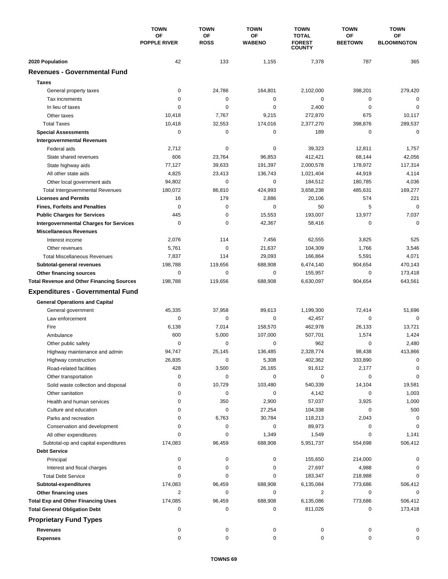|                                                  | <b>TOWN</b><br><b>OF</b><br><b>POPPLE RIVER</b> | <b>TOWN</b>              | <b>TOWN</b>         | <b>TOWN</b>                                    | <b>TOWN</b>                 | <b>TOWN</b>              |
|--------------------------------------------------|-------------------------------------------------|--------------------------|---------------------|------------------------------------------------|-----------------------------|--------------------------|
|                                                  |                                                 | <b>OF</b><br><b>ROSS</b> | OF<br><b>WABENO</b> | <b>TOTAL</b><br><b>FOREST</b><br><b>COUNTY</b> | <b>OF</b><br><b>BEETOWN</b> | OF<br><b>BLOOMINGTON</b> |
| 2020 Population                                  | 42                                              | 133                      | 1,155               | 7,378                                          | 787                         | 365                      |
| <b>Revenues - Governmental Fund</b>              |                                                 |                          |                     |                                                |                             |                          |
| <b>Taxes</b>                                     |                                                 |                          |                     |                                                |                             |                          |
| General property taxes                           | $\mathbf 0$                                     | 24,786                   | 164,801             | 2,102,000                                      | 398,201                     | 279,420                  |
| Tax increments                                   | $\mathbf 0$                                     | $\mathbf 0$              | 0                   | 0                                              | 0                           | $\mathbf 0$              |
| In lieu of taxes                                 | 0                                               | 0                        | 0                   | 2,400                                          | 0                           | $\mathbf 0$              |
| Other taxes                                      | 10,418                                          | 7,767                    | 9,215               | 272,870                                        | 675                         | 10,117                   |
| <b>Total Taxes</b>                               | 10,418                                          | 32,553                   | 174,016             | 2,377,270                                      | 398,876                     | 289,537                  |
| <b>Special Assessments</b>                       | 0                                               | 0                        | 0                   | 189                                            | $\mathbf 0$                 | $\mathbf 0$              |
| <b>Intergovernmental Revenues</b>                |                                                 |                          |                     |                                                |                             |                          |
| Federal aids                                     | 2,712                                           | 0                        | 0                   | 39,323                                         | 12,811                      | 1,757                    |
| State shared revenues                            | 606                                             | 23,764                   | 96,853              | 412,421                                        | 68,144                      | 42,056                   |
| State highway aids                               | 77,127                                          | 39,633                   | 191,397             | 2,000,578                                      | 178,972                     | 117,314                  |
| All other state aids                             | 4,825                                           | 23,413                   | 136,743             | 1,021,404                                      | 44,919                      | 4,114                    |
| Other local government aids                      | 94,802                                          | $\mathbf 0$              | 0                   | 184,512                                        | 180,785                     | 4,036                    |
| <b>Total Intergovernmental Revenues</b>          | 180,072                                         | 86,810                   | 424,993             | 3,658,238                                      | 485,631                     | 169,277                  |
| <b>Licenses and Permits</b>                      | 16                                              | 179                      | 2,886               | 20,106                                         | 574                         | 221                      |
| <b>Fines, Forfeits and Penalties</b>             | $\mathbf 0$                                     | $\mathbf 0$              | 0                   | 50                                             | 5                           | $\mathbf 0$              |
| <b>Public Charges for Services</b>               | 445                                             | $\mathbf 0$              | 15,553              | 193,007                                        | 13,977                      | 7,037                    |
| <b>Intergovernmental Charges for Services</b>    | $\mathbf 0$                                     | $\mathbf 0$              | 42,367              | 58,416                                         | 0                           | $\mathbf 0$              |
| <b>Miscellaneous Revenues</b>                    |                                                 |                          |                     |                                                |                             |                          |
| Interest income                                  | 2,076                                           | 114                      | 7,456               | 62,555                                         | 3,825                       | 525                      |
| Other revenues                                   | 5,761                                           | $\mathbf 0$              | 21,637              | 104,309                                        | 1,766                       | 3,546                    |
| <b>Total Miscellaneous Revenues</b>              | 7,837                                           | 114                      | 29,093              | 166,864                                        | 5,591                       | 4,071                    |
| Subtotal-general revenues                        | 198,788                                         | 119,656                  | 688,908             | 6,474,140                                      | 904,654                     | 470,143                  |
| Other financing sources                          | $\mathbf 0$                                     | 0                        | 0                   | 155,957                                        | $\mathbf 0$                 | 173,418                  |
| <b>Total Revenue and Other Financing Sources</b> | 198,788                                         | 119,656                  | 688,908             | 6,630,097                                      | 904,654                     | 643,561                  |
| <b>Expenditures - Governmental Fund</b>          |                                                 |                          |                     |                                                |                             |                          |
| <b>General Operations and Capital</b>            |                                                 |                          |                     |                                                |                             |                          |
| General government                               | 45,335                                          | 37,958                   | 89,613              | 1,199,300                                      | 72,414                      | 51,696                   |
| Law enforcement                                  | $\mathbf 0$                                     | $\mathbf 0$              | 0                   | 42,457                                         | $\mathbf 0$                 | $\mathbf 0$              |
| Fire                                             | 6,138                                           | 7,014                    | 158,570             | 462,978                                        | 26,133                      | 13,721                   |
| Ambulance                                        | 600                                             | 5,000                    | 107,000             | 507,701                                        | 1,574                       | 1,424                    |
| Other public safety                              | $\mathbf 0$                                     | $\mathbf 0$              | 0                   | 962                                            | 0                           | 2,480                    |
| Highway maintenance and admin                    | 94,747                                          | 25,145                   | 136,485             | 2,328,774                                      | 98,438                      | 413,866                  |
| Highway construction                             | 26,835                                          | 0                        | 5,308               | 402,362                                        | 333,890                     | 0                        |
| Road-related facilities                          | 428                                             | 3,500                    | 26,165              | 91,612                                         | 2,177                       | 0                        |
| Other transportation                             | 0                                               | 0                        | 0                   | 0                                              | 0                           | $\mathbf 0$              |
| Solid waste collection and disposal              | 0                                               | 10,729                   | 103,480             | 540,339                                        | 14,104                      | 19,581                   |
| Other sanitation                                 | 0                                               | 0                        | 0                   | 4,142                                          | 0                           | 1,003                    |
| Health and human services                        | 0                                               | 350                      | 2,900               | 57,037                                         | 3,925                       | 1,000                    |
| Culture and education                            | 0                                               | 0                        | 27,254              | 104,338                                        | 0                           | 500                      |
| Parks and recreation                             | 0                                               | 6,763                    | 30,784              | 118,213                                        | 2,043                       | 0                        |
| Conservation and development                     | 0                                               | 0                        | 0                   | 89,973                                         | 0                           | 0                        |
| All other expenditures                           | 0                                               | 0                        | 1,349               | 1,549                                          | 0                           | 1,141                    |
| Subtotal-op and capital expenditures             | 174,083                                         | 96,459                   | 688,908             | 5,951,737                                      | 554,698                     | 506,412                  |
| <b>Debt Service</b>                              |                                                 |                          |                     |                                                |                             |                          |
| Principal                                        | 0                                               | 0                        | 0                   | 155,650                                        | 214,000                     | 0                        |
| Interest and fiscal charges                      | 0                                               | 0                        | 0                   | 27,697                                         | 4,988                       | 0                        |
| <b>Total Debt Service</b>                        | 0                                               | 0                        | 0                   | 183,347                                        | 218,988                     | 0                        |
| Subtotal-expenditures                            | 174,083                                         | 96,459                   | 688,908             | 6,135,084                                      | 773,686                     | 506,412                  |
| Other financing uses                             | 2                                               | 0                        | 0                   | 2                                              | 0                           | 0                        |
| <b>Total Exp and Other Financing Uses</b>        | 174,085                                         | 96,459                   | 688,908             | 6,135,086                                      | 773,686                     | 506,412                  |
| <b>Total General Obligation Debt</b>             | 0                                               | 0                        | 0                   | 811,026                                        | 0                           | 173,418                  |
| <b>Proprietary Fund Types</b>                    |                                                 |                          |                     |                                                |                             |                          |
| <b>Revenues</b>                                  | 0                                               | 0                        | 0                   | 0                                              | 0                           | 0                        |
| <b>Expenses</b>                                  | 0                                               | 0                        | 0                   | 0                                              | 0                           | 0                        |
|                                                  |                                                 |                          |                     |                                                |                             |                          |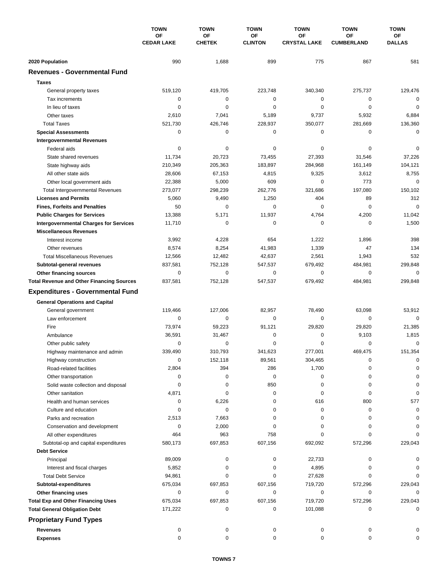|                                                             | <b>TOWN</b><br>OF<br><b>CEDAR LAKE</b> | <b>TOWN</b>              | <b>TOWN</b>          | <b>TOWN</b>               | <b>TOWN</b>                | <b>TOWN</b>                |
|-------------------------------------------------------------|----------------------------------------|--------------------------|----------------------|---------------------------|----------------------------|----------------------------|
|                                                             |                                        | OF<br><b>CHETEK</b>      | OF<br><b>CLINTON</b> | OF<br><b>CRYSTAL LAKE</b> | ОF<br><b>CUMBERLAND</b>    | ОF<br><b>DALLAS</b>        |
|                                                             |                                        |                          |                      |                           |                            |                            |
| 2020 Population<br><b>Revenues - Governmental Fund</b>      | 990                                    | 1,688                    | 899                  | 775                       | 867                        | 581                        |
|                                                             |                                        |                          |                      |                           |                            |                            |
| <b>Taxes</b>                                                |                                        |                          |                      |                           |                            |                            |
| General property taxes                                      | 519,120                                | 419,705                  | 223,748              | 340,340                   | 275,737                    | 129,476                    |
| Tax increments                                              | 0                                      | $\pmb{0}$<br>$\mathbf 0$ | 0<br>0               | 0<br>0                    | $\mathbf 0$<br>$\mathbf 0$ | $\mathbf 0$<br>$\mathbf 0$ |
| In lieu of taxes<br>Other taxes                             | 0<br>2,610                             | 7,041                    | 5,189                | 9,737                     | 5,932                      | 6,884                      |
| <b>Total Taxes</b>                                          | 521,730                                | 426,746                  | 228,937              | 350,077                   | 281,669                    | 136,360                    |
|                                                             | 0                                      | $\mathbf 0$              | 0                    | 0                         | 0                          | $\mathbf 0$                |
| <b>Special Assessments</b>                                  |                                        |                          |                      |                           |                            |                            |
| <b>Intergovernmental Revenues</b><br>Federal aids           | 0                                      | 0                        | 0                    | 0                         | 0                          | 0                          |
| State shared revenues                                       | 11,734                                 | 20,723                   | 73,455               | 27,393                    | 31,546                     | 37,226                     |
| State highway aids                                          | 210,349                                | 205,363                  | 183,897              | 284,968                   | 161,149                    | 104,121                    |
| All other state aids                                        | 28,606                                 | 67,153                   | 4,815                | 9,325                     | 3,612                      | 8,755                      |
| Other local government aids                                 | 22,388                                 | 5,000                    | 609                  | 0                         | 773                        | $\mathbf 0$                |
| <b>Total Intergovernmental Revenues</b>                     | 273,077                                | 298,239                  | 262,776              | 321,686                   | 197,080                    | 150,102                    |
| <b>Licenses and Permits</b>                                 | 5,060                                  | 9,490                    | 1,250                | 404                       | 89                         | 312                        |
| <b>Fines, Forfeits and Penalties</b>                        | 50                                     | 0                        | 0                    | $\Omega$                  | $\Omega$                   | $\mathbf 0$                |
| <b>Public Charges for Services</b>                          | 13,388                                 | 5,171                    | 11,937               | 4,764                     | 4,200                      | 11,042                     |
| <b>Intergovernmental Charges for Services</b>               | 11,710                                 | 0                        | 0                    | 0                         | 0                          | 1,500                      |
| <b>Miscellaneous Revenues</b>                               |                                        |                          |                      |                           |                            |                            |
| Interest income                                             | 3,992                                  | 4,228                    | 654                  | 1,222                     | 1,896                      | 398                        |
| Other revenues                                              | 8,574                                  | 8,254                    | 41,983               | 1,339                     | 47                         | 134                        |
| <b>Total Miscellaneous Revenues</b>                         | 12,566                                 | 12,482                   | 42,637               | 2,561                     | 1,943                      | 532                        |
| Subtotal-general revenues                                   | 837,581                                | 752,128                  | 547,537              | 679,492                   | 484,981                    | 299,848                    |
| Other financing sources                                     | 0                                      | 0                        | 0                    | 0                         | $\mathbf 0$                | 0                          |
| <b>Total Revenue and Other Financing Sources</b>            | 837,581                                | 752,128                  | 547,537              | 679,492                   | 484,981                    | 299,848                    |
| <b>Expenditures - Governmental Fund</b>                     |                                        |                          |                      |                           |                            |                            |
|                                                             |                                        |                          |                      |                           |                            |                            |
| <b>General Operations and Capital</b>                       |                                        |                          |                      |                           |                            |                            |
| General government                                          | 119,466                                | 127,006                  | 82,957               | 78,490                    | 63,098                     | 53,912                     |
| Law enforcement                                             | 0                                      | 0                        | $\mathbf 0$          | 0                         | 0                          | $\mathbf 0$                |
| Fire                                                        | 73,974                                 | 59,223                   | 91,121               | 29,820                    | 29,820                     | 21,385                     |
| Ambulance                                                   | 36,591                                 | 31,467                   | 0                    | 0                         | 9,103                      | 1,815                      |
| Other public safety                                         | 0                                      | 0<br>310.793             | 0                    | 0                         | $\mathbf 0$                | $\mathbf 0$                |
| Highway maintenance and admin                               | 339,490                                |                          | 341,623              | 277,001                   | 469.475                    | 151,354                    |
| Highway construction                                        | 0                                      | 152,118                  | 89,561               | 304,465                   | 0                          | 0                          |
| Road-related facilities                                     | 2,804                                  | 394                      | 286                  | 1,700                     | 0                          | 0                          |
| Other transportation                                        | 0                                      | 0                        | 0                    | 0                         | 0                          | 0                          |
| Solid waste collection and disposal                         | 0                                      | 0                        | 850                  | 0                         | 0                          | 0                          |
| Other sanitation                                            | 4,871                                  | 0                        | 0                    | 0                         | 0                          | 0                          |
| Health and human services                                   | 0                                      | 6,226                    | 0                    | 616                       | 800                        | 577                        |
| Culture and education                                       | 0                                      | 0                        | 0                    | 0<br>0                    | 0<br>0                     | 0                          |
| Parks and recreation                                        | 2,513                                  | 7,663                    | 0                    |                           |                            | 0                          |
| Conservation and development                                | 0                                      | 2,000                    | 0                    | 0<br>0                    | 0<br>0                     | 0<br>O                     |
| All other expenditures                                      | 464<br>580,173                         | 963<br>697,853           | 758<br>607,156       | 692,092                   | 572,296                    | 229,043                    |
| Subtotal-op and capital expenditures<br><b>Debt Service</b> |                                        |                          |                      |                           |                            |                            |
|                                                             |                                        | 0                        |                      | 22,733                    |                            |                            |
| Principal                                                   | 89,009                                 | 0                        | 0<br>0               |                           | 0                          |                            |
| Interest and fiscal charges<br><b>Total Debt Service</b>    | 5,852<br>94,861                        | 0                        | 0                    | 4,895<br>27,628           | 0<br>0                     |                            |
| Subtotal-expenditures                                       | 675,034                                | 697,853                  | 607,156              | 719,720                   | 572,296                    | 229,043                    |
| Other financing uses                                        | 0                                      | 0                        | 0                    | 0                         | 0                          | 0                          |
| <b>Total Exp and Other Financing Uses</b>                   | 675,034                                | 697,853                  | 607,156              | 719,720                   | 572,296                    | 229,043                    |
| <b>Total General Obligation Debt</b>                        | 171,222                                | 0                        | 0                    | 101,088                   | 0                          | 0                          |
|                                                             |                                        |                          |                      |                           |                            |                            |
| <b>Proprietary Fund Types</b>                               |                                        |                          |                      |                           |                            |                            |
| <b>Revenues</b>                                             | 0                                      | 0                        | 0                    | 0                         | 0                          |                            |
| <b>Expenses</b>                                             | 0                                      | 0                        | 0                    | 0                         | 0                          | 0                          |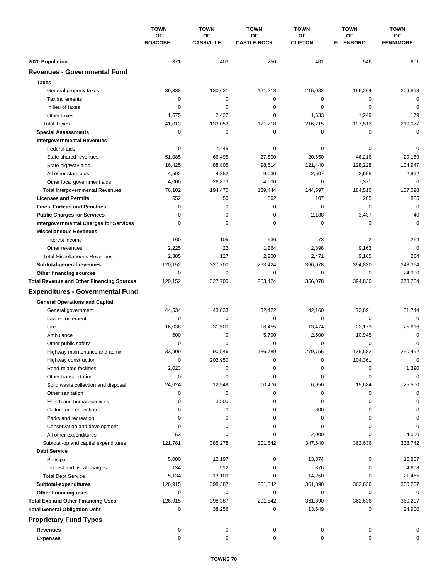|                                                  | <b>TOWN</b><br><b>OF</b><br><b>BOSCOBEL</b> | <b>TOWN</b>            | <b>TOWN</b>              | <b>TOWN</b>          | <b>TOWN</b>            | <b>TOWN</b>                   |
|--------------------------------------------------|---------------------------------------------|------------------------|--------------------------|----------------------|------------------------|-------------------------------|
|                                                  |                                             | OF<br><b>CASSVILLE</b> | OF<br><b>CASTLE ROCK</b> | ΟF<br><b>CLIFTON</b> | ОF<br><b>ELLENBORO</b> | <b>OF</b><br><b>FENNIMORE</b> |
| 2020 Population                                  | 371                                         | 403                    | 256                      | 401                  | 546                    | 601                           |
| <b>Revenues - Governmental Fund</b>              |                                             |                        |                          |                      |                        |                               |
| <b>Taxes</b>                                     |                                             |                        |                          |                      |                        |                               |
| General property taxes                           | 39,338                                      | 130,631                | 121,218                  | 215,082              | 196,264                | 209,898                       |
| Tax increments                                   | $\mathbf 0$                                 | $\mathbf 0$            | 0                        | 0                    | 0                      | $\mathbf 0$                   |
| In lieu of taxes                                 | 0                                           | 0                      | $\mathbf 0$              | 0                    | $\mathbf 0$            | 0                             |
| Other taxes                                      | 1,675                                       | 2,422                  | 0                        | 1,633                | 1,249                  | 179                           |
| <b>Total Taxes</b>                               | 41,013                                      | 133,053                | 121,218                  | 216,715              | 197,513                | 210,077                       |
| <b>Special Assessments</b>                       | 0                                           | $\mathbf 0$            | 0                        | 0                    | $\mathbf 0$            | 0                             |
| <b>Intergovernmental Revenues</b>                |                                             |                        |                          |                      |                        |                               |
| Federal aids                                     | 0                                           | 7,445                  | 0                        | 0                    | 0                      | $\mathbf 0$                   |
| State shared revenues                            | 51,085                                      | 66,495                 | 27,800                   | 20,650               | 46,216                 | 29,159                        |
| State highway aids                               | 16,425                                      | 88,805                 | 98,614                   | 121,440              | 128,228                | 104,947                       |
| All other state aids                             | 4,592                                       | 4,852                  | 9,030                    | 2,507                | 2,695                  | 2,992                         |
| Other local government aids                      | 4,000                                       | 26,873                 | 4,000                    | 0                    | 7,371                  | $\mathbf 0$                   |
| <b>Total Intergovernmental Revenues</b>          | 76,102                                      | 194,470                | 139,444                  | 144,597              | 184,510                | 137,098                       |
| <b>Licenses and Permits</b>                      | 652                                         | 50                     | 562                      | 107                  | 205                    | 885                           |
| <b>Fines, Forfeits and Penalties</b>             | 0                                           | $\mathbf 0$            | 0                        | $\Omega$             | $\Omega$               | $\mathbf 0$                   |
| <b>Public Charges for Services</b>               | 0                                           | $\mathbf 0$            | $\mathbf 0$              | 2,188                | 3,437                  | 40                            |
| <b>Intergovernmental Charges for Services</b>    | 0                                           | 0                      | 0                        | 0                    | 0                      | $\Omega$                      |
| <b>Miscellaneous Revenues</b>                    |                                             |                        |                          |                      |                        |                               |
| Interest income                                  | 160                                         | 105                    | 936                      | 73                   | $\overline{2}$         | 264                           |
| Other revenues                                   | 2,225                                       | 22                     | 1,264                    | 2,398                | 9,163                  | $\mathbf 0$                   |
| <b>Total Miscellaneous Revenues</b>              | 2,385                                       | 127                    | 2,200                    | 2,471                | 9,165                  | 264                           |
| Subtotal-general revenues                        | 120,152                                     | 327,700                | 263,424                  | 366,078              | 394,830                | 348,364                       |
| Other financing sources                          | $\mathbf 0$                                 | $\mathbf 0$            | 0                        | 0                    | $\mathbf 0$            | 24,900                        |
| <b>Total Revenue and Other Financing Sources</b> | 120,152                                     | 327,700                | 263,424                  | 366,078              | 394,830                | 373,264                       |
| <b>Expenditures - Governmental Fund</b>          |                                             |                        |                          |                      |                        |                               |
| <b>General Operations and Capital</b>            |                                             |                        |                          |                      |                        |                               |
| General government                               | 44,534                                      | 43,833                 | 32,422                   | 42.160               | 73,891                 | 31,744                        |
| Law enforcement                                  | 0                                           | 0                      | $\mathbf 0$              | 0                    | 0                      | $\Omega$                      |
| Fire                                             | 16,038                                      | 31,500                 | 16,455                   | 13,474               | 22,173                 | 25,616                        |
| Ambulance                                        | 600                                         | 0                      | 5,700                    | 2,500                | 10,945                 | 0                             |
| Other public safety                              | 0                                           | 0                      | 0                        | 0                    | $\mathbf 0$            | 0                             |
| Highway maintenance and admin                    | 33,909                                      | 90,546                 | 136,789                  | 279,756              | 135.582                | 250,492                       |
| Highway construction                             | 0                                           | 202,950                | 0                        | 0                    | 104,361                | 0                             |
| Road-related facilities                          | 2,023                                       | 0                      | 0                        | 0                    | 0                      | 1,390                         |
| Other transportation                             | 0                                           | 0                      | 0                        | 0                    | 0                      | 0                             |
| Solid waste collection and disposal              | 24,624                                      | 12,949                 | 10,476                   | 6,950                | 15,684                 | 25,500                        |
| Other sanitation                                 | 0                                           | 0                      | 0                        | 0                    | 0                      | 0                             |
| Health and human services                        | 0                                           | 3,500                  | 0                        | 0                    | 0                      | 0                             |
| Culture and education                            | 0                                           | 0                      | 0                        | 800                  | 0                      | 0                             |
| Parks and recreation                             | 0                                           | 0                      | 0                        | 0                    | 0                      | 0                             |
| Conservation and development                     | 0                                           | 0                      | 0                        | 0                    | 0                      | 0                             |
| All other expenditures                           | 53                                          | 0                      | 0                        | 2,000                | 0                      | 4,000                         |
| Subtotal-op and capital expenditures             | 121,781                                     | 385,278                | 201,842                  | 347,640              | 362,636                | 338,742                       |
| <b>Debt Service</b>                              |                                             |                        |                          |                      |                        |                               |
| Principal                                        | 5,000                                       | 12,197                 | 0                        | 13,374               | 0                      | 16,857                        |
| Interest and fiscal charges                      | 134                                         | 912                    | 0                        | 876                  | 0                      | 4,608                         |
| <b>Total Debt Service</b>                        | 5,134                                       | 13,109                 | 0                        | 14,250               | 0                      | 21,465                        |
| Subtotal-expenditures                            | 126,915                                     | 398,387                | 201,842                  | 361,890              | 362,636                | 360,207                       |
| Other financing uses                             | 0                                           | 0                      | 0                        | 0                    | $\mathbf 0$            | 0                             |
| <b>Total Exp and Other Financing Uses</b>        | 126,915                                     | 398,387                | 201,842                  | 361,890              | 362,636                | 360,207                       |
| <b>Total General Obligation Debt</b>             | 0                                           | 38,256                 | 0                        | 13,649               | 0                      | 24,900                        |
| <b>Proprietary Fund Types</b>                    |                                             |                        |                          |                      |                        |                               |
| <b>Revenues</b>                                  | 0                                           | 0                      | 0                        | 0                    | 0                      | 0                             |
| <b>Expenses</b>                                  | 0                                           | 0                      | 0                        | 0                    | 0                      | 0                             |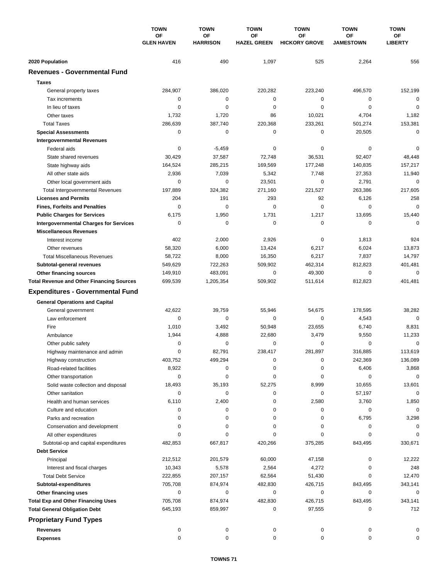|                                                                             | <b>TOWN</b>                    | <b>TOWN</b>           | <b>TOWN</b>              | <b>TOWN</b>                | <b>TOWN</b>            | <b>TOWN</b>            |
|-----------------------------------------------------------------------------|--------------------------------|-----------------------|--------------------------|----------------------------|------------------------|------------------------|
|                                                                             | <b>OF</b><br><b>GLEN HAVEN</b> | OF<br><b>HARRISON</b> | OF<br><b>HAZEL GREEN</b> | OF<br><b>HICKORY GROVE</b> | ОF<br><b>JAMESTOWN</b> | ОF<br><b>LIBERTY</b>   |
| 2020 Population                                                             | 416                            | 490                   | 1,097                    | 525                        | 2,264                  | 556                    |
| <b>Revenues - Governmental Fund</b>                                         |                                |                       |                          |                            |                        |                        |
|                                                                             |                                |                       |                          |                            |                        |                        |
| <b>Taxes</b>                                                                |                                |                       |                          |                            |                        |                        |
| General property taxes                                                      | 284,907                        | 386,020               | 220,282                  | 223,240                    | 496,570                | 152,199                |
| Tax increments                                                              | 0                              | $\pmb{0}$             | 0                        | 0                          | $\mathbf 0$            | $\mathbf 0$            |
| In lieu of taxes                                                            | 0                              | 0                     | 0                        | 0                          | $\mathbf 0$            | $\mathbf 0$            |
| Other taxes                                                                 | 1,732                          | 1,720                 | 86                       | 10,021                     | 4,704                  | 1,182                  |
| <b>Total Taxes</b>                                                          | 286,639                        | 387,740               | 220,368<br>0             | 233,261<br>0               | 501,274                | 153,381<br>$\mathbf 0$ |
| <b>Special Assessments</b>                                                  | 0                              | 0                     |                          |                            | 20,505                 |                        |
| <b>Intergovernmental Revenues</b><br>Federal aids                           | 0                              | $-5,459$              | 0                        | 0                          | 0                      | 0                      |
| State shared revenues                                                       | 30,429                         | 37,587                | 72,748                   | 36,531                     | 92,407                 | 48,448                 |
|                                                                             | 164,524                        | 285,215               | 169,569                  | 177,248                    | 140,835                | 157,217                |
| State highway aids<br>All other state aids                                  | 2,936                          | 7,039                 | 5,342                    | 7,748                      | 27,353                 | 11,940                 |
| Other local government aids                                                 | 0                              | 0                     | 23,501                   | 0                          | 2,791                  | $\mathbf 0$            |
|                                                                             | 197,889                        | 324,382               | 271,160                  | 221,527                    | 263,386                | 217,605                |
| <b>Total Intergovernmental Revenues</b><br><b>Licenses and Permits</b>      | 204                            | 191                   | 293                      | 92                         | 6,126                  | 258                    |
|                                                                             | 0                              | $\mathbf 0$           | $\mathbf 0$              | 0                          | 0                      | $\mathbf 0$            |
| <b>Fines, Forfeits and Penalties</b>                                        |                                |                       | 1,731                    |                            |                        |                        |
| <b>Public Charges for Services</b>                                          | 6,175<br>0                     | 1,950<br>$\mathbf 0$  | $\mathbf 0$              | 1,217<br>0                 | 13,695<br>0            | 15,440<br>$\Omega$     |
| <b>Intergovernmental Charges for Services</b>                               |                                |                       |                          |                            |                        |                        |
| <b>Miscellaneous Revenues</b>                                               |                                |                       |                          | 0                          |                        |                        |
| Interest income                                                             | 402                            | 2,000                 | 2,926                    |                            | 1,813                  | 924                    |
| Other revenues                                                              | 58,320                         | 6,000                 | 13,424                   | 6,217                      | 6,024                  | 13,873                 |
| <b>Total Miscellaneous Revenues</b>                                         | 58,722                         | 8,000                 | 16,350                   | 6,217<br>462,314           | 7,837                  | 14,797                 |
| Subtotal-general revenues                                                   | 549,629                        | 722,263<br>483,091    | 509,902<br>0             |                            | 812,823<br>$\mathbf 0$ | 401,481<br>$\mathbf 0$ |
| Other financing sources<br><b>Total Revenue and Other Financing Sources</b> | 149,910<br>699,539             | 1,205,354             | 509,902                  | 49,300<br>511,614          | 812,823                | 401,481                |
|                                                                             |                                |                       |                          |                            |                        |                        |
| <b>Expenditures - Governmental Fund</b>                                     |                                |                       |                          |                            |                        |                        |
| <b>General Operations and Capital</b>                                       |                                |                       |                          |                            |                        |                        |
| General government                                                          | 42,622                         | 39,759                | 55,946                   | 54,675                     | 178,595                | 38,282                 |
| Law enforcement                                                             | 0                              | $\mathbf 0$           | 0                        | 0                          | 4,543                  | $\mathbf 0$            |
| Fire                                                                        | 1,010                          | 3,492                 | 50,948                   | 23,655                     | 6,740                  | 8,831                  |
| Ambulance                                                                   | 1,944                          | 4,888                 | 22,680                   | 3,479                      | 9,550                  | 11,233                 |
| Other public safety                                                         | 0                              | 0                     | 0                        | 0                          | 0                      | $\mathbf 0$            |
| Highway maintenance and admin                                               | $\Omega$                       | 82,791                | 238,417                  | 281,897                    | 316,885                | 113,619                |
| Highway construction                                                        | 403,752                        | 499,294               | 0                        | 0                          | 242,369                | 136,089                |
| Road-related facilities                                                     | 8,922                          | 0                     | 0                        | 0                          | 6,406                  | 3,868                  |
| Other transportation                                                        | 0                              | 0                     | 0                        | 0                          | 0                      | $\mathbf 0$            |
| Solid waste collection and disposal                                         | 18,493                         | 35,193                | 52,275                   | 8,999                      | 10,655                 | 13,601                 |
| Other sanitation                                                            | 0                              | $\pmb{0}$             | 0                        | 0                          | 57,197                 | $\mathbf 0$            |
| Health and human services                                                   | 6,110                          | 2,400                 | 0                        | 2,580                      | 3,760                  | 1,850                  |
| Culture and education                                                       | 0                              | 0                     | 0                        | 0                          | 0                      | 0                      |
| Parks and recreation                                                        | 0                              | 0                     | 0                        | 0                          | 6,795                  | 3,298                  |
| Conservation and development                                                | 0                              | 0                     | 0                        | 0                          | 0                      | 0                      |
| All other expenditures                                                      | 0                              | 0                     | 0                        | 0                          | 0                      |                        |
| Subtotal-op and capital expenditures                                        | 482,853                        | 667,817               | 420,266                  | 375,285                    | 843,495                | 330,671                |
| <b>Debt Service</b>                                                         |                                |                       |                          |                            |                        |                        |
| Principal                                                                   | 212,512                        | 201,579               | 60,000                   | 47,158                     | 0                      | 12,222                 |
| Interest and fiscal charges                                                 | 10,343                         | 5,578                 | 2,564                    | 4,272                      | 0                      | 248                    |
| <b>Total Debt Service</b>                                                   | 222,855                        | 207,157               | 62,564                   | 51,430                     | 0                      | 12,470                 |
| Subtotal-expenditures                                                       | 705,708                        | 874,974               | 482,830                  | 426,715                    | 843,495                | 343,141                |
| Other financing uses                                                        | 0                              | 0                     | 0                        | 0                          | 0                      | 0                      |
| <b>Total Exp and Other Financing Uses</b>                                   | 705,708                        | 874,974               | 482,830                  | 426,715                    | 843,495                | 343,141                |
| <b>Total General Obligation Debt</b>                                        | 645,193                        | 859,997               | 0                        | 97,555                     | 0                      | 712                    |
| <b>Proprietary Fund Types</b>                                               |                                |                       |                          |                            |                        |                        |
| <b>Revenues</b>                                                             | 0                              | 0                     | 0                        | 0                          | 0                      | 0                      |
| <b>Expenses</b>                                                             | 0                              | 0                     | 0                        | 0                          | 0                      | 0                      |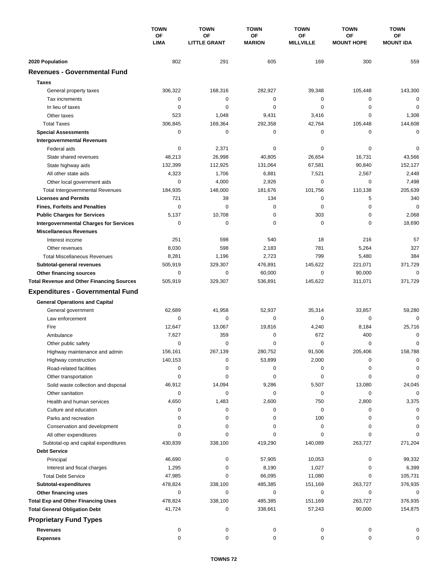|                                                                                    | <b>TOWN</b><br>ΟF<br><b>LIMA</b> | <b>TOWN</b>                      | <b>TOWN</b><br>OF<br><b>MARION</b> | <b>TOWN</b>            | <b>TOWN</b>                    | <b>TOWN</b><br><b>OF</b><br><b>MOUNT IDA</b> |
|------------------------------------------------------------------------------------|----------------------------------|----------------------------------|------------------------------------|------------------------|--------------------------------|----------------------------------------------|
|                                                                                    |                                  | <b>OF</b><br><b>LITTLE GRANT</b> |                                    | ΟF<br><b>MILLVILLE</b> | <b>OF</b><br><b>MOUNT HOPE</b> |                                              |
| 2020 Population                                                                    | 802                              | 291                              | 605                                | 169                    | 300                            | 559                                          |
| <b>Revenues - Governmental Fund</b>                                                |                                  |                                  |                                    |                        |                                |                                              |
| <b>Taxes</b>                                                                       |                                  |                                  |                                    |                        |                                |                                              |
| General property taxes                                                             | 306,322                          | 168,316                          | 282,927                            | 39,348                 | 105,448                        | 143,300                                      |
| Tax increments                                                                     | 0                                | $\mathbf 0$                      | $\mathbf 0$                        | 0                      | 0                              | $\mathbf 0$                                  |
| In lieu of taxes                                                                   | 0                                | 0                                | 0                                  | 0                      | 0                              | 0                                            |
| Other taxes                                                                        | 523                              | 1,048                            | 9,431                              | 3,416                  | $\mathbf 0$                    | 1,308                                        |
| <b>Total Taxes</b>                                                                 | 306,845                          | 169,364                          | 292,358                            | 42,764                 | 105,448                        | 144,608                                      |
| <b>Special Assessments</b>                                                         | 0                                | 0                                | 0                                  | 0                      | 0                              | 0                                            |
| <b>Intergovernmental Revenues</b>                                                  |                                  |                                  |                                    |                        |                                |                                              |
| Federal aids                                                                       | 0                                | 2,371                            | 0                                  | 0                      | 0                              | 0                                            |
| State shared revenues                                                              | 48,213                           | 26,998                           | 40,805                             | 26,654                 | 16,731                         | 43,566                                       |
| State highway aids                                                                 | 132,399                          | 112,925                          | 131,064                            | 67,581                 | 90,840                         | 152,127                                      |
| All other state aids                                                               | 4,323                            | 1,706                            | 6,881                              | 7,521                  | 2,567                          | 2,448                                        |
| Other local government aids                                                        | 0                                | 4,000                            | 2,926                              | 0                      | $\mathbf 0$                    | 7,498                                        |
| <b>Total Intergovernmental Revenues</b>                                            | 184,935                          | 148,000                          | 181,676                            | 101,756                | 110,138                        | 205,639                                      |
| <b>Licenses and Permits</b>                                                        | 721                              | 39                               | 134                                | 0                      | 5                              | 340                                          |
| <b>Fines, Forfeits and Penalties</b>                                               | $\mathbf 0$                      | $\Omega$                         | $\mathbf 0$                        | $\mathbf 0$            | $\mathbf 0$                    | $\mathbf 0$                                  |
| <b>Public Charges for Services</b>                                                 | 5,137                            | 10,708                           | $\mathbf 0$                        | 303                    | $\mathbf 0$                    | 2,068                                        |
| <b>Intergovernmental Charges for Services</b>                                      | $\mathbf 0$                      | $\mathbf 0$                      | $\mathbf 0$                        | $\mathbf 0$            | $\mathbf 0$                    | 18,690                                       |
| <b>Miscellaneous Revenues</b>                                                      |                                  |                                  |                                    |                        |                                |                                              |
| Interest income                                                                    | 251                              | 598                              | 540                                | 18                     | 216                            | 57                                           |
| Other revenues                                                                     | 8,030                            | 598                              | 2,183                              | 781                    | 5,264                          | 327                                          |
| <b>Total Miscellaneous Revenues</b>                                                | 8,281                            | 1,196                            | 2,723                              | 799                    | 5,480                          | 384                                          |
|                                                                                    | 505,919                          | 329,307                          | 476,891                            | 145,622                | 221,071                        | 371,729                                      |
| Subtotal-general revenues                                                          | 0                                | 0                                | 60,000                             | 0                      | 90,000                         | 0                                            |
| <b>Other financing sources</b><br><b>Total Revenue and Other Financing Sources</b> | 505,919                          | 329,307                          | 536,891                            | 145,622                | 311,071                        | 371,729                                      |
|                                                                                    |                                  |                                  |                                    |                        |                                |                                              |
| <b>Expenditures - Governmental Fund</b>                                            |                                  |                                  |                                    |                        |                                |                                              |
| <b>General Operations and Capital</b>                                              |                                  |                                  |                                    |                        |                                |                                              |
| General government                                                                 | 62,689                           | 41,958                           | 52,937                             | 35,314                 | 33,857                         | 59,280                                       |
| Law enforcement                                                                    | 0                                | 0                                | 0                                  | $\mathbf 0$            | 0                              | $\Omega$                                     |
| Fire                                                                               | 12,647                           | 13,067                           | 19.816                             | 4,240                  | 8,184                          | 25,716                                       |
| Ambulance                                                                          | 7,627                            | 359                              | 0                                  | 672                    | 400                            | 0                                            |
| Other public safety                                                                | 0                                | $\mathbf 0$                      | 0                                  | 0                      | $\mathbf 0$                    | 0                                            |
| Highway maintenance and admin                                                      | 156,161                          | 267,139                          | 280,752                            | 91,506                 | 205,406                        | 158,788                                      |
| Highway construction                                                               | 140,153                          | 0                                | 53,899                             | 2,000                  | 0                              | 0                                            |
| Road-related facilities                                                            | 0                                | 0                                | 0                                  | 0                      | 0                              | 0                                            |
| Other transportation                                                               | 0                                | 0                                | 0                                  | 0                      | 0                              | $\mathbf 0$                                  |
| Solid waste collection and disposal                                                | 46,912                           | 14,094                           | 9,286                              | 5,507                  | 13,080                         | 24,045                                       |
| Other sanitation                                                                   | 0                                | 0                                | 0                                  | 0                      | 0                              | $\mathbf 0$                                  |
| Health and human services                                                          | 4,650                            | 1,483                            | 2,600                              | 750                    | 2,800                          | 3,375                                        |
| Culture and education                                                              | 0                                | 0                                | 0                                  | 0                      | 0                              | 0                                            |
| Parks and recreation                                                               | 0                                | 0                                | 0                                  | 100                    | 0                              | 0                                            |
| Conservation and development                                                       | 0                                | 0                                | 0                                  | 0                      | 0                              | 0                                            |
| All other expenditures                                                             | $\Omega$                         | 0                                | 0                                  | 0                      | 0                              |                                              |
| Subtotal-op and capital expenditures                                               | 430,839                          | 338,100                          | 419,290                            | 140,089                | 263,727                        | 271,204                                      |
| <b>Debt Service</b>                                                                |                                  |                                  |                                    |                        |                                |                                              |
| Principal                                                                          | 46,690                           | 0                                | 57,905                             | 10,053                 | 0                              | 99,332                                       |
| Interest and fiscal charges                                                        | 1,295                            | 0                                | 8,190                              | 1,027                  | 0                              | 6,399                                        |
| <b>Total Debt Service</b>                                                          | 47,985                           | 0                                | 66,095                             | 11,080                 | 0                              | 105,731                                      |
| Subtotal-expenditures                                                              | 478,824                          | 338,100                          | 485,385                            | 151,169                | 263,727                        | 376,935                                      |
| Other financing uses                                                               | 0                                | 0                                | 0                                  | 0                      | 0                              | 0                                            |
| <b>Total Exp and Other Financing Uses</b>                                          | 478,824                          | 338,100                          | 485,385                            | 151,169                | 263,727                        | 376,935                                      |
| <b>Total General Obligation Debt</b>                                               | 41,724                           | 0                                | 338,661                            | 57,243                 | 90,000                         | 154,875                                      |
| <b>Proprietary Fund Types</b>                                                      |                                  |                                  |                                    |                        |                                |                                              |
| <b>Revenues</b>                                                                    | 0                                | 0                                | 0                                  | 0                      | 0                              | 0                                            |
| <b>Expenses</b>                                                                    | 0                                | 0                                | 0                                  | 0                      | 0                              | 0                                            |
|                                                                                    |                                  |                                  |                                    |                        |                                |                                              |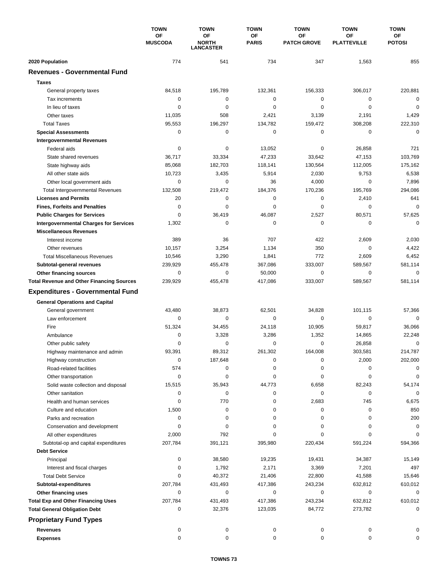|                                                         | <b>TOWN</b>          | <b>TOWN</b><br><b>TOWN</b>             |                    | <b>TOWN</b>              | <b>TOWN</b>              | <b>TOWN</b>         |
|---------------------------------------------------------|----------------------|----------------------------------------|--------------------|--------------------------|--------------------------|---------------------|
|                                                         | OF<br><b>MUSCODA</b> | OF<br><b>NORTH</b><br><b>LANCASTER</b> | OF<br><b>PARIS</b> | OF<br><b>PATCH GROVE</b> | ОF<br><b>PLATTEVILLE</b> | ОF<br><b>POTOSI</b> |
| 2020 Population                                         | 774                  | 541                                    | 734                | 347                      | 1,563                    | 855                 |
| <b>Revenues - Governmental Fund</b>                     |                      |                                        |                    |                          |                          |                     |
| <b>Taxes</b>                                            |                      |                                        |                    |                          |                          |                     |
|                                                         | 84,518               | 195,789                                | 132,361            | 156,333                  | 306,017                  | 220,881             |
| General property taxes<br>Tax increments                | 0                    | 0                                      | 0                  | 0                        | $\mathbf 0$              | $\mathbf 0$         |
| In lieu of taxes                                        | 0                    | 0                                      | 0                  | 0                        | $\mathbf 0$              | $\mathbf 0$         |
| Other taxes                                             | 11,035               | 508                                    | 2,421              | 3,139                    | 2,191                    | 1,429               |
| <b>Total Taxes</b>                                      | 95,553               | 196,297                                | 134,782            | 159,472                  | 308,208                  | 222,310             |
|                                                         | 0                    | 0                                      | 0                  | 0                        | 0                        | $\mathbf 0$         |
| <b>Special Assessments</b>                              |                      |                                        |                    |                          |                          |                     |
| <b>Intergovernmental Revenues</b><br>Federal aids       | 0                    | 0                                      | 13,052             | 0                        | 26,858                   | 721                 |
|                                                         | 36,717               | 33,334                                 | 47,233             | 33,642                   | 47,153                   | 103,769             |
| State shared revenues                                   | 85,068               | 182,703                                | 118,141            | 130,564                  | 112,005                  | 175,162             |
| State highway aids<br>All other state aids              | 10,723               | 3,435                                  | 5,914              | 2,030                    | 9,753                    | 6,538               |
|                                                         |                      | 0                                      |                    |                          | 0                        |                     |
| Other local government aids                             | 0                    |                                        | 36                 | 4,000                    |                          | 7,896               |
| <b>Total Intergovernmental Revenues</b>                 | 132,508              | 219,472                                | 184,376            | 170,236                  | 195,769                  | 294,086             |
| <b>Licenses and Permits</b>                             | 20                   | 0                                      | 0                  | 0                        | 2,410                    | 641                 |
| <b>Fines, Forfeits and Penalties</b>                    | 0                    | $\Omega$                               | 0                  | 0                        | 0                        | $\mathbf 0$         |
| <b>Public Charges for Services</b>                      | 0                    | 36,419                                 | 46,087             | 2,527                    | 80,571                   | 57,625              |
| <b>Intergovernmental Charges for Services</b>           | 1,302                | 0                                      | 0                  | 0                        | 0                        | $\mathbf 0$         |
| <b>Miscellaneous Revenues</b>                           |                      |                                        |                    |                          |                          |                     |
| Interest income                                         | 389                  | 36                                     | 707                | 422                      | 2,609                    | 2,030               |
| Other revenues                                          | 10,157               | 3,254                                  | 1,134              | 350                      | 0                        | 4,422               |
| <b>Total Miscellaneous Revenues</b>                     | 10,546               | 3,290                                  | 1,841              | 772                      | 2,609                    | 6,452               |
| Subtotal-general revenues                               | 239,929              | 455,478                                | 367,086            | 333,007                  | 589,567                  | 581,114             |
| Other financing sources                                 | 0                    | 0                                      | 50,000             | 0                        | $\mathbf 0$              | $\mathbf 0$         |
| <b>Total Revenue and Other Financing Sources</b>        | 239,929              | 455,478                                | 417,086            | 333,007                  | 589,567                  | 581,114             |
| <b>Expenditures - Governmental Fund</b>                 |                      |                                        |                    |                          |                          |                     |
| <b>General Operations and Capital</b>                   |                      |                                        |                    |                          |                          |                     |
| General government                                      | 43,480               | 38,873                                 | 62,501             | 34,828                   | 101,115                  | 57,366              |
| Law enforcement                                         | 0                    | 0                                      | $\mathbf 0$        | 0                        | 0                        | $\mathbf 0$         |
| Fire                                                    | 51,324               | 34,455                                 | 24,118             | 10,905                   | 59,817                   | 36,066              |
| Ambulance                                               | 0                    | 3,328                                  | 3,286              | 1,352                    | 14,865                   | 22,248              |
| Other public safety                                     | 0                    | 0                                      | 0                  | 0                        | 26,858                   | $\mathbf 0$         |
| Highway maintenance and admin                           | 93,391               | 89,312                                 | 261,302            | 164,008                  | 303,581                  | 214,787             |
| Highway construction                                    | 0                    | 187,648                                | 0                  | 0                        | 2,000                    | 202,000             |
| Road-related facilities                                 | 574                  | 0                                      | 0                  | 0                        | 0                        | 0                   |
|                                                         | 0                    | 0                                      | 0                  | 0                        | 0                        | 0                   |
| Other transportation                                    | 15,515               | 35,943                                 | 44,773             | 6,658                    | 82,243                   | 54,174              |
| Solid waste collection and disposal<br>Other sanitation | 0                    | 0                                      | 0                  | 0                        | 0                        | 0                   |
|                                                         | 0                    |                                        |                    |                          |                          |                     |
| Health and human services                               |                      | 770                                    | 0                  | 2,683                    | 745                      | 6,675               |
| Culture and education                                   | 1,500                | 0                                      | 0                  | 0                        | 0                        | 850                 |
| Parks and recreation                                    | 0                    | 0                                      | 0                  | 0                        | 0                        | 200                 |
| Conservation and development                            | 0                    | 0                                      | 0                  | 0                        | 0                        | 0                   |
| All other expenditures                                  | 2,000                | 792                                    | 0                  | 0                        | 0                        | $\Omega$            |
| Subtotal-op and capital expenditures                    | 207,784              | 391,121                                | 395,980            | 220,434                  | 591,224                  | 594,366             |
| <b>Debt Service</b>                                     |                      |                                        |                    |                          |                          |                     |
| Principal                                               | 0                    | 38,580                                 | 19,235             | 19,431                   | 34,387                   | 15,149              |
| Interest and fiscal charges                             | 0                    | 1,792                                  | 2,171              | 3,369                    | 7,201                    | 497                 |
| <b>Total Debt Service</b>                               | 0                    | 40,372                                 | 21,406             | 22,800                   | 41,588                   | 15,646              |
| Subtotal-expenditures                                   | 207,784              | 431,493                                | 417,386            | 243,234                  | 632,812                  | 610,012             |
| Other financing uses                                    | 0                    | 0                                      | 0                  | 0                        | 0                        | 0                   |
| <b>Total Exp and Other Financing Uses</b>               | 207,784              | 431,493                                | 417,386            | 243,234                  | 632,812                  | 610,012             |
| <b>Total General Obligation Debt</b>                    | 0                    | 32,376                                 | 123,035            | 84,772                   | 273,782                  | $\mathbf 0$         |
| <b>Proprietary Fund Types</b>                           |                      |                                        |                    |                          |                          |                     |
| <b>Revenues</b>                                         | 0                    | 0                                      | 0                  | 0                        | 0                        | 0                   |
| <b>Expenses</b>                                         | 0                    | 0                                      | 0                  | 0                        | 0                        | 0                   |
|                                                         |                      |                                        |                    |                          |                          |                     |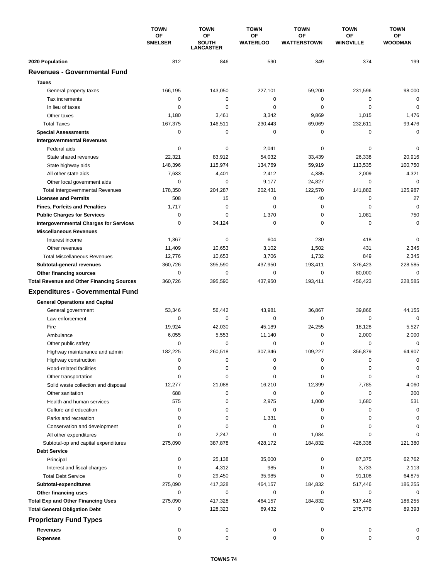|                                                  | <b>TOWN</b><br>ΟF<br><b>SMELSER</b> | <b>TOWN</b><br><b>TOWN</b><br>OF<br>OF<br><b>SOUTH</b><br><b>WATERLOO</b> |             | <b>TOWN</b><br>OF<br><b>WATTERSTOWN</b> | <b>TOWN</b><br>ΟF<br><b>WINGVILLE</b> | <b>TOWN</b><br>ОF<br><b>WOODMAN</b> |
|--------------------------------------------------|-------------------------------------|---------------------------------------------------------------------------|-------------|-----------------------------------------|---------------------------------------|-------------------------------------|
|                                                  |                                     |                                                                           |             |                                         |                                       |                                     |
|                                                  |                                     | <b>LANCASTER</b>                                                          |             |                                         |                                       |                                     |
| 2020 Population                                  | 812                                 | 846                                                                       | 590         | 349                                     | 374                                   | 199                                 |
| <b>Revenues - Governmental Fund</b>              |                                     |                                                                           |             |                                         |                                       |                                     |
| <b>Taxes</b>                                     |                                     |                                                                           |             |                                         |                                       |                                     |
| General property taxes                           | 166,195                             | 143,050                                                                   | 227,101     | 59,200                                  | 231,596                               | 98,000                              |
| Tax increments                                   | $\mathbf 0$                         | 0                                                                         | 0           | 0                                       | 0                                     | $\mathbf 0$                         |
| In lieu of taxes                                 | $\mathbf 0$                         | $\mathbf 0$                                                               | $\mathbf 0$ | 0                                       | $\mathbf 0$                           | $\mathbf 0$                         |
| Other taxes                                      | 1,180                               | 3,461                                                                     | 3,342       | 9,869                                   | 1,015                                 | 1,476                               |
| <b>Total Taxes</b>                               | 167,375                             | 146,511                                                                   | 230,443     | 69,069                                  | 232,611                               | 99,476                              |
| <b>Special Assessments</b>                       | 0                                   | 0                                                                         | 0           | 0                                       | 0                                     | 0                                   |
| <b>Intergovernmental Revenues</b>                |                                     |                                                                           |             |                                         |                                       |                                     |
| Federal aids                                     | 0                                   | 0                                                                         | 2,041       | 0                                       | 0                                     | 0                                   |
| State shared revenues                            | 22,321                              | 83,912                                                                    | 54,032      | 33,439                                  | 26,338                                | 20,916                              |
| State highway aids                               | 148,396                             | 115,974                                                                   | 134,769     | 59,919                                  | 113,535                               | 100,750                             |
| All other state aids                             | 7,633                               | 4,401                                                                     | 2,412       | 4,385                                   | 2,009                                 | 4,321                               |
| Other local government aids                      | 0                                   | 0                                                                         | 9,177       | 24,827                                  | 0                                     | $\mathbf 0$                         |
| <b>Total Intergovernmental Revenues</b>          | 178,350                             | 204,287                                                                   | 202,431     | 122,570                                 | 141,882                               | 125,987                             |
| <b>Licenses and Permits</b>                      | 508                                 | 15                                                                        | 0           | 40                                      | 0                                     | 27                                  |
| <b>Fines, Forfeits and Penalties</b>             | 1,717                               | 0                                                                         | 0           | 0                                       | 0                                     | $\mathbf 0$                         |
| <b>Public Charges for Services</b>               | 0                                   | 0                                                                         | 1,370       | $\pmb{0}$                               | 1,081                                 | 750                                 |
| <b>Intergovernmental Charges for Services</b>    | 0                                   | 34,124                                                                    | $\mathbf 0$ | 0                                       | 0                                     | $\pmb{0}$                           |
| <b>Miscellaneous Revenues</b>                    |                                     |                                                                           |             |                                         |                                       |                                     |
| Interest income                                  | 1,367                               | 0                                                                         | 604         | 230                                     | 418                                   | 0                                   |
| Other revenues                                   | 11,409                              | 10,653                                                                    | 3,102       | 1,502                                   | 431                                   | 2,345                               |
| <b>Total Miscellaneous Revenues</b>              | 12,776                              | 10,653                                                                    | 3,706       | 1,732                                   | 849                                   | 2,345                               |
| Subtotal-general revenues                        | 360,726                             | 395,590                                                                   | 437,950     | 193,411                                 | 376,423                               | 228,585                             |
| <b>Other financing sources</b>                   | 0                                   | $\mathbf 0$                                                               | $\mathbf 0$ | 0                                       | 80,000                                | $\mathbf 0$                         |
| <b>Total Revenue and Other Financing Sources</b> | 360,726                             | 395,590                                                                   | 437,950     | 193,411                                 | 456,423                               | 228,585                             |
| <b>Expenditures - Governmental Fund</b>          |                                     |                                                                           |             |                                         |                                       |                                     |
| <b>General Operations and Capital</b>            |                                     |                                                                           |             |                                         |                                       |                                     |
| General government                               | 53,346                              | 56,442                                                                    | 43,981      | 36,867                                  | 39,866                                | 44,155                              |
| Law enforcement                                  | 0                                   | 0                                                                         | 0           | 0                                       | 0                                     | $\mathbf 0$                         |
| Fire                                             | 19,924                              | 42,030                                                                    | 45,189      | 24,255                                  | 18,128                                | 5,527                               |
| Ambulance                                        | 6,055                               | 5,553                                                                     | 11,140      | 0                                       | 2,000                                 | 2,000                               |
| Other public safety                              | 0                                   | 0                                                                         | 0           | 0                                       | 0                                     | 0                                   |
| Highway maintenance and admin                    | 182,225                             | 260,518                                                                   | 307,346     | 109,227                                 | 356,879                               | 64,907                              |
| Highway construction                             | 0                                   | 0                                                                         | 0           | 0                                       | 0                                     | 0                                   |
| Road-related facilities                          | 0                                   | 0                                                                         | 0           | 0                                       | 0                                     | $\Omega$                            |
| Other transportation                             | 0                                   | 0                                                                         | 0           | 0                                       | 0                                     | $\mathbf 0$                         |
| Solid waste collection and disposal              | 12,277                              | 21,088                                                                    | 16,210      | 12,399                                  | 7,785                                 | 4,060                               |
| Other sanitation                                 | 688                                 | 0                                                                         | 0           | 0                                       | 0                                     | 200                                 |
| Health and human services                        | 575                                 | 0                                                                         | 2,975       | 1,000                                   | 1,680                                 | 531                                 |
| Culture and education                            | 0                                   | 0                                                                         | 0           | 0                                       | 0                                     | 0                                   |
| Parks and recreation                             | 0                                   | $\mathbf 0$                                                               | 1,331       | 0                                       | 0                                     | $\Omega$                            |
| Conservation and development                     | 0                                   | 0                                                                         | 0           | 0                                       | 0                                     |                                     |
| All other expenditures                           | $\Omega$                            | 2,247                                                                     | 0           | 1,084                                   | 0                                     | U                                   |
| Subtotal-op and capital expenditures             | 275,090                             | 387,878                                                                   | 428,172     | 184,832                                 | 426,338                               | 121,380                             |
| <b>Debt Service</b>                              |                                     |                                                                           |             |                                         |                                       |                                     |
| Principal                                        | 0                                   | 25,138                                                                    | 35,000      | 0                                       | 87,375                                | 62,762                              |
| Interest and fiscal charges                      | 0                                   | 4,312                                                                     | 985         | 0                                       | 3,733                                 | 2,113                               |
| <b>Total Debt Service</b>                        | 0                                   | 29,450                                                                    | 35,985      | 0                                       | 91,108                                | 64,875                              |
| Subtotal-expenditures                            | 275,090                             | 417,328                                                                   | 464,157     | 184,832                                 | 517,446                               | 186,255                             |
| Other financing uses                             | 0                                   | 0                                                                         | 0           | 0                                       | 0                                     | 0                                   |
| <b>Total Exp and Other Financing Uses</b>        | 275,090                             | 417,328                                                                   | 464,157     | 184,832                                 | 517,446                               | 186,255                             |
| <b>Total General Obligation Debt</b>             | 0                                   | 128,323                                                                   | 69,432      | 0                                       | 275,779                               | 89,393                              |
| <b>Proprietary Fund Types</b>                    |                                     |                                                                           |             |                                         |                                       |                                     |
| <b>Revenues</b>                                  | 0                                   | 0                                                                         | 0           | 0                                       | 0                                     | 0                                   |
| <b>Expenses</b>                                  | $\mathbf 0$                         | $\mathbf 0$                                                               | $\mathbf 0$ | 0                                       | $\mathbf 0$                           | $\Omega$                            |
|                                                  |                                     |                                                                           |             |                                         |                                       |                                     |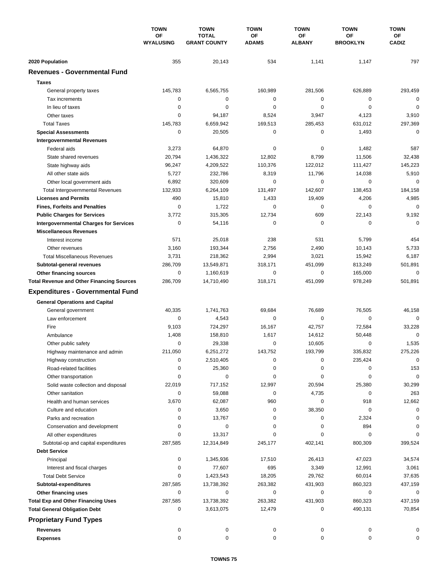|                                                         | <b>TOWN</b><br>OF<br><b>WYALUSING</b> | <b>TOWN</b>                         | <b>TOWN</b>        | <b>TOWN</b>         | <b>TOWN</b>           | <b>TOWN</b>           |
|---------------------------------------------------------|---------------------------------------|-------------------------------------|--------------------|---------------------|-----------------------|-----------------------|
|                                                         |                                       | <b>TOTAL</b><br><b>GRANT COUNTY</b> | ΟF<br><b>ADAMS</b> | OF<br><b>ALBANY</b> | ΟF<br><b>BROOKLYN</b> | ОF<br><b>CADIZ</b>    |
|                                                         |                                       |                                     |                    |                     |                       |                       |
| 2020 Population                                         | 355                                   | 20,143                              | 534                | 1,141               | 1,147                 | 797                   |
| <b>Revenues - Governmental Fund</b>                     |                                       |                                     |                    |                     |                       |                       |
| <b>Taxes</b>                                            |                                       |                                     |                    |                     |                       |                       |
| General property taxes                                  | 145,783                               | 6,565,755                           | 160,989            | 281,506             | 626,889               | 293,459               |
| Tax increments                                          | 0                                     | $\pmb{0}$                           | $\mathbf 0$        | 0                   | 0                     | $\mathbf 0$           |
| In lieu of taxes                                        | 0                                     | $\mathbf 0$                         | 0                  | 0                   | $\mathbf 0$           | $\mathbf 0$           |
| Other taxes                                             | 0                                     | 94,187                              | 8,524              | 3,947               | 4,123                 | 3,910                 |
| <b>Total Taxes</b>                                      | 145.783                               | 6,659,942                           | 169,513            | 285,453             | 631,012               | 297,369               |
| <b>Special Assessments</b>                              | 0                                     | 20,505                              | 0                  | 0                   | 1,493                 | 0                     |
| <b>Intergovernmental Revenues</b>                       |                                       |                                     |                    |                     |                       |                       |
| Federal aids                                            | 3,273                                 | 64,870                              | 0                  | 0                   | 1,482                 | 587                   |
| State shared revenues                                   | 20,794                                | 1,436,322                           | 12,802             | 8,799               | 11,506                | 32,438                |
| State highway aids                                      | 96,247                                | 4,209,522                           | 110,376            | 122,012             | 111,427               | 145,223               |
| All other state aids                                    | 5,727                                 | 232,786                             | 8,319              | 11,796              | 14,038                | 5,910                 |
| Other local government aids                             | 6,892                                 | 320,609                             | 0                  | 0                   | $\mathbf 0$           | $\mathbf 0$           |
| <b>Total Intergovernmental Revenues</b>                 | 132,933                               | 6,264,109                           | 131,497            | 142,607             | 138,453               | 184,158               |
| <b>Licenses and Permits</b>                             | 490                                   | 15,810                              | 1,433              | 19,409              | 4,206                 | 4,985                 |
| <b>Fines, Forfeits and Penalties</b>                    | 0                                     | 1,722                               | 0                  | 0                   | 0                     | 0                     |
| <b>Public Charges for Services</b>                      | 3,772                                 | 315,305                             | 12,734             | 609                 | 22,143                | 9,192<br>$\mathbf 0$  |
| <b>Intergovernmental Charges for Services</b>           | 0                                     | 54,116                              | 0                  | 0                   | 0                     |                       |
| <b>Miscellaneous Revenues</b>                           | 571                                   | 25,018                              | 238                | 531                 | 5,799                 | 454                   |
| Interest income                                         |                                       |                                     |                    |                     |                       |                       |
| Other revenues<br><b>Total Miscellaneous Revenues</b>   | 3,160<br>3,731                        | 193,344<br>218,362                  | 2,756<br>2,994     | 2,490<br>3,021      | 10,143<br>15,942      | 5,733<br>6,187        |
|                                                         | 286,709                               | 13,549,871                          | 318,171            | 451,099             | 813,249               | 501,891               |
| Subtotal-general revenues<br>Other financing sources    | 0                                     | 1,160,619                           | 0                  | 0                   | 165,000               | $\mathbf 0$           |
| <b>Total Revenue and Other Financing Sources</b>        | 286,709                               | 14,710,490                          | 318,171            | 451,099             | 978,249               | 501,891               |
|                                                         |                                       |                                     |                    |                     |                       |                       |
| <b>Expenditures - Governmental Fund</b>                 |                                       |                                     |                    |                     |                       |                       |
| <b>General Operations and Capital</b>                   |                                       |                                     |                    |                     |                       |                       |
| General government                                      | 40,335                                | 1,741,763                           | 69,684             | 76,689              | 76,505                | 46,158                |
| Law enforcement                                         | 0                                     | 4,543                               | 0                  | 0                   | 0                     | $\Omega$              |
| Fire                                                    | 9,103                                 | 724,297                             | 16,167             | 42,757              | 72,584                | 33,228                |
| Ambulance                                               | 1,408                                 | 158,810                             | 1,617              | 14,612              | 50,448                | $\mathbf 0$           |
| Other public safety                                     | 0                                     | 29,338                              | 0                  | 10,605              | 0                     | 1,535                 |
| Highway maintenance and admin                           | 211,050                               | 6,251,272                           | 143,752            | 193,799             | 335,832               | 275,226               |
| Highway construction                                    | 0                                     | 2,510,405                           | 0                  | 0                   | 235,424               | 0                     |
| Road-related facilities                                 | 0                                     | 25,360                              | 0                  | 0                   | 0                     | 153<br>$\mathbf 0$    |
| Other transportation                                    | 0                                     | 0<br>717,152                        | 0<br>12,997        | 0                   | 0                     |                       |
| Solid waste collection and disposal<br>Other sanitation | 22,019<br>0                           |                                     | 0                  | 20,594              | 25,380<br>0           | 30,299<br>263         |
|                                                         | 3,670                                 | 59,088<br>62,087                    | 960                | 4,735<br>0          | 918                   |                       |
| Health and human services<br>Culture and education      | 0                                     | 3,650                               | 0                  | 38,350              | 0                     | 12,662<br>$\mathbf 0$ |
| Parks and recreation                                    | $\Omega$                              | 13,767                              | 0                  | 0                   | 2,324                 | $\Omega$              |
| Conservation and development                            | 0                                     | 0                                   | 0                  | 0                   | 894                   |                       |
| All other expenditures                                  | 0                                     | 13,317                              | 0                  | 0                   | 0                     | O                     |
| Subtotal-op and capital expenditures                    | 287,585                               | 12,314,849                          | 245,177            | 402,141             | 800,309               | 399,524               |
| <b>Debt Service</b>                                     |                                       |                                     |                    |                     |                       |                       |
| Principal                                               | 0                                     | 1,345,936                           | 17,510             | 26,413              | 47,023                | 34,574                |
| Interest and fiscal charges                             | 0                                     | 77,607                              | 695                | 3,349               | 12,991                | 3,061                 |
| <b>Total Debt Service</b>                               | 0                                     | 1,423,543                           | 18,205             | 29,762              | 60,014                | 37,635                |
| Subtotal-expenditures                                   | 287,585                               | 13,738,392                          | 263,382            | 431,903             | 860,323               | 437,159               |
| Other financing uses                                    | 0                                     | 0                                   | 0                  | 0                   | 0                     | 0                     |
| <b>Total Exp and Other Financing Uses</b>               | 287,585                               | 13,738,392                          | 263,382            | 431,903             | 860,323               | 437,159               |
| <b>Total General Obligation Debt</b>                    | 0                                     | 3,613,075                           | 12,479             | 0                   | 490,131               | 70,854                |
| <b>Proprietary Fund Types</b>                           |                                       |                                     |                    |                     |                       |                       |
|                                                         |                                       |                                     |                    |                     |                       |                       |
| <b>Revenues</b><br><b>Expenses</b>                      | 0<br>0                                | 0<br>0                              | 0<br>0             | 0<br>0              | 0<br>0                | 0                     |
|                                                         |                                       |                                     |                    |                     |                       |                       |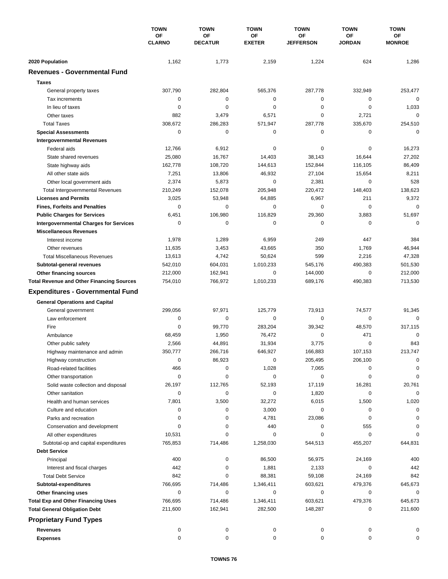|                                                  | <b>TOWN</b><br>OF<br><b>CLARNO</b> | <b>TOWN</b><br>OF<br><b>DECATUR</b> | <b>TOWN</b><br>OF<br><b>EXETER</b> | <b>TOWN</b><br>OF<br><b>JEFFERSON</b> | <b>TOWN</b><br>ΟF<br><b>JORDAN</b> | <b>TOWN</b><br>ОF<br><b>MONROE</b> |
|--------------------------------------------------|------------------------------------|-------------------------------------|------------------------------------|---------------------------------------|------------------------------------|------------------------------------|
|                                                  |                                    |                                     |                                    |                                       |                                    |                                    |
|                                                  |                                    |                                     |                                    |                                       |                                    |                                    |
| 2020 Population                                  | 1,162                              | 1,773                               | 2,159                              | 1,224                                 | 624                                | 1,286                              |
| <b>Revenues - Governmental Fund</b>              |                                    |                                     |                                    |                                       |                                    |                                    |
| <b>Taxes</b>                                     |                                    |                                     |                                    |                                       |                                    |                                    |
| General property taxes                           | 307,790                            | 282,804                             | 565,376                            | 287,778                               | 332,949                            | 253,477                            |
| Tax increments                                   | 0                                  | 0                                   | 0                                  | 0                                     | 0                                  | $\mathbf 0$                        |
| In lieu of taxes                                 | 0                                  | 0                                   | 0                                  | 0                                     | $\mathbf 0$                        | 1,033                              |
| Other taxes                                      | 882                                | 3,479                               | 6,571                              | 0                                     | 2,721                              | $\mathbf 0$                        |
| <b>Total Taxes</b>                               | 308,672                            | 286,283                             | 571,947                            | 287,778                               | 335,670                            | 254,510                            |
| <b>Special Assessments</b>                       | 0                                  | $\mathbf 0$                         | 0                                  | 0                                     | 0                                  | $\mathbf 0$                        |
| <b>Intergovernmental Revenues</b>                |                                    |                                     |                                    |                                       |                                    |                                    |
| Federal aids                                     | 12,766                             | 6,912                               | 0                                  | 0                                     | 0                                  | 16,273                             |
| State shared revenues                            | 25,080                             | 16,767                              | 14,403                             | 38,143                                | 16,644                             | 27,202                             |
| State highway aids                               | 162,778                            | 108,720                             | 144,613                            | 152,844                               | 116,105                            | 86,409                             |
| All other state aids                             | 7,251                              | 13,806                              | 46,932                             | 27,104                                | 15,654                             | 8,211                              |
| Other local government aids                      | 2,374                              | 5,873                               | 0                                  | 2,381                                 | 0                                  | 528                                |
| <b>Total Intergovernmental Revenues</b>          | 210,249                            | 152,078                             | 205,948                            | 220,472                               | 148,403                            | 138,623                            |
| <b>Licenses and Permits</b>                      | 3,025                              | 53,948                              | 64,885                             | 6,967                                 | 211                                | 9,372                              |
| <b>Fines, Forfeits and Penalties</b>             | 0                                  | 0                                   | 0                                  | 0                                     | $\Omega$                           | $\mathbf 0$                        |
| <b>Public Charges for Services</b>               | 6,451                              | 106,980                             | 116,829                            | 29,360                                | 3,883                              | 51,697                             |
| <b>Intergovernmental Charges for Services</b>    | 0                                  | $\mathbf 0$                         | 0                                  | 0                                     | 0                                  | $\mathbf 0$                        |
| <b>Miscellaneous Revenues</b>                    |                                    |                                     |                                    |                                       |                                    |                                    |
| Interest income                                  | 1,978                              | 1,289                               | 6,959                              | 249                                   | 447                                | 384                                |
| Other revenues                                   | 11,635                             | 3,453                               | 43,665                             | 350                                   | 1,769                              | 46,944                             |
| <b>Total Miscellaneous Revenues</b>              | 13,613                             | 4,742                               | 50,624                             | 599                                   | 2,216                              | 47,328                             |
| Subtotal-general revenues                        | 542,010                            | 604,031                             | 1,010,233                          | 545,176                               | 490,383                            | 501,530                            |
| Other financing sources                          | 212,000                            | 162,941                             | 0                                  | 144,000                               | $\mathbf 0$                        | 212,000                            |
| <b>Total Revenue and Other Financing Sources</b> | 754,010                            | 766,972                             | 1,010,233                          | 689,176                               | 490,383                            | 713,530                            |
| <b>Expenditures - Governmental Fund</b>          |                                    |                                     |                                    |                                       |                                    |                                    |
|                                                  |                                    |                                     |                                    |                                       |                                    |                                    |
| <b>General Operations and Capital</b>            | 299,056                            |                                     |                                    | 73,913                                |                                    |                                    |
| General government                               |                                    | 97,971                              | 125,779<br>$\mathbf 0$             |                                       | 74,577                             | 91,345<br>$\Omega$                 |
| Law enforcement<br>Fire                          | 0<br>0                             | 0<br>99,770                         |                                    | 0<br>39,342                           | 0                                  | 317,115                            |
|                                                  |                                    |                                     | 283,204                            | 0                                     | 48,570<br>471                      | $\mathbf 0$                        |
| Ambulance                                        | 68,459                             | 1,950                               | 76,472                             | 3,775                                 | $\mathbf 0$                        | 843                                |
| Other public safety                              | 2,566                              | 44,891<br>266,716                   | 31,934                             | 166,883                               | 107,153                            | 213,747                            |
| Highway maintenance and admin                    | 350,777                            |                                     | 646,927                            |                                       |                                    |                                    |
| Highway construction                             | 0                                  | 86,923                              | 0                                  | 205,495                               | 206,100                            | 0                                  |
| Road-related facilities                          | 466                                | 0                                   | 1,028                              | 7,065                                 | 0                                  | 0<br>0                             |
| Other transportation                             | 0<br>26,197                        | 0                                   | 0                                  | 0                                     | 0                                  |                                    |
| Solid waste collection and disposal              |                                    | 112,765                             | 52,193                             | 17,119                                | 16,281                             | 20,761<br>$\mathbf 0$              |
| Other sanitation                                 | 0                                  | 0                                   | 0                                  | 1,820                                 | 0                                  |                                    |
| Health and human services                        | 7,801                              | 3,500                               | 32,272                             | 6,015                                 | 1,500                              | 1,020                              |
| Culture and education                            | 0<br>0                             | 0<br>0                              | 3,000                              | 0                                     | 0<br>0                             | 0                                  |
| Parks and recreation                             |                                    |                                     | 4,781                              | 23,086                                |                                    | 0                                  |
| Conservation and development                     | 0                                  | 0<br>0                              | 440<br>0                           | 0<br>0                                | 555<br>0                           | 0<br>$\Omega$                      |
| All other expenditures                           | 10,531                             |                                     | 1,258,030                          |                                       |                                    |                                    |
| Subtotal-op and capital expenditures             | 765,853                            | 714,486                             |                                    | 544,513                               | 455,207                            | 644,831                            |
| <b>Debt Service</b>                              |                                    |                                     |                                    |                                       |                                    |                                    |
| Principal                                        | 400                                | 0                                   | 86,500                             | 56,975                                | 24,169                             | 400                                |
| Interest and fiscal charges                      | 442                                | 0                                   | 1,881                              | 2,133                                 | 0                                  | 442                                |
| <b>Total Debt Service</b>                        | 842                                | 0                                   | 88,381                             | 59,108                                | 24,169                             | 842                                |
| Subtotal-expenditures                            | 766,695                            | 714,486                             | 1,346,411                          | 603,621                               | 479,376                            | 645,673                            |
| Other financing uses                             | 0                                  | 0                                   | 0                                  | 0                                     | 0                                  | 0                                  |
| <b>Total Exp and Other Financing Uses</b>        | 766,695                            | 714,486                             | 1,346,411                          | 603,621                               | 479,376                            | 645,673                            |
| <b>Total General Obligation Debt</b>             | 211,600                            | 162,941                             | 282,500                            | 148,287                               | 0                                  | 211,600                            |
| <b>Proprietary Fund Types</b>                    |                                    |                                     |                                    |                                       |                                    |                                    |
| <b>Revenues</b>                                  | 0                                  | 0                                   | 0                                  | 0                                     | 0                                  | 0                                  |
| <b>Expenses</b>                                  | 0                                  | 0                                   | 0                                  | 0                                     | 0                                  | 0                                  |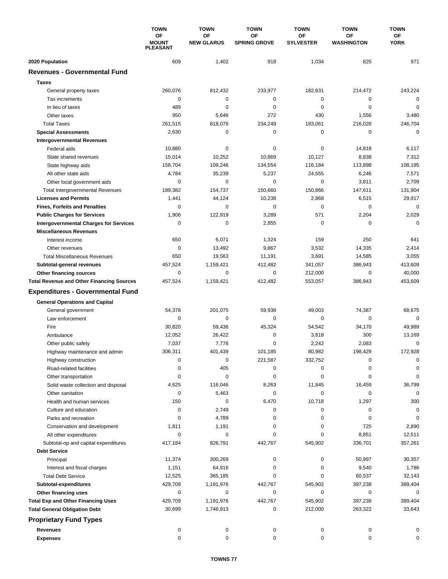|                                                  | <b>TOWN</b><br>ΟF<br><b>MOUNT</b><br><b>PLEASANT</b> | <b>TOWN</b>             | <b>TOWN</b><br>OF<br><b>SPRING GROVE</b> | <b>TOWN</b>            | <b>TOWN</b>             | <b>TOWN</b>       |
|--------------------------------------------------|------------------------------------------------------|-------------------------|------------------------------------------|------------------------|-------------------------|-------------------|
|                                                  |                                                      | OF<br><b>NEW GLARUS</b> |                                          | OF<br><b>SYLVESTER</b> | OF<br><b>WASHINGTON</b> | ОF<br><b>YORK</b> |
| 2020 Population                                  | 609                                                  | 1,402                   | 918                                      | 1,034                  | 825                     | 971               |
| <b>Revenues - Governmental Fund</b>              |                                                      |                         |                                          |                        |                         |                   |
| <b>Taxes</b>                                     |                                                      |                         |                                          |                        |                         |                   |
| General property taxes                           | 260,076                                              | 812,432                 | 233,977                                  | 182,631                | 214,472                 | 243,224           |
| Tax increments                                   | 0                                                    | 0                       | 0                                        | 0                      | 0                       | 0                 |
| In lieu of taxes                                 | 489                                                  | $\mathbf 0$             | $\mathbf 0$                              | 0                      | $\mathbf 0$             | $\mathbf 0$       |
| Other taxes                                      | 950                                                  | 5,646                   | 272                                      | 430                    | 1,556                   | 3,480             |
| <b>Total Taxes</b>                               | 261,515                                              | 818,078                 | 234,249                                  | 183,061                | 216,028                 | 246,704           |
| <b>Special Assessments</b>                       | 2,630                                                | 0                       | 0                                        | 0                      | 0                       | 0                 |
| <b>Intergovernmental Revenues</b>                |                                                      |                         |                                          |                        |                         |                   |
| Federal aids                                     | 10,880                                               | 0                       | 0                                        | 0                      | 14,818                  | 6,117             |
| State shared revenues                            | 15,014                                               | 10,252                  | 10,869                                   | 10,127                 | 8,838                   | 7,312             |
| State highway aids                               | 158,704                                              | 109,246                 | 134,554                                  | 116,184                | 113,898                 | 108,195           |
| All other state aids                             | 4,784                                                | 35,239                  | 5,237                                    | 24,555                 | 6,246                   | 7,571             |
| Other local government aids                      | 0                                                    | $\mathbf 0$             | $\mathbf 0$                              | 0                      | 3,811                   | 2,709             |
| <b>Total Intergovernmental Revenues</b>          | 189,382                                              | 154,737                 | 150,660                                  | 150,866                | 147,611                 | 131,904           |
| <b>Licenses and Permits</b>                      | 1,441                                                | 44,124                  | 10,238                                   | 2,868                  | 6,515                   | 29,917            |
| <b>Fines, Forfeits and Penalties</b>             | 0                                                    | 0                       | 0                                        | 0                      | 0                       | $\mathbf 0$       |
| <b>Public Charges for Services</b>               | 1,906                                                | 122,919                 | 3,289                                    | 571                    | 2,204                   | 2,029             |
| <b>Intergovernmental Charges for Services</b>    | $\mathbf 0$                                          | $\mathbf 0$             | 2,855                                    | $\pmb{0}$              | 0                       | $\mathbf 0$       |
| <b>Miscellaneous Revenues</b>                    |                                                      |                         |                                          |                        |                         |                   |
| Interest income                                  | 650                                                  | 6,071                   | 1,324                                    | 159                    | 250                     | 641               |
| Other revenues                                   | 0                                                    | 13,492                  | 9,867                                    | 3,532                  | 14,335                  | 2,414             |
| <b>Total Miscellaneous Revenues</b>              | 650                                                  | 19,563                  | 11,191                                   | 3,691                  | 14,585                  | 3,055             |
| Subtotal-general revenues                        | 457,524                                              | 1,159,421               | 412,482                                  | 341,057                | 386,943                 | 413,609           |
| <b>Other financing sources</b>                   | 0                                                    | 0                       | $\mathbf 0$                              | 212,000                | 0                       | 40,000            |
| <b>Total Revenue and Other Financing Sources</b> | 457,524                                              | 1,159,421               | 412,482                                  | 553,057                | 386,943                 | 453,609           |
| <b>Expenditures - Governmental Fund</b>          |                                                      |                         |                                          |                        |                         |                   |
| <b>General Operations and Capital</b>            |                                                      |                         |                                          |                        |                         |                   |
| General government                               | 54,378                                               | 201,075                 | 59,938                                   | 49,003                 | 74,387                  | 68,675            |
| Law enforcement                                  | 0                                                    | 0                       | 0                                        | 0                      | 0                       | $\mathbf 0$       |
| Fire                                             | 30,820                                               | 59,436                  | 45,324                                   | 54,542                 | 34,170                  | 49,989            |
| Ambulance                                        | 12,052                                               | 26,422                  | 0                                        | 3,818                  | 300                     | 13,169            |
| Other public safety                              | 7,037                                                | 7,776                   | 0                                        | 2,242                  | 2,083                   | 0                 |
| Highway maintenance and admin                    | 306,311                                              | 401,439                 | 101,185                                  | 80.982                 | 198,429                 | 172,928           |
| Highway construction                             | 0                                                    | 0                       | 221,587                                  | 332,752                | 0                       | 0                 |
| Road-related facilities                          | 0                                                    | 405                     | 0                                        | 0                      | 0                       | $\Omega$          |
| Other transportation                             | 0                                                    | 0                       | 0                                        | 0                      | 0                       | 0                 |
| Solid waste collection and disposal              | 4,625                                                | 116,046                 | 8,263                                    | 11,845                 | 16,459                  | 36,799            |
| Other sanitation                                 | 0                                                    | 5,463                   | 0                                        | 0                      | 0                       | 0                 |
| Health and human services                        | 150                                                  | 0                       | 6,470                                    | 10,718                 | 1,297                   | 300               |
| Culture and education                            | 0                                                    | 2,749                   | 0                                        | 0                      | 0                       | 0                 |
| Parks and recreation                             | 0                                                    | 4,789                   | 0                                        | 0                      | 0                       | $\mathbf 0$       |
| Conservation and development                     | 1,811                                                | 1,191                   | 0                                        | 0                      | 725                     | 2,890             |
| All other expenditures                           | 0                                                    | 0                       | 0                                        | 0                      | 8,851                   | 12,511            |
| Subtotal-op and capital expenditures             | 417,184                                              | 826,791                 | 442,767                                  | 545,902                | 336,701                 | 357,261           |
| <b>Debt Service</b>                              |                                                      |                         |                                          |                        |                         |                   |
| Principal                                        | 11,374                                               | 300,269                 | 0                                        | 0                      | 50,997                  | 30,357            |
| Interest and fiscal charges                      | 1,151                                                | 64,916                  | 0                                        | 0                      | 9,540                   | 1,786             |
| <b>Total Debt Service</b>                        | 12,525                                               | 365,185                 | 0                                        | 0                      | 60,537                  | 32,143            |
| Subtotal-expenditures                            | 429,709                                              | 1,191,976               | 442,767                                  | 545,902                | 397,238                 | 389,404           |
| Other financing uses                             | 0                                                    | 0                       | 0                                        | 0                      | 0                       | 0                 |
| <b>Total Exp and Other Financing Uses</b>        | 429,709<br>30,699                                    | 1,191,976<br>1,746,913  | 442,767<br>0                             | 545,902<br>212,000     | 397,238<br>263,322      | 389,404<br>33,643 |
| <b>Total General Obligation Debt</b>             |                                                      |                         |                                          |                        |                         |                   |
| <b>Proprietary Fund Types</b>                    |                                                      |                         |                                          |                        |                         |                   |
| <b>Revenues</b>                                  | 0                                                    | 0                       | 0                                        | 0                      | 0                       | 0                 |
| <b>Expenses</b>                                  | $\mathbf 0$                                          | 0                       | 0                                        | 0                      | 0                       | 0                 |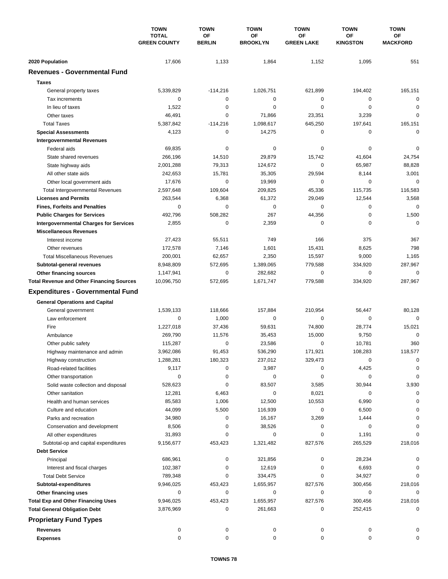|                                                  | <b>TOWN</b><br><b>TOTAL</b><br><b>GREEN COUNTY</b> | <b>TOWN</b><br>OF | <b>TOWN</b><br>OF | <b>TOWN</b><br>OF | <b>TOWN</b><br>ΟF | <b>TOWN</b><br>ОF |
|--------------------------------------------------|----------------------------------------------------|-------------------|-------------------|-------------------|-------------------|-------------------|
|                                                  |                                                    | <b>BERLIN</b>     | <b>BROOKLYN</b>   | <b>GREEN LAKE</b> | <b>KINGSTON</b>   | <b>MACKFORD</b>   |
| 2020 Population                                  | 17,606                                             | 1,133             | 1,864             | 1,152             | 1,095             | 551               |
| <b>Revenues - Governmental Fund</b>              |                                                    |                   |                   |                   |                   |                   |
| <b>Taxes</b>                                     |                                                    |                   |                   |                   |                   |                   |
| General property taxes                           | 5,339,829                                          | $-114,216$        | 1,026,751         | 621,899           | 194,402           | 165,151           |
| Tax increments                                   | 0                                                  | 0                 | $\mathbf 0$       | 0                 | 0                 | $\mathbf 0$       |
| In lieu of taxes                                 | 1,522                                              | 0                 | 0                 | 0                 | $\mathbf 0$       | 0                 |
| Other taxes                                      | 46,491                                             | $\mathbf 0$       | 71,866            | 23,351            | 3,239             | $\mathbf 0$       |
| <b>Total Taxes</b>                               | 5,387,842                                          | $-114,216$        | 1,098,617         | 645,250           | 197,641           | 165,151           |
| <b>Special Assessments</b>                       | 4,123                                              | 0                 | 14,275            | 0                 | 0                 | $\mathbf 0$       |
| <b>Intergovernmental Revenues</b>                |                                                    |                   |                   |                   |                   |                   |
| Federal aids                                     | 69,835                                             | 0                 | 0                 | 0                 | 0                 | 0                 |
| State shared revenues                            | 266,196                                            | 14,510            | 29,879            | 15,742            | 41,604            | 24,754            |
| State highway aids                               | 2,001,288                                          | 79,313            | 124,672           | 0                 | 65,987            | 88,828            |
| All other state aids                             | 242,653                                            | 15,781            | 35,305            | 29,594            | 8,144             | 3,001             |
| Other local government aids                      | 17,676                                             | $\mathbf 0$       | 19,969            | 0                 | 0                 | $\mathbf 0$       |
| <b>Total Intergovernmental Revenues</b>          | 2,597,648                                          | 109,604           | 209,825           | 45,336            | 115,735           | 116,583           |
| <b>Licenses and Permits</b>                      | 263,544                                            | 6,368             | 61,372            | 29,049            | 12,544            | 3,568             |
| <b>Fines, Forfeits and Penalties</b>             | 0                                                  | 0                 | 0                 | 0                 | 0                 | $\mathbf 0$       |
| <b>Public Charges for Services</b>               | 492,796                                            | 508,282           | 267               | 44,356            | $\mathbf 0$       | 1,500             |
| <b>Intergovernmental Charges for Services</b>    | 2,855                                              | 0                 | 2,359             | 0                 | 0                 | $\mathbf 0$       |
| <b>Miscellaneous Revenues</b>                    |                                                    |                   |                   |                   |                   |                   |
| Interest income                                  | 27,423                                             | 55,511            | 749               | 166               | 375               | 367               |
| Other revenues                                   | 172,578                                            | 7,146             | 1,601             | 15,431            | 8,625             | 798               |
| <b>Total Miscellaneous Revenues</b>              | 200,001                                            | 62,657            | 2,350             | 15,597            | 9,000             | 1,165             |
| Subtotal-general revenues                        | 8,948,809                                          | 572,695           | 1,389,065         | 779,588           | 334,920           | 287,967           |
| Other financing sources                          | 1,147,941                                          | $\pmb{0}$         | 282,682           | 0                 | 0                 | $\mathbf 0$       |
| <b>Total Revenue and Other Financing Sources</b> | 10,096,750                                         | 572,695           | 1,671,747         | 779,588           | 334,920           | 287,967           |
| <b>Expenditures - Governmental Fund</b>          |                                                    |                   |                   |                   |                   |                   |
| <b>General Operations and Capital</b>            |                                                    |                   |                   |                   |                   |                   |
| General government                               | 1,539,133                                          | 118,666           | 157,884           | 210,954           | 56,447            | 80,128            |
| Law enforcement                                  | 0                                                  | 1,000             | 0                 | 0                 | $\mathbf 0$       | $\mathbf 0$       |
| Fire                                             | 1,227,018                                          | 37,436            | 59,631            | 74,800            | 28,774            | 15,021            |
| Ambulance                                        | 269,790                                            | 11,576            | 35,453            | 15,000            | 9,750             | $\mathbf 0$       |
| Other public safety                              | 115,287                                            | 0                 | 23,586            | 0                 | 10,781            | 360               |
| Highway maintenance and admin                    | 3,962,086                                          | 91,453            | 536.290           | 171,921           | 108,283           | 118,577           |
| Highway construction                             | 1,288,281                                          | 180,323           | 237,012           | 329,473           | 0                 | 0                 |
| Road-related facilities                          | 9,117                                              | 0                 | 3,987             | 0                 | 4,425             | 0                 |
| Other transportation                             | 0                                                  | 0                 | 0                 | 0                 | 0                 | 0                 |
| Solid waste collection and disposal              | 528,623                                            | 0                 | 83,507            | 3,585             | 30,944            | 3,930             |
| Other sanitation                                 | 12,281                                             | 6,463             | 0                 | 8,021             | 0                 | 0                 |
| Health and human services                        | 85,583                                             | 1,006             | 12,500            | 10,553            | 6,990             | 0                 |
| Culture and education                            | 44,099                                             | 5,500             | 116,939           | 0                 | 6,500             | 0                 |
| Parks and recreation                             | 34,980                                             | 0                 | 16,167            | 3,269             | 1,444             | 0                 |
| Conservation and development                     | 8,506                                              | 0                 | 38,526            | 0                 | 0                 | 0                 |
| All other expenditures                           | 31,893                                             | 0                 | 0                 | 0                 | 1,191             | $\Omega$          |
| Subtotal-op and capital expenditures             | 9,156,677                                          | 453,423           | 1,321,482         | 827,576           | 265,529           | 218,016           |
| <b>Debt Service</b>                              |                                                    |                   |                   |                   |                   |                   |
| Principal                                        | 686,961                                            | 0                 | 321,856           | 0                 | 28,234            | 0                 |
| Interest and fiscal charges                      | 102,387                                            | 0                 | 12,619            | 0                 | 6,693             | 0                 |
| <b>Total Debt Service</b>                        | 789,348                                            | 0                 | 334,475           | 0                 | 34,927            | 0                 |
| Subtotal-expenditures                            | 9,946,025                                          | 453,423           | 1,655,957         | 827,576           | 300,456           | 218,016           |
| Other financing uses                             | 0                                                  | 0                 | 0                 | 0                 | 0                 | 0                 |
| <b>Total Exp and Other Financing Uses</b>        | 9,946,025                                          | 453,423           | 1,655,957         | 827,576           | 300,456           | 218,016           |
| <b>Total General Obligation Debt</b>             | 3,876,969                                          | 0                 | 261,663           | 0                 | 252,415           | 0                 |
| <b>Proprietary Fund Types</b>                    |                                                    |                   |                   |                   |                   |                   |
| <b>Revenues</b>                                  | 0                                                  | 0                 | 0                 | 0                 | 0                 |                   |
| <b>Expenses</b>                                  | 0                                                  | 0                 | 0                 | 0                 | 0                 | 0                 |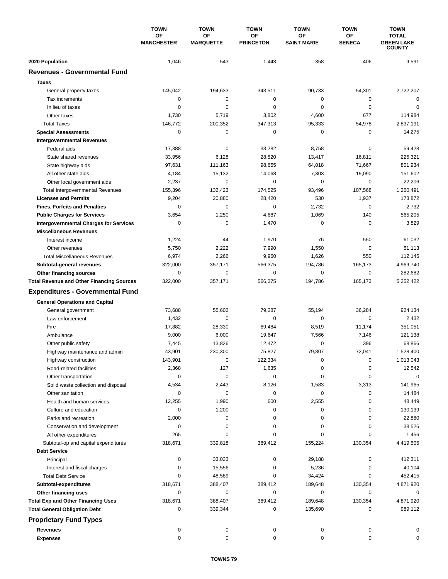|                                                  | <b>TOWN</b>             | <b>TOWN</b>            | <b>TOWN</b>            | <b>TOWN</b>              | <b>TOWN</b>         | <b>TOWN</b>                                        |
|--------------------------------------------------|-------------------------|------------------------|------------------------|--------------------------|---------------------|----------------------------------------------------|
|                                                  | OF<br><b>MANCHESTER</b> | OF<br><b>MARQUETTE</b> | OF<br><b>PRINCETON</b> | ΟF<br><b>SAINT MARIE</b> | ΟF<br><b>SENECA</b> | <b>TOTAL</b><br><b>GREEN LAKE</b><br><b>COUNTY</b> |
| 2020 Population                                  | 1,046                   | 543                    | 1,443                  | 358                      | 406                 | 9,591                                              |
| <b>Revenues - Governmental Fund</b>              |                         |                        |                        |                          |                     |                                                    |
| <b>Taxes</b>                                     |                         |                        |                        |                          |                     |                                                    |
| General property taxes                           | 145,042                 | 194,633                | 343,511                | 90,733                   | 54,301              | 2,722,207                                          |
| Tax increments                                   | 0                       | $\pmb{0}$              | $\mathbf 0$            | 0                        | 0                   | $\mathbf 0$                                        |
| In lieu of taxes                                 | 0                       | $\mathbf 0$            | 0                      | 0                        | $\mathbf 0$         | 0                                                  |
| Other taxes                                      | 1,730                   | 5,719                  | 3,802                  | 4,600                    | 677                 | 114,984                                            |
| <b>Total Taxes</b>                               | 146,772                 | 200,352                | 347,313                | 95,333                   | 54,978              | 2,837,191                                          |
| <b>Special Assessments</b>                       | 0                       | 0                      | 0                      | 0                        | 0                   | 14,275                                             |
| <b>Intergovernmental Revenues</b>                |                         |                        |                        |                          |                     |                                                    |
| Federal aids                                     | 17,388                  | 0                      | 33,282                 | 8,758                    | 0                   | 59,428                                             |
| State shared revenues                            | 33,956                  | 6,128                  | 28,520                 | 13,417                   | 16,811              | 225,321                                            |
| State highway aids                               | 97,631                  | 111,163                | 98,655                 | 64,018                   | 71,667              | 801,934                                            |
| All other state aids                             | 4,184                   | 15,132                 | 14,068                 | 7,303                    | 19,090              | 151,602                                            |
| Other local government aids                      | 2,237                   | $\pmb{0}$              | $\mathbf 0$            | 0                        | $\mathbf 0$         | 22,206                                             |
| <b>Total Intergovernmental Revenues</b>          | 155,396                 | 132,423                | 174,525                | 93,496                   | 107,568             | 1,260,491                                          |
| <b>Licenses and Permits</b>                      | 9,204                   | 20,880                 | 28,420                 | 530                      | 1,937               | 173,872                                            |
| <b>Fines, Forfeits and Penalties</b>             | 0                       | $\mathbf 0$            | 0                      | 2,732                    | 0                   | 2,732                                              |
| <b>Public Charges for Services</b>               | 3,654                   | 1,250                  | 4,687                  | 1,069                    | 140                 | 565,205                                            |
| <b>Intergovernmental Charges for Services</b>    | 0                       | 0                      | 1,470                  | 0                        | 0                   | 3,829                                              |
| <b>Miscellaneous Revenues</b>                    |                         |                        |                        |                          |                     |                                                    |
| Interest income                                  | 1,224                   | 44                     | 1,970                  | 76                       | 550                 | 61,032                                             |
| Other revenues                                   | 5,750                   | 2,222                  | 7,990                  | 1,550                    | $\mathbf 0$         | 51,113                                             |
| <b>Total Miscellaneous Revenues</b>              | 6,974                   | 2,266                  | 9,960                  | 1,626                    | 550                 | 112,145                                            |
| Subtotal-general revenues                        | 322,000                 | 357,171                | 566,375                | 194,786                  | 165,173             | 4,969,740                                          |
| Other financing sources                          | $\mathbf 0$             | $\pmb{0}$              | 0                      | 0                        | 0                   | 282,682                                            |
| <b>Total Revenue and Other Financing Sources</b> | 322,000                 | 357,171                | 566,375                | 194,786                  | 165,173             | 5,252,422                                          |
| <b>Expenditures - Governmental Fund</b>          |                         |                        |                        |                          |                     |                                                    |
| <b>General Operations and Capital</b>            |                         |                        |                        |                          |                     |                                                    |
| General government                               | 73,688                  | 55,602                 | 79,287                 | 55,194                   | 36,284              | 924,134                                            |
| Law enforcement                                  | 1,432                   | 0                      | 0                      | 0                        | $\mathbf 0$         | 2,432                                              |
| Fire                                             | 17,882                  | 28,330                 | 69.484                 | 8,519                    | 11,174              | 351,051                                            |
| Ambulance                                        | 9,000                   | 6,000                  | 19,647                 | 7,566                    | 7,146               | 121,138                                            |
| Other public safety                              | 7,445                   | 13,826                 | 12,472                 | 0                        | 396                 | 68,866                                             |
| Highway maintenance and admin                    | 43,901                  | 230,300                | 75,827                 | 79,807                   | 72,041              | 1,528,400                                          |
| Highway construction                             | 143,901                 | 0                      | 122,334                | 0                        | 0                   | 1,013,043                                          |
| Road-related facilities                          | 2,368                   | 127                    | 1,635                  | 0                        | 0                   | 12,542                                             |
| Other transportation                             | 0                       | 0                      | 0                      | 0                        | 0                   | 0                                                  |
| Solid waste collection and disposal              | 4,534                   | 2,443                  | 8,126                  | 1,583                    | 3,313               | 141,965                                            |
| Other sanitation                                 | 0                       | 0                      | 0                      | 0                        | 0                   | 14,484                                             |
| Health and human services                        | 12,255                  | 1,990                  | 600                    | 2,555                    | 0                   | 48,449                                             |
| Culture and education                            | 0                       | 1,200                  | 0                      | 0                        | 0                   | 130,139                                            |
| Parks and recreation                             | 2,000                   | 0                      | 0                      | 0                        | 0                   | 22,880                                             |
| Conservation and development                     | 0                       | 0                      | 0                      | 0                        | 0                   | 38,526                                             |
| All other expenditures                           | 265                     | 0                      | 0                      | 0                        | 0                   | 1,456                                              |
| Subtotal-op and capital expenditures             | 318,671                 | 339,818                | 389,412                | 155,224                  | 130,354             | 4,419,505                                          |
| <b>Debt Service</b>                              |                         |                        |                        |                          |                     |                                                    |
| Principal                                        | 0                       | 33,033                 | 0                      | 29,188                   | 0                   | 412,311                                            |
| Interest and fiscal charges                      | 0                       | 15,556                 | 0                      | 5,236                    | 0                   | 40,104                                             |
| <b>Total Debt Service</b>                        | 0                       | 48,589                 | 0                      | 34,424                   | 0                   | 452,415                                            |
| Subtotal-expenditures                            | 318,671                 | 388,407                | 389,412                | 189,648                  | 130,354             | 4,871,920                                          |
| Other financing uses                             | 0                       | 0                      | 0                      | 0                        | 0                   | 0                                                  |
| <b>Total Exp and Other Financing Uses</b>        | 318,671                 | 388,407                | 389,412                | 189,648                  | 130,354             | 4,871,920                                          |
| <b>Total General Obligation Debt</b>             | 0                       | 339,344                | 0                      | 135,690                  | 0                   | 989,112                                            |
| <b>Proprietary Fund Types</b>                    |                         |                        |                        |                          |                     |                                                    |
| <b>Revenues</b>                                  | 0                       | 0                      | 0                      | 0                        | 0                   | 0                                                  |
| <b>Expenses</b>                                  | 0                       | 0                      | 0                      | 0                        | 0                   | 0                                                  |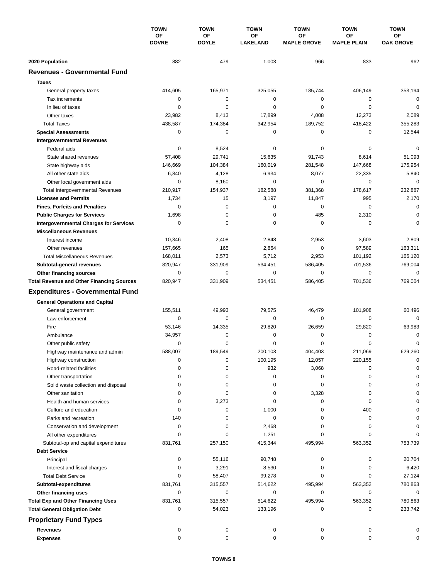|                                                  | <b>TOWN</b><br>ΟF<br><b>DOVRE</b> | <b>TOWN</b>        | <b>TOWN</b><br>OF<br><b>LAKELAND</b> | <b>TOWN</b><br>ΟF<br><b>MAPLE GROVE</b> | <b>TOWN</b><br><b>OF</b><br><b>MAPLE PLAIN</b> | <b>TOWN</b><br><b>OF</b><br><b>OAK GROVE</b> |
|--------------------------------------------------|-----------------------------------|--------------------|--------------------------------------|-----------------------------------------|------------------------------------------------|----------------------------------------------|
|                                                  |                                   | OF<br><b>DOYLE</b> |                                      |                                         |                                                |                                              |
| 2020 Population                                  | 882                               | 479                | 1,003                                | 966                                     | 833                                            | 962                                          |
| <b>Revenues - Governmental Fund</b>              |                                   |                    |                                      |                                         |                                                |                                              |
| <b>Taxes</b>                                     |                                   |                    |                                      |                                         |                                                |                                              |
| General property taxes                           | 414,605                           | 165,971            | 325,055                              | 185,744                                 | 406,149                                        | 353,194                                      |
| Tax increments                                   | 0                                 | 0                  | 0                                    | 0                                       | 0                                              | 0                                            |
| In lieu of taxes                                 | 0                                 | $\mathbf 0$        | 0                                    | 0                                       | $\mathbf 0$                                    | $\mathbf 0$                                  |
| Other taxes                                      | 23,982                            | 8,413              | 17,899                               | 4,008                                   | 12,273                                         | 2,089                                        |
| <b>Total Taxes</b>                               | 438,587                           | 174,384            | 342,954                              | 189,752                                 | 418,422                                        | 355,283                                      |
| <b>Special Assessments</b>                       | 0                                 | 0                  | 0                                    | 0                                       | 0                                              | 12,544                                       |
| <b>Intergovernmental Revenues</b>                |                                   |                    |                                      |                                         |                                                |                                              |
| Federal aids                                     | 0                                 | 8,524              | 0                                    | 0                                       | 0                                              | 0                                            |
| State shared revenues                            | 57,408                            | 29,741             | 15,635                               | 91,743                                  | 8,614                                          | 51,093                                       |
| State highway aids                               | 146,669                           | 104,384            | 160,019                              | 281,548                                 | 147,668                                        | 175,954                                      |
| All other state aids                             | 6,840                             | 4,128              | 6,934                                | 8,077                                   | 22,335                                         | 5,840                                        |
| Other local government aids                      | 0                                 | 8,160              | 0                                    | 0                                       | $\mathbf 0$                                    | $\mathbf 0$                                  |
| <b>Total Intergovernmental Revenues</b>          | 210,917                           | 154,937            | 182,588                              | 381,368                                 | 178,617                                        | 232,887                                      |
| <b>Licenses and Permits</b>                      | 1,734                             | 15                 | 3,197                                | 11,847                                  | 995                                            | 2,170                                        |
| <b>Fines, Forfeits and Penalties</b>             | 0                                 | 0                  | 0                                    | 0                                       | 0                                              | 0                                            |
| <b>Public Charges for Services</b>               | 1,698                             | 0                  | 0                                    | 485                                     | 2,310                                          | 0                                            |
| <b>Intergovernmental Charges for Services</b>    | $\mathbf 0$                       | $\mathbf 0$        | $\mathbf 0$                          | $\mathbf 0$                             | $\mathbf 0$                                    | $\Omega$                                     |
| <b>Miscellaneous Revenues</b>                    |                                   |                    |                                      |                                         |                                                |                                              |
| Interest income                                  | 10,346                            | 2,408              | 2,848                                | 2,953                                   | 3,603                                          | 2,809                                        |
| Other revenues                                   | 157,665                           | 165                | 2,864                                | $\pmb{0}$                               | 97,589                                         | 163,311                                      |
| <b>Total Miscellaneous Revenues</b>              | 168,011                           | 2,573              | 5,712                                | 2,953                                   | 101,192                                        | 166,120                                      |
| Subtotal-general revenues                        | 820,947                           | 331,909            | 534,451                              | 586,405                                 | 701,536                                        | 769,004                                      |
| Other financing sources                          | 0                                 | $\mathbf 0$        | 0                                    | 0                                       | $\mathbf 0$                                    | 0                                            |
| <b>Total Revenue and Other Financing Sources</b> | 820,947                           | 331,909            | 534,451                              | 586,405                                 | 701,536                                        | 769,004                                      |
| <b>Expenditures - Governmental Fund</b>          |                                   |                    |                                      |                                         |                                                |                                              |
| <b>General Operations and Capital</b>            |                                   |                    |                                      |                                         |                                                |                                              |
| General government                               | 155,511                           | 49,993             | 79,575                               | 46,479                                  | 101,908                                        | 60,496                                       |
| Law enforcement                                  | 0                                 | 0                  | $\mathbf 0$                          | 0                                       | $\mathbf 0$                                    | $\mathbf 0$                                  |
| Fire                                             | 53,146                            | 14,335             | 29,820                               | 26,659                                  | 29,820                                         | 63,983                                       |
| Ambulance                                        | 34,957                            | $\mathbf 0$        | 0                                    | 0                                       | 0                                              | 0                                            |
| Other public safety                              | 0                                 | 0                  | $\Omega$                             | 0                                       | $\Omega$                                       | 0                                            |
| Highway maintenance and admin                    | 588,007                           | 189,549            | 200,103                              | 404,403                                 | 211,069                                        | 629,260                                      |
| Highway construction                             | 0                                 | 0                  | 100,195                              | 12,057                                  | 220,155                                        | $\Omega$                                     |
| Road-related facilities                          | 0                                 | 0                  | 932                                  | 3,068                                   | 0                                              |                                              |
| Other transportation                             | 0                                 | 0                  | 0                                    | 0                                       | 0                                              |                                              |
| Solid waste collection and disposal              | 0                                 | 0                  | 0                                    | 0                                       | 0                                              | C                                            |
| Other sanitation                                 | 0                                 | 0                  | 0                                    | 3,328                                   | 0                                              | 0                                            |
| Health and human services                        | 0                                 | 3,273              | 0                                    | 0                                       | 0                                              | $\Omega$                                     |
| Culture and education                            | 0                                 | 0                  | 1,000                                | 0                                       | 400                                            | $\Omega$                                     |
| Parks and recreation                             | 140                               | 0                  | 0                                    | 0                                       | 0                                              | $\Omega$                                     |
| Conservation and development                     | 0                                 | 0                  | 2,468                                | 0                                       | 0                                              |                                              |
| All other expenditures                           | $\Omega$                          | 0                  | 1,251                                | 0                                       | 0                                              | $\Omega$                                     |
| Subtotal-op and capital expenditures             | 831,761                           | 257,150            | 415,344                              | 495,994                                 | 563,352                                        | 753,739                                      |
| <b>Debt Service</b>                              |                                   |                    |                                      |                                         |                                                |                                              |
| Principal                                        | 0                                 | 55,116             | 90,748                               | 0                                       | 0                                              | 20,704                                       |
| Interest and fiscal charges                      | 0                                 | 3,291              | 8,530                                | 0                                       | 0                                              | 6,420                                        |
| <b>Total Debt Service</b>                        | 0                                 | 58,407             | 99,278                               | 0                                       | 0                                              | 27,124                                       |
| Subtotal-expenditures                            | 831,761                           | 315,557            | 514,622                              | 495,994                                 | 563,352                                        | 780,863                                      |
| Other financing uses                             | 0                                 | 0                  | 0                                    | 0                                       | 0                                              | 0                                            |
| <b>Total Exp and Other Financing Uses</b>        | 831,761                           | 315,557            | 514,622                              | 495,994                                 | 563,352                                        | 780,863                                      |
| <b>Total General Obligation Debt</b>             | 0                                 | 54,023             | 133,196                              | 0                                       | 0                                              | 233,742                                      |
| <b>Proprietary Fund Types</b>                    |                                   |                    |                                      |                                         |                                                |                                              |
| <b>Revenues</b>                                  | 0                                 | 0                  | 0                                    | 0                                       | 0                                              | 0                                            |
| <b>Expenses</b>                                  | 0                                 | $\pmb{0}$          | 0                                    | 0                                       | 0                                              | 0                                            |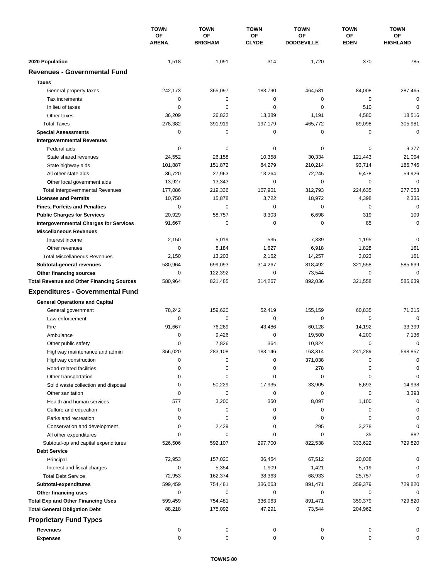|                                                                                    | <b>TOWN</b><br>ΟF<br><b>ARENA</b> | <b>TOWN</b>                 | <b>TOWN</b><br>ΟF<br><b>CLYDE</b> | <b>TOWN</b>             | <b>TOWN</b><br>ОF<br><b>EDEN</b> | <b>TOWN</b><br><b>OF</b><br><b>HIGHLAND</b> |
|------------------------------------------------------------------------------------|-----------------------------------|-----------------------------|-----------------------------------|-------------------------|----------------------------------|---------------------------------------------|
|                                                                                    |                                   | <b>OF</b><br><b>BRIGHAM</b> |                                   | ΟF<br><b>DODGEVILLE</b> |                                  |                                             |
| 2020 Population                                                                    | 1,518                             | 1,091                       | 314                               | 1,720                   | 370                              | 785                                         |
| <b>Revenues - Governmental Fund</b>                                                |                                   |                             |                                   |                         |                                  |                                             |
| <b>Taxes</b>                                                                       |                                   |                             |                                   |                         |                                  |                                             |
| General property taxes                                                             | 242,173                           | 365,097                     | 183,790                           | 464,581                 | 84,008                           | 287,465                                     |
| Tax increments                                                                     | 0                                 | 0                           | 0                                 | 0                       | $\mathbf 0$                      | $\mathbf 0$                                 |
| In lieu of taxes                                                                   | 0                                 | 0                           | 0                                 | 0                       | 510                              | 0                                           |
| Other taxes                                                                        | 36,209                            | 26,822                      | 13,389                            | 1,191                   | 4,580                            | 18,516                                      |
| <b>Total Taxes</b>                                                                 | 278,382                           | 391,919                     | 197,179                           | 465,772                 | 89,098                           | 305,981                                     |
| <b>Special Assessments</b>                                                         | 0                                 | 0                           | 0                                 | 0                       | 0                                | $\mathbf 0$                                 |
| <b>Intergovernmental Revenues</b>                                                  |                                   |                             |                                   |                         |                                  |                                             |
| Federal aids                                                                       | 0                                 | 0                           | 0                                 | 0                       | 0                                | 9,377                                       |
| State shared revenues                                                              | 24,552                            | 26,158                      | 10,358                            | 30,334                  | 121,443                          | 21,004                                      |
| State highway aids                                                                 | 101,887                           | 151,872                     | 84,279                            | 210,214                 | 93,714                           | 186,746                                     |
| All other state aids                                                               | 36,720                            | 27,963                      | 13,264                            | 72,245                  | 9,478                            | 59,926                                      |
| Other local government aids                                                        | 13,927                            | 13,343                      | $\mathbf 0$                       | 0                       | $\mathbf 0$                      | 0                                           |
| <b>Total Intergovernmental Revenues</b>                                            | 177,086                           | 219,336                     | 107,901                           | 312,793                 | 224,635                          | 277,053                                     |
| <b>Licenses and Permits</b>                                                        | 10,750                            | 15,878                      | 3,722                             | 18,972                  | 4,398                            | 2,335                                       |
| <b>Fines, Forfeits and Penalties</b>                                               | 0                                 | 0                           | $\mathbf 0$                       | 0                       | 0                                | $\mathbf 0$                                 |
| <b>Public Charges for Services</b>                                                 | 20,929                            | 58,757                      | 3,303                             | 6,698                   | 319                              | 109                                         |
| <b>Intergovernmental Charges for Services</b>                                      | 91,667                            | $\mathbf 0$                 | $\mathbf 0$                       | $\mathbf 0$             | 85                               | $\mathbf 0$                                 |
| <b>Miscellaneous Revenues</b>                                                      |                                   |                             |                                   |                         |                                  |                                             |
| Interest income                                                                    | 2,150                             | 5,019                       | 535                               | 7,339                   | 1,195                            | $\mathbf 0$                                 |
| Other revenues                                                                     | 0                                 | 8,184                       | 1,627                             | 6,918                   | 1,828                            | 161                                         |
| <b>Total Miscellaneous Revenues</b>                                                | 2,150                             | 13,203                      | 2,162                             | 14,257                  | 3,023                            | 161                                         |
|                                                                                    | 580,964                           | 699,093                     | 314,267                           | 818,492                 | 321,558                          | 585,639                                     |
| Subtotal-general revenues                                                          | 0                                 | 122,392                     | 0                                 | 73,544                  | $\mathbf 0$                      | 0                                           |
| <b>Other financing sources</b><br><b>Total Revenue and Other Financing Sources</b> | 580,964                           | 821,485                     | 314,267                           | 892,036                 | 321,558                          | 585,639                                     |
|                                                                                    |                                   |                             |                                   |                         |                                  |                                             |
| <b>Expenditures - Governmental Fund</b>                                            |                                   |                             |                                   |                         |                                  |                                             |
| <b>General Operations and Capital</b>                                              |                                   |                             |                                   |                         |                                  |                                             |
| General government                                                                 | 78,242                            | 159,620                     | 52,419                            | 155,159                 | 60,835                           | 71,215                                      |
| Law enforcement                                                                    | 0                                 | 0                           | 0                                 | 0                       | 0                                | $\mathbf 0$                                 |
| Fire                                                                               | 91,667                            | 76,269                      | 43,486                            | 60,128                  | 14,192                           | 33,399                                      |
| Ambulance                                                                          | 0                                 | 9,426                       | 0                                 | 19,500                  | 4,200                            | 7,136                                       |
| Other public safety                                                                | 0                                 | 7,826                       | 364                               | 10,824                  | $\mathbf 0$                      | 0                                           |
| Highway maintenance and admin                                                      | 356,020                           | 283,108                     | 183,146                           | 163,314                 | 241,289                          | 598,857                                     |
| Highway construction                                                               | 0                                 | 0                           | 0                                 | 371,038                 | 0                                | 0                                           |
| Road-related facilities                                                            | 0                                 | 0                           | 0                                 | 278                     | 0                                | 0                                           |
| Other transportation                                                               | 0                                 | 0                           | 0                                 | 0                       | 0                                | 0                                           |
| Solid waste collection and disposal                                                | 0                                 | 50,229                      | 17,935                            | 33,905                  | 8,693                            | 14,938                                      |
| Other sanitation                                                                   | 0                                 | 0                           | 0                                 | 0                       | 0                                | 3,393                                       |
| Health and human services                                                          | 577                               | 3,200                       | 350                               | 8,097                   | 1,100                            | 0                                           |
| Culture and education                                                              | 0                                 | 0                           | 0                                 | 0                       | 0                                | 0                                           |
| Parks and recreation                                                               | 0                                 | 0                           | 0                                 | 0                       | 0                                | 0                                           |
| Conservation and development                                                       | 0                                 | 2,429                       | 0                                 | 295                     | 3,278                            | 0                                           |
| All other expenditures                                                             | $\Omega$                          | 0                           | 0                                 | 0                       | 35                               | 882                                         |
| Subtotal-op and capital expenditures                                               | 526,506                           | 592,107                     | 297,700                           | 822,538                 | 333,622                          | 729,820                                     |
| <b>Debt Service</b>                                                                |                                   |                             |                                   |                         |                                  |                                             |
| Principal                                                                          | 72,953                            | 157,020                     | 36,454                            | 67,512                  | 20,038                           | 0                                           |
| Interest and fiscal charges                                                        | 0                                 | 5,354                       | 1,909                             | 1,421                   | 5,719                            | 0                                           |
| <b>Total Debt Service</b>                                                          | 72,953                            | 162,374                     | 38,363                            | 68,933                  | 25,757                           | $\Omega$                                    |
| Subtotal-expenditures                                                              | 599,459                           | 754,481                     | 336,063                           | 891,471                 | 359,379                          | 729,820                                     |
| Other financing uses                                                               | 0                                 | 0                           | 0                                 | 0                       | 0                                | 0                                           |
| <b>Total Exp and Other Financing Uses</b>                                          | 599,459                           | 754,481                     | 336,063                           | 891,471                 | 359,379                          | 729,820                                     |
| <b>Total General Obligation Debt</b>                                               | 88,218                            | 175,092                     | 47,291                            | 73,544                  | 204,962                          | 0                                           |
| <b>Proprietary Fund Types</b>                                                      |                                   |                             |                                   |                         |                                  |                                             |
| <b>Revenues</b>                                                                    | 0                                 | 0                           | 0                                 | 0                       | 0                                |                                             |
| <b>Expenses</b>                                                                    | 0                                 | 0                           | 0                                 | 0                       | 0                                | 0                                           |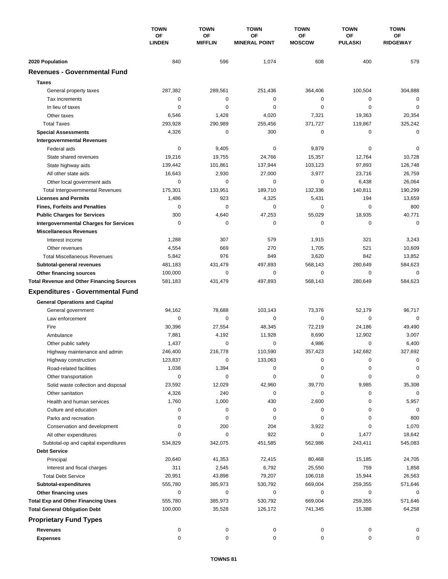|                                                  | <b>TOWN</b><br>ΟF<br><b>LINDEN</b> | <b>TOWN</b><br><b>OF</b><br><b>MIFFLIN</b> | <b>TOWN</b><br>OF<br><b>MINERAL POINT</b> | <b>TOWN</b><br>ΟF<br><b>MOSCOW</b> | <b>TOWN</b><br><b>OF</b><br><b>PULASKI</b> | <b>TOWN</b><br><b>OF</b><br><b>RIDGEWAY</b> |
|--------------------------------------------------|------------------------------------|--------------------------------------------|-------------------------------------------|------------------------------------|--------------------------------------------|---------------------------------------------|
|                                                  |                                    |                                            |                                           |                                    |                                            |                                             |
| 2020 Population                                  | 840                                | 596                                        | 1,074                                     | 608                                | 400                                        | 579                                         |
| <b>Revenues - Governmental Fund</b>              |                                    |                                            |                                           |                                    |                                            |                                             |
| <b>Taxes</b>                                     |                                    |                                            |                                           |                                    |                                            |                                             |
| General property taxes                           | 287,382                            | 289,561                                    | 251,436                                   | 364,406                            | 100,504                                    | 304,888                                     |
| Tax increments                                   | 0                                  | 0                                          | 0                                         | 0                                  | 0                                          | 0                                           |
| In lieu of taxes                                 | $\Omega$                           | $\mathbf 0$                                | 0                                         | 0                                  | $\mathbf 0$                                | $\mathbf 0$                                 |
| Other taxes                                      | 6,546                              | 1,428                                      | 4,020                                     | 7,321                              | 19,363                                     | 20,354                                      |
| <b>Total Taxes</b>                               | 293,928                            | 290,989                                    | 255,456                                   | 371,727                            | 119,867                                    | 325,242                                     |
| <b>Special Assessments</b>                       | 4,326                              | 0                                          | 300                                       | 0                                  | 0                                          | $\mathbf 0$                                 |
| <b>Intergovernmental Revenues</b>                |                                    |                                            |                                           |                                    |                                            |                                             |
| Federal aids                                     | 0                                  | 9,405                                      | $\mathbf 0$                               | 9,879                              | 0                                          | 0                                           |
| State shared revenues                            | 19,216                             | 19,755                                     | 24,766                                    | 15,357                             | 12,764                                     | 10,728                                      |
| State highway aids                               | 139,442                            | 101,861                                    | 137,944                                   | 103,123                            | 97,893                                     | 126,748                                     |
| All other state aids                             | 16,643                             | 2,930                                      | 27,000                                    | 3,977                              | 23,716                                     | 26,759                                      |
| Other local government aids                      | 0                                  | $\mathbf 0$                                | 0                                         | 0                                  | 6,438                                      | 26,064                                      |
| <b>Total Intergovernmental Revenues</b>          | 175,301                            | 133.951                                    | 189,710                                   | 132,336                            | 140,811                                    | 190,299                                     |
| <b>Licenses and Permits</b>                      | 1,486                              | 923                                        | 4,325                                     | 5,431                              | 194                                        | 13,659                                      |
| <b>Fines, Forfeits and Penalties</b>             | 0                                  | 0                                          | 0                                         | 0                                  | 0                                          | 800                                         |
| <b>Public Charges for Services</b>               | 300                                | 4,640                                      | 47,253                                    | 55,029                             | 18,935                                     | 40,771                                      |
| <b>Intergovernmental Charges for Services</b>    | $\mathbf 0$                        | $\mathbf 0$                                | $\mathbf 0$                               | $\mathbf 0$                        | $\mathbf 0$                                | $\mathbf 0$                                 |
| <b>Miscellaneous Revenues</b>                    |                                    |                                            |                                           |                                    |                                            |                                             |
| Interest income                                  | 1,288                              | 307                                        | 579                                       | 1,915                              | 321                                        | 3,243                                       |
| Other revenues                                   | 4,554                              | 669                                        | 270                                       | 1,705                              | 521                                        | 10,609                                      |
| <b>Total Miscellaneous Revenues</b>              | 5,842                              | 976                                        | 849                                       | 3,620                              | 842                                        | 13,852                                      |
| Subtotal-general revenues                        | 481,183                            | 431,479                                    | 497,893                                   | 568,143                            | 280,649                                    | 584,623                                     |
| Other financing sources                          | 100,000                            | $\mathbf 0$                                | 0                                         | 0                                  | $\mathbf 0$                                | 0                                           |
| <b>Total Revenue and Other Financing Sources</b> | 581,183                            | 431,479                                    | 497,893                                   | 568,143                            | 280,649                                    | 584,623                                     |
| <b>Expenditures - Governmental Fund</b>          |                                    |                                            |                                           |                                    |                                            |                                             |
| <b>General Operations and Capital</b>            |                                    |                                            |                                           |                                    |                                            |                                             |
| General government                               | 94,162                             | 78,688                                     | 103,143                                   | 73,376                             | 52,179                                     | 96,717                                      |
| Law enforcement                                  | $\mathbf 0$                        | 0                                          | $\mathbf 0$                               | 0                                  | $\mathbf 0$                                | $\mathbf 0$                                 |
| Fire                                             | 30,396                             | 27,554                                     | 48,345                                    | 72,219                             | 24,186                                     | 49,490                                      |
| Ambulance                                        | 7,881                              | 4,192                                      | 11,928                                    | 8,690                              | 12,902                                     | 3,007                                       |
| Other public safety                              | 1,437                              | 0                                          | 0                                         | 4,986                              | 0                                          | 6,400                                       |
| Highway maintenance and admin                    | 246,400                            | 216,778                                    | 110,590                                   | 357,423                            | 142,682                                    | 327,692                                     |
| Highway construction                             | 123,837                            | 0                                          | 133,063                                   | 0                                  | 0                                          | 0                                           |
| Road-related facilities                          | 1,038                              | 1,394                                      | 0                                         | 0                                  | 0                                          | $\Omega$                                    |
| Other transportation                             | 0                                  | 0                                          | 0                                         | 0                                  | 0                                          | 0                                           |
| Solid waste collection and disposal              | 23,592                             | 12,029                                     | 42,960                                    | 39,770                             | 9,985                                      | 35,308                                      |
| Other sanitation                                 | 4,326                              | 240                                        | 0                                         | 0                                  | 0                                          | $\mathbf 0$                                 |
| Health and human services                        | 1,760                              | 1,000                                      | 430                                       | 2,600                              | 0                                          | 5,957                                       |
| Culture and education                            | 0                                  | 0                                          | 0                                         | 0                                  | 0                                          | 0                                           |
| Parks and recreation                             | 0                                  | 0                                          | 0                                         | 0                                  | 0                                          | 800                                         |
| Conservation and development                     | 0                                  | 200                                        | 204                                       | 3,922                              | 0                                          | 1,070                                       |
| All other expenditures                           | $\Omega$                           | 0                                          | 922                                       | 0                                  | 1,477                                      | 18,642                                      |
| Subtotal-op and capital expenditures             | 534,829                            | 342,075                                    | 451,585                                   | 562,986                            | 243,411                                    | 545,083                                     |
| <b>Debt Service</b>                              |                                    |                                            |                                           |                                    |                                            |                                             |
| Principal                                        | 20,640                             | 41,353                                     | 72,415                                    | 80,468                             | 15,185                                     | 24,705                                      |
| Interest and fiscal charges                      | 311                                | 2,545                                      | 6,792                                     | 25,550                             | 759                                        | 1,858                                       |
| <b>Total Debt Service</b>                        | 20,951                             | 43,898                                     | 79,207                                    | 106,018                            | 15,944                                     | 26,563                                      |
| Subtotal-expenditures                            | 555,780                            | 385,973                                    | 530,792                                   | 669,004                            | 259,355                                    | 571,646                                     |
| Other financing uses                             | 0                                  | 0                                          | 0                                         | 0                                  | 0                                          | 0                                           |
| <b>Total Exp and Other Financing Uses</b>        | 555,780                            | 385,973                                    | 530,792                                   | 669,004                            | 259,355                                    | 571,646                                     |
| <b>Total General Obligation Debt</b>             | 100,000                            | 35,528                                     | 126,172                                   | 741,345                            | 15,388                                     | 64,258                                      |
| <b>Proprietary Fund Types</b>                    |                                    |                                            |                                           |                                    |                                            |                                             |
| <b>Revenues</b>                                  | 0                                  | 0                                          | 0                                         | 0                                  | 0                                          | 0                                           |
| <b>Expenses</b>                                  | 0                                  | 0                                          | 0                                         | 0                                  | 0                                          | 0                                           |
|                                                  |                                    |                                            |                                           |                                    |                                            |                                             |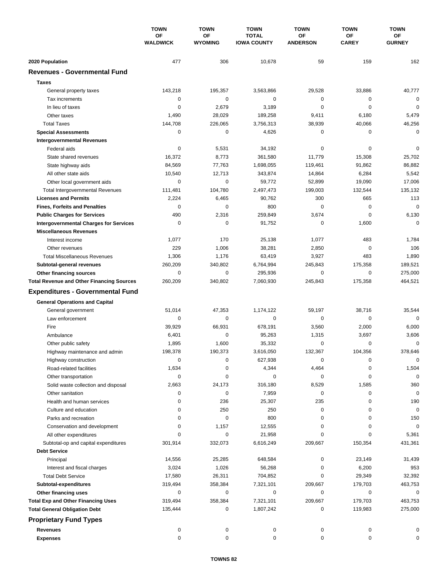|                                                  | <b>TOWN</b><br>OF<br><b>WALDWICK</b> | <b>TOWN</b>          | <b>TOWN</b>                        | <b>TOWN</b>           | <b>TOWN</b>        | <b>TOWN</b>         |
|--------------------------------------------------|--------------------------------------|----------------------|------------------------------------|-----------------------|--------------------|---------------------|
|                                                  |                                      | OF<br><b>WYOMING</b> | <b>TOTAL</b><br><b>IOWA COUNTY</b> | OF<br><b>ANDERSON</b> | ΟF<br><b>CAREY</b> | ОF<br><b>GURNEY</b> |
| 2020 Population                                  | 477                                  | 306                  | 10,678                             | 59                    | 159                | 162                 |
| <b>Revenues - Governmental Fund</b>              |                                      |                      |                                    |                       |                    |                     |
| <b>Taxes</b>                                     |                                      |                      |                                    |                       |                    |                     |
| General property taxes                           | 143,218                              | 195,357              | 3,563,866                          | 29,528                | 33,886             | 40,777              |
| Tax increments                                   | 0                                    | $\pmb{0}$            | $\mathbf 0$                        | 0                     | 0                  | $\mathbf 0$         |
| In lieu of taxes                                 | 0                                    | 2,679                | 3,189                              | 0                     | $\mathbf 0$        | $\mathbf 0$         |
| Other taxes                                      | 1,490                                | 28,029               | 189,258                            | 9,411                 | 6,180              | 5,479               |
| <b>Total Taxes</b>                               | 144,708                              | 226,065              | 3,756,313                          | 38,939                | 40,066             | 46,256              |
| <b>Special Assessments</b>                       | 0                                    | 0                    | 4,626                              | 0                     | 0                  | $\mathbf 0$         |
| <b>Intergovernmental Revenues</b>                |                                      |                      |                                    |                       |                    |                     |
| Federal aids                                     | 0                                    | 5,531                | 34,192                             | 0                     | 0                  | 0                   |
| State shared revenues                            | 16,372                               | 8,773                | 361,580                            | 11,779                | 15,308             | 25,702              |
| State highway aids                               | 84,569                               | 77,763               | 1,698,055                          | 119,461               | 91,862             | 86,882              |
| All other state aids                             | 10,540                               | 12,713               | 343,874                            | 14,864                | 6,284              | 5,542               |
| Other local government aids                      | 0                                    | $\mathbf 0$          | 59.772                             | 52,899                | 19,090             | 17,006              |
| <b>Total Intergovernmental Revenues</b>          | 111,481                              | 104,780              | 2,497,473                          | 199,003               | 132,544            | 135,132             |
| <b>Licenses and Permits</b>                      | 2,224                                | 6,465                | 90,762                             | 300                   | 665                | 113                 |
| <b>Fines, Forfeits and Penalties</b>             | 0                                    | $\mathbf 0$          | 800                                | 0                     | $\mathbf 0$        | $\mathbf 0$         |
| <b>Public Charges for Services</b>               | 490                                  | 2,316                | 259,849                            | 3,674                 | $\mathbf 0$        | 6,130               |
| <b>Intergovernmental Charges for Services</b>    | 0                                    | 0                    | 91,752                             | 0                     | 1,600              | $\mathbf 0$         |
| <b>Miscellaneous Revenues</b>                    |                                      |                      |                                    |                       |                    |                     |
| Interest income                                  | 1,077                                | 170                  | 25,138                             | 1,077                 | 483                | 1,784               |
| Other revenues                                   | 229                                  | 1,006                | 38,281                             | 2,850                 | 0                  | 106                 |
| <b>Total Miscellaneous Revenues</b>              | 1,306                                | 1,176                | 63,419                             | 3,927                 | 483                | 1,890               |
| Subtotal-general revenues                        | 260,209                              | 340,802              | 6,764,994                          | 245,843               | 175,358            | 189,521             |
| Other financing sources                          | 0                                    | $\pmb{0}$            | 295,936                            | 0                     | 0                  | 275,000             |
| <b>Total Revenue and Other Financing Sources</b> | 260,209                              | 340,802              | 7,060,930                          | 245,843               | 175,358            | 464,521             |
| <b>Expenditures - Governmental Fund</b>          |                                      |                      |                                    |                       |                    |                     |
| <b>General Operations and Capital</b>            |                                      |                      |                                    |                       |                    |                     |
| General government                               | 51,014                               | 47,353               | 1,174,122                          | 59,197                | 38,716             | 35,544              |
| Law enforcement                                  | 0                                    | 0                    | 0                                  | 0                     | 0                  | $\mathbf 0$         |
| Fire                                             | 39,929                               | 66,931               | 678,191                            | 3,560                 | 2,000              | 6,000               |
| Ambulance                                        | 6,401                                | 0                    | 95,263                             | 1,315                 | 3,697              | 3,606               |
| Other public safety                              | 1,895                                | 1,600                | 35,332                             | 0                     | 0                  | $\mathbf 0$         |
| Highway maintenance and admin                    | 198,378                              | 190,373              | 3,616,050                          | 132,367               | 104,356            | 378,646             |
| Highway construction                             | 0                                    | 0                    | 627,938                            | 0                     | 0                  | 0                   |
| Road-related facilities                          | 1,634                                | 0                    | 4,344                              | 4,464                 | 0                  | 1,504               |
| Other transportation                             | 0                                    | 0                    | 0                                  | 0                     | 0                  | $\mathbf 0$         |
| Solid waste collection and disposal              | 2,663                                | 24,173               | 316,180                            | 8,529                 | 1,585              | 360                 |
| Other sanitation                                 | 0                                    | 0                    | 7,959                              | 0                     | 0                  | $\mathbf 0$         |
| Health and human services                        | 0                                    | 236                  | 25,307                             | 235                   | 0                  | 190                 |
| Culture and education                            | 0                                    | 250                  | 250                                | 0                     | 0                  | $\pmb{0}$           |
| Parks and recreation                             | 0                                    | 0                    | 800                                | 0                     | 0                  | 150                 |
| Conservation and development                     | 0                                    | 1,157                | 12,555                             | 0                     | 0                  | $\mathbf 0$         |
| All other expenditures                           | $\Omega$                             | 0                    | 21,958                             | 0                     | 0                  | 5,361               |
| Subtotal-op and capital expenditures             | 301,914                              | 332,073              | 6,616,249                          | 209,667               | 150,354            | 431,361             |
| <b>Debt Service</b>                              |                                      |                      |                                    |                       |                    |                     |
| Principal                                        | 14,556                               | 25,285               | 648,584                            | 0                     | 23,149             | 31,439              |
| Interest and fiscal charges                      | 3,024                                | 1,026                | 56,268                             | 0                     | 6,200              | 953                 |
| <b>Total Debt Service</b>                        | 17,580                               | 26,311               | 704,852                            | 0                     | 29,349             | 32,392              |
| Subtotal-expenditures                            | 319,494                              | 358,384              | 7,321,101                          | 209,667               | 179,703            | 463,753             |
| Other financing uses                             | 0                                    | 0                    | 0                                  | 0                     | 0                  | 0                   |
| <b>Total Exp and Other Financing Uses</b>        | 319,494                              | 358,384              | 7,321,101                          | 209,667               | 179,703            | 463,753             |
| <b>Total General Obligation Debt</b>             | 135,444                              | 0                    | 1,807,242                          | 0                     | 119,983            | 275,000             |
| <b>Proprietary Fund Types</b>                    |                                      |                      |                                    |                       |                    |                     |
| <b>Revenues</b>                                  | 0                                    | 0                    | 0                                  | 0                     | 0                  | 0                   |
| <b>Expenses</b>                                  | 0                                    | 0                    | 0                                  | 0                     | 0                  | 0                   |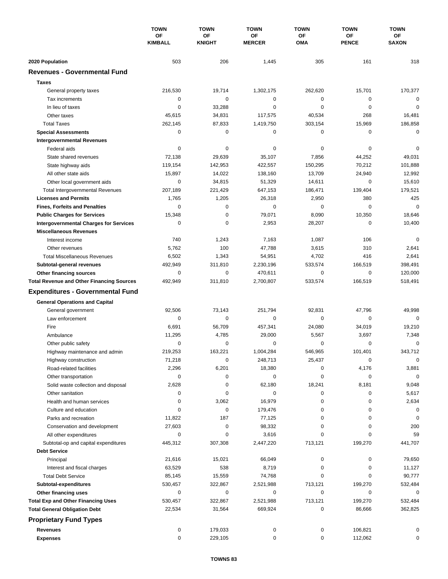|                                                   | <b>TOWN</b><br><b>OF</b><br><b>KIMBALL</b> | <b>TOWN</b>                | <b>TOWN</b>                | <b>TOWN</b>      | <b>TOWN</b>        | <b>TOWN</b>        |
|---------------------------------------------------|--------------------------------------------|----------------------------|----------------------------|------------------|--------------------|--------------------|
|                                                   |                                            | <b>OF</b><br><b>KNIGHT</b> | <b>OF</b><br><b>MERCER</b> | <b>OF</b><br>OMA | ΟF<br><b>PENCE</b> | ОF<br><b>SAXON</b> |
| 2020 Population                                   | 503                                        | 206                        | 1,445                      | 305              | 161                | 318                |
| <b>Revenues - Governmental Fund</b>               |                                            |                            |                            |                  |                    |                    |
| <b>Taxes</b>                                      |                                            |                            |                            |                  |                    |                    |
|                                                   | 216,530                                    | 19,714                     | 1,302,175                  | 262,620          | 15,701             | 170,377            |
| General property taxes                            |                                            | 0                          | 0                          | 0                |                    | 0                  |
| Tax increments<br>In lieu of taxes                | 0<br>0                                     |                            | 0                          | 0                | 0<br>0             | 0                  |
| Other taxes                                       |                                            | 33,288                     |                            | 40,534           | 268                |                    |
| <b>Total Taxes</b>                                | 45,615<br>262,145                          | 34,831<br>87,833           | 117,575<br>1,419,750       | 303,154          | 15,969             | 16,481<br>186,858  |
|                                                   | 0                                          | 0                          | 0                          | 0                | 0                  | $\mathbf 0$        |
| <b>Special Assessments</b>                        |                                            |                            |                            |                  |                    |                    |
| <b>Intergovernmental Revenues</b><br>Federal aids | 0                                          | 0                          | 0                          | 0                | 0                  | 0                  |
| State shared revenues                             | 72,138                                     | 29,639                     | 35,107                     | 7,856            | 44,252             | 49,031             |
|                                                   | 119,154                                    | 142,953                    | 422,557                    | 150,295          | 70,212             | 101,888            |
| State highway aids<br>All other state aids        | 15,897                                     | 14,022                     | 138,160                    | 13,709           | 24,940             | 12,992             |
|                                                   | 0                                          |                            | 51,329                     |                  | $\mathbf 0$        |                    |
| Other local government aids                       | 207,189                                    | 34,815                     | 647,153                    | 14,611           | 139,404            | 15,610<br>179,521  |
| <b>Total Intergovernmental Revenues</b>           |                                            | 221,429                    |                            | 186,471          |                    |                    |
| <b>Licenses and Permits</b>                       | 1,765                                      | 1,205                      | 26,318<br>$\mathbf 0$      | 2,950<br>0       | 380<br>$\mathbf 0$ | 425<br>$\mathbf 0$ |
| <b>Fines, Forfeits and Penalties</b>              | 0                                          | 0                          |                            |                  |                    |                    |
| <b>Public Charges for Services</b>                | 15,348                                     | 0                          | 79,071                     | 8,090            | 10,350             | 18,646             |
| <b>Intergovernmental Charges for Services</b>     | 0                                          | $\mathbf 0$                | 2,953                      | 28,207           | 0                  | 10,400             |
| <b>Miscellaneous Revenues</b>                     |                                            |                            |                            |                  |                    |                    |
| Interest income                                   | 740                                        | 1,243                      | 7,163                      | 1,087            | 106                | 0                  |
| Other revenues                                    | 5,762                                      | 100                        | 47,788                     | 3,615            | 310                | 2,641              |
| <b>Total Miscellaneous Revenues</b>               | 6,502                                      | 1,343                      | 54,951                     | 4,702            | 416                | 2,641              |
| Subtotal-general revenues                         | 492,949                                    | 311,810                    | 2,230,196                  | 533,574          | 166,519            | 398,491            |
| <b>Other financing sources</b>                    | 0                                          | $\mathbf 0$                | 470,611                    | 0                | $\mathbf 0$        | 120,000            |
| <b>Total Revenue and Other Financing Sources</b>  | 492,949                                    | 311,810                    | 2,700,807                  | 533,574          | 166,519            | 518,491            |
| <b>Expenditures - Governmental Fund</b>           |                                            |                            |                            |                  |                    |                    |
| <b>General Operations and Capital</b>             |                                            |                            |                            |                  |                    |                    |
| General government                                | 92,506                                     | 73,143                     | 251,794                    | 92,831           | 47,796             | 49,998             |
| Law enforcement                                   | 0                                          | $\mathbf 0$                | 0                          | 0                | 0                  | $\mathbf 0$        |
| Fire                                              | 6,691                                      | 56,709                     | 457,341                    | 24,080           | 34,019             | 19,210             |
| Ambulance                                         | 11,295                                     | 4,785                      | 29,000                     | 5,567            | 3,697              | 7,348              |
| Other public safety                               | 0                                          | $\mathbf 0$                | 0                          | 0                | $\mathbf 0$        | 0                  |
| Highway maintenance and admin                     | 219,253                                    | 163,221                    | 1,004,284                  | 546,965          | 101,401            | 343,712            |
| Highway construction                              | 71,218                                     | 0                          | 248,713                    | 25,437           | 0                  | 0                  |
| Road-related facilities                           | 2,296                                      | 6,201                      | 18,380                     | 0                | 4,176              | 3,881              |
| Other transportation                              | 0                                          | 0                          | 0                          | 0                | 0                  | $\mathbf 0$        |
| Solid waste collection and disposal               | 2,628                                      | 0                          | 62,180                     | 18,241           | 8,181              | 9,048              |
| Other sanitation                                  | 0                                          | 0                          | 0                          | 0                | 0                  | 5,617              |
| Health and human services                         | 0                                          | 3,062                      | 16,979                     | 0                | 0                  | 2,634              |
| Culture and education                             | 0                                          | 0                          | 179,476                    | 0                | 0                  | 0                  |
| Parks and recreation                              | 11,822                                     | 187                        | 77,125                     | 0                | 0                  | 0                  |
| Conservation and development                      | 27,603                                     | 0                          | 98,332                     | 0                | 0                  | 200                |
| All other expenditures                            | 0                                          | 0                          | 3,616                      | 0                | 0                  | 59                 |
| Subtotal-op and capital expenditures              | 445,312                                    | 307,308                    | 2,447,220                  | 713,121          | 199,270            | 441,707            |
| <b>Debt Service</b>                               |                                            |                            |                            |                  |                    |                    |
| Principal                                         | 21,616                                     | 15,021                     | 66,049                     | 0                | 0                  | 79,650             |
| Interest and fiscal charges                       | 63,529                                     | 538                        | 8,719                      | 0                | 0                  | 11,127             |
| <b>Total Debt Service</b>                         | 85,145                                     | 15,559                     | 74,768                     | 0                | 0                  | 90,777             |
| Subtotal-expenditures                             | 530,457                                    | 322,867                    | 2,521,988                  | 713,121          | 199,270            | 532,484            |
| Other financing uses                              | 0                                          | 0                          | 0                          | 0                | 0                  | 0                  |
| <b>Total Exp and Other Financing Uses</b>         | 530,457                                    | 322,867                    | 2,521,988                  | 713,121          | 199,270            | 532,484            |
| <b>Total General Obligation Debt</b>              | 22,534                                     | 31,564                     | 669,924                    | 0                | 86,666             | 362,825            |
| <b>Proprietary Fund Types</b>                     |                                            |                            |                            |                  |                    |                    |
| <b>Revenues</b>                                   | 0                                          | 179,033                    | 0                          | 0                | 106,821            | 0                  |
| <b>Expenses</b>                                   | 0                                          | 229,105                    | 0                          | 0                | 112,062            | 0                  |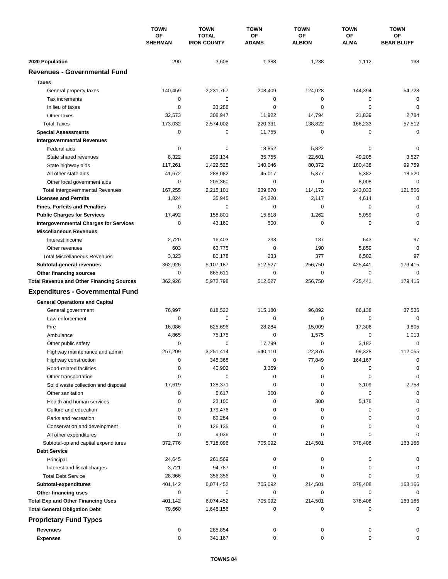|                                                      | <b>TOWN</b><br>OF<br><b>SHERMAN</b> | <b>TOWN</b>                        | <b>TOWN</b>        | <b>TOWN</b>                | <b>TOWN</b>              | <b>TOWN</b>             |
|------------------------------------------------------|-------------------------------------|------------------------------------|--------------------|----------------------------|--------------------------|-------------------------|
|                                                      |                                     | <b>TOTAL</b><br><b>IRON COUNTY</b> | OF<br><b>ADAMS</b> | <b>OF</b><br><b>ALBION</b> | <b>OF</b><br><b>ALMA</b> | ОF<br><b>BEAR BLUFF</b> |
| 2020 Population                                      | 290                                 | 3,608                              | 1,388              | 1,238                      | 1,112                    | 138                     |
| <b>Revenues - Governmental Fund</b>                  |                                     |                                    |                    |                            |                          |                         |
| <b>Taxes</b>                                         |                                     |                                    |                    |                            |                          |                         |
| General property taxes                               | 140,459                             | 2,231,767                          | 208,409            | 124,028                    | 144,394                  | 54,728                  |
| Tax increments                                       | 0                                   | 0                                  | 0                  | 0                          | 0                        | $\mathbf 0$             |
| In lieu of taxes                                     | 0                                   | 33,288                             | 0                  | 0                          | $\mathbf 0$              | $\mathbf 0$             |
| Other taxes                                          | 32,573                              | 308,947                            | 11,922             | 14,794                     | 21,839                   | 2,784                   |
| <b>Total Taxes</b>                                   | 173,032                             | 2,574,002                          | 220,331            | 138,822                    | 166,233                  | 57,512                  |
| <b>Special Assessments</b>                           | 0                                   | 0                                  | 11,755             | 0                          | 0                        | $\mathbf 0$             |
| <b>Intergovernmental Revenues</b>                    |                                     |                                    |                    |                            |                          |                         |
| Federal aids                                         | 0                                   | 0                                  | 18,852             | 5,822                      | 0                        | 0                       |
| State shared revenues                                | 8,322                               | 299,134                            | 35,755             | 22,601                     | 49,205                   | 3,527                   |
| State highway aids                                   | 117,261                             | 1,422,525                          | 140,046            | 80,372                     | 180,438                  | 99,759                  |
| All other state aids                                 | 41,672                              | 288,082                            | 45,017             | 5,377                      | 5,382                    | 18,520                  |
| Other local government aids                          | 0                                   | 205,360                            | $\mathbf 0$        | 0                          | 8,008                    | $\mathbf 0$             |
| <b>Total Intergovernmental Revenues</b>              | 167,255                             | 2,215,101                          | 239,670            | 114,172                    | 243,033                  | 121,806                 |
| <b>Licenses and Permits</b>                          | 1,824                               | 35,945                             | 24,220             | 2,117                      | 4,614                    | $\mathbf 0$             |
| <b>Fines, Forfeits and Penalties</b>                 | 0                                   | 0                                  | 0                  | 0                          | 0                        | $\mathbf 0$             |
| <b>Public Charges for Services</b>                   | 17,492                              | 158,801                            | 15,818             | 1,262                      | 5,059                    | $\mathbf 0$             |
| <b>Intergovernmental Charges for Services</b>        | 0                                   | 43,160                             | 500                | 0                          | 0                        | 0                       |
| <b>Miscellaneous Revenues</b>                        |                                     |                                    |                    |                            |                          |                         |
| Interest income                                      | 2,720                               | 16,403                             | 233                | 187                        | 643                      | 97                      |
| Other revenues                                       | 603                                 | 63,775                             | $\mathbf 0$        | 190                        | 5,859                    | $\mathbf 0$             |
| <b>Total Miscellaneous Revenues</b>                  | 3,323                               | 80,178                             | 233                | 377                        | 6,502                    | 97                      |
|                                                      | 362,926                             | 5,107,187                          | 512,527            | 256,750                    | 425,441                  | 179,415                 |
| Subtotal-general revenues<br>Other financing sources | 0                                   | 865,611                            | 0                  | 0                          | 0                        | $\mathbf 0$             |
| <b>Total Revenue and Other Financing Sources</b>     | 362,926                             | 5,972,798                          | 512,527            | 256,750                    | 425,441                  | 179,415                 |
|                                                      |                                     |                                    |                    |                            |                          |                         |
| <b>Expenditures - Governmental Fund</b>              |                                     |                                    |                    |                            |                          |                         |
| <b>General Operations and Capital</b>                |                                     |                                    |                    |                            |                          |                         |
| General government                                   | 76,997                              | 818,522                            | 115,180            | 96,892                     | 86,138                   | 37,535                  |
| Law enforcement                                      | 0                                   | 0                                  | $\mathbf 0$        | $\mathbf 0$                | $\mathbf 0$              | $\mathbf 0$             |
| Fire                                                 | 16,086                              | 625,696                            | 28,284             | 15,009                     | 17,306                   | 9,805                   |
| Ambulance                                            | 4,865                               | 75,175                             | 0                  | 1,575                      | $\mathbf 0$              | 1,013                   |
| Other public safety                                  | $\mathbf 0$                         | 0                                  | 17,799             | 0                          | 3,182                    | $\mathbf 0$             |
| Highway maintenance and admin                        | 257,209                             | 3,251,414                          | 540,110            | 22,876                     | 99,328                   | 112,055                 |
| Highway construction                                 | 0                                   | 345,368                            | 0                  | 77,849                     | 164,167                  | 0                       |
| Road-related facilities                              | 0                                   | 40,902                             | 3,359              | 0                          | 0                        | 0                       |
| Other transportation                                 | 0                                   | 0                                  | 0                  | 0                          | 0                        | 0                       |
| Solid waste collection and disposal                  | 17,619                              | 128,371                            | 0                  | 0                          | 3,109                    | 2,758                   |
| Other sanitation                                     | 0                                   | 5,617                              | 360                | 0                          | 0                        | 0                       |
| Health and human services                            | 0                                   | 23,100                             | 0                  | 300                        | 5,178                    | 0                       |
| Culture and education                                | 0                                   | 179,476                            | 0                  | 0                          | 0                        | 0                       |
| Parks and recreation                                 | 0                                   | 89,284                             | 0                  | 0                          | 0                        | 0                       |
| Conservation and development                         | 0                                   | 126,135                            | 0                  | 0                          | 0                        | 0                       |
| All other expenditures                               | $\Omega$                            | 9,036                              | 0                  | 0                          | 0                        | 0                       |
| Subtotal-op and capital expenditures                 | 372,776                             | 5,718,096                          | 705,092            | 214,501                    | 378,408                  | 163,166                 |
| <b>Debt Service</b>                                  |                                     |                                    |                    |                            |                          |                         |
| Principal                                            | 24,645                              | 261,569                            | 0                  | 0                          | 0                        | 0                       |
| Interest and fiscal charges                          | 3,721                               | 94,787                             | 0                  | 0                          | 0                        | 0                       |
| <b>Total Debt Service</b>                            | 28,366                              | 356,356                            | 0                  | 0                          | 0                        | 0                       |
| Subtotal-expenditures                                | 401,142                             | 6,074,452                          | 705,092            | 214,501                    | 378,408                  | 163,166                 |
| Other financing uses                                 | 0                                   | 0                                  | 0                  | 0                          | 0                        | 0                       |
| <b>Total Exp and Other Financing Uses</b>            | 401,142                             | 6,074,452                          | 705,092            | 214,501                    | 378,408                  | 163,166                 |
| <b>Total General Obligation Debt</b>                 | 79,660                              | 1,648,156                          | 0                  | 0                          | 0                        | $\mathbf 0$             |
| <b>Proprietary Fund Types</b>                        |                                     |                                    |                    |                            |                          |                         |
| <b>Revenues</b>                                      | 0                                   | 285,854                            | 0                  | 0                          | 0                        |                         |
| <b>Expenses</b>                                      | 0                                   | 341,167                            | 0                  | 0                          | 0                        | 0                       |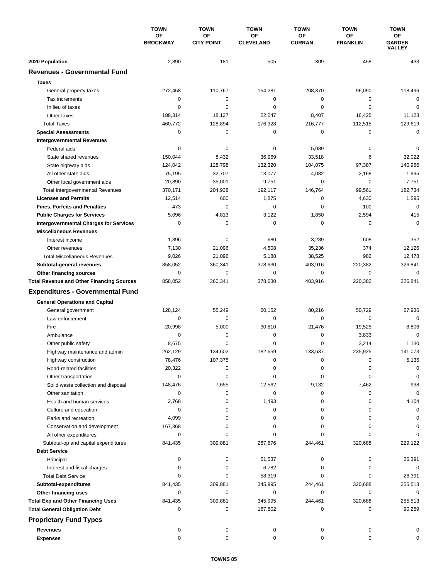|                                                      | <b>TOWN</b><br><b>OF</b><br><b>BROCKWAY</b> | <b>TOWN</b>             | <b>TOWN</b><br>ΟF<br><b>CLEVELAND</b> | <b>TOWN</b>         | <b>TOWN</b>                  | <b>TOWN</b><br>ОF<br><b>GARDEN</b><br>VALLEY |
|------------------------------------------------------|---------------------------------------------|-------------------------|---------------------------------------|---------------------|------------------------------|----------------------------------------------|
|                                                      |                                             | OF<br><b>CITY POINT</b> |                                       | ОF<br><b>CURRAN</b> | <b>OF</b><br><b>FRANKLIN</b> |                                              |
| 2020 Population                                      | 2,890                                       | 181                     | 505                                   | 309                 | 458                          | 433                                          |
| <b>Revenues - Governmental Fund</b>                  |                                             |                         |                                       |                     |                              |                                              |
| <b>Taxes</b>                                         |                                             |                         |                                       |                     |                              |                                              |
| General property taxes                               | 272,458                                     | 110,767                 | 154,281                               | 208,370             | 96,090                       | 118,496                                      |
| Tax increments                                       | 0                                           | 0                       | $\mathbf 0$                           | 0                   | 0                            | $\mathbf 0$                                  |
| In lieu of taxes                                     | 0                                           | 0                       | $\mathbf 0$                           | 0                   | $\mathbf 0$                  | 0                                            |
| Other taxes                                          | 188,314                                     | 18,127                  | 22,047                                | 8,407               | 16,425                       | 11,123                                       |
| <b>Total Taxes</b>                                   | 460,772                                     | 128,894                 | 176,328                               | 216,777             | 112,515                      | 129,619                                      |
| <b>Special Assessments</b>                           | $\mathbf 0$                                 | 0                       | 0                                     | 0                   | $\mathbf 0$                  | 0                                            |
| <b>Intergovernmental Revenues</b>                    |                                             |                         |                                       |                     |                              |                                              |
| Federal aids                                         | 0                                           | 0                       | 0                                     | 5,089               | 0                            | 0                                            |
| State shared revenues                                | 150,044                                     | 8,432                   | 36,969                                | 33,518              | 6                            | 32,022                                       |
| State highway aids                                   | 124,042                                     | 128,798                 | 132,320                               | 104,075             | 97,387                       | 140,966                                      |
| All other state aids                                 | 75,195                                      | 32,707                  | 13,077                                | 4,082               | 2,168                        | 1,995                                        |
| Other local government aids                          | 20,890                                      | 35,001                  | 9,751                                 | 0                   | $\mathbf 0$                  | 7,751                                        |
| <b>Total Intergovernmental Revenues</b>              | 370,171                                     | 204,938                 | 192,117                               | 146,764             | 99,561                       | 182,734                                      |
| <b>Licenses and Permits</b>                          | 12,514                                      | 600                     | 1,875                                 | 0                   | 4,630                        | 1,595                                        |
| <b>Fines, Forfeits and Penalties</b>                 | 473                                         | $\Omega$                | 0                                     | $\Omega$            | 100                          | $\mathbf 0$                                  |
| <b>Public Charges for Services</b>                   | 5,096                                       | 4,813                   | 3,122                                 | 1,850               | 2,594                        | 415                                          |
| <b>Intergovernmental Charges for Services</b>        | 0                                           | 0                       | $\mathbf 0$                           | 0                   | 0                            | $\Omega$                                     |
| <b>Miscellaneous Revenues</b>                        |                                             |                         |                                       |                     |                              |                                              |
| Interest income                                      | 1,896                                       | 0                       | 680                                   | 3,289               | 608                          | 352                                          |
| Other revenues                                       | 7,130                                       | 21,096                  | 4,508                                 | 35,236              | 374                          | 12,126                                       |
| <b>Total Miscellaneous Revenues</b>                  | 9,026                                       | 21,096                  | 5,188                                 | 38,525              | 982                          | 12,478                                       |
| Subtotal-general revenues                            | 858,052                                     | 360,341                 | 378,630                               | 403,916             | 220,382                      | 326,841                                      |
| <b>Other financing sources</b>                       | $\mathbf 0$                                 | $\mathbf 0$             | $\mathbf 0$                           | 0                   | $\mathbf 0$                  | $\mathbf 0$                                  |
| <b>Total Revenue and Other Financing Sources</b>     | 858,052                                     | 360,341                 | 378,630                               | 403,916             | 220,382                      | 326,841                                      |
| <b>Expenditures - Governmental Fund</b>              |                                             |                         |                                       |                     |                              |                                              |
| <b>General Operations and Capital</b>                |                                             |                         |                                       |                     |                              |                                              |
| General government                                   | 128,124                                     | 55,249                  | 60,152                                | 80,216              | 50,729                       | 67,936                                       |
| Law enforcement                                      | 0                                           | 0                       | $\mathbf 0$                           | 0                   | 0                            | $\Omega$                                     |
| Fire                                                 | 20,998                                      | 5,000                   | 30,810                                | 21,476              | 19,525                       | 8,806                                        |
| Ambulance                                            | 0                                           | 0                       | 0                                     | 0                   | 3,833                        | $\mathbf 0$                                  |
| Other public safety                                  | 8,675                                       | $\mathbf 0$             | $\mathbf 0$                           | 0                   | 3,214                        | 1,130                                        |
| Highway maintenance and admin                        | 262,129                                     | 134.602                 | 182.659                               | 133,637             | 235,925                      | 141,073                                      |
| Highway construction                                 | 78,476                                      | 107,375                 | 0                                     | 0                   | 0                            | 5,135                                        |
| Road-related facilities                              | 20,322                                      | 0                       | 0                                     | 0                   | 0                            | 0                                            |
| Other transportation                                 | 0                                           | 0                       | 0                                     | 0                   | 0                            | 0                                            |
| Solid waste collection and disposal                  | 148,476                                     | 7,655                   | 12,562                                | 9,132               | 7,462                        | 938                                          |
| Other sanitation                                     | 0                                           | 0                       | 0                                     | 0                   | 0                            | $\mathbf 0$                                  |
| Health and human services                            | 2,768                                       | 0                       | 1,493                                 | 0                   | 0<br>0                       | 4,104                                        |
| Culture and education                                | 0<br>4,099                                  | 0<br>0                  | 0<br>0                                | 0<br>0              | 0                            | 0<br>0                                       |
| Parks and recreation<br>Conservation and development | 167,368                                     | 0                       | 0                                     | 0                   | 0                            | 0                                            |
| All other expenditures                               | 0                                           | 0                       | 0                                     | 0                   | 0                            | O                                            |
| Subtotal-op and capital expenditures                 | 841,435                                     | 309,881                 | 287,676                               | 244,461             | 320,688                      | 229,122                                      |
| <b>Debt Service</b>                                  |                                             |                         |                                       |                     |                              |                                              |
| Principal                                            | 0                                           | 0                       | 51,537                                | 0                   | 0                            | 26,391                                       |
| Interest and fiscal charges                          | 0                                           | 0                       | 6,782                                 | 0                   | 0                            | 0                                            |
| <b>Total Debt Service</b>                            | $\Omega$                                    | 0                       | 58,319                                | 0                   | 0                            | 26,391                                       |
| Subtotal-expenditures                                | 841,435                                     | 309,881                 | 345,995                               | 244,461             | 320,688                      | 255,513                                      |
| Other financing uses                                 | 0                                           | 0                       | 0                                     | 0                   | $\mathbf 0$                  | 0                                            |
| <b>Total Exp and Other Financing Uses</b>            | 841,435                                     | 309,881                 | 345,995                               | 244,461             | 320,688                      | 255,513                                      |
| <b>Total General Obligation Debt</b>                 | 0                                           | 0                       | 167,802                               | 0                   | 0                            | 90,259                                       |
| <b>Proprietary Fund Types</b>                        |                                             |                         |                                       |                     |                              |                                              |
| <b>Revenues</b>                                      | 0                                           | 0                       | 0                                     | 0                   | 0                            | 0                                            |
| <b>Expenses</b>                                      | 0                                           | 0                       | 0                                     | 0                   | 0                            | 0                                            |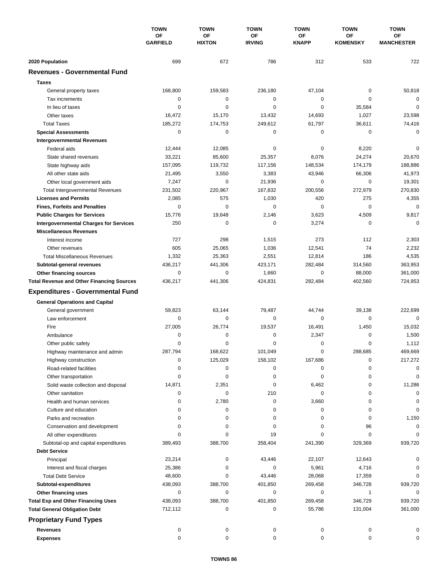|                                                  | <b>TOWN</b><br>OF<br><b>GARFIELD</b> | <b>TOWN</b>         | <b>TOWN</b>         | <b>TOWN</b>        | <b>TOWN</b>           | <b>TOWN</b>             |
|--------------------------------------------------|--------------------------------------|---------------------|---------------------|--------------------|-----------------------|-------------------------|
|                                                  |                                      | OF<br><b>HIXTON</b> | OF<br><b>IRVING</b> | OF<br><b>KNAPP</b> | OF<br><b>KOMENSKY</b> | ОF<br><b>MANCHESTER</b> |
| 2020 Population                                  | 699                                  | 672                 | 786                 | 312                | 533                   | 722                     |
| <b>Revenues - Governmental Fund</b>              |                                      |                     |                     |                    |                       |                         |
| <b>Taxes</b>                                     |                                      |                     |                     |                    |                       |                         |
| General property taxes                           | 168,800                              | 159,583             | 236,180             | 47,104             | 0                     | 50,818                  |
| Tax increments                                   | 0                                    | 0                   | 0                   | 0                  | 0                     | $\mathbf 0$             |
| In lieu of taxes                                 | 0                                    | $\mathbf 0$         | 0                   | 0                  | 35,584                | $\mathbf 0$             |
| Other taxes                                      | 16,472                               | 15,170              | 13,432              | 14,693             | 1,027                 | 23,598                  |
| <b>Total Taxes</b>                               | 185,272                              | 174,753             | 249,612             | 61,797             | 36,611                | 74,416                  |
| <b>Special Assessments</b>                       | 0                                    | 0                   | 0                   | 0                  | 0                     | $\mathbf 0$             |
| <b>Intergovernmental Revenues</b>                |                                      |                     |                     |                    |                       |                         |
| Federal aids                                     | 12,444                               | 12,085              | 0                   | 0                  | 8,220                 | 0                       |
| State shared revenues                            | 33,221                               | 85,600              | 25,357              | 8,076              | 24,274                | 20,670                  |
| State highway aids                               | 157,095                              | 119,732             | 117,156             | 148,534            | 174,179               | 188,886                 |
| All other state aids                             | 21,495                               | 3,550               | 3,383               | 43,946             | 66,306                | 41,973                  |
| Other local government aids                      | 7,247                                | $\pmb{0}$           | 21,936              | 0                  | $\mathbf 0$           | 19,301                  |
| <b>Total Intergovernmental Revenues</b>          | 231,502                              | 220,967             | 167,832             | 200,556            | 272,979               | 270,830                 |
| <b>Licenses and Permits</b>                      | 2,085                                | 575                 | 1,030               | 420                | 275                   | 4,355                   |
| <b>Fines, Forfeits and Penalties</b>             | 0                                    | $\mathbf 0$         | 0                   | 0                  | $\mathbf 0$           | $\mathbf 0$             |
| <b>Public Charges for Services</b>               | 15,776                               | 19,648              | 2,146               | 3,623              | 4,509                 | 9,817                   |
| <b>Intergovernmental Charges for Services</b>    | 250                                  | 0                   | 0                   | 3,274              | 0                     | $\mathbf 0$             |
| <b>Miscellaneous Revenues</b>                    |                                      |                     |                     |                    |                       |                         |
| Interest income                                  | 727                                  | 298                 | 1,515               | 273                | 112                   | 2,303                   |
| Other revenues                                   | 605                                  | 25,065              | 1,036               | 12,541             | 74                    | 2,232                   |
| <b>Total Miscellaneous Revenues</b>              | 1,332                                | 25,363              | 2,551               | 12,814             | 186                   | 4,535                   |
| Subtotal-general revenues                        | 436,217                              | 441,306             | 423,171             | 282,484            | 314,560               | 363,953                 |
| Other financing sources                          | 0                                    | $\pmb{0}$           | 1,660               | 0                  | 88,000                | 361,000                 |
| <b>Total Revenue and Other Financing Sources</b> | 436,217                              | 441,306             | 424,831             | 282,484            | 402,560               | 724,953                 |
| <b>Expenditures - Governmental Fund</b>          |                                      |                     |                     |                    |                       |                         |
| <b>General Operations and Capital</b>            |                                      |                     |                     |                    |                       |                         |
| General government                               | 59,823                               | 63,144              | 79,487              | 44,744             | 39,138                | 222,699                 |
| Law enforcement                                  | 0                                    | 0                   | 0                   | 0                  | 0                     | $\mathbf 0$             |
| Fire                                             | 27,005                               | 26,774              | 19,537              | 16,491             | 1,450                 | 15,032                  |
| Ambulance                                        | 0                                    | 0                   | 0                   | 2,347              | 0                     | 1,500                   |
| Other public safety                              | 0                                    | 0                   | 0                   | 0                  | 0                     | 1,112                   |
| Highway maintenance and admin                    | 287,794                              | 168,622             | 101,049             | 0                  | 288.685               | 469,669                 |
| Highway construction                             | 0                                    | 125,029             | 158,102             | 167,686            | 0                     | 217,272                 |
| Road-related facilities                          | 0                                    | 0                   | 0                   | 0                  | 0                     | 0                       |
| Other transportation                             | 0                                    | 0                   | 0                   | 0                  | 0                     | 0                       |
| Solid waste collection and disposal              | 14,871                               | 2,351               | 0                   | 6,462              | 0                     | 11,286                  |
| Other sanitation                                 | 0                                    | 0                   | 210                 | 0                  | 0                     | 0                       |
| Health and human services                        | 0                                    | 2,780               | 0                   | 3,660              | 0                     | 0                       |
| Culture and education                            | 0                                    | 0                   | 0                   | 0                  | 0                     | 0                       |
| Parks and recreation                             | $\Omega$                             | 0                   | 0                   | 0                  | 0                     | 1,150                   |
| Conservation and development                     | $\Omega$                             | 0                   | 0                   | 0                  | 96                    | 0                       |
| All other expenditures                           | 0                                    | 0                   | 19                  | 0                  | 0                     | $\Omega$                |
| Subtotal-op and capital expenditures             | 389,493                              | 388,700             | 358,404             | 241,390            | 329,369               | 939,720                 |
| <b>Debt Service</b>                              |                                      |                     |                     |                    |                       |                         |
| Principal                                        | 23,214                               | 0                   | 43,446              | 22,107             | 12,643                |                         |
| Interest and fiscal charges                      | 25,386                               | 0                   | 0                   | 5,961              | 4,716                 |                         |
| <b>Total Debt Service</b>                        | 48,600                               | 0                   | 43,446              | 28,068             | 17,359                | $\Omega$                |
| Subtotal-expenditures                            | 438,093                              | 388,700             | 401,850             | 269,458            | 346,728               | 939,720                 |
| Other financing uses                             | 0                                    | 0                   | 0                   | 0                  | 1                     | 0                       |
| <b>Total Exp and Other Financing Uses</b>        | 438,093                              | 388,700             | 401,850             | 269,458            | 346,729               | 939,720                 |
| <b>Total General Obligation Debt</b>             | 712,112                              | 0                   | 0                   | 55,786             | 131,004               | 361,000                 |
| <b>Proprietary Fund Types</b>                    |                                      |                     |                     |                    |                       |                         |
| Revenues                                         | 0                                    | 0                   | 0                   | 0                  | 0                     | 0                       |
| <b>Expenses</b>                                  | 0                                    | 0                   | 0                   | 0                  | 0                     | 0                       |
|                                                  |                                      |                     |                     |                    |                       |                         |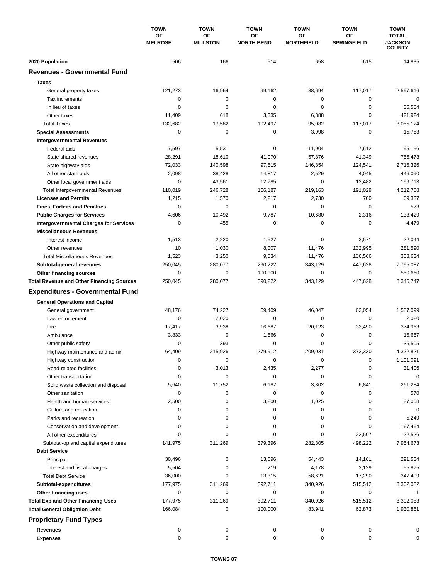|                                                                                   | <b>TOWN</b><br><b>OF</b><br><b>MELROSE</b> | <b>TOWN</b><br><b>OF</b><br><b>MILLSTON</b> | <b>TOWN</b><br><b>OF</b><br><b>NORTH BEND</b> | <b>TOWN</b><br>ΟF<br><b>NORTHFIELD</b> | <b>TOWN</b><br><b>OF</b><br><b>SPRINGFIELD</b> | <b>TOWN</b><br><b>TOTAL</b><br><b>JACKSON</b><br><b>COUNTY</b> |
|-----------------------------------------------------------------------------------|--------------------------------------------|---------------------------------------------|-----------------------------------------------|----------------------------------------|------------------------------------------------|----------------------------------------------------------------|
|                                                                                   |                                            |                                             |                                               |                                        |                                                |                                                                |
|                                                                                   |                                            |                                             |                                               |                                        |                                                |                                                                |
| 2020 Population                                                                   | 506                                        | 166                                         | 514                                           | 658                                    | 615                                            | 14,835                                                         |
| <b>Revenues - Governmental Fund</b>                                               |                                            |                                             |                                               |                                        |                                                |                                                                |
| <b>Taxes</b>                                                                      |                                            |                                             |                                               |                                        |                                                |                                                                |
| General property taxes                                                            | 121,273                                    | 16,964                                      | 99,162                                        | 88,694                                 | 117,017                                        | 2,597,616                                                      |
| Tax increments                                                                    | 0                                          | 0                                           | $\mathbf 0$                                   | 0                                      | 0                                              | $\mathbf 0$                                                    |
| In lieu of taxes                                                                  | 0                                          | 0                                           | 0                                             | 0                                      | 0                                              | 35,584                                                         |
| Other taxes                                                                       | 11,409                                     | 618                                         | 3,335                                         | 6,388                                  | $\mathbf 0$                                    | 421,924                                                        |
| <b>Total Taxes</b>                                                                | 132,682                                    | 17,582                                      | 102,497                                       | 95,082                                 | 117,017                                        | 3,055,124                                                      |
| <b>Special Assessments</b>                                                        | 0                                          | 0                                           | 0                                             | 3,998                                  | $\mathbf 0$                                    | 15,753                                                         |
| <b>Intergovernmental Revenues</b>                                                 |                                            |                                             |                                               |                                        |                                                |                                                                |
| Federal aids                                                                      | 7,597                                      | 5,531                                       | 0                                             | 11,904                                 | 7,612                                          | 95,156                                                         |
| State shared revenues                                                             | 28,291                                     | 18,610                                      | 41,070                                        | 57,876                                 | 41,349                                         | 756,473                                                        |
| State highway aids                                                                | 72,033                                     | 140,598                                     | 97,515                                        | 146,854                                | 124,541                                        | 2,715,326                                                      |
| All other state aids                                                              | 2,098                                      | 38,428                                      | 14,817                                        | 2,529                                  | 4,045                                          | 446,090                                                        |
| Other local government aids                                                       | 0                                          | 43,561                                      | 12,785                                        | 0                                      | 13,482                                         | 199,713                                                        |
| <b>Total Intergovernmental Revenues</b>                                           | 110,019                                    | 246,728                                     | 166,187                                       | 219,163                                | 191,029                                        | 4,212,758                                                      |
| <b>Licenses and Permits</b>                                                       | 1,215                                      | 1,570                                       | 2,217                                         | 2,730                                  | 700                                            | 69,337                                                         |
| <b>Fines, Forfeits and Penalties</b>                                              | 0                                          | $\mathbf 0$                                 | $\mathbf 0$                                   | $\Omega$                               | $\mathbf 0$                                    | 573                                                            |
| <b>Public Charges for Services</b>                                                | 4,606                                      | 10,492                                      | 9,787                                         | 10,680                                 | 2,316                                          | 133,429                                                        |
| <b>Intergovernmental Charges for Services</b>                                     | 0                                          | 455                                         | $\mathbf 0$                                   | 0                                      | 0                                              | 4,479                                                          |
| <b>Miscellaneous Revenues</b>                                                     |                                            |                                             |                                               |                                        |                                                |                                                                |
| Interest income                                                                   | 1,513                                      | 2,220                                       | 1,527                                         | 0                                      | 3,571                                          | 22,044                                                         |
| Other revenues                                                                    | 10                                         | 1,030                                       | 8,007                                         | 11,476                                 | 132,995                                        | 281,590                                                        |
| <b>Total Miscellaneous Revenues</b>                                               | 1,523                                      | 3,250                                       | 9,534                                         | 11,476                                 | 136,566                                        | 303,634                                                        |
| Subtotal-general revenues                                                         | 250,045                                    | 280,077                                     | 290,222                                       | 343,129                                | 447,628                                        | 7,795,087                                                      |
| <b>Other financing sources</b>                                                    | 0                                          | 0                                           | 100,000                                       | 0                                      | $\mathbf 0$                                    | 550,660                                                        |
| <b>Total Revenue and Other Financing Sources</b>                                  | 250,045                                    | 280,077                                     | 390,222                                       | 343,129                                | 447,628                                        | 8,345,747                                                      |
| <b>Expenditures - Governmental Fund</b>                                           |                                            |                                             |                                               |                                        |                                                |                                                                |
|                                                                                   |                                            |                                             |                                               |                                        |                                                |                                                                |
| <b>General Operations and Capital</b>                                             |                                            |                                             |                                               |                                        |                                                |                                                                |
| General government<br>Law enforcement                                             | 48,176<br>0                                | 74,227                                      | 69,409                                        | 46,047<br>0                            | 62,054<br>$\mathbf 0$                          | 1,587,099                                                      |
| Fire                                                                              |                                            | 2,020                                       | 0                                             | 20,123                                 |                                                | 2,020                                                          |
|                                                                                   | 17,417                                     | 3,938<br>0                                  | 16,687                                        | 0                                      | 33,490<br>0                                    | 374,963                                                        |
| Ambulance<br>Other public safety                                                  | 3,833<br>0                                 | 393                                         | 1,566<br>0                                    | 0                                      | $\mathbf 0$                                    | 15,667<br>35,505                                               |
|                                                                                   | 64,409                                     | 215,926                                     | 279,912                                       | 209,031                                | 373,330                                        | 4,322,821                                                      |
| Highway maintenance and admin                                                     | 0                                          | 0                                           | 0                                             | 0                                      | 0                                              |                                                                |
| Highway construction                                                              | 0                                          |                                             |                                               |                                        | 0                                              | 1,101,091                                                      |
| Road-related facilities                                                           | 0                                          | 3,013<br>0                                  | 2,435<br>0                                    | 2,277<br>0                             | 0                                              | 31,406<br>0                                                    |
| Other transportation                                                              | 5,640                                      | 11,752                                      | 6,187                                         | 3,802                                  |                                                |                                                                |
| Solid waste collection and disposal                                               | 0                                          | 0                                           |                                               | $\pmb{0}$                              | 6,841<br>0                                     | 261,284                                                        |
| Other sanitation                                                                  |                                            | 0                                           | 0                                             | 1,025                                  | 0                                              | 570                                                            |
| Health and human services                                                         | 2,500<br>0                                 | 0                                           | 3,200<br>0                                    | 0                                      | 0                                              | 27,008<br>0                                                    |
| Culture and education<br>Parks and recreation                                     | 0                                          | 0                                           | 0                                             | 0                                      | 0                                              |                                                                |
|                                                                                   | 0                                          | 0                                           | 0                                             | 0                                      | 0                                              | 5,249                                                          |
| Conservation and development                                                      | $\Omega$                                   | 0                                           | 0                                             | 0                                      |                                                | 167,464                                                        |
| All other expenditures                                                            |                                            |                                             | 379,396                                       |                                        | 22,507                                         | 22,526                                                         |
| Subtotal-op and capital expenditures                                              | 141,975                                    | 311,269                                     |                                               | 282,305                                | 498,222                                        | 7,954,673                                                      |
| <b>Debt Service</b>                                                               |                                            |                                             |                                               |                                        |                                                |                                                                |
| Principal                                                                         | 30,496                                     | 0                                           | 13,096                                        | 54,443                                 | 14,161                                         | 291,534                                                        |
| Interest and fiscal charges                                                       | 5,504                                      | 0<br>0                                      | 219                                           | 4,178                                  | 3,129                                          | 55,875                                                         |
| <b>Total Debt Service</b>                                                         | 36,000                                     |                                             | 13,315                                        | 58,621                                 | 17,290                                         | 347,409                                                        |
| Subtotal-expenditures                                                             | 177,975<br>0                               | 311,269<br>0                                | 392,711<br>0                                  | 340,926<br>0                           | 515,512<br>0                                   | 8,302,082<br>1                                                 |
| Other financing uses                                                              |                                            |                                             |                                               | 340,926                                |                                                | 8,302,083                                                      |
| <b>Total Exp and Other Financing Uses</b><br><b>Total General Obligation Debt</b> | 177,975<br>166,084                         | 311,269<br>0                                | 392,711<br>100,000                            | 83,941                                 | 515,512<br>62,873                              | 1,930,861                                                      |
|                                                                                   |                                            |                                             |                                               |                                        |                                                |                                                                |
| <b>Proprietary Fund Types</b>                                                     |                                            |                                             |                                               |                                        |                                                |                                                                |
| <b>Revenues</b>                                                                   | 0                                          | 0                                           | 0                                             | 0                                      | 0                                              | 0                                                              |
| <b>Expenses</b>                                                                   | 0                                          | 0                                           | 0                                             | 0                                      | 0                                              | 0                                                              |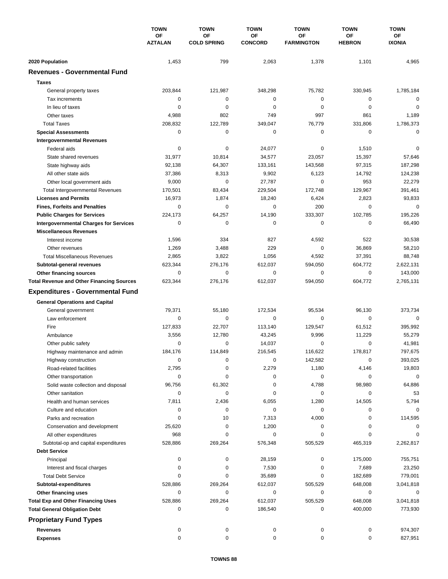|                                                  | <b>TOWN</b><br>OF<br><b>AZTALAN</b> | <b>TOWN</b>              | <b>TOWN</b>          | <b>TOWN</b>             | <b>TOWN</b>         | <b>TOWN</b>                |
|--------------------------------------------------|-------------------------------------|--------------------------|----------------------|-------------------------|---------------------|----------------------------|
|                                                  |                                     | OF<br><b>COLD SPRING</b> | OF<br><b>CONCORD</b> | OF<br><b>FARMINGTON</b> | ΟF<br><b>HEBRON</b> | <b>OF</b><br><b>IXONIA</b> |
| 2020 Population                                  | 1,453                               | 799                      | 2,063                | 1,378                   | 1,101               | 4,965                      |
| <b>Revenues - Governmental Fund</b>              |                                     |                          |                      |                         |                     |                            |
| <b>Taxes</b>                                     |                                     |                          |                      |                         |                     |                            |
| General property taxes                           | 203,844                             | 121,987                  | 348,298              | 75,782                  | 330,945             | 1,785,184                  |
| Tax increments                                   | 0                                   | 0                        | $\mathbf 0$          | 0                       | 0                   | $\mathbf 0$                |
| In lieu of taxes                                 | 0                                   | 0                        | 0                    | 0                       | $\mathbf 0$         | $\mathbf 0$                |
| Other taxes                                      | 4,988                               | 802                      | 749                  | 997                     | 861                 | 1,189                      |
| <b>Total Taxes</b>                               | 208,832                             | 122,789                  | 349,047              | 76,779                  | 331,806             | 1,786,373                  |
| <b>Special Assessments</b>                       | 0                                   | $\mathbf 0$              | 0                    | 0                       | 0                   | $\mathbf 0$                |
| <b>Intergovernmental Revenues</b>                |                                     |                          |                      |                         |                     |                            |
| Federal aids                                     | 0                                   | 0                        | 24,077               | 0                       | 1,510               | 0                          |
| State shared revenues                            | 31,977                              | 10,814                   | 34,577               | 23,057                  | 15,397              | 57,646                     |
| State highway aids                               | 92,138                              | 64,307                   | 133,161              | 143,568                 | 97,315              | 187,298                    |
| All other state aids                             | 37,386                              | 8,313                    | 9,902                | 6,123                   | 14,792              | 124,238                    |
| Other local government aids                      | 9,000                               | 0                        | 27,787               | 0                       | 953                 | 22,279                     |
| <b>Total Intergovernmental Revenues</b>          | 170,501                             | 83,434                   | 229,504              | 172,748                 | 129,967             | 391,461                    |
| <b>Licenses and Permits</b>                      | 16,973                              | 1,874                    | 18,240               | 6,424                   | 2,823               | 93,833                     |
| <b>Fines, Forfeits and Penalties</b>             | $\mathbf 0$                         | 0                        | 0                    | 200                     | 0                   | $\mathbf 0$                |
| <b>Public Charges for Services</b>               | 224,173                             | 64,257                   | 14,190               | 333,307                 | 102,785             | 195,226                    |
| <b>Intergovernmental Charges for Services</b>    | 0                                   | 0                        | 0                    | 0                       | 0                   | 66,490                     |
| <b>Miscellaneous Revenues</b>                    |                                     |                          |                      |                         |                     |                            |
| Interest income                                  | 1,596                               | 334                      | 827                  | 4,592                   | 522                 | 30,538                     |
| Other revenues                                   | 1,269                               | 3,488                    | 229                  | 0                       | 36,869              | 58,210                     |
| <b>Total Miscellaneous Revenues</b>              | 2,865                               | 3,822                    | 1,056                | 4,592                   | 37,391              | 88,748                     |
| Subtotal-general revenues                        | 623,344                             | 276,176                  | 612,037              | 594,050                 | 604,772             | 2,622,131                  |
| Other financing sources                          | 0                                   | $\pmb{0}$                | 0                    | 0                       | 0                   | 143,000                    |
| <b>Total Revenue and Other Financing Sources</b> | 623,344                             | 276,176                  | 612,037              | 594,050                 | 604,772             | 2,765,131                  |
| <b>Expenditures - Governmental Fund</b>          |                                     |                          |                      |                         |                     |                            |
| <b>General Operations and Capital</b>            |                                     |                          |                      |                         |                     |                            |
| General government                               | 79,371                              | 55,180                   | 172,534              | 95,534                  | 96,130              | 373,734                    |
| Law enforcement                                  | 0                                   | 0                        | 0                    | $\mathbf 0$             | $\mathbf 0$         | 0                          |
| Fire                                             | 127,833                             | 22,707                   | 113,140              | 129,547                 | 61,512              | 395,992                    |
| Ambulance                                        | 3,556                               | 12,780                   | 43,245               | 9,996                   | 11,229              | 55,279                     |
| Other public safety                              | $\mathbf 0$                         | 0                        | 14,037               | 0                       | 0                   | 41,981                     |
| Highway maintenance and admin                    | 184,176                             | 114,849                  | 216,545              | 116,622                 | 178,817             | 797,675                    |
| Highway construction                             | 0                                   | 0                        | 0                    | 142,582                 | 0                   | 393,025                    |
| Road-related facilities                          | 2,795                               | 0                        | 2,279                | 1,180                   | 4,146               | 19,803                     |
| Other transportation                             | 0                                   | 0                        | 0                    | 0                       | 0                   | $\mathbf 0$                |
| Solid waste collection and disposal              | 96,756                              | 61,302                   | 0                    | 4,788                   | 98,980              | 64,886                     |
| Other sanitation                                 | 0                                   | 0                        | 0                    | 0                       | 0                   | 53                         |
| Health and human services                        | 7,811                               | 2,436                    | 6,055                | 1,280                   | 14,505              | 5,794                      |
| Culture and education                            | 0                                   | 0                        | 0                    | 0                       | 0                   | 0                          |
| Parks and recreation                             | 0                                   | 10                       | 7,313                | 4,000                   | 0                   | 114,595                    |
| Conservation and development                     | 25,620                              | 0                        | 1,200                | 0                       | 0                   | 0                          |
| All other expenditures                           | 968                                 | 0                        | 0                    | 0                       | 0                   | 0                          |
| Subtotal-op and capital expenditures             | 528,886                             | 269,264                  | 576,348              | 505,529                 | 465,319             | 2,262,817                  |
| <b>Debt Service</b>                              |                                     |                          |                      |                         |                     |                            |
| Principal                                        | 0                                   | 0                        | 28,159               | 0                       | 175,000             | 755,751                    |
| Interest and fiscal charges                      | 0                                   | 0                        | 7,530                | 0                       | 7,689               | 23,250                     |
| <b>Total Debt Service</b>                        | 0                                   | 0                        | 35,689               | 0                       | 182,689             | 779,001                    |
| Subtotal-expenditures                            | 528,886                             | 269,264                  | 612,037              | 505,529                 | 648,008             | 3,041,818                  |
| Other financing uses                             | 0                                   | 0                        | 0                    | 0                       | 0                   | 0                          |
| <b>Total Exp and Other Financing Uses</b>        | 528,886                             | 269,264                  | 612,037              | 505,529                 | 648,008             | 3,041,818                  |
| <b>Total General Obligation Debt</b>             | 0                                   | 0                        | 186,540              | 0                       | 400,000             | 773,930                    |
| <b>Proprietary Fund Types</b>                    |                                     |                          |                      |                         |                     |                            |
| <b>Revenues</b>                                  | 0                                   | 0                        | 0                    | 0                       | 0                   | 974,307                    |
| <b>Expenses</b>                                  | $\mathbf 0$                         | 0                        | 0                    | 0                       | 0                   | 827,951                    |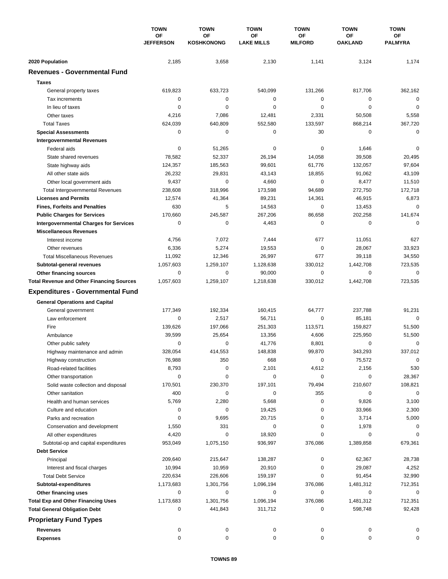|                                                  | <b>TOWN</b><br>OF<br><b>JEFFERSON</b> | <b>TOWN</b>             | <b>TOWN</b>             | <b>TOWN</b>          | <b>TOWN</b>          | <b>TOWN</b>          |
|--------------------------------------------------|---------------------------------------|-------------------------|-------------------------|----------------------|----------------------|----------------------|
|                                                  |                                       | OF<br><b>KOSHKONONG</b> | ΟF<br><b>LAKE MILLS</b> | ОF<br><b>MILFORD</b> | ΟF<br><b>OAKLAND</b> | ОF<br><b>PALMYRA</b> |
| 2020 Population                                  | 2,185                                 | 3,658                   | 2,130                   | 1,141                | 3,124                | 1,174                |
| <b>Revenues - Governmental Fund</b>              |                                       |                         |                         |                      |                      |                      |
| <b>Taxes</b>                                     |                                       |                         |                         |                      |                      |                      |
| General property taxes                           | 619,823                               | 633,723                 | 540,099                 | 131,266              | 817,706              | 362,162              |
| Tax increments                                   | 0                                     | $\mathbf 0$             | 0                       | 0                    | 0                    | $\mathbf 0$          |
| In lieu of taxes                                 | 0                                     | 0                       | $\mathbf 0$             | 0                    | $\mathbf 0$          | $\mathbf 0$          |
| Other taxes                                      | 4,216                                 | 7,086                   | 12,481                  | 2,331                | 50,508               | 5,558                |
| <b>Total Taxes</b>                               | 624,039                               | 640,809                 | 552,580                 | 133,597              | 868,214              | 367,720              |
| <b>Special Assessments</b>                       | 0                                     | 0                       | 0                       | 30                   | 0                    | 0                    |
| <b>Intergovernmental Revenues</b>                |                                       |                         |                         |                      |                      |                      |
| Federal aids                                     | 0                                     | 51,265                  | 0                       | 0                    | 1,646                | 0                    |
| State shared revenues                            | 78,582                                | 52,337                  | 26,194                  | 14,058               | 39,508               | 20,495               |
| State highway aids                               | 124,357                               | 185,563                 | 99,601                  | 61,776               | 132,057              | 97,604               |
| All other state aids                             | 26,232                                | 29,831                  | 43,143                  | 18,855               | 91,062               | 43,109               |
| Other local government aids                      | 9,437                                 | $\mathbf 0$             | 4,660                   | 0                    | 8,477                | 11,510               |
| <b>Total Intergovernmental Revenues</b>          | 238,608                               | 318,996                 | 173,598                 | 94,689               | 272,750              | 172,718              |
| <b>Licenses and Permits</b>                      | 12.574                                | 41,364                  | 89,231                  | 14,361               | 46,915               | 6,873                |
| <b>Fines, Forfeits and Penalties</b>             | 630                                   | 5                       | 14,563                  | 0                    | 13,453               | $\mathbf 0$          |
| <b>Public Charges for Services</b>               | 170,660                               | 245,587                 | 267,206                 | 86,658               | 202,258              | 141,674              |
| <b>Intergovernmental Charges for Services</b>    | 0                                     | 0                       | 4,463                   | 0                    | 0                    | $\mathbf 0$          |
| <b>Miscellaneous Revenues</b>                    |                                       |                         |                         |                      |                      |                      |
| Interest income                                  | 4,756                                 | 7,072                   | 7,444                   | 677                  | 11,051               | 627                  |
| Other revenues                                   | 6,336                                 | 5,274                   | 19,553                  | $\mathbf 0$          | 28,067               | 33,923               |
| <b>Total Miscellaneous Revenues</b>              | 11,092                                | 12,346                  | 26,997                  | 677                  | 39,118               | 34,550               |
| Subtotal-general revenues                        | 1,057,603                             | 1,259,107               | 1,128,638               | 330,012              | 1,442,708            | 723,535              |
| <b>Other financing sources</b>                   | $\mathbf 0$                           | $\mathbf 0$             | 90,000                  | 0                    | $\mathbf 0$          | 0                    |
| <b>Total Revenue and Other Financing Sources</b> | 1,057,603                             | 1,259,107               | 1,218,638               | 330,012              | 1,442,708            | 723,535              |
| <b>Expenditures - Governmental Fund</b>          |                                       |                         |                         |                      |                      |                      |
| <b>General Operations and Capital</b>            |                                       |                         |                         |                      |                      |                      |
| General government                               | 177,349                               | 192,334                 | 160,415                 | 64,777               | 237,788              | 91,231               |
| Law enforcement                                  | 0                                     | 2,517                   | 56,711                  | 0                    | 85,181               | $\mathbf 0$          |
| Fire                                             | 139,626                               | 197,066                 | 251,303                 | 113,571              | 159,827              | 51,500               |
| Ambulance                                        | 39,599                                | 25,654                  | 13,356                  | 4,606                | 225,950              | 51,500               |
| Other public safety                              | 0                                     | $\mathbf 0$             | 41,776                  | 8,801                | $\mathbf 0$          | 0                    |
| Highway maintenance and admin                    | 328,054                               | 414.553                 | 148,838                 | 99,870               | 343,293              | 337,012              |
| Highway construction                             | 76,988                                | 350                     | 668                     | 0                    | 75,572               | $\pmb{0}$            |
| Road-related facilities                          | 8,793                                 | 0                       | 2,101                   | 4,612                | 2,156                | 530                  |
| Other transportation                             | 0                                     | 0                       | 0                       | 0                    | 0                    | 28,367               |
| Solid waste collection and disposal              | 170,501                               | 230,370                 | 197,101                 | 79,494               | 210,607              | 108,821              |
| Other sanitation                                 | 400                                   | 0                       | 0                       | 355                  | 0                    | $\pmb{0}$            |
| Health and human services                        | 5,769                                 | 2,280                   | 5,668                   | 0                    | 9,826                | 3,100                |
| Culture and education                            | 0                                     | 0                       | 19,425                  | 0                    | 33,966               | 2,300                |
| Parks and recreation                             | 0                                     | 9,695                   | 20,715                  | 0                    | 3,714                | 5,000                |
| Conservation and development                     | 1,550                                 | 331                     | 0                       | 0                    | 1,978                | 0                    |
| All other expenditures                           | 4,420                                 | 0                       | 18,920                  | 0                    | 0                    | 0                    |
| Subtotal-op and capital expenditures             | 953,049                               | 1,075,150               | 936,997                 | 376,086              | 1,389,858            | 679,361              |
| <b>Debt Service</b>                              |                                       |                         |                         |                      |                      |                      |
| Principal                                        | 209,640                               | 215,647                 | 138,287                 | 0                    | 62,367               | 28,738               |
| Interest and fiscal charges                      | 10,994                                | 10,959                  | 20,910                  | 0                    | 29,087               | 4,252                |
| <b>Total Debt Service</b>                        | 220,634                               | 226,606                 | 159,197                 | 0                    | 91,454               | 32,990               |
| Subtotal-expenditures                            | 1,173,683                             | 1,301,756               | 1,096,194               | 376,086              | 1,481,312            | 712,351              |
| Other financing uses                             | 0                                     | 0                       | 0                       | 0                    | 0                    | 0                    |
| <b>Total Exp and Other Financing Uses</b>        | 1,173,683                             | 1,301,756               | 1,096,194               | 376,086              | 1,481,312            | 712,351              |
| <b>Total General Obligation Debt</b>             | 0                                     | 441,843                 | 311,712                 | 0                    | 598,748              | 92,428               |
| <b>Proprietary Fund Types</b>                    |                                       |                         |                         |                      |                      |                      |
| <b>Revenues</b>                                  | 0                                     | 0                       | 0                       | 0                    | 0                    | 0                    |
| <b>Expenses</b>                                  | 0                                     | 0                       | 0                       | 0                    | 0                    | 0                    |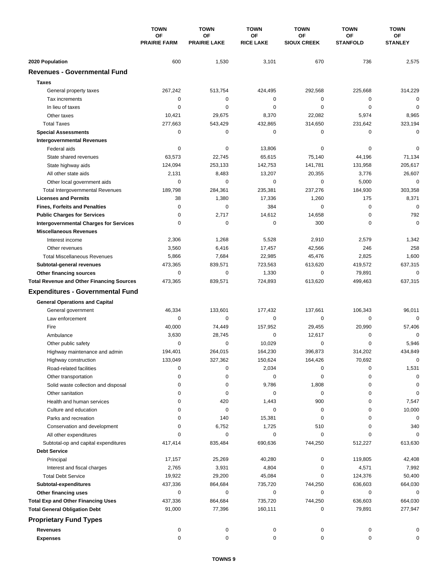|                                                  | <b>TOWN</b><br><b>OF</b><br><b>PRAIRIE FARM</b> | <b>TOWN</b>               | <b>TOWN</b>            | <b>TOWN</b>              | <b>TOWN</b>                  | <b>TOWN</b>          |
|--------------------------------------------------|-------------------------------------------------|---------------------------|------------------------|--------------------------|------------------------------|----------------------|
|                                                  |                                                 | OF<br><b>PRAIRIE LAKE</b> | ΟF<br><b>RICE LAKE</b> | ΟF<br><b>SIOUX CREEK</b> | <b>OF</b><br><b>STANFOLD</b> | ОF<br><b>STANLEY</b> |
| 2020 Population                                  | 600                                             | 1,530                     | 3,101                  | 670                      | 736                          | 2,575                |
| <b>Revenues - Governmental Fund</b>              |                                                 |                           |                        |                          |                              |                      |
| <b>Taxes</b>                                     |                                                 |                           |                        |                          |                              |                      |
| General property taxes                           | 267,242                                         | 513,754                   | 424,495                | 292,568                  | 225,668                      | 314,229              |
| Tax increments                                   | 0                                               | 0                         | 0                      | 0                        | $\mathbf 0$                  | $\mathbf 0$          |
| In lieu of taxes                                 | 0                                               | 0                         | $\mathbf 0$            | 0                        | $\mathbf 0$                  | $\mathbf 0$          |
| Other taxes                                      | 10,421                                          | 29,675                    | 8,370                  | 22,082                   | 5,974                        | 8,965                |
| <b>Total Taxes</b>                               | 277,663                                         | 543,429                   | 432,865                | 314,650                  | 231,642                      | 323,194              |
| <b>Special Assessments</b>                       | 0                                               | 0                         | 0                      | 0                        | 0                            | 0                    |
| <b>Intergovernmental Revenues</b>                |                                                 |                           |                        |                          |                              |                      |
| Federal aids                                     | 0                                               | 0                         | 13,806                 | 0                        | 0                            | 0                    |
| State shared revenues                            | 63,573                                          | 22,745                    | 65,615                 | 75,140                   | 44,196                       | 71,134               |
| State highway aids                               | 124,094                                         | 253,133                   | 142,753                | 141,781                  | 131,958                      | 205,617              |
| All other state aids                             | 2,131                                           | 8,483                     | 13,207                 | 20,355                   | 3,776                        | 26,607               |
| Other local government aids                      | 0                                               | $\mathbf 0$               | $\mathbf 0$            | $\mathbf 0$              | 5,000                        | $\mathbf 0$          |
| <b>Total Intergovernmental Revenues</b>          | 189,798                                         | 284,361                   | 235,381                | 237,276                  | 184,930                      | 303,358              |
| <b>Licenses and Permits</b>                      | 38                                              | 1,380                     | 17,336                 | 1,260                    | 175                          | 8,371                |
| <b>Fines, Forfeits and Penalties</b>             | $\mathbf 0$                                     | $\Omega$                  | 384                    | $\Omega$                 | $\mathbf 0$                  | $\mathbf 0$          |
| <b>Public Charges for Services</b>               | 0                                               | 2,717                     | 14,612                 | 14,658                   | $\mathbf 0$                  | 792                  |
| <b>Intergovernmental Charges for Services</b>    | 0                                               | 0                         | 0                      | 300                      | 0                            | $\mathbf 0$          |
| <b>Miscellaneous Revenues</b>                    |                                                 |                           |                        |                          |                              |                      |
| Interest income                                  | 2,306                                           | 1,268                     | 5,528                  | 2,910                    | 2,579                        | 1,342                |
| Other revenues                                   | 3,560                                           | 6,416                     | 17,457                 | 42,566                   | 246                          | 258                  |
| <b>Total Miscellaneous Revenues</b>              | 5,866                                           | 7,684                     | 22,985                 | 45,476                   | 2,825                        | 1,600                |
| Subtotal-general revenues                        | 473,365                                         | 839,571                   | 723,563                | 613,620                  | 419,572                      | 637,315              |
| <b>Other financing sources</b>                   | $\mathbf 0$                                     | $\mathbf 0$               | 1,330                  | 0                        | 79,891                       | 0                    |
| <b>Total Revenue and Other Financing Sources</b> | 473,365                                         | 839,571                   | 724,893                | 613,620                  | 499,463                      | 637,315              |
| <b>Expenditures - Governmental Fund</b>          |                                                 |                           |                        |                          |                              |                      |
| <b>General Operations and Capital</b>            |                                                 |                           |                        |                          |                              |                      |
| General government                               | 46,334                                          | 133,601                   | 177,432                | 137.661                  | 106,343                      | 96,011               |
| Law enforcement                                  | 0                                               | 0                         | $\mathbf 0$            | 0                        | 0                            | $\Omega$             |
| Fire                                             | 40,000                                          | 74,449                    | 157,952                | 29,455                   | 20,990                       | 57,406               |
| Ambulance                                        | 3,630                                           | 28,745                    | $\mathbf 0$            | 12,617                   | 0                            | 0                    |
| Other public safety                              | 0                                               | $\mathbf 0$               | 10.029                 | 0                        | $\mathbf 0$                  | 5,946                |
| Highway maintenance and admin                    | 194,401                                         | 264.015                   | 164,230                | 396,873                  | 314,202                      | 434,849              |
| Highway construction                             | 133,049                                         | 327,362                   | 150,624                | 164,426                  | 70,692                       | 0                    |
| Road-related facilities                          | 0                                               | 0                         | 2,034                  | 0                        | 0                            | 1,531                |
| Other transportation                             | 0                                               | 0                         | 0                      | 0                        | 0                            | 0                    |
| Solid waste collection and disposal              | 0                                               | 0                         | 9,786                  | 1,808                    | 0                            | 0                    |
| Other sanitation                                 | 0                                               | 0                         | 0                      | 0                        | 0                            | 0                    |
| Health and human services                        | 0                                               | 420                       | 1,443                  | 900                      | 0                            | 7,547                |
| Culture and education                            | 0                                               | 0                         | 0                      | 0                        | 0                            | 10,000               |
| Parks and recreation                             | 0                                               | 140                       | 15,381                 | 0                        | 0                            | 0                    |
| Conservation and development                     | 0                                               | 6,752                     | 1,725                  | 510                      | 0                            | 340                  |
| All other expenditures                           |                                                 | 0                         | 0                      | 0                        | 0                            | 0                    |
| Subtotal-op and capital expenditures             | 417,414                                         | 835,484                   | 690,636                | 744,250                  | 512,227                      | 613,630              |
| <b>Debt Service</b>                              |                                                 |                           |                        |                          |                              |                      |
| Principal                                        | 17,157                                          | 25,269                    | 40,280                 | 0                        | 119,805                      | 42,408               |
| Interest and fiscal charges                      | 2,765                                           | 3,931                     | 4,804                  | 0                        | 4,571                        | 7,992                |
| <b>Total Debt Service</b>                        | 19,922                                          | 29,200                    | 45,084                 | 0                        | 124,376                      | 50,400               |
| Subtotal-expenditures                            | 437,336                                         | 864,684                   | 735,720                | 744,250                  | 636,603                      | 664,030              |
| Other financing uses                             | 0                                               | 0                         | 0                      | 0                        | 0                            | 0                    |
| <b>Total Exp and Other Financing Uses</b>        | 437,336                                         | 864,684                   | 735,720                | 744,250                  | 636,603                      | 664,030              |
| <b>Total General Obligation Debt</b>             | 91,000                                          | 77,396                    | 160,111                | 0                        | 79,891                       | 277,947              |
| <b>Proprietary Fund Types</b>                    |                                                 |                           |                        |                          |                              |                      |
| <b>Revenues</b>                                  | 0                                               | 0                         | 0                      | 0                        | 0                            | 0                    |
| <b>Expenses</b>                                  | 0                                               | 0                         | 0                      | 0                        | 0                            | 0                    |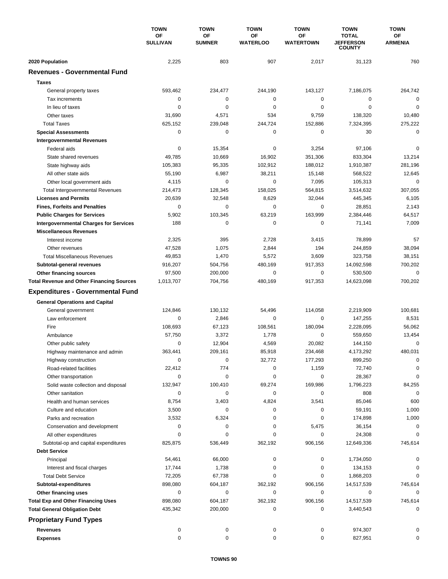|                                                  | <b>TOWN</b><br>OF<br><b>SULLIVAN</b> | <b>TOWN</b>         | <b>TOWN</b><br>ΟF<br><b>WATERLOO</b> | <b>TOWN</b>            | <b>TOWN</b><br><b>TOTAL</b><br><b>JEFFERSON</b><br><b>COUNTY</b> | <b>TOWN</b><br>ΟF<br><b>ARMENIA</b> |
|--------------------------------------------------|--------------------------------------|---------------------|--------------------------------------|------------------------|------------------------------------------------------------------|-------------------------------------|
|                                                  |                                      | OF<br><b>SUMNER</b> |                                      | ΟF<br><b>WATERTOWN</b> |                                                                  |                                     |
| 2020 Population                                  | 2,225                                | 803                 | 907                                  | 2,017                  | 31,123                                                           | 760                                 |
| <b>Revenues - Governmental Fund</b>              |                                      |                     |                                      |                        |                                                                  |                                     |
| <b>Taxes</b>                                     |                                      |                     |                                      |                        |                                                                  |                                     |
| General property taxes                           | 593,462                              | 234,477             | 244,190                              | 143,127                | 7,186,075                                                        | 264,742                             |
| Tax increments                                   | 0                                    | $\mathbf 0$         | 0                                    | $\mathbf 0$            | 0                                                                | $\mathbf 0$                         |
| In lieu of taxes                                 | 0                                    | 0                   | 0                                    | 0                      | $\mathbf 0$                                                      | 0                                   |
| Other taxes                                      | 31,690                               | 4,571               | 534                                  | 9,759                  | 138,320                                                          | 10,480                              |
| <b>Total Taxes</b>                               | 625,152                              | 239,048             | 244,724                              | 152,886                | 7,324,395                                                        | 275,222                             |
| <b>Special Assessments</b>                       | 0                                    | 0                   | 0                                    | 0                      | 30                                                               | $\mathbf 0$                         |
| <b>Intergovernmental Revenues</b>                |                                      |                     |                                      |                        |                                                                  |                                     |
| Federal aids                                     | 0                                    | 15,354              | 0                                    | 3,254                  | 97,106                                                           | 0                                   |
| State shared revenues                            | 49,785                               | 10,669              | 16,902                               | 351,306                | 833,304                                                          | 13,214                              |
| State highway aids                               | 105,383                              | 95,335              | 102,912                              | 188,012                | 1,910,387                                                        | 281,196                             |
| All other state aids                             | 55,190                               | 6,987               | 38,211                               | 15,148                 | 568,522                                                          | 12,645                              |
| Other local government aids                      | 4,115                                | 0                   | 0                                    | 7,095                  | 105,313                                                          | 0                                   |
| <b>Total Intergovernmental Revenues</b>          | 214,473                              | 128,345             | 158,025                              | 564,815                | 3,514,632                                                        | 307,055                             |
| <b>Licenses and Permits</b>                      | 20,639                               | 32,548              | 8,629                                | 32,044                 | 445,345                                                          | 6,105                               |
| <b>Fines, Forfeits and Penalties</b>             | 0                                    | 0                   | 0                                    | 0                      | 28,851                                                           | 2,143                               |
| <b>Public Charges for Services</b>               | 5,902                                | 103,345             | 63,219                               | 163,999                | 2,384,446                                                        | 64,517                              |
| <b>Intergovernmental Charges for Services</b>    | 188                                  | $\mathbf 0$         | 0                                    | 0                      | 71,141                                                           | 7,009                               |
| <b>Miscellaneous Revenues</b>                    |                                      |                     |                                      |                        |                                                                  |                                     |
| Interest income                                  | 2,325                                | 395                 | 2,728                                | 3,415                  | 78,899                                                           | 57                                  |
| Other revenues                                   | 47,528                               | 1,075               | 2,844                                | 194                    | 244,859                                                          | 38,094                              |
| <b>Total Miscellaneous Revenues</b>              | 49,853                               | 1,470               | 5,572                                | 3,609                  | 323,758                                                          | 38,151                              |
| Subtotal-general revenues                        | 916,207                              | 504,756             | 480,169                              | 917,353                | 14,092,598                                                       | 700,202                             |
| Other financing sources                          | 97,500                               | 200,000             | 0                                    | 0                      | 530,500                                                          | $\mathbf 0$                         |
| <b>Total Revenue and Other Financing Sources</b> | 1,013,707                            | 704,756             | 480,169                              | 917,353                | 14,623,098                                                       | 700,202                             |
| <b>Expenditures - Governmental Fund</b>          |                                      |                     |                                      |                        |                                                                  |                                     |
|                                                  |                                      |                     |                                      |                        |                                                                  |                                     |
| <b>General Operations and Capital</b>            |                                      |                     |                                      |                        |                                                                  |                                     |
| General government                               | 124,846                              | 130,132             | 54,496                               | 114,058                | 2,219,909                                                        | 100,681                             |
| Law enforcement                                  | 0                                    | 2,846               | $\mathbf 0$                          | 0                      | 147,255                                                          | 8,531                               |
| Fire                                             | 108,693                              | 67,123              | 108,561                              | 180,094                | 2,228,095                                                        | 56,062                              |
| Ambulance                                        | 57,750                               | 3,372               | 1,778                                | 0                      | 559,650                                                          | 13,454                              |
| Other public safety                              | 0                                    | 12,904              | 4,569                                | 20,082                 | 144,150                                                          | 0                                   |
| Highway maintenance and admin                    | 363,441                              | 209,161             | 85,918                               | 234,468                | 4,173,292                                                        | 480,031                             |
| Highway construction                             | 0                                    | $\pmb{0}$           | 32,772                               | 177,293                | 899,250                                                          | 0                                   |
| Road-related facilities                          | 22,412                               | 774                 | 0                                    | 1,159                  | 72,740                                                           | 0                                   |
| Other transportation                             | 0                                    | $\mathbf 0$         | 0                                    | 0                      | 28,367                                                           | 0                                   |
| Solid waste collection and disposal              | 132,947                              | 100,410             | 69,274                               | 169,986                | 1,796,223                                                        | 84,255                              |
| Other sanitation                                 | 0                                    | 0                   | 0                                    | 0                      | 808                                                              | 0                                   |
| Health and human services                        | 8,754                                | 3,403               | 4,824                                | 3,541                  | 85,046                                                           | 600                                 |
| Culture and education                            | 3,500                                | 0                   | 0                                    | 0                      | 59,191                                                           | 1,000                               |
| Parks and recreation                             | 3,532                                | 6,324               | 0                                    | 0                      | 174,898                                                          | 1,000                               |
| Conservation and development                     | 0                                    | 0                   | 0                                    | 5,475                  | 36,154                                                           | 0                                   |
| All other expenditures                           | 0                                    | 0                   | 0                                    | 0                      | 24,308                                                           | $\Omega$                            |
| Subtotal-op and capital expenditures             | 825,875                              | 536,449             | 362,192                              | 906,156                | 12,649,336                                                       | 745,614                             |
| <b>Debt Service</b>                              |                                      |                     |                                      |                        |                                                                  |                                     |
| Principal                                        | 54,461                               | 66,000              | 0                                    | 0                      | 1,734,050                                                        | 0                                   |
| Interest and fiscal charges                      | 17,744                               | 1,738               | 0                                    | 0                      | 134,153                                                          | 0                                   |
| <b>Total Debt Service</b>                        | 72,205                               | 67,738              | 0                                    | 0                      | 1,868,203                                                        | 0                                   |
| Subtotal-expenditures                            | 898,080                              | 604,187             | 362,192                              | 906,156                | 14,517,539                                                       | 745,614                             |
| Other financing uses                             | 0                                    | 0                   | 0                                    | 0                      | 0                                                                | 0                                   |
| <b>Total Exp and Other Financing Uses</b>        | 898,080                              | 604,187             | 362,192                              | 906,156                | 14,517,539                                                       | 745,614<br>0                        |
| <b>Total General Obligation Debt</b>             | 435,342                              | 200,000             | 0                                    | 0                      | 3,440,543                                                        |                                     |
| <b>Proprietary Fund Types</b>                    |                                      |                     |                                      |                        |                                                                  |                                     |
| <b>Revenues</b>                                  | 0                                    | 0                   | 0                                    | 0                      | 974,307                                                          |                                     |
| <b>Expenses</b>                                  | 0                                    | 0                   | 0                                    | 0                      | 827,951                                                          | 0                                   |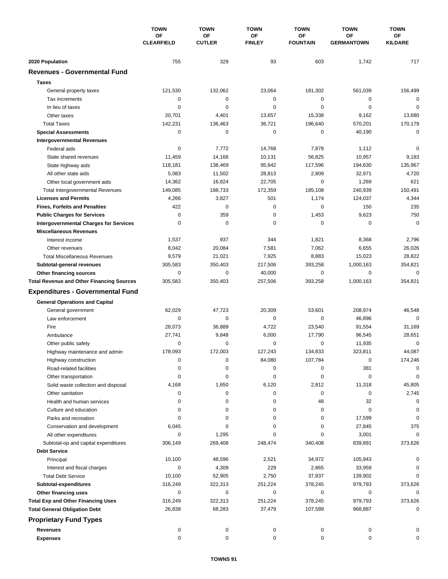|                                                  | <b>TOWN</b><br>OF<br><b>CLEARFIELD</b> | <b>TOWN</b>         | <b>TOWN</b>         | <b>TOWN</b>           | <b>TOWN</b>             | <b>TOWN</b>          |
|--------------------------------------------------|----------------------------------------|---------------------|---------------------|-----------------------|-------------------------|----------------------|
|                                                  |                                        | OF<br><b>CUTLER</b> | ΟF<br><b>FINLEY</b> | ОF<br><b>FOUNTAIN</b> | OF<br><b>GERMANTOWN</b> | ΟF<br><b>KILDARE</b> |
| 2020 Population                                  | 755                                    | 329                 | 93                  | 603                   | 1,742                   | 717                  |
| <b>Revenues - Governmental Fund</b>              |                                        |                     |                     |                       |                         |                      |
| <b>Taxes</b>                                     |                                        |                     |                     |                       |                         |                      |
| General property taxes                           | 121,530                                | 132,062             | 23,064              | 181,302               | 561,039                 | 156,499              |
| Tax increments                                   | $\mathbf 0$                            | 0                   | 0                   | 0                     | 0                       | 0                    |
| In lieu of taxes                                 | $\mathbf 0$                            | $\mathbf 0$         | $\mathbf 0$         | 0                     | $\mathbf 0$             | $\mathbf 0$          |
| Other taxes                                      | 20,701                                 | 4,401               | 13,657              | 15,338                | 9,162                   | 13,680               |
| <b>Total Taxes</b>                               | 142,231                                | 136,463             | 36,721              | 196,640               | 570,201                 | 170,179              |
| <b>Special Assessments</b>                       | 0                                      | $\mathbf 0$         | 0                   | 0                     | 40,190                  | 0                    |
| <b>Intergovernmental Revenues</b>                |                                        |                     |                     |                       |                         |                      |
| Federal aids                                     | 0                                      | 7,772               | 14,768              | 7,878                 | 1,112                   | 0                    |
| State shared revenues                            | 11,459                                 | 14,166              | 10,131              | 56,825                | 10,957                  | 9,183                |
| State highway aids                               | 118,181                                | 138,469             | 95,942              | 117,596               | 194,630                 | 135,967              |
| All other state aids                             | 5,083                                  | 11,502              | 28,813              | 2,809                 | 32,971                  | 4,720                |
| Other local government aids                      | 14,362                                 | 16,824              | 22,705              | 0                     | 1,269                   | 621                  |
| <b>Total Intergovernmental Revenues</b>          | 149,085                                | 188,733             | 172,359             | 185,108               | 240,939                 | 150,491              |
| <b>Licenses and Permits</b>                      | 4,266                                  | 3,827               | 501                 | 1,174                 | 124,037                 | 4,344                |
| <b>Fines, Forfeits and Penalties</b>             | 422                                    | $\mathbf 0$         | $\mathbf 0$         | 0                     | 150                     | 235                  |
| <b>Public Charges for Services</b>               | $\mathbf 0$                            | 359                 | $\mathbf 0$         | 1,453                 | 9,623                   | 750                  |
| <b>Intergovernmental Charges for Services</b>    | 0                                      | 0                   | 0                   | 0                     | 0                       | $\mathbf 0$          |
| <b>Miscellaneous Revenues</b>                    |                                        |                     |                     |                       |                         |                      |
| Interest income                                  | 1,537                                  | 937                 | 344                 | 1,821                 | 8,368                   | 2,796                |
| Other revenues                                   | 8,042                                  | 20,084              | 7,581               | 7,062                 | 6,655                   | 26,026               |
| <b>Total Miscellaneous Revenues</b>              | 9,579                                  | 21,021              | 7,925               | 8,883                 | 15,023                  | 28,822               |
| Subtotal-general revenues                        | 305,583                                | 350,403             | 217,506             | 393,258               | 1,000,163               | 354,821              |
| Other financing sources                          | $\mathbf 0$                            | 0                   | 40,000              | 0                     | 0                       | $\mathbf 0$          |
| <b>Total Revenue and Other Financing Sources</b> | 305,583                                | 350,403             | 257,506             | 393,258               | 1,000,163               | 354,821              |
|                                                  |                                        |                     |                     |                       |                         |                      |
| <b>Expenditures - Governmental Fund</b>          |                                        |                     |                     |                       |                         |                      |
| <b>General Operations and Capital</b>            |                                        |                     |                     |                       |                         |                      |
| General government                               | 62,029                                 | 47.723              | 20,309              | 53,601                | 208,974                 | 46,548               |
| Law enforcement                                  | 0                                      | 0                   | 0                   | 0                     | 46,896                  | 0                    |
| Fire                                             | 28,073                                 | 36,889              | 4,722               | 23,540                | 91,554                  | 31,169               |
| Ambulance                                        | 27,741                                 | 9,848               | 6,000               | 17,790                | 96,545                  | 28,651               |
| Other public safety                              | 0                                      | 0                   | 0                   | 0                     | 11,935                  | $\mathbf 0$          |
| Highway maintenance and admin                    | 178,093                                | 172,003             | 127,243             | 134,833               | 323,811                 | 44,087               |
| Highway construction                             | 0                                      | 0                   | 84,080              | 107,784               | 0                       | 174,246              |
| Road-related facilities                          | 0                                      | 0                   | 0                   | 0                     | 381                     | 0                    |
| Other transportation                             | 0                                      | 0                   | 0                   | 0                     | 0                       | 0                    |
| Solid waste collection and disposal              | 4,168                                  | 1,650               | 6,120               | 2,812                 | 11,318                  | 45,805               |
| Other sanitation                                 | 0                                      | 0                   | 0                   | 0                     | 0                       | 2,745                |
| Health and human services                        | 0                                      | 0                   | 0                   | 48                    | 32                      | 0                    |
| Culture and education                            | 0                                      | 0                   | 0                   | 0                     | 0                       | 0                    |
| Parks and recreation                             | $\Omega$                               | 0                   | 0                   | 0                     | 17,599                  | 0                    |
| Conservation and development                     | 6,045                                  | 0                   | 0                   | 0                     | 27,845                  | 375                  |
| All other expenditures                           | 0                                      | 1,295               | $\Omega$            | 0                     | 3,001                   | 0                    |
| Subtotal-op and capital expenditures             | 306,149                                | 269,408             | 248,474             | 340,408               | 839,891                 | 373,626              |
| <b>Debt Service</b>                              |                                        |                     |                     |                       |                         |                      |
| Principal                                        | 10,100                                 | 48,596              | 2,521               | 34,972                | 105,943                 | 0                    |
| Interest and fiscal charges                      | 0                                      | 4,309               | 229                 | 2,865                 | 33,959                  |                      |
| <b>Total Debt Service</b>                        | 10,100                                 | 52,905              | 2,750               | 37,837                | 139,902                 | $\Omega$             |
| Subtotal-expenditures                            | 316,249                                | 322,313             | 251,224             | 378,245               | 979,793                 | 373,626              |
| Other financing uses                             | 0                                      | 0                   | 0                   | 0                     | 0                       | 0                    |
| <b>Total Exp and Other Financing Uses</b>        | 316,249                                | 322,313             | 251,224             | 378,245               | 979,793                 | 373,626              |
| <b>Total General Obligation Debt</b>             | 26,838                                 | 68,283              | 37,479              | 107,589               | 968,887                 | 0                    |
| <b>Proprietary Fund Types</b>                    |                                        |                     |                     |                       |                         |                      |
| Revenues                                         | 0                                      | 0                   | 0                   | 0                     | 0                       |                      |
| <b>Expenses</b>                                  | 0                                      | 0                   | 0                   | 0                     | 0                       | 0                    |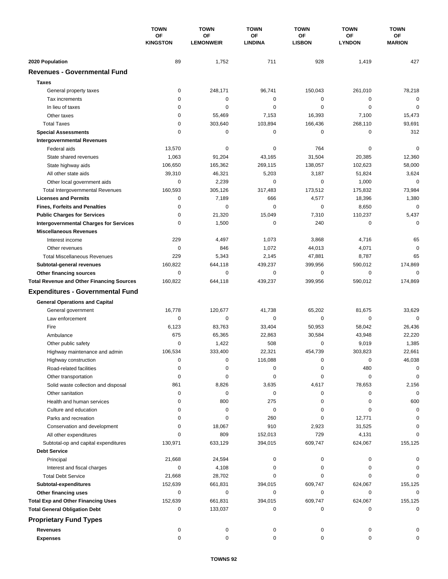|                                                                                     | <b>TOWN</b><br>OF<br><b>KINGSTON</b> | <b>TOWN</b>            | <b>TOWN</b>          | <b>TOWN</b>         | <b>TOWN</b>         | <b>TOWN</b>            |
|-------------------------------------------------------------------------------------|--------------------------------------|------------------------|----------------------|---------------------|---------------------|------------------------|
|                                                                                     |                                      | OF<br><b>LEMONWEIR</b> | ΟF<br><b>LINDINA</b> | ОF<br><b>LISBON</b> | ΟF<br><b>LYNDON</b> | ΟF<br><b>MARION</b>    |
|                                                                                     |                                      |                        |                      |                     |                     |                        |
| 2020 Population<br><b>Revenues - Governmental Fund</b>                              | 89                                   | 1,752                  | 711                  | 928                 | 1,419               | 427                    |
|                                                                                     |                                      |                        |                      |                     |                     |                        |
| <b>Taxes</b>                                                                        |                                      |                        |                      |                     |                     |                        |
| General property taxes                                                              | 0                                    | 248,171                | 96,741               | 150,043             | 261,010             | 78,218                 |
| Tax increments                                                                      | 0                                    | $\mathbf 0$            | $\pmb{0}$            | 0                   | 0                   | $\mathbf 0$            |
| In lieu of taxes                                                                    | 0                                    | 0                      | $\mathbf 0$          | 0                   | $\mathbf 0$         | $\mathbf 0$            |
| Other taxes                                                                         | 0                                    | 55,469                 | 7,153                | 16,393              | 7,100               | 15,473                 |
| <b>Total Taxes</b>                                                                  | 0<br>0                               | 303,640<br>$\mathbf 0$ | 103,894              | 166,436<br>0        | 268,110             | 93,691                 |
| <b>Special Assessments</b>                                                          |                                      |                        | 0                    |                     | 0                   | 312                    |
| <b>Intergovernmental Revenues</b>                                                   |                                      |                        |                      | 764                 |                     | 0                      |
| Federal aids                                                                        | 13,570<br>1,063                      | 0<br>91,204            | 0<br>43,165          | 31,504              | 0<br>20,385         | 12,360                 |
| State shared revenues                                                               |                                      |                        |                      |                     |                     |                        |
| State highway aids<br>All other state aids                                          | 106,650<br>39,310                    | 165,362<br>46,321      | 269,115<br>5,203     | 138,057<br>3,187    | 102,623<br>51,824   | 58,000<br>3,624        |
|                                                                                     | 0                                    | 2,239                  | 0                    | $\mathbf 0$         | 1,000               | $\mathbf 0$            |
| Other local government aids                                                         |                                      |                        | 317,483              | 173,512             | 175,832             |                        |
| <b>Total Intergovernmental Revenues</b><br><b>Licenses and Permits</b>              | 160,593<br>0                         | 305,126<br>7,189       | 666                  | 4,577               | 18,396              | 73,984<br>1,380        |
|                                                                                     | 0                                    | $\Omega$               | $\Omega$             | 0                   | 8,650               | $\mathbf 0$            |
| <b>Fines, Forfeits and Penalties</b>                                                | 0                                    |                        | 15,049               | 7,310               |                     |                        |
| <b>Public Charges for Services</b><br><b>Intergovernmental Charges for Services</b> | 0                                    | 21,320<br>1,500        | 0                    | 240                 | 110,237<br>0        | 5,437<br>$\mathbf 0$   |
| <b>Miscellaneous Revenues</b>                                                       |                                      |                        |                      |                     |                     |                        |
|                                                                                     | 229                                  | 4,497                  | 1,073                | 3,868               | 4,716               | 65                     |
| Interest income                                                                     | 0                                    |                        |                      |                     |                     | $\mathbf 0$            |
| Other revenues<br><b>Total Miscellaneous Revenues</b>                               | 229                                  | 846<br>5,343           | 1,072                | 44,013              | 4,071               | 65                     |
|                                                                                     | 160,822                              | 644,118                | 2,145<br>439,237     | 47,881<br>399,956   | 8,787<br>590,012    | 174,869                |
| Subtotal-general revenues                                                           | $\mathbf 0$                          | $\mathbf 0$            | $\mathbf 0$          | 0                   | 0                   | 0                      |
| Other financing sources<br><b>Total Revenue and Other Financing Sources</b>         | 160,822                              | 644,118                | 439,237              | 399,956             | 590,012             | 174,869                |
|                                                                                     |                                      |                        |                      |                     |                     |                        |
| <b>Expenditures - Governmental Fund</b>                                             |                                      |                        |                      |                     |                     |                        |
| <b>General Operations and Capital</b>                                               |                                      |                        |                      |                     |                     |                        |
| General government                                                                  | 16,778                               | 120,677                | 41,738               | 65,202              | 81,675              | 33,629                 |
| Law enforcement                                                                     | $\mathbf 0$                          | 0                      | 0                    | 0                   | 0                   | $\mathbf 0$            |
| Fire                                                                                | 6,123                                | 83,763                 | 33,404               | 50,953              | 58,042              | 26,436                 |
| Ambulance                                                                           | 675                                  | 65,365                 | 22,863               | 30,584              | 43,948              | 22,220                 |
| Other public safety                                                                 | 0                                    | 1,422                  | 508                  | 0                   | 9,019               | 1,385                  |
| Highway maintenance and admin                                                       | 106,534                              | 333,400                | 22.321               | 454,739             | 303,823             | 22.661                 |
| Highway construction                                                                | 0                                    | $\pmb{0}$              | 116,088              | 0                   | 0                   | 46,038                 |
| Road-related facilities                                                             | 0                                    | 0                      | 0                    | 0                   | 480                 | 0                      |
| Other transportation                                                                | 0                                    | 0                      | 0                    | 0                   | 0                   | 0                      |
| Solid waste collection and disposal                                                 | 861                                  | 8,826                  | 3,635                | 4,617               | 78,653              | 2,156                  |
| Other sanitation                                                                    | 0                                    | 0                      | 0                    | 0                   | 0                   | $\mathbf 0$            |
| Health and human services                                                           | 0                                    | 800                    | 275                  | 0                   | 0                   | 600                    |
| Culture and education                                                               | 0                                    | 0                      | 0                    | 0                   | 0                   | 0                      |
| Parks and recreation                                                                | 0                                    | 0                      | 260                  | 0                   | 12,771              | $\Omega$               |
| Conservation and development                                                        | 0                                    | 18,067                 | 910                  | 2,923               | 31,525              | 0                      |
| All other expenditures                                                              |                                      | 809                    | 152,013              | 729                 | 4,131               | O                      |
| Subtotal-op and capital expenditures                                                | 130,971                              | 633,129                | 394,015              | 609,747             | 624,067             | 155,125                |
| <b>Debt Service</b>                                                                 |                                      |                        |                      |                     |                     |                        |
| Principal                                                                           | 21,668                               | 24,594                 | 0                    | 0                   | 0                   |                        |
| Interest and fiscal charges                                                         | 0                                    | 4,108                  | 0                    | 0                   | 0                   |                        |
| <b>Total Debt Service</b>                                                           | 21,668                               | 28,702                 | 0                    | 0                   | 0                   |                        |
| Subtotal-expenditures                                                               | 152,639                              | 661,831                | 394,015              | 609,747             | 624,067             | 155,125                |
| Other financing uses                                                                | 0                                    | 0                      | 0                    | 0                   | $\mathbf 0$         | 0                      |
| <b>Total Exp and Other Financing Uses</b>                                           | 152,639<br>0                         | 661,831                | 394,015<br>0         | 609,747<br>0        | 624,067<br>0        | 155,125<br>$\mathbf 0$ |
| <b>Total General Obligation Debt</b>                                                |                                      | 133,037                |                      |                     |                     |                        |
| <b>Proprietary Fund Types</b>                                                       |                                      |                        |                      |                     |                     |                        |
| <b>Revenues</b>                                                                     | 0                                    | 0                      | 0                    | 0                   | 0                   |                        |
| <b>Expenses</b>                                                                     | 0                                    | 0                      | 0                    | 0                   | 0                   | $\Omega$               |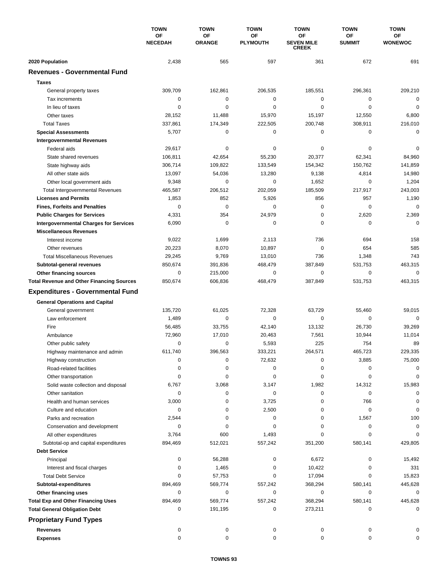|                                                  | <b>TOWN</b><br>ΟF<br><b>NECEDAH</b> | <b>TOWN</b>         | <b>TOWN</b><br>ΟF<br><b>PLYMOUTH</b> | <b>TOWN</b><br>OF<br><b>SEVEN MILE</b><br><b>CREEK</b> | <b>TOWN</b><br><b>OF</b><br><b>SUMMIT</b> | <b>TOWN</b><br><b>OF</b><br><b>WONEWOC</b> |
|--------------------------------------------------|-------------------------------------|---------------------|--------------------------------------|--------------------------------------------------------|-------------------------------------------|--------------------------------------------|
|                                                  |                                     | OF<br><b>ORANGE</b> |                                      |                                                        |                                           |                                            |
| 2020 Population                                  | 2,438                               | 565                 | 597                                  | 361                                                    | 672                                       | 691                                        |
| <b>Revenues - Governmental Fund</b>              |                                     |                     |                                      |                                                        |                                           |                                            |
| <b>Taxes</b>                                     |                                     |                     |                                      |                                                        |                                           |                                            |
| General property taxes                           | 309,709                             | 162,861             | 206,535                              | 185,551                                                | 296,361                                   | 209,210                                    |
| Tax increments                                   | 0                                   | 0                   | 0                                    | 0                                                      | $\mathbf 0$                               | $\mathbf 0$                                |
| In lieu of taxes                                 | 0                                   | 0                   | 0                                    | 0                                                      | $\mathbf 0$                               | $\mathbf 0$                                |
| Other taxes                                      | 28,152                              | 11,488              | 15,970                               | 15,197                                                 | 12,550                                    | 6,800                                      |
| <b>Total Taxes</b>                               | 337,861                             | 174,349             | 222,505                              | 200,748                                                | 308,911                                   | 216,010                                    |
| <b>Special Assessments</b>                       | 5,707                               | 0                   | 0                                    | 0                                                      | 0                                         | $\mathbf 0$                                |
| <b>Intergovernmental Revenues</b>                |                                     |                     |                                      |                                                        |                                           |                                            |
| Federal aids                                     | 29,617                              | $\pmb{0}$           | 0                                    | 0                                                      | 0                                         | $\mathbf 0$                                |
| State shared revenues                            | 106,811                             | 42,654              | 55,230                               | 20,377                                                 | 62,341                                    | 84,960                                     |
| State highway aids                               | 306,714                             | 109,822             | 133,549                              | 154,342                                                | 150,762                                   | 141,859                                    |
| All other state aids                             | 13,097                              | 54,036              | 13,280                               | 9,138                                                  | 4,814                                     | 14,980                                     |
| Other local government aids                      | 9,348                               | 0                   | 0                                    | 1,652                                                  | $\mathbf 0$                               | 1,204                                      |
| <b>Total Intergovernmental Revenues</b>          | 465,587                             | 206,512             | 202,059                              | 185,509                                                | 217,917                                   | 243,003                                    |
| <b>Licenses and Permits</b>                      | 1,853                               | 852                 | 5,926                                | 856                                                    | 957                                       | 1,190                                      |
| <b>Fines, Forfeits and Penalties</b>             | 0                                   | 0                   | 0                                    | 0                                                      | $\mathbf 0$                               | $\mathbf 0$                                |
| <b>Public Charges for Services</b>               | 4,331                               | 354                 | 24,979                               | 0                                                      | 2,620                                     | 2,369                                      |
| <b>Intergovernmental Charges for Services</b>    | 6,090                               | $\mathbf 0$         | 0                                    | 0                                                      | $\mathbf 0$                               | $\mathbf 0$                                |
| <b>Miscellaneous Revenues</b>                    |                                     |                     |                                      |                                                        |                                           |                                            |
| Interest income                                  | 9,022                               | 1,699               | 2,113                                | 736                                                    | 694                                       | 158                                        |
| Other revenues                                   | 20,223                              | 8,070               | 10,897                               | 0                                                      | 654                                       | 585                                        |
| <b>Total Miscellaneous Revenues</b>              | 29,245                              | 9,769               | 13,010                               | 736                                                    | 1,348                                     | 743                                        |
| Subtotal-general revenues                        | 850,674                             | 391,836             | 468,479                              | 387,849                                                | 531,753                                   | 463,315                                    |
| Other financing sources                          | $\mathbf 0$                         | 215,000             | 0                                    | 0                                                      | $\mathbf 0$                               | $\mathbf 0$                                |
| <b>Total Revenue and Other Financing Sources</b> | 850,674                             | 606,836             | 468,479                              | 387,849                                                | 531,753                                   | 463,315                                    |
| <b>Expenditures - Governmental Fund</b>          |                                     |                     |                                      |                                                        |                                           |                                            |
| <b>General Operations and Capital</b>            |                                     |                     |                                      |                                                        |                                           |                                            |
| General government                               | 135,720                             | 61,025              | 72,328                               | 63,729                                                 | 55,460                                    | 59,015                                     |
| Law enforcement                                  | 1,489                               | 0                   | 0                                    | 0                                                      | $\mathbf 0$                               | $\mathbf 0$                                |
| Fire                                             | 56,485                              | 33,755              | 42,140                               | 13,132                                                 | 26,730                                    | 39,269                                     |
| Ambulance                                        | 72,960                              | 17,010              | 20,463                               | 7,561                                                  | 10,944                                    | 11,014                                     |
| Other public safety                              | 0                                   | 0                   | 5,593                                | 225                                                    | 754                                       | 89                                         |
| Highway maintenance and admin                    | 611,740                             | 396,563             | 333,221                              | 264,571                                                | 465,723                                   | 229,335                                    |
| Highway construction                             | 0                                   | 0                   | 72,632                               | 0                                                      | 3,885                                     | 75,000                                     |
| Road-related facilities                          | 0                                   | 0                   | 0                                    | 0                                                      | 0                                         | 0                                          |
| Other transportation                             | 0                                   | 0                   | 0                                    | 0                                                      | 0                                         | 0                                          |
| Solid waste collection and disposal              | 6,767                               | 3,068               | 3,147                                | 1,982                                                  | 14,312                                    | 15,983                                     |
| Other sanitation                                 | 0                                   | 0                   | 0                                    | 0                                                      | $\mathbf 0$                               | 0                                          |
| Health and human services                        | 3,000                               | 0                   | 3,725                                | 0                                                      | 766                                       | 0                                          |
| Culture and education                            | 0                                   | 0                   | 2,500                                | 0                                                      | 0                                         | $\mathbf 0$                                |
| Parks and recreation                             | 2,544                               | 0                   | 0                                    | 0                                                      | 1,567                                     | 100                                        |
| Conservation and development                     | 0                                   | 0                   | 0                                    | 0                                                      | 0                                         | 0                                          |
| All other expenditures                           | 3,764                               | 600                 | 1,493                                | 0                                                      | 0                                         | $\Omega$                                   |
| Subtotal-op and capital expenditures             | 894,469                             | 512,021             | 557,242                              | 351,200                                                | 580,141                                   | 429,805                                    |
| <b>Debt Service</b>                              |                                     |                     |                                      |                                                        |                                           |                                            |
| Principal                                        | 0                                   | 56,288              | 0                                    | 6,672                                                  | 0                                         | 15,492                                     |
| Interest and fiscal charges                      | 0                                   | 1,465               | 0                                    | 10,422                                                 | 0                                         | 331                                        |
| <b>Total Debt Service</b>                        | 0                                   | 57,753              | 0                                    | 17,094                                                 | 0                                         | 15,823                                     |
| Subtotal-expenditures                            | 894,469                             | 569,774             | 557,242                              | 368,294                                                | 580,141                                   | 445,628                                    |
| Other financing uses                             | 0                                   | 0                   | 0                                    | 0                                                      | 0                                         | 0                                          |
| <b>Total Exp and Other Financing Uses</b>        | 894,469                             | 569,774             | 557,242                              | 368,294                                                | 580,141                                   | 445,628                                    |
| <b>Total General Obligation Debt</b>             | 0                                   | 191,195             | 0                                    | 273,211                                                | 0                                         | 0                                          |
| <b>Proprietary Fund Types</b>                    |                                     |                     |                                      |                                                        |                                           |                                            |
| <b>Revenues</b>                                  | 0                                   | 0                   | 0                                    | 0                                                      | 0                                         |                                            |
| <b>Expenses</b>                                  | 0                                   | 0                   | 0                                    | 0                                                      | 0                                         | 0                                          |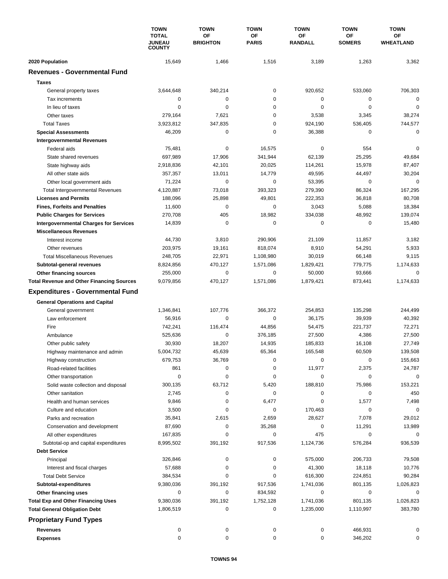|                                                                                             | <b>TOWN</b><br><b>TOTAL</b><br><b>JUNEAU</b> | <b>TOWN</b>           | <b>TOWN</b><br>ΟF<br><b>PARIS</b> | <b>TOWN</b><br>OF<br><b>RANDALL</b> | <b>TOWN</b><br>ΟF<br><b>SOMERS</b> | <b>TOWN</b><br>ОF<br>WHEATLAND |
|---------------------------------------------------------------------------------------------|----------------------------------------------|-----------------------|-----------------------------------|-------------------------------------|------------------------------------|--------------------------------|
|                                                                                             |                                              | OF<br><b>BRIGHTON</b> |                                   |                                     |                                    |                                |
|                                                                                             | <b>COUNTY</b>                                |                       |                                   |                                     |                                    |                                |
| 2020 Population<br><b>Revenues - Governmental Fund</b>                                      | 15,649                                       | 1,466                 | 1,516                             | 3,189                               | 1,263                              | 3,362                          |
|                                                                                             |                                              |                       |                                   |                                     |                                    |                                |
| <b>Taxes</b>                                                                                |                                              |                       |                                   |                                     |                                    |                                |
| General property taxes                                                                      | 3,644,648                                    | 340,214               | $\pmb{0}$                         | 920,652                             | 533,060                            | 706,303                        |
| Tax increments                                                                              | 0                                            | 0                     | 0                                 | $\mathbf 0$                         | 0                                  | 0                              |
| In lieu of taxes                                                                            | $\mathbf 0$                                  | $\mathbf 0$           | 0                                 | $\mathbf 0$                         | $\mathbf 0$                        | $\mathbf 0$                    |
| Other taxes                                                                                 | 279,164                                      | 7,621                 | 0                                 | 3,538                               | 3,345                              | 38,274                         |
| <b>Total Taxes</b>                                                                          | 3,923,812                                    | 347,835               | 0                                 | 924,190                             | 536,405                            | 744,577                        |
| <b>Special Assessments</b>                                                                  | 46,209                                       | 0                     | 0                                 | 36,388                              | 0                                  | $\mathbf 0$                    |
| <b>Intergovernmental Revenues</b>                                                           |                                              |                       |                                   |                                     |                                    |                                |
| Federal aids                                                                                | 75,481                                       | 0                     | 16,575                            | 0                                   | 554                                | $\mathbf 0$                    |
| State shared revenues                                                                       | 697,989                                      | 17,906                | 341,944                           | 62,139                              | 25,295                             | 49,684                         |
| State highway aids                                                                          | 2,918,836                                    | 42,101                | 20,025                            | 114,261                             | 15,978                             | 87,407                         |
| All other state aids                                                                        | 357,357                                      | 13,011<br>$\mathbf 0$ | 14,779<br>0                       | 49,595                              | 44,497                             | 30,204<br>$\mathbf 0$          |
| Other local government aids                                                                 | 71,224                                       |                       |                                   | 53,395                              | 0                                  |                                |
| <b>Total Intergovernmental Revenues</b>                                                     | 4,120,887                                    | 73,018                | 393,323                           | 279,390                             | 86,324                             | 167,295                        |
| <b>Licenses and Permits</b>                                                                 | 188,096                                      | 25,898<br>$\mathbf 0$ | 49,801                            | 222,353                             | 36,818                             | 80,708                         |
| <b>Fines, Forfeits and Penalties</b>                                                        | 11,600                                       |                       | 0                                 | 3,043                               | 5,088                              | 18,384                         |
| <b>Public Charges for Services</b>                                                          | 270,708                                      | 405<br>$\mathbf 0$    | 18,982<br>$\mathbf 0$             | 334,038                             | 48,992<br>$\mathbf 0$              | 139,074                        |
| <b>Intergovernmental Charges for Services</b>                                               | 14,839                                       |                       |                                   | 0                                   |                                    | 15,480                         |
| <b>Miscellaneous Revenues</b>                                                               |                                              |                       |                                   |                                     |                                    |                                |
| Interest income                                                                             | 44,730                                       | 3,810                 | 290,906                           | 21,109                              | 11,857                             | 3,182                          |
| Other revenues                                                                              | 203,975<br>248,705                           | 19,161                | 818,074                           | 8,910                               | 54,291<br>66,148                   | 5,933                          |
| <b>Total Miscellaneous Revenues</b>                                                         |                                              | 22,971                | 1,108,980                         | 30,019                              | 779,775                            | 9,115                          |
| Subtotal-general revenues                                                                   | 8,824,856<br>255,000                         | 470,127<br>$\pmb{0}$  | 1,571,086<br>0                    | 1,829,421<br>50,000                 | 93,666                             | 1,174,633<br>$\mathbf 0$       |
| Other financing sources                                                                     | 9,079,856                                    | 470,127               | 1,571,086                         | 1,879,421                           | 873,441                            | 1,174,633                      |
| <b>Total Revenue and Other Financing Sources</b><br><b>Expenditures - Governmental Fund</b> |                                              |                       |                                   |                                     |                                    |                                |
|                                                                                             |                                              |                       |                                   |                                     |                                    |                                |
| <b>General Operations and Capital</b>                                                       |                                              |                       |                                   |                                     |                                    |                                |
| General government                                                                          | 1,346,841                                    | 107,776               | 366,372                           | 254,853                             | 135,298                            | 244,499                        |
| Law enforcement                                                                             | 56,916                                       | 0                     | $\mathbf 0$                       | 36,175                              | 39,939                             | 40,392                         |
| Fire                                                                                        | 742,241                                      | 116,474               | 44,856                            | 54,475                              | 221,737                            | 72,271                         |
| Ambulance                                                                                   | 525,636                                      | 0                     | 376,185                           | 27,500                              | 4,386                              | 27,500                         |
| Other public safety                                                                         | 30,930                                       | 18,207                | 14,935                            | 185,833                             | 16,108                             | 27,749                         |
| Highway maintenance and admin                                                               | 5,004,732                                    | 45,639                | 65,364                            | 165,548                             | 60,509                             | 139,508                        |
| Highway construction                                                                        | 679,753                                      | 36,769                | 0                                 | 0                                   | 0                                  | 155,663                        |
| Road-related facilities                                                                     | 861                                          | 0                     | 0                                 | 11,977                              | 2,375                              | 24,787                         |
| Other transportation                                                                        | $\mathbf 0$                                  | $\pmb{0}$             | 0                                 | 0                                   | $\mathbf 0$                        | $\mathbf 0$                    |
| Solid waste collection and disposal                                                         | 300,135                                      | 63,712                | 5,420                             | 188,810                             | 75,986                             | 153,221                        |
| Other sanitation                                                                            | 2,745                                        | 0                     | 0                                 | 0                                   | 0                                  | 450                            |
| Health and human services                                                                   | 9,846                                        | 0                     | 6,477                             | 0                                   | 1,577                              | 7,498                          |
| Culture and education                                                                       | 3,500                                        | 0                     | 0                                 | 170,463                             | 0                                  | 0                              |
| Parks and recreation                                                                        | 35,841                                       | 2,615                 | 2,659                             | 28,627                              | 7,078                              | 29,012                         |
| Conservation and development                                                                | 87,690                                       | 0                     | 35,268                            | 0                                   | 11,291                             | 13,989                         |
| All other expenditures                                                                      | 167,835                                      | 0                     | 0                                 | 475                                 | 0                                  | 0                              |
| Subtotal-op and capital expenditures                                                        | 8,995,502                                    | 391,192               | 917,536                           | 1,124,736                           | 576,284                            | 936,539                        |
| <b>Debt Service</b>                                                                         |                                              |                       |                                   |                                     |                                    |                                |
| Principal                                                                                   | 326,846                                      | 0                     | 0                                 | 575,000                             | 206,733                            | 79,508                         |
| Interest and fiscal charges                                                                 | 57,688                                       | 0                     | 0                                 | 41,300                              | 18,118                             | 10,776                         |
| <b>Total Debt Service</b>                                                                   | 384,534                                      | 0                     | 0                                 | 616,300                             | 224,851                            | 90,284                         |
| Subtotal-expenditures                                                                       | 9,380,036                                    | 391,192               | 917,536                           | 1,741,036                           | 801,135                            | 1,026,823                      |
| Other financing uses                                                                        | 0                                            | 0                     | 834,592                           | 0                                   | 0                                  | 0                              |
| <b>Total Exp and Other Financing Uses</b>                                                   | 9,380,036<br>1,806,519                       | 391,192<br>0          | 1,752,128<br>0                    | 1,741,036<br>1,235,000              | 801,135                            | 1,026,823<br>383,780           |
| <b>Total General Obligation Debt</b><br><b>Proprietary Fund Types</b>                       |                                              |                       |                                   |                                     | 1,110,997                          |                                |
| <b>Revenues</b>                                                                             | 0                                            | 0                     | 0                                 | 0                                   | 466,931                            | 0                              |
| <b>Expenses</b>                                                                             | $\mathbf 0$                                  | 0                     | 0                                 | 0                                   | 346,202                            | 0                              |
|                                                                                             |                                              |                       |                                   |                                     |                                    |                                |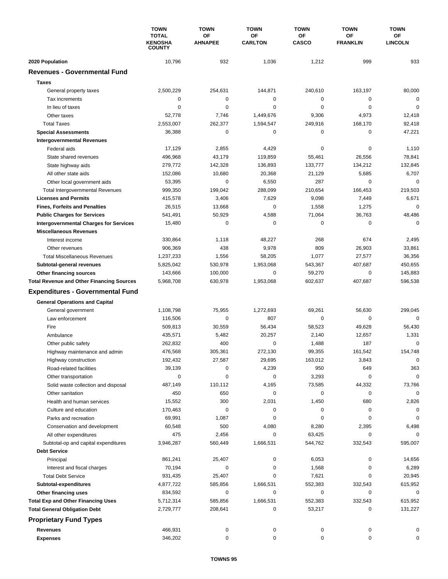|                                                  | <b>TOWN</b>                                     | <b>TOWN</b>          | <b>TOWN</b>          | <b>TOWN</b>               | <b>TOWN</b>                  | <b>TOWN</b>                 |
|--------------------------------------------------|-------------------------------------------------|----------------------|----------------------|---------------------------|------------------------------|-----------------------------|
|                                                  | <b>TOTAL</b><br><b>KENOSHA</b><br><b>COUNTY</b> | OF<br><b>AHNAPEE</b> | ΟF<br><b>CARLTON</b> | <b>OF</b><br><b>CASCO</b> | <b>OF</b><br><b>FRANKLIN</b> | <b>OF</b><br><b>LINCOLN</b> |
| 2020 Population                                  | 10,796                                          | 932                  | 1,036                | 1,212                     | 999                          | 933                         |
| <b>Revenues - Governmental Fund</b>              |                                                 |                      |                      |                           |                              |                             |
| <b>Taxes</b>                                     |                                                 |                      |                      |                           |                              |                             |
| General property taxes                           | 2,500,229                                       | 254,631              | 144,871              | 240,610                   | 163,197                      | 80,000                      |
| Tax increments                                   | 0                                               | $\mathbf 0$          | 0                    | 0                         | 0                            | $\mathbf 0$                 |
| In lieu of taxes                                 | $\mathbf 0$                                     | $\mathbf 0$          | 0                    | $\mathbf 0$               | $\mathbf 0$                  | $\mathbf 0$                 |
| Other taxes                                      | 52,778                                          | 7,746                | 1,449,676            | 9,306                     | 4,973                        | 12,418                      |
| <b>Total Taxes</b>                               | 2,553,007                                       | 262,377              | 1,594,547            | 249,916                   | 168,170                      | 92,418                      |
| <b>Special Assessments</b>                       | 36,388                                          | 0                    | 0                    | 0                         | 0                            | 47,221                      |
| <b>Intergovernmental Revenues</b>                |                                                 |                      |                      |                           |                              |                             |
| Federal aids                                     | 17,129                                          | 2,855                | 4,429                | 0                         | 0                            | 1,110                       |
| State shared revenues                            | 496,968                                         | 43,179               | 119,859              | 55,461                    | 26,556                       | 78,841                      |
| State highway aids                               | 279,772                                         | 142,328              | 136,893              | 133,777                   | 134,212                      | 132,845                     |
| All other state aids                             | 152,086                                         | 10,680               | 20,368               | 21,129                    | 5,685                        | 6,707                       |
| Other local government aids                      | 53,395                                          | $\mathbf 0$          | 6,550                | 287                       | $\mathbf 0$                  | $\mathbf 0$                 |
| <b>Total Intergovernmental Revenues</b>          | 999,350                                         | 199,042              | 288,099              | 210,654                   | 166,453                      | 219,503                     |
| <b>Licenses and Permits</b>                      | 415,578                                         | 3,406                | 7,629                | 9,098                     | 7,449                        | 6,671                       |
| <b>Fines, Forfeits and Penalties</b>             | 26,515                                          | 13,668               | 0                    | 1,558                     | 1,275                        | $\mathbf 0$                 |
| <b>Public Charges for Services</b>               | 541,491                                         | 50,929               | 4,588                | 71,064                    | 36,763                       | 48,486                      |
| <b>Intergovernmental Charges for Services</b>    | 15,480                                          | $\mathbf 0$          | $\mathbf 0$          | $\mathbf 0$               | $\mathbf 0$                  | $\Omega$                    |
| <b>Miscellaneous Revenues</b>                    |                                                 |                      |                      |                           |                              |                             |
| Interest income                                  | 330,864                                         | 1,118                | 48,227               | 268                       | 674                          | 2,495                       |
| Other revenues                                   | 906,369                                         | 438                  | 9,978                | 809                       | 26,903                       | 33,861                      |
| <b>Total Miscellaneous Revenues</b>              | 1,237,233                                       | 1,556                | 58,205               | 1,077                     | 27,577                       | 36,356                      |
| Subtotal-general revenues                        | 5,825,042                                       | 530,978              | 1,953,068            | 543,367                   | 407,687                      | 450,655                     |
| Other financing sources                          | 143,666                                         | 100,000              | 0                    | 59,270                    | $\mathbf 0$                  | 145,883                     |
| <b>Total Revenue and Other Financing Sources</b> | 5,968,708                                       | 630,978              | 1,953,068            | 602,637                   | 407,687                      | 596,538                     |
| <b>Expenditures - Governmental Fund</b>          |                                                 |                      |                      |                           |                              |                             |
| <b>General Operations and Capital</b>            |                                                 |                      |                      |                           |                              |                             |
| General government                               | 1,108,798                                       | 75,955               | 1,272,693            | 69,261                    | 56,630                       | 299,045                     |
| Law enforcement                                  | 116,506                                         | $\mathbf 0$          | 807                  | $\mathbf 0$               | 0                            | $\mathbf 0$                 |
| Fire                                             | 509,813                                         | 30,559               | 56,434               | 58,523                    | 49,628                       | 56,430                      |
| Ambulance                                        | 435,571                                         | 5,482                | 20,257               | 2,140                     | 12,657                       | 1,331                       |
| Other public safety                              | 262,832                                         | 400                  | 0                    | 1,488                     | 187                          | $\mathbf 0$                 |
| Highway maintenance and admin                    | 476,568                                         | 305,361              | 272,130              | 99,355                    | 161,542                      | 154,748                     |
| Highway construction                             | 192,432                                         | 27,587               | 29,695               | 163,012                   | 3,843                        | $\pmb{0}$                   |
| Road-related facilities                          | 39,139                                          | 0                    | 4,239                | 950                       | 649                          | 363                         |
| Other transportation                             | $\mathbf 0$                                     | 0                    | 0                    | 3,293                     | 0                            | $\mathbf 0$                 |
| Solid waste collection and disposal              | 487,149                                         | 110,112              | 4,165                | 73,585                    | 44,332                       | 73,766                      |
| Other sanitation                                 | 450                                             | 650                  | 0                    | 0                         | 0                            | $\mathbf 0$                 |
| Health and human services                        | 15,552                                          | 300                  | 2,031                | 1,450                     | 680                          | 2,826                       |
| Culture and education                            | 170,463                                         | $\pmb{0}$            | 0                    | 0                         | 0                            | 0                           |
| Parks and recreation                             | 69,991                                          | 1,087                | 0                    | 0                         | 0                            | $\mathbf 0$                 |
| Conservation and development                     | 60,548                                          | 500                  | 4,080                | 8,280                     | 2,395                        | 6,498                       |
| All other expenditures                           | 475                                             | 2,456                | 0                    | 63,425                    | 0                            | 0                           |
| Subtotal-op and capital expenditures             | 3,946,287                                       | 560,449              | 1,666,531            | 544,762                   | 332,543                      | 595,007                     |
| <b>Debt Service</b>                              |                                                 |                      |                      |                           |                              |                             |
| Principal                                        | 861,241                                         | 25,407               | 0                    | 6,053                     | 0                            | 14,656                      |
| Interest and fiscal charges                      | 70,194                                          | 0                    | 0                    | 1,568                     | 0                            | 6,289                       |
| <b>Total Debt Service</b>                        | 931,435                                         | 25,407               | 0                    | 7,621                     | 0                            | 20,945                      |
| Subtotal-expenditures                            | 4,877,722                                       | 585,856              | 1,666,531            | 552,383                   | 332,543                      | 615,952                     |
| Other financing uses                             | 834,592                                         | 0                    | 0                    | 0                         | 0                            | 0                           |
| <b>Total Exp and Other Financing Uses</b>        | 5,712,314                                       | 585,856              | 1,666,531            | 552,383                   | 332,543                      | 615,952                     |
| <b>Total General Obligation Debt</b>             | 2,729,777                                       | 208,641              | 0                    | 53,217                    | 0                            | 131,227                     |
| <b>Proprietary Fund Types</b>                    |                                                 |                      |                      |                           |                              |                             |
| <b>Revenues</b>                                  | 466,931                                         | 0                    | 0                    | 0                         | 0                            | 0                           |
| <b>Expenses</b>                                  | 346,202                                         | 0                    | 0                    | 0                         | 0                            | 0                           |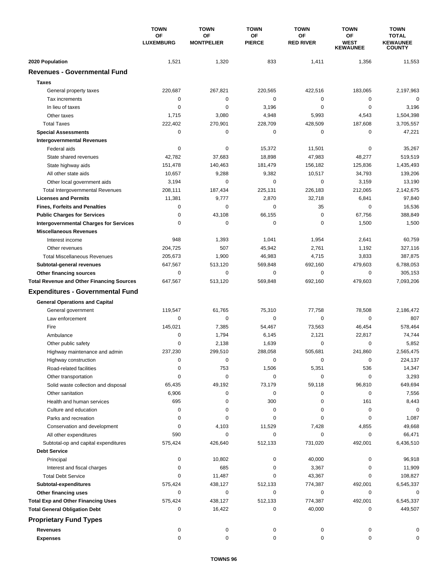|                                                          | <b>TOWN</b>            | <b>TOWN</b>             | <b>TOWN</b>         | <b>TOWN</b>            | <b>TOWN</b>                          | <b>TOWN</b>                                      |
|----------------------------------------------------------|------------------------|-------------------------|---------------------|------------------------|--------------------------------------|--------------------------------------------------|
|                                                          | OF<br><b>LUXEMBURG</b> | OF<br><b>MONTPELIER</b> | OF<br><b>PIERCE</b> | OF<br><b>RED RIVER</b> | ΟF<br><b>WEST</b><br><b>KEWAUNEE</b> | <b>TOTAL</b><br><b>KEWAUNEE</b><br><b>COUNTY</b> |
| 2020 Population                                          | 1,521                  | 1,320                   | 833                 | 1,411                  | 1,356                                | 11,553                                           |
| <b>Revenues - Governmental Fund</b>                      |                        |                         |                     |                        |                                      |                                                  |
| <b>Taxes</b>                                             |                        |                         |                     |                        |                                      |                                                  |
| General property taxes                                   | 220,687                | 267,821                 | 220,565             | 422,516                | 183,065                              | 2,197,963                                        |
| Tax increments                                           | 0                      | $\pmb{0}$               | $\mathbf 0$         | 0                      | 0                                    | $\mathbf 0$                                      |
| In lieu of taxes                                         | 0                      | $\mathbf 0$             | 3,196               | 0                      | $\mathbf 0$                          | 3,196                                            |
| Other taxes                                              | 1,715                  | 3,080                   | 4,948               | 5,993                  | 4,543                                | 1,504,398                                        |
| <b>Total Taxes</b>                                       | 222,402                | 270,901                 | 228,709             | 428,509                | 187,608                              | 3,705,557                                        |
| <b>Special Assessments</b>                               | 0                      | 0                       | 0                   | 0                      | 0                                    | 47,221                                           |
| <b>Intergovernmental Revenues</b>                        |                        |                         |                     |                        |                                      |                                                  |
| Federal aids                                             | 0                      | 0                       | 15,372              | 11,501                 | 0                                    | 35,267                                           |
| State shared revenues                                    | 42,782                 | 37,683                  | 18,898              | 47,983                 | 48,277                               | 519,519                                          |
| State highway aids                                       | 151,478                | 140,463                 | 181,479             | 156,182                | 125,836                              | 1,435,493                                        |
| All other state aids                                     | 10,657                 | 9,288                   | 9,382               | 10,517                 | 34,793                               | 139,206                                          |
| Other local government aids                              | 3,194                  | 0                       | 0                   | 0                      | 3,159                                | 13,190                                           |
| <b>Total Intergovernmental Revenues</b>                  | 208,111                | 187,434                 | 225,131             | 226,183                | 212,065                              | 2,142,675                                        |
| <b>Licenses and Permits</b>                              | 11,381                 | 9,777                   | 2,870               | 32,718                 | 6,841                                | 97,840                                           |
| <b>Fines, Forfeits and Penalties</b>                     | 0                      | 0                       | 0                   | 35                     | 0                                    | 16,536                                           |
| <b>Public Charges for Services</b>                       | 0                      | 43,108                  | 66,155              | 0                      | 67,756                               | 388,849                                          |
| <b>Intergovernmental Charges for Services</b>            | 0                      | 0                       | 0                   | 0                      | 1,500                                | 1,500                                            |
| <b>Miscellaneous Revenues</b>                            |                        |                         |                     |                        |                                      |                                                  |
| Interest income                                          | 948                    | 1,393                   | 1,041               | 1,954                  | 2,641                                | 60,759                                           |
| Other revenues                                           | 204,725                | 507                     | 45,942              | 2,761                  | 1,192                                | 327,116                                          |
| <b>Total Miscellaneous Revenues</b>                      | 205,673                | 1,900                   | 46,983              | 4,715                  | 3,833                                | 387,875                                          |
| Subtotal-general revenues                                | 647,567                | 513,120                 | 569,848             | 692,160                | 479,603                              | 6,788,053                                        |
| Other financing sources                                  | 0                      | $\pmb{0}$               | 0                   | 0                      | 0                                    | 305,153                                          |
| <b>Total Revenue and Other Financing Sources</b>         | 647,567                | 513,120                 | 569,848             | 692,160                | 479,603                              | 7,093,206                                        |
| <b>Expenditures - Governmental Fund</b>                  |                        |                         |                     |                        |                                      |                                                  |
| <b>General Operations and Capital</b>                    |                        |                         |                     |                        |                                      |                                                  |
| General government                                       | 119,547                | 61,765                  | 75,310              | 77,758                 | 78,508                               | 2,186,472                                        |
| Law enforcement                                          | 0                      | 0                       | 0                   | 0                      | 0                                    | 807                                              |
| Fire                                                     | 145,021                | 7,385                   | 54,467              | 73,563                 | 46,454                               | 578,464                                          |
| Ambulance                                                | 0                      | 1,794                   | 6,145               | 2,121                  | 22,817                               | 74,744                                           |
| Other public safety                                      | 0                      | 2,138                   | 1,639               | 0                      | 0                                    | 5,852                                            |
| Highway maintenance and admin                            | 237.230                | 299,510                 | 288,058             | 505,681                | 241,860                              | 2,565,475                                        |
| Highway construction                                     | 0                      | 0                       | 0                   | 0                      | 0                                    | 224,137                                          |
| Road-related facilities                                  | 0                      | 753                     | 1,506               | 5,351                  | 536                                  | 14,347                                           |
| Other transportation                                     | 0                      | 0                       | 0                   | 0                      | 0                                    | 3,293                                            |
| Solid waste collection and disposal                      | 65,435                 | 49,192                  | 73,179              | 59,118                 | 96,810                               | 649,694                                          |
| Other sanitation                                         | 6,906                  | 0                       | 0                   | 0                      | 0                                    | 7,556                                            |
| Health and human services                                | 695                    | 0                       | 300                 | 0                      | 161                                  | 8,443                                            |
| Culture and education                                    | 0                      | 0                       | 0                   | 0                      | 0                                    | 0                                                |
| Parks and recreation                                     | 0                      | 0                       | 0                   | 0                      | 0                                    | 1,087                                            |
| Conservation and development                             | 0                      | 4,103                   | 11,529              | 7,428                  | 4,855                                | 49,668                                           |
| All other expenditures                                   | 590                    | 0                       | 0                   | 0                      | 0                                    | 66,471                                           |
| Subtotal-op and capital expenditures                     | 575,424                | 426,640                 | 512,133             | 731,020                | 492,001                              | 6,436,510                                        |
| <b>Debt Service</b>                                      |                        |                         |                     |                        |                                      |                                                  |
| Principal                                                | 0                      | 10,802                  | 0                   | 40,000                 | 0                                    | 96,918                                           |
| Interest and fiscal charges<br><b>Total Debt Service</b> | 0<br>0                 | 685<br>11,487           | 0<br>0              | 3,367<br>43,367        | 0<br>0                               | 11,909<br>108,827                                |
| Subtotal-expenditures                                    | 575,424                | 438,127                 | 512,133             | 774,387                | 492,001                              | 6,545,337                                        |
| Other financing uses                                     | 0                      | $\pmb{0}$               | 0                   | 0                      | 0                                    | 0                                                |
| <b>Total Exp and Other Financing Uses</b>                | 575,424                | 438,127                 | 512,133             | 774,387                | 492,001                              | 6,545,337                                        |
| <b>Total General Obligation Debt</b>                     | 0                      | 16,422                  | 0                   | 40,000                 | 0                                    | 449,507                                          |
|                                                          |                        |                         |                     |                        |                                      |                                                  |
| <b>Proprietary Fund Types</b>                            |                        |                         |                     |                        |                                      |                                                  |
| <b>Revenues</b>                                          | 0                      | 0                       | 0                   | 0                      | 0                                    | 0                                                |
| <b>Expenses</b>                                          | 0                      | 0                       | 0                   | 0                      | 0                                    | 0                                                |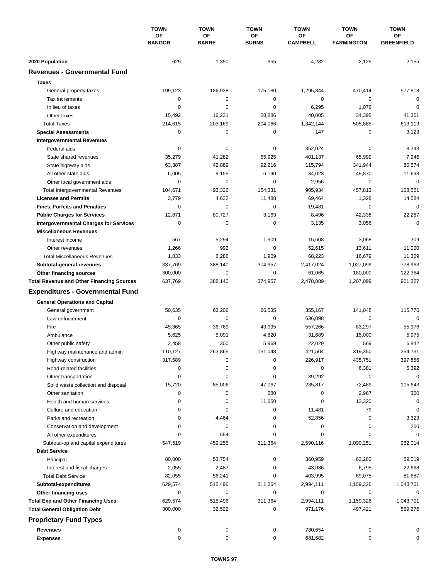|                                                  | <b>TOWN</b><br>OF<br><b>BANGOR</b> | <b>TOWN</b>        | <b>TOWN</b>        | <b>TOWN</b>           | <b>TOWN</b>             | <b>TOWN</b>             |
|--------------------------------------------------|------------------------------------|--------------------|--------------------|-----------------------|-------------------------|-------------------------|
|                                                  |                                    | OF<br><b>BARRE</b> | ΟF<br><b>BURNS</b> | ОF<br><b>CAMPBELL</b> | OF<br><b>FARMINGTON</b> | ОF<br><b>GREENFIELD</b> |
| 2020 Population                                  | 629                                | 1,350              | 955                | 4,282                 | 2,125                   | 2,155                   |
| <b>Revenues - Governmental Fund</b>              |                                    |                    |                    |                       |                         |                         |
| <b>Taxes</b>                                     |                                    |                    |                    |                       |                         |                         |
| General property taxes                           | 199,123                            | 186,938            | 175,180            | 1,295,844             | 470,414                 | 577,818                 |
| Tax increments                                   | 0                                  | 0                  | 0                  | 0                     | 0                       | $\mathbf 0$             |
| In lieu of taxes                                 | 0                                  | $\mathbf 0$        | 0                  | 6,295                 | 1,076                   | $\mathbf 0$             |
| Other taxes                                      | 15,492                             | 16,231             | 28,886             | 40,005                | 34,395                  | 41,301                  |
| <b>Total Taxes</b>                               | 214,615                            | 203,169            | 204,066            | 1,342,144             | 505,885                 | 619,119                 |
| <b>Special Assessments</b>                       | 0                                  | 0                  | 0                  | 147                   | 0                       | 3,123                   |
| <b>Intergovernmental Revenues</b>                |                                    |                    |                    |                       |                         |                         |
| Federal aids                                     | 0                                  | 0                  | 0                  | 352,024               | 0                       | 8,343                   |
| State shared revenues                            | 35,279                             | 41,282             | 55,925             | 401,137               | 65,999                  | 7,946                   |
| State highway aids                               | 63,387                             | 42,889             | 92,216             | 115,794               | 341,944                 | 80,574                  |
| All other state aids                             | 6,005                              | 9,155              | 6,190              | 34,023                | 49,870                  | 11,698                  |
| Other local government aids                      | 0                                  | $\mathbf 0$        | $\pmb{0}$          | 2,956                 | $\mathbf 0$             | $\mathbf 0$             |
| <b>Total Intergovernmental Revenues</b>          | 104,671                            | 93,326             | 154,331            | 905,934               | 457,813                 | 108,561                 |
| <b>Licenses and Permits</b>                      | 3,779                              | 4,632              | 11,488             | 69,464                | 1,328                   | 14,584                  |
| <b>Fines, Forfeits and Penalties</b>             | 0                                  | $\mathbf 0$        | 0                  | 19,481                | 0                       | $\mathbf 0$             |
| <b>Public Charges for Services</b>               | 12,871                             | 80,727             | 3,163              | 8,496                 | 42,338                  | 22,267                  |
| <b>Intergovernmental Charges for Services</b>    | 0                                  | $\mathbf 0$        | 0                  | 3,135                 | 3,056                   | $\Omega$                |
| <b>Miscellaneous Revenues</b>                    |                                    |                    |                    |                       |                         |                         |
| Interest income                                  | 567                                | 5,294              | 1,909              | 15,608                | 3,068                   | 309                     |
| Other revenues                                   | 1,266                              | 992                | 0                  | 52,615                | 13,611                  | 11,000                  |
| <b>Total Miscellaneous Revenues</b>              | 1,833                              | 6,286              | 1,909              | 68,223                | 16,679                  | 11,309                  |
| Subtotal-general revenues                        | 337,769                            | 388,140            | 374,957            | 2,417,024             | 1,027,099               | 778,963                 |
| Other financing sources                          | 300,000                            | $\mathbf 0$        | 0                  | 61,065                | 180,000                 | 122,364                 |
| <b>Total Revenue and Other Financing Sources</b> | 637,769                            | 388,140            | 374,957            | 2,478,089             | 1,207,099               | 901,327                 |
| <b>Expenditures - Governmental Fund</b>          |                                    |                    |                    |                       |                         |                         |
|                                                  |                                    |                    |                    |                       |                         |                         |
| <b>General Operations and Capital</b>            | 50,635                             | 63,206             | 66,535             | 355,167               | 141,048                 | 115,776                 |
| General government<br>Law enforcement            | 0                                  | $\mathbf 0$        | 0                  | 636,098               | 0                       | $\mathbf 0$             |
| Fire                                             | 45,365                             | 36,769             | 43,995             | 557,266               | 83,297                  | 55,976                  |
| Ambulance                                        | 5,625                              | 5,091              | 4,820              | 31,689                | 15,000                  | 5,975                   |
| Other public safety                              | 2,458                              | 300                | 5,969              | 22,029                | 569                     | 6,842                   |
| Highway maintenance and admin                    | 110,127                            | 263,865            | 131,048            | 421,504               | 319,350                 | 254.731                 |
| Highway construction                             | 317,589                            | 0                  | 0                  | 226,917               | 435,751                 | 397,856                 |
| Road-related facilities                          | 0                                  | 0                  | 0                  | 0                     | 6,381                   | 5,392                   |
| Other transportation                             | 0                                  | 0                  | 0                  | 39,292                | 0                       | 0                       |
| Solid waste collection and disposal              | 15,720                             | 85,006             | 47,067             | 235,817               | 72,489                  | 115,643                 |
| Other sanitation                                 | 0                                  | 0                  | 280                | 0                     | 2,967                   | 300                     |
| Health and human services                        | 0                                  | 0                  | 11,650             | 0                     | 13,320                  | 0                       |
| Culture and education                            | 0                                  | 0                  | 0                  | 11,481                | 79                      | 0                       |
| Parks and recreation                             | 0                                  | 4,464              | 0                  | 52,856                | 0                       | 3,323                   |
| Conservation and development                     | 0                                  | 0                  | 0                  | 0                     | 0                       | 200                     |
| All other expenditures                           | 0                                  | 554                | 0                  | 0                     | 0                       | $\mathbf 0$             |
| Subtotal-op and capital expenditures             | 547,519                            | 459,255            | 311,364            | 2,590,116             | 1,090,251               | 962,014                 |
| <b>Debt Service</b>                              |                                    |                    |                    |                       |                         |                         |
| Principal                                        | 80,000                             | 53,754             | 0                  | 360,959               | 62,280                  | 59,019                  |
| Interest and fiscal charges                      | 2,055                              | 2,487              | 0                  | 43,036                | 6,795                   | 22,668                  |
| <b>Total Debt Service</b>                        | 82,055                             | 56,241             | 0                  | 403,995               | 69,075                  | 81,687                  |
| Subtotal-expenditures                            | 629,574                            | 515,496            | 311,364            | 2,994,111             | 1,159,326               | 1,043,701               |
| Other financing uses                             | 0                                  | 0                  | 0                  | 0                     | 0                       | 0                       |
| <b>Total Exp and Other Financing Uses</b>        | 629,574                            | 515,496            | 311,364            | 2,994,111             | 1,159,326               | 1,043,701               |
| <b>Total General Obligation Debt</b>             | 300,000                            | 32,522             | 0                  | 971,176               | 497,421                 | 559,276                 |
| <b>Proprietary Fund Types</b>                    |                                    |                    |                    |                       |                         |                         |
|                                                  |                                    |                    |                    |                       |                         |                         |
| <b>Revenues</b>                                  | 0<br>0                             | 0                  | 0                  | 780,654               | 0                       |                         |
| <b>Expenses</b>                                  |                                    | $\pmb{0}$          | 0                  | 681,682               | 0                       | 0                       |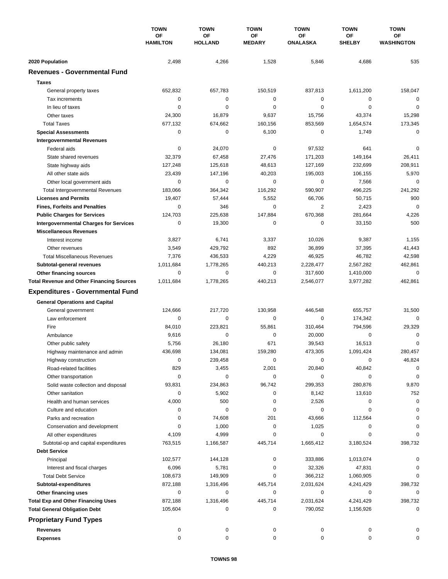|                                                  | <b>TOWN</b><br>OF<br><b>HAMILTON</b> | <b>TOWN</b><br>OF<br><b>HOLLAND</b> | <b>TOWN</b><br>OF<br><b>MEDARY</b> | <b>TOWN</b><br>OF<br><b>ONALASKA</b> | <b>TOWN</b><br>ΟF<br><b>SHELBY</b> | <b>TOWN</b><br>OF<br><b>WASHINGTON</b> |
|--------------------------------------------------|--------------------------------------|-------------------------------------|------------------------------------|--------------------------------------|------------------------------------|----------------------------------------|
|                                                  |                                      |                                     |                                    |                                      |                                    |                                        |
| 2020 Population                                  | 2,498                                | 4,266                               | 1,528                              | 5,846                                | 4,686                              | 535                                    |
| <b>Revenues - Governmental Fund</b>              |                                      |                                     |                                    |                                      |                                    |                                        |
| <b>Taxes</b>                                     |                                      |                                     |                                    |                                      |                                    |                                        |
| General property taxes                           | 652,832                              | 657,783                             | 150,519                            | 837,813                              | 1,611,200                          | 158,047                                |
| Tax increments                                   | 0                                    | $\mathbf 0$                         | 0                                  | 0                                    | 0                                  | $\mathbf 0$                            |
| In lieu of taxes                                 | 0                                    | 0                                   | 0                                  | 0                                    | $\mathbf 0$                        | 0                                      |
| Other taxes                                      | 24,300                               | 16,879                              | 9,637                              | 15,756                               | 43,374                             | 15,298                                 |
| <b>Total Taxes</b>                               | 677,132                              | 674,662                             | 160,156                            | 853,569                              | 1,654,574                          | 173,345                                |
| <b>Special Assessments</b>                       | 0                                    | 0                                   | 6,100                              | 0                                    | 1,749                              | $\mathbf 0$                            |
| <b>Intergovernmental Revenues</b>                |                                      |                                     |                                    |                                      |                                    |                                        |
| Federal aids                                     | 0                                    | 24,070                              | 0                                  | 97,532                               | 641                                | $\mathbf 0$                            |
| State shared revenues                            | 32,379                               | 67,458                              | 27,476                             | 171,203                              | 149,164                            | 26,411                                 |
| State highway aids                               | 127,248                              | 125,618                             | 48,613                             | 127,169                              | 232,699                            | 208,911                                |
| All other state aids                             | 23,439                               | 147,196                             | 40,203                             | 195,003                              | 106,155                            | 5,970                                  |
| Other local government aids                      | 0                                    | 0                                   | 0                                  | 0                                    | 7,566                              | $\mathbf 0$                            |
| <b>Total Intergovernmental Revenues</b>          | 183,066                              | 364,342                             | 116,292                            | 590,907                              | 496,225                            | 241,292                                |
| <b>Licenses and Permits</b>                      | 19,407                               | 57,444                              | 5,552                              | 66,706                               | 50,715                             | 900                                    |
| <b>Fines, Forfeits and Penalties</b>             | 0                                    | 346                                 | 0                                  | 2                                    | 2,423                              | $\mathbf 0$                            |
| <b>Public Charges for Services</b>               | 124,703                              | 225,638                             | 147,884                            | 670,368                              | 281,664                            | 4,226                                  |
| <b>Intergovernmental Charges for Services</b>    | $\mathbf 0$                          | 19,300                              | 0                                  | 0                                    | 33,150                             | 500                                    |
| <b>Miscellaneous Revenues</b>                    |                                      |                                     |                                    |                                      |                                    |                                        |
| Interest income                                  | 3,827                                | 6,741                               | 3,337                              | 10,026                               | 9,387                              | 1,155                                  |
| Other revenues                                   | 3,549                                | 429,792                             | 892                                | 36,899                               | 37,395                             | 41,443                                 |
| <b>Total Miscellaneous Revenues</b>              | 7,376                                | 436,533                             | 4,229                              | 46,925                               | 46,782                             | 42,598                                 |
| Subtotal-general revenues                        | 1,011,684                            | 1,778,265                           | 440,213                            | 2,228,477                            | 2,567,282                          | 462,861                                |
| Other financing sources                          | 0                                    | 0                                   | 0                                  | 317,600                              | 1,410,000                          | $\mathbf 0$                            |
| <b>Total Revenue and Other Financing Sources</b> | 1,011,684                            | 1,778,265                           | 440,213                            | 2,546,077                            | 3,977,282                          | 462,861                                |
|                                                  |                                      |                                     |                                    |                                      |                                    |                                        |
| <b>Expenditures - Governmental Fund</b>          |                                      |                                     |                                    |                                      |                                    |                                        |
| <b>General Operations and Capital</b>            |                                      |                                     |                                    |                                      |                                    |                                        |
| General government                               | 124,666                              | 217,720                             | 130,958                            | 446,548                              | 655,757                            | 31,500                                 |
| Law enforcement                                  | $\mathbf 0$                          | 0                                   | $\mathbf 0$                        | 0                                    | 174,342                            | $\mathbf 0$                            |
| Fire                                             | 84,010                               | 223,821                             | 55,861                             | 310,464                              | 794,596                            | 29,329                                 |
| Ambulance                                        | 9,616                                | 0                                   | 0                                  | 20,000                               | $\mathbf 0$                        | 0                                      |
| Other public safety                              | 5,756                                | 26,180                              | 671                                | 39,543                               | 16,513                             | $\mathbf 0$                            |
| Highway maintenance and admin                    | 436,698                              | 134,081                             | 159,280                            | 473,305                              | 1,091,424                          | 280,457                                |
| Highway construction                             | 0                                    | 239,458                             | 0                                  | 0                                    | 0                                  | 46,824                                 |
| Road-related facilities                          | 829                                  | 3,455                               | 2,001                              | 20,840                               | 40,842                             | 0                                      |
| Other transportation                             | 0                                    | 0                                   | 0                                  | 0                                    | 0                                  | $\mathbf 0$                            |
| Solid waste collection and disposal              | 93,831                               | 234,863                             | 96,742                             | 299,353                              | 280,876                            | 9,870                                  |
| Other sanitation                                 | 0                                    | 5,902                               | 0                                  | 8,142                                | 13,610                             | 752                                    |
| Health and human services                        | 4,000                                | 500                                 | 0                                  | 2,526                                | 0                                  | 0                                      |
| Culture and education                            | 0                                    | 0                                   | 0                                  | 0                                    | 0                                  | 0                                      |
| Parks and recreation                             | 0                                    | 74,608                              | 201                                | 43,666                               | 112,564                            | 0                                      |
| Conservation and development                     | 0                                    | 1,000                               | 0                                  | 1,025                                | 0                                  | 0                                      |
| All other expenditures                           | 4,109                                | 4,999                               | 0                                  | 0                                    | 0                                  | $\Omega$                               |
| Subtotal-op and capital expenditures             | 763,515                              | 1,166,587                           | 445,714                            | 1,665,412                            | 3,180,524                          | 398,732                                |
| <b>Debt Service</b>                              |                                      |                                     |                                    |                                      |                                    |                                        |
| Principal                                        | 102,577                              | 144,128                             | 0                                  | 333,886                              | 1,013,074                          | 0                                      |
| Interest and fiscal charges                      | 6,096                                | 5,781                               | 0                                  | 32,326                               | 47,831                             | 0                                      |
| <b>Total Debt Service</b>                        | 108,673                              | 149,909                             | 0                                  | 366,212                              | 1,060,905                          | 0                                      |
| Subtotal-expenditures                            | 872,188                              | 1,316,496                           | 445,714                            | 2,031,624                            | 4,241,429                          | 398,732                                |
| Other financing uses                             | 0                                    | 0                                   | 0                                  | 0                                    | 0                                  | 0                                      |
| <b>Total Exp and Other Financing Uses</b>        | 872,188                              | 1,316,496                           | 445,714                            | 2,031,624                            | 4,241,429                          | 398,732                                |
| <b>Total General Obligation Debt</b>             | 105,604                              | 0                                   | 0                                  | 790,052                              | 1,156,926                          | 0                                      |
| <b>Proprietary Fund Types</b>                    |                                      |                                     |                                    |                                      |                                    |                                        |
| <b>Revenues</b>                                  | 0                                    | 0                                   | 0                                  | 0                                    | 0                                  | 0                                      |
| <b>Expenses</b>                                  | 0                                    | 0                                   | 0                                  | 0                                    | 0                                  | 0                                      |
|                                                  |                                      |                                     |                                    |                                      |                                    |                                        |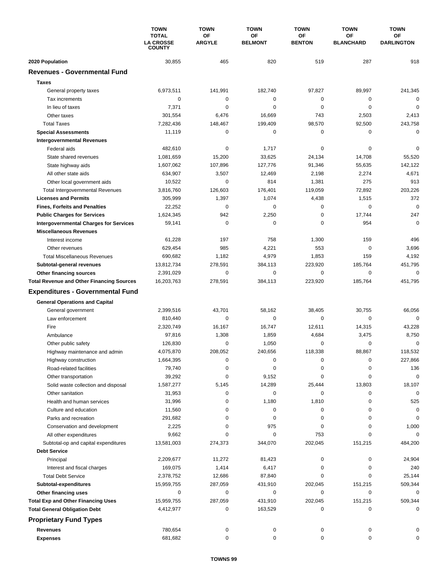|                                                  | <b>TOWN</b>                                       | <b>TOWN</b>         | <b>TOWN</b>          | <b>TOWN</b>         | <b>TOWN</b>                   | <b>TOWN</b>                    |
|--------------------------------------------------|---------------------------------------------------|---------------------|----------------------|---------------------|-------------------------------|--------------------------------|
|                                                  | <b>TOTAL</b><br><b>LA CROSSE</b><br><b>COUNTY</b> | OF<br><b>ARGYLE</b> | ΟF<br><b>BELMONT</b> | ΟF<br><b>BENTON</b> | <b>OF</b><br><b>BLANCHARD</b> | <b>OF</b><br><b>DARLINGTON</b> |
| 2020 Population                                  | 30,855                                            | 465                 | 820                  | 519                 | 287                           | 918                            |
| <b>Revenues - Governmental Fund</b>              |                                                   |                     |                      |                     |                               |                                |
| <b>Taxes</b>                                     |                                                   |                     |                      |                     |                               |                                |
| General property taxes                           | 6,973,511                                         | 141,991             | 182,740              | 97,827              | 89,997                        | 241,345                        |
| Tax increments                                   | 0                                                 | $\mathbf 0$         | 0                    | 0                   | $\mathbf 0$                   | 0                              |
| In lieu of taxes                                 | 7,371                                             | 0                   | 0                    | 0                   | $\mathbf 0$                   | $\mathbf 0$                    |
| Other taxes                                      | 301,554                                           | 6,476               | 16,669               | 743                 | 2,503                         | 2,413                          |
| <b>Total Taxes</b>                               | 7,282,436                                         | 148,467             | 199,409              | 98,570              | 92,500                        | 243,758                        |
| <b>Special Assessments</b>                       | 11,119                                            | 0                   | 0                    | 0                   | 0                             | $\mathbf 0$                    |
| <b>Intergovernmental Revenues</b>                |                                                   |                     |                      |                     |                               |                                |
| Federal aids                                     | 482,610                                           | $\pmb{0}$           | 1,717                | 0                   | $\mathbf 0$                   | $\mathbf 0$                    |
| State shared revenues                            | 1,081,659                                         | 15,200              | 33,625               | 24,134              | 14,708                        | 55,520                         |
| State highway aids                               | 1,607,062                                         | 107,896             | 127,776              | 91,346              | 55,635                        | 142,122                        |
| All other state aids                             | 634,907                                           | 3,507               | 12,469               | 2,198               | 2,274                         | 4,671                          |
| Other local government aids                      | 10,522                                            | 0                   | 814                  | 1,381               | 275                           | 913                            |
| <b>Total Intergovernmental Revenues</b>          | 3,816,760                                         | 126,603             | 176,401              | 119,059             | 72,892                        | 203,226                        |
| <b>Licenses and Permits</b>                      | 305,999                                           | 1,397               | 1,074                | 4,438               | 1,515                         | 372                            |
| <b>Fines, Forfeits and Penalties</b>             | 22,252                                            | 0                   | 0                    | 0                   | 0                             | $\mathbf 0$                    |
| <b>Public Charges for Services</b>               | 1,624,345                                         | 942                 | 2,250                | 0                   | 17,744                        | 247                            |
| <b>Intergovernmental Charges for Services</b>    | 59,141                                            | $\mathbf 0$         | 0                    | 0                   | 954                           | $\mathbf 0$                    |
| <b>Miscellaneous Revenues</b>                    |                                                   |                     |                      |                     |                               |                                |
| Interest income                                  | 61,228                                            | 197                 | 758                  | 1,300               | 159                           | 496                            |
| Other revenues                                   | 629,454                                           | 985                 | 4,221                | 553                 | 0                             | 3,696                          |
| <b>Total Miscellaneous Revenues</b>              | 690,682                                           | 1,182               | 4,979                | 1,853               | 159                           | 4,192                          |
| Subtotal-general revenues                        | 13,812,734                                        | 278,591             | 384,113              | 223,920             | 185,764                       | 451,795                        |
| Other financing sources                          | 2,391,029                                         | 0                   | 0                    | 0                   | $\mathbf 0$                   | $\mathbf 0$                    |
| <b>Total Revenue and Other Financing Sources</b> | 16,203,763                                        | 278,591             | 384,113              | 223,920             | 185,764                       | 451,795                        |
| <b>Expenditures - Governmental Fund</b>          |                                                   |                     |                      |                     |                               |                                |
| <b>General Operations and Capital</b>            |                                                   |                     |                      |                     |                               |                                |
| General government                               | 2,399,516                                         | 43,701              | 58,162               | 38,405              | 30,755                        | 66,056                         |
| Law enforcement                                  | 810,440                                           | $\mathbf 0$         | 0                    | 0                   | $\mathbf 0$                   | $\mathbf 0$                    |
| Fire                                             | 2,320,749                                         | 16,167              | 16,747               | 12,611              | 14,315                        | 43,228                         |
| Ambulance                                        | 97,816                                            | 1,308               | 1,859                | 4,684               | 3,475                         | 8,750                          |
| Other public safety                              | 126,830                                           | 0                   | 1,050                | 0                   | $\mathbf 0$                   | $\mathbf 0$                    |
| Highway maintenance and admin                    | 4,075,870                                         | 208,052             | 240,656              | 118,338             | 88,867                        | 118,532                        |
| Highway construction                             | 1,664,395                                         | 0                   | 0                    | 0                   | 0                             | 227,866                        |
| Road-related facilities                          | 79,740                                            | 0                   | 0                    | 0                   | 0                             | 136                            |
| Other transportation                             | 39,292                                            | 0                   | 9,152                | 0                   | 0                             | $\mathbf 0$                    |
| Solid waste collection and disposal              | 1,587,277                                         | 5,145               | 14,289               | 25,444              | 13,803                        | 18,107                         |
| Other sanitation                                 | 31,953                                            | 0                   | 0                    | 0                   | 0                             | 0                              |
| Health and human services                        | 31,996                                            | 0                   | 1,180                | 1,810               | 0                             | 525                            |
| Culture and education                            | 11,560                                            | 0                   | 0                    | 0                   | 0                             | $\mathbf 0$                    |
| Parks and recreation                             | 291,682                                           | 0                   | 0                    | 0                   | 0                             | 0                              |
| Conservation and development                     | 2,225                                             | 0                   | 975                  | 0                   | $\mathbf 0$                   | 1,000                          |
| All other expenditures                           | 9,662                                             | 0                   | 0                    | 753                 | 0                             | 0                              |
| Subtotal-op and capital expenditures             | 13,581,003                                        | 274,373             | 344,070              | 202,045             | 151,215                       | 484,200                        |
| <b>Debt Service</b>                              |                                                   |                     |                      |                     |                               |                                |
| Principal                                        | 2,209,677                                         | 11,272              | 81,423               | 0                   | 0                             | 24,904                         |
| Interest and fiscal charges                      | 169,075                                           | 1,414               | 6,417                | 0<br>0              | 0<br>0                        | 240                            |
| <b>Total Debt Service</b>                        | 2,378,752<br>15,959,755                           | 12,686<br>287,059   | 87,840<br>431,910    | 202,045             | 151,215                       | 25,144<br>509,344              |
| Subtotal-expenditures<br>Other financing uses    | 0                                                 | 0                   | 0                    | 0                   | 0                             | 0                              |
| <b>Total Exp and Other Financing Uses</b>        | 15,959,755                                        | 287,059             | 431,910              | 202,045             | 151,215                       | 509,344                        |
| <b>Total General Obligation Debt</b>             | 4,412,977                                         | 0                   | 163,529              | 0                   | 0                             | 0                              |
| <b>Proprietary Fund Types</b>                    |                                                   |                     |                      |                     |                               |                                |
|                                                  |                                                   |                     |                      |                     |                               |                                |
| <b>Revenues</b><br><b>Expenses</b>               | 780,654<br>681,682                                | 0<br>0              | 0<br>0               | 0<br>0              | 0<br>0                        | 0<br>0                         |
|                                                  |                                                   |                     |                      |                     |                               |                                |